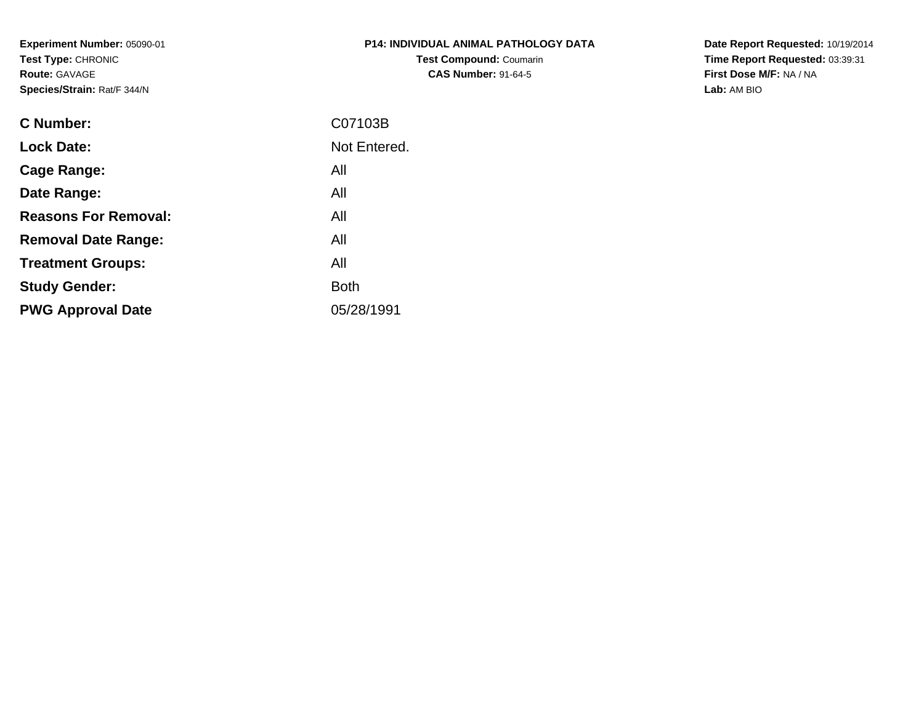**Experiment Number:** 05090-01**Test Type:** CHRONIC**Route:** GAVAGE**Species/Strain:** Rat/F 344/N

| <b>P14: INDIVIDUAL ANIMAL PATHOLOGY DATA</b> |
|----------------------------------------------|
| <b>Test Compound: Coumarin</b>               |
| <b>CAS Number: 91-64-5</b>                   |

**Date Report Requested:** 10/19/2014 **Time Report Requested:** 03:39:31**First Dose M/F:** NA / NA**Lab:** AM BIO

| C Number:                   | C07103B      |
|-----------------------------|--------------|
| <b>Lock Date:</b>           | Not Entered. |
| Cage Range:                 | All          |
| Date Range:                 | All          |
| <b>Reasons For Removal:</b> | All          |
| <b>Removal Date Range:</b>  | All          |
| <b>Treatment Groups:</b>    | All          |
| <b>Study Gender:</b>        | <b>Both</b>  |
| <b>PWG Approval Date</b>    | 05/28/1991   |
|                             |              |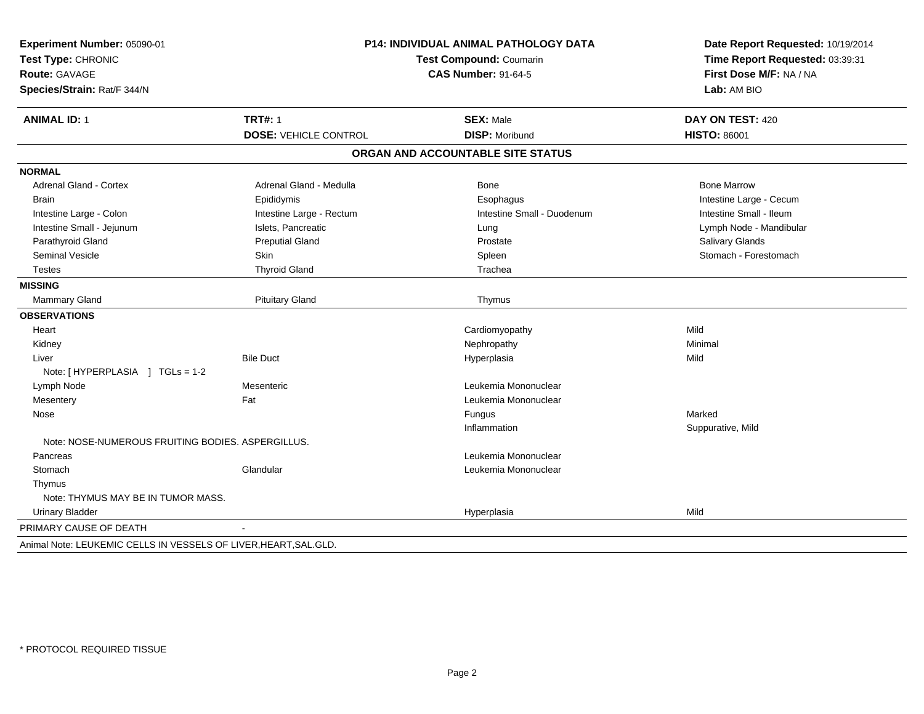| Experiment Number: 05090-01                                       | P14: INDIVIDUAL ANIMAL PATHOLOGY DATA<br>Test Compound: Coumarin |                                   | Date Report Requested: 10/19/2014<br>Time Report Requested: 03:39:31 |
|-------------------------------------------------------------------|------------------------------------------------------------------|-----------------------------------|----------------------------------------------------------------------|
| Test Type: CHRONIC                                                |                                                                  |                                   |                                                                      |
| Route: GAVAGE                                                     |                                                                  | <b>CAS Number: 91-64-5</b>        |                                                                      |
| Species/Strain: Rat/F 344/N                                       |                                                                  |                                   | Lab: AM BIO                                                          |
| <b>ANIMAL ID: 1</b>                                               | <b>TRT#: 1</b>                                                   | <b>SEX: Male</b>                  | DAY ON TEST: 420                                                     |
|                                                                   | <b>DOSE: VEHICLE CONTROL</b>                                     | <b>DISP: Moribund</b>             | <b>HISTO: 86001</b>                                                  |
|                                                                   |                                                                  | ORGAN AND ACCOUNTABLE SITE STATUS |                                                                      |
| <b>NORMAL</b>                                                     |                                                                  |                                   |                                                                      |
| <b>Adrenal Gland - Cortex</b>                                     | Adrenal Gland - Medulla                                          | <b>Bone</b>                       | <b>Bone Marrow</b>                                                   |
| <b>Brain</b>                                                      | Epididymis                                                       | Esophagus                         | Intestine Large - Cecum                                              |
| Intestine Large - Colon                                           | Intestine Large - Rectum                                         | Intestine Small - Duodenum        | Intestine Small - Ileum                                              |
| Intestine Small - Jejunum                                         | Islets, Pancreatic                                               | Lung                              | Lymph Node - Mandibular                                              |
| Parathyroid Gland                                                 | <b>Preputial Gland</b>                                           | Prostate                          | Salivary Glands                                                      |
| Seminal Vesicle                                                   | Skin                                                             | Spleen                            | Stomach - Forestomach                                                |
| <b>Testes</b>                                                     | <b>Thyroid Gland</b>                                             | Trachea                           |                                                                      |
| <b>MISSING</b>                                                    |                                                                  |                                   |                                                                      |
| Mammary Gland                                                     | <b>Pituitary Gland</b>                                           | Thymus                            |                                                                      |
| <b>OBSERVATIONS</b>                                               |                                                                  |                                   |                                                                      |
| Heart                                                             |                                                                  | Cardiomyopathy                    | Mild                                                                 |
| Kidney                                                            |                                                                  | Nephropathy                       | Minimal                                                              |
| Liver                                                             | <b>Bile Duct</b>                                                 | Hyperplasia                       | Mild                                                                 |
| Note: [HYPERPLASIA ] TGLs = 1-2                                   |                                                                  |                                   |                                                                      |
| Lymph Node                                                        | Mesenteric                                                       | Leukemia Mononuclear              |                                                                      |
| Mesentery                                                         | Fat                                                              | Leukemia Mononuclear              |                                                                      |
| Nose                                                              |                                                                  | Fungus                            | Marked                                                               |
|                                                                   |                                                                  | Inflammation                      | Suppurative, Mild                                                    |
| Note: NOSE-NUMEROUS FRUITING BODIES, ASPERGILLUS.                 |                                                                  |                                   |                                                                      |
| Pancreas                                                          |                                                                  | Leukemia Mononuclear              |                                                                      |
| Stomach                                                           | Glandular                                                        | Leukemia Mononuclear              |                                                                      |
| Thymus                                                            |                                                                  |                                   |                                                                      |
| Note: THYMUS MAY BE IN TUMOR MASS.                                |                                                                  |                                   |                                                                      |
| <b>Urinary Bladder</b>                                            |                                                                  | Hyperplasia                       | Mild                                                                 |
| PRIMARY CAUSE OF DEATH                                            |                                                                  |                                   |                                                                      |
| Animal Note: LEUKEMIC CELLS IN VESSELS OF LIVER, HEART, SAL. GLD. |                                                                  |                                   |                                                                      |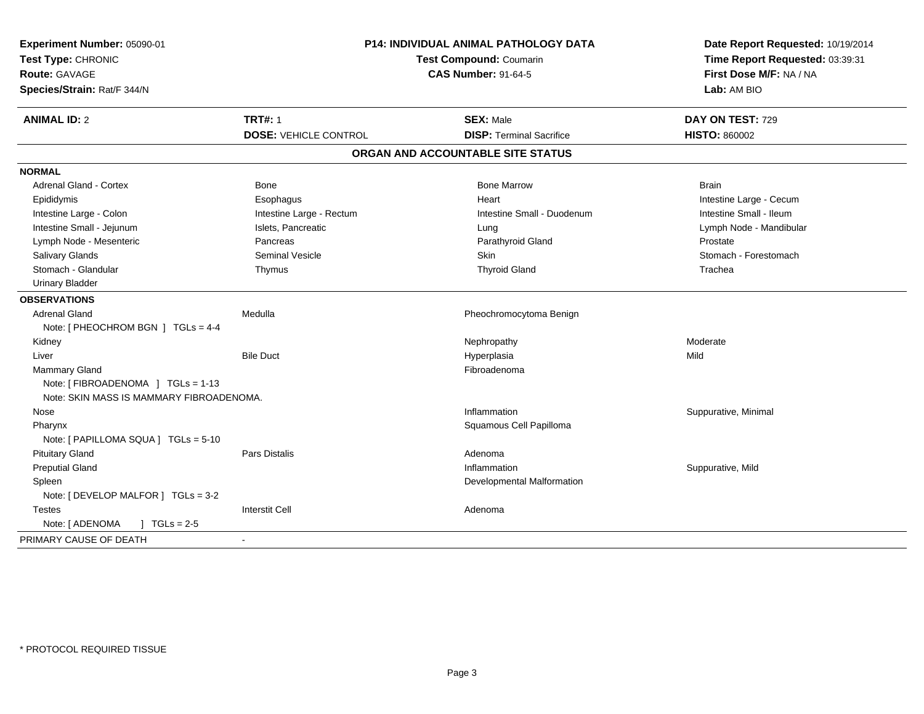| Experiment Number: 05090-01<br>Test Type: CHRONIC<br><b>Route: GAVAGE</b><br>Species/Strain: Rat/F 344/N | P14: INDIVIDUAL ANIMAL PATHOLOGY DATA<br>Test Compound: Coumarin<br><b>CAS Number: 91-64-5</b> |                                   | Date Report Requested: 10/19/2014<br>Time Report Requested: 03:39:31<br>First Dose M/F: NA / NA<br>Lab: AM BIO |  |
|----------------------------------------------------------------------------------------------------------|------------------------------------------------------------------------------------------------|-----------------------------------|----------------------------------------------------------------------------------------------------------------|--|
| <b>ANIMAL ID: 2</b>                                                                                      | <b>TRT#: 1</b>                                                                                 | <b>SEX: Male</b>                  | DAY ON TEST: 729                                                                                               |  |
|                                                                                                          | <b>DOSE: VEHICLE CONTROL</b>                                                                   | <b>DISP: Terminal Sacrifice</b>   | <b>HISTO: 860002</b>                                                                                           |  |
|                                                                                                          |                                                                                                | ORGAN AND ACCOUNTABLE SITE STATUS |                                                                                                                |  |
| <b>NORMAL</b>                                                                                            |                                                                                                |                                   |                                                                                                                |  |
| <b>Adrenal Gland - Cortex</b>                                                                            | Bone                                                                                           | <b>Bone Marrow</b>                | <b>Brain</b>                                                                                                   |  |
| Epididymis                                                                                               | Esophagus                                                                                      | Heart                             | Intestine Large - Cecum                                                                                        |  |
| Intestine Large - Colon                                                                                  | Intestine Large - Rectum                                                                       | Intestine Small - Duodenum        | Intestine Small - Ileum                                                                                        |  |
| Intestine Small - Jejunum                                                                                | Islets, Pancreatic                                                                             | Lung                              | Lymph Node - Mandibular                                                                                        |  |
| Lymph Node - Mesenteric                                                                                  | Pancreas                                                                                       | Parathyroid Gland                 | Prostate                                                                                                       |  |
| Salivary Glands                                                                                          | <b>Seminal Vesicle</b>                                                                         | <b>Skin</b>                       | Stomach - Forestomach                                                                                          |  |
| Stomach - Glandular                                                                                      | Thymus                                                                                         | <b>Thyroid Gland</b>              | Trachea                                                                                                        |  |
| <b>Urinary Bladder</b>                                                                                   |                                                                                                |                                   |                                                                                                                |  |
| <b>OBSERVATIONS</b>                                                                                      |                                                                                                |                                   |                                                                                                                |  |
| <b>Adrenal Gland</b>                                                                                     | Medulla                                                                                        | Pheochromocytoma Benign           |                                                                                                                |  |
| Note: [ PHEOCHROM BGN ] TGLs = 4-4                                                                       |                                                                                                |                                   |                                                                                                                |  |
| Kidney                                                                                                   |                                                                                                | Nephropathy                       | Moderate                                                                                                       |  |
| Liver                                                                                                    | <b>Bile Duct</b>                                                                               | Hyperplasia                       | Mild                                                                                                           |  |
| <b>Mammary Gland</b>                                                                                     |                                                                                                | Fibroadenoma                      |                                                                                                                |  |
| Note: [FIBROADENOMA ] TGLs = 1-13                                                                        |                                                                                                |                                   |                                                                                                                |  |
| Note: SKIN MASS IS MAMMARY FIBROADENOMA.                                                                 |                                                                                                |                                   |                                                                                                                |  |
| Nose                                                                                                     |                                                                                                | Inflammation                      | Suppurative, Minimal                                                                                           |  |
| Pharynx                                                                                                  |                                                                                                | Squamous Cell Papilloma           |                                                                                                                |  |
| Note: [ PAPILLOMA SQUA ] TGLs = 5-10                                                                     |                                                                                                |                                   |                                                                                                                |  |
| <b>Pituitary Gland</b>                                                                                   | Pars Distalis                                                                                  | Adenoma                           |                                                                                                                |  |
| <b>Preputial Gland</b>                                                                                   |                                                                                                | Inflammation                      | Suppurative, Mild                                                                                              |  |
| Spleen                                                                                                   |                                                                                                | Developmental Malformation        |                                                                                                                |  |
| Note: [ DEVELOP MALFOR ] TGLs = 3-2                                                                      |                                                                                                |                                   |                                                                                                                |  |
| <b>Testes</b>                                                                                            | <b>Interstit Cell</b>                                                                          | Adenoma                           |                                                                                                                |  |
| Note: [ ADENOMA<br>$\sqrt{ }$ TGLs = 2-5                                                                 |                                                                                                |                                   |                                                                                                                |  |
| PRIMARY CAUSE OF DEATH                                                                                   |                                                                                                |                                   |                                                                                                                |  |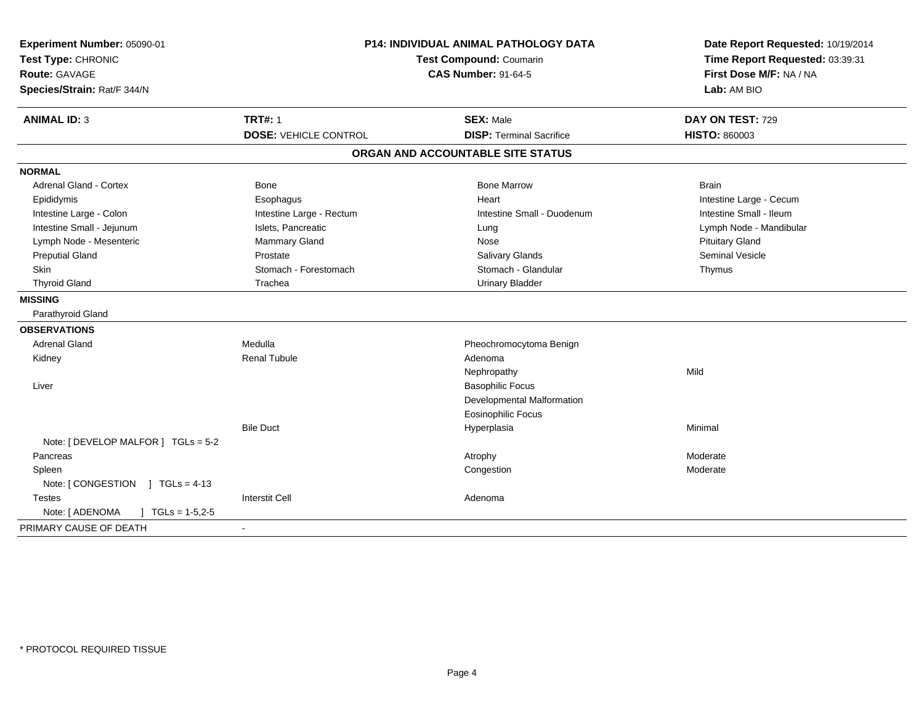| <b>TRT#: 1</b><br><b>ANIMAL ID: 3</b><br><b>SEX: Male</b><br>DAY ON TEST: 729<br><b>DOSE: VEHICLE CONTROL</b><br><b>DISP: Terminal Sacrifice</b><br><b>HISTO: 860003</b><br>ORGAN AND ACCOUNTABLE SITE STATUS<br><b>Adrenal Gland - Cortex</b><br><b>Bone</b><br><b>Bone Marrow</b><br><b>Brain</b><br>Intestine Large - Cecum<br>Epididymis<br>Esophagus<br>Heart<br>Intestine Large - Colon<br>Intestine Large - Rectum<br>Intestine Small - Duodenum<br>Intestine Small - Ileum<br>Intestine Small - Jejunum<br>Islets, Pancreatic<br>Lymph Node - Mandibular<br>Lung<br>Lymph Node - Mesenteric<br><b>Mammary Gland</b><br><b>Pituitary Gland</b><br>Nose<br>Seminal Vesicle<br><b>Preputial Gland</b><br>Prostate<br><b>Salivary Glands</b><br>Stomach - Forestomach<br>Stomach - Glandular<br>Skin<br>Thymus<br><b>Thyroid Gland</b><br>Trachea<br><b>Urinary Bladder</b><br>Parathyroid Gland<br>Medulla<br><b>Adrenal Gland</b><br>Pheochromocytoma Benign<br><b>Renal Tubule</b><br>Kidney<br>Adenoma<br>Mild<br>Nephropathy<br><b>Basophilic Focus</b><br>Liver<br>Developmental Malformation<br><b>Eosinophilic Focus</b><br><b>Bile Duct</b><br>Minimal<br>Hyperplasia<br>Note: [ DEVELOP MALFOR ] TGLs = 5-2<br>Pancreas<br>Atrophy<br>Moderate<br>Spleen<br>Congestion<br>Moderate<br>Note: [CONGESTION ] TGLs = 4-13<br><b>Interstit Cell</b><br><b>Testes</b><br>Adenoma<br>Note: [ ADENOMA<br>$TGLs = 1-5,2-5$ | Experiment Number: 05090-01<br>Test Type: CHRONIC<br><b>Route: GAVAGE</b><br>Species/Strain: Rat/F 344/N | <b>P14: INDIVIDUAL ANIMAL PATHOLOGY DATA</b><br>Test Compound: Coumarin<br><b>CAS Number: 91-64-5</b> |  | Date Report Requested: 10/19/2014<br>Time Report Requested: 03:39:31<br>First Dose M/F: NA / NA<br>Lab: AM BIO |  |
|---------------------------------------------------------------------------------------------------------------------------------------------------------------------------------------------------------------------------------------------------------------------------------------------------------------------------------------------------------------------------------------------------------------------------------------------------------------------------------------------------------------------------------------------------------------------------------------------------------------------------------------------------------------------------------------------------------------------------------------------------------------------------------------------------------------------------------------------------------------------------------------------------------------------------------------------------------------------------------------------------------------------------------------------------------------------------------------------------------------------------------------------------------------------------------------------------------------------------------------------------------------------------------------------------------------------------------------------------------------------------------------------------------------------------------|----------------------------------------------------------------------------------------------------------|-------------------------------------------------------------------------------------------------------|--|----------------------------------------------------------------------------------------------------------------|--|
|                                                                                                                                                                                                                                                                                                                                                                                                                                                                                                                                                                                                                                                                                                                                                                                                                                                                                                                                                                                                                                                                                                                                                                                                                                                                                                                                                                                                                                 |                                                                                                          |                                                                                                       |  |                                                                                                                |  |
|                                                                                                                                                                                                                                                                                                                                                                                                                                                                                                                                                                                                                                                                                                                                                                                                                                                                                                                                                                                                                                                                                                                                                                                                                                                                                                                                                                                                                                 |                                                                                                          |                                                                                                       |  |                                                                                                                |  |
|                                                                                                                                                                                                                                                                                                                                                                                                                                                                                                                                                                                                                                                                                                                                                                                                                                                                                                                                                                                                                                                                                                                                                                                                                                                                                                                                                                                                                                 |                                                                                                          |                                                                                                       |  |                                                                                                                |  |
|                                                                                                                                                                                                                                                                                                                                                                                                                                                                                                                                                                                                                                                                                                                                                                                                                                                                                                                                                                                                                                                                                                                                                                                                                                                                                                                                                                                                                                 | <b>NORMAL</b>                                                                                            |                                                                                                       |  |                                                                                                                |  |
|                                                                                                                                                                                                                                                                                                                                                                                                                                                                                                                                                                                                                                                                                                                                                                                                                                                                                                                                                                                                                                                                                                                                                                                                                                                                                                                                                                                                                                 |                                                                                                          |                                                                                                       |  |                                                                                                                |  |
|                                                                                                                                                                                                                                                                                                                                                                                                                                                                                                                                                                                                                                                                                                                                                                                                                                                                                                                                                                                                                                                                                                                                                                                                                                                                                                                                                                                                                                 |                                                                                                          |                                                                                                       |  |                                                                                                                |  |
|                                                                                                                                                                                                                                                                                                                                                                                                                                                                                                                                                                                                                                                                                                                                                                                                                                                                                                                                                                                                                                                                                                                                                                                                                                                                                                                                                                                                                                 |                                                                                                          |                                                                                                       |  |                                                                                                                |  |
|                                                                                                                                                                                                                                                                                                                                                                                                                                                                                                                                                                                                                                                                                                                                                                                                                                                                                                                                                                                                                                                                                                                                                                                                                                                                                                                                                                                                                                 |                                                                                                          |                                                                                                       |  |                                                                                                                |  |
|                                                                                                                                                                                                                                                                                                                                                                                                                                                                                                                                                                                                                                                                                                                                                                                                                                                                                                                                                                                                                                                                                                                                                                                                                                                                                                                                                                                                                                 |                                                                                                          |                                                                                                       |  |                                                                                                                |  |
|                                                                                                                                                                                                                                                                                                                                                                                                                                                                                                                                                                                                                                                                                                                                                                                                                                                                                                                                                                                                                                                                                                                                                                                                                                                                                                                                                                                                                                 |                                                                                                          |                                                                                                       |  |                                                                                                                |  |
|                                                                                                                                                                                                                                                                                                                                                                                                                                                                                                                                                                                                                                                                                                                                                                                                                                                                                                                                                                                                                                                                                                                                                                                                                                                                                                                                                                                                                                 |                                                                                                          |                                                                                                       |  |                                                                                                                |  |
|                                                                                                                                                                                                                                                                                                                                                                                                                                                                                                                                                                                                                                                                                                                                                                                                                                                                                                                                                                                                                                                                                                                                                                                                                                                                                                                                                                                                                                 |                                                                                                          |                                                                                                       |  |                                                                                                                |  |
|                                                                                                                                                                                                                                                                                                                                                                                                                                                                                                                                                                                                                                                                                                                                                                                                                                                                                                                                                                                                                                                                                                                                                                                                                                                                                                                                                                                                                                 | <b>MISSING</b>                                                                                           |                                                                                                       |  |                                                                                                                |  |
|                                                                                                                                                                                                                                                                                                                                                                                                                                                                                                                                                                                                                                                                                                                                                                                                                                                                                                                                                                                                                                                                                                                                                                                                                                                                                                                                                                                                                                 |                                                                                                          |                                                                                                       |  |                                                                                                                |  |
|                                                                                                                                                                                                                                                                                                                                                                                                                                                                                                                                                                                                                                                                                                                                                                                                                                                                                                                                                                                                                                                                                                                                                                                                                                                                                                                                                                                                                                 | <b>OBSERVATIONS</b>                                                                                      |                                                                                                       |  |                                                                                                                |  |
|                                                                                                                                                                                                                                                                                                                                                                                                                                                                                                                                                                                                                                                                                                                                                                                                                                                                                                                                                                                                                                                                                                                                                                                                                                                                                                                                                                                                                                 |                                                                                                          |                                                                                                       |  |                                                                                                                |  |
|                                                                                                                                                                                                                                                                                                                                                                                                                                                                                                                                                                                                                                                                                                                                                                                                                                                                                                                                                                                                                                                                                                                                                                                                                                                                                                                                                                                                                                 |                                                                                                          |                                                                                                       |  |                                                                                                                |  |
|                                                                                                                                                                                                                                                                                                                                                                                                                                                                                                                                                                                                                                                                                                                                                                                                                                                                                                                                                                                                                                                                                                                                                                                                                                                                                                                                                                                                                                 |                                                                                                          |                                                                                                       |  |                                                                                                                |  |
|                                                                                                                                                                                                                                                                                                                                                                                                                                                                                                                                                                                                                                                                                                                                                                                                                                                                                                                                                                                                                                                                                                                                                                                                                                                                                                                                                                                                                                 |                                                                                                          |                                                                                                       |  |                                                                                                                |  |
|                                                                                                                                                                                                                                                                                                                                                                                                                                                                                                                                                                                                                                                                                                                                                                                                                                                                                                                                                                                                                                                                                                                                                                                                                                                                                                                                                                                                                                 |                                                                                                          |                                                                                                       |  |                                                                                                                |  |
|                                                                                                                                                                                                                                                                                                                                                                                                                                                                                                                                                                                                                                                                                                                                                                                                                                                                                                                                                                                                                                                                                                                                                                                                                                                                                                                                                                                                                                 |                                                                                                          |                                                                                                       |  |                                                                                                                |  |
|                                                                                                                                                                                                                                                                                                                                                                                                                                                                                                                                                                                                                                                                                                                                                                                                                                                                                                                                                                                                                                                                                                                                                                                                                                                                                                                                                                                                                                 |                                                                                                          |                                                                                                       |  |                                                                                                                |  |
|                                                                                                                                                                                                                                                                                                                                                                                                                                                                                                                                                                                                                                                                                                                                                                                                                                                                                                                                                                                                                                                                                                                                                                                                                                                                                                                                                                                                                                 |                                                                                                          |                                                                                                       |  |                                                                                                                |  |
|                                                                                                                                                                                                                                                                                                                                                                                                                                                                                                                                                                                                                                                                                                                                                                                                                                                                                                                                                                                                                                                                                                                                                                                                                                                                                                                                                                                                                                 |                                                                                                          |                                                                                                       |  |                                                                                                                |  |
|                                                                                                                                                                                                                                                                                                                                                                                                                                                                                                                                                                                                                                                                                                                                                                                                                                                                                                                                                                                                                                                                                                                                                                                                                                                                                                                                                                                                                                 |                                                                                                          |                                                                                                       |  |                                                                                                                |  |
|                                                                                                                                                                                                                                                                                                                                                                                                                                                                                                                                                                                                                                                                                                                                                                                                                                                                                                                                                                                                                                                                                                                                                                                                                                                                                                                                                                                                                                 |                                                                                                          |                                                                                                       |  |                                                                                                                |  |
|                                                                                                                                                                                                                                                                                                                                                                                                                                                                                                                                                                                                                                                                                                                                                                                                                                                                                                                                                                                                                                                                                                                                                                                                                                                                                                                                                                                                                                 |                                                                                                          |                                                                                                       |  |                                                                                                                |  |
|                                                                                                                                                                                                                                                                                                                                                                                                                                                                                                                                                                                                                                                                                                                                                                                                                                                                                                                                                                                                                                                                                                                                                                                                                                                                                                                                                                                                                                 |                                                                                                          |                                                                                                       |  |                                                                                                                |  |
|                                                                                                                                                                                                                                                                                                                                                                                                                                                                                                                                                                                                                                                                                                                                                                                                                                                                                                                                                                                                                                                                                                                                                                                                                                                                                                                                                                                                                                 | PRIMARY CAUSE OF DEATH                                                                                   |                                                                                                       |  |                                                                                                                |  |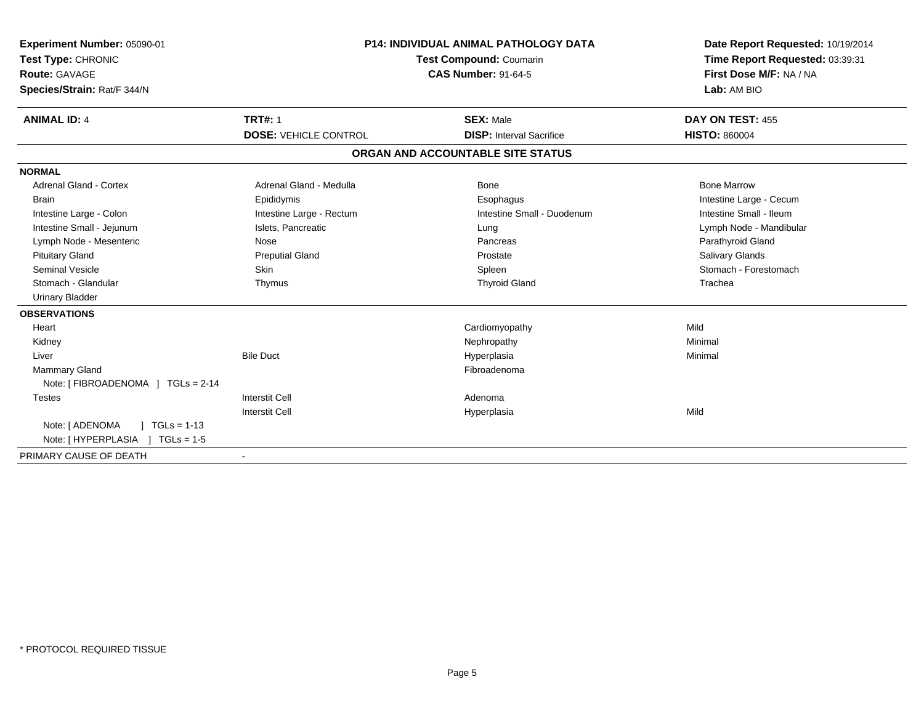| Experiment Number: 05090-01<br>Test Type: CHRONIC<br>Route: GAVAGE<br>Species/Strain: Rat/F 344/N<br><b>ANIMAL ID: 4</b> | <b>P14: INDIVIDUAL ANIMAL PATHOLOGY DATA</b><br>Test Compound: Coumarin<br><b>CAS Number: 91-64-5</b><br><b>TRT#: 1</b><br><b>SEX: Male</b> |                                   | Date Report Requested: 10/19/2014<br>Time Report Requested: 03:39:31<br>First Dose M/F: NA / NA<br>Lab: AM BIO<br>DAY ON TEST: 455 |
|--------------------------------------------------------------------------------------------------------------------------|---------------------------------------------------------------------------------------------------------------------------------------------|-----------------------------------|------------------------------------------------------------------------------------------------------------------------------------|
|                                                                                                                          | <b>DOSE: VEHICLE CONTROL</b>                                                                                                                | <b>DISP:</b> Interval Sacrifice   | <b>HISTO: 860004</b>                                                                                                               |
|                                                                                                                          |                                                                                                                                             | ORGAN AND ACCOUNTABLE SITE STATUS |                                                                                                                                    |
| <b>NORMAL</b>                                                                                                            |                                                                                                                                             |                                   |                                                                                                                                    |
| <b>Adrenal Gland - Cortex</b>                                                                                            | Adrenal Gland - Medulla                                                                                                                     | Bone                              | <b>Bone Marrow</b>                                                                                                                 |
| <b>Brain</b>                                                                                                             | Epididymis                                                                                                                                  | Esophagus                         | Intestine Large - Cecum                                                                                                            |
| Intestine Large - Colon                                                                                                  | Intestine Large - Rectum                                                                                                                    | Intestine Small - Duodenum        | Intestine Small - Ileum                                                                                                            |
| Intestine Small - Jejunum                                                                                                | Islets, Pancreatic                                                                                                                          | Lung                              | Lymph Node - Mandibular                                                                                                            |
| Lymph Node - Mesenteric                                                                                                  | Nose                                                                                                                                        | Pancreas                          | Parathyroid Gland                                                                                                                  |
| <b>Pituitary Gland</b>                                                                                                   | <b>Preputial Gland</b>                                                                                                                      | Prostate                          | Salivary Glands                                                                                                                    |
| <b>Seminal Vesicle</b>                                                                                                   | Skin                                                                                                                                        | Spleen                            | Stomach - Forestomach                                                                                                              |
| Stomach - Glandular                                                                                                      | Thymus                                                                                                                                      | <b>Thyroid Gland</b>              | Trachea                                                                                                                            |
| <b>Urinary Bladder</b>                                                                                                   |                                                                                                                                             |                                   |                                                                                                                                    |
| <b>OBSERVATIONS</b>                                                                                                      |                                                                                                                                             |                                   |                                                                                                                                    |
| Heart                                                                                                                    |                                                                                                                                             | Cardiomyopathy                    | Mild                                                                                                                               |
| Kidney                                                                                                                   |                                                                                                                                             | Nephropathy                       | Minimal                                                                                                                            |
| Liver                                                                                                                    | <b>Bile Duct</b>                                                                                                                            | Hyperplasia                       | Minimal                                                                                                                            |
| <b>Mammary Gland</b>                                                                                                     |                                                                                                                                             | Fibroadenoma                      |                                                                                                                                    |
| Note: [FIBROADENOMA ] TGLs = 2-14                                                                                        |                                                                                                                                             |                                   |                                                                                                                                    |
| <b>Testes</b>                                                                                                            | <b>Interstit Cell</b>                                                                                                                       | Adenoma                           |                                                                                                                                    |
|                                                                                                                          | <b>Interstit Cell</b>                                                                                                                       | Hyperplasia                       | Mild                                                                                                                               |
| Note: [ ADENOMA<br>$1 TGLs = 1-13$                                                                                       |                                                                                                                                             |                                   |                                                                                                                                    |
| Note: [HYPERPLASIA ] TGLs = 1-5                                                                                          |                                                                                                                                             |                                   |                                                                                                                                    |
| PRIMARY CAUSE OF DEATH                                                                                                   | $\blacksquare$                                                                                                                              |                                   |                                                                                                                                    |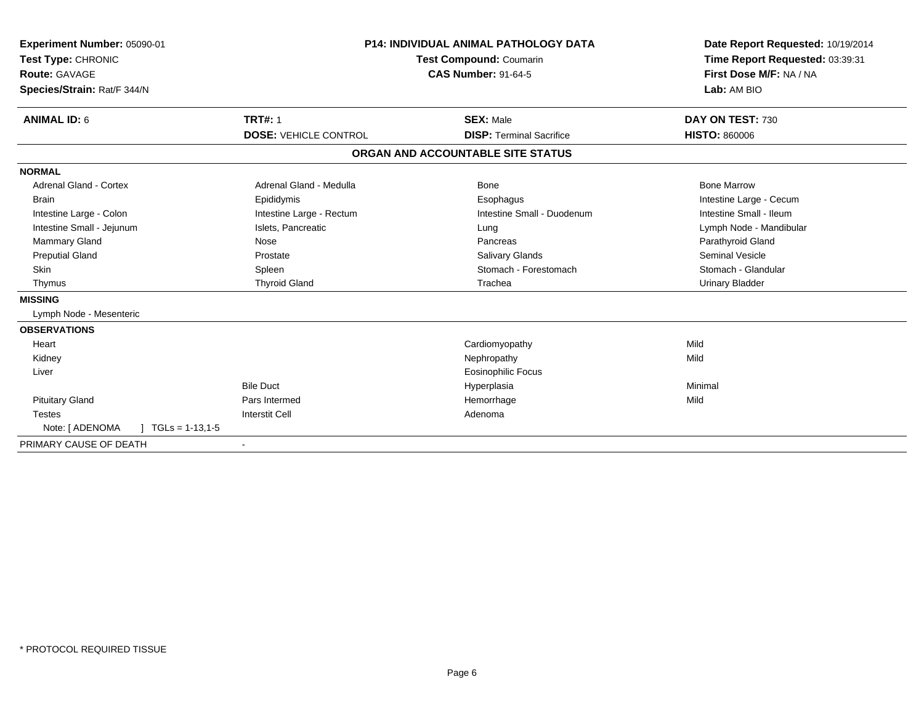| Experiment Number: 05090-01<br>Test Type: CHRONIC<br><b>Route: GAVAGE</b><br>Species/Strain: Rat/F 344/N | <b>P14: INDIVIDUAL ANIMAL PATHOLOGY DATA</b><br><b>Test Compound: Coumarin</b><br><b>CAS Number: 91-64-5</b> |                                                     | Date Report Requested: 10/19/2014<br>Time Report Requested: 03:39:31<br>First Dose M/F: NA / NA<br>Lab: AM BIO |
|----------------------------------------------------------------------------------------------------------|--------------------------------------------------------------------------------------------------------------|-----------------------------------------------------|----------------------------------------------------------------------------------------------------------------|
| <b>ANIMAL ID: 6</b>                                                                                      | <b>TRT#: 1</b><br><b>DOSE: VEHICLE CONTROL</b>                                                               | <b>SEX: Male</b><br><b>DISP: Terminal Sacrifice</b> | DAY ON TEST: 730<br><b>HISTO: 860006</b>                                                                       |
|                                                                                                          |                                                                                                              | ORGAN AND ACCOUNTABLE SITE STATUS                   |                                                                                                                |
| <b>NORMAL</b>                                                                                            |                                                                                                              |                                                     |                                                                                                                |
| Adrenal Gland - Cortex                                                                                   | Adrenal Gland - Medulla                                                                                      | Bone                                                | <b>Bone Marrow</b>                                                                                             |
| <b>Brain</b>                                                                                             | Epididymis                                                                                                   | Esophagus                                           | Intestine Large - Cecum                                                                                        |
| Intestine Large - Colon                                                                                  | Intestine Large - Rectum                                                                                     | Intestine Small - Duodenum                          | Intestine Small - Ileum                                                                                        |
| Intestine Small - Jejunum                                                                                | Islets, Pancreatic                                                                                           | Lung                                                | Lymph Node - Mandibular                                                                                        |
| Mammary Gland                                                                                            | Nose                                                                                                         | Pancreas                                            | Parathyroid Gland                                                                                              |
| <b>Preputial Gland</b>                                                                                   | Prostate                                                                                                     | Salivary Glands                                     | <b>Seminal Vesicle</b>                                                                                         |
| <b>Skin</b>                                                                                              | Spleen                                                                                                       | Stomach - Forestomach                               | Stomach - Glandular                                                                                            |
| Thymus                                                                                                   | <b>Thyroid Gland</b>                                                                                         | Trachea                                             | <b>Urinary Bladder</b>                                                                                         |
| <b>MISSING</b>                                                                                           |                                                                                                              |                                                     |                                                                                                                |
| Lymph Node - Mesenteric                                                                                  |                                                                                                              |                                                     |                                                                                                                |
| <b>OBSERVATIONS</b>                                                                                      |                                                                                                              |                                                     |                                                                                                                |
| Heart                                                                                                    |                                                                                                              | Cardiomyopathy                                      | Mild                                                                                                           |
| Kidney                                                                                                   |                                                                                                              | Nephropathy                                         | Mild                                                                                                           |
| Liver                                                                                                    |                                                                                                              | <b>Eosinophilic Focus</b>                           |                                                                                                                |
|                                                                                                          | <b>Bile Duct</b>                                                                                             | Hyperplasia                                         | Minimal                                                                                                        |
| <b>Pituitary Gland</b>                                                                                   | Pars Intermed                                                                                                | Hemorrhage                                          | Mild                                                                                                           |
| <b>Testes</b>                                                                                            | <b>Interstit Cell</b>                                                                                        | Adenoma                                             |                                                                                                                |
| Note: [ ADENOMA<br>$TGLs = 1-13,1-5$                                                                     |                                                                                                              |                                                     |                                                                                                                |
| PRIMARY CAUSE OF DEATH                                                                                   |                                                                                                              |                                                     |                                                                                                                |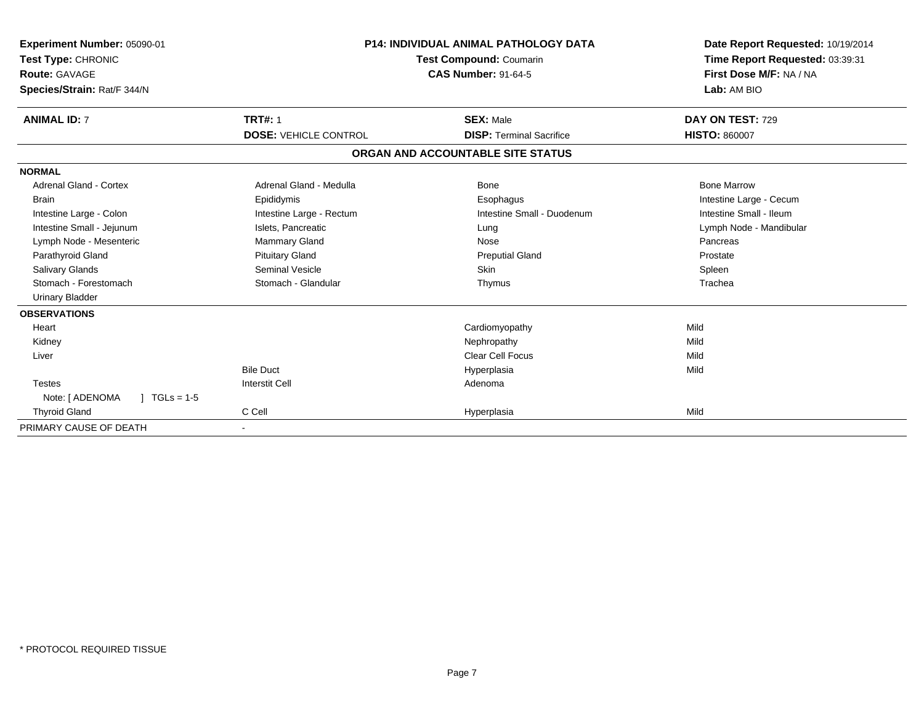| Experiment Number: 05090-01<br>Test Type: CHRONIC<br>Route: GAVAGE<br>Species/Strain: Rat/F 344/N | <b>P14: INDIVIDUAL ANIMAL PATHOLOGY DATA</b><br>Test Compound: Coumarin<br><b>CAS Number: 91-64-5</b> |                                   | Date Report Requested: 10/19/2014<br>Time Report Requested: 03:39:31<br>First Dose M/F: NA / NA<br>Lab: AM BIO |  |
|---------------------------------------------------------------------------------------------------|-------------------------------------------------------------------------------------------------------|-----------------------------------|----------------------------------------------------------------------------------------------------------------|--|
| <b>ANIMAL ID: 7</b>                                                                               | <b>TRT#: 1</b>                                                                                        | <b>SEX: Male</b>                  | DAY ON TEST: 729                                                                                               |  |
|                                                                                                   | <b>DOSE: VEHICLE CONTROL</b>                                                                          | <b>DISP: Terminal Sacrifice</b>   | <b>HISTO: 860007</b>                                                                                           |  |
|                                                                                                   |                                                                                                       | ORGAN AND ACCOUNTABLE SITE STATUS |                                                                                                                |  |
| <b>NORMAL</b>                                                                                     |                                                                                                       |                                   |                                                                                                                |  |
| Adrenal Gland - Cortex                                                                            | Adrenal Gland - Medulla                                                                               | Bone                              | <b>Bone Marrow</b>                                                                                             |  |
| <b>Brain</b>                                                                                      | Epididymis                                                                                            | Esophagus                         | Intestine Large - Cecum                                                                                        |  |
| Intestine Large - Colon                                                                           | Intestine Large - Rectum                                                                              | Intestine Small - Duodenum        | Intestine Small - Ileum                                                                                        |  |
| Intestine Small - Jejunum                                                                         | Islets, Pancreatic                                                                                    | Lung                              | Lymph Node - Mandibular                                                                                        |  |
| Lymph Node - Mesenteric                                                                           | Mammary Gland                                                                                         | Nose                              | Pancreas                                                                                                       |  |
| Parathyroid Gland                                                                                 | <b>Pituitary Gland</b>                                                                                | <b>Preputial Gland</b>            | Prostate                                                                                                       |  |
| <b>Salivary Glands</b>                                                                            | <b>Seminal Vesicle</b>                                                                                | Skin                              | Spleen                                                                                                         |  |
| Stomach - Forestomach                                                                             | Stomach - Glandular                                                                                   | Thymus                            | Trachea                                                                                                        |  |
| <b>Urinary Bladder</b>                                                                            |                                                                                                       |                                   |                                                                                                                |  |
| <b>OBSERVATIONS</b>                                                                               |                                                                                                       |                                   |                                                                                                                |  |
| Heart                                                                                             |                                                                                                       | Cardiomyopathy                    | Mild                                                                                                           |  |
| Kidney                                                                                            |                                                                                                       | Nephropathy                       | Mild                                                                                                           |  |
| Liver                                                                                             |                                                                                                       | <b>Clear Cell Focus</b>           | Mild                                                                                                           |  |
|                                                                                                   | <b>Bile Duct</b>                                                                                      | Hyperplasia                       | Mild                                                                                                           |  |
| <b>Testes</b>                                                                                     | <b>Interstit Cell</b>                                                                                 | Adenoma                           |                                                                                                                |  |
| Note: [ ADENOMA<br>$1 TGLs = 1-5$                                                                 |                                                                                                       |                                   |                                                                                                                |  |
| <b>Thyroid Gland</b>                                                                              | C Cell                                                                                                | Hyperplasia                       | Mild                                                                                                           |  |
| PRIMARY CAUSE OF DEATH                                                                            |                                                                                                       |                                   |                                                                                                                |  |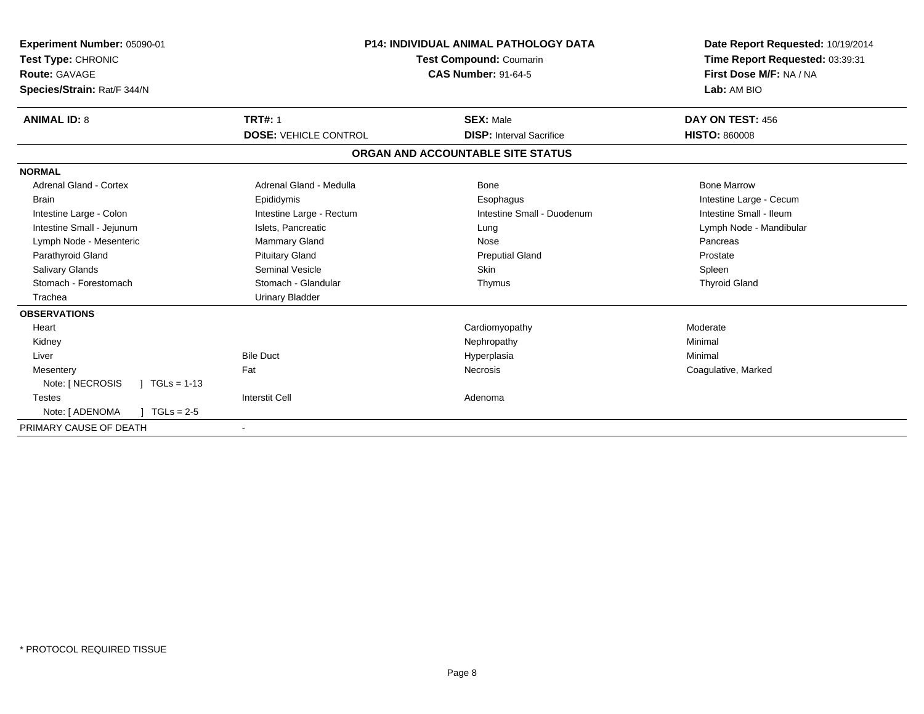| Experiment Number: 05090-01<br>Test Type: CHRONIC<br>Route: GAVAGE<br>Species/Strain: Rat/F 344/N | <b>P14: INDIVIDUAL ANIMAL PATHOLOGY DATA</b><br><b>Test Compound: Coumarin</b><br><b>CAS Number: 91-64-5</b> |                                   | Date Report Requested: 10/19/2014<br>Time Report Requested: 03:39:31<br>First Dose M/F: NA / NA<br>Lab: AM BIO |
|---------------------------------------------------------------------------------------------------|--------------------------------------------------------------------------------------------------------------|-----------------------------------|----------------------------------------------------------------------------------------------------------------|
| <b>ANIMAL ID: 8</b>                                                                               | <b>TRT#: 1</b>                                                                                               | <b>SEX: Male</b>                  | DAY ON TEST: 456                                                                                               |
|                                                                                                   | <b>DOSE: VEHICLE CONTROL</b>                                                                                 | <b>DISP:</b> Interval Sacrifice   | <b>HISTO: 860008</b>                                                                                           |
|                                                                                                   |                                                                                                              | ORGAN AND ACCOUNTABLE SITE STATUS |                                                                                                                |
| <b>NORMAL</b>                                                                                     |                                                                                                              |                                   |                                                                                                                |
| <b>Adrenal Gland - Cortex</b>                                                                     | Adrenal Gland - Medulla                                                                                      | Bone                              | <b>Bone Marrow</b>                                                                                             |
| <b>Brain</b>                                                                                      | Epididymis                                                                                                   | Esophagus                         | Intestine Large - Cecum                                                                                        |
| Intestine Large - Colon                                                                           | Intestine Large - Rectum                                                                                     | Intestine Small - Duodenum        | Intestine Small - Ileum                                                                                        |
| Intestine Small - Jejunum                                                                         | Islets, Pancreatic                                                                                           | Lung                              | Lymph Node - Mandibular                                                                                        |
| Lymph Node - Mesenteric                                                                           | Mammary Gland                                                                                                | Nose                              | Pancreas                                                                                                       |
| Parathyroid Gland                                                                                 | <b>Pituitary Gland</b>                                                                                       | <b>Preputial Gland</b>            | Prostate                                                                                                       |
| Salivary Glands                                                                                   | <b>Seminal Vesicle</b>                                                                                       | <b>Skin</b>                       | Spleen                                                                                                         |
| Stomach - Forestomach                                                                             | Stomach - Glandular                                                                                          | Thymus                            | <b>Thyroid Gland</b>                                                                                           |
| Trachea                                                                                           | <b>Urinary Bladder</b>                                                                                       |                                   |                                                                                                                |
| <b>OBSERVATIONS</b>                                                                               |                                                                                                              |                                   |                                                                                                                |
| Heart                                                                                             |                                                                                                              | Cardiomyopathy                    | Moderate                                                                                                       |
| Kidney                                                                                            |                                                                                                              | Nephropathy                       | Minimal                                                                                                        |
| Liver                                                                                             | <b>Bile Duct</b>                                                                                             | Hyperplasia                       | Minimal                                                                                                        |
| Mesentery                                                                                         | Fat                                                                                                          | <b>Necrosis</b>                   | Coagulative, Marked                                                                                            |
| Note: [ NECROSIS<br>$\sqrt{1 - 13}$                                                               |                                                                                                              |                                   |                                                                                                                |
| <b>Testes</b>                                                                                     | <b>Interstit Cell</b>                                                                                        | Adenoma                           |                                                                                                                |
| Note: [ ADENOMA<br>$TGLs = 2-5$                                                                   |                                                                                                              |                                   |                                                                                                                |
| PRIMARY CAUSE OF DEATH                                                                            | $\blacksquare$                                                                                               |                                   |                                                                                                                |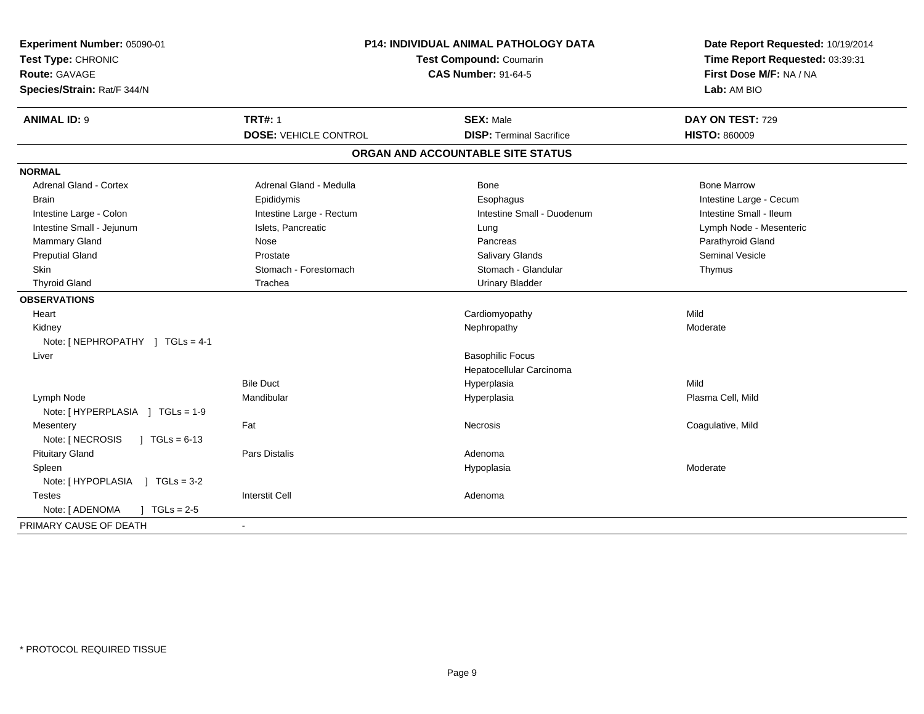| Experiment Number: 05090-01<br>Test Type: CHRONIC<br><b>Route: GAVAGE</b><br>Species/Strain: Rat/F 344/N | P14: INDIVIDUAL ANIMAL PATHOLOGY DATA<br>Test Compound: Coumarin<br><b>CAS Number: 91-64-5</b> |                                   | Date Report Requested: 10/19/2014<br>Time Report Requested: 03:39:31<br>First Dose M/F: NA / NA<br>Lab: AM BIO |  |
|----------------------------------------------------------------------------------------------------------|------------------------------------------------------------------------------------------------|-----------------------------------|----------------------------------------------------------------------------------------------------------------|--|
| <b>ANIMAL ID: 9</b>                                                                                      | <b>TRT#: 1</b>                                                                                 | <b>SEX: Male</b>                  | DAY ON TEST: 729                                                                                               |  |
|                                                                                                          | <b>DOSE: VEHICLE CONTROL</b>                                                                   | <b>DISP: Terminal Sacrifice</b>   | <b>HISTO: 860009</b>                                                                                           |  |
|                                                                                                          |                                                                                                | ORGAN AND ACCOUNTABLE SITE STATUS |                                                                                                                |  |
| <b>NORMAL</b>                                                                                            |                                                                                                |                                   |                                                                                                                |  |
| <b>Adrenal Gland - Cortex</b>                                                                            | Adrenal Gland - Medulla                                                                        | <b>Bone</b>                       | <b>Bone Marrow</b>                                                                                             |  |
| <b>Brain</b>                                                                                             | Epididymis                                                                                     | Esophagus                         | Intestine Large - Cecum                                                                                        |  |
| Intestine Large - Colon                                                                                  | Intestine Large - Rectum                                                                       | Intestine Small - Duodenum        | Intestine Small - Ileum                                                                                        |  |
| Intestine Small - Jejunum                                                                                | Islets, Pancreatic                                                                             | Lung                              | Lymph Node - Mesenteric                                                                                        |  |
| Mammary Gland                                                                                            | Nose                                                                                           | Pancreas                          | Parathyroid Gland                                                                                              |  |
| <b>Preputial Gland</b>                                                                                   | Prostate                                                                                       | Salivary Glands                   | Seminal Vesicle                                                                                                |  |
| Skin                                                                                                     | Stomach - Forestomach                                                                          | Stomach - Glandular               | Thymus                                                                                                         |  |
| <b>Thyroid Gland</b>                                                                                     | Trachea                                                                                        | <b>Urinary Bladder</b>            |                                                                                                                |  |
| <b>OBSERVATIONS</b>                                                                                      |                                                                                                |                                   |                                                                                                                |  |
| Heart                                                                                                    |                                                                                                | Cardiomyopathy                    | Mild                                                                                                           |  |
| Kidney                                                                                                   |                                                                                                | Nephropathy                       | Moderate                                                                                                       |  |
| Note: [NEPHROPATHY ] TGLs = 4-1                                                                          |                                                                                                |                                   |                                                                                                                |  |
| Liver                                                                                                    |                                                                                                | <b>Basophilic Focus</b>           |                                                                                                                |  |
|                                                                                                          |                                                                                                | Hepatocellular Carcinoma          |                                                                                                                |  |
|                                                                                                          | <b>Bile Duct</b>                                                                               | Hyperplasia                       | Mild                                                                                                           |  |
| Lymph Node                                                                                               | Mandibular                                                                                     | Hyperplasia                       | Plasma Cell, Mild                                                                                              |  |
| Note: [HYPERPLASIA ] TGLs = 1-9                                                                          |                                                                                                |                                   |                                                                                                                |  |
| Mesentery                                                                                                | Fat                                                                                            | <b>Necrosis</b>                   | Coagulative, Mild                                                                                              |  |
| Note: [ NECROSIS<br>$1 TGLs = 6-13$                                                                      |                                                                                                |                                   |                                                                                                                |  |
| <b>Pituitary Gland</b>                                                                                   | <b>Pars Distalis</b>                                                                           | Adenoma                           |                                                                                                                |  |
| Spleen                                                                                                   |                                                                                                | Hypoplasia                        | Moderate                                                                                                       |  |
| Note: [HYPOPLASIA ] TGLs = 3-2                                                                           |                                                                                                |                                   |                                                                                                                |  |
| <b>Testes</b>                                                                                            | <b>Interstit Cell</b>                                                                          | Adenoma                           |                                                                                                                |  |
| Note: [ ADENOMA<br>$1 TGLs = 2-5$                                                                        |                                                                                                |                                   |                                                                                                                |  |
| PRIMARY CAUSE OF DEATH                                                                                   |                                                                                                |                                   |                                                                                                                |  |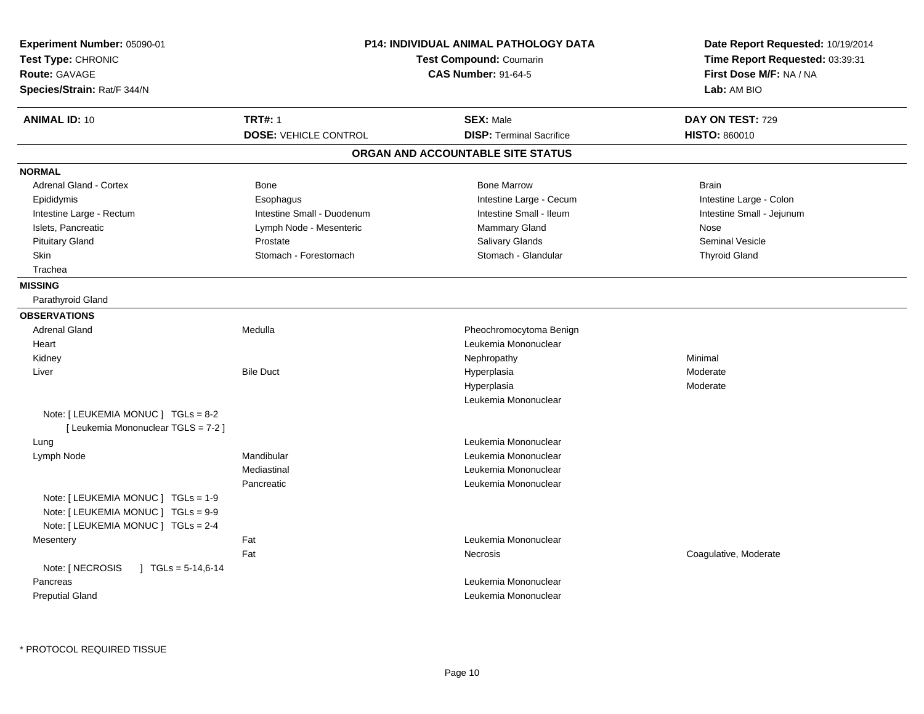| Experiment Number: 05090-01<br>Test Type: CHRONIC<br><b>Route: GAVAGE</b><br>Species/Strain: Rat/F 344/N          |                                                | P14: INDIVIDUAL ANIMAL PATHOLOGY DATA<br>Test Compound: Coumarin<br><b>CAS Number: 91-64-5</b> | Date Report Requested: 10/19/2014<br>Time Report Requested: 03:39:31<br>First Dose M/F: NA / NA<br>Lab: AM BIO |
|-------------------------------------------------------------------------------------------------------------------|------------------------------------------------|------------------------------------------------------------------------------------------------|----------------------------------------------------------------------------------------------------------------|
| <b>ANIMAL ID: 10</b>                                                                                              | <b>TRT#: 1</b><br><b>DOSE: VEHICLE CONTROL</b> | <b>SEX: Male</b><br><b>DISP: Terminal Sacrifice</b>                                            | DAY ON TEST: 729<br><b>HISTO: 860010</b>                                                                       |
|                                                                                                                   |                                                | ORGAN AND ACCOUNTABLE SITE STATUS                                                              |                                                                                                                |
| <b>NORMAL</b>                                                                                                     |                                                |                                                                                                |                                                                                                                |
| <b>Adrenal Gland - Cortex</b>                                                                                     | Bone                                           | <b>Bone Marrow</b>                                                                             | <b>Brain</b>                                                                                                   |
| Epididymis                                                                                                        | Esophagus                                      | Intestine Large - Cecum                                                                        | Intestine Large - Colon                                                                                        |
| Intestine Large - Rectum                                                                                          | Intestine Small - Duodenum                     | Intestine Small - Ileum                                                                        | Intestine Small - Jejunum                                                                                      |
| Islets, Pancreatic                                                                                                | Lymph Node - Mesenteric                        | Mammary Gland                                                                                  | Nose                                                                                                           |
| <b>Pituitary Gland</b>                                                                                            | Prostate                                       | Salivary Glands                                                                                | <b>Seminal Vesicle</b>                                                                                         |
| Skin                                                                                                              | Stomach - Forestomach                          | Stomach - Glandular                                                                            | <b>Thyroid Gland</b>                                                                                           |
| Trachea                                                                                                           |                                                |                                                                                                |                                                                                                                |
| <b>MISSING</b>                                                                                                    |                                                |                                                                                                |                                                                                                                |
| Parathyroid Gland                                                                                                 |                                                |                                                                                                |                                                                                                                |
| <b>OBSERVATIONS</b>                                                                                               |                                                |                                                                                                |                                                                                                                |
| <b>Adrenal Gland</b>                                                                                              | Medulla                                        | Pheochromocytoma Benign                                                                        |                                                                                                                |
| Heart                                                                                                             |                                                | Leukemia Mononuclear                                                                           |                                                                                                                |
| Kidney                                                                                                            |                                                | Nephropathy                                                                                    | Minimal                                                                                                        |
| Liver                                                                                                             | <b>Bile Duct</b>                               | Hyperplasia                                                                                    | Moderate                                                                                                       |
|                                                                                                                   |                                                | Hyperplasia                                                                                    | Moderate                                                                                                       |
|                                                                                                                   |                                                | Leukemia Mononuclear                                                                           |                                                                                                                |
| Note: [ LEUKEMIA MONUC ] TGLs = 8-2<br>[ Leukemia Mononuclear TGLS = 7-2 ]                                        |                                                |                                                                                                |                                                                                                                |
| Lung                                                                                                              |                                                | Leukemia Mononuclear                                                                           |                                                                                                                |
| Lymph Node                                                                                                        | Mandibular                                     | Leukemia Mononuclear                                                                           |                                                                                                                |
|                                                                                                                   | Mediastinal                                    | Leukemia Mononuclear                                                                           |                                                                                                                |
| Note: [ LEUKEMIA MONUC ] TGLs = 1-9<br>Note: [ LEUKEMIA MONUC ] TGLs = 9-9<br>Note: [ LEUKEMIA MONUC ] TGLs = 2-4 | Pancreatic                                     | Leukemia Mononuclear                                                                           |                                                                                                                |
| Mesentery                                                                                                         | Fat                                            | Leukemia Mononuclear                                                                           |                                                                                                                |
|                                                                                                                   | Fat                                            | Necrosis                                                                                       | Coagulative, Moderate                                                                                          |
| Note: [ NECROSIS<br>$\mid$ TGLs = 5-14,6-14<br>Pancreas<br><b>Preputial Gland</b>                                 |                                                | Leukemia Mononuclear<br>Leukemia Mononuclear                                                   |                                                                                                                |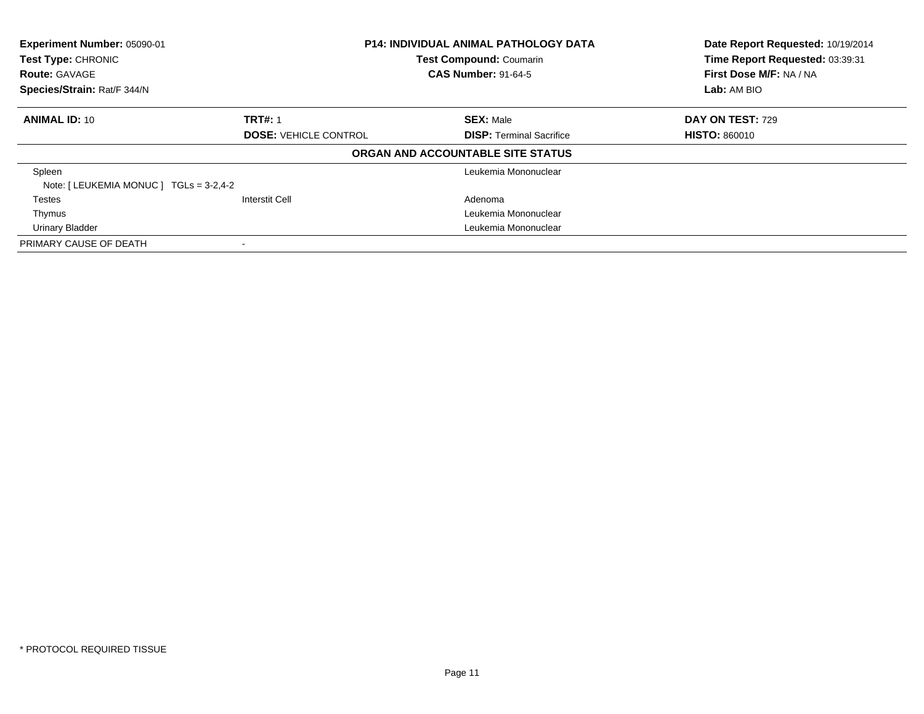| Experiment Number: 05090-01<br>Test Type: CHRONIC<br><b>Route: GAVAGE</b> | <b>P14: INDIVIDUAL ANIMAL PATHOLOGY DATA</b><br><b>Test Compound: Coumarin</b><br><b>CAS Number: 91-64-5</b> |                                   | Date Report Requested: 10/19/2014<br>Time Report Requested: 03:39:31<br>First Dose M/F: NA / NA |
|---------------------------------------------------------------------------|--------------------------------------------------------------------------------------------------------------|-----------------------------------|-------------------------------------------------------------------------------------------------|
| Species/Strain: Rat/F 344/N                                               |                                                                                                              |                                   | Lab: AM BIO                                                                                     |
| <b>ANIMAL ID: 10</b>                                                      | <b>TRT#: 1</b>                                                                                               | <b>SEX: Male</b>                  | <b>DAY ON TEST: 729</b>                                                                         |
|                                                                           | <b>DOSE: VEHICLE CONTROL</b>                                                                                 | <b>DISP: Terminal Sacrifice</b>   | <b>HISTO: 860010</b>                                                                            |
|                                                                           |                                                                                                              | ORGAN AND ACCOUNTABLE SITE STATUS |                                                                                                 |
| Spleen                                                                    |                                                                                                              | Leukemia Mononuclear              |                                                                                                 |
| Note: [LEUKEMIA MONUC ] TGLs = 3-2,4-2                                    |                                                                                                              |                                   |                                                                                                 |
| Testes                                                                    | <b>Interstit Cell</b>                                                                                        | Adenoma                           |                                                                                                 |
| Thymus                                                                    |                                                                                                              | Leukemia Mononuclear              |                                                                                                 |
| <b>Urinary Bladder</b>                                                    |                                                                                                              | Leukemia Mononuclear              |                                                                                                 |
| PRIMARY CAUSE OF DEATH                                                    |                                                                                                              |                                   |                                                                                                 |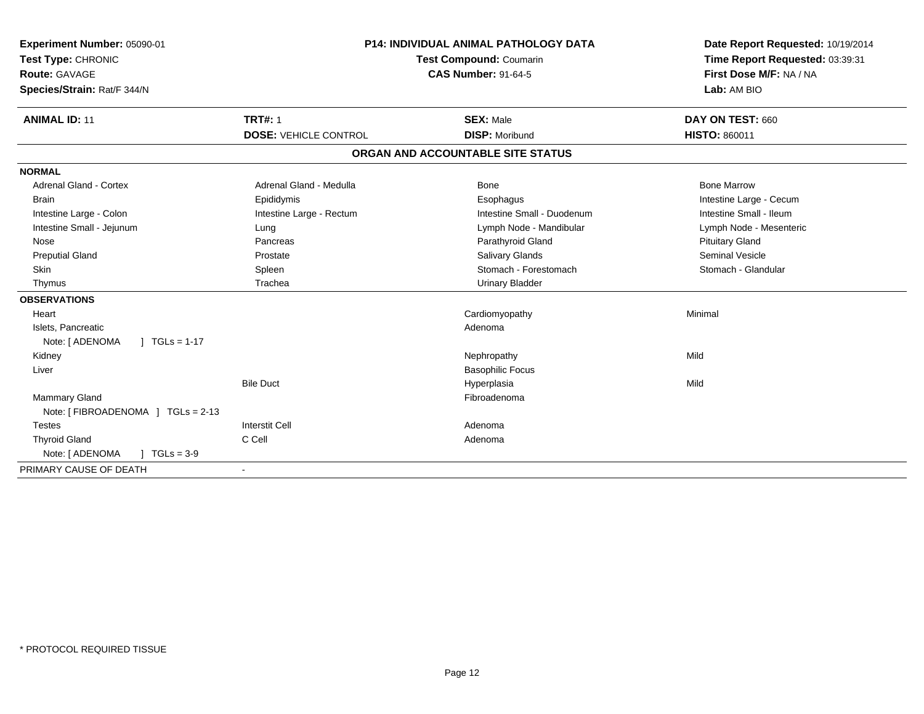| Experiment Number: 05090-01<br>Test Type: CHRONIC<br><b>Route: GAVAGE</b><br>Species/Strain: Rat/F 344/N | <b>P14: INDIVIDUAL ANIMAL PATHOLOGY DATA</b><br><b>Test Compound: Coumarin</b><br><b>CAS Number: 91-64-5</b> |                                   | Date Report Requested: 10/19/2014<br>Time Report Requested: 03:39:31<br>First Dose M/F: NA / NA<br>Lab: AM BIO |  |
|----------------------------------------------------------------------------------------------------------|--------------------------------------------------------------------------------------------------------------|-----------------------------------|----------------------------------------------------------------------------------------------------------------|--|
| <b>ANIMAL ID: 11</b>                                                                                     | <b>TRT#: 1</b>                                                                                               | <b>SEX: Male</b>                  | DAY ON TEST: 660                                                                                               |  |
|                                                                                                          | <b>DOSE: VEHICLE CONTROL</b>                                                                                 | <b>DISP: Moribund</b>             | <b>HISTO: 860011</b>                                                                                           |  |
|                                                                                                          |                                                                                                              | ORGAN AND ACCOUNTABLE SITE STATUS |                                                                                                                |  |
| <b>NORMAL</b>                                                                                            |                                                                                                              |                                   |                                                                                                                |  |
| <b>Adrenal Gland - Cortex</b>                                                                            | Adrenal Gland - Medulla                                                                                      | Bone                              | <b>Bone Marrow</b>                                                                                             |  |
| <b>Brain</b>                                                                                             | Epididymis                                                                                                   | Esophagus                         | Intestine Large - Cecum                                                                                        |  |
| Intestine Large - Colon                                                                                  | Intestine Large - Rectum                                                                                     | Intestine Small - Duodenum        | Intestine Small - Ileum                                                                                        |  |
| Intestine Small - Jejunum                                                                                | Lung                                                                                                         | Lymph Node - Mandibular           | Lymph Node - Mesenteric                                                                                        |  |
| Nose                                                                                                     | Pancreas                                                                                                     | Parathyroid Gland                 | <b>Pituitary Gland</b>                                                                                         |  |
| <b>Preputial Gland</b>                                                                                   | Prostate                                                                                                     | <b>Salivary Glands</b>            | <b>Seminal Vesicle</b>                                                                                         |  |
| Skin                                                                                                     | Spleen                                                                                                       | Stomach - Forestomach             | Stomach - Glandular                                                                                            |  |
| Thymus                                                                                                   | Trachea                                                                                                      | <b>Urinary Bladder</b>            |                                                                                                                |  |
| <b>OBSERVATIONS</b>                                                                                      |                                                                                                              |                                   |                                                                                                                |  |
| Heart                                                                                                    |                                                                                                              | Cardiomyopathy                    | Minimal                                                                                                        |  |
| Islets, Pancreatic                                                                                       |                                                                                                              | Adenoma                           |                                                                                                                |  |
| Note: [ ADENOMA<br>$1 TGLs = 1-17$                                                                       |                                                                                                              |                                   |                                                                                                                |  |
| Kidney                                                                                                   |                                                                                                              | Nephropathy                       | Mild                                                                                                           |  |
| Liver                                                                                                    |                                                                                                              | <b>Basophilic Focus</b>           |                                                                                                                |  |
|                                                                                                          | <b>Bile Duct</b>                                                                                             | Hyperplasia                       | Mild                                                                                                           |  |
| <b>Mammary Gland</b>                                                                                     |                                                                                                              | Fibroadenoma                      |                                                                                                                |  |
| Note: [ FIBROADENOMA ] TGLs = 2-13                                                                       |                                                                                                              |                                   |                                                                                                                |  |
| <b>Testes</b>                                                                                            | <b>Interstit Cell</b>                                                                                        | Adenoma                           |                                                                                                                |  |
| <b>Thyroid Gland</b>                                                                                     | C Cell                                                                                                       | Adenoma                           |                                                                                                                |  |
| Note: [ ADENOMA<br>$1 TGLs = 3-9$                                                                        |                                                                                                              |                                   |                                                                                                                |  |
| PRIMARY CAUSE OF DEATH                                                                                   | $\blacksquare$                                                                                               |                                   |                                                                                                                |  |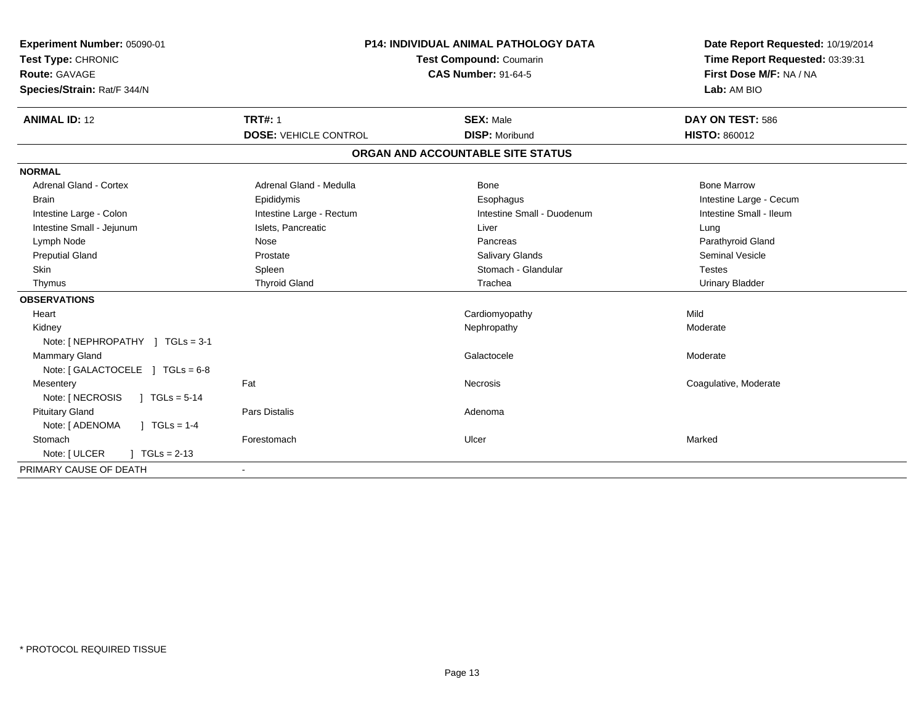| Experiment Number: 05090-01<br>Test Type: CHRONIC<br><b>Route: GAVAGE</b><br>Species/Strain: Rat/F 344/N | <b>P14: INDIVIDUAL ANIMAL PATHOLOGY DATA</b><br>Test Compound: Coumarin<br><b>CAS Number: 91-64-5</b> |                                   | Date Report Requested: 10/19/2014<br>Time Report Requested: 03:39:31<br>First Dose M/F: NA / NA<br>Lab: AM BIO |
|----------------------------------------------------------------------------------------------------------|-------------------------------------------------------------------------------------------------------|-----------------------------------|----------------------------------------------------------------------------------------------------------------|
| <b>ANIMAL ID: 12</b>                                                                                     | <b>TRT#: 1</b>                                                                                        | <b>SEX: Male</b>                  | DAY ON TEST: 586                                                                                               |
|                                                                                                          | <b>DOSE: VEHICLE CONTROL</b>                                                                          | <b>DISP: Moribund</b>             | <b>HISTO: 860012</b>                                                                                           |
|                                                                                                          |                                                                                                       | ORGAN AND ACCOUNTABLE SITE STATUS |                                                                                                                |
| <b>NORMAL</b>                                                                                            |                                                                                                       |                                   |                                                                                                                |
| Adrenal Gland - Cortex                                                                                   | Adrenal Gland - Medulla                                                                               | Bone                              | <b>Bone Marrow</b>                                                                                             |
| <b>Brain</b>                                                                                             | Epididymis                                                                                            | Esophagus                         | Intestine Large - Cecum                                                                                        |
| Intestine Large - Colon                                                                                  | Intestine Large - Rectum                                                                              | Intestine Small - Duodenum        | Intestine Small - Ileum                                                                                        |
| Intestine Small - Jejunum                                                                                | Islets, Pancreatic                                                                                    | Liver                             | Lung                                                                                                           |
| Lymph Node                                                                                               | Nose                                                                                                  | Pancreas                          | Parathyroid Gland                                                                                              |
| <b>Preputial Gland</b>                                                                                   | Prostate                                                                                              | <b>Salivary Glands</b>            | <b>Seminal Vesicle</b>                                                                                         |
| <b>Skin</b>                                                                                              | Spleen                                                                                                | Stomach - Glandular               | <b>Testes</b>                                                                                                  |
| Thymus                                                                                                   | <b>Thyroid Gland</b>                                                                                  | Trachea                           | <b>Urinary Bladder</b>                                                                                         |
| <b>OBSERVATIONS</b>                                                                                      |                                                                                                       |                                   |                                                                                                                |
| Heart                                                                                                    |                                                                                                       | Cardiomyopathy                    | Mild                                                                                                           |
| Kidney                                                                                                   |                                                                                                       | Nephropathy                       | Moderate                                                                                                       |
| Note: [NEPHROPATHY ] TGLs = 3-1                                                                          |                                                                                                       |                                   |                                                                                                                |
| <b>Mammary Gland</b>                                                                                     |                                                                                                       | Galactocele                       | Moderate                                                                                                       |
| Note: [GALACTOCELE ] TGLs = 6-8                                                                          |                                                                                                       |                                   |                                                                                                                |
| Mesentery                                                                                                | Fat                                                                                                   | Necrosis                          | Coagulative, Moderate                                                                                          |
| Note: [ NECROSIS<br>$\sqrt{1}$ TGLs = 5-14                                                               |                                                                                                       |                                   |                                                                                                                |
| <b>Pituitary Gland</b>                                                                                   | <b>Pars Distalis</b>                                                                                  | Adenoma                           |                                                                                                                |
| Note: [ ADENOMA<br>$\sqrt{1 + 1}$ TGLs = 1-4                                                             |                                                                                                       |                                   |                                                                                                                |
| Stomach                                                                                                  | Forestomach                                                                                           | Ulcer                             | Marked                                                                                                         |
| Note: [ ULCER<br>$1 TGLs = 2-13$                                                                         |                                                                                                       |                                   |                                                                                                                |
| PRIMARY CAUSE OF DEATH                                                                                   |                                                                                                       |                                   |                                                                                                                |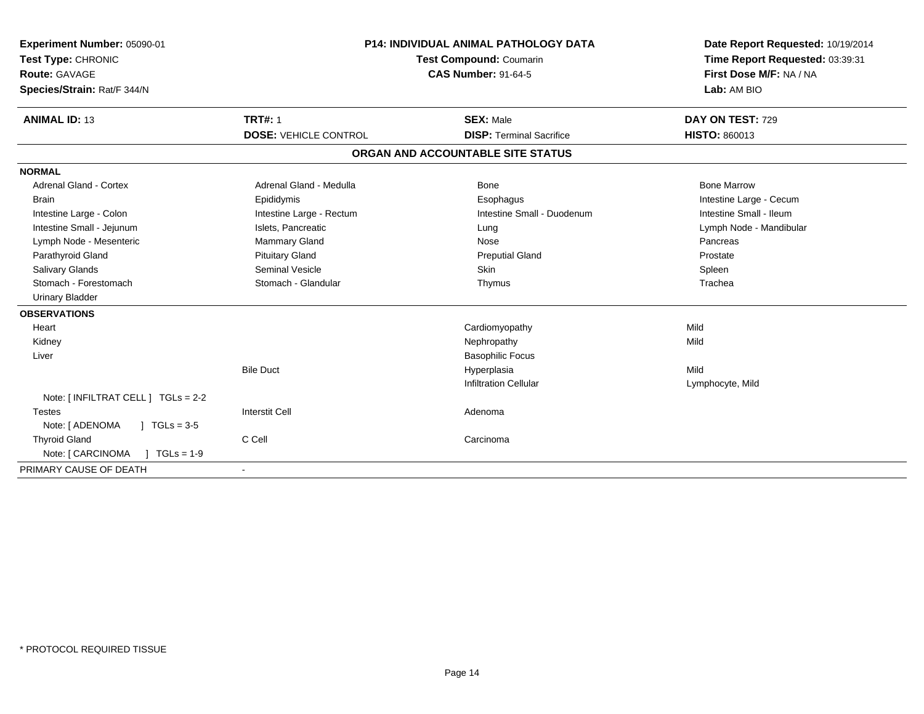| Experiment Number: 05090-01<br>Test Type: CHRONIC<br><b>Route: GAVAGE</b><br>Species/Strain: Rat/F 344/N<br><b>ANIMAL ID: 13</b> | <b>P14: INDIVIDUAL ANIMAL PATHOLOGY DATA</b><br><b>Test Compound: Coumarin</b><br><b>CAS Number: 91-64-5</b><br><b>TRT#: 1</b><br><b>SEX: Male</b><br><b>DOSE: VEHICLE CONTROL</b><br><b>DISP: Terminal Sacrifice</b> |                                   | Date Report Requested: 10/19/2014<br>Time Report Requested: 03:39:31<br>First Dose M/F: NA / NA<br>Lab: AM BIO<br>DAY ON TEST: 729<br>HISTO: 860013 |
|----------------------------------------------------------------------------------------------------------------------------------|-----------------------------------------------------------------------------------------------------------------------------------------------------------------------------------------------------------------------|-----------------------------------|-----------------------------------------------------------------------------------------------------------------------------------------------------|
|                                                                                                                                  |                                                                                                                                                                                                                       | ORGAN AND ACCOUNTABLE SITE STATUS |                                                                                                                                                     |
| <b>NORMAL</b>                                                                                                                    |                                                                                                                                                                                                                       |                                   |                                                                                                                                                     |
| Adrenal Gland - Cortex                                                                                                           | Adrenal Gland - Medulla                                                                                                                                                                                               | Bone                              | <b>Bone Marrow</b>                                                                                                                                  |
| <b>Brain</b>                                                                                                                     | Epididymis                                                                                                                                                                                                            | Esophagus                         | Intestine Large - Cecum                                                                                                                             |
| Intestine Large - Colon                                                                                                          | Intestine Large - Rectum                                                                                                                                                                                              | Intestine Small - Duodenum        | Intestine Small - Ileum                                                                                                                             |
| Intestine Small - Jejunum                                                                                                        | Islets, Pancreatic                                                                                                                                                                                                    | Lung                              | Lymph Node - Mandibular                                                                                                                             |
| Lymph Node - Mesenteric                                                                                                          | <b>Mammary Gland</b>                                                                                                                                                                                                  | Nose                              | Pancreas                                                                                                                                            |
| Parathyroid Gland                                                                                                                | <b>Pituitary Gland</b>                                                                                                                                                                                                | <b>Preputial Gland</b>            | Prostate                                                                                                                                            |
| <b>Salivary Glands</b>                                                                                                           | Seminal Vesicle                                                                                                                                                                                                       | <b>Skin</b>                       | Spleen                                                                                                                                              |
| Stomach - Forestomach                                                                                                            | Stomach - Glandular                                                                                                                                                                                                   | Thymus                            | Trachea                                                                                                                                             |
| <b>Urinary Bladder</b>                                                                                                           |                                                                                                                                                                                                                       |                                   |                                                                                                                                                     |
| <b>OBSERVATIONS</b>                                                                                                              |                                                                                                                                                                                                                       |                                   |                                                                                                                                                     |
| Heart                                                                                                                            |                                                                                                                                                                                                                       | Cardiomyopathy                    | Mild                                                                                                                                                |
| Kidney                                                                                                                           |                                                                                                                                                                                                                       | Nephropathy                       | Mild                                                                                                                                                |
| Liver                                                                                                                            |                                                                                                                                                                                                                       | <b>Basophilic Focus</b>           |                                                                                                                                                     |
|                                                                                                                                  | <b>Bile Duct</b>                                                                                                                                                                                                      | Hyperplasia                       | Mild                                                                                                                                                |
|                                                                                                                                  |                                                                                                                                                                                                                       | <b>Infiltration Cellular</b>      | Lymphocyte, Mild                                                                                                                                    |
| Note: [ INFILTRAT CELL ] TGLs = 2-2                                                                                              |                                                                                                                                                                                                                       |                                   |                                                                                                                                                     |
| <b>Testes</b>                                                                                                                    | <b>Interstit Cell</b>                                                                                                                                                                                                 | Adenoma                           |                                                                                                                                                     |
| Note: [ ADENOMA<br>$1 \text{ TGLs} = 3.5$                                                                                        |                                                                                                                                                                                                                       |                                   |                                                                                                                                                     |
| <b>Thyroid Gland</b>                                                                                                             | C Cell                                                                                                                                                                                                                | Carcinoma                         |                                                                                                                                                     |
| Note: [ CARCINOMA<br>$TGLs = 1-9$                                                                                                |                                                                                                                                                                                                                       |                                   |                                                                                                                                                     |
| PRIMARY CAUSE OF DEATH                                                                                                           | $\overline{\phantom{a}}$                                                                                                                                                                                              |                                   |                                                                                                                                                     |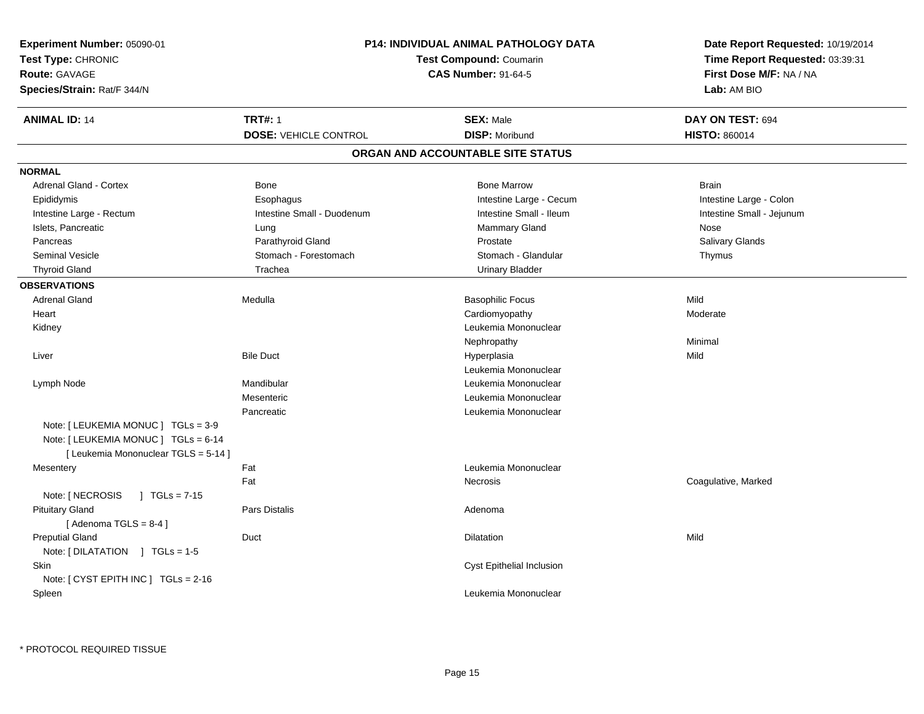| Experiment Number: 05090-01<br>Test Type: CHRONIC                                                                  |                              | P14: INDIVIDUAL ANIMAL PATHOLOGY DATA<br>Test Compound: Coumarin | Date Report Requested: 10/19/2014<br>Time Report Requested: 03:39:31 |
|--------------------------------------------------------------------------------------------------------------------|------------------------------|------------------------------------------------------------------|----------------------------------------------------------------------|
| Route: GAVAGE                                                                                                      | <b>CAS Number: 91-64-5</b>   |                                                                  | First Dose M/F: NA / NA                                              |
| Species/Strain: Rat/F 344/N                                                                                        |                              |                                                                  | Lab: AM BIO                                                          |
| <b>ANIMAL ID: 14</b>                                                                                               | <b>TRT#: 1</b>               | <b>SEX: Male</b>                                                 | DAY ON TEST: 694                                                     |
|                                                                                                                    | <b>DOSE: VEHICLE CONTROL</b> | <b>DISP: Moribund</b>                                            | <b>HISTO: 860014</b>                                                 |
|                                                                                                                    |                              | ORGAN AND ACCOUNTABLE SITE STATUS                                |                                                                      |
| <b>NORMAL</b>                                                                                                      |                              |                                                                  |                                                                      |
| Adrenal Gland - Cortex                                                                                             | Bone                         | <b>Bone Marrow</b>                                               | <b>Brain</b>                                                         |
| Epididymis                                                                                                         | Esophagus                    | Intestine Large - Cecum                                          | Intestine Large - Colon                                              |
| Intestine Large - Rectum                                                                                           | Intestine Small - Duodenum   | Intestine Small - Ileum                                          | Intestine Small - Jejunum                                            |
| Islets, Pancreatic                                                                                                 | Lung                         | Mammary Gland                                                    | Nose                                                                 |
| Pancreas                                                                                                           | Parathyroid Gland            | Prostate                                                         | Salivary Glands                                                      |
| <b>Seminal Vesicle</b>                                                                                             | Stomach - Forestomach        | Stomach - Glandular                                              | Thymus                                                               |
| <b>Thyroid Gland</b>                                                                                               | Trachea                      | <b>Urinary Bladder</b>                                           |                                                                      |
| <b>OBSERVATIONS</b>                                                                                                |                              |                                                                  |                                                                      |
| <b>Adrenal Gland</b>                                                                                               | Medulla                      | <b>Basophilic Focus</b>                                          | Mild                                                                 |
| Heart                                                                                                              |                              | Cardiomyopathy                                                   | Moderate                                                             |
| Kidney                                                                                                             |                              | Leukemia Mononuclear                                             |                                                                      |
|                                                                                                                    |                              | Nephropathy                                                      | Minimal                                                              |
| Liver                                                                                                              | <b>Bile Duct</b>             | Hyperplasia                                                      | Mild                                                                 |
|                                                                                                                    |                              | Leukemia Mononuclear                                             |                                                                      |
| Lymph Node                                                                                                         | Mandibular                   | Leukemia Mononuclear                                             |                                                                      |
|                                                                                                                    | Mesenteric                   | Leukemia Mononuclear                                             |                                                                      |
|                                                                                                                    | Pancreatic                   | Leukemia Mononuclear                                             |                                                                      |
| Note: [LEUKEMIA MONUC ] TGLs = 3-9<br>Note: [ LEUKEMIA MONUC ] TGLs = 6-14<br>[ Leukemia Mononuclear TGLS = 5-14 ] |                              |                                                                  |                                                                      |
| Mesentery                                                                                                          | Fat                          | Leukemia Mononuclear                                             |                                                                      |
|                                                                                                                    | Fat                          | Necrosis                                                         | Coagulative, Marked                                                  |
| Note: [ NECROSIS<br>$\sqrt{1}$ TGLs = 7-15                                                                         |                              |                                                                  |                                                                      |
| <b>Pituitary Gland</b><br>[Adenoma TGLS = $8-4$ ]                                                                  | Pars Distalis                | Adenoma                                                          |                                                                      |
| <b>Preputial Gland</b><br>Note: [DILATATION ] TGLs = 1-5                                                           | Duct                         | Dilatation                                                       | Mild                                                                 |
| Skin<br>Note: [ CYST EPITH INC ] TGLs = 2-16                                                                       |                              | Cyst Epithelial Inclusion                                        |                                                                      |
| Spleen                                                                                                             |                              | Leukemia Mononuclear                                             |                                                                      |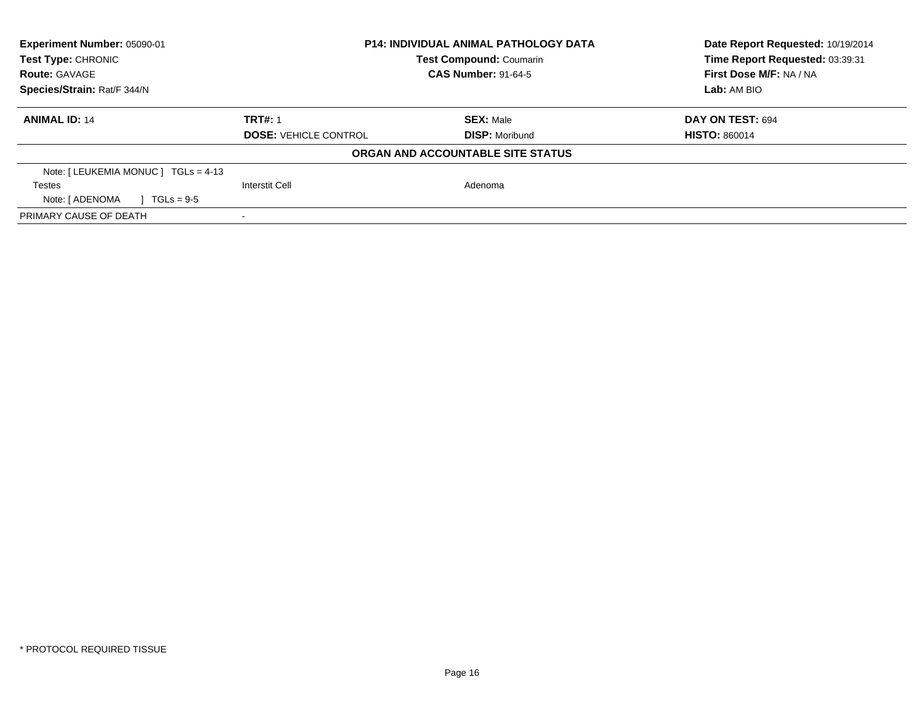| Experiment Number: 05090-01<br><b>Test Type: CHRONIC</b><br><b>Route: GAVAGE</b> | <b>P14: INDIVIDUAL ANIMAL PATHOLOGY DATA</b><br><b>Test Compound: Coumarin</b><br><b>CAS Number: 91-64-5</b> |                                   | Date Report Requested: 10/19/2014<br>Time Report Requested: 03:39:31<br>First Dose M/F: NA / NA |  |
|----------------------------------------------------------------------------------|--------------------------------------------------------------------------------------------------------------|-----------------------------------|-------------------------------------------------------------------------------------------------|--|
| Species/Strain: Rat/F 344/N                                                      |                                                                                                              |                                   | Lab: AM BIO                                                                                     |  |
| <b>ANIMAL ID: 14</b>                                                             | <b>TRT#: 1</b>                                                                                               | <b>SEX: Male</b>                  | DAY ON TEST: 694                                                                                |  |
|                                                                                  | <b>DOSE: VEHICLE CONTROL</b>                                                                                 | <b>DISP:</b> Moribund             | <b>HISTO: 860014</b>                                                                            |  |
|                                                                                  |                                                                                                              | ORGAN AND ACCOUNTABLE SITE STATUS |                                                                                                 |  |
| Note: $[LEUKEMIA MONUC] TGLS = 4-13$                                             |                                                                                                              |                                   |                                                                                                 |  |
| <b>Testes</b>                                                                    | Interstit Cell                                                                                               | Adenoma                           |                                                                                                 |  |
| Note: [ ADENOMA<br>$TGLs = 9-5$                                                  |                                                                                                              |                                   |                                                                                                 |  |
| PRIMARY CAUSE OF DEATH                                                           |                                                                                                              |                                   |                                                                                                 |  |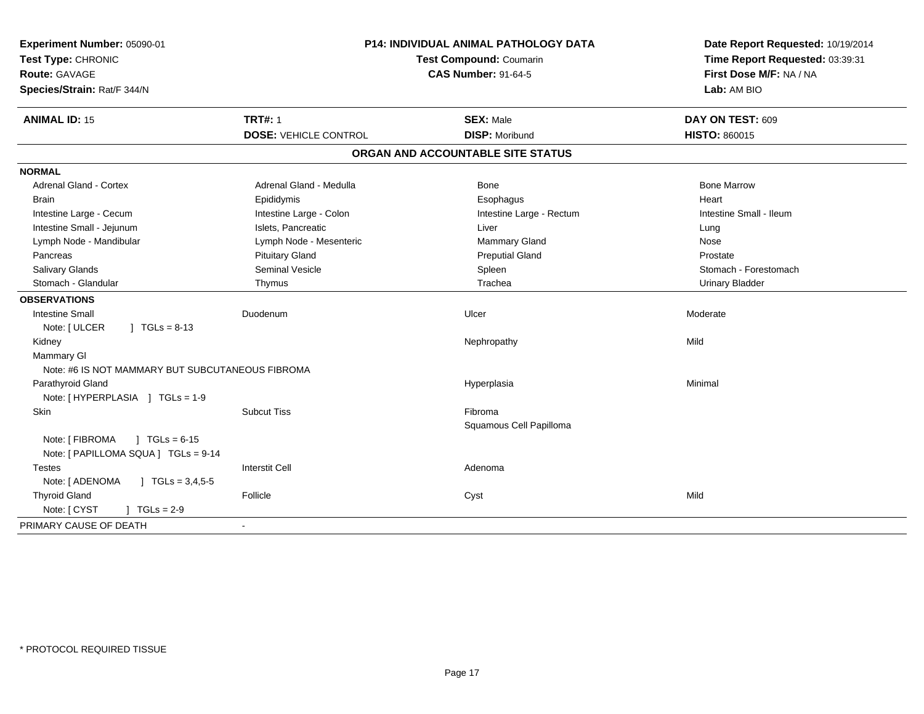| <b>TRT#: 1</b><br><b>ANIMAL ID: 15</b><br><b>SEX: Male</b><br>DAY ON TEST: 609<br><b>DOSE: VEHICLE CONTROL</b><br><b>DISP: Moribund</b><br><b>HISTO: 860015</b><br>ORGAN AND ACCOUNTABLE SITE STATUS<br><b>Adrenal Gland - Cortex</b><br>Adrenal Gland - Medulla<br><b>Bone</b><br><b>Bone Marrow</b><br><b>Brain</b><br>Epididymis<br>Heart<br>Esophagus<br>Intestine Large - Cecum<br>Intestine Large - Colon<br>Intestine Small - Ileum<br>Intestine Large - Rectum<br>Intestine Small - Jejunum<br>Islets, Pancreatic<br>Liver<br>Lung<br>Lymph Node - Mandibular<br>Lymph Node - Mesenteric<br>Mammary Gland<br>Nose<br><b>Pituitary Gland</b><br><b>Preputial Gland</b><br>Pancreas<br>Prostate<br>Salivary Glands<br><b>Seminal Vesicle</b><br>Spleen<br>Stomach - Forestomach<br>Stomach - Glandular<br>Trachea<br><b>Urinary Bladder</b><br>Thymus<br><b>OBSERVATIONS</b><br><b>Intestine Small</b><br>Duodenum<br>Ulcer<br>Moderate<br>Note: [ ULCER<br>$1 TGLs = 8-13$<br>Mild<br>Kidney<br>Nephropathy<br><b>Mammary GI</b><br>Note: #6 IS NOT MAMMARY BUT SUBCUTANEOUS FIBROMA<br>Minimal<br>Parathyroid Gland<br>Hyperplasia<br>Note: [HYPERPLASIA ] TGLs = 1-9<br>Skin<br><b>Subcut Tiss</b><br>Fibroma<br>Squamous Cell Papilloma<br>$1 TGLs = 6-15$<br>Note: [ FIBROMA<br>Note: [ PAPILLOMA SQUA ] TGLs = 9-14<br><b>Interstit Cell</b><br>Adenoma<br>Testes<br>Note: [ ADENOMA<br>$\sqrt{1}$ TGLs = 3,4,5-5<br>Mild<br><b>Thyroid Gland</b><br>Follicle<br>Cyst<br>Note: [ CYST<br>$1 TGLs = 2-9$ | Experiment Number: 05090-01<br>Test Type: CHRONIC<br><b>Route: GAVAGE</b><br>Species/Strain: Rat/F 344/N | <b>P14: INDIVIDUAL ANIMAL PATHOLOGY DATA</b><br>Test Compound: Coumarin<br><b>CAS Number: 91-64-5</b> |  | Date Report Requested: 10/19/2014<br>Time Report Requested: 03:39:31<br>First Dose M/F: NA / NA<br>Lab: AM BIO |  |
|---------------------------------------------------------------------------------------------------------------------------------------------------------------------------------------------------------------------------------------------------------------------------------------------------------------------------------------------------------------------------------------------------------------------------------------------------------------------------------------------------------------------------------------------------------------------------------------------------------------------------------------------------------------------------------------------------------------------------------------------------------------------------------------------------------------------------------------------------------------------------------------------------------------------------------------------------------------------------------------------------------------------------------------------------------------------------------------------------------------------------------------------------------------------------------------------------------------------------------------------------------------------------------------------------------------------------------------------------------------------------------------------------------------------------------------------------------------------------------------------------------------------|----------------------------------------------------------------------------------------------------------|-------------------------------------------------------------------------------------------------------|--|----------------------------------------------------------------------------------------------------------------|--|
|                                                                                                                                                                                                                                                                                                                                                                                                                                                                                                                                                                                                                                                                                                                                                                                                                                                                                                                                                                                                                                                                                                                                                                                                                                                                                                                                                                                                                                                                                                                     |                                                                                                          |                                                                                                       |  |                                                                                                                |  |
|                                                                                                                                                                                                                                                                                                                                                                                                                                                                                                                                                                                                                                                                                                                                                                                                                                                                                                                                                                                                                                                                                                                                                                                                                                                                                                                                                                                                                                                                                                                     |                                                                                                          |                                                                                                       |  |                                                                                                                |  |
|                                                                                                                                                                                                                                                                                                                                                                                                                                                                                                                                                                                                                                                                                                                                                                                                                                                                                                                                                                                                                                                                                                                                                                                                                                                                                                                                                                                                                                                                                                                     |                                                                                                          |                                                                                                       |  |                                                                                                                |  |
|                                                                                                                                                                                                                                                                                                                                                                                                                                                                                                                                                                                                                                                                                                                                                                                                                                                                                                                                                                                                                                                                                                                                                                                                                                                                                                                                                                                                                                                                                                                     | <b>NORMAL</b>                                                                                            |                                                                                                       |  |                                                                                                                |  |
|                                                                                                                                                                                                                                                                                                                                                                                                                                                                                                                                                                                                                                                                                                                                                                                                                                                                                                                                                                                                                                                                                                                                                                                                                                                                                                                                                                                                                                                                                                                     |                                                                                                          |                                                                                                       |  |                                                                                                                |  |
|                                                                                                                                                                                                                                                                                                                                                                                                                                                                                                                                                                                                                                                                                                                                                                                                                                                                                                                                                                                                                                                                                                                                                                                                                                                                                                                                                                                                                                                                                                                     |                                                                                                          |                                                                                                       |  |                                                                                                                |  |
|                                                                                                                                                                                                                                                                                                                                                                                                                                                                                                                                                                                                                                                                                                                                                                                                                                                                                                                                                                                                                                                                                                                                                                                                                                                                                                                                                                                                                                                                                                                     |                                                                                                          |                                                                                                       |  |                                                                                                                |  |
|                                                                                                                                                                                                                                                                                                                                                                                                                                                                                                                                                                                                                                                                                                                                                                                                                                                                                                                                                                                                                                                                                                                                                                                                                                                                                                                                                                                                                                                                                                                     |                                                                                                          |                                                                                                       |  |                                                                                                                |  |
|                                                                                                                                                                                                                                                                                                                                                                                                                                                                                                                                                                                                                                                                                                                                                                                                                                                                                                                                                                                                                                                                                                                                                                                                                                                                                                                                                                                                                                                                                                                     |                                                                                                          |                                                                                                       |  |                                                                                                                |  |
|                                                                                                                                                                                                                                                                                                                                                                                                                                                                                                                                                                                                                                                                                                                                                                                                                                                                                                                                                                                                                                                                                                                                                                                                                                                                                                                                                                                                                                                                                                                     |                                                                                                          |                                                                                                       |  |                                                                                                                |  |
|                                                                                                                                                                                                                                                                                                                                                                                                                                                                                                                                                                                                                                                                                                                                                                                                                                                                                                                                                                                                                                                                                                                                                                                                                                                                                                                                                                                                                                                                                                                     |                                                                                                          |                                                                                                       |  |                                                                                                                |  |
|                                                                                                                                                                                                                                                                                                                                                                                                                                                                                                                                                                                                                                                                                                                                                                                                                                                                                                                                                                                                                                                                                                                                                                                                                                                                                                                                                                                                                                                                                                                     |                                                                                                          |                                                                                                       |  |                                                                                                                |  |
|                                                                                                                                                                                                                                                                                                                                                                                                                                                                                                                                                                                                                                                                                                                                                                                                                                                                                                                                                                                                                                                                                                                                                                                                                                                                                                                                                                                                                                                                                                                     |                                                                                                          |                                                                                                       |  |                                                                                                                |  |
|                                                                                                                                                                                                                                                                                                                                                                                                                                                                                                                                                                                                                                                                                                                                                                                                                                                                                                                                                                                                                                                                                                                                                                                                                                                                                                                                                                                                                                                                                                                     |                                                                                                          |                                                                                                       |  |                                                                                                                |  |
|                                                                                                                                                                                                                                                                                                                                                                                                                                                                                                                                                                                                                                                                                                                                                                                                                                                                                                                                                                                                                                                                                                                                                                                                                                                                                                                                                                                                                                                                                                                     |                                                                                                          |                                                                                                       |  |                                                                                                                |  |
|                                                                                                                                                                                                                                                                                                                                                                                                                                                                                                                                                                                                                                                                                                                                                                                                                                                                                                                                                                                                                                                                                                                                                                                                                                                                                                                                                                                                                                                                                                                     |                                                                                                          |                                                                                                       |  |                                                                                                                |  |
|                                                                                                                                                                                                                                                                                                                                                                                                                                                                                                                                                                                                                                                                                                                                                                                                                                                                                                                                                                                                                                                                                                                                                                                                                                                                                                                                                                                                                                                                                                                     |                                                                                                          |                                                                                                       |  |                                                                                                                |  |
|                                                                                                                                                                                                                                                                                                                                                                                                                                                                                                                                                                                                                                                                                                                                                                                                                                                                                                                                                                                                                                                                                                                                                                                                                                                                                                                                                                                                                                                                                                                     |                                                                                                          |                                                                                                       |  |                                                                                                                |  |
|                                                                                                                                                                                                                                                                                                                                                                                                                                                                                                                                                                                                                                                                                                                                                                                                                                                                                                                                                                                                                                                                                                                                                                                                                                                                                                                                                                                                                                                                                                                     |                                                                                                          |                                                                                                       |  |                                                                                                                |  |
|                                                                                                                                                                                                                                                                                                                                                                                                                                                                                                                                                                                                                                                                                                                                                                                                                                                                                                                                                                                                                                                                                                                                                                                                                                                                                                                                                                                                                                                                                                                     |                                                                                                          |                                                                                                       |  |                                                                                                                |  |
|                                                                                                                                                                                                                                                                                                                                                                                                                                                                                                                                                                                                                                                                                                                                                                                                                                                                                                                                                                                                                                                                                                                                                                                                                                                                                                                                                                                                                                                                                                                     |                                                                                                          |                                                                                                       |  |                                                                                                                |  |
|                                                                                                                                                                                                                                                                                                                                                                                                                                                                                                                                                                                                                                                                                                                                                                                                                                                                                                                                                                                                                                                                                                                                                                                                                                                                                                                                                                                                                                                                                                                     |                                                                                                          |                                                                                                       |  |                                                                                                                |  |
|                                                                                                                                                                                                                                                                                                                                                                                                                                                                                                                                                                                                                                                                                                                                                                                                                                                                                                                                                                                                                                                                                                                                                                                                                                                                                                                                                                                                                                                                                                                     |                                                                                                          |                                                                                                       |  |                                                                                                                |  |
|                                                                                                                                                                                                                                                                                                                                                                                                                                                                                                                                                                                                                                                                                                                                                                                                                                                                                                                                                                                                                                                                                                                                                                                                                                                                                                                                                                                                                                                                                                                     |                                                                                                          |                                                                                                       |  |                                                                                                                |  |
|                                                                                                                                                                                                                                                                                                                                                                                                                                                                                                                                                                                                                                                                                                                                                                                                                                                                                                                                                                                                                                                                                                                                                                                                                                                                                                                                                                                                                                                                                                                     |                                                                                                          |                                                                                                       |  |                                                                                                                |  |
|                                                                                                                                                                                                                                                                                                                                                                                                                                                                                                                                                                                                                                                                                                                                                                                                                                                                                                                                                                                                                                                                                                                                                                                                                                                                                                                                                                                                                                                                                                                     |                                                                                                          |                                                                                                       |  |                                                                                                                |  |
|                                                                                                                                                                                                                                                                                                                                                                                                                                                                                                                                                                                                                                                                                                                                                                                                                                                                                                                                                                                                                                                                                                                                                                                                                                                                                                                                                                                                                                                                                                                     |                                                                                                          |                                                                                                       |  |                                                                                                                |  |
|                                                                                                                                                                                                                                                                                                                                                                                                                                                                                                                                                                                                                                                                                                                                                                                                                                                                                                                                                                                                                                                                                                                                                                                                                                                                                                                                                                                                                                                                                                                     |                                                                                                          |                                                                                                       |  |                                                                                                                |  |
|                                                                                                                                                                                                                                                                                                                                                                                                                                                                                                                                                                                                                                                                                                                                                                                                                                                                                                                                                                                                                                                                                                                                                                                                                                                                                                                                                                                                                                                                                                                     | PRIMARY CAUSE OF DEATH                                                                                   | $\sim$                                                                                                |  |                                                                                                                |  |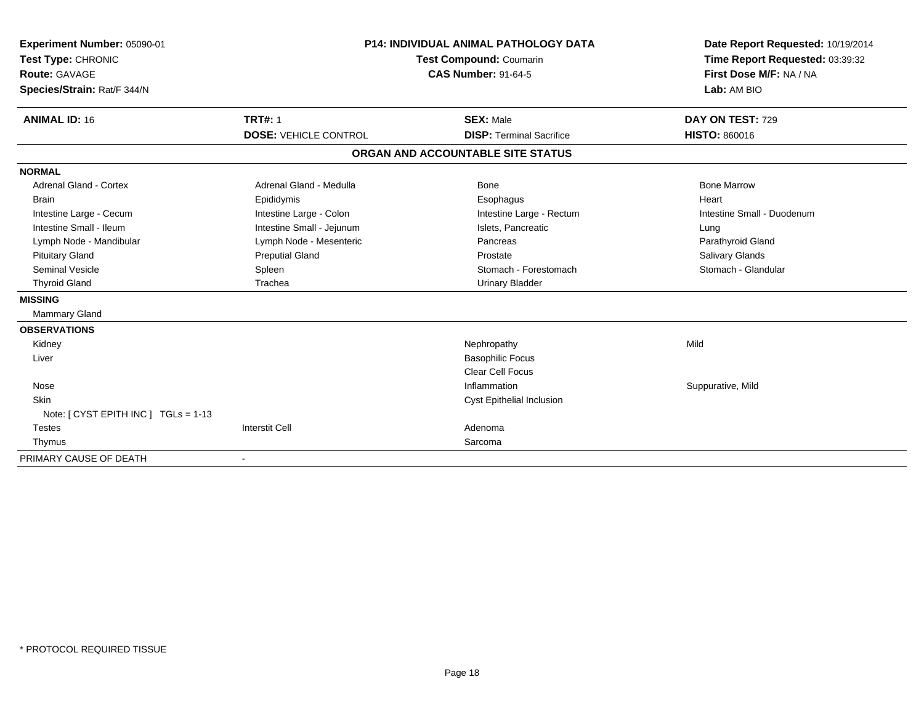| Experiment Number: 05090-01<br>Test Type: CHRONIC<br><b>Route: GAVAGE</b><br>Species/Strain: Rat/F 344/N<br><b>ANIMAL ID: 16</b> | <b>P14: INDIVIDUAL ANIMAL PATHOLOGY DATA</b><br>Test Compound: Coumarin<br><b>CAS Number: 91-64-5</b><br><b>TRT#: 1</b><br><b>SEX: Male</b> |                                   | Date Report Requested: 10/19/2014<br>Time Report Requested: 03:39:32<br>First Dose M/F: NA / NA<br>Lab: AM BIO<br>DAY ON TEST: 729 |
|----------------------------------------------------------------------------------------------------------------------------------|---------------------------------------------------------------------------------------------------------------------------------------------|-----------------------------------|------------------------------------------------------------------------------------------------------------------------------------|
|                                                                                                                                  | <b>DOSE: VEHICLE CONTROL</b>                                                                                                                | <b>DISP: Terminal Sacrifice</b>   | <b>HISTO: 860016</b>                                                                                                               |
|                                                                                                                                  |                                                                                                                                             | ORGAN AND ACCOUNTABLE SITE STATUS |                                                                                                                                    |
| <b>NORMAL</b>                                                                                                                    |                                                                                                                                             |                                   |                                                                                                                                    |
| <b>Adrenal Gland - Cortex</b>                                                                                                    | Adrenal Gland - Medulla                                                                                                                     | Bone                              | <b>Bone Marrow</b>                                                                                                                 |
| <b>Brain</b>                                                                                                                     | Epididymis                                                                                                                                  | Esophagus                         | Heart                                                                                                                              |
| Intestine Large - Cecum                                                                                                          | Intestine Large - Colon                                                                                                                     | Intestine Large - Rectum          | Intestine Small - Duodenum                                                                                                         |
| Intestine Small - Ileum                                                                                                          | Intestine Small - Jejunum                                                                                                                   | Islets, Pancreatic                | Lung                                                                                                                               |
| Lymph Node - Mandibular                                                                                                          | Lymph Node - Mesenteric                                                                                                                     | Pancreas                          | Parathyroid Gland                                                                                                                  |
| <b>Pituitary Gland</b>                                                                                                           | <b>Preputial Gland</b>                                                                                                                      | Prostate                          | Salivary Glands                                                                                                                    |
| <b>Seminal Vesicle</b>                                                                                                           | Spleen                                                                                                                                      | Stomach - Forestomach             | Stomach - Glandular                                                                                                                |
| <b>Thyroid Gland</b>                                                                                                             | Trachea                                                                                                                                     | <b>Urinary Bladder</b>            |                                                                                                                                    |
| <b>MISSING</b>                                                                                                                   |                                                                                                                                             |                                   |                                                                                                                                    |
| <b>Mammary Gland</b>                                                                                                             |                                                                                                                                             |                                   |                                                                                                                                    |
| <b>OBSERVATIONS</b>                                                                                                              |                                                                                                                                             |                                   |                                                                                                                                    |
| Kidney                                                                                                                           |                                                                                                                                             | Nephropathy                       | Mild                                                                                                                               |
| Liver                                                                                                                            |                                                                                                                                             | <b>Basophilic Focus</b>           |                                                                                                                                    |
|                                                                                                                                  |                                                                                                                                             | Clear Cell Focus                  |                                                                                                                                    |
| Nose                                                                                                                             |                                                                                                                                             | Inflammation                      | Suppurative, Mild                                                                                                                  |
| <b>Skin</b>                                                                                                                      |                                                                                                                                             | Cyst Epithelial Inclusion         |                                                                                                                                    |
| Note: $[CYST EPITH INC] TGLs = 1-13$                                                                                             |                                                                                                                                             |                                   |                                                                                                                                    |
| <b>Testes</b>                                                                                                                    | <b>Interstit Cell</b>                                                                                                                       | Adenoma                           |                                                                                                                                    |
| Thymus                                                                                                                           |                                                                                                                                             | Sarcoma                           |                                                                                                                                    |
| PRIMARY CAUSE OF DEATH                                                                                                           |                                                                                                                                             |                                   |                                                                                                                                    |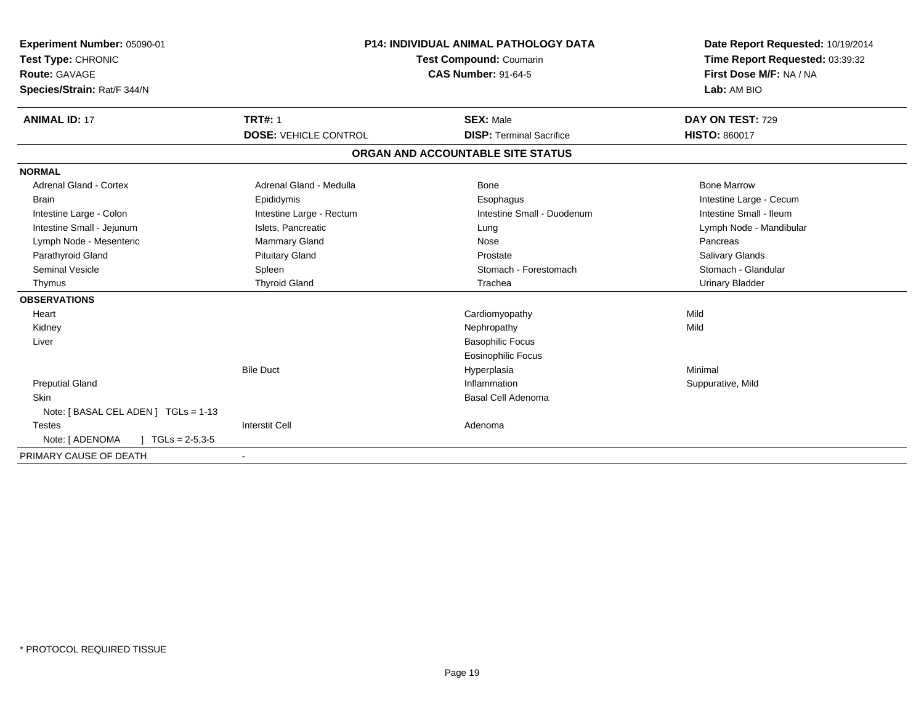| Experiment Number: 05090-01<br>Test Type: CHRONIC<br>Route: GAVAGE<br>Species/Strain: Rat/F 344/N<br><b>ANIMAL ID: 17</b> | <b>P14: INDIVIDUAL ANIMAL PATHOLOGY DATA</b><br><b>Test Compound: Coumarin</b><br><b>CAS Number: 91-64-5</b><br><b>TRT#: 1</b><br><b>SEX: Male</b> |                                   | Date Report Requested: 10/19/2014<br>Time Report Requested: 03:39:32<br>First Dose M/F: NA / NA<br>Lab: AM BIO<br>DAY ON TEST: 729 |
|---------------------------------------------------------------------------------------------------------------------------|----------------------------------------------------------------------------------------------------------------------------------------------------|-----------------------------------|------------------------------------------------------------------------------------------------------------------------------------|
|                                                                                                                           | <b>DOSE: VEHICLE CONTROL</b>                                                                                                                       | <b>DISP: Terminal Sacrifice</b>   | <b>HISTO: 860017</b>                                                                                                               |
|                                                                                                                           |                                                                                                                                                    | ORGAN AND ACCOUNTABLE SITE STATUS |                                                                                                                                    |
| <b>NORMAL</b>                                                                                                             |                                                                                                                                                    |                                   |                                                                                                                                    |
| Adrenal Gland - Cortex                                                                                                    | Adrenal Gland - Medulla                                                                                                                            | Bone                              | <b>Bone Marrow</b>                                                                                                                 |
| <b>Brain</b>                                                                                                              | Epididymis                                                                                                                                         | Esophagus                         | Intestine Large - Cecum                                                                                                            |
| Intestine Large - Colon                                                                                                   | Intestine Large - Rectum                                                                                                                           | Intestine Small - Duodenum        | Intestine Small - Ileum                                                                                                            |
| Intestine Small - Jejunum                                                                                                 | Islets, Pancreatic                                                                                                                                 | Lung                              | Lymph Node - Mandibular                                                                                                            |
| Lymph Node - Mesenteric                                                                                                   | Mammary Gland                                                                                                                                      | Nose                              | Pancreas                                                                                                                           |
| Parathyroid Gland                                                                                                         | <b>Pituitary Gland</b>                                                                                                                             | Prostate                          | <b>Salivary Glands</b>                                                                                                             |
| <b>Seminal Vesicle</b>                                                                                                    | Spleen                                                                                                                                             | Stomach - Forestomach             | Stomach - Glandular                                                                                                                |
| Thymus                                                                                                                    | <b>Thyroid Gland</b>                                                                                                                               | Trachea                           | <b>Urinary Bladder</b>                                                                                                             |
| <b>OBSERVATIONS</b>                                                                                                       |                                                                                                                                                    |                                   |                                                                                                                                    |
| Heart                                                                                                                     |                                                                                                                                                    | Cardiomyopathy                    | Mild                                                                                                                               |
| Kidney                                                                                                                    |                                                                                                                                                    | Nephropathy                       | Mild                                                                                                                               |
| Liver                                                                                                                     |                                                                                                                                                    | <b>Basophilic Focus</b>           |                                                                                                                                    |
|                                                                                                                           |                                                                                                                                                    | <b>Eosinophilic Focus</b>         |                                                                                                                                    |
|                                                                                                                           | <b>Bile Duct</b>                                                                                                                                   | Hyperplasia                       | Minimal                                                                                                                            |
| <b>Preputial Gland</b>                                                                                                    |                                                                                                                                                    | Inflammation                      | Suppurative, Mild                                                                                                                  |
| <b>Skin</b>                                                                                                               |                                                                                                                                                    | <b>Basal Cell Adenoma</b>         |                                                                                                                                    |
| Note: [ BASAL CEL ADEN ] TGLs = 1-13                                                                                      |                                                                                                                                                    |                                   |                                                                                                                                    |
| <b>Testes</b>                                                                                                             | <b>Interstit Cell</b>                                                                                                                              | Adenoma                           |                                                                                                                                    |
| Note: [ ADENOMA<br>$\sqrt{6}$ TGLs = 2-5,3-5                                                                              |                                                                                                                                                    |                                   |                                                                                                                                    |
| PRIMARY CAUSE OF DEATH                                                                                                    |                                                                                                                                                    |                                   |                                                                                                                                    |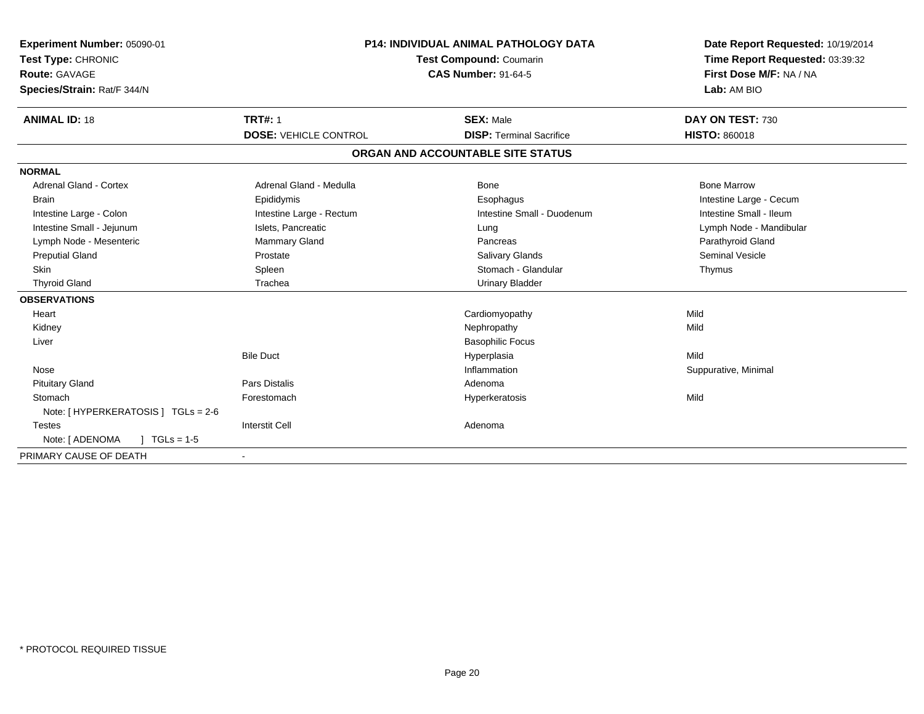| Experiment Number: 05090-01<br>Test Type: CHRONIC<br>Route: GAVAGE<br>Species/Strain: Rat/F 344/N<br><b>ANIMAL ID: 18</b> | <b>P14: INDIVIDUAL ANIMAL PATHOLOGY DATA</b><br>Test Compound: Coumarin<br><b>CAS Number: 91-64-5</b><br><b>TRT#: 1</b><br><b>SEX: Male</b> |                                   | Date Report Requested: 10/19/2014<br>Time Report Requested: 03:39:32<br>First Dose M/F: NA / NA<br>Lab: AM BIO<br>DAY ON TEST: 730 |
|---------------------------------------------------------------------------------------------------------------------------|---------------------------------------------------------------------------------------------------------------------------------------------|-----------------------------------|------------------------------------------------------------------------------------------------------------------------------------|
|                                                                                                                           | <b>DOSE: VEHICLE CONTROL</b>                                                                                                                | <b>DISP: Terminal Sacrifice</b>   | <b>HISTO: 860018</b>                                                                                                               |
|                                                                                                                           |                                                                                                                                             | ORGAN AND ACCOUNTABLE SITE STATUS |                                                                                                                                    |
| <b>NORMAL</b>                                                                                                             |                                                                                                                                             |                                   |                                                                                                                                    |
| <b>Adrenal Gland - Cortex</b>                                                                                             | Adrenal Gland - Medulla                                                                                                                     | <b>Bone</b>                       | <b>Bone Marrow</b>                                                                                                                 |
| <b>Brain</b>                                                                                                              | Epididymis                                                                                                                                  | Esophagus                         | Intestine Large - Cecum                                                                                                            |
| Intestine Large - Colon                                                                                                   | Intestine Large - Rectum                                                                                                                    | Intestine Small - Duodenum        | Intestine Small - Ileum                                                                                                            |
| Intestine Small - Jejunum                                                                                                 | Islets, Pancreatic                                                                                                                          | Lung                              | Lymph Node - Mandibular                                                                                                            |
| Lymph Node - Mesenteric                                                                                                   | <b>Mammary Gland</b>                                                                                                                        | Pancreas                          | Parathyroid Gland                                                                                                                  |
| <b>Preputial Gland</b>                                                                                                    | Prostate                                                                                                                                    | <b>Salivary Glands</b>            | <b>Seminal Vesicle</b>                                                                                                             |
| <b>Skin</b>                                                                                                               | Spleen                                                                                                                                      | Stomach - Glandular               | Thymus                                                                                                                             |
| <b>Thyroid Gland</b>                                                                                                      | Trachea                                                                                                                                     | <b>Urinary Bladder</b>            |                                                                                                                                    |
| <b>OBSERVATIONS</b>                                                                                                       |                                                                                                                                             |                                   |                                                                                                                                    |
| Heart                                                                                                                     |                                                                                                                                             | Cardiomyopathy                    | Mild                                                                                                                               |
| Kidney                                                                                                                    |                                                                                                                                             | Nephropathy                       | Mild                                                                                                                               |
| Liver                                                                                                                     |                                                                                                                                             | <b>Basophilic Focus</b>           |                                                                                                                                    |
|                                                                                                                           | <b>Bile Duct</b>                                                                                                                            | Hyperplasia                       | Mild                                                                                                                               |
| Nose                                                                                                                      |                                                                                                                                             | Inflammation                      | Suppurative, Minimal                                                                                                               |
| <b>Pituitary Gland</b>                                                                                                    | <b>Pars Distalis</b>                                                                                                                        | Adenoma                           |                                                                                                                                    |
| Stomach                                                                                                                   | Forestomach                                                                                                                                 | Hyperkeratosis                    | Mild                                                                                                                               |
| Note: [ HYPERKERATOSIS ] TGLs = 2-6                                                                                       |                                                                                                                                             |                                   |                                                                                                                                    |
| <b>Testes</b>                                                                                                             | <b>Interstit Cell</b>                                                                                                                       | Adenoma                           |                                                                                                                                    |
| Note: [ ADENOMA<br>$\sqrt{1 + 1}$ TGLs = 1-5                                                                              |                                                                                                                                             |                                   |                                                                                                                                    |
| PRIMARY CAUSE OF DEATH                                                                                                    |                                                                                                                                             |                                   |                                                                                                                                    |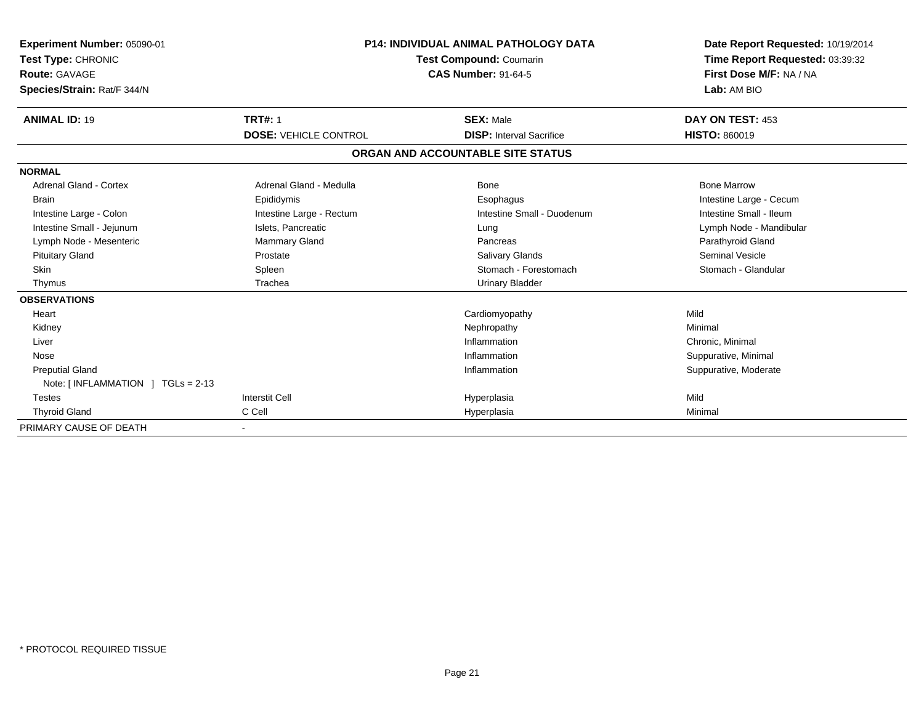| <b>Experiment Number: 05090-01</b><br>Test Type: CHRONIC<br><b>Route: GAVAGE</b><br>Species/Strain: Rat/F 344/N | <b>P14: INDIVIDUAL ANIMAL PATHOLOGY DATA</b><br>Test Compound: Coumarin<br><b>CAS Number: 91-64-5</b> |                                   | Date Report Requested: 10/19/2014<br>Time Report Requested: 03:39:32<br>First Dose M/F: NA / NA<br>Lab: AM BIO |
|-----------------------------------------------------------------------------------------------------------------|-------------------------------------------------------------------------------------------------------|-----------------------------------|----------------------------------------------------------------------------------------------------------------|
| <b>ANIMAL ID: 19</b>                                                                                            | <b>TRT#: 1</b>                                                                                        | <b>SEX: Male</b>                  | DAY ON TEST: 453                                                                                               |
|                                                                                                                 | <b>DOSE: VEHICLE CONTROL</b>                                                                          | <b>DISP: Interval Sacrifice</b>   | <b>HISTO: 860019</b>                                                                                           |
|                                                                                                                 |                                                                                                       | ORGAN AND ACCOUNTABLE SITE STATUS |                                                                                                                |
| <b>NORMAL</b>                                                                                                   |                                                                                                       |                                   |                                                                                                                |
| <b>Adrenal Gland - Cortex</b>                                                                                   | Adrenal Gland - Medulla                                                                               | Bone                              | <b>Bone Marrow</b>                                                                                             |
| <b>Brain</b>                                                                                                    | Epididymis                                                                                            | Esophagus                         | Intestine Large - Cecum                                                                                        |
| Intestine Large - Colon                                                                                         | Intestine Large - Rectum                                                                              | Intestine Small - Duodenum        | Intestine Small - Ileum                                                                                        |
| Intestine Small - Jejunum                                                                                       | Islets, Pancreatic                                                                                    | Lung                              | Lymph Node - Mandibular                                                                                        |
| Lymph Node - Mesenteric                                                                                         | <b>Mammary Gland</b>                                                                                  | Pancreas                          | Parathyroid Gland                                                                                              |
| <b>Pituitary Gland</b>                                                                                          | Prostate                                                                                              | <b>Salivary Glands</b>            | <b>Seminal Vesicle</b>                                                                                         |
| <b>Skin</b>                                                                                                     | Spleen                                                                                                | Stomach - Forestomach             | Stomach - Glandular                                                                                            |
| Thymus                                                                                                          | Trachea                                                                                               | <b>Urinary Bladder</b>            |                                                                                                                |
| <b>OBSERVATIONS</b>                                                                                             |                                                                                                       |                                   |                                                                                                                |
| Heart                                                                                                           |                                                                                                       | Cardiomyopathy                    | Mild                                                                                                           |
| Kidney                                                                                                          |                                                                                                       | Nephropathy                       | Minimal                                                                                                        |
| Liver                                                                                                           |                                                                                                       | Inflammation                      | Chronic, Minimal                                                                                               |
| Nose                                                                                                            |                                                                                                       | Inflammation                      | Suppurative, Minimal                                                                                           |
| <b>Preputial Gland</b>                                                                                          |                                                                                                       | Inflammation                      | Suppurative, Moderate                                                                                          |
| Note: [INFLAMMATION ] TGLs = 2-13                                                                               |                                                                                                       |                                   |                                                                                                                |
| <b>Testes</b>                                                                                                   | <b>Interstit Cell</b>                                                                                 | Hyperplasia                       | Mild                                                                                                           |
| <b>Thyroid Gland</b>                                                                                            | C Cell                                                                                                | Hyperplasia                       | Minimal                                                                                                        |
| PRIMARY CAUSE OF DEATH                                                                                          |                                                                                                       |                                   |                                                                                                                |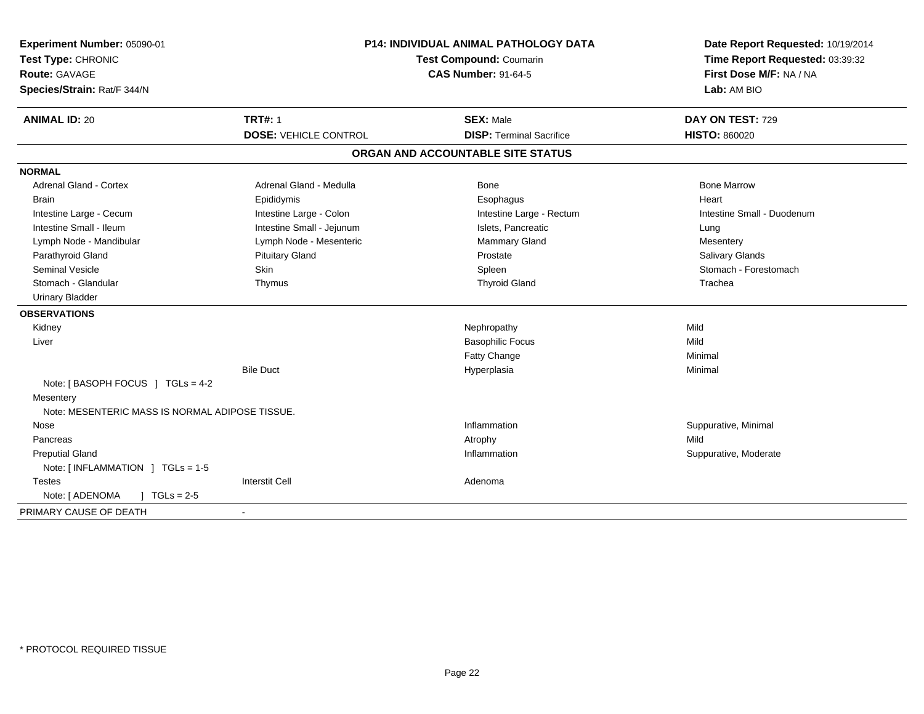| Experiment Number: 05090-01<br>Test Type: CHRONIC<br>Route: GAVAGE<br>Species/Strain: Rat/F 344/N | P14: INDIVIDUAL ANIMAL PATHOLOGY DATA<br>Test Compound: Coumarin<br><b>CAS Number: 91-64-5</b> |                                                     | Date Report Requested: 10/19/2014<br>Time Report Requested: 03:39:32<br>First Dose M/F: NA / NA<br>Lab: AM BIO |  |
|---------------------------------------------------------------------------------------------------|------------------------------------------------------------------------------------------------|-----------------------------------------------------|----------------------------------------------------------------------------------------------------------------|--|
| <b>ANIMAL ID: 20</b>                                                                              | <b>TRT#: 1</b><br><b>DOSE: VEHICLE CONTROL</b>                                                 | <b>SEX: Male</b><br><b>DISP: Terminal Sacrifice</b> | DAY ON TEST: 729<br><b>HISTO: 860020</b>                                                                       |  |
|                                                                                                   |                                                                                                |                                                     |                                                                                                                |  |
|                                                                                                   |                                                                                                | ORGAN AND ACCOUNTABLE SITE STATUS                   |                                                                                                                |  |
| <b>NORMAL</b>                                                                                     |                                                                                                |                                                     |                                                                                                                |  |
| Adrenal Gland - Cortex                                                                            | Adrenal Gland - Medulla                                                                        | Bone                                                | <b>Bone Marrow</b>                                                                                             |  |
| <b>Brain</b>                                                                                      | Epididymis                                                                                     | Esophagus                                           | Heart                                                                                                          |  |
| Intestine Large - Cecum                                                                           | Intestine Large - Colon                                                                        | Intestine Large - Rectum                            | Intestine Small - Duodenum                                                                                     |  |
| Intestine Small - Ileum                                                                           | Intestine Small - Jejunum                                                                      | Islets, Pancreatic                                  | Lung                                                                                                           |  |
| Lymph Node - Mandibular                                                                           | Lymph Node - Mesenteric                                                                        | Mammary Gland                                       | Mesentery                                                                                                      |  |
| Parathyroid Gland                                                                                 | <b>Pituitary Gland</b>                                                                         | Prostate                                            | Salivary Glands                                                                                                |  |
| <b>Seminal Vesicle</b>                                                                            | Skin                                                                                           | Spleen                                              | Stomach - Forestomach                                                                                          |  |
| Stomach - Glandular                                                                               | Thymus                                                                                         | <b>Thyroid Gland</b>                                | Trachea                                                                                                        |  |
| <b>Urinary Bladder</b>                                                                            |                                                                                                |                                                     |                                                                                                                |  |
| <b>OBSERVATIONS</b>                                                                               |                                                                                                |                                                     |                                                                                                                |  |
| Kidney                                                                                            |                                                                                                | Nephropathy                                         | Mild                                                                                                           |  |
| Liver                                                                                             |                                                                                                | <b>Basophilic Focus</b>                             | Mild                                                                                                           |  |
|                                                                                                   |                                                                                                | Fatty Change                                        | Minimal                                                                                                        |  |
|                                                                                                   | <b>Bile Duct</b>                                                                               | Hyperplasia                                         | Minimal                                                                                                        |  |
| Note: [BASOPH FOCUS ] TGLs = 4-2                                                                  |                                                                                                |                                                     |                                                                                                                |  |
| Mesentery                                                                                         |                                                                                                |                                                     |                                                                                                                |  |
| Note: MESENTERIC MASS IS NORMAL ADIPOSE TISSUE.                                                   |                                                                                                |                                                     |                                                                                                                |  |
| Nose                                                                                              |                                                                                                | Inflammation                                        | Suppurative, Minimal                                                                                           |  |
| Pancreas                                                                                          |                                                                                                | Atrophy                                             | Mild                                                                                                           |  |
| <b>Preputial Gland</b>                                                                            |                                                                                                | Inflammation                                        | Suppurative, Moderate                                                                                          |  |
| Note: [INFLAMMATION ] TGLs = 1-5                                                                  |                                                                                                |                                                     |                                                                                                                |  |
| <b>Testes</b>                                                                                     | <b>Interstit Cell</b>                                                                          | Adenoma                                             |                                                                                                                |  |
| Note: [ ADENOMA<br>$\sqrt{1 + 1}$ TGLs = 2-5                                                      |                                                                                                |                                                     |                                                                                                                |  |
| PRIMARY CAUSE OF DEATH                                                                            | $\blacksquare$                                                                                 |                                                     |                                                                                                                |  |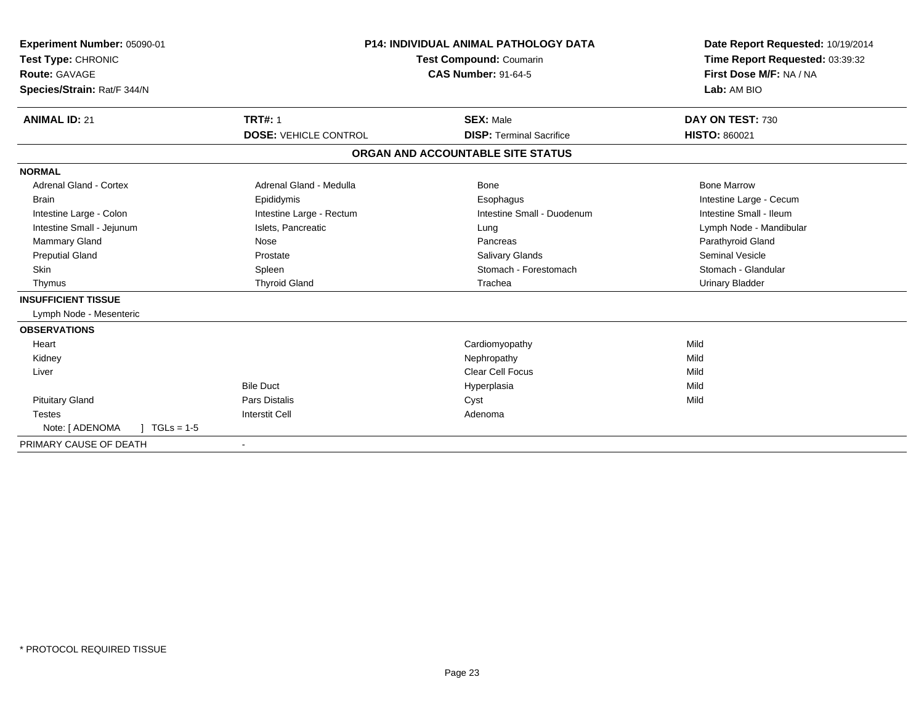| Experiment Number: 05090-01<br>Test Type: CHRONIC<br><b>Route: GAVAGE</b><br>Species/Strain: Rat/F 344/N<br><b>ANIMAL ID: 21</b> | <b>TRT#: 1</b>               | <b>P14: INDIVIDUAL ANIMAL PATHOLOGY DATA</b><br><b>Test Compound: Coumarin</b><br><b>CAS Number: 91-64-5</b><br><b>SEX: Male</b> | Date Report Requested: 10/19/2014<br>Time Report Requested: 03:39:32<br>First Dose M/F: NA / NA<br>Lab: AM BIO<br>DAY ON TEST: 730 |
|----------------------------------------------------------------------------------------------------------------------------------|------------------------------|----------------------------------------------------------------------------------------------------------------------------------|------------------------------------------------------------------------------------------------------------------------------------|
|                                                                                                                                  | <b>DOSE: VEHICLE CONTROL</b> | <b>DISP: Terminal Sacrifice</b>                                                                                                  | <b>HISTO: 860021</b>                                                                                                               |
|                                                                                                                                  |                              | ORGAN AND ACCOUNTABLE SITE STATUS                                                                                                |                                                                                                                                    |
| <b>NORMAL</b>                                                                                                                    |                              |                                                                                                                                  |                                                                                                                                    |
| Adrenal Gland - Cortex                                                                                                           | Adrenal Gland - Medulla      | Bone                                                                                                                             | <b>Bone Marrow</b>                                                                                                                 |
| <b>Brain</b>                                                                                                                     | Epididymis                   | Esophagus                                                                                                                        | Intestine Large - Cecum                                                                                                            |
| Intestine Large - Colon                                                                                                          | Intestine Large - Rectum     | Intestine Small - Duodenum                                                                                                       | Intestine Small - Ileum                                                                                                            |
| Intestine Small - Jejunum                                                                                                        | Islets, Pancreatic           | Lung                                                                                                                             | Lymph Node - Mandibular                                                                                                            |
| <b>Mammary Gland</b>                                                                                                             | Nose                         | Pancreas                                                                                                                         | Parathyroid Gland                                                                                                                  |
| <b>Preputial Gland</b>                                                                                                           | Prostate                     | Salivary Glands                                                                                                                  | Seminal Vesicle                                                                                                                    |
| <b>Skin</b>                                                                                                                      | Spleen                       | Stomach - Forestomach                                                                                                            | Stomach - Glandular                                                                                                                |
| Thymus                                                                                                                           | <b>Thyroid Gland</b>         | Trachea                                                                                                                          | <b>Urinary Bladder</b>                                                                                                             |
| <b>INSUFFICIENT TISSUE</b>                                                                                                       |                              |                                                                                                                                  |                                                                                                                                    |
| Lymph Node - Mesenteric                                                                                                          |                              |                                                                                                                                  |                                                                                                                                    |
| <b>OBSERVATIONS</b>                                                                                                              |                              |                                                                                                                                  |                                                                                                                                    |
| Heart                                                                                                                            |                              | Cardiomyopathy                                                                                                                   | Mild                                                                                                                               |
| Kidney                                                                                                                           |                              | Nephropathy                                                                                                                      | Mild                                                                                                                               |
| Liver                                                                                                                            |                              | <b>Clear Cell Focus</b>                                                                                                          | Mild                                                                                                                               |
|                                                                                                                                  | <b>Bile Duct</b>             | Hyperplasia                                                                                                                      | Mild                                                                                                                               |
| <b>Pituitary Gland</b>                                                                                                           | <b>Pars Distalis</b>         | Cyst                                                                                                                             | Mild                                                                                                                               |
| <b>Testes</b>                                                                                                                    | <b>Interstit Cell</b>        | Adenoma                                                                                                                          |                                                                                                                                    |
| Note: [ ADENOMA<br>$1 TGLs = 1-5$                                                                                                |                              |                                                                                                                                  |                                                                                                                                    |
| PRIMARY CAUSE OF DEATH                                                                                                           |                              |                                                                                                                                  |                                                                                                                                    |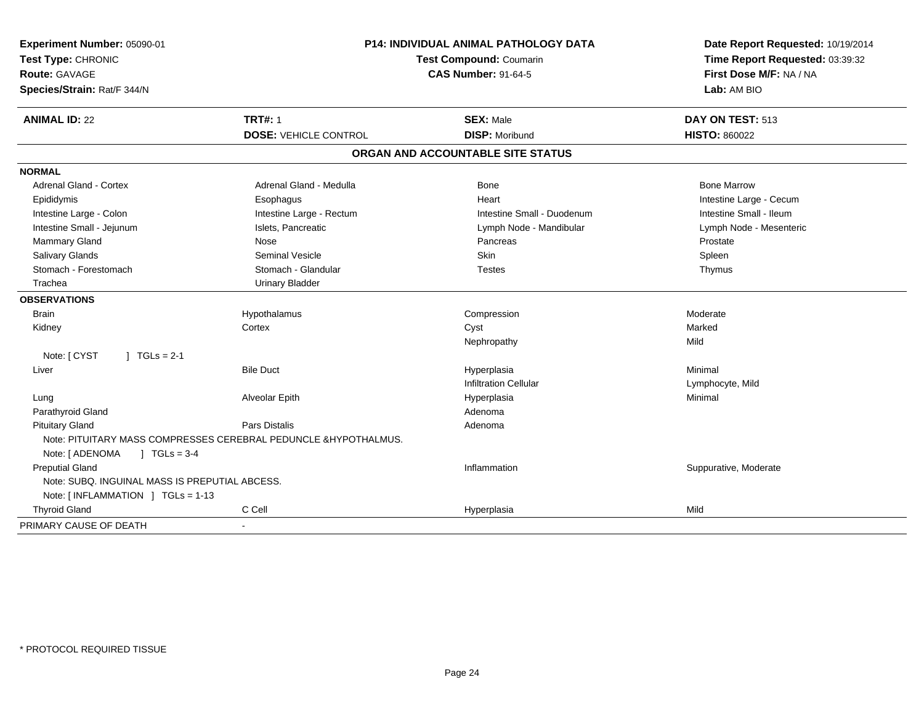| Experiment Number: 05090-01<br>Test Type: CHRONIC<br><b>Route: GAVAGE</b><br>Species/Strain: Rat/F 344/N | P14: INDIVIDUAL ANIMAL PATHOLOGY DATA<br>Test Compound: Coumarin<br><b>CAS Number: 91-64-5</b> |                                           | Date Report Requested: 10/19/2014<br>Time Report Requested: 03:39:32<br>First Dose M/F: NA / NA<br>Lab: AM BIO |  |
|----------------------------------------------------------------------------------------------------------|------------------------------------------------------------------------------------------------|-------------------------------------------|----------------------------------------------------------------------------------------------------------------|--|
| <b>ANIMAL ID: 22</b>                                                                                     | <b>TRT#: 1</b><br><b>DOSE: VEHICLE CONTROL</b>                                                 | <b>SEX: Male</b><br><b>DISP: Moribund</b> | DAY ON TEST: 513<br><b>HISTO: 860022</b>                                                                       |  |
|                                                                                                          |                                                                                                |                                           |                                                                                                                |  |
|                                                                                                          |                                                                                                | ORGAN AND ACCOUNTABLE SITE STATUS         |                                                                                                                |  |
| <b>NORMAL</b>                                                                                            |                                                                                                |                                           |                                                                                                                |  |
| <b>Adrenal Gland - Cortex</b>                                                                            | Adrenal Gland - Medulla                                                                        | <b>Bone</b>                               | <b>Bone Marrow</b>                                                                                             |  |
| Epididymis                                                                                               | Esophagus                                                                                      | Heart                                     | Intestine Large - Cecum                                                                                        |  |
| Intestine Large - Colon                                                                                  | Intestine Large - Rectum                                                                       | Intestine Small - Duodenum                | Intestine Small - Ileum                                                                                        |  |
| Intestine Small - Jejunum                                                                                | Islets, Pancreatic                                                                             | Lymph Node - Mandibular                   | Lymph Node - Mesenteric                                                                                        |  |
| Mammary Gland                                                                                            | Nose                                                                                           | Pancreas                                  | Prostate                                                                                                       |  |
| Salivary Glands                                                                                          | <b>Seminal Vesicle</b>                                                                         | <b>Skin</b>                               | Spleen                                                                                                         |  |
| Stomach - Forestomach                                                                                    | Stomach - Glandular                                                                            | <b>Testes</b>                             | Thymus                                                                                                         |  |
| Trachea                                                                                                  | <b>Urinary Bladder</b>                                                                         |                                           |                                                                                                                |  |
| <b>OBSERVATIONS</b>                                                                                      |                                                                                                |                                           |                                                                                                                |  |
| Brain                                                                                                    | Hypothalamus                                                                                   | Compression                               | Moderate                                                                                                       |  |
| Kidney                                                                                                   | Cortex                                                                                         | Cyst                                      | Marked                                                                                                         |  |
|                                                                                                          |                                                                                                | Nephropathy                               | Mild                                                                                                           |  |
| Note: [ CYST<br>$J \cdot TGLs = 2-1$                                                                     |                                                                                                |                                           |                                                                                                                |  |
| Liver                                                                                                    | <b>Bile Duct</b>                                                                               | Hyperplasia                               | Minimal                                                                                                        |  |
|                                                                                                          |                                                                                                | <b>Infiltration Cellular</b>              | Lymphocyte, Mild                                                                                               |  |
| Lung                                                                                                     | Alveolar Epith                                                                                 | Hyperplasia                               | Minimal                                                                                                        |  |
| Parathyroid Gland                                                                                        |                                                                                                | Adenoma                                   |                                                                                                                |  |
| <b>Pituitary Gland</b>                                                                                   | Pars Distalis                                                                                  | Adenoma                                   |                                                                                                                |  |
| Note: [ ADENOMA<br>$1 TGLs = 3-4$                                                                        | Note: PITUITARY MASS COMPRESSES CEREBRAL PEDUNCLE & HYPOTHALMUS.                               |                                           |                                                                                                                |  |
| <b>Preputial Gland</b>                                                                                   |                                                                                                | Inflammation                              | Suppurative, Moderate                                                                                          |  |
| Note: SUBQ. INGUINAL MASS IS PREPUTIAL ABCESS.                                                           |                                                                                                |                                           |                                                                                                                |  |
| Note: [INFLAMMATION ] TGLs = 1-13                                                                        |                                                                                                |                                           |                                                                                                                |  |
| <b>Thyroid Gland</b>                                                                                     | C Cell                                                                                         | Hyperplasia                               | Mild                                                                                                           |  |
| PRIMARY CAUSE OF DEATH                                                                                   |                                                                                                |                                           |                                                                                                                |  |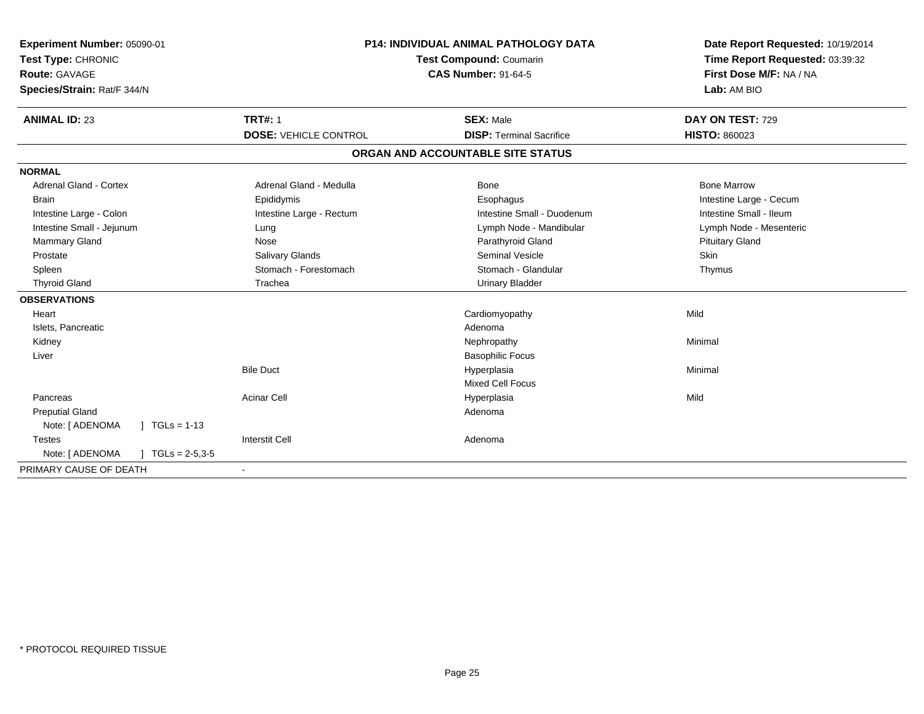| Experiment Number: 05090-01<br>Test Type: CHRONIC<br>Route: GAVAGE<br>Species/Strain: Rat/F 344/N |                              | <b>P14: INDIVIDUAL ANIMAL PATHOLOGY DATA</b><br>Test Compound: Coumarin<br><b>CAS Number: 91-64-5</b> | Date Report Requested: 10/19/2014<br>Time Report Requested: 03:39:32<br>First Dose M/F: NA / NA<br>Lab: AM BIO |
|---------------------------------------------------------------------------------------------------|------------------------------|-------------------------------------------------------------------------------------------------------|----------------------------------------------------------------------------------------------------------------|
| <b>ANIMAL ID: 23</b>                                                                              | <b>TRT#: 1</b>               | <b>SEX: Male</b>                                                                                      | DAY ON TEST: 729                                                                                               |
|                                                                                                   | <b>DOSE: VEHICLE CONTROL</b> | <b>DISP: Terminal Sacrifice</b>                                                                       | <b>HISTO: 860023</b>                                                                                           |
|                                                                                                   |                              | ORGAN AND ACCOUNTABLE SITE STATUS                                                                     |                                                                                                                |
| <b>NORMAL</b>                                                                                     |                              |                                                                                                       |                                                                                                                |
| <b>Adrenal Gland - Cortex</b>                                                                     | Adrenal Gland - Medulla      | <b>Bone</b>                                                                                           | <b>Bone Marrow</b>                                                                                             |
| <b>Brain</b>                                                                                      | Epididymis                   | Esophagus                                                                                             | Intestine Large - Cecum                                                                                        |
| Intestine Large - Colon                                                                           | Intestine Large - Rectum     | Intestine Small - Duodenum                                                                            | Intestine Small - Ileum                                                                                        |
| Intestine Small - Jejunum                                                                         | Lung                         | Lymph Node - Mandibular                                                                               | Lymph Node - Mesenteric                                                                                        |
| Mammary Gland                                                                                     | Nose                         | Parathyroid Gland                                                                                     | <b>Pituitary Gland</b>                                                                                         |
| Prostate                                                                                          | Salivary Glands              | <b>Seminal Vesicle</b>                                                                                | <b>Skin</b>                                                                                                    |
| Spleen                                                                                            | Stomach - Forestomach        | Stomach - Glandular                                                                                   | Thymus                                                                                                         |
| <b>Thyroid Gland</b>                                                                              | Trachea                      | <b>Urinary Bladder</b>                                                                                |                                                                                                                |
| <b>OBSERVATIONS</b>                                                                               |                              |                                                                                                       |                                                                                                                |
| Heart                                                                                             |                              | Cardiomyopathy                                                                                        | Mild                                                                                                           |
| Islets, Pancreatic                                                                                |                              | Adenoma                                                                                               |                                                                                                                |
| Kidney                                                                                            |                              | Nephropathy                                                                                           | Minimal                                                                                                        |
| Liver                                                                                             |                              | <b>Basophilic Focus</b>                                                                               |                                                                                                                |
|                                                                                                   | <b>Bile Duct</b>             | Hyperplasia                                                                                           | Minimal                                                                                                        |
|                                                                                                   |                              | <b>Mixed Cell Focus</b>                                                                               |                                                                                                                |
| Pancreas                                                                                          | <b>Acinar Cell</b>           | Hyperplasia                                                                                           | Mild                                                                                                           |
| <b>Preputial Gland</b>                                                                            |                              | Adenoma                                                                                               |                                                                                                                |
| Note: [ ADENOMA<br>$1 TGLs = 1-13$                                                                |                              |                                                                                                       |                                                                                                                |
| <b>Testes</b>                                                                                     | <b>Interstit Cell</b>        | Adenoma                                                                                               |                                                                                                                |
| Note: [ ADENOMA<br>$J \cdot TGLs = 2-5,3-5$                                                       |                              |                                                                                                       |                                                                                                                |
| PRIMARY CAUSE OF DEATH                                                                            |                              |                                                                                                       |                                                                                                                |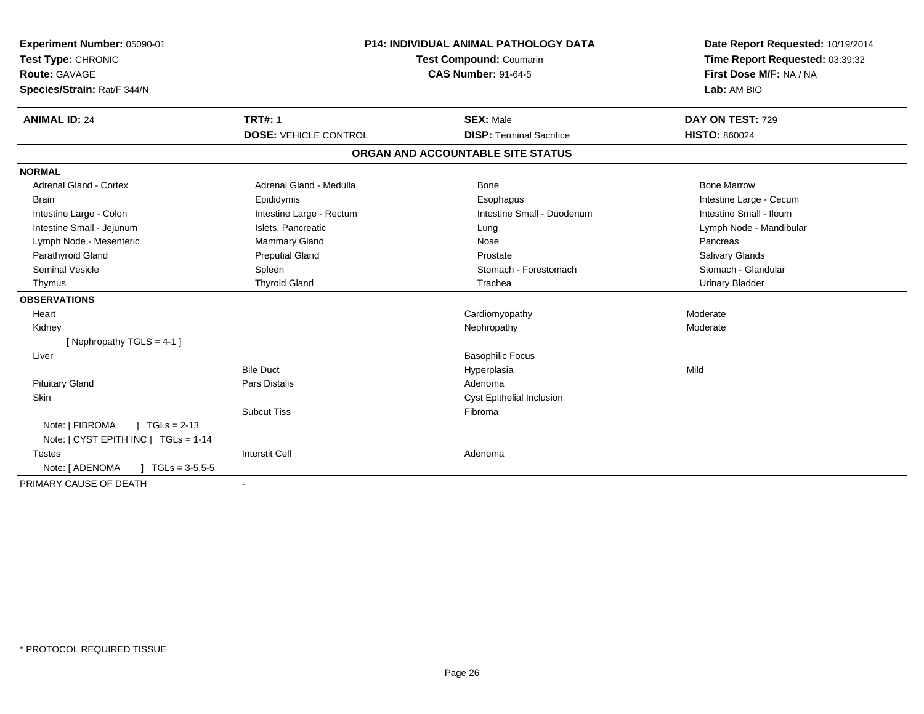| Experiment Number: 05090-01                  | <b>P14: INDIVIDUAL ANIMAL PATHOLOGY DATA</b><br>Test Compound: Coumarin |                                   | Date Report Requested: 10/19/2014 |
|----------------------------------------------|-------------------------------------------------------------------------|-----------------------------------|-----------------------------------|
| Test Type: CHRONIC                           |                                                                         |                                   | Time Report Requested: 03:39:32   |
| Route: GAVAGE                                |                                                                         | <b>CAS Number: 91-64-5</b>        | First Dose M/F: NA / NA           |
| Species/Strain: Rat/F 344/N                  |                                                                         |                                   | Lab: AM BIO                       |
| <b>ANIMAL ID: 24</b>                         | <b>TRT#: 1</b>                                                          | <b>SEX: Male</b>                  | DAY ON TEST: 729                  |
|                                              | <b>DOSE: VEHICLE CONTROL</b>                                            | <b>DISP: Terminal Sacrifice</b>   | <b>HISTO: 860024</b>              |
|                                              |                                                                         | ORGAN AND ACCOUNTABLE SITE STATUS |                                   |
| <b>NORMAL</b>                                |                                                                         |                                   |                                   |
| <b>Adrenal Gland - Cortex</b>                | Adrenal Gland - Medulla                                                 | Bone                              | <b>Bone Marrow</b>                |
| <b>Brain</b>                                 | Epididymis                                                              | Esophagus                         | Intestine Large - Cecum           |
| Intestine Large - Colon                      | Intestine Large - Rectum                                                | Intestine Small - Duodenum        | Intestine Small - Ileum           |
| Intestine Small - Jejunum                    | Islets, Pancreatic                                                      | Lung                              | Lymph Node - Mandibular           |
| Lymph Node - Mesenteric                      | Mammary Gland                                                           | Nose                              | Pancreas                          |
| Parathyroid Gland                            | <b>Preputial Gland</b>                                                  | Prostate                          | <b>Salivary Glands</b>            |
| <b>Seminal Vesicle</b>                       | Spleen                                                                  | Stomach - Forestomach             | Stomach - Glandular               |
| Thymus                                       | <b>Thyroid Gland</b>                                                    | Trachea                           | <b>Urinary Bladder</b>            |
| <b>OBSERVATIONS</b>                          |                                                                         |                                   |                                   |
| Heart                                        |                                                                         | Cardiomyopathy                    | Moderate                          |
| Kidney                                       |                                                                         | Nephropathy                       | Moderate                          |
| [Nephropathy TGLS = 4-1]                     |                                                                         |                                   |                                   |
| Liver                                        |                                                                         | <b>Basophilic Focus</b>           |                                   |
|                                              | <b>Bile Duct</b>                                                        | Hyperplasia                       | Mild                              |
| <b>Pituitary Gland</b>                       | Pars Distalis                                                           | Adenoma                           |                                   |
| Skin                                         |                                                                         | Cyst Epithelial Inclusion         |                                   |
|                                              | <b>Subcut Tiss</b>                                                      | Fibroma                           |                                   |
| Note: [ FIBROMA<br>$1 TGLs = 2-13$           |                                                                         |                                   |                                   |
| Note: [ CYST EPITH INC ] TGLs = 1-14         |                                                                         |                                   |                                   |
| <b>Testes</b>                                | <b>Interstit Cell</b>                                                   | Adenoma                           |                                   |
| Note: [ ADENOMA<br>$\sqrt{1}$ TGLs = 3-5.5-5 |                                                                         |                                   |                                   |
| PRIMARY CAUSE OF DEATH                       |                                                                         |                                   |                                   |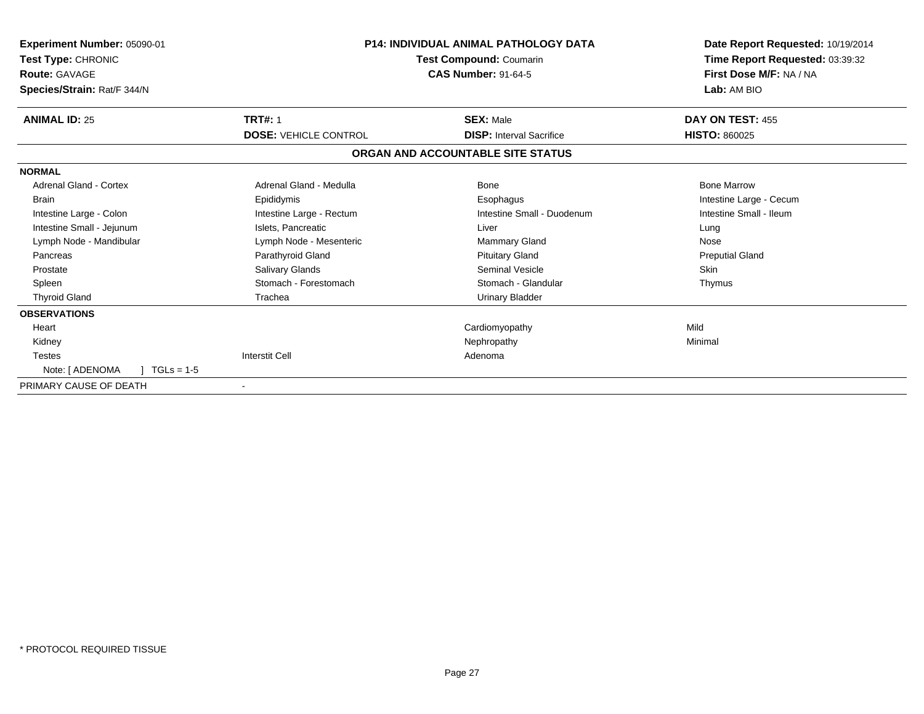| Experiment Number: 05090-01                         |                              | <b>P14: INDIVIDUAL ANIMAL PATHOLOGY DATA</b>          | Date Report Requested: 10/19/2014      |
|-----------------------------------------------------|------------------------------|-------------------------------------------------------|----------------------------------------|
| Test Type: CHRONIC                                  |                              | Test Compound: Coumarin<br><b>CAS Number: 91-64-5</b> | Time Report Requested: 03:39:32        |
| <b>Route: GAVAGE</b><br>Species/Strain: Rat/F 344/N |                              |                                                       | First Dose M/F: NA / NA<br>Lab: AM BIO |
|                                                     |                              |                                                       |                                        |
| <b>ANIMAL ID: 25</b>                                | <b>TRT#: 1</b>               | <b>SEX: Male</b>                                      | DAY ON TEST: 455                       |
|                                                     | <b>DOSE: VEHICLE CONTROL</b> | <b>DISP: Interval Sacrifice</b>                       | <b>HISTO: 860025</b>                   |
|                                                     |                              | ORGAN AND ACCOUNTABLE SITE STATUS                     |                                        |
| <b>NORMAL</b>                                       |                              |                                                       |                                        |
| <b>Adrenal Gland - Cortex</b>                       | Adrenal Gland - Medulla      | <b>Bone</b>                                           | <b>Bone Marrow</b>                     |
| <b>Brain</b>                                        | Epididymis                   | Esophagus                                             | Intestine Large - Cecum                |
| Intestine Large - Colon                             | Intestine Large - Rectum     | Intestine Small - Duodenum                            | Intestine Small - Ileum                |
| Intestine Small - Jejunum                           | Islets, Pancreatic           | Liver                                                 | Lung                                   |
| Lymph Node - Mandibular                             | Lymph Node - Mesenteric      | <b>Mammary Gland</b>                                  | Nose                                   |
| Pancreas                                            | Parathyroid Gland            | <b>Pituitary Gland</b>                                | <b>Preputial Gland</b>                 |
| Prostate                                            | Salivary Glands              | <b>Seminal Vesicle</b>                                | <b>Skin</b>                            |
| Spleen                                              | Stomach - Forestomach        | Stomach - Glandular                                   | Thymus                                 |
| <b>Thyroid Gland</b>                                | Trachea                      | <b>Urinary Bladder</b>                                |                                        |
| <b>OBSERVATIONS</b>                                 |                              |                                                       |                                        |
| Heart                                               |                              | Cardiomyopathy                                        | Mild                                   |
| Kidney                                              |                              | Nephropathy                                           | Minimal                                |
| <b>Testes</b>                                       | <b>Interstit Cell</b>        | Adenoma                                               |                                        |
| Note: [ ADENOMA<br>$1 TGLs = 1-5$                   |                              |                                                       |                                        |
| PRIMARY CAUSE OF DEATH                              |                              |                                                       |                                        |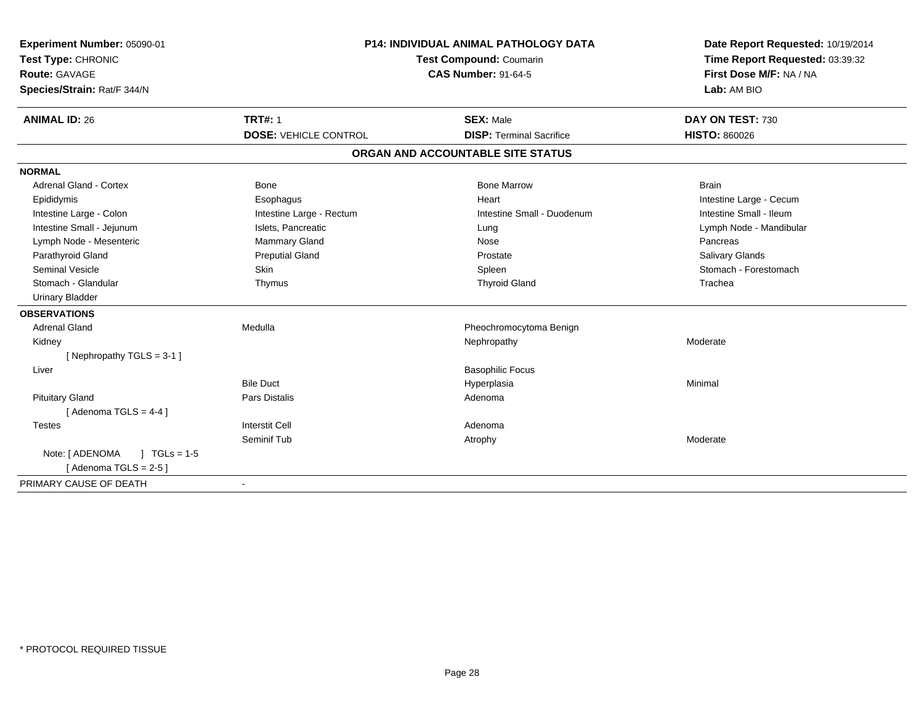| Experiment Number: 05090-01       | <b>P14: INDIVIDUAL ANIMAL PATHOLOGY DATA</b><br>Test Compound: Coumarin<br><b>CAS Number: 91-64-5</b> |                                   | Date Report Requested: 10/19/2014 |
|-----------------------------------|-------------------------------------------------------------------------------------------------------|-----------------------------------|-----------------------------------|
| Test Type: CHRONIC                |                                                                                                       |                                   | Time Report Requested: 03:39:32   |
| Route: GAVAGE                     |                                                                                                       |                                   | First Dose M/F: NA / NA           |
| Species/Strain: Rat/F 344/N       |                                                                                                       |                                   | Lab: AM BIO                       |
| <b>ANIMAL ID: 26</b>              | <b>TRT#: 1</b>                                                                                        | <b>SEX: Male</b>                  | DAY ON TEST: 730                  |
|                                   | <b>DOSE: VEHICLE CONTROL</b>                                                                          | <b>DISP: Terminal Sacrifice</b>   | <b>HISTO: 860026</b>              |
|                                   |                                                                                                       | ORGAN AND ACCOUNTABLE SITE STATUS |                                   |
| <b>NORMAL</b>                     |                                                                                                       |                                   |                                   |
| <b>Adrenal Gland - Cortex</b>     | Bone                                                                                                  | <b>Bone Marrow</b>                | <b>Brain</b>                      |
| Epididymis                        | Esophagus                                                                                             | Heart                             | Intestine Large - Cecum           |
| Intestine Large - Colon           | Intestine Large - Rectum                                                                              | Intestine Small - Duodenum        | Intestine Small - Ileum           |
| Intestine Small - Jejunum         | Islets, Pancreatic                                                                                    | Lung                              | Lymph Node - Mandibular           |
| Lymph Node - Mesenteric           | Mammary Gland                                                                                         | Nose                              | Pancreas                          |
| Parathyroid Gland                 | <b>Preputial Gland</b>                                                                                | Prostate                          | Salivary Glands                   |
| <b>Seminal Vesicle</b>            | Skin                                                                                                  | Spleen                            | Stomach - Forestomach             |
| Stomach - Glandular               | Thymus                                                                                                | <b>Thyroid Gland</b>              | Trachea                           |
| <b>Urinary Bladder</b>            |                                                                                                       |                                   |                                   |
| <b>OBSERVATIONS</b>               |                                                                                                       |                                   |                                   |
| <b>Adrenal Gland</b>              | Medulla                                                                                               | Pheochromocytoma Benign           |                                   |
| Kidney                            |                                                                                                       | Nephropathy                       | Moderate                          |
| [Nephropathy TGLS = 3-1]          |                                                                                                       |                                   |                                   |
| Liver                             |                                                                                                       | <b>Basophilic Focus</b>           |                                   |
|                                   | <b>Bile Duct</b>                                                                                      | Hyperplasia                       | Minimal                           |
| <b>Pituitary Gland</b>            | Pars Distalis                                                                                         | Adenoma                           |                                   |
| [Adenoma TGLS = $4-4$ ]           |                                                                                                       |                                   |                                   |
| <b>Testes</b>                     | <b>Interstit Cell</b>                                                                                 | Adenoma                           |                                   |
|                                   | Seminif Tub                                                                                           | Atrophy                           | Moderate                          |
| Note: [ ADENOMA<br>$1 TGLs = 1.5$ |                                                                                                       |                                   |                                   |
| [Adenoma TGLS = $2-5$ ]           |                                                                                                       |                                   |                                   |
| PRIMARY CAUSE OF DEATH            | $\overline{\phantom{a}}$                                                                              |                                   |                                   |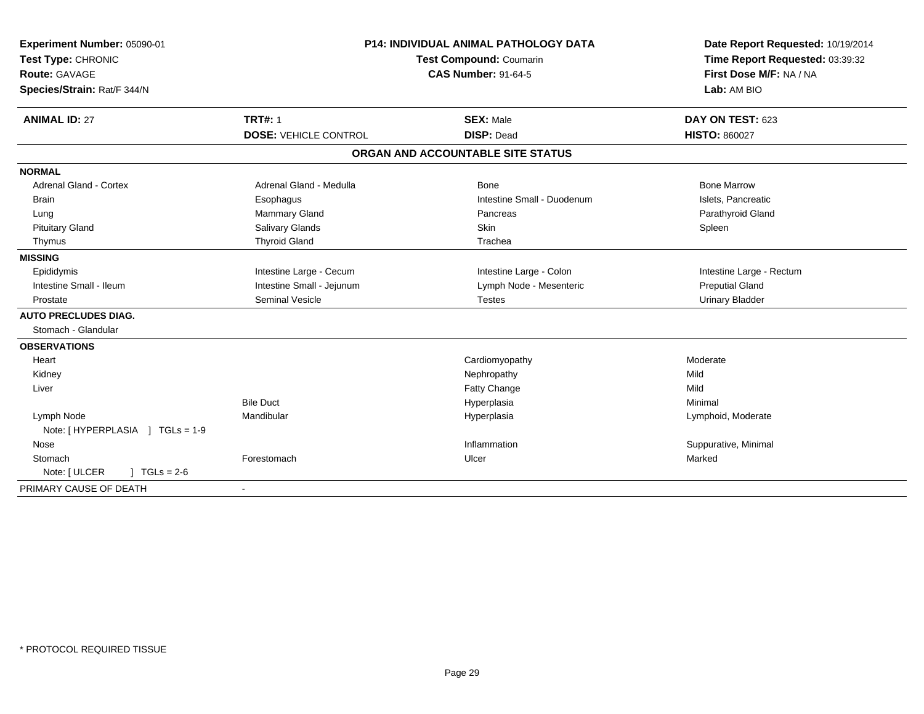| Experiment Number: 05090-01           | <b>P14: INDIVIDUAL ANIMAL PATHOLOGY DATA</b><br>Test Compound: Coumarin |                                   | Date Report Requested: 10/19/2014 |
|---------------------------------------|-------------------------------------------------------------------------|-----------------------------------|-----------------------------------|
| Test Type: CHRONIC                    |                                                                         |                                   | Time Report Requested: 03:39:32   |
| <b>Route: GAVAGE</b>                  |                                                                         | <b>CAS Number: 91-64-5</b>        | First Dose M/F: NA / NA           |
| Species/Strain: Rat/F 344/N           |                                                                         |                                   | Lab: AM BIO                       |
| <b>ANIMAL ID: 27</b>                  | <b>TRT#: 1</b>                                                          | <b>SEX: Male</b>                  | DAY ON TEST: 623                  |
|                                       | <b>DOSE: VEHICLE CONTROL</b>                                            | <b>DISP: Dead</b>                 | <b>HISTO: 860027</b>              |
|                                       |                                                                         | ORGAN AND ACCOUNTABLE SITE STATUS |                                   |
| <b>NORMAL</b>                         |                                                                         |                                   |                                   |
| <b>Adrenal Gland - Cortex</b>         | Adrenal Gland - Medulla                                                 | Bone                              | <b>Bone Marrow</b>                |
| <b>Brain</b>                          | Esophagus                                                               | Intestine Small - Duodenum        | Islets, Pancreatic                |
| Lung                                  | <b>Mammary Gland</b>                                                    | Pancreas                          | Parathyroid Gland                 |
| <b>Pituitary Gland</b>                | Salivary Glands                                                         | <b>Skin</b>                       | Spleen                            |
| Thymus                                | <b>Thyroid Gland</b>                                                    | Trachea                           |                                   |
| <b>MISSING</b>                        |                                                                         |                                   |                                   |
| Epididymis                            | Intestine Large - Cecum                                                 | Intestine Large - Colon           | Intestine Large - Rectum          |
| Intestine Small - Ileum               | Intestine Small - Jejunum                                               | Lymph Node - Mesenteric           | <b>Preputial Gland</b>            |
| Prostate                              | <b>Seminal Vesicle</b>                                                  | <b>Testes</b>                     | <b>Urinary Bladder</b>            |
| <b>AUTO PRECLUDES DIAG.</b>           |                                                                         |                                   |                                   |
| Stomach - Glandular                   |                                                                         |                                   |                                   |
| <b>OBSERVATIONS</b>                   |                                                                         |                                   |                                   |
| Heart                                 |                                                                         | Cardiomyopathy                    | Moderate                          |
| Kidney                                |                                                                         | Nephropathy                       | Mild                              |
| Liver                                 |                                                                         | Fatty Change                      | Mild                              |
|                                       | <b>Bile Duct</b>                                                        | Hyperplasia                       | Minimal                           |
| Lymph Node                            | Mandibular                                                              | Hyperplasia                       | Lymphoid, Moderate                |
| Note: [HYPERPLASIA ] TGLs = 1-9       |                                                                         |                                   |                                   |
| Nose                                  |                                                                         | Inflammation                      | Suppurative, Minimal              |
| Stomach                               | Forestomach                                                             | Ulcer                             | Marked                            |
| $J \cdot TGLs = 2-6$<br>Note: [ ULCER |                                                                         |                                   |                                   |
| PRIMARY CAUSE OF DEATH                |                                                                         |                                   |                                   |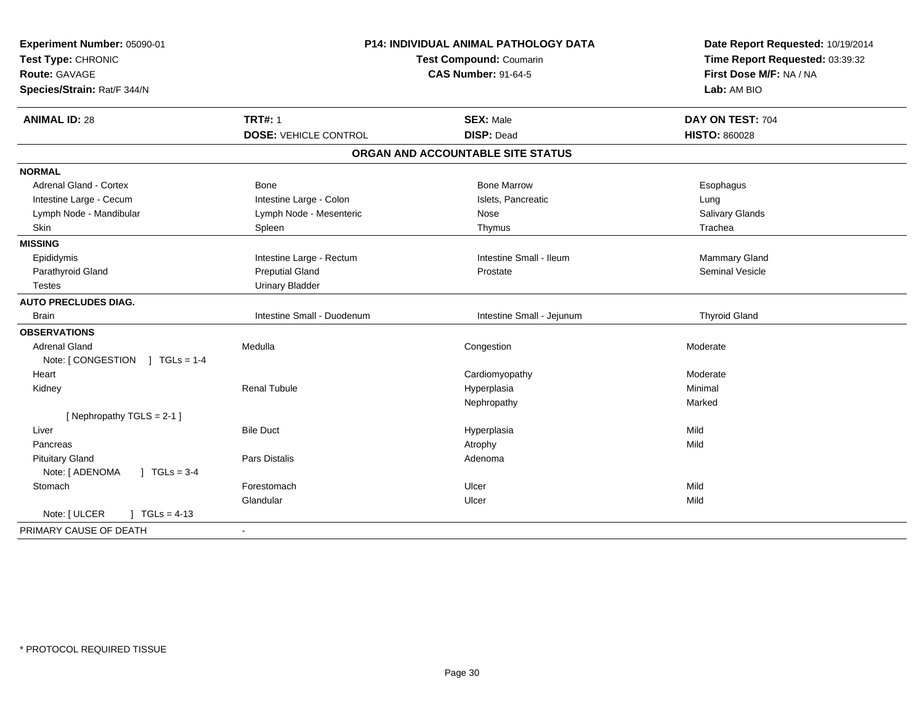| Experiment Number: 05090-01<br>Test Type: CHRONIC<br><b>Route: GAVAGE</b><br>Species/Strain: Rat/F 344/N | <b>P14: INDIVIDUAL ANIMAL PATHOLOGY DATA</b><br><b>Test Compound: Coumarin</b><br><b>CAS Number: 91-64-5</b> |                                   | Date Report Requested: 10/19/2014<br>Time Report Requested: 03:39:32<br>First Dose M/F: NA / NA<br>Lab: AM BIO |  |
|----------------------------------------------------------------------------------------------------------|--------------------------------------------------------------------------------------------------------------|-----------------------------------|----------------------------------------------------------------------------------------------------------------|--|
| <b>ANIMAL ID: 28</b>                                                                                     | <b>TRT#: 1</b>                                                                                               | <b>SEX: Male</b>                  | DAY ON TEST: 704                                                                                               |  |
|                                                                                                          | <b>DOSE: VEHICLE CONTROL</b>                                                                                 | <b>DISP: Dead</b>                 | <b>HISTO: 860028</b>                                                                                           |  |
|                                                                                                          |                                                                                                              | ORGAN AND ACCOUNTABLE SITE STATUS |                                                                                                                |  |
| <b>NORMAL</b>                                                                                            |                                                                                                              |                                   |                                                                                                                |  |
| <b>Adrenal Gland - Cortex</b>                                                                            | Bone                                                                                                         | <b>Bone Marrow</b>                | Esophagus                                                                                                      |  |
| Intestine Large - Cecum                                                                                  | Intestine Large - Colon                                                                                      | Islets, Pancreatic                | Lung                                                                                                           |  |
| Lymph Node - Mandibular                                                                                  | Lymph Node - Mesenteric                                                                                      | Nose                              | Salivary Glands                                                                                                |  |
| Skin                                                                                                     | Spleen                                                                                                       | Thymus                            | Trachea                                                                                                        |  |
| <b>MISSING</b>                                                                                           |                                                                                                              |                                   |                                                                                                                |  |
| Epididymis                                                                                               | Intestine Large - Rectum                                                                                     | Intestine Small - Ileum           | Mammary Gland                                                                                                  |  |
| Parathyroid Gland                                                                                        | <b>Preputial Gland</b>                                                                                       | Prostate                          | Seminal Vesicle                                                                                                |  |
| <b>Testes</b>                                                                                            | <b>Urinary Bladder</b>                                                                                       |                                   |                                                                                                                |  |
| <b>AUTO PRECLUDES DIAG.</b>                                                                              |                                                                                                              |                                   |                                                                                                                |  |
| <b>Brain</b>                                                                                             | Intestine Small - Duodenum                                                                                   | Intestine Small - Jejunum         | <b>Thyroid Gland</b>                                                                                           |  |
| <b>OBSERVATIONS</b>                                                                                      |                                                                                                              |                                   |                                                                                                                |  |
| <b>Adrenal Gland</b>                                                                                     | Medulla                                                                                                      | Congestion                        | Moderate                                                                                                       |  |
| Note: [ CONGESTION<br>$1 TGLs = 1-4$                                                                     |                                                                                                              |                                   |                                                                                                                |  |
| Heart                                                                                                    |                                                                                                              | Cardiomyopathy                    | Moderate                                                                                                       |  |
| Kidney                                                                                                   | <b>Renal Tubule</b>                                                                                          | Hyperplasia                       | Minimal                                                                                                        |  |
|                                                                                                          |                                                                                                              | Nephropathy                       | Marked                                                                                                         |  |
| [Nephropathy TGLS = 2-1]                                                                                 |                                                                                                              |                                   |                                                                                                                |  |
| Liver                                                                                                    | <b>Bile Duct</b>                                                                                             | Hyperplasia                       | Mild                                                                                                           |  |
| Pancreas                                                                                                 |                                                                                                              | Atrophy                           | Mild                                                                                                           |  |
| <b>Pituitary Gland</b>                                                                                   | Pars Distalis                                                                                                | Adenoma                           |                                                                                                                |  |
| Note: [ ADENOMA<br>$J \cdot TGLs = 3-4$                                                                  |                                                                                                              |                                   |                                                                                                                |  |
| Stomach                                                                                                  | Forestomach                                                                                                  | Ulcer                             | Mild                                                                                                           |  |
|                                                                                                          | Glandular                                                                                                    | Ulcer                             | Mild                                                                                                           |  |
| Note: [ ULCER<br>$1 \text{ TGLs} = 4-13$                                                                 |                                                                                                              |                                   |                                                                                                                |  |
| PRIMARY CAUSE OF DEATH                                                                                   | $\sim$                                                                                                       |                                   |                                                                                                                |  |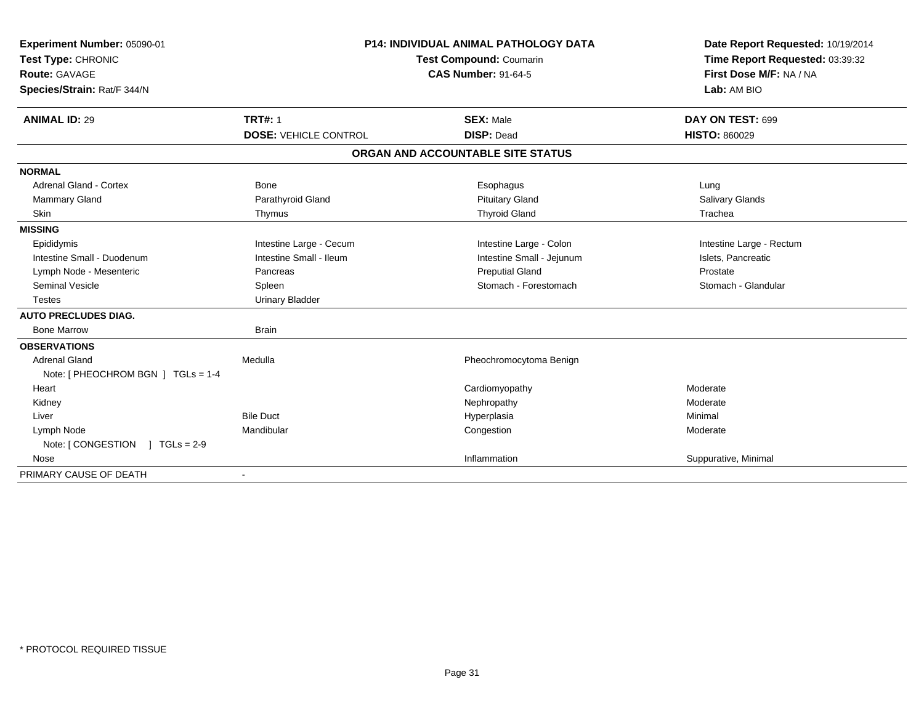| Experiment Number: 05090-01<br>Test Type: CHRONIC<br><b>Route: GAVAGE</b><br>Species/Strain: Rat/F 344/N | <b>P14: INDIVIDUAL ANIMAL PATHOLOGY DATA</b><br>Test Compound: Coumarin<br><b>CAS Number: 91-64-5</b> |                                       | Date Report Requested: 10/19/2014<br>Time Report Requested: 03:39:32<br>First Dose M/F: NA / NA<br>Lab: AM BIO |  |
|----------------------------------------------------------------------------------------------------------|-------------------------------------------------------------------------------------------------------|---------------------------------------|----------------------------------------------------------------------------------------------------------------|--|
| <b>ANIMAL ID: 29</b>                                                                                     | <b>TRT#: 1</b><br><b>DOSE: VEHICLE CONTROL</b>                                                        | <b>SEX: Male</b><br><b>DISP: Dead</b> | DAY ON TEST: 699<br><b>HISTO: 860029</b>                                                                       |  |
|                                                                                                          |                                                                                                       | ORGAN AND ACCOUNTABLE SITE STATUS     |                                                                                                                |  |
|                                                                                                          |                                                                                                       |                                       |                                                                                                                |  |
| <b>NORMAL</b>                                                                                            |                                                                                                       |                                       |                                                                                                                |  |
| Adrenal Gland - Cortex                                                                                   | Bone                                                                                                  | Esophagus                             | Lung                                                                                                           |  |
| Mammary Gland                                                                                            | Parathyroid Gland                                                                                     | <b>Pituitary Gland</b>                | Salivary Glands                                                                                                |  |
| Skin                                                                                                     | Thymus                                                                                                | <b>Thyroid Gland</b>                  | Trachea                                                                                                        |  |
| <b>MISSING</b>                                                                                           |                                                                                                       |                                       |                                                                                                                |  |
| Epididymis                                                                                               | Intestine Large - Cecum                                                                               | Intestine Large - Colon               | Intestine Large - Rectum                                                                                       |  |
| Intestine Small - Duodenum                                                                               | Intestine Small - Ileum                                                                               | Intestine Small - Jejunum             | Islets, Pancreatic                                                                                             |  |
| Lymph Node - Mesenteric                                                                                  | Pancreas                                                                                              | <b>Preputial Gland</b>                | Prostate                                                                                                       |  |
| <b>Seminal Vesicle</b>                                                                                   | Spleen                                                                                                | Stomach - Forestomach                 | Stomach - Glandular                                                                                            |  |
| <b>Testes</b>                                                                                            | <b>Urinary Bladder</b>                                                                                |                                       |                                                                                                                |  |
| <b>AUTO PRECLUDES DIAG.</b>                                                                              |                                                                                                       |                                       |                                                                                                                |  |
| <b>Bone Marrow</b>                                                                                       | <b>Brain</b>                                                                                          |                                       |                                                                                                                |  |
| <b>OBSERVATIONS</b>                                                                                      |                                                                                                       |                                       |                                                                                                                |  |
| <b>Adrenal Gland</b>                                                                                     | Medulla                                                                                               | Pheochromocytoma Benign               |                                                                                                                |  |
| Note: [ PHEOCHROM BGN ] TGLs = 1-4                                                                       |                                                                                                       |                                       |                                                                                                                |  |
| Heart                                                                                                    |                                                                                                       | Cardiomyopathy                        | Moderate                                                                                                       |  |
| Kidney                                                                                                   |                                                                                                       | Nephropathy                           | Moderate                                                                                                       |  |
| Liver                                                                                                    | <b>Bile Duct</b>                                                                                      | Hyperplasia                           | Minimal                                                                                                        |  |
| Lymph Node                                                                                               | Mandibular                                                                                            | Congestion                            | Moderate                                                                                                       |  |
| Note: $[$ CONGESTION $]$ TGLs = 2-9                                                                      |                                                                                                       |                                       |                                                                                                                |  |
| Nose                                                                                                     |                                                                                                       | Inflammation                          | Suppurative, Minimal                                                                                           |  |
| PRIMARY CAUSE OF DEATH                                                                                   |                                                                                                       |                                       |                                                                                                                |  |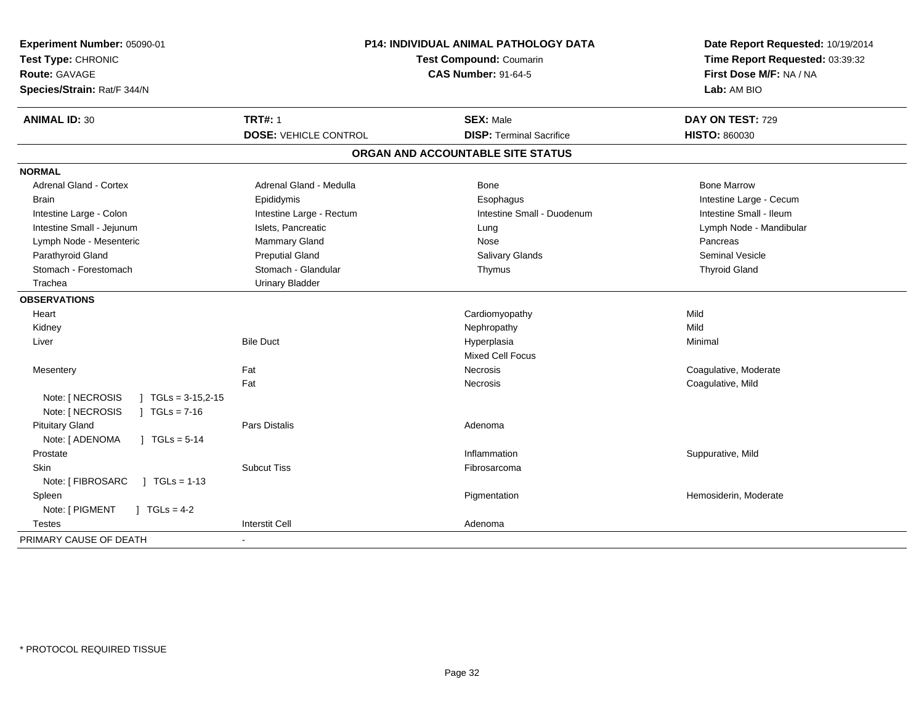| Experiment Number: 05090-01<br>Test Type: CHRONIC<br><b>Route: GAVAGE</b><br>Species/Strain: Rat/F 344/N | P14: INDIVIDUAL ANIMAL PATHOLOGY DATA<br>Test Compound: Coumarin<br><b>CAS Number: 91-64-5</b> |                                   | Date Report Requested: 10/19/2014<br>Time Report Requested: 03:39:32<br>First Dose M/F: NA / NA<br>Lab: AM BIO |  |
|----------------------------------------------------------------------------------------------------------|------------------------------------------------------------------------------------------------|-----------------------------------|----------------------------------------------------------------------------------------------------------------|--|
| <b>ANIMAL ID: 30</b>                                                                                     | <b>TRT#: 1</b>                                                                                 | <b>SEX: Male</b>                  | DAY ON TEST: 729                                                                                               |  |
|                                                                                                          | <b>DOSE: VEHICLE CONTROL</b>                                                                   | <b>DISP: Terminal Sacrifice</b>   | <b>HISTO: 860030</b>                                                                                           |  |
|                                                                                                          |                                                                                                | ORGAN AND ACCOUNTABLE SITE STATUS |                                                                                                                |  |
| <b>NORMAL</b>                                                                                            |                                                                                                |                                   |                                                                                                                |  |
| <b>Adrenal Gland - Cortex</b>                                                                            | Adrenal Gland - Medulla                                                                        | <b>Bone</b>                       | <b>Bone Marrow</b>                                                                                             |  |
| <b>Brain</b>                                                                                             | Epididymis                                                                                     | Esophagus                         | Intestine Large - Cecum                                                                                        |  |
| Intestine Large - Colon                                                                                  | Intestine Large - Rectum                                                                       | Intestine Small - Duodenum        | Intestine Small - Ileum                                                                                        |  |
| Intestine Small - Jejunum                                                                                | Islets, Pancreatic                                                                             | Lung                              | Lymph Node - Mandibular                                                                                        |  |
| Lymph Node - Mesenteric                                                                                  | Mammary Gland                                                                                  | Nose                              | Pancreas                                                                                                       |  |
| Parathyroid Gland                                                                                        | <b>Preputial Gland</b>                                                                         | Salivary Glands                   | <b>Seminal Vesicle</b>                                                                                         |  |
| Stomach - Forestomach                                                                                    | Stomach - Glandular                                                                            | Thymus                            | <b>Thyroid Gland</b>                                                                                           |  |
| Trachea                                                                                                  | <b>Urinary Bladder</b>                                                                         |                                   |                                                                                                                |  |
| <b>OBSERVATIONS</b>                                                                                      |                                                                                                |                                   |                                                                                                                |  |
| Heart                                                                                                    |                                                                                                | Cardiomyopathy                    | Mild                                                                                                           |  |
| Kidney                                                                                                   |                                                                                                | Nephropathy                       | Mild                                                                                                           |  |
| Liver                                                                                                    | <b>Bile Duct</b>                                                                               | Hyperplasia                       | Minimal                                                                                                        |  |
|                                                                                                          |                                                                                                | <b>Mixed Cell Focus</b>           |                                                                                                                |  |
| Mesentery                                                                                                | Fat                                                                                            | Necrosis                          | Coagulative, Moderate                                                                                          |  |
|                                                                                                          | Fat                                                                                            | Necrosis                          | Coagulative, Mild                                                                                              |  |
| Note: [ NECROSIS<br>$\mid$ TGLs = 3-15,2-15                                                              |                                                                                                |                                   |                                                                                                                |  |
| Note: [ NECROSIS<br>$1 TGLs = 7-16$                                                                      |                                                                                                |                                   |                                                                                                                |  |
| <b>Pituitary Gland</b>                                                                                   | Pars Distalis                                                                                  | Adenoma                           |                                                                                                                |  |
| Note: [ ADENOMA<br>$\sqrt{1}$ TGLs = 5-14                                                                |                                                                                                |                                   |                                                                                                                |  |
| Prostate                                                                                                 |                                                                                                | Inflammation                      | Suppurative, Mild                                                                                              |  |
| <b>Skin</b>                                                                                              | <b>Subcut Tiss</b>                                                                             | Fibrosarcoma                      |                                                                                                                |  |
| Note: [ FIBROSARC<br>$1 \text{ TGLs} = 1-13$                                                             |                                                                                                |                                   |                                                                                                                |  |
| Spleen                                                                                                   |                                                                                                | Pigmentation                      | Hemosiderin, Moderate                                                                                          |  |
| Note: [ PIGMENT<br>$J \cdot TGLS = 4-2$                                                                  |                                                                                                |                                   |                                                                                                                |  |
| <b>Testes</b>                                                                                            | <b>Interstit Cell</b>                                                                          | Adenoma                           |                                                                                                                |  |
| PRIMARY CAUSE OF DEATH                                                                                   | $\overline{\phantom{a}}$                                                                       |                                   |                                                                                                                |  |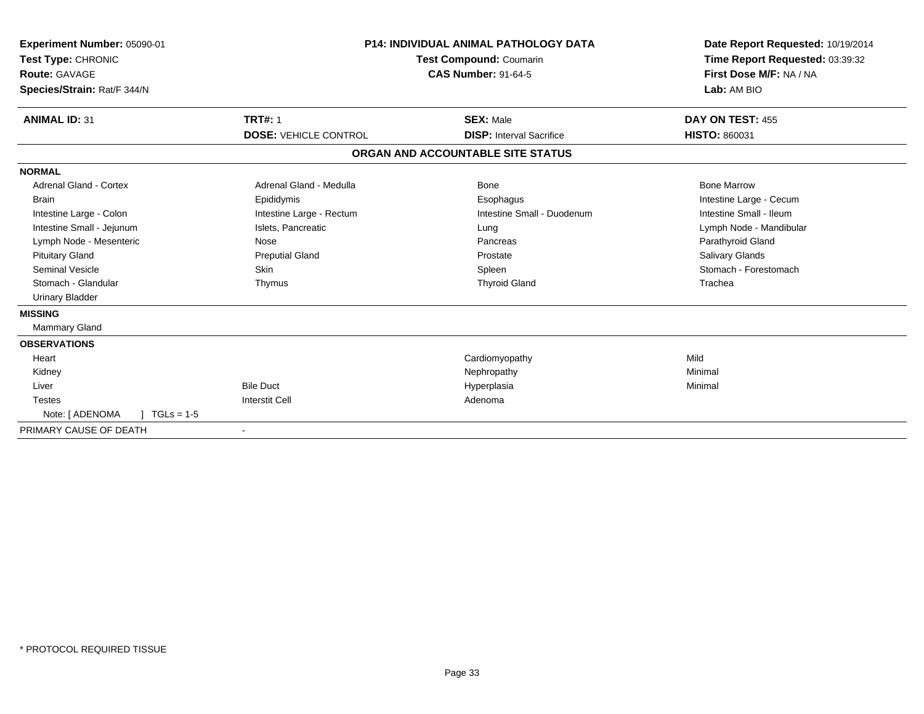| Experiment Number: 05090-01<br>Test Type: CHRONIC<br>Route: GAVAGE<br>Species/Strain: Rat/F 344/N | <b>P14: INDIVIDUAL ANIMAL PATHOLOGY DATA</b><br>Test Compound: Coumarin<br><b>CAS Number: 91-64-5</b> |                                   | Date Report Requested: 10/19/2014<br>Time Report Requested: 03:39:32<br>First Dose M/F: NA / NA<br>Lab: AM BIO |
|---------------------------------------------------------------------------------------------------|-------------------------------------------------------------------------------------------------------|-----------------------------------|----------------------------------------------------------------------------------------------------------------|
| <b>ANIMAL ID: 31</b>                                                                              | <b>TRT#: 1</b>                                                                                        | <b>SEX: Male</b>                  | <b>DAY ON TEST: 455</b>                                                                                        |
|                                                                                                   | <b>DOSE: VEHICLE CONTROL</b>                                                                          | <b>DISP:</b> Interval Sacrifice   | <b>HISTO: 860031</b>                                                                                           |
|                                                                                                   |                                                                                                       | ORGAN AND ACCOUNTABLE SITE STATUS |                                                                                                                |
| <b>NORMAL</b>                                                                                     |                                                                                                       |                                   |                                                                                                                |
| Adrenal Gland - Cortex                                                                            | Adrenal Gland - Medulla                                                                               | Bone                              | <b>Bone Marrow</b>                                                                                             |
| <b>Brain</b>                                                                                      | Epididymis                                                                                            | Esophagus                         | Intestine Large - Cecum                                                                                        |
| Intestine Large - Colon                                                                           | Intestine Large - Rectum                                                                              | Intestine Small - Duodenum        | Intestine Small - Ileum                                                                                        |
| Intestine Small - Jejunum                                                                         | Islets, Pancreatic                                                                                    | Lung                              | Lymph Node - Mandibular                                                                                        |
| Lymph Node - Mesenteric                                                                           | Nose                                                                                                  | Pancreas                          | Parathyroid Gland                                                                                              |
| <b>Pituitary Gland</b>                                                                            | <b>Preputial Gland</b>                                                                                | Prostate                          | Salivary Glands                                                                                                |
| <b>Seminal Vesicle</b>                                                                            | <b>Skin</b>                                                                                           | Spleen                            | Stomach - Forestomach                                                                                          |
| Stomach - Glandular                                                                               | Thymus                                                                                                | <b>Thyroid Gland</b>              | Trachea                                                                                                        |
| <b>Urinary Bladder</b>                                                                            |                                                                                                       |                                   |                                                                                                                |
| <b>MISSING</b>                                                                                    |                                                                                                       |                                   |                                                                                                                |
| Mammary Gland                                                                                     |                                                                                                       |                                   |                                                                                                                |
| <b>OBSERVATIONS</b>                                                                               |                                                                                                       |                                   |                                                                                                                |
| Heart                                                                                             |                                                                                                       | Cardiomyopathy                    | Mild                                                                                                           |
| Kidney                                                                                            |                                                                                                       | Nephropathy                       | Minimal                                                                                                        |
| Liver                                                                                             | <b>Bile Duct</b>                                                                                      | Hyperplasia                       | Minimal                                                                                                        |
| <b>Testes</b>                                                                                     | <b>Interstit Cell</b>                                                                                 | Adenoma                           |                                                                                                                |
| Note: [ ADENOMA<br>$TGLs = 1-5$                                                                   |                                                                                                       |                                   |                                                                                                                |
| PRIMARY CAUSE OF DEATH                                                                            |                                                                                                       |                                   |                                                                                                                |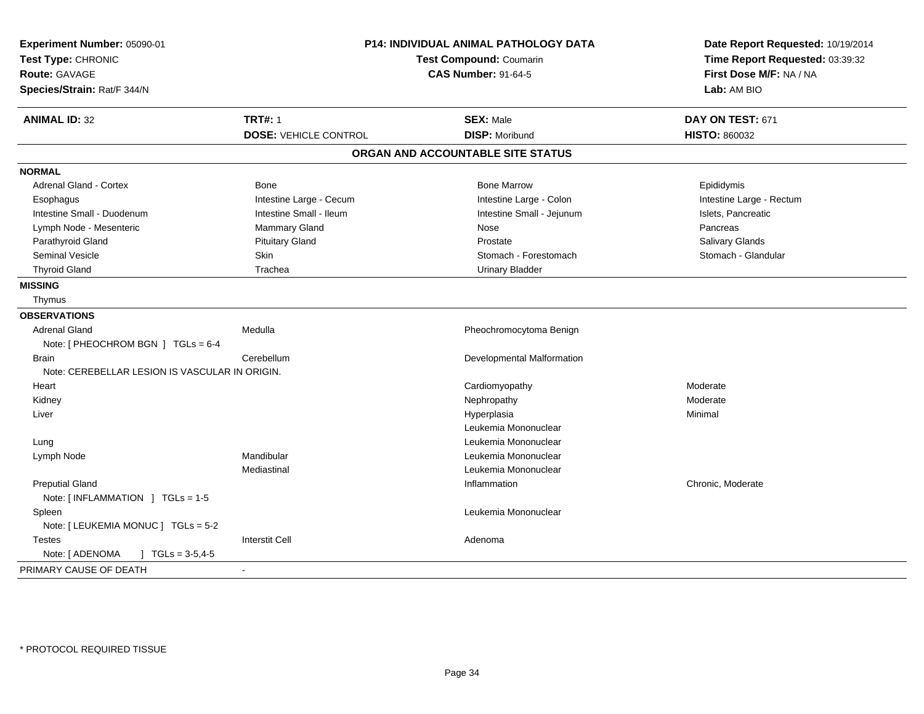| Experiment Number: 05090-01<br>Test Type: CHRONIC<br><b>Route: GAVAGE</b><br>Species/Strain: Rat/F 344/N | P14: INDIVIDUAL ANIMAL PATHOLOGY DATA<br><b>Test Compound: Coumarin</b><br><b>CAS Number: 91-64-5</b> |                                           | Date Report Requested: 10/19/2014<br>Time Report Requested: 03:39:32<br>First Dose M/F: NA / NA<br>Lab: AM BIO |
|----------------------------------------------------------------------------------------------------------|-------------------------------------------------------------------------------------------------------|-------------------------------------------|----------------------------------------------------------------------------------------------------------------|
| <b>ANIMAL ID: 32</b>                                                                                     | <b>TRT#: 1</b><br><b>DOSE: VEHICLE CONTROL</b>                                                        | <b>SEX: Male</b><br><b>DISP: Moribund</b> | DAY ON TEST: 671<br><b>HISTO: 860032</b>                                                                       |
|                                                                                                          |                                                                                                       | ORGAN AND ACCOUNTABLE SITE STATUS         |                                                                                                                |
| <b>NORMAL</b>                                                                                            |                                                                                                       |                                           |                                                                                                                |
| Adrenal Gland - Cortex                                                                                   | <b>Bone</b>                                                                                           | <b>Bone Marrow</b>                        | Epididymis                                                                                                     |
| Esophagus                                                                                                | Intestine Large - Cecum                                                                               | Intestine Large - Colon                   | Intestine Large - Rectum                                                                                       |
| Intestine Small - Duodenum                                                                               | Intestine Small - Ileum                                                                               | Intestine Small - Jejunum                 | Islets, Pancreatic                                                                                             |
| Lymph Node - Mesenteric                                                                                  | <b>Mammary Gland</b>                                                                                  | Nose                                      | Pancreas                                                                                                       |
| Parathyroid Gland                                                                                        | <b>Pituitary Gland</b>                                                                                | Prostate                                  | Salivary Glands                                                                                                |
| Seminal Vesicle                                                                                          | Skin                                                                                                  | Stomach - Forestomach                     | Stomach - Glandular                                                                                            |
| <b>Thyroid Gland</b>                                                                                     | Trachea                                                                                               | <b>Urinary Bladder</b>                    |                                                                                                                |
| <b>MISSING</b>                                                                                           |                                                                                                       |                                           |                                                                                                                |
| Thymus                                                                                                   |                                                                                                       |                                           |                                                                                                                |
| <b>OBSERVATIONS</b>                                                                                      |                                                                                                       |                                           |                                                                                                                |
| <b>Adrenal Gland</b>                                                                                     | Medulla                                                                                               | Pheochromocytoma Benign                   |                                                                                                                |
| Note: [ PHEOCHROM BGN ] TGLs = 6-4                                                                       |                                                                                                       |                                           |                                                                                                                |
| <b>Brain</b>                                                                                             | Cerebellum                                                                                            | Developmental Malformation                |                                                                                                                |
| Note: CEREBELLAR LESION IS VASCULAR IN ORIGIN.                                                           |                                                                                                       |                                           |                                                                                                                |
| Heart                                                                                                    |                                                                                                       | Cardiomyopathy                            | Moderate                                                                                                       |
| Kidney                                                                                                   |                                                                                                       | Nephropathy                               | Moderate                                                                                                       |
| Liver                                                                                                    |                                                                                                       | Hyperplasia                               | Minimal                                                                                                        |
|                                                                                                          |                                                                                                       | Leukemia Mononuclear                      |                                                                                                                |
| Lung                                                                                                     |                                                                                                       | Leukemia Mononuclear                      |                                                                                                                |
| Lymph Node                                                                                               | Mandibular                                                                                            | Leukemia Mononuclear                      |                                                                                                                |
|                                                                                                          | Mediastinal                                                                                           | Leukemia Mononuclear                      |                                                                                                                |
| <b>Preputial Gland</b>                                                                                   |                                                                                                       | Inflammation                              | Chronic, Moderate                                                                                              |
| Note: [INFLAMMATION ] TGLs = 1-5                                                                         |                                                                                                       |                                           |                                                                                                                |
| Spleen                                                                                                   |                                                                                                       | Leukemia Mononuclear                      |                                                                                                                |
| Note: [LEUKEMIA MONUC ] TGLs = 5-2                                                                       |                                                                                                       |                                           |                                                                                                                |
| <b>Testes</b>                                                                                            | <b>Interstit Cell</b>                                                                                 | Adenoma                                   |                                                                                                                |
| Note: [ ADENOMA<br>$\mid$ TGLs = 3-5,4-5                                                                 |                                                                                                       |                                           |                                                                                                                |
| PRIMARY CAUSE OF DEATH                                                                                   |                                                                                                       |                                           |                                                                                                                |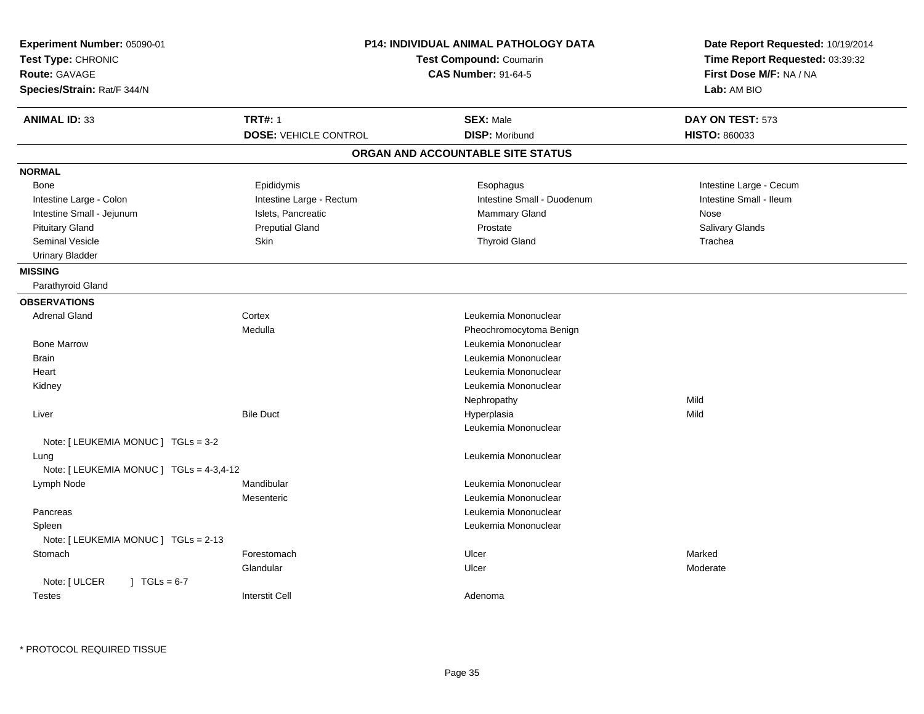| <b>Route: GAVAGE</b><br>Species/Strain: Rat/F 344/N | <b>P14: INDIVIDUAL ANIMAL PATHOLOGY DATA</b><br>Experiment Number: 05090-01<br>Test Compound: Coumarin<br><b>CAS Number: 91-64-5</b> |                         |
|-----------------------------------------------------|--------------------------------------------------------------------------------------------------------------------------------------|-------------------------|
| <b>TRT#: 1</b><br><b>ANIMAL ID: 33</b>              | <b>SEX: Male</b>                                                                                                                     | DAY ON TEST: 573        |
| <b>DOSE: VEHICLE CONTROL</b>                        | <b>DISP: Moribund</b>                                                                                                                | HISTO: 860033           |
|                                                     | ORGAN AND ACCOUNTABLE SITE STATUS                                                                                                    |                         |
| <b>NORMAL</b>                                       |                                                                                                                                      |                         |
| Epididymis<br>Bone                                  | Esophagus                                                                                                                            | Intestine Large - Cecum |
| Intestine Large - Colon<br>Intestine Large - Rectum | Intestine Small - Duodenum                                                                                                           | Intestine Small - Ileum |
| Intestine Small - Jejunum<br>Islets, Pancreatic     | Mammary Gland                                                                                                                        | Nose                    |
| <b>Pituitary Gland</b><br><b>Preputial Gland</b>    | Prostate                                                                                                                             | Salivary Glands         |
| <b>Seminal Vesicle</b><br>Skin                      | <b>Thyroid Gland</b>                                                                                                                 | Trachea                 |
| <b>Urinary Bladder</b>                              |                                                                                                                                      |                         |
| <b>MISSING</b>                                      |                                                                                                                                      |                         |
| Parathyroid Gland                                   |                                                                                                                                      |                         |
| <b>OBSERVATIONS</b>                                 |                                                                                                                                      |                         |
| <b>Adrenal Gland</b><br>Cortex                      | Leukemia Mononuclear                                                                                                                 |                         |
| Medulla                                             | Pheochromocytoma Benign                                                                                                              |                         |
| <b>Bone Marrow</b>                                  | Leukemia Mononuclear                                                                                                                 |                         |
| <b>Brain</b>                                        | Leukemia Mononuclear                                                                                                                 |                         |
| Heart                                               | Leukemia Mononuclear                                                                                                                 |                         |
| Kidney                                              | Leukemia Mononuclear                                                                                                                 |                         |
|                                                     | Nephropathy                                                                                                                          | Mild                    |
| Liver<br><b>Bile Duct</b>                           | Hyperplasia                                                                                                                          | Mild                    |
|                                                     | Leukemia Mononuclear                                                                                                                 |                         |
| Note: [ LEUKEMIA MONUC ] TGLs = 3-2                 |                                                                                                                                      |                         |
| Lung<br>Note: [ LEUKEMIA MONUC ] TGLs = 4-3,4-12    | Leukemia Mononuclear                                                                                                                 |                         |
| Mandibular<br>Lymph Node                            | Leukemia Mononuclear                                                                                                                 |                         |
| Mesenteric                                          | Leukemia Mononuclear                                                                                                                 |                         |
| Pancreas                                            | Leukemia Mononuclear                                                                                                                 |                         |
| Spleen                                              | Leukemia Mononuclear                                                                                                                 |                         |
| Note: [ LEUKEMIA MONUC ] TGLs = 2-13                |                                                                                                                                      |                         |
| Forestomach<br>Stomach                              | Ulcer                                                                                                                                | Marked                  |
| Glandular                                           | Ulcer                                                                                                                                | Moderate                |
| Note: [ ULCER<br>$1 \text{ TGLs} = 6-7$             |                                                                                                                                      |                         |
| <b>Interstit Cell</b><br><b>Testes</b>              | Adenoma                                                                                                                              |                         |

\* PROTOCOL REQUIRED TISSUE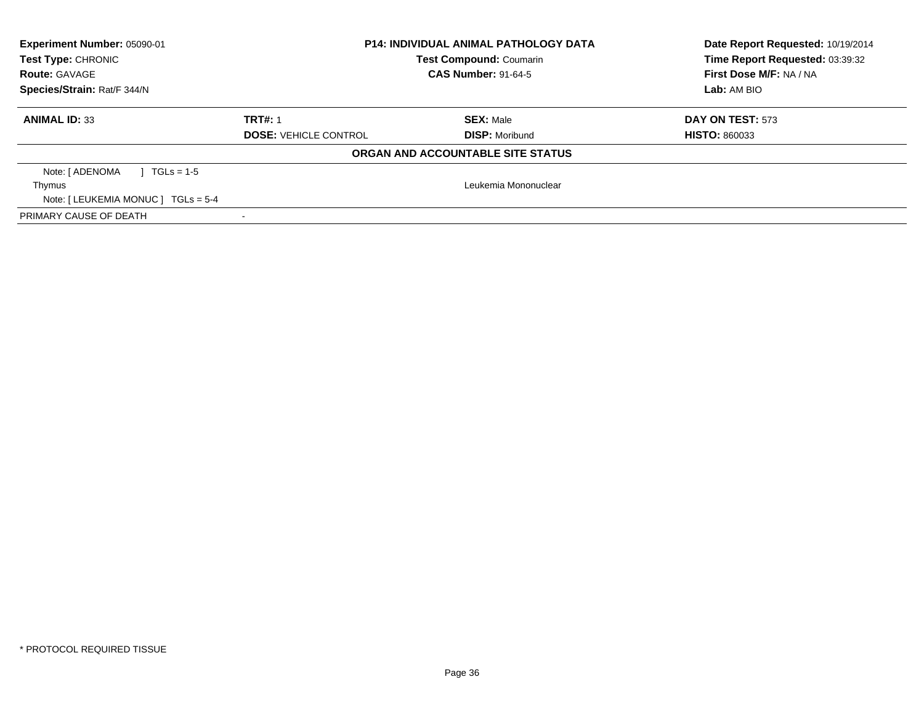| Experiment Number: 05090-01<br>Test Type: CHRONIC<br><b>Route: GAVAGE</b><br>Species/Strain: Rat/F 344/N | <b>P14: INDIVIDUAL ANIMAL PATHOLOGY DATA</b><br><b>Test Compound: Coumarin</b><br><b>CAS Number: 91-64-5</b> |                                           | Date Report Requested: 10/19/2014<br>Time Report Requested: 03:39:32<br>First Dose M/F: NA / NA<br>Lab: AM BIO |
|----------------------------------------------------------------------------------------------------------|--------------------------------------------------------------------------------------------------------------|-------------------------------------------|----------------------------------------------------------------------------------------------------------------|
| <b>ANIMAL ID: 33</b>                                                                                     | <b>TRT#: 1</b><br><b>DOSE: VEHICLE CONTROL</b>                                                               | <b>SEX: Male</b><br><b>DISP: Moribund</b> | DAY ON TEST: 573<br><b>HISTO: 860033</b>                                                                       |
|                                                                                                          |                                                                                                              | ORGAN AND ACCOUNTABLE SITE STATUS         |                                                                                                                |
| Note: [ ADENOMA<br>$TGLs = 1-5$<br>Thymus<br>Note: $[LEUKEMIA MONUC] TGLS = 5-4$                         |                                                                                                              | Leukemia Mononuclear                      |                                                                                                                |
| PRIMARY CAUSE OF DEATH                                                                                   |                                                                                                              |                                           |                                                                                                                |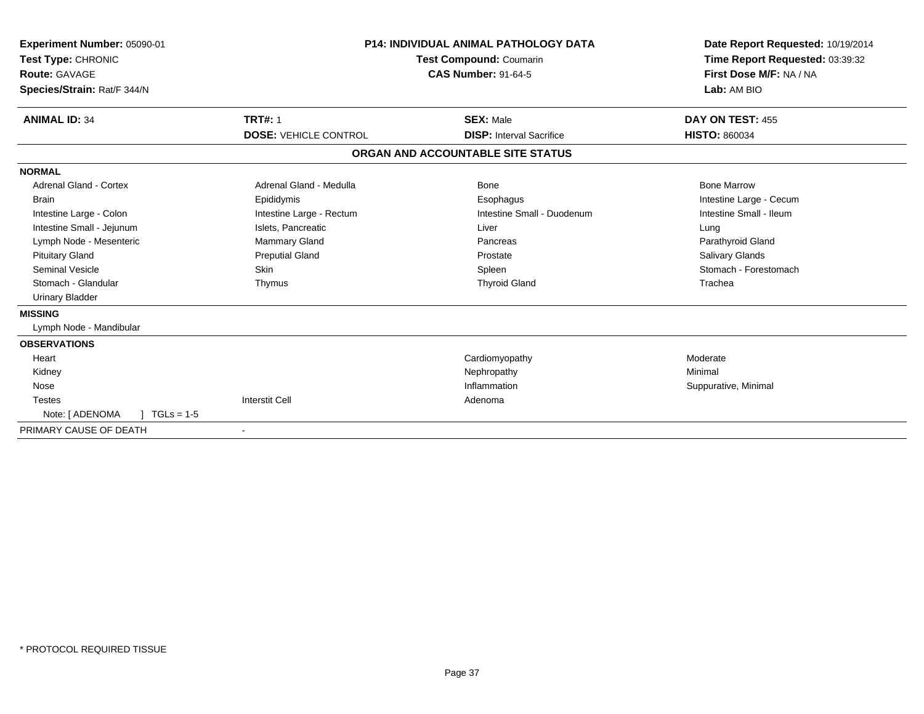| Experiment Number: 05090-01<br>Test Type: CHRONIC<br><b>Route: GAVAGE</b><br>Species/Strain: Rat/F 344/N | <b>P14: INDIVIDUAL ANIMAL PATHOLOGY DATA</b><br><b>Test Compound: Coumarin</b><br><b>CAS Number: 91-64-5</b> |                                   | Date Report Requested: 10/19/2014<br>Time Report Requested: 03:39:32<br>First Dose M/F: NA / NA<br>Lab: AM BIO |  |
|----------------------------------------------------------------------------------------------------------|--------------------------------------------------------------------------------------------------------------|-----------------------------------|----------------------------------------------------------------------------------------------------------------|--|
| <b>ANIMAL ID: 34</b>                                                                                     | <b>TRT#: 1</b>                                                                                               | <b>SEX: Male</b>                  | DAY ON TEST: 455                                                                                               |  |
|                                                                                                          | <b>DOSE: VEHICLE CONTROL</b>                                                                                 | <b>DISP:</b> Interval Sacrifice   | <b>HISTO: 860034</b>                                                                                           |  |
|                                                                                                          |                                                                                                              | ORGAN AND ACCOUNTABLE SITE STATUS |                                                                                                                |  |
| <b>NORMAL</b>                                                                                            |                                                                                                              |                                   |                                                                                                                |  |
| Adrenal Gland - Cortex                                                                                   | Adrenal Gland - Medulla                                                                                      | Bone                              | <b>Bone Marrow</b>                                                                                             |  |
| <b>Brain</b>                                                                                             | Epididymis                                                                                                   | Esophagus                         | Intestine Large - Cecum                                                                                        |  |
| Intestine Large - Colon                                                                                  | Intestine Large - Rectum                                                                                     | Intestine Small - Duodenum        | Intestine Small - Ileum                                                                                        |  |
| Intestine Small - Jejunum                                                                                | Islets, Pancreatic                                                                                           | Liver                             | Lung                                                                                                           |  |
| Lymph Node - Mesenteric                                                                                  | <b>Mammary Gland</b>                                                                                         | Pancreas                          | Parathyroid Gland                                                                                              |  |
| <b>Pituitary Gland</b>                                                                                   | <b>Preputial Gland</b>                                                                                       | Prostate                          | Salivary Glands                                                                                                |  |
| <b>Seminal Vesicle</b>                                                                                   | <b>Skin</b>                                                                                                  | Spleen                            | Stomach - Forestomach                                                                                          |  |
| Stomach - Glandular                                                                                      | Thymus                                                                                                       | <b>Thyroid Gland</b>              | Trachea                                                                                                        |  |
| <b>Urinary Bladder</b>                                                                                   |                                                                                                              |                                   |                                                                                                                |  |
| <b>MISSING</b>                                                                                           |                                                                                                              |                                   |                                                                                                                |  |
| Lymph Node - Mandibular                                                                                  |                                                                                                              |                                   |                                                                                                                |  |
| <b>OBSERVATIONS</b>                                                                                      |                                                                                                              |                                   |                                                                                                                |  |
| Heart                                                                                                    |                                                                                                              | Cardiomyopathy                    | Moderate                                                                                                       |  |
| Kidney                                                                                                   |                                                                                                              | Nephropathy                       | Minimal                                                                                                        |  |
| Nose                                                                                                     |                                                                                                              | Inflammation                      | Suppurative, Minimal                                                                                           |  |
| <b>Testes</b>                                                                                            | <b>Interstit Cell</b>                                                                                        | Adenoma                           |                                                                                                                |  |
| Note: [ ADENOMA<br>$TGLs = 1-5$                                                                          |                                                                                                              |                                   |                                                                                                                |  |
| PRIMARY CAUSE OF DEATH                                                                                   |                                                                                                              |                                   |                                                                                                                |  |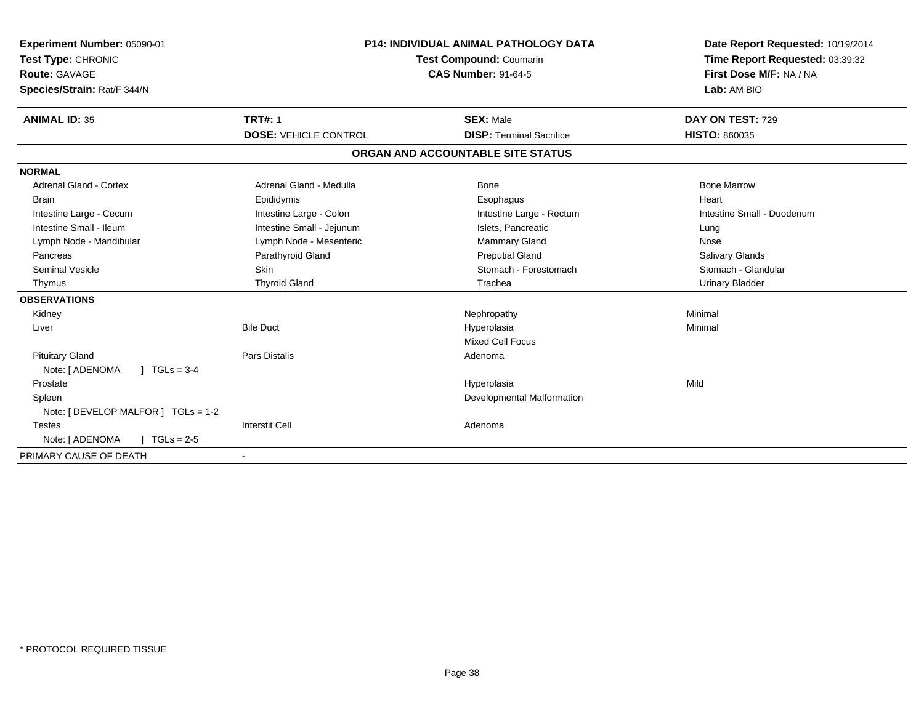| Experiment Number: 05090-01<br>Test Type: CHRONIC<br><b>Route: GAVAGE</b><br>Species/Strain: Rat/F 344/N | P14: INDIVIDUAL ANIMAL PATHOLOGY DATA<br>Test Compound: Coumarin<br><b>CAS Number: 91-64-5</b> |                                   | Date Report Requested: 10/19/2014<br>Time Report Requested: 03:39:32<br>First Dose M/F: NA / NA<br>Lab: AM BIO |
|----------------------------------------------------------------------------------------------------------|------------------------------------------------------------------------------------------------|-----------------------------------|----------------------------------------------------------------------------------------------------------------|
| <b>ANIMAL ID: 35</b>                                                                                     | <b>TRT#: 1</b>                                                                                 | <b>SEX: Male</b>                  | DAY ON TEST: 729                                                                                               |
|                                                                                                          | <b>DOSE: VEHICLE CONTROL</b>                                                                   | <b>DISP: Terminal Sacrifice</b>   | <b>HISTO: 860035</b>                                                                                           |
|                                                                                                          |                                                                                                | ORGAN AND ACCOUNTABLE SITE STATUS |                                                                                                                |
| <b>NORMAL</b>                                                                                            |                                                                                                |                                   |                                                                                                                |
| <b>Adrenal Gland - Cortex</b>                                                                            | Adrenal Gland - Medulla                                                                        | Bone                              | <b>Bone Marrow</b>                                                                                             |
| <b>Brain</b>                                                                                             | Epididymis                                                                                     | Esophagus                         | Heart                                                                                                          |
| Intestine Large - Cecum                                                                                  | Intestine Large - Colon                                                                        | Intestine Large - Rectum          | Intestine Small - Duodenum                                                                                     |
| Intestine Small - Ileum                                                                                  | Intestine Small - Jejunum                                                                      | Islets, Pancreatic                | Lung                                                                                                           |
| Lymph Node - Mandibular                                                                                  | Lymph Node - Mesenteric                                                                        | Mammary Gland                     | Nose                                                                                                           |
| Pancreas                                                                                                 | Parathyroid Gland                                                                              | <b>Preputial Gland</b>            | <b>Salivary Glands</b>                                                                                         |
| <b>Seminal Vesicle</b>                                                                                   | <b>Skin</b>                                                                                    | Stomach - Forestomach             | Stomach - Glandular                                                                                            |
| Thymus                                                                                                   | <b>Thyroid Gland</b>                                                                           | Trachea                           | <b>Urinary Bladder</b>                                                                                         |
| <b>OBSERVATIONS</b>                                                                                      |                                                                                                |                                   |                                                                                                                |
| Kidney                                                                                                   |                                                                                                | Nephropathy                       | Minimal                                                                                                        |
| Liver                                                                                                    | <b>Bile Duct</b>                                                                               | Hyperplasia                       | Minimal                                                                                                        |
|                                                                                                          |                                                                                                | <b>Mixed Cell Focus</b>           |                                                                                                                |
| <b>Pituitary Gland</b>                                                                                   | <b>Pars Distalis</b>                                                                           | Adenoma                           |                                                                                                                |
| $1 TGLs = 3-4$<br>Note: [ ADENOMA                                                                        |                                                                                                |                                   |                                                                                                                |
| Prostate                                                                                                 |                                                                                                | Hyperplasia                       | Mild                                                                                                           |
| Spleen                                                                                                   |                                                                                                | Developmental Malformation        |                                                                                                                |
| Note: [ DEVELOP MALFOR ] TGLs = 1-2                                                                      |                                                                                                |                                   |                                                                                                                |
| <b>Testes</b>                                                                                            | <b>Interstit Cell</b>                                                                          | Adenoma                           |                                                                                                                |
| Note: [ ADENOMA<br>$\sqrt{1}$ TGLs = 2-5                                                                 |                                                                                                |                                   |                                                                                                                |
| PRIMARY CAUSE OF DEATH                                                                                   |                                                                                                |                                   |                                                                                                                |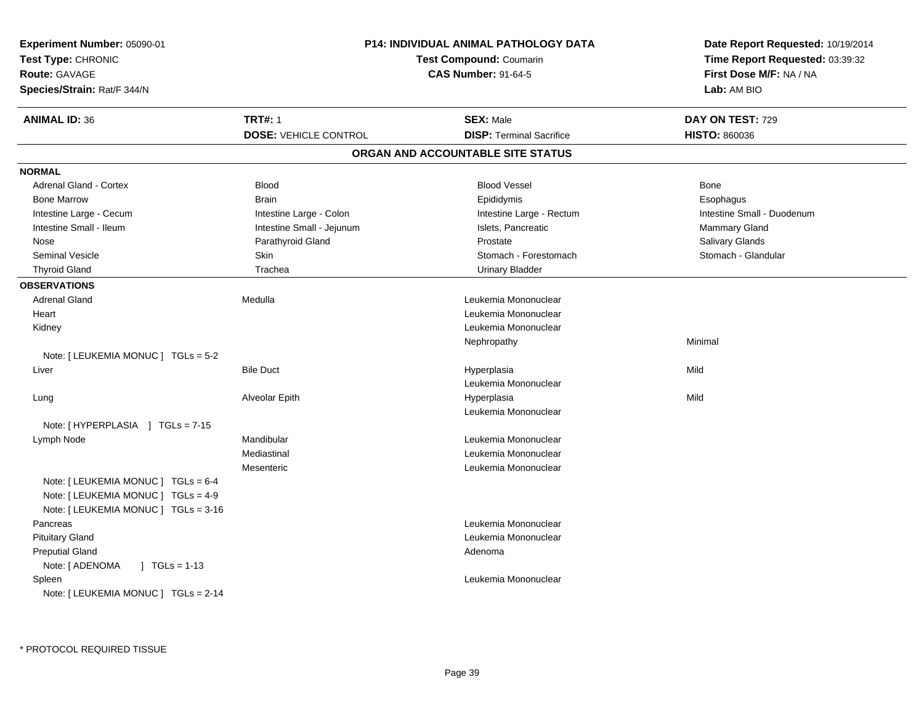| Experiment Number: 05090-01<br>Test Type: CHRONIC<br><b>Route: GAVAGE</b><br>Species/Strain: Rat/F 344/N          | P14: INDIVIDUAL ANIMAL PATHOLOGY DATA<br><b>Test Compound: Coumarin</b><br><b>CAS Number: 91-64-5</b> |                                   | Date Report Requested: 10/19/2014<br>Time Report Requested: 03:39:32<br>First Dose M/F: NA / NA<br>Lab: AM BIO |
|-------------------------------------------------------------------------------------------------------------------|-------------------------------------------------------------------------------------------------------|-----------------------------------|----------------------------------------------------------------------------------------------------------------|
| <b>ANIMAL ID: 36</b>                                                                                              | <b>TRT#: 1</b>                                                                                        | <b>SEX: Male</b>                  | DAY ON TEST: 729                                                                                               |
|                                                                                                                   | <b>DOSE: VEHICLE CONTROL</b>                                                                          | <b>DISP: Terminal Sacrifice</b>   | <b>HISTO: 860036</b>                                                                                           |
|                                                                                                                   |                                                                                                       | ORGAN AND ACCOUNTABLE SITE STATUS |                                                                                                                |
| <b>NORMAL</b>                                                                                                     |                                                                                                       |                                   |                                                                                                                |
| <b>Adrenal Gland - Cortex</b>                                                                                     | <b>Blood</b>                                                                                          | <b>Blood Vessel</b>               | Bone                                                                                                           |
| <b>Bone Marrow</b>                                                                                                | <b>Brain</b>                                                                                          | Epididymis                        | Esophagus                                                                                                      |
| Intestine Large - Cecum                                                                                           | Intestine Large - Colon                                                                               | Intestine Large - Rectum          | Intestine Small - Duodenum                                                                                     |
| Intestine Small - Ileum                                                                                           | Intestine Small - Jejunum                                                                             | Islets, Pancreatic                | <b>Mammary Gland</b>                                                                                           |
| Nose                                                                                                              | Parathyroid Gland                                                                                     | Prostate                          | Salivary Glands                                                                                                |
| <b>Seminal Vesicle</b>                                                                                            | <b>Skin</b>                                                                                           | Stomach - Forestomach             | Stomach - Glandular                                                                                            |
| <b>Thyroid Gland</b>                                                                                              | Trachea                                                                                               | <b>Urinary Bladder</b>            |                                                                                                                |
| <b>OBSERVATIONS</b>                                                                                               |                                                                                                       |                                   |                                                                                                                |
| <b>Adrenal Gland</b>                                                                                              | Medulla                                                                                               | Leukemia Mononuclear              |                                                                                                                |
| Heart                                                                                                             |                                                                                                       | Leukemia Mononuclear              |                                                                                                                |
| Kidney                                                                                                            |                                                                                                       | Leukemia Mononuclear              |                                                                                                                |
|                                                                                                                   |                                                                                                       | Nephropathy                       | Minimal                                                                                                        |
| Note: [LEUKEMIA MONUC ] TGLs = 5-2                                                                                |                                                                                                       |                                   |                                                                                                                |
| Liver                                                                                                             | <b>Bile Duct</b>                                                                                      | Hyperplasia                       | Mild                                                                                                           |
|                                                                                                                   |                                                                                                       | Leukemia Mononuclear              |                                                                                                                |
| Lung                                                                                                              | Alveolar Epith                                                                                        | Hyperplasia                       | Mild                                                                                                           |
|                                                                                                                   |                                                                                                       | Leukemia Mononuclear              |                                                                                                                |
| Note: [HYPERPLASIA ] TGLs = 7-15                                                                                  |                                                                                                       |                                   |                                                                                                                |
| Lymph Node                                                                                                        | Mandibular                                                                                            | Leukemia Mononuclear              |                                                                                                                |
|                                                                                                                   | Mediastinal                                                                                           | Leukemia Mononuclear              |                                                                                                                |
| Note: [ LEUKEMIA MONUC ] TGLs = 6-4<br>Note: [LEUKEMIA MONUC ] TGLs = 4-9<br>Note: [ LEUKEMIA MONUC ] TGLs = 3-16 | Mesenteric                                                                                            | Leukemia Mononuclear              |                                                                                                                |
| Pancreas                                                                                                          |                                                                                                       | Leukemia Mononuclear              |                                                                                                                |
| <b>Pituitary Gland</b>                                                                                            |                                                                                                       | Leukemia Mononuclear              |                                                                                                                |
| <b>Preputial Gland</b>                                                                                            |                                                                                                       | Adenoma                           |                                                                                                                |
| Note: [ ADENOMA<br>$\sqrt{1}$ TGLs = 1-13                                                                         |                                                                                                       |                                   |                                                                                                                |
| Spleen<br>Note: [ LEUKEMIA MONUC ] TGLs = 2-14                                                                    |                                                                                                       | Leukemia Mononuclear              |                                                                                                                |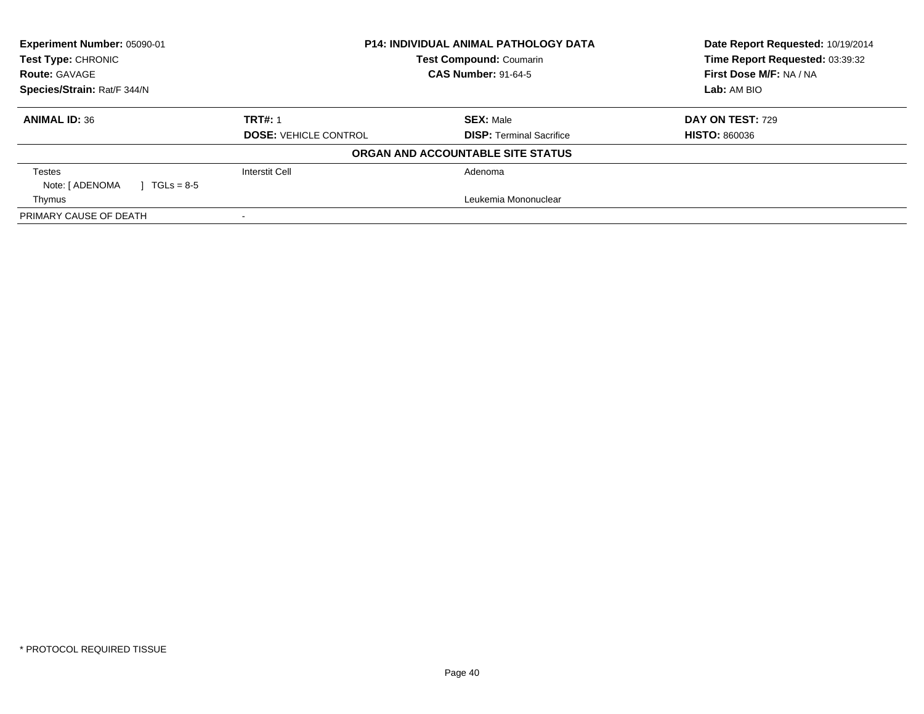| Experiment Number: 05090-01<br><b>Test Type: CHRONIC</b> | P14: INDIVIDUAL ANIMAL PATHOLOGY DATA<br><b>Test Compound: Coumarin</b> |                                   | Date Report Requested: 10/19/2014<br>Time Report Requested: 03:39:32 |
|----------------------------------------------------------|-------------------------------------------------------------------------|-----------------------------------|----------------------------------------------------------------------|
| <b>Route: GAVAGE</b>                                     |                                                                         | <b>CAS Number: 91-64-5</b>        | First Dose M/F: NA / NA                                              |
| Species/Strain: Rat/F 344/N                              |                                                                         |                                   | Lab: AM BIO                                                          |
| <b>ANIMAL ID: 36</b>                                     | <b>TRT#: 1</b>                                                          | <b>SEX: Male</b>                  | <b>DAY ON TEST: 729</b>                                              |
|                                                          | <b>DOSE: VEHICLE CONTROL</b>                                            | <b>DISP:</b> Terminal Sacrifice   | <b>HISTO: 860036</b>                                                 |
|                                                          |                                                                         | ORGAN AND ACCOUNTABLE SITE STATUS |                                                                      |
| Testes                                                   | <b>Interstit Cell</b>                                                   | Adenoma                           |                                                                      |
| Note: [ ADENOMA<br>$1 TGLs = 8-5$                        |                                                                         |                                   |                                                                      |
| Thymus                                                   |                                                                         | Leukemia Mononuclear              |                                                                      |
| PRIMARY CAUSE OF DEATH                                   |                                                                         |                                   |                                                                      |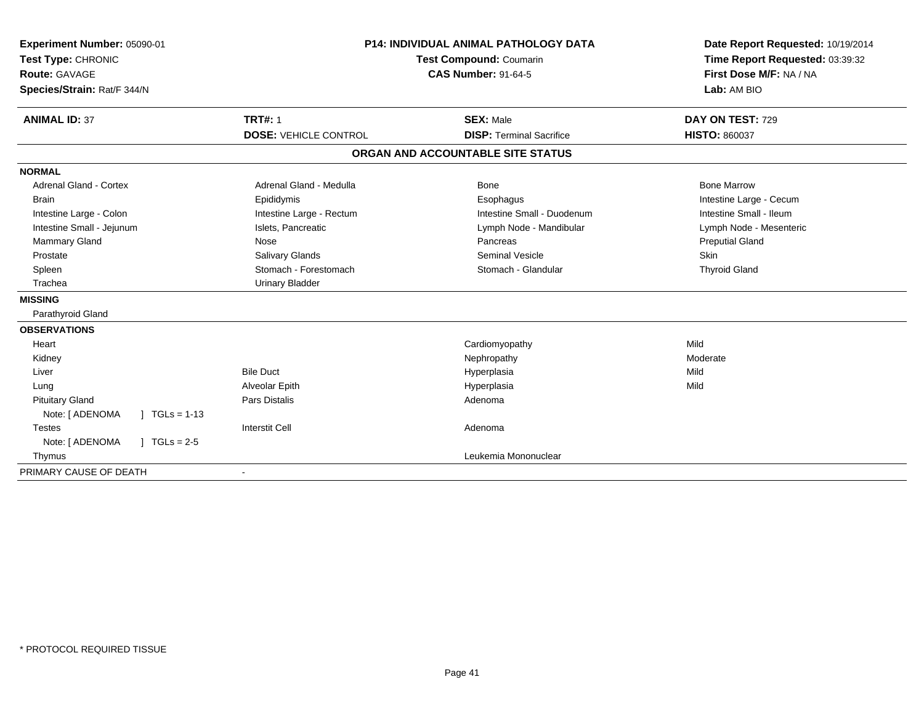| Experiment Number: 05090-01<br>Test Type: CHRONIC<br><b>Route: GAVAGE</b> | <b>P14: INDIVIDUAL ANIMAL PATHOLOGY DATA</b><br><b>Test Compound: Coumarin</b><br><b>CAS Number: 91-64-5</b> |                                   | Date Report Requested: 10/19/2014<br>Time Report Requested: 03:39:32<br>First Dose M/F: NA / NA |
|---------------------------------------------------------------------------|--------------------------------------------------------------------------------------------------------------|-----------------------------------|-------------------------------------------------------------------------------------------------|
| Species/Strain: Rat/F 344/N                                               |                                                                                                              |                                   | Lab: AM BIO                                                                                     |
| <b>ANIMAL ID: 37</b>                                                      | <b>TRT#: 1</b>                                                                                               | <b>SEX: Male</b>                  | DAY ON TEST: 729                                                                                |
|                                                                           | <b>DOSE: VEHICLE CONTROL</b>                                                                                 | <b>DISP: Terminal Sacrifice</b>   | <b>HISTO: 860037</b>                                                                            |
|                                                                           |                                                                                                              | ORGAN AND ACCOUNTABLE SITE STATUS |                                                                                                 |
| <b>NORMAL</b>                                                             |                                                                                                              |                                   |                                                                                                 |
| <b>Adrenal Gland - Cortex</b>                                             | Adrenal Gland - Medulla                                                                                      | Bone                              | <b>Bone Marrow</b>                                                                              |
| <b>Brain</b>                                                              | Epididymis                                                                                                   | Esophagus                         | Intestine Large - Cecum                                                                         |
| Intestine Large - Colon                                                   | Intestine Large - Rectum                                                                                     | Intestine Small - Duodenum        | Intestine Small - Ileum                                                                         |
| Intestine Small - Jejunum                                                 | Islets, Pancreatic                                                                                           | Lymph Node - Mandibular           | Lymph Node - Mesenteric                                                                         |
| Mammary Gland                                                             | Nose                                                                                                         | Pancreas                          | <b>Preputial Gland</b>                                                                          |
| Prostate                                                                  | Salivary Glands                                                                                              | <b>Seminal Vesicle</b>            | Skin                                                                                            |
| Spleen                                                                    | Stomach - Forestomach                                                                                        | Stomach - Glandular               | <b>Thyroid Gland</b>                                                                            |
| Trachea                                                                   | <b>Urinary Bladder</b>                                                                                       |                                   |                                                                                                 |
| <b>MISSING</b>                                                            |                                                                                                              |                                   |                                                                                                 |
| Parathyroid Gland                                                         |                                                                                                              |                                   |                                                                                                 |
| <b>OBSERVATIONS</b>                                                       |                                                                                                              |                                   |                                                                                                 |
| Heart                                                                     |                                                                                                              | Cardiomyopathy                    | Mild                                                                                            |
| Kidney                                                                    |                                                                                                              | Nephropathy                       | Moderate                                                                                        |
| Liver                                                                     | <b>Bile Duct</b>                                                                                             | Hyperplasia                       | Mild                                                                                            |
| Lung                                                                      | Alveolar Epith                                                                                               | Hyperplasia                       | Mild                                                                                            |
| <b>Pituitary Gland</b>                                                    | <b>Pars Distalis</b>                                                                                         | Adenoma                           |                                                                                                 |
| Note: [ ADENOMA<br>$\int$ TGLs = 1-13                                     |                                                                                                              |                                   |                                                                                                 |
| <b>Testes</b>                                                             | <b>Interstit Cell</b>                                                                                        | Adenoma                           |                                                                                                 |
| Note: [ ADENOMA<br>$\sqrt{ }$ TGLs = 2-5                                  |                                                                                                              |                                   |                                                                                                 |
| Thymus                                                                    |                                                                                                              | Leukemia Mononuclear              |                                                                                                 |
| PRIMARY CAUSE OF DEATH                                                    |                                                                                                              |                                   |                                                                                                 |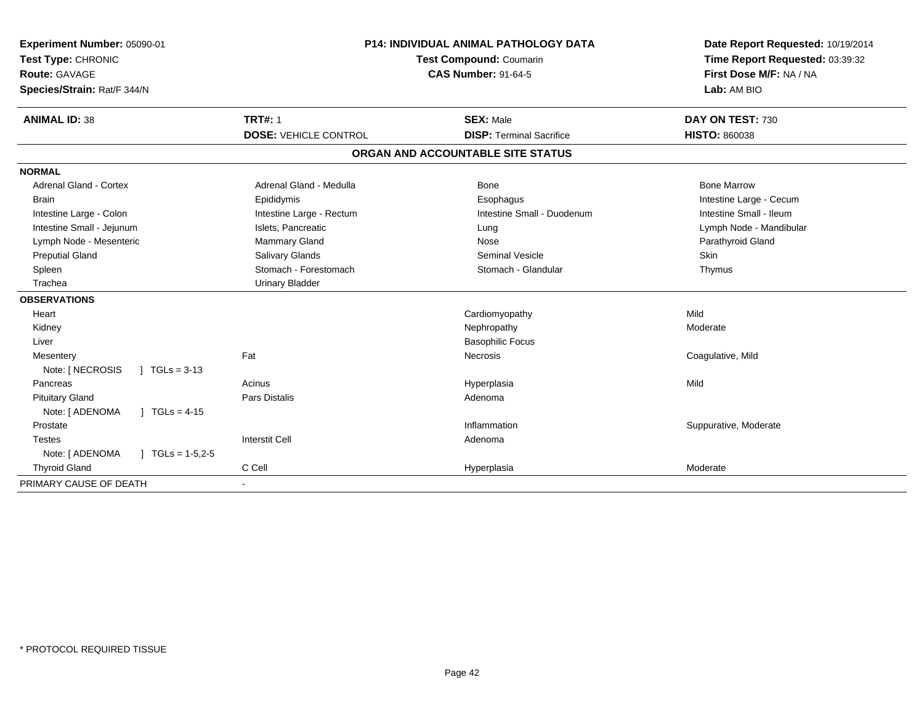| Experiment Number: 05090-01<br>Test Type: CHRONIC<br><b>Route: GAVAGE</b><br>Species/Strain: Rat/F 344/N | <b>P14: INDIVIDUAL ANIMAL PATHOLOGY DATA</b><br>Test Compound: Coumarin<br><b>CAS Number: 91-64-5</b> |                                   | Date Report Requested: 10/19/2014<br>Time Report Requested: 03:39:32<br>First Dose M/F: NA / NA<br>Lab: AM BIO |
|----------------------------------------------------------------------------------------------------------|-------------------------------------------------------------------------------------------------------|-----------------------------------|----------------------------------------------------------------------------------------------------------------|
| <b>ANIMAL ID: 38</b>                                                                                     | <b>TRT#: 1</b>                                                                                        | <b>SEX: Male</b>                  | DAY ON TEST: 730                                                                                               |
|                                                                                                          | <b>DOSE: VEHICLE CONTROL</b>                                                                          | <b>DISP: Terminal Sacrifice</b>   | <b>HISTO: 860038</b>                                                                                           |
|                                                                                                          |                                                                                                       | ORGAN AND ACCOUNTABLE SITE STATUS |                                                                                                                |
| <b>NORMAL</b>                                                                                            |                                                                                                       |                                   |                                                                                                                |
| <b>Adrenal Gland - Cortex</b>                                                                            | Adrenal Gland - Medulla                                                                               | <b>Bone</b>                       | <b>Bone Marrow</b>                                                                                             |
| <b>Brain</b>                                                                                             | Epididymis                                                                                            | Esophagus                         | Intestine Large - Cecum                                                                                        |
| Intestine Large - Colon                                                                                  | Intestine Large - Rectum                                                                              | Intestine Small - Duodenum        | Intestine Small - Ileum                                                                                        |
| Intestine Small - Jejunum                                                                                | Islets, Pancreatic                                                                                    | Lung                              | Lymph Node - Mandibular                                                                                        |
| Lymph Node - Mesenteric                                                                                  | Mammary Gland                                                                                         | Nose                              | Parathyroid Gland                                                                                              |
| <b>Preputial Gland</b>                                                                                   | Salivary Glands                                                                                       | <b>Seminal Vesicle</b>            | Skin                                                                                                           |
| Spleen                                                                                                   | Stomach - Forestomach                                                                                 | Stomach - Glandular               | Thymus                                                                                                         |
| Trachea                                                                                                  | <b>Urinary Bladder</b>                                                                                |                                   |                                                                                                                |
| <b>OBSERVATIONS</b>                                                                                      |                                                                                                       |                                   |                                                                                                                |
| Heart                                                                                                    |                                                                                                       | Cardiomyopathy                    | Mild                                                                                                           |
| Kidney                                                                                                   |                                                                                                       | Nephropathy                       | Moderate                                                                                                       |
| Liver                                                                                                    |                                                                                                       | <b>Basophilic Focus</b>           |                                                                                                                |
| Mesentery                                                                                                | Fat                                                                                                   | <b>Necrosis</b>                   | Coagulative, Mild                                                                                              |
| Note: [ NECROSIS<br>$\sqrt{11}$ TGLs = 3-13                                                              |                                                                                                       |                                   |                                                                                                                |
| Pancreas                                                                                                 | Acinus                                                                                                | Hyperplasia                       | Mild                                                                                                           |
| <b>Pituitary Gland</b>                                                                                   | <b>Pars Distalis</b>                                                                                  | Adenoma                           |                                                                                                                |
| Note: [ ADENOMA<br>] $TGLs = 4-15$                                                                       |                                                                                                       |                                   |                                                                                                                |
| Prostate                                                                                                 |                                                                                                       | Inflammation                      | Suppurative, Moderate                                                                                          |
| Testes                                                                                                   | <b>Interstit Cell</b>                                                                                 | Adenoma                           |                                                                                                                |
| Note: [ ADENOMA<br>$\int$ TGLs = 1-5,2-5                                                                 |                                                                                                       |                                   |                                                                                                                |
| <b>Thyroid Gland</b>                                                                                     | C Cell                                                                                                | Hyperplasia                       | Moderate                                                                                                       |
| PRIMARY CAUSE OF DEATH                                                                                   |                                                                                                       |                                   |                                                                                                                |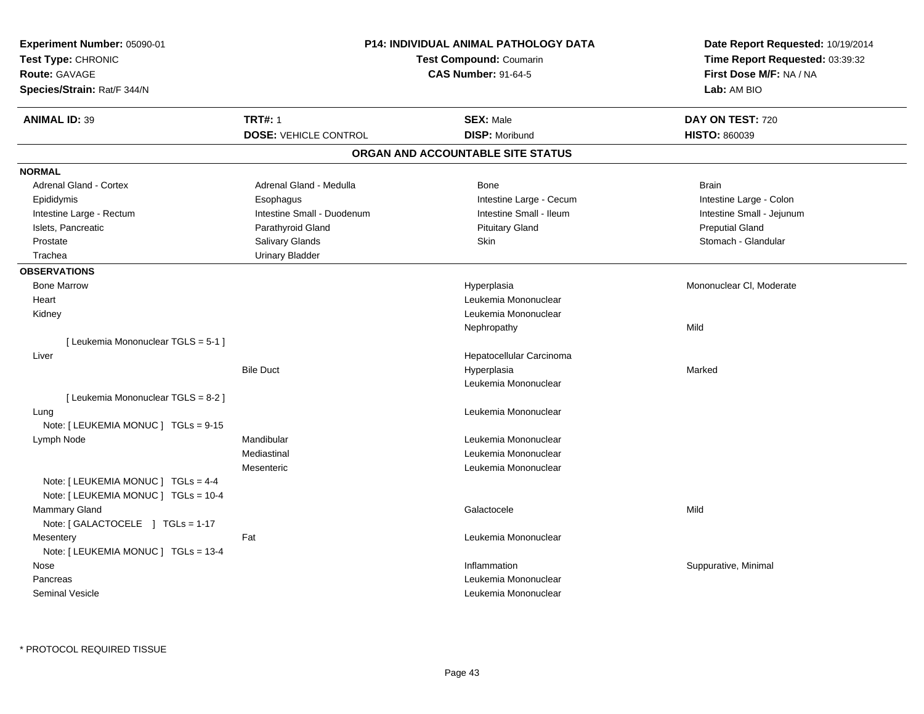| Experiment Number: 05090-01<br>Test Type: CHRONIC<br>Route: GAVAGE          |                              | <b>P14: INDIVIDUAL ANIMAL PATHOLOGY DATA</b><br><b>Test Compound: Coumarin</b><br><b>CAS Number: 91-64-5</b> | Date Report Requested: 10/19/2014<br>Time Report Requested: 03:39:32<br>First Dose M/F: NA / NA |
|-----------------------------------------------------------------------------|------------------------------|--------------------------------------------------------------------------------------------------------------|-------------------------------------------------------------------------------------------------|
| Species/Strain: Rat/F 344/N                                                 |                              |                                                                                                              | Lab: AM BIO                                                                                     |
| <b>ANIMAL ID: 39</b>                                                        | <b>TRT#: 1</b>               | <b>SEX: Male</b>                                                                                             | DAY ON TEST: 720                                                                                |
|                                                                             | <b>DOSE: VEHICLE CONTROL</b> | <b>DISP: Moribund</b>                                                                                        | <b>HISTO: 860039</b>                                                                            |
|                                                                             |                              | ORGAN AND ACCOUNTABLE SITE STATUS                                                                            |                                                                                                 |
| <b>NORMAL</b>                                                               |                              |                                                                                                              |                                                                                                 |
| <b>Adrenal Gland - Cortex</b>                                               | Adrenal Gland - Medulla      | Bone                                                                                                         | <b>Brain</b>                                                                                    |
| Epididymis                                                                  | Esophagus                    | Intestine Large - Cecum                                                                                      | Intestine Large - Colon                                                                         |
| Intestine Large - Rectum                                                    | Intestine Small - Duodenum   | Intestine Small - Ileum                                                                                      | Intestine Small - Jejunum                                                                       |
| Islets, Pancreatic                                                          | Parathyroid Gland            | <b>Pituitary Gland</b>                                                                                       | <b>Preputial Gland</b>                                                                          |
| Prostate                                                                    | Salivary Glands              | Skin                                                                                                         | Stomach - Glandular                                                                             |
| Trachea                                                                     | <b>Urinary Bladder</b>       |                                                                                                              |                                                                                                 |
| <b>OBSERVATIONS</b>                                                         |                              |                                                                                                              |                                                                                                 |
| <b>Bone Marrow</b>                                                          |                              | Hyperplasia                                                                                                  | Mononuclear CI, Moderate                                                                        |
| Heart                                                                       |                              | Leukemia Mononuclear                                                                                         |                                                                                                 |
| Kidney                                                                      |                              | Leukemia Mononuclear                                                                                         |                                                                                                 |
|                                                                             |                              | Nephropathy                                                                                                  | Mild                                                                                            |
| [Leukemia Mononuclear TGLS = 5-1]                                           |                              |                                                                                                              |                                                                                                 |
| Liver                                                                       |                              | Hepatocellular Carcinoma                                                                                     |                                                                                                 |
|                                                                             | <b>Bile Duct</b>             | Hyperplasia                                                                                                  | Marked                                                                                          |
|                                                                             |                              | Leukemia Mononuclear                                                                                         |                                                                                                 |
| [Leukemia Mononuclear TGLS = 8-2]                                           |                              |                                                                                                              |                                                                                                 |
| Lung                                                                        |                              | Leukemia Mononuclear                                                                                         |                                                                                                 |
| Note: [ LEUKEMIA MONUC ] TGLs = 9-15                                        |                              |                                                                                                              |                                                                                                 |
| Lymph Node                                                                  | Mandibular                   | Leukemia Mononuclear                                                                                         |                                                                                                 |
|                                                                             | Mediastinal                  | Leukemia Mononuclear                                                                                         |                                                                                                 |
|                                                                             | Mesenteric                   | Leukemia Mononuclear                                                                                         |                                                                                                 |
| Note: [ LEUKEMIA MONUC ] TGLs = 4-4<br>Note: [ LEUKEMIA MONUC ] TGLs = 10-4 |                              |                                                                                                              |                                                                                                 |
| <b>Mammary Gland</b>                                                        |                              | Galactocele                                                                                                  | Mild                                                                                            |
| Note: [GALACTOCELE ] TGLs = 1-17                                            |                              |                                                                                                              |                                                                                                 |
| Mesentery                                                                   | Fat                          | Leukemia Mononuclear                                                                                         |                                                                                                 |
| Note: [ LEUKEMIA MONUC ] TGLs = 13-4                                        |                              |                                                                                                              |                                                                                                 |
| Nose                                                                        |                              | Inflammation                                                                                                 | Suppurative, Minimal                                                                            |
| Pancreas                                                                    |                              | Leukemia Mononuclear                                                                                         |                                                                                                 |
| <b>Seminal Vesicle</b>                                                      |                              | Leukemia Mononuclear                                                                                         |                                                                                                 |
|                                                                             |                              |                                                                                                              |                                                                                                 |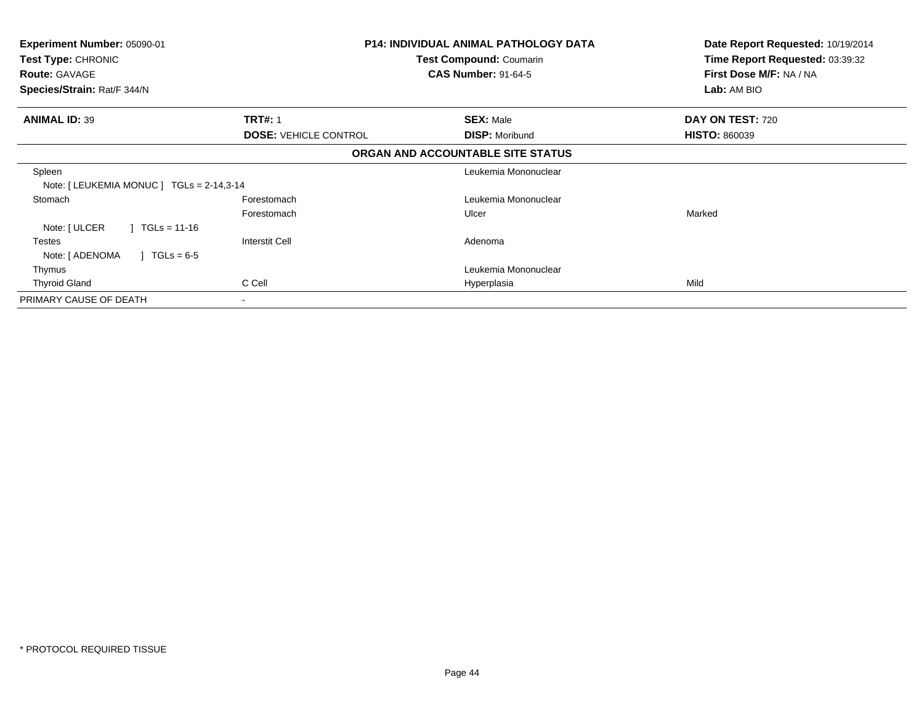| <b>Experiment Number: 05090-01</b><br>Test Type: CHRONIC<br><b>Route: GAVAGE</b><br>Species/Strain: Rat/F 344/N |                              | <b>P14: INDIVIDUAL ANIMAL PATHOLOGY DATA</b><br>Test Compound: Coumarin<br><b>CAS Number: 91-64-5</b> | Date Report Requested: 10/19/2014<br>Time Report Requested: 03:39:32<br>First Dose M/F: NA / NA<br>Lab: AM BIO |
|-----------------------------------------------------------------------------------------------------------------|------------------------------|-------------------------------------------------------------------------------------------------------|----------------------------------------------------------------------------------------------------------------|
| <b>ANIMAL ID: 39</b>                                                                                            | <b>TRT#: 1</b>               | <b>SEX: Male</b>                                                                                      | DAY ON TEST: 720                                                                                               |
|                                                                                                                 | <b>DOSE: VEHICLE CONTROL</b> | <b>DISP: Moribund</b>                                                                                 | <b>HISTO: 860039</b>                                                                                           |
|                                                                                                                 |                              | ORGAN AND ACCOUNTABLE SITE STATUS                                                                     |                                                                                                                |
| Spleen<br>Note: $[LEUKEMIA MONUC] TGLS = 2-14,3-14$                                                             |                              | Leukemia Mononuclear                                                                                  |                                                                                                                |
| Stomach                                                                                                         | Forestomach                  | Leukemia Mononuclear                                                                                  |                                                                                                                |
|                                                                                                                 | Forestomach                  | Ulcer                                                                                                 | Marked                                                                                                         |
| Note: [ ULCER<br>$\mid$ TGLs = 11-16                                                                            |                              |                                                                                                       |                                                                                                                |
| Testes<br>Note: [ ADENOMA<br>$TGLs = 6-5$                                                                       | Interstit Cell               | Adenoma                                                                                               |                                                                                                                |
| Thymus                                                                                                          |                              | Leukemia Mononuclear                                                                                  |                                                                                                                |
| <b>Thyroid Gland</b>                                                                                            | C Cell                       | Hyperplasia                                                                                           | Mild                                                                                                           |
| PRIMARY CAUSE OF DEATH                                                                                          | $\blacksquare$               |                                                                                                       |                                                                                                                |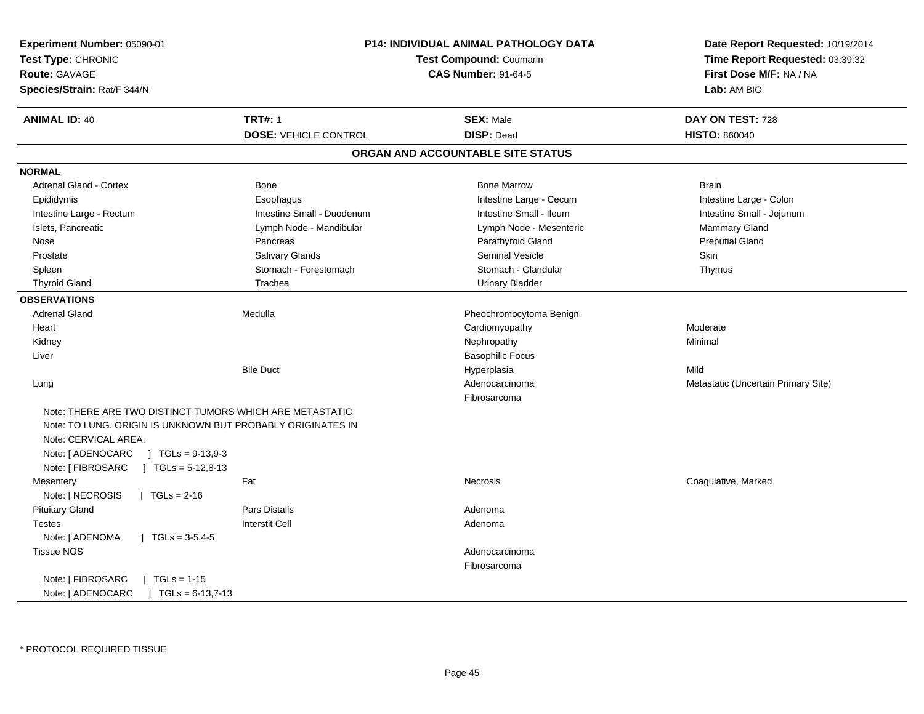| Experiment Number: 05090-01<br>Test Type: CHRONIC<br><b>Route: GAVAGE</b><br>Species/Strain: Rat/F 344/N                                                                                                                                                | <b>P14: INDIVIDUAL ANIMAL PATHOLOGY DATA</b><br><b>Test Compound: Coumarin</b><br><b>CAS Number: 91-64-5</b> |                                       | Date Report Requested: 10/19/2014<br>Time Report Requested: 03:39:32<br>First Dose M/F: NA / NA<br>Lab: AM BIO |  |
|---------------------------------------------------------------------------------------------------------------------------------------------------------------------------------------------------------------------------------------------------------|--------------------------------------------------------------------------------------------------------------|---------------------------------------|----------------------------------------------------------------------------------------------------------------|--|
| <b>ANIMAL ID: 40</b>                                                                                                                                                                                                                                    | <b>TRT#: 1</b><br><b>DOSE: VEHICLE CONTROL</b>                                                               | <b>SEX: Male</b><br><b>DISP: Dead</b> | DAY ON TEST: 728<br><b>HISTO: 860040</b>                                                                       |  |
|                                                                                                                                                                                                                                                         |                                                                                                              | ORGAN AND ACCOUNTABLE SITE STATUS     |                                                                                                                |  |
| <b>NORMAL</b>                                                                                                                                                                                                                                           |                                                                                                              |                                       |                                                                                                                |  |
| <b>Adrenal Gland - Cortex</b>                                                                                                                                                                                                                           | Bone                                                                                                         | <b>Bone Marrow</b>                    | <b>Brain</b>                                                                                                   |  |
| Epididymis                                                                                                                                                                                                                                              | Esophagus                                                                                                    | Intestine Large - Cecum               | Intestine Large - Colon                                                                                        |  |
| Intestine Large - Rectum                                                                                                                                                                                                                                | Intestine Small - Duodenum                                                                                   | Intestine Small - Ileum               | Intestine Small - Jejunum                                                                                      |  |
| Islets, Pancreatic                                                                                                                                                                                                                                      | Lymph Node - Mandibular                                                                                      | Lymph Node - Mesenteric               | Mammary Gland                                                                                                  |  |
| Nose                                                                                                                                                                                                                                                    | Pancreas                                                                                                     | Parathyroid Gland                     | <b>Preputial Gland</b>                                                                                         |  |
| Prostate                                                                                                                                                                                                                                                | Salivary Glands                                                                                              | <b>Seminal Vesicle</b>                | Skin                                                                                                           |  |
| Spleen                                                                                                                                                                                                                                                  | Stomach - Forestomach                                                                                        | Stomach - Glandular                   | Thymus                                                                                                         |  |
| <b>Thyroid Gland</b>                                                                                                                                                                                                                                    | Trachea                                                                                                      | <b>Urinary Bladder</b>                |                                                                                                                |  |
| <b>OBSERVATIONS</b>                                                                                                                                                                                                                                     |                                                                                                              |                                       |                                                                                                                |  |
| Adrenal Gland                                                                                                                                                                                                                                           | Medulla                                                                                                      | Pheochromocytoma Benign               |                                                                                                                |  |
| Heart                                                                                                                                                                                                                                                   |                                                                                                              | Cardiomyopathy                        | Moderate                                                                                                       |  |
| Kidney                                                                                                                                                                                                                                                  |                                                                                                              | Nephropathy                           | Minimal                                                                                                        |  |
| Liver                                                                                                                                                                                                                                                   |                                                                                                              | <b>Basophilic Focus</b>               |                                                                                                                |  |
|                                                                                                                                                                                                                                                         | <b>Bile Duct</b>                                                                                             | Hyperplasia                           | Mild                                                                                                           |  |
| Lung                                                                                                                                                                                                                                                    |                                                                                                              | Adenocarcinoma                        | Metastatic (Uncertain Primary Site)                                                                            |  |
|                                                                                                                                                                                                                                                         |                                                                                                              | Fibrosarcoma                          |                                                                                                                |  |
| Note: THERE ARE TWO DISTINCT TUMORS WHICH ARE METASTATIC<br>Note: TO LUNG. ORIGIN IS UNKNOWN BUT PROBABLY ORIGINATES IN<br>Note: CERVICAL AREA.<br>Note: [ ADENOCARC<br>$J \text{ TGLs} = 9-13,9-3$<br>Note: [ FIBROSARC<br>$\sqrt{1}$ TGLs = 5-12,8-13 |                                                                                                              |                                       |                                                                                                                |  |
| Mesentery                                                                                                                                                                                                                                               | Fat                                                                                                          | Necrosis                              | Coagulative, Marked                                                                                            |  |
| Note: [ NECROSIS<br>$\sqrt{6}$ TGLs = 2-16                                                                                                                                                                                                              |                                                                                                              |                                       |                                                                                                                |  |
| <b>Pituitary Gland</b>                                                                                                                                                                                                                                  | <b>Pars Distalis</b>                                                                                         | Adenoma                               |                                                                                                                |  |
| <b>Testes</b>                                                                                                                                                                                                                                           | Interstit Cell                                                                                               | Adenoma                               |                                                                                                                |  |
| Note: [ ADENOMA<br>$\sqrt{6}$ TGLs = 3-5,4-5                                                                                                                                                                                                            |                                                                                                              |                                       |                                                                                                                |  |
| <b>Tissue NOS</b>                                                                                                                                                                                                                                       |                                                                                                              | Adenocarcinoma                        |                                                                                                                |  |
|                                                                                                                                                                                                                                                         |                                                                                                              | Fibrosarcoma                          |                                                                                                                |  |
| Note: [ FIBROSARC<br>$\vert$ TGLs = 1-15<br>Note: [ ADENOCARC<br>$\mid$ TGLs = 6-13,7-13                                                                                                                                                                |                                                                                                              |                                       |                                                                                                                |  |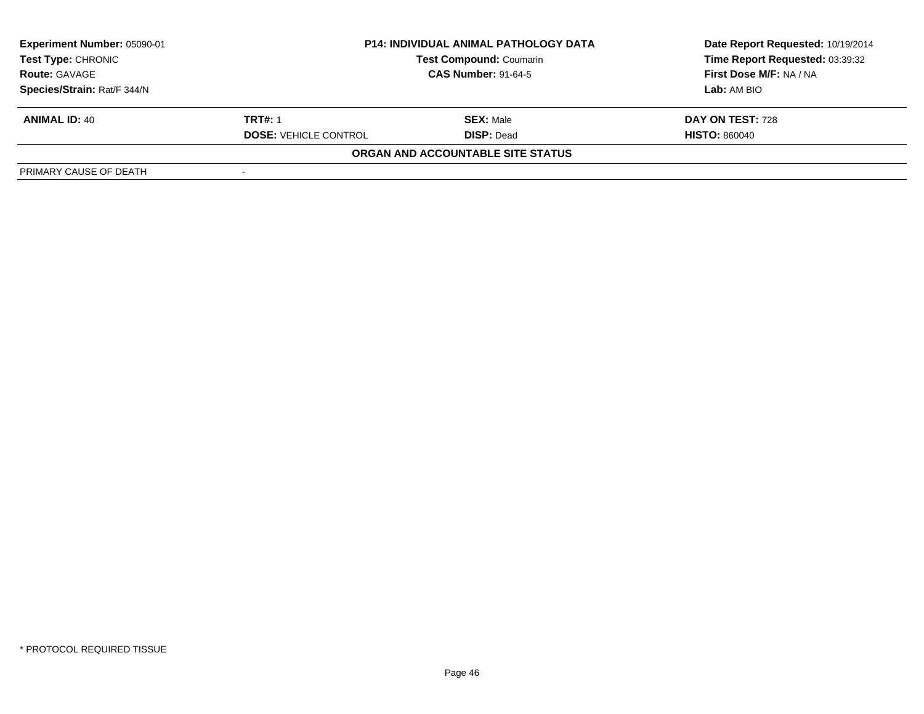| Experiment Number: 05090-01 |                              | <b>P14: INDIVIDUAL ANIMAL PATHOLOGY DATA</b> | Date Report Requested: 10/19/2014 |  |
|-----------------------------|------------------------------|----------------------------------------------|-----------------------------------|--|
| <b>Test Type: CHRONIC</b>   |                              | <b>Test Compound: Coumarin</b>               | Time Report Requested: 03:39:32   |  |
| <b>Route: GAVAGE</b>        | <b>CAS Number: 91-64-5</b>   |                                              | First Dose M/F: NA / NA           |  |
| Species/Strain: Rat/F 344/N |                              |                                              | Lab: AM BIO                       |  |
| <b>ANIMAL ID: 40</b>        | <b>TRT#: 1</b>               | <b>SEX:</b> Male                             | DAY ON TEST: 728                  |  |
|                             | <b>DOSE: VEHICLE CONTROL</b> | <b>DISP: Dead</b>                            | <b>HISTO: 860040</b>              |  |
|                             |                              | ORGAN AND ACCOUNTABLE SITE STATUS            |                                   |  |
| PRIMARY CAUSE OF DEATH      |                              |                                              |                                   |  |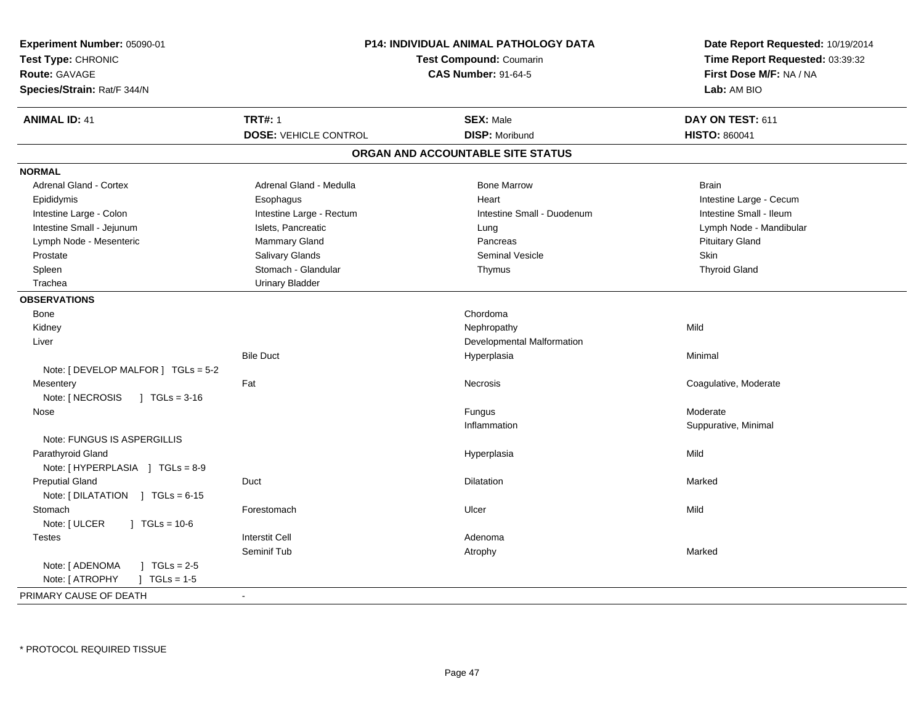| Experiment Number: 05090-01<br>Test Type: CHRONIC<br><b>Route: GAVAGE</b><br>Species/Strain: Rat/F 344/N | <b>P14: INDIVIDUAL ANIMAL PATHOLOGY DATA</b><br><b>Test Compound: Coumarin</b><br><b>CAS Number: 91-64-5</b> |                                   | Date Report Requested: 10/19/2014<br>Time Report Requested: 03:39:32<br>First Dose M/F: NA / NA<br>Lab: AM BIO |
|----------------------------------------------------------------------------------------------------------|--------------------------------------------------------------------------------------------------------------|-----------------------------------|----------------------------------------------------------------------------------------------------------------|
| <b>ANIMAL ID: 41</b>                                                                                     | <b>TRT#: 1</b>                                                                                               | <b>SEX: Male</b>                  | DAY ON TEST: 611                                                                                               |
|                                                                                                          | <b>DOSE: VEHICLE CONTROL</b>                                                                                 | <b>DISP: Moribund</b>             | <b>HISTO: 860041</b>                                                                                           |
|                                                                                                          |                                                                                                              | ORGAN AND ACCOUNTABLE SITE STATUS |                                                                                                                |
| <b>NORMAL</b>                                                                                            |                                                                                                              |                                   |                                                                                                                |
| Adrenal Gland - Cortex                                                                                   | Adrenal Gland - Medulla                                                                                      | <b>Bone Marrow</b>                | <b>Brain</b>                                                                                                   |
| Epididymis                                                                                               | Esophagus                                                                                                    | Heart                             | Intestine Large - Cecum                                                                                        |
| Intestine Large - Colon                                                                                  | Intestine Large - Rectum                                                                                     | Intestine Small - Duodenum        | Intestine Small - Ileum                                                                                        |
| Intestine Small - Jejunum                                                                                | Islets, Pancreatic                                                                                           | Lung                              | Lymph Node - Mandibular                                                                                        |
| Lymph Node - Mesenteric                                                                                  | <b>Mammary Gland</b>                                                                                         | Pancreas                          | <b>Pituitary Gland</b>                                                                                         |
| Prostate                                                                                                 | Salivary Glands                                                                                              | <b>Seminal Vesicle</b>            | Skin                                                                                                           |
| Spleen                                                                                                   | Stomach - Glandular                                                                                          | Thymus                            | <b>Thyroid Gland</b>                                                                                           |
| Trachea                                                                                                  | <b>Urinary Bladder</b>                                                                                       |                                   |                                                                                                                |
| <b>OBSERVATIONS</b>                                                                                      |                                                                                                              |                                   |                                                                                                                |
| <b>Bone</b>                                                                                              |                                                                                                              | Chordoma                          |                                                                                                                |
| Kidney                                                                                                   |                                                                                                              | Nephropathy                       | Mild                                                                                                           |
| Liver                                                                                                    |                                                                                                              | Developmental Malformation        |                                                                                                                |
| Note: [ DEVELOP MALFOR ] $TGLs = 5-2$                                                                    | <b>Bile Duct</b>                                                                                             | Hyperplasia                       | Minimal                                                                                                        |
| Mesentery                                                                                                | Fat                                                                                                          | <b>Necrosis</b>                   | Coagulative, Moderate                                                                                          |
| Note: [ NECROSIS<br>$\sqrt{1}$ TGLs = 3-16                                                               |                                                                                                              |                                   |                                                                                                                |
| Nose                                                                                                     |                                                                                                              | Fungus                            | Moderate                                                                                                       |
|                                                                                                          |                                                                                                              | Inflammation                      | Suppurative, Minimal                                                                                           |
| Note: FUNGUS IS ASPERGILLIS                                                                              |                                                                                                              |                                   |                                                                                                                |
| Parathyroid Gland                                                                                        |                                                                                                              | Hyperplasia                       | Mild                                                                                                           |
| Note: [HYPERPLASIA ] TGLs = 8-9                                                                          |                                                                                                              |                                   |                                                                                                                |
| <b>Preputial Gland</b>                                                                                   | Duct                                                                                                         | <b>Dilatation</b>                 | Marked                                                                                                         |
| Note: [DILATATION ] TGLs = 6-15                                                                          |                                                                                                              |                                   |                                                                                                                |
| Stomach                                                                                                  | Forestomach                                                                                                  | Ulcer                             | Mild                                                                                                           |
| Note: [ ULCER<br>$\sqrt{1}$ TGLs = 10-6                                                                  |                                                                                                              |                                   |                                                                                                                |
| <b>Testes</b>                                                                                            | <b>Interstit Cell</b>                                                                                        | Adenoma                           |                                                                                                                |
|                                                                                                          | Seminif Tub                                                                                                  | Atrophy                           | Marked                                                                                                         |
| Note: [ ADENOMA<br>$1 TGLs = 2-5$                                                                        |                                                                                                              |                                   |                                                                                                                |
| Note: [ ATROPHY<br>$J \cdot TGLs = 1-5$                                                                  |                                                                                                              |                                   |                                                                                                                |
| PRIMARY CAUSE OF DEATH                                                                                   | $\sim$                                                                                                       |                                   |                                                                                                                |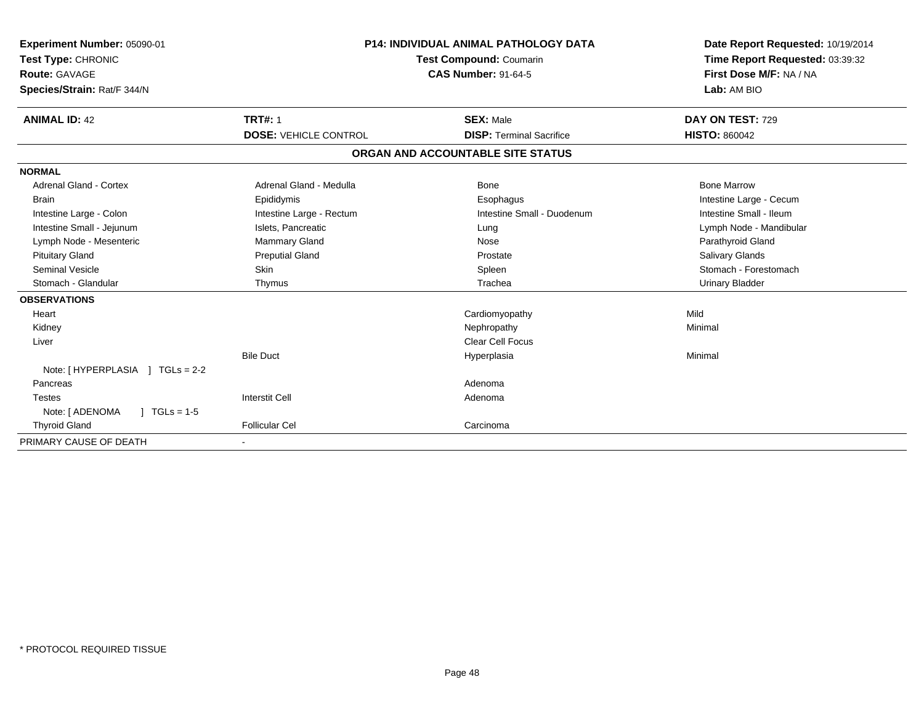| Experiment Number: 05090-01<br>Test Type: CHRONIC<br><b>Route: GAVAGE</b><br>Species/Strain: Rat/F 344/N |                              | <b>P14: INDIVIDUAL ANIMAL PATHOLOGY DATA</b><br><b>Test Compound: Coumarin</b><br><b>CAS Number: 91-64-5</b> | Date Report Requested: 10/19/2014<br>Time Report Requested: 03:39:32<br>First Dose M/F: NA / NA<br>Lab: AM BIO |  |
|----------------------------------------------------------------------------------------------------------|------------------------------|--------------------------------------------------------------------------------------------------------------|----------------------------------------------------------------------------------------------------------------|--|
| <b>ANIMAL ID: 42</b>                                                                                     | <b>TRT#: 1</b>               | <b>SEX: Male</b>                                                                                             | DAY ON TEST: 729                                                                                               |  |
|                                                                                                          | <b>DOSE: VEHICLE CONTROL</b> | <b>DISP: Terminal Sacrifice</b>                                                                              | <b>HISTO: 860042</b>                                                                                           |  |
|                                                                                                          |                              | ORGAN AND ACCOUNTABLE SITE STATUS                                                                            |                                                                                                                |  |
| <b>NORMAL</b>                                                                                            |                              |                                                                                                              |                                                                                                                |  |
| <b>Adrenal Gland - Cortex</b>                                                                            | Adrenal Gland - Medulla      | Bone                                                                                                         | <b>Bone Marrow</b>                                                                                             |  |
| <b>Brain</b>                                                                                             | Epididymis                   | Esophagus                                                                                                    | Intestine Large - Cecum                                                                                        |  |
| Intestine Large - Colon                                                                                  | Intestine Large - Rectum     | Intestine Small - Duodenum                                                                                   | Intestine Small - Ileum                                                                                        |  |
| Intestine Small - Jejunum                                                                                | Islets, Pancreatic           | Lung                                                                                                         | Lymph Node - Mandibular                                                                                        |  |
| Lymph Node - Mesenteric                                                                                  | <b>Mammary Gland</b>         | Nose                                                                                                         | Parathyroid Gland                                                                                              |  |
| <b>Pituitary Gland</b>                                                                                   | <b>Preputial Gland</b>       | Prostate                                                                                                     | Salivary Glands                                                                                                |  |
| Seminal Vesicle                                                                                          | <b>Skin</b>                  | Spleen                                                                                                       | Stomach - Forestomach                                                                                          |  |
| Stomach - Glandular                                                                                      | Thymus                       | Trachea                                                                                                      | <b>Urinary Bladder</b>                                                                                         |  |
| <b>OBSERVATIONS</b>                                                                                      |                              |                                                                                                              |                                                                                                                |  |
| Heart                                                                                                    |                              | Cardiomyopathy                                                                                               | Mild                                                                                                           |  |
| Kidney                                                                                                   |                              | Nephropathy                                                                                                  | Minimal                                                                                                        |  |
| Liver                                                                                                    |                              | Clear Cell Focus                                                                                             |                                                                                                                |  |
| Note: [ HYPERPLASIA ] TGLs = 2-2                                                                         | <b>Bile Duct</b>             | Hyperplasia                                                                                                  | Minimal                                                                                                        |  |
| Pancreas                                                                                                 |                              | Adenoma                                                                                                      |                                                                                                                |  |
| <b>Testes</b>                                                                                            | <b>Interstit Cell</b>        | Adenoma                                                                                                      |                                                                                                                |  |
| Note: [ ADENOMA<br>$\sqrt{ }$ TGLs = 1-5                                                                 |                              |                                                                                                              |                                                                                                                |  |
| <b>Thyroid Gland</b>                                                                                     | <b>Follicular Cel</b>        | Carcinoma                                                                                                    |                                                                                                                |  |
| PRIMARY CAUSE OF DEATH                                                                                   |                              |                                                                                                              |                                                                                                                |  |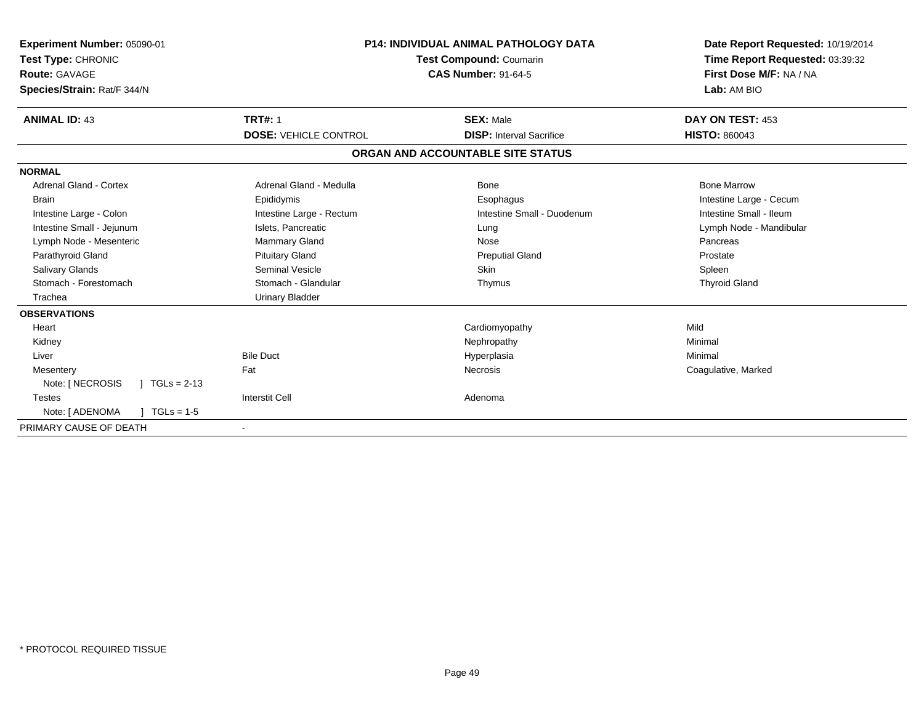| Experiment Number: 05090-01<br>Test Type: CHRONIC<br>Route: GAVAGE<br>Species/Strain: Rat/F 344/N | <b>P14: INDIVIDUAL ANIMAL PATHOLOGY DATA</b><br><b>Test Compound: Coumarin</b><br><b>CAS Number: 91-64-5</b> |                                   | Date Report Requested: 10/19/2014<br>Time Report Requested: 03:39:32<br>First Dose M/F: NA / NA<br>Lab: AM BIO |  |
|---------------------------------------------------------------------------------------------------|--------------------------------------------------------------------------------------------------------------|-----------------------------------|----------------------------------------------------------------------------------------------------------------|--|
| <b>ANIMAL ID: 43</b>                                                                              | <b>TRT#: 1</b>                                                                                               | <b>SEX: Male</b>                  | DAY ON TEST: 453                                                                                               |  |
|                                                                                                   | <b>DOSE: VEHICLE CONTROL</b>                                                                                 | <b>DISP:</b> Interval Sacrifice   | <b>HISTO: 860043</b>                                                                                           |  |
|                                                                                                   |                                                                                                              | ORGAN AND ACCOUNTABLE SITE STATUS |                                                                                                                |  |
| <b>NORMAL</b>                                                                                     |                                                                                                              |                                   |                                                                                                                |  |
| <b>Adrenal Gland - Cortex</b>                                                                     | Adrenal Gland - Medulla                                                                                      | Bone                              | <b>Bone Marrow</b>                                                                                             |  |
| <b>Brain</b>                                                                                      | Epididymis                                                                                                   | Esophagus                         | Intestine Large - Cecum                                                                                        |  |
| Intestine Large - Colon                                                                           | Intestine Large - Rectum                                                                                     | Intestine Small - Duodenum        | Intestine Small - Ileum                                                                                        |  |
| Intestine Small - Jejunum                                                                         | Islets, Pancreatic                                                                                           | Lung                              | Lymph Node - Mandibular                                                                                        |  |
| Lymph Node - Mesenteric                                                                           | <b>Mammary Gland</b>                                                                                         | Nose                              | Pancreas                                                                                                       |  |
| Parathyroid Gland                                                                                 | <b>Pituitary Gland</b>                                                                                       | <b>Preputial Gland</b>            | Prostate                                                                                                       |  |
| <b>Salivary Glands</b>                                                                            | <b>Seminal Vesicle</b>                                                                                       | <b>Skin</b>                       | Spleen                                                                                                         |  |
| Stomach - Forestomach                                                                             | Stomach - Glandular                                                                                          | Thymus                            | <b>Thyroid Gland</b>                                                                                           |  |
| Trachea                                                                                           | <b>Urinary Bladder</b>                                                                                       |                                   |                                                                                                                |  |
| <b>OBSERVATIONS</b>                                                                               |                                                                                                              |                                   |                                                                                                                |  |
| Heart                                                                                             |                                                                                                              | Cardiomyopathy                    | Mild                                                                                                           |  |
| Kidney                                                                                            |                                                                                                              | Nephropathy                       | Minimal                                                                                                        |  |
| Liver                                                                                             | <b>Bile Duct</b>                                                                                             | Hyperplasia                       | Minimal                                                                                                        |  |
| Mesentery                                                                                         | Fat                                                                                                          | <b>Necrosis</b>                   | Coagulative, Marked                                                                                            |  |
| Note: [ NECROSIS<br>$\mid$ TGLs = 2-13                                                            |                                                                                                              |                                   |                                                                                                                |  |
| <b>Testes</b>                                                                                     | <b>Interstit Cell</b>                                                                                        | Adenoma                           |                                                                                                                |  |
| Note: [ ADENOMA<br>$TGLs = 1-5$                                                                   |                                                                                                              |                                   |                                                                                                                |  |
| PRIMARY CAUSE OF DEATH                                                                            | $\overline{\phantom{a}}$                                                                                     |                                   |                                                                                                                |  |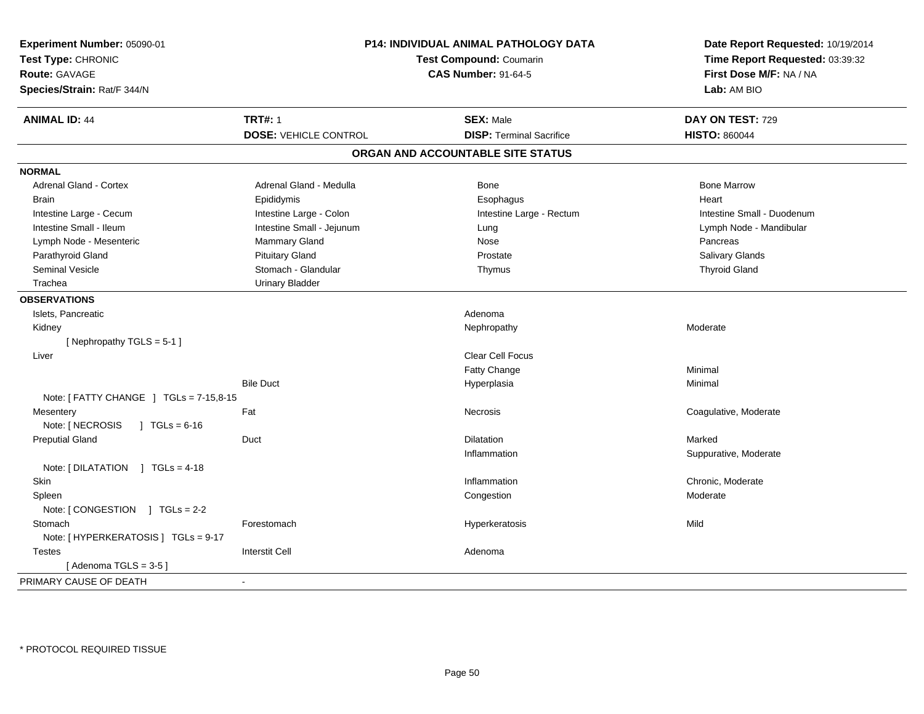| Experiment Number: 05090-01<br>Test Type: CHRONIC<br><b>Route: GAVAGE</b><br>Species/Strain: Rat/F 344/N | P14: INDIVIDUAL ANIMAL PATHOLOGY DATA<br><b>Test Compound: Coumarin</b><br><b>CAS Number: 91-64-5</b> |                                   | Date Report Requested: 10/19/2014<br>Time Report Requested: 03:39:32<br>First Dose M/F: NA / NA<br>Lab: AM BIO |
|----------------------------------------------------------------------------------------------------------|-------------------------------------------------------------------------------------------------------|-----------------------------------|----------------------------------------------------------------------------------------------------------------|
| <b>ANIMAL ID: 44</b>                                                                                     | <b>TRT#: 1</b>                                                                                        | <b>SEX: Male</b>                  | DAY ON TEST: 729                                                                                               |
|                                                                                                          | <b>DOSE: VEHICLE CONTROL</b>                                                                          | <b>DISP: Terminal Sacrifice</b>   | <b>HISTO: 860044</b>                                                                                           |
|                                                                                                          |                                                                                                       | ORGAN AND ACCOUNTABLE SITE STATUS |                                                                                                                |
| <b>NORMAL</b>                                                                                            |                                                                                                       |                                   |                                                                                                                |
| Adrenal Gland - Cortex                                                                                   | Adrenal Gland - Medulla                                                                               | Bone                              | <b>Bone Marrow</b>                                                                                             |
| <b>Brain</b>                                                                                             | Epididymis                                                                                            | Esophagus                         | Heart                                                                                                          |
| Intestine Large - Cecum                                                                                  | Intestine Large - Colon                                                                               | Intestine Large - Rectum          | Intestine Small - Duodenum                                                                                     |
| Intestine Small - Ileum                                                                                  | Intestine Small - Jejunum                                                                             | Lung                              | Lymph Node - Mandibular                                                                                        |
| Lymph Node - Mesenteric                                                                                  | Mammary Gland                                                                                         | Nose                              | Pancreas                                                                                                       |
| Parathyroid Gland                                                                                        | <b>Pituitary Gland</b>                                                                                | Prostate                          | Salivary Glands                                                                                                |
| <b>Seminal Vesicle</b>                                                                                   | Stomach - Glandular                                                                                   | Thymus                            | <b>Thyroid Gland</b>                                                                                           |
| Trachea                                                                                                  | <b>Urinary Bladder</b>                                                                                |                                   |                                                                                                                |
| <b>OBSERVATIONS</b>                                                                                      |                                                                                                       |                                   |                                                                                                                |
| Islets, Pancreatic                                                                                       |                                                                                                       | Adenoma                           |                                                                                                                |
| Kidney                                                                                                   |                                                                                                       | Nephropathy                       | Moderate                                                                                                       |
| [Nephropathy TGLS = 5-1]                                                                                 |                                                                                                       |                                   |                                                                                                                |
| Liver                                                                                                    |                                                                                                       | Clear Cell Focus                  |                                                                                                                |
|                                                                                                          |                                                                                                       | Fatty Change                      | Minimal                                                                                                        |
|                                                                                                          | <b>Bile Duct</b>                                                                                      | Hyperplasia                       | Minimal                                                                                                        |
| Note: $[$ FATTY CHANGE $]$ TGLs = 7-15,8-15                                                              |                                                                                                       |                                   |                                                                                                                |
| Mesentery                                                                                                | Fat                                                                                                   | Necrosis                          | Coagulative, Moderate                                                                                          |
| Note: [ NECROSIS<br>$\sqrt{1} \text{ TGLs} = 6-16$                                                       |                                                                                                       |                                   |                                                                                                                |
| <b>Preputial Gland</b>                                                                                   | Duct                                                                                                  | <b>Dilatation</b>                 | Marked                                                                                                         |
|                                                                                                          |                                                                                                       | Inflammation                      | Suppurative, Moderate                                                                                          |
| Note: $[DILATATION] TGLs = 4-18$                                                                         |                                                                                                       |                                   |                                                                                                                |
| Skin                                                                                                     |                                                                                                       | Inflammation                      | Chronic, Moderate                                                                                              |
| Spleen                                                                                                   |                                                                                                       | Congestion                        | Moderate                                                                                                       |
| Note: $[$ CONGESTION $]$ TGLs = 2-2                                                                      |                                                                                                       |                                   |                                                                                                                |
| Stomach                                                                                                  | Forestomach                                                                                           | Hyperkeratosis                    | Mild                                                                                                           |
| Note: [ HYPERKERATOSIS ] TGLs = 9-17                                                                     |                                                                                                       |                                   |                                                                                                                |
| <b>Testes</b>                                                                                            | <b>Interstit Cell</b>                                                                                 | Adenoma                           |                                                                                                                |
| [Adenoma TGLS = $3-5$ ]                                                                                  |                                                                                                       |                                   |                                                                                                                |
| PRIMARY CAUSE OF DEATH                                                                                   |                                                                                                       |                                   |                                                                                                                |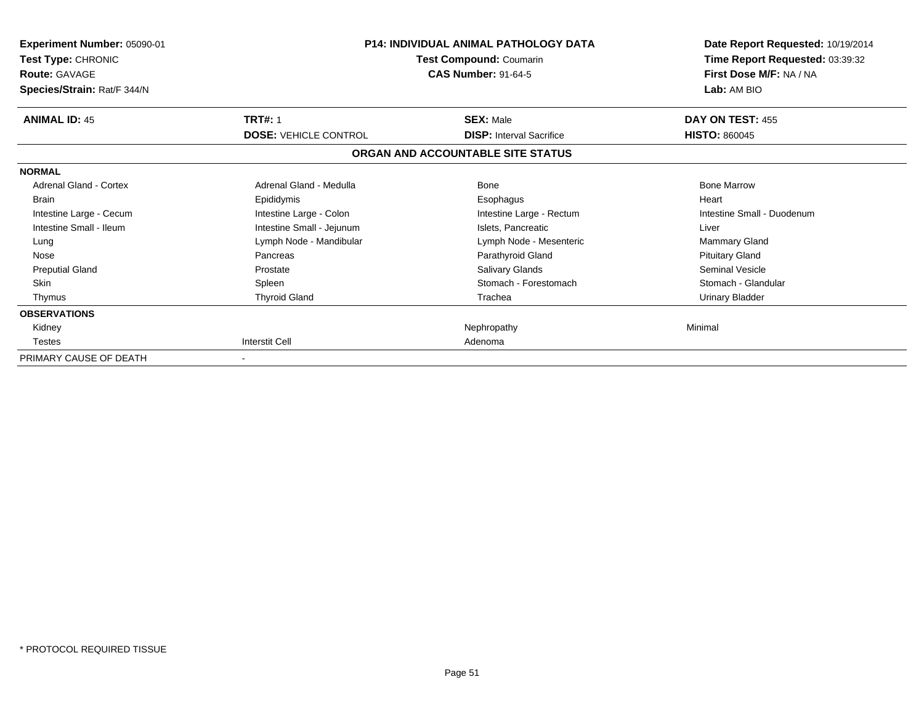| Experiment Number: 05090-01<br>Test Type: CHRONIC<br><b>Route: GAVAGE</b><br>Species/Strain: Rat/F 344/N | <b>P14: INDIVIDUAL ANIMAL PATHOLOGY DATA</b><br>Test Compound: Coumarin<br><b>CAS Number: 91-64-5</b> |                                   | Date Report Requested: 10/19/2014<br>Time Report Requested: 03:39:32<br>First Dose M/F: NA / NA<br>Lab: AM BIO |
|----------------------------------------------------------------------------------------------------------|-------------------------------------------------------------------------------------------------------|-----------------------------------|----------------------------------------------------------------------------------------------------------------|
| <b>ANIMAL ID: 45</b>                                                                                     | <b>TRT#: 1</b>                                                                                        | <b>SEX: Male</b>                  | DAY ON TEST: 455                                                                                               |
|                                                                                                          | <b>DOSE: VEHICLE CONTROL</b>                                                                          | <b>DISP:</b> Interval Sacrifice   | <b>HISTO: 860045</b>                                                                                           |
|                                                                                                          |                                                                                                       | ORGAN AND ACCOUNTABLE SITE STATUS |                                                                                                                |
| <b>NORMAL</b>                                                                                            |                                                                                                       |                                   |                                                                                                                |
| <b>Adrenal Gland - Cortex</b>                                                                            | Adrenal Gland - Medulla                                                                               | <b>Bone</b>                       | <b>Bone Marrow</b>                                                                                             |
| <b>Brain</b>                                                                                             | Epididymis                                                                                            | Esophagus                         | Heart                                                                                                          |
| Intestine Large - Cecum                                                                                  | Intestine Large - Colon                                                                               | Intestine Large - Rectum          | Intestine Small - Duodenum                                                                                     |
| Intestine Small - Ileum                                                                                  | Intestine Small - Jejunum                                                                             | Islets, Pancreatic                | Liver                                                                                                          |
| Lung                                                                                                     | Lymph Node - Mandibular                                                                               | Lymph Node - Mesenteric           | <b>Mammary Gland</b>                                                                                           |
| Nose                                                                                                     | Pancreas                                                                                              | Parathyroid Gland                 | <b>Pituitary Gland</b>                                                                                         |
| <b>Preputial Gland</b>                                                                                   | Prostate                                                                                              | Salivary Glands                   | Seminal Vesicle                                                                                                |
| <b>Skin</b>                                                                                              | Spleen                                                                                                | Stomach - Forestomach             | Stomach - Glandular                                                                                            |
| Thymus                                                                                                   | <b>Thyroid Gland</b>                                                                                  | Trachea                           | <b>Urinary Bladder</b>                                                                                         |
| <b>OBSERVATIONS</b>                                                                                      |                                                                                                       |                                   |                                                                                                                |
| Kidney                                                                                                   |                                                                                                       | Nephropathy                       | Minimal                                                                                                        |
| Testes                                                                                                   | Interstit Cell                                                                                        | Adenoma                           |                                                                                                                |
| PRIMARY CAUSE OF DEATH                                                                                   | $\blacksquare$                                                                                        |                                   |                                                                                                                |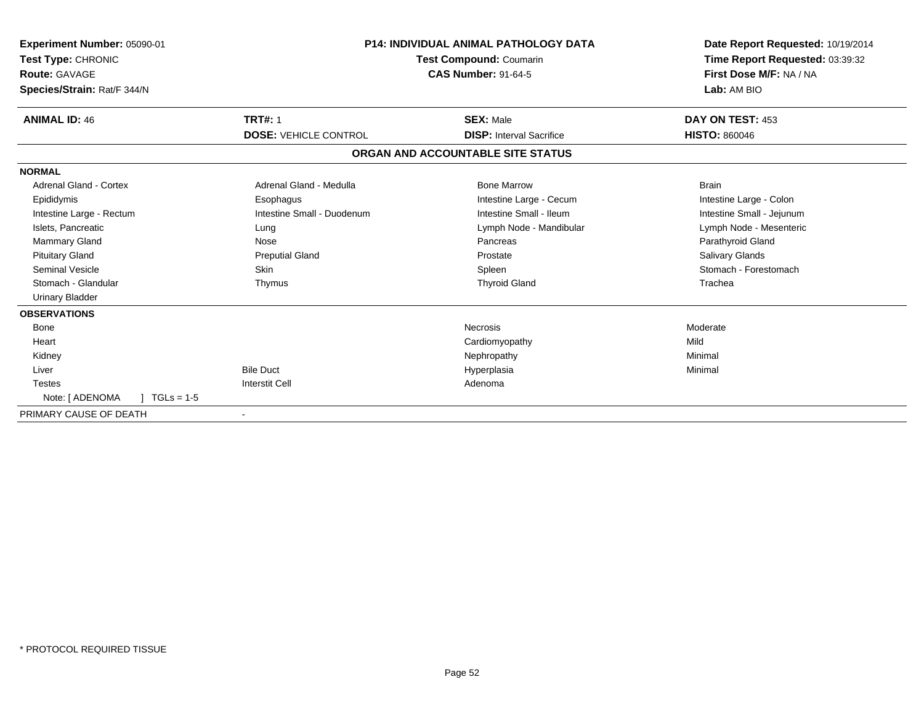| Experiment Number: 05090-01<br><b>Test Type: CHRONIC</b><br>Route: GAVAGE<br>Species/Strain: Rat/F 344/N | <b>P14: INDIVIDUAL ANIMAL PATHOLOGY DATA</b><br>Test Compound: Coumarin<br><b>CAS Number: 91-64-5</b> |                                   | Date Report Requested: 10/19/2014<br>Time Report Requested: 03:39:32<br>First Dose M/F: NA / NA<br>Lab: AM BIO |  |
|----------------------------------------------------------------------------------------------------------|-------------------------------------------------------------------------------------------------------|-----------------------------------|----------------------------------------------------------------------------------------------------------------|--|
| <b>ANIMAL ID: 46</b>                                                                                     | <b>TRT#: 1</b>                                                                                        | <b>SEX: Male</b>                  | DAY ON TEST: 453                                                                                               |  |
|                                                                                                          | <b>DOSE: VEHICLE CONTROL</b>                                                                          | <b>DISP: Interval Sacrifice</b>   | <b>HISTO: 860046</b>                                                                                           |  |
|                                                                                                          |                                                                                                       | ORGAN AND ACCOUNTABLE SITE STATUS |                                                                                                                |  |
| <b>NORMAL</b>                                                                                            |                                                                                                       |                                   |                                                                                                                |  |
| <b>Adrenal Gland - Cortex</b>                                                                            | Adrenal Gland - Medulla                                                                               | <b>Bone Marrow</b>                | <b>Brain</b>                                                                                                   |  |
| Epididymis                                                                                               | Esophagus                                                                                             | Intestine Large - Cecum           | Intestine Large - Colon                                                                                        |  |
| Intestine Large - Rectum                                                                                 | Intestine Small - Duodenum                                                                            | Intestine Small - Ileum           | Intestine Small - Jejunum                                                                                      |  |
| Islets, Pancreatic                                                                                       | Lung                                                                                                  | Lymph Node - Mandibular           | Lymph Node - Mesenteric                                                                                        |  |
| <b>Mammary Gland</b>                                                                                     | Nose                                                                                                  | Pancreas                          | Parathyroid Gland                                                                                              |  |
| <b>Pituitary Gland</b>                                                                                   | <b>Preputial Gland</b>                                                                                | Prostate                          | <b>Salivary Glands</b>                                                                                         |  |
| <b>Seminal Vesicle</b>                                                                                   | <b>Skin</b>                                                                                           | Spleen                            | Stomach - Forestomach                                                                                          |  |
| Stomach - Glandular                                                                                      | Thymus                                                                                                | <b>Thyroid Gland</b>              | Trachea                                                                                                        |  |
| <b>Urinary Bladder</b>                                                                                   |                                                                                                       |                                   |                                                                                                                |  |
| <b>OBSERVATIONS</b>                                                                                      |                                                                                                       |                                   |                                                                                                                |  |
| Bone                                                                                                     |                                                                                                       | <b>Necrosis</b>                   | Moderate                                                                                                       |  |
| Heart                                                                                                    |                                                                                                       | Cardiomyopathy                    | Mild                                                                                                           |  |
| Kidney                                                                                                   |                                                                                                       | Nephropathy                       | Minimal                                                                                                        |  |
| Liver                                                                                                    | <b>Bile Duct</b>                                                                                      | Hyperplasia                       | Minimal                                                                                                        |  |
| <b>Testes</b>                                                                                            | <b>Interstit Cell</b>                                                                                 | Adenoma                           |                                                                                                                |  |
| Note: [ ADENOMA<br>$TGLs = 1-5$                                                                          |                                                                                                       |                                   |                                                                                                                |  |
| PRIMARY CAUSE OF DEATH                                                                                   |                                                                                                       |                                   |                                                                                                                |  |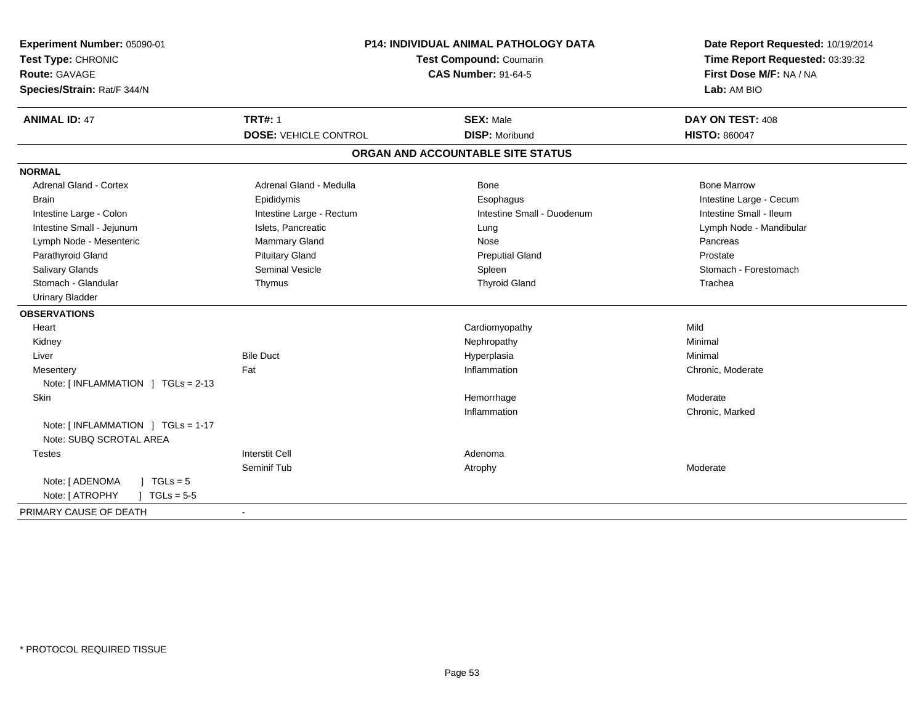| Experiment Number: 05090-01<br>Test Type: CHRONIC<br>Route: GAVAGE<br>Species/Strain: Rat/F 344/N | P14: INDIVIDUAL ANIMAL PATHOLOGY DATA<br>Test Compound: Coumarin<br><b>CAS Number: 91-64-5</b> |                                           | Date Report Requested: 10/19/2014<br>Time Report Requested: 03:39:32<br>First Dose M/F: NA / NA<br>Lab: AM BIO |
|---------------------------------------------------------------------------------------------------|------------------------------------------------------------------------------------------------|-------------------------------------------|----------------------------------------------------------------------------------------------------------------|
| <b>ANIMAL ID: 47</b>                                                                              | <b>TRT#: 1</b>                                                                                 | <b>SEX: Male</b><br><b>DISP: Moribund</b> | DAY ON TEST: 408                                                                                               |
|                                                                                                   | <b>DOSE: VEHICLE CONTROL</b>                                                                   |                                           | <b>HISTO: 860047</b>                                                                                           |
|                                                                                                   |                                                                                                | ORGAN AND ACCOUNTABLE SITE STATUS         |                                                                                                                |
| <b>NORMAL</b>                                                                                     |                                                                                                |                                           |                                                                                                                |
| <b>Adrenal Gland - Cortex</b>                                                                     | Adrenal Gland - Medulla                                                                        | <b>Bone</b>                               | <b>Bone Marrow</b>                                                                                             |
| <b>Brain</b>                                                                                      | Epididymis                                                                                     | Esophagus                                 | Intestine Large - Cecum                                                                                        |
| Intestine Large - Colon                                                                           | Intestine Large - Rectum                                                                       | Intestine Small - Duodenum                | Intestine Small - Ileum                                                                                        |
| Intestine Small - Jejunum                                                                         | Islets, Pancreatic                                                                             | Lung                                      | Lymph Node - Mandibular                                                                                        |
| Lymph Node - Mesenteric                                                                           | <b>Mammary Gland</b>                                                                           | Nose                                      | Pancreas                                                                                                       |
| Parathyroid Gland                                                                                 | <b>Pituitary Gland</b>                                                                         | <b>Preputial Gland</b>                    | Prostate                                                                                                       |
| Salivary Glands                                                                                   | <b>Seminal Vesicle</b>                                                                         | Spleen                                    | Stomach - Forestomach                                                                                          |
| Stomach - Glandular                                                                               | Thymus                                                                                         | <b>Thyroid Gland</b>                      | Trachea                                                                                                        |
| <b>Urinary Bladder</b>                                                                            |                                                                                                |                                           |                                                                                                                |
| <b>OBSERVATIONS</b>                                                                               |                                                                                                |                                           |                                                                                                                |
| Heart                                                                                             |                                                                                                | Cardiomyopathy                            | Mild                                                                                                           |
| Kidney                                                                                            |                                                                                                | Nephropathy                               | Minimal                                                                                                        |
| Liver                                                                                             | <b>Bile Duct</b>                                                                               | Hyperplasia                               | Minimal                                                                                                        |
| Mesentery                                                                                         | Fat                                                                                            | Inflammation                              | Chronic, Moderate                                                                                              |
| Note: [ INFLAMMATION ] TGLs = 2-13                                                                |                                                                                                |                                           |                                                                                                                |
| Skin                                                                                              |                                                                                                | Hemorrhage                                | Moderate                                                                                                       |
|                                                                                                   |                                                                                                | Inflammation                              | Chronic, Marked                                                                                                |
| Note: [ INFLAMMATION ] TGLs = 1-17<br>Note: SUBQ SCROTAL AREA                                     |                                                                                                |                                           |                                                                                                                |
| <b>Testes</b>                                                                                     | <b>Interstit Cell</b>                                                                          | Adenoma                                   |                                                                                                                |
|                                                                                                   | Seminif Tub                                                                                    | Atrophy                                   | Moderate                                                                                                       |
| Note: [ ADENOMA<br>$1 TGLs = 5$                                                                   |                                                                                                |                                           |                                                                                                                |
| Note: [ ATROPHY<br>$TGLs = 5-5$                                                                   |                                                                                                |                                           |                                                                                                                |
| PRIMARY CAUSE OF DEATH                                                                            | $\blacksquare$                                                                                 |                                           |                                                                                                                |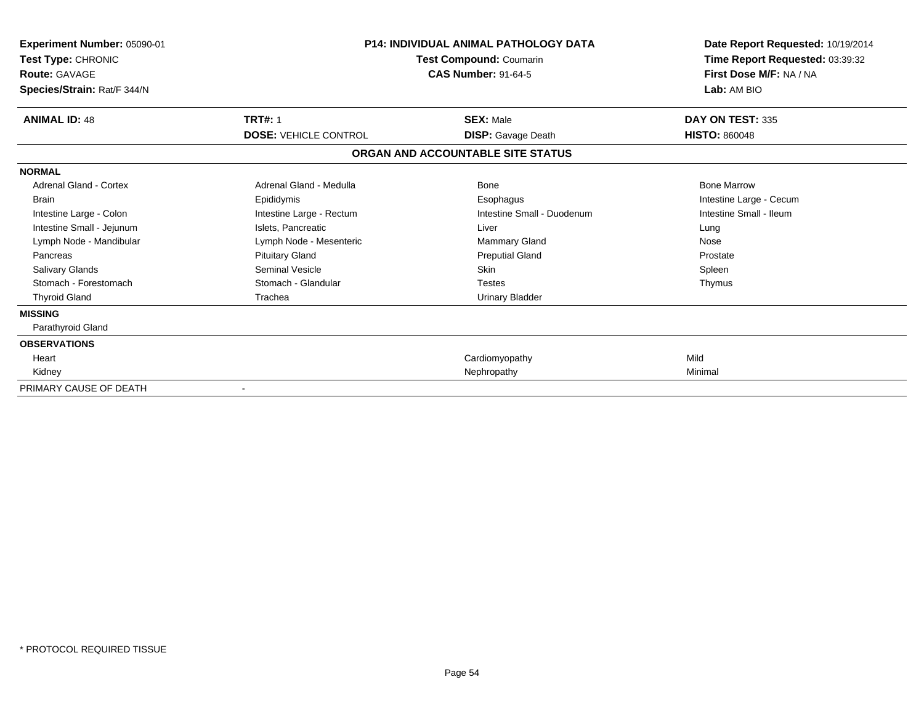| Experiment Number: 05090-01<br>Test Type: CHRONIC<br><b>Route: GAVAGE</b><br>Species/Strain: Rat/F 344/N | <b>P14: INDIVIDUAL ANIMAL PATHOLOGY DATA</b><br>Test Compound: Coumarin<br><b>CAS Number: 91-64-5</b> |                                   | Date Report Requested: 10/19/2014<br>Time Report Requested: 03:39:32<br>First Dose M/F: NA / NA<br>Lab: AM BIO |
|----------------------------------------------------------------------------------------------------------|-------------------------------------------------------------------------------------------------------|-----------------------------------|----------------------------------------------------------------------------------------------------------------|
| <b>ANIMAL ID: 48</b>                                                                                     | <b>TRT#: 1</b>                                                                                        | <b>SEX: Male</b>                  | DAY ON TEST: 335                                                                                               |
|                                                                                                          | <b>DOSE: VEHICLE CONTROL</b>                                                                          | <b>DISP:</b> Gavage Death         | <b>HISTO: 860048</b>                                                                                           |
|                                                                                                          |                                                                                                       | ORGAN AND ACCOUNTABLE SITE STATUS |                                                                                                                |
| <b>NORMAL</b>                                                                                            |                                                                                                       |                                   |                                                                                                                |
| Adrenal Gland - Cortex                                                                                   | Adrenal Gland - Medulla                                                                               | Bone                              | <b>Bone Marrow</b>                                                                                             |
| <b>Brain</b>                                                                                             | Epididymis                                                                                            | Esophagus                         | Intestine Large - Cecum                                                                                        |
| Intestine Large - Colon                                                                                  | Intestine Large - Rectum                                                                              | Intestine Small - Duodenum        | Intestine Small - Ileum                                                                                        |
| Intestine Small - Jejunum                                                                                | Islets, Pancreatic                                                                                    | Liver                             | Lung                                                                                                           |
| Lymph Node - Mandibular                                                                                  | Lymph Node - Mesenteric                                                                               | Mammary Gland                     | Nose                                                                                                           |
| Pancreas                                                                                                 | <b>Pituitary Gland</b>                                                                                | <b>Preputial Gland</b>            | Prostate                                                                                                       |
| <b>Salivary Glands</b>                                                                                   | Seminal Vesicle                                                                                       | Skin                              | Spleen                                                                                                         |
| Stomach - Forestomach                                                                                    | Stomach - Glandular                                                                                   | <b>Testes</b>                     | Thymus                                                                                                         |
| <b>Thyroid Gland</b>                                                                                     | Trachea                                                                                               | Urinary Bladder                   |                                                                                                                |
| <b>MISSING</b>                                                                                           |                                                                                                       |                                   |                                                                                                                |
| Parathyroid Gland                                                                                        |                                                                                                       |                                   |                                                                                                                |
| <b>OBSERVATIONS</b>                                                                                      |                                                                                                       |                                   |                                                                                                                |
| Heart                                                                                                    |                                                                                                       | Cardiomyopathy                    | Mild                                                                                                           |
| Kidney                                                                                                   |                                                                                                       | Nephropathy                       | Minimal                                                                                                        |
| PRIMARY CAUSE OF DEATH                                                                                   |                                                                                                       |                                   |                                                                                                                |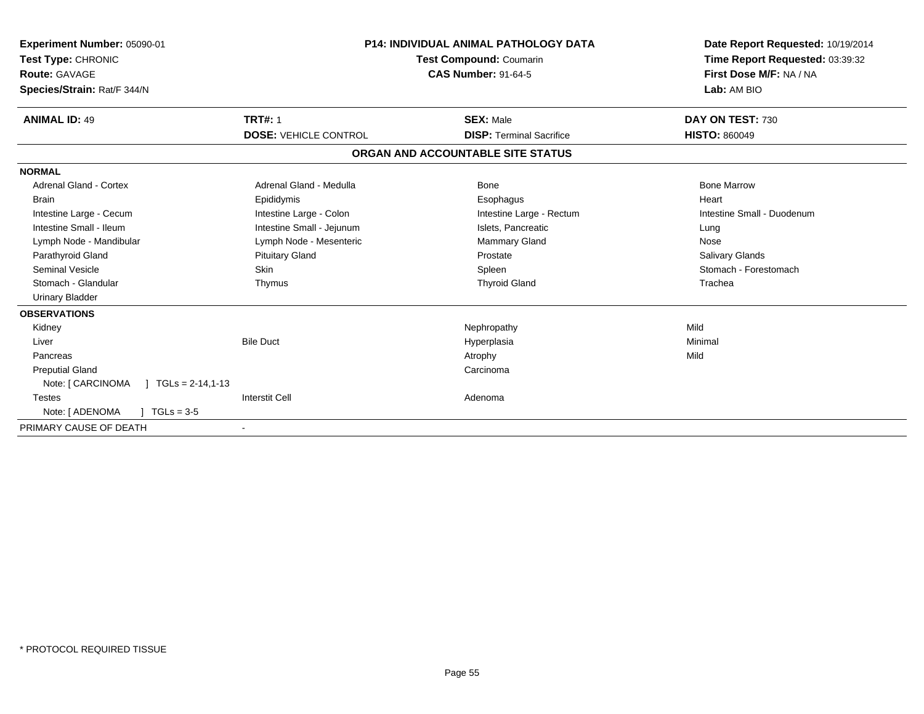| Experiment Number: 05090-01<br>Test Type: CHRONIC<br>Route: GAVAGE<br>Species/Strain: Rat/F 344/N | <b>P14: INDIVIDUAL ANIMAL PATHOLOGY DATA</b><br><b>Test Compound: Coumarin</b><br><b>CAS Number: 91-64-5</b> |                                   | Date Report Requested: 10/19/2014<br>Time Report Requested: 03:39:32<br>First Dose M/F: NA / NA<br>Lab: AM BIO |
|---------------------------------------------------------------------------------------------------|--------------------------------------------------------------------------------------------------------------|-----------------------------------|----------------------------------------------------------------------------------------------------------------|
| <b>ANIMAL ID: 49</b>                                                                              | <b>TRT#: 1</b>                                                                                               | <b>SEX: Male</b>                  | DAY ON TEST: 730                                                                                               |
|                                                                                                   | <b>DOSE: VEHICLE CONTROL</b>                                                                                 | <b>DISP: Terminal Sacrifice</b>   | <b>HISTO: 860049</b>                                                                                           |
|                                                                                                   |                                                                                                              | ORGAN AND ACCOUNTABLE SITE STATUS |                                                                                                                |
| <b>NORMAL</b>                                                                                     |                                                                                                              |                                   |                                                                                                                |
| <b>Adrenal Gland - Cortex</b>                                                                     | Adrenal Gland - Medulla                                                                                      | Bone                              | <b>Bone Marrow</b>                                                                                             |
| <b>Brain</b>                                                                                      | Epididymis                                                                                                   | Esophagus                         | Heart                                                                                                          |
| Intestine Large - Cecum                                                                           | Intestine Large - Colon                                                                                      | Intestine Large - Rectum          | Intestine Small - Duodenum                                                                                     |
| Intestine Small - Ileum                                                                           | Intestine Small - Jejunum                                                                                    | Islets, Pancreatic                | Lung                                                                                                           |
| Lymph Node - Mandibular                                                                           | Lymph Node - Mesenteric                                                                                      | <b>Mammary Gland</b>              | Nose                                                                                                           |
| Parathyroid Gland                                                                                 | <b>Pituitary Gland</b>                                                                                       | Prostate                          | <b>Salivary Glands</b>                                                                                         |
| <b>Seminal Vesicle</b>                                                                            | <b>Skin</b>                                                                                                  | Spleen                            | Stomach - Forestomach                                                                                          |
| Stomach - Glandular                                                                               | Thymus                                                                                                       | <b>Thyroid Gland</b>              | Trachea                                                                                                        |
| <b>Urinary Bladder</b>                                                                            |                                                                                                              |                                   |                                                                                                                |
| <b>OBSERVATIONS</b>                                                                               |                                                                                                              |                                   |                                                                                                                |
| Kidney                                                                                            |                                                                                                              | Nephropathy                       | Mild                                                                                                           |
| Liver                                                                                             | <b>Bile Duct</b>                                                                                             | Hyperplasia                       | Minimal                                                                                                        |
| Pancreas                                                                                          |                                                                                                              | Atrophy                           | Mild                                                                                                           |
| <b>Preputial Gland</b>                                                                            |                                                                                                              | Carcinoma                         |                                                                                                                |
| Note: [ CARCINOMA<br>$TGLs = 2-14,1-13$                                                           |                                                                                                              |                                   |                                                                                                                |
| <b>Testes</b>                                                                                     | <b>Interstit Cell</b>                                                                                        | Adenoma                           |                                                                                                                |
| Note: [ ADENOMA<br>$TGLs = 3-5$                                                                   |                                                                                                              |                                   |                                                                                                                |
| PRIMARY CAUSE OF DEATH                                                                            |                                                                                                              |                                   |                                                                                                                |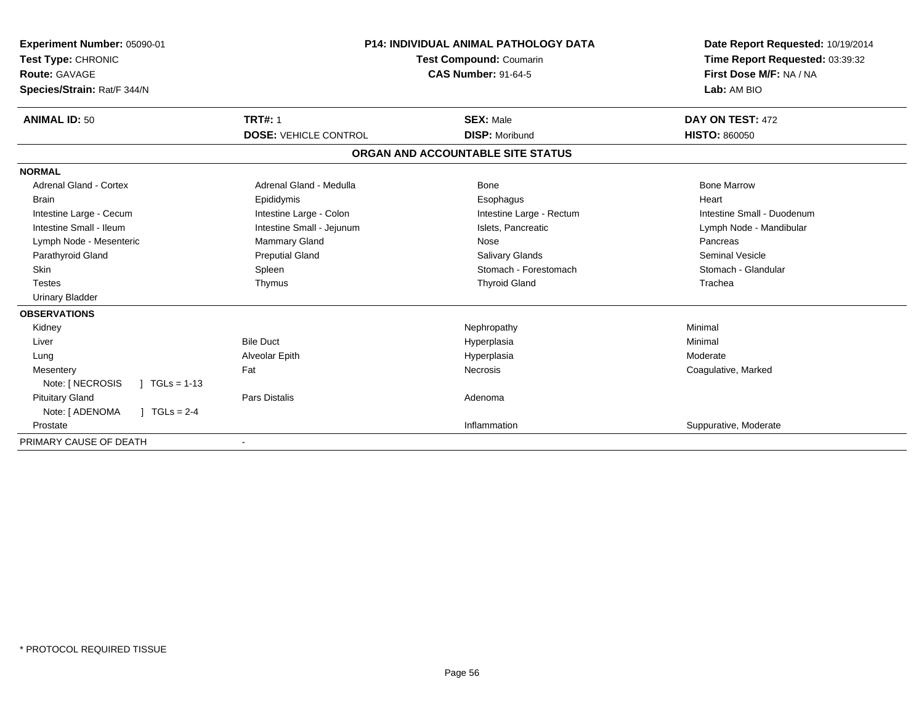| Experiment Number: 05090-01<br>Test Type: CHRONIC<br><b>Route: GAVAGE</b><br>Species/Strain: Rat/F 344/N | <b>P14: INDIVIDUAL ANIMAL PATHOLOGY DATA</b><br><b>Test Compound: Coumarin</b><br><b>CAS Number: 91-64-5</b> |                                   | Date Report Requested: 10/19/2014<br>Time Report Requested: 03:39:32<br>First Dose M/F: NA / NA<br>Lab: AM BIO |  |
|----------------------------------------------------------------------------------------------------------|--------------------------------------------------------------------------------------------------------------|-----------------------------------|----------------------------------------------------------------------------------------------------------------|--|
| <b>ANIMAL ID: 50</b>                                                                                     | <b>TRT#: 1</b>                                                                                               | <b>SEX: Male</b>                  | DAY ON TEST: 472                                                                                               |  |
|                                                                                                          | <b>DOSE: VEHICLE CONTROL</b>                                                                                 | <b>DISP: Moribund</b>             | <b>HISTO: 860050</b>                                                                                           |  |
|                                                                                                          |                                                                                                              | ORGAN AND ACCOUNTABLE SITE STATUS |                                                                                                                |  |
| <b>NORMAL</b>                                                                                            |                                                                                                              |                                   |                                                                                                                |  |
| <b>Adrenal Gland - Cortex</b>                                                                            | Adrenal Gland - Medulla                                                                                      | Bone                              | <b>Bone Marrow</b>                                                                                             |  |
| <b>Brain</b>                                                                                             | Epididymis                                                                                                   | Esophagus                         | Heart                                                                                                          |  |
| Intestine Large - Cecum                                                                                  | Intestine Large - Colon                                                                                      | Intestine Large - Rectum          | Intestine Small - Duodenum                                                                                     |  |
| Intestine Small - Ileum                                                                                  | Intestine Small - Jejunum                                                                                    | Islets, Pancreatic                | Lymph Node - Mandibular                                                                                        |  |
| Lymph Node - Mesenteric                                                                                  | Mammary Gland                                                                                                | Nose                              | Pancreas                                                                                                       |  |
| Parathyroid Gland                                                                                        | <b>Preputial Gland</b>                                                                                       | <b>Salivary Glands</b>            | <b>Seminal Vesicle</b>                                                                                         |  |
| Skin                                                                                                     | Spleen                                                                                                       | Stomach - Forestomach             | Stomach - Glandular                                                                                            |  |
| <b>Testes</b>                                                                                            | Thymus                                                                                                       | <b>Thyroid Gland</b>              | Trachea                                                                                                        |  |
| <b>Urinary Bladder</b>                                                                                   |                                                                                                              |                                   |                                                                                                                |  |
| <b>OBSERVATIONS</b>                                                                                      |                                                                                                              |                                   |                                                                                                                |  |
| Kidney                                                                                                   |                                                                                                              | Nephropathy                       | Minimal                                                                                                        |  |
| Liver                                                                                                    | <b>Bile Duct</b>                                                                                             | Hyperplasia                       | Minimal                                                                                                        |  |
| Lung                                                                                                     | Alveolar Epith                                                                                               | Hyperplasia                       | Moderate                                                                                                       |  |
| Mesentery                                                                                                | Fat                                                                                                          | Necrosis                          | Coagulative, Marked                                                                                            |  |
| Note: [ NECROSIS<br>$1 \text{ TGLs} = 1-13$                                                              |                                                                                                              |                                   |                                                                                                                |  |
| <b>Pituitary Gland</b>                                                                                   | Pars Distalis                                                                                                | Adenoma                           |                                                                                                                |  |
| Note: [ ADENOMA<br>$1 TGLs = 2-4$                                                                        |                                                                                                              |                                   |                                                                                                                |  |
| Prostate                                                                                                 |                                                                                                              | Inflammation                      | Suppurative, Moderate                                                                                          |  |
| PRIMARY CAUSE OF DEATH                                                                                   |                                                                                                              |                                   |                                                                                                                |  |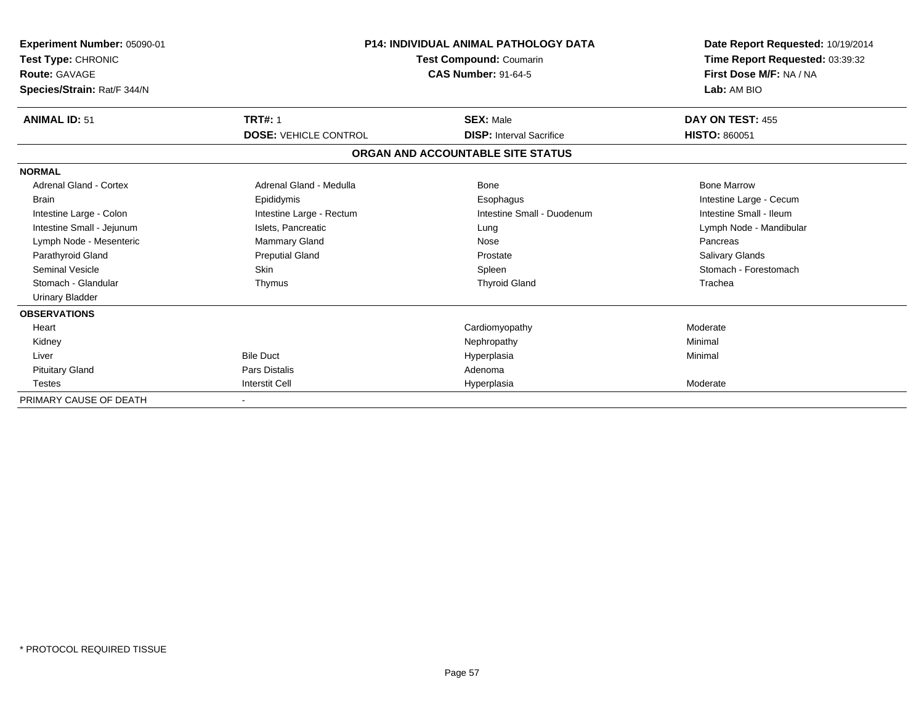| <b>Experiment Number: 05090-01</b><br>Test Type: CHRONIC<br><b>Route: GAVAGE</b><br>Species/Strain: Rat/F 344/N | <b>P14: INDIVIDUAL ANIMAL PATHOLOGY DATA</b><br>Test Compound: Coumarin<br><b>CAS Number: 91-64-5</b> |                                   | Date Report Requested: 10/19/2014<br>Time Report Requested: 03:39:32<br>First Dose M/F: NA / NA<br>Lab: AM BIO |
|-----------------------------------------------------------------------------------------------------------------|-------------------------------------------------------------------------------------------------------|-----------------------------------|----------------------------------------------------------------------------------------------------------------|
| <b>ANIMAL ID: 51</b>                                                                                            | <b>TRT#: 1</b>                                                                                        | <b>SEX: Male</b>                  | DAY ON TEST: 455                                                                                               |
|                                                                                                                 | <b>DOSE: VEHICLE CONTROL</b>                                                                          | <b>DISP:</b> Interval Sacrifice   | <b>HISTO: 860051</b>                                                                                           |
|                                                                                                                 |                                                                                                       | ORGAN AND ACCOUNTABLE SITE STATUS |                                                                                                                |
| <b>NORMAL</b>                                                                                                   |                                                                                                       |                                   |                                                                                                                |
| Adrenal Gland - Cortex                                                                                          | Adrenal Gland - Medulla                                                                               | Bone                              | <b>Bone Marrow</b>                                                                                             |
| <b>Brain</b>                                                                                                    | Epididymis                                                                                            | Esophagus                         | Intestine Large - Cecum                                                                                        |
| Intestine Large - Colon                                                                                         | Intestine Large - Rectum                                                                              | Intestine Small - Duodenum        | Intestine Small - Ileum                                                                                        |
| Intestine Small - Jejunum                                                                                       | Islets, Pancreatic                                                                                    | Lung                              | Lymph Node - Mandibular                                                                                        |
| Lymph Node - Mesenteric                                                                                         | Mammary Gland                                                                                         | Nose                              | Pancreas                                                                                                       |
| Parathyroid Gland                                                                                               | <b>Preputial Gland</b>                                                                                | Prostate                          | <b>Salivary Glands</b>                                                                                         |
| <b>Seminal Vesicle</b>                                                                                          | <b>Skin</b>                                                                                           | Spleen                            | Stomach - Forestomach                                                                                          |
| Stomach - Glandular                                                                                             | Thymus                                                                                                | <b>Thyroid Gland</b>              | Trachea                                                                                                        |
| <b>Urinary Bladder</b>                                                                                          |                                                                                                       |                                   |                                                                                                                |
| <b>OBSERVATIONS</b>                                                                                             |                                                                                                       |                                   |                                                                                                                |
| Heart                                                                                                           |                                                                                                       | Cardiomyopathy                    | Moderate                                                                                                       |
| Kidney                                                                                                          |                                                                                                       | Nephropathy                       | Minimal                                                                                                        |
| Liver                                                                                                           | <b>Bile Duct</b>                                                                                      | Hyperplasia                       | Minimal                                                                                                        |
| <b>Pituitary Gland</b>                                                                                          | <b>Pars Distalis</b>                                                                                  | Adenoma                           |                                                                                                                |
| <b>Testes</b>                                                                                                   | <b>Interstit Cell</b>                                                                                 | Hyperplasia                       | Moderate                                                                                                       |
| PRIMARY CAUSE OF DEATH                                                                                          |                                                                                                       |                                   |                                                                                                                |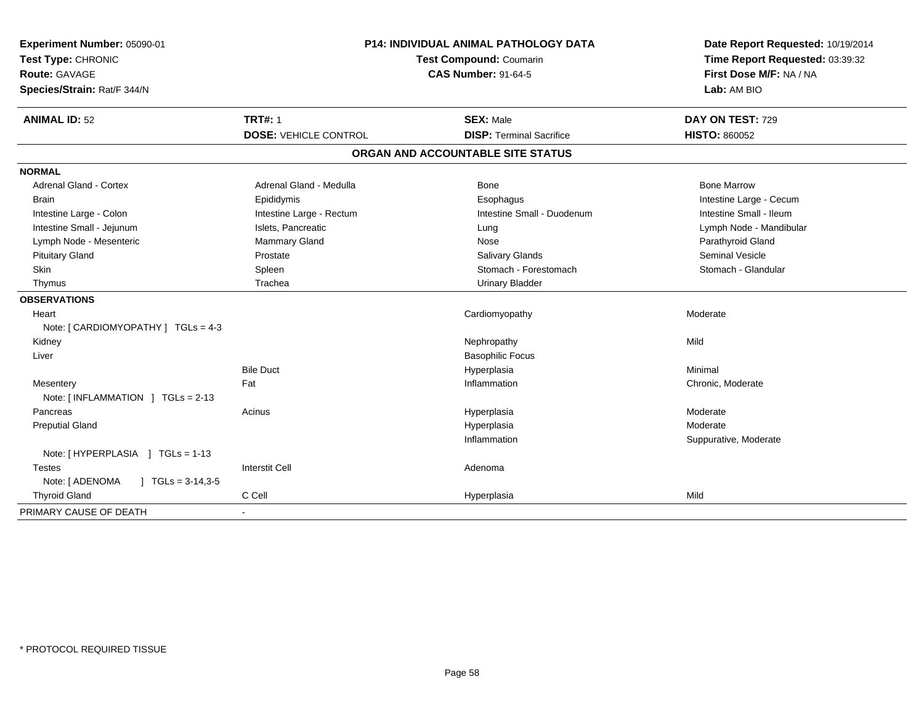| <b>P14: INDIVIDUAL ANIMAL PATHOLOGY DATA</b><br>Experiment Number: 05090-01<br>Test Type: CHRONIC<br><b>Test Compound: Coumarin</b><br><b>CAS Number: 91-64-5</b><br><b>Route: GAVAGE</b><br>Species/Strain: Rat/F 344/N |                                                | Date Report Requested: 10/19/2014<br>Time Report Requested: 03:39:32<br>First Dose M/F: NA / NA<br>Lab: AM BIO |                                          |
|--------------------------------------------------------------------------------------------------------------------------------------------------------------------------------------------------------------------------|------------------------------------------------|----------------------------------------------------------------------------------------------------------------|------------------------------------------|
| <b>ANIMAL ID: 52</b>                                                                                                                                                                                                     | <b>TRT#: 1</b><br><b>DOSE: VEHICLE CONTROL</b> | <b>SEX: Male</b><br><b>DISP: Terminal Sacrifice</b>                                                            | DAY ON TEST: 729<br><b>HISTO: 860052</b> |
|                                                                                                                                                                                                                          |                                                | ORGAN AND ACCOUNTABLE SITE STATUS                                                                              |                                          |
| <b>NORMAL</b>                                                                                                                                                                                                            |                                                |                                                                                                                |                                          |
| <b>Adrenal Gland - Cortex</b>                                                                                                                                                                                            | Adrenal Gland - Medulla                        | Bone                                                                                                           | <b>Bone Marrow</b>                       |
| <b>Brain</b>                                                                                                                                                                                                             | Epididymis                                     | Esophagus                                                                                                      | Intestine Large - Cecum                  |
| Intestine Large - Colon                                                                                                                                                                                                  | Intestine Large - Rectum                       | Intestine Small - Duodenum                                                                                     | Intestine Small - Ileum                  |
| Intestine Small - Jejunum                                                                                                                                                                                                | Islets, Pancreatic                             | Lung                                                                                                           | Lymph Node - Mandibular                  |
| Lymph Node - Mesenteric                                                                                                                                                                                                  | <b>Mammary Gland</b>                           | Nose                                                                                                           | Parathyroid Gland                        |
| <b>Pituitary Gland</b>                                                                                                                                                                                                   | Prostate                                       | Salivary Glands                                                                                                | <b>Seminal Vesicle</b>                   |
| Skin                                                                                                                                                                                                                     | Spleen                                         | Stomach - Forestomach                                                                                          | Stomach - Glandular                      |
| Thymus                                                                                                                                                                                                                   | Trachea                                        | <b>Urinary Bladder</b>                                                                                         |                                          |
| <b>OBSERVATIONS</b>                                                                                                                                                                                                      |                                                |                                                                                                                |                                          |
| Heart                                                                                                                                                                                                                    |                                                | Cardiomyopathy                                                                                                 | Moderate                                 |
| Note: [ CARDIOMYOPATHY ] TGLs = 4-3                                                                                                                                                                                      |                                                |                                                                                                                |                                          |
| Kidney                                                                                                                                                                                                                   |                                                | Nephropathy                                                                                                    | Mild                                     |
| Liver                                                                                                                                                                                                                    |                                                | <b>Basophilic Focus</b>                                                                                        |                                          |
|                                                                                                                                                                                                                          | <b>Bile Duct</b>                               | Hyperplasia                                                                                                    | Minimal                                  |
| Mesentery                                                                                                                                                                                                                | Fat                                            | Inflammation                                                                                                   | Chronic, Moderate                        |
| Note: [ INFLAMMATION ] TGLs = 2-13                                                                                                                                                                                       |                                                |                                                                                                                |                                          |
| Pancreas                                                                                                                                                                                                                 | Acinus                                         | Hyperplasia                                                                                                    | Moderate                                 |
| <b>Preputial Gland</b>                                                                                                                                                                                                   |                                                | Hyperplasia                                                                                                    | Moderate                                 |
|                                                                                                                                                                                                                          |                                                | Inflammation                                                                                                   | Suppurative, Moderate                    |
| Note: [HYPERPLASIA ] TGLs = 1-13                                                                                                                                                                                         |                                                |                                                                                                                |                                          |
| <b>Testes</b>                                                                                                                                                                                                            | <b>Interstit Cell</b>                          | Adenoma                                                                                                        |                                          |
| Note: [ ADENOMA<br>$\mid$ TGLs = 3-14,3-5                                                                                                                                                                                |                                                |                                                                                                                |                                          |
| <b>Thyroid Gland</b>                                                                                                                                                                                                     | C Cell                                         | Hyperplasia                                                                                                    | Mild                                     |
| PRIMARY CAUSE OF DEATH                                                                                                                                                                                                   |                                                |                                                                                                                |                                          |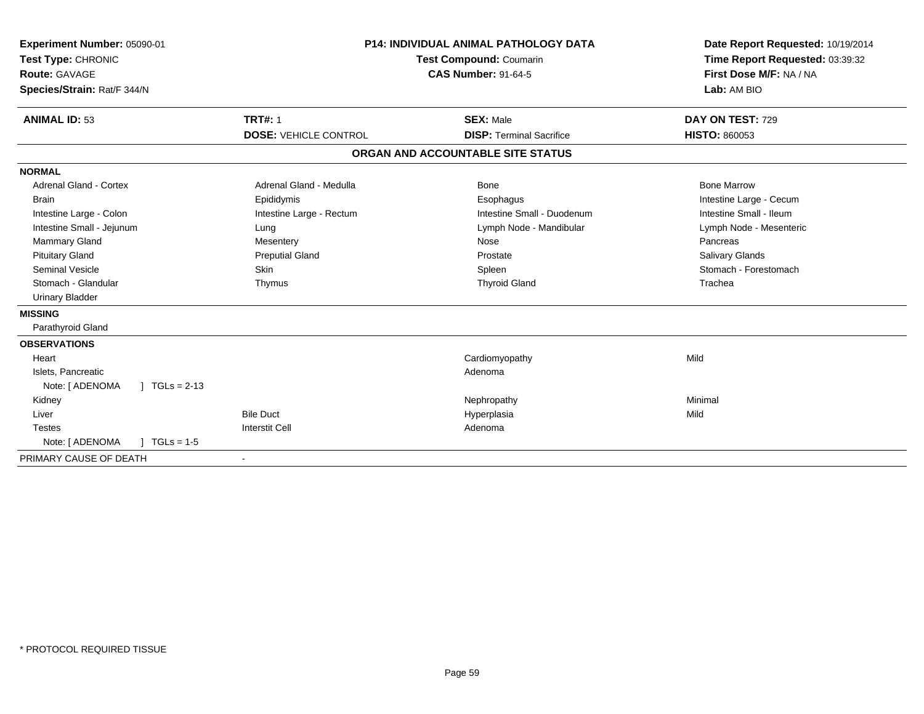| Experiment Number: 05090-01<br>Test Type: CHRONIC<br><b>Route: GAVAGE</b><br>Species/Strain: Rat/F 344/N | <b>P14: INDIVIDUAL ANIMAL PATHOLOGY DATA</b><br><b>Test Compound: Coumarin</b><br><b>CAS Number: 91-64-5</b> |                                   | Date Report Requested: 10/19/2014<br>Time Report Requested: 03:39:32<br>First Dose M/F: NA / NA<br>Lab: AM BIO |  |
|----------------------------------------------------------------------------------------------------------|--------------------------------------------------------------------------------------------------------------|-----------------------------------|----------------------------------------------------------------------------------------------------------------|--|
| <b>ANIMAL ID: 53</b>                                                                                     | <b>TRT#: 1</b>                                                                                               | <b>SEX: Male</b>                  | DAY ON TEST: 729                                                                                               |  |
|                                                                                                          | <b>DOSE: VEHICLE CONTROL</b>                                                                                 | <b>DISP: Terminal Sacrifice</b>   | <b>HISTO: 860053</b>                                                                                           |  |
|                                                                                                          |                                                                                                              | ORGAN AND ACCOUNTABLE SITE STATUS |                                                                                                                |  |
| <b>NORMAL</b>                                                                                            |                                                                                                              |                                   |                                                                                                                |  |
| <b>Adrenal Gland - Cortex</b>                                                                            | Adrenal Gland - Medulla                                                                                      | Bone                              | <b>Bone Marrow</b>                                                                                             |  |
| <b>Brain</b>                                                                                             | Epididymis                                                                                                   | Esophagus                         | Intestine Large - Cecum                                                                                        |  |
| Intestine Large - Colon                                                                                  | Intestine Large - Rectum                                                                                     | Intestine Small - Duodenum        | Intestine Small - Ileum                                                                                        |  |
| Intestine Small - Jejunum                                                                                | Lung                                                                                                         | Lymph Node - Mandibular           | Lymph Node - Mesenteric                                                                                        |  |
| Mammary Gland                                                                                            | Mesentery                                                                                                    | Nose                              | Pancreas                                                                                                       |  |
| <b>Pituitary Gland</b>                                                                                   | <b>Preputial Gland</b>                                                                                       | Prostate                          | Salivary Glands                                                                                                |  |
| <b>Seminal Vesicle</b>                                                                                   | Skin                                                                                                         | Spleen                            | Stomach - Forestomach                                                                                          |  |
| Stomach - Glandular                                                                                      | Thymus                                                                                                       | <b>Thyroid Gland</b>              | Trachea                                                                                                        |  |
| <b>Urinary Bladder</b>                                                                                   |                                                                                                              |                                   |                                                                                                                |  |
| <b>MISSING</b>                                                                                           |                                                                                                              |                                   |                                                                                                                |  |
| Parathyroid Gland                                                                                        |                                                                                                              |                                   |                                                                                                                |  |
| <b>OBSERVATIONS</b>                                                                                      |                                                                                                              |                                   |                                                                                                                |  |
| Heart                                                                                                    |                                                                                                              | Cardiomyopathy                    | Mild                                                                                                           |  |
| Islets, Pancreatic                                                                                       |                                                                                                              | Adenoma                           |                                                                                                                |  |
| Note: [ ADENOMA<br>$\vert$ TGLs = 2-13                                                                   |                                                                                                              |                                   |                                                                                                                |  |
| Kidney                                                                                                   |                                                                                                              | Nephropathy                       | Minimal                                                                                                        |  |
| Liver                                                                                                    | <b>Bile Duct</b>                                                                                             | Hyperplasia                       | Mild                                                                                                           |  |
| <b>Testes</b>                                                                                            | <b>Interstit Cell</b>                                                                                        | Adenoma                           |                                                                                                                |  |
| Note: [ ADENOMA<br>$1 TGLs = 1-5$                                                                        |                                                                                                              |                                   |                                                                                                                |  |
| PRIMARY CAUSE OF DEATH                                                                                   | $\overline{\phantom{a}}$                                                                                     |                                   |                                                                                                                |  |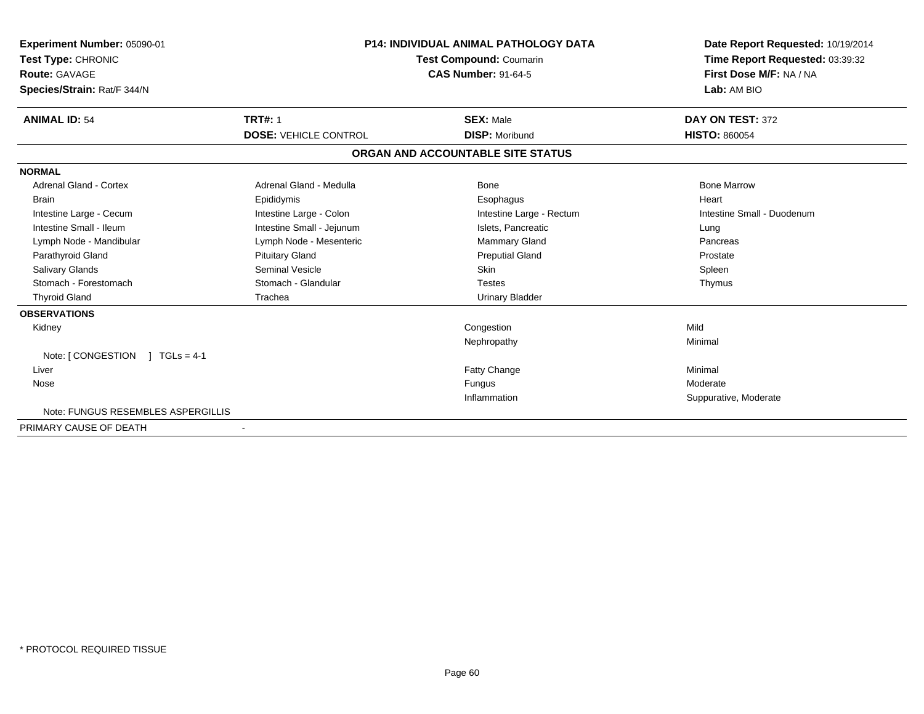| Experiment Number: 05090-01<br>Test Type: CHRONIC<br><b>Route: GAVAGE</b><br>Species/Strain: Rat/F 344/N | <b>P14: INDIVIDUAL ANIMAL PATHOLOGY DATA</b><br><b>Test Compound: Coumarin</b><br><b>CAS Number: 91-64-5</b> |                                   | Date Report Requested: 10/19/2014<br>Time Report Requested: 03:39:32<br>First Dose M/F: NA / NA<br>Lab: AM BIO |  |
|----------------------------------------------------------------------------------------------------------|--------------------------------------------------------------------------------------------------------------|-----------------------------------|----------------------------------------------------------------------------------------------------------------|--|
| <b>ANIMAL ID: 54</b>                                                                                     | <b>TRT#: 1</b>                                                                                               | <b>SEX: Male</b>                  | DAY ON TEST: 372                                                                                               |  |
|                                                                                                          | <b>DOSE: VEHICLE CONTROL</b>                                                                                 | <b>DISP: Moribund</b>             | <b>HISTO: 860054</b>                                                                                           |  |
|                                                                                                          |                                                                                                              | ORGAN AND ACCOUNTABLE SITE STATUS |                                                                                                                |  |
| <b>NORMAL</b>                                                                                            |                                                                                                              |                                   |                                                                                                                |  |
| <b>Adrenal Gland - Cortex</b>                                                                            | Adrenal Gland - Medulla                                                                                      | <b>Bone</b>                       | <b>Bone Marrow</b>                                                                                             |  |
| <b>Brain</b>                                                                                             | Epididymis                                                                                                   | Esophagus                         | Heart                                                                                                          |  |
| Intestine Large - Cecum                                                                                  | Intestine Large - Colon                                                                                      | Intestine Large - Rectum          | Intestine Small - Duodenum                                                                                     |  |
| Intestine Small - Ileum                                                                                  | Intestine Small - Jejunum                                                                                    | Islets, Pancreatic                | Lung                                                                                                           |  |
| Lymph Node - Mandibular                                                                                  | Lymph Node - Mesenteric                                                                                      | <b>Mammary Gland</b>              | Pancreas                                                                                                       |  |
| Parathyroid Gland                                                                                        | <b>Pituitary Gland</b>                                                                                       | <b>Preputial Gland</b>            | Prostate                                                                                                       |  |
| <b>Salivary Glands</b>                                                                                   | <b>Seminal Vesicle</b>                                                                                       | Skin                              | Spleen                                                                                                         |  |
| Stomach - Forestomach                                                                                    | Stomach - Glandular                                                                                          | <b>Testes</b>                     | Thymus                                                                                                         |  |
| <b>Thyroid Gland</b>                                                                                     | Trachea                                                                                                      | <b>Urinary Bladder</b>            |                                                                                                                |  |
| <b>OBSERVATIONS</b>                                                                                      |                                                                                                              |                                   |                                                                                                                |  |
| Kidney                                                                                                   |                                                                                                              | Congestion                        | Mild                                                                                                           |  |
|                                                                                                          |                                                                                                              | Nephropathy                       | Minimal                                                                                                        |  |
| Note: $[CONGESTION] TGLS = 4-1$                                                                          |                                                                                                              |                                   |                                                                                                                |  |
| Liver                                                                                                    |                                                                                                              | Fatty Change                      | Minimal                                                                                                        |  |
| Nose                                                                                                     |                                                                                                              | Fungus                            | Moderate                                                                                                       |  |
|                                                                                                          |                                                                                                              | Inflammation                      | Suppurative, Moderate                                                                                          |  |
| Note: FUNGUS RESEMBLES ASPERGILLIS                                                                       |                                                                                                              |                                   |                                                                                                                |  |
| PRIMARY CAUSE OF DEATH                                                                                   | $\overline{\phantom{a}}$                                                                                     |                                   |                                                                                                                |  |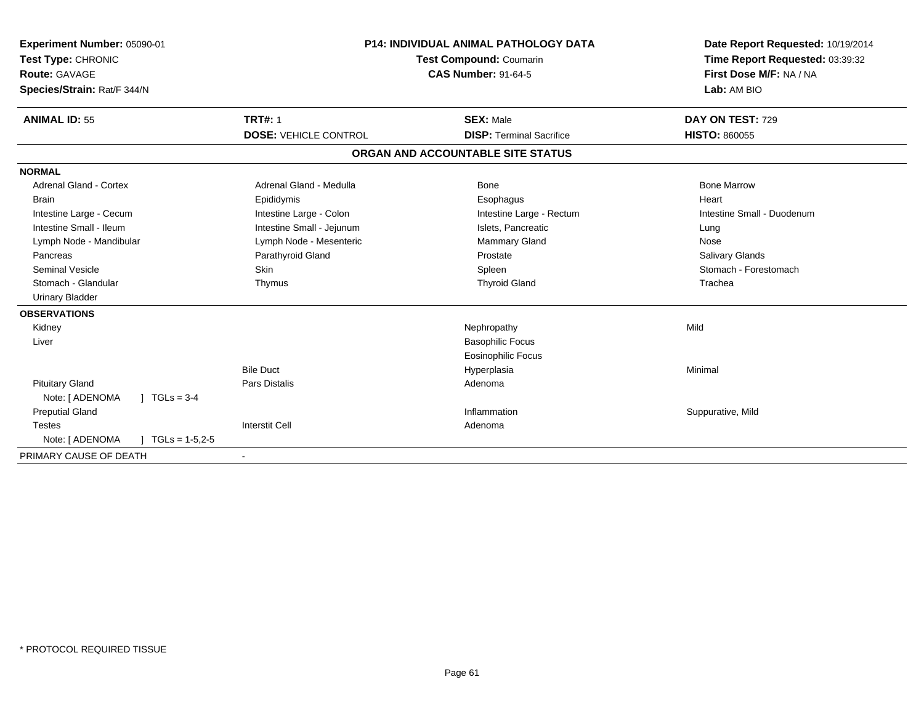| Experiment Number: 05090-01<br>Test Type: CHRONIC<br><b>Route: GAVAGE</b><br>Species/Strain: Rat/F 344/N | <b>P14: INDIVIDUAL ANIMAL PATHOLOGY DATA</b><br>Test Compound: Coumarin<br><b>CAS Number: 91-64-5</b> |                                   | Date Report Requested: 10/19/2014<br>Time Report Requested: 03:39:32<br>First Dose M/F: NA / NA<br>Lab: AM BIO |
|----------------------------------------------------------------------------------------------------------|-------------------------------------------------------------------------------------------------------|-----------------------------------|----------------------------------------------------------------------------------------------------------------|
| <b>ANIMAL ID: 55</b>                                                                                     | <b>TRT#: 1</b>                                                                                        | <b>SEX: Male</b>                  | DAY ON TEST: 729                                                                                               |
|                                                                                                          | <b>DOSE: VEHICLE CONTROL</b>                                                                          | <b>DISP: Terminal Sacrifice</b>   | <b>HISTO: 860055</b>                                                                                           |
|                                                                                                          |                                                                                                       | ORGAN AND ACCOUNTABLE SITE STATUS |                                                                                                                |
| <b>NORMAL</b>                                                                                            |                                                                                                       |                                   |                                                                                                                |
| <b>Adrenal Gland - Cortex</b>                                                                            | Adrenal Gland - Medulla                                                                               | Bone                              | <b>Bone Marrow</b>                                                                                             |
| <b>Brain</b>                                                                                             | Epididymis                                                                                            | Esophagus                         | Heart                                                                                                          |
| Intestine Large - Cecum                                                                                  | Intestine Large - Colon                                                                               | Intestine Large - Rectum          | Intestine Small - Duodenum                                                                                     |
| Intestine Small - Ileum                                                                                  | Intestine Small - Jejunum                                                                             | Islets, Pancreatic                | Lung                                                                                                           |
| Lymph Node - Mandibular                                                                                  | Lymph Node - Mesenteric                                                                               | <b>Mammary Gland</b>              | Nose                                                                                                           |
| Pancreas                                                                                                 | Parathyroid Gland                                                                                     | Prostate                          | <b>Salivary Glands</b>                                                                                         |
| <b>Seminal Vesicle</b>                                                                                   | Skin                                                                                                  | Spleen                            | Stomach - Forestomach                                                                                          |
| Stomach - Glandular                                                                                      | Thymus                                                                                                | <b>Thyroid Gland</b>              | Trachea                                                                                                        |
| <b>Urinary Bladder</b>                                                                                   |                                                                                                       |                                   |                                                                                                                |
| <b>OBSERVATIONS</b>                                                                                      |                                                                                                       |                                   |                                                                                                                |
| Kidney                                                                                                   |                                                                                                       | Nephropathy                       | Mild                                                                                                           |
| Liver                                                                                                    |                                                                                                       | <b>Basophilic Focus</b>           |                                                                                                                |
|                                                                                                          |                                                                                                       | <b>Eosinophilic Focus</b>         |                                                                                                                |
|                                                                                                          | <b>Bile Duct</b>                                                                                      | Hyperplasia                       | Minimal                                                                                                        |
| <b>Pituitary Gland</b>                                                                                   | <b>Pars Distalis</b>                                                                                  | Adenoma                           |                                                                                                                |
| $J \cdot TGLs = 3-4$<br>Note: [ ADENOMA                                                                  |                                                                                                       |                                   |                                                                                                                |
| <b>Preputial Gland</b>                                                                                   |                                                                                                       | Inflammation                      | Suppurative, Mild                                                                                              |
| <b>Testes</b>                                                                                            | <b>Interstit Cell</b>                                                                                 | Adenoma                           |                                                                                                                |
| Note: [ ADENOMA<br>$TGLs = 1-5,2-5$                                                                      |                                                                                                       |                                   |                                                                                                                |
| PRIMARY CAUSE OF DEATH                                                                                   |                                                                                                       |                                   |                                                                                                                |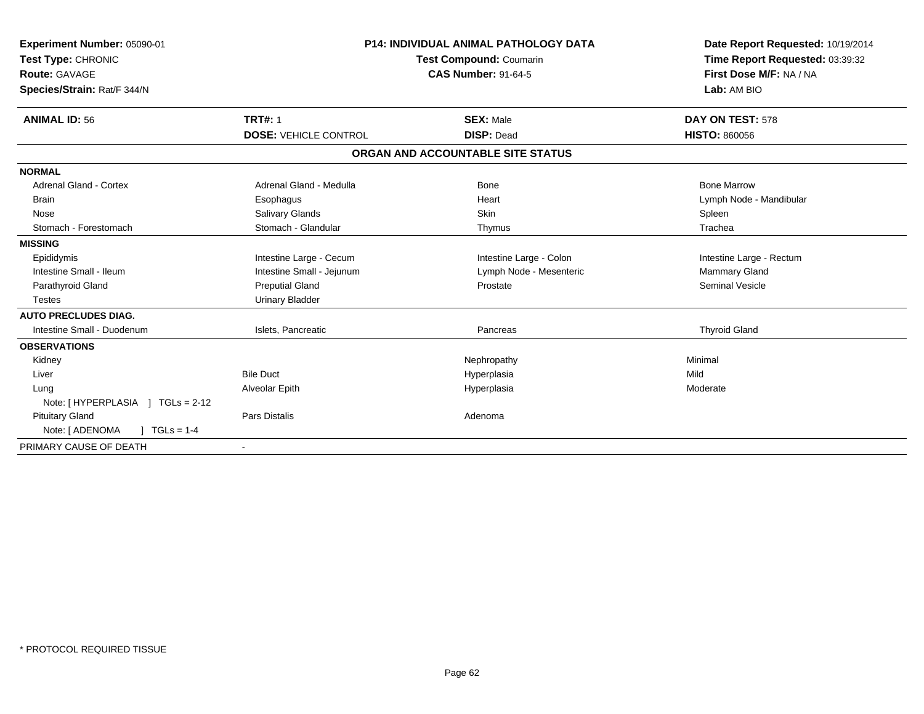| Experiment Number: 05090-01<br>Test Type: CHRONIC<br><b>Route: GAVAGE</b><br>Species/Strain: Rat/F 344/N<br><b>ANIMAL ID: 56</b> | <b>TRT#: 1</b>               | <b>P14: INDIVIDUAL ANIMAL PATHOLOGY DATA</b><br><b>Test Compound: Coumarin</b><br><b>CAS Number: 91-64-5</b><br><b>SEX: Male</b> | Date Report Requested: 10/19/2014<br>Time Report Requested: 03:39:32<br>First Dose M/F: NA / NA<br>Lab: AM BIO<br>DAY ON TEST: 578 |
|----------------------------------------------------------------------------------------------------------------------------------|------------------------------|----------------------------------------------------------------------------------------------------------------------------------|------------------------------------------------------------------------------------------------------------------------------------|
|                                                                                                                                  | <b>DOSE: VEHICLE CONTROL</b> | <b>DISP: Dead</b>                                                                                                                | <b>HISTO: 860056</b>                                                                                                               |
|                                                                                                                                  |                              | ORGAN AND ACCOUNTABLE SITE STATUS                                                                                                |                                                                                                                                    |
| <b>NORMAL</b>                                                                                                                    |                              |                                                                                                                                  |                                                                                                                                    |
| Adrenal Gland - Cortex                                                                                                           | Adrenal Gland - Medulla      | Bone                                                                                                                             | <b>Bone Marrow</b>                                                                                                                 |
| <b>Brain</b>                                                                                                                     | Esophagus                    | Heart                                                                                                                            | Lymph Node - Mandibular                                                                                                            |
| Nose                                                                                                                             | Salivary Glands              | <b>Skin</b>                                                                                                                      | Spleen                                                                                                                             |
| Stomach - Forestomach                                                                                                            | Stomach - Glandular          | Thymus                                                                                                                           | Trachea                                                                                                                            |
| <b>MISSING</b>                                                                                                                   |                              |                                                                                                                                  |                                                                                                                                    |
| Epididymis                                                                                                                       | Intestine Large - Cecum      | Intestine Large - Colon                                                                                                          | Intestine Large - Rectum                                                                                                           |
| Intestine Small - Ileum                                                                                                          | Intestine Small - Jejunum    | Lymph Node - Mesenteric                                                                                                          | Mammary Gland                                                                                                                      |
| Parathyroid Gland                                                                                                                | <b>Preputial Gland</b>       | Prostate                                                                                                                         | <b>Seminal Vesicle</b>                                                                                                             |
| <b>Testes</b>                                                                                                                    | <b>Urinary Bladder</b>       |                                                                                                                                  |                                                                                                                                    |
| <b>AUTO PRECLUDES DIAG.</b>                                                                                                      |                              |                                                                                                                                  |                                                                                                                                    |
| Intestine Small - Duodenum                                                                                                       | Islets, Pancreatic           | Pancreas                                                                                                                         | <b>Thyroid Gland</b>                                                                                                               |
| <b>OBSERVATIONS</b>                                                                                                              |                              |                                                                                                                                  |                                                                                                                                    |
| Kidney                                                                                                                           |                              | Nephropathy                                                                                                                      | Minimal                                                                                                                            |
| Liver                                                                                                                            | <b>Bile Duct</b>             | Hyperplasia                                                                                                                      | Mild                                                                                                                               |
| Lung                                                                                                                             | Alveolar Epith               | Hyperplasia                                                                                                                      | Moderate                                                                                                                           |
| Note: [HYPERPLASIA ] TGLs = 2-12                                                                                                 |                              |                                                                                                                                  |                                                                                                                                    |
| <b>Pituitary Gland</b>                                                                                                           | <b>Pars Distalis</b>         | Adenoma                                                                                                                          |                                                                                                                                    |
| Note: [ ADENOMA<br>$1 TGLs = 1-4$                                                                                                |                              |                                                                                                                                  |                                                                                                                                    |
| PRIMARY CAUSE OF DEATH                                                                                                           | $\blacksquare$               |                                                                                                                                  |                                                                                                                                    |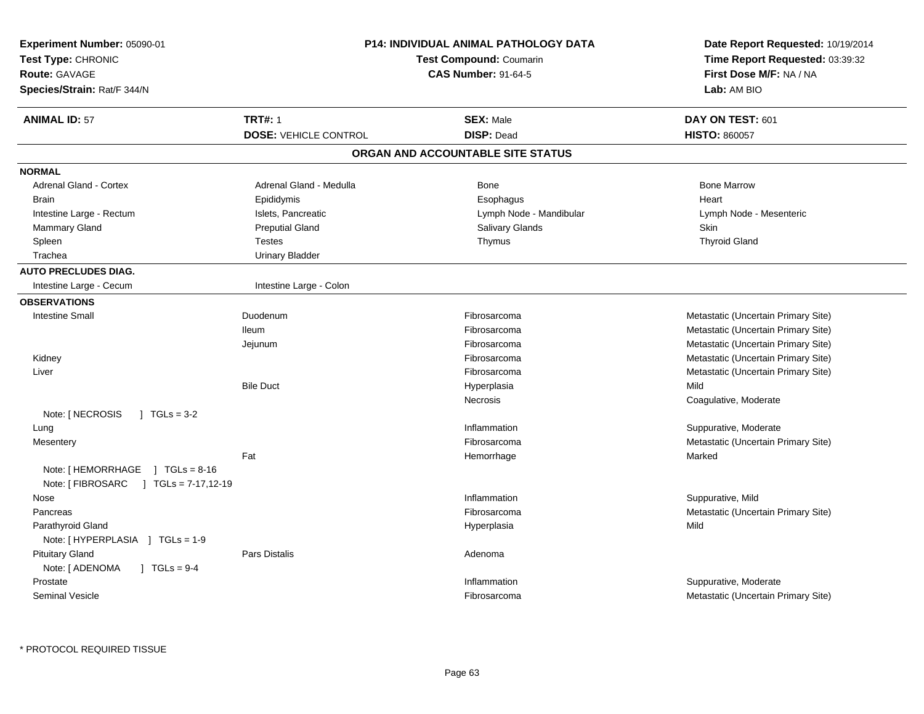| Experiment Number: 05090-01<br>Test Type: CHRONIC<br><b>Route: GAVAGE</b><br>Species/Strain: Rat/F 344/N |                              | <b>P14: INDIVIDUAL ANIMAL PATHOLOGY DATA</b><br><b>Test Compound: Coumarin</b><br><b>CAS Number: 91-64-5</b> | Date Report Requested: 10/19/2014<br>Time Report Requested: 03:39:32<br>First Dose M/F: NA / NA<br>Lab: AM BIO |
|----------------------------------------------------------------------------------------------------------|------------------------------|--------------------------------------------------------------------------------------------------------------|----------------------------------------------------------------------------------------------------------------|
| <b>ANIMAL ID: 57</b>                                                                                     | <b>TRT#: 1</b>               | <b>SEX: Male</b>                                                                                             | DAY ON TEST: 601                                                                                               |
|                                                                                                          | <b>DOSE: VEHICLE CONTROL</b> | <b>DISP: Dead</b>                                                                                            | <b>HISTO: 860057</b>                                                                                           |
|                                                                                                          |                              | ORGAN AND ACCOUNTABLE SITE STATUS                                                                            |                                                                                                                |
| <b>NORMAL</b>                                                                                            |                              |                                                                                                              |                                                                                                                |
| Adrenal Gland - Cortex                                                                                   | Adrenal Gland - Medulla      | Bone                                                                                                         | <b>Bone Marrow</b>                                                                                             |
| <b>Brain</b>                                                                                             | Epididymis                   | Esophagus                                                                                                    | Heart                                                                                                          |
| Intestine Large - Rectum                                                                                 | Islets, Pancreatic           | Lymph Node - Mandibular                                                                                      | Lymph Node - Mesenteric                                                                                        |
| <b>Mammary Gland</b>                                                                                     | <b>Preputial Gland</b>       | Salivary Glands                                                                                              | Skin                                                                                                           |
| Spleen                                                                                                   | <b>Testes</b>                | Thymus                                                                                                       | <b>Thyroid Gland</b>                                                                                           |
| Trachea                                                                                                  | <b>Urinary Bladder</b>       |                                                                                                              |                                                                                                                |
| <b>AUTO PRECLUDES DIAG.</b>                                                                              |                              |                                                                                                              |                                                                                                                |
| Intestine Large - Cecum                                                                                  | Intestine Large - Colon      |                                                                                                              |                                                                                                                |
| <b>OBSERVATIONS</b>                                                                                      |                              |                                                                                                              |                                                                                                                |
| <b>Intestine Small</b>                                                                                   | Duodenum                     | Fibrosarcoma                                                                                                 | Metastatic (Uncertain Primary Site)                                                                            |
|                                                                                                          | lleum                        | Fibrosarcoma                                                                                                 | Metastatic (Uncertain Primary Site)                                                                            |
|                                                                                                          | Jejunum                      | Fibrosarcoma                                                                                                 | Metastatic (Uncertain Primary Site)                                                                            |
| Kidney                                                                                                   |                              | Fibrosarcoma                                                                                                 | Metastatic (Uncertain Primary Site)                                                                            |
| Liver                                                                                                    |                              | Fibrosarcoma                                                                                                 | Metastatic (Uncertain Primary Site)                                                                            |
|                                                                                                          | <b>Bile Duct</b>             | Hyperplasia                                                                                                  | Mild                                                                                                           |
|                                                                                                          |                              | Necrosis                                                                                                     | Coagulative, Moderate                                                                                          |
| Note: [ NECROSIS<br>$1 \text{ TGLs} = 3-2$                                                               |                              |                                                                                                              |                                                                                                                |
| Lung                                                                                                     |                              | Inflammation                                                                                                 | Suppurative, Moderate                                                                                          |
| Mesentery                                                                                                |                              | Fibrosarcoma                                                                                                 | Metastatic (Uncertain Primary Site)                                                                            |
|                                                                                                          | Fat                          | Hemorrhage                                                                                                   | Marked                                                                                                         |
| Note: [ HEMORRHAGE<br>$\sqrt{1} \text{ TGLs} = 8.16$<br>Note: [ FIBROSARC<br>$J \cdot TGLs = 7-17,12-19$ |                              |                                                                                                              |                                                                                                                |
| Nose                                                                                                     |                              | Inflammation                                                                                                 | Suppurative, Mild                                                                                              |
| Pancreas                                                                                                 |                              | Fibrosarcoma                                                                                                 | Metastatic (Uncertain Primary Site)                                                                            |
| Parathyroid Gland<br>Note: [HYPERPLASIA ] TGLs = 1-9                                                     |                              | Hyperplasia                                                                                                  | Mild                                                                                                           |
| <b>Pituitary Gland</b><br>Note: [ ADENOMA<br>$1 \text{ TGLs} = 9-4$                                      | Pars Distalis                | Adenoma                                                                                                      |                                                                                                                |
| Prostate                                                                                                 |                              | Inflammation                                                                                                 | Suppurative, Moderate                                                                                          |
| <b>Seminal Vesicle</b>                                                                                   |                              | Fibrosarcoma                                                                                                 | Metastatic (Uncertain Primary Site)                                                                            |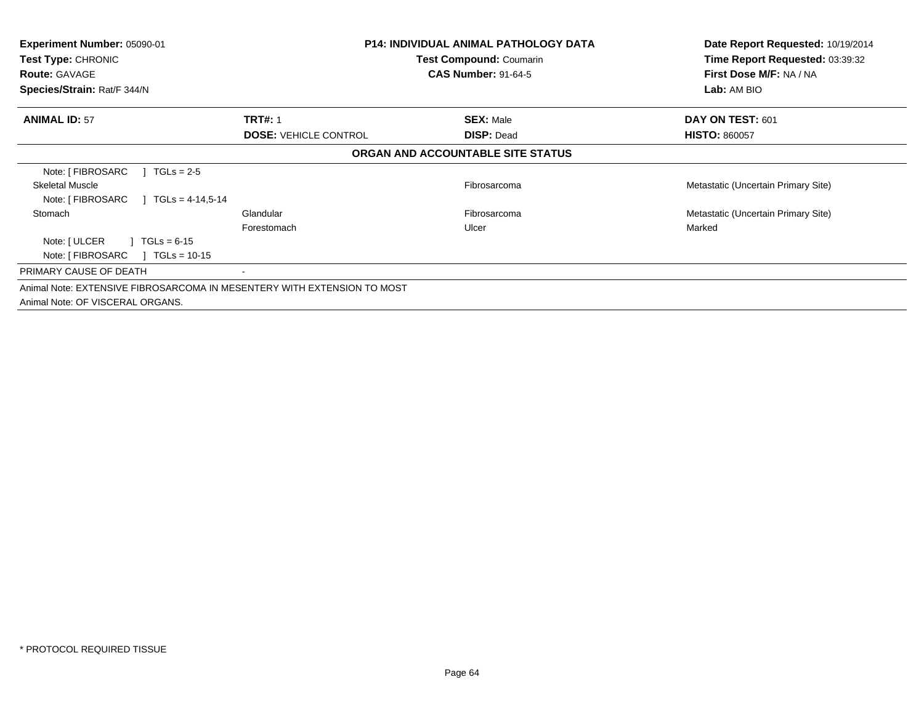| <b>Experiment Number: 05090-01</b><br><b>Test Type: CHRONIC</b><br><b>Route: GAVAGE</b><br>Species/Strain: Rat/F 344/N |                              | <b>P14: INDIVIDUAL ANIMAL PATHOLOGY DATA</b><br><b>Test Compound: Coumarin</b><br><b>CAS Number: 91-64-5</b> | Date Report Requested: 10/19/2014<br>Time Report Requested: 03:39:32<br>First Dose M/F: NA / NA<br>Lab: AM BIO |
|------------------------------------------------------------------------------------------------------------------------|------------------------------|--------------------------------------------------------------------------------------------------------------|----------------------------------------------------------------------------------------------------------------|
| <b>ANIMAL ID: 57</b>                                                                                                   | <b>TRT#: 1</b>               | <b>SEX: Male</b>                                                                                             | DAY ON TEST: 601                                                                                               |
|                                                                                                                        | <b>DOSE: VEHICLE CONTROL</b> | <b>DISP: Dead</b>                                                                                            | <b>HISTO: 860057</b>                                                                                           |
|                                                                                                                        |                              | ORGAN AND ACCOUNTABLE SITE STATUS                                                                            |                                                                                                                |
| Note: [ FIBROSARC<br>$TGLs = 2-5$                                                                                      |                              |                                                                                                              |                                                                                                                |
| <b>Skeletal Muscle</b>                                                                                                 |                              | Fibrosarcoma                                                                                                 | Metastatic (Uncertain Primary Site)                                                                            |
| Note: [ FIBROSARC<br>$\sqrt{11}$ TGLs = 4-14.5-14                                                                      |                              |                                                                                                              |                                                                                                                |
| Stomach                                                                                                                | Glandular                    | Fibrosarcoma                                                                                                 | Metastatic (Uncertain Primary Site)                                                                            |
|                                                                                                                        | Forestomach                  | Ulcer                                                                                                        | Marked                                                                                                         |
| Note: [ ULCER<br>$TGLs = 6-15$                                                                                         |                              |                                                                                                              |                                                                                                                |
| Note: [ FIBROSARC<br>$\sqrt{1}$ TGLs = 10-15                                                                           |                              |                                                                                                              |                                                                                                                |
| PRIMARY CAUSE OF DEATH                                                                                                 |                              |                                                                                                              |                                                                                                                |
| Animal Note: EXTENSIVE FIBROSARCOMA IN MESENTERY WITH EXTENSION TO MOST                                                |                              |                                                                                                              |                                                                                                                |
| Animal Note: OF VISCERAL ORGANS.                                                                                       |                              |                                                                                                              |                                                                                                                |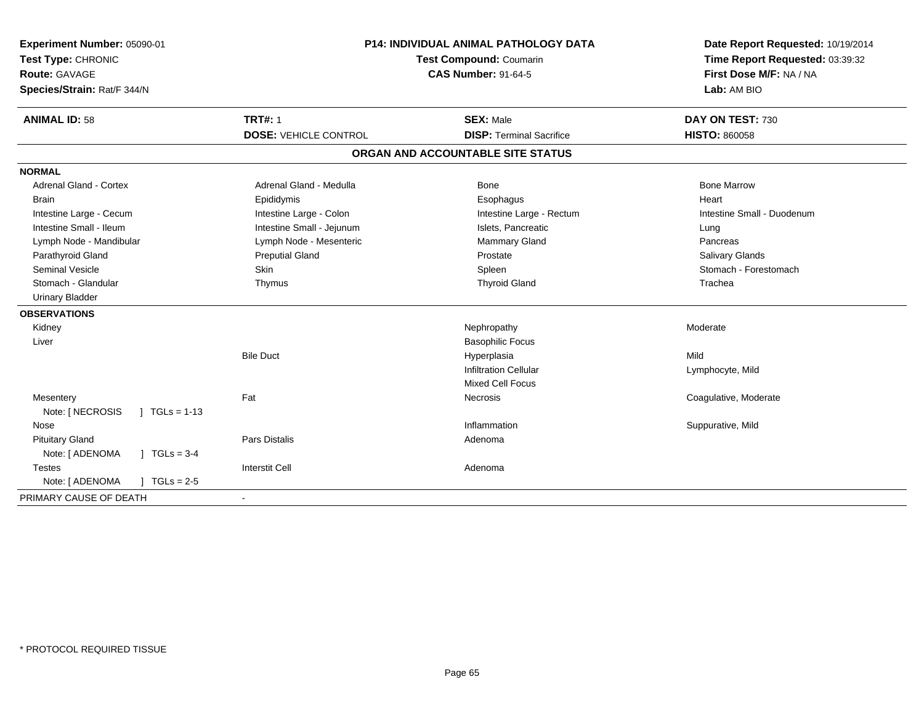| Experiment Number: 05090-01<br>Test Type: CHRONIC<br><b>Route: GAVAGE</b><br>Species/Strain: Rat/F 344/N |                              | <b>P14: INDIVIDUAL ANIMAL PATHOLOGY DATA</b><br>Test Compound: Coumarin<br><b>CAS Number: 91-64-5</b> | Date Report Requested: 10/19/2014<br>Time Report Requested: 03:39:32<br>First Dose M/F: NA / NA<br>Lab: AM BIO |
|----------------------------------------------------------------------------------------------------------|------------------------------|-------------------------------------------------------------------------------------------------------|----------------------------------------------------------------------------------------------------------------|
| <b>ANIMAL ID: 58</b>                                                                                     | <b>TRT#: 1</b>               | <b>SEX: Male</b>                                                                                      | DAY ON TEST: 730                                                                                               |
|                                                                                                          | <b>DOSE: VEHICLE CONTROL</b> | <b>DISP: Terminal Sacrifice</b>                                                                       | <b>HISTO: 860058</b>                                                                                           |
|                                                                                                          |                              | ORGAN AND ACCOUNTABLE SITE STATUS                                                                     |                                                                                                                |
| <b>NORMAL</b>                                                                                            |                              |                                                                                                       |                                                                                                                |
| <b>Adrenal Gland - Cortex</b>                                                                            | Adrenal Gland - Medulla      | <b>Bone</b>                                                                                           | <b>Bone Marrow</b>                                                                                             |
| <b>Brain</b>                                                                                             | Epididymis                   | Esophagus                                                                                             | Heart                                                                                                          |
| Intestine Large - Cecum                                                                                  | Intestine Large - Colon      | Intestine Large - Rectum                                                                              | Intestine Small - Duodenum                                                                                     |
| Intestine Small - Ileum                                                                                  | Intestine Small - Jejunum    | Islets, Pancreatic                                                                                    | Lung                                                                                                           |
| Lymph Node - Mandibular                                                                                  | Lymph Node - Mesenteric      | Mammary Gland                                                                                         | Pancreas                                                                                                       |
| Parathyroid Gland                                                                                        | <b>Preputial Gland</b>       | Prostate                                                                                              | <b>Salivary Glands</b>                                                                                         |
| <b>Seminal Vesicle</b>                                                                                   | <b>Skin</b>                  | Spleen                                                                                                | Stomach - Forestomach                                                                                          |
| Stomach - Glandular                                                                                      | Thymus                       | <b>Thyroid Gland</b>                                                                                  | Trachea                                                                                                        |
| <b>Urinary Bladder</b>                                                                                   |                              |                                                                                                       |                                                                                                                |
| <b>OBSERVATIONS</b>                                                                                      |                              |                                                                                                       |                                                                                                                |
| Kidney                                                                                                   |                              | Nephropathy                                                                                           | Moderate                                                                                                       |
| Liver                                                                                                    |                              | <b>Basophilic Focus</b>                                                                               |                                                                                                                |
|                                                                                                          | <b>Bile Duct</b>             | Hyperplasia                                                                                           | Mild                                                                                                           |
|                                                                                                          |                              | <b>Infiltration Cellular</b>                                                                          | Lymphocyte, Mild                                                                                               |
|                                                                                                          |                              | <b>Mixed Cell Focus</b>                                                                               |                                                                                                                |
| Mesentery                                                                                                | Fat                          | Necrosis                                                                                              | Coagulative, Moderate                                                                                          |
| Note: [ NECROSIS<br>$1 \text{ TGLs} = 1-13$                                                              |                              |                                                                                                       |                                                                                                                |
| Nose                                                                                                     |                              | Inflammation                                                                                          | Suppurative, Mild                                                                                              |
| <b>Pituitary Gland</b>                                                                                   | <b>Pars Distalis</b>         | Adenoma                                                                                               |                                                                                                                |
| Note: [ ADENOMA<br>$J \cdot TGLs = 3-4$                                                                  |                              |                                                                                                       |                                                                                                                |
| <b>Testes</b>                                                                                            | <b>Interstit Cell</b>        | Adenoma                                                                                               |                                                                                                                |
| Note: [ ADENOMA<br>$1 TGLs = 2.5$                                                                        |                              |                                                                                                       |                                                                                                                |
| PRIMARY CAUSE OF DEATH                                                                                   | $\sim$                       |                                                                                                       |                                                                                                                |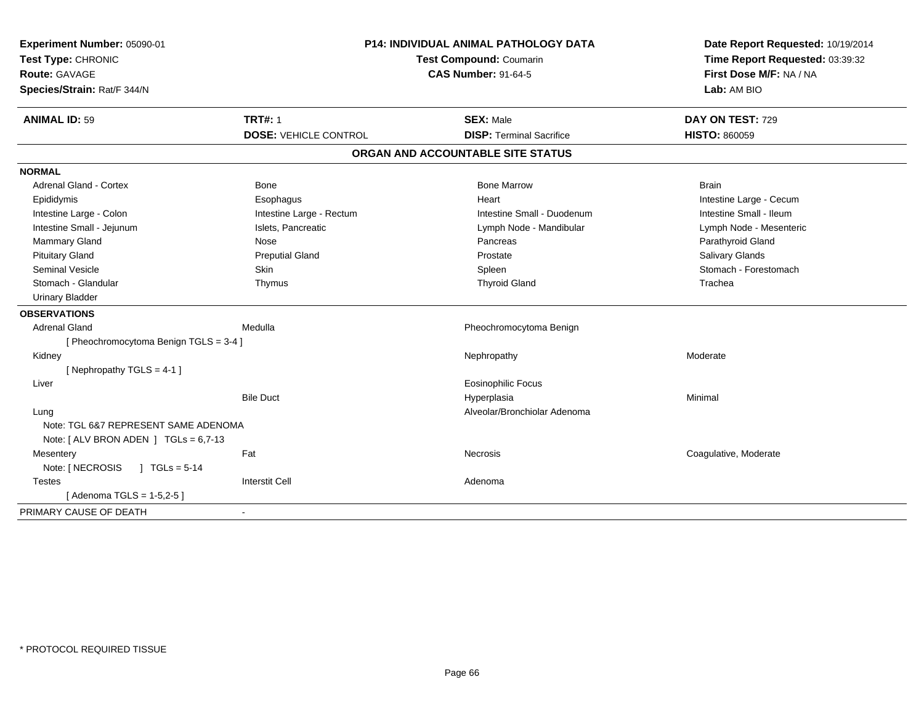| Experiment Number: 05090-01<br>Test Type: CHRONIC |                              | <b>P14: INDIVIDUAL ANIMAL PATHOLOGY DATA</b><br>Test Compound: Coumarin | Date Report Requested: 10/19/2014<br>Time Report Requested: 03:39:32 |
|---------------------------------------------------|------------------------------|-------------------------------------------------------------------------|----------------------------------------------------------------------|
| Route: GAVAGE<br>Species/Strain: Rat/F 344/N      |                              | <b>CAS Number: 91-64-5</b>                                              | First Dose M/F: NA / NA<br>Lab: AM BIO                               |
| <b>ANIMAL ID: 59</b>                              | <b>TRT#: 1</b>               | <b>SEX: Male</b>                                                        | DAY ON TEST: 729                                                     |
|                                                   | <b>DOSE: VEHICLE CONTROL</b> | <b>DISP: Terminal Sacrifice</b>                                         | <b>HISTO: 860059</b>                                                 |
|                                                   |                              | ORGAN AND ACCOUNTABLE SITE STATUS                                       |                                                                      |
| <b>NORMAL</b>                                     |                              |                                                                         |                                                                      |
| <b>Adrenal Gland - Cortex</b>                     | Bone                         | <b>Bone Marrow</b>                                                      | <b>Brain</b>                                                         |
| Epididymis                                        | Esophagus                    | Heart                                                                   | Intestine Large - Cecum                                              |
| Intestine Large - Colon                           | Intestine Large - Rectum     | Intestine Small - Duodenum                                              | Intestine Small - Ileum                                              |
| Intestine Small - Jejunum                         | Islets, Pancreatic           | Lymph Node - Mandibular                                                 | Lymph Node - Mesenteric                                              |
| Mammary Gland                                     | Nose                         | Pancreas                                                                | Parathyroid Gland                                                    |
| <b>Pituitary Gland</b>                            | <b>Preputial Gland</b>       | Prostate                                                                | Salivary Glands                                                      |
| <b>Seminal Vesicle</b>                            | Skin                         | Spleen                                                                  | Stomach - Forestomach                                                |
| Stomach - Glandular                               | Thymus                       | <b>Thyroid Gland</b>                                                    | Trachea                                                              |
| <b>Urinary Bladder</b>                            |                              |                                                                         |                                                                      |
| <b>OBSERVATIONS</b>                               |                              |                                                                         |                                                                      |
| <b>Adrenal Gland</b>                              | Medulla                      | Pheochromocytoma Benign                                                 |                                                                      |
| [ Pheochromocytoma Benign TGLS = 3-4 ]            |                              |                                                                         |                                                                      |
| Kidney                                            |                              | Nephropathy                                                             | Moderate                                                             |
| [Nephropathy TGLS = 4-1]                          |                              |                                                                         |                                                                      |
| Liver                                             |                              | <b>Eosinophilic Focus</b>                                               |                                                                      |
|                                                   | <b>Bile Duct</b>             | Hyperplasia                                                             | Minimal                                                              |
| Lung                                              |                              | Alveolar/Bronchiolar Adenoma                                            |                                                                      |
| Note: TGL 6&7 REPRESENT SAME ADENOMA              |                              |                                                                         |                                                                      |
| Note: $[ALV$ BRON ADEN $]$ TGLs = 6,7-13          |                              |                                                                         |                                                                      |
| Mesentery                                         | Fat                          | Necrosis                                                                | Coagulative, Moderate                                                |
| Note: [ NECROSIS<br>$J TGLs = 5-14$               |                              |                                                                         |                                                                      |
| <b>Testes</b>                                     | <b>Interstit Cell</b>        | Adenoma                                                                 |                                                                      |
| [Adenoma TGLS = 1-5,2-5]                          |                              |                                                                         |                                                                      |
| PRIMARY CAUSE OF DEATH                            |                              |                                                                         |                                                                      |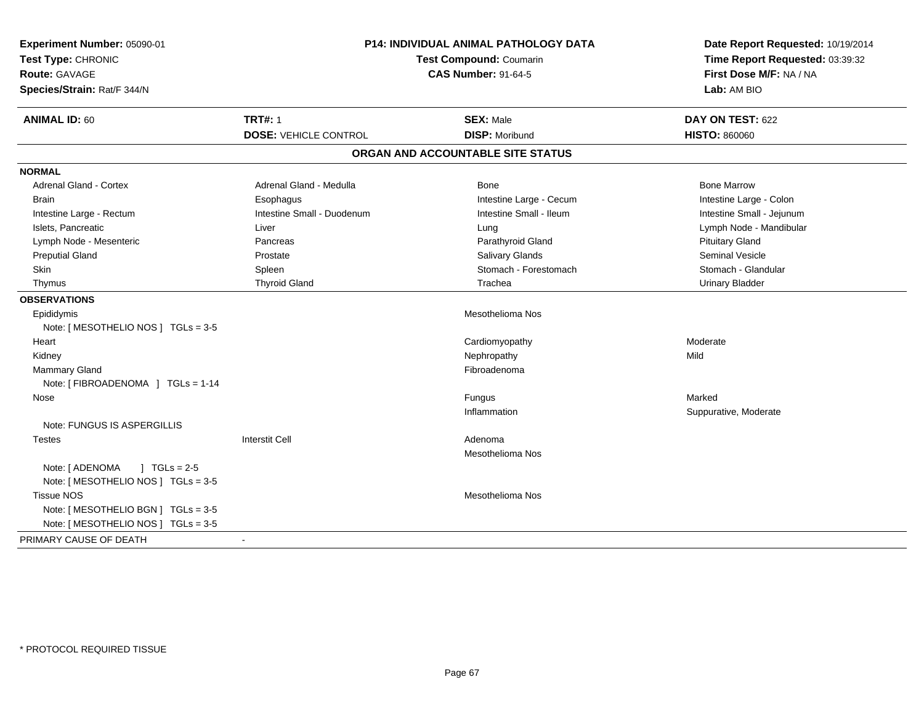| Experiment Number: 05090-01<br>Test Type: CHRONIC<br><b>Route: GAVAGE</b><br>Species/Strain: Rat/F 344/N | P14: INDIVIDUAL ANIMAL PATHOLOGY DATA<br><b>Test Compound: Coumarin</b><br><b>CAS Number: 91-64-5</b> |                                   | Date Report Requested: 10/19/2014<br>Time Report Requested: 03:39:32<br>First Dose M/F: NA / NA<br>Lab: AM BIO |  |
|----------------------------------------------------------------------------------------------------------|-------------------------------------------------------------------------------------------------------|-----------------------------------|----------------------------------------------------------------------------------------------------------------|--|
| <b>ANIMAL ID: 60</b>                                                                                     | <b>TRT#: 1</b>                                                                                        | <b>SEX: Male</b>                  | DAY ON TEST: 622                                                                                               |  |
|                                                                                                          | <b>DOSE: VEHICLE CONTROL</b>                                                                          | <b>DISP: Moribund</b>             | <b>HISTO: 860060</b>                                                                                           |  |
|                                                                                                          |                                                                                                       | ORGAN AND ACCOUNTABLE SITE STATUS |                                                                                                                |  |
| <b>NORMAL</b>                                                                                            |                                                                                                       |                                   |                                                                                                                |  |
| <b>Adrenal Gland - Cortex</b>                                                                            | Adrenal Gland - Medulla                                                                               | <b>Bone</b>                       | <b>Bone Marrow</b>                                                                                             |  |
| <b>Brain</b>                                                                                             | Esophagus                                                                                             | Intestine Large - Cecum           | Intestine Large - Colon                                                                                        |  |
| Intestine Large - Rectum                                                                                 | Intestine Small - Duodenum                                                                            | Intestine Small - Ileum           | Intestine Small - Jejunum                                                                                      |  |
| Islets, Pancreatic                                                                                       | Liver                                                                                                 | Lung                              | Lymph Node - Mandibular                                                                                        |  |
| Lymph Node - Mesenteric                                                                                  | Pancreas                                                                                              | Parathyroid Gland                 | <b>Pituitary Gland</b>                                                                                         |  |
| <b>Preputial Gland</b>                                                                                   | Prostate                                                                                              | <b>Salivary Glands</b>            | Seminal Vesicle                                                                                                |  |
| <b>Skin</b>                                                                                              | Spleen                                                                                                | Stomach - Forestomach             | Stomach - Glandular                                                                                            |  |
| Thymus                                                                                                   | <b>Thyroid Gland</b>                                                                                  | Trachea                           | <b>Urinary Bladder</b>                                                                                         |  |
| <b>OBSERVATIONS</b>                                                                                      |                                                                                                       |                                   |                                                                                                                |  |
| Epididymis                                                                                               |                                                                                                       | <b>Mesothelioma Nos</b>           |                                                                                                                |  |
| Note: [ MESOTHELIO NOS ] TGLs = 3-5                                                                      |                                                                                                       |                                   |                                                                                                                |  |
| Heart                                                                                                    |                                                                                                       | Cardiomyopathy                    | Moderate                                                                                                       |  |
| Kidney                                                                                                   |                                                                                                       | Nephropathy                       | Mild                                                                                                           |  |
| Mammary Gland                                                                                            |                                                                                                       | Fibroadenoma                      |                                                                                                                |  |
| Note: [ FIBROADENOMA ] TGLs = 1-14                                                                       |                                                                                                       |                                   |                                                                                                                |  |
| Nose                                                                                                     |                                                                                                       | Fungus                            | Marked                                                                                                         |  |
|                                                                                                          |                                                                                                       | Inflammation                      | Suppurative, Moderate                                                                                          |  |
| Note: FUNGUS IS ASPERGILLIS                                                                              |                                                                                                       |                                   |                                                                                                                |  |
| <b>Testes</b>                                                                                            | <b>Interstit Cell</b>                                                                                 | Adenoma                           |                                                                                                                |  |
|                                                                                                          |                                                                                                       | <b>Mesothelioma Nos</b>           |                                                                                                                |  |
| Note: [ ADENOMA<br>$\sqrt{1 + 1}$ TGLs = 2-5                                                             |                                                                                                       |                                   |                                                                                                                |  |
| Note: [MESOTHELIO NOS ] TGLs = 3-5                                                                       |                                                                                                       |                                   |                                                                                                                |  |
| <b>Tissue NOS</b>                                                                                        |                                                                                                       | Mesothelioma Nos                  |                                                                                                                |  |
| Note: [ MESOTHELIO BGN ] TGLs = 3-5                                                                      |                                                                                                       |                                   |                                                                                                                |  |
| Note: [MESOTHELIO NOS ] TGLs = 3-5                                                                       |                                                                                                       |                                   |                                                                                                                |  |
| PRIMARY CAUSE OF DEATH                                                                                   |                                                                                                       |                                   |                                                                                                                |  |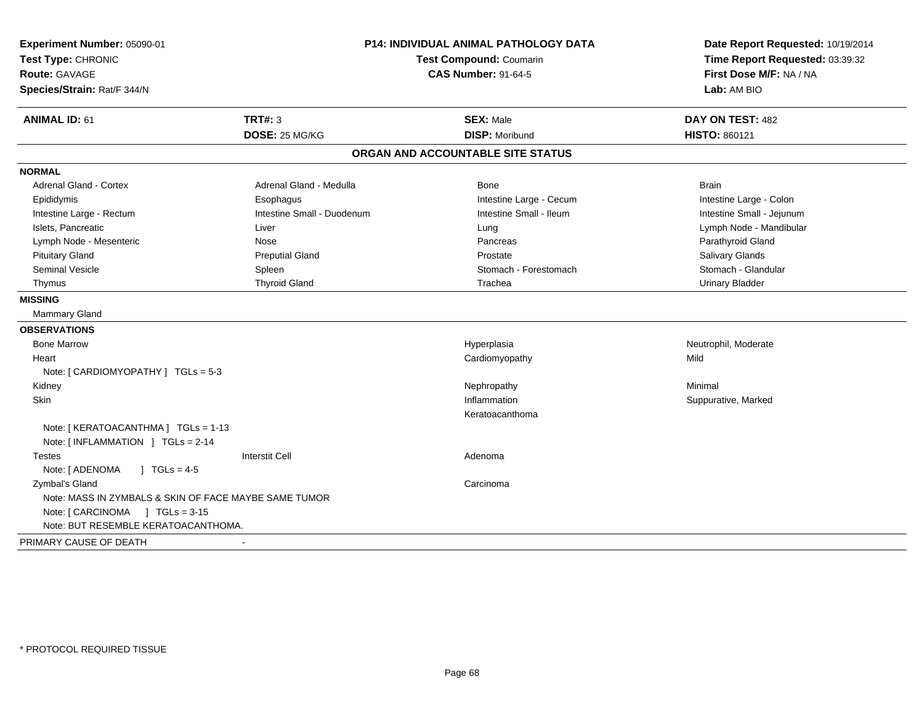| Experiment Number: 05090-01<br>Test Type: CHRONIC<br>Route: GAVAGE<br>Species/Strain: Rat/F 344/N | <b>P14: INDIVIDUAL ANIMAL PATHOLOGY DATA</b><br><b>Test Compound: Coumarin</b><br><b>CAS Number: 91-64-5</b> |                                           | Date Report Requested: 10/19/2014<br>Time Report Requested: 03:39:32<br>First Dose M/F: NA / NA<br>Lab: AM BIO |
|---------------------------------------------------------------------------------------------------|--------------------------------------------------------------------------------------------------------------|-------------------------------------------|----------------------------------------------------------------------------------------------------------------|
| <b>ANIMAL ID: 61</b>                                                                              | <b>TRT#: 3</b><br>DOSE: 25 MG/KG                                                                             | <b>SEX: Male</b><br><b>DISP: Moribund</b> | DAY ON TEST: 482<br>HISTO: 860121                                                                              |
|                                                                                                   |                                                                                                              | ORGAN AND ACCOUNTABLE SITE STATUS         |                                                                                                                |
| <b>NORMAL</b>                                                                                     |                                                                                                              |                                           |                                                                                                                |
| <b>Adrenal Gland - Cortex</b>                                                                     | Adrenal Gland - Medulla                                                                                      | Bone                                      | <b>Brain</b>                                                                                                   |
| Epididymis                                                                                        | Esophagus                                                                                                    | Intestine Large - Cecum                   | Intestine Large - Colon                                                                                        |
| Intestine Large - Rectum                                                                          | Intestine Small - Duodenum                                                                                   | Intestine Small - Ileum                   | Intestine Small - Jejunum                                                                                      |
| Islets, Pancreatic                                                                                | Liver                                                                                                        | Lung                                      | Lymph Node - Mandibular                                                                                        |
| Lymph Node - Mesenteric                                                                           | Nose                                                                                                         | Pancreas                                  | Parathyroid Gland                                                                                              |
| <b>Pituitary Gland</b>                                                                            | <b>Preputial Gland</b>                                                                                       | Prostate                                  | Salivary Glands                                                                                                |
| <b>Seminal Vesicle</b>                                                                            | Spleen                                                                                                       | Stomach - Forestomach                     | Stomach - Glandular                                                                                            |
| Thymus                                                                                            | <b>Thyroid Gland</b>                                                                                         | Trachea                                   | <b>Urinary Bladder</b>                                                                                         |
| <b>MISSING</b>                                                                                    |                                                                                                              |                                           |                                                                                                                |
| <b>Mammary Gland</b>                                                                              |                                                                                                              |                                           |                                                                                                                |
| <b>OBSERVATIONS</b>                                                                               |                                                                                                              |                                           |                                                                                                                |
| <b>Bone Marrow</b>                                                                                |                                                                                                              | Hyperplasia                               | Neutrophil, Moderate                                                                                           |
| Heart                                                                                             |                                                                                                              | Cardiomyopathy                            | Mild                                                                                                           |
| Note: [ CARDIOMYOPATHY ] TGLs = 5-3                                                               |                                                                                                              |                                           |                                                                                                                |
| Kidney                                                                                            |                                                                                                              | Nephropathy                               | Minimal                                                                                                        |
| Skin                                                                                              |                                                                                                              | Inflammation                              | Suppurative, Marked                                                                                            |
|                                                                                                   |                                                                                                              | Keratoacanthoma                           |                                                                                                                |
| Note: [KERATOACANTHMA] TGLs = 1-13                                                                |                                                                                                              |                                           |                                                                                                                |
| Note: [INFLAMMATION ] TGLs = 2-14                                                                 |                                                                                                              |                                           |                                                                                                                |
| <b>Testes</b>                                                                                     | <b>Interstit Cell</b>                                                                                        | Adenoma                                   |                                                                                                                |
| Note: [ ADENOMA<br>$\sqrt{1 + 1}$ TGLs = 4-5                                                      |                                                                                                              |                                           |                                                                                                                |
| Zymbal's Gland                                                                                    |                                                                                                              | Carcinoma                                 |                                                                                                                |
| Note: MASS IN ZYMBALS & SKIN OF FACE MAYBE SAME TUMOR                                             |                                                                                                              |                                           |                                                                                                                |
|                                                                                                   |                                                                                                              |                                           |                                                                                                                |
| Note: BUT RESEMBLE KERATOACANTHOMA.                                                               |                                                                                                              |                                           |                                                                                                                |
| PRIMARY CAUSE OF DEATH                                                                            | $\sim$                                                                                                       |                                           |                                                                                                                |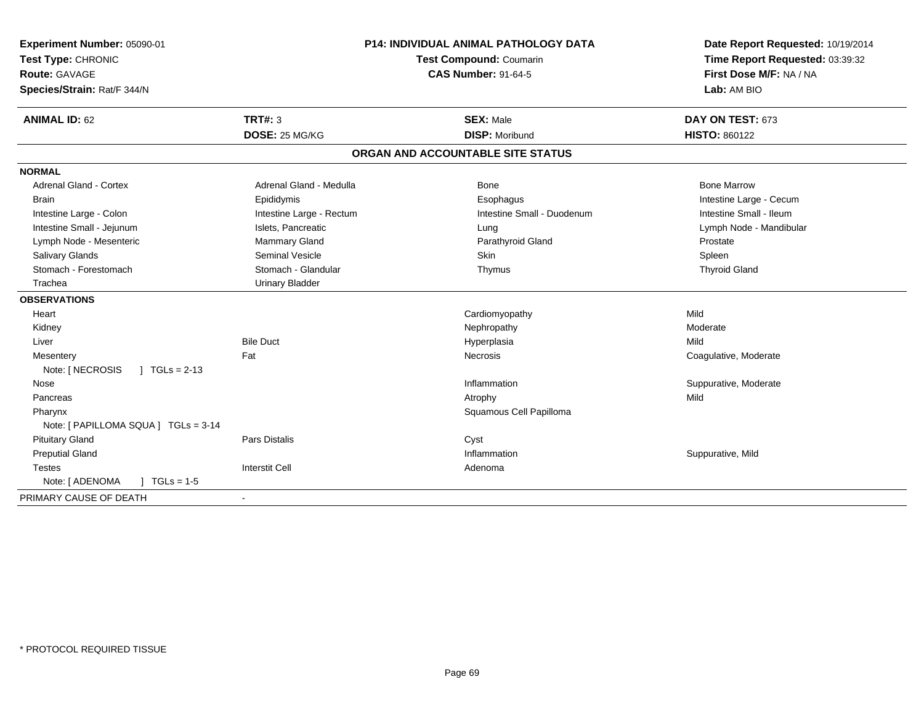| Experiment Number: 05090-01<br>Test Type: CHRONIC<br><b>Route: GAVAGE</b><br>Species/Strain: Rat/F 344/N | <b>P14: INDIVIDUAL ANIMAL PATHOLOGY DATA</b><br><b>Test Compound: Coumarin</b><br><b>CAS Number: 91-64-5</b> |                                   | Date Report Requested: 10/19/2014<br>Time Report Requested: 03:39:32<br>First Dose M/F: NA / NA<br>Lab: AM BIO |  |
|----------------------------------------------------------------------------------------------------------|--------------------------------------------------------------------------------------------------------------|-----------------------------------|----------------------------------------------------------------------------------------------------------------|--|
| <b>ANIMAL ID: 62</b>                                                                                     | TRT#: 3                                                                                                      | <b>SEX: Male</b>                  | DAY ON TEST: 673                                                                                               |  |
|                                                                                                          | DOSE: 25 MG/KG                                                                                               | <b>DISP: Moribund</b>             | <b>HISTO: 860122</b>                                                                                           |  |
|                                                                                                          |                                                                                                              | ORGAN AND ACCOUNTABLE SITE STATUS |                                                                                                                |  |
| <b>NORMAL</b>                                                                                            |                                                                                                              |                                   |                                                                                                                |  |
| <b>Adrenal Gland - Cortex</b>                                                                            | Adrenal Gland - Medulla                                                                                      | Bone                              | <b>Bone Marrow</b>                                                                                             |  |
| <b>Brain</b>                                                                                             | Epididymis                                                                                                   | Esophagus                         | Intestine Large - Cecum                                                                                        |  |
| Intestine Large - Colon                                                                                  | Intestine Large - Rectum                                                                                     | Intestine Small - Duodenum        | Intestine Small - Ileum                                                                                        |  |
| Intestine Small - Jejunum                                                                                | Islets, Pancreatic                                                                                           | Lung                              | Lymph Node - Mandibular                                                                                        |  |
| Lymph Node - Mesenteric                                                                                  | Mammary Gland                                                                                                | Parathyroid Gland                 | Prostate                                                                                                       |  |
| Salivary Glands                                                                                          | <b>Seminal Vesicle</b>                                                                                       | Skin                              | Spleen                                                                                                         |  |
| Stomach - Forestomach                                                                                    | Stomach - Glandular                                                                                          | Thymus                            | <b>Thyroid Gland</b>                                                                                           |  |
| Trachea                                                                                                  | <b>Urinary Bladder</b>                                                                                       |                                   |                                                                                                                |  |
| <b>OBSERVATIONS</b>                                                                                      |                                                                                                              |                                   |                                                                                                                |  |
| Heart                                                                                                    |                                                                                                              | Cardiomyopathy                    | Mild                                                                                                           |  |
| Kidney                                                                                                   |                                                                                                              | Nephropathy                       | Moderate                                                                                                       |  |
| Liver                                                                                                    | <b>Bile Duct</b>                                                                                             | Hyperplasia                       | Mild                                                                                                           |  |
| Mesentery                                                                                                | Fat                                                                                                          | Necrosis                          | Coagulative, Moderate                                                                                          |  |
| $\int$ TGLs = 2-13<br>Note: [ NECROSIS                                                                   |                                                                                                              |                                   |                                                                                                                |  |
| Nose                                                                                                     |                                                                                                              | Inflammation                      | Suppurative, Moderate                                                                                          |  |
| Pancreas                                                                                                 |                                                                                                              | Atrophy                           | Mild                                                                                                           |  |
| Pharynx                                                                                                  |                                                                                                              | Squamous Cell Papilloma           |                                                                                                                |  |
| Note: [ PAPILLOMA SQUA ] TGLs = 3-14                                                                     |                                                                                                              |                                   |                                                                                                                |  |
| <b>Pituitary Gland</b>                                                                                   | Pars Distalis                                                                                                | Cyst                              |                                                                                                                |  |
| <b>Preputial Gland</b>                                                                                   |                                                                                                              | Inflammation                      | Suppurative, Mild                                                                                              |  |
| Testes                                                                                                   | <b>Interstit Cell</b>                                                                                        | Adenoma                           |                                                                                                                |  |
| Note: [ ADENOMA<br>$J \cdot TGLs = 1-5$                                                                  |                                                                                                              |                                   |                                                                                                                |  |
| PRIMARY CAUSE OF DEATH                                                                                   | $\blacksquare$                                                                                               |                                   |                                                                                                                |  |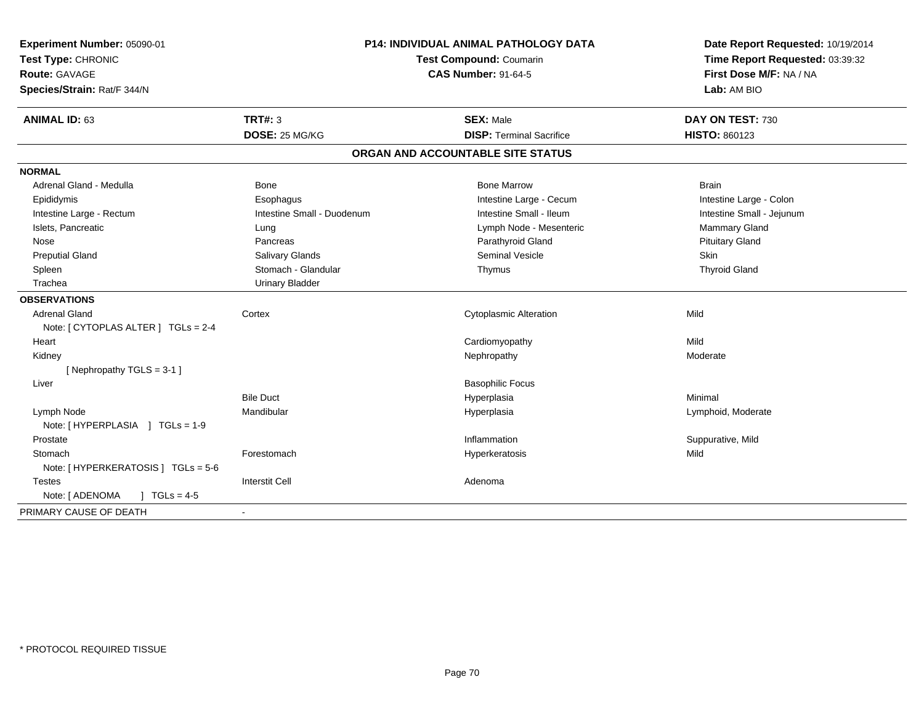| Experiment Number: 05090-01<br>Test Type: CHRONIC<br>Route: GAVAGE<br>Species/Strain: Rat/F 344/N | <b>P14: INDIVIDUAL ANIMAL PATHOLOGY DATA</b><br>Test Compound: Coumarin<br><b>CAS Number: 91-64-5</b> |                                   | Date Report Requested: 10/19/2014<br>Time Report Requested: 03:39:32<br>First Dose M/F: NA / NA<br>Lab: AM BIO |
|---------------------------------------------------------------------------------------------------|-------------------------------------------------------------------------------------------------------|-----------------------------------|----------------------------------------------------------------------------------------------------------------|
| <b>ANIMAL ID: 63</b>                                                                              | <b>TRT#: 3</b>                                                                                        | <b>SEX: Male</b>                  | DAY ON TEST: 730                                                                                               |
|                                                                                                   | DOSE: 25 MG/KG                                                                                        | <b>DISP: Terminal Sacrifice</b>   | HISTO: 860123                                                                                                  |
|                                                                                                   |                                                                                                       | ORGAN AND ACCOUNTABLE SITE STATUS |                                                                                                                |
| <b>NORMAL</b>                                                                                     |                                                                                                       |                                   |                                                                                                                |
| Adrenal Gland - Medulla                                                                           | <b>Bone</b>                                                                                           | <b>Bone Marrow</b>                | <b>Brain</b>                                                                                                   |
| Epididymis                                                                                        | Esophagus                                                                                             | Intestine Large - Cecum           | Intestine Large - Colon                                                                                        |
| Intestine Large - Rectum                                                                          | Intestine Small - Duodenum                                                                            | Intestine Small - Ileum           | Intestine Small - Jejunum                                                                                      |
| Islets, Pancreatic                                                                                | Lung                                                                                                  | Lymph Node - Mesenteric           | <b>Mammary Gland</b>                                                                                           |
| Nose                                                                                              | Pancreas                                                                                              | Parathyroid Gland                 | <b>Pituitary Gland</b>                                                                                         |
| <b>Preputial Gland</b>                                                                            | Salivary Glands                                                                                       | Seminal Vesicle                   | Skin                                                                                                           |
| Spleen                                                                                            | Stomach - Glandular                                                                                   | Thymus                            | <b>Thyroid Gland</b>                                                                                           |
| Trachea                                                                                           | <b>Urinary Bladder</b>                                                                                |                                   |                                                                                                                |
| <b>OBSERVATIONS</b>                                                                               |                                                                                                       |                                   |                                                                                                                |
| <b>Adrenal Gland</b>                                                                              | Cortex                                                                                                | <b>Cytoplasmic Alteration</b>     | Mild                                                                                                           |
| Note: [ CYTOPLAS ALTER ] TGLs = 2-4                                                               |                                                                                                       |                                   |                                                                                                                |
| Heart                                                                                             |                                                                                                       | Cardiomyopathy                    | Mild                                                                                                           |
| Kidney                                                                                            |                                                                                                       | Nephropathy                       | Moderate                                                                                                       |
| [Nephropathy TGLS = 3-1]                                                                          |                                                                                                       |                                   |                                                                                                                |
| Liver                                                                                             |                                                                                                       | <b>Basophilic Focus</b>           |                                                                                                                |
|                                                                                                   | <b>Bile Duct</b>                                                                                      | Hyperplasia                       | Minimal                                                                                                        |
| Lymph Node<br>Note: [HYPERPLASIA ] TGLs = 1-9                                                     | Mandibular                                                                                            | Hyperplasia                       | Lymphoid, Moderate                                                                                             |
| Prostate                                                                                          |                                                                                                       | Inflammation                      | Suppurative, Mild                                                                                              |
| Stomach                                                                                           | Forestomach                                                                                           | Hyperkeratosis                    | Mild                                                                                                           |
| Note: [ HYPERKERATOSIS ] TGLs = 5-6                                                               |                                                                                                       |                                   |                                                                                                                |
| <b>Testes</b>                                                                                     | <b>Interstit Cell</b>                                                                                 | Adenoma                           |                                                                                                                |
| Note: [ ADENOMA<br>$\sqrt{ }$ TGLs = 4-5                                                          |                                                                                                       |                                   |                                                                                                                |
| PRIMARY CAUSE OF DEATH                                                                            |                                                                                                       |                                   |                                                                                                                |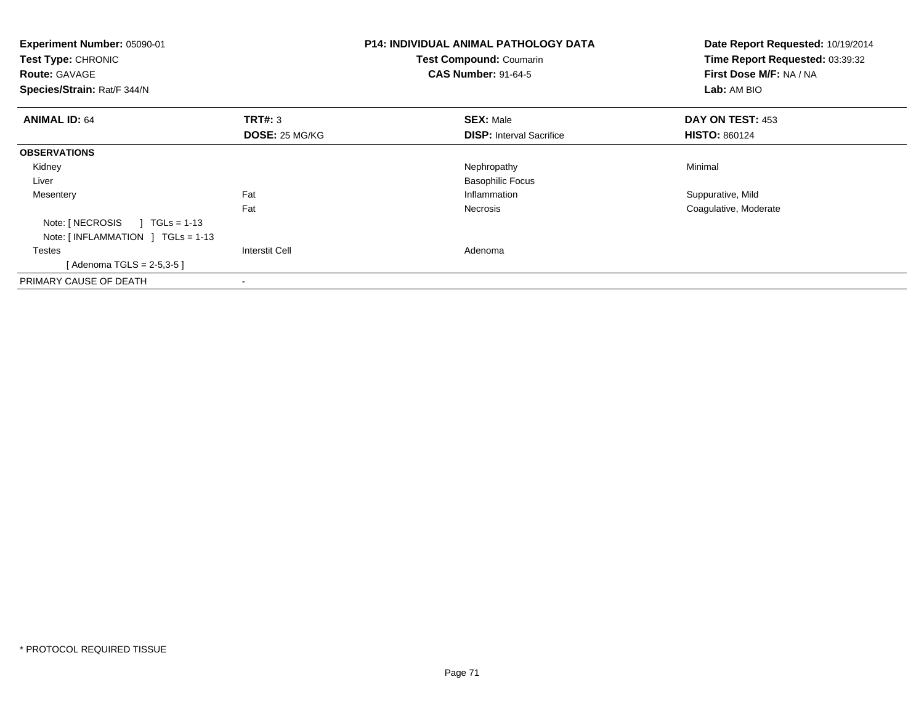| Experiment Number: 05090-01<br>Test Type: CHRONIC<br><b>Route: GAVAGE</b><br>Species/Strain: Rat/F 344/N |                       | <b>P14: INDIVIDUAL ANIMAL PATHOLOGY DATA</b><br><b>Test Compound: Coumarin</b><br><b>CAS Number: 91-64-5</b> | Date Report Requested: 10/19/2014<br>Time Report Requested: 03:39:32<br>First Dose M/F: NA / NA<br>Lab: AM BIO |
|----------------------------------------------------------------------------------------------------------|-----------------------|--------------------------------------------------------------------------------------------------------------|----------------------------------------------------------------------------------------------------------------|
| <b>ANIMAL ID: 64</b>                                                                                     | TRT#: 3               | <b>SEX: Male</b>                                                                                             | DAY ON TEST: 453                                                                                               |
|                                                                                                          | <b>DOSE: 25 MG/KG</b> | <b>DISP:</b> Interval Sacrifice                                                                              | <b>HISTO: 860124</b>                                                                                           |
| <b>OBSERVATIONS</b>                                                                                      |                       |                                                                                                              |                                                                                                                |
| Kidney                                                                                                   |                       | Nephropathy                                                                                                  | Minimal                                                                                                        |
| Liver                                                                                                    |                       | <b>Basophilic Focus</b>                                                                                      |                                                                                                                |
| Mesentery                                                                                                | Fat                   | Inflammation                                                                                                 | Suppurative, Mild                                                                                              |
|                                                                                                          | Fat                   | Necrosis                                                                                                     | Coagulative, Moderate                                                                                          |
| Note: [ NECROSIS<br>$TGLs = 1-13$                                                                        |                       |                                                                                                              |                                                                                                                |
| Note: $[INFLAMMATION] TGLS = 1-13$                                                                       |                       |                                                                                                              |                                                                                                                |
| Testes                                                                                                   | <b>Interstit Cell</b> | Adenoma                                                                                                      |                                                                                                                |
| [Adenoma TGLS = $2-5,3-5$ ]                                                                              |                       |                                                                                                              |                                                                                                                |
| PRIMARY CAUSE OF DEATH                                                                                   |                       |                                                                                                              |                                                                                                                |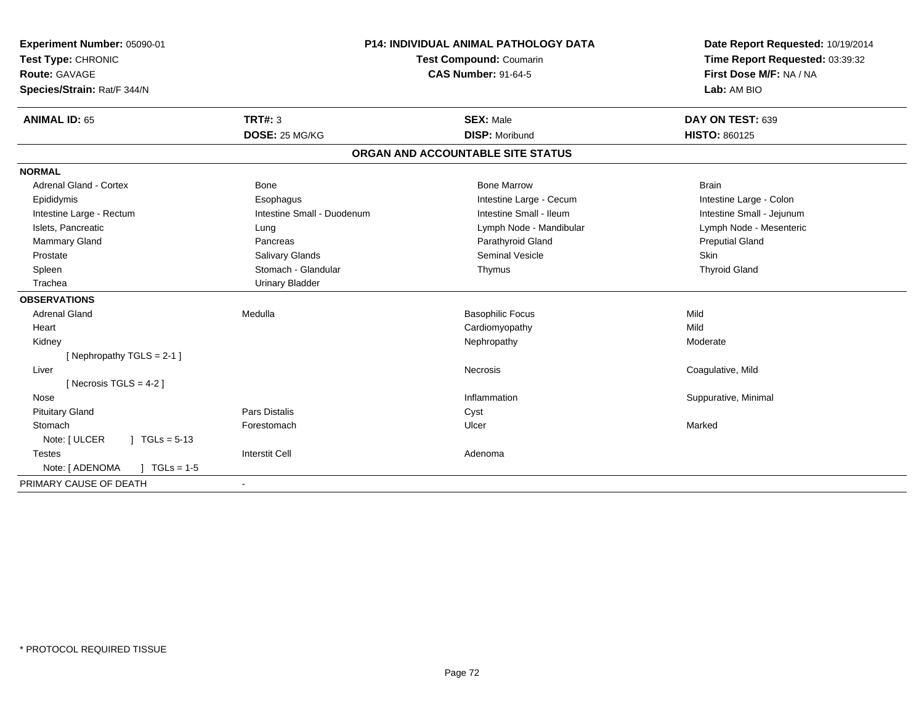| Experiment Number: 05090-01<br>Test Type: CHRONIC |                            | P14: INDIVIDUAL ANIMAL PATHOLOGY DATA<br>Test Compound: Coumarin | Date Report Requested: 10/19/2014<br>Time Report Requested: 03:39:32 |
|---------------------------------------------------|----------------------------|------------------------------------------------------------------|----------------------------------------------------------------------|
| Route: GAVAGE                                     | <b>CAS Number: 91-64-5</b> |                                                                  | First Dose M/F: NA / NA                                              |
| Species/Strain: Rat/F 344/N                       |                            |                                                                  | Lab: AM BIO                                                          |
| <b>ANIMAL ID: 65</b>                              | <b>TRT#: 3</b>             | <b>SEX: Male</b>                                                 | DAY ON TEST: 639                                                     |
|                                                   | DOSE: 25 MG/KG             | <b>DISP: Moribund</b>                                            | <b>HISTO: 860125</b>                                                 |
|                                                   |                            | ORGAN AND ACCOUNTABLE SITE STATUS                                |                                                                      |
| <b>NORMAL</b>                                     |                            |                                                                  |                                                                      |
| <b>Adrenal Gland - Cortex</b>                     | Bone                       | <b>Bone Marrow</b>                                               | <b>Brain</b>                                                         |
| Epididymis                                        | Esophagus                  | Intestine Large - Cecum                                          | Intestine Large - Colon                                              |
| Intestine Large - Rectum                          | Intestine Small - Duodenum | Intestine Small - Ileum                                          | Intestine Small - Jejunum                                            |
| Islets, Pancreatic                                | Lung                       | Lymph Node - Mandibular                                          | Lymph Node - Mesenteric                                              |
| <b>Mammary Gland</b>                              | Pancreas                   | Parathyroid Gland                                                | <b>Preputial Gland</b>                                               |
| Prostate                                          | Salivary Glands            | Seminal Vesicle                                                  | Skin                                                                 |
| Spleen                                            | Stomach - Glandular        | Thymus                                                           | <b>Thyroid Gland</b>                                                 |
| Trachea                                           | <b>Urinary Bladder</b>     |                                                                  |                                                                      |
| <b>OBSERVATIONS</b>                               |                            |                                                                  |                                                                      |
| <b>Adrenal Gland</b>                              | Medulla                    | <b>Basophilic Focus</b>                                          | Mild                                                                 |
| Heart                                             |                            | Cardiomyopathy                                                   | Mild                                                                 |
| Kidney                                            |                            | Nephropathy                                                      | Moderate                                                             |
| [Nephropathy TGLS = 2-1]                          |                            |                                                                  |                                                                      |
| Liver                                             |                            | Necrosis                                                         | Coagulative, Mild                                                    |
| [ Necrosis $TGLS = 4-2$ ]                         |                            |                                                                  |                                                                      |
| Nose                                              |                            | Inflammation                                                     | Suppurative, Minimal                                                 |
| <b>Pituitary Gland</b>                            | <b>Pars Distalis</b>       | Cyst                                                             |                                                                      |
| Stomach                                           | Forestomach                | Ulcer                                                            | Marked                                                               |
| Note: [ ULCER<br>$\sqrt{1}$ TGLs = 5-13           |                            |                                                                  |                                                                      |
| <b>Testes</b>                                     | <b>Interstit Cell</b>      | Adenoma                                                          |                                                                      |
| Note: [ ADENOMA<br>$J \cdot TGLs = 1-5$           |                            |                                                                  |                                                                      |
| PRIMARY CAUSE OF DEATH                            | $\blacksquare$             |                                                                  |                                                                      |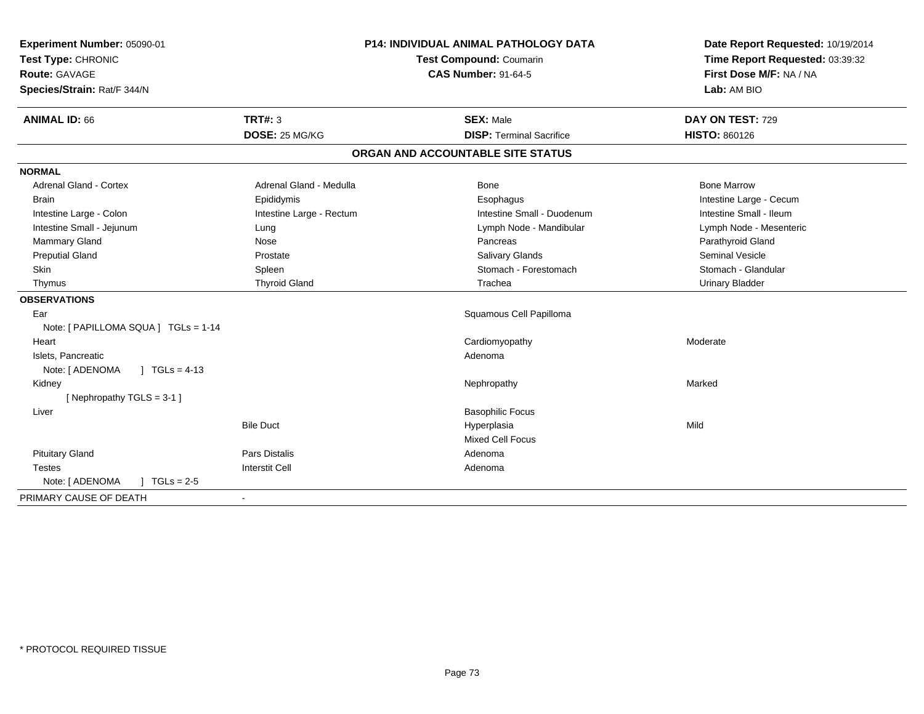| Experiment Number: 05090-01               |                          | <b>P14: INDIVIDUAL ANIMAL PATHOLOGY DATA</b> | Date Report Requested: 10/19/2014 |
|-------------------------------------------|--------------------------|----------------------------------------------|-----------------------------------|
| Test Type: CHRONIC                        | Test Compound: Coumarin  |                                              | Time Report Requested: 03:39:32   |
| <b>Route: GAVAGE</b>                      |                          | <b>CAS Number: 91-64-5</b>                   | First Dose M/F: NA / NA           |
| Species/Strain: Rat/F 344/N               |                          |                                              | Lab: AM BIO                       |
| <b>ANIMAL ID: 66</b>                      | <b>TRT#: 3</b>           | <b>SEX: Male</b>                             | DAY ON TEST: 729                  |
|                                           | DOSE: 25 MG/KG           | <b>DISP: Terminal Sacrifice</b>              | <b>HISTO: 860126</b>              |
|                                           |                          | ORGAN AND ACCOUNTABLE SITE STATUS            |                                   |
| <b>NORMAL</b>                             |                          |                                              |                                   |
| <b>Adrenal Gland - Cortex</b>             | Adrenal Gland - Medulla  | <b>Bone</b>                                  | <b>Bone Marrow</b>                |
| <b>Brain</b>                              | Epididymis               | Esophagus                                    | Intestine Large - Cecum           |
| Intestine Large - Colon                   | Intestine Large - Rectum | Intestine Small - Duodenum                   | Intestine Small - Ileum           |
| Intestine Small - Jejunum                 | Lung                     | Lymph Node - Mandibular                      | Lymph Node - Mesenteric           |
| Mammary Gland                             | Nose                     | Pancreas                                     | Parathyroid Gland                 |
| <b>Preputial Gland</b>                    | Prostate                 | <b>Salivary Glands</b>                       | <b>Seminal Vesicle</b>            |
| Skin                                      | Spleen                   | Stomach - Forestomach                        | Stomach - Glandular               |
| Thymus                                    | <b>Thyroid Gland</b>     | Trachea                                      | <b>Urinary Bladder</b>            |
| <b>OBSERVATIONS</b>                       |                          |                                              |                                   |
| Ear                                       |                          | Squamous Cell Papilloma                      |                                   |
| Note: [ PAPILLOMA SQUA ] TGLs = 1-14      |                          |                                              |                                   |
| Heart                                     |                          | Cardiomyopathy                               | Moderate                          |
| Islets, Pancreatic                        |                          | Adenoma                                      |                                   |
| $\sqrt{ }$ TGLs = 4-13<br>Note: [ ADENOMA |                          |                                              |                                   |
| Kidney                                    |                          | Nephropathy                                  | Marked                            |
| [Nephropathy TGLS = 3-1]                  |                          |                                              |                                   |
| Liver                                     |                          | <b>Basophilic Focus</b>                      |                                   |
|                                           | <b>Bile Duct</b>         | Hyperplasia                                  | Mild                              |
|                                           |                          | Mixed Cell Focus                             |                                   |
| <b>Pituitary Gland</b>                    | <b>Pars Distalis</b>     | Adenoma                                      |                                   |
| <b>Testes</b>                             | Interstit Cell           | Adenoma                                      |                                   |
| Note: [ ADENOMA<br>$J \cdot TGLs = 2-5$   |                          |                                              |                                   |
| PRIMARY CAUSE OF DEATH                    | $\sim$                   |                                              |                                   |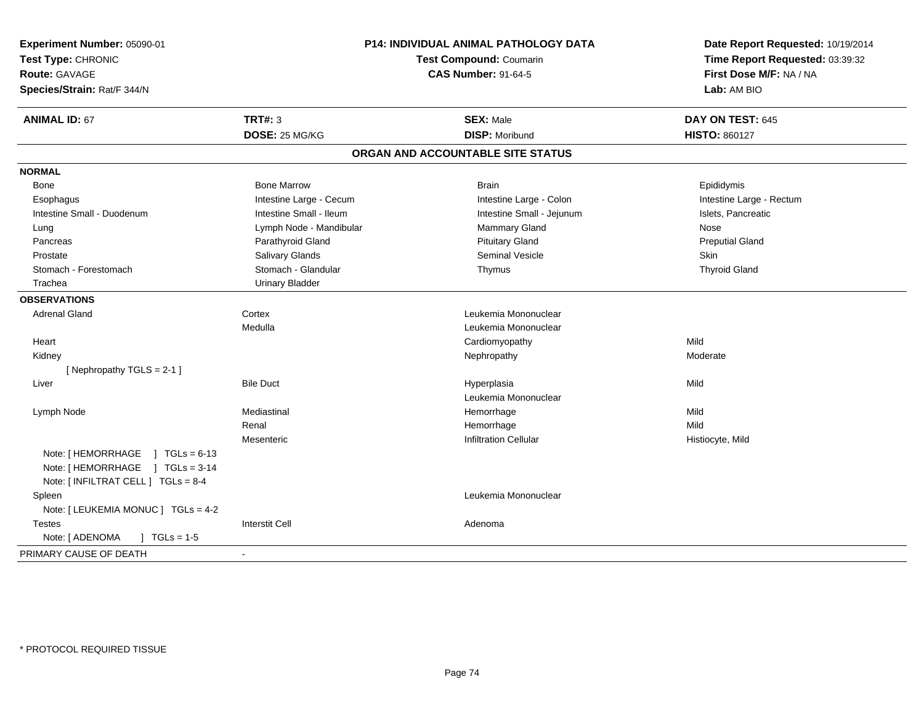| Experiment Number: 05090-01             |                                | P14: INDIVIDUAL ANIMAL PATHOLOGY DATA | Date Report Requested: 10/19/2014 |
|-----------------------------------------|--------------------------------|---------------------------------------|-----------------------------------|
| Test Type: CHRONIC                      | <b>Test Compound: Coumarin</b> |                                       | Time Report Requested: 03:39:32   |
| <b>Route: GAVAGE</b>                    |                                | <b>CAS Number: 91-64-5</b>            | First Dose M/F: NA / NA           |
| Species/Strain: Rat/F 344/N             |                                |                                       | Lab: AM BIO                       |
| <b>ANIMAL ID: 67</b>                    | <b>TRT#: 3</b>                 | <b>SEX: Male</b>                      | DAY ON TEST: 645                  |
|                                         | DOSE: 25 MG/KG                 | <b>DISP: Moribund</b>                 | <b>HISTO: 860127</b>              |
|                                         |                                | ORGAN AND ACCOUNTABLE SITE STATUS     |                                   |
| <b>NORMAL</b>                           |                                |                                       |                                   |
| Bone                                    | <b>Bone Marrow</b>             | <b>Brain</b>                          | Epididymis                        |
| Esophagus                               | Intestine Large - Cecum        | Intestine Large - Colon               | Intestine Large - Rectum          |
| Intestine Small - Duodenum              | Intestine Small - Ileum        | Intestine Small - Jejunum             | Islets, Pancreatic                |
| Lung                                    | Lymph Node - Mandibular        | Mammary Gland                         | <b>Nose</b>                       |
| Pancreas                                | Parathyroid Gland              | <b>Pituitary Gland</b>                | <b>Preputial Gland</b>            |
| Prostate                                | Salivary Glands                | Seminal Vesicle                       | Skin                              |
| Stomach - Forestomach                   | Stomach - Glandular            | Thymus                                | <b>Thyroid Gland</b>              |
| Trachea                                 | <b>Urinary Bladder</b>         |                                       |                                   |
| <b>OBSERVATIONS</b>                     |                                |                                       |                                   |
| <b>Adrenal Gland</b>                    | Cortex                         | Leukemia Mononuclear                  |                                   |
|                                         | Medulla                        | Leukemia Mononuclear                  |                                   |
| Heart                                   |                                | Cardiomyopathy                        | Mild                              |
| Kidney                                  |                                | Nephropathy                           | Moderate                          |
| [Nephropathy TGLS = 2-1]                |                                |                                       |                                   |
| Liver                                   | <b>Bile Duct</b>               | Hyperplasia                           | Mild                              |
|                                         |                                | Leukemia Mononuclear                  |                                   |
| Lymph Node                              | Mediastinal                    | Hemorrhage                            | Mild                              |
|                                         | Renal                          | Hemorrhage                            | Mild                              |
|                                         | Mesenteric                     | <b>Infiltration Cellular</b>          | Histiocyte, Mild                  |
| Note: [HEMORRHAGE ] TGLs = 6-13         |                                |                                       |                                   |
| Note: [HEMORRHAGE ] TGLs = 3-14         |                                |                                       |                                   |
| Note: [ INFILTRAT CELL ] TGLs = 8-4     |                                |                                       |                                   |
| Spleen                                  |                                | Leukemia Mononuclear                  |                                   |
| Note: [ LEUKEMIA MONUC ] TGLs = 4-2     |                                |                                       |                                   |
| <b>Testes</b>                           | <b>Interstit Cell</b>          | Adenoma                               |                                   |
| Note: [ ADENOMA<br>$J \cdot TGLs = 1-5$ |                                |                                       |                                   |
| PRIMARY CAUSE OF DEATH                  |                                |                                       |                                   |
|                                         |                                |                                       |                                   |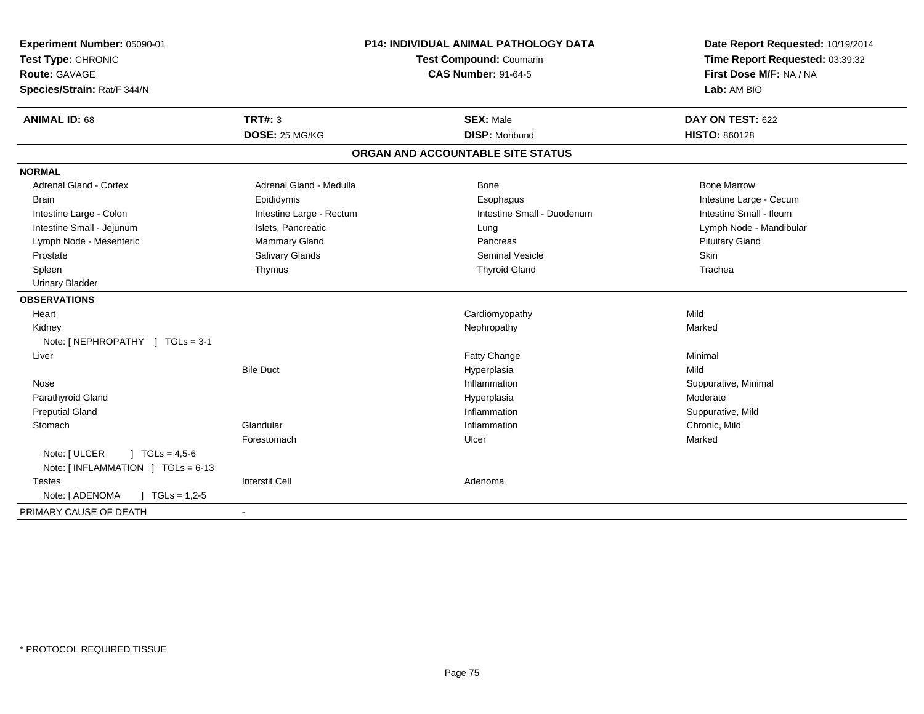| Experiment Number: 05090-01<br>Test Type: CHRONIC<br><b>Route: GAVAGE</b><br>Species/Strain: Rat/F 344/N | <b>P14: INDIVIDUAL ANIMAL PATHOLOGY DATA</b><br>Test Compound: Coumarin<br><b>CAS Number: 91-64-5</b> |                                   | Date Report Requested: 10/19/2014<br>Time Report Requested: 03:39:32<br>First Dose M/F: NA / NA<br>Lab: AM BIO |  |
|----------------------------------------------------------------------------------------------------------|-------------------------------------------------------------------------------------------------------|-----------------------------------|----------------------------------------------------------------------------------------------------------------|--|
| <b>ANIMAL ID: 68</b>                                                                                     | <b>TRT#: 3</b>                                                                                        | <b>SEX: Male</b>                  | DAY ON TEST: 622                                                                                               |  |
|                                                                                                          | DOSE: 25 MG/KG                                                                                        | <b>DISP: Moribund</b>             | <b>HISTO: 860128</b>                                                                                           |  |
|                                                                                                          |                                                                                                       | ORGAN AND ACCOUNTABLE SITE STATUS |                                                                                                                |  |
| <b>NORMAL</b>                                                                                            |                                                                                                       |                                   |                                                                                                                |  |
| <b>Adrenal Gland - Cortex</b>                                                                            | Adrenal Gland - Medulla                                                                               | Bone                              | <b>Bone Marrow</b>                                                                                             |  |
| <b>Brain</b>                                                                                             | Epididymis                                                                                            | Esophagus                         | Intestine Large - Cecum                                                                                        |  |
| Intestine Large - Colon                                                                                  | Intestine Large - Rectum                                                                              | Intestine Small - Duodenum        | Intestine Small - Ileum                                                                                        |  |
| Intestine Small - Jejunum                                                                                | Islets, Pancreatic                                                                                    | Lung                              | Lymph Node - Mandibular                                                                                        |  |
| Lymph Node - Mesenteric                                                                                  | <b>Mammary Gland</b>                                                                                  | Pancreas                          | <b>Pituitary Gland</b>                                                                                         |  |
| Prostate                                                                                                 | Salivary Glands                                                                                       | <b>Seminal Vesicle</b>            | <b>Skin</b>                                                                                                    |  |
| Spleen                                                                                                   | Thymus                                                                                                | <b>Thyroid Gland</b>              | Trachea                                                                                                        |  |
| <b>Urinary Bladder</b>                                                                                   |                                                                                                       |                                   |                                                                                                                |  |
| <b>OBSERVATIONS</b>                                                                                      |                                                                                                       |                                   |                                                                                                                |  |
| Heart                                                                                                    |                                                                                                       | Cardiomyopathy                    | Mild                                                                                                           |  |
| Kidney                                                                                                   |                                                                                                       | Nephropathy                       | Marked                                                                                                         |  |
| Note: [NEPHROPATHY ] TGLs = 3-1                                                                          |                                                                                                       |                                   |                                                                                                                |  |
| Liver                                                                                                    |                                                                                                       | Fatty Change                      | Minimal                                                                                                        |  |
|                                                                                                          | <b>Bile Duct</b>                                                                                      | Hyperplasia                       | Mild                                                                                                           |  |
| Nose                                                                                                     |                                                                                                       | Inflammation                      | Suppurative, Minimal                                                                                           |  |
| Parathyroid Gland                                                                                        |                                                                                                       | Hyperplasia                       | Moderate                                                                                                       |  |
| <b>Preputial Gland</b>                                                                                   |                                                                                                       | Inflammation                      | Suppurative, Mild                                                                                              |  |
| Stomach                                                                                                  | Glandular                                                                                             | Inflammation                      | Chronic, Mild                                                                                                  |  |
|                                                                                                          | Forestomach                                                                                           | Ulcer                             | Marked                                                                                                         |  |
| Note: [ ULCER<br>$1 TGLs = 4.5-6$<br>Note: $[INFLAMMATION ] TGLs = 6-13$                                 |                                                                                                       |                                   |                                                                                                                |  |
| <b>Testes</b>                                                                                            | <b>Interstit Cell</b>                                                                                 | Adenoma                           |                                                                                                                |  |
| Note: [ ADENOMA<br>$\int$ TGLs = 1,2-5                                                                   |                                                                                                       |                                   |                                                                                                                |  |
| PRIMARY CAUSE OF DEATH                                                                                   |                                                                                                       |                                   |                                                                                                                |  |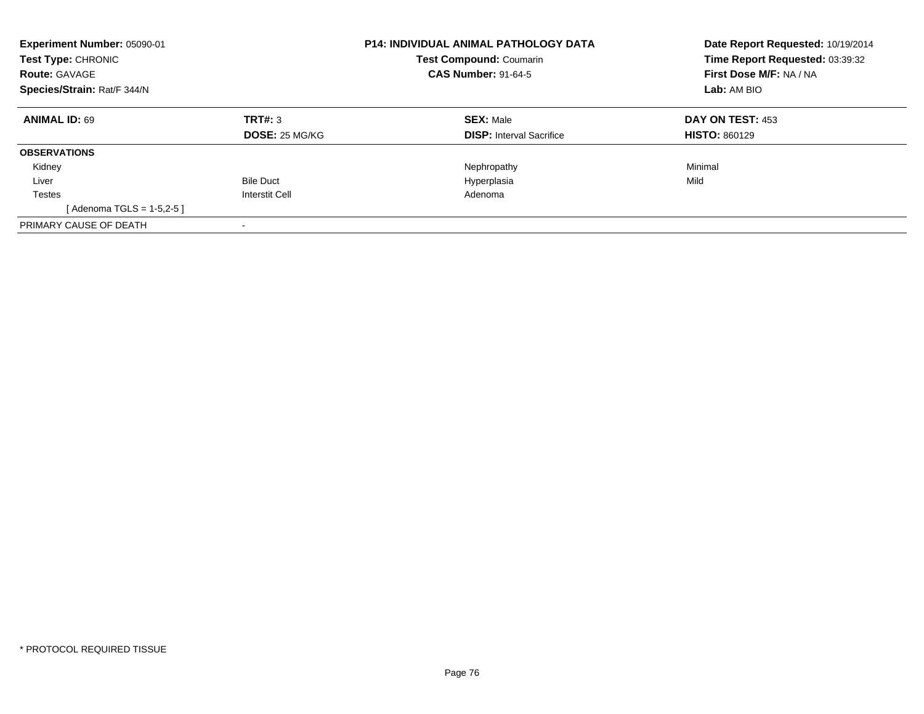| Experiment Number: 05090-01<br>Test Type: CHRONIC<br><b>Route: GAVAGE</b><br>Species/Strain: Rat/F 344/N |                                  | <b>P14: INDIVIDUAL ANIMAL PATHOLOGY DATA</b><br><b>Test Compound: Coumarin</b><br><b>CAS Number: 91-64-5</b> | Date Report Requested: 10/19/2014<br>Time Report Requested: 03:39:32<br>First Dose M/F: NA / NA<br>Lab: AM BIO |
|----------------------------------------------------------------------------------------------------------|----------------------------------|--------------------------------------------------------------------------------------------------------------|----------------------------------------------------------------------------------------------------------------|
| <b>ANIMAL ID: 69</b>                                                                                     | TRT#: 3<br><b>DOSE: 25 MG/KG</b> | <b>SEX: Male</b><br><b>DISP:</b> Interval Sacrifice                                                          | DAY ON TEST: 453<br><b>HISTO: 860129</b>                                                                       |
| <b>OBSERVATIONS</b>                                                                                      |                                  |                                                                                                              |                                                                                                                |
| Kidney                                                                                                   |                                  | Nephropathy                                                                                                  | Minimal                                                                                                        |
| Liver                                                                                                    | <b>Bile Duct</b>                 | Hyperplasia                                                                                                  | Mild                                                                                                           |
| Testes                                                                                                   | Interstit Cell                   | Adenoma                                                                                                      |                                                                                                                |
| [Adenoma TGLS = $1-5,2-5$ ]                                                                              |                                  |                                                                                                              |                                                                                                                |
| PRIMARY CAUSE OF DEATH                                                                                   |                                  |                                                                                                              |                                                                                                                |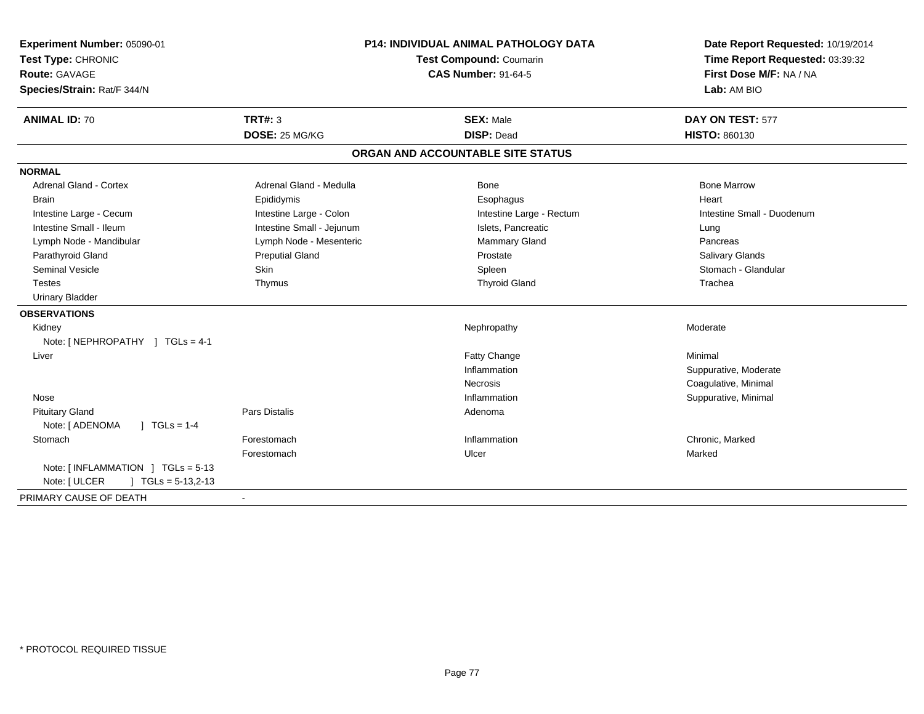| Experiment Number: 05090-01<br>Test Type: CHRONIC<br><b>Route: GAVAGE</b><br>Species/Strain: Rat/F 344/N | <b>P14: INDIVIDUAL ANIMAL PATHOLOGY DATA</b><br>Test Compound: Coumarin<br><b>CAS Number: 91-64-5</b> |                                   | Date Report Requested: 10/19/2014<br>Time Report Requested: 03:39:32<br>First Dose M/F: NA / NA<br>Lab: AM BIO |
|----------------------------------------------------------------------------------------------------------|-------------------------------------------------------------------------------------------------------|-----------------------------------|----------------------------------------------------------------------------------------------------------------|
| <b>ANIMAL ID: 70</b>                                                                                     | <b>TRT#: 3</b>                                                                                        | <b>SEX: Male</b>                  | DAY ON TEST: 577                                                                                               |
|                                                                                                          | DOSE: 25 MG/KG                                                                                        | <b>DISP: Dead</b>                 | <b>HISTO: 860130</b>                                                                                           |
|                                                                                                          |                                                                                                       | ORGAN AND ACCOUNTABLE SITE STATUS |                                                                                                                |
| <b>NORMAL</b>                                                                                            |                                                                                                       |                                   |                                                                                                                |
| <b>Adrenal Gland - Cortex</b>                                                                            | Adrenal Gland - Medulla                                                                               | Bone                              | <b>Bone Marrow</b>                                                                                             |
| <b>Brain</b>                                                                                             | Epididymis                                                                                            | Esophagus                         | Heart                                                                                                          |
| Intestine Large - Cecum                                                                                  | Intestine Large - Colon                                                                               | Intestine Large - Rectum          | Intestine Small - Duodenum                                                                                     |
| Intestine Small - Ileum                                                                                  | Intestine Small - Jejunum                                                                             | Islets, Pancreatic                | Lung                                                                                                           |
| Lymph Node - Mandibular                                                                                  | Lymph Node - Mesenteric                                                                               | <b>Mammary Gland</b>              | Pancreas                                                                                                       |
| Parathyroid Gland                                                                                        | <b>Preputial Gland</b>                                                                                | Prostate                          | <b>Salivary Glands</b>                                                                                         |
| <b>Seminal Vesicle</b>                                                                                   | Skin                                                                                                  | Spleen                            | Stomach - Glandular                                                                                            |
| Testes                                                                                                   | Thymus                                                                                                | <b>Thyroid Gland</b>              | Trachea                                                                                                        |
| <b>Urinary Bladder</b>                                                                                   |                                                                                                       |                                   |                                                                                                                |
| <b>OBSERVATIONS</b>                                                                                      |                                                                                                       |                                   |                                                                                                                |
| Kidney                                                                                                   |                                                                                                       | Nephropathy                       | Moderate                                                                                                       |
| Note: [ NEPHROPATHY ] TGLs = 4-1                                                                         |                                                                                                       |                                   |                                                                                                                |
| Liver                                                                                                    |                                                                                                       | <b>Fatty Change</b>               | Minimal                                                                                                        |
|                                                                                                          |                                                                                                       | Inflammation                      | Suppurative, Moderate                                                                                          |
|                                                                                                          |                                                                                                       | Necrosis                          | Coagulative, Minimal                                                                                           |
| Nose                                                                                                     |                                                                                                       | Inflammation                      | Suppurative, Minimal                                                                                           |
| <b>Pituitary Gland</b>                                                                                   | Pars Distalis                                                                                         | Adenoma                           |                                                                                                                |
| Note: [ ADENOMA<br>$1 TGLs = 1-4$                                                                        |                                                                                                       |                                   |                                                                                                                |
| Stomach                                                                                                  | Forestomach                                                                                           | Inflammation                      | Chronic, Marked                                                                                                |
|                                                                                                          | Forestomach                                                                                           | Ulcer                             | Marked                                                                                                         |
| Note: [ INFLAMMATION ] TGLs = 5-13                                                                       |                                                                                                       |                                   |                                                                                                                |
| Note: [ ULCER<br>$\vert$ TGLs = 5-13,2-13                                                                |                                                                                                       |                                   |                                                                                                                |
| PRIMARY CAUSE OF DEATH                                                                                   | $\sim$                                                                                                |                                   |                                                                                                                |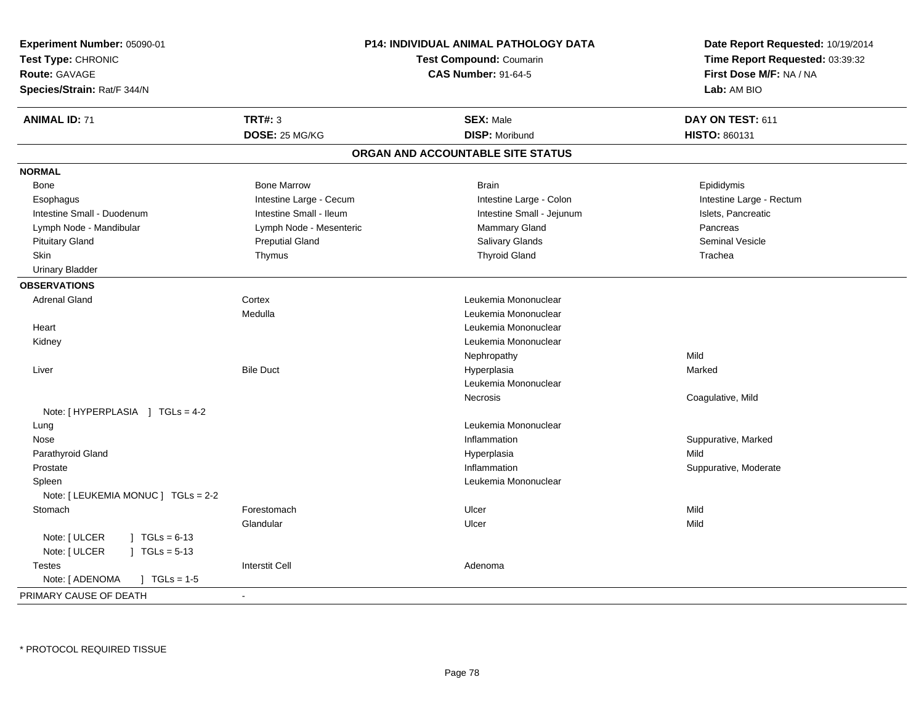| Experiment Number: 05090-01              |                                                              | <b>P14: INDIVIDUAL ANIMAL PATHOLOGY DATA</b> | Date Report Requested: 10/19/2014                          |
|------------------------------------------|--------------------------------------------------------------|----------------------------------------------|------------------------------------------------------------|
| Test Type: CHRONIC                       | <b>Test Compound: Coumarin</b><br><b>CAS Number: 91-64-5</b> |                                              | Time Report Requested: 03:39:32<br>First Dose M/F: NA / NA |
| <b>Route: GAVAGE</b>                     |                                                              |                                              |                                                            |
| Species/Strain: Rat/F 344/N              |                                                              |                                              | Lab: AM BIO                                                |
| <b>ANIMAL ID: 71</b>                     | <b>TRT#: 3</b>                                               | <b>SEX: Male</b>                             | DAY ON TEST: 611                                           |
|                                          | DOSE: 25 MG/KG                                               | <b>DISP: Moribund</b>                        | <b>HISTO: 860131</b>                                       |
|                                          |                                                              | ORGAN AND ACCOUNTABLE SITE STATUS            |                                                            |
| <b>NORMAL</b>                            |                                                              |                                              |                                                            |
| Bone                                     | <b>Bone Marrow</b>                                           | <b>Brain</b>                                 | Epididymis                                                 |
| Esophagus                                | Intestine Large - Cecum                                      | Intestine Large - Colon                      | Intestine Large - Rectum                                   |
| Intestine Small - Duodenum               | Intestine Small - Ileum                                      | Intestine Small - Jejunum                    | Islets, Pancreatic                                         |
| Lymph Node - Mandibular                  | Lymph Node - Mesenteric                                      | <b>Mammary Gland</b>                         | Pancreas                                                   |
| <b>Pituitary Gland</b>                   | <b>Preputial Gland</b>                                       | Salivary Glands                              | <b>Seminal Vesicle</b>                                     |
| Skin                                     | Thymus                                                       | <b>Thyroid Gland</b>                         | Trachea                                                    |
| <b>Urinary Bladder</b>                   |                                                              |                                              |                                                            |
| <b>OBSERVATIONS</b>                      |                                                              |                                              |                                                            |
| <b>Adrenal Gland</b>                     | Cortex                                                       | Leukemia Mononuclear                         |                                                            |
|                                          | Medulla                                                      | Leukemia Mononuclear                         |                                                            |
| Heart                                    |                                                              | Leukemia Mononuclear                         |                                                            |
| Kidney                                   |                                                              | Leukemia Mononuclear                         |                                                            |
|                                          |                                                              | Nephropathy                                  | Mild                                                       |
| Liver                                    | <b>Bile Duct</b>                                             | Hyperplasia                                  | Marked                                                     |
|                                          |                                                              | Leukemia Mononuclear                         |                                                            |
|                                          |                                                              | <b>Necrosis</b>                              | Coagulative, Mild                                          |
| Note: [HYPERPLASIA ] TGLs = 4-2          |                                                              |                                              |                                                            |
| Lung                                     |                                                              | Leukemia Mononuclear                         |                                                            |
| Nose                                     |                                                              | Inflammation                                 | Suppurative, Marked                                        |
| Parathyroid Gland                        |                                                              | Hyperplasia                                  | Mild                                                       |
| Prostate                                 |                                                              | Inflammation                                 | Suppurative, Moderate                                      |
| Spleen                                   |                                                              | Leukemia Mononuclear                         |                                                            |
| Note: [ LEUKEMIA MONUC ] TGLs = 2-2      |                                                              |                                              |                                                            |
| Stomach                                  | Forestomach                                                  | Ulcer                                        | Mild                                                       |
|                                          | Glandular                                                    | Ulcer                                        | Mild                                                       |
| Note: [ ULCER<br>$1 \text{ TGLs} = 6-13$ |                                                              |                                              |                                                            |
| Note: [ ULCER<br>$\mid$ TGLs = 5-13      |                                                              |                                              |                                                            |
| <b>Testes</b>                            | <b>Interstit Cell</b>                                        | Adenoma                                      |                                                            |
| Note: [ ADENOMA<br>$\sqrt{1}$ TGLs = 1-5 |                                                              |                                              |                                                            |
| PRIMARY CAUSE OF DEATH                   | $\sim$                                                       |                                              |                                                            |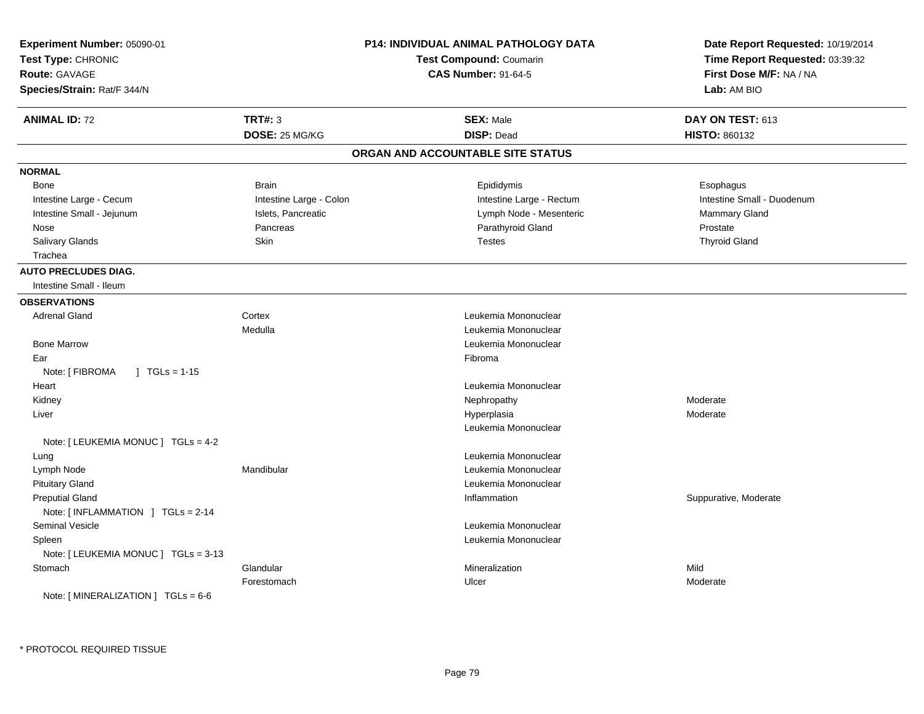| Experiment Number: 05090-01<br>Test Type: CHRONIC<br><b>Route: GAVAGE</b><br>Species/Strain: Rat/F 344/N |                         | P14: INDIVIDUAL ANIMAL PATHOLOGY DATA<br><b>Test Compound: Coumarin</b><br><b>CAS Number: 91-64-5</b> | Date Report Requested: 10/19/2014<br>Time Report Requested: 03:39:32<br>First Dose M/F: NA / NA<br>Lab: AM BIO |
|----------------------------------------------------------------------------------------------------------|-------------------------|-------------------------------------------------------------------------------------------------------|----------------------------------------------------------------------------------------------------------------|
| <b>ANIMAL ID: 72</b>                                                                                     | <b>TRT#: 3</b>          | <b>SEX: Male</b>                                                                                      | DAY ON TEST: 613                                                                                               |
|                                                                                                          | DOSE: 25 MG/KG          | <b>DISP: Dead</b>                                                                                     | HISTO: 860132                                                                                                  |
|                                                                                                          |                         | ORGAN AND ACCOUNTABLE SITE STATUS                                                                     |                                                                                                                |
| <b>NORMAL</b>                                                                                            |                         |                                                                                                       |                                                                                                                |
| <b>Bone</b>                                                                                              | <b>Brain</b>            | Epididymis                                                                                            | Esophagus                                                                                                      |
| Intestine Large - Cecum                                                                                  | Intestine Large - Colon | Intestine Large - Rectum                                                                              | Intestine Small - Duodenum                                                                                     |
| Intestine Small - Jejunum                                                                                | Islets, Pancreatic      | Lymph Node - Mesenteric                                                                               | Mammary Gland                                                                                                  |
| Nose                                                                                                     | Pancreas                | Parathyroid Gland                                                                                     | Prostate                                                                                                       |
| Salivary Glands                                                                                          | Skin                    | <b>Testes</b>                                                                                         | <b>Thyroid Gland</b>                                                                                           |
| Trachea                                                                                                  |                         |                                                                                                       |                                                                                                                |
| <b>AUTO PRECLUDES DIAG.</b>                                                                              |                         |                                                                                                       |                                                                                                                |
| Intestine Small - Ileum                                                                                  |                         |                                                                                                       |                                                                                                                |
| <b>OBSERVATIONS</b>                                                                                      |                         |                                                                                                       |                                                                                                                |
| <b>Adrenal Gland</b>                                                                                     | Cortex                  | Leukemia Mononuclear                                                                                  |                                                                                                                |
|                                                                                                          | Medulla                 | Leukemia Mononuclear                                                                                  |                                                                                                                |
| <b>Bone Marrow</b>                                                                                       |                         | Leukemia Mononuclear                                                                                  |                                                                                                                |
| Ear                                                                                                      |                         | Fibroma                                                                                               |                                                                                                                |
| Note: [ FIBROMA<br>$\sqrt{1}$ TGLs = 1-15                                                                |                         |                                                                                                       |                                                                                                                |
| Heart                                                                                                    |                         | Leukemia Mononuclear                                                                                  |                                                                                                                |
| Kidney                                                                                                   |                         | Nephropathy                                                                                           | Moderate                                                                                                       |
| Liver                                                                                                    |                         | Hyperplasia                                                                                           | Moderate                                                                                                       |
|                                                                                                          |                         | Leukemia Mononuclear                                                                                  |                                                                                                                |
| Note: $[LEUKEMIA MONUC] TGLS = 4-2$                                                                      |                         |                                                                                                       |                                                                                                                |
| Lung                                                                                                     |                         | Leukemia Mononuclear                                                                                  |                                                                                                                |
| Lymph Node                                                                                               | Mandibular              | Leukemia Mononuclear                                                                                  |                                                                                                                |
| <b>Pituitary Gland</b>                                                                                   |                         | Leukemia Mononuclear                                                                                  |                                                                                                                |
| <b>Preputial Gland</b><br>Note: [INFLAMMATION ] TGLs = 2-14                                              |                         | Inflammation                                                                                          | Suppurative, Moderate                                                                                          |
| <b>Seminal Vesicle</b>                                                                                   |                         | Leukemia Mononuclear                                                                                  |                                                                                                                |
| Spleen                                                                                                   |                         | Leukemia Mononuclear                                                                                  |                                                                                                                |
| Note: [ LEUKEMIA MONUC ] TGLs = 3-13                                                                     |                         |                                                                                                       |                                                                                                                |
| Stomach                                                                                                  | Glandular               | Mineralization                                                                                        | Mild                                                                                                           |
|                                                                                                          | Forestomach             | Ulcer                                                                                                 | Moderate                                                                                                       |
| Note: $\lceil$ MINERALIZATION $\rceil$ TGLs = 6-6                                                        |                         |                                                                                                       |                                                                                                                |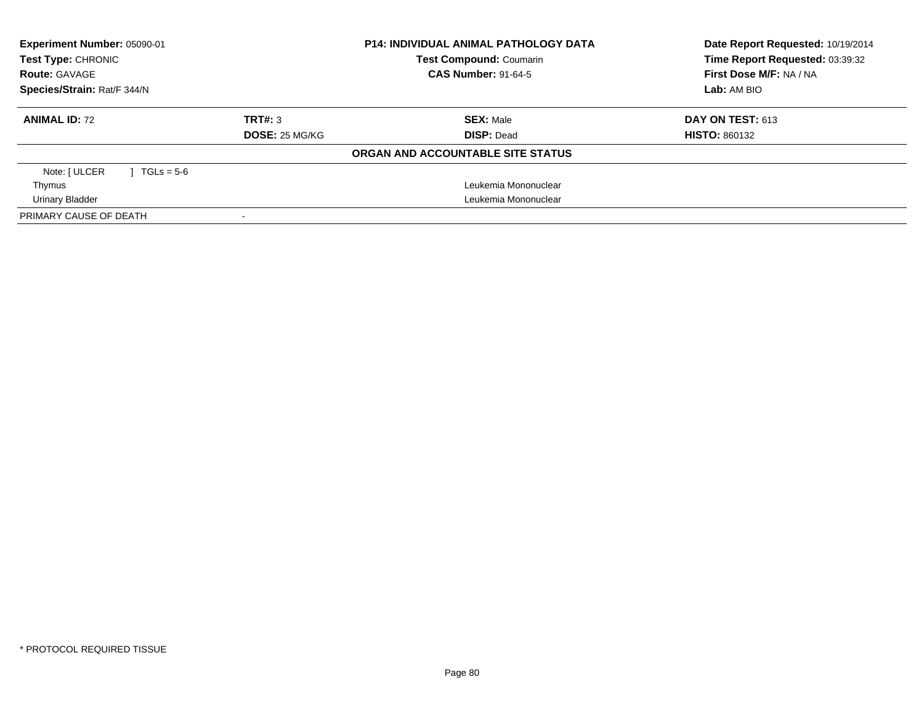| Experiment Number: 05090-01<br>Test Type: CHRONIC<br><b>Route: GAVAGE</b><br>Species/Strain: Rat/F 344/N | <b>P14: INDIVIDUAL ANIMAL PATHOLOGY DATA</b><br><b>Test Compound: Coumarin</b><br><b>CAS Number: 91-64-5</b> |                                   | Date Report Requested: 10/19/2014<br>Time Report Requested: 03:39:32<br>First Dose M/F: NA / NA<br>Lab: AM BIO |
|----------------------------------------------------------------------------------------------------------|--------------------------------------------------------------------------------------------------------------|-----------------------------------|----------------------------------------------------------------------------------------------------------------|
| <b>ANIMAL ID: 72</b>                                                                                     | TRT#: 3                                                                                                      | <b>SEX: Male</b>                  | DAY ON TEST: 613                                                                                               |
|                                                                                                          | <b>DOSE: 25 MG/KG</b>                                                                                        | <b>DISP: Dead</b>                 | <b>HISTO: 860132</b>                                                                                           |
|                                                                                                          |                                                                                                              | ORGAN AND ACCOUNTABLE SITE STATUS |                                                                                                                |
| Note: [ ULCER<br>$TGLs = 5-6$                                                                            |                                                                                                              |                                   |                                                                                                                |
| Thymus                                                                                                   |                                                                                                              | Leukemia Mononuclear              |                                                                                                                |
| Urinary Bladder                                                                                          | Leukemia Mononuclear                                                                                         |                                   |                                                                                                                |
| PRIMARY CAUSE OF DEATH                                                                                   |                                                                                                              |                                   |                                                                                                                |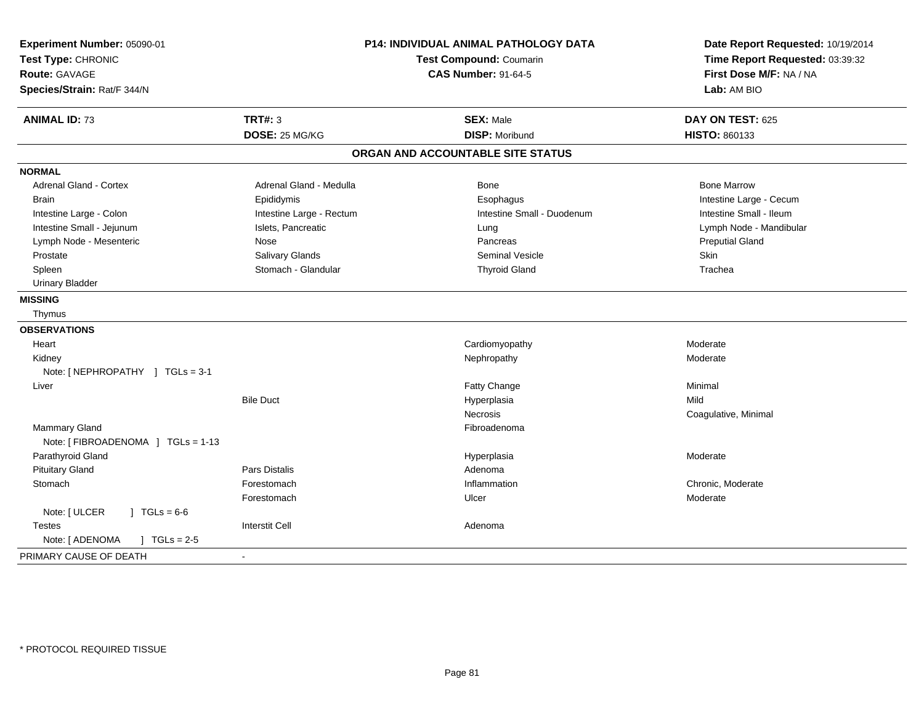| Experiment Number: 05090-01<br>Test Type: CHRONIC<br>Route: GAVAGE<br>Species/Strain: Rat/F 344/N | <b>P14: INDIVIDUAL ANIMAL PATHOLOGY DATA</b><br><b>Test Compound: Coumarin</b><br><b>CAS Number: 91-64-5</b> |                                   | Date Report Requested: 10/19/2014<br>Time Report Requested: 03:39:32<br>First Dose M/F: NA / NA<br>Lab: AM BIO |
|---------------------------------------------------------------------------------------------------|--------------------------------------------------------------------------------------------------------------|-----------------------------------|----------------------------------------------------------------------------------------------------------------|
| <b>ANIMAL ID: 73</b>                                                                              | <b>TRT#: 3</b>                                                                                               | <b>SEX: Male</b>                  | DAY ON TEST: 625                                                                                               |
|                                                                                                   | DOSE: 25 MG/KG                                                                                               | <b>DISP: Moribund</b>             | HISTO: 860133                                                                                                  |
|                                                                                                   |                                                                                                              | ORGAN AND ACCOUNTABLE SITE STATUS |                                                                                                                |
| <b>NORMAL</b>                                                                                     |                                                                                                              |                                   |                                                                                                                |
| <b>Adrenal Gland - Cortex</b>                                                                     | Adrenal Gland - Medulla                                                                                      | Bone                              | <b>Bone Marrow</b>                                                                                             |
| <b>Brain</b>                                                                                      | Epididymis                                                                                                   | Esophagus                         | Intestine Large - Cecum                                                                                        |
| Intestine Large - Colon                                                                           | Intestine Large - Rectum                                                                                     | Intestine Small - Duodenum        | Intestine Small - Ileum                                                                                        |
| Intestine Small - Jejunum                                                                         | Islets, Pancreatic                                                                                           | Lung                              | Lymph Node - Mandibular                                                                                        |
| Lymph Node - Mesenteric                                                                           | Nose                                                                                                         | Pancreas                          | <b>Preputial Gland</b>                                                                                         |
| Prostate                                                                                          | Salivary Glands                                                                                              | <b>Seminal Vesicle</b>            | <b>Skin</b>                                                                                                    |
| Spleen                                                                                            | Stomach - Glandular                                                                                          | <b>Thyroid Gland</b>              | Trachea                                                                                                        |
| <b>Urinary Bladder</b>                                                                            |                                                                                                              |                                   |                                                                                                                |
| <b>MISSING</b>                                                                                    |                                                                                                              |                                   |                                                                                                                |
| Thymus                                                                                            |                                                                                                              |                                   |                                                                                                                |
| <b>OBSERVATIONS</b>                                                                               |                                                                                                              |                                   |                                                                                                                |
| Heart                                                                                             |                                                                                                              | Cardiomyopathy                    | Moderate                                                                                                       |
| Kidney                                                                                            |                                                                                                              | Nephropathy                       | Moderate                                                                                                       |
| Note: [NEPHROPATHY ] TGLs = 3-1                                                                   |                                                                                                              |                                   |                                                                                                                |
| Liver                                                                                             |                                                                                                              | Fatty Change                      | Minimal                                                                                                        |
|                                                                                                   | <b>Bile Duct</b>                                                                                             | Hyperplasia                       | Mild                                                                                                           |
|                                                                                                   |                                                                                                              | <b>Necrosis</b>                   | Coagulative, Minimal                                                                                           |
| Mammary Gland                                                                                     |                                                                                                              | Fibroadenoma                      |                                                                                                                |
| Note: [FIBROADENOMA ] TGLs = 1-13                                                                 |                                                                                                              |                                   |                                                                                                                |
| Parathyroid Gland                                                                                 |                                                                                                              | Hyperplasia                       | Moderate                                                                                                       |
| <b>Pituitary Gland</b>                                                                            | Pars Distalis                                                                                                | Adenoma                           |                                                                                                                |
| Stomach                                                                                           | Forestomach                                                                                                  | Inflammation                      | Chronic, Moderate                                                                                              |
|                                                                                                   | Forestomach                                                                                                  | Ulcer                             | Moderate                                                                                                       |
| Note: [ ULCER<br>$J \cdot TGLs = 6-6$                                                             |                                                                                                              |                                   |                                                                                                                |
| <b>Testes</b>                                                                                     | <b>Interstit Cell</b>                                                                                        | Adenoma                           |                                                                                                                |
| Note: [ ADENOMA<br>$J \cdot TGLs = 2-5$                                                           |                                                                                                              |                                   |                                                                                                                |
| PRIMARY CAUSE OF DEATH                                                                            |                                                                                                              |                                   |                                                                                                                |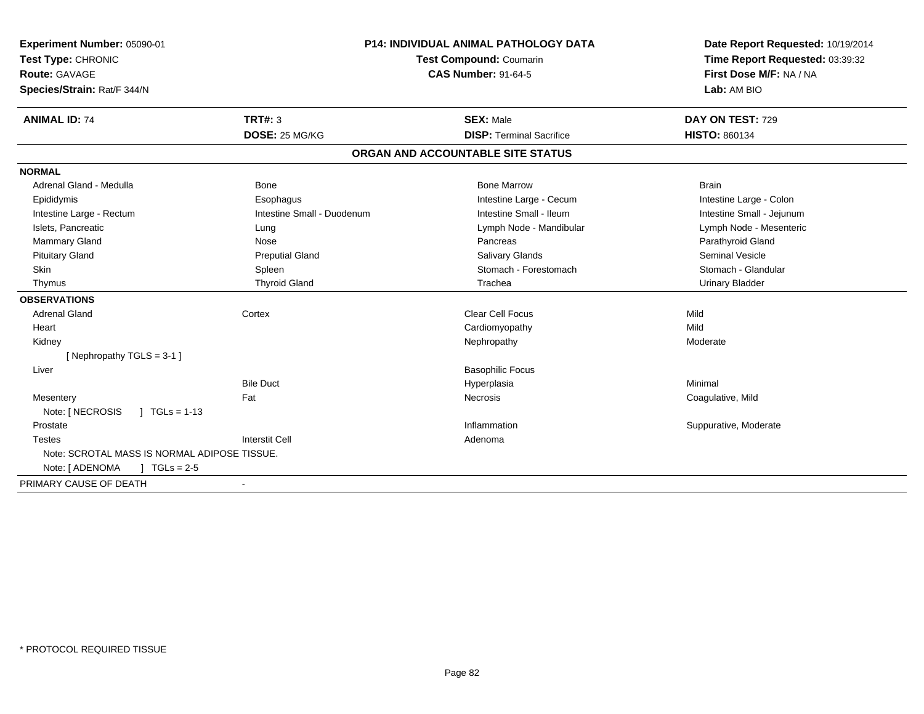| Experiment Number: 05090-01<br>Test Type: CHRONIC<br><b>Route: GAVAGE</b> | <b>P14: INDIVIDUAL ANIMAL PATHOLOGY DATA</b><br>Test Compound: Coumarin |                                   | Date Report Requested: 10/19/2014<br>Time Report Requested: 03:39:32 |  |
|---------------------------------------------------------------------------|-------------------------------------------------------------------------|-----------------------------------|----------------------------------------------------------------------|--|
| Species/Strain: Rat/F 344/N                                               |                                                                         | <b>CAS Number: 91-64-5</b>        | First Dose M/F: NA / NA<br>Lab: AM BIO                               |  |
| <b>ANIMAL ID: 74</b>                                                      | TRT#: 3                                                                 | <b>SEX: Male</b>                  | DAY ON TEST: 729                                                     |  |
|                                                                           | DOSE: 25 MG/KG                                                          | <b>DISP: Terminal Sacrifice</b>   | <b>HISTO: 860134</b>                                                 |  |
|                                                                           |                                                                         | ORGAN AND ACCOUNTABLE SITE STATUS |                                                                      |  |
| <b>NORMAL</b>                                                             |                                                                         |                                   |                                                                      |  |
| Adrenal Gland - Medulla                                                   | <b>Bone</b>                                                             | <b>Bone Marrow</b>                | <b>Brain</b>                                                         |  |
| Epididymis                                                                | Esophagus                                                               | Intestine Large - Cecum           | Intestine Large - Colon                                              |  |
| Intestine Large - Rectum                                                  | Intestine Small - Duodenum                                              | Intestine Small - Ileum           | Intestine Small - Jejunum                                            |  |
| Islets. Pancreatic                                                        | Lung                                                                    | Lymph Node - Mandibular           | Lymph Node - Mesenteric                                              |  |
| <b>Mammary Gland</b>                                                      | Nose                                                                    | Pancreas                          | Parathyroid Gland                                                    |  |
| <b>Pituitary Gland</b>                                                    | <b>Preputial Gland</b>                                                  | <b>Salivary Glands</b>            | <b>Seminal Vesicle</b>                                               |  |
| Skin                                                                      | Spleen                                                                  | Stomach - Forestomach             | Stomach - Glandular                                                  |  |
| Thymus                                                                    | <b>Thyroid Gland</b>                                                    | Trachea                           | <b>Urinary Bladder</b>                                               |  |
| <b>OBSERVATIONS</b>                                                       |                                                                         |                                   |                                                                      |  |
| <b>Adrenal Gland</b>                                                      | Cortex                                                                  | <b>Clear Cell Focus</b>           | Mild                                                                 |  |
| Heart                                                                     |                                                                         | Cardiomyopathy                    | Mild                                                                 |  |
| Kidney                                                                    |                                                                         | Nephropathy                       | Moderate                                                             |  |
| [Nephropathy TGLS = 3-1]                                                  |                                                                         |                                   |                                                                      |  |
| Liver                                                                     |                                                                         | <b>Basophilic Focus</b>           |                                                                      |  |
|                                                                           | <b>Bile Duct</b>                                                        | Hyperplasia                       | Minimal                                                              |  |
| Mesentery                                                                 | Fat                                                                     | Necrosis                          | Coagulative, Mild                                                    |  |
| Note: [ NECROSIS<br>$1 \text{ TGLs} = 1-13$                               |                                                                         |                                   |                                                                      |  |
| Prostate                                                                  |                                                                         | Inflammation                      | Suppurative, Moderate                                                |  |
| <b>Testes</b>                                                             | <b>Interstit Cell</b>                                                   | Adenoma                           |                                                                      |  |
| Note: SCROTAL MASS IS NORMAL ADIPOSE TISSUE.                              |                                                                         |                                   |                                                                      |  |
| Note: [ ADENOMA<br>$\sqrt{1}$ TGLs = 2-5                                  |                                                                         |                                   |                                                                      |  |
| PRIMARY CAUSE OF DEATH                                                    |                                                                         |                                   |                                                                      |  |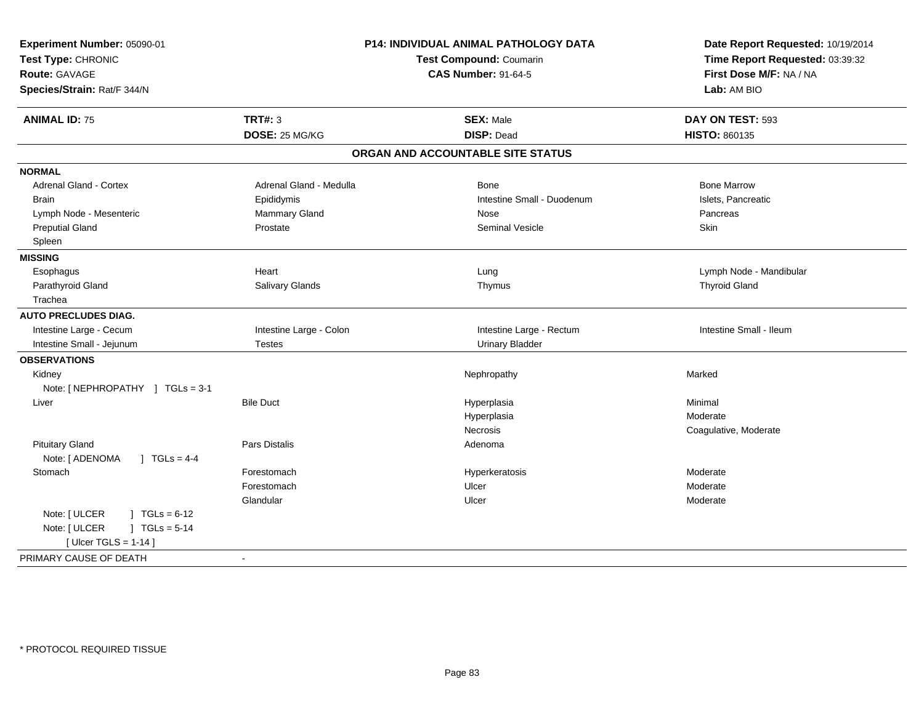| Experiment Number: 05090-01<br>Test Type: CHRONIC<br><b>Route: GAVAGE</b><br>Species/Strain: Rat/F 344/N | P14: INDIVIDUAL ANIMAL PATHOLOGY DATA<br>Test Compound: Coumarin<br><b>CAS Number: 91-64-5</b> |                                   | Date Report Requested: 10/19/2014<br>Time Report Requested: 03:39:32<br>First Dose M/F: NA / NA<br>Lab: AM BIO |
|----------------------------------------------------------------------------------------------------------|------------------------------------------------------------------------------------------------|-----------------------------------|----------------------------------------------------------------------------------------------------------------|
| <b>ANIMAL ID: 75</b>                                                                                     | <b>TRT#: 3</b>                                                                                 | <b>SEX: Male</b>                  | DAY ON TEST: 593                                                                                               |
|                                                                                                          | DOSE: 25 MG/KG                                                                                 | <b>DISP: Dead</b>                 | <b>HISTO: 860135</b>                                                                                           |
|                                                                                                          |                                                                                                | ORGAN AND ACCOUNTABLE SITE STATUS |                                                                                                                |
| <b>NORMAL</b>                                                                                            |                                                                                                |                                   |                                                                                                                |
| Adrenal Gland - Cortex                                                                                   | Adrenal Gland - Medulla                                                                        | Bone                              | <b>Bone Marrow</b>                                                                                             |
| <b>Brain</b>                                                                                             | Epididymis                                                                                     | Intestine Small - Duodenum        | Islets, Pancreatic                                                                                             |
| Lymph Node - Mesenteric                                                                                  | Mammary Gland                                                                                  | Nose                              | Pancreas                                                                                                       |
| <b>Preputial Gland</b>                                                                                   | Prostate                                                                                       | Seminal Vesicle                   | Skin                                                                                                           |
| Spleen                                                                                                   |                                                                                                |                                   |                                                                                                                |
| <b>MISSING</b>                                                                                           |                                                                                                |                                   |                                                                                                                |
| Esophagus                                                                                                | Heart                                                                                          | Lung                              | Lymph Node - Mandibular                                                                                        |
| Parathyroid Gland                                                                                        | Salivary Glands                                                                                | Thymus                            | <b>Thyroid Gland</b>                                                                                           |
| Trachea                                                                                                  |                                                                                                |                                   |                                                                                                                |
| <b>AUTO PRECLUDES DIAG.</b>                                                                              |                                                                                                |                                   |                                                                                                                |
| Intestine Large - Cecum                                                                                  | Intestine Large - Colon                                                                        | Intestine Large - Rectum          | Intestine Small - Ileum                                                                                        |
| Intestine Small - Jejunum                                                                                | <b>Testes</b>                                                                                  | <b>Urinary Bladder</b>            |                                                                                                                |
| <b>OBSERVATIONS</b>                                                                                      |                                                                                                |                                   |                                                                                                                |
| Kidney                                                                                                   |                                                                                                | Nephropathy                       | Marked                                                                                                         |
| Note: [NEPHROPATHY ] TGLs = 3-1                                                                          |                                                                                                |                                   |                                                                                                                |
| Liver                                                                                                    | <b>Bile Duct</b>                                                                               | Hyperplasia                       | Minimal                                                                                                        |
|                                                                                                          |                                                                                                | Hyperplasia                       | Moderate                                                                                                       |
|                                                                                                          |                                                                                                | <b>Necrosis</b>                   | Coagulative, Moderate                                                                                          |
| <b>Pituitary Gland</b>                                                                                   | <b>Pars Distalis</b>                                                                           | Adenoma                           |                                                                                                                |
| Note: [ ADENOMA<br>$1 TGLs = 4-4$                                                                        |                                                                                                |                                   |                                                                                                                |
| Stomach                                                                                                  | Forestomach                                                                                    | Hyperkeratosis                    | Moderate                                                                                                       |
|                                                                                                          | Forestomach                                                                                    | Ulcer                             | Moderate                                                                                                       |
|                                                                                                          | Glandular                                                                                      | Ulcer                             | Moderate                                                                                                       |
| Note: [ ULCER<br>$\sqrt{1} \text{ TGLs} = 6-12$                                                          |                                                                                                |                                   |                                                                                                                |
| Note: [ ULCER<br>$J \cdot TGLs = 5-14$                                                                   |                                                                                                |                                   |                                                                                                                |
| [ Ulcer TGLS = $1-14$ ]                                                                                  |                                                                                                |                                   |                                                                                                                |
| PRIMARY CAUSE OF DEATH                                                                                   | $\sim$                                                                                         |                                   |                                                                                                                |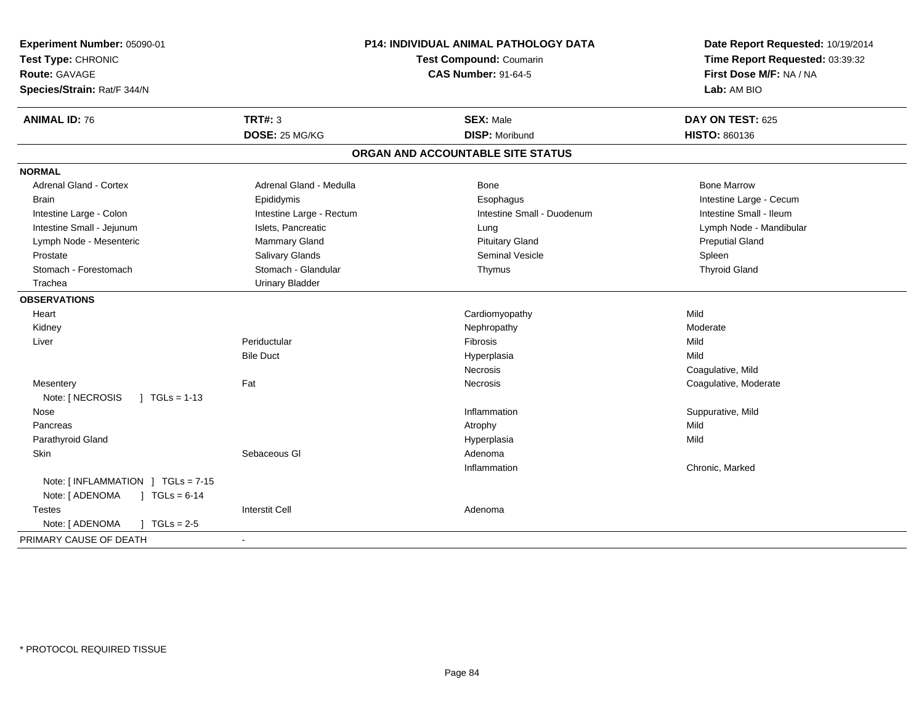| Experiment Number: 05090-01<br>Test Type: CHRONIC<br><b>Route: GAVAGE</b><br>Species/Strain: Rat/F 344/N | P14: INDIVIDUAL ANIMAL PATHOLOGY DATA<br><b>Test Compound: Coumarin</b><br><b>CAS Number: 91-64-5</b> |                                   | Date Report Requested: 10/19/2014<br>Time Report Requested: 03:39:32<br>First Dose M/F: NA / NA<br>Lab: AM BIO |
|----------------------------------------------------------------------------------------------------------|-------------------------------------------------------------------------------------------------------|-----------------------------------|----------------------------------------------------------------------------------------------------------------|
| <b>ANIMAL ID: 76</b>                                                                                     | <b>TRT#: 3</b>                                                                                        | <b>SEX: Male</b>                  | DAY ON TEST: 625                                                                                               |
|                                                                                                          | DOSE: 25 MG/KG                                                                                        | <b>DISP: Moribund</b>             | <b>HISTO: 860136</b>                                                                                           |
|                                                                                                          |                                                                                                       | ORGAN AND ACCOUNTABLE SITE STATUS |                                                                                                                |
| <b>NORMAL</b>                                                                                            |                                                                                                       |                                   |                                                                                                                |
| Adrenal Gland - Cortex                                                                                   | Adrenal Gland - Medulla                                                                               | <b>Bone</b>                       | <b>Bone Marrow</b>                                                                                             |
| <b>Brain</b>                                                                                             | Epididymis                                                                                            | Esophagus                         | Intestine Large - Cecum                                                                                        |
| Intestine Large - Colon                                                                                  | Intestine Large - Rectum                                                                              | Intestine Small - Duodenum        | Intestine Small - Ileum                                                                                        |
| Intestine Small - Jejunum                                                                                | Islets, Pancreatic                                                                                    | Lung                              | Lymph Node - Mandibular                                                                                        |
| Lymph Node - Mesenteric                                                                                  | <b>Mammary Gland</b>                                                                                  | <b>Pituitary Gland</b>            | <b>Preputial Gland</b>                                                                                         |
| Prostate                                                                                                 | Salivary Glands                                                                                       | <b>Seminal Vesicle</b>            | Spleen                                                                                                         |
| Stomach - Forestomach                                                                                    | Stomach - Glandular                                                                                   | Thymus                            | <b>Thyroid Gland</b>                                                                                           |
| Trachea                                                                                                  | <b>Urinary Bladder</b>                                                                                |                                   |                                                                                                                |
| <b>OBSERVATIONS</b>                                                                                      |                                                                                                       |                                   |                                                                                                                |
| Heart                                                                                                    |                                                                                                       | Cardiomyopathy                    | Mild                                                                                                           |
| Kidney                                                                                                   |                                                                                                       | Nephropathy                       | Moderate                                                                                                       |
| Liver                                                                                                    | Periductular                                                                                          | Fibrosis                          | Mild                                                                                                           |
|                                                                                                          | <b>Bile Duct</b>                                                                                      | Hyperplasia                       | Mild                                                                                                           |
|                                                                                                          |                                                                                                       | Necrosis                          | Coagulative, Mild                                                                                              |
| Mesentery                                                                                                | Fat                                                                                                   | <b>Necrosis</b>                   | Coagulative, Moderate                                                                                          |
| Note: [ NECROSIS<br>$\vert$ TGLs = 1-13                                                                  |                                                                                                       |                                   |                                                                                                                |
| Nose                                                                                                     |                                                                                                       | Inflammation                      | Suppurative, Mild                                                                                              |
| Pancreas                                                                                                 |                                                                                                       | Atrophy                           | Mild                                                                                                           |
| Parathyroid Gland                                                                                        |                                                                                                       | Hyperplasia                       | Mild                                                                                                           |
| Skin                                                                                                     | Sebaceous GI                                                                                          | Adenoma                           |                                                                                                                |
|                                                                                                          |                                                                                                       | Inflammation                      | Chronic, Marked                                                                                                |
| Note: $[INFLAMMATION ] TGLs = 7-15$                                                                      |                                                                                                       |                                   |                                                                                                                |
| Note: [ ADENOMA<br>$\sqrt{1 + 1}$ TGLs = 6-14                                                            |                                                                                                       |                                   |                                                                                                                |
| <b>Testes</b>                                                                                            | <b>Interstit Cell</b>                                                                                 | Adenoma                           |                                                                                                                |
| Note: [ ADENOMA<br>$\sqrt{ }$ TGLs = 2-5                                                                 |                                                                                                       |                                   |                                                                                                                |
| PRIMARY CAUSE OF DEATH                                                                                   | $\blacksquare$                                                                                        |                                   |                                                                                                                |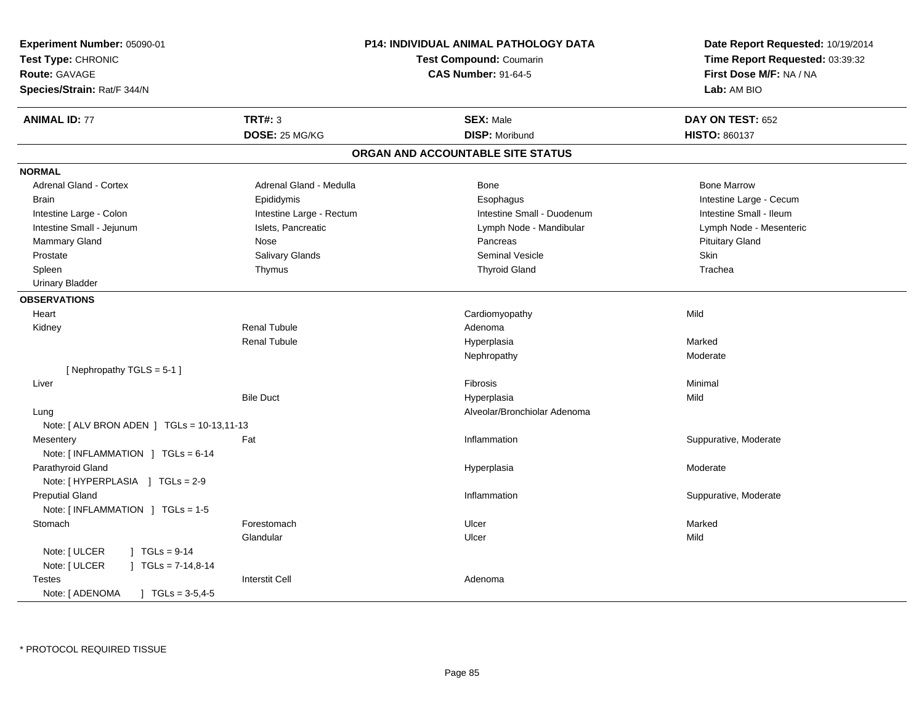| Experiment Number: 05090-01                   | P14: INDIVIDUAL ANIMAL PATHOLOGY DATA<br>Test Compound: Coumarin<br><b>CAS Number: 91-64-5</b> |                                   | Date Report Requested: 10/19/2014 |
|-----------------------------------------------|------------------------------------------------------------------------------------------------|-----------------------------------|-----------------------------------|
| Test Type: CHRONIC                            |                                                                                                |                                   | Time Report Requested: 03:39:32   |
| <b>Route: GAVAGE</b>                          |                                                                                                |                                   | First Dose M/F: NA / NA           |
| Species/Strain: Rat/F 344/N                   |                                                                                                |                                   | Lab: AM BIO                       |
| <b>ANIMAL ID: 77</b>                          | <b>TRT#: 3</b>                                                                                 | <b>SEX: Male</b>                  | DAY ON TEST: 652                  |
|                                               | DOSE: 25 MG/KG                                                                                 | <b>DISP: Moribund</b>             | <b>HISTO: 860137</b>              |
|                                               |                                                                                                | ORGAN AND ACCOUNTABLE SITE STATUS |                                   |
| <b>NORMAL</b>                                 |                                                                                                |                                   |                                   |
| <b>Adrenal Gland - Cortex</b>                 | Adrenal Gland - Medulla                                                                        | Bone                              | <b>Bone Marrow</b>                |
| <b>Brain</b>                                  | Epididymis                                                                                     | Esophagus                         | Intestine Large - Cecum           |
| Intestine Large - Colon                       | Intestine Large - Rectum                                                                       | Intestine Small - Duodenum        | Intestine Small - Ileum           |
| Intestine Small - Jejunum                     | Islets, Pancreatic                                                                             | Lymph Node - Mandibular           | Lymph Node - Mesenteric           |
| Mammary Gland                                 | Nose                                                                                           | Pancreas                          | <b>Pituitary Gland</b>            |
| Prostate                                      | Salivary Glands                                                                                | <b>Seminal Vesicle</b>            | Skin                              |
| Spleen                                        | Thymus                                                                                         | <b>Thyroid Gland</b>              | Trachea                           |
| <b>Urinary Bladder</b>                        |                                                                                                |                                   |                                   |
| <b>OBSERVATIONS</b>                           |                                                                                                |                                   |                                   |
| Heart                                         |                                                                                                | Cardiomyopathy                    | Mild                              |
| Kidney                                        | <b>Renal Tubule</b>                                                                            | Adenoma                           |                                   |
|                                               | <b>Renal Tubule</b>                                                                            | Hyperplasia                       | Marked                            |
|                                               |                                                                                                | Nephropathy                       | Moderate                          |
| [Nephropathy TGLS = 5-1]                      |                                                                                                |                                   |                                   |
| Liver                                         |                                                                                                | Fibrosis                          | Minimal                           |
|                                               | <b>Bile Duct</b>                                                                               | Hyperplasia                       | Mild                              |
| Lung                                          |                                                                                                | Alveolar/Bronchiolar Adenoma      |                                   |
| Note: $[ALV$ BRON ADEN $]$ TGLs = 10-13,11-13 |                                                                                                |                                   |                                   |
| Mesentery                                     | Fat                                                                                            | Inflammation                      | Suppurative, Moderate             |
| Note: [INFLAMMATION ] TGLs = 6-14             |                                                                                                |                                   |                                   |
| Parathyroid Gland                             |                                                                                                | Hyperplasia                       | Moderate                          |
| Note: [HYPERPLASIA ] TGLs = 2-9               |                                                                                                |                                   |                                   |
| <b>Preputial Gland</b>                        |                                                                                                | Inflammation                      | Suppurative, Moderate             |
| Note: [INFLAMMATION ] TGLs = 1-5              |                                                                                                |                                   |                                   |
| Stomach                                       | Forestomach                                                                                    | Ulcer                             | Marked                            |
|                                               | Glandular                                                                                      | Ulcer                             | Mild                              |
| Note: [ ULCER<br>$\sqrt{1}$ TGLs = 9-14       |                                                                                                |                                   |                                   |
| Note: [ ULCER<br>$\int$ TGLs = 7-14,8-14      |                                                                                                |                                   |                                   |
| Testes                                        | <b>Interstit Cell</b>                                                                          | Adenoma                           |                                   |
| Note: [ ADENOMA<br>$TGLs = 3-5, 4-5$          |                                                                                                |                                   |                                   |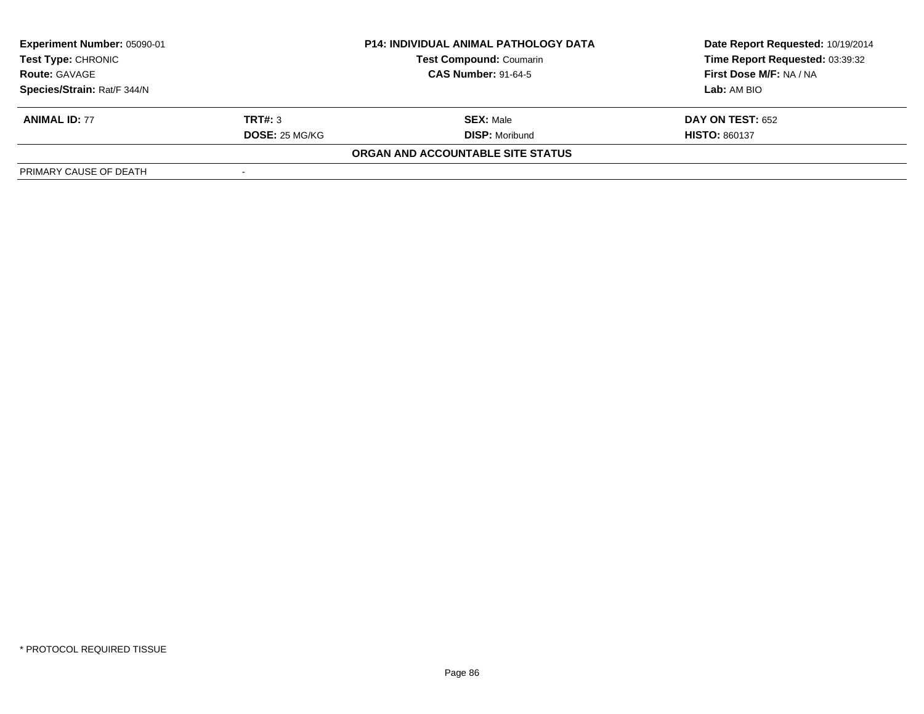| Experiment Number: 05090-01<br><b>P14: INDIVIDUAL ANIMAL PATHOLOGY DATA</b><br><b>Test Type: CHRONIC</b><br><b>Test Compound: Coumarin</b><br><b>CAS Number: 91-64-5</b><br><b>Route: GAVAGE</b> |                |                                   | Date Report Requested: 10/19/2014<br>Time Report Requested: 03:39:32 |
|--------------------------------------------------------------------------------------------------------------------------------------------------------------------------------------------------|----------------|-----------------------------------|----------------------------------------------------------------------|
|                                                                                                                                                                                                  |                |                                   |                                                                      |
|                                                                                                                                                                                                  |                |                                   | First Dose M/F: NA / NA                                              |
| Species/Strain: Rat/F 344/N                                                                                                                                                                      |                |                                   | Lab: AM BIO                                                          |
| <b>ANIMAL ID: 77</b>                                                                                                                                                                             | TRT#: 3        | <b>SEX: Male</b>                  | <b>DAY ON TEST: 652</b>                                              |
|                                                                                                                                                                                                  | DOSE: 25 MG/KG | <b>DISP:</b> Moribund             | <b>HISTO: 860137</b>                                                 |
|                                                                                                                                                                                                  |                | ORGAN AND ACCOUNTABLE SITE STATUS |                                                                      |
| PRIMARY CAUSE OF DEATH                                                                                                                                                                           |                |                                   |                                                                      |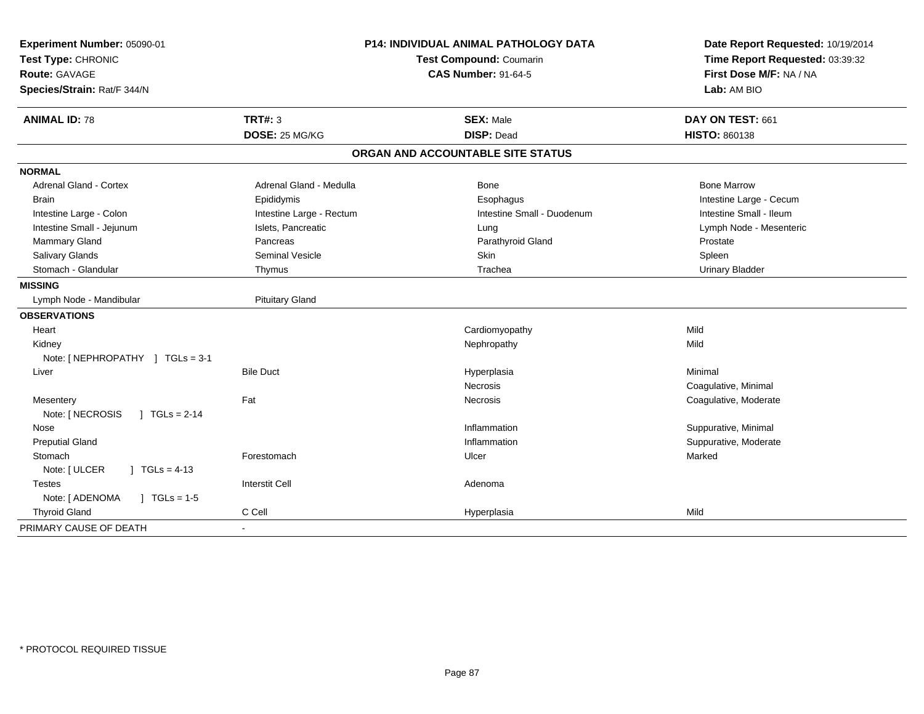| Experiment Number: 05090-01              | <b>P14: INDIVIDUAL ANIMAL PATHOLOGY DATA</b><br>Test Compound: Coumarin |                                   | Date Report Requested: 10/19/2014<br>Time Report Requested: 03:39:32 |
|------------------------------------------|-------------------------------------------------------------------------|-----------------------------------|----------------------------------------------------------------------|
| Test Type: CHRONIC                       |                                                                         |                                   |                                                                      |
| Route: GAVAGE                            |                                                                         | <b>CAS Number: 91-64-5</b>        | First Dose M/F: NA / NA                                              |
| Species/Strain: Rat/F 344/N              |                                                                         |                                   | Lab: AM BIO                                                          |
| <b>ANIMAL ID: 78</b>                     | <b>TRT#: 3</b>                                                          | <b>SEX: Male</b>                  | DAY ON TEST: 661                                                     |
|                                          | DOSE: 25 MG/KG                                                          | <b>DISP: Dead</b>                 | HISTO: 860138                                                        |
|                                          |                                                                         | ORGAN AND ACCOUNTABLE SITE STATUS |                                                                      |
| <b>NORMAL</b>                            |                                                                         |                                   |                                                                      |
| <b>Adrenal Gland - Cortex</b>            | Adrenal Gland - Medulla                                                 | Bone                              | <b>Bone Marrow</b>                                                   |
| <b>Brain</b>                             | Epididymis                                                              | Esophagus                         | Intestine Large - Cecum                                              |
| Intestine Large - Colon                  | Intestine Large - Rectum                                                | Intestine Small - Duodenum        | Intestine Small - Ileum                                              |
| Intestine Small - Jejunum                | Islets, Pancreatic                                                      | Lung                              | Lymph Node - Mesenteric                                              |
| Mammary Gland                            | Pancreas                                                                | Parathyroid Gland                 | Prostate                                                             |
| <b>Salivary Glands</b>                   | Seminal Vesicle                                                         | Skin                              | Spleen                                                               |
| Stomach - Glandular                      | Thymus                                                                  | Trachea                           | <b>Urinary Bladder</b>                                               |
| <b>MISSING</b>                           |                                                                         |                                   |                                                                      |
| Lymph Node - Mandibular                  | <b>Pituitary Gland</b>                                                  |                                   |                                                                      |
| <b>OBSERVATIONS</b>                      |                                                                         |                                   |                                                                      |
| Heart                                    |                                                                         | Cardiomyopathy                    | Mild                                                                 |
| Kidney                                   |                                                                         | Nephropathy                       | Mild                                                                 |
| Note: [NEPHROPATHY ] TGLs = 3-1          |                                                                         |                                   |                                                                      |
| Liver                                    | <b>Bile Duct</b>                                                        | Hyperplasia                       | Minimal                                                              |
|                                          |                                                                         | <b>Necrosis</b>                   | Coagulative, Minimal                                                 |
| Mesentery                                | Fat                                                                     | <b>Necrosis</b>                   | Coagulative, Moderate                                                |
| Note: [ NECROSIS<br>$1 TGLs = 2-14$      |                                                                         |                                   |                                                                      |
| Nose                                     |                                                                         | Inflammation                      | Suppurative, Minimal                                                 |
| <b>Preputial Gland</b>                   |                                                                         | Inflammation                      | Suppurative, Moderate                                                |
| Stomach                                  | Forestomach                                                             | Ulcer                             | Marked                                                               |
| Note: [ ULCER<br>$\vert$ TGLs = 4-13     |                                                                         |                                   |                                                                      |
| <b>Testes</b>                            | <b>Interstit Cell</b>                                                   | Adenoma                           |                                                                      |
| Note: [ ADENOMA<br>$\sqrt{ }$ TGLs = 1-5 |                                                                         |                                   |                                                                      |
| <b>Thyroid Gland</b>                     | C Cell                                                                  | Hyperplasia                       | Mild                                                                 |
| PRIMARY CAUSE OF DEATH                   |                                                                         |                                   |                                                                      |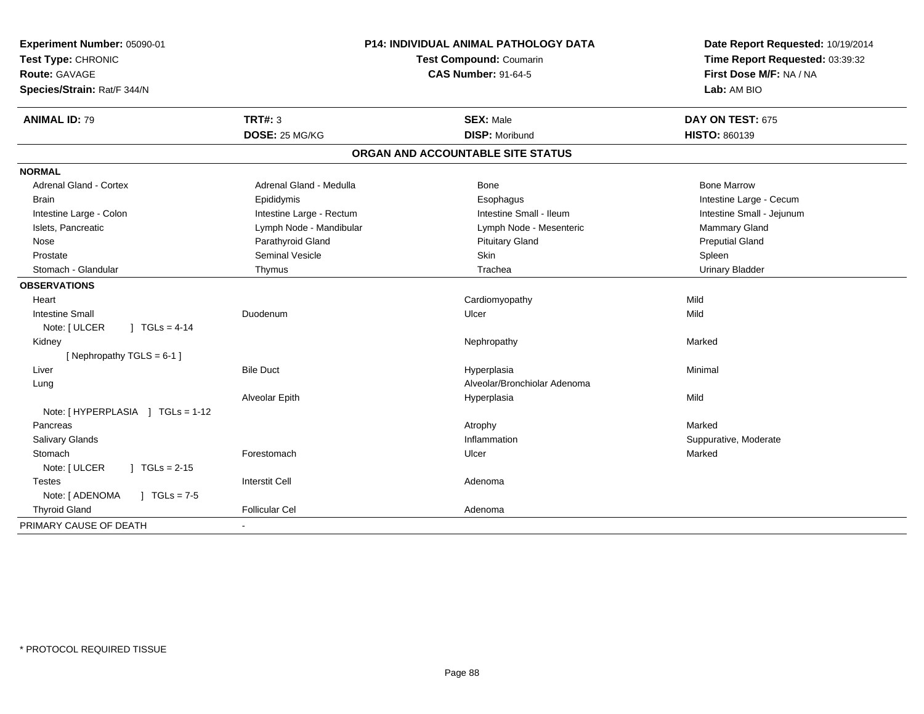| Experiment Number: 05090-01<br>Test Type: CHRONIC<br><b>Route: GAVAGE</b><br>Species/Strain: Rat/F 344/N | P14: INDIVIDUAL ANIMAL PATHOLOGY DATA<br>Test Compound: Coumarin<br><b>CAS Number: 91-64-5</b> |                                   | Date Report Requested: 10/19/2014<br>Time Report Requested: 03:39:32<br>First Dose M/F: NA / NA<br>Lab: AM BIO |  |
|----------------------------------------------------------------------------------------------------------|------------------------------------------------------------------------------------------------|-----------------------------------|----------------------------------------------------------------------------------------------------------------|--|
| <b>ANIMAL ID: 79</b>                                                                                     | <b>TRT#: 3</b>                                                                                 | <b>SEX: Male</b>                  | DAY ON TEST: 675                                                                                               |  |
|                                                                                                          | DOSE: 25 MG/KG                                                                                 | <b>DISP: Moribund</b>             | HISTO: 860139                                                                                                  |  |
|                                                                                                          |                                                                                                | ORGAN AND ACCOUNTABLE SITE STATUS |                                                                                                                |  |
| <b>NORMAL</b>                                                                                            |                                                                                                |                                   |                                                                                                                |  |
| <b>Adrenal Gland - Cortex</b>                                                                            | Adrenal Gland - Medulla                                                                        | <b>Bone</b>                       | <b>Bone Marrow</b>                                                                                             |  |
| <b>Brain</b>                                                                                             | Epididymis                                                                                     | Esophagus                         | Intestine Large - Cecum                                                                                        |  |
| Intestine Large - Colon                                                                                  | Intestine Large - Rectum                                                                       | Intestine Small - Ileum           | Intestine Small - Jejunum                                                                                      |  |
| Islets, Pancreatic                                                                                       | Lymph Node - Mandibular                                                                        | Lymph Node - Mesenteric           | Mammary Gland                                                                                                  |  |
| Nose                                                                                                     | Parathyroid Gland                                                                              | <b>Pituitary Gland</b>            | <b>Preputial Gland</b>                                                                                         |  |
| Prostate                                                                                                 | <b>Seminal Vesicle</b>                                                                         | Skin                              | Spleen                                                                                                         |  |
| Stomach - Glandular                                                                                      | Thymus                                                                                         | Trachea                           | <b>Urinary Bladder</b>                                                                                         |  |
| <b>OBSERVATIONS</b>                                                                                      |                                                                                                |                                   |                                                                                                                |  |
| Heart                                                                                                    |                                                                                                | Cardiomyopathy                    | Mild                                                                                                           |  |
| <b>Intestine Small</b>                                                                                   | Duodenum                                                                                       | Ulcer                             | Mild                                                                                                           |  |
| Note: [ ULCER<br>$1 TGLs = 4-14$                                                                         |                                                                                                |                                   |                                                                                                                |  |
| Kidney                                                                                                   |                                                                                                | Nephropathy                       | Marked                                                                                                         |  |
| [Nephropathy TGLS = 6-1]                                                                                 |                                                                                                |                                   |                                                                                                                |  |
| Liver                                                                                                    | <b>Bile Duct</b>                                                                               | Hyperplasia                       | Minimal                                                                                                        |  |
| Lung                                                                                                     |                                                                                                | Alveolar/Bronchiolar Adenoma      |                                                                                                                |  |
|                                                                                                          | Alveolar Epith                                                                                 | Hyperplasia                       | Mild                                                                                                           |  |
| Note: [HYPERPLASIA ] TGLs = 1-12                                                                         |                                                                                                |                                   |                                                                                                                |  |
| Pancreas                                                                                                 |                                                                                                | Atrophy                           | Marked                                                                                                         |  |
| <b>Salivary Glands</b>                                                                                   |                                                                                                | Inflammation                      | Suppurative, Moderate                                                                                          |  |
| Stomach                                                                                                  | Forestomach                                                                                    | Ulcer                             | Marked                                                                                                         |  |
| Note: [ ULCER<br>$1 TGLs = 2-15$                                                                         |                                                                                                |                                   |                                                                                                                |  |
| <b>Testes</b>                                                                                            | <b>Interstit Cell</b>                                                                          | Adenoma                           |                                                                                                                |  |
| Note: [ ADENOMA<br>$J \cdot TGLs = 7-5$                                                                  |                                                                                                |                                   |                                                                                                                |  |
| <b>Thyroid Gland</b>                                                                                     | <b>Follicular Cel</b>                                                                          | Adenoma                           |                                                                                                                |  |
| PRIMARY CAUSE OF DEATH                                                                                   |                                                                                                |                                   |                                                                                                                |  |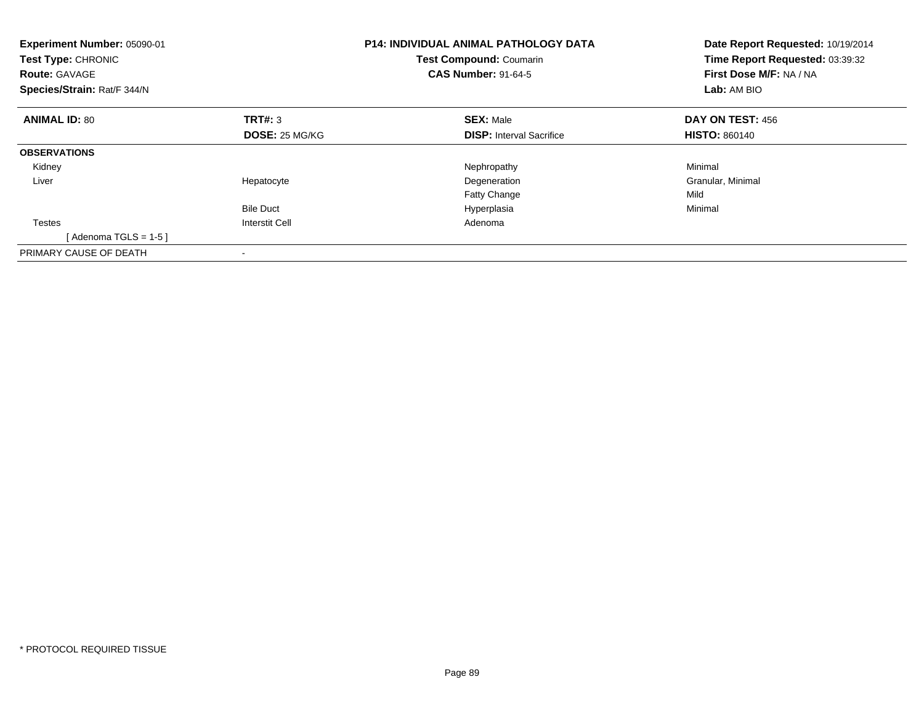| Experiment Number: 05090-01<br><b>Test Type: CHRONIC</b><br><b>Route: GAVAGE</b><br>Species/Strain: Rat/F 344/N | <b>P14: INDIVIDUAL ANIMAL PATHOLOGY DATA</b><br><b>Test Compound: Coumarin</b><br><b>CAS Number: 91-64-5</b> |                                 | Date Report Requested: 10/19/2014<br>Time Report Requested: 03:39:32<br>First Dose M/F: NA / NA<br>Lab: AM BIO |
|-----------------------------------------------------------------------------------------------------------------|--------------------------------------------------------------------------------------------------------------|---------------------------------|----------------------------------------------------------------------------------------------------------------|
| <b>ANIMAL ID: 80</b>                                                                                            | TRT#: 3                                                                                                      | <b>SEX: Male</b>                | <b>DAY ON TEST: 456</b>                                                                                        |
|                                                                                                                 | <b>DOSE: 25 MG/KG</b>                                                                                        | <b>DISP:</b> Interval Sacrifice | <b>HISTO: 860140</b>                                                                                           |
| <b>OBSERVATIONS</b>                                                                                             |                                                                                                              |                                 |                                                                                                                |
| Kidney                                                                                                          |                                                                                                              | Nephropathy                     | Minimal                                                                                                        |
| Liver                                                                                                           | Hepatocyte                                                                                                   | Degeneration                    | Granular, Minimal                                                                                              |
|                                                                                                                 |                                                                                                              | Fatty Change                    | Mild                                                                                                           |
|                                                                                                                 | <b>Bile Duct</b>                                                                                             | Hyperplasia                     | Minimal                                                                                                        |
| <b>Testes</b>                                                                                                   | <b>Interstit Cell</b>                                                                                        | Adenoma                         |                                                                                                                |
| [Adenoma TGLS = $1-5$ ]                                                                                         |                                                                                                              |                                 |                                                                                                                |
| PRIMARY CAUSE OF DEATH                                                                                          |                                                                                                              |                                 |                                                                                                                |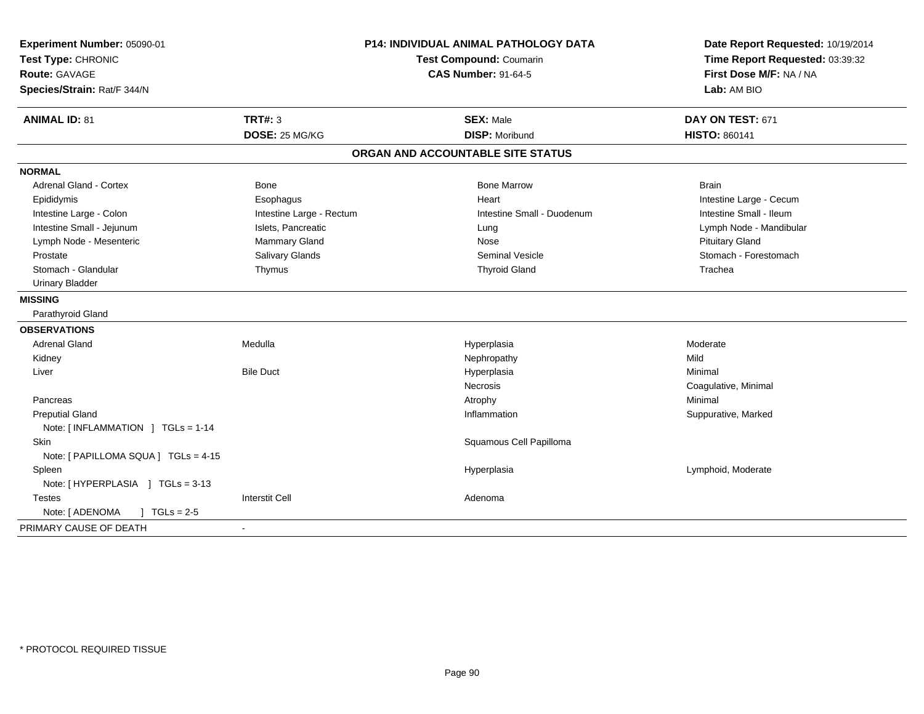| Experiment Number: 05090-01          | <b>P14: INDIVIDUAL ANIMAL PATHOLOGY DATA</b><br><b>Test Compound: Coumarin</b> |                                   | Date Report Requested: 10/19/2014 |
|--------------------------------------|--------------------------------------------------------------------------------|-----------------------------------|-----------------------------------|
| Test Type: CHRONIC                   |                                                                                |                                   | Time Report Requested: 03:39:32   |
| Route: GAVAGE                        |                                                                                | <b>CAS Number: 91-64-5</b>        | First Dose M/F: NA / NA           |
| Species/Strain: Rat/F 344/N          |                                                                                |                                   | Lab: AM BIO                       |
| <b>ANIMAL ID: 81</b>                 | <b>TRT#: 3</b>                                                                 | <b>SEX: Male</b>                  | DAY ON TEST: 671                  |
|                                      | DOSE: 25 MG/KG                                                                 | <b>DISP: Moribund</b>             | <b>HISTO: 860141</b>              |
|                                      |                                                                                | ORGAN AND ACCOUNTABLE SITE STATUS |                                   |
| <b>NORMAL</b>                        |                                                                                |                                   |                                   |
| <b>Adrenal Gland - Cortex</b>        | Bone                                                                           | <b>Bone Marrow</b>                | <b>Brain</b>                      |
| Epididymis                           | Esophagus                                                                      | Heart                             | Intestine Large - Cecum           |
| Intestine Large - Colon              | Intestine Large - Rectum                                                       | Intestine Small - Duodenum        | Intestine Small - Ileum           |
| Intestine Small - Jejunum            | Islets, Pancreatic                                                             | Lung                              | Lymph Node - Mandibular           |
| Lymph Node - Mesenteric              | Mammary Gland                                                                  | Nose                              | <b>Pituitary Gland</b>            |
| Prostate                             | Salivary Glands                                                                | <b>Seminal Vesicle</b>            | Stomach - Forestomach             |
| Stomach - Glandular                  | Thymus                                                                         | <b>Thyroid Gland</b>              | Trachea                           |
| <b>Urinary Bladder</b>               |                                                                                |                                   |                                   |
| <b>MISSING</b>                       |                                                                                |                                   |                                   |
| Parathyroid Gland                    |                                                                                |                                   |                                   |
| <b>OBSERVATIONS</b>                  |                                                                                |                                   |                                   |
| <b>Adrenal Gland</b>                 | Medulla                                                                        | Hyperplasia                       | Moderate                          |
| Kidney                               |                                                                                | Nephropathy                       | Mild                              |
| Liver                                | <b>Bile Duct</b>                                                               | Hyperplasia                       | Minimal                           |
|                                      |                                                                                | Necrosis                          | Coagulative, Minimal              |
| Pancreas                             |                                                                                | Atrophy                           | Minimal                           |
| <b>Preputial Gland</b>               |                                                                                | Inflammation                      | Suppurative, Marked               |
| Note: [INFLAMMATION ] TGLs = 1-14    |                                                                                |                                   |                                   |
| Skin                                 |                                                                                | Squamous Cell Papilloma           |                                   |
| Note: [ PAPILLOMA SQUA ] TGLs = 4-15 |                                                                                |                                   |                                   |
| Spleen                               |                                                                                | Hyperplasia                       | Lymphoid, Moderate                |
| Note: [HYPERPLASIA ] TGLs = 3-13     |                                                                                |                                   |                                   |
| Testes                               | <b>Interstit Cell</b>                                                          | Adenoma                           |                                   |
| Note: [ ADENOMA<br>$1 TGLs = 2.5$    |                                                                                |                                   |                                   |
| PRIMARY CAUSE OF DEATH               | $\blacksquare$                                                                 |                                   |                                   |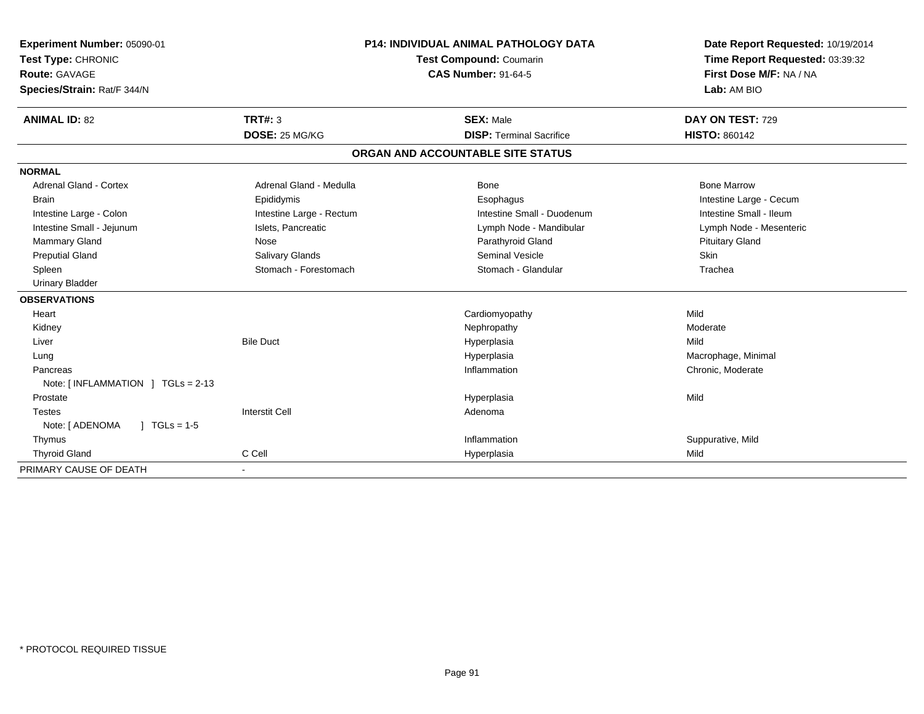| Experiment Number: 05090-01<br>Test Type: CHRONIC<br><b>Route: GAVAGE</b><br>Species/Strain: Rat/F 344/N | <b>P14: INDIVIDUAL ANIMAL PATHOLOGY DATA</b><br><b>Test Compound: Coumarin</b><br><b>CAS Number: 91-64-5</b> |                                   | Date Report Requested: 10/19/2014<br>Time Report Requested: 03:39:32<br>First Dose M/F: NA / NA<br>Lab: AM BIO |
|----------------------------------------------------------------------------------------------------------|--------------------------------------------------------------------------------------------------------------|-----------------------------------|----------------------------------------------------------------------------------------------------------------|
| <b>ANIMAL ID: 82</b>                                                                                     | <b>TRT#: 3</b>                                                                                               | <b>SEX: Male</b>                  | DAY ON TEST: 729                                                                                               |
|                                                                                                          | DOSE: 25 MG/KG                                                                                               | <b>DISP: Terminal Sacrifice</b>   | <b>HISTO: 860142</b>                                                                                           |
|                                                                                                          |                                                                                                              | ORGAN AND ACCOUNTABLE SITE STATUS |                                                                                                                |
| <b>NORMAL</b>                                                                                            |                                                                                                              |                                   |                                                                                                                |
| <b>Adrenal Gland - Cortex</b>                                                                            | Adrenal Gland - Medulla                                                                                      | Bone                              | <b>Bone Marrow</b>                                                                                             |
| <b>Brain</b>                                                                                             | Epididymis                                                                                                   | Esophagus                         | Intestine Large - Cecum                                                                                        |
| Intestine Large - Colon                                                                                  | Intestine Large - Rectum                                                                                     | Intestine Small - Duodenum        | Intestine Small - Ileum                                                                                        |
| Intestine Small - Jejunum                                                                                | Islets, Pancreatic                                                                                           | Lymph Node - Mandibular           | Lymph Node - Mesenteric                                                                                        |
| <b>Mammary Gland</b>                                                                                     | Nose                                                                                                         | Parathyroid Gland                 | <b>Pituitary Gland</b>                                                                                         |
| <b>Preputial Gland</b>                                                                                   | Salivary Glands                                                                                              | <b>Seminal Vesicle</b>            | <b>Skin</b>                                                                                                    |
| Spleen                                                                                                   | Stomach - Forestomach                                                                                        | Stomach - Glandular               | Trachea                                                                                                        |
| <b>Urinary Bladder</b>                                                                                   |                                                                                                              |                                   |                                                                                                                |
| <b>OBSERVATIONS</b>                                                                                      |                                                                                                              |                                   |                                                                                                                |
| Heart                                                                                                    |                                                                                                              | Cardiomyopathy                    | Mild                                                                                                           |
| Kidney                                                                                                   |                                                                                                              | Nephropathy                       | Moderate                                                                                                       |
| Liver                                                                                                    | <b>Bile Duct</b>                                                                                             | Hyperplasia                       | Mild                                                                                                           |
| Lung                                                                                                     |                                                                                                              | Hyperplasia                       | Macrophage, Minimal                                                                                            |
| Pancreas                                                                                                 |                                                                                                              | Inflammation                      | Chronic, Moderate                                                                                              |
| Note: [INFLAMMATION ] TGLs = 2-13                                                                        |                                                                                                              |                                   |                                                                                                                |
| Prostate                                                                                                 |                                                                                                              | Hyperplasia                       | Mild                                                                                                           |
| <b>Testes</b>                                                                                            | <b>Interstit Cell</b>                                                                                        | Adenoma                           |                                                                                                                |
| Note: [ ADENOMA<br>$1 TGLs = 1-5$                                                                        |                                                                                                              |                                   |                                                                                                                |
| Thymus                                                                                                   |                                                                                                              | Inflammation                      | Suppurative, Mild                                                                                              |
| <b>Thyroid Gland</b>                                                                                     | C Cell                                                                                                       | Hyperplasia                       | Mild                                                                                                           |
| PRIMARY CAUSE OF DEATH                                                                                   | $\overline{\phantom{a}}$                                                                                     |                                   |                                                                                                                |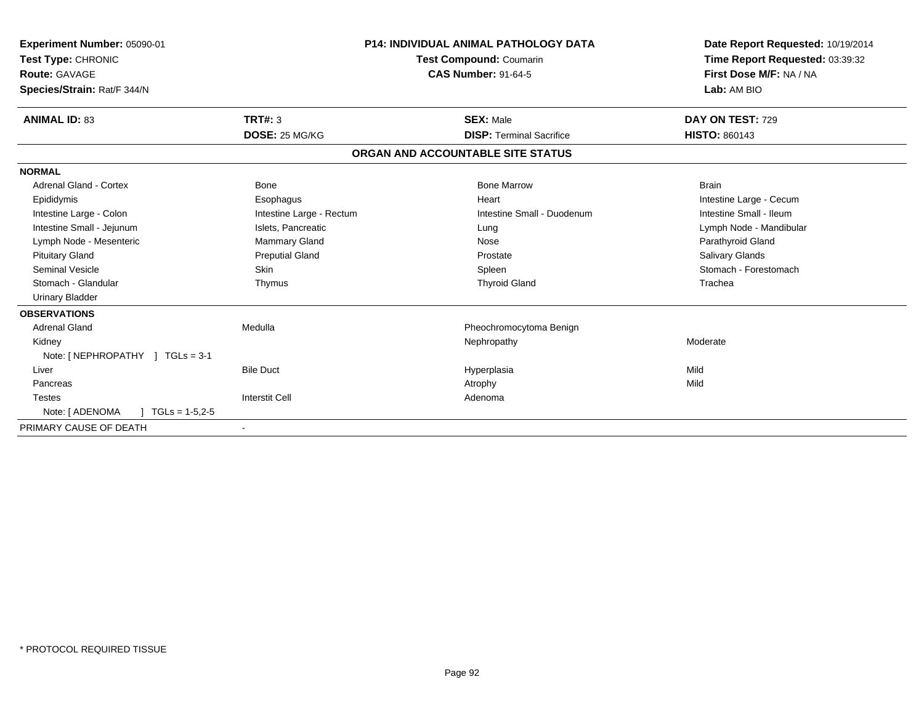| Experiment Number: 05090-01<br>Test Type: CHRONIC<br>Route: GAVAGE<br>Species/Strain: Rat/F 344/N |                          | <b>P14: INDIVIDUAL ANIMAL PATHOLOGY DATA</b><br><b>Test Compound: Coumarin</b><br><b>CAS Number: 91-64-5</b> | Date Report Requested: 10/19/2014<br>Time Report Requested: 03:39:32<br>First Dose M/F: NA / NA<br>Lab: AM BIO |
|---------------------------------------------------------------------------------------------------|--------------------------|--------------------------------------------------------------------------------------------------------------|----------------------------------------------------------------------------------------------------------------|
| <b>ANIMAL ID: 83</b>                                                                              | TRT#: 3                  | <b>SEX: Male</b>                                                                                             | DAY ON TEST: 729                                                                                               |
|                                                                                                   | DOSE: 25 MG/KG           | <b>DISP: Terminal Sacrifice</b>                                                                              | <b>HISTO: 860143</b>                                                                                           |
|                                                                                                   |                          | ORGAN AND ACCOUNTABLE SITE STATUS                                                                            |                                                                                                                |
| <b>NORMAL</b>                                                                                     |                          |                                                                                                              |                                                                                                                |
| Adrenal Gland - Cortex                                                                            | Bone                     | <b>Bone Marrow</b>                                                                                           | <b>Brain</b>                                                                                                   |
| Epididymis                                                                                        | Esophagus                | Heart                                                                                                        | Intestine Large - Cecum                                                                                        |
| Intestine Large - Colon                                                                           | Intestine Large - Rectum | Intestine Small - Duodenum                                                                                   | Intestine Small - Ileum                                                                                        |
| Intestine Small - Jejunum                                                                         | Islets, Pancreatic       | Lung                                                                                                         | Lymph Node - Mandibular                                                                                        |
| Lymph Node - Mesenteric                                                                           | Mammary Gland            | Nose                                                                                                         | Parathyroid Gland                                                                                              |
| <b>Pituitary Gland</b>                                                                            | <b>Preputial Gland</b>   | Prostate                                                                                                     | Salivary Glands                                                                                                |
| <b>Seminal Vesicle</b>                                                                            | Skin                     | Spleen                                                                                                       | Stomach - Forestomach                                                                                          |
| Stomach - Glandular                                                                               | Thymus                   | <b>Thyroid Gland</b>                                                                                         | Trachea                                                                                                        |
| <b>Urinary Bladder</b>                                                                            |                          |                                                                                                              |                                                                                                                |
| <b>OBSERVATIONS</b>                                                                               |                          |                                                                                                              |                                                                                                                |
| <b>Adrenal Gland</b>                                                                              | Medulla                  | Pheochromocytoma Benign                                                                                      |                                                                                                                |
| Kidney                                                                                            |                          | Nephropathy                                                                                                  | Moderate                                                                                                       |
| Note: [NEPHROPATHY ] TGLs = 3-1                                                                   |                          |                                                                                                              |                                                                                                                |
| Liver                                                                                             | <b>Bile Duct</b>         | Hyperplasia                                                                                                  | Mild                                                                                                           |
| Pancreas                                                                                          |                          | Atrophy                                                                                                      | Mild                                                                                                           |
| <b>Testes</b>                                                                                     | <b>Interstit Cell</b>    | Adenoma                                                                                                      |                                                                                                                |
| Note: [ ADENOMA<br>$TGLs = 1-5, 2-5$                                                              |                          |                                                                                                              |                                                                                                                |
| PRIMARY CAUSE OF DEATH                                                                            |                          |                                                                                                              |                                                                                                                |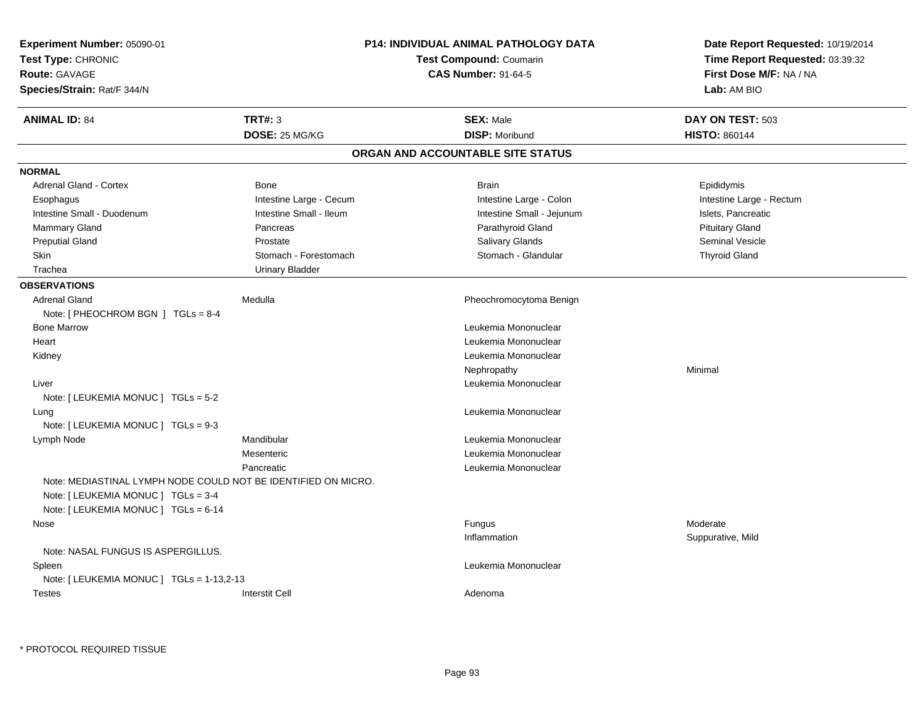| Experiment Number: 05090-01<br>Test Type: CHRONIC<br><b>Route: GAVAGE</b><br>Species/Strain: Rat/F 344/N |                         | <b>P14: INDIVIDUAL ANIMAL PATHOLOGY DATA</b><br><b>Test Compound: Coumarin</b><br><b>CAS Number: 91-64-5</b> | Date Report Requested: 10/19/2014<br>Time Report Requested: 03:39:32<br>First Dose M/F: NA / NA<br>Lab: AM BIO |
|----------------------------------------------------------------------------------------------------------|-------------------------|--------------------------------------------------------------------------------------------------------------|----------------------------------------------------------------------------------------------------------------|
| <b>ANIMAL ID: 84</b>                                                                                     | <b>TRT#: 3</b>          | <b>SEX: Male</b>                                                                                             | DAY ON TEST: 503                                                                                               |
|                                                                                                          | DOSE: 25 MG/KG          | <b>DISP: Moribund</b>                                                                                        | <b>HISTO: 860144</b>                                                                                           |
|                                                                                                          |                         | ORGAN AND ACCOUNTABLE SITE STATUS                                                                            |                                                                                                                |
| <b>NORMAL</b>                                                                                            |                         |                                                                                                              |                                                                                                                |
| <b>Adrenal Gland - Cortex</b>                                                                            | Bone                    | <b>Brain</b>                                                                                                 | Epididymis                                                                                                     |
| Esophagus                                                                                                | Intestine Large - Cecum | Intestine Large - Colon                                                                                      | Intestine Large - Rectum                                                                                       |
| Intestine Small - Duodenum                                                                               | Intestine Small - Ileum | Intestine Small - Jejunum                                                                                    | Islets, Pancreatic                                                                                             |
| <b>Mammary Gland</b>                                                                                     | Pancreas                | Parathyroid Gland                                                                                            | <b>Pituitary Gland</b>                                                                                         |
| <b>Preputial Gland</b>                                                                                   | Prostate                | Salivary Glands                                                                                              | Seminal Vesicle                                                                                                |
| Skin                                                                                                     | Stomach - Forestomach   | Stomach - Glandular                                                                                          | <b>Thyroid Gland</b>                                                                                           |
| Trachea                                                                                                  | <b>Urinary Bladder</b>  |                                                                                                              |                                                                                                                |
| <b>OBSERVATIONS</b>                                                                                      |                         |                                                                                                              |                                                                                                                |
| <b>Adrenal Gland</b>                                                                                     | Medulla                 | Pheochromocytoma Benign                                                                                      |                                                                                                                |
| Note: [ PHEOCHROM BGN ] TGLs = 8-4                                                                       |                         |                                                                                                              |                                                                                                                |
| <b>Bone Marrow</b>                                                                                       |                         | Leukemia Mononuclear                                                                                         |                                                                                                                |
| Heart                                                                                                    |                         | Leukemia Mononuclear                                                                                         |                                                                                                                |
| Kidney                                                                                                   |                         | Leukemia Mononuclear                                                                                         |                                                                                                                |
|                                                                                                          |                         | Nephropathy                                                                                                  | Minimal                                                                                                        |
| Liver                                                                                                    |                         | Leukemia Mononuclear                                                                                         |                                                                                                                |
| Note: [ LEUKEMIA MONUC ] TGLs = 5-2                                                                      |                         |                                                                                                              |                                                                                                                |
| Lung                                                                                                     |                         | Leukemia Mononuclear                                                                                         |                                                                                                                |
| Note: [ LEUKEMIA MONUC ] TGLs = 9-3                                                                      |                         |                                                                                                              |                                                                                                                |
| Lymph Node                                                                                               | Mandibular              | Leukemia Mononuclear                                                                                         |                                                                                                                |
|                                                                                                          | Mesenteric              | Leukemia Mononuclear                                                                                         |                                                                                                                |
|                                                                                                          | Pancreatic              | Leukemia Mononuclear                                                                                         |                                                                                                                |
| Note: MEDIASTINAL LYMPH NODE COULD NOT BE IDENTIFIED ON MICRO.<br>Note: [ LEUKEMIA MONUC ] TGLs = 3-4    |                         |                                                                                                              |                                                                                                                |
| Note: [ LEUKEMIA MONUC ] TGLs = 6-14                                                                     |                         |                                                                                                              |                                                                                                                |
| Nose                                                                                                     |                         | Fungus                                                                                                       | Moderate                                                                                                       |
|                                                                                                          |                         | Inflammation                                                                                                 | Suppurative, Mild                                                                                              |
| Note: NASAL FUNGUS IS ASPERGILLUS.                                                                       |                         |                                                                                                              |                                                                                                                |
| Spleen                                                                                                   |                         | Leukemia Mononuclear                                                                                         |                                                                                                                |
| Note: $[LEUKEMIA MONUC] TGLS = 1-13,2-13$                                                                |                         |                                                                                                              |                                                                                                                |
| <b>Testes</b>                                                                                            | <b>Interstit Cell</b>   | Adenoma                                                                                                      |                                                                                                                |

\* PROTOCOL REQUIRED TISSUE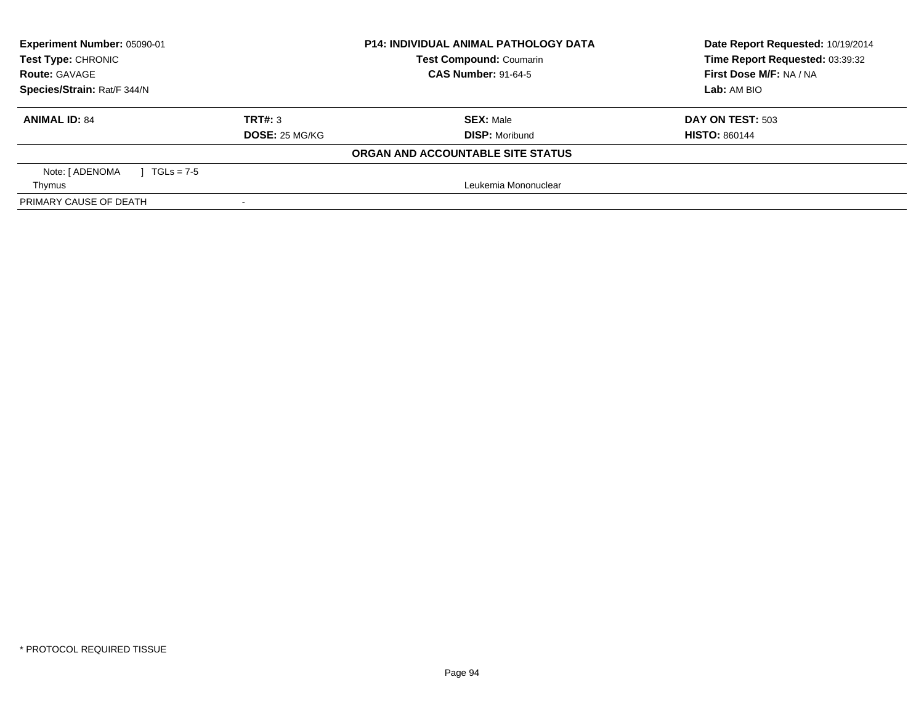| Experiment Number: 05090-01       |                            | <b>P14: INDIVIDUAL ANIMAL PATHOLOGY DATA</b> | Date Report Requested: 10/19/2014 |  |
|-----------------------------------|----------------------------|----------------------------------------------|-----------------------------------|--|
| <b>Test Type: CHRONIC</b>         |                            | <b>Test Compound: Coumarin</b>               | Time Report Requested: 03:39:32   |  |
| <b>Route: GAVAGE</b>              | <b>CAS Number: 91-64-5</b> |                                              | First Dose M/F: NA / NA           |  |
| Species/Strain: Rat/F 344/N       |                            |                                              | Lab: AM BIO                       |  |
| <b>ANIMAL ID: 84</b>              | TRT#: 3                    | <b>SEX: Male</b>                             | DAY ON TEST: 503                  |  |
|                                   | DOSE: 25 MG/KG             | <b>DISP: Moribund</b>                        | <b>HISTO: 860144</b>              |  |
|                                   |                            | ORGAN AND ACCOUNTABLE SITE STATUS            |                                   |  |
| Note: [ ADENOMA<br>1 TGLs = $7-5$ |                            |                                              |                                   |  |
| Thymus                            |                            | Leukemia Mononuclear                         |                                   |  |
| PRIMARY CAUSE OF DEATH            |                            |                                              |                                   |  |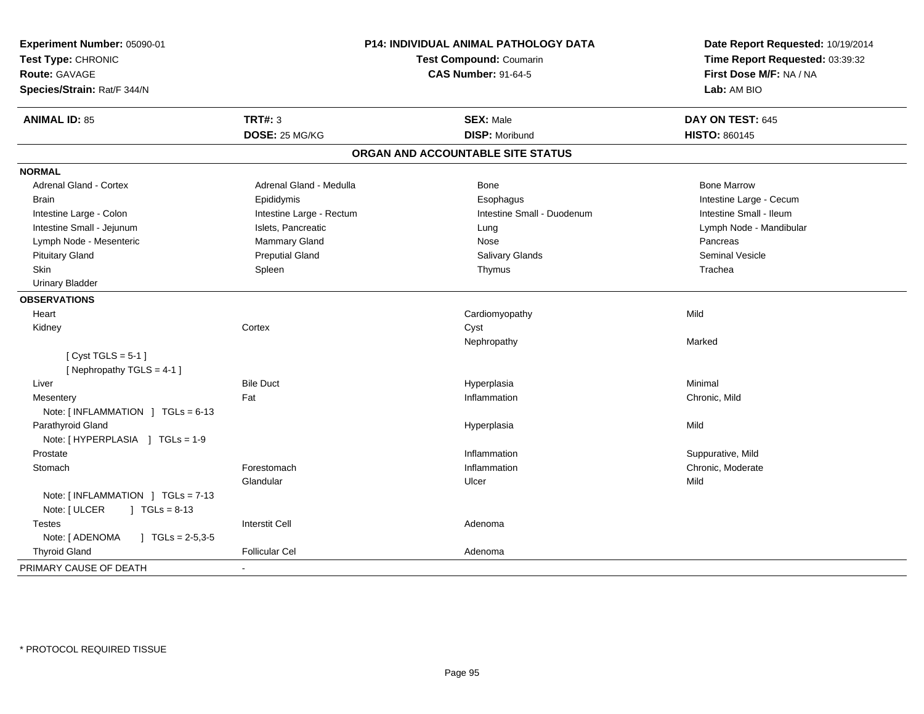| Experiment Number: 05090-01<br>Test Type: CHRONIC<br><b>Route: GAVAGE</b><br>Species/Strain: Rat/F 344/N | P14: INDIVIDUAL ANIMAL PATHOLOGY DATA<br><b>Test Compound: Coumarin</b><br><b>CAS Number: 91-64-5</b> |                                   | Date Report Requested: 10/19/2014<br>Time Report Requested: 03:39:32<br>First Dose M/F: NA / NA<br>Lab: AM BIO |
|----------------------------------------------------------------------------------------------------------|-------------------------------------------------------------------------------------------------------|-----------------------------------|----------------------------------------------------------------------------------------------------------------|
| <b>ANIMAL ID: 85</b>                                                                                     | <b>TRT#: 3</b>                                                                                        | <b>SEX: Male</b>                  | DAY ON TEST: 645                                                                                               |
|                                                                                                          | DOSE: 25 MG/KG                                                                                        | <b>DISP: Moribund</b>             | <b>HISTO: 860145</b>                                                                                           |
|                                                                                                          |                                                                                                       | ORGAN AND ACCOUNTABLE SITE STATUS |                                                                                                                |
| <b>NORMAL</b>                                                                                            |                                                                                                       |                                   |                                                                                                                |
| Adrenal Gland - Cortex                                                                                   | Adrenal Gland - Medulla                                                                               | Bone                              | <b>Bone Marrow</b>                                                                                             |
| <b>Brain</b>                                                                                             | Epididymis                                                                                            | Esophagus                         | Intestine Large - Cecum                                                                                        |
| Intestine Large - Colon                                                                                  | Intestine Large - Rectum                                                                              | Intestine Small - Duodenum        | Intestine Small - Ileum                                                                                        |
| Intestine Small - Jejunum                                                                                | Islets, Pancreatic                                                                                    | Lung                              | Lymph Node - Mandibular                                                                                        |
| Lymph Node - Mesenteric                                                                                  | Mammary Gland                                                                                         | Nose                              | Pancreas                                                                                                       |
| <b>Pituitary Gland</b>                                                                                   | <b>Preputial Gland</b>                                                                                | Salivary Glands                   | <b>Seminal Vesicle</b>                                                                                         |
| Skin                                                                                                     | Spleen                                                                                                | Thymus                            | Trachea                                                                                                        |
| <b>Urinary Bladder</b>                                                                                   |                                                                                                       |                                   |                                                                                                                |
| <b>OBSERVATIONS</b>                                                                                      |                                                                                                       |                                   |                                                                                                                |
| Heart                                                                                                    |                                                                                                       | Cardiomyopathy                    | Mild                                                                                                           |
| Kidney                                                                                                   | Cortex                                                                                                | Cyst                              |                                                                                                                |
|                                                                                                          |                                                                                                       | Nephropathy                       | Marked                                                                                                         |
| [Cyst TGLS = $5-1$ ]                                                                                     |                                                                                                       |                                   |                                                                                                                |
| [Nephropathy TGLS = 4-1]                                                                                 |                                                                                                       |                                   |                                                                                                                |
| Liver                                                                                                    | <b>Bile Duct</b>                                                                                      | Hyperplasia                       | Minimal                                                                                                        |
| Mesentery                                                                                                | Fat                                                                                                   | Inflammation                      | Chronic, Mild                                                                                                  |
| Note: $[INFLAMMATION ] TGLs = 6-13$                                                                      |                                                                                                       |                                   |                                                                                                                |
| Parathyroid Gland                                                                                        |                                                                                                       | Hyperplasia                       | Mild                                                                                                           |
| Note: [HYPERPLASIA ] TGLs = 1-9                                                                          |                                                                                                       |                                   |                                                                                                                |
| Prostate                                                                                                 |                                                                                                       | Inflammation                      | Suppurative, Mild                                                                                              |
| Stomach                                                                                                  | Forestomach                                                                                           | Inflammation                      | Chronic, Moderate                                                                                              |
|                                                                                                          | Glandular                                                                                             | Ulcer                             | Mild                                                                                                           |
| Note: [ INFLAMMATION ] TGLs = 7-13                                                                       |                                                                                                       |                                   |                                                                                                                |
| Note: [ ULCER<br>$J \cdot TGLs = 8-13$                                                                   |                                                                                                       |                                   |                                                                                                                |
| <b>Testes</b>                                                                                            | <b>Interstit Cell</b>                                                                                 | Adenoma                           |                                                                                                                |
| Note: [ ADENOMA<br>$\sqrt{ }$ TGLs = 2-5,3-5                                                             |                                                                                                       |                                   |                                                                                                                |
| <b>Thyroid Gland</b>                                                                                     | <b>Follicular Cel</b>                                                                                 | Adenoma                           |                                                                                                                |
| PRIMARY CAUSE OF DEATH                                                                                   |                                                                                                       |                                   |                                                                                                                |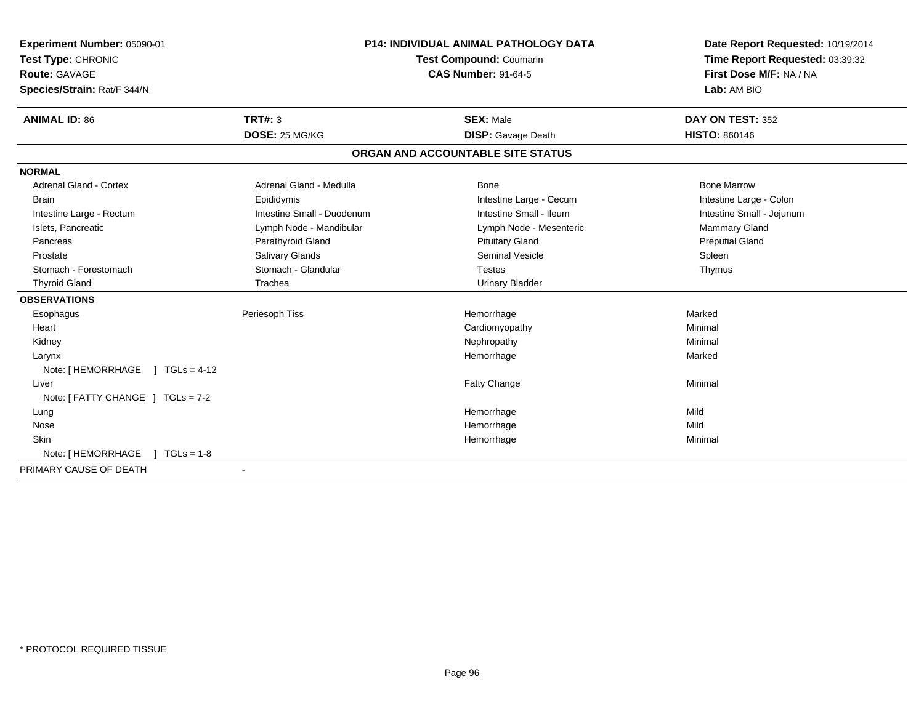| Experiment Number: 05090-01           | <b>P14: INDIVIDUAL ANIMAL PATHOLOGY DATA</b><br>Test Compound: Coumarin |                                   | Date Report Requested: 10/19/2014 |
|---------------------------------------|-------------------------------------------------------------------------|-----------------------------------|-----------------------------------|
| Test Type: CHRONIC                    |                                                                         |                                   | Time Report Requested: 03:39:32   |
| <b>Route: GAVAGE</b>                  |                                                                         | <b>CAS Number: 91-64-5</b>        | First Dose M/F: NA / NA           |
| Species/Strain: Rat/F 344/N           |                                                                         |                                   | Lab: AM BIO                       |
| <b>ANIMAL ID: 86</b>                  | TRT#: 3                                                                 | <b>SEX: Male</b>                  | DAY ON TEST: 352                  |
|                                       | DOSE: 25 MG/KG                                                          | <b>DISP:</b> Gavage Death         | <b>HISTO: 860146</b>              |
|                                       |                                                                         | ORGAN AND ACCOUNTABLE SITE STATUS |                                   |
| <b>NORMAL</b>                         |                                                                         |                                   |                                   |
| <b>Adrenal Gland - Cortex</b>         | Adrenal Gland - Medulla                                                 | Bone                              | <b>Bone Marrow</b>                |
| <b>Brain</b>                          | Epididymis                                                              | Intestine Large - Cecum           | Intestine Large - Colon           |
| Intestine Large - Rectum              | Intestine Small - Duodenum                                              | Intestine Small - Ileum           | Intestine Small - Jejunum         |
| Islets, Pancreatic                    | Lymph Node - Mandibular                                                 | Lymph Node - Mesenteric           | <b>Mammary Gland</b>              |
| Pancreas                              | Parathyroid Gland                                                       | <b>Pituitary Gland</b>            | <b>Preputial Gland</b>            |
| Prostate                              | Salivary Glands                                                         | <b>Seminal Vesicle</b>            | Spleen                            |
| Stomach - Forestomach                 | Stomach - Glandular                                                     | <b>Testes</b>                     | Thymus                            |
| <b>Thyroid Gland</b>                  | Trachea                                                                 | <b>Urinary Bladder</b>            |                                   |
| <b>OBSERVATIONS</b>                   |                                                                         |                                   |                                   |
| Esophagus                             | Periesoph Tiss                                                          | Hemorrhage                        | Marked                            |
| Heart                                 |                                                                         | Cardiomyopathy                    | Minimal                           |
| Kidney                                |                                                                         | Nephropathy                       | Minimal                           |
| Larynx                                |                                                                         | Hemorrhage                        | Marked                            |
| Note: [ HEMORRHAGE<br>$1 TGLs = 4-12$ |                                                                         |                                   |                                   |
| Liver                                 |                                                                         | Fatty Change                      | Minimal                           |
| Note: [ FATTY CHANGE ] TGLs = 7-2     |                                                                         |                                   |                                   |
| Lung                                  |                                                                         | Hemorrhage                        | Mild                              |
| Nose                                  |                                                                         | Hemorrhage                        | Mild                              |
| Skin                                  |                                                                         | Hemorrhage                        | Minimal                           |
| Note: [ HEMORRHAGE<br>$TGLs = 1-8$    |                                                                         |                                   |                                   |
| PRIMARY CAUSE OF DEATH                |                                                                         |                                   |                                   |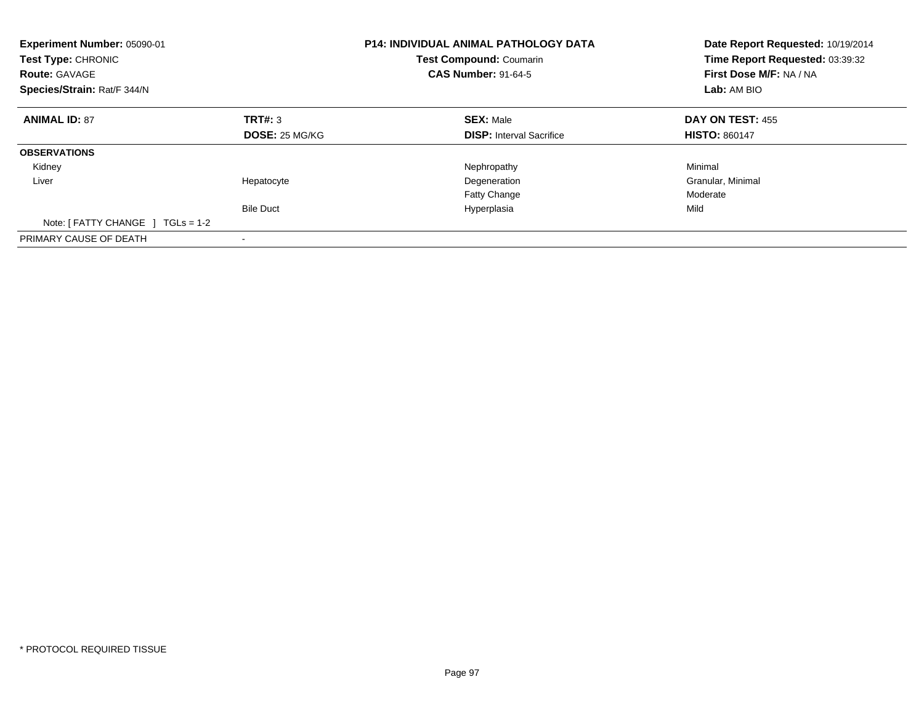| Experiment Number: 05090-01<br><b>Test Type: CHRONIC</b><br><b>Route: GAVAGE</b><br>Species/Strain: Rat/F 344/N |                       | <b>P14: INDIVIDUAL ANIMAL PATHOLOGY DATA</b><br><b>Test Compound: Coumarin</b><br><b>CAS Number: 91-64-5</b> | Date Report Requested: 10/19/2014<br>Time Report Requested: 03:39:32<br>First Dose M/F: NA / NA<br>Lab: AM BIO |  |
|-----------------------------------------------------------------------------------------------------------------|-----------------------|--------------------------------------------------------------------------------------------------------------|----------------------------------------------------------------------------------------------------------------|--|
| <b>ANIMAL ID: 87</b>                                                                                            | TRT#: 3               | <b>SEX: Male</b>                                                                                             | DAY ON TEST: 455                                                                                               |  |
|                                                                                                                 | <b>DOSE: 25 MG/KG</b> | <b>DISP:</b> Interval Sacrifice                                                                              | <b>HISTO: 860147</b>                                                                                           |  |
| <b>OBSERVATIONS</b>                                                                                             |                       |                                                                                                              |                                                                                                                |  |
| Kidney                                                                                                          |                       | Nephropathy                                                                                                  | Minimal                                                                                                        |  |
| Liver                                                                                                           | Hepatocyte            | Degeneration                                                                                                 | Granular, Minimal                                                                                              |  |
|                                                                                                                 |                       | <b>Fatty Change</b>                                                                                          | Moderate                                                                                                       |  |
|                                                                                                                 | <b>Bile Duct</b>      | Hyperplasia                                                                                                  | Mild                                                                                                           |  |
| Note: [ FATTY CHANGE ]<br>$TGLs = 1-2$                                                                          |                       |                                                                                                              |                                                                                                                |  |
| PRIMARY CAUSE OF DEATH                                                                                          |                       |                                                                                                              |                                                                                                                |  |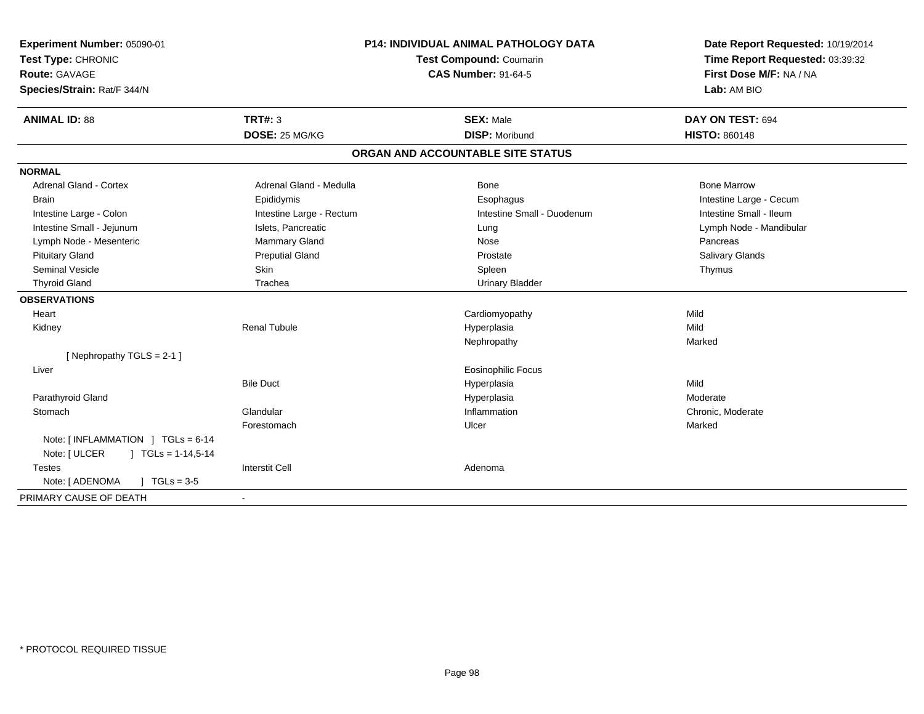| Experiment Number: 05090-01<br>Test Type: CHRONIC<br>Route: GAVAGE<br>Species/Strain: Rat/F 344/N | <b>P14: INDIVIDUAL ANIMAL PATHOLOGY DATA</b><br>Test Compound: Coumarin<br><b>CAS Number: 91-64-5</b> |                                   | Date Report Requested: 10/19/2014<br>Time Report Requested: 03:39:32<br>First Dose M/F: NA / NA<br>Lab: AM BIO |  |
|---------------------------------------------------------------------------------------------------|-------------------------------------------------------------------------------------------------------|-----------------------------------|----------------------------------------------------------------------------------------------------------------|--|
| <b>ANIMAL ID: 88</b>                                                                              | <b>TRT#: 3</b>                                                                                        | <b>SEX: Male</b>                  | DAY ON TEST: 694                                                                                               |  |
|                                                                                                   | DOSE: 25 MG/KG                                                                                        | <b>DISP: Moribund</b>             | <b>HISTO: 860148</b>                                                                                           |  |
|                                                                                                   |                                                                                                       | ORGAN AND ACCOUNTABLE SITE STATUS |                                                                                                                |  |
| <b>NORMAL</b>                                                                                     |                                                                                                       |                                   |                                                                                                                |  |
| <b>Adrenal Gland - Cortex</b>                                                                     | Adrenal Gland - Medulla                                                                               | Bone                              | <b>Bone Marrow</b>                                                                                             |  |
| <b>Brain</b>                                                                                      | Epididymis                                                                                            | Esophagus                         | Intestine Large - Cecum                                                                                        |  |
| Intestine Large - Colon                                                                           | Intestine Large - Rectum                                                                              | Intestine Small - Duodenum        | Intestine Small - Ileum                                                                                        |  |
| Intestine Small - Jejunum                                                                         | Islets, Pancreatic                                                                                    | Lung                              | Lymph Node - Mandibular                                                                                        |  |
| Lymph Node - Mesenteric                                                                           | Mammary Gland                                                                                         | Nose                              | Pancreas                                                                                                       |  |
| <b>Pituitary Gland</b>                                                                            | <b>Preputial Gland</b>                                                                                | Prostate                          | Salivary Glands                                                                                                |  |
| <b>Seminal Vesicle</b>                                                                            | Skin                                                                                                  | Spleen                            | Thymus                                                                                                         |  |
| <b>Thyroid Gland</b>                                                                              | Trachea                                                                                               | <b>Urinary Bladder</b>            |                                                                                                                |  |
| <b>OBSERVATIONS</b>                                                                               |                                                                                                       |                                   |                                                                                                                |  |
| Heart                                                                                             |                                                                                                       | Cardiomyopathy                    | Mild                                                                                                           |  |
| Kidney                                                                                            | <b>Renal Tubule</b>                                                                                   | Hyperplasia                       | Mild                                                                                                           |  |
|                                                                                                   |                                                                                                       | Nephropathy                       | Marked                                                                                                         |  |
| [Nephropathy TGLS = 2-1]                                                                          |                                                                                                       |                                   |                                                                                                                |  |
| Liver                                                                                             |                                                                                                       | <b>Eosinophilic Focus</b>         |                                                                                                                |  |
|                                                                                                   | <b>Bile Duct</b>                                                                                      | Hyperplasia                       | Mild                                                                                                           |  |
| Parathyroid Gland                                                                                 |                                                                                                       | Hyperplasia                       | Moderate                                                                                                       |  |
| Stomach                                                                                           | Glandular                                                                                             | Inflammation                      | Chronic, Moderate                                                                                              |  |
|                                                                                                   | Forestomach                                                                                           | Ulcer                             | Marked                                                                                                         |  |
| Note: [INFLAMMATION ] TGLs = 6-14<br>Note: [ ULCER<br>$J \cdot TGLs = 1-14,5-14$                  |                                                                                                       |                                   |                                                                                                                |  |
| Testes                                                                                            | <b>Interstit Cell</b>                                                                                 | Adenoma                           |                                                                                                                |  |
| Note: [ ADENOMA<br>$\sqrt{ }$ TGLs = 3-5                                                          |                                                                                                       |                                   |                                                                                                                |  |
| PRIMARY CAUSE OF DEATH                                                                            |                                                                                                       |                                   |                                                                                                                |  |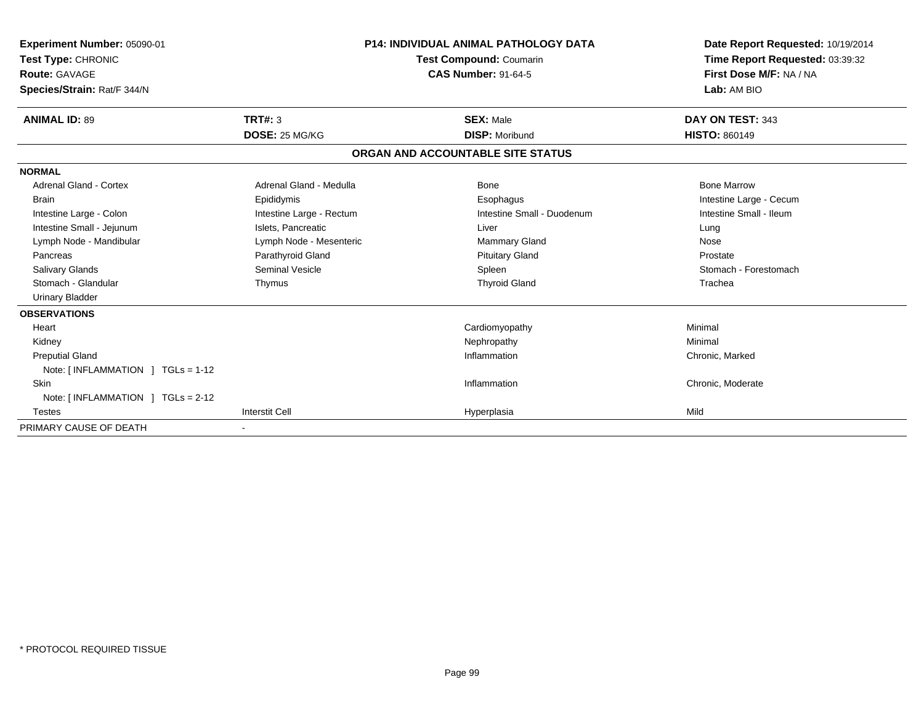| <b>Experiment Number: 05090-01</b><br>Test Type: CHRONIC<br><b>Route: GAVAGE</b><br>Species/Strain: Rat/F 344/N |                          | <b>P14: INDIVIDUAL ANIMAL PATHOLOGY DATA</b><br><b>Test Compound: Coumarin</b><br><b>CAS Number: 91-64-5</b> | Date Report Requested: 10/19/2014<br>Time Report Requested: 03:39:32<br>First Dose M/F: NA / NA<br>Lab: AM BIO |  |
|-----------------------------------------------------------------------------------------------------------------|--------------------------|--------------------------------------------------------------------------------------------------------------|----------------------------------------------------------------------------------------------------------------|--|
| <b>ANIMAL ID: 89</b>                                                                                            | TRT#: 3                  | <b>SEX: Male</b>                                                                                             | DAY ON TEST: 343                                                                                               |  |
|                                                                                                                 | DOSE: 25 MG/KG           | <b>DISP: Moribund</b>                                                                                        | <b>HISTO: 860149</b>                                                                                           |  |
|                                                                                                                 |                          | ORGAN AND ACCOUNTABLE SITE STATUS                                                                            |                                                                                                                |  |
| <b>NORMAL</b>                                                                                                   |                          |                                                                                                              |                                                                                                                |  |
| <b>Adrenal Gland - Cortex</b>                                                                                   | Adrenal Gland - Medulla  | Bone                                                                                                         | <b>Bone Marrow</b>                                                                                             |  |
| <b>Brain</b>                                                                                                    | Epididymis               | Esophagus                                                                                                    | Intestine Large - Cecum                                                                                        |  |
| Intestine Large - Colon                                                                                         | Intestine Large - Rectum | Intestine Small - Duodenum                                                                                   | Intestine Small - Ileum                                                                                        |  |
| Intestine Small - Jejunum                                                                                       | Islets, Pancreatic       | Liver                                                                                                        | Lung                                                                                                           |  |
| Lymph Node - Mandibular                                                                                         | Lymph Node - Mesenteric  | <b>Mammary Gland</b>                                                                                         | Nose                                                                                                           |  |
| Pancreas                                                                                                        | Parathyroid Gland        | <b>Pituitary Gland</b>                                                                                       | Prostate                                                                                                       |  |
| <b>Salivary Glands</b>                                                                                          | <b>Seminal Vesicle</b>   | Spleen                                                                                                       | Stomach - Forestomach                                                                                          |  |
| Stomach - Glandular                                                                                             | Thymus                   | <b>Thyroid Gland</b>                                                                                         | Trachea                                                                                                        |  |
| <b>Urinary Bladder</b>                                                                                          |                          |                                                                                                              |                                                                                                                |  |
| <b>OBSERVATIONS</b>                                                                                             |                          |                                                                                                              |                                                                                                                |  |
| Heart                                                                                                           |                          | Cardiomyopathy                                                                                               | Minimal                                                                                                        |  |
| Kidney                                                                                                          |                          | Nephropathy                                                                                                  | Minimal                                                                                                        |  |
| <b>Preputial Gland</b>                                                                                          |                          | Inflammation                                                                                                 | Chronic, Marked                                                                                                |  |
| Note: $[INFLAMMATION] TGLs = 1-12$                                                                              |                          |                                                                                                              |                                                                                                                |  |
| Skin                                                                                                            |                          | Inflammation                                                                                                 | Chronic, Moderate                                                                                              |  |
| Note: $[INFLAMMATION] TGLs = 2-12$                                                                              |                          |                                                                                                              |                                                                                                                |  |
| <b>Testes</b>                                                                                                   | <b>Interstit Cell</b>    | Hyperplasia                                                                                                  | Mild                                                                                                           |  |
| PRIMARY CAUSE OF DEATH                                                                                          |                          |                                                                                                              |                                                                                                                |  |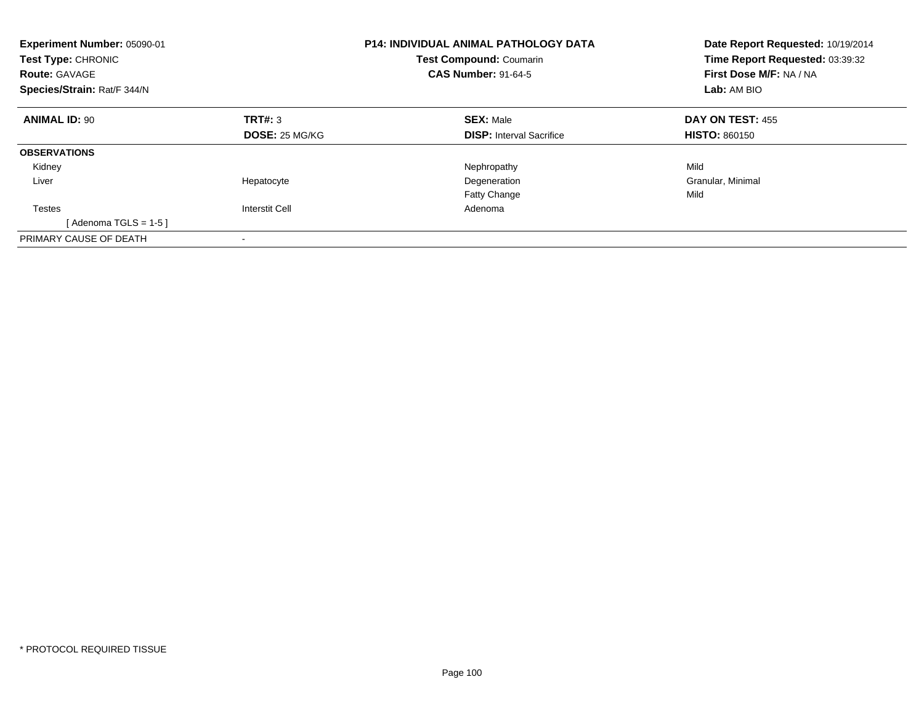| Experiment Number: 05090-01<br>Test Type: CHRONIC<br><b>Route: GAVAGE</b><br>Species/Strain: Rat/F 344/N |                       | <b>P14: INDIVIDUAL ANIMAL PATHOLOGY DATA</b><br><b>Test Compound: Coumarin</b><br><b>CAS Number: 91-64-5</b> | Date Report Requested: 10/19/2014<br>Time Report Requested: 03:39:32<br>First Dose M/F: NA / NA<br>Lab: AM BIO |  |
|----------------------------------------------------------------------------------------------------------|-----------------------|--------------------------------------------------------------------------------------------------------------|----------------------------------------------------------------------------------------------------------------|--|
| <b>ANIMAL ID: 90</b>                                                                                     | TRT#: 3               | <b>SEX: Male</b>                                                                                             | DAY ON TEST: 455                                                                                               |  |
|                                                                                                          | <b>DOSE: 25 MG/KG</b> | <b>DISP:</b> Interval Sacrifice                                                                              | <b>HISTO: 860150</b>                                                                                           |  |
| <b>OBSERVATIONS</b>                                                                                      |                       |                                                                                                              |                                                                                                                |  |
| Kidney                                                                                                   |                       | Nephropathy                                                                                                  | Mild                                                                                                           |  |
| Liver                                                                                                    | Hepatocyte            | Degeneration                                                                                                 | Granular, Minimal                                                                                              |  |
|                                                                                                          |                       | Fatty Change                                                                                                 | Mild                                                                                                           |  |
| Testes                                                                                                   | <b>Interstit Cell</b> | Adenoma                                                                                                      |                                                                                                                |  |
| [ Adenoma TGLS = 1-5 ]                                                                                   |                       |                                                                                                              |                                                                                                                |  |
| PRIMARY CAUSE OF DEATH                                                                                   |                       |                                                                                                              |                                                                                                                |  |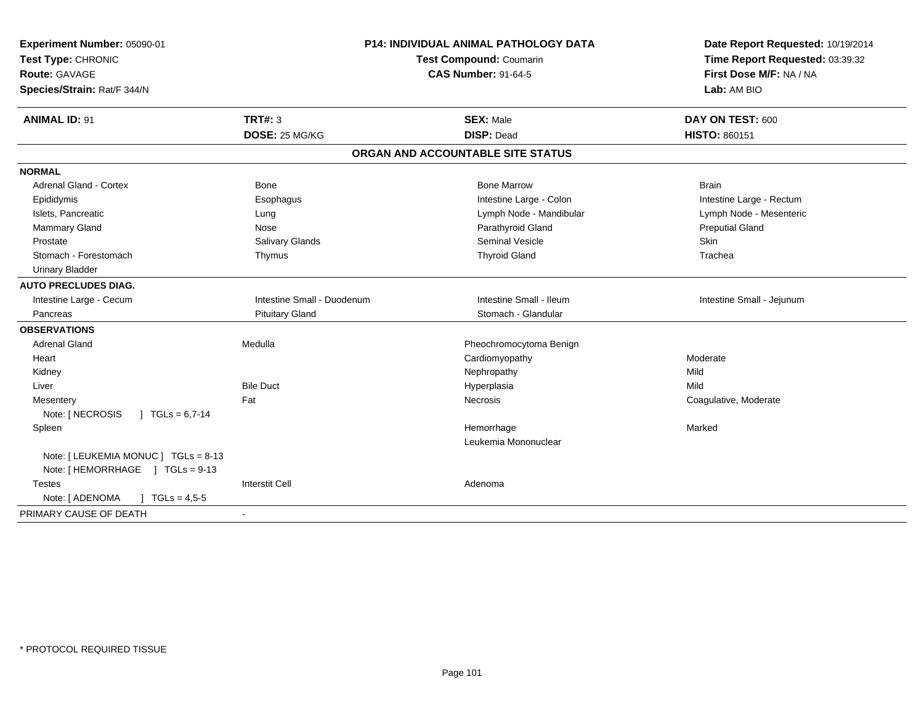| Experiment Number: 05090-01<br>Test Type: CHRONIC<br>Route: GAVAGE<br>Species/Strain: Rat/F 344/N | <b>P14: INDIVIDUAL ANIMAL PATHOLOGY DATA</b><br><b>Test Compound: Coumarin</b><br><b>CAS Number: 91-64-5</b> |                                       | Date Report Requested: 10/19/2014<br>Time Report Requested: 03:39:32<br>First Dose M/F: NA / NA<br>Lab: AM BIO |  |
|---------------------------------------------------------------------------------------------------|--------------------------------------------------------------------------------------------------------------|---------------------------------------|----------------------------------------------------------------------------------------------------------------|--|
| <b>ANIMAL ID: 91</b>                                                                              | <b>TRT#: 3</b>                                                                                               | <b>SEX: Male</b><br><b>DISP: Dead</b> | DAY ON TEST: 600                                                                                               |  |
|                                                                                                   | DOSE: 25 MG/KG                                                                                               |                                       | <b>HISTO: 860151</b>                                                                                           |  |
|                                                                                                   |                                                                                                              | ORGAN AND ACCOUNTABLE SITE STATUS     |                                                                                                                |  |
| <b>NORMAL</b>                                                                                     |                                                                                                              |                                       |                                                                                                                |  |
| Adrenal Gland - Cortex                                                                            | Bone                                                                                                         | <b>Bone Marrow</b>                    | <b>Brain</b>                                                                                                   |  |
| Epididymis                                                                                        | Esophagus                                                                                                    | Intestine Large - Colon               | Intestine Large - Rectum                                                                                       |  |
| Islets, Pancreatic                                                                                | Lung                                                                                                         | Lymph Node - Mandibular               | Lymph Node - Mesenteric                                                                                        |  |
| Mammary Gland                                                                                     | Nose                                                                                                         | Parathyroid Gland                     | <b>Preputial Gland</b>                                                                                         |  |
| Prostate                                                                                          | Salivary Glands                                                                                              | <b>Seminal Vesicle</b>                | Skin                                                                                                           |  |
| Stomach - Forestomach                                                                             | Thymus                                                                                                       | <b>Thyroid Gland</b>                  | Trachea                                                                                                        |  |
| <b>Urinary Bladder</b>                                                                            |                                                                                                              |                                       |                                                                                                                |  |
| <b>AUTO PRECLUDES DIAG.</b>                                                                       |                                                                                                              |                                       |                                                                                                                |  |
| Intestine Large - Cecum                                                                           | Intestine Small - Duodenum                                                                                   | Intestine Small - Ileum               | Intestine Small - Jejunum                                                                                      |  |
| Pancreas                                                                                          | <b>Pituitary Gland</b>                                                                                       | Stomach - Glandular                   |                                                                                                                |  |
| <b>OBSERVATIONS</b>                                                                               |                                                                                                              |                                       |                                                                                                                |  |
| Adrenal Gland                                                                                     | Medulla                                                                                                      | Pheochromocytoma Benign               |                                                                                                                |  |
| Heart                                                                                             |                                                                                                              | Cardiomyopathy                        | Moderate                                                                                                       |  |
| Kidney                                                                                            |                                                                                                              | Nephropathy                           | Mild                                                                                                           |  |
| Liver                                                                                             | <b>Bile Duct</b>                                                                                             | Hyperplasia                           | Mild                                                                                                           |  |
| Mesentery                                                                                         | Fat                                                                                                          | <b>Necrosis</b>                       | Coagulative, Moderate                                                                                          |  |
| Note: [ NECROSIS<br>$\sqrt{1}$ TGLs = 6,7-14                                                      |                                                                                                              |                                       |                                                                                                                |  |
| Spleen                                                                                            |                                                                                                              | Hemorrhage                            | Marked                                                                                                         |  |
|                                                                                                   |                                                                                                              | Leukemia Mononuclear                  |                                                                                                                |  |
| Note: [ LEUKEMIA MONUC ] TGLs = 8-13<br>Note: [HEMORRHAGE ] TGLs = 9-13                           |                                                                                                              |                                       |                                                                                                                |  |
| <b>Testes</b>                                                                                     | <b>Interstit Cell</b>                                                                                        | Adenoma                               |                                                                                                                |  |
| Note: [ ADENOMA<br>$\int$ TGLs = 4,5-5                                                            |                                                                                                              |                                       |                                                                                                                |  |
| PRIMARY CAUSE OF DEATH                                                                            |                                                                                                              |                                       |                                                                                                                |  |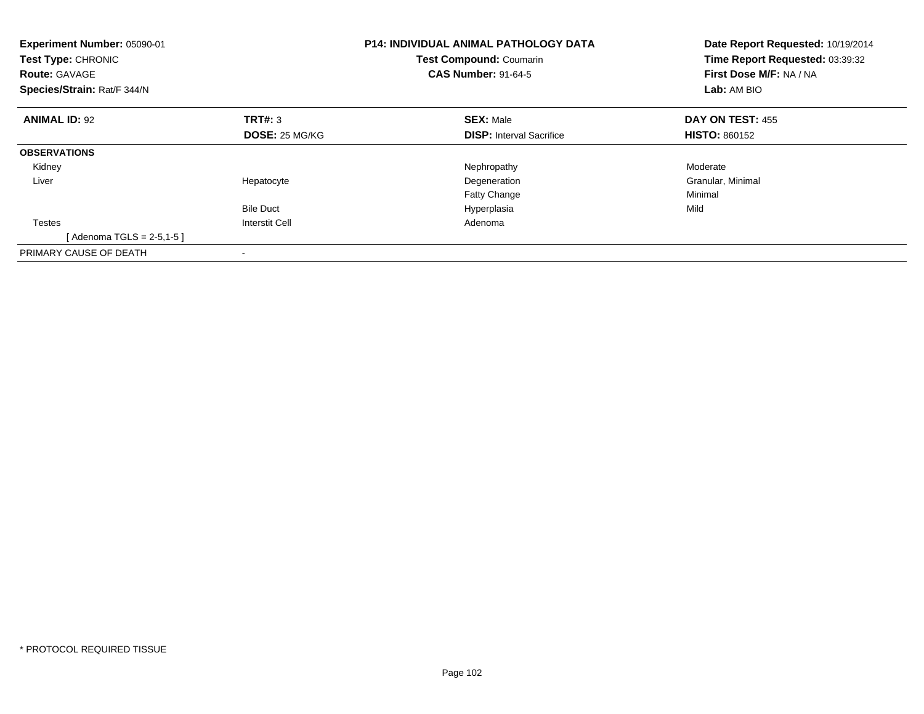| Experiment Number: 05090-01<br>Test Type: CHRONIC<br><b>Route: GAVAGE</b><br>Species/Strain: Rat/F 344/N |                       | <b>P14: INDIVIDUAL ANIMAL PATHOLOGY DATA</b><br><b>Test Compound: Coumarin</b><br><b>CAS Number: 91-64-5</b> | Date Report Requested: 10/19/2014<br>Time Report Requested: 03:39:32<br>First Dose M/F: NA / NA<br>Lab: AM BIO |  |
|----------------------------------------------------------------------------------------------------------|-----------------------|--------------------------------------------------------------------------------------------------------------|----------------------------------------------------------------------------------------------------------------|--|
| <b>ANIMAL ID: 92</b>                                                                                     | TRT#: 3               | <b>SEX: Male</b>                                                                                             | <b>DAY ON TEST: 455</b>                                                                                        |  |
|                                                                                                          | <b>DOSE: 25 MG/KG</b> | <b>DISP:</b> Interval Sacrifice                                                                              | <b>HISTO: 860152</b>                                                                                           |  |
| <b>OBSERVATIONS</b>                                                                                      |                       |                                                                                                              |                                                                                                                |  |
| Kidney                                                                                                   |                       | Nephropathy                                                                                                  | Moderate                                                                                                       |  |
| Liver                                                                                                    | Hepatocyte            | Degeneration                                                                                                 | Granular, Minimal                                                                                              |  |
|                                                                                                          |                       | <b>Fatty Change</b>                                                                                          | Minimal                                                                                                        |  |
|                                                                                                          | <b>Bile Duct</b>      | Hyperplasia                                                                                                  | Mild                                                                                                           |  |
| <b>Testes</b>                                                                                            | <b>Interstit Cell</b> | Adenoma                                                                                                      |                                                                                                                |  |
| [ Adenoma TGLS = 2-5,1-5 ]                                                                               |                       |                                                                                                              |                                                                                                                |  |
| PRIMARY CAUSE OF DEATH                                                                                   |                       |                                                                                                              |                                                                                                                |  |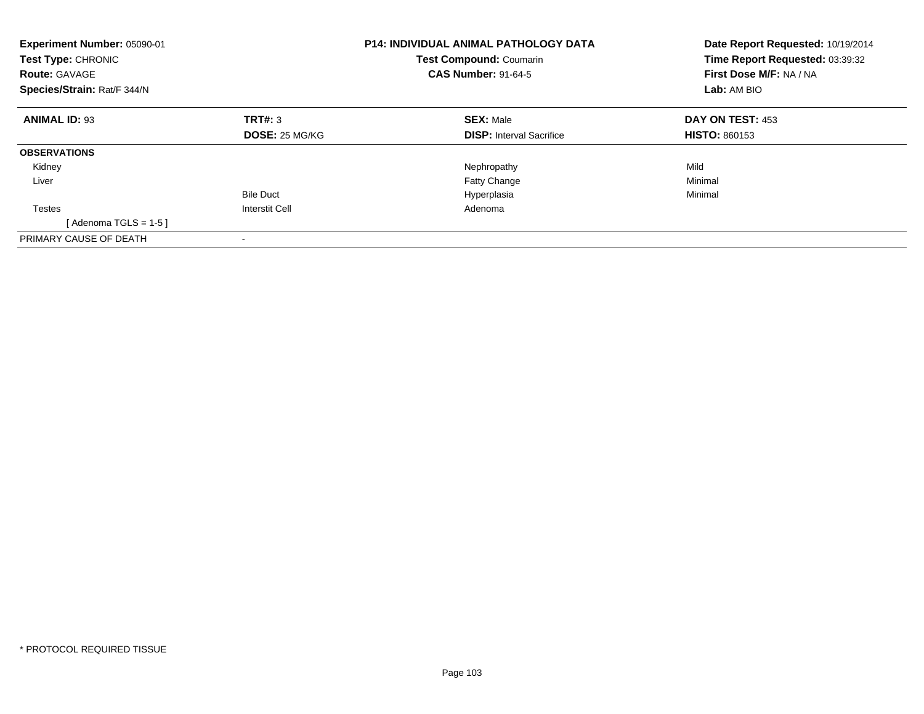| Experiment Number: 05090-01<br><b>Test Type: CHRONIC</b><br><b>Route: GAVAGE</b><br>Species/Strain: Rat/F 344/N |                       | <b>P14: INDIVIDUAL ANIMAL PATHOLOGY DATA</b><br><b>Test Compound: Coumarin</b><br><b>CAS Number: 91-64-5</b> | Date Report Requested: 10/19/2014<br>Time Report Requested: 03:39:32<br>First Dose M/F: NA / NA<br>Lab: AM BIO |  |
|-----------------------------------------------------------------------------------------------------------------|-----------------------|--------------------------------------------------------------------------------------------------------------|----------------------------------------------------------------------------------------------------------------|--|
| <b>ANIMAL ID: 93</b>                                                                                            | TRT#: 3               | <b>SEX: Male</b>                                                                                             | DAY ON TEST: 453                                                                                               |  |
|                                                                                                                 | <b>DOSE: 25 MG/KG</b> | <b>DISP:</b> Interval Sacrifice                                                                              | <b>HISTO: 860153</b>                                                                                           |  |
| <b>OBSERVATIONS</b>                                                                                             |                       |                                                                                                              |                                                                                                                |  |
| Kidney                                                                                                          |                       | Nephropathy                                                                                                  | Mild                                                                                                           |  |
| Liver                                                                                                           |                       | Fatty Change                                                                                                 | Minimal                                                                                                        |  |
|                                                                                                                 | <b>Bile Duct</b>      | Hyperplasia                                                                                                  | Minimal                                                                                                        |  |
| Testes                                                                                                          | Interstit Cell        | Adenoma                                                                                                      |                                                                                                                |  |
| [Adenoma TGLS = $1-5$ ]                                                                                         |                       |                                                                                                              |                                                                                                                |  |
| PRIMARY CAUSE OF DEATH                                                                                          |                       |                                                                                                              |                                                                                                                |  |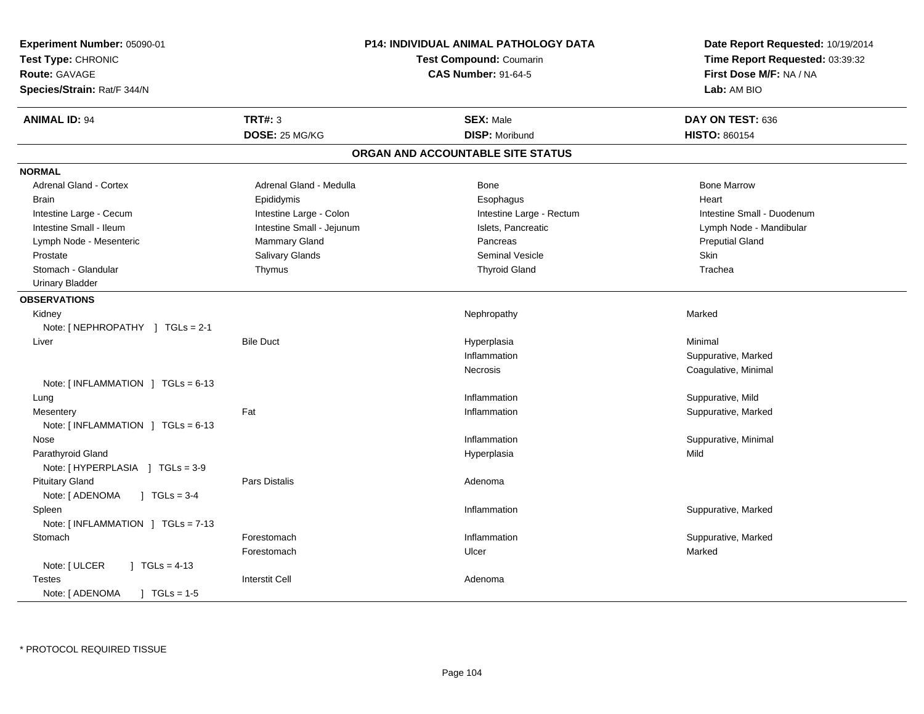| Experiment Number: 05090-01<br>Test Type: CHRONIC<br>Route: GAVAGE<br>Species/Strain: Rat/F 344/N | <b>P14: INDIVIDUAL ANIMAL PATHOLOGY DATA</b><br>Test Compound: Coumarin<br><b>CAS Number: 91-64-5</b> |                                   | Date Report Requested: 10/19/2014<br>Time Report Requested: 03:39:32<br>First Dose M/F: NA / NA<br>Lab: AM BIO |  |
|---------------------------------------------------------------------------------------------------|-------------------------------------------------------------------------------------------------------|-----------------------------------|----------------------------------------------------------------------------------------------------------------|--|
| <b>ANIMAL ID: 94</b>                                                                              | <b>TRT#: 3</b>                                                                                        | <b>SEX: Male</b>                  | DAY ON TEST: 636                                                                                               |  |
|                                                                                                   | DOSE: 25 MG/KG                                                                                        | <b>DISP: Moribund</b>             | <b>HISTO: 860154</b>                                                                                           |  |
|                                                                                                   |                                                                                                       | ORGAN AND ACCOUNTABLE SITE STATUS |                                                                                                                |  |
| <b>NORMAL</b>                                                                                     |                                                                                                       |                                   |                                                                                                                |  |
| Adrenal Gland - Cortex                                                                            | Adrenal Gland - Medulla                                                                               | Bone                              | <b>Bone Marrow</b>                                                                                             |  |
| <b>Brain</b>                                                                                      | Epididymis                                                                                            | Esophagus                         | Heart                                                                                                          |  |
| Intestine Large - Cecum                                                                           | Intestine Large - Colon                                                                               | Intestine Large - Rectum          | Intestine Small - Duodenum                                                                                     |  |
| Intestine Small - Ileum                                                                           | Intestine Small - Jejunum                                                                             | Islets, Pancreatic                | Lymph Node - Mandibular                                                                                        |  |
| Lymph Node - Mesenteric                                                                           | <b>Mammary Gland</b>                                                                                  | Pancreas                          | <b>Preputial Gland</b>                                                                                         |  |
| Prostate                                                                                          | Salivary Glands                                                                                       | Seminal Vesicle                   | <b>Skin</b>                                                                                                    |  |
| Stomach - Glandular                                                                               | Thymus                                                                                                | <b>Thyroid Gland</b>              | Trachea                                                                                                        |  |
| <b>Urinary Bladder</b>                                                                            |                                                                                                       |                                   |                                                                                                                |  |
| <b>OBSERVATIONS</b>                                                                               |                                                                                                       |                                   |                                                                                                                |  |
| Kidney                                                                                            |                                                                                                       | Nephropathy                       | Marked                                                                                                         |  |
| Note: [NEPHROPATHY ] TGLs = 2-1                                                                   |                                                                                                       |                                   |                                                                                                                |  |
| Liver                                                                                             | <b>Bile Duct</b>                                                                                      | Hyperplasia                       | Minimal                                                                                                        |  |
|                                                                                                   |                                                                                                       | Inflammation                      | Suppurative, Marked                                                                                            |  |
|                                                                                                   |                                                                                                       | Necrosis                          | Coagulative, Minimal                                                                                           |  |
| Note: [INFLAMMATION ] TGLs = 6-13                                                                 |                                                                                                       |                                   |                                                                                                                |  |
| Lung                                                                                              |                                                                                                       | Inflammation                      | Suppurative, Mild                                                                                              |  |
| Mesentery                                                                                         | Fat                                                                                                   | Inflammation                      | Suppurative, Marked                                                                                            |  |
| Note: $\lceil$ INFLAMMATION $\lceil$ TGLs = 6-13                                                  |                                                                                                       |                                   |                                                                                                                |  |
| Nose                                                                                              |                                                                                                       | Inflammation                      | Suppurative, Minimal                                                                                           |  |
| Parathyroid Gland                                                                                 |                                                                                                       | Hyperplasia                       | Mild                                                                                                           |  |
| Note: [HYPERPLASIA ] TGLs = 3-9                                                                   |                                                                                                       |                                   |                                                                                                                |  |
| <b>Pituitary Gland</b>                                                                            | Pars Distalis                                                                                         | Adenoma                           |                                                                                                                |  |
| Note: [ ADENOMA<br>$\sqrt{1}$ TGLs = 3-4                                                          |                                                                                                       |                                   |                                                                                                                |  |
| Spleen                                                                                            |                                                                                                       | Inflammation                      | Suppurative, Marked                                                                                            |  |
| Note: [INFLAMMATION ] TGLs = 7-13                                                                 |                                                                                                       |                                   |                                                                                                                |  |
| Stomach                                                                                           | Forestomach                                                                                           | Inflammation                      | Suppurative, Marked                                                                                            |  |
|                                                                                                   | Forestomach                                                                                           | Ulcer                             | Marked                                                                                                         |  |
| Note: [ ULCER<br>$\vert$ TGLs = 4-13                                                              |                                                                                                       |                                   |                                                                                                                |  |
| <b>Testes</b>                                                                                     | <b>Interstit Cell</b>                                                                                 | Adenoma                           |                                                                                                                |  |
| Note: [ ADENOMA<br>$\sqrt{1}$ TGLs = 1-5                                                          |                                                                                                       |                                   |                                                                                                                |  |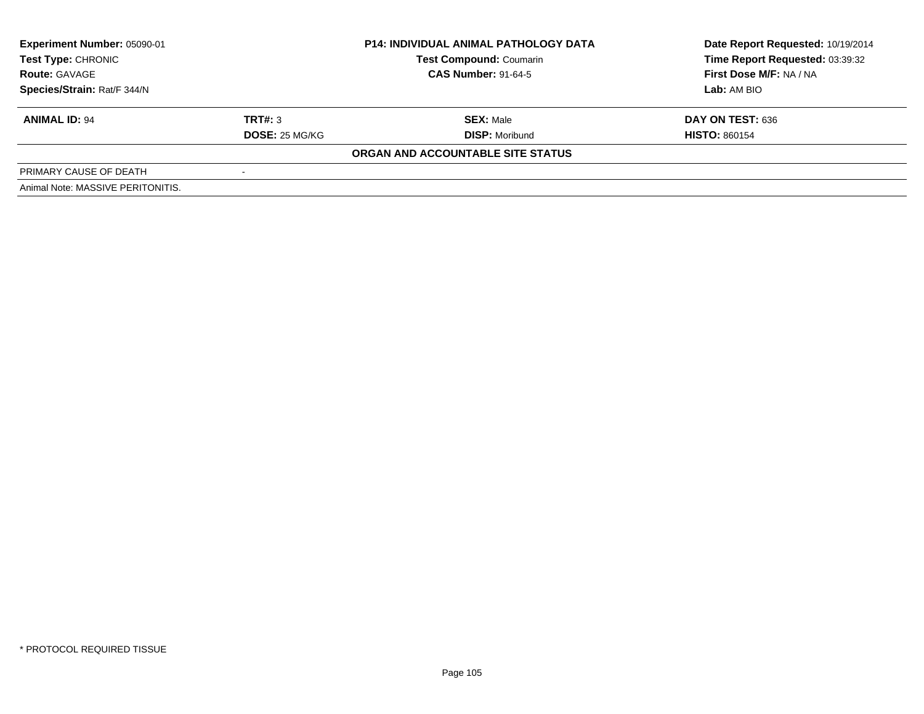| <b>Experiment Number: 05090-01</b><br><b>Test Type: CHRONIC</b> |                | <b>P14: INDIVIDUAL ANIMAL PATHOLOGY DATA</b> | Date Report Requested: 10/19/2014 |
|-----------------------------------------------------------------|----------------|----------------------------------------------|-----------------------------------|
|                                                                 |                | <b>Test Compound: Coumarin</b>               | Time Report Requested: 03:39:32   |
| <b>Route: GAVAGE</b>                                            |                | <b>CAS Number: 91-64-5</b>                   | First Dose M/F: NA / NA           |
| Species/Strain: Rat/F 344/N                                     |                |                                              | Lab: AM BIO                       |
| <b>ANIMAL ID: 94</b>                                            | TRT#: 3        | <b>SEX: Male</b>                             | DAY ON TEST: 636                  |
|                                                                 | DOSE: 25 MG/KG | <b>DISP:</b> Moribund                        | <b>HISTO: 860154</b>              |
|                                                                 |                | ORGAN AND ACCOUNTABLE SITE STATUS            |                                   |
| PRIMARY CAUSE OF DEATH                                          |                |                                              |                                   |
| Animal Note: MASSIVE PERITONITIS.                               |                |                                              |                                   |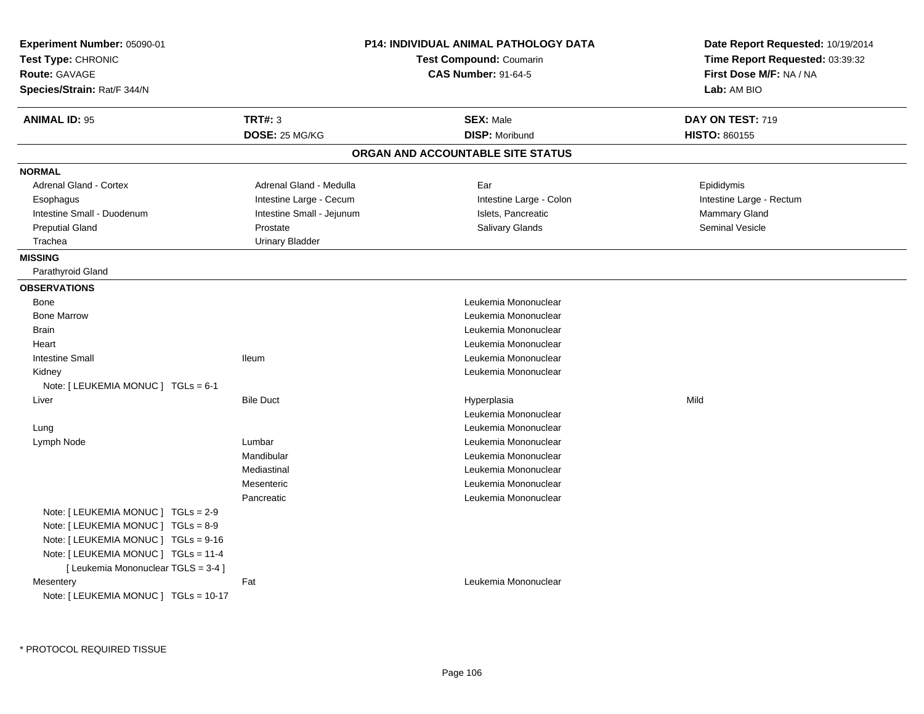| Experiment Number: 05090-01<br>Test Type: CHRONIC<br><b>Route: GAVAGE</b><br>Species/Strain: Rat/F 344/N                                                                                          |                           | <b>P14: INDIVIDUAL ANIMAL PATHOLOGY DATA</b><br><b>Test Compound: Coumarin</b><br><b>CAS Number: 91-64-5</b> |                                   | Date Report Requested: 10/19/2014<br>Time Report Requested: 03:39:32<br>First Dose M/F: NA / NA<br>Lab: AM BIO |  |
|---------------------------------------------------------------------------------------------------------------------------------------------------------------------------------------------------|---------------------------|--------------------------------------------------------------------------------------------------------------|-----------------------------------|----------------------------------------------------------------------------------------------------------------|--|
| <b>ANIMAL ID: 95</b>                                                                                                                                                                              | TRT#: 3                   |                                                                                                              | <b>SEX: Male</b>                  | DAY ON TEST: 719                                                                                               |  |
|                                                                                                                                                                                                   | DOSE: 25 MG/KG            |                                                                                                              | <b>DISP: Moribund</b>             | <b>HISTO: 860155</b>                                                                                           |  |
|                                                                                                                                                                                                   |                           |                                                                                                              | ORGAN AND ACCOUNTABLE SITE STATUS |                                                                                                                |  |
| <b>NORMAL</b>                                                                                                                                                                                     |                           |                                                                                                              |                                   |                                                                                                                |  |
| Adrenal Gland - Cortex                                                                                                                                                                            | Adrenal Gland - Medulla   |                                                                                                              | Ear                               | Epididymis                                                                                                     |  |
| Esophagus                                                                                                                                                                                         | Intestine Large - Cecum   |                                                                                                              | Intestine Large - Colon           | Intestine Large - Rectum                                                                                       |  |
| Intestine Small - Duodenum                                                                                                                                                                        | Intestine Small - Jejunum |                                                                                                              | Islets, Pancreatic                | Mammary Gland                                                                                                  |  |
| <b>Preputial Gland</b>                                                                                                                                                                            | Prostate                  |                                                                                                              | <b>Salivary Glands</b>            | <b>Seminal Vesicle</b>                                                                                         |  |
| Trachea                                                                                                                                                                                           | <b>Urinary Bladder</b>    |                                                                                                              |                                   |                                                                                                                |  |
| <b>MISSING</b>                                                                                                                                                                                    |                           |                                                                                                              |                                   |                                                                                                                |  |
| Parathyroid Gland                                                                                                                                                                                 |                           |                                                                                                              |                                   |                                                                                                                |  |
| <b>OBSERVATIONS</b>                                                                                                                                                                               |                           |                                                                                                              |                                   |                                                                                                                |  |
| Bone                                                                                                                                                                                              |                           |                                                                                                              | Leukemia Mononuclear              |                                                                                                                |  |
| <b>Bone Marrow</b>                                                                                                                                                                                |                           |                                                                                                              | Leukemia Mononuclear              |                                                                                                                |  |
| <b>Brain</b>                                                                                                                                                                                      |                           |                                                                                                              | Leukemia Mononuclear              |                                                                                                                |  |
| Heart                                                                                                                                                                                             |                           |                                                                                                              | Leukemia Mononuclear              |                                                                                                                |  |
| <b>Intestine Small</b>                                                                                                                                                                            | <b>Ileum</b>              |                                                                                                              | Leukemia Mononuclear              |                                                                                                                |  |
| Kidney                                                                                                                                                                                            |                           |                                                                                                              | Leukemia Mononuclear              |                                                                                                                |  |
| Note: [ LEUKEMIA MONUC ] TGLs = 6-1                                                                                                                                                               |                           |                                                                                                              |                                   |                                                                                                                |  |
| Liver                                                                                                                                                                                             | <b>Bile Duct</b>          |                                                                                                              | Hyperplasia                       | Mild                                                                                                           |  |
|                                                                                                                                                                                                   |                           |                                                                                                              | Leukemia Mononuclear              |                                                                                                                |  |
| Lung                                                                                                                                                                                              |                           |                                                                                                              | Leukemia Mononuclear              |                                                                                                                |  |
| Lymph Node                                                                                                                                                                                        | Lumbar                    |                                                                                                              | Leukemia Mononuclear              |                                                                                                                |  |
|                                                                                                                                                                                                   | Mandibular                |                                                                                                              | Leukemia Mononuclear              |                                                                                                                |  |
|                                                                                                                                                                                                   | Mediastinal               |                                                                                                              | Leukemia Mononuclear              |                                                                                                                |  |
|                                                                                                                                                                                                   | Mesenteric                |                                                                                                              | Leukemia Mononuclear              |                                                                                                                |  |
|                                                                                                                                                                                                   | Pancreatic                |                                                                                                              | Leukemia Mononuclear              |                                                                                                                |  |
| Note: [ LEUKEMIA MONUC ] TGLs = 2-9<br>Note: [ LEUKEMIA MONUC ] TGLs = 8-9<br>Note: [ LEUKEMIA MONUC ] TGLs = 9-16<br>Note: [ LEUKEMIA MONUC ] TGLs = 11-4<br>[ Leukemia Mononuclear TGLS = 3-4 ] |                           |                                                                                                              |                                   |                                                                                                                |  |
| Mesentery<br>Note: [ LEUKEMIA MONUC ] TGLs = 10-17                                                                                                                                                | Fat                       |                                                                                                              | Leukemia Mononuclear              |                                                                                                                |  |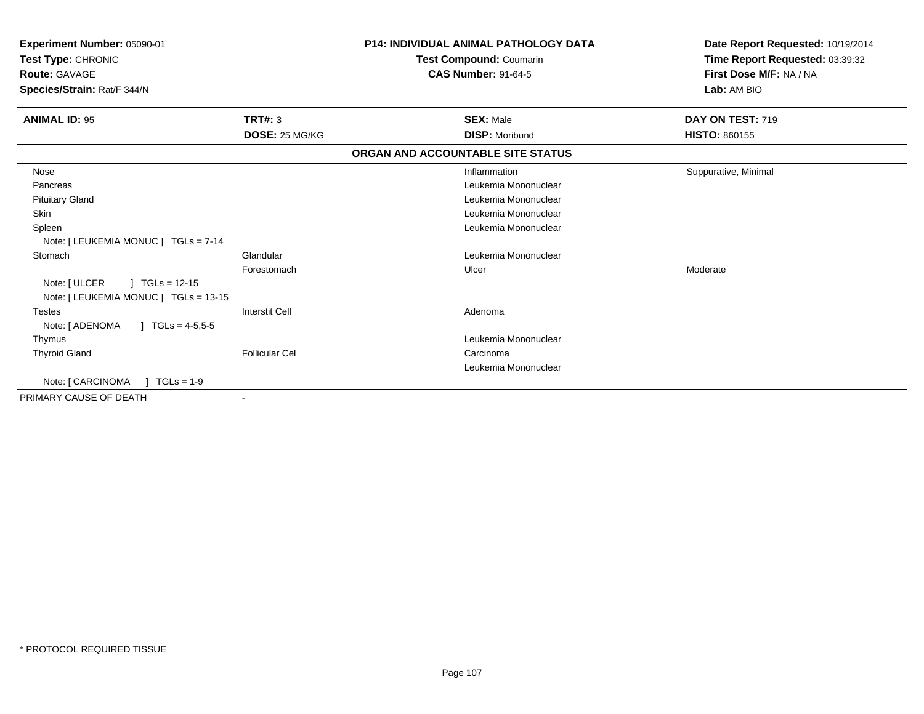| <b>Experiment Number: 05090-01</b><br>Test Type: CHRONIC<br>Route: GAVAGE<br>Species/Strain: Rat/F 344/N |                       | <b>P14: INDIVIDUAL ANIMAL PATHOLOGY DATA</b><br>Test Compound: Coumarin<br><b>CAS Number: 91-64-5</b> | Date Report Requested: 10/19/2014<br>Time Report Requested: 03:39:32<br>First Dose M/F: NA / NA<br>Lab: AM BIO |
|----------------------------------------------------------------------------------------------------------|-----------------------|-------------------------------------------------------------------------------------------------------|----------------------------------------------------------------------------------------------------------------|
| <b>ANIMAL ID: 95</b>                                                                                     | <b>TRT#: 3</b>        | <b>SEX: Male</b>                                                                                      | <b>DAY ON TEST: 719</b>                                                                                        |
|                                                                                                          | DOSE: 25 MG/KG        | <b>DISP: Moribund</b>                                                                                 | <b>HISTO: 860155</b>                                                                                           |
|                                                                                                          |                       | ORGAN AND ACCOUNTABLE SITE STATUS                                                                     |                                                                                                                |
| Nose                                                                                                     |                       | Inflammation                                                                                          | Suppurative, Minimal                                                                                           |
| Pancreas                                                                                                 |                       | Leukemia Mononuclear                                                                                  |                                                                                                                |
| <b>Pituitary Gland</b>                                                                                   |                       | Leukemia Mononuclear                                                                                  |                                                                                                                |
| <b>Skin</b>                                                                                              |                       | Leukemia Mononuclear                                                                                  |                                                                                                                |
| Spleen                                                                                                   |                       | Leukemia Mononuclear                                                                                  |                                                                                                                |
| Note: [ LEUKEMIA MONUC ] TGLs = 7-14                                                                     |                       |                                                                                                       |                                                                                                                |
| Stomach                                                                                                  | Glandular             | Leukemia Mononuclear                                                                                  |                                                                                                                |
|                                                                                                          | Forestomach           | Ulcer                                                                                                 | Moderate                                                                                                       |
| $\int$ TGLs = 12-15<br>Note: [ ULCER                                                                     |                       |                                                                                                       |                                                                                                                |
| Note: [ LEUKEMIA MONUC ] TGLs = 13-15                                                                    |                       |                                                                                                       |                                                                                                                |
| Testes                                                                                                   | <b>Interstit Cell</b> | Adenoma                                                                                               |                                                                                                                |
| Note: [ ADENOMA<br>$\sqrt{6}$ TGLs = 4-5,5-5                                                             |                       |                                                                                                       |                                                                                                                |
| Thymus                                                                                                   |                       | Leukemia Mononuclear                                                                                  |                                                                                                                |
| <b>Thyroid Gland</b>                                                                                     | <b>Follicular Cel</b> | Carcinoma                                                                                             |                                                                                                                |
|                                                                                                          |                       | Leukemia Mononuclear                                                                                  |                                                                                                                |
|                                                                                                          |                       |                                                                                                       |                                                                                                                |
| PRIMARY CAUSE OF DEATH                                                                                   | $\blacksquare$        |                                                                                                       |                                                                                                                |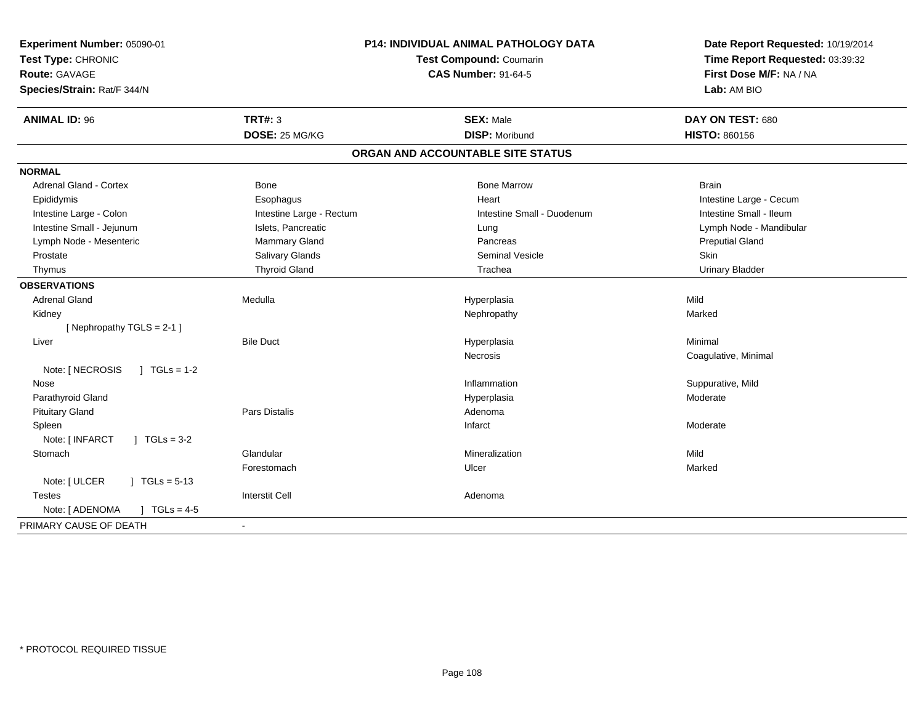| Experiment Number: 05090-01<br>Test Type: CHRONIC<br><b>Route: GAVAGE</b><br>Species/Strain: Rat/F 344/N |                          | P14: INDIVIDUAL ANIMAL PATHOLOGY DATA<br>Test Compound: Coumarin<br><b>CAS Number: 91-64-5</b> | Date Report Requested: 10/19/2014<br>Time Report Requested: 03:39:32<br>First Dose M/F: NA / NA<br>Lab: AM BIO |  |
|----------------------------------------------------------------------------------------------------------|--------------------------|------------------------------------------------------------------------------------------------|----------------------------------------------------------------------------------------------------------------|--|
| <b>ANIMAL ID: 96</b>                                                                                     | <b>TRT#: 3</b>           | <b>SEX: Male</b>                                                                               | DAY ON TEST: 680                                                                                               |  |
|                                                                                                          | DOSE: 25 MG/KG           | <b>DISP: Moribund</b>                                                                          | <b>HISTO: 860156</b>                                                                                           |  |
|                                                                                                          |                          | ORGAN AND ACCOUNTABLE SITE STATUS                                                              |                                                                                                                |  |
| <b>NORMAL</b>                                                                                            |                          |                                                                                                |                                                                                                                |  |
| <b>Adrenal Gland - Cortex</b>                                                                            | <b>Bone</b>              | <b>Bone Marrow</b>                                                                             | <b>Brain</b>                                                                                                   |  |
| Epididymis                                                                                               | Esophagus                | Heart                                                                                          | Intestine Large - Cecum                                                                                        |  |
| Intestine Large - Colon                                                                                  | Intestine Large - Rectum | Intestine Small - Duodenum                                                                     | Intestine Small - Ileum                                                                                        |  |
| Intestine Small - Jejunum                                                                                | Islets, Pancreatic       | Lung                                                                                           | Lymph Node - Mandibular                                                                                        |  |
| Lymph Node - Mesenteric                                                                                  | Mammary Gland            | Pancreas                                                                                       | <b>Preputial Gland</b>                                                                                         |  |
| Prostate                                                                                                 | Salivary Glands          | <b>Seminal Vesicle</b>                                                                         | Skin                                                                                                           |  |
| Thymus                                                                                                   | <b>Thyroid Gland</b>     | Trachea                                                                                        | <b>Urinary Bladder</b>                                                                                         |  |
| <b>OBSERVATIONS</b>                                                                                      |                          |                                                                                                |                                                                                                                |  |
| <b>Adrenal Gland</b>                                                                                     | Medulla                  | Hyperplasia                                                                                    | Mild                                                                                                           |  |
| Kidney                                                                                                   |                          | Nephropathy                                                                                    | Marked                                                                                                         |  |
| [Nephropathy TGLS = 2-1]                                                                                 |                          |                                                                                                |                                                                                                                |  |
| Liver                                                                                                    | <b>Bile Duct</b>         | Hyperplasia                                                                                    | Minimal                                                                                                        |  |
|                                                                                                          |                          | Necrosis                                                                                       | Coagulative, Minimal                                                                                           |  |
| Note: [ NECROSIS<br>$J \cdot TGLS = 1-2$                                                                 |                          |                                                                                                |                                                                                                                |  |
| Nose                                                                                                     |                          | Inflammation                                                                                   | Suppurative, Mild                                                                                              |  |
| Parathyroid Gland                                                                                        |                          | Hyperplasia                                                                                    | Moderate                                                                                                       |  |
| <b>Pituitary Gland</b>                                                                                   | <b>Pars Distalis</b>     | Adenoma                                                                                        |                                                                                                                |  |
| Spleen                                                                                                   |                          | Infarct                                                                                        | Moderate                                                                                                       |  |
| Note: [ INFARCT<br>$J \cdot TGLs = 3-2$                                                                  |                          |                                                                                                |                                                                                                                |  |
| Stomach                                                                                                  | Glandular                | Mineralization                                                                                 | Mild                                                                                                           |  |
|                                                                                                          | Forestomach              | Ulcer                                                                                          | Marked                                                                                                         |  |
| Note: [ ULCER<br>$] TGLs = 5-13$                                                                         |                          |                                                                                                |                                                                                                                |  |
| <b>Testes</b>                                                                                            | <b>Interstit Cell</b>    | Adenoma                                                                                        |                                                                                                                |  |
| Note: [ ADENOMA<br>] $TGLs = 4-5$                                                                        |                          |                                                                                                |                                                                                                                |  |
| PRIMARY CAUSE OF DEATH                                                                                   | $\overline{\phantom{a}}$ |                                                                                                |                                                                                                                |  |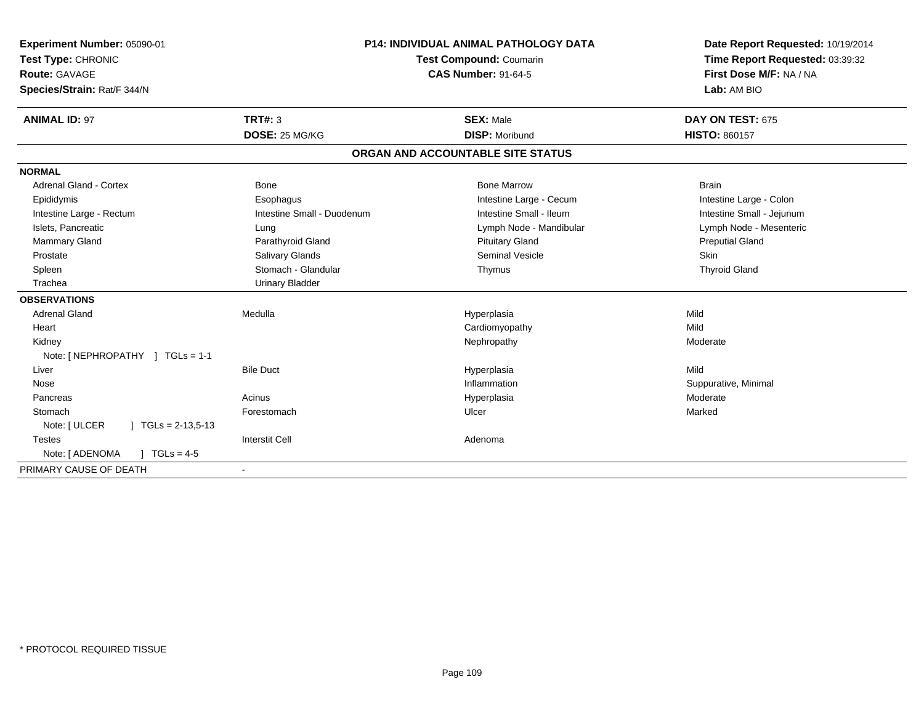| Experiment Number: 05090-01               | P14: INDIVIDUAL ANIMAL PATHOLOGY DATA |                                   | Date Report Requested: 10/19/2014 |
|-------------------------------------------|---------------------------------------|-----------------------------------|-----------------------------------|
| Test Type: CHRONIC                        |                                       | <b>Test Compound: Coumarin</b>    | Time Report Requested: 03:39:32   |
| Route: GAVAGE                             |                                       | <b>CAS Number: 91-64-5</b>        | First Dose M/F: NA / NA           |
| Species/Strain: Rat/F 344/N               |                                       |                                   | Lab: AM BIO                       |
| <b>ANIMAL ID: 97</b>                      | TRT#: 3                               | <b>SEX: Male</b>                  | DAY ON TEST: 675                  |
|                                           | DOSE: 25 MG/KG                        | <b>DISP: Moribund</b>             | <b>HISTO: 860157</b>              |
|                                           |                                       | ORGAN AND ACCOUNTABLE SITE STATUS |                                   |
| <b>NORMAL</b>                             |                                       |                                   |                                   |
| <b>Adrenal Gland - Cortex</b>             | <b>Bone</b>                           | <b>Bone Marrow</b>                | <b>Brain</b>                      |
| Epididymis                                | Esophagus                             | Intestine Large - Cecum           | Intestine Large - Colon           |
| Intestine Large - Rectum                  | Intestine Small - Duodenum            | Intestine Small - Ileum           | Intestine Small - Jejunum         |
| Islets, Pancreatic                        | Lung                                  | Lymph Node - Mandibular           | Lymph Node - Mesenteric           |
| <b>Mammary Gland</b>                      | Parathyroid Gland                     | <b>Pituitary Gland</b>            | <b>Preputial Gland</b>            |
| Prostate                                  | <b>Salivary Glands</b>                | <b>Seminal Vesicle</b>            | Skin                              |
| Spleen                                    | Stomach - Glandular                   | Thymus                            | <b>Thyroid Gland</b>              |
| Trachea                                   | <b>Urinary Bladder</b>                |                                   |                                   |
| <b>OBSERVATIONS</b>                       |                                       |                                   |                                   |
| <b>Adrenal Gland</b>                      | Medulla                               | Hyperplasia                       | Mild                              |
| Heart                                     |                                       | Cardiomyopathy                    | Mild                              |
| Kidney                                    |                                       | Nephropathy                       | Moderate                          |
| Note: [NEPHROPATHY ] TGLs = 1-1           |                                       |                                   |                                   |
| Liver                                     | <b>Bile Duct</b>                      | Hyperplasia                       | Mild                              |
| Nose                                      |                                       | Inflammation                      | Suppurative, Minimal              |
| Pancreas                                  | Acinus                                | Hyperplasia                       | Moderate                          |
| Stomach                                   | Forestomach                           | Ulcer                             | Marked                            |
| Note: [ ULCER<br>$\vert$ TGLs = 2-13,5-13 |                                       |                                   |                                   |
| <b>Testes</b>                             | <b>Interstit Cell</b>                 | Adenoma                           |                                   |
| Note: [ ADENOMA<br>$1 TGLs = 4-5$         |                                       |                                   |                                   |
| PRIMARY CAUSE OF DEATH                    | $\blacksquare$                        |                                   |                                   |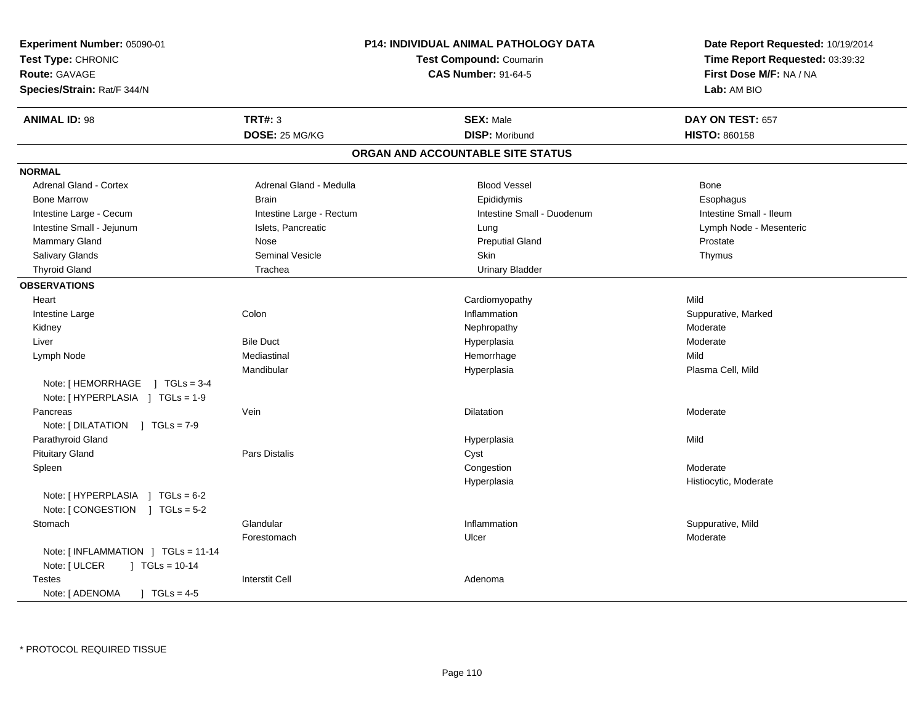| Experiment Number: 05090-01<br>Test Type: CHRONIC<br><b>Route: GAVAGE</b><br>Species/Strain: Rat/F 344/N |                          | <b>P14: INDIVIDUAL ANIMAL PATHOLOGY DATA</b><br><b>Test Compound: Coumarin</b><br><b>CAS Number: 91-64-5</b> | Date Report Requested: 10/19/2014<br>Time Report Requested: 03:39:32<br>First Dose M/F: NA / NA<br>Lab: AM BIO |
|----------------------------------------------------------------------------------------------------------|--------------------------|--------------------------------------------------------------------------------------------------------------|----------------------------------------------------------------------------------------------------------------|
| <b>ANIMAL ID: 98</b>                                                                                     | <b>TRT#: 3</b>           | <b>SEX: Male</b>                                                                                             | DAY ON TEST: 657                                                                                               |
|                                                                                                          | DOSE: 25 MG/KG           | <b>DISP: Moribund</b>                                                                                        | <b>HISTO: 860158</b>                                                                                           |
|                                                                                                          |                          | ORGAN AND ACCOUNTABLE SITE STATUS                                                                            |                                                                                                                |
| <b>NORMAL</b>                                                                                            |                          |                                                                                                              |                                                                                                                |
| Adrenal Gland - Cortex                                                                                   | Adrenal Gland - Medulla  | <b>Blood Vessel</b>                                                                                          | Bone                                                                                                           |
| <b>Bone Marrow</b>                                                                                       | <b>Brain</b>             | Epididymis                                                                                                   | Esophagus                                                                                                      |
| Intestine Large - Cecum                                                                                  | Intestine Large - Rectum | Intestine Small - Duodenum                                                                                   | Intestine Small - Ileum                                                                                        |
| Intestine Small - Jejunum                                                                                | Islets, Pancreatic       | Lung                                                                                                         | Lymph Node - Mesenteric                                                                                        |
| Mammary Gland                                                                                            | Nose                     | <b>Preputial Gland</b>                                                                                       | Prostate                                                                                                       |
| Salivary Glands                                                                                          | <b>Seminal Vesicle</b>   | Skin                                                                                                         | Thymus                                                                                                         |
| <b>Thyroid Gland</b>                                                                                     | Trachea                  | <b>Urinary Bladder</b>                                                                                       |                                                                                                                |
| <b>OBSERVATIONS</b>                                                                                      |                          |                                                                                                              |                                                                                                                |
| Heart                                                                                                    |                          | Cardiomyopathy                                                                                               | Mild                                                                                                           |
| Intestine Large                                                                                          | Colon                    | Inflammation                                                                                                 | Suppurative, Marked                                                                                            |
| Kidney                                                                                                   |                          | Nephropathy                                                                                                  | Moderate                                                                                                       |
| Liver                                                                                                    | <b>Bile Duct</b>         | Hyperplasia                                                                                                  | Moderate                                                                                                       |
| Lymph Node                                                                                               | Mediastinal              | Hemorrhage                                                                                                   | Mild                                                                                                           |
|                                                                                                          | Mandibular               | Hyperplasia                                                                                                  | Plasma Cell, Mild                                                                                              |
| Note: [HEMORRHAGE ] TGLs = 3-4<br>Note: [HYPERPLASIA ] TGLs = 1-9                                        |                          |                                                                                                              |                                                                                                                |
| Pancreas                                                                                                 | Vein                     | <b>Dilatation</b>                                                                                            | Moderate                                                                                                       |
| Note: [DILATATION ] TGLs = 7-9                                                                           |                          |                                                                                                              |                                                                                                                |
| Parathyroid Gland                                                                                        |                          | Hyperplasia                                                                                                  | Mild                                                                                                           |
| <b>Pituitary Gland</b>                                                                                   | <b>Pars Distalis</b>     | Cyst                                                                                                         |                                                                                                                |
| Spleen                                                                                                   |                          | Congestion                                                                                                   | Moderate                                                                                                       |
|                                                                                                          |                          | Hyperplasia                                                                                                  | Histiocytic, Moderate                                                                                          |
| Note: [HYPERPLASIA ] TGLs = 6-2                                                                          |                          |                                                                                                              |                                                                                                                |
| Note: [CONGESTION ] TGLs = 5-2                                                                           |                          |                                                                                                              |                                                                                                                |
| Stomach                                                                                                  | Glandular                | Inflammation                                                                                                 | Suppurative, Mild                                                                                              |
|                                                                                                          | Forestomach              | Ulcer                                                                                                        | Moderate                                                                                                       |
| Note: [INFLAMMATION ] TGLs = 11-14                                                                       |                          |                                                                                                              |                                                                                                                |
| Note: [ ULCER<br>$] TGLs = 10-14$                                                                        |                          |                                                                                                              |                                                                                                                |
| <b>Testes</b><br>Note: [ ADENOMA<br>$1 TGLs = 4-5$                                                       | <b>Interstit Cell</b>    | Adenoma                                                                                                      |                                                                                                                |
|                                                                                                          |                          |                                                                                                              |                                                                                                                |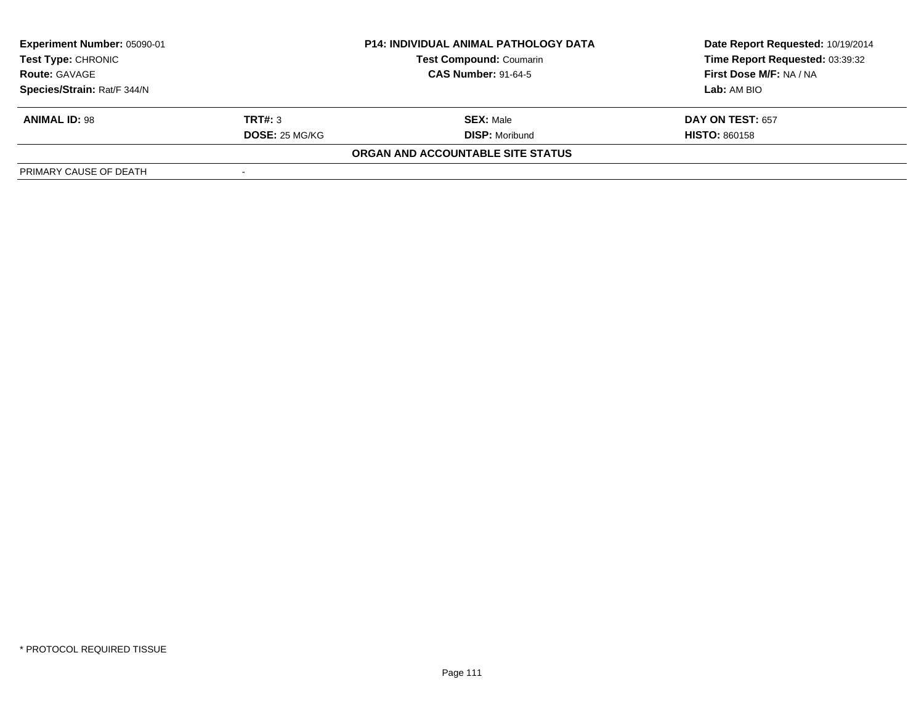| Experiment Number: 05090-01<br><b>Test Type: CHRONIC</b> |                | <b>P14: INDIVIDUAL ANIMAL PATHOLOGY DATA</b> | Date Report Requested: 10/19/2014 |  |
|----------------------------------------------------------|----------------|----------------------------------------------|-----------------------------------|--|
|                                                          |                | <b>Test Compound: Coumarin</b>               | Time Report Requested: 03:39:32   |  |
| <b>Route: GAVAGE</b>                                     |                | <b>CAS Number: 91-64-5</b>                   | First Dose M/F: NA / NA           |  |
| Species/Strain: Rat/F 344/N                              |                |                                              | Lab: AM BIO                       |  |
| <b>ANIMAL ID: 98</b>                                     | TRT#: 3        | <b>SEX: Male</b>                             | <b>DAY ON TEST: 657</b>           |  |
|                                                          | DOSE: 25 MG/KG | <b>DISP:</b> Moribund                        | <b>HISTO: 860158</b>              |  |
|                                                          |                | ORGAN AND ACCOUNTABLE SITE STATUS            |                                   |  |
| PRIMARY CAUSE OF DEATH                                   |                |                                              |                                   |  |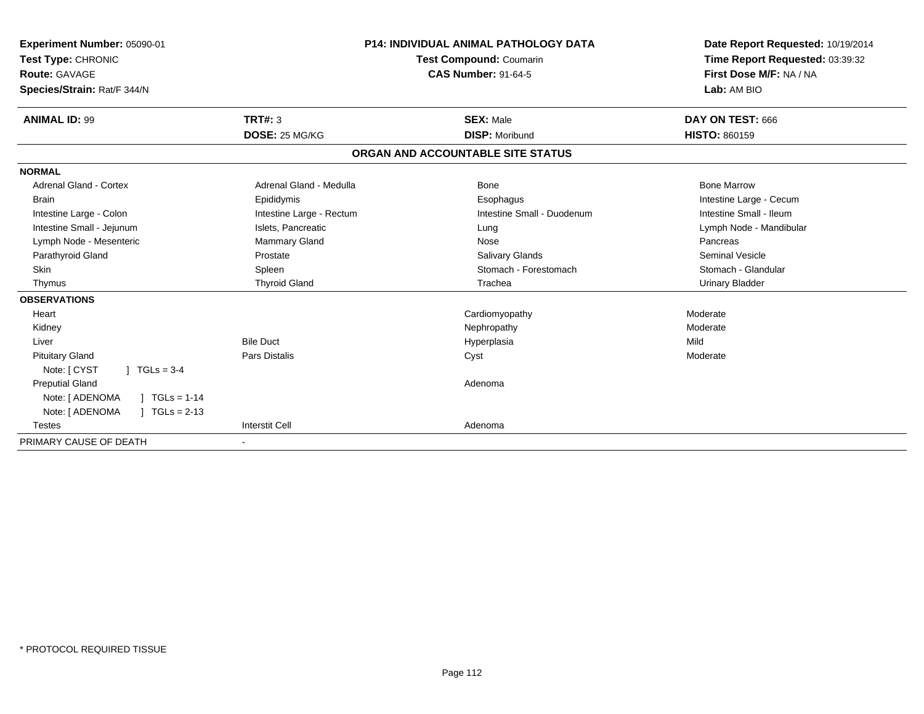| <b>Experiment Number: 05090-01</b><br>Test Type: CHRONIC<br><b>Route: GAVAGE</b><br>Species/Strain: Rat/F 344/N |                          | <b>P14: INDIVIDUAL ANIMAL PATHOLOGY DATA</b><br><b>Test Compound: Coumarin</b><br><b>CAS Number: 91-64-5</b> | Date Report Requested: 10/19/2014<br>Time Report Requested: 03:39:32<br>First Dose M/F: NA / NA<br>Lab: AM BIO |
|-----------------------------------------------------------------------------------------------------------------|--------------------------|--------------------------------------------------------------------------------------------------------------|----------------------------------------------------------------------------------------------------------------|
| <b>ANIMAL ID: 99</b>                                                                                            | TRT#: 3                  | <b>SEX: Male</b>                                                                                             | DAY ON TEST: 666                                                                                               |
|                                                                                                                 | DOSE: 25 MG/KG           | <b>DISP: Moribund</b>                                                                                        | <b>HISTO: 860159</b>                                                                                           |
|                                                                                                                 |                          | ORGAN AND ACCOUNTABLE SITE STATUS                                                                            |                                                                                                                |
| <b>NORMAL</b>                                                                                                   |                          |                                                                                                              |                                                                                                                |
| <b>Adrenal Gland - Cortex</b>                                                                                   | Adrenal Gland - Medulla  | Bone                                                                                                         | <b>Bone Marrow</b>                                                                                             |
| <b>Brain</b>                                                                                                    | Epididymis               | Esophagus                                                                                                    | Intestine Large - Cecum                                                                                        |
| Intestine Large - Colon                                                                                         | Intestine Large - Rectum | Intestine Small - Duodenum                                                                                   | Intestine Small - Ileum                                                                                        |
| Intestine Small - Jejunum                                                                                       | Islets, Pancreatic       | Lung                                                                                                         | Lymph Node - Mandibular                                                                                        |
| Lymph Node - Mesenteric                                                                                         | <b>Mammary Gland</b>     | Nose                                                                                                         | Pancreas                                                                                                       |
| Parathyroid Gland                                                                                               | Prostate                 | <b>Salivary Glands</b>                                                                                       | <b>Seminal Vesicle</b>                                                                                         |
| Skin                                                                                                            | Spleen                   | Stomach - Forestomach                                                                                        | Stomach - Glandular                                                                                            |
| Thymus                                                                                                          | <b>Thyroid Gland</b>     | Trachea                                                                                                      | <b>Urinary Bladder</b>                                                                                         |
| <b>OBSERVATIONS</b>                                                                                             |                          |                                                                                                              |                                                                                                                |
| Heart                                                                                                           |                          | Cardiomyopathy                                                                                               | Moderate                                                                                                       |
| Kidney                                                                                                          |                          | Nephropathy                                                                                                  | Moderate                                                                                                       |
| Liver                                                                                                           | <b>Bile Duct</b>         | Hyperplasia                                                                                                  | Mild                                                                                                           |
| <b>Pituitary Gland</b>                                                                                          | <b>Pars Distalis</b>     | Cyst                                                                                                         | Moderate                                                                                                       |
| Note: [ CYST<br>$1 TGLs = 3-4$                                                                                  |                          |                                                                                                              |                                                                                                                |
| <b>Preputial Gland</b>                                                                                          |                          | Adenoma                                                                                                      |                                                                                                                |
| Note: [ ADENOMA<br>$1 TGLs = 1-14$                                                                              |                          |                                                                                                              |                                                                                                                |
| Note: [ ADENOMA<br>$TGLs = 2-13$                                                                                |                          |                                                                                                              |                                                                                                                |
| <b>Testes</b>                                                                                                   | <b>Interstit Cell</b>    | Adenoma                                                                                                      |                                                                                                                |
| PRIMARY CAUSE OF DEATH                                                                                          | ٠                        |                                                                                                              |                                                                                                                |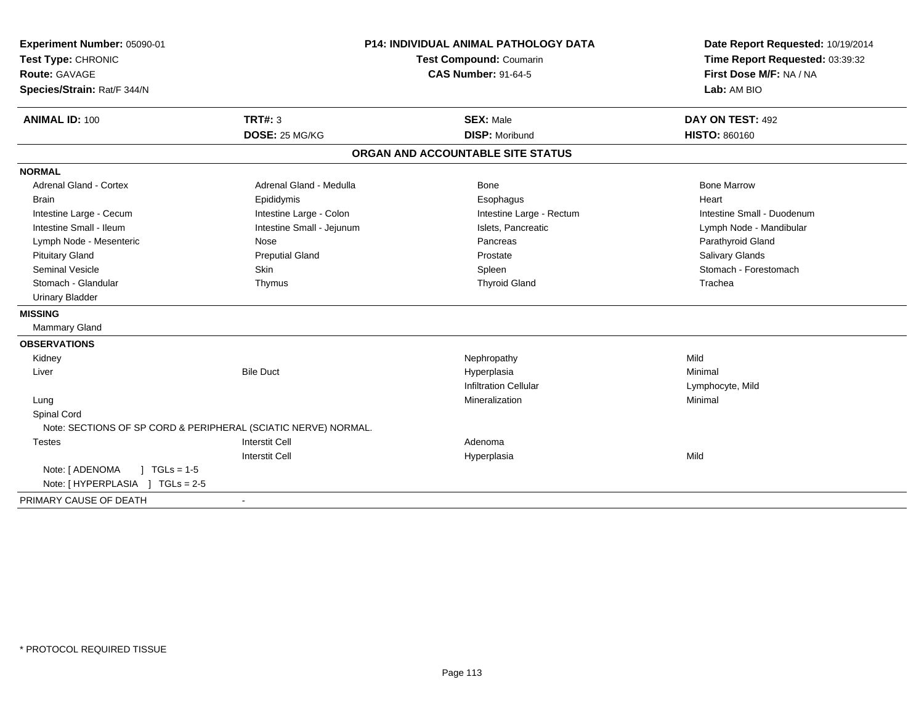| Experiment Number: 05090-01<br>Test Type: CHRONIC<br>Route: GAVAGE<br>Species/Strain: Rat/F 344/N | <b>P14: INDIVIDUAL ANIMAL PATHOLOGY DATA</b><br>Test Compound: Coumarin<br><b>CAS Number: 91-64-5</b> |                                   | Date Report Requested: 10/19/2014<br>Time Report Requested: 03:39:32<br>First Dose M/F: NA / NA<br>Lab: AM BIO |  |
|---------------------------------------------------------------------------------------------------|-------------------------------------------------------------------------------------------------------|-----------------------------------|----------------------------------------------------------------------------------------------------------------|--|
| <b>ANIMAL ID: 100</b>                                                                             | TRT#: 3                                                                                               | <b>SEX: Male</b>                  | DAY ON TEST: 492                                                                                               |  |
|                                                                                                   | DOSE: 25 MG/KG                                                                                        | <b>DISP: Moribund</b>             | HISTO: 860160                                                                                                  |  |
|                                                                                                   |                                                                                                       | ORGAN AND ACCOUNTABLE SITE STATUS |                                                                                                                |  |
| <b>NORMAL</b>                                                                                     |                                                                                                       |                                   |                                                                                                                |  |
| <b>Adrenal Gland - Cortex</b>                                                                     | Adrenal Gland - Medulla                                                                               | <b>Bone</b>                       | <b>Bone Marrow</b>                                                                                             |  |
| <b>Brain</b>                                                                                      | Epididymis                                                                                            | Esophagus                         | Heart                                                                                                          |  |
| Intestine Large - Cecum                                                                           | Intestine Large - Colon                                                                               | Intestine Large - Rectum          | Intestine Small - Duodenum                                                                                     |  |
| Intestine Small - Ileum                                                                           | Intestine Small - Jejunum                                                                             | Islets, Pancreatic                | Lymph Node - Mandibular                                                                                        |  |
| Lymph Node - Mesenteric                                                                           | Nose                                                                                                  | Pancreas                          | Parathyroid Gland                                                                                              |  |
| <b>Pituitary Gland</b>                                                                            | <b>Preputial Gland</b>                                                                                | Prostate                          | Salivary Glands                                                                                                |  |
| <b>Seminal Vesicle</b>                                                                            | <b>Skin</b>                                                                                           | Spleen                            | Stomach - Forestomach                                                                                          |  |
| Stomach - Glandular                                                                               | Thymus                                                                                                | <b>Thyroid Gland</b>              | Trachea                                                                                                        |  |
| <b>Urinary Bladder</b>                                                                            |                                                                                                       |                                   |                                                                                                                |  |
| <b>MISSING</b>                                                                                    |                                                                                                       |                                   |                                                                                                                |  |
| Mammary Gland                                                                                     |                                                                                                       |                                   |                                                                                                                |  |
| <b>OBSERVATIONS</b>                                                                               |                                                                                                       |                                   |                                                                                                                |  |
| Kidney                                                                                            |                                                                                                       | Nephropathy                       | Mild                                                                                                           |  |
| Liver                                                                                             | <b>Bile Duct</b>                                                                                      | Hyperplasia                       | Minimal                                                                                                        |  |
|                                                                                                   |                                                                                                       | <b>Infiltration Cellular</b>      | Lymphocyte, Mild                                                                                               |  |
| Lung                                                                                              |                                                                                                       | Mineralization                    | Minimal                                                                                                        |  |
| Spinal Cord                                                                                       |                                                                                                       |                                   |                                                                                                                |  |
|                                                                                                   | Note: SECTIONS OF SP CORD & PERIPHERAL (SCIATIC NERVE) NORMAL.                                        |                                   |                                                                                                                |  |
| <b>Testes</b>                                                                                     | <b>Interstit Cell</b>                                                                                 | Adenoma                           |                                                                                                                |  |
|                                                                                                   | <b>Interstit Cell</b>                                                                                 | Hyperplasia                       | Mild                                                                                                           |  |
| $1 \text{ TGLs} = 1.5$<br>Note: [ ADENOMA                                                         |                                                                                                       |                                   |                                                                                                                |  |
| Note: [HYPERPLASIA ] TGLs = 2-5                                                                   |                                                                                                       |                                   |                                                                                                                |  |
| PRIMARY CAUSE OF DEATH                                                                            |                                                                                                       |                                   |                                                                                                                |  |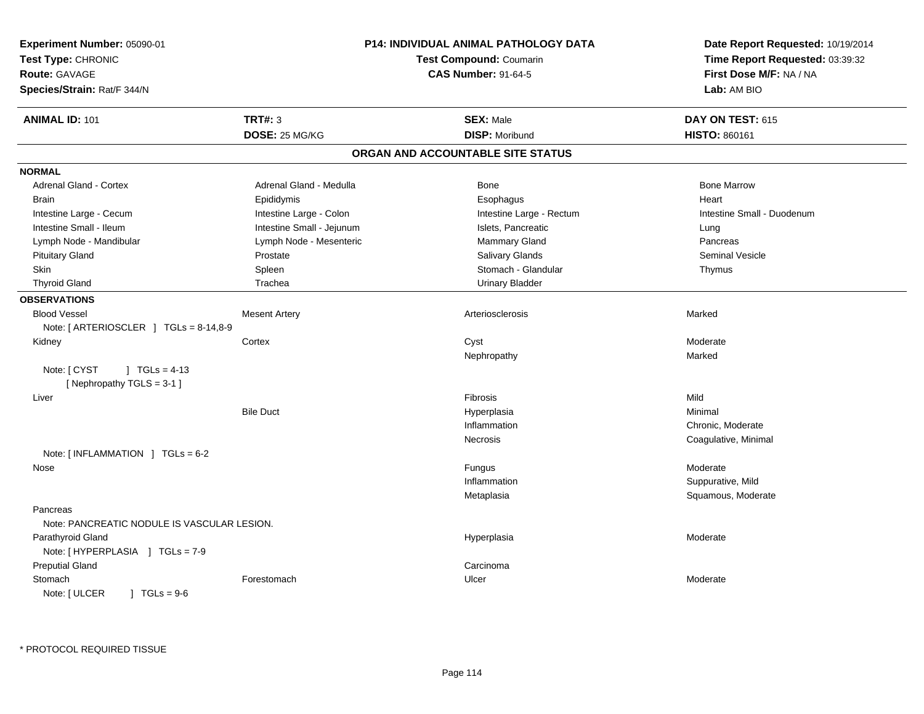| Experiment Number: 05090-01                                 |                           | <b>P14: INDIVIDUAL ANIMAL PATHOLOGY DATA</b> | Date Report Requested: 10/19/2014<br>Time Report Requested: 03:39:32 |
|-------------------------------------------------------------|---------------------------|----------------------------------------------|----------------------------------------------------------------------|
| Test Type: CHRONIC                                          |                           | <b>Test Compound: Coumarin</b>               |                                                                      |
| Route: GAVAGE                                               |                           | <b>CAS Number: 91-64-5</b>                   | First Dose M/F: NA / NA                                              |
| Species/Strain: Rat/F 344/N                                 |                           |                                              | Lab: AM BIO                                                          |
| <b>ANIMAL ID: 101</b>                                       | <b>TRT#: 3</b>            | <b>SEX: Male</b>                             | DAY ON TEST: 615                                                     |
|                                                             | DOSE: 25 MG/KG            | <b>DISP: Moribund</b>                        | HISTO: 860161                                                        |
|                                                             |                           | ORGAN AND ACCOUNTABLE SITE STATUS            |                                                                      |
| <b>NORMAL</b>                                               |                           |                                              |                                                                      |
| Adrenal Gland - Cortex                                      | Adrenal Gland - Medulla   | Bone                                         | <b>Bone Marrow</b>                                                   |
| <b>Brain</b>                                                | Epididymis                | Esophagus                                    | Heart                                                                |
| Intestine Large - Cecum                                     | Intestine Large - Colon   | Intestine Large - Rectum                     | Intestine Small - Duodenum                                           |
| Intestine Small - Ileum                                     | Intestine Small - Jejunum | Islets, Pancreatic                           | Lung                                                                 |
| Lymph Node - Mandibular                                     | Lymph Node - Mesenteric   | Mammary Gland                                | Pancreas                                                             |
| <b>Pituitary Gland</b>                                      | Prostate                  | <b>Salivary Glands</b>                       | Seminal Vesicle                                                      |
| Skin                                                        | Spleen                    | Stomach - Glandular                          | Thymus                                                               |
| <b>Thyroid Gland</b>                                        | Trachea                   | <b>Urinary Bladder</b>                       |                                                                      |
| <b>OBSERVATIONS</b>                                         |                           |                                              |                                                                      |
| <b>Blood Vessel</b>                                         | <b>Mesent Artery</b>      | Arteriosclerosis                             | Marked                                                               |
| Note: [ ARTERIOSCLER ] TGLs = 8-14,8-9                      |                           |                                              |                                                                      |
| Kidney                                                      | Cortex                    | Cyst                                         | Moderate                                                             |
|                                                             |                           | Nephropathy                                  | Marked                                                               |
| Note: [ CYST<br>$1 TGLs = 4-13$<br>[Nephropathy TGLS = 3-1] |                           |                                              |                                                                      |
| Liver                                                       |                           | Fibrosis                                     | Mild                                                                 |
|                                                             | <b>Bile Duct</b>          | Hyperplasia                                  | Minimal                                                              |
|                                                             |                           | Inflammation                                 | Chronic, Moderate                                                    |
|                                                             |                           | Necrosis                                     | Coagulative, Minimal                                                 |
| Note: [INFLAMMATION ] TGLs = 6-2                            |                           |                                              |                                                                      |
| Nose                                                        |                           | Fungus                                       | Moderate                                                             |
|                                                             |                           | Inflammation                                 | Suppurative, Mild                                                    |
|                                                             |                           | Metaplasia                                   | Squamous, Moderate                                                   |
| Pancreas<br>Note: PANCREATIC NODULE IS VASCULAR LESION.     |                           |                                              |                                                                      |
| Parathyroid Gland<br>Note: [HYPERPLASIA ] TGLs = 7-9        |                           | Hyperplasia                                  | Moderate                                                             |
| <b>Preputial Gland</b>                                      |                           | Carcinoma                                    |                                                                      |
| Stomach                                                     | Forestomach               | Ulcer                                        | Moderate                                                             |
| $1 TGLs = 9-6$<br>Note: [ ULCER                             |                           |                                              |                                                                      |
|                                                             |                           |                                              |                                                                      |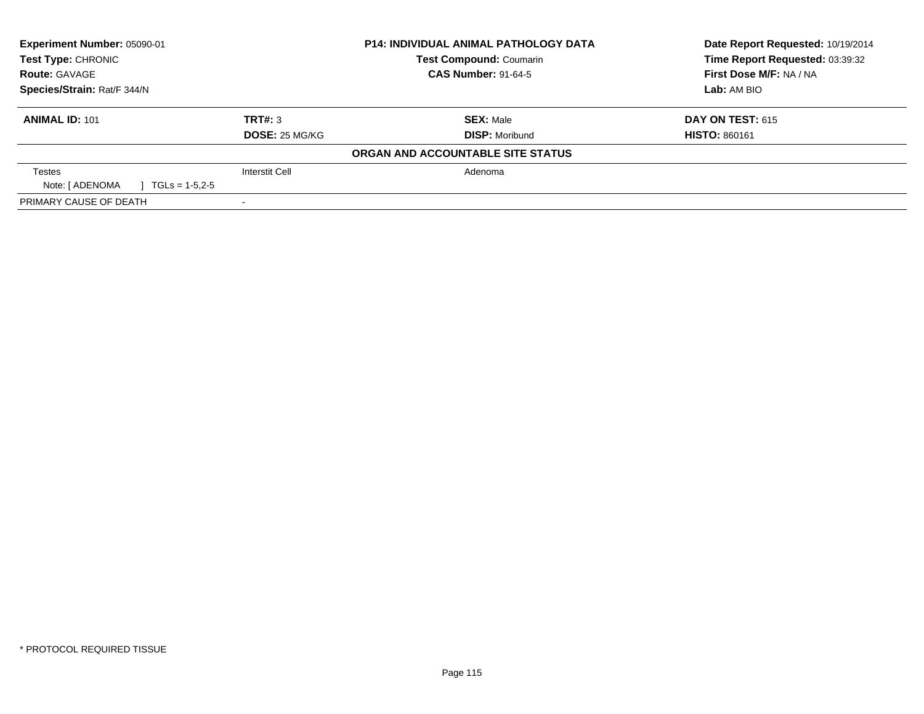| <b>Experiment Number: 05090-01</b>  | <b>P14: INDIVIDUAL ANIMAL PATHOLOGY DATA</b> |                                   | Date Report Requested: 10/19/2014 |  |
|-------------------------------------|----------------------------------------------|-----------------------------------|-----------------------------------|--|
| Test Type: CHRONIC                  |                                              | <b>Test Compound: Coumarin</b>    | Time Report Requested: 03:39:32   |  |
| <b>Route: GAVAGE</b>                |                                              | <b>CAS Number: 91-64-5</b>        | First Dose M/F: NA / NA           |  |
| Species/Strain: Rat/F 344/N         |                                              |                                   | Lab: AM BIO                       |  |
| <b>ANIMAL ID: 101</b>               | TRT#: 3                                      | <b>SEX: Male</b>                  | <b>DAY ON TEST: 615</b>           |  |
|                                     | <b>DOSE: 25 MG/KG</b>                        | <b>DISP: Moribund</b>             | <b>HISTO: 860161</b>              |  |
|                                     |                                              | ORGAN AND ACCOUNTABLE SITE STATUS |                                   |  |
| Testes                              | Interstit Cell                               | Adenoma                           |                                   |  |
| Note: [ ADENOMA<br>$TGLs = 1-5.2-5$ |                                              |                                   |                                   |  |
| PRIMARY CAUSE OF DEATH              |                                              |                                   |                                   |  |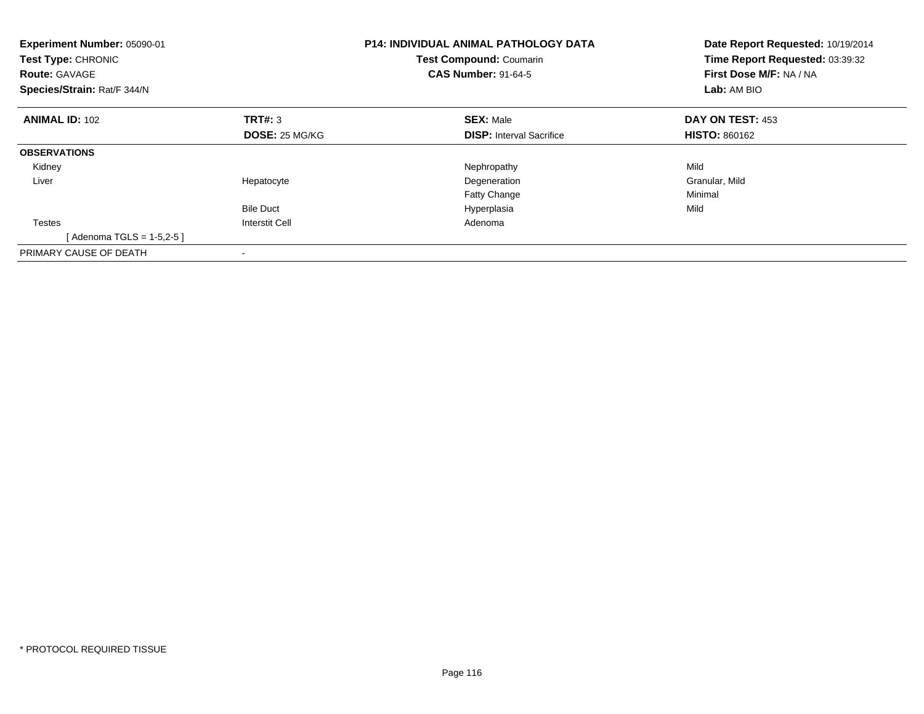| Experiment Number: 05090-01<br>Test Type: CHRONIC<br><b>Route: GAVAGE</b><br>Species/Strain: Rat/F 344/N |                       | P14: INDIVIDUAL ANIMAL PATHOLOGY DATA<br>Test Compound: Coumarin<br><b>CAS Number: 91-64-5</b> | Date Report Requested: 10/19/2014<br>Time Report Requested: 03:39:32<br>First Dose M/F: NA / NA<br>Lab: AM BIO |
|----------------------------------------------------------------------------------------------------------|-----------------------|------------------------------------------------------------------------------------------------|----------------------------------------------------------------------------------------------------------------|
| <b>ANIMAL ID: 102</b>                                                                                    | TRT#: 3               | <b>SEX: Male</b>                                                                               | DAY ON TEST: 453                                                                                               |
|                                                                                                          | <b>DOSE: 25 MG/KG</b> | <b>DISP:</b> Interval Sacrifice                                                                | <b>HISTO: 860162</b>                                                                                           |
| <b>OBSERVATIONS</b>                                                                                      |                       |                                                                                                |                                                                                                                |
| Kidney                                                                                                   |                       | Nephropathy                                                                                    | Mild                                                                                                           |
| Liver                                                                                                    | Hepatocyte            | Degeneration                                                                                   | Granular, Mild                                                                                                 |
|                                                                                                          |                       | <b>Fatty Change</b>                                                                            | Minimal                                                                                                        |
|                                                                                                          | <b>Bile Duct</b>      | Hyperplasia                                                                                    | Mild                                                                                                           |
| <b>Testes</b>                                                                                            | <b>Interstit Cell</b> | Adenoma                                                                                        |                                                                                                                |
| [Adenoma TGLS = $1-5,2-5$ ]                                                                              |                       |                                                                                                |                                                                                                                |
| PRIMARY CAUSE OF DEATH                                                                                   |                       |                                                                                                |                                                                                                                |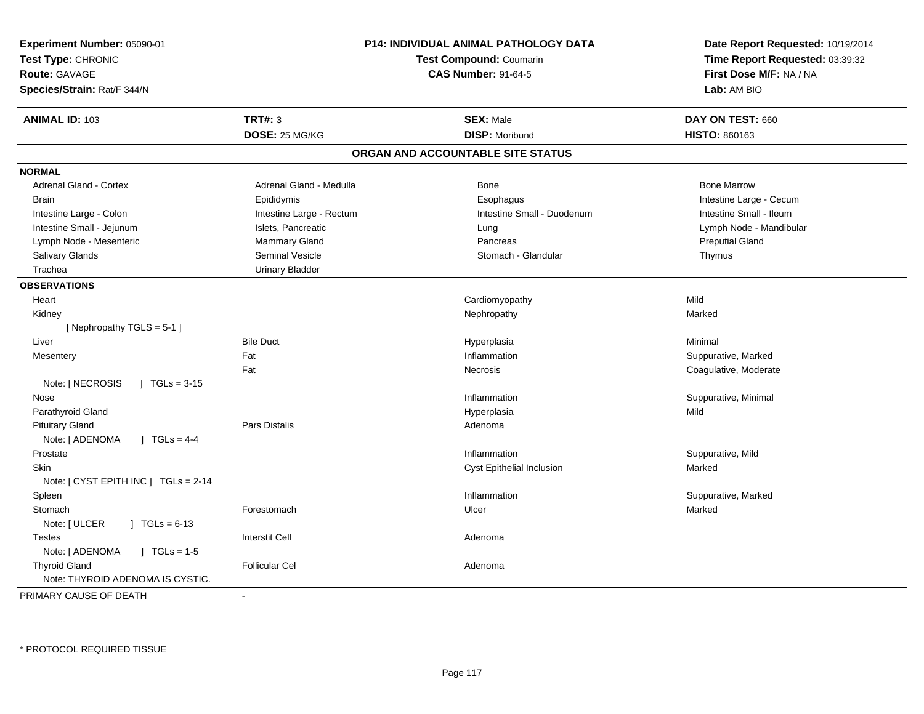| Experiment Number: 05090-01<br>Test Type: CHRONIC<br><b>Route: GAVAGE</b><br>Species/Strain: Rat/F 344/N |                          | <b>P14: INDIVIDUAL ANIMAL PATHOLOGY DATA</b><br><b>Test Compound: Coumarin</b><br><b>CAS Number: 91-64-5</b> | Date Report Requested: 10/19/2014<br>Time Report Requested: 03:39:32<br>First Dose M/F: NA / NA<br>Lab: AM BIO |
|----------------------------------------------------------------------------------------------------------|--------------------------|--------------------------------------------------------------------------------------------------------------|----------------------------------------------------------------------------------------------------------------|
| <b>ANIMAL ID: 103</b>                                                                                    | <b>TRT#: 3</b>           | <b>SEX: Male</b>                                                                                             | DAY ON TEST: 660                                                                                               |
|                                                                                                          | DOSE: 25 MG/KG           | <b>DISP: Moribund</b>                                                                                        | <b>HISTO: 860163</b>                                                                                           |
|                                                                                                          |                          | ORGAN AND ACCOUNTABLE SITE STATUS                                                                            |                                                                                                                |
| <b>NORMAL</b>                                                                                            |                          |                                                                                                              |                                                                                                                |
| Adrenal Gland - Cortex                                                                                   | Adrenal Gland - Medulla  | <b>Bone</b>                                                                                                  | <b>Bone Marrow</b>                                                                                             |
| <b>Brain</b>                                                                                             | Epididymis               | Esophagus                                                                                                    | Intestine Large - Cecum                                                                                        |
| Intestine Large - Colon                                                                                  | Intestine Large - Rectum | Intestine Small - Duodenum                                                                                   | Intestine Small - Ileum                                                                                        |
| Intestine Small - Jejunum                                                                                | Islets, Pancreatic       | Lung                                                                                                         | Lymph Node - Mandibular                                                                                        |
| Lymph Node - Mesenteric                                                                                  | Mammary Gland            | Pancreas                                                                                                     | <b>Preputial Gland</b>                                                                                         |
| Salivary Glands                                                                                          | Seminal Vesicle          | Stomach - Glandular                                                                                          | Thymus                                                                                                         |
| Trachea                                                                                                  | <b>Urinary Bladder</b>   |                                                                                                              |                                                                                                                |
| <b>OBSERVATIONS</b>                                                                                      |                          |                                                                                                              |                                                                                                                |
| Heart                                                                                                    |                          | Cardiomyopathy                                                                                               | Mild                                                                                                           |
| Kidney                                                                                                   |                          | Nephropathy                                                                                                  | Marked                                                                                                         |
| [Nephropathy TGLS = 5-1]                                                                                 |                          |                                                                                                              |                                                                                                                |
| Liver                                                                                                    | <b>Bile Duct</b>         | Hyperplasia                                                                                                  | Minimal                                                                                                        |
| Mesentery                                                                                                | Fat                      | Inflammation                                                                                                 | Suppurative, Marked                                                                                            |
|                                                                                                          | Fat                      | Necrosis                                                                                                     | Coagulative, Moderate                                                                                          |
| Note: [ NECROSIS<br>$1 \text{ TGLs} = 3.15$                                                              |                          |                                                                                                              |                                                                                                                |
| Nose                                                                                                     |                          | Inflammation                                                                                                 | Suppurative, Minimal                                                                                           |
| Parathyroid Gland                                                                                        |                          | Hyperplasia                                                                                                  | Mild                                                                                                           |
| <b>Pituitary Gland</b>                                                                                   | <b>Pars Distalis</b>     | Adenoma                                                                                                      |                                                                                                                |
| Note: [ ADENOMA<br>$1 TGLs = 4-4$                                                                        |                          |                                                                                                              |                                                                                                                |
| Prostate                                                                                                 |                          | Inflammation                                                                                                 | Suppurative, Mild                                                                                              |
| <b>Skin</b>                                                                                              |                          | Cyst Epithelial Inclusion                                                                                    | Marked                                                                                                         |
| Note: [ CYST EPITH INC ] TGLs = 2-14                                                                     |                          |                                                                                                              |                                                                                                                |
| Spleen                                                                                                   |                          | Inflammation                                                                                                 | Suppurative, Marked                                                                                            |
| Stomach                                                                                                  | Forestomach              | Ulcer                                                                                                        | Marked                                                                                                         |
| Note: [ ULCER<br>$\sqrt{1}$ TGLs = 6-13                                                                  |                          |                                                                                                              |                                                                                                                |
| <b>Testes</b>                                                                                            | <b>Interstit Cell</b>    | Adenoma                                                                                                      |                                                                                                                |
| Note: [ ADENOMA<br>$J \cdot TGLs = 1-5$                                                                  |                          |                                                                                                              |                                                                                                                |
| <b>Thyroid Gland</b><br>Note: THYROID ADENOMA IS CYSTIC.                                                 | <b>Follicular Cel</b>    | Adenoma                                                                                                      |                                                                                                                |
| PRIMARY CAUSE OF DEATH                                                                                   | $\sim$                   |                                                                                                              |                                                                                                                |
|                                                                                                          |                          |                                                                                                              |                                                                                                                |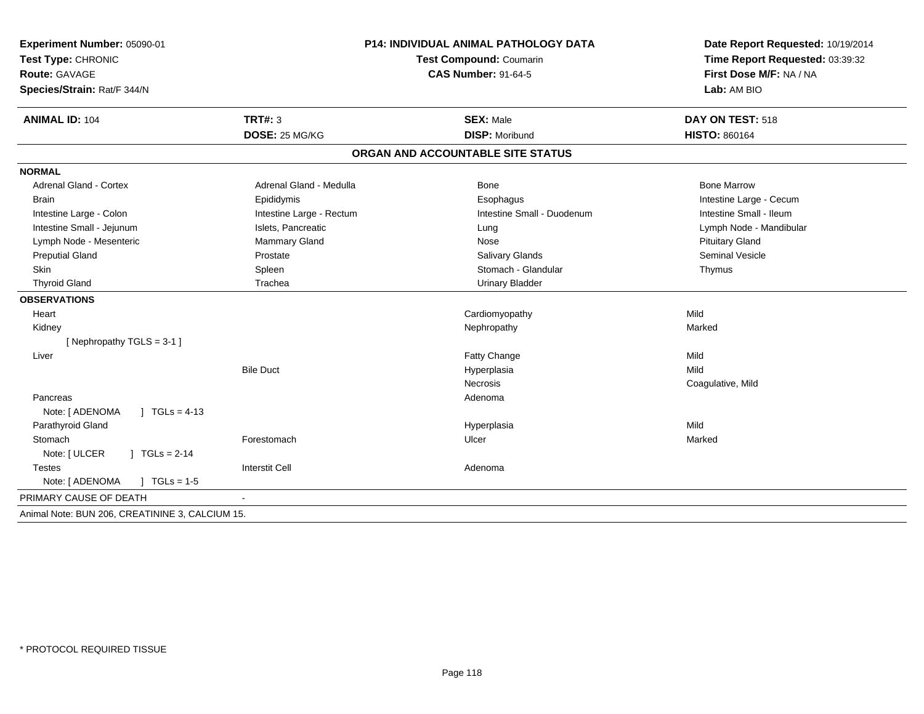| Experiment Number: 05090-01<br>Test Type: CHRONIC<br>Route: GAVAGE<br>Species/Strain: Rat/F 344/N |                          | P14: INDIVIDUAL ANIMAL PATHOLOGY DATA<br>Test Compound: Coumarin<br><b>CAS Number: 91-64-5</b> | Date Report Requested: 10/19/2014<br>Time Report Requested: 03:39:32<br>First Dose M/F: NA / NA<br>Lab: AM BIO |
|---------------------------------------------------------------------------------------------------|--------------------------|------------------------------------------------------------------------------------------------|----------------------------------------------------------------------------------------------------------------|
| <b>ANIMAL ID: 104</b>                                                                             | TRT#: 3                  | <b>SEX: Male</b>                                                                               | DAY ON TEST: 518                                                                                               |
|                                                                                                   | DOSE: 25 MG/KG           | <b>DISP: Moribund</b>                                                                          | <b>HISTO: 860164</b>                                                                                           |
|                                                                                                   |                          | ORGAN AND ACCOUNTABLE SITE STATUS                                                              |                                                                                                                |
| <b>NORMAL</b>                                                                                     |                          |                                                                                                |                                                                                                                |
| <b>Adrenal Gland - Cortex</b>                                                                     | Adrenal Gland - Medulla  | <b>Bone</b>                                                                                    | <b>Bone Marrow</b>                                                                                             |
| <b>Brain</b>                                                                                      | Epididymis               | Esophagus                                                                                      | Intestine Large - Cecum                                                                                        |
| Intestine Large - Colon                                                                           | Intestine Large - Rectum | Intestine Small - Duodenum                                                                     | Intestine Small - Ileum                                                                                        |
| Intestine Small - Jejunum                                                                         | Islets, Pancreatic       | Lung                                                                                           | Lymph Node - Mandibular                                                                                        |
| Lymph Node - Mesenteric                                                                           | Mammary Gland            | Nose                                                                                           | <b>Pituitary Gland</b>                                                                                         |
| <b>Preputial Gland</b>                                                                            | Prostate                 | Salivary Glands                                                                                | <b>Seminal Vesicle</b>                                                                                         |
| Skin                                                                                              | Spleen                   | Stomach - Glandular                                                                            | Thymus                                                                                                         |
| <b>Thyroid Gland</b>                                                                              | Trachea                  | <b>Urinary Bladder</b>                                                                         |                                                                                                                |
| <b>OBSERVATIONS</b>                                                                               |                          |                                                                                                |                                                                                                                |
| Heart                                                                                             |                          | Cardiomyopathy                                                                                 | Mild                                                                                                           |
| Kidney                                                                                            |                          | Nephropathy                                                                                    | Marked                                                                                                         |
| [Nephropathy TGLS = 3-1]                                                                          |                          |                                                                                                |                                                                                                                |
| Liver                                                                                             |                          | Fatty Change                                                                                   | Mild                                                                                                           |
|                                                                                                   | <b>Bile Duct</b>         | Hyperplasia                                                                                    | Mild                                                                                                           |
|                                                                                                   |                          | <b>Necrosis</b>                                                                                | Coagulative, Mild                                                                                              |
| Pancreas                                                                                          |                          | Adenoma                                                                                        |                                                                                                                |
| Note: [ ADENOMA<br>$1 TGLs = 4-13$                                                                |                          |                                                                                                |                                                                                                                |
| Parathyroid Gland                                                                                 |                          | Hyperplasia                                                                                    | Mild                                                                                                           |
| Stomach                                                                                           | Forestomach              | Ulcer                                                                                          | Marked                                                                                                         |
| Note: [ ULCER<br>$\sqrt{1} \text{ TGLs} = 2-14$                                                   |                          |                                                                                                |                                                                                                                |
| <b>Testes</b>                                                                                     | <b>Interstit Cell</b>    | Adenoma                                                                                        |                                                                                                                |
| Note: [ ADENOMA<br>$\sqrt{ }$ TGLs = 1-5                                                          |                          |                                                                                                |                                                                                                                |
| PRIMARY CAUSE OF DEATH                                                                            |                          |                                                                                                |                                                                                                                |
| Animal Note: BUN 206, CREATININE 3, CALCIUM 15.                                                   |                          |                                                                                                |                                                                                                                |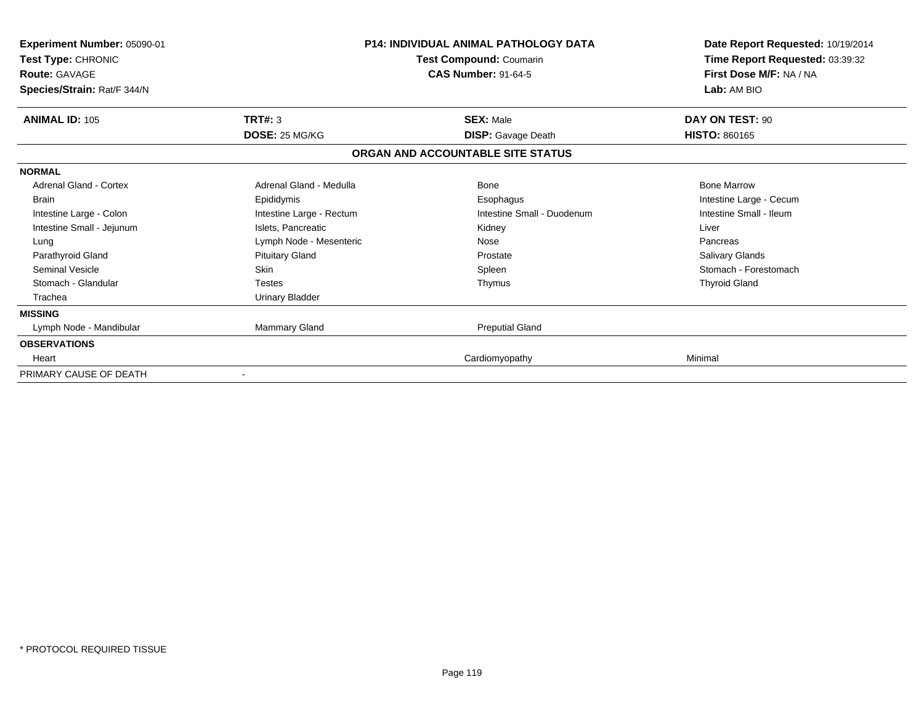| <b>Experiment Number: 05090-01</b><br>Test Type: CHRONIC<br><b>Route: GAVAGE</b><br>Species/Strain: Rat/F 344/N |                          | <b>P14: INDIVIDUAL ANIMAL PATHOLOGY DATA</b><br>Test Compound: Coumarin<br><b>CAS Number: 91-64-5</b> | Date Report Requested: 10/19/2014<br>Time Report Requested: 03:39:32<br>First Dose M/F: NA / NA<br>Lab: AM BIO |
|-----------------------------------------------------------------------------------------------------------------|--------------------------|-------------------------------------------------------------------------------------------------------|----------------------------------------------------------------------------------------------------------------|
| <b>ANIMAL ID: 105</b>                                                                                           | TRT#: 3                  | <b>SEX: Male</b>                                                                                      | DAY ON TEST: 90                                                                                                |
|                                                                                                                 | DOSE: 25 MG/KG           | <b>DISP:</b> Gavage Death                                                                             | <b>HISTO: 860165</b>                                                                                           |
|                                                                                                                 |                          | ORGAN AND ACCOUNTABLE SITE STATUS                                                                     |                                                                                                                |
| <b>NORMAL</b>                                                                                                   |                          |                                                                                                       |                                                                                                                |
| <b>Adrenal Gland - Cortex</b>                                                                                   | Adrenal Gland - Medulla  | <b>Bone</b>                                                                                           | <b>Bone Marrow</b>                                                                                             |
| <b>Brain</b>                                                                                                    | Epididymis               | Esophagus                                                                                             | Intestine Large - Cecum                                                                                        |
| Intestine Large - Colon                                                                                         | Intestine Large - Rectum | Intestine Small - Duodenum                                                                            | Intestine Small - Ileum                                                                                        |
| Intestine Small - Jejunum                                                                                       | Islets, Pancreatic       | Kidney                                                                                                | Liver                                                                                                          |
| Lung                                                                                                            | Lymph Node - Mesenteric  | Nose                                                                                                  | Pancreas                                                                                                       |
| Parathyroid Gland                                                                                               | <b>Pituitary Gland</b>   | Prostate                                                                                              | Salivary Glands                                                                                                |
| <b>Seminal Vesicle</b>                                                                                          | Skin                     | Spleen                                                                                                | Stomach - Forestomach                                                                                          |
| Stomach - Glandular                                                                                             | <b>Testes</b>            | Thymus                                                                                                | <b>Thyroid Gland</b>                                                                                           |
| Trachea                                                                                                         | <b>Urinary Bladder</b>   |                                                                                                       |                                                                                                                |
| <b>MISSING</b>                                                                                                  |                          |                                                                                                       |                                                                                                                |
| Lymph Node - Mandibular                                                                                         | Mammary Gland            | <b>Preputial Gland</b>                                                                                |                                                                                                                |
| <b>OBSERVATIONS</b>                                                                                             |                          |                                                                                                       |                                                                                                                |
| Heart                                                                                                           |                          | Cardiomyopathy                                                                                        | Minimal                                                                                                        |
| PRIMARY CAUSE OF DEATH                                                                                          |                          |                                                                                                       |                                                                                                                |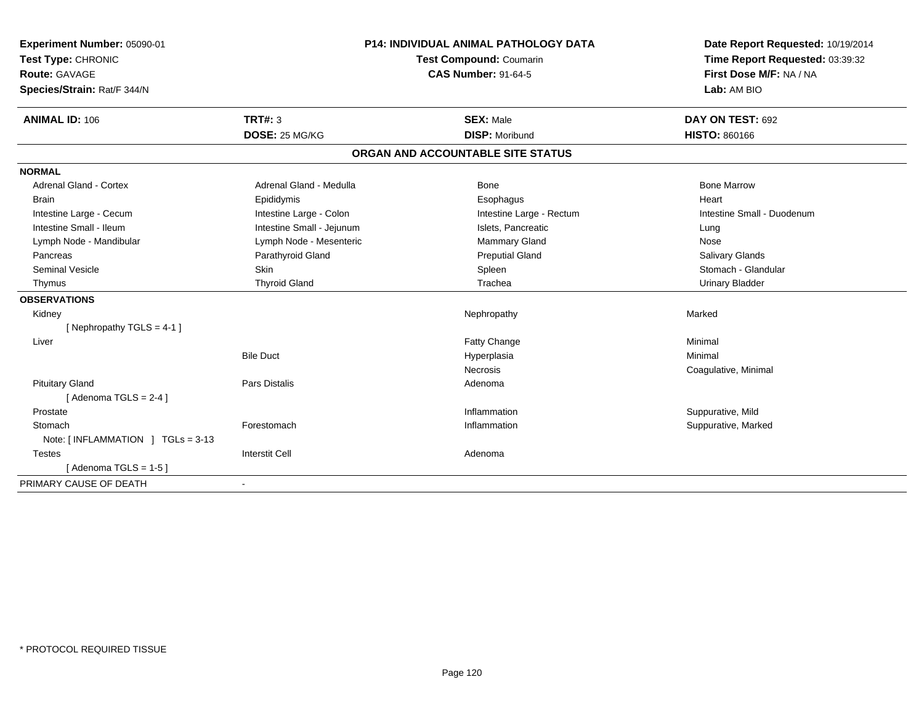| Experiment Number: 05090-01                      | P14: INDIVIDUAL ANIMAL PATHOLOGY DATA<br><b>Test Compound: Coumarin</b> |                                   | Date Report Requested: 10/19/2014 |
|--------------------------------------------------|-------------------------------------------------------------------------|-----------------------------------|-----------------------------------|
| Test Type: CHRONIC                               |                                                                         |                                   | Time Report Requested: 03:39:32   |
| Route: GAVAGE                                    |                                                                         | <b>CAS Number: 91-64-5</b>        | First Dose M/F: NA / NA           |
| Species/Strain: Rat/F 344/N                      |                                                                         |                                   | Lab: AM BIO                       |
| <b>ANIMAL ID: 106</b>                            | TRT#: 3                                                                 | <b>SEX: Male</b>                  | DAY ON TEST: 692                  |
|                                                  | DOSE: 25 MG/KG                                                          | <b>DISP: Moribund</b>             | <b>HISTO: 860166</b>              |
|                                                  |                                                                         | ORGAN AND ACCOUNTABLE SITE STATUS |                                   |
| <b>NORMAL</b>                                    |                                                                         |                                   |                                   |
| <b>Adrenal Gland - Cortex</b>                    | Adrenal Gland - Medulla                                                 | <b>Bone</b>                       | <b>Bone Marrow</b>                |
| <b>Brain</b>                                     | Epididymis                                                              | Esophagus                         | Heart                             |
| Intestine Large - Cecum                          | Intestine Large - Colon                                                 | Intestine Large - Rectum          | Intestine Small - Duodenum        |
| Intestine Small - Ileum                          | Intestine Small - Jejunum                                               | Islets, Pancreatic                | Lung                              |
| Lymph Node - Mandibular                          | Lymph Node - Mesenteric                                                 | <b>Mammary Gland</b>              | Nose                              |
| Pancreas                                         | Parathyroid Gland                                                       | <b>Preputial Gland</b>            | <b>Salivary Glands</b>            |
| <b>Seminal Vesicle</b>                           | Skin                                                                    | Spleen                            | Stomach - Glandular               |
| Thymus                                           | <b>Thyroid Gland</b>                                                    | Trachea                           | <b>Urinary Bladder</b>            |
| <b>OBSERVATIONS</b>                              |                                                                         |                                   |                                   |
| Kidney                                           |                                                                         | Nephropathy                       | Marked                            |
| [Nephropathy TGLS = 4-1]                         |                                                                         |                                   |                                   |
| Liver                                            |                                                                         | Fatty Change                      | Minimal                           |
|                                                  | <b>Bile Duct</b>                                                        | Hyperplasia                       | Minimal                           |
|                                                  |                                                                         | <b>Necrosis</b>                   | Coagulative, Minimal              |
| <b>Pituitary Gland</b>                           | Pars Distalis                                                           | Adenoma                           |                                   |
| [Adenoma TGLS = $2-4$ ]                          |                                                                         |                                   |                                   |
| Prostate                                         |                                                                         | Inflammation                      | Suppurative, Mild                 |
| Stomach                                          | Forestomach                                                             | Inflammation                      | Suppurative, Marked               |
| Note: $\lceil$ INFLAMMATION $\lceil$ TGLs = 3-13 |                                                                         |                                   |                                   |
| <b>Testes</b>                                    | <b>Interstit Cell</b>                                                   | Adenoma                           |                                   |
| [Adenoma TGLS = 1-5]                             |                                                                         |                                   |                                   |
| PRIMARY CAUSE OF DEATH                           | $\blacksquare$                                                          |                                   |                                   |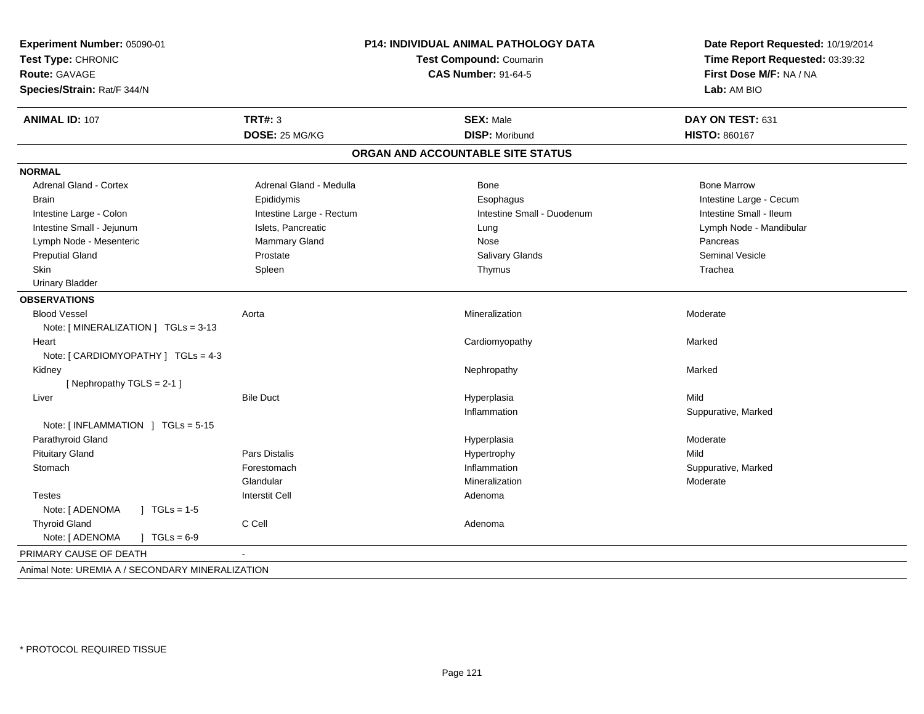| Experiment Number: 05090-01<br>Test Type: CHRONIC<br><b>Route: GAVAGE</b><br>Species/Strain: Rat/F 344/N | P14: INDIVIDUAL ANIMAL PATHOLOGY DATA<br>Test Compound: Coumarin<br><b>CAS Number: 91-64-5</b> |                                   | Date Report Requested: 10/19/2014<br>Time Report Requested: 03:39:32<br>First Dose M/F: NA / NA<br>Lab: AM BIO |  |
|----------------------------------------------------------------------------------------------------------|------------------------------------------------------------------------------------------------|-----------------------------------|----------------------------------------------------------------------------------------------------------------|--|
| <b>ANIMAL ID: 107</b>                                                                                    | <b>TRT#: 3</b>                                                                                 | <b>SEX: Male</b>                  | DAY ON TEST: 631                                                                                               |  |
|                                                                                                          | DOSE: 25 MG/KG                                                                                 | <b>DISP: Moribund</b>             | <b>HISTO: 860167</b>                                                                                           |  |
|                                                                                                          |                                                                                                | ORGAN AND ACCOUNTABLE SITE STATUS |                                                                                                                |  |
| <b>NORMAL</b>                                                                                            |                                                                                                |                                   |                                                                                                                |  |
| Adrenal Gland - Cortex                                                                                   | Adrenal Gland - Medulla                                                                        | Bone                              | <b>Bone Marrow</b>                                                                                             |  |
| <b>Brain</b>                                                                                             | Epididymis                                                                                     | Esophagus                         | Intestine Large - Cecum                                                                                        |  |
| Intestine Large - Colon                                                                                  | Intestine Large - Rectum                                                                       | Intestine Small - Duodenum        | Intestine Small - Ileum                                                                                        |  |
| Intestine Small - Jejunum                                                                                | Islets, Pancreatic                                                                             | Lung                              | Lymph Node - Mandibular                                                                                        |  |
| Lymph Node - Mesenteric                                                                                  | Mammary Gland                                                                                  | Nose                              | Pancreas                                                                                                       |  |
| <b>Preputial Gland</b>                                                                                   | Prostate                                                                                       | Salivary Glands                   | <b>Seminal Vesicle</b>                                                                                         |  |
| Skin                                                                                                     | Spleen                                                                                         | Thymus                            | Trachea                                                                                                        |  |
| <b>Urinary Bladder</b>                                                                                   |                                                                                                |                                   |                                                                                                                |  |
| <b>OBSERVATIONS</b>                                                                                      |                                                                                                |                                   |                                                                                                                |  |
| <b>Blood Vessel</b>                                                                                      | Aorta                                                                                          | Mineralization                    | Moderate                                                                                                       |  |
| Note: $\lceil$ MINERALIZATION $\rceil$ TGLs = 3-13                                                       |                                                                                                |                                   |                                                                                                                |  |
| Heart                                                                                                    |                                                                                                | Cardiomyopathy                    | Marked                                                                                                         |  |
| Note: [ CARDIOMYOPATHY ] TGLs = 4-3                                                                      |                                                                                                |                                   |                                                                                                                |  |
| Kidney                                                                                                   |                                                                                                | Nephropathy                       | Marked                                                                                                         |  |
| [Nephropathy TGLS = 2-1]                                                                                 |                                                                                                |                                   |                                                                                                                |  |
| Liver                                                                                                    | <b>Bile Duct</b>                                                                               | Hyperplasia                       | Mild                                                                                                           |  |
|                                                                                                          |                                                                                                | Inflammation                      | Suppurative, Marked                                                                                            |  |
| Note: [INFLAMMATION ] TGLs = 5-15                                                                        |                                                                                                |                                   |                                                                                                                |  |
| Parathyroid Gland                                                                                        |                                                                                                | Hyperplasia                       | Moderate                                                                                                       |  |
| <b>Pituitary Gland</b>                                                                                   | <b>Pars Distalis</b>                                                                           | Hypertrophy                       | Mild                                                                                                           |  |
| Stomach                                                                                                  | Forestomach                                                                                    | Inflammation                      | Suppurative, Marked                                                                                            |  |
|                                                                                                          | Glandular                                                                                      | Mineralization                    | Moderate                                                                                                       |  |
| <b>Testes</b>                                                                                            | <b>Interstit Cell</b>                                                                          | Adenoma                           |                                                                                                                |  |
| Note: [ ADENOMA<br>$\sqrt{ }$ TGLs = 1-5                                                                 |                                                                                                |                                   |                                                                                                                |  |
| <b>Thyroid Gland</b>                                                                                     | C Cell                                                                                         | Adenoma                           |                                                                                                                |  |
| Note: [ ADENOMA<br>$J \cdot TGLs = 6-9$                                                                  |                                                                                                |                                   |                                                                                                                |  |
| PRIMARY CAUSE OF DEATH                                                                                   |                                                                                                |                                   |                                                                                                                |  |
| Animal Note: UREMIA A / SECONDARY MINERALIZATION                                                         |                                                                                                |                                   |                                                                                                                |  |
|                                                                                                          |                                                                                                |                                   |                                                                                                                |  |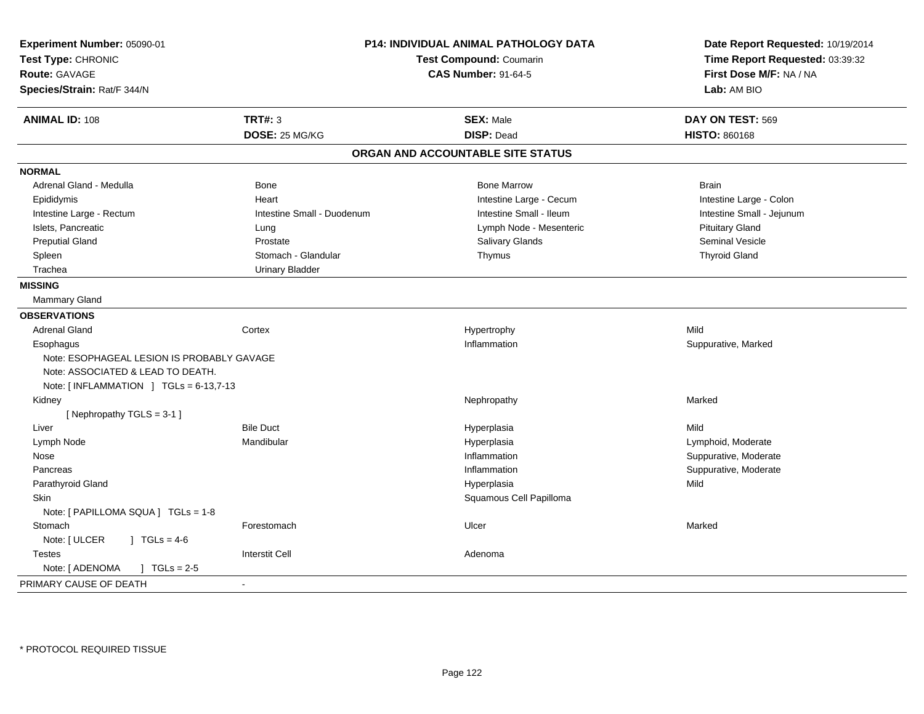| Experiment Number: 05090-01<br>Test Type: CHRONIC<br><b>Route: GAVAGE</b><br>Species/Strain: Rat/F 344/N | P14: INDIVIDUAL ANIMAL PATHOLOGY DATA<br>Test Compound: Coumarin<br><b>CAS Number: 91-64-5</b> |                                   | Date Report Requested: 10/19/2014<br>Time Report Requested: 03:39:32<br>First Dose M/F: NA / NA<br>Lab: AM BIO |
|----------------------------------------------------------------------------------------------------------|------------------------------------------------------------------------------------------------|-----------------------------------|----------------------------------------------------------------------------------------------------------------|
| <b>ANIMAL ID: 108</b>                                                                                    | <b>TRT#: 3</b>                                                                                 | <b>SEX: Male</b>                  | DAY ON TEST: 569                                                                                               |
|                                                                                                          | DOSE: 25 MG/KG                                                                                 | <b>DISP: Dead</b>                 | <b>HISTO: 860168</b>                                                                                           |
|                                                                                                          |                                                                                                | ORGAN AND ACCOUNTABLE SITE STATUS |                                                                                                                |
| <b>NORMAL</b>                                                                                            |                                                                                                |                                   |                                                                                                                |
| Adrenal Gland - Medulla                                                                                  | Bone                                                                                           | <b>Bone Marrow</b>                | <b>Brain</b>                                                                                                   |
| Epididymis                                                                                               | Heart                                                                                          | Intestine Large - Cecum           | Intestine Large - Colon                                                                                        |
| Intestine Large - Rectum                                                                                 | Intestine Small - Duodenum                                                                     | Intestine Small - Ileum           | Intestine Small - Jejunum                                                                                      |
| Islets, Pancreatic                                                                                       | Lung                                                                                           | Lymph Node - Mesenteric           | <b>Pituitary Gland</b>                                                                                         |
| <b>Preputial Gland</b>                                                                                   | Prostate                                                                                       | Salivary Glands                   | <b>Seminal Vesicle</b>                                                                                         |
| Spleen                                                                                                   | Stomach - Glandular                                                                            | Thymus                            | <b>Thyroid Gland</b>                                                                                           |
| Trachea                                                                                                  | <b>Urinary Bladder</b>                                                                         |                                   |                                                                                                                |
| <b>MISSING</b>                                                                                           |                                                                                                |                                   |                                                                                                                |
| <b>Mammary Gland</b>                                                                                     |                                                                                                |                                   |                                                                                                                |
| <b>OBSERVATIONS</b>                                                                                      |                                                                                                |                                   |                                                                                                                |
| <b>Adrenal Gland</b>                                                                                     | Cortex                                                                                         | Hypertrophy                       | Mild                                                                                                           |
| Esophagus                                                                                                |                                                                                                | Inflammation                      | Suppurative, Marked                                                                                            |
| Note: ESOPHAGEAL LESION IS PROBABLY GAVAGE                                                               |                                                                                                |                                   |                                                                                                                |
| Note: ASSOCIATED & LEAD TO DEATH.                                                                        |                                                                                                |                                   |                                                                                                                |
| Note: [INFLAMMATION ] $TGLs = 6-13,7-13$                                                                 |                                                                                                |                                   |                                                                                                                |
| Kidney                                                                                                   |                                                                                                | Nephropathy                       | Marked                                                                                                         |
| [Nephropathy TGLS = 3-1]                                                                                 |                                                                                                |                                   |                                                                                                                |
| Liver                                                                                                    | <b>Bile Duct</b><br>Mandibular                                                                 | Hyperplasia                       | Mild                                                                                                           |
| Lymph Node                                                                                               |                                                                                                | Hyperplasia<br>Inflammation       | Lymphoid, Moderate<br>Suppurative, Moderate                                                                    |
| Nose<br>Pancreas                                                                                         |                                                                                                | Inflammation                      | Suppurative, Moderate                                                                                          |
| Parathyroid Gland                                                                                        |                                                                                                | Hyperplasia                       | Mild                                                                                                           |
| <b>Skin</b>                                                                                              |                                                                                                | Squamous Cell Papilloma           |                                                                                                                |
| Note: [ PAPILLOMA SQUA ] TGLs = 1-8                                                                      |                                                                                                |                                   |                                                                                                                |
| Stomach                                                                                                  | Forestomach                                                                                    | Ulcer                             | Marked                                                                                                         |
| Note: [ ULCER<br>$1 TGLs = 4-6$                                                                          |                                                                                                |                                   |                                                                                                                |
| <b>Testes</b>                                                                                            | <b>Interstit Cell</b>                                                                          | Adenoma                           |                                                                                                                |
| Note: [ ADENOMA<br>$1 \text{ TGLs} = 2.5$                                                                |                                                                                                |                                   |                                                                                                                |
| PRIMARY CAUSE OF DEATH                                                                                   | $\overline{\phantom{a}}$                                                                       |                                   |                                                                                                                |
|                                                                                                          |                                                                                                |                                   |                                                                                                                |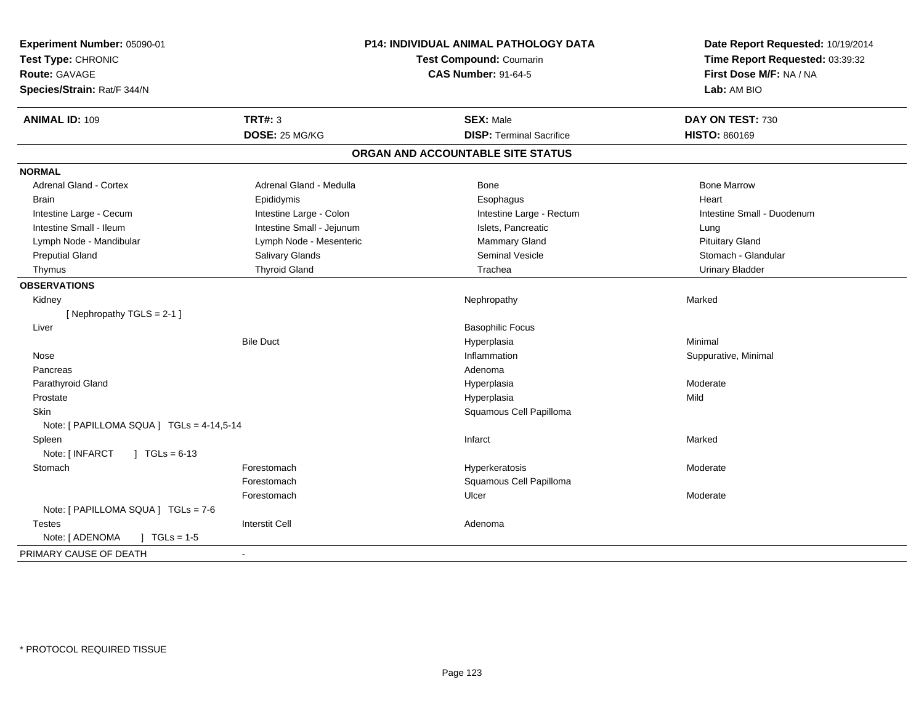| Experiment Number: 05090-01<br>Test Type: CHRONIC<br><b>Route: GAVAGE</b><br>Species/Strain: Rat/F 344/N | P14: INDIVIDUAL ANIMAL PATHOLOGY DATA<br>Test Compound: Coumarin<br><b>CAS Number: 91-64-5</b> |                                   | Date Report Requested: 10/19/2014<br>Time Report Requested: 03:39:32<br>First Dose M/F: NA / NA<br>Lab: AM BIO |
|----------------------------------------------------------------------------------------------------------|------------------------------------------------------------------------------------------------|-----------------------------------|----------------------------------------------------------------------------------------------------------------|
| <b>ANIMAL ID: 109</b>                                                                                    | <b>TRT#: 3</b>                                                                                 | <b>SEX: Male</b>                  | DAY ON TEST: 730                                                                                               |
|                                                                                                          | DOSE: 25 MG/KG                                                                                 | <b>DISP: Terminal Sacrifice</b>   | <b>HISTO: 860169</b>                                                                                           |
|                                                                                                          |                                                                                                | ORGAN AND ACCOUNTABLE SITE STATUS |                                                                                                                |
| <b>NORMAL</b>                                                                                            |                                                                                                |                                   |                                                                                                                |
| <b>Adrenal Gland - Cortex</b>                                                                            | Adrenal Gland - Medulla                                                                        | Bone                              | <b>Bone Marrow</b>                                                                                             |
| <b>Brain</b>                                                                                             | Epididymis                                                                                     | Esophagus                         | Heart                                                                                                          |
| Intestine Large - Cecum                                                                                  | Intestine Large - Colon                                                                        | Intestine Large - Rectum          | Intestine Small - Duodenum                                                                                     |
| Intestine Small - Ileum                                                                                  | Intestine Small - Jejunum                                                                      | Islets, Pancreatic                | Lung                                                                                                           |
| Lymph Node - Mandibular                                                                                  | Lymph Node - Mesenteric                                                                        | Mammary Gland                     | <b>Pituitary Gland</b>                                                                                         |
| <b>Preputial Gland</b>                                                                                   | <b>Salivary Glands</b>                                                                         | <b>Seminal Vesicle</b>            | Stomach - Glandular                                                                                            |
| Thymus                                                                                                   | <b>Thyroid Gland</b>                                                                           | Trachea                           | <b>Urinary Bladder</b>                                                                                         |
| <b>OBSERVATIONS</b>                                                                                      |                                                                                                |                                   |                                                                                                                |
| Kidney                                                                                                   |                                                                                                | Nephropathy                       | Marked                                                                                                         |
| [Nephropathy TGLS = 2-1]                                                                                 |                                                                                                |                                   |                                                                                                                |
| Liver                                                                                                    |                                                                                                | <b>Basophilic Focus</b>           |                                                                                                                |
|                                                                                                          | <b>Bile Duct</b>                                                                               | Hyperplasia                       | Minimal                                                                                                        |
| Nose                                                                                                     |                                                                                                | Inflammation                      | Suppurative, Minimal                                                                                           |
| Pancreas                                                                                                 |                                                                                                | Adenoma                           |                                                                                                                |
| Parathyroid Gland                                                                                        |                                                                                                | Hyperplasia                       | Moderate                                                                                                       |
| Prostate                                                                                                 |                                                                                                | Hyperplasia                       | Mild                                                                                                           |
| Skin                                                                                                     |                                                                                                | Squamous Cell Papilloma           |                                                                                                                |
| Note: [ PAPILLOMA SQUA ] TGLs = 4-14,5-14                                                                |                                                                                                |                                   |                                                                                                                |
| Spleen                                                                                                   |                                                                                                | Infarct                           | Marked                                                                                                         |
| Note: [ INFARCT<br>$\sqrt{1 + 1}$ TGLs = 6-13                                                            |                                                                                                |                                   |                                                                                                                |
| Stomach                                                                                                  | Forestomach                                                                                    | Hyperkeratosis                    | Moderate                                                                                                       |
|                                                                                                          | Forestomach                                                                                    | Squamous Cell Papilloma           |                                                                                                                |
|                                                                                                          | Forestomach                                                                                    | Ulcer                             | Moderate                                                                                                       |
| Note: [ PAPILLOMA SQUA ] TGLs = 7-6                                                                      |                                                                                                |                                   |                                                                                                                |
| Testes                                                                                                   | <b>Interstit Cell</b>                                                                          | Adenoma                           |                                                                                                                |
| Note: [ ADENOMA<br>$1 TGLs = 1-5$                                                                        |                                                                                                |                                   |                                                                                                                |
| PRIMARY CAUSE OF DEATH                                                                                   | $\sim$                                                                                         |                                   |                                                                                                                |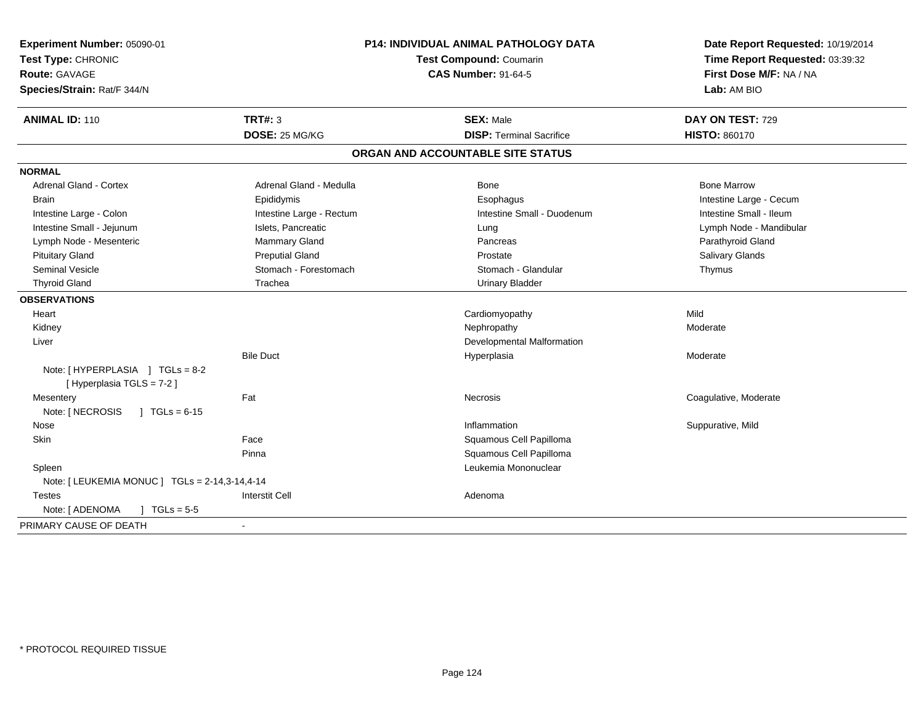| Experiment Number: 05090-01<br>Test Type: CHRONIC<br><b>Route: GAVAGE</b><br>Species/Strain: Rat/F 344/N | P14: INDIVIDUAL ANIMAL PATHOLOGY DATA<br>Test Compound: Coumarin<br><b>CAS Number: 91-64-5</b> |                                   | Date Report Requested: 10/19/2014<br>Time Report Requested: 03:39:32<br>First Dose M/F: NA / NA<br>Lab: AM BIO |  |
|----------------------------------------------------------------------------------------------------------|------------------------------------------------------------------------------------------------|-----------------------------------|----------------------------------------------------------------------------------------------------------------|--|
| <b>ANIMAL ID: 110</b>                                                                                    | TRT#: 3                                                                                        | <b>SEX: Male</b>                  | DAY ON TEST: 729                                                                                               |  |
|                                                                                                          | DOSE: 25 MG/KG                                                                                 | <b>DISP: Terminal Sacrifice</b>   | <b>HISTO: 860170</b>                                                                                           |  |
|                                                                                                          |                                                                                                | ORGAN AND ACCOUNTABLE SITE STATUS |                                                                                                                |  |
| <b>NORMAL</b>                                                                                            |                                                                                                |                                   |                                                                                                                |  |
| <b>Adrenal Gland - Cortex</b>                                                                            | Adrenal Gland - Medulla                                                                        | <b>Bone</b>                       | <b>Bone Marrow</b>                                                                                             |  |
| <b>Brain</b>                                                                                             | Epididymis                                                                                     | Esophagus                         | Intestine Large - Cecum                                                                                        |  |
| Intestine Large - Colon                                                                                  | Intestine Large - Rectum                                                                       | Intestine Small - Duodenum        | Intestine Small - Ileum                                                                                        |  |
| Intestine Small - Jejunum                                                                                | Islets, Pancreatic                                                                             | Lung                              | Lymph Node - Mandibular                                                                                        |  |
| Lymph Node - Mesenteric                                                                                  | Mammary Gland                                                                                  | Pancreas                          | Parathyroid Gland                                                                                              |  |
| <b>Pituitary Gland</b>                                                                                   | <b>Preputial Gland</b>                                                                         | Prostate                          | Salivary Glands                                                                                                |  |
| Seminal Vesicle                                                                                          | Stomach - Forestomach                                                                          | Stomach - Glandular               | Thymus                                                                                                         |  |
| <b>Thyroid Gland</b>                                                                                     | Trachea                                                                                        | <b>Urinary Bladder</b>            |                                                                                                                |  |
| <b>OBSERVATIONS</b>                                                                                      |                                                                                                |                                   |                                                                                                                |  |
| Heart                                                                                                    |                                                                                                | Cardiomyopathy                    | Mild                                                                                                           |  |
| Kidney                                                                                                   |                                                                                                | Nephropathy                       | Moderate                                                                                                       |  |
| Liver                                                                                                    |                                                                                                | Developmental Malformation        |                                                                                                                |  |
|                                                                                                          | <b>Bile Duct</b>                                                                               | Hyperplasia                       | Moderate                                                                                                       |  |
| Note: [HYPERPLASIA ] TGLs = 8-2<br>[ Hyperplasia TGLS = 7-2 ]                                            |                                                                                                |                                   |                                                                                                                |  |
| Mesentery                                                                                                | Fat                                                                                            | Necrosis                          | Coagulative, Moderate                                                                                          |  |
| Note: [ NECROSIS<br>$1 TGLs = 6-15$                                                                      |                                                                                                |                                   |                                                                                                                |  |
| Nose                                                                                                     |                                                                                                | Inflammation                      | Suppurative, Mild                                                                                              |  |
| Skin                                                                                                     | Face                                                                                           | Squamous Cell Papilloma           |                                                                                                                |  |
|                                                                                                          | Pinna                                                                                          | Squamous Cell Papilloma           |                                                                                                                |  |
| Spleen                                                                                                   |                                                                                                | Leukemia Mononuclear              |                                                                                                                |  |
| Note: [ LEUKEMIA MONUC ] TGLs = 2-14,3-14,4-14                                                           |                                                                                                |                                   |                                                                                                                |  |
| <b>Testes</b>                                                                                            | <b>Interstit Cell</b>                                                                          | Adenoma                           |                                                                                                                |  |
| Note: [ ADENOMA<br>$1 TGLs = 5-5$                                                                        |                                                                                                |                                   |                                                                                                                |  |
| PRIMARY CAUSE OF DEATH                                                                                   |                                                                                                |                                   |                                                                                                                |  |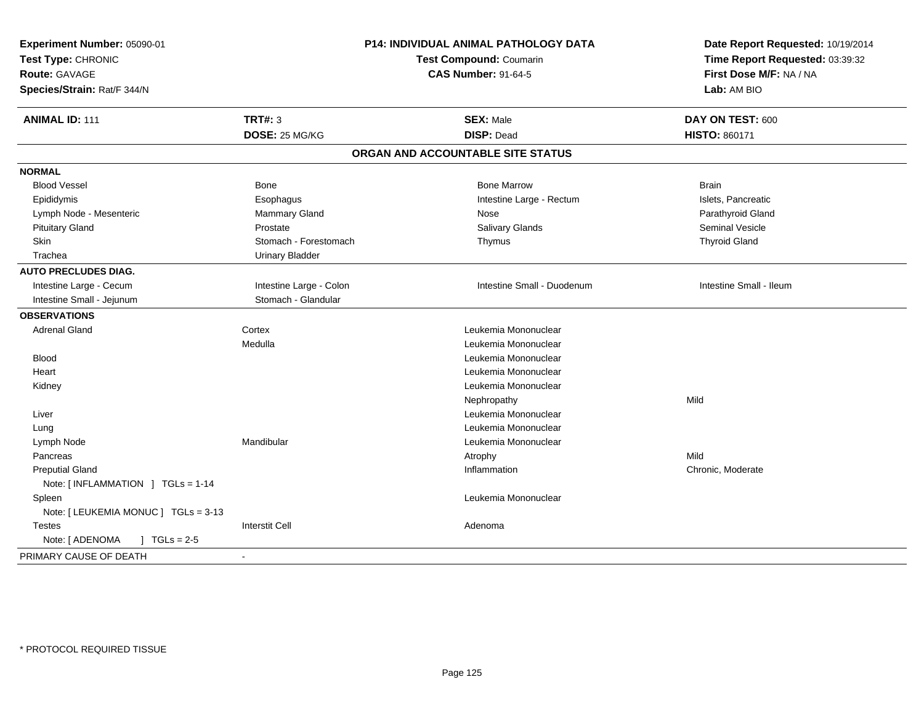| Test Type: CHRONIC<br><b>Route: GAVAGE</b><br>Species/Strain: Rat/F 344/N | P14: INDIVIDUAL ANIMAL PATHOLOGY DATA<br>Test Compound: Coumarin<br><b>CAS Number: 91-64-5</b> |                                   | Date Report Requested: 10/19/2014<br>Time Report Requested: 03:39:32<br>First Dose M/F: NA / NA<br>Lab: AM BIO |
|---------------------------------------------------------------------------|------------------------------------------------------------------------------------------------|-----------------------------------|----------------------------------------------------------------------------------------------------------------|
| <b>ANIMAL ID: 111</b>                                                     | <b>TRT#: 3</b>                                                                                 | <b>SEX: Male</b>                  | DAY ON TEST: 600                                                                                               |
|                                                                           | DOSE: 25 MG/KG                                                                                 | <b>DISP: Dead</b>                 | <b>HISTO: 860171</b>                                                                                           |
|                                                                           |                                                                                                | ORGAN AND ACCOUNTABLE SITE STATUS |                                                                                                                |
| <b>NORMAL</b>                                                             |                                                                                                |                                   |                                                                                                                |
| <b>Blood Vessel</b>                                                       | Bone                                                                                           | <b>Bone Marrow</b>                | <b>Brain</b>                                                                                                   |
| Epididymis                                                                | Esophagus                                                                                      | Intestine Large - Rectum          | Islets, Pancreatic                                                                                             |
| Lymph Node - Mesenteric                                                   | Mammary Gland                                                                                  | Nose                              | Parathyroid Gland                                                                                              |
| <b>Pituitary Gland</b>                                                    | Prostate                                                                                       | Salivary Glands                   | <b>Seminal Vesicle</b>                                                                                         |
| Skin                                                                      | Stomach - Forestomach                                                                          | Thymus                            | <b>Thyroid Gland</b>                                                                                           |
| Trachea                                                                   | <b>Urinary Bladder</b>                                                                         |                                   |                                                                                                                |
| <b>AUTO PRECLUDES DIAG.</b>                                               |                                                                                                |                                   |                                                                                                                |
| Intestine Large - Cecum                                                   | Intestine Large - Colon                                                                        | Intestine Small - Duodenum        | Intestine Small - Ileum                                                                                        |
| Intestine Small - Jejunum                                                 | Stomach - Glandular                                                                            |                                   |                                                                                                                |
| <b>OBSERVATIONS</b>                                                       |                                                                                                |                                   |                                                                                                                |
| <b>Adrenal Gland</b>                                                      | Cortex                                                                                         | Leukemia Mononuclear              |                                                                                                                |
|                                                                           | Medulla                                                                                        | Leukemia Mononuclear              |                                                                                                                |
| <b>Blood</b>                                                              |                                                                                                | Leukemia Mononuclear              |                                                                                                                |
| Heart                                                                     |                                                                                                | Leukemia Mononuclear              |                                                                                                                |
| Kidney                                                                    |                                                                                                | Leukemia Mononuclear              |                                                                                                                |
|                                                                           |                                                                                                | Nephropathy                       | Mild                                                                                                           |
| Liver                                                                     |                                                                                                | Leukemia Mononuclear              |                                                                                                                |
| Lung                                                                      |                                                                                                | Leukemia Mononuclear              |                                                                                                                |
| Lymph Node                                                                | Mandibular                                                                                     | Leukemia Mononuclear              |                                                                                                                |
| Pancreas                                                                  |                                                                                                | Atrophy                           | Mild                                                                                                           |
| <b>Preputial Gland</b>                                                    |                                                                                                | Inflammation                      | Chronic, Moderate                                                                                              |
| Note: [INFLAMMATION ] TGLs = 1-14                                         |                                                                                                |                                   |                                                                                                                |
| Spleen                                                                    |                                                                                                | Leukemia Mononuclear              |                                                                                                                |
| Note: [ LEUKEMIA MONUC ] TGLs = 3-13                                      |                                                                                                |                                   |                                                                                                                |
| <b>Testes</b>                                                             | <b>Interstit Cell</b>                                                                          | Adenoma                           |                                                                                                                |
| Note: [ ADENOMA<br>$J \cdot TGLs = 2-5$                                   |                                                                                                |                                   |                                                                                                                |
| PRIMARY CAUSE OF DEATH                                                    | $\blacksquare$                                                                                 |                                   |                                                                                                                |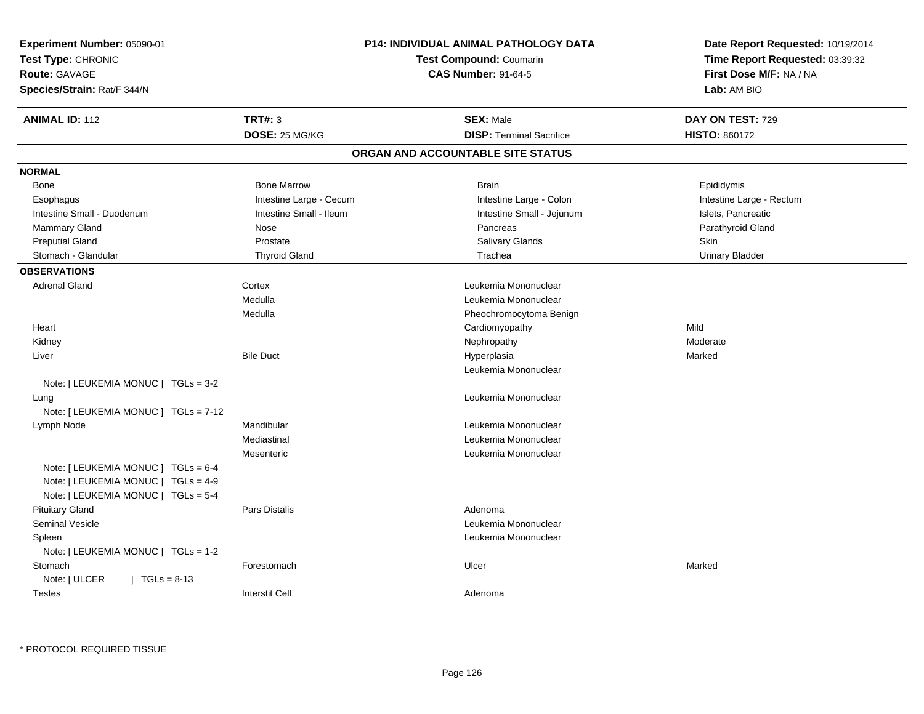| Experiment Number: 05090-01<br>Test Type: CHRONIC<br>Route: GAVAGE<br>Species/Strain: Rat/F 344/N | P14: INDIVIDUAL ANIMAL PATHOLOGY DATA<br><b>Test Compound: Coumarin</b><br><b>CAS Number: 91-64-5</b> |                                   | Date Report Requested: 10/19/2014<br>Time Report Requested: 03:39:32<br>First Dose M/F: NA / NA<br>Lab: AM BIO |  |
|---------------------------------------------------------------------------------------------------|-------------------------------------------------------------------------------------------------------|-----------------------------------|----------------------------------------------------------------------------------------------------------------|--|
| <b>ANIMAL ID: 112</b>                                                                             | TRT#: 3                                                                                               | <b>SEX: Male</b>                  | DAY ON TEST: 729                                                                                               |  |
|                                                                                                   | DOSE: 25 MG/KG                                                                                        | <b>DISP: Terminal Sacrifice</b>   | <b>HISTO: 860172</b>                                                                                           |  |
|                                                                                                   |                                                                                                       | ORGAN AND ACCOUNTABLE SITE STATUS |                                                                                                                |  |
| <b>NORMAL</b>                                                                                     |                                                                                                       |                                   |                                                                                                                |  |
| Bone                                                                                              | <b>Bone Marrow</b>                                                                                    | <b>Brain</b>                      | Epididymis                                                                                                     |  |
| Esophagus                                                                                         | Intestine Large - Cecum                                                                               | Intestine Large - Colon           | Intestine Large - Rectum                                                                                       |  |
| Intestine Small - Duodenum                                                                        | Intestine Small - Ileum                                                                               | Intestine Small - Jejunum         | Islets, Pancreatic                                                                                             |  |
| <b>Mammary Gland</b>                                                                              | Nose                                                                                                  | Pancreas                          | Parathyroid Gland                                                                                              |  |
| <b>Preputial Gland</b>                                                                            | Prostate                                                                                              | Salivary Glands                   | Skin                                                                                                           |  |
| Stomach - Glandular                                                                               | <b>Thyroid Gland</b>                                                                                  | Trachea                           | <b>Urinary Bladder</b>                                                                                         |  |
| <b>OBSERVATIONS</b>                                                                               |                                                                                                       |                                   |                                                                                                                |  |
| <b>Adrenal Gland</b>                                                                              | Cortex                                                                                                | Leukemia Mononuclear              |                                                                                                                |  |
|                                                                                                   | Medulla                                                                                               | Leukemia Mononuclear              |                                                                                                                |  |
|                                                                                                   | Medulla                                                                                               | Pheochromocytoma Benign           |                                                                                                                |  |
| Heart                                                                                             |                                                                                                       | Cardiomyopathy                    | Mild                                                                                                           |  |
| Kidney                                                                                            |                                                                                                       | Nephropathy                       | Moderate                                                                                                       |  |
| Liver                                                                                             | <b>Bile Duct</b>                                                                                      | Hyperplasia                       | Marked                                                                                                         |  |
|                                                                                                   |                                                                                                       | Leukemia Mononuclear              |                                                                                                                |  |
| Note: [ LEUKEMIA MONUC ] TGLs = 3-2                                                               |                                                                                                       |                                   |                                                                                                                |  |
| Lung                                                                                              |                                                                                                       | Leukemia Mononuclear              |                                                                                                                |  |
| Note: [ LEUKEMIA MONUC ] TGLs = 7-12                                                              |                                                                                                       |                                   |                                                                                                                |  |
| Lymph Node                                                                                        | Mandibular                                                                                            | Leukemia Mononuclear              |                                                                                                                |  |
|                                                                                                   | Mediastinal                                                                                           | Leukemia Mononuclear              |                                                                                                                |  |
|                                                                                                   | Mesenteric                                                                                            | Leukemia Mononuclear              |                                                                                                                |  |
| Note: [ LEUKEMIA MONUC ] TGLs = 6-4                                                               |                                                                                                       |                                   |                                                                                                                |  |
| Note: [ LEUKEMIA MONUC ] TGLs = 4-9                                                               |                                                                                                       |                                   |                                                                                                                |  |
| Note: [ LEUKEMIA MONUC ] TGLs = 5-4                                                               |                                                                                                       |                                   |                                                                                                                |  |
| <b>Pituitary Gland</b>                                                                            | Pars Distalis                                                                                         | Adenoma                           |                                                                                                                |  |
| <b>Seminal Vesicle</b>                                                                            |                                                                                                       | Leukemia Mononuclear              |                                                                                                                |  |
| Spleen                                                                                            |                                                                                                       | Leukemia Mononuclear              |                                                                                                                |  |
| Note: [ LEUKEMIA MONUC ] TGLs = 1-2                                                               |                                                                                                       |                                   |                                                                                                                |  |
| Stomach                                                                                           | Forestomach                                                                                           | Ulcer                             | Marked                                                                                                         |  |
| Note: [ ULCER<br>$1 TGLs = 8-13$                                                                  |                                                                                                       |                                   |                                                                                                                |  |
| <b>Testes</b>                                                                                     | <b>Interstit Cell</b>                                                                                 | Adenoma                           |                                                                                                                |  |
|                                                                                                   |                                                                                                       |                                   |                                                                                                                |  |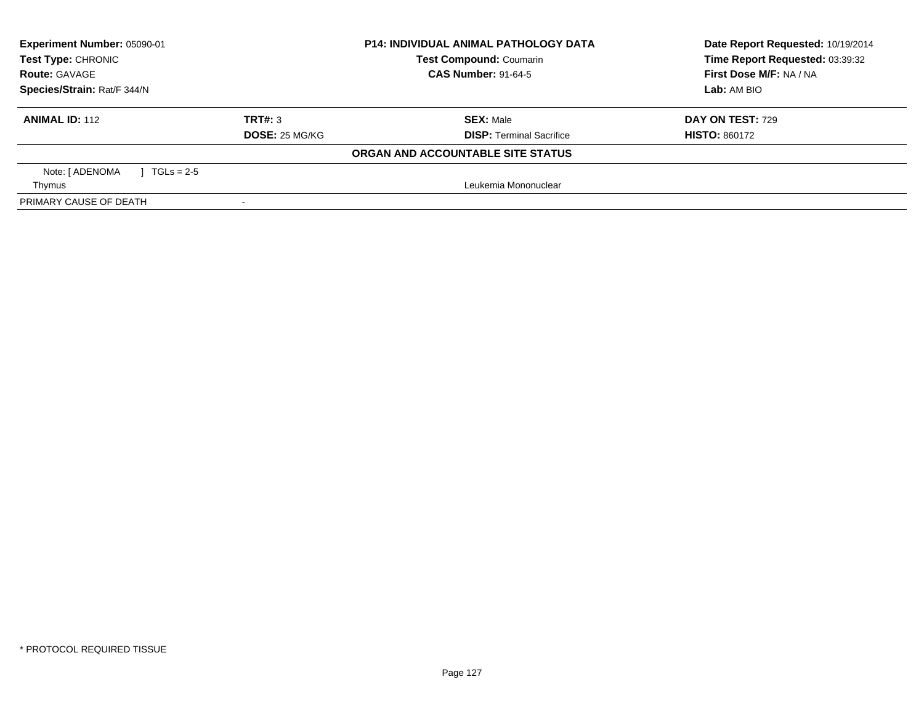| Experiment Number: 05090-01<br><b>Test Type: CHRONIC</b> |                            | <b>P14: INDIVIDUAL ANIMAL PATHOLOGY DATA</b> | Date Report Requested: 10/19/2014 |  |
|----------------------------------------------------------|----------------------------|----------------------------------------------|-----------------------------------|--|
|                                                          |                            | <b>Test Compound: Coumarin</b>               | Time Report Requested: 03:39:32   |  |
| <b>Route: GAVAGE</b>                                     | <b>CAS Number: 91-64-5</b> |                                              | First Dose M/F: NA / NA           |  |
| Species/Strain: Rat/F 344/N                              |                            |                                              | Lab: AM BIO                       |  |
| <b>ANIMAL ID: 112</b>                                    | TRT#: 3                    | <b>SEX: Male</b>                             | <b>DAY ON TEST: 729</b>           |  |
|                                                          | DOSE: 25 MG/KG             | <b>DISP: Terminal Sacrifice</b>              | <b>HISTO: 860172</b>              |  |
|                                                          |                            | ORGAN AND ACCOUNTABLE SITE STATUS            |                                   |  |
| Note: [ ADENOMA<br>$1 TGLs = 2.5$                        |                            |                                              |                                   |  |
| Thymus                                                   |                            | Leukemia Mononuclear                         |                                   |  |
| PRIMARY CAUSE OF DEATH                                   |                            |                                              |                                   |  |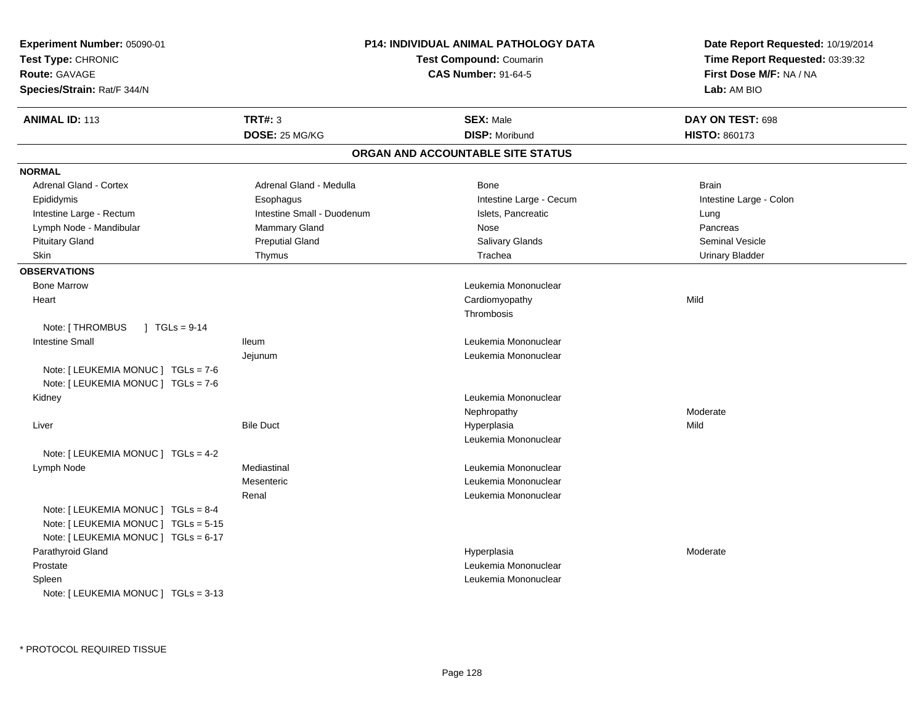| Experiment Number: 05090-01<br>Test Type: CHRONIC<br>Route: GAVAGE<br>Species/Strain: Rat/F 344/N                   | P14: INDIVIDUAL ANIMAL PATHOLOGY DATA<br><b>Test Compound: Coumarin</b><br><b>CAS Number: 91-64-5</b> |                                   | Date Report Requested: 10/19/2014<br>Time Report Requested: 03:39:32<br>First Dose M/F: NA / NA<br>Lab: AM BIO |
|---------------------------------------------------------------------------------------------------------------------|-------------------------------------------------------------------------------------------------------|-----------------------------------|----------------------------------------------------------------------------------------------------------------|
| <b>ANIMAL ID: 113</b>                                                                                               | TRT#: 3                                                                                               | <b>SEX: Male</b>                  | DAY ON TEST: 698                                                                                               |
|                                                                                                                     | DOSE: 25 MG/KG                                                                                        | <b>DISP: Moribund</b>             | <b>HISTO: 860173</b>                                                                                           |
|                                                                                                                     |                                                                                                       | ORGAN AND ACCOUNTABLE SITE STATUS |                                                                                                                |
| <b>NORMAL</b>                                                                                                       |                                                                                                       |                                   |                                                                                                                |
| <b>Adrenal Gland - Cortex</b>                                                                                       | Adrenal Gland - Medulla                                                                               | Bone                              | <b>Brain</b>                                                                                                   |
| Epididymis                                                                                                          | Esophagus                                                                                             | Intestine Large - Cecum           | Intestine Large - Colon                                                                                        |
| Intestine Large - Rectum                                                                                            | Intestine Small - Duodenum                                                                            | Islets, Pancreatic                | Lung                                                                                                           |
| Lymph Node - Mandibular                                                                                             | <b>Mammary Gland</b>                                                                                  | Nose                              | Pancreas                                                                                                       |
| <b>Pituitary Gland</b>                                                                                              | <b>Preputial Gland</b>                                                                                | <b>Salivary Glands</b>            | Seminal Vesicle                                                                                                |
| Skin                                                                                                                | Thymus                                                                                                | Trachea                           | <b>Urinary Bladder</b>                                                                                         |
| <b>OBSERVATIONS</b>                                                                                                 |                                                                                                       |                                   |                                                                                                                |
| <b>Bone Marrow</b>                                                                                                  |                                                                                                       | Leukemia Mononuclear              |                                                                                                                |
| Heart                                                                                                               |                                                                                                       | Cardiomyopathy                    | Mild                                                                                                           |
|                                                                                                                     |                                                                                                       | Thrombosis                        |                                                                                                                |
| Note: [ THROMBUS<br>$\sqrt{1}$ TGLs = 9-14                                                                          |                                                                                                       |                                   |                                                                                                                |
| <b>Intestine Small</b>                                                                                              | lleum                                                                                                 | Leukemia Mononuclear              |                                                                                                                |
|                                                                                                                     | Jejunum                                                                                               | Leukemia Mononuclear              |                                                                                                                |
| Note: [ LEUKEMIA MONUC ] TGLs = 7-6                                                                                 |                                                                                                       |                                   |                                                                                                                |
| Note: [ LEUKEMIA MONUC ] TGLs = 7-6                                                                                 |                                                                                                       |                                   |                                                                                                                |
| Kidney                                                                                                              |                                                                                                       | Leukemia Mononuclear              |                                                                                                                |
|                                                                                                                     |                                                                                                       | Nephropathy                       | Moderate                                                                                                       |
| Liver                                                                                                               | <b>Bile Duct</b>                                                                                      | Hyperplasia                       | Mild                                                                                                           |
|                                                                                                                     |                                                                                                       | Leukemia Mononuclear              |                                                                                                                |
| Note: [ LEUKEMIA MONUC ] TGLs = 4-2                                                                                 |                                                                                                       |                                   |                                                                                                                |
| Lymph Node                                                                                                          | Mediastinal                                                                                           | Leukemia Mononuclear              |                                                                                                                |
|                                                                                                                     | Mesenteric                                                                                            | Leukemia Mononuclear              |                                                                                                                |
|                                                                                                                     | Renal                                                                                                 | Leukemia Mononuclear              |                                                                                                                |
| Note: [ LEUKEMIA MONUC ] TGLs = 8-4<br>Note: [ LEUKEMIA MONUC ] TGLs = 5-15<br>Note: [ LEUKEMIA MONUC ] TGLs = 6-17 |                                                                                                       |                                   |                                                                                                                |
| Parathyroid Gland                                                                                                   |                                                                                                       | Hyperplasia                       | Moderate                                                                                                       |
| Prostate                                                                                                            |                                                                                                       | Leukemia Mononuclear              |                                                                                                                |
| Spleen<br>Note: [ LEUKEMIA MONUC ] TGLs = 3-13                                                                      |                                                                                                       | Leukemia Mononuclear              |                                                                                                                |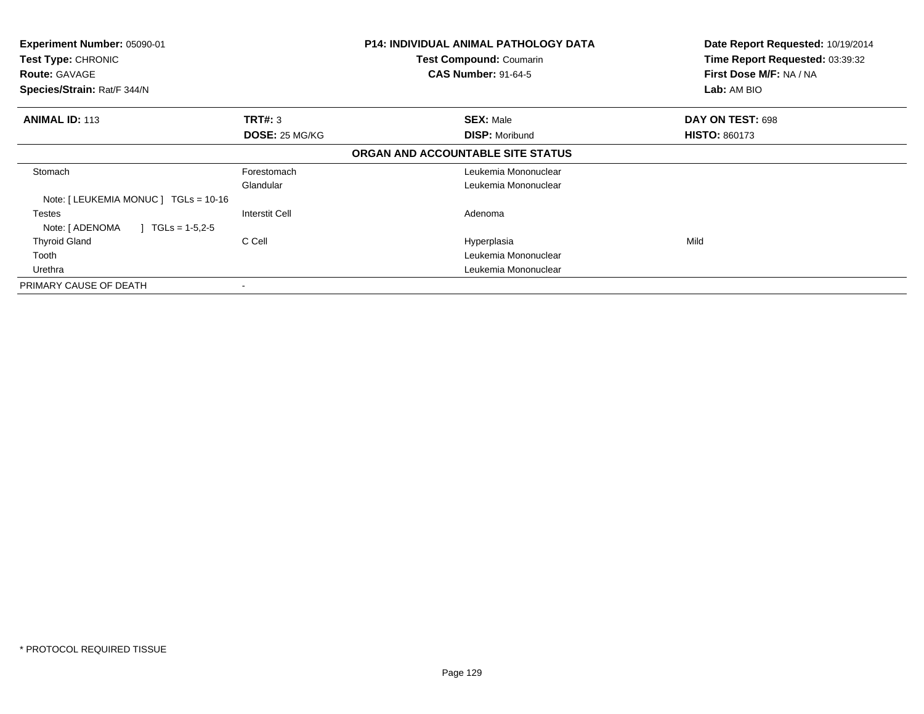| Experiment Number: 05090-01<br>Test Type: CHRONIC<br><b>Route: GAVAGE</b><br>Species/Strain: Rat/F 344/N |                       | <b>P14: INDIVIDUAL ANIMAL PATHOLOGY DATA</b><br>Test Compound: Coumarin<br><b>CAS Number: 91-64-5</b> | Date Report Requested: 10/19/2014<br>Time Report Requested: 03:39:32<br>First Dose M/F: NA / NA<br>Lab: AM BIO |
|----------------------------------------------------------------------------------------------------------|-----------------------|-------------------------------------------------------------------------------------------------------|----------------------------------------------------------------------------------------------------------------|
| <b>ANIMAL ID: 113</b>                                                                                    | <b>TRT#: 3</b>        | <b>SEX: Male</b>                                                                                      | DAY ON TEST: 698                                                                                               |
|                                                                                                          | <b>DOSE: 25 MG/KG</b> | <b>DISP: Moribund</b>                                                                                 | <b>HISTO: 860173</b>                                                                                           |
|                                                                                                          |                       | ORGAN AND ACCOUNTABLE SITE STATUS                                                                     |                                                                                                                |
| Stomach                                                                                                  | Forestomach           | Leukemia Mononuclear                                                                                  |                                                                                                                |
|                                                                                                          | Glandular             | Leukemia Mononuclear                                                                                  |                                                                                                                |
| Note: $[LEUKEMIA MONUC] TGLs = 10-16$                                                                    |                       |                                                                                                       |                                                                                                                |
| Testes                                                                                                   | <b>Interstit Cell</b> | Adenoma                                                                                               |                                                                                                                |
| Note: [ ADENOMA<br>$\mid$ TGLs = 1-5,2-5                                                                 |                       |                                                                                                       |                                                                                                                |
| <b>Thyroid Gland</b>                                                                                     | C Cell                | Hyperplasia                                                                                           | Mild                                                                                                           |
| Tooth                                                                                                    |                       | Leukemia Mononuclear                                                                                  |                                                                                                                |
| Urethra                                                                                                  |                       | Leukemia Mononuclear                                                                                  |                                                                                                                |
| PRIMARY CAUSE OF DEATH                                                                                   |                       |                                                                                                       |                                                                                                                |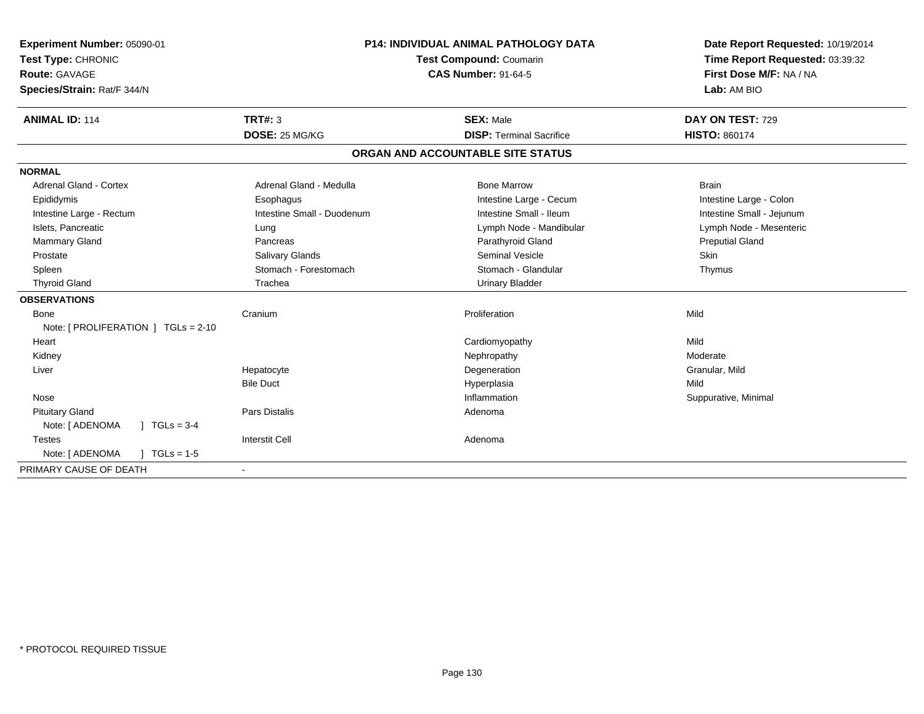| Experiment Number: 05090-01<br>Test Type: CHRONIC<br>Route: GAVAGE<br>Species/Strain: Rat/F 344/N | <b>P14: INDIVIDUAL ANIMAL PATHOLOGY DATA</b><br>Test Compound: Coumarin<br><b>CAS Number: 91-64-5</b> |                                   | Date Report Requested: 10/19/2014<br>Time Report Requested: 03:39:32<br>First Dose M/F: NA / NA<br>Lab: AM BIO |  |
|---------------------------------------------------------------------------------------------------|-------------------------------------------------------------------------------------------------------|-----------------------------------|----------------------------------------------------------------------------------------------------------------|--|
| <b>ANIMAL ID: 114</b>                                                                             | <b>TRT#: 3</b>                                                                                        | <b>SEX: Male</b>                  | DAY ON TEST: 729                                                                                               |  |
|                                                                                                   | DOSE: 25 MG/KG                                                                                        | <b>DISP: Terminal Sacrifice</b>   | <b>HISTO: 860174</b>                                                                                           |  |
|                                                                                                   |                                                                                                       | ORGAN AND ACCOUNTABLE SITE STATUS |                                                                                                                |  |
| <b>NORMAL</b>                                                                                     |                                                                                                       |                                   |                                                                                                                |  |
| Adrenal Gland - Cortex                                                                            | Adrenal Gland - Medulla                                                                               | <b>Bone Marrow</b>                | <b>Brain</b>                                                                                                   |  |
| Epididymis                                                                                        | Esophagus                                                                                             | Intestine Large - Cecum           | Intestine Large - Colon                                                                                        |  |
| Intestine Large - Rectum                                                                          | Intestine Small - Duodenum                                                                            | Intestine Small - Ileum           | Intestine Small - Jejunum                                                                                      |  |
| Islets, Pancreatic                                                                                | Lung                                                                                                  | Lymph Node - Mandibular           | Lymph Node - Mesenteric                                                                                        |  |
| Mammary Gland                                                                                     | Pancreas                                                                                              | Parathyroid Gland                 | <b>Preputial Gland</b>                                                                                         |  |
| Prostate                                                                                          | Salivary Glands                                                                                       | <b>Seminal Vesicle</b>            | Skin                                                                                                           |  |
| Spleen                                                                                            | Stomach - Forestomach                                                                                 | Stomach - Glandular               | Thymus                                                                                                         |  |
| <b>Thyroid Gland</b>                                                                              | Trachea                                                                                               | <b>Urinary Bladder</b>            |                                                                                                                |  |
| <b>OBSERVATIONS</b>                                                                               |                                                                                                       |                                   |                                                                                                                |  |
| <b>Bone</b>                                                                                       | Cranium                                                                                               | Proliferation                     | Mild                                                                                                           |  |
| Note: $[$ PROLIFERATION $]$ TGLs = 2-10                                                           |                                                                                                       |                                   |                                                                                                                |  |
| Heart                                                                                             |                                                                                                       | Cardiomyopathy                    | Mild                                                                                                           |  |
| Kidney                                                                                            |                                                                                                       | Nephropathy                       | Moderate                                                                                                       |  |
| Liver                                                                                             | Hepatocyte                                                                                            | Degeneration                      | Granular, Mild                                                                                                 |  |
|                                                                                                   | <b>Bile Duct</b>                                                                                      | Hyperplasia                       | Mild                                                                                                           |  |
| Nose                                                                                              |                                                                                                       | Inflammation                      | Suppurative, Minimal                                                                                           |  |
| <b>Pituitary Gland</b>                                                                            | <b>Pars Distalis</b>                                                                                  | Adenoma                           |                                                                                                                |  |
| Note: [ ADENOMA<br>$J \cdot TGLs = 3-4$                                                           |                                                                                                       |                                   |                                                                                                                |  |
| <b>Testes</b>                                                                                     | <b>Interstit Cell</b>                                                                                 | Adenoma                           |                                                                                                                |  |
| Note: [ ADENOMA<br>$] TGLs = 1-5$                                                                 |                                                                                                       |                                   |                                                                                                                |  |
| PRIMARY CAUSE OF DEATH                                                                            |                                                                                                       |                                   |                                                                                                                |  |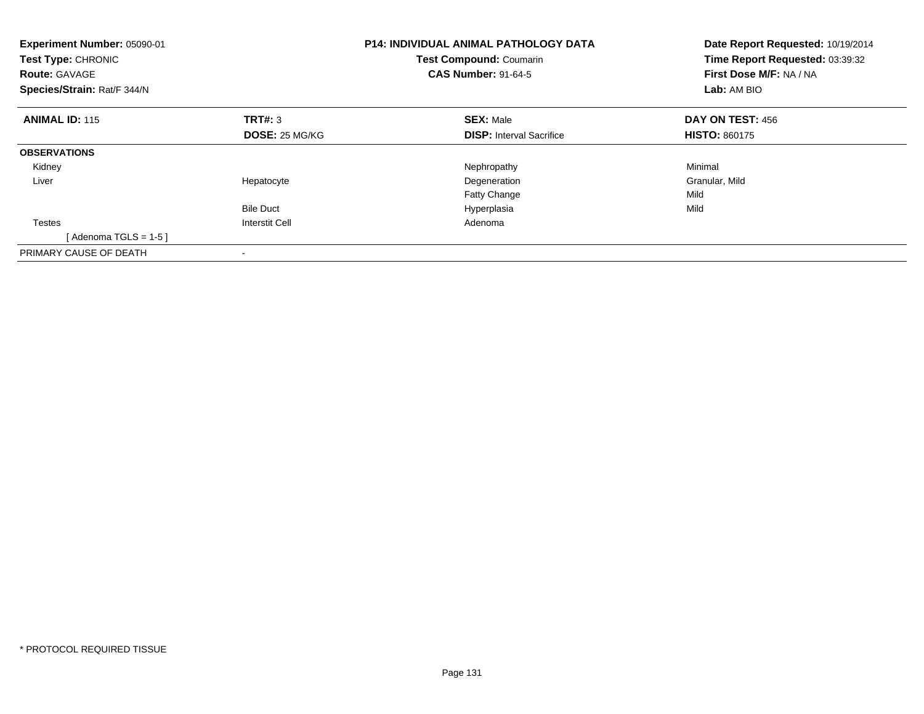| <b>P14: INDIVIDUAL ANIMAL PATHOLOGY DATA</b><br>Experiment Number: 05090-01<br><b>Test Compound: Coumarin</b><br><b>Test Type: CHRONIC</b><br><b>CAS Number: 91-64-5</b><br><b>Route: GAVAGE</b><br>Species/Strain: Rat/F 344/N |                       |                                 | Date Report Requested: 10/19/2014<br>Time Report Requested: 03:39:32<br>First Dose M/F: NA / NA<br>Lab: AM BIO |  |
|---------------------------------------------------------------------------------------------------------------------------------------------------------------------------------------------------------------------------------|-----------------------|---------------------------------|----------------------------------------------------------------------------------------------------------------|--|
| <b>ANIMAL ID: 115</b>                                                                                                                                                                                                           | TRT#: 3               | <b>SEX: Male</b>                | <b>DAY ON TEST: 456</b>                                                                                        |  |
|                                                                                                                                                                                                                                 | <b>DOSE: 25 MG/KG</b> | <b>DISP:</b> Interval Sacrifice | <b>HISTO: 860175</b>                                                                                           |  |
| <b>OBSERVATIONS</b>                                                                                                                                                                                                             |                       |                                 |                                                                                                                |  |
| Kidney                                                                                                                                                                                                                          |                       | Nephropathy                     | Minimal                                                                                                        |  |
| Liver                                                                                                                                                                                                                           | Hepatocyte            | Degeneration                    | Granular, Mild                                                                                                 |  |
|                                                                                                                                                                                                                                 |                       | <b>Fatty Change</b>             | Mild                                                                                                           |  |
|                                                                                                                                                                                                                                 | <b>Bile Duct</b>      | Hyperplasia                     | Mild                                                                                                           |  |
| <b>Testes</b>                                                                                                                                                                                                                   | <b>Interstit Cell</b> | Adenoma                         |                                                                                                                |  |
| [Adenoma TGLS = $1-5$ ]                                                                                                                                                                                                         |                       |                                 |                                                                                                                |  |
| PRIMARY CAUSE OF DEATH                                                                                                                                                                                                          |                       |                                 |                                                                                                                |  |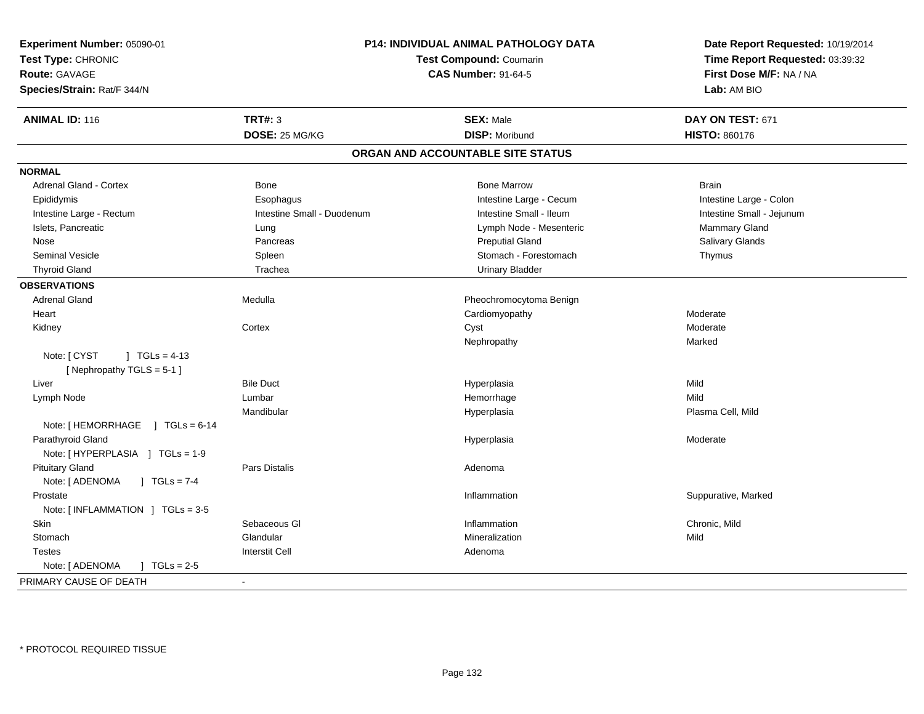| Experiment Number: 05090-01<br>Test Type: CHRONIC<br><b>Route: GAVAGE</b><br>Species/Strain: Rat/F 344/N |                            | <b>P14: INDIVIDUAL ANIMAL PATHOLOGY DATA</b><br><b>Test Compound: Coumarin</b><br><b>CAS Number: 91-64-5</b> | Date Report Requested: 10/19/2014<br>Time Report Requested: 03:39:32<br>First Dose M/F: NA / NA<br>Lab: AM BIO |
|----------------------------------------------------------------------------------------------------------|----------------------------|--------------------------------------------------------------------------------------------------------------|----------------------------------------------------------------------------------------------------------------|
| <b>ANIMAL ID: 116</b>                                                                                    | <b>TRT#: 3</b>             | <b>SEX: Male</b>                                                                                             | DAY ON TEST: 671                                                                                               |
|                                                                                                          | DOSE: 25 MG/KG             | <b>DISP: Moribund</b>                                                                                        | HISTO: 860176                                                                                                  |
|                                                                                                          |                            | ORGAN AND ACCOUNTABLE SITE STATUS                                                                            |                                                                                                                |
| <b>NORMAL</b>                                                                                            |                            |                                                                                                              |                                                                                                                |
| <b>Adrenal Gland - Cortex</b>                                                                            | Bone                       | <b>Bone Marrow</b>                                                                                           | <b>Brain</b>                                                                                                   |
| Epididymis                                                                                               | Esophagus                  | Intestine Large - Cecum                                                                                      | Intestine Large - Colon                                                                                        |
| Intestine Large - Rectum                                                                                 | Intestine Small - Duodenum | Intestine Small - Ileum                                                                                      | Intestine Small - Jejunum                                                                                      |
| Islets, Pancreatic                                                                                       | Lung                       | Lymph Node - Mesenteric                                                                                      | Mammary Gland                                                                                                  |
| Nose                                                                                                     | Pancreas                   | <b>Preputial Gland</b>                                                                                       | Salivary Glands                                                                                                |
| <b>Seminal Vesicle</b>                                                                                   | Spleen                     | Stomach - Forestomach                                                                                        | Thymus                                                                                                         |
| <b>Thyroid Gland</b>                                                                                     | Trachea                    | <b>Urinary Bladder</b>                                                                                       |                                                                                                                |
| <b>OBSERVATIONS</b>                                                                                      |                            |                                                                                                              |                                                                                                                |
| <b>Adrenal Gland</b>                                                                                     | Medulla                    | Pheochromocytoma Benign                                                                                      |                                                                                                                |
| Heart                                                                                                    |                            | Cardiomyopathy                                                                                               | Moderate                                                                                                       |
| Kidney                                                                                                   | Cortex                     | Cyst                                                                                                         | Moderate                                                                                                       |
|                                                                                                          |                            | Nephropathy                                                                                                  | Marked                                                                                                         |
| Note: [ CYST<br>$J \cdot TGLS = 4-13$<br>[Nephropathy TGLS = 5-1]                                        |                            |                                                                                                              |                                                                                                                |
| Liver                                                                                                    | <b>Bile Duct</b>           | Hyperplasia                                                                                                  | Mild                                                                                                           |
| Lymph Node                                                                                               | Lumbar                     | Hemorrhage                                                                                                   | Mild                                                                                                           |
|                                                                                                          | Mandibular                 | Hyperplasia                                                                                                  | Plasma Cell, Mild                                                                                              |
| Note: [HEMORRHAGE ] TGLs = 6-14                                                                          |                            |                                                                                                              |                                                                                                                |
| Parathyroid Gland                                                                                        |                            | Hyperplasia                                                                                                  | Moderate                                                                                                       |
| Note: [HYPERPLASIA ] TGLs = 1-9                                                                          |                            |                                                                                                              |                                                                                                                |
| <b>Pituitary Gland</b>                                                                                   | <b>Pars Distalis</b>       | Adenoma                                                                                                      |                                                                                                                |
| Note: [ ADENOMA<br>$J \cdot TGLS = 7-4$                                                                  |                            |                                                                                                              |                                                                                                                |
| Prostate                                                                                                 |                            | Inflammation                                                                                                 | Suppurative, Marked                                                                                            |
| Note: $[INFLAMMATION] TGLs = 3-5$                                                                        |                            |                                                                                                              |                                                                                                                |
| Skin                                                                                                     | Sebaceous GI               | Inflammation                                                                                                 | Chronic, Mild                                                                                                  |
| Stomach                                                                                                  | Glandular                  | Mineralization                                                                                               | Mild                                                                                                           |
| <b>Testes</b>                                                                                            | <b>Interstit Cell</b>      | Adenoma                                                                                                      |                                                                                                                |
| Note: [ ADENOMA<br>$1 TGLs = 2.5$                                                                        |                            |                                                                                                              |                                                                                                                |
| PRIMARY CAUSE OF DEATH                                                                                   | $\sim$                     |                                                                                                              |                                                                                                                |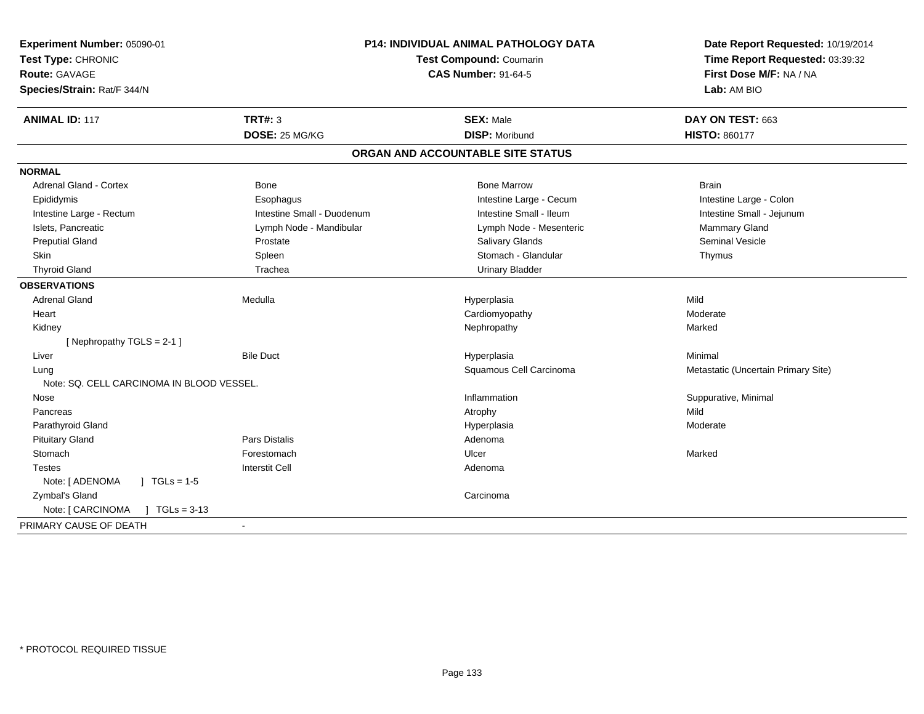| Experiment Number: 05090-01<br>Test Type: CHRONIC<br><b>Route: GAVAGE</b> |                            | P14: INDIVIDUAL ANIMAL PATHOLOGY DATA<br>Test Compound: Coumarin<br><b>CAS Number: 91-64-5</b> | Date Report Requested: 10/19/2014<br>Time Report Requested: 03:39:32<br>First Dose M/F: NA / NA |
|---------------------------------------------------------------------------|----------------------------|------------------------------------------------------------------------------------------------|-------------------------------------------------------------------------------------------------|
| Species/Strain: Rat/F 344/N                                               |                            |                                                                                                | Lab: AM BIO                                                                                     |
| <b>ANIMAL ID: 117</b>                                                     | TRT#: 3                    | <b>SEX: Male</b>                                                                               | DAY ON TEST: 663                                                                                |
|                                                                           | DOSE: 25 MG/KG             | <b>DISP: Moribund</b>                                                                          | <b>HISTO: 860177</b>                                                                            |
|                                                                           |                            | ORGAN AND ACCOUNTABLE SITE STATUS                                                              |                                                                                                 |
| <b>NORMAL</b>                                                             |                            |                                                                                                |                                                                                                 |
| <b>Adrenal Gland - Cortex</b>                                             | <b>Bone</b>                | <b>Bone Marrow</b>                                                                             | <b>Brain</b>                                                                                    |
| Epididymis                                                                | Esophagus                  | Intestine Large - Cecum                                                                        | Intestine Large - Colon                                                                         |
| Intestine Large - Rectum                                                  | Intestine Small - Duodenum | Intestine Small - Ileum                                                                        | Intestine Small - Jejunum                                                                       |
| Islets, Pancreatic                                                        | Lymph Node - Mandibular    | Lymph Node - Mesenteric                                                                        | Mammary Gland                                                                                   |
| <b>Preputial Gland</b>                                                    | Prostate                   | <b>Salivary Glands</b>                                                                         | <b>Seminal Vesicle</b>                                                                          |
| Skin                                                                      | Spleen                     | Stomach - Glandular                                                                            | Thymus                                                                                          |
| <b>Thyroid Gland</b>                                                      | Trachea                    | <b>Urinary Bladder</b>                                                                         |                                                                                                 |
| <b>OBSERVATIONS</b>                                                       |                            |                                                                                                |                                                                                                 |
| <b>Adrenal Gland</b>                                                      | Medulla                    | Hyperplasia                                                                                    | Mild                                                                                            |
| Heart                                                                     |                            | Cardiomyopathy                                                                                 | Moderate                                                                                        |
| Kidney                                                                    |                            | Nephropathy                                                                                    | Marked                                                                                          |
| [ Nephropathy $TGLS = 2-1$ ]                                              |                            |                                                                                                |                                                                                                 |
| Liver                                                                     | <b>Bile Duct</b>           | Hyperplasia                                                                                    | Minimal                                                                                         |
| Lung                                                                      |                            | Squamous Cell Carcinoma                                                                        | Metastatic (Uncertain Primary Site)                                                             |
| Note: SQ. CELL CARCINOMA IN BLOOD VESSEL.                                 |                            |                                                                                                |                                                                                                 |
| Nose                                                                      |                            | Inflammation                                                                                   | Suppurative, Minimal                                                                            |
| Pancreas                                                                  |                            | Atrophy                                                                                        | Mild                                                                                            |
| Parathyroid Gland                                                         |                            | Hyperplasia                                                                                    | Moderate                                                                                        |
| <b>Pituitary Gland</b>                                                    | Pars Distalis              | Adenoma                                                                                        |                                                                                                 |
| Stomach                                                                   | Forestomach                | Ulcer                                                                                          | Marked                                                                                          |
| <b>Testes</b>                                                             | <b>Interstit Cell</b>      | Adenoma                                                                                        |                                                                                                 |
| Note: [ ADENOMA<br>$\sqrt{1}$ TGLs = 1-5                                  |                            |                                                                                                |                                                                                                 |
| Zymbal's Gland                                                            |                            | Carcinoma                                                                                      |                                                                                                 |
| Note: [ CARCINOMA<br>$TGLs = 3-13$                                        |                            |                                                                                                |                                                                                                 |
| PRIMARY CAUSE OF DEATH                                                    |                            |                                                                                                |                                                                                                 |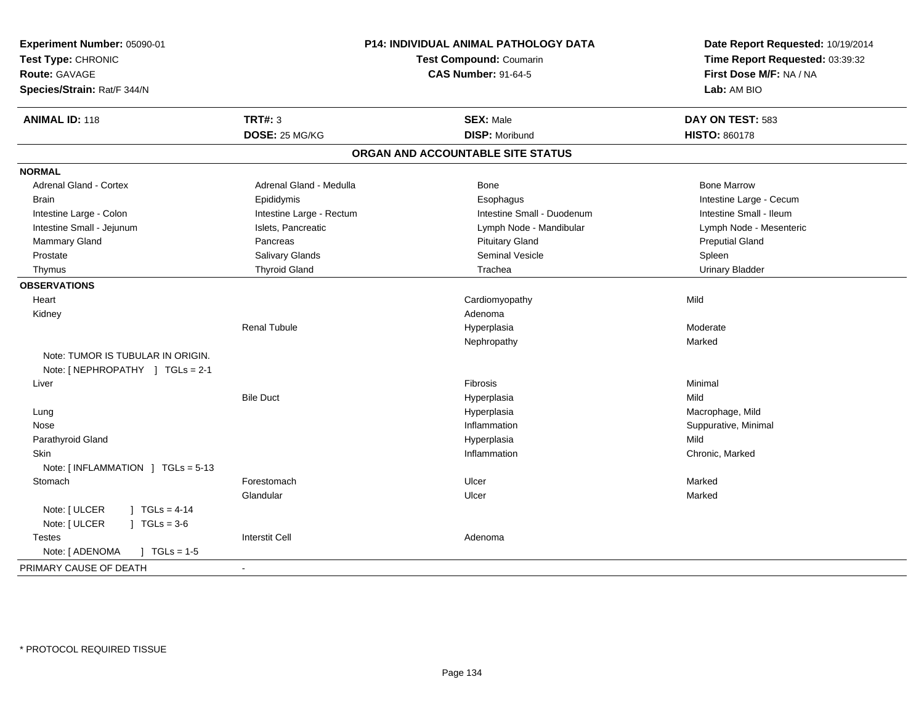| Experiment Number: 05090-01<br>Test Type: CHRONIC<br>Route: GAVAGE<br>Species/Strain: Rat/F 344/N | P14: INDIVIDUAL ANIMAL PATHOLOGY DATA<br><b>Test Compound: Coumarin</b><br><b>CAS Number: 91-64-5</b> |                                   | Date Report Requested: 10/19/2014<br>Time Report Requested: 03:39:32<br>First Dose M/F: NA / NA<br>Lab: AM BIO |
|---------------------------------------------------------------------------------------------------|-------------------------------------------------------------------------------------------------------|-----------------------------------|----------------------------------------------------------------------------------------------------------------|
| <b>ANIMAL ID: 118</b>                                                                             | <b>TRT#: 3</b>                                                                                        | <b>SEX: Male</b>                  | DAY ON TEST: 583                                                                                               |
|                                                                                                   | DOSE: 25 MG/KG                                                                                        | <b>DISP: Moribund</b>             | <b>HISTO: 860178</b>                                                                                           |
|                                                                                                   |                                                                                                       | ORGAN AND ACCOUNTABLE SITE STATUS |                                                                                                                |
| <b>NORMAL</b>                                                                                     |                                                                                                       |                                   |                                                                                                                |
| <b>Adrenal Gland - Cortex</b>                                                                     | Adrenal Gland - Medulla                                                                               | Bone                              | <b>Bone Marrow</b>                                                                                             |
| Brain                                                                                             | Epididymis                                                                                            | Esophagus                         | Intestine Large - Cecum                                                                                        |
| Intestine Large - Colon                                                                           | Intestine Large - Rectum                                                                              | Intestine Small - Duodenum        | Intestine Small - Ileum                                                                                        |
| Intestine Small - Jejunum                                                                         | Islets, Pancreatic                                                                                    | Lymph Node - Mandibular           | Lymph Node - Mesenteric                                                                                        |
| Mammary Gland                                                                                     | Pancreas                                                                                              | <b>Pituitary Gland</b>            | <b>Preputial Gland</b>                                                                                         |
| Prostate                                                                                          | Salivary Glands                                                                                       | <b>Seminal Vesicle</b>            | Spleen                                                                                                         |
| Thymus                                                                                            | <b>Thyroid Gland</b>                                                                                  | Trachea                           | <b>Urinary Bladder</b>                                                                                         |
| <b>OBSERVATIONS</b>                                                                               |                                                                                                       |                                   |                                                                                                                |
| Heart                                                                                             |                                                                                                       | Cardiomyopathy                    | Mild                                                                                                           |
| Kidney                                                                                            |                                                                                                       | Adenoma                           |                                                                                                                |
|                                                                                                   | <b>Renal Tubule</b>                                                                                   | Hyperplasia                       | Moderate                                                                                                       |
|                                                                                                   |                                                                                                       | Nephropathy                       | Marked                                                                                                         |
| Note: TUMOR IS TUBULAR IN ORIGIN.<br>Note: [NEPHROPATHY ] TGLs = 2-1                              |                                                                                                       |                                   |                                                                                                                |
| Liver                                                                                             |                                                                                                       | Fibrosis                          | Minimal                                                                                                        |
|                                                                                                   | <b>Bile Duct</b>                                                                                      | Hyperplasia                       | Mild                                                                                                           |
| Lung                                                                                              |                                                                                                       | Hyperplasia                       | Macrophage, Mild                                                                                               |
| Nose                                                                                              |                                                                                                       | Inflammation                      | Suppurative, Minimal                                                                                           |
| Parathyroid Gland                                                                                 |                                                                                                       | Hyperplasia                       | Mild                                                                                                           |
| <b>Skin</b>                                                                                       |                                                                                                       | Inflammation                      | Chronic, Marked                                                                                                |
| Note: [INFLAMMATION ] TGLs = 5-13                                                                 |                                                                                                       |                                   |                                                                                                                |
| Stomach                                                                                           | Forestomach                                                                                           | Ulcer                             | Marked                                                                                                         |
|                                                                                                   | Glandular                                                                                             | Ulcer                             | Marked                                                                                                         |
| Note: [ ULCER<br>$1 TGLs = 4-14$<br>Note: [ ULCER<br>$JTGLs = 3-6$                                |                                                                                                       |                                   |                                                                                                                |
| <b>Testes</b>                                                                                     | <b>Interstit Cell</b>                                                                                 | Adenoma                           |                                                                                                                |
| Note: [ ADENOMA<br>$\int$ TGLs = 1-5                                                              |                                                                                                       |                                   |                                                                                                                |
| PRIMARY CAUSE OF DEATH                                                                            | $\sim$                                                                                                |                                   |                                                                                                                |
|                                                                                                   |                                                                                                       |                                   |                                                                                                                |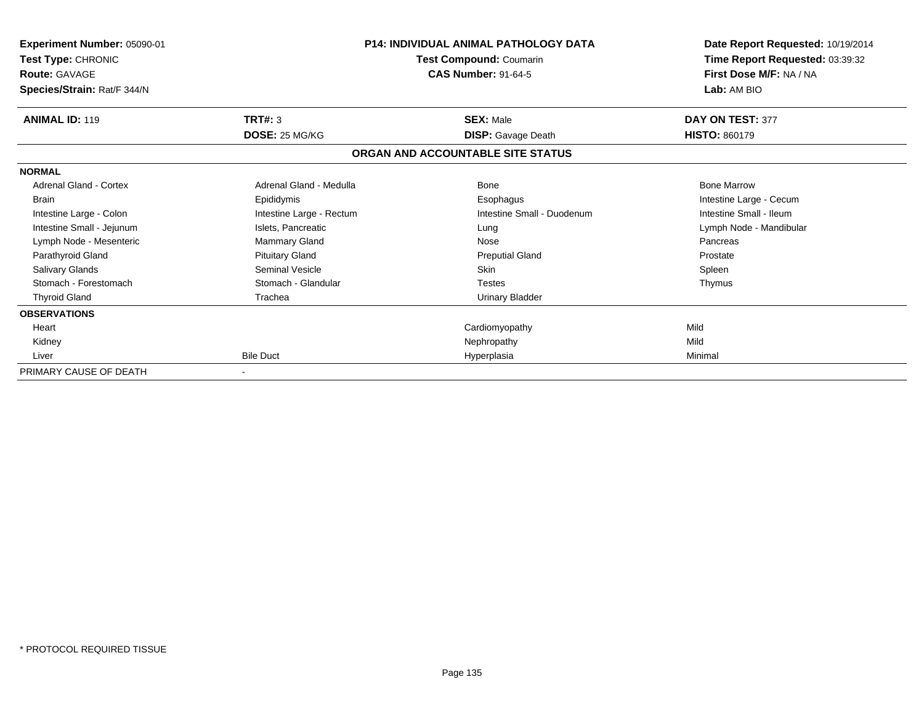| Experiment Number: 05090-01<br>Test Type: CHRONIC<br><b>Route: GAVAGE</b> |                          | <b>P14: INDIVIDUAL ANIMAL PATHOLOGY DATA</b><br>Test Compound: Coumarin<br><b>CAS Number: 91-64-5</b> | Date Report Requested: 10/19/2014<br>Time Report Requested: 03:39:32<br>First Dose M/F: NA / NA |  |
|---------------------------------------------------------------------------|--------------------------|-------------------------------------------------------------------------------------------------------|-------------------------------------------------------------------------------------------------|--|
| Species/Strain: Rat/F 344/N                                               |                          |                                                                                                       | Lab: AM BIO                                                                                     |  |
| <b>ANIMAL ID: 119</b>                                                     | TRT#: 3                  | <b>SEX: Male</b>                                                                                      | DAY ON TEST: 377                                                                                |  |
|                                                                           | DOSE: 25 MG/KG           | <b>DISP:</b> Gavage Death                                                                             | <b>HISTO: 860179</b>                                                                            |  |
|                                                                           |                          | ORGAN AND ACCOUNTABLE SITE STATUS                                                                     |                                                                                                 |  |
| <b>NORMAL</b>                                                             |                          |                                                                                                       |                                                                                                 |  |
| Adrenal Gland - Cortex                                                    | Adrenal Gland - Medulla  | <b>Bone</b>                                                                                           | <b>Bone Marrow</b>                                                                              |  |
| <b>Brain</b>                                                              | Epididymis               | Esophagus                                                                                             | Intestine Large - Cecum                                                                         |  |
| Intestine Large - Colon                                                   | Intestine Large - Rectum | Intestine Small - Duodenum                                                                            | Intestine Small - Ileum                                                                         |  |
| Intestine Small - Jejunum                                                 | Islets, Pancreatic       | Lung                                                                                                  | Lymph Node - Mandibular                                                                         |  |
| Lymph Node - Mesenteric                                                   | Mammary Gland            | Nose                                                                                                  | Pancreas                                                                                        |  |
| Parathyroid Gland                                                         | <b>Pituitary Gland</b>   | <b>Preputial Gland</b>                                                                                | Prostate                                                                                        |  |
| Salivary Glands                                                           | Seminal Vesicle          | Skin                                                                                                  | Spleen                                                                                          |  |
| Stomach - Forestomach                                                     | Stomach - Glandular      | <b>Testes</b>                                                                                         | Thymus                                                                                          |  |
| <b>Thyroid Gland</b>                                                      | Trachea                  | <b>Urinary Bladder</b>                                                                                |                                                                                                 |  |
| <b>OBSERVATIONS</b>                                                       |                          |                                                                                                       |                                                                                                 |  |
| Heart                                                                     |                          | Cardiomyopathy                                                                                        | Mild                                                                                            |  |
| Kidney                                                                    |                          | Nephropathy                                                                                           | Mild                                                                                            |  |
| Liver                                                                     | <b>Bile Duct</b>         | Hyperplasia                                                                                           | Minimal                                                                                         |  |
| PRIMARY CAUSE OF DEATH                                                    |                          |                                                                                                       |                                                                                                 |  |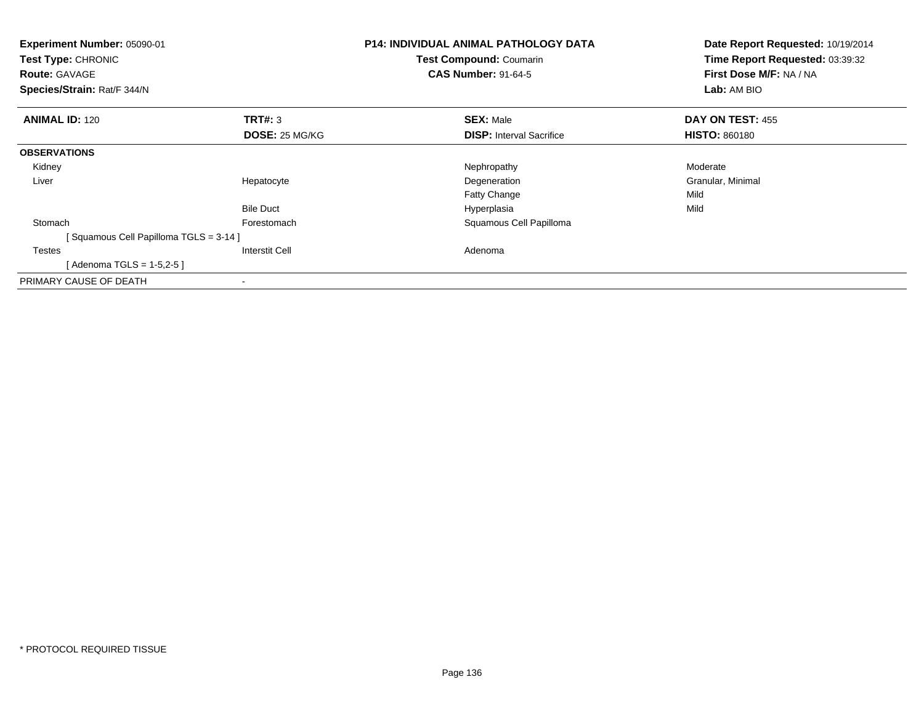| <b>Experiment Number: 05090-01</b><br>Test Type: CHRONIC<br><b>Route: GAVAGE</b><br>Species/Strain: Rat/F 344/N |                       | <b>P14: INDIVIDUAL ANIMAL PATHOLOGY DATA</b><br>Test Compound: Coumarin<br><b>CAS Number: 91-64-5</b> | Date Report Requested: 10/19/2014<br>Time Report Requested: 03:39:32<br>First Dose M/F: NA / NA<br>Lab: AM BIO |
|-----------------------------------------------------------------------------------------------------------------|-----------------------|-------------------------------------------------------------------------------------------------------|----------------------------------------------------------------------------------------------------------------|
| <b>ANIMAL ID: 120</b>                                                                                           | TRT#: 3               | <b>SEX: Male</b>                                                                                      | DAY ON TEST: 455                                                                                               |
|                                                                                                                 | <b>DOSE: 25 MG/KG</b> | <b>DISP:</b> Interval Sacrifice                                                                       | <b>HISTO: 860180</b>                                                                                           |
| <b>OBSERVATIONS</b>                                                                                             |                       |                                                                                                       |                                                                                                                |
| Kidney                                                                                                          |                       | Nephropathy                                                                                           | Moderate                                                                                                       |
| Liver                                                                                                           | Hepatocyte            | Degeneration                                                                                          | Granular, Minimal                                                                                              |
|                                                                                                                 |                       | <b>Fatty Change</b>                                                                                   | Mild                                                                                                           |
|                                                                                                                 | <b>Bile Duct</b>      | Hyperplasia                                                                                           | Mild                                                                                                           |
| Stomach                                                                                                         | Forestomach           | Squamous Cell Papilloma                                                                               |                                                                                                                |
| [Squamous Cell Papilloma TGLS = 3-14]                                                                           |                       |                                                                                                       |                                                                                                                |
| <b>Testes</b>                                                                                                   | <b>Interstit Cell</b> | Adenoma                                                                                               |                                                                                                                |
| [Adenoma TGLS = $1-5,2-5$ ]                                                                                     |                       |                                                                                                       |                                                                                                                |
| PRIMARY CAUSE OF DEATH                                                                                          |                       |                                                                                                       |                                                                                                                |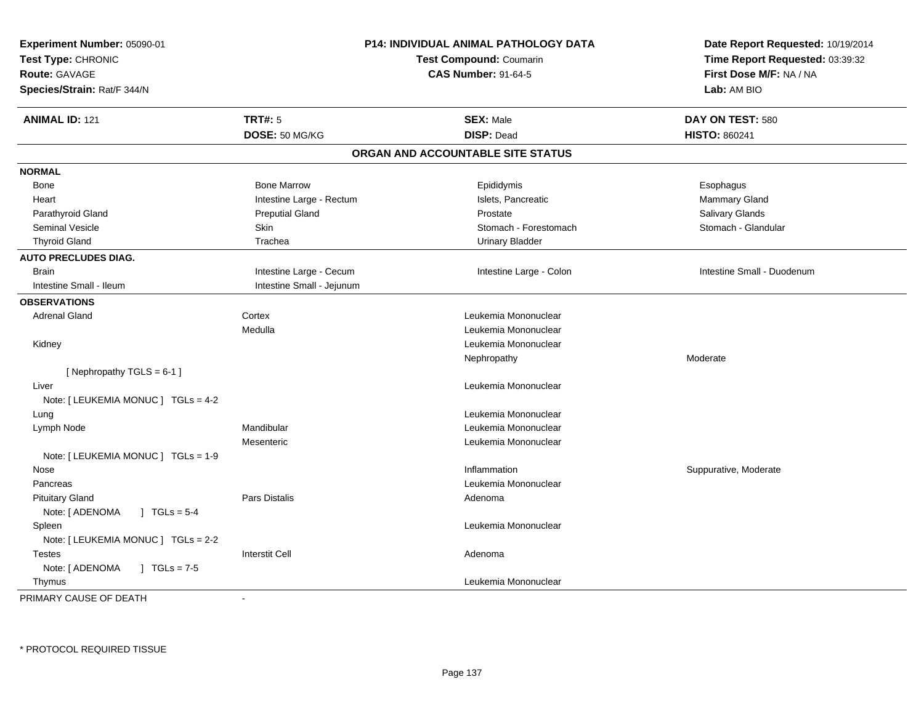| <b>Experiment Number: 05090-01</b><br>Test Type: CHRONIC<br><b>Route: GAVAGE</b><br>Species/Strain: Rat/F 344/N |                           | P14: INDIVIDUAL ANIMAL PATHOLOGY DATA<br><b>Test Compound: Coumarin</b><br><b>CAS Number: 91-64-5</b> | Date Report Requested: 10/19/2014<br>Time Report Requested: 03:39:32<br>First Dose M/F: NA / NA<br>Lab: AM BIO |
|-----------------------------------------------------------------------------------------------------------------|---------------------------|-------------------------------------------------------------------------------------------------------|----------------------------------------------------------------------------------------------------------------|
| <b>ANIMAL ID: 121</b>                                                                                           | <b>TRT#: 5</b>            | <b>SEX: Male</b>                                                                                      | DAY ON TEST: 580                                                                                               |
|                                                                                                                 | DOSE: 50 MG/KG            | <b>DISP: Dead</b>                                                                                     | <b>HISTO: 860241</b>                                                                                           |
|                                                                                                                 |                           | ORGAN AND ACCOUNTABLE SITE STATUS                                                                     |                                                                                                                |
| <b>NORMAL</b>                                                                                                   |                           |                                                                                                       |                                                                                                                |
| Bone                                                                                                            | <b>Bone Marrow</b>        | Epididymis                                                                                            | Esophagus                                                                                                      |
| Heart                                                                                                           | Intestine Large - Rectum  | Islets, Pancreatic                                                                                    | Mammary Gland                                                                                                  |
| Parathyroid Gland                                                                                               | <b>Preputial Gland</b>    | Prostate                                                                                              | Salivary Glands                                                                                                |
| <b>Seminal Vesicle</b>                                                                                          | <b>Skin</b>               | Stomach - Forestomach                                                                                 | Stomach - Glandular                                                                                            |
| <b>Thyroid Gland</b>                                                                                            | Trachea                   | <b>Urinary Bladder</b>                                                                                |                                                                                                                |
| <b>AUTO PRECLUDES DIAG.</b>                                                                                     |                           |                                                                                                       |                                                                                                                |
| <b>Brain</b>                                                                                                    | Intestine Large - Cecum   | Intestine Large - Colon                                                                               | Intestine Small - Duodenum                                                                                     |
| Intestine Small - Ileum                                                                                         | Intestine Small - Jejunum |                                                                                                       |                                                                                                                |
| <b>OBSERVATIONS</b>                                                                                             |                           |                                                                                                       |                                                                                                                |
| <b>Adrenal Gland</b>                                                                                            | Cortex                    | Leukemia Mononuclear                                                                                  |                                                                                                                |
|                                                                                                                 | Medulla                   | Leukemia Mononuclear                                                                                  |                                                                                                                |
| Kidney                                                                                                          |                           | Leukemia Mononuclear                                                                                  |                                                                                                                |
|                                                                                                                 |                           | Nephropathy                                                                                           | Moderate                                                                                                       |
| [Nephropathy TGLS = 6-1]                                                                                        |                           |                                                                                                       |                                                                                                                |
| Liver                                                                                                           |                           | Leukemia Mononuclear                                                                                  |                                                                                                                |
| Note: [ LEUKEMIA MONUC ] TGLs = 4-2                                                                             |                           |                                                                                                       |                                                                                                                |
| Lung                                                                                                            |                           | Leukemia Mononuclear                                                                                  |                                                                                                                |
| Lymph Node                                                                                                      | Mandibular                | Leukemia Mononuclear                                                                                  |                                                                                                                |
|                                                                                                                 | Mesenteric                | Leukemia Mononuclear                                                                                  |                                                                                                                |
| Note: [ LEUKEMIA MONUC ] TGLs = 1-9                                                                             |                           |                                                                                                       |                                                                                                                |
| Nose                                                                                                            |                           | Inflammation                                                                                          | Suppurative, Moderate                                                                                          |
| Pancreas                                                                                                        |                           | Leukemia Mononuclear                                                                                  |                                                                                                                |
| <b>Pituitary Gland</b>                                                                                          | Pars Distalis             | Adenoma                                                                                               |                                                                                                                |
| Note: [ ADENOMA<br>$\sqrt{1}$ TGLs = 5-4                                                                        |                           |                                                                                                       |                                                                                                                |
| Spleen                                                                                                          |                           | Leukemia Mononuclear                                                                                  |                                                                                                                |
| Note: [ LEUKEMIA MONUC ] TGLs = 2-2                                                                             |                           |                                                                                                       |                                                                                                                |
| Testes                                                                                                          | <b>Interstit Cell</b>     | Adenoma                                                                                               |                                                                                                                |
| Note: [ ADENOMA<br>$J \cdot TGLs = 7-5$                                                                         |                           |                                                                                                       |                                                                                                                |
| Thymus                                                                                                          |                           | Leukemia Mononuclear                                                                                  |                                                                                                                |
| PRIMARY CAUSE OF DEATH                                                                                          |                           |                                                                                                       |                                                                                                                |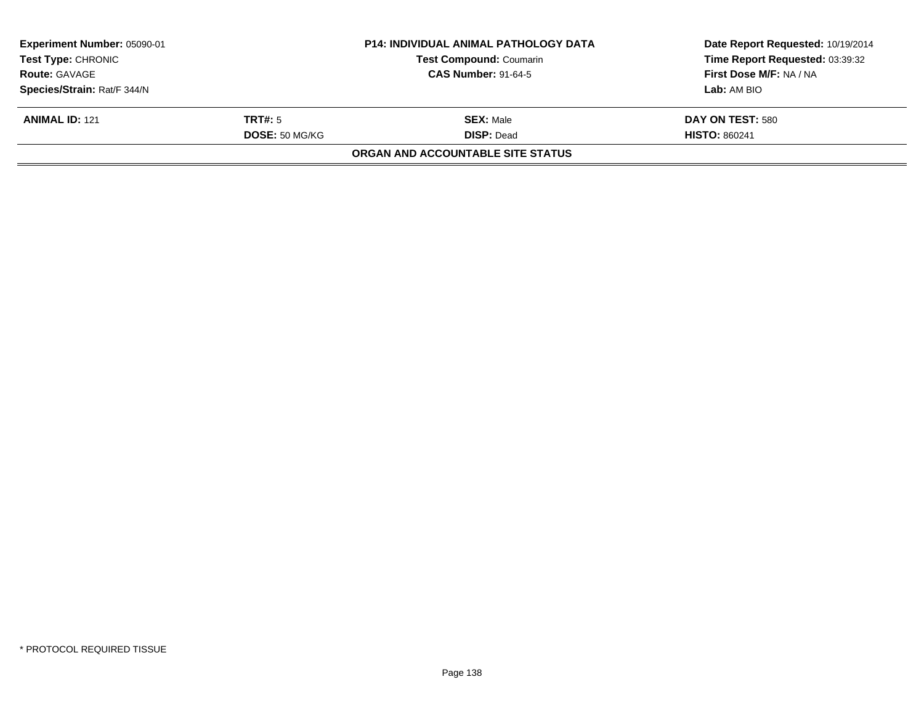| <b>Experiment Number: 05090-01</b> |                       | <b>P14: INDIVIDUAL ANIMAL PATHOLOGY DATA</b> | Date Report Requested: 10/19/2014 |  |
|------------------------------------|-----------------------|----------------------------------------------|-----------------------------------|--|
| <b>Test Type: CHRONIC</b>          |                       | <b>Test Compound: Coumarin</b>               | Time Report Requested: 03:39:32   |  |
| <b>Route: GAVAGE</b>               |                       | <b>CAS Number: 91-64-5</b>                   | First Dose M/F: NA / NA           |  |
| Species/Strain: Rat/F 344/N        |                       |                                              | <b>Lab:</b> AM BIO                |  |
| <b>ANIMAL ID: 121</b>              | TRT#: 5               | <b>SEX: Male</b>                             | DAY ON TEST: 580                  |  |
|                                    | <b>DOSE: 50 MG/KG</b> | <b>DISP: Dead</b>                            | <b>HISTO: 860241</b>              |  |
|                                    |                       | ORGAN AND ACCOUNTABLE SITE STATUS            |                                   |  |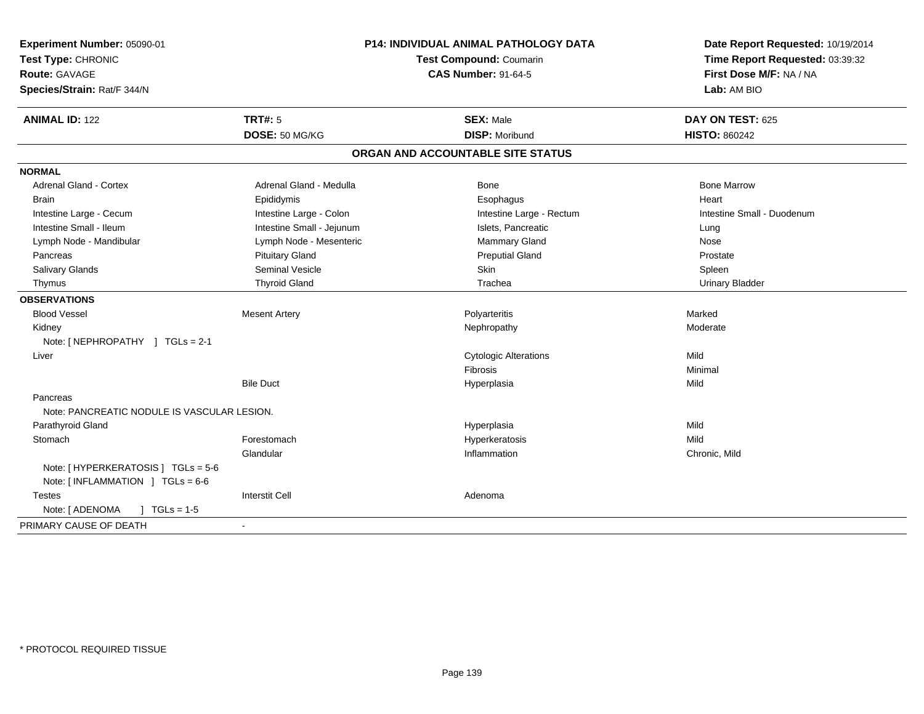| Experiment Number: 05090-01<br>Test Type: CHRONIC<br><b>Route: GAVAGE</b><br>Species/Strain: Rat/F 344/N |                           | <b>P14: INDIVIDUAL ANIMAL PATHOLOGY DATA</b><br>Test Compound: Coumarin<br><b>CAS Number: 91-64-5</b> | Date Report Requested: 10/19/2014<br>Time Report Requested: 03:39:32<br>First Dose M/F: NA / NA<br>Lab: AM BIO |  |
|----------------------------------------------------------------------------------------------------------|---------------------------|-------------------------------------------------------------------------------------------------------|----------------------------------------------------------------------------------------------------------------|--|
| <b>ANIMAL ID: 122</b>                                                                                    | <b>TRT#: 5</b>            | <b>SEX: Male</b>                                                                                      | DAY ON TEST: 625                                                                                               |  |
|                                                                                                          | DOSE: 50 MG/KG            | <b>DISP: Moribund</b>                                                                                 | <b>HISTO: 860242</b>                                                                                           |  |
|                                                                                                          |                           | ORGAN AND ACCOUNTABLE SITE STATUS                                                                     |                                                                                                                |  |
| <b>NORMAL</b>                                                                                            |                           |                                                                                                       |                                                                                                                |  |
| <b>Adrenal Gland - Cortex</b>                                                                            | Adrenal Gland - Medulla   | Bone                                                                                                  | <b>Bone Marrow</b>                                                                                             |  |
| <b>Brain</b>                                                                                             | Epididymis                | Esophagus                                                                                             | Heart                                                                                                          |  |
| Intestine Large - Cecum                                                                                  | Intestine Large - Colon   | Intestine Large - Rectum                                                                              | Intestine Small - Duodenum                                                                                     |  |
| Intestine Small - Ileum                                                                                  | Intestine Small - Jejunum | Islets, Pancreatic                                                                                    | Lung                                                                                                           |  |
| Lymph Node - Mandibular                                                                                  | Lymph Node - Mesenteric   | Mammary Gland                                                                                         | Nose                                                                                                           |  |
| Pancreas                                                                                                 | <b>Pituitary Gland</b>    | <b>Preputial Gland</b>                                                                                | Prostate                                                                                                       |  |
| Salivary Glands                                                                                          | <b>Seminal Vesicle</b>    | <b>Skin</b>                                                                                           | Spleen                                                                                                         |  |
| Thymus                                                                                                   | <b>Thyroid Gland</b>      | Trachea                                                                                               | <b>Urinary Bladder</b>                                                                                         |  |
| <b>OBSERVATIONS</b>                                                                                      |                           |                                                                                                       |                                                                                                                |  |
| <b>Blood Vessel</b>                                                                                      | <b>Mesent Artery</b>      | Polyarteritis                                                                                         | Marked                                                                                                         |  |
| Kidney                                                                                                   |                           | Nephropathy                                                                                           | Moderate                                                                                                       |  |
| Note: [NEPHROPATHY ] TGLs = 2-1                                                                          |                           |                                                                                                       |                                                                                                                |  |
| Liver                                                                                                    |                           | <b>Cytologic Alterations</b>                                                                          | Mild                                                                                                           |  |
|                                                                                                          |                           | Fibrosis                                                                                              | Minimal                                                                                                        |  |
|                                                                                                          | <b>Bile Duct</b>          | Hyperplasia                                                                                           | Mild                                                                                                           |  |
| Pancreas                                                                                                 |                           |                                                                                                       |                                                                                                                |  |
| Note: PANCREATIC NODULE IS VASCULAR LESION.                                                              |                           |                                                                                                       |                                                                                                                |  |
| Parathyroid Gland                                                                                        |                           | Hyperplasia                                                                                           | Mild                                                                                                           |  |
| Stomach                                                                                                  | Forestomach               | Hyperkeratosis                                                                                        | Mild                                                                                                           |  |
|                                                                                                          | Glandular                 | Inflammation                                                                                          | Chronic, Mild                                                                                                  |  |
| Note: [ HYPERKERATOSIS ] TGLs = 5-6<br>Note: $[INFLAMMATION] TGLS = 6-6$                                 |                           |                                                                                                       |                                                                                                                |  |
| <b>Testes</b>                                                                                            | <b>Interstit Cell</b>     | Adenoma                                                                                               |                                                                                                                |  |
| Note: [ ADENOMA<br>$] TGLs = 1-5$                                                                        |                           |                                                                                                       |                                                                                                                |  |
| PRIMARY CAUSE OF DEATH                                                                                   |                           |                                                                                                       |                                                                                                                |  |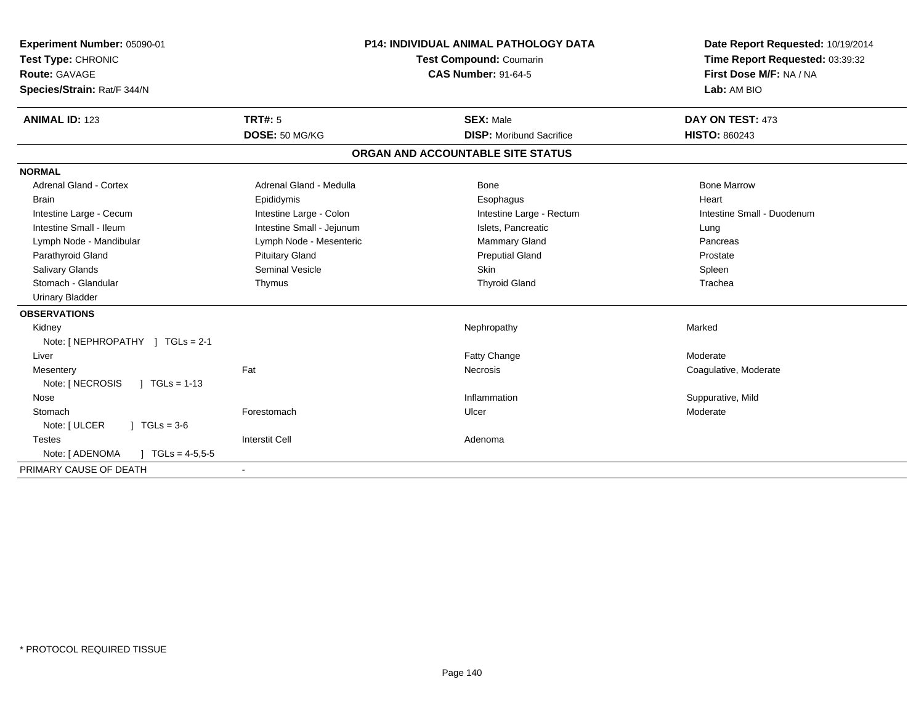| Experiment Number: 05090-01<br>Test Type: CHRONIC<br><b>Route: GAVAGE</b><br>Species/Strain: Rat/F 344/N<br><b>ANIMAL ID: 123</b> | <b>TRT#: 5</b><br>DOSE: 50 MG/KG | <b>P14: INDIVIDUAL ANIMAL PATHOLOGY DATA</b><br><b>Test Compound: Coumarin</b><br><b>CAS Number: 91-64-5</b><br><b>SEX: Male</b><br><b>DISP:</b> Moribund Sacrifice |                                   | Date Report Requested: 10/19/2014<br>Time Report Requested: 03:39:32<br>First Dose M/F: NA / NA<br>Lab: AM BIO<br>DAY ON TEST: 473<br><b>HISTO: 860243</b> |
|-----------------------------------------------------------------------------------------------------------------------------------|----------------------------------|---------------------------------------------------------------------------------------------------------------------------------------------------------------------|-----------------------------------|------------------------------------------------------------------------------------------------------------------------------------------------------------|
|                                                                                                                                   |                                  |                                                                                                                                                                     | ORGAN AND ACCOUNTABLE SITE STATUS |                                                                                                                                                            |
| <b>NORMAL</b>                                                                                                                     |                                  |                                                                                                                                                                     |                                   |                                                                                                                                                            |
| <b>Adrenal Gland - Cortex</b>                                                                                                     | Adrenal Gland - Medulla          |                                                                                                                                                                     | Bone                              | <b>Bone Marrow</b>                                                                                                                                         |
| <b>Brain</b>                                                                                                                      | Epididymis                       |                                                                                                                                                                     | Esophagus                         | Heart                                                                                                                                                      |
| Intestine Large - Cecum                                                                                                           | Intestine Large - Colon          |                                                                                                                                                                     | Intestine Large - Rectum          | Intestine Small - Duodenum                                                                                                                                 |
| Intestine Small - Ileum                                                                                                           | Intestine Small - Jejunum        |                                                                                                                                                                     | Islets, Pancreatic                | Lung                                                                                                                                                       |
| Lymph Node - Mandibular                                                                                                           | Lymph Node - Mesenteric          |                                                                                                                                                                     | Mammary Gland                     | Pancreas                                                                                                                                                   |
| Parathyroid Gland                                                                                                                 | <b>Pituitary Gland</b>           |                                                                                                                                                                     | <b>Preputial Gland</b>            | Prostate                                                                                                                                                   |
| <b>Salivary Glands</b>                                                                                                            | <b>Seminal Vesicle</b>           |                                                                                                                                                                     | <b>Skin</b>                       | Spleen                                                                                                                                                     |
| Stomach - Glandular                                                                                                               | Thymus                           |                                                                                                                                                                     | <b>Thyroid Gland</b>              | Trachea                                                                                                                                                    |
| <b>Urinary Bladder</b>                                                                                                            |                                  |                                                                                                                                                                     |                                   |                                                                                                                                                            |
| <b>OBSERVATIONS</b>                                                                                                               |                                  |                                                                                                                                                                     |                                   |                                                                                                                                                            |
| Kidney                                                                                                                            |                                  |                                                                                                                                                                     | Nephropathy                       | Marked                                                                                                                                                     |
| Note: [NEPHROPATHY ] TGLs = 2-1                                                                                                   |                                  |                                                                                                                                                                     |                                   |                                                                                                                                                            |
| Liver                                                                                                                             |                                  |                                                                                                                                                                     | Fatty Change                      | Moderate                                                                                                                                                   |
| Mesentery                                                                                                                         | Fat                              |                                                                                                                                                                     | Necrosis                          | Coagulative, Moderate                                                                                                                                      |
| $1 TGLs = 1-13$<br>Note: [ NECROSIS                                                                                               |                                  |                                                                                                                                                                     |                                   |                                                                                                                                                            |
| Nose                                                                                                                              |                                  |                                                                                                                                                                     | Inflammation                      | Suppurative, Mild                                                                                                                                          |
| Stomach                                                                                                                           | Forestomach                      |                                                                                                                                                                     | Ulcer                             | Moderate                                                                                                                                                   |
| Note: [ ULCER<br>$1 \text{ TGLs} = 3.6$                                                                                           |                                  |                                                                                                                                                                     |                                   |                                                                                                                                                            |
| <b>Testes</b>                                                                                                                     | <b>Interstit Cell</b>            |                                                                                                                                                                     | Adenoma                           |                                                                                                                                                            |
| Note: [ ADENOMA<br>$\mid$ TGLs = 4-5,5-5                                                                                          |                                  |                                                                                                                                                                     |                                   |                                                                                                                                                            |
| PRIMARY CAUSE OF DEATH                                                                                                            |                                  |                                                                                                                                                                     |                                   |                                                                                                                                                            |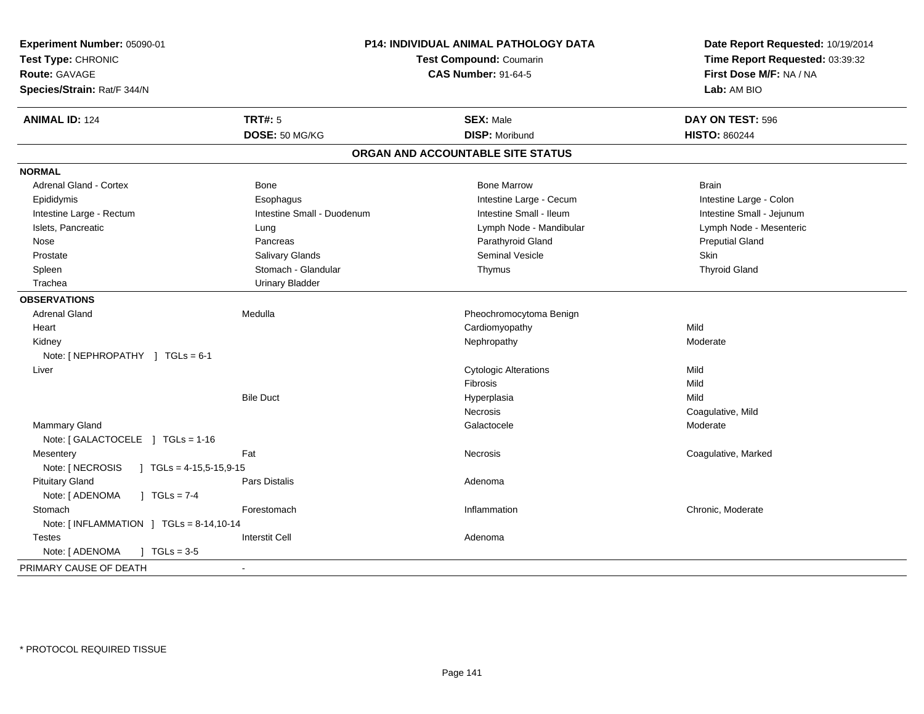| Experiment Number: 05090-01                      |                            | P14: INDIVIDUAL ANIMAL PATHOLOGY DATA | Date Report Requested: 10/19/2014 |  |
|--------------------------------------------------|----------------------------|---------------------------------------|-----------------------------------|--|
| Test Type: CHRONIC                               |                            | <b>Test Compound: Coumarin</b>        | Time Report Requested: 03:39:32   |  |
| Route: GAVAGE                                    |                            | <b>CAS Number: 91-64-5</b>            | First Dose M/F: NA / NA           |  |
| Species/Strain: Rat/F 344/N                      |                            |                                       | Lab: AM BIO                       |  |
| <b>ANIMAL ID: 124</b>                            | <b>TRT#: 5</b>             | <b>SEX: Male</b>                      | DAY ON TEST: 596                  |  |
|                                                  | DOSE: 50 MG/KG             | <b>DISP: Moribund</b>                 | <b>HISTO: 860244</b>              |  |
|                                                  |                            | ORGAN AND ACCOUNTABLE SITE STATUS     |                                   |  |
| <b>NORMAL</b>                                    |                            |                                       |                                   |  |
| Adrenal Gland - Cortex                           | Bone                       | <b>Bone Marrow</b>                    | <b>Brain</b>                      |  |
| Epididymis                                       | Esophagus                  | Intestine Large - Cecum               | Intestine Large - Colon           |  |
| Intestine Large - Rectum                         | Intestine Small - Duodenum | Intestine Small - Ileum               | Intestine Small - Jejunum         |  |
| Islets, Pancreatic                               | Lung                       | Lymph Node - Mandibular               | Lymph Node - Mesenteric           |  |
| Nose                                             | Pancreas                   | Parathyroid Gland                     | <b>Preputial Gland</b>            |  |
| Prostate                                         | Salivary Glands            | <b>Seminal Vesicle</b>                | Skin                              |  |
| Spleen                                           | Stomach - Glandular        | Thymus                                | <b>Thyroid Gland</b>              |  |
| Trachea                                          | <b>Urinary Bladder</b>     |                                       |                                   |  |
| <b>OBSERVATIONS</b>                              |                            |                                       |                                   |  |
| <b>Adrenal Gland</b>                             | Medulla                    | Pheochromocytoma Benign               |                                   |  |
| Heart                                            |                            | Cardiomyopathy                        | Mild                              |  |
| Kidney                                           |                            | Nephropathy                           | Moderate                          |  |
| Note: [NEPHROPATHY ] TGLs = 6-1                  |                            |                                       |                                   |  |
| Liver                                            |                            | <b>Cytologic Alterations</b>          | Mild                              |  |
|                                                  |                            | <b>Fibrosis</b>                       | Mild                              |  |
|                                                  | <b>Bile Duct</b>           | Hyperplasia                           | Mild                              |  |
|                                                  |                            | Necrosis                              | Coagulative, Mild                 |  |
| Mammary Gland                                    |                            | Galactocele                           | Moderate                          |  |
| Note: [ GALACTOCELE ] TGLs = 1-16                |                            |                                       |                                   |  |
| Mesentery                                        | Fat                        | <b>Necrosis</b>                       | Coagulative, Marked               |  |
| Note: [ NECROSIS<br>$\int$ TGLs = 4-15,5-15,9-15 |                            |                                       |                                   |  |
| <b>Pituitary Gland</b>                           | Pars Distalis              | Adenoma                               |                                   |  |
| Note: [ ADENOMA<br>$J \cdot TGLs = 7-4$          |                            |                                       |                                   |  |
| Stomach                                          | Forestomach                | Inflammation                          | Chronic, Moderate                 |  |
| Note: [INFLAMMATION ] TGLs = 8-14,10-14          |                            |                                       |                                   |  |
| <b>Testes</b>                                    | <b>Interstit Cell</b>      | Adenoma                               |                                   |  |
| Note: [ ADENOMA<br>$1 \text{ TGLs} = 3.5$        |                            |                                       |                                   |  |
| PRIMARY CAUSE OF DEATH                           |                            |                                       |                                   |  |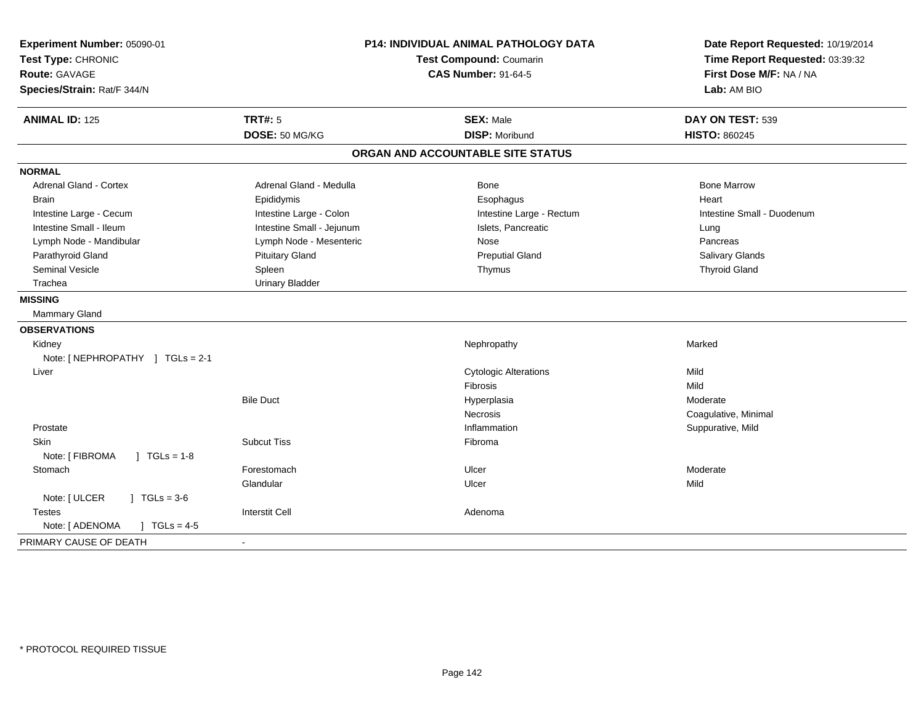| Experiment Number: 05090-01<br>Test Type: CHRONIC<br>Route: GAVAGE<br>Species/Strain: Rat/F 344/N | <b>P14: INDIVIDUAL ANIMAL PATHOLOGY DATA</b><br>Test Compound: Coumarin<br><b>CAS Number: 91-64-5</b> |                                   | Date Report Requested: 10/19/2014<br>Time Report Requested: 03:39:32<br>First Dose M/F: NA / NA<br>Lab: AM BIO |  |
|---------------------------------------------------------------------------------------------------|-------------------------------------------------------------------------------------------------------|-----------------------------------|----------------------------------------------------------------------------------------------------------------|--|
| <b>ANIMAL ID: 125</b>                                                                             | <b>TRT#: 5</b>                                                                                        | <b>SEX: Male</b>                  | DAY ON TEST: 539                                                                                               |  |
|                                                                                                   | DOSE: 50 MG/KG                                                                                        | <b>DISP: Moribund</b>             | <b>HISTO: 860245</b>                                                                                           |  |
|                                                                                                   |                                                                                                       | ORGAN AND ACCOUNTABLE SITE STATUS |                                                                                                                |  |
| <b>NORMAL</b>                                                                                     |                                                                                                       |                                   |                                                                                                                |  |
| <b>Adrenal Gland - Cortex</b>                                                                     | Adrenal Gland - Medulla                                                                               | Bone                              | <b>Bone Marrow</b>                                                                                             |  |
| <b>Brain</b>                                                                                      | Epididymis                                                                                            | Esophagus                         | Heart                                                                                                          |  |
| Intestine Large - Cecum                                                                           | Intestine Large - Colon                                                                               | Intestine Large - Rectum          | Intestine Small - Duodenum                                                                                     |  |
| Intestine Small - Ileum                                                                           | Intestine Small - Jejunum                                                                             | Islets, Pancreatic                | Lung                                                                                                           |  |
| Lymph Node - Mandibular                                                                           | Lymph Node - Mesenteric                                                                               | Nose                              | Pancreas                                                                                                       |  |
| Parathyroid Gland                                                                                 | <b>Pituitary Gland</b>                                                                                | <b>Preputial Gland</b>            | Salivary Glands                                                                                                |  |
| <b>Seminal Vesicle</b>                                                                            | Spleen                                                                                                | Thymus                            | <b>Thyroid Gland</b>                                                                                           |  |
| Trachea                                                                                           | <b>Urinary Bladder</b>                                                                                |                                   |                                                                                                                |  |
| <b>MISSING</b>                                                                                    |                                                                                                       |                                   |                                                                                                                |  |
| <b>Mammary Gland</b>                                                                              |                                                                                                       |                                   |                                                                                                                |  |
| <b>OBSERVATIONS</b>                                                                               |                                                                                                       |                                   |                                                                                                                |  |
| Kidney                                                                                            |                                                                                                       | Nephropathy                       | Marked                                                                                                         |  |
| Note: [NEPHROPATHY ] TGLs = 2-1                                                                   |                                                                                                       |                                   |                                                                                                                |  |
| Liver                                                                                             |                                                                                                       | <b>Cytologic Alterations</b>      | Mild                                                                                                           |  |
|                                                                                                   |                                                                                                       | Fibrosis                          | Mild                                                                                                           |  |
|                                                                                                   | <b>Bile Duct</b>                                                                                      | Hyperplasia                       | Moderate                                                                                                       |  |
|                                                                                                   |                                                                                                       | <b>Necrosis</b>                   | Coagulative, Minimal                                                                                           |  |
| Prostate                                                                                          |                                                                                                       | Inflammation                      | Suppurative, Mild                                                                                              |  |
| <b>Skin</b>                                                                                       | <b>Subcut Tiss</b>                                                                                    | Fibroma                           |                                                                                                                |  |
| Note: [ FIBROMA<br>$1 TGLs = 1-8$                                                                 |                                                                                                       |                                   |                                                                                                                |  |
| Stomach                                                                                           | Forestomach                                                                                           | Ulcer                             | Moderate                                                                                                       |  |
|                                                                                                   | Glandular                                                                                             | Ulcer                             | Mild                                                                                                           |  |
| $1 TGLs = 3-6$<br>Note: [ ULCER                                                                   |                                                                                                       |                                   |                                                                                                                |  |
| <b>Testes</b>                                                                                     | <b>Interstit Cell</b>                                                                                 | Adenoma                           |                                                                                                                |  |
| Note: [ ADENOMA<br>$\sqrt{ }$ TGLs = 4-5                                                          |                                                                                                       |                                   |                                                                                                                |  |
| PRIMARY CAUSE OF DEATH                                                                            | $\overline{a}$                                                                                        |                                   |                                                                                                                |  |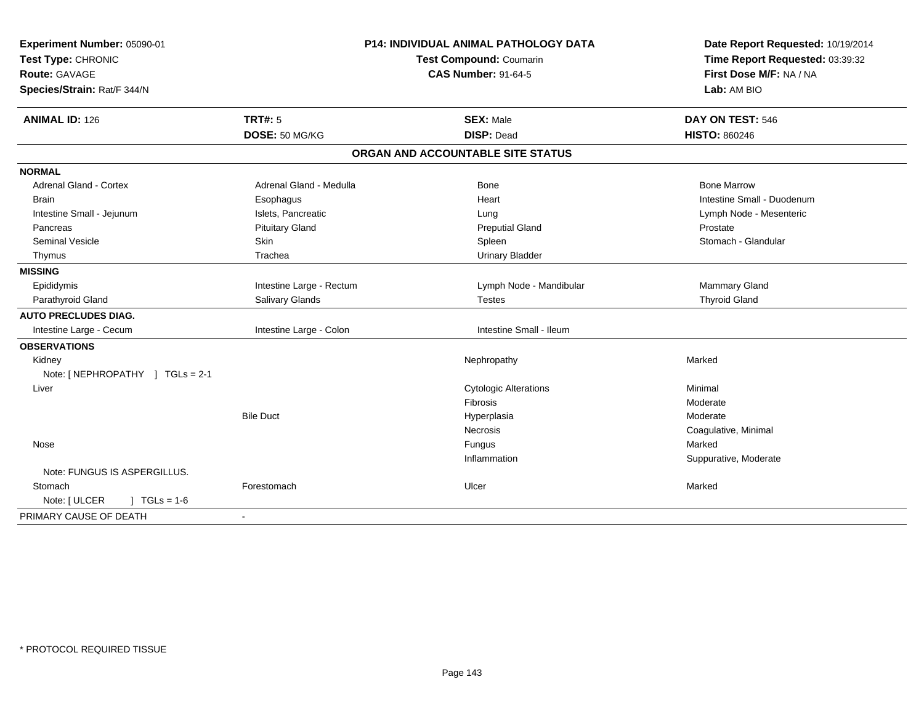| Experiment Number: 05090-01<br>Test Type: CHRONIC   |                          | <b>P14: INDIVIDUAL ANIMAL PATHOLOGY DATA</b><br>Test Compound: Coumarin | Date Report Requested: 10/19/2014<br>Time Report Requested: 03:39:32 |  |
|-----------------------------------------------------|--------------------------|-------------------------------------------------------------------------|----------------------------------------------------------------------|--|
| <b>Route: GAVAGE</b><br>Species/Strain: Rat/F 344/N |                          | <b>CAS Number: 91-64-5</b>                                              | First Dose M/F: NA / NA<br>Lab: AM BIO                               |  |
| <b>ANIMAL ID: 126</b>                               | <b>TRT#: 5</b>           | <b>SEX: Male</b>                                                        | DAY ON TEST: 546                                                     |  |
|                                                     | DOSE: 50 MG/KG           | <b>DISP: Dead</b>                                                       | <b>HISTO: 860246</b>                                                 |  |
|                                                     |                          | ORGAN AND ACCOUNTABLE SITE STATUS                                       |                                                                      |  |
| <b>NORMAL</b>                                       |                          |                                                                         |                                                                      |  |
| <b>Adrenal Gland - Cortex</b>                       | Adrenal Gland - Medulla  | Bone                                                                    | <b>Bone Marrow</b>                                                   |  |
| <b>Brain</b>                                        | Esophagus                | Heart                                                                   | Intestine Small - Duodenum                                           |  |
| Intestine Small - Jejunum                           | Islets, Pancreatic       | Lung                                                                    | Lymph Node - Mesenteric                                              |  |
| Pancreas                                            | <b>Pituitary Gland</b>   | <b>Preputial Gland</b>                                                  | Prostate                                                             |  |
| <b>Seminal Vesicle</b>                              | Skin                     | Spleen                                                                  | Stomach - Glandular                                                  |  |
| Thymus                                              | Trachea                  | <b>Urinary Bladder</b>                                                  |                                                                      |  |
| <b>MISSING</b>                                      |                          |                                                                         |                                                                      |  |
| Epididymis                                          | Intestine Large - Rectum | Lymph Node - Mandibular                                                 | Mammary Gland                                                        |  |
| Parathyroid Gland                                   | Salivary Glands          | <b>Testes</b>                                                           | <b>Thyroid Gland</b>                                                 |  |
| <b>AUTO PRECLUDES DIAG.</b>                         |                          |                                                                         |                                                                      |  |
| Intestine Large - Cecum                             | Intestine Large - Colon  | Intestine Small - Ileum                                                 |                                                                      |  |
| <b>OBSERVATIONS</b>                                 |                          |                                                                         |                                                                      |  |
| Kidney                                              |                          | Nephropathy                                                             | Marked                                                               |  |
| Note: [NEPHROPATHY ] TGLs = 2-1                     |                          |                                                                         |                                                                      |  |
| Liver                                               |                          | <b>Cytologic Alterations</b>                                            | Minimal                                                              |  |
|                                                     |                          | Fibrosis                                                                | Moderate                                                             |  |
|                                                     | <b>Bile Duct</b>         | Hyperplasia                                                             | Moderate                                                             |  |
|                                                     |                          | Necrosis                                                                | Coagulative, Minimal                                                 |  |
| Nose                                                |                          | Fungus                                                                  | Marked                                                               |  |
|                                                     |                          | Inflammation                                                            | Suppurative, Moderate                                                |  |
| Note: FUNGUS IS ASPERGILLUS.                        |                          |                                                                         |                                                                      |  |
| Stomach                                             | Forestomach              | Ulcer                                                                   | Marked                                                               |  |
| Note: [ ULCER<br>$1 TGLs = 1-6$                     |                          |                                                                         |                                                                      |  |
| PRIMARY CAUSE OF DEATH                              |                          |                                                                         |                                                                      |  |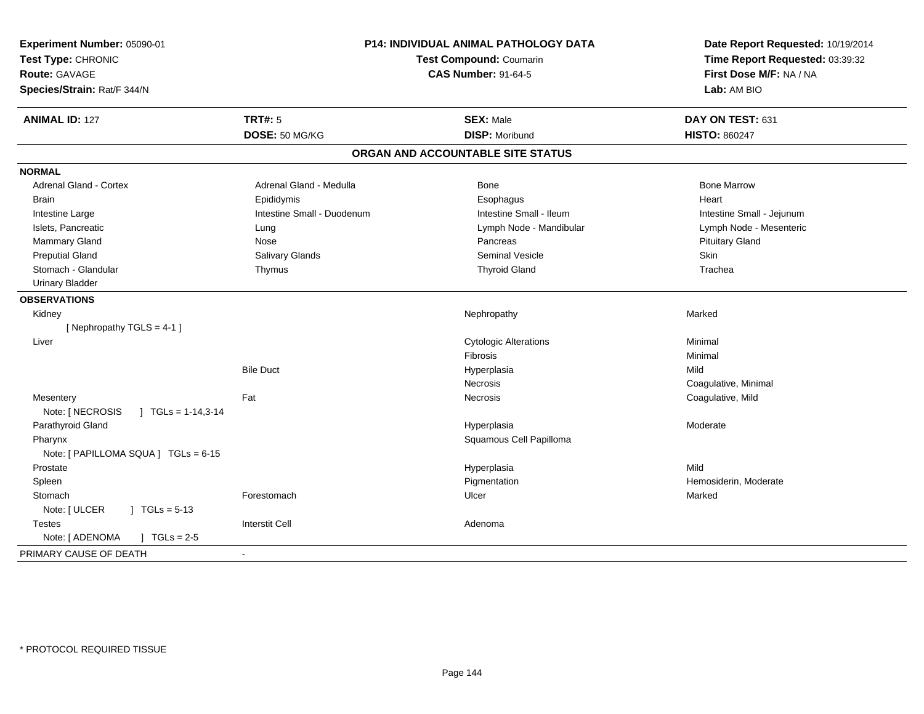| Experiment Number: 05090-01<br>Test Type: CHRONIC<br><b>Route: GAVAGE</b><br>Species/Strain: Rat/F 344/N | P14: INDIVIDUAL ANIMAL PATHOLOGY DATA<br>Test Compound: Coumarin<br><b>CAS Number: 91-64-5</b> |                                   | Date Report Requested: 10/19/2014<br>Time Report Requested: 03:39:32<br>First Dose M/F: NA / NA<br>Lab: AM BIO |  |
|----------------------------------------------------------------------------------------------------------|------------------------------------------------------------------------------------------------|-----------------------------------|----------------------------------------------------------------------------------------------------------------|--|
| <b>ANIMAL ID: 127</b>                                                                                    | <b>TRT#: 5</b>                                                                                 | <b>SEX: Male</b>                  | DAY ON TEST: 631                                                                                               |  |
|                                                                                                          | DOSE: 50 MG/KG                                                                                 | <b>DISP: Moribund</b>             | <b>HISTO: 860247</b>                                                                                           |  |
|                                                                                                          |                                                                                                | ORGAN AND ACCOUNTABLE SITE STATUS |                                                                                                                |  |
| <b>NORMAL</b>                                                                                            |                                                                                                |                                   |                                                                                                                |  |
| <b>Adrenal Gland - Cortex</b>                                                                            | Adrenal Gland - Medulla                                                                        | Bone                              | <b>Bone Marrow</b>                                                                                             |  |
| Brain                                                                                                    | Epididymis                                                                                     | Esophagus                         | Heart                                                                                                          |  |
| Intestine Large                                                                                          | Intestine Small - Duodenum                                                                     | Intestine Small - Ileum           | Intestine Small - Jejunum                                                                                      |  |
| Islets, Pancreatic                                                                                       | Lung                                                                                           | Lymph Node - Mandibular           | Lymph Node - Mesenteric                                                                                        |  |
| <b>Mammary Gland</b>                                                                                     | Nose                                                                                           | Pancreas                          | <b>Pituitary Gland</b>                                                                                         |  |
| <b>Preputial Gland</b>                                                                                   | Salivary Glands                                                                                | <b>Seminal Vesicle</b>            | <b>Skin</b>                                                                                                    |  |
| Stomach - Glandular                                                                                      | Thymus                                                                                         | <b>Thyroid Gland</b>              | Trachea                                                                                                        |  |
| <b>Urinary Bladder</b>                                                                                   |                                                                                                |                                   |                                                                                                                |  |
| <b>OBSERVATIONS</b>                                                                                      |                                                                                                |                                   |                                                                                                                |  |
| Kidney                                                                                                   |                                                                                                | Nephropathy                       | Marked                                                                                                         |  |
| [Nephropathy TGLS = 4-1]                                                                                 |                                                                                                |                                   |                                                                                                                |  |
| Liver                                                                                                    |                                                                                                | <b>Cytologic Alterations</b>      | Minimal                                                                                                        |  |
|                                                                                                          |                                                                                                | Fibrosis                          | Minimal                                                                                                        |  |
|                                                                                                          | <b>Bile Duct</b>                                                                               | Hyperplasia                       | Mild                                                                                                           |  |
|                                                                                                          |                                                                                                | Necrosis                          | Coagulative, Minimal                                                                                           |  |
| Mesentery                                                                                                | Fat                                                                                            | Necrosis                          | Coagulative, Mild                                                                                              |  |
| Note: [ NECROSIS<br>$\overline{)}$ TGLs = 1-14,3-14                                                      |                                                                                                |                                   |                                                                                                                |  |
| Parathyroid Gland                                                                                        |                                                                                                | Hyperplasia                       | Moderate                                                                                                       |  |
| Pharynx                                                                                                  |                                                                                                | Squamous Cell Papilloma           |                                                                                                                |  |
| Note: [ PAPILLOMA SQUA ] TGLs = 6-15                                                                     |                                                                                                |                                   |                                                                                                                |  |
| Prostate                                                                                                 |                                                                                                | Hyperplasia                       | Mild                                                                                                           |  |
| Spleen                                                                                                   |                                                                                                | Pigmentation                      | Hemosiderin, Moderate                                                                                          |  |
| Stomach                                                                                                  | Forestomach                                                                                    | Ulcer                             | Marked                                                                                                         |  |
| Note: [ ULCER<br>$\int$ TGLs = 5-13                                                                      |                                                                                                |                                   |                                                                                                                |  |
| <b>Testes</b>                                                                                            | <b>Interstit Cell</b>                                                                          | Adenoma                           |                                                                                                                |  |
| Note: [ ADENOMA<br>$J \cdot TGLs = 2-5$                                                                  |                                                                                                |                                   |                                                                                                                |  |
| PRIMARY CAUSE OF DEATH                                                                                   | $\overline{\phantom{a}}$                                                                       |                                   |                                                                                                                |  |
|                                                                                                          |                                                                                                |                                   |                                                                                                                |  |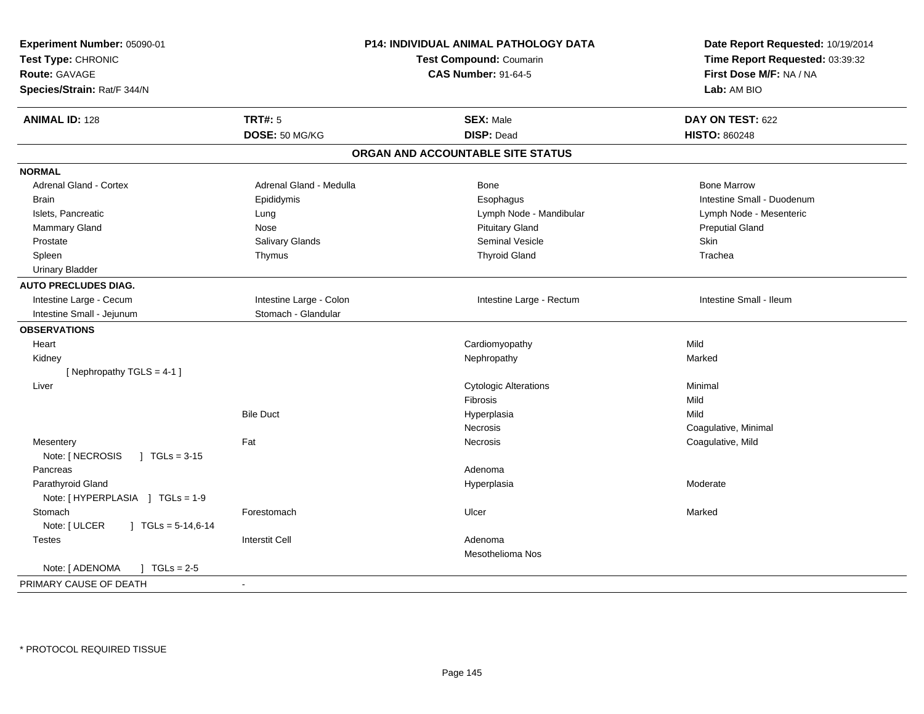| Experiment Number: 05090-01<br>Test Type: CHRONIC<br><b>Route: GAVAGE</b><br>Species/Strain: Rat/F 344/N |                         | P14: INDIVIDUAL ANIMAL PATHOLOGY DATA<br><b>Test Compound: Coumarin</b><br><b>CAS Number: 91-64-5</b> | Date Report Requested: 10/19/2014<br>Time Report Requested: 03:39:32<br>First Dose M/F: NA / NA<br>Lab: AM BIO |
|----------------------------------------------------------------------------------------------------------|-------------------------|-------------------------------------------------------------------------------------------------------|----------------------------------------------------------------------------------------------------------------|
| <b>ANIMAL ID: 128</b>                                                                                    | <b>TRT#: 5</b>          | <b>SEX: Male</b>                                                                                      | DAY ON TEST: 622                                                                                               |
|                                                                                                          | DOSE: 50 MG/KG          | <b>DISP: Dead</b>                                                                                     | <b>HISTO: 860248</b>                                                                                           |
|                                                                                                          |                         | ORGAN AND ACCOUNTABLE SITE STATUS                                                                     |                                                                                                                |
| <b>NORMAL</b>                                                                                            |                         |                                                                                                       |                                                                                                                |
| Adrenal Gland - Cortex                                                                                   | Adrenal Gland - Medulla | <b>Bone</b>                                                                                           | <b>Bone Marrow</b>                                                                                             |
| <b>Brain</b>                                                                                             | Epididymis              | Esophagus                                                                                             | Intestine Small - Duodenum                                                                                     |
| Islets, Pancreatic                                                                                       | Lung                    | Lymph Node - Mandibular                                                                               | Lymph Node - Mesenteric                                                                                        |
| Mammary Gland                                                                                            | Nose                    | <b>Pituitary Gland</b>                                                                                | <b>Preputial Gland</b>                                                                                         |
| Prostate                                                                                                 | Salivary Glands         | <b>Seminal Vesicle</b>                                                                                | Skin                                                                                                           |
| Spleen                                                                                                   | Thymus                  | <b>Thyroid Gland</b>                                                                                  | Trachea                                                                                                        |
| <b>Urinary Bladder</b>                                                                                   |                         |                                                                                                       |                                                                                                                |
| <b>AUTO PRECLUDES DIAG.</b>                                                                              |                         |                                                                                                       |                                                                                                                |
| Intestine Large - Cecum                                                                                  | Intestine Large - Colon | Intestine Large - Rectum                                                                              | Intestine Small - Ileum                                                                                        |
| Intestine Small - Jejunum                                                                                | Stomach - Glandular     |                                                                                                       |                                                                                                                |
| <b>OBSERVATIONS</b>                                                                                      |                         |                                                                                                       |                                                                                                                |
| Heart                                                                                                    |                         | Cardiomyopathy                                                                                        | Mild                                                                                                           |
| Kidney                                                                                                   |                         | Nephropathy                                                                                           | Marked                                                                                                         |
| [Nephropathy TGLS = 4-1]                                                                                 |                         |                                                                                                       |                                                                                                                |
| Liver                                                                                                    |                         | <b>Cytologic Alterations</b>                                                                          | Minimal                                                                                                        |
|                                                                                                          |                         | Fibrosis                                                                                              | Mild                                                                                                           |
|                                                                                                          | <b>Bile Duct</b>        | Hyperplasia                                                                                           | Mild                                                                                                           |
|                                                                                                          |                         | Necrosis                                                                                              | Coagulative, Minimal                                                                                           |
| Mesentery                                                                                                | Fat                     | Necrosis                                                                                              | Coagulative, Mild                                                                                              |
| Note: [ NECROSIS<br>$\sqrt{1}$ TGLs = 3-15                                                               |                         |                                                                                                       |                                                                                                                |
| Pancreas                                                                                                 |                         | Adenoma                                                                                               |                                                                                                                |
| Parathyroid Gland                                                                                        |                         | Hyperplasia                                                                                           | Moderate                                                                                                       |
| Note: [HYPERPLASIA ] TGLs = 1-9                                                                          |                         |                                                                                                       |                                                                                                                |
| Stomach                                                                                                  | Forestomach             | Ulcer                                                                                                 | Marked                                                                                                         |
| Note: [ ULCER<br>$\mid$ TGLs = 5-14,6-14                                                                 |                         |                                                                                                       |                                                                                                                |
| <b>Testes</b>                                                                                            | <b>Interstit Cell</b>   | Adenoma                                                                                               |                                                                                                                |
|                                                                                                          |                         | <b>Mesothelioma Nos</b>                                                                               |                                                                                                                |
| Note: [ ADENOMA<br>$J TGLs = 2-5$                                                                        |                         |                                                                                                       |                                                                                                                |
| PRIMARY CAUSE OF DEATH                                                                                   | $\sim$                  |                                                                                                       |                                                                                                                |
|                                                                                                          |                         |                                                                                                       |                                                                                                                |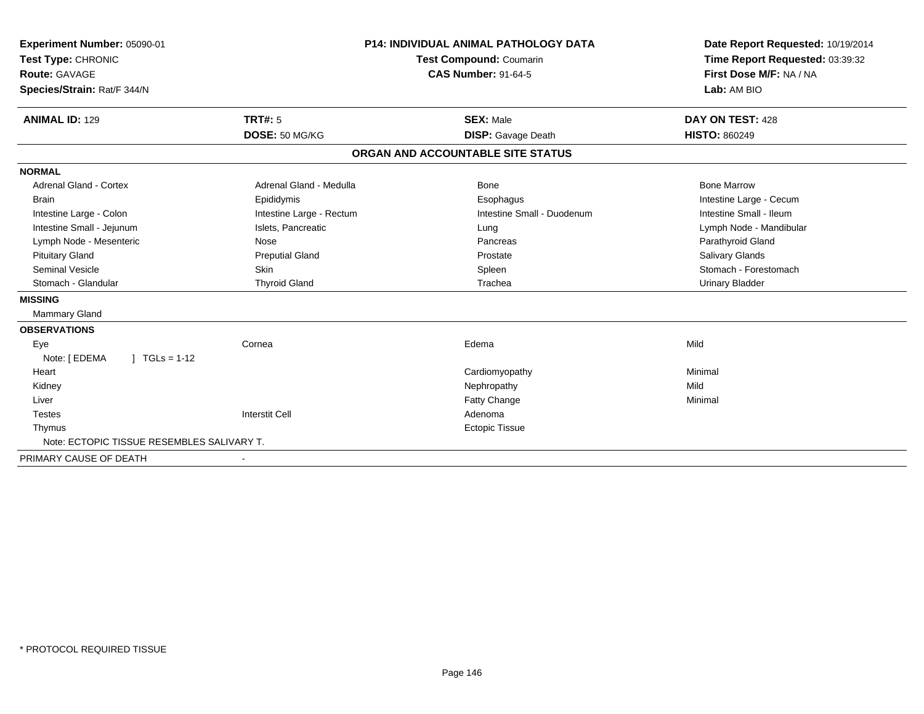| Experiment Number: 05090-01<br>Test Type: CHRONIC<br>Route: GAVAGE<br>Species/Strain: Rat/F 344/N | <b>P14: INDIVIDUAL ANIMAL PATHOLOGY DATA</b><br><b>Test Compound: Coumarin</b><br><b>CAS Number: 91-64-5</b> |                                   | Date Report Requested: 10/19/2014<br>Time Report Requested: 03:39:32<br>First Dose M/F: NA / NA<br>Lab: AM BIO |
|---------------------------------------------------------------------------------------------------|--------------------------------------------------------------------------------------------------------------|-----------------------------------|----------------------------------------------------------------------------------------------------------------|
| <b>ANIMAL ID: 129</b>                                                                             | <b>TRT#: 5</b>                                                                                               | <b>SEX: Male</b>                  | DAY ON TEST: 428                                                                                               |
|                                                                                                   | DOSE: 50 MG/KG                                                                                               | <b>DISP:</b> Gavage Death         | <b>HISTO: 860249</b>                                                                                           |
|                                                                                                   |                                                                                                              | ORGAN AND ACCOUNTABLE SITE STATUS |                                                                                                                |
| <b>NORMAL</b>                                                                                     |                                                                                                              |                                   |                                                                                                                |
| <b>Adrenal Gland - Cortex</b>                                                                     | Adrenal Gland - Medulla                                                                                      | Bone                              | <b>Bone Marrow</b>                                                                                             |
| <b>Brain</b>                                                                                      | Epididymis                                                                                                   | Esophagus                         | Intestine Large - Cecum                                                                                        |
| Intestine Large - Colon                                                                           | Intestine Large - Rectum                                                                                     | Intestine Small - Duodenum        | Intestine Small - Ileum                                                                                        |
| Intestine Small - Jejunum                                                                         | Islets, Pancreatic                                                                                           | Lung                              | Lymph Node - Mandibular                                                                                        |
| Lymph Node - Mesenteric                                                                           | Nose                                                                                                         | Pancreas                          | Parathyroid Gland                                                                                              |
| <b>Pituitary Gland</b>                                                                            | <b>Preputial Gland</b>                                                                                       | Prostate                          | Salivary Glands                                                                                                |
| <b>Seminal Vesicle</b>                                                                            | Skin                                                                                                         | Spleen                            | Stomach - Forestomach                                                                                          |
| Stomach - Glandular                                                                               | <b>Thyroid Gland</b>                                                                                         | Trachea                           | <b>Urinary Bladder</b>                                                                                         |
| <b>MISSING</b>                                                                                    |                                                                                                              |                                   |                                                                                                                |
| Mammary Gland                                                                                     |                                                                                                              |                                   |                                                                                                                |
| <b>OBSERVATIONS</b>                                                                               |                                                                                                              |                                   |                                                                                                                |
| Eye                                                                                               | Cornea                                                                                                       | Edema                             | Mild                                                                                                           |
| $1 TGLs = 1-12$<br>Note: [ EDEMA                                                                  |                                                                                                              |                                   |                                                                                                                |
| Heart                                                                                             |                                                                                                              | Cardiomyopathy                    | Minimal                                                                                                        |
| Kidney                                                                                            |                                                                                                              | Nephropathy                       | Mild                                                                                                           |
| Liver                                                                                             |                                                                                                              | <b>Fatty Change</b>               | Minimal                                                                                                        |
| <b>Testes</b>                                                                                     | <b>Interstit Cell</b>                                                                                        | Adenoma                           |                                                                                                                |
| Thymus                                                                                            |                                                                                                              | <b>Ectopic Tissue</b>             |                                                                                                                |
| Note: ECTOPIC TISSUE RESEMBLES SALIVARY T.                                                        |                                                                                                              |                                   |                                                                                                                |
| PRIMARY CAUSE OF DEATH                                                                            | $\overline{\phantom{0}}$                                                                                     |                                   |                                                                                                                |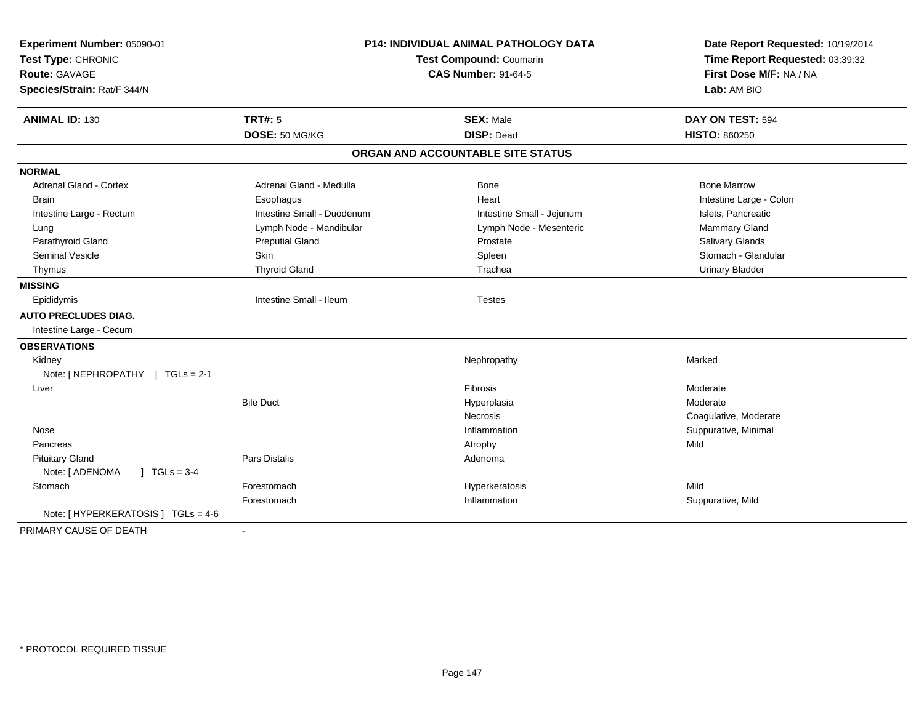| Experiment Number: 05090-01<br>Test Type: CHRONIC<br><b>Route: GAVAGE</b><br>Species/Strain: Rat/F 344/N | <b>P14: INDIVIDUAL ANIMAL PATHOLOGY DATA</b><br>Test Compound: Coumarin<br><b>CAS Number: 91-64-5</b> |                                   | Date Report Requested: 10/19/2014<br>Time Report Requested: 03:39:32<br>First Dose M/F: NA / NA<br>Lab: AM BIO |  |
|----------------------------------------------------------------------------------------------------------|-------------------------------------------------------------------------------------------------------|-----------------------------------|----------------------------------------------------------------------------------------------------------------|--|
| <b>ANIMAL ID: 130</b>                                                                                    | TRT#: 5                                                                                               | <b>SEX: Male</b>                  | DAY ON TEST: 594                                                                                               |  |
|                                                                                                          | DOSE: 50 MG/KG                                                                                        | <b>DISP: Dead</b>                 | <b>HISTO: 860250</b>                                                                                           |  |
|                                                                                                          |                                                                                                       | ORGAN AND ACCOUNTABLE SITE STATUS |                                                                                                                |  |
| <b>NORMAL</b>                                                                                            |                                                                                                       |                                   |                                                                                                                |  |
| <b>Adrenal Gland - Cortex</b>                                                                            | Adrenal Gland - Medulla                                                                               | Bone                              | <b>Bone Marrow</b>                                                                                             |  |
| <b>Brain</b>                                                                                             | Esophagus                                                                                             | Heart                             | Intestine Large - Colon                                                                                        |  |
| Intestine Large - Rectum                                                                                 | Intestine Small - Duodenum                                                                            | Intestine Small - Jejunum         | Islets, Pancreatic                                                                                             |  |
| Lung                                                                                                     | Lymph Node - Mandibular                                                                               | Lymph Node - Mesenteric           | Mammary Gland                                                                                                  |  |
| Parathyroid Gland                                                                                        | <b>Preputial Gland</b>                                                                                | Prostate                          | <b>Salivary Glands</b>                                                                                         |  |
| <b>Seminal Vesicle</b>                                                                                   | Skin                                                                                                  | Spleen                            | Stomach - Glandular                                                                                            |  |
| Thymus                                                                                                   | <b>Thyroid Gland</b>                                                                                  | Trachea                           | <b>Urinary Bladder</b>                                                                                         |  |
| <b>MISSING</b>                                                                                           |                                                                                                       |                                   |                                                                                                                |  |
| Epididymis                                                                                               | Intestine Small - Ileum                                                                               | <b>Testes</b>                     |                                                                                                                |  |
| <b>AUTO PRECLUDES DIAG.</b>                                                                              |                                                                                                       |                                   |                                                                                                                |  |
| Intestine Large - Cecum                                                                                  |                                                                                                       |                                   |                                                                                                                |  |
| <b>OBSERVATIONS</b>                                                                                      |                                                                                                       |                                   |                                                                                                                |  |
| Kidney                                                                                                   |                                                                                                       | Nephropathy                       | Marked                                                                                                         |  |
| Note: [NEPHROPATHY ] TGLs = 2-1                                                                          |                                                                                                       |                                   |                                                                                                                |  |
| Liver                                                                                                    |                                                                                                       | Fibrosis                          | Moderate                                                                                                       |  |
|                                                                                                          | <b>Bile Duct</b>                                                                                      | Hyperplasia                       | Moderate                                                                                                       |  |
|                                                                                                          |                                                                                                       | <b>Necrosis</b>                   | Coagulative, Moderate                                                                                          |  |
| Nose                                                                                                     |                                                                                                       | Inflammation                      | Suppurative, Minimal                                                                                           |  |
| Pancreas                                                                                                 |                                                                                                       | Atrophy                           | Mild                                                                                                           |  |
| <b>Pituitary Gland</b>                                                                                   | Pars Distalis                                                                                         | Adenoma                           |                                                                                                                |  |
| Note: [ ADENOMA<br>$1 TGLs = 3-4$                                                                        |                                                                                                       |                                   |                                                                                                                |  |
| Stomach                                                                                                  | Forestomach                                                                                           | Hyperkeratosis                    | Mild                                                                                                           |  |
|                                                                                                          | Forestomach                                                                                           | Inflammation                      | Suppurative, Mild                                                                                              |  |
| Note: [ HYPERKERATOSIS ] TGLs = 4-6                                                                      |                                                                                                       |                                   |                                                                                                                |  |
| PRIMARY CAUSE OF DEATH                                                                                   |                                                                                                       |                                   |                                                                                                                |  |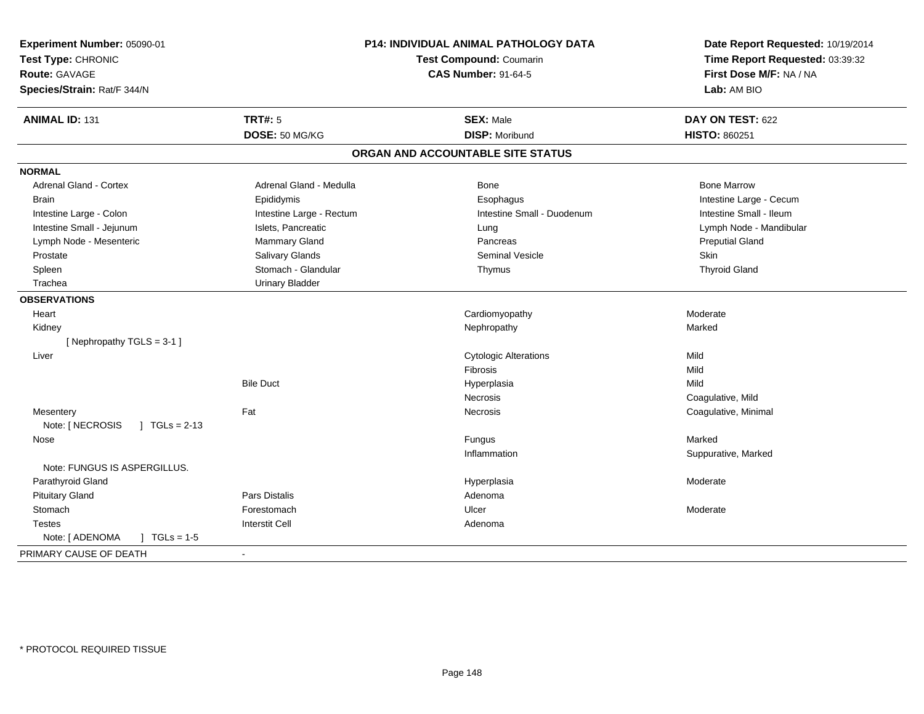| <b>TRT#: 5</b><br><b>ANIMAL ID: 131</b><br><b>SEX: Male</b><br>DAY ON TEST: 622<br>DOSE: 50 MG/KG<br><b>DISP: Moribund</b><br><b>HISTO: 860251</b><br>ORGAN AND ACCOUNTABLE SITE STATUS<br><b>NORMAL</b><br><b>Adrenal Gland - Cortex</b><br><b>Bone Marrow</b><br>Adrenal Gland - Medulla<br>Bone<br><b>Brain</b><br>Epididymis<br>Esophagus<br>Intestine Large - Cecum<br>Intestine Large - Colon<br>Intestine Large - Rectum<br>Intestine Small - Duodenum<br>Intestine Small - Ileum<br>Intestine Small - Jejunum<br>Islets, Pancreatic<br>Lymph Node - Mandibular<br>Lung<br>Lymph Node - Mesenteric<br>Mammary Gland<br><b>Preputial Gland</b><br>Pancreas<br>Salivary Glands<br><b>Seminal Vesicle</b><br><b>Skin</b><br>Prostate<br>Stomach - Glandular<br><b>Thyroid Gland</b><br>Spleen<br>Thymus<br>Trachea<br><b>Urinary Bladder</b><br><b>OBSERVATIONS</b><br>Heart<br>Cardiomyopathy<br>Moderate<br>Marked<br>Kidney<br>Nephropathy<br>[Nephropathy TGLS = 3-1]<br>Mild<br>Liver<br><b>Cytologic Alterations</b><br>Mild<br>Fibrosis<br><b>Bile Duct</b><br>Mild<br>Hyperplasia<br>Coagulative, Mild<br>Necrosis<br>Fat<br>Coagulative, Minimal<br>Mesentery<br><b>Necrosis</b><br>Note: [ NECROSIS<br>$1 TGLs = 2-13$<br>Marked<br>Fungus<br>Nose<br>Inflammation<br>Suppurative, Marked<br>Note: FUNGUS IS ASPERGILLUS.<br>Parathyroid Gland<br>Hyperplasia<br>Moderate<br><b>Pituitary Gland</b><br><b>Pars Distalis</b><br>Adenoma<br>Stomach<br>Forestomach<br>Ulcer<br>Moderate<br><b>Interstit Cell</b><br>Adenoma<br><b>Testes</b><br>Note: [ ADENOMA<br>$1 TGLs = 1-5$<br>PRIMARY CAUSE OF DEATH | Experiment Number: 05090-01<br>Test Type: CHRONIC<br><b>Route: GAVAGE</b><br>Species/Strain: Rat/F 344/N | <b>P14: INDIVIDUAL ANIMAL PATHOLOGY DATA</b><br><b>Test Compound: Coumarin</b><br><b>CAS Number: 91-64-5</b> | Date Report Requested: 10/19/2014<br>Time Report Requested: 03:39:32<br>First Dose M/F: NA / NA<br>Lab: AM BIO |
|-------------------------------------------------------------------------------------------------------------------------------------------------------------------------------------------------------------------------------------------------------------------------------------------------------------------------------------------------------------------------------------------------------------------------------------------------------------------------------------------------------------------------------------------------------------------------------------------------------------------------------------------------------------------------------------------------------------------------------------------------------------------------------------------------------------------------------------------------------------------------------------------------------------------------------------------------------------------------------------------------------------------------------------------------------------------------------------------------------------------------------------------------------------------------------------------------------------------------------------------------------------------------------------------------------------------------------------------------------------------------------------------------------------------------------------------------------------------------------------------------------------------------------------------------------------------------------------------------------------------------|----------------------------------------------------------------------------------------------------------|--------------------------------------------------------------------------------------------------------------|----------------------------------------------------------------------------------------------------------------|
|                                                                                                                                                                                                                                                                                                                                                                                                                                                                                                                                                                                                                                                                                                                                                                                                                                                                                                                                                                                                                                                                                                                                                                                                                                                                                                                                                                                                                                                                                                                                                                                                                         |                                                                                                          |                                                                                                              |                                                                                                                |
|                                                                                                                                                                                                                                                                                                                                                                                                                                                                                                                                                                                                                                                                                                                                                                                                                                                                                                                                                                                                                                                                                                                                                                                                                                                                                                                                                                                                                                                                                                                                                                                                                         |                                                                                                          |                                                                                                              |                                                                                                                |
|                                                                                                                                                                                                                                                                                                                                                                                                                                                                                                                                                                                                                                                                                                                                                                                                                                                                                                                                                                                                                                                                                                                                                                                                                                                                                                                                                                                                                                                                                                                                                                                                                         |                                                                                                          |                                                                                                              |                                                                                                                |
|                                                                                                                                                                                                                                                                                                                                                                                                                                                                                                                                                                                                                                                                                                                                                                                                                                                                                                                                                                                                                                                                                                                                                                                                                                                                                                                                                                                                                                                                                                                                                                                                                         |                                                                                                          |                                                                                                              |                                                                                                                |
|                                                                                                                                                                                                                                                                                                                                                                                                                                                                                                                                                                                                                                                                                                                                                                                                                                                                                                                                                                                                                                                                                                                                                                                                                                                                                                                                                                                                                                                                                                                                                                                                                         |                                                                                                          |                                                                                                              |                                                                                                                |
|                                                                                                                                                                                                                                                                                                                                                                                                                                                                                                                                                                                                                                                                                                                                                                                                                                                                                                                                                                                                                                                                                                                                                                                                                                                                                                                                                                                                                                                                                                                                                                                                                         |                                                                                                          |                                                                                                              |                                                                                                                |
|                                                                                                                                                                                                                                                                                                                                                                                                                                                                                                                                                                                                                                                                                                                                                                                                                                                                                                                                                                                                                                                                                                                                                                                                                                                                                                                                                                                                                                                                                                                                                                                                                         |                                                                                                          |                                                                                                              |                                                                                                                |
|                                                                                                                                                                                                                                                                                                                                                                                                                                                                                                                                                                                                                                                                                                                                                                                                                                                                                                                                                                                                                                                                                                                                                                                                                                                                                                                                                                                                                                                                                                                                                                                                                         |                                                                                                          |                                                                                                              |                                                                                                                |
|                                                                                                                                                                                                                                                                                                                                                                                                                                                                                                                                                                                                                                                                                                                                                                                                                                                                                                                                                                                                                                                                                                                                                                                                                                                                                                                                                                                                                                                                                                                                                                                                                         |                                                                                                          |                                                                                                              |                                                                                                                |
|                                                                                                                                                                                                                                                                                                                                                                                                                                                                                                                                                                                                                                                                                                                                                                                                                                                                                                                                                                                                                                                                                                                                                                                                                                                                                                                                                                                                                                                                                                                                                                                                                         |                                                                                                          |                                                                                                              |                                                                                                                |
|                                                                                                                                                                                                                                                                                                                                                                                                                                                                                                                                                                                                                                                                                                                                                                                                                                                                                                                                                                                                                                                                                                                                                                                                                                                                                                                                                                                                                                                                                                                                                                                                                         |                                                                                                          |                                                                                                              |                                                                                                                |
|                                                                                                                                                                                                                                                                                                                                                                                                                                                                                                                                                                                                                                                                                                                                                                                                                                                                                                                                                                                                                                                                                                                                                                                                                                                                                                                                                                                                                                                                                                                                                                                                                         |                                                                                                          |                                                                                                              |                                                                                                                |
|                                                                                                                                                                                                                                                                                                                                                                                                                                                                                                                                                                                                                                                                                                                                                                                                                                                                                                                                                                                                                                                                                                                                                                                                                                                                                                                                                                                                                                                                                                                                                                                                                         |                                                                                                          |                                                                                                              |                                                                                                                |
|                                                                                                                                                                                                                                                                                                                                                                                                                                                                                                                                                                                                                                                                                                                                                                                                                                                                                                                                                                                                                                                                                                                                                                                                                                                                                                                                                                                                                                                                                                                                                                                                                         |                                                                                                          |                                                                                                              |                                                                                                                |
|                                                                                                                                                                                                                                                                                                                                                                                                                                                                                                                                                                                                                                                                                                                                                                                                                                                                                                                                                                                                                                                                                                                                                                                                                                                                                                                                                                                                                                                                                                                                                                                                                         |                                                                                                          |                                                                                                              |                                                                                                                |
|                                                                                                                                                                                                                                                                                                                                                                                                                                                                                                                                                                                                                                                                                                                                                                                                                                                                                                                                                                                                                                                                                                                                                                                                                                                                                                                                                                                                                                                                                                                                                                                                                         |                                                                                                          |                                                                                                              |                                                                                                                |
|                                                                                                                                                                                                                                                                                                                                                                                                                                                                                                                                                                                                                                                                                                                                                                                                                                                                                                                                                                                                                                                                                                                                                                                                                                                                                                                                                                                                                                                                                                                                                                                                                         |                                                                                                          |                                                                                                              |                                                                                                                |
|                                                                                                                                                                                                                                                                                                                                                                                                                                                                                                                                                                                                                                                                                                                                                                                                                                                                                                                                                                                                                                                                                                                                                                                                                                                                                                                                                                                                                                                                                                                                                                                                                         |                                                                                                          |                                                                                                              |                                                                                                                |
|                                                                                                                                                                                                                                                                                                                                                                                                                                                                                                                                                                                                                                                                                                                                                                                                                                                                                                                                                                                                                                                                                                                                                                                                                                                                                                                                                                                                                                                                                                                                                                                                                         |                                                                                                          |                                                                                                              |                                                                                                                |
|                                                                                                                                                                                                                                                                                                                                                                                                                                                                                                                                                                                                                                                                                                                                                                                                                                                                                                                                                                                                                                                                                                                                                                                                                                                                                                                                                                                                                                                                                                                                                                                                                         |                                                                                                          |                                                                                                              |                                                                                                                |
|                                                                                                                                                                                                                                                                                                                                                                                                                                                                                                                                                                                                                                                                                                                                                                                                                                                                                                                                                                                                                                                                                                                                                                                                                                                                                                                                                                                                                                                                                                                                                                                                                         |                                                                                                          |                                                                                                              |                                                                                                                |
|                                                                                                                                                                                                                                                                                                                                                                                                                                                                                                                                                                                                                                                                                                                                                                                                                                                                                                                                                                                                                                                                                                                                                                                                                                                                                                                                                                                                                                                                                                                                                                                                                         |                                                                                                          |                                                                                                              |                                                                                                                |
|                                                                                                                                                                                                                                                                                                                                                                                                                                                                                                                                                                                                                                                                                                                                                                                                                                                                                                                                                                                                                                                                                                                                                                                                                                                                                                                                                                                                                                                                                                                                                                                                                         |                                                                                                          |                                                                                                              |                                                                                                                |
|                                                                                                                                                                                                                                                                                                                                                                                                                                                                                                                                                                                                                                                                                                                                                                                                                                                                                                                                                                                                                                                                                                                                                                                                                                                                                                                                                                                                                                                                                                                                                                                                                         |                                                                                                          |                                                                                                              |                                                                                                                |
|                                                                                                                                                                                                                                                                                                                                                                                                                                                                                                                                                                                                                                                                                                                                                                                                                                                                                                                                                                                                                                                                                                                                                                                                                                                                                                                                                                                                                                                                                                                                                                                                                         |                                                                                                          |                                                                                                              |                                                                                                                |
|                                                                                                                                                                                                                                                                                                                                                                                                                                                                                                                                                                                                                                                                                                                                                                                                                                                                                                                                                                                                                                                                                                                                                                                                                                                                                                                                                                                                                                                                                                                                                                                                                         |                                                                                                          |                                                                                                              |                                                                                                                |
|                                                                                                                                                                                                                                                                                                                                                                                                                                                                                                                                                                                                                                                                                                                                                                                                                                                                                                                                                                                                                                                                                                                                                                                                                                                                                                                                                                                                                                                                                                                                                                                                                         |                                                                                                          |                                                                                                              |                                                                                                                |
|                                                                                                                                                                                                                                                                                                                                                                                                                                                                                                                                                                                                                                                                                                                                                                                                                                                                                                                                                                                                                                                                                                                                                                                                                                                                                                                                                                                                                                                                                                                                                                                                                         |                                                                                                          |                                                                                                              |                                                                                                                |
|                                                                                                                                                                                                                                                                                                                                                                                                                                                                                                                                                                                                                                                                                                                                                                                                                                                                                                                                                                                                                                                                                                                                                                                                                                                                                                                                                                                                                                                                                                                                                                                                                         |                                                                                                          |                                                                                                              |                                                                                                                |
|                                                                                                                                                                                                                                                                                                                                                                                                                                                                                                                                                                                                                                                                                                                                                                                                                                                                                                                                                                                                                                                                                                                                                                                                                                                                                                                                                                                                                                                                                                                                                                                                                         |                                                                                                          |                                                                                                              |                                                                                                                |
|                                                                                                                                                                                                                                                                                                                                                                                                                                                                                                                                                                                                                                                                                                                                                                                                                                                                                                                                                                                                                                                                                                                                                                                                                                                                                                                                                                                                                                                                                                                                                                                                                         |                                                                                                          |                                                                                                              |                                                                                                                |
|                                                                                                                                                                                                                                                                                                                                                                                                                                                                                                                                                                                                                                                                                                                                                                                                                                                                                                                                                                                                                                                                                                                                                                                                                                                                                                                                                                                                                                                                                                                                                                                                                         |                                                                                                          |                                                                                                              |                                                                                                                |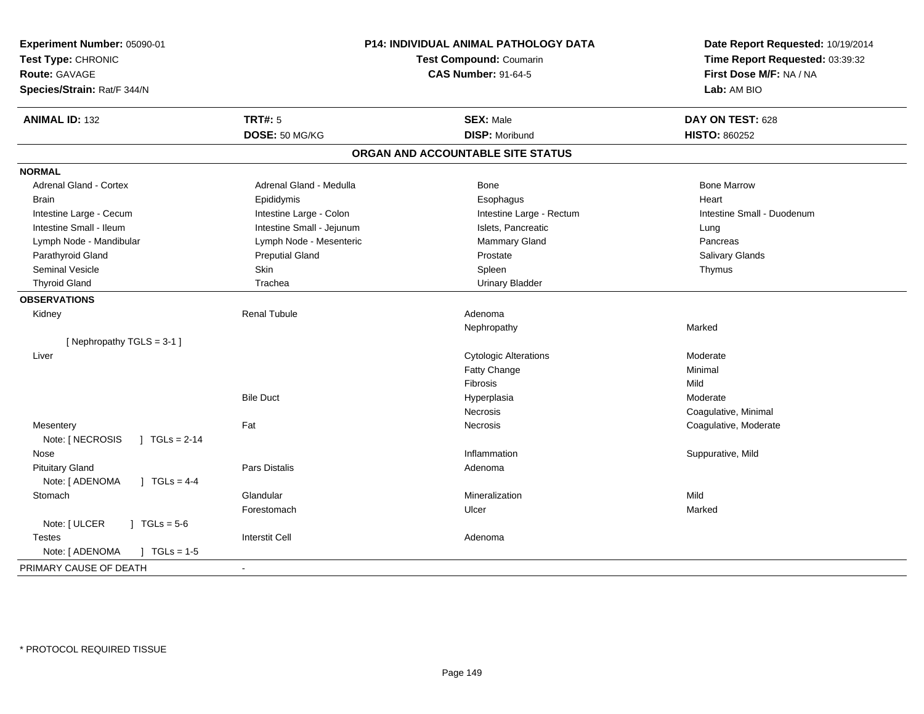| Experiment Number: 05090-01<br>Test Type: CHRONIC<br>Route: GAVAGE<br>Species/Strain: Rat/F 344/N | P14: INDIVIDUAL ANIMAL PATHOLOGY DATA<br>Test Compound: Coumarin<br><b>CAS Number: 91-64-5</b> |                                   | Date Report Requested: 10/19/2014<br>Time Report Requested: 03:39:32<br>First Dose M/F: NA / NA<br>Lab: AM BIO |
|---------------------------------------------------------------------------------------------------|------------------------------------------------------------------------------------------------|-----------------------------------|----------------------------------------------------------------------------------------------------------------|
| <b>ANIMAL ID: 132</b>                                                                             | <b>TRT#: 5</b>                                                                                 | <b>SEX: Male</b>                  | DAY ON TEST: 628                                                                                               |
|                                                                                                   | DOSE: 50 MG/KG                                                                                 | <b>DISP: Moribund</b>             | <b>HISTO: 860252</b>                                                                                           |
|                                                                                                   |                                                                                                | ORGAN AND ACCOUNTABLE SITE STATUS |                                                                                                                |
| <b>NORMAL</b>                                                                                     |                                                                                                |                                   |                                                                                                                |
| <b>Adrenal Gland - Cortex</b>                                                                     | Adrenal Gland - Medulla                                                                        | Bone                              | <b>Bone Marrow</b>                                                                                             |
| <b>Brain</b>                                                                                      | Epididymis                                                                                     | Esophagus                         | Heart                                                                                                          |
| Intestine Large - Cecum                                                                           | Intestine Large - Colon                                                                        | Intestine Large - Rectum          | Intestine Small - Duodenum                                                                                     |
| Intestine Small - Ileum                                                                           | Intestine Small - Jejunum                                                                      | Islets, Pancreatic                | Lung                                                                                                           |
| Lymph Node - Mandibular                                                                           | Lymph Node - Mesenteric                                                                        | <b>Mammary Gland</b>              | Pancreas                                                                                                       |
| Parathyroid Gland                                                                                 | <b>Preputial Gland</b>                                                                         | Prostate                          | Salivary Glands                                                                                                |
| <b>Seminal Vesicle</b>                                                                            | <b>Skin</b>                                                                                    | Spleen                            | Thymus                                                                                                         |
| <b>Thyroid Gland</b>                                                                              | Trachea                                                                                        | <b>Urinary Bladder</b>            |                                                                                                                |
| <b>OBSERVATIONS</b>                                                                               |                                                                                                |                                   |                                                                                                                |
| Kidney                                                                                            | <b>Renal Tubule</b>                                                                            | Adenoma                           |                                                                                                                |
|                                                                                                   |                                                                                                | Nephropathy                       | Marked                                                                                                         |
| [Nephropathy TGLS = 3-1]                                                                          |                                                                                                |                                   |                                                                                                                |
| Liver                                                                                             |                                                                                                | <b>Cytologic Alterations</b>      | Moderate                                                                                                       |
|                                                                                                   |                                                                                                | Fatty Change                      | Minimal                                                                                                        |
|                                                                                                   |                                                                                                | Fibrosis                          | Mild                                                                                                           |
|                                                                                                   | <b>Bile Duct</b>                                                                               | Hyperplasia                       | Moderate                                                                                                       |
|                                                                                                   |                                                                                                | Necrosis                          | Coagulative, Minimal                                                                                           |
| Mesentery                                                                                         | Fat                                                                                            | <b>Necrosis</b>                   | Coagulative, Moderate                                                                                          |
| Note: [ NECROSIS<br>$\sqrt{1}$ TGLs = 2-14                                                        |                                                                                                |                                   |                                                                                                                |
| Nose                                                                                              |                                                                                                | Inflammation                      | Suppurative, Mild                                                                                              |
| <b>Pituitary Gland</b>                                                                            | Pars Distalis                                                                                  | Adenoma                           |                                                                                                                |
| Note: [ ADENOMA<br>] $TGLs = 4-4$                                                                 |                                                                                                |                                   |                                                                                                                |
| Stomach                                                                                           | Glandular                                                                                      | Mineralization                    | Mild                                                                                                           |
|                                                                                                   | Forestomach                                                                                    | Ulcer                             | Marked                                                                                                         |
| Note: [ ULCER<br>$J \cdot TGLs = 5-6$                                                             |                                                                                                |                                   |                                                                                                                |
| <b>Testes</b>                                                                                     | <b>Interstit Cell</b>                                                                          | Adenoma                           |                                                                                                                |
| Note: [ ADENOMA<br>$J \cdot TGLs = 1-5$                                                           |                                                                                                |                                   |                                                                                                                |
| PRIMARY CAUSE OF DEATH                                                                            | $\sim$                                                                                         |                                   |                                                                                                                |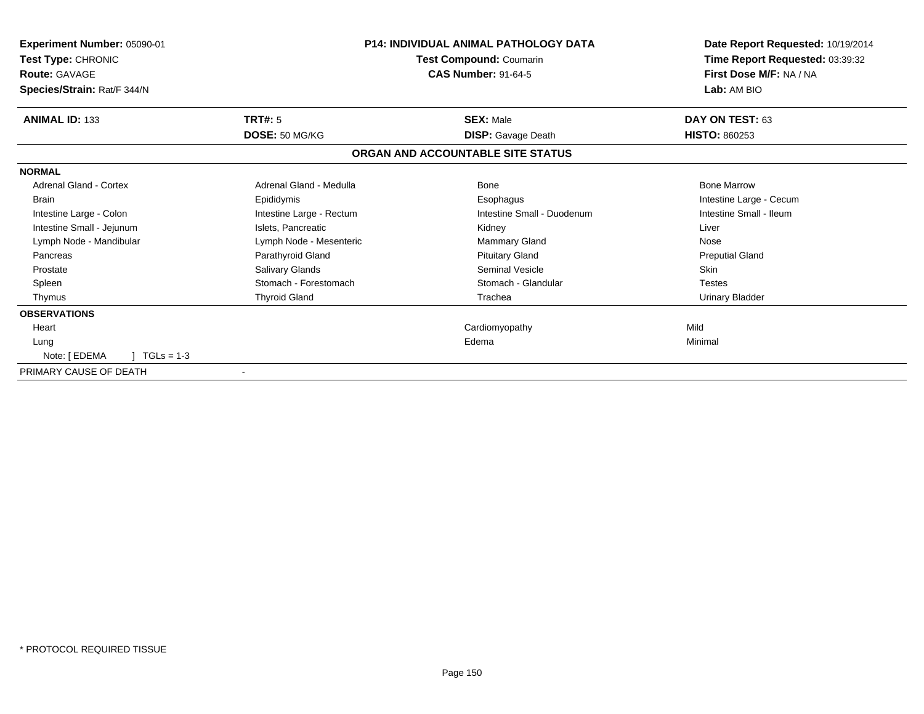| Experiment Number: 05090-01<br>Test Type: CHRONIC<br><b>Route: GAVAGE</b><br>Species/Strain: Rat/F 344/N |                          | <b>P14: INDIVIDUAL ANIMAL PATHOLOGY DATA</b><br>Test Compound: Coumarin<br><b>CAS Number: 91-64-5</b> | Date Report Requested: 10/19/2014<br>Time Report Requested: 03:39:32<br>First Dose M/F: NA / NA<br>Lab: AM BIO |
|----------------------------------------------------------------------------------------------------------|--------------------------|-------------------------------------------------------------------------------------------------------|----------------------------------------------------------------------------------------------------------------|
| <b>ANIMAL ID: 133</b>                                                                                    | <b>TRT#: 5</b>           | <b>SEX: Male</b>                                                                                      | DAY ON TEST: 63                                                                                                |
|                                                                                                          | DOSE: 50 MG/KG           | <b>DISP:</b> Gavage Death                                                                             | <b>HISTO: 860253</b>                                                                                           |
|                                                                                                          |                          | ORGAN AND ACCOUNTABLE SITE STATUS                                                                     |                                                                                                                |
| <b>NORMAL</b>                                                                                            |                          |                                                                                                       |                                                                                                                |
| <b>Adrenal Gland - Cortex</b>                                                                            | Adrenal Gland - Medulla  | <b>Bone</b>                                                                                           | <b>Bone Marrow</b>                                                                                             |
| <b>Brain</b>                                                                                             | Epididymis               | Esophagus                                                                                             | Intestine Large - Cecum                                                                                        |
| Intestine Large - Colon                                                                                  | Intestine Large - Rectum | Intestine Small - Duodenum                                                                            | Intestine Small - Ileum                                                                                        |
| Intestine Small - Jejunum                                                                                | Islets, Pancreatic       | Kidney                                                                                                | Liver                                                                                                          |
| Lymph Node - Mandibular                                                                                  | Lymph Node - Mesenteric  | Mammary Gland                                                                                         | Nose                                                                                                           |
| Pancreas                                                                                                 | Parathyroid Gland        | <b>Pituitary Gland</b>                                                                                | <b>Preputial Gland</b>                                                                                         |
| Prostate                                                                                                 | Salivary Glands          | <b>Seminal Vesicle</b>                                                                                | <b>Skin</b>                                                                                                    |
| Spleen                                                                                                   | Stomach - Forestomach    | Stomach - Glandular                                                                                   | <b>Testes</b>                                                                                                  |
| Thymus                                                                                                   | <b>Thyroid Gland</b>     | Trachea                                                                                               | Urinary Bladder                                                                                                |
| <b>OBSERVATIONS</b>                                                                                      |                          |                                                                                                       |                                                                                                                |
| Heart                                                                                                    |                          | Cardiomyopathy                                                                                        | Mild                                                                                                           |
| Lung                                                                                                     |                          | Edema                                                                                                 | Minimal                                                                                                        |
| Note: [ EDEMA<br>$TGLs = 1-3$                                                                            |                          |                                                                                                       |                                                                                                                |
| PRIMARY CAUSE OF DEATH                                                                                   |                          |                                                                                                       |                                                                                                                |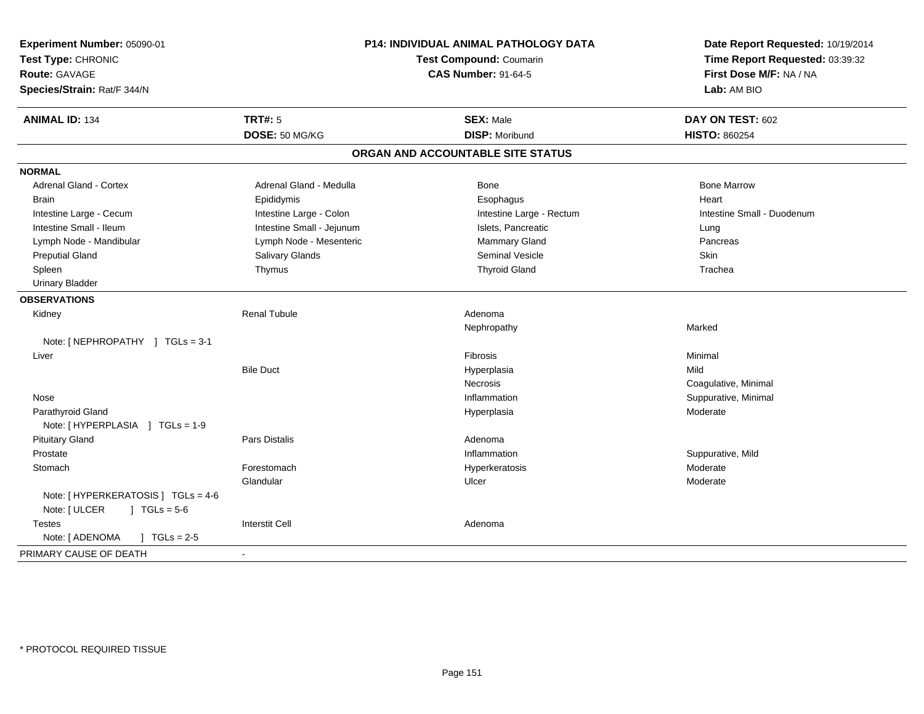| Experiment Number: 05090-01<br>Test Type: CHRONIC<br><b>Route: GAVAGE</b><br>Species/Strain: Rat/F 344/N |                           | P14: INDIVIDUAL ANIMAL PATHOLOGY DATA<br>Test Compound: Coumarin<br><b>CAS Number: 91-64-5</b> | Date Report Requested: 10/19/2014<br>Time Report Requested: 03:39:32<br>First Dose M/F: NA / NA<br>Lab: AM BIO |
|----------------------------------------------------------------------------------------------------------|---------------------------|------------------------------------------------------------------------------------------------|----------------------------------------------------------------------------------------------------------------|
| <b>ANIMAL ID: 134</b>                                                                                    | <b>TRT#: 5</b>            | <b>SEX: Male</b>                                                                               | DAY ON TEST: 602                                                                                               |
|                                                                                                          | DOSE: 50 MG/KG            | <b>DISP: Moribund</b>                                                                          | <b>HISTO: 860254</b>                                                                                           |
|                                                                                                          |                           | ORGAN AND ACCOUNTABLE SITE STATUS                                                              |                                                                                                                |
| <b>NORMAL</b>                                                                                            |                           |                                                                                                |                                                                                                                |
| <b>Adrenal Gland - Cortex</b>                                                                            | Adrenal Gland - Medulla   | Bone                                                                                           | <b>Bone Marrow</b>                                                                                             |
| <b>Brain</b>                                                                                             | Epididymis                | Esophagus                                                                                      | Heart                                                                                                          |
| Intestine Large - Cecum                                                                                  | Intestine Large - Colon   | Intestine Large - Rectum                                                                       | Intestine Small - Duodenum                                                                                     |
| Intestine Small - Ileum                                                                                  | Intestine Small - Jejunum | Islets, Pancreatic                                                                             | Lung                                                                                                           |
| Lymph Node - Mandibular                                                                                  | Lymph Node - Mesenteric   | Mammary Gland                                                                                  | Pancreas                                                                                                       |
| <b>Preputial Gland</b>                                                                                   | Salivary Glands           | Seminal Vesicle                                                                                | Skin                                                                                                           |
| Spleen                                                                                                   | Thymus                    | <b>Thyroid Gland</b>                                                                           | Trachea                                                                                                        |
| <b>Urinary Bladder</b>                                                                                   |                           |                                                                                                |                                                                                                                |
| <b>OBSERVATIONS</b>                                                                                      |                           |                                                                                                |                                                                                                                |
| Kidney                                                                                                   | <b>Renal Tubule</b>       | Adenoma                                                                                        |                                                                                                                |
|                                                                                                          |                           | Nephropathy                                                                                    | Marked                                                                                                         |
| Note: [NEPHROPATHY ] TGLs = 3-1                                                                          |                           |                                                                                                |                                                                                                                |
| Liver                                                                                                    |                           | <b>Fibrosis</b>                                                                                | Minimal                                                                                                        |
|                                                                                                          | <b>Bile Duct</b>          | Hyperplasia                                                                                    | Mild                                                                                                           |
|                                                                                                          |                           | <b>Necrosis</b>                                                                                | Coagulative, Minimal                                                                                           |
| Nose                                                                                                     |                           | Inflammation                                                                                   | Suppurative, Minimal                                                                                           |
| Parathyroid Gland                                                                                        |                           | Hyperplasia                                                                                    | Moderate                                                                                                       |
| Note: [HYPERPLASIA ] TGLs = 1-9                                                                          |                           |                                                                                                |                                                                                                                |
| <b>Pituitary Gland</b>                                                                                   | Pars Distalis             | Adenoma                                                                                        |                                                                                                                |
| Prostate                                                                                                 |                           | Inflammation                                                                                   | Suppurative, Mild                                                                                              |
| Stomach                                                                                                  | Forestomach               | Hyperkeratosis                                                                                 | Moderate                                                                                                       |
|                                                                                                          | Glandular                 | Ulcer                                                                                          | Moderate                                                                                                       |
| Note: [ HYPERKERATOSIS ] TGLs = 4-6                                                                      |                           |                                                                                                |                                                                                                                |
| Note: [ ULCER<br>$J \cdot TGLs = 5-6$                                                                    |                           |                                                                                                |                                                                                                                |
| <b>Testes</b>                                                                                            | <b>Interstit Cell</b>     | Adenoma                                                                                        |                                                                                                                |
| Note: [ ADENOMA<br>$J \cdot TGLs = 2-5$                                                                  |                           |                                                                                                |                                                                                                                |
| PRIMARY CAUSE OF DEATH                                                                                   | $\blacksquare$            |                                                                                                |                                                                                                                |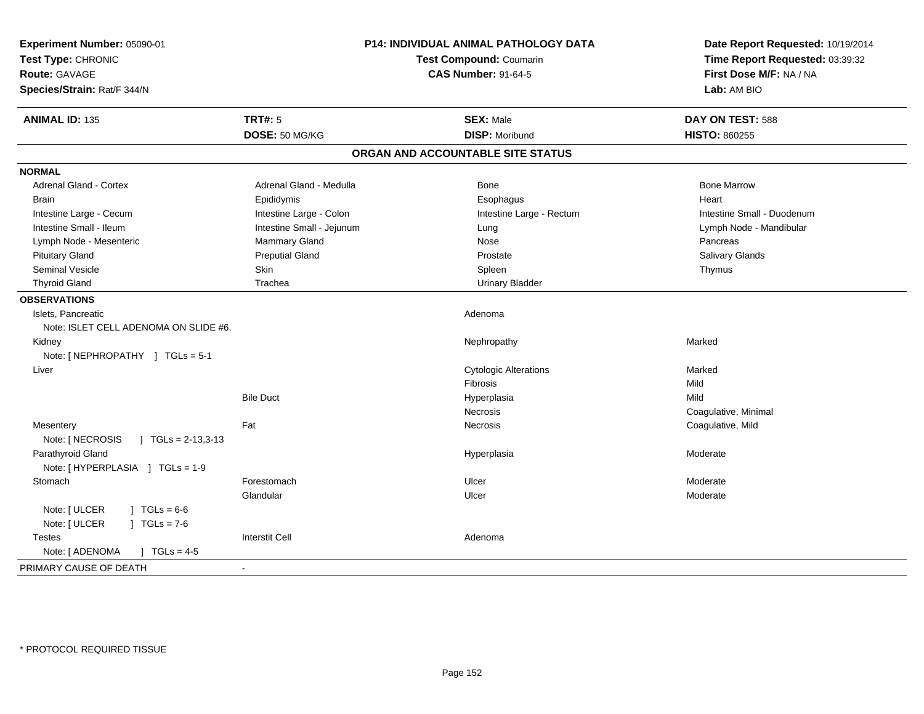| Experiment Number: 05090-01<br>Test Type: CHRONIC<br>Route: GAVAGE<br>Species/Strain: Rat/F 344/N | P14: INDIVIDUAL ANIMAL PATHOLOGY DATA<br>Test Compound: Coumarin<br><b>CAS Number: 91-64-5</b> |                                   | Date Report Requested: 10/19/2014<br>Time Report Requested: 03:39:32<br>First Dose M/F: NA / NA<br>Lab: AM BIO |
|---------------------------------------------------------------------------------------------------|------------------------------------------------------------------------------------------------|-----------------------------------|----------------------------------------------------------------------------------------------------------------|
| <b>ANIMAL ID: 135</b>                                                                             | <b>TRT#: 5</b>                                                                                 | <b>SEX: Male</b>                  | DAY ON TEST: 588                                                                                               |
|                                                                                                   | DOSE: 50 MG/KG                                                                                 | <b>DISP: Moribund</b>             | <b>HISTO: 860255</b>                                                                                           |
|                                                                                                   |                                                                                                | ORGAN AND ACCOUNTABLE SITE STATUS |                                                                                                                |
| <b>NORMAL</b>                                                                                     |                                                                                                |                                   |                                                                                                                |
| <b>Adrenal Gland - Cortex</b>                                                                     | Adrenal Gland - Medulla                                                                        | Bone                              | <b>Bone Marrow</b>                                                                                             |
| <b>Brain</b>                                                                                      | Epididymis                                                                                     | Esophagus                         | Heart                                                                                                          |
| Intestine Large - Cecum                                                                           | Intestine Large - Colon                                                                        | Intestine Large - Rectum          | Intestine Small - Duodenum                                                                                     |
| Intestine Small - Ileum                                                                           | Intestine Small - Jejunum                                                                      | Lung                              | Lymph Node - Mandibular                                                                                        |
| Lymph Node - Mesenteric                                                                           | Mammary Gland                                                                                  | Nose                              | Pancreas                                                                                                       |
| <b>Pituitary Gland</b>                                                                            | <b>Preputial Gland</b>                                                                         | Prostate                          | Salivary Glands                                                                                                |
| <b>Seminal Vesicle</b>                                                                            | <b>Skin</b>                                                                                    | Spleen                            | Thymus                                                                                                         |
| <b>Thyroid Gland</b>                                                                              | Trachea                                                                                        | <b>Urinary Bladder</b>            |                                                                                                                |
| <b>OBSERVATIONS</b>                                                                               |                                                                                                |                                   |                                                                                                                |
| Islets, Pancreatic<br>Note: ISLET CELL ADENOMA ON SLIDE #6.                                       |                                                                                                | Adenoma                           |                                                                                                                |
| Kidney<br>Note: [NEPHROPATHY ] TGLs = 5-1                                                         |                                                                                                | Nephropathy                       | Marked                                                                                                         |
| Liver                                                                                             |                                                                                                | <b>Cytologic Alterations</b>      | Marked                                                                                                         |
|                                                                                                   |                                                                                                | Fibrosis                          | Mild                                                                                                           |
|                                                                                                   | <b>Bile Duct</b>                                                                               | Hyperplasia                       | Mild                                                                                                           |
|                                                                                                   |                                                                                                | Necrosis                          | Coagulative, Minimal                                                                                           |
| Mesentery<br>Note: [ NECROSIS<br>$\vert$ TGLs = 2-13,3-13                                         | Fat                                                                                            | <b>Necrosis</b>                   | Coagulative, Mild                                                                                              |
| Parathyroid Gland<br>Note: [HYPERPLASIA ] TGLs = 1-9                                              |                                                                                                | Hyperplasia                       | Moderate                                                                                                       |
| Stomach                                                                                           | Forestomach                                                                                    | Ulcer                             | Moderate                                                                                                       |
|                                                                                                   | Glandular                                                                                      | Ulcer                             | Moderate                                                                                                       |
| Note: [ ULCER<br>$1 TGLs = 6-6$<br>Note: [ ULCER<br>$J \cdot TGLs = 7-6$                          |                                                                                                |                                   |                                                                                                                |
| <b>Testes</b>                                                                                     | <b>Interstit Cell</b>                                                                          | Adenoma                           |                                                                                                                |
| Note: [ ADENOMA<br>$\sqrt{ }$ TGLs = 4-5                                                          |                                                                                                |                                   |                                                                                                                |
| PRIMARY CAUSE OF DEATH                                                                            |                                                                                                |                                   |                                                                                                                |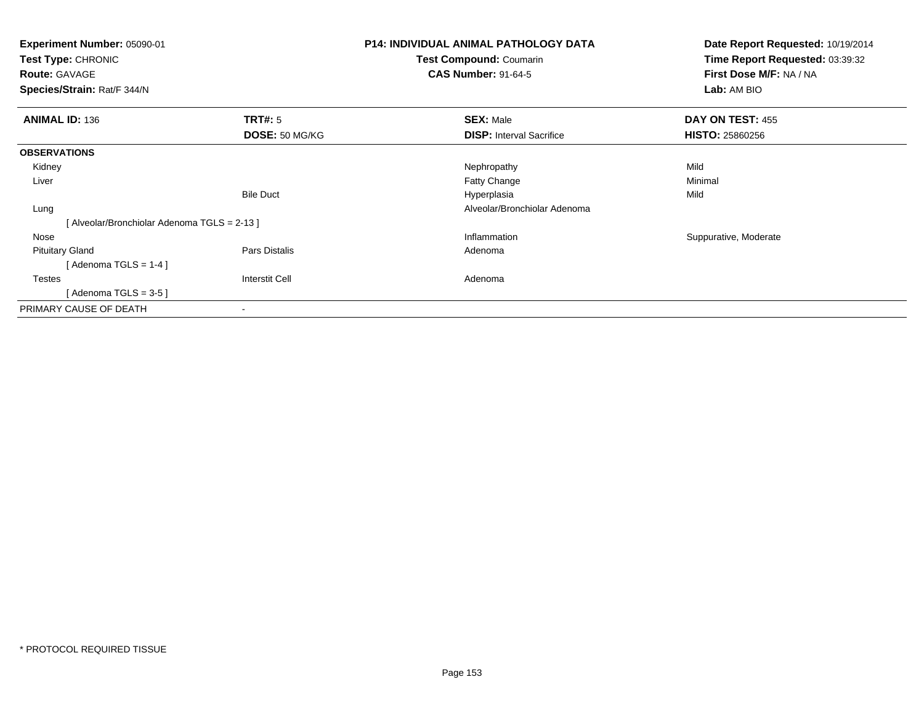| Experiment Number: 05090-01<br><b>Test Type: CHRONIC</b><br><b>Route: GAVAGE</b><br>Species/Strain: Rat/F 344/N |                       | <b>P14: INDIVIDUAL ANIMAL PATHOLOGY DATA</b><br>Test Compound: Coumarin<br><b>CAS Number: 91-64-5</b> | Date Report Requested: 10/19/2014<br>Time Report Requested: 03:39:32<br>First Dose M/F: NA / NA<br>Lab: AM BIO |
|-----------------------------------------------------------------------------------------------------------------|-----------------------|-------------------------------------------------------------------------------------------------------|----------------------------------------------------------------------------------------------------------------|
| <b>ANIMAL ID: 136</b>                                                                                           | TRT#: 5               | <b>SEX: Male</b>                                                                                      | DAY ON TEST: 455                                                                                               |
|                                                                                                                 | DOSE: 50 MG/KG        | <b>DISP:</b> Interval Sacrifice                                                                       | <b>HISTO: 25860256</b>                                                                                         |
| <b>OBSERVATIONS</b>                                                                                             |                       |                                                                                                       |                                                                                                                |
| Kidney                                                                                                          |                       | Nephropathy                                                                                           | Mild                                                                                                           |
| Liver                                                                                                           |                       | Fatty Change                                                                                          | Minimal                                                                                                        |
|                                                                                                                 | <b>Bile Duct</b>      | Hyperplasia                                                                                           | Mild                                                                                                           |
| Lung                                                                                                            |                       | Alveolar/Bronchiolar Adenoma                                                                          |                                                                                                                |
| [Alveolar/Bronchiolar Adenoma TGLS = 2-13]                                                                      |                       |                                                                                                       |                                                                                                                |
| Nose                                                                                                            |                       | Inflammation                                                                                          | Suppurative, Moderate                                                                                          |
| <b>Pituitary Gland</b>                                                                                          | Pars Distalis         | Adenoma                                                                                               |                                                                                                                |
| [Adenoma TGLS = $1-4$ ]                                                                                         |                       |                                                                                                       |                                                                                                                |
| <b>Testes</b>                                                                                                   | <b>Interstit Cell</b> | Adenoma                                                                                               |                                                                                                                |
| [Adenoma TGLS = $3-5$ ]                                                                                         |                       |                                                                                                       |                                                                                                                |
| PRIMARY CAUSE OF DEATH                                                                                          |                       |                                                                                                       |                                                                                                                |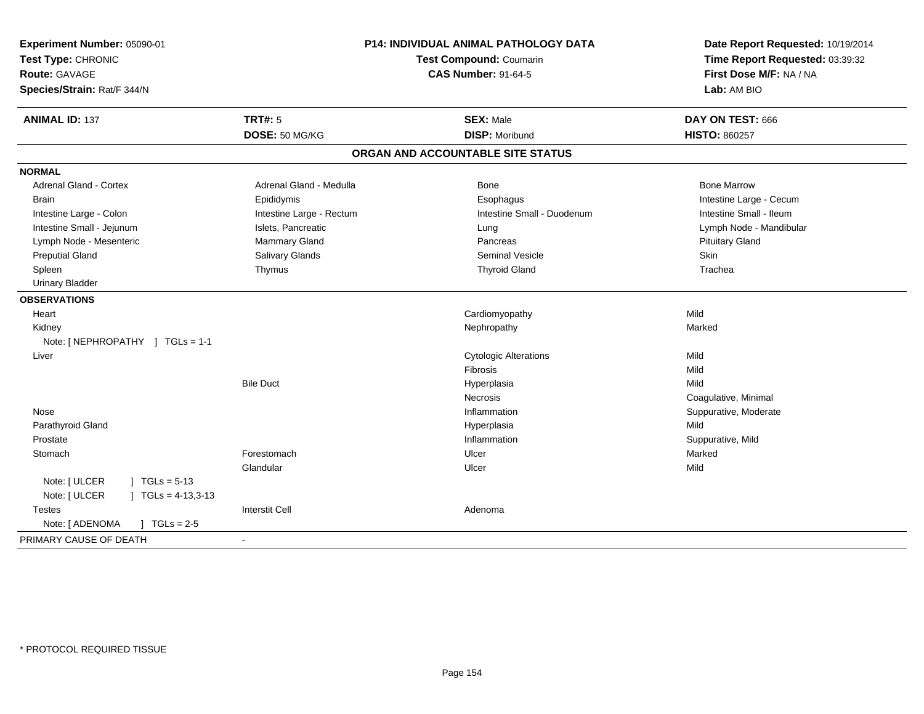| Experiment Number: 05090-01<br>Test Type: CHRONIC<br><b>Route: GAVAGE</b><br>Species/Strain: Rat/F 344/N | P14: INDIVIDUAL ANIMAL PATHOLOGY DATA<br><b>Test Compound: Coumarin</b><br><b>CAS Number: 91-64-5</b> |                                   | Date Report Requested: 10/19/2014<br>Time Report Requested: 03:39:32<br>First Dose M/F: NA / NA<br>Lab: AM BIO |
|----------------------------------------------------------------------------------------------------------|-------------------------------------------------------------------------------------------------------|-----------------------------------|----------------------------------------------------------------------------------------------------------------|
| <b>ANIMAL ID: 137</b>                                                                                    | TRT#: 5                                                                                               | <b>SEX: Male</b>                  | DAY ON TEST: 666                                                                                               |
|                                                                                                          | DOSE: 50 MG/KG                                                                                        | <b>DISP: Moribund</b>             | <b>HISTO: 860257</b>                                                                                           |
|                                                                                                          |                                                                                                       | ORGAN AND ACCOUNTABLE SITE STATUS |                                                                                                                |
| <b>NORMAL</b>                                                                                            |                                                                                                       |                                   |                                                                                                                |
| <b>Adrenal Gland - Cortex</b>                                                                            | Adrenal Gland - Medulla                                                                               | Bone                              | <b>Bone Marrow</b>                                                                                             |
| <b>Brain</b>                                                                                             | Epididymis                                                                                            | Esophagus                         | Intestine Large - Cecum                                                                                        |
| Intestine Large - Colon                                                                                  | Intestine Large - Rectum                                                                              | Intestine Small - Duodenum        | Intestine Small - Ileum                                                                                        |
| Intestine Small - Jejunum                                                                                | Islets, Pancreatic                                                                                    | Lung                              | Lymph Node - Mandibular                                                                                        |
| Lymph Node - Mesenteric                                                                                  | Mammary Gland                                                                                         | Pancreas                          | <b>Pituitary Gland</b>                                                                                         |
| <b>Preputial Gland</b>                                                                                   | Salivary Glands                                                                                       | <b>Seminal Vesicle</b>            | Skin                                                                                                           |
| Spleen                                                                                                   | Thymus                                                                                                | <b>Thyroid Gland</b>              | Trachea                                                                                                        |
| <b>Urinary Bladder</b>                                                                                   |                                                                                                       |                                   |                                                                                                                |
| <b>OBSERVATIONS</b>                                                                                      |                                                                                                       |                                   |                                                                                                                |
| Heart                                                                                                    |                                                                                                       | Cardiomyopathy                    | Mild                                                                                                           |
| Kidney                                                                                                   |                                                                                                       | Nephropathy                       | Marked                                                                                                         |
| Note: [NEPHROPATHY ] TGLs = 1-1                                                                          |                                                                                                       |                                   |                                                                                                                |
| Liver                                                                                                    |                                                                                                       | <b>Cytologic Alterations</b>      | Mild                                                                                                           |
|                                                                                                          |                                                                                                       | Fibrosis                          | Mild                                                                                                           |
|                                                                                                          | <b>Bile Duct</b>                                                                                      | Hyperplasia                       | Mild                                                                                                           |
|                                                                                                          |                                                                                                       | <b>Necrosis</b>                   | Coagulative, Minimal                                                                                           |
| Nose                                                                                                     |                                                                                                       | Inflammation                      | Suppurative, Moderate                                                                                          |
| Parathyroid Gland                                                                                        |                                                                                                       | Hyperplasia                       | Mild                                                                                                           |
| Prostate                                                                                                 |                                                                                                       | Inflammation                      | Suppurative, Mild                                                                                              |
| Stomach                                                                                                  | Forestomach                                                                                           | Ulcer                             | Marked                                                                                                         |
|                                                                                                          | Glandular                                                                                             | Ulcer                             | Mild                                                                                                           |
| Note: [ ULCER<br>$TGLs = 5-13$                                                                           |                                                                                                       |                                   |                                                                                                                |
| Note: [ ULCER<br>$TGLs = 4-13,3-13$                                                                      |                                                                                                       |                                   |                                                                                                                |
| <b>Testes</b>                                                                                            | <b>Interstit Cell</b>                                                                                 | Adenoma                           |                                                                                                                |
| Note: [ ADENOMA<br>$\sqrt{ }$ TGLs = 2-5                                                                 |                                                                                                       |                                   |                                                                                                                |
| PRIMARY CAUSE OF DEATH                                                                                   | $\overline{\phantom{a}}$                                                                              |                                   |                                                                                                                |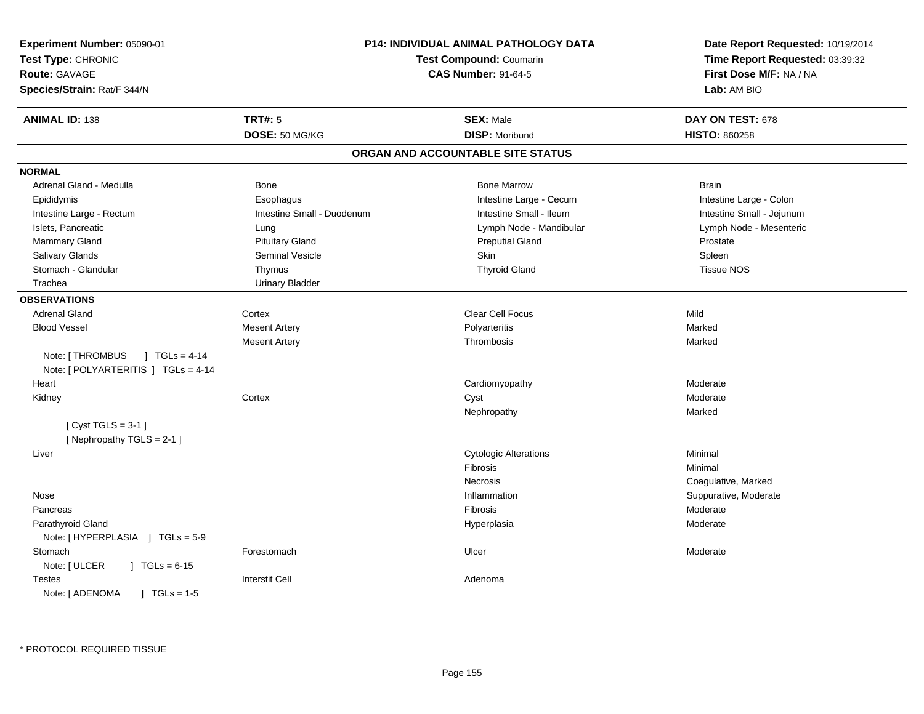| Experiment Number: 05090-01<br>Test Type: CHRONIC<br><b>Route: GAVAGE</b><br>Species/Strain: Rat/F 344/N |                            | P14: INDIVIDUAL ANIMAL PATHOLOGY DATA<br><b>Test Compound: Coumarin</b><br><b>CAS Number: 91-64-5</b> | Date Report Requested: 10/19/2014<br>Time Report Requested: 03:39:32<br>First Dose M/F: NA / NA<br>Lab: AM BIO |
|----------------------------------------------------------------------------------------------------------|----------------------------|-------------------------------------------------------------------------------------------------------|----------------------------------------------------------------------------------------------------------------|
| <b>ANIMAL ID: 138</b>                                                                                    | <b>TRT#: 5</b>             | <b>SEX: Male</b>                                                                                      | DAY ON TEST: 678                                                                                               |
|                                                                                                          | DOSE: 50 MG/KG             | <b>DISP: Moribund</b>                                                                                 | <b>HISTO: 860258</b>                                                                                           |
|                                                                                                          |                            | ORGAN AND ACCOUNTABLE SITE STATUS                                                                     |                                                                                                                |
| <b>NORMAL</b>                                                                                            |                            |                                                                                                       |                                                                                                                |
| Adrenal Gland - Medulla                                                                                  | <b>Bone</b>                | <b>Bone Marrow</b>                                                                                    | <b>Brain</b>                                                                                                   |
| Epididymis                                                                                               | Esophagus                  | Intestine Large - Cecum                                                                               | Intestine Large - Colon                                                                                        |
| Intestine Large - Rectum                                                                                 | Intestine Small - Duodenum | Intestine Small - Ileum                                                                               | Intestine Small - Jejunum                                                                                      |
| Islets, Pancreatic                                                                                       | Lung                       | Lymph Node - Mandibular                                                                               | Lymph Node - Mesenteric                                                                                        |
| Mammary Gland                                                                                            | <b>Pituitary Gland</b>     | <b>Preputial Gland</b>                                                                                | Prostate                                                                                                       |
| Salivary Glands                                                                                          | Seminal Vesicle            | Skin                                                                                                  | Spleen                                                                                                         |
| Stomach - Glandular                                                                                      | Thymus                     | <b>Thyroid Gland</b>                                                                                  | <b>Tissue NOS</b>                                                                                              |
| Trachea                                                                                                  | <b>Urinary Bladder</b>     |                                                                                                       |                                                                                                                |
| <b>OBSERVATIONS</b>                                                                                      |                            |                                                                                                       |                                                                                                                |
| Adrenal Gland                                                                                            | Cortex                     | <b>Clear Cell Focus</b>                                                                               | Mild                                                                                                           |
| <b>Blood Vessel</b>                                                                                      | <b>Mesent Artery</b>       | Polyarteritis                                                                                         | Marked                                                                                                         |
|                                                                                                          | <b>Mesent Artery</b>       | Thrombosis                                                                                            | Marked                                                                                                         |
| Note: [ THROMBUS<br>$J \text{ TGLs} = 4-14$<br>Note: [ POLYARTERITIS ] TGLs = 4-14                       |                            |                                                                                                       |                                                                                                                |
| Heart                                                                                                    |                            | Cardiomyopathy                                                                                        | Moderate                                                                                                       |
| Kidney                                                                                                   | Cortex                     | Cyst                                                                                                  | Moderate                                                                                                       |
|                                                                                                          |                            | Nephropathy                                                                                           | Marked                                                                                                         |
| [Cyst TGLS = $3-1$ ]<br>[Nephropathy TGLS = 2-1]                                                         |                            |                                                                                                       |                                                                                                                |
| Liver                                                                                                    |                            | <b>Cytologic Alterations</b>                                                                          | Minimal                                                                                                        |
|                                                                                                          |                            | Fibrosis                                                                                              | Minimal                                                                                                        |
|                                                                                                          |                            | Necrosis                                                                                              | Coagulative, Marked                                                                                            |
| Nose                                                                                                     |                            | Inflammation                                                                                          | Suppurative, Moderate                                                                                          |
| Pancreas                                                                                                 |                            | Fibrosis                                                                                              | Moderate                                                                                                       |
| Parathyroid Gland<br>Note: $[HYPERPLASIA] TGLs = 5-9$                                                    |                            | Hyperplasia                                                                                           | Moderate                                                                                                       |
| Stomach<br>Note: [ ULCER<br>$\vert$ TGLs = 6-15                                                          | Forestomach                | Ulcer                                                                                                 | Moderate                                                                                                       |
| <b>Testes</b><br>Note: [ ADENOMA<br>$1 TGLs = 1.5$                                                       | <b>Interstit Cell</b>      | Adenoma                                                                                               |                                                                                                                |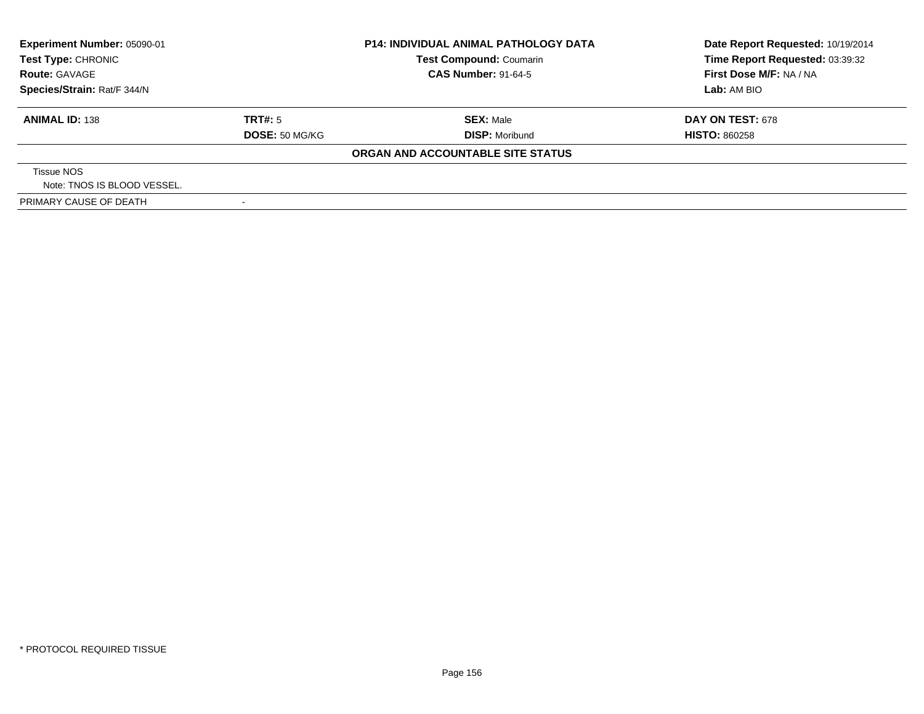| Experiment Number: 05090-01<br>Test Type: CHRONIC |                | <b>P14: INDIVIDUAL ANIMAL PATHOLOGY DATA</b> | Date Report Requested: 10/19/2014 |
|---------------------------------------------------|----------------|----------------------------------------------|-----------------------------------|
|                                                   |                | <b>Test Compound: Coumarin</b>               | Time Report Requested: 03:39:32   |
| <b>Route: GAVAGE</b>                              |                | <b>CAS Number: 91-64-5</b>                   | First Dose M/F: NA / NA           |
| Species/Strain: Rat/F 344/N                       |                |                                              | Lab: AM BIO                       |
| <b>ANIMAL ID: 138</b>                             | TRT#: 5        | <b>SEX: Male</b>                             | <b>DAY ON TEST: 678</b>           |
|                                                   | DOSE: 50 MG/KG | <b>DISP: Moribund</b>                        | <b>HISTO: 860258</b>              |
|                                                   |                | ORGAN AND ACCOUNTABLE SITE STATUS            |                                   |
| Tissue NOS                                        |                |                                              |                                   |
| Note: TNOS IS BLOOD VESSEL.                       |                |                                              |                                   |
| PRIMARY CAUSE OF DEATH                            |                |                                              |                                   |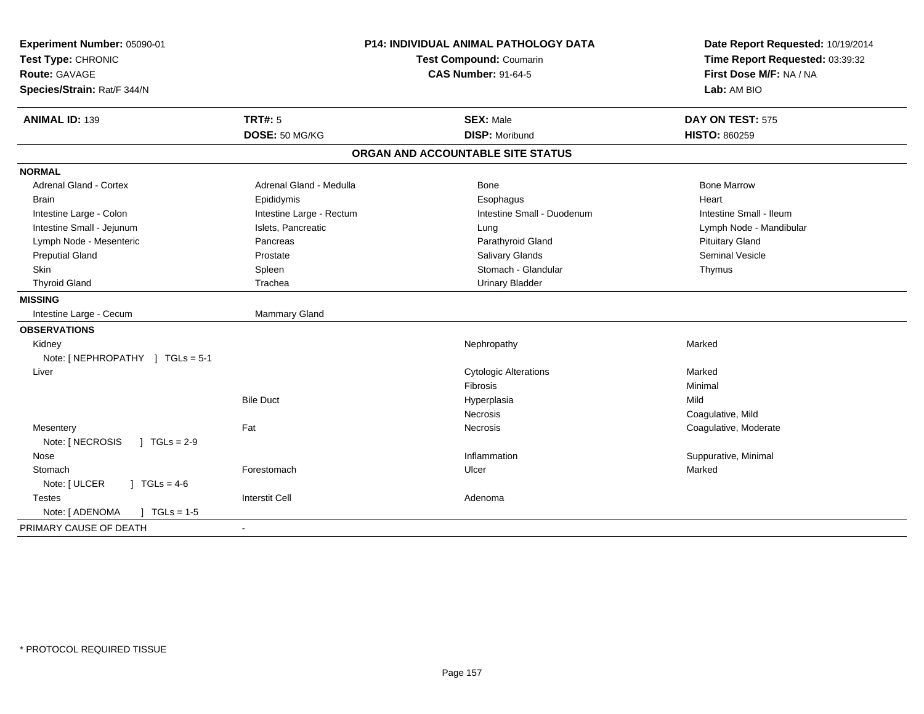| Experiment Number: 05090-01<br>Test Type: CHRONIC<br><b>Route: GAVAGE</b><br>Species/Strain: Rat/F 344/N | P14: INDIVIDUAL ANIMAL PATHOLOGY DATA<br><b>Test Compound: Coumarin</b><br><b>CAS Number: 91-64-5</b> |                                           | Date Report Requested: 10/19/2014<br>Time Report Requested: 03:39:32<br>First Dose M/F: NA / NA<br>Lab: AM BIO |  |
|----------------------------------------------------------------------------------------------------------|-------------------------------------------------------------------------------------------------------|-------------------------------------------|----------------------------------------------------------------------------------------------------------------|--|
| <b>ANIMAL ID: 139</b>                                                                                    | <b>TRT#: 5</b><br>DOSE: 50 MG/KG                                                                      | <b>SEX: Male</b><br><b>DISP: Moribund</b> | DAY ON TEST: 575<br>HISTO: 860259                                                                              |  |
|                                                                                                          |                                                                                                       |                                           |                                                                                                                |  |
|                                                                                                          |                                                                                                       | ORGAN AND ACCOUNTABLE SITE STATUS         |                                                                                                                |  |
| <b>NORMAL</b>                                                                                            |                                                                                                       |                                           |                                                                                                                |  |
| <b>Adrenal Gland - Cortex</b>                                                                            | Adrenal Gland - Medulla                                                                               | Bone                                      | <b>Bone Marrow</b>                                                                                             |  |
| <b>Brain</b>                                                                                             | Epididymis                                                                                            | Esophagus                                 | Heart                                                                                                          |  |
| Intestine Large - Colon                                                                                  | Intestine Large - Rectum                                                                              | Intestine Small - Duodenum                | Intestine Small - Ileum                                                                                        |  |
| Intestine Small - Jejunum                                                                                | Islets, Pancreatic                                                                                    | Lung                                      | Lymph Node - Mandibular                                                                                        |  |
| Lymph Node - Mesenteric                                                                                  | Pancreas                                                                                              | Parathyroid Gland                         | <b>Pituitary Gland</b>                                                                                         |  |
| <b>Preputial Gland</b>                                                                                   | Prostate                                                                                              | <b>Salivary Glands</b>                    | <b>Seminal Vesicle</b>                                                                                         |  |
| <b>Skin</b>                                                                                              | Spleen                                                                                                | Stomach - Glandular                       | Thymus                                                                                                         |  |
| <b>Thyroid Gland</b>                                                                                     | Trachea                                                                                               | <b>Urinary Bladder</b>                    |                                                                                                                |  |
| <b>MISSING</b>                                                                                           |                                                                                                       |                                           |                                                                                                                |  |
| Intestine Large - Cecum                                                                                  | Mammary Gland                                                                                         |                                           |                                                                                                                |  |
| <b>OBSERVATIONS</b>                                                                                      |                                                                                                       |                                           |                                                                                                                |  |
| Kidney                                                                                                   |                                                                                                       | Nephropathy                               | Marked                                                                                                         |  |
| Note: [NEPHROPATHY ] TGLs = 5-1                                                                          |                                                                                                       |                                           |                                                                                                                |  |
| Liver                                                                                                    |                                                                                                       | <b>Cytologic Alterations</b>              | Marked                                                                                                         |  |
|                                                                                                          |                                                                                                       | Fibrosis                                  | Minimal                                                                                                        |  |
|                                                                                                          | <b>Bile Duct</b>                                                                                      | Hyperplasia                               | Mild                                                                                                           |  |
|                                                                                                          |                                                                                                       | Necrosis                                  | Coagulative, Mild                                                                                              |  |
| Mesentery                                                                                                | Fat                                                                                                   | Necrosis                                  | Coagulative, Moderate                                                                                          |  |
| Note: [ NECROSIS<br>$J \cdot TGLs = 2-9$                                                                 |                                                                                                       |                                           |                                                                                                                |  |
| Nose                                                                                                     |                                                                                                       | Inflammation                              | Suppurative, Minimal                                                                                           |  |
| Stomach                                                                                                  | Forestomach                                                                                           | Ulcer                                     | Marked                                                                                                         |  |
| $1 TGLs = 4-6$<br>Note: [ ULCER                                                                          |                                                                                                       |                                           |                                                                                                                |  |
| <b>Testes</b>                                                                                            | <b>Interstit Cell</b>                                                                                 | Adenoma                                   |                                                                                                                |  |
| Note: [ ADENOMA<br>$TGLs = 1-5$                                                                          |                                                                                                       |                                           |                                                                                                                |  |
| PRIMARY CAUSE OF DEATH                                                                                   |                                                                                                       |                                           |                                                                                                                |  |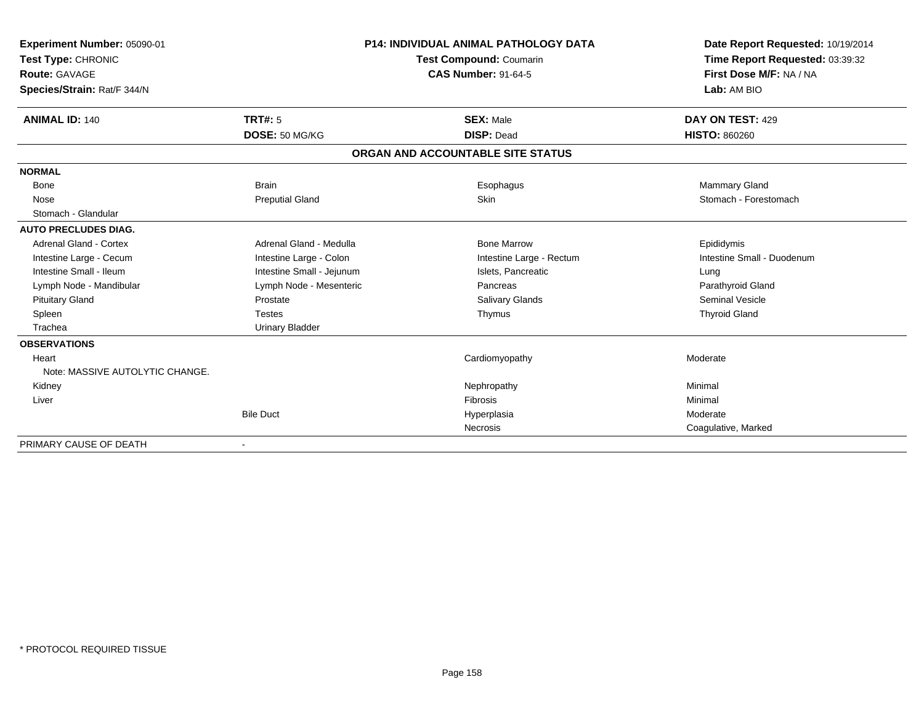| Experiment Number: 05090-01<br>Test Type: CHRONIC<br>Route: GAVAGE<br>Species/Strain: Rat/F 344/N<br><b>ANIMAL ID: 140</b> | <b>TRT#: 5</b>            | <b>P14: INDIVIDUAL ANIMAL PATHOLOGY DATA</b><br>Test Compound: Coumarin<br><b>CAS Number: 91-64-5</b><br><b>SEX: Male</b> | Date Report Requested: 10/19/2014<br>Time Report Requested: 03:39:32<br>First Dose M/F: NA / NA<br>Lab: AM BIO<br>DAY ON TEST: 429 |
|----------------------------------------------------------------------------------------------------------------------------|---------------------------|---------------------------------------------------------------------------------------------------------------------------|------------------------------------------------------------------------------------------------------------------------------------|
|                                                                                                                            | DOSE: 50 MG/KG            | <b>DISP: Dead</b>                                                                                                         | <b>HISTO: 860260</b>                                                                                                               |
|                                                                                                                            |                           | ORGAN AND ACCOUNTABLE SITE STATUS                                                                                         |                                                                                                                                    |
| <b>NORMAL</b>                                                                                                              |                           |                                                                                                                           |                                                                                                                                    |
| Bone                                                                                                                       | <b>Brain</b>              | Esophagus                                                                                                                 | Mammary Gland                                                                                                                      |
| Nose                                                                                                                       | <b>Preputial Gland</b>    | Skin                                                                                                                      | Stomach - Forestomach                                                                                                              |
| Stomach - Glandular                                                                                                        |                           |                                                                                                                           |                                                                                                                                    |
| <b>AUTO PRECLUDES DIAG.</b>                                                                                                |                           |                                                                                                                           |                                                                                                                                    |
| <b>Adrenal Gland - Cortex</b>                                                                                              | Adrenal Gland - Medulla   | <b>Bone Marrow</b>                                                                                                        | Epididymis                                                                                                                         |
| Intestine Large - Cecum                                                                                                    | Intestine Large - Colon   | Intestine Large - Rectum                                                                                                  | Intestine Small - Duodenum                                                                                                         |
| Intestine Small - Ileum                                                                                                    | Intestine Small - Jejunum | Islets, Pancreatic                                                                                                        | Lung                                                                                                                               |
| Lymph Node - Mandibular                                                                                                    | Lymph Node - Mesenteric   | Pancreas                                                                                                                  | Parathyroid Gland                                                                                                                  |
| <b>Pituitary Gland</b>                                                                                                     | Prostate                  | <b>Salivary Glands</b>                                                                                                    | Seminal Vesicle                                                                                                                    |
| Spleen                                                                                                                     | <b>Testes</b>             | Thymus                                                                                                                    | <b>Thyroid Gland</b>                                                                                                               |
| Trachea                                                                                                                    | <b>Urinary Bladder</b>    |                                                                                                                           |                                                                                                                                    |
| <b>OBSERVATIONS</b>                                                                                                        |                           |                                                                                                                           |                                                                                                                                    |
| Heart                                                                                                                      |                           | Cardiomyopathy                                                                                                            | Moderate                                                                                                                           |
| Note: MASSIVE AUTOLYTIC CHANGE.                                                                                            |                           |                                                                                                                           |                                                                                                                                    |
| Kidney                                                                                                                     |                           | Nephropathy                                                                                                               | Minimal                                                                                                                            |
| Liver                                                                                                                      |                           | <b>Fibrosis</b>                                                                                                           | Minimal                                                                                                                            |
|                                                                                                                            | <b>Bile Duct</b>          | Hyperplasia                                                                                                               | Moderate                                                                                                                           |
|                                                                                                                            |                           | Necrosis                                                                                                                  | Coagulative, Marked                                                                                                                |
| PRIMARY CAUSE OF DEATH                                                                                                     | $\overline{\phantom{a}}$  |                                                                                                                           |                                                                                                                                    |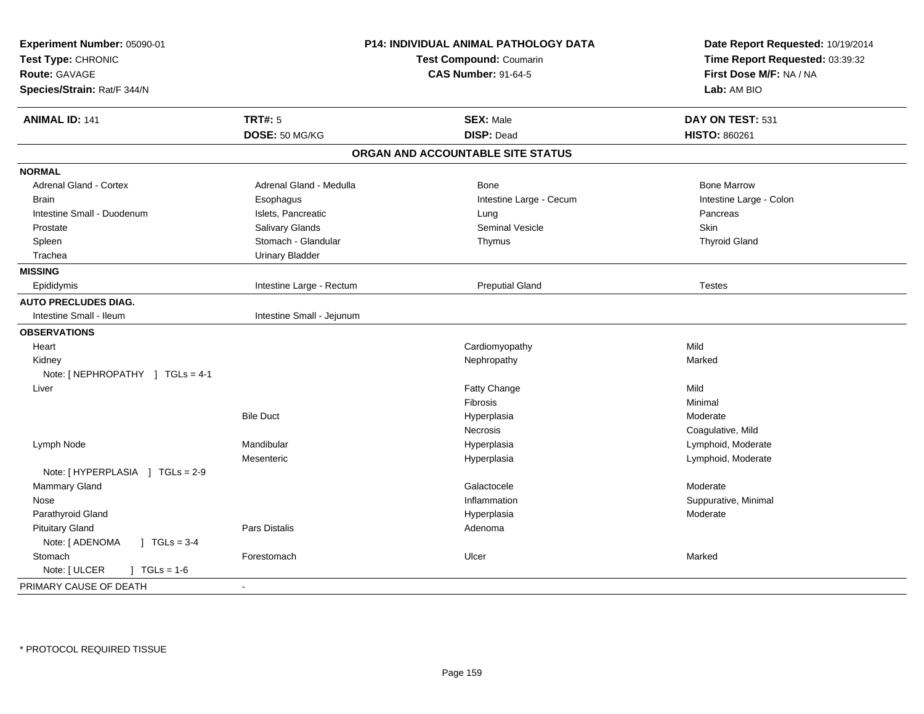| Experiment Number: 05090-01<br>Test Type: CHRONIC<br><b>Route: GAVAGE</b><br>Species/Strain: Rat/F 344/N |                           | P14: INDIVIDUAL ANIMAL PATHOLOGY DATA<br>Test Compound: Coumarin<br><b>CAS Number: 91-64-5</b> | Date Report Requested: 10/19/2014<br>Time Report Requested: 03:39:32<br>First Dose M/F: NA / NA<br>Lab: AM BIO |
|----------------------------------------------------------------------------------------------------------|---------------------------|------------------------------------------------------------------------------------------------|----------------------------------------------------------------------------------------------------------------|
| <b>ANIMAL ID: 141</b>                                                                                    | <b>TRT#: 5</b>            | <b>SEX: Male</b>                                                                               | DAY ON TEST: 531                                                                                               |
|                                                                                                          | DOSE: 50 MG/KG            | <b>DISP: Dead</b>                                                                              | <b>HISTO: 860261</b>                                                                                           |
|                                                                                                          |                           | ORGAN AND ACCOUNTABLE SITE STATUS                                                              |                                                                                                                |
| <b>NORMAL</b>                                                                                            |                           |                                                                                                |                                                                                                                |
| Adrenal Gland - Cortex                                                                                   | Adrenal Gland - Medulla   | <b>Bone</b>                                                                                    | <b>Bone Marrow</b>                                                                                             |
| <b>Brain</b>                                                                                             | Esophagus                 | Intestine Large - Cecum                                                                        | Intestine Large - Colon                                                                                        |
| Intestine Small - Duodenum                                                                               | Islets, Pancreatic        | Lung                                                                                           | Pancreas                                                                                                       |
| Prostate                                                                                                 | Salivary Glands           | <b>Seminal Vesicle</b>                                                                         | <b>Skin</b>                                                                                                    |
| Spleen                                                                                                   | Stomach - Glandular       | Thymus                                                                                         | <b>Thyroid Gland</b>                                                                                           |
| Trachea                                                                                                  | <b>Urinary Bladder</b>    |                                                                                                |                                                                                                                |
| <b>MISSING</b>                                                                                           |                           |                                                                                                |                                                                                                                |
| Epididymis                                                                                               | Intestine Large - Rectum  | <b>Preputial Gland</b>                                                                         | <b>Testes</b>                                                                                                  |
| <b>AUTO PRECLUDES DIAG.</b>                                                                              |                           |                                                                                                |                                                                                                                |
| Intestine Small - Ileum                                                                                  | Intestine Small - Jejunum |                                                                                                |                                                                                                                |
| <b>OBSERVATIONS</b>                                                                                      |                           |                                                                                                |                                                                                                                |
| Heart                                                                                                    |                           | Cardiomyopathy                                                                                 | Mild                                                                                                           |
| Kidney                                                                                                   |                           | Nephropathy                                                                                    | Marked                                                                                                         |
| Note: [ NEPHROPATHY ] TGLs = 4-1                                                                         |                           |                                                                                                |                                                                                                                |
| Liver                                                                                                    |                           | Fatty Change                                                                                   | Mild                                                                                                           |
|                                                                                                          |                           | Fibrosis                                                                                       | Minimal                                                                                                        |
|                                                                                                          | <b>Bile Duct</b>          | Hyperplasia                                                                                    | Moderate                                                                                                       |
|                                                                                                          |                           | Necrosis                                                                                       | Coagulative, Mild                                                                                              |
| Lymph Node                                                                                               | Mandibular                | Hyperplasia                                                                                    | Lymphoid, Moderate                                                                                             |
|                                                                                                          | Mesenteric                | Hyperplasia                                                                                    | Lymphoid, Moderate                                                                                             |
| Note: [HYPERPLASIA ] TGLs = 2-9                                                                          |                           |                                                                                                |                                                                                                                |
| Mammary Gland                                                                                            |                           | Galactocele                                                                                    | Moderate                                                                                                       |
| Nose                                                                                                     |                           | Inflammation                                                                                   | Suppurative, Minimal                                                                                           |
| Parathyroid Gland                                                                                        |                           | Hyperplasia                                                                                    | Moderate                                                                                                       |
| <b>Pituitary Gland</b>                                                                                   | Pars Distalis             | Adenoma                                                                                        |                                                                                                                |
| Note: [ ADENOMA<br>$J \cdot TGLs = 3-4$                                                                  |                           |                                                                                                |                                                                                                                |
| Stomach                                                                                                  | Forestomach               | Ulcer                                                                                          | Marked                                                                                                         |
| Note: [ ULCER<br>$] TGLs = 1-6$                                                                          |                           |                                                                                                |                                                                                                                |
| PRIMARY CAUSE OF DEATH                                                                                   | $\blacksquare$            |                                                                                                |                                                                                                                |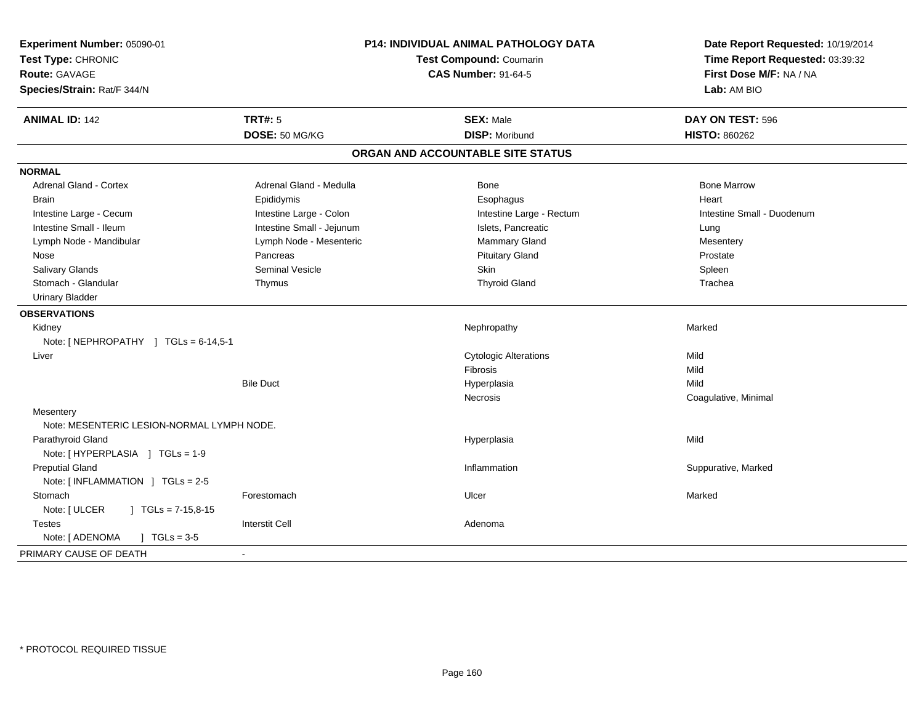| Experiment Number: 05090-01<br>Test Type: CHRONIC<br>Route: GAVAGE<br>Species/Strain: Rat/F 344/N | <b>P14: INDIVIDUAL ANIMAL PATHOLOGY DATA</b><br>Test Compound: Coumarin<br><b>CAS Number: 91-64-5</b> |                                   | Date Report Requested: 10/19/2014<br>Time Report Requested: 03:39:32<br>First Dose M/F: NA / NA<br>Lab: AM BIO |
|---------------------------------------------------------------------------------------------------|-------------------------------------------------------------------------------------------------------|-----------------------------------|----------------------------------------------------------------------------------------------------------------|
| <b>ANIMAL ID: 142</b>                                                                             | <b>TRT#: 5</b>                                                                                        | <b>SEX: Male</b>                  | DAY ON TEST: 596                                                                                               |
|                                                                                                   | DOSE: 50 MG/KG                                                                                        | <b>DISP: Moribund</b>             | <b>HISTO: 860262</b>                                                                                           |
|                                                                                                   |                                                                                                       | ORGAN AND ACCOUNTABLE SITE STATUS |                                                                                                                |
| <b>NORMAL</b>                                                                                     |                                                                                                       |                                   |                                                                                                                |
| <b>Adrenal Gland - Cortex</b>                                                                     | Adrenal Gland - Medulla                                                                               | Bone                              | <b>Bone Marrow</b>                                                                                             |
| <b>Brain</b>                                                                                      | Epididymis                                                                                            | Esophagus                         | Heart                                                                                                          |
| Intestine Large - Cecum                                                                           | Intestine Large - Colon                                                                               | Intestine Large - Rectum          | Intestine Small - Duodenum                                                                                     |
| Intestine Small - Ileum                                                                           | Intestine Small - Jejunum                                                                             | Islets, Pancreatic                | Lung                                                                                                           |
| Lymph Node - Mandibular                                                                           | Lymph Node - Mesenteric                                                                               | Mammary Gland                     | Mesentery                                                                                                      |
| Nose                                                                                              | Pancreas                                                                                              | <b>Pituitary Gland</b>            | Prostate                                                                                                       |
| <b>Salivary Glands</b>                                                                            | <b>Seminal Vesicle</b>                                                                                | Skin                              | Spleen                                                                                                         |
| Stomach - Glandular                                                                               | Thymus                                                                                                | <b>Thyroid Gland</b>              | Trachea                                                                                                        |
| <b>Urinary Bladder</b>                                                                            |                                                                                                       |                                   |                                                                                                                |
| <b>OBSERVATIONS</b>                                                                               |                                                                                                       |                                   |                                                                                                                |
| Kidney                                                                                            |                                                                                                       | Nephropathy                       | Marked                                                                                                         |
| Note: [NEPHROPATHY ] TGLs = 6-14,5-1                                                              |                                                                                                       |                                   |                                                                                                                |
| Liver                                                                                             |                                                                                                       | <b>Cytologic Alterations</b>      | Mild                                                                                                           |
|                                                                                                   |                                                                                                       | Fibrosis                          | Mild                                                                                                           |
|                                                                                                   | <b>Bile Duct</b>                                                                                      | Hyperplasia                       | Mild                                                                                                           |
|                                                                                                   |                                                                                                       | Necrosis                          | Coagulative, Minimal                                                                                           |
| Mesentery                                                                                         |                                                                                                       |                                   |                                                                                                                |
| Note: MESENTERIC LESION-NORMAL LYMPH NODE.                                                        |                                                                                                       |                                   |                                                                                                                |
| Parathyroid Gland                                                                                 |                                                                                                       | Hyperplasia                       | Mild                                                                                                           |
| Note: [HYPERPLASIA ] TGLs = 1-9                                                                   |                                                                                                       |                                   |                                                                                                                |
| <b>Preputial Gland</b>                                                                            |                                                                                                       | Inflammation                      | Suppurative, Marked                                                                                            |
| Note: [INFLAMMATION ] TGLs = 2-5                                                                  |                                                                                                       |                                   |                                                                                                                |
| Stomach                                                                                           | Forestomach                                                                                           | Ulcer                             | Marked                                                                                                         |
| Note: [ ULCER<br>$\vert$ TGLs = 7-15,8-15                                                         |                                                                                                       |                                   |                                                                                                                |
| <b>Testes</b>                                                                                     | <b>Interstit Cell</b>                                                                                 | Adenoma                           |                                                                                                                |
| Note: [ ADENOMA<br>$1 TGLs = 3-5$                                                                 |                                                                                                       |                                   |                                                                                                                |
| PRIMARY CAUSE OF DEATH                                                                            |                                                                                                       |                                   |                                                                                                                |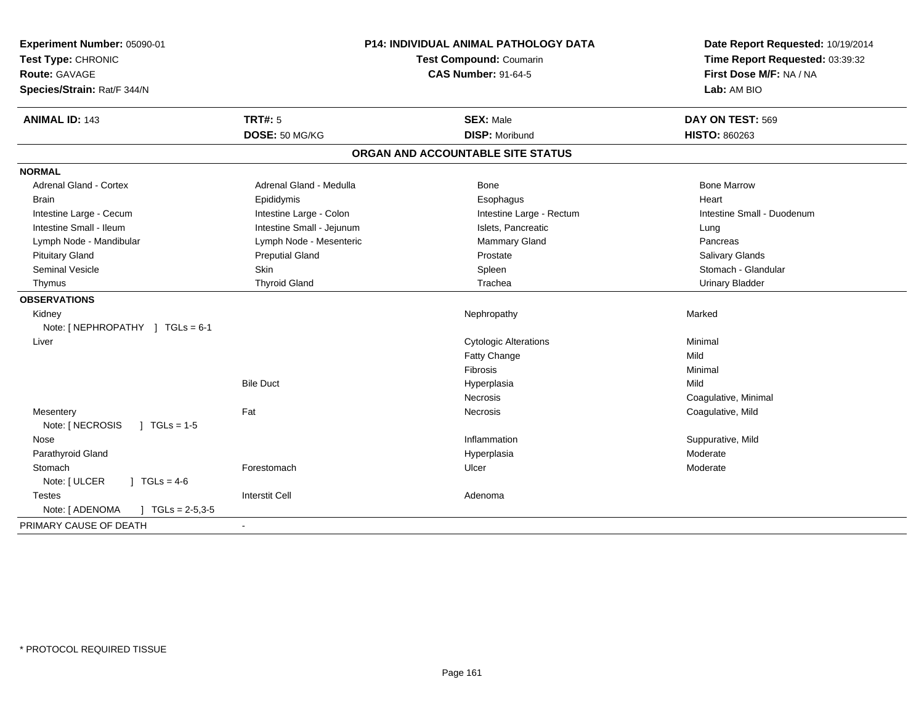| Experiment Number: 05090-01<br>Test Type: CHRONIC<br><b>Route: GAVAGE</b><br>Species/Strain: Rat/F 344/N | P14: INDIVIDUAL ANIMAL PATHOLOGY DATA<br>Test Compound: Coumarin<br><b>CAS Number: 91-64-5</b> |                                           | Date Report Requested: 10/19/2014<br>Time Report Requested: 03:39:32<br>First Dose M/F: NA / NA<br>Lab: AM BIO |
|----------------------------------------------------------------------------------------------------------|------------------------------------------------------------------------------------------------|-------------------------------------------|----------------------------------------------------------------------------------------------------------------|
| <b>ANIMAL ID: 143</b>                                                                                    | <b>TRT#: 5</b><br>DOSE: 50 MG/KG                                                               | <b>SEX: Male</b><br><b>DISP: Moribund</b> | DAY ON TEST: 569<br><b>HISTO: 860263</b>                                                                       |
|                                                                                                          |                                                                                                |                                           |                                                                                                                |
|                                                                                                          |                                                                                                | ORGAN AND ACCOUNTABLE SITE STATUS         |                                                                                                                |
| <b>NORMAL</b>                                                                                            |                                                                                                |                                           |                                                                                                                |
| <b>Adrenal Gland - Cortex</b>                                                                            | Adrenal Gland - Medulla                                                                        | <b>Bone</b>                               | <b>Bone Marrow</b>                                                                                             |
| <b>Brain</b>                                                                                             | Epididymis                                                                                     | Esophagus                                 | Heart                                                                                                          |
| Intestine Large - Cecum                                                                                  | Intestine Large - Colon                                                                        | Intestine Large - Rectum                  | Intestine Small - Duodenum                                                                                     |
| Intestine Small - Ileum                                                                                  | Intestine Small - Jejunum                                                                      | Islets, Pancreatic                        | Lung                                                                                                           |
| Lymph Node - Mandibular                                                                                  | Lymph Node - Mesenteric                                                                        | <b>Mammary Gland</b>                      | Pancreas                                                                                                       |
| <b>Pituitary Gland</b>                                                                                   | <b>Preputial Gland</b>                                                                         | Prostate                                  | Salivary Glands                                                                                                |
| Seminal Vesicle                                                                                          | Skin                                                                                           | Spleen                                    | Stomach - Glandular                                                                                            |
| Thymus                                                                                                   | <b>Thyroid Gland</b>                                                                           | Trachea                                   | <b>Urinary Bladder</b>                                                                                         |
| <b>OBSERVATIONS</b>                                                                                      |                                                                                                |                                           |                                                                                                                |
| Kidney                                                                                                   |                                                                                                | Nephropathy                               | Marked                                                                                                         |
| Note: [NEPHROPATHY ] TGLs = 6-1                                                                          |                                                                                                |                                           |                                                                                                                |
| Liver                                                                                                    |                                                                                                | <b>Cytologic Alterations</b>              | Minimal                                                                                                        |
|                                                                                                          |                                                                                                | Fatty Change                              | Mild                                                                                                           |
|                                                                                                          |                                                                                                | Fibrosis                                  | Minimal                                                                                                        |
|                                                                                                          | <b>Bile Duct</b>                                                                               | Hyperplasia                               | Mild                                                                                                           |
|                                                                                                          |                                                                                                | Necrosis                                  | Coagulative, Minimal                                                                                           |
| Mesentery                                                                                                | Fat                                                                                            | Necrosis                                  | Coagulative, Mild                                                                                              |
| Note: [ NECROSIS<br>$\sqrt{ }$ TGLs = 1-5                                                                |                                                                                                |                                           |                                                                                                                |
| Nose                                                                                                     |                                                                                                | Inflammation                              | Suppurative, Mild                                                                                              |
| Parathyroid Gland                                                                                        |                                                                                                | Hyperplasia                               | Moderate                                                                                                       |
| Stomach                                                                                                  | Forestomach                                                                                    | Ulcer                                     | Moderate                                                                                                       |
| Note: [ ULCER<br>$1 \text{ TGLs} = 4-6$                                                                  |                                                                                                |                                           |                                                                                                                |
| <b>Testes</b>                                                                                            | <b>Interstit Cell</b>                                                                          | Adenoma                                   |                                                                                                                |
| Note: [ ADENOMA<br>$J \cdot TGLs = 2-5,3-5$                                                              |                                                                                                |                                           |                                                                                                                |
| PRIMARY CAUSE OF DEATH                                                                                   |                                                                                                |                                           |                                                                                                                |
|                                                                                                          |                                                                                                |                                           |                                                                                                                |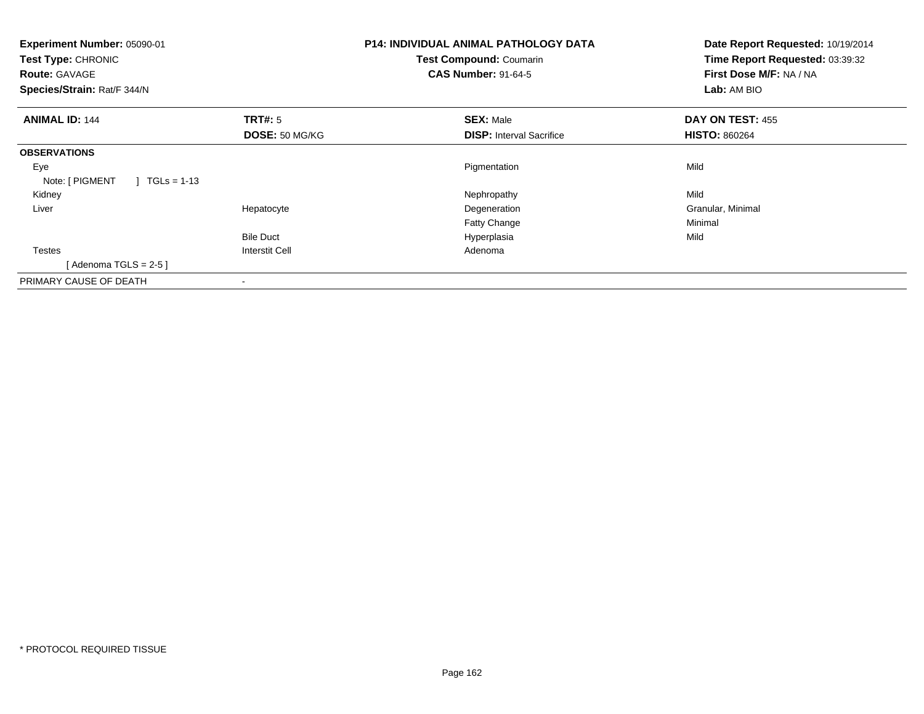| <b>Experiment Number: 05090-01</b><br>Test Type: CHRONIC<br><b>Route: GAVAGE</b><br>Species/Strain: Rat/F 344/N |                       | <b>P14: INDIVIDUAL ANIMAL PATHOLOGY DATA</b><br>Test Compound: Coumarin<br><b>CAS Number: 91-64-5</b> | Date Report Requested: 10/19/2014<br>Time Report Requested: 03:39:32<br>First Dose M/F: NA / NA<br>Lab: AM BIO |
|-----------------------------------------------------------------------------------------------------------------|-----------------------|-------------------------------------------------------------------------------------------------------|----------------------------------------------------------------------------------------------------------------|
| <b>ANIMAL ID: 144</b>                                                                                           | TRT#: 5               | <b>SEX: Male</b>                                                                                      | DAY ON TEST: 455                                                                                               |
|                                                                                                                 | DOSE: 50 MG/KG        | <b>DISP:</b> Interval Sacrifice                                                                       | <b>HISTO: 860264</b>                                                                                           |
| <b>OBSERVATIONS</b>                                                                                             |                       |                                                                                                       |                                                                                                                |
| Eye                                                                                                             |                       | Pigmentation                                                                                          | Mild                                                                                                           |
| Note: [ PIGMENT<br>$TGLs = 1-13$                                                                                |                       |                                                                                                       |                                                                                                                |
| Kidney                                                                                                          |                       | Nephropathy                                                                                           | Mild                                                                                                           |
| Liver                                                                                                           | Hepatocyte            | Degeneration                                                                                          | Granular, Minimal                                                                                              |
|                                                                                                                 |                       | Fatty Change                                                                                          | Minimal                                                                                                        |
|                                                                                                                 | <b>Bile Duct</b>      | Hyperplasia                                                                                           | Mild                                                                                                           |
| <b>Testes</b>                                                                                                   | <b>Interstit Cell</b> | Adenoma                                                                                               |                                                                                                                |
| [Adenoma TGLS = $2-5$ ]                                                                                         |                       |                                                                                                       |                                                                                                                |
| PRIMARY CAUSE OF DEATH                                                                                          |                       |                                                                                                       |                                                                                                                |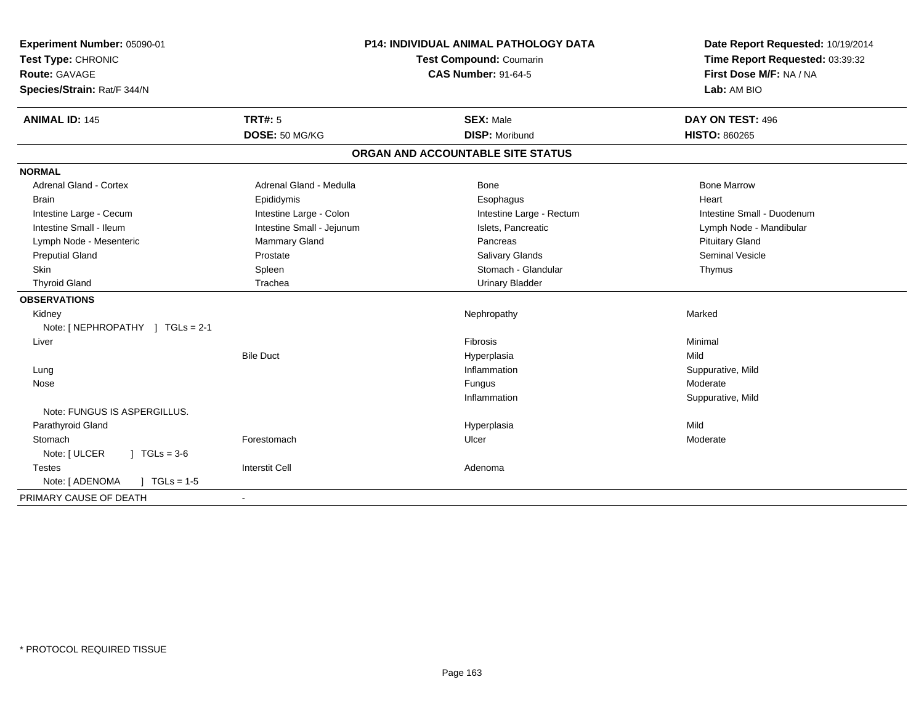| Experiment Number: 05090-01<br>Test Type: CHRONIC<br><b>Route: GAVAGE</b><br>Species/Strain: Rat/F 344/N | <b>P14: INDIVIDUAL ANIMAL PATHOLOGY DATA</b><br><b>Test Compound: Coumarin</b><br><b>CAS Number: 91-64-5</b> |                                   | Date Report Requested: 10/19/2014<br>Time Report Requested: 03:39:32<br>First Dose M/F: NA / NA<br>Lab: AM BIO |
|----------------------------------------------------------------------------------------------------------|--------------------------------------------------------------------------------------------------------------|-----------------------------------|----------------------------------------------------------------------------------------------------------------|
| <b>ANIMAL ID: 145</b>                                                                                    | TRT#: 5                                                                                                      | <b>SEX: Male</b>                  | DAY ON TEST: 496                                                                                               |
|                                                                                                          | DOSE: 50 MG/KG                                                                                               | <b>DISP: Moribund</b>             | <b>HISTO: 860265</b>                                                                                           |
|                                                                                                          |                                                                                                              | ORGAN AND ACCOUNTABLE SITE STATUS |                                                                                                                |
| <b>NORMAL</b>                                                                                            |                                                                                                              |                                   |                                                                                                                |
| <b>Adrenal Gland - Cortex</b>                                                                            | Adrenal Gland - Medulla                                                                                      | Bone                              | <b>Bone Marrow</b>                                                                                             |
| <b>Brain</b>                                                                                             | Epididymis                                                                                                   | Esophagus                         | Heart                                                                                                          |
| Intestine Large - Cecum                                                                                  | Intestine Large - Colon                                                                                      | Intestine Large - Rectum          | Intestine Small - Duodenum                                                                                     |
| Intestine Small - Ileum                                                                                  | Intestine Small - Jejunum                                                                                    | Islets, Pancreatic                | Lymph Node - Mandibular                                                                                        |
| Lymph Node - Mesenteric                                                                                  | Mammary Gland                                                                                                | Pancreas                          | <b>Pituitary Gland</b>                                                                                         |
| <b>Preputial Gland</b>                                                                                   | Prostate                                                                                                     | <b>Salivary Glands</b>            | <b>Seminal Vesicle</b>                                                                                         |
| Skin                                                                                                     | Spleen                                                                                                       | Stomach - Glandular               | Thymus                                                                                                         |
| <b>Thyroid Gland</b>                                                                                     | Trachea                                                                                                      | <b>Urinary Bladder</b>            |                                                                                                                |
| <b>OBSERVATIONS</b>                                                                                      |                                                                                                              |                                   |                                                                                                                |
| Kidney                                                                                                   |                                                                                                              | Nephropathy                       | Marked                                                                                                         |
| Note: [ NEPHROPATHY ] TGLs = 2-1                                                                         |                                                                                                              |                                   |                                                                                                                |
| Liver                                                                                                    |                                                                                                              | Fibrosis                          | Minimal                                                                                                        |
|                                                                                                          | <b>Bile Duct</b>                                                                                             | Hyperplasia                       | Mild                                                                                                           |
| Lung                                                                                                     |                                                                                                              | Inflammation                      | Suppurative, Mild                                                                                              |
| Nose                                                                                                     |                                                                                                              | Fungus                            | Moderate                                                                                                       |
|                                                                                                          |                                                                                                              | Inflammation                      | Suppurative, Mild                                                                                              |
| Note: FUNGUS IS ASPERGILLUS.                                                                             |                                                                                                              |                                   |                                                                                                                |
| Parathyroid Gland                                                                                        |                                                                                                              | Hyperplasia                       | Mild                                                                                                           |
| Stomach                                                                                                  | Forestomach                                                                                                  | Ulcer                             | Moderate                                                                                                       |
| Note: [ ULCER<br>$1 TGLs = 3-6$                                                                          |                                                                                                              |                                   |                                                                                                                |
| <b>Testes</b>                                                                                            | <b>Interstit Cell</b>                                                                                        | Adenoma                           |                                                                                                                |
| Note: [ ADENOMA<br>$\sqrt{1}$ TGLs = 1-5                                                                 |                                                                                                              |                                   |                                                                                                                |
| PRIMARY CAUSE OF DEATH                                                                                   | $\sim$                                                                                                       |                                   |                                                                                                                |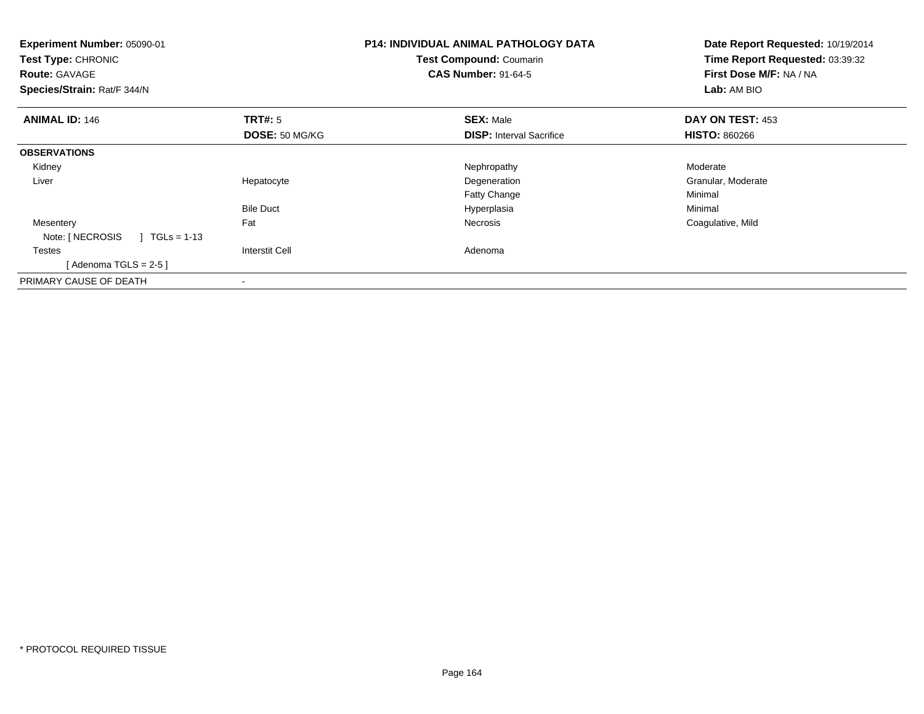| <b>Experiment Number: 05090-01</b><br>Test Compound: Coumarin<br>Test Type: CHRONIC<br><b>CAS Number: 91-64-5</b><br><b>Route: GAVAGE</b><br>Species/Strain: Rat/F 344/N |                                  | <b>P14: INDIVIDUAL ANIMAL PATHOLOGY DATA</b>        | Date Report Requested: 10/19/2014<br>Time Report Requested: 03:39:32<br>First Dose M/F: NA / NA<br>Lab: AM BIO |
|--------------------------------------------------------------------------------------------------------------------------------------------------------------------------|----------------------------------|-----------------------------------------------------|----------------------------------------------------------------------------------------------------------------|
| <b>ANIMAL ID: 146</b>                                                                                                                                                    | TRT#: 5<br><b>DOSE: 50 MG/KG</b> | <b>SEX: Male</b><br><b>DISP: Interval Sacrifice</b> | DAY ON TEST: 453<br><b>HISTO: 860266</b>                                                                       |
| <b>OBSERVATIONS</b>                                                                                                                                                      |                                  |                                                     |                                                                                                                |
| Kidney                                                                                                                                                                   |                                  | Nephropathy                                         | Moderate                                                                                                       |
| Liver                                                                                                                                                                    | Hepatocyte                       | Degeneration                                        | Granular, Moderate                                                                                             |
|                                                                                                                                                                          |                                  | <b>Fatty Change</b>                                 | Minimal                                                                                                        |
|                                                                                                                                                                          | <b>Bile Duct</b>                 | Hyperplasia                                         | Minimal                                                                                                        |
| Mesentery<br>Note: [ NECROSIS<br>$1 \text{ TGLs} = 1-13$                                                                                                                 | Fat                              | Necrosis                                            | Coagulative, Mild                                                                                              |
| <b>Testes</b>                                                                                                                                                            | Interstit Cell                   | Adenoma                                             |                                                                                                                |
| [Adenoma TGLS = $2-5$ ]                                                                                                                                                  |                                  |                                                     |                                                                                                                |
| PRIMARY CAUSE OF DEATH                                                                                                                                                   |                                  |                                                     |                                                                                                                |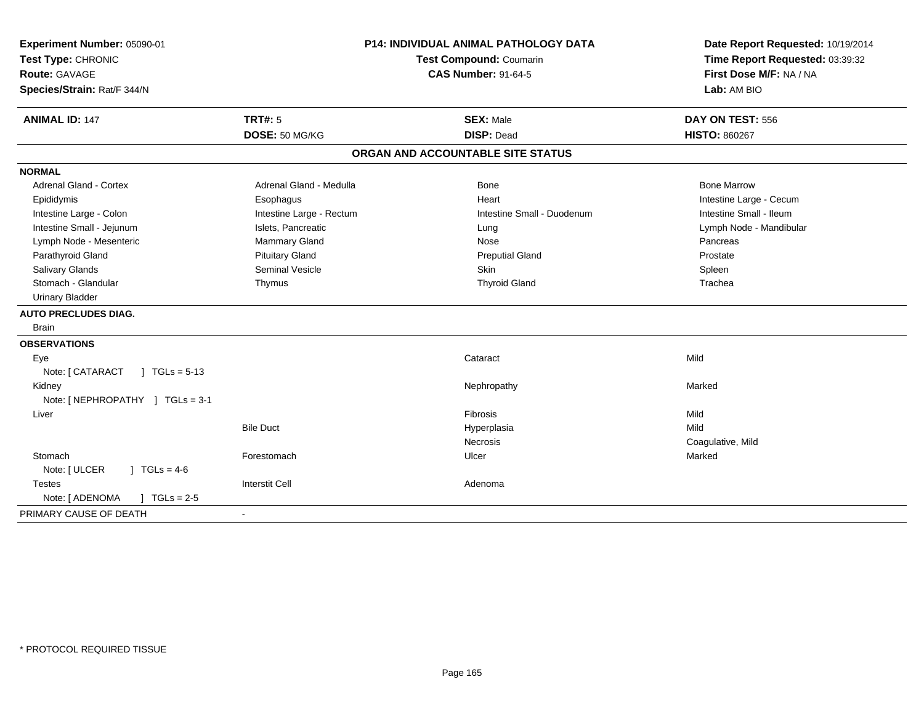| Experiment Number: 05090-01<br>Test Type: CHRONIC<br><b>Route: GAVAGE</b><br>Species/Strain: Rat/F 344/N | P14: INDIVIDUAL ANIMAL PATHOLOGY DATA<br><b>Test Compound: Coumarin</b><br><b>CAS Number: 91-64-5</b> |                                   | Date Report Requested: 10/19/2014<br>Time Report Requested: 03:39:32<br>First Dose M/F: NA / NA<br>Lab: AM BIO |
|----------------------------------------------------------------------------------------------------------|-------------------------------------------------------------------------------------------------------|-----------------------------------|----------------------------------------------------------------------------------------------------------------|
| <b>ANIMAL ID: 147</b>                                                                                    | <b>TRT#: 5</b>                                                                                        | <b>SEX: Male</b>                  | DAY ON TEST: 556                                                                                               |
|                                                                                                          | DOSE: 50 MG/KG                                                                                        | <b>DISP: Dead</b>                 | <b>HISTO: 860267</b>                                                                                           |
|                                                                                                          |                                                                                                       | ORGAN AND ACCOUNTABLE SITE STATUS |                                                                                                                |
| <b>NORMAL</b>                                                                                            |                                                                                                       |                                   |                                                                                                                |
| <b>Adrenal Gland - Cortex</b>                                                                            | Adrenal Gland - Medulla                                                                               | <b>Bone</b>                       | <b>Bone Marrow</b>                                                                                             |
| Epididymis                                                                                               | Esophagus                                                                                             | Heart                             | Intestine Large - Cecum                                                                                        |
| Intestine Large - Colon                                                                                  | Intestine Large - Rectum                                                                              | Intestine Small - Duodenum        | Intestine Small - Ileum                                                                                        |
| Intestine Small - Jejunum                                                                                | Islets, Pancreatic                                                                                    | Lung                              | Lymph Node - Mandibular                                                                                        |
| Lymph Node - Mesenteric                                                                                  | Mammary Gland                                                                                         | Nose                              | Pancreas                                                                                                       |
| Parathyroid Gland                                                                                        | <b>Pituitary Gland</b>                                                                                | <b>Preputial Gland</b>            | Prostate                                                                                                       |
| <b>Salivary Glands</b>                                                                                   | Seminal Vesicle                                                                                       | Skin                              | Spleen                                                                                                         |
| Stomach - Glandular                                                                                      | Thymus                                                                                                | <b>Thyroid Gland</b>              | Trachea                                                                                                        |
| <b>Urinary Bladder</b>                                                                                   |                                                                                                       |                                   |                                                                                                                |
| <b>AUTO PRECLUDES DIAG.</b>                                                                              |                                                                                                       |                                   |                                                                                                                |
| Brain                                                                                                    |                                                                                                       |                                   |                                                                                                                |
| <b>OBSERVATIONS</b>                                                                                      |                                                                                                       |                                   |                                                                                                                |
| Eye                                                                                                      |                                                                                                       | Cataract                          | Mild                                                                                                           |
| Note: [ CATARACT<br>$1 TGLs = 5-13$                                                                      |                                                                                                       |                                   |                                                                                                                |
| Kidney                                                                                                   |                                                                                                       | Nephropathy                       | Marked                                                                                                         |
| Note: [NEPHROPATHY ] TGLs = 3-1                                                                          |                                                                                                       |                                   |                                                                                                                |
| Liver                                                                                                    |                                                                                                       | <b>Fibrosis</b>                   | Mild                                                                                                           |
|                                                                                                          | <b>Bile Duct</b>                                                                                      | Hyperplasia                       | Mild                                                                                                           |
|                                                                                                          |                                                                                                       | Necrosis                          | Coagulative, Mild                                                                                              |
| Stomach                                                                                                  | Forestomach                                                                                           | Ulcer                             | Marked                                                                                                         |
| $J \cdot TGLS = 4-6$<br>Note: [ ULCER                                                                    |                                                                                                       |                                   |                                                                                                                |
| <b>Testes</b>                                                                                            | <b>Interstit Cell</b>                                                                                 | Adenoma                           |                                                                                                                |
| Note: [ ADENOMA<br>$\sqrt{1 + 1}$ TGLs = 2-5                                                             |                                                                                                       |                                   |                                                                                                                |
| PRIMARY CAUSE OF DEATH                                                                                   | $\blacksquare$                                                                                        |                                   |                                                                                                                |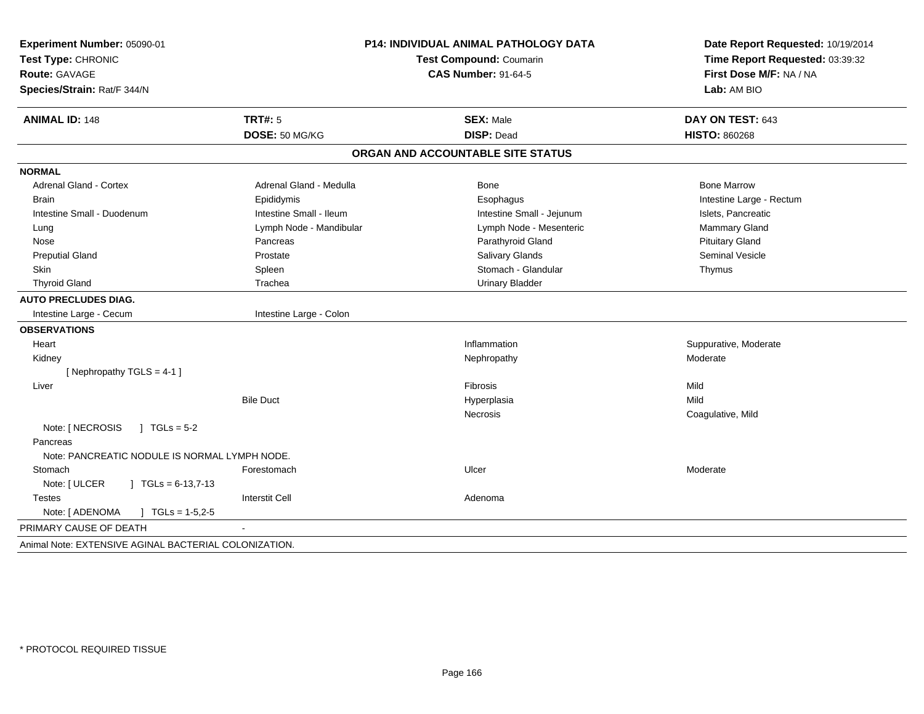| Experiment Number: 05090-01<br>Test Type: CHRONIC<br><b>Route: GAVAGE</b><br>Species/Strain: Rat/F 344/N | P14: INDIVIDUAL ANIMAL PATHOLOGY DATA<br>Test Compound: Coumarin<br><b>CAS Number: 91-64-5</b> |                                   | Date Report Requested: 10/19/2014<br>Time Report Requested: 03:39:32<br>First Dose M/F: NA / NA<br>Lab: AM BIO |
|----------------------------------------------------------------------------------------------------------|------------------------------------------------------------------------------------------------|-----------------------------------|----------------------------------------------------------------------------------------------------------------|
| <b>ANIMAL ID: 148</b>                                                                                    | <b>TRT#: 5</b>                                                                                 | <b>SEX: Male</b>                  | DAY ON TEST: 643                                                                                               |
|                                                                                                          | DOSE: 50 MG/KG                                                                                 | <b>DISP: Dead</b>                 | <b>HISTO: 860268</b>                                                                                           |
|                                                                                                          |                                                                                                | ORGAN AND ACCOUNTABLE SITE STATUS |                                                                                                                |
| <b>NORMAL</b>                                                                                            |                                                                                                |                                   |                                                                                                                |
| <b>Adrenal Gland - Cortex</b>                                                                            | Adrenal Gland - Medulla                                                                        | Bone                              | <b>Bone Marrow</b>                                                                                             |
| <b>Brain</b>                                                                                             | Epididymis                                                                                     | Esophagus                         | Intestine Large - Rectum                                                                                       |
| Intestine Small - Duodenum                                                                               | Intestine Small - Ileum                                                                        | Intestine Small - Jejunum         | Islets, Pancreatic                                                                                             |
| Lung                                                                                                     | Lymph Node - Mandibular                                                                        | Lymph Node - Mesenteric           | Mammary Gland                                                                                                  |
| Nose                                                                                                     | Pancreas                                                                                       | Parathyroid Gland                 | <b>Pituitary Gland</b>                                                                                         |
| <b>Preputial Gland</b>                                                                                   | Prostate                                                                                       | Salivary Glands                   | <b>Seminal Vesicle</b>                                                                                         |
| Skin                                                                                                     | Spleen                                                                                         | Stomach - Glandular               | Thymus                                                                                                         |
| <b>Thyroid Gland</b>                                                                                     | Trachea                                                                                        | <b>Urinary Bladder</b>            |                                                                                                                |
| <b>AUTO PRECLUDES DIAG.</b>                                                                              |                                                                                                |                                   |                                                                                                                |
| Intestine Large - Cecum                                                                                  | Intestine Large - Colon                                                                        |                                   |                                                                                                                |
| <b>OBSERVATIONS</b>                                                                                      |                                                                                                |                                   |                                                                                                                |
| Heart                                                                                                    |                                                                                                | Inflammation                      | Suppurative, Moderate                                                                                          |
| Kidney                                                                                                   |                                                                                                | Nephropathy                       | Moderate                                                                                                       |
| [Nephropathy TGLS = 4-1]                                                                                 |                                                                                                |                                   |                                                                                                                |
| Liver                                                                                                    |                                                                                                | Fibrosis                          | Mild                                                                                                           |
|                                                                                                          | <b>Bile Duct</b>                                                                               | Hyperplasia                       | Mild                                                                                                           |
|                                                                                                          |                                                                                                | <b>Necrosis</b>                   | Coagulative, Mild                                                                                              |
| Note: [ NECROSIS<br>$\int$ TGLs = 5-2                                                                    |                                                                                                |                                   |                                                                                                                |
| Pancreas                                                                                                 |                                                                                                |                                   |                                                                                                                |
| Note: PANCREATIC NODULE IS NORMAL LYMPH NODE.                                                            |                                                                                                |                                   |                                                                                                                |
| Stomach                                                                                                  | Forestomach                                                                                    | Ulcer                             | Moderate                                                                                                       |
| Note: [ ULCER<br>$\vert$ TGLs = 6-13,7-13                                                                |                                                                                                |                                   |                                                                                                                |
| <b>Testes</b>                                                                                            | <b>Interstit Cell</b>                                                                          | Adenoma                           |                                                                                                                |
| Note: [ ADENOMA<br>$J \cdot TGLs = 1-5,2-5$                                                              |                                                                                                |                                   |                                                                                                                |
| PRIMARY CAUSE OF DEATH                                                                                   |                                                                                                |                                   |                                                                                                                |
| Animal Note: EXTENSIVE AGINAL BACTERIAL COLONIZATION.                                                    |                                                                                                |                                   |                                                                                                                |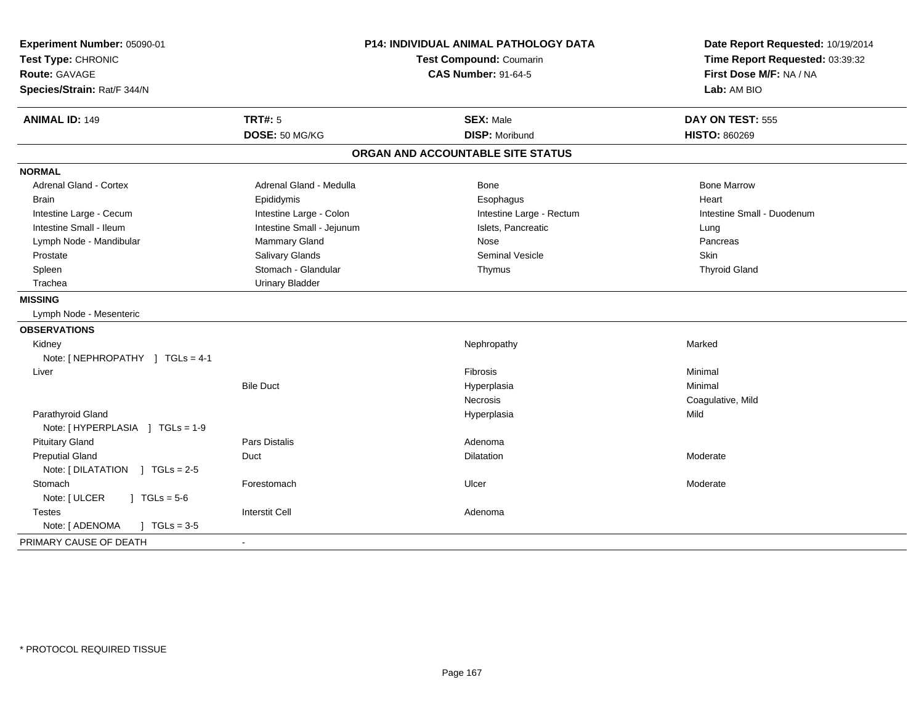| Experiment Number: 05090-01<br>Test Type: CHRONIC<br><b>Route: GAVAGE</b><br>Species/Strain: Rat/F 344/N | <b>P14: INDIVIDUAL ANIMAL PATHOLOGY DATA</b><br>Test Compound: Coumarin<br><b>CAS Number: 91-64-5</b> |                                   | Date Report Requested: 10/19/2014<br>Time Report Requested: 03:39:32<br>First Dose M/F: NA / NA<br>Lab: AM BIO |
|----------------------------------------------------------------------------------------------------------|-------------------------------------------------------------------------------------------------------|-----------------------------------|----------------------------------------------------------------------------------------------------------------|
| <b>ANIMAL ID: 149</b>                                                                                    | <b>TRT#: 5</b>                                                                                        | <b>SEX: Male</b>                  | DAY ON TEST: 555                                                                                               |
|                                                                                                          | DOSE: 50 MG/KG                                                                                        | <b>DISP: Moribund</b>             | <b>HISTO: 860269</b>                                                                                           |
|                                                                                                          |                                                                                                       | ORGAN AND ACCOUNTABLE SITE STATUS |                                                                                                                |
| <b>NORMAL</b>                                                                                            |                                                                                                       |                                   |                                                                                                                |
| <b>Adrenal Gland - Cortex</b>                                                                            | Adrenal Gland - Medulla                                                                               | Bone                              | <b>Bone Marrow</b>                                                                                             |
| <b>Brain</b>                                                                                             | Epididymis                                                                                            | Esophagus                         | Heart                                                                                                          |
| Intestine Large - Cecum                                                                                  | Intestine Large - Colon                                                                               | Intestine Large - Rectum          | Intestine Small - Duodenum                                                                                     |
| Intestine Small - Ileum                                                                                  | Intestine Small - Jejunum                                                                             | Islets, Pancreatic                | Lung                                                                                                           |
| Lymph Node - Mandibular                                                                                  | Mammary Gland                                                                                         | Nose                              | Pancreas                                                                                                       |
| Prostate                                                                                                 | Salivary Glands                                                                                       | <b>Seminal Vesicle</b>            | <b>Skin</b>                                                                                                    |
| Spleen                                                                                                   | Stomach - Glandular                                                                                   | Thymus                            | <b>Thyroid Gland</b>                                                                                           |
| Trachea                                                                                                  | <b>Urinary Bladder</b>                                                                                |                                   |                                                                                                                |
| <b>MISSING</b>                                                                                           |                                                                                                       |                                   |                                                                                                                |
| Lymph Node - Mesenteric                                                                                  |                                                                                                       |                                   |                                                                                                                |
| <b>OBSERVATIONS</b>                                                                                      |                                                                                                       |                                   |                                                                                                                |
| Kidney                                                                                                   |                                                                                                       | Nephropathy                       | Marked                                                                                                         |
| Note: [NEPHROPATHY ] TGLs = 4-1                                                                          |                                                                                                       |                                   |                                                                                                                |
| Liver                                                                                                    |                                                                                                       | Fibrosis                          | Minimal                                                                                                        |
|                                                                                                          | <b>Bile Duct</b>                                                                                      | Hyperplasia                       | Minimal                                                                                                        |
|                                                                                                          |                                                                                                       | Necrosis                          | Coagulative, Mild                                                                                              |
| Parathyroid Gland                                                                                        |                                                                                                       | Hyperplasia                       | Mild                                                                                                           |
| Note: [HYPERPLASIA ] TGLs = 1-9                                                                          |                                                                                                       |                                   |                                                                                                                |
| <b>Pituitary Gland</b>                                                                                   | Pars Distalis                                                                                         | Adenoma                           |                                                                                                                |
| <b>Preputial Gland</b>                                                                                   | Duct                                                                                                  | Dilatation                        | Moderate                                                                                                       |
| Note: [DILATATION ] TGLs = 2-5                                                                           |                                                                                                       |                                   |                                                                                                                |
| Stomach                                                                                                  | Forestomach                                                                                           | Ulcer                             | Moderate                                                                                                       |
| Note: [ ULCER<br>$J \cdot TGLs = 5-6$                                                                    |                                                                                                       |                                   |                                                                                                                |
| <b>Testes</b>                                                                                            | <b>Interstit Cell</b>                                                                                 | Adenoma                           |                                                                                                                |
| Note: [ ADENOMA<br>$J \cdot TGLs = 3-5$                                                                  |                                                                                                       |                                   |                                                                                                                |
| PRIMARY CAUSE OF DEATH                                                                                   |                                                                                                       |                                   |                                                                                                                |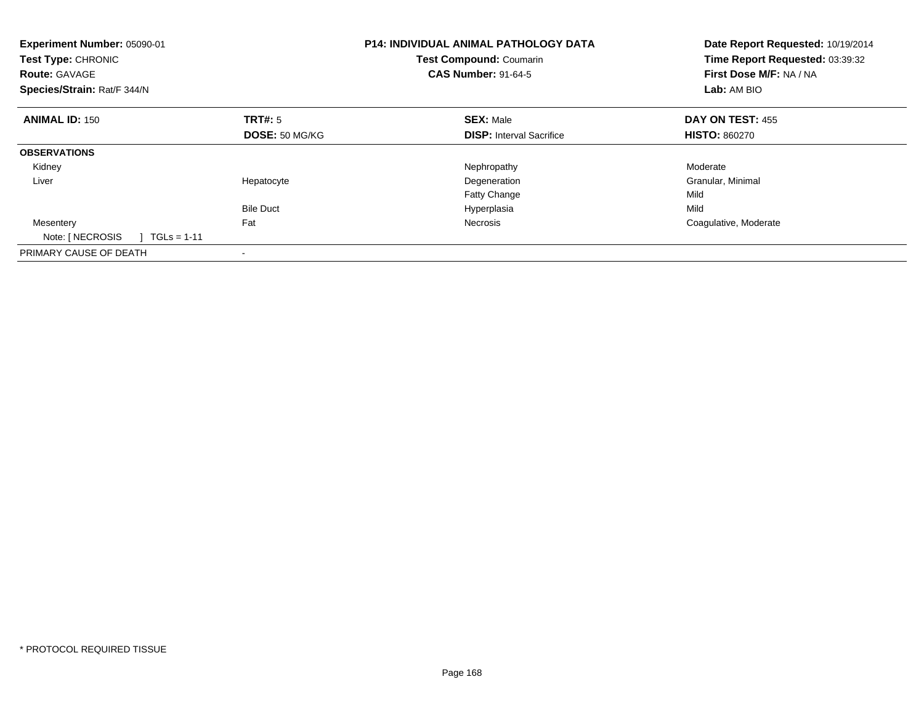| Experiment Number: 05090-01<br>Test Type: CHRONIC<br><b>Route: GAVAGE</b><br>Species/Strain: Rat/F 344/N |                           | <b>P14: INDIVIDUAL ANIMAL PATHOLOGY DATA</b><br>Test Compound: Coumarin<br><b>CAS Number: 91-64-5</b> | Date Report Requested: 10/19/2014<br>Time Report Requested: 03:39:32<br>First Dose M/F: NA / NA<br>Lab: AM BIO |
|----------------------------------------------------------------------------------------------------------|---------------------------|-------------------------------------------------------------------------------------------------------|----------------------------------------------------------------------------------------------------------------|
| <b>ANIMAL ID: 150</b>                                                                                    | TRT#: 5<br>DOSE: 50 MG/KG | <b>SEX: Male</b><br><b>DISP:</b> Interval Sacrifice                                                   | <b>DAY ON TEST: 455</b><br><b>HISTO: 860270</b>                                                                |
|                                                                                                          |                           |                                                                                                       |                                                                                                                |
| <b>OBSERVATIONS</b>                                                                                      |                           |                                                                                                       |                                                                                                                |
| Kidney                                                                                                   |                           | Nephropathy                                                                                           | Moderate                                                                                                       |
| Liver                                                                                                    | Hepatocyte                | Degeneration                                                                                          | Granular, Minimal                                                                                              |
|                                                                                                          |                           | <b>Fatty Change</b>                                                                                   | Mild                                                                                                           |
|                                                                                                          | <b>Bile Duct</b>          | Hyperplasia                                                                                           | Mild                                                                                                           |
| Mesentery                                                                                                | Fat                       | Necrosis                                                                                              | Coagulative, Moderate                                                                                          |
| Note: [ NECROSIS<br>$TGLs = 1-11$                                                                        |                           |                                                                                                       |                                                                                                                |
| PRIMARY CAUSE OF DEATH                                                                                   |                           |                                                                                                       |                                                                                                                |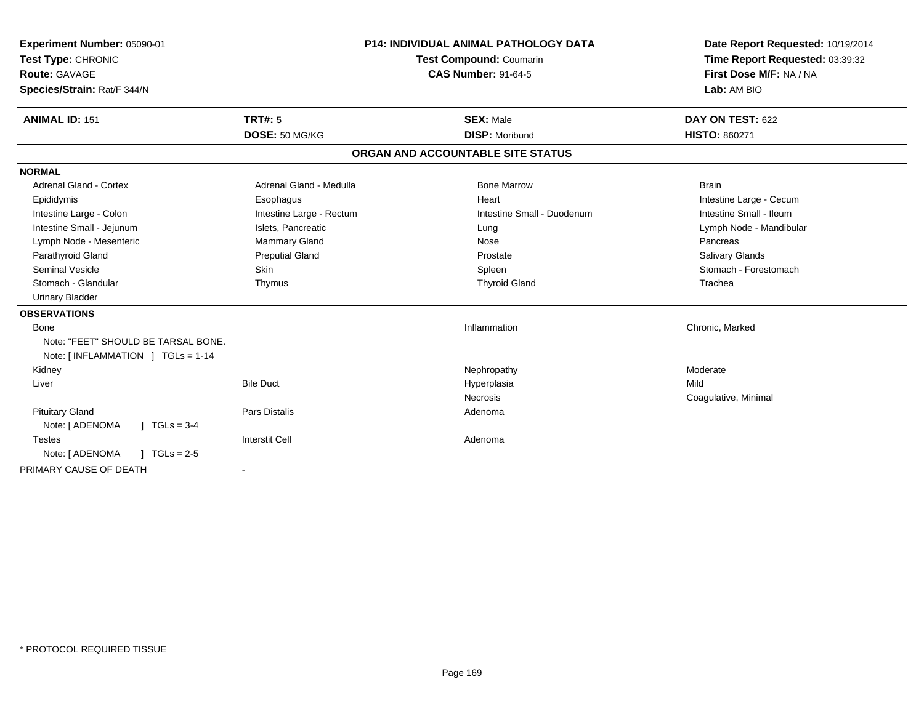| Experiment Number: 05090-01<br>Test Type: CHRONIC<br><b>Route: GAVAGE</b><br>Species/Strain: Rat/F 344/N<br><b>ANIMAL ID: 151</b> | <b>TRT#: 5</b>           | <b>P14: INDIVIDUAL ANIMAL PATHOLOGY DATA</b><br><b>Test Compound: Coumarin</b><br><b>CAS Number: 91-64-5</b><br><b>SEX: Male</b> | Date Report Requested: 10/19/2014<br>Time Report Requested: 03:39:32<br>First Dose M/F: NA / NA<br>Lab: AM BIO<br>DAY ON TEST: 622 |
|-----------------------------------------------------------------------------------------------------------------------------------|--------------------------|----------------------------------------------------------------------------------------------------------------------------------|------------------------------------------------------------------------------------------------------------------------------------|
|                                                                                                                                   | DOSE: 50 MG/KG           | <b>DISP: Moribund</b>                                                                                                            | <b>HISTO: 860271</b>                                                                                                               |
|                                                                                                                                   |                          | ORGAN AND ACCOUNTABLE SITE STATUS                                                                                                |                                                                                                                                    |
| <b>NORMAL</b>                                                                                                                     |                          |                                                                                                                                  |                                                                                                                                    |
| <b>Adrenal Gland - Cortex</b>                                                                                                     | Adrenal Gland - Medulla  | <b>Bone Marrow</b>                                                                                                               | <b>Brain</b>                                                                                                                       |
| Epididymis                                                                                                                        | Esophagus                | Heart                                                                                                                            | Intestine Large - Cecum                                                                                                            |
| Intestine Large - Colon                                                                                                           | Intestine Large - Rectum | Intestine Small - Duodenum                                                                                                       | Intestine Small - Ileum                                                                                                            |
| Intestine Small - Jejunum                                                                                                         | Islets, Pancreatic       | Lung                                                                                                                             | Lymph Node - Mandibular                                                                                                            |
| Lymph Node - Mesenteric                                                                                                           | Mammary Gland            | Nose                                                                                                                             | Pancreas                                                                                                                           |
| Parathyroid Gland                                                                                                                 | <b>Preputial Gland</b>   | Prostate                                                                                                                         | <b>Salivary Glands</b>                                                                                                             |
| Seminal Vesicle                                                                                                                   | <b>Skin</b>              | Spleen                                                                                                                           | Stomach - Forestomach                                                                                                              |
| Stomach - Glandular                                                                                                               | Thymus                   | <b>Thyroid Gland</b>                                                                                                             | Trachea                                                                                                                            |
| <b>Urinary Bladder</b>                                                                                                            |                          |                                                                                                                                  |                                                                                                                                    |
| <b>OBSERVATIONS</b>                                                                                                               |                          |                                                                                                                                  |                                                                                                                                    |
| Bone                                                                                                                              |                          | Inflammation                                                                                                                     | Chronic, Marked                                                                                                                    |
| Note: "FEET" SHOULD BE TARSAL BONE.                                                                                               |                          |                                                                                                                                  |                                                                                                                                    |
| Note: $[INFLAMMATION] TGLs = 1-14$                                                                                                |                          |                                                                                                                                  |                                                                                                                                    |
| Kidney                                                                                                                            |                          | Nephropathy                                                                                                                      | Moderate                                                                                                                           |
| Liver                                                                                                                             | <b>Bile Duct</b>         | Hyperplasia                                                                                                                      | Mild                                                                                                                               |
|                                                                                                                                   |                          | Necrosis                                                                                                                         | Coagulative, Minimal                                                                                                               |
| <b>Pituitary Gland</b>                                                                                                            | <b>Pars Distalis</b>     | Adenoma                                                                                                                          |                                                                                                                                    |
| Note: [ ADENOMA<br>$1 TGLs = 3-4$                                                                                                 |                          |                                                                                                                                  |                                                                                                                                    |
| <b>Testes</b>                                                                                                                     | <b>Interstit Cell</b>    | Adenoma                                                                                                                          |                                                                                                                                    |
| Note: [ ADENOMA<br>$1 TGLs = 2-5$                                                                                                 |                          |                                                                                                                                  |                                                                                                                                    |
| PRIMARY CAUSE OF DEATH                                                                                                            | $\blacksquare$           |                                                                                                                                  |                                                                                                                                    |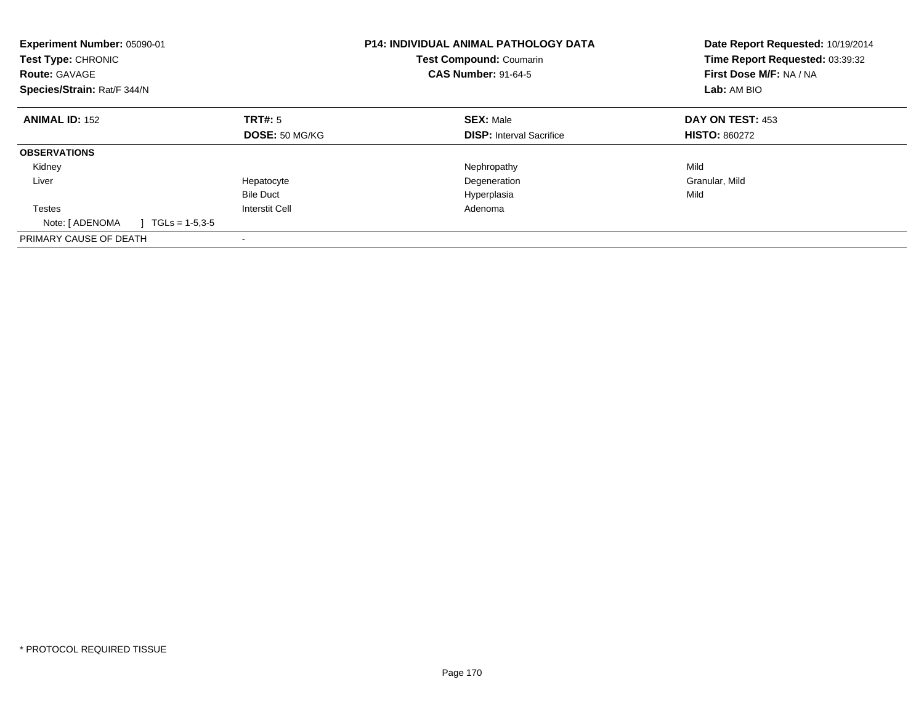| Experiment Number: 05090-01<br><b>Test Type: CHRONIC</b><br><b>Route: GAVAGE</b><br>Species/Strain: Rat/F 344/N |                       | <b>P14: INDIVIDUAL ANIMAL PATHOLOGY DATA</b><br><b>Test Compound: Coumarin</b><br><b>CAS Number: 91-64-5</b> | Date Report Requested: 10/19/2014<br>Time Report Requested: 03:39:32<br>First Dose M/F: NA / NA<br>Lab: AM BIO |
|-----------------------------------------------------------------------------------------------------------------|-----------------------|--------------------------------------------------------------------------------------------------------------|----------------------------------------------------------------------------------------------------------------|
| <b>ANIMAL ID: 152</b>                                                                                           | TRT#: 5               | <b>SEX: Male</b>                                                                                             | DAY ON TEST: 453                                                                                               |
|                                                                                                                 | DOSE: 50 MG/KG        | <b>DISP:</b> Interval Sacrifice                                                                              | <b>HISTO: 860272</b>                                                                                           |
| <b>OBSERVATIONS</b>                                                                                             |                       |                                                                                                              |                                                                                                                |
| Kidney                                                                                                          |                       | Nephropathy                                                                                                  | Mild                                                                                                           |
| Liver                                                                                                           | Hepatocyte            | Degeneration                                                                                                 | Granular, Mild                                                                                                 |
|                                                                                                                 | <b>Bile Duct</b>      | Hyperplasia                                                                                                  | Mild                                                                                                           |
| Testes                                                                                                          | <b>Interstit Cell</b> | Adenoma                                                                                                      |                                                                                                                |
| Note: [ ADENOMA<br>$1 \text{ TGLs} = 1-5.3-5$                                                                   |                       |                                                                                                              |                                                                                                                |
| PRIMARY CAUSE OF DEATH                                                                                          |                       |                                                                                                              |                                                                                                                |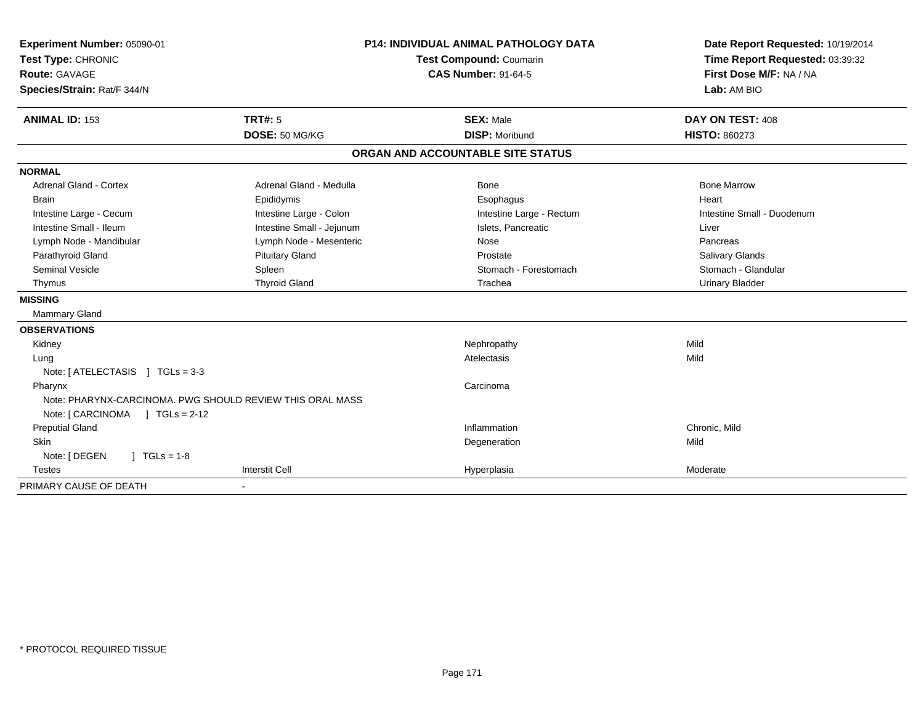| Experiment Number: 05090-01                               | <b>P14: INDIVIDUAL ANIMAL PATHOLOGY DATA</b> |                                   | Date Report Requested: 10/19/2014                          |
|-----------------------------------------------------------|----------------------------------------------|-----------------------------------|------------------------------------------------------------|
| Test Type: CHRONIC                                        |                                              | Test Compound: Coumarin           | Time Report Requested: 03:39:32<br>First Dose M/F: NA / NA |
| Route: GAVAGE                                             |                                              | <b>CAS Number: 91-64-5</b>        |                                                            |
| Species/Strain: Rat/F 344/N                               |                                              |                                   | Lab: AM BIO                                                |
| <b>ANIMAL ID: 153</b>                                     | <b>TRT#: 5</b>                               | <b>SEX: Male</b>                  | DAY ON TEST: 408                                           |
|                                                           | DOSE: 50 MG/KG                               | <b>DISP: Moribund</b>             | <b>HISTO: 860273</b>                                       |
|                                                           |                                              | ORGAN AND ACCOUNTABLE SITE STATUS |                                                            |
| <b>NORMAL</b>                                             |                                              |                                   |                                                            |
| Adrenal Gland - Cortex                                    | Adrenal Gland - Medulla                      | <b>Bone</b>                       | <b>Bone Marrow</b>                                         |
| Brain                                                     | Epididymis                                   | Esophagus                         | Heart                                                      |
| Intestine Large - Cecum                                   | Intestine Large - Colon                      | Intestine Large - Rectum          | Intestine Small - Duodenum                                 |
| Intestine Small - Ileum                                   | Intestine Small - Jejunum                    | Islets, Pancreatic                | Liver                                                      |
| Lymph Node - Mandibular                                   | Lymph Node - Mesenteric                      | Nose                              | Pancreas                                                   |
| Parathyroid Gland                                         | <b>Pituitary Gland</b>                       | Prostate                          | Salivary Glands                                            |
| <b>Seminal Vesicle</b>                                    | Spleen                                       | Stomach - Forestomach             | Stomach - Glandular                                        |
| Thymus                                                    | <b>Thyroid Gland</b>                         | Trachea                           | <b>Urinary Bladder</b>                                     |
| <b>MISSING</b>                                            |                                              |                                   |                                                            |
| Mammary Gland                                             |                                              |                                   |                                                            |
| <b>OBSERVATIONS</b>                                       |                                              |                                   |                                                            |
| Kidney                                                    |                                              | Nephropathy                       | Mild                                                       |
| Lung                                                      |                                              | Atelectasis                       | Mild                                                       |
| Note: [ ATELECTASIS ] TGLs = 3-3                          |                                              |                                   |                                                            |
| Pharynx                                                   |                                              | Carcinoma                         |                                                            |
| Note: PHARYNX-CARCINOMA, PWG SHOULD REVIEW THIS ORAL MASS |                                              |                                   |                                                            |
| Note: [ CARCINOMA ] TGLs = 2-12                           |                                              |                                   |                                                            |
| <b>Preputial Gland</b>                                    |                                              | Inflammation                      | Chronic, Mild                                              |
| Skin                                                      |                                              | Degeneration                      | Mild                                                       |
| Note: [ DEGEN<br>$1 TGLs = 1-8$                           |                                              |                                   |                                                            |
| <b>Testes</b>                                             | <b>Interstit Cell</b>                        | Hyperplasia                       | Moderate                                                   |
| PRIMARY CAUSE OF DEATH                                    |                                              |                                   |                                                            |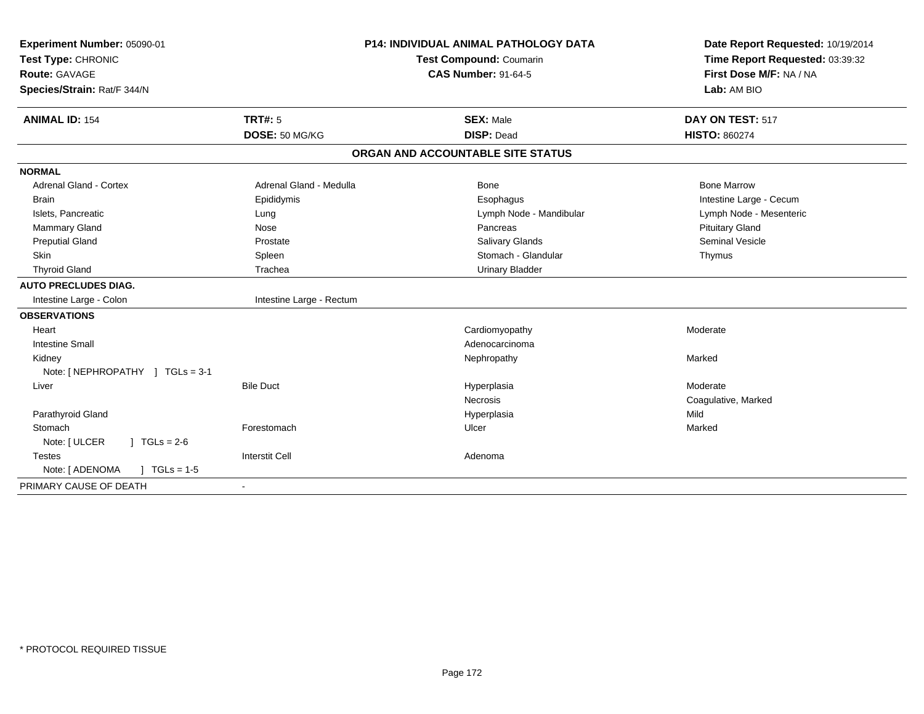| Experiment Number: 05090-01                    |                          | <b>P14: INDIVIDUAL ANIMAL PATHOLOGY DATA</b> | Date Report Requested: 10/19/2014 |
|------------------------------------------------|--------------------------|----------------------------------------------|-----------------------------------|
| Test Type: CHRONIC                             | Test Compound: Coumarin  |                                              | Time Report Requested: 03:39:32   |
| <b>Route: GAVAGE</b>                           |                          | <b>CAS Number: 91-64-5</b>                   | First Dose M/F: NA / NA           |
| Species/Strain: Rat/F 344/N                    |                          |                                              | Lab: AM BIO                       |
| <b>ANIMAL ID: 154</b>                          | <b>TRT#: 5</b>           | <b>SEX: Male</b>                             | DAY ON TEST: 517                  |
|                                                | DOSE: 50 MG/KG           | <b>DISP: Dead</b>                            | <b>HISTO: 860274</b>              |
|                                                |                          | ORGAN AND ACCOUNTABLE SITE STATUS            |                                   |
| <b>NORMAL</b>                                  |                          |                                              |                                   |
| <b>Adrenal Gland - Cortex</b>                  | Adrenal Gland - Medulla  | <b>Bone</b>                                  | <b>Bone Marrow</b>                |
| <b>Brain</b>                                   | Epididymis               | Esophagus                                    | Intestine Large - Cecum           |
| Islets, Pancreatic                             | Lung                     | Lymph Node - Mandibular                      | Lymph Node - Mesenteric           |
| <b>Mammary Gland</b>                           | Nose                     | Pancreas                                     | <b>Pituitary Gland</b>            |
| <b>Preputial Gland</b>                         | Prostate                 | Salivary Glands                              | <b>Seminal Vesicle</b>            |
| <b>Skin</b>                                    | Spleen                   | Stomach - Glandular                          | Thymus                            |
| <b>Thyroid Gland</b>                           | Trachea                  | <b>Urinary Bladder</b>                       |                                   |
| <b>AUTO PRECLUDES DIAG.</b>                    |                          |                                              |                                   |
| Intestine Large - Colon                        | Intestine Large - Rectum |                                              |                                   |
| <b>OBSERVATIONS</b>                            |                          |                                              |                                   |
| Heart                                          |                          | Cardiomyopathy                               | Moderate                          |
| <b>Intestine Small</b>                         |                          | Adenocarcinoma                               |                                   |
| Kidney                                         |                          | Nephropathy                                  | Marked                            |
| Note: [NEPHROPATHY ] TGLs = 3-1                |                          |                                              |                                   |
| Liver                                          | <b>Bile Duct</b>         | Hyperplasia                                  | Moderate                          |
|                                                |                          | <b>Necrosis</b>                              | Coagulative, Marked               |
| Parathyroid Gland                              |                          | Hyperplasia                                  | Mild                              |
| Stomach                                        | Forestomach              | Ulcer                                        | Marked                            |
| Note: [ ULCER<br>$\sqrt{1} \text{ TGLs} = 2.6$ |                          |                                              |                                   |
| <b>Testes</b>                                  | <b>Interstit Cell</b>    | Adenoma                                      |                                   |
| Note: [ ADENOMA<br>$\sqrt{ }$ TGLs = 1-5       |                          |                                              |                                   |
| PRIMARY CAUSE OF DEATH                         |                          |                                              |                                   |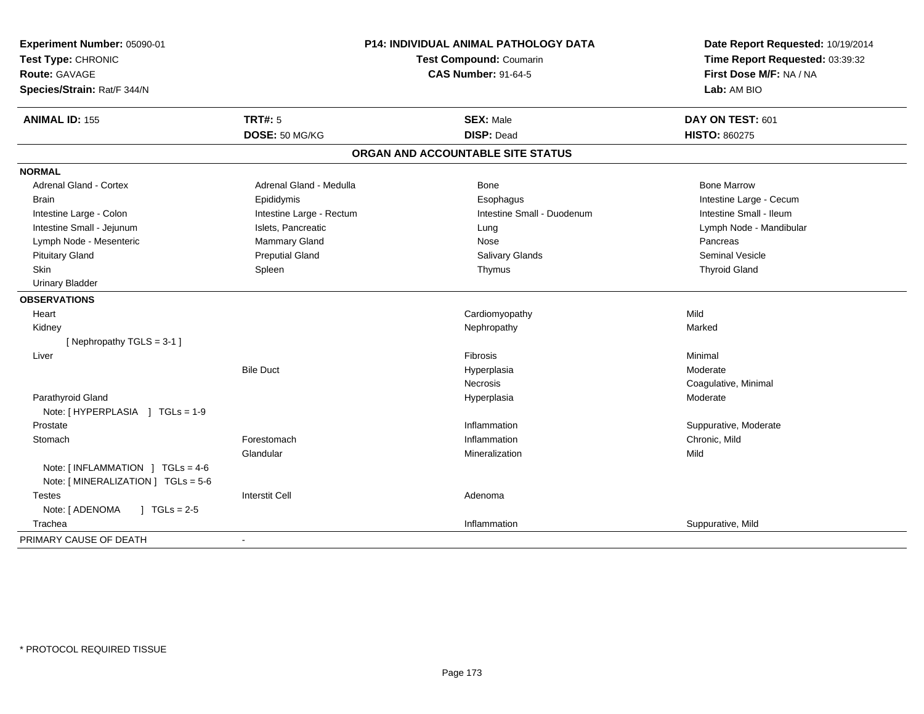| Experiment Number: 05090-01<br>Test Type: CHRONIC<br><b>Route: GAVAGE</b><br>Species/Strain: Rat/F 344/N | P14: INDIVIDUAL ANIMAL PATHOLOGY DATA<br>Test Compound: Coumarin<br><b>CAS Number: 91-64-5</b> |                                   | Date Report Requested: 10/19/2014<br>Time Report Requested: 03:39:32<br>First Dose M/F: NA / NA<br>Lab: AM BIO |
|----------------------------------------------------------------------------------------------------------|------------------------------------------------------------------------------------------------|-----------------------------------|----------------------------------------------------------------------------------------------------------------|
| <b>ANIMAL ID: 155</b>                                                                                    | TRT#: 5                                                                                        | <b>SEX: Male</b>                  | DAY ON TEST: 601                                                                                               |
|                                                                                                          | DOSE: 50 MG/KG                                                                                 | <b>DISP: Dead</b>                 | <b>HISTO: 860275</b>                                                                                           |
|                                                                                                          |                                                                                                | ORGAN AND ACCOUNTABLE SITE STATUS |                                                                                                                |
| <b>NORMAL</b>                                                                                            |                                                                                                |                                   |                                                                                                                |
| Adrenal Gland - Cortex                                                                                   | Adrenal Gland - Medulla                                                                        | Bone                              | <b>Bone Marrow</b>                                                                                             |
| <b>Brain</b>                                                                                             | Epididymis                                                                                     | Esophagus                         | Intestine Large - Cecum                                                                                        |
| Intestine Large - Colon                                                                                  | Intestine Large - Rectum                                                                       | Intestine Small - Duodenum        | Intestine Small - Ileum                                                                                        |
| Intestine Small - Jejunum                                                                                | Islets, Pancreatic                                                                             | Lung                              | Lymph Node - Mandibular                                                                                        |
| Lymph Node - Mesenteric                                                                                  | Mammary Gland                                                                                  | Nose                              | Pancreas                                                                                                       |
| <b>Pituitary Gland</b>                                                                                   | <b>Preputial Gland</b>                                                                         | Salivary Glands                   | <b>Seminal Vesicle</b>                                                                                         |
| Skin                                                                                                     | Spleen                                                                                         | Thymus                            | <b>Thyroid Gland</b>                                                                                           |
| <b>Urinary Bladder</b>                                                                                   |                                                                                                |                                   |                                                                                                                |
| <b>OBSERVATIONS</b>                                                                                      |                                                                                                |                                   |                                                                                                                |
| Heart                                                                                                    |                                                                                                | Cardiomyopathy                    | Mild                                                                                                           |
| Kidney                                                                                                   |                                                                                                | Nephropathy                       | Marked                                                                                                         |
| [Nephropathy TGLS = 3-1]                                                                                 |                                                                                                |                                   |                                                                                                                |
| Liver                                                                                                    |                                                                                                | Fibrosis                          | Minimal                                                                                                        |
|                                                                                                          | <b>Bile Duct</b>                                                                               | Hyperplasia                       | Moderate                                                                                                       |
|                                                                                                          |                                                                                                | Necrosis                          | Coagulative, Minimal                                                                                           |
| Parathyroid Gland                                                                                        |                                                                                                | Hyperplasia                       | Moderate                                                                                                       |
| Note: [HYPERPLASIA ] TGLs = 1-9                                                                          |                                                                                                |                                   |                                                                                                                |
| Prostate                                                                                                 |                                                                                                | Inflammation                      | Suppurative, Moderate                                                                                          |
| Stomach                                                                                                  | Forestomach                                                                                    | Inflammation                      | Chronic, Mild                                                                                                  |
|                                                                                                          | Glandular                                                                                      | Mineralization                    | Mild                                                                                                           |
| Note: [INFLAMMATION ] TGLs = 4-6                                                                         |                                                                                                |                                   |                                                                                                                |
| Note: [MINERALIZATION ] TGLs = 5-6                                                                       |                                                                                                |                                   |                                                                                                                |
| <b>Testes</b>                                                                                            | <b>Interstit Cell</b>                                                                          | Adenoma                           |                                                                                                                |
| Note: [ ADENOMA<br>$1 TGLs = 2-5$                                                                        |                                                                                                |                                   |                                                                                                                |
| Trachea                                                                                                  |                                                                                                | Inflammation                      | Suppurative, Mild                                                                                              |
| PRIMARY CAUSE OF DEATH                                                                                   | $\overline{\phantom{a}}$                                                                       |                                   |                                                                                                                |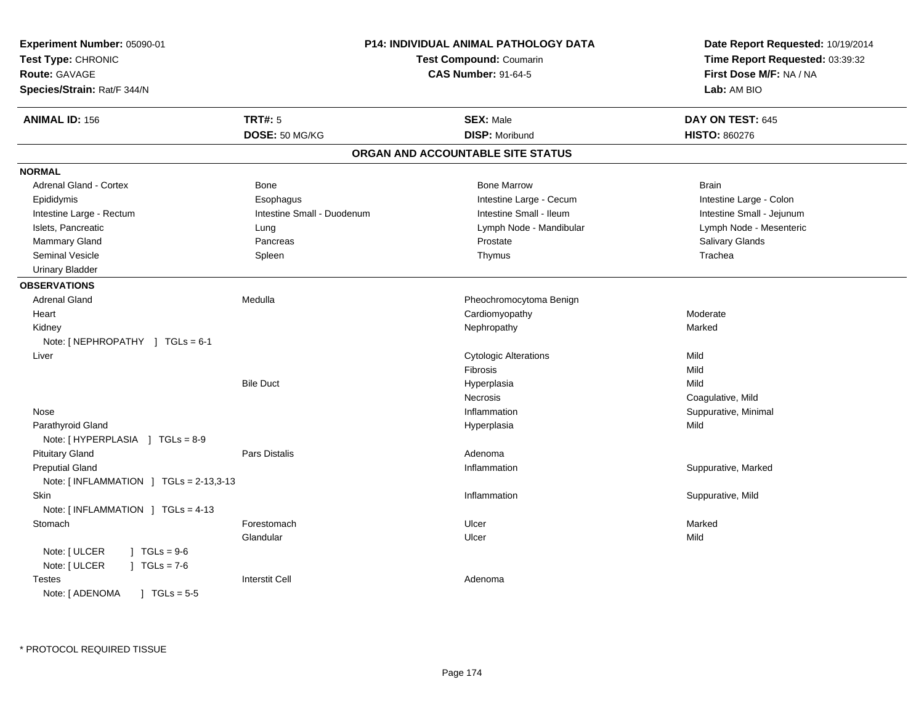| Experiment Number: 05090-01<br>Test Type: CHRONIC<br><b>Route: GAVAGE</b><br>Species/Strain: Rat/F 344/N |                            | <b>P14: INDIVIDUAL ANIMAL PATHOLOGY DATA</b><br><b>Test Compound: Coumarin</b><br><b>CAS Number: 91-64-5</b> | Date Report Requested: 10/19/2014<br>Time Report Requested: 03:39:32<br>First Dose M/F: NA / NA<br>Lab: AM BIO |
|----------------------------------------------------------------------------------------------------------|----------------------------|--------------------------------------------------------------------------------------------------------------|----------------------------------------------------------------------------------------------------------------|
| <b>ANIMAL ID: 156</b>                                                                                    | <b>TRT#: 5</b>             | <b>SEX: Male</b>                                                                                             | DAY ON TEST: 645                                                                                               |
|                                                                                                          | DOSE: 50 MG/KG             | <b>DISP: Moribund</b>                                                                                        | <b>HISTO: 860276</b>                                                                                           |
|                                                                                                          |                            | ORGAN AND ACCOUNTABLE SITE STATUS                                                                            |                                                                                                                |
| <b>NORMAL</b>                                                                                            |                            |                                                                                                              |                                                                                                                |
| Adrenal Gland - Cortex                                                                                   | <b>Bone</b>                | <b>Bone Marrow</b>                                                                                           | <b>Brain</b>                                                                                                   |
| Epididymis                                                                                               | Esophagus                  | Intestine Large - Cecum                                                                                      | Intestine Large - Colon                                                                                        |
| Intestine Large - Rectum                                                                                 | Intestine Small - Duodenum | Intestine Small - Ileum                                                                                      | Intestine Small - Jejunum                                                                                      |
| Islets, Pancreatic                                                                                       | Lung                       | Lymph Node - Mandibular                                                                                      | Lymph Node - Mesenteric                                                                                        |
| <b>Mammary Gland</b>                                                                                     | Pancreas                   | Prostate                                                                                                     | <b>Salivary Glands</b>                                                                                         |
| Seminal Vesicle                                                                                          | Spleen                     | Thymus                                                                                                       | Trachea                                                                                                        |
| <b>Urinary Bladder</b>                                                                                   |                            |                                                                                                              |                                                                                                                |
| <b>OBSERVATIONS</b>                                                                                      |                            |                                                                                                              |                                                                                                                |
| <b>Adrenal Gland</b>                                                                                     | Medulla                    | Pheochromocytoma Benign                                                                                      |                                                                                                                |
| Heart                                                                                                    |                            | Cardiomyopathy                                                                                               | Moderate                                                                                                       |
| Kidney                                                                                                   |                            | Nephropathy                                                                                                  | Marked                                                                                                         |
| Note: [NEPHROPATHY ] TGLs = 6-1                                                                          |                            |                                                                                                              |                                                                                                                |
| Liver                                                                                                    |                            | <b>Cytologic Alterations</b>                                                                                 | Mild                                                                                                           |
|                                                                                                          |                            | <b>Fibrosis</b>                                                                                              | Mild                                                                                                           |
|                                                                                                          | <b>Bile Duct</b>           | Hyperplasia                                                                                                  | Mild                                                                                                           |
|                                                                                                          |                            | Necrosis                                                                                                     | Coagulative, Mild                                                                                              |
| Nose                                                                                                     |                            | Inflammation                                                                                                 | Suppurative, Minimal                                                                                           |
| Parathyroid Gland                                                                                        |                            | Hyperplasia                                                                                                  | Mild                                                                                                           |
| Note: [HYPERPLASIA ] TGLs = 8-9                                                                          |                            |                                                                                                              |                                                                                                                |
| <b>Pituitary Gland</b>                                                                                   | Pars Distalis              | Adenoma                                                                                                      |                                                                                                                |
| <b>Preputial Gland</b>                                                                                   |                            | Inflammation                                                                                                 | Suppurative, Marked                                                                                            |
| Note: [INFLAMMATION ] TGLs = 2-13,3-13                                                                   |                            |                                                                                                              |                                                                                                                |
| Skin                                                                                                     |                            | Inflammation                                                                                                 | Suppurative, Mild                                                                                              |
| Note: [INFLAMMATION ] TGLs = 4-13                                                                        |                            |                                                                                                              |                                                                                                                |
| Stomach                                                                                                  | Forestomach                | Ulcer                                                                                                        | Marked                                                                                                         |
|                                                                                                          | Glandular                  | Ulcer                                                                                                        | Mild                                                                                                           |
| Note: [ ULCER<br>$1 TGLs = 9-6$                                                                          |                            |                                                                                                              |                                                                                                                |
| Note: [ ULCER<br>$J \cdot TGLs = 7-6$                                                                    |                            |                                                                                                              |                                                                                                                |
| <b>Testes</b>                                                                                            | <b>Interstit Cell</b>      | Adenoma                                                                                                      |                                                                                                                |
| Note: [ ADENOMA<br>$1 TGLs = 5.5$                                                                        |                            |                                                                                                              |                                                                                                                |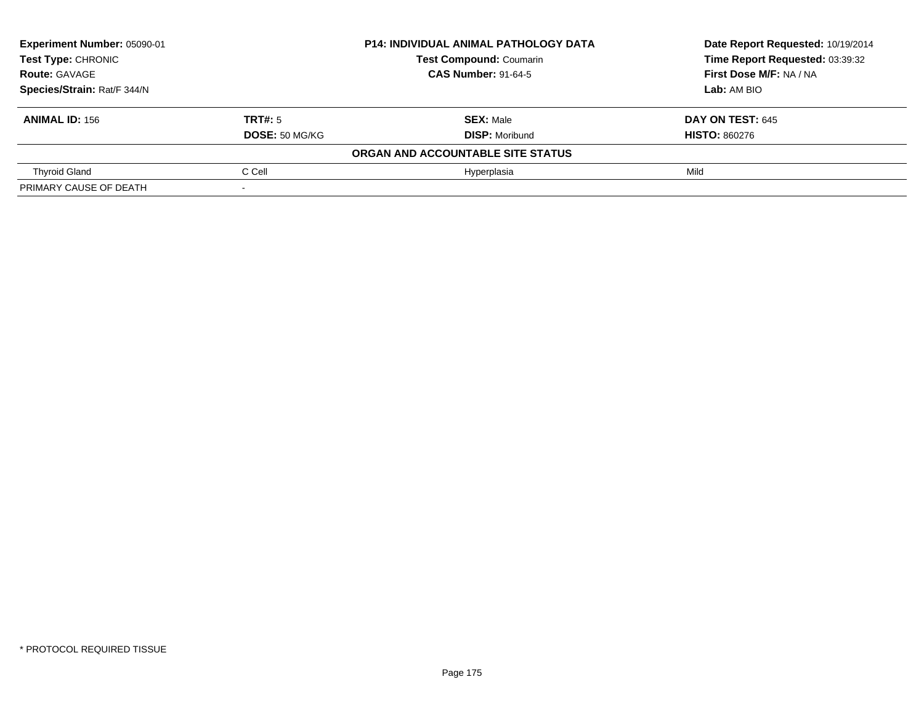| Experiment Number: 05090-01 | <b>P14: INDIVIDUAL ANIMAL PATHOLOGY DATA</b> |                                   | Date Report Requested: 10/19/2014 |  |
|-----------------------------|----------------------------------------------|-----------------------------------|-----------------------------------|--|
| Test Type: CHRONIC          |                                              | <b>Test Compound: Coumarin</b>    | Time Report Requested: 03:39:32   |  |
| <b>Route: GAVAGE</b>        |                                              | <b>CAS Number: 91-64-5</b>        | First Dose M/F: NA / NA           |  |
| Species/Strain: Rat/F 344/N |                                              |                                   | <b>Lab:</b> AM BIO                |  |
| <b>ANIMAL ID: 156</b>       | TRT#: 5                                      | <b>SEX: Male</b>                  | <b>DAY ON TEST: 645</b>           |  |
|                             | <b>DOSE: 50 MG/KG</b>                        | <b>DISP: Moribund</b>             | <b>HISTO: 860276</b>              |  |
|                             |                                              | ORGAN AND ACCOUNTABLE SITE STATUS |                                   |  |
| <b>Thyroid Gland</b>        | C Cell                                       | Hyperplasia                       | Mild                              |  |
| PRIMARY CAUSE OF DEATH      |                                              |                                   |                                   |  |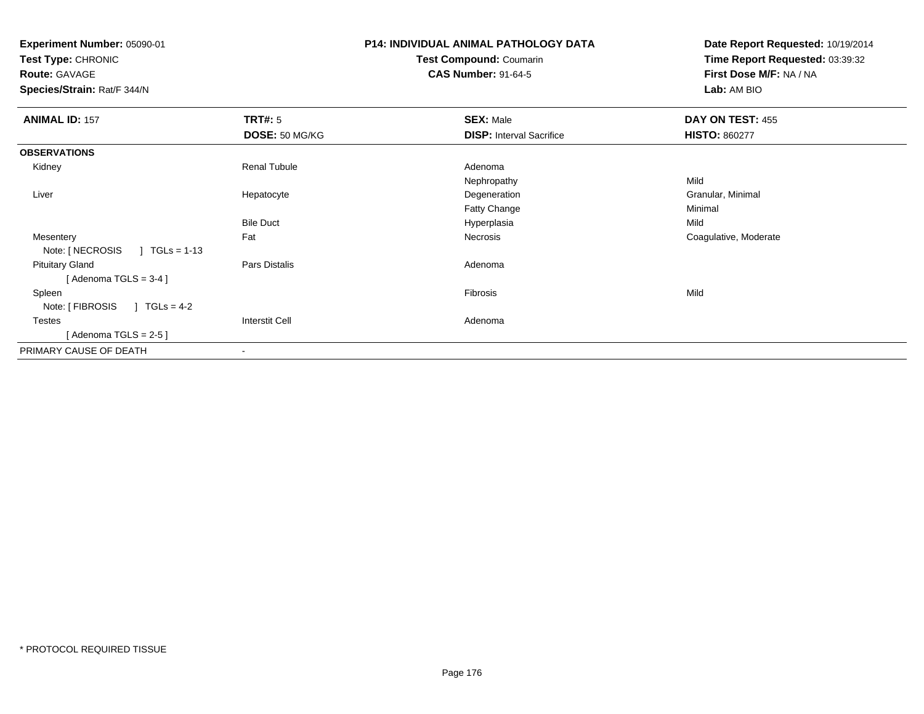| Experiment Number: 05090-01<br>Test Type: CHRONIC |                       | P14: INDIVIDUAL ANIMAL PATHOLOGY DATA | Date Report Requested: 10/19/2014<br>Time Report Requested: 03:39:32 |
|---------------------------------------------------|-----------------------|---------------------------------------|----------------------------------------------------------------------|
|                                                   |                       | Test Compound: Coumarin               |                                                                      |
| Route: GAVAGE                                     |                       | <b>CAS Number: 91-64-5</b>            | First Dose M/F: NA / NA                                              |
| Species/Strain: Rat/F 344/N                       |                       |                                       | Lab: AM BIO                                                          |
| <b>ANIMAL ID: 157</b>                             | <b>TRT#:</b> 5        | <b>SEX: Male</b>                      | DAY ON TEST: 455                                                     |
|                                                   | DOSE: 50 MG/KG        | <b>DISP: Interval Sacrifice</b>       | <b>HISTO: 860277</b>                                                 |
| <b>OBSERVATIONS</b>                               |                       |                                       |                                                                      |
| Kidney                                            | <b>Renal Tubule</b>   | Adenoma                               |                                                                      |
|                                                   |                       | Nephropathy                           | Mild                                                                 |
| Liver                                             | Hepatocyte            | Degeneration                          | Granular, Minimal                                                    |
|                                                   |                       | <b>Fatty Change</b>                   | Minimal                                                              |
|                                                   | <b>Bile Duct</b>      | Hyperplasia                           | Mild                                                                 |
| Mesentery                                         | Fat                   | <b>Necrosis</b>                       | Coagulative, Moderate                                                |
| Note: [ NECROSIS<br>$\vert$ TGLs = 1-13           |                       |                                       |                                                                      |
| <b>Pituitary Gland</b>                            | Pars Distalis         | Adenoma                               |                                                                      |
| [Adenoma TGLS = $3-4$ ]                           |                       |                                       |                                                                      |
| Spleen                                            |                       | <b>Fibrosis</b>                       | Mild                                                                 |
| $J \text{ TGLs} = 4-2$<br>Note: [ FIBROSIS        |                       |                                       |                                                                      |
| <b>Testes</b>                                     | <b>Interstit Cell</b> | Adenoma                               |                                                                      |
| [Adenoma TGLS = $2-5$ ]                           |                       |                                       |                                                                      |
| PRIMARY CAUSE OF DEATH                            |                       |                                       |                                                                      |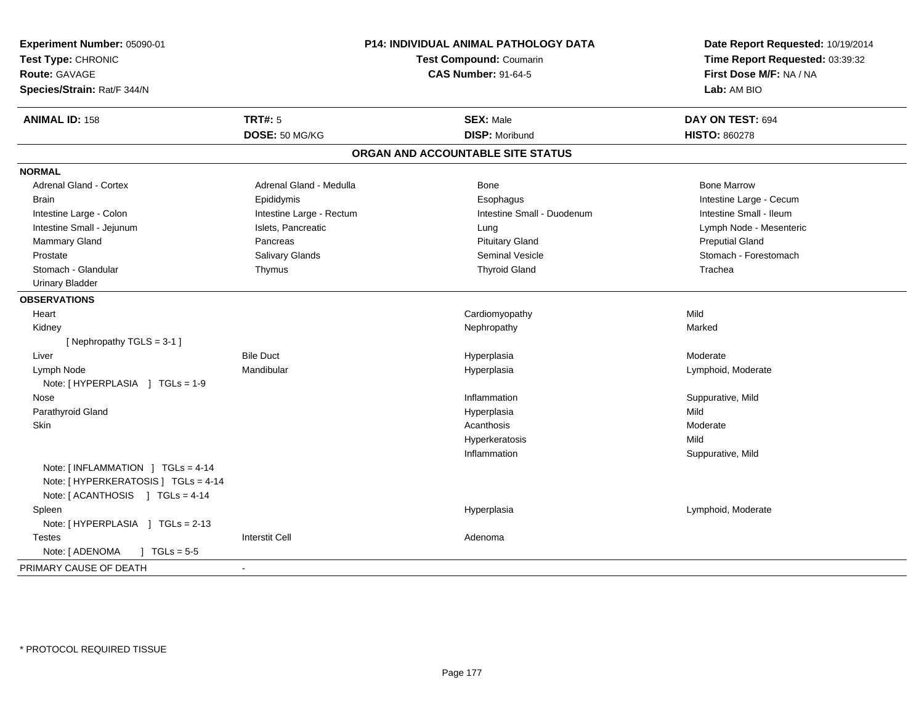| Experiment Number: 05090-01                                                 |                                | P14: INDIVIDUAL ANIMAL PATHOLOGY DATA | Date Report Requested: 10/19/2014 |
|-----------------------------------------------------------------------------|--------------------------------|---------------------------------------|-----------------------------------|
| Test Type: CHRONIC                                                          | <b>Test Compound: Coumarin</b> |                                       | Time Report Requested: 03:39:32   |
| <b>Route: GAVAGE</b>                                                        |                                | <b>CAS Number: 91-64-5</b>            | First Dose M/F: NA / NA           |
| Species/Strain: Rat/F 344/N                                                 |                                |                                       | Lab: AM BIO                       |
| <b>ANIMAL ID: 158</b>                                                       | <b>TRT#: 5</b>                 | <b>SEX: Male</b>                      | DAY ON TEST: 694                  |
|                                                                             | DOSE: 50 MG/KG                 | <b>DISP: Moribund</b>                 | <b>HISTO: 860278</b>              |
|                                                                             |                                | ORGAN AND ACCOUNTABLE SITE STATUS     |                                   |
| <b>NORMAL</b>                                                               |                                |                                       |                                   |
| Adrenal Gland - Cortex                                                      | Adrenal Gland - Medulla        | Bone                                  | <b>Bone Marrow</b>                |
| <b>Brain</b>                                                                | Epididymis                     | Esophagus                             | Intestine Large - Cecum           |
| Intestine Large - Colon                                                     | Intestine Large - Rectum       | Intestine Small - Duodenum            | Intestine Small - Ileum           |
| Intestine Small - Jejunum                                                   | Islets, Pancreatic             | Lung                                  | Lymph Node - Mesenteric           |
| Mammary Gland                                                               | Pancreas                       | <b>Pituitary Gland</b>                | <b>Preputial Gland</b>            |
| Prostate                                                                    | Salivary Glands                | <b>Seminal Vesicle</b>                | Stomach - Forestomach             |
| Stomach - Glandular                                                         | Thymus                         | <b>Thyroid Gland</b>                  | Trachea                           |
| <b>Urinary Bladder</b>                                                      |                                |                                       |                                   |
| <b>OBSERVATIONS</b>                                                         |                                |                                       |                                   |
| Heart                                                                       |                                | Cardiomyopathy                        | Mild                              |
| Kidney                                                                      |                                | Nephropathy                           | Marked                            |
| [Nephropathy TGLS = 3-1]                                                    |                                |                                       |                                   |
| Liver                                                                       | <b>Bile Duct</b>               | Hyperplasia                           | Moderate                          |
| Lymph Node                                                                  | Mandibular                     | Hyperplasia                           | Lymphoid, Moderate                |
| Note: [HYPERPLASIA ] TGLs = 1-9                                             |                                |                                       |                                   |
| Nose                                                                        |                                | Inflammation                          | Suppurative, Mild                 |
| Parathyroid Gland                                                           |                                | Hyperplasia                           | Mild                              |
| Skin                                                                        |                                | Acanthosis                            | Moderate                          |
|                                                                             |                                | Hyperkeratosis                        | Mild                              |
|                                                                             |                                | Inflammation                          | Suppurative, Mild                 |
| Note: $[INFLAMMATION ] TGLs = 4-14$<br>Note: [ HYPERKERATOSIS ] TGLs = 4-14 |                                |                                       |                                   |
| Note: [ACANTHOSIS ] TGLs = 4-14                                             |                                |                                       |                                   |
| Spleen                                                                      |                                | Hyperplasia                           | Lymphoid, Moderate                |
| Note: [HYPERPLASIA ] TGLs = 2-13                                            |                                |                                       |                                   |
| <b>Testes</b>                                                               | <b>Interstit Cell</b>          | Adenoma                               |                                   |
| Note: [ ADENOMA<br>$\sqrt{ }$ TGLs = 5-5                                    |                                |                                       |                                   |
| PRIMARY CAUSE OF DEATH                                                      | $\blacksquare$                 |                                       |                                   |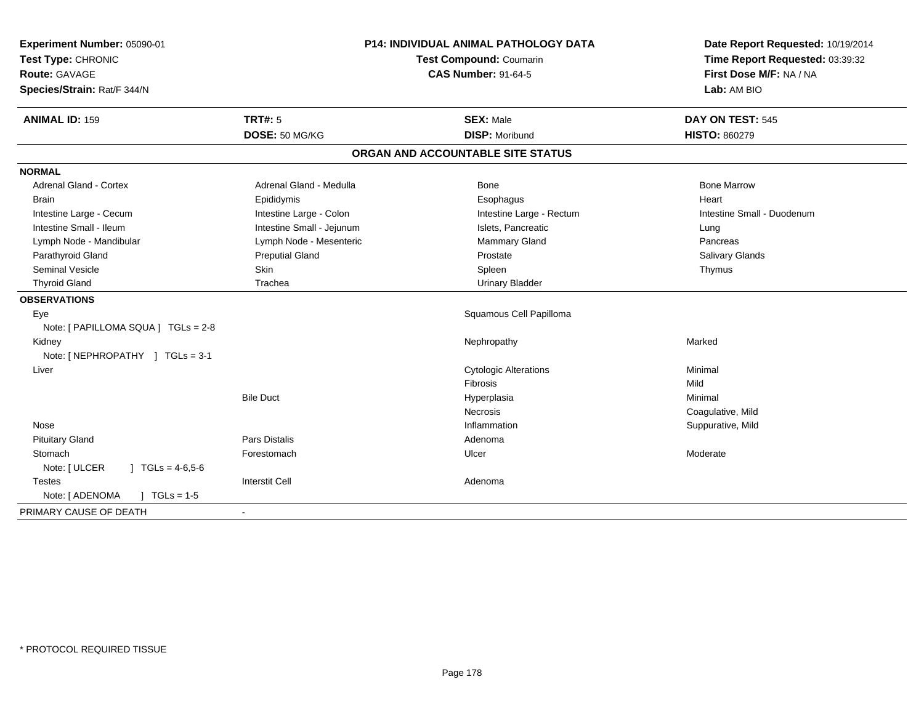| Experiment Number: 05090-01<br>Test Type: CHRONIC<br>Route: GAVAGE<br>Species/Strain: Rat/F 344/N | P14: INDIVIDUAL ANIMAL PATHOLOGY DATA<br>Test Compound: Coumarin<br><b>CAS Number: 91-64-5</b> |                                   | Date Report Requested: 10/19/2014<br>Time Report Requested: 03:39:32<br>First Dose M/F: NA / NA<br>Lab: AM BIO |
|---------------------------------------------------------------------------------------------------|------------------------------------------------------------------------------------------------|-----------------------------------|----------------------------------------------------------------------------------------------------------------|
| <b>ANIMAL ID: 159</b>                                                                             | <b>TRT#: 5</b>                                                                                 | <b>SEX: Male</b>                  | DAY ON TEST: 545                                                                                               |
|                                                                                                   | DOSE: 50 MG/KG                                                                                 | <b>DISP: Moribund</b>             | <b>HISTO: 860279</b>                                                                                           |
|                                                                                                   |                                                                                                | ORGAN AND ACCOUNTABLE SITE STATUS |                                                                                                                |
| <b>NORMAL</b>                                                                                     |                                                                                                |                                   |                                                                                                                |
| <b>Adrenal Gland - Cortex</b>                                                                     | Adrenal Gland - Medulla                                                                        | Bone                              | <b>Bone Marrow</b>                                                                                             |
| <b>Brain</b>                                                                                      | Epididymis                                                                                     | Esophagus                         | Heart                                                                                                          |
| Intestine Large - Cecum                                                                           | Intestine Large - Colon                                                                        | Intestine Large - Rectum          | Intestine Small - Duodenum                                                                                     |
| Intestine Small - Ileum                                                                           | Intestine Small - Jejunum                                                                      | Islets. Pancreatic                | Lung                                                                                                           |
| Lymph Node - Mandibular                                                                           | Lymph Node - Mesenteric                                                                        | Mammary Gland                     | Pancreas                                                                                                       |
| Parathyroid Gland                                                                                 | <b>Preputial Gland</b>                                                                         | Prostate                          | Salivary Glands                                                                                                |
| <b>Seminal Vesicle</b>                                                                            | Skin                                                                                           | Spleen                            | Thymus                                                                                                         |
| <b>Thyroid Gland</b>                                                                              | Trachea                                                                                        | <b>Urinary Bladder</b>            |                                                                                                                |
| <b>OBSERVATIONS</b>                                                                               |                                                                                                |                                   |                                                                                                                |
| Eye                                                                                               |                                                                                                | Squamous Cell Papilloma           |                                                                                                                |
| Note: [ PAPILLOMA SQUA ] TGLs = 2-8                                                               |                                                                                                |                                   |                                                                                                                |
| Kidney                                                                                            |                                                                                                | Nephropathy                       | Marked                                                                                                         |
| Note: [NEPHROPATHY ] TGLs = 3-1                                                                   |                                                                                                |                                   |                                                                                                                |
| Liver                                                                                             |                                                                                                | <b>Cytologic Alterations</b>      | Minimal                                                                                                        |
|                                                                                                   |                                                                                                | Fibrosis                          | Mild                                                                                                           |
|                                                                                                   | <b>Bile Duct</b>                                                                               | Hyperplasia                       | Minimal                                                                                                        |
|                                                                                                   |                                                                                                | <b>Necrosis</b>                   | Coagulative, Mild                                                                                              |
| Nose                                                                                              |                                                                                                | Inflammation                      | Suppurative, Mild                                                                                              |
| <b>Pituitary Gland</b>                                                                            | Pars Distalis                                                                                  | Adenoma                           |                                                                                                                |
| Stomach                                                                                           | Forestomach                                                                                    | Ulcer                             | Moderate                                                                                                       |
| Note: [ ULCER<br>$\sqrt{1}$ TGLs = 4-6,5-6                                                        |                                                                                                |                                   |                                                                                                                |
| <b>Testes</b>                                                                                     | <b>Interstit Cell</b>                                                                          | Adenoma                           |                                                                                                                |
| Note: [ ADENOMA<br>$\sqrt{ }$ TGLs = 1-5                                                          |                                                                                                |                                   |                                                                                                                |
| PRIMARY CAUSE OF DEATH                                                                            |                                                                                                |                                   |                                                                                                                |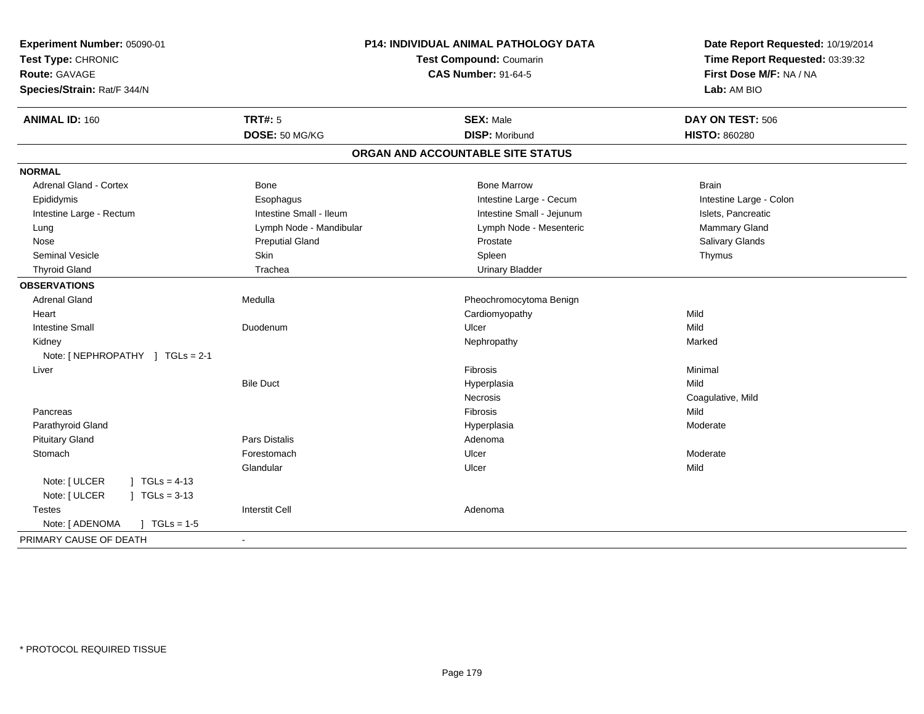| Experiment Number: 05090-01              |                          | P14: INDIVIDUAL ANIMAL PATHOLOGY DATA | Date Report Requested: 10/19/2014 |
|------------------------------------------|--------------------------|---------------------------------------|-----------------------------------|
| Test Type: CHRONIC                       | Test Compound: Coumarin  |                                       | Time Report Requested: 03:39:32   |
| <b>Route: GAVAGE</b>                     |                          | <b>CAS Number: 91-64-5</b>            | First Dose M/F: NA / NA           |
| Species/Strain: Rat/F 344/N              |                          |                                       | Lab: AM BIO                       |
| <b>ANIMAL ID: 160</b>                    | <b>TRT#: 5</b>           | <b>SEX: Male</b>                      | DAY ON TEST: 506                  |
|                                          | DOSE: 50 MG/KG           | <b>DISP: Moribund</b>                 | <b>HISTO: 860280</b>              |
|                                          |                          | ORGAN AND ACCOUNTABLE SITE STATUS     |                                   |
| <b>NORMAL</b>                            |                          |                                       |                                   |
| <b>Adrenal Gland - Cortex</b>            | <b>Bone</b>              | <b>Bone Marrow</b>                    | <b>Brain</b>                      |
| Epididymis                               | Esophagus                | Intestine Large - Cecum               | Intestine Large - Colon           |
| Intestine Large - Rectum                 | Intestine Small - Ileum  | Intestine Small - Jejunum             | Islets, Pancreatic                |
| Lung                                     | Lymph Node - Mandibular  | Lymph Node - Mesenteric               | Mammary Gland                     |
| Nose                                     | <b>Preputial Gland</b>   | Prostate                              | Salivary Glands                   |
| Seminal Vesicle                          | Skin                     | Spleen                                | Thymus                            |
| <b>Thyroid Gland</b>                     | Trachea                  | <b>Urinary Bladder</b>                |                                   |
| <b>OBSERVATIONS</b>                      |                          |                                       |                                   |
| <b>Adrenal Gland</b>                     | Medulla                  | Pheochromocytoma Benign               |                                   |
| Heart                                    |                          | Cardiomyopathy                        | Mild                              |
| <b>Intestine Small</b>                   | Duodenum                 | Ulcer                                 | Mild                              |
| Kidney                                   |                          | Nephropathy                           | Marked                            |
| Note: [NEPHROPATHY ] TGLs = 2-1          |                          |                                       |                                   |
| Liver                                    |                          | Fibrosis                              | Minimal                           |
|                                          | <b>Bile Duct</b>         | Hyperplasia                           | Mild                              |
|                                          |                          | Necrosis                              | Coagulative, Mild                 |
| Pancreas                                 |                          | Fibrosis                              | Mild                              |
| Parathyroid Gland                        |                          | Hyperplasia                           | Moderate                          |
| <b>Pituitary Gland</b>                   | <b>Pars Distalis</b>     | Adenoma                               |                                   |
| Stomach                                  | Forestomach              | Ulcer                                 | Moderate                          |
|                                          | Glandular                | Ulcer                                 | Mild                              |
| Note: [ ULCER<br>$TGLs = 4-13$           |                          |                                       |                                   |
| Note: [ ULCER<br>$TGLs = 3-13$           |                          |                                       |                                   |
| <b>Testes</b>                            | <b>Interstit Cell</b>    | Adenoma                               |                                   |
| Note: [ ADENOMA<br>$\sqrt{ }$ TGLs = 1-5 |                          |                                       |                                   |
| PRIMARY CAUSE OF DEATH                   | $\overline{\phantom{a}}$ |                                       |                                   |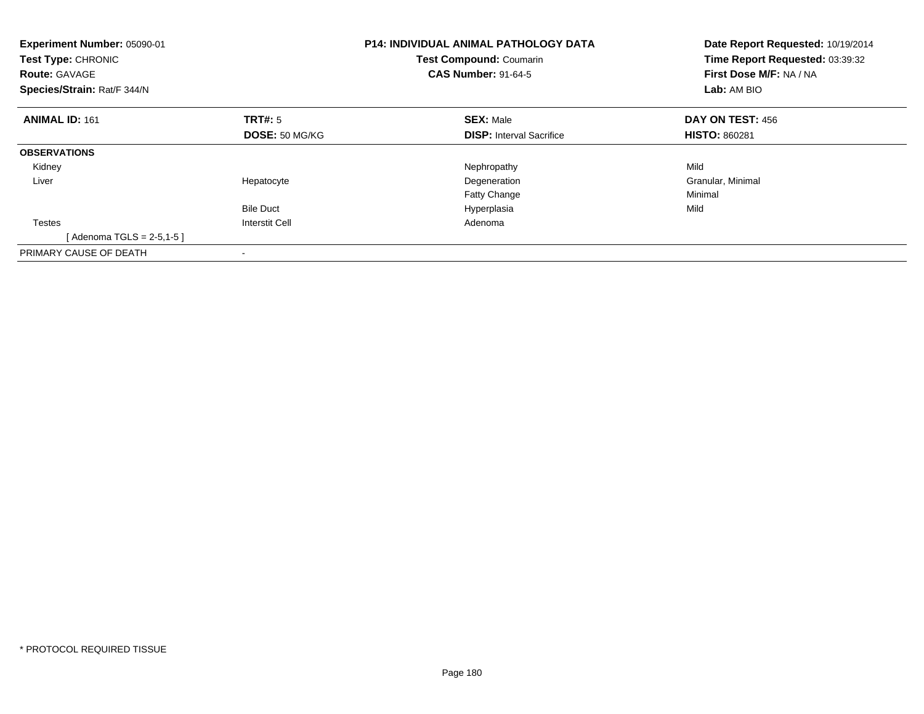| <b>P14: INDIVIDUAL ANIMAL PATHOLOGY DATA</b><br>Experiment Number: 05090-01<br>Test Compound: Coumarin<br><b>Test Type: CHRONIC</b><br><b>CAS Number: 91-64-5</b><br><b>Route: GAVAGE</b><br>Species/Strain: Rat/F 344/N |                       | Date Report Requested: 10/19/2014<br>Time Report Requested: 03:39:32<br>First Dose M/F: NA / NA<br>Lab: AM BIO |                         |
|--------------------------------------------------------------------------------------------------------------------------------------------------------------------------------------------------------------------------|-----------------------|----------------------------------------------------------------------------------------------------------------|-------------------------|
| <b>ANIMAL ID: 161</b>                                                                                                                                                                                                    | <b>TRT#: 5</b>        | <b>SEX: Male</b>                                                                                               | <b>DAY ON TEST: 456</b> |
|                                                                                                                                                                                                                          | DOSE: 50 MG/KG        | <b>DISP:</b> Interval Sacrifice                                                                                | <b>HISTO: 860281</b>    |
| <b>OBSERVATIONS</b>                                                                                                                                                                                                      |                       |                                                                                                                |                         |
| Kidney                                                                                                                                                                                                                   |                       | Nephropathy                                                                                                    | Mild                    |
| Liver                                                                                                                                                                                                                    | Hepatocyte            | Degeneration                                                                                                   | Granular, Minimal       |
|                                                                                                                                                                                                                          |                       | <b>Fatty Change</b>                                                                                            | Minimal                 |
|                                                                                                                                                                                                                          | <b>Bile Duct</b>      | Hyperplasia                                                                                                    | Mild                    |
| <b>Testes</b>                                                                                                                                                                                                            | <b>Interstit Cell</b> | Adenoma                                                                                                        |                         |
| [Adenoma TGLS = 2-5,1-5]                                                                                                                                                                                                 |                       |                                                                                                                |                         |
| PRIMARY CAUSE OF DEATH                                                                                                                                                                                                   |                       |                                                                                                                |                         |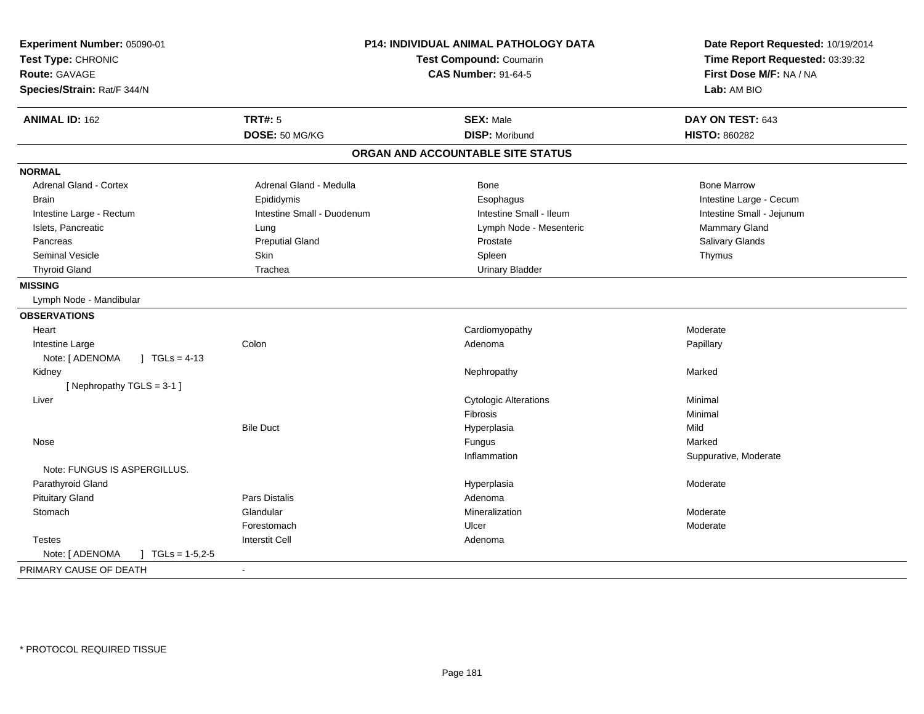| Experiment Number: 05090-01<br>Test Type: CHRONIC<br><b>Route: GAVAGE</b><br>Species/Strain: Rat/F 344/N | P14: INDIVIDUAL ANIMAL PATHOLOGY DATA<br>Test Compound: Coumarin<br><b>CAS Number: 91-64-5</b> |                                   | Date Report Requested: 10/19/2014<br>Time Report Requested: 03:39:32<br>First Dose M/F: NA / NA<br>Lab: AM BIO |
|----------------------------------------------------------------------------------------------------------|------------------------------------------------------------------------------------------------|-----------------------------------|----------------------------------------------------------------------------------------------------------------|
| <b>ANIMAL ID: 162</b>                                                                                    | <b>TRT#: 5</b>                                                                                 | <b>SEX: Male</b>                  | DAY ON TEST: 643                                                                                               |
|                                                                                                          | DOSE: 50 MG/KG                                                                                 | <b>DISP: Moribund</b>             | <b>HISTO: 860282</b>                                                                                           |
|                                                                                                          |                                                                                                | ORGAN AND ACCOUNTABLE SITE STATUS |                                                                                                                |
| <b>NORMAL</b>                                                                                            |                                                                                                |                                   |                                                                                                                |
| <b>Adrenal Gland - Cortex</b>                                                                            | Adrenal Gland - Medulla                                                                        | Bone                              | <b>Bone Marrow</b>                                                                                             |
| <b>Brain</b>                                                                                             | Epididymis                                                                                     | Esophagus                         | Intestine Large - Cecum                                                                                        |
| Intestine Large - Rectum                                                                                 | Intestine Small - Duodenum                                                                     | Intestine Small - Ileum           | Intestine Small - Jejunum                                                                                      |
| Islets, Pancreatic                                                                                       | Lung                                                                                           | Lymph Node - Mesenteric           | Mammary Gland                                                                                                  |
| Pancreas                                                                                                 | <b>Preputial Gland</b>                                                                         | Prostate                          | Salivary Glands                                                                                                |
| <b>Seminal Vesicle</b>                                                                                   | <b>Skin</b>                                                                                    | Spleen                            | Thymus                                                                                                         |
| <b>Thyroid Gland</b>                                                                                     | Trachea                                                                                        | <b>Urinary Bladder</b>            |                                                                                                                |
| <b>MISSING</b>                                                                                           |                                                                                                |                                   |                                                                                                                |
| Lymph Node - Mandibular                                                                                  |                                                                                                |                                   |                                                                                                                |
| <b>OBSERVATIONS</b>                                                                                      |                                                                                                |                                   |                                                                                                                |
| Heart                                                                                                    |                                                                                                | Cardiomyopathy                    | Moderate                                                                                                       |
| Intestine Large                                                                                          | Colon                                                                                          | Adenoma                           | Papillary                                                                                                      |
| Note: [ ADENOMA<br>] $TGLs = 4-13$                                                                       |                                                                                                |                                   |                                                                                                                |
| Kidney                                                                                                   |                                                                                                | Nephropathy                       | Marked                                                                                                         |
| [Nephropathy TGLS = 3-1]                                                                                 |                                                                                                |                                   |                                                                                                                |
| Liver                                                                                                    |                                                                                                | <b>Cytologic Alterations</b>      | Minimal                                                                                                        |
|                                                                                                          |                                                                                                | Fibrosis                          | Minimal                                                                                                        |
|                                                                                                          | <b>Bile Duct</b>                                                                               | Hyperplasia                       | Mild                                                                                                           |
| Nose                                                                                                     |                                                                                                | Fungus                            | Marked                                                                                                         |
|                                                                                                          |                                                                                                | Inflammation                      | Suppurative, Moderate                                                                                          |
| Note: FUNGUS IS ASPERGILLUS.                                                                             |                                                                                                |                                   |                                                                                                                |
| Parathyroid Gland                                                                                        |                                                                                                | Hyperplasia                       | Moderate                                                                                                       |
| <b>Pituitary Gland</b>                                                                                   | Pars Distalis                                                                                  | Adenoma                           |                                                                                                                |
| Stomach                                                                                                  | Glandular                                                                                      | Mineralization                    | Moderate                                                                                                       |
|                                                                                                          | Forestomach                                                                                    | Ulcer                             | Moderate                                                                                                       |
| <b>Testes</b>                                                                                            | <b>Interstit Cell</b>                                                                          | Adenoma                           |                                                                                                                |
| Note: [ ADENOMA<br>$JTCLS = 1-5,2-5$                                                                     |                                                                                                |                                   |                                                                                                                |
| PRIMARY CAUSE OF DEATH                                                                                   |                                                                                                |                                   |                                                                                                                |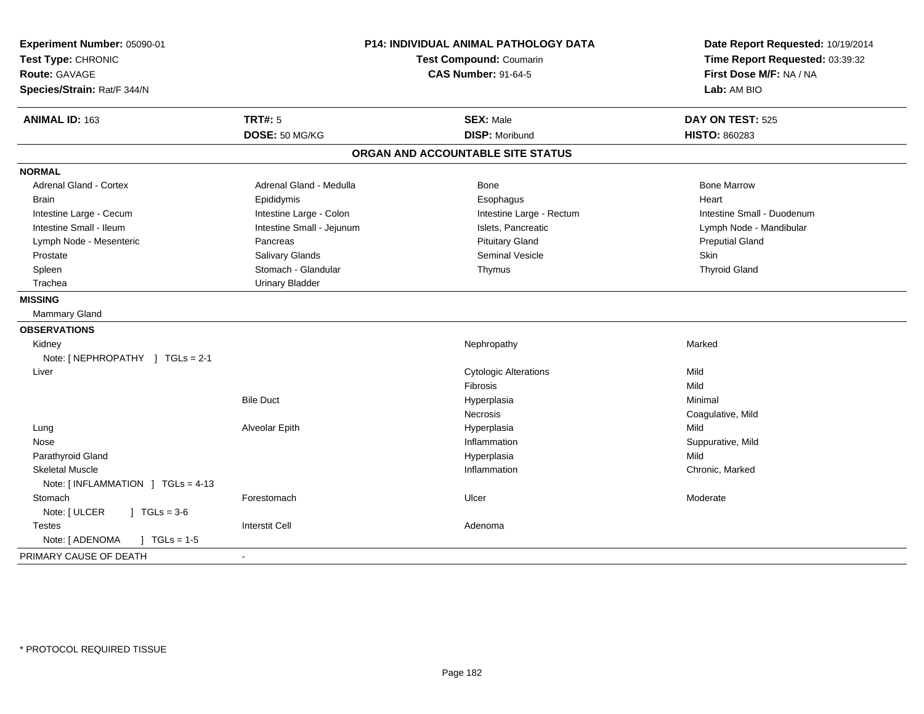| Experiment Number: 05090-01<br>Test Type: CHRONIC<br><b>Route: GAVAGE</b><br>Species/Strain: Rat/F 344/N | <b>P14: INDIVIDUAL ANIMAL PATHOLOGY DATA</b><br><b>Test Compound: Coumarin</b><br><b>CAS Number: 91-64-5</b> |                                           | Date Report Requested: 10/19/2014<br>Time Report Requested: 03:39:32<br>First Dose M/F: NA / NA<br>Lab: AM BIO |
|----------------------------------------------------------------------------------------------------------|--------------------------------------------------------------------------------------------------------------|-------------------------------------------|----------------------------------------------------------------------------------------------------------------|
| ANIMAL ID: 163                                                                                           | <b>TRT#: 5</b><br>DOSE: 50 MG/KG                                                                             | <b>SEX: Male</b><br><b>DISP: Moribund</b> | DAY ON TEST: 525<br><b>HISTO: 860283</b>                                                                       |
|                                                                                                          |                                                                                                              | ORGAN AND ACCOUNTABLE SITE STATUS         |                                                                                                                |
| <b>NORMAL</b>                                                                                            |                                                                                                              |                                           |                                                                                                                |
| <b>Adrenal Gland - Cortex</b>                                                                            | Adrenal Gland - Medulla                                                                                      | Bone                                      | <b>Bone Marrow</b>                                                                                             |
| <b>Brain</b>                                                                                             | Epididymis                                                                                                   | Esophagus                                 | Heart                                                                                                          |
| Intestine Large - Cecum                                                                                  | Intestine Large - Colon                                                                                      | Intestine Large - Rectum                  | Intestine Small - Duodenum                                                                                     |
| Intestine Small - Ileum                                                                                  | Intestine Small - Jejunum                                                                                    | Islets, Pancreatic                        | Lymph Node - Mandibular                                                                                        |
| Lymph Node - Mesenteric                                                                                  | Pancreas                                                                                                     | <b>Pituitary Gland</b>                    | <b>Preputial Gland</b>                                                                                         |
| Prostate                                                                                                 | Salivary Glands                                                                                              | Seminal Vesicle                           | Skin                                                                                                           |
| Spleen                                                                                                   | Stomach - Glandular                                                                                          | Thymus                                    | <b>Thyroid Gland</b>                                                                                           |
| Trachea                                                                                                  | <b>Urinary Bladder</b>                                                                                       |                                           |                                                                                                                |
| <b>MISSING</b>                                                                                           |                                                                                                              |                                           |                                                                                                                |
| Mammary Gland                                                                                            |                                                                                                              |                                           |                                                                                                                |
| <b>OBSERVATIONS</b>                                                                                      |                                                                                                              |                                           |                                                                                                                |
| Kidney                                                                                                   |                                                                                                              | Nephropathy                               | Marked                                                                                                         |
| Note: [NEPHROPATHY ] TGLs = 2-1                                                                          |                                                                                                              |                                           |                                                                                                                |
| Liver                                                                                                    |                                                                                                              | <b>Cytologic Alterations</b>              | Mild                                                                                                           |
|                                                                                                          |                                                                                                              | Fibrosis                                  | Mild                                                                                                           |
|                                                                                                          | <b>Bile Duct</b>                                                                                             | Hyperplasia                               | Minimal                                                                                                        |
|                                                                                                          |                                                                                                              | Necrosis                                  | Coagulative, Mild                                                                                              |
| Lung                                                                                                     | Alveolar Epith                                                                                               | Hyperplasia                               | Mild                                                                                                           |
| Nose                                                                                                     |                                                                                                              | Inflammation                              | Suppurative, Mild                                                                                              |
| Parathyroid Gland                                                                                        |                                                                                                              | Hyperplasia                               | Mild                                                                                                           |
| <b>Skeletal Muscle</b>                                                                                   |                                                                                                              | Inflammation                              | Chronic, Marked                                                                                                |
| Note: [INFLAMMATION ] TGLs = 4-13                                                                        |                                                                                                              |                                           |                                                                                                                |
| Stomach                                                                                                  | Forestomach                                                                                                  | Ulcer                                     | Moderate                                                                                                       |
| Note: [ ULCER<br>$1 TGLs = 3-6$                                                                          |                                                                                                              |                                           |                                                                                                                |
| <b>Testes</b>                                                                                            | <b>Interstit Cell</b>                                                                                        | Adenoma                                   |                                                                                                                |
| Note: [ ADENOMA<br>$\sqrt{1}$ TGLs = 1-5                                                                 |                                                                                                              |                                           |                                                                                                                |
| PRIMARY CAUSE OF DEATH                                                                                   |                                                                                                              |                                           |                                                                                                                |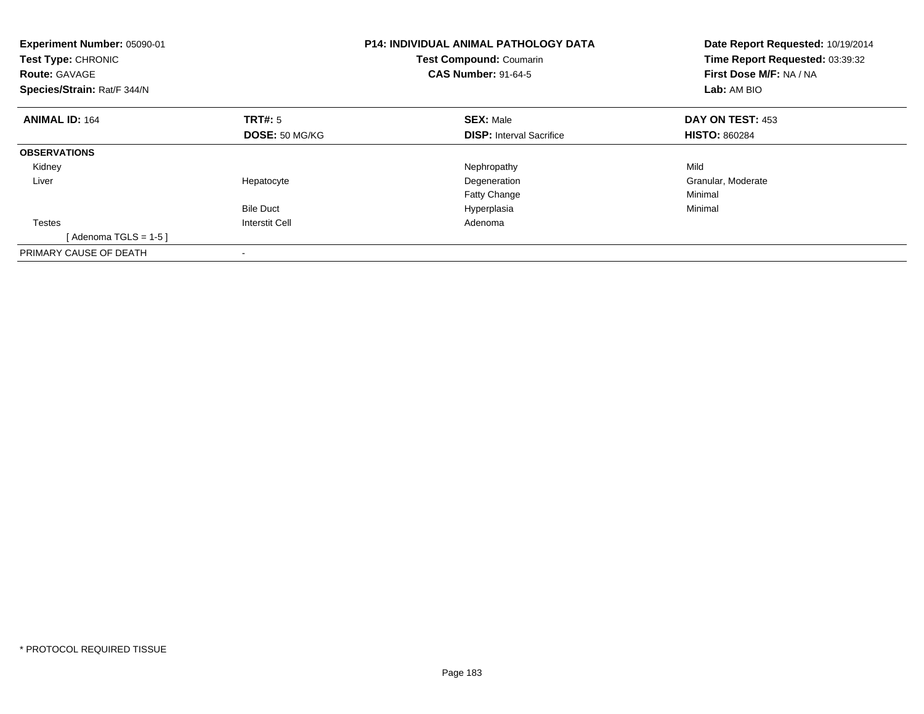| Experiment Number: 05090-01<br>Test Type: CHRONIC<br><b>Route: GAVAGE</b><br>Species/Strain: Rat/F 344/N |                       | <b>P14: INDIVIDUAL ANIMAL PATHOLOGY DATA</b><br><b>Test Compound: Coumarin</b><br><b>CAS Number: 91-64-5</b> | Date Report Requested: 10/19/2014<br>Time Report Requested: 03:39:32<br>First Dose M/F: NA / NA<br>Lab: AM BIO |
|----------------------------------------------------------------------------------------------------------|-----------------------|--------------------------------------------------------------------------------------------------------------|----------------------------------------------------------------------------------------------------------------|
| <b>ANIMAL ID: 164</b>                                                                                    | TRT#: 5               | <b>SEX: Male</b>                                                                                             | <b>DAY ON TEST: 453</b>                                                                                        |
|                                                                                                          | <b>DOSE: 50 MG/KG</b> | <b>DISP:</b> Interval Sacrifice                                                                              | <b>HISTO: 860284</b>                                                                                           |
| <b>OBSERVATIONS</b>                                                                                      |                       |                                                                                                              |                                                                                                                |
| Kidney                                                                                                   |                       | Nephropathy                                                                                                  | Mild                                                                                                           |
| Liver                                                                                                    | Hepatocyte            | Degeneration                                                                                                 | Granular, Moderate                                                                                             |
|                                                                                                          |                       | <b>Fatty Change</b>                                                                                          | Minimal                                                                                                        |
|                                                                                                          | <b>Bile Duct</b>      | Hyperplasia                                                                                                  | Minimal                                                                                                        |
| <b>Testes</b>                                                                                            | <b>Interstit Cell</b> | Adenoma                                                                                                      |                                                                                                                |
| [Adenoma TGLS = $1-5$ ]                                                                                  |                       |                                                                                                              |                                                                                                                |
| PRIMARY CAUSE OF DEATH                                                                                   |                       |                                                                                                              |                                                                                                                |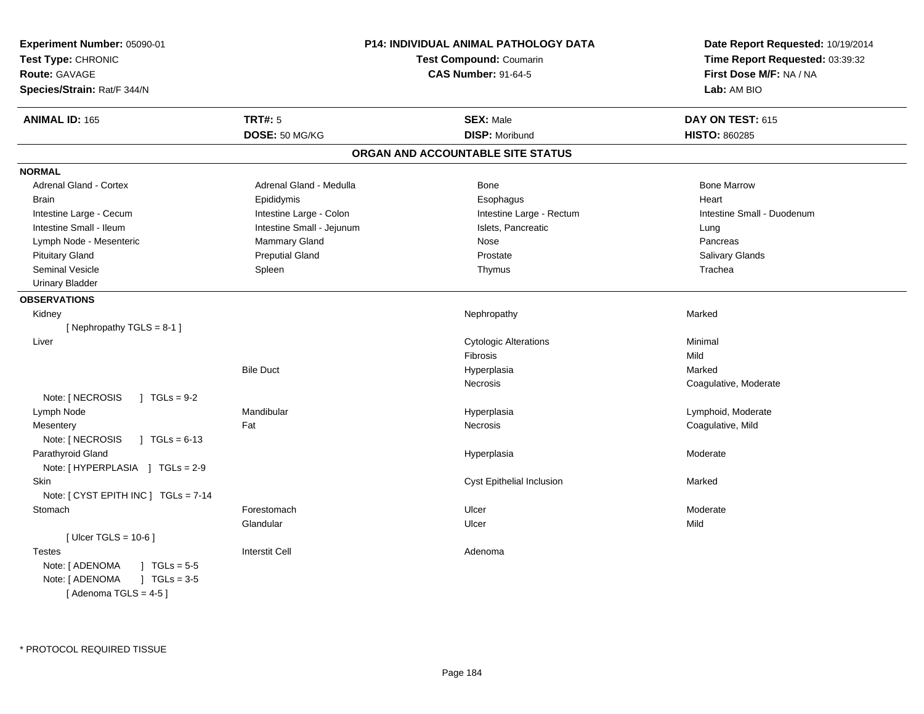| Experiment Number: 05090-01<br>Test Type: CHRONIC<br>Route: GAVAGE<br>Species/Strain: Rat/F 344/N | <b>P14: INDIVIDUAL ANIMAL PATHOLOGY DATA</b><br>Test Compound: Coumarin<br><b>CAS Number: 91-64-5</b> |                                   | Date Report Requested: 10/19/2014<br>Time Report Requested: 03:39:32<br>First Dose M/F: NA / NA<br>Lab: AM BIO |
|---------------------------------------------------------------------------------------------------|-------------------------------------------------------------------------------------------------------|-----------------------------------|----------------------------------------------------------------------------------------------------------------|
| <b>ANIMAL ID: 165</b>                                                                             | <b>TRT#: 5</b>                                                                                        | <b>SEX: Male</b>                  | DAY ON TEST: 615                                                                                               |
|                                                                                                   | DOSE: 50 MG/KG                                                                                        | <b>DISP: Moribund</b>             | <b>HISTO: 860285</b>                                                                                           |
|                                                                                                   |                                                                                                       | ORGAN AND ACCOUNTABLE SITE STATUS |                                                                                                                |
| <b>NORMAL</b>                                                                                     |                                                                                                       |                                   |                                                                                                                |
| <b>Adrenal Gland - Cortex</b>                                                                     | Adrenal Gland - Medulla                                                                               | Bone                              | <b>Bone Marrow</b>                                                                                             |
| <b>Brain</b>                                                                                      | Epididymis                                                                                            | Esophagus                         | Heart                                                                                                          |
| Intestine Large - Cecum                                                                           | Intestine Large - Colon                                                                               | Intestine Large - Rectum          | Intestine Small - Duodenum                                                                                     |
| Intestine Small - Ileum                                                                           | Intestine Small - Jejunum                                                                             | Islets, Pancreatic                | Lung                                                                                                           |
| Lymph Node - Mesenteric                                                                           | Mammary Gland                                                                                         | <b>Nose</b>                       | Pancreas                                                                                                       |
| <b>Pituitary Gland</b>                                                                            | <b>Preputial Gland</b>                                                                                | Prostate                          | Salivary Glands                                                                                                |
| <b>Seminal Vesicle</b>                                                                            | Spleen                                                                                                | Thymus                            | Trachea                                                                                                        |
| <b>Urinary Bladder</b>                                                                            |                                                                                                       |                                   |                                                                                                                |
| <b>OBSERVATIONS</b>                                                                               |                                                                                                       |                                   |                                                                                                                |
| Kidney                                                                                            |                                                                                                       | Nephropathy                       | Marked                                                                                                         |
| [Nephropathy TGLS = 8-1]                                                                          |                                                                                                       |                                   |                                                                                                                |
| Liver                                                                                             |                                                                                                       | <b>Cytologic Alterations</b>      | Minimal                                                                                                        |
|                                                                                                   |                                                                                                       | Fibrosis                          | Mild                                                                                                           |
|                                                                                                   | <b>Bile Duct</b>                                                                                      | Hyperplasia                       | Marked                                                                                                         |
|                                                                                                   |                                                                                                       | Necrosis                          | Coagulative, Moderate                                                                                          |
| Note: [ NECROSIS<br>$J \cdot TGLs = 9-2$                                                          |                                                                                                       |                                   |                                                                                                                |
| Lymph Node                                                                                        | Mandibular                                                                                            | Hyperplasia                       | Lymphoid, Moderate                                                                                             |
| Mesentery                                                                                         | Fat                                                                                                   | <b>Necrosis</b>                   | Coagulative, Mild                                                                                              |
| Note: [ NECROSIS<br>$\sqrt{1}$ TGLs = 6-13                                                        |                                                                                                       |                                   |                                                                                                                |
| Parathyroid Gland                                                                                 |                                                                                                       | Hyperplasia                       | Moderate                                                                                                       |
| Note: [HYPERPLASIA ] TGLs = 2-9                                                                   |                                                                                                       |                                   |                                                                                                                |
| Skin                                                                                              |                                                                                                       | <b>Cyst Epithelial Inclusion</b>  | Marked                                                                                                         |
| Note: [ CYST EPITH INC ] TGLs = 7-14                                                              |                                                                                                       |                                   |                                                                                                                |
| Stomach                                                                                           | Forestomach                                                                                           | Ulcer                             | Moderate                                                                                                       |
|                                                                                                   | Glandular                                                                                             | Ulcer                             | Mild                                                                                                           |
| [ Ulcer TGLS = $10-6$ ]                                                                           |                                                                                                       |                                   |                                                                                                                |
| <b>Testes</b>                                                                                     | <b>Interstit Cell</b>                                                                                 | Adenoma                           |                                                                                                                |
| $J \cdot TGLs = 5-5$<br>Note: [ ADENOMA                                                           |                                                                                                       |                                   |                                                                                                                |
| $1 TGLs = 3.5$<br>Note: [ ADENOMA                                                                 |                                                                                                       |                                   |                                                                                                                |
| [Adenoma TGLS = $4-5$ ]                                                                           |                                                                                                       |                                   |                                                                                                                |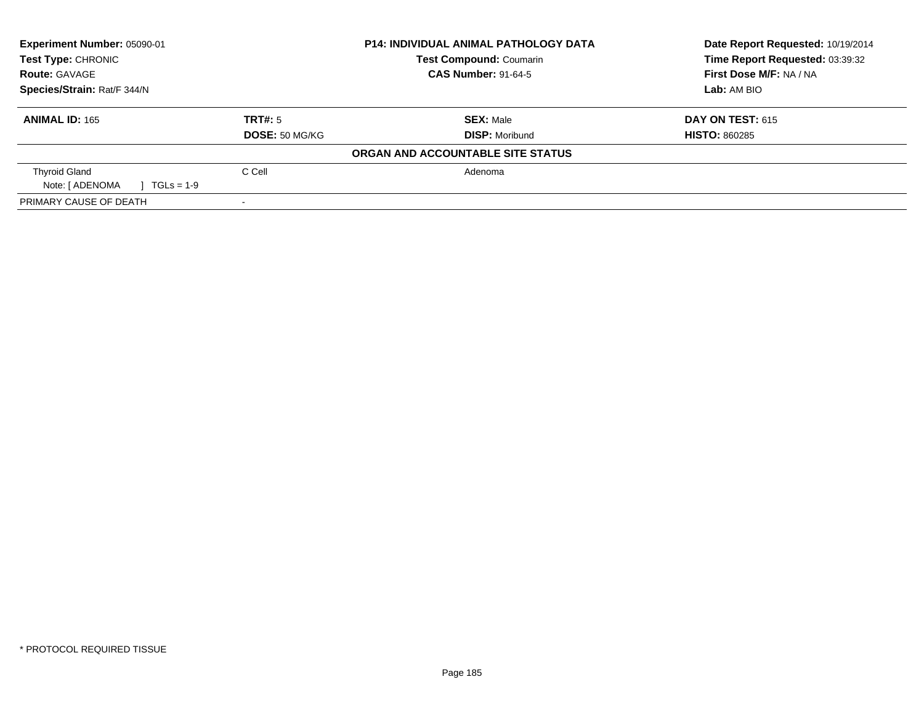| Experiment Number: 05090-01     |                | <b>P14: INDIVIDUAL ANIMAL PATHOLOGY DATA</b> | Date Report Requested: 10/19/2014 |  |
|---------------------------------|----------------|----------------------------------------------|-----------------------------------|--|
| <b>Test Type: CHRONIC</b>       |                | <b>Test Compound: Coumarin</b>               | Time Report Requested: 03:39:32   |  |
| <b>Route: GAVAGE</b>            |                | <b>CAS Number: 91-64-5</b>                   | First Dose M/F: NA / NA           |  |
| Species/Strain: Rat/F 344/N     |                |                                              | Lab: AM BIO                       |  |
| <b>ANIMAL ID: 165</b>           | TRT#: 5        | <b>SEX: Male</b>                             | <b>DAY ON TEST: 615</b>           |  |
|                                 | DOSE: 50 MG/KG | <b>DISP: Moribund</b>                        | <b>HISTO: 860285</b>              |  |
|                                 |                | ORGAN AND ACCOUNTABLE SITE STATUS            |                                   |  |
| <b>Thyroid Gland</b>            | C Cell         | Adenoma                                      |                                   |  |
| Note: [ ADENOMA<br>$TGLS = 1-9$ |                |                                              |                                   |  |
| PRIMARY CAUSE OF DEATH          |                |                                              |                                   |  |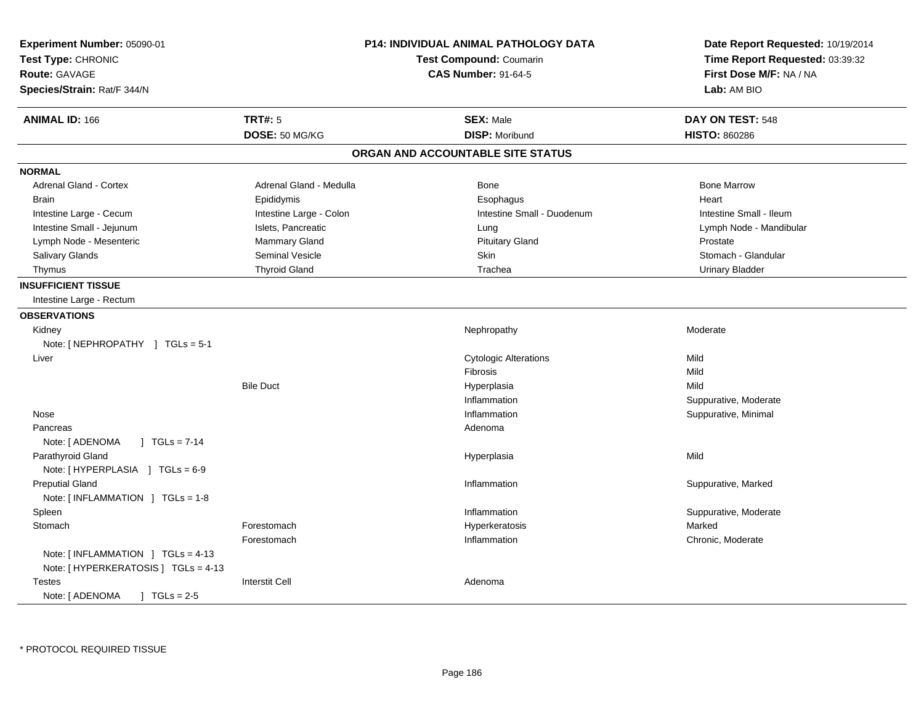| Experiment Number: 05090-01<br>Test Type: CHRONIC<br><b>Route: GAVAGE</b><br>Species/Strain: Rat/F 344/N |                         | P14: INDIVIDUAL ANIMAL PATHOLOGY DATA<br><b>Test Compound: Coumarin</b><br><b>CAS Number: 91-64-5</b> | Date Report Requested: 10/19/2014<br>Time Report Requested: 03:39:32<br>First Dose M/F: NA / NA<br>Lab: AM BIO |
|----------------------------------------------------------------------------------------------------------|-------------------------|-------------------------------------------------------------------------------------------------------|----------------------------------------------------------------------------------------------------------------|
| <b>ANIMAL ID: 166</b>                                                                                    | <b>TRT#: 5</b>          | <b>SEX: Male</b>                                                                                      | DAY ON TEST: 548                                                                                               |
|                                                                                                          | DOSE: 50 MG/KG          | <b>DISP: Moribund</b>                                                                                 | <b>HISTO: 860286</b>                                                                                           |
|                                                                                                          |                         | ORGAN AND ACCOUNTABLE SITE STATUS                                                                     |                                                                                                                |
| <b>NORMAL</b>                                                                                            |                         |                                                                                                       |                                                                                                                |
| <b>Adrenal Gland - Cortex</b>                                                                            | Adrenal Gland - Medulla | Bone                                                                                                  | <b>Bone Marrow</b>                                                                                             |
| <b>Brain</b>                                                                                             | Epididymis              | Esophagus                                                                                             | Heart                                                                                                          |
| Intestine Large - Cecum                                                                                  | Intestine Large - Colon | Intestine Small - Duodenum                                                                            | Intestine Small - Ileum                                                                                        |
| Intestine Small - Jejunum                                                                                | Islets, Pancreatic      | Lung                                                                                                  | Lymph Node - Mandibular                                                                                        |
| Lymph Node - Mesenteric                                                                                  | Mammary Gland           | <b>Pituitary Gland</b>                                                                                | Prostate                                                                                                       |
| Salivary Glands                                                                                          | Seminal Vesicle         | <b>Skin</b>                                                                                           | Stomach - Glandular                                                                                            |
| Thymus                                                                                                   | <b>Thyroid Gland</b>    | Trachea                                                                                               | <b>Urinary Bladder</b>                                                                                         |
| <b>INSUFFICIENT TISSUE</b><br>Intestine Large - Rectum                                                   |                         |                                                                                                       |                                                                                                                |
| <b>OBSERVATIONS</b>                                                                                      |                         |                                                                                                       |                                                                                                                |
| Kidney<br>Note: [NEPHROPATHY ] TGLs = 5-1                                                                |                         | Nephropathy                                                                                           | Moderate                                                                                                       |
| Liver                                                                                                    |                         | <b>Cytologic Alterations</b>                                                                          | Mild                                                                                                           |
|                                                                                                          |                         | Fibrosis                                                                                              | Mild                                                                                                           |
|                                                                                                          | <b>Bile Duct</b>        | Hyperplasia                                                                                           | Mild                                                                                                           |
|                                                                                                          |                         | Inflammation                                                                                          | Suppurative, Moderate                                                                                          |
| Nose                                                                                                     |                         | Inflammation                                                                                          | Suppurative, Minimal                                                                                           |
| Pancreas                                                                                                 |                         | Adenoma                                                                                               |                                                                                                                |
| Note: [ ADENOMA<br>  TGLs = $7-14$                                                                       |                         |                                                                                                       |                                                                                                                |
| Parathyroid Gland                                                                                        |                         | Hyperplasia                                                                                           | Mild                                                                                                           |
| Note: [HYPERPLASIA ] TGLs = 6-9                                                                          |                         |                                                                                                       |                                                                                                                |
| <b>Preputial Gland</b>                                                                                   |                         | Inflammation                                                                                          | Suppurative, Marked                                                                                            |
| Note: [INFLAMMATION ] TGLs = 1-8                                                                         |                         |                                                                                                       |                                                                                                                |
| Spleen                                                                                                   |                         | Inflammation                                                                                          | Suppurative, Moderate                                                                                          |
| Stomach                                                                                                  | Forestomach             | Hyperkeratosis                                                                                        | Marked                                                                                                         |
|                                                                                                          | Forestomach             | Inflammation                                                                                          | Chronic, Moderate                                                                                              |
| Note: [INFLAMMATION ] TGLs = 4-13<br>Note: [ HYPERKERATOSIS ] TGLs = 4-13                                |                         |                                                                                                       |                                                                                                                |
| Testes<br>Note: [ ADENOMA<br>$TGLs = 2-5$                                                                | <b>Interstit Cell</b>   | Adenoma                                                                                               |                                                                                                                |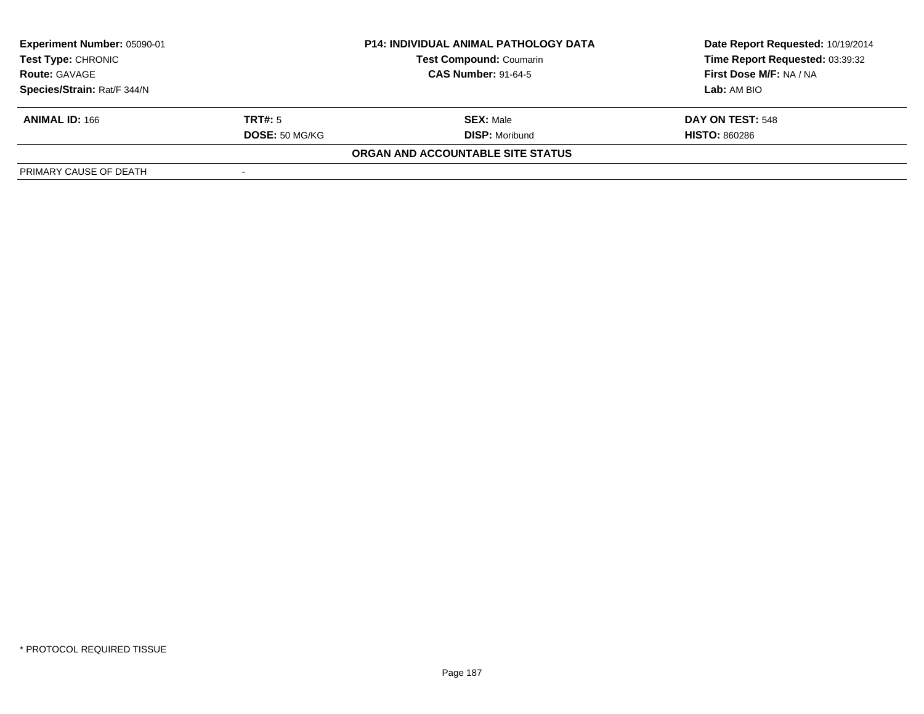| Experiment Number: 05090-01<br><b>Test Type: CHRONIC</b><br><b>Route: GAVAGE</b> |                       | <b>P14: INDIVIDUAL ANIMAL PATHOLOGY DATA</b> | Date Report Requested: 10/19/2014 |  |
|----------------------------------------------------------------------------------|-----------------------|----------------------------------------------|-----------------------------------|--|
|                                                                                  |                       | <b>Test Compound: Coumarin</b>               | Time Report Requested: 03:39:32   |  |
|                                                                                  |                       | <b>CAS Number: 91-64-5</b>                   | First Dose M/F: NA / NA           |  |
| Species/Strain: Rat/F 344/N                                                      |                       |                                              | Lab: AM BIO                       |  |
| <b>ANIMAL ID: 166</b>                                                            | <b>TRT#:</b> 5        | <b>SEX: Male</b>                             | DAY ON TEST: 548                  |  |
|                                                                                  | <b>DOSE: 50 MG/KG</b> | <b>DISP:</b> Moribund                        | <b>HISTO: 860286</b>              |  |
|                                                                                  |                       | ORGAN AND ACCOUNTABLE SITE STATUS            |                                   |  |
| PRIMARY CAUSE OF DEATH                                                           |                       |                                              |                                   |  |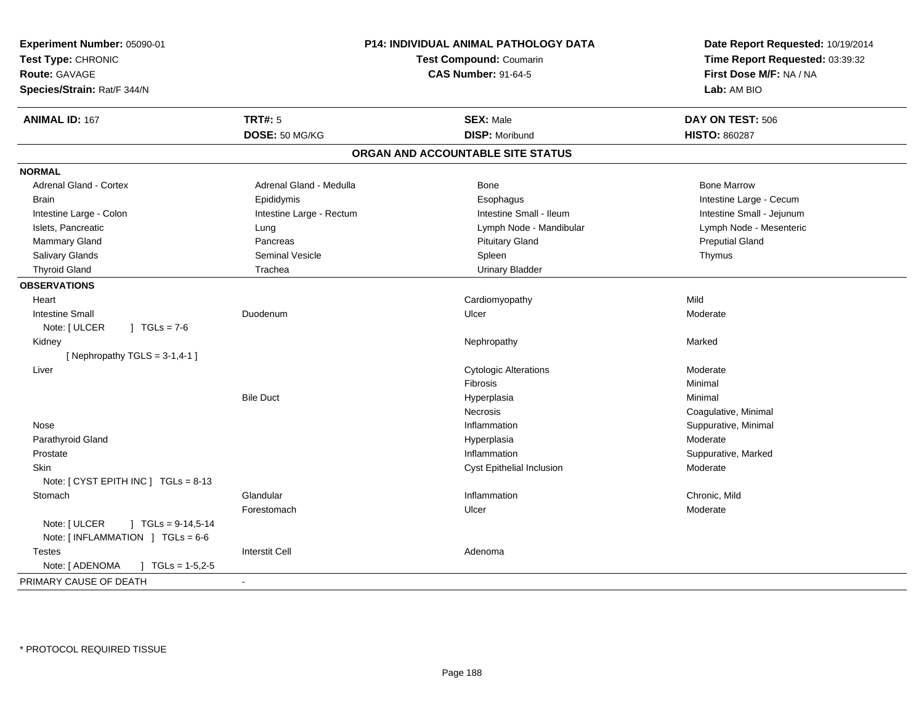| Experiment Number: 05090-01<br>Test Type: CHRONIC<br><b>Route: GAVAGE</b><br>Species/Strain: Rat/F 344/N | <b>P14: INDIVIDUAL ANIMAL PATHOLOGY DATA</b><br><b>Test Compound: Coumarin</b><br><b>CAS Number: 91-64-5</b> |                                   | Date Report Requested: 10/19/2014<br>Time Report Requested: 03:39:32<br>First Dose M/F: NA / NA<br>Lab: AM BIO |
|----------------------------------------------------------------------------------------------------------|--------------------------------------------------------------------------------------------------------------|-----------------------------------|----------------------------------------------------------------------------------------------------------------|
| <b>ANIMAL ID: 167</b>                                                                                    | <b>TRT#: 5</b>                                                                                               | <b>SEX: Male</b>                  | DAY ON TEST: 506                                                                                               |
|                                                                                                          | DOSE: 50 MG/KG                                                                                               | <b>DISP: Moribund</b>             | <b>HISTO: 860287</b>                                                                                           |
|                                                                                                          |                                                                                                              | ORGAN AND ACCOUNTABLE SITE STATUS |                                                                                                                |
| <b>NORMAL</b>                                                                                            |                                                                                                              |                                   |                                                                                                                |
| <b>Adrenal Gland - Cortex</b>                                                                            | Adrenal Gland - Medulla                                                                                      | Bone                              | <b>Bone Marrow</b>                                                                                             |
| <b>Brain</b>                                                                                             | Epididymis                                                                                                   | Esophagus                         | Intestine Large - Cecum                                                                                        |
| Intestine Large - Colon                                                                                  | Intestine Large - Rectum                                                                                     | Intestine Small - Ileum           | Intestine Small - Jejunum                                                                                      |
| Islets, Pancreatic                                                                                       | Lung                                                                                                         | Lymph Node - Mandibular           | Lymph Node - Mesenteric                                                                                        |
| Mammary Gland                                                                                            | Pancreas                                                                                                     | <b>Pituitary Gland</b>            | <b>Preputial Gland</b>                                                                                         |
| Salivary Glands                                                                                          | <b>Seminal Vesicle</b>                                                                                       | Spleen                            | Thymus                                                                                                         |
| <b>Thyroid Gland</b>                                                                                     | Trachea                                                                                                      | <b>Urinary Bladder</b>            |                                                                                                                |
| <b>OBSERVATIONS</b>                                                                                      |                                                                                                              |                                   |                                                                                                                |
| Heart                                                                                                    |                                                                                                              | Cardiomyopathy                    | Mild                                                                                                           |
| <b>Intestine Small</b>                                                                                   | Duodenum                                                                                                     | Ulcer                             | Moderate                                                                                                       |
| Note: [ ULCER<br>$\sqrt{6}$ TGLs = 7-6                                                                   |                                                                                                              |                                   |                                                                                                                |
| Kidney                                                                                                   |                                                                                                              | Nephropathy                       | Marked                                                                                                         |
| [ Nephropathy $TGLS = 3-1, 4-1$ ]                                                                        |                                                                                                              |                                   |                                                                                                                |
| Liver                                                                                                    |                                                                                                              | <b>Cytologic Alterations</b>      | Moderate                                                                                                       |
|                                                                                                          |                                                                                                              | Fibrosis                          | Minimal                                                                                                        |
|                                                                                                          | <b>Bile Duct</b>                                                                                             | Hyperplasia                       | Minimal                                                                                                        |
|                                                                                                          |                                                                                                              | Necrosis                          | Coagulative, Minimal                                                                                           |
| Nose                                                                                                     |                                                                                                              | Inflammation                      | Suppurative, Minimal                                                                                           |
| Parathyroid Gland                                                                                        |                                                                                                              | Hyperplasia                       | Moderate                                                                                                       |
| Prostate                                                                                                 |                                                                                                              | Inflammation                      | Suppurative, Marked                                                                                            |
| <b>Skin</b>                                                                                              |                                                                                                              | Cyst Epithelial Inclusion         | Moderate                                                                                                       |
| Note: [ CYST EPITH INC ] TGLs = 8-13                                                                     |                                                                                                              |                                   |                                                                                                                |
| Stomach                                                                                                  | Glandular                                                                                                    | Inflammation                      | Chronic, Mild                                                                                                  |
|                                                                                                          | Forestomach                                                                                                  | Ulcer                             | Moderate                                                                                                       |
| Note: [ ULCER<br>$\mid$ TGLs = 9-14,5-14                                                                 |                                                                                                              |                                   |                                                                                                                |
| Note: $[INFLAMMATION] TGLs = 6-6$                                                                        |                                                                                                              |                                   |                                                                                                                |
| Testes                                                                                                   | <b>Interstit Cell</b>                                                                                        | Adenoma                           |                                                                                                                |
| Note: [ ADENOMA<br>$\mid$ TGLs = 1-5,2-5                                                                 |                                                                                                              |                                   |                                                                                                                |
| PRIMARY CAUSE OF DEATH                                                                                   |                                                                                                              |                                   |                                                                                                                |
|                                                                                                          |                                                                                                              |                                   |                                                                                                                |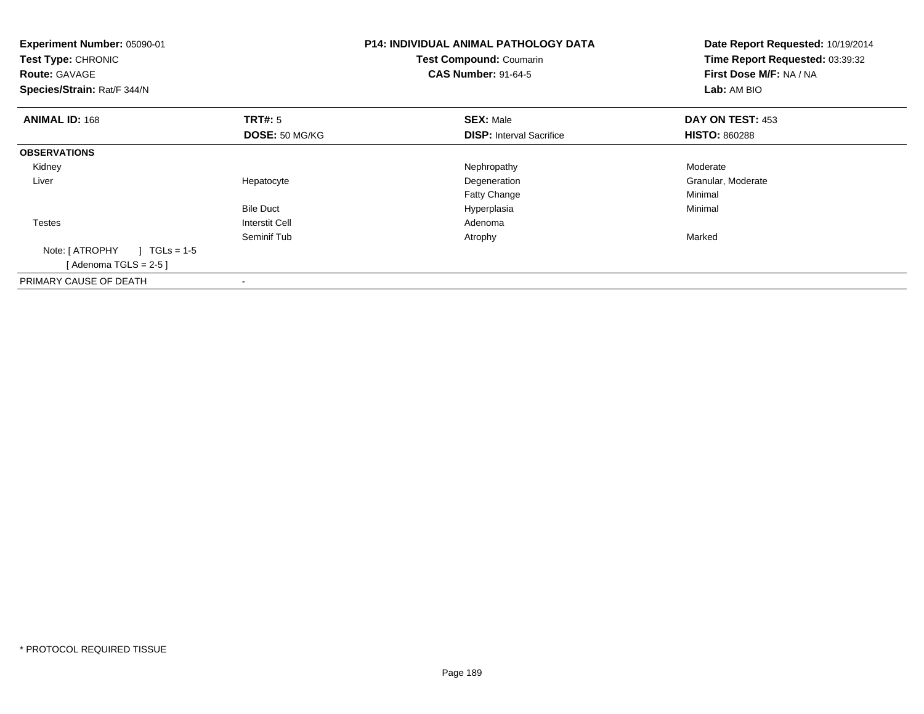| <b>Experiment Number: 05090-01</b><br>Test Type: CHRONIC<br><b>Route: GAVAGE</b><br>Species/Strain: Rat/F 344/N |                           | <b>P14: INDIVIDUAL ANIMAL PATHOLOGY DATA</b><br><b>Test Compound: Coumarin</b><br><b>CAS Number: 91-64-5</b> | Date Report Requested: 10/19/2014<br>Time Report Requested: 03:39:32<br>First Dose M/F: NA / NA<br>Lab: AM BIO |
|-----------------------------------------------------------------------------------------------------------------|---------------------------|--------------------------------------------------------------------------------------------------------------|----------------------------------------------------------------------------------------------------------------|
| <b>ANIMAL ID: 168</b>                                                                                           | TRT#: 5<br>DOSE: 50 MG/KG | <b>SEX: Male</b><br><b>DISP:</b> Interval Sacrifice                                                          | DAY ON TEST: 453<br><b>HISTO: 860288</b>                                                                       |
| <b>OBSERVATIONS</b>                                                                                             |                           |                                                                                                              |                                                                                                                |
| Kidney                                                                                                          |                           | Nephropathy                                                                                                  | Moderate                                                                                                       |
| Liver                                                                                                           | Hepatocyte                | Degeneration                                                                                                 | Granular, Moderate                                                                                             |
|                                                                                                                 |                           | Fatty Change                                                                                                 | Minimal                                                                                                        |
|                                                                                                                 | <b>Bile Duct</b>          | Hyperplasia                                                                                                  | Minimal                                                                                                        |
| <b>Testes</b>                                                                                                   | Interstit Cell            | Adenoma                                                                                                      |                                                                                                                |
|                                                                                                                 | Seminif Tub               | Atrophy                                                                                                      | Marked                                                                                                         |
| $1 TGLs = 1-5$<br>Note: [ ATROPHY                                                                               |                           |                                                                                                              |                                                                                                                |
| [Adenoma TGLS = $2-5$ ]                                                                                         |                           |                                                                                                              |                                                                                                                |
| PRIMARY CAUSE OF DEATH                                                                                          |                           |                                                                                                              |                                                                                                                |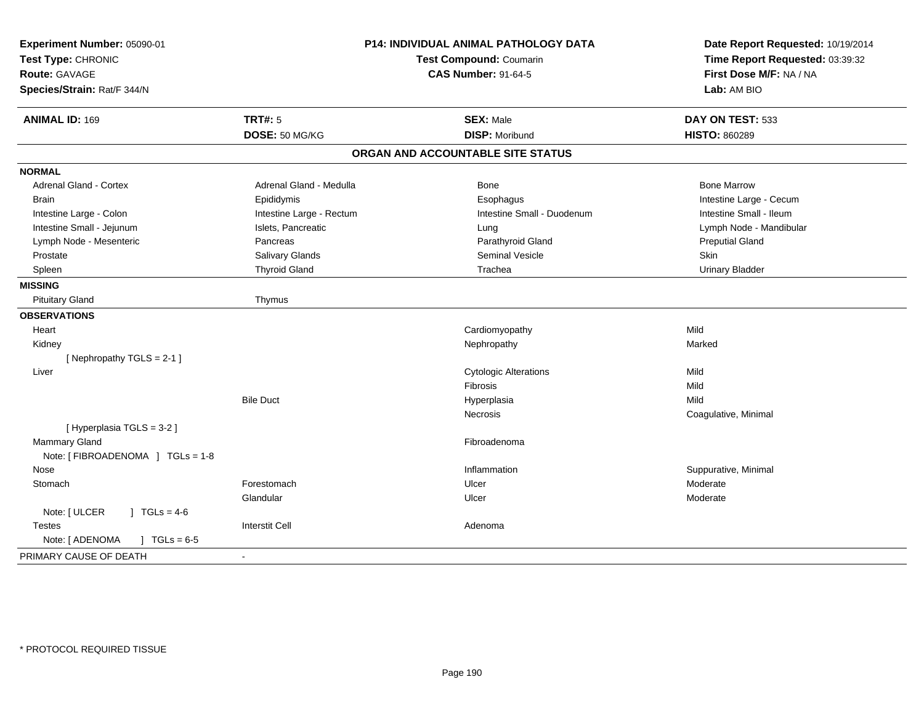| Experiment Number: 05090-01<br>Test Type: CHRONIC<br>Route: GAVAGE<br>Species/Strain: Rat/F 344/N | P14: INDIVIDUAL ANIMAL PATHOLOGY DATA<br><b>Test Compound: Coumarin</b><br><b>CAS Number: 91-64-5</b> |                                   | Date Report Requested: 10/19/2014<br>Time Report Requested: 03:39:32<br>First Dose M/F: NA / NA<br>Lab: AM BIO |
|---------------------------------------------------------------------------------------------------|-------------------------------------------------------------------------------------------------------|-----------------------------------|----------------------------------------------------------------------------------------------------------------|
| <b>ANIMAL ID: 169</b>                                                                             | <b>TRT#: 5</b>                                                                                        | <b>SEX: Male</b>                  | DAY ON TEST: 533                                                                                               |
|                                                                                                   | DOSE: 50 MG/KG                                                                                        | <b>DISP: Moribund</b>             | <b>HISTO: 860289</b>                                                                                           |
|                                                                                                   |                                                                                                       | ORGAN AND ACCOUNTABLE SITE STATUS |                                                                                                                |
| <b>NORMAL</b>                                                                                     |                                                                                                       |                                   |                                                                                                                |
| <b>Adrenal Gland - Cortex</b>                                                                     | Adrenal Gland - Medulla                                                                               | Bone                              | <b>Bone Marrow</b>                                                                                             |
| <b>Brain</b>                                                                                      | Epididymis                                                                                            | Esophagus                         | Intestine Large - Cecum                                                                                        |
| Intestine Large - Colon                                                                           | Intestine Large - Rectum                                                                              | Intestine Small - Duodenum        | Intestine Small - Ileum                                                                                        |
| Intestine Small - Jejunum                                                                         | Islets, Pancreatic                                                                                    | Lung                              | Lymph Node - Mandibular                                                                                        |
| Lymph Node - Mesenteric                                                                           | Pancreas                                                                                              | Parathyroid Gland                 | <b>Preputial Gland</b>                                                                                         |
| Prostate                                                                                          | Salivary Glands                                                                                       | Seminal Vesicle                   | Skin                                                                                                           |
| Spleen                                                                                            | <b>Thyroid Gland</b>                                                                                  | Trachea                           | <b>Urinary Bladder</b>                                                                                         |
| <b>MISSING</b>                                                                                    |                                                                                                       |                                   |                                                                                                                |
| <b>Pituitary Gland</b>                                                                            | Thymus                                                                                                |                                   |                                                                                                                |
| <b>OBSERVATIONS</b>                                                                               |                                                                                                       |                                   |                                                                                                                |
| Heart                                                                                             |                                                                                                       | Cardiomyopathy                    | Mild                                                                                                           |
| Kidney                                                                                            |                                                                                                       | Nephropathy                       | Marked                                                                                                         |
| [Nephropathy TGLS = 2-1]                                                                          |                                                                                                       |                                   |                                                                                                                |
| Liver                                                                                             |                                                                                                       | <b>Cytologic Alterations</b>      | Mild                                                                                                           |
|                                                                                                   |                                                                                                       | Fibrosis                          | Mild                                                                                                           |
|                                                                                                   | <b>Bile Duct</b>                                                                                      | Hyperplasia                       | Mild                                                                                                           |
|                                                                                                   |                                                                                                       | Necrosis                          | Coagulative, Minimal                                                                                           |
| [Hyperplasia TGLS = 3-2]                                                                          |                                                                                                       |                                   |                                                                                                                |
| <b>Mammary Gland</b>                                                                              |                                                                                                       | Fibroadenoma                      |                                                                                                                |
| Note: [ FIBROADENOMA ] TGLs = 1-8                                                                 |                                                                                                       |                                   |                                                                                                                |
| Nose                                                                                              |                                                                                                       | Inflammation                      | Suppurative, Minimal                                                                                           |
| Stomach                                                                                           | Forestomach                                                                                           | Ulcer                             | Moderate                                                                                                       |
|                                                                                                   | Glandular                                                                                             | Ulcer                             | Moderate                                                                                                       |
| Note: [ ULCER<br>$1 \text{ TGLs} = 4-6$                                                           |                                                                                                       |                                   |                                                                                                                |
| <b>Testes</b>                                                                                     | <b>Interstit Cell</b>                                                                                 | Adenoma                           |                                                                                                                |
| Note: [ ADENOMA<br>$J \cdot TGLs = 6-5$                                                           |                                                                                                       |                                   |                                                                                                                |
| PRIMARY CAUSE OF DEATH                                                                            |                                                                                                       |                                   |                                                                                                                |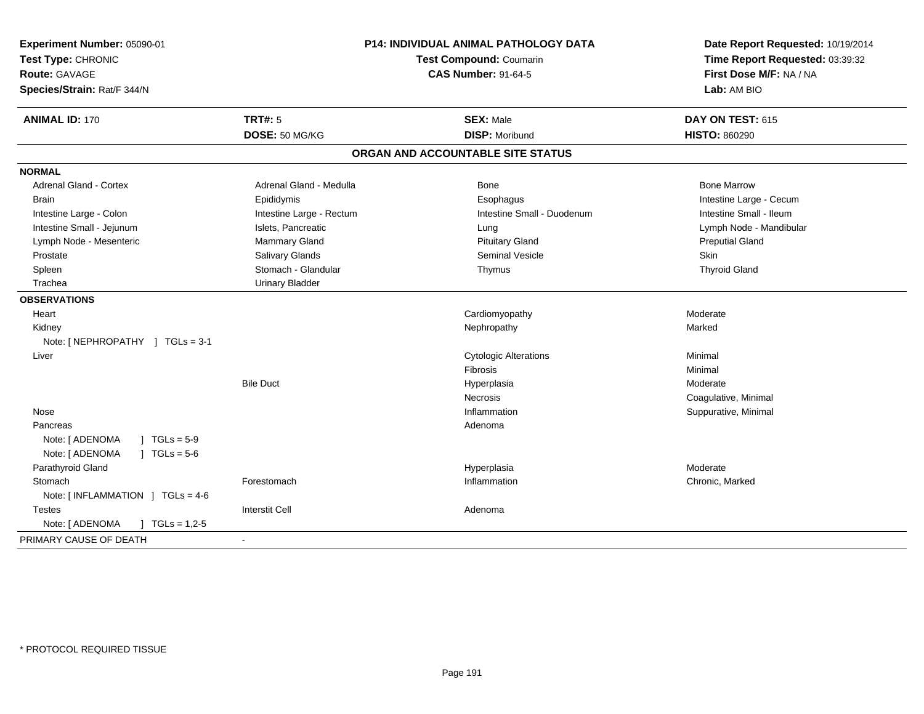| Experiment Number: 05090-01<br>Test Type: CHRONIC<br><b>Route: GAVAGE</b><br>Species/Strain: Rat/F 344/N |                          | P14: INDIVIDUAL ANIMAL PATHOLOGY DATA<br><b>Test Compound: Coumarin</b><br><b>CAS Number: 91-64-5</b> | Date Report Requested: 10/19/2014<br>Time Report Requested: 03:39:32<br>First Dose M/F: NA / NA<br>Lab: AM BIO |
|----------------------------------------------------------------------------------------------------------|--------------------------|-------------------------------------------------------------------------------------------------------|----------------------------------------------------------------------------------------------------------------|
| <b>ANIMAL ID: 170</b>                                                                                    | <b>TRT#: 5</b>           | <b>SEX: Male</b>                                                                                      | DAY ON TEST: 615                                                                                               |
|                                                                                                          | DOSE: 50 MG/KG           | <b>DISP: Moribund</b>                                                                                 | <b>HISTO: 860290</b>                                                                                           |
|                                                                                                          |                          | ORGAN AND ACCOUNTABLE SITE STATUS                                                                     |                                                                                                                |
| <b>NORMAL</b>                                                                                            |                          |                                                                                                       |                                                                                                                |
| <b>Adrenal Gland - Cortex</b>                                                                            | Adrenal Gland - Medulla  | Bone                                                                                                  | <b>Bone Marrow</b>                                                                                             |
| <b>Brain</b>                                                                                             | Epididymis               | Esophagus                                                                                             | Intestine Large - Cecum                                                                                        |
| Intestine Large - Colon                                                                                  | Intestine Large - Rectum | Intestine Small - Duodenum                                                                            | Intestine Small - Ileum                                                                                        |
| Intestine Small - Jejunum                                                                                | Islets, Pancreatic       | Lung                                                                                                  | Lymph Node - Mandibular                                                                                        |
| Lymph Node - Mesenteric                                                                                  | Mammary Gland            | <b>Pituitary Gland</b>                                                                                | <b>Preputial Gland</b>                                                                                         |
| Prostate                                                                                                 | Salivary Glands          | <b>Seminal Vesicle</b>                                                                                | Skin                                                                                                           |
| Spleen                                                                                                   | Stomach - Glandular      | Thymus                                                                                                | <b>Thyroid Gland</b>                                                                                           |
| Trachea                                                                                                  | <b>Urinary Bladder</b>   |                                                                                                       |                                                                                                                |
| <b>OBSERVATIONS</b>                                                                                      |                          |                                                                                                       |                                                                                                                |
| Heart                                                                                                    |                          | Cardiomyopathy                                                                                        | Moderate                                                                                                       |
| Kidney                                                                                                   |                          | Nephropathy                                                                                           | Marked                                                                                                         |
| Note: [NEPHROPATHY ] TGLs = 3-1                                                                          |                          |                                                                                                       |                                                                                                                |
| Liver                                                                                                    |                          | <b>Cytologic Alterations</b>                                                                          | Minimal                                                                                                        |
|                                                                                                          |                          | Fibrosis                                                                                              | Minimal                                                                                                        |
|                                                                                                          | <b>Bile Duct</b>         | Hyperplasia                                                                                           | Moderate                                                                                                       |
|                                                                                                          |                          | <b>Necrosis</b>                                                                                       | Coagulative, Minimal                                                                                           |
| Nose                                                                                                     |                          | Inflammation                                                                                          | Suppurative, Minimal                                                                                           |
| Pancreas                                                                                                 |                          | Adenoma                                                                                               |                                                                                                                |
| $1 TGLs = 5-9$<br>Note: [ ADENOMA                                                                        |                          |                                                                                                       |                                                                                                                |
| Note: [ ADENOMA<br>$J \cdot TGLs = 5-6$                                                                  |                          |                                                                                                       |                                                                                                                |
| Parathyroid Gland                                                                                        |                          | Hyperplasia                                                                                           | Moderate                                                                                                       |
| Stomach                                                                                                  | Forestomach              | Inflammation                                                                                          | Chronic, Marked                                                                                                |
| Note: [INFLAMMATION ] TGLs = 4-6                                                                         |                          |                                                                                                       |                                                                                                                |
| <b>Testes</b>                                                                                            | <b>Interstit Cell</b>    | Adenoma                                                                                               |                                                                                                                |
| Note: [ ADENOMA<br>$\vert$ TGLs = 1,2-5                                                                  |                          |                                                                                                       |                                                                                                                |
| PRIMARY CAUSE OF DEATH                                                                                   |                          |                                                                                                       |                                                                                                                |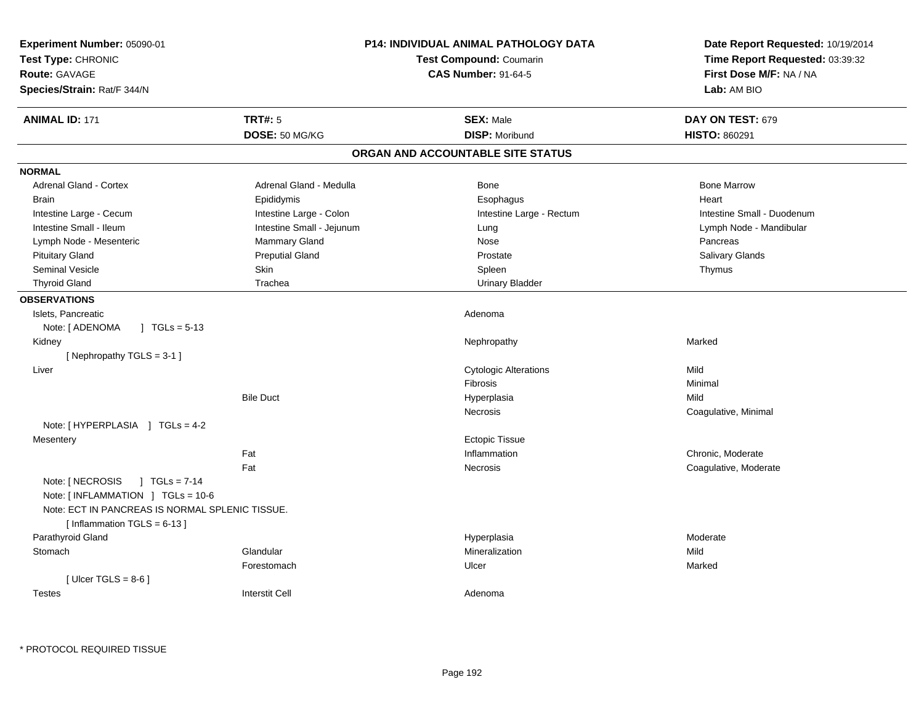| Experiment Number: 05090-01<br>Test Type: CHRONIC<br>Route: GAVAGE<br>Species/Strain: Rat/F 344/N                           |                           | <b>P14: INDIVIDUAL ANIMAL PATHOLOGY DATA</b><br><b>Test Compound: Coumarin</b><br><b>CAS Number: 91-64-5</b> | Date Report Requested: 10/19/2014<br>Time Report Requested: 03:39:32<br>First Dose M/F: NA / NA<br>Lab: AM BIO |
|-----------------------------------------------------------------------------------------------------------------------------|---------------------------|--------------------------------------------------------------------------------------------------------------|----------------------------------------------------------------------------------------------------------------|
| <b>ANIMAL ID: 171</b>                                                                                                       | <b>TRT#: 5</b>            | <b>SEX: Male</b>                                                                                             | DAY ON TEST: 679                                                                                               |
|                                                                                                                             | DOSE: 50 MG/KG            | <b>DISP: Moribund</b>                                                                                        | HISTO: 860291                                                                                                  |
|                                                                                                                             |                           | ORGAN AND ACCOUNTABLE SITE STATUS                                                                            |                                                                                                                |
| <b>NORMAL</b>                                                                                                               |                           |                                                                                                              |                                                                                                                |
| <b>Adrenal Gland - Cortex</b>                                                                                               | Adrenal Gland - Medulla   | Bone                                                                                                         | <b>Bone Marrow</b>                                                                                             |
| <b>Brain</b>                                                                                                                | Epididymis                | Esophagus                                                                                                    | Heart                                                                                                          |
| Intestine Large - Cecum                                                                                                     | Intestine Large - Colon   | Intestine Large - Rectum                                                                                     | Intestine Small - Duodenum                                                                                     |
| Intestine Small - Ileum                                                                                                     | Intestine Small - Jejunum | Lung                                                                                                         | Lymph Node - Mandibular                                                                                        |
| Lymph Node - Mesenteric                                                                                                     | Mammary Gland             | Nose                                                                                                         | Pancreas                                                                                                       |
| <b>Pituitary Gland</b>                                                                                                      | <b>Preputial Gland</b>    | Prostate                                                                                                     | Salivary Glands                                                                                                |
| <b>Seminal Vesicle</b>                                                                                                      | Skin                      | Spleen                                                                                                       | Thymus                                                                                                         |
| <b>Thyroid Gland</b>                                                                                                        | Trachea                   | <b>Urinary Bladder</b>                                                                                       |                                                                                                                |
| <b>OBSERVATIONS</b>                                                                                                         |                           |                                                                                                              |                                                                                                                |
| Islets, Pancreatic                                                                                                          |                           | Adenoma                                                                                                      |                                                                                                                |
| Note: [ ADENOMA<br>$\sqrt{1}$ TGLs = 5-13                                                                                   |                           |                                                                                                              |                                                                                                                |
| Kidney                                                                                                                      |                           | Nephropathy                                                                                                  | Marked                                                                                                         |
| [Nephropathy TGLS = 3-1]                                                                                                    |                           |                                                                                                              |                                                                                                                |
| Liver                                                                                                                       |                           | <b>Cytologic Alterations</b>                                                                                 | Mild                                                                                                           |
|                                                                                                                             |                           | Fibrosis                                                                                                     | Minimal                                                                                                        |
|                                                                                                                             | <b>Bile Duct</b>          | Hyperplasia                                                                                                  | Mild                                                                                                           |
|                                                                                                                             |                           | Necrosis                                                                                                     | Coagulative, Minimal                                                                                           |
| Note: [HYPERPLASIA ] TGLs = 4-2                                                                                             |                           |                                                                                                              |                                                                                                                |
| Mesentery                                                                                                                   |                           | <b>Ectopic Tissue</b>                                                                                        |                                                                                                                |
|                                                                                                                             | Fat                       | Inflammation                                                                                                 | Chronic, Moderate                                                                                              |
|                                                                                                                             | Fat                       | Necrosis                                                                                                     | Coagulative, Moderate                                                                                          |
| Note: [ NECROSIS<br>$1 TGLs = 7-14$<br>Note: [INFLAMMATION ] TGLs = 10-6<br>Note: ECT IN PANCREAS IS NORMAL SPLENIC TISSUE. |                           |                                                                                                              |                                                                                                                |
| [Inflammation TGLS = $6-13$ ]                                                                                               |                           |                                                                                                              |                                                                                                                |
| Parathyroid Gland                                                                                                           |                           | Hyperplasia                                                                                                  | Moderate                                                                                                       |
| Stomach                                                                                                                     | Glandular                 | Mineralization                                                                                               | Mild                                                                                                           |
|                                                                                                                             | Forestomach               | Ulcer                                                                                                        | Marked                                                                                                         |
| [ Ulcer TGLS = $8-6$ ]<br><b>Testes</b>                                                                                     | <b>Interstit Cell</b>     | Adenoma                                                                                                      |                                                                                                                |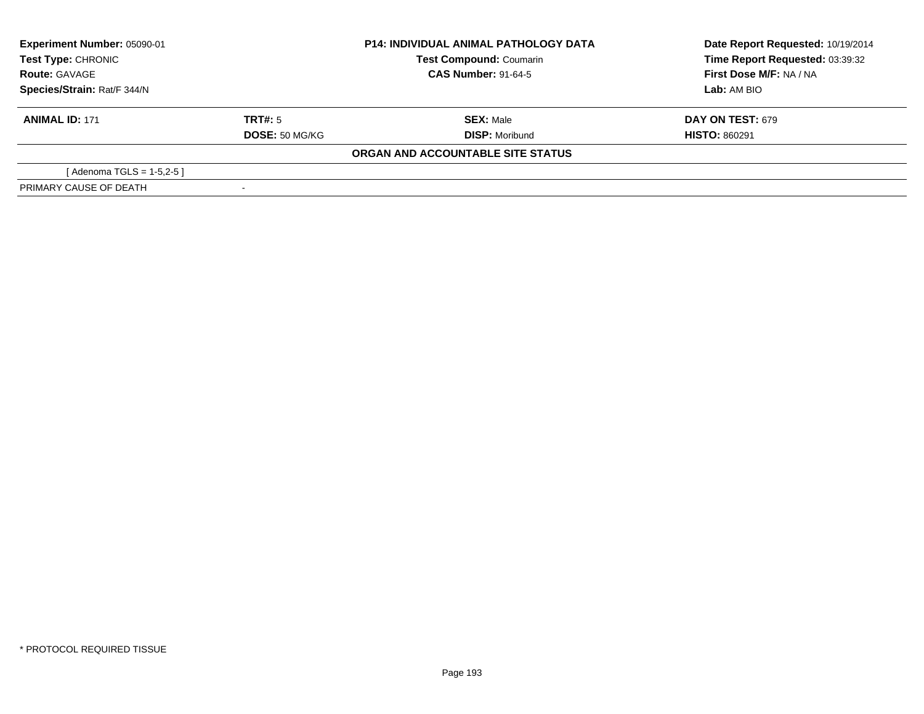| Experiment Number: 05090-01<br><b>Test Type: CHRONIC</b><br><b>Test Compound: Coumarin</b> |                       | <b>P14: INDIVIDUAL ANIMAL PATHOLOGY DATA</b> | Date Report Requested: 10/19/2014 |
|--------------------------------------------------------------------------------------------|-----------------------|----------------------------------------------|-----------------------------------|
|                                                                                            |                       |                                              | Time Report Requested: 03:39:32   |
| <b>Route: GAVAGE</b>                                                                       |                       | <b>CAS Number: 91-64-5</b>                   | First Dose M/F: NA / NA           |
| Species/Strain: Rat/F 344/N                                                                |                       |                                              | Lab: AM BIO                       |
| <b>ANIMAL ID: 171</b>                                                                      | TRT#: 5               | <b>SEX: Male</b>                             | <b>DAY ON TEST: 679</b>           |
|                                                                                            | <b>DOSE: 50 MG/KG</b> | <b>DISP: Moribund</b>                        | <b>HISTO: 860291</b>              |
|                                                                                            |                       | ORGAN AND ACCOUNTABLE SITE STATUS            |                                   |
| [Adenoma TGLS = $1-5,2-5$ ]                                                                |                       |                                              |                                   |
| PRIMARY CAUSE OF DEATH                                                                     |                       |                                              |                                   |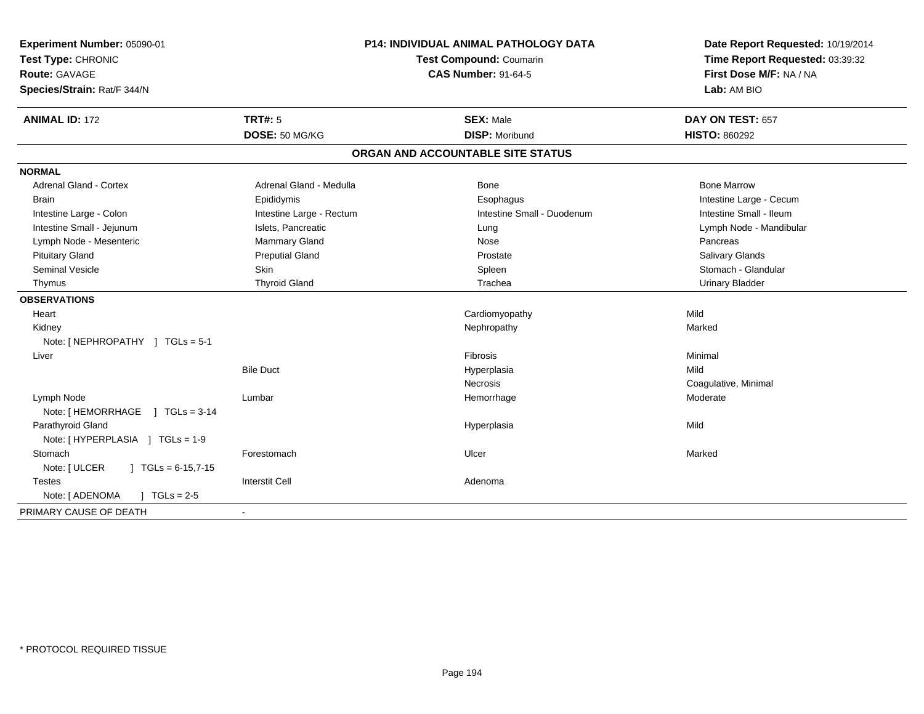| <b>ANIMAL ID: 172</b><br><b>TRT#: 5</b><br><b>SEX: Male</b><br>DAY ON TEST: 657<br>DOSE: 50 MG/KG<br><b>DISP: Moribund</b><br><b>HISTO: 860292</b><br>ORGAN AND ACCOUNTABLE SITE STATUS<br><b>Adrenal Gland - Cortex</b><br>Adrenal Gland - Medulla<br>Bone<br><b>Bone Marrow</b><br>Intestine Large - Cecum<br>Epididymis<br>Esophagus<br><b>Brain</b><br>Intestine Small - Duodenum<br>Intestine Small - Ileum<br>Intestine Large - Colon<br>Intestine Large - Rectum<br>Intestine Small - Jejunum<br>Islets, Pancreatic<br>Lymph Node - Mandibular<br>Lung<br>Lymph Node - Mesenteric<br><b>Mammary Gland</b><br>Nose<br>Pancreas<br><b>Pituitary Gland</b><br><b>Preputial Gland</b><br>Salivary Glands<br>Prostate<br><b>Skin</b><br>Stomach - Glandular<br><b>Seminal Vesicle</b><br>Spleen<br><b>Thyroid Gland</b><br>Trachea<br><b>Urinary Bladder</b><br>Thymus<br>Mild<br>Cardiomyopathy<br>Heart<br>Nephropathy<br>Marked<br>Kidney<br>Note: [ NEPHROPATHY ] TGLs = 5-1<br>Minimal<br><b>Fibrosis</b><br>Liver<br><b>Bile Duct</b><br>Mild<br>Hyperplasia<br>Necrosis<br>Coagulative, Minimal<br>Lymph Node<br>Lumbar<br>Hemorrhage<br>Moderate<br>Note: [HEMORRHAGE ] TGLs = 3-14<br>Parathyroid Gland<br>Mild<br>Hyperplasia<br>Note: [HYPERPLASIA ] TGLs = 1-9<br>Stomach<br>Marked<br>Forestomach<br>Ulcer<br>Note: [ ULCER<br>$\vert$ TGLs = 6-15,7-15<br><b>Interstit Cell</b><br><b>Testes</b><br>Adenoma<br>Note: [ ADENOMA<br>$\sqrt{ }$ TGLs = 2-5 | Experiment Number: 05090-01<br>Test Type: CHRONIC<br><b>Route: GAVAGE</b><br>Species/Strain: Rat/F 344/N | P14: INDIVIDUAL ANIMAL PATHOLOGY DATA<br>Test Compound: Coumarin<br><b>CAS Number: 91-64-5</b> |  | Date Report Requested: 10/19/2014<br>Time Report Requested: 03:39:32<br>First Dose M/F: NA / NA<br>Lab: AM BIO |
|-------------------------------------------------------------------------------------------------------------------------------------------------------------------------------------------------------------------------------------------------------------------------------------------------------------------------------------------------------------------------------------------------------------------------------------------------------------------------------------------------------------------------------------------------------------------------------------------------------------------------------------------------------------------------------------------------------------------------------------------------------------------------------------------------------------------------------------------------------------------------------------------------------------------------------------------------------------------------------------------------------------------------------------------------------------------------------------------------------------------------------------------------------------------------------------------------------------------------------------------------------------------------------------------------------------------------------------------------------------------------------------------------------------------------------------------------------------------------|----------------------------------------------------------------------------------------------------------|------------------------------------------------------------------------------------------------|--|----------------------------------------------------------------------------------------------------------------|
|                                                                                                                                                                                                                                                                                                                                                                                                                                                                                                                                                                                                                                                                                                                                                                                                                                                                                                                                                                                                                                                                                                                                                                                                                                                                                                                                                                                                                                                                         |                                                                                                          |                                                                                                |  |                                                                                                                |
|                                                                                                                                                                                                                                                                                                                                                                                                                                                                                                                                                                                                                                                                                                                                                                                                                                                                                                                                                                                                                                                                                                                                                                                                                                                                                                                                                                                                                                                                         |                                                                                                          |                                                                                                |  |                                                                                                                |
|                                                                                                                                                                                                                                                                                                                                                                                                                                                                                                                                                                                                                                                                                                                                                                                                                                                                                                                                                                                                                                                                                                                                                                                                                                                                                                                                                                                                                                                                         |                                                                                                          |                                                                                                |  |                                                                                                                |
|                                                                                                                                                                                                                                                                                                                                                                                                                                                                                                                                                                                                                                                                                                                                                                                                                                                                                                                                                                                                                                                                                                                                                                                                                                                                                                                                                                                                                                                                         | <b>NORMAL</b>                                                                                            |                                                                                                |  |                                                                                                                |
|                                                                                                                                                                                                                                                                                                                                                                                                                                                                                                                                                                                                                                                                                                                                                                                                                                                                                                                                                                                                                                                                                                                                                                                                                                                                                                                                                                                                                                                                         |                                                                                                          |                                                                                                |  |                                                                                                                |
|                                                                                                                                                                                                                                                                                                                                                                                                                                                                                                                                                                                                                                                                                                                                                                                                                                                                                                                                                                                                                                                                                                                                                                                                                                                                                                                                                                                                                                                                         |                                                                                                          |                                                                                                |  |                                                                                                                |
|                                                                                                                                                                                                                                                                                                                                                                                                                                                                                                                                                                                                                                                                                                                                                                                                                                                                                                                                                                                                                                                                                                                                                                                                                                                                                                                                                                                                                                                                         |                                                                                                          |                                                                                                |  |                                                                                                                |
|                                                                                                                                                                                                                                                                                                                                                                                                                                                                                                                                                                                                                                                                                                                                                                                                                                                                                                                                                                                                                                                                                                                                                                                                                                                                                                                                                                                                                                                                         |                                                                                                          |                                                                                                |  |                                                                                                                |
|                                                                                                                                                                                                                                                                                                                                                                                                                                                                                                                                                                                                                                                                                                                                                                                                                                                                                                                                                                                                                                                                                                                                                                                                                                                                                                                                                                                                                                                                         |                                                                                                          |                                                                                                |  |                                                                                                                |
|                                                                                                                                                                                                                                                                                                                                                                                                                                                                                                                                                                                                                                                                                                                                                                                                                                                                                                                                                                                                                                                                                                                                                                                                                                                                                                                                                                                                                                                                         |                                                                                                          |                                                                                                |  |                                                                                                                |
|                                                                                                                                                                                                                                                                                                                                                                                                                                                                                                                                                                                                                                                                                                                                                                                                                                                                                                                                                                                                                                                                                                                                                                                                                                                                                                                                                                                                                                                                         |                                                                                                          |                                                                                                |  |                                                                                                                |
|                                                                                                                                                                                                                                                                                                                                                                                                                                                                                                                                                                                                                                                                                                                                                                                                                                                                                                                                                                                                                                                                                                                                                                                                                                                                                                                                                                                                                                                                         |                                                                                                          |                                                                                                |  |                                                                                                                |
|                                                                                                                                                                                                                                                                                                                                                                                                                                                                                                                                                                                                                                                                                                                                                                                                                                                                                                                                                                                                                                                                                                                                                                                                                                                                                                                                                                                                                                                                         | <b>OBSERVATIONS</b>                                                                                      |                                                                                                |  |                                                                                                                |
|                                                                                                                                                                                                                                                                                                                                                                                                                                                                                                                                                                                                                                                                                                                                                                                                                                                                                                                                                                                                                                                                                                                                                                                                                                                                                                                                                                                                                                                                         |                                                                                                          |                                                                                                |  |                                                                                                                |
|                                                                                                                                                                                                                                                                                                                                                                                                                                                                                                                                                                                                                                                                                                                                                                                                                                                                                                                                                                                                                                                                                                                                                                                                                                                                                                                                                                                                                                                                         |                                                                                                          |                                                                                                |  |                                                                                                                |
|                                                                                                                                                                                                                                                                                                                                                                                                                                                                                                                                                                                                                                                                                                                                                                                                                                                                                                                                                                                                                                                                                                                                                                                                                                                                                                                                                                                                                                                                         |                                                                                                          |                                                                                                |  |                                                                                                                |
|                                                                                                                                                                                                                                                                                                                                                                                                                                                                                                                                                                                                                                                                                                                                                                                                                                                                                                                                                                                                                                                                                                                                                                                                                                                                                                                                                                                                                                                                         |                                                                                                          |                                                                                                |  |                                                                                                                |
|                                                                                                                                                                                                                                                                                                                                                                                                                                                                                                                                                                                                                                                                                                                                                                                                                                                                                                                                                                                                                                                                                                                                                                                                                                                                                                                                                                                                                                                                         |                                                                                                          |                                                                                                |  |                                                                                                                |
|                                                                                                                                                                                                                                                                                                                                                                                                                                                                                                                                                                                                                                                                                                                                                                                                                                                                                                                                                                                                                                                                                                                                                                                                                                                                                                                                                                                                                                                                         |                                                                                                          |                                                                                                |  |                                                                                                                |
|                                                                                                                                                                                                                                                                                                                                                                                                                                                                                                                                                                                                                                                                                                                                                                                                                                                                                                                                                                                                                                                                                                                                                                                                                                                                                                                                                                                                                                                                         |                                                                                                          |                                                                                                |  |                                                                                                                |
|                                                                                                                                                                                                                                                                                                                                                                                                                                                                                                                                                                                                                                                                                                                                                                                                                                                                                                                                                                                                                                                                                                                                                                                                                                                                                                                                                                                                                                                                         |                                                                                                          |                                                                                                |  |                                                                                                                |
|                                                                                                                                                                                                                                                                                                                                                                                                                                                                                                                                                                                                                                                                                                                                                                                                                                                                                                                                                                                                                                                                                                                                                                                                                                                                                                                                                                                                                                                                         |                                                                                                          |                                                                                                |  |                                                                                                                |
|                                                                                                                                                                                                                                                                                                                                                                                                                                                                                                                                                                                                                                                                                                                                                                                                                                                                                                                                                                                                                                                                                                                                                                                                                                                                                                                                                                                                                                                                         |                                                                                                          |                                                                                                |  |                                                                                                                |
|                                                                                                                                                                                                                                                                                                                                                                                                                                                                                                                                                                                                                                                                                                                                                                                                                                                                                                                                                                                                                                                                                                                                                                                                                                                                                                                                                                                                                                                                         |                                                                                                          |                                                                                                |  |                                                                                                                |
|                                                                                                                                                                                                                                                                                                                                                                                                                                                                                                                                                                                                                                                                                                                                                                                                                                                                                                                                                                                                                                                                                                                                                                                                                                                                                                                                                                                                                                                                         |                                                                                                          |                                                                                                |  |                                                                                                                |
|                                                                                                                                                                                                                                                                                                                                                                                                                                                                                                                                                                                                                                                                                                                                                                                                                                                                                                                                                                                                                                                                                                                                                                                                                                                                                                                                                                                                                                                                         |                                                                                                          |                                                                                                |  |                                                                                                                |
|                                                                                                                                                                                                                                                                                                                                                                                                                                                                                                                                                                                                                                                                                                                                                                                                                                                                                                                                                                                                                                                                                                                                                                                                                                                                                                                                                                                                                                                                         |                                                                                                          |                                                                                                |  |                                                                                                                |
|                                                                                                                                                                                                                                                                                                                                                                                                                                                                                                                                                                                                                                                                                                                                                                                                                                                                                                                                                                                                                                                                                                                                                                                                                                                                                                                                                                                                                                                                         | PRIMARY CAUSE OF DEATH                                                                                   | $\blacksquare$                                                                                 |  |                                                                                                                |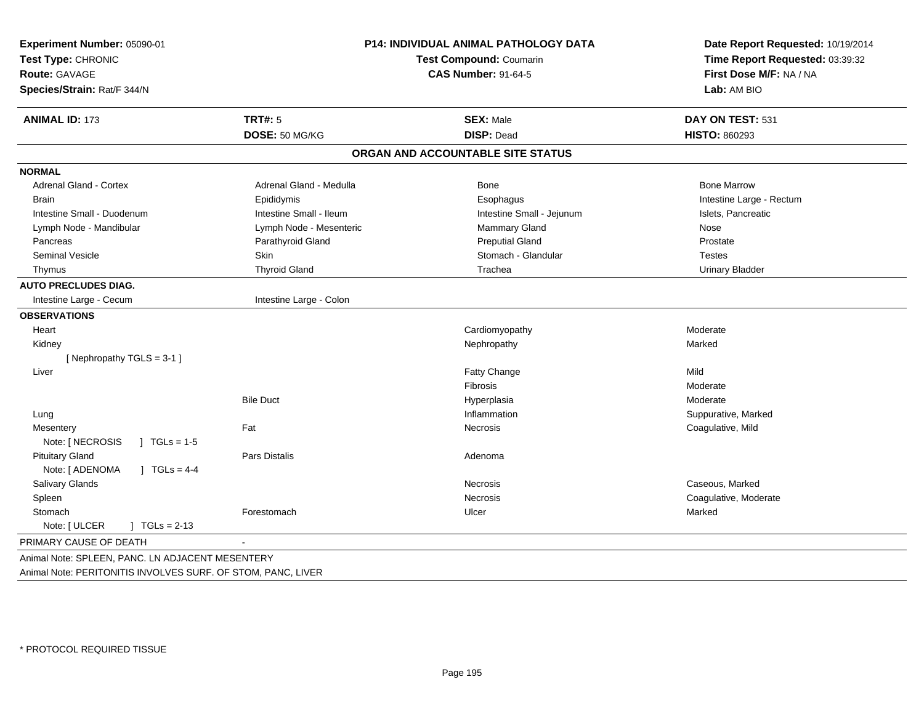| Experiment Number: 05090-01<br>Test Type: CHRONIC<br><b>Route: GAVAGE</b><br>Species/Strain: Rat/F 344/N |                         | P14: INDIVIDUAL ANIMAL PATHOLOGY DATA<br><b>Test Compound: Coumarin</b><br><b>CAS Number: 91-64-5</b> |                          |
|----------------------------------------------------------------------------------------------------------|-------------------------|-------------------------------------------------------------------------------------------------------|--------------------------|
| <b>ANIMAL ID: 173</b>                                                                                    | <b>TRT#: 5</b>          | <b>SEX: Male</b>                                                                                      | DAY ON TEST: 531         |
|                                                                                                          | DOSE: 50 MG/KG          | <b>DISP: Dead</b>                                                                                     | <b>HISTO: 860293</b>     |
|                                                                                                          |                         | ORGAN AND ACCOUNTABLE SITE STATUS                                                                     |                          |
| <b>NORMAL</b>                                                                                            |                         |                                                                                                       |                          |
| Adrenal Gland - Cortex                                                                                   | Adrenal Gland - Medulla | Bone                                                                                                  | <b>Bone Marrow</b>       |
| <b>Brain</b>                                                                                             | Epididymis              | Esophagus                                                                                             | Intestine Large - Rectum |
| Intestine Small - Duodenum                                                                               | Intestine Small - Ileum | Intestine Small - Jejunum                                                                             | Islets, Pancreatic       |
| Lymph Node - Mandibular                                                                                  | Lymph Node - Mesenteric | Mammary Gland                                                                                         | Nose                     |
| Pancreas                                                                                                 | Parathyroid Gland       | <b>Preputial Gland</b>                                                                                | Prostate                 |
| <b>Seminal Vesicle</b>                                                                                   | Skin                    | Stomach - Glandular                                                                                   | <b>Testes</b>            |
| Thymus                                                                                                   | <b>Thyroid Gland</b>    | Trachea                                                                                               | <b>Urinary Bladder</b>   |
| <b>AUTO PRECLUDES DIAG.</b>                                                                              |                         |                                                                                                       |                          |
| Intestine Large - Cecum                                                                                  | Intestine Large - Colon |                                                                                                       |                          |
| <b>OBSERVATIONS</b>                                                                                      |                         |                                                                                                       |                          |
| Heart                                                                                                    |                         | Cardiomyopathy                                                                                        | Moderate                 |
| Kidney                                                                                                   |                         | Nephropathy                                                                                           | Marked                   |
| [Nephropathy TGLS = 3-1]                                                                                 |                         |                                                                                                       |                          |
| Liver                                                                                                    |                         | Fatty Change                                                                                          | Mild                     |
|                                                                                                          |                         | Fibrosis                                                                                              | Moderate                 |
|                                                                                                          | <b>Bile Duct</b>        | Hyperplasia                                                                                           | Moderate                 |
| Lung                                                                                                     |                         | Inflammation                                                                                          | Suppurative, Marked      |
| Mesentery                                                                                                | Fat                     | Necrosis                                                                                              | Coagulative, Mild        |
| Note: [ NECROSIS<br>$1 TGLs = 1-5$                                                                       |                         |                                                                                                       |                          |
| <b>Pituitary Gland</b>                                                                                   | Pars Distalis           | Adenoma                                                                                               |                          |
| Note: [ ADENOMA<br>] $TGLs = 4-4$                                                                        |                         |                                                                                                       |                          |
| Salivary Glands                                                                                          |                         | Necrosis                                                                                              | Caseous, Marked          |
| Spleen                                                                                                   |                         | Necrosis                                                                                              | Coagulative, Moderate    |
| Stomach                                                                                                  | Forestomach             | Ulcer                                                                                                 | Marked                   |
| Note: [ ULCER<br>$TGLs = 2-13$                                                                           |                         |                                                                                                       |                          |
| PRIMARY CAUSE OF DEATH                                                                                   |                         |                                                                                                       |                          |
| Animal Note: SPLEEN, PANC. LN ADJACENT MESENTERY                                                         |                         |                                                                                                       |                          |
| Animal Note: PERITONITIS INVOLVES SURF. OF STOM, PANC, LIVER                                             |                         |                                                                                                       |                          |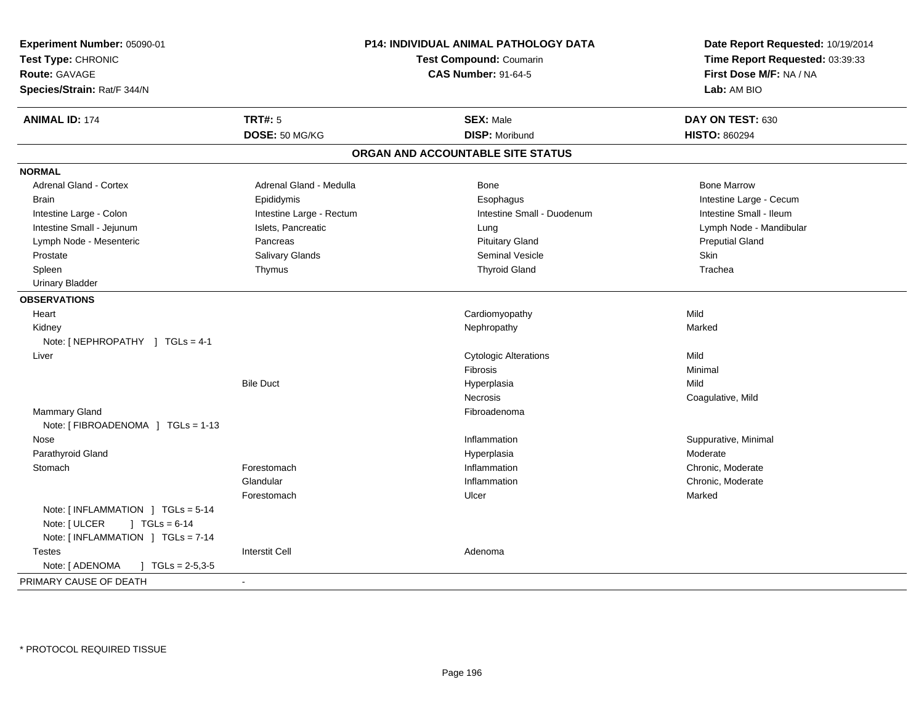| Experiment Number: 05090-01                 |                                                              | <b>P14: INDIVIDUAL ANIMAL PATHOLOGY DATA</b> | Date Report Requested: 10/19/2014                          |  |
|---------------------------------------------|--------------------------------------------------------------|----------------------------------------------|------------------------------------------------------------|--|
| Test Type: CHRONIC                          | <b>Test Compound: Coumarin</b><br><b>CAS Number: 91-64-5</b> |                                              | Time Report Requested: 03:39:33<br>First Dose M/F: NA / NA |  |
| Route: GAVAGE                               |                                                              |                                              |                                                            |  |
| Species/Strain: Rat/F 344/N                 |                                                              |                                              | Lab: AM BIO                                                |  |
|                                             |                                                              |                                              |                                                            |  |
| <b>ANIMAL ID: 174</b>                       | <b>TRT#: 5</b>                                               | <b>SEX: Male</b>                             | DAY ON TEST: 630                                           |  |
|                                             | DOSE: 50 MG/KG                                               | <b>DISP: Moribund</b>                        | <b>HISTO: 860294</b>                                       |  |
|                                             |                                                              | ORGAN AND ACCOUNTABLE SITE STATUS            |                                                            |  |
| <b>NORMAL</b>                               |                                                              |                                              |                                                            |  |
| <b>Adrenal Gland - Cortex</b>               | Adrenal Gland - Medulla                                      | Bone                                         | <b>Bone Marrow</b>                                         |  |
| Brain                                       | Epididymis                                                   | Esophagus                                    | Intestine Large - Cecum                                    |  |
| Intestine Large - Colon                     | Intestine Large - Rectum                                     | Intestine Small - Duodenum                   | Intestine Small - Ileum                                    |  |
| Intestine Small - Jejunum                   | Islets, Pancreatic                                           | Lung                                         | Lymph Node - Mandibular                                    |  |
| Lymph Node - Mesenteric                     | Pancreas                                                     | <b>Pituitary Gland</b>                       | <b>Preputial Gland</b>                                     |  |
| Prostate                                    | Salivary Glands                                              | <b>Seminal Vesicle</b>                       | Skin                                                       |  |
| Spleen                                      | Thymus                                                       | <b>Thyroid Gland</b>                         | Trachea                                                    |  |
| <b>Urinary Bladder</b>                      |                                                              |                                              |                                                            |  |
| <b>OBSERVATIONS</b>                         |                                                              |                                              |                                                            |  |
| Heart                                       |                                                              | Cardiomyopathy                               | Mild                                                       |  |
| Kidney                                      |                                                              | Nephropathy                                  | Marked                                                     |  |
| Note: [NEPHROPATHY ] TGLs = 4-1             |                                                              |                                              |                                                            |  |
| Liver                                       |                                                              | <b>Cytologic Alterations</b>                 | Mild                                                       |  |
|                                             |                                                              | Fibrosis                                     | Minimal                                                    |  |
|                                             | <b>Bile Duct</b>                                             | Hyperplasia                                  | Mild                                                       |  |
|                                             |                                                              | Necrosis                                     | Coagulative, Mild                                          |  |
| Mammary Gland                               |                                                              | Fibroadenoma                                 |                                                            |  |
| Note: [ FIBROADENOMA ] TGLs = 1-13          |                                                              |                                              |                                                            |  |
| Nose                                        |                                                              | Inflammation                                 | Suppurative, Minimal                                       |  |
| Parathyroid Gland                           |                                                              | Hyperplasia                                  | Moderate                                                   |  |
| Stomach                                     | Forestomach                                                  | Inflammation                                 | Chronic, Moderate                                          |  |
|                                             | Glandular                                                    | Inflammation                                 | Chronic, Moderate                                          |  |
|                                             | Forestomach                                                  | Ulcer                                        | Marked                                                     |  |
| Note: [ INFLAMMATION ] TGLs = 5-14          |                                                              |                                              |                                                            |  |
| Note: [ ULCER<br>$1 TGLs = 6-14$            |                                                              |                                              |                                                            |  |
| Note: [ INFLAMMATION ] TGLs = 7-14          |                                                              |                                              |                                                            |  |
| <b>Testes</b>                               | <b>Interstit Cell</b>                                        | Adenoma                                      |                                                            |  |
| Note: [ ADENOMA<br>$J \cdot TGLs = 2-5,3-5$ |                                                              |                                              |                                                            |  |
| PRIMARY CAUSE OF DEATH                      |                                                              |                                              |                                                            |  |
|                                             |                                                              |                                              |                                                            |  |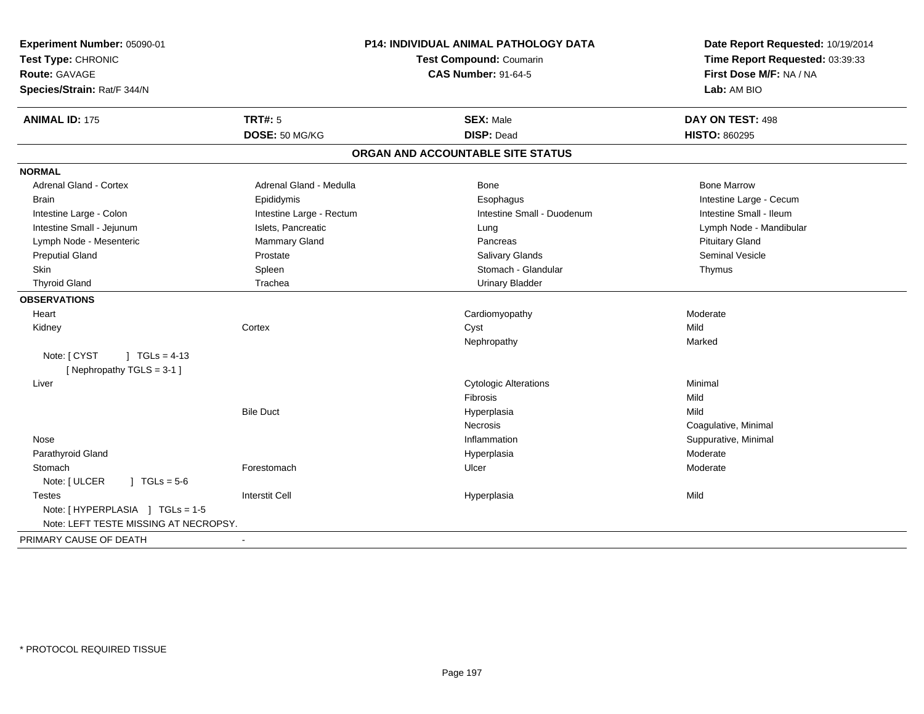| Experiment Number: 05090-01<br>Test Type: CHRONIC<br><b>Route: GAVAGE</b><br>Species/Strain: Rat/F 344/N |                          | P14: INDIVIDUAL ANIMAL PATHOLOGY DATA<br>Test Compound: Coumarin<br><b>CAS Number: 91-64-5</b> | Date Report Requested: 10/19/2014<br>Time Report Requested: 03:39:33<br>First Dose M/F: NA / NA<br>Lab: AM BIO |
|----------------------------------------------------------------------------------------------------------|--------------------------|------------------------------------------------------------------------------------------------|----------------------------------------------------------------------------------------------------------------|
| <b>ANIMAL ID: 175</b>                                                                                    | <b>TRT#: 5</b>           | <b>SEX: Male</b><br><b>DISP: Dead</b>                                                          | DAY ON TEST: 498                                                                                               |
|                                                                                                          | DOSE: 50 MG/KG           |                                                                                                | <b>HISTO: 860295</b>                                                                                           |
|                                                                                                          |                          | ORGAN AND ACCOUNTABLE SITE STATUS                                                              |                                                                                                                |
| <b>NORMAL</b>                                                                                            |                          |                                                                                                |                                                                                                                |
| Adrenal Gland - Cortex                                                                                   | Adrenal Gland - Medulla  | Bone                                                                                           | <b>Bone Marrow</b>                                                                                             |
| <b>Brain</b>                                                                                             | Epididymis               | Esophagus                                                                                      | Intestine Large - Cecum                                                                                        |
| Intestine Large - Colon                                                                                  | Intestine Large - Rectum | Intestine Small - Duodenum                                                                     | Intestine Small - Ileum                                                                                        |
| Intestine Small - Jejunum                                                                                | Islets, Pancreatic       | Lung                                                                                           | Lymph Node - Mandibular                                                                                        |
| Lymph Node - Mesenteric                                                                                  | Mammary Gland            | Pancreas                                                                                       | <b>Pituitary Gland</b>                                                                                         |
| <b>Preputial Gland</b>                                                                                   | Prostate                 | Salivary Glands                                                                                | <b>Seminal Vesicle</b>                                                                                         |
| Skin                                                                                                     | Spleen                   | Stomach - Glandular                                                                            | Thymus                                                                                                         |
| <b>Thyroid Gland</b>                                                                                     | Trachea                  | <b>Urinary Bladder</b>                                                                         |                                                                                                                |
| <b>OBSERVATIONS</b>                                                                                      |                          |                                                                                                |                                                                                                                |
| Heart                                                                                                    |                          | Cardiomyopathy                                                                                 | Moderate                                                                                                       |
| Kidney                                                                                                   | Cortex                   | Cyst                                                                                           | Mild                                                                                                           |
|                                                                                                          |                          | Nephropathy                                                                                    | Marked                                                                                                         |
| Note: [ CYST<br>$1 TGLs = 4-13$<br>[Nephropathy TGLS = 3-1]                                              |                          |                                                                                                |                                                                                                                |
| Liver                                                                                                    |                          | <b>Cytologic Alterations</b>                                                                   | Minimal                                                                                                        |
|                                                                                                          |                          | Fibrosis                                                                                       | Mild                                                                                                           |
|                                                                                                          | <b>Bile Duct</b>         | Hyperplasia                                                                                    | Mild                                                                                                           |
|                                                                                                          |                          | Necrosis                                                                                       | Coagulative, Minimal                                                                                           |
| Nose                                                                                                     |                          | Inflammation                                                                                   | Suppurative, Minimal                                                                                           |
| Parathyroid Gland                                                                                        |                          | Hyperplasia                                                                                    | Moderate                                                                                                       |
| Stomach                                                                                                  | Forestomach              | Ulcer                                                                                          | Moderate                                                                                                       |
| Note: [ ULCER<br>$1 TGLs = 5-6$                                                                          |                          |                                                                                                |                                                                                                                |
| <b>Testes</b>                                                                                            | <b>Interstit Cell</b>    | Hyperplasia                                                                                    | Mild                                                                                                           |
| Note: [HYPERPLASIA ] TGLs = 1-5                                                                          |                          |                                                                                                |                                                                                                                |
| Note: LEFT TESTE MISSING AT NECROPSY.                                                                    |                          |                                                                                                |                                                                                                                |
| PRIMARY CAUSE OF DEATH                                                                                   | $\blacksquare$           |                                                                                                |                                                                                                                |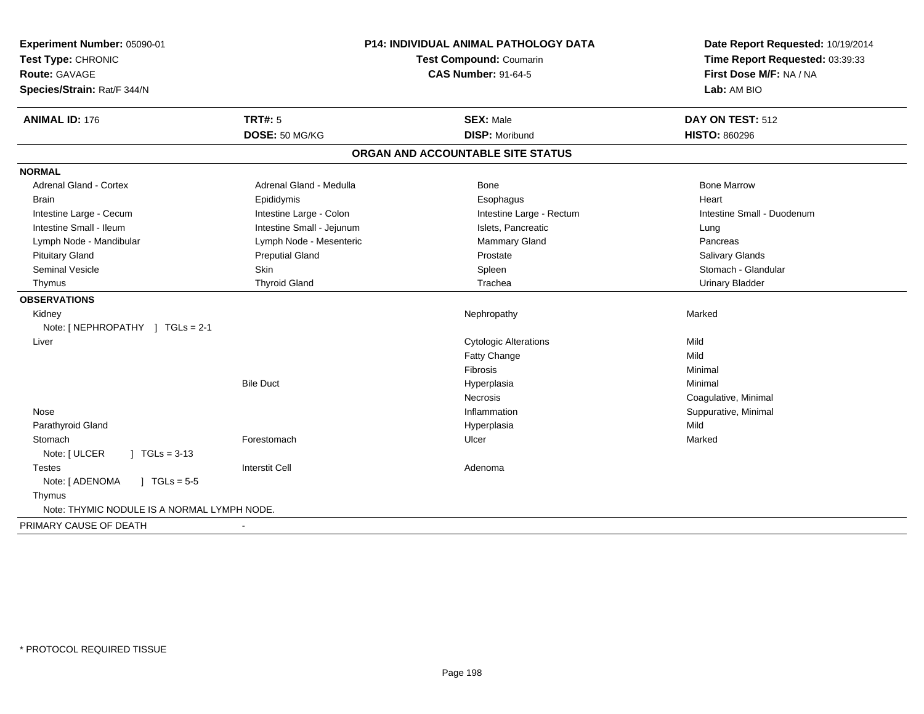| Experiment Number: 05090-01<br>Test Type: CHRONIC<br><b>Route: GAVAGE</b><br>Species/Strain: Rat/F 344/N | P14: INDIVIDUAL ANIMAL PATHOLOGY DATA<br><b>Test Compound: Coumarin</b><br><b>CAS Number: 91-64-5</b> |                                   | Date Report Requested: 10/19/2014<br>Time Report Requested: 03:39:33<br>First Dose M/F: NA / NA<br>Lab: AM BIO |
|----------------------------------------------------------------------------------------------------------|-------------------------------------------------------------------------------------------------------|-----------------------------------|----------------------------------------------------------------------------------------------------------------|
| <b>ANIMAL ID: 176</b>                                                                                    | <b>TRT#: 5</b>                                                                                        | <b>SEX: Male</b>                  | DAY ON TEST: 512                                                                                               |
|                                                                                                          | DOSE: 50 MG/KG                                                                                        | <b>DISP: Moribund</b>             | <b>HISTO: 860296</b>                                                                                           |
|                                                                                                          |                                                                                                       | ORGAN AND ACCOUNTABLE SITE STATUS |                                                                                                                |
| <b>NORMAL</b>                                                                                            |                                                                                                       |                                   |                                                                                                                |
| <b>Adrenal Gland - Cortex</b>                                                                            | Adrenal Gland - Medulla                                                                               | Bone                              | <b>Bone Marrow</b>                                                                                             |
| <b>Brain</b>                                                                                             | Epididymis                                                                                            | Esophagus                         | Heart                                                                                                          |
| Intestine Large - Cecum                                                                                  | Intestine Large - Colon                                                                               | Intestine Large - Rectum          | Intestine Small - Duodenum                                                                                     |
| Intestine Small - Ileum                                                                                  | Intestine Small - Jejunum                                                                             | Islets, Pancreatic                | Lung                                                                                                           |
| Lymph Node - Mandibular                                                                                  | Lymph Node - Mesenteric                                                                               | Mammary Gland                     | Pancreas                                                                                                       |
| <b>Pituitary Gland</b>                                                                                   | <b>Preputial Gland</b>                                                                                | Prostate                          | Salivary Glands                                                                                                |
| Seminal Vesicle                                                                                          | Skin                                                                                                  | Spleen                            | Stomach - Glandular                                                                                            |
| Thymus                                                                                                   | <b>Thyroid Gland</b>                                                                                  | Trachea                           | <b>Urinary Bladder</b>                                                                                         |
| <b>OBSERVATIONS</b>                                                                                      |                                                                                                       |                                   |                                                                                                                |
| Kidney                                                                                                   |                                                                                                       | Nephropathy                       | Marked                                                                                                         |
| Note: [ NEPHROPATHY ] TGLs = 2-1                                                                         |                                                                                                       |                                   |                                                                                                                |
| Liver                                                                                                    |                                                                                                       | <b>Cytologic Alterations</b>      | Mild                                                                                                           |
|                                                                                                          |                                                                                                       | Fatty Change                      | Mild                                                                                                           |
|                                                                                                          |                                                                                                       | Fibrosis                          | Minimal                                                                                                        |
|                                                                                                          | <b>Bile Duct</b>                                                                                      | Hyperplasia                       | Minimal                                                                                                        |
|                                                                                                          |                                                                                                       | <b>Necrosis</b>                   | Coagulative, Minimal                                                                                           |
| Nose                                                                                                     |                                                                                                       | Inflammation                      | Suppurative, Minimal                                                                                           |
| Parathyroid Gland                                                                                        |                                                                                                       | Hyperplasia                       | Mild                                                                                                           |
| Stomach                                                                                                  | Forestomach                                                                                           | Ulcer                             | Marked                                                                                                         |
| Note: [ ULCER<br>$\sqrt{1}$ TGLs = 3-13                                                                  |                                                                                                       |                                   |                                                                                                                |
| <b>Testes</b>                                                                                            | <b>Interstit Cell</b>                                                                                 | Adenoma                           |                                                                                                                |
| $J \cdot TGLs = 5-5$<br>Note: [ ADENOMA                                                                  |                                                                                                       |                                   |                                                                                                                |
| Thymus                                                                                                   |                                                                                                       |                                   |                                                                                                                |
| Note: THYMIC NODULE IS A NORMAL LYMPH NODE.                                                              |                                                                                                       |                                   |                                                                                                                |
| PRIMARY CAUSE OF DEATH                                                                                   |                                                                                                       |                                   |                                                                                                                |
|                                                                                                          |                                                                                                       |                                   |                                                                                                                |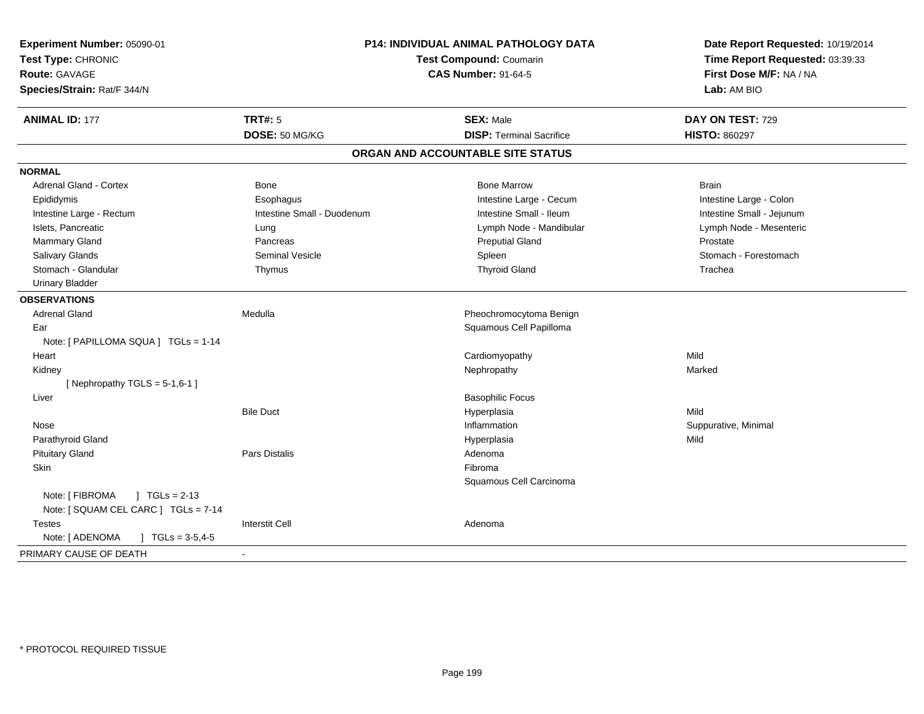| Experiment Number: 05090-01<br>Test Type: CHRONIC<br><b>Route: GAVAGE</b><br>Species/Strain: Rat/F 344/N | <b>P14: INDIVIDUAL ANIMAL PATHOLOGY DATA</b><br><b>Test Compound: Coumarin</b><br><b>CAS Number: 91-64-5</b> |                                   | Date Report Requested: 10/19/2014<br>Time Report Requested: 03:39:33<br>First Dose M/F: NA / NA<br>Lab: AM BIO |
|----------------------------------------------------------------------------------------------------------|--------------------------------------------------------------------------------------------------------------|-----------------------------------|----------------------------------------------------------------------------------------------------------------|
| <b>ANIMAL ID: 177</b>                                                                                    | <b>TRT#: 5</b>                                                                                               | <b>SEX: Male</b>                  | DAY ON TEST: 729                                                                                               |
|                                                                                                          | DOSE: 50 MG/KG                                                                                               | <b>DISP: Terminal Sacrifice</b>   | <b>HISTO: 860297</b>                                                                                           |
|                                                                                                          |                                                                                                              | ORGAN AND ACCOUNTABLE SITE STATUS |                                                                                                                |
| <b>NORMAL</b>                                                                                            |                                                                                                              |                                   |                                                                                                                |
| <b>Adrenal Gland - Cortex</b>                                                                            | Bone                                                                                                         | <b>Bone Marrow</b>                | <b>Brain</b>                                                                                                   |
| Epididymis                                                                                               | Esophagus                                                                                                    | Intestine Large - Cecum           | Intestine Large - Colon                                                                                        |
| Intestine Large - Rectum                                                                                 | Intestine Small - Duodenum                                                                                   | Intestine Small - Ileum           | Intestine Small - Jejunum                                                                                      |
| Islets, Pancreatic                                                                                       | Lung                                                                                                         | Lymph Node - Mandibular           | Lymph Node - Mesenteric                                                                                        |
| Mammary Gland                                                                                            | Pancreas                                                                                                     | <b>Preputial Gland</b>            | Prostate                                                                                                       |
| Salivary Glands                                                                                          | <b>Seminal Vesicle</b>                                                                                       | Spleen                            | Stomach - Forestomach                                                                                          |
| Stomach - Glandular                                                                                      | Thymus                                                                                                       | <b>Thyroid Gland</b>              | Trachea                                                                                                        |
| <b>Urinary Bladder</b>                                                                                   |                                                                                                              |                                   |                                                                                                                |
| <b>OBSERVATIONS</b>                                                                                      |                                                                                                              |                                   |                                                                                                                |
| <b>Adrenal Gland</b>                                                                                     | Medulla                                                                                                      | Pheochromocytoma Benign           |                                                                                                                |
| Ear                                                                                                      |                                                                                                              | Squamous Cell Papilloma           |                                                                                                                |
| Note: [ PAPILLOMA SQUA ] TGLs = 1-14                                                                     |                                                                                                              |                                   |                                                                                                                |
| Heart                                                                                                    |                                                                                                              | Cardiomyopathy                    | Mild                                                                                                           |
| Kidney                                                                                                   |                                                                                                              | Nephropathy                       | Marked                                                                                                         |
| [Nephropathy TGLS = $5-1,6-1$ ]                                                                          |                                                                                                              |                                   |                                                                                                                |
| Liver                                                                                                    |                                                                                                              | <b>Basophilic Focus</b>           |                                                                                                                |
|                                                                                                          | <b>Bile Duct</b>                                                                                             | Hyperplasia                       | Mild                                                                                                           |
| Nose                                                                                                     |                                                                                                              | Inflammation                      | Suppurative, Minimal                                                                                           |
| Parathyroid Gland                                                                                        |                                                                                                              | Hyperplasia                       | Mild                                                                                                           |
| <b>Pituitary Gland</b>                                                                                   | Pars Distalis                                                                                                | Adenoma                           |                                                                                                                |
| Skin                                                                                                     |                                                                                                              | Fibroma                           |                                                                                                                |
|                                                                                                          |                                                                                                              | Squamous Cell Carcinoma           |                                                                                                                |
| Note: [ FIBROMA<br>$1 \text{ TGLs} = 2-13$                                                               |                                                                                                              |                                   |                                                                                                                |
| Note: [ SQUAM CEL CARC ] TGLs = 7-14                                                                     |                                                                                                              |                                   |                                                                                                                |
| Testes                                                                                                   | <b>Interstit Cell</b>                                                                                        | Adenoma                           |                                                                                                                |
| Note: [ ADENOMA<br>$\int$ TGLs = 3-5,4-5                                                                 |                                                                                                              |                                   |                                                                                                                |
| PRIMARY CAUSE OF DEATH                                                                                   | $\blacksquare$                                                                                               |                                   |                                                                                                                |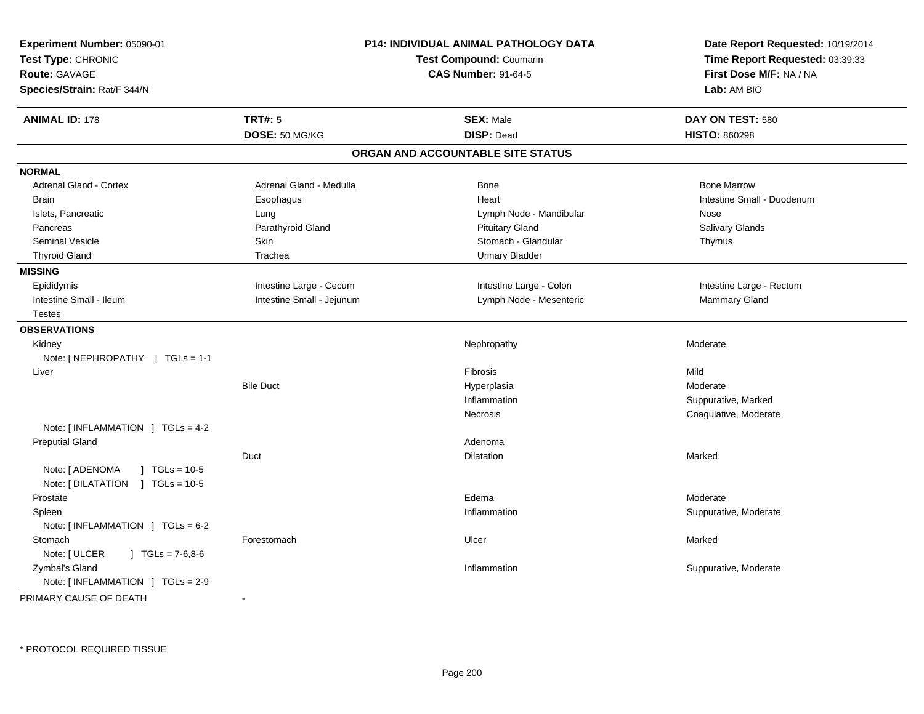| Experiment Number: 05090-01<br>Test Type: CHRONIC<br><b>Route: GAVAGE</b><br>Species/Strain: Rat/F 344/N |                           | <b>P14: INDIVIDUAL ANIMAL PATHOLOGY DATA</b><br><b>Test Compound: Coumarin</b><br><b>CAS Number: 91-64-5</b> | Date Report Requested: 10/19/2014<br>Time Report Requested: 03:39:33<br>First Dose M/F: NA / NA<br>Lab: AM BIO |
|----------------------------------------------------------------------------------------------------------|---------------------------|--------------------------------------------------------------------------------------------------------------|----------------------------------------------------------------------------------------------------------------|
| <b>ANIMAL ID: 178</b>                                                                                    | <b>TRT#: 5</b>            | <b>SEX: Male</b>                                                                                             | DAY ON TEST: 580                                                                                               |
|                                                                                                          | DOSE: 50 MG/KG            | <b>DISP: Dead</b>                                                                                            | <b>HISTO: 860298</b>                                                                                           |
|                                                                                                          |                           | ORGAN AND ACCOUNTABLE SITE STATUS                                                                            |                                                                                                                |
| <b>NORMAL</b>                                                                                            |                           |                                                                                                              |                                                                                                                |
| Adrenal Gland - Cortex                                                                                   | Adrenal Gland - Medulla   | <b>Bone</b>                                                                                                  | <b>Bone Marrow</b>                                                                                             |
| <b>Brain</b>                                                                                             | Esophagus                 | Heart                                                                                                        | Intestine Small - Duodenum                                                                                     |
| Islets, Pancreatic                                                                                       | Lung                      | Lymph Node - Mandibular                                                                                      | Nose                                                                                                           |
| Pancreas                                                                                                 | Parathyroid Gland         | <b>Pituitary Gland</b>                                                                                       | Salivary Glands                                                                                                |
| <b>Seminal Vesicle</b>                                                                                   | Skin                      | Stomach - Glandular                                                                                          | Thymus                                                                                                         |
| <b>Thyroid Gland</b>                                                                                     | Trachea                   | <b>Urinary Bladder</b>                                                                                       |                                                                                                                |
| <b>MISSING</b>                                                                                           |                           |                                                                                                              |                                                                                                                |
| Epididymis                                                                                               | Intestine Large - Cecum   | Intestine Large - Colon                                                                                      | Intestine Large - Rectum                                                                                       |
| Intestine Small - Ileum                                                                                  | Intestine Small - Jejunum | Lymph Node - Mesenteric                                                                                      | Mammary Gland                                                                                                  |
| Testes                                                                                                   |                           |                                                                                                              |                                                                                                                |
| <b>OBSERVATIONS</b>                                                                                      |                           |                                                                                                              |                                                                                                                |
| Kidney                                                                                                   |                           | Nephropathy                                                                                                  | Moderate                                                                                                       |
| Note: [NEPHROPATHY ] TGLs = 1-1                                                                          |                           |                                                                                                              |                                                                                                                |
| Liver                                                                                                    |                           | Fibrosis                                                                                                     | Mild                                                                                                           |
|                                                                                                          | <b>Bile Duct</b>          | Hyperplasia                                                                                                  | Moderate                                                                                                       |
|                                                                                                          |                           | Inflammation                                                                                                 | Suppurative, Marked                                                                                            |
|                                                                                                          |                           | Necrosis                                                                                                     | Coagulative, Moderate                                                                                          |
| Note: $\lceil$ INFLAMMATION $\lceil$ TGLs = 4-2                                                          |                           |                                                                                                              |                                                                                                                |
| <b>Preputial Gland</b>                                                                                   |                           | Adenoma                                                                                                      |                                                                                                                |
|                                                                                                          | Duct                      | Dilatation                                                                                                   | Marked                                                                                                         |
| Note: [ ADENOMA<br>$\sqrt{ }$ TGLs = 10-5                                                                |                           |                                                                                                              |                                                                                                                |
| Note: [DILATATION ] TGLs = 10-5                                                                          |                           |                                                                                                              |                                                                                                                |
| Prostate                                                                                                 |                           | Edema                                                                                                        | Moderate                                                                                                       |
| Spleen                                                                                                   |                           | Inflammation                                                                                                 | Suppurative, Moderate                                                                                          |
| Note: $\lceil$ INFLAMMATION $\lceil$ TGLs = 6-2                                                          |                           |                                                                                                              |                                                                                                                |
| Stomach                                                                                                  | Forestomach               | Ulcer                                                                                                        | Marked                                                                                                         |
| Note: [ ULCER<br>$\sqrt{6}$ TGLs = 7-6,8-6                                                               |                           |                                                                                                              |                                                                                                                |
| Zymbal's Gland                                                                                           |                           | Inflammation                                                                                                 | Suppurative, Moderate                                                                                          |
| Note: $\lceil$ INFLAMMATION $\lceil$ TGLs = 2-9                                                          |                           |                                                                                                              |                                                                                                                |
| PRIMARY CAUSE OF DEATH                                                                                   | $\blacksquare$            |                                                                                                              |                                                                                                                |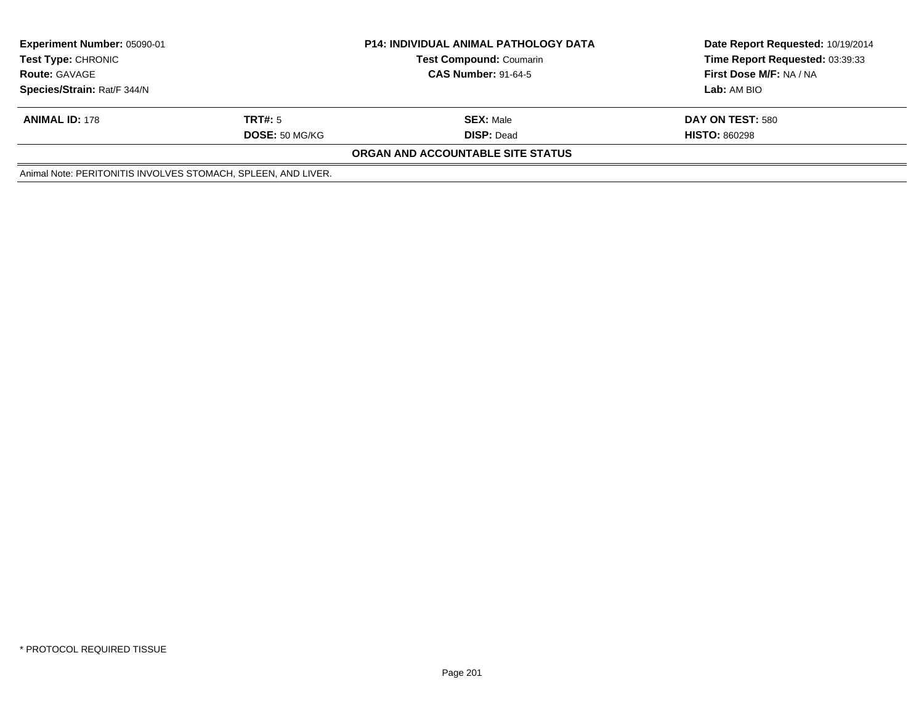| <b>Experiment Number: 05090-01</b><br><b>Test Type: CHRONIC</b><br><b>Route: GAVAGE</b><br>Species/Strain: Rat/F 344/N |                                  | <b>P14: INDIVIDUAL ANIMAL PATHOLOGY DATA</b><br><b>Test Compound: Coumarin</b><br><b>CAS Number: 91-64-5</b> | Date Report Requested: 10/19/2014<br>Time Report Requested: 03:39:33<br>First Dose M/F: NA / NA<br>Lab: AM BIO |
|------------------------------------------------------------------------------------------------------------------------|----------------------------------|--------------------------------------------------------------------------------------------------------------|----------------------------------------------------------------------------------------------------------------|
| <b>ANIMAL ID: 178</b>                                                                                                  | TRT#: 5<br><b>DOSE: 50 MG/KG</b> | <b>SEX: Male</b><br><b>DISP: Dead</b>                                                                        | DAY ON TEST: 580<br><b>HISTO: 860298</b>                                                                       |
|                                                                                                                        |                                  | ORGAN AND ACCOUNTABLE SITE STATUS                                                                            |                                                                                                                |
| Animal Note: PERITONITIS INVOLVES STOMACH, SPLEEN, AND LIVER.                                                          |                                  |                                                                                                              |                                                                                                                |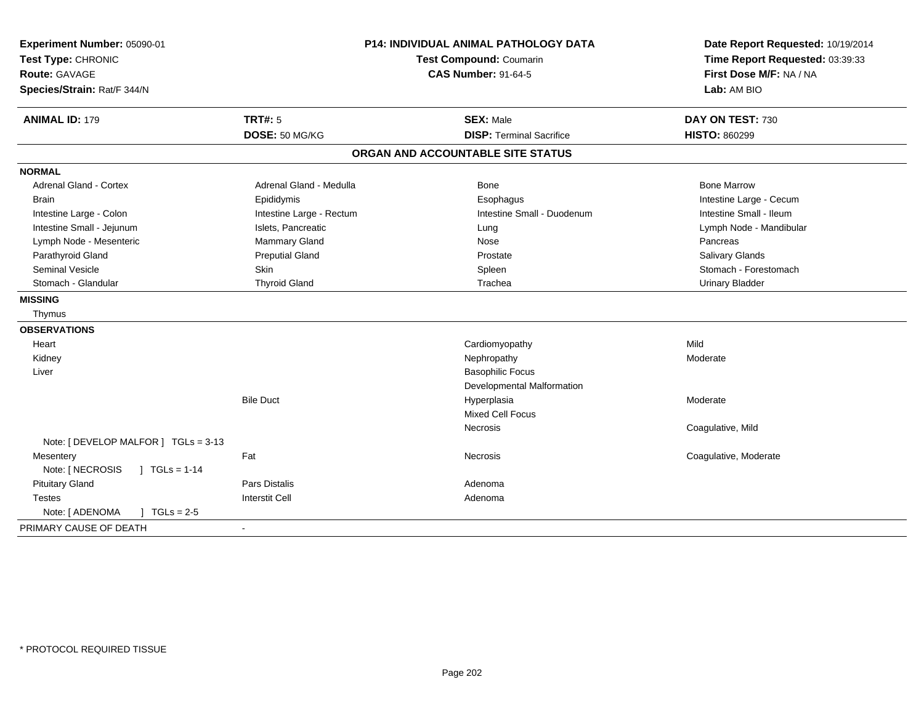| Experiment Number: 05090-01<br>Test Type: CHRONIC<br><b>Route: GAVAGE</b><br>Species/Strain: Rat/F 344/N |                                  | <b>P14: INDIVIDUAL ANIMAL PATHOLOGY DATA</b><br>Test Compound: Coumarin<br><b>CAS Number: 91-64-5</b> | Date Report Requested: 10/19/2014<br>Time Report Requested: 03:39:33<br>First Dose M/F: NA / NA<br>Lab: AM BIO |
|----------------------------------------------------------------------------------------------------------|----------------------------------|-------------------------------------------------------------------------------------------------------|----------------------------------------------------------------------------------------------------------------|
| <b>ANIMAL ID: 179</b>                                                                                    | <b>TRT#: 5</b><br>DOSE: 50 MG/KG | <b>SEX: Male</b><br><b>DISP: Terminal Sacrifice</b>                                                   | DAY ON TEST: 730<br><b>HISTO: 860299</b>                                                                       |
|                                                                                                          |                                  |                                                                                                       |                                                                                                                |
|                                                                                                          |                                  | ORGAN AND ACCOUNTABLE SITE STATUS                                                                     |                                                                                                                |
| <b>NORMAL</b>                                                                                            |                                  |                                                                                                       |                                                                                                                |
| <b>Adrenal Gland - Cortex</b>                                                                            | Adrenal Gland - Medulla          | <b>Bone</b>                                                                                           | <b>Bone Marrow</b>                                                                                             |
| <b>Brain</b>                                                                                             | Epididymis                       | Esophagus                                                                                             | Intestine Large - Cecum                                                                                        |
| Intestine Large - Colon                                                                                  | Intestine Large - Rectum         | Intestine Small - Duodenum                                                                            | Intestine Small - Ileum                                                                                        |
| Intestine Small - Jejunum                                                                                | Islets, Pancreatic               | Lung                                                                                                  | Lymph Node - Mandibular                                                                                        |
| Lymph Node - Mesenteric                                                                                  | Mammary Gland                    | Nose                                                                                                  | Pancreas                                                                                                       |
| Parathyroid Gland                                                                                        | <b>Preputial Gland</b>           | Prostate                                                                                              | <b>Salivary Glands</b>                                                                                         |
| Seminal Vesicle                                                                                          | <b>Skin</b>                      | Spleen                                                                                                | Stomach - Forestomach                                                                                          |
| Stomach - Glandular                                                                                      | <b>Thyroid Gland</b>             | Trachea                                                                                               | <b>Urinary Bladder</b>                                                                                         |
| <b>MISSING</b>                                                                                           |                                  |                                                                                                       |                                                                                                                |
| Thymus                                                                                                   |                                  |                                                                                                       |                                                                                                                |
| <b>OBSERVATIONS</b>                                                                                      |                                  |                                                                                                       |                                                                                                                |
| Heart                                                                                                    |                                  | Cardiomyopathy                                                                                        | Mild                                                                                                           |
| Kidney                                                                                                   |                                  | Nephropathy                                                                                           | Moderate                                                                                                       |
| Liver                                                                                                    |                                  | <b>Basophilic Focus</b>                                                                               |                                                                                                                |
|                                                                                                          |                                  | Developmental Malformation                                                                            |                                                                                                                |
|                                                                                                          | <b>Bile Duct</b>                 | Hyperplasia                                                                                           | Moderate                                                                                                       |
|                                                                                                          |                                  | <b>Mixed Cell Focus</b>                                                                               |                                                                                                                |
|                                                                                                          |                                  | <b>Necrosis</b>                                                                                       | Coagulative, Mild                                                                                              |
| Note: [ DEVELOP MALFOR ] TGLs = 3-13                                                                     |                                  |                                                                                                       |                                                                                                                |
| Mesentery                                                                                                | Fat                              | <b>Necrosis</b>                                                                                       | Coagulative, Moderate                                                                                          |
| Note: [ NECROSIS<br>$1 TGLs = 1-14$                                                                      |                                  |                                                                                                       |                                                                                                                |
| <b>Pituitary Gland</b>                                                                                   | <b>Pars Distalis</b>             | Adenoma                                                                                               |                                                                                                                |
| Testes                                                                                                   | <b>Interstit Cell</b>            | Adenoma                                                                                               |                                                                                                                |
| Note: [ ADENOMA<br>$\sqrt{1}$ TGLs = 2-5                                                                 |                                  |                                                                                                       |                                                                                                                |
| PRIMARY CAUSE OF DEATH                                                                                   | $\blacksquare$                   |                                                                                                       |                                                                                                                |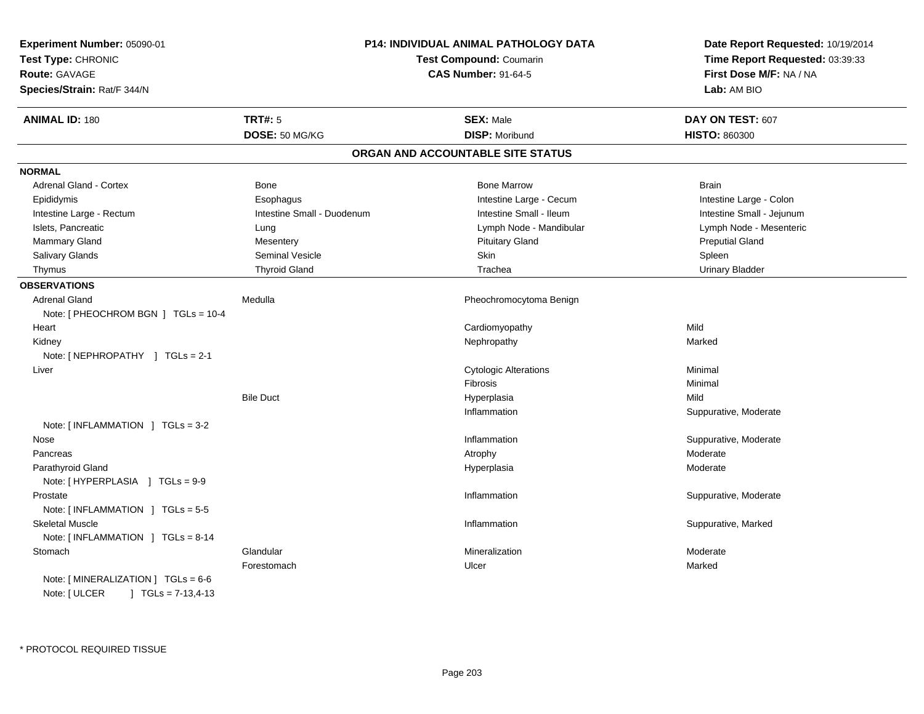| Experiment Number: 05090-01<br>Test Type: CHRONIC<br><b>Route: GAVAGE</b><br>Species/Strain: Rat/F 344/N |                            | <b>P14: INDIVIDUAL ANIMAL PATHOLOGY DATA</b><br><b>Test Compound: Coumarin</b><br><b>CAS Number: 91-64-5</b> | Date Report Requested: 10/19/2014<br>Time Report Requested: 03:39:33<br>First Dose M/F: NA / NA<br>Lab: AM BIO |
|----------------------------------------------------------------------------------------------------------|----------------------------|--------------------------------------------------------------------------------------------------------------|----------------------------------------------------------------------------------------------------------------|
| <b>ANIMAL ID: 180</b>                                                                                    | <b>TRT#: 5</b>             | <b>SEX: Male</b>                                                                                             | DAY ON TEST: 607                                                                                               |
|                                                                                                          | DOSE: 50 MG/KG             | <b>DISP: Moribund</b>                                                                                        | <b>HISTO: 860300</b>                                                                                           |
|                                                                                                          |                            | ORGAN AND ACCOUNTABLE SITE STATUS                                                                            |                                                                                                                |
| <b>NORMAL</b>                                                                                            |                            |                                                                                                              |                                                                                                                |
| <b>Adrenal Gland - Cortex</b>                                                                            | Bone                       | <b>Bone Marrow</b>                                                                                           | <b>Brain</b>                                                                                                   |
| Epididymis                                                                                               | Esophagus                  | Intestine Large - Cecum                                                                                      | Intestine Large - Colon                                                                                        |
| Intestine Large - Rectum                                                                                 | Intestine Small - Duodenum | Intestine Small - Ileum                                                                                      | Intestine Small - Jejunum                                                                                      |
| Islets, Pancreatic                                                                                       | Lung                       | Lymph Node - Mandibular                                                                                      | Lymph Node - Mesenteric                                                                                        |
| Mammary Gland                                                                                            | Mesentery                  | <b>Pituitary Gland</b>                                                                                       | <b>Preputial Gland</b>                                                                                         |
| Salivary Glands                                                                                          | <b>Seminal Vesicle</b>     | Skin                                                                                                         | Spleen                                                                                                         |
| Thymus                                                                                                   | <b>Thyroid Gland</b>       | Trachea                                                                                                      | <b>Urinary Bladder</b>                                                                                         |
| <b>OBSERVATIONS</b>                                                                                      |                            |                                                                                                              |                                                                                                                |
| <b>Adrenal Gland</b>                                                                                     | Medulla                    | Pheochromocytoma Benign                                                                                      |                                                                                                                |
| Note: [ PHEOCHROM BGN ] TGLs = 10-4                                                                      |                            |                                                                                                              |                                                                                                                |
| Heart                                                                                                    |                            | Cardiomyopathy                                                                                               | Mild                                                                                                           |
| Kidney                                                                                                   |                            | Nephropathy                                                                                                  | Marked                                                                                                         |
| Note: [ NEPHROPATHY ] TGLs = 2-1                                                                         |                            |                                                                                                              |                                                                                                                |
| Liver                                                                                                    |                            | <b>Cytologic Alterations</b>                                                                                 | Minimal                                                                                                        |
|                                                                                                          |                            | Fibrosis                                                                                                     | Minimal                                                                                                        |
|                                                                                                          | <b>Bile Duct</b>           | Hyperplasia                                                                                                  | Mild                                                                                                           |
|                                                                                                          |                            | Inflammation                                                                                                 | Suppurative, Moderate                                                                                          |
| Note: [INFLAMMATION ] TGLs = 3-2                                                                         |                            |                                                                                                              |                                                                                                                |
| Nose                                                                                                     |                            | Inflammation                                                                                                 | Suppurative, Moderate                                                                                          |
| Pancreas                                                                                                 |                            | Atrophy                                                                                                      | Moderate                                                                                                       |
| Parathyroid Gland                                                                                        |                            | Hyperplasia                                                                                                  | Moderate                                                                                                       |
| Note: [HYPERPLASIA ] TGLs = 9-9                                                                          |                            |                                                                                                              |                                                                                                                |
| Prostate                                                                                                 |                            | Inflammation                                                                                                 | Suppurative, Moderate                                                                                          |
| Note: [INFLAMMATION ] TGLs = 5-5                                                                         |                            |                                                                                                              |                                                                                                                |
| <b>Skeletal Muscle</b>                                                                                   |                            | Inflammation                                                                                                 | Suppurative, Marked                                                                                            |
| Note: [INFLAMMATION ] TGLs = 8-14                                                                        |                            |                                                                                                              |                                                                                                                |
| Stomach                                                                                                  | Glandular                  | Mineralization                                                                                               | Moderate                                                                                                       |
|                                                                                                          | Forestomach                | Ulcer                                                                                                        | Marked                                                                                                         |
| Note: [MINERALIZATION ] TGLs = 6-6                                                                       |                            |                                                                                                              |                                                                                                                |
| Note: [ ULCER<br>$J \cdot TGLs = 7-13,4-13$                                                              |                            |                                                                                                              |                                                                                                                |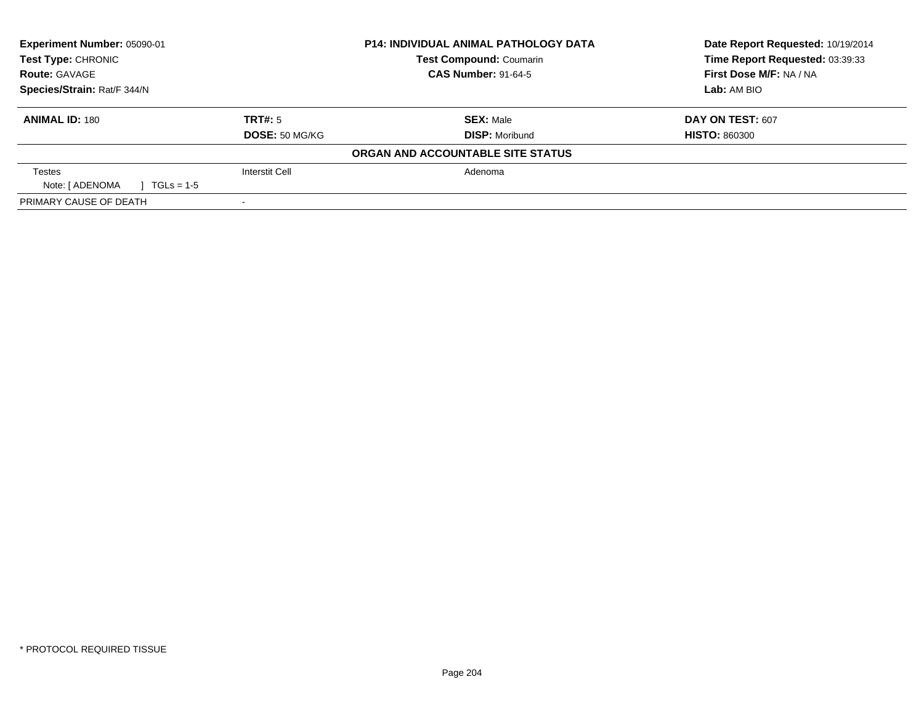| Experiment Number: 05090-01              |                       | <b>P14: INDIVIDUAL ANIMAL PATHOLOGY DATA</b> | Date Report Requested: 10/19/2014 |
|------------------------------------------|-----------------------|----------------------------------------------|-----------------------------------|
| <b>Test Type: CHRONIC</b>                |                       | <b>Test Compound: Coumarin</b>               | Time Report Requested: 03:39:33   |
| <b>Route: GAVAGE</b>                     |                       | <b>CAS Number: 91-64-5</b>                   | First Dose M/F: NA / NA           |
| Species/Strain: Rat/F 344/N              |                       |                                              | Lab: AM BIO                       |
| <b>ANIMAL ID: 180</b>                    | TRT#: 5               | <b>SEX: Male</b>                             | <b>DAY ON TEST: 607</b>           |
|                                          | DOSE: 50 MG/KG        | <b>DISP: Moribund</b>                        | <b>HISTO: 860300</b>              |
|                                          |                       | ORGAN AND ACCOUNTABLE SITE STATUS            |                                   |
| Testes                                   | <b>Interstit Cell</b> | Adenoma                                      |                                   |
| Note: [ ADENOMA<br>$\sqrt{1}$ TGLs = 1-5 |                       |                                              |                                   |
| PRIMARY CAUSE OF DEATH                   |                       |                                              |                                   |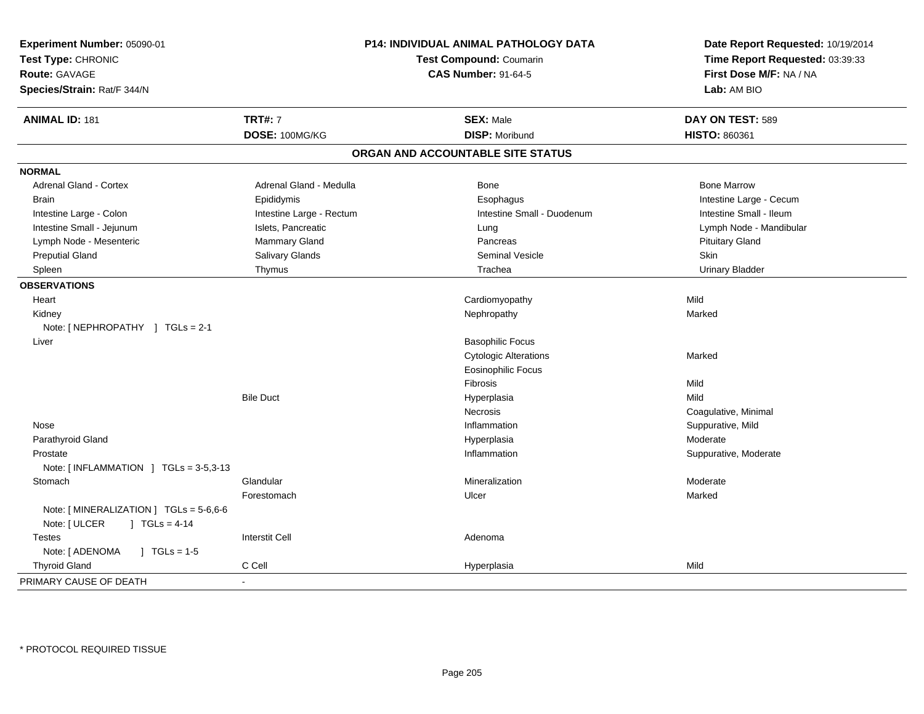| Experiment Number: 05090-01<br>Test Type: CHRONIC<br><b>Route: GAVAGE</b><br>Species/Strain: Rat/F 344/N | P14: INDIVIDUAL ANIMAL PATHOLOGY DATA<br><b>Test Compound: Coumarin</b><br><b>CAS Number: 91-64-5</b> |                                   | Date Report Requested: 10/19/2014<br>Time Report Requested: 03:39:33<br>First Dose M/F: NA / NA<br>Lab: AM BIO |
|----------------------------------------------------------------------------------------------------------|-------------------------------------------------------------------------------------------------------|-----------------------------------|----------------------------------------------------------------------------------------------------------------|
| <b>ANIMAL ID: 181</b>                                                                                    | <b>TRT#: 7</b>                                                                                        | <b>SEX: Male</b>                  | DAY ON TEST: 589                                                                                               |
|                                                                                                          | DOSE: 100MG/KG                                                                                        | <b>DISP: Moribund</b>             | HISTO: 860361                                                                                                  |
|                                                                                                          |                                                                                                       | ORGAN AND ACCOUNTABLE SITE STATUS |                                                                                                                |
| <b>NORMAL</b>                                                                                            |                                                                                                       |                                   |                                                                                                                |
| Adrenal Gland - Cortex                                                                                   | Adrenal Gland - Medulla                                                                               | Bone                              | <b>Bone Marrow</b>                                                                                             |
| <b>Brain</b>                                                                                             | Epididymis                                                                                            | Esophagus                         | Intestine Large - Cecum                                                                                        |
| Intestine Large - Colon                                                                                  | Intestine Large - Rectum                                                                              | Intestine Small - Duodenum        | Intestine Small - Ileum                                                                                        |
| Intestine Small - Jejunum                                                                                | Islets, Pancreatic                                                                                    | Lung                              | Lymph Node - Mandibular                                                                                        |
| Lymph Node - Mesenteric                                                                                  | Mammary Gland                                                                                         | Pancreas                          | <b>Pituitary Gland</b>                                                                                         |
| <b>Preputial Gland</b>                                                                                   | Salivary Glands                                                                                       | Seminal Vesicle                   | Skin                                                                                                           |
| Spleen                                                                                                   | Thymus                                                                                                | Trachea                           | <b>Urinary Bladder</b>                                                                                         |
| <b>OBSERVATIONS</b>                                                                                      |                                                                                                       |                                   |                                                                                                                |
| Heart                                                                                                    |                                                                                                       | Cardiomyopathy                    | Mild                                                                                                           |
| Kidney                                                                                                   |                                                                                                       | Nephropathy                       | Marked                                                                                                         |
| Note: [NEPHROPATHY ] TGLs = 2-1                                                                          |                                                                                                       |                                   |                                                                                                                |
| Liver                                                                                                    |                                                                                                       | <b>Basophilic Focus</b>           |                                                                                                                |
|                                                                                                          |                                                                                                       | <b>Cytologic Alterations</b>      | Marked                                                                                                         |
|                                                                                                          |                                                                                                       | <b>Eosinophilic Focus</b>         |                                                                                                                |
|                                                                                                          |                                                                                                       | Fibrosis                          | Mild                                                                                                           |
|                                                                                                          | <b>Bile Duct</b>                                                                                      | Hyperplasia                       | Mild                                                                                                           |
|                                                                                                          |                                                                                                       | Necrosis                          | Coagulative, Minimal                                                                                           |
| Nose                                                                                                     |                                                                                                       | Inflammation                      | Suppurative, Mild                                                                                              |
| Parathyroid Gland                                                                                        |                                                                                                       | Hyperplasia                       | Moderate                                                                                                       |
| Prostate                                                                                                 |                                                                                                       | Inflammation                      | Suppurative, Moderate                                                                                          |
| Note: [INFLAMMATION ] TGLs = 3-5,3-13                                                                    |                                                                                                       |                                   |                                                                                                                |
| Stomach                                                                                                  | Glandular                                                                                             | Mineralization                    | Moderate                                                                                                       |
|                                                                                                          | Forestomach                                                                                           | Ulcer                             | Marked                                                                                                         |
| Note: [MINERALIZATION ] TGLs = 5-6,6-6<br>Note: [ ULCER<br>$\vert$ TGLs = 4-14                           |                                                                                                       |                                   |                                                                                                                |
| <b>Testes</b>                                                                                            | <b>Interstit Cell</b>                                                                                 | Adenoma                           |                                                                                                                |
| Note: [ ADENOMA<br>$\sqrt{ }$ TGLs = 1-5                                                                 |                                                                                                       |                                   |                                                                                                                |
| <b>Thyroid Gland</b>                                                                                     | C Cell                                                                                                | Hyperplasia                       | Mild                                                                                                           |
| PRIMARY CAUSE OF DEATH                                                                                   | ٠                                                                                                     |                                   |                                                                                                                |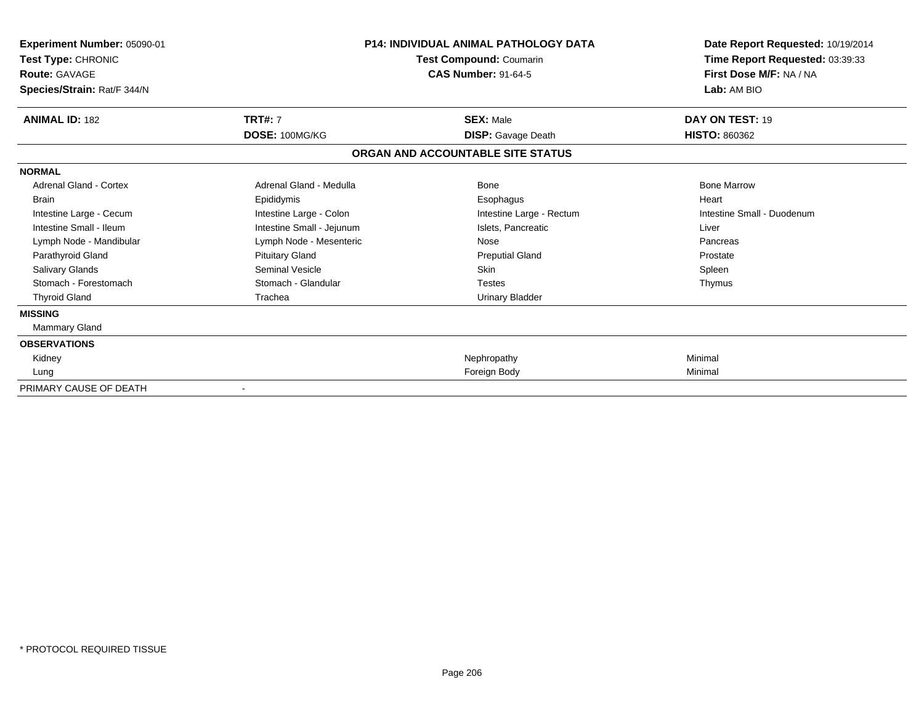| Experiment Number: 05090-01<br>Test Type: CHRONIC<br><b>Route: GAVAGE</b><br>Species/Strain: Rat/F 344/N | <b>P14: INDIVIDUAL ANIMAL PATHOLOGY DATA</b><br>Test Compound: Coumarin<br><b>CAS Number: 91-64-5</b> |                                   | Date Report Requested: 10/19/2014<br>Time Report Requested: 03:39:33<br>First Dose M/F: NA / NA<br>Lab: AM BIO |  |
|----------------------------------------------------------------------------------------------------------|-------------------------------------------------------------------------------------------------------|-----------------------------------|----------------------------------------------------------------------------------------------------------------|--|
| <b>ANIMAL ID: 182</b>                                                                                    | <b>TRT#: 7</b>                                                                                        | <b>SEX: Male</b>                  | DAY ON TEST: 19                                                                                                |  |
|                                                                                                          | DOSE: 100MG/KG                                                                                        | <b>DISP:</b> Gavage Death         | <b>HISTO: 860362</b>                                                                                           |  |
|                                                                                                          |                                                                                                       | ORGAN AND ACCOUNTABLE SITE STATUS |                                                                                                                |  |
| <b>NORMAL</b>                                                                                            |                                                                                                       |                                   |                                                                                                                |  |
| <b>Adrenal Gland - Cortex</b>                                                                            | Adrenal Gland - Medulla                                                                               | <b>Bone</b>                       | <b>Bone Marrow</b>                                                                                             |  |
| <b>Brain</b>                                                                                             | Epididymis                                                                                            | Esophagus                         | Heart                                                                                                          |  |
| Intestine Large - Cecum                                                                                  | Intestine Large - Colon                                                                               | Intestine Large - Rectum          | Intestine Small - Duodenum                                                                                     |  |
| Intestine Small - Ileum                                                                                  | Intestine Small - Jejunum                                                                             | Islets, Pancreatic                | Liver                                                                                                          |  |
| Lymph Node - Mandibular                                                                                  | Lymph Node - Mesenteric                                                                               | Nose                              | Pancreas                                                                                                       |  |
| Parathyroid Gland                                                                                        | <b>Pituitary Gland</b>                                                                                | <b>Preputial Gland</b>            | Prostate                                                                                                       |  |
| Salivary Glands                                                                                          | Seminal Vesicle                                                                                       | <b>Skin</b>                       | Spleen                                                                                                         |  |
| Stomach - Forestomach                                                                                    | Stomach - Glandular                                                                                   | <b>Testes</b>                     | Thymus                                                                                                         |  |
| <b>Thyroid Gland</b>                                                                                     | Trachea                                                                                               | <b>Urinary Bladder</b>            |                                                                                                                |  |
| <b>MISSING</b>                                                                                           |                                                                                                       |                                   |                                                                                                                |  |
| Mammary Gland                                                                                            |                                                                                                       |                                   |                                                                                                                |  |
| <b>OBSERVATIONS</b>                                                                                      |                                                                                                       |                                   |                                                                                                                |  |
| Kidney                                                                                                   |                                                                                                       | Nephropathy                       | Minimal                                                                                                        |  |
| Lung                                                                                                     |                                                                                                       | Foreign Body                      | Minimal                                                                                                        |  |
| PRIMARY CAUSE OF DEATH                                                                                   |                                                                                                       |                                   |                                                                                                                |  |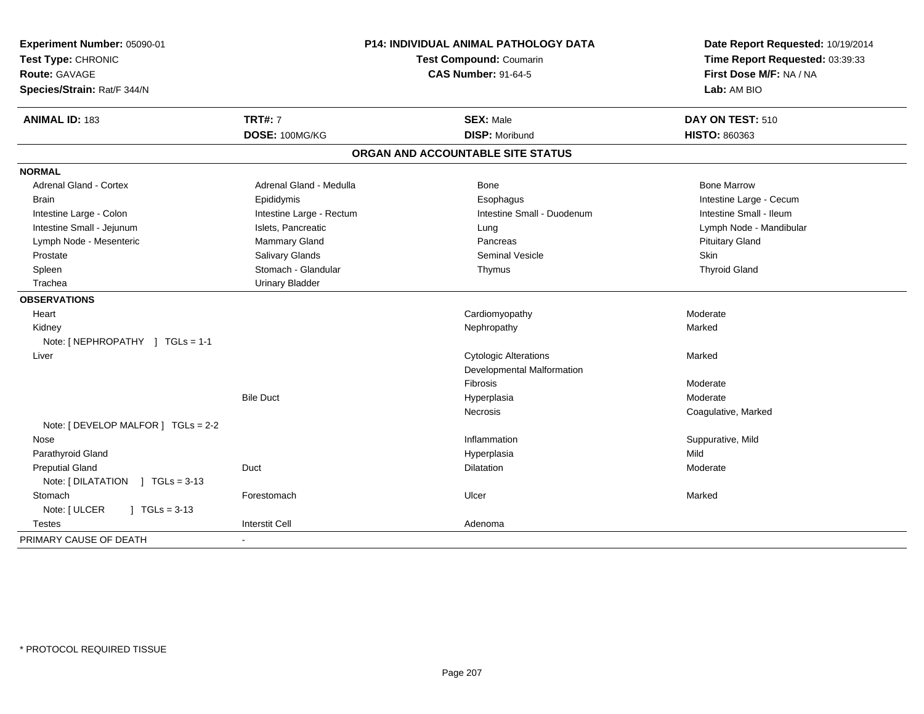| Experiment Number: 05090-01<br>Test Type: CHRONIC<br><b>Route: GAVAGE</b> | P14: INDIVIDUAL ANIMAL PATHOLOGY DATA<br>Test Compound: Coumarin<br><b>CAS Number: 91-64-5</b> |                                   | Date Report Requested: 10/19/2014<br>Time Report Requested: 03:39:33<br>First Dose M/F: NA / NA |
|---------------------------------------------------------------------------|------------------------------------------------------------------------------------------------|-----------------------------------|-------------------------------------------------------------------------------------------------|
| Species/Strain: Rat/F 344/N                                               |                                                                                                |                                   | Lab: AM BIO                                                                                     |
| <b>ANIMAL ID: 183</b>                                                     | <b>TRT#: 7</b>                                                                                 | <b>SEX: Male</b>                  | DAY ON TEST: 510                                                                                |
|                                                                           | DOSE: 100MG/KG                                                                                 | <b>DISP: Moribund</b>             | <b>HISTO: 860363</b>                                                                            |
|                                                                           |                                                                                                | ORGAN AND ACCOUNTABLE SITE STATUS |                                                                                                 |
| <b>NORMAL</b>                                                             |                                                                                                |                                   |                                                                                                 |
| <b>Adrenal Gland - Cortex</b>                                             | Adrenal Gland - Medulla                                                                        | Bone                              | <b>Bone Marrow</b>                                                                              |
| <b>Brain</b>                                                              | Epididymis                                                                                     | Esophagus                         | Intestine Large - Cecum                                                                         |
| Intestine Large - Colon                                                   | Intestine Large - Rectum                                                                       | Intestine Small - Duodenum        | Intestine Small - Ileum                                                                         |
| Intestine Small - Jejunum                                                 | Islets, Pancreatic                                                                             | Lung                              | Lymph Node - Mandibular                                                                         |
| Lymph Node - Mesenteric                                                   | Mammary Gland                                                                                  | Pancreas                          | <b>Pituitary Gland</b>                                                                          |
| Prostate                                                                  | Salivary Glands                                                                                | <b>Seminal Vesicle</b>            | Skin                                                                                            |
| Spleen                                                                    | Stomach - Glandular                                                                            | Thymus                            | <b>Thyroid Gland</b>                                                                            |
| Trachea                                                                   | <b>Urinary Bladder</b>                                                                         |                                   |                                                                                                 |
| <b>OBSERVATIONS</b>                                                       |                                                                                                |                                   |                                                                                                 |
| Heart                                                                     |                                                                                                | Cardiomyopathy                    | Moderate                                                                                        |
| Kidney                                                                    |                                                                                                | Nephropathy                       | Marked                                                                                          |
| Note: [NEPHROPATHY ] TGLs = 1-1                                           |                                                                                                |                                   |                                                                                                 |
| Liver                                                                     |                                                                                                | <b>Cytologic Alterations</b>      | Marked                                                                                          |
|                                                                           |                                                                                                | Developmental Malformation        |                                                                                                 |
|                                                                           |                                                                                                | Fibrosis                          | Moderate                                                                                        |
|                                                                           | <b>Bile Duct</b>                                                                               | Hyperplasia                       | Moderate                                                                                        |
|                                                                           |                                                                                                | Necrosis                          | Coagulative, Marked                                                                             |
| Note: [ DEVELOP MALFOR ] TGLs = 2-2                                       |                                                                                                |                                   |                                                                                                 |
| Nose                                                                      |                                                                                                | Inflammation                      | Suppurative, Mild                                                                               |
| Parathyroid Gland                                                         |                                                                                                | Hyperplasia                       | Mild                                                                                            |
| <b>Preputial Gland</b>                                                    | Duct                                                                                           | Dilatation                        | Moderate                                                                                        |
| Note: [DILATATION ] TGLs = 3-13                                           |                                                                                                |                                   |                                                                                                 |
| Stomach                                                                   | Forestomach                                                                                    | Ulcer                             | Marked                                                                                          |
| Note: [ ULCER<br>$1 \text{ TGLs} = 3-13$                                  |                                                                                                |                                   |                                                                                                 |
| <b>Testes</b>                                                             | <b>Interstit Cell</b>                                                                          | Adenoma                           |                                                                                                 |
| PRIMARY CAUSE OF DEATH                                                    | $\overline{\phantom{a}}$                                                                       |                                   |                                                                                                 |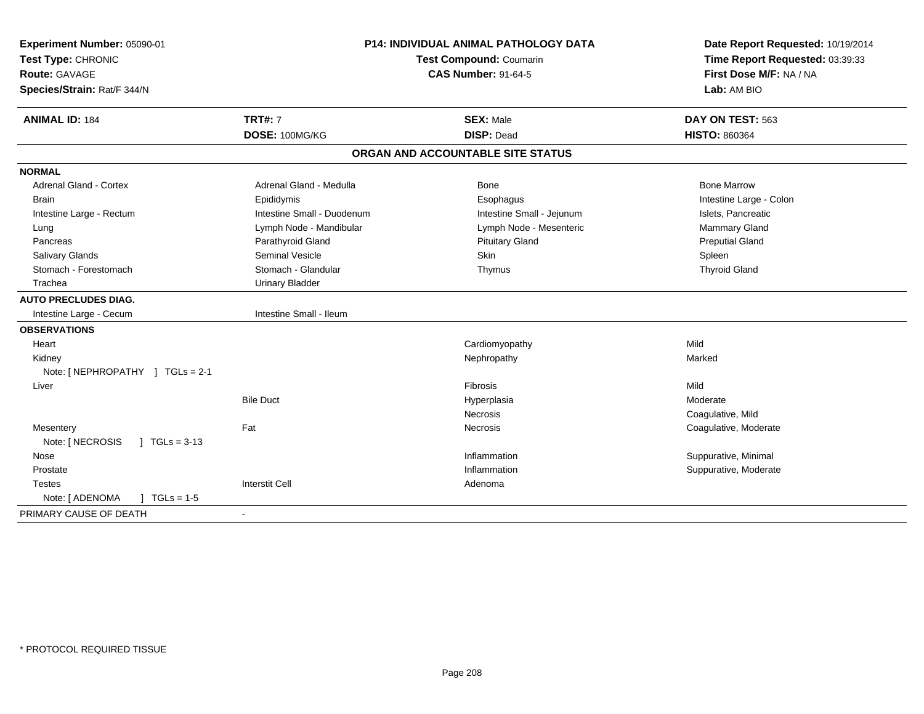| Experiment Number: 05090-01<br>Test Type: CHRONIC<br><b>Route: GAVAGE</b><br>Species/Strain: Rat/F 344/N | P14: INDIVIDUAL ANIMAL PATHOLOGY DATA<br>Test Compound: Coumarin<br><b>CAS Number: 91-64-5</b> |                                   | Date Report Requested: 10/19/2014<br>Time Report Requested: 03:39:33<br>First Dose M/F: NA / NA<br>Lab: AM BIO |  |
|----------------------------------------------------------------------------------------------------------|------------------------------------------------------------------------------------------------|-----------------------------------|----------------------------------------------------------------------------------------------------------------|--|
| <b>ANIMAL ID: 184</b>                                                                                    | <b>TRT#: 7</b>                                                                                 | <b>SEX: Male</b>                  | DAY ON TEST: 563                                                                                               |  |
|                                                                                                          | DOSE: 100MG/KG                                                                                 | <b>DISP: Dead</b>                 | <b>HISTO: 860364</b>                                                                                           |  |
|                                                                                                          |                                                                                                | ORGAN AND ACCOUNTABLE SITE STATUS |                                                                                                                |  |
| <b>NORMAL</b>                                                                                            |                                                                                                |                                   |                                                                                                                |  |
| <b>Adrenal Gland - Cortex</b>                                                                            | Adrenal Gland - Medulla                                                                        | Bone                              | <b>Bone Marrow</b>                                                                                             |  |
| <b>Brain</b>                                                                                             | Epididymis                                                                                     | Esophagus                         | Intestine Large - Colon                                                                                        |  |
| Intestine Large - Rectum                                                                                 | Intestine Small - Duodenum                                                                     | Intestine Small - Jejunum         | Islets, Pancreatic                                                                                             |  |
| Lung                                                                                                     | Lymph Node - Mandibular                                                                        | Lymph Node - Mesenteric           | Mammary Gland                                                                                                  |  |
| Pancreas                                                                                                 | Parathyroid Gland                                                                              | <b>Pituitary Gland</b>            | <b>Preputial Gland</b>                                                                                         |  |
| Salivary Glands                                                                                          | <b>Seminal Vesicle</b>                                                                         | <b>Skin</b>                       | Spleen                                                                                                         |  |
| Stomach - Forestomach                                                                                    | Stomach - Glandular                                                                            | Thymus                            | <b>Thyroid Gland</b>                                                                                           |  |
| Trachea                                                                                                  | <b>Urinary Bladder</b>                                                                         |                                   |                                                                                                                |  |
| <b>AUTO PRECLUDES DIAG.</b>                                                                              |                                                                                                |                                   |                                                                                                                |  |
| Intestine Large - Cecum                                                                                  | Intestine Small - Ileum                                                                        |                                   |                                                                                                                |  |
| <b>OBSERVATIONS</b>                                                                                      |                                                                                                |                                   |                                                                                                                |  |
| Heart                                                                                                    |                                                                                                | Cardiomyopathy                    | Mild                                                                                                           |  |
| Kidney                                                                                                   |                                                                                                | Nephropathy                       | Marked                                                                                                         |  |
| Note: [NEPHROPATHY ] TGLs = 2-1                                                                          |                                                                                                |                                   |                                                                                                                |  |
| Liver                                                                                                    |                                                                                                | <b>Fibrosis</b>                   | Mild                                                                                                           |  |
|                                                                                                          | <b>Bile Duct</b>                                                                               | Hyperplasia                       | Moderate                                                                                                       |  |
|                                                                                                          |                                                                                                | Necrosis                          | Coagulative, Mild                                                                                              |  |
| Mesentery                                                                                                | Fat                                                                                            | Necrosis                          | Coagulative, Moderate                                                                                          |  |
| Note: [ NECROSIS<br>$\sqrt{ }$ TGLs = 3-13                                                               |                                                                                                |                                   |                                                                                                                |  |
| Nose                                                                                                     |                                                                                                | Inflammation                      | Suppurative, Minimal                                                                                           |  |
| Prostate                                                                                                 |                                                                                                | Inflammation                      | Suppurative, Moderate                                                                                          |  |
| <b>Testes</b>                                                                                            | <b>Interstit Cell</b>                                                                          | Adenoma                           |                                                                                                                |  |
| $\int$ TGLs = 1-5<br>Note: [ ADENOMA                                                                     |                                                                                                |                                   |                                                                                                                |  |
| PRIMARY CAUSE OF DEATH                                                                                   |                                                                                                |                                   |                                                                                                                |  |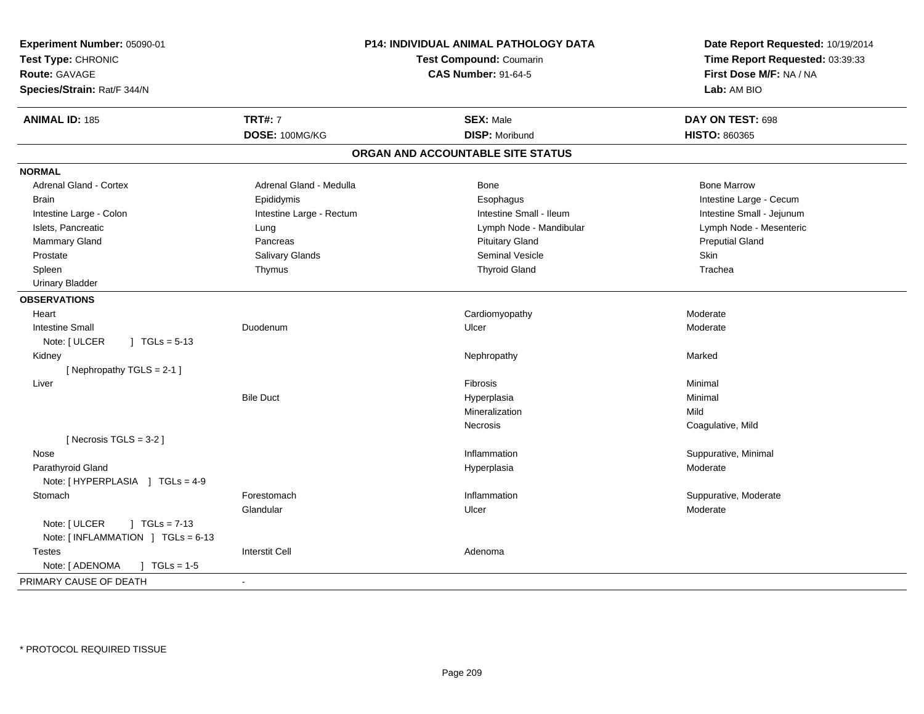| Experiment Number: 05090-01              |                            | <b>P14: INDIVIDUAL ANIMAL PATHOLOGY DATA</b> | Date Report Requested: 10/19/2014 |  |
|------------------------------------------|----------------------------|----------------------------------------------|-----------------------------------|--|
| Test Type: CHRONIC                       |                            | Test Compound: Coumarin                      | Time Report Requested: 03:39:33   |  |
| Route: GAVAGE                            | <b>CAS Number: 91-64-5</b> |                                              | First Dose M/F: NA / NA           |  |
| Species/Strain: Rat/F 344/N              |                            |                                              | Lab: AM BIO                       |  |
| <b>ANIMAL ID: 185</b>                    | <b>TRT#: 7</b>             | <b>SEX: Male</b>                             | DAY ON TEST: 698                  |  |
|                                          | DOSE: 100MG/KG             | <b>DISP: Moribund</b>                        | HISTO: 860365                     |  |
|                                          |                            | ORGAN AND ACCOUNTABLE SITE STATUS            |                                   |  |
| <b>NORMAL</b>                            |                            |                                              |                                   |  |
| Adrenal Gland - Cortex                   | Adrenal Gland - Medulla    | Bone                                         | <b>Bone Marrow</b>                |  |
| <b>Brain</b>                             | Epididymis                 | Esophagus                                    | Intestine Large - Cecum           |  |
| Intestine Large - Colon                  | Intestine Large - Rectum   | Intestine Small - Ileum                      | Intestine Small - Jejunum         |  |
| Islets, Pancreatic                       | Lung                       | Lymph Node - Mandibular                      | Lymph Node - Mesenteric           |  |
| Mammary Gland                            | Pancreas                   | <b>Pituitary Gland</b>                       | <b>Preputial Gland</b>            |  |
| Prostate                                 | Salivary Glands            | <b>Seminal Vesicle</b>                       | <b>Skin</b>                       |  |
| Spleen                                   | Thymus                     | <b>Thyroid Gland</b>                         | Trachea                           |  |
| <b>Urinary Bladder</b>                   |                            |                                              |                                   |  |
| <b>OBSERVATIONS</b>                      |                            |                                              |                                   |  |
| Heart                                    |                            | Cardiomyopathy                               | Moderate                          |  |
| <b>Intestine Small</b>                   | Duodenum                   | Ulcer                                        | Moderate                          |  |
| Note: [ ULCER<br>$J \text{ TGLs} = 5-13$ |                            |                                              |                                   |  |
| Kidney                                   |                            | Nephropathy                                  | Marked                            |  |
| [Nephropathy TGLS = 2-1]                 |                            |                                              |                                   |  |
| Liver                                    |                            | Fibrosis                                     | Minimal                           |  |
|                                          | <b>Bile Duct</b>           | Hyperplasia                                  | Minimal                           |  |
|                                          |                            | Mineralization                               | Mild                              |  |
|                                          |                            | <b>Necrosis</b>                              | Coagulative, Mild                 |  |
| [Necrosis $TGLS = 3-2$ ]                 |                            |                                              |                                   |  |
| Nose                                     |                            | Inflammation                                 | Suppurative, Minimal              |  |
| Parathyroid Gland                        |                            | Hyperplasia                                  | Moderate                          |  |
| Note: [HYPERPLASIA ] TGLs = 4-9          |                            |                                              |                                   |  |
| Stomach                                  | Forestomach                | Inflammation                                 | Suppurative, Moderate             |  |
|                                          | Glandular                  | Ulcer                                        | Moderate                          |  |
| Note: [ ULCER<br>$1 TGLs = 7-13$         |                            |                                              |                                   |  |
| Note: [INFLAMMATION ] TGLs = 6-13        |                            |                                              |                                   |  |
| <b>Testes</b>                            | <b>Interstit Cell</b>      | Adenoma                                      |                                   |  |
| Note: [ ADENOMA<br>$\sqrt{1}$ TGLs = 1-5 |                            |                                              |                                   |  |
| PRIMARY CAUSE OF DEATH                   | $\blacksquare$             |                                              |                                   |  |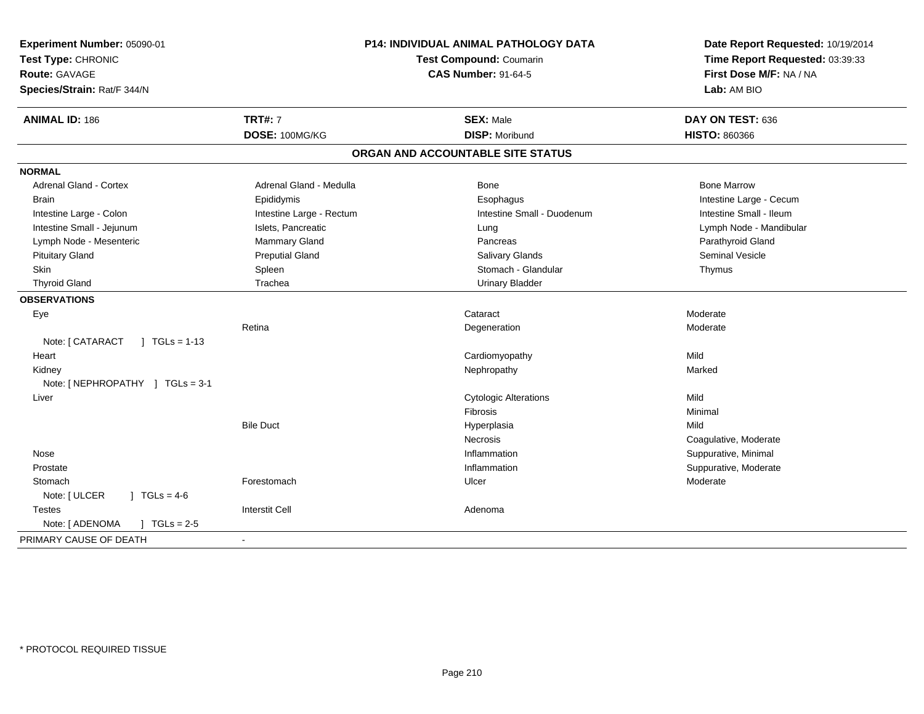| Experiment Number: 05090-01<br>Test Type: CHRONIC |                            | <b>P14: INDIVIDUAL ANIMAL PATHOLOGY DATA</b><br>Test Compound: Coumarin | Date Report Requested: 10/19/2014<br>Time Report Requested: 03:39:33 |
|---------------------------------------------------|----------------------------|-------------------------------------------------------------------------|----------------------------------------------------------------------|
| <b>Route: GAVAGE</b>                              | <b>CAS Number: 91-64-5</b> |                                                                         | First Dose M/F: NA / NA                                              |
| Species/Strain: Rat/F 344/N                       |                            |                                                                         | Lab: AM BIO                                                          |
| <b>ANIMAL ID: 186</b>                             | <b>TRT#: 7</b>             | <b>SEX: Male</b>                                                        | DAY ON TEST: 636                                                     |
|                                                   | DOSE: 100MG/KG             | <b>DISP: Moribund</b>                                                   | <b>HISTO: 860366</b>                                                 |
|                                                   |                            | ORGAN AND ACCOUNTABLE SITE STATUS                                       |                                                                      |
| <b>NORMAL</b>                                     |                            |                                                                         |                                                                      |
| Adrenal Gland - Cortex                            | Adrenal Gland - Medulla    | Bone                                                                    | <b>Bone Marrow</b>                                                   |
| Brain                                             | Epididymis                 | Esophagus                                                               | Intestine Large - Cecum                                              |
| Intestine Large - Colon                           | Intestine Large - Rectum   | Intestine Small - Duodenum                                              | Intestine Small - Ileum                                              |
| Intestine Small - Jejunum                         | Islets, Pancreatic         | Lung                                                                    | Lymph Node - Mandibular                                              |
| Lymph Node - Mesenteric                           | Mammary Gland              | Pancreas                                                                | Parathyroid Gland                                                    |
| <b>Pituitary Gland</b>                            | <b>Preputial Gland</b>     | Salivary Glands                                                         | Seminal Vesicle                                                      |
| Skin                                              | Spleen                     | Stomach - Glandular                                                     | Thymus                                                               |
| <b>Thyroid Gland</b>                              | Trachea                    | <b>Urinary Bladder</b>                                                  |                                                                      |
| <b>OBSERVATIONS</b>                               |                            |                                                                         |                                                                      |
| Eye                                               |                            | Cataract                                                                | Moderate                                                             |
|                                                   | Retina                     | Degeneration                                                            | Moderate                                                             |
| Note: [ CATARACT<br>$1 TGLs = 1-13$               |                            |                                                                         |                                                                      |
| Heart                                             |                            | Cardiomyopathy                                                          | Mild                                                                 |
| Kidney                                            |                            | Nephropathy                                                             | Marked                                                               |
| Note: [NEPHROPATHY ] TGLs = 3-1                   |                            |                                                                         |                                                                      |
| Liver                                             |                            | <b>Cytologic Alterations</b>                                            | Mild                                                                 |
|                                                   |                            | Fibrosis                                                                | Minimal                                                              |
|                                                   | <b>Bile Duct</b>           | Hyperplasia                                                             | Mild                                                                 |
|                                                   |                            | <b>Necrosis</b>                                                         | Coagulative, Moderate                                                |
| Nose                                              |                            | Inflammation                                                            | Suppurative, Minimal                                                 |
| Prostate                                          |                            | Inflammation                                                            | Suppurative, Moderate                                                |
| Stomach                                           | Forestomach                | Ulcer                                                                   | Moderate                                                             |
| Note: [ ULCER<br>$1 TGLs = 4-6$                   |                            |                                                                         |                                                                      |
| <b>Testes</b>                                     | <b>Interstit Cell</b>      | Adenoma                                                                 |                                                                      |
| $J \cdot TGLs = 2-5$<br>Note: [ ADENOMA           |                            |                                                                         |                                                                      |
| PRIMARY CAUSE OF DEATH                            |                            |                                                                         |                                                                      |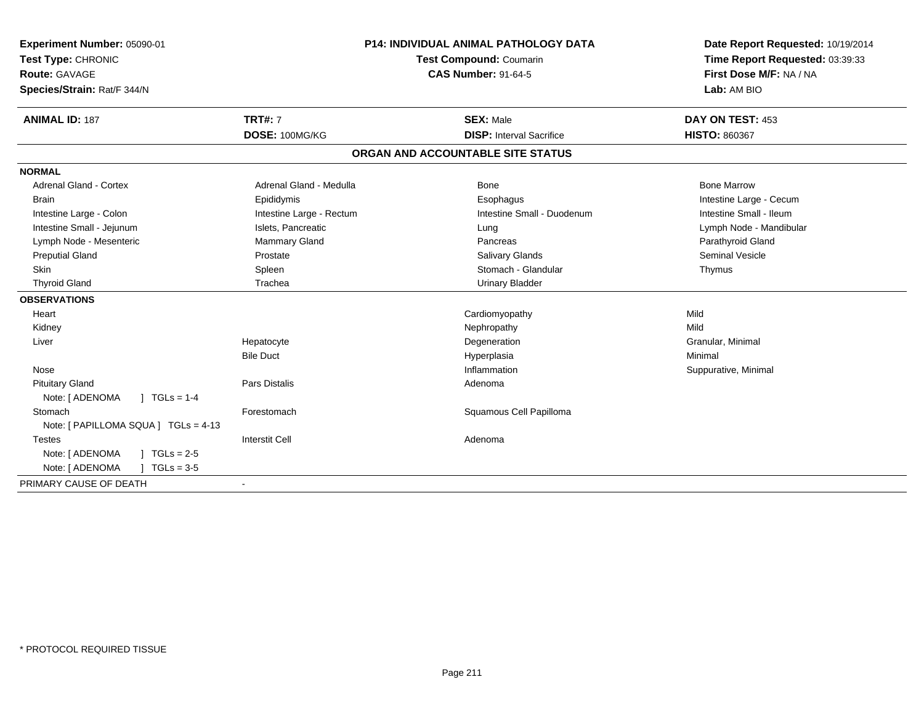| Experiment Number: 05090-01<br>Test Type: CHRONIC |                            | P14: INDIVIDUAL ANIMAL PATHOLOGY DATA<br><b>Test Compound: Coumarin</b> | Date Report Requested: 10/19/2014<br>Time Report Requested: 03:39:33 |  |
|---------------------------------------------------|----------------------------|-------------------------------------------------------------------------|----------------------------------------------------------------------|--|
| Route: GAVAGE                                     | <b>CAS Number: 91-64-5</b> |                                                                         | First Dose M/F: NA / NA                                              |  |
| Species/Strain: Rat/F 344/N                       |                            |                                                                         | Lab: AM BIO                                                          |  |
| <b>ANIMAL ID: 187</b>                             | <b>TRT#: 7</b>             | <b>SEX: Male</b>                                                        | DAY ON TEST: 453                                                     |  |
|                                                   | DOSE: 100MG/KG             | <b>DISP:</b> Interval Sacrifice                                         | <b>HISTO: 860367</b>                                                 |  |
|                                                   |                            | ORGAN AND ACCOUNTABLE SITE STATUS                                       |                                                                      |  |
| <b>NORMAL</b>                                     |                            |                                                                         |                                                                      |  |
| <b>Adrenal Gland - Cortex</b>                     | Adrenal Gland - Medulla    | Bone                                                                    | <b>Bone Marrow</b>                                                   |  |
| <b>Brain</b>                                      | Epididymis                 | Esophagus                                                               | Intestine Large - Cecum                                              |  |
| Intestine Large - Colon                           | Intestine Large - Rectum   | Intestine Small - Duodenum                                              | Intestine Small - Ileum                                              |  |
| Intestine Small - Jejunum                         | Islets, Pancreatic         | Lung                                                                    | Lymph Node - Mandibular                                              |  |
| Lymph Node - Mesenteric                           | Mammary Gland              | Pancreas                                                                | Parathyroid Gland                                                    |  |
| <b>Preputial Gland</b>                            | Prostate                   | Salivary Glands                                                         | <b>Seminal Vesicle</b>                                               |  |
| <b>Skin</b>                                       | Spleen                     | Stomach - Glandular                                                     | Thymus                                                               |  |
| <b>Thyroid Gland</b>                              | Trachea                    | <b>Urinary Bladder</b>                                                  |                                                                      |  |
| <b>OBSERVATIONS</b>                               |                            |                                                                         |                                                                      |  |
| Heart                                             |                            | Cardiomyopathy                                                          | Mild                                                                 |  |
| Kidney                                            |                            | Nephropathy                                                             | Mild                                                                 |  |
| Liver                                             | Hepatocyte                 | Degeneration                                                            | Granular, Minimal                                                    |  |
|                                                   | <b>Bile Duct</b>           | Hyperplasia                                                             | Minimal                                                              |  |
| Nose                                              |                            | Inflammation                                                            | Suppurative, Minimal                                                 |  |
| <b>Pituitary Gland</b>                            | <b>Pars Distalis</b>       | Adenoma                                                                 |                                                                      |  |
| Note: [ ADENOMA<br>$\int$ TGLs = 1-4              |                            |                                                                         |                                                                      |  |
| Stomach                                           | Forestomach                | Squamous Cell Papilloma                                                 |                                                                      |  |
| Note: [ PAPILLOMA SQUA ] TGLs = 4-13              |                            |                                                                         |                                                                      |  |
| <b>Testes</b>                                     | <b>Interstit Cell</b>      | Adenoma                                                                 |                                                                      |  |
| Note: [ ADENOMA<br>$1 TGLs = 2-5$                 |                            |                                                                         |                                                                      |  |
| Note: [ ADENOMA<br>$TGLs = 3-5$                   |                            |                                                                         |                                                                      |  |
| PRIMARY CAUSE OF DEATH                            | $\blacksquare$             |                                                                         |                                                                      |  |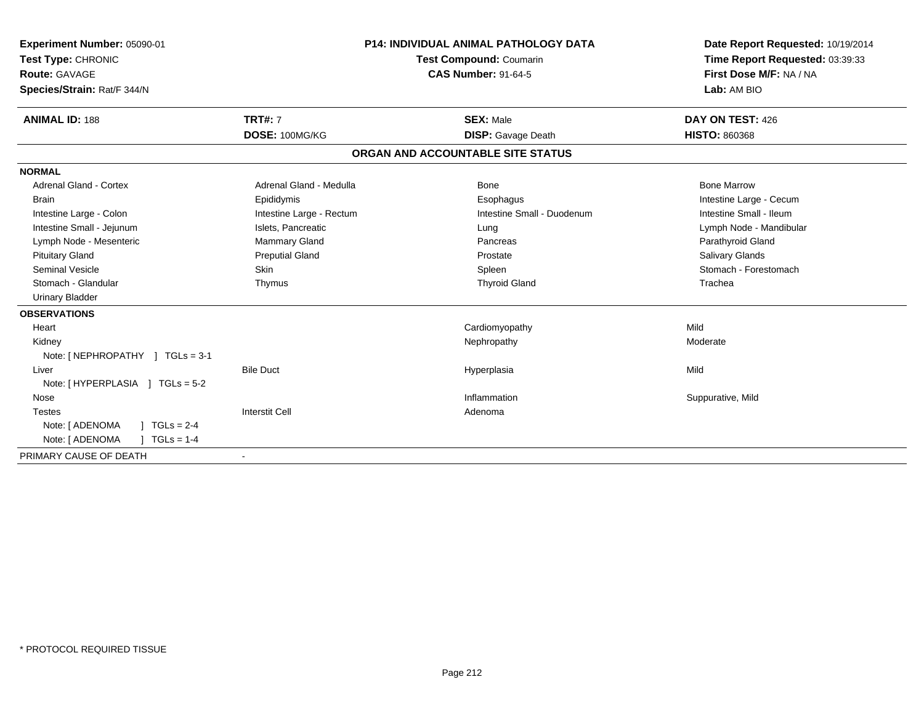| Experiment Number: 05090-01<br>Test Type: CHRONIC<br>Route: GAVAGE<br>Species/Strain: Rat/F 344/N |                          | <b>P14: INDIVIDUAL ANIMAL PATHOLOGY DATA</b><br><b>Test Compound: Coumarin</b><br><b>CAS Number: 91-64-5</b> |                            | Date Report Requested: 10/19/2014<br>Time Report Requested: 03:39:33<br>First Dose M/F: NA / NA<br>Lab: AM BIO |
|---------------------------------------------------------------------------------------------------|--------------------------|--------------------------------------------------------------------------------------------------------------|----------------------------|----------------------------------------------------------------------------------------------------------------|
| <b>ANIMAL ID: 188</b>                                                                             | <b>TRT#: 7</b>           |                                                                                                              | <b>SEX: Male</b>           | DAY ON TEST: 426                                                                                               |
|                                                                                                   | DOSE: 100MG/KG           |                                                                                                              | <b>DISP:</b> Gavage Death  | <b>HISTO: 860368</b>                                                                                           |
|                                                                                                   |                          | ORGAN AND ACCOUNTABLE SITE STATUS                                                                            |                            |                                                                                                                |
| <b>NORMAL</b>                                                                                     |                          |                                                                                                              |                            |                                                                                                                |
| <b>Adrenal Gland - Cortex</b>                                                                     | Adrenal Gland - Medulla  |                                                                                                              | <b>Bone</b>                | <b>Bone Marrow</b>                                                                                             |
| <b>Brain</b>                                                                                      | Epididymis               |                                                                                                              | Esophagus                  | Intestine Large - Cecum                                                                                        |
| Intestine Large - Colon                                                                           | Intestine Large - Rectum |                                                                                                              | Intestine Small - Duodenum | Intestine Small - Ileum                                                                                        |
| Intestine Small - Jejunum                                                                         | Islets, Pancreatic       |                                                                                                              | Lung                       | Lymph Node - Mandibular                                                                                        |
| Lymph Node - Mesenteric                                                                           | Mammary Gland            |                                                                                                              | Pancreas                   | Parathyroid Gland                                                                                              |
| <b>Pituitary Gland</b>                                                                            | <b>Preputial Gland</b>   |                                                                                                              | Prostate                   | Salivary Glands                                                                                                |
| <b>Seminal Vesicle</b>                                                                            | <b>Skin</b>              |                                                                                                              | Spleen                     | Stomach - Forestomach                                                                                          |
| Stomach - Glandular                                                                               | Thymus                   |                                                                                                              | <b>Thyroid Gland</b>       | Trachea                                                                                                        |
| <b>Urinary Bladder</b>                                                                            |                          |                                                                                                              |                            |                                                                                                                |
| <b>OBSERVATIONS</b>                                                                               |                          |                                                                                                              |                            |                                                                                                                |
| Heart                                                                                             |                          |                                                                                                              | Cardiomyopathy             | Mild                                                                                                           |
| Kidney                                                                                            |                          |                                                                                                              | Nephropathy                | Moderate                                                                                                       |
| Note: $[NEPHROPATHY]$ TGLs = 3-1                                                                  |                          |                                                                                                              |                            |                                                                                                                |
| Liver                                                                                             | <b>Bile Duct</b>         |                                                                                                              | Hyperplasia                | Mild                                                                                                           |
| Note: [HYPERPLASIA ] TGLs = 5-2                                                                   |                          |                                                                                                              |                            |                                                                                                                |
| Nose                                                                                              |                          |                                                                                                              | Inflammation               | Suppurative, Mild                                                                                              |
| <b>Testes</b>                                                                                     | <b>Interstit Cell</b>    |                                                                                                              | Adenoma                    |                                                                                                                |
| $1 TGLs = 2-4$<br>Note: [ ADENOMA                                                                 |                          |                                                                                                              |                            |                                                                                                                |
| Note: [ ADENOMA<br>$TGLs = 1-4$                                                                   |                          |                                                                                                              |                            |                                                                                                                |
| PRIMARY CAUSE OF DEATH                                                                            | $\overline{\phantom{a}}$ |                                                                                                              |                            |                                                                                                                |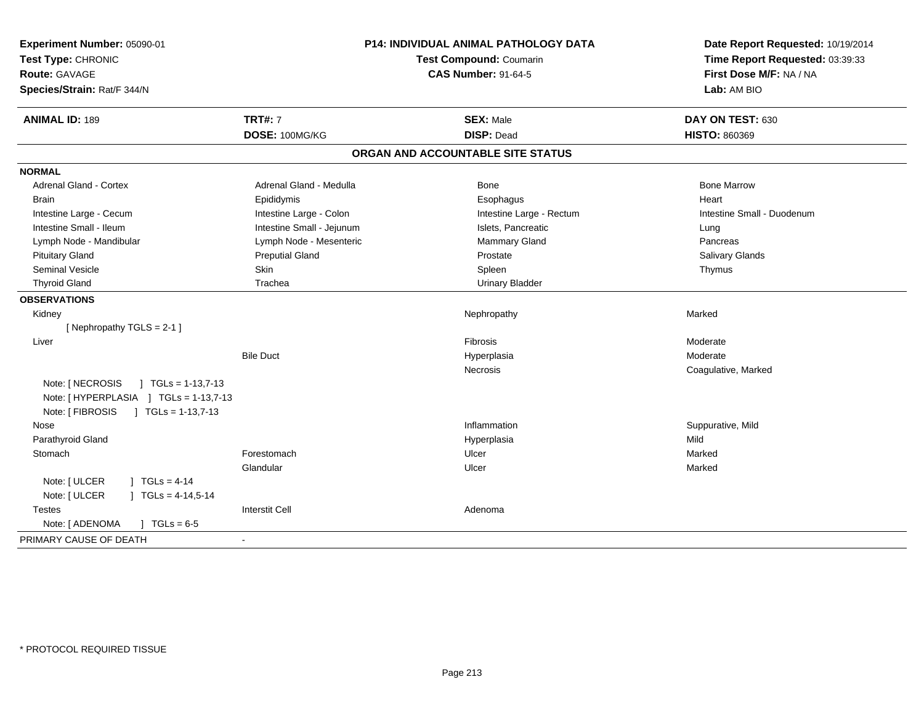| Experiment Number: 05090-01<br>Test Type: CHRONIC<br><b>Route: GAVAGE</b><br>Species/Strain: Rat/F 344/N | <b>P14: INDIVIDUAL ANIMAL PATHOLOGY DATA</b><br>Test Compound: Coumarin<br><b>CAS Number: 91-64-5</b> |                                   | Date Report Requested: 10/19/2014<br>Time Report Requested: 03:39:33<br>First Dose M/F: NA / NA<br>Lab: AM BIO |  |
|----------------------------------------------------------------------------------------------------------|-------------------------------------------------------------------------------------------------------|-----------------------------------|----------------------------------------------------------------------------------------------------------------|--|
| <b>ANIMAL ID: 189</b>                                                                                    | <b>TRT#: 7</b>                                                                                        | <b>SEX: Male</b>                  | DAY ON TEST: 630                                                                                               |  |
|                                                                                                          | DOSE: 100MG/KG                                                                                        | <b>DISP: Dead</b>                 | <b>HISTO: 860369</b>                                                                                           |  |
|                                                                                                          |                                                                                                       | ORGAN AND ACCOUNTABLE SITE STATUS |                                                                                                                |  |
| <b>NORMAL</b>                                                                                            |                                                                                                       |                                   |                                                                                                                |  |
| <b>Adrenal Gland - Cortex</b>                                                                            | Adrenal Gland - Medulla                                                                               | Bone                              | <b>Bone Marrow</b>                                                                                             |  |
| <b>Brain</b>                                                                                             | Epididymis                                                                                            | Esophagus                         | Heart                                                                                                          |  |
| Intestine Large - Cecum                                                                                  | Intestine Large - Colon                                                                               | Intestine Large - Rectum          | Intestine Small - Duodenum                                                                                     |  |
| Intestine Small - Ileum                                                                                  | Intestine Small - Jejunum                                                                             | Islets, Pancreatic                | Lung                                                                                                           |  |
| Lymph Node - Mandibular                                                                                  | Lymph Node - Mesenteric                                                                               | Mammary Gland                     | Pancreas                                                                                                       |  |
| <b>Pituitary Gland</b>                                                                                   | <b>Preputial Gland</b>                                                                                | Prostate                          | Salivary Glands                                                                                                |  |
| <b>Seminal Vesicle</b>                                                                                   | Skin                                                                                                  | Spleen                            | Thymus                                                                                                         |  |
| <b>Thyroid Gland</b>                                                                                     | Trachea                                                                                               | <b>Urinary Bladder</b>            |                                                                                                                |  |
| <b>OBSERVATIONS</b>                                                                                      |                                                                                                       |                                   |                                                                                                                |  |
| Kidney                                                                                                   |                                                                                                       | Nephropathy                       | Marked                                                                                                         |  |
| [Nephropathy TGLS = 2-1]                                                                                 |                                                                                                       |                                   |                                                                                                                |  |
| Liver                                                                                                    |                                                                                                       | Fibrosis                          | Moderate                                                                                                       |  |
|                                                                                                          | <b>Bile Duct</b>                                                                                      | Hyperplasia                       | Moderate                                                                                                       |  |
|                                                                                                          |                                                                                                       | Necrosis                          | Coagulative, Marked                                                                                            |  |
| Note: [ NECROSIS<br>$\vert$ TGLs = 1-13,7-13                                                             |                                                                                                       |                                   |                                                                                                                |  |
| Note: [HYPERPLASIA ] TGLs = 1-13,7-13                                                                    |                                                                                                       |                                   |                                                                                                                |  |
| Note: [ FIBROSIS<br>$\overline{)}$ TGLs = 1-13,7-13                                                      |                                                                                                       |                                   |                                                                                                                |  |
| Nose                                                                                                     |                                                                                                       | Inflammation                      | Suppurative, Mild                                                                                              |  |
| Parathyroid Gland                                                                                        |                                                                                                       | Hyperplasia                       | Mild                                                                                                           |  |
| Stomach                                                                                                  | Forestomach                                                                                           | Ulcer                             | Marked                                                                                                         |  |
|                                                                                                          | Glandular                                                                                             | Ulcer                             | Marked                                                                                                         |  |
| Note: [ ULCER<br>$1 TGLs = 4-14$                                                                         |                                                                                                       |                                   |                                                                                                                |  |
| Note: [ ULCER<br>$\mid$ TGLs = 4-14,5-14                                                                 |                                                                                                       |                                   |                                                                                                                |  |
| <b>Testes</b>                                                                                            | <b>Interstit Cell</b>                                                                                 | Adenoma                           |                                                                                                                |  |
| Note: [ ADENOMA<br>$J \cdot TGLs = 6-5$                                                                  |                                                                                                       |                                   |                                                                                                                |  |
| PRIMARY CAUSE OF DEATH                                                                                   | $\blacksquare$                                                                                        |                                   |                                                                                                                |  |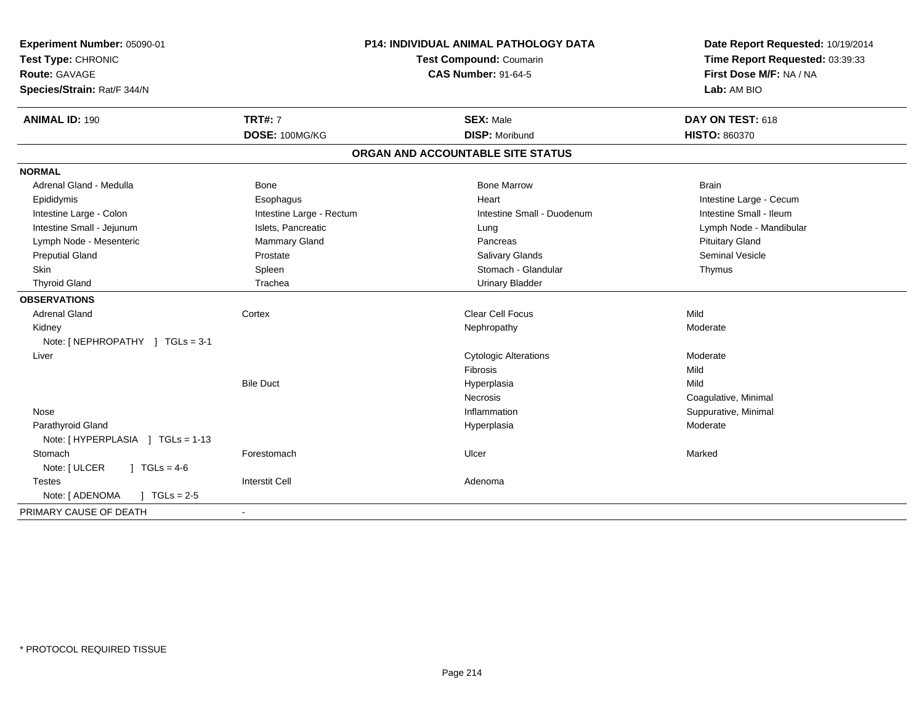| Experiment Number: 05090-01<br>Test Type: CHRONIC<br>Route: GAVAGE<br>Species/Strain: Rat/F 344/N | P14: INDIVIDUAL ANIMAL PATHOLOGY DATA<br>Test Compound: Coumarin<br><b>CAS Number: 91-64-5</b> |                                   | Date Report Requested: 10/19/2014<br>Time Report Requested: 03:39:33<br>First Dose M/F: NA / NA<br>Lab: AM BIO |  |
|---------------------------------------------------------------------------------------------------|------------------------------------------------------------------------------------------------|-----------------------------------|----------------------------------------------------------------------------------------------------------------|--|
| <b>ANIMAL ID: 190</b>                                                                             | <b>TRT#: 7</b>                                                                                 | <b>SEX: Male</b>                  | DAY ON TEST: 618                                                                                               |  |
|                                                                                                   | DOSE: 100MG/KG                                                                                 | <b>DISP: Moribund</b>             | HISTO: 860370                                                                                                  |  |
|                                                                                                   |                                                                                                | ORGAN AND ACCOUNTABLE SITE STATUS |                                                                                                                |  |
| <b>NORMAL</b>                                                                                     |                                                                                                |                                   |                                                                                                                |  |
| Adrenal Gland - Medulla                                                                           | <b>Bone</b>                                                                                    | <b>Bone Marrow</b>                | <b>Brain</b>                                                                                                   |  |
| Epididymis                                                                                        | Esophagus                                                                                      | Heart                             | Intestine Large - Cecum                                                                                        |  |
| Intestine Large - Colon                                                                           | Intestine Large - Rectum                                                                       | Intestine Small - Duodenum        | Intestine Small - Ileum                                                                                        |  |
| Intestine Small - Jejunum                                                                         | Islets, Pancreatic                                                                             | Lung                              | Lymph Node - Mandibular                                                                                        |  |
| Lymph Node - Mesenteric                                                                           | <b>Mammary Gland</b>                                                                           | Pancreas                          | <b>Pituitary Gland</b>                                                                                         |  |
| <b>Preputial Gland</b>                                                                            | Prostate                                                                                       | <b>Salivary Glands</b>            | <b>Seminal Vesicle</b>                                                                                         |  |
| <b>Skin</b>                                                                                       | Spleen                                                                                         | Stomach - Glandular               | Thymus                                                                                                         |  |
| <b>Thyroid Gland</b>                                                                              | Trachea                                                                                        | <b>Urinary Bladder</b>            |                                                                                                                |  |
| <b>OBSERVATIONS</b>                                                                               |                                                                                                |                                   |                                                                                                                |  |
| <b>Adrenal Gland</b>                                                                              | Cortex                                                                                         | <b>Clear Cell Focus</b>           | Mild                                                                                                           |  |
| Kidney                                                                                            |                                                                                                | Nephropathy                       | Moderate                                                                                                       |  |
| Note: [NEPHROPATHY ] TGLs = 3-1                                                                   |                                                                                                |                                   |                                                                                                                |  |
| Liver                                                                                             |                                                                                                | <b>Cytologic Alterations</b>      | Moderate                                                                                                       |  |
|                                                                                                   |                                                                                                | Fibrosis                          | Mild                                                                                                           |  |
|                                                                                                   | <b>Bile Duct</b>                                                                               | Hyperplasia                       | Mild                                                                                                           |  |
|                                                                                                   |                                                                                                | <b>Necrosis</b>                   | Coagulative, Minimal                                                                                           |  |
| Nose                                                                                              |                                                                                                | Inflammation                      | Suppurative, Minimal                                                                                           |  |
| Parathyroid Gland                                                                                 |                                                                                                | Hyperplasia                       | Moderate                                                                                                       |  |
| Note: [HYPERPLASIA ] TGLs = 1-13                                                                  |                                                                                                |                                   |                                                                                                                |  |
| Stomach                                                                                           | Forestomach                                                                                    | Ulcer                             | Marked                                                                                                         |  |
| Note: [ ULCER<br>$1 TGLs = 4-6$                                                                   |                                                                                                |                                   |                                                                                                                |  |
| <b>Testes</b>                                                                                     | <b>Interstit Cell</b>                                                                          | Adenoma                           |                                                                                                                |  |
| Note: [ ADENOMA<br>$J \cdot TGLs = 2-5$                                                           |                                                                                                |                                   |                                                                                                                |  |
| PRIMARY CAUSE OF DEATH                                                                            | $\sim$                                                                                         |                                   |                                                                                                                |  |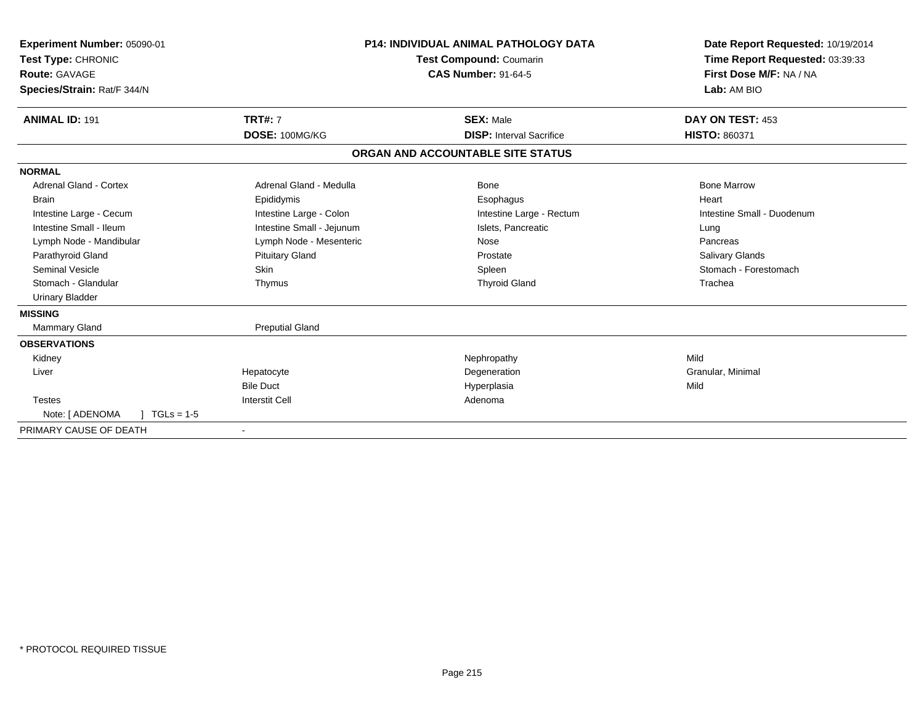| Experiment Number: 05090-01<br>Test Type: CHRONIC<br>Route: GAVAGE<br>Species/Strain: Rat/F 344/N | <b>P14: INDIVIDUAL ANIMAL PATHOLOGY DATA</b><br><b>Test Compound: Coumarin</b><br><b>CAS Number: 91-64-5</b> |                                   | Date Report Requested: 10/19/2014<br>Time Report Requested: 03:39:33<br>First Dose M/F: NA / NA<br>Lab: AM BIO |
|---------------------------------------------------------------------------------------------------|--------------------------------------------------------------------------------------------------------------|-----------------------------------|----------------------------------------------------------------------------------------------------------------|
| <b>ANIMAL ID: 191</b>                                                                             | <b>TRT#: 7</b>                                                                                               | <b>SEX: Male</b>                  | DAY ON TEST: 453                                                                                               |
|                                                                                                   | DOSE: 100MG/KG                                                                                               | <b>DISP: Interval Sacrifice</b>   | HISTO: 860371                                                                                                  |
|                                                                                                   |                                                                                                              | ORGAN AND ACCOUNTABLE SITE STATUS |                                                                                                                |
| <b>NORMAL</b>                                                                                     |                                                                                                              |                                   |                                                                                                                |
| Adrenal Gland - Cortex                                                                            | Adrenal Gland - Medulla                                                                                      | Bone                              | <b>Bone Marrow</b>                                                                                             |
| <b>Brain</b>                                                                                      | Epididymis                                                                                                   | Esophagus                         | Heart                                                                                                          |
| Intestine Large - Cecum                                                                           | Intestine Large - Colon                                                                                      | Intestine Large - Rectum          | Intestine Small - Duodenum                                                                                     |
| Intestine Small - Ileum                                                                           | Intestine Small - Jejunum                                                                                    | Islets, Pancreatic                | Lung                                                                                                           |
| Lymph Node - Mandibular                                                                           | Lymph Node - Mesenteric                                                                                      | Nose                              | Pancreas                                                                                                       |
| Parathyroid Gland                                                                                 | <b>Pituitary Gland</b>                                                                                       | Prostate                          | <b>Salivary Glands</b>                                                                                         |
| <b>Seminal Vesicle</b>                                                                            | Skin                                                                                                         | Spleen                            | Stomach - Forestomach                                                                                          |
| Stomach - Glandular                                                                               | Thymus                                                                                                       | <b>Thyroid Gland</b>              | Trachea                                                                                                        |
| <b>Urinary Bladder</b>                                                                            |                                                                                                              |                                   |                                                                                                                |
| <b>MISSING</b>                                                                                    |                                                                                                              |                                   |                                                                                                                |
| <b>Mammary Gland</b>                                                                              | <b>Preputial Gland</b>                                                                                       |                                   |                                                                                                                |
| <b>OBSERVATIONS</b>                                                                               |                                                                                                              |                                   |                                                                                                                |
| Kidney                                                                                            |                                                                                                              | Nephropathy                       | Mild                                                                                                           |
| Liver                                                                                             | Hepatocyte                                                                                                   | Degeneration                      | Granular, Minimal                                                                                              |
|                                                                                                   | <b>Bile Duct</b>                                                                                             | Hyperplasia                       | Mild                                                                                                           |
| <b>Testes</b>                                                                                     | <b>Interstit Cell</b>                                                                                        | Adenoma                           |                                                                                                                |
| Note: [ ADENOMA<br>$TGLs = 1-5$                                                                   |                                                                                                              |                                   |                                                                                                                |
| PRIMARY CAUSE OF DEATH                                                                            |                                                                                                              |                                   |                                                                                                                |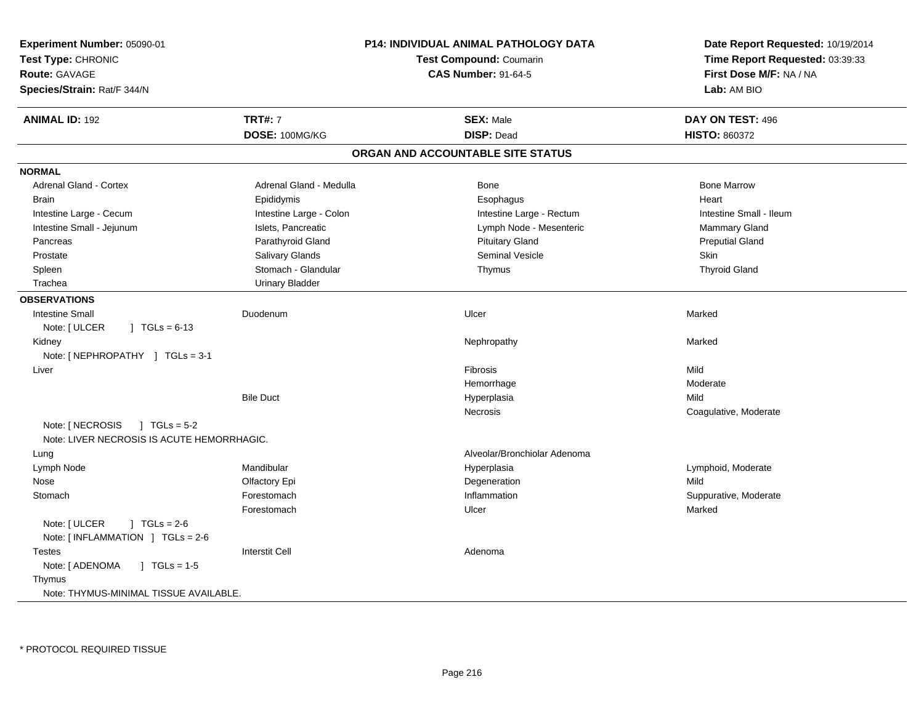| Experiment Number: 05090-01<br>Test Type: CHRONIC<br>Route: GAVAGE<br>Species/Strain: Rat/F 344/N | P14: INDIVIDUAL ANIMAL PATHOLOGY DATA<br><b>Test Compound: Coumarin</b><br><b>CAS Number: 91-64-5</b> |                                   | Date Report Requested: 10/19/2014<br>Time Report Requested: 03:39:33<br>First Dose M/F: NA / NA<br>Lab: AM BIO |  |
|---------------------------------------------------------------------------------------------------|-------------------------------------------------------------------------------------------------------|-----------------------------------|----------------------------------------------------------------------------------------------------------------|--|
| <b>ANIMAL ID: 192</b>                                                                             | <b>TRT#: 7</b>                                                                                        | <b>SEX: Male</b>                  | DAY ON TEST: 496                                                                                               |  |
|                                                                                                   | DOSE: 100MG/KG                                                                                        | <b>DISP: Dead</b>                 | <b>HISTO: 860372</b>                                                                                           |  |
|                                                                                                   |                                                                                                       | ORGAN AND ACCOUNTABLE SITE STATUS |                                                                                                                |  |
| <b>NORMAL</b>                                                                                     |                                                                                                       |                                   |                                                                                                                |  |
| <b>Adrenal Gland - Cortex</b>                                                                     | Adrenal Gland - Medulla                                                                               | Bone                              | <b>Bone Marrow</b>                                                                                             |  |
| <b>Brain</b>                                                                                      | Epididymis                                                                                            | Esophagus                         | Heart                                                                                                          |  |
| Intestine Large - Cecum                                                                           | Intestine Large - Colon                                                                               | Intestine Large - Rectum          | Intestine Small - Ileum                                                                                        |  |
| Intestine Small - Jejunum                                                                         | Islets, Pancreatic                                                                                    | Lymph Node - Mesenteric           | Mammary Gland                                                                                                  |  |
| Pancreas                                                                                          | Parathyroid Gland                                                                                     | <b>Pituitary Gland</b>            | <b>Preputial Gland</b>                                                                                         |  |
| Prostate                                                                                          | Salivary Glands                                                                                       | Seminal Vesicle                   | <b>Skin</b>                                                                                                    |  |
| Spleen                                                                                            | Stomach - Glandular                                                                                   | Thymus                            | <b>Thyroid Gland</b>                                                                                           |  |
| Trachea                                                                                           | <b>Urinary Bladder</b>                                                                                |                                   |                                                                                                                |  |
| <b>OBSERVATIONS</b>                                                                               |                                                                                                       |                                   |                                                                                                                |  |
| <b>Intestine Small</b>                                                                            | Duodenum                                                                                              | Ulcer                             | Marked                                                                                                         |  |
| Note: [ ULCER<br>$\sqrt{1}$ TGLs = 6-13                                                           |                                                                                                       |                                   |                                                                                                                |  |
| Kidney                                                                                            |                                                                                                       | Nephropathy                       | Marked                                                                                                         |  |
| Note: [ NEPHROPATHY ] TGLs = 3-1                                                                  |                                                                                                       |                                   |                                                                                                                |  |
| Liver                                                                                             |                                                                                                       | Fibrosis                          | Mild                                                                                                           |  |
|                                                                                                   |                                                                                                       | Hemorrhage                        | Moderate                                                                                                       |  |
|                                                                                                   | <b>Bile Duct</b>                                                                                      | Hyperplasia                       | Mild                                                                                                           |  |
|                                                                                                   |                                                                                                       | Necrosis                          | Coagulative, Moderate                                                                                          |  |
| Note: [ NECROSIS<br>$1 TGLs = 5-2$<br>Note: LIVER NECROSIS IS ACUTE HEMORRHAGIC.                  |                                                                                                       |                                   |                                                                                                                |  |
| Lung                                                                                              |                                                                                                       | Alveolar/Bronchiolar Adenoma      |                                                                                                                |  |
| Lymph Node                                                                                        | Mandibular                                                                                            | Hyperplasia                       | Lymphoid, Moderate                                                                                             |  |
| Nose                                                                                              | Olfactory Epi                                                                                         | Degeneration                      | Mild                                                                                                           |  |
| Stomach                                                                                           | Forestomach                                                                                           | Inflammation                      | Suppurative, Moderate                                                                                          |  |
|                                                                                                   | Forestomach                                                                                           | Ulcer                             | Marked                                                                                                         |  |
| Note: [ ULCER<br>$1 TGLs = 2-6$<br>Note: [INFLAMMATION ] TGLs = 2-6                               |                                                                                                       |                                   |                                                                                                                |  |
| <b>Testes</b>                                                                                     | <b>Interstit Cell</b>                                                                                 | Adenoma                           |                                                                                                                |  |
| Note: [ ADENOMA<br>$\sqrt{ }$ TGLs = 1-5                                                          |                                                                                                       |                                   |                                                                                                                |  |
| Thymus<br>Note: THYMUS-MINIMAL TISSUE AVAILABLE.                                                  |                                                                                                       |                                   |                                                                                                                |  |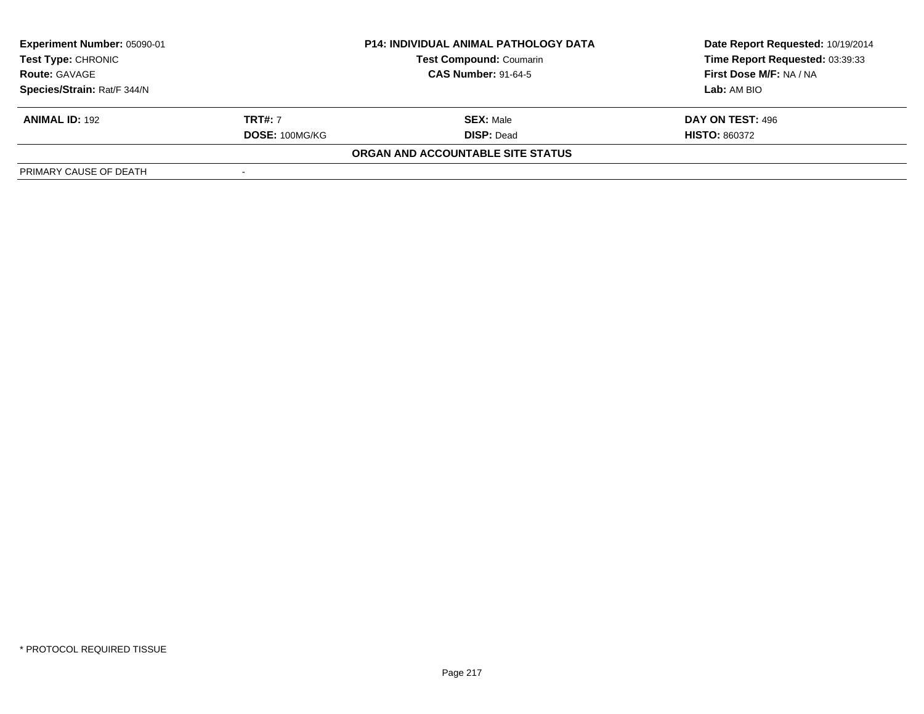| Experiment Number: 05090-01<br><b>Test Type: CHRONIC</b> |                | <b>P14: INDIVIDUAL ANIMAL PATHOLOGY DATA</b> | Date Report Requested: 10/19/2014 |  |
|----------------------------------------------------------|----------------|----------------------------------------------|-----------------------------------|--|
|                                                          |                | <b>Test Compound: Coumarin</b>               | Time Report Requested: 03:39:33   |  |
| <b>Route: GAVAGE</b>                                     |                | <b>CAS Number: 91-64-5</b>                   | First Dose M/F: NA / NA           |  |
| Species/Strain: Rat/F 344/N                              |                |                                              | Lab: AM BIO                       |  |
| <b>ANIMAL ID: 192</b>                                    | <b>TRT#: 7</b> | <b>SEX:</b> Male                             | DAY ON TEST: 496                  |  |
|                                                          | DOSE: 100MG/KG | <b>DISP: Dead</b>                            | <b>HISTO: 860372</b>              |  |
|                                                          |                | ORGAN AND ACCOUNTABLE SITE STATUS            |                                   |  |
| PRIMARY CAUSE OF DEATH                                   |                |                                              |                                   |  |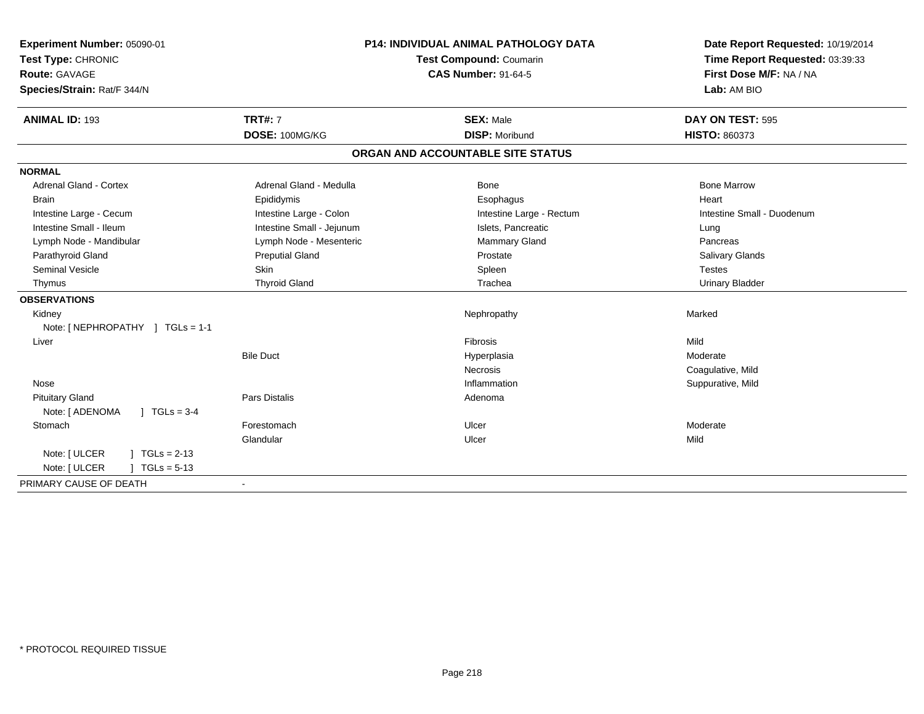| Experiment Number: 05090-01               |                           | P14: INDIVIDUAL ANIMAL PATHOLOGY DATA | Date Report Requested: 10/19/2014 |
|-------------------------------------------|---------------------------|---------------------------------------|-----------------------------------|
| Test Type: CHRONIC                        | Test Compound: Coumarin   |                                       | Time Report Requested: 03:39:33   |
| <b>Route: GAVAGE</b>                      |                           | <b>CAS Number: 91-64-5</b>            | First Dose M/F: NA / NA           |
| Species/Strain: Rat/F 344/N               |                           |                                       | Lab: AM BIO                       |
| <b>ANIMAL ID: 193</b>                     | <b>TRT#: 7</b>            | <b>SEX: Male</b>                      | DAY ON TEST: 595                  |
|                                           | DOSE: 100MG/KG            | <b>DISP: Moribund</b>                 | <b>HISTO: 860373</b>              |
|                                           |                           | ORGAN AND ACCOUNTABLE SITE STATUS     |                                   |
| <b>NORMAL</b>                             |                           |                                       |                                   |
| Adrenal Gland - Cortex                    | Adrenal Gland - Medulla   | Bone                                  | <b>Bone Marrow</b>                |
| <b>Brain</b>                              | Epididymis                | Esophagus                             | Heart                             |
| Intestine Large - Cecum                   | Intestine Large - Colon   | Intestine Large - Rectum              | Intestine Small - Duodenum        |
| Intestine Small - Ileum                   | Intestine Small - Jejunum | Islets, Pancreatic                    | Lung                              |
| Lymph Node - Mandibular                   | Lymph Node - Mesenteric   | Mammary Gland                         | Pancreas                          |
| Parathyroid Gland                         | <b>Preputial Gland</b>    | Prostate                              | <b>Salivary Glands</b>            |
| <b>Seminal Vesicle</b>                    | <b>Skin</b>               | Spleen                                | <b>Testes</b>                     |
| Thymus                                    | <b>Thyroid Gland</b>      | Trachea                               | <b>Urinary Bladder</b>            |
| <b>OBSERVATIONS</b>                       |                           |                                       |                                   |
| Kidney                                    |                           | Nephropathy                           | Marked                            |
| Note: [ NEPHROPATHY ] TGLs = 1-1          |                           |                                       |                                   |
| Liver                                     |                           | Fibrosis                              | Mild                              |
|                                           | <b>Bile Duct</b>          | Hyperplasia                           | Moderate                          |
|                                           |                           | Necrosis                              | Coagulative, Mild                 |
| Nose                                      |                           | Inflammation                          | Suppurative, Mild                 |
| <b>Pituitary Gland</b>                    | <b>Pars Distalis</b>      | Adenoma                               |                                   |
| Note: [ ADENOMA<br>$1 \text{ TGLs} = 3-4$ |                           |                                       |                                   |
| Stomach                                   | Forestomach               | Ulcer                                 | Moderate                          |
|                                           | Glandular                 | Ulcer                                 | Mild                              |
| Note: [ ULCER<br>$1 TGLs = 2-13$          |                           |                                       |                                   |
| Note: [ ULCER<br>$1 TGLs = 5-13$          |                           |                                       |                                   |
| PRIMARY CAUSE OF DEATH                    | $\blacksquare$            |                                       |                                   |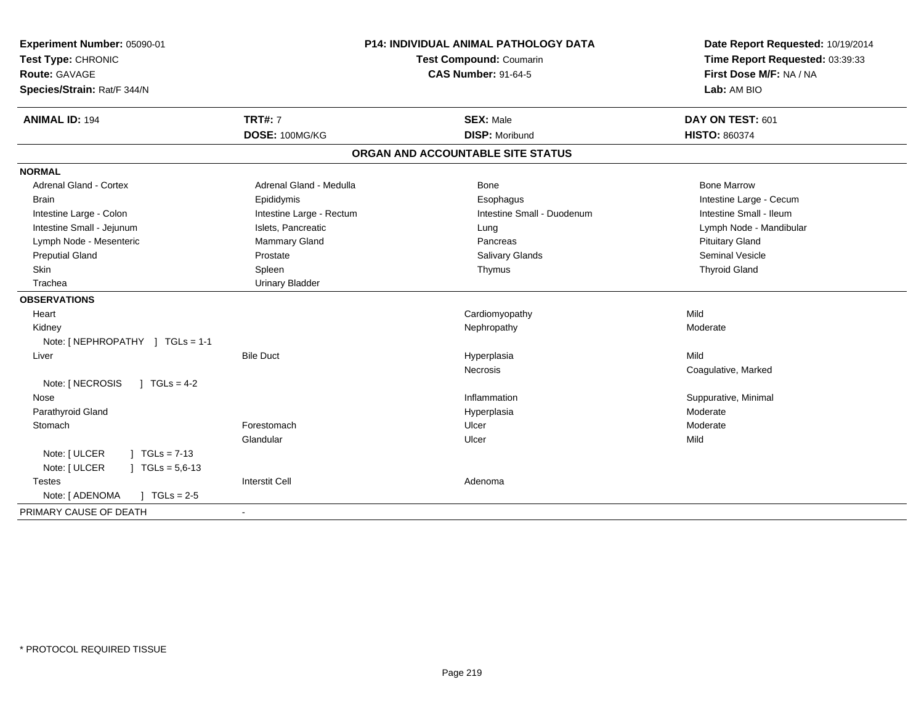| Experiment Number: 05090-01<br>Test Type: CHRONIC<br>Route: GAVAGE<br>Species/Strain: Rat/F 344/N |                          | <b>P14: INDIVIDUAL ANIMAL PATHOLOGY DATA</b><br>Test Compound: Coumarin<br><b>CAS Number: 91-64-5</b> | Date Report Requested: 10/19/2014<br>Time Report Requested: 03:39:33<br>First Dose M/F: NA / NA<br>Lab: AM BIO |
|---------------------------------------------------------------------------------------------------|--------------------------|-------------------------------------------------------------------------------------------------------|----------------------------------------------------------------------------------------------------------------|
| <b>ANIMAL ID: 194</b>                                                                             | <b>TRT#: 7</b>           | <b>SEX: Male</b>                                                                                      | DAY ON TEST: 601                                                                                               |
|                                                                                                   | DOSE: 100MG/KG           | <b>DISP: Moribund</b>                                                                                 | <b>HISTO: 860374</b>                                                                                           |
|                                                                                                   |                          | ORGAN AND ACCOUNTABLE SITE STATUS                                                                     |                                                                                                                |
| <b>NORMAL</b>                                                                                     |                          |                                                                                                       |                                                                                                                |
| Adrenal Gland - Cortex                                                                            | Adrenal Gland - Medulla  | Bone                                                                                                  | <b>Bone Marrow</b>                                                                                             |
| <b>Brain</b>                                                                                      | Epididymis               | Esophagus                                                                                             | Intestine Large - Cecum                                                                                        |
| Intestine Large - Colon                                                                           | Intestine Large - Rectum | Intestine Small - Duodenum                                                                            | Intestine Small - Ileum                                                                                        |
| Intestine Small - Jejunum                                                                         | Islets, Pancreatic       | Lung                                                                                                  | Lymph Node - Mandibular                                                                                        |
| Lymph Node - Mesenteric                                                                           | Mammary Gland            | Pancreas                                                                                              | <b>Pituitary Gland</b>                                                                                         |
| <b>Preputial Gland</b>                                                                            | Prostate                 | Salivary Glands                                                                                       | <b>Seminal Vesicle</b>                                                                                         |
| Skin                                                                                              | Spleen                   | Thymus                                                                                                | <b>Thyroid Gland</b>                                                                                           |
| Trachea                                                                                           | <b>Urinary Bladder</b>   |                                                                                                       |                                                                                                                |
| <b>OBSERVATIONS</b>                                                                               |                          |                                                                                                       |                                                                                                                |
| Heart                                                                                             |                          | Cardiomyopathy                                                                                        | Mild                                                                                                           |
| Kidney                                                                                            |                          | Nephropathy                                                                                           | Moderate                                                                                                       |
| Note: [NEPHROPATHY ] TGLs = 1-1                                                                   |                          |                                                                                                       |                                                                                                                |
| Liver                                                                                             | <b>Bile Duct</b>         | Hyperplasia                                                                                           | Mild                                                                                                           |
|                                                                                                   |                          | <b>Necrosis</b>                                                                                       | Coagulative, Marked                                                                                            |
| $1 TGLs = 4-2$<br>Note: [ NECROSIS                                                                |                          |                                                                                                       |                                                                                                                |
| Nose                                                                                              |                          | Inflammation                                                                                          | Suppurative, Minimal                                                                                           |
| Parathyroid Gland                                                                                 |                          | Hyperplasia                                                                                           | Moderate                                                                                                       |
| Stomach                                                                                           | Forestomach              | Ulcer                                                                                                 | Moderate                                                                                                       |
|                                                                                                   | Glandular                | Ulcer                                                                                                 | Mild                                                                                                           |
| Note: [ ULCER<br>$TGLs = 7-13$                                                                    |                          |                                                                                                       |                                                                                                                |
| Note: [ ULCER<br>$TGLs = 5.6-13$                                                                  |                          |                                                                                                       |                                                                                                                |
| <b>Testes</b>                                                                                     | <b>Interstit Cell</b>    | Adenoma                                                                                               |                                                                                                                |
| Note: [ ADENOMA<br>$J \cdot TGLs = 2-5$                                                           |                          |                                                                                                       |                                                                                                                |
| PRIMARY CAUSE OF DEATH                                                                            |                          |                                                                                                       |                                                                                                                |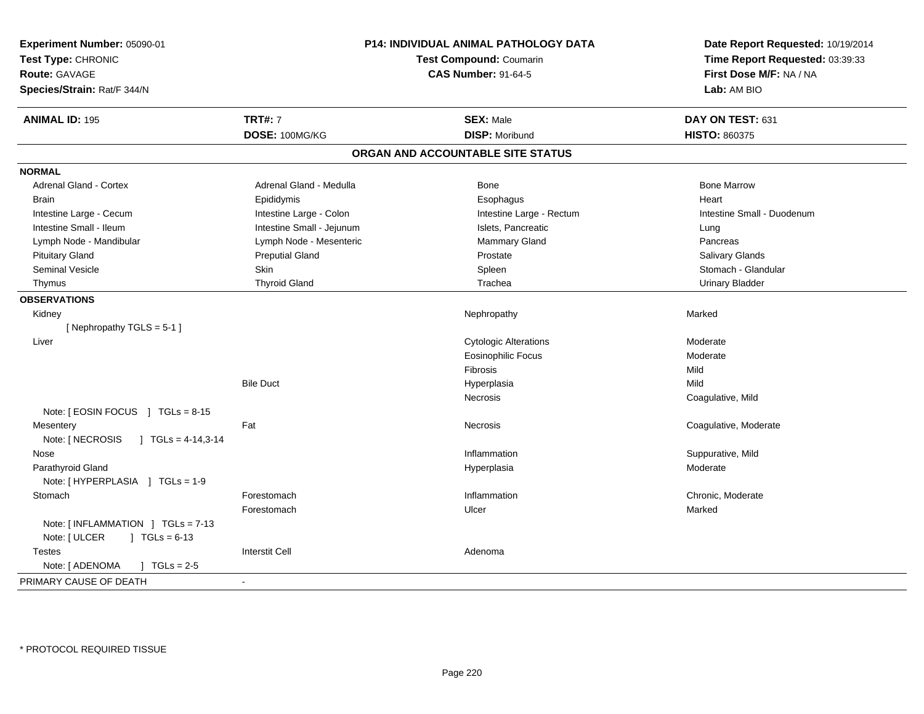| Experiment Number: 05090-01<br>Test Type: CHRONIC<br><b>Route: GAVAGE</b><br>Species/Strain: Rat/F 344/N |                           | <b>P14: INDIVIDUAL ANIMAL PATHOLOGY DATA</b><br><b>Test Compound: Coumarin</b><br><b>CAS Number: 91-64-5</b> | Date Report Requested: 10/19/2014<br>Time Report Requested: 03:39:33<br>First Dose M/F: NA / NA<br>Lab: AM BIO |
|----------------------------------------------------------------------------------------------------------|---------------------------|--------------------------------------------------------------------------------------------------------------|----------------------------------------------------------------------------------------------------------------|
| <b>ANIMAL ID: 195</b>                                                                                    | <b>TRT#: 7</b>            | <b>SEX: Male</b>                                                                                             | DAY ON TEST: 631                                                                                               |
|                                                                                                          | DOSE: 100MG/KG            | <b>DISP: Moribund</b>                                                                                        | <b>HISTO: 860375</b>                                                                                           |
|                                                                                                          |                           | ORGAN AND ACCOUNTABLE SITE STATUS                                                                            |                                                                                                                |
| <b>NORMAL</b>                                                                                            |                           |                                                                                                              |                                                                                                                |
| Adrenal Gland - Cortex                                                                                   | Adrenal Gland - Medulla   | <b>Bone</b>                                                                                                  | <b>Bone Marrow</b>                                                                                             |
| <b>Brain</b>                                                                                             | Epididymis                | Esophagus                                                                                                    | Heart                                                                                                          |
| Intestine Large - Cecum                                                                                  | Intestine Large - Colon   | Intestine Large - Rectum                                                                                     | Intestine Small - Duodenum                                                                                     |
| Intestine Small - Ileum                                                                                  | Intestine Small - Jejunum | Islets, Pancreatic                                                                                           | Lung                                                                                                           |
| Lymph Node - Mandibular                                                                                  | Lymph Node - Mesenteric   | Mammary Gland                                                                                                | Pancreas                                                                                                       |
| <b>Pituitary Gland</b>                                                                                   | <b>Preputial Gland</b>    | Prostate                                                                                                     | <b>Salivary Glands</b>                                                                                         |
| <b>Seminal Vesicle</b>                                                                                   | <b>Skin</b>               | Spleen                                                                                                       | Stomach - Glandular                                                                                            |
| Thymus                                                                                                   | <b>Thyroid Gland</b>      | Trachea                                                                                                      | <b>Urinary Bladder</b>                                                                                         |
| <b>OBSERVATIONS</b>                                                                                      |                           |                                                                                                              |                                                                                                                |
| Kidney                                                                                                   |                           | Nephropathy                                                                                                  | Marked                                                                                                         |
| [Nephropathy TGLS = 5-1]                                                                                 |                           |                                                                                                              |                                                                                                                |
| Liver                                                                                                    |                           | <b>Cytologic Alterations</b>                                                                                 | Moderate                                                                                                       |
|                                                                                                          |                           | <b>Eosinophilic Focus</b>                                                                                    | Moderate                                                                                                       |
|                                                                                                          |                           | Fibrosis                                                                                                     | Mild                                                                                                           |
|                                                                                                          | <b>Bile Duct</b>          | Hyperplasia                                                                                                  | Mild                                                                                                           |
|                                                                                                          |                           | Necrosis                                                                                                     | Coagulative, Mild                                                                                              |
| Note: $[ EOSIN FOCUS ] TGLs = 8-15$                                                                      |                           |                                                                                                              |                                                                                                                |
| Mesentery                                                                                                | Fat                       | Necrosis                                                                                                     | Coagulative, Moderate                                                                                          |
| Note: [ NECROSIS<br>$1 \text{ TGLs} = 4-14,3-14$                                                         |                           |                                                                                                              |                                                                                                                |
| Nose                                                                                                     |                           | Inflammation                                                                                                 | Suppurative, Mild                                                                                              |
| Parathyroid Gland                                                                                        |                           | Hyperplasia                                                                                                  | Moderate                                                                                                       |
| Note: [HYPERPLASIA ] TGLs = 1-9                                                                          |                           |                                                                                                              |                                                                                                                |
| Stomach                                                                                                  | Forestomach               | Inflammation                                                                                                 | Chronic, Moderate                                                                                              |
|                                                                                                          | Forestomach               | Ulcer                                                                                                        | Marked                                                                                                         |
| Note: [ INFLAMMATION ] TGLs = 7-13<br>Note: [ ULCER<br>$J TGLs = 6-13$                                   |                           |                                                                                                              |                                                                                                                |
| <b>Testes</b>                                                                                            | <b>Interstit Cell</b>     | Adenoma                                                                                                      |                                                                                                                |
| Note: [ ADENOMA<br>$J \cdot TGLs = 2-5$                                                                  |                           |                                                                                                              |                                                                                                                |
| PRIMARY CAUSE OF DEATH                                                                                   | $\blacksquare$            |                                                                                                              |                                                                                                                |
|                                                                                                          |                           |                                                                                                              |                                                                                                                |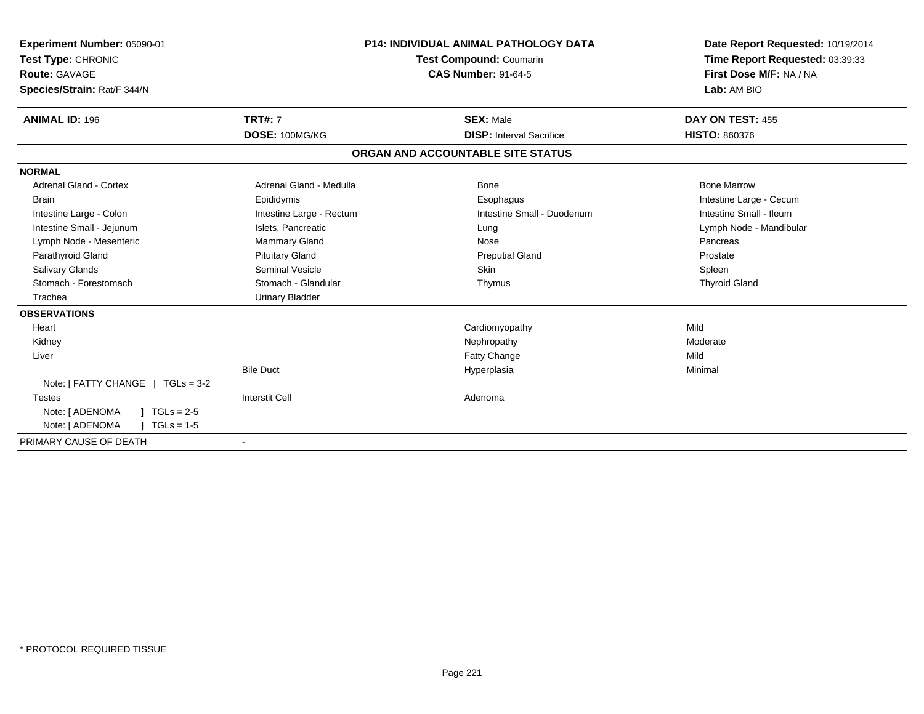| Experiment Number: 05090-01<br>Test Type: CHRONIC<br>Route: GAVAGE<br>Species/Strain: Rat/F 344/N |                          | <b>P14: INDIVIDUAL ANIMAL PATHOLOGY DATA</b><br><b>Test Compound: Coumarin</b><br><b>CAS Number: 91-64-5</b> | Date Report Requested: 10/19/2014<br>Time Report Requested: 03:39:33<br>First Dose M/F: NA / NA<br>Lab: AM BIO |
|---------------------------------------------------------------------------------------------------|--------------------------|--------------------------------------------------------------------------------------------------------------|----------------------------------------------------------------------------------------------------------------|
| <b>ANIMAL ID: 196</b>                                                                             | <b>TRT#: 7</b>           | <b>SEX: Male</b>                                                                                             | DAY ON TEST: 455                                                                                               |
|                                                                                                   | DOSE: 100MG/KG           | <b>DISP:</b> Interval Sacrifice                                                                              | <b>HISTO: 860376</b>                                                                                           |
|                                                                                                   |                          | ORGAN AND ACCOUNTABLE SITE STATUS                                                                            |                                                                                                                |
| <b>NORMAL</b>                                                                                     |                          |                                                                                                              |                                                                                                                |
| <b>Adrenal Gland - Cortex</b>                                                                     | Adrenal Gland - Medulla  | Bone                                                                                                         | <b>Bone Marrow</b>                                                                                             |
| <b>Brain</b>                                                                                      | Epididymis               | Esophagus                                                                                                    | Intestine Large - Cecum                                                                                        |
| Intestine Large - Colon                                                                           | Intestine Large - Rectum | Intestine Small - Duodenum                                                                                   | Intestine Small - Ileum                                                                                        |
| Intestine Small - Jejunum                                                                         | Islets, Pancreatic       | Lung                                                                                                         | Lymph Node - Mandibular                                                                                        |
| Lymph Node - Mesenteric                                                                           | Mammary Gland            | Nose                                                                                                         | Pancreas                                                                                                       |
| Parathyroid Gland                                                                                 | <b>Pituitary Gland</b>   | <b>Preputial Gland</b>                                                                                       | Prostate                                                                                                       |
| Salivary Glands                                                                                   | Seminal Vesicle          | <b>Skin</b>                                                                                                  | Spleen                                                                                                         |
| Stomach - Forestomach                                                                             | Stomach - Glandular      | Thymus                                                                                                       | <b>Thyroid Gland</b>                                                                                           |
| Trachea                                                                                           | <b>Urinary Bladder</b>   |                                                                                                              |                                                                                                                |
| <b>OBSERVATIONS</b>                                                                               |                          |                                                                                                              |                                                                                                                |
| Heart                                                                                             |                          | Cardiomyopathy                                                                                               | Mild                                                                                                           |
| Kidney                                                                                            |                          | Nephropathy                                                                                                  | Moderate                                                                                                       |
| Liver                                                                                             |                          | <b>Fatty Change</b>                                                                                          | Mild                                                                                                           |
|                                                                                                   | <b>Bile Duct</b>         | Hyperplasia                                                                                                  | Minimal                                                                                                        |
| Note: $[$ FATTY CHANGE $]$ TGLs = 3-2                                                             |                          |                                                                                                              |                                                                                                                |
| <b>Testes</b>                                                                                     | <b>Interstit Cell</b>    | Adenoma                                                                                                      |                                                                                                                |
| Note: [ ADENOMA<br>$TGLs = 2-5$                                                                   |                          |                                                                                                              |                                                                                                                |
| Note: [ ADENOMA<br>$TGLs = 1-5$                                                                   |                          |                                                                                                              |                                                                                                                |
| PRIMARY CAUSE OF DEATH                                                                            | $\overline{\phantom{a}}$ |                                                                                                              |                                                                                                                |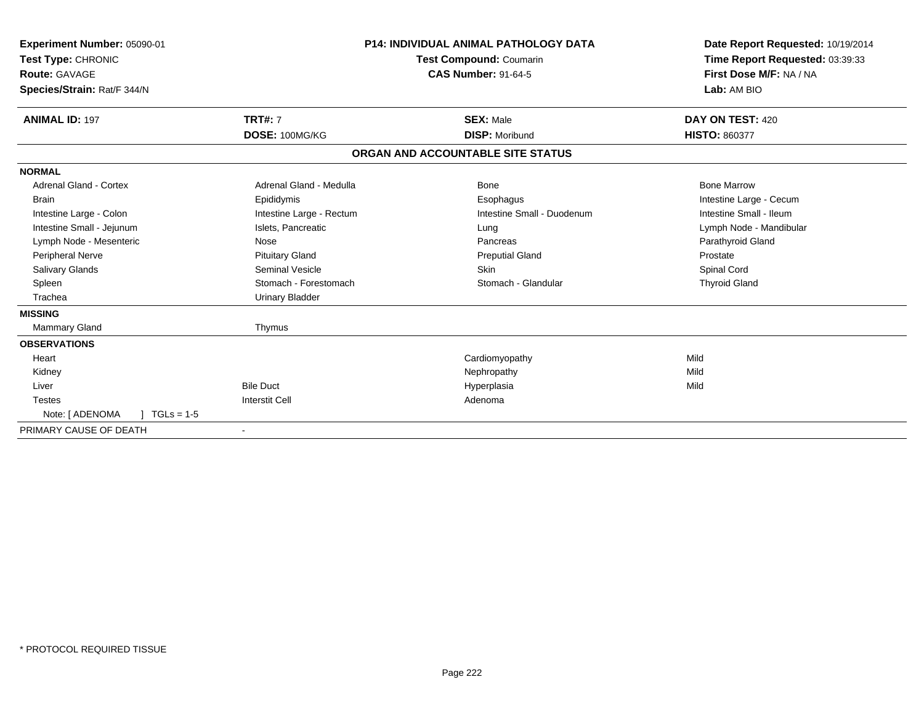| Experiment Number: 05090-01<br>Test Type: CHRONIC<br><b>Route: GAVAGE</b><br>Species/Strain: Rat/F 344/N |                          | <b>P14: INDIVIDUAL ANIMAL PATHOLOGY DATA</b><br><b>Test Compound: Coumarin</b><br><b>CAS Number: 91-64-5</b> | Date Report Requested: 10/19/2014<br>Time Report Requested: 03:39:33<br>First Dose M/F: NA / NA<br>Lab: AM BIO |
|----------------------------------------------------------------------------------------------------------|--------------------------|--------------------------------------------------------------------------------------------------------------|----------------------------------------------------------------------------------------------------------------|
| <b>ANIMAL ID: 197</b>                                                                                    | <b>TRT#: 7</b>           | <b>SEX: Male</b>                                                                                             | DAY ON TEST: 420                                                                                               |
|                                                                                                          | DOSE: 100MG/KG           | <b>DISP: Moribund</b>                                                                                        | <b>HISTO: 860377</b>                                                                                           |
|                                                                                                          |                          | ORGAN AND ACCOUNTABLE SITE STATUS                                                                            |                                                                                                                |
| <b>NORMAL</b>                                                                                            |                          |                                                                                                              |                                                                                                                |
| Adrenal Gland - Cortex                                                                                   | Adrenal Gland - Medulla  | Bone                                                                                                         | <b>Bone Marrow</b>                                                                                             |
| <b>Brain</b>                                                                                             | Epididymis               | Esophagus                                                                                                    | Intestine Large - Cecum                                                                                        |
| Intestine Large - Colon                                                                                  | Intestine Large - Rectum | Intestine Small - Duodenum                                                                                   | Intestine Small - Ileum                                                                                        |
| Intestine Small - Jejunum                                                                                | Islets, Pancreatic       | Lung                                                                                                         | Lymph Node - Mandibular                                                                                        |
| Lymph Node - Mesenteric                                                                                  | Nose                     | Pancreas                                                                                                     | Parathyroid Gland                                                                                              |
| Peripheral Nerve                                                                                         | <b>Pituitary Gland</b>   | <b>Preputial Gland</b>                                                                                       | Prostate                                                                                                       |
| Salivary Glands                                                                                          | <b>Seminal Vesicle</b>   | <b>Skin</b>                                                                                                  | Spinal Cord                                                                                                    |
| Spleen                                                                                                   | Stomach - Forestomach    | Stomach - Glandular                                                                                          | <b>Thyroid Gland</b>                                                                                           |
| Trachea                                                                                                  | <b>Urinary Bladder</b>   |                                                                                                              |                                                                                                                |
| <b>MISSING</b>                                                                                           |                          |                                                                                                              |                                                                                                                |
| Mammary Gland                                                                                            | Thymus                   |                                                                                                              |                                                                                                                |
| <b>OBSERVATIONS</b>                                                                                      |                          |                                                                                                              |                                                                                                                |
| Heart                                                                                                    |                          | Cardiomyopathy                                                                                               | Mild                                                                                                           |
| Kidney                                                                                                   |                          | Nephropathy                                                                                                  | Mild                                                                                                           |
| Liver                                                                                                    | <b>Bile Duct</b>         | Hyperplasia                                                                                                  | Mild                                                                                                           |
| <b>Testes</b>                                                                                            | <b>Interstit Cell</b>    | Adenoma                                                                                                      |                                                                                                                |
| Note: [ ADENOMA<br>$TGLs = 1-5$                                                                          |                          |                                                                                                              |                                                                                                                |
| PRIMARY CAUSE OF DEATH                                                                                   | $\blacksquare$           |                                                                                                              |                                                                                                                |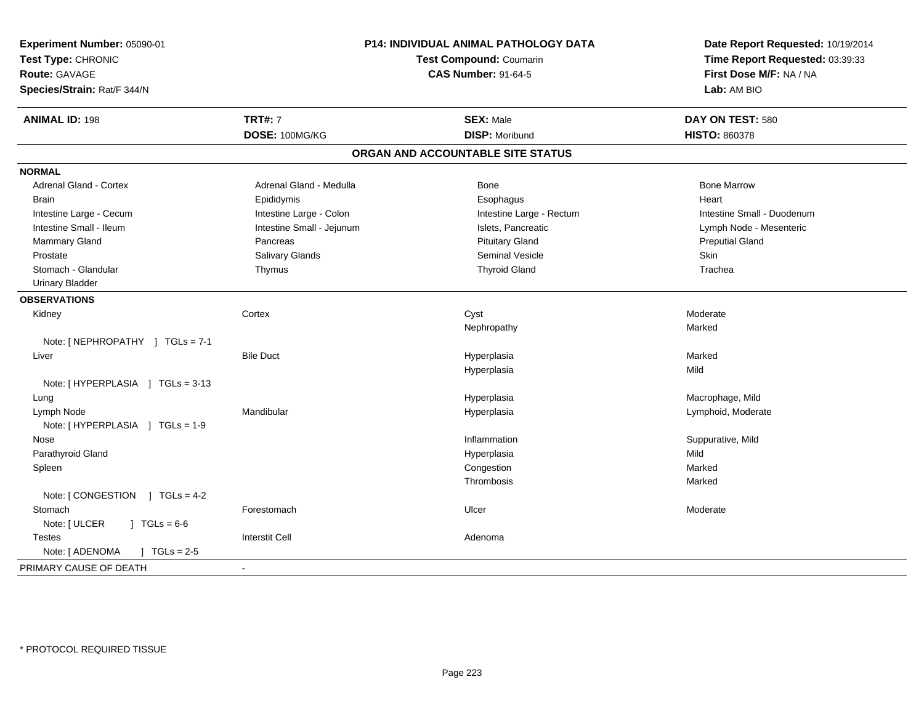| Experiment Number: 05090-01                  | P14: INDIVIDUAL ANIMAL PATHOLOGY DATA<br>Test Compound: Coumarin<br><b>CAS Number: 91-64-5</b> |                                   | Date Report Requested: 10/19/2014                          |  |
|----------------------------------------------|------------------------------------------------------------------------------------------------|-----------------------------------|------------------------------------------------------------|--|
| Test Type: CHRONIC                           |                                                                                                |                                   | Time Report Requested: 03:39:33<br>First Dose M/F: NA / NA |  |
| <b>Route: GAVAGE</b>                         |                                                                                                |                                   |                                                            |  |
| Species/Strain: Rat/F 344/N                  |                                                                                                |                                   | Lab: AM BIO                                                |  |
| <b>ANIMAL ID: 198</b>                        | <b>TRT#: 7</b>                                                                                 | <b>SEX: Male</b>                  | DAY ON TEST: 580                                           |  |
|                                              | DOSE: 100MG/KG                                                                                 | <b>DISP: Moribund</b>             | <b>HISTO: 860378</b>                                       |  |
|                                              |                                                                                                | ORGAN AND ACCOUNTABLE SITE STATUS |                                                            |  |
| <b>NORMAL</b>                                |                                                                                                |                                   |                                                            |  |
| <b>Adrenal Gland - Cortex</b>                | Adrenal Gland - Medulla                                                                        | Bone                              | <b>Bone Marrow</b>                                         |  |
| <b>Brain</b>                                 | Epididymis                                                                                     | Esophagus                         | Heart                                                      |  |
| Intestine Large - Cecum                      | Intestine Large - Colon                                                                        | Intestine Large - Rectum          | Intestine Small - Duodenum                                 |  |
| Intestine Small - Ileum                      | Intestine Small - Jejunum                                                                      | Islets, Pancreatic                | Lymph Node - Mesenteric                                    |  |
| Mammary Gland                                | Pancreas                                                                                       | <b>Pituitary Gland</b>            | <b>Preputial Gland</b>                                     |  |
| Prostate                                     | Salivary Glands                                                                                | Seminal Vesicle                   | Skin                                                       |  |
| Stomach - Glandular                          | Thymus                                                                                         | <b>Thyroid Gland</b>              | Trachea                                                    |  |
| <b>Urinary Bladder</b>                       |                                                                                                |                                   |                                                            |  |
| <b>OBSERVATIONS</b>                          |                                                                                                |                                   |                                                            |  |
| Kidney                                       | Cortex                                                                                         | Cyst                              | Moderate                                                   |  |
|                                              |                                                                                                | Nephropathy                       | Marked                                                     |  |
| Note: [NEPHROPATHY ] TGLs = 7-1              |                                                                                                |                                   |                                                            |  |
| Liver                                        | <b>Bile Duct</b>                                                                               | Hyperplasia                       | Marked                                                     |  |
|                                              |                                                                                                | Hyperplasia                       | Mild                                                       |  |
| Note: [HYPERPLASIA ] TGLs = 3-13             |                                                                                                |                                   |                                                            |  |
| Lung                                         |                                                                                                | Hyperplasia                       | Macrophage, Mild                                           |  |
| Lymph Node                                   | Mandibular                                                                                     | Hyperplasia                       | Lymphoid, Moderate                                         |  |
| Note: [HYPERPLASIA ] TGLs = 1-9              |                                                                                                |                                   |                                                            |  |
| Nose                                         |                                                                                                | Inflammation                      | Suppurative, Mild                                          |  |
| Parathyroid Gland                            |                                                                                                | Hyperplasia                       | Mild                                                       |  |
| Spleen                                       |                                                                                                | Congestion                        | Marked                                                     |  |
|                                              |                                                                                                | Thrombosis                        | Marked                                                     |  |
| Note: [CONGESTION ] TGLs = 4-2               |                                                                                                |                                   |                                                            |  |
| Stomach                                      | Forestomach                                                                                    | Ulcer                             | Moderate                                                   |  |
| Note: [ ULCER<br>$JTGLs = 6-6$               |                                                                                                |                                   |                                                            |  |
| <b>Testes</b>                                | <b>Interstit Cell</b>                                                                          | Adenoma                           |                                                            |  |
| Note: [ ADENOMA<br>$\sqrt{1 - 1}$ TGLs = 2-5 |                                                                                                |                                   |                                                            |  |
| PRIMARY CAUSE OF DEATH                       | $\overline{\phantom{a}}$                                                                       |                                   |                                                            |  |
|                                              |                                                                                                |                                   |                                                            |  |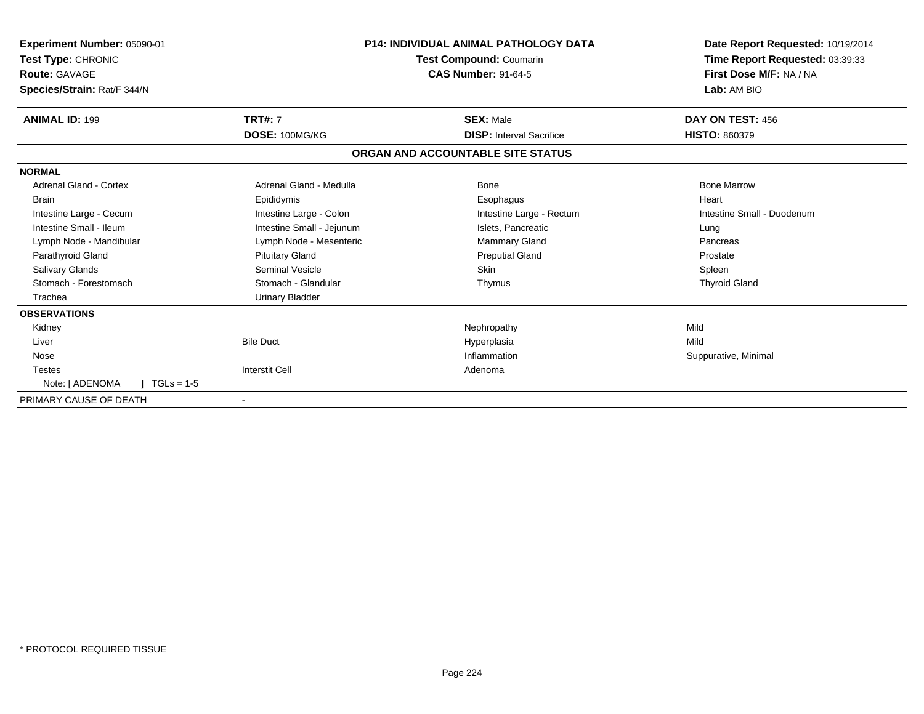| <b>Experiment Number: 05090-01</b><br>Test Type: CHRONIC<br><b>Route: GAVAGE</b><br>Species/Strain: Rat/F 344/N |                           | <b>P14: INDIVIDUAL ANIMAL PATHOLOGY DATA</b><br>Test Compound: Coumarin<br><b>CAS Number: 91-64-5</b> | Date Report Requested: 10/19/2014<br>Time Report Requested: 03:39:33<br>First Dose M/F: NA / NA<br>Lab: AM BIO |
|-----------------------------------------------------------------------------------------------------------------|---------------------------|-------------------------------------------------------------------------------------------------------|----------------------------------------------------------------------------------------------------------------|
| <b>ANIMAL ID: 199</b>                                                                                           | <b>TRT#: 7</b>            | <b>SEX: Male</b>                                                                                      | DAY ON TEST: 456                                                                                               |
|                                                                                                                 | DOSE: 100MG/KG            | <b>DISP:</b> Interval Sacrifice                                                                       | <b>HISTO: 860379</b>                                                                                           |
|                                                                                                                 |                           | ORGAN AND ACCOUNTABLE SITE STATUS                                                                     |                                                                                                                |
| <b>NORMAL</b>                                                                                                   |                           |                                                                                                       |                                                                                                                |
| Adrenal Gland - Cortex                                                                                          | Adrenal Gland - Medulla   | Bone                                                                                                  | <b>Bone Marrow</b>                                                                                             |
| <b>Brain</b>                                                                                                    | Epididymis                | Esophagus                                                                                             | Heart                                                                                                          |
| Intestine Large - Cecum                                                                                         | Intestine Large - Colon   | Intestine Large - Rectum                                                                              | Intestine Small - Duodenum                                                                                     |
| Intestine Small - Ileum                                                                                         | Intestine Small - Jejunum | Islets, Pancreatic                                                                                    | Lung                                                                                                           |
| Lymph Node - Mandibular                                                                                         | Lymph Node - Mesenteric   | <b>Mammary Gland</b>                                                                                  | Pancreas                                                                                                       |
| Parathyroid Gland                                                                                               | <b>Pituitary Gland</b>    | <b>Preputial Gland</b>                                                                                | Prostate                                                                                                       |
| <b>Salivary Glands</b>                                                                                          | <b>Seminal Vesicle</b>    | <b>Skin</b>                                                                                           | Spleen                                                                                                         |
| Stomach - Forestomach                                                                                           | Stomach - Glandular       | Thymus                                                                                                | <b>Thyroid Gland</b>                                                                                           |
| Trachea                                                                                                         | <b>Urinary Bladder</b>    |                                                                                                       |                                                                                                                |
| <b>OBSERVATIONS</b>                                                                                             |                           |                                                                                                       |                                                                                                                |
| Kidney                                                                                                          |                           | Nephropathy                                                                                           | Mild                                                                                                           |
| Liver                                                                                                           | <b>Bile Duct</b>          | Hyperplasia                                                                                           | Mild                                                                                                           |
| Nose                                                                                                            |                           | Inflammation                                                                                          | Suppurative, Minimal                                                                                           |
| <b>Testes</b>                                                                                                   | <b>Interstit Cell</b>     | Adenoma                                                                                               |                                                                                                                |
| Note: [ ADENOMA<br>$\vert$ TGLs = 1-5                                                                           |                           |                                                                                                       |                                                                                                                |
| PRIMARY CAUSE OF DEATH                                                                                          |                           |                                                                                                       |                                                                                                                |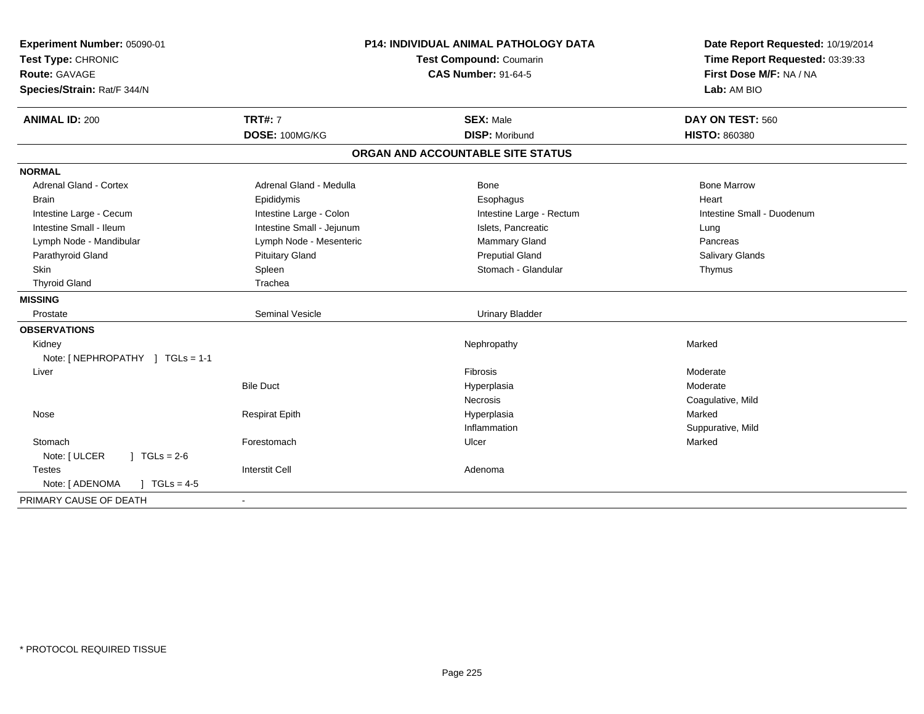| Experiment Number: 05090-01<br>Test Type: CHRONIC<br><b>Route: GAVAGE</b><br>Species/Strain: Rat/F 344/N | P14: INDIVIDUAL ANIMAL PATHOLOGY DATA<br>Test Compound: Coumarin<br><b>CAS Number: 91-64-5</b> |                                   | Date Report Requested: 10/19/2014<br>Time Report Requested: 03:39:33<br>First Dose M/F: NA / NA<br>Lab: AM BIO |
|----------------------------------------------------------------------------------------------------------|------------------------------------------------------------------------------------------------|-----------------------------------|----------------------------------------------------------------------------------------------------------------|
| <b>ANIMAL ID: 200</b>                                                                                    | <b>TRT#: 7</b>                                                                                 | <b>SEX: Male</b>                  | DAY ON TEST: 560                                                                                               |
|                                                                                                          | DOSE: 100MG/KG                                                                                 | <b>DISP: Moribund</b>             | <b>HISTO: 860380</b>                                                                                           |
|                                                                                                          |                                                                                                | ORGAN AND ACCOUNTABLE SITE STATUS |                                                                                                                |
| <b>NORMAL</b>                                                                                            |                                                                                                |                                   |                                                                                                                |
| <b>Adrenal Gland - Cortex</b>                                                                            | Adrenal Gland - Medulla                                                                        | Bone                              | <b>Bone Marrow</b>                                                                                             |
| <b>Brain</b>                                                                                             | Epididymis                                                                                     | Esophagus                         | Heart                                                                                                          |
| Intestine Large - Cecum                                                                                  | Intestine Large - Colon                                                                        | Intestine Large - Rectum          | Intestine Small - Duodenum                                                                                     |
| Intestine Small - Ileum                                                                                  | Intestine Small - Jejunum                                                                      | Islets, Pancreatic                | Lung                                                                                                           |
| Lymph Node - Mandibular                                                                                  | Lymph Node - Mesenteric                                                                        | Mammary Gland                     | Pancreas                                                                                                       |
| Parathyroid Gland                                                                                        | <b>Pituitary Gland</b>                                                                         | <b>Preputial Gland</b>            | <b>Salivary Glands</b>                                                                                         |
| <b>Skin</b>                                                                                              | Spleen                                                                                         | Stomach - Glandular               | Thymus                                                                                                         |
| <b>Thyroid Gland</b>                                                                                     | Trachea                                                                                        |                                   |                                                                                                                |
| <b>MISSING</b>                                                                                           |                                                                                                |                                   |                                                                                                                |
| Prostate                                                                                                 | <b>Seminal Vesicle</b>                                                                         | <b>Urinary Bladder</b>            |                                                                                                                |
| <b>OBSERVATIONS</b>                                                                                      |                                                                                                |                                   |                                                                                                                |
| Kidney                                                                                                   |                                                                                                | Nephropathy                       | Marked                                                                                                         |
| Note: [NEPHROPATHY ] TGLs = 1-1                                                                          |                                                                                                |                                   |                                                                                                                |
| Liver                                                                                                    |                                                                                                | Fibrosis                          | Moderate                                                                                                       |
|                                                                                                          | <b>Bile Duct</b>                                                                               | Hyperplasia                       | Moderate                                                                                                       |
|                                                                                                          |                                                                                                | <b>Necrosis</b>                   | Coagulative, Mild                                                                                              |
| Nose                                                                                                     | <b>Respirat Epith</b>                                                                          | Hyperplasia                       | Marked                                                                                                         |
|                                                                                                          |                                                                                                | Inflammation                      | Suppurative, Mild                                                                                              |
| Stomach                                                                                                  | Forestomach                                                                                    | Ulcer                             | Marked                                                                                                         |
| Note: [ ULCER<br>$1 TGLs = 2-6$                                                                          |                                                                                                |                                   |                                                                                                                |
| <b>Testes</b>                                                                                            | <b>Interstit Cell</b>                                                                          | Adenoma                           |                                                                                                                |
| Note: [ ADENOMA<br>$J \cdot TGLs = 4-5$                                                                  |                                                                                                |                                   |                                                                                                                |
| PRIMARY CAUSE OF DEATH                                                                                   |                                                                                                |                                   |                                                                                                                |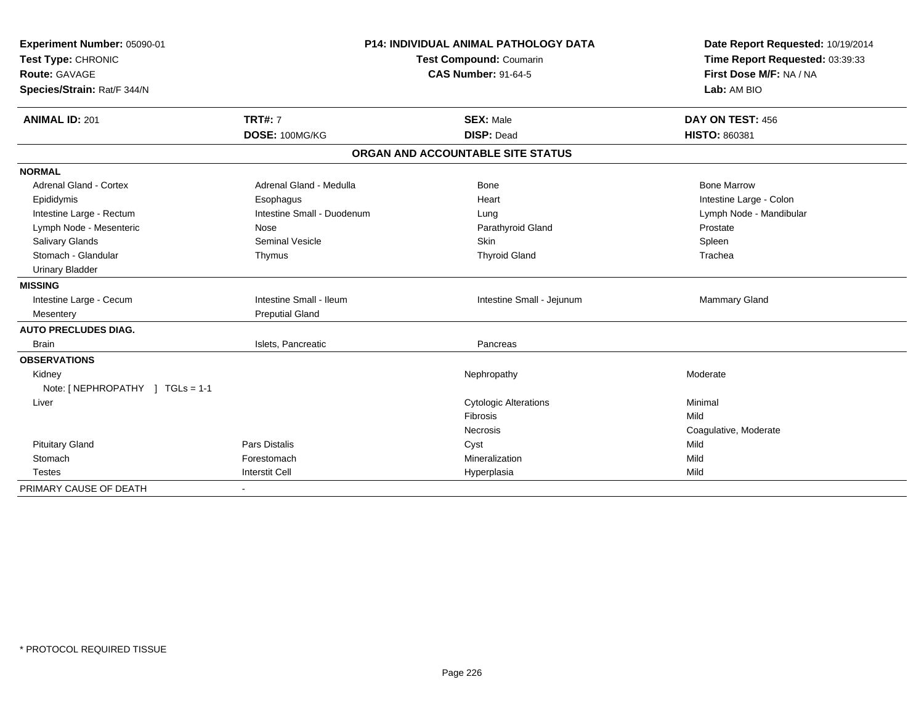| Experiment Number: 05090-01     |                                | <b>P14: INDIVIDUAL ANIMAL PATHOLOGY DATA</b> | Date Report Requested: 10/19/2014 |  |
|---------------------------------|--------------------------------|----------------------------------------------|-----------------------------------|--|
| Test Type: CHRONIC              | <b>Test Compound: Coumarin</b> |                                              | Time Report Requested: 03:39:33   |  |
| <b>Route: GAVAGE</b>            |                                | <b>CAS Number: 91-64-5</b>                   | First Dose M/F: NA / NA           |  |
| Species/Strain: Rat/F 344/N     |                                |                                              | Lab: AM BIO                       |  |
| <b>ANIMAL ID: 201</b>           | <b>TRT#: 7</b>                 | <b>SEX: Male</b>                             | DAY ON TEST: 456                  |  |
|                                 | DOSE: 100MG/KG                 | <b>DISP: Dead</b>                            | HISTO: 860381                     |  |
|                                 |                                | ORGAN AND ACCOUNTABLE SITE STATUS            |                                   |  |
| <b>NORMAL</b>                   |                                |                                              |                                   |  |
| <b>Adrenal Gland - Cortex</b>   | Adrenal Gland - Medulla        | <b>Bone</b>                                  | <b>Bone Marrow</b>                |  |
| Epididymis                      | Esophagus                      | Heart                                        | Intestine Large - Colon           |  |
| Intestine Large - Rectum        | Intestine Small - Duodenum     | Lung                                         | Lymph Node - Mandibular           |  |
| Lymph Node - Mesenteric         | Nose                           | Parathyroid Gland                            | Prostate                          |  |
| <b>Salivary Glands</b>          | <b>Seminal Vesicle</b>         | Skin                                         | Spleen                            |  |
| Stomach - Glandular             | Thymus                         | <b>Thyroid Gland</b>                         | Trachea                           |  |
| <b>Urinary Bladder</b>          |                                |                                              |                                   |  |
| <b>MISSING</b>                  |                                |                                              |                                   |  |
| Intestine Large - Cecum         | Intestine Small - Ileum        | Intestine Small - Jejunum                    | Mammary Gland                     |  |
| Mesentery                       | <b>Preputial Gland</b>         |                                              |                                   |  |
| <b>AUTO PRECLUDES DIAG.</b>     |                                |                                              |                                   |  |
| <b>Brain</b>                    | Islets, Pancreatic             | Pancreas                                     |                                   |  |
| <b>OBSERVATIONS</b>             |                                |                                              |                                   |  |
| Kidney                          |                                | Nephropathy                                  | Moderate                          |  |
| Note: [NEPHROPATHY ] TGLs = 1-1 |                                |                                              |                                   |  |
| Liver                           |                                | <b>Cytologic Alterations</b>                 | Minimal                           |  |
|                                 |                                | Fibrosis                                     | Mild                              |  |
|                                 |                                | <b>Necrosis</b>                              | Coagulative, Moderate             |  |
| <b>Pituitary Gland</b>          | <b>Pars Distalis</b>           | Cyst                                         | Mild                              |  |
| Stomach                         | Forestomach                    | Mineralization                               | Mild                              |  |
| <b>Testes</b>                   | <b>Interstit Cell</b>          | Hyperplasia                                  | Mild                              |  |
| PRIMARY CAUSE OF DEATH          | $\overline{\phantom{a}}$       |                                              |                                   |  |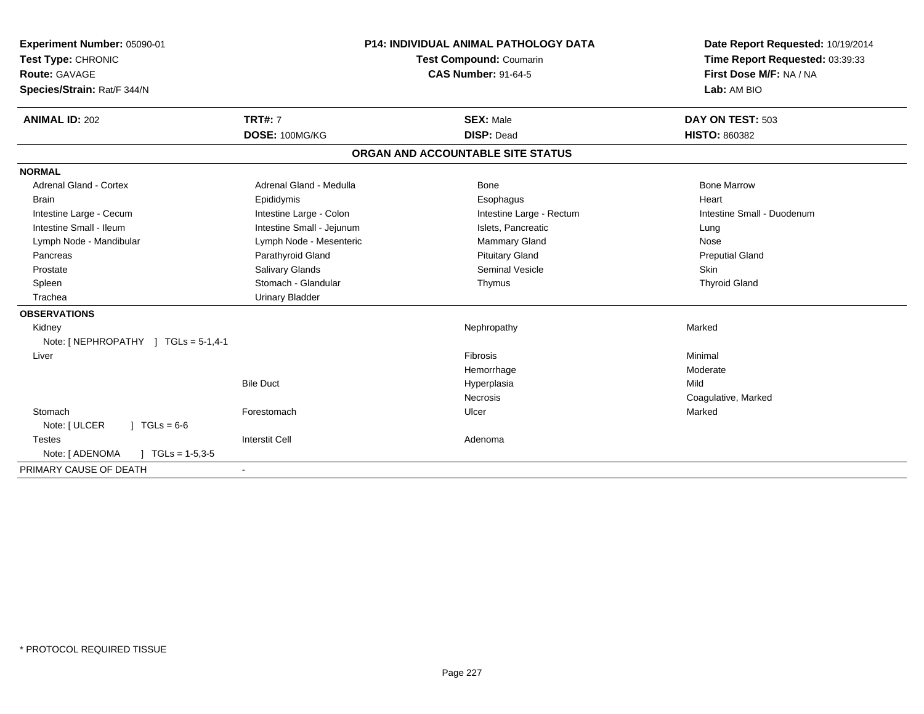| <b>Experiment Number: 05090-01</b>           |                                | <b>P14: INDIVIDUAL ANIMAL PATHOLOGY DATA</b> | Date Report Requested: 10/19/2014 |
|----------------------------------------------|--------------------------------|----------------------------------------------|-----------------------------------|
| Test Type: CHRONIC                           | <b>Test Compound: Coumarin</b> |                                              | Time Report Requested: 03:39:33   |
| <b>Route: GAVAGE</b>                         |                                | <b>CAS Number: 91-64-5</b>                   | First Dose M/F: NA / NA           |
| Species/Strain: Rat/F 344/N                  |                                |                                              | Lab: AM BIO                       |
| <b>ANIMAL ID: 202</b>                        | <b>TRT#: 7</b>                 | <b>SEX: Male</b>                             | DAY ON TEST: 503                  |
|                                              | DOSE: 100MG/KG                 | <b>DISP: Dead</b>                            | <b>HISTO: 860382</b>              |
|                                              |                                | ORGAN AND ACCOUNTABLE SITE STATUS            |                                   |
| <b>NORMAL</b>                                |                                |                                              |                                   |
| <b>Adrenal Gland - Cortex</b>                | Adrenal Gland - Medulla        | <b>Bone</b>                                  | <b>Bone Marrow</b>                |
| <b>Brain</b>                                 | Epididymis                     | Esophagus                                    | Heart                             |
| Intestine Large - Cecum                      | Intestine Large - Colon        | Intestine Large - Rectum                     | Intestine Small - Duodenum        |
| Intestine Small - Ileum                      | Intestine Small - Jejunum      | Islets, Pancreatic                           | Lung                              |
| Lymph Node - Mandibular                      | Lymph Node - Mesenteric        | Mammary Gland                                | Nose                              |
| Pancreas                                     | Parathyroid Gland              | <b>Pituitary Gland</b>                       | <b>Preputial Gland</b>            |
| Prostate                                     | <b>Salivary Glands</b>         | <b>Seminal Vesicle</b>                       | Skin                              |
| Spleen                                       | Stomach - Glandular            | Thymus                                       | <b>Thyroid Gland</b>              |
| Trachea                                      | <b>Urinary Bladder</b>         |                                              |                                   |
| <b>OBSERVATIONS</b>                          |                                |                                              |                                   |
| Kidney                                       |                                | Nephropathy                                  | Marked                            |
| Note: [NEPHROPATHY ] TGLs = 5-1,4-1          |                                |                                              |                                   |
| Liver                                        |                                | Fibrosis                                     | Minimal                           |
|                                              |                                | Hemorrhage                                   | Moderate                          |
|                                              | <b>Bile Duct</b>               | Hyperplasia                                  | Mild                              |
|                                              |                                | Necrosis                                     | Coagulative, Marked               |
| Stomach                                      | Forestomach                    | Ulcer                                        | Marked                            |
| Note: [ ULCER<br>$1 TGLs = 6-6$              |                                |                                              |                                   |
| <b>Testes</b>                                | <b>Interstit Cell</b>          | Adenoma                                      |                                   |
| Note: [ ADENOMA<br>$\sqrt{1}$ TGLs = 1-5,3-5 |                                |                                              |                                   |
| PRIMARY CAUSE OF DEATH                       | $\overline{\phantom{a}}$       |                                              |                                   |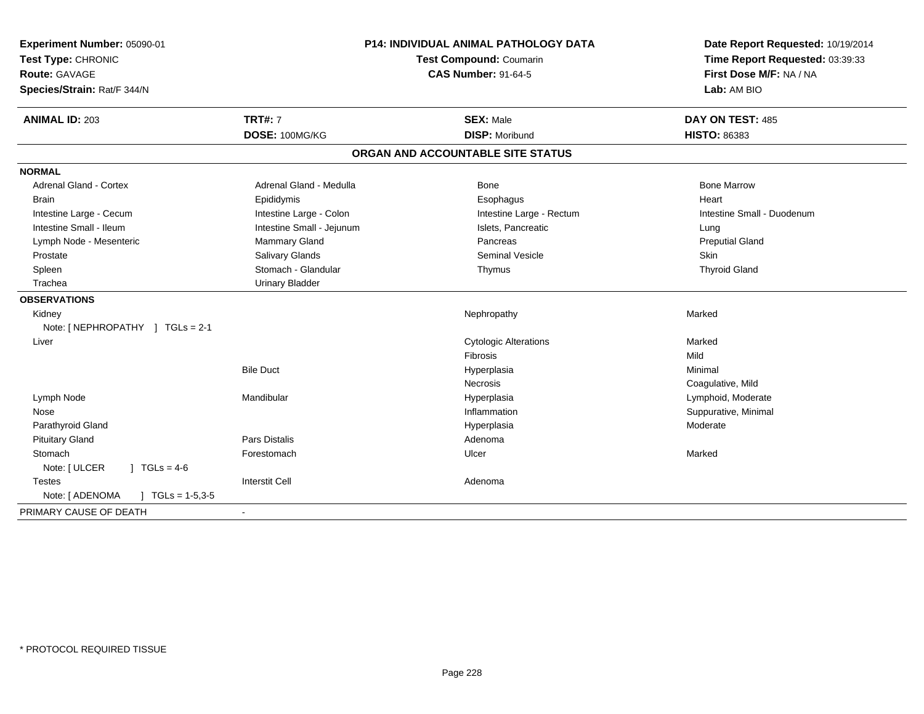| Experiment Number: 05090-01<br>Test Type: CHRONIC<br>Route: GAVAGE<br>Species/Strain: Rat/F 344/N | P14: INDIVIDUAL ANIMAL PATHOLOGY DATA<br>Test Compound: Coumarin<br><b>CAS Number: 91-64-5</b> |                                   | Date Report Requested: 10/19/2014<br>Time Report Requested: 03:39:33<br>First Dose M/F: NA / NA<br>Lab: AM BIO |
|---------------------------------------------------------------------------------------------------|------------------------------------------------------------------------------------------------|-----------------------------------|----------------------------------------------------------------------------------------------------------------|
| <b>ANIMAL ID: 203</b>                                                                             | <b>TRT#: 7</b>                                                                                 | <b>SEX: Male</b>                  | DAY ON TEST: 485                                                                                               |
|                                                                                                   | DOSE: 100MG/KG                                                                                 | <b>DISP: Moribund</b>             | <b>HISTO: 86383</b>                                                                                            |
|                                                                                                   |                                                                                                | ORGAN AND ACCOUNTABLE SITE STATUS |                                                                                                                |
| <b>NORMAL</b>                                                                                     |                                                                                                |                                   |                                                                                                                |
| Adrenal Gland - Cortex                                                                            | Adrenal Gland - Medulla                                                                        | Bone                              | <b>Bone Marrow</b>                                                                                             |
| <b>Brain</b>                                                                                      | Epididymis                                                                                     | Esophagus                         | Heart                                                                                                          |
| Intestine Large - Cecum                                                                           | Intestine Large - Colon                                                                        | Intestine Large - Rectum          | Intestine Small - Duodenum                                                                                     |
| Intestine Small - Ileum                                                                           | Intestine Small - Jejunum                                                                      | Islets, Pancreatic                | Lung                                                                                                           |
| Lymph Node - Mesenteric                                                                           | Mammary Gland                                                                                  | Pancreas                          | <b>Preputial Gland</b>                                                                                         |
| Prostate                                                                                          | Salivary Glands                                                                                | Seminal Vesicle                   | <b>Skin</b>                                                                                                    |
| Spleen                                                                                            | Stomach - Glandular                                                                            | Thymus                            | <b>Thyroid Gland</b>                                                                                           |
| Trachea                                                                                           | <b>Urinary Bladder</b>                                                                         |                                   |                                                                                                                |
| <b>OBSERVATIONS</b>                                                                               |                                                                                                |                                   |                                                                                                                |
| Kidney                                                                                            |                                                                                                | Nephropathy                       | Marked                                                                                                         |
| Note: [NEPHROPATHY ] TGLs = 2-1                                                                   |                                                                                                |                                   |                                                                                                                |
| Liver                                                                                             |                                                                                                | <b>Cytologic Alterations</b>      | Marked                                                                                                         |
|                                                                                                   |                                                                                                | Fibrosis                          | Mild                                                                                                           |
|                                                                                                   | <b>Bile Duct</b>                                                                               | Hyperplasia                       | Minimal                                                                                                        |
|                                                                                                   |                                                                                                | <b>Necrosis</b>                   | Coagulative, Mild                                                                                              |
| Lymph Node                                                                                        | Mandibular                                                                                     | Hyperplasia                       | Lymphoid, Moderate                                                                                             |
| Nose                                                                                              |                                                                                                | Inflammation                      | Suppurative, Minimal                                                                                           |
| Parathyroid Gland                                                                                 |                                                                                                | Hyperplasia                       | Moderate                                                                                                       |
| <b>Pituitary Gland</b>                                                                            | Pars Distalis                                                                                  | Adenoma                           |                                                                                                                |
| Stomach                                                                                           | Forestomach                                                                                    | Ulcer                             | Marked                                                                                                         |
| Note: [ ULCER<br>$\sqrt{1} \text{ TGLs} = 4.6$                                                    |                                                                                                |                                   |                                                                                                                |
| <b>Testes</b>                                                                                     | <b>Interstit Cell</b>                                                                          | Adenoma                           |                                                                                                                |
| Note: [ ADENOMA<br>$\sqrt{ }$ TGLs = 1-5,3-5                                                      |                                                                                                |                                   |                                                                                                                |
| PRIMARY CAUSE OF DEATH                                                                            |                                                                                                |                                   |                                                                                                                |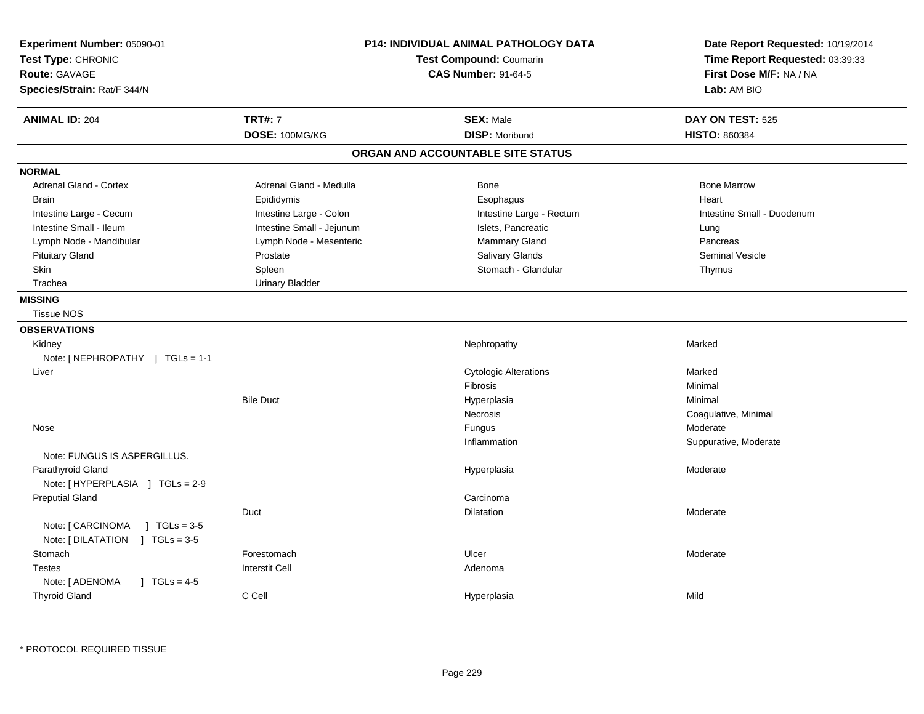| Experiment Number: 05090-01<br>Test Type: CHRONIC<br>Route: GAVAGE<br>Species/Strain: Rat/F 344/N | <b>P14: INDIVIDUAL ANIMAL PATHOLOGY DATA</b><br>Test Compound: Coumarin<br><b>CAS Number: 91-64-5</b> |                                   | Date Report Requested: 10/19/2014<br>Time Report Requested: 03:39:33<br>First Dose M/F: NA / NA<br>Lab: AM BIO |
|---------------------------------------------------------------------------------------------------|-------------------------------------------------------------------------------------------------------|-----------------------------------|----------------------------------------------------------------------------------------------------------------|
| <b>ANIMAL ID: 204</b>                                                                             | <b>TRT#: 7</b>                                                                                        | <b>SEX: Male</b>                  | DAY ON TEST: 525                                                                                               |
|                                                                                                   | DOSE: 100MG/KG                                                                                        | <b>DISP: Moribund</b>             | <b>HISTO: 860384</b>                                                                                           |
|                                                                                                   |                                                                                                       | ORGAN AND ACCOUNTABLE SITE STATUS |                                                                                                                |
| <b>NORMAL</b>                                                                                     |                                                                                                       |                                   |                                                                                                                |
| Adrenal Gland - Cortex                                                                            | Adrenal Gland - Medulla                                                                               | <b>Bone</b>                       | <b>Bone Marrow</b>                                                                                             |
| <b>Brain</b>                                                                                      | Epididymis                                                                                            | Esophagus                         | Heart                                                                                                          |
| Intestine Large - Cecum                                                                           | Intestine Large - Colon                                                                               | Intestine Large - Rectum          | Intestine Small - Duodenum                                                                                     |
| Intestine Small - Ileum                                                                           | Intestine Small - Jejunum                                                                             | Islets, Pancreatic                | Lung                                                                                                           |
| Lymph Node - Mandibular                                                                           | Lymph Node - Mesenteric                                                                               | Mammary Gland                     | Pancreas                                                                                                       |
| <b>Pituitary Gland</b>                                                                            | Prostate                                                                                              | Salivary Glands                   | <b>Seminal Vesicle</b>                                                                                         |
| Skin                                                                                              | Spleen                                                                                                | Stomach - Glandular               | Thymus                                                                                                         |
| Trachea                                                                                           | <b>Urinary Bladder</b>                                                                                |                                   |                                                                                                                |
| <b>MISSING</b>                                                                                    |                                                                                                       |                                   |                                                                                                                |
| <b>Tissue NOS</b>                                                                                 |                                                                                                       |                                   |                                                                                                                |
| <b>OBSERVATIONS</b>                                                                               |                                                                                                       |                                   |                                                                                                                |
| Kidney                                                                                            |                                                                                                       | Nephropathy                       | Marked                                                                                                         |
| Note: [NEPHROPATHY ] TGLs = 1-1                                                                   |                                                                                                       |                                   |                                                                                                                |
| Liver                                                                                             |                                                                                                       | <b>Cytologic Alterations</b>      | Marked                                                                                                         |
|                                                                                                   |                                                                                                       | <b>Fibrosis</b>                   | Minimal                                                                                                        |
|                                                                                                   | <b>Bile Duct</b>                                                                                      | Hyperplasia                       | Minimal                                                                                                        |
|                                                                                                   |                                                                                                       | Necrosis                          | Coagulative, Minimal                                                                                           |
| Nose                                                                                              |                                                                                                       | Fungus                            | Moderate                                                                                                       |
|                                                                                                   |                                                                                                       | Inflammation                      | Suppurative, Moderate                                                                                          |
| Note: FUNGUS IS ASPERGILLUS.                                                                      |                                                                                                       |                                   |                                                                                                                |
| Parathyroid Gland                                                                                 |                                                                                                       | Hyperplasia                       | Moderate                                                                                                       |
| Note: [HYPERPLASIA ] TGLs = 2-9                                                                   |                                                                                                       |                                   |                                                                                                                |
| <b>Preputial Gland</b>                                                                            |                                                                                                       | Carcinoma                         |                                                                                                                |
|                                                                                                   | Duct                                                                                                  | Dilatation                        | Moderate                                                                                                       |
| Note: [ CARCINOMA<br>$] TGLs = 3-5$                                                               |                                                                                                       |                                   |                                                                                                                |
| Note: [DILATATION ] TGLs = 3-5                                                                    |                                                                                                       |                                   |                                                                                                                |
| Stomach                                                                                           | Forestomach                                                                                           | Ulcer                             | Moderate                                                                                                       |
| <b>Testes</b>                                                                                     | <b>Interstit Cell</b>                                                                                 | Adenoma                           |                                                                                                                |
| Note: [ ADENOMA<br>$\sqrt{1}$ TGLs = 4-5                                                          |                                                                                                       |                                   |                                                                                                                |
| <b>Thyroid Gland</b>                                                                              | C Cell                                                                                                | Hyperplasia                       | Mild                                                                                                           |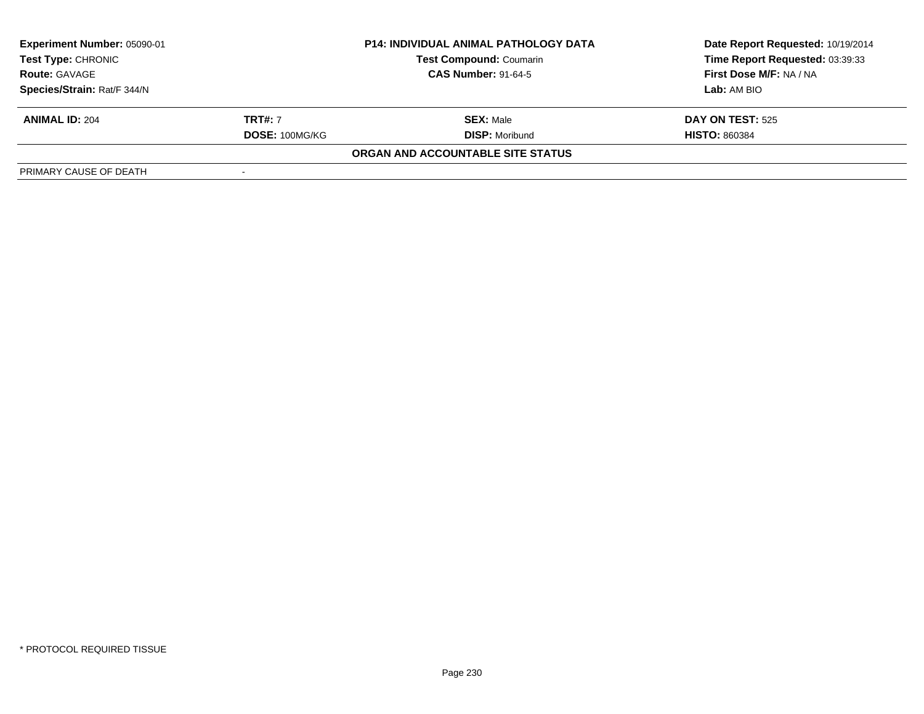| Experiment Number: 05090-01<br>P14: INDIVIDUAL ANIMAL PATHOLOGY DATA<br><b>Test Type: CHRONIC</b><br><b>Test Compound: Coumarin</b> |                |                                   | Date Report Requested: 10/19/2014 |
|-------------------------------------------------------------------------------------------------------------------------------------|----------------|-----------------------------------|-----------------------------------|
|                                                                                                                                     |                | Time Report Requested: 03:39:33   |                                   |
| <b>Route: GAVAGE</b>                                                                                                                |                | <b>CAS Number: 91-64-5</b>        | First Dose M/F: NA / NA           |
| Species/Strain: Rat/F 344/N                                                                                                         |                |                                   | Lab: AM BIO                       |
| <b>ANIMAL ID: 204</b>                                                                                                               | <b>TRT#:</b> 7 | <b>SEX: Male</b>                  | <b>DAY ON TEST: 525</b>           |
|                                                                                                                                     | DOSE: 100MG/KG | <b>DISP:</b> Moribund             | <b>HISTO: 860384</b>              |
|                                                                                                                                     |                | ORGAN AND ACCOUNTABLE SITE STATUS |                                   |
| PRIMARY CAUSE OF DEATH                                                                                                              |                |                                   |                                   |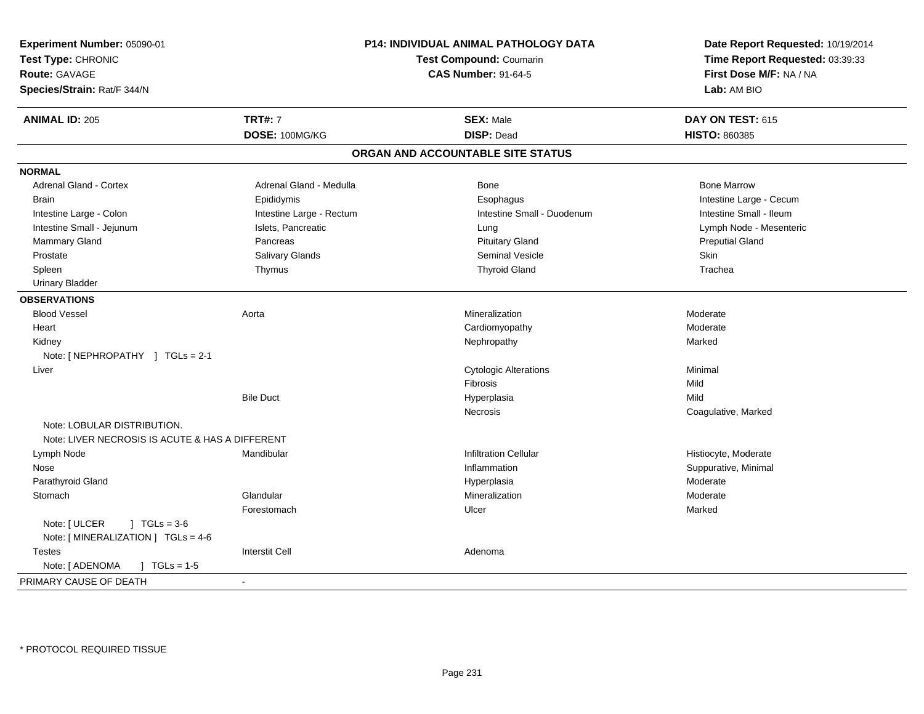| Experiment Number: 05090-01                     | <b>P14: INDIVIDUAL ANIMAL PATHOLOGY DATA</b><br><b>Test Compound: Coumarin</b><br><b>CAS Number: 91-64-5</b> |                                   | Date Report Requested: 10/19/2014<br>Time Report Requested: 03:39:33<br>First Dose M/F: NA / NA |
|-------------------------------------------------|--------------------------------------------------------------------------------------------------------------|-----------------------------------|-------------------------------------------------------------------------------------------------|
| Test Type: CHRONIC                              |                                                                                                              |                                   |                                                                                                 |
| Route: GAVAGE                                   |                                                                                                              |                                   |                                                                                                 |
| Species/Strain: Rat/F 344/N                     |                                                                                                              |                                   | Lab: AM BIO                                                                                     |
| <b>ANIMAL ID: 205</b>                           | <b>TRT#: 7</b>                                                                                               | <b>SEX: Male</b>                  | DAY ON TEST: 615                                                                                |
|                                                 | DOSE: 100MG/KG                                                                                               | <b>DISP: Dead</b>                 | <b>HISTO: 860385</b>                                                                            |
|                                                 |                                                                                                              |                                   |                                                                                                 |
|                                                 |                                                                                                              | ORGAN AND ACCOUNTABLE SITE STATUS |                                                                                                 |
| <b>NORMAL</b>                                   |                                                                                                              |                                   |                                                                                                 |
| Adrenal Gland - Cortex                          | Adrenal Gland - Medulla                                                                                      | Bone                              | <b>Bone Marrow</b>                                                                              |
| <b>Brain</b>                                    | Epididymis                                                                                                   | Esophagus                         | Intestine Large - Cecum                                                                         |
| Intestine Large - Colon                         | Intestine Large - Rectum                                                                                     | Intestine Small - Duodenum        | Intestine Small - Ileum                                                                         |
| Intestine Small - Jejunum                       | Islets, Pancreatic                                                                                           | Lung                              | Lymph Node - Mesenteric                                                                         |
| <b>Mammary Gland</b>                            | Pancreas                                                                                                     | <b>Pituitary Gland</b>            | <b>Preputial Gland</b>                                                                          |
| Prostate                                        | Salivary Glands                                                                                              | <b>Seminal Vesicle</b>            | Skin                                                                                            |
| Spleen                                          | Thymus                                                                                                       | <b>Thyroid Gland</b>              | Trachea                                                                                         |
| <b>Urinary Bladder</b>                          |                                                                                                              |                                   |                                                                                                 |
| <b>OBSERVATIONS</b>                             |                                                                                                              |                                   |                                                                                                 |
| <b>Blood Vessel</b>                             | Aorta                                                                                                        | Mineralization                    | Moderate                                                                                        |
| Heart                                           |                                                                                                              | Cardiomyopathy                    | Moderate                                                                                        |
| Kidney                                          |                                                                                                              | Nephropathy                       | Marked                                                                                          |
| Note: [NEPHROPATHY ] TGLs = 2-1                 |                                                                                                              |                                   |                                                                                                 |
| Liver                                           |                                                                                                              | <b>Cytologic Alterations</b>      | Minimal                                                                                         |
|                                                 |                                                                                                              | Fibrosis                          | Mild                                                                                            |
|                                                 | <b>Bile Duct</b>                                                                                             | Hyperplasia                       | Mild                                                                                            |
|                                                 |                                                                                                              | Necrosis                          | Coagulative, Marked                                                                             |
| Note: LOBULAR DISTRIBUTION.                     |                                                                                                              |                                   |                                                                                                 |
| Note: LIVER NECROSIS IS ACUTE & HAS A DIFFERENT |                                                                                                              |                                   |                                                                                                 |
| Lymph Node                                      | Mandibular                                                                                                   | <b>Infiltration Cellular</b>      | Histiocyte, Moderate                                                                            |
| Nose                                            |                                                                                                              | Inflammation                      | Suppurative, Minimal                                                                            |
| Parathyroid Gland                               |                                                                                                              | Hyperplasia                       | Moderate                                                                                        |
| Stomach                                         | Glandular                                                                                                    | Mineralization                    | Moderate                                                                                        |
|                                                 | Forestomach                                                                                                  | Ulcer                             | Marked                                                                                          |
| Note: [ ULCER<br>$1 TGLs = 3-6$                 |                                                                                                              |                                   |                                                                                                 |
| Note: [MINERALIZATION ] TGLs = 4-6              |                                                                                                              |                                   |                                                                                                 |
| <b>Testes</b>                                   | <b>Interstit Cell</b>                                                                                        | Adenoma                           |                                                                                                 |
| Note: [ ADENOMA<br>$J \cdot TGLs = 1-5$         |                                                                                                              |                                   |                                                                                                 |
|                                                 |                                                                                                              |                                   |                                                                                                 |
| PRIMARY CAUSE OF DEATH                          | $\sim$                                                                                                       |                                   |                                                                                                 |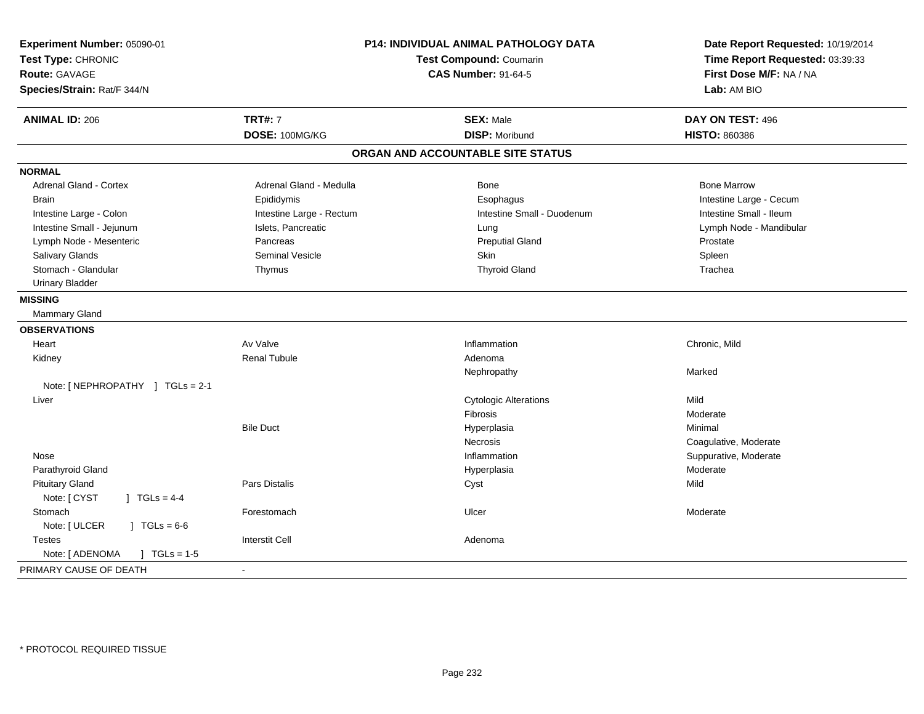| Experiment Number: 05090-01<br>Test Type: CHRONIC<br><b>Route: GAVAGE</b><br>Species/Strain: Rat/F 344/N | P14: INDIVIDUAL ANIMAL PATHOLOGY DATA<br>Test Compound: Coumarin<br><b>CAS Number: 91-64-5</b> |                                   | Date Report Requested: 10/19/2014<br>Time Report Requested: 03:39:33<br>First Dose M/F: NA / NA<br>Lab: AM BIO |
|----------------------------------------------------------------------------------------------------------|------------------------------------------------------------------------------------------------|-----------------------------------|----------------------------------------------------------------------------------------------------------------|
| <b>ANIMAL ID: 206</b>                                                                                    | <b>TRT#: 7</b>                                                                                 | <b>SEX: Male</b>                  | DAY ON TEST: 496                                                                                               |
|                                                                                                          | DOSE: 100MG/KG                                                                                 | <b>DISP: Moribund</b>             | <b>HISTO: 860386</b>                                                                                           |
|                                                                                                          |                                                                                                | ORGAN AND ACCOUNTABLE SITE STATUS |                                                                                                                |
| <b>NORMAL</b>                                                                                            |                                                                                                |                                   |                                                                                                                |
| <b>Adrenal Gland - Cortex</b>                                                                            | Adrenal Gland - Medulla                                                                        | Bone                              | <b>Bone Marrow</b>                                                                                             |
| <b>Brain</b>                                                                                             | Epididymis                                                                                     | Esophagus                         | Intestine Large - Cecum                                                                                        |
| Intestine Large - Colon                                                                                  | Intestine Large - Rectum                                                                       | Intestine Small - Duodenum        | Intestine Small - Ileum                                                                                        |
| Intestine Small - Jejunum                                                                                | Islets, Pancreatic                                                                             | Lung                              | Lymph Node - Mandibular                                                                                        |
| Lymph Node - Mesenteric                                                                                  | Pancreas                                                                                       | <b>Preputial Gland</b>            | Prostate                                                                                                       |
| Salivary Glands                                                                                          | <b>Seminal Vesicle</b>                                                                         | <b>Skin</b>                       | Spleen                                                                                                         |
| Stomach - Glandular                                                                                      | Thymus                                                                                         | <b>Thyroid Gland</b>              | Trachea                                                                                                        |
| <b>Urinary Bladder</b>                                                                                   |                                                                                                |                                   |                                                                                                                |
| <b>MISSING</b>                                                                                           |                                                                                                |                                   |                                                                                                                |
| Mammary Gland                                                                                            |                                                                                                |                                   |                                                                                                                |
| <b>OBSERVATIONS</b>                                                                                      |                                                                                                |                                   |                                                                                                                |
| Heart                                                                                                    | Av Valve                                                                                       | Inflammation                      | Chronic, Mild                                                                                                  |
| Kidney                                                                                                   | <b>Renal Tubule</b>                                                                            | Adenoma                           |                                                                                                                |
|                                                                                                          |                                                                                                | Nephropathy                       | Marked                                                                                                         |
| Note: [NEPHROPATHY ] TGLs = 2-1                                                                          |                                                                                                |                                   |                                                                                                                |
| Liver                                                                                                    |                                                                                                | <b>Cytologic Alterations</b>      | Mild                                                                                                           |
|                                                                                                          |                                                                                                | Fibrosis                          | Moderate                                                                                                       |
|                                                                                                          | <b>Bile Duct</b>                                                                               | Hyperplasia                       | Minimal                                                                                                        |
|                                                                                                          |                                                                                                | <b>Necrosis</b>                   | Coagulative, Moderate                                                                                          |
| Nose                                                                                                     |                                                                                                | Inflammation                      | Suppurative, Moderate                                                                                          |
| Parathyroid Gland                                                                                        |                                                                                                | Hyperplasia                       | Moderate                                                                                                       |
| <b>Pituitary Gland</b>                                                                                   | Pars Distalis                                                                                  | Cyst                              | Mild                                                                                                           |
| Note: [ CYST<br>] $TGLs = 4-4$                                                                           |                                                                                                |                                   |                                                                                                                |
| Stomach                                                                                                  | Forestomach                                                                                    | Ulcer                             | Moderate                                                                                                       |
| Note: [ ULCER<br>$JTGLs = 6-6$                                                                           |                                                                                                |                                   |                                                                                                                |
| Testes                                                                                                   | <b>Interstit Cell</b>                                                                          | Adenoma                           |                                                                                                                |
| Note: [ ADENOMA<br>$] TGLs = 1-5$                                                                        |                                                                                                |                                   |                                                                                                                |
| PRIMARY CAUSE OF DEATH                                                                                   | $\sim$                                                                                         |                                   |                                                                                                                |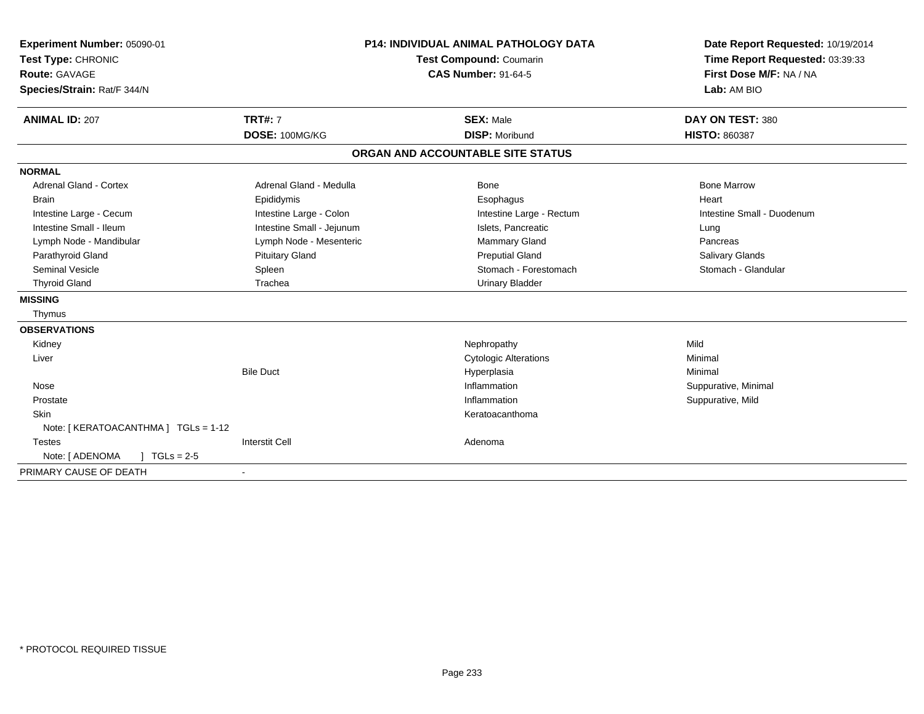| Experiment Number: 05090-01<br>Test Type: CHRONIC<br>Route: GAVAGE<br>Species/Strain: Rat/F 344/N<br><b>ANIMAL ID: 207</b> | <b>TRT#: 7</b>            | <b>P14: INDIVIDUAL ANIMAL PATHOLOGY DATA</b><br>Test Compound: Coumarin<br><b>CAS Number: 91-64-5</b><br><b>SEX: Male</b> | Date Report Requested: 10/19/2014<br>Time Report Requested: 03:39:33<br>First Dose M/F: NA / NA<br>Lab: AM BIO<br>DAY ON TEST: 380 |
|----------------------------------------------------------------------------------------------------------------------------|---------------------------|---------------------------------------------------------------------------------------------------------------------------|------------------------------------------------------------------------------------------------------------------------------------|
|                                                                                                                            | DOSE: 100MG/KG            | <b>DISP: Moribund</b>                                                                                                     | <b>HISTO: 860387</b>                                                                                                               |
|                                                                                                                            |                           | ORGAN AND ACCOUNTABLE SITE STATUS                                                                                         |                                                                                                                                    |
| <b>NORMAL</b>                                                                                                              |                           |                                                                                                                           |                                                                                                                                    |
| <b>Adrenal Gland - Cortex</b>                                                                                              | Adrenal Gland - Medulla   | <b>Bone</b>                                                                                                               | <b>Bone Marrow</b>                                                                                                                 |
| <b>Brain</b>                                                                                                               | Epididymis                | Esophagus                                                                                                                 | Heart                                                                                                                              |
| Intestine Large - Cecum                                                                                                    | Intestine Large - Colon   | Intestine Large - Rectum                                                                                                  | Intestine Small - Duodenum                                                                                                         |
| Intestine Small - Ileum                                                                                                    | Intestine Small - Jejunum | Islets, Pancreatic                                                                                                        | Lung                                                                                                                               |
| Lymph Node - Mandibular                                                                                                    | Lymph Node - Mesenteric   | <b>Mammary Gland</b>                                                                                                      | Pancreas                                                                                                                           |
| Parathyroid Gland                                                                                                          | <b>Pituitary Gland</b>    | <b>Preputial Gland</b>                                                                                                    | Salivary Glands                                                                                                                    |
| Seminal Vesicle                                                                                                            | Spleen                    | Stomach - Forestomach                                                                                                     | Stomach - Glandular                                                                                                                |
| <b>Thyroid Gland</b>                                                                                                       | Trachea                   | <b>Urinary Bladder</b>                                                                                                    |                                                                                                                                    |
| <b>MISSING</b>                                                                                                             |                           |                                                                                                                           |                                                                                                                                    |
| Thymus                                                                                                                     |                           |                                                                                                                           |                                                                                                                                    |
| <b>OBSERVATIONS</b>                                                                                                        |                           |                                                                                                                           |                                                                                                                                    |
| Kidney                                                                                                                     |                           | Nephropathy                                                                                                               | Mild                                                                                                                               |
| Liver                                                                                                                      |                           | <b>Cytologic Alterations</b>                                                                                              | Minimal                                                                                                                            |
|                                                                                                                            | <b>Bile Duct</b>          | Hyperplasia                                                                                                               | Minimal                                                                                                                            |
| Nose                                                                                                                       |                           | Inflammation                                                                                                              | Suppurative, Minimal                                                                                                               |
| Prostate                                                                                                                   |                           | Inflammation                                                                                                              | Suppurative, Mild                                                                                                                  |
| Skin                                                                                                                       |                           | Keratoacanthoma                                                                                                           |                                                                                                                                    |
| Note: [ KERATOACANTHMA ] TGLs = 1-12                                                                                       |                           |                                                                                                                           |                                                                                                                                    |
| <b>Testes</b>                                                                                                              | <b>Interstit Cell</b>     | Adenoma                                                                                                                   |                                                                                                                                    |
| $\sqrt{ }$ TGLs = 2-5<br>Note: [ ADENOMA                                                                                   |                           |                                                                                                                           |                                                                                                                                    |
| PRIMARY CAUSE OF DEATH                                                                                                     | $\blacksquare$            |                                                                                                                           |                                                                                                                                    |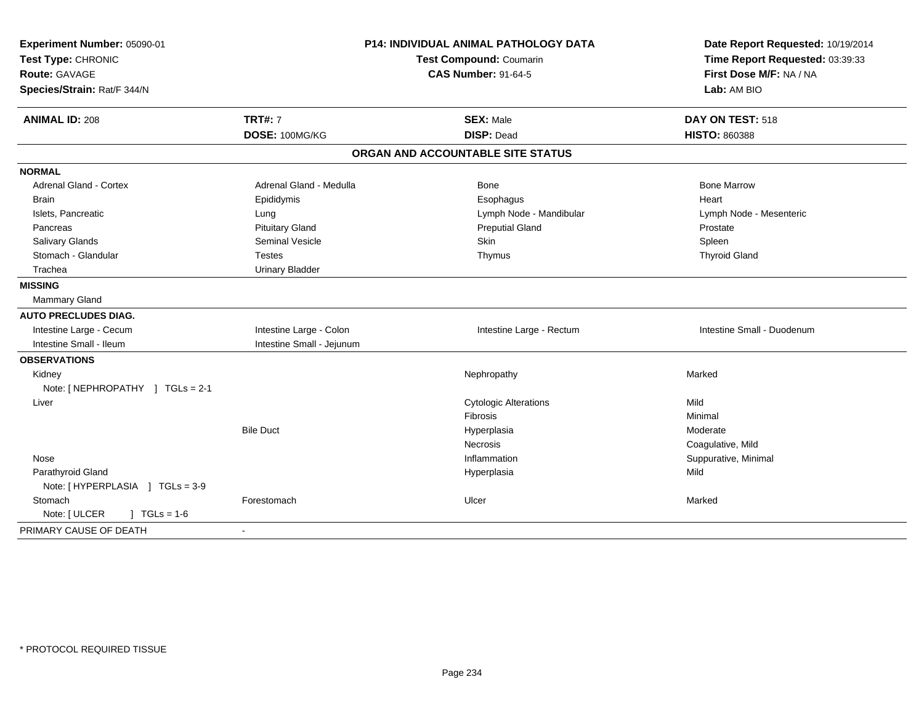| Experiment Number: 05090-01           |                           | P14: INDIVIDUAL ANIMAL PATHOLOGY DATA | Date Report Requested: 10/19/2014 |
|---------------------------------------|---------------------------|---------------------------------------|-----------------------------------|
| Test Type: CHRONIC                    |                           | Test Compound: Coumarin               | Time Report Requested: 03:39:33   |
| Route: GAVAGE                         |                           | <b>CAS Number: 91-64-5</b>            | First Dose M/F: NA / NA           |
| Species/Strain: Rat/F 344/N           |                           |                                       | Lab: AM BIO                       |
| <b>ANIMAL ID: 208</b>                 | <b>TRT#: 7</b>            | <b>SEX: Male</b>                      | DAY ON TEST: 518                  |
|                                       | DOSE: 100MG/KG            | <b>DISP: Dead</b>                     | <b>HISTO: 860388</b>              |
|                                       |                           | ORGAN AND ACCOUNTABLE SITE STATUS     |                                   |
| <b>NORMAL</b>                         |                           |                                       |                                   |
| <b>Adrenal Gland - Cortex</b>         | Adrenal Gland - Medulla   | <b>Bone</b>                           | <b>Bone Marrow</b>                |
| <b>Brain</b>                          | Epididymis                | Esophagus                             | Heart                             |
| Islets, Pancreatic                    | Lung                      | Lymph Node - Mandibular               | Lymph Node - Mesenteric           |
| Pancreas                              | <b>Pituitary Gland</b>    | <b>Preputial Gland</b>                | Prostate                          |
| Salivary Glands                       | <b>Seminal Vesicle</b>    | Skin                                  | Spleen                            |
| Stomach - Glandular                   | <b>Testes</b>             | Thymus                                | <b>Thyroid Gland</b>              |
| Trachea                               | <b>Urinary Bladder</b>    |                                       |                                   |
| <b>MISSING</b>                        |                           |                                       |                                   |
| <b>Mammary Gland</b>                  |                           |                                       |                                   |
| <b>AUTO PRECLUDES DIAG.</b>           |                           |                                       |                                   |
| Intestine Large - Cecum               | Intestine Large - Colon   | Intestine Large - Rectum              | Intestine Small - Duodenum        |
| Intestine Small - Ileum               | Intestine Small - Jejunum |                                       |                                   |
| <b>OBSERVATIONS</b>                   |                           |                                       |                                   |
| Kidney                                |                           | Nephropathy                           | Marked                            |
| Note: [NEPHROPATHY ] TGLs = 2-1       |                           |                                       |                                   |
| Liver                                 |                           | <b>Cytologic Alterations</b>          | Mild                              |
|                                       |                           | Fibrosis                              | Minimal                           |
|                                       | <b>Bile Duct</b>          | Hyperplasia                           | Moderate                          |
|                                       |                           | <b>Necrosis</b>                       | Coagulative, Mild                 |
| Nose                                  |                           | Inflammation                          | Suppurative, Minimal              |
| Parathyroid Gland                     |                           | Hyperplasia                           | Mild                              |
| Note: [HYPERPLASIA ] TGLs = 3-9       |                           |                                       |                                   |
| Stomach                               | Forestomach               | Ulcer                                 | Marked                            |
| $J \cdot TGLs = 1-6$<br>Note: [ ULCER |                           |                                       |                                   |
| PRIMARY CAUSE OF DEATH                |                           |                                       |                                   |
|                                       |                           |                                       |                                   |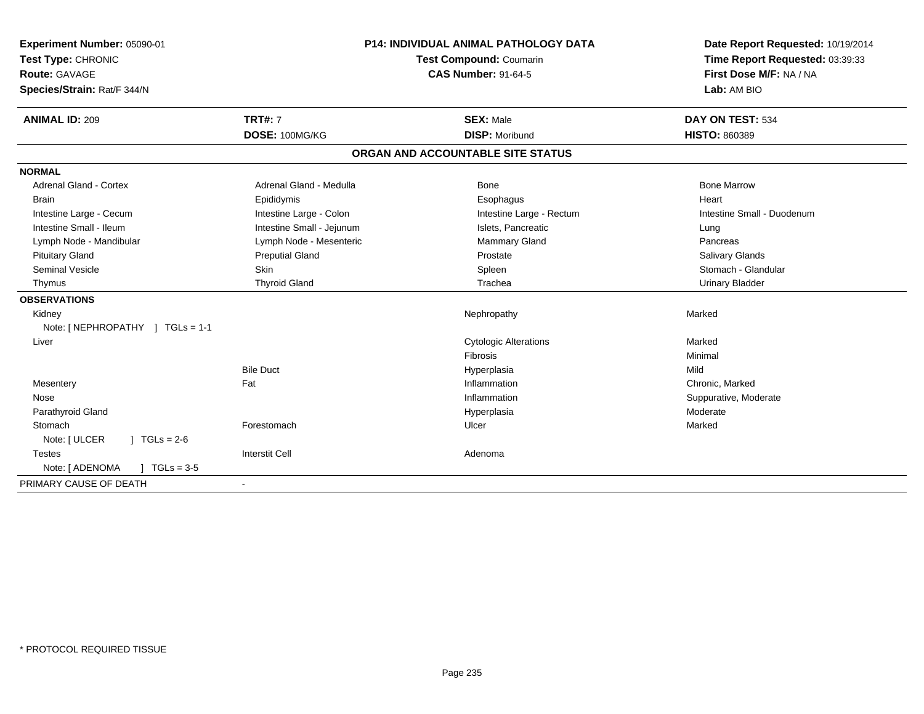| Experiment Number: 05090-01<br>Test Type: CHRONIC<br>Route: GAVAGE<br>Species/Strain: Rat/F 344/N | P14: INDIVIDUAL ANIMAL PATHOLOGY DATA<br>Test Compound: Coumarin<br><b>CAS Number: 91-64-5</b> |                                   | Date Report Requested: 10/19/2014<br>Time Report Requested: 03:39:33<br>First Dose M/F: NA / NA<br>Lab: AM BIO |  |
|---------------------------------------------------------------------------------------------------|------------------------------------------------------------------------------------------------|-----------------------------------|----------------------------------------------------------------------------------------------------------------|--|
| <b>ANIMAL ID: 209</b>                                                                             | <b>TRT#: 7</b>                                                                                 | <b>SEX: Male</b>                  | DAY ON TEST: 534                                                                                               |  |
|                                                                                                   | DOSE: 100MG/KG                                                                                 | <b>DISP: Moribund</b>             | <b>HISTO: 860389</b>                                                                                           |  |
|                                                                                                   |                                                                                                | ORGAN AND ACCOUNTABLE SITE STATUS |                                                                                                                |  |
| <b>NORMAL</b>                                                                                     |                                                                                                |                                   |                                                                                                                |  |
| <b>Adrenal Gland - Cortex</b>                                                                     | Adrenal Gland - Medulla                                                                        | Bone                              | <b>Bone Marrow</b>                                                                                             |  |
| <b>Brain</b>                                                                                      | Epididymis                                                                                     | Esophagus                         | Heart                                                                                                          |  |
| Intestine Large - Cecum                                                                           | Intestine Large - Colon                                                                        | Intestine Large - Rectum          | Intestine Small - Duodenum                                                                                     |  |
| Intestine Small - Ileum                                                                           | Intestine Small - Jejunum                                                                      | Islets, Pancreatic                | Lung                                                                                                           |  |
| Lymph Node - Mandibular                                                                           | Lymph Node - Mesenteric                                                                        | Mammary Gland                     | Pancreas                                                                                                       |  |
| <b>Pituitary Gland</b>                                                                            | <b>Preputial Gland</b>                                                                         | Prostate                          | Salivary Glands                                                                                                |  |
| Seminal Vesicle                                                                                   | <b>Skin</b>                                                                                    | Spleen                            | Stomach - Glandular                                                                                            |  |
| Thymus                                                                                            | <b>Thyroid Gland</b>                                                                           | Trachea                           | <b>Urinary Bladder</b>                                                                                         |  |
| <b>OBSERVATIONS</b>                                                                               |                                                                                                |                                   |                                                                                                                |  |
| Kidney                                                                                            |                                                                                                | Nephropathy                       | Marked                                                                                                         |  |
| Note: [NEPHROPATHY ] TGLs = 1-1                                                                   |                                                                                                |                                   |                                                                                                                |  |
| Liver                                                                                             |                                                                                                | <b>Cytologic Alterations</b>      | Marked                                                                                                         |  |
|                                                                                                   |                                                                                                | <b>Fibrosis</b>                   | Minimal                                                                                                        |  |
|                                                                                                   | <b>Bile Duct</b>                                                                               | Hyperplasia                       | Mild                                                                                                           |  |
| Mesentery                                                                                         | Fat                                                                                            | Inflammation                      | Chronic, Marked                                                                                                |  |
| Nose                                                                                              |                                                                                                | Inflammation                      | Suppurative, Moderate                                                                                          |  |
| Parathyroid Gland                                                                                 |                                                                                                | Hyperplasia                       | Moderate                                                                                                       |  |
| Stomach                                                                                           | Forestomach                                                                                    | Ulcer                             | Marked                                                                                                         |  |
| Note: [ ULCER<br>$1 TGLs = 2-6$                                                                   |                                                                                                |                                   |                                                                                                                |  |
| <b>Testes</b>                                                                                     | <b>Interstit Cell</b>                                                                          | Adenoma                           |                                                                                                                |  |
| Note: [ ADENOMA<br>$J \cdot TGLs = 3-5$                                                           |                                                                                                |                                   |                                                                                                                |  |
| PRIMARY CAUSE OF DEATH                                                                            | $\blacksquare$                                                                                 |                                   |                                                                                                                |  |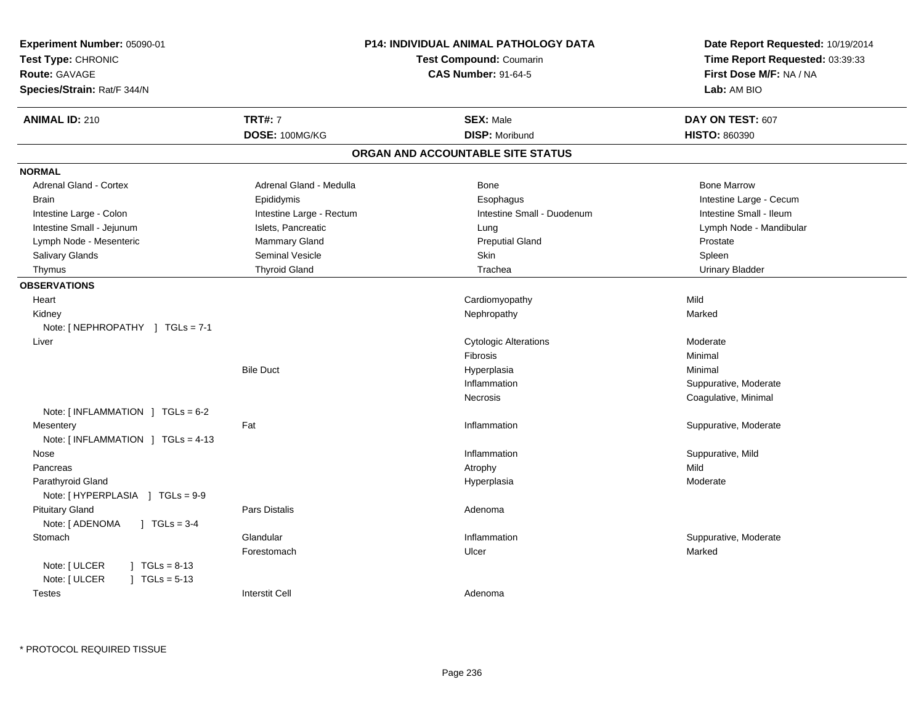| Experiment Number: 05090-01<br>Test Type: CHRONIC<br>Route: GAVAGE<br>Species/Strain: Rat/F 344/N | P14: INDIVIDUAL ANIMAL PATHOLOGY DATA<br><b>Test Compound: Coumarin</b><br><b>CAS Number: 91-64-5</b> |                                   | Date Report Requested: 10/19/2014<br>Time Report Requested: 03:39:33<br>First Dose M/F: NA / NA<br>Lab: AM BIO |
|---------------------------------------------------------------------------------------------------|-------------------------------------------------------------------------------------------------------|-----------------------------------|----------------------------------------------------------------------------------------------------------------|
| <b>ANIMAL ID: 210</b>                                                                             | <b>TRT#: 7</b>                                                                                        | <b>SEX: Male</b>                  | DAY ON TEST: 607                                                                                               |
|                                                                                                   | DOSE: 100MG/KG                                                                                        | <b>DISP: Moribund</b>             | <b>HISTO: 860390</b>                                                                                           |
|                                                                                                   |                                                                                                       | ORGAN AND ACCOUNTABLE SITE STATUS |                                                                                                                |
| <b>NORMAL</b>                                                                                     |                                                                                                       |                                   |                                                                                                                |
| Adrenal Gland - Cortex                                                                            | Adrenal Gland - Medulla                                                                               | Bone                              | <b>Bone Marrow</b>                                                                                             |
| <b>Brain</b>                                                                                      | Epididymis                                                                                            | Esophagus                         | Intestine Large - Cecum                                                                                        |
| Intestine Large - Colon                                                                           | Intestine Large - Rectum                                                                              | Intestine Small - Duodenum        | Intestine Small - Ileum                                                                                        |
| Intestine Small - Jejunum                                                                         | Islets, Pancreatic                                                                                    | Lung                              | Lymph Node - Mandibular                                                                                        |
| Lymph Node - Mesenteric                                                                           | Mammary Gland                                                                                         | <b>Preputial Gland</b>            | Prostate                                                                                                       |
| Salivary Glands                                                                                   | Seminal Vesicle                                                                                       | Skin                              | Spleen                                                                                                         |
| Thymus                                                                                            | <b>Thyroid Gland</b>                                                                                  | Trachea                           | <b>Urinary Bladder</b>                                                                                         |
| <b>OBSERVATIONS</b>                                                                               |                                                                                                       |                                   |                                                                                                                |
| Heart                                                                                             |                                                                                                       | Cardiomyopathy                    | Mild                                                                                                           |
| Kidney                                                                                            |                                                                                                       | Nephropathy                       | Marked                                                                                                         |
| Note: $[NEPHROPATHY]$ TGLs = 7-1                                                                  |                                                                                                       |                                   |                                                                                                                |
| Liver                                                                                             |                                                                                                       | <b>Cytologic Alterations</b>      | Moderate                                                                                                       |
|                                                                                                   |                                                                                                       | Fibrosis                          | Minimal                                                                                                        |
|                                                                                                   | <b>Bile Duct</b>                                                                                      | Hyperplasia                       | Minimal                                                                                                        |
|                                                                                                   |                                                                                                       | Inflammation                      | Suppurative, Moderate                                                                                          |
|                                                                                                   |                                                                                                       | Necrosis                          | Coagulative, Minimal                                                                                           |
| Note: $[INFLAMMATION ] TGLs = 6-2$                                                                |                                                                                                       |                                   |                                                                                                                |
| Mesentery                                                                                         | Fat                                                                                                   | Inflammation                      | Suppurative, Moderate                                                                                          |
| Note: [INFLAMMATION ] TGLs = 4-13                                                                 |                                                                                                       |                                   |                                                                                                                |
| Nose                                                                                              |                                                                                                       | Inflammation                      | Suppurative, Mild                                                                                              |
| Pancreas                                                                                          |                                                                                                       | Atrophy                           | Mild                                                                                                           |
| Parathyroid Gland<br>Note: [HYPERPLASIA ] TGLs = 9-9                                              |                                                                                                       | Hyperplasia                       | Moderate                                                                                                       |
| <b>Pituitary Gland</b>                                                                            | Pars Distalis                                                                                         | Adenoma                           |                                                                                                                |
| Note: [ ADENOMA<br>$1 TGLs = 3-4$                                                                 |                                                                                                       |                                   |                                                                                                                |
| Stomach                                                                                           | Glandular                                                                                             | Inflammation                      | Suppurative, Moderate                                                                                          |
|                                                                                                   | Forestomach                                                                                           | Ulcer                             | Marked                                                                                                         |
| Note: [ ULCER<br>$1 \text{ TGLs} = 8-13$<br>Note: [ ULCER<br>$J \cdot TGLs = 5-13$                |                                                                                                       |                                   |                                                                                                                |
| <b>Testes</b>                                                                                     | <b>Interstit Cell</b>                                                                                 | Adenoma                           |                                                                                                                |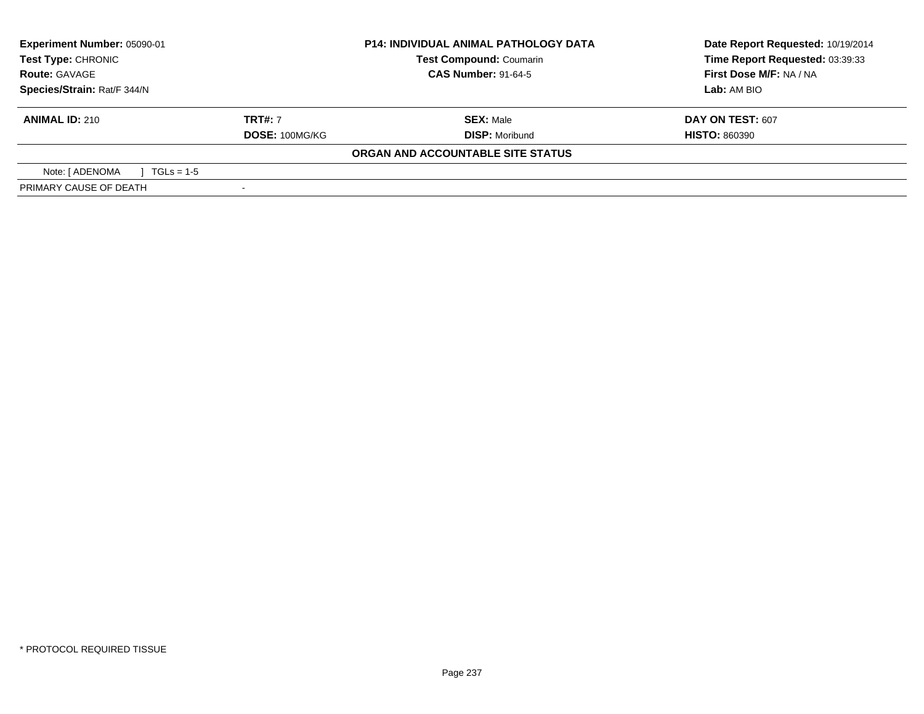| <b>Experiment Number: 05090-01</b><br>Test Type: CHRONIC |                            | <b>P14: INDIVIDUAL ANIMAL PATHOLOGY DATA</b><br><b>Test Compound: Coumarin</b> | Date Report Requested: 10/19/2014<br>Time Report Requested: 03:39:33 |
|----------------------------------------------------------|----------------------------|--------------------------------------------------------------------------------|----------------------------------------------------------------------|
| <b>Route: GAVAGE</b>                                     | <b>CAS Number: 91-64-5</b> |                                                                                | First Dose M/F: NA / NA                                              |
| Species/Strain: Rat/F 344/N                              |                            |                                                                                | Lab: AM BIO                                                          |
| <b>ANIMAL ID: 210</b>                                    | <b>TRT#:</b> 7             | <b>SEX: Male</b>                                                               | DAY ON TEST: 607                                                     |
|                                                          | DOSE: 100MG/KG             | <b>DISP: Moribund</b>                                                          | <b>HISTO: 860390</b>                                                 |
|                                                          |                            | ORGAN AND ACCOUNTABLE SITE STATUS                                              |                                                                      |
| Note: [ ADENOMA<br>$\sqrt{1 + 1}$ TGLs = 1-5             |                            |                                                                                |                                                                      |
| PRIMARY CAUSE OF DEATH                                   |                            |                                                                                |                                                                      |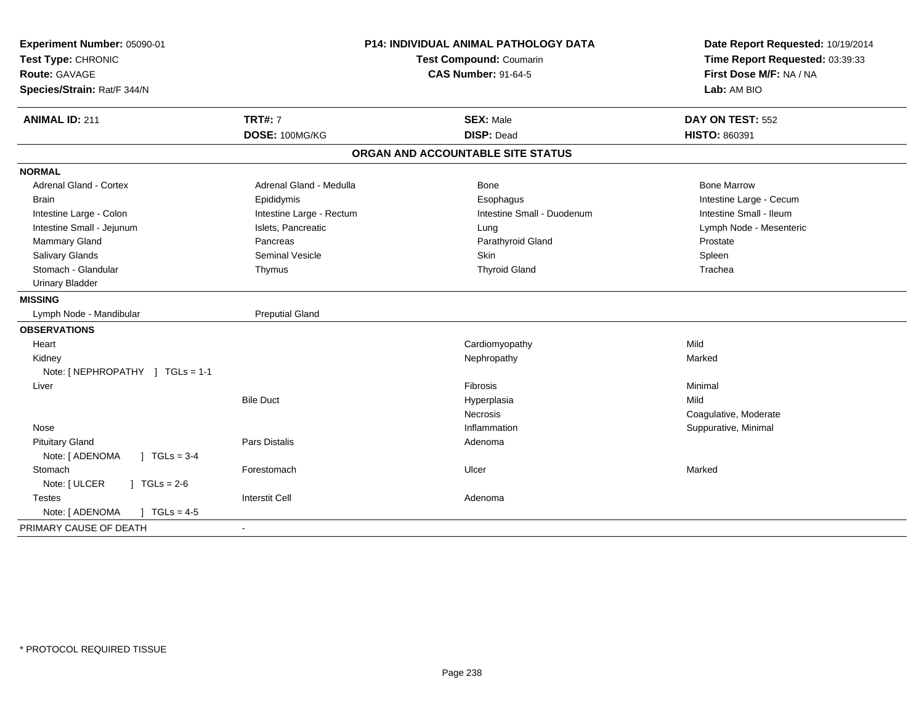| Experiment Number: 05090-01<br>Test Type: CHRONIC<br><b>Route: GAVAGE</b><br>Species/Strain: Rat/F 344/N | <b>P14: INDIVIDUAL ANIMAL PATHOLOGY DATA</b><br>Test Compound: Coumarin<br><b>CAS Number: 91-64-5</b> |                                       | Date Report Requested: 10/19/2014<br>Time Report Requested: 03:39:33<br>First Dose M/F: NA / NA<br>Lab: AM BIO |  |
|----------------------------------------------------------------------------------------------------------|-------------------------------------------------------------------------------------------------------|---------------------------------------|----------------------------------------------------------------------------------------------------------------|--|
| <b>ANIMAL ID: 211</b>                                                                                    | <b>TRT#: 7</b><br>DOSE: 100MG/KG                                                                      | <b>SEX: Male</b><br><b>DISP: Dead</b> | DAY ON TEST: 552<br>HISTO: 860391                                                                              |  |
|                                                                                                          |                                                                                                       |                                       |                                                                                                                |  |
|                                                                                                          |                                                                                                       | ORGAN AND ACCOUNTABLE SITE STATUS     |                                                                                                                |  |
| <b>NORMAL</b>                                                                                            |                                                                                                       |                                       |                                                                                                                |  |
| Adrenal Gland - Cortex                                                                                   | Adrenal Gland - Medulla                                                                               | <b>Bone</b>                           | <b>Bone Marrow</b>                                                                                             |  |
| <b>Brain</b>                                                                                             | Epididymis                                                                                            | Esophagus                             | Intestine Large - Cecum                                                                                        |  |
| Intestine Large - Colon                                                                                  | Intestine Large - Rectum                                                                              | Intestine Small - Duodenum            | Intestine Small - Ileum                                                                                        |  |
| Intestine Small - Jejunum                                                                                | Islets, Pancreatic                                                                                    | Lung                                  | Lymph Node - Mesenteric                                                                                        |  |
| Mammary Gland                                                                                            | Pancreas                                                                                              | Parathyroid Gland                     | Prostate                                                                                                       |  |
| Salivary Glands                                                                                          | <b>Seminal Vesicle</b>                                                                                | Skin                                  | Spleen                                                                                                         |  |
| Stomach - Glandular                                                                                      | Thymus                                                                                                | <b>Thyroid Gland</b>                  | Trachea                                                                                                        |  |
| <b>Urinary Bladder</b>                                                                                   |                                                                                                       |                                       |                                                                                                                |  |
| <b>MISSING</b>                                                                                           |                                                                                                       |                                       |                                                                                                                |  |
| Lymph Node - Mandibular                                                                                  | <b>Preputial Gland</b>                                                                                |                                       |                                                                                                                |  |
| <b>OBSERVATIONS</b>                                                                                      |                                                                                                       |                                       |                                                                                                                |  |
| Heart                                                                                                    |                                                                                                       | Cardiomyopathy                        | Mild                                                                                                           |  |
| Kidney                                                                                                   |                                                                                                       | Nephropathy                           | Marked                                                                                                         |  |
| Note: [NEPHROPATHY ] TGLs = 1-1                                                                          |                                                                                                       |                                       |                                                                                                                |  |
| Liver                                                                                                    |                                                                                                       | Fibrosis                              | Minimal                                                                                                        |  |
|                                                                                                          | <b>Bile Duct</b>                                                                                      | Hyperplasia                           | Mild                                                                                                           |  |
|                                                                                                          |                                                                                                       | Necrosis                              | Coagulative, Moderate                                                                                          |  |
| Nose                                                                                                     |                                                                                                       | Inflammation                          | Suppurative, Minimal                                                                                           |  |
| <b>Pituitary Gland</b>                                                                                   | <b>Pars Distalis</b>                                                                                  | Adenoma                               |                                                                                                                |  |
| Note: [ ADENOMA<br>$\sqrt{1}$ TGLs = 3-4                                                                 |                                                                                                       |                                       |                                                                                                                |  |
| Stomach                                                                                                  | Forestomach                                                                                           | Ulcer                                 | Marked                                                                                                         |  |
| Note: [ ULCER<br>$J \cdot TGLs = 2-6$                                                                    |                                                                                                       |                                       |                                                                                                                |  |
| <b>Testes</b>                                                                                            | <b>Interstit Cell</b>                                                                                 | Adenoma                               |                                                                                                                |  |
| Note: [ ADENOMA<br>$\sqrt{ }$ TGLs = 4-5                                                                 |                                                                                                       |                                       |                                                                                                                |  |
| PRIMARY CAUSE OF DEATH                                                                                   |                                                                                                       |                                       |                                                                                                                |  |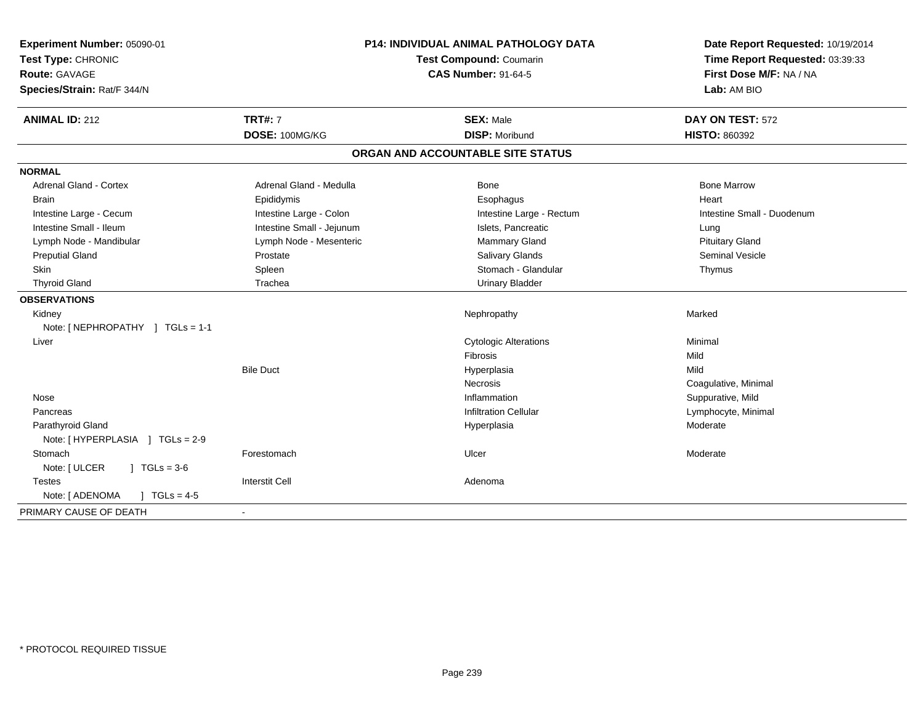| Experiment Number: 05090-01<br>Test Type: CHRONIC<br>Route: GAVAGE<br>Species/Strain: Rat/F 344/N | P14: INDIVIDUAL ANIMAL PATHOLOGY DATA<br>Test Compound: Coumarin<br><b>CAS Number: 91-64-5</b> |                                   | Date Report Requested: 10/19/2014<br>Time Report Requested: 03:39:33<br>First Dose M/F: NA / NA<br>Lab: AM BIO |
|---------------------------------------------------------------------------------------------------|------------------------------------------------------------------------------------------------|-----------------------------------|----------------------------------------------------------------------------------------------------------------|
| <b>ANIMAL ID: 212</b>                                                                             | <b>TRT#: 7</b>                                                                                 | <b>SEX: Male</b>                  | DAY ON TEST: 572                                                                                               |
|                                                                                                   | DOSE: 100MG/KG                                                                                 | <b>DISP: Moribund</b>             | <b>HISTO: 860392</b>                                                                                           |
|                                                                                                   |                                                                                                | ORGAN AND ACCOUNTABLE SITE STATUS |                                                                                                                |
| <b>NORMAL</b>                                                                                     |                                                                                                |                                   |                                                                                                                |
| <b>Adrenal Gland - Cortex</b>                                                                     | Adrenal Gland - Medulla                                                                        | Bone                              | <b>Bone Marrow</b>                                                                                             |
| <b>Brain</b>                                                                                      | Epididymis                                                                                     | Esophagus                         | Heart                                                                                                          |
| Intestine Large - Cecum                                                                           | Intestine Large - Colon                                                                        | Intestine Large - Rectum          | Intestine Small - Duodenum                                                                                     |
| Intestine Small - Ileum                                                                           | Intestine Small - Jejunum                                                                      | Islets, Pancreatic                | Lung                                                                                                           |
| Lymph Node - Mandibular                                                                           | Lymph Node - Mesenteric                                                                        | <b>Mammary Gland</b>              | <b>Pituitary Gland</b>                                                                                         |
| <b>Preputial Gland</b>                                                                            | Prostate                                                                                       | <b>Salivary Glands</b>            | Seminal Vesicle                                                                                                |
| Skin                                                                                              | Spleen                                                                                         | Stomach - Glandular               | Thymus                                                                                                         |
| <b>Thyroid Gland</b>                                                                              | Trachea                                                                                        | <b>Urinary Bladder</b>            |                                                                                                                |
| <b>OBSERVATIONS</b>                                                                               |                                                                                                |                                   |                                                                                                                |
| Kidney                                                                                            |                                                                                                | Nephropathy                       | Marked                                                                                                         |
| Note: [NEPHROPATHY ] TGLs = 1-1                                                                   |                                                                                                |                                   |                                                                                                                |
| Liver                                                                                             |                                                                                                | <b>Cytologic Alterations</b>      | Minimal                                                                                                        |
|                                                                                                   |                                                                                                | <b>Fibrosis</b>                   | Mild                                                                                                           |
|                                                                                                   | <b>Bile Duct</b>                                                                               | Hyperplasia                       | Mild                                                                                                           |
|                                                                                                   |                                                                                                | <b>Necrosis</b>                   | Coagulative, Minimal                                                                                           |
| Nose                                                                                              |                                                                                                | Inflammation                      | Suppurative, Mild                                                                                              |
| Pancreas                                                                                          |                                                                                                | <b>Infiltration Cellular</b>      | Lymphocyte, Minimal                                                                                            |
| Parathyroid Gland                                                                                 |                                                                                                | Hyperplasia                       | Moderate                                                                                                       |
|                                                                                                   |                                                                                                |                                   |                                                                                                                |
| Stomach                                                                                           | Forestomach                                                                                    | Ulcer                             | Moderate                                                                                                       |
| Note: [ ULCER<br>$1 TGLs = 3-6$                                                                   |                                                                                                |                                   |                                                                                                                |
| <b>Testes</b>                                                                                     | <b>Interstit Cell</b>                                                                          | Adenoma                           |                                                                                                                |
| Note: [ ADENOMA<br>$\sqrt{1}$ TGLs = 4-5                                                          |                                                                                                |                                   |                                                                                                                |
| PRIMARY CAUSE OF DEATH                                                                            |                                                                                                |                                   |                                                                                                                |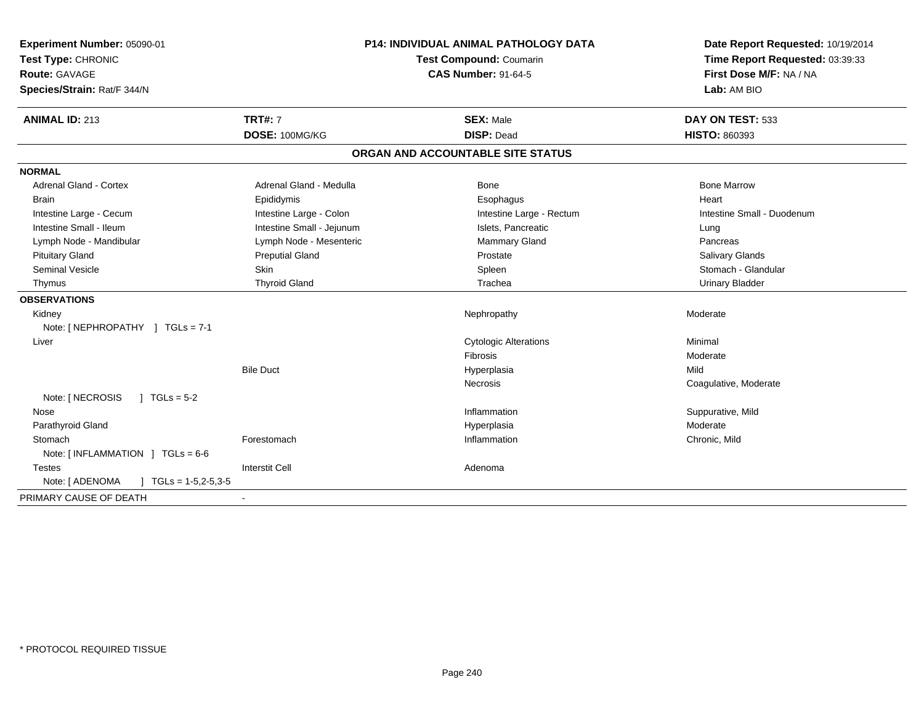| Experiment Number: 05090-01<br>Test Type: CHRONIC<br><b>Route: GAVAGE</b><br>Species/Strain: Rat/F 344/N | <b>P14: INDIVIDUAL ANIMAL PATHOLOGY DATA</b><br><b>Test Compound: Coumarin</b><br><b>CAS Number: 91-64-5</b> |                                   | Date Report Requested: 10/19/2014<br>Time Report Requested: 03:39:33<br>First Dose M/F: NA / NA<br>Lab: AM BIO |  |
|----------------------------------------------------------------------------------------------------------|--------------------------------------------------------------------------------------------------------------|-----------------------------------|----------------------------------------------------------------------------------------------------------------|--|
| <b>ANIMAL ID: 213</b>                                                                                    | <b>TRT#: 7</b>                                                                                               | <b>SEX: Male</b>                  | DAY ON TEST: 533                                                                                               |  |
|                                                                                                          | DOSE: 100MG/KG                                                                                               | <b>DISP: Dead</b>                 | <b>HISTO: 860393</b>                                                                                           |  |
|                                                                                                          |                                                                                                              | ORGAN AND ACCOUNTABLE SITE STATUS |                                                                                                                |  |
| <b>NORMAL</b>                                                                                            |                                                                                                              |                                   |                                                                                                                |  |
| <b>Adrenal Gland - Cortex</b>                                                                            | Adrenal Gland - Medulla                                                                                      | Bone                              | <b>Bone Marrow</b>                                                                                             |  |
| <b>Brain</b>                                                                                             | Epididymis                                                                                                   | Esophagus                         | Heart                                                                                                          |  |
| Intestine Large - Cecum                                                                                  | Intestine Large - Colon                                                                                      | Intestine Large - Rectum          | Intestine Small - Duodenum                                                                                     |  |
| Intestine Small - Ileum                                                                                  | Intestine Small - Jejunum                                                                                    | Islets, Pancreatic                | Lung                                                                                                           |  |
| Lymph Node - Mandibular                                                                                  | Lymph Node - Mesenteric                                                                                      | Mammary Gland                     | Pancreas                                                                                                       |  |
| <b>Pituitary Gland</b>                                                                                   | <b>Preputial Gland</b>                                                                                       | Prostate                          | Salivary Glands                                                                                                |  |
| <b>Seminal Vesicle</b>                                                                                   | <b>Skin</b>                                                                                                  | Spleen                            | Stomach - Glandular                                                                                            |  |
| Thymus                                                                                                   | <b>Thyroid Gland</b>                                                                                         | Trachea                           | <b>Urinary Bladder</b>                                                                                         |  |
| <b>OBSERVATIONS</b>                                                                                      |                                                                                                              |                                   |                                                                                                                |  |
| Kidney                                                                                                   |                                                                                                              | Nephropathy                       | Moderate                                                                                                       |  |
| Note: [ NEPHROPATHY ] TGLs = 7-1                                                                         |                                                                                                              |                                   |                                                                                                                |  |
| Liver                                                                                                    |                                                                                                              | <b>Cytologic Alterations</b>      | Minimal                                                                                                        |  |
|                                                                                                          |                                                                                                              | <b>Fibrosis</b>                   | Moderate                                                                                                       |  |
|                                                                                                          | <b>Bile Duct</b>                                                                                             | Hyperplasia                       | Mild                                                                                                           |  |
|                                                                                                          |                                                                                                              | <b>Necrosis</b>                   | Coagulative, Moderate                                                                                          |  |
| Note: [ NECROSIS<br>$1 TGLs = 5-2$                                                                       |                                                                                                              |                                   |                                                                                                                |  |
| Nose                                                                                                     |                                                                                                              | Inflammation                      | Suppurative, Mild                                                                                              |  |
| Parathyroid Gland                                                                                        |                                                                                                              | Hyperplasia                       | Moderate                                                                                                       |  |
| Stomach                                                                                                  | Forestomach                                                                                                  | Inflammation                      | Chronic, Mild                                                                                                  |  |
| Note: $[INFLAMMATION] TGLs = 6-6$                                                                        |                                                                                                              |                                   |                                                                                                                |  |
| <b>Testes</b>                                                                                            | <b>Interstit Cell</b>                                                                                        | Adenoma                           |                                                                                                                |  |
| Note: [ ADENOMA<br>$\int$ TGLs = 1-5,2-5,3-5                                                             |                                                                                                              |                                   |                                                                                                                |  |
| PRIMARY CAUSE OF DEATH                                                                                   | $\sim$                                                                                                       |                                   |                                                                                                                |  |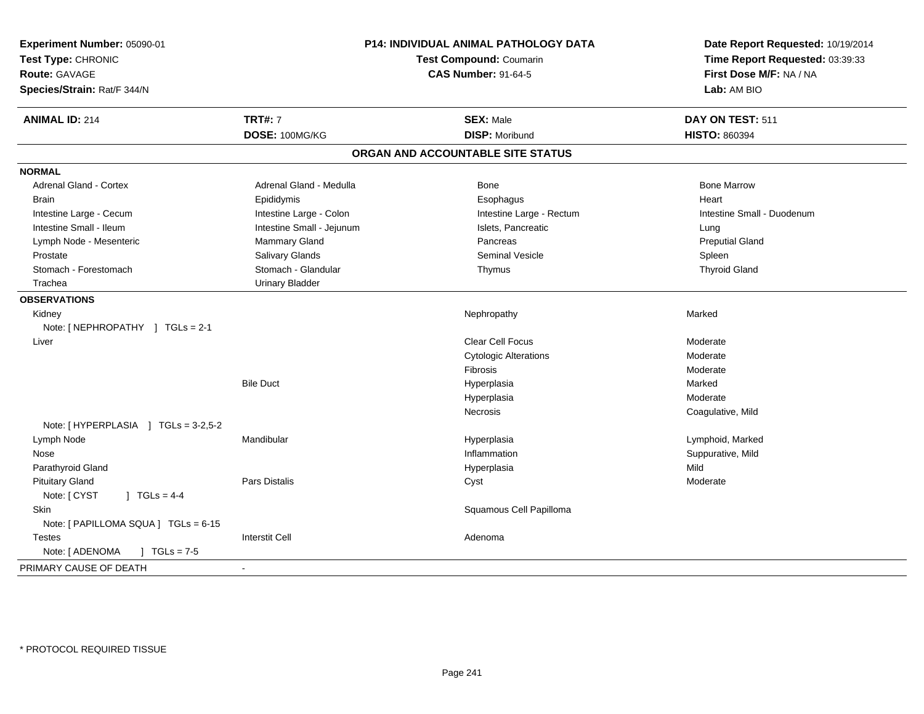| Experiment Number: 05090-01<br>Test Type: CHRONIC<br><b>Route: GAVAGE</b><br>Species/Strain: Rat/F 344/N | P14: INDIVIDUAL ANIMAL PATHOLOGY DATA<br><b>Test Compound: Coumarin</b><br><b>CAS Number: 91-64-5</b> |                                   | Date Report Requested: 10/19/2014<br>Time Report Requested: 03:39:33<br>First Dose M/F: NA / NA<br>Lab: AM BIO |
|----------------------------------------------------------------------------------------------------------|-------------------------------------------------------------------------------------------------------|-----------------------------------|----------------------------------------------------------------------------------------------------------------|
| <b>ANIMAL ID: 214</b>                                                                                    | <b>TRT#: 7</b>                                                                                        | <b>SEX: Male</b>                  | DAY ON TEST: 511                                                                                               |
|                                                                                                          | DOSE: 100MG/KG                                                                                        | <b>DISP: Moribund</b>             | <b>HISTO: 860394</b>                                                                                           |
|                                                                                                          |                                                                                                       | ORGAN AND ACCOUNTABLE SITE STATUS |                                                                                                                |
| <b>NORMAL</b>                                                                                            |                                                                                                       |                                   |                                                                                                                |
| <b>Adrenal Gland - Cortex</b>                                                                            | Adrenal Gland - Medulla                                                                               | Bone                              | <b>Bone Marrow</b>                                                                                             |
| <b>Brain</b>                                                                                             | Epididymis                                                                                            | Esophagus                         | Heart                                                                                                          |
| Intestine Large - Cecum                                                                                  | Intestine Large - Colon                                                                               | Intestine Large - Rectum          | Intestine Small - Duodenum                                                                                     |
| Intestine Small - Ileum                                                                                  | Intestine Small - Jejunum                                                                             | Islets, Pancreatic                | Lung                                                                                                           |
| Lymph Node - Mesenteric                                                                                  | Mammary Gland                                                                                         | Pancreas                          | <b>Preputial Gland</b>                                                                                         |
| Prostate                                                                                                 | <b>Salivary Glands</b>                                                                                | <b>Seminal Vesicle</b>            | Spleen                                                                                                         |
| Stomach - Forestomach                                                                                    | Stomach - Glandular                                                                                   | Thymus                            | <b>Thyroid Gland</b>                                                                                           |
| Trachea                                                                                                  | <b>Urinary Bladder</b>                                                                                |                                   |                                                                                                                |
| <b>OBSERVATIONS</b>                                                                                      |                                                                                                       |                                   |                                                                                                                |
| Kidney                                                                                                   |                                                                                                       | Nephropathy                       | Marked                                                                                                         |
| Note: [NEPHROPATHY ] TGLs = 2-1                                                                          |                                                                                                       |                                   |                                                                                                                |
| Liver                                                                                                    |                                                                                                       | <b>Clear Cell Focus</b>           | Moderate                                                                                                       |
|                                                                                                          |                                                                                                       | <b>Cytologic Alterations</b>      | Moderate                                                                                                       |
|                                                                                                          |                                                                                                       | Fibrosis                          | Moderate                                                                                                       |
|                                                                                                          | <b>Bile Duct</b>                                                                                      | Hyperplasia                       | Marked                                                                                                         |
|                                                                                                          |                                                                                                       | Hyperplasia                       | Moderate                                                                                                       |
|                                                                                                          |                                                                                                       | <b>Necrosis</b>                   | Coagulative, Mild                                                                                              |
| Note: [HYPERPLASIA ] TGLs = 3-2,5-2                                                                      |                                                                                                       |                                   |                                                                                                                |
| Lymph Node                                                                                               | Mandibular                                                                                            | Hyperplasia                       | Lymphoid, Marked                                                                                               |
| Nose                                                                                                     |                                                                                                       | Inflammation                      | Suppurative, Mild                                                                                              |
| Parathyroid Gland                                                                                        |                                                                                                       | Hyperplasia                       | Mild                                                                                                           |
| <b>Pituitary Gland</b>                                                                                   | <b>Pars Distalis</b>                                                                                  | Cyst                              | Moderate                                                                                                       |
| Note: [ CYST<br>] $TGLs = 4-4$                                                                           |                                                                                                       |                                   |                                                                                                                |
| Skin                                                                                                     |                                                                                                       | Squamous Cell Papilloma           |                                                                                                                |
| Note: [ PAPILLOMA SQUA ] TGLs = 6-15                                                                     |                                                                                                       |                                   |                                                                                                                |
| <b>Testes</b>                                                                                            | <b>Interstit Cell</b>                                                                                 | Adenoma                           |                                                                                                                |
| Note: [ ADENOMA<br>$J \cdot TGLs = 7-5$                                                                  |                                                                                                       |                                   |                                                                                                                |
| PRIMARY CAUSE OF DEATH                                                                                   | $\sim$                                                                                                |                                   |                                                                                                                |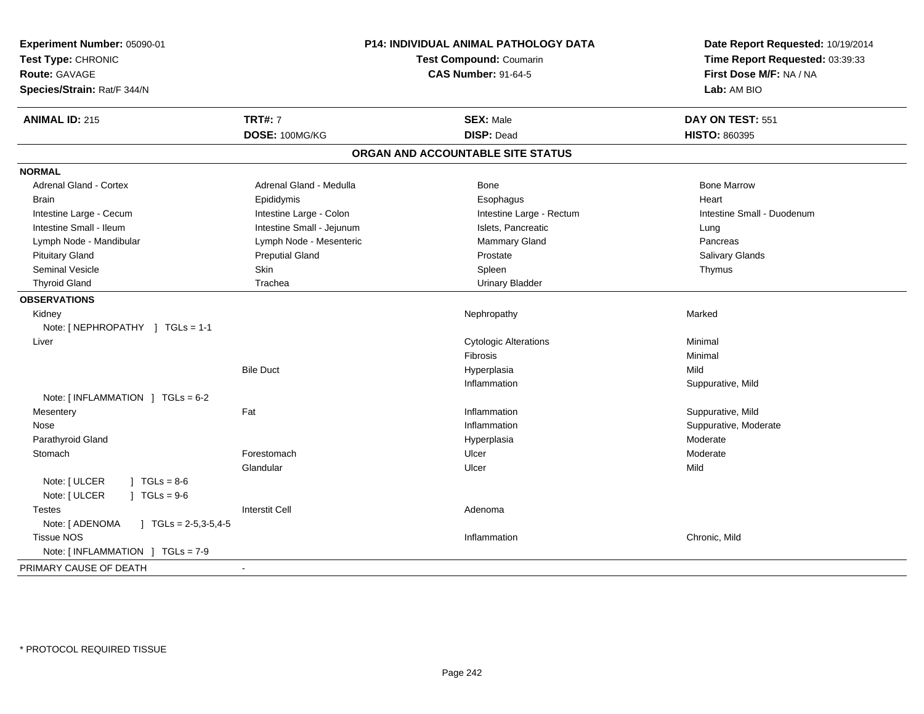| Experiment Number: 05090-01<br>Test Type: CHRONIC<br><b>Route: GAVAGE</b><br>Species/Strain: Rat/F 344/N |                           | P14: INDIVIDUAL ANIMAL PATHOLOGY DATA<br>Test Compound: Coumarin<br><b>CAS Number: 91-64-5</b> | Date Report Requested: 10/19/2014<br>Time Report Requested: 03:39:33<br>First Dose M/F: NA / NA<br>Lab: AM BIO |
|----------------------------------------------------------------------------------------------------------|---------------------------|------------------------------------------------------------------------------------------------|----------------------------------------------------------------------------------------------------------------|
| <b>ANIMAL ID: 215</b>                                                                                    | <b>TRT#: 7</b>            | <b>SEX: Male</b>                                                                               | DAY ON TEST: 551                                                                                               |
|                                                                                                          | DOSE: 100MG/KG            | <b>DISP: Dead</b>                                                                              | <b>HISTO: 860395</b>                                                                                           |
|                                                                                                          |                           | ORGAN AND ACCOUNTABLE SITE STATUS                                                              |                                                                                                                |
| <b>NORMAL</b>                                                                                            |                           |                                                                                                |                                                                                                                |
| <b>Adrenal Gland - Cortex</b>                                                                            | Adrenal Gland - Medulla   | Bone                                                                                           | <b>Bone Marrow</b>                                                                                             |
| <b>Brain</b>                                                                                             | Epididymis                | Esophagus                                                                                      | Heart                                                                                                          |
| Intestine Large - Cecum                                                                                  | Intestine Large - Colon   | Intestine Large - Rectum                                                                       | Intestine Small - Duodenum                                                                                     |
| Intestine Small - Ileum                                                                                  | Intestine Small - Jejunum | Islets, Pancreatic                                                                             | Lung                                                                                                           |
| Lymph Node - Mandibular                                                                                  | Lymph Node - Mesenteric   | Mammary Gland                                                                                  | Pancreas                                                                                                       |
| <b>Pituitary Gland</b>                                                                                   | <b>Preputial Gland</b>    | Prostate                                                                                       | Salivary Glands                                                                                                |
| <b>Seminal Vesicle</b>                                                                                   | Skin                      | Spleen                                                                                         | Thymus                                                                                                         |
| <b>Thyroid Gland</b>                                                                                     | Trachea                   | <b>Urinary Bladder</b>                                                                         |                                                                                                                |
| <b>OBSERVATIONS</b>                                                                                      |                           |                                                                                                |                                                                                                                |
| Kidney                                                                                                   |                           | Nephropathy                                                                                    | Marked                                                                                                         |
| Note: [NEPHROPATHY ] TGLs = 1-1                                                                          |                           |                                                                                                |                                                                                                                |
| Liver                                                                                                    |                           | <b>Cytologic Alterations</b>                                                                   | Minimal                                                                                                        |
|                                                                                                          |                           | Fibrosis                                                                                       | Minimal                                                                                                        |
|                                                                                                          | <b>Bile Duct</b>          | Hyperplasia                                                                                    | Mild                                                                                                           |
|                                                                                                          |                           | Inflammation                                                                                   | Suppurative, Mild                                                                                              |
| Note: $[INFLAMMATION] TGLS = 6-2$                                                                        |                           |                                                                                                |                                                                                                                |
| Mesentery                                                                                                | Fat                       | Inflammation                                                                                   | Suppurative, Mild                                                                                              |
| Nose                                                                                                     |                           | Inflammation                                                                                   | Suppurative, Moderate                                                                                          |
| Parathyroid Gland                                                                                        |                           | Hyperplasia                                                                                    | Moderate                                                                                                       |
| Stomach                                                                                                  | Forestomach               | Ulcer                                                                                          | Moderate                                                                                                       |
|                                                                                                          | Glandular                 | Ulcer                                                                                          | Mild                                                                                                           |
| Note: [ ULCER<br>$1 \text{ TGLs} = 8.6$<br>Note: [ ULCER<br>$JTGLs = 9-6$                                |                           |                                                                                                |                                                                                                                |
| <b>Testes</b>                                                                                            | <b>Interstit Cell</b>     | Adenoma                                                                                        |                                                                                                                |
| Note: [ ADENOMA<br>$JTGLs = 2-5,3-5,4-5$                                                                 |                           |                                                                                                |                                                                                                                |
| <b>Tissue NOS</b>                                                                                        |                           | Inflammation                                                                                   | Chronic, Mild                                                                                                  |
| Note: [INFLAMMATION ] TGLs = 7-9                                                                         |                           |                                                                                                |                                                                                                                |
| PRIMARY CAUSE OF DEATH                                                                                   |                           |                                                                                                |                                                                                                                |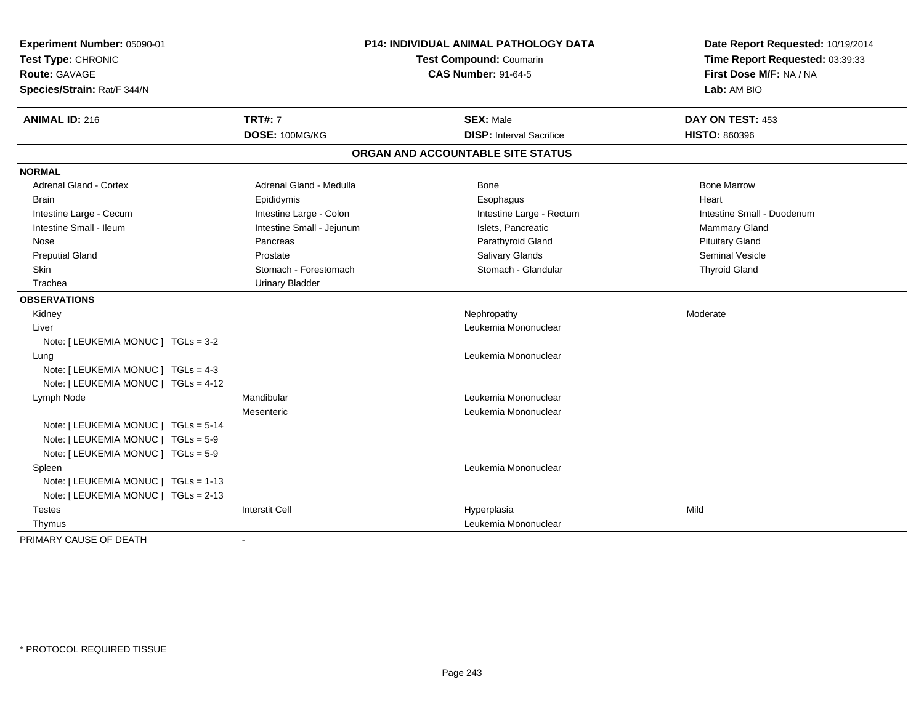| Experiment Number: 05090-01<br>Test Type: CHRONIC<br><b>Route: GAVAGE</b><br>Species/Strain: Rat/F 344/N |                           | P14: INDIVIDUAL ANIMAL PATHOLOGY DATA<br>Test Compound: Coumarin<br><b>CAS Number: 91-64-5</b> | Date Report Requested: 10/19/2014<br>Time Report Requested: 03:39:33<br>First Dose M/F: NA / NA<br>Lab: AM BIO |
|----------------------------------------------------------------------------------------------------------|---------------------------|------------------------------------------------------------------------------------------------|----------------------------------------------------------------------------------------------------------------|
| <b>ANIMAL ID: 216</b>                                                                                    | <b>TRT#: 7</b>            | <b>SEX: Male</b>                                                                               | DAY ON TEST: 453                                                                                               |
|                                                                                                          | DOSE: 100MG/KG            | <b>DISP:</b> Interval Sacrifice                                                                | <b>HISTO: 860396</b>                                                                                           |
|                                                                                                          |                           | ORGAN AND ACCOUNTABLE SITE STATUS                                                              |                                                                                                                |
| <b>NORMAL</b>                                                                                            |                           |                                                                                                |                                                                                                                |
| <b>Adrenal Gland - Cortex</b>                                                                            | Adrenal Gland - Medulla   | <b>Bone</b>                                                                                    | <b>Bone Marrow</b>                                                                                             |
| Brain                                                                                                    | Epididymis                | Esophagus                                                                                      | Heart                                                                                                          |
| Intestine Large - Cecum                                                                                  | Intestine Large - Colon   | Intestine Large - Rectum                                                                       | Intestine Small - Duodenum                                                                                     |
| Intestine Small - Ileum                                                                                  | Intestine Small - Jejunum | Islets, Pancreatic                                                                             | Mammary Gland                                                                                                  |
| Nose                                                                                                     | Pancreas                  | Parathyroid Gland                                                                              | <b>Pituitary Gland</b>                                                                                         |
| <b>Preputial Gland</b>                                                                                   | Prostate                  | Salivary Glands                                                                                | <b>Seminal Vesicle</b>                                                                                         |
| Skin                                                                                                     | Stomach - Forestomach     | Stomach - Glandular                                                                            | <b>Thyroid Gland</b>                                                                                           |
| Trachea                                                                                                  | <b>Urinary Bladder</b>    |                                                                                                |                                                                                                                |
| <b>OBSERVATIONS</b>                                                                                      |                           |                                                                                                |                                                                                                                |
| Kidney                                                                                                   |                           | Nephropathy                                                                                    | Moderate                                                                                                       |
| Liver                                                                                                    |                           | Leukemia Mononuclear                                                                           |                                                                                                                |
| Note: [ LEUKEMIA MONUC ] TGLs = 3-2                                                                      |                           |                                                                                                |                                                                                                                |
| Lung                                                                                                     |                           | Leukemia Mononuclear                                                                           |                                                                                                                |
| Note: [ LEUKEMIA MONUC ] TGLs = 4-3                                                                      |                           |                                                                                                |                                                                                                                |
| Note: [ LEUKEMIA MONUC ] TGLs = 4-12                                                                     |                           |                                                                                                |                                                                                                                |
| Lymph Node                                                                                               | Mandibular                | Leukemia Mononuclear                                                                           |                                                                                                                |
|                                                                                                          | Mesenteric                | Leukemia Mononuclear                                                                           |                                                                                                                |
| Note: [ LEUKEMIA MONUC ] TGLs = 5-14                                                                     |                           |                                                                                                |                                                                                                                |
| Note: [ LEUKEMIA MONUC ] TGLs = 5-9                                                                      |                           |                                                                                                |                                                                                                                |
| Note: [ LEUKEMIA MONUC ] TGLs = 5-9                                                                      |                           |                                                                                                |                                                                                                                |
| Spleen                                                                                                   |                           | Leukemia Mononuclear                                                                           |                                                                                                                |
| Note: [ LEUKEMIA MONUC ] TGLs = 1-13                                                                     |                           |                                                                                                |                                                                                                                |
| Note: [ LEUKEMIA MONUC ] TGLs = 2-13                                                                     |                           |                                                                                                |                                                                                                                |
| <b>Testes</b>                                                                                            | <b>Interstit Cell</b>     | Hyperplasia                                                                                    | Mild                                                                                                           |
| Thymus                                                                                                   |                           | Leukemia Mononuclear                                                                           |                                                                                                                |
| PRIMARY CAUSE OF DEATH                                                                                   | $\blacksquare$            |                                                                                                |                                                                                                                |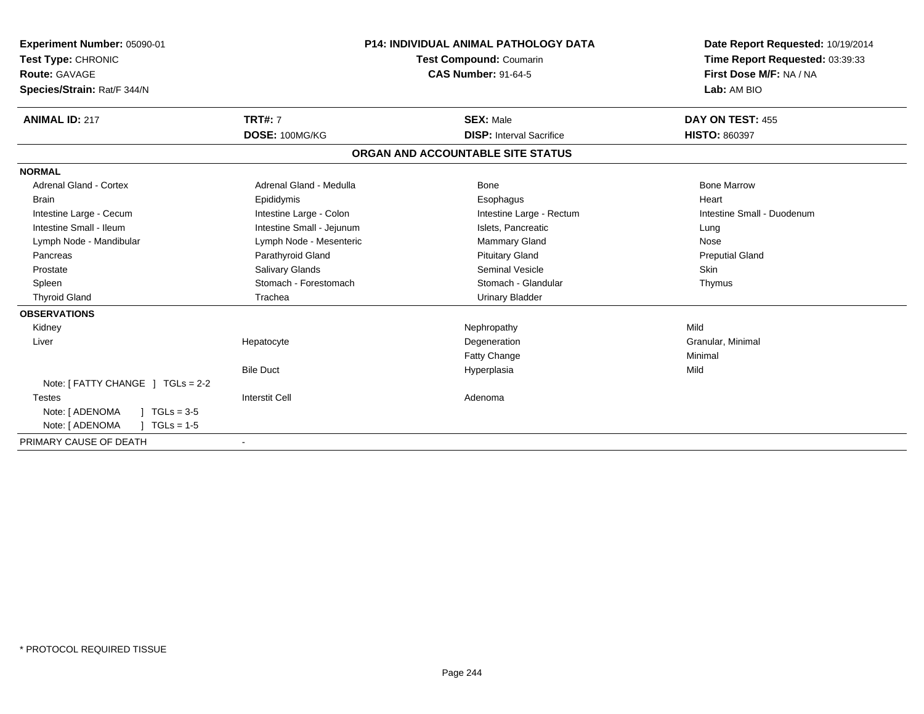| Experiment Number: 05090-01<br>Test Type: CHRONIC<br>Route: GAVAGE<br>Species/Strain: Rat/F 344/N |                           | <b>P14: INDIVIDUAL ANIMAL PATHOLOGY DATA</b><br><b>Test Compound: Coumarin</b><br><b>CAS Number: 91-64-5</b> | Date Report Requested: 10/19/2014<br>Time Report Requested: 03:39:33<br>First Dose M/F: NA / NA<br>Lab: AM BIO |
|---------------------------------------------------------------------------------------------------|---------------------------|--------------------------------------------------------------------------------------------------------------|----------------------------------------------------------------------------------------------------------------|
|                                                                                                   |                           |                                                                                                              |                                                                                                                |
| <b>ANIMAL ID: 217</b>                                                                             | <b>TRT#: 7</b>            | <b>SEX: Male</b>                                                                                             | DAY ON TEST: 455                                                                                               |
|                                                                                                   | DOSE: 100MG/KG            | <b>DISP: Interval Sacrifice</b>                                                                              | <b>HISTO: 860397</b>                                                                                           |
|                                                                                                   |                           | ORGAN AND ACCOUNTABLE SITE STATUS                                                                            |                                                                                                                |
| <b>NORMAL</b>                                                                                     |                           |                                                                                                              |                                                                                                                |
| <b>Adrenal Gland - Cortex</b>                                                                     | Adrenal Gland - Medulla   | Bone                                                                                                         | <b>Bone Marrow</b>                                                                                             |
| <b>Brain</b>                                                                                      | Epididymis                | Esophagus                                                                                                    | Heart                                                                                                          |
| Intestine Large - Cecum                                                                           | Intestine Large - Colon   | Intestine Large - Rectum                                                                                     | Intestine Small - Duodenum                                                                                     |
| Intestine Small - Ileum                                                                           | Intestine Small - Jejunum | Islets, Pancreatic                                                                                           | Lung                                                                                                           |
| Lymph Node - Mandibular                                                                           | Lymph Node - Mesenteric   | Mammary Gland                                                                                                | Nose                                                                                                           |
| Pancreas                                                                                          | Parathyroid Gland         | <b>Pituitary Gland</b>                                                                                       | <b>Preputial Gland</b>                                                                                         |
| Prostate                                                                                          | <b>Salivary Glands</b>    | Seminal Vesicle                                                                                              | Skin                                                                                                           |
| Spleen                                                                                            | Stomach - Forestomach     | Stomach - Glandular                                                                                          | Thymus                                                                                                         |
| <b>Thyroid Gland</b>                                                                              | Trachea                   | <b>Urinary Bladder</b>                                                                                       |                                                                                                                |
| <b>OBSERVATIONS</b>                                                                               |                           |                                                                                                              |                                                                                                                |
| Kidney                                                                                            |                           | Nephropathy                                                                                                  | Mild                                                                                                           |
| Liver                                                                                             | Hepatocyte                | Degeneration                                                                                                 | Granular, Minimal                                                                                              |
|                                                                                                   |                           | <b>Fatty Change</b>                                                                                          | Minimal                                                                                                        |
|                                                                                                   | <b>Bile Duct</b>          | Hyperplasia                                                                                                  | Mild                                                                                                           |
| Note: $[$ FATTY CHANGE $]$ TGLs = 2-2                                                             |                           |                                                                                                              |                                                                                                                |
| <b>Testes</b>                                                                                     | <b>Interstit Cell</b>     | Adenoma                                                                                                      |                                                                                                                |
| Note: [ ADENOMA<br>$TGLs = 3-5$                                                                   |                           |                                                                                                              |                                                                                                                |
| Note: [ ADENOMA<br>$TGLs = 1-5$                                                                   |                           |                                                                                                              |                                                                                                                |
| PRIMARY CAUSE OF DEATH                                                                            | $\blacksquare$            |                                                                                                              |                                                                                                                |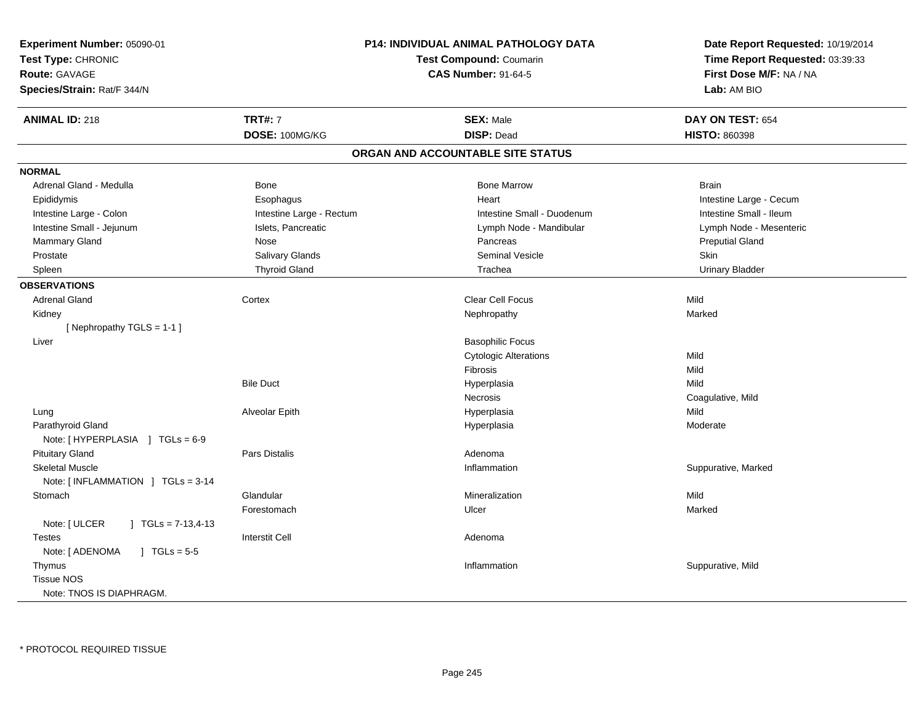| <b>Experiment Number: 05090-01</b><br>Test Compound: Coumarin |                          | <b>P14: INDIVIDUAL ANIMAL PATHOLOGY DATA</b> | Date Report Requested: 10/19/2014<br>Time Report Requested: 03:39:33 |
|---------------------------------------------------------------|--------------------------|----------------------------------------------|----------------------------------------------------------------------|
| Test Type: CHRONIC                                            |                          |                                              |                                                                      |
| <b>Route: GAVAGE</b><br>Species/Strain: Rat/F 344/N           |                          | <b>CAS Number: 91-64-5</b>                   | First Dose M/F: NA / NA<br>Lab: AM BIO                               |
|                                                               |                          |                                              |                                                                      |
| <b>ANIMAL ID: 218</b>                                         | <b>TRT#: 7</b>           | <b>SEX: Male</b>                             | DAY ON TEST: 654                                                     |
|                                                               | DOSE: 100MG/KG           | <b>DISP: Dead</b>                            | <b>HISTO: 860398</b>                                                 |
|                                                               |                          | ORGAN AND ACCOUNTABLE SITE STATUS            |                                                                      |
| <b>NORMAL</b>                                                 |                          |                                              |                                                                      |
| Adrenal Gland - Medulla                                       | Bone                     | <b>Bone Marrow</b>                           | <b>Brain</b>                                                         |
| Epididymis                                                    | Esophagus                | Heart                                        | Intestine Large - Cecum                                              |
| Intestine Large - Colon                                       | Intestine Large - Rectum | Intestine Small - Duodenum                   | Intestine Small - Ileum                                              |
| Intestine Small - Jejunum                                     | Islets, Pancreatic       | Lymph Node - Mandibular                      | Lymph Node - Mesenteric                                              |
| Mammary Gland                                                 | Nose                     | Pancreas                                     | <b>Preputial Gland</b>                                               |
| Prostate                                                      | <b>Salivary Glands</b>   | <b>Seminal Vesicle</b>                       | Skin                                                                 |
| Spleen                                                        | <b>Thyroid Gland</b>     | Trachea                                      | <b>Urinary Bladder</b>                                               |
| <b>OBSERVATIONS</b>                                           |                          |                                              |                                                                      |
| <b>Adrenal Gland</b>                                          | Cortex                   | Clear Cell Focus                             | Mild                                                                 |
| Kidney                                                        |                          | Nephropathy                                  | Marked                                                               |
| [Nephropathy TGLS = 1-1]                                      |                          |                                              |                                                                      |
| Liver                                                         |                          | <b>Basophilic Focus</b>                      |                                                                      |
|                                                               |                          | <b>Cytologic Alterations</b>                 | Mild                                                                 |
|                                                               |                          | Fibrosis                                     | Mild                                                                 |
|                                                               | <b>Bile Duct</b>         | Hyperplasia                                  | Mild                                                                 |
|                                                               |                          | Necrosis                                     | Coagulative, Mild                                                    |
| Lung                                                          | Alveolar Epith           | Hyperplasia                                  | Mild                                                                 |
| Parathyroid Gland                                             |                          | Hyperplasia                                  | Moderate                                                             |
| Note: [HYPERPLASIA ] TGLs = 6-9                               |                          |                                              |                                                                      |
| <b>Pituitary Gland</b>                                        | <b>Pars Distalis</b>     | Adenoma                                      |                                                                      |
| <b>Skeletal Muscle</b>                                        |                          | Inflammation                                 | Suppurative, Marked                                                  |
| Note: [INFLAMMATION ] TGLs = 3-14                             |                          |                                              |                                                                      |
| Stomach                                                       | Glandular                | Mineralization                               | Mild                                                                 |
|                                                               | Forestomach              | Ulcer                                        | Marked                                                               |
| Note: [ ULCER<br>$\vert$ TGLs = 7-13,4-13                     |                          |                                              |                                                                      |
| <b>Testes</b>                                                 | <b>Interstit Cell</b>    | Adenoma                                      |                                                                      |
| Note: [ ADENOMA<br>$\sqrt{6}$ TGLs = 5-5                      |                          |                                              |                                                                      |
| Thymus                                                        |                          | Inflammation                                 | Suppurative, Mild                                                    |
| <b>Tissue NOS</b>                                             |                          |                                              |                                                                      |
| Note: TNOS IS DIAPHRAGM.                                      |                          |                                              |                                                                      |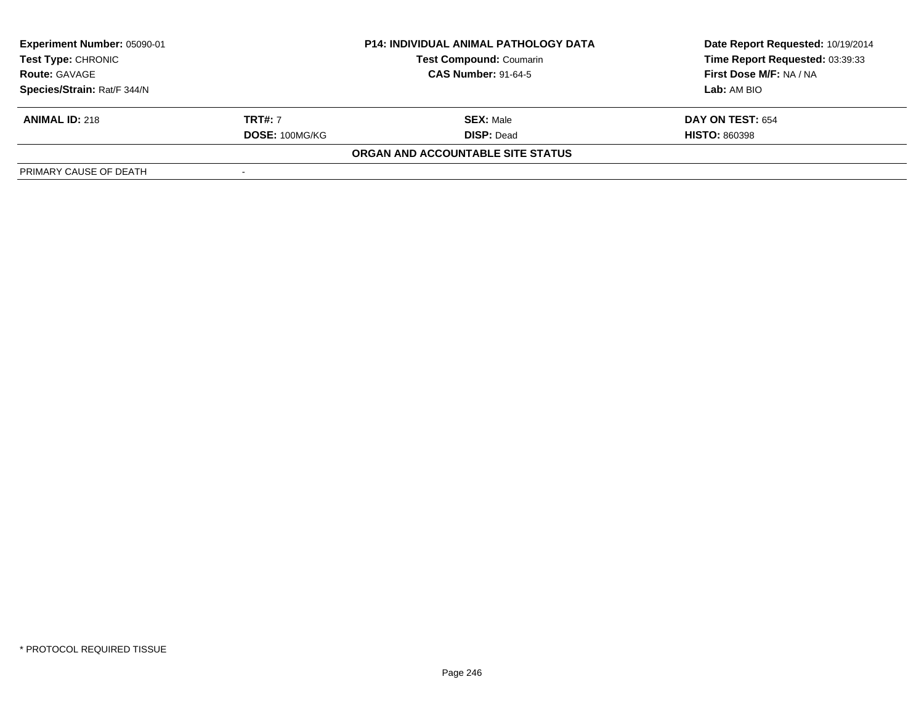| Experiment Number: 05090-01 |                | <b>P14: INDIVIDUAL ANIMAL PATHOLOGY DATA</b> | Date Report Requested: 10/19/2014 |
|-----------------------------|----------------|----------------------------------------------|-----------------------------------|
| <b>Test Type: CHRONIC</b>   |                | <b>Test Compound: Coumarin</b>               | Time Report Requested: 03:39:33   |
| <b>Route: GAVAGE</b>        |                | <b>CAS Number: 91-64-5</b>                   | First Dose M/F: NA / NA           |
| Species/Strain: Rat/F 344/N |                |                                              | Lab: AM BIO                       |
| <b>ANIMAL ID: 218</b>       | <b>TRT#:</b> 7 | <b>SEX: Male</b>                             | <b>DAY ON TEST: 654</b>           |
|                             | DOSE: 100MG/KG | <b>DISP: Dead</b>                            | <b>HISTO: 860398</b>              |
|                             |                | ORGAN AND ACCOUNTABLE SITE STATUS            |                                   |
| PRIMARY CAUSE OF DEATH      |                |                                              |                                   |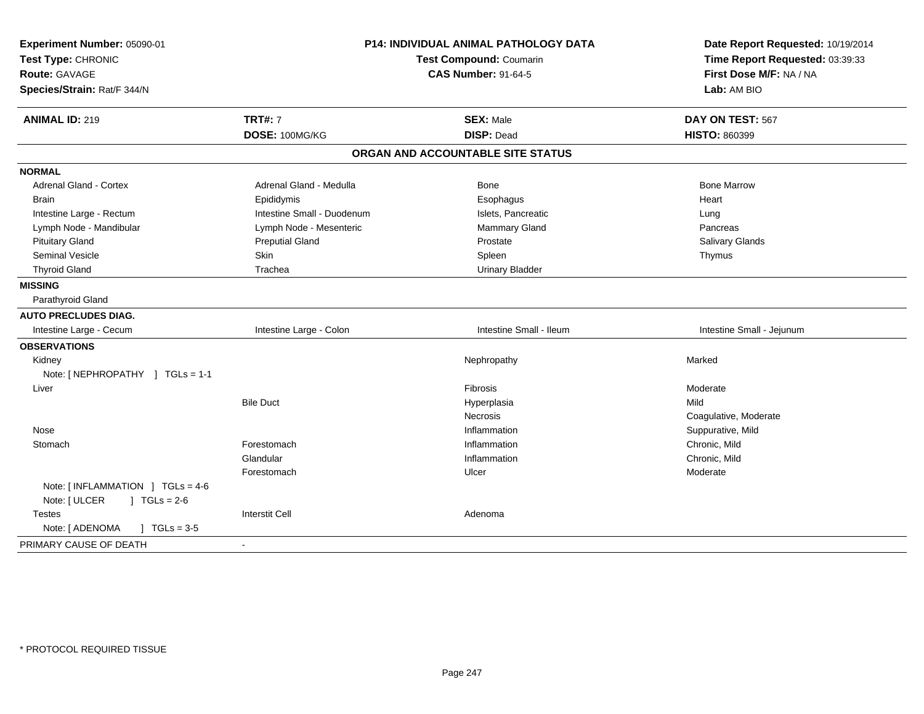| Experiment Number: 05090-01             | <b>P14: INDIVIDUAL ANIMAL PATHOLOGY DATA</b><br><b>Test Compound: Coumarin</b> |                                   | Date Report Requested: 10/19/2014<br>Time Report Requested: 03:39:33 |
|-----------------------------------------|--------------------------------------------------------------------------------|-----------------------------------|----------------------------------------------------------------------|
| Test Type: CHRONIC                      |                                                                                |                                   |                                                                      |
| <b>Route: GAVAGE</b>                    |                                                                                | <b>CAS Number: 91-64-5</b>        | First Dose M/F: NA / NA                                              |
| Species/Strain: Rat/F 344/N             |                                                                                |                                   | Lab: AM BIO                                                          |
| <b>ANIMAL ID: 219</b>                   | <b>TRT#: 7</b>                                                                 | <b>SEX: Male</b>                  | DAY ON TEST: 567                                                     |
|                                         | DOSE: 100MG/KG                                                                 | <b>DISP: Dead</b>                 | <b>HISTO: 860399</b>                                                 |
|                                         |                                                                                | ORGAN AND ACCOUNTABLE SITE STATUS |                                                                      |
| <b>NORMAL</b>                           |                                                                                |                                   |                                                                      |
| Adrenal Gland - Cortex                  | Adrenal Gland - Medulla                                                        | Bone                              | <b>Bone Marrow</b>                                                   |
| Brain                                   | Epididymis                                                                     | Esophagus                         | Heart                                                                |
| Intestine Large - Rectum                | Intestine Small - Duodenum                                                     | Islets, Pancreatic                | Lung                                                                 |
| Lymph Node - Mandibular                 | Lymph Node - Mesenteric                                                        | Mammary Gland                     | Pancreas                                                             |
| <b>Pituitary Gland</b>                  | <b>Preputial Gland</b>                                                         | Prostate                          | Salivary Glands                                                      |
| <b>Seminal Vesicle</b>                  | Skin                                                                           | Spleen                            | Thymus                                                               |
| <b>Thyroid Gland</b>                    | Trachea                                                                        | <b>Urinary Bladder</b>            |                                                                      |
| <b>MISSING</b>                          |                                                                                |                                   |                                                                      |
| Parathyroid Gland                       |                                                                                |                                   |                                                                      |
| <b>AUTO PRECLUDES DIAG.</b>             |                                                                                |                                   |                                                                      |
| Intestine Large - Cecum                 | Intestine Large - Colon                                                        | Intestine Small - Ileum           | Intestine Small - Jejunum                                            |
| <b>OBSERVATIONS</b>                     |                                                                                |                                   |                                                                      |
| Kidney                                  |                                                                                | Nephropathy                       | Marked                                                               |
| Note: [NEPHROPATHY ] TGLs = 1-1         |                                                                                |                                   |                                                                      |
| Liver                                   |                                                                                | <b>Fibrosis</b>                   | Moderate                                                             |
|                                         | <b>Bile Duct</b>                                                               | Hyperplasia                       | Mild                                                                 |
|                                         |                                                                                | Necrosis                          | Coagulative, Moderate                                                |
| Nose                                    |                                                                                | Inflammation                      | Suppurative, Mild                                                    |
| Stomach                                 | Forestomach                                                                    | Inflammation                      | Chronic, Mild                                                        |
|                                         | Glandular                                                                      | Inflammation                      | Chronic, Mild                                                        |
|                                         | Forestomach                                                                    | Ulcer                             | Moderate                                                             |
| Note: $[INFLAMMATION] TGLs = 4-6$       |                                                                                |                                   |                                                                      |
| Note: [ ULCER<br>$J \cdot TGLs = 2-6$   |                                                                                |                                   |                                                                      |
| Testes                                  | <b>Interstit Cell</b>                                                          | Adenoma                           |                                                                      |
| Note: [ ADENOMA<br>$J \cdot TGLs = 3-5$ |                                                                                |                                   |                                                                      |
| PRIMARY CAUSE OF DEATH                  | $\blacksquare$                                                                 |                                   |                                                                      |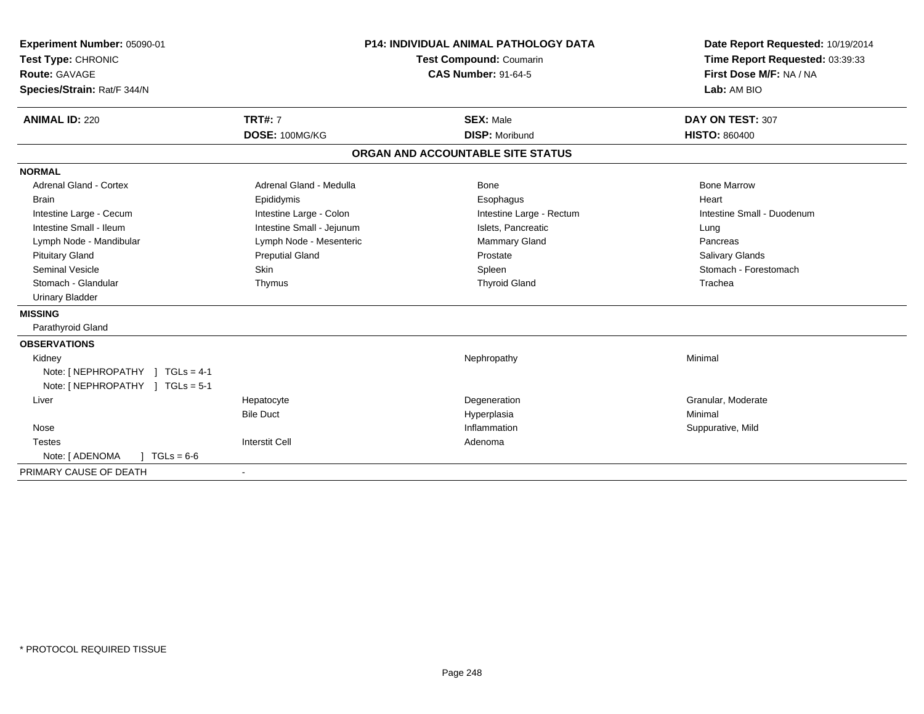| Experiment Number: 05090-01<br>Test Type: CHRONIC   |                           | <b>P14: INDIVIDUAL ANIMAL PATHOLOGY DATA</b><br><b>Test Compound: Coumarin</b> | Date Report Requested: 10/19/2014<br>Time Report Requested: 03:39:33 |
|-----------------------------------------------------|---------------------------|--------------------------------------------------------------------------------|----------------------------------------------------------------------|
| <b>Route: GAVAGE</b><br>Species/Strain: Rat/F 344/N |                           | <b>CAS Number: 91-64-5</b>                                                     | First Dose M/F: NA / NA<br>Lab: AM BIO                               |
| <b>ANIMAL ID: 220</b>                               | <b>TRT#: 7</b>            | <b>SEX: Male</b>                                                               | DAY ON TEST: 307                                                     |
|                                                     | DOSE: 100MG/KG            | <b>DISP: Moribund</b>                                                          | <b>HISTO: 860400</b>                                                 |
|                                                     |                           | ORGAN AND ACCOUNTABLE SITE STATUS                                              |                                                                      |
| <b>NORMAL</b>                                       |                           |                                                                                |                                                                      |
| <b>Adrenal Gland - Cortex</b>                       | Adrenal Gland - Medulla   | Bone                                                                           | <b>Bone Marrow</b>                                                   |
| <b>Brain</b>                                        | Epididymis                | Esophagus                                                                      | Heart                                                                |
| Intestine Large - Cecum                             | Intestine Large - Colon   | Intestine Large - Rectum                                                       | Intestine Small - Duodenum                                           |
| Intestine Small - Ileum                             | Intestine Small - Jejunum | Islets, Pancreatic                                                             | Lung                                                                 |
| Lymph Node - Mandibular                             | Lymph Node - Mesenteric   | Mammary Gland                                                                  | Pancreas                                                             |
| <b>Pituitary Gland</b>                              | <b>Preputial Gland</b>    | Prostate                                                                       | Salivary Glands                                                      |
| <b>Seminal Vesicle</b>                              | Skin                      | Spleen                                                                         | Stomach - Forestomach                                                |
| Stomach - Glandular                                 | Thymus                    | <b>Thyroid Gland</b>                                                           | Trachea                                                              |
| <b>Urinary Bladder</b>                              |                           |                                                                                |                                                                      |
| <b>MISSING</b>                                      |                           |                                                                                |                                                                      |
| Parathyroid Gland                                   |                           |                                                                                |                                                                      |
| <b>OBSERVATIONS</b>                                 |                           |                                                                                |                                                                      |
| Kidney                                              |                           | Nephropathy                                                                    | Minimal                                                              |
| Note: [NEPHROPATHY ] TGLs = 4-1                     |                           |                                                                                |                                                                      |
| Note: [NEPHROPATHY ] TGLs = 5-1                     |                           |                                                                                |                                                                      |
| Liver                                               | Hepatocyte                | Degeneration                                                                   | Granular, Moderate                                                   |
|                                                     | <b>Bile Duct</b>          | Hyperplasia                                                                    | Minimal                                                              |
| Nose                                                |                           | Inflammation                                                                   | Suppurative, Mild                                                    |
| <b>Testes</b>                                       | <b>Interstit Cell</b>     | Adenoma                                                                        |                                                                      |
| Note: [ ADENOMA<br>$\sqrt{6}$ TGLs = 6-6            |                           |                                                                                |                                                                      |
| PRIMARY CAUSE OF DEATH                              |                           |                                                                                |                                                                      |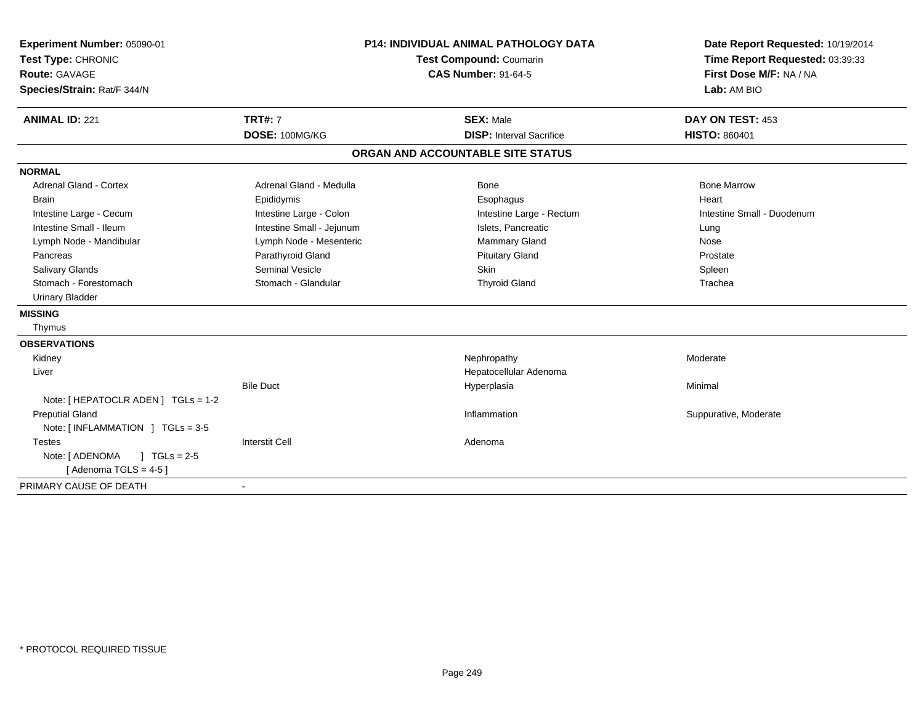| Experiment Number: 05090-01<br>Test Type: CHRONIC<br><b>Route: GAVAGE</b><br>Species/Strain: Rat/F 344/N<br><b>ANIMAL ID: 221</b> | <b>TRT#: 7</b>            | <b>P14: INDIVIDUAL ANIMAL PATHOLOGY DATA</b><br>Test Compound: Coumarin<br><b>CAS Number: 91-64-5</b><br><b>SEX: Male</b> | Date Report Requested: 10/19/2014<br>Time Report Requested: 03:39:33<br>First Dose M/F: NA / NA<br>Lab: AM BIO<br>DAY ON TEST: 453 |
|-----------------------------------------------------------------------------------------------------------------------------------|---------------------------|---------------------------------------------------------------------------------------------------------------------------|------------------------------------------------------------------------------------------------------------------------------------|
|                                                                                                                                   | DOSE: 100MG/KG            | <b>DISP: Interval Sacrifice</b>                                                                                           | <b>HISTO: 860401</b>                                                                                                               |
|                                                                                                                                   |                           | ORGAN AND ACCOUNTABLE SITE STATUS                                                                                         |                                                                                                                                    |
| <b>NORMAL</b>                                                                                                                     |                           |                                                                                                                           |                                                                                                                                    |
| <b>Adrenal Gland - Cortex</b>                                                                                                     | Adrenal Gland - Medulla   | Bone                                                                                                                      | <b>Bone Marrow</b>                                                                                                                 |
| <b>Brain</b>                                                                                                                      | Epididymis                | Esophagus                                                                                                                 | Heart                                                                                                                              |
| Intestine Large - Cecum                                                                                                           | Intestine Large - Colon   | Intestine Large - Rectum                                                                                                  | Intestine Small - Duodenum                                                                                                         |
| Intestine Small - Ileum                                                                                                           | Intestine Small - Jejunum | Islets, Pancreatic                                                                                                        | Lung                                                                                                                               |
| Lymph Node - Mandibular                                                                                                           | Lymph Node - Mesenteric   | Mammary Gland                                                                                                             | Nose                                                                                                                               |
| Pancreas                                                                                                                          | Parathyroid Gland         | <b>Pituitary Gland</b>                                                                                                    | Prostate                                                                                                                           |
| <b>Salivary Glands</b>                                                                                                            | <b>Seminal Vesicle</b>    | <b>Skin</b>                                                                                                               | Spleen                                                                                                                             |
| Stomach - Forestomach                                                                                                             | Stomach - Glandular       | <b>Thyroid Gland</b>                                                                                                      | Trachea                                                                                                                            |
| <b>Urinary Bladder</b>                                                                                                            |                           |                                                                                                                           |                                                                                                                                    |
| <b>MISSING</b>                                                                                                                    |                           |                                                                                                                           |                                                                                                                                    |
| Thymus                                                                                                                            |                           |                                                                                                                           |                                                                                                                                    |
| <b>OBSERVATIONS</b>                                                                                                               |                           |                                                                                                                           |                                                                                                                                    |
| Kidney                                                                                                                            |                           | Nephropathy                                                                                                               | Moderate                                                                                                                           |
| Liver                                                                                                                             |                           | Hepatocellular Adenoma                                                                                                    |                                                                                                                                    |
|                                                                                                                                   | <b>Bile Duct</b>          | Hyperplasia                                                                                                               | Minimal                                                                                                                            |
| Note: [ HEPATOCLR ADEN ] TGLs = 1-2                                                                                               |                           |                                                                                                                           |                                                                                                                                    |
| <b>Preputial Gland</b>                                                                                                            |                           | Inflammation                                                                                                              | Suppurative, Moderate                                                                                                              |
| Note: [INFLAMMATION ] TGLs = 3-5                                                                                                  |                           |                                                                                                                           |                                                                                                                                    |
| <b>Testes</b>                                                                                                                     | <b>Interstit Cell</b>     | Adenoma                                                                                                                   |                                                                                                                                    |
| $1 TGLs = 2-5$<br>Note: [ ADENOMA                                                                                                 |                           |                                                                                                                           |                                                                                                                                    |
| [Adenoma TGLS = $4-5$ ]                                                                                                           |                           |                                                                                                                           |                                                                                                                                    |
| PRIMARY CAUSE OF DEATH                                                                                                            |                           |                                                                                                                           |                                                                                                                                    |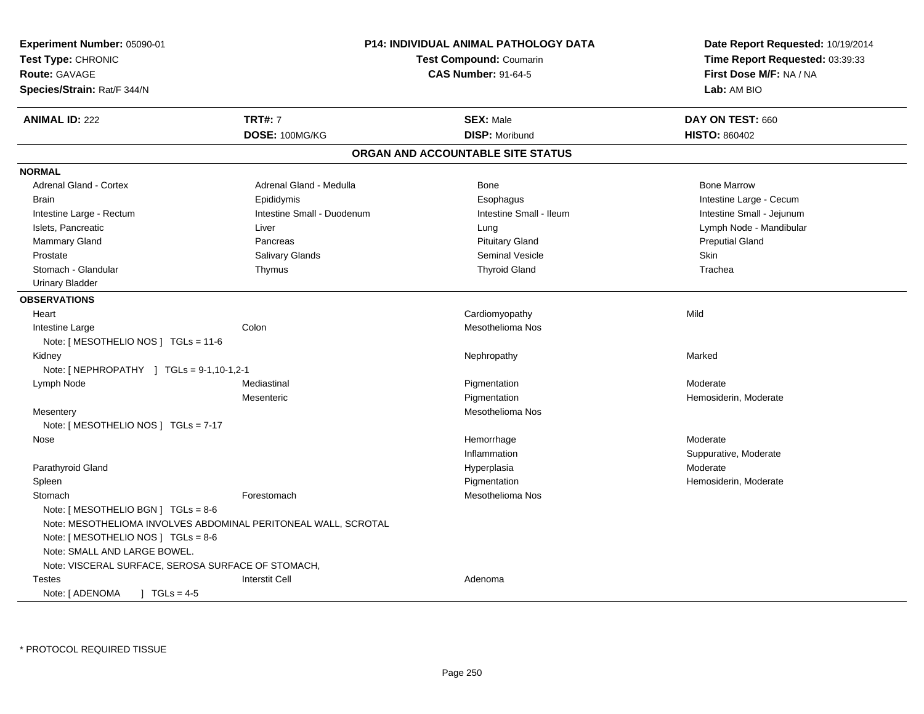| Experiment Number: 05090-01                                    | <b>P14: INDIVIDUAL ANIMAL PATHOLOGY DATA</b><br><b>Test Compound: Coumarin</b><br><b>CAS Number: 91-64-5</b> |                                   | Date Report Requested: 10/19/2014<br>Time Report Requested: 03:39:33 |
|----------------------------------------------------------------|--------------------------------------------------------------------------------------------------------------|-----------------------------------|----------------------------------------------------------------------|
| Test Type: CHRONIC                                             |                                                                                                              |                                   |                                                                      |
| <b>Route: GAVAGE</b>                                           |                                                                                                              |                                   | First Dose M/F: NA / NA                                              |
| Species/Strain: Rat/F 344/N                                    |                                                                                                              |                                   | Lab: AM BIO                                                          |
| <b>ANIMAL ID: 222</b>                                          | <b>TRT#: 7</b>                                                                                               | <b>SEX: Male</b>                  | DAY ON TEST: 660                                                     |
|                                                                | DOSE: 100MG/KG                                                                                               | <b>DISP: Moribund</b>             | <b>HISTO: 860402</b>                                                 |
|                                                                |                                                                                                              | ORGAN AND ACCOUNTABLE SITE STATUS |                                                                      |
| <b>NORMAL</b>                                                  |                                                                                                              |                                   |                                                                      |
| Adrenal Gland - Cortex                                         | Adrenal Gland - Medulla                                                                                      | Bone                              | <b>Bone Marrow</b>                                                   |
| Brain                                                          | Epididymis                                                                                                   | Esophagus                         | Intestine Large - Cecum                                              |
| Intestine Large - Rectum                                       | Intestine Small - Duodenum                                                                                   | Intestine Small - Ileum           | Intestine Small - Jejunum                                            |
| Islets, Pancreatic                                             | Liver                                                                                                        | Lung                              | Lymph Node - Mandibular                                              |
| Mammary Gland                                                  | Pancreas                                                                                                     | <b>Pituitary Gland</b>            | <b>Preputial Gland</b>                                               |
| Prostate                                                       | <b>Salivary Glands</b>                                                                                       | <b>Seminal Vesicle</b>            | Skin                                                                 |
| Stomach - Glandular                                            | Thymus                                                                                                       | <b>Thyroid Gland</b>              | Trachea                                                              |
| <b>Urinary Bladder</b>                                         |                                                                                                              |                                   |                                                                      |
| <b>OBSERVATIONS</b>                                            |                                                                                                              |                                   |                                                                      |
| Heart                                                          |                                                                                                              | Cardiomyopathy                    | Mild                                                                 |
| Intestine Large                                                | Colon                                                                                                        | Mesothelioma Nos                  |                                                                      |
| Note: [ MESOTHELIO NOS ] $TGLs = 11-6$                         |                                                                                                              |                                   |                                                                      |
| Kidney                                                         |                                                                                                              | Nephropathy                       | Marked                                                               |
| Note: [ NEPHROPATHY ] TGLs = 9-1,10-1,2-1                      |                                                                                                              |                                   |                                                                      |
| Lymph Node                                                     | Mediastinal                                                                                                  | Pigmentation                      | Moderate                                                             |
|                                                                | Mesenteric                                                                                                   | Pigmentation                      | Hemosiderin, Moderate                                                |
| Mesentery                                                      |                                                                                                              | Mesothelioma Nos                  |                                                                      |
| Note: [ MESOTHELIO NOS ] $TGLs = 7-17$                         |                                                                                                              |                                   |                                                                      |
| Nose                                                           |                                                                                                              | Hemorrhage                        | Moderate                                                             |
|                                                                |                                                                                                              | Inflammation                      | Suppurative, Moderate                                                |
| Parathyroid Gland                                              |                                                                                                              | Hyperplasia                       | Moderate                                                             |
| Spleen                                                         |                                                                                                              | Pigmentation                      | Hemosiderin, Moderate                                                |
| Stomach                                                        | Forestomach                                                                                                  | Mesothelioma Nos                  |                                                                      |
| Note: [ MESOTHELIO BGN ] $TGLs = 8-6$                          |                                                                                                              |                                   |                                                                      |
| Note: MESOTHELIOMA INVOLVES ABDOMINAL PERITONEAL WALL, SCROTAL |                                                                                                              |                                   |                                                                      |
| Note: [ MESOTHELIO NOS ] TGLs = 8-6                            |                                                                                                              |                                   |                                                                      |
| Note: SMALL AND LARGE BOWEL.                                   |                                                                                                              |                                   |                                                                      |
| Note: VISCERAL SURFACE, SEROSA SURFACE OF STOMACH,             |                                                                                                              |                                   |                                                                      |
| Testes                                                         | <b>Interstit Cell</b>                                                                                        | Adenoma                           |                                                                      |
| Note: [ ADENOMA<br>$TGLs = 4-5$                                |                                                                                                              |                                   |                                                                      |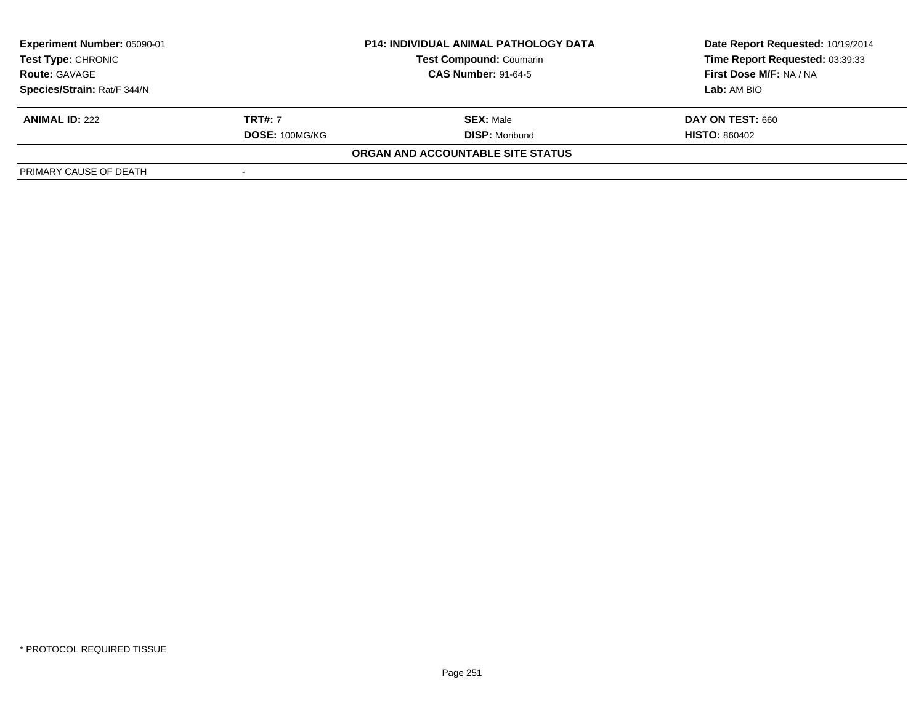| Experiment Number: 05090-01 |                | P14: INDIVIDUAL ANIMAL PATHOLOGY DATA | Date Report Requested: 10/19/2014 |
|-----------------------------|----------------|---------------------------------------|-----------------------------------|
| <b>Test Type: CHRONIC</b>   |                | <b>Test Compound: Coumarin</b>        | Time Report Requested: 03:39:33   |
| <b>Route: GAVAGE</b>        |                | <b>CAS Number: 91-64-5</b>            | First Dose M/F: NA / NA           |
| Species/Strain: Rat/F 344/N |                |                                       | Lab: AM BIO                       |
| <b>ANIMAL ID: 222</b>       | <b>TRT#:</b> 7 | <b>SEX: Male</b>                      | DAY ON TEST: 660                  |
|                             | DOSE: 100MG/KG | <b>DISP:</b> Moribund                 | <b>HISTO: 860402</b>              |
|                             |                | ORGAN AND ACCOUNTABLE SITE STATUS     |                                   |
| PRIMARY CAUSE OF DEATH      |                |                                       |                                   |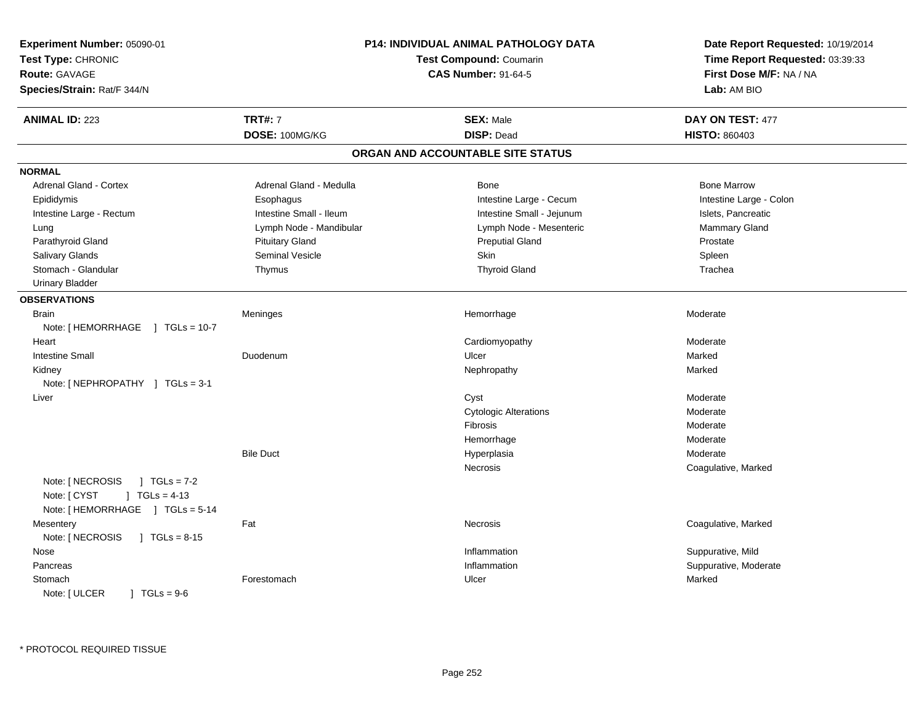| Experiment Number: 05090-01<br>Test Type: CHRONIC<br><b>Route: GAVAGE</b><br>Species/Strain: Rat/F 344/N     |                         | P14: INDIVIDUAL ANIMAL PATHOLOGY DATA<br>Test Compound: Coumarin<br><b>CAS Number: 91-64-5</b> | Date Report Requested: 10/19/2014<br>Time Report Requested: 03:39:33<br>First Dose M/F: NA / NA<br>Lab: AM BIO |
|--------------------------------------------------------------------------------------------------------------|-------------------------|------------------------------------------------------------------------------------------------|----------------------------------------------------------------------------------------------------------------|
| <b>ANIMAL ID: 223</b>                                                                                        | <b>TRT#: 7</b>          | <b>SEX: Male</b>                                                                               | DAY ON TEST: 477                                                                                               |
|                                                                                                              | DOSE: 100MG/KG          | <b>DISP: Dead</b>                                                                              | <b>HISTO: 860403</b>                                                                                           |
|                                                                                                              |                         | ORGAN AND ACCOUNTABLE SITE STATUS                                                              |                                                                                                                |
| <b>NORMAL</b>                                                                                                |                         |                                                                                                |                                                                                                                |
| Adrenal Gland - Cortex                                                                                       | Adrenal Gland - Medulla | <b>Bone</b>                                                                                    | <b>Bone Marrow</b>                                                                                             |
| Epididymis                                                                                                   | Esophagus               | Intestine Large - Cecum                                                                        | Intestine Large - Colon                                                                                        |
| Intestine Large - Rectum                                                                                     | Intestine Small - Ileum | Intestine Small - Jejunum                                                                      | Islets, Pancreatic                                                                                             |
| Lung                                                                                                         | Lymph Node - Mandibular | Lymph Node - Mesenteric                                                                        | Mammary Gland                                                                                                  |
| Parathyroid Gland                                                                                            | <b>Pituitary Gland</b>  | <b>Preputial Gland</b>                                                                         | Prostate                                                                                                       |
| <b>Salivary Glands</b>                                                                                       | <b>Seminal Vesicle</b>  | Skin                                                                                           | Spleen                                                                                                         |
| Stomach - Glandular                                                                                          | Thymus                  | <b>Thyroid Gland</b>                                                                           | Trachea                                                                                                        |
| <b>Urinary Bladder</b>                                                                                       |                         |                                                                                                |                                                                                                                |
| <b>OBSERVATIONS</b>                                                                                          |                         |                                                                                                |                                                                                                                |
| <b>Brain</b>                                                                                                 | Meninges                | Hemorrhage                                                                                     | Moderate                                                                                                       |
| Note: [ HEMORRHAGE<br>$TGLs = 10-7$<br>$\mathbf{1}$                                                          |                         |                                                                                                |                                                                                                                |
| Heart                                                                                                        |                         | Cardiomyopathy                                                                                 | Moderate                                                                                                       |
| <b>Intestine Small</b>                                                                                       | Duodenum                | Ulcer                                                                                          | Marked                                                                                                         |
| Kidney                                                                                                       |                         | Nephropathy                                                                                    | Marked                                                                                                         |
| Note: $[NEPHROPATHY]$ TGLs = 3-1                                                                             |                         |                                                                                                |                                                                                                                |
| Liver                                                                                                        |                         | Cyst                                                                                           | Moderate                                                                                                       |
|                                                                                                              |                         | <b>Cytologic Alterations</b>                                                                   | Moderate                                                                                                       |
|                                                                                                              |                         | Fibrosis                                                                                       | Moderate                                                                                                       |
|                                                                                                              |                         | Hemorrhage                                                                                     | Moderate                                                                                                       |
|                                                                                                              | <b>Bile Duct</b>        | Hyperplasia                                                                                    | Moderate                                                                                                       |
|                                                                                                              |                         | Necrosis                                                                                       | Coagulative, Marked                                                                                            |
| Note: [ NECROSIS<br>$1 TGLs = 7-2$<br>Note: [ CYST<br>$\vert$ TGLs = 4-13<br>Note: [HEMORRHAGE ] TGLs = 5-14 |                         |                                                                                                |                                                                                                                |
| Mesentery<br>Note: [ NECROSIS<br>$1 TGLs = 8-15$                                                             | Fat                     | Necrosis                                                                                       | Coagulative, Marked                                                                                            |
| Nose                                                                                                         |                         | Inflammation                                                                                   | Suppurative, Mild                                                                                              |
| Pancreas                                                                                                     |                         | Inflammation                                                                                   | Suppurative, Moderate                                                                                          |
| Stomach<br>$] TGLs = 9-6$<br>Note: [ ULCER                                                                   | Forestomach             | Ulcer                                                                                          | Marked                                                                                                         |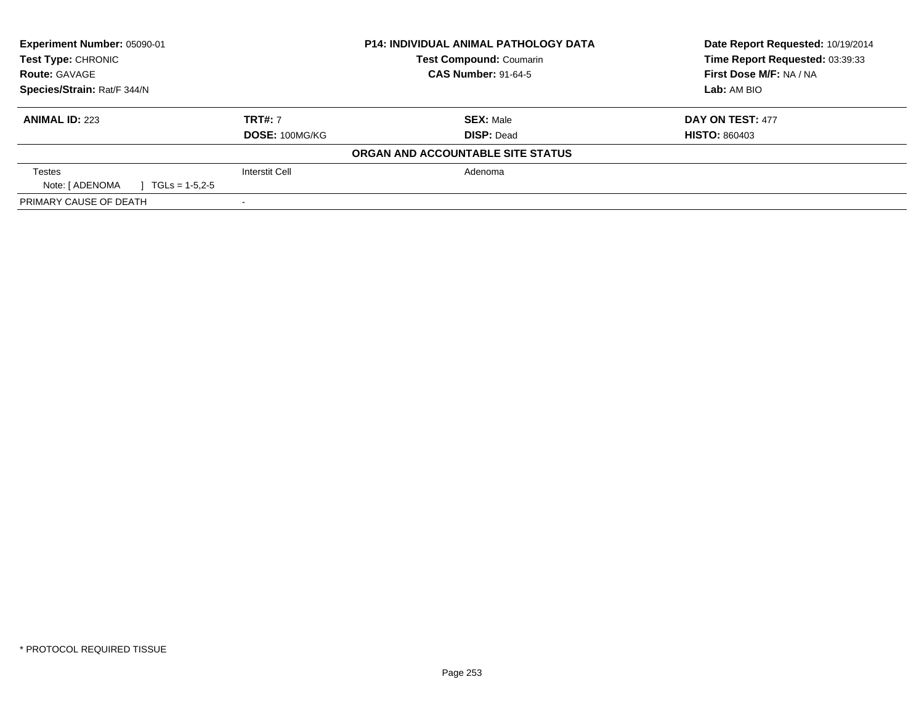| Experiment Number: 05090-01         |                       | <b>P14: INDIVIDUAL ANIMAL PATHOLOGY DATA</b> | Date Report Requested: 10/19/2014 |
|-------------------------------------|-----------------------|----------------------------------------------|-----------------------------------|
| Test Type: CHRONIC                  |                       | <b>Test Compound: Coumarin</b>               | Time Report Requested: 03:39:33   |
| <b>Route: GAVAGE</b>                |                       | <b>CAS Number: 91-64-5</b>                   | First Dose M/F: NA / NA           |
| Species/Strain: Rat/F 344/N         |                       |                                              | Lab: AM BIO                       |
| <b>ANIMAL ID: 223</b>               | <b>TRT#: 7</b>        | <b>SEX: Male</b>                             | DAY ON TEST: 477                  |
|                                     | DOSE: 100MG/KG        | <b>DISP: Dead</b>                            | <b>HISTO: 860403</b>              |
|                                     |                       | ORGAN AND ACCOUNTABLE SITE STATUS            |                                   |
| Testes                              | <b>Interstit Cell</b> | Adenoma                                      |                                   |
| Note: [ ADENOMA<br>$TGLs = 1-5.2-5$ |                       |                                              |                                   |
| PRIMARY CAUSE OF DEATH              |                       |                                              |                                   |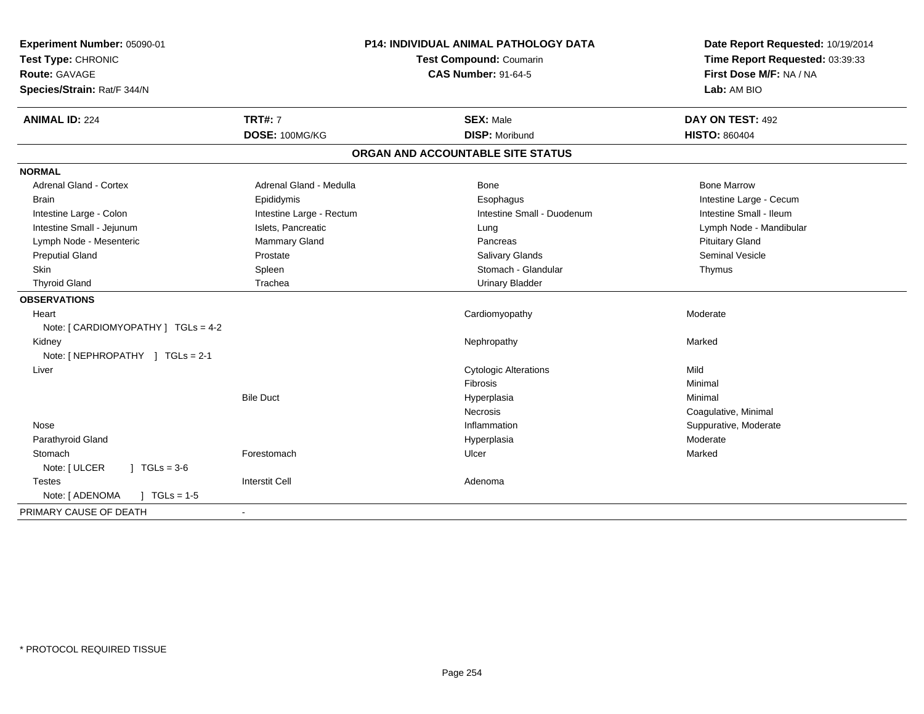| Experiment Number: 05090-01<br>Test Type: CHRONIC<br>Route: GAVAGE<br>Species/Strain: Rat/F 344/N | P14: INDIVIDUAL ANIMAL PATHOLOGY DATA<br>Test Compound: Coumarin<br><b>CAS Number: 91-64-5</b> |                                   | Date Report Requested: 10/19/2014<br>Time Report Requested: 03:39:33<br>First Dose M/F: NA / NA<br>Lab: AM BIO |  |
|---------------------------------------------------------------------------------------------------|------------------------------------------------------------------------------------------------|-----------------------------------|----------------------------------------------------------------------------------------------------------------|--|
| <b>ANIMAL ID: 224</b>                                                                             | <b>TRT#: 7</b>                                                                                 | <b>SEX: Male</b>                  | DAY ON TEST: 492                                                                                               |  |
|                                                                                                   | DOSE: 100MG/KG                                                                                 | <b>DISP: Moribund</b>             | <b>HISTO: 860404</b>                                                                                           |  |
|                                                                                                   |                                                                                                | ORGAN AND ACCOUNTABLE SITE STATUS |                                                                                                                |  |
| <b>NORMAL</b>                                                                                     |                                                                                                |                                   |                                                                                                                |  |
| <b>Adrenal Gland - Cortex</b>                                                                     | Adrenal Gland - Medulla                                                                        | Bone                              | <b>Bone Marrow</b>                                                                                             |  |
| <b>Brain</b>                                                                                      | Epididymis                                                                                     | Esophagus                         | Intestine Large - Cecum                                                                                        |  |
| Intestine Large - Colon                                                                           | Intestine Large - Rectum                                                                       | Intestine Small - Duodenum        | Intestine Small - Ileum                                                                                        |  |
| Intestine Small - Jejunum                                                                         | Islets, Pancreatic                                                                             | Lung                              | Lymph Node - Mandibular                                                                                        |  |
| Lymph Node - Mesenteric                                                                           | <b>Mammary Gland</b>                                                                           | Pancreas                          | <b>Pituitary Gland</b>                                                                                         |  |
| <b>Preputial Gland</b>                                                                            | Prostate                                                                                       | <b>Salivary Glands</b>            | <b>Seminal Vesicle</b>                                                                                         |  |
| Skin                                                                                              | Spleen                                                                                         | Stomach - Glandular               | Thymus                                                                                                         |  |
| <b>Thyroid Gland</b>                                                                              | Trachea                                                                                        | <b>Urinary Bladder</b>            |                                                                                                                |  |
| <b>OBSERVATIONS</b>                                                                               |                                                                                                |                                   |                                                                                                                |  |
| Heart                                                                                             |                                                                                                | Cardiomyopathy                    | Moderate                                                                                                       |  |
| Note: [ CARDIOMYOPATHY ] TGLs = 4-2                                                               |                                                                                                |                                   |                                                                                                                |  |
| Kidney                                                                                            |                                                                                                | Nephropathy                       | Marked                                                                                                         |  |
| Note: [NEPHROPATHY ] TGLs = 2-1                                                                   |                                                                                                |                                   |                                                                                                                |  |
| Liver                                                                                             |                                                                                                | <b>Cytologic Alterations</b>      | Mild                                                                                                           |  |
|                                                                                                   |                                                                                                | Fibrosis                          | Minimal                                                                                                        |  |
|                                                                                                   | <b>Bile Duct</b>                                                                               | Hyperplasia                       | Minimal                                                                                                        |  |
|                                                                                                   |                                                                                                | <b>Necrosis</b>                   | Coagulative, Minimal                                                                                           |  |
| Nose                                                                                              |                                                                                                | Inflammation                      | Suppurative, Moderate                                                                                          |  |
| Parathyroid Gland                                                                                 |                                                                                                | Hyperplasia                       | Moderate                                                                                                       |  |
| Stomach                                                                                           | Forestomach                                                                                    | Ulcer                             | Marked                                                                                                         |  |
| Note: [ ULCER<br>$\sqrt{1}$ TGLs = 3-6                                                            |                                                                                                |                                   |                                                                                                                |  |
| <b>Testes</b>                                                                                     | <b>Interstit Cell</b>                                                                          | Adenoma                           |                                                                                                                |  |
| Note: [ ADENOMA<br>$\sqrt{1}$ TGLs = 1-5                                                          |                                                                                                |                                   |                                                                                                                |  |
| PRIMARY CAUSE OF DEATH                                                                            |                                                                                                |                                   |                                                                                                                |  |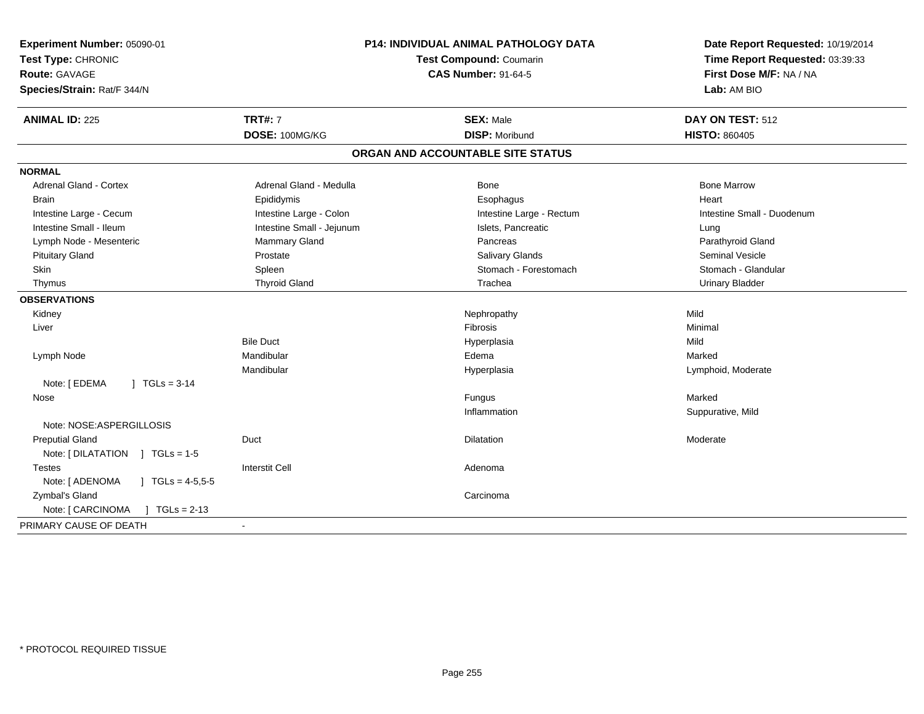| Experiment Number: 05090-01<br>Test Type: CHRONIC<br>Route: GAVAGE<br>Species/Strain: Rat/F 344/N | <b>P14: INDIVIDUAL ANIMAL PATHOLOGY DATA</b><br>Test Compound: Coumarin<br><b>CAS Number: 91-64-5</b> |                                           | Date Report Requested: 10/19/2014<br>Time Report Requested: 03:39:33<br>First Dose M/F: NA / NA<br>Lab: AM BIO |
|---------------------------------------------------------------------------------------------------|-------------------------------------------------------------------------------------------------------|-------------------------------------------|----------------------------------------------------------------------------------------------------------------|
|                                                                                                   |                                                                                                       |                                           |                                                                                                                |
| <b>ANIMAL ID: 225</b>                                                                             | <b>TRT#: 7</b><br>DOSE: 100MG/KG                                                                      | <b>SEX: Male</b><br><b>DISP: Moribund</b> | DAY ON TEST: 512<br><b>HISTO: 860405</b>                                                                       |
|                                                                                                   |                                                                                                       |                                           |                                                                                                                |
|                                                                                                   |                                                                                                       | ORGAN AND ACCOUNTABLE SITE STATUS         |                                                                                                                |
| <b>NORMAL</b>                                                                                     |                                                                                                       |                                           |                                                                                                                |
| <b>Adrenal Gland - Cortex</b>                                                                     | Adrenal Gland - Medulla                                                                               | Bone                                      | <b>Bone Marrow</b>                                                                                             |
| <b>Brain</b>                                                                                      | Epididymis                                                                                            | Esophagus                                 | Heart                                                                                                          |
| Intestine Large - Cecum                                                                           | Intestine Large - Colon                                                                               | Intestine Large - Rectum                  | Intestine Small - Duodenum                                                                                     |
| Intestine Small - Ileum                                                                           | Intestine Small - Jejunum                                                                             | Islets, Pancreatic                        | Lung                                                                                                           |
| Lymph Node - Mesenteric                                                                           | Mammary Gland                                                                                         | Pancreas                                  | Parathyroid Gland                                                                                              |
| <b>Pituitary Gland</b>                                                                            | Prostate                                                                                              | Salivary Glands                           | <b>Seminal Vesicle</b>                                                                                         |
| Skin                                                                                              | Spleen                                                                                                | Stomach - Forestomach                     | Stomach - Glandular                                                                                            |
| Thymus                                                                                            | <b>Thyroid Gland</b>                                                                                  | Trachea                                   | <b>Urinary Bladder</b>                                                                                         |
| <b>OBSERVATIONS</b>                                                                               |                                                                                                       |                                           |                                                                                                                |
| Kidney                                                                                            |                                                                                                       | Nephropathy                               | Mild                                                                                                           |
| Liver                                                                                             |                                                                                                       | Fibrosis                                  | Minimal                                                                                                        |
|                                                                                                   | <b>Bile Duct</b>                                                                                      | Hyperplasia                               | Mild                                                                                                           |
| Lymph Node                                                                                        | Mandibular                                                                                            | Edema                                     | Marked                                                                                                         |
|                                                                                                   | Mandibular                                                                                            | Hyperplasia                               | Lymphoid, Moderate                                                                                             |
| Note: [ EDEMA<br>$\vert$ TGLs = 3-14                                                              |                                                                                                       |                                           |                                                                                                                |
| Nose                                                                                              |                                                                                                       | Fungus                                    | Marked                                                                                                         |
|                                                                                                   |                                                                                                       | Inflammation                              | Suppurative, Mild                                                                                              |
| Note: NOSE:ASPERGILLOSIS                                                                          |                                                                                                       |                                           |                                                                                                                |
| <b>Preputial Gland</b>                                                                            | Duct                                                                                                  | Dilatation                                | Moderate                                                                                                       |
| Note: [DILATATION ] TGLs = 1-5                                                                    |                                                                                                       |                                           |                                                                                                                |
| <b>Testes</b>                                                                                     | <b>Interstit Cell</b>                                                                                 | Adenoma                                   |                                                                                                                |
| Note: [ ADENOMA<br>$\sqrt{6}$ TGLs = 4-5,5-5                                                      |                                                                                                       |                                           |                                                                                                                |
| Zymbal's Gland                                                                                    |                                                                                                       | Carcinoma                                 |                                                                                                                |
| Note: [ CARCINOMA<br>$TGLs = 2-13$<br>л.                                                          |                                                                                                       |                                           |                                                                                                                |
| PRIMARY CAUSE OF DEATH                                                                            |                                                                                                       |                                           |                                                                                                                |
|                                                                                                   |                                                                                                       |                                           |                                                                                                                |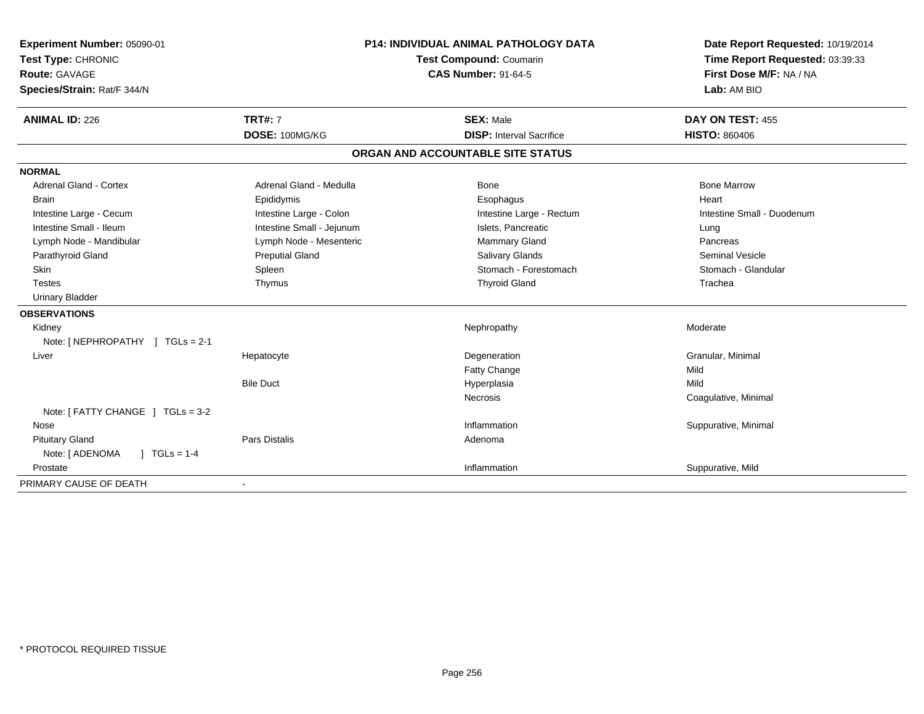| Experiment Number: 05090-01<br>Test Type: CHRONIC |                           | P14: INDIVIDUAL ANIMAL PATHOLOGY DATA<br>Test Compound: Coumarin | Date Report Requested: 10/19/2014<br>Time Report Requested: 03:39:33 |
|---------------------------------------------------|---------------------------|------------------------------------------------------------------|----------------------------------------------------------------------|
| <b>Route: GAVAGE</b>                              |                           | <b>CAS Number: 91-64-5</b>                                       | First Dose M/F: NA / NA                                              |
| Species/Strain: Rat/F 344/N                       |                           |                                                                  | Lab: AM BIO                                                          |
| <b>ANIMAL ID: 226</b>                             | <b>TRT#: 7</b>            | <b>SEX: Male</b>                                                 | DAY ON TEST: 455                                                     |
|                                                   | DOSE: 100MG/KG            | <b>DISP:</b> Interval Sacrifice                                  | <b>HISTO: 860406</b>                                                 |
|                                                   |                           | ORGAN AND ACCOUNTABLE SITE STATUS                                |                                                                      |
| <b>NORMAL</b>                                     |                           |                                                                  |                                                                      |
| <b>Adrenal Gland - Cortex</b>                     | Adrenal Gland - Medulla   | <b>Bone</b>                                                      | <b>Bone Marrow</b>                                                   |
| <b>Brain</b>                                      | Epididymis                | Esophagus                                                        | Heart                                                                |
| Intestine Large - Cecum                           | Intestine Large - Colon   | Intestine Large - Rectum                                         | Intestine Small - Duodenum                                           |
| Intestine Small - Ileum                           | Intestine Small - Jejunum | Islets, Pancreatic                                               | Lung                                                                 |
| Lymph Node - Mandibular                           | Lymph Node - Mesenteric   | Mammary Gland                                                    | Pancreas                                                             |
| Parathyroid Gland                                 | <b>Preputial Gland</b>    | <b>Salivary Glands</b>                                           | <b>Seminal Vesicle</b>                                               |
| <b>Skin</b>                                       | Spleen                    | Stomach - Forestomach                                            | Stomach - Glandular                                                  |
| <b>Testes</b>                                     | Thymus                    | <b>Thyroid Gland</b>                                             | Trachea                                                              |
| <b>Urinary Bladder</b>                            |                           |                                                                  |                                                                      |
| <b>OBSERVATIONS</b>                               |                           |                                                                  |                                                                      |
| Kidney                                            |                           | Nephropathy                                                      | Moderate                                                             |
| Note: [NEPHROPATHY ] TGLs = 2-1                   |                           |                                                                  |                                                                      |
| Liver                                             | Hepatocyte                | Degeneration                                                     | Granular, Minimal                                                    |
|                                                   |                           | Fatty Change                                                     | Mild                                                                 |
|                                                   | <b>Bile Duct</b>          | Hyperplasia                                                      | Mild                                                                 |
|                                                   |                           | <b>Necrosis</b>                                                  | Coagulative, Minimal                                                 |
| Note: [ FATTY CHANGE ] TGLs = 3-2                 |                           |                                                                  |                                                                      |
| Nose                                              |                           | Inflammation                                                     | Suppurative, Minimal                                                 |
| <b>Pituitary Gland</b>                            | <b>Pars Distalis</b>      | Adenoma                                                          |                                                                      |
| Note: [ ADENOMA<br>$\sqrt{ }$ TGLs = 1-4          |                           |                                                                  |                                                                      |
| Prostate                                          |                           | Inflammation                                                     | Suppurative, Mild                                                    |
| PRIMARY CAUSE OF DEATH                            |                           |                                                                  |                                                                      |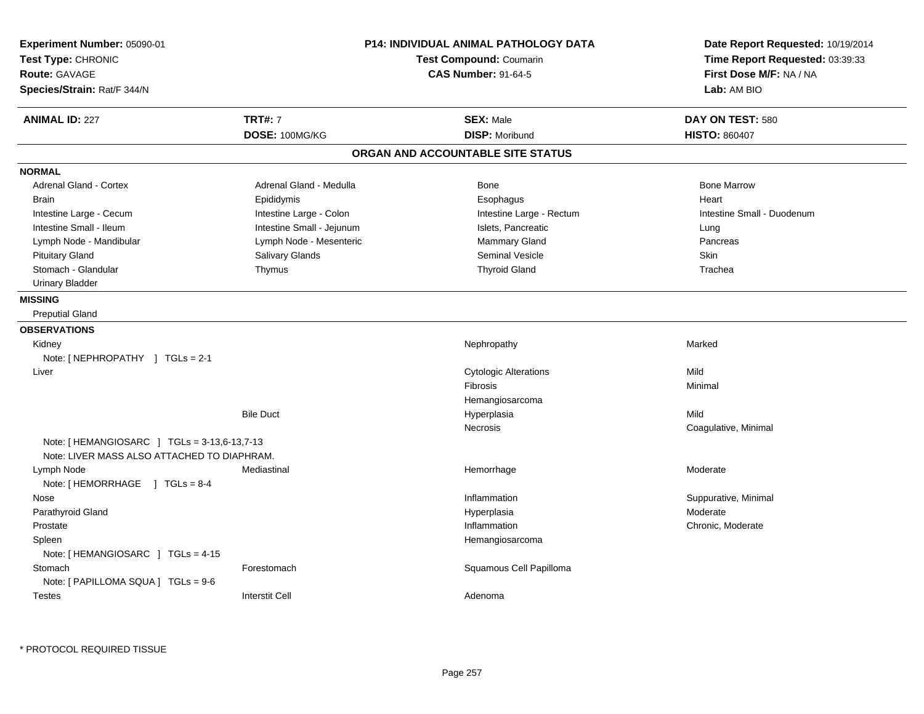| Experiment Number: 05090-01<br>Test Type: CHRONIC<br>Route: GAVAGE<br>Species/Strain: Rat/F 344/N |                           | <b>P14: INDIVIDUAL ANIMAL PATHOLOGY DATA</b><br><b>Test Compound: Coumarin</b><br><b>CAS Number: 91-64-5</b> | Date Report Requested: 10/19/2014<br>Time Report Requested: 03:39:33<br>First Dose M/F: NA / NA<br>Lab: AM BIO |
|---------------------------------------------------------------------------------------------------|---------------------------|--------------------------------------------------------------------------------------------------------------|----------------------------------------------------------------------------------------------------------------|
| <b>ANIMAL ID: 227</b>                                                                             | <b>TRT#: 7</b>            | <b>SEX: Male</b>                                                                                             | DAY ON TEST: 580                                                                                               |
|                                                                                                   | DOSE: 100MG/KG            | <b>DISP: Moribund</b>                                                                                        | <b>HISTO: 860407</b>                                                                                           |
|                                                                                                   |                           | ORGAN AND ACCOUNTABLE SITE STATUS                                                                            |                                                                                                                |
| <b>NORMAL</b>                                                                                     |                           |                                                                                                              |                                                                                                                |
| Adrenal Gland - Cortex                                                                            | Adrenal Gland - Medulla   | <b>Bone</b>                                                                                                  | <b>Bone Marrow</b>                                                                                             |
| <b>Brain</b>                                                                                      | Epididymis                | Esophagus                                                                                                    | Heart                                                                                                          |
| Intestine Large - Cecum                                                                           | Intestine Large - Colon   | Intestine Large - Rectum                                                                                     | Intestine Small - Duodenum                                                                                     |
| Intestine Small - Ileum                                                                           | Intestine Small - Jejunum | Islets, Pancreatic                                                                                           | Lung                                                                                                           |
| Lymph Node - Mandibular                                                                           | Lymph Node - Mesenteric   | Mammary Gland                                                                                                | Pancreas                                                                                                       |
| <b>Pituitary Gland</b>                                                                            | Salivary Glands           | Seminal Vesicle                                                                                              | Skin                                                                                                           |
| Stomach - Glandular                                                                               | Thymus                    | <b>Thyroid Gland</b>                                                                                         | Trachea                                                                                                        |
| <b>Urinary Bladder</b>                                                                            |                           |                                                                                                              |                                                                                                                |
| <b>MISSING</b>                                                                                    |                           |                                                                                                              |                                                                                                                |
| <b>Preputial Gland</b>                                                                            |                           |                                                                                                              |                                                                                                                |
| <b>OBSERVATIONS</b>                                                                               |                           |                                                                                                              |                                                                                                                |
| Kidney                                                                                            |                           | Nephropathy                                                                                                  | Marked                                                                                                         |
| Note: [NEPHROPATHY ] TGLs = 2-1                                                                   |                           |                                                                                                              |                                                                                                                |
| Liver                                                                                             |                           | <b>Cytologic Alterations</b>                                                                                 | Mild                                                                                                           |
|                                                                                                   |                           | Fibrosis                                                                                                     | Minimal                                                                                                        |
|                                                                                                   |                           | Hemangiosarcoma                                                                                              |                                                                                                                |
|                                                                                                   | <b>Bile Duct</b>          | Hyperplasia                                                                                                  | Mild                                                                                                           |
|                                                                                                   |                           | Necrosis                                                                                                     | Coagulative, Minimal                                                                                           |
| Note: [HEMANGIOSARC ] TGLs = 3-13,6-13,7-13<br>Note: LIVER MASS ALSO ATTACHED TO DIAPHRAM.        |                           |                                                                                                              |                                                                                                                |
| Lymph Node<br>Note: [HEMORRHAGE ] TGLs = 8-4                                                      | Mediastinal               | Hemorrhage                                                                                                   | Moderate                                                                                                       |
| Nose                                                                                              |                           | Inflammation                                                                                                 | Suppurative, Minimal                                                                                           |
| Parathyroid Gland                                                                                 |                           | Hyperplasia                                                                                                  | Moderate                                                                                                       |
| Prostate                                                                                          |                           | Inflammation                                                                                                 | Chronic, Moderate                                                                                              |
| Spleen                                                                                            |                           | Hemangiosarcoma                                                                                              |                                                                                                                |
| Note: [HEMANGIOSARC ] TGLs = 4-15                                                                 |                           |                                                                                                              |                                                                                                                |
| Stomach                                                                                           | Forestomach               | Squamous Cell Papilloma                                                                                      |                                                                                                                |
| Note: [ PAPILLOMA SQUA ] TGLs = 9-6                                                               |                           |                                                                                                              |                                                                                                                |
| <b>Testes</b>                                                                                     | <b>Interstit Cell</b>     | Adenoma                                                                                                      |                                                                                                                |
|                                                                                                   |                           |                                                                                                              |                                                                                                                |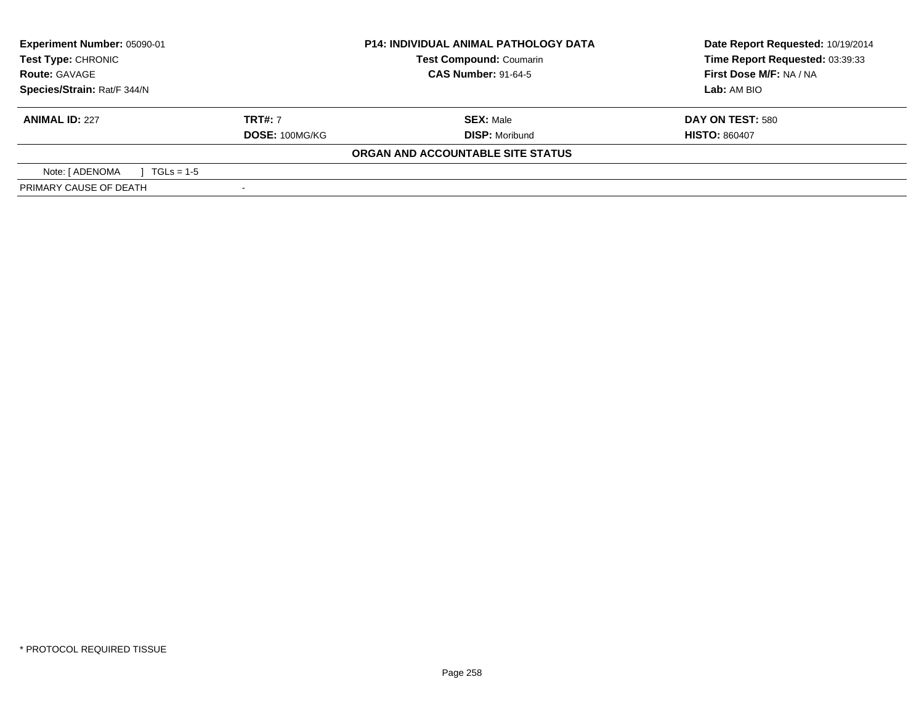| <b>Experiment Number: 05090-01</b><br>Test Type: CHRONIC |                | <b>P14: INDIVIDUAL ANIMAL PATHOLOGY DATA</b><br><b>Test Compound: Coumarin</b> | Date Report Requested: 10/19/2014<br>Time Report Requested: 03:39:33 |
|----------------------------------------------------------|----------------|--------------------------------------------------------------------------------|----------------------------------------------------------------------|
| <b>Route: GAVAGE</b>                                     |                | <b>CAS Number: 91-64-5</b>                                                     | First Dose M/F: NA / NA                                              |
| Species/Strain: Rat/F 344/N                              |                |                                                                                | Lab: AM BIO                                                          |
| <b>ANIMAL ID: 227</b>                                    | <b>TRT#:</b> 7 | <b>SEX: Male</b>                                                               | DAY ON TEST: 580                                                     |
|                                                          | DOSE: 100MG/KG | <b>DISP: Moribund</b>                                                          | <b>HISTO: 860407</b>                                                 |
|                                                          |                | ORGAN AND ACCOUNTABLE SITE STATUS                                              |                                                                      |
| Note: [ ADENOMA<br>$1 \text{ TGLs} = 1.5$                |                |                                                                                |                                                                      |
| PRIMARY CAUSE OF DEATH                                   |                |                                                                                |                                                                      |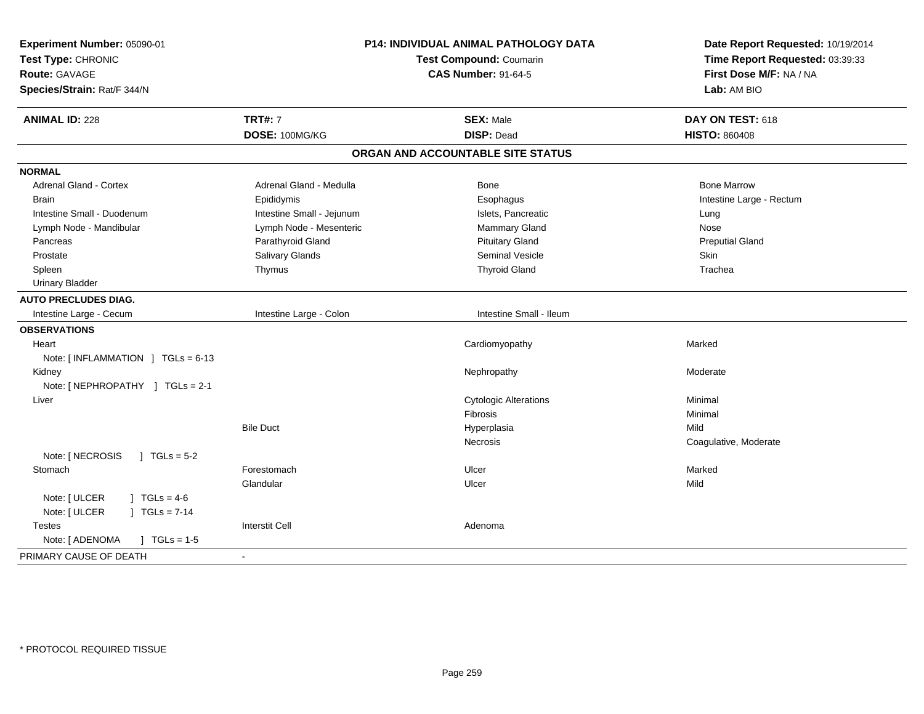| Experiment Number: 05090-01<br>Test Type: CHRONIC<br><b>Route: GAVAGE</b><br>Species/Strain: Rat/F 344/N | P14: INDIVIDUAL ANIMAL PATHOLOGY DATA<br>Test Compound: Coumarin<br><b>CAS Number: 91-64-5</b> |                                   | Date Report Requested: 10/19/2014<br>Time Report Requested: 03:39:33<br>First Dose M/F: NA / NA<br>Lab: AM BIO |
|----------------------------------------------------------------------------------------------------------|------------------------------------------------------------------------------------------------|-----------------------------------|----------------------------------------------------------------------------------------------------------------|
| <b>ANIMAL ID: 228</b>                                                                                    | <b>TRT#: 7</b>                                                                                 | <b>SEX: Male</b>                  | DAY ON TEST: 618                                                                                               |
|                                                                                                          | DOSE: 100MG/KG                                                                                 | <b>DISP: Dead</b>                 | <b>HISTO: 860408</b>                                                                                           |
|                                                                                                          |                                                                                                | ORGAN AND ACCOUNTABLE SITE STATUS |                                                                                                                |
| <b>NORMAL</b>                                                                                            |                                                                                                |                                   |                                                                                                                |
| Adrenal Gland - Cortex                                                                                   | Adrenal Gland - Medulla                                                                        | <b>Bone</b>                       | <b>Bone Marrow</b>                                                                                             |
| <b>Brain</b>                                                                                             | Epididymis                                                                                     | Esophagus                         | Intestine Large - Rectum                                                                                       |
| Intestine Small - Duodenum                                                                               | Intestine Small - Jejunum                                                                      | Islets, Pancreatic                | Lung                                                                                                           |
| Lymph Node - Mandibular                                                                                  | Lymph Node - Mesenteric                                                                        | Mammary Gland                     | Nose                                                                                                           |
| Pancreas                                                                                                 | Parathyroid Gland                                                                              | <b>Pituitary Gland</b>            | <b>Preputial Gland</b>                                                                                         |
| Prostate                                                                                                 | Salivary Glands                                                                                | <b>Seminal Vesicle</b>            | Skin                                                                                                           |
| Spleen                                                                                                   | Thymus                                                                                         | <b>Thyroid Gland</b>              | Trachea                                                                                                        |
| <b>Urinary Bladder</b>                                                                                   |                                                                                                |                                   |                                                                                                                |
| <b>AUTO PRECLUDES DIAG.</b>                                                                              |                                                                                                |                                   |                                                                                                                |
| Intestine Large - Cecum                                                                                  | Intestine Large - Colon                                                                        | Intestine Small - Ileum           |                                                                                                                |
| <b>OBSERVATIONS</b>                                                                                      |                                                                                                |                                   |                                                                                                                |
| Heart                                                                                                    |                                                                                                | Cardiomyopathy                    | Marked                                                                                                         |
| Note: [INFLAMMATION ] TGLs = 6-13                                                                        |                                                                                                |                                   |                                                                                                                |
| Kidney                                                                                                   |                                                                                                | Nephropathy                       | Moderate                                                                                                       |
| Note: [NEPHROPATHY ] TGLs = 2-1                                                                          |                                                                                                |                                   |                                                                                                                |
| Liver                                                                                                    |                                                                                                | <b>Cytologic Alterations</b>      | Minimal                                                                                                        |
|                                                                                                          |                                                                                                | Fibrosis                          | Minimal                                                                                                        |
|                                                                                                          | <b>Bile Duct</b>                                                                               | Hyperplasia                       | Mild                                                                                                           |
|                                                                                                          |                                                                                                | <b>Necrosis</b>                   | Coagulative, Moderate                                                                                          |
| Note: [ NECROSIS<br>$1 TGLs = 5-2$                                                                       |                                                                                                |                                   |                                                                                                                |
| Stomach                                                                                                  | Forestomach                                                                                    | Ulcer                             | Marked                                                                                                         |
|                                                                                                          | Glandular                                                                                      | Ulcer                             | Mild                                                                                                           |
| Note: [ ULCER<br>$1 TGLs = 4-6$                                                                          |                                                                                                |                                   |                                                                                                                |
| Note: [ ULCER<br>$] TGLs = 7-14$                                                                         |                                                                                                |                                   |                                                                                                                |
| <b>Testes</b>                                                                                            | <b>Interstit Cell</b>                                                                          | Adenoma                           |                                                                                                                |
| Note: [ ADENOMA<br>$\int$ TGLs = 1-5                                                                     |                                                                                                |                                   |                                                                                                                |
| PRIMARY CAUSE OF DEATH                                                                                   | $\overline{\phantom{a}}$                                                                       |                                   |                                                                                                                |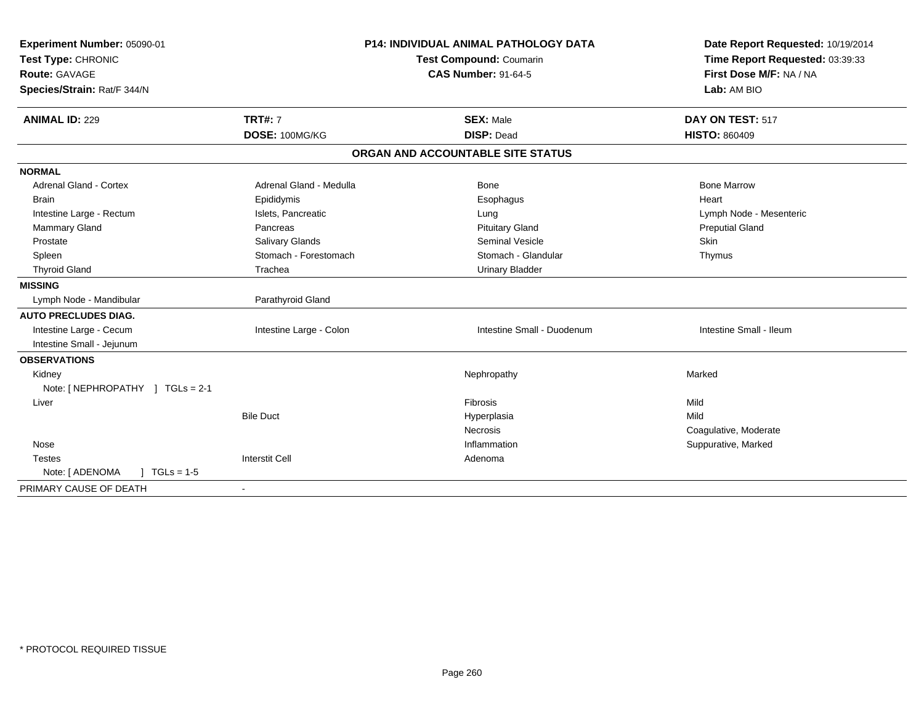| Experiment Number: 05090-01<br>Test Type: CHRONIC<br><b>Route: GAVAGE</b><br>Species/Strain: Rat/F 344/N | <b>P14: INDIVIDUAL ANIMAL PATHOLOGY DATA</b><br><b>Test Compound: Coumarin</b><br><b>CAS Number: 91-64-5</b> |                                   | Date Report Requested: 10/19/2014<br>Time Report Requested: 03:39:33<br>First Dose M/F: NA / NA<br>Lab: AM BIO |  |
|----------------------------------------------------------------------------------------------------------|--------------------------------------------------------------------------------------------------------------|-----------------------------------|----------------------------------------------------------------------------------------------------------------|--|
| <b>ANIMAL ID: 229</b>                                                                                    | <b>TRT#: 7</b>                                                                                               | <b>SEX: Male</b>                  | DAY ON TEST: 517                                                                                               |  |
|                                                                                                          | DOSE: 100MG/KG                                                                                               | <b>DISP: Dead</b>                 | <b>HISTO: 860409</b>                                                                                           |  |
|                                                                                                          |                                                                                                              | ORGAN AND ACCOUNTABLE SITE STATUS |                                                                                                                |  |
| <b>NORMAL</b>                                                                                            |                                                                                                              |                                   |                                                                                                                |  |
| <b>Adrenal Gland - Cortex</b>                                                                            | Adrenal Gland - Medulla                                                                                      | <b>Bone</b>                       | <b>Bone Marrow</b>                                                                                             |  |
| <b>Brain</b>                                                                                             | Epididymis                                                                                                   | Esophagus                         | Heart                                                                                                          |  |
| Intestine Large - Rectum                                                                                 | Islets, Pancreatic                                                                                           | Lung                              | Lymph Node - Mesenteric                                                                                        |  |
| Mammary Gland                                                                                            | Pancreas                                                                                                     | <b>Pituitary Gland</b>            | <b>Preputial Gland</b>                                                                                         |  |
| Prostate                                                                                                 | Salivary Glands                                                                                              | <b>Seminal Vesicle</b>            | <b>Skin</b>                                                                                                    |  |
| Spleen                                                                                                   | Stomach - Forestomach                                                                                        | Stomach - Glandular               | Thymus                                                                                                         |  |
| <b>Thyroid Gland</b>                                                                                     | Trachea                                                                                                      | <b>Urinary Bladder</b>            |                                                                                                                |  |
| <b>MISSING</b>                                                                                           |                                                                                                              |                                   |                                                                                                                |  |
| Lymph Node - Mandibular                                                                                  | Parathyroid Gland                                                                                            |                                   |                                                                                                                |  |
| <b>AUTO PRECLUDES DIAG.</b>                                                                              |                                                                                                              |                                   |                                                                                                                |  |
| Intestine Large - Cecum                                                                                  | Intestine Large - Colon                                                                                      | Intestine Small - Duodenum        | Intestine Small - Ileum                                                                                        |  |
| Intestine Small - Jejunum                                                                                |                                                                                                              |                                   |                                                                                                                |  |
| <b>OBSERVATIONS</b>                                                                                      |                                                                                                              |                                   |                                                                                                                |  |
| Kidney                                                                                                   |                                                                                                              | Nephropathy                       | Marked                                                                                                         |  |
| Note: [ NEPHROPATHY ] TGLs = 2-1                                                                         |                                                                                                              |                                   |                                                                                                                |  |
| Liver                                                                                                    |                                                                                                              | Fibrosis                          | Mild                                                                                                           |  |
|                                                                                                          | <b>Bile Duct</b>                                                                                             | Hyperplasia                       | Mild                                                                                                           |  |
|                                                                                                          |                                                                                                              | Necrosis                          | Coagulative, Moderate                                                                                          |  |
| Nose                                                                                                     |                                                                                                              | Inflammation                      | Suppurative, Marked                                                                                            |  |
| <b>Testes</b>                                                                                            | <b>Interstit Cell</b>                                                                                        | Adenoma                           |                                                                                                                |  |
| $J \cdot TGLs = 1-5$<br>Note: [ ADENOMA                                                                  |                                                                                                              |                                   |                                                                                                                |  |
| PRIMARY CAUSE OF DEATH                                                                                   |                                                                                                              |                                   |                                                                                                                |  |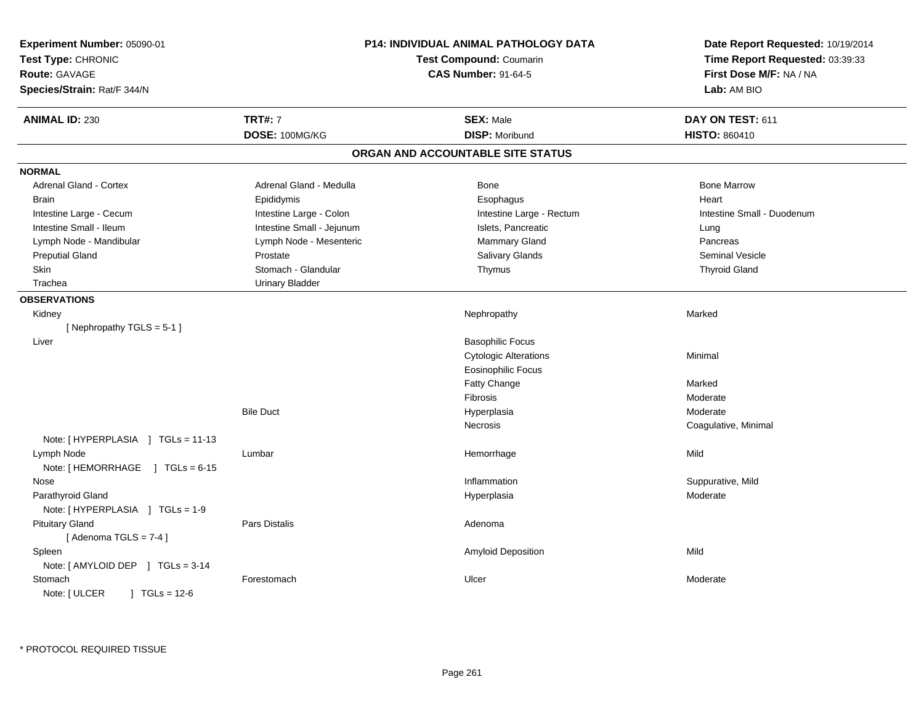| Experiment Number: 05090-01<br>Test Type: CHRONIC<br><b>Route: GAVAGE</b><br>Species/Strain: Rat/F 344/N | <b>P14: INDIVIDUAL ANIMAL PATHOLOGY DATA</b><br><b>Test Compound: Coumarin</b><br><b>CAS Number: 91-64-5</b> |                                   | Date Report Requested: 10/19/2014<br>Time Report Requested: 03:39:33<br>First Dose M/F: NA / NA<br>Lab: AM BIO |
|----------------------------------------------------------------------------------------------------------|--------------------------------------------------------------------------------------------------------------|-----------------------------------|----------------------------------------------------------------------------------------------------------------|
| <b>ANIMAL ID: 230</b>                                                                                    | <b>TRT#: 7</b>                                                                                               | <b>SEX: Male</b>                  | DAY ON TEST: 611                                                                                               |
|                                                                                                          | DOSE: 100MG/KG                                                                                               | <b>DISP: Moribund</b>             | <b>HISTO: 860410</b>                                                                                           |
|                                                                                                          |                                                                                                              | ORGAN AND ACCOUNTABLE SITE STATUS |                                                                                                                |
| <b>NORMAL</b>                                                                                            |                                                                                                              |                                   |                                                                                                                |
| <b>Adrenal Gland - Cortex</b>                                                                            | Adrenal Gland - Medulla                                                                                      | Bone                              | <b>Bone Marrow</b>                                                                                             |
| <b>Brain</b>                                                                                             | Epididymis                                                                                                   | Esophagus                         | Heart                                                                                                          |
| Intestine Large - Cecum                                                                                  | Intestine Large - Colon                                                                                      | Intestine Large - Rectum          | Intestine Small - Duodenum                                                                                     |
| Intestine Small - Ileum                                                                                  | Intestine Small - Jejunum                                                                                    | Islets, Pancreatic                | Lung                                                                                                           |
| Lymph Node - Mandibular                                                                                  | Lymph Node - Mesenteric                                                                                      | Mammary Gland                     | Pancreas                                                                                                       |
| <b>Preputial Gland</b>                                                                                   | Prostate                                                                                                     | Salivary Glands                   | Seminal Vesicle                                                                                                |
| <b>Skin</b>                                                                                              | Stomach - Glandular                                                                                          | Thymus                            | <b>Thyroid Gland</b>                                                                                           |
| Trachea                                                                                                  | <b>Urinary Bladder</b>                                                                                       |                                   |                                                                                                                |
| <b>OBSERVATIONS</b>                                                                                      |                                                                                                              |                                   |                                                                                                                |
| Kidney                                                                                                   |                                                                                                              | Nephropathy                       | Marked                                                                                                         |
| [Nephropathy TGLS = 5-1]                                                                                 |                                                                                                              |                                   |                                                                                                                |
| Liver                                                                                                    |                                                                                                              | <b>Basophilic Focus</b>           |                                                                                                                |
|                                                                                                          |                                                                                                              | <b>Cytologic Alterations</b>      | Minimal                                                                                                        |
|                                                                                                          |                                                                                                              | <b>Eosinophilic Focus</b>         |                                                                                                                |
|                                                                                                          |                                                                                                              | Fatty Change                      | Marked                                                                                                         |
|                                                                                                          |                                                                                                              | Fibrosis                          | Moderate                                                                                                       |
|                                                                                                          | <b>Bile Duct</b>                                                                                             | Hyperplasia                       | Moderate                                                                                                       |
|                                                                                                          |                                                                                                              | Necrosis                          | Coagulative, Minimal                                                                                           |
| Note: [HYPERPLASIA ] TGLs = 11-13                                                                        |                                                                                                              |                                   |                                                                                                                |
| Lymph Node                                                                                               | Lumbar                                                                                                       | Hemorrhage                        | Mild                                                                                                           |
| Note: $[HEMORRHAGE]$ TGLs = 6-15                                                                         |                                                                                                              |                                   |                                                                                                                |
| Nose                                                                                                     |                                                                                                              | Inflammation                      | Suppurative, Mild                                                                                              |
| Parathyroid Gland                                                                                        |                                                                                                              | Hyperplasia                       | Moderate                                                                                                       |
| Note: [HYPERPLASIA ] TGLs = 1-9                                                                          |                                                                                                              |                                   |                                                                                                                |
| <b>Pituitary Gland</b>                                                                                   | Pars Distalis                                                                                                | Adenoma                           |                                                                                                                |
| [Adenoma TGLS = $7-4$ ]                                                                                  |                                                                                                              |                                   |                                                                                                                |
| Spleen                                                                                                   |                                                                                                              | Amyloid Deposition                | Mild                                                                                                           |
| Note: [ AMYLOID DEP ] TGLs = 3-14                                                                        |                                                                                                              |                                   |                                                                                                                |
| Stomach<br>Note: [ ULCER<br>$\sqrt{1}$ TGLs = 12-6                                                       | Forestomach                                                                                                  | Ulcer                             | Moderate                                                                                                       |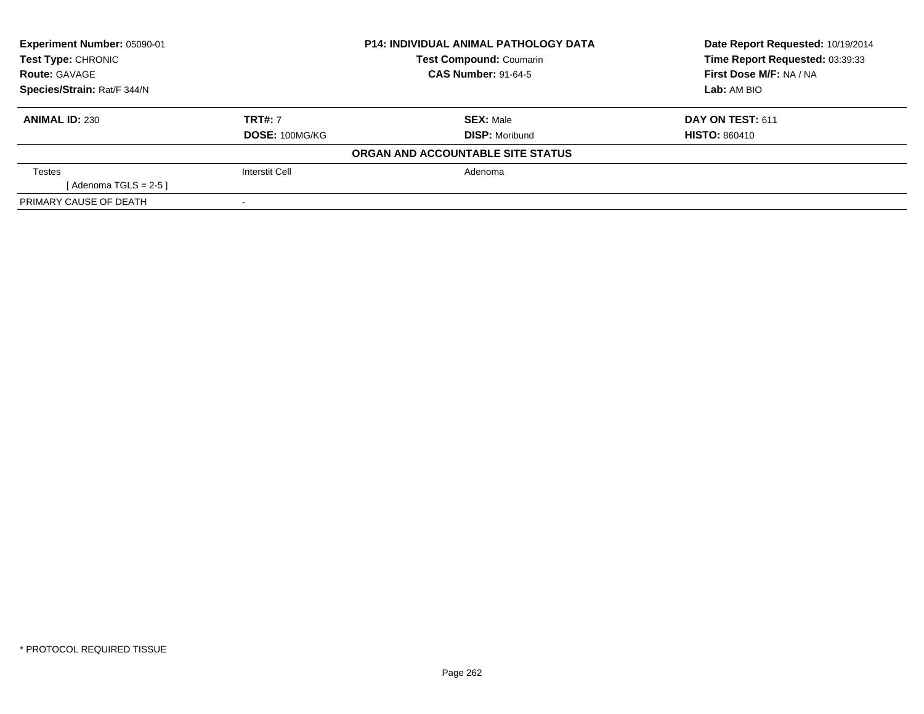| Experiment Number: 05090-01 |                | <b>P14: INDIVIDUAL ANIMAL PATHOLOGY DATA</b> | Date Report Requested: 10/19/2014 |  |
|-----------------------------|----------------|----------------------------------------------|-----------------------------------|--|
| Test Type: CHRONIC          |                | <b>Test Compound: Coumarin</b>               | Time Report Requested: 03:39:33   |  |
| <b>Route: GAVAGE</b>        |                | <b>CAS Number: 91-64-5</b>                   | First Dose M/F: NA / NA           |  |
| Species/Strain: Rat/F 344/N |                |                                              | Lab: AM BIO                       |  |
| <b>ANIMAL ID: 230</b>       | <b>TRT#: 7</b> | <b>SEX: Male</b>                             | DAY ON TEST: 611                  |  |
|                             | DOSE: 100MG/KG | <b>DISP: Moribund</b>                        | <b>HISTO: 860410</b>              |  |
|                             |                | ORGAN AND ACCOUNTABLE SITE STATUS            |                                   |  |
| <b>Testes</b>               | Interstit Cell | Adenoma                                      |                                   |  |
| [Adenoma TGLS = $2-5$ ]     |                |                                              |                                   |  |
| PRIMARY CAUSE OF DEATH      |                |                                              |                                   |  |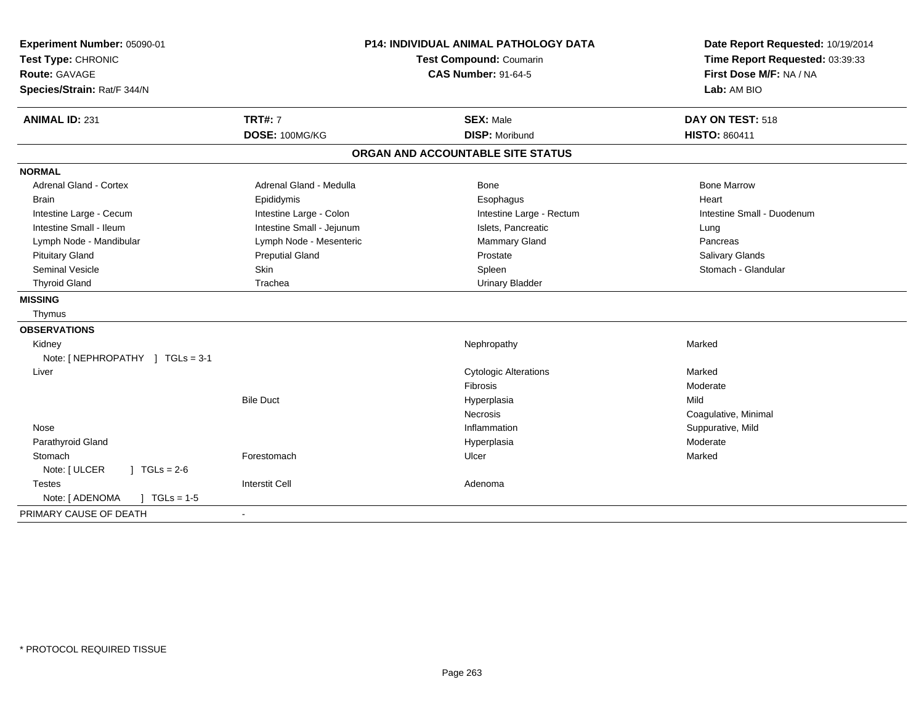| Experiment Number: 05090-01<br>Test Type: CHRONIC<br>Route: GAVAGE<br>Species/Strain: Rat/F 344/N | P14: INDIVIDUAL ANIMAL PATHOLOGY DATA<br><b>Test Compound: Coumarin</b><br><b>CAS Number: 91-64-5</b> |                                           | Date Report Requested: 10/19/2014<br>Time Report Requested: 03:39:33<br>First Dose M/F: NA / NA<br>Lab: AM BIO |
|---------------------------------------------------------------------------------------------------|-------------------------------------------------------------------------------------------------------|-------------------------------------------|----------------------------------------------------------------------------------------------------------------|
| <b>ANIMAL ID: 231</b>                                                                             | <b>TRT#: 7</b><br>DOSE: 100MG/KG                                                                      | <b>SEX: Male</b><br><b>DISP: Moribund</b> | DAY ON TEST: 518<br><b>HISTO: 860411</b>                                                                       |
|                                                                                                   |                                                                                                       | ORGAN AND ACCOUNTABLE SITE STATUS         |                                                                                                                |
| <b>NORMAL</b>                                                                                     |                                                                                                       |                                           |                                                                                                                |
| <b>Adrenal Gland - Cortex</b>                                                                     | Adrenal Gland - Medulla                                                                               | Bone                                      | <b>Bone Marrow</b>                                                                                             |
| <b>Brain</b>                                                                                      | Epididymis                                                                                            | Esophagus                                 | Heart                                                                                                          |
| Intestine Large - Cecum                                                                           | Intestine Large - Colon                                                                               | Intestine Large - Rectum                  | Intestine Small - Duodenum                                                                                     |
| Intestine Small - Ileum                                                                           | Intestine Small - Jejunum                                                                             | Islets, Pancreatic                        | Lung                                                                                                           |
| Lymph Node - Mandibular                                                                           | Lymph Node - Mesenteric                                                                               | Mammary Gland                             | Pancreas                                                                                                       |
| <b>Pituitary Gland</b>                                                                            | <b>Preputial Gland</b>                                                                                | Prostate                                  | Salivary Glands                                                                                                |
| <b>Seminal Vesicle</b>                                                                            | Skin                                                                                                  | Spleen                                    | Stomach - Glandular                                                                                            |
| <b>Thyroid Gland</b>                                                                              | Trachea                                                                                               | <b>Urinary Bladder</b>                    |                                                                                                                |
| <b>MISSING</b>                                                                                    |                                                                                                       |                                           |                                                                                                                |
| Thymus                                                                                            |                                                                                                       |                                           |                                                                                                                |
| <b>OBSERVATIONS</b>                                                                               |                                                                                                       |                                           |                                                                                                                |
| Kidney                                                                                            |                                                                                                       | Nephropathy                               | Marked                                                                                                         |
| Note: [NEPHROPATHY ] TGLs = 3-1                                                                   |                                                                                                       |                                           |                                                                                                                |
| Liver                                                                                             |                                                                                                       | <b>Cytologic Alterations</b>              | Marked                                                                                                         |
|                                                                                                   |                                                                                                       | <b>Fibrosis</b>                           | Moderate                                                                                                       |
|                                                                                                   | <b>Bile Duct</b>                                                                                      | Hyperplasia                               | Mild                                                                                                           |
|                                                                                                   |                                                                                                       | <b>Necrosis</b>                           | Coagulative, Minimal                                                                                           |
| Nose                                                                                              |                                                                                                       | Inflammation                              | Suppurative, Mild                                                                                              |
| Parathyroid Gland                                                                                 |                                                                                                       | Hyperplasia                               | Moderate                                                                                                       |
| Stomach                                                                                           | Forestomach                                                                                           | Ulcer                                     | Marked                                                                                                         |
| Note: [ ULCER<br>$J \cdot TGLs = 2-6$                                                             |                                                                                                       |                                           |                                                                                                                |
| <b>Testes</b>                                                                                     | <b>Interstit Cell</b>                                                                                 | Adenoma                                   |                                                                                                                |
| Note: [ ADENOMA<br>$\sqrt{ }$ TGLs = 1-5                                                          |                                                                                                       |                                           |                                                                                                                |
| PRIMARY CAUSE OF DEATH                                                                            |                                                                                                       |                                           |                                                                                                                |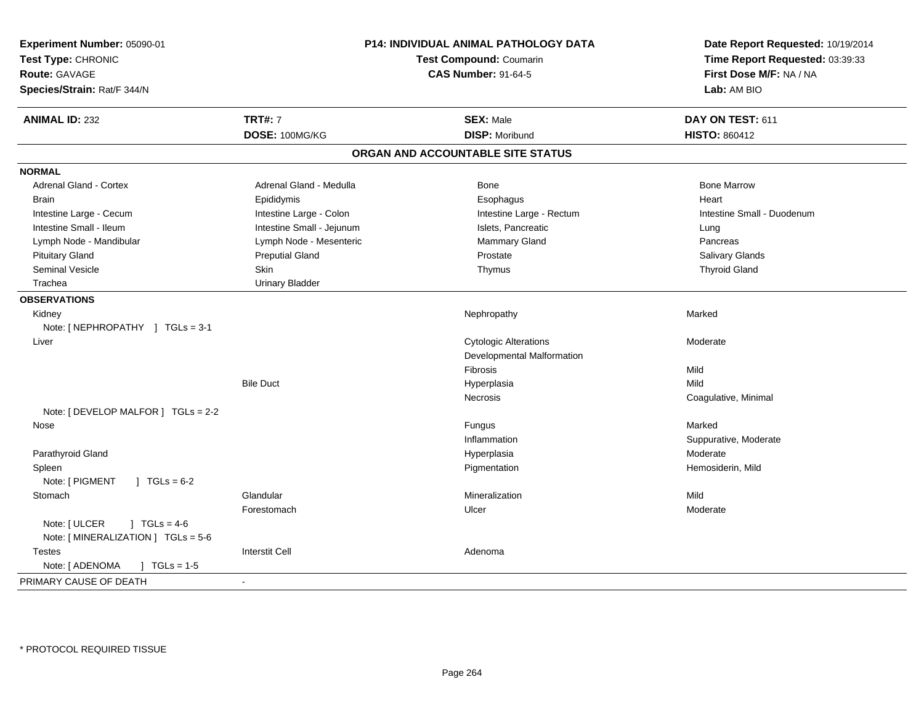| <b>ANIMAL ID: 232</b><br><b>TRT#: 7</b><br><b>SEX: Male</b><br>DAY ON TEST: 611<br>DOSE: 100MG/KG<br><b>DISP: Moribund</b><br><b>HISTO: 860412</b><br>ORGAN AND ACCOUNTABLE SITE STATUS<br><b>NORMAL</b><br><b>Adrenal Gland - Cortex</b><br>Adrenal Gland - Medulla<br><b>Bone Marrow</b><br>Bone<br><b>Brain</b><br>Epididymis<br>Esophagus<br>Heart<br>Intestine Large - Cecum<br>Intestine Large - Colon<br>Intestine Large - Rectum<br>Intestine Small - Duodenum<br>Intestine Small - Ileum<br>Intestine Small - Jejunum<br>Islets, Pancreatic<br>Lung<br>Lymph Node - Mandibular<br>Lymph Node - Mesenteric<br>Mammary Gland<br>Pancreas<br><b>Pituitary Gland</b><br><b>Preputial Gland</b><br>Prostate<br><b>Salivary Glands</b><br><b>Seminal Vesicle</b><br>Skin<br><b>Thyroid Gland</b><br>Thymus<br>Trachea<br><b>Urinary Bladder</b><br><b>OBSERVATIONS</b><br>Kidney<br>Nephropathy<br>Marked<br>Note: [NEPHROPATHY ] TGLs = 3-1<br><b>Cytologic Alterations</b><br>Liver<br>Moderate<br>Developmental Malformation<br>Fibrosis<br>Mild<br><b>Bile Duct</b><br>Mild<br>Hyperplasia<br>Necrosis<br>Coagulative, Minimal<br>Note: [ DEVELOP MALFOR ] TGLs = 2-2<br>Marked<br>Nose<br>Fungus<br>Inflammation<br>Suppurative, Moderate<br>Parathyroid Gland<br>Moderate<br>Hyperplasia<br>Pigmentation<br>Hemosiderin, Mild<br>Spleen<br>Note: [ PIGMENT<br>$1 \text{ TGLs} = 6-2$<br>Glandular<br>Mineralization<br>Mild<br>Stomach<br>Ulcer<br>Moderate<br>Forestomach<br>Note: [ ULCER<br>$1 \text{ TGLs} = 4-6$<br>Note: [MINERALIZATION ] TGLs = 5-6<br><b>Interstit Cell</b><br><b>Testes</b><br>Adenoma<br>Note: [ ADENOMA<br>$\sqrt{ }$ TGLs = 1-5 | Experiment Number: 05090-01<br>Test Type: CHRONIC<br><b>Route: GAVAGE</b><br>Species/Strain: Rat/F 344/N | <b>P14: INDIVIDUAL ANIMAL PATHOLOGY DATA</b><br><b>Test Compound: Coumarin</b><br><b>CAS Number: 91-64-5</b> |  | Date Report Requested: 10/19/2014<br>Time Report Requested: 03:39:33<br>First Dose M/F: NA / NA<br>Lab: AM BIO |
|-----------------------------------------------------------------------------------------------------------------------------------------------------------------------------------------------------------------------------------------------------------------------------------------------------------------------------------------------------------------------------------------------------------------------------------------------------------------------------------------------------------------------------------------------------------------------------------------------------------------------------------------------------------------------------------------------------------------------------------------------------------------------------------------------------------------------------------------------------------------------------------------------------------------------------------------------------------------------------------------------------------------------------------------------------------------------------------------------------------------------------------------------------------------------------------------------------------------------------------------------------------------------------------------------------------------------------------------------------------------------------------------------------------------------------------------------------------------------------------------------------------------------------------------------------------------------------------------------------------------------------------------------------------------------|----------------------------------------------------------------------------------------------------------|--------------------------------------------------------------------------------------------------------------|--|----------------------------------------------------------------------------------------------------------------|
|                                                                                                                                                                                                                                                                                                                                                                                                                                                                                                                                                                                                                                                                                                                                                                                                                                                                                                                                                                                                                                                                                                                                                                                                                                                                                                                                                                                                                                                                                                                                                                                                                                                                       |                                                                                                          |                                                                                                              |  |                                                                                                                |
|                                                                                                                                                                                                                                                                                                                                                                                                                                                                                                                                                                                                                                                                                                                                                                                                                                                                                                                                                                                                                                                                                                                                                                                                                                                                                                                                                                                                                                                                                                                                                                                                                                                                       |                                                                                                          |                                                                                                              |  |                                                                                                                |
|                                                                                                                                                                                                                                                                                                                                                                                                                                                                                                                                                                                                                                                                                                                                                                                                                                                                                                                                                                                                                                                                                                                                                                                                                                                                                                                                                                                                                                                                                                                                                                                                                                                                       |                                                                                                          |                                                                                                              |  |                                                                                                                |
|                                                                                                                                                                                                                                                                                                                                                                                                                                                                                                                                                                                                                                                                                                                                                                                                                                                                                                                                                                                                                                                                                                                                                                                                                                                                                                                                                                                                                                                                                                                                                                                                                                                                       |                                                                                                          |                                                                                                              |  |                                                                                                                |
|                                                                                                                                                                                                                                                                                                                                                                                                                                                                                                                                                                                                                                                                                                                                                                                                                                                                                                                                                                                                                                                                                                                                                                                                                                                                                                                                                                                                                                                                                                                                                                                                                                                                       |                                                                                                          |                                                                                                              |  |                                                                                                                |
|                                                                                                                                                                                                                                                                                                                                                                                                                                                                                                                                                                                                                                                                                                                                                                                                                                                                                                                                                                                                                                                                                                                                                                                                                                                                                                                                                                                                                                                                                                                                                                                                                                                                       |                                                                                                          |                                                                                                              |  |                                                                                                                |
|                                                                                                                                                                                                                                                                                                                                                                                                                                                                                                                                                                                                                                                                                                                                                                                                                                                                                                                                                                                                                                                                                                                                                                                                                                                                                                                                                                                                                                                                                                                                                                                                                                                                       |                                                                                                          |                                                                                                              |  |                                                                                                                |
|                                                                                                                                                                                                                                                                                                                                                                                                                                                                                                                                                                                                                                                                                                                                                                                                                                                                                                                                                                                                                                                                                                                                                                                                                                                                                                                                                                                                                                                                                                                                                                                                                                                                       |                                                                                                          |                                                                                                              |  |                                                                                                                |
|                                                                                                                                                                                                                                                                                                                                                                                                                                                                                                                                                                                                                                                                                                                                                                                                                                                                                                                                                                                                                                                                                                                                                                                                                                                                                                                                                                                                                                                                                                                                                                                                                                                                       |                                                                                                          |                                                                                                              |  |                                                                                                                |
|                                                                                                                                                                                                                                                                                                                                                                                                                                                                                                                                                                                                                                                                                                                                                                                                                                                                                                                                                                                                                                                                                                                                                                                                                                                                                                                                                                                                                                                                                                                                                                                                                                                                       |                                                                                                          |                                                                                                              |  |                                                                                                                |
|                                                                                                                                                                                                                                                                                                                                                                                                                                                                                                                                                                                                                                                                                                                                                                                                                                                                                                                                                                                                                                                                                                                                                                                                                                                                                                                                                                                                                                                                                                                                                                                                                                                                       |                                                                                                          |                                                                                                              |  |                                                                                                                |
|                                                                                                                                                                                                                                                                                                                                                                                                                                                                                                                                                                                                                                                                                                                                                                                                                                                                                                                                                                                                                                                                                                                                                                                                                                                                                                                                                                                                                                                                                                                                                                                                                                                                       |                                                                                                          |                                                                                                              |  |                                                                                                                |
|                                                                                                                                                                                                                                                                                                                                                                                                                                                                                                                                                                                                                                                                                                                                                                                                                                                                                                                                                                                                                                                                                                                                                                                                                                                                                                                                                                                                                                                                                                                                                                                                                                                                       |                                                                                                          |                                                                                                              |  |                                                                                                                |
|                                                                                                                                                                                                                                                                                                                                                                                                                                                                                                                                                                                                                                                                                                                                                                                                                                                                                                                                                                                                                                                                                                                                                                                                                                                                                                                                                                                                                                                                                                                                                                                                                                                                       |                                                                                                          |                                                                                                              |  |                                                                                                                |
|                                                                                                                                                                                                                                                                                                                                                                                                                                                                                                                                                                                                                                                                                                                                                                                                                                                                                                                                                                                                                                                                                                                                                                                                                                                                                                                                                                                                                                                                                                                                                                                                                                                                       |                                                                                                          |                                                                                                              |  |                                                                                                                |
|                                                                                                                                                                                                                                                                                                                                                                                                                                                                                                                                                                                                                                                                                                                                                                                                                                                                                                                                                                                                                                                                                                                                                                                                                                                                                                                                                                                                                                                                                                                                                                                                                                                                       |                                                                                                          |                                                                                                              |  |                                                                                                                |
|                                                                                                                                                                                                                                                                                                                                                                                                                                                                                                                                                                                                                                                                                                                                                                                                                                                                                                                                                                                                                                                                                                                                                                                                                                                                                                                                                                                                                                                                                                                                                                                                                                                                       |                                                                                                          |                                                                                                              |  |                                                                                                                |
|                                                                                                                                                                                                                                                                                                                                                                                                                                                                                                                                                                                                                                                                                                                                                                                                                                                                                                                                                                                                                                                                                                                                                                                                                                                                                                                                                                                                                                                                                                                                                                                                                                                                       |                                                                                                          |                                                                                                              |  |                                                                                                                |
|                                                                                                                                                                                                                                                                                                                                                                                                                                                                                                                                                                                                                                                                                                                                                                                                                                                                                                                                                                                                                                                                                                                                                                                                                                                                                                                                                                                                                                                                                                                                                                                                                                                                       |                                                                                                          |                                                                                                              |  |                                                                                                                |
|                                                                                                                                                                                                                                                                                                                                                                                                                                                                                                                                                                                                                                                                                                                                                                                                                                                                                                                                                                                                                                                                                                                                                                                                                                                                                                                                                                                                                                                                                                                                                                                                                                                                       |                                                                                                          |                                                                                                              |  |                                                                                                                |
|                                                                                                                                                                                                                                                                                                                                                                                                                                                                                                                                                                                                                                                                                                                                                                                                                                                                                                                                                                                                                                                                                                                                                                                                                                                                                                                                                                                                                                                                                                                                                                                                                                                                       |                                                                                                          |                                                                                                              |  |                                                                                                                |
|                                                                                                                                                                                                                                                                                                                                                                                                                                                                                                                                                                                                                                                                                                                                                                                                                                                                                                                                                                                                                                                                                                                                                                                                                                                                                                                                                                                                                                                                                                                                                                                                                                                                       |                                                                                                          |                                                                                                              |  |                                                                                                                |
|                                                                                                                                                                                                                                                                                                                                                                                                                                                                                                                                                                                                                                                                                                                                                                                                                                                                                                                                                                                                                                                                                                                                                                                                                                                                                                                                                                                                                                                                                                                                                                                                                                                                       |                                                                                                          |                                                                                                              |  |                                                                                                                |
|                                                                                                                                                                                                                                                                                                                                                                                                                                                                                                                                                                                                                                                                                                                                                                                                                                                                                                                                                                                                                                                                                                                                                                                                                                                                                                                                                                                                                                                                                                                                                                                                                                                                       |                                                                                                          |                                                                                                              |  |                                                                                                                |
|                                                                                                                                                                                                                                                                                                                                                                                                                                                                                                                                                                                                                                                                                                                                                                                                                                                                                                                                                                                                                                                                                                                                                                                                                                                                                                                                                                                                                                                                                                                                                                                                                                                                       |                                                                                                          |                                                                                                              |  |                                                                                                                |
|                                                                                                                                                                                                                                                                                                                                                                                                                                                                                                                                                                                                                                                                                                                                                                                                                                                                                                                                                                                                                                                                                                                                                                                                                                                                                                                                                                                                                                                                                                                                                                                                                                                                       |                                                                                                          |                                                                                                              |  |                                                                                                                |
|                                                                                                                                                                                                                                                                                                                                                                                                                                                                                                                                                                                                                                                                                                                                                                                                                                                                                                                                                                                                                                                                                                                                                                                                                                                                                                                                                                                                                                                                                                                                                                                                                                                                       |                                                                                                          |                                                                                                              |  |                                                                                                                |
|                                                                                                                                                                                                                                                                                                                                                                                                                                                                                                                                                                                                                                                                                                                                                                                                                                                                                                                                                                                                                                                                                                                                                                                                                                                                                                                                                                                                                                                                                                                                                                                                                                                                       |                                                                                                          |                                                                                                              |  |                                                                                                                |
|                                                                                                                                                                                                                                                                                                                                                                                                                                                                                                                                                                                                                                                                                                                                                                                                                                                                                                                                                                                                                                                                                                                                                                                                                                                                                                                                                                                                                                                                                                                                                                                                                                                                       |                                                                                                          |                                                                                                              |  |                                                                                                                |
|                                                                                                                                                                                                                                                                                                                                                                                                                                                                                                                                                                                                                                                                                                                                                                                                                                                                                                                                                                                                                                                                                                                                                                                                                                                                                                                                                                                                                                                                                                                                                                                                                                                                       |                                                                                                          |                                                                                                              |  |                                                                                                                |
|                                                                                                                                                                                                                                                                                                                                                                                                                                                                                                                                                                                                                                                                                                                                                                                                                                                                                                                                                                                                                                                                                                                                                                                                                                                                                                                                                                                                                                                                                                                                                                                                                                                                       |                                                                                                          |                                                                                                              |  |                                                                                                                |
|                                                                                                                                                                                                                                                                                                                                                                                                                                                                                                                                                                                                                                                                                                                                                                                                                                                                                                                                                                                                                                                                                                                                                                                                                                                                                                                                                                                                                                                                                                                                                                                                                                                                       | PRIMARY CAUSE OF DEATH                                                                                   |                                                                                                              |  |                                                                                                                |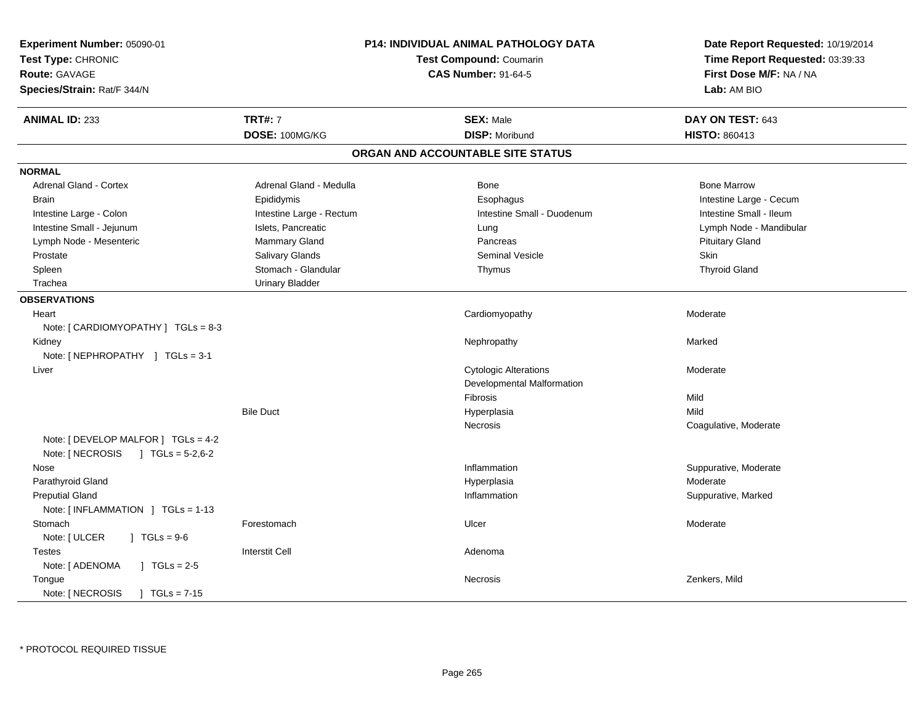| Experiment Number: 05090-01<br>Test Type: CHRONIC<br>Route: GAVAGE<br>Species/Strain: Rat/F 344/N |                          | <b>P14: INDIVIDUAL ANIMAL PATHOLOGY DATA</b><br><b>Test Compound: Coumarin</b><br><b>CAS Number: 91-64-5</b> | Date Report Requested: 10/19/2014<br>Time Report Requested: 03:39:33<br>First Dose M/F: NA / NA<br>Lab: AM BIO |
|---------------------------------------------------------------------------------------------------|--------------------------|--------------------------------------------------------------------------------------------------------------|----------------------------------------------------------------------------------------------------------------|
| <b>ANIMAL ID: 233</b>                                                                             | <b>TRT#: 7</b>           | <b>SEX: Male</b>                                                                                             | DAY ON TEST: 643                                                                                               |
|                                                                                                   | DOSE: 100MG/KG           | <b>DISP: Moribund</b>                                                                                        | <b>HISTO: 860413</b>                                                                                           |
|                                                                                                   |                          | ORGAN AND ACCOUNTABLE SITE STATUS                                                                            |                                                                                                                |
| <b>NORMAL</b>                                                                                     |                          |                                                                                                              |                                                                                                                |
| Adrenal Gland - Cortex                                                                            | Adrenal Gland - Medulla  | Bone                                                                                                         | <b>Bone Marrow</b>                                                                                             |
| <b>Brain</b>                                                                                      | Epididymis               | Esophagus                                                                                                    | Intestine Large - Cecum                                                                                        |
| Intestine Large - Colon                                                                           | Intestine Large - Rectum | Intestine Small - Duodenum                                                                                   | Intestine Small - Ileum                                                                                        |
| Intestine Small - Jejunum                                                                         | Islets, Pancreatic       | Lung                                                                                                         | Lymph Node - Mandibular                                                                                        |
| Lymph Node - Mesenteric                                                                           | Mammary Gland            | Pancreas                                                                                                     | <b>Pituitary Gland</b>                                                                                         |
| Prostate                                                                                          | Salivary Glands          | <b>Seminal Vesicle</b>                                                                                       | Skin                                                                                                           |
| Spleen                                                                                            | Stomach - Glandular      | Thymus                                                                                                       | <b>Thyroid Gland</b>                                                                                           |
| Trachea                                                                                           | <b>Urinary Bladder</b>   |                                                                                                              |                                                                                                                |
| <b>OBSERVATIONS</b>                                                                               |                          |                                                                                                              |                                                                                                                |
| Heart                                                                                             |                          | Cardiomyopathy                                                                                               | Moderate                                                                                                       |
| Note: $[ CARDIOMYOPATHY ] TGLs = 8-3 $                                                            |                          |                                                                                                              |                                                                                                                |
| Kidney                                                                                            |                          | Nephropathy                                                                                                  | Marked                                                                                                         |
| Note: [NEPHROPATHY ] TGLs = 3-1                                                                   |                          |                                                                                                              |                                                                                                                |
| Liver                                                                                             |                          | <b>Cytologic Alterations</b>                                                                                 | Moderate                                                                                                       |
|                                                                                                   |                          | Developmental Malformation                                                                                   |                                                                                                                |
|                                                                                                   |                          | Fibrosis                                                                                                     | Mild                                                                                                           |
|                                                                                                   | <b>Bile Duct</b>         | Hyperplasia                                                                                                  | Mild                                                                                                           |
|                                                                                                   |                          | Necrosis                                                                                                     | Coagulative, Moderate                                                                                          |
| Note: [ DEVELOP MALFOR ] TGLs = 4-2                                                               |                          |                                                                                                              |                                                                                                                |
| Note: [ NECROSIS<br>$JTGLs = 5-2,6-2$                                                             |                          |                                                                                                              |                                                                                                                |
| Nose                                                                                              |                          | Inflammation                                                                                                 | Suppurative, Moderate                                                                                          |
| Parathyroid Gland                                                                                 |                          | Hyperplasia                                                                                                  | Moderate                                                                                                       |
| <b>Preputial Gland</b>                                                                            |                          | Inflammation                                                                                                 | Suppurative, Marked                                                                                            |
| Note: $[INFLAMMATION] TGLs = 1-13$                                                                |                          |                                                                                                              |                                                                                                                |
| Stomach                                                                                           | Forestomach              | Ulcer                                                                                                        | Moderate                                                                                                       |
| Note: [ ULCER<br>$1 TGLs = 9-6$                                                                   |                          |                                                                                                              |                                                                                                                |
| <b>Testes</b>                                                                                     | <b>Interstit Cell</b>    | Adenoma                                                                                                      |                                                                                                                |
| Note: [ ADENOMA<br>$1 \text{ TGLs} = 2.5$                                                         |                          |                                                                                                              |                                                                                                                |
| Tongue                                                                                            |                          | Necrosis                                                                                                     | Zenkers, Mild                                                                                                  |
| Note: [ NECROSIS<br>$TGLs = 7-15$                                                                 |                          |                                                                                                              |                                                                                                                |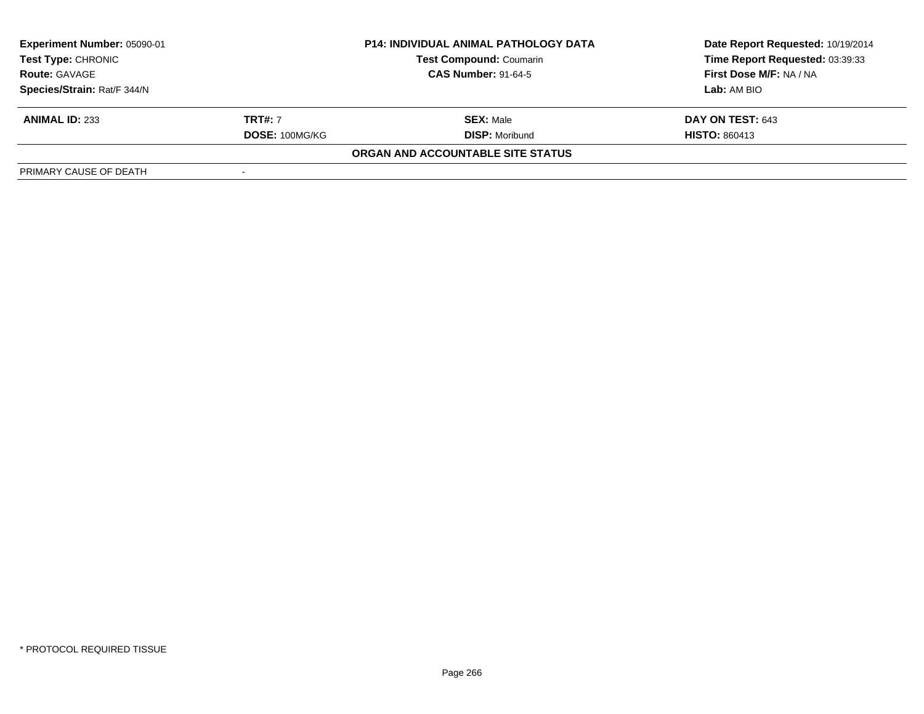| Experiment Number: 05090-01                       |                | P14: INDIVIDUAL ANIMAL PATHOLOGY DATA | Date Report Requested: 10/19/2014 |  |
|---------------------------------------------------|----------------|---------------------------------------|-----------------------------------|--|
| <b>Test Type: CHRONIC</b><br><b>Route: GAVAGE</b> |                | <b>Test Compound: Coumarin</b>        | Time Report Requested: 03:39:33   |  |
|                                                   |                | <b>CAS Number: 91-64-5</b>            | First Dose M/F: NA / NA           |  |
| Species/Strain: Rat/F 344/N                       |                |                                       | Lab: AM BIO                       |  |
| <b>ANIMAL ID: 233</b>                             | <b>TRT#: 7</b> | <b>SEX: Male</b>                      | DAY ON TEST: 643                  |  |
|                                                   | DOSE: 100MG/KG | <b>DISP:</b> Moribund                 | <b>HISTO: 860413</b>              |  |
|                                                   |                | ORGAN AND ACCOUNTABLE SITE STATUS     |                                   |  |
| PRIMARY CAUSE OF DEATH                            |                |                                       |                                   |  |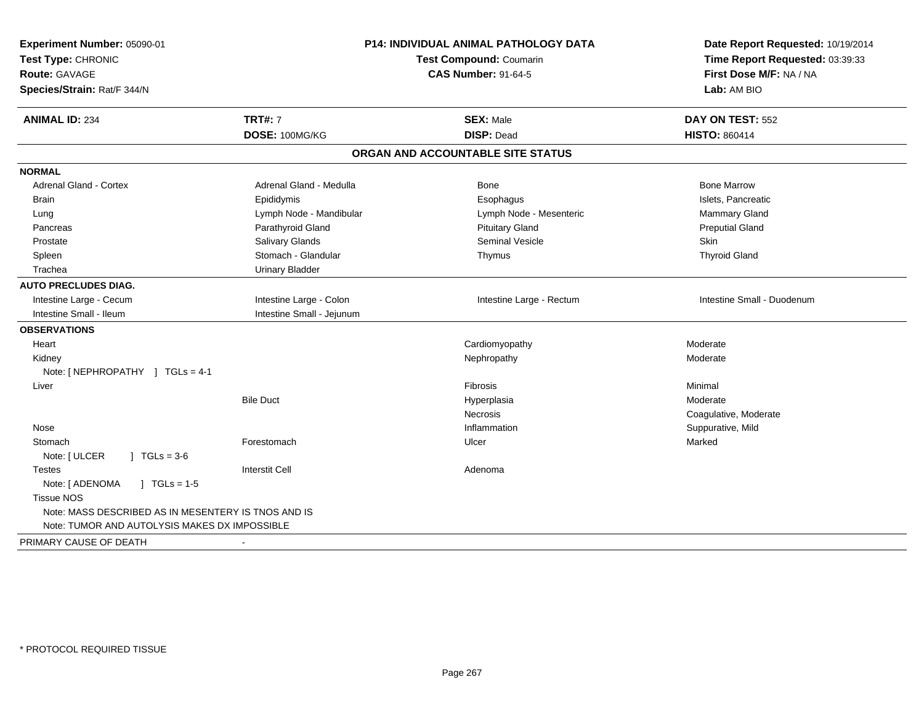| Experiment Number: 05090-01<br>Test Type: CHRONIC<br><b>Route: GAVAGE</b><br>Species/Strain: Rat/F 344/N |                           | P14: INDIVIDUAL ANIMAL PATHOLOGY DATA<br><b>Test Compound: Coumarin</b><br><b>CAS Number: 91-64-5</b> | Date Report Requested: 10/19/2014<br>Time Report Requested: 03:39:33<br>First Dose M/F: NA / NA<br>Lab: AM BIO |
|----------------------------------------------------------------------------------------------------------|---------------------------|-------------------------------------------------------------------------------------------------------|----------------------------------------------------------------------------------------------------------------|
| <b>ANIMAL ID: 234</b>                                                                                    | <b>TRT#: 7</b>            | <b>SEX: Male</b>                                                                                      | DAY ON TEST: 552                                                                                               |
|                                                                                                          | DOSE: 100MG/KG            | <b>DISP: Dead</b>                                                                                     | <b>HISTO: 860414</b>                                                                                           |
|                                                                                                          |                           | ORGAN AND ACCOUNTABLE SITE STATUS                                                                     |                                                                                                                |
| <b>NORMAL</b>                                                                                            |                           |                                                                                                       |                                                                                                                |
| Adrenal Gland - Cortex                                                                                   | Adrenal Gland - Medulla   | Bone                                                                                                  | <b>Bone Marrow</b>                                                                                             |
| <b>Brain</b>                                                                                             | Epididymis                | Esophagus                                                                                             | Islets, Pancreatic                                                                                             |
| Lung                                                                                                     | Lymph Node - Mandibular   | Lymph Node - Mesenteric                                                                               | Mammary Gland                                                                                                  |
| Pancreas                                                                                                 | Parathyroid Gland         | <b>Pituitary Gland</b>                                                                                | <b>Preputial Gland</b>                                                                                         |
| Prostate                                                                                                 | Salivary Glands           | Seminal Vesicle                                                                                       | <b>Skin</b>                                                                                                    |
| Spleen                                                                                                   | Stomach - Glandular       | Thymus                                                                                                | <b>Thyroid Gland</b>                                                                                           |
| Trachea                                                                                                  | <b>Urinary Bladder</b>    |                                                                                                       |                                                                                                                |
| <b>AUTO PRECLUDES DIAG.</b>                                                                              |                           |                                                                                                       |                                                                                                                |
| Intestine Large - Cecum                                                                                  | Intestine Large - Colon   | Intestine Large - Rectum                                                                              | Intestine Small - Duodenum                                                                                     |
| Intestine Small - Ileum                                                                                  | Intestine Small - Jejunum |                                                                                                       |                                                                                                                |
| <b>OBSERVATIONS</b>                                                                                      |                           |                                                                                                       |                                                                                                                |
| Heart                                                                                                    |                           | Cardiomyopathy                                                                                        | Moderate                                                                                                       |
| Kidney                                                                                                   |                           | Nephropathy                                                                                           | Moderate                                                                                                       |
| Note: [NEPHROPATHY ] TGLs = 4-1                                                                          |                           |                                                                                                       |                                                                                                                |
| Liver                                                                                                    |                           | Fibrosis                                                                                              | Minimal                                                                                                        |
|                                                                                                          | <b>Bile Duct</b>          | Hyperplasia                                                                                           | Moderate                                                                                                       |
|                                                                                                          |                           | <b>Necrosis</b>                                                                                       | Coagulative, Moderate                                                                                          |
| Nose                                                                                                     |                           | Inflammation                                                                                          | Suppurative, Mild                                                                                              |
| Stomach                                                                                                  | Forestomach               | Ulcer                                                                                                 | Marked                                                                                                         |
| Note: [ ULCER<br>$1 TGLs = 3-6$                                                                          |                           |                                                                                                       |                                                                                                                |
| <b>Testes</b>                                                                                            | <b>Interstit Cell</b>     | Adenoma                                                                                               |                                                                                                                |
| Note: [ ADENOMA<br>$\sqrt{ }$ TGLs = 1-5                                                                 |                           |                                                                                                       |                                                                                                                |
| <b>Tissue NOS</b>                                                                                        |                           |                                                                                                       |                                                                                                                |
| Note: MASS DESCRIBED AS IN MESENTERY IS TNOS AND IS                                                      |                           |                                                                                                       |                                                                                                                |
| Note: TUMOR AND AUTOLYSIS MAKES DX IMPOSSIBLE                                                            |                           |                                                                                                       |                                                                                                                |
| PRIMARY CAUSE OF DEATH                                                                                   |                           |                                                                                                       |                                                                                                                |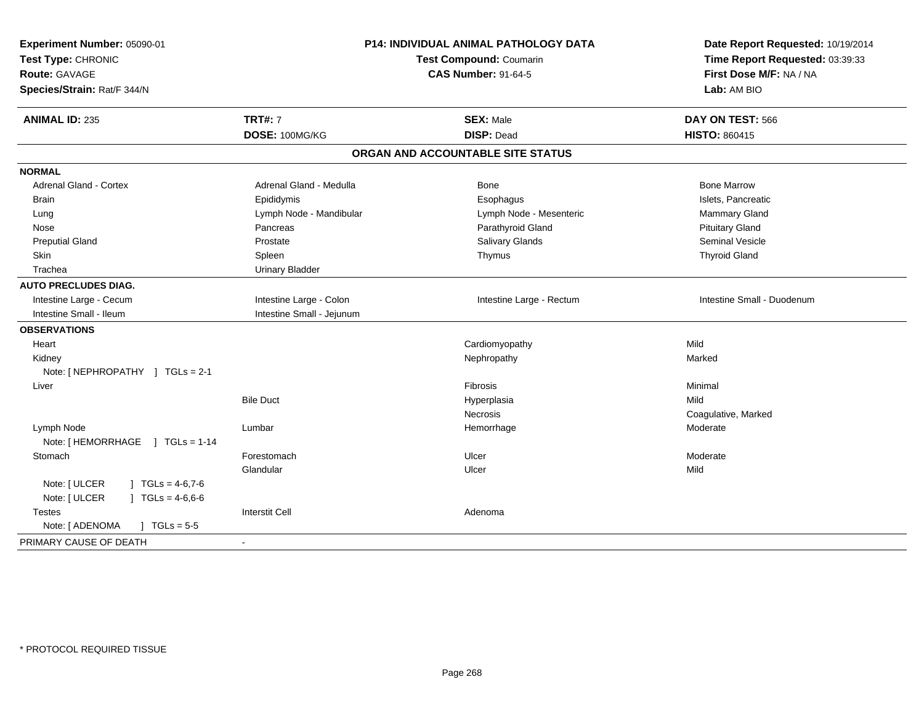| Experiment Number: 05090-01<br>Test Type: CHRONIC<br><b>Route: GAVAGE</b><br>Species/Strain: Rat/F 344/N | <b>P14: INDIVIDUAL ANIMAL PATHOLOGY DATA</b><br>Test Compound: Coumarin<br><b>CAS Number: 91-64-5</b> |                                   | Date Report Requested: 10/19/2014<br>Time Report Requested: 03:39:33<br>First Dose M/F: NA / NA<br>Lab: AM BIO |
|----------------------------------------------------------------------------------------------------------|-------------------------------------------------------------------------------------------------------|-----------------------------------|----------------------------------------------------------------------------------------------------------------|
| <b>ANIMAL ID: 235</b>                                                                                    | <b>TRT#: 7</b>                                                                                        | <b>SEX: Male</b>                  | DAY ON TEST: 566                                                                                               |
|                                                                                                          | DOSE: 100MG/KG                                                                                        | <b>DISP: Dead</b>                 | <b>HISTO: 860415</b>                                                                                           |
|                                                                                                          |                                                                                                       | ORGAN AND ACCOUNTABLE SITE STATUS |                                                                                                                |
| <b>NORMAL</b>                                                                                            |                                                                                                       |                                   |                                                                                                                |
| <b>Adrenal Gland - Cortex</b>                                                                            | Adrenal Gland - Medulla                                                                               | Bone                              | <b>Bone Marrow</b>                                                                                             |
| <b>Brain</b>                                                                                             | Epididymis                                                                                            | Esophagus                         | Islets, Pancreatic                                                                                             |
| Lung                                                                                                     | Lymph Node - Mandibular                                                                               | Lymph Node - Mesenteric           | Mammary Gland                                                                                                  |
| Nose                                                                                                     | Pancreas                                                                                              | Parathyroid Gland                 | <b>Pituitary Gland</b>                                                                                         |
| <b>Preputial Gland</b>                                                                                   | Prostate                                                                                              | Salivary Glands                   | <b>Seminal Vesicle</b>                                                                                         |
| Skin                                                                                                     | Spleen                                                                                                | Thymus                            | <b>Thyroid Gland</b>                                                                                           |
| Trachea                                                                                                  | <b>Urinary Bladder</b>                                                                                |                                   |                                                                                                                |
| <b>AUTO PRECLUDES DIAG.</b>                                                                              |                                                                                                       |                                   |                                                                                                                |
| Intestine Large - Cecum                                                                                  | Intestine Large - Colon                                                                               | Intestine Large - Rectum          | Intestine Small - Duodenum                                                                                     |
| Intestine Small - Ileum                                                                                  | Intestine Small - Jejunum                                                                             |                                   |                                                                                                                |
| <b>OBSERVATIONS</b>                                                                                      |                                                                                                       |                                   |                                                                                                                |
| Heart                                                                                                    |                                                                                                       | Cardiomyopathy                    | Mild                                                                                                           |
| Kidney                                                                                                   |                                                                                                       | Nephropathy                       | Marked                                                                                                         |
| Note: [NEPHROPATHY ] TGLs = 2-1                                                                          |                                                                                                       |                                   |                                                                                                                |
| Liver                                                                                                    |                                                                                                       | Fibrosis                          | Minimal                                                                                                        |
|                                                                                                          | <b>Bile Duct</b>                                                                                      | Hyperplasia                       | Mild                                                                                                           |
|                                                                                                          |                                                                                                       | Necrosis                          | Coagulative, Marked                                                                                            |
| Lymph Node                                                                                               | Lumbar                                                                                                | Hemorrhage                        | Moderate                                                                                                       |
| Note: [HEMORRHAGE ] TGLs = 1-14                                                                          |                                                                                                       |                                   |                                                                                                                |
| Stomach                                                                                                  | Forestomach                                                                                           | Ulcer                             | Moderate                                                                                                       |
|                                                                                                          | Glandular                                                                                             | Ulcer                             | Mild                                                                                                           |
| Note: [ ULCER<br>$\mid$ TGLs = 4-6,7-6                                                                   |                                                                                                       |                                   |                                                                                                                |
| Note: [ ULCER<br>$J \cdot TGLs = 4-6,6-6$                                                                |                                                                                                       |                                   |                                                                                                                |
| Testes                                                                                                   | <b>Interstit Cell</b>                                                                                 | Adenoma                           |                                                                                                                |
| Note: [ ADENOMA<br>$J \cdot TGLs = 5-5$                                                                  |                                                                                                       |                                   |                                                                                                                |
| PRIMARY CAUSE OF DEATH                                                                                   |                                                                                                       |                                   |                                                                                                                |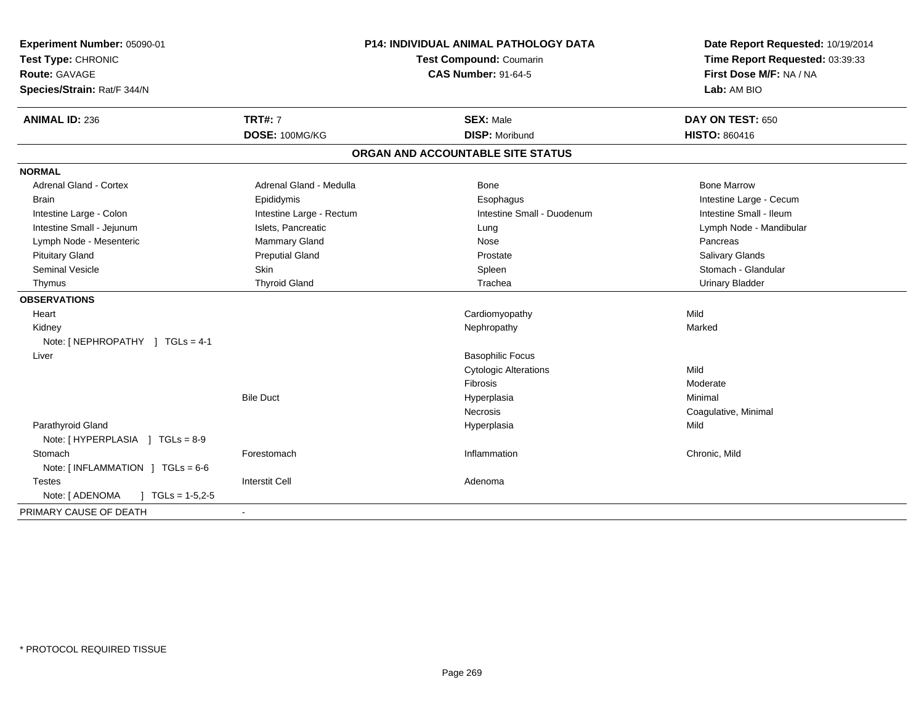| Experiment Number: 05090-01<br>Test Type: CHRONIC<br>Route: GAVAGE<br>Species/Strain: Rat/F 344/N | P14: INDIVIDUAL ANIMAL PATHOLOGY DATA<br>Test Compound: Coumarin<br><b>CAS Number: 91-64-5</b> |                                   | Date Report Requested: 10/19/2014<br>Time Report Requested: 03:39:33<br>First Dose M/F: NA / NA<br>Lab: AM BIO |
|---------------------------------------------------------------------------------------------------|------------------------------------------------------------------------------------------------|-----------------------------------|----------------------------------------------------------------------------------------------------------------|
| <b>ANIMAL ID: 236</b>                                                                             | <b>TRT#: 7</b>                                                                                 | <b>SEX: Male</b>                  | DAY ON TEST: 650                                                                                               |
|                                                                                                   | DOSE: 100MG/KG                                                                                 | <b>DISP: Moribund</b>             | <b>HISTO: 860416</b>                                                                                           |
|                                                                                                   |                                                                                                | ORGAN AND ACCOUNTABLE SITE STATUS |                                                                                                                |
| <b>NORMAL</b>                                                                                     |                                                                                                |                                   |                                                                                                                |
| Adrenal Gland - Cortex                                                                            | Adrenal Gland - Medulla                                                                        | Bone                              | <b>Bone Marrow</b>                                                                                             |
| <b>Brain</b>                                                                                      | Epididymis                                                                                     | Esophagus                         | Intestine Large - Cecum                                                                                        |
| Intestine Large - Colon                                                                           | Intestine Large - Rectum                                                                       | Intestine Small - Duodenum        | Intestine Small - Ileum                                                                                        |
| Intestine Small - Jejunum                                                                         | Islets, Pancreatic                                                                             | Lung                              | Lymph Node - Mandibular                                                                                        |
| Lymph Node - Mesenteric                                                                           | Mammary Gland                                                                                  | Nose                              | Pancreas                                                                                                       |
| <b>Pituitary Gland</b>                                                                            | <b>Preputial Gland</b>                                                                         | Prostate                          | Salivary Glands                                                                                                |
| <b>Seminal Vesicle</b>                                                                            | Skin                                                                                           | Spleen                            | Stomach - Glandular                                                                                            |
| Thymus                                                                                            | <b>Thyroid Gland</b>                                                                           | Trachea                           | <b>Urinary Bladder</b>                                                                                         |
| <b>OBSERVATIONS</b>                                                                               |                                                                                                |                                   |                                                                                                                |
| Heart                                                                                             |                                                                                                | Cardiomyopathy                    | Mild                                                                                                           |
| Kidney                                                                                            |                                                                                                | Nephropathy                       | Marked                                                                                                         |
| Note: [ NEPHROPATHY ] TGLs = 4-1                                                                  |                                                                                                |                                   |                                                                                                                |
| Liver                                                                                             |                                                                                                | <b>Basophilic Focus</b>           |                                                                                                                |
|                                                                                                   |                                                                                                | <b>Cytologic Alterations</b>      | Mild                                                                                                           |
|                                                                                                   |                                                                                                | <b>Fibrosis</b>                   | Moderate                                                                                                       |
|                                                                                                   | <b>Bile Duct</b>                                                                               | Hyperplasia                       | Minimal                                                                                                        |
|                                                                                                   |                                                                                                | <b>Necrosis</b>                   | Coagulative, Minimal                                                                                           |
| Parathyroid Gland                                                                                 |                                                                                                | Hyperplasia                       | Mild                                                                                                           |
| Note: [HYPERPLASIA ] TGLs = 8-9                                                                   |                                                                                                |                                   |                                                                                                                |
| Stomach                                                                                           | Forestomach                                                                                    | Inflammation                      | Chronic, Mild                                                                                                  |
| Note: [INFLAMMATION ] TGLs = 6-6                                                                  |                                                                                                |                                   |                                                                                                                |
| <b>Testes</b>                                                                                     | <b>Interstit Cell</b>                                                                          | Adenoma                           |                                                                                                                |
| Note: [ ADENOMA<br>$\int$ TGLs = 1-5,2-5                                                          |                                                                                                |                                   |                                                                                                                |
| PRIMARY CAUSE OF DEATH                                                                            | $\blacksquare$                                                                                 |                                   |                                                                                                                |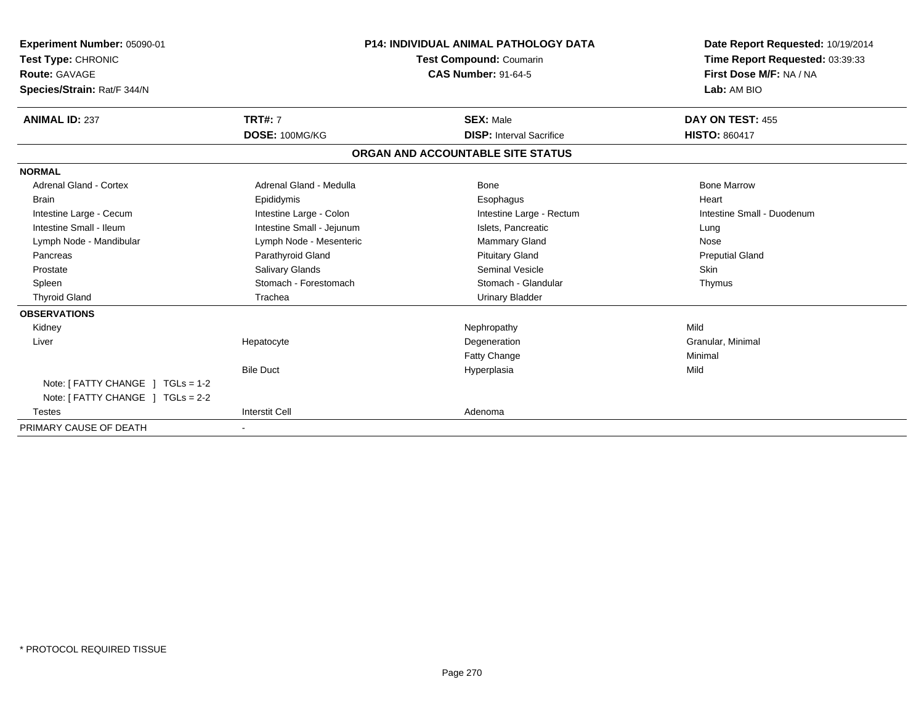| Experiment Number: 05090-01<br>Test Type: CHRONIC<br><b>Route: GAVAGE</b><br>Species/Strain: Rat/F 344/N |                           | <b>P14: INDIVIDUAL ANIMAL PATHOLOGY DATA</b><br><b>Test Compound: Coumarin</b><br><b>CAS Number: 91-64-5</b> | Date Report Requested: 10/19/2014<br>Time Report Requested: 03:39:33<br>First Dose M/F: NA / NA<br>Lab: AM BIO |
|----------------------------------------------------------------------------------------------------------|---------------------------|--------------------------------------------------------------------------------------------------------------|----------------------------------------------------------------------------------------------------------------|
| <b>ANIMAL ID: 237</b>                                                                                    | <b>TRT#: 7</b>            | <b>SEX: Male</b>                                                                                             | DAY ON TEST: 455                                                                                               |
|                                                                                                          | DOSE: 100MG/KG            | <b>DISP:</b> Interval Sacrifice                                                                              | <b>HISTO: 860417</b>                                                                                           |
|                                                                                                          |                           | ORGAN AND ACCOUNTABLE SITE STATUS                                                                            |                                                                                                                |
| <b>NORMAL</b>                                                                                            |                           |                                                                                                              |                                                                                                                |
| <b>Adrenal Gland - Cortex</b>                                                                            | Adrenal Gland - Medulla   | Bone                                                                                                         | <b>Bone Marrow</b>                                                                                             |
| <b>Brain</b>                                                                                             | Epididymis                | Esophagus                                                                                                    | Heart                                                                                                          |
| Intestine Large - Cecum                                                                                  | Intestine Large - Colon   | Intestine Large - Rectum                                                                                     | Intestine Small - Duodenum                                                                                     |
| Intestine Small - Ileum                                                                                  | Intestine Small - Jejunum | Islets, Pancreatic                                                                                           | Lung                                                                                                           |
| Lymph Node - Mandibular                                                                                  | Lymph Node - Mesenteric   | Mammary Gland                                                                                                | Nose                                                                                                           |
| Pancreas                                                                                                 | Parathyroid Gland         | <b>Pituitary Gland</b>                                                                                       | <b>Preputial Gland</b>                                                                                         |
| Prostate                                                                                                 | Salivary Glands           | Seminal Vesicle                                                                                              | <b>Skin</b>                                                                                                    |
| Spleen                                                                                                   | Stomach - Forestomach     | Stomach - Glandular                                                                                          | Thymus                                                                                                         |
| <b>Thyroid Gland</b>                                                                                     | Trachea                   | <b>Urinary Bladder</b>                                                                                       |                                                                                                                |
| <b>OBSERVATIONS</b>                                                                                      |                           |                                                                                                              |                                                                                                                |
| Kidney                                                                                                   |                           | Nephropathy                                                                                                  | Mild                                                                                                           |
| Liver                                                                                                    | Hepatocyte                | Degeneration                                                                                                 | Granular, Minimal                                                                                              |
|                                                                                                          |                           | Fatty Change                                                                                                 | Minimal                                                                                                        |
|                                                                                                          | <b>Bile Duct</b>          | Hyperplasia                                                                                                  | Mild                                                                                                           |
| Note: $[$ FATTY CHANGE $]$ TGLs = 1-2                                                                    |                           |                                                                                                              |                                                                                                                |
| Note: [ FATTY CHANGE ] TGLs = 2-2                                                                        |                           |                                                                                                              |                                                                                                                |
| <b>Testes</b>                                                                                            | <b>Interstit Cell</b>     | Adenoma                                                                                                      |                                                                                                                |
| PRIMARY CAUSE OF DEATH                                                                                   | $\blacksquare$            |                                                                                                              |                                                                                                                |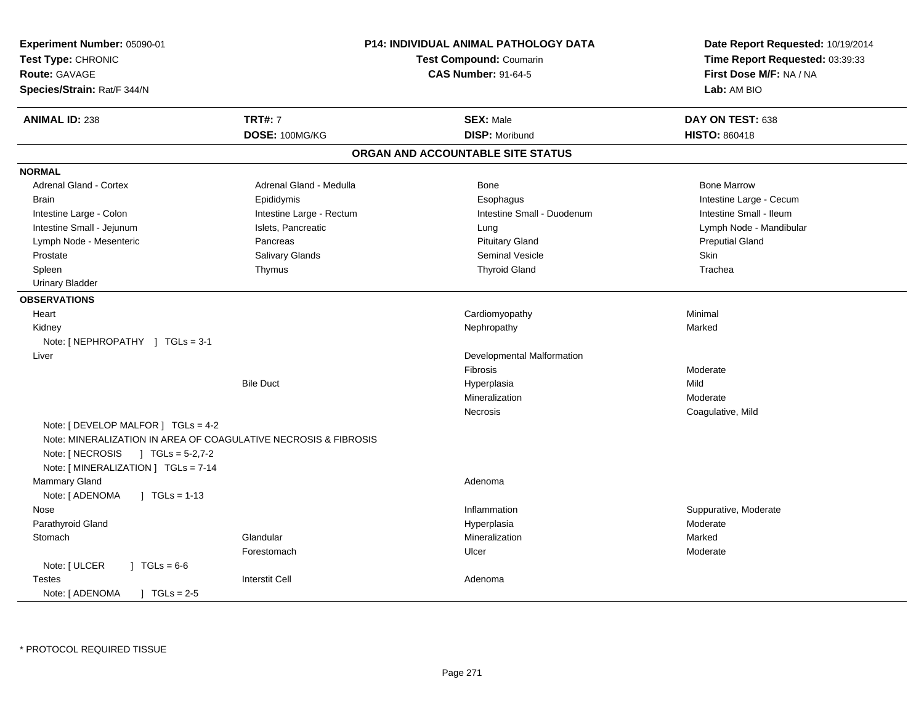| Experiment Number: 05090-01<br>Test Type: CHRONIC<br>Route: GAVAGE<br>Species/Strain: Rat/F 344/N                                                                                   | <b>P14: INDIVIDUAL ANIMAL PATHOLOGY DATA</b><br><b>Test Compound: Coumarin</b><br><b>CAS Number: 91-64-5</b> |                                   | Date Report Requested: 10/19/2014<br>Time Report Requested: 03:39:33<br>First Dose M/F: NA / NA<br>Lab: AM BIO |
|-------------------------------------------------------------------------------------------------------------------------------------------------------------------------------------|--------------------------------------------------------------------------------------------------------------|-----------------------------------|----------------------------------------------------------------------------------------------------------------|
| <b>ANIMAL ID: 238</b>                                                                                                                                                               | <b>TRT#: 7</b>                                                                                               | <b>SEX: Male</b>                  | DAY ON TEST: 638                                                                                               |
|                                                                                                                                                                                     | DOSE: 100MG/KG                                                                                               | <b>DISP: Moribund</b>             | <b>HISTO: 860418</b>                                                                                           |
|                                                                                                                                                                                     |                                                                                                              | ORGAN AND ACCOUNTABLE SITE STATUS |                                                                                                                |
| <b>NORMAL</b>                                                                                                                                                                       |                                                                                                              |                                   |                                                                                                                |
| Adrenal Gland - Cortex                                                                                                                                                              | Adrenal Gland - Medulla                                                                                      | Bone                              | <b>Bone Marrow</b>                                                                                             |
| <b>Brain</b>                                                                                                                                                                        | Epididymis                                                                                                   | Esophagus                         | Intestine Large - Cecum                                                                                        |
| Intestine Large - Colon                                                                                                                                                             | Intestine Large - Rectum                                                                                     | Intestine Small - Duodenum        | Intestine Small - Ileum                                                                                        |
| Intestine Small - Jejunum                                                                                                                                                           | Islets, Pancreatic                                                                                           | Lung                              | Lymph Node - Mandibular                                                                                        |
| Lymph Node - Mesenteric                                                                                                                                                             | Pancreas                                                                                                     | <b>Pituitary Gland</b>            | <b>Preputial Gland</b>                                                                                         |
| Prostate                                                                                                                                                                            | Salivary Glands                                                                                              | Seminal Vesicle                   | Skin                                                                                                           |
| Spleen                                                                                                                                                                              | Thymus                                                                                                       | <b>Thyroid Gland</b>              | Trachea                                                                                                        |
| <b>Urinary Bladder</b>                                                                                                                                                              |                                                                                                              |                                   |                                                                                                                |
| <b>OBSERVATIONS</b>                                                                                                                                                                 |                                                                                                              |                                   |                                                                                                                |
| Heart                                                                                                                                                                               |                                                                                                              | Cardiomyopathy                    | Minimal                                                                                                        |
| Kidney                                                                                                                                                                              |                                                                                                              | Nephropathy                       | Marked                                                                                                         |
| Note: [NEPHROPATHY ] TGLs = 3-1                                                                                                                                                     |                                                                                                              |                                   |                                                                                                                |
| Liver                                                                                                                                                                               |                                                                                                              | Developmental Malformation        |                                                                                                                |
|                                                                                                                                                                                     |                                                                                                              | Fibrosis                          | Moderate                                                                                                       |
|                                                                                                                                                                                     | <b>Bile Duct</b>                                                                                             | Hyperplasia                       | Mild                                                                                                           |
|                                                                                                                                                                                     |                                                                                                              | Mineralization                    | Moderate                                                                                                       |
|                                                                                                                                                                                     |                                                                                                              | Necrosis                          | Coagulative, Mild                                                                                              |
| Note: [ DEVELOP MALFOR ] TGLs = 4-2<br>Note: MINERALIZATION IN AREA OF COAGULATIVE NECROSIS & FIBROSIS<br>Note: [ NECROSIS ] TGLs = 5-2,7-2<br>Note: [ MINERALIZATION ] TGLs = 7-14 |                                                                                                              |                                   |                                                                                                                |
| Mammary Gland<br>Note: [ ADENOMA<br>$\vert$ TGLs = 1-13                                                                                                                             |                                                                                                              | Adenoma                           |                                                                                                                |
| Nose                                                                                                                                                                                |                                                                                                              | Inflammation                      | Suppurative, Moderate                                                                                          |
| Parathyroid Gland                                                                                                                                                                   |                                                                                                              | Hyperplasia                       | Moderate                                                                                                       |
| Stomach                                                                                                                                                                             | Glandular                                                                                                    | Mineralization                    | Marked                                                                                                         |
|                                                                                                                                                                                     | Forestomach                                                                                                  | Ulcer                             | Moderate                                                                                                       |
| Note: [ ULCER<br>$1 TGLs = 6-6$                                                                                                                                                     |                                                                                                              |                                   |                                                                                                                |
| <b>Testes</b>                                                                                                                                                                       | <b>Interstit Cell</b>                                                                                        | Adenoma                           |                                                                                                                |
| Note: [ ADENOMA<br>$TGLs = 2-5$                                                                                                                                                     |                                                                                                              |                                   |                                                                                                                |
|                                                                                                                                                                                     |                                                                                                              |                                   |                                                                                                                |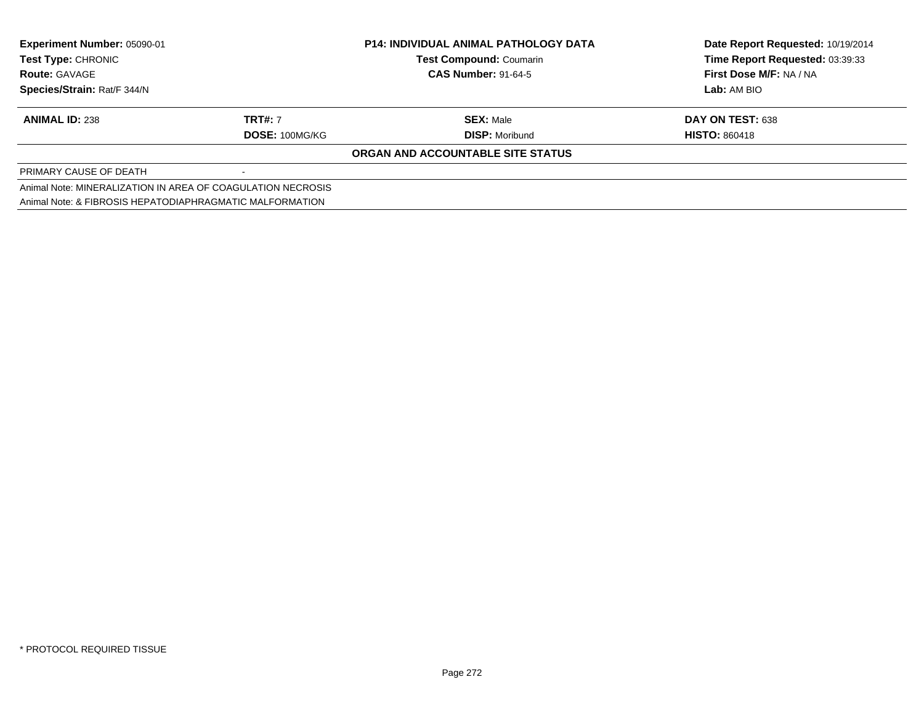| <b>Experiment Number: 05090-01</b><br>Test Type: CHRONIC    |                | <b>P14: INDIVIDUAL ANIMAL PATHOLOGY DATA</b> | Date Report Requested: 10/19/2014 |
|-------------------------------------------------------------|----------------|----------------------------------------------|-----------------------------------|
|                                                             |                | <b>Test Compound: Coumarin</b>               | Time Report Requested: 03:39:33   |
| <b>Route: GAVAGE</b>                                        |                | <b>CAS Number: 91-64-5</b>                   | First Dose M/F: NA / NA           |
| Species/Strain: Rat/F 344/N                                 |                |                                              | Lab: AM BIO                       |
| <b>ANIMAL ID: 238</b>                                       | <b>TRT#: 7</b> | <b>SEX: Male</b>                             | DAY ON TEST: 638                  |
|                                                             | DOSE: 100MG/KG | <b>DISP:</b> Moribund                        | <b>HISTO: 860418</b>              |
|                                                             |                | ORGAN AND ACCOUNTABLE SITE STATUS            |                                   |
| PRIMARY CAUSE OF DEATH                                      |                |                                              |                                   |
| Animal Note: MINERALIZATION IN AREA OF COAGULATION NECROSIS |                |                                              |                                   |
| Animal Note: & FIBROSIS HEPATODIAPHRAGMATIC MALFORMATION    |                |                                              |                                   |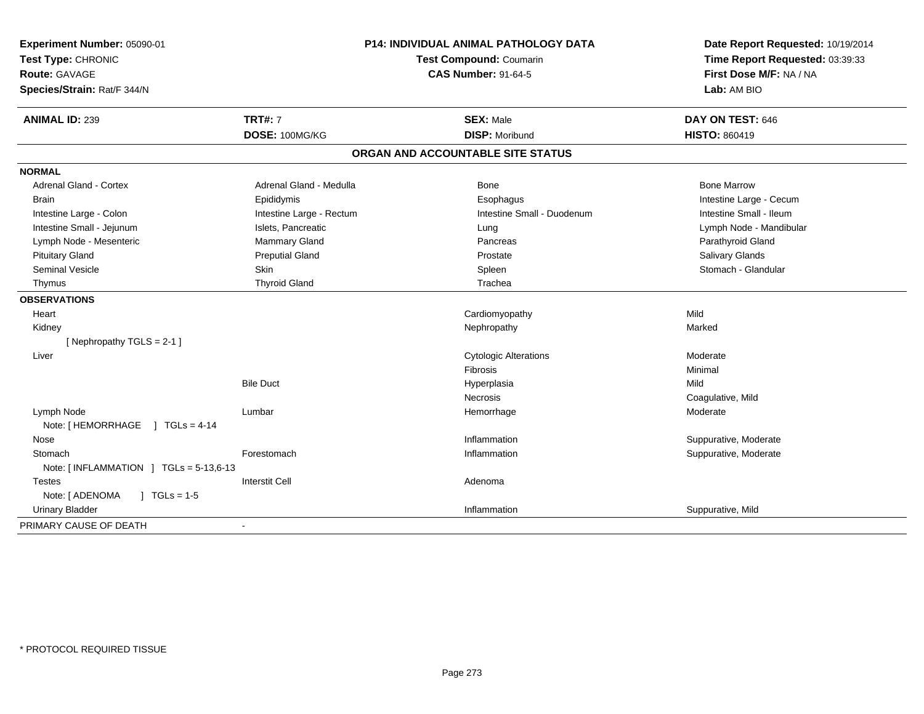| Experiment Number: 05090-01<br>Test Type: CHRONIC<br>Route: GAVAGE<br>Species/Strain: Rat/F 344/N | <b>P14: INDIVIDUAL ANIMAL PATHOLOGY DATA</b><br>Test Compound: Coumarin<br><b>CAS Number: 91-64-5</b> |                                           | Date Report Requested: 10/19/2014<br>Time Report Requested: 03:39:33<br>First Dose M/F: NA / NA<br>Lab: AM BIO |
|---------------------------------------------------------------------------------------------------|-------------------------------------------------------------------------------------------------------|-------------------------------------------|----------------------------------------------------------------------------------------------------------------|
| <b>ANIMAL ID: 239</b>                                                                             | <b>TRT#: 7</b><br>DOSE: 100MG/KG                                                                      | <b>SEX: Male</b><br><b>DISP: Moribund</b> | DAY ON TEST: 646<br>HISTO: 860419                                                                              |
|                                                                                                   |                                                                                                       |                                           |                                                                                                                |
|                                                                                                   |                                                                                                       | ORGAN AND ACCOUNTABLE SITE STATUS         |                                                                                                                |
| <b>NORMAL</b>                                                                                     |                                                                                                       |                                           |                                                                                                                |
| <b>Adrenal Gland - Cortex</b>                                                                     | Adrenal Gland - Medulla                                                                               | <b>Bone</b>                               | <b>Bone Marrow</b>                                                                                             |
| <b>Brain</b>                                                                                      | Epididymis                                                                                            | Esophagus                                 | Intestine Large - Cecum                                                                                        |
| Intestine Large - Colon                                                                           | Intestine Large - Rectum                                                                              | Intestine Small - Duodenum                | Intestine Small - Ileum                                                                                        |
| Intestine Small - Jejunum                                                                         | Islets, Pancreatic                                                                                    | Lung                                      | Lymph Node - Mandibular                                                                                        |
| Lymph Node - Mesenteric                                                                           | Mammary Gland                                                                                         | Pancreas                                  | Parathyroid Gland                                                                                              |
| <b>Pituitary Gland</b>                                                                            | <b>Preputial Gland</b>                                                                                | Prostate                                  | Salivary Glands                                                                                                |
| <b>Seminal Vesicle</b>                                                                            | <b>Skin</b>                                                                                           | Spleen                                    | Stomach - Glandular                                                                                            |
| Thymus                                                                                            | <b>Thyroid Gland</b>                                                                                  | Trachea                                   |                                                                                                                |
| <b>OBSERVATIONS</b>                                                                               |                                                                                                       |                                           |                                                                                                                |
| Heart                                                                                             |                                                                                                       | Cardiomyopathy                            | Mild                                                                                                           |
| Kidney                                                                                            |                                                                                                       | Nephropathy                               | Marked                                                                                                         |
| [Nephropathy TGLS = $2-1$ ]                                                                       |                                                                                                       |                                           |                                                                                                                |
| Liver                                                                                             |                                                                                                       | <b>Cytologic Alterations</b>              | Moderate                                                                                                       |
|                                                                                                   |                                                                                                       | Fibrosis                                  | Minimal                                                                                                        |
|                                                                                                   | <b>Bile Duct</b>                                                                                      | Hyperplasia                               | Mild                                                                                                           |
|                                                                                                   |                                                                                                       | Necrosis                                  | Coagulative, Mild                                                                                              |
| Lymph Node                                                                                        | Lumbar                                                                                                | Hemorrhage                                | Moderate                                                                                                       |
| Note: [HEMORRHAGE ] TGLs = 4-14                                                                   |                                                                                                       |                                           |                                                                                                                |
| Nose                                                                                              |                                                                                                       | Inflammation                              | Suppurative, Moderate                                                                                          |
| Stomach                                                                                           | Forestomach                                                                                           | Inflammation                              | Suppurative, Moderate                                                                                          |
| Note: [INFLAMMATION ] TGLs = 5-13,6-13                                                            |                                                                                                       |                                           |                                                                                                                |
| <b>Testes</b>                                                                                     | <b>Interstit Cell</b>                                                                                 | Adenoma                                   |                                                                                                                |
| Note: [ ADENOMA<br>$1 \text{ TGLs} = 1.5$                                                         |                                                                                                       |                                           |                                                                                                                |
| <b>Urinary Bladder</b>                                                                            |                                                                                                       | Inflammation                              | Suppurative, Mild                                                                                              |
| PRIMARY CAUSE OF DEATH                                                                            |                                                                                                       |                                           |                                                                                                                |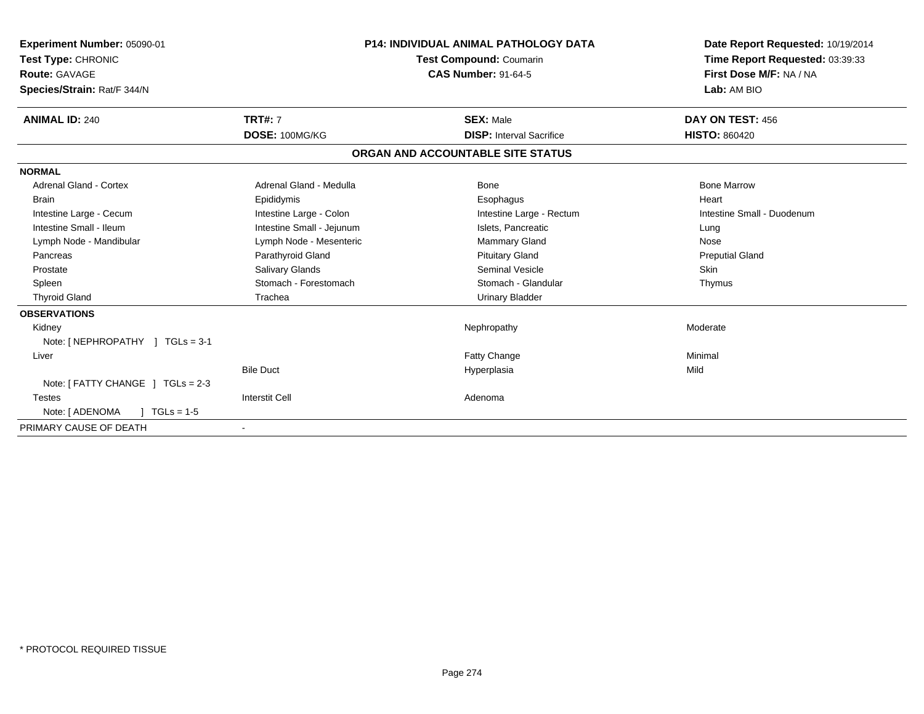| Experiment Number: 05090-01<br>Test Type: CHRONIC<br><b>Route: GAVAGE</b><br>Species/Strain: Rat/F 344/N |                           | <b>P14: INDIVIDUAL ANIMAL PATHOLOGY DATA</b><br>Test Compound: Coumarin<br><b>CAS Number: 91-64-5</b> | Date Report Requested: 10/19/2014<br>Time Report Requested: 03:39:33<br>First Dose M/F: NA / NA<br>Lab: AM BIO |
|----------------------------------------------------------------------------------------------------------|---------------------------|-------------------------------------------------------------------------------------------------------|----------------------------------------------------------------------------------------------------------------|
| <b>ANIMAL ID: 240</b>                                                                                    | <b>TRT#: 7</b>            | <b>SEX: Male</b>                                                                                      | DAY ON TEST: 456                                                                                               |
|                                                                                                          | DOSE: 100MG/KG            | <b>DISP:</b> Interval Sacrifice                                                                       | <b>HISTO: 860420</b>                                                                                           |
|                                                                                                          |                           | ORGAN AND ACCOUNTABLE SITE STATUS                                                                     |                                                                                                                |
| <b>NORMAL</b>                                                                                            |                           |                                                                                                       |                                                                                                                |
| <b>Adrenal Gland - Cortex</b>                                                                            | Adrenal Gland - Medulla   | Bone                                                                                                  | <b>Bone Marrow</b>                                                                                             |
| <b>Brain</b>                                                                                             | Epididymis                | Esophagus                                                                                             | Heart                                                                                                          |
| Intestine Large - Cecum                                                                                  | Intestine Large - Colon   | Intestine Large - Rectum                                                                              | Intestine Small - Duodenum                                                                                     |
| Intestine Small - Ileum                                                                                  | Intestine Small - Jejunum | Islets, Pancreatic                                                                                    | Lung                                                                                                           |
| Lymph Node - Mandibular                                                                                  | Lymph Node - Mesenteric   | <b>Mammary Gland</b>                                                                                  | Nose                                                                                                           |
| Pancreas                                                                                                 | Parathyroid Gland         | <b>Pituitary Gland</b>                                                                                | <b>Preputial Gland</b>                                                                                         |
| Prostate                                                                                                 | Salivary Glands           | Seminal Vesicle                                                                                       | Skin                                                                                                           |
| Spleen                                                                                                   | Stomach - Forestomach     | Stomach - Glandular                                                                                   | Thymus                                                                                                         |
| <b>Thyroid Gland</b>                                                                                     | Trachea                   | <b>Urinary Bladder</b>                                                                                |                                                                                                                |
| <b>OBSERVATIONS</b>                                                                                      |                           |                                                                                                       |                                                                                                                |
| Kidney                                                                                                   |                           | Nephropathy                                                                                           | Moderate                                                                                                       |
| Note: [ NEPHROPATHY ] TGLs = 3-1                                                                         |                           |                                                                                                       |                                                                                                                |
| Liver                                                                                                    |                           | <b>Fatty Change</b>                                                                                   | Minimal                                                                                                        |
|                                                                                                          | <b>Bile Duct</b>          | Hyperplasia                                                                                           | Mild                                                                                                           |
| Note: [ FATTY CHANGE ] TGLs = 2-3                                                                        |                           |                                                                                                       |                                                                                                                |
| <b>Testes</b>                                                                                            | <b>Interstit Cell</b>     | Adenoma                                                                                               |                                                                                                                |
| Note: [ ADENOMA<br>$TGLs = 1-5$                                                                          |                           |                                                                                                       |                                                                                                                |
| PRIMARY CAUSE OF DEATH                                                                                   |                           |                                                                                                       |                                                                                                                |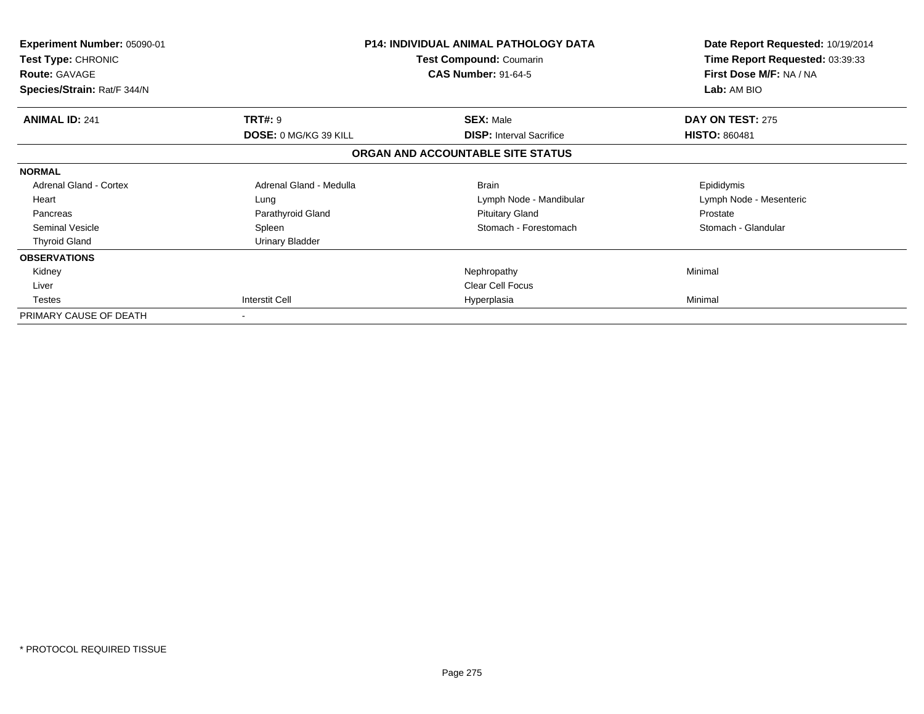| Experiment Number: 05090-01<br><b>Test Type: CHRONIC</b><br><b>Route: GAVAGE</b><br>Species/Strain: Rat/F 344/N |                                         | <b>P14: INDIVIDUAL ANIMAL PATHOLOGY DATA</b><br><b>Test Compound: Coumarin</b><br><b>CAS Number: 91-64-5</b> | Date Report Requested: 10/19/2014<br>Time Report Requested: 03:39:33<br>First Dose M/F: NA / NA<br>Lab: AM BIO |
|-----------------------------------------------------------------------------------------------------------------|-----------------------------------------|--------------------------------------------------------------------------------------------------------------|----------------------------------------------------------------------------------------------------------------|
| <b>ANIMAL ID: 241</b>                                                                                           | <b>TRT#: 9</b><br>DOSE: 0 MG/KG 39 KILL | <b>SEX: Male</b><br><b>DISP:</b> Interval Sacrifice                                                          | DAY ON TEST: 275<br><b>HISTO: 860481</b>                                                                       |
|                                                                                                                 |                                         | ORGAN AND ACCOUNTABLE SITE STATUS                                                                            |                                                                                                                |
|                                                                                                                 |                                         |                                                                                                              |                                                                                                                |
| <b>NORMAL</b>                                                                                                   |                                         |                                                                                                              |                                                                                                                |
| <b>Adrenal Gland - Cortex</b>                                                                                   | Adrenal Gland - Medulla                 | <b>Brain</b>                                                                                                 | Epididymis                                                                                                     |
| Heart                                                                                                           | Lung                                    | Lymph Node - Mandibular                                                                                      | Lymph Node - Mesenteric                                                                                        |
| Pancreas                                                                                                        | Parathyroid Gland                       | <b>Pituitary Gland</b>                                                                                       | Prostate                                                                                                       |
| <b>Seminal Vesicle</b>                                                                                          | Spleen                                  | Stomach - Forestomach                                                                                        | Stomach - Glandular                                                                                            |
| <b>Thyroid Gland</b>                                                                                            | Urinary Bladder                         |                                                                                                              |                                                                                                                |
| <b>OBSERVATIONS</b>                                                                                             |                                         |                                                                                                              |                                                                                                                |
| Kidney                                                                                                          |                                         | Nephropathy                                                                                                  | Minimal                                                                                                        |
| Liver                                                                                                           |                                         | Clear Cell Focus                                                                                             |                                                                                                                |
| <b>Testes</b>                                                                                                   | Interstit Cell                          | Hyperplasia                                                                                                  | Minimal                                                                                                        |
| PRIMARY CAUSE OF DEATH                                                                                          |                                         |                                                                                                              |                                                                                                                |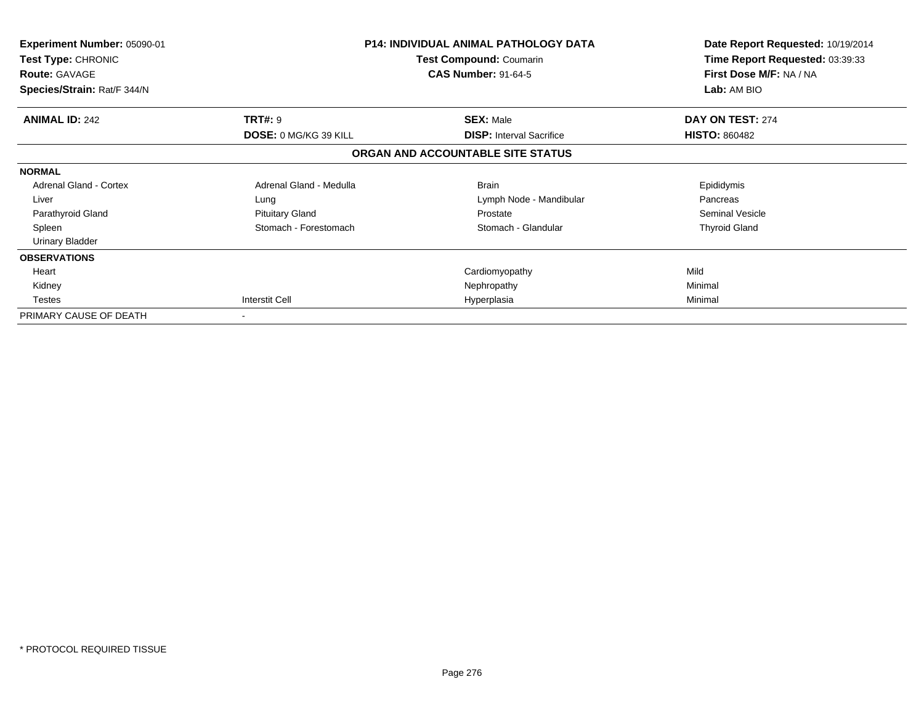| <b>Experiment Number: 05090-01</b><br><b>Test Type: CHRONIC</b><br><b>Route: GAVAGE</b><br>Species/Strain: Rat/F 344/N |                                                | <b>P14: INDIVIDUAL ANIMAL PATHOLOGY DATA</b><br>Test Compound: Coumarin<br><b>CAS Number: 91-64-5</b> | Date Report Requested: 10/19/2014<br>Time Report Requested: 03:39:33<br>First Dose M/F: NA / NA<br>Lab: AM BIO |
|------------------------------------------------------------------------------------------------------------------------|------------------------------------------------|-------------------------------------------------------------------------------------------------------|----------------------------------------------------------------------------------------------------------------|
| <b>ANIMAL ID: 242</b>                                                                                                  | <b>TRT#: 9</b><br><b>DOSE: 0 MG/KG 39 KILL</b> | <b>SEX: Male</b><br><b>DISP:</b> Interval Sacrifice                                                   | DAY ON TEST: 274<br><b>HISTO: 860482</b>                                                                       |
|                                                                                                                        |                                                | ORGAN AND ACCOUNTABLE SITE STATUS                                                                     |                                                                                                                |
| <b>NORMAL</b>                                                                                                          |                                                |                                                                                                       |                                                                                                                |
| <b>Adrenal Gland - Cortex</b>                                                                                          | Adrenal Gland - Medulla                        | <b>Brain</b>                                                                                          | Epididymis                                                                                                     |
| Liver                                                                                                                  | Lung                                           | Lymph Node - Mandibular                                                                               | Pancreas                                                                                                       |
| Parathyroid Gland                                                                                                      | <b>Pituitary Gland</b>                         | Prostate                                                                                              | Seminal Vesicle                                                                                                |
| Spleen                                                                                                                 | Stomach - Forestomach                          | Stomach - Glandular                                                                                   | <b>Thyroid Gland</b>                                                                                           |
| <b>Urinary Bladder</b>                                                                                                 |                                                |                                                                                                       |                                                                                                                |
| <b>OBSERVATIONS</b>                                                                                                    |                                                |                                                                                                       |                                                                                                                |
| Heart                                                                                                                  |                                                | Cardiomyopathy                                                                                        | Mild                                                                                                           |
| Kidney                                                                                                                 |                                                | Nephropathy                                                                                           | Minimal                                                                                                        |
| <b>Testes</b>                                                                                                          | <b>Interstit Cell</b>                          | Hyperplasia                                                                                           | Minimal                                                                                                        |
| PRIMARY CAUSE OF DEATH                                                                                                 |                                                |                                                                                                       |                                                                                                                |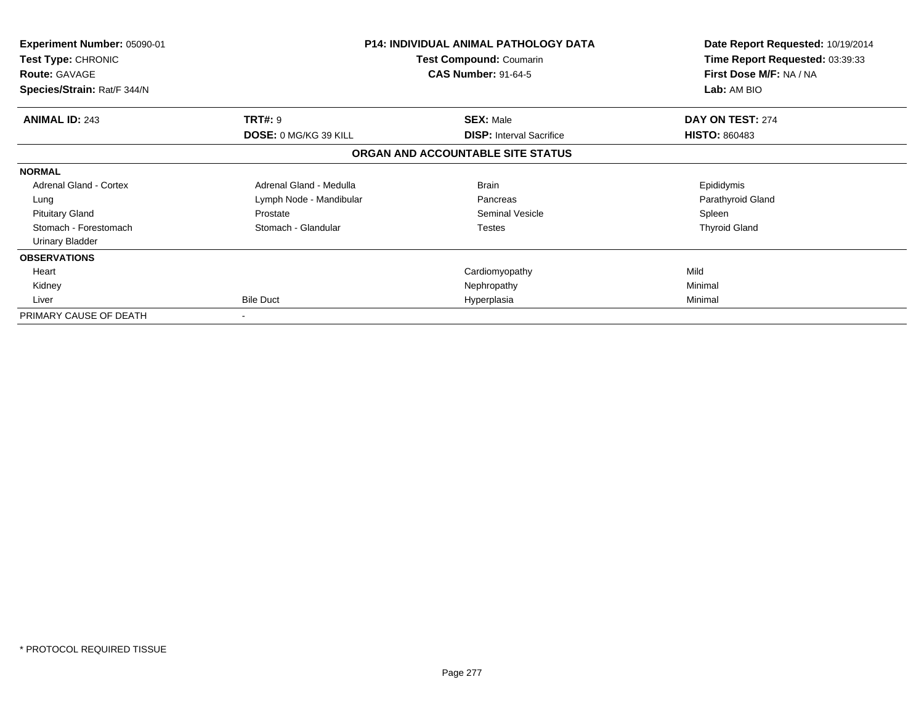| <b>Experiment Number: 05090-01</b><br>Test Type: CHRONIC<br><b>Route: GAVAGE</b> |                         | <b>P14: INDIVIDUAL ANIMAL PATHOLOGY DATA</b><br>Test Compound: Coumarin<br><b>CAS Number: 91-64-5</b> | Date Report Requested: 10/19/2014<br>Time Report Requested: 03:39:33<br>First Dose M/F: NA / NA |
|----------------------------------------------------------------------------------|-------------------------|-------------------------------------------------------------------------------------------------------|-------------------------------------------------------------------------------------------------|
| Species/Strain: Rat/F 344/N                                                      |                         |                                                                                                       | Lab: AM BIO                                                                                     |
| <b>ANIMAL ID: 243</b>                                                            | <b>TRT#: 9</b>          | <b>SEX: Male</b>                                                                                      | DAY ON TEST: 274                                                                                |
|                                                                                  | DOSE: 0 MG/KG 39 KILL   | <b>DISP:</b> Interval Sacrifice                                                                       | <b>HISTO: 860483</b>                                                                            |
|                                                                                  |                         | ORGAN AND ACCOUNTABLE SITE STATUS                                                                     |                                                                                                 |
| <b>NORMAL</b>                                                                    |                         |                                                                                                       |                                                                                                 |
| <b>Adrenal Gland - Cortex</b>                                                    | Adrenal Gland - Medulla | <b>Brain</b>                                                                                          | Epididymis                                                                                      |
| Lung                                                                             | Lymph Node - Mandibular | Pancreas                                                                                              | Parathyroid Gland                                                                               |
| <b>Pituitary Gland</b>                                                           | Prostate                | Seminal Vesicle                                                                                       | Spleen                                                                                          |
| Stomach - Forestomach                                                            | Stomach - Glandular     | Testes                                                                                                | <b>Thyroid Gland</b>                                                                            |
| <b>Urinary Bladder</b>                                                           |                         |                                                                                                       |                                                                                                 |
| <b>OBSERVATIONS</b>                                                              |                         |                                                                                                       |                                                                                                 |
| Heart                                                                            |                         | Cardiomyopathy                                                                                        | Mild                                                                                            |
| Kidney                                                                           |                         | Nephropathy                                                                                           | Minimal                                                                                         |
| Liver                                                                            | <b>Bile Duct</b>        | Hyperplasia                                                                                           | Minimal                                                                                         |
| PRIMARY CAUSE OF DEATH                                                           | $\blacksquare$          |                                                                                                       |                                                                                                 |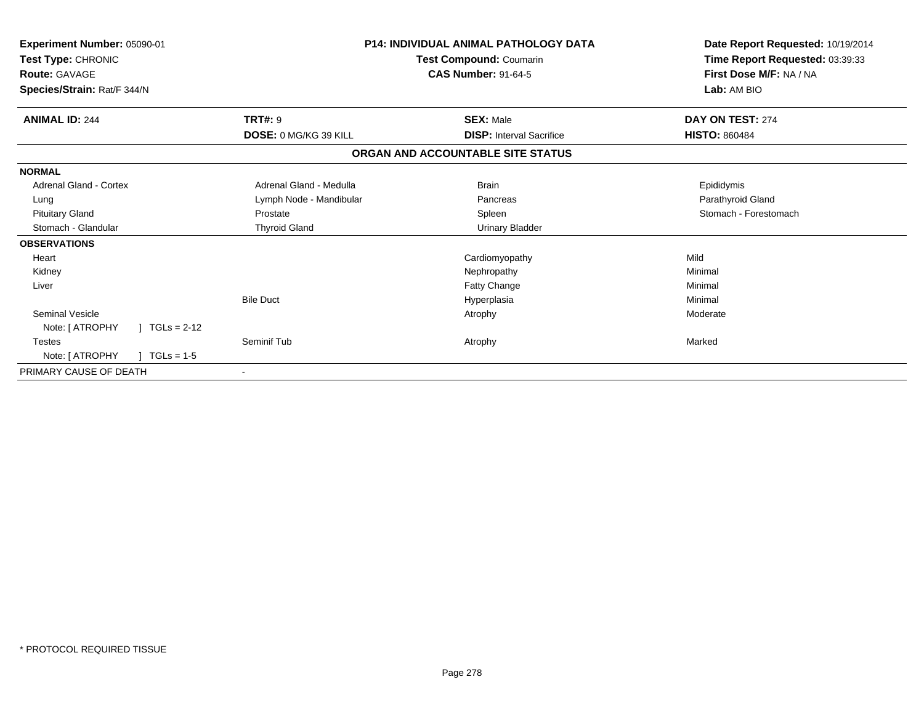| Experiment Number: 05090-01<br>Test Type: CHRONIC<br><b>Route: GAVAGE</b><br>Species/Strain: Rat/F 344/N |                              | <b>P14: INDIVIDUAL ANIMAL PATHOLOGY DATA</b><br>Test Compound: Coumarin<br><b>CAS Number: 91-64-5</b> | Date Report Requested: 10/19/2014<br>Time Report Requested: 03:39:33<br>First Dose M/F: NA / NA<br>Lab: AM BIO |
|----------------------------------------------------------------------------------------------------------|------------------------------|-------------------------------------------------------------------------------------------------------|----------------------------------------------------------------------------------------------------------------|
| <b>ANIMAL ID: 244</b>                                                                                    | <b>TRT#: 9</b>               | <b>SEX: Male</b>                                                                                      | DAY ON TEST: 274                                                                                               |
|                                                                                                          | <b>DOSE: 0 MG/KG 39 KILL</b> | <b>DISP:</b> Interval Sacrifice                                                                       | <b>HISTO: 860484</b>                                                                                           |
|                                                                                                          |                              | ORGAN AND ACCOUNTABLE SITE STATUS                                                                     |                                                                                                                |
| <b>NORMAL</b>                                                                                            |                              |                                                                                                       |                                                                                                                |
| Adrenal Gland - Cortex                                                                                   | Adrenal Gland - Medulla      | <b>Brain</b>                                                                                          | Epididymis                                                                                                     |
| Lung                                                                                                     | Lymph Node - Mandibular      | Pancreas                                                                                              | Parathyroid Gland                                                                                              |
| <b>Pituitary Gland</b>                                                                                   | Prostate                     | Spleen                                                                                                | Stomach - Forestomach                                                                                          |
| Stomach - Glandular                                                                                      | <b>Thyroid Gland</b>         | <b>Urinary Bladder</b>                                                                                |                                                                                                                |
| <b>OBSERVATIONS</b>                                                                                      |                              |                                                                                                       |                                                                                                                |
| Heart                                                                                                    |                              | Cardiomyopathy                                                                                        | Mild                                                                                                           |
| Kidney                                                                                                   |                              | Nephropathy                                                                                           | Minimal                                                                                                        |
| Liver                                                                                                    |                              | Fatty Change                                                                                          | Minimal                                                                                                        |
|                                                                                                          | <b>Bile Duct</b>             | Hyperplasia                                                                                           | Minimal                                                                                                        |
| <b>Seminal Vesicle</b>                                                                                   |                              | Atrophy                                                                                               | Moderate                                                                                                       |
| Note: [ ATROPHY<br>$1 TGLs = 2-12$                                                                       |                              |                                                                                                       |                                                                                                                |
| <b>Testes</b>                                                                                            | Seminif Tub                  | Atrophy                                                                                               | Marked                                                                                                         |
| Note: [ ATROPHY<br>$TGLs = 1-5$                                                                          |                              |                                                                                                       |                                                                                                                |
| PRIMARY CAUSE OF DEATH                                                                                   |                              |                                                                                                       |                                                                                                                |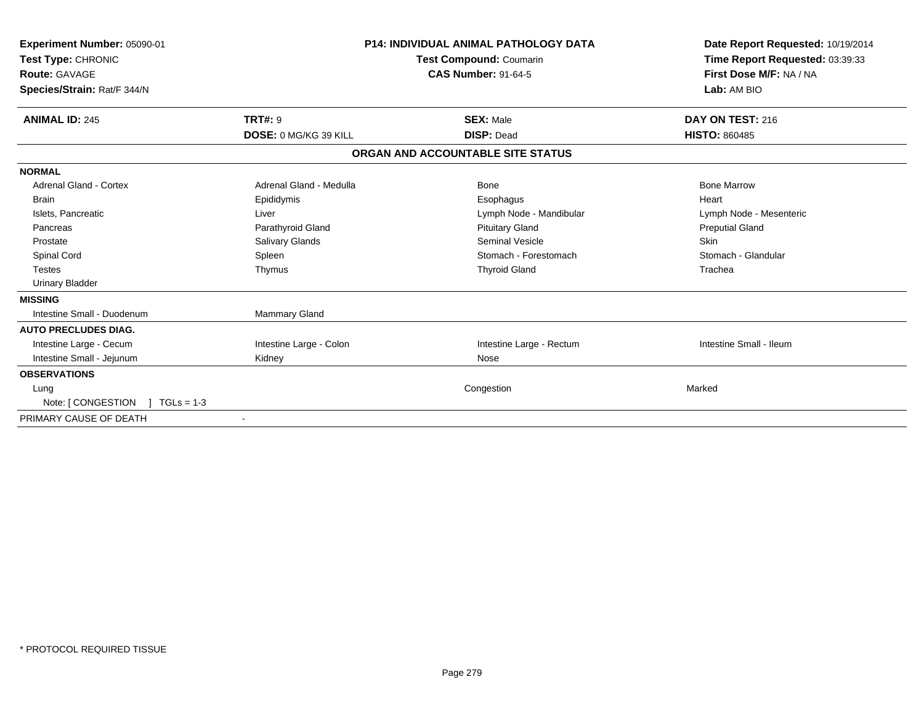| Experiment Number: 05090-01<br>Test Type: CHRONIC<br>Route: GAVAGE<br>Species/Strain: Rat/F 344/N |                         | <b>P14: INDIVIDUAL ANIMAL PATHOLOGY DATA</b><br>Test Compound: Coumarin<br><b>CAS Number: 91-64-5</b> | Date Report Requested: 10/19/2014<br>Time Report Requested: 03:39:33<br>First Dose M/F: NA / NA<br>Lab: AM BIO |
|---------------------------------------------------------------------------------------------------|-------------------------|-------------------------------------------------------------------------------------------------------|----------------------------------------------------------------------------------------------------------------|
| <b>ANIMAL ID: 245</b>                                                                             | <b>TRT#: 9</b>          | <b>SEX: Male</b>                                                                                      | DAY ON TEST: 216                                                                                               |
|                                                                                                   | DOSE: 0 MG/KG 39 KILL   | <b>DISP: Dead</b>                                                                                     | <b>HISTO: 860485</b>                                                                                           |
|                                                                                                   |                         | ORGAN AND ACCOUNTABLE SITE STATUS                                                                     |                                                                                                                |
| <b>NORMAL</b>                                                                                     |                         |                                                                                                       |                                                                                                                |
| Adrenal Gland - Cortex                                                                            | Adrenal Gland - Medulla | Bone                                                                                                  | <b>Bone Marrow</b>                                                                                             |
| <b>Brain</b>                                                                                      | Epididymis              | Esophagus                                                                                             | Heart                                                                                                          |
| Islets, Pancreatic                                                                                | Liver                   | Lymph Node - Mandibular                                                                               | Lymph Node - Mesenteric                                                                                        |
| Pancreas                                                                                          | Parathyroid Gland       | <b>Pituitary Gland</b>                                                                                | <b>Preputial Gland</b>                                                                                         |
| Prostate                                                                                          | Salivary Glands         | <b>Seminal Vesicle</b>                                                                                | <b>Skin</b>                                                                                                    |
| <b>Spinal Cord</b>                                                                                | Spleen                  | Stomach - Forestomach                                                                                 | Stomach - Glandular                                                                                            |
| <b>Testes</b>                                                                                     | Thymus                  | <b>Thyroid Gland</b>                                                                                  | Trachea                                                                                                        |
| <b>Urinary Bladder</b>                                                                            |                         |                                                                                                       |                                                                                                                |
| <b>MISSING</b>                                                                                    |                         |                                                                                                       |                                                                                                                |
| Intestine Small - Duodenum                                                                        | <b>Mammary Gland</b>    |                                                                                                       |                                                                                                                |
| <b>AUTO PRECLUDES DIAG.</b>                                                                       |                         |                                                                                                       |                                                                                                                |
| Intestine Large - Cecum                                                                           | Intestine Large - Colon | Intestine Large - Rectum                                                                              | Intestine Small - Ileum                                                                                        |
| Intestine Small - Jejunum                                                                         | Kidney                  | Nose                                                                                                  |                                                                                                                |
| <b>OBSERVATIONS</b>                                                                               |                         |                                                                                                       |                                                                                                                |
| Lung                                                                                              |                         | Congestion                                                                                            | Marked                                                                                                         |
| Note: [ CONGESTION<br>$TGLs = 1-3$                                                                |                         |                                                                                                       |                                                                                                                |
| PRIMARY CAUSE OF DEATH                                                                            |                         |                                                                                                       |                                                                                                                |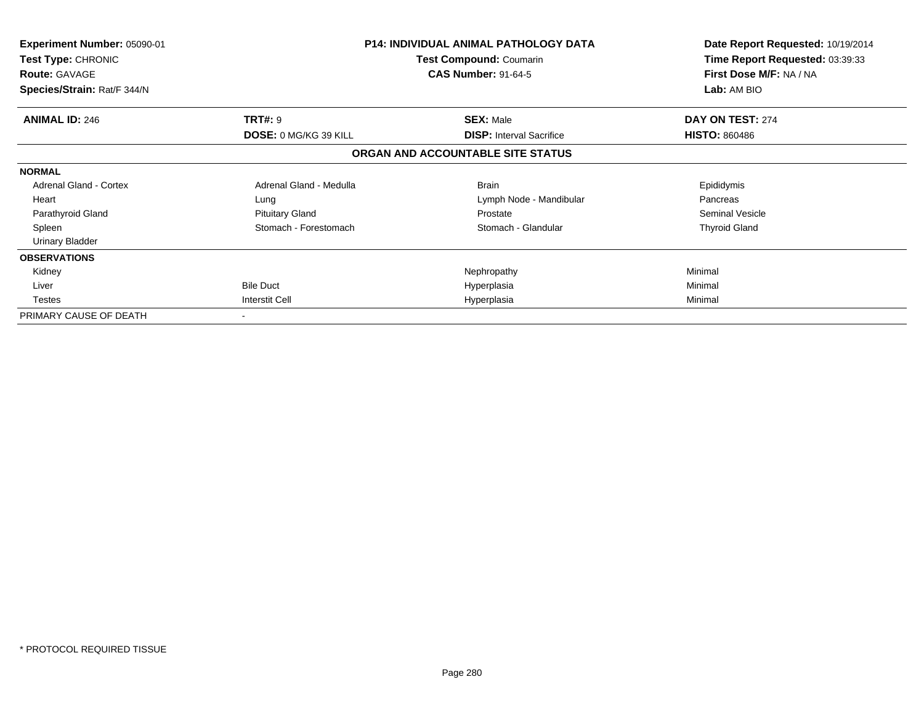| Experiment Number: 05090-01<br>Test Type: CHRONIC<br><b>Route: GAVAGE</b><br>Species/Strain: Rat/F 344/N |                              | <b>P14: INDIVIDUAL ANIMAL PATHOLOGY DATA</b><br><b>Test Compound: Coumarin</b><br><b>CAS Number: 91-64-5</b> | Date Report Requested: 10/19/2014<br>Time Report Requested: 03:39:33<br>First Dose M/F: NA / NA<br>Lab: AM BIO |
|----------------------------------------------------------------------------------------------------------|------------------------------|--------------------------------------------------------------------------------------------------------------|----------------------------------------------------------------------------------------------------------------|
| <b>ANIMAL ID: 246</b>                                                                                    | <b>TRT#: 9</b>               | <b>SEX: Male</b>                                                                                             | DAY ON TEST: 274                                                                                               |
|                                                                                                          | <b>DOSE: 0 MG/KG 39 KILL</b> | <b>DISP: Interval Sacrifice</b>                                                                              | <b>HISTO: 860486</b>                                                                                           |
|                                                                                                          |                              | ORGAN AND ACCOUNTABLE SITE STATUS                                                                            |                                                                                                                |
| <b>NORMAL</b>                                                                                            |                              |                                                                                                              |                                                                                                                |
| <b>Adrenal Gland - Cortex</b>                                                                            | Adrenal Gland - Medulla      | <b>Brain</b>                                                                                                 | Epididymis                                                                                                     |
| Heart                                                                                                    | Lung                         | Lymph Node - Mandibular                                                                                      | Pancreas                                                                                                       |
| Parathyroid Gland                                                                                        | <b>Pituitary Gland</b>       | Prostate                                                                                                     | Seminal Vesicle                                                                                                |
| Spleen                                                                                                   | Stomach - Forestomach        | Stomach - Glandular                                                                                          | <b>Thyroid Gland</b>                                                                                           |
| <b>Urinary Bladder</b>                                                                                   |                              |                                                                                                              |                                                                                                                |
| <b>OBSERVATIONS</b>                                                                                      |                              |                                                                                                              |                                                                                                                |
| Kidney                                                                                                   |                              | Nephropathy                                                                                                  | Minimal                                                                                                        |
| Liver                                                                                                    | <b>Bile Duct</b>             | Hyperplasia                                                                                                  | Minimal                                                                                                        |
| Testes                                                                                                   | Interstit Cell               | Hyperplasia                                                                                                  | Minimal                                                                                                        |
| PRIMARY CAUSE OF DEATH                                                                                   |                              |                                                                                                              |                                                                                                                |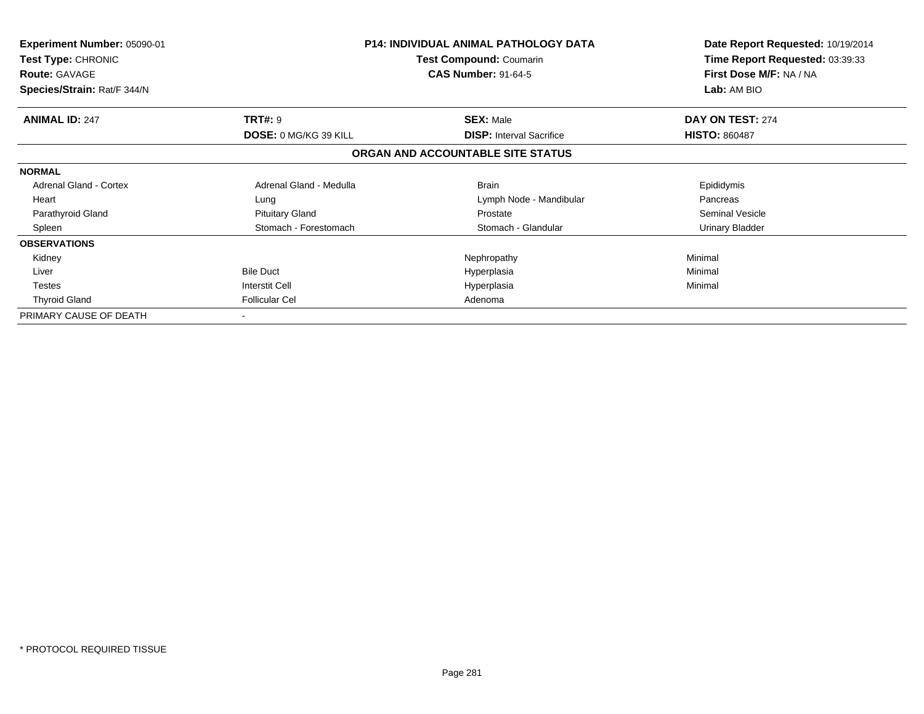| <b>Experiment Number: 05090-01</b><br>Test Type: CHRONIC<br><b>Route: GAVAGE</b> |                         | <b>P14: INDIVIDUAL ANIMAL PATHOLOGY DATA</b><br>Test Compound: Coumarin<br><b>CAS Number: 91-64-5</b> | Date Report Requested: 10/19/2014<br>Time Report Requested: 03:39:33<br>First Dose M/F: NA / NA |
|----------------------------------------------------------------------------------|-------------------------|-------------------------------------------------------------------------------------------------------|-------------------------------------------------------------------------------------------------|
| Species/Strain: Rat/F 344/N                                                      |                         |                                                                                                       | <b>Lab: AM BIO</b>                                                                              |
| <b>ANIMAL ID: 247</b>                                                            | <b>TRT#: 9</b>          | <b>SEX: Male</b>                                                                                      | DAY ON TEST: 274                                                                                |
|                                                                                  | DOSE: 0 MG/KG 39 KILL   | <b>DISP: Interval Sacrifice</b>                                                                       | <b>HISTO: 860487</b>                                                                            |
|                                                                                  |                         | ORGAN AND ACCOUNTABLE SITE STATUS                                                                     |                                                                                                 |
| <b>NORMAL</b>                                                                    |                         |                                                                                                       |                                                                                                 |
| <b>Adrenal Gland - Cortex</b>                                                    | Adrenal Gland - Medulla | <b>Brain</b>                                                                                          | Epididymis                                                                                      |
| Heart                                                                            | Lung                    | Lymph Node - Mandibular                                                                               | Pancreas                                                                                        |
| Parathyroid Gland                                                                | <b>Pituitary Gland</b>  | Prostate                                                                                              | <b>Seminal Vesicle</b>                                                                          |
| Spleen                                                                           | Stomach - Forestomach   | Stomach - Glandular                                                                                   | <b>Urinary Bladder</b>                                                                          |
| <b>OBSERVATIONS</b>                                                              |                         |                                                                                                       |                                                                                                 |
| Kidney                                                                           |                         | Nephropathy                                                                                           | Minimal                                                                                         |
| Liver                                                                            | <b>Bile Duct</b>        | Hyperplasia                                                                                           | Minimal                                                                                         |
| <b>Testes</b>                                                                    | Interstit Cell          | Hyperplasia                                                                                           | Minimal                                                                                         |
| <b>Thyroid Gland</b>                                                             | <b>Follicular Cel</b>   | Adenoma                                                                                               |                                                                                                 |
| PRIMARY CAUSE OF DEATH                                                           |                         |                                                                                                       |                                                                                                 |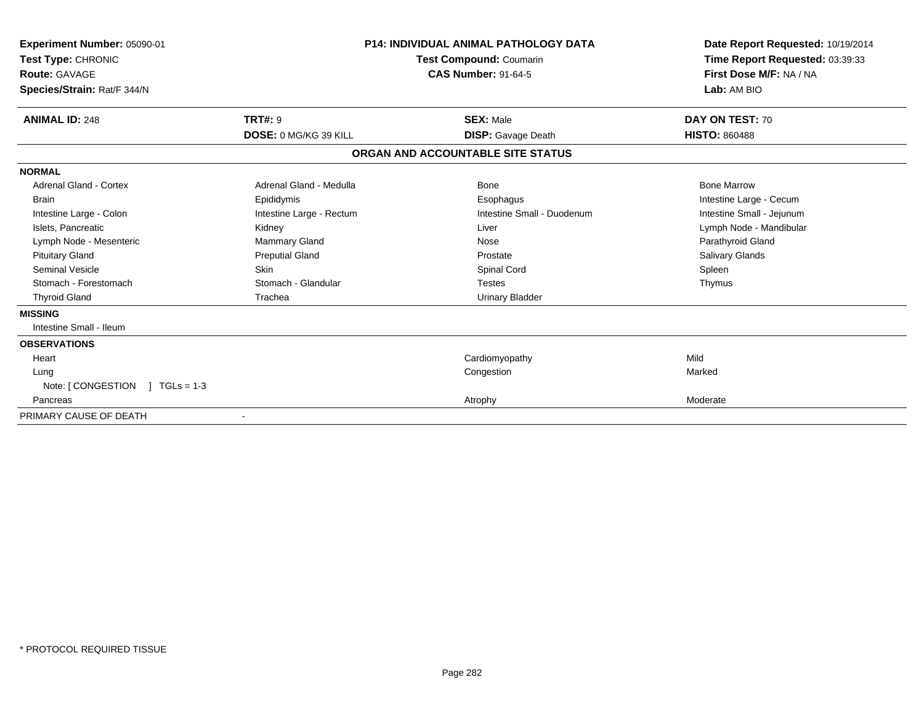| Experiment Number: 05090-01<br>Test Type: CHRONIC<br>Route: GAVAGE<br>Species/Strain: Rat/F 344/N |                          | P14: INDIVIDUAL ANIMAL PATHOLOGY DATA<br><b>Test Compound: Coumarin</b><br><b>CAS Number: 91-64-5</b> | Date Report Requested: 10/19/2014<br>Time Report Requested: 03:39:33<br>First Dose M/F: NA / NA<br>Lab: AM BIO |
|---------------------------------------------------------------------------------------------------|--------------------------|-------------------------------------------------------------------------------------------------------|----------------------------------------------------------------------------------------------------------------|
| <b>ANIMAL ID: 248</b>                                                                             | <b>TRT#: 9</b>           | <b>SEX: Male</b>                                                                                      | DAY ON TEST: 70                                                                                                |
|                                                                                                   | DOSE: 0 MG/KG 39 KILL    | <b>DISP:</b> Gavage Death                                                                             | <b>HISTO: 860488</b>                                                                                           |
|                                                                                                   |                          | ORGAN AND ACCOUNTABLE SITE STATUS                                                                     |                                                                                                                |
| <b>NORMAL</b>                                                                                     |                          |                                                                                                       |                                                                                                                |
| Adrenal Gland - Cortex                                                                            | Adrenal Gland - Medulla  | Bone                                                                                                  | <b>Bone Marrow</b>                                                                                             |
| Brain                                                                                             | Epididymis               | Esophagus                                                                                             | Intestine Large - Cecum                                                                                        |
| Intestine Large - Colon                                                                           | Intestine Large - Rectum | Intestine Small - Duodenum                                                                            | Intestine Small - Jejunum                                                                                      |
| Islets, Pancreatic                                                                                | Kidney                   | Liver                                                                                                 | Lymph Node - Mandibular                                                                                        |
| Lymph Node - Mesenteric                                                                           | Mammary Gland            | Nose                                                                                                  | Parathyroid Gland                                                                                              |
| <b>Pituitary Gland</b>                                                                            | <b>Preputial Gland</b>   | Prostate                                                                                              | Salivary Glands                                                                                                |
| Seminal Vesicle                                                                                   | <b>Skin</b>              | Spinal Cord                                                                                           | Spleen                                                                                                         |
| Stomach - Forestomach                                                                             | Stomach - Glandular      | <b>Testes</b>                                                                                         | Thymus                                                                                                         |
| <b>Thyroid Gland</b>                                                                              | Trachea                  | <b>Urinary Bladder</b>                                                                                |                                                                                                                |
| <b>MISSING</b>                                                                                    |                          |                                                                                                       |                                                                                                                |
| Intestine Small - Ileum                                                                           |                          |                                                                                                       |                                                                                                                |
| <b>OBSERVATIONS</b>                                                                               |                          |                                                                                                       |                                                                                                                |
| Heart                                                                                             |                          | Cardiomyopathy                                                                                        | Mild                                                                                                           |
| Lung                                                                                              |                          | Congestion                                                                                            | Marked                                                                                                         |
| Note: $\lceil$ CONGESTION $\lceil$ TGLs = 1-3                                                     |                          |                                                                                                       |                                                                                                                |
| Pancreas                                                                                          |                          | Atrophy                                                                                               | Moderate                                                                                                       |
| PRIMARY CAUSE OF DEATH                                                                            |                          |                                                                                                       |                                                                                                                |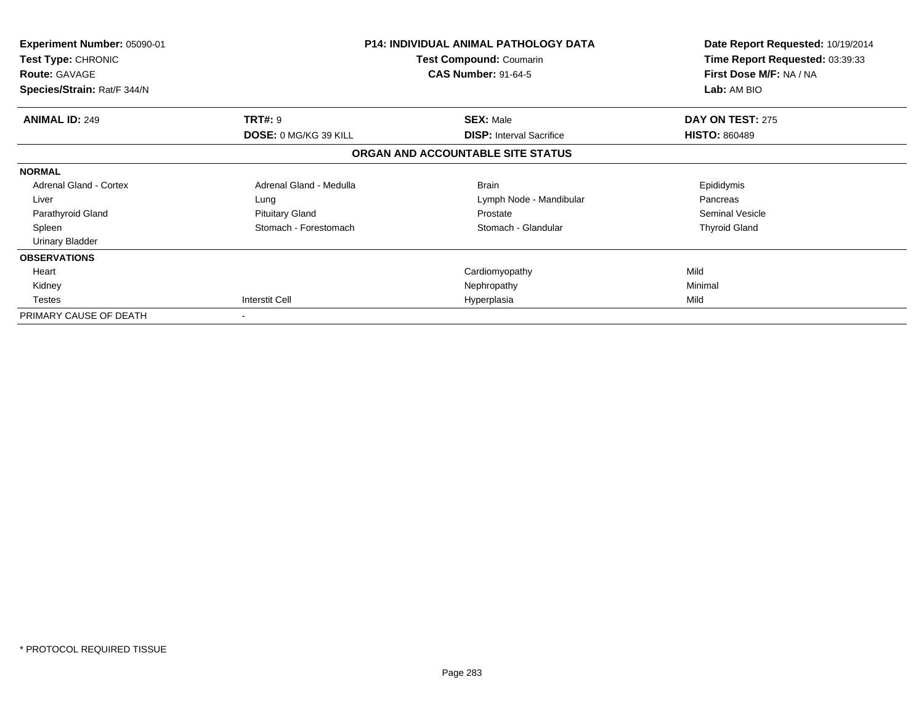| <b>Experiment Number: 05090-01</b><br><b>Test Type: CHRONIC</b><br><b>Route: GAVAGE</b><br>Species/Strain: Rat/F 344/N |                         | P14: INDIVIDUAL ANIMAL PATHOLOGY DATA<br>Test Compound: Coumarin<br><b>CAS Number: 91-64-5</b> | Date Report Requested: 10/19/2014<br>Time Report Requested: 03:39:33<br>First Dose M/F: NA / NA<br>Lab: AM BIO |
|------------------------------------------------------------------------------------------------------------------------|-------------------------|------------------------------------------------------------------------------------------------|----------------------------------------------------------------------------------------------------------------|
| <b>ANIMAL ID: 249</b>                                                                                                  | <b>TRT#: 9</b>          | <b>SEX: Male</b>                                                                               | DAY ON TEST: 275                                                                                               |
|                                                                                                                        | DOSE: 0 MG/KG 39 KILL   | <b>DISP:</b> Interval Sacrifice                                                                | <b>HISTO: 860489</b>                                                                                           |
|                                                                                                                        |                         | ORGAN AND ACCOUNTABLE SITE STATUS                                                              |                                                                                                                |
| <b>NORMAL</b>                                                                                                          |                         |                                                                                                |                                                                                                                |
| <b>Adrenal Gland - Cortex</b>                                                                                          | Adrenal Gland - Medulla | <b>Brain</b>                                                                                   | Epididymis                                                                                                     |
| Liver                                                                                                                  | Lung                    | Lymph Node - Mandibular                                                                        | Pancreas                                                                                                       |
| Parathyroid Gland                                                                                                      | <b>Pituitary Gland</b>  | Prostate                                                                                       | Seminal Vesicle                                                                                                |
| Spleen                                                                                                                 | Stomach - Forestomach   | Stomach - Glandular                                                                            | <b>Thyroid Gland</b>                                                                                           |
| <b>Urinary Bladder</b>                                                                                                 |                         |                                                                                                |                                                                                                                |
| <b>OBSERVATIONS</b>                                                                                                    |                         |                                                                                                |                                                                                                                |
| Heart                                                                                                                  |                         | Cardiomyopathy                                                                                 | Mild                                                                                                           |
| Kidney                                                                                                                 |                         | Nephropathy                                                                                    | Minimal                                                                                                        |
| <b>Testes</b>                                                                                                          | Interstit Cell          | Hyperplasia                                                                                    | Mild                                                                                                           |
| PRIMARY CAUSE OF DEATH                                                                                                 |                         |                                                                                                |                                                                                                                |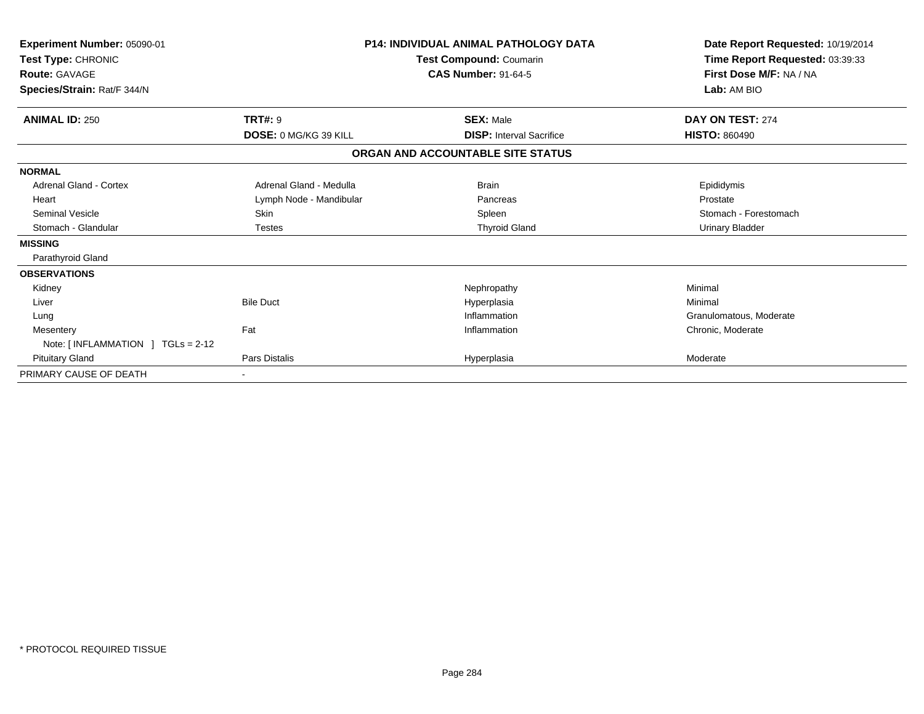| Experiment Number: 05090-01<br>Test Type: CHRONIC<br><b>Route: GAVAGE</b><br>Species/Strain: Rat/F 344/N |                              | <b>P14: INDIVIDUAL ANIMAL PATHOLOGY DATA</b><br>Test Compound: Coumarin<br><b>CAS Number: 91-64-5</b> | Date Report Requested: 10/19/2014<br>Time Report Requested: 03:39:33<br>First Dose M/F: NA / NA<br>Lab: AM BIO |
|----------------------------------------------------------------------------------------------------------|------------------------------|-------------------------------------------------------------------------------------------------------|----------------------------------------------------------------------------------------------------------------|
| <b>ANIMAL ID: 250</b>                                                                                    | <b>TRT#: 9</b>               | <b>SEX: Male</b>                                                                                      | DAY ON TEST: 274                                                                                               |
|                                                                                                          | <b>DOSE: 0 MG/KG 39 KILL</b> | <b>DISP: Interval Sacrifice</b>                                                                       | <b>HISTO: 860490</b>                                                                                           |
|                                                                                                          |                              | ORGAN AND ACCOUNTABLE SITE STATUS                                                                     |                                                                                                                |
| <b>NORMAL</b>                                                                                            |                              |                                                                                                       |                                                                                                                |
| Adrenal Gland - Cortex                                                                                   | Adrenal Gland - Medulla      | <b>Brain</b>                                                                                          | Epididymis                                                                                                     |
| Heart                                                                                                    | Lymph Node - Mandibular      | Pancreas                                                                                              | Prostate                                                                                                       |
| <b>Seminal Vesicle</b>                                                                                   | Skin                         | Spleen                                                                                                | Stomach - Forestomach                                                                                          |
| Stomach - Glandular                                                                                      | <b>Testes</b>                | <b>Thyroid Gland</b>                                                                                  | <b>Urinary Bladder</b>                                                                                         |
| <b>MISSING</b>                                                                                           |                              |                                                                                                       |                                                                                                                |
| Parathyroid Gland                                                                                        |                              |                                                                                                       |                                                                                                                |
| <b>OBSERVATIONS</b>                                                                                      |                              |                                                                                                       |                                                                                                                |
| Kidney                                                                                                   |                              | Nephropathy                                                                                           | Minimal                                                                                                        |
| Liver                                                                                                    | <b>Bile Duct</b>             | Hyperplasia                                                                                           | Minimal                                                                                                        |
| Lung                                                                                                     |                              | Inflammation                                                                                          | Granulomatous, Moderate                                                                                        |
| Mesentery<br>Note: $[INFLAMMATION ] TGLs = 2-12$                                                         | Fat                          | Inflammation                                                                                          | Chronic, Moderate                                                                                              |
| <b>Pituitary Gland</b>                                                                                   | <b>Pars Distalis</b>         | Hyperplasia                                                                                           | Moderate                                                                                                       |
| PRIMARY CAUSE OF DEATH                                                                                   |                              |                                                                                                       |                                                                                                                |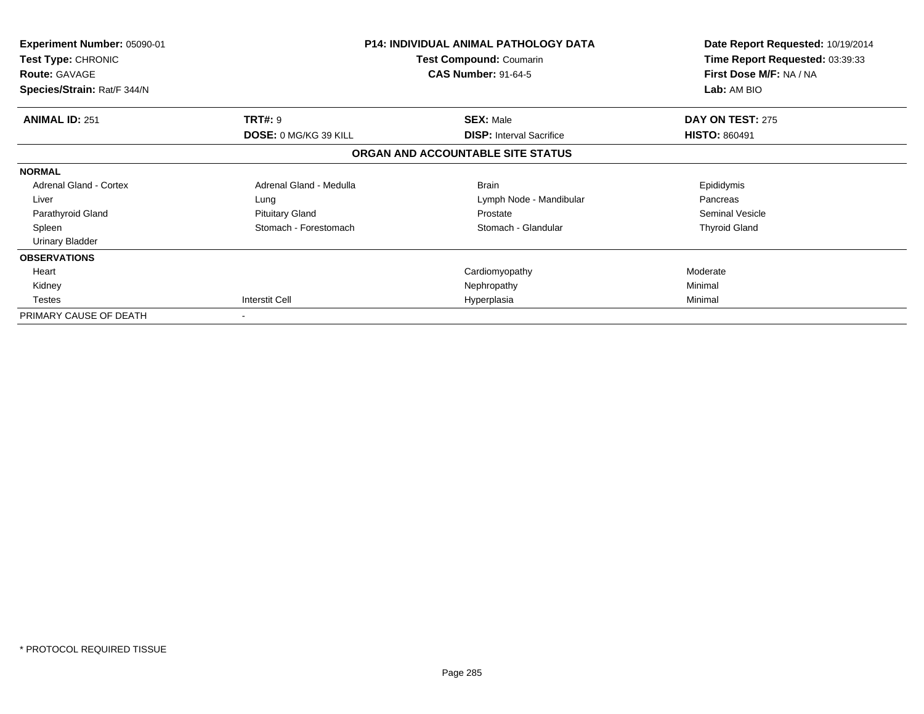| Experiment Number: 05090-01<br><b>Test Type: CHRONIC</b><br><b>Route: GAVAGE</b><br>Species/Strain: Rat/F 344/N |                              | <b>P14: INDIVIDUAL ANIMAL PATHOLOGY DATA</b><br><b>Test Compound: Coumarin</b><br><b>CAS Number: 91-64-5</b> | Date Report Requested: 10/19/2014<br>Time Report Requested: 03:39:33<br>First Dose M/F: NA / NA<br>Lab: AM BIO |
|-----------------------------------------------------------------------------------------------------------------|------------------------------|--------------------------------------------------------------------------------------------------------------|----------------------------------------------------------------------------------------------------------------|
| <b>ANIMAL ID: 251</b>                                                                                           | <b>TRT#: 9</b>               | <b>SEX: Male</b>                                                                                             | DAY ON TEST: 275                                                                                               |
|                                                                                                                 | <b>DOSE: 0 MG/KG 39 KILL</b> | <b>DISP: Interval Sacrifice</b>                                                                              | <b>HISTO: 860491</b>                                                                                           |
|                                                                                                                 |                              | ORGAN AND ACCOUNTABLE SITE STATUS                                                                            |                                                                                                                |
| <b>NORMAL</b>                                                                                                   |                              |                                                                                                              |                                                                                                                |
| <b>Adrenal Gland - Cortex</b>                                                                                   | Adrenal Gland - Medulla      | <b>Brain</b>                                                                                                 | Epididymis                                                                                                     |
| Liver                                                                                                           | Lung                         | Lymph Node - Mandibular                                                                                      | Pancreas                                                                                                       |
| Parathyroid Gland                                                                                               | <b>Pituitary Gland</b>       | Prostate                                                                                                     | Seminal Vesicle                                                                                                |
| Spleen                                                                                                          | Stomach - Forestomach        | Stomach - Glandular                                                                                          | <b>Thyroid Gland</b>                                                                                           |
| <b>Urinary Bladder</b>                                                                                          |                              |                                                                                                              |                                                                                                                |
| <b>OBSERVATIONS</b>                                                                                             |                              |                                                                                                              |                                                                                                                |
| Heart                                                                                                           |                              | Cardiomyopathy                                                                                               | Moderate                                                                                                       |
| Kidney                                                                                                          |                              | Nephropathy                                                                                                  | Minimal                                                                                                        |
| <b>Testes</b>                                                                                                   | Interstit Cell               | Hyperplasia                                                                                                  | Minimal                                                                                                        |
| PRIMARY CAUSE OF DEATH                                                                                          |                              |                                                                                                              |                                                                                                                |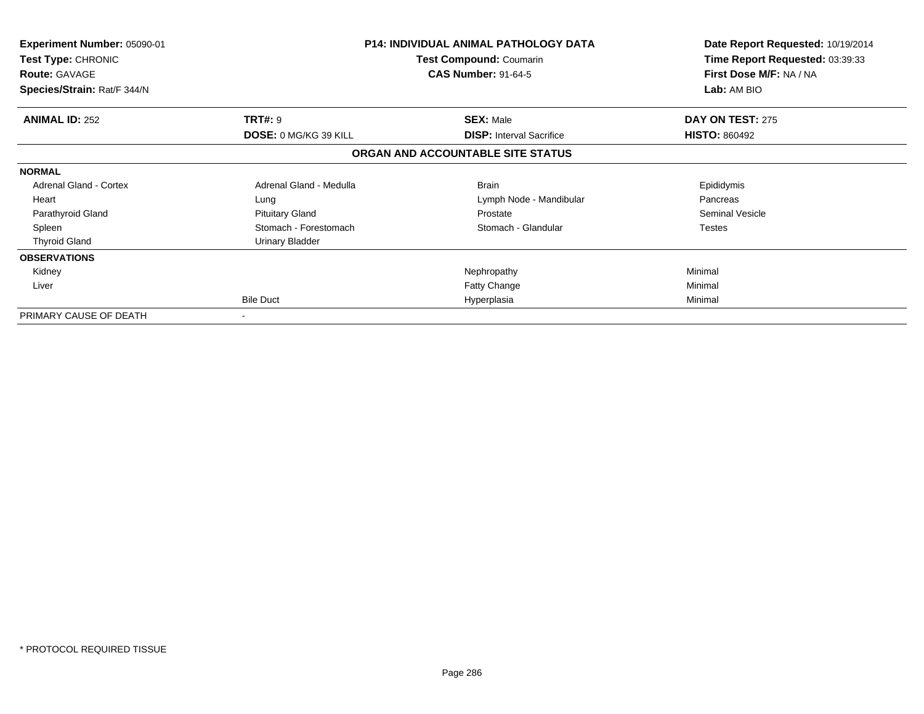| Experiment Number: 05090-01<br><b>Test Type: CHRONIC</b><br><b>Route: GAVAGE</b> | <b>P14: INDIVIDUAL ANIMAL PATHOLOGY DATA</b><br>Test Compound: Coumarin<br><b>CAS Number: 91-64-5</b> |                                   | Date Report Requested: 10/19/2014<br>Time Report Requested: 03:39:33<br>First Dose M/F: NA / NA |
|----------------------------------------------------------------------------------|-------------------------------------------------------------------------------------------------------|-----------------------------------|-------------------------------------------------------------------------------------------------|
| Species/Strain: Rat/F 344/N                                                      |                                                                                                       |                                   | Lab: AM BIO                                                                                     |
| <b>ANIMAL ID: 252</b>                                                            | <b>TRT#: 9</b>                                                                                        | <b>SEX: Male</b>                  | DAY ON TEST: 275                                                                                |
|                                                                                  | DOSE: 0 MG/KG 39 KILL                                                                                 | <b>DISP: Interval Sacrifice</b>   | <b>HISTO: 860492</b>                                                                            |
|                                                                                  |                                                                                                       | ORGAN AND ACCOUNTABLE SITE STATUS |                                                                                                 |
| <b>NORMAL</b>                                                                    |                                                                                                       |                                   |                                                                                                 |
| <b>Adrenal Gland - Cortex</b>                                                    | Adrenal Gland - Medulla                                                                               | <b>Brain</b>                      | Epididymis                                                                                      |
| Heart                                                                            | Lung                                                                                                  | Lymph Node - Mandibular           | Pancreas                                                                                        |
| Parathyroid Gland                                                                | <b>Pituitary Gland</b>                                                                                | Prostate                          | Seminal Vesicle                                                                                 |
| Spleen                                                                           | Stomach - Forestomach                                                                                 | Stomach - Glandular               | <b>Testes</b>                                                                                   |
| <b>Thyroid Gland</b>                                                             | <b>Urinary Bladder</b>                                                                                |                                   |                                                                                                 |
| <b>OBSERVATIONS</b>                                                              |                                                                                                       |                                   |                                                                                                 |
| Kidney                                                                           |                                                                                                       | Nephropathy                       | Minimal                                                                                         |
| Liver                                                                            |                                                                                                       | <b>Fatty Change</b>               | Minimal                                                                                         |
|                                                                                  | <b>Bile Duct</b>                                                                                      | Hyperplasia                       | Minimal                                                                                         |
| PRIMARY CAUSE OF DEATH                                                           | $\,$                                                                                                  |                                   |                                                                                                 |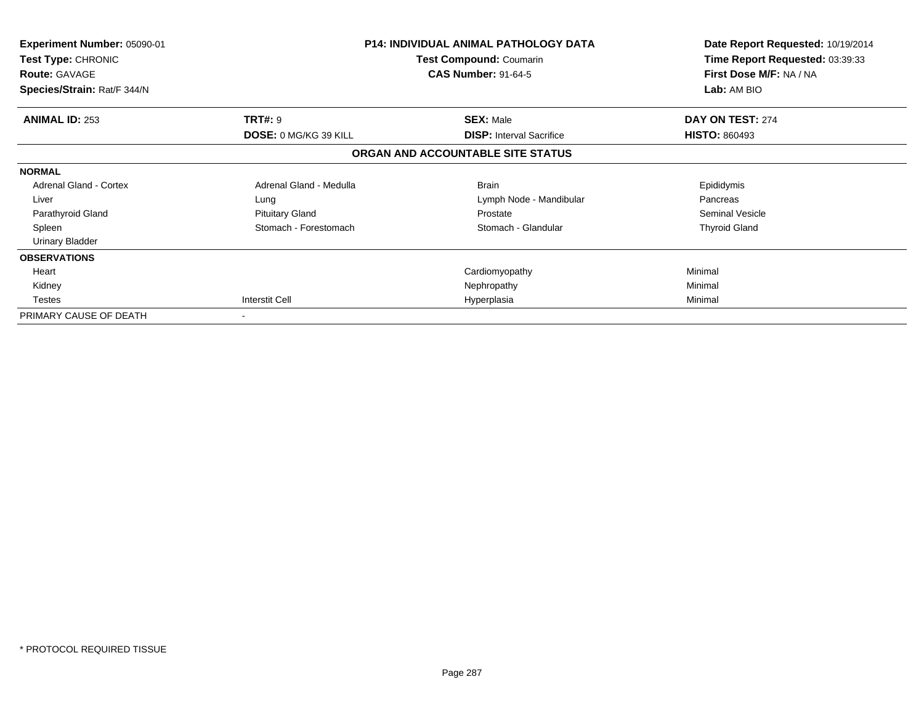| <b>Experiment Number: 05090-01</b><br><b>Test Type: CHRONIC</b><br><b>Route: GAVAGE</b><br>Species/Strain: Rat/F 344/N |                                                | <b>P14: INDIVIDUAL ANIMAL PATHOLOGY DATA</b><br>Test Compound: Coumarin<br><b>CAS Number: 91-64-5</b> | Date Report Requested: 10/19/2014<br>Time Report Requested: 03:39:33<br>First Dose M/F: NA / NA<br>Lab: AM BIO |
|------------------------------------------------------------------------------------------------------------------------|------------------------------------------------|-------------------------------------------------------------------------------------------------------|----------------------------------------------------------------------------------------------------------------|
| <b>ANIMAL ID: 253</b>                                                                                                  | <b>TRT#: 9</b><br><b>DOSE: 0 MG/KG 39 KILL</b> | <b>SEX: Male</b><br><b>DISP: Interval Sacrifice</b>                                                   | DAY ON TEST: 274<br><b>HISTO: 860493</b>                                                                       |
|                                                                                                                        |                                                | ORGAN AND ACCOUNTABLE SITE STATUS                                                                     |                                                                                                                |
| <b>NORMAL</b>                                                                                                          |                                                |                                                                                                       |                                                                                                                |
| <b>Adrenal Gland - Cortex</b>                                                                                          | Adrenal Gland - Medulla                        | <b>Brain</b>                                                                                          | Epididymis                                                                                                     |
| Liver                                                                                                                  | Lung                                           | Lymph Node - Mandibular                                                                               | Pancreas                                                                                                       |
| Parathyroid Gland                                                                                                      | <b>Pituitary Gland</b>                         | Prostate                                                                                              | Seminal Vesicle                                                                                                |
| Spleen                                                                                                                 | Stomach - Forestomach                          | Stomach - Glandular                                                                                   | <b>Thyroid Gland</b>                                                                                           |
| <b>Urinary Bladder</b>                                                                                                 |                                                |                                                                                                       |                                                                                                                |
| <b>OBSERVATIONS</b>                                                                                                    |                                                |                                                                                                       |                                                                                                                |
| Heart                                                                                                                  |                                                | Cardiomyopathy                                                                                        | Minimal                                                                                                        |
| Kidney                                                                                                                 |                                                | Nephropathy                                                                                           | Minimal                                                                                                        |
| <b>Testes</b>                                                                                                          | <b>Interstit Cell</b>                          | Hyperplasia                                                                                           | Minimal                                                                                                        |
| PRIMARY CAUSE OF DEATH                                                                                                 |                                                |                                                                                                       |                                                                                                                |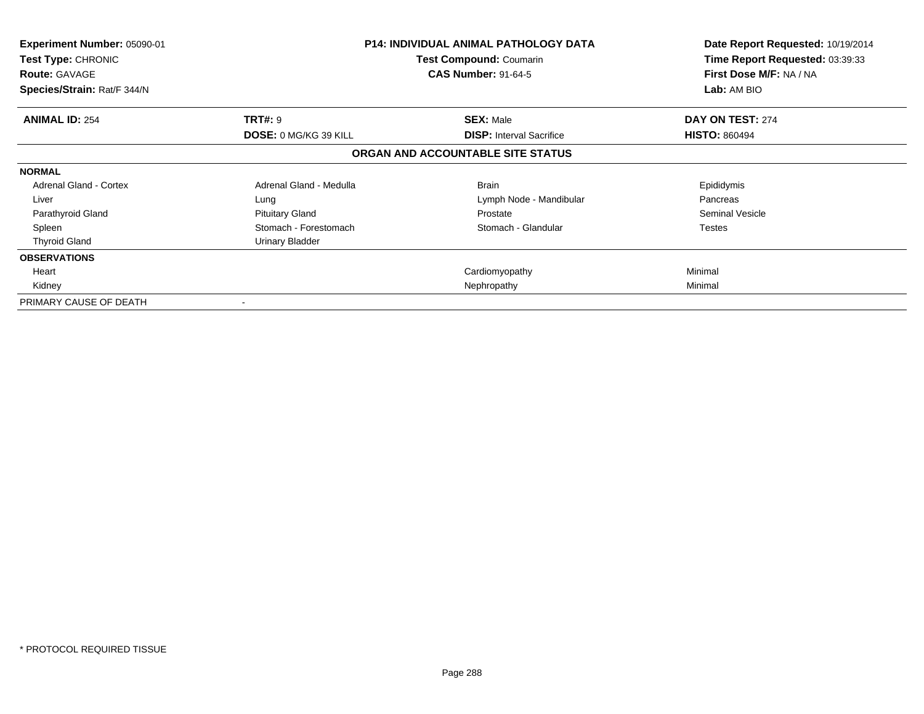| Experiment Number: 05090-01<br>Test Type: CHRONIC<br><b>Route: GAVAGE</b><br>Species/Strain: Rat/F 344/N |                              | <b>P14: INDIVIDUAL ANIMAL PATHOLOGY DATA</b><br>Test Compound: Coumarin<br><b>CAS Number: 91-64-5</b> | Date Report Requested: 10/19/2014<br>Time Report Requested: 03:39:33<br>First Dose M/F: NA / NA<br>Lab: AM BIO |
|----------------------------------------------------------------------------------------------------------|------------------------------|-------------------------------------------------------------------------------------------------------|----------------------------------------------------------------------------------------------------------------|
| <b>ANIMAL ID: 254</b>                                                                                    | <b>TRT#: 9</b>               | <b>SEX: Male</b>                                                                                      | DAY ON TEST: 274                                                                                               |
|                                                                                                          | <b>DOSE: 0 MG/KG 39 KILL</b> | <b>DISP:</b> Interval Sacrifice                                                                       | <b>HISTO: 860494</b>                                                                                           |
|                                                                                                          |                              | ORGAN AND ACCOUNTABLE SITE STATUS                                                                     |                                                                                                                |
| <b>NORMAL</b>                                                                                            |                              |                                                                                                       |                                                                                                                |
| <b>Adrenal Gland - Cortex</b>                                                                            | Adrenal Gland - Medulla      | <b>Brain</b>                                                                                          | Epididymis                                                                                                     |
| Liver                                                                                                    | Lung                         | Lymph Node - Mandibular                                                                               | Pancreas                                                                                                       |
| Parathyroid Gland                                                                                        | <b>Pituitary Gland</b>       | Prostate                                                                                              | Seminal Vesicle                                                                                                |
| Spleen                                                                                                   | Stomach - Forestomach        | Stomach - Glandular                                                                                   | Testes                                                                                                         |
| <b>Thyroid Gland</b>                                                                                     | Urinary Bladder              |                                                                                                       |                                                                                                                |
| <b>OBSERVATIONS</b>                                                                                      |                              |                                                                                                       |                                                                                                                |
| Heart                                                                                                    |                              | Cardiomyopathy                                                                                        | Minimal                                                                                                        |
| Kidney                                                                                                   |                              | Nephropathy                                                                                           | Minimal                                                                                                        |
| PRIMARY CAUSE OF DEATH                                                                                   |                              |                                                                                                       |                                                                                                                |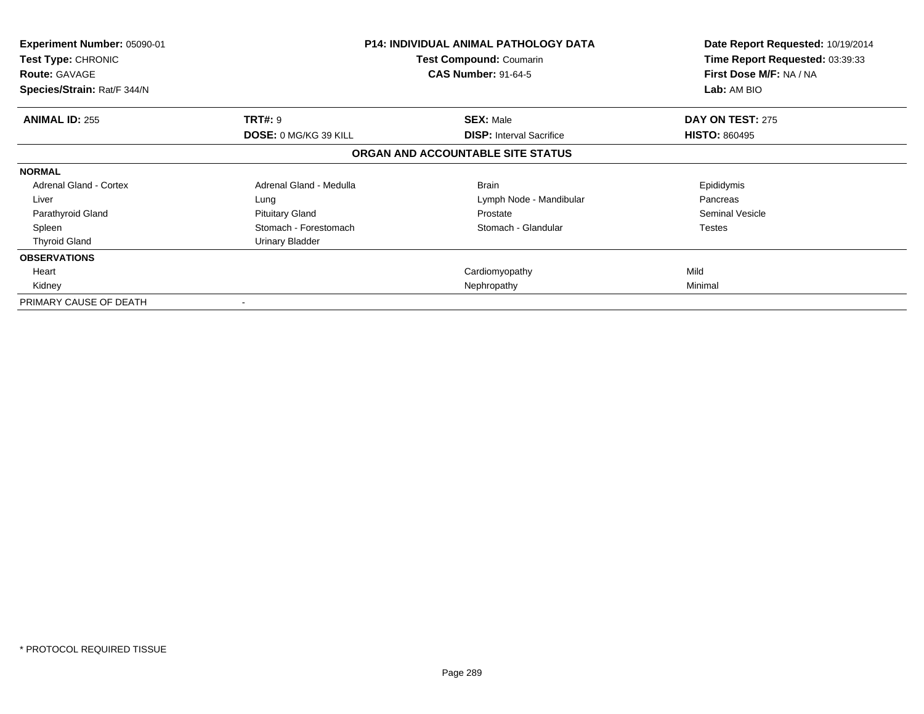| Experiment Number: 05090-01<br><b>Test Type: CHRONIC</b><br><b>Route: GAVAGE</b><br>Species/Strain: Rat/F 344/N |                              | <b>P14: INDIVIDUAL ANIMAL PATHOLOGY DATA</b><br>Test Compound: Coumarin<br><b>CAS Number: 91-64-5</b> | Date Report Requested: 10/19/2014<br>Time Report Requested: 03:39:33<br>First Dose M/F: NA / NA<br>Lab: AM BIO |
|-----------------------------------------------------------------------------------------------------------------|------------------------------|-------------------------------------------------------------------------------------------------------|----------------------------------------------------------------------------------------------------------------|
| <b>ANIMAL ID: 255</b>                                                                                           | <b>TRT#: 9</b>               | <b>SEX: Male</b>                                                                                      | DAY ON TEST: 275                                                                                               |
|                                                                                                                 | <b>DOSE: 0 MG/KG 39 KILL</b> | <b>DISP:</b> Interval Sacrifice                                                                       | <b>HISTO: 860495</b>                                                                                           |
|                                                                                                                 |                              | ORGAN AND ACCOUNTABLE SITE STATUS                                                                     |                                                                                                                |
| <b>NORMAL</b>                                                                                                   |                              |                                                                                                       |                                                                                                                |
| <b>Adrenal Gland - Cortex</b>                                                                                   | Adrenal Gland - Medulla      | <b>Brain</b>                                                                                          | Epididymis                                                                                                     |
| Liver                                                                                                           | Lung                         | Lymph Node - Mandibular                                                                               | Pancreas                                                                                                       |
| Parathyroid Gland                                                                                               | <b>Pituitary Gland</b>       | Prostate                                                                                              | Seminal Vesicle                                                                                                |
| Spleen                                                                                                          | Stomach - Forestomach        | Stomach - Glandular                                                                                   | <b>Testes</b>                                                                                                  |
| <b>Thyroid Gland</b>                                                                                            | Urinary Bladder              |                                                                                                       |                                                                                                                |
| <b>OBSERVATIONS</b>                                                                                             |                              |                                                                                                       |                                                                                                                |
| Heart                                                                                                           |                              | Cardiomyopathy                                                                                        | Mild                                                                                                           |
| Kidney                                                                                                          |                              | Nephropathy                                                                                           | Minimal                                                                                                        |
| PRIMARY CAUSE OF DEATH                                                                                          |                              |                                                                                                       |                                                                                                                |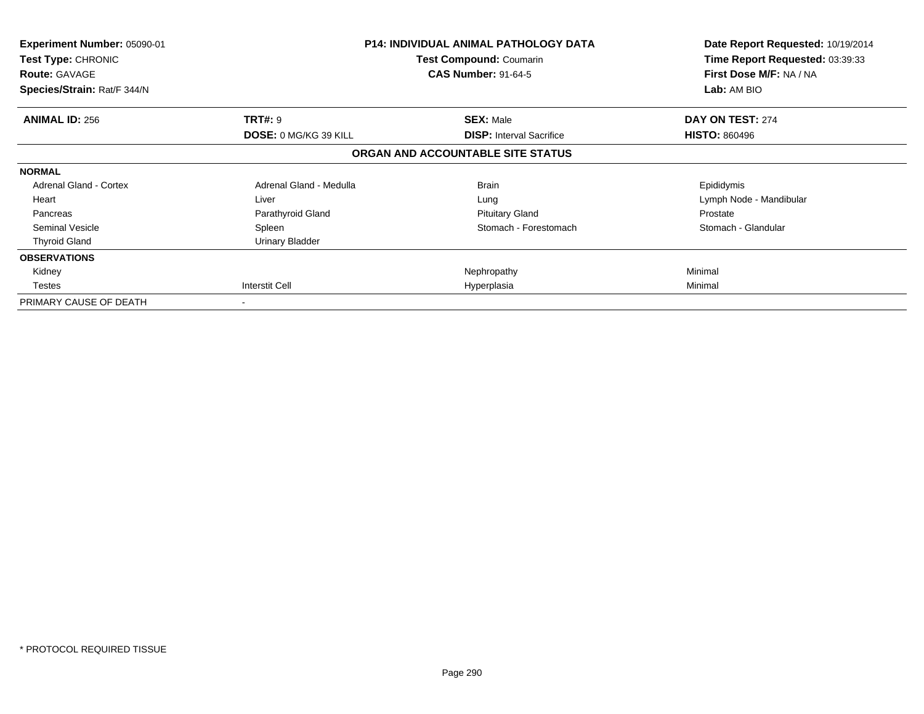| <b>Experiment Number: 05090-01</b><br>Test Type: CHRONIC<br><b>Route: GAVAGE</b><br>Species/Strain: Rat/F 344/N |                              | <b>P14: INDIVIDUAL ANIMAL PATHOLOGY DATA</b><br>Test Compound: Coumarin<br><b>CAS Number: 91-64-5</b> | Date Report Requested: 10/19/2014<br>Time Report Requested: 03:39:33<br>First Dose M/F: NA / NA<br>Lab: AM BIO |
|-----------------------------------------------------------------------------------------------------------------|------------------------------|-------------------------------------------------------------------------------------------------------|----------------------------------------------------------------------------------------------------------------|
| <b>ANIMAL ID: 256</b>                                                                                           | <b>TRT#: 9</b>               | <b>SEX: Male</b>                                                                                      | DAY ON TEST: 274                                                                                               |
|                                                                                                                 | <b>DOSE: 0 MG/KG 39 KILL</b> | <b>DISP:</b> Interval Sacrifice                                                                       | <b>HISTO: 860496</b>                                                                                           |
|                                                                                                                 |                              | ORGAN AND ACCOUNTABLE SITE STATUS                                                                     |                                                                                                                |
| <b>NORMAL</b>                                                                                                   |                              |                                                                                                       |                                                                                                                |
| <b>Adrenal Gland - Cortex</b>                                                                                   | Adrenal Gland - Medulla      | <b>Brain</b>                                                                                          | Epididymis                                                                                                     |
| Heart                                                                                                           | Liver                        | Lung                                                                                                  | Lymph Node - Mandibular                                                                                        |
| Pancreas                                                                                                        | Parathyroid Gland            | <b>Pituitary Gland</b>                                                                                | Prostate                                                                                                       |
| <b>Seminal Vesicle</b>                                                                                          | Spleen                       | Stomach - Forestomach                                                                                 | Stomach - Glandular                                                                                            |
| <b>Thyroid Gland</b>                                                                                            | Urinary Bladder              |                                                                                                       |                                                                                                                |
| <b>OBSERVATIONS</b>                                                                                             |                              |                                                                                                       |                                                                                                                |
| Kidney                                                                                                          |                              | Nephropathy                                                                                           | Minimal                                                                                                        |
| Testes                                                                                                          | Interstit Cell               | Hyperplasia                                                                                           | Minimal                                                                                                        |
| PRIMARY CAUSE OF DEATH                                                                                          |                              |                                                                                                       |                                                                                                                |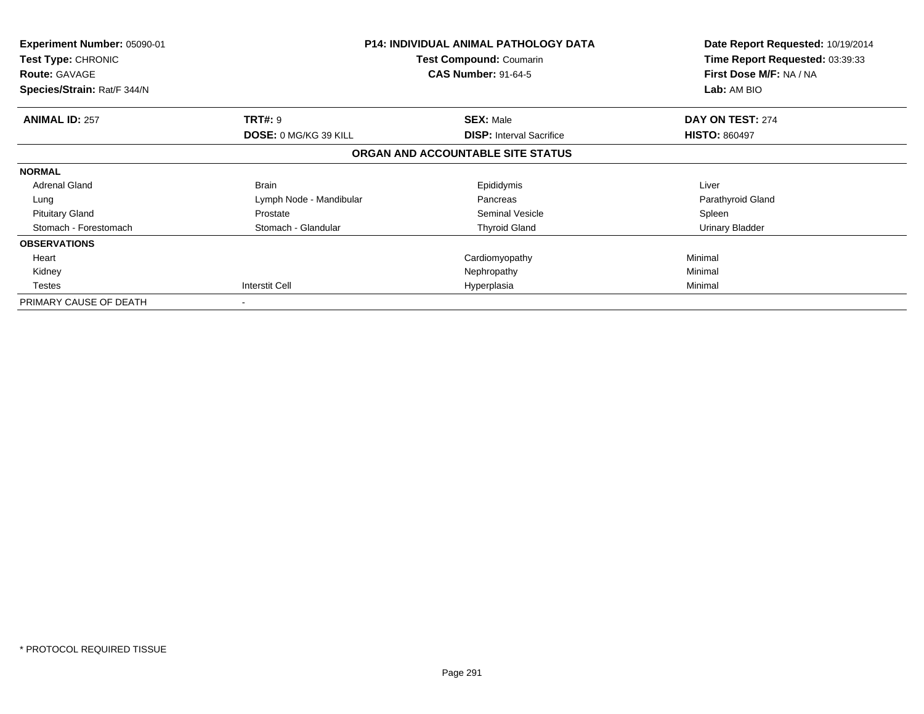| <b>Experiment Number: 05090-01</b><br>Test Type: CHRONIC<br><b>Route: GAVAGE</b><br>Species/Strain: Rat/F 344/N |                         | <b>P14: INDIVIDUAL ANIMAL PATHOLOGY DATA</b><br>Test Compound: Coumarin<br><b>CAS Number: 91-64-5</b> | Date Report Requested: 10/19/2014<br>Time Report Requested: 03:39:33<br>First Dose M/F: NA / NA<br>Lab: AM BIO |
|-----------------------------------------------------------------------------------------------------------------|-------------------------|-------------------------------------------------------------------------------------------------------|----------------------------------------------------------------------------------------------------------------|
| <b>ANIMAL ID: 257</b>                                                                                           | <b>TRT#:</b> 9          | <b>SEX: Male</b>                                                                                      | DAY ON TEST: 274                                                                                               |
|                                                                                                                 | DOSE: 0 MG/KG 39 KILL   | <b>DISP:</b> Interval Sacrifice                                                                       | <b>HISTO: 860497</b>                                                                                           |
|                                                                                                                 |                         | ORGAN AND ACCOUNTABLE SITE STATUS                                                                     |                                                                                                                |
| <b>NORMAL</b>                                                                                                   |                         |                                                                                                       |                                                                                                                |
| <b>Adrenal Gland</b>                                                                                            | <b>Brain</b>            | Epididymis                                                                                            | Liver                                                                                                          |
| Lung                                                                                                            | Lymph Node - Mandibular | Pancreas                                                                                              | Parathyroid Gland                                                                                              |
| <b>Pituitary Gland</b>                                                                                          | Prostate                | <b>Seminal Vesicle</b>                                                                                | Spleen                                                                                                         |
| Stomach - Forestomach                                                                                           | Stomach - Glandular     | <b>Thyroid Gland</b>                                                                                  | Urinary Bladder                                                                                                |
| <b>OBSERVATIONS</b>                                                                                             |                         |                                                                                                       |                                                                                                                |
| Heart                                                                                                           |                         | Cardiomyopathy                                                                                        | Minimal                                                                                                        |
| Kidney                                                                                                          |                         | Nephropathy                                                                                           | Minimal                                                                                                        |
| <b>Testes</b>                                                                                                   | Interstit Cell          | Hyperplasia                                                                                           | Minimal                                                                                                        |
| PRIMARY CAUSE OF DEATH                                                                                          |                         |                                                                                                       |                                                                                                                |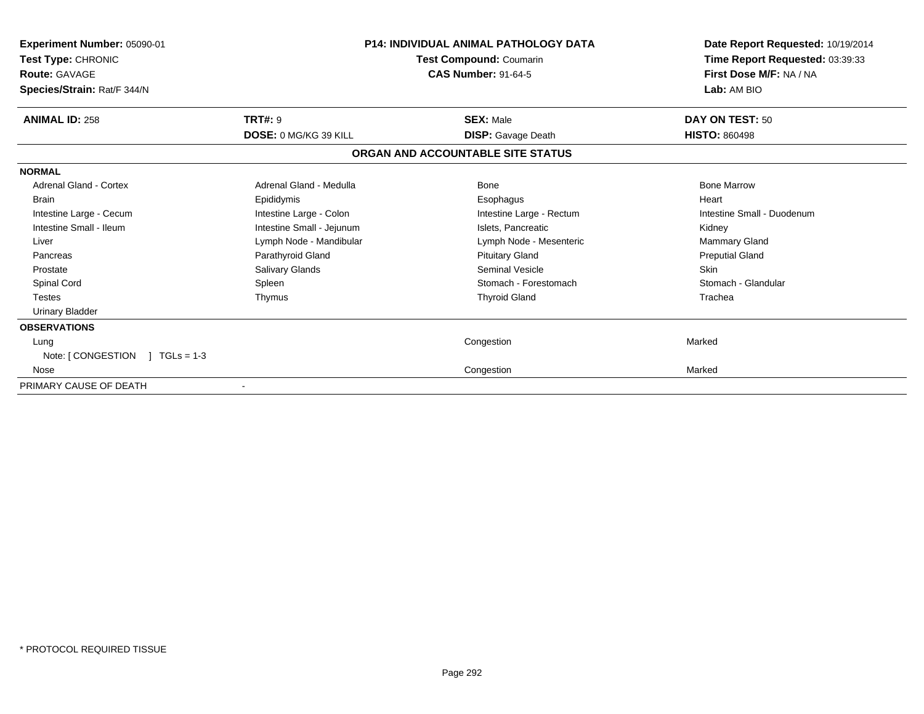| Experiment Number: 05090-01<br>Test Type: CHRONIC<br><b>Route: GAVAGE</b><br>Species/Strain: Rat/F 344/N |                              | <b>P14: INDIVIDUAL ANIMAL PATHOLOGY DATA</b><br>Test Compound: Coumarin<br><b>CAS Number: 91-64-5</b> | Date Report Requested: 10/19/2014<br>Time Report Requested: 03:39:33<br>First Dose M/F: NA / NA<br>Lab: AM BIO |
|----------------------------------------------------------------------------------------------------------|------------------------------|-------------------------------------------------------------------------------------------------------|----------------------------------------------------------------------------------------------------------------|
| <b>ANIMAL ID: 258</b>                                                                                    | <b>TRT#: 9</b>               | <b>SEX: Male</b>                                                                                      | DAY ON TEST: 50                                                                                                |
|                                                                                                          | <b>DOSE: 0 MG/KG 39 KILL</b> | <b>DISP:</b> Gavage Death                                                                             | <b>HISTO: 860498</b>                                                                                           |
|                                                                                                          |                              | ORGAN AND ACCOUNTABLE SITE STATUS                                                                     |                                                                                                                |
| <b>NORMAL</b>                                                                                            |                              |                                                                                                       |                                                                                                                |
| <b>Adrenal Gland - Cortex</b>                                                                            | Adrenal Gland - Medulla      | Bone                                                                                                  | <b>Bone Marrow</b>                                                                                             |
| <b>Brain</b>                                                                                             | Epididymis                   | Esophagus                                                                                             | Heart                                                                                                          |
| Intestine Large - Cecum                                                                                  | Intestine Large - Colon      | Intestine Large - Rectum                                                                              | Intestine Small - Duodenum                                                                                     |
| Intestine Small - Ileum                                                                                  | Intestine Small - Jejunum    | Islets, Pancreatic                                                                                    | Kidney                                                                                                         |
| Liver                                                                                                    | Lymph Node - Mandibular      | Lymph Node - Mesenteric                                                                               | <b>Mammary Gland</b>                                                                                           |
| Pancreas                                                                                                 | Parathyroid Gland            | <b>Pituitary Gland</b>                                                                                | <b>Preputial Gland</b>                                                                                         |
| Prostate                                                                                                 | Salivary Glands              | <b>Seminal Vesicle</b>                                                                                | <b>Skin</b>                                                                                                    |
| Spinal Cord                                                                                              | Spleen                       | Stomach - Forestomach                                                                                 | Stomach - Glandular                                                                                            |
| <b>Testes</b>                                                                                            | Thymus                       | <b>Thyroid Gland</b>                                                                                  | Trachea                                                                                                        |
| <b>Urinary Bladder</b>                                                                                   |                              |                                                                                                       |                                                                                                                |
| <b>OBSERVATIONS</b>                                                                                      |                              |                                                                                                       |                                                                                                                |
| Lung                                                                                                     |                              | Congestion                                                                                            | Marked                                                                                                         |
| Note: $\sqrt{}/$ CONGESTION $\sqrt{}/$ TGLs = 1-3                                                        |                              |                                                                                                       |                                                                                                                |
| Nose                                                                                                     |                              | Congestion                                                                                            | Marked                                                                                                         |
| PRIMARY CAUSE OF DEATH                                                                                   | $\overline{\phantom{a}}$     |                                                                                                       |                                                                                                                |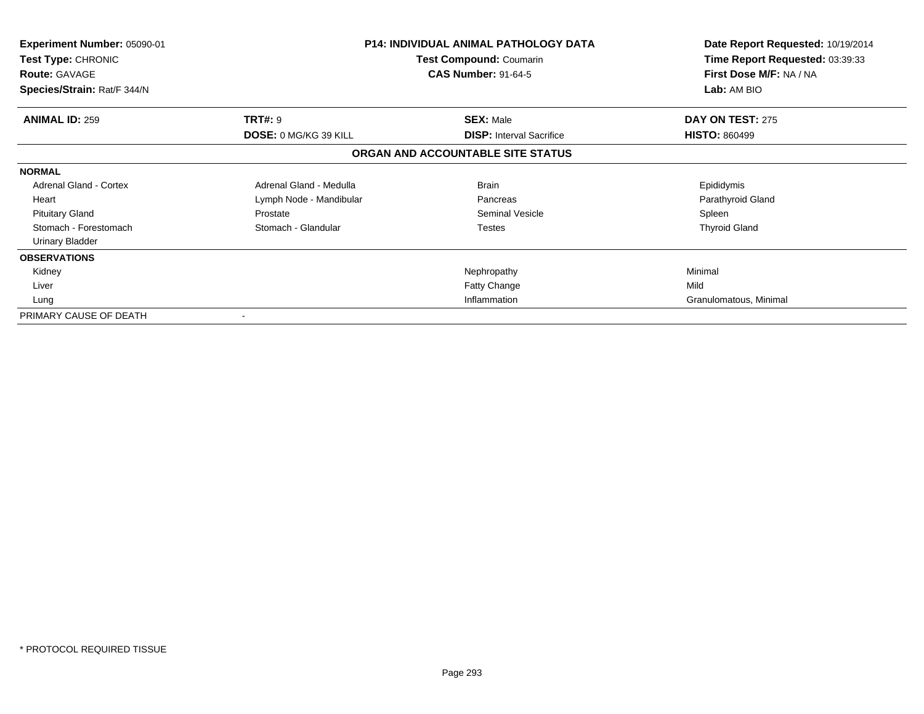| Experiment Number: 05090-01<br><b>Test Type: CHRONIC</b><br><b>Route: GAVAGE</b><br>Species/Strain: Rat/F 344/N |                              | <b>P14: INDIVIDUAL ANIMAL PATHOLOGY DATA</b><br>Test Compound: Coumarin<br><b>CAS Number: 91-64-5</b> | Date Report Requested: 10/19/2014<br>Time Report Requested: 03:39:33<br>First Dose M/F: NA / NA<br>Lab: AM BIO |
|-----------------------------------------------------------------------------------------------------------------|------------------------------|-------------------------------------------------------------------------------------------------------|----------------------------------------------------------------------------------------------------------------|
| <b>ANIMAL ID: 259</b>                                                                                           | <b>TRT#: 9</b>               | <b>SEX: Male</b>                                                                                      | DAY ON TEST: 275                                                                                               |
|                                                                                                                 | <b>DOSE: 0 MG/KG 39 KILL</b> | <b>DISP: Interval Sacrifice</b>                                                                       | <b>HISTO: 860499</b>                                                                                           |
|                                                                                                                 |                              | ORGAN AND ACCOUNTABLE SITE STATUS                                                                     |                                                                                                                |
| <b>NORMAL</b>                                                                                                   |                              |                                                                                                       |                                                                                                                |
| <b>Adrenal Gland - Cortex</b>                                                                                   | Adrenal Gland - Medulla      | <b>Brain</b>                                                                                          | Epididymis                                                                                                     |
| Heart                                                                                                           | Lymph Node - Mandibular      | Pancreas                                                                                              | Parathyroid Gland                                                                                              |
| <b>Pituitary Gland</b>                                                                                          | Prostate                     | Seminal Vesicle                                                                                       | Spleen                                                                                                         |
| Stomach - Forestomach                                                                                           | Stomach - Glandular          | Testes                                                                                                | <b>Thyroid Gland</b>                                                                                           |
| <b>Urinary Bladder</b>                                                                                          |                              |                                                                                                       |                                                                                                                |
| <b>OBSERVATIONS</b>                                                                                             |                              |                                                                                                       |                                                                                                                |
| Kidney                                                                                                          |                              | Nephropathy                                                                                           | Minimal                                                                                                        |
| Liver                                                                                                           |                              | Fatty Change                                                                                          | Mild                                                                                                           |
| Lung                                                                                                            |                              | Inflammation                                                                                          | Granulomatous, Minimal                                                                                         |
| PRIMARY CAUSE OF DEATH                                                                                          |                              |                                                                                                       |                                                                                                                |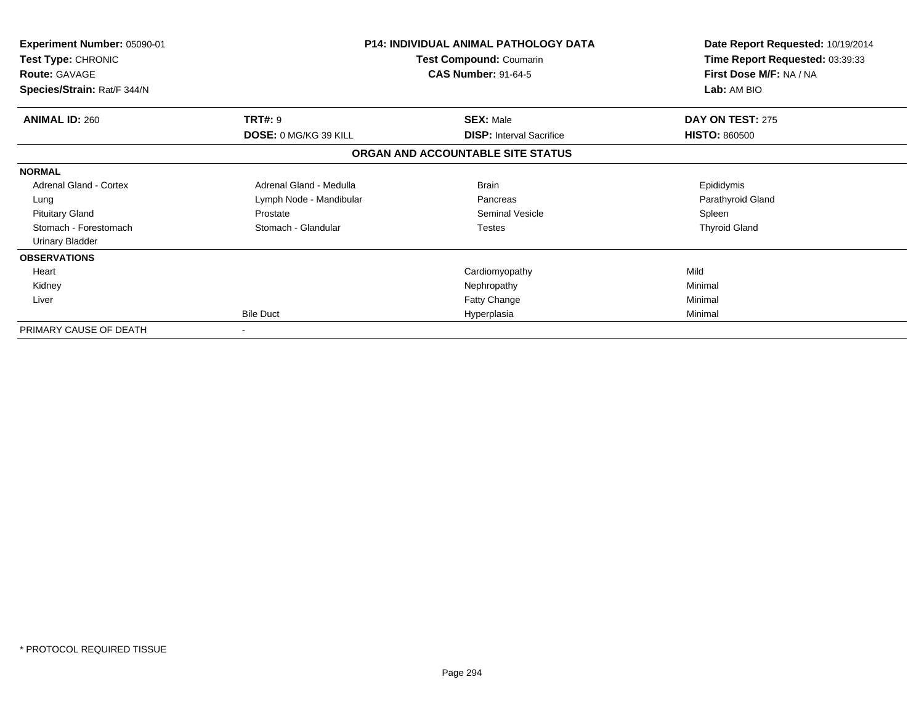| Experiment Number: 05090-01<br>Test Type: CHRONIC<br><b>Route: GAVAGE</b><br>Species/Strain: Rat/F 344/N |                              | <b>P14: INDIVIDUAL ANIMAL PATHOLOGY DATA</b><br>Test Compound: Coumarin<br><b>CAS Number: 91-64-5</b> | Date Report Requested: 10/19/2014<br>Time Report Requested: 03:39:33<br>First Dose M/F: NA / NA<br>Lab: AM BIO |
|----------------------------------------------------------------------------------------------------------|------------------------------|-------------------------------------------------------------------------------------------------------|----------------------------------------------------------------------------------------------------------------|
| <b>ANIMAL ID: 260</b>                                                                                    | <b>TRT#: 9</b>               | <b>SEX: Male</b>                                                                                      | DAY ON TEST: 275                                                                                               |
|                                                                                                          | <b>DOSE: 0 MG/KG 39 KILL</b> | <b>DISP:</b> Interval Sacrifice                                                                       | <b>HISTO: 860500</b>                                                                                           |
|                                                                                                          |                              | ORGAN AND ACCOUNTABLE SITE STATUS                                                                     |                                                                                                                |
| <b>NORMAL</b>                                                                                            |                              |                                                                                                       |                                                                                                                |
| <b>Adrenal Gland - Cortex</b>                                                                            | Adrenal Gland - Medulla      | <b>Brain</b>                                                                                          | Epididymis                                                                                                     |
| Lung                                                                                                     | Lymph Node - Mandibular      | Pancreas                                                                                              | Parathyroid Gland                                                                                              |
| <b>Pituitary Gland</b>                                                                                   | Prostate                     | <b>Seminal Vesicle</b>                                                                                | Spleen                                                                                                         |
| Stomach - Forestomach                                                                                    | Stomach - Glandular          | <b>Testes</b>                                                                                         | <b>Thyroid Gland</b>                                                                                           |
| Urinary Bladder                                                                                          |                              |                                                                                                       |                                                                                                                |
| <b>OBSERVATIONS</b>                                                                                      |                              |                                                                                                       |                                                                                                                |
| Heart                                                                                                    |                              | Cardiomyopathy                                                                                        | Mild                                                                                                           |
| Kidney                                                                                                   |                              | Nephropathy                                                                                           | Minimal                                                                                                        |
| Liver                                                                                                    |                              | Fatty Change                                                                                          | Minimal                                                                                                        |
|                                                                                                          | <b>Bile Duct</b>             | Hyperplasia                                                                                           | Minimal                                                                                                        |
| PRIMARY CAUSE OF DEATH                                                                                   | $\sim$                       |                                                                                                       |                                                                                                                |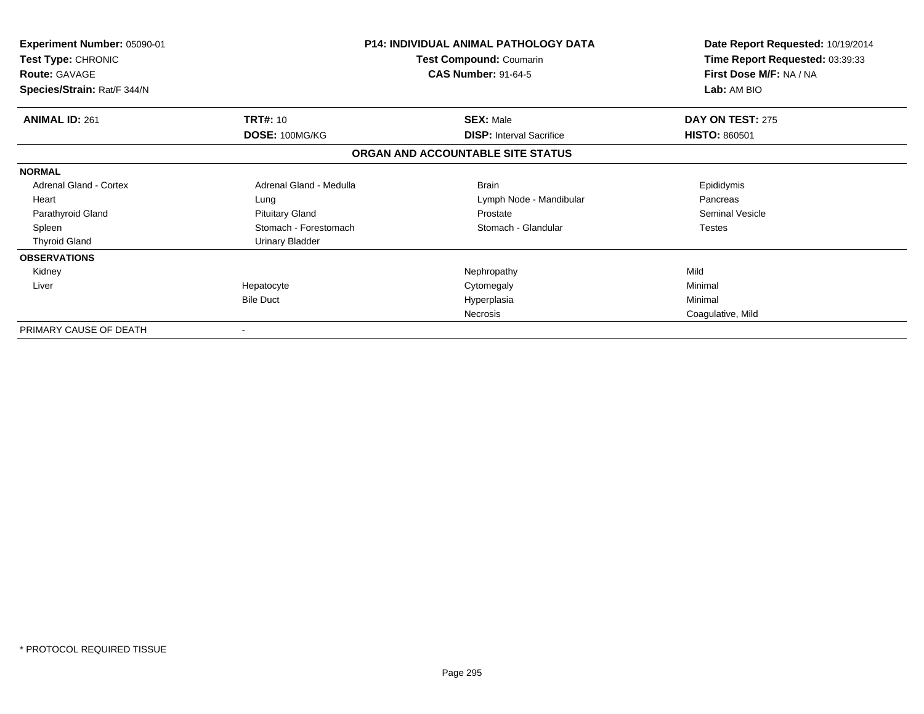| Experiment Number: 05090-01<br>Test Type: CHRONIC<br><b>Route: GAVAGE</b><br>Species/Strain: Rat/F 344/N |                                   | <b>P14: INDIVIDUAL ANIMAL PATHOLOGY DATA</b><br><b>Test Compound: Coumarin</b><br><b>CAS Number: 91-64-5</b> | Date Report Requested: 10/19/2014<br>Time Report Requested: 03:39:33<br>First Dose M/F: NA / NA<br>Lab: AM BIO |
|----------------------------------------------------------------------------------------------------------|-----------------------------------|--------------------------------------------------------------------------------------------------------------|----------------------------------------------------------------------------------------------------------------|
| <b>ANIMAL ID: 261</b>                                                                                    | <b>TRT#: 10</b><br>DOSE: 100MG/KG | <b>SEX: Male</b><br><b>DISP: Interval Sacrifice</b>                                                          | DAY ON TEST: 275<br><b>HISTO: 860501</b>                                                                       |
|                                                                                                          |                                   | ORGAN AND ACCOUNTABLE SITE STATUS                                                                            |                                                                                                                |
| <b>NORMAL</b>                                                                                            |                                   |                                                                                                              |                                                                                                                |
| <b>Adrenal Gland - Cortex</b>                                                                            | Adrenal Gland - Medulla           | <b>Brain</b>                                                                                                 | Epididymis                                                                                                     |
| Heart                                                                                                    | Lung                              | Lymph Node - Mandibular                                                                                      | Pancreas                                                                                                       |
| Parathyroid Gland                                                                                        | <b>Pituitary Gland</b>            | Prostate                                                                                                     | <b>Seminal Vesicle</b>                                                                                         |
| Spleen                                                                                                   | Stomach - Forestomach             | Stomach - Glandular                                                                                          | <b>Testes</b>                                                                                                  |
| <b>Thyroid Gland</b>                                                                                     | Urinary Bladder                   |                                                                                                              |                                                                                                                |
| <b>OBSERVATIONS</b>                                                                                      |                                   |                                                                                                              |                                                                                                                |
| Kidney                                                                                                   |                                   | Nephropathy                                                                                                  | Mild                                                                                                           |
| Liver                                                                                                    | Hepatocyte                        | Cytomegaly                                                                                                   | Minimal                                                                                                        |
|                                                                                                          | <b>Bile Duct</b>                  | Hyperplasia                                                                                                  | Minimal                                                                                                        |
|                                                                                                          |                                   | <b>Necrosis</b>                                                                                              | Coagulative, Mild                                                                                              |
| PRIMARY CAUSE OF DEATH                                                                                   |                                   |                                                                                                              |                                                                                                                |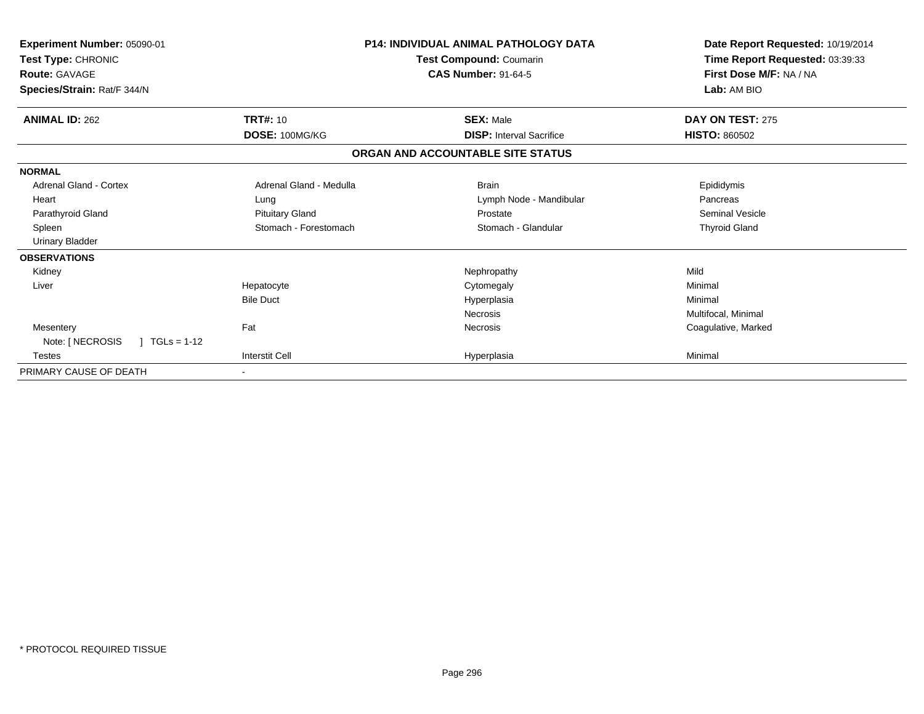| <b>Experiment Number: 05090-01</b><br>Test Type: CHRONIC<br><b>Route: GAVAGE</b><br>Species/Strain: Rat/F 344/N |                         | <b>P14: INDIVIDUAL ANIMAL PATHOLOGY DATA</b><br>Test Compound: Coumarin<br><b>CAS Number: 91-64-5</b> | Date Report Requested: 10/19/2014<br>Time Report Requested: 03:39:33<br>First Dose M/F: NA / NA<br>Lab: AM BIO |
|-----------------------------------------------------------------------------------------------------------------|-------------------------|-------------------------------------------------------------------------------------------------------|----------------------------------------------------------------------------------------------------------------|
| <b>ANIMAL ID: 262</b>                                                                                           | <b>TRT#: 10</b>         | <b>SEX: Male</b>                                                                                      | DAY ON TEST: 275                                                                                               |
|                                                                                                                 | DOSE: 100MG/KG          | <b>DISP: Interval Sacrifice</b>                                                                       | <b>HISTO: 860502</b>                                                                                           |
|                                                                                                                 |                         | ORGAN AND ACCOUNTABLE SITE STATUS                                                                     |                                                                                                                |
| <b>NORMAL</b>                                                                                                   |                         |                                                                                                       |                                                                                                                |
| <b>Adrenal Gland - Cortex</b>                                                                                   | Adrenal Gland - Medulla | <b>Brain</b>                                                                                          | Epididymis                                                                                                     |
| Heart                                                                                                           | Lung                    | Lymph Node - Mandibular                                                                               | Pancreas                                                                                                       |
| Parathyroid Gland                                                                                               | <b>Pituitary Gland</b>  | Prostate                                                                                              | Seminal Vesicle                                                                                                |
| Spleen                                                                                                          | Stomach - Forestomach   | Stomach - Glandular                                                                                   | <b>Thyroid Gland</b>                                                                                           |
| <b>Urinary Bladder</b>                                                                                          |                         |                                                                                                       |                                                                                                                |
| <b>OBSERVATIONS</b>                                                                                             |                         |                                                                                                       |                                                                                                                |
| Kidney                                                                                                          |                         | Nephropathy                                                                                           | Mild                                                                                                           |
| Liver                                                                                                           | Hepatocyte              | Cytomegaly                                                                                            | Minimal                                                                                                        |
|                                                                                                                 | <b>Bile Duct</b>        | Hyperplasia                                                                                           | Minimal                                                                                                        |
|                                                                                                                 |                         | Necrosis                                                                                              | Multifocal, Minimal                                                                                            |
| Mesentery                                                                                                       | Fat                     | Necrosis                                                                                              | Coagulative, Marked                                                                                            |
| Note: [ NECROSIS<br>$TGLs = 1-12$                                                                               |                         |                                                                                                       |                                                                                                                |
| Testes                                                                                                          | <b>Interstit Cell</b>   | Hyperplasia                                                                                           | Minimal                                                                                                        |
| PRIMARY CAUSE OF DEATH                                                                                          |                         |                                                                                                       |                                                                                                                |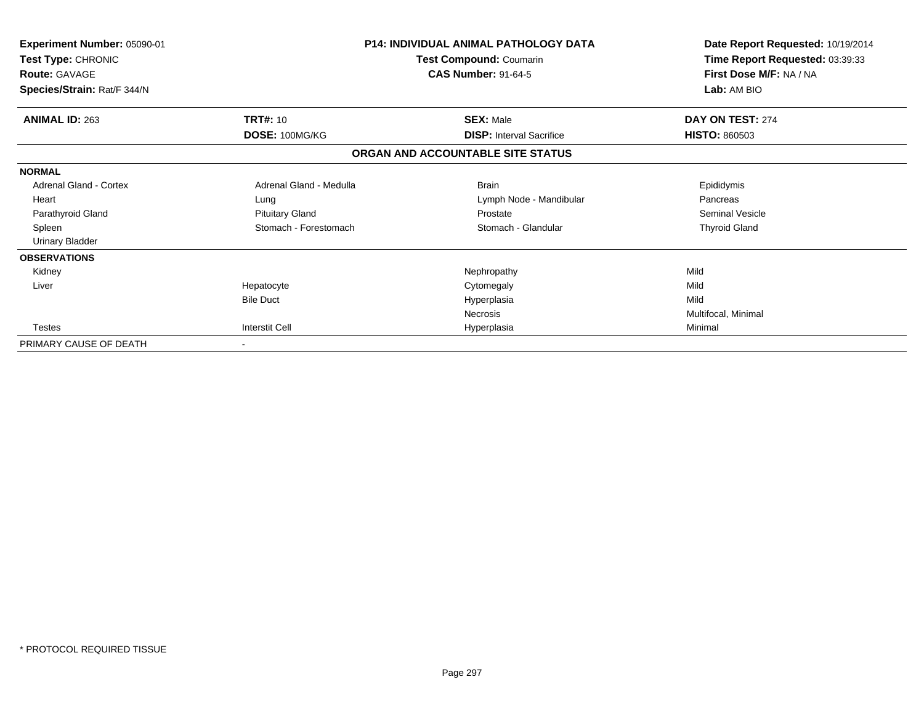| <b>Experiment Number: 05090-01</b><br>Test Type: CHRONIC<br><b>Route: GAVAGE</b><br>Species/Strain: Rat/F 344/N |                                   | <b>P14: INDIVIDUAL ANIMAL PATHOLOGY DATA</b><br>Test Compound: Coumarin<br><b>CAS Number: 91-64-5</b> | Date Report Requested: 10/19/2014<br>Time Report Requested: 03:39:33<br>First Dose M/F: NA / NA<br>Lab: AM BIO |
|-----------------------------------------------------------------------------------------------------------------|-----------------------------------|-------------------------------------------------------------------------------------------------------|----------------------------------------------------------------------------------------------------------------|
| <b>ANIMAL ID: 263</b>                                                                                           | <b>TRT#: 10</b><br>DOSE: 100MG/KG | <b>SEX: Male</b><br><b>DISP: Interval Sacrifice</b>                                                   | DAY ON TEST: 274<br><b>HISTO: 860503</b>                                                                       |
|                                                                                                                 |                                   | ORGAN AND ACCOUNTABLE SITE STATUS                                                                     |                                                                                                                |
| <b>NORMAL</b>                                                                                                   |                                   |                                                                                                       |                                                                                                                |
| <b>Adrenal Gland - Cortex</b>                                                                                   | Adrenal Gland - Medulla           | <b>Brain</b>                                                                                          | Epididymis                                                                                                     |
| Heart                                                                                                           | Lung                              | Lymph Node - Mandibular                                                                               | Pancreas                                                                                                       |
| Parathyroid Gland                                                                                               | <b>Pituitary Gland</b>            | Prostate                                                                                              | <b>Seminal Vesicle</b>                                                                                         |
| Spleen                                                                                                          | Stomach - Forestomach             | Stomach - Glandular                                                                                   | <b>Thyroid Gland</b>                                                                                           |
| <b>Urinary Bladder</b>                                                                                          |                                   |                                                                                                       |                                                                                                                |
| <b>OBSERVATIONS</b>                                                                                             |                                   |                                                                                                       |                                                                                                                |
| Kidney                                                                                                          |                                   | Nephropathy                                                                                           | Mild                                                                                                           |
| Liver                                                                                                           | Hepatocyte                        | Cytomegaly                                                                                            | Mild                                                                                                           |
|                                                                                                                 | <b>Bile Duct</b>                  | Hyperplasia                                                                                           | Mild                                                                                                           |
|                                                                                                                 |                                   | <b>Necrosis</b>                                                                                       | Multifocal, Minimal                                                                                            |
| <b>Testes</b>                                                                                                   | <b>Interstit Cell</b>             | Hyperplasia                                                                                           | Minimal                                                                                                        |
| PRIMARY CAUSE OF DEATH                                                                                          | $\blacksquare$                    |                                                                                                       |                                                                                                                |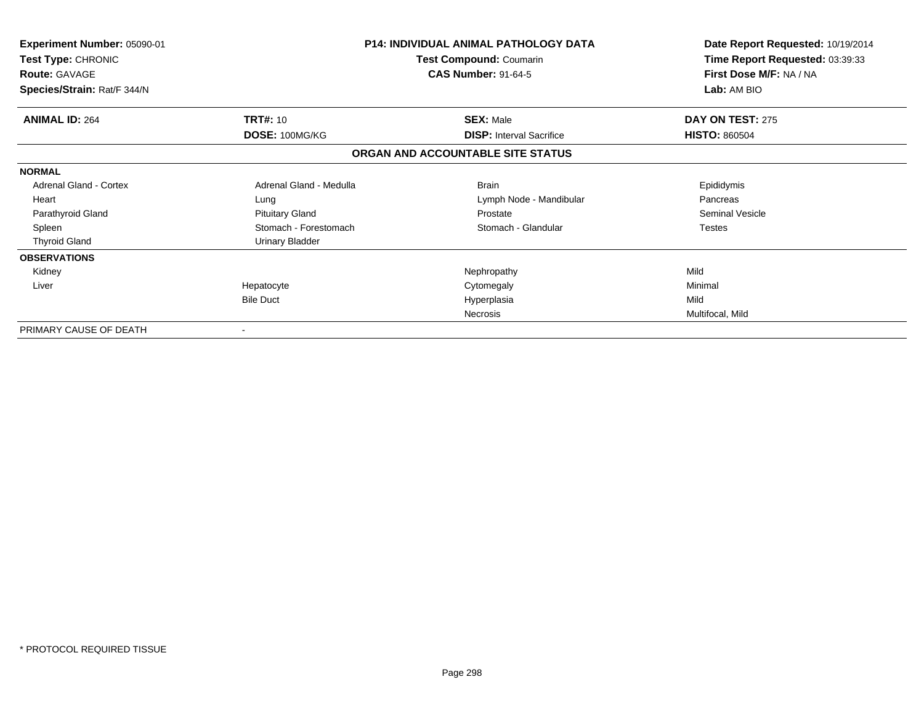| Experiment Number: 05090-01<br>Test Type: CHRONIC<br><b>Route: GAVAGE</b><br>Species/Strain: Rat/F 344/N |                                   | <b>P14: INDIVIDUAL ANIMAL PATHOLOGY DATA</b><br><b>Test Compound: Coumarin</b><br><b>CAS Number: 91-64-5</b> | Date Report Requested: 10/19/2014<br>Time Report Requested: 03:39:33<br>First Dose M/F: NA / NA<br>Lab: AM BIO |
|----------------------------------------------------------------------------------------------------------|-----------------------------------|--------------------------------------------------------------------------------------------------------------|----------------------------------------------------------------------------------------------------------------|
| <b>ANIMAL ID: 264</b>                                                                                    | <b>TRT#: 10</b><br>DOSE: 100MG/KG | <b>SEX: Male</b><br><b>DISP:</b> Interval Sacrifice                                                          | DAY ON TEST: 275<br><b>HISTO: 860504</b>                                                                       |
|                                                                                                          |                                   | ORGAN AND ACCOUNTABLE SITE STATUS                                                                            |                                                                                                                |
| <b>NORMAL</b>                                                                                            |                                   |                                                                                                              |                                                                                                                |
| <b>Adrenal Gland - Cortex</b>                                                                            | Adrenal Gland - Medulla           | <b>Brain</b>                                                                                                 | Epididymis                                                                                                     |
| Heart                                                                                                    | Lung                              | Lymph Node - Mandibular                                                                                      | Pancreas                                                                                                       |
| Parathyroid Gland                                                                                        | <b>Pituitary Gland</b>            | Prostate                                                                                                     | Seminal Vesicle                                                                                                |
| Spleen                                                                                                   | Stomach - Forestomach             | Stomach - Glandular                                                                                          | <b>Testes</b>                                                                                                  |
| <b>Thyroid Gland</b>                                                                                     | <b>Urinary Bladder</b>            |                                                                                                              |                                                                                                                |
| <b>OBSERVATIONS</b>                                                                                      |                                   |                                                                                                              |                                                                                                                |
| Kidney                                                                                                   |                                   | Nephropathy                                                                                                  | Mild                                                                                                           |
| Liver                                                                                                    | Hepatocyte                        | Cytomegaly                                                                                                   | Minimal                                                                                                        |
|                                                                                                          | <b>Bile Duct</b>                  | Hyperplasia                                                                                                  | Mild                                                                                                           |
|                                                                                                          |                                   | Necrosis                                                                                                     | Multifocal, Mild                                                                                               |
| PRIMARY CAUSE OF DEATH                                                                                   |                                   |                                                                                                              |                                                                                                                |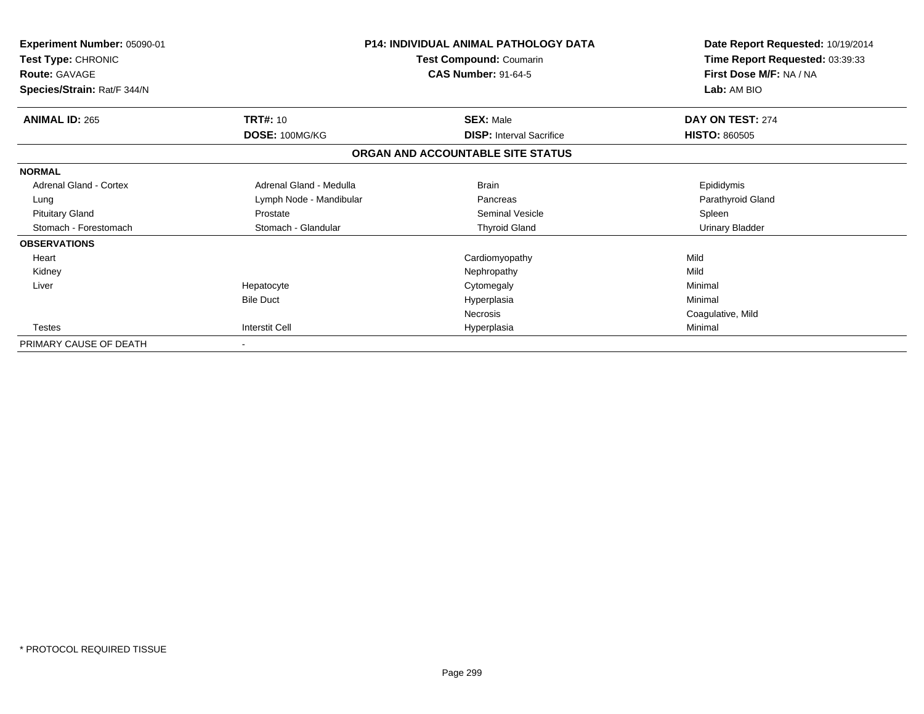| Experiment Number: 05090-01<br>Test Type: CHRONIC<br><b>Route: GAVAGE</b> |                         | <b>P14: INDIVIDUAL ANIMAL PATHOLOGY DATA</b><br>Test Compound: Coumarin<br><b>CAS Number: 91-64-5</b> | Date Report Requested: 10/19/2014<br>Time Report Requested: 03:39:33<br>First Dose M/F: NA / NA |
|---------------------------------------------------------------------------|-------------------------|-------------------------------------------------------------------------------------------------------|-------------------------------------------------------------------------------------------------|
| Species/Strain: Rat/F 344/N                                               |                         |                                                                                                       | Lab: AM BIO                                                                                     |
| <b>ANIMAL ID: 265</b>                                                     | TRT#: 10                | <b>SEX: Male</b>                                                                                      | DAY ON TEST: 274                                                                                |
|                                                                           | DOSE: 100MG/KG          | <b>DISP: Interval Sacrifice</b>                                                                       | <b>HISTO: 860505</b>                                                                            |
|                                                                           |                         | ORGAN AND ACCOUNTABLE SITE STATUS                                                                     |                                                                                                 |
| <b>NORMAL</b>                                                             |                         |                                                                                                       |                                                                                                 |
| Adrenal Gland - Cortex                                                    | Adrenal Gland - Medulla | <b>Brain</b>                                                                                          | Epididymis                                                                                      |
| Lung                                                                      | Lymph Node - Mandibular | Pancreas                                                                                              | Parathyroid Gland                                                                               |
| <b>Pituitary Gland</b>                                                    | Prostate                | <b>Seminal Vesicle</b>                                                                                | Spleen                                                                                          |
| Stomach - Forestomach                                                     | Stomach - Glandular     | <b>Thyroid Gland</b>                                                                                  | <b>Urinary Bladder</b>                                                                          |
| <b>OBSERVATIONS</b>                                                       |                         |                                                                                                       |                                                                                                 |
| Heart                                                                     |                         | Cardiomyopathy                                                                                        | Mild                                                                                            |
| Kidney                                                                    |                         | Nephropathy                                                                                           | Mild                                                                                            |
| Liver                                                                     | Hepatocyte              | Cytomegaly                                                                                            | Minimal                                                                                         |
|                                                                           | <b>Bile Duct</b>        | Hyperplasia                                                                                           | Minimal                                                                                         |
|                                                                           |                         | Necrosis                                                                                              | Coagulative, Mild                                                                               |
| <b>Testes</b>                                                             | <b>Interstit Cell</b>   | Hyperplasia                                                                                           | Minimal                                                                                         |
| PRIMARY CAUSE OF DEATH                                                    |                         |                                                                                                       |                                                                                                 |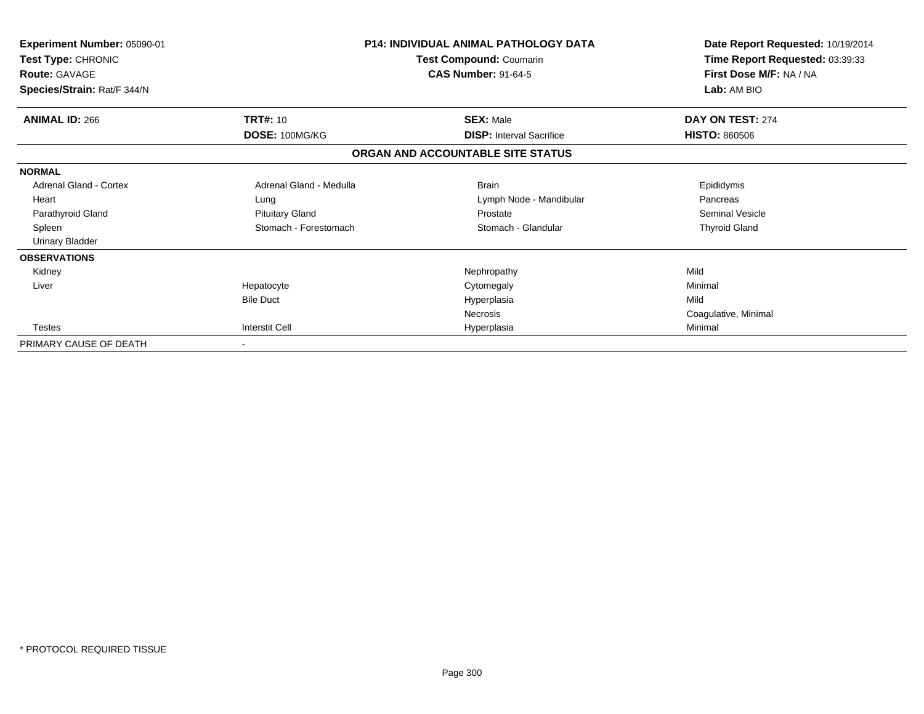| <b>Experiment Number: 05090-01</b><br>Test Type: CHRONIC<br><b>Route: GAVAGE</b><br>Species/Strain: Rat/F 344/N |                         | <b>P14: INDIVIDUAL ANIMAL PATHOLOGY DATA</b><br>Test Compound: Coumarin<br><b>CAS Number: 91-64-5</b> | Date Report Requested: 10/19/2014<br>Time Report Requested: 03:39:33<br>First Dose M/F: NA / NA<br>Lab: AM BIO |
|-----------------------------------------------------------------------------------------------------------------|-------------------------|-------------------------------------------------------------------------------------------------------|----------------------------------------------------------------------------------------------------------------|
|                                                                                                                 |                         |                                                                                                       |                                                                                                                |
| <b>ANIMAL ID: 266</b>                                                                                           | <b>TRT#: 10</b>         | <b>SEX: Male</b>                                                                                      | DAY ON TEST: 274                                                                                               |
|                                                                                                                 | DOSE: 100MG/KG          | <b>DISP: Interval Sacrifice</b>                                                                       | <b>HISTO: 860506</b>                                                                                           |
|                                                                                                                 |                         | ORGAN AND ACCOUNTABLE SITE STATUS                                                                     |                                                                                                                |
| <b>NORMAL</b>                                                                                                   |                         |                                                                                                       |                                                                                                                |
| Adrenal Gland - Cortex                                                                                          | Adrenal Gland - Medulla | <b>Brain</b>                                                                                          | Epididymis                                                                                                     |
| Heart                                                                                                           | Lung                    | Lymph Node - Mandibular                                                                               | Pancreas                                                                                                       |
| Parathyroid Gland                                                                                               | <b>Pituitary Gland</b>  | Prostate                                                                                              | <b>Seminal Vesicle</b>                                                                                         |
| Spleen                                                                                                          | Stomach - Forestomach   | Stomach - Glandular                                                                                   | <b>Thyroid Gland</b>                                                                                           |
| <b>Urinary Bladder</b>                                                                                          |                         |                                                                                                       |                                                                                                                |
| <b>OBSERVATIONS</b>                                                                                             |                         |                                                                                                       |                                                                                                                |
| Kidney                                                                                                          |                         | Nephropathy                                                                                           | Mild                                                                                                           |
| Liver                                                                                                           | Hepatocyte              | Cytomegaly                                                                                            | Minimal                                                                                                        |
|                                                                                                                 | <b>Bile Duct</b>        | Hyperplasia                                                                                           | Mild                                                                                                           |
|                                                                                                                 |                         | Necrosis                                                                                              | Coagulative, Minimal                                                                                           |
| <b>Testes</b>                                                                                                   | <b>Interstit Cell</b>   | Hyperplasia                                                                                           | Minimal                                                                                                        |
| PRIMARY CAUSE OF DEATH                                                                                          |                         |                                                                                                       |                                                                                                                |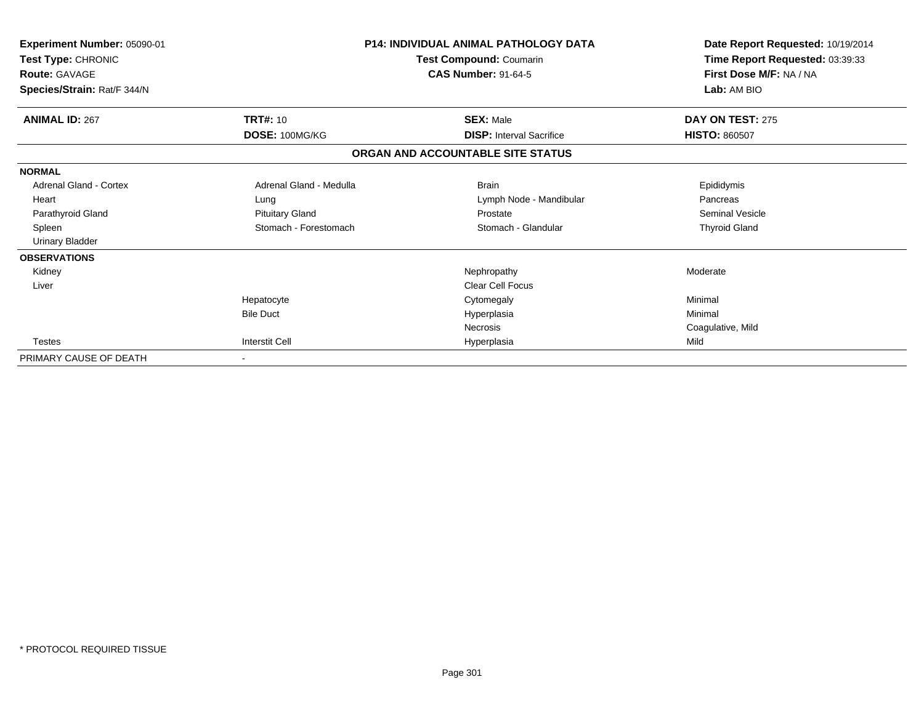| Experiment Number: 05090-01<br>Test Type: CHRONIC<br>Route: GAVAGE<br>Species/Strain: Rat/F 344/N |                         | <b>P14: INDIVIDUAL ANIMAL PATHOLOGY DATA</b><br>Test Compound: Coumarin<br><b>CAS Number: 91-64-5</b> | Date Report Requested: 10/19/2014<br>Time Report Requested: 03:39:33<br>First Dose M/F: NA / NA<br>Lab: AM BIO |
|---------------------------------------------------------------------------------------------------|-------------------------|-------------------------------------------------------------------------------------------------------|----------------------------------------------------------------------------------------------------------------|
| <b>ANIMAL ID: 267</b>                                                                             | <b>TRT#: 10</b>         | <b>SEX: Male</b>                                                                                      | DAY ON TEST: 275                                                                                               |
|                                                                                                   | DOSE: 100MG/KG          | <b>DISP:</b> Interval Sacrifice                                                                       | <b>HISTO: 860507</b>                                                                                           |
|                                                                                                   |                         | ORGAN AND ACCOUNTABLE SITE STATUS                                                                     |                                                                                                                |
| <b>NORMAL</b>                                                                                     |                         |                                                                                                       |                                                                                                                |
| <b>Adrenal Gland - Cortex</b>                                                                     | Adrenal Gland - Medulla | <b>Brain</b>                                                                                          | Epididymis                                                                                                     |
| Heart                                                                                             | Lung                    | Lymph Node - Mandibular                                                                               | Pancreas                                                                                                       |
| Parathyroid Gland                                                                                 | <b>Pituitary Gland</b>  | Prostate                                                                                              | <b>Seminal Vesicle</b>                                                                                         |
| Spleen                                                                                            | Stomach - Forestomach   | Stomach - Glandular                                                                                   | <b>Thyroid Gland</b>                                                                                           |
| <b>Urinary Bladder</b>                                                                            |                         |                                                                                                       |                                                                                                                |
| <b>OBSERVATIONS</b>                                                                               |                         |                                                                                                       |                                                                                                                |
| Kidney                                                                                            |                         | Nephropathy                                                                                           | Moderate                                                                                                       |
| Liver                                                                                             |                         | Clear Cell Focus                                                                                      |                                                                                                                |
|                                                                                                   | Hepatocyte              | Cytomegaly                                                                                            | Minimal                                                                                                        |
|                                                                                                   | <b>Bile Duct</b>        | Hyperplasia                                                                                           | Minimal                                                                                                        |
|                                                                                                   |                         | Necrosis                                                                                              | Coagulative, Mild                                                                                              |
| <b>Testes</b>                                                                                     | <b>Interstit Cell</b>   | Hyperplasia                                                                                           | Mild                                                                                                           |
| PRIMARY CAUSE OF DEATH                                                                            |                         |                                                                                                       |                                                                                                                |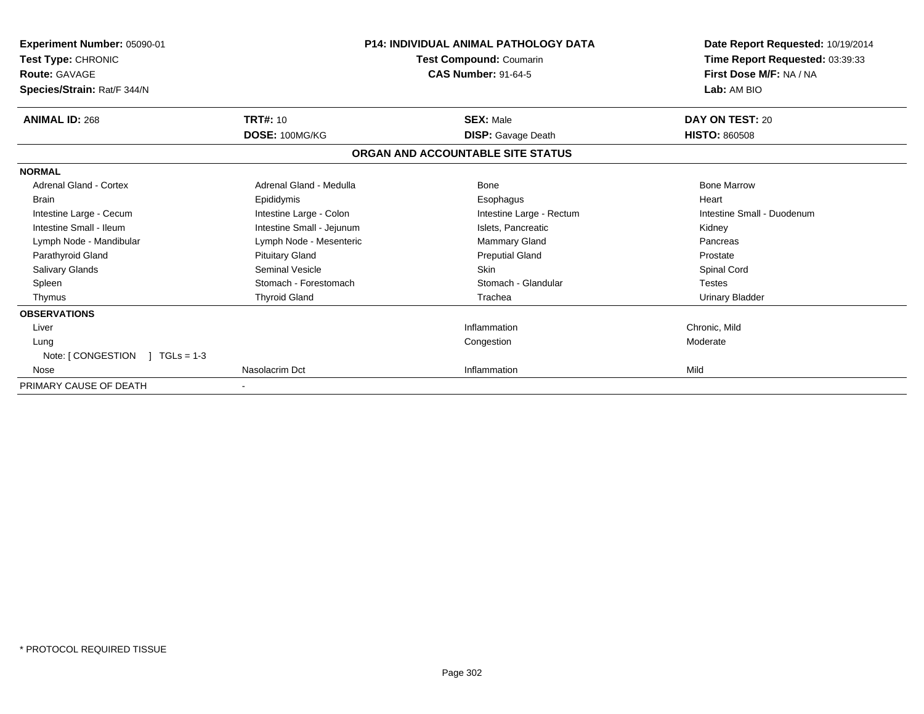| Experiment Number: 05090-01<br>Test Type: CHRONIC     |                           | <b>P14: INDIVIDUAL ANIMAL PATHOLOGY DATA</b><br>Test Compound: Coumarin | Date Report Requested: 10/19/2014<br>Time Report Requested: 03:39:33 |
|-------------------------------------------------------|---------------------------|-------------------------------------------------------------------------|----------------------------------------------------------------------|
| <b>Route: GAVAGE</b><br>Species/Strain: Rat/F 344/N   |                           | <b>CAS Number: 91-64-5</b>                                              | First Dose M/F: NA / NA<br>Lab: AM BIO                               |
| <b>ANIMAL ID: 268</b>                                 | <b>TRT#: 10</b>           | <b>SEX: Male</b>                                                        | DAY ON TEST: 20                                                      |
|                                                       | DOSE: 100MG/KG            | <b>DISP:</b> Gavage Death                                               | <b>HISTO: 860508</b>                                                 |
|                                                       |                           | ORGAN AND ACCOUNTABLE SITE STATUS                                       |                                                                      |
| <b>NORMAL</b>                                         |                           |                                                                         |                                                                      |
| <b>Adrenal Gland - Cortex</b>                         | Adrenal Gland - Medulla   | <b>Bone</b>                                                             | <b>Bone Marrow</b>                                                   |
| <b>Brain</b>                                          | Epididymis                | Esophagus                                                               | Heart                                                                |
| Intestine Large - Cecum                               | Intestine Large - Colon   | Intestine Large - Rectum                                                | Intestine Small - Duodenum                                           |
| Intestine Small - Ileum                               | Intestine Small - Jejunum | Islets, Pancreatic                                                      | Kidney                                                               |
| Lymph Node - Mandibular                               | Lymph Node - Mesenteric   | <b>Mammary Gland</b>                                                    | Pancreas                                                             |
| Parathyroid Gland                                     | <b>Pituitary Gland</b>    | <b>Preputial Gland</b>                                                  | Prostate                                                             |
| <b>Salivary Glands</b>                                | <b>Seminal Vesicle</b>    | <b>Skin</b>                                                             | Spinal Cord                                                          |
| Spleen                                                | Stomach - Forestomach     | Stomach - Glandular                                                     | <b>Testes</b>                                                        |
| Thymus                                                | <b>Thyroid Gland</b>      | Trachea                                                                 | <b>Urinary Bladder</b>                                               |
| <b>OBSERVATIONS</b>                                   |                           |                                                                         |                                                                      |
| Liver                                                 |                           | Inflammation                                                            | Chronic, Mild                                                        |
| Lung<br>Note: $\lceil$ CONGESTION $\lceil$ TGLs = 1-3 |                           | Congestion                                                              | Moderate                                                             |
| Nose                                                  | Nasolacrim Dct            | Inflammation                                                            | Mild                                                                 |
| PRIMARY CAUSE OF DEATH                                |                           |                                                                         |                                                                      |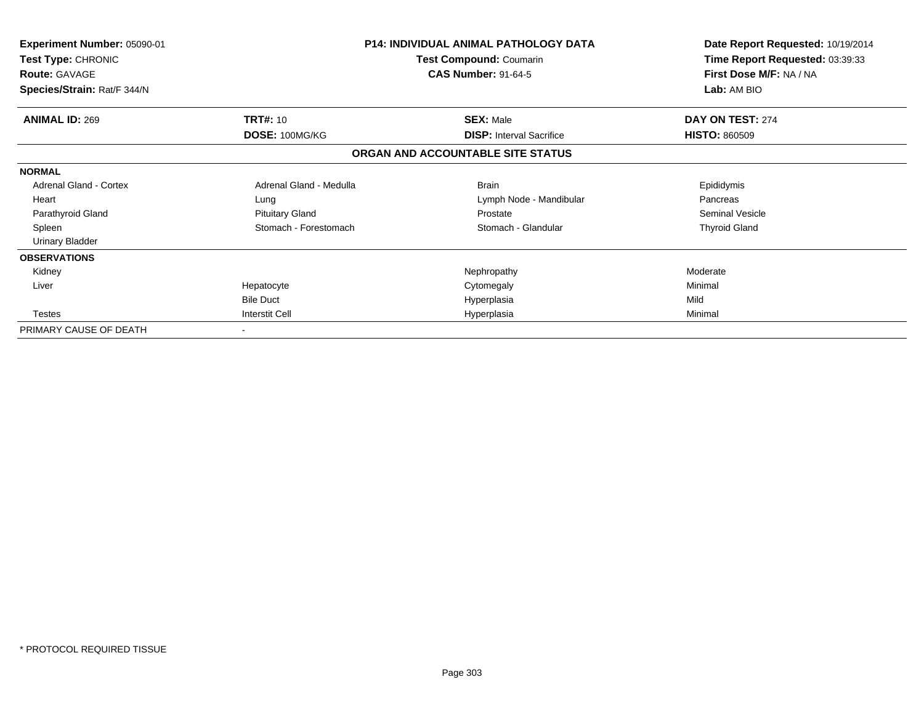| Experiment Number: 05090-01<br>Test Type: CHRONIC<br><b>Route: GAVAGE</b> |                         | <b>P14: INDIVIDUAL ANIMAL PATHOLOGY DATA</b><br><b>Test Compound: Coumarin</b><br><b>CAS Number: 91-64-5</b> | Date Report Requested: 10/19/2014<br>Time Report Requested: 03:39:33<br>First Dose M/F: NA / NA |
|---------------------------------------------------------------------------|-------------------------|--------------------------------------------------------------------------------------------------------------|-------------------------------------------------------------------------------------------------|
| Species/Strain: Rat/F 344/N                                               |                         |                                                                                                              | Lab: AM BIO                                                                                     |
| <b>ANIMAL ID: 269</b>                                                     | <b>TRT#: 10</b>         | <b>SEX: Male</b>                                                                                             | DAY ON TEST: 274                                                                                |
|                                                                           | DOSE: 100MG/KG          | <b>DISP:</b> Interval Sacrifice                                                                              | <b>HISTO: 860509</b>                                                                            |
|                                                                           |                         | ORGAN AND ACCOUNTABLE SITE STATUS                                                                            |                                                                                                 |
| <b>NORMAL</b>                                                             |                         |                                                                                                              |                                                                                                 |
| <b>Adrenal Gland - Cortex</b>                                             | Adrenal Gland - Medulla | <b>Brain</b>                                                                                                 | Epididymis                                                                                      |
| Heart                                                                     | Lung                    | Lymph Node - Mandibular                                                                                      | Pancreas                                                                                        |
| Parathyroid Gland                                                         | <b>Pituitary Gland</b>  | Prostate                                                                                                     | Seminal Vesicle                                                                                 |
| Spleen                                                                    | Stomach - Forestomach   | Stomach - Glandular                                                                                          | <b>Thyroid Gland</b>                                                                            |
| Urinary Bladder                                                           |                         |                                                                                                              |                                                                                                 |
| <b>OBSERVATIONS</b>                                                       |                         |                                                                                                              |                                                                                                 |
| Kidney                                                                    |                         | Nephropathy                                                                                                  | Moderate                                                                                        |
| Liver                                                                     | Hepatocyte              | Cytomegaly                                                                                                   | Minimal                                                                                         |
|                                                                           | <b>Bile Duct</b>        | Hyperplasia                                                                                                  | Mild                                                                                            |
| <b>Testes</b>                                                             | <b>Interstit Cell</b>   | Hyperplasia                                                                                                  | Minimal                                                                                         |
| PRIMARY CAUSE OF DEATH                                                    |                         |                                                                                                              |                                                                                                 |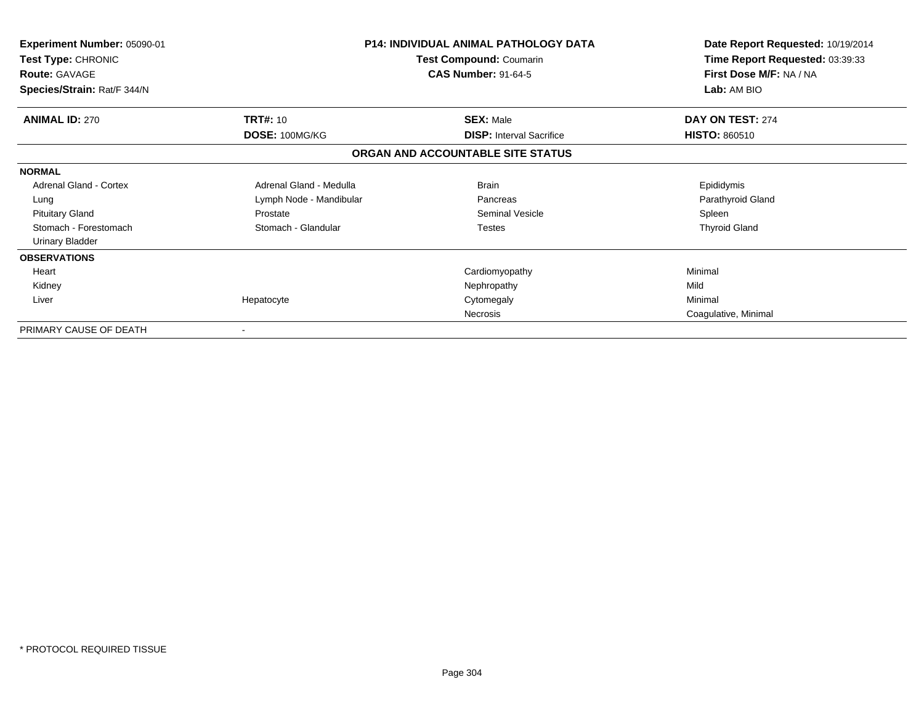| <b>Experiment Number: 05090-01</b><br>Test Type: CHRONIC<br><b>Route: GAVAGE</b><br>Species/Strain: Rat/F 344/N |                         | P14: INDIVIDUAL ANIMAL PATHOLOGY DATA<br>Test Compound: Coumarin<br><b>CAS Number: 91-64-5</b> | Date Report Requested: 10/19/2014<br>Time Report Requested: 03:39:33<br>First Dose M/F: NA / NA<br>Lab: AM BIO |
|-----------------------------------------------------------------------------------------------------------------|-------------------------|------------------------------------------------------------------------------------------------|----------------------------------------------------------------------------------------------------------------|
|                                                                                                                 |                         |                                                                                                |                                                                                                                |
| <b>ANIMAL ID: 270</b>                                                                                           | <b>TRT#: 10</b>         | <b>SEX: Male</b>                                                                               | DAY ON TEST: 274                                                                                               |
|                                                                                                                 | DOSE: 100MG/KG          | <b>DISP:</b> Interval Sacrifice                                                                | <b>HISTO: 860510</b>                                                                                           |
|                                                                                                                 |                         | ORGAN AND ACCOUNTABLE SITE STATUS                                                              |                                                                                                                |
| <b>NORMAL</b>                                                                                                   |                         |                                                                                                |                                                                                                                |
| <b>Adrenal Gland - Cortex</b>                                                                                   | Adrenal Gland - Medulla | <b>Brain</b>                                                                                   | Epididymis                                                                                                     |
| Lung                                                                                                            | Lymph Node - Mandibular | Pancreas                                                                                       | Parathyroid Gland                                                                                              |
| <b>Pituitary Gland</b>                                                                                          | Prostate                | Seminal Vesicle                                                                                | Spleen                                                                                                         |
| Stomach - Forestomach                                                                                           | Stomach - Glandular     | <b>Testes</b>                                                                                  | <b>Thyroid Gland</b>                                                                                           |
| <b>Urinary Bladder</b>                                                                                          |                         |                                                                                                |                                                                                                                |
| <b>OBSERVATIONS</b>                                                                                             |                         |                                                                                                |                                                                                                                |
| Heart                                                                                                           |                         | Cardiomyopathy                                                                                 | Minimal                                                                                                        |
| Kidney                                                                                                          |                         | Nephropathy                                                                                    | Mild                                                                                                           |
| Liver                                                                                                           | Hepatocyte              | Cytomegaly                                                                                     | Minimal                                                                                                        |
|                                                                                                                 |                         | Necrosis                                                                                       | Coagulative, Minimal                                                                                           |
| PRIMARY CAUSE OF DEATH                                                                                          |                         |                                                                                                |                                                                                                                |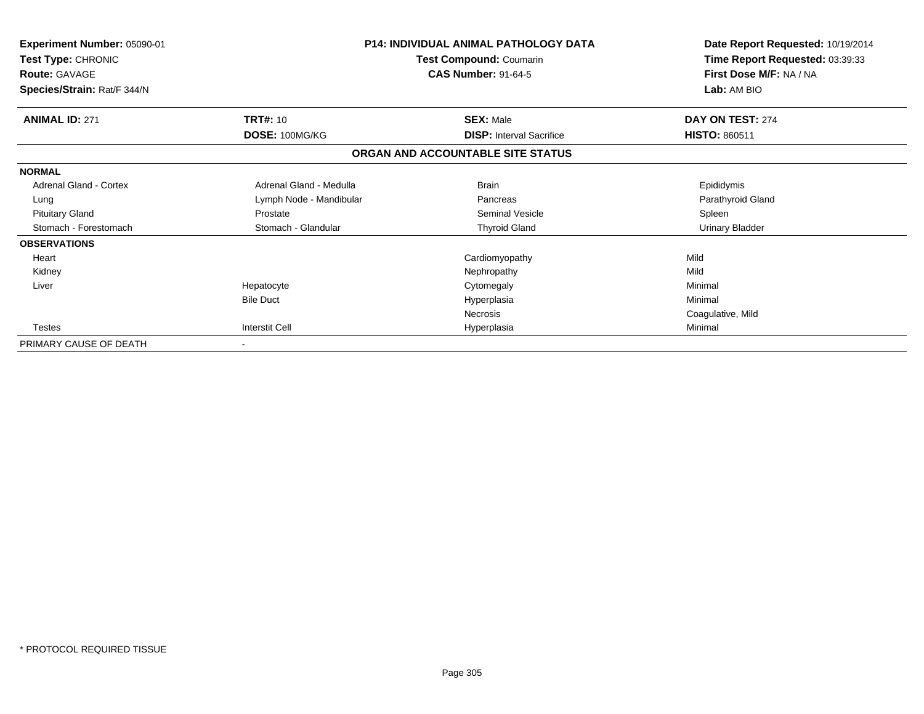| <b>Experiment Number: 05090-01</b><br>Test Type: CHRONIC | P14: INDIVIDUAL ANIMAL PATHOLOGY DATA<br>Test Compound: Coumarin |                                   | Date Report Requested: 10/19/2014<br>Time Report Requested: 03:39:33 |
|----------------------------------------------------------|------------------------------------------------------------------|-----------------------------------|----------------------------------------------------------------------|
| <b>Route: GAVAGE</b>                                     |                                                                  | <b>CAS Number: 91-64-5</b>        | First Dose M/F: NA / NA<br>Lab: AM BIO                               |
| Species/Strain: Rat/F 344/N                              |                                                                  |                                   |                                                                      |
| <b>ANIMAL ID: 271</b>                                    | <b>TRT#: 10</b>                                                  | <b>SEX: Male</b>                  | DAY ON TEST: 274                                                     |
|                                                          | DOSE: 100MG/KG                                                   | <b>DISP: Interval Sacrifice</b>   | <b>HISTO: 860511</b>                                                 |
|                                                          |                                                                  | ORGAN AND ACCOUNTABLE SITE STATUS |                                                                      |
| <b>NORMAL</b>                                            |                                                                  |                                   |                                                                      |
| Adrenal Gland - Cortex                                   | Adrenal Gland - Medulla                                          | <b>Brain</b>                      | Epididymis                                                           |
| Lung                                                     | Lymph Node - Mandibular                                          | Pancreas                          | Parathyroid Gland                                                    |
| <b>Pituitary Gland</b>                                   | Prostate                                                         | <b>Seminal Vesicle</b>            | Spleen                                                               |
| Stomach - Forestomach                                    | Stomach - Glandular                                              | <b>Thyroid Gland</b>              | <b>Urinary Bladder</b>                                               |
| <b>OBSERVATIONS</b>                                      |                                                                  |                                   |                                                                      |
| Heart                                                    |                                                                  | Cardiomyopathy                    | Mild                                                                 |
| Kidney                                                   |                                                                  | Nephropathy                       | Mild                                                                 |
| Liver                                                    | Hepatocyte                                                       | Cytomegaly                        | Minimal                                                              |
|                                                          | <b>Bile Duct</b>                                                 | Hyperplasia                       | Minimal                                                              |
|                                                          |                                                                  | Necrosis                          | Coagulative, Mild                                                    |
| Testes                                                   | <b>Interstit Cell</b>                                            | Hyperplasia                       | Minimal                                                              |
| PRIMARY CAUSE OF DEATH                                   | $\blacksquare$                                                   |                                   |                                                                      |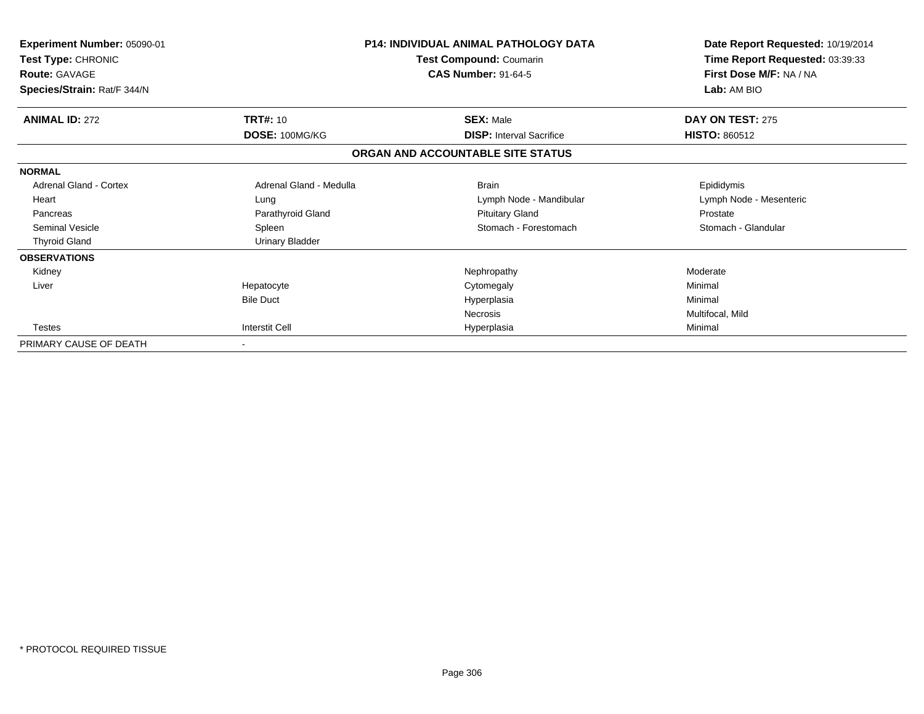| <b>Experiment Number: 05090-01</b><br>Test Type: CHRONIC<br><b>Route: GAVAGE</b><br>Species/Strain: Rat/F 344/N |                          | <b>P14: INDIVIDUAL ANIMAL PATHOLOGY DATA</b><br>Test Compound: Coumarin<br><b>CAS Number: 91-64-5</b> | Date Report Requested: 10/19/2014<br>Time Report Requested: 03:39:33<br>First Dose M/F: NA / NA<br>Lab: AM BIO |
|-----------------------------------------------------------------------------------------------------------------|--------------------------|-------------------------------------------------------------------------------------------------------|----------------------------------------------------------------------------------------------------------------|
| <b>ANIMAL ID: 272</b>                                                                                           | <b>TRT#: 10</b>          | <b>SEX: Male</b>                                                                                      | DAY ON TEST: 275                                                                                               |
|                                                                                                                 | DOSE: 100MG/KG           | <b>DISP: Interval Sacrifice</b>                                                                       | <b>HISTO: 860512</b>                                                                                           |
|                                                                                                                 |                          | ORGAN AND ACCOUNTABLE SITE STATUS                                                                     |                                                                                                                |
| <b>NORMAL</b>                                                                                                   |                          |                                                                                                       |                                                                                                                |
| <b>Adrenal Gland - Cortex</b>                                                                                   | Adrenal Gland - Medulla  | <b>Brain</b>                                                                                          | Epididymis                                                                                                     |
| Heart                                                                                                           | Lung                     | Lymph Node - Mandibular                                                                               | Lymph Node - Mesenteric                                                                                        |
| Pancreas                                                                                                        | Parathyroid Gland        | <b>Pituitary Gland</b>                                                                                | Prostate                                                                                                       |
| <b>Seminal Vesicle</b>                                                                                          | Spleen                   | Stomach - Forestomach                                                                                 | Stomach - Glandular                                                                                            |
| <b>Thyroid Gland</b>                                                                                            | <b>Urinary Bladder</b>   |                                                                                                       |                                                                                                                |
| <b>OBSERVATIONS</b>                                                                                             |                          |                                                                                                       |                                                                                                                |
| Kidney                                                                                                          |                          | Nephropathy                                                                                           | Moderate                                                                                                       |
| Liver                                                                                                           | Hepatocyte               | Cytomegaly                                                                                            | Minimal                                                                                                        |
|                                                                                                                 | <b>Bile Duct</b>         | Hyperplasia                                                                                           | Minimal                                                                                                        |
|                                                                                                                 |                          | Necrosis                                                                                              | Multifocal, Mild                                                                                               |
| <b>Testes</b>                                                                                                   | <b>Interstit Cell</b>    | Hyperplasia                                                                                           | Minimal                                                                                                        |
| PRIMARY CAUSE OF DEATH                                                                                          | $\overline{\phantom{a}}$ |                                                                                                       |                                                                                                                |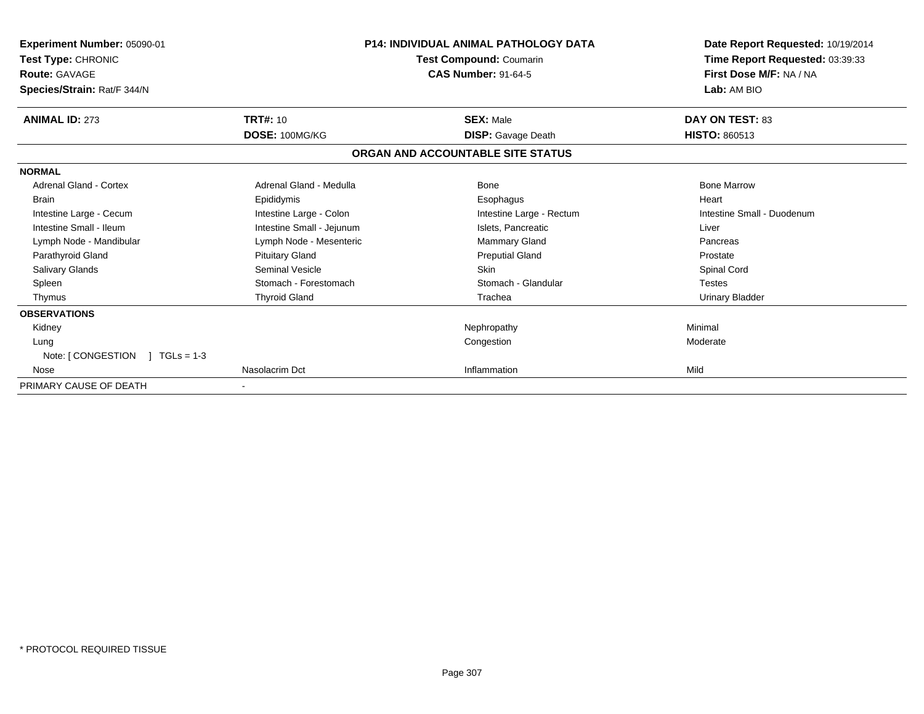| Experiment Number: 05090-01          |                           | <b>P14: INDIVIDUAL ANIMAL PATHOLOGY DATA</b> | Date Report Requested: 10/19/2014 |
|--------------------------------------|---------------------------|----------------------------------------------|-----------------------------------|
| Test Type: CHRONIC                   | Test Compound: Coumarin   |                                              | Time Report Requested: 03:39:33   |
| <b>Route: GAVAGE</b>                 |                           | <b>CAS Number: 91-64-5</b>                   | First Dose M/F: NA / NA           |
| Species/Strain: Rat/F 344/N          |                           |                                              | Lab: AM BIO                       |
| <b>ANIMAL ID: 273</b>                | <b>TRT#: 10</b>           | <b>SEX: Male</b>                             | <b>DAY ON TEST: 83</b>            |
|                                      | DOSE: 100MG/KG            | <b>DISP:</b> Gavage Death                    | <b>HISTO: 860513</b>              |
|                                      |                           | ORGAN AND ACCOUNTABLE SITE STATUS            |                                   |
| <b>NORMAL</b>                        |                           |                                              |                                   |
| Adrenal Gland - Cortex               | Adrenal Gland - Medulla   | <b>Bone</b>                                  | <b>Bone Marrow</b>                |
| <b>Brain</b>                         | Epididymis                | Esophagus                                    | Heart                             |
| Intestine Large - Cecum              | Intestine Large - Colon   | Intestine Large - Rectum                     | Intestine Small - Duodenum        |
| Intestine Small - Ileum              | Intestine Small - Jejunum | Islets, Pancreatic                           | Liver                             |
| Lymph Node - Mandibular              | Lymph Node - Mesenteric   | Mammary Gland                                | Pancreas                          |
| Parathyroid Gland                    | <b>Pituitary Gland</b>    | <b>Preputial Gland</b>                       | Prostate                          |
| <b>Salivary Glands</b>               | Seminal Vesicle           | <b>Skin</b>                                  | Spinal Cord                       |
| Spleen                               | Stomach - Forestomach     | Stomach - Glandular                          | <b>Testes</b>                     |
| Thymus                               | <b>Thyroid Gland</b>      | Trachea                                      | <b>Urinary Bladder</b>            |
| <b>OBSERVATIONS</b>                  |                           |                                              |                                   |
| Kidney                               |                           | Nephropathy                                  | Minimal                           |
| Lung                                 |                           | Congestion                                   | Moderate                          |
| Note: [ CONGESTION<br>$1 TGLs = 1-3$ |                           |                                              |                                   |
| Nose                                 | Nasolacrim Dct            | Inflammation                                 | Mild                              |
| PRIMARY CAUSE OF DEATH               |                           |                                              |                                   |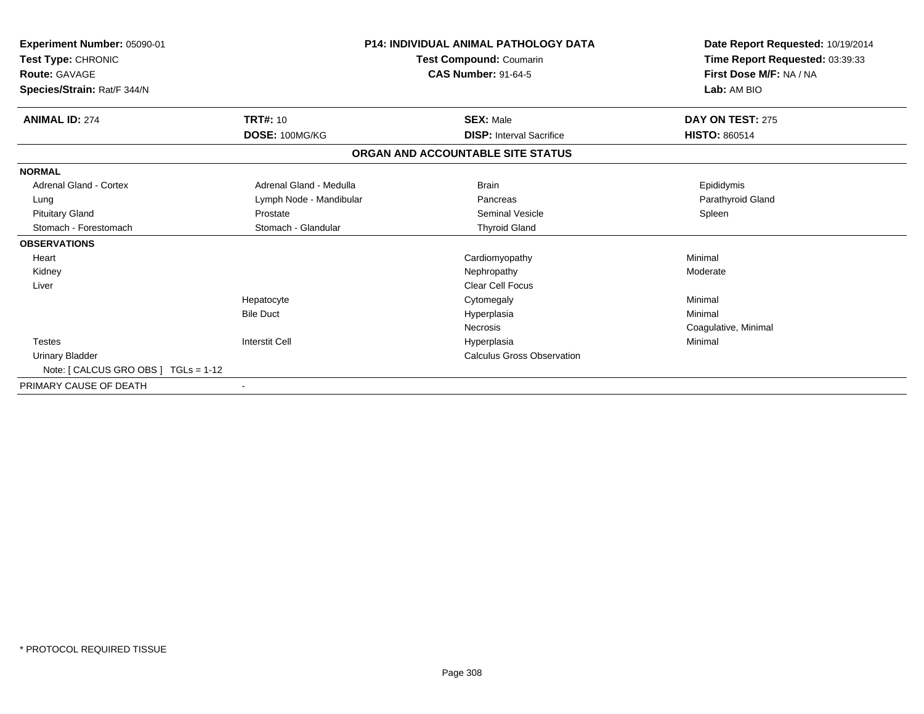| Experiment Number: 05090-01<br>Test Type: CHRONIC<br><b>Route: GAVAGE</b><br>Species/Strain: Rat/F 344/N |                          | <b>P14: INDIVIDUAL ANIMAL PATHOLOGY DATA</b><br>Test Compound: Coumarin<br><b>CAS Number: 91-64-5</b> | Date Report Requested: 10/19/2014<br>Time Report Requested: 03:39:33<br>First Dose M/F: NA / NA<br>Lab: AM BIO |
|----------------------------------------------------------------------------------------------------------|--------------------------|-------------------------------------------------------------------------------------------------------|----------------------------------------------------------------------------------------------------------------|
| <b>ANIMAL ID: 274</b>                                                                                    | <b>TRT#: 10</b>          | <b>SEX: Male</b>                                                                                      | DAY ON TEST: 275                                                                                               |
|                                                                                                          | DOSE: 100MG/KG           | <b>DISP: Interval Sacrifice</b>                                                                       | <b>HISTO: 860514</b>                                                                                           |
|                                                                                                          |                          | ORGAN AND ACCOUNTABLE SITE STATUS                                                                     |                                                                                                                |
| <b>NORMAL</b>                                                                                            |                          |                                                                                                       |                                                                                                                |
| <b>Adrenal Gland - Cortex</b>                                                                            | Adrenal Gland - Medulla  | <b>Brain</b>                                                                                          | Epididymis                                                                                                     |
| Lung                                                                                                     | Lymph Node - Mandibular  | Pancreas                                                                                              | Parathyroid Gland                                                                                              |
| <b>Pituitary Gland</b>                                                                                   | Prostate                 | <b>Seminal Vesicle</b>                                                                                | Spleen                                                                                                         |
| Stomach - Forestomach                                                                                    | Stomach - Glandular      | <b>Thyroid Gland</b>                                                                                  |                                                                                                                |
| <b>OBSERVATIONS</b>                                                                                      |                          |                                                                                                       |                                                                                                                |
| Heart                                                                                                    |                          | Cardiomyopathy                                                                                        | Minimal                                                                                                        |
| Kidney                                                                                                   |                          | Nephropathy                                                                                           | Moderate                                                                                                       |
| Liver                                                                                                    |                          | <b>Clear Cell Focus</b>                                                                               |                                                                                                                |
|                                                                                                          | Hepatocyte               | Cytomegaly                                                                                            | Minimal                                                                                                        |
|                                                                                                          | <b>Bile Duct</b>         | Hyperplasia                                                                                           | Minimal                                                                                                        |
|                                                                                                          |                          | Necrosis                                                                                              | Coagulative, Minimal                                                                                           |
| <b>Testes</b>                                                                                            | <b>Interstit Cell</b>    | Hyperplasia                                                                                           | Minimal                                                                                                        |
| <b>Urinary Bladder</b>                                                                                   |                          | <b>Calculus Gross Observation</b>                                                                     |                                                                                                                |
| Note: [ CALCUS GRO OBS ] TGLs = 1-12                                                                     |                          |                                                                                                       |                                                                                                                |
| PRIMARY CAUSE OF DEATH                                                                                   | $\overline{\phantom{a}}$ |                                                                                                       |                                                                                                                |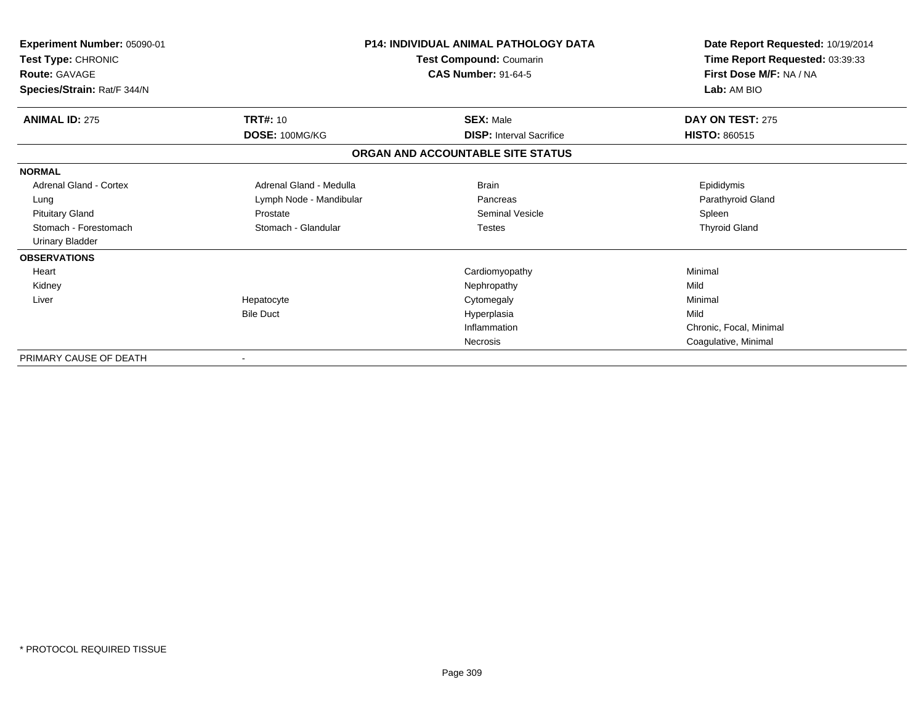| Experiment Number: 05090-01<br>Test Type: CHRONIC<br><b>Route: GAVAGE</b><br>Species/Strain: Rat/F 344/N |                         | <b>P14: INDIVIDUAL ANIMAL PATHOLOGY DATA</b><br>Test Compound: Coumarin<br><b>CAS Number: 91-64-5</b> | Date Report Requested: 10/19/2014<br>Time Report Requested: 03:39:33<br>First Dose M/F: NA / NA<br>Lab: AM BIO |
|----------------------------------------------------------------------------------------------------------|-------------------------|-------------------------------------------------------------------------------------------------------|----------------------------------------------------------------------------------------------------------------|
| <b>ANIMAL ID: 275</b>                                                                                    | <b>TRT#: 10</b>         | <b>SEX: Male</b>                                                                                      | DAY ON TEST: 275                                                                                               |
|                                                                                                          | DOSE: 100MG/KG          | <b>DISP: Interval Sacrifice</b>                                                                       | <b>HISTO: 860515</b>                                                                                           |
|                                                                                                          |                         | ORGAN AND ACCOUNTABLE SITE STATUS                                                                     |                                                                                                                |
| <b>NORMAL</b>                                                                                            |                         |                                                                                                       |                                                                                                                |
| <b>Adrenal Gland - Cortex</b>                                                                            | Adrenal Gland - Medulla | <b>Brain</b>                                                                                          | Epididymis                                                                                                     |
| Lung                                                                                                     | Lymph Node - Mandibular | Pancreas                                                                                              | Parathyroid Gland                                                                                              |
| <b>Pituitary Gland</b>                                                                                   | Prostate                | <b>Seminal Vesicle</b>                                                                                | Spleen                                                                                                         |
| Stomach - Forestomach                                                                                    | Stomach - Glandular     | <b>Testes</b>                                                                                         | <b>Thyroid Gland</b>                                                                                           |
| Urinary Bladder                                                                                          |                         |                                                                                                       |                                                                                                                |
| <b>OBSERVATIONS</b>                                                                                      |                         |                                                                                                       |                                                                                                                |
| Heart                                                                                                    |                         | Cardiomyopathy                                                                                        | Minimal                                                                                                        |
| Kidney                                                                                                   |                         | Nephropathy                                                                                           | Mild                                                                                                           |
| Liver                                                                                                    | Hepatocyte              | Cytomegaly                                                                                            | Minimal                                                                                                        |
|                                                                                                          | <b>Bile Duct</b>        | Hyperplasia                                                                                           | Mild                                                                                                           |
|                                                                                                          |                         | Inflammation                                                                                          | Chronic, Focal, Minimal                                                                                        |
|                                                                                                          |                         | <b>Necrosis</b>                                                                                       | Coagulative, Minimal                                                                                           |
| PRIMARY CAUSE OF DEATH                                                                                   |                         |                                                                                                       |                                                                                                                |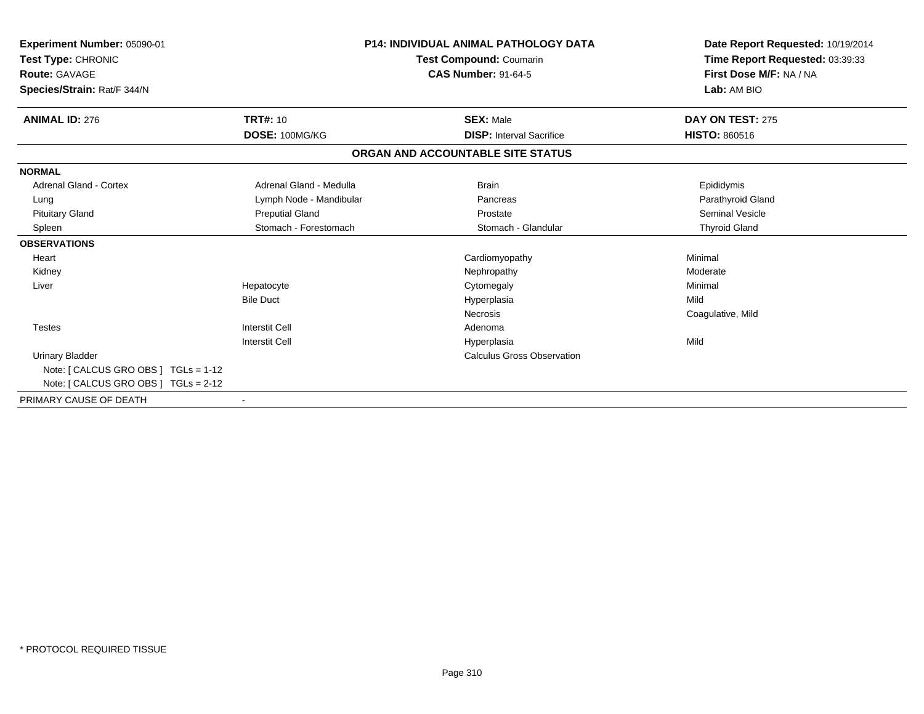| <b>Experiment Number: 05090-01</b><br>Test Type: CHRONIC<br><b>Route: GAVAGE</b><br>Species/Strain: Rat/F 344/N |                         | <b>P14: INDIVIDUAL ANIMAL PATHOLOGY DATA</b><br>Test Compound: Coumarin<br><b>CAS Number: 91-64-5</b> | Date Report Requested: 10/19/2014<br>Time Report Requested: 03:39:33<br>First Dose M/F: NA / NA<br>Lab: AM BIO |
|-----------------------------------------------------------------------------------------------------------------|-------------------------|-------------------------------------------------------------------------------------------------------|----------------------------------------------------------------------------------------------------------------|
| <b>ANIMAL ID: 276</b>                                                                                           | <b>TRT#: 10</b>         | <b>SEX: Male</b>                                                                                      | DAY ON TEST: 275                                                                                               |
|                                                                                                                 | DOSE: 100MG/KG          | <b>DISP:</b> Interval Sacrifice                                                                       | <b>HISTO: 860516</b>                                                                                           |
|                                                                                                                 |                         | ORGAN AND ACCOUNTABLE SITE STATUS                                                                     |                                                                                                                |
| <b>NORMAL</b>                                                                                                   |                         |                                                                                                       |                                                                                                                |
| <b>Adrenal Gland - Cortex</b>                                                                                   | Adrenal Gland - Medulla | <b>Brain</b>                                                                                          | Epididymis                                                                                                     |
| Lung                                                                                                            | Lymph Node - Mandibular | Pancreas                                                                                              | Parathyroid Gland                                                                                              |
| <b>Pituitary Gland</b>                                                                                          | <b>Preputial Gland</b>  | Prostate                                                                                              | <b>Seminal Vesicle</b>                                                                                         |
| Spleen                                                                                                          | Stomach - Forestomach   | Stomach - Glandular                                                                                   | <b>Thyroid Gland</b>                                                                                           |
| <b>OBSERVATIONS</b>                                                                                             |                         |                                                                                                       |                                                                                                                |
| Heart                                                                                                           |                         | Cardiomyopathy                                                                                        | Minimal                                                                                                        |
| Kidney                                                                                                          |                         | Nephropathy                                                                                           | Moderate                                                                                                       |
| Liver                                                                                                           | Hepatocyte              | Cytomegaly                                                                                            | Minimal                                                                                                        |
|                                                                                                                 | <b>Bile Duct</b>        | Hyperplasia                                                                                           | Mild                                                                                                           |
|                                                                                                                 |                         | <b>Necrosis</b>                                                                                       | Coagulative, Mild                                                                                              |
| <b>Testes</b>                                                                                                   | <b>Interstit Cell</b>   | Adenoma                                                                                               |                                                                                                                |
|                                                                                                                 | <b>Interstit Cell</b>   | Hyperplasia                                                                                           | Mild                                                                                                           |
| <b>Urinary Bladder</b>                                                                                          |                         | <b>Calculus Gross Observation</b>                                                                     |                                                                                                                |
| Note: [ CALCUS GRO OBS ] TGLs = 1-12                                                                            |                         |                                                                                                       |                                                                                                                |
| Note: [ CALCUS GRO OBS ] TGLs = 2-12                                                                            |                         |                                                                                                       |                                                                                                                |
| PRIMARY CAUSE OF DEATH                                                                                          |                         |                                                                                                       |                                                                                                                |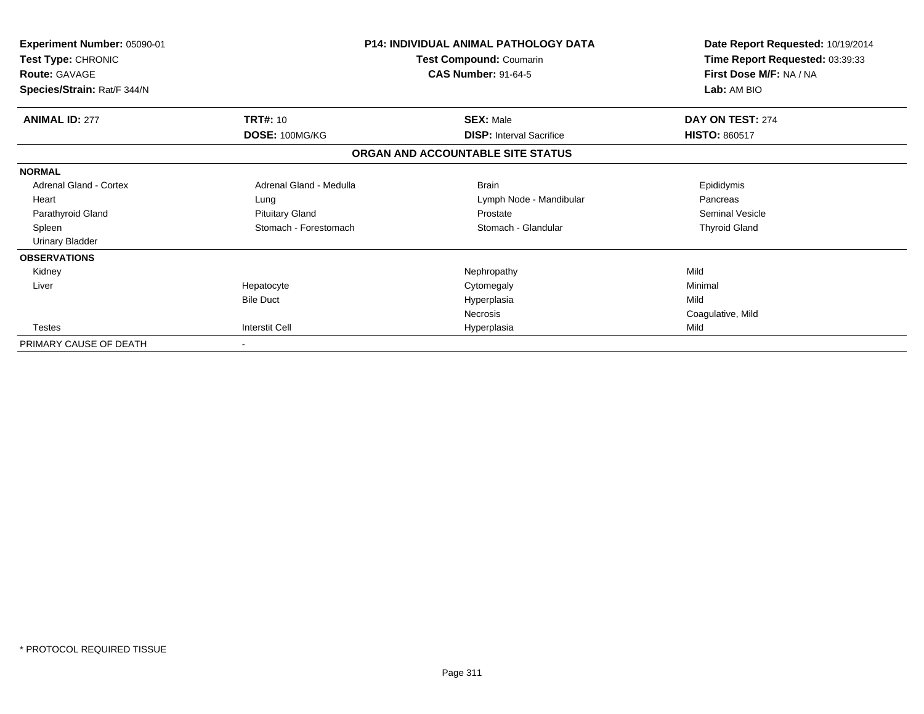| <b>Experiment Number: 05090-01</b><br>Test Type: CHRONIC<br><b>Route: GAVAGE</b><br>Species/Strain: Rat/F 344/N |                         | <b>P14: INDIVIDUAL ANIMAL PATHOLOGY DATA</b><br>Test Compound: Coumarin<br><b>CAS Number: 91-64-5</b> | Date Report Requested: 10/19/2014<br>Time Report Requested: 03:39:33<br>First Dose M/F: NA / NA<br>Lab: AM BIO |
|-----------------------------------------------------------------------------------------------------------------|-------------------------|-------------------------------------------------------------------------------------------------------|----------------------------------------------------------------------------------------------------------------|
| <b>ANIMAL ID: 277</b>                                                                                           | <b>TRT#: 10</b>         | <b>SEX: Male</b>                                                                                      | DAY ON TEST: 274                                                                                               |
|                                                                                                                 | DOSE: 100MG/KG          | <b>DISP: Interval Sacrifice</b>                                                                       | <b>HISTO: 860517</b>                                                                                           |
|                                                                                                                 |                         | ORGAN AND ACCOUNTABLE SITE STATUS                                                                     |                                                                                                                |
| <b>NORMAL</b>                                                                                                   |                         |                                                                                                       |                                                                                                                |
| Adrenal Gland - Cortex                                                                                          | Adrenal Gland - Medulla | <b>Brain</b>                                                                                          | Epididymis                                                                                                     |
| Heart                                                                                                           | Lung                    | Lymph Node - Mandibular                                                                               | Pancreas                                                                                                       |
| Parathyroid Gland                                                                                               | <b>Pituitary Gland</b>  | Prostate                                                                                              | <b>Seminal Vesicle</b>                                                                                         |
| Spleen                                                                                                          | Stomach - Forestomach   | Stomach - Glandular                                                                                   | <b>Thyroid Gland</b>                                                                                           |
| <b>Urinary Bladder</b>                                                                                          |                         |                                                                                                       |                                                                                                                |
| <b>OBSERVATIONS</b>                                                                                             |                         |                                                                                                       |                                                                                                                |
| Kidney                                                                                                          |                         | Nephropathy                                                                                           | Mild                                                                                                           |
| Liver                                                                                                           | Hepatocyte              | Cytomegaly                                                                                            | Minimal                                                                                                        |
|                                                                                                                 | <b>Bile Duct</b>        | Hyperplasia                                                                                           | Mild                                                                                                           |
|                                                                                                                 |                         | Necrosis                                                                                              | Coagulative, Mild                                                                                              |
| <b>Testes</b>                                                                                                   | <b>Interstit Cell</b>   | Hyperplasia                                                                                           | Mild                                                                                                           |
| PRIMARY CAUSE OF DEATH                                                                                          |                         |                                                                                                       |                                                                                                                |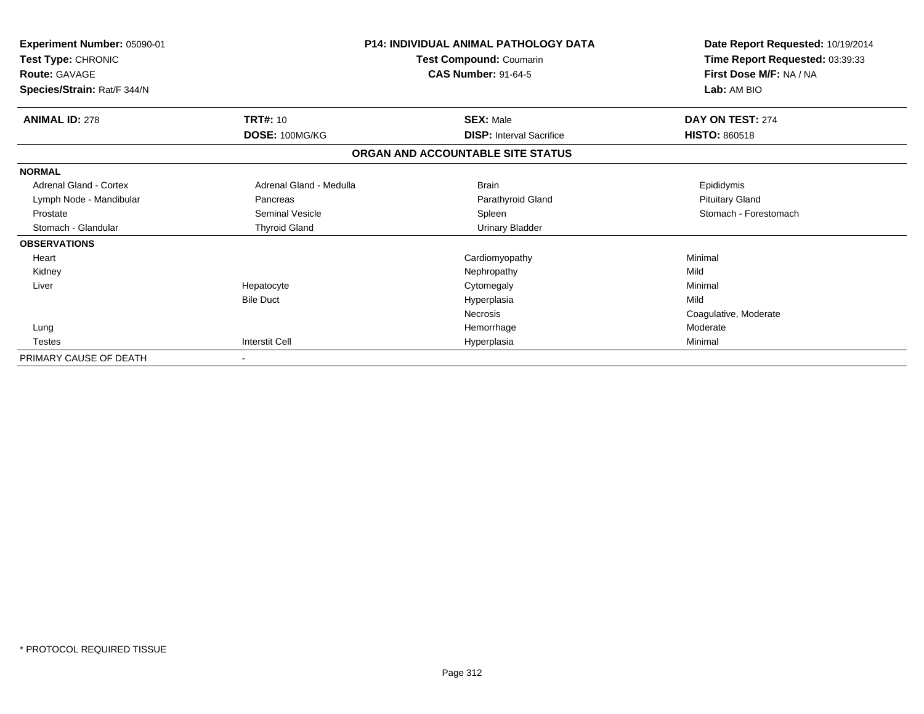| Experiment Number: 05090-01<br>Test Type: CHRONIC<br><b>Route: GAVAGE</b><br>Species/Strain: Rat/F 344/N |                         | <b>P14: INDIVIDUAL ANIMAL PATHOLOGY DATA</b><br>Test Compound: Coumarin<br><b>CAS Number: 91-64-5</b> | Date Report Requested: 10/19/2014<br>Time Report Requested: 03:39:33<br>First Dose M/F: NA / NA<br>Lab: AM BIO |
|----------------------------------------------------------------------------------------------------------|-------------------------|-------------------------------------------------------------------------------------------------------|----------------------------------------------------------------------------------------------------------------|
| <b>ANIMAL ID: 278</b>                                                                                    | <b>TRT#: 10</b>         | <b>SEX: Male</b>                                                                                      | DAY ON TEST: 274                                                                                               |
|                                                                                                          | DOSE: 100MG/KG          | <b>DISP: Interval Sacrifice</b>                                                                       | <b>HISTO: 860518</b>                                                                                           |
|                                                                                                          |                         | ORGAN AND ACCOUNTABLE SITE STATUS                                                                     |                                                                                                                |
| <b>NORMAL</b>                                                                                            |                         |                                                                                                       |                                                                                                                |
| <b>Adrenal Gland - Cortex</b>                                                                            | Adrenal Gland - Medulla | <b>Brain</b>                                                                                          | Epididymis                                                                                                     |
| Lymph Node - Mandibular                                                                                  | Pancreas                | Parathyroid Gland                                                                                     | <b>Pituitary Gland</b>                                                                                         |
| Prostate                                                                                                 | <b>Seminal Vesicle</b>  | Spleen                                                                                                | Stomach - Forestomach                                                                                          |
| Stomach - Glandular                                                                                      | <b>Thyroid Gland</b>    | <b>Urinary Bladder</b>                                                                                |                                                                                                                |
| <b>OBSERVATIONS</b>                                                                                      |                         |                                                                                                       |                                                                                                                |
| Heart                                                                                                    |                         | Cardiomyopathy                                                                                        | Minimal                                                                                                        |
| Kidney                                                                                                   |                         | Nephropathy                                                                                           | Mild                                                                                                           |
| Liver                                                                                                    | Hepatocyte              | Cytomegaly                                                                                            | Minimal                                                                                                        |
|                                                                                                          | <b>Bile Duct</b>        | Hyperplasia                                                                                           | Mild                                                                                                           |
|                                                                                                          |                         | <b>Necrosis</b>                                                                                       | Coagulative, Moderate                                                                                          |
| Lung                                                                                                     |                         | Hemorrhage                                                                                            | Moderate                                                                                                       |
| <b>Testes</b>                                                                                            | <b>Interstit Cell</b>   | Hyperplasia                                                                                           | Minimal                                                                                                        |
| PRIMARY CAUSE OF DEATH                                                                                   |                         |                                                                                                       |                                                                                                                |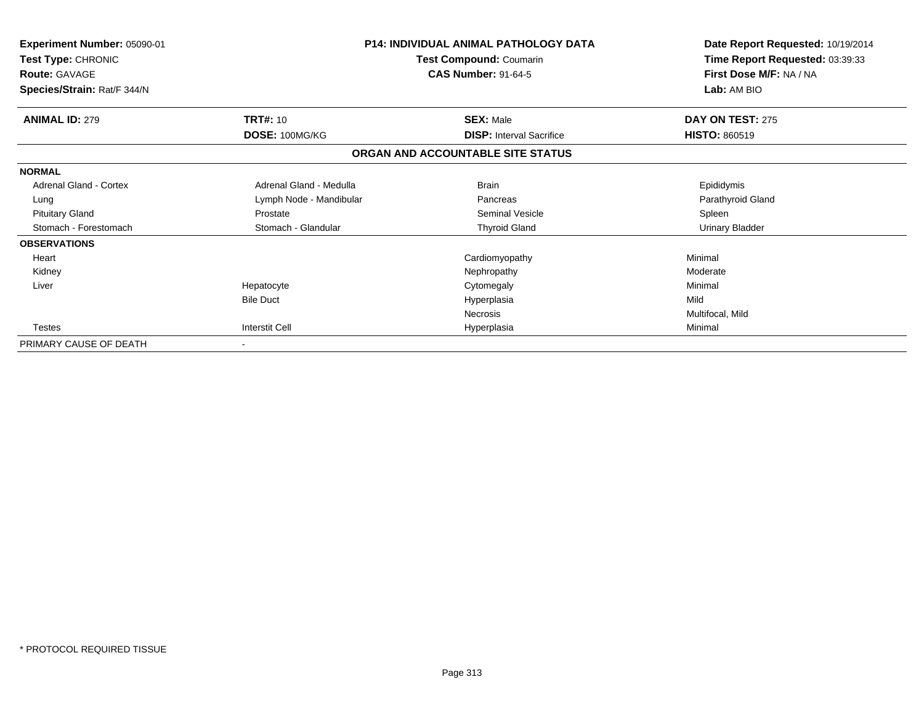| <b>Experiment Number: 05090-01</b><br>Test Type: CHRONIC<br><b>Route: GAVAGE</b> |                         | <b>P14: INDIVIDUAL ANIMAL PATHOLOGY DATA</b><br>Test Compound: Coumarin<br><b>CAS Number: 91-64-5</b> | Date Report Requested: 10/19/2014<br>Time Report Requested: 03:39:33<br>First Dose M/F: NA / NA |  |
|----------------------------------------------------------------------------------|-------------------------|-------------------------------------------------------------------------------------------------------|-------------------------------------------------------------------------------------------------|--|
| Species/Strain: Rat/F 344/N                                                      |                         |                                                                                                       | Lab: AM BIO                                                                                     |  |
| <b>ANIMAL ID: 279</b>                                                            | <b>TRT#: 10</b>         | <b>SEX: Male</b>                                                                                      | DAY ON TEST: 275                                                                                |  |
|                                                                                  | DOSE: 100MG/KG          | <b>DISP: Interval Sacrifice</b>                                                                       | <b>HISTO: 860519</b>                                                                            |  |
|                                                                                  |                         | ORGAN AND ACCOUNTABLE SITE STATUS                                                                     |                                                                                                 |  |
| <b>NORMAL</b>                                                                    |                         |                                                                                                       |                                                                                                 |  |
| Adrenal Gland - Cortex                                                           | Adrenal Gland - Medulla | <b>Brain</b>                                                                                          | Epididymis                                                                                      |  |
| Lung                                                                             | Lymph Node - Mandibular | Pancreas                                                                                              | Parathyroid Gland                                                                               |  |
| <b>Pituitary Gland</b>                                                           | Prostate                | Seminal Vesicle                                                                                       | Spleen                                                                                          |  |
| Stomach - Forestomach                                                            | Stomach - Glandular     | <b>Thyroid Gland</b>                                                                                  | <b>Urinary Bladder</b>                                                                          |  |
| <b>OBSERVATIONS</b>                                                              |                         |                                                                                                       |                                                                                                 |  |
| Heart                                                                            |                         | Cardiomyopathy                                                                                        | Minimal                                                                                         |  |
| Kidney                                                                           |                         | Nephropathy                                                                                           | Moderate                                                                                        |  |
| Liver                                                                            | Hepatocyte              | Cytomegaly                                                                                            | Minimal                                                                                         |  |
|                                                                                  | <b>Bile Duct</b>        | Hyperplasia                                                                                           | Mild                                                                                            |  |
|                                                                                  |                         | Necrosis                                                                                              | Multifocal, Mild                                                                                |  |
| Testes                                                                           | Interstit Cell          | Hyperplasia                                                                                           | Minimal                                                                                         |  |
| PRIMARY CAUSE OF DEATH                                                           |                         |                                                                                                       |                                                                                                 |  |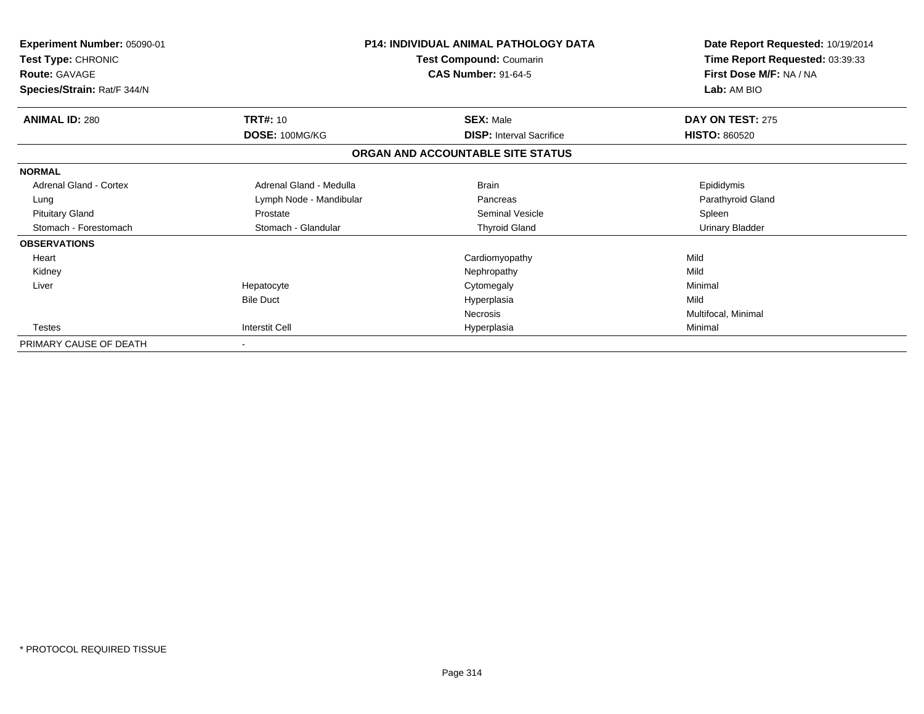| Experiment Number: 05090-01<br>Test Type: CHRONIC<br><b>Route: GAVAGE</b> |                          | <b>P14: INDIVIDUAL ANIMAL PATHOLOGY DATA</b><br>Test Compound: Coumarin<br><b>CAS Number: 91-64-5</b> | Date Report Requested: 10/19/2014<br>Time Report Requested: 03:39:33<br>First Dose M/F: NA / NA |  |
|---------------------------------------------------------------------------|--------------------------|-------------------------------------------------------------------------------------------------------|-------------------------------------------------------------------------------------------------|--|
| Species/Strain: Rat/F 344/N                                               |                          |                                                                                                       | Lab: AM BIO                                                                                     |  |
| <b>ANIMAL ID: 280</b>                                                     | TRT#: 10                 | <b>SEX: Male</b>                                                                                      | DAY ON TEST: 275                                                                                |  |
|                                                                           | DOSE: 100MG/KG           | <b>DISP:</b> Interval Sacrifice                                                                       | <b>HISTO: 860520</b>                                                                            |  |
|                                                                           |                          | ORGAN AND ACCOUNTABLE SITE STATUS                                                                     |                                                                                                 |  |
| <b>NORMAL</b>                                                             |                          |                                                                                                       |                                                                                                 |  |
| Adrenal Gland - Cortex                                                    | Adrenal Gland - Medulla  | <b>Brain</b>                                                                                          | Epididymis                                                                                      |  |
| Lung                                                                      | Lymph Node - Mandibular  | Pancreas                                                                                              | Parathyroid Gland                                                                               |  |
| <b>Pituitary Gland</b>                                                    | Prostate                 | Seminal Vesicle                                                                                       | Spleen                                                                                          |  |
| Stomach - Forestomach                                                     | Stomach - Glandular      | <b>Thyroid Gland</b>                                                                                  | <b>Urinary Bladder</b>                                                                          |  |
| <b>OBSERVATIONS</b>                                                       |                          |                                                                                                       |                                                                                                 |  |
| Heart                                                                     |                          | Cardiomyopathy                                                                                        | Mild                                                                                            |  |
| Kidney                                                                    |                          | Nephropathy                                                                                           | Mild                                                                                            |  |
| Liver                                                                     | Hepatocyte               | Cytomegaly                                                                                            | Minimal                                                                                         |  |
|                                                                           | <b>Bile Duct</b>         | Hyperplasia                                                                                           | Mild                                                                                            |  |
|                                                                           |                          | Necrosis                                                                                              | Multifocal, Minimal                                                                             |  |
| Testes                                                                    | <b>Interstit Cell</b>    | Hyperplasia                                                                                           | Minimal                                                                                         |  |
| PRIMARY CAUSE OF DEATH                                                    | $\overline{\phantom{a}}$ |                                                                                                       |                                                                                                 |  |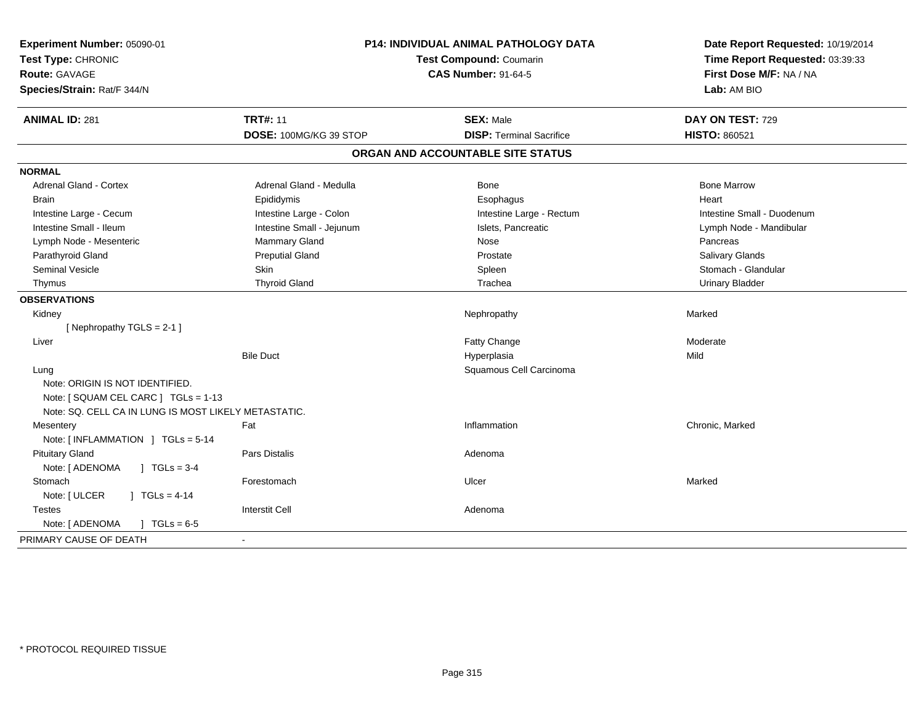| Experiment Number: 05090-01<br>Test Type: CHRONIC<br><b>Route: GAVAGE</b><br>Species/Strain: Rat/F 344/N | P14: INDIVIDUAL ANIMAL PATHOLOGY DATA<br><b>Test Compound: Coumarin</b><br><b>CAS Number: 91-64-5</b> |                                   | Date Report Requested: 10/19/2014<br>Time Report Requested: 03:39:33<br>First Dose M/F: NA / NA<br>Lab: AM BIO |  |
|----------------------------------------------------------------------------------------------------------|-------------------------------------------------------------------------------------------------------|-----------------------------------|----------------------------------------------------------------------------------------------------------------|--|
| <b>ANIMAL ID: 281</b>                                                                                    | <b>TRT#: 11</b>                                                                                       | <b>SEX: Male</b>                  | DAY ON TEST: 729                                                                                               |  |
|                                                                                                          | DOSE: 100MG/KG 39 STOP                                                                                | <b>DISP: Terminal Sacrifice</b>   | <b>HISTO: 860521</b>                                                                                           |  |
|                                                                                                          |                                                                                                       | ORGAN AND ACCOUNTABLE SITE STATUS |                                                                                                                |  |
| <b>NORMAL</b>                                                                                            |                                                                                                       |                                   |                                                                                                                |  |
| Adrenal Gland - Cortex                                                                                   | Adrenal Gland - Medulla                                                                               | Bone                              | <b>Bone Marrow</b>                                                                                             |  |
| Brain                                                                                                    | Epididymis                                                                                            | Esophagus                         | Heart                                                                                                          |  |
| Intestine Large - Cecum                                                                                  | Intestine Large - Colon                                                                               | Intestine Large - Rectum          | Intestine Small - Duodenum                                                                                     |  |
| Intestine Small - Ileum                                                                                  | Intestine Small - Jejunum                                                                             | Islets, Pancreatic                | Lymph Node - Mandibular                                                                                        |  |
| Lymph Node - Mesenteric                                                                                  | Mammary Gland                                                                                         | Nose                              | Pancreas                                                                                                       |  |
| Parathyroid Gland                                                                                        | <b>Preputial Gland</b>                                                                                | Prostate                          | Salivary Glands                                                                                                |  |
| Seminal Vesicle                                                                                          | Skin                                                                                                  | Spleen                            | Stomach - Glandular                                                                                            |  |
| Thymus                                                                                                   | <b>Thyroid Gland</b>                                                                                  | Trachea                           | <b>Urinary Bladder</b>                                                                                         |  |
| <b>OBSERVATIONS</b>                                                                                      |                                                                                                       |                                   |                                                                                                                |  |
| Kidney                                                                                                   |                                                                                                       | Nephropathy                       | Marked                                                                                                         |  |
| [Nephropathy TGLS = 2-1]                                                                                 |                                                                                                       |                                   |                                                                                                                |  |
| Liver                                                                                                    |                                                                                                       | Fatty Change                      | Moderate                                                                                                       |  |
|                                                                                                          | <b>Bile Duct</b>                                                                                      | Hyperplasia                       | Mild                                                                                                           |  |
| Lung<br>Note: ORIGIN IS NOT IDENTIFIED.                                                                  |                                                                                                       | Squamous Cell Carcinoma           |                                                                                                                |  |
| Note: [ SQUAM CEL CARC ] TGLs = 1-13<br>Note: SQ. CELL CA IN LUNG IS MOST LIKELY METASTATIC.             |                                                                                                       |                                   |                                                                                                                |  |
| Mesentery                                                                                                | Fat                                                                                                   | Inflammation                      | Chronic, Marked                                                                                                |  |
| Note: [INFLAMMATION ] TGLs = 5-14                                                                        |                                                                                                       |                                   |                                                                                                                |  |
| <b>Pituitary Gland</b>                                                                                   | Pars Distalis                                                                                         | Adenoma                           |                                                                                                                |  |
| $1 TGLs = 3-4$<br>Note: [ ADENOMA                                                                        |                                                                                                       |                                   |                                                                                                                |  |
| Stomach                                                                                                  | Forestomach                                                                                           | Ulcer                             | Marked                                                                                                         |  |
| Note: [ ULCER<br>$1 TGLs = 4-14$                                                                         |                                                                                                       |                                   |                                                                                                                |  |
| <b>Testes</b>                                                                                            | <b>Interstit Cell</b>                                                                                 | Adenoma                           |                                                                                                                |  |
| Note: [ ADENOMA<br>$J \cdot TGLs = 6-5$                                                                  |                                                                                                       |                                   |                                                                                                                |  |
| PRIMARY CAUSE OF DEATH                                                                                   |                                                                                                       |                                   |                                                                                                                |  |
|                                                                                                          |                                                                                                       |                                   |                                                                                                                |  |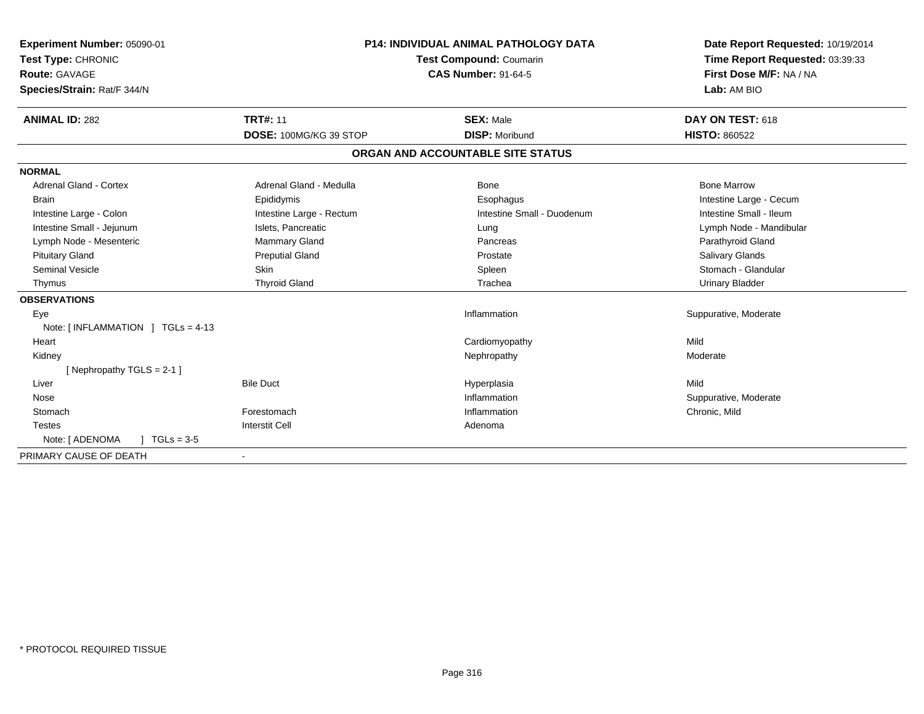| <b>Experiment Number: 05090-01</b><br>Test Type: CHRONIC<br>Route: GAVAGE<br>Species/Strain: Rat/F 344/N<br><b>ANIMAL ID: 282</b> | <b>TRT#: 11</b>          | <b>P14: INDIVIDUAL ANIMAL PATHOLOGY DATA</b><br>Test Compound: Coumarin<br><b>CAS Number: 91-64-5</b><br><b>SEX: Male</b> | Date Report Requested: 10/19/2014<br>Time Report Requested: 03:39:33<br>First Dose M/F: NA / NA<br>Lab: AM BIO<br>DAY ON TEST: 618 |
|-----------------------------------------------------------------------------------------------------------------------------------|--------------------------|---------------------------------------------------------------------------------------------------------------------------|------------------------------------------------------------------------------------------------------------------------------------|
|                                                                                                                                   | DOSE: 100MG/KG 39 STOP   | <b>DISP: Moribund</b>                                                                                                     | <b>HISTO: 860522</b>                                                                                                               |
|                                                                                                                                   |                          | ORGAN AND ACCOUNTABLE SITE STATUS                                                                                         |                                                                                                                                    |
| <b>NORMAL</b>                                                                                                                     |                          |                                                                                                                           |                                                                                                                                    |
| <b>Adrenal Gland - Cortex</b>                                                                                                     | Adrenal Gland - Medulla  | Bone                                                                                                                      | <b>Bone Marrow</b>                                                                                                                 |
| <b>Brain</b>                                                                                                                      | Epididymis               | Esophagus                                                                                                                 | Intestine Large - Cecum                                                                                                            |
| Intestine Large - Colon                                                                                                           | Intestine Large - Rectum | Intestine Small - Duodenum                                                                                                | Intestine Small - Ileum                                                                                                            |
| Intestine Small - Jejunum                                                                                                         | Islets. Pancreatic       | Lung                                                                                                                      | Lymph Node - Mandibular                                                                                                            |
| Lymph Node - Mesenteric                                                                                                           | <b>Mammary Gland</b>     | Pancreas                                                                                                                  | Parathyroid Gland                                                                                                                  |
| <b>Pituitary Gland</b>                                                                                                            | <b>Preputial Gland</b>   | Prostate                                                                                                                  | <b>Salivary Glands</b>                                                                                                             |
| <b>Seminal Vesicle</b>                                                                                                            | <b>Skin</b>              | Spleen                                                                                                                    | Stomach - Glandular                                                                                                                |
| Thymus                                                                                                                            | <b>Thyroid Gland</b>     | Trachea                                                                                                                   | <b>Urinary Bladder</b>                                                                                                             |
| <b>OBSERVATIONS</b>                                                                                                               |                          |                                                                                                                           |                                                                                                                                    |
| Eye                                                                                                                               |                          | Inflammation                                                                                                              | Suppurative, Moderate                                                                                                              |
| Note: [INFLAMMATION ] TGLs = 4-13                                                                                                 |                          |                                                                                                                           |                                                                                                                                    |
| Heart                                                                                                                             |                          | Cardiomyopathy                                                                                                            | Mild                                                                                                                               |
| Kidney                                                                                                                            |                          | Nephropathy                                                                                                               | Moderate                                                                                                                           |
| [Nephropathy TGLS = 2-1]                                                                                                          |                          |                                                                                                                           |                                                                                                                                    |
| Liver                                                                                                                             | <b>Bile Duct</b>         | Hyperplasia                                                                                                               | Mild                                                                                                                               |
| Nose                                                                                                                              |                          | Inflammation                                                                                                              | Suppurative, Moderate                                                                                                              |
| Stomach                                                                                                                           | Forestomach              | Inflammation                                                                                                              | Chronic, Mild                                                                                                                      |
| <b>Testes</b>                                                                                                                     | <b>Interstit Cell</b>    | Adenoma                                                                                                                   |                                                                                                                                    |
| Note: [ ADENOMA<br>$TGLs = 3-5$                                                                                                   |                          |                                                                                                                           |                                                                                                                                    |
| PRIMARY CAUSE OF DEATH                                                                                                            |                          |                                                                                                                           |                                                                                                                                    |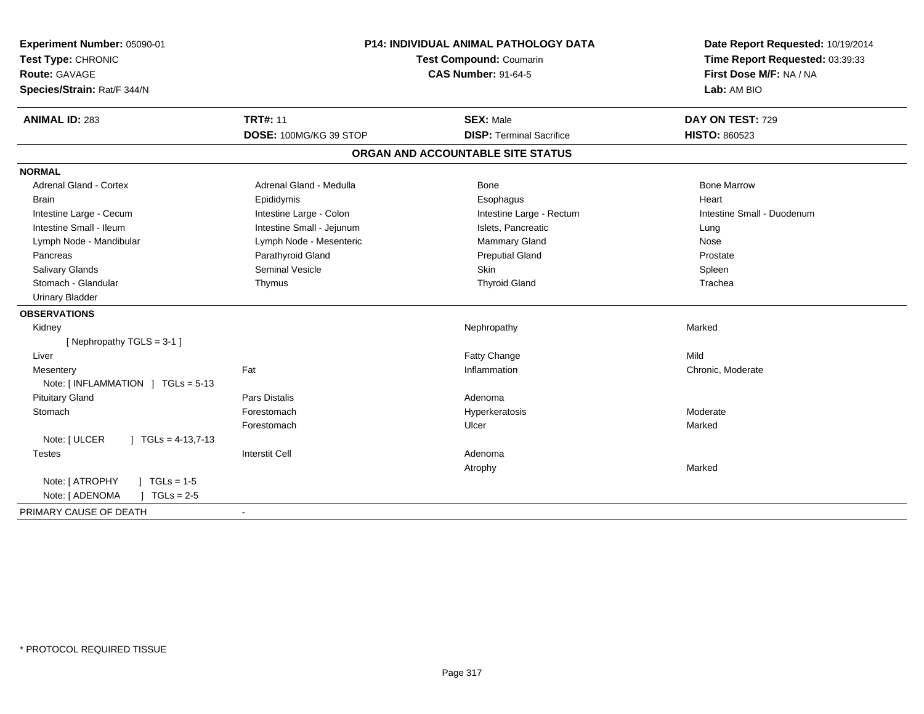| Experiment Number: 05090-01<br>Test Type: CHRONIC<br><b>Route: GAVAGE</b><br>Species/Strain: Rat/F 344/N | <b>P14: INDIVIDUAL ANIMAL PATHOLOGY DATA</b><br>Test Compound: Coumarin<br><b>CAS Number: 91-64-5</b> |                                   | Date Report Requested: 10/19/2014<br>Time Report Requested: 03:39:33<br>First Dose M/F: NA / NA<br>Lab: AM BIO |
|----------------------------------------------------------------------------------------------------------|-------------------------------------------------------------------------------------------------------|-----------------------------------|----------------------------------------------------------------------------------------------------------------|
| <b>ANIMAL ID: 283</b>                                                                                    | <b>TRT#: 11</b>                                                                                       | <b>SEX: Male</b>                  | DAY ON TEST: 729                                                                                               |
|                                                                                                          | DOSE: 100MG/KG 39 STOP                                                                                | <b>DISP: Terminal Sacrifice</b>   | HISTO: 860523                                                                                                  |
|                                                                                                          |                                                                                                       | ORGAN AND ACCOUNTABLE SITE STATUS |                                                                                                                |
| <b>NORMAL</b>                                                                                            |                                                                                                       |                                   |                                                                                                                |
| <b>Adrenal Gland - Cortex</b>                                                                            | Adrenal Gland - Medulla                                                                               | Bone                              | <b>Bone Marrow</b>                                                                                             |
| <b>Brain</b>                                                                                             | Epididymis                                                                                            | Esophagus                         | Heart                                                                                                          |
| Intestine Large - Cecum                                                                                  | Intestine Large - Colon                                                                               | Intestine Large - Rectum          | Intestine Small - Duodenum                                                                                     |
| Intestine Small - Ileum                                                                                  | Intestine Small - Jejunum                                                                             | Islets, Pancreatic                | Lung                                                                                                           |
| Lymph Node - Mandibular                                                                                  | Lymph Node - Mesenteric                                                                               | Mammary Gland                     | Nose                                                                                                           |
| Pancreas                                                                                                 | Parathyroid Gland                                                                                     | <b>Preputial Gland</b>            | Prostate                                                                                                       |
| <b>Salivary Glands</b>                                                                                   | <b>Seminal Vesicle</b>                                                                                | <b>Skin</b>                       | Spleen                                                                                                         |
| Stomach - Glandular                                                                                      | Thymus                                                                                                | <b>Thyroid Gland</b>              | Trachea                                                                                                        |
| <b>Urinary Bladder</b>                                                                                   |                                                                                                       |                                   |                                                                                                                |
| <b>OBSERVATIONS</b>                                                                                      |                                                                                                       |                                   |                                                                                                                |
| Kidney                                                                                                   |                                                                                                       | Nephropathy                       | Marked                                                                                                         |
| [Nephropathy TGLS = $3-1$ ]                                                                              |                                                                                                       |                                   |                                                                                                                |
| Liver                                                                                                    |                                                                                                       | Fatty Change                      | Mild                                                                                                           |
| Mesentery                                                                                                | Fat                                                                                                   | Inflammation                      | Chronic, Moderate                                                                                              |
| Note: $\lceil$ INFLAMMATION $\lceil$ TGLs = 5-13                                                         |                                                                                                       |                                   |                                                                                                                |
| <b>Pituitary Gland</b>                                                                                   | <b>Pars Distalis</b>                                                                                  | Adenoma                           |                                                                                                                |
| Stomach                                                                                                  | Forestomach                                                                                           | Hyperkeratosis                    | Moderate                                                                                                       |
|                                                                                                          | Forestomach                                                                                           | Ulcer                             | Marked                                                                                                         |
| Note: [ ULCER<br>$\vert$ TGLs = 4-13,7-13                                                                |                                                                                                       |                                   |                                                                                                                |
| <b>Testes</b>                                                                                            | <b>Interstit Cell</b>                                                                                 | Adenoma                           |                                                                                                                |
|                                                                                                          |                                                                                                       | Atrophy                           | Marked                                                                                                         |
| Note: [ ATROPHY<br>$TGLs = 1-5$                                                                          |                                                                                                       |                                   |                                                                                                                |
| Note: [ ADENOMA<br>$J \cdot TGLs = 2-5$                                                                  |                                                                                                       |                                   |                                                                                                                |
| PRIMARY CAUSE OF DEATH                                                                                   | $\sim$                                                                                                |                                   |                                                                                                                |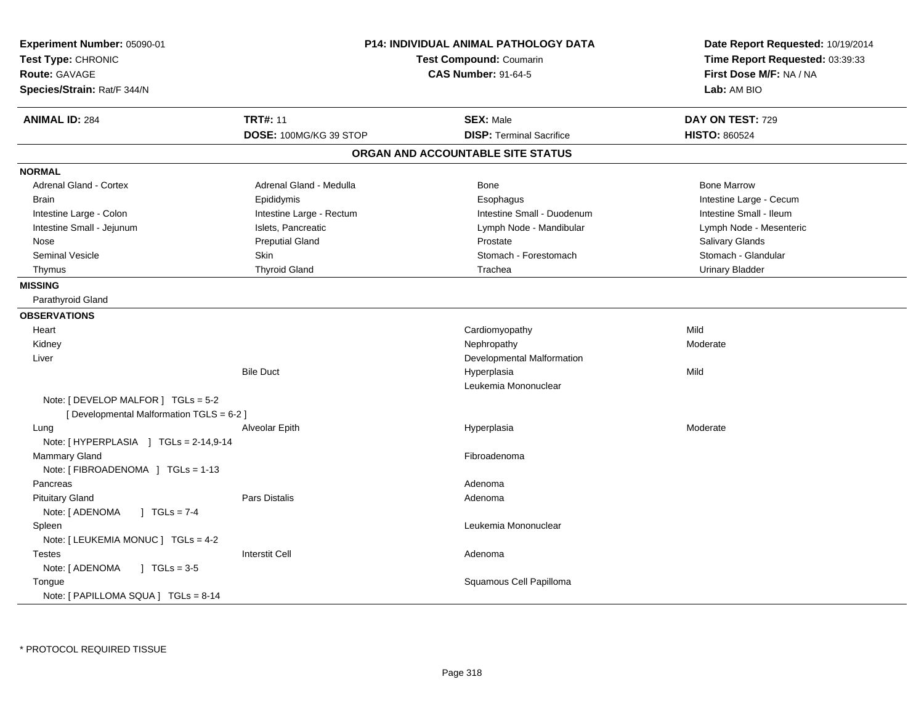| Experiment Number: 05090-01<br>Test Type: CHRONIC<br><b>Route: GAVAGE</b><br>Species/Strain: Rat/F 344/N | P14: INDIVIDUAL ANIMAL PATHOLOGY DATA<br>Test Compound: Coumarin<br><b>CAS Number: 91-64-5</b> |                                   | Date Report Requested: 10/19/2014<br>Time Report Requested: 03:39:33<br>First Dose M/F: NA / NA<br>Lab: AM BIO |
|----------------------------------------------------------------------------------------------------------|------------------------------------------------------------------------------------------------|-----------------------------------|----------------------------------------------------------------------------------------------------------------|
| <b>ANIMAL ID: 284</b>                                                                                    | <b>TRT#: 11</b>                                                                                | <b>SEX: Male</b>                  | DAY ON TEST: 729                                                                                               |
|                                                                                                          | DOSE: 100MG/KG 39 STOP                                                                         | <b>DISP: Terminal Sacrifice</b>   | <b>HISTO: 860524</b>                                                                                           |
|                                                                                                          |                                                                                                | ORGAN AND ACCOUNTABLE SITE STATUS |                                                                                                                |
| <b>NORMAL</b>                                                                                            |                                                                                                |                                   |                                                                                                                |
| <b>Adrenal Gland - Cortex</b>                                                                            | Adrenal Gland - Medulla                                                                        | <b>Bone</b>                       | <b>Bone Marrow</b>                                                                                             |
| <b>Brain</b>                                                                                             | Epididymis                                                                                     | Esophagus                         | Intestine Large - Cecum                                                                                        |
| Intestine Large - Colon                                                                                  | Intestine Large - Rectum                                                                       | Intestine Small - Duodenum        | Intestine Small - Ileum                                                                                        |
| Intestine Small - Jejunum                                                                                | Islets, Pancreatic                                                                             | Lymph Node - Mandibular           | Lymph Node - Mesenteric                                                                                        |
| Nose                                                                                                     | <b>Preputial Gland</b>                                                                         | Prostate                          | Salivary Glands                                                                                                |
| <b>Seminal Vesicle</b>                                                                                   | Skin                                                                                           | Stomach - Forestomach             | Stomach - Glandular                                                                                            |
| Thymus                                                                                                   | <b>Thyroid Gland</b>                                                                           | Trachea                           | <b>Urinary Bladder</b>                                                                                         |
| <b>MISSING</b>                                                                                           |                                                                                                |                                   |                                                                                                                |
| Parathyroid Gland                                                                                        |                                                                                                |                                   |                                                                                                                |
| <b>OBSERVATIONS</b>                                                                                      |                                                                                                |                                   |                                                                                                                |
| Heart                                                                                                    |                                                                                                | Cardiomyopathy                    | Mild                                                                                                           |
| Kidney                                                                                                   |                                                                                                | Nephropathy                       | Moderate                                                                                                       |
| Liver                                                                                                    |                                                                                                | Developmental Malformation        |                                                                                                                |
|                                                                                                          | <b>Bile Duct</b>                                                                               | Hyperplasia                       | Mild                                                                                                           |
|                                                                                                          |                                                                                                | Leukemia Mononuclear              |                                                                                                                |
| Note: [ DEVELOP MALFOR ] TGLs = 5-2                                                                      |                                                                                                |                                   |                                                                                                                |
| [ Developmental Malformation TGLS = 6-2 ]                                                                |                                                                                                |                                   |                                                                                                                |
| Lung                                                                                                     | Alveolar Epith                                                                                 | Hyperplasia                       | Moderate                                                                                                       |
| Note: [HYPERPLASIA ] TGLs = 2-14,9-14                                                                    |                                                                                                |                                   |                                                                                                                |
| <b>Mammary Gland</b>                                                                                     |                                                                                                | Fibroadenoma                      |                                                                                                                |
| Note: [ FIBROADENOMA ] TGLs = 1-13                                                                       |                                                                                                |                                   |                                                                                                                |
| Pancreas                                                                                                 |                                                                                                | Adenoma                           |                                                                                                                |
| <b>Pituitary Gland</b>                                                                                   | <b>Pars Distalis</b>                                                                           | Adenoma                           |                                                                                                                |
| $1 TGLs = 7-4$<br>Note: [ ADENOMA                                                                        |                                                                                                |                                   |                                                                                                                |
| Spleen                                                                                                   |                                                                                                | Leukemia Mononuclear              |                                                                                                                |
| Note: [ LEUKEMIA MONUC ] TGLs = 4-2                                                                      |                                                                                                |                                   |                                                                                                                |
| <b>Testes</b>                                                                                            | <b>Interstit Cell</b>                                                                          | Adenoma                           |                                                                                                                |
| Note: [ ADENOMA<br>$\sqrt{1}$ TGLs = 3-5                                                                 |                                                                                                |                                   |                                                                                                                |
| Tongue                                                                                                   |                                                                                                | Squamous Cell Papilloma           |                                                                                                                |
| Note: [ PAPILLOMA SQUA ] TGLs = 8-14                                                                     |                                                                                                |                                   |                                                                                                                |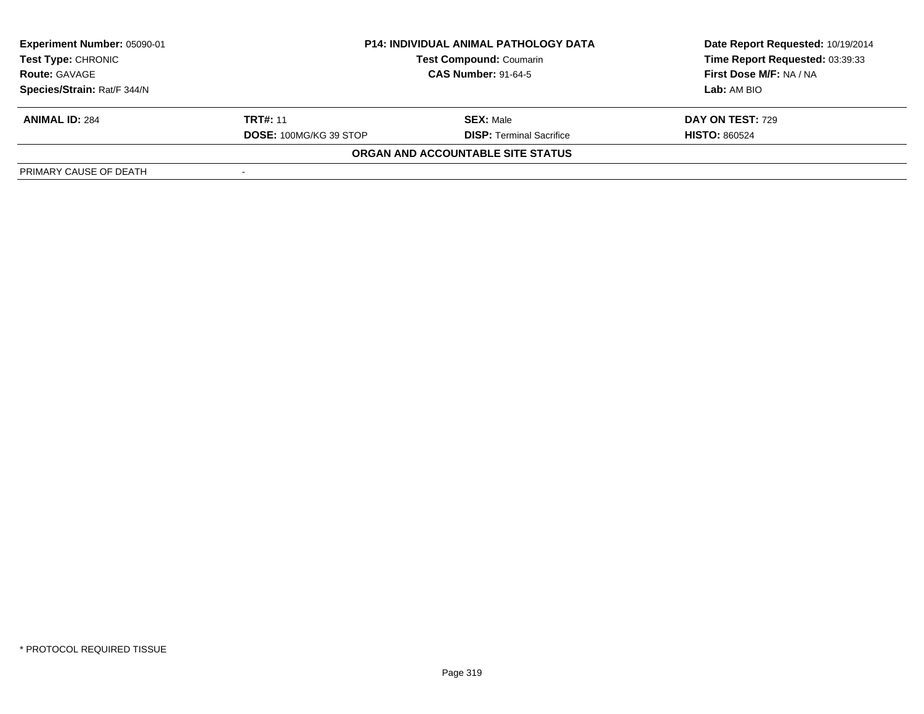| <b>Experiment Number: 05090-01</b><br>Test Type: CHRONIC<br><b>Route: GAVAGE</b> | <b>P14: INDIVIDUAL ANIMAL PATHOLOGY DATA</b><br><b>Test Compound: Coumarin</b><br><b>CAS Number: 91-64-5</b> |                                   | Date Report Requested: 10/19/2014<br>Time Report Requested: 03:39:33<br>First Dose M/F: NA / NA |
|----------------------------------------------------------------------------------|--------------------------------------------------------------------------------------------------------------|-----------------------------------|-------------------------------------------------------------------------------------------------|
| Species/Strain: Rat/F 344/N                                                      |                                                                                                              |                                   | Lab: AM BIO                                                                                     |
| <b>ANIMAL ID: 284</b>                                                            | <b>TRT#: 11</b>                                                                                              | <b>SEX: Male</b>                  | <b>DAY ON TEST: 729</b>                                                                         |
|                                                                                  | <b>DOSE: 100MG/KG 39 STOP</b>                                                                                | <b>DISP: Terminal Sacrifice</b>   | <b>HISTO: 860524</b>                                                                            |
|                                                                                  |                                                                                                              | ORGAN AND ACCOUNTABLE SITE STATUS |                                                                                                 |
| PRIMARY CAUSE OF DEATH                                                           |                                                                                                              |                                   |                                                                                                 |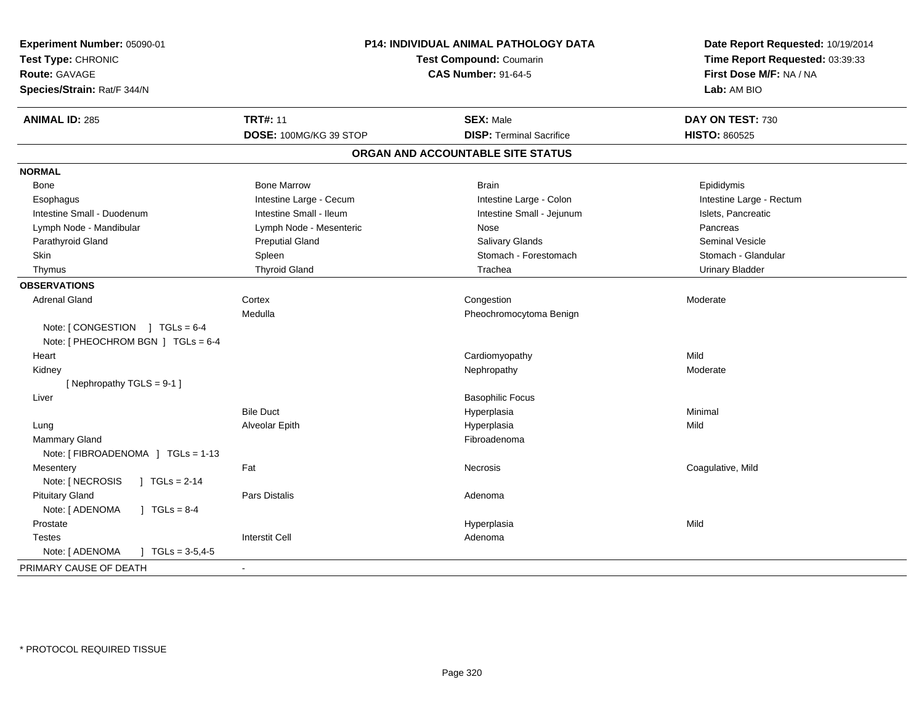| Experiment Number: 05090-01<br>Test Type: CHRONIC<br><b>Route: GAVAGE</b><br>Species/Strain: Rat/F 344/N |                         | P14: INDIVIDUAL ANIMAL PATHOLOGY DATA<br><b>Test Compound: Coumarin</b><br><b>CAS Number: 91-64-5</b> | Date Report Requested: 10/19/2014<br>Time Report Requested: 03:39:33<br>First Dose M/F: NA / NA<br>Lab: AM BIO |
|----------------------------------------------------------------------------------------------------------|-------------------------|-------------------------------------------------------------------------------------------------------|----------------------------------------------------------------------------------------------------------------|
| <b>ANIMAL ID: 285</b>                                                                                    | <b>TRT#: 11</b>         | <b>SEX: Male</b>                                                                                      | DAY ON TEST: 730                                                                                               |
|                                                                                                          | DOSE: 100MG/KG 39 STOP  | <b>DISP: Terminal Sacrifice</b>                                                                       | <b>HISTO: 860525</b>                                                                                           |
|                                                                                                          |                         | ORGAN AND ACCOUNTABLE SITE STATUS                                                                     |                                                                                                                |
| <b>NORMAL</b>                                                                                            |                         |                                                                                                       |                                                                                                                |
| Bone                                                                                                     | <b>Bone Marrow</b>      | <b>Brain</b>                                                                                          | Epididymis                                                                                                     |
| Esophagus                                                                                                | Intestine Large - Cecum | Intestine Large - Colon                                                                               | Intestine Large - Rectum                                                                                       |
| Intestine Small - Duodenum                                                                               | Intestine Small - Ileum | Intestine Small - Jejunum                                                                             | Islets, Pancreatic                                                                                             |
| Lymph Node - Mandibular                                                                                  | Lymph Node - Mesenteric | Nose                                                                                                  | Pancreas                                                                                                       |
| Parathyroid Gland                                                                                        | <b>Preputial Gland</b>  | Salivary Glands                                                                                       | <b>Seminal Vesicle</b>                                                                                         |
| Skin                                                                                                     | Spleen                  | Stomach - Forestomach                                                                                 | Stomach - Glandular                                                                                            |
| Thymus                                                                                                   | <b>Thyroid Gland</b>    | Trachea                                                                                               | <b>Urinary Bladder</b>                                                                                         |
| <b>OBSERVATIONS</b>                                                                                      |                         |                                                                                                       |                                                                                                                |
| <b>Adrenal Gland</b>                                                                                     | Cortex                  | Congestion                                                                                            | Moderate                                                                                                       |
|                                                                                                          | Medulla                 | Pheochromocytoma Benign                                                                               |                                                                                                                |
| Note: $[$ CONGESTION $]$ TGLs = 6-4                                                                      |                         |                                                                                                       |                                                                                                                |
| Note: [ PHEOCHROM BGN ] TGLs = 6-4                                                                       |                         |                                                                                                       |                                                                                                                |
| Heart                                                                                                    |                         | Cardiomyopathy                                                                                        | Mild                                                                                                           |
| Kidney                                                                                                   |                         | Nephropathy                                                                                           | Moderate                                                                                                       |
| [Nephropathy TGLS = 9-1]                                                                                 |                         |                                                                                                       |                                                                                                                |
| Liver                                                                                                    |                         | <b>Basophilic Focus</b>                                                                               |                                                                                                                |
|                                                                                                          | <b>Bile Duct</b>        | Hyperplasia                                                                                           | Minimal                                                                                                        |
| Lung                                                                                                     | Alveolar Epith          | Hyperplasia                                                                                           | Mild                                                                                                           |
| Mammary Gland                                                                                            |                         | Fibroadenoma                                                                                          |                                                                                                                |
| Note: [ FIBROADENOMA ] TGLs = 1-13                                                                       |                         |                                                                                                       |                                                                                                                |
| Mesentery                                                                                                | Fat                     | <b>Necrosis</b>                                                                                       | Coagulative, Mild                                                                                              |
| Note: [ NECROSIS<br>] $TGLs = 2-14$                                                                      |                         |                                                                                                       |                                                                                                                |
| <b>Pituitary Gland</b>                                                                                   | Pars Distalis           | Adenoma                                                                                               |                                                                                                                |
| Note: [ ADENOMA<br>$J \cdot TGLS = 8-4$                                                                  |                         |                                                                                                       |                                                                                                                |
| Prostate                                                                                                 |                         | Hyperplasia                                                                                           | Mild                                                                                                           |
| Testes                                                                                                   | <b>Interstit Cell</b>   | Adenoma                                                                                               |                                                                                                                |
| Note: [ ADENOMA<br>$\mid$ TGLs = 3-5,4-5                                                                 |                         |                                                                                                       |                                                                                                                |
| PRIMARY CAUSE OF DEATH                                                                                   |                         |                                                                                                       |                                                                                                                |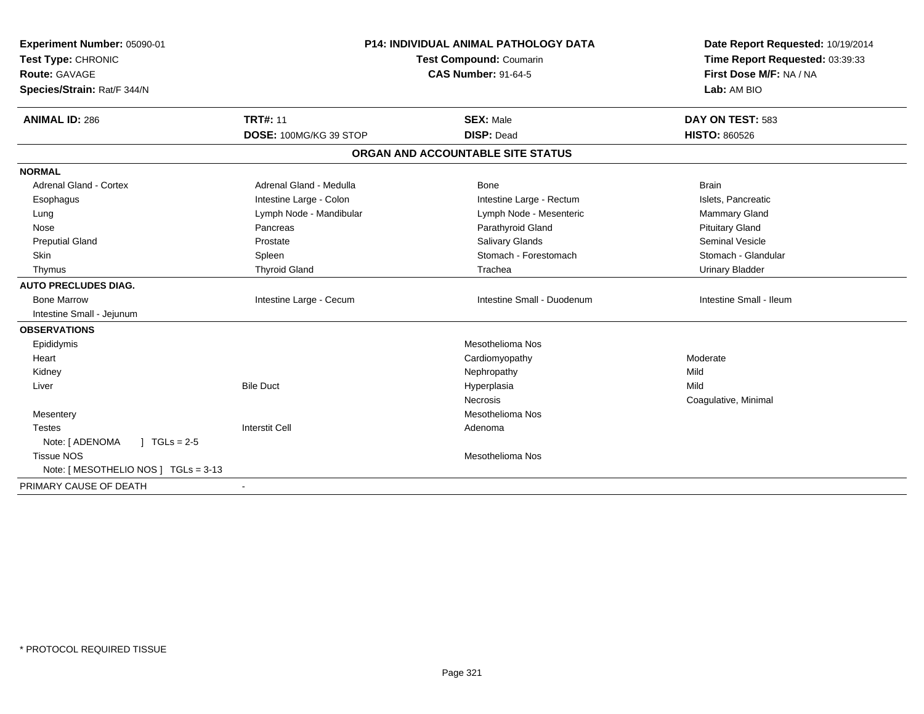| Experiment Number: 05090-01<br>Test Type: CHRONIC<br><b>Route: GAVAGE</b><br>Species/Strain: Rat/F 344/N |                         | <b>P14: INDIVIDUAL ANIMAL PATHOLOGY DATA</b><br>Test Compound: Coumarin<br><b>CAS Number: 91-64-5</b> | Date Report Requested: 10/19/2014<br>Time Report Requested: 03:39:33<br>First Dose M/F: NA / NA<br>Lab: AM BIO |  |
|----------------------------------------------------------------------------------------------------------|-------------------------|-------------------------------------------------------------------------------------------------------|----------------------------------------------------------------------------------------------------------------|--|
| <b>ANIMAL ID: 286</b>                                                                                    | <b>TRT#: 11</b>         | <b>SEX: Male</b>                                                                                      | DAY ON TEST: 583                                                                                               |  |
|                                                                                                          | DOSE: 100MG/KG 39 STOP  | <b>DISP: Dead</b>                                                                                     | <b>HISTO: 860526</b>                                                                                           |  |
|                                                                                                          |                         | ORGAN AND ACCOUNTABLE SITE STATUS                                                                     |                                                                                                                |  |
| <b>NORMAL</b>                                                                                            |                         |                                                                                                       |                                                                                                                |  |
| <b>Adrenal Gland - Cortex</b>                                                                            | Adrenal Gland - Medulla | Bone                                                                                                  | <b>Brain</b>                                                                                                   |  |
| Esophagus                                                                                                | Intestine Large - Colon | Intestine Large - Rectum                                                                              | Islets, Pancreatic                                                                                             |  |
| Lung                                                                                                     | Lymph Node - Mandibular | Lymph Node - Mesenteric                                                                               | <b>Mammary Gland</b>                                                                                           |  |
| Nose                                                                                                     | Pancreas                | Parathyroid Gland                                                                                     | <b>Pituitary Gland</b>                                                                                         |  |
| <b>Preputial Gland</b>                                                                                   | Prostate                | <b>Salivary Glands</b>                                                                                | <b>Seminal Vesicle</b>                                                                                         |  |
| Skin                                                                                                     | Spleen                  | Stomach - Forestomach                                                                                 | Stomach - Glandular                                                                                            |  |
| Thymus                                                                                                   | <b>Thyroid Gland</b>    | Trachea                                                                                               | <b>Urinary Bladder</b>                                                                                         |  |
| <b>AUTO PRECLUDES DIAG.</b>                                                                              |                         |                                                                                                       |                                                                                                                |  |
| <b>Bone Marrow</b>                                                                                       | Intestine Large - Cecum | Intestine Small - Duodenum                                                                            | Intestine Small - Ileum                                                                                        |  |
| Intestine Small - Jejunum                                                                                |                         |                                                                                                       |                                                                                                                |  |
| <b>OBSERVATIONS</b>                                                                                      |                         |                                                                                                       |                                                                                                                |  |
| Epididymis                                                                                               |                         | Mesothelioma Nos                                                                                      |                                                                                                                |  |
| Heart                                                                                                    |                         | Cardiomyopathy                                                                                        | Moderate                                                                                                       |  |
| Kidney                                                                                                   |                         | Nephropathy                                                                                           | Mild                                                                                                           |  |
| Liver                                                                                                    | <b>Bile Duct</b>        | Hyperplasia                                                                                           | Mild                                                                                                           |  |
|                                                                                                          |                         | <b>Necrosis</b>                                                                                       | Coagulative, Minimal                                                                                           |  |
| Mesentery                                                                                                |                         | Mesothelioma Nos                                                                                      |                                                                                                                |  |
| <b>Testes</b>                                                                                            | <b>Interstit Cell</b>   | Adenoma                                                                                               |                                                                                                                |  |
| Note: [ ADENOMA<br>$\sqrt{ }$ TGLs = 2-5                                                                 |                         |                                                                                                       |                                                                                                                |  |
| <b>Tissue NOS</b>                                                                                        |                         | Mesothelioma Nos                                                                                      |                                                                                                                |  |
| Note: [ MESOTHELIO NOS ] TGLs = 3-13                                                                     |                         |                                                                                                       |                                                                                                                |  |
| PRIMARY CAUSE OF DEATH                                                                                   |                         |                                                                                                       |                                                                                                                |  |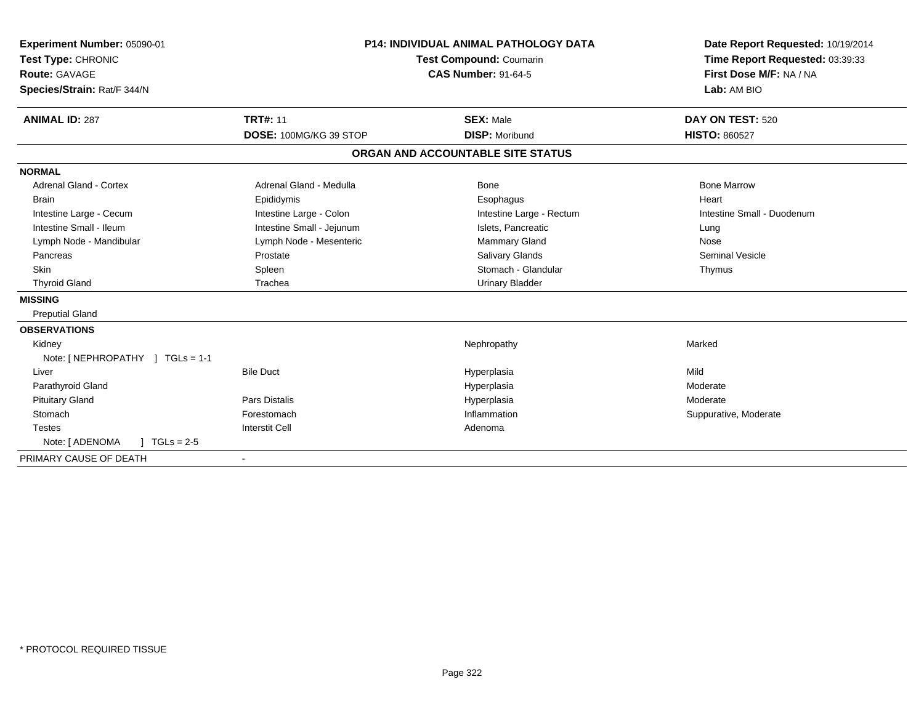| Experiment Number: 05090-01<br>Test Type: CHRONIC<br>Route: GAVAGE<br>Species/Strain: Rat/F 344/N<br><b>ANIMAL ID: 287</b> | <b>TRT#: 11</b>           | <b>P14: INDIVIDUAL ANIMAL PATHOLOGY DATA</b><br>Test Compound: Coumarin<br><b>CAS Number: 91-64-5</b><br><b>SEX: Male</b> |                          | Date Report Requested: 10/19/2014<br>Time Report Requested: 03:39:33<br>First Dose M/F: NA / NA<br>Lab: AM BIO<br>DAY ON TEST: 520 |
|----------------------------------------------------------------------------------------------------------------------------|---------------------------|---------------------------------------------------------------------------------------------------------------------------|--------------------------|------------------------------------------------------------------------------------------------------------------------------------|
|                                                                                                                            | DOSE: 100MG/KG 39 STOP    | <b>DISP: Moribund</b>                                                                                                     |                          | <b>HISTO: 860527</b>                                                                                                               |
|                                                                                                                            |                           | ORGAN AND ACCOUNTABLE SITE STATUS                                                                                         |                          |                                                                                                                                    |
| <b>NORMAL</b>                                                                                                              |                           |                                                                                                                           |                          |                                                                                                                                    |
| <b>Adrenal Gland - Cortex</b>                                                                                              | Adrenal Gland - Medulla   | Bone                                                                                                                      |                          | <b>Bone Marrow</b>                                                                                                                 |
| <b>Brain</b>                                                                                                               | Epididymis                | Esophagus                                                                                                                 |                          | Heart                                                                                                                              |
| Intestine Large - Cecum                                                                                                    | Intestine Large - Colon   |                                                                                                                           | Intestine Large - Rectum | Intestine Small - Duodenum                                                                                                         |
| Intestine Small - Ileum                                                                                                    | Intestine Small - Jejunum |                                                                                                                           | Islets. Pancreatic       | Lung                                                                                                                               |
| Lymph Node - Mandibular                                                                                                    | Lymph Node - Mesenteric   |                                                                                                                           | <b>Mammary Gland</b>     | Nose                                                                                                                               |
| Pancreas                                                                                                                   | Prostate                  |                                                                                                                           | <b>Salivary Glands</b>   | <b>Seminal Vesicle</b>                                                                                                             |
| Skin                                                                                                                       | Spleen                    |                                                                                                                           | Stomach - Glandular      | Thymus                                                                                                                             |
| <b>Thyroid Gland</b>                                                                                                       | Trachea                   |                                                                                                                           | <b>Urinary Bladder</b>   |                                                                                                                                    |
| <b>MISSING</b>                                                                                                             |                           |                                                                                                                           |                          |                                                                                                                                    |
| <b>Preputial Gland</b>                                                                                                     |                           |                                                                                                                           |                          |                                                                                                                                    |
| <b>OBSERVATIONS</b>                                                                                                        |                           |                                                                                                                           |                          |                                                                                                                                    |
| Kidney                                                                                                                     |                           | Nephropathy                                                                                                               |                          | Marked                                                                                                                             |
| Note: [NEPHROPATHY ] TGLs = 1-1                                                                                            |                           |                                                                                                                           |                          |                                                                                                                                    |
| Liver                                                                                                                      | <b>Bile Duct</b>          | Hyperplasia                                                                                                               |                          | Mild                                                                                                                               |
| Parathyroid Gland                                                                                                          |                           | Hyperplasia                                                                                                               |                          | Moderate                                                                                                                           |
| <b>Pituitary Gland</b>                                                                                                     | <b>Pars Distalis</b>      | Hyperplasia                                                                                                               |                          | Moderate                                                                                                                           |
| Stomach                                                                                                                    | Forestomach               | Inflammation                                                                                                              |                          | Suppurative, Moderate                                                                                                              |
| <b>Testes</b>                                                                                                              | <b>Interstit Cell</b>     | Adenoma                                                                                                                   |                          |                                                                                                                                    |
| Note: [ ADENOMA<br>$1 TGLs = 2-5$                                                                                          |                           |                                                                                                                           |                          |                                                                                                                                    |
| PRIMARY CAUSE OF DEATH                                                                                                     |                           |                                                                                                                           |                          |                                                                                                                                    |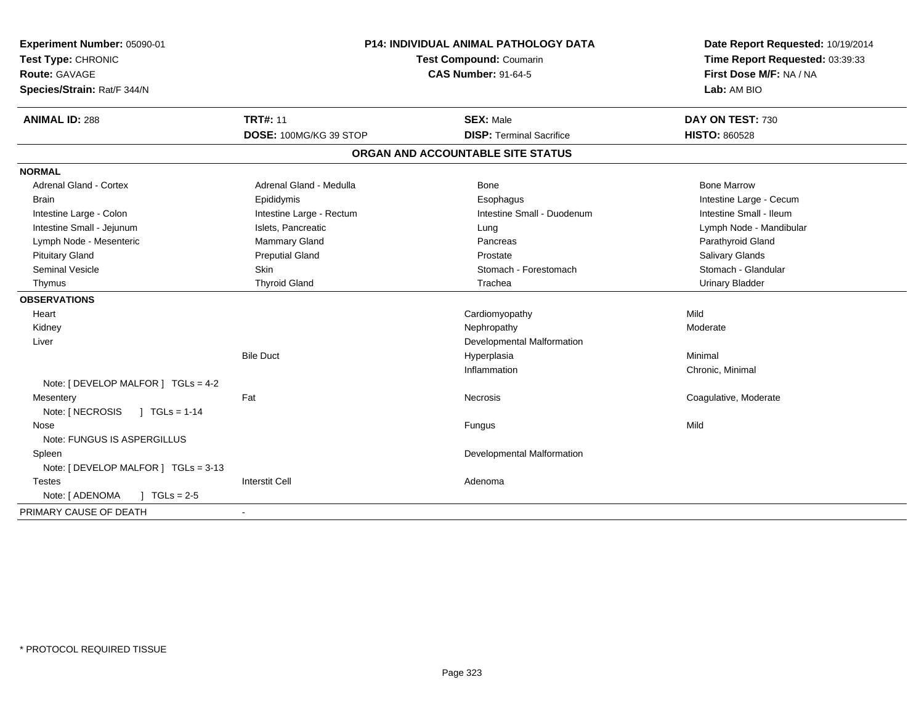| Experiment Number: 05090-01<br>Test Type: CHRONIC<br><b>Route: GAVAGE</b><br>Species/Strain: Rat/F 344/N | <b>P14: INDIVIDUAL ANIMAL PATHOLOGY DATA</b><br>Test Compound: Coumarin<br><b>CAS Number: 91-64-5</b> |                                                     | Date Report Requested: 10/19/2014<br>Time Report Requested: 03:39:33<br>First Dose M/F: NA / NA<br>Lab: AM BIO |
|----------------------------------------------------------------------------------------------------------|-------------------------------------------------------------------------------------------------------|-----------------------------------------------------|----------------------------------------------------------------------------------------------------------------|
| <b>ANIMAL ID: 288</b>                                                                                    | <b>TRT#: 11</b><br>DOSE: 100MG/KG 39 STOP                                                             | <b>SEX: Male</b><br><b>DISP: Terminal Sacrifice</b> | DAY ON TEST: 730<br><b>HISTO: 860528</b>                                                                       |
|                                                                                                          |                                                                                                       | ORGAN AND ACCOUNTABLE SITE STATUS                   |                                                                                                                |
| <b>NORMAL</b>                                                                                            |                                                                                                       |                                                     |                                                                                                                |
| Adrenal Gland - Cortex                                                                                   | Adrenal Gland - Medulla                                                                               | Bone                                                | <b>Bone Marrow</b>                                                                                             |
| <b>Brain</b>                                                                                             | Epididymis                                                                                            | Esophagus                                           | Intestine Large - Cecum                                                                                        |
| Intestine Large - Colon                                                                                  | Intestine Large - Rectum                                                                              | Intestine Small - Duodenum                          | Intestine Small - Ileum                                                                                        |
| Intestine Small - Jejunum                                                                                | Islets, Pancreatic                                                                                    | Lung                                                | Lymph Node - Mandibular                                                                                        |
| Lymph Node - Mesenteric                                                                                  | Mammary Gland                                                                                         | Pancreas                                            | Parathyroid Gland                                                                                              |
| <b>Pituitary Gland</b>                                                                                   | <b>Preputial Gland</b>                                                                                | Prostate                                            | Salivary Glands                                                                                                |
| <b>Seminal Vesicle</b>                                                                                   | Skin                                                                                                  | Stomach - Forestomach                               | Stomach - Glandular                                                                                            |
| Thymus                                                                                                   | <b>Thyroid Gland</b>                                                                                  | Trachea                                             | <b>Urinary Bladder</b>                                                                                         |
| <b>OBSERVATIONS</b>                                                                                      |                                                                                                       |                                                     |                                                                                                                |
| Heart                                                                                                    |                                                                                                       | Cardiomyopathy                                      | Mild                                                                                                           |
| Kidney                                                                                                   |                                                                                                       | Nephropathy                                         | Moderate                                                                                                       |
| Liver                                                                                                    |                                                                                                       | Developmental Malformation                          |                                                                                                                |
|                                                                                                          | <b>Bile Duct</b>                                                                                      | Hyperplasia                                         | Minimal                                                                                                        |
|                                                                                                          |                                                                                                       | Inflammation                                        | Chronic, Minimal                                                                                               |
| Note: [ DEVELOP MALFOR ] TGLs = 4-2                                                                      |                                                                                                       |                                                     |                                                                                                                |
| Mesentery                                                                                                | Fat                                                                                                   | Necrosis                                            | Coagulative, Moderate                                                                                          |
| Note: [ NECROSIS<br>$J \text{ TGLs} = 1-14$                                                              |                                                                                                       |                                                     |                                                                                                                |
| Nose                                                                                                     |                                                                                                       | Fungus                                              | Mild                                                                                                           |
| Note: FUNGUS IS ASPERGILLUS                                                                              |                                                                                                       |                                                     |                                                                                                                |
| Spleen                                                                                                   |                                                                                                       | Developmental Malformation                          |                                                                                                                |
| Note: [ DEVELOP MALFOR ] TGLs = 3-13                                                                     |                                                                                                       |                                                     |                                                                                                                |
| <b>Testes</b>                                                                                            | <b>Interstit Cell</b>                                                                                 | Adenoma                                             |                                                                                                                |
| Note: [ ADENOMA<br>$J \cdot TGLs = 2-5$                                                                  |                                                                                                       |                                                     |                                                                                                                |
| PRIMARY CAUSE OF DEATH                                                                                   |                                                                                                       |                                                     |                                                                                                                |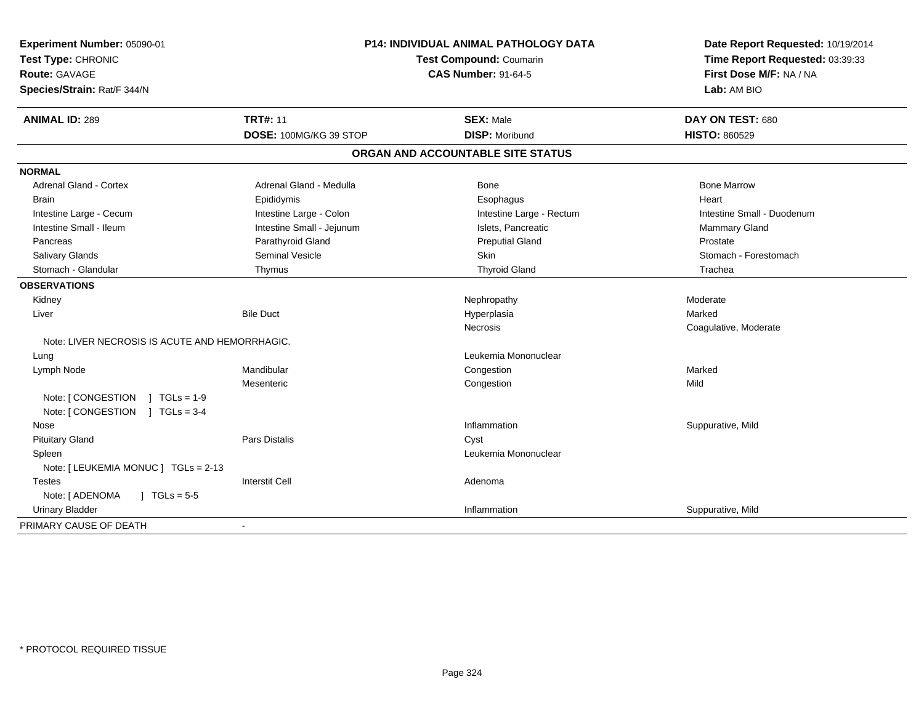| Experiment Number: 05090-01<br>Test Type: CHRONIC<br>Route: GAVAGE<br>Species/Strain: Rat/F 344/N | <b>P14: INDIVIDUAL ANIMAL PATHOLOGY DATA</b><br>Test Compound: Coumarin<br><b>CAS Number: 91-64-5</b> |                                   | Date Report Requested: 10/19/2014<br>Time Report Requested: 03:39:33<br>First Dose M/F: NA / NA<br>Lab: AM BIO |  |
|---------------------------------------------------------------------------------------------------|-------------------------------------------------------------------------------------------------------|-----------------------------------|----------------------------------------------------------------------------------------------------------------|--|
| <b>ANIMAL ID: 289</b>                                                                             | <b>TRT#: 11</b>                                                                                       | <b>SEX: Male</b>                  | DAY ON TEST: 680                                                                                               |  |
|                                                                                                   | DOSE: 100MG/KG 39 STOP                                                                                | <b>DISP: Moribund</b>             | <b>HISTO: 860529</b>                                                                                           |  |
|                                                                                                   |                                                                                                       | ORGAN AND ACCOUNTABLE SITE STATUS |                                                                                                                |  |
| <b>NORMAL</b>                                                                                     |                                                                                                       |                                   |                                                                                                                |  |
| <b>Adrenal Gland - Cortex</b>                                                                     | Adrenal Gland - Medulla                                                                               | Bone                              | <b>Bone Marrow</b>                                                                                             |  |
| <b>Brain</b>                                                                                      | Epididymis                                                                                            | Esophagus                         | Heart                                                                                                          |  |
| Intestine Large - Cecum                                                                           | Intestine Large - Colon                                                                               | Intestine Large - Rectum          | Intestine Small - Duodenum                                                                                     |  |
| Intestine Small - Ileum                                                                           | Intestine Small - Jejunum                                                                             | Islets, Pancreatic                | Mammary Gland                                                                                                  |  |
| Pancreas                                                                                          | Parathyroid Gland                                                                                     | <b>Preputial Gland</b>            | Prostate                                                                                                       |  |
| Salivary Glands                                                                                   | <b>Seminal Vesicle</b>                                                                                | Skin                              | Stomach - Forestomach                                                                                          |  |
| Stomach - Glandular                                                                               | Thymus                                                                                                | <b>Thyroid Gland</b>              | Trachea                                                                                                        |  |
| <b>OBSERVATIONS</b>                                                                               |                                                                                                       |                                   |                                                                                                                |  |
| Kidney                                                                                            |                                                                                                       | Nephropathy                       | Moderate                                                                                                       |  |
| Liver                                                                                             | <b>Bile Duct</b>                                                                                      | Hyperplasia                       | Marked                                                                                                         |  |
|                                                                                                   |                                                                                                       | <b>Necrosis</b>                   | Coagulative, Moderate                                                                                          |  |
| Note: LIVER NECROSIS IS ACUTE AND HEMORRHAGIC.                                                    |                                                                                                       |                                   |                                                                                                                |  |
| Lung                                                                                              |                                                                                                       | Leukemia Mononuclear              |                                                                                                                |  |
| Lymph Node                                                                                        | Mandibular                                                                                            | Congestion                        | Marked                                                                                                         |  |
|                                                                                                   | Mesenteric                                                                                            | Congestion                        | Mild                                                                                                           |  |
| Note: [CONGESTION ] TGLs = 1-9<br>Note: [CONGESTION ] TGLs = 3-4                                  |                                                                                                       |                                   |                                                                                                                |  |
| Nose                                                                                              |                                                                                                       | Inflammation                      | Suppurative, Mild                                                                                              |  |
| <b>Pituitary Gland</b>                                                                            | <b>Pars Distalis</b>                                                                                  | Cyst                              |                                                                                                                |  |
| Spleen                                                                                            |                                                                                                       | Leukemia Mononuclear              |                                                                                                                |  |
| Note: [ LEUKEMIA MONUC ] TGLs = 2-13                                                              |                                                                                                       |                                   |                                                                                                                |  |
| <b>Testes</b>                                                                                     | <b>Interstit Cell</b>                                                                                 | Adenoma                           |                                                                                                                |  |
| Note: [ ADENOMA<br>$\sqrt{1 + 1}$ TGLs = 5-5                                                      |                                                                                                       |                                   |                                                                                                                |  |
| <b>Urinary Bladder</b>                                                                            |                                                                                                       | Inflammation                      | Suppurative, Mild                                                                                              |  |
| PRIMARY CAUSE OF DEATH                                                                            |                                                                                                       |                                   |                                                                                                                |  |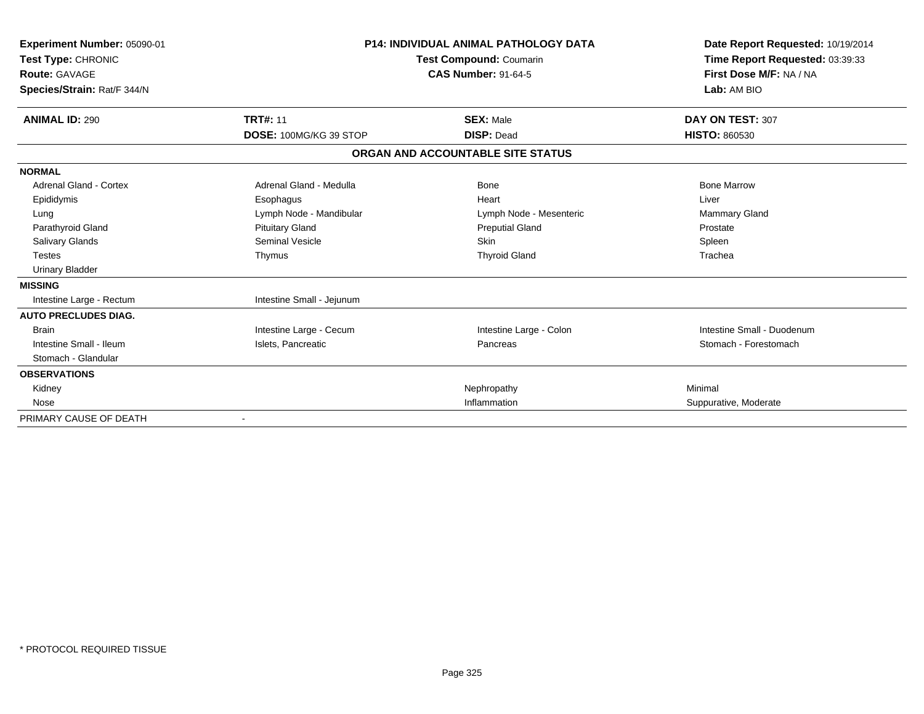| Experiment Number: 05090-01<br>Test Type: CHRONIC<br>Route: GAVAGE<br>Species/Strain: Rat/F 344/N | P14: INDIVIDUAL ANIMAL PATHOLOGY DATA<br>Test Compound: Coumarin<br><b>CAS Number: 91-64-5</b> | Date Report Requested: 10/19/2014<br>Time Report Requested: 03:39:33<br>First Dose M/F: NA / NA<br>Lab: AM BIO |
|---------------------------------------------------------------------------------------------------|------------------------------------------------------------------------------------------------|----------------------------------------------------------------------------------------------------------------|
| <b>TRT#: 11</b><br><b>ANIMAL ID: 290</b>                                                          | <b>SEX: Male</b>                                                                               | DAY ON TEST: 307                                                                                               |
| DOSE: 100MG/KG 39 STOP                                                                            | <b>DISP: Dead</b>                                                                              | <b>HISTO: 860530</b>                                                                                           |
|                                                                                                   | ORGAN AND ACCOUNTABLE SITE STATUS                                                              |                                                                                                                |
| <b>NORMAL</b>                                                                                     |                                                                                                |                                                                                                                |
| Adrenal Gland - Cortex<br>Adrenal Gland - Medulla                                                 | Bone                                                                                           | <b>Bone Marrow</b>                                                                                             |
| Epididymis<br>Esophagus                                                                           | Heart                                                                                          | Liver                                                                                                          |
| Lymph Node - Mandibular<br>Lung                                                                   | Lymph Node - Mesenteric                                                                        | <b>Mammary Gland</b>                                                                                           |
| <b>Pituitary Gland</b><br>Parathyroid Gland                                                       | <b>Preputial Gland</b>                                                                         | Prostate                                                                                                       |
| Salivary Glands<br><b>Seminal Vesicle</b>                                                         | Skin                                                                                           | Spleen                                                                                                         |
| <b>Testes</b><br>Thymus                                                                           | <b>Thyroid Gland</b>                                                                           | Trachea                                                                                                        |
| <b>Urinary Bladder</b>                                                                            |                                                                                                |                                                                                                                |
| <b>MISSING</b>                                                                                    |                                                                                                |                                                                                                                |
| Intestine Small - Jejunum<br>Intestine Large - Rectum                                             |                                                                                                |                                                                                                                |
| <b>AUTO PRECLUDES DIAG.</b>                                                                       |                                                                                                |                                                                                                                |
| Intestine Large - Cecum<br><b>Brain</b>                                                           | Intestine Large - Colon                                                                        | Intestine Small - Duodenum                                                                                     |
| Intestine Small - Ileum<br>Islets, Pancreatic                                                     | Pancreas                                                                                       | Stomach - Forestomach                                                                                          |
| Stomach - Glandular                                                                               |                                                                                                |                                                                                                                |
| <b>OBSERVATIONS</b>                                                                               |                                                                                                |                                                                                                                |
| Kidney                                                                                            | Nephropathy                                                                                    | Minimal                                                                                                        |
| Nose                                                                                              | Inflammation                                                                                   | Suppurative, Moderate                                                                                          |
| PRIMARY CAUSE OF DEATH                                                                            |                                                                                                |                                                                                                                |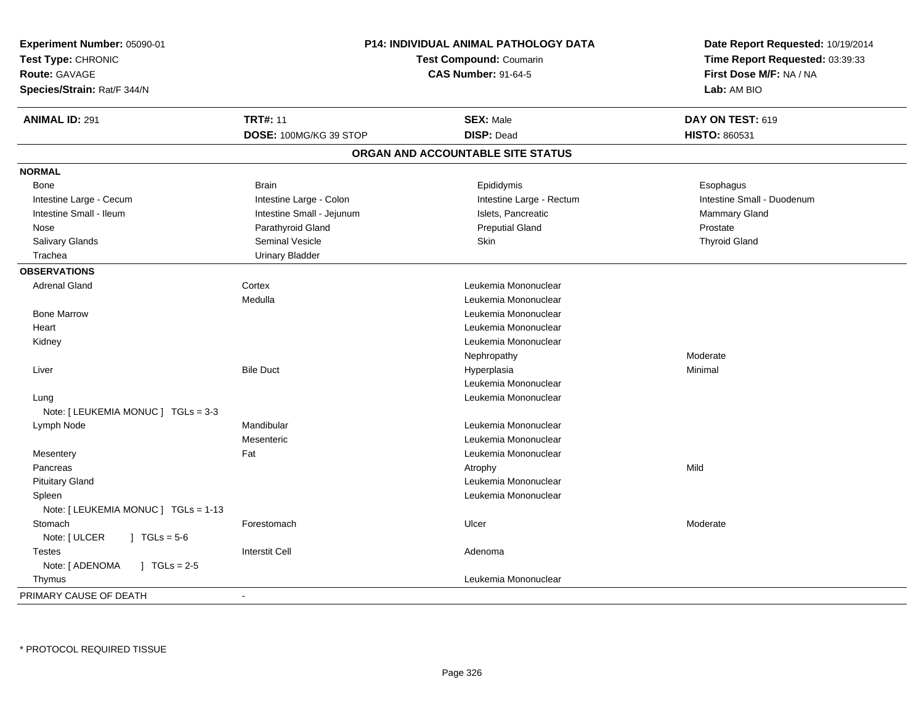| Experiment Number: 05090-01              | <b>P14: INDIVIDUAL ANIMAL PATHOLOGY DATA</b><br>Test Compound: Coumarin<br><b>CAS Number: 91-64-5</b> |                                   | Date Report Requested: 10/19/2014<br>Time Report Requested: 03:39:33<br>First Dose M/F: NA / NA |
|------------------------------------------|-------------------------------------------------------------------------------------------------------|-----------------------------------|-------------------------------------------------------------------------------------------------|
| Test Type: CHRONIC                       |                                                                                                       |                                   |                                                                                                 |
| <b>Route: GAVAGE</b>                     |                                                                                                       |                                   |                                                                                                 |
| Species/Strain: Rat/F 344/N              |                                                                                                       |                                   | Lab: AM BIO                                                                                     |
| <b>ANIMAL ID: 291</b>                    | <b>TRT#: 11</b>                                                                                       | <b>SEX: Male</b>                  | DAY ON TEST: 619                                                                                |
|                                          | DOSE: 100MG/KG 39 STOP                                                                                | <b>DISP: Dead</b>                 | HISTO: 860531                                                                                   |
|                                          |                                                                                                       | ORGAN AND ACCOUNTABLE SITE STATUS |                                                                                                 |
| <b>NORMAL</b>                            |                                                                                                       |                                   |                                                                                                 |
| Bone                                     | <b>Brain</b>                                                                                          | Epididymis                        | Esophagus                                                                                       |
| Intestine Large - Cecum                  | Intestine Large - Colon                                                                               | Intestine Large - Rectum          | Intestine Small - Duodenum                                                                      |
| Intestine Small - Ileum                  | Intestine Small - Jejunum                                                                             | Islets, Pancreatic                | <b>Mammary Gland</b>                                                                            |
| Nose                                     | Parathyroid Gland                                                                                     | <b>Preputial Gland</b>            | Prostate                                                                                        |
| Salivary Glands                          | Seminal Vesicle                                                                                       | Skin                              | <b>Thyroid Gland</b>                                                                            |
| Trachea                                  | <b>Urinary Bladder</b>                                                                                |                                   |                                                                                                 |
| <b>OBSERVATIONS</b>                      |                                                                                                       |                                   |                                                                                                 |
| <b>Adrenal Gland</b>                     | Cortex                                                                                                | Leukemia Mononuclear              |                                                                                                 |
|                                          | Medulla                                                                                               | Leukemia Mononuclear              |                                                                                                 |
| <b>Bone Marrow</b>                       |                                                                                                       | Leukemia Mononuclear              |                                                                                                 |
| Heart                                    |                                                                                                       | Leukemia Mononuclear              |                                                                                                 |
| Kidney                                   |                                                                                                       | Leukemia Mononuclear              |                                                                                                 |
|                                          |                                                                                                       | Nephropathy                       | Moderate                                                                                        |
| Liver                                    | <b>Bile Duct</b>                                                                                      | Hyperplasia                       | Minimal                                                                                         |
|                                          |                                                                                                       | Leukemia Mononuclear              |                                                                                                 |
| Lung                                     |                                                                                                       | Leukemia Mononuclear              |                                                                                                 |
| Note: [ LEUKEMIA MONUC ] TGLs = 3-3      |                                                                                                       |                                   |                                                                                                 |
| Lymph Node                               | Mandibular                                                                                            | Leukemia Mononuclear              |                                                                                                 |
|                                          | Mesenteric                                                                                            | Leukemia Mononuclear              |                                                                                                 |
| Mesentery                                | Fat                                                                                                   | Leukemia Mononuclear              |                                                                                                 |
| Pancreas                                 |                                                                                                       | Atrophy                           | Mild                                                                                            |
| <b>Pituitary Gland</b>                   |                                                                                                       | Leukemia Mononuclear              |                                                                                                 |
| Spleen                                   |                                                                                                       | Leukemia Mononuclear              |                                                                                                 |
| Note: [ LEUKEMIA MONUC ] TGLs = 1-13     |                                                                                                       |                                   |                                                                                                 |
| Stomach                                  | Forestomach                                                                                           | Ulcer                             | Moderate                                                                                        |
| Note: [ ULCER<br>$\sqrt{6}$ TGLs = 5-6   |                                                                                                       |                                   |                                                                                                 |
| <b>Testes</b>                            | <b>Interstit Cell</b>                                                                                 | Adenoma                           |                                                                                                 |
| Note: [ ADENOMA<br>$\sqrt{1}$ TGLs = 2-5 |                                                                                                       |                                   |                                                                                                 |
| Thymus                                   |                                                                                                       | Leukemia Mononuclear              |                                                                                                 |
| PRIMARY CAUSE OF DEATH                   | $\blacksquare$                                                                                        |                                   |                                                                                                 |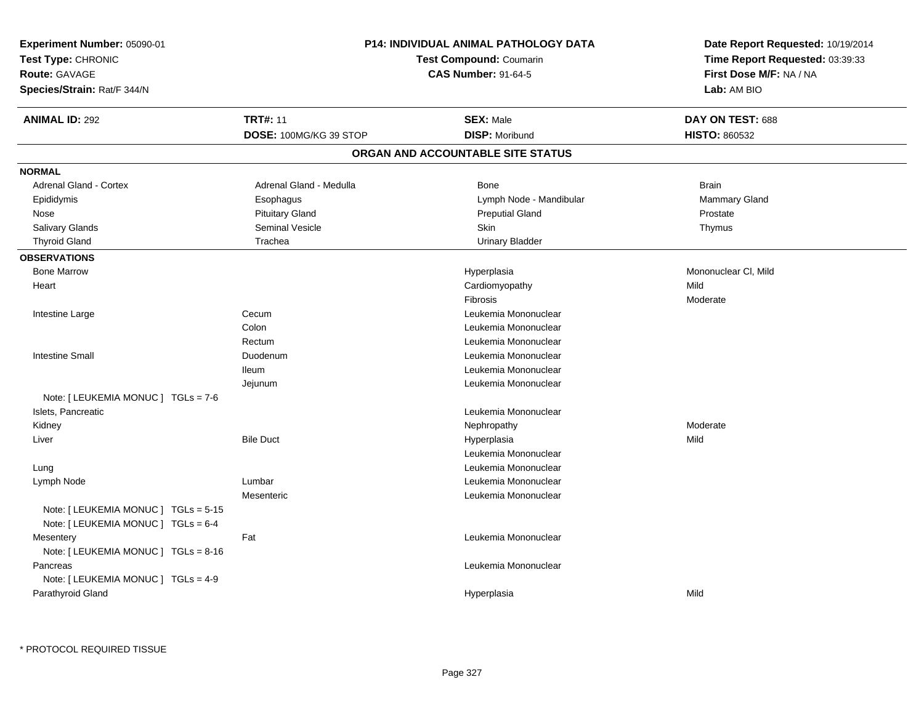| Experiment Number: 05090-01          | P14: INDIVIDUAL ANIMAL PATHOLOGY DATA<br><b>Test Compound: Coumarin</b><br><b>CAS Number: 91-64-5</b> |                                   | Date Report Requested: 10/19/2014<br>Time Report Requested: 03:39:33<br>First Dose M/F: NA / NA |
|--------------------------------------|-------------------------------------------------------------------------------------------------------|-----------------------------------|-------------------------------------------------------------------------------------------------|
| Test Type: CHRONIC                   |                                                                                                       |                                   |                                                                                                 |
| Route: GAVAGE                        |                                                                                                       |                                   |                                                                                                 |
| Species/Strain: Rat/F 344/N          |                                                                                                       |                                   | Lab: AM BIO                                                                                     |
| <b>ANIMAL ID: 292</b>                | <b>TRT#: 11</b>                                                                                       | <b>SEX: Male</b>                  | DAY ON TEST: 688                                                                                |
|                                      | DOSE: 100MG/KG 39 STOP                                                                                | <b>DISP: Moribund</b>             | <b>HISTO: 860532</b>                                                                            |
|                                      |                                                                                                       | ORGAN AND ACCOUNTABLE SITE STATUS |                                                                                                 |
| <b>NORMAL</b>                        |                                                                                                       |                                   |                                                                                                 |
| <b>Adrenal Gland - Cortex</b>        | Adrenal Gland - Medulla                                                                               | Bone                              | <b>Brain</b>                                                                                    |
| Epididymis                           | Esophagus                                                                                             | Lymph Node - Mandibular           | <b>Mammary Gland</b>                                                                            |
| Nose                                 | <b>Pituitary Gland</b>                                                                                | <b>Preputial Gland</b>            | Prostate                                                                                        |
| Salivary Glands                      | <b>Seminal Vesicle</b>                                                                                | <b>Skin</b>                       | Thymus                                                                                          |
| <b>Thyroid Gland</b>                 | Trachea                                                                                               | <b>Urinary Bladder</b>            |                                                                                                 |
| <b>OBSERVATIONS</b>                  |                                                                                                       |                                   |                                                                                                 |
| <b>Bone Marrow</b>                   |                                                                                                       | Hyperplasia                       | Mononuclear CI, Mild                                                                            |
| Heart                                |                                                                                                       | Cardiomyopathy                    | Mild                                                                                            |
|                                      |                                                                                                       | Fibrosis                          | Moderate                                                                                        |
| Intestine Large                      | Cecum                                                                                                 | Leukemia Mononuclear              |                                                                                                 |
|                                      | Colon                                                                                                 | Leukemia Mononuclear              |                                                                                                 |
|                                      | Rectum                                                                                                | Leukemia Mononuclear              |                                                                                                 |
| <b>Intestine Small</b>               | Duodenum                                                                                              | Leukemia Mononuclear              |                                                                                                 |
|                                      | <b>Ileum</b>                                                                                          | Leukemia Mononuclear              |                                                                                                 |
|                                      | Jejunum                                                                                               | Leukemia Mononuclear              |                                                                                                 |
| Note: [ LEUKEMIA MONUC ] TGLs = 7-6  |                                                                                                       |                                   |                                                                                                 |
| Islets, Pancreatic                   |                                                                                                       | Leukemia Mononuclear              |                                                                                                 |
| Kidney                               |                                                                                                       | Nephropathy                       | Moderate                                                                                        |
| Liver                                | <b>Bile Duct</b>                                                                                      | Hyperplasia                       | Mild                                                                                            |
|                                      |                                                                                                       | Leukemia Mononuclear              |                                                                                                 |
| Lung                                 |                                                                                                       | Leukemia Mononuclear              |                                                                                                 |
| Lymph Node                           | Lumbar                                                                                                | Leukemia Mononuclear              |                                                                                                 |
|                                      | Mesenteric                                                                                            | Leukemia Mononuclear              |                                                                                                 |
| Note: [ LEUKEMIA MONUC ] TGLs = 5-15 |                                                                                                       |                                   |                                                                                                 |
| Note: [ LEUKEMIA MONUC ] TGLs = 6-4  |                                                                                                       |                                   |                                                                                                 |
| Mesentery                            | Fat                                                                                                   | Leukemia Mononuclear              |                                                                                                 |
| Note: [ LEUKEMIA MONUC ] TGLs = 8-16 |                                                                                                       |                                   |                                                                                                 |
| Pancreas                             |                                                                                                       | Leukemia Mononuclear              |                                                                                                 |
| Note: [ LEUKEMIA MONUC ] TGLs = 4-9  |                                                                                                       |                                   |                                                                                                 |
| Parathyroid Gland                    |                                                                                                       | Hyperplasia                       | Mild                                                                                            |
|                                      |                                                                                                       |                                   |                                                                                                 |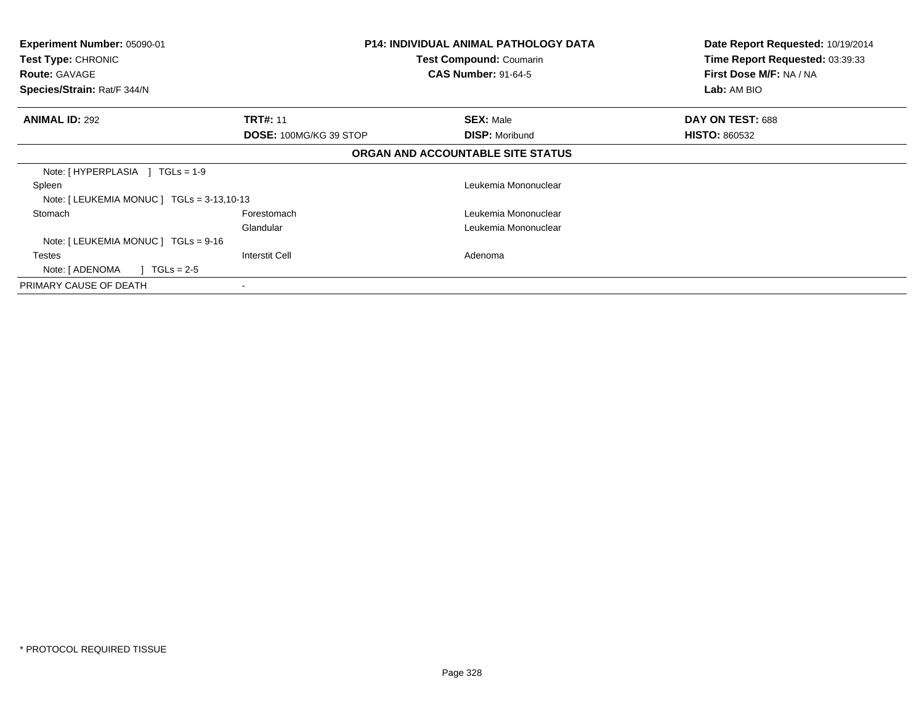| <b>Experiment Number: 05090-01</b><br>Test Type: CHRONIC<br><b>Route: GAVAGE</b><br>Species/Strain: Rat/F 344/N |                               | P14: INDIVIDUAL ANIMAL PATHOLOGY DATA<br>Test Compound: Coumarin<br><b>CAS Number: 91-64-5</b> | Date Report Requested: 10/19/2014<br>Time Report Requested: 03:39:33<br>First Dose M/F: NA / NA<br>Lab: AM BIO |
|-----------------------------------------------------------------------------------------------------------------|-------------------------------|------------------------------------------------------------------------------------------------|----------------------------------------------------------------------------------------------------------------|
| <b>ANIMAL ID: 292</b>                                                                                           | <b>TRT#: 11</b>               | <b>SEX: Male</b>                                                                               | DAY ON TEST: 688                                                                                               |
|                                                                                                                 | <b>DOSE: 100MG/KG 39 STOP</b> | <b>DISP: Moribund</b>                                                                          | <b>HISTO: 860532</b>                                                                                           |
|                                                                                                                 |                               | ORGAN AND ACCOUNTABLE SITE STATUS                                                              |                                                                                                                |
| Note: $[HYPERPLASIA] TGLs = 1-9$                                                                                |                               |                                                                                                |                                                                                                                |
| Spleen                                                                                                          |                               | Leukemia Mononuclear                                                                           |                                                                                                                |
| Note: $[LEUKEMIA MONUC] TGLS = 3-13,10-13$                                                                      |                               |                                                                                                |                                                                                                                |
| Stomach                                                                                                         | Forestomach                   | Leukemia Mononuclear                                                                           |                                                                                                                |
|                                                                                                                 | Glandular                     | Leukemia Mononuclear                                                                           |                                                                                                                |
| Note: $[LEUKEMIA MONUC] TGLS = 9-16$                                                                            |                               |                                                                                                |                                                                                                                |
| <b>Testes</b>                                                                                                   | Interstit Cell                | Adenoma                                                                                        |                                                                                                                |
| Note: [ ADENOMA<br>$TGLs = 2-5$                                                                                 |                               |                                                                                                |                                                                                                                |
| PRIMARY CAUSE OF DEATH                                                                                          | $\overline{\phantom{a}}$      |                                                                                                |                                                                                                                |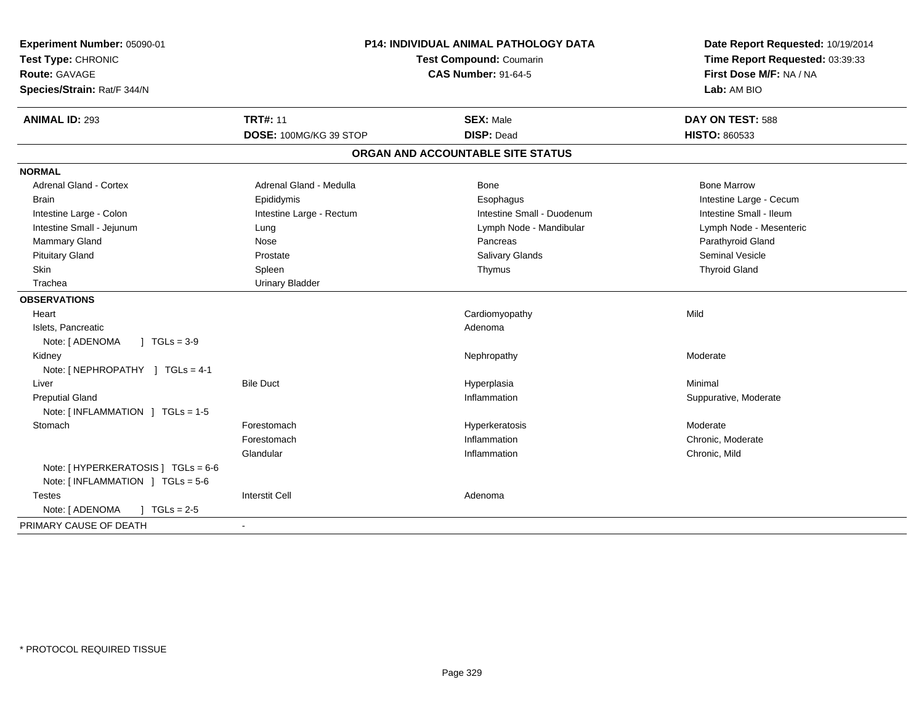| Experiment Number: 05090-01<br>Test Type: CHRONIC<br><b>Route: GAVAGE</b><br>Species/Strain: Rat/F 344/N | <b>P14: INDIVIDUAL ANIMAL PATHOLOGY DATA</b><br>Test Compound: Coumarin<br><b>CAS Number: 91-64-5</b> |                                   | Date Report Requested: 10/19/2014<br>Time Report Requested: 03:39:33<br>First Dose M/F: NA / NA<br>Lab: AM BIO |
|----------------------------------------------------------------------------------------------------------|-------------------------------------------------------------------------------------------------------|-----------------------------------|----------------------------------------------------------------------------------------------------------------|
| <b>ANIMAL ID: 293</b>                                                                                    | <b>TRT#: 11</b>                                                                                       | <b>SEX: Male</b>                  | DAY ON TEST: 588                                                                                               |
|                                                                                                          | DOSE: 100MG/KG 39 STOP                                                                                | <b>DISP: Dead</b>                 | <b>HISTO: 860533</b>                                                                                           |
|                                                                                                          |                                                                                                       | ORGAN AND ACCOUNTABLE SITE STATUS |                                                                                                                |
| <b>NORMAL</b>                                                                                            |                                                                                                       |                                   |                                                                                                                |
| <b>Adrenal Gland - Cortex</b>                                                                            | Adrenal Gland - Medulla                                                                               | Bone                              | <b>Bone Marrow</b>                                                                                             |
| <b>Brain</b>                                                                                             | Epididymis                                                                                            | Esophagus                         | Intestine Large - Cecum                                                                                        |
| Intestine Large - Colon                                                                                  | Intestine Large - Rectum                                                                              | Intestine Small - Duodenum        | Intestine Small - Ileum                                                                                        |
| Intestine Small - Jejunum                                                                                | Lung                                                                                                  | Lymph Node - Mandibular           | Lymph Node - Mesenteric                                                                                        |
| <b>Mammary Gland</b>                                                                                     | Nose                                                                                                  | Pancreas                          | Parathyroid Gland                                                                                              |
| <b>Pituitary Gland</b>                                                                                   | Prostate                                                                                              | <b>Salivary Glands</b>            | <b>Seminal Vesicle</b>                                                                                         |
| Skin                                                                                                     | Spleen                                                                                                | Thymus                            | <b>Thyroid Gland</b>                                                                                           |
| Trachea                                                                                                  | <b>Urinary Bladder</b>                                                                                |                                   |                                                                                                                |
| <b>OBSERVATIONS</b>                                                                                      |                                                                                                       |                                   |                                                                                                                |
| Heart                                                                                                    |                                                                                                       | Cardiomyopathy                    | Mild                                                                                                           |
| Islets, Pancreatic                                                                                       |                                                                                                       | Adenoma                           |                                                                                                                |
| Note: [ ADENOMA<br>$1 TGLs = 3-9$                                                                        |                                                                                                       |                                   |                                                                                                                |
| Kidney                                                                                                   |                                                                                                       | Nephropathy                       | Moderate                                                                                                       |
| Note: [NEPHROPATHY ] TGLs = 4-1                                                                          |                                                                                                       |                                   |                                                                                                                |
| Liver                                                                                                    | <b>Bile Duct</b>                                                                                      | Hyperplasia                       | Minimal                                                                                                        |
| <b>Preputial Gland</b>                                                                                   |                                                                                                       | Inflammation                      | Suppurative, Moderate                                                                                          |
| Note: [INFLAMMATION ] TGLs = 1-5                                                                         |                                                                                                       |                                   |                                                                                                                |
| Stomach                                                                                                  | Forestomach                                                                                           | Hyperkeratosis                    | Moderate                                                                                                       |
|                                                                                                          | Forestomach                                                                                           | Inflammation                      | Chronic, Moderate                                                                                              |
|                                                                                                          | Glandular                                                                                             | Inflammation                      | Chronic, Mild                                                                                                  |
| Note: [ HYPERKERATOSIS ] TGLs = 6-6<br>Note: $[INFLAMMATION] TGLs = 5-6$                                 |                                                                                                       |                                   |                                                                                                                |
| <b>Testes</b>                                                                                            | <b>Interstit Cell</b>                                                                                 | Adenoma                           |                                                                                                                |
| Note: [ ADENOMA<br>$J \cdot TGLs = 2-5$                                                                  |                                                                                                       |                                   |                                                                                                                |
| PRIMARY CAUSE OF DEATH                                                                                   |                                                                                                       |                                   |                                                                                                                |
|                                                                                                          |                                                                                                       |                                   |                                                                                                                |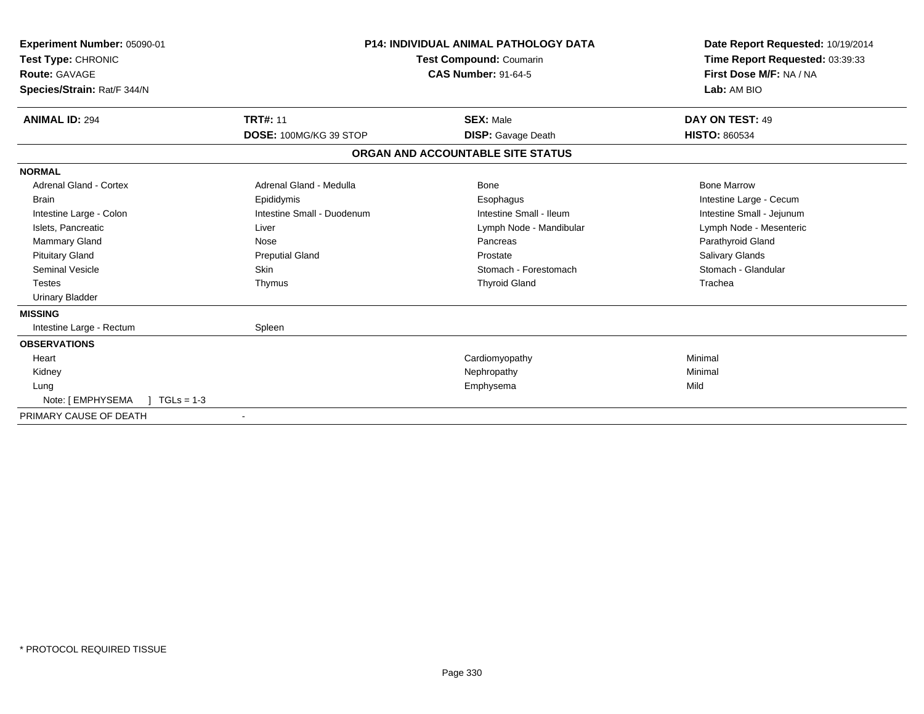| Experiment Number: 05090-01<br>Test Type: CHRONIC<br><b>Route: GAVAGE</b><br>Species/Strain: Rat/F 344/N | <b>P14: INDIVIDUAL ANIMAL PATHOLOGY DATA</b><br>Test Compound: Coumarin<br><b>CAS Number: 91-64-5</b> |                                   | Date Report Requested: 10/19/2014<br>Time Report Requested: 03:39:33<br>First Dose M/F: NA / NA<br>Lab: AM BIO |
|----------------------------------------------------------------------------------------------------------|-------------------------------------------------------------------------------------------------------|-----------------------------------|----------------------------------------------------------------------------------------------------------------|
| <b>ANIMAL ID: 294</b>                                                                                    | <b>TRT#: 11</b>                                                                                       | <b>SEX: Male</b>                  | DAY ON TEST: 49                                                                                                |
|                                                                                                          | DOSE: 100MG/KG 39 STOP                                                                                | <b>DISP:</b> Gavage Death         | <b>HISTO: 860534</b>                                                                                           |
|                                                                                                          |                                                                                                       | ORGAN AND ACCOUNTABLE SITE STATUS |                                                                                                                |
| <b>NORMAL</b>                                                                                            |                                                                                                       |                                   |                                                                                                                |
| <b>Adrenal Gland - Cortex</b>                                                                            | Adrenal Gland - Medulla                                                                               | Bone                              | <b>Bone Marrow</b>                                                                                             |
| <b>Brain</b>                                                                                             | Epididymis                                                                                            | Esophagus                         | Intestine Large - Cecum                                                                                        |
| Intestine Large - Colon                                                                                  | Intestine Small - Duodenum                                                                            | Intestine Small - Ileum           | Intestine Small - Jejunum                                                                                      |
| Islets, Pancreatic                                                                                       | Liver                                                                                                 | Lymph Node - Mandibular           | Lymph Node - Mesenteric                                                                                        |
| Mammary Gland                                                                                            | Nose                                                                                                  | Pancreas                          | Parathyroid Gland                                                                                              |
| <b>Pituitary Gland</b>                                                                                   | <b>Preputial Gland</b>                                                                                | Prostate                          | <b>Salivary Glands</b>                                                                                         |
| Seminal Vesicle                                                                                          | <b>Skin</b>                                                                                           | Stomach - Forestomach             | Stomach - Glandular                                                                                            |
| <b>Testes</b>                                                                                            | Thymus                                                                                                | <b>Thyroid Gland</b>              | Trachea                                                                                                        |
| <b>Urinary Bladder</b>                                                                                   |                                                                                                       |                                   |                                                                                                                |
| <b>MISSING</b>                                                                                           |                                                                                                       |                                   |                                                                                                                |
| Intestine Large - Rectum                                                                                 | Spleen                                                                                                |                                   |                                                                                                                |
| <b>OBSERVATIONS</b>                                                                                      |                                                                                                       |                                   |                                                                                                                |
| Heart                                                                                                    |                                                                                                       | Cardiomyopathy                    | Minimal                                                                                                        |
| Kidney                                                                                                   |                                                                                                       | Nephropathy                       | Minimal                                                                                                        |
| Lung                                                                                                     |                                                                                                       | Emphysema                         | Mild                                                                                                           |
| Note: [ EMPHYSEMA<br>$TGLs = 1-3$                                                                        |                                                                                                       |                                   |                                                                                                                |
| PRIMARY CAUSE OF DEATH                                                                                   |                                                                                                       |                                   |                                                                                                                |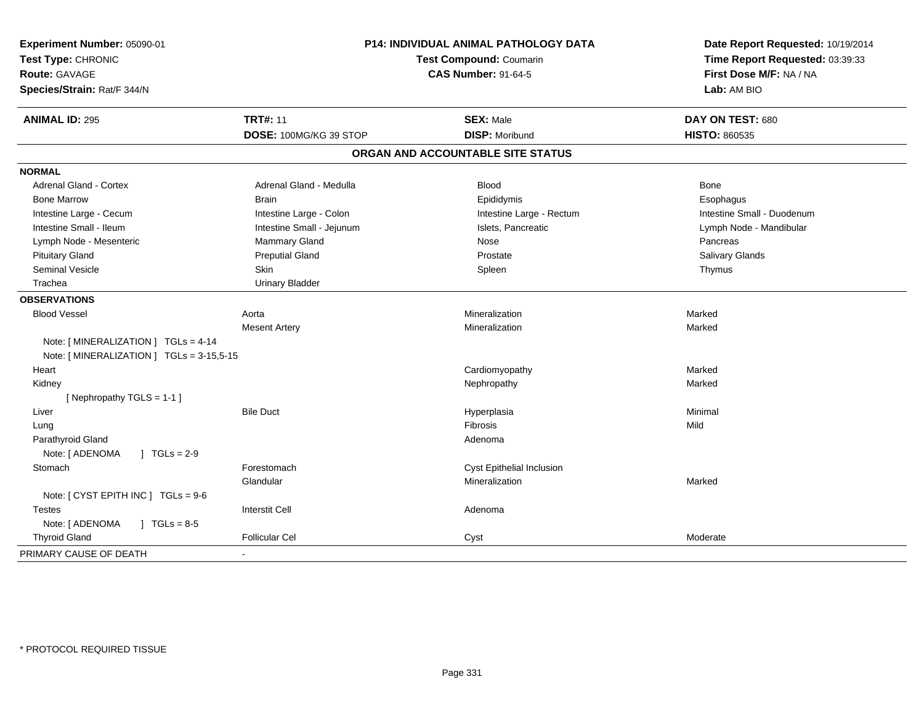| Experiment Number: 05090-01<br>Test Type: CHRONIC<br><b>Route: GAVAGE</b><br>Species/Strain: Rat/F 344/N | P14: INDIVIDUAL ANIMAL PATHOLOGY DATA<br><b>Test Compound: Coumarin</b><br><b>CAS Number: 91-64-5</b> |                                   | Date Report Requested: 10/19/2014<br>Time Report Requested: 03:39:33<br>First Dose M/F: NA / NA<br>Lab: AM BIO |
|----------------------------------------------------------------------------------------------------------|-------------------------------------------------------------------------------------------------------|-----------------------------------|----------------------------------------------------------------------------------------------------------------|
| <b>ANIMAL ID: 295</b>                                                                                    | <b>TRT#: 11</b>                                                                                       | <b>SEX: Male</b>                  | DAY ON TEST: 680                                                                                               |
|                                                                                                          | DOSE: 100MG/KG 39 STOP                                                                                | <b>DISP: Moribund</b>             | <b>HISTO: 860535</b>                                                                                           |
|                                                                                                          |                                                                                                       | ORGAN AND ACCOUNTABLE SITE STATUS |                                                                                                                |
| <b>NORMAL</b>                                                                                            |                                                                                                       |                                   |                                                                                                                |
| <b>Adrenal Gland - Cortex</b>                                                                            | Adrenal Gland - Medulla                                                                               | <b>Blood</b>                      | Bone                                                                                                           |
| <b>Bone Marrow</b>                                                                                       | <b>Brain</b>                                                                                          | Epididymis                        | Esophagus                                                                                                      |
| Intestine Large - Cecum                                                                                  | Intestine Large - Colon                                                                               | Intestine Large - Rectum          | Intestine Small - Duodenum                                                                                     |
| Intestine Small - Ileum                                                                                  | Intestine Small - Jejunum                                                                             | Islets, Pancreatic                | Lymph Node - Mandibular                                                                                        |
| Lymph Node - Mesenteric                                                                                  | Mammary Gland                                                                                         | Nose                              | Pancreas                                                                                                       |
| <b>Pituitary Gland</b>                                                                                   | <b>Preputial Gland</b>                                                                                | Prostate                          | Salivary Glands                                                                                                |
| Seminal Vesicle                                                                                          | <b>Skin</b>                                                                                           | Spleen                            | Thymus                                                                                                         |
| Trachea                                                                                                  | <b>Urinary Bladder</b>                                                                                |                                   |                                                                                                                |
| <b>OBSERVATIONS</b>                                                                                      |                                                                                                       |                                   |                                                                                                                |
| <b>Blood Vessel</b>                                                                                      | Aorta                                                                                                 | Mineralization                    | Marked                                                                                                         |
|                                                                                                          | <b>Mesent Artery</b>                                                                                  | Mineralization                    | Marked                                                                                                         |
| Note: [MINERALIZATION ] TGLs = 4-14                                                                      |                                                                                                       |                                   |                                                                                                                |
| Note: [ MINERALIZATION ] TGLs = 3-15,5-15                                                                |                                                                                                       |                                   |                                                                                                                |
| Heart                                                                                                    |                                                                                                       | Cardiomyopathy                    | Marked                                                                                                         |
| Kidney                                                                                                   |                                                                                                       | Nephropathy                       | Marked                                                                                                         |
| [Nephropathy TGLS = 1-1]                                                                                 |                                                                                                       |                                   |                                                                                                                |
| Liver                                                                                                    | <b>Bile Duct</b>                                                                                      | Hyperplasia                       | Minimal                                                                                                        |
| Lung                                                                                                     |                                                                                                       | Fibrosis                          | Mild                                                                                                           |
| Parathyroid Gland                                                                                        |                                                                                                       | Adenoma                           |                                                                                                                |
| Note: [ ADENOMA<br>$J \cdot TGLs = 2-9$                                                                  |                                                                                                       |                                   |                                                                                                                |
| Stomach                                                                                                  | Forestomach                                                                                           | Cyst Epithelial Inclusion         |                                                                                                                |
|                                                                                                          | Glandular                                                                                             | Mineralization                    | Marked                                                                                                         |
| Note: [ CYST EPITH INC ] TGLs = 9-6                                                                      |                                                                                                       |                                   |                                                                                                                |
| <b>Testes</b>                                                                                            | <b>Interstit Cell</b>                                                                                 | Adenoma                           |                                                                                                                |
| Note: [ ADENOMA<br>$1 \text{ TGLs} = 8.5$                                                                |                                                                                                       |                                   |                                                                                                                |
| <b>Thyroid Gland</b>                                                                                     | <b>Follicular Cel</b>                                                                                 | Cyst                              | Moderate                                                                                                       |
| PRIMARY CAUSE OF DEATH                                                                                   | $\sim$                                                                                                |                                   |                                                                                                                |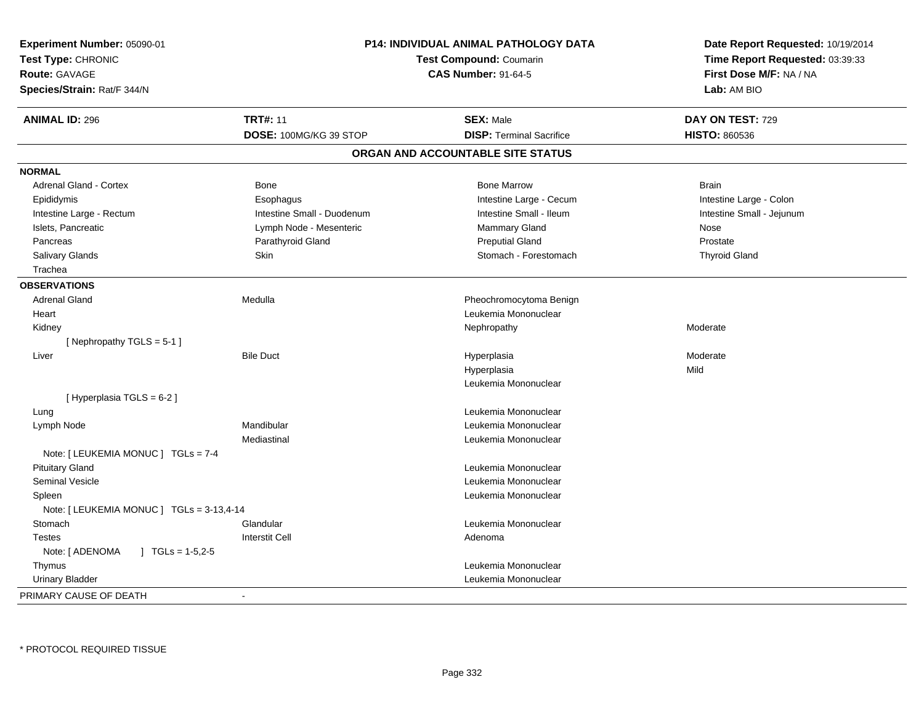| Experiment Number: 05090-01<br>Test Type: CHRONIC<br><b>Route: GAVAGE</b><br>Species/Strain: Rat/F 344/N |                            | <b>P14: INDIVIDUAL ANIMAL PATHOLOGY DATA</b><br>Test Compound: Coumarin<br><b>CAS Number: 91-64-5</b> | Date Report Requested: 10/19/2014<br>Time Report Requested: 03:39:33<br>First Dose M/F: NA / NA<br>Lab: AM BIO |
|----------------------------------------------------------------------------------------------------------|----------------------------|-------------------------------------------------------------------------------------------------------|----------------------------------------------------------------------------------------------------------------|
| <b>ANIMAL ID: 296</b>                                                                                    | <b>TRT#: 11</b>            | <b>SEX: Male</b>                                                                                      | DAY ON TEST: 729                                                                                               |
|                                                                                                          | DOSE: 100MG/KG 39 STOP     | <b>DISP: Terminal Sacrifice</b>                                                                       | <b>HISTO: 860536</b>                                                                                           |
|                                                                                                          |                            | ORGAN AND ACCOUNTABLE SITE STATUS                                                                     |                                                                                                                |
| <b>NORMAL</b>                                                                                            |                            |                                                                                                       |                                                                                                                |
| <b>Adrenal Gland - Cortex</b>                                                                            | <b>Bone</b>                | <b>Bone Marrow</b>                                                                                    | <b>Brain</b>                                                                                                   |
| Epididymis                                                                                               | Esophagus                  | Intestine Large - Cecum                                                                               | Intestine Large - Colon                                                                                        |
| Intestine Large - Rectum                                                                                 | Intestine Small - Duodenum | Intestine Small - Ileum                                                                               | Intestine Small - Jejunum                                                                                      |
| Islets, Pancreatic                                                                                       | Lymph Node - Mesenteric    | Mammary Gland                                                                                         | Nose                                                                                                           |
| Pancreas                                                                                                 | Parathyroid Gland          | <b>Preputial Gland</b>                                                                                | Prostate                                                                                                       |
| <b>Salivary Glands</b>                                                                                   | Skin                       | Stomach - Forestomach                                                                                 | <b>Thyroid Gland</b>                                                                                           |
| Trachea                                                                                                  |                            |                                                                                                       |                                                                                                                |
| <b>OBSERVATIONS</b>                                                                                      |                            |                                                                                                       |                                                                                                                |
| <b>Adrenal Gland</b>                                                                                     | Medulla                    | Pheochromocytoma Benign                                                                               |                                                                                                                |
| Heart                                                                                                    |                            | Leukemia Mononuclear                                                                                  |                                                                                                                |
| Kidney                                                                                                   |                            | Nephropathy                                                                                           | Moderate                                                                                                       |
| [Nephropathy TGLS = 5-1]                                                                                 |                            |                                                                                                       |                                                                                                                |
| Liver                                                                                                    | <b>Bile Duct</b>           | Hyperplasia                                                                                           | Moderate                                                                                                       |
|                                                                                                          |                            | Hyperplasia                                                                                           | Mild                                                                                                           |
|                                                                                                          |                            | Leukemia Mononuclear                                                                                  |                                                                                                                |
| [ Hyperplasia TGLS = 6-2 ]                                                                               |                            |                                                                                                       |                                                                                                                |
| Lung                                                                                                     |                            | Leukemia Mononuclear                                                                                  |                                                                                                                |
| Lymph Node                                                                                               | Mandibular                 | Leukemia Mononuclear                                                                                  |                                                                                                                |
|                                                                                                          | Mediastinal                | Leukemia Mononuclear                                                                                  |                                                                                                                |
| Note: [ LEUKEMIA MONUC ] TGLs = 7-4                                                                      |                            |                                                                                                       |                                                                                                                |
| <b>Pituitary Gland</b>                                                                                   |                            | Leukemia Mononuclear                                                                                  |                                                                                                                |
| <b>Seminal Vesicle</b>                                                                                   |                            | Leukemia Mononuclear                                                                                  |                                                                                                                |
| Spleen                                                                                                   |                            | Leukemia Mononuclear                                                                                  |                                                                                                                |
| Note: [ LEUKEMIA MONUC ] TGLs = 3-13,4-14                                                                |                            |                                                                                                       |                                                                                                                |
| Stomach                                                                                                  | Glandular                  | Leukemia Mononuclear                                                                                  |                                                                                                                |
| <b>Testes</b>                                                                                            | <b>Interstit Cell</b>      | Adenoma                                                                                               |                                                                                                                |
| Note: [ ADENOMA<br>$\mid$ TGLs = 1-5,2-5                                                                 |                            |                                                                                                       |                                                                                                                |
| Thymus                                                                                                   |                            | Leukemia Mononuclear                                                                                  |                                                                                                                |
| <b>Urinary Bladder</b>                                                                                   |                            | Leukemia Mononuclear                                                                                  |                                                                                                                |
| PRIMARY CAUSE OF DEATH                                                                                   | $\overline{\phantom{a}}$   |                                                                                                       |                                                                                                                |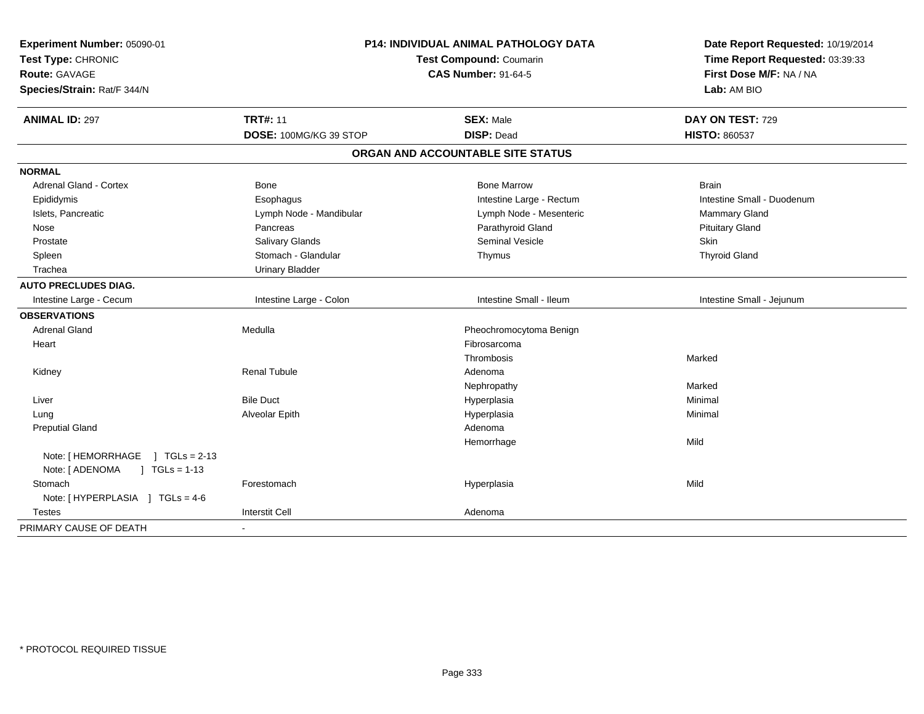| Experiment Number: 05090-01<br>Test Type: CHRONIC<br>Route: GAVAGE<br>Species/Strain: Rat/F 344/N | <b>P14: INDIVIDUAL ANIMAL PATHOLOGY DATA</b><br>Test Compound: Coumarin<br><b>CAS Number: 91-64-5</b> |                                   | Date Report Requested: 10/19/2014<br>Time Report Requested: 03:39:33<br>First Dose M/F: NA / NA<br>Lab: AM BIO |
|---------------------------------------------------------------------------------------------------|-------------------------------------------------------------------------------------------------------|-----------------------------------|----------------------------------------------------------------------------------------------------------------|
| <b>ANIMAL ID: 297</b>                                                                             | <b>TRT#: 11</b>                                                                                       | <b>SEX: Male</b>                  | DAY ON TEST: 729                                                                                               |
|                                                                                                   | DOSE: 100MG/KG 39 STOP                                                                                | <b>DISP: Dead</b>                 | <b>HISTO: 860537</b>                                                                                           |
|                                                                                                   |                                                                                                       | ORGAN AND ACCOUNTABLE SITE STATUS |                                                                                                                |
| <b>NORMAL</b>                                                                                     |                                                                                                       |                                   |                                                                                                                |
| Adrenal Gland - Cortex                                                                            | Bone                                                                                                  | <b>Bone Marrow</b>                | <b>Brain</b>                                                                                                   |
| Epididymis                                                                                        | Esophagus                                                                                             | Intestine Large - Rectum          | Intestine Small - Duodenum                                                                                     |
| Islets, Pancreatic                                                                                | Lymph Node - Mandibular                                                                               | Lymph Node - Mesenteric           | Mammary Gland                                                                                                  |
| Nose                                                                                              | Pancreas                                                                                              | Parathyroid Gland                 | <b>Pituitary Gland</b>                                                                                         |
| Prostate                                                                                          | Salivary Glands                                                                                       | <b>Seminal Vesicle</b>            | Skin                                                                                                           |
| Spleen                                                                                            | Stomach - Glandular                                                                                   | Thymus                            | <b>Thyroid Gland</b>                                                                                           |
| Trachea                                                                                           | <b>Urinary Bladder</b>                                                                                |                                   |                                                                                                                |
| <b>AUTO PRECLUDES DIAG.</b>                                                                       |                                                                                                       |                                   |                                                                                                                |
| Intestine Large - Cecum                                                                           | Intestine Large - Colon                                                                               | Intestine Small - Ileum           | Intestine Small - Jejunum                                                                                      |
| <b>OBSERVATIONS</b>                                                                               |                                                                                                       |                                   |                                                                                                                |
| <b>Adrenal Gland</b>                                                                              | Medulla                                                                                               | Pheochromocytoma Benign           |                                                                                                                |
| Heart                                                                                             |                                                                                                       | Fibrosarcoma                      |                                                                                                                |
|                                                                                                   |                                                                                                       | Thrombosis                        | Marked                                                                                                         |
| Kidney                                                                                            | <b>Renal Tubule</b>                                                                                   | Adenoma                           |                                                                                                                |
|                                                                                                   |                                                                                                       | Nephropathy                       | Marked                                                                                                         |
| Liver                                                                                             | <b>Bile Duct</b>                                                                                      | Hyperplasia                       | Minimal                                                                                                        |
| Lung                                                                                              | Alveolar Epith                                                                                        | Hyperplasia                       | Minimal                                                                                                        |
| <b>Preputial Gland</b>                                                                            |                                                                                                       | Adenoma                           |                                                                                                                |
|                                                                                                   |                                                                                                       | Hemorrhage                        | Mild                                                                                                           |
| Note: [HEMORRHAGE ] TGLs = 2-13                                                                   |                                                                                                       |                                   |                                                                                                                |
| Note: [ ADENOMA<br>$1 TGLs = 1-13$                                                                |                                                                                                       |                                   |                                                                                                                |
| Stomach                                                                                           | Forestomach                                                                                           | Hyperplasia                       | Mild                                                                                                           |
| Note: [HYPERPLASIA ] TGLs = 4-6                                                                   |                                                                                                       |                                   |                                                                                                                |
| <b>Testes</b>                                                                                     | <b>Interstit Cell</b>                                                                                 | Adenoma                           |                                                                                                                |
| PRIMARY CAUSE OF DEATH                                                                            |                                                                                                       |                                   |                                                                                                                |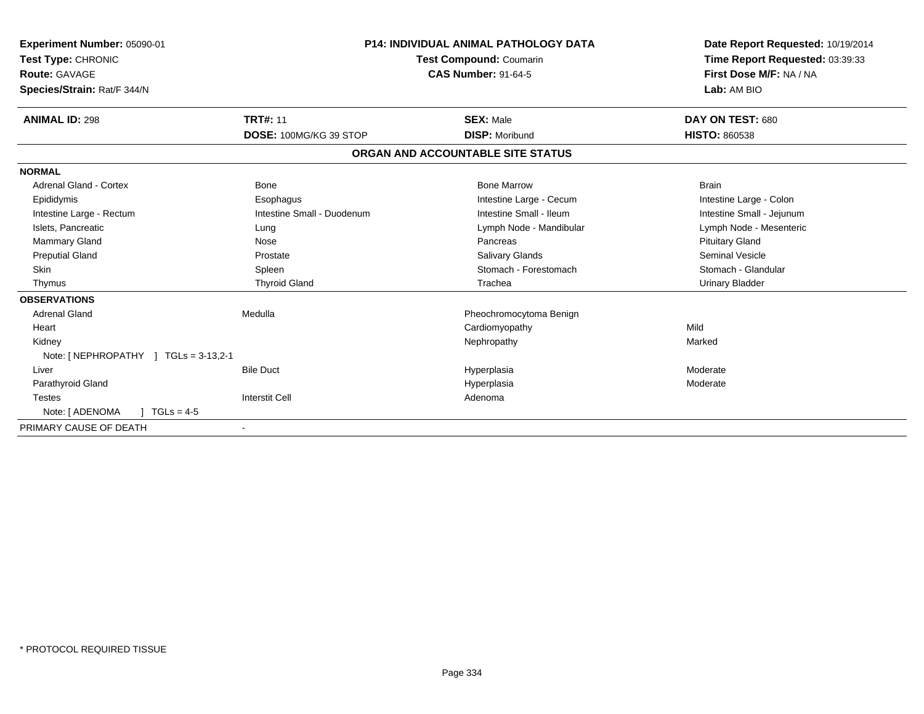| Experiment Number: 05090-01<br>Test Type: CHRONIC<br><b>Route: GAVAGE</b><br>Species/Strain: Rat/F 344/N |                            | <b>P14: INDIVIDUAL ANIMAL PATHOLOGY DATA</b><br><b>Test Compound: Coumarin</b><br><b>CAS Number: 91-64-5</b> | Date Report Requested: 10/19/2014<br>Time Report Requested: 03:39:33<br>First Dose M/F: NA / NA<br>Lab: AM BIO |
|----------------------------------------------------------------------------------------------------------|----------------------------|--------------------------------------------------------------------------------------------------------------|----------------------------------------------------------------------------------------------------------------|
| <b>ANIMAL ID: 298</b>                                                                                    | <b>TRT#: 11</b>            | <b>SEX: Male</b>                                                                                             | DAY ON TEST: 680                                                                                               |
|                                                                                                          | DOSE: 100MG/KG 39 STOP     | <b>DISP: Moribund</b>                                                                                        | <b>HISTO: 860538</b>                                                                                           |
|                                                                                                          |                            | ORGAN AND ACCOUNTABLE SITE STATUS                                                                            |                                                                                                                |
| <b>NORMAL</b>                                                                                            |                            |                                                                                                              |                                                                                                                |
| <b>Adrenal Gland - Cortex</b>                                                                            | Bone                       | <b>Bone Marrow</b>                                                                                           | <b>Brain</b>                                                                                                   |
| Epididymis                                                                                               | Esophagus                  | Intestine Large - Cecum                                                                                      | Intestine Large - Colon                                                                                        |
| Intestine Large - Rectum                                                                                 | Intestine Small - Duodenum | Intestine Small - Ileum                                                                                      | Intestine Small - Jejunum                                                                                      |
| Islets, Pancreatic                                                                                       | Lung                       | Lymph Node - Mandibular                                                                                      | Lymph Node - Mesenteric                                                                                        |
| Mammary Gland                                                                                            | Nose                       | Pancreas                                                                                                     | <b>Pituitary Gland</b>                                                                                         |
| <b>Preputial Gland</b>                                                                                   | Prostate                   | <b>Salivary Glands</b>                                                                                       | <b>Seminal Vesicle</b>                                                                                         |
| <b>Skin</b>                                                                                              | Spleen                     | Stomach - Forestomach                                                                                        | Stomach - Glandular                                                                                            |
| Thymus                                                                                                   | <b>Thyroid Gland</b>       | Trachea                                                                                                      | <b>Urinary Bladder</b>                                                                                         |
| <b>OBSERVATIONS</b>                                                                                      |                            |                                                                                                              |                                                                                                                |
| <b>Adrenal Gland</b>                                                                                     | Medulla                    | Pheochromocytoma Benign                                                                                      |                                                                                                                |
| Heart                                                                                                    |                            | Cardiomyopathy                                                                                               | Mild                                                                                                           |
| Kidney                                                                                                   |                            | Nephropathy                                                                                                  | Marked                                                                                                         |
| Note: [NEPHROPATHY ] TGLs = 3-13,2-1                                                                     |                            |                                                                                                              |                                                                                                                |
| Liver                                                                                                    | <b>Bile Duct</b>           | Hyperplasia                                                                                                  | Moderate                                                                                                       |
| Parathyroid Gland                                                                                        |                            | Hyperplasia                                                                                                  | Moderate                                                                                                       |
| <b>Testes</b>                                                                                            | <b>Interstit Cell</b>      | Adenoma                                                                                                      |                                                                                                                |
| Note: [ ADENOMA<br>$TGLs = 4-5$                                                                          |                            |                                                                                                              |                                                                                                                |
| PRIMARY CAUSE OF DEATH                                                                                   | $\blacksquare$             |                                                                                                              |                                                                                                                |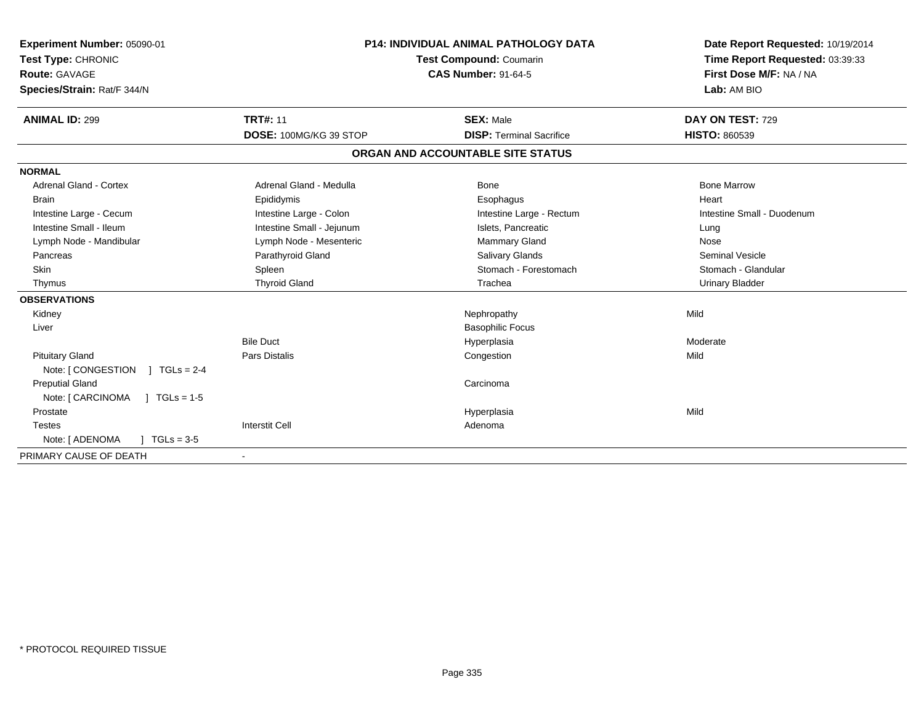| <b>Experiment Number: 05090-01</b><br>Test Type: CHRONIC<br>Route: GAVAGE<br>Species/Strain: Rat/F 344/N<br><b>ANIMAL ID: 299</b> | <b>TRT#: 11</b>           | <b>P14: INDIVIDUAL ANIMAL PATHOLOGY DATA</b><br>Test Compound: Coumarin<br><b>CAS Number: 91-64-5</b><br><b>SEX: Male</b> | Date Report Requested: 10/19/2014<br>Time Report Requested: 03:39:33<br>First Dose M/F: NA / NA<br>Lab: AM BIO<br>DAY ON TEST: 729 |
|-----------------------------------------------------------------------------------------------------------------------------------|---------------------------|---------------------------------------------------------------------------------------------------------------------------|------------------------------------------------------------------------------------------------------------------------------------|
|                                                                                                                                   | DOSE: 100MG/KG 39 STOP    | <b>DISP: Terminal Sacrifice</b>                                                                                           | <b>HISTO: 860539</b>                                                                                                               |
|                                                                                                                                   |                           | ORGAN AND ACCOUNTABLE SITE STATUS                                                                                         |                                                                                                                                    |
| <b>NORMAL</b>                                                                                                                     |                           |                                                                                                                           |                                                                                                                                    |
| <b>Adrenal Gland - Cortex</b>                                                                                                     | Adrenal Gland - Medulla   | <b>Bone</b>                                                                                                               | <b>Bone Marrow</b>                                                                                                                 |
| <b>Brain</b>                                                                                                                      | Epididymis                | Esophagus                                                                                                                 | Heart                                                                                                                              |
| Intestine Large - Cecum                                                                                                           | Intestine Large - Colon   | Intestine Large - Rectum                                                                                                  | Intestine Small - Duodenum                                                                                                         |
| Intestine Small - Ileum                                                                                                           | Intestine Small - Jejunum | Islets, Pancreatic                                                                                                        | Lung                                                                                                                               |
| Lymph Node - Mandibular                                                                                                           | Lymph Node - Mesenteric   | <b>Mammary Gland</b>                                                                                                      | Nose                                                                                                                               |
| Pancreas                                                                                                                          | Parathyroid Gland         | <b>Salivary Glands</b>                                                                                                    | Seminal Vesicle                                                                                                                    |
| Skin                                                                                                                              | Spleen                    | Stomach - Forestomach                                                                                                     | Stomach - Glandular                                                                                                                |
| Thymus                                                                                                                            | <b>Thyroid Gland</b>      | Trachea                                                                                                                   | <b>Urinary Bladder</b>                                                                                                             |
| <b>OBSERVATIONS</b>                                                                                                               |                           |                                                                                                                           |                                                                                                                                    |
| Kidney                                                                                                                            |                           | Nephropathy                                                                                                               | Mild                                                                                                                               |
| Liver                                                                                                                             |                           | <b>Basophilic Focus</b>                                                                                                   |                                                                                                                                    |
|                                                                                                                                   | <b>Bile Duct</b>          | Hyperplasia                                                                                                               | Moderate                                                                                                                           |
| <b>Pituitary Gland</b>                                                                                                            | <b>Pars Distalis</b>      | Congestion                                                                                                                | Mild                                                                                                                               |
| Note: [ CONGESTION<br>$1 TGLs = 2-4$                                                                                              |                           |                                                                                                                           |                                                                                                                                    |
| <b>Preputial Gland</b>                                                                                                            |                           | Carcinoma                                                                                                                 |                                                                                                                                    |
| $1 TGLs = 1-5$<br>Note: [ CARCINOMA                                                                                               |                           |                                                                                                                           |                                                                                                                                    |
| Prostate                                                                                                                          |                           | Hyperplasia                                                                                                               | Mild                                                                                                                               |
| <b>Testes</b>                                                                                                                     | <b>Interstit Cell</b>     | Adenoma                                                                                                                   |                                                                                                                                    |
| Note: [ ADENOMA<br>$TGLs = 3-5$                                                                                                   |                           |                                                                                                                           |                                                                                                                                    |
| PRIMARY CAUSE OF DEATH                                                                                                            |                           |                                                                                                                           |                                                                                                                                    |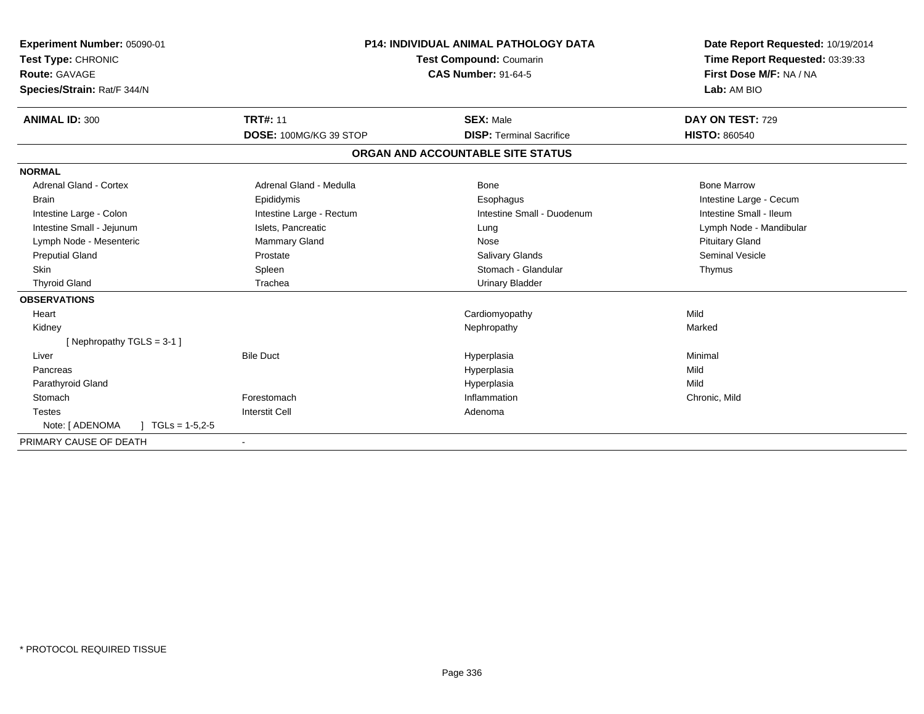| Experiment Number: 05090-01<br>Test Type: CHRONIC<br><b>Route: GAVAGE</b><br>Species/Strain: Rat/F 344/N | <b>P14: INDIVIDUAL ANIMAL PATHOLOGY DATA</b><br><b>Test Compound: Coumarin</b><br><b>CAS Number: 91-64-5</b> |                                                     | Date Report Requested: 10/19/2014<br>Time Report Requested: 03:39:33<br>First Dose M/F: NA / NA<br>Lab: AM BIO |  |
|----------------------------------------------------------------------------------------------------------|--------------------------------------------------------------------------------------------------------------|-----------------------------------------------------|----------------------------------------------------------------------------------------------------------------|--|
| <b>ANIMAL ID: 300</b>                                                                                    | <b>TRT#: 11</b>                                                                                              | <b>SEX: Male</b><br><b>DISP: Terminal Sacrifice</b> | DAY ON TEST: 729                                                                                               |  |
|                                                                                                          | DOSE: 100MG/KG 39 STOP                                                                                       |                                                     | <b>HISTO: 860540</b>                                                                                           |  |
|                                                                                                          |                                                                                                              | ORGAN AND ACCOUNTABLE SITE STATUS                   |                                                                                                                |  |
| <b>NORMAL</b>                                                                                            |                                                                                                              |                                                     |                                                                                                                |  |
| <b>Adrenal Gland - Cortex</b>                                                                            | Adrenal Gland - Medulla                                                                                      | <b>Bone</b>                                         | <b>Bone Marrow</b>                                                                                             |  |
| <b>Brain</b>                                                                                             | Epididymis                                                                                                   | Esophagus                                           | Intestine Large - Cecum                                                                                        |  |
| Intestine Large - Colon                                                                                  | Intestine Large - Rectum                                                                                     | Intestine Small - Duodenum                          | Intestine Small - Ileum                                                                                        |  |
| Intestine Small - Jejunum                                                                                | Islets, Pancreatic                                                                                           | Lung                                                | Lymph Node - Mandibular                                                                                        |  |
| Lymph Node - Mesenteric                                                                                  | Mammary Gland                                                                                                | Nose                                                | <b>Pituitary Gland</b>                                                                                         |  |
| <b>Preputial Gland</b>                                                                                   | Prostate                                                                                                     | Salivary Glands                                     | <b>Seminal Vesicle</b>                                                                                         |  |
| <b>Skin</b>                                                                                              | Spleen                                                                                                       | Stomach - Glandular                                 | Thymus                                                                                                         |  |
| <b>Thyroid Gland</b>                                                                                     | Trachea                                                                                                      | <b>Urinary Bladder</b>                              |                                                                                                                |  |
| <b>OBSERVATIONS</b>                                                                                      |                                                                                                              |                                                     |                                                                                                                |  |
| Heart                                                                                                    |                                                                                                              | Cardiomyopathy                                      | Mild                                                                                                           |  |
| Kidney                                                                                                   |                                                                                                              | Nephropathy                                         | Marked                                                                                                         |  |
| [Nephropathy TGLS = $3-1$ ]                                                                              |                                                                                                              |                                                     |                                                                                                                |  |
| Liver                                                                                                    | <b>Bile Duct</b>                                                                                             | Hyperplasia                                         | Minimal                                                                                                        |  |
| Pancreas                                                                                                 |                                                                                                              | Hyperplasia                                         | Mild                                                                                                           |  |
| Parathyroid Gland                                                                                        |                                                                                                              | Hyperplasia                                         | Mild                                                                                                           |  |
| Stomach                                                                                                  | Forestomach                                                                                                  | Inflammation                                        | Chronic, Mild                                                                                                  |  |
| <b>Testes</b>                                                                                            | <b>Interstit Cell</b>                                                                                        | Adenoma                                             |                                                                                                                |  |
| Note: [ ADENOMA<br>$TGLs = 1-5, 2-5$                                                                     |                                                                                                              |                                                     |                                                                                                                |  |
| PRIMARY CAUSE OF DEATH                                                                                   |                                                                                                              |                                                     |                                                                                                                |  |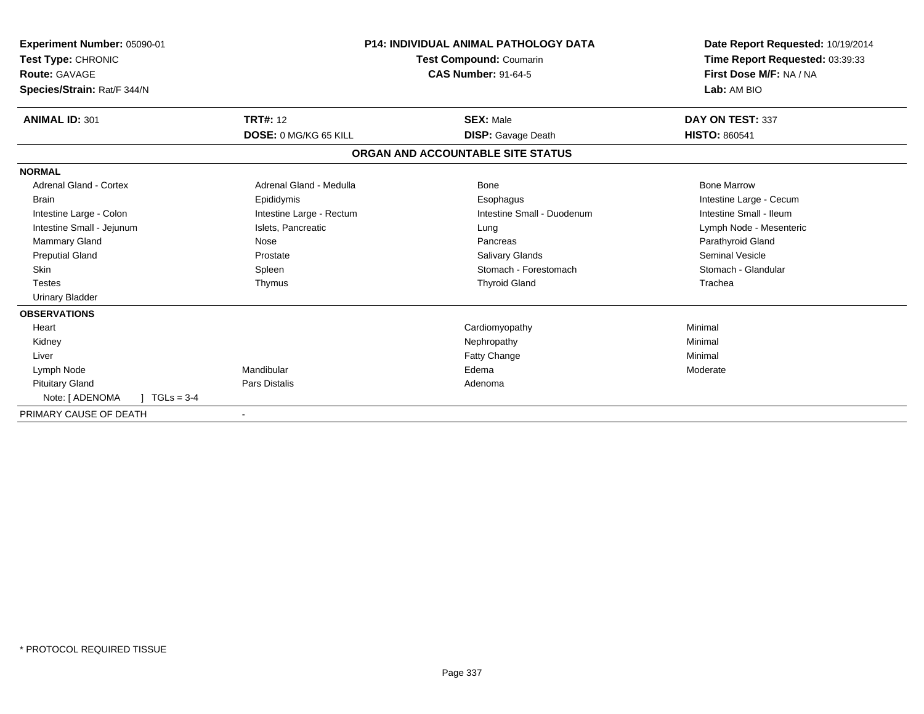| <b>P14: INDIVIDUAL ANIMAL PATHOLOGY DATA</b><br>Experiment Number: 05090-01<br>Test Compound: Coumarin<br>Test Type: CHRONIC<br>Route: GAVAGE<br><b>CAS Number: 91-64-5</b><br>Species/Strain: Rat/F 344/N |                          |                                   | Date Report Requested: 10/19/2014<br>Time Report Requested: 03:39:33<br>First Dose M/F: NA / NA<br>Lab: AM BIO |  |
|------------------------------------------------------------------------------------------------------------------------------------------------------------------------------------------------------------|--------------------------|-----------------------------------|----------------------------------------------------------------------------------------------------------------|--|
| <b>ANIMAL ID: 301</b>                                                                                                                                                                                      | <b>TRT#: 12</b>          | <b>SEX: Male</b>                  | DAY ON TEST: 337                                                                                               |  |
|                                                                                                                                                                                                            | DOSE: 0 MG/KG 65 KILL    | <b>DISP:</b> Gavage Death         | <b>HISTO: 860541</b>                                                                                           |  |
|                                                                                                                                                                                                            |                          | ORGAN AND ACCOUNTABLE SITE STATUS |                                                                                                                |  |
| <b>NORMAL</b>                                                                                                                                                                                              |                          |                                   |                                                                                                                |  |
| <b>Adrenal Gland - Cortex</b>                                                                                                                                                                              | Adrenal Gland - Medulla  | Bone                              | <b>Bone Marrow</b>                                                                                             |  |
| <b>Brain</b>                                                                                                                                                                                               | Epididymis               | Esophagus                         | Intestine Large - Cecum                                                                                        |  |
| Intestine Large - Colon                                                                                                                                                                                    | Intestine Large - Rectum | Intestine Small - Duodenum        | Intestine Small - Ileum                                                                                        |  |
| Intestine Small - Jejunum                                                                                                                                                                                  | Islets, Pancreatic       | Lung                              | Lymph Node - Mesenteric                                                                                        |  |
| Mammary Gland                                                                                                                                                                                              | Nose                     | Pancreas                          | Parathyroid Gland                                                                                              |  |
| <b>Preputial Gland</b>                                                                                                                                                                                     | Prostate                 | <b>Salivary Glands</b>            | <b>Seminal Vesicle</b>                                                                                         |  |
| <b>Skin</b>                                                                                                                                                                                                | Spleen                   | Stomach - Forestomach             | Stomach - Glandular                                                                                            |  |
| <b>Testes</b>                                                                                                                                                                                              | Thymus                   | <b>Thyroid Gland</b>              | Trachea                                                                                                        |  |
| <b>Urinary Bladder</b>                                                                                                                                                                                     |                          |                                   |                                                                                                                |  |
| <b>OBSERVATIONS</b>                                                                                                                                                                                        |                          |                                   |                                                                                                                |  |
| Heart                                                                                                                                                                                                      |                          | Cardiomyopathy                    | Minimal                                                                                                        |  |
| Kidney                                                                                                                                                                                                     |                          | Nephropathy                       | Minimal                                                                                                        |  |
| Liver                                                                                                                                                                                                      |                          | Fatty Change                      | Minimal                                                                                                        |  |
| Lymph Node                                                                                                                                                                                                 | Mandibular               | Edema                             | Moderate                                                                                                       |  |
| <b>Pituitary Gland</b>                                                                                                                                                                                     | <b>Pars Distalis</b>     | Adenoma                           |                                                                                                                |  |
| Note: [ ADENOMA<br>$TGLs = 3-4$                                                                                                                                                                            |                          |                                   |                                                                                                                |  |
| PRIMARY CAUSE OF DEATH                                                                                                                                                                                     |                          |                                   |                                                                                                                |  |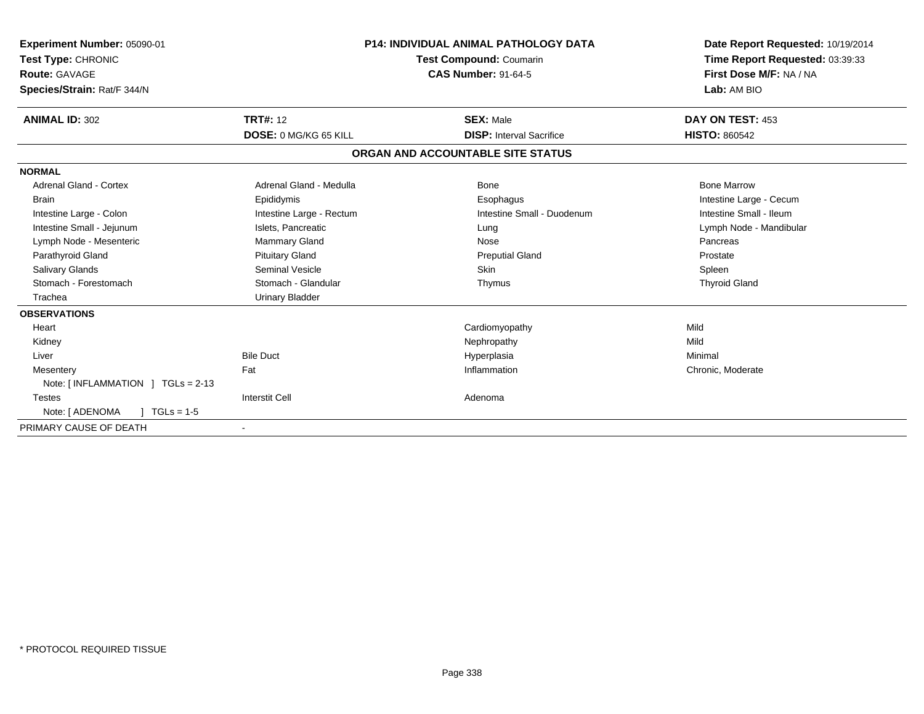| Experiment Number: 05090-01<br>Test Type: CHRONIC<br>Route: GAVAGE<br>Species/Strain: Rat/F 344/N | <b>P14: INDIVIDUAL ANIMAL PATHOLOGY DATA</b><br><b>Test Compound: Coumarin</b><br><b>CAS Number: 91-64-5</b> |                                   | Date Report Requested: 10/19/2014<br>Time Report Requested: 03:39:33<br>First Dose M/F: NA / NA<br>Lab: AM BIO |
|---------------------------------------------------------------------------------------------------|--------------------------------------------------------------------------------------------------------------|-----------------------------------|----------------------------------------------------------------------------------------------------------------|
| <b>ANIMAL ID: 302</b>                                                                             | <b>TRT#: 12</b>                                                                                              | <b>SEX: Male</b>                  | DAY ON TEST: 453                                                                                               |
|                                                                                                   | <b>DOSE: 0 MG/KG 65 KILL</b>                                                                                 | <b>DISP:</b> Interval Sacrifice   | <b>HISTO: 860542</b>                                                                                           |
|                                                                                                   |                                                                                                              | ORGAN AND ACCOUNTABLE SITE STATUS |                                                                                                                |
| <b>NORMAL</b>                                                                                     |                                                                                                              |                                   |                                                                                                                |
| Adrenal Gland - Cortex                                                                            | Adrenal Gland - Medulla                                                                                      | Bone                              | <b>Bone Marrow</b>                                                                                             |
| <b>Brain</b>                                                                                      | Epididymis                                                                                                   | Esophagus                         | Intestine Large - Cecum                                                                                        |
| Intestine Large - Colon                                                                           | Intestine Large - Rectum                                                                                     | Intestine Small - Duodenum        | Intestine Small - Ileum                                                                                        |
| Intestine Small - Jejunum                                                                         | Islets, Pancreatic                                                                                           | Lung                              | Lymph Node - Mandibular                                                                                        |
| Lymph Node - Mesenteric                                                                           | <b>Mammary Gland</b>                                                                                         | Nose                              | Pancreas                                                                                                       |
| Parathyroid Gland                                                                                 | <b>Pituitary Gland</b>                                                                                       | <b>Preputial Gland</b>            | Prostate                                                                                                       |
| <b>Salivary Glands</b>                                                                            | <b>Seminal Vesicle</b>                                                                                       | <b>Skin</b>                       | Spleen                                                                                                         |
| Stomach - Forestomach                                                                             | Stomach - Glandular                                                                                          | Thymus                            | <b>Thyroid Gland</b>                                                                                           |
| Trachea                                                                                           | <b>Urinary Bladder</b>                                                                                       |                                   |                                                                                                                |
| <b>OBSERVATIONS</b>                                                                               |                                                                                                              |                                   |                                                                                                                |
| Heart                                                                                             |                                                                                                              | Cardiomyopathy                    | Mild                                                                                                           |
| Kidney                                                                                            |                                                                                                              | Nephropathy                       | Mild                                                                                                           |
| Liver                                                                                             | <b>Bile Duct</b>                                                                                             | Hyperplasia                       | Minimal                                                                                                        |
| Mesentery                                                                                         | Fat                                                                                                          | Inflammation                      | Chronic, Moderate                                                                                              |
| Note: [INFLAMMATION ] TGLs = 2-13                                                                 |                                                                                                              |                                   |                                                                                                                |
| <b>Testes</b>                                                                                     | <b>Interstit Cell</b>                                                                                        | Adenoma                           |                                                                                                                |
| Note: [ ADENOMA<br>$1 \text{ TGLs} = 1.5$                                                         |                                                                                                              |                                   |                                                                                                                |
| PRIMARY CAUSE OF DEATH                                                                            | $\blacksquare$                                                                                               |                                   |                                                                                                                |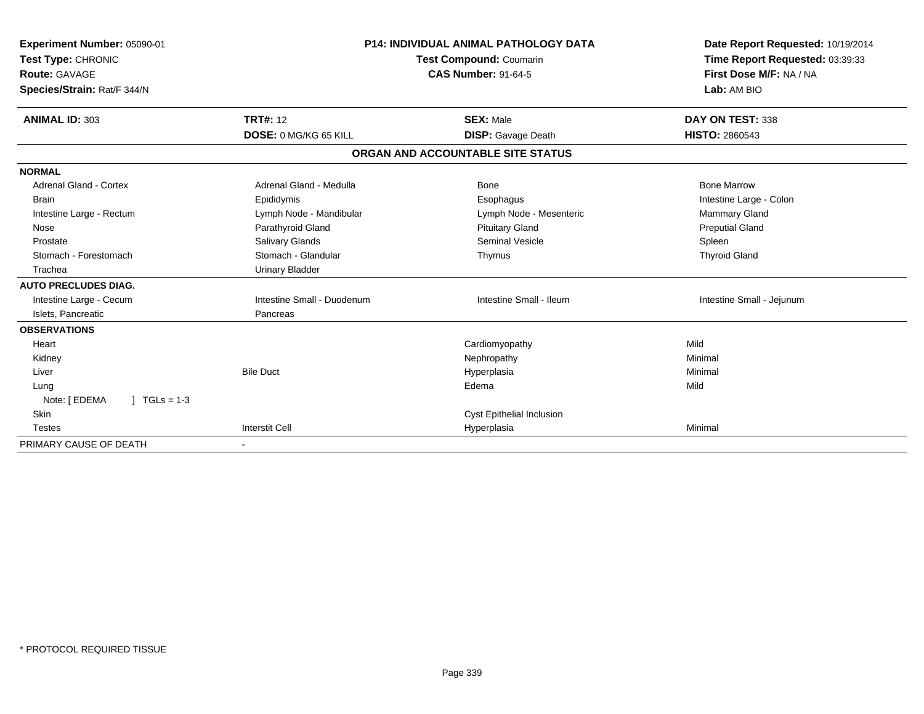| Experiment Number: 05090-01<br>Test Type: CHRONIC<br><b>Route: GAVAGE</b><br>Species/Strain: Rat/F 344/N |                              | <b>P14: INDIVIDUAL ANIMAL PATHOLOGY DATA</b><br>Test Compound: Coumarin<br><b>CAS Number: 91-64-5</b> | Date Report Requested: 10/19/2014<br>Time Report Requested: 03:39:33<br>First Dose M/F: NA / NA<br>Lab: AM BIO |  |
|----------------------------------------------------------------------------------------------------------|------------------------------|-------------------------------------------------------------------------------------------------------|----------------------------------------------------------------------------------------------------------------|--|
| ANIMAL ID: 303                                                                                           | <b>TRT#: 12</b>              | <b>SEX: Male</b>                                                                                      | DAY ON TEST: 338                                                                                               |  |
|                                                                                                          | <b>DOSE: 0 MG/KG 65 KILL</b> | <b>DISP:</b> Gavage Death                                                                             | <b>HISTO: 2860543</b>                                                                                          |  |
|                                                                                                          |                              | ORGAN AND ACCOUNTABLE SITE STATUS                                                                     |                                                                                                                |  |
| <b>NORMAL</b>                                                                                            |                              |                                                                                                       |                                                                                                                |  |
| Adrenal Gland - Cortex                                                                                   | Adrenal Gland - Medulla      | Bone                                                                                                  | <b>Bone Marrow</b>                                                                                             |  |
| <b>Brain</b>                                                                                             | Epididymis                   | Esophagus                                                                                             | Intestine Large - Colon                                                                                        |  |
| Intestine Large - Rectum                                                                                 | Lymph Node - Mandibular      | Lymph Node - Mesenteric                                                                               | <b>Mammary Gland</b>                                                                                           |  |
| Nose                                                                                                     | Parathyroid Gland            | <b>Pituitary Gland</b>                                                                                | <b>Preputial Gland</b>                                                                                         |  |
| Prostate                                                                                                 | Salivary Glands              | Seminal Vesicle                                                                                       | Spleen                                                                                                         |  |
| Stomach - Forestomach                                                                                    | Stomach - Glandular          | Thymus                                                                                                | <b>Thyroid Gland</b>                                                                                           |  |
| Trachea                                                                                                  | <b>Urinary Bladder</b>       |                                                                                                       |                                                                                                                |  |
| <b>AUTO PRECLUDES DIAG.</b>                                                                              |                              |                                                                                                       |                                                                                                                |  |
| Intestine Large - Cecum                                                                                  | Intestine Small - Duodenum   | Intestine Small - Ileum                                                                               | Intestine Small - Jejunum                                                                                      |  |
| Islets, Pancreatic                                                                                       | Pancreas                     |                                                                                                       |                                                                                                                |  |
| <b>OBSERVATIONS</b>                                                                                      |                              |                                                                                                       |                                                                                                                |  |
| Heart                                                                                                    |                              | Cardiomyopathy                                                                                        | Mild                                                                                                           |  |
| Kidney                                                                                                   |                              | Nephropathy                                                                                           | Minimal                                                                                                        |  |
| Liver                                                                                                    | <b>Bile Duct</b>             | Hyperplasia                                                                                           | Minimal                                                                                                        |  |
| Lung                                                                                                     |                              | Edema                                                                                                 | Mild                                                                                                           |  |
| Note: [ EDEMA<br>$1 TGLs = 1-3$                                                                          |                              |                                                                                                       |                                                                                                                |  |
| <b>Skin</b>                                                                                              |                              | Cyst Epithelial Inclusion                                                                             |                                                                                                                |  |
| <b>Testes</b>                                                                                            | <b>Interstit Cell</b>        | Hyperplasia                                                                                           | Minimal                                                                                                        |  |
| PRIMARY CAUSE OF DEATH                                                                                   |                              |                                                                                                       |                                                                                                                |  |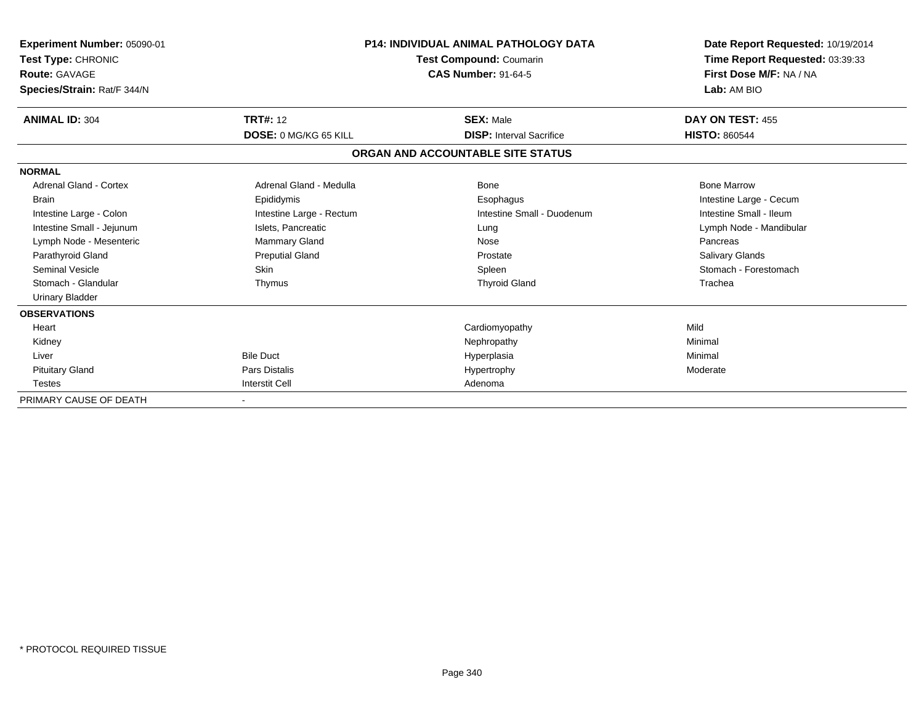| Experiment Number: 05090-01<br>Test Type: CHRONIC<br><b>Route: GAVAGE</b><br>Species/Strain: Rat/F 344/N |                              | <b>P14: INDIVIDUAL ANIMAL PATHOLOGY DATA</b><br>Test Compound: Coumarin<br><b>CAS Number: 91-64-5</b> | Date Report Requested: 10/19/2014<br>Time Report Requested: 03:39:33<br>First Dose M/F: NA / NA<br>Lab: AM BIO |  |
|----------------------------------------------------------------------------------------------------------|------------------------------|-------------------------------------------------------------------------------------------------------|----------------------------------------------------------------------------------------------------------------|--|
| <b>ANIMAL ID: 304</b>                                                                                    | <b>TRT#: 12</b>              | <b>SEX: Male</b>                                                                                      | DAY ON TEST: 455                                                                                               |  |
|                                                                                                          | <b>DOSE: 0 MG/KG 65 KILL</b> | <b>DISP: Interval Sacrifice</b>                                                                       | <b>HISTO: 860544</b>                                                                                           |  |
|                                                                                                          |                              | ORGAN AND ACCOUNTABLE SITE STATUS                                                                     |                                                                                                                |  |
| <b>NORMAL</b>                                                                                            |                              |                                                                                                       |                                                                                                                |  |
| Adrenal Gland - Cortex                                                                                   | Adrenal Gland - Medulla      | Bone                                                                                                  | <b>Bone Marrow</b>                                                                                             |  |
| <b>Brain</b>                                                                                             | Epididymis                   | Esophagus                                                                                             | Intestine Large - Cecum                                                                                        |  |
| Intestine Large - Colon                                                                                  | Intestine Large - Rectum     | Intestine Small - Duodenum                                                                            | Intestine Small - Ileum                                                                                        |  |
| Intestine Small - Jejunum                                                                                | Islets, Pancreatic           | Lung                                                                                                  | Lymph Node - Mandibular                                                                                        |  |
| Lymph Node - Mesenteric                                                                                  | Mammary Gland                | Nose                                                                                                  | Pancreas                                                                                                       |  |
| Parathyroid Gland                                                                                        | <b>Preputial Gland</b>       | Prostate                                                                                              | <b>Salivary Glands</b>                                                                                         |  |
| <b>Seminal Vesicle</b>                                                                                   | <b>Skin</b>                  | Spleen                                                                                                | Stomach - Forestomach                                                                                          |  |
| Stomach - Glandular                                                                                      | Thymus                       | <b>Thyroid Gland</b>                                                                                  | Trachea                                                                                                        |  |
| <b>Urinary Bladder</b>                                                                                   |                              |                                                                                                       |                                                                                                                |  |
| <b>OBSERVATIONS</b>                                                                                      |                              |                                                                                                       |                                                                                                                |  |
| Heart                                                                                                    |                              | Cardiomyopathy                                                                                        | Mild                                                                                                           |  |
| Kidney                                                                                                   |                              | Nephropathy                                                                                           | Minimal                                                                                                        |  |
| Liver                                                                                                    | <b>Bile Duct</b>             | Hyperplasia                                                                                           | Minimal                                                                                                        |  |
| <b>Pituitary Gland</b>                                                                                   | <b>Pars Distalis</b>         | Hypertrophy                                                                                           | Moderate                                                                                                       |  |
| <b>Testes</b>                                                                                            | <b>Interstit Cell</b>        | Adenoma                                                                                               |                                                                                                                |  |
| PRIMARY CAUSE OF DEATH                                                                                   |                              |                                                                                                       |                                                                                                                |  |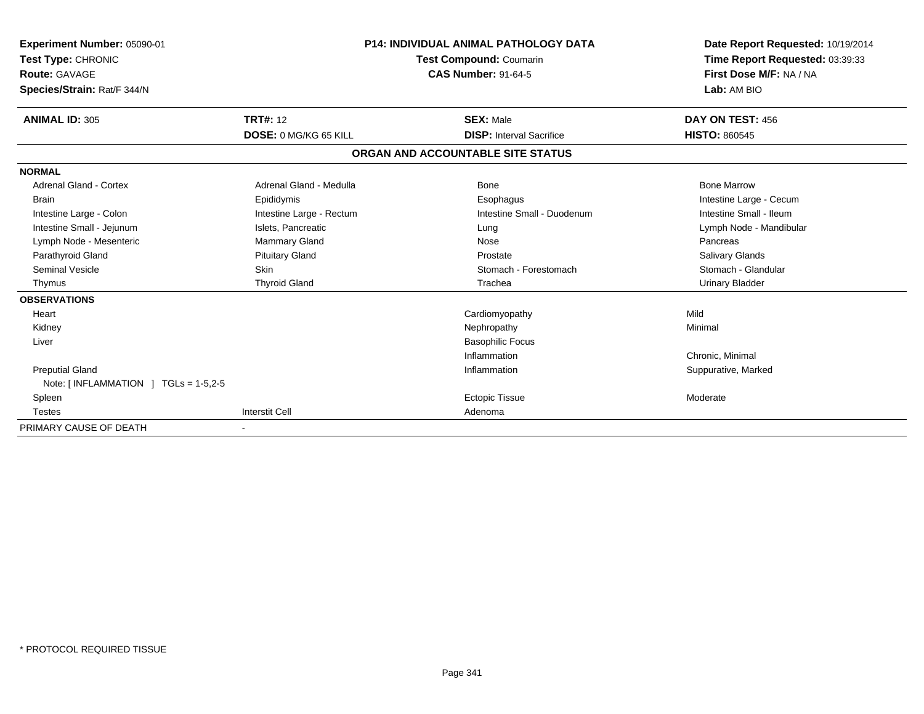| Experiment Number: 05090-01<br>Test Type: CHRONIC<br>Route: GAVAGE<br>Species/Strain: Rat/F 344/N | <b>P14: INDIVIDUAL ANIMAL PATHOLOGY DATA</b><br><b>Test Compound: Coumarin</b><br><b>CAS Number: 91-64-5</b> |                                   | Date Report Requested: 10/19/2014<br>Time Report Requested: 03:39:33<br>First Dose M/F: NA / NA<br>Lab: AM BIO |  |
|---------------------------------------------------------------------------------------------------|--------------------------------------------------------------------------------------------------------------|-----------------------------------|----------------------------------------------------------------------------------------------------------------|--|
| <b>ANIMAL ID: 305</b>                                                                             | <b>TRT#: 12</b>                                                                                              | <b>SEX: Male</b>                  | DAY ON TEST: 456                                                                                               |  |
|                                                                                                   | <b>DOSE: 0 MG/KG 65 KILL</b>                                                                                 | <b>DISP:</b> Interval Sacrifice   | <b>HISTO: 860545</b>                                                                                           |  |
|                                                                                                   |                                                                                                              | ORGAN AND ACCOUNTABLE SITE STATUS |                                                                                                                |  |
| <b>NORMAL</b>                                                                                     |                                                                                                              |                                   |                                                                                                                |  |
| Adrenal Gland - Cortex                                                                            | Adrenal Gland - Medulla                                                                                      | Bone                              | <b>Bone Marrow</b>                                                                                             |  |
| <b>Brain</b>                                                                                      | Epididymis                                                                                                   | Esophagus                         | Intestine Large - Cecum                                                                                        |  |
| Intestine Large - Colon                                                                           | Intestine Large - Rectum                                                                                     | Intestine Small - Duodenum        | Intestine Small - Ileum                                                                                        |  |
| Intestine Small - Jejunum                                                                         | Islets, Pancreatic                                                                                           | Lung                              | Lymph Node - Mandibular                                                                                        |  |
| Lymph Node - Mesenteric                                                                           | <b>Mammary Gland</b>                                                                                         | Nose                              | Pancreas                                                                                                       |  |
| Parathyroid Gland                                                                                 | <b>Pituitary Gland</b>                                                                                       | Prostate                          | Salivary Glands                                                                                                |  |
| <b>Seminal Vesicle</b>                                                                            | <b>Skin</b>                                                                                                  | Stomach - Forestomach             | Stomach - Glandular                                                                                            |  |
| Thymus                                                                                            | <b>Thyroid Gland</b>                                                                                         | Trachea                           | <b>Urinary Bladder</b>                                                                                         |  |
| <b>OBSERVATIONS</b>                                                                               |                                                                                                              |                                   |                                                                                                                |  |
| Heart                                                                                             |                                                                                                              | Cardiomyopathy                    | Mild                                                                                                           |  |
| Kidney                                                                                            |                                                                                                              | Nephropathy                       | Minimal                                                                                                        |  |
| Liver                                                                                             |                                                                                                              | <b>Basophilic Focus</b>           |                                                                                                                |  |
|                                                                                                   |                                                                                                              | Inflammation                      | Chronic, Minimal                                                                                               |  |
| <b>Preputial Gland</b>                                                                            |                                                                                                              | Inflammation                      | Suppurative, Marked                                                                                            |  |
| Note: $[INFLAMMATION] TGLs = 1-5,2-5$                                                             |                                                                                                              |                                   |                                                                                                                |  |
| Spleen                                                                                            |                                                                                                              | <b>Ectopic Tissue</b>             | Moderate                                                                                                       |  |
| <b>Testes</b>                                                                                     | <b>Interstit Cell</b>                                                                                        | Adenoma                           |                                                                                                                |  |
| PRIMARY CAUSE OF DEATH                                                                            |                                                                                                              |                                   |                                                                                                                |  |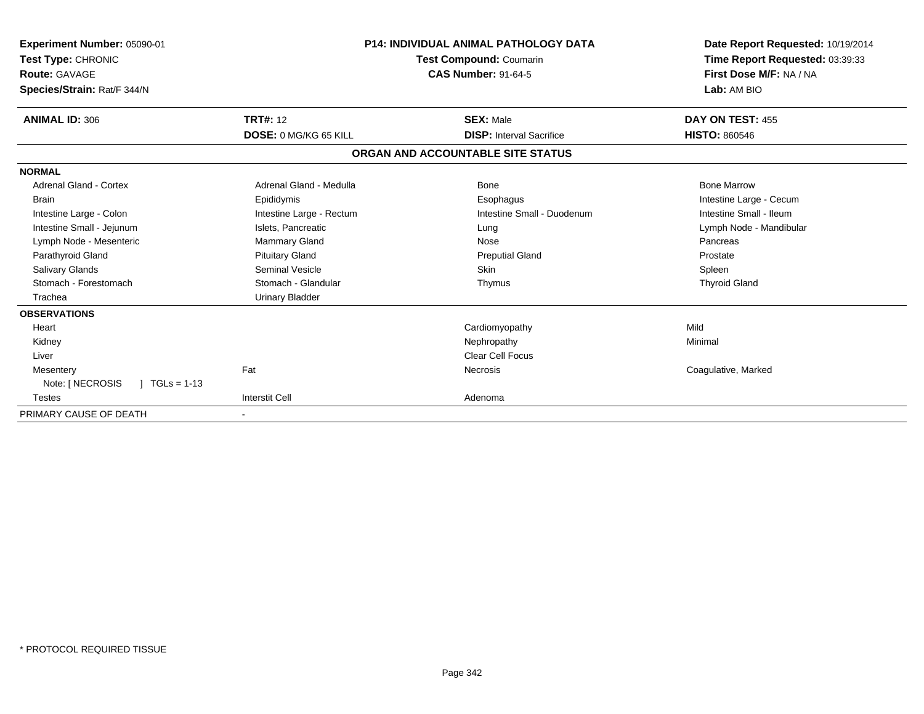| Experiment Number: 05090-01<br>Test Type: CHRONIC<br><b>Route: GAVAGE</b><br>Species/Strain: Rat/F 344/N |                          | <b>P14: INDIVIDUAL ANIMAL PATHOLOGY DATA</b><br>Test Compound: Coumarin<br><b>CAS Number: 91-64-5</b> | Date Report Requested: 10/19/2014<br>Time Report Requested: 03:39:33<br>First Dose M/F: NA / NA<br>Lab: AM BIO |  |
|----------------------------------------------------------------------------------------------------------|--------------------------|-------------------------------------------------------------------------------------------------------|----------------------------------------------------------------------------------------------------------------|--|
| <b>ANIMAL ID: 306</b>                                                                                    | <b>TRT#: 12</b>          | <b>SEX: Male</b>                                                                                      | DAY ON TEST: 455                                                                                               |  |
|                                                                                                          | DOSE: 0 MG/KG 65 KILL    | <b>DISP:</b> Interval Sacrifice                                                                       | <b>HISTO: 860546</b>                                                                                           |  |
|                                                                                                          |                          | ORGAN AND ACCOUNTABLE SITE STATUS                                                                     |                                                                                                                |  |
| <b>NORMAL</b>                                                                                            |                          |                                                                                                       |                                                                                                                |  |
| Adrenal Gland - Cortex                                                                                   | Adrenal Gland - Medulla  | Bone                                                                                                  | <b>Bone Marrow</b>                                                                                             |  |
| <b>Brain</b>                                                                                             | Epididymis               | Esophagus                                                                                             | Intestine Large - Cecum                                                                                        |  |
| Intestine Large - Colon                                                                                  | Intestine Large - Rectum | Intestine Small - Duodenum                                                                            | Intestine Small - Ileum                                                                                        |  |
| Intestine Small - Jejunum                                                                                | Islets, Pancreatic       | Lung                                                                                                  | Lymph Node - Mandibular                                                                                        |  |
| Lymph Node - Mesenteric                                                                                  | Mammary Gland            | Nose                                                                                                  | Pancreas                                                                                                       |  |
| Parathyroid Gland                                                                                        | <b>Pituitary Gland</b>   | <b>Preputial Gland</b>                                                                                | Prostate                                                                                                       |  |
| <b>Salivary Glands</b>                                                                                   | <b>Seminal Vesicle</b>   | Skin                                                                                                  | Spleen                                                                                                         |  |
| Stomach - Forestomach                                                                                    | Stomach - Glandular      | Thymus                                                                                                | <b>Thyroid Gland</b>                                                                                           |  |
| Trachea                                                                                                  | <b>Urinary Bladder</b>   |                                                                                                       |                                                                                                                |  |
| <b>OBSERVATIONS</b>                                                                                      |                          |                                                                                                       |                                                                                                                |  |
| Heart                                                                                                    |                          | Cardiomyopathy                                                                                        | Mild                                                                                                           |  |
| Kidney                                                                                                   |                          | Nephropathy                                                                                           | Minimal                                                                                                        |  |
| Liver                                                                                                    |                          | <b>Clear Cell Focus</b>                                                                               |                                                                                                                |  |
| Mesentery                                                                                                | Fat                      | <b>Necrosis</b>                                                                                       | Coagulative, Marked                                                                                            |  |
| Note: [ NECROSIS<br>$TGLs = 1-13$                                                                        |                          |                                                                                                       |                                                                                                                |  |
| <b>Testes</b>                                                                                            | <b>Interstit Cell</b>    | Adenoma                                                                                               |                                                                                                                |  |
| PRIMARY CAUSE OF DEATH                                                                                   |                          |                                                                                                       |                                                                                                                |  |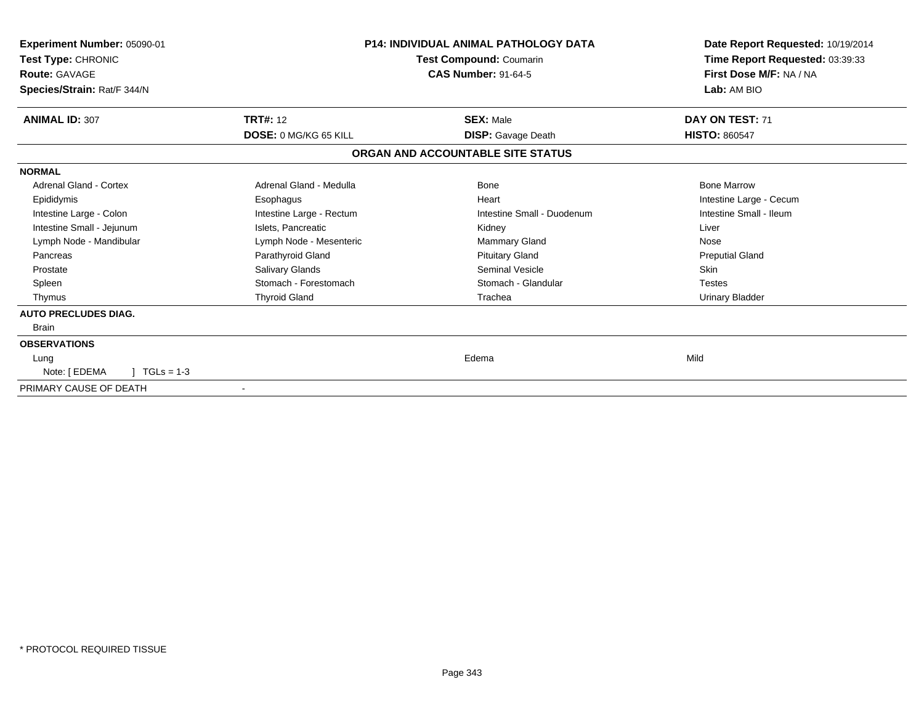| Experiment Number: 05090-01<br>Test Type: CHRONIC<br><b>Route: GAVAGE</b><br>Species/Strain: Rat/F 344/N |                              | <b>P14: INDIVIDUAL ANIMAL PATHOLOGY DATA</b><br>Test Compound: Coumarin<br><b>CAS Number: 91-64-5</b> | Date Report Requested: 10/19/2014<br>Time Report Requested: 03:39:33<br>First Dose M/F: NA / NA<br>Lab: AM BIO |  |
|----------------------------------------------------------------------------------------------------------|------------------------------|-------------------------------------------------------------------------------------------------------|----------------------------------------------------------------------------------------------------------------|--|
| <b>ANIMAL ID: 307</b>                                                                                    | <b>TRT#: 12</b>              | <b>SEX: Male</b>                                                                                      | DAY ON TEST: 71                                                                                                |  |
|                                                                                                          | <b>DOSE: 0 MG/KG 65 KILL</b> | <b>DISP:</b> Gavage Death                                                                             | <b>HISTO: 860547</b>                                                                                           |  |
|                                                                                                          |                              | ORGAN AND ACCOUNTABLE SITE STATUS                                                                     |                                                                                                                |  |
| <b>NORMAL</b>                                                                                            |                              |                                                                                                       |                                                                                                                |  |
| Adrenal Gland - Cortex                                                                                   | Adrenal Gland - Medulla      | Bone                                                                                                  | <b>Bone Marrow</b>                                                                                             |  |
| Epididymis                                                                                               | Esophagus                    | Heart                                                                                                 | Intestine Large - Cecum                                                                                        |  |
| Intestine Large - Colon                                                                                  | Intestine Large - Rectum     | Intestine Small - Duodenum                                                                            | Intestine Small - Ileum                                                                                        |  |
| Intestine Small - Jejunum                                                                                | Islets, Pancreatic           | Kidney                                                                                                | Liver                                                                                                          |  |
| Lymph Node - Mandibular                                                                                  | Lymph Node - Mesenteric      | <b>Mammary Gland</b>                                                                                  | Nose                                                                                                           |  |
| Pancreas                                                                                                 | Parathyroid Gland            | <b>Pituitary Gland</b>                                                                                | <b>Preputial Gland</b>                                                                                         |  |
| Prostate                                                                                                 | Salivary Glands              | Seminal Vesicle                                                                                       | Skin                                                                                                           |  |
| Spleen                                                                                                   | Stomach - Forestomach        | Stomach - Glandular                                                                                   | <b>Testes</b>                                                                                                  |  |
| Thymus                                                                                                   | <b>Thyroid Gland</b>         | Trachea                                                                                               | <b>Urinary Bladder</b>                                                                                         |  |
| <b>AUTO PRECLUDES DIAG.</b>                                                                              |                              |                                                                                                       |                                                                                                                |  |
| <b>Brain</b>                                                                                             |                              |                                                                                                       |                                                                                                                |  |
| <b>OBSERVATIONS</b>                                                                                      |                              |                                                                                                       |                                                                                                                |  |
| Lung                                                                                                     |                              | Edema                                                                                                 | Mild                                                                                                           |  |
| Note: [ EDEMA<br>$TGLs = 1-3$                                                                            |                              |                                                                                                       |                                                                                                                |  |
| PRIMARY CAUSE OF DEATH                                                                                   |                              |                                                                                                       |                                                                                                                |  |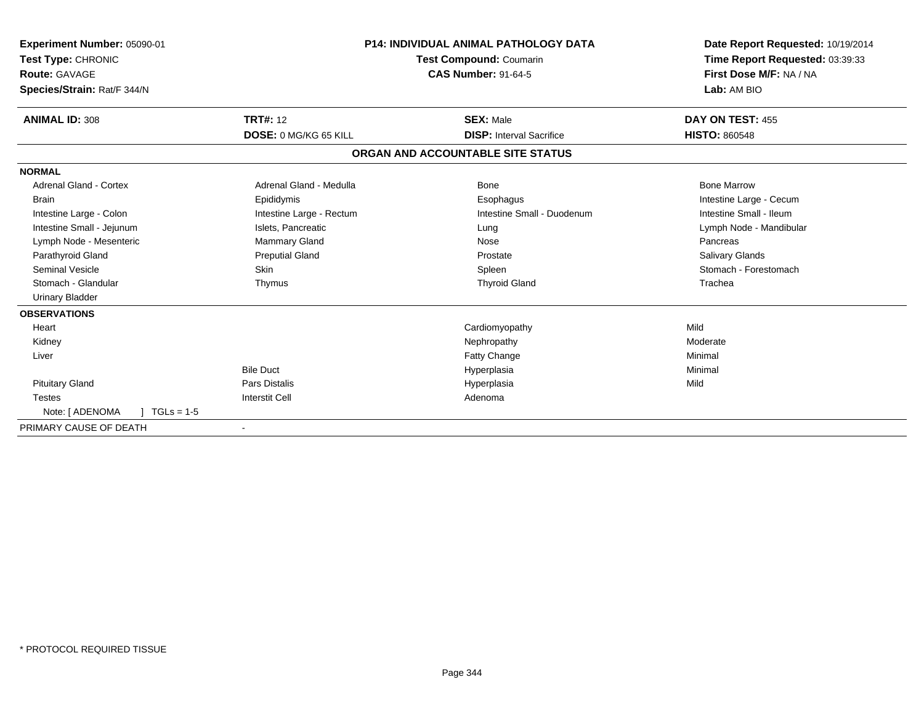| Experiment Number: 05090-01<br>Test Type: CHRONIC<br>Route: GAVAGE<br>Species/Strain: Rat/F 344/N |                              | <b>P14: INDIVIDUAL ANIMAL PATHOLOGY DATA</b><br>Test Compound: Coumarin<br><b>CAS Number: 91-64-5</b> | Date Report Requested: 10/19/2014<br>Time Report Requested: 03:39:33<br>First Dose M/F: NA / NA<br>Lab: AM BIO |  |
|---------------------------------------------------------------------------------------------------|------------------------------|-------------------------------------------------------------------------------------------------------|----------------------------------------------------------------------------------------------------------------|--|
| <b>ANIMAL ID: 308</b>                                                                             | <b>TRT#: 12</b>              | <b>SEX: Male</b>                                                                                      | DAY ON TEST: 455                                                                                               |  |
|                                                                                                   | <b>DOSE: 0 MG/KG 65 KILL</b> | <b>DISP:</b> Interval Sacrifice                                                                       | <b>HISTO: 860548</b>                                                                                           |  |
|                                                                                                   |                              | ORGAN AND ACCOUNTABLE SITE STATUS                                                                     |                                                                                                                |  |
| <b>NORMAL</b>                                                                                     |                              |                                                                                                       |                                                                                                                |  |
| <b>Adrenal Gland - Cortex</b>                                                                     | Adrenal Gland - Medulla      | Bone                                                                                                  | <b>Bone Marrow</b>                                                                                             |  |
| <b>Brain</b>                                                                                      | Epididymis                   | Esophagus                                                                                             | Intestine Large - Cecum                                                                                        |  |
| Intestine Large - Colon                                                                           | Intestine Large - Rectum     | Intestine Small - Duodenum                                                                            | Intestine Small - Ileum                                                                                        |  |
| Intestine Small - Jejunum                                                                         | Islets, Pancreatic           | Lung                                                                                                  | Lymph Node - Mandibular                                                                                        |  |
| Lymph Node - Mesenteric                                                                           | <b>Mammary Gland</b>         | Nose                                                                                                  | Pancreas                                                                                                       |  |
| Parathyroid Gland                                                                                 | <b>Preputial Gland</b>       | Prostate                                                                                              | Salivary Glands                                                                                                |  |
| <b>Seminal Vesicle</b>                                                                            | Skin                         | Spleen                                                                                                | Stomach - Forestomach                                                                                          |  |
| Stomach - Glandular                                                                               | Thymus                       | <b>Thyroid Gland</b>                                                                                  | Trachea                                                                                                        |  |
| <b>Urinary Bladder</b>                                                                            |                              |                                                                                                       |                                                                                                                |  |
| <b>OBSERVATIONS</b>                                                                               |                              |                                                                                                       |                                                                                                                |  |
| Heart                                                                                             |                              | Cardiomyopathy                                                                                        | Mild                                                                                                           |  |
| Kidney                                                                                            |                              | Nephropathy                                                                                           | Moderate                                                                                                       |  |
| Liver                                                                                             |                              | Fatty Change                                                                                          | Minimal                                                                                                        |  |
|                                                                                                   | <b>Bile Duct</b>             | Hyperplasia                                                                                           | Minimal                                                                                                        |  |
| <b>Pituitary Gland</b>                                                                            | Pars Distalis                | Hyperplasia                                                                                           | Mild                                                                                                           |  |
| <b>Testes</b>                                                                                     | <b>Interstit Cell</b>        | Adenoma                                                                                               |                                                                                                                |  |
| Note: [ ADENOMA<br>$TGLs = 1-5$                                                                   |                              |                                                                                                       |                                                                                                                |  |
| PRIMARY CAUSE OF DEATH                                                                            |                              |                                                                                                       |                                                                                                                |  |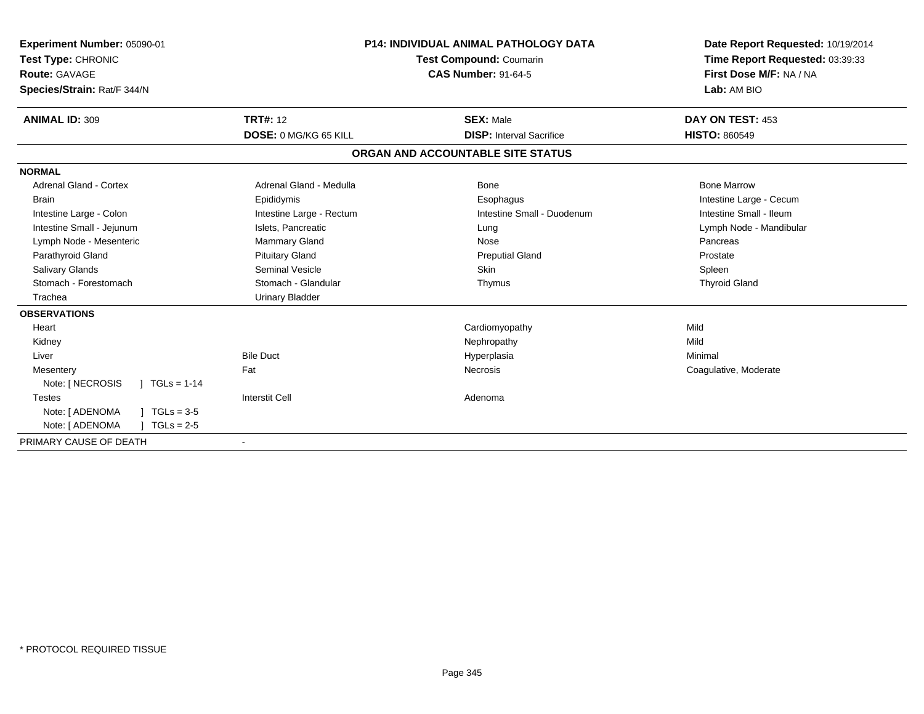| Experiment Number: 05090-01<br>Test Type: CHRONIC<br>Route: GAVAGE<br>Species/Strain: Rat/F 344/N | <b>P14: INDIVIDUAL ANIMAL PATHOLOGY DATA</b><br><b>Test Compound: Coumarin</b><br><b>CAS Number: 91-64-5</b> |                                   | Date Report Requested: 10/19/2014<br>Time Report Requested: 03:39:33<br>First Dose M/F: NA / NA<br>Lab: AM BIO |  |
|---------------------------------------------------------------------------------------------------|--------------------------------------------------------------------------------------------------------------|-----------------------------------|----------------------------------------------------------------------------------------------------------------|--|
| <b>ANIMAL ID: 309</b>                                                                             | <b>TRT#: 12</b>                                                                                              | <b>SEX: Male</b>                  | DAY ON TEST: 453                                                                                               |  |
|                                                                                                   | DOSE: 0 MG/KG 65 KILL                                                                                        | <b>DISP:</b> Interval Sacrifice   | <b>HISTO: 860549</b>                                                                                           |  |
|                                                                                                   |                                                                                                              | ORGAN AND ACCOUNTABLE SITE STATUS |                                                                                                                |  |
| <b>NORMAL</b>                                                                                     |                                                                                                              |                                   |                                                                                                                |  |
| <b>Adrenal Gland - Cortex</b>                                                                     | Adrenal Gland - Medulla                                                                                      | <b>Bone</b>                       | <b>Bone Marrow</b>                                                                                             |  |
| <b>Brain</b>                                                                                      | Epididymis                                                                                                   | Esophagus                         | Intestine Large - Cecum                                                                                        |  |
| Intestine Large - Colon                                                                           | Intestine Large - Rectum                                                                                     | Intestine Small - Duodenum        | Intestine Small - Ileum                                                                                        |  |
| Intestine Small - Jejunum                                                                         | Islets, Pancreatic                                                                                           | Lung                              | Lymph Node - Mandibular                                                                                        |  |
| Lymph Node - Mesenteric                                                                           | Mammary Gland                                                                                                | Nose                              | Pancreas                                                                                                       |  |
| Parathyroid Gland                                                                                 | <b>Pituitary Gland</b>                                                                                       | <b>Preputial Gland</b>            | Prostate                                                                                                       |  |
| Salivary Glands                                                                                   | Seminal Vesicle                                                                                              | Skin                              | Spleen                                                                                                         |  |
| Stomach - Forestomach                                                                             | Stomach - Glandular                                                                                          | Thymus                            | <b>Thyroid Gland</b>                                                                                           |  |
| Trachea                                                                                           | <b>Urinary Bladder</b>                                                                                       |                                   |                                                                                                                |  |
| <b>OBSERVATIONS</b>                                                                               |                                                                                                              |                                   |                                                                                                                |  |
| Heart                                                                                             |                                                                                                              | Cardiomyopathy                    | Mild                                                                                                           |  |
| Kidney                                                                                            |                                                                                                              | Nephropathy                       | Mild                                                                                                           |  |
| Liver                                                                                             | <b>Bile Duct</b>                                                                                             | Hyperplasia                       | Minimal                                                                                                        |  |
| Mesentery                                                                                         | Fat                                                                                                          | <b>Necrosis</b>                   | Coagulative, Moderate                                                                                          |  |
| Note: [ NECROSIS<br>$1 TGLs = 1-14$                                                               |                                                                                                              |                                   |                                                                                                                |  |
| <b>Testes</b>                                                                                     | <b>Interstit Cell</b>                                                                                        | Adenoma                           |                                                                                                                |  |
| Note: [ ADENOMA<br>$TGLs = 3-5$                                                                   |                                                                                                              |                                   |                                                                                                                |  |
| Note: [ ADENOMA<br>$TGLs = 2-5$                                                                   |                                                                                                              |                                   |                                                                                                                |  |
| PRIMARY CAUSE OF DEATH                                                                            | $\overline{\phantom{a}}$                                                                                     |                                   |                                                                                                                |  |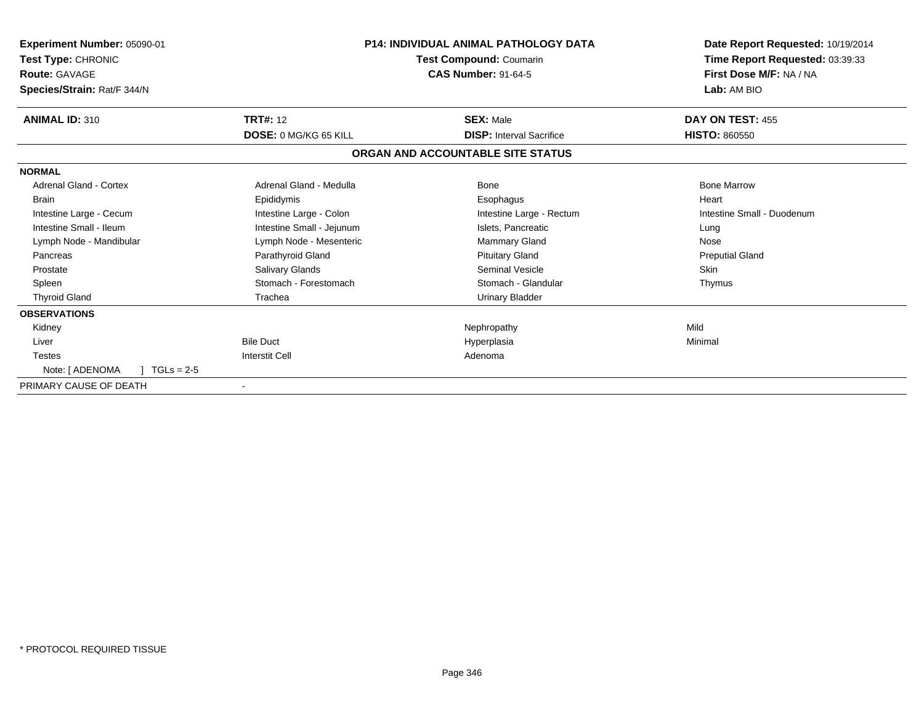| Experiment Number: 05090-01<br>Test Type: CHRONIC<br><b>Route: GAVAGE</b><br>Species/Strain: Rat/F 344/N | <b>P14: INDIVIDUAL ANIMAL PATHOLOGY DATA</b><br>Test Compound: Coumarin<br><b>CAS Number: 91-64-5</b> |                                                     | Date Report Requested: 10/19/2014<br>Time Report Requested: 03:39:33<br>First Dose M/F: NA / NA<br>Lab: AM BIO |  |
|----------------------------------------------------------------------------------------------------------|-------------------------------------------------------------------------------------------------------|-----------------------------------------------------|----------------------------------------------------------------------------------------------------------------|--|
| <b>ANIMAL ID: 310</b>                                                                                    | <b>TRT#: 12</b><br>DOSE: 0 MG/KG 65 KILL                                                              | <b>SEX: Male</b><br><b>DISP: Interval Sacrifice</b> | DAY ON TEST: 455<br><b>HISTO: 860550</b>                                                                       |  |
|                                                                                                          |                                                                                                       | ORGAN AND ACCOUNTABLE SITE STATUS                   |                                                                                                                |  |
| <b>NORMAL</b>                                                                                            |                                                                                                       |                                                     |                                                                                                                |  |
| <b>Adrenal Gland - Cortex</b>                                                                            | Adrenal Gland - Medulla                                                                               | <b>Bone</b>                                         | <b>Bone Marrow</b>                                                                                             |  |
| <b>Brain</b>                                                                                             | Epididymis                                                                                            | Esophagus                                           | Heart                                                                                                          |  |
| Intestine Large - Cecum                                                                                  | Intestine Large - Colon                                                                               | Intestine Large - Rectum                            | Intestine Small - Duodenum                                                                                     |  |
| Intestine Small - Ileum                                                                                  | Intestine Small - Jejunum                                                                             | Islets, Pancreatic                                  | Lung                                                                                                           |  |
| Lymph Node - Mandibular                                                                                  | Lymph Node - Mesenteric                                                                               | <b>Mammary Gland</b>                                | Nose                                                                                                           |  |
| Pancreas                                                                                                 | Parathyroid Gland                                                                                     | <b>Pituitary Gland</b>                              | <b>Preputial Gland</b>                                                                                         |  |
| Prostate                                                                                                 | Salivary Glands                                                                                       | <b>Seminal Vesicle</b>                              | <b>Skin</b>                                                                                                    |  |
| Spleen                                                                                                   | Stomach - Forestomach                                                                                 | Stomach - Glandular                                 | Thymus                                                                                                         |  |
| <b>Thyroid Gland</b>                                                                                     | Trachea                                                                                               | <b>Urinary Bladder</b>                              |                                                                                                                |  |
| <b>OBSERVATIONS</b>                                                                                      |                                                                                                       |                                                     |                                                                                                                |  |
| Kidney                                                                                                   |                                                                                                       | Nephropathy                                         | Mild                                                                                                           |  |
| Liver                                                                                                    | <b>Bile Duct</b>                                                                                      | Hyperplasia                                         | Minimal                                                                                                        |  |
| <b>Testes</b>                                                                                            | <b>Interstit Cell</b>                                                                                 | Adenoma                                             |                                                                                                                |  |
| Note: [ ADENOMA<br>$TGLs = 2-5$                                                                          |                                                                                                       |                                                     |                                                                                                                |  |
| PRIMARY CAUSE OF DEATH                                                                                   |                                                                                                       |                                                     |                                                                                                                |  |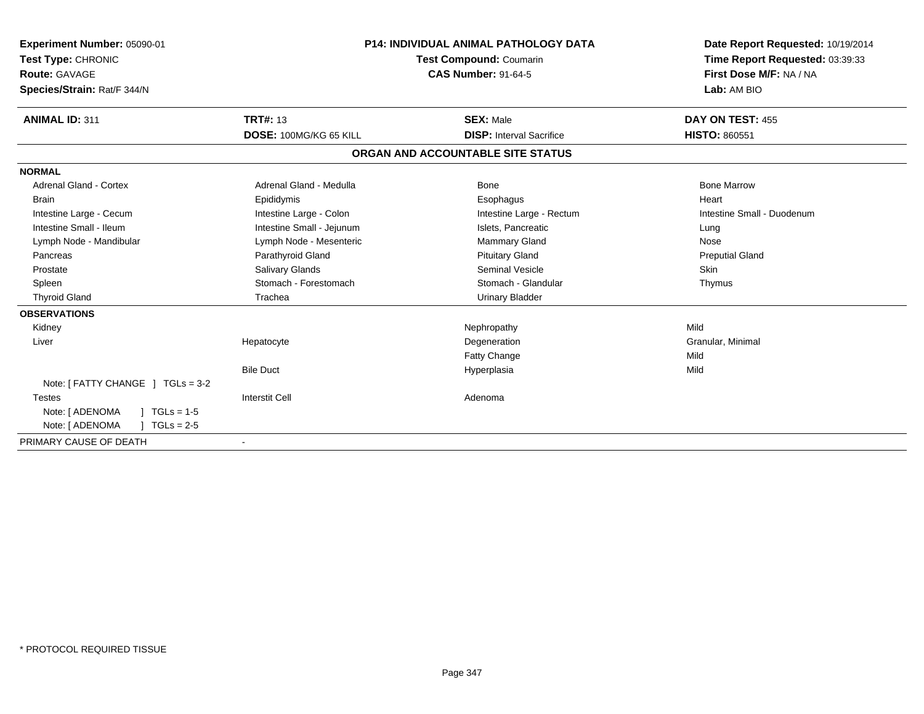| <b>Experiment Number: 05090-01</b><br>Test Type: CHRONIC<br><b>Route: GAVAGE</b><br>Species/Strain: Rat/F 344/N |                           | <b>P14: INDIVIDUAL ANIMAL PATHOLOGY DATA</b><br>Test Compound: Coumarin<br><b>CAS Number: 91-64-5</b> | Date Report Requested: 10/19/2014<br>Time Report Requested: 03:39:33<br>First Dose M/F: NA / NA<br>Lab: AM BIO |  |
|-----------------------------------------------------------------------------------------------------------------|---------------------------|-------------------------------------------------------------------------------------------------------|----------------------------------------------------------------------------------------------------------------|--|
| <b>ANIMAL ID: 311</b>                                                                                           | <b>TRT#: 13</b>           | <b>SEX: Male</b>                                                                                      | DAY ON TEST: 455                                                                                               |  |
|                                                                                                                 | DOSE: 100MG/KG 65 KILL    | <b>DISP:</b> Interval Sacrifice                                                                       | <b>HISTO: 860551</b>                                                                                           |  |
|                                                                                                                 |                           | ORGAN AND ACCOUNTABLE SITE STATUS                                                                     |                                                                                                                |  |
| <b>NORMAL</b>                                                                                                   |                           |                                                                                                       |                                                                                                                |  |
| <b>Adrenal Gland - Cortex</b>                                                                                   | Adrenal Gland - Medulla   | Bone                                                                                                  | <b>Bone Marrow</b>                                                                                             |  |
| <b>Brain</b>                                                                                                    | Epididymis                | Esophagus                                                                                             | Heart                                                                                                          |  |
| Intestine Large - Cecum                                                                                         | Intestine Large - Colon   | Intestine Large - Rectum                                                                              | Intestine Small - Duodenum                                                                                     |  |
| Intestine Small - Ileum                                                                                         | Intestine Small - Jejunum | Islets, Pancreatic                                                                                    | Lung                                                                                                           |  |
| Lymph Node - Mandibular                                                                                         | Lymph Node - Mesenteric   | <b>Mammary Gland</b>                                                                                  | Nose                                                                                                           |  |
| Pancreas                                                                                                        | Parathyroid Gland         | <b>Pituitary Gland</b>                                                                                | <b>Preputial Gland</b>                                                                                         |  |
| Prostate                                                                                                        | Salivary Glands           | Seminal Vesicle                                                                                       | <b>Skin</b>                                                                                                    |  |
| Spleen                                                                                                          | Stomach - Forestomach     | Stomach - Glandular                                                                                   | Thymus                                                                                                         |  |
| <b>Thyroid Gland</b>                                                                                            | Trachea                   | Urinary Bladder                                                                                       |                                                                                                                |  |
| <b>OBSERVATIONS</b>                                                                                             |                           |                                                                                                       |                                                                                                                |  |
| Kidney                                                                                                          |                           | Nephropathy                                                                                           | Mild                                                                                                           |  |
| Liver                                                                                                           | Hepatocyte                | Degeneration                                                                                          | Granular, Minimal                                                                                              |  |
|                                                                                                                 |                           | Fatty Change                                                                                          | Mild                                                                                                           |  |
|                                                                                                                 | <b>Bile Duct</b>          | Hyperplasia                                                                                           | Mild                                                                                                           |  |
| Note: $[$ FATTY CHANGE $]$ TGLs = 3-2                                                                           |                           |                                                                                                       |                                                                                                                |  |
| <b>Testes</b>                                                                                                   | <b>Interstit Cell</b>     | Adenoma                                                                                               |                                                                                                                |  |
| Note: [ ADENOMA<br>$TGLs = 1-5$                                                                                 |                           |                                                                                                       |                                                                                                                |  |
| Note: [ ADENOMA<br>$TGLs = 2-5$                                                                                 |                           |                                                                                                       |                                                                                                                |  |
| PRIMARY CAUSE OF DEATH                                                                                          |                           |                                                                                                       |                                                                                                                |  |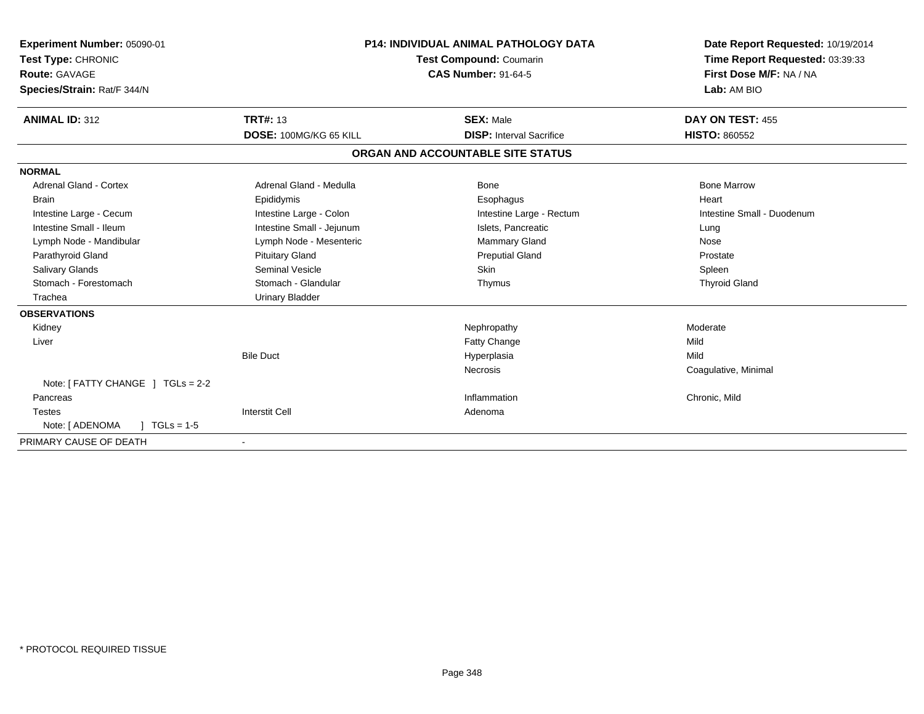| <b>Experiment Number: 05090-01</b><br>Test Type: CHRONIC<br>Route: GAVAGE<br>Species/Strain: Rat/F 344/N |                           | <b>P14: INDIVIDUAL ANIMAL PATHOLOGY DATA</b><br><b>Test Compound: Coumarin</b><br><b>CAS Number: 91-64-5</b> |                                   | Date Report Requested: 10/19/2014<br>Time Report Requested: 03:39:33<br>First Dose M/F: NA / NA<br>Lab: AM BIO |  |
|----------------------------------------------------------------------------------------------------------|---------------------------|--------------------------------------------------------------------------------------------------------------|-----------------------------------|----------------------------------------------------------------------------------------------------------------|--|
| <b>ANIMAL ID: 312</b>                                                                                    | <b>TRT#: 13</b>           |                                                                                                              | <b>SEX: Male</b>                  | DAY ON TEST: 455                                                                                               |  |
|                                                                                                          | DOSE: 100MG/KG 65 KILL    |                                                                                                              | <b>DISP:</b> Interval Sacrifice   | <b>HISTO: 860552</b>                                                                                           |  |
|                                                                                                          |                           |                                                                                                              | ORGAN AND ACCOUNTABLE SITE STATUS |                                                                                                                |  |
| <b>NORMAL</b>                                                                                            |                           |                                                                                                              |                                   |                                                                                                                |  |
| <b>Adrenal Gland - Cortex</b>                                                                            | Adrenal Gland - Medulla   |                                                                                                              | Bone                              | <b>Bone Marrow</b>                                                                                             |  |
| <b>Brain</b>                                                                                             | Epididymis                |                                                                                                              | Esophagus                         | Heart                                                                                                          |  |
| Intestine Large - Cecum                                                                                  | Intestine Large - Colon   |                                                                                                              | Intestine Large - Rectum          | Intestine Small - Duodenum                                                                                     |  |
| Intestine Small - Ileum                                                                                  | Intestine Small - Jejunum |                                                                                                              | Islets, Pancreatic                | Lung                                                                                                           |  |
| Lymph Node - Mandibular                                                                                  | Lymph Node - Mesenteric   |                                                                                                              | <b>Mammary Gland</b>              | Nose                                                                                                           |  |
| Parathyroid Gland                                                                                        | <b>Pituitary Gland</b>    |                                                                                                              | <b>Preputial Gland</b>            | Prostate                                                                                                       |  |
| <b>Salivary Glands</b>                                                                                   | Seminal Vesicle           |                                                                                                              | <b>Skin</b>                       | Spleen                                                                                                         |  |
| Stomach - Forestomach                                                                                    | Stomach - Glandular       |                                                                                                              | Thymus                            | <b>Thyroid Gland</b>                                                                                           |  |
| Trachea                                                                                                  | <b>Urinary Bladder</b>    |                                                                                                              |                                   |                                                                                                                |  |
| <b>OBSERVATIONS</b>                                                                                      |                           |                                                                                                              |                                   |                                                                                                                |  |
| Kidney                                                                                                   |                           |                                                                                                              | Nephropathy                       | Moderate                                                                                                       |  |
| Liver                                                                                                    |                           |                                                                                                              | Fatty Change                      | Mild                                                                                                           |  |
|                                                                                                          | <b>Bile Duct</b>          |                                                                                                              | Hyperplasia                       | Mild                                                                                                           |  |
|                                                                                                          |                           |                                                                                                              | <b>Necrosis</b>                   | Coagulative, Minimal                                                                                           |  |
| Note: $[$ FATTY CHANGE $]$ TGLs = 2-2                                                                    |                           |                                                                                                              |                                   |                                                                                                                |  |
| Pancreas                                                                                                 |                           |                                                                                                              | Inflammation                      | Chronic, Mild                                                                                                  |  |
| <b>Testes</b>                                                                                            | <b>Interstit Cell</b>     |                                                                                                              | Adenoma                           |                                                                                                                |  |
| Note: [ ADENOMA<br>$TGLs = 1-5$                                                                          |                           |                                                                                                              |                                   |                                                                                                                |  |
| PRIMARY CAUSE OF DEATH                                                                                   |                           |                                                                                                              |                                   |                                                                                                                |  |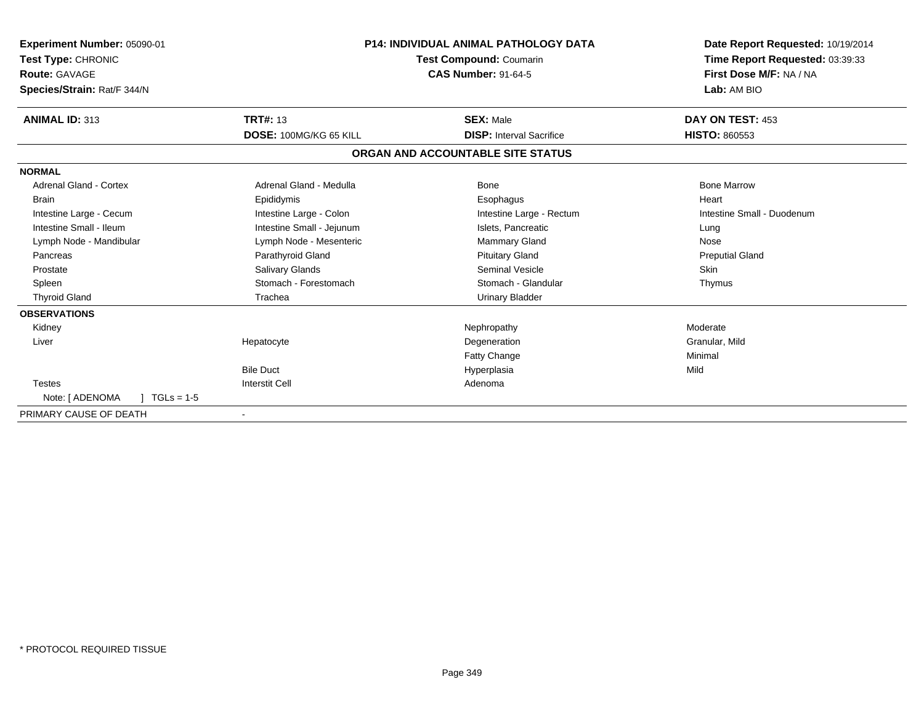| Experiment Number: 05090-01<br>Test Type: CHRONIC<br><b>Route: GAVAGE</b><br>Species/Strain: Rat/F 344/N | <b>P14: INDIVIDUAL ANIMAL PATHOLOGY DATA</b><br>Test Compound: Coumarin<br><b>CAS Number: 91-64-5</b> |                                   | Date Report Requested: 10/19/2014<br>Time Report Requested: 03:39:33<br>First Dose M/F: NA / NA<br>Lab: AM BIO |
|----------------------------------------------------------------------------------------------------------|-------------------------------------------------------------------------------------------------------|-----------------------------------|----------------------------------------------------------------------------------------------------------------|
| <b>ANIMAL ID: 313</b>                                                                                    | <b>TRT#: 13</b>                                                                                       | <b>SEX: Male</b>                  | DAY ON TEST: 453                                                                                               |
|                                                                                                          | DOSE: 100MG/KG 65 KILL                                                                                | <b>DISP: Interval Sacrifice</b>   | <b>HISTO: 860553</b>                                                                                           |
|                                                                                                          |                                                                                                       | ORGAN AND ACCOUNTABLE SITE STATUS |                                                                                                                |
| <b>NORMAL</b>                                                                                            |                                                                                                       |                                   |                                                                                                                |
| <b>Adrenal Gland - Cortex</b>                                                                            | Adrenal Gland - Medulla                                                                               | Bone                              | <b>Bone Marrow</b>                                                                                             |
| <b>Brain</b>                                                                                             | Epididymis                                                                                            | Esophagus                         | Heart                                                                                                          |
| Intestine Large - Cecum                                                                                  | Intestine Large - Colon                                                                               | Intestine Large - Rectum          | Intestine Small - Duodenum                                                                                     |
| Intestine Small - Ileum                                                                                  | Intestine Small - Jejunum                                                                             | Islets, Pancreatic                | Lung                                                                                                           |
| Lymph Node - Mandibular                                                                                  | Lymph Node - Mesenteric                                                                               | <b>Mammary Gland</b>              | Nose                                                                                                           |
| Pancreas                                                                                                 | Parathyroid Gland                                                                                     | <b>Pituitary Gland</b>            | <b>Preputial Gland</b>                                                                                         |
| Prostate                                                                                                 | Salivary Glands                                                                                       | Seminal Vesicle                   | <b>Skin</b>                                                                                                    |
| Spleen                                                                                                   | Stomach - Forestomach                                                                                 | Stomach - Glandular               | Thymus                                                                                                         |
| <b>Thyroid Gland</b>                                                                                     | Trachea                                                                                               | <b>Urinary Bladder</b>            |                                                                                                                |
| <b>OBSERVATIONS</b>                                                                                      |                                                                                                       |                                   |                                                                                                                |
| Kidney                                                                                                   |                                                                                                       | Nephropathy                       | Moderate                                                                                                       |
| Liver                                                                                                    | Hepatocyte                                                                                            | Degeneration                      | Granular, Mild                                                                                                 |
|                                                                                                          |                                                                                                       | Fatty Change                      | Minimal                                                                                                        |
|                                                                                                          | <b>Bile Duct</b>                                                                                      | Hyperplasia                       | Mild                                                                                                           |
| <b>Testes</b>                                                                                            | <b>Interstit Cell</b>                                                                                 | Adenoma                           |                                                                                                                |
| Note: [ ADENOMA<br>$TGLs = 1-5$                                                                          |                                                                                                       |                                   |                                                                                                                |
| PRIMARY CAUSE OF DEATH                                                                                   |                                                                                                       |                                   |                                                                                                                |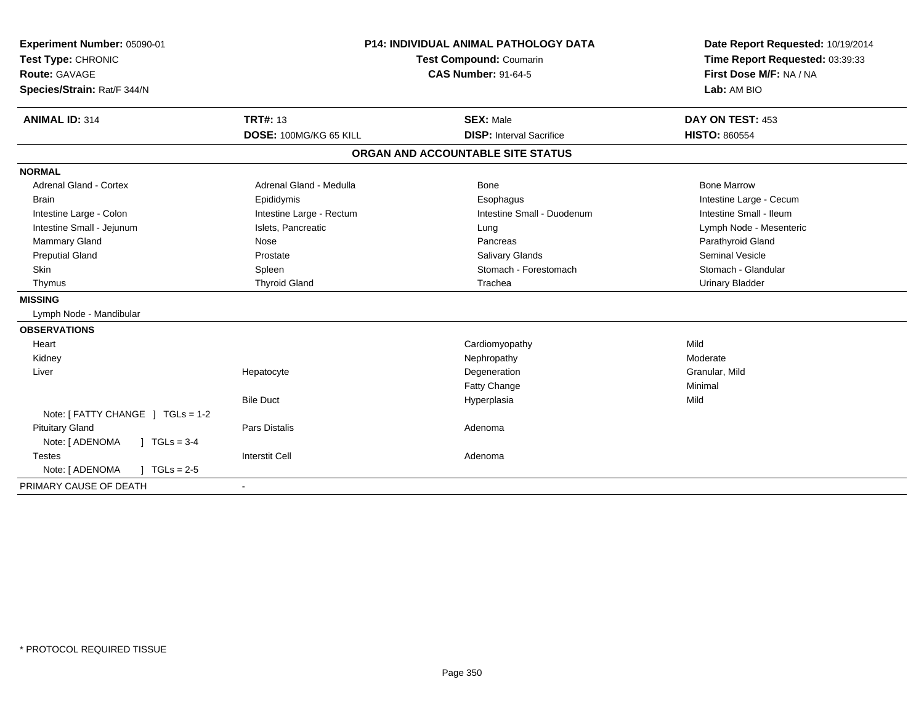| Experiment Number: 05090-01             |                                | <b>P14: INDIVIDUAL ANIMAL PATHOLOGY DATA</b> | Date Report Requested: 10/19/2014 |
|-----------------------------------------|--------------------------------|----------------------------------------------|-----------------------------------|
| Test Type: CHRONIC                      | <b>Test Compound: Coumarin</b> |                                              | Time Report Requested: 03:39:33   |
| <b>Route: GAVAGE</b>                    |                                | <b>CAS Number: 91-64-5</b>                   | First Dose M/F: NA / NA           |
| Species/Strain: Rat/F 344/N             |                                |                                              | Lab: AM BIO                       |
| <b>ANIMAL ID: 314</b>                   | <b>TRT#: 13</b>                | <b>SEX: Male</b>                             | DAY ON TEST: 453                  |
|                                         | DOSE: 100MG/KG 65 KILL         | <b>DISP: Interval Sacrifice</b>              | <b>HISTO: 860554</b>              |
|                                         |                                | ORGAN AND ACCOUNTABLE SITE STATUS            |                                   |
| <b>NORMAL</b>                           |                                |                                              |                                   |
| <b>Adrenal Gland - Cortex</b>           | Adrenal Gland - Medulla        | Bone                                         | <b>Bone Marrow</b>                |
| <b>Brain</b>                            | Epididymis                     | Esophagus                                    | Intestine Large - Cecum           |
| Intestine Large - Colon                 | Intestine Large - Rectum       | Intestine Small - Duodenum                   | Intestine Small - Ileum           |
| Intestine Small - Jejunum               | Islets, Pancreatic             | Lung                                         | Lymph Node - Mesenteric           |
| Mammary Gland                           | Nose                           | Pancreas                                     | Parathyroid Gland                 |
| <b>Preputial Gland</b>                  | Prostate                       | <b>Salivary Glands</b>                       | <b>Seminal Vesicle</b>            |
| Skin                                    | Spleen                         | Stomach - Forestomach                        | Stomach - Glandular               |
| Thymus                                  | <b>Thyroid Gland</b>           | Trachea                                      | <b>Urinary Bladder</b>            |
| <b>MISSING</b>                          |                                |                                              |                                   |
| Lymph Node - Mandibular                 |                                |                                              |                                   |
| <b>OBSERVATIONS</b>                     |                                |                                              |                                   |
| Heart                                   |                                | Cardiomyopathy                               | Mild                              |
| Kidney                                  |                                | Nephropathy                                  | Moderate                          |
| Liver                                   | Hepatocyte                     | Degeneration                                 | Granular, Mild                    |
|                                         |                                | <b>Fatty Change</b>                          | Minimal                           |
|                                         | <b>Bile Duct</b>               | Hyperplasia                                  | Mild                              |
| Note: [ FATTY CHANGE ] TGLs = 1-2       |                                |                                              |                                   |
| <b>Pituitary Gland</b>                  | <b>Pars Distalis</b>           | Adenoma                                      |                                   |
| $J \cdot TGLs = 3-4$<br>Note: [ ADENOMA |                                |                                              |                                   |
| <b>Testes</b>                           | <b>Interstit Cell</b>          | Adenoma                                      |                                   |
| Note: [ ADENOMA<br>$J \cdot TGLs = 2-5$ |                                |                                              |                                   |
| PRIMARY CAUSE OF DEATH                  | $\sim$                         |                                              |                                   |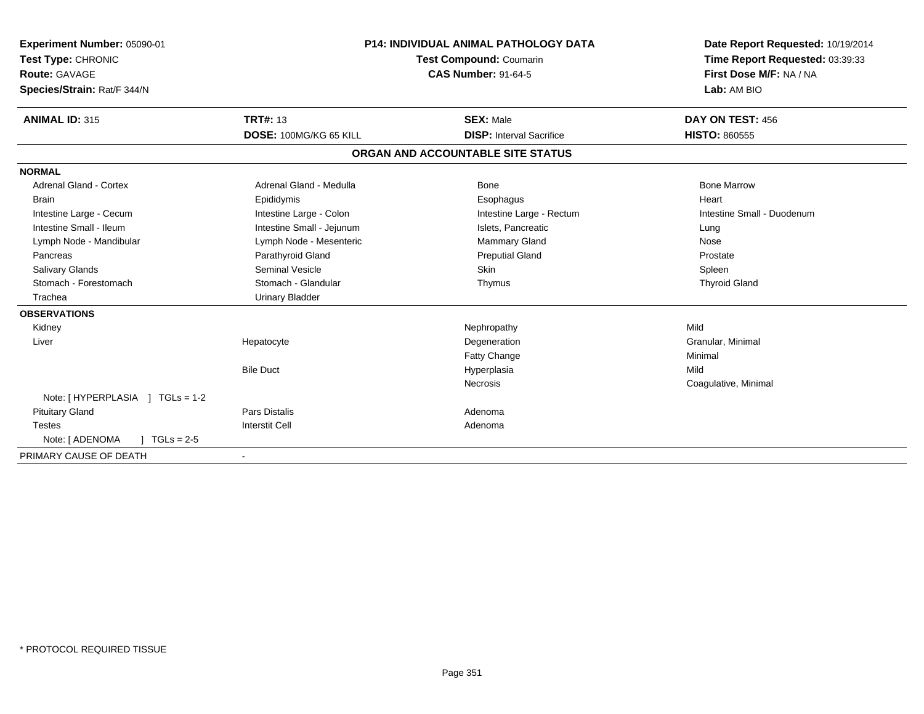| Experiment Number: 05090-01<br>Test Type: CHRONIC<br>Route: GAVAGE<br>Species/Strain: Rat/F 344/N |                           | <b>P14: INDIVIDUAL ANIMAL PATHOLOGY DATA</b><br><b>Test Compound: Coumarin</b><br><b>CAS Number: 91-64-5</b> | Date Report Requested: 10/19/2014<br>Time Report Requested: 03:39:33<br>First Dose M/F: NA / NA<br>Lab: AM BIO |
|---------------------------------------------------------------------------------------------------|---------------------------|--------------------------------------------------------------------------------------------------------------|----------------------------------------------------------------------------------------------------------------|
| <b>ANIMAL ID: 315</b>                                                                             | <b>TRT#: 13</b>           | <b>SEX: Male</b>                                                                                             | DAY ON TEST: 456                                                                                               |
|                                                                                                   | DOSE: 100MG/KG 65 KILL    | <b>DISP: Interval Sacrifice</b>                                                                              | <b>HISTO: 860555</b>                                                                                           |
|                                                                                                   |                           | ORGAN AND ACCOUNTABLE SITE STATUS                                                                            |                                                                                                                |
| <b>NORMAL</b>                                                                                     |                           |                                                                                                              |                                                                                                                |
| <b>Adrenal Gland - Cortex</b>                                                                     | Adrenal Gland - Medulla   | <b>Bone</b>                                                                                                  | <b>Bone Marrow</b>                                                                                             |
| <b>Brain</b>                                                                                      | Epididymis                | Esophagus                                                                                                    | Heart                                                                                                          |
| Intestine Large - Cecum                                                                           | Intestine Large - Colon   | Intestine Large - Rectum                                                                                     | Intestine Small - Duodenum                                                                                     |
| Intestine Small - Ileum                                                                           | Intestine Small - Jejunum | Islets, Pancreatic                                                                                           | Lung                                                                                                           |
| Lymph Node - Mandibular                                                                           | Lymph Node - Mesenteric   | <b>Mammary Gland</b>                                                                                         | Nose                                                                                                           |
| Pancreas                                                                                          | Parathyroid Gland         | <b>Preputial Gland</b>                                                                                       | Prostate                                                                                                       |
| Salivary Glands                                                                                   | <b>Seminal Vesicle</b>    | Skin                                                                                                         | Spleen                                                                                                         |
| Stomach - Forestomach                                                                             | Stomach - Glandular       | Thymus                                                                                                       | <b>Thyroid Gland</b>                                                                                           |
| Trachea                                                                                           | <b>Urinary Bladder</b>    |                                                                                                              |                                                                                                                |
| <b>OBSERVATIONS</b>                                                                               |                           |                                                                                                              |                                                                                                                |
| Kidney                                                                                            |                           | Nephropathy                                                                                                  | Mild                                                                                                           |
| Liver                                                                                             | Hepatocyte                | Degeneration                                                                                                 | Granular, Minimal                                                                                              |
|                                                                                                   |                           | <b>Fatty Change</b>                                                                                          | Minimal                                                                                                        |
|                                                                                                   | <b>Bile Duct</b>          | Hyperplasia                                                                                                  | Mild                                                                                                           |
|                                                                                                   |                           | <b>Necrosis</b>                                                                                              | Coagulative, Minimal                                                                                           |
| Note: [HYPERPLASIA ] TGLs = 1-2                                                                   |                           |                                                                                                              |                                                                                                                |
| <b>Pituitary Gland</b>                                                                            | <b>Pars Distalis</b>      | Adenoma                                                                                                      |                                                                                                                |
| <b>Testes</b>                                                                                     | <b>Interstit Cell</b>     | Adenoma                                                                                                      |                                                                                                                |
| $TGLs = 2-5$<br>Note: [ ADENOMA                                                                   |                           |                                                                                                              |                                                                                                                |
| PRIMARY CAUSE OF DEATH                                                                            | $\overline{\phantom{a}}$  |                                                                                                              |                                                                                                                |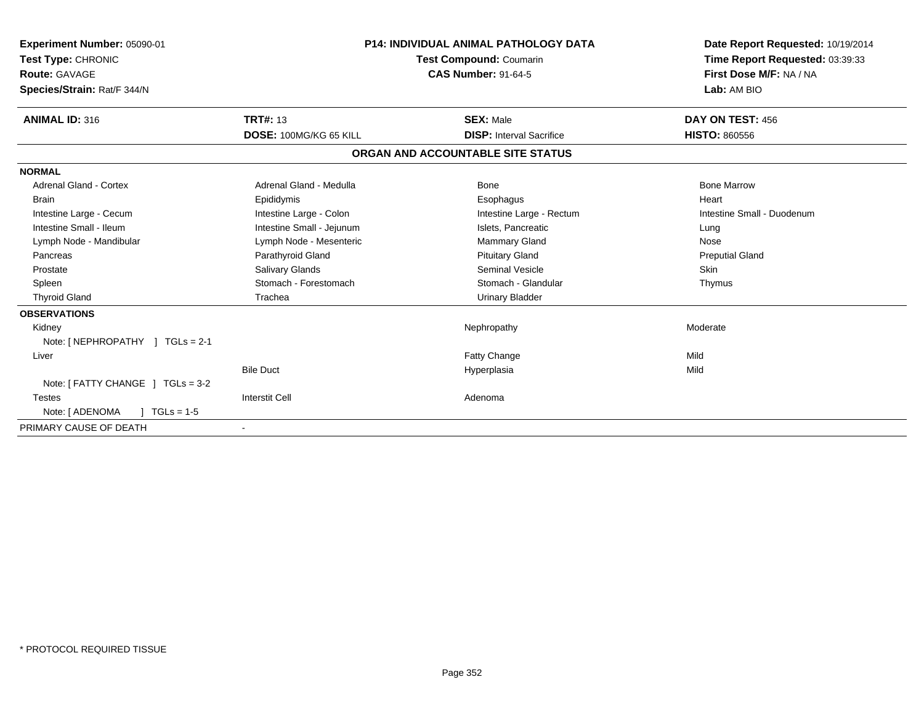| Experiment Number: 05090-01<br>Test Type: CHRONIC<br>Route: GAVAGE<br>Species/Strain: Rat/F 344/N |                               | <b>P14: INDIVIDUAL ANIMAL PATHOLOGY DATA</b><br>Test Compound: Coumarin<br><b>CAS Number: 91-64-5</b> | Date Report Requested: 10/19/2014<br>Time Report Requested: 03:39:33<br>First Dose M/F: NA / NA<br>Lab: AM BIO |
|---------------------------------------------------------------------------------------------------|-------------------------------|-------------------------------------------------------------------------------------------------------|----------------------------------------------------------------------------------------------------------------|
| <b>ANIMAL ID: 316</b>                                                                             | <b>TRT#: 13</b>               | <b>SEX: Male</b>                                                                                      | DAY ON TEST: 456                                                                                               |
|                                                                                                   | <b>DOSE: 100MG/KG 65 KILL</b> | <b>DISP:</b> Interval Sacrifice                                                                       | <b>HISTO: 860556</b>                                                                                           |
|                                                                                                   |                               | ORGAN AND ACCOUNTABLE SITE STATUS                                                                     |                                                                                                                |
| <b>NORMAL</b>                                                                                     |                               |                                                                                                       |                                                                                                                |
| <b>Adrenal Gland - Cortex</b>                                                                     | Adrenal Gland - Medulla       | Bone                                                                                                  | <b>Bone Marrow</b>                                                                                             |
| <b>Brain</b>                                                                                      | Epididymis                    | Esophagus                                                                                             | Heart                                                                                                          |
| Intestine Large - Cecum                                                                           | Intestine Large - Colon       | Intestine Large - Rectum                                                                              | Intestine Small - Duodenum                                                                                     |
| Intestine Small - Ileum                                                                           | Intestine Small - Jejunum     | Islets, Pancreatic                                                                                    | Lung                                                                                                           |
| Lymph Node - Mandibular                                                                           | Lymph Node - Mesenteric       | Mammary Gland                                                                                         | Nose                                                                                                           |
| Pancreas                                                                                          | Parathyroid Gland             | <b>Pituitary Gland</b>                                                                                | <b>Preputial Gland</b>                                                                                         |
| Prostate                                                                                          | Salivary Glands               | <b>Seminal Vesicle</b>                                                                                | Skin                                                                                                           |
| Spleen                                                                                            | Stomach - Forestomach         | Stomach - Glandular                                                                                   | Thymus                                                                                                         |
| <b>Thyroid Gland</b>                                                                              | Trachea                       | <b>Urinary Bladder</b>                                                                                |                                                                                                                |
| <b>OBSERVATIONS</b>                                                                               |                               |                                                                                                       |                                                                                                                |
| Kidney                                                                                            |                               | Nephropathy                                                                                           | Moderate                                                                                                       |
| Note: [NEPHROPATHY ] TGLs = 2-1                                                                   |                               |                                                                                                       |                                                                                                                |
| Liver                                                                                             |                               | Fatty Change                                                                                          | Mild                                                                                                           |
|                                                                                                   | <b>Bile Duct</b>              | Hyperplasia                                                                                           | Mild                                                                                                           |
| Note: [ FATTY CHANGE ] TGLs = 3-2                                                                 |                               |                                                                                                       |                                                                                                                |
| <b>Testes</b>                                                                                     | <b>Interstit Cell</b>         | Adenoma                                                                                               |                                                                                                                |
| Note: [ ADENOMA<br>$TGLs = 1-5$                                                                   |                               |                                                                                                       |                                                                                                                |
| PRIMARY CAUSE OF DEATH                                                                            |                               |                                                                                                       |                                                                                                                |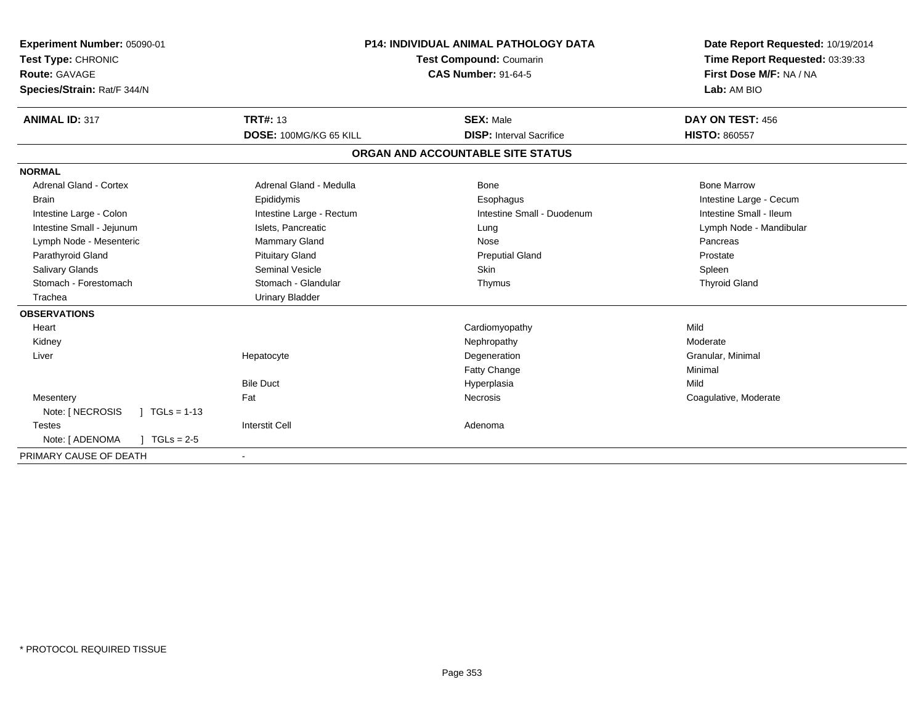| Experiment Number: 05090-01<br>Test Type: CHRONIC<br>Route: GAVAGE<br>Species/Strain: Rat/F 344/N<br><b>ANIMAL ID: 317</b>                                                                                             | <b>TRT#: 13</b>                                                                                                                                                                                                      | <b>P14: INDIVIDUAL ANIMAL PATHOLOGY DATA</b><br><b>Test Compound: Coumarin</b><br><b>CAS Number: 91-64-5</b><br><b>SEX: Male</b> | Date Report Requested: 10/19/2014<br>Time Report Requested: 03:39:33<br>First Dose M/F: NA / NA<br>Lab: AM BIO<br>DAY ON TEST: 456                            |
|------------------------------------------------------------------------------------------------------------------------------------------------------------------------------------------------------------------------|----------------------------------------------------------------------------------------------------------------------------------------------------------------------------------------------------------------------|----------------------------------------------------------------------------------------------------------------------------------|---------------------------------------------------------------------------------------------------------------------------------------------------------------|
|                                                                                                                                                                                                                        | DOSE: 100MG/KG 65 KILL                                                                                                                                                                                               | <b>DISP: Interval Sacrifice</b>                                                                                                  | <b>HISTO: 860557</b>                                                                                                                                          |
|                                                                                                                                                                                                                        |                                                                                                                                                                                                                      | ORGAN AND ACCOUNTABLE SITE STATUS                                                                                                |                                                                                                                                                               |
| <b>NORMAL</b><br>Adrenal Gland - Cortex<br><b>Brain</b><br>Intestine Large - Colon<br>Intestine Small - Jejunum<br>Lymph Node - Mesenteric<br>Parathyroid Gland<br>Salivary Glands<br>Stomach - Forestomach<br>Trachea | Adrenal Gland - Medulla<br>Epididymis<br>Intestine Large - Rectum<br>Islets, Pancreatic<br><b>Mammary Gland</b><br><b>Pituitary Gland</b><br><b>Seminal Vesicle</b><br>Stomach - Glandular<br><b>Urinary Bladder</b> | <b>Bone</b><br>Esophagus<br>Intestine Small - Duodenum<br>Lung<br>Nose<br><b>Preputial Gland</b><br><b>Skin</b><br>Thymus        | <b>Bone Marrow</b><br>Intestine Large - Cecum<br>Intestine Small - Ileum<br>Lymph Node - Mandibular<br>Pancreas<br>Prostate<br>Spleen<br><b>Thyroid Gland</b> |
| <b>OBSERVATIONS</b><br>Heart<br>Kidney<br>Liver<br>Mesentery<br>Note: [ NECROSIS<br>$\sqrt{ }$ TGLs = 1-13<br><b>Testes</b><br>$TGLs = 2-5$<br>Note: [ ADENOMA                                                         | Hepatocyte<br><b>Bile Duct</b><br>Fat<br><b>Interstit Cell</b>                                                                                                                                                       | Cardiomyopathy<br>Nephropathy<br>Degeneration<br><b>Fatty Change</b><br>Hyperplasia<br>Necrosis<br>Adenoma                       | Mild<br>Moderate<br>Granular, Minimal<br>Minimal<br>Mild<br>Coagulative, Moderate                                                                             |
| PRIMARY CAUSE OF DEATH                                                                                                                                                                                                 | $\qquad \qquad \blacksquare$                                                                                                                                                                                         |                                                                                                                                  |                                                                                                                                                               |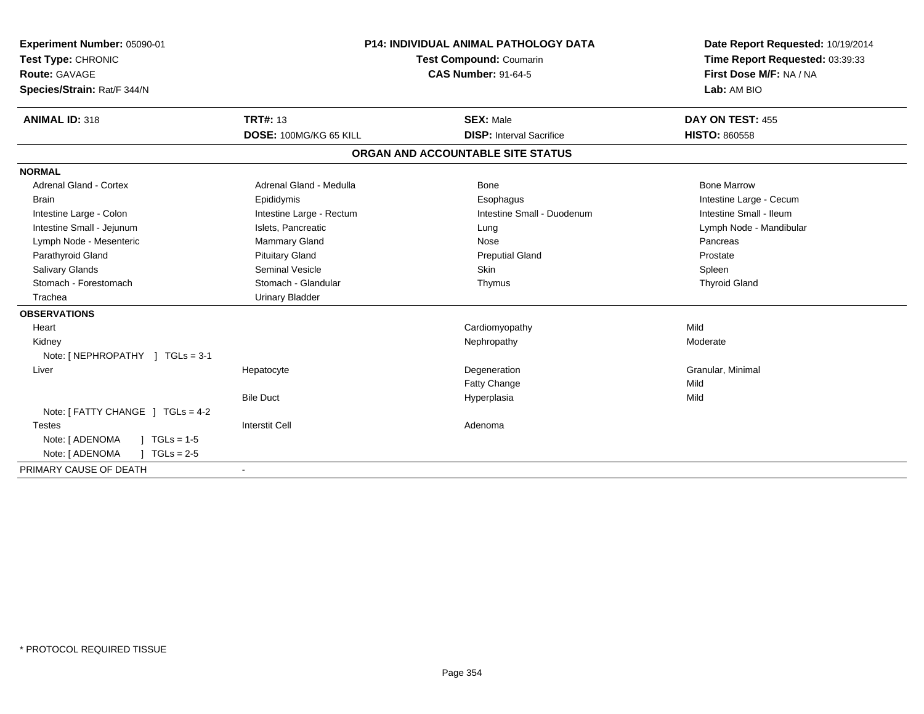| Experiment Number: 05090-01<br>Test Type: CHRONIC<br>Route: GAVAGE<br>Species/Strain: Rat/F 344/N<br><b>ANIMAL ID: 318</b> | <b>TRT#: 13</b><br>DOSE: 100MG/KG 65 KILL | <b>P14: INDIVIDUAL ANIMAL PATHOLOGY DATA</b><br><b>Test Compound: Coumarin</b><br><b>CAS Number: 91-64-5</b><br><b>SEX: Male</b><br><b>DISP: Interval Sacrifice</b> | Date Report Requested: 10/19/2014<br>Time Report Requested: 03:39:33<br>First Dose M/F: NA / NA<br>Lab: AM BIO<br>DAY ON TEST: 455 |
|----------------------------------------------------------------------------------------------------------------------------|-------------------------------------------|---------------------------------------------------------------------------------------------------------------------------------------------------------------------|------------------------------------------------------------------------------------------------------------------------------------|
|                                                                                                                            |                                           |                                                                                                                                                                     | <b>HISTO: 860558</b>                                                                                                               |
|                                                                                                                            |                                           | ORGAN AND ACCOUNTABLE SITE STATUS                                                                                                                                   |                                                                                                                                    |
| <b>NORMAL</b>                                                                                                              |                                           |                                                                                                                                                                     |                                                                                                                                    |
| <b>Adrenal Gland - Cortex</b>                                                                                              | Adrenal Gland - Medulla                   | <b>Bone</b>                                                                                                                                                         | <b>Bone Marrow</b>                                                                                                                 |
| <b>Brain</b>                                                                                                               | Epididymis                                | Esophagus                                                                                                                                                           | Intestine Large - Cecum                                                                                                            |
| Intestine Large - Colon                                                                                                    | Intestine Large - Rectum                  | Intestine Small - Duodenum                                                                                                                                          | Intestine Small - Ileum                                                                                                            |
| Intestine Small - Jejunum                                                                                                  | Islets, Pancreatic                        | Lung                                                                                                                                                                | Lymph Node - Mandibular                                                                                                            |
| Lymph Node - Mesenteric                                                                                                    | Mammary Gland                             | Nose                                                                                                                                                                | Pancreas                                                                                                                           |
| Parathyroid Gland                                                                                                          | <b>Pituitary Gland</b>                    | <b>Preputial Gland</b>                                                                                                                                              | Prostate                                                                                                                           |
| Salivary Glands                                                                                                            | Seminal Vesicle                           | <b>Skin</b>                                                                                                                                                         | Spleen                                                                                                                             |
| Stomach - Forestomach                                                                                                      | Stomach - Glandular                       | Thymus                                                                                                                                                              | <b>Thyroid Gland</b>                                                                                                               |
| Trachea                                                                                                                    | <b>Urinary Bladder</b>                    |                                                                                                                                                                     |                                                                                                                                    |
| <b>OBSERVATIONS</b>                                                                                                        |                                           |                                                                                                                                                                     |                                                                                                                                    |
| Heart                                                                                                                      |                                           | Cardiomyopathy                                                                                                                                                      | Mild                                                                                                                               |
| Kidney                                                                                                                     |                                           | Nephropathy                                                                                                                                                         | Moderate                                                                                                                           |
| Note: [NEPHROPATHY ] TGLs = 3-1                                                                                            |                                           |                                                                                                                                                                     |                                                                                                                                    |
| Liver                                                                                                                      | Hepatocyte                                | Degeneration                                                                                                                                                        | Granular, Minimal                                                                                                                  |
|                                                                                                                            |                                           | <b>Fatty Change</b>                                                                                                                                                 | Mild                                                                                                                               |
|                                                                                                                            | <b>Bile Duct</b>                          | Hyperplasia                                                                                                                                                         | Mild                                                                                                                               |
| Note: [ FATTY CHANGE ] TGLs = 4-2                                                                                          |                                           |                                                                                                                                                                     |                                                                                                                                    |
| <b>Testes</b>                                                                                                              | <b>Interstit Cell</b>                     | Adenoma                                                                                                                                                             |                                                                                                                                    |
| $1 TGLs = 1-5$<br>Note: [ ADENOMA                                                                                          |                                           |                                                                                                                                                                     |                                                                                                                                    |
| Note: [ ADENOMA<br>$TGLs = 2-5$                                                                                            |                                           |                                                                                                                                                                     |                                                                                                                                    |
| PRIMARY CAUSE OF DEATH                                                                                                     | $\blacksquare$                            |                                                                                                                                                                     |                                                                                                                                    |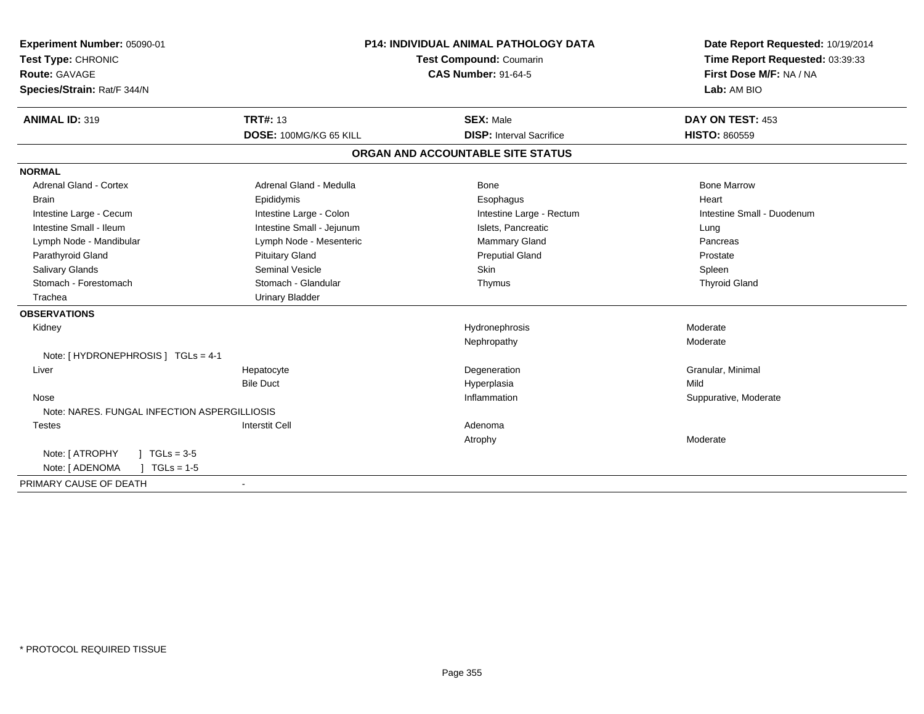| Experiment Number: 05090-01                  |                           | P14: INDIVIDUAL ANIMAL PATHOLOGY DATA | Date Report Requested: 10/19/2014 |
|----------------------------------------------|---------------------------|---------------------------------------|-----------------------------------|
| Test Type: CHRONIC                           | Test Compound: Coumarin   |                                       | Time Report Requested: 03:39:33   |
| <b>Route: GAVAGE</b>                         |                           | <b>CAS Number: 91-64-5</b>            | First Dose M/F: NA / NA           |
| Species/Strain: Rat/F 344/N                  |                           |                                       | Lab: AM BIO                       |
| <b>ANIMAL ID: 319</b>                        | <b>TRT#: 13</b>           | <b>SEX: Male</b>                      | DAY ON TEST: 453                  |
|                                              | DOSE: 100MG/KG 65 KILL    | <b>DISP:</b> Interval Sacrifice       | <b>HISTO: 860559</b>              |
|                                              |                           | ORGAN AND ACCOUNTABLE SITE STATUS     |                                   |
| <b>NORMAL</b>                                |                           |                                       |                                   |
| <b>Adrenal Gland - Cortex</b>                | Adrenal Gland - Medulla   | Bone                                  | <b>Bone Marrow</b>                |
| <b>Brain</b>                                 | Epididymis                | Esophagus                             | Heart                             |
| Intestine Large - Cecum                      | Intestine Large - Colon   | Intestine Large - Rectum              | Intestine Small - Duodenum        |
| Intestine Small - Ileum                      | Intestine Small - Jejunum | Islets, Pancreatic                    | Lung                              |
| Lymph Node - Mandibular                      | Lymph Node - Mesenteric   | Mammary Gland                         | Pancreas                          |
| Parathyroid Gland                            | <b>Pituitary Gland</b>    | <b>Preputial Gland</b>                | Prostate                          |
| Salivary Glands                              | <b>Seminal Vesicle</b>    | Skin                                  | Spleen                            |
| Stomach - Forestomach                        | Stomach - Glandular       | Thymus                                | <b>Thyroid Gland</b>              |
| Trachea                                      | <b>Urinary Bladder</b>    |                                       |                                   |
| <b>OBSERVATIONS</b>                          |                           |                                       |                                   |
| Kidney                                       |                           | Hydronephrosis                        | Moderate                          |
|                                              |                           | Nephropathy                           | Moderate                          |
| Note: [ HYDRONEPHROSIS ] TGLs = 4-1          |                           |                                       |                                   |
| Liver                                        | Hepatocyte                | Degeneration                          | Granular, Minimal                 |
|                                              | <b>Bile Duct</b>          | Hyperplasia                           | Mild                              |
| Nose                                         |                           | Inflammation                          | Suppurative, Moderate             |
| Note: NARES, FUNGAL INFECTION ASPERGILLIOSIS |                           |                                       |                                   |
| <b>Testes</b>                                | <b>Interstit Cell</b>     | Adenoma                               |                                   |
|                                              |                           | Atrophy                               | Moderate                          |
| Note: [ ATROPHY<br>$TGLs = 3-5$              |                           |                                       |                                   |
| Note: [ ADENOMA<br>$1 TGLs = 1.5$            |                           |                                       |                                   |
| PRIMARY CAUSE OF DEATH                       | $\blacksquare$            |                                       |                                   |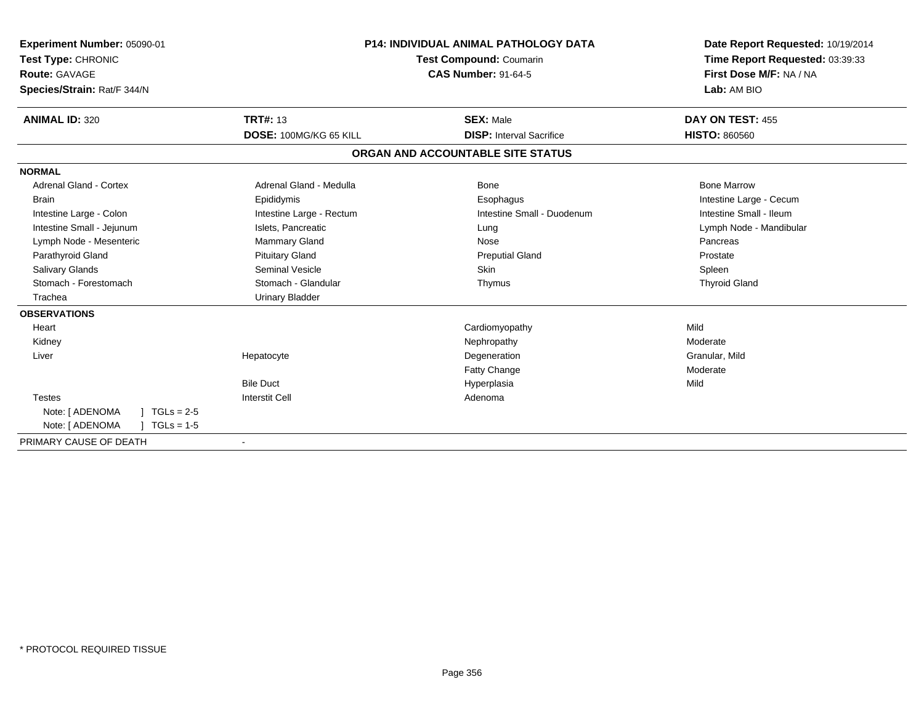| Experiment Number: 05090-01<br>Test Type: CHRONIC<br>Route: GAVAGE<br>Species/Strain: Rat/F 344/N |                          | <b>P14: INDIVIDUAL ANIMAL PATHOLOGY DATA</b><br><b>Test Compound: Coumarin</b><br><b>CAS Number: 91-64-5</b> | Date Report Requested: 10/19/2014<br>Time Report Requested: 03:39:33<br>First Dose M/F: NA / NA<br>Lab: AM BIO |
|---------------------------------------------------------------------------------------------------|--------------------------|--------------------------------------------------------------------------------------------------------------|----------------------------------------------------------------------------------------------------------------|
| <b>ANIMAL ID: 320</b>                                                                             | <b>TRT#: 13</b>          | <b>SEX: Male</b>                                                                                             | DAY ON TEST: 455                                                                                               |
|                                                                                                   | DOSE: 100MG/KG 65 KILL   | <b>DISP:</b> Interval Sacrifice                                                                              | <b>HISTO: 860560</b>                                                                                           |
|                                                                                                   |                          | ORGAN AND ACCOUNTABLE SITE STATUS                                                                            |                                                                                                                |
| <b>NORMAL</b>                                                                                     |                          |                                                                                                              |                                                                                                                |
| <b>Adrenal Gland - Cortex</b>                                                                     | Adrenal Gland - Medulla  | <b>Bone</b>                                                                                                  | <b>Bone Marrow</b>                                                                                             |
| <b>Brain</b>                                                                                      | Epididymis               | Esophagus                                                                                                    | Intestine Large - Cecum                                                                                        |
| Intestine Large - Colon                                                                           | Intestine Large - Rectum | Intestine Small - Duodenum                                                                                   | Intestine Small - Ileum                                                                                        |
| Intestine Small - Jejunum                                                                         | Islets, Pancreatic       | Lung                                                                                                         | Lymph Node - Mandibular                                                                                        |
| Lymph Node - Mesenteric                                                                           | Mammary Gland            | Nose                                                                                                         | Pancreas                                                                                                       |
| Parathyroid Gland                                                                                 | <b>Pituitary Gland</b>   | <b>Preputial Gland</b>                                                                                       | Prostate                                                                                                       |
| Salivary Glands                                                                                   | Seminal Vesicle          | Skin                                                                                                         | Spleen                                                                                                         |
| Stomach - Forestomach                                                                             | Stomach - Glandular      | Thymus                                                                                                       | <b>Thyroid Gland</b>                                                                                           |
| Trachea                                                                                           | <b>Urinary Bladder</b>   |                                                                                                              |                                                                                                                |
| <b>OBSERVATIONS</b>                                                                               |                          |                                                                                                              |                                                                                                                |
| Heart                                                                                             |                          | Cardiomyopathy                                                                                               | Mild                                                                                                           |
| Kidney                                                                                            |                          | Nephropathy                                                                                                  | Moderate                                                                                                       |
| Liver                                                                                             | Hepatocyte               | Degeneration                                                                                                 | Granular, Mild                                                                                                 |
|                                                                                                   |                          | <b>Fatty Change</b>                                                                                          | Moderate                                                                                                       |
|                                                                                                   | <b>Bile Duct</b>         | Hyperplasia                                                                                                  | Mild                                                                                                           |
| <b>Testes</b>                                                                                     | <b>Interstit Cell</b>    | Adenoma                                                                                                      |                                                                                                                |
| Note: [ ADENOMA<br>$TGLs = 2-5$                                                                   |                          |                                                                                                              |                                                                                                                |
| Note: [ ADENOMA<br>$TGLs = 1-5$                                                                   |                          |                                                                                                              |                                                                                                                |
| PRIMARY CAUSE OF DEATH                                                                            | $\overline{\phantom{a}}$ |                                                                                                              |                                                                                                                |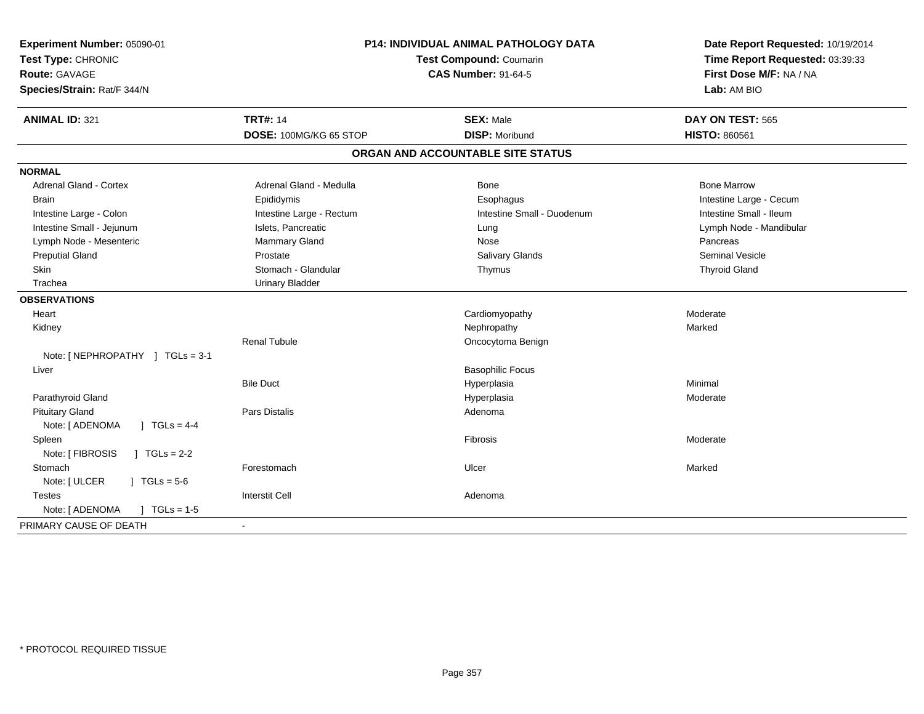| Experiment Number: 05090-01<br>Test Type: CHRONIC<br><b>Route: GAVAGE</b><br>Species/Strain: Rat/F 344/N | P14: INDIVIDUAL ANIMAL PATHOLOGY DATA<br>Test Compound: Coumarin<br><b>CAS Number: 91-64-5</b> |                                   | Date Report Requested: 10/19/2014<br>Time Report Requested: 03:39:33<br>First Dose M/F: NA / NA<br>Lab: AM BIO |
|----------------------------------------------------------------------------------------------------------|------------------------------------------------------------------------------------------------|-----------------------------------|----------------------------------------------------------------------------------------------------------------|
| <b>ANIMAL ID: 321</b>                                                                                    | <b>TRT#: 14</b>                                                                                | <b>SEX: Male</b>                  | DAY ON TEST: 565                                                                                               |
|                                                                                                          | DOSE: 100MG/KG 65 STOP                                                                         | <b>DISP: Moribund</b>             | <b>HISTO: 860561</b>                                                                                           |
|                                                                                                          |                                                                                                | ORGAN AND ACCOUNTABLE SITE STATUS |                                                                                                                |
| <b>NORMAL</b>                                                                                            |                                                                                                |                                   |                                                                                                                |
| <b>Adrenal Gland - Cortex</b>                                                                            | Adrenal Gland - Medulla                                                                        | <b>Bone</b>                       | <b>Bone Marrow</b>                                                                                             |
| <b>Brain</b>                                                                                             | Epididymis                                                                                     | Esophagus                         | Intestine Large - Cecum                                                                                        |
| Intestine Large - Colon                                                                                  | Intestine Large - Rectum                                                                       | Intestine Small - Duodenum        | Intestine Small - Ileum                                                                                        |
| Intestine Small - Jejunum                                                                                | Islets, Pancreatic                                                                             | Lung                              | Lymph Node - Mandibular                                                                                        |
| Lymph Node - Mesenteric                                                                                  | Mammary Gland                                                                                  | Nose                              | Pancreas                                                                                                       |
| <b>Preputial Gland</b>                                                                                   | Prostate                                                                                       | Salivary Glands                   | <b>Seminal Vesicle</b>                                                                                         |
| Skin                                                                                                     | Stomach - Glandular                                                                            | Thymus                            | <b>Thyroid Gland</b>                                                                                           |
| Trachea                                                                                                  | <b>Urinary Bladder</b>                                                                         |                                   |                                                                                                                |
| <b>OBSERVATIONS</b>                                                                                      |                                                                                                |                                   |                                                                                                                |
| Heart                                                                                                    |                                                                                                | Cardiomyopathy                    | Moderate                                                                                                       |
| Kidney                                                                                                   |                                                                                                | Nephropathy                       | Marked                                                                                                         |
|                                                                                                          | <b>Renal Tubule</b>                                                                            | Oncocytoma Benign                 |                                                                                                                |
| Note: [ NEPHROPATHY ] TGLs = 3-1                                                                         |                                                                                                |                                   |                                                                                                                |
| Liver                                                                                                    |                                                                                                | <b>Basophilic Focus</b>           |                                                                                                                |
|                                                                                                          | <b>Bile Duct</b>                                                                               | Hyperplasia                       | Minimal                                                                                                        |
| Parathyroid Gland                                                                                        |                                                                                                | Hyperplasia                       | Moderate                                                                                                       |
| <b>Pituitary Gland</b>                                                                                   | Pars Distalis                                                                                  | Adenoma                           |                                                                                                                |
| $1 TGLs = 4-4$<br>Note: [ ADENOMA                                                                        |                                                                                                |                                   |                                                                                                                |
| Spleen                                                                                                   |                                                                                                | Fibrosis                          | Moderate                                                                                                       |
| Note: [ FIBROSIS<br>$1 TGLs = 2-2$                                                                       |                                                                                                |                                   |                                                                                                                |
| Stomach                                                                                                  | Forestomach                                                                                    | Ulcer                             | Marked                                                                                                         |
| Note: [ ULCER<br>$1 \text{ TGLs} = 5.6$                                                                  |                                                                                                |                                   |                                                                                                                |
| <b>Testes</b>                                                                                            | <b>Interstit Cell</b>                                                                          | Adenoma                           |                                                                                                                |
| $J \cdot TGLs = 1-5$<br>Note: [ ADENOMA                                                                  |                                                                                                |                                   |                                                                                                                |
| PRIMARY CAUSE OF DEATH                                                                                   |                                                                                                |                                   |                                                                                                                |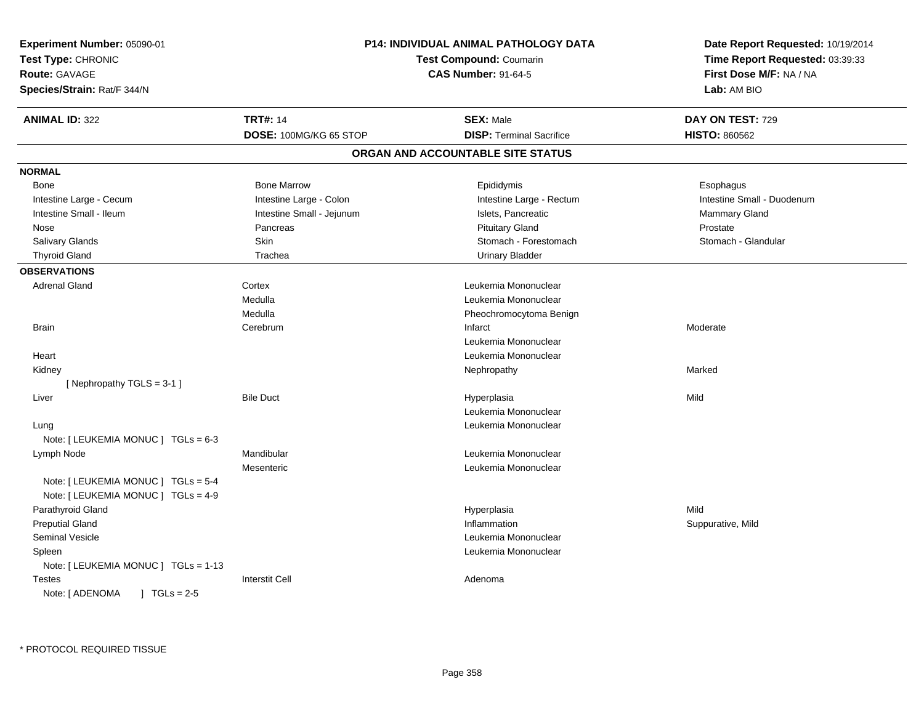| Experiment Number: 05090-01<br>Test Type: CHRONIC<br>Route: GAVAGE<br>Species/Strain: Rat/F 344/N |                                           | P14: INDIVIDUAL ANIMAL PATHOLOGY DATA<br><b>Test Compound: Coumarin</b><br><b>CAS Number: 91-64-5</b> | Date Report Requested: 10/19/2014<br>Time Report Requested: 03:39:33<br>First Dose M/F: NA / NA<br>Lab: AM BIO |
|---------------------------------------------------------------------------------------------------|-------------------------------------------|-------------------------------------------------------------------------------------------------------|----------------------------------------------------------------------------------------------------------------|
| <b>ANIMAL ID: 322</b>                                                                             | <b>TRT#: 14</b><br>DOSE: 100MG/KG 65 STOP | <b>SEX: Male</b><br><b>DISP: Terminal Sacrifice</b>                                                   | DAY ON TEST: 729<br><b>HISTO: 860562</b>                                                                       |
|                                                                                                   |                                           | ORGAN AND ACCOUNTABLE SITE STATUS                                                                     |                                                                                                                |
| <b>NORMAL</b>                                                                                     |                                           |                                                                                                       |                                                                                                                |
| Bone                                                                                              | <b>Bone Marrow</b>                        | Epididymis                                                                                            | Esophagus                                                                                                      |
| Intestine Large - Cecum                                                                           | Intestine Large - Colon                   | Intestine Large - Rectum                                                                              | Intestine Small - Duodenum                                                                                     |
| Intestine Small - Ileum                                                                           | Intestine Small - Jejunum                 | Islets, Pancreatic                                                                                    | <b>Mammary Gland</b>                                                                                           |
| Nose                                                                                              | Pancreas                                  | <b>Pituitary Gland</b>                                                                                | Prostate                                                                                                       |
| Salivary Glands                                                                                   | Skin                                      | Stomach - Forestomach                                                                                 | Stomach - Glandular                                                                                            |
| <b>Thyroid Gland</b>                                                                              | Trachea                                   | <b>Urinary Bladder</b>                                                                                |                                                                                                                |
| <b>OBSERVATIONS</b>                                                                               |                                           |                                                                                                       |                                                                                                                |
| <b>Adrenal Gland</b>                                                                              | Cortex                                    | Leukemia Mononuclear                                                                                  |                                                                                                                |
|                                                                                                   | Medulla                                   | Leukemia Mononuclear                                                                                  |                                                                                                                |
|                                                                                                   | Medulla                                   | Pheochromocytoma Benign                                                                               |                                                                                                                |
| <b>Brain</b>                                                                                      | Cerebrum                                  | Infarct                                                                                               | Moderate                                                                                                       |
|                                                                                                   |                                           | Leukemia Mononuclear                                                                                  |                                                                                                                |
| Heart                                                                                             |                                           | Leukemia Mononuclear                                                                                  |                                                                                                                |
| Kidney                                                                                            |                                           | Nephropathy                                                                                           | Marked                                                                                                         |
| [Nephropathy TGLS = 3-1]                                                                          |                                           |                                                                                                       |                                                                                                                |
| Liver                                                                                             | <b>Bile Duct</b>                          | Hyperplasia                                                                                           | Mild                                                                                                           |
|                                                                                                   |                                           | Leukemia Mononuclear                                                                                  |                                                                                                                |
| Lung                                                                                              |                                           | Leukemia Mononuclear                                                                                  |                                                                                                                |
| Note: [ LEUKEMIA MONUC ] TGLs = 6-3                                                               |                                           |                                                                                                       |                                                                                                                |
| Lymph Node                                                                                        | Mandibular                                | Leukemia Mononuclear                                                                                  |                                                                                                                |
|                                                                                                   | Mesenteric                                | Leukemia Mononuclear                                                                                  |                                                                                                                |
| Note: [ LEUKEMIA MONUC ] TGLs = 5-4                                                               |                                           |                                                                                                       |                                                                                                                |
| Note: [ LEUKEMIA MONUC ] TGLs = 4-9                                                               |                                           |                                                                                                       |                                                                                                                |
| Parathyroid Gland                                                                                 |                                           | Hyperplasia                                                                                           | Mild                                                                                                           |
| <b>Preputial Gland</b>                                                                            |                                           | Inflammation                                                                                          | Suppurative, Mild                                                                                              |
| <b>Seminal Vesicle</b>                                                                            |                                           | Leukemia Mononuclear                                                                                  |                                                                                                                |
| Spleen                                                                                            |                                           | Leukemia Mononuclear                                                                                  |                                                                                                                |
| Note: [ LEUKEMIA MONUC ] TGLs = 1-13                                                              |                                           |                                                                                                       |                                                                                                                |
| Testes                                                                                            | <b>Interstit Cell</b>                     | Adenoma                                                                                               |                                                                                                                |
| Note: [ ADENOMA<br>$1 TGLs = 2-5$                                                                 |                                           |                                                                                                       |                                                                                                                |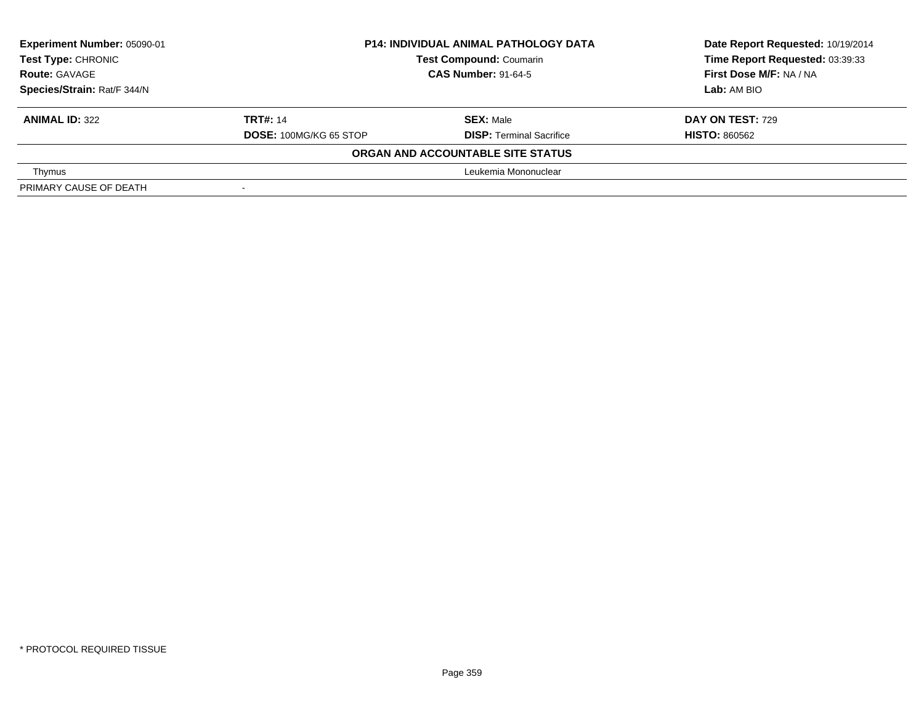| Experiment Number: 05090-01 | <b>P14: INDIVIDUAL ANIMAL PATHOLOGY DATA</b> |                                   | Date Report Requested: 10/19/2014 |
|-----------------------------|----------------------------------------------|-----------------------------------|-----------------------------------|
| Test Type: CHRONIC          |                                              | <b>Test Compound: Coumarin</b>    | Time Report Requested: 03:39:33   |
| <b>Route: GAVAGE</b>        |                                              | <b>CAS Number: 91-64-5</b>        | First Dose M/F: NA / NA           |
| Species/Strain: Rat/F 344/N |                                              |                                   | Lab: AM BIO                       |
| <b>ANIMAL ID: 322</b>       | <b>TRT#: 14</b>                              | <b>SEX: Male</b>                  | <b>DAY ON TEST: 729</b>           |
|                             | <b>DOSE: 100MG/KG 65 STOP</b>                | <b>DISP: Terminal Sacrifice</b>   | <b>HISTO: 860562</b>              |
|                             |                                              | ORGAN AND ACCOUNTABLE SITE STATUS |                                   |
| Thymus                      |                                              | Leukemia Mononuclear              |                                   |
| PRIMARY CAUSE OF DEATH      |                                              |                                   |                                   |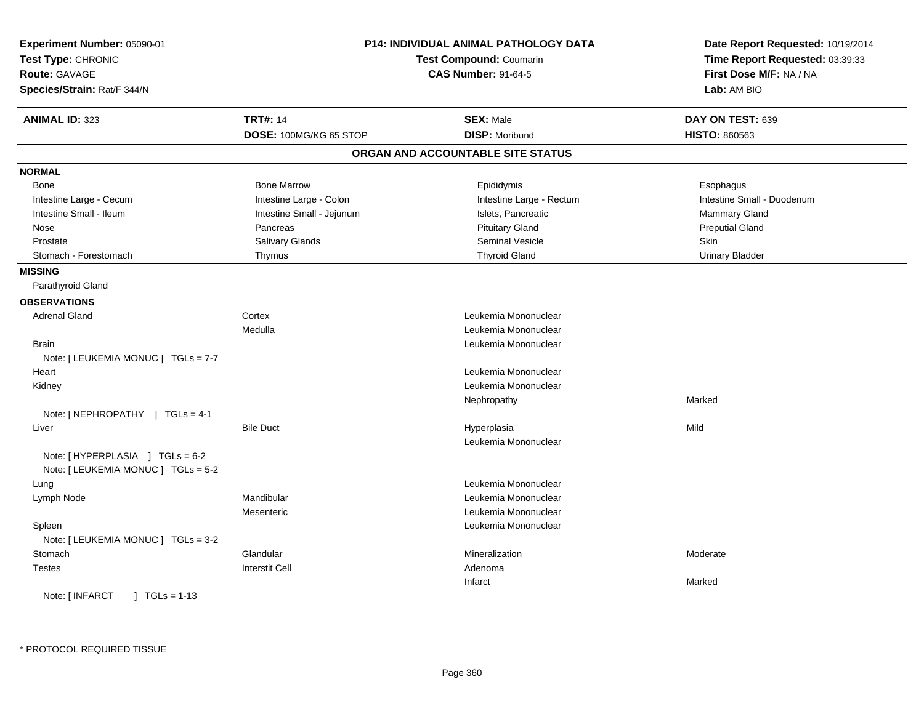| Experiment Number: 05090-01<br>Test Type: CHRONIC<br><b>Route: GAVAGE</b><br>Species/Strain: Rat/F 344/N |                           | P14: INDIVIDUAL ANIMAL PATHOLOGY DATA<br>Test Compound: Coumarin<br><b>CAS Number: 91-64-5</b> | Date Report Requested: 10/19/2014<br>Time Report Requested: 03:39:33<br>First Dose M/F: NA / NA<br>Lab: AM BIO |
|----------------------------------------------------------------------------------------------------------|---------------------------|------------------------------------------------------------------------------------------------|----------------------------------------------------------------------------------------------------------------|
| <b>ANIMAL ID: 323</b>                                                                                    | <b>TRT#: 14</b>           | <b>SEX: Male</b>                                                                               | DAY ON TEST: 639                                                                                               |
|                                                                                                          | DOSE: 100MG/KG 65 STOP    | <b>DISP: Moribund</b>                                                                          | HISTO: 860563                                                                                                  |
|                                                                                                          |                           | ORGAN AND ACCOUNTABLE SITE STATUS                                                              |                                                                                                                |
| <b>NORMAL</b>                                                                                            |                           |                                                                                                |                                                                                                                |
| <b>Bone</b>                                                                                              | <b>Bone Marrow</b>        | Epididymis                                                                                     | Esophagus                                                                                                      |
| Intestine Large - Cecum                                                                                  | Intestine Large - Colon   | Intestine Large - Rectum                                                                       | Intestine Small - Duodenum                                                                                     |
| Intestine Small - Ileum                                                                                  | Intestine Small - Jejunum | Islets, Pancreatic                                                                             | <b>Mammary Gland</b>                                                                                           |
| Nose                                                                                                     | Pancreas                  | <b>Pituitary Gland</b>                                                                         | <b>Preputial Gland</b>                                                                                         |
| Prostate                                                                                                 | Salivary Glands           | Seminal Vesicle                                                                                | Skin                                                                                                           |
| Stomach - Forestomach                                                                                    | Thymus                    | <b>Thyroid Gland</b>                                                                           | <b>Urinary Bladder</b>                                                                                         |
| <b>MISSING</b>                                                                                           |                           |                                                                                                |                                                                                                                |
| Parathyroid Gland                                                                                        |                           |                                                                                                |                                                                                                                |
| <b>OBSERVATIONS</b>                                                                                      |                           |                                                                                                |                                                                                                                |
| <b>Adrenal Gland</b>                                                                                     | Cortex                    | Leukemia Mononuclear                                                                           |                                                                                                                |
|                                                                                                          | Medulla                   | Leukemia Mononuclear                                                                           |                                                                                                                |
| <b>Brain</b>                                                                                             |                           | Leukemia Mononuclear                                                                           |                                                                                                                |
| Note: [ LEUKEMIA MONUC ] TGLs = 7-7                                                                      |                           |                                                                                                |                                                                                                                |
| Heart                                                                                                    |                           | Leukemia Mononuclear                                                                           |                                                                                                                |
| Kidney                                                                                                   |                           | Leukemia Mononuclear                                                                           |                                                                                                                |
|                                                                                                          |                           | Nephropathy                                                                                    | Marked                                                                                                         |
| Note: [ NEPHROPATHY ] TGLs = 4-1                                                                         |                           |                                                                                                |                                                                                                                |
| Liver                                                                                                    | <b>Bile Duct</b>          | Hyperplasia                                                                                    | Mild                                                                                                           |
|                                                                                                          |                           | Leukemia Mononuclear                                                                           |                                                                                                                |
| Note: [HYPERPLASIA ] TGLs = 6-2                                                                          |                           |                                                                                                |                                                                                                                |
| Note: [ LEUKEMIA MONUC ] TGLs = 5-2                                                                      |                           |                                                                                                |                                                                                                                |
| Lung                                                                                                     |                           | Leukemia Mononuclear                                                                           |                                                                                                                |
| Lymph Node                                                                                               | Mandibular                | Leukemia Mononuclear                                                                           |                                                                                                                |
|                                                                                                          | Mesenteric                | Leukemia Mononuclear                                                                           |                                                                                                                |
| Spleen                                                                                                   |                           | Leukemia Mononuclear                                                                           |                                                                                                                |
| Note: [ LEUKEMIA MONUC ] TGLs = 3-2                                                                      |                           |                                                                                                |                                                                                                                |
| Stomach                                                                                                  | Glandular                 | Mineralization                                                                                 | Moderate                                                                                                       |
| <b>Testes</b>                                                                                            | <b>Interstit Cell</b>     | Adenoma                                                                                        |                                                                                                                |
|                                                                                                          |                           | Infarct                                                                                        | Marked                                                                                                         |
| Note: [ INFARCT<br>$\vert$ TGLs = 1-13                                                                   |                           |                                                                                                |                                                                                                                |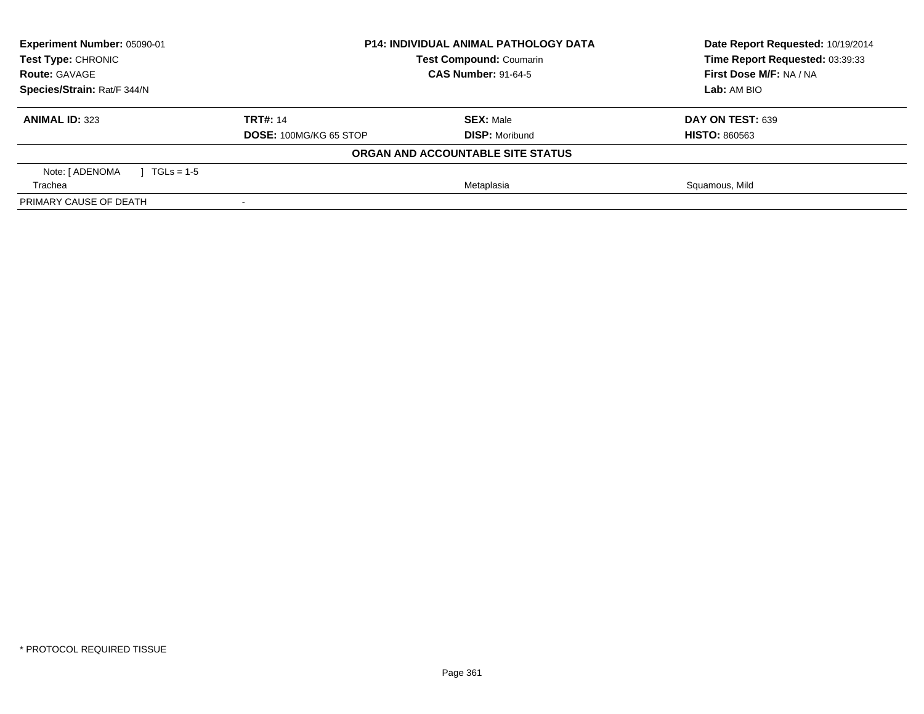| Experiment Number: 05090-01<br><b>Test Type: CHRONIC</b> | <b>P14: INDIVIDUAL ANIMAL PATHOLOGY DATA</b><br><b>Test Compound: Coumarin</b> |                                   | Date Report Requested: 10/19/2014<br>Time Report Requested: 03:39:33 |
|----------------------------------------------------------|--------------------------------------------------------------------------------|-----------------------------------|----------------------------------------------------------------------|
| <b>CAS Number: 91-64-5</b><br><b>Route: GAVAGE</b>       |                                                                                |                                   | First Dose M/F: NA / NA                                              |
| Species/Strain: Rat/F 344/N                              |                                                                                |                                   | Lab: AM BIO                                                          |
| <b>ANIMAL ID: 323</b>                                    | <b>TRT#: 14</b>                                                                | <b>SEX: Male</b>                  | DAY ON TEST: 639                                                     |
|                                                          | DOSE: 100MG/KG 65 STOP                                                         | <b>DISP: Moribund</b>             | <b>HISTO: 860563</b>                                                 |
|                                                          |                                                                                | ORGAN AND ACCOUNTABLE SITE STATUS |                                                                      |
| Note: [ ADENOMA<br>$1 TGLs = 1-5$                        |                                                                                |                                   |                                                                      |
| Trachea                                                  | Metaplasia                                                                     |                                   | Squamous, Mild                                                       |
| PRIMARY CAUSE OF DEATH                                   |                                                                                |                                   |                                                                      |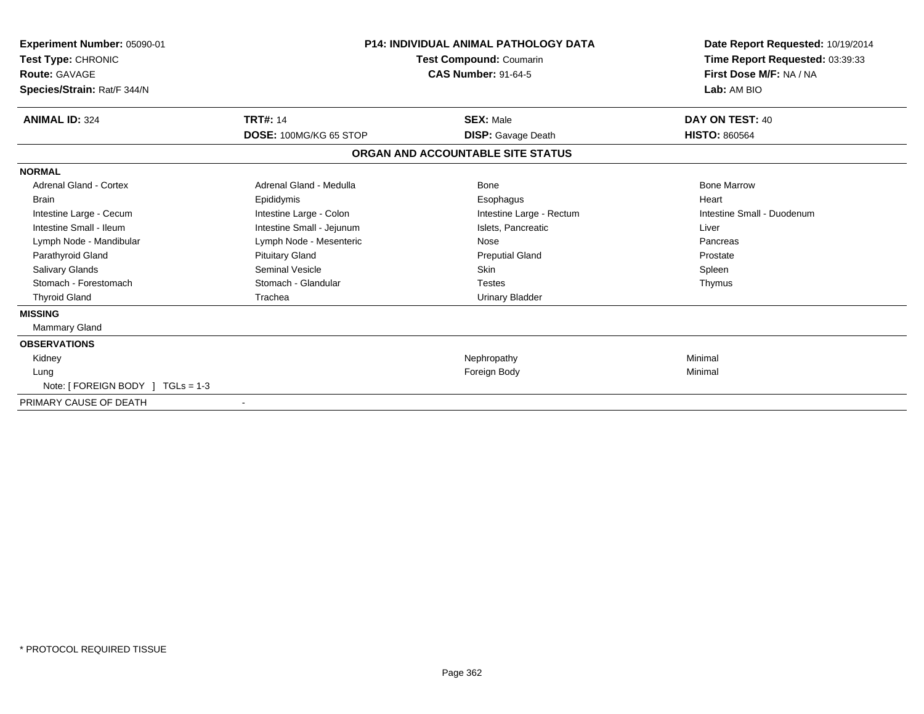| Experiment Number: 05090-01<br>Test Type: CHRONIC<br><b>Route: GAVAGE</b><br>Species/Strain: Rat/F 344/N | <b>P14: INDIVIDUAL ANIMAL PATHOLOGY DATA</b><br>Test Compound: Coumarin<br><b>CAS Number: 91-64-5</b> |                                   | Date Report Requested: 10/19/2014<br>Time Report Requested: 03:39:33<br>First Dose M/F: NA / NA<br>Lab: AM BIO |  |
|----------------------------------------------------------------------------------------------------------|-------------------------------------------------------------------------------------------------------|-----------------------------------|----------------------------------------------------------------------------------------------------------------|--|
| <b>ANIMAL ID: 324</b>                                                                                    | <b>TRT#: 14</b>                                                                                       | <b>SEX: Male</b>                  | DAY ON TEST: 40                                                                                                |  |
|                                                                                                          | DOSE: 100MG/KG 65 STOP                                                                                | <b>DISP:</b> Gavage Death         | <b>HISTO: 860564</b>                                                                                           |  |
|                                                                                                          |                                                                                                       | ORGAN AND ACCOUNTABLE SITE STATUS |                                                                                                                |  |
| <b>NORMAL</b>                                                                                            |                                                                                                       |                                   |                                                                                                                |  |
| Adrenal Gland - Cortex                                                                                   | Adrenal Gland - Medulla                                                                               | <b>Bone</b>                       | <b>Bone Marrow</b>                                                                                             |  |
| <b>Brain</b>                                                                                             | Epididymis                                                                                            | Esophagus                         | Heart                                                                                                          |  |
| Intestine Large - Cecum                                                                                  | Intestine Large - Colon                                                                               | Intestine Large - Rectum          | Intestine Small - Duodenum                                                                                     |  |
| Intestine Small - Ileum                                                                                  | Intestine Small - Jejunum                                                                             | Islets. Pancreatic                | Liver                                                                                                          |  |
| Lymph Node - Mandibular                                                                                  | Lymph Node - Mesenteric                                                                               | Nose                              | Pancreas                                                                                                       |  |
| Parathyroid Gland                                                                                        | <b>Pituitary Gland</b>                                                                                | <b>Preputial Gland</b>            | Prostate                                                                                                       |  |
| <b>Salivary Glands</b>                                                                                   | Seminal Vesicle                                                                                       | <b>Skin</b>                       | Spleen                                                                                                         |  |
| Stomach - Forestomach                                                                                    | Stomach - Glandular                                                                                   | <b>Testes</b>                     | Thymus                                                                                                         |  |
| <b>Thyroid Gland</b>                                                                                     | Trachea                                                                                               | <b>Urinary Bladder</b>            |                                                                                                                |  |
| <b>MISSING</b>                                                                                           |                                                                                                       |                                   |                                                                                                                |  |
| <b>Mammary Gland</b>                                                                                     |                                                                                                       |                                   |                                                                                                                |  |
| <b>OBSERVATIONS</b>                                                                                      |                                                                                                       |                                   |                                                                                                                |  |
| Kidney                                                                                                   |                                                                                                       | Nephropathy                       | Minimal                                                                                                        |  |
| Lung                                                                                                     |                                                                                                       | Foreign Body                      | Minimal                                                                                                        |  |
| Note: [ FOREIGN BODY ] TGLs = 1-3                                                                        |                                                                                                       |                                   |                                                                                                                |  |
| PRIMARY CAUSE OF DEATH                                                                                   |                                                                                                       |                                   |                                                                                                                |  |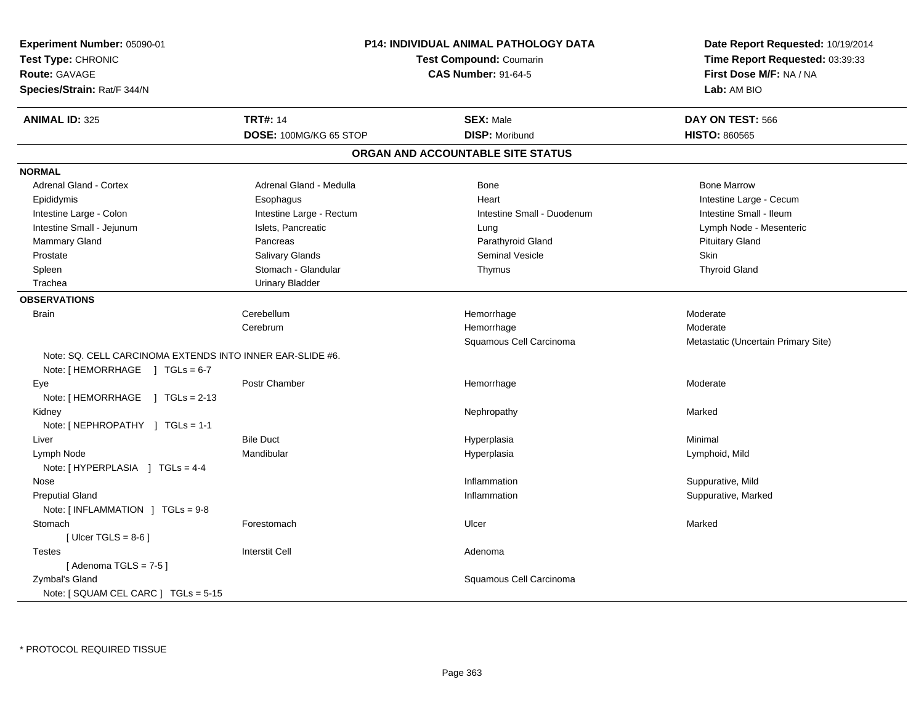| Experiment Number: 05090-01<br>Test Type: CHRONIC<br>Route: GAVAGE<br>Species/Strain: Rat/F 344/N | P14: INDIVIDUAL ANIMAL PATHOLOGY DATA<br><b>Test Compound: Coumarin</b><br><b>CAS Number: 91-64-5</b> |                                                            | Date Report Requested: 10/19/2014<br>Time Report Requested: 03:39:33<br>First Dose M/F: NA / NA<br>Lab: AM BIO |
|---------------------------------------------------------------------------------------------------|-------------------------------------------------------------------------------------------------------|------------------------------------------------------------|----------------------------------------------------------------------------------------------------------------|
| <b>ANIMAL ID: 325</b>                                                                             | <b>TRT#: 14</b>                                                                                       | <b>SEX: Male</b>                                           | DAY ON TEST: 566                                                                                               |
|                                                                                                   | DOSE: 100MG/KG 65 STOP                                                                                | <b>DISP: Moribund</b><br>ORGAN AND ACCOUNTABLE SITE STATUS | <b>HISTO: 860565</b>                                                                                           |
|                                                                                                   |                                                                                                       |                                                            |                                                                                                                |
| <b>NORMAL</b>                                                                                     | Adrenal Gland - Medulla                                                                               |                                                            | <b>Bone Marrow</b>                                                                                             |
| Adrenal Gland - Cortex                                                                            |                                                                                                       | Bone                                                       |                                                                                                                |
| Epididymis                                                                                        | Esophagus                                                                                             | Heart                                                      | Intestine Large - Cecum                                                                                        |
| Intestine Large - Colon                                                                           | Intestine Large - Rectum                                                                              | Intestine Small - Duodenum                                 | Intestine Small - Ileum                                                                                        |
| Intestine Small - Jejunum                                                                         | Islets, Pancreatic                                                                                    | Lung                                                       | Lymph Node - Mesenteric                                                                                        |
| <b>Mammary Gland</b>                                                                              | Pancreas                                                                                              | Parathyroid Gland<br>Seminal Vesicle                       | <b>Pituitary Gland</b><br>Skin                                                                                 |
| Prostate                                                                                          | Salivary Glands<br>Stomach - Glandular                                                                |                                                            | <b>Thyroid Gland</b>                                                                                           |
| Spleen                                                                                            |                                                                                                       | Thymus                                                     |                                                                                                                |
| Trachea                                                                                           | <b>Urinary Bladder</b>                                                                                |                                                            |                                                                                                                |
| <b>OBSERVATIONS</b>                                                                               |                                                                                                       |                                                            |                                                                                                                |
| <b>Brain</b>                                                                                      | Cerebellum                                                                                            | Hemorrhage                                                 | Moderate                                                                                                       |
|                                                                                                   | Cerebrum                                                                                              | Hemorrhage                                                 | Moderate                                                                                                       |
|                                                                                                   |                                                                                                       | Squamous Cell Carcinoma                                    | Metastatic (Uncertain Primary Site)                                                                            |
| Note: SQ. CELL CARCINOMA EXTENDS INTO INNER EAR-SLIDE #6.                                         |                                                                                                       |                                                            |                                                                                                                |
| Note: [HEMORRHAGE ] TGLs = 6-7                                                                    |                                                                                                       |                                                            |                                                                                                                |
| Eye                                                                                               | Postr Chamber                                                                                         | Hemorrhage                                                 | Moderate                                                                                                       |
| Note: [HEMORRHAGE ] TGLs = 2-13                                                                   |                                                                                                       |                                                            |                                                                                                                |
| Kidney                                                                                            |                                                                                                       | Nephropathy                                                | Marked                                                                                                         |
| Note: $[NEPHROPATHY]$ TGLs = 1-1                                                                  |                                                                                                       |                                                            |                                                                                                                |
| Liver                                                                                             | <b>Bile Duct</b>                                                                                      | Hyperplasia                                                | Minimal                                                                                                        |
| Lymph Node                                                                                        | Mandibular                                                                                            | Hyperplasia                                                | Lymphoid, Mild                                                                                                 |
| Note: [HYPERPLASIA ] TGLs = 4-4                                                                   |                                                                                                       |                                                            |                                                                                                                |
| Nose                                                                                              |                                                                                                       | Inflammation                                               | Suppurative, Mild                                                                                              |
| <b>Preputial Gland</b><br>Note: [INFLAMMATION ] TGLs = 9-8                                        |                                                                                                       | Inflammation                                               | Suppurative, Marked                                                                                            |
| Stomach                                                                                           | Forestomach                                                                                           | Ulcer                                                      | Marked                                                                                                         |
| [Ulcer TGLS = $8-6$ ]                                                                             |                                                                                                       |                                                            |                                                                                                                |
| <b>Testes</b>                                                                                     | <b>Interstit Cell</b>                                                                                 | Adenoma                                                    |                                                                                                                |
| [Adenoma TGLS = $7-5$ ]                                                                           |                                                                                                       |                                                            |                                                                                                                |
| Zymbal's Gland                                                                                    |                                                                                                       | Squamous Cell Carcinoma                                    |                                                                                                                |
| Note: [ SQUAM CEL CARC ] TGLs = 5-15                                                              |                                                                                                       |                                                            |                                                                                                                |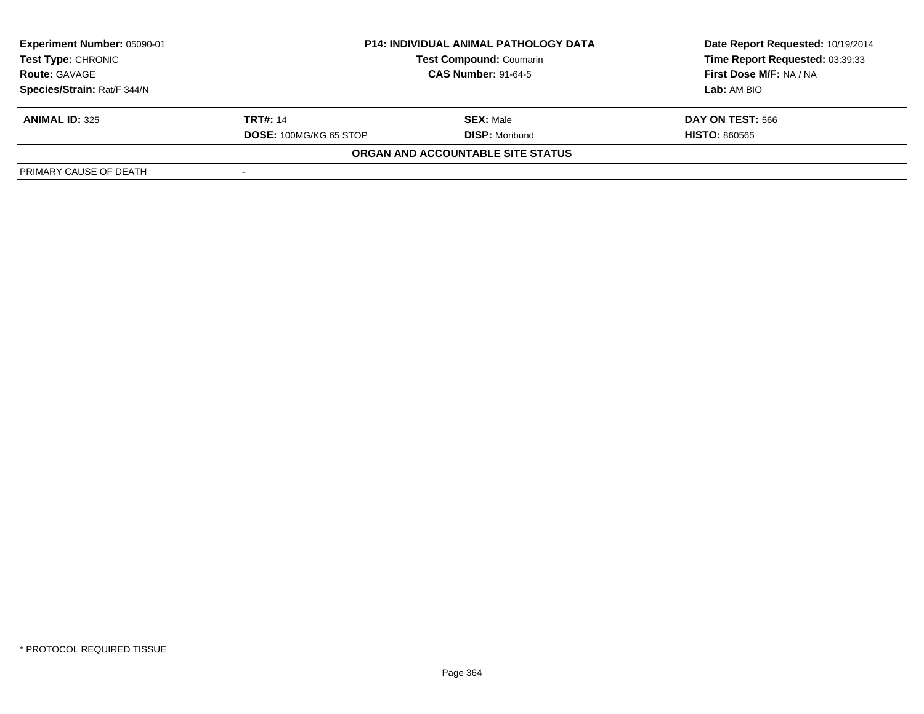| Experiment Number: 05090-01<br><b>Test Type: CHRONIC</b> |                               | <b>P14: INDIVIDUAL ANIMAL PATHOLOGY DATA</b> | Date Report Requested: 10/19/2014<br>Time Report Requested: 03:39:33 |
|----------------------------------------------------------|-------------------------------|----------------------------------------------|----------------------------------------------------------------------|
|                                                          |                               | <b>Test Compound: Coumarin</b>               |                                                                      |
| <b>Route: GAVAGE</b>                                     | <b>CAS Number: 91-64-5</b>    |                                              | First Dose M/F: NA / NA                                              |
| Species/Strain: Rat/F 344/N                              |                               |                                              | Lab: AM BIO                                                          |
| <b>ANIMAL ID: 325</b>                                    | <b>TRT#: 14</b>               | <b>SEX: Male</b>                             | <b>DAY ON TEST: 566</b>                                              |
|                                                          | <b>DOSE: 100MG/KG 65 STOP</b> | <b>DISP:</b> Moribund                        | <b>HISTO: 860565</b>                                                 |
|                                                          |                               | ORGAN AND ACCOUNTABLE SITE STATUS            |                                                                      |
| PRIMARY CAUSE OF DEATH                                   |                               |                                              |                                                                      |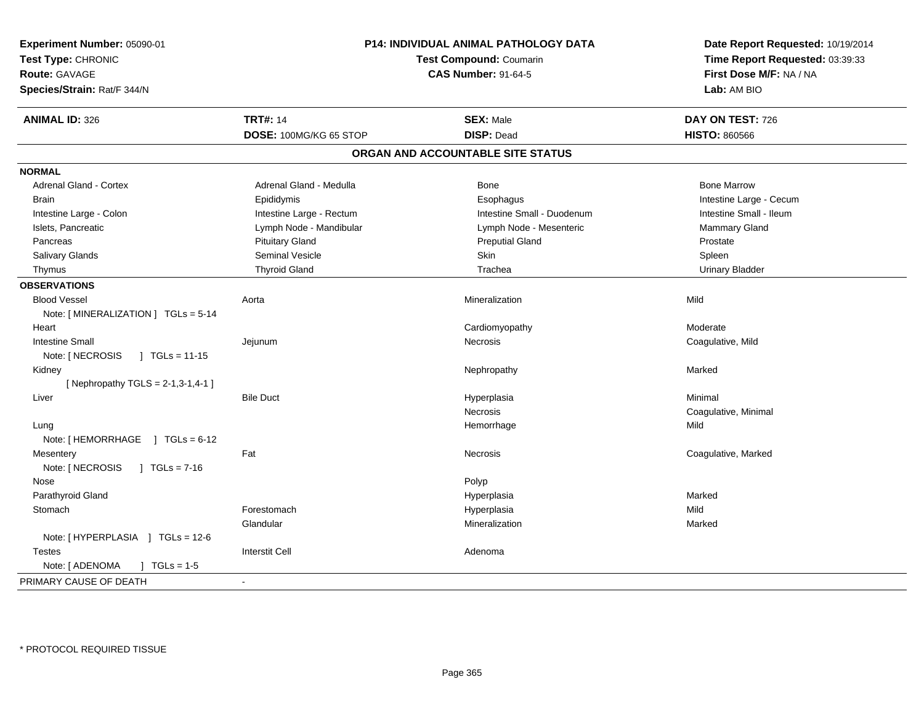| Experiment Number: 05090-01<br>Test Type: CHRONIC |                          | P14: INDIVIDUAL ANIMAL PATHOLOGY DATA<br>Test Compound: Coumarin | Date Report Requested: 10/19/2014<br>Time Report Requested: 03:39:33<br>First Dose M/F: NA / NA |
|---------------------------------------------------|--------------------------|------------------------------------------------------------------|-------------------------------------------------------------------------------------------------|
| <b>Route: GAVAGE</b>                              |                          | <b>CAS Number: 91-64-5</b>                                       |                                                                                                 |
| Species/Strain: Rat/F 344/N                       |                          |                                                                  | Lab: AM BIO                                                                                     |
| <b>ANIMAL ID: 326</b>                             | <b>TRT#: 14</b>          | <b>SEX: Male</b>                                                 | DAY ON TEST: 726                                                                                |
|                                                   | DOSE: 100MG/KG 65 STOP   | <b>DISP: Dead</b>                                                | <b>HISTO: 860566</b>                                                                            |
|                                                   |                          | ORGAN AND ACCOUNTABLE SITE STATUS                                |                                                                                                 |
| <b>NORMAL</b>                                     |                          |                                                                  |                                                                                                 |
| <b>Adrenal Gland - Cortex</b>                     | Adrenal Gland - Medulla  | Bone                                                             | <b>Bone Marrow</b>                                                                              |
| Brain                                             | Epididymis               | Esophagus                                                        | Intestine Large - Cecum                                                                         |
| Intestine Large - Colon                           | Intestine Large - Rectum | Intestine Small - Duodenum                                       | Intestine Small - Ileum                                                                         |
| Islets, Pancreatic                                | Lymph Node - Mandibular  | Lymph Node - Mesenteric                                          | Mammary Gland                                                                                   |
| Pancreas                                          | <b>Pituitary Gland</b>   | <b>Preputial Gland</b>                                           | Prostate                                                                                        |
| Salivary Glands                                   | <b>Seminal Vesicle</b>   | Skin                                                             | Spleen                                                                                          |
| Thymus                                            | <b>Thyroid Gland</b>     | Trachea                                                          | <b>Urinary Bladder</b>                                                                          |
| <b>OBSERVATIONS</b>                               |                          |                                                                  |                                                                                                 |
| <b>Blood Vessel</b>                               | Aorta                    | Mineralization                                                   | Mild                                                                                            |
| Note: [MINERALIZATION ] TGLs = 5-14               |                          |                                                                  |                                                                                                 |
| Heart                                             |                          | Cardiomyopathy                                                   | Moderate                                                                                        |
| <b>Intestine Small</b>                            | Jejunum                  | Necrosis                                                         | Coagulative, Mild                                                                               |
| $\sqrt{1 - 15}$<br>Note: [ NECROSIS               |                          |                                                                  |                                                                                                 |
| Kidney                                            |                          | Nephropathy                                                      | Marked                                                                                          |
| [ Nephropathy TGLS = $2-1,3-1,4-1$ ]              |                          |                                                                  |                                                                                                 |
| Liver                                             | <b>Bile Duct</b>         | Hyperplasia                                                      | Minimal                                                                                         |
|                                                   |                          | Necrosis                                                         | Coagulative, Minimal                                                                            |
| Lung                                              |                          | Hemorrhage                                                       | Mild                                                                                            |
| Note: [HEMORRHAGE ] TGLs = 6-12                   |                          |                                                                  |                                                                                                 |
| Mesentery                                         | Fat                      | <b>Necrosis</b>                                                  | Coagulative, Marked                                                                             |
| Note: [ NECROSIS<br>$1 \text{ TGLs} = 7-16$       |                          |                                                                  |                                                                                                 |
| Nose                                              |                          | Polyp                                                            |                                                                                                 |
| Parathyroid Gland                                 |                          | Hyperplasia                                                      | Marked                                                                                          |
| Stomach                                           | Forestomach              | Hyperplasia                                                      | Mild                                                                                            |
|                                                   | Glandular                | Mineralization                                                   | Marked                                                                                          |
| Note: [HYPERPLASIA ] TGLs = 12-6                  |                          |                                                                  |                                                                                                 |
| <b>Testes</b>                                     | <b>Interstit Cell</b>    | Adenoma                                                          |                                                                                                 |
| Note: [ ADENOMA<br>$J \cdot TGLs = 1-5$           |                          |                                                                  |                                                                                                 |
| PRIMARY CAUSE OF DEATH                            |                          |                                                                  |                                                                                                 |
|                                                   |                          |                                                                  |                                                                                                 |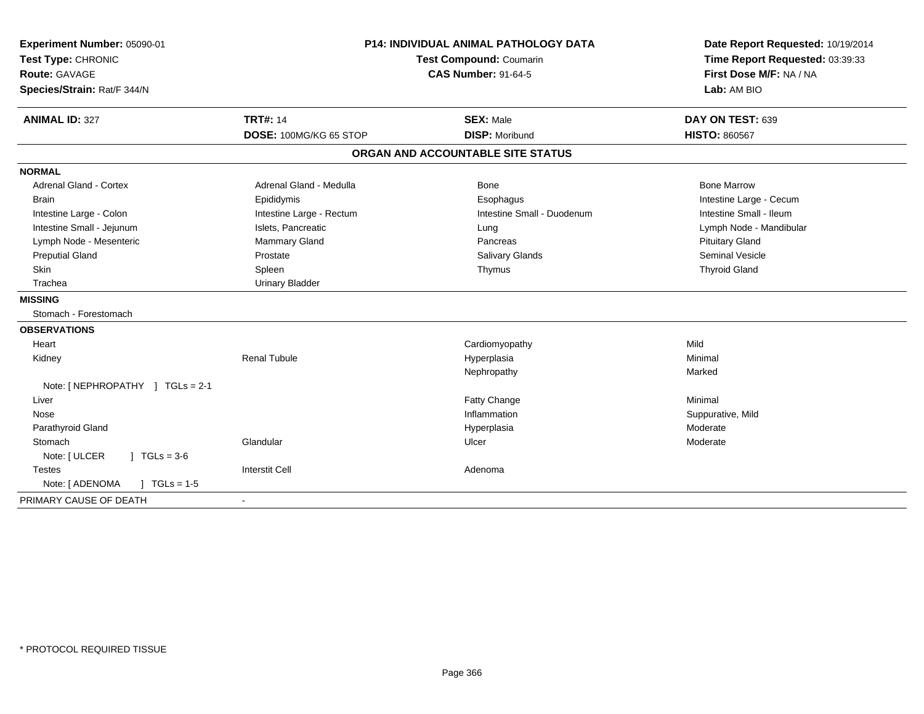| Experiment Number: 05090-01                        | <b>P14: INDIVIDUAL ANIMAL PATHOLOGY DATA</b> |                                   | Date Report Requested: 10/19/2014 |  |
|----------------------------------------------------|----------------------------------------------|-----------------------------------|-----------------------------------|--|
| Test Type: CHRONIC                                 |                                              | Test Compound: Coumarin           | Time Report Requested: 03:39:33   |  |
| <b>CAS Number: 91-64-5</b><br><b>Route: GAVAGE</b> |                                              |                                   | First Dose M/F: NA / NA           |  |
| Species/Strain: Rat/F 344/N                        |                                              |                                   | Lab: AM BIO                       |  |
| <b>ANIMAL ID: 327</b>                              | <b>TRT#: 14</b>                              | <b>SEX: Male</b>                  | DAY ON TEST: 639                  |  |
|                                                    | DOSE: 100MG/KG 65 STOP                       | <b>DISP: Moribund</b>             | <b>HISTO: 860567</b>              |  |
|                                                    |                                              | ORGAN AND ACCOUNTABLE SITE STATUS |                                   |  |
| <b>NORMAL</b>                                      |                                              |                                   |                                   |  |
| <b>Adrenal Gland - Cortex</b>                      | Adrenal Gland - Medulla                      | Bone                              | <b>Bone Marrow</b>                |  |
| <b>Brain</b>                                       | Epididymis                                   | Esophagus                         | Intestine Large - Cecum           |  |
| Intestine Large - Colon                            | Intestine Large - Rectum                     | Intestine Small - Duodenum        | Intestine Small - Ileum           |  |
| Intestine Small - Jejunum                          | Islets, Pancreatic                           | Lung                              | Lymph Node - Mandibular           |  |
| Lymph Node - Mesenteric                            | <b>Mammary Gland</b>                         | Pancreas                          | <b>Pituitary Gland</b>            |  |
| <b>Preputial Gland</b>                             | Prostate                                     | <b>Salivary Glands</b>            | <b>Seminal Vesicle</b>            |  |
| Skin                                               | Spleen                                       | Thymus                            | <b>Thyroid Gland</b>              |  |
| Trachea                                            | <b>Urinary Bladder</b>                       |                                   |                                   |  |
| <b>MISSING</b>                                     |                                              |                                   |                                   |  |
| Stomach - Forestomach                              |                                              |                                   |                                   |  |
| <b>OBSERVATIONS</b>                                |                                              |                                   |                                   |  |
| Heart                                              |                                              | Cardiomyopathy                    | Mild                              |  |
| Kidney                                             | <b>Renal Tubule</b>                          | Hyperplasia                       | Minimal                           |  |
|                                                    |                                              | Nephropathy                       | Marked                            |  |
| Note: [ NEPHROPATHY ] TGLs = 2-1                   |                                              |                                   |                                   |  |
| Liver                                              |                                              | Fatty Change                      | Minimal                           |  |
| Nose                                               |                                              | Inflammation                      | Suppurative, Mild                 |  |
| Parathyroid Gland                                  |                                              | Hyperplasia                       | Moderate                          |  |
| Stomach                                            | Glandular                                    | Ulcer                             | Moderate                          |  |
| $1 TGLs = 3-6$<br>Note: [ ULCER                    |                                              |                                   |                                   |  |
| <b>Testes</b>                                      | <b>Interstit Cell</b>                        | Adenoma                           |                                   |  |
| Note: [ ADENOMA<br>$1 TGLs = 1-5$                  |                                              |                                   |                                   |  |
| PRIMARY CAUSE OF DEATH                             | $\overline{\phantom{a}}$                     |                                   |                                   |  |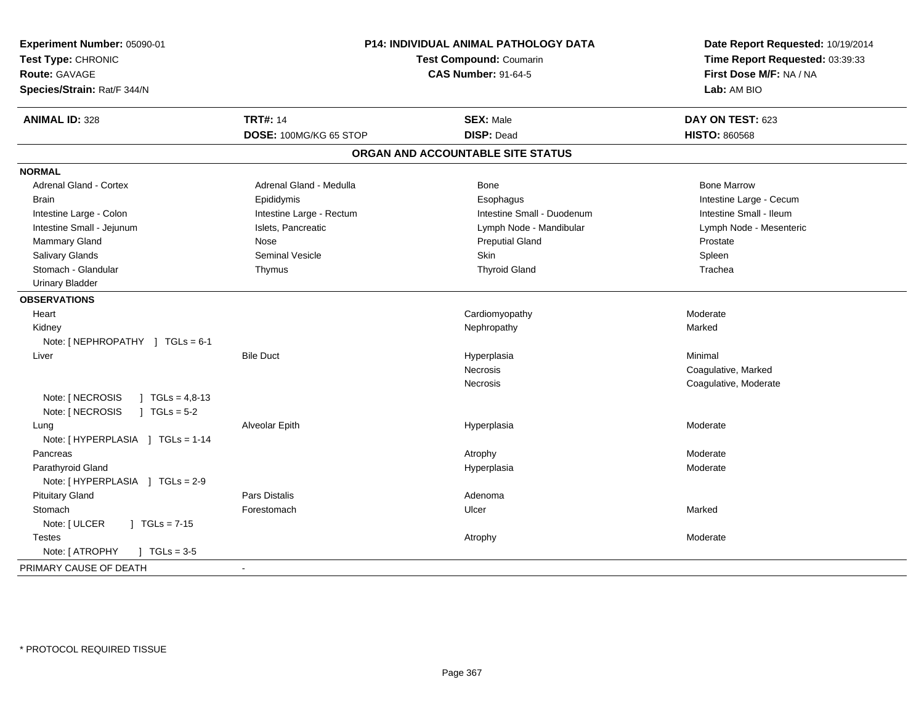| Experiment Number: 05090-01<br>Test Type: CHRONIC<br>Route: GAVAGE<br>Species/Strain: Rat/F 344/N | P14: INDIVIDUAL ANIMAL PATHOLOGY DATA<br>Test Compound: Coumarin<br><b>CAS Number: 91-64-5</b> |                                   | Date Report Requested: 10/19/2014<br>Time Report Requested: 03:39:33<br>First Dose M/F: NA / NA<br>Lab: AM BIO |
|---------------------------------------------------------------------------------------------------|------------------------------------------------------------------------------------------------|-----------------------------------|----------------------------------------------------------------------------------------------------------------|
| <b>ANIMAL ID: 328</b>                                                                             | <b>TRT#: 14</b>                                                                                | <b>SEX: Male</b>                  | DAY ON TEST: 623                                                                                               |
|                                                                                                   | DOSE: 100MG/KG 65 STOP                                                                         | <b>DISP: Dead</b>                 | <b>HISTO: 860568</b>                                                                                           |
|                                                                                                   |                                                                                                | ORGAN AND ACCOUNTABLE SITE STATUS |                                                                                                                |
| <b>NORMAL</b>                                                                                     |                                                                                                |                                   |                                                                                                                |
| <b>Adrenal Gland - Cortex</b>                                                                     | Adrenal Gland - Medulla                                                                        | Bone                              | <b>Bone Marrow</b>                                                                                             |
| <b>Brain</b>                                                                                      | Epididymis                                                                                     | Esophagus                         | Intestine Large - Cecum                                                                                        |
| Intestine Large - Colon                                                                           | Intestine Large - Rectum                                                                       | Intestine Small - Duodenum        | Intestine Small - Ileum                                                                                        |
| Intestine Small - Jejunum                                                                         | Islets, Pancreatic                                                                             | Lymph Node - Mandibular           | Lymph Node - Mesenteric                                                                                        |
| Mammary Gland                                                                                     | Nose                                                                                           | <b>Preputial Gland</b>            | Prostate                                                                                                       |
| Salivary Glands                                                                                   | <b>Seminal Vesicle</b>                                                                         | <b>Skin</b>                       | Spleen                                                                                                         |
| Stomach - Glandular                                                                               | Thymus                                                                                         | <b>Thyroid Gland</b>              | Trachea                                                                                                        |
| <b>Urinary Bladder</b>                                                                            |                                                                                                |                                   |                                                                                                                |
| <b>OBSERVATIONS</b>                                                                               |                                                                                                |                                   |                                                                                                                |
| Heart                                                                                             |                                                                                                | Cardiomyopathy                    | Moderate                                                                                                       |
| Kidney                                                                                            |                                                                                                | Nephropathy                       | Marked                                                                                                         |
| Note: [NEPHROPATHY ] TGLs = 6-1                                                                   |                                                                                                |                                   |                                                                                                                |
| Liver                                                                                             | <b>Bile Duct</b>                                                                               | Hyperplasia                       | Minimal                                                                                                        |
|                                                                                                   |                                                                                                | Necrosis                          | Coagulative, Marked                                                                                            |
|                                                                                                   |                                                                                                | <b>Necrosis</b>                   | Coagulative, Moderate                                                                                          |
| Note: [ NECROSIS<br>J TGLs = $4,8-13$<br>Note: [ NECROSIS<br>$J \cdot TGLs = 5-2$                 |                                                                                                |                                   |                                                                                                                |
| Lung<br>Note: [HYPERPLASIA ] TGLs = 1-14                                                          | Alveolar Epith                                                                                 | Hyperplasia                       | Moderate                                                                                                       |
| Pancreas                                                                                          |                                                                                                | Atrophy                           | Moderate                                                                                                       |
| Parathyroid Gland                                                                                 |                                                                                                | Hyperplasia                       | Moderate                                                                                                       |
| Note: [HYPERPLASIA ] TGLs = 2-9                                                                   |                                                                                                |                                   |                                                                                                                |
| <b>Pituitary Gland</b>                                                                            | <b>Pars Distalis</b>                                                                           | Adenoma                           |                                                                                                                |
| Stomach                                                                                           | Forestomach                                                                                    | Ulcer                             | Marked                                                                                                         |
| Note: [ ULCER<br>$\int$ TGLs = 7-15                                                               |                                                                                                |                                   |                                                                                                                |
| <b>Testes</b>                                                                                     |                                                                                                | Atrophy                           | Moderate                                                                                                       |
| Note: [ ATROPHY<br>$] TGLs = 3-5$                                                                 |                                                                                                |                                   |                                                                                                                |
| PRIMARY CAUSE OF DEATH                                                                            | $\sim$                                                                                         |                                   |                                                                                                                |
|                                                                                                   |                                                                                                |                                   |                                                                                                                |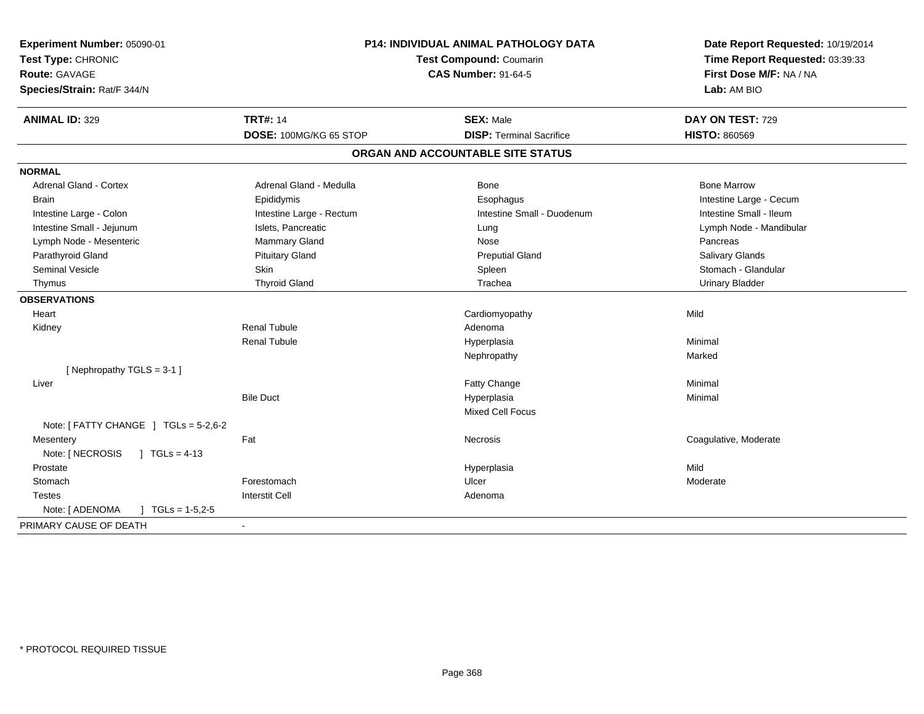| Experiment Number: 05090-01<br>Test Type: CHRONIC<br><b>Route: GAVAGE</b><br>Species/Strain: Rat/F 344/N |                          | P14: INDIVIDUAL ANIMAL PATHOLOGY DATA<br>Test Compound: Coumarin<br><b>CAS Number: 91-64-5</b> | Date Report Requested: 10/19/2014<br>Time Report Requested: 03:39:33<br>First Dose M/F: NA / NA<br>Lab: AM BIO |
|----------------------------------------------------------------------------------------------------------|--------------------------|------------------------------------------------------------------------------------------------|----------------------------------------------------------------------------------------------------------------|
| <b>ANIMAL ID: 329</b>                                                                                    | <b>TRT#: 14</b>          | <b>SEX: Male</b>                                                                               | DAY ON TEST: 729                                                                                               |
|                                                                                                          | DOSE: 100MG/KG 65 STOP   | <b>DISP: Terminal Sacrifice</b>                                                                | <b>HISTO: 860569</b>                                                                                           |
|                                                                                                          |                          | ORGAN AND ACCOUNTABLE SITE STATUS                                                              |                                                                                                                |
| <b>NORMAL</b>                                                                                            |                          |                                                                                                |                                                                                                                |
| Adrenal Gland - Cortex                                                                                   | Adrenal Gland - Medulla  | Bone                                                                                           | <b>Bone Marrow</b>                                                                                             |
| <b>Brain</b>                                                                                             | Epididymis               | Esophagus                                                                                      | Intestine Large - Cecum                                                                                        |
| Intestine Large - Colon                                                                                  | Intestine Large - Rectum | Intestine Small - Duodenum                                                                     | Intestine Small - Ileum                                                                                        |
| Intestine Small - Jejunum                                                                                | Islets, Pancreatic       | Lung                                                                                           | Lymph Node - Mandibular                                                                                        |
| Lymph Node - Mesenteric                                                                                  | Mammary Gland            | Nose                                                                                           | Pancreas                                                                                                       |
| Parathyroid Gland                                                                                        | <b>Pituitary Gland</b>   | <b>Preputial Gland</b>                                                                         | <b>Salivary Glands</b>                                                                                         |
| <b>Seminal Vesicle</b>                                                                                   | Skin                     | Spleen                                                                                         | Stomach - Glandular                                                                                            |
| Thymus                                                                                                   | <b>Thyroid Gland</b>     | Trachea                                                                                        | <b>Urinary Bladder</b>                                                                                         |
| <b>OBSERVATIONS</b>                                                                                      |                          |                                                                                                |                                                                                                                |
| Heart                                                                                                    |                          | Cardiomyopathy                                                                                 | Mild                                                                                                           |
| Kidney                                                                                                   | <b>Renal Tubule</b>      | Adenoma                                                                                        |                                                                                                                |
|                                                                                                          | <b>Renal Tubule</b>      | Hyperplasia                                                                                    | Minimal                                                                                                        |
|                                                                                                          |                          | Nephropathy                                                                                    | Marked                                                                                                         |
| [Nephropathy TGLS = 3-1]                                                                                 |                          |                                                                                                |                                                                                                                |
| Liver                                                                                                    |                          | Fatty Change                                                                                   | Minimal                                                                                                        |
|                                                                                                          | <b>Bile Duct</b>         | Hyperplasia                                                                                    | Minimal                                                                                                        |
|                                                                                                          |                          | <b>Mixed Cell Focus</b>                                                                        |                                                                                                                |
| Note: $[$ FATTY CHANGE $]$ TGLs = 5-2,6-2                                                                |                          |                                                                                                |                                                                                                                |
| Mesentery                                                                                                | Fat                      | Necrosis                                                                                       | Coagulative, Moderate                                                                                          |
| Note: [ NECROSIS<br>$1 TGLs = 4-13$                                                                      |                          |                                                                                                |                                                                                                                |
| Prostate                                                                                                 |                          | Hyperplasia                                                                                    | Mild                                                                                                           |
| Stomach                                                                                                  | Forestomach              | Ulcer                                                                                          | Moderate                                                                                                       |
| <b>Testes</b>                                                                                            | <b>Interstit Cell</b>    | Adenoma                                                                                        |                                                                                                                |
| Note: [ ADENOMA<br>$TC = 1.5.2 - 5$                                                                      |                          |                                                                                                |                                                                                                                |
| PRIMARY CAUSE OF DEATH                                                                                   | $\blacksquare$           |                                                                                                |                                                                                                                |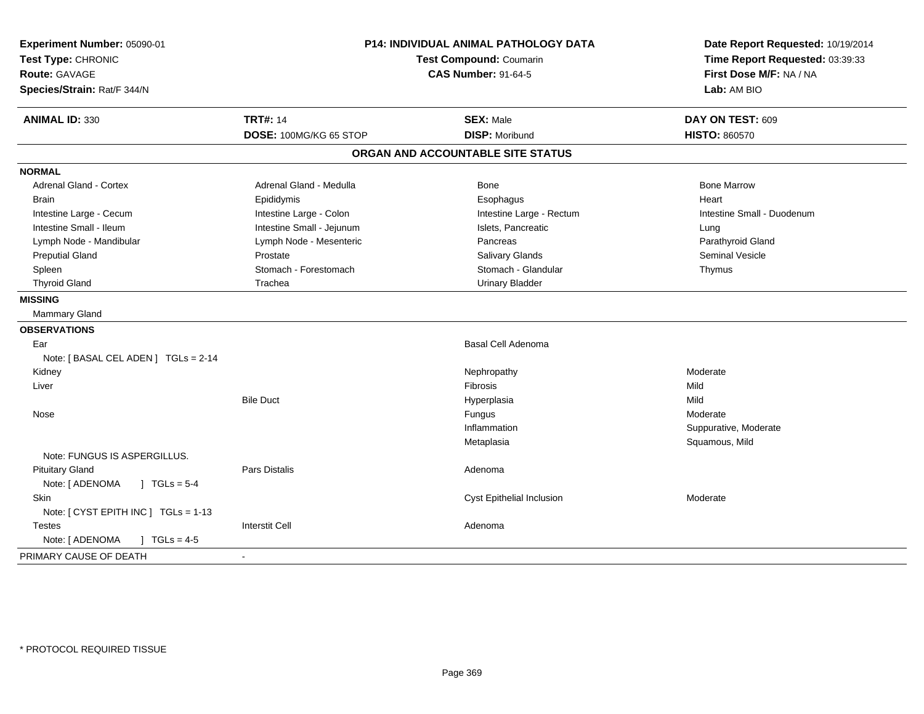| Experiment Number: 05090-01<br>Test Type: CHRONIC<br>Route: GAVAGE<br>Species/Strain: Rat/F 344/N | P14: INDIVIDUAL ANIMAL PATHOLOGY DATA<br><b>Test Compound: Coumarin</b><br><b>CAS Number: 91-64-5</b> |                                   | Date Report Requested: 10/19/2014<br>Time Report Requested: 03:39:33<br>First Dose M/F: NA / NA<br>Lab: AM BIO |
|---------------------------------------------------------------------------------------------------|-------------------------------------------------------------------------------------------------------|-----------------------------------|----------------------------------------------------------------------------------------------------------------|
| <b>ANIMAL ID: 330</b>                                                                             | <b>TRT#: 14</b>                                                                                       | <b>SEX: Male</b>                  | DAY ON TEST: 609                                                                                               |
|                                                                                                   | DOSE: 100MG/KG 65 STOP                                                                                | <b>DISP: Moribund</b>             | <b>HISTO: 860570</b>                                                                                           |
|                                                                                                   |                                                                                                       | ORGAN AND ACCOUNTABLE SITE STATUS |                                                                                                                |
| <b>NORMAL</b>                                                                                     |                                                                                                       |                                   |                                                                                                                |
| <b>Adrenal Gland - Cortex</b>                                                                     | Adrenal Gland - Medulla                                                                               | Bone                              | <b>Bone Marrow</b>                                                                                             |
| <b>Brain</b>                                                                                      | Epididymis                                                                                            | Esophagus                         | Heart                                                                                                          |
| Intestine Large - Cecum                                                                           | Intestine Large - Colon                                                                               | Intestine Large - Rectum          | Intestine Small - Duodenum                                                                                     |
| Intestine Small - Ileum                                                                           | Intestine Small - Jejunum                                                                             | Islets, Pancreatic                | Lung                                                                                                           |
| Lymph Node - Mandibular                                                                           | Lymph Node - Mesenteric                                                                               | Pancreas                          | Parathyroid Gland                                                                                              |
| <b>Preputial Gland</b>                                                                            | Prostate                                                                                              | Salivary Glands                   | Seminal Vesicle                                                                                                |
| Spleen                                                                                            | Stomach - Forestomach                                                                                 | Stomach - Glandular               | Thymus                                                                                                         |
| <b>Thyroid Gland</b>                                                                              | Trachea                                                                                               | <b>Urinary Bladder</b>            |                                                                                                                |
| <b>MISSING</b>                                                                                    |                                                                                                       |                                   |                                                                                                                |
| Mammary Gland                                                                                     |                                                                                                       |                                   |                                                                                                                |
| <b>OBSERVATIONS</b>                                                                               |                                                                                                       |                                   |                                                                                                                |
| Ear                                                                                               |                                                                                                       | Basal Cell Adenoma                |                                                                                                                |
| Note: [ BASAL CEL ADEN ] TGLs = 2-14                                                              |                                                                                                       |                                   |                                                                                                                |
| Kidney                                                                                            |                                                                                                       | Nephropathy                       | Moderate                                                                                                       |
| Liver                                                                                             |                                                                                                       | Fibrosis                          | Mild                                                                                                           |
|                                                                                                   | <b>Bile Duct</b>                                                                                      | Hyperplasia                       | Mild                                                                                                           |
| Nose                                                                                              |                                                                                                       | Fungus                            | Moderate                                                                                                       |
|                                                                                                   |                                                                                                       | Inflammation                      | Suppurative, Moderate                                                                                          |
|                                                                                                   |                                                                                                       | Metaplasia                        | Squamous, Mild                                                                                                 |
| Note: FUNGUS IS ASPERGILLUS.                                                                      |                                                                                                       |                                   |                                                                                                                |
| <b>Pituitary Gland</b>                                                                            | <b>Pars Distalis</b>                                                                                  | Adenoma                           |                                                                                                                |
| Note: [ ADENOMA<br>$1 TGLs = 5-4$                                                                 |                                                                                                       |                                   |                                                                                                                |
| <b>Skin</b>                                                                                       |                                                                                                       | Cyst Epithelial Inclusion         | Moderate                                                                                                       |
| Note: [ CYST EPITH INC ] TGLs = 1-13                                                              |                                                                                                       |                                   |                                                                                                                |
| <b>Testes</b>                                                                                     | <b>Interstit Cell</b>                                                                                 | Adenoma                           |                                                                                                                |
| Note: [ ADENOMA<br>$\sqrt{ }$ TGLs = 4-5                                                          |                                                                                                       |                                   |                                                                                                                |
| PRIMARY CAUSE OF DEATH                                                                            |                                                                                                       |                                   |                                                                                                                |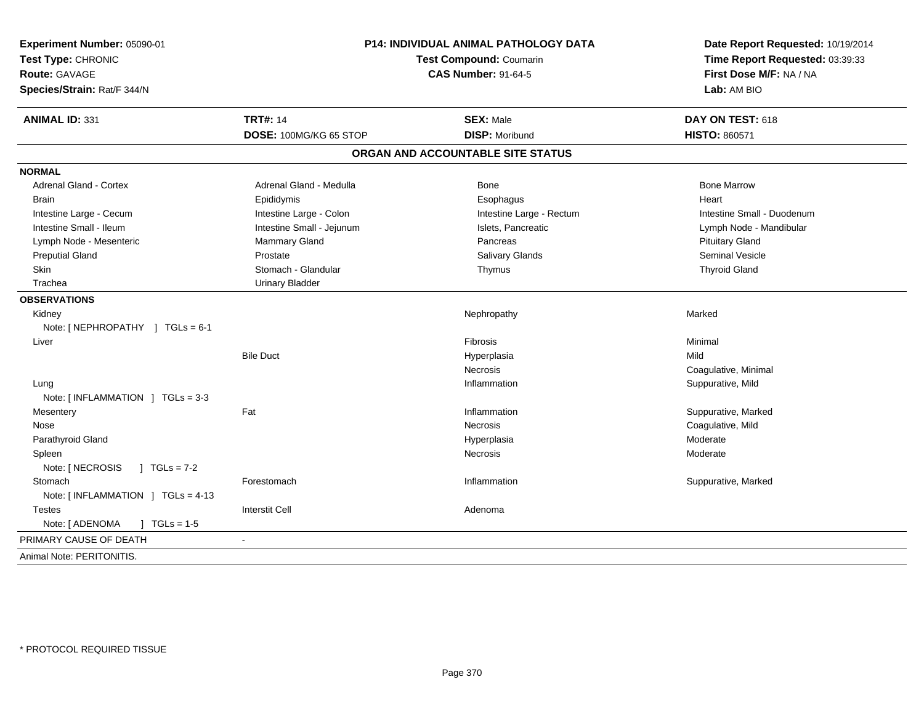| Experiment Number: 05090-01<br>Test Type: CHRONIC<br><b>Route: GAVAGE</b><br>Species/Strain: Rat/F 344/N | <b>P14: INDIVIDUAL ANIMAL PATHOLOGY DATA</b><br><b>Test Compound: Coumarin</b><br><b>CAS Number: 91-64-5</b> |                                   | Date Report Requested: 10/19/2014<br>Time Report Requested: 03:39:33<br>First Dose M/F: NA / NA<br>Lab: AM BIO |
|----------------------------------------------------------------------------------------------------------|--------------------------------------------------------------------------------------------------------------|-----------------------------------|----------------------------------------------------------------------------------------------------------------|
| <b>ANIMAL ID: 331</b>                                                                                    | <b>TRT#: 14</b>                                                                                              | <b>SEX: Male</b>                  | DAY ON TEST: 618                                                                                               |
|                                                                                                          | DOSE: 100MG/KG 65 STOP                                                                                       | <b>DISP: Moribund</b>             | <b>HISTO: 860571</b>                                                                                           |
|                                                                                                          |                                                                                                              | ORGAN AND ACCOUNTABLE SITE STATUS |                                                                                                                |
| <b>NORMAL</b>                                                                                            |                                                                                                              |                                   |                                                                                                                |
| <b>Adrenal Gland - Cortex</b>                                                                            | Adrenal Gland - Medulla                                                                                      | Bone                              | <b>Bone Marrow</b>                                                                                             |
| <b>Brain</b>                                                                                             | Epididymis                                                                                                   | Esophagus                         | Heart                                                                                                          |
| Intestine Large - Cecum                                                                                  | Intestine Large - Colon                                                                                      | Intestine Large - Rectum          | Intestine Small - Duodenum                                                                                     |
| Intestine Small - Ileum                                                                                  | Intestine Small - Jejunum                                                                                    | Islets, Pancreatic                | Lymph Node - Mandibular                                                                                        |
| Lymph Node - Mesenteric                                                                                  | Mammary Gland                                                                                                | Pancreas                          | <b>Pituitary Gland</b>                                                                                         |
| <b>Preputial Gland</b>                                                                                   | Prostate                                                                                                     | Salivary Glands                   | Seminal Vesicle                                                                                                |
| Skin                                                                                                     | Stomach - Glandular                                                                                          | Thymus                            | <b>Thyroid Gland</b>                                                                                           |
| Trachea                                                                                                  | <b>Urinary Bladder</b>                                                                                       |                                   |                                                                                                                |
| <b>OBSERVATIONS</b>                                                                                      |                                                                                                              |                                   |                                                                                                                |
| Kidney                                                                                                   |                                                                                                              | Nephropathy                       | Marked                                                                                                         |
| Note: [ NEPHROPATHY ] TGLs = 6-1                                                                         |                                                                                                              |                                   |                                                                                                                |
| Liver                                                                                                    |                                                                                                              | Fibrosis                          | Minimal                                                                                                        |
|                                                                                                          | <b>Bile Duct</b>                                                                                             | Hyperplasia                       | Mild                                                                                                           |
|                                                                                                          |                                                                                                              | <b>Necrosis</b>                   | Coagulative, Minimal                                                                                           |
| Lung                                                                                                     |                                                                                                              | Inflammation                      | Suppurative, Mild                                                                                              |
| Note: [INFLAMMATION ] TGLs = 3-3                                                                         |                                                                                                              |                                   |                                                                                                                |
| Mesentery                                                                                                | Fat                                                                                                          | Inflammation                      | Suppurative, Marked                                                                                            |
| Nose                                                                                                     |                                                                                                              | Necrosis                          | Coagulative, Mild                                                                                              |
| Parathyroid Gland                                                                                        |                                                                                                              | Hyperplasia                       | Moderate                                                                                                       |
| Spleen                                                                                                   |                                                                                                              | Necrosis                          | Moderate                                                                                                       |
| Note: [ NECROSIS<br>$1 TGLs = 7-2$                                                                       |                                                                                                              |                                   |                                                                                                                |
| Stomach                                                                                                  | Forestomach                                                                                                  | Inflammation                      | Suppurative, Marked                                                                                            |
| Note: [INFLAMMATION ] TGLs = 4-13                                                                        |                                                                                                              |                                   |                                                                                                                |
| <b>Testes</b>                                                                                            | <b>Interstit Cell</b>                                                                                        | Adenoma                           |                                                                                                                |
| Note: [ ADENOMA<br>$\int$ TGLs = 1-5                                                                     |                                                                                                              |                                   |                                                                                                                |
| PRIMARY CAUSE OF DEATH                                                                                   |                                                                                                              |                                   |                                                                                                                |
| Animal Note: PERITONITIS.                                                                                |                                                                                                              |                                   |                                                                                                                |
|                                                                                                          |                                                                                                              |                                   |                                                                                                                |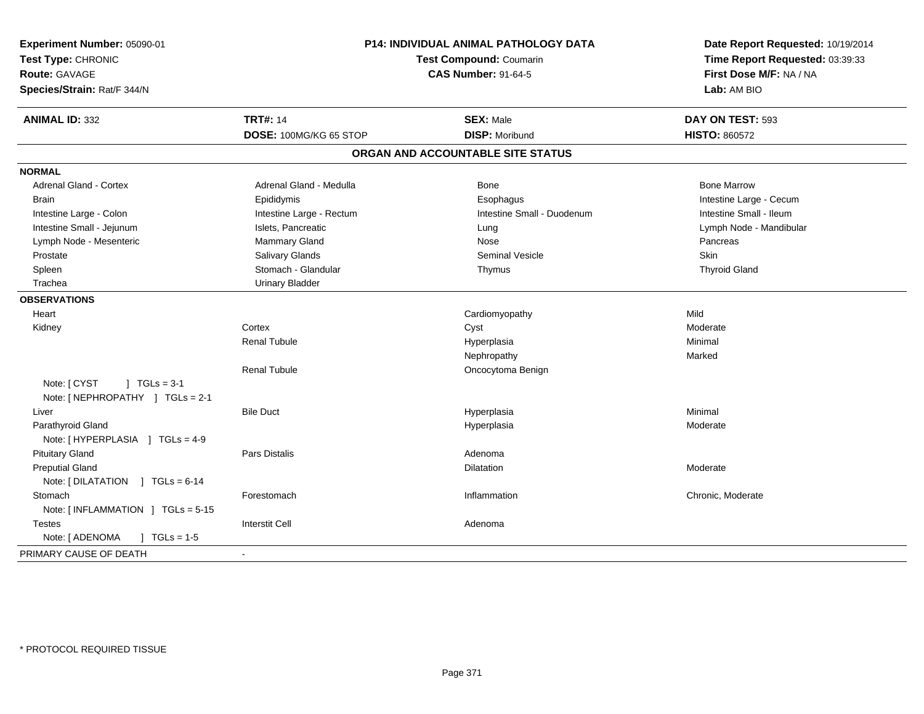| Experiment Number: 05090-01<br>Test Type: CHRONIC<br><b>Route: GAVAGE</b><br>Species/Strain: Rat/F 344/N | P14: INDIVIDUAL ANIMAL PATHOLOGY DATA<br>Test Compound: Coumarin<br><b>CAS Number: 91-64-5</b> |                                   | Date Report Requested: 10/19/2014<br>Time Report Requested: 03:39:33<br>First Dose M/F: NA / NA<br>Lab: AM BIO |
|----------------------------------------------------------------------------------------------------------|------------------------------------------------------------------------------------------------|-----------------------------------|----------------------------------------------------------------------------------------------------------------|
| <b>ANIMAL ID: 332</b>                                                                                    | <b>TRT#: 14</b>                                                                                | <b>SEX: Male</b>                  | DAY ON TEST: 593                                                                                               |
|                                                                                                          | DOSE: 100MG/KG 65 STOP                                                                         | <b>DISP: Moribund</b>             | <b>HISTO: 860572</b>                                                                                           |
|                                                                                                          |                                                                                                | ORGAN AND ACCOUNTABLE SITE STATUS |                                                                                                                |
| <b>NORMAL</b>                                                                                            |                                                                                                |                                   |                                                                                                                |
| <b>Adrenal Gland - Cortex</b>                                                                            | Adrenal Gland - Medulla                                                                        | Bone                              | <b>Bone Marrow</b>                                                                                             |
| <b>Brain</b>                                                                                             | Epididymis                                                                                     | Esophagus                         | Intestine Large - Cecum                                                                                        |
| Intestine Large - Colon                                                                                  | Intestine Large - Rectum                                                                       | Intestine Small - Duodenum        | Intestine Small - Ileum                                                                                        |
| Intestine Small - Jejunum                                                                                | Islets, Pancreatic                                                                             | Lung                              | Lymph Node - Mandibular                                                                                        |
| Lymph Node - Mesenteric                                                                                  | <b>Mammary Gland</b>                                                                           | Nose                              | Pancreas                                                                                                       |
| Prostate                                                                                                 | Salivary Glands                                                                                | Seminal Vesicle                   | Skin                                                                                                           |
| Spleen                                                                                                   | Stomach - Glandular                                                                            | Thymus                            | <b>Thyroid Gland</b>                                                                                           |
| Trachea                                                                                                  | <b>Urinary Bladder</b>                                                                         |                                   |                                                                                                                |
| <b>OBSERVATIONS</b>                                                                                      |                                                                                                |                                   |                                                                                                                |
| Heart                                                                                                    |                                                                                                | Cardiomyopathy                    | Mild                                                                                                           |
| Kidney                                                                                                   | Cortex                                                                                         | Cyst                              | Moderate                                                                                                       |
|                                                                                                          | <b>Renal Tubule</b>                                                                            | Hyperplasia                       | Minimal                                                                                                        |
|                                                                                                          |                                                                                                | Nephropathy                       | Marked                                                                                                         |
|                                                                                                          | <b>Renal Tubule</b>                                                                            | Oncocytoma Benign                 |                                                                                                                |
| Note: [ CYST<br>$J \cdot TGLs = 3-1$<br>Note: [NEPHROPATHY ] TGLs = 2-1                                  |                                                                                                |                                   |                                                                                                                |
| Liver                                                                                                    | <b>Bile Duct</b>                                                                               | Hyperplasia                       | Minimal                                                                                                        |
| Parathyroid Gland                                                                                        |                                                                                                | Hyperplasia                       | Moderate                                                                                                       |
| Note: [HYPERPLASIA ] TGLs = 4-9                                                                          |                                                                                                |                                   |                                                                                                                |
| <b>Pituitary Gland</b>                                                                                   | Pars Distalis                                                                                  | Adenoma                           |                                                                                                                |
| <b>Preputial Gland</b>                                                                                   |                                                                                                | <b>Dilatation</b>                 | Moderate                                                                                                       |
| Note: [DILATATION ] TGLs = 6-14                                                                          |                                                                                                |                                   |                                                                                                                |
| Stomach                                                                                                  | Forestomach                                                                                    | Inflammation                      | Chronic, Moderate                                                                                              |
| Note: [INFLAMMATION ] TGLs = 5-15                                                                        |                                                                                                |                                   |                                                                                                                |
| <b>Testes</b>                                                                                            | <b>Interstit Cell</b>                                                                          | Adenoma                           |                                                                                                                |
| Note: [ ADENOMA<br>$J \cdot TGLs = 1-5$                                                                  |                                                                                                |                                   |                                                                                                                |
| PRIMARY CAUSE OF DEATH                                                                                   | $\blacksquare$                                                                                 |                                   |                                                                                                                |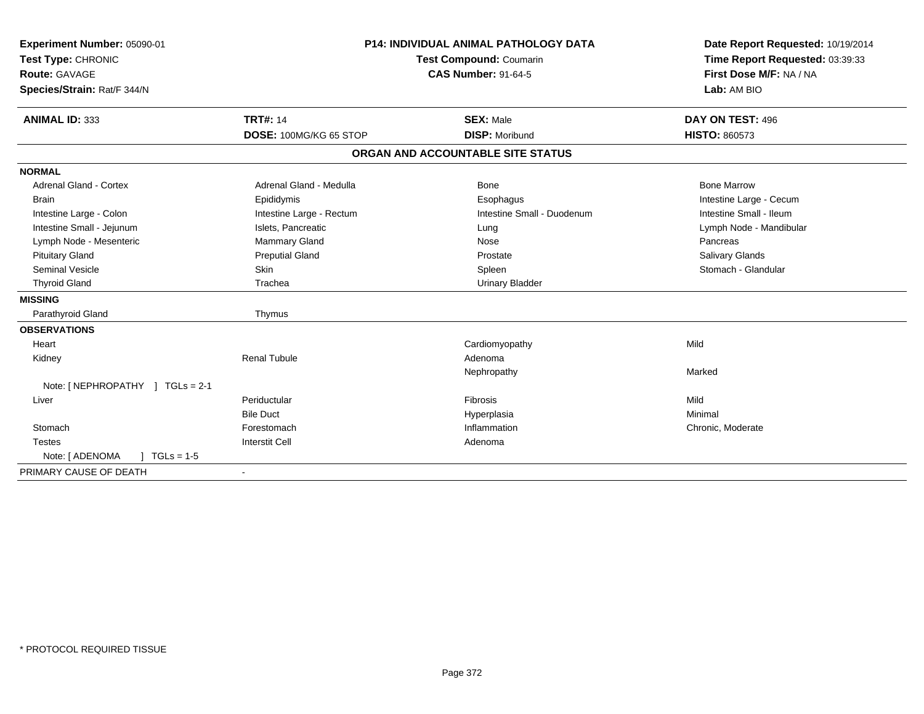| Experiment Number: 05090-01                  | <b>P14: INDIVIDUAL ANIMAL PATHOLOGY DATA</b><br><b>Test Compound: Coumarin</b><br><b>CAS Number: 91-64-5</b> |                                   | Date Report Requested: 10/19/2014 |
|----------------------------------------------|--------------------------------------------------------------------------------------------------------------|-----------------------------------|-----------------------------------|
| Test Type: CHRONIC                           |                                                                                                              |                                   | Time Report Requested: 03:39:33   |
| <b>Route: GAVAGE</b>                         |                                                                                                              |                                   | First Dose M/F: NA / NA           |
| Species/Strain: Rat/F 344/N                  |                                                                                                              |                                   | Lab: AM BIO                       |
|                                              |                                                                                                              |                                   |                                   |
| <b>ANIMAL ID: 333</b>                        | <b>TRT#: 14</b>                                                                                              | <b>SEX: Male</b>                  | DAY ON TEST: 496                  |
|                                              | DOSE: 100MG/KG 65 STOP                                                                                       | <b>DISP: Moribund</b>             | <b>HISTO: 860573</b>              |
|                                              |                                                                                                              | ORGAN AND ACCOUNTABLE SITE STATUS |                                   |
| <b>NORMAL</b>                                |                                                                                                              |                                   |                                   |
| <b>Adrenal Gland - Cortex</b>                | Adrenal Gland - Medulla                                                                                      | Bone                              | <b>Bone Marrow</b>                |
| <b>Brain</b>                                 | Epididymis                                                                                                   | Esophagus                         | Intestine Large - Cecum           |
| Intestine Large - Colon                      | Intestine Large - Rectum                                                                                     | Intestine Small - Duodenum        | Intestine Small - Ileum           |
| Intestine Small - Jejunum                    | Islets, Pancreatic                                                                                           | Lung                              | Lymph Node - Mandibular           |
| Lymph Node - Mesenteric                      | Mammary Gland                                                                                                | Nose                              | Pancreas                          |
| <b>Pituitary Gland</b>                       | <b>Preputial Gland</b>                                                                                       | Prostate                          | Salivary Glands                   |
| <b>Seminal Vesicle</b>                       | Skin                                                                                                         | Spleen                            | Stomach - Glandular               |
| <b>Thyroid Gland</b>                         | Trachea                                                                                                      | <b>Urinary Bladder</b>            |                                   |
| <b>MISSING</b>                               |                                                                                                              |                                   |                                   |
| Parathyroid Gland                            | Thymus                                                                                                       |                                   |                                   |
| <b>OBSERVATIONS</b>                          |                                                                                                              |                                   |                                   |
| Heart                                        |                                                                                                              | Cardiomyopathy                    | Mild                              |
| Kidney                                       | <b>Renal Tubule</b>                                                                                          | Adenoma                           |                                   |
|                                              |                                                                                                              | Nephropathy                       | Marked                            |
| Note: [ NEPHROPATHY ] TGLs = 2-1             |                                                                                                              |                                   |                                   |
| Liver                                        | Periductular                                                                                                 | <b>Fibrosis</b>                   | Mild                              |
|                                              | <b>Bile Duct</b>                                                                                             | Hyperplasia                       | Minimal                           |
| Stomach                                      | Forestomach                                                                                                  | Inflammation                      | Chronic, Moderate                 |
| <b>Testes</b>                                | <b>Interstit Cell</b>                                                                                        | Adenoma                           |                                   |
| Note: [ ADENOMA<br>$\sqrt{1 + 1}$ TGLs = 1-5 |                                                                                                              |                                   |                                   |
| PRIMARY CAUSE OF DEATH                       |                                                                                                              |                                   |                                   |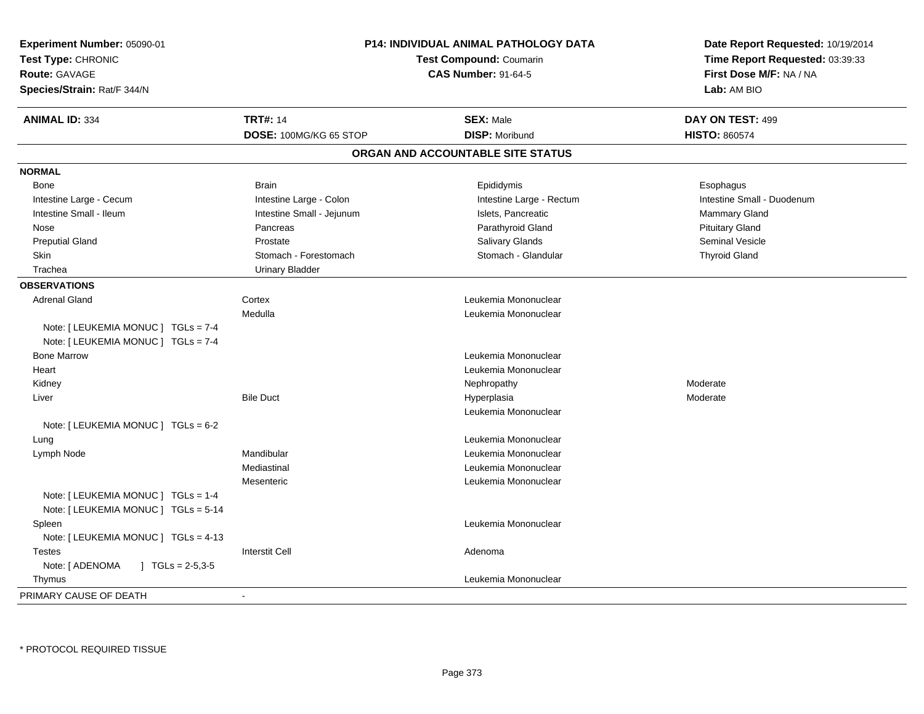| Experiment Number: 05090-01                         |                           | P14: INDIVIDUAL ANIMAL PATHOLOGY DATA | Date Report Requested: 10/19/2014      |
|-----------------------------------------------------|---------------------------|---------------------------------------|----------------------------------------|
| Test Type: CHRONIC                                  | Test Compound: Coumarin   |                                       | Time Report Requested: 03:39:33        |
| <b>Route: GAVAGE</b><br>Species/Strain: Rat/F 344/N |                           | <b>CAS Number: 91-64-5</b>            | First Dose M/F: NA / NA<br>Lab: AM BIO |
|                                                     |                           |                                       |                                        |
| <b>ANIMAL ID: 334</b>                               | <b>TRT#: 14</b>           | <b>SEX: Male</b>                      | DAY ON TEST: 499                       |
|                                                     | DOSE: 100MG/KG 65 STOP    | <b>DISP: Moribund</b>                 | <b>HISTO: 860574</b>                   |
|                                                     |                           | ORGAN AND ACCOUNTABLE SITE STATUS     |                                        |
| <b>NORMAL</b>                                       |                           |                                       |                                        |
| Bone                                                | <b>Brain</b>              | Epididymis                            | Esophagus                              |
| Intestine Large - Cecum                             | Intestine Large - Colon   | Intestine Large - Rectum              | Intestine Small - Duodenum             |
| Intestine Small - Ileum                             | Intestine Small - Jejunum | Islets, Pancreatic                    | Mammary Gland                          |
| Nose                                                | Pancreas                  | Parathyroid Gland                     | <b>Pituitary Gland</b>                 |
| <b>Preputial Gland</b>                              | Prostate                  | Salivary Glands                       | Seminal Vesicle                        |
| Skin                                                | Stomach - Forestomach     | Stomach - Glandular                   | <b>Thyroid Gland</b>                   |
| Trachea                                             | <b>Urinary Bladder</b>    |                                       |                                        |
| <b>OBSERVATIONS</b>                                 |                           |                                       |                                        |
| <b>Adrenal Gland</b>                                | Cortex                    | Leukemia Mononuclear                  |                                        |
|                                                     | Medulla                   | Leukemia Mononuclear                  |                                        |
| Note: [ LEUKEMIA MONUC ] TGLs = 7-4                 |                           |                                       |                                        |
| Note: [ LEUKEMIA MONUC ] TGLs = 7-4                 |                           |                                       |                                        |
| <b>Bone Marrow</b>                                  |                           | Leukemia Mononuclear                  |                                        |
| Heart                                               |                           | Leukemia Mononuclear                  |                                        |
| Kidney                                              |                           | Nephropathy                           | Moderate                               |
| Liver                                               | <b>Bile Duct</b>          | Hyperplasia                           | Moderate                               |
|                                                     |                           | Leukemia Mononuclear                  |                                        |
| Note: $[LEUKEMIA MONUC] TGLS = 6-2$                 |                           |                                       |                                        |
| Lung                                                |                           | Leukemia Mononuclear                  |                                        |
| Lymph Node                                          | Mandibular                | Leukemia Mononuclear                  |                                        |
|                                                     | Mediastinal               | Leukemia Mononuclear                  |                                        |
|                                                     | Mesenteric                | Leukemia Mononuclear                  |                                        |
| Note: [ LEUKEMIA MONUC ] TGLs = 1-4                 |                           |                                       |                                        |
| Note: [ LEUKEMIA MONUC ] TGLs = 5-14                |                           |                                       |                                        |
| Spleen                                              |                           | Leukemia Mononuclear                  |                                        |
| Note: [ LEUKEMIA MONUC ] TGLs = 4-13                |                           |                                       |                                        |
| Testes                                              | <b>Interstit Cell</b>     | Adenoma                               |                                        |
| Note: [ ADENOMA<br>$\mid$ TGLs = 2-5,3-5            |                           |                                       |                                        |
| Thymus                                              |                           | Leukemia Mononuclear                  |                                        |
| PRIMARY CAUSE OF DEATH                              | $\blacksquare$            |                                       |                                        |
|                                                     |                           |                                       |                                        |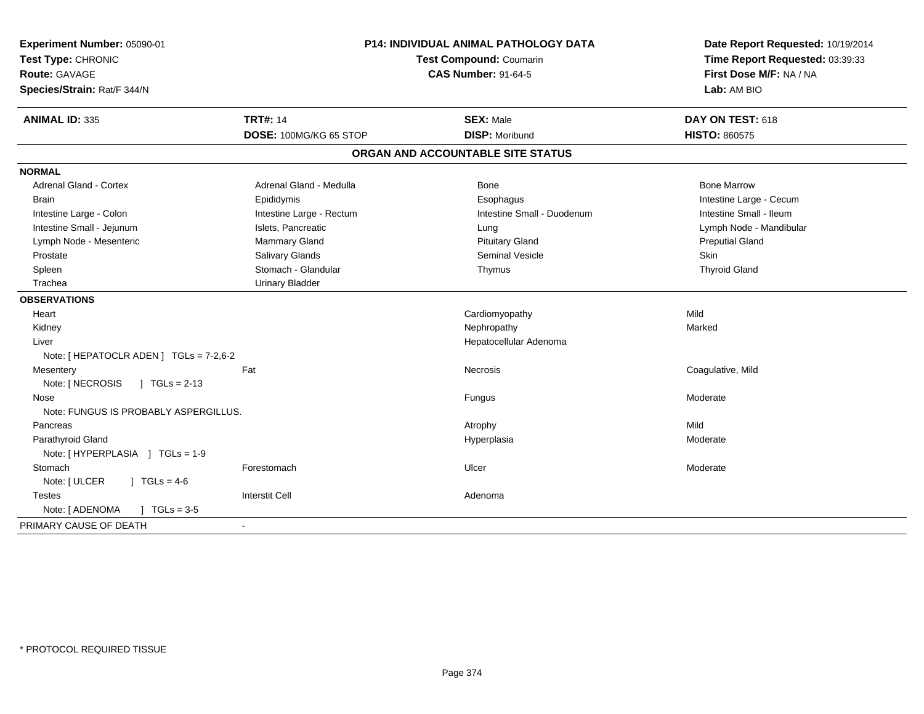| Experiment Number: 05090-01<br>Test Type: CHRONIC<br><b>Route: GAVAGE</b><br>Species/Strain: Rat/F 344/N | <b>P14: INDIVIDUAL ANIMAL PATHOLOGY DATA</b><br>Test Compound: Coumarin<br><b>CAS Number: 91-64-5</b> |                                   | Date Report Requested: 10/19/2014<br>Time Report Requested: 03:39:33<br>First Dose M/F: NA / NA<br>Lab: AM BIO |  |
|----------------------------------------------------------------------------------------------------------|-------------------------------------------------------------------------------------------------------|-----------------------------------|----------------------------------------------------------------------------------------------------------------|--|
| <b>ANIMAL ID: 335</b>                                                                                    | <b>TRT#: 14</b>                                                                                       | <b>SEX: Male</b>                  | DAY ON TEST: 618                                                                                               |  |
|                                                                                                          | DOSE: 100MG/KG 65 STOP                                                                                | <b>DISP: Moribund</b>             | <b>HISTO: 860575</b>                                                                                           |  |
|                                                                                                          |                                                                                                       | ORGAN AND ACCOUNTABLE SITE STATUS |                                                                                                                |  |
| <b>NORMAL</b>                                                                                            |                                                                                                       |                                   |                                                                                                                |  |
| <b>Adrenal Gland - Cortex</b>                                                                            | Adrenal Gland - Medulla                                                                               | <b>Bone</b>                       | <b>Bone Marrow</b>                                                                                             |  |
| <b>Brain</b>                                                                                             | Epididymis                                                                                            | Esophagus                         | Intestine Large - Cecum                                                                                        |  |
| Intestine Large - Colon                                                                                  | Intestine Large - Rectum                                                                              | Intestine Small - Duodenum        | Intestine Small - Ileum                                                                                        |  |
| Intestine Small - Jejunum                                                                                | Islets, Pancreatic                                                                                    | Lung                              | Lymph Node - Mandibular                                                                                        |  |
| Lymph Node - Mesenteric                                                                                  | Mammary Gland                                                                                         | <b>Pituitary Gland</b>            | <b>Preputial Gland</b>                                                                                         |  |
| Prostate                                                                                                 | Salivary Glands                                                                                       | <b>Seminal Vesicle</b>            | Skin                                                                                                           |  |
| Spleen                                                                                                   | Stomach - Glandular                                                                                   | Thymus                            | <b>Thyroid Gland</b>                                                                                           |  |
| Trachea                                                                                                  | <b>Urinary Bladder</b>                                                                                |                                   |                                                                                                                |  |
| <b>OBSERVATIONS</b>                                                                                      |                                                                                                       |                                   |                                                                                                                |  |
| Heart                                                                                                    |                                                                                                       | Cardiomyopathy                    | Mild                                                                                                           |  |
| Kidney                                                                                                   |                                                                                                       | Nephropathy                       | Marked                                                                                                         |  |
| Liver                                                                                                    |                                                                                                       | Hepatocellular Adenoma            |                                                                                                                |  |
| Note: [ HEPATOCLR ADEN ] TGLs = 7-2,6-2                                                                  |                                                                                                       |                                   |                                                                                                                |  |
| Mesentery                                                                                                | Fat                                                                                                   | Necrosis                          | Coagulative, Mild                                                                                              |  |
| Note: [ NECROSIS<br>$1 TGLs = 2-13$                                                                      |                                                                                                       |                                   |                                                                                                                |  |
| Nose                                                                                                     |                                                                                                       | Fungus                            | Moderate                                                                                                       |  |
| Note: FUNGUS IS PROBABLY ASPERGILLUS.                                                                    |                                                                                                       |                                   |                                                                                                                |  |
| Pancreas                                                                                                 |                                                                                                       | Atrophy                           | Mild                                                                                                           |  |
| Parathyroid Gland                                                                                        |                                                                                                       | Hyperplasia                       | Moderate                                                                                                       |  |
|                                                                                                          |                                                                                                       |                                   |                                                                                                                |  |
| Stomach                                                                                                  | Forestomach                                                                                           | Ulcer                             | Moderate                                                                                                       |  |
| Note: [ ULCER<br>$1 TGLs = 4-6$                                                                          |                                                                                                       |                                   |                                                                                                                |  |
| <b>Testes</b>                                                                                            | <b>Interstit Cell</b>                                                                                 | Adenoma                           |                                                                                                                |  |
| Note: [ ADENOMA<br>$\sqrt{ }$ TGLs = 3-5                                                                 |                                                                                                       |                                   |                                                                                                                |  |
| PRIMARY CAUSE OF DEATH                                                                                   | $\sim$                                                                                                |                                   |                                                                                                                |  |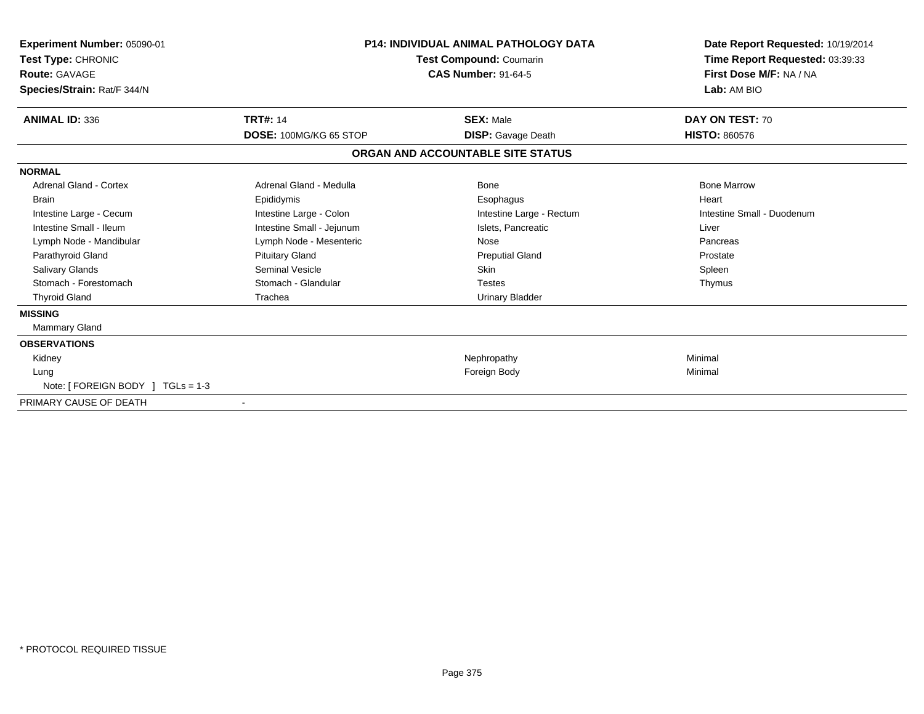| Experiment Number: 05090-01<br>Test Type: CHRONIC<br><b>Route: GAVAGE</b><br>Species/Strain: Rat/F 344/N | <b>P14: INDIVIDUAL ANIMAL PATHOLOGY DATA</b><br>Test Compound: Coumarin<br><b>CAS Number: 91-64-5</b> |                                   | Date Report Requested: 10/19/2014<br>Time Report Requested: 03:39:33<br>First Dose M/F: NA / NA<br>Lab: AM BIO |
|----------------------------------------------------------------------------------------------------------|-------------------------------------------------------------------------------------------------------|-----------------------------------|----------------------------------------------------------------------------------------------------------------|
| <b>ANIMAL ID: 336</b>                                                                                    | <b>TRT#: 14</b>                                                                                       | <b>SEX: Male</b>                  | DAY ON TEST: 70                                                                                                |
|                                                                                                          | DOSE: 100MG/KG 65 STOP                                                                                | <b>DISP:</b> Gavage Death         | <b>HISTO: 860576</b>                                                                                           |
|                                                                                                          |                                                                                                       | ORGAN AND ACCOUNTABLE SITE STATUS |                                                                                                                |
| <b>NORMAL</b>                                                                                            |                                                                                                       |                                   |                                                                                                                |
| Adrenal Gland - Cortex                                                                                   | Adrenal Gland - Medulla                                                                               | Bone                              | <b>Bone Marrow</b>                                                                                             |
| <b>Brain</b>                                                                                             | Epididymis                                                                                            | Esophagus                         | Heart                                                                                                          |
| Intestine Large - Cecum                                                                                  | Intestine Large - Colon                                                                               | Intestine Large - Rectum          | Intestine Small - Duodenum                                                                                     |
| Intestine Small - Ileum                                                                                  | Intestine Small - Jejunum                                                                             | Islets. Pancreatic                | Liver                                                                                                          |
| Lymph Node - Mandibular                                                                                  | Lymph Node - Mesenteric                                                                               | Nose                              | Pancreas                                                                                                       |
| Parathyroid Gland                                                                                        | <b>Pituitary Gland</b>                                                                                | <b>Preputial Gland</b>            | Prostate                                                                                                       |
| <b>Salivary Glands</b>                                                                                   | Seminal Vesicle                                                                                       | <b>Skin</b>                       | Spleen                                                                                                         |
| Stomach - Forestomach                                                                                    | Stomach - Glandular                                                                                   | <b>Testes</b>                     | Thymus                                                                                                         |
| <b>Thyroid Gland</b>                                                                                     | Trachea                                                                                               | <b>Urinary Bladder</b>            |                                                                                                                |
| <b>MISSING</b>                                                                                           |                                                                                                       |                                   |                                                                                                                |
| <b>Mammary Gland</b>                                                                                     |                                                                                                       |                                   |                                                                                                                |
| <b>OBSERVATIONS</b>                                                                                      |                                                                                                       |                                   |                                                                                                                |
| Kidney                                                                                                   |                                                                                                       | Nephropathy                       | Minimal                                                                                                        |
| Lung                                                                                                     |                                                                                                       | Foreign Body                      | Minimal                                                                                                        |
| Note: [ FOREIGN BODY ] TGLs = 1-3                                                                        |                                                                                                       |                                   |                                                                                                                |
| PRIMARY CAUSE OF DEATH                                                                                   |                                                                                                       |                                   |                                                                                                                |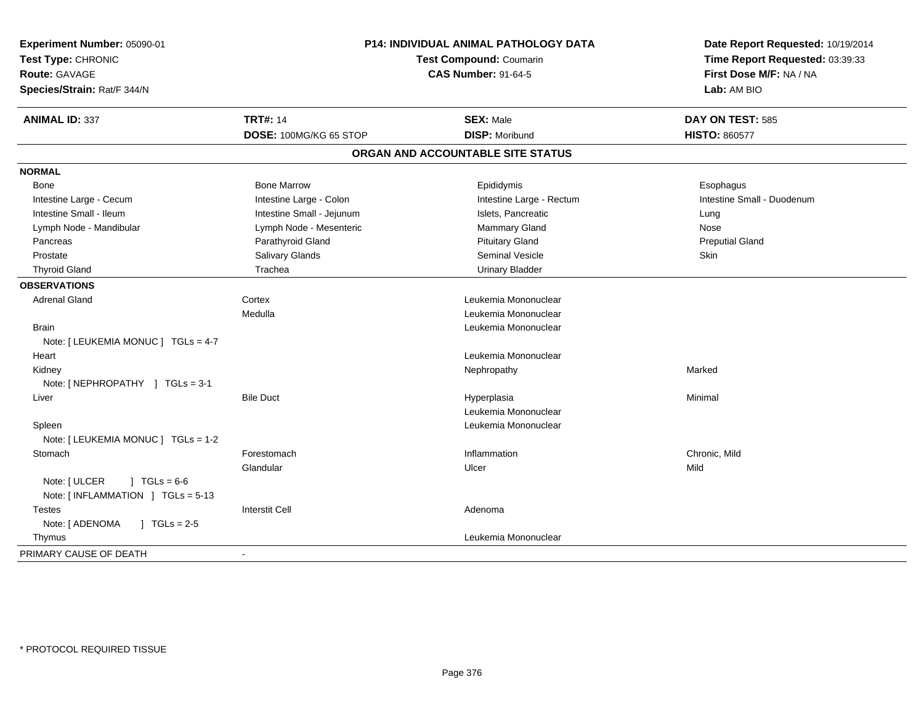| Experiment Number: 05090-01             | <b>P14: INDIVIDUAL ANIMAL PATHOLOGY DATA</b><br><b>Test Compound: Coumarin</b><br><b>CAS Number: 91-64-5</b> |                                   | Date Report Requested: 10/19/2014<br>Time Report Requested: 03:39:33<br>First Dose M/F: NA / NA |
|-----------------------------------------|--------------------------------------------------------------------------------------------------------------|-----------------------------------|-------------------------------------------------------------------------------------------------|
| Test Type: CHRONIC                      |                                                                                                              |                                   |                                                                                                 |
| <b>Route: GAVAGE</b>                    |                                                                                                              |                                   |                                                                                                 |
| Species/Strain: Rat/F 344/N             |                                                                                                              |                                   | Lab: AM BIO                                                                                     |
| <b>ANIMAL ID: 337</b>                   | <b>TRT#: 14</b>                                                                                              | <b>SEX: Male</b>                  | DAY ON TEST: 585                                                                                |
|                                         | DOSE: 100MG/KG 65 STOP                                                                                       | <b>DISP: Moribund</b>             | <b>HISTO: 860577</b>                                                                            |
|                                         |                                                                                                              | ORGAN AND ACCOUNTABLE SITE STATUS |                                                                                                 |
| <b>NORMAL</b>                           |                                                                                                              |                                   |                                                                                                 |
| <b>Bone</b>                             | <b>Bone Marrow</b>                                                                                           | Epididymis                        | Esophagus                                                                                       |
| Intestine Large - Cecum                 | Intestine Large - Colon                                                                                      | Intestine Large - Rectum          | Intestine Small - Duodenum                                                                      |
| Intestine Small - Ileum                 | Intestine Small - Jejunum                                                                                    | Islets, Pancreatic                | Lung                                                                                            |
| Lymph Node - Mandibular                 | Lymph Node - Mesenteric                                                                                      | Mammary Gland                     | Nose                                                                                            |
| Pancreas                                | Parathyroid Gland                                                                                            | <b>Pituitary Gland</b>            | <b>Preputial Gland</b>                                                                          |
| Prostate                                | Salivary Glands                                                                                              | Seminal Vesicle                   | Skin                                                                                            |
| <b>Thyroid Gland</b>                    | Trachea                                                                                                      | <b>Urinary Bladder</b>            |                                                                                                 |
| <b>OBSERVATIONS</b>                     |                                                                                                              |                                   |                                                                                                 |
| <b>Adrenal Gland</b>                    | Cortex                                                                                                       | Leukemia Mononuclear              |                                                                                                 |
|                                         | Medulla                                                                                                      | Leukemia Mononuclear              |                                                                                                 |
| <b>Brain</b>                            |                                                                                                              | Leukemia Mononuclear              |                                                                                                 |
| Note: [ LEUKEMIA MONUC ] TGLs = 4-7     |                                                                                                              |                                   |                                                                                                 |
| Heart                                   |                                                                                                              | Leukemia Mononuclear              |                                                                                                 |
| Kidney                                  |                                                                                                              | Nephropathy                       | Marked                                                                                          |
| Note: [ NEPHROPATHY ] TGLs = 3-1        |                                                                                                              |                                   |                                                                                                 |
| Liver                                   | <b>Bile Duct</b>                                                                                             | Hyperplasia                       | Minimal                                                                                         |
|                                         |                                                                                                              | Leukemia Mononuclear              |                                                                                                 |
| Spleen                                  |                                                                                                              | Leukemia Mononuclear              |                                                                                                 |
| Note: [ LEUKEMIA MONUC ] TGLs = 1-2     |                                                                                                              |                                   |                                                                                                 |
| Stomach                                 | Forestomach                                                                                                  | Inflammation                      | Chronic, Mild                                                                                   |
|                                         | Glandular                                                                                                    | Ulcer                             | Mild                                                                                            |
| Note: [ ULCER<br>$1 TGLs = 6-6$         |                                                                                                              |                                   |                                                                                                 |
| Note: [INFLAMMATION ] TGLs = 5-13       |                                                                                                              |                                   |                                                                                                 |
| <b>Testes</b>                           | <b>Interstit Cell</b>                                                                                        | Adenoma                           |                                                                                                 |
| Note: [ ADENOMA<br>$J \cdot TGLs = 2-5$ |                                                                                                              |                                   |                                                                                                 |
| Thymus                                  |                                                                                                              | Leukemia Mononuclear              |                                                                                                 |
| PRIMARY CAUSE OF DEATH                  | $\sim$                                                                                                       |                                   |                                                                                                 |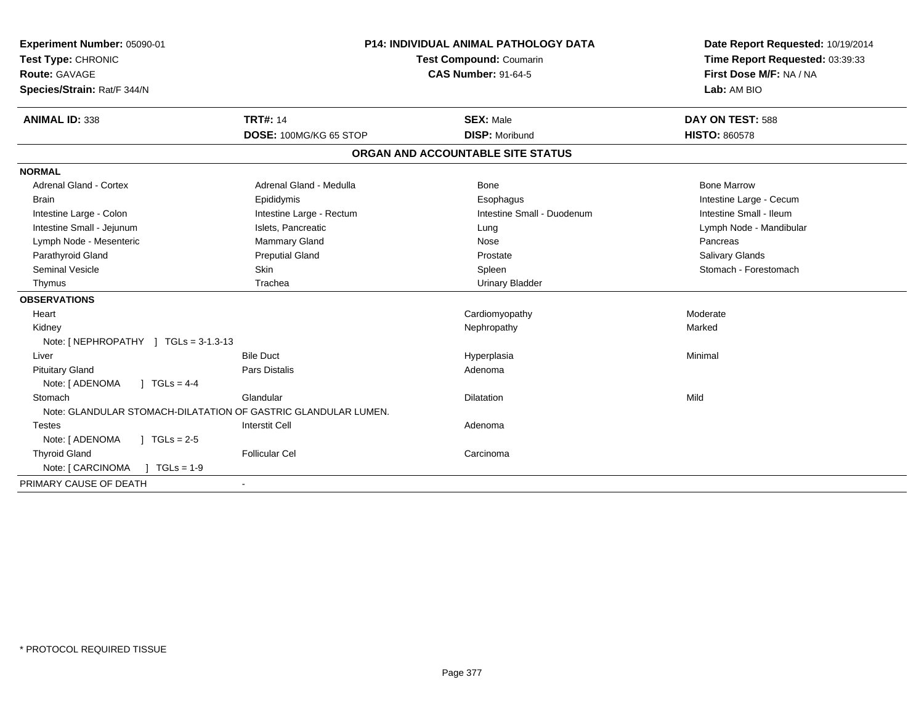| Experiment Number: 05090-01<br>Test Type: CHRONIC<br>Route: GAVAGE<br>Species/Strain: Rat/F 344/N | <b>P14: INDIVIDUAL ANIMAL PATHOLOGY DATA</b><br>Test Compound: Coumarin<br><b>CAS Number: 91-64-5</b> |                                   | Date Report Requested: 10/19/2014<br>Time Report Requested: 03:39:33<br>First Dose M/F: NA / NA<br>Lab: AM BIO |  |
|---------------------------------------------------------------------------------------------------|-------------------------------------------------------------------------------------------------------|-----------------------------------|----------------------------------------------------------------------------------------------------------------|--|
| <b>ANIMAL ID: 338</b>                                                                             | <b>TRT#: 14</b>                                                                                       | <b>SEX: Male</b>                  | DAY ON TEST: 588                                                                                               |  |
|                                                                                                   | DOSE: 100MG/KG 65 STOP                                                                                | <b>DISP: Moribund</b>             | <b>HISTO: 860578</b>                                                                                           |  |
|                                                                                                   |                                                                                                       | ORGAN AND ACCOUNTABLE SITE STATUS |                                                                                                                |  |
| <b>NORMAL</b>                                                                                     |                                                                                                       |                                   |                                                                                                                |  |
| <b>Adrenal Gland - Cortex</b>                                                                     | Adrenal Gland - Medulla                                                                               | Bone                              | <b>Bone Marrow</b>                                                                                             |  |
| <b>Brain</b>                                                                                      | Epididymis                                                                                            | Esophagus                         | Intestine Large - Cecum                                                                                        |  |
| Intestine Large - Colon                                                                           | Intestine Large - Rectum                                                                              | Intestine Small - Duodenum        | Intestine Small - Ileum                                                                                        |  |
| Intestine Small - Jejunum                                                                         | Islets, Pancreatic                                                                                    | Lung                              | Lymph Node - Mandibular                                                                                        |  |
| Lymph Node - Mesenteric                                                                           | Mammary Gland                                                                                         | Nose                              | Pancreas                                                                                                       |  |
| Parathyroid Gland                                                                                 | <b>Preputial Gland</b>                                                                                | Prostate                          | <b>Salivary Glands</b>                                                                                         |  |
| <b>Seminal Vesicle</b>                                                                            | Skin                                                                                                  | Spleen                            | Stomach - Forestomach                                                                                          |  |
| Thymus                                                                                            | Trachea                                                                                               | <b>Urinary Bladder</b>            |                                                                                                                |  |
| <b>OBSERVATIONS</b>                                                                               |                                                                                                       |                                   |                                                                                                                |  |
| Heart                                                                                             |                                                                                                       | Cardiomyopathy                    | Moderate                                                                                                       |  |
| Kidney                                                                                            |                                                                                                       | Nephropathy                       | Marked                                                                                                         |  |
| Note: [NEPHROPATHY ] TGLs = 3-1.3-13                                                              |                                                                                                       |                                   |                                                                                                                |  |
| Liver                                                                                             | <b>Bile Duct</b>                                                                                      | Hyperplasia                       | Minimal                                                                                                        |  |
| <b>Pituitary Gland</b>                                                                            | <b>Pars Distalis</b>                                                                                  | Adenoma                           |                                                                                                                |  |
| Note: [ ADENOMA<br>$1 TGLs = 4-4$                                                                 |                                                                                                       |                                   |                                                                                                                |  |
| Stomach                                                                                           | Glandular                                                                                             | <b>Dilatation</b>                 | Mild                                                                                                           |  |
| Note: GLANDULAR STOMACH-DILATATION OF GASTRIC GLANDULAR LUMEN.                                    |                                                                                                       |                                   |                                                                                                                |  |
| <b>Testes</b>                                                                                     | <b>Interstit Cell</b>                                                                                 | Adenoma                           |                                                                                                                |  |
| Note: [ ADENOMA<br>$\sqrt{1 + 1}$ TGLs = 2-5                                                      |                                                                                                       |                                   |                                                                                                                |  |
| <b>Thyroid Gland</b>                                                                              | <b>Follicular Cel</b>                                                                                 | Carcinoma                         |                                                                                                                |  |
| $\vert$ TGLs = 1-9<br>Note: [ CARCINOMA                                                           |                                                                                                       |                                   |                                                                                                                |  |
| PRIMARY CAUSE OF DEATH                                                                            |                                                                                                       |                                   |                                                                                                                |  |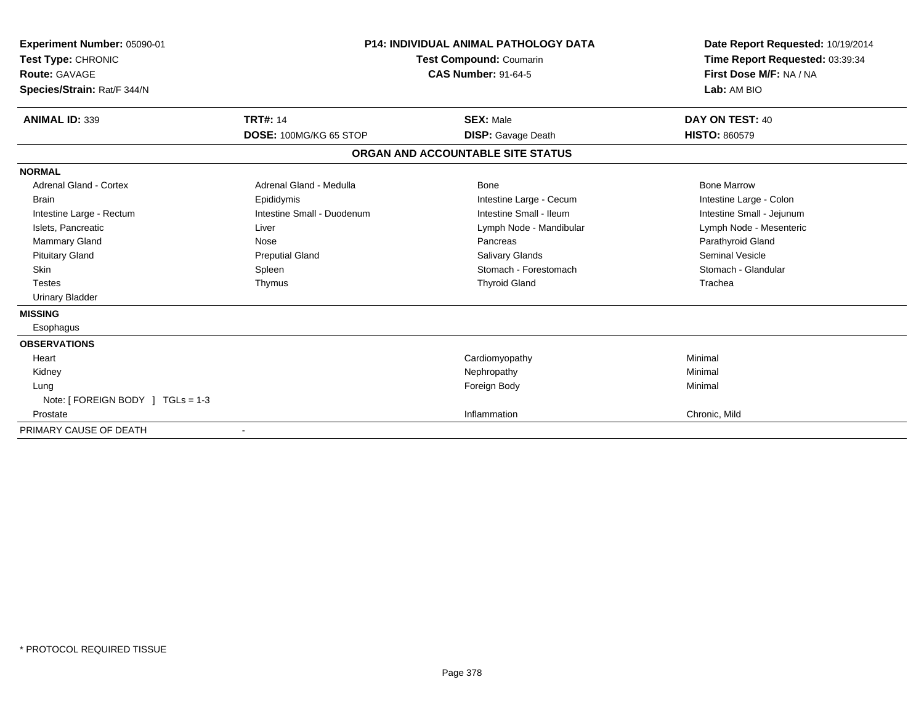| <b>Experiment Number: 05090-01</b><br>Test Type: CHRONIC<br>Route: GAVAGE<br>Species/Strain: Rat/F 344/N | <b>P14: INDIVIDUAL ANIMAL PATHOLOGY DATA</b><br><b>Test Compound: Coumarin</b><br><b>CAS Number: 91-64-5</b> |                                   | Date Report Requested: 10/19/2014<br>Time Report Requested: 03:39:34<br>First Dose M/F: NA / NA<br>Lab: AM BIO |
|----------------------------------------------------------------------------------------------------------|--------------------------------------------------------------------------------------------------------------|-----------------------------------|----------------------------------------------------------------------------------------------------------------|
| <b>ANIMAL ID: 339</b>                                                                                    | <b>TRT#: 14</b>                                                                                              | <b>SEX: Male</b>                  | DAY ON TEST: 40                                                                                                |
|                                                                                                          | DOSE: 100MG/KG 65 STOP                                                                                       | <b>DISP:</b> Gavage Death         | <b>HISTO: 860579</b>                                                                                           |
|                                                                                                          |                                                                                                              | ORGAN AND ACCOUNTABLE SITE STATUS |                                                                                                                |
| <b>NORMAL</b>                                                                                            |                                                                                                              |                                   |                                                                                                                |
| <b>Adrenal Gland - Cortex</b>                                                                            | Adrenal Gland - Medulla                                                                                      | Bone                              | <b>Bone Marrow</b>                                                                                             |
| <b>Brain</b>                                                                                             | Epididymis                                                                                                   | Intestine Large - Cecum           | Intestine Large - Colon                                                                                        |
| Intestine Large - Rectum                                                                                 | Intestine Small - Duodenum                                                                                   | Intestine Small - Ileum           | Intestine Small - Jejunum                                                                                      |
| Islets, Pancreatic                                                                                       | Liver                                                                                                        | Lymph Node - Mandibular           | Lymph Node - Mesenteric                                                                                        |
| Mammary Gland                                                                                            | Nose                                                                                                         | Pancreas                          | Parathyroid Gland                                                                                              |
| <b>Pituitary Gland</b>                                                                                   | <b>Preputial Gland</b>                                                                                       | <b>Salivary Glands</b>            | <b>Seminal Vesicle</b>                                                                                         |
| <b>Skin</b>                                                                                              | Spleen                                                                                                       | Stomach - Forestomach             | Stomach - Glandular                                                                                            |
| <b>Testes</b>                                                                                            | Thymus                                                                                                       | <b>Thyroid Gland</b>              | Trachea                                                                                                        |
| <b>Urinary Bladder</b>                                                                                   |                                                                                                              |                                   |                                                                                                                |
| <b>MISSING</b>                                                                                           |                                                                                                              |                                   |                                                                                                                |
| Esophagus                                                                                                |                                                                                                              |                                   |                                                                                                                |
| <b>OBSERVATIONS</b>                                                                                      |                                                                                                              |                                   |                                                                                                                |
| Heart                                                                                                    |                                                                                                              | Cardiomyopathy                    | Minimal                                                                                                        |
| Kidney                                                                                                   |                                                                                                              | Nephropathy                       | Minimal                                                                                                        |
| Lung                                                                                                     |                                                                                                              | Foreign Body                      | Minimal                                                                                                        |
| Note: [ FOREIGN BODY ] TGLs = 1-3                                                                        |                                                                                                              |                                   |                                                                                                                |
| Prostate                                                                                                 |                                                                                                              | Inflammation                      | Chronic, Mild                                                                                                  |
| PRIMARY CAUSE OF DEATH                                                                                   |                                                                                                              |                                   |                                                                                                                |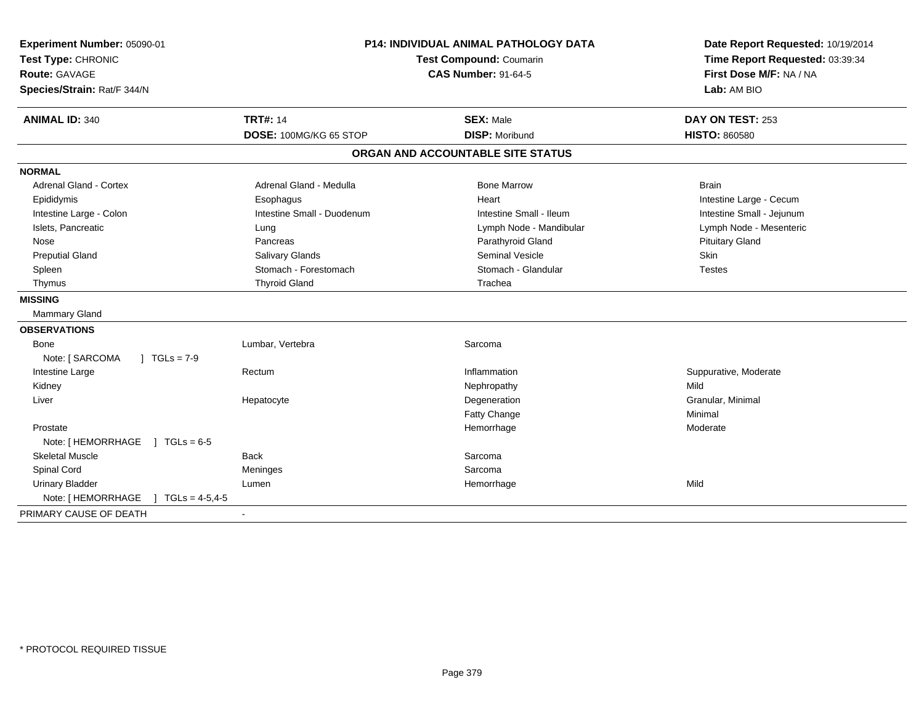| Experiment Number: 05090-01<br>Test Type: CHRONIC<br><b>Route: GAVAGE</b><br>Species/Strain: Rat/F 344/N | <b>P14: INDIVIDUAL ANIMAL PATHOLOGY DATA</b><br>Test Compound: Coumarin<br><b>CAS Number: 91-64-5</b> |                                   | Date Report Requested: 10/19/2014<br>Time Report Requested: 03:39:34<br>First Dose M/F: NA / NA<br>Lab: AM BIO |
|----------------------------------------------------------------------------------------------------------|-------------------------------------------------------------------------------------------------------|-----------------------------------|----------------------------------------------------------------------------------------------------------------|
| <b>ANIMAL ID: 340</b>                                                                                    | <b>TRT#: 14</b>                                                                                       | <b>SEX: Male</b>                  | DAY ON TEST: 253                                                                                               |
|                                                                                                          | DOSE: 100MG/KG 65 STOP                                                                                | <b>DISP: Moribund</b>             | <b>HISTO: 860580</b>                                                                                           |
|                                                                                                          |                                                                                                       | ORGAN AND ACCOUNTABLE SITE STATUS |                                                                                                                |
| <b>NORMAL</b>                                                                                            |                                                                                                       |                                   |                                                                                                                |
| <b>Adrenal Gland - Cortex</b>                                                                            | Adrenal Gland - Medulla                                                                               | <b>Bone Marrow</b>                | <b>Brain</b>                                                                                                   |
| Epididymis                                                                                               | Esophagus                                                                                             | Heart                             | Intestine Large - Cecum                                                                                        |
| Intestine Large - Colon                                                                                  | Intestine Small - Duodenum                                                                            | Intestine Small - Ileum           | Intestine Small - Jejunum                                                                                      |
| Islets, Pancreatic                                                                                       | Lung                                                                                                  | Lymph Node - Mandibular           | Lymph Node - Mesenteric                                                                                        |
| Nose                                                                                                     | Pancreas                                                                                              | Parathyroid Gland                 | <b>Pituitary Gland</b>                                                                                         |
| <b>Preputial Gland</b>                                                                                   | <b>Salivary Glands</b>                                                                                | <b>Seminal Vesicle</b>            | <b>Skin</b>                                                                                                    |
| Spleen                                                                                                   | Stomach - Forestomach                                                                                 | Stomach - Glandular               | <b>Testes</b>                                                                                                  |
| Thymus                                                                                                   | <b>Thyroid Gland</b>                                                                                  | Trachea                           |                                                                                                                |
| <b>MISSING</b>                                                                                           |                                                                                                       |                                   |                                                                                                                |
| Mammary Gland                                                                                            |                                                                                                       |                                   |                                                                                                                |
| <b>OBSERVATIONS</b>                                                                                      |                                                                                                       |                                   |                                                                                                                |
| Bone                                                                                                     | Lumbar, Vertebra                                                                                      | Sarcoma                           |                                                                                                                |
| Note: [ SARCOMA<br>$J TGLs = 7-9$                                                                        |                                                                                                       |                                   |                                                                                                                |
| Intestine Large                                                                                          | Rectum                                                                                                | Inflammation                      | Suppurative, Moderate                                                                                          |
| Kidney                                                                                                   |                                                                                                       | Nephropathy                       | Mild                                                                                                           |
| Liver                                                                                                    | Hepatocyte                                                                                            | Degeneration                      | Granular, Minimal                                                                                              |
|                                                                                                          |                                                                                                       | <b>Fatty Change</b>               | Minimal                                                                                                        |
| Prostate                                                                                                 |                                                                                                       | Hemorrhage                        | Moderate                                                                                                       |
| Note: [HEMORRHAGE ] TGLs = 6-5                                                                           |                                                                                                       |                                   |                                                                                                                |
| <b>Skeletal Muscle</b>                                                                                   | <b>Back</b>                                                                                           | Sarcoma                           |                                                                                                                |
| Spinal Cord                                                                                              | Meninges                                                                                              | Sarcoma                           |                                                                                                                |
| <b>Urinary Bladder</b>                                                                                   | Lumen                                                                                                 | Hemorrhage                        | Mild                                                                                                           |
| Note: [HEMORRHAGE ] TGLs = 4-5,4-5                                                                       |                                                                                                       |                                   |                                                                                                                |
| PRIMARY CAUSE OF DEATH                                                                                   | $\blacksquare$                                                                                        |                                   |                                                                                                                |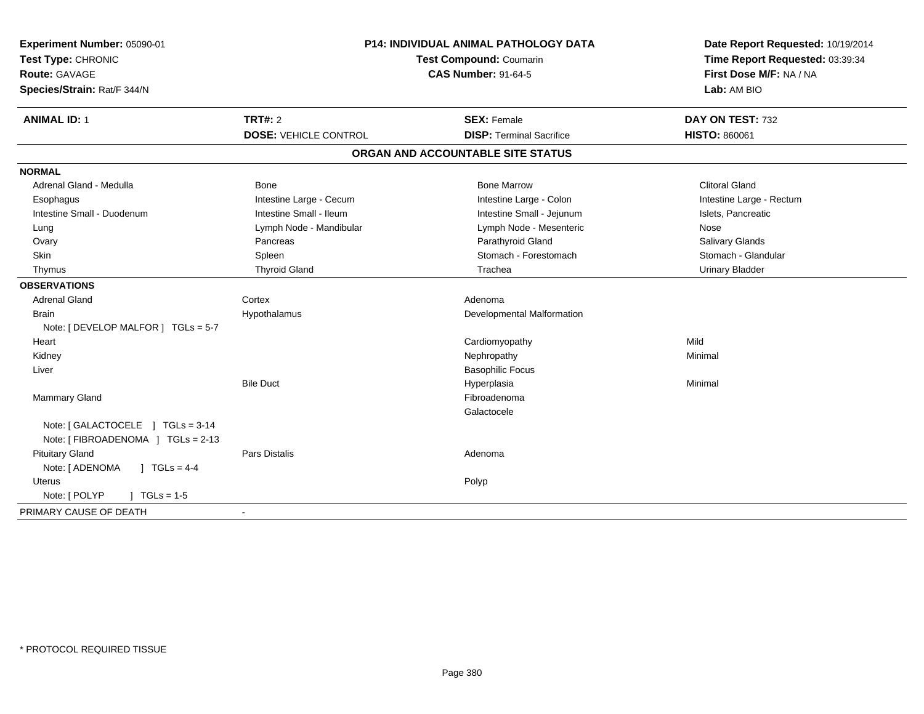| Experiment Number: 05090-01<br>Test Type: CHRONIC<br>Route: GAVAGE<br>Species/Strain: Rat/F 344/N | P14: INDIVIDUAL ANIMAL PATHOLOGY DATA<br>Test Compound: Coumarin<br><b>CAS Number: 91-64-5</b> |                                                       | Date Report Requested: 10/19/2014<br>Time Report Requested: 03:39:34<br>First Dose M/F: NA / NA<br>Lab: AM BIO |  |
|---------------------------------------------------------------------------------------------------|------------------------------------------------------------------------------------------------|-------------------------------------------------------|----------------------------------------------------------------------------------------------------------------|--|
| <b>ANIMAL ID: 1</b>                                                                               | <b>TRT#: 2</b><br><b>DOSE: VEHICLE CONTROL</b>                                                 | <b>SEX: Female</b><br><b>DISP: Terminal Sacrifice</b> | DAY ON TEST: 732<br><b>HISTO: 860061</b>                                                                       |  |
|                                                                                                   |                                                                                                | ORGAN AND ACCOUNTABLE SITE STATUS                     |                                                                                                                |  |
|                                                                                                   |                                                                                                |                                                       |                                                                                                                |  |
| <b>NORMAL</b>                                                                                     |                                                                                                |                                                       |                                                                                                                |  |
| Adrenal Gland - Medulla                                                                           | <b>Bone</b>                                                                                    | <b>Bone Marrow</b>                                    | <b>Clitoral Gland</b>                                                                                          |  |
| Esophagus                                                                                         | Intestine Large - Cecum                                                                        | Intestine Large - Colon                               | Intestine Large - Rectum                                                                                       |  |
| Intestine Small - Duodenum                                                                        | Intestine Small - Ileum                                                                        | Intestine Small - Jejunum                             | Islets, Pancreatic                                                                                             |  |
| Lung                                                                                              | Lymph Node - Mandibular                                                                        | Lymph Node - Mesenteric                               | Nose                                                                                                           |  |
| Ovary                                                                                             | Pancreas                                                                                       | Parathyroid Gland                                     | Salivary Glands                                                                                                |  |
| <b>Skin</b>                                                                                       | Spleen                                                                                         | Stomach - Forestomach                                 | Stomach - Glandular                                                                                            |  |
| Thymus                                                                                            | <b>Thyroid Gland</b>                                                                           | Trachea                                               | <b>Urinary Bladder</b>                                                                                         |  |
| <b>OBSERVATIONS</b>                                                                               |                                                                                                |                                                       |                                                                                                                |  |
| <b>Adrenal Gland</b>                                                                              | Cortex                                                                                         | Adenoma                                               |                                                                                                                |  |
| <b>Brain</b>                                                                                      | Hypothalamus                                                                                   | Developmental Malformation                            |                                                                                                                |  |
| Note: [ DEVELOP MALFOR ] TGLs = 5-7                                                               |                                                                                                |                                                       |                                                                                                                |  |
| Heart                                                                                             |                                                                                                | Cardiomyopathy                                        | Mild                                                                                                           |  |
| Kidney                                                                                            |                                                                                                | Nephropathy                                           | Minimal                                                                                                        |  |
| Liver                                                                                             |                                                                                                | <b>Basophilic Focus</b>                               |                                                                                                                |  |
|                                                                                                   | <b>Bile Duct</b>                                                                               | Hyperplasia                                           | Minimal                                                                                                        |  |
| Mammary Gland                                                                                     |                                                                                                | Fibroadenoma                                          |                                                                                                                |  |
|                                                                                                   |                                                                                                | Galactocele                                           |                                                                                                                |  |
| Note: [GALACTOCELE ] TGLs = 3-14                                                                  |                                                                                                |                                                       |                                                                                                                |  |
| Note: [ FIBROADENOMA ] TGLs = 2-13                                                                |                                                                                                |                                                       |                                                                                                                |  |
| <b>Pituitary Gland</b>                                                                            | <b>Pars Distalis</b>                                                                           | Adenoma                                               |                                                                                                                |  |
| $1 TGLs = 4-4$<br>Note: [ ADENOMA                                                                 |                                                                                                |                                                       |                                                                                                                |  |
| <b>Uterus</b>                                                                                     |                                                                                                | Polyp                                                 |                                                                                                                |  |
| Note: [ POLYP<br>$J \cdot TGLs = 1-5$                                                             |                                                                                                |                                                       |                                                                                                                |  |
| PRIMARY CAUSE OF DEATH                                                                            |                                                                                                |                                                       |                                                                                                                |  |
|                                                                                                   |                                                                                                |                                                       |                                                                                                                |  |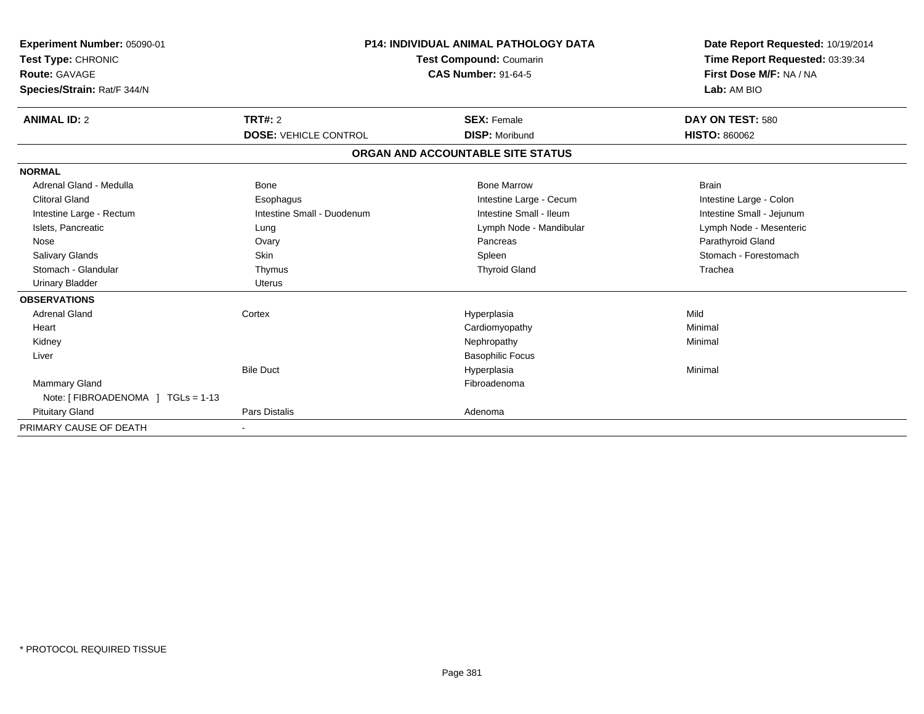| Experiment Number: 05090-01<br>Test Type: CHRONIC |                              | <b>P14: INDIVIDUAL ANIMAL PATHOLOGY DATA</b><br>Test Compound: Coumarin | Date Report Requested: 10/19/2014<br>Time Report Requested: 03:39:34 |
|---------------------------------------------------|------------------------------|-------------------------------------------------------------------------|----------------------------------------------------------------------|
| Route: GAVAGE                                     | <b>CAS Number: 91-64-5</b>   |                                                                         | First Dose M/F: NA / NA                                              |
| Species/Strain: Rat/F 344/N                       |                              |                                                                         | Lab: AM BIO                                                          |
| <b>ANIMAL ID: 2</b>                               | TRT#: 2                      | <b>SEX: Female</b>                                                      | DAY ON TEST: 580                                                     |
|                                                   | <b>DOSE: VEHICLE CONTROL</b> | <b>DISP: Moribund</b>                                                   | <b>HISTO: 860062</b>                                                 |
|                                                   |                              | ORGAN AND ACCOUNTABLE SITE STATUS                                       |                                                                      |
| <b>NORMAL</b>                                     |                              |                                                                         |                                                                      |
| Adrenal Gland - Medulla                           | <b>Bone</b>                  | <b>Bone Marrow</b>                                                      | <b>Brain</b>                                                         |
| <b>Clitoral Gland</b>                             | Esophagus                    | Intestine Large - Cecum                                                 | Intestine Large - Colon                                              |
| Intestine Large - Rectum                          | Intestine Small - Duodenum   | Intestine Small - Ileum                                                 | Intestine Small - Jejunum                                            |
| Islets, Pancreatic                                | Lung                         | Lymph Node - Mandibular                                                 | Lymph Node - Mesenteric                                              |
| Nose                                              | Ovary                        | Pancreas                                                                | Parathyroid Gland                                                    |
| <b>Salivary Glands</b>                            | Skin                         | Spleen                                                                  | Stomach - Forestomach                                                |
| Stomach - Glandular                               | Thymus                       | <b>Thyroid Gland</b>                                                    | Trachea                                                              |
| <b>Urinary Bladder</b>                            | <b>Uterus</b>                |                                                                         |                                                                      |
| <b>OBSERVATIONS</b>                               |                              |                                                                         |                                                                      |
| <b>Adrenal Gland</b>                              | Cortex                       | Hyperplasia                                                             | Mild                                                                 |
| Heart                                             |                              | Cardiomyopathy                                                          | Minimal                                                              |
| Kidney                                            |                              | Nephropathy                                                             | Minimal                                                              |
| Liver                                             |                              | <b>Basophilic Focus</b>                                                 |                                                                      |
|                                                   | <b>Bile Duct</b>             | Hyperplasia                                                             | Minimal                                                              |
| <b>Mammary Gland</b>                              |                              | Fibroadenoma                                                            |                                                                      |
| Note: [FIBROADENOMA ] TGLs = 1-13                 |                              |                                                                         |                                                                      |
| <b>Pituitary Gland</b>                            | Pars Distalis                | Adenoma                                                                 |                                                                      |
| PRIMARY CAUSE OF DEATH                            |                              |                                                                         |                                                                      |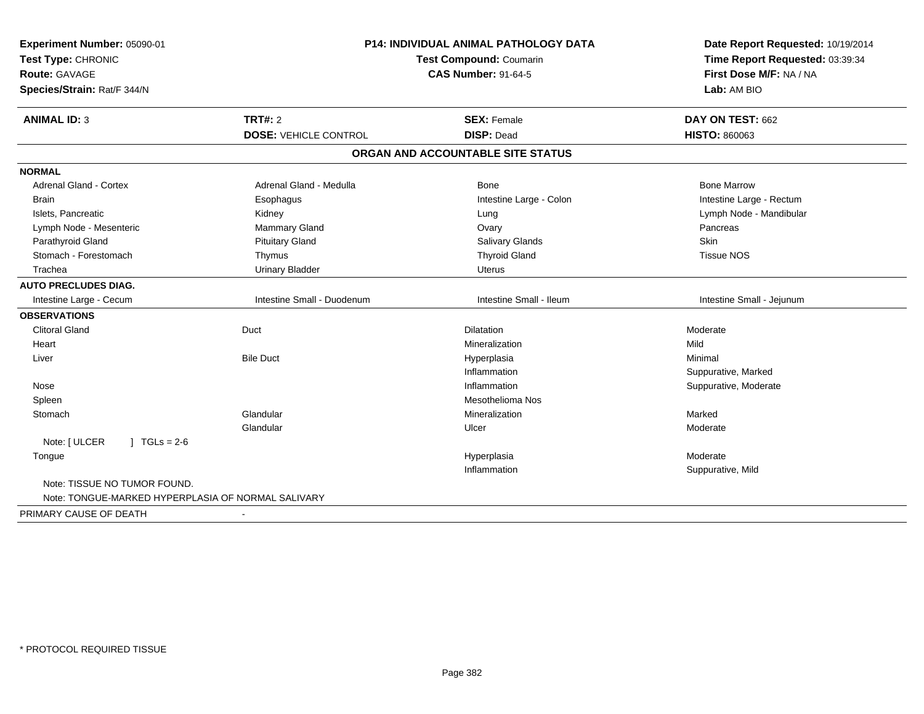| Experiment Number: 05090-01<br>Test Type: CHRONIC<br>Route: GAVAGE<br>Species/Strain: Rat/F 344/N |                              | <b>P14: INDIVIDUAL ANIMAL PATHOLOGY DATA</b><br>Test Compound: Coumarin<br><b>CAS Number: 91-64-5</b> | Date Report Requested: 10/19/2014<br>Time Report Requested: 03:39:34<br>First Dose M/F: NA / NA<br>Lab: AM BIO |
|---------------------------------------------------------------------------------------------------|------------------------------|-------------------------------------------------------------------------------------------------------|----------------------------------------------------------------------------------------------------------------|
| <b>ANIMAL ID: 3</b>                                                                               | <b>TRT#: 2</b>               | <b>SEX: Female</b>                                                                                    | DAY ON TEST: 662                                                                                               |
|                                                                                                   | <b>DOSE: VEHICLE CONTROL</b> | <b>DISP: Dead</b>                                                                                     | <b>HISTO: 860063</b>                                                                                           |
|                                                                                                   |                              | ORGAN AND ACCOUNTABLE SITE STATUS                                                                     |                                                                                                                |
| <b>NORMAL</b>                                                                                     |                              |                                                                                                       |                                                                                                                |
| Adrenal Gland - Cortex                                                                            | Adrenal Gland - Medulla      | <b>Bone</b>                                                                                           | <b>Bone Marrow</b>                                                                                             |
| <b>Brain</b>                                                                                      | Esophagus                    | Intestine Large - Colon                                                                               | Intestine Large - Rectum                                                                                       |
| Islets, Pancreatic                                                                                | Kidney                       | Lung                                                                                                  | Lymph Node - Mandibular                                                                                        |
| Lymph Node - Mesenteric                                                                           | Mammary Gland                | Ovary                                                                                                 | Pancreas                                                                                                       |
| Parathyroid Gland                                                                                 | <b>Pituitary Gland</b>       | <b>Salivary Glands</b>                                                                                | Skin                                                                                                           |
| Stomach - Forestomach                                                                             | Thymus                       | <b>Thyroid Gland</b>                                                                                  | <b>Tissue NOS</b>                                                                                              |
| Trachea                                                                                           | <b>Urinary Bladder</b>       | <b>Uterus</b>                                                                                         |                                                                                                                |
| <b>AUTO PRECLUDES DIAG.</b>                                                                       |                              |                                                                                                       |                                                                                                                |
| Intestine Large - Cecum                                                                           | Intestine Small - Duodenum   | Intestine Small - Ileum                                                                               | Intestine Small - Jejunum                                                                                      |
| <b>OBSERVATIONS</b>                                                                               |                              |                                                                                                       |                                                                                                                |
| <b>Clitoral Gland</b>                                                                             | Duct                         | <b>Dilatation</b>                                                                                     | Moderate                                                                                                       |
| Heart                                                                                             |                              | Mineralization                                                                                        | Mild                                                                                                           |
| Liver                                                                                             | <b>Bile Duct</b>             | Hyperplasia                                                                                           | Minimal                                                                                                        |
|                                                                                                   |                              | Inflammation                                                                                          | Suppurative, Marked                                                                                            |
| Nose                                                                                              |                              | Inflammation                                                                                          | Suppurative, Moderate                                                                                          |
| Spleen                                                                                            |                              | <b>Mesothelioma Nos</b>                                                                               |                                                                                                                |
| Stomach                                                                                           | Glandular                    | Mineralization                                                                                        | Marked                                                                                                         |
|                                                                                                   | Glandular                    | Ulcer                                                                                                 | Moderate                                                                                                       |
| Note: [ ULCER<br>$J \cdot TGLs = 2-6$                                                             |                              |                                                                                                       |                                                                                                                |
| Tongue                                                                                            |                              | Hyperplasia                                                                                           | Moderate                                                                                                       |
|                                                                                                   |                              | Inflammation                                                                                          | Suppurative, Mild                                                                                              |
| Note: TISSUE NO TUMOR FOUND.<br>Note: TONGUE-MARKED HYPERPLASIA OF NORMAL SALIVARY                |                              |                                                                                                       |                                                                                                                |
| PRIMARY CAUSE OF DEATH                                                                            | $\blacksquare$               |                                                                                                       |                                                                                                                |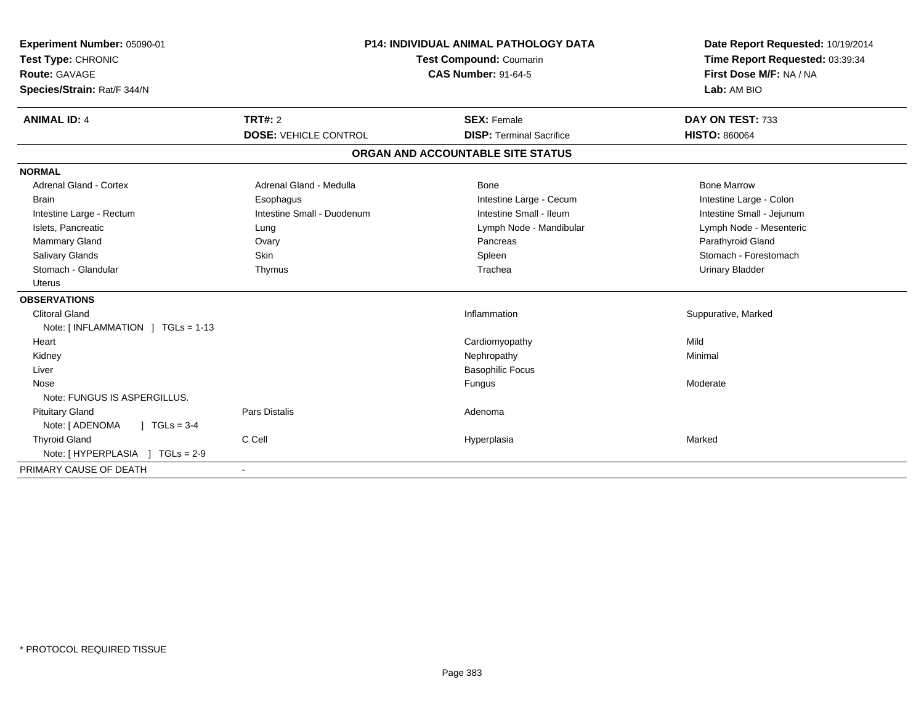| Experiment Number: 05090-01<br>Test Type: CHRONIC<br><b>Route: GAVAGE</b><br>Species/Strain: Rat/F 344/N<br><b>ANIMAL ID: 4</b> | <b>P14: INDIVIDUAL ANIMAL PATHOLOGY DATA</b><br>Test Compound: Coumarin<br><b>CAS Number: 91-64-5</b><br>TRT#: 2<br><b>SEX: Female</b> |                                   | Date Report Requested: 10/19/2014<br>Time Report Requested: 03:39:34<br>First Dose M/F: NA / NA<br>Lab: AM BIO<br>DAY ON TEST: 733 |
|---------------------------------------------------------------------------------------------------------------------------------|----------------------------------------------------------------------------------------------------------------------------------------|-----------------------------------|------------------------------------------------------------------------------------------------------------------------------------|
|                                                                                                                                 | <b>DOSE: VEHICLE CONTROL</b>                                                                                                           | <b>DISP: Terminal Sacrifice</b>   | <b>HISTO: 860064</b>                                                                                                               |
|                                                                                                                                 |                                                                                                                                        | ORGAN AND ACCOUNTABLE SITE STATUS |                                                                                                                                    |
| <b>NORMAL</b>                                                                                                                   |                                                                                                                                        |                                   |                                                                                                                                    |
| <b>Adrenal Gland - Cortex</b>                                                                                                   | Adrenal Gland - Medulla                                                                                                                | Bone                              | <b>Bone Marrow</b>                                                                                                                 |
| <b>Brain</b>                                                                                                                    | Esophagus                                                                                                                              | Intestine Large - Cecum           | Intestine Large - Colon                                                                                                            |
| Intestine Large - Rectum                                                                                                        | Intestine Small - Duodenum                                                                                                             | Intestine Small - Ileum           | Intestine Small - Jejunum                                                                                                          |
| Islets, Pancreatic                                                                                                              | Lung                                                                                                                                   | Lymph Node - Mandibular           | Lymph Node - Mesenteric                                                                                                            |
| Mammary Gland                                                                                                                   | Ovary                                                                                                                                  | Pancreas                          | Parathyroid Gland                                                                                                                  |
| <b>Salivary Glands</b>                                                                                                          | <b>Skin</b>                                                                                                                            | Spleen                            | Stomach - Forestomach                                                                                                              |
| Stomach - Glandular                                                                                                             | Thymus                                                                                                                                 | Trachea                           | <b>Urinary Bladder</b>                                                                                                             |
| <b>Uterus</b>                                                                                                                   |                                                                                                                                        |                                   |                                                                                                                                    |
| <b>OBSERVATIONS</b>                                                                                                             |                                                                                                                                        |                                   |                                                                                                                                    |
| <b>Clitoral Gland</b>                                                                                                           |                                                                                                                                        | Inflammation                      | Suppurative, Marked                                                                                                                |
| Note: [ INFLAMMATION ] TGLs = 1-13                                                                                              |                                                                                                                                        |                                   |                                                                                                                                    |
| Heart                                                                                                                           |                                                                                                                                        | Cardiomyopathy                    | Mild                                                                                                                               |
| Kidney                                                                                                                          |                                                                                                                                        | Nephropathy                       | Minimal                                                                                                                            |
| Liver                                                                                                                           |                                                                                                                                        | <b>Basophilic Focus</b>           |                                                                                                                                    |
| Nose                                                                                                                            |                                                                                                                                        | Fungus                            | Moderate                                                                                                                           |
| Note: FUNGUS IS ASPERGILLUS.                                                                                                    |                                                                                                                                        |                                   |                                                                                                                                    |
| <b>Pituitary Gland</b>                                                                                                          | Pars Distalis                                                                                                                          | Adenoma                           |                                                                                                                                    |
| Note: [ ADENOMA<br>$1 TGLs = 3-4$                                                                                               |                                                                                                                                        |                                   |                                                                                                                                    |
| <b>Thyroid Gland</b>                                                                                                            | C Cell                                                                                                                                 | Hyperplasia                       | Marked                                                                                                                             |
| Note: [ HYPERPLASIA ] TGLs = 2-9                                                                                                |                                                                                                                                        |                                   |                                                                                                                                    |
| PRIMARY CAUSE OF DEATH                                                                                                          |                                                                                                                                        |                                   |                                                                                                                                    |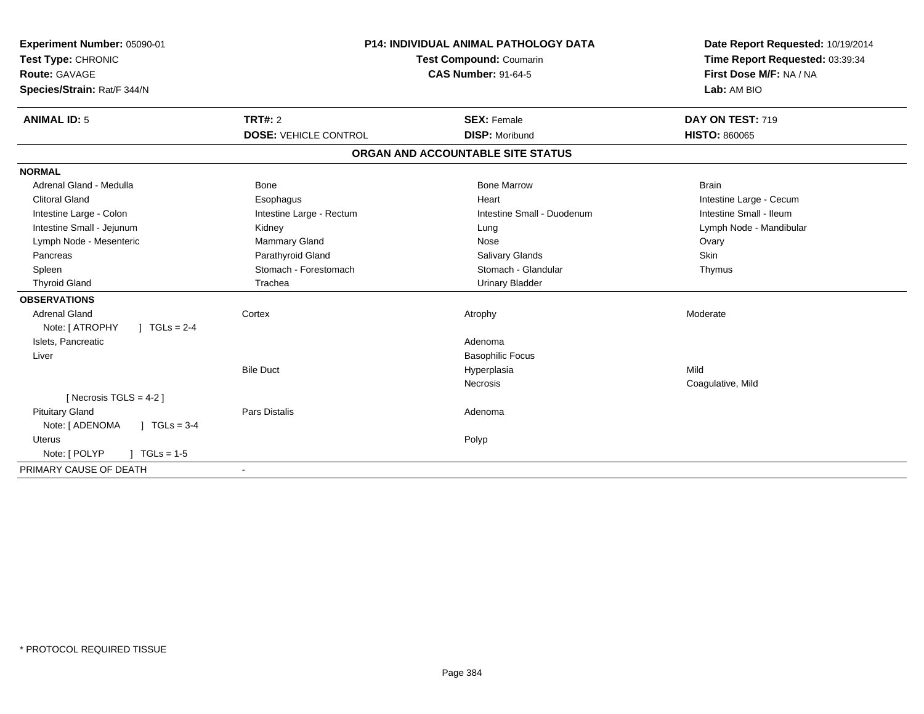| Experiment Number: 05090-01<br>Test Type: CHRONIC<br>Route: GAVAGE<br>Species/Strain: Rat/F 344/N | <b>P14: INDIVIDUAL ANIMAL PATHOLOGY DATA</b><br>Test Compound: Coumarin<br><b>CAS Number: 91-64-5</b> |                                   | Date Report Requested: 10/19/2014<br>Time Report Requested: 03:39:34<br>First Dose M/F: NA / NA<br>Lab: AM BIO |
|---------------------------------------------------------------------------------------------------|-------------------------------------------------------------------------------------------------------|-----------------------------------|----------------------------------------------------------------------------------------------------------------|
| <b>ANIMAL ID: 5</b>                                                                               | TRT#: 2                                                                                               | <b>SEX: Female</b>                | DAY ON TEST: 719                                                                                               |
|                                                                                                   | <b>DOSE: VEHICLE CONTROL</b>                                                                          | <b>DISP: Moribund</b>             | <b>HISTO: 860065</b>                                                                                           |
|                                                                                                   |                                                                                                       | ORGAN AND ACCOUNTABLE SITE STATUS |                                                                                                                |
| <b>NORMAL</b>                                                                                     |                                                                                                       |                                   |                                                                                                                |
| Adrenal Gland - Medulla                                                                           | <b>Bone</b>                                                                                           | <b>Bone Marrow</b>                | <b>Brain</b>                                                                                                   |
| <b>Clitoral Gland</b>                                                                             | Esophagus                                                                                             | Heart                             | Intestine Large - Cecum                                                                                        |
| Intestine Large - Colon                                                                           | Intestine Large - Rectum                                                                              | Intestine Small - Duodenum        | Intestine Small - Ileum                                                                                        |
| Intestine Small - Jejunum                                                                         | Kidney                                                                                                | Lung                              | Lymph Node - Mandibular                                                                                        |
| Lymph Node - Mesenteric                                                                           | Mammary Gland                                                                                         | Nose                              | Ovary                                                                                                          |
| Pancreas                                                                                          | Parathyroid Gland                                                                                     | Salivary Glands                   | Skin                                                                                                           |
| Spleen                                                                                            | Stomach - Forestomach                                                                                 | Stomach - Glandular               | Thymus                                                                                                         |
| <b>Thyroid Gland</b>                                                                              | Trachea                                                                                               | <b>Urinary Bladder</b>            |                                                                                                                |
| <b>OBSERVATIONS</b>                                                                               |                                                                                                       |                                   |                                                                                                                |
| <b>Adrenal Gland</b>                                                                              | Cortex                                                                                                | Atrophy                           | Moderate                                                                                                       |
| Note: [ ATROPHY<br>] $TGLs = 2-4$                                                                 |                                                                                                       |                                   |                                                                                                                |
| Islets, Pancreatic                                                                                |                                                                                                       | Adenoma                           |                                                                                                                |
| Liver                                                                                             |                                                                                                       | <b>Basophilic Focus</b>           |                                                                                                                |
|                                                                                                   | <b>Bile Duct</b>                                                                                      | Hyperplasia                       | Mild                                                                                                           |
|                                                                                                   |                                                                                                       | Necrosis                          | Coagulative, Mild                                                                                              |
| [ Necrosis TGLS = $4-2$ ]                                                                         |                                                                                                       |                                   |                                                                                                                |
| <b>Pituitary Gland</b>                                                                            | <b>Pars Distalis</b>                                                                                  | Adenoma                           |                                                                                                                |
| Note: [ ADENOMA<br>$\sqrt{ }$ TGLs = 3-4                                                          |                                                                                                       |                                   |                                                                                                                |
| Uterus                                                                                            |                                                                                                       | Polyp                             |                                                                                                                |
| Note: [ POLYP<br>$TGLs = 1-5$                                                                     |                                                                                                       |                                   |                                                                                                                |
| PRIMARY CAUSE OF DEATH                                                                            | $\blacksquare$                                                                                        |                                   |                                                                                                                |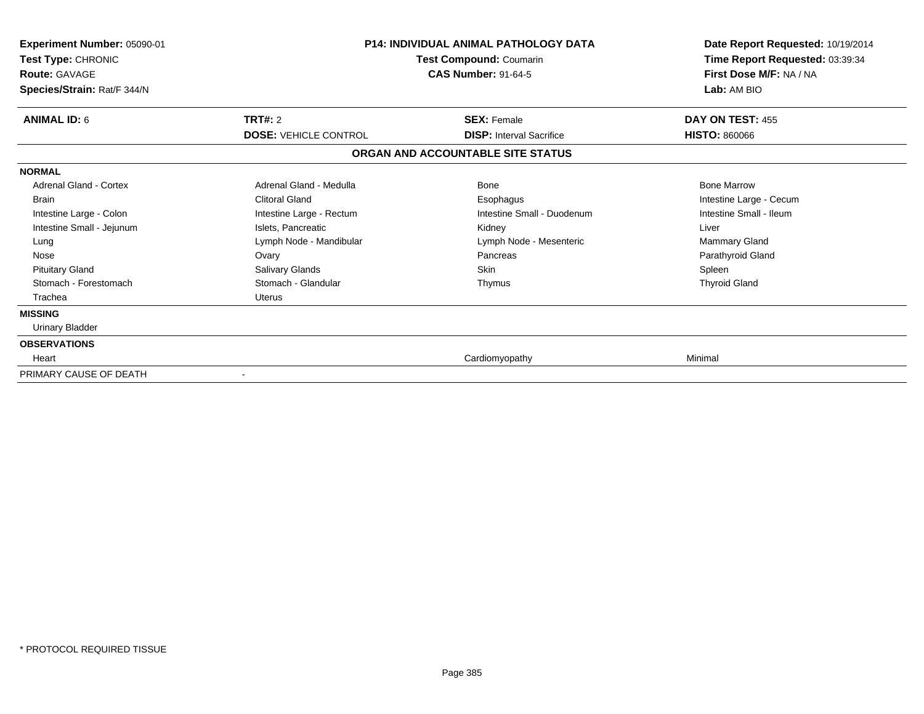| <b>Experiment Number: 05090-01</b><br>Test Type: CHRONIC<br><b>Route: GAVAGE</b><br>Species/Strain: Rat/F 344/N | <b>P14: INDIVIDUAL ANIMAL PATHOLOGY DATA</b><br>Test Compound: Coumarin<br><b>CAS Number: 91-64-5</b> |                                                       | Date Report Requested: 10/19/2014<br>Time Report Requested: 03:39:34<br>First Dose M/F: NA / NA<br>Lab: AM BIO |
|-----------------------------------------------------------------------------------------------------------------|-------------------------------------------------------------------------------------------------------|-------------------------------------------------------|----------------------------------------------------------------------------------------------------------------|
| <b>ANIMAL ID: 6</b>                                                                                             | <b>TRT#: 2</b><br><b>DOSE: VEHICLE CONTROL</b>                                                        | <b>SEX: Female</b><br><b>DISP:</b> Interval Sacrifice | DAY ON TEST: 455<br><b>HISTO: 860066</b>                                                                       |
|                                                                                                                 |                                                                                                       | ORGAN AND ACCOUNTABLE SITE STATUS                     |                                                                                                                |
| <b>NORMAL</b>                                                                                                   |                                                                                                       |                                                       |                                                                                                                |
| Adrenal Gland - Cortex                                                                                          | Adrenal Gland - Medulla                                                                               | <b>Bone</b>                                           | <b>Bone Marrow</b>                                                                                             |
| Brain                                                                                                           | <b>Clitoral Gland</b>                                                                                 | Esophagus                                             | Intestine Large - Cecum                                                                                        |
| Intestine Large - Colon                                                                                         | Intestine Large - Rectum                                                                              | Intestine Small - Duodenum                            | Intestine Small - Ileum                                                                                        |
| Intestine Small - Jejunum                                                                                       | Islets, Pancreatic                                                                                    | Kidney                                                | Liver                                                                                                          |
| Lung                                                                                                            | Lymph Node - Mandibular                                                                               | Lymph Node - Mesenteric                               | Mammary Gland                                                                                                  |
| Nose                                                                                                            | Ovary                                                                                                 | Pancreas                                              | Parathyroid Gland                                                                                              |
| <b>Pituitary Gland</b>                                                                                          | Salivary Glands                                                                                       | <b>Skin</b>                                           | Spleen                                                                                                         |
| Stomach - Forestomach                                                                                           | Stomach - Glandular                                                                                   | Thymus                                                | <b>Thyroid Gland</b>                                                                                           |
| Trachea                                                                                                         | Uterus                                                                                                |                                                       |                                                                                                                |
| <b>MISSING</b>                                                                                                  |                                                                                                       |                                                       |                                                                                                                |
| Urinary Bladder                                                                                                 |                                                                                                       |                                                       |                                                                                                                |
| <b>OBSERVATIONS</b>                                                                                             |                                                                                                       |                                                       |                                                                                                                |
| Heart                                                                                                           |                                                                                                       | Cardiomyopathy                                        | Minimal                                                                                                        |
| PRIMARY CAUSE OF DEATH                                                                                          |                                                                                                       |                                                       |                                                                                                                |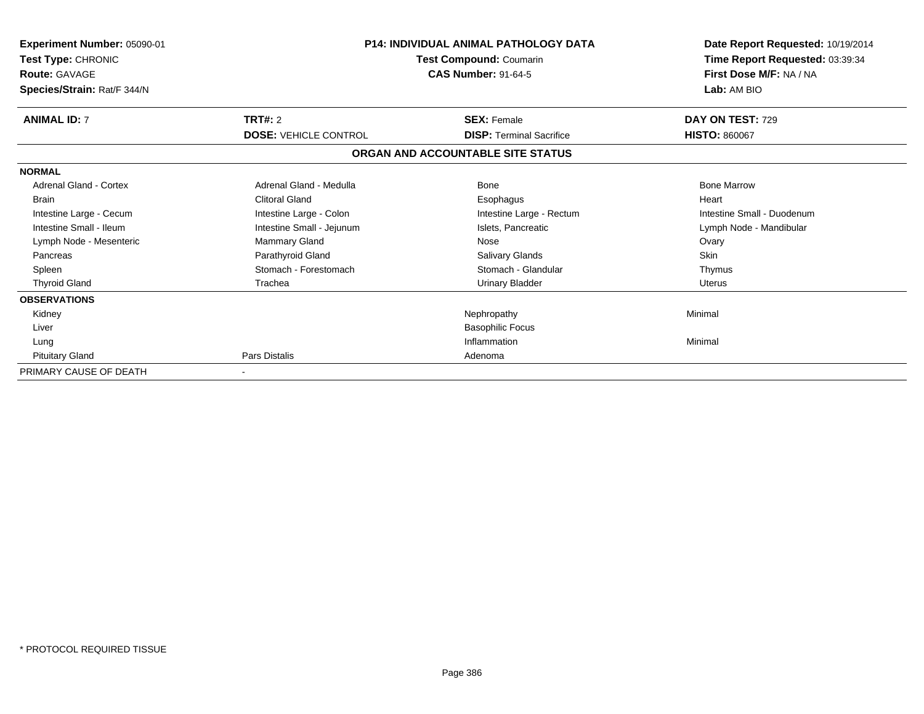| <b>Experiment Number: 05090-01</b><br>Test Type: CHRONIC<br><b>Route: GAVAGE</b><br>Species/Strain: Rat/F 344/N |                              | <b>P14: INDIVIDUAL ANIMAL PATHOLOGY DATA</b><br>Test Compound: Coumarin<br><b>CAS Number: 91-64-5</b> | Date Report Requested: 10/19/2014<br>Time Report Requested: 03:39:34<br>First Dose M/F: NA / NA<br>Lab: AM BIO |
|-----------------------------------------------------------------------------------------------------------------|------------------------------|-------------------------------------------------------------------------------------------------------|----------------------------------------------------------------------------------------------------------------|
| <b>ANIMAL ID: 7</b>                                                                                             | <b>TRT#: 2</b>               | <b>SEX: Female</b>                                                                                    | DAY ON TEST: 729                                                                                               |
|                                                                                                                 | <b>DOSE: VEHICLE CONTROL</b> | <b>DISP: Terminal Sacrifice</b>                                                                       | <b>HISTO: 860067</b>                                                                                           |
|                                                                                                                 |                              | ORGAN AND ACCOUNTABLE SITE STATUS                                                                     |                                                                                                                |
| <b>NORMAL</b>                                                                                                   |                              |                                                                                                       |                                                                                                                |
| Adrenal Gland - Cortex                                                                                          | Adrenal Gland - Medulla      | <b>Bone</b>                                                                                           | <b>Bone Marrow</b>                                                                                             |
| <b>Brain</b>                                                                                                    | <b>Clitoral Gland</b>        | Esophagus                                                                                             | Heart                                                                                                          |
| Intestine Large - Cecum                                                                                         | Intestine Large - Colon      | Intestine Large - Rectum                                                                              | Intestine Small - Duodenum                                                                                     |
| Intestine Small - Ileum                                                                                         | Intestine Small - Jejunum    | Islets. Pancreatic                                                                                    | Lymph Node - Mandibular                                                                                        |
| Lymph Node - Mesenteric                                                                                         | Mammary Gland                | Nose                                                                                                  | Ovary                                                                                                          |
| Pancreas                                                                                                        | Parathyroid Gland            | <b>Salivary Glands</b>                                                                                | <b>Skin</b>                                                                                                    |
| Spleen                                                                                                          | Stomach - Forestomach        | Stomach - Glandular                                                                                   | Thymus                                                                                                         |
| <b>Thyroid Gland</b>                                                                                            | Trachea                      | <b>Urinary Bladder</b>                                                                                | <b>Uterus</b>                                                                                                  |
| <b>OBSERVATIONS</b>                                                                                             |                              |                                                                                                       |                                                                                                                |
| Kidney                                                                                                          |                              | Nephropathy                                                                                           | Minimal                                                                                                        |
| Liver                                                                                                           |                              | <b>Basophilic Focus</b>                                                                               |                                                                                                                |
| Lung                                                                                                            |                              | Inflammation                                                                                          | Minimal                                                                                                        |
| <b>Pituitary Gland</b>                                                                                          | Pars Distalis                | Adenoma                                                                                               |                                                                                                                |
| PRIMARY CAUSE OF DEATH                                                                                          |                              |                                                                                                       |                                                                                                                |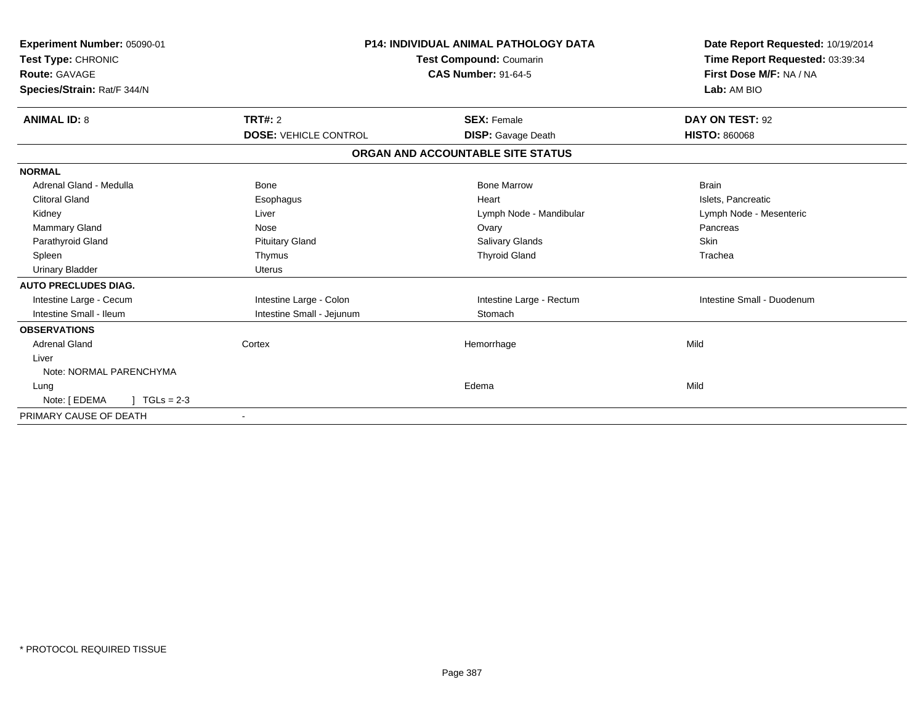| Experiment Number: 05090-01<br>Test Type: CHRONIC<br>Route: GAVAGE<br>Species/Strain: Rat/F 344/N | <b>P14: INDIVIDUAL ANIMAL PATHOLOGY DATA</b><br><b>Test Compound: Coumarin</b><br><b>CAS Number: 91-64-5</b> |                                   | Date Report Requested: 10/19/2014<br>Time Report Requested: 03:39:34<br>First Dose M/F: NA / NA<br>Lab: AM BIO |  |
|---------------------------------------------------------------------------------------------------|--------------------------------------------------------------------------------------------------------------|-----------------------------------|----------------------------------------------------------------------------------------------------------------|--|
| <b>ANIMAL ID: 8</b>                                                                               | TRT#: 2                                                                                                      | <b>SEX: Female</b>                | DAY ON TEST: 92                                                                                                |  |
|                                                                                                   | <b>DOSE: VEHICLE CONTROL</b>                                                                                 | <b>DISP:</b> Gavage Death         | <b>HISTO: 860068</b>                                                                                           |  |
|                                                                                                   |                                                                                                              | ORGAN AND ACCOUNTABLE SITE STATUS |                                                                                                                |  |
| <b>NORMAL</b>                                                                                     |                                                                                                              |                                   |                                                                                                                |  |
| Adrenal Gland - Medulla                                                                           | <b>Bone</b>                                                                                                  | <b>Bone Marrow</b>                | <b>Brain</b>                                                                                                   |  |
| <b>Clitoral Gland</b>                                                                             | Esophagus                                                                                                    | Heart                             | Islets, Pancreatic                                                                                             |  |
| Kidney                                                                                            | Liver                                                                                                        | Lymph Node - Mandibular           | Lymph Node - Mesenteric                                                                                        |  |
| <b>Mammary Gland</b>                                                                              | Nose                                                                                                         | Ovary                             | Pancreas                                                                                                       |  |
| Parathyroid Gland                                                                                 | <b>Pituitary Gland</b>                                                                                       | Salivary Glands                   | Skin                                                                                                           |  |
| Spleen                                                                                            | Thymus                                                                                                       | <b>Thyroid Gland</b>              | Trachea                                                                                                        |  |
| <b>Urinary Bladder</b>                                                                            | <b>Uterus</b>                                                                                                |                                   |                                                                                                                |  |
| <b>AUTO PRECLUDES DIAG.</b>                                                                       |                                                                                                              |                                   |                                                                                                                |  |
| Intestine Large - Cecum                                                                           | Intestine Large - Colon                                                                                      | Intestine Large - Rectum          | Intestine Small - Duodenum                                                                                     |  |
| Intestine Small - Ileum                                                                           | Intestine Small - Jejunum                                                                                    | Stomach                           |                                                                                                                |  |
| <b>OBSERVATIONS</b>                                                                               |                                                                                                              |                                   |                                                                                                                |  |
| <b>Adrenal Gland</b>                                                                              | Cortex                                                                                                       | Hemorrhage                        | Mild                                                                                                           |  |
| Liver                                                                                             |                                                                                                              |                                   |                                                                                                                |  |
| Note: NORMAL PARENCHYMA                                                                           |                                                                                                              |                                   |                                                                                                                |  |
| Lung                                                                                              |                                                                                                              | Edema                             | Mild                                                                                                           |  |
| Note: [ EDEMA<br>$\sqrt{1}$ TGLs = 2-3                                                            |                                                                                                              |                                   |                                                                                                                |  |
| PRIMARY CAUSE OF DEATH                                                                            |                                                                                                              |                                   |                                                                                                                |  |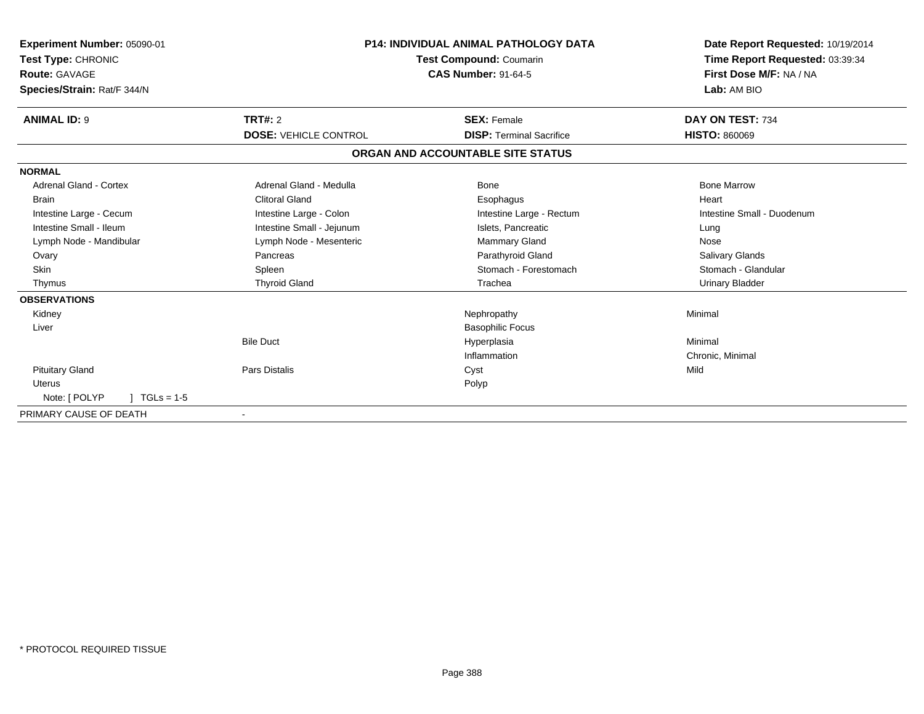| Experiment Number: 05090-01     |                              | <b>P14: INDIVIDUAL ANIMAL PATHOLOGY DATA</b> | Date Report Requested: 10/19/2014 |
|---------------------------------|------------------------------|----------------------------------------------|-----------------------------------|
| <b>Test Type: CHRONIC</b>       | Test Compound: Coumarin      |                                              | Time Report Requested: 03:39:34   |
| Route: GAVAGE                   |                              | <b>CAS Number: 91-64-5</b>                   | First Dose M/F: NA / NA           |
| Species/Strain: Rat/F 344/N     |                              |                                              | Lab: AM BIO                       |
| <b>ANIMAL ID: 9</b>             | <b>TRT#: 2</b>               | <b>SEX: Female</b>                           | DAY ON TEST: 734                  |
|                                 | <b>DOSE: VEHICLE CONTROL</b> | <b>DISP: Terminal Sacrifice</b>              | <b>HISTO: 860069</b>              |
|                                 |                              | ORGAN AND ACCOUNTABLE SITE STATUS            |                                   |
| <b>NORMAL</b>                   |                              |                                              |                                   |
| <b>Adrenal Gland - Cortex</b>   | Adrenal Gland - Medulla      | Bone                                         | <b>Bone Marrow</b>                |
| <b>Brain</b>                    | <b>Clitoral Gland</b>        | Esophagus                                    | Heart                             |
| Intestine Large - Cecum         | Intestine Large - Colon      | Intestine Large - Rectum                     | Intestine Small - Duodenum        |
| Intestine Small - Ileum         | Intestine Small - Jejunum    | Islets, Pancreatic                           | Lung                              |
| Lymph Node - Mandibular         | Lymph Node - Mesenteric      | <b>Mammary Gland</b>                         | Nose                              |
| Ovary                           | Pancreas                     | Parathyroid Gland                            | <b>Salivary Glands</b>            |
| <b>Skin</b>                     | Spleen                       | Stomach - Forestomach                        | Stomach - Glandular               |
| Thymus                          | <b>Thyroid Gland</b>         | Trachea                                      | <b>Urinary Bladder</b>            |
| <b>OBSERVATIONS</b>             |                              |                                              |                                   |
| Kidney                          |                              | Nephropathy                                  | Minimal                           |
| Liver                           |                              | <b>Basophilic Focus</b>                      |                                   |
|                                 | <b>Bile Duct</b>             | Hyperplasia                                  | Minimal                           |
|                                 |                              | Inflammation                                 | Chronic, Minimal                  |
| <b>Pituitary Gland</b>          | <b>Pars Distalis</b>         | Cyst                                         | Mild                              |
| <b>Uterus</b>                   |                              | Polyp                                        |                                   |
| Note: [ POLYP<br>$1 TGLs = 1-5$ |                              |                                              |                                   |
| PRIMARY CAUSE OF DEATH          |                              |                                              |                                   |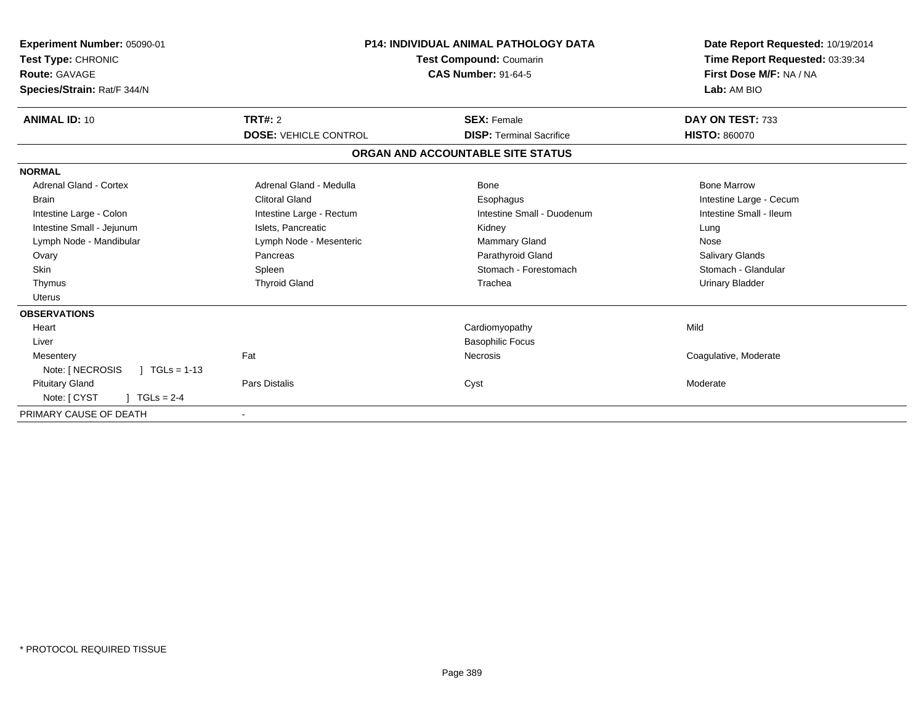| Experiment Number: 05090-01<br>Test Type: CHRONIC<br>Route: GAVAGE<br>Species/Strain: Rat/F 344/N |                              | <b>P14: INDIVIDUAL ANIMAL PATHOLOGY DATA</b><br>Test Compound: Coumarin<br><b>CAS Number: 91-64-5</b> | Date Report Requested: 10/19/2014<br>Time Report Requested: 03:39:34<br>First Dose M/F: NA / NA<br>Lab: AM BIO |
|---------------------------------------------------------------------------------------------------|------------------------------|-------------------------------------------------------------------------------------------------------|----------------------------------------------------------------------------------------------------------------|
| <b>ANIMAL ID: 10</b>                                                                              | TRT#: 2                      | <b>SEX: Female</b>                                                                                    | DAY ON TEST: 733                                                                                               |
|                                                                                                   | <b>DOSE: VEHICLE CONTROL</b> | <b>DISP: Terminal Sacrifice</b>                                                                       | <b>HISTO: 860070</b>                                                                                           |
|                                                                                                   |                              | ORGAN AND ACCOUNTABLE SITE STATUS                                                                     |                                                                                                                |
| <b>NORMAL</b>                                                                                     |                              |                                                                                                       |                                                                                                                |
| <b>Adrenal Gland - Cortex</b>                                                                     | Adrenal Gland - Medulla      | Bone                                                                                                  | <b>Bone Marrow</b>                                                                                             |
| <b>Brain</b>                                                                                      | Clitoral Gland               | Esophagus                                                                                             | Intestine Large - Cecum                                                                                        |
| Intestine Large - Colon                                                                           | Intestine Large - Rectum     | Intestine Small - Duodenum                                                                            | Intestine Small - Ileum                                                                                        |
| Intestine Small - Jejunum                                                                         | Islets, Pancreatic           | Kidney                                                                                                | Lung                                                                                                           |
| Lymph Node - Mandibular                                                                           | Lymph Node - Mesenteric      | <b>Mammary Gland</b>                                                                                  | Nose                                                                                                           |
| Ovary                                                                                             | Pancreas                     | Parathyroid Gland                                                                                     | <b>Salivary Glands</b>                                                                                         |
| <b>Skin</b>                                                                                       | Spleen                       | Stomach - Forestomach                                                                                 | Stomach - Glandular                                                                                            |
| Thymus                                                                                            | <b>Thyroid Gland</b>         | Trachea                                                                                               | <b>Urinary Bladder</b>                                                                                         |
| <b>Uterus</b>                                                                                     |                              |                                                                                                       |                                                                                                                |
| <b>OBSERVATIONS</b>                                                                               |                              |                                                                                                       |                                                                                                                |
| Heart                                                                                             |                              | Cardiomyopathy                                                                                        | Mild                                                                                                           |
| Liver                                                                                             |                              | <b>Basophilic Focus</b>                                                                               |                                                                                                                |
| Mesentery                                                                                         | Fat                          | Necrosis                                                                                              | Coagulative, Moderate                                                                                          |
| Note: [ NECROSIS<br>$TGLs = 1-13$                                                                 |                              |                                                                                                       |                                                                                                                |
| <b>Pituitary Gland</b>                                                                            | <b>Pars Distalis</b>         | Cyst                                                                                                  | Moderate                                                                                                       |
| Note: [ CYST<br>$TGLs = 2-4$                                                                      |                              |                                                                                                       |                                                                                                                |
| PRIMARY CAUSE OF DEATH                                                                            |                              |                                                                                                       |                                                                                                                |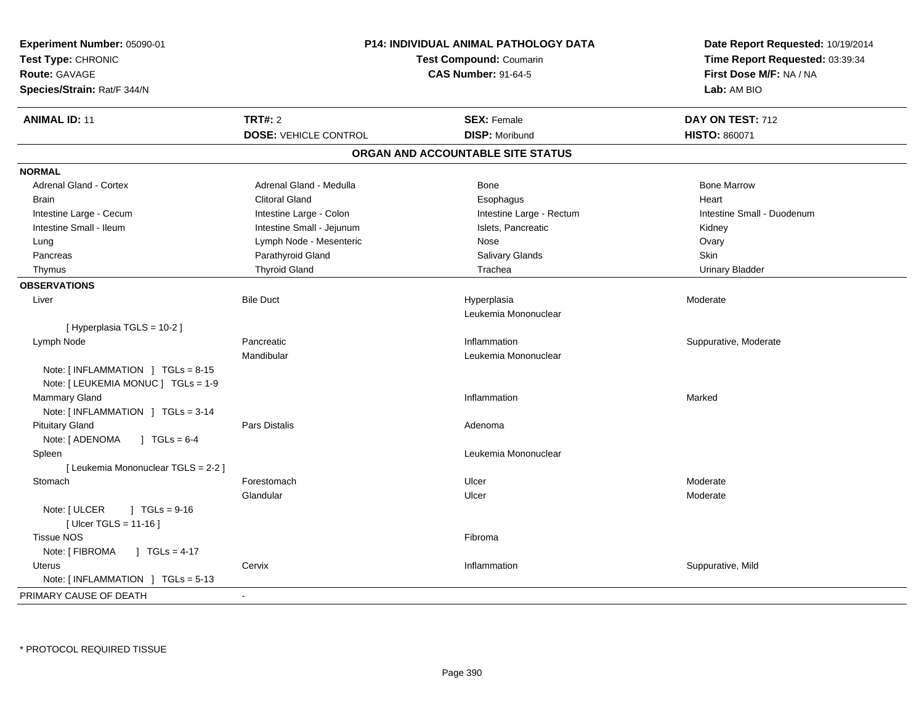| Experiment Number: 05090-01<br>Test Type: CHRONIC<br><b>Route: GAVAGE</b><br>Species/Strain: Rat/F 344/N | P14: INDIVIDUAL ANIMAL PATHOLOGY DATA<br>Test Compound: Coumarin<br><b>CAS Number: 91-64-5</b> |                                     | Date Report Requested: 10/19/2014<br>Time Report Requested: 03:39:34<br>First Dose M/F: NA / NA<br>Lab: AM BIO |
|----------------------------------------------------------------------------------------------------------|------------------------------------------------------------------------------------------------|-------------------------------------|----------------------------------------------------------------------------------------------------------------|
| <b>ANIMAL ID: 11</b>                                                                                     | <b>TRT#: 2</b>                                                                                 | <b>SEX: Female</b>                  | DAY ON TEST: 712                                                                                               |
|                                                                                                          | <b>DOSE: VEHICLE CONTROL</b>                                                                   | <b>DISP: Moribund</b>               | <b>HISTO: 860071</b>                                                                                           |
|                                                                                                          |                                                                                                | ORGAN AND ACCOUNTABLE SITE STATUS   |                                                                                                                |
| <b>NORMAL</b>                                                                                            |                                                                                                |                                     |                                                                                                                |
| Adrenal Gland - Cortex                                                                                   | Adrenal Gland - Medulla                                                                        | Bone                                | <b>Bone Marrow</b>                                                                                             |
| <b>Brain</b>                                                                                             | <b>Clitoral Gland</b>                                                                          | Esophagus                           | Heart                                                                                                          |
| Intestine Large - Cecum                                                                                  | Intestine Large - Colon                                                                        | Intestine Large - Rectum            | Intestine Small - Duodenum                                                                                     |
| Intestine Small - Ileum                                                                                  | Intestine Small - Jejunum                                                                      | Islets, Pancreatic                  | Kidney                                                                                                         |
| Lung                                                                                                     | Lymph Node - Mesenteric                                                                        | Nose                                | Ovary                                                                                                          |
| Pancreas                                                                                                 | Parathyroid Gland                                                                              | Salivary Glands                     | Skin                                                                                                           |
| Thymus                                                                                                   | <b>Thyroid Gland</b>                                                                           | Trachea                             | <b>Urinary Bladder</b>                                                                                         |
| <b>OBSERVATIONS</b>                                                                                      |                                                                                                |                                     |                                                                                                                |
| Liver                                                                                                    | <b>Bile Duct</b>                                                                               | Hyperplasia<br>Leukemia Mononuclear | Moderate                                                                                                       |
| [Hyperplasia TGLS = 10-2]                                                                                |                                                                                                |                                     |                                                                                                                |
| Lymph Node                                                                                               | Pancreatic                                                                                     | Inflammation                        | Suppurative, Moderate                                                                                          |
|                                                                                                          | Mandibular                                                                                     | Leukemia Mononuclear                |                                                                                                                |
| Note: $[INFLAMMATION] TGLs = 8-15$<br>Note: [ LEUKEMIA MONUC ] TGLs = 1-9                                |                                                                                                |                                     |                                                                                                                |
| Mammary Gland                                                                                            |                                                                                                | Inflammation                        | Marked                                                                                                         |
| Note: [INFLAMMATION ] TGLs = 3-14                                                                        |                                                                                                |                                     |                                                                                                                |
| <b>Pituitary Gland</b>                                                                                   | Pars Distalis                                                                                  | Adenoma                             |                                                                                                                |
| Note: [ ADENOMA<br>$1 \text{ TGLs} = 6-4$                                                                |                                                                                                |                                     |                                                                                                                |
| Spleen                                                                                                   |                                                                                                | Leukemia Mononuclear                |                                                                                                                |
| [ Leukemia Mononuclear TGLS = 2-2 ]                                                                      |                                                                                                |                                     |                                                                                                                |
| Stomach                                                                                                  | Forestomach                                                                                    | Ulcer                               | Moderate                                                                                                       |
|                                                                                                          | Glandular                                                                                      | Ulcer                               | Moderate                                                                                                       |
| Note: [ ULCER<br>$\sqrt{1}$ TGLs = 9-16<br>[ Ulcer TGLS = $11-16$ ]                                      |                                                                                                |                                     |                                                                                                                |
| <b>Tissue NOS</b>                                                                                        |                                                                                                | Fibroma                             |                                                                                                                |
| Note: [ FIBROMA<br>J TGLs = $4-17$                                                                       |                                                                                                |                                     |                                                                                                                |
| Uterus                                                                                                   | Cervix                                                                                         | Inflammation                        | Suppurative, Mild                                                                                              |
| Note: [INFLAMMATION ] TGLs = 5-13                                                                        |                                                                                                |                                     |                                                                                                                |
| PRIMARY CAUSE OF DEATH                                                                                   |                                                                                                |                                     |                                                                                                                |
|                                                                                                          |                                                                                                |                                     |                                                                                                                |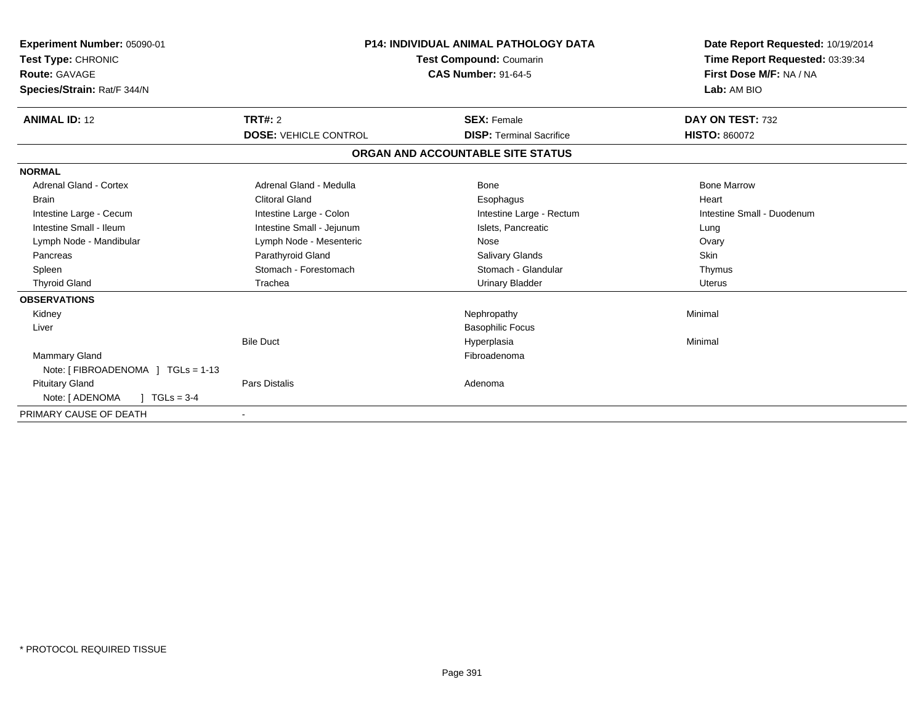| Experiment Number: 05090-01<br><b>Test Type: CHRONIC</b><br>Route: GAVAGE<br>Species/Strain: Rat/F 344/N | <b>P14: INDIVIDUAL ANIMAL PATHOLOGY DATA</b><br>Test Compound: Coumarin<br><b>CAS Number: 91-64-5</b> |                                   | Date Report Requested: 10/19/2014<br>Time Report Requested: 03:39:34<br>First Dose M/F: NA / NA<br>Lab: AM BIO |
|----------------------------------------------------------------------------------------------------------|-------------------------------------------------------------------------------------------------------|-----------------------------------|----------------------------------------------------------------------------------------------------------------|
| <b>ANIMAL ID: 12</b>                                                                                     | <b>TRT#: 2</b>                                                                                        | <b>SEX: Female</b>                | DAY ON TEST: 732                                                                                               |
|                                                                                                          | <b>DOSE: VEHICLE CONTROL</b>                                                                          | <b>DISP: Terminal Sacrifice</b>   | <b>HISTO: 860072</b>                                                                                           |
|                                                                                                          |                                                                                                       | ORGAN AND ACCOUNTABLE SITE STATUS |                                                                                                                |
| <b>NORMAL</b>                                                                                            |                                                                                                       |                                   |                                                                                                                |
| <b>Adrenal Gland - Cortex</b>                                                                            | Adrenal Gland - Medulla                                                                               | Bone                              | <b>Bone Marrow</b>                                                                                             |
| Brain                                                                                                    | <b>Clitoral Gland</b>                                                                                 | Esophagus                         | Heart                                                                                                          |
| Intestine Large - Cecum                                                                                  | Intestine Large - Colon                                                                               | Intestine Large - Rectum          | Intestine Small - Duodenum                                                                                     |
| Intestine Small - Ileum                                                                                  | Intestine Small - Jejunum                                                                             | Islets, Pancreatic                | Lung                                                                                                           |
| Lymph Node - Mandibular                                                                                  | Lymph Node - Mesenteric                                                                               | Nose                              | Ovary                                                                                                          |
| Pancreas                                                                                                 | Parathyroid Gland                                                                                     | <b>Salivary Glands</b>            | <b>Skin</b>                                                                                                    |
| Spleen                                                                                                   | Stomach - Forestomach                                                                                 | Stomach - Glandular               | Thymus                                                                                                         |
| <b>Thyroid Gland</b>                                                                                     | Trachea                                                                                               | <b>Urinary Bladder</b>            | <b>Uterus</b>                                                                                                  |
| <b>OBSERVATIONS</b>                                                                                      |                                                                                                       |                                   |                                                                                                                |
| Kidney                                                                                                   |                                                                                                       | Nephropathy                       | Minimal                                                                                                        |
| Liver                                                                                                    |                                                                                                       | <b>Basophilic Focus</b>           |                                                                                                                |
|                                                                                                          | <b>Bile Duct</b>                                                                                      | Hyperplasia                       | Minimal                                                                                                        |
| <b>Mammary Gland</b>                                                                                     |                                                                                                       | Fibroadenoma                      |                                                                                                                |
| Note: [ FIBROADENOMA ] TGLs = 1-13                                                                       |                                                                                                       |                                   |                                                                                                                |
| <b>Pituitary Gland</b>                                                                                   | <b>Pars Distalis</b>                                                                                  | Adenoma                           |                                                                                                                |
| Note: [ ADENOMA<br>$TGLs = 3-4$                                                                          |                                                                                                       |                                   |                                                                                                                |
| PRIMARY CAUSE OF DEATH                                                                                   |                                                                                                       |                                   |                                                                                                                |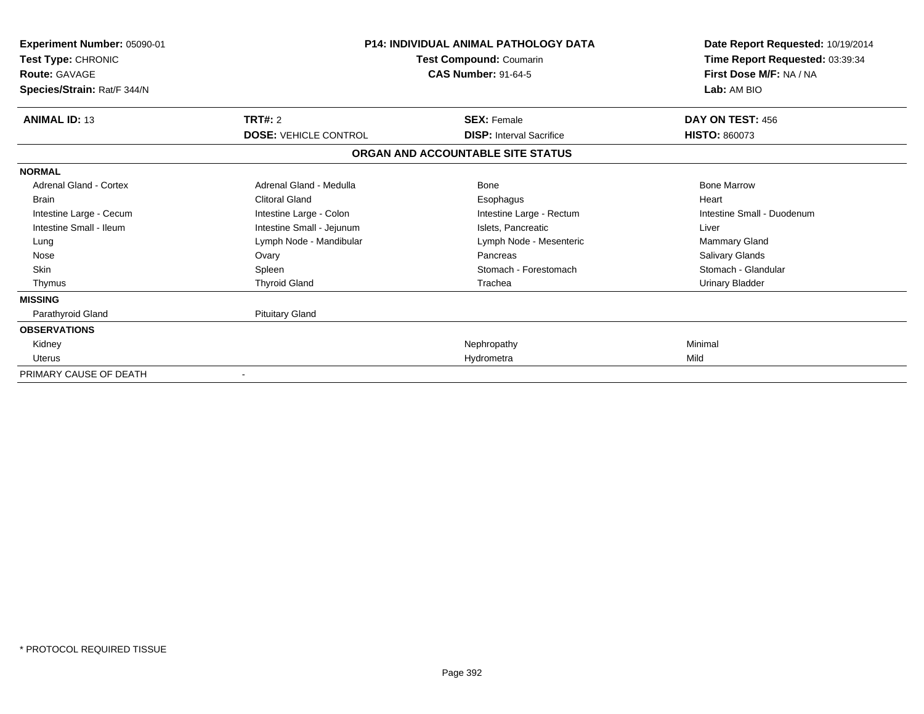| <b>Experiment Number: 05090-01</b><br>Test Type: CHRONIC<br><b>Route: GAVAGE</b><br>Species/Strain: Rat/F 344/N | <b>P14: INDIVIDUAL ANIMAL PATHOLOGY DATA</b><br>Test Compound: Coumarin<br><b>CAS Number: 91-64-5</b> |                                                                      | Date Report Requested: 10/19/2014<br>Time Report Requested: 03:39:34<br>First Dose M/F: NA / NA<br>Lab: AM BIO |
|-----------------------------------------------------------------------------------------------------------------|-------------------------------------------------------------------------------------------------------|----------------------------------------------------------------------|----------------------------------------------------------------------------------------------------------------|
| <b>ANIMAL ID: 13</b>                                                                                            | TRT#: 2                                                                                               | <b>SEX: Female</b>                                                   | DAY ON TEST: 456                                                                                               |
|                                                                                                                 | <b>DOSE: VEHICLE CONTROL</b>                                                                          | <b>DISP: Interval Sacrifice</b><br>ORGAN AND ACCOUNTABLE SITE STATUS | <b>HISTO: 860073</b>                                                                                           |
|                                                                                                                 |                                                                                                       |                                                                      |                                                                                                                |
| <b>NORMAL</b><br><b>Adrenal Gland - Cortex</b>                                                                  | Adrenal Gland - Medulla                                                                               | Bone                                                                 | <b>Bone Marrow</b>                                                                                             |
| <b>Brain</b>                                                                                                    | <b>Clitoral Gland</b>                                                                                 | Esophagus                                                            | Heart                                                                                                          |
| Intestine Large - Cecum                                                                                         | Intestine Large - Colon                                                                               | Intestine Large - Rectum                                             | Intestine Small - Duodenum                                                                                     |
| Intestine Small - Ileum                                                                                         | Intestine Small - Jejunum                                                                             | Islets. Pancreatic                                                   | Liver                                                                                                          |
| Lung                                                                                                            | Lymph Node - Mandibular                                                                               | Lymph Node - Mesenteric                                              | Mammary Gland                                                                                                  |
| Nose                                                                                                            | Ovary                                                                                                 | Pancreas                                                             | <b>Salivary Glands</b>                                                                                         |
| <b>Skin</b>                                                                                                     | Spleen                                                                                                | Stomach - Forestomach                                                | Stomach - Glandular                                                                                            |
| Thymus                                                                                                          | <b>Thyroid Gland</b>                                                                                  | Trachea                                                              | Urinary Bladder                                                                                                |
| <b>MISSING</b>                                                                                                  |                                                                                                       |                                                                      |                                                                                                                |
| Parathyroid Gland                                                                                               | <b>Pituitary Gland</b>                                                                                |                                                                      |                                                                                                                |
| <b>OBSERVATIONS</b>                                                                                             |                                                                                                       |                                                                      |                                                                                                                |
| Kidney                                                                                                          |                                                                                                       | Nephropathy                                                          | Minimal                                                                                                        |
| <b>Uterus</b>                                                                                                   |                                                                                                       | Hydrometra                                                           | Mild                                                                                                           |
| PRIMARY CAUSE OF DEATH                                                                                          |                                                                                                       |                                                                      |                                                                                                                |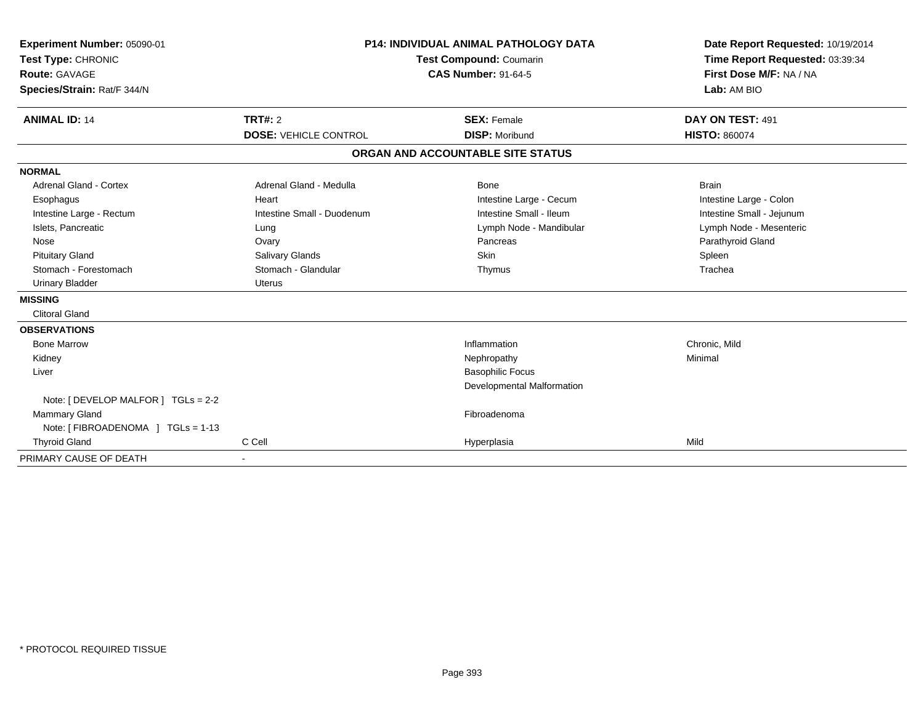| Experiment Number: 05090-01<br>Test Type: CHRONIC<br><b>Route: GAVAGE</b><br>Species/Strain: Rat/F 344/N |                              | <b>P14: INDIVIDUAL ANIMAL PATHOLOGY DATA</b><br><b>Test Compound: Coumarin</b><br><b>CAS Number: 91-64-5</b> | Date Report Requested: 10/19/2014<br>Time Report Requested: 03:39:34<br>First Dose M/F: NA / NA<br>Lab: AM BIO |
|----------------------------------------------------------------------------------------------------------|------------------------------|--------------------------------------------------------------------------------------------------------------|----------------------------------------------------------------------------------------------------------------|
| <b>ANIMAL ID: 14</b>                                                                                     | <b>TRT#: 2</b>               | <b>SEX: Female</b>                                                                                           | DAY ON TEST: 491                                                                                               |
|                                                                                                          | <b>DOSE: VEHICLE CONTROL</b> | <b>DISP: Moribund</b>                                                                                        | <b>HISTO: 860074</b>                                                                                           |
|                                                                                                          |                              | ORGAN AND ACCOUNTABLE SITE STATUS                                                                            |                                                                                                                |
| <b>NORMAL</b>                                                                                            |                              |                                                                                                              |                                                                                                                |
| <b>Adrenal Gland - Cortex</b>                                                                            | Adrenal Gland - Medulla      | <b>Bone</b>                                                                                                  | <b>Brain</b>                                                                                                   |
| Esophagus                                                                                                | Heart                        | Intestine Large - Cecum                                                                                      | Intestine Large - Colon                                                                                        |
| Intestine Large - Rectum                                                                                 | Intestine Small - Duodenum   | Intestine Small - Ileum                                                                                      | Intestine Small - Jejunum                                                                                      |
| Islets, Pancreatic                                                                                       | Lung                         | Lymph Node - Mandibular                                                                                      | Lymph Node - Mesenteric                                                                                        |
| Nose                                                                                                     | Ovary                        | Pancreas                                                                                                     | Parathyroid Gland                                                                                              |
| <b>Pituitary Gland</b>                                                                                   | Salivary Glands              | <b>Skin</b>                                                                                                  | Spleen                                                                                                         |
| Stomach - Forestomach                                                                                    | Stomach - Glandular          | Thymus                                                                                                       | Trachea                                                                                                        |
| <b>Urinary Bladder</b>                                                                                   | <b>Uterus</b>                |                                                                                                              |                                                                                                                |
| <b>MISSING</b>                                                                                           |                              |                                                                                                              |                                                                                                                |
| <b>Clitoral Gland</b>                                                                                    |                              |                                                                                                              |                                                                                                                |
| <b>OBSERVATIONS</b>                                                                                      |                              |                                                                                                              |                                                                                                                |
| <b>Bone Marrow</b>                                                                                       |                              | Inflammation                                                                                                 | Chronic, Mild                                                                                                  |
| Kidney                                                                                                   |                              | Nephropathy                                                                                                  | Minimal                                                                                                        |
| Liver                                                                                                    |                              | <b>Basophilic Focus</b>                                                                                      |                                                                                                                |
|                                                                                                          |                              | Developmental Malformation                                                                                   |                                                                                                                |
| Note: [ DEVELOP MALFOR ] TGLs = 2-2                                                                      |                              |                                                                                                              |                                                                                                                |
| Mammary Gland                                                                                            |                              | Fibroadenoma                                                                                                 |                                                                                                                |
| Note: [ FIBROADENOMA ] TGLs = 1-13                                                                       |                              |                                                                                                              |                                                                                                                |
| <b>Thyroid Gland</b>                                                                                     | C Cell                       | Hyperplasia                                                                                                  | Mild                                                                                                           |
| PRIMARY CAUSE OF DEATH                                                                                   |                              |                                                                                                              |                                                                                                                |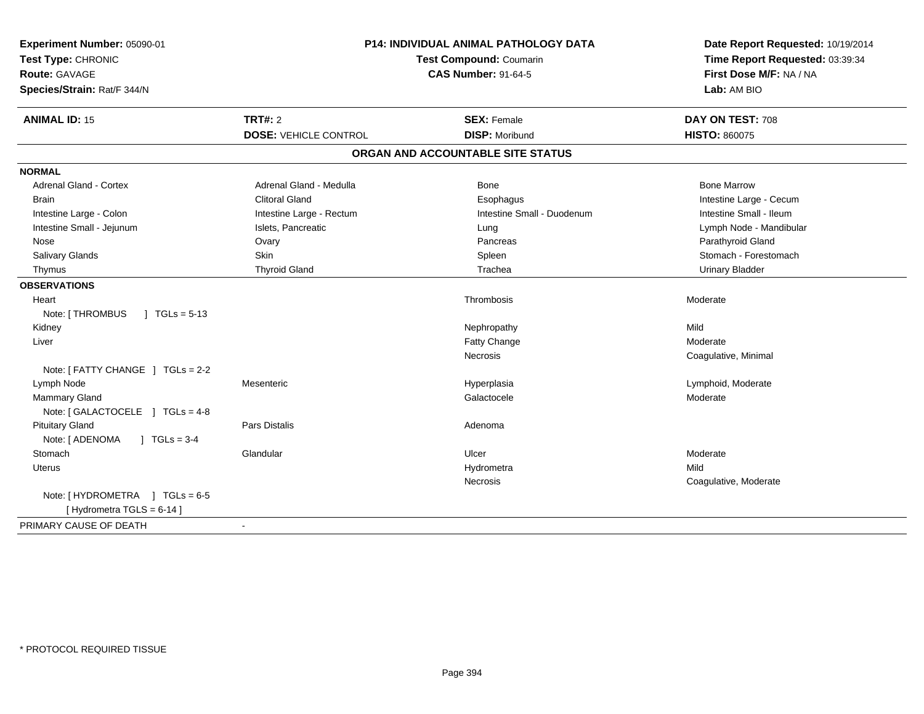| Experiment Number: 05090-01<br>Test Type: CHRONIC<br><b>Route: GAVAGE</b><br>Species/Strain: Rat/F 344/N | <b>P14: INDIVIDUAL ANIMAL PATHOLOGY DATA</b><br>Test Compound: Coumarin<br><b>CAS Number: 91-64-5</b> |                                   | Date Report Requested: 10/19/2014<br>Time Report Requested: 03:39:34<br>First Dose M/F: NA / NA<br>Lab: AM BIO |  |
|----------------------------------------------------------------------------------------------------------|-------------------------------------------------------------------------------------------------------|-----------------------------------|----------------------------------------------------------------------------------------------------------------|--|
| <b>ANIMAL ID: 15</b>                                                                                     | <b>TRT#: 2</b>                                                                                        | <b>SEX: Female</b>                | DAY ON TEST: 708                                                                                               |  |
|                                                                                                          | <b>DOSE: VEHICLE CONTROL</b>                                                                          | <b>DISP: Moribund</b>             | <b>HISTO: 860075</b>                                                                                           |  |
|                                                                                                          |                                                                                                       | ORGAN AND ACCOUNTABLE SITE STATUS |                                                                                                                |  |
| <b>NORMAL</b>                                                                                            |                                                                                                       |                                   |                                                                                                                |  |
| <b>Adrenal Gland - Cortex</b>                                                                            | Adrenal Gland - Medulla                                                                               | Bone                              | <b>Bone Marrow</b>                                                                                             |  |
| <b>Brain</b>                                                                                             | <b>Clitoral Gland</b>                                                                                 | Esophagus                         | Intestine Large - Cecum                                                                                        |  |
| Intestine Large - Colon                                                                                  | Intestine Large - Rectum                                                                              | Intestine Small - Duodenum        | Intestine Small - Ileum                                                                                        |  |
| Intestine Small - Jejunum                                                                                | Islets, Pancreatic                                                                                    | Lung                              | Lymph Node - Mandibular                                                                                        |  |
| Nose                                                                                                     | Ovary                                                                                                 | Pancreas                          | Parathyroid Gland                                                                                              |  |
| Salivary Glands                                                                                          | Skin                                                                                                  | Spleen                            | Stomach - Forestomach                                                                                          |  |
| Thymus                                                                                                   | <b>Thyroid Gland</b>                                                                                  | Trachea                           | <b>Urinary Bladder</b>                                                                                         |  |
| <b>OBSERVATIONS</b>                                                                                      |                                                                                                       |                                   |                                                                                                                |  |
| Heart                                                                                                    |                                                                                                       | Thrombosis                        | Moderate                                                                                                       |  |
| Note: [ THROMBUS<br>$\int$ TGLs = 5-13                                                                   |                                                                                                       |                                   |                                                                                                                |  |
| Kidney                                                                                                   |                                                                                                       | Nephropathy                       | Mild                                                                                                           |  |
| Liver                                                                                                    |                                                                                                       | Fatty Change                      | Moderate                                                                                                       |  |
|                                                                                                          |                                                                                                       | <b>Necrosis</b>                   | Coagulative, Minimal                                                                                           |  |
| Note: [ FATTY CHANGE ] TGLs = 2-2                                                                        |                                                                                                       |                                   |                                                                                                                |  |
| Lymph Node                                                                                               | Mesenteric                                                                                            | Hyperplasia                       | Lymphoid, Moderate                                                                                             |  |
| Mammary Gland                                                                                            |                                                                                                       | Galactocele                       | Moderate                                                                                                       |  |
| Note: [GALACTOCELE ] TGLs = 4-8                                                                          |                                                                                                       |                                   |                                                                                                                |  |
| <b>Pituitary Gland</b>                                                                                   | Pars Distalis                                                                                         | Adenoma                           |                                                                                                                |  |
| Note: [ ADENOMA<br>$J \cdot TGLs = 3-4$                                                                  |                                                                                                       |                                   |                                                                                                                |  |
| Stomach                                                                                                  | Glandular                                                                                             | Ulcer                             | Moderate                                                                                                       |  |
| Uterus                                                                                                   |                                                                                                       | Hydrometra                        | Mild                                                                                                           |  |
|                                                                                                          |                                                                                                       | Necrosis                          | Coagulative, Moderate                                                                                          |  |
| Note: [HYDROMETRA ] TGLs = 6-5                                                                           |                                                                                                       |                                   |                                                                                                                |  |
| [Hydrometra TGLS = $6-14$ ]                                                                              |                                                                                                       |                                   |                                                                                                                |  |
| PRIMARY CAUSE OF DEATH                                                                                   | $\sim$                                                                                                |                                   |                                                                                                                |  |
|                                                                                                          |                                                                                                       |                                   |                                                                                                                |  |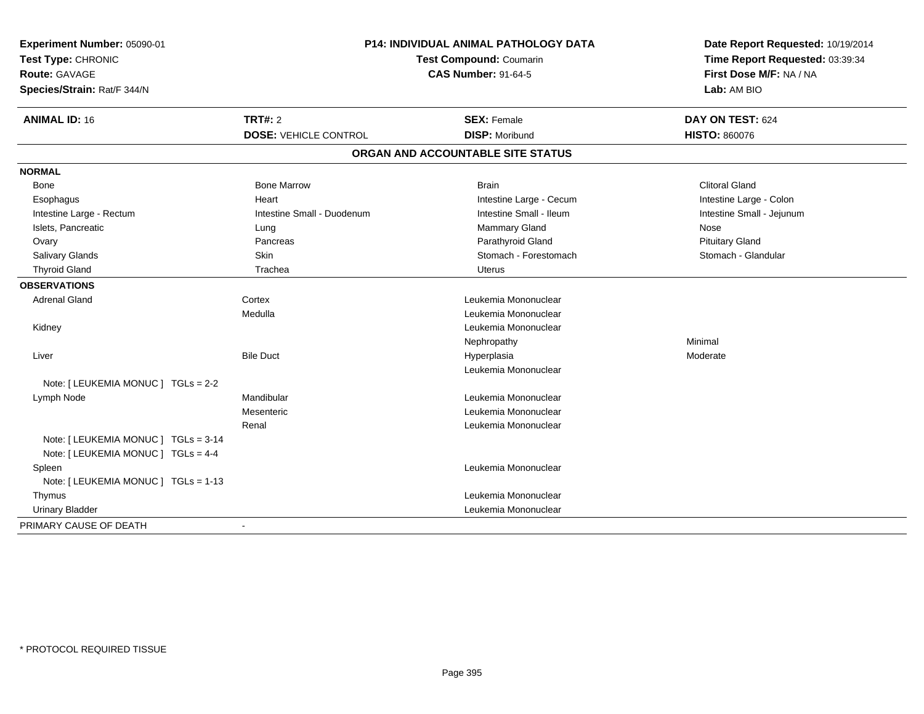| Experiment Number: 05090-01<br>Test Type: CHRONIC<br><b>Route: GAVAGE</b><br>Species/Strain: Rat/F 344/N | <b>P14: INDIVIDUAL ANIMAL PATHOLOGY DATA</b><br><b>Test Compound: Coumarin</b><br><b>CAS Number: 91-64-5</b> |                                   | Date Report Requested: 10/19/2014<br>Time Report Requested: 03:39:34<br>First Dose M/F: NA / NA<br>Lab: AM BIO |
|----------------------------------------------------------------------------------------------------------|--------------------------------------------------------------------------------------------------------------|-----------------------------------|----------------------------------------------------------------------------------------------------------------|
| <b>ANIMAL ID: 16</b>                                                                                     | TRT#: 2                                                                                                      | <b>SEX: Female</b>                | DAY ON TEST: 624                                                                                               |
|                                                                                                          | <b>DOSE: VEHICLE CONTROL</b>                                                                                 | <b>DISP: Moribund</b>             | <b>HISTO: 860076</b>                                                                                           |
|                                                                                                          |                                                                                                              | ORGAN AND ACCOUNTABLE SITE STATUS |                                                                                                                |
| <b>NORMAL</b>                                                                                            |                                                                                                              |                                   |                                                                                                                |
| Bone                                                                                                     | <b>Bone Marrow</b>                                                                                           | <b>Brain</b>                      | <b>Clitoral Gland</b>                                                                                          |
| Esophagus                                                                                                | Heart                                                                                                        | Intestine Large - Cecum           | Intestine Large - Colon                                                                                        |
| Intestine Large - Rectum                                                                                 | Intestine Small - Duodenum                                                                                   | Intestine Small - Ileum           | Intestine Small - Jejunum                                                                                      |
| Islets, Pancreatic                                                                                       | Lung                                                                                                         | Mammary Gland                     | Nose                                                                                                           |
| Ovary                                                                                                    | Pancreas                                                                                                     | Parathyroid Gland                 | <b>Pituitary Gland</b>                                                                                         |
| Salivary Glands                                                                                          | <b>Skin</b>                                                                                                  | Stomach - Forestomach             | Stomach - Glandular                                                                                            |
| <b>Thyroid Gland</b>                                                                                     | Trachea                                                                                                      | <b>Uterus</b>                     |                                                                                                                |
| <b>OBSERVATIONS</b>                                                                                      |                                                                                                              |                                   |                                                                                                                |
| <b>Adrenal Gland</b>                                                                                     | Cortex                                                                                                       | Leukemia Mononuclear              |                                                                                                                |
|                                                                                                          | Medulla                                                                                                      | Leukemia Mononuclear              |                                                                                                                |
| Kidney                                                                                                   |                                                                                                              | Leukemia Mononuclear              |                                                                                                                |
|                                                                                                          |                                                                                                              | Nephropathy                       | Minimal                                                                                                        |
| Liver                                                                                                    | <b>Bile Duct</b>                                                                                             | Hyperplasia                       | Moderate                                                                                                       |
|                                                                                                          |                                                                                                              | Leukemia Mononuclear              |                                                                                                                |
| Note: [ LEUKEMIA MONUC ] TGLs = 2-2                                                                      |                                                                                                              |                                   |                                                                                                                |
| Lymph Node                                                                                               | Mandibular                                                                                                   | Leukemia Mononuclear              |                                                                                                                |
|                                                                                                          | Mesenteric                                                                                                   | Leukemia Mononuclear              |                                                                                                                |
|                                                                                                          | Renal                                                                                                        | Leukemia Mononuclear              |                                                                                                                |
| Note: [ LEUKEMIA MONUC ] TGLs = 3-14<br>Note: [ LEUKEMIA MONUC ] TGLs = 4-4                              |                                                                                                              |                                   |                                                                                                                |
| Spleen                                                                                                   |                                                                                                              | Leukemia Mononuclear              |                                                                                                                |
| Note: [ LEUKEMIA MONUC ] TGLs = 1-13                                                                     |                                                                                                              |                                   |                                                                                                                |
| Thymus                                                                                                   |                                                                                                              | Leukemia Mononuclear              |                                                                                                                |
| <b>Urinary Bladder</b>                                                                                   |                                                                                                              | Leukemia Mononuclear              |                                                                                                                |
| PRIMARY CAUSE OF DEATH                                                                                   | $\blacksquare$                                                                                               |                                   |                                                                                                                |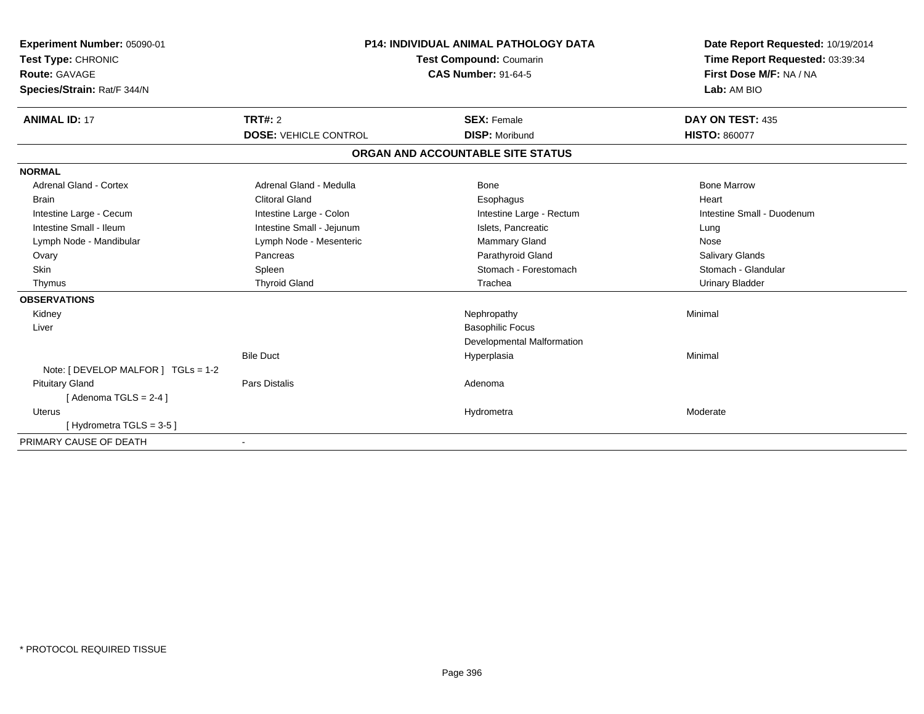| <b>Experiment Number: 05090-01</b><br>Test Type: CHRONIC<br>Route: GAVAGE<br>Species/Strain: Rat/F 344/N | <b>P14: INDIVIDUAL ANIMAL PATHOLOGY DATA</b><br><b>Test Compound: Coumarin</b><br><b>CAS Number: 91-64-5</b> |                                   | Date Report Requested: 10/19/2014<br>Time Report Requested: 03:39:34<br>First Dose M/F: NA / NA<br>Lab: AM BIO |  |
|----------------------------------------------------------------------------------------------------------|--------------------------------------------------------------------------------------------------------------|-----------------------------------|----------------------------------------------------------------------------------------------------------------|--|
| <b>ANIMAL ID: 17</b>                                                                                     | TRT#: 2                                                                                                      | <b>SEX: Female</b>                | DAY ON TEST: 435                                                                                               |  |
|                                                                                                          | <b>DOSE: VEHICLE CONTROL</b>                                                                                 | <b>DISP: Moribund</b>             | <b>HISTO: 860077</b>                                                                                           |  |
|                                                                                                          |                                                                                                              | ORGAN AND ACCOUNTABLE SITE STATUS |                                                                                                                |  |
| <b>NORMAL</b>                                                                                            |                                                                                                              |                                   |                                                                                                                |  |
| <b>Adrenal Gland - Cortex</b>                                                                            | Adrenal Gland - Medulla                                                                                      | Bone                              | <b>Bone Marrow</b>                                                                                             |  |
| <b>Brain</b>                                                                                             | <b>Clitoral Gland</b>                                                                                        | Esophagus                         | Heart                                                                                                          |  |
| Intestine Large - Cecum                                                                                  | Intestine Large - Colon                                                                                      | Intestine Large - Rectum          | Intestine Small - Duodenum                                                                                     |  |
| Intestine Small - Ileum                                                                                  | Intestine Small - Jejunum                                                                                    | Islets, Pancreatic                | Lung                                                                                                           |  |
| Lymph Node - Mandibular                                                                                  | Lymph Node - Mesenteric                                                                                      | Mammary Gland                     | Nose                                                                                                           |  |
| Ovary                                                                                                    | Pancreas                                                                                                     | Parathyroid Gland                 | Salivary Glands                                                                                                |  |
| Skin                                                                                                     | Spleen                                                                                                       | Stomach - Forestomach             | Stomach - Glandular                                                                                            |  |
| Thymus                                                                                                   | <b>Thyroid Gland</b>                                                                                         | Trachea                           | <b>Urinary Bladder</b>                                                                                         |  |
| <b>OBSERVATIONS</b>                                                                                      |                                                                                                              |                                   |                                                                                                                |  |
| Kidney                                                                                                   |                                                                                                              | Nephropathy                       | Minimal                                                                                                        |  |
| Liver                                                                                                    |                                                                                                              | <b>Basophilic Focus</b>           |                                                                                                                |  |
|                                                                                                          |                                                                                                              | Developmental Malformation        |                                                                                                                |  |
|                                                                                                          | <b>Bile Duct</b>                                                                                             | Hyperplasia                       | Minimal                                                                                                        |  |
| Note: [ DEVELOP MALFOR ] $TGLs = 1-2$                                                                    |                                                                                                              |                                   |                                                                                                                |  |
| <b>Pituitary Gland</b>                                                                                   | <b>Pars Distalis</b>                                                                                         | Adenoma                           |                                                                                                                |  |
| [Adenoma TGLS = $2-4$ ]                                                                                  |                                                                                                              |                                   |                                                                                                                |  |
| Uterus                                                                                                   |                                                                                                              | Hydrometra                        | Moderate                                                                                                       |  |
| [Hydrometra TGLS = 3-5]                                                                                  |                                                                                                              |                                   |                                                                                                                |  |
| PRIMARY CAUSE OF DEATH                                                                                   |                                                                                                              |                                   |                                                                                                                |  |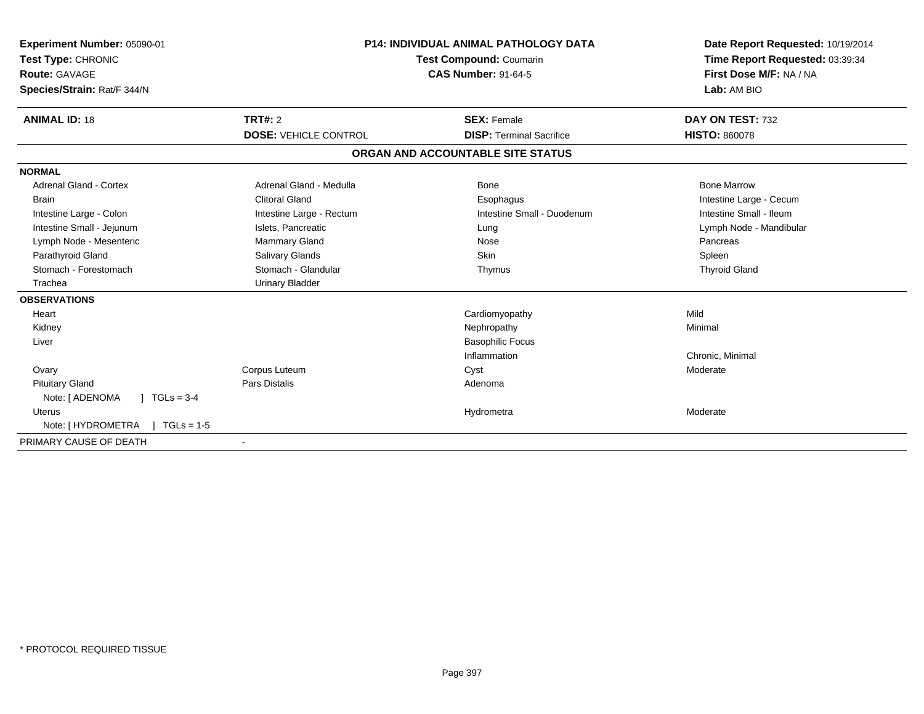| Experiment Number: 05090-01<br>Test Type: CHRONIC<br>Route: GAVAGE<br>Species/Strain: Rat/F 344/N | <b>P14: INDIVIDUAL ANIMAL PATHOLOGY DATA</b><br><b>Test Compound: Coumarin</b><br><b>CAS Number: 91-64-5</b> |                                   | Date Report Requested: 10/19/2014<br>Time Report Requested: 03:39:34<br>First Dose M/F: NA / NA<br>Lab: AM BIO |
|---------------------------------------------------------------------------------------------------|--------------------------------------------------------------------------------------------------------------|-----------------------------------|----------------------------------------------------------------------------------------------------------------|
| <b>ANIMAL ID: 18</b>                                                                              | TRT#: 2                                                                                                      | <b>SEX: Female</b>                | DAY ON TEST: 732                                                                                               |
|                                                                                                   | <b>DOSE: VEHICLE CONTROL</b>                                                                                 | <b>DISP: Terminal Sacrifice</b>   | <b>HISTO: 860078</b>                                                                                           |
|                                                                                                   |                                                                                                              | ORGAN AND ACCOUNTABLE SITE STATUS |                                                                                                                |
| <b>NORMAL</b>                                                                                     |                                                                                                              |                                   |                                                                                                                |
| <b>Adrenal Gland - Cortex</b>                                                                     | Adrenal Gland - Medulla                                                                                      | Bone                              | <b>Bone Marrow</b>                                                                                             |
| <b>Brain</b>                                                                                      | <b>Clitoral Gland</b>                                                                                        | Esophagus                         | Intestine Large - Cecum                                                                                        |
| Intestine Large - Colon                                                                           | Intestine Large - Rectum                                                                                     | Intestine Small - Duodenum        | Intestine Small - Ileum                                                                                        |
| Intestine Small - Jejunum                                                                         | Islets, Pancreatic                                                                                           | Lung                              | Lymph Node - Mandibular                                                                                        |
| Lymph Node - Mesenteric                                                                           | <b>Mammary Gland</b>                                                                                         | Nose                              | Pancreas                                                                                                       |
| Parathyroid Gland                                                                                 | Salivary Glands                                                                                              | <b>Skin</b>                       | Spleen                                                                                                         |
| Stomach - Forestomach                                                                             | Stomach - Glandular                                                                                          | Thymus                            | <b>Thyroid Gland</b>                                                                                           |
| Trachea                                                                                           | <b>Urinary Bladder</b>                                                                                       |                                   |                                                                                                                |
| <b>OBSERVATIONS</b>                                                                               |                                                                                                              |                                   |                                                                                                                |
| Heart                                                                                             |                                                                                                              | Cardiomyopathy                    | Mild                                                                                                           |
| Kidney                                                                                            |                                                                                                              | Nephropathy                       | Minimal                                                                                                        |
| Liver                                                                                             |                                                                                                              | <b>Basophilic Focus</b>           |                                                                                                                |
|                                                                                                   |                                                                                                              | Inflammation                      | Chronic, Minimal                                                                                               |
| Ovary                                                                                             | Corpus Luteum                                                                                                | Cyst                              | Moderate                                                                                                       |
| <b>Pituitary Gland</b>                                                                            | Pars Distalis                                                                                                | Adenoma                           |                                                                                                                |
| Note: [ ADENOMA<br>$J \cdot TGLs = 3-4$                                                           |                                                                                                              |                                   |                                                                                                                |
| Uterus                                                                                            |                                                                                                              | Hydrometra                        | Moderate                                                                                                       |
| Note: [ HYDROMETRA<br>$TGLs = 1-5$                                                                |                                                                                                              |                                   |                                                                                                                |
| PRIMARY CAUSE OF DEATH                                                                            |                                                                                                              |                                   |                                                                                                                |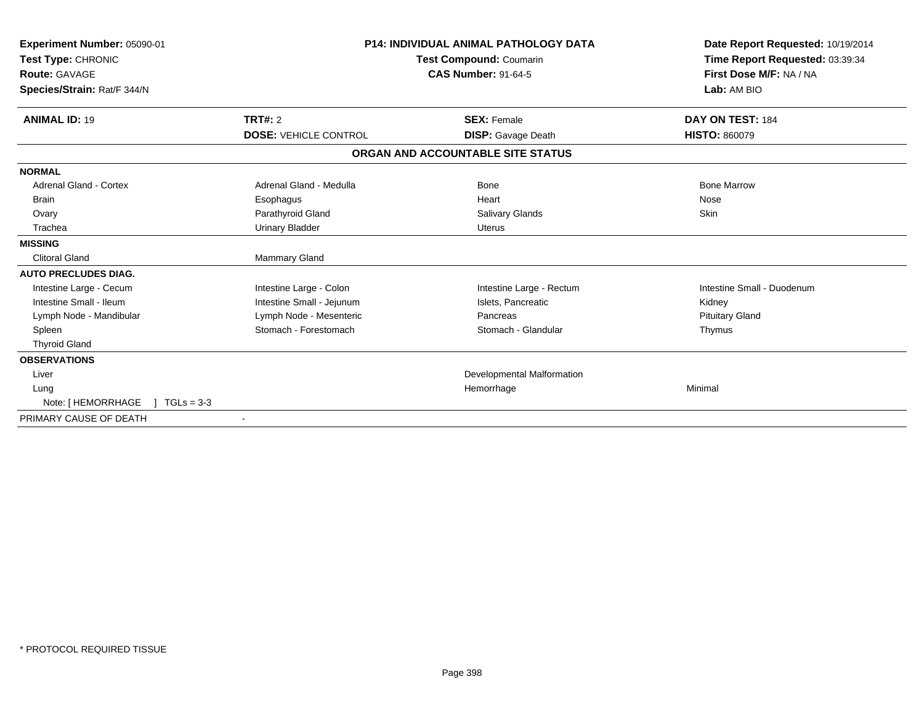| Experiment Number: 05090-01<br>Test Type: CHRONIC<br>Route: GAVAGE<br>Species/Strain: Rat/F 344/N | <b>P14: INDIVIDUAL ANIMAL PATHOLOGY DATA</b><br>Test Compound: Coumarin<br><b>CAS Number: 91-64-5</b> |                                   | Date Report Requested: 10/19/2014<br>Time Report Requested: 03:39:34<br>First Dose M/F: NA / NA<br>Lab: AM BIO |
|---------------------------------------------------------------------------------------------------|-------------------------------------------------------------------------------------------------------|-----------------------------------|----------------------------------------------------------------------------------------------------------------|
| <b>ANIMAL ID: 19</b>                                                                              | <b>TRT#: 2</b>                                                                                        | <b>SEX: Female</b>                | DAY ON TEST: 184                                                                                               |
|                                                                                                   | <b>DOSE: VEHICLE CONTROL</b>                                                                          | <b>DISP:</b> Gavage Death         | <b>HISTO: 860079</b>                                                                                           |
|                                                                                                   |                                                                                                       | ORGAN AND ACCOUNTABLE SITE STATUS |                                                                                                                |
| <b>NORMAL</b>                                                                                     |                                                                                                       |                                   |                                                                                                                |
| <b>Adrenal Gland - Cortex</b>                                                                     | Adrenal Gland - Medulla                                                                               | Bone                              | <b>Bone Marrow</b>                                                                                             |
| <b>Brain</b>                                                                                      | Esophagus                                                                                             | Heart                             | Nose                                                                                                           |
| Ovary                                                                                             | Parathyroid Gland                                                                                     | <b>Salivary Glands</b>            | Skin                                                                                                           |
| Trachea                                                                                           | <b>Urinary Bladder</b>                                                                                | Uterus                            |                                                                                                                |
| <b>MISSING</b>                                                                                    |                                                                                                       |                                   |                                                                                                                |
| <b>Clitoral Gland</b>                                                                             | Mammary Gland                                                                                         |                                   |                                                                                                                |
| <b>AUTO PRECLUDES DIAG.</b>                                                                       |                                                                                                       |                                   |                                                                                                                |
| Intestine Large - Cecum                                                                           | Intestine Large - Colon                                                                               | Intestine Large - Rectum          | Intestine Small - Duodenum                                                                                     |
| Intestine Small - Ileum                                                                           | Intestine Small - Jejunum                                                                             | Islets, Pancreatic                | Kidney                                                                                                         |
| Lymph Node - Mandibular                                                                           | Lymph Node - Mesenteric                                                                               | Pancreas                          | <b>Pituitary Gland</b>                                                                                         |
| Spleen                                                                                            | Stomach - Forestomach                                                                                 | Stomach - Glandular               | Thymus                                                                                                         |
| <b>Thyroid Gland</b>                                                                              |                                                                                                       |                                   |                                                                                                                |
| <b>OBSERVATIONS</b>                                                                               |                                                                                                       |                                   |                                                                                                                |
| Liver                                                                                             |                                                                                                       | Developmental Malformation        |                                                                                                                |
| Lung                                                                                              |                                                                                                       | Hemorrhage                        | Minimal                                                                                                        |
| Note: [ HEMORRHAGE<br>$TGLs = 3-3$                                                                |                                                                                                       |                                   |                                                                                                                |
| PRIMARY CAUSE OF DEATH                                                                            |                                                                                                       |                                   |                                                                                                                |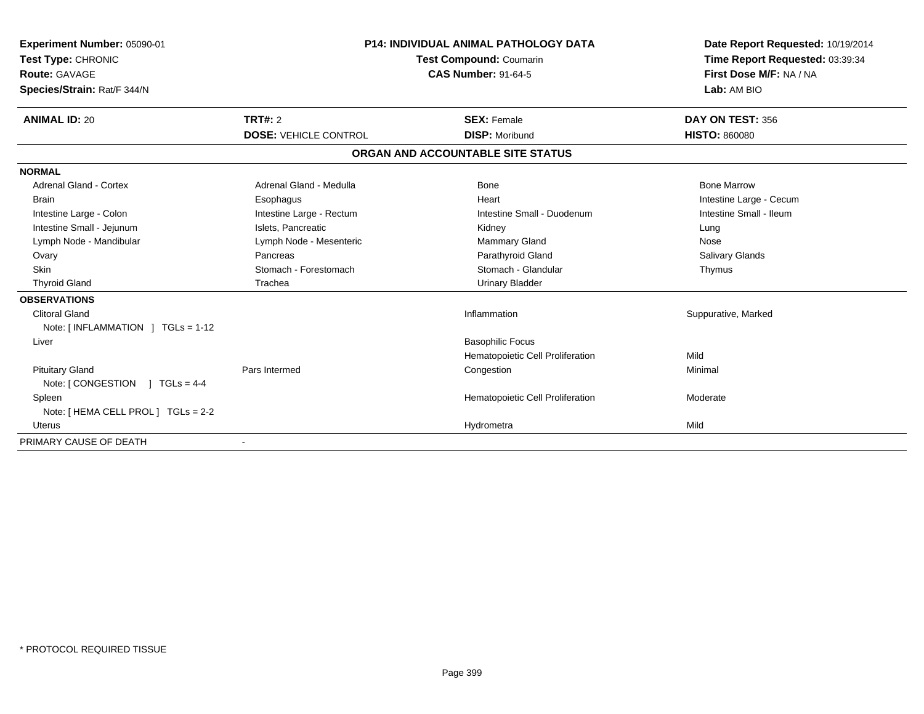| <b>Experiment Number: 05090-01</b><br>Test Type: CHRONIC<br><b>Route: GAVAGE</b><br>Species/Strain: Rat/F 344/N | <b>P14: INDIVIDUAL ANIMAL PATHOLOGY DATA</b><br><b>Test Compound: Coumarin</b><br><b>CAS Number: 91-64-5</b> |                                   | Date Report Requested: 10/19/2014<br>Time Report Requested: 03:39:34<br>First Dose M/F: NA / NA<br>Lab: AM BIO |
|-----------------------------------------------------------------------------------------------------------------|--------------------------------------------------------------------------------------------------------------|-----------------------------------|----------------------------------------------------------------------------------------------------------------|
| <b>ANIMAL ID: 20</b>                                                                                            | TRT#: 2                                                                                                      | <b>SEX: Female</b>                | DAY ON TEST: 356                                                                                               |
|                                                                                                                 | <b>DOSE: VEHICLE CONTROL</b>                                                                                 | <b>DISP: Moribund</b>             | <b>HISTO: 860080</b>                                                                                           |
|                                                                                                                 |                                                                                                              | ORGAN AND ACCOUNTABLE SITE STATUS |                                                                                                                |
| <b>NORMAL</b>                                                                                                   |                                                                                                              |                                   |                                                                                                                |
| <b>Adrenal Gland - Cortex</b>                                                                                   | Adrenal Gland - Medulla                                                                                      | <b>Bone</b>                       | <b>Bone Marrow</b>                                                                                             |
| <b>Brain</b>                                                                                                    | Esophagus                                                                                                    | Heart                             | Intestine Large - Cecum                                                                                        |
| Intestine Large - Colon                                                                                         | Intestine Large - Rectum                                                                                     | Intestine Small - Duodenum        | Intestine Small - Ileum                                                                                        |
| Intestine Small - Jejunum                                                                                       | Islets, Pancreatic                                                                                           | Kidney                            | Lung                                                                                                           |
| Lymph Node - Mandibular                                                                                         | Lymph Node - Mesenteric                                                                                      | <b>Mammary Gland</b>              | Nose                                                                                                           |
| Ovary                                                                                                           | Pancreas                                                                                                     | Parathyroid Gland                 | <b>Salivary Glands</b>                                                                                         |
| Skin                                                                                                            | Stomach - Forestomach                                                                                        | Stomach - Glandular               | Thymus                                                                                                         |
| <b>Thyroid Gland</b>                                                                                            | Trachea                                                                                                      | <b>Urinary Bladder</b>            |                                                                                                                |
| <b>OBSERVATIONS</b>                                                                                             |                                                                                                              |                                   |                                                                                                                |
| <b>Clitoral Gland</b><br>Note: [INFLAMMATION ] TGLs = 1-12                                                      |                                                                                                              | Inflammation                      | Suppurative, Marked                                                                                            |
| Liver                                                                                                           |                                                                                                              | <b>Basophilic Focus</b>           |                                                                                                                |
|                                                                                                                 |                                                                                                              | Hematopoietic Cell Proliferation  | Mild                                                                                                           |
| <b>Pituitary Gland</b><br>Note: $\lceil$ CONGESTION $\lceil$ TGLs = 4-4                                         | Pars Intermed                                                                                                | Congestion                        | Minimal                                                                                                        |
| Spleen<br>Note: [ HEMA CELL PROL ] TGLs = 2-2                                                                   |                                                                                                              | Hematopoietic Cell Proliferation  | Moderate                                                                                                       |
| <b>Uterus</b>                                                                                                   |                                                                                                              | Hydrometra                        | Mild                                                                                                           |
| PRIMARY CAUSE OF DEATH                                                                                          |                                                                                                              |                                   |                                                                                                                |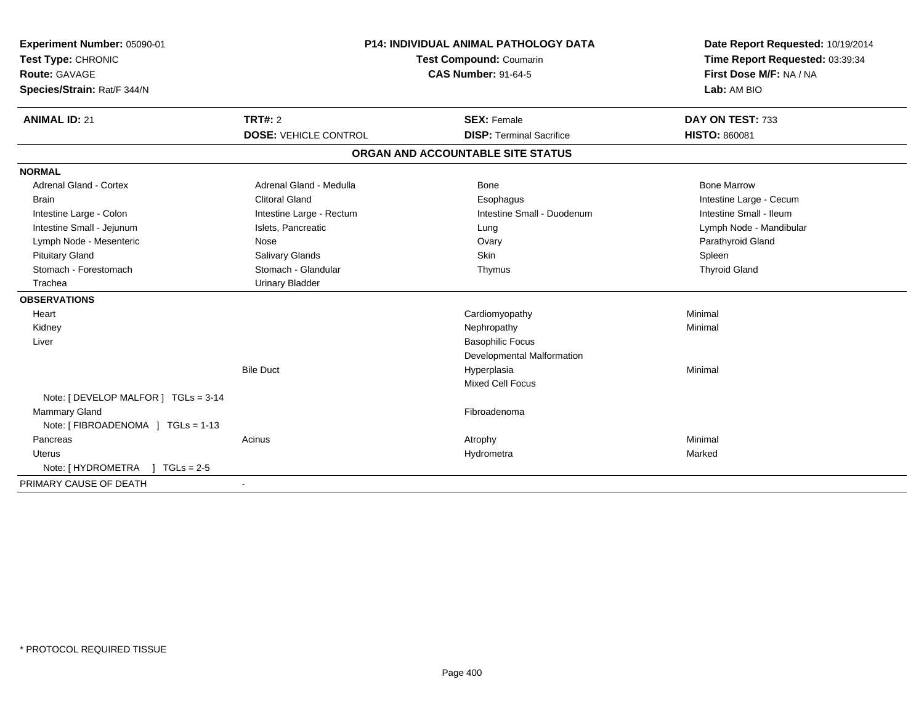| Experiment Number: 05090-01<br>Test Type: CHRONIC<br><b>Route: GAVAGE</b><br>Species/Strain: Rat/F 344/N | <b>P14: INDIVIDUAL ANIMAL PATHOLOGY DATA</b><br>Test Compound: Coumarin<br><b>CAS Number: 91-64-5</b> |                                   | Date Report Requested: 10/19/2014<br>Time Report Requested: 03:39:34<br>First Dose M/F: NA / NA<br>Lab: AM BIO |
|----------------------------------------------------------------------------------------------------------|-------------------------------------------------------------------------------------------------------|-----------------------------------|----------------------------------------------------------------------------------------------------------------|
| <b>ANIMAL ID: 21</b>                                                                                     | TRT#: 2                                                                                               | <b>SEX: Female</b>                | DAY ON TEST: 733                                                                                               |
|                                                                                                          | <b>DOSE: VEHICLE CONTROL</b>                                                                          | <b>DISP: Terminal Sacrifice</b>   | <b>HISTO: 860081</b>                                                                                           |
|                                                                                                          |                                                                                                       | ORGAN AND ACCOUNTABLE SITE STATUS |                                                                                                                |
| <b>NORMAL</b>                                                                                            |                                                                                                       |                                   |                                                                                                                |
| <b>Adrenal Gland - Cortex</b>                                                                            | Adrenal Gland - Medulla                                                                               | Bone                              | <b>Bone Marrow</b>                                                                                             |
| <b>Brain</b>                                                                                             | <b>Clitoral Gland</b>                                                                                 | Esophagus                         | Intestine Large - Cecum                                                                                        |
| Intestine Large - Colon                                                                                  | Intestine Large - Rectum                                                                              | Intestine Small - Duodenum        | Intestine Small - Ileum                                                                                        |
| Intestine Small - Jejunum                                                                                | Islets, Pancreatic                                                                                    | Lung                              | Lymph Node - Mandibular                                                                                        |
| Lymph Node - Mesenteric                                                                                  | Nose                                                                                                  | Ovary                             | Parathyroid Gland                                                                                              |
| <b>Pituitary Gland</b>                                                                                   | Salivary Glands                                                                                       | Skin                              | Spleen                                                                                                         |
| Stomach - Forestomach                                                                                    | Stomach - Glandular                                                                                   | Thymus                            | <b>Thyroid Gland</b>                                                                                           |
| Trachea                                                                                                  | <b>Urinary Bladder</b>                                                                                |                                   |                                                                                                                |
| <b>OBSERVATIONS</b>                                                                                      |                                                                                                       |                                   |                                                                                                                |
| Heart                                                                                                    |                                                                                                       | Cardiomyopathy                    | Minimal                                                                                                        |
| Kidney                                                                                                   |                                                                                                       | Nephropathy                       | Minimal                                                                                                        |
| Liver                                                                                                    |                                                                                                       | <b>Basophilic Focus</b>           |                                                                                                                |
|                                                                                                          |                                                                                                       | Developmental Malformation        |                                                                                                                |
|                                                                                                          | <b>Bile Duct</b>                                                                                      | Hyperplasia                       | Minimal                                                                                                        |
|                                                                                                          |                                                                                                       | Mixed Cell Focus                  |                                                                                                                |
| Note: [ DEVELOP MALFOR ] TGLs = 3-14                                                                     |                                                                                                       |                                   |                                                                                                                |
| Mammary Gland                                                                                            |                                                                                                       | Fibroadenoma                      |                                                                                                                |
| Note: [ FIBROADENOMA ] TGLs = 1-13                                                                       |                                                                                                       |                                   |                                                                                                                |
| Pancreas                                                                                                 | Acinus                                                                                                | Atrophy                           | Minimal                                                                                                        |
| Uterus                                                                                                   |                                                                                                       | Hydrometra                        | Marked                                                                                                         |
| Note: [ HYDROMETRA<br>$1 TGLs = 2.5$                                                                     |                                                                                                       |                                   |                                                                                                                |
| PRIMARY CAUSE OF DEATH                                                                                   | $\blacksquare$                                                                                        |                                   |                                                                                                                |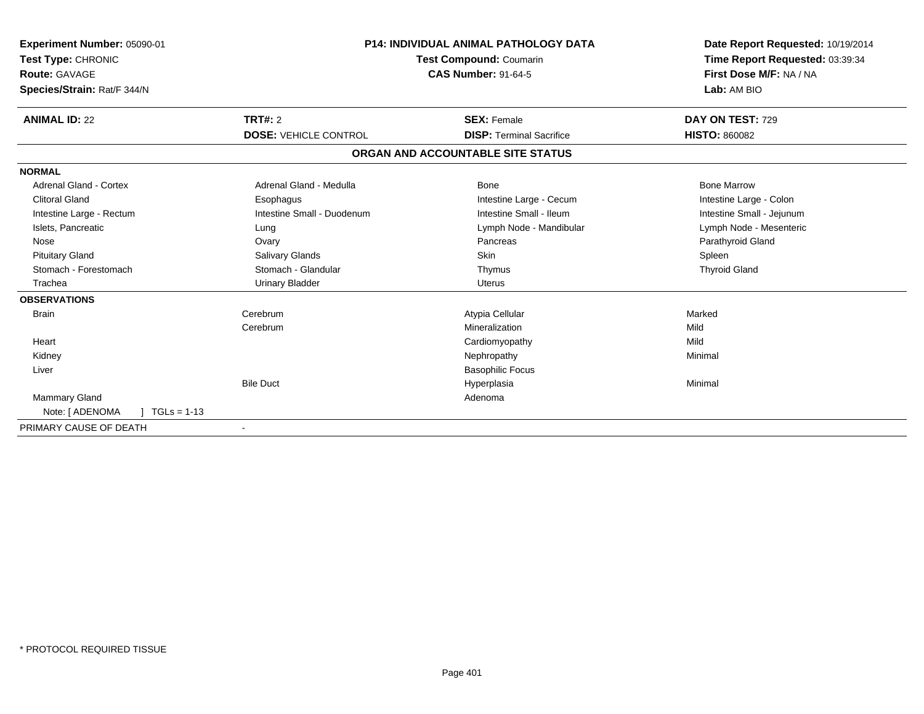| Experiment Number: 05090-01<br>Test Type: CHRONIC |                              | <b>P14: INDIVIDUAL ANIMAL PATHOLOGY DATA</b><br><b>Test Compound: Coumarin</b> | Date Report Requested: 10/19/2014<br>Time Report Requested: 03:39:34 |
|---------------------------------------------------|------------------------------|--------------------------------------------------------------------------------|----------------------------------------------------------------------|
| Route: GAVAGE                                     |                              | <b>CAS Number: 91-64-5</b>                                                     | First Dose M/F: NA / NA                                              |
| Species/Strain: Rat/F 344/N                       |                              |                                                                                | Lab: AM BIO                                                          |
| <b>ANIMAL ID: 22</b>                              | TRT#: 2                      | <b>SEX: Female</b>                                                             | DAY ON TEST: 729                                                     |
|                                                   | <b>DOSE: VEHICLE CONTROL</b> | <b>DISP: Terminal Sacrifice</b>                                                | <b>HISTO: 860082</b>                                                 |
|                                                   |                              | ORGAN AND ACCOUNTABLE SITE STATUS                                              |                                                                      |
| <b>NORMAL</b>                                     |                              |                                                                                |                                                                      |
| Adrenal Gland - Cortex                            | Adrenal Gland - Medulla      | Bone                                                                           | <b>Bone Marrow</b>                                                   |
| <b>Clitoral Gland</b>                             | Esophagus                    | Intestine Large - Cecum                                                        | Intestine Large - Colon                                              |
| Intestine Large - Rectum                          | Intestine Small - Duodenum   | Intestine Small - Ileum                                                        | Intestine Small - Jejunum                                            |
| Islets, Pancreatic                                | Lung                         | Lymph Node - Mandibular                                                        | Lymph Node - Mesenteric                                              |
| Nose                                              | Ovary                        | Pancreas                                                                       | Parathyroid Gland                                                    |
| <b>Pituitary Gland</b>                            | Salivary Glands              | <b>Skin</b>                                                                    | Spleen                                                               |
| Stomach - Forestomach                             | Stomach - Glandular          | Thymus                                                                         | <b>Thyroid Gland</b>                                                 |
| Trachea                                           | <b>Urinary Bladder</b>       | Uterus                                                                         |                                                                      |
| <b>OBSERVATIONS</b>                               |                              |                                                                                |                                                                      |
| <b>Brain</b>                                      | Cerebrum                     | Atypia Cellular                                                                | Marked                                                               |
|                                                   | Cerebrum                     | Mineralization                                                                 | Mild                                                                 |
| Heart                                             |                              | Cardiomyopathy                                                                 | Mild                                                                 |
| Kidney                                            |                              | Nephropathy                                                                    | Minimal                                                              |
| Liver                                             |                              | <b>Basophilic Focus</b>                                                        |                                                                      |
|                                                   | <b>Bile Duct</b>             | Hyperplasia                                                                    | Minimal                                                              |
| <b>Mammary Gland</b>                              |                              | Adenoma                                                                        |                                                                      |
| Note: [ ADENOMA<br>$TGLs = 1-13$                  |                              |                                                                                |                                                                      |
| PRIMARY CAUSE OF DEATH                            |                              |                                                                                |                                                                      |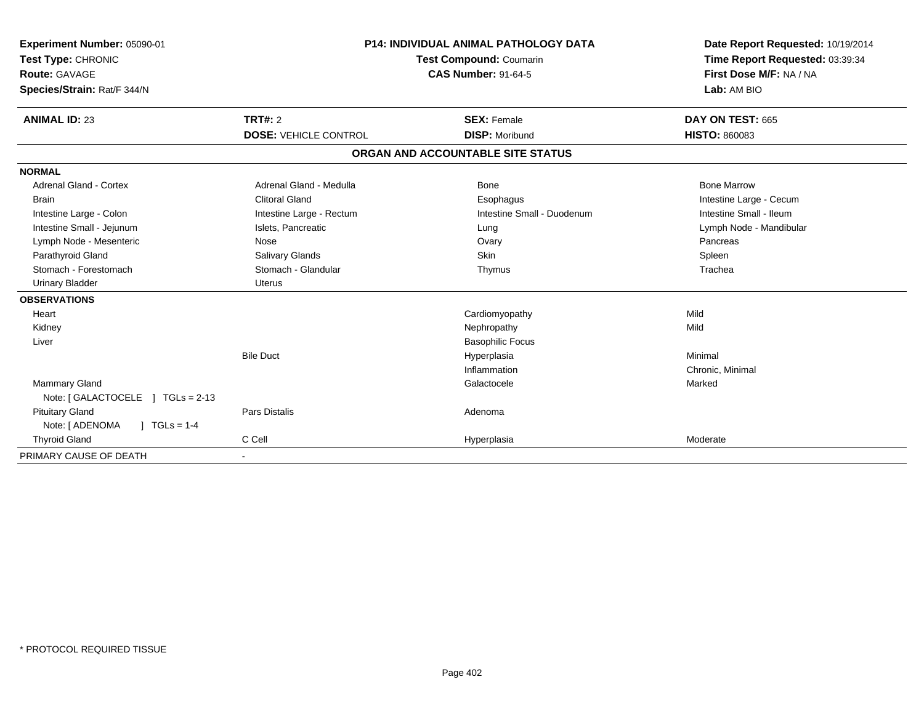| Experiment Number: 05090-01<br>Test Type: CHRONIC<br>Route: GAVAGE<br>Species/Strain: Rat/F 344/N | <b>P14: INDIVIDUAL ANIMAL PATHOLOGY DATA</b><br>Test Compound: Coumarin<br><b>CAS Number: 91-64-5</b> |                                   | Date Report Requested: 10/19/2014<br>Time Report Requested: 03:39:34<br>First Dose M/F: NA / NA<br>Lab: AM BIO |
|---------------------------------------------------------------------------------------------------|-------------------------------------------------------------------------------------------------------|-----------------------------------|----------------------------------------------------------------------------------------------------------------|
| <b>ANIMAL ID: 23</b>                                                                              | TRT#: 2                                                                                               | <b>SEX: Female</b>                | DAY ON TEST: 665                                                                                               |
|                                                                                                   | <b>DOSE: VEHICLE CONTROL</b>                                                                          | <b>DISP: Moribund</b>             | <b>HISTO: 860083</b>                                                                                           |
|                                                                                                   |                                                                                                       | ORGAN AND ACCOUNTABLE SITE STATUS |                                                                                                                |
| <b>NORMAL</b>                                                                                     |                                                                                                       |                                   |                                                                                                                |
| <b>Adrenal Gland - Cortex</b>                                                                     | Adrenal Gland - Medulla                                                                               | Bone                              | <b>Bone Marrow</b>                                                                                             |
| <b>Brain</b>                                                                                      | <b>Clitoral Gland</b>                                                                                 | Esophagus                         | Intestine Large - Cecum                                                                                        |
| Intestine Large - Colon                                                                           | Intestine Large - Rectum                                                                              | Intestine Small - Duodenum        | Intestine Small - Ileum                                                                                        |
| Intestine Small - Jejunum                                                                         | Islets, Pancreatic                                                                                    | Lung                              | Lymph Node - Mandibular                                                                                        |
| Lymph Node - Mesenteric                                                                           | Nose                                                                                                  | Ovary                             | Pancreas                                                                                                       |
| Parathyroid Gland                                                                                 | Salivary Glands                                                                                       | <b>Skin</b>                       | Spleen                                                                                                         |
| Stomach - Forestomach                                                                             | Stomach - Glandular                                                                                   | Thymus                            | Trachea                                                                                                        |
| <b>Urinary Bladder</b>                                                                            | <b>Uterus</b>                                                                                         |                                   |                                                                                                                |
| <b>OBSERVATIONS</b>                                                                               |                                                                                                       |                                   |                                                                                                                |
| Heart                                                                                             |                                                                                                       | Cardiomyopathy                    | Mild                                                                                                           |
| Kidney                                                                                            |                                                                                                       | Nephropathy                       | Mild                                                                                                           |
| Liver                                                                                             |                                                                                                       | <b>Basophilic Focus</b>           |                                                                                                                |
|                                                                                                   | <b>Bile Duct</b>                                                                                      | Hyperplasia                       | Minimal                                                                                                        |
|                                                                                                   |                                                                                                       | Inflammation                      | Chronic, Minimal                                                                                               |
| <b>Mammary Gland</b>                                                                              |                                                                                                       | Galactocele                       | Marked                                                                                                         |
| Note: [GALACTOCELE ] TGLs = 2-13                                                                  |                                                                                                       |                                   |                                                                                                                |
| <b>Pituitary Gland</b>                                                                            | <b>Pars Distalis</b>                                                                                  | Adenoma                           |                                                                                                                |
| Note: [ ADENOMA<br>$\sqrt{1}$ TGLs = 1-4                                                          |                                                                                                       |                                   |                                                                                                                |
| <b>Thyroid Gland</b>                                                                              | C Cell                                                                                                | Hyperplasia                       | Moderate                                                                                                       |
| PRIMARY CAUSE OF DEATH                                                                            |                                                                                                       |                                   |                                                                                                                |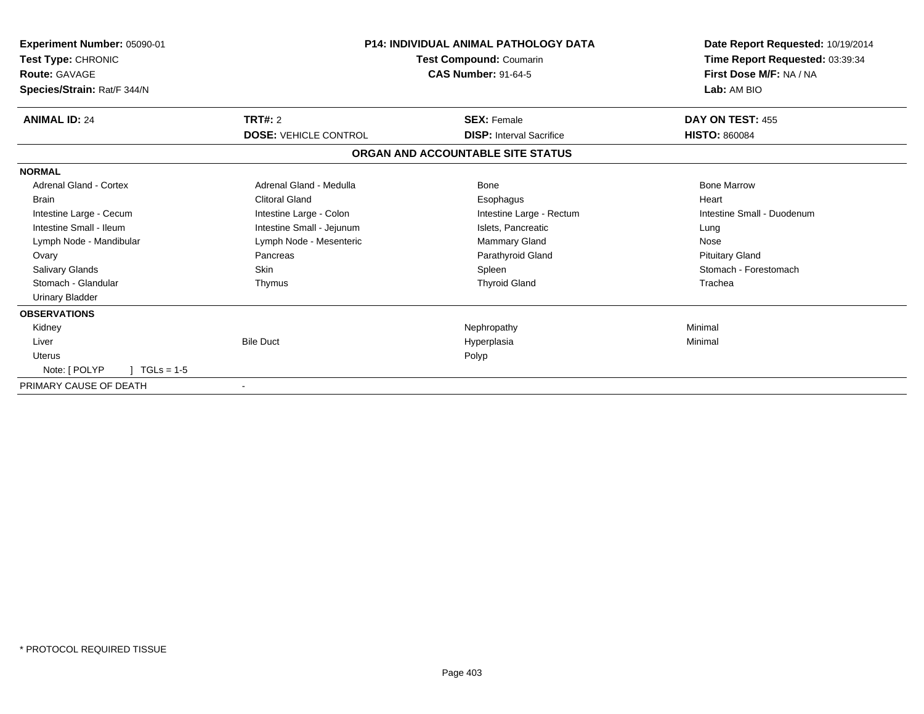| Experiment Number: 05090-01<br>Test Type: CHRONIC<br><b>Route: GAVAGE</b><br>Species/Strain: Rat/F 344/N |                                         | <b>P14: INDIVIDUAL ANIMAL PATHOLOGY DATA</b><br>Test Compound: Coumarin<br><b>CAS Number: 91-64-5</b> | Date Report Requested: 10/19/2014<br>Time Report Requested: 03:39:34<br>First Dose M/F: NA / NA<br>Lab: AM BIO |
|----------------------------------------------------------------------------------------------------------|-----------------------------------------|-------------------------------------------------------------------------------------------------------|----------------------------------------------------------------------------------------------------------------|
| <b>ANIMAL ID: 24</b>                                                                                     | TRT#: 2<br><b>DOSE: VEHICLE CONTROL</b> | <b>SEX: Female</b><br><b>DISP:</b> Interval Sacrifice                                                 | DAY ON TEST: 455<br><b>HISTO: 860084</b>                                                                       |
|                                                                                                          |                                         | ORGAN AND ACCOUNTABLE SITE STATUS                                                                     |                                                                                                                |
| <b>NORMAL</b>                                                                                            |                                         |                                                                                                       |                                                                                                                |
| <b>Adrenal Gland - Cortex</b>                                                                            | Adrenal Gland - Medulla                 | Bone                                                                                                  | <b>Bone Marrow</b>                                                                                             |
| <b>Brain</b>                                                                                             | <b>Clitoral Gland</b>                   | Esophagus                                                                                             | Heart                                                                                                          |
| Intestine Large - Cecum                                                                                  | Intestine Large - Colon                 | Intestine Large - Rectum                                                                              | Intestine Small - Duodenum                                                                                     |
| Intestine Small - Ileum                                                                                  | Intestine Small - Jejunum               | Islets, Pancreatic                                                                                    | Lung                                                                                                           |
| Lymph Node - Mandibular                                                                                  | Lymph Node - Mesenteric                 | Mammary Gland                                                                                         | Nose                                                                                                           |
| Ovary                                                                                                    | Pancreas                                | Parathyroid Gland                                                                                     | <b>Pituitary Gland</b>                                                                                         |
| <b>Salivary Glands</b>                                                                                   | <b>Skin</b>                             | Spleen                                                                                                | Stomach - Forestomach                                                                                          |
| Stomach - Glandular                                                                                      | Thymus                                  | <b>Thyroid Gland</b>                                                                                  | Trachea                                                                                                        |
| <b>Urinary Bladder</b>                                                                                   |                                         |                                                                                                       |                                                                                                                |
| <b>OBSERVATIONS</b>                                                                                      |                                         |                                                                                                       |                                                                                                                |
| Kidney                                                                                                   |                                         | Nephropathy                                                                                           | Minimal                                                                                                        |
| Liver                                                                                                    | <b>Bile Duct</b>                        | Hyperplasia                                                                                           | Minimal                                                                                                        |
| Uterus                                                                                                   |                                         | Polyp                                                                                                 |                                                                                                                |
| Note: [ POLYP<br>$TGLs = 1-5$                                                                            |                                         |                                                                                                       |                                                                                                                |
| PRIMARY CAUSE OF DEATH                                                                                   |                                         |                                                                                                       |                                                                                                                |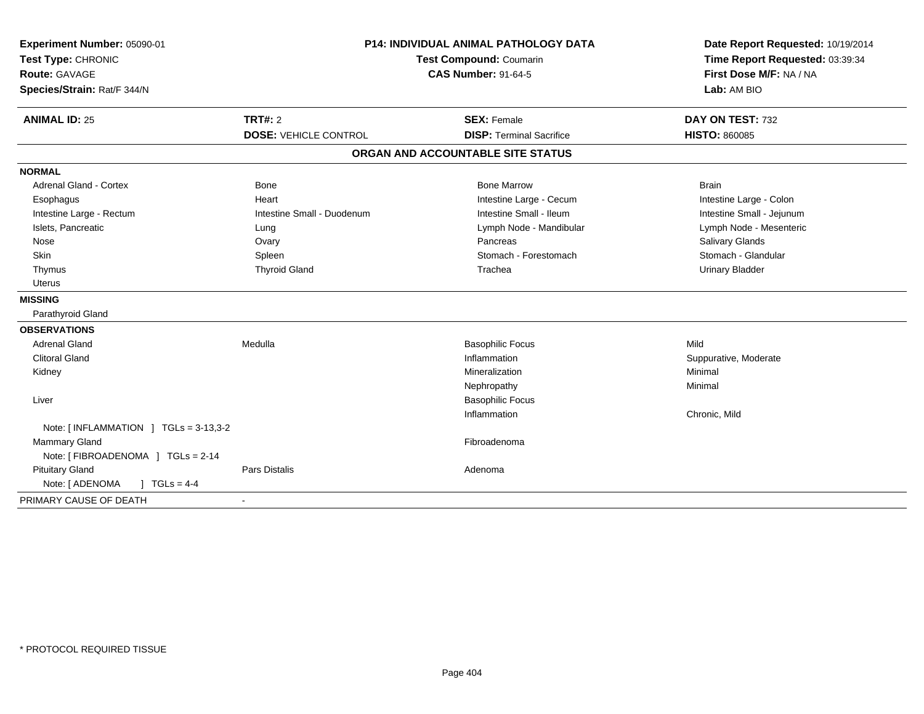| Experiment Number: 05090-01<br>Test Type: CHRONIC<br><b>Route: GAVAGE</b><br>Species/Strain: Rat/F 344/N | <b>P14: INDIVIDUAL ANIMAL PATHOLOGY DATA</b><br>Test Compound: Coumarin<br><b>CAS Number: 91-64-5</b> |                                   | Date Report Requested: 10/19/2014<br>Time Report Requested: 03:39:34<br>First Dose M/F: NA / NA<br>Lab: AM BIO |
|----------------------------------------------------------------------------------------------------------|-------------------------------------------------------------------------------------------------------|-----------------------------------|----------------------------------------------------------------------------------------------------------------|
| <b>ANIMAL ID: 25</b>                                                                                     | <b>TRT#: 2</b>                                                                                        | <b>SEX: Female</b>                | DAY ON TEST: 732                                                                                               |
|                                                                                                          | <b>DOSE: VEHICLE CONTROL</b>                                                                          | <b>DISP: Terminal Sacrifice</b>   | <b>HISTO: 860085</b>                                                                                           |
|                                                                                                          |                                                                                                       | ORGAN AND ACCOUNTABLE SITE STATUS |                                                                                                                |
| <b>NORMAL</b>                                                                                            |                                                                                                       |                                   |                                                                                                                |
| <b>Adrenal Gland - Cortex</b>                                                                            | <b>Bone</b>                                                                                           | <b>Bone Marrow</b>                | <b>Brain</b>                                                                                                   |
| Esophagus                                                                                                | Heart                                                                                                 | Intestine Large - Cecum           | Intestine Large - Colon                                                                                        |
| Intestine Large - Rectum                                                                                 | Intestine Small - Duodenum                                                                            | Intestine Small - Ileum           | Intestine Small - Jejunum                                                                                      |
| Islets, Pancreatic                                                                                       | Lung                                                                                                  | Lymph Node - Mandibular           | Lymph Node - Mesenteric                                                                                        |
| Nose                                                                                                     | Ovary                                                                                                 | Pancreas                          | Salivary Glands                                                                                                |
| <b>Skin</b>                                                                                              | Spleen                                                                                                | Stomach - Forestomach             | Stomach - Glandular                                                                                            |
| Thymus                                                                                                   | <b>Thyroid Gland</b>                                                                                  | Trachea                           | <b>Urinary Bladder</b>                                                                                         |
| <b>Uterus</b>                                                                                            |                                                                                                       |                                   |                                                                                                                |
| <b>MISSING</b>                                                                                           |                                                                                                       |                                   |                                                                                                                |
| Parathyroid Gland                                                                                        |                                                                                                       |                                   |                                                                                                                |
| <b>OBSERVATIONS</b>                                                                                      |                                                                                                       |                                   |                                                                                                                |
| <b>Adrenal Gland</b>                                                                                     | Medulla                                                                                               | <b>Basophilic Focus</b>           | Mild                                                                                                           |
| <b>Clitoral Gland</b>                                                                                    |                                                                                                       | Inflammation                      | Suppurative, Moderate                                                                                          |
| Kidney                                                                                                   |                                                                                                       | Mineralization                    | Minimal                                                                                                        |
|                                                                                                          |                                                                                                       | Nephropathy                       | Minimal                                                                                                        |
| Liver                                                                                                    |                                                                                                       | <b>Basophilic Focus</b>           |                                                                                                                |
|                                                                                                          |                                                                                                       | Inflammation                      | Chronic, Mild                                                                                                  |
| Note: [INFLAMMATION ] TGLs = 3-13,3-2                                                                    |                                                                                                       |                                   |                                                                                                                |
| <b>Mammary Gland</b>                                                                                     |                                                                                                       | Fibroadenoma                      |                                                                                                                |
| Note: [ FIBROADENOMA ] TGLs = 2-14                                                                       |                                                                                                       |                                   |                                                                                                                |
| <b>Pituitary Gland</b>                                                                                   | <b>Pars Distalis</b>                                                                                  | Adenoma                           |                                                                                                                |
| Note: [ ADENOMA<br>$1 TGLs = 4-4$                                                                        |                                                                                                       |                                   |                                                                                                                |
| PRIMARY CAUSE OF DEATH                                                                                   | $\sim$                                                                                                |                                   |                                                                                                                |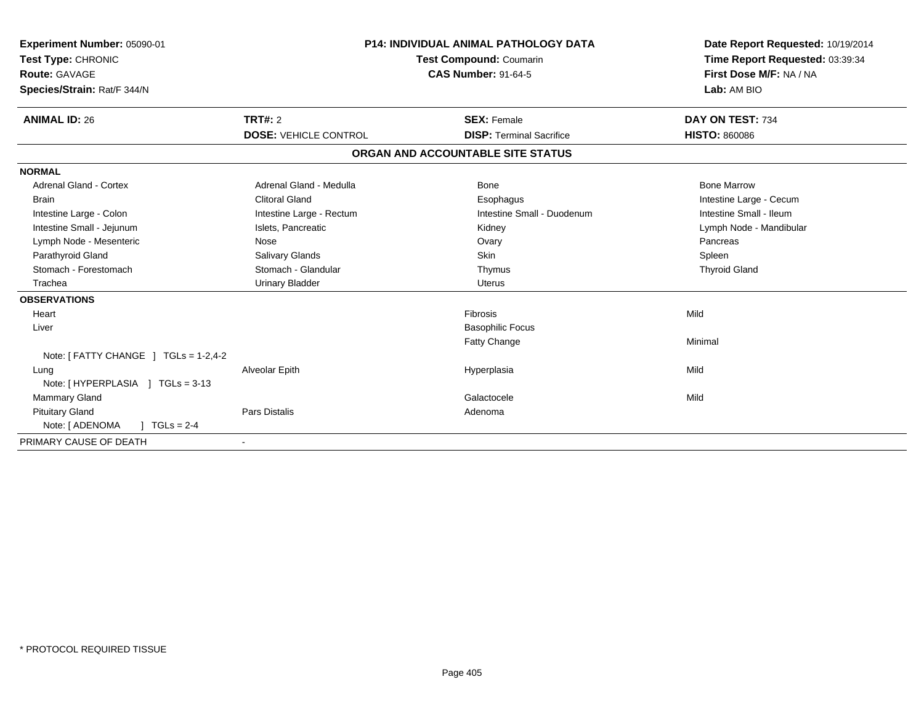| Experiment Number: 05090-01<br>Test Type: CHRONIC<br><b>Route: GAVAGE</b><br>Species/Strain: Rat/F 344/N |                              | <b>P14: INDIVIDUAL ANIMAL PATHOLOGY DATA</b><br>Test Compound: Coumarin<br><b>CAS Number: 91-64-5</b> | Date Report Requested: 10/19/2014<br>Time Report Requested: 03:39:34<br>First Dose M/F: NA / NA<br>Lab: AM BIO |
|----------------------------------------------------------------------------------------------------------|------------------------------|-------------------------------------------------------------------------------------------------------|----------------------------------------------------------------------------------------------------------------|
| <b>ANIMAL ID: 26</b>                                                                                     | <b>TRT#: 2</b>               | <b>SEX: Female</b>                                                                                    | DAY ON TEST: 734                                                                                               |
|                                                                                                          | <b>DOSE: VEHICLE CONTROL</b> | <b>DISP: Terminal Sacrifice</b>                                                                       | <b>HISTO: 860086</b>                                                                                           |
|                                                                                                          |                              | ORGAN AND ACCOUNTABLE SITE STATUS                                                                     |                                                                                                                |
| <b>NORMAL</b>                                                                                            |                              |                                                                                                       |                                                                                                                |
| <b>Adrenal Gland - Cortex</b>                                                                            | Adrenal Gland - Medulla      | Bone                                                                                                  | <b>Bone Marrow</b>                                                                                             |
| <b>Brain</b>                                                                                             | <b>Clitoral Gland</b>        | Esophagus                                                                                             | Intestine Large - Cecum                                                                                        |
| Intestine Large - Colon                                                                                  | Intestine Large - Rectum     | Intestine Small - Duodenum                                                                            | Intestine Small - Ileum                                                                                        |
| Intestine Small - Jejunum                                                                                | Islets, Pancreatic           | Kidney                                                                                                | Lymph Node - Mandibular                                                                                        |
| Lymph Node - Mesenteric                                                                                  | Nose                         | Ovary                                                                                                 | Pancreas                                                                                                       |
| Parathyroid Gland                                                                                        | Salivary Glands              | <b>Skin</b>                                                                                           | Spleen                                                                                                         |
| Stomach - Forestomach                                                                                    | Stomach - Glandular          | Thymus                                                                                                | <b>Thyroid Gland</b>                                                                                           |
| Trachea                                                                                                  | <b>Urinary Bladder</b>       | <b>Uterus</b>                                                                                         |                                                                                                                |
| <b>OBSERVATIONS</b>                                                                                      |                              |                                                                                                       |                                                                                                                |
| Heart                                                                                                    |                              | Fibrosis                                                                                              | Mild                                                                                                           |
| Liver                                                                                                    |                              | <b>Basophilic Focus</b>                                                                               |                                                                                                                |
|                                                                                                          |                              | Fatty Change                                                                                          | Minimal                                                                                                        |
| Note: $[$ FATTY CHANGE $]$ TGLs = 1-2,4-2                                                                |                              |                                                                                                       |                                                                                                                |
| Lung                                                                                                     | Alveolar Epith               | Hyperplasia                                                                                           | Mild                                                                                                           |
| Note: [HYPERPLASIA ] TGLs = 3-13                                                                         |                              |                                                                                                       |                                                                                                                |
| Mammary Gland                                                                                            |                              | Galactocele                                                                                           | Mild                                                                                                           |
| <b>Pituitary Gland</b>                                                                                   | <b>Pars Distalis</b>         | Adenoma                                                                                               |                                                                                                                |
| Note: [ ADENOMA<br>$TGLs = 2-4$                                                                          |                              |                                                                                                       |                                                                                                                |
| PRIMARY CAUSE OF DEATH                                                                                   |                              |                                                                                                       |                                                                                                                |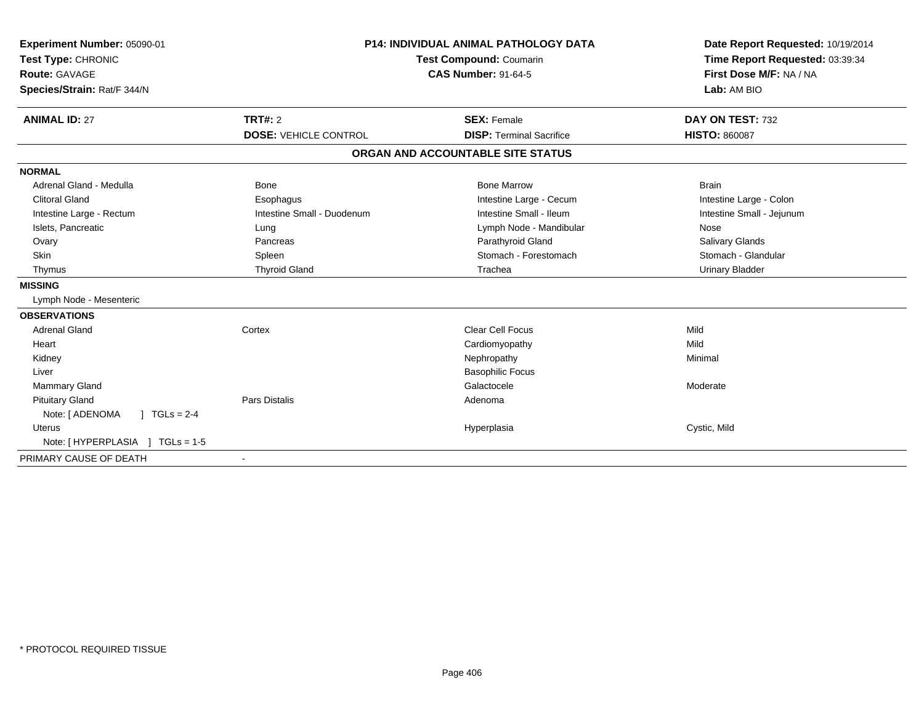| Experiment Number: 05090-01<br>Test Type: CHRONIC<br>Route: GAVAGE<br>Species/Strain: Rat/F 344/N |                              | <b>P14: INDIVIDUAL ANIMAL PATHOLOGY DATA</b><br><b>Test Compound: Coumarin</b><br><b>CAS Number: 91-64-5</b> | Date Report Requested: 10/19/2014<br>Time Report Requested: 03:39:34<br>First Dose M/F: NA / NA<br>Lab: AM BIO |
|---------------------------------------------------------------------------------------------------|------------------------------|--------------------------------------------------------------------------------------------------------------|----------------------------------------------------------------------------------------------------------------|
| <b>ANIMAL ID: 27</b>                                                                              | TRT#: 2                      | <b>SEX: Female</b>                                                                                           | DAY ON TEST: 732                                                                                               |
|                                                                                                   | <b>DOSE: VEHICLE CONTROL</b> | <b>DISP: Terminal Sacrifice</b>                                                                              | <b>HISTO: 860087</b>                                                                                           |
|                                                                                                   |                              | ORGAN AND ACCOUNTABLE SITE STATUS                                                                            |                                                                                                                |
| <b>NORMAL</b>                                                                                     |                              |                                                                                                              |                                                                                                                |
| Adrenal Gland - Medulla                                                                           | <b>Bone</b>                  | <b>Bone Marrow</b>                                                                                           | <b>Brain</b>                                                                                                   |
| <b>Clitoral Gland</b>                                                                             | Esophagus                    | Intestine Large - Cecum                                                                                      | Intestine Large - Colon                                                                                        |
| Intestine Large - Rectum                                                                          | Intestine Small - Duodenum   | Intestine Small - Ileum                                                                                      | Intestine Small - Jejunum                                                                                      |
| Islets, Pancreatic                                                                                | Lung                         | Lymph Node - Mandibular                                                                                      | Nose                                                                                                           |
| Ovary                                                                                             | Pancreas                     | Parathyroid Gland                                                                                            | Salivary Glands                                                                                                |
| Skin                                                                                              | Spleen                       | Stomach - Forestomach                                                                                        | Stomach - Glandular                                                                                            |
| Thymus                                                                                            | <b>Thyroid Gland</b>         | Trachea                                                                                                      | <b>Urinary Bladder</b>                                                                                         |
| <b>MISSING</b>                                                                                    |                              |                                                                                                              |                                                                                                                |
| Lymph Node - Mesenteric                                                                           |                              |                                                                                                              |                                                                                                                |
| <b>OBSERVATIONS</b>                                                                               |                              |                                                                                                              |                                                                                                                |
| <b>Adrenal Gland</b>                                                                              | Cortex                       | <b>Clear Cell Focus</b>                                                                                      | Mild                                                                                                           |
| Heart                                                                                             |                              | Cardiomyopathy                                                                                               | Mild                                                                                                           |
| Kidney                                                                                            |                              | Nephropathy                                                                                                  | Minimal                                                                                                        |
| Liver                                                                                             |                              | <b>Basophilic Focus</b>                                                                                      |                                                                                                                |
| <b>Mammary Gland</b>                                                                              |                              | Galactocele                                                                                                  | Moderate                                                                                                       |
| <b>Pituitary Gland</b>                                                                            | <b>Pars Distalis</b>         | Adenoma                                                                                                      |                                                                                                                |
| Note: [ ADENOMA<br>$\sqrt{1}$ TGLs = 2-4                                                          |                              |                                                                                                              |                                                                                                                |
| <b>Uterus</b>                                                                                     |                              | Hyperplasia                                                                                                  | Cystic, Mild                                                                                                   |
| Note: [HYPERPLASIA ] TGLs = 1-5                                                                   |                              |                                                                                                              |                                                                                                                |
| PRIMARY CAUSE OF DEATH                                                                            | $\blacksquare$               |                                                                                                              |                                                                                                                |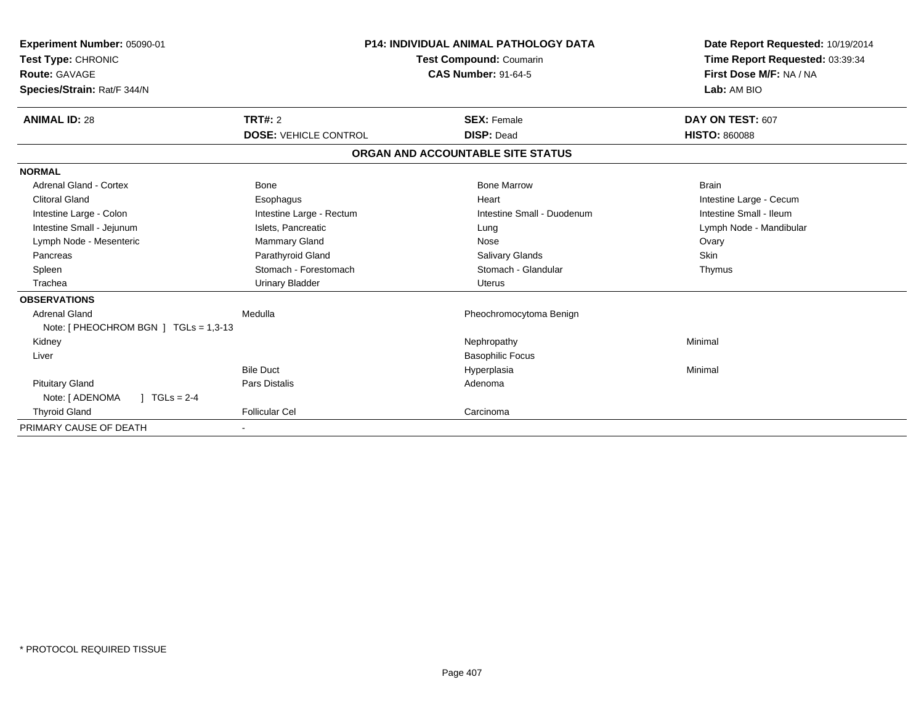| Experiment Number: 05090-01<br>Test Type: CHRONIC<br><b>Route: GAVAGE</b><br>Species/Strain: Rat/F 344/N | <b>P14: INDIVIDUAL ANIMAL PATHOLOGY DATA</b><br>Test Compound: Coumarin<br><b>CAS Number: 91-64-5</b> |                                   | Date Report Requested: 10/19/2014<br>Time Report Requested: 03:39:34<br>First Dose M/F: NA / NA<br>Lab: AM BIO |
|----------------------------------------------------------------------------------------------------------|-------------------------------------------------------------------------------------------------------|-----------------------------------|----------------------------------------------------------------------------------------------------------------|
| <b>ANIMAL ID: 28</b>                                                                                     | TRT#: 2                                                                                               | <b>SEX: Female</b>                | DAY ON TEST: 607                                                                                               |
|                                                                                                          | <b>DOSE: VEHICLE CONTROL</b>                                                                          | <b>DISP: Dead</b>                 | <b>HISTO: 860088</b>                                                                                           |
|                                                                                                          |                                                                                                       | ORGAN AND ACCOUNTABLE SITE STATUS |                                                                                                                |
| <b>NORMAL</b>                                                                                            |                                                                                                       |                                   |                                                                                                                |
| Adrenal Gland - Cortex                                                                                   | <b>Bone</b>                                                                                           | <b>Bone Marrow</b>                | <b>Brain</b>                                                                                                   |
| <b>Clitoral Gland</b>                                                                                    | Esophagus                                                                                             | Heart                             | Intestine Large - Cecum                                                                                        |
| Intestine Large - Colon                                                                                  | Intestine Large - Rectum                                                                              | Intestine Small - Duodenum        | Intestine Small - Ileum                                                                                        |
| Intestine Small - Jejunum                                                                                | Islets, Pancreatic                                                                                    | Lung                              | Lymph Node - Mandibular                                                                                        |
| Lymph Node - Mesenteric                                                                                  | Mammary Gland                                                                                         | Nose                              | Ovary                                                                                                          |
| Pancreas                                                                                                 | Parathyroid Gland                                                                                     | <b>Salivary Glands</b>            | <b>Skin</b>                                                                                                    |
| Spleen                                                                                                   | Stomach - Forestomach                                                                                 | Stomach - Glandular               | Thymus                                                                                                         |
| Trachea                                                                                                  | Urinary Bladder                                                                                       | <b>Uterus</b>                     |                                                                                                                |
| <b>OBSERVATIONS</b>                                                                                      |                                                                                                       |                                   |                                                                                                                |
| Adrenal Gland                                                                                            | Medulla                                                                                               | Pheochromocytoma Benign           |                                                                                                                |
| Note: [ PHEOCHROM BGN ] TGLs = 1,3-13                                                                    |                                                                                                       |                                   |                                                                                                                |
| Kidney                                                                                                   |                                                                                                       | Nephropathy                       | Minimal                                                                                                        |
| Liver                                                                                                    |                                                                                                       | <b>Basophilic Focus</b>           |                                                                                                                |
|                                                                                                          | <b>Bile Duct</b>                                                                                      | Hyperplasia                       | Minimal                                                                                                        |
| <b>Pituitary Gland</b>                                                                                   | <b>Pars Distalis</b>                                                                                  | Adenoma                           |                                                                                                                |
| Note: [ ADENOMA<br>$J \cdot TGLs = 2-4$                                                                  |                                                                                                       |                                   |                                                                                                                |
| <b>Thyroid Gland</b>                                                                                     | <b>Follicular Cel</b>                                                                                 | Carcinoma                         |                                                                                                                |
| PRIMARY CAUSE OF DEATH                                                                                   |                                                                                                       |                                   |                                                                                                                |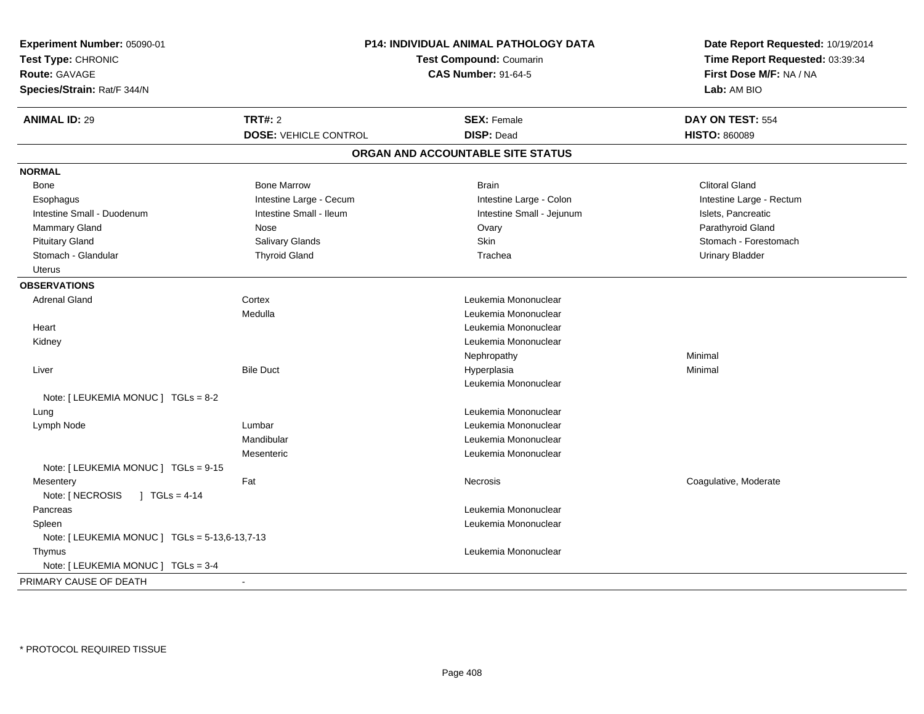| <b>ANIMAL ID: 29</b><br><b>TRT#: 2</b><br><b>SEX: Female</b><br>DAY ON TEST: 554<br><b>DOSE: VEHICLE CONTROL</b><br><b>DISP: Dead</b><br><b>HISTO: 860089</b><br>ORGAN AND ACCOUNTABLE SITE STATUS<br><b>NORMAL</b><br><b>Bone Marrow</b><br><b>Clitoral Gland</b><br><b>Brain</b><br>Bone<br>Intestine Large - Cecum<br>Intestine Large - Colon<br>Intestine Large - Rectum<br>Esophagus<br>Intestine Small - Duodenum<br>Intestine Small - Ileum<br>Intestine Small - Jejunum<br>Islets, Pancreatic<br>Mammary Gland<br>Parathyroid Gland<br>Nose<br>Ovary<br><b>Skin</b><br><b>Pituitary Gland</b><br><b>Salivary Glands</b><br>Stomach - Forestomach<br>Stomach - Glandular<br><b>Thyroid Gland</b><br><b>Urinary Bladder</b><br>Trachea<br><b>Uterus</b><br><b>OBSERVATIONS</b><br><b>Adrenal Gland</b><br>Cortex<br>Leukemia Mononuclear<br>Medulla<br>Leukemia Mononuclear<br>Heart<br>Leukemia Mononuclear<br>Leukemia Mononuclear<br>Kidney<br>Minimal<br>Nephropathy<br>Liver<br><b>Bile Duct</b><br>Hyperplasia<br>Minimal<br>Leukemia Mononuclear<br>Note: [LEUKEMIA MONUC ] TGLs = 8-2<br>Leukemia Mononuclear<br>Lung<br>Lumbar<br>Leukemia Mononuclear<br>Lymph Node<br>Mandibular<br>Leukemia Mononuclear<br>Mesenteric<br>Leukemia Mononuclear<br>Note: [ LEUKEMIA MONUC ] TGLs = 9-15<br>Fat<br>Coagulative, Moderate<br>Necrosis<br>Mesentery<br>Note: [ NECROSIS<br>$1 TGLs = 4-14$<br>Leukemia Mononuclear<br>Pancreas<br>Leukemia Mononuclear<br>Spleen<br>Note: [ LEUKEMIA MONUC ] TGLs = 5-13,6-13,7-13<br>Leukemia Mononuclear<br>Thymus<br>Note: [ LEUKEMIA MONUC ] TGLs = 3-4<br>÷, | Experiment Number: 05090-01<br>Test Type: CHRONIC<br><b>Route: GAVAGE</b><br>Species/Strain: Rat/F 344/N | <b>P14: INDIVIDUAL ANIMAL PATHOLOGY DATA</b><br><b>Test Compound: Coumarin</b><br><b>CAS Number: 91-64-5</b> | Date Report Requested: 10/19/2014<br>Time Report Requested: 03:39:34<br>First Dose M/F: NA / NA<br>Lab: AM BIO |
|----------------------------------------------------------------------------------------------------------------------------------------------------------------------------------------------------------------------------------------------------------------------------------------------------------------------------------------------------------------------------------------------------------------------------------------------------------------------------------------------------------------------------------------------------------------------------------------------------------------------------------------------------------------------------------------------------------------------------------------------------------------------------------------------------------------------------------------------------------------------------------------------------------------------------------------------------------------------------------------------------------------------------------------------------------------------------------------------------------------------------------------------------------------------------------------------------------------------------------------------------------------------------------------------------------------------------------------------------------------------------------------------------------------------------------------------------------------------------------------------------------------------------------------------------------------------------------------------------------------|----------------------------------------------------------------------------------------------------------|--------------------------------------------------------------------------------------------------------------|----------------------------------------------------------------------------------------------------------------|
|                                                                                                                                                                                                                                                                                                                                                                                                                                                                                                                                                                                                                                                                                                                                                                                                                                                                                                                                                                                                                                                                                                                                                                                                                                                                                                                                                                                                                                                                                                                                                                                                                |                                                                                                          |                                                                                                              |                                                                                                                |
|                                                                                                                                                                                                                                                                                                                                                                                                                                                                                                                                                                                                                                                                                                                                                                                                                                                                                                                                                                                                                                                                                                                                                                                                                                                                                                                                                                                                                                                                                                                                                                                                                |                                                                                                          |                                                                                                              |                                                                                                                |
|                                                                                                                                                                                                                                                                                                                                                                                                                                                                                                                                                                                                                                                                                                                                                                                                                                                                                                                                                                                                                                                                                                                                                                                                                                                                                                                                                                                                                                                                                                                                                                                                                |                                                                                                          |                                                                                                              |                                                                                                                |
|                                                                                                                                                                                                                                                                                                                                                                                                                                                                                                                                                                                                                                                                                                                                                                                                                                                                                                                                                                                                                                                                                                                                                                                                                                                                                                                                                                                                                                                                                                                                                                                                                |                                                                                                          |                                                                                                              |                                                                                                                |
|                                                                                                                                                                                                                                                                                                                                                                                                                                                                                                                                                                                                                                                                                                                                                                                                                                                                                                                                                                                                                                                                                                                                                                                                                                                                                                                                                                                                                                                                                                                                                                                                                |                                                                                                          |                                                                                                              |                                                                                                                |
|                                                                                                                                                                                                                                                                                                                                                                                                                                                                                                                                                                                                                                                                                                                                                                                                                                                                                                                                                                                                                                                                                                                                                                                                                                                                                                                                                                                                                                                                                                                                                                                                                |                                                                                                          |                                                                                                              |                                                                                                                |
|                                                                                                                                                                                                                                                                                                                                                                                                                                                                                                                                                                                                                                                                                                                                                                                                                                                                                                                                                                                                                                                                                                                                                                                                                                                                                                                                                                                                                                                                                                                                                                                                                |                                                                                                          |                                                                                                              |                                                                                                                |
|                                                                                                                                                                                                                                                                                                                                                                                                                                                                                                                                                                                                                                                                                                                                                                                                                                                                                                                                                                                                                                                                                                                                                                                                                                                                                                                                                                                                                                                                                                                                                                                                                |                                                                                                          |                                                                                                              |                                                                                                                |
|                                                                                                                                                                                                                                                                                                                                                                                                                                                                                                                                                                                                                                                                                                                                                                                                                                                                                                                                                                                                                                                                                                                                                                                                                                                                                                                                                                                                                                                                                                                                                                                                                |                                                                                                          |                                                                                                              |                                                                                                                |
|                                                                                                                                                                                                                                                                                                                                                                                                                                                                                                                                                                                                                                                                                                                                                                                                                                                                                                                                                                                                                                                                                                                                                                                                                                                                                                                                                                                                                                                                                                                                                                                                                |                                                                                                          |                                                                                                              |                                                                                                                |
|                                                                                                                                                                                                                                                                                                                                                                                                                                                                                                                                                                                                                                                                                                                                                                                                                                                                                                                                                                                                                                                                                                                                                                                                                                                                                                                                                                                                                                                                                                                                                                                                                |                                                                                                          |                                                                                                              |                                                                                                                |
|                                                                                                                                                                                                                                                                                                                                                                                                                                                                                                                                                                                                                                                                                                                                                                                                                                                                                                                                                                                                                                                                                                                                                                                                                                                                                                                                                                                                                                                                                                                                                                                                                |                                                                                                          |                                                                                                              |                                                                                                                |
|                                                                                                                                                                                                                                                                                                                                                                                                                                                                                                                                                                                                                                                                                                                                                                                                                                                                                                                                                                                                                                                                                                                                                                                                                                                                                                                                                                                                                                                                                                                                                                                                                |                                                                                                          |                                                                                                              |                                                                                                                |
|                                                                                                                                                                                                                                                                                                                                                                                                                                                                                                                                                                                                                                                                                                                                                                                                                                                                                                                                                                                                                                                                                                                                                                                                                                                                                                                                                                                                                                                                                                                                                                                                                |                                                                                                          |                                                                                                              |                                                                                                                |
|                                                                                                                                                                                                                                                                                                                                                                                                                                                                                                                                                                                                                                                                                                                                                                                                                                                                                                                                                                                                                                                                                                                                                                                                                                                                                                                                                                                                                                                                                                                                                                                                                |                                                                                                          |                                                                                                              |                                                                                                                |
|                                                                                                                                                                                                                                                                                                                                                                                                                                                                                                                                                                                                                                                                                                                                                                                                                                                                                                                                                                                                                                                                                                                                                                                                                                                                                                                                                                                                                                                                                                                                                                                                                |                                                                                                          |                                                                                                              |                                                                                                                |
|                                                                                                                                                                                                                                                                                                                                                                                                                                                                                                                                                                                                                                                                                                                                                                                                                                                                                                                                                                                                                                                                                                                                                                                                                                                                                                                                                                                                                                                                                                                                                                                                                |                                                                                                          |                                                                                                              |                                                                                                                |
|                                                                                                                                                                                                                                                                                                                                                                                                                                                                                                                                                                                                                                                                                                                                                                                                                                                                                                                                                                                                                                                                                                                                                                                                                                                                                                                                                                                                                                                                                                                                                                                                                |                                                                                                          |                                                                                                              |                                                                                                                |
|                                                                                                                                                                                                                                                                                                                                                                                                                                                                                                                                                                                                                                                                                                                                                                                                                                                                                                                                                                                                                                                                                                                                                                                                                                                                                                                                                                                                                                                                                                                                                                                                                |                                                                                                          |                                                                                                              |                                                                                                                |
|                                                                                                                                                                                                                                                                                                                                                                                                                                                                                                                                                                                                                                                                                                                                                                                                                                                                                                                                                                                                                                                                                                                                                                                                                                                                                                                                                                                                                                                                                                                                                                                                                |                                                                                                          |                                                                                                              |                                                                                                                |
|                                                                                                                                                                                                                                                                                                                                                                                                                                                                                                                                                                                                                                                                                                                                                                                                                                                                                                                                                                                                                                                                                                                                                                                                                                                                                                                                                                                                                                                                                                                                                                                                                |                                                                                                          |                                                                                                              |                                                                                                                |
|                                                                                                                                                                                                                                                                                                                                                                                                                                                                                                                                                                                                                                                                                                                                                                                                                                                                                                                                                                                                                                                                                                                                                                                                                                                                                                                                                                                                                                                                                                                                                                                                                |                                                                                                          |                                                                                                              |                                                                                                                |
|                                                                                                                                                                                                                                                                                                                                                                                                                                                                                                                                                                                                                                                                                                                                                                                                                                                                                                                                                                                                                                                                                                                                                                                                                                                                                                                                                                                                                                                                                                                                                                                                                |                                                                                                          |                                                                                                              |                                                                                                                |
|                                                                                                                                                                                                                                                                                                                                                                                                                                                                                                                                                                                                                                                                                                                                                                                                                                                                                                                                                                                                                                                                                                                                                                                                                                                                                                                                                                                                                                                                                                                                                                                                                |                                                                                                          |                                                                                                              |                                                                                                                |
|                                                                                                                                                                                                                                                                                                                                                                                                                                                                                                                                                                                                                                                                                                                                                                                                                                                                                                                                                                                                                                                                                                                                                                                                                                                                                                                                                                                                                                                                                                                                                                                                                |                                                                                                          |                                                                                                              |                                                                                                                |
|                                                                                                                                                                                                                                                                                                                                                                                                                                                                                                                                                                                                                                                                                                                                                                                                                                                                                                                                                                                                                                                                                                                                                                                                                                                                                                                                                                                                                                                                                                                                                                                                                |                                                                                                          |                                                                                                              |                                                                                                                |
|                                                                                                                                                                                                                                                                                                                                                                                                                                                                                                                                                                                                                                                                                                                                                                                                                                                                                                                                                                                                                                                                                                                                                                                                                                                                                                                                                                                                                                                                                                                                                                                                                |                                                                                                          |                                                                                                              |                                                                                                                |
|                                                                                                                                                                                                                                                                                                                                                                                                                                                                                                                                                                                                                                                                                                                                                                                                                                                                                                                                                                                                                                                                                                                                                                                                                                                                                                                                                                                                                                                                                                                                                                                                                |                                                                                                          |                                                                                                              |                                                                                                                |
|                                                                                                                                                                                                                                                                                                                                                                                                                                                                                                                                                                                                                                                                                                                                                                                                                                                                                                                                                                                                                                                                                                                                                                                                                                                                                                                                                                                                                                                                                                                                                                                                                |                                                                                                          |                                                                                                              |                                                                                                                |
|                                                                                                                                                                                                                                                                                                                                                                                                                                                                                                                                                                                                                                                                                                                                                                                                                                                                                                                                                                                                                                                                                                                                                                                                                                                                                                                                                                                                                                                                                                                                                                                                                |                                                                                                          |                                                                                                              |                                                                                                                |
|                                                                                                                                                                                                                                                                                                                                                                                                                                                                                                                                                                                                                                                                                                                                                                                                                                                                                                                                                                                                                                                                                                                                                                                                                                                                                                                                                                                                                                                                                                                                                                                                                |                                                                                                          |                                                                                                              |                                                                                                                |
|                                                                                                                                                                                                                                                                                                                                                                                                                                                                                                                                                                                                                                                                                                                                                                                                                                                                                                                                                                                                                                                                                                                                                                                                                                                                                                                                                                                                                                                                                                                                                                                                                |                                                                                                          |                                                                                                              |                                                                                                                |
|                                                                                                                                                                                                                                                                                                                                                                                                                                                                                                                                                                                                                                                                                                                                                                                                                                                                                                                                                                                                                                                                                                                                                                                                                                                                                                                                                                                                                                                                                                                                                                                                                | PRIMARY CAUSE OF DEATH                                                                                   |                                                                                                              |                                                                                                                |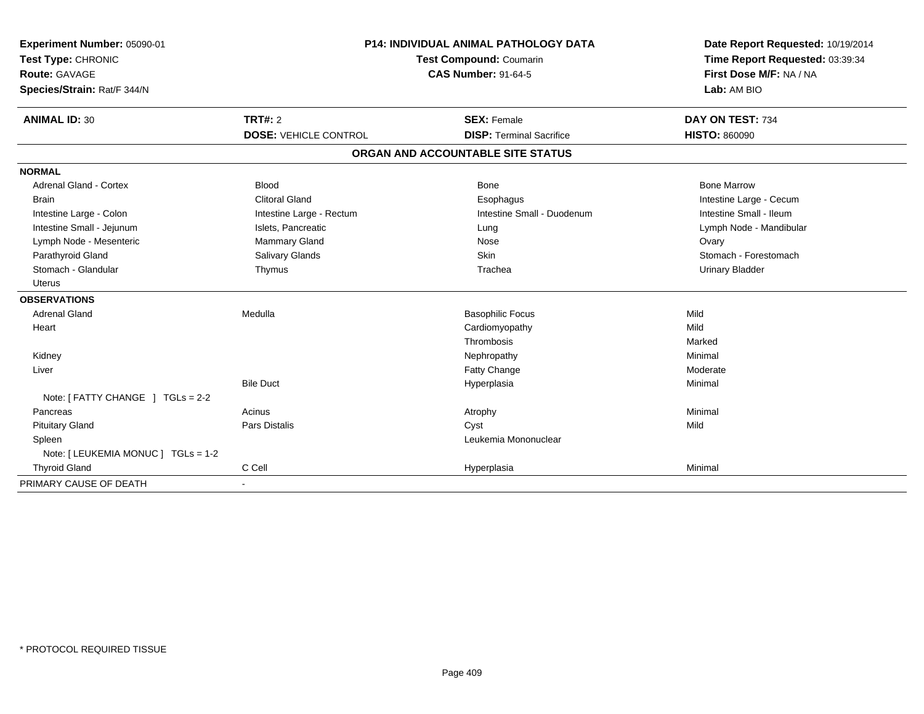| Experiment Number: 05090-01         | <b>P14: INDIVIDUAL ANIMAL PATHOLOGY DATA</b><br>Test Compound: Coumarin<br><b>CAS Number: 91-64-5</b> |                                   | Date Report Requested: 10/19/2014 |
|-------------------------------------|-------------------------------------------------------------------------------------------------------|-----------------------------------|-----------------------------------|
| Test Type: CHRONIC                  |                                                                                                       |                                   | Time Report Requested: 03:39:34   |
| <b>Route: GAVAGE</b>                |                                                                                                       |                                   | First Dose M/F: NA / NA           |
| Species/Strain: Rat/F 344/N         |                                                                                                       |                                   | Lab: AM BIO                       |
| <b>ANIMAL ID: 30</b>                | <b>TRT#: 2</b>                                                                                        | <b>SEX: Female</b>                | DAY ON TEST: 734                  |
|                                     | <b>DOSE: VEHICLE CONTROL</b>                                                                          | <b>DISP: Terminal Sacrifice</b>   | <b>HISTO: 860090</b>              |
|                                     |                                                                                                       | ORGAN AND ACCOUNTABLE SITE STATUS |                                   |
| <b>NORMAL</b>                       |                                                                                                       |                                   |                                   |
| <b>Adrenal Gland - Cortex</b>       | <b>Blood</b>                                                                                          | <b>Bone</b>                       | <b>Bone Marrow</b>                |
| <b>Brain</b>                        | <b>Clitoral Gland</b>                                                                                 | Esophagus                         | Intestine Large - Cecum           |
| Intestine Large - Colon             | Intestine Large - Rectum                                                                              | Intestine Small - Duodenum        | Intestine Small - Ileum           |
| Intestine Small - Jejunum           | Islets, Pancreatic                                                                                    | Lung                              | Lymph Node - Mandibular           |
| Lymph Node - Mesenteric             | Mammary Gland                                                                                         | Nose                              | Ovary                             |
| Parathyroid Gland                   | Salivary Glands                                                                                       | Skin                              | Stomach - Forestomach             |
| Stomach - Glandular                 | Thymus                                                                                                | Trachea                           | <b>Urinary Bladder</b>            |
| <b>Uterus</b>                       |                                                                                                       |                                   |                                   |
| <b>OBSERVATIONS</b>                 |                                                                                                       |                                   |                                   |
| <b>Adrenal Gland</b>                | Medulla                                                                                               | <b>Basophilic Focus</b>           | Mild                              |
| Heart                               |                                                                                                       | Cardiomyopathy                    | Mild                              |
|                                     |                                                                                                       | Thrombosis                        | Marked                            |
| Kidney                              |                                                                                                       | Nephropathy                       | Minimal                           |
| Liver                               |                                                                                                       | Fatty Change                      | Moderate                          |
|                                     | <b>Bile Duct</b>                                                                                      | Hyperplasia                       | Minimal                           |
| Note: [ FATTY CHANGE ] TGLs = 2-2   |                                                                                                       |                                   |                                   |
| Pancreas                            | Acinus                                                                                                | Atrophy                           | Minimal                           |
| <b>Pituitary Gland</b>              | <b>Pars Distalis</b>                                                                                  | Cyst                              | Mild                              |
| Spleen                              |                                                                                                       | Leukemia Mononuclear              |                                   |
| Note: [ LEUKEMIA MONUC ] TGLs = 1-2 |                                                                                                       |                                   |                                   |
| <b>Thyroid Gland</b>                | C Cell                                                                                                | Hyperplasia                       | Minimal                           |
| PRIMARY CAUSE OF DEATH              |                                                                                                       |                                   |                                   |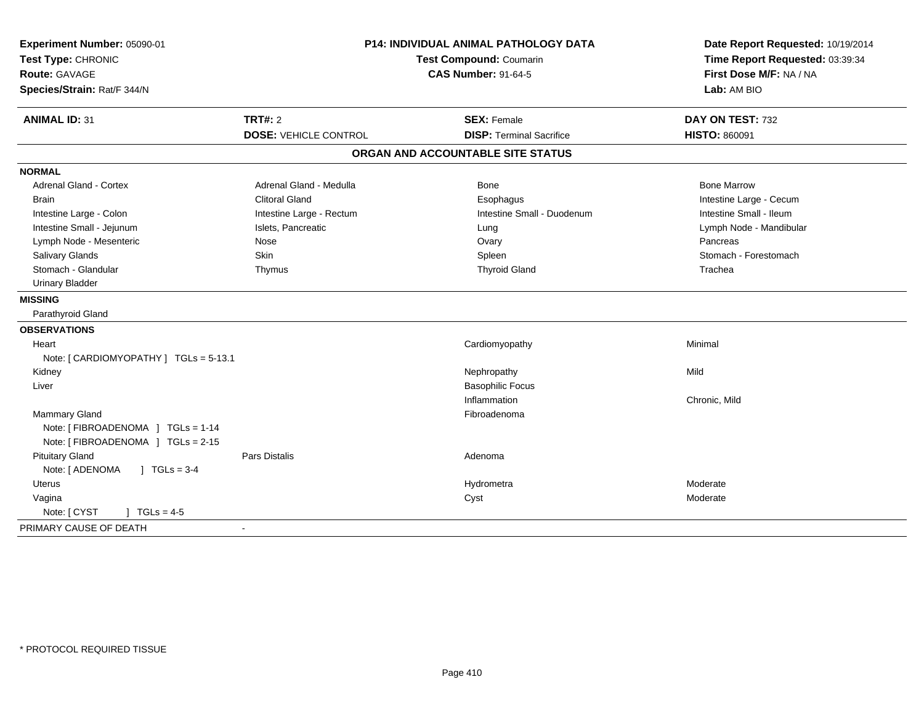| Experiment Number: 05090-01              |                              | <b>P14: INDIVIDUAL ANIMAL PATHOLOGY DATA</b> | Date Report Requested: 10/19/2014                          |
|------------------------------------------|------------------------------|----------------------------------------------|------------------------------------------------------------|
| Test Type: CHRONIC                       |                              | Test Compound: Coumarin                      | Time Report Requested: 03:39:34<br>First Dose M/F: NA / NA |
| <b>Route: GAVAGE</b>                     |                              | <b>CAS Number: 91-64-5</b>                   |                                                            |
| Species/Strain: Rat/F 344/N              |                              |                                              | Lab: AM BIO                                                |
| <b>ANIMAL ID: 31</b>                     | <b>TRT#: 2</b>               | <b>SEX: Female</b>                           | DAY ON TEST: 732                                           |
|                                          | <b>DOSE: VEHICLE CONTROL</b> | <b>DISP: Terminal Sacrifice</b>              | <b>HISTO: 860091</b>                                       |
|                                          |                              | ORGAN AND ACCOUNTABLE SITE STATUS            |                                                            |
| <b>NORMAL</b>                            |                              |                                              |                                                            |
| <b>Adrenal Gland - Cortex</b>            | Adrenal Gland - Medulla      | Bone                                         | <b>Bone Marrow</b>                                         |
| <b>Brain</b>                             | <b>Clitoral Gland</b>        | Esophagus                                    | Intestine Large - Cecum                                    |
| Intestine Large - Colon                  | Intestine Large - Rectum     | Intestine Small - Duodenum                   | Intestine Small - Ileum                                    |
| Intestine Small - Jejunum                | Islets, Pancreatic           | Lung                                         | Lymph Node - Mandibular                                    |
| Lymph Node - Mesenteric                  | Nose                         | Ovary                                        | Pancreas                                                   |
| Salivary Glands                          | Skin                         | Spleen                                       | Stomach - Forestomach                                      |
| Stomach - Glandular                      | Thymus                       | <b>Thyroid Gland</b>                         | Trachea                                                    |
| <b>Urinary Bladder</b>                   |                              |                                              |                                                            |
| <b>MISSING</b>                           |                              |                                              |                                                            |
| Parathyroid Gland                        |                              |                                              |                                                            |
| <b>OBSERVATIONS</b>                      |                              |                                              |                                                            |
| Heart                                    |                              | Cardiomyopathy                               | Minimal                                                    |
| Note: [CARDIOMYOPATHY] TGLs = 5-13.1     |                              |                                              |                                                            |
| Kidney                                   |                              | Nephropathy                                  | Mild                                                       |
| Liver                                    |                              | <b>Basophilic Focus</b>                      |                                                            |
|                                          |                              | Inflammation                                 | Chronic, Mild                                              |
| Mammary Gland                            |                              | Fibroadenoma                                 |                                                            |
| Note: [ FIBROADENOMA ] TGLs = 1-14       |                              |                                              |                                                            |
| Note: [FIBROADENOMA ] TGLs = 2-15        |                              |                                              |                                                            |
| <b>Pituitary Gland</b>                   | <b>Pars Distalis</b>         | Adenoma                                      |                                                            |
| Note: [ ADENOMA<br>$\sqrt{ }$ TGLs = 3-4 |                              |                                              |                                                            |
| Uterus                                   |                              | Hydrometra                                   | Moderate                                                   |
| Vagina                                   |                              | Cyst                                         | Moderate                                                   |
| Note: [ CYST<br>$J \cdot TGLs = 4-5$     |                              |                                              |                                                            |
| PRIMARY CAUSE OF DEATH                   | $\sim$                       |                                              |                                                            |
|                                          |                              |                                              |                                                            |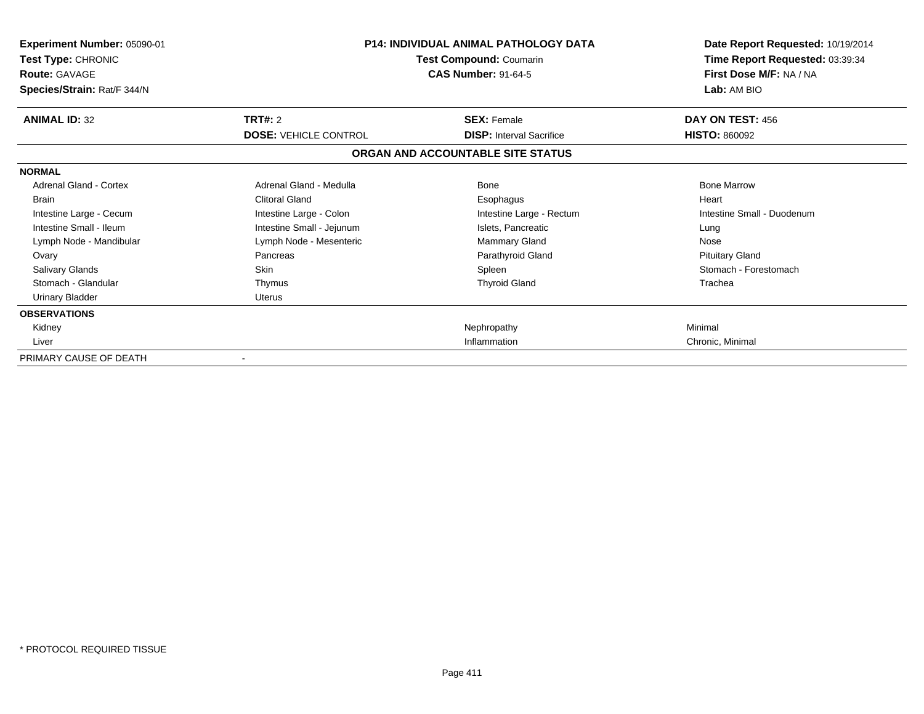| <b>Experiment Number: 05090-01</b><br>Test Type: CHRONIC<br><b>Route: GAVAGE</b><br>Species/Strain: Rat/F 344/N | <b>P14: INDIVIDUAL ANIMAL PATHOLOGY DATA</b><br>Test Compound: Coumarin<br><b>CAS Number: 91-64-5</b> |                                   | Date Report Requested: 10/19/2014<br>Time Report Requested: 03:39:34<br>First Dose M/F: NA / NA<br>Lab: AM BIO |
|-----------------------------------------------------------------------------------------------------------------|-------------------------------------------------------------------------------------------------------|-----------------------------------|----------------------------------------------------------------------------------------------------------------|
| <b>ANIMAL ID: 32</b>                                                                                            | TRT#: 2                                                                                               | <b>SEX: Female</b>                | DAY ON TEST: 456                                                                                               |
|                                                                                                                 | <b>DOSE: VEHICLE CONTROL</b>                                                                          | <b>DISP: Interval Sacrifice</b>   | <b>HISTO: 860092</b>                                                                                           |
|                                                                                                                 |                                                                                                       | ORGAN AND ACCOUNTABLE SITE STATUS |                                                                                                                |
| <b>NORMAL</b>                                                                                                   |                                                                                                       |                                   |                                                                                                                |
| <b>Adrenal Gland - Cortex</b>                                                                                   | Adrenal Gland - Medulla                                                                               | Bone                              | <b>Bone Marrow</b>                                                                                             |
| <b>Brain</b>                                                                                                    | <b>Clitoral Gland</b>                                                                                 | Esophagus                         | Heart                                                                                                          |
| Intestine Large - Cecum                                                                                         | Intestine Large - Colon                                                                               | Intestine Large - Rectum          | Intestine Small - Duodenum                                                                                     |
| Intestine Small - Ileum                                                                                         | Intestine Small - Jejunum                                                                             | Islets, Pancreatic                | Lung                                                                                                           |
| Lymph Node - Mandibular                                                                                         | Lymph Node - Mesenteric                                                                               | Mammary Gland                     | Nose                                                                                                           |
| Ovary                                                                                                           | Pancreas                                                                                              | Parathyroid Gland                 | <b>Pituitary Gland</b>                                                                                         |
| <b>Salivary Glands</b>                                                                                          | <b>Skin</b>                                                                                           | Spleen                            | Stomach - Forestomach                                                                                          |
| Stomach - Glandular                                                                                             | Thymus                                                                                                | <b>Thyroid Gland</b>              | Trachea                                                                                                        |
| <b>Urinary Bladder</b>                                                                                          | <b>Uterus</b>                                                                                         |                                   |                                                                                                                |
| <b>OBSERVATIONS</b>                                                                                             |                                                                                                       |                                   |                                                                                                                |
| Kidney                                                                                                          |                                                                                                       | Nephropathy                       | Minimal                                                                                                        |
| Liver                                                                                                           |                                                                                                       | Inflammation                      | Chronic, Minimal                                                                                               |
| PRIMARY CAUSE OF DEATH                                                                                          |                                                                                                       |                                   |                                                                                                                |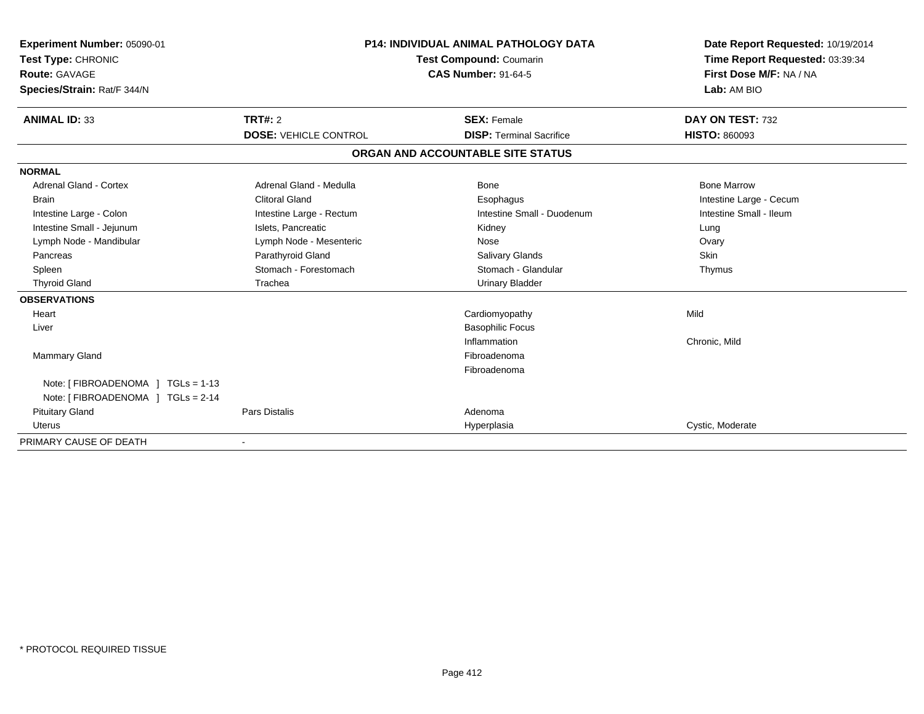| Experiment Number: 05090-01<br>Test Type: CHRONIC<br><b>Route: GAVAGE</b><br>Species/Strain: Rat/F 344/N |                              | <b>P14: INDIVIDUAL ANIMAL PATHOLOGY DATA</b><br><b>Test Compound: Coumarin</b><br><b>CAS Number: 91-64-5</b> | Date Report Requested: 10/19/2014<br>Time Report Requested: 03:39:34<br>First Dose M/F: NA / NA<br>Lab: AM BIO |
|----------------------------------------------------------------------------------------------------------|------------------------------|--------------------------------------------------------------------------------------------------------------|----------------------------------------------------------------------------------------------------------------|
| <b>ANIMAL ID: 33</b>                                                                                     | TRT#: 2                      | <b>SEX: Female</b>                                                                                           | DAY ON TEST: 732                                                                                               |
|                                                                                                          | <b>DOSE: VEHICLE CONTROL</b> | <b>DISP: Terminal Sacrifice</b>                                                                              | <b>HISTO: 860093</b>                                                                                           |
|                                                                                                          |                              | ORGAN AND ACCOUNTABLE SITE STATUS                                                                            |                                                                                                                |
| <b>NORMAL</b>                                                                                            |                              |                                                                                                              |                                                                                                                |
| <b>Adrenal Gland - Cortex</b>                                                                            | Adrenal Gland - Medulla      | <b>Bone</b>                                                                                                  | <b>Bone Marrow</b>                                                                                             |
| <b>Brain</b>                                                                                             | Clitoral Gland               | Esophagus                                                                                                    | Intestine Large - Cecum                                                                                        |
| Intestine Large - Colon                                                                                  | Intestine Large - Rectum     | Intestine Small - Duodenum                                                                                   | Intestine Small - Ileum                                                                                        |
| Intestine Small - Jejunum                                                                                | Islets, Pancreatic           | Kidney                                                                                                       | Lung                                                                                                           |
| Lymph Node - Mandibular                                                                                  | Lymph Node - Mesenteric      | Nose                                                                                                         | Ovary                                                                                                          |
| Pancreas                                                                                                 | Parathyroid Gland            | Salivary Glands                                                                                              | Skin                                                                                                           |
| Spleen                                                                                                   | Stomach - Forestomach        | Stomach - Glandular                                                                                          | Thymus                                                                                                         |
| <b>Thyroid Gland</b>                                                                                     | Trachea                      | <b>Urinary Bladder</b>                                                                                       |                                                                                                                |
| <b>OBSERVATIONS</b>                                                                                      |                              |                                                                                                              |                                                                                                                |
| Heart                                                                                                    |                              | Cardiomyopathy                                                                                               | Mild                                                                                                           |
| Liver                                                                                                    |                              | <b>Basophilic Focus</b>                                                                                      |                                                                                                                |
|                                                                                                          |                              | Inflammation                                                                                                 | Chronic, Mild                                                                                                  |
| Mammary Gland                                                                                            |                              | Fibroadenoma                                                                                                 |                                                                                                                |
|                                                                                                          |                              | Fibroadenoma                                                                                                 |                                                                                                                |
| Note: [ FIBROADENOMA ] TGLs = 1-13                                                                       |                              |                                                                                                              |                                                                                                                |
| Note: [ FIBROADENOMA ] TGLs = 2-14                                                                       |                              |                                                                                                              |                                                                                                                |
| <b>Pituitary Gland</b>                                                                                   | <b>Pars Distalis</b>         | Adenoma                                                                                                      |                                                                                                                |
| Uterus                                                                                                   |                              | Hyperplasia                                                                                                  | Cystic, Moderate                                                                                               |
| PRIMARY CAUSE OF DEATH                                                                                   |                              |                                                                                                              |                                                                                                                |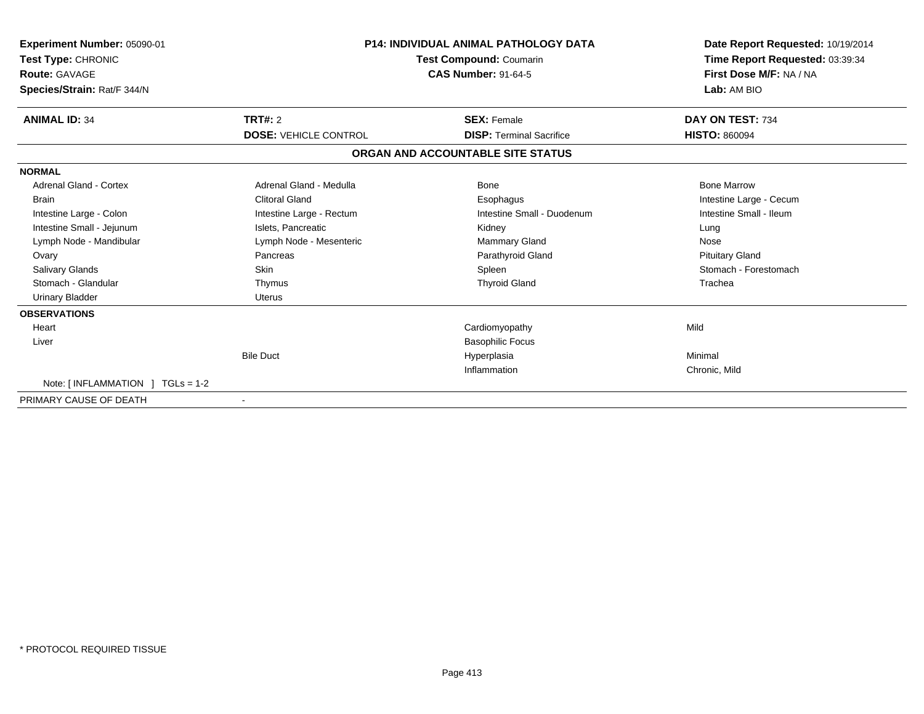| Experiment Number: 05090-01<br>Test Type: CHRONIC<br><b>Route: GAVAGE</b><br>Species/Strain: Rat/F 344/N | <b>P14: INDIVIDUAL ANIMAL PATHOLOGY DATA</b><br>Test Compound: Coumarin<br><b>CAS Number: 91-64-5</b> |                                   | Date Report Requested: 10/19/2014<br>Time Report Requested: 03:39:34<br>First Dose M/F: NA / NA<br>Lab: AM BIO |
|----------------------------------------------------------------------------------------------------------|-------------------------------------------------------------------------------------------------------|-----------------------------------|----------------------------------------------------------------------------------------------------------------|
| <b>ANIMAL ID: 34</b>                                                                                     | TRT#: 2                                                                                               | <b>SEX: Female</b>                | DAY ON TEST: 734                                                                                               |
|                                                                                                          | <b>DOSE: VEHICLE CONTROL</b>                                                                          | <b>DISP: Terminal Sacrifice</b>   | <b>HISTO: 860094</b>                                                                                           |
|                                                                                                          |                                                                                                       | ORGAN AND ACCOUNTABLE SITE STATUS |                                                                                                                |
| <b>NORMAL</b>                                                                                            |                                                                                                       |                                   |                                                                                                                |
| Adrenal Gland - Cortex                                                                                   | Adrenal Gland - Medulla                                                                               | Bone                              | <b>Bone Marrow</b>                                                                                             |
| <b>Brain</b>                                                                                             | <b>Clitoral Gland</b>                                                                                 | Esophagus                         | Intestine Large - Cecum                                                                                        |
| Intestine Large - Colon                                                                                  | Intestine Large - Rectum                                                                              | Intestine Small - Duodenum        | Intestine Small - Ileum                                                                                        |
| Intestine Small - Jejunum                                                                                | Islets, Pancreatic                                                                                    | Kidney                            | Lung                                                                                                           |
| Lymph Node - Mandibular                                                                                  | Lymph Node - Mesenteric                                                                               | <b>Mammary Gland</b>              | Nose                                                                                                           |
| Ovary                                                                                                    | Pancreas                                                                                              | Parathyroid Gland                 | <b>Pituitary Gland</b>                                                                                         |
| Salivary Glands                                                                                          | <b>Skin</b>                                                                                           | Spleen                            | Stomach - Forestomach                                                                                          |
| Stomach - Glandular                                                                                      | Thymus                                                                                                | <b>Thyroid Gland</b>              | Trachea                                                                                                        |
| <b>Urinary Bladder</b>                                                                                   | <b>Uterus</b>                                                                                         |                                   |                                                                                                                |
| <b>OBSERVATIONS</b>                                                                                      |                                                                                                       |                                   |                                                                                                                |
| Heart                                                                                                    |                                                                                                       | Cardiomyopathy                    | Mild                                                                                                           |
| Liver                                                                                                    |                                                                                                       | <b>Basophilic Focus</b>           |                                                                                                                |
|                                                                                                          | <b>Bile Duct</b>                                                                                      | Hyperplasia                       | Minimal                                                                                                        |
|                                                                                                          |                                                                                                       | Inflammation                      | Chronic, Mild                                                                                                  |
| Note: $\lceil$ INFLAMMATION $\lceil$ TGLs = 1-2                                                          |                                                                                                       |                                   |                                                                                                                |
| PRIMARY CAUSE OF DEATH                                                                                   |                                                                                                       |                                   |                                                                                                                |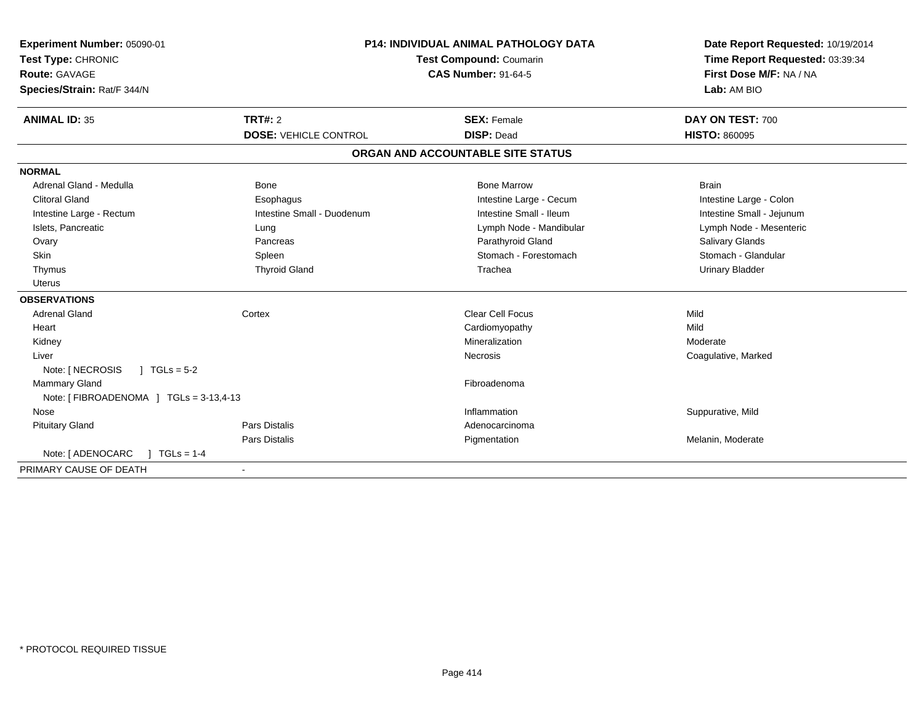| <b>Experiment Number: 05090-01</b>       | <b>P14: INDIVIDUAL ANIMAL PATHOLOGY DATA</b><br><b>Test Compound: Coumarin</b><br><b>CAS Number: 91-64-5</b> |                                   | Date Report Requested: 10/19/2014 |
|------------------------------------------|--------------------------------------------------------------------------------------------------------------|-----------------------------------|-----------------------------------|
| Test Type: CHRONIC                       |                                                                                                              |                                   | Time Report Requested: 03:39:34   |
| <b>Route: GAVAGE</b>                     |                                                                                                              |                                   | First Dose M/F: NA / NA           |
| Species/Strain: Rat/F 344/N              |                                                                                                              |                                   | Lab: AM BIO                       |
| <b>ANIMAL ID: 35</b>                     | <b>TRT#: 2</b>                                                                                               | <b>SEX: Female</b>                | DAY ON TEST: 700                  |
|                                          | <b>DOSE: VEHICLE CONTROL</b>                                                                                 | <b>DISP: Dead</b>                 | <b>HISTO: 860095</b>              |
|                                          |                                                                                                              | ORGAN AND ACCOUNTABLE SITE STATUS |                                   |
| <b>NORMAL</b>                            |                                                                                                              |                                   |                                   |
| Adrenal Gland - Medulla                  | Bone                                                                                                         | <b>Bone Marrow</b>                | <b>Brain</b>                      |
| <b>Clitoral Gland</b>                    | Esophagus                                                                                                    | Intestine Large - Cecum           | Intestine Large - Colon           |
| Intestine Large - Rectum                 | Intestine Small - Duodenum                                                                                   | Intestine Small - Ileum           | Intestine Small - Jejunum         |
| Islets, Pancreatic                       | Lung                                                                                                         | Lymph Node - Mandibular           | Lymph Node - Mesenteric           |
| Ovary                                    | Pancreas                                                                                                     | Parathyroid Gland                 | Salivary Glands                   |
| Skin                                     | Spleen                                                                                                       | Stomach - Forestomach             | Stomach - Glandular               |
| Thymus                                   | <b>Thyroid Gland</b>                                                                                         | Trachea                           | <b>Urinary Bladder</b>            |
| <b>Uterus</b>                            |                                                                                                              |                                   |                                   |
| <b>OBSERVATIONS</b>                      |                                                                                                              |                                   |                                   |
| <b>Adrenal Gland</b>                     | Cortex                                                                                                       | Clear Cell Focus                  | Mild                              |
| Heart                                    |                                                                                                              | Cardiomyopathy                    | Mild                              |
| Kidney                                   |                                                                                                              | Mineralization                    | Moderate                          |
| Liver                                    |                                                                                                              | Necrosis                          | Coagulative, Marked               |
| $J \cdot TGLs = 5-2$<br>Note: [ NECROSIS |                                                                                                              |                                   |                                   |
| Mammary Gland                            |                                                                                                              | Fibroadenoma                      |                                   |
| Note: [FIBROADENOMA ] TGLs = 3-13,4-13   |                                                                                                              |                                   |                                   |
| Nose                                     |                                                                                                              | Inflammation                      | Suppurative, Mild                 |
| <b>Pituitary Gland</b>                   | <b>Pars Distalis</b>                                                                                         | Adenocarcinoma                    |                                   |
|                                          | Pars Distalis                                                                                                | Pigmentation                      | Melanin, Moderate                 |
| Note: [ ADENOCARC<br>$TGLs = 1-4$        |                                                                                                              |                                   |                                   |
| PRIMARY CAUSE OF DEATH                   |                                                                                                              |                                   |                                   |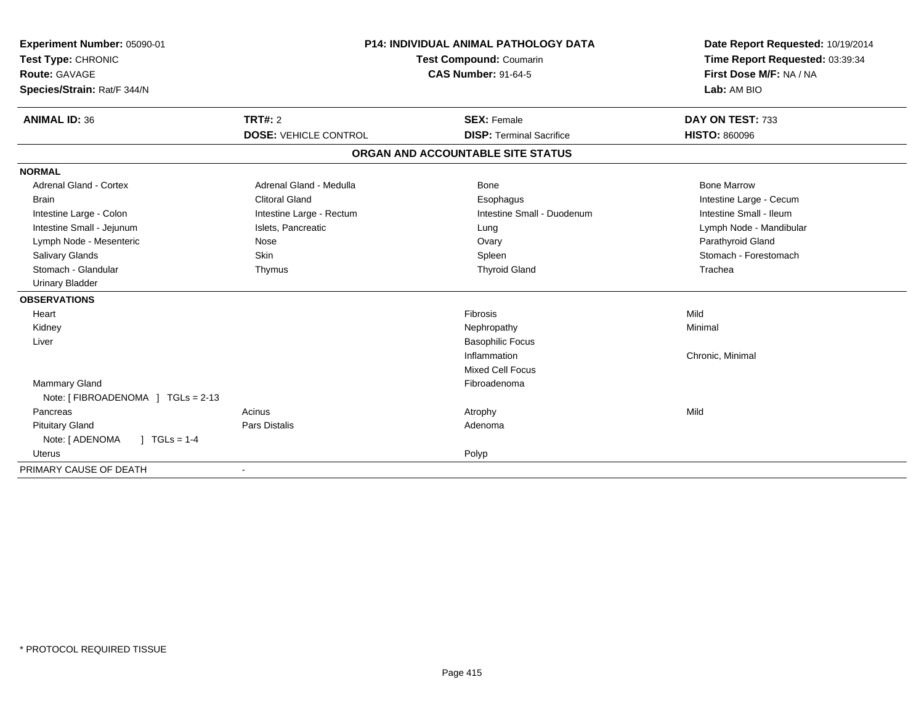| Experiment Number: 05090-01        | <b>P14: INDIVIDUAL ANIMAL PATHOLOGY DATA</b><br>Test Compound: Coumarin |                                   | Date Report Requested: 10/19/2014 |
|------------------------------------|-------------------------------------------------------------------------|-----------------------------------|-----------------------------------|
| Test Type: CHRONIC                 |                                                                         |                                   | Time Report Requested: 03:39:34   |
| <b>Route: GAVAGE</b>               |                                                                         | <b>CAS Number: 91-64-5</b>        | First Dose M/F: NA / NA           |
| Species/Strain: Rat/F 344/N        |                                                                         |                                   | Lab: AM BIO                       |
| <b>ANIMAL ID: 36</b>               | <b>TRT#: 2</b>                                                          | <b>SEX: Female</b>                | DAY ON TEST: 733                  |
|                                    | <b>DOSE: VEHICLE CONTROL</b>                                            | <b>DISP: Terminal Sacrifice</b>   | <b>HISTO: 860096</b>              |
|                                    |                                                                         | ORGAN AND ACCOUNTABLE SITE STATUS |                                   |
| <b>NORMAL</b>                      |                                                                         |                                   |                                   |
| <b>Adrenal Gland - Cortex</b>      | Adrenal Gland - Medulla                                                 | <b>Bone</b>                       | <b>Bone Marrow</b>                |
| Brain                              | <b>Clitoral Gland</b>                                                   | Esophagus                         | Intestine Large - Cecum           |
| Intestine Large - Colon            | Intestine Large - Rectum                                                | Intestine Small - Duodenum        | Intestine Small - Ileum           |
| Intestine Small - Jejunum          | Islets, Pancreatic                                                      | Lung                              | Lymph Node - Mandibular           |
| Lymph Node - Mesenteric            | Nose                                                                    | Ovary                             | Parathyroid Gland                 |
| <b>Salivary Glands</b>             | <b>Skin</b>                                                             | Spleen                            | Stomach - Forestomach             |
| Stomach - Glandular                | Thymus                                                                  | <b>Thyroid Gland</b>              | Trachea                           |
| <b>Urinary Bladder</b>             |                                                                         |                                   |                                   |
| <b>OBSERVATIONS</b>                |                                                                         |                                   |                                   |
| Heart                              |                                                                         | Fibrosis                          | Mild                              |
| Kidney                             |                                                                         | Nephropathy                       | Minimal                           |
| Liver                              |                                                                         | <b>Basophilic Focus</b>           |                                   |
|                                    |                                                                         | Inflammation                      | Chronic, Minimal                  |
|                                    |                                                                         | <b>Mixed Cell Focus</b>           |                                   |
| Mammary Gland                      |                                                                         | Fibroadenoma                      |                                   |
| Note: [ FIBROADENOMA ] TGLs = 2-13 |                                                                         |                                   |                                   |
| Pancreas                           | Acinus                                                                  | Atrophy                           | Mild                              |
| <b>Pituitary Gland</b>             | Pars Distalis                                                           | Adenoma                           |                                   |
| $1 TGLs = 1-4$<br>Note: [ ADENOMA  |                                                                         |                                   |                                   |
| <b>Uterus</b>                      |                                                                         | Polyp                             |                                   |
| PRIMARY CAUSE OF DEATH             |                                                                         |                                   |                                   |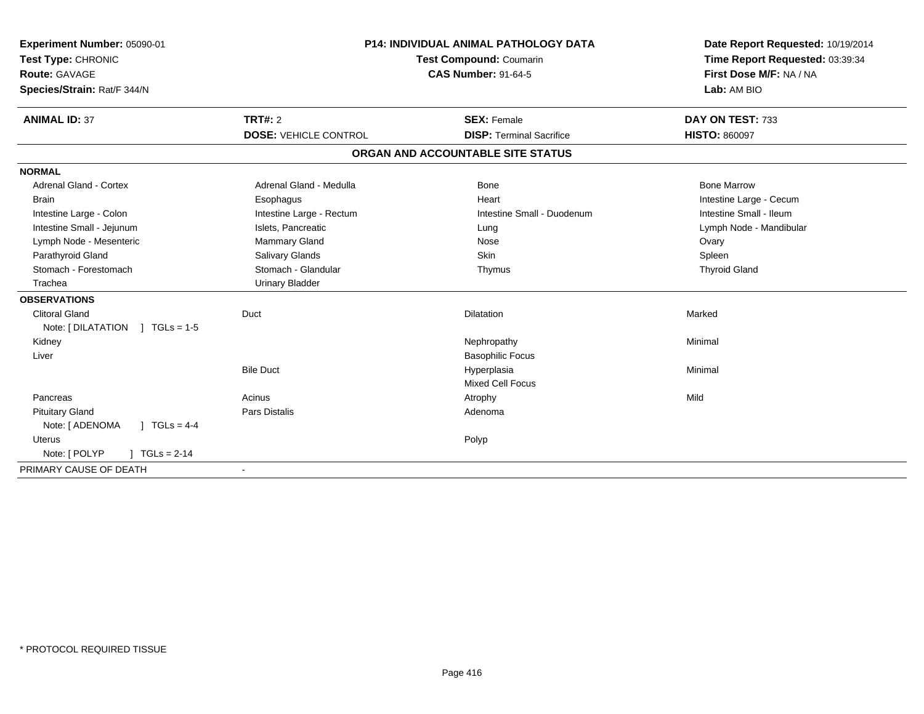| Experiment Number: 05090-01       | <b>P14: INDIVIDUAL ANIMAL PATHOLOGY DATA</b> |                                   | Date Report Requested: 10/19/2014 |  |
|-----------------------------------|----------------------------------------------|-----------------------------------|-----------------------------------|--|
| Test Type: CHRONIC                |                                              | Test Compound: Coumarin           | Time Report Requested: 03:39:34   |  |
| Route: GAVAGE                     | <b>CAS Number: 91-64-5</b>                   |                                   | First Dose M/F: NA / NA           |  |
| Species/Strain: Rat/F 344/N       |                                              |                                   | Lab: AM BIO                       |  |
| <b>ANIMAL ID: 37</b>              | TRT#: 2                                      | <b>SEX: Female</b>                | DAY ON TEST: 733                  |  |
|                                   | <b>DOSE: VEHICLE CONTROL</b>                 | <b>DISP: Terminal Sacrifice</b>   | <b>HISTO: 860097</b>              |  |
|                                   |                                              | ORGAN AND ACCOUNTABLE SITE STATUS |                                   |  |
| <b>NORMAL</b>                     |                                              |                                   |                                   |  |
| <b>Adrenal Gland - Cortex</b>     | Adrenal Gland - Medulla                      | Bone                              | <b>Bone Marrow</b>                |  |
| <b>Brain</b>                      | Esophagus                                    | Heart                             | Intestine Large - Cecum           |  |
| Intestine Large - Colon           | Intestine Large - Rectum                     | Intestine Small - Duodenum        | Intestine Small - Ileum           |  |
| Intestine Small - Jejunum         | Islets, Pancreatic                           | Lung                              | Lymph Node - Mandibular           |  |
| Lymph Node - Mesenteric           | Mammary Gland                                | Nose                              | Ovary                             |  |
| Parathyroid Gland                 | Salivary Glands                              | Skin                              | Spleen                            |  |
| Stomach - Forestomach             | Stomach - Glandular                          | Thymus                            | <b>Thyroid Gland</b>              |  |
| Trachea                           | <b>Urinary Bladder</b>                       |                                   |                                   |  |
| <b>OBSERVATIONS</b>               |                                              |                                   |                                   |  |
| <b>Clitoral Gland</b>             | Duct                                         | <b>Dilatation</b>                 | Marked                            |  |
| Note: $[DILATATION] TGLs = 1-5$   |                                              |                                   |                                   |  |
| Kidney                            |                                              | Nephropathy                       | Minimal                           |  |
| Liver                             |                                              | <b>Basophilic Focus</b>           |                                   |  |
|                                   | <b>Bile Duct</b>                             | Hyperplasia                       | Minimal                           |  |
|                                   |                                              | <b>Mixed Cell Focus</b>           |                                   |  |
| Pancreas                          | Acinus                                       | Atrophy                           | Mild                              |  |
| <b>Pituitary Gland</b>            | <b>Pars Distalis</b>                         | Adenoma                           |                                   |  |
| Note: [ ADENOMA<br>] $TGLs = 4-4$ |                                              |                                   |                                   |  |
| Uterus                            |                                              | Polyp                             |                                   |  |
| Note: [ POLYP<br>$TGLs = 2-14$    |                                              |                                   |                                   |  |
| PRIMARY CAUSE OF DEATH            |                                              |                                   |                                   |  |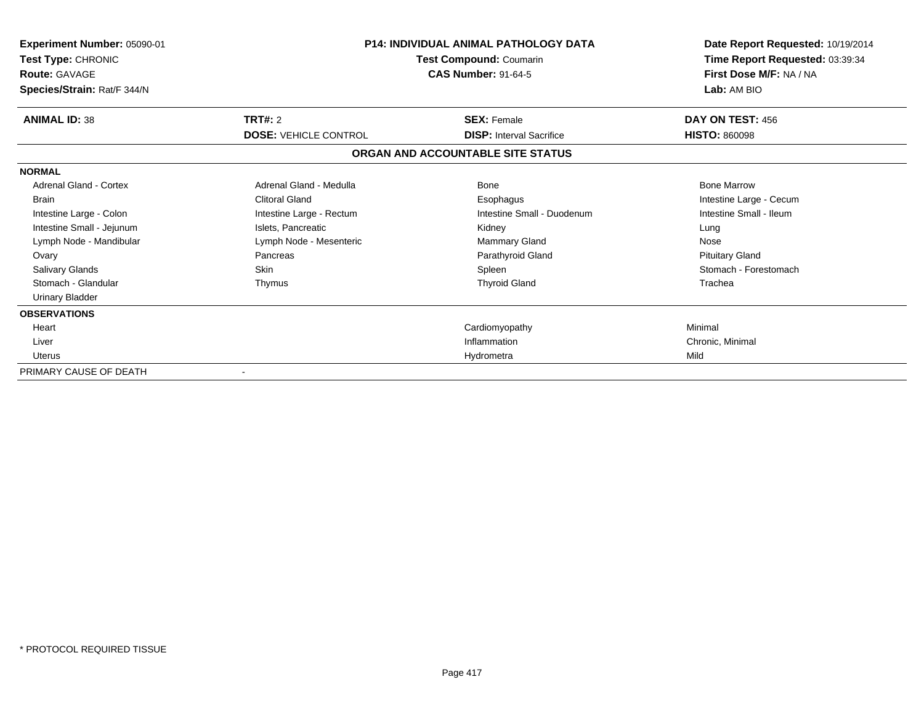| Experiment Number: 05090-01<br>Test Type: CHRONIC<br><b>Route: GAVAGE</b><br>Species/Strain: Rat/F 344/N | P14: INDIVIDUAL ANIMAL PATHOLOGY DATA<br>Test Compound: Coumarin<br><b>CAS Number: 91-64-5</b> |                                   | Date Report Requested: 10/19/2014<br>Time Report Requested: 03:39:34<br>First Dose M/F: NA / NA<br>Lab: AM BIO |
|----------------------------------------------------------------------------------------------------------|------------------------------------------------------------------------------------------------|-----------------------------------|----------------------------------------------------------------------------------------------------------------|
| <b>ANIMAL ID: 38</b>                                                                                     | TRT#: 2                                                                                        | <b>SEX: Female</b>                | DAY ON TEST: 456                                                                                               |
|                                                                                                          | <b>DOSE: VEHICLE CONTROL</b>                                                                   | <b>DISP:</b> Interval Sacrifice   | <b>HISTO: 860098</b>                                                                                           |
|                                                                                                          |                                                                                                | ORGAN AND ACCOUNTABLE SITE STATUS |                                                                                                                |
| <b>NORMAL</b>                                                                                            |                                                                                                |                                   |                                                                                                                |
| Adrenal Gland - Cortex                                                                                   | Adrenal Gland - Medulla                                                                        | Bone                              | <b>Bone Marrow</b>                                                                                             |
| <b>Brain</b>                                                                                             | <b>Clitoral Gland</b>                                                                          | Esophagus                         | Intestine Large - Cecum                                                                                        |
| Intestine Large - Colon                                                                                  | Intestine Large - Rectum                                                                       | Intestine Small - Duodenum        | Intestine Small - Ileum                                                                                        |
| Intestine Small - Jejunum                                                                                | Islets, Pancreatic                                                                             | Kidney                            | Lung                                                                                                           |
| Lymph Node - Mandibular                                                                                  | Lymph Node - Mesenteric                                                                        | Mammary Gland                     | Nose                                                                                                           |
| Ovary                                                                                                    | Pancreas                                                                                       | Parathyroid Gland                 | <b>Pituitary Gland</b>                                                                                         |
| <b>Salivary Glands</b>                                                                                   | <b>Skin</b>                                                                                    | Spleen                            | Stomach - Forestomach                                                                                          |
| Stomach - Glandular                                                                                      | Thymus                                                                                         | <b>Thyroid Gland</b>              | Trachea                                                                                                        |
| <b>Urinary Bladder</b>                                                                                   |                                                                                                |                                   |                                                                                                                |
| <b>OBSERVATIONS</b>                                                                                      |                                                                                                |                                   |                                                                                                                |
| Heart                                                                                                    |                                                                                                | Cardiomyopathy                    | Minimal                                                                                                        |
| Liver                                                                                                    |                                                                                                | Inflammation                      | Chronic, Minimal                                                                                               |
| Uterus                                                                                                   |                                                                                                | Hydrometra                        | Mild                                                                                                           |
| PRIMARY CAUSE OF DEATH                                                                                   |                                                                                                |                                   |                                                                                                                |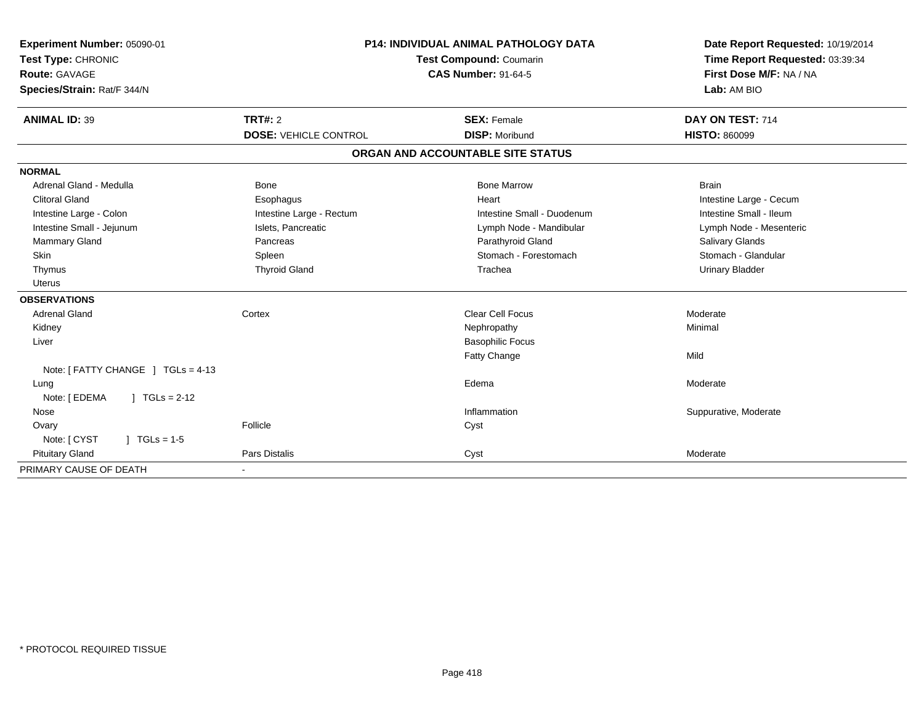| Experiment Number: 05090-01<br>Test Type: CHRONIC<br>Route: GAVAGE<br>Species/Strain: Rat/F 344/N | <b>P14: INDIVIDUAL ANIMAL PATHOLOGY DATA</b><br><b>Test Compound: Coumarin</b><br><b>CAS Number: 91-64-5</b> |                                   | Date Report Requested: 10/19/2014<br>Time Report Requested: 03:39:34<br>First Dose M/F: NA / NA<br>Lab: AM BIO |
|---------------------------------------------------------------------------------------------------|--------------------------------------------------------------------------------------------------------------|-----------------------------------|----------------------------------------------------------------------------------------------------------------|
| <b>ANIMAL ID: 39</b>                                                                              | <b>TRT#: 2</b>                                                                                               | <b>SEX: Female</b>                | DAY ON TEST: 714                                                                                               |
|                                                                                                   | <b>DOSE: VEHICLE CONTROL</b>                                                                                 | <b>DISP: Moribund</b>             | <b>HISTO: 860099</b>                                                                                           |
|                                                                                                   |                                                                                                              | ORGAN AND ACCOUNTABLE SITE STATUS |                                                                                                                |
| <b>NORMAL</b>                                                                                     |                                                                                                              |                                   |                                                                                                                |
| Adrenal Gland - Medulla                                                                           | <b>Bone</b>                                                                                                  | <b>Bone Marrow</b>                | <b>Brain</b>                                                                                                   |
| <b>Clitoral Gland</b>                                                                             | Esophagus                                                                                                    | Heart                             | Intestine Large - Cecum                                                                                        |
| Intestine Large - Colon                                                                           | Intestine Large - Rectum                                                                                     | Intestine Small - Duodenum        | Intestine Small - Ileum                                                                                        |
| Intestine Small - Jejunum                                                                         | Islets, Pancreatic                                                                                           | Lymph Node - Mandibular           | Lymph Node - Mesenteric                                                                                        |
| Mammary Gland                                                                                     | Pancreas                                                                                                     | Parathyroid Gland                 | Salivary Glands                                                                                                |
| Skin                                                                                              | Spleen                                                                                                       | Stomach - Forestomach             | Stomach - Glandular                                                                                            |
| Thymus                                                                                            | <b>Thyroid Gland</b>                                                                                         | Trachea                           | <b>Urinary Bladder</b>                                                                                         |
| Uterus                                                                                            |                                                                                                              |                                   |                                                                                                                |
| <b>OBSERVATIONS</b>                                                                               |                                                                                                              |                                   |                                                                                                                |
| <b>Adrenal Gland</b>                                                                              | Cortex                                                                                                       | <b>Clear Cell Focus</b>           | Moderate                                                                                                       |
| Kidney                                                                                            |                                                                                                              | Nephropathy                       | Minimal                                                                                                        |
| Liver                                                                                             |                                                                                                              | <b>Basophilic Focus</b>           |                                                                                                                |
|                                                                                                   |                                                                                                              | <b>Fatty Change</b>               | Mild                                                                                                           |
| Note: [ FATTY CHANGE ] TGLs = 4-13                                                                |                                                                                                              |                                   |                                                                                                                |
| Lung                                                                                              |                                                                                                              | Edema                             | Moderate                                                                                                       |
| Note: [ EDEMA<br>$1 TGLs = 2-12$                                                                  |                                                                                                              |                                   |                                                                                                                |
| Nose                                                                                              |                                                                                                              | Inflammation                      | Suppurative, Moderate                                                                                          |
| Ovary                                                                                             | Follicle                                                                                                     | Cyst                              |                                                                                                                |
| $\sqrt{ }$ TGLs = 1-5<br>Note: [ CYST                                                             |                                                                                                              |                                   |                                                                                                                |
| <b>Pituitary Gland</b>                                                                            | Pars Distalis                                                                                                | Cyst                              | Moderate                                                                                                       |
| PRIMARY CAUSE OF DEATH                                                                            | ٠                                                                                                            |                                   |                                                                                                                |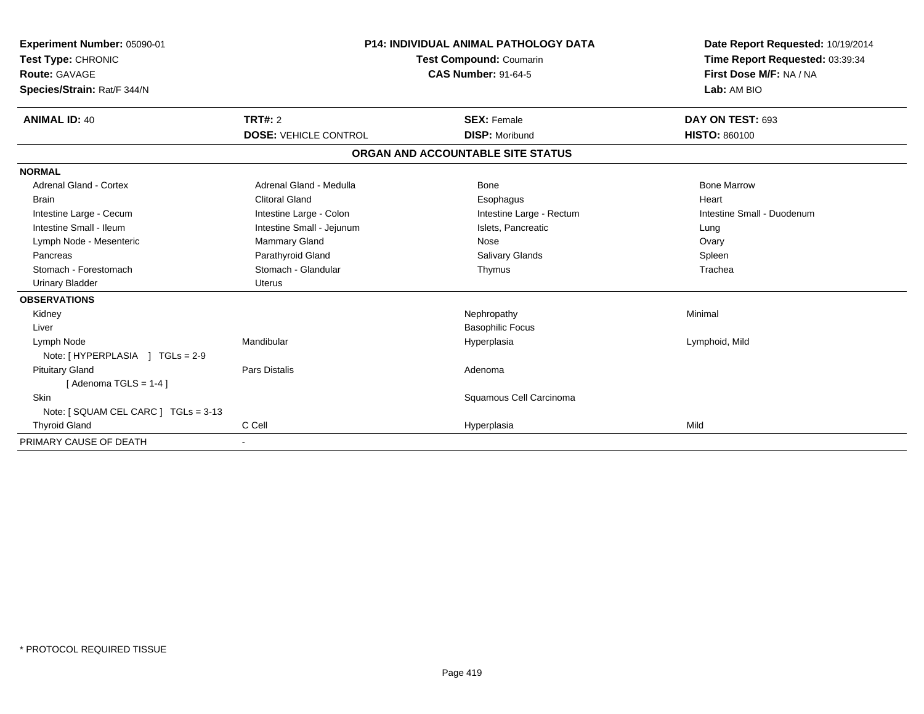| <b>Experiment Number: 05090-01</b><br>Test Type: CHRONIC<br><b>Route: GAVAGE</b><br>Species/Strain: Rat/F 344/N |                              | <b>P14: INDIVIDUAL ANIMAL PATHOLOGY DATA</b><br><b>Test Compound: Coumarin</b><br><b>CAS Number: 91-64-5</b> | Date Report Requested: 10/19/2014<br>Time Report Requested: 03:39:34<br>First Dose M/F: NA / NA<br>Lab: AM BIO |  |
|-----------------------------------------------------------------------------------------------------------------|------------------------------|--------------------------------------------------------------------------------------------------------------|----------------------------------------------------------------------------------------------------------------|--|
| <b>ANIMAL ID: 40</b>                                                                                            | TRT#: 2                      | <b>SEX: Female</b>                                                                                           | DAY ON TEST: 693                                                                                               |  |
|                                                                                                                 | <b>DOSE: VEHICLE CONTROL</b> | <b>DISP: Moribund</b>                                                                                        | <b>HISTO: 860100</b>                                                                                           |  |
|                                                                                                                 |                              | ORGAN AND ACCOUNTABLE SITE STATUS                                                                            |                                                                                                                |  |
| <b>NORMAL</b>                                                                                                   |                              |                                                                                                              |                                                                                                                |  |
| <b>Adrenal Gland - Cortex</b>                                                                                   | Adrenal Gland - Medulla      | Bone                                                                                                         | <b>Bone Marrow</b>                                                                                             |  |
| <b>Brain</b>                                                                                                    | <b>Clitoral Gland</b>        | Esophagus                                                                                                    | Heart                                                                                                          |  |
| Intestine Large - Cecum                                                                                         | Intestine Large - Colon      | Intestine Large - Rectum                                                                                     | Intestine Small - Duodenum                                                                                     |  |
| Intestine Small - Ileum                                                                                         | Intestine Small - Jejunum    | Islets, Pancreatic                                                                                           | Lung                                                                                                           |  |
| Lymph Node - Mesenteric                                                                                         | Mammary Gland                | Nose                                                                                                         | Ovary                                                                                                          |  |
| Pancreas                                                                                                        | Parathyroid Gland            | <b>Salivary Glands</b>                                                                                       | Spleen                                                                                                         |  |
| Stomach - Forestomach                                                                                           | Stomach - Glandular          | Thymus                                                                                                       | Trachea                                                                                                        |  |
| <b>Urinary Bladder</b>                                                                                          | <b>Uterus</b>                |                                                                                                              |                                                                                                                |  |
| <b>OBSERVATIONS</b>                                                                                             |                              |                                                                                                              |                                                                                                                |  |
| Kidney                                                                                                          |                              | Nephropathy                                                                                                  | Minimal                                                                                                        |  |
| Liver                                                                                                           |                              | <b>Basophilic Focus</b>                                                                                      |                                                                                                                |  |
| Lymph Node                                                                                                      | Mandibular                   | Hyperplasia                                                                                                  | Lymphoid, Mild                                                                                                 |  |
| Note: [HYPERPLASIA ] TGLs = 2-9                                                                                 |                              |                                                                                                              |                                                                                                                |  |
| <b>Pituitary Gland</b>                                                                                          | Pars Distalis                | Adenoma                                                                                                      |                                                                                                                |  |
| [Adenoma TGLS = $1-4$ ]                                                                                         |                              |                                                                                                              |                                                                                                                |  |
| <b>Skin</b>                                                                                                     |                              | Squamous Cell Carcinoma                                                                                      |                                                                                                                |  |
| Note: [ SQUAM CEL CARC ] TGLs = 3-13                                                                            |                              |                                                                                                              |                                                                                                                |  |
| <b>Thyroid Gland</b>                                                                                            | C Cell                       | Hyperplasia                                                                                                  | Mild                                                                                                           |  |
| PRIMARY CAUSE OF DEATH                                                                                          |                              |                                                                                                              |                                                                                                                |  |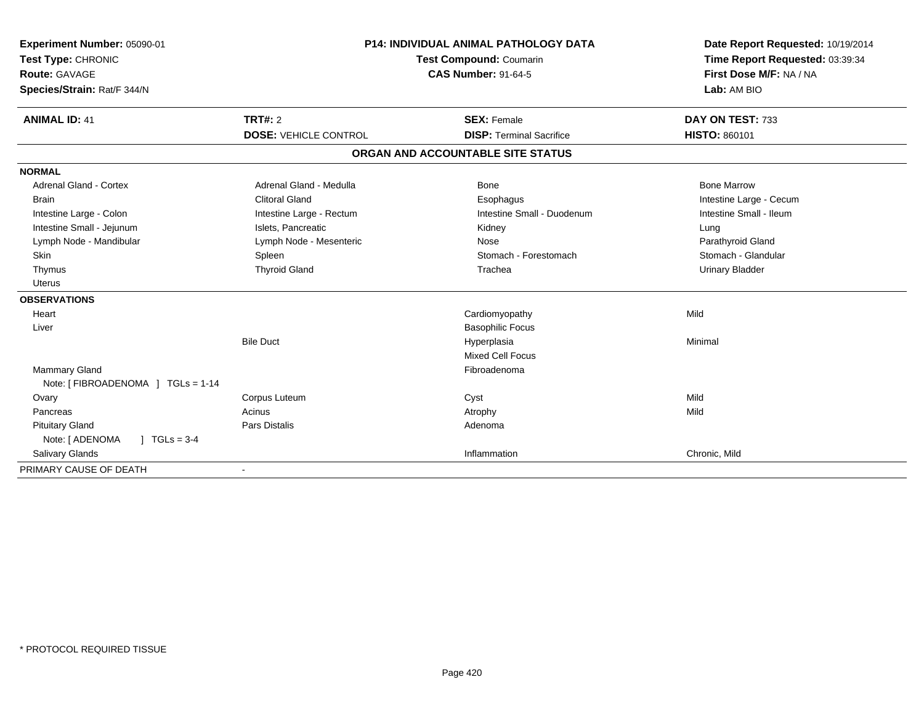| Experiment Number: 05090-01<br>Test Type: CHRONIC<br>Route: GAVAGE<br>Species/Strain: Rat/F 344/N<br><b>ANIMAL ID: 41</b> | <b>P14: INDIVIDUAL ANIMAL PATHOLOGY DATA</b><br>Test Compound: Coumarin<br><b>CAS Number: 91-64-5</b><br>TRT#: 2 |                                                       | Date Report Requested: 10/19/2014<br>Time Report Requested: 03:39:34<br>First Dose M/F: NA / NA<br>Lab: AM BIO<br>DAY ON TEST: 733 |
|---------------------------------------------------------------------------------------------------------------------------|------------------------------------------------------------------------------------------------------------------|-------------------------------------------------------|------------------------------------------------------------------------------------------------------------------------------------|
|                                                                                                                           | <b>DOSE: VEHICLE CONTROL</b>                                                                                     | <b>SEX: Female</b><br><b>DISP: Terminal Sacrifice</b> | HISTO: 860101                                                                                                                      |
|                                                                                                                           |                                                                                                                  | ORGAN AND ACCOUNTABLE SITE STATUS                     |                                                                                                                                    |
| <b>NORMAL</b>                                                                                                             |                                                                                                                  |                                                       |                                                                                                                                    |
| <b>Adrenal Gland - Cortex</b>                                                                                             | Adrenal Gland - Medulla                                                                                          | Bone                                                  | <b>Bone Marrow</b>                                                                                                                 |
| <b>Brain</b>                                                                                                              | <b>Clitoral Gland</b>                                                                                            | Esophagus                                             | Intestine Large - Cecum                                                                                                            |
| Intestine Large - Colon                                                                                                   | Intestine Large - Rectum                                                                                         | Intestine Small - Duodenum                            | Intestine Small - Ileum                                                                                                            |
| Intestine Small - Jejunum                                                                                                 | Islets, Pancreatic                                                                                               | Kidney                                                | Lung                                                                                                                               |
| Lymph Node - Mandibular                                                                                                   | Lymph Node - Mesenteric                                                                                          | Nose                                                  | Parathyroid Gland                                                                                                                  |
| Skin                                                                                                                      | Spleen                                                                                                           | Stomach - Forestomach                                 | Stomach - Glandular                                                                                                                |
| Thymus                                                                                                                    | <b>Thyroid Gland</b>                                                                                             | Trachea                                               | <b>Urinary Bladder</b>                                                                                                             |
| <b>Uterus</b>                                                                                                             |                                                                                                                  |                                                       |                                                                                                                                    |
| <b>OBSERVATIONS</b>                                                                                                       |                                                                                                                  |                                                       |                                                                                                                                    |
| Heart                                                                                                                     |                                                                                                                  | Cardiomyopathy                                        | Mild                                                                                                                               |
| Liver                                                                                                                     |                                                                                                                  | <b>Basophilic Focus</b>                               |                                                                                                                                    |
|                                                                                                                           | <b>Bile Duct</b>                                                                                                 | Hyperplasia                                           | Minimal                                                                                                                            |
|                                                                                                                           |                                                                                                                  | <b>Mixed Cell Focus</b>                               |                                                                                                                                    |
| <b>Mammary Gland</b>                                                                                                      |                                                                                                                  | Fibroadenoma                                          |                                                                                                                                    |
| Note: [ FIBROADENOMA ] TGLs = 1-14                                                                                        |                                                                                                                  |                                                       |                                                                                                                                    |
| Ovary                                                                                                                     | Corpus Luteum                                                                                                    | Cyst                                                  | Mild                                                                                                                               |
| Pancreas                                                                                                                  | Acinus                                                                                                           | Atrophy                                               | Mild                                                                                                                               |
| <b>Pituitary Gland</b>                                                                                                    | <b>Pars Distalis</b>                                                                                             | Adenoma                                               |                                                                                                                                    |
| Note: [ ADENOMA<br>$1 TGLs = 3-4$                                                                                         |                                                                                                                  |                                                       |                                                                                                                                    |
| Salivary Glands                                                                                                           |                                                                                                                  | Inflammation                                          | Chronic, Mild                                                                                                                      |
| PRIMARY CAUSE OF DEATH                                                                                                    |                                                                                                                  |                                                       |                                                                                                                                    |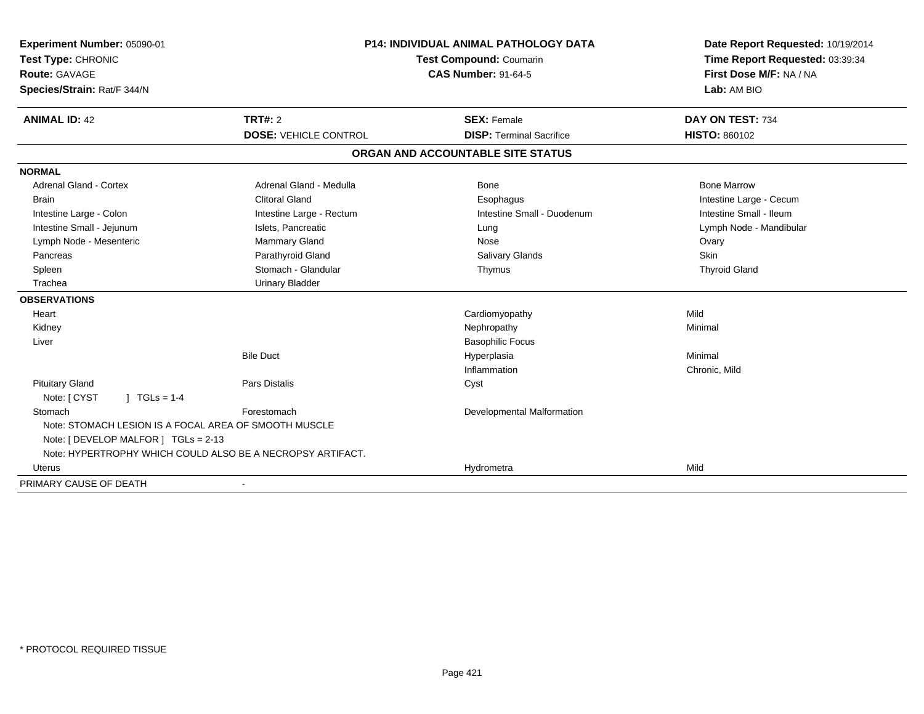| <b>Experiment Number: 05090-01</b>                         | <b>P14: INDIVIDUAL ANIMAL PATHOLOGY DATA</b> |                                   | Date Report Requested: 10/19/2014                          |
|------------------------------------------------------------|----------------------------------------------|-----------------------------------|------------------------------------------------------------|
| Test Type: CHRONIC                                         |                                              | Test Compound: Coumarin           | Time Report Requested: 03:39:34<br>First Dose M/F: NA / NA |
| <b>Route: GAVAGE</b>                                       |                                              | <b>CAS Number: 91-64-5</b>        |                                                            |
| Species/Strain: Rat/F 344/N                                |                                              |                                   | Lab: AM BIO                                                |
| <b>ANIMAL ID: 42</b>                                       | TRT#: 2                                      | <b>SEX: Female</b>                | DAY ON TEST: 734                                           |
|                                                            | <b>DOSE: VEHICLE CONTROL</b>                 | <b>DISP: Terminal Sacrifice</b>   | <b>HISTO: 860102</b>                                       |
|                                                            |                                              | ORGAN AND ACCOUNTABLE SITE STATUS |                                                            |
| <b>NORMAL</b>                                              |                                              |                                   |                                                            |
| <b>Adrenal Gland - Cortex</b>                              | Adrenal Gland - Medulla                      | Bone                              | <b>Bone Marrow</b>                                         |
| <b>Brain</b>                                               | <b>Clitoral Gland</b>                        | Esophagus                         | Intestine Large - Cecum                                    |
| Intestine Large - Colon                                    | Intestine Large - Rectum                     | Intestine Small - Duodenum        | Intestine Small - Ileum                                    |
| Intestine Small - Jejunum                                  | Islets, Pancreatic                           | Lung                              | Lymph Node - Mandibular                                    |
| Lymph Node - Mesenteric                                    | Mammary Gland                                | Nose                              | Ovary                                                      |
| Pancreas                                                   | Parathyroid Gland                            | <b>Salivary Glands</b>            | Skin                                                       |
| Spleen                                                     | Stomach - Glandular                          | Thymus                            | <b>Thyroid Gland</b>                                       |
| Trachea                                                    | <b>Urinary Bladder</b>                       |                                   |                                                            |
| <b>OBSERVATIONS</b>                                        |                                              |                                   |                                                            |
| Heart                                                      |                                              | Cardiomyopathy                    | Mild                                                       |
| Kidney                                                     |                                              | Nephropathy                       | Minimal                                                    |
| Liver                                                      |                                              | <b>Basophilic Focus</b>           |                                                            |
|                                                            | <b>Bile Duct</b>                             | Hyperplasia                       | Minimal                                                    |
|                                                            |                                              | Inflammation                      | Chronic, Mild                                              |
| <b>Pituitary Gland</b>                                     | Pars Distalis                                | Cyst                              |                                                            |
| Note: [ CYST<br>$1 TGLs = 1-4$                             |                                              |                                   |                                                            |
| Stomach                                                    | Forestomach                                  | Developmental Malformation        |                                                            |
| Note: STOMACH LESION IS A FOCAL AREA OF SMOOTH MUSCLE      |                                              |                                   |                                                            |
| Note: [ DEVELOP MALFOR ] TGLs = 2-13                       |                                              |                                   |                                                            |
| Note: HYPERTROPHY WHICH COULD ALSO BE A NECROPSY ARTIFACT. |                                              |                                   |                                                            |
| <b>Uterus</b>                                              |                                              | Hydrometra                        | Mild                                                       |
| PRIMARY CAUSE OF DEATH                                     |                                              |                                   |                                                            |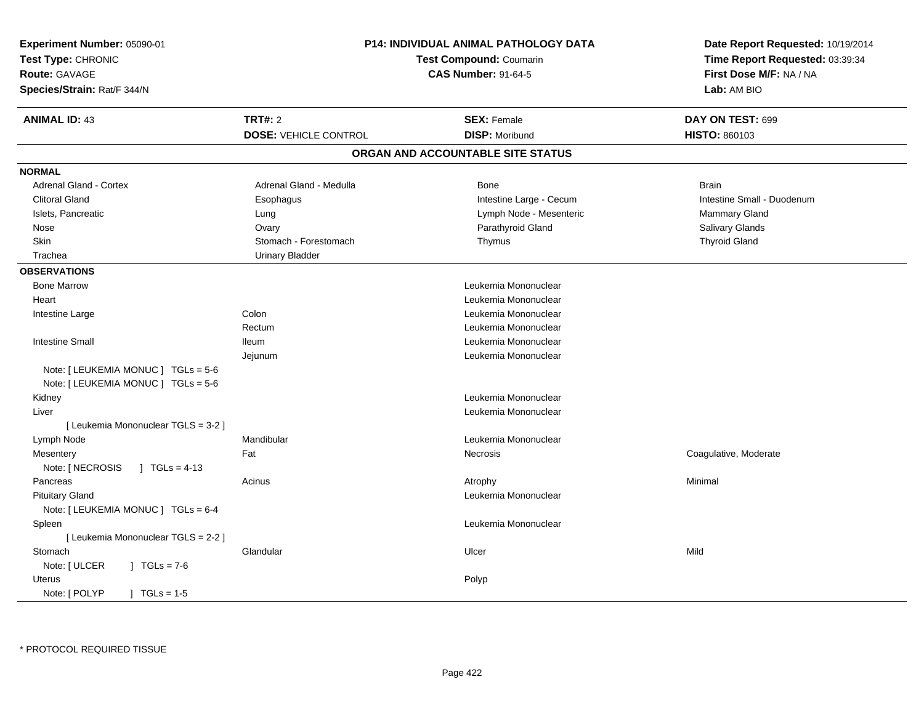| Experiment Number: 05090-01<br>Test Type: CHRONIC<br>Route: GAVAGE<br>Species/Strain: Rat/F 344/N | P14: INDIVIDUAL ANIMAL PATHOLOGY DATA<br>Test Compound: Coumarin<br><b>CAS Number: 91-64-5</b> |  | Date Report Requested: 10/19/2014<br>Time Report Requested: 03:39:34<br>First Dose M/F: NA / NA<br>Lab: AM BIO |                            |
|---------------------------------------------------------------------------------------------------|------------------------------------------------------------------------------------------------|--|----------------------------------------------------------------------------------------------------------------|----------------------------|
| <b>ANIMAL ID: 43</b>                                                                              | <b>TRT#: 2</b>                                                                                 |  | <b>SEX: Female</b>                                                                                             | DAY ON TEST: 699           |
|                                                                                                   | <b>DOSE: VEHICLE CONTROL</b>                                                                   |  | <b>DISP: Moribund</b>                                                                                          | HISTO: 860103              |
|                                                                                                   |                                                                                                |  | ORGAN AND ACCOUNTABLE SITE STATUS                                                                              |                            |
| <b>NORMAL</b>                                                                                     |                                                                                                |  |                                                                                                                |                            |
| Adrenal Gland - Cortex                                                                            | Adrenal Gland - Medulla                                                                        |  | <b>Bone</b>                                                                                                    | <b>Brain</b>               |
| <b>Clitoral Gland</b>                                                                             | Esophagus                                                                                      |  | Intestine Large - Cecum                                                                                        | Intestine Small - Duodenum |
| Islets, Pancreatic                                                                                | Lung                                                                                           |  | Lymph Node - Mesenteric                                                                                        | Mammary Gland              |
| Nose                                                                                              | Ovary                                                                                          |  | Parathyroid Gland                                                                                              | Salivary Glands            |
| Skin                                                                                              | Stomach - Forestomach                                                                          |  | Thymus                                                                                                         | <b>Thyroid Gland</b>       |
| Trachea                                                                                           | <b>Urinary Bladder</b>                                                                         |  |                                                                                                                |                            |
| <b>OBSERVATIONS</b>                                                                               |                                                                                                |  |                                                                                                                |                            |
| <b>Bone Marrow</b>                                                                                |                                                                                                |  | Leukemia Mononuclear                                                                                           |                            |
| Heart                                                                                             |                                                                                                |  | Leukemia Mononuclear                                                                                           |                            |
| Intestine Large                                                                                   | Colon                                                                                          |  | Leukemia Mononuclear                                                                                           |                            |
|                                                                                                   | Rectum                                                                                         |  | Leukemia Mononuclear                                                                                           |                            |
| <b>Intestine Small</b>                                                                            | <b>Ileum</b>                                                                                   |  | Leukemia Mononuclear                                                                                           |                            |
|                                                                                                   | Jejunum                                                                                        |  | Leukemia Mononuclear                                                                                           |                            |
| Note: [LEUKEMIA MONUC ] TGLs = 5-6                                                                |                                                                                                |  |                                                                                                                |                            |
| Note: $[LEUKEMIA MONUC] TGLS = 5-6$                                                               |                                                                                                |  |                                                                                                                |                            |
| Kidney                                                                                            |                                                                                                |  | Leukemia Mononuclear                                                                                           |                            |
| Liver                                                                                             |                                                                                                |  | Leukemia Mononuclear                                                                                           |                            |
| [ Leukemia Mononuclear TGLS = 3-2 ]                                                               |                                                                                                |  |                                                                                                                |                            |
| Lymph Node                                                                                        | Mandibular                                                                                     |  | Leukemia Mononuclear                                                                                           |                            |
| Mesentery                                                                                         | Fat                                                                                            |  | Necrosis                                                                                                       | Coagulative, Moderate      |
| Note: [ NECROSIS<br>$\sqrt{1}$ TGLs = 4-13                                                        |                                                                                                |  |                                                                                                                |                            |
| Pancreas                                                                                          | Acinus                                                                                         |  | Atrophy                                                                                                        | Minimal                    |
| <b>Pituitary Gland</b>                                                                            |                                                                                                |  | Leukemia Mononuclear                                                                                           |                            |
| Note: [ LEUKEMIA MONUC ] TGLs = 6-4                                                               |                                                                                                |  |                                                                                                                |                            |
| Spleen                                                                                            |                                                                                                |  | Leukemia Mononuclear                                                                                           |                            |
| [ Leukemia Mononuclear TGLS = 2-2 ]                                                               |                                                                                                |  |                                                                                                                |                            |
| Stomach                                                                                           | Glandular                                                                                      |  | Ulcer                                                                                                          | Mild                       |
| Note: [ ULCER<br>$\sqrt{1} \text{ TGLs} = 7.6$                                                    |                                                                                                |  |                                                                                                                |                            |
| Uterus                                                                                            |                                                                                                |  | Polyp                                                                                                          |                            |
| Note: [ POLYP<br>$1 TGLs = 1.5$                                                                   |                                                                                                |  |                                                                                                                |                            |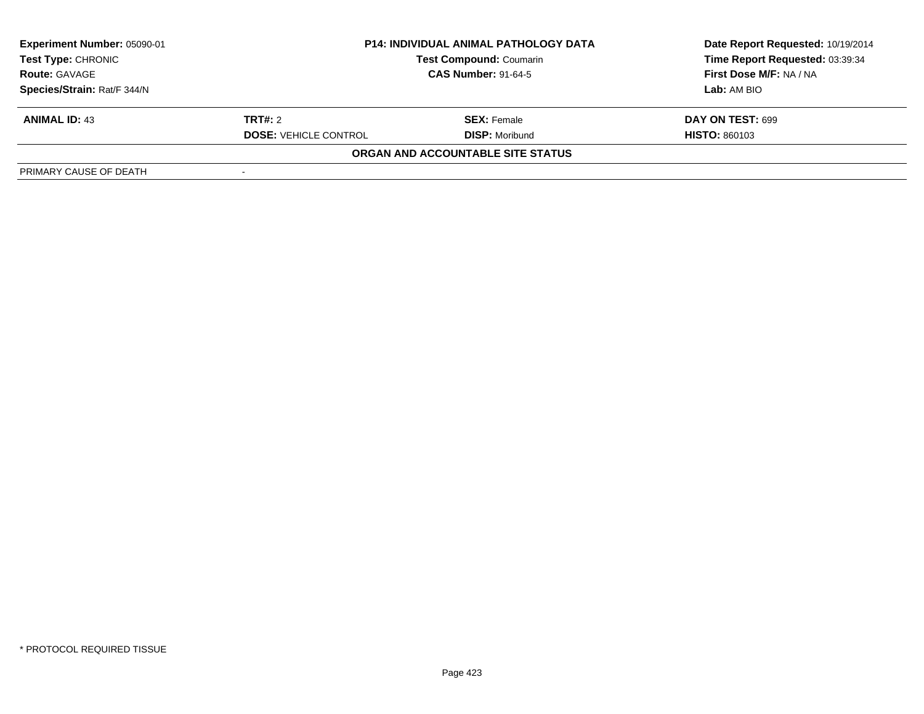| Experiment Number: 05090-01 | <b>P14: INDIVIDUAL ANIMAL PATHOLOGY DATA</b><br><b>Test Compound: Coumarin</b><br><b>CAS Number: 91-64-5</b> |                                   | Date Report Requested: 10/19/2014 |  |
|-----------------------------|--------------------------------------------------------------------------------------------------------------|-----------------------------------|-----------------------------------|--|
| <b>Test Type: CHRONIC</b>   |                                                                                                              |                                   | Time Report Requested: 03:39:34   |  |
| <b>Route: GAVAGE</b>        |                                                                                                              |                                   | First Dose M/F: NA / NA           |  |
| Species/Strain: Rat/F 344/N |                                                                                                              |                                   | Lab: AM BIO                       |  |
| <b>ANIMAL ID: 43</b>        | <b>TRT#:</b> 2                                                                                               | <b>SEX:</b> Female                | <b>DAY ON TEST: 699</b>           |  |
|                             | <b>DOSE: VEHICLE CONTROL</b>                                                                                 | <b>DISP: Moribund</b>             | <b>HISTO: 860103</b>              |  |
|                             |                                                                                                              | ORGAN AND ACCOUNTABLE SITE STATUS |                                   |  |
| PRIMARY CAUSE OF DEATH      |                                                                                                              |                                   |                                   |  |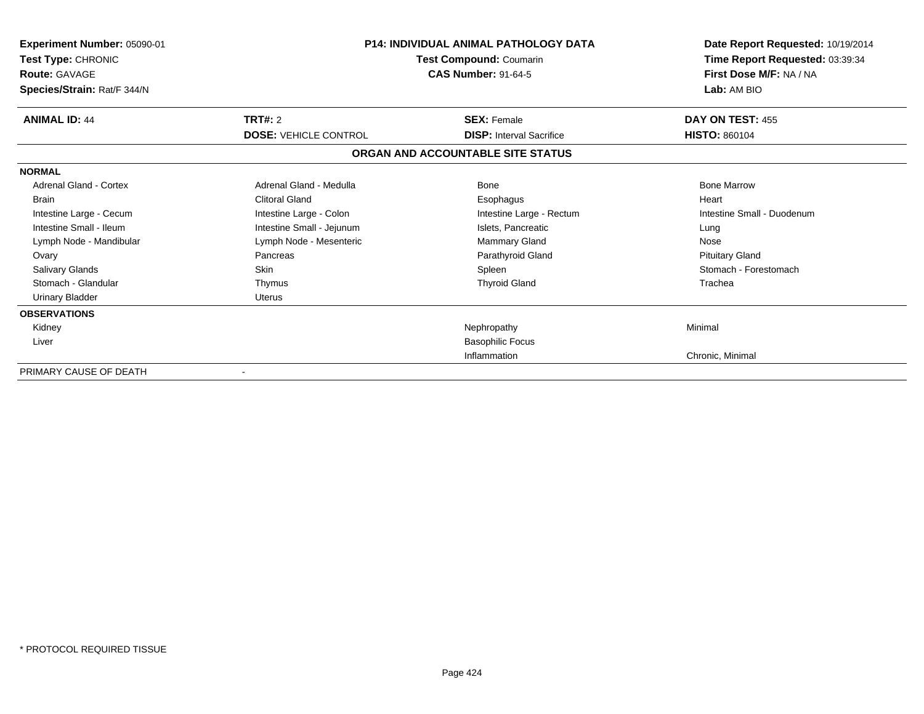| <b>Experiment Number: 05090-01</b><br>Test Type: CHRONIC<br><b>Route: GAVAGE</b><br>Species/Strain: Rat/F 344/N |                              | <b>P14: INDIVIDUAL ANIMAL PATHOLOGY DATA</b><br>Test Compound: Coumarin<br><b>CAS Number: 91-64-5</b> |                            |
|-----------------------------------------------------------------------------------------------------------------|------------------------------|-------------------------------------------------------------------------------------------------------|----------------------------|
| <b>ANIMAL ID: 44</b>                                                                                            | TRT#: 2                      | <b>SEX: Female</b>                                                                                    | DAY ON TEST: 455           |
|                                                                                                                 | <b>DOSE: VEHICLE CONTROL</b> | <b>DISP:</b> Interval Sacrifice                                                                       | <b>HISTO: 860104</b>       |
|                                                                                                                 |                              | ORGAN AND ACCOUNTABLE SITE STATUS                                                                     |                            |
| <b>NORMAL</b>                                                                                                   |                              |                                                                                                       |                            |
| Adrenal Gland - Cortex                                                                                          | Adrenal Gland - Medulla      | Bone                                                                                                  | <b>Bone Marrow</b>         |
| <b>Brain</b>                                                                                                    | <b>Clitoral Gland</b>        | Esophagus                                                                                             | Heart                      |
| Intestine Large - Cecum                                                                                         | Intestine Large - Colon      | Intestine Large - Rectum                                                                              | Intestine Small - Duodenum |
| Intestine Small - Ileum                                                                                         | Intestine Small - Jejunum    | Islets, Pancreatic                                                                                    | Lung                       |
| Lymph Node - Mandibular                                                                                         | Lymph Node - Mesenteric      | Mammary Gland                                                                                         | Nose                       |
| Ovary                                                                                                           | Pancreas                     | Parathyroid Gland                                                                                     | <b>Pituitary Gland</b>     |
| <b>Salivary Glands</b>                                                                                          | <b>Skin</b>                  | Spleen                                                                                                | Stomach - Forestomach      |
| Stomach - Glandular                                                                                             | Thymus                       | <b>Thyroid Gland</b>                                                                                  | Trachea                    |
| <b>Urinary Bladder</b>                                                                                          | Uterus                       |                                                                                                       |                            |
| <b>OBSERVATIONS</b>                                                                                             |                              |                                                                                                       |                            |
| Kidney                                                                                                          |                              | Nephropathy                                                                                           | Minimal                    |
| Liver                                                                                                           |                              | <b>Basophilic Focus</b>                                                                               |                            |
|                                                                                                                 |                              | Inflammation                                                                                          | Chronic, Minimal           |
| PRIMARY CAUSE OF DEATH                                                                                          |                              |                                                                                                       |                            |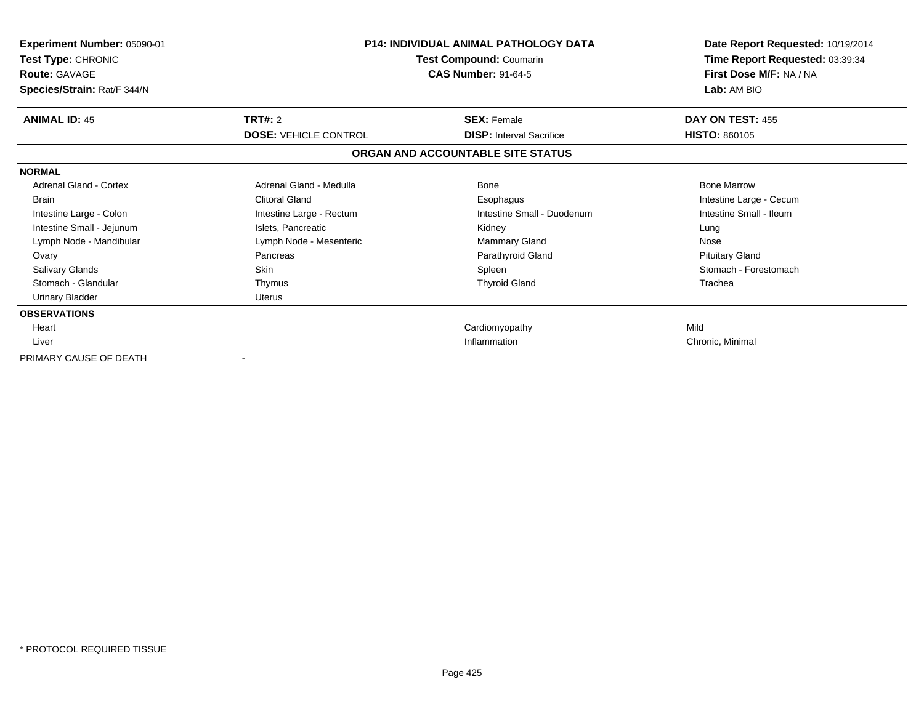| Experiment Number: 05090-01<br>Test Type: CHRONIC<br><b>Route: GAVAGE</b><br>Species/Strain: Rat/F 344/N | <b>P14: INDIVIDUAL ANIMAL PATHOLOGY DATA</b><br>Test Compound: Coumarin<br><b>CAS Number: 91-64-5</b> |                                   | Date Report Requested: 10/19/2014<br>Time Report Requested: 03:39:34<br>First Dose M/F: NA / NA<br>Lab: AM BIO |
|----------------------------------------------------------------------------------------------------------|-------------------------------------------------------------------------------------------------------|-----------------------------------|----------------------------------------------------------------------------------------------------------------|
| <b>ANIMAL ID: 45</b>                                                                                     | TRT#: 2                                                                                               | <b>SEX: Female</b>                | DAY ON TEST: 455                                                                                               |
|                                                                                                          | <b>DOSE: VEHICLE CONTROL</b>                                                                          | <b>DISP:</b> Interval Sacrifice   | <b>HISTO: 860105</b>                                                                                           |
|                                                                                                          |                                                                                                       | ORGAN AND ACCOUNTABLE SITE STATUS |                                                                                                                |
| <b>NORMAL</b>                                                                                            |                                                                                                       |                                   |                                                                                                                |
| <b>Adrenal Gland - Cortex</b>                                                                            | Adrenal Gland - Medulla                                                                               | Bone                              | <b>Bone Marrow</b>                                                                                             |
| <b>Brain</b>                                                                                             | <b>Clitoral Gland</b>                                                                                 | Esophagus                         | Intestine Large - Cecum                                                                                        |
| Intestine Large - Colon                                                                                  | Intestine Large - Rectum                                                                              | Intestine Small - Duodenum        | Intestine Small - Ileum                                                                                        |
| Intestine Small - Jejunum                                                                                | Islets, Pancreatic                                                                                    | Kidney                            | Lung                                                                                                           |
| Lymph Node - Mandibular                                                                                  | Lymph Node - Mesenteric                                                                               | <b>Mammary Gland</b>              | Nose                                                                                                           |
| Ovary                                                                                                    | Pancreas                                                                                              | Parathyroid Gland                 | <b>Pituitary Gland</b>                                                                                         |
| <b>Salivary Glands</b>                                                                                   | <b>Skin</b>                                                                                           | Spleen                            | Stomach - Forestomach                                                                                          |
| Stomach - Glandular                                                                                      | Thymus                                                                                                | <b>Thyroid Gland</b>              | Trachea                                                                                                        |
| <b>Urinary Bladder</b>                                                                                   | <b>Uterus</b>                                                                                         |                                   |                                                                                                                |
| <b>OBSERVATIONS</b>                                                                                      |                                                                                                       |                                   |                                                                                                                |
| Heart                                                                                                    |                                                                                                       | Cardiomyopathy                    | Mild                                                                                                           |
| Liver                                                                                                    |                                                                                                       | Inflammation                      | Chronic, Minimal                                                                                               |
| PRIMARY CAUSE OF DEATH                                                                                   |                                                                                                       |                                   |                                                                                                                |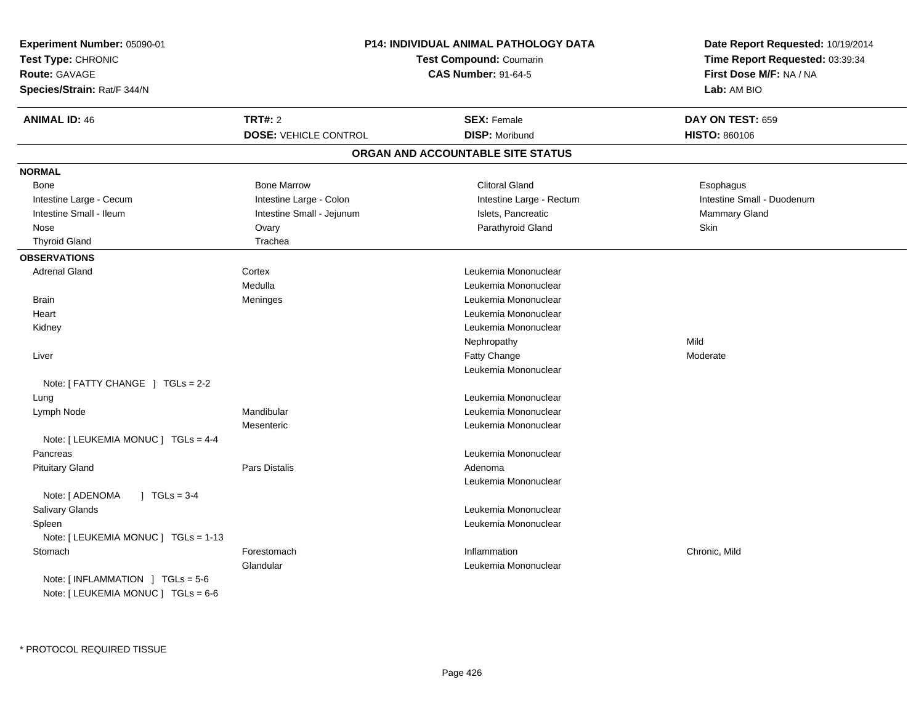| Experiment Number: 05090-01<br>Test Type: CHRONIC<br><b>Route: GAVAGE</b><br>Species/Strain: Rat/F 344/N |                              | P14: INDIVIDUAL ANIMAL PATHOLOGY DATA<br>Test Compound: Coumarin<br><b>CAS Number: 91-64-5</b> | Date Report Requested: 10/19/2014<br>Time Report Requested: 03:39:34<br>First Dose M/F: NA / NA<br>Lab: AM BIO |
|----------------------------------------------------------------------------------------------------------|------------------------------|------------------------------------------------------------------------------------------------|----------------------------------------------------------------------------------------------------------------|
| <b>ANIMAL ID: 46</b>                                                                                     | <b>TRT#: 2</b>               | <b>SEX: Female</b>                                                                             | DAY ON TEST: 659                                                                                               |
|                                                                                                          | <b>DOSE: VEHICLE CONTROL</b> | <b>DISP: Moribund</b>                                                                          | <b>HISTO: 860106</b>                                                                                           |
|                                                                                                          |                              | ORGAN AND ACCOUNTABLE SITE STATUS                                                              |                                                                                                                |
| <b>NORMAL</b>                                                                                            |                              |                                                                                                |                                                                                                                |
| Bone                                                                                                     | <b>Bone Marrow</b>           | <b>Clitoral Gland</b>                                                                          | Esophagus                                                                                                      |
| Intestine Large - Cecum                                                                                  | Intestine Large - Colon      | Intestine Large - Rectum                                                                       | Intestine Small - Duodenum                                                                                     |
| Intestine Small - Ileum                                                                                  | Intestine Small - Jejunum    | Islets, Pancreatic                                                                             | Mammary Gland                                                                                                  |
| Nose                                                                                                     | Ovary                        | Parathyroid Gland                                                                              | Skin                                                                                                           |
| <b>Thyroid Gland</b>                                                                                     | Trachea                      |                                                                                                |                                                                                                                |
| <b>OBSERVATIONS</b>                                                                                      |                              |                                                                                                |                                                                                                                |
| <b>Adrenal Gland</b>                                                                                     | Cortex                       | Leukemia Mononuclear                                                                           |                                                                                                                |
|                                                                                                          | Medulla                      | Leukemia Mononuclear                                                                           |                                                                                                                |
| <b>Brain</b>                                                                                             | Meninges                     | Leukemia Mononuclear                                                                           |                                                                                                                |
| Heart                                                                                                    |                              | Leukemia Mononuclear                                                                           |                                                                                                                |
| Kidney                                                                                                   |                              | Leukemia Mononuclear                                                                           |                                                                                                                |
|                                                                                                          |                              | Nephropathy                                                                                    | Mild                                                                                                           |
| Liver                                                                                                    |                              | Fatty Change                                                                                   | Moderate                                                                                                       |
|                                                                                                          |                              | Leukemia Mononuclear                                                                           |                                                                                                                |
| Note: $[$ FATTY CHANGE $]$ TGLs = 2-2                                                                    |                              |                                                                                                |                                                                                                                |
| Lung                                                                                                     |                              | Leukemia Mononuclear                                                                           |                                                                                                                |
| Lymph Node                                                                                               | Mandibular                   | Leukemia Mononuclear                                                                           |                                                                                                                |
|                                                                                                          | Mesenteric                   | Leukemia Mononuclear                                                                           |                                                                                                                |
| Note: [ LEUKEMIA MONUC ] TGLs = 4-4                                                                      |                              |                                                                                                |                                                                                                                |
| Pancreas                                                                                                 |                              | Leukemia Mononuclear                                                                           |                                                                                                                |
| <b>Pituitary Gland</b>                                                                                   | Pars Distalis                | Adenoma                                                                                        |                                                                                                                |
|                                                                                                          |                              | Leukemia Mononuclear                                                                           |                                                                                                                |
| Note: [ ADENOMA<br>$J \cdot TGLS = 3-4$                                                                  |                              |                                                                                                |                                                                                                                |
| Salivary Glands                                                                                          |                              | Leukemia Mononuclear                                                                           |                                                                                                                |
| Spleen                                                                                                   |                              | Leukemia Mononuclear                                                                           |                                                                                                                |
| Note: [ LEUKEMIA MONUC ] TGLs = 1-13                                                                     |                              |                                                                                                |                                                                                                                |
| Stomach                                                                                                  | Forestomach                  | Inflammation                                                                                   | Chronic, Mild                                                                                                  |
|                                                                                                          | Glandular                    | Leukemia Mononuclear                                                                           |                                                                                                                |
| Note: $\lceil$ INFLAMMATION $\lceil$ TGLs = 5-6<br>Note: [ LEUKEMIA MONUC ] TGLs = 6-6                   |                              |                                                                                                |                                                                                                                |

\* PROTOCOL REQUIRED TISSUE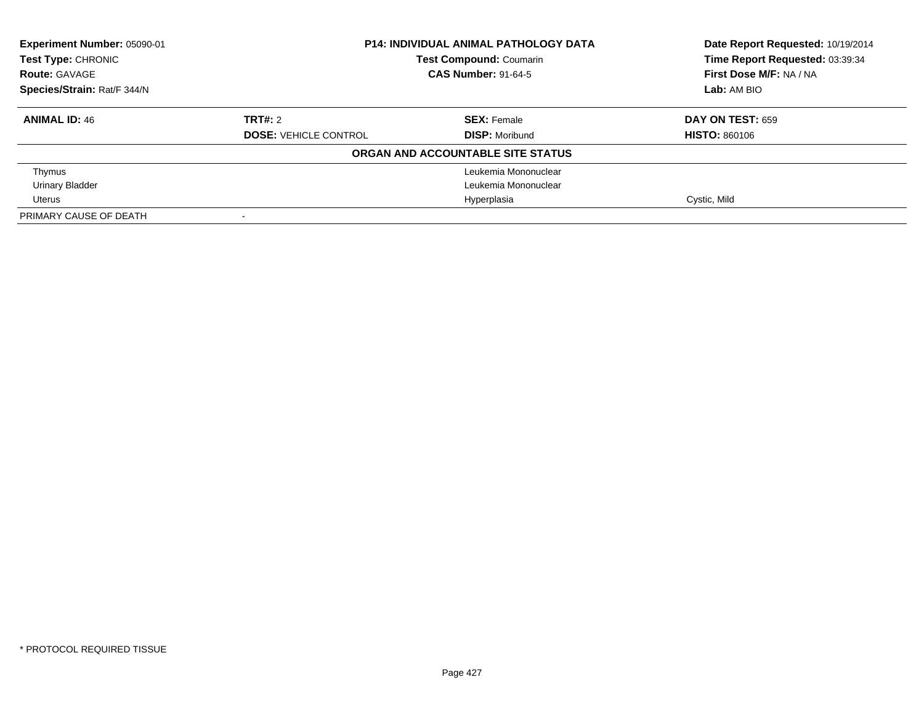| Experiment Number: 05090-01 | <b>P14: INDIVIDUAL ANIMAL PATHOLOGY DATA</b><br><b>Test Compound: Coumarin</b> |                                   | Date Report Requested: 10/19/2014 |
|-----------------------------|--------------------------------------------------------------------------------|-----------------------------------|-----------------------------------|
| <b>Test Type: CHRONIC</b>   |                                                                                |                                   | Time Report Requested: 03:39:34   |
| <b>Route: GAVAGE</b>        |                                                                                | <b>CAS Number: 91-64-5</b>        |                                   |
| Species/Strain: Rat/F 344/N |                                                                                |                                   | Lab: AM BIO                       |
| <b>ANIMAL ID: 46</b>        | TRT#: 2                                                                        | <b>SEX: Female</b>                | <b>DAY ON TEST: 659</b>           |
|                             | <b>DOSE: VEHICLE CONTROL</b>                                                   | <b>DISP:</b> Moribund             | <b>HISTO: 860106</b>              |
|                             |                                                                                | ORGAN AND ACCOUNTABLE SITE STATUS |                                   |
| Thymus                      |                                                                                | Leukemia Mononuclear              |                                   |
| <b>Urinary Bladder</b>      |                                                                                | Leukemia Mononuclear              |                                   |
| Uterus                      |                                                                                | Hyperplasia                       | Cystic, Mild                      |
| PRIMARY CAUSE OF DEATH      |                                                                                |                                   |                                   |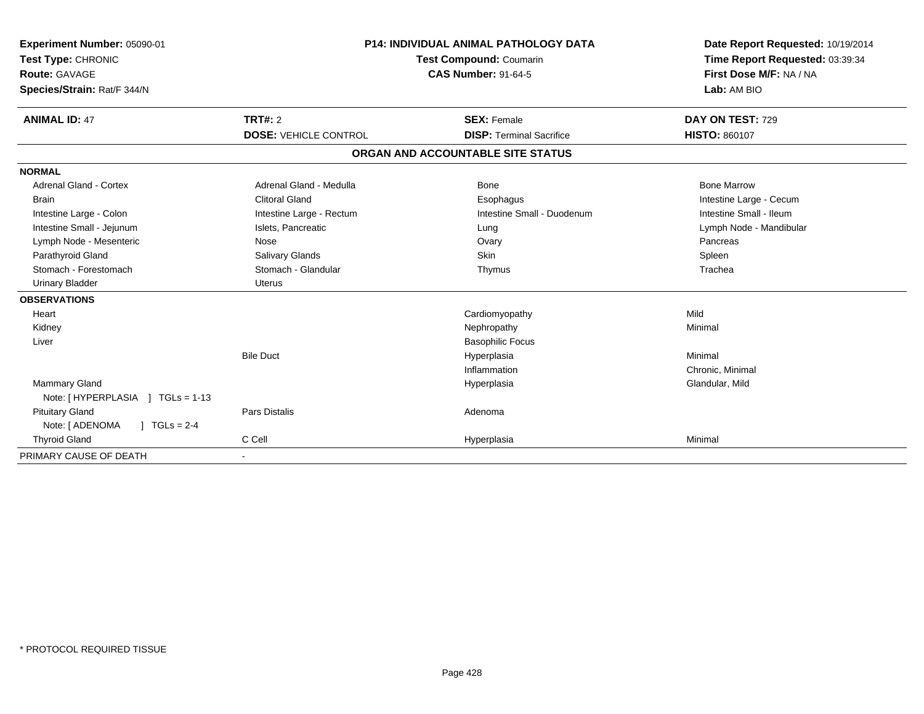| Experiment Number: 05090-01<br>Test Type: CHRONIC<br>Route: GAVAGE<br>Species/Strain: Rat/F 344/N<br><b>ANIMAL ID: 47</b> | <b>P14: INDIVIDUAL ANIMAL PATHOLOGY DATA</b><br>Test Compound: Coumarin<br><b>CAS Number: 91-64-5</b><br><b>TRT#: 2</b><br><b>SEX: Female</b> |                                   | Date Report Requested: 10/19/2014<br>Time Report Requested: 03:39:34<br>First Dose M/F: NA / NA<br>Lab: AM BIO<br>DAY ON TEST: 729 |
|---------------------------------------------------------------------------------------------------------------------------|-----------------------------------------------------------------------------------------------------------------------------------------------|-----------------------------------|------------------------------------------------------------------------------------------------------------------------------------|
|                                                                                                                           | <b>DOSE: VEHICLE CONTROL</b>                                                                                                                  | <b>DISP: Terminal Sacrifice</b>   | <b>HISTO: 860107</b>                                                                                                               |
|                                                                                                                           |                                                                                                                                               | ORGAN AND ACCOUNTABLE SITE STATUS |                                                                                                                                    |
| <b>NORMAL</b>                                                                                                             |                                                                                                                                               |                                   |                                                                                                                                    |
| <b>Adrenal Gland - Cortex</b>                                                                                             | Adrenal Gland - Medulla                                                                                                                       | Bone                              | <b>Bone Marrow</b>                                                                                                                 |
| <b>Brain</b>                                                                                                              | <b>Clitoral Gland</b>                                                                                                                         | Esophagus                         | Intestine Large - Cecum                                                                                                            |
| Intestine Large - Colon                                                                                                   | Intestine Large - Rectum                                                                                                                      | Intestine Small - Duodenum        | Intestine Small - Ileum                                                                                                            |
| Intestine Small - Jejunum                                                                                                 | Islets, Pancreatic                                                                                                                            | Lung                              | Lymph Node - Mandibular                                                                                                            |
| Lymph Node - Mesenteric                                                                                                   | Nose                                                                                                                                          | Ovary                             | Pancreas                                                                                                                           |
| Parathyroid Gland                                                                                                         | Salivary Glands                                                                                                                               | Skin                              | Spleen                                                                                                                             |
| Stomach - Forestomach                                                                                                     | Stomach - Glandular                                                                                                                           | Thymus                            | Trachea                                                                                                                            |
| <b>Urinary Bladder</b>                                                                                                    | <b>Uterus</b>                                                                                                                                 |                                   |                                                                                                                                    |
| <b>OBSERVATIONS</b>                                                                                                       |                                                                                                                                               |                                   |                                                                                                                                    |
| Heart                                                                                                                     |                                                                                                                                               | Cardiomyopathy                    | Mild                                                                                                                               |
| Kidney                                                                                                                    |                                                                                                                                               | Nephropathy                       | Minimal                                                                                                                            |
| Liver                                                                                                                     |                                                                                                                                               | <b>Basophilic Focus</b>           |                                                                                                                                    |
|                                                                                                                           | <b>Bile Duct</b>                                                                                                                              | Hyperplasia                       | Minimal                                                                                                                            |
|                                                                                                                           |                                                                                                                                               | Inflammation                      | Chronic, Minimal                                                                                                                   |
| Mammary Gland                                                                                                             |                                                                                                                                               | Hyperplasia                       | Glandular, Mild                                                                                                                    |
| Note: [HYPERPLASIA ] TGLs = 1-13                                                                                          |                                                                                                                                               |                                   |                                                                                                                                    |
| <b>Pituitary Gland</b>                                                                                                    | <b>Pars Distalis</b>                                                                                                                          | Adenoma                           |                                                                                                                                    |
| Note: [ ADENOMA<br>$J \cdot TGLS = 2-4$                                                                                   |                                                                                                                                               |                                   |                                                                                                                                    |
| <b>Thyroid Gland</b>                                                                                                      | C Cell                                                                                                                                        | Hyperplasia                       | Minimal                                                                                                                            |
| PRIMARY CAUSE OF DEATH                                                                                                    |                                                                                                                                               |                                   |                                                                                                                                    |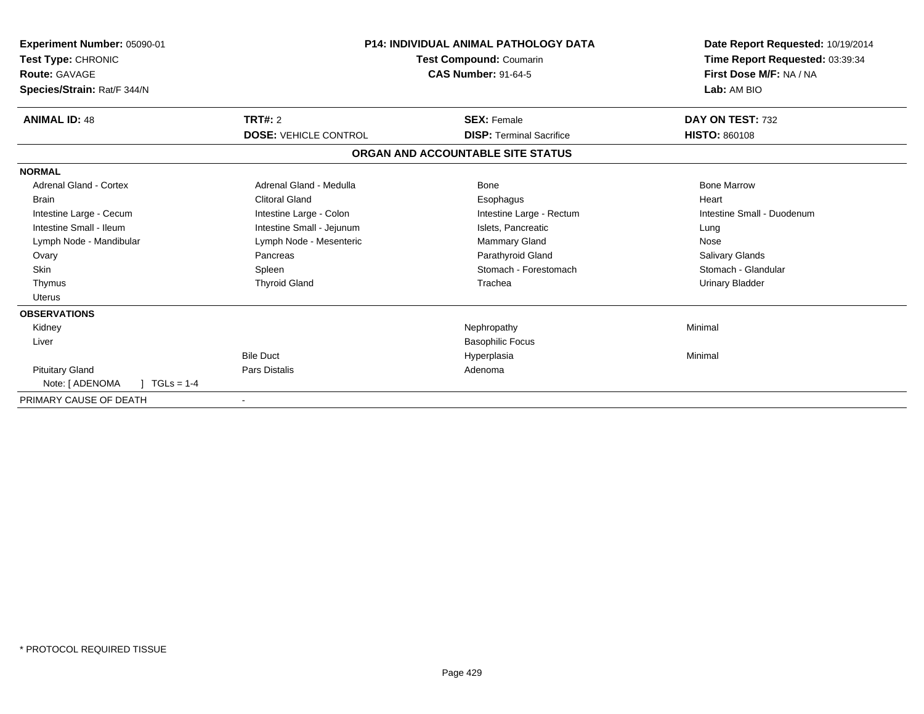| <b>Experiment Number: 05090-01</b><br>Test Type: CHRONIC<br><b>Route: GAVAGE</b><br>Species/Strain: Rat/F 344/N | P14: INDIVIDUAL ANIMAL PATHOLOGY DATA<br>Test Compound: Coumarin<br><b>CAS Number: 91-64-5</b> |                                   | Date Report Requested: 10/19/2014<br>Time Report Requested: 03:39:34<br>First Dose M/F: NA / NA<br>Lab: AM BIO |
|-----------------------------------------------------------------------------------------------------------------|------------------------------------------------------------------------------------------------|-----------------------------------|----------------------------------------------------------------------------------------------------------------|
| <b>ANIMAL ID: 48</b>                                                                                            | <b>TRT#: 2</b>                                                                                 | <b>SEX: Female</b>                | DAY ON TEST: 732                                                                                               |
|                                                                                                                 | <b>DOSE: VEHICLE CONTROL</b>                                                                   | <b>DISP: Terminal Sacrifice</b>   | <b>HISTO: 860108</b>                                                                                           |
|                                                                                                                 |                                                                                                | ORGAN AND ACCOUNTABLE SITE STATUS |                                                                                                                |
| <b>NORMAL</b>                                                                                                   |                                                                                                |                                   |                                                                                                                |
| <b>Adrenal Gland - Cortex</b>                                                                                   | Adrenal Gland - Medulla                                                                        | Bone                              | <b>Bone Marrow</b>                                                                                             |
| <b>Brain</b>                                                                                                    | <b>Clitoral Gland</b>                                                                          | Esophagus                         | Heart                                                                                                          |
| Intestine Large - Cecum                                                                                         | Intestine Large - Colon                                                                        | Intestine Large - Rectum          | Intestine Small - Duodenum                                                                                     |
| Intestine Small - Ileum                                                                                         | Intestine Small - Jejunum                                                                      | Islets, Pancreatic                | Lung                                                                                                           |
| Lymph Node - Mandibular                                                                                         | Lymph Node - Mesenteric                                                                        | <b>Mammary Gland</b>              | Nose                                                                                                           |
| Ovary                                                                                                           | Pancreas                                                                                       | Parathyroid Gland                 | <b>Salivary Glands</b>                                                                                         |
| <b>Skin</b>                                                                                                     | Spleen                                                                                         | Stomach - Forestomach             | Stomach - Glandular                                                                                            |
| Thymus                                                                                                          | <b>Thyroid Gland</b>                                                                           | Trachea                           | <b>Urinary Bladder</b>                                                                                         |
| <b>Uterus</b>                                                                                                   |                                                                                                |                                   |                                                                                                                |
| <b>OBSERVATIONS</b>                                                                                             |                                                                                                |                                   |                                                                                                                |
| Kidney                                                                                                          |                                                                                                | Nephropathy                       | Minimal                                                                                                        |
| Liver                                                                                                           |                                                                                                | <b>Basophilic Focus</b>           |                                                                                                                |
|                                                                                                                 | <b>Bile Duct</b>                                                                               | Hyperplasia                       | Minimal                                                                                                        |
| <b>Pituitary Gland</b>                                                                                          | <b>Pars Distalis</b>                                                                           | Adenoma                           |                                                                                                                |
| Note: [ ADENOMA<br>$TGLs = 1-4$                                                                                 |                                                                                                |                                   |                                                                                                                |
| PRIMARY CAUSE OF DEATH                                                                                          |                                                                                                |                                   |                                                                                                                |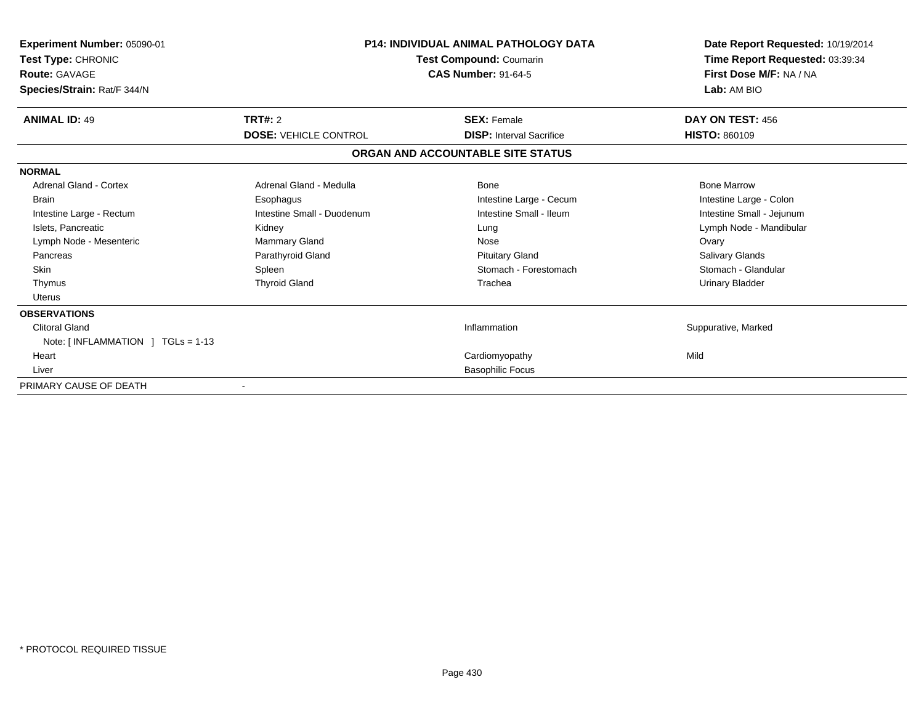| Experiment Number: 05090-01       |                              | <b>P14: INDIVIDUAL ANIMAL PATHOLOGY DATA</b> | Date Report Requested: 10/19/2014 |
|-----------------------------------|------------------------------|----------------------------------------------|-----------------------------------|
| Test Type: CHRONIC                | Test Compound: Coumarin      |                                              | Time Report Requested: 03:39:34   |
| <b>Route: GAVAGE</b>              |                              | <b>CAS Number: 91-64-5</b>                   | First Dose M/F: NA / NA           |
| Species/Strain: Rat/F 344/N       |                              |                                              | Lab: AM BIO                       |
| <b>ANIMAL ID: 49</b>              | TRT#: 2                      | <b>SEX: Female</b>                           | DAY ON TEST: 456                  |
|                                   | <b>DOSE: VEHICLE CONTROL</b> | <b>DISP: Interval Sacrifice</b>              | <b>HISTO: 860109</b>              |
|                                   |                              | ORGAN AND ACCOUNTABLE SITE STATUS            |                                   |
| <b>NORMAL</b>                     |                              |                                              |                                   |
| Adrenal Gland - Cortex            | Adrenal Gland - Medulla      | <b>Bone</b>                                  | <b>Bone Marrow</b>                |
| <b>Brain</b>                      | Esophagus                    | Intestine Large - Cecum                      | Intestine Large - Colon           |
| Intestine Large - Rectum          | Intestine Small - Duodenum   | Intestine Small - Ileum                      | Intestine Small - Jejunum         |
| Islets, Pancreatic                | Kidney                       | Lung                                         | Lymph Node - Mandibular           |
| Lymph Node - Mesenteric           | Mammary Gland                | Nose                                         | Ovary                             |
| Pancreas                          | Parathyroid Gland            | <b>Pituitary Gland</b>                       | Salivary Glands                   |
| <b>Skin</b>                       | Spleen                       | Stomach - Forestomach                        | Stomach - Glandular               |
| Thymus                            | <b>Thyroid Gland</b>         | Trachea                                      | Urinary Bladder                   |
| <b>Uterus</b>                     |                              |                                              |                                   |
| <b>OBSERVATIONS</b>               |                              |                                              |                                   |
| <b>Clitoral Gland</b>             |                              | Inflammation                                 | Suppurative, Marked               |
| Note: [INFLAMMATION ] TGLs = 1-13 |                              |                                              |                                   |
| Heart                             |                              | Cardiomyopathy                               | Mild                              |
| Liver                             |                              | <b>Basophilic Focus</b>                      |                                   |
| PRIMARY CAUSE OF DEATH            |                              |                                              |                                   |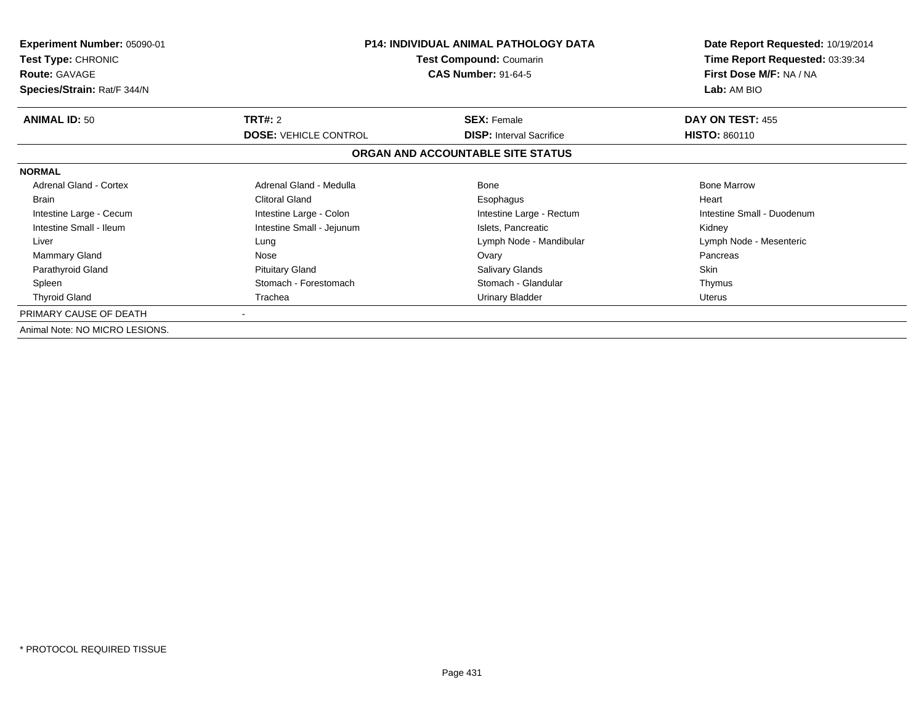| <b>Experiment Number: 05090-01</b><br><b>Test Type: CHRONIC</b><br><b>Route: GAVAGE</b> | <b>P14: INDIVIDUAL ANIMAL PATHOLOGY DATA</b><br>Test Compound: Coumarin<br><b>CAS Number: 91-64-5</b> |                                   | Date Report Requested: 10/19/2014<br>Time Report Requested: 03:39:34<br>First Dose M/F: NA / NA |
|-----------------------------------------------------------------------------------------|-------------------------------------------------------------------------------------------------------|-----------------------------------|-------------------------------------------------------------------------------------------------|
| Species/Strain: Rat/F 344/N                                                             |                                                                                                       |                                   | Lab: AM BIO                                                                                     |
| <b>ANIMAL ID: 50</b>                                                                    | TRT#: 2                                                                                               | <b>SEX: Female</b>                | DAY ON TEST: 455                                                                                |
|                                                                                         | <b>DOSE: VEHICLE CONTROL</b>                                                                          | <b>DISP:</b> Interval Sacrifice   | <b>HISTO: 860110</b>                                                                            |
|                                                                                         |                                                                                                       | ORGAN AND ACCOUNTABLE SITE STATUS |                                                                                                 |
| <b>NORMAL</b>                                                                           |                                                                                                       |                                   |                                                                                                 |
| Adrenal Gland - Cortex                                                                  | Adrenal Gland - Medulla                                                                               | Bone                              | <b>Bone Marrow</b>                                                                              |
| <b>Brain</b>                                                                            | <b>Clitoral Gland</b>                                                                                 | Esophagus                         | Heart                                                                                           |
| Intestine Large - Cecum                                                                 | Intestine Large - Colon                                                                               | Intestine Large - Rectum          | Intestine Small - Duodenum                                                                      |
| Intestine Small - Ileum                                                                 | Intestine Small - Jejunum                                                                             | Islets, Pancreatic                | Kidney                                                                                          |
| Liver                                                                                   | Lung                                                                                                  | Lymph Node - Mandibular           | Lymph Node - Mesenteric                                                                         |
| <b>Mammary Gland</b>                                                                    | Nose                                                                                                  | Ovary                             | Pancreas                                                                                        |
| Parathyroid Gland                                                                       | <b>Pituitary Gland</b>                                                                                | <b>Salivary Glands</b>            | Skin                                                                                            |
| Spleen                                                                                  | Stomach - Forestomach                                                                                 | Stomach - Glandular               | Thymus                                                                                          |
| <b>Thyroid Gland</b>                                                                    | Trachea                                                                                               | <b>Urinary Bladder</b>            | Uterus                                                                                          |
| PRIMARY CAUSE OF DEATH                                                                  |                                                                                                       |                                   |                                                                                                 |
| Animal Note: NO MICRO LESIONS.                                                          |                                                                                                       |                                   |                                                                                                 |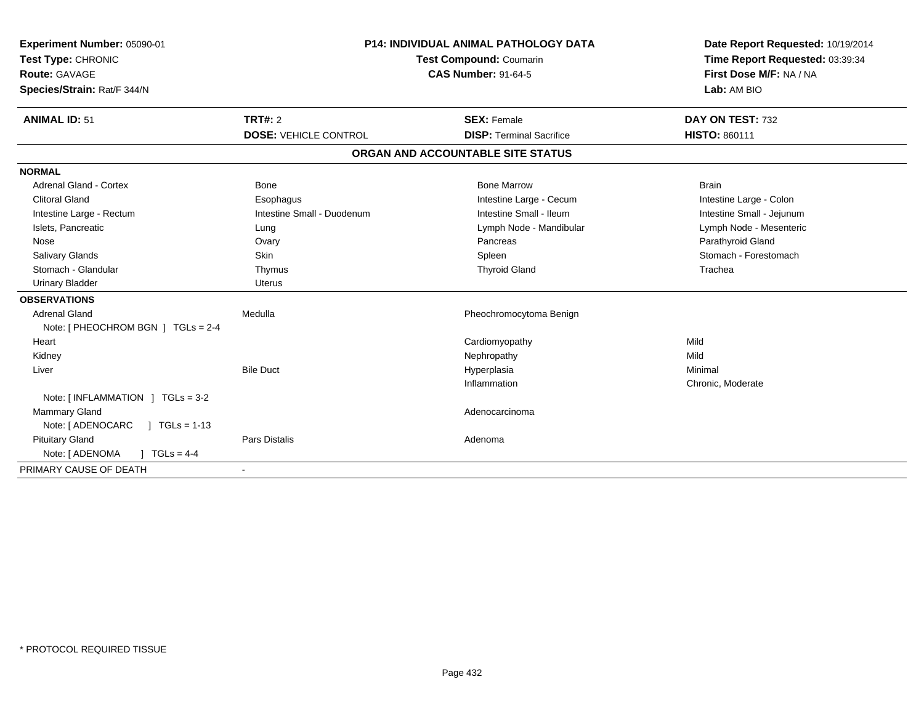| Experiment Number: 05090-01<br>Test Type: CHRONIC<br>Route: GAVAGE<br>Species/Strain: Rat/F 344/N<br><b>ANIMAL ID: 51</b> | TRT#: 2                      | <b>P14: INDIVIDUAL ANIMAL PATHOLOGY DATA</b><br><b>Test Compound: Coumarin</b><br><b>CAS Number: 91-64-5</b><br><b>SEX: Female</b> | Date Report Requested: 10/19/2014<br>Time Report Requested: 03:39:34<br>First Dose M/F: NA / NA<br>Lab: AM BIO<br>DAY ON TEST: 732 |
|---------------------------------------------------------------------------------------------------------------------------|------------------------------|------------------------------------------------------------------------------------------------------------------------------------|------------------------------------------------------------------------------------------------------------------------------------|
|                                                                                                                           | <b>DOSE: VEHICLE CONTROL</b> | <b>DISP: Terminal Sacrifice</b>                                                                                                    | <b>HISTO: 860111</b>                                                                                                               |
|                                                                                                                           |                              | ORGAN AND ACCOUNTABLE SITE STATUS                                                                                                  |                                                                                                                                    |
| <b>NORMAL</b>                                                                                                             |                              |                                                                                                                                    |                                                                                                                                    |
| <b>Adrenal Gland - Cortex</b>                                                                                             | <b>Bone</b>                  | <b>Bone Marrow</b>                                                                                                                 | <b>Brain</b>                                                                                                                       |
| <b>Clitoral Gland</b>                                                                                                     | Esophagus                    | Intestine Large - Cecum                                                                                                            | Intestine Large - Colon                                                                                                            |
| Intestine Large - Rectum                                                                                                  | Intestine Small - Duodenum   | Intestine Small - Ileum                                                                                                            | Intestine Small - Jejunum                                                                                                          |
| Islets, Pancreatic                                                                                                        | Lung                         | Lymph Node - Mandibular                                                                                                            | Lymph Node - Mesenteric                                                                                                            |
| Nose                                                                                                                      | Ovary                        | Pancreas                                                                                                                           | Parathyroid Gland                                                                                                                  |
| Salivary Glands                                                                                                           | Skin                         | Spleen                                                                                                                             | Stomach - Forestomach                                                                                                              |
| Stomach - Glandular                                                                                                       | Thymus                       | <b>Thyroid Gland</b>                                                                                                               | Trachea                                                                                                                            |
| <b>Urinary Bladder</b>                                                                                                    | <b>Uterus</b>                |                                                                                                                                    |                                                                                                                                    |
| <b>OBSERVATIONS</b>                                                                                                       |                              |                                                                                                                                    |                                                                                                                                    |
| <b>Adrenal Gland</b>                                                                                                      | Medulla                      | Pheochromocytoma Benign                                                                                                            |                                                                                                                                    |
| Note: [ PHEOCHROM BGN ] TGLs = 2-4                                                                                        |                              |                                                                                                                                    |                                                                                                                                    |
| Heart                                                                                                                     |                              | Cardiomyopathy                                                                                                                     | Mild                                                                                                                               |
| Kidney                                                                                                                    |                              | Nephropathy                                                                                                                        | Mild                                                                                                                               |
| Liver                                                                                                                     | <b>Bile Duct</b>             | Hyperplasia                                                                                                                        | Minimal                                                                                                                            |
|                                                                                                                           |                              | Inflammation                                                                                                                       | Chronic, Moderate                                                                                                                  |
| Note: $[INFLAMMATION] TGLs = 3-2$                                                                                         |                              |                                                                                                                                    |                                                                                                                                    |
| Mammary Gland                                                                                                             |                              | Adenocarcinoma                                                                                                                     |                                                                                                                                    |
| Note: [ ADENOCARC<br>$\sqrt{1}$ TGLs = 1-13                                                                               |                              |                                                                                                                                    |                                                                                                                                    |
| <b>Pituitary Gland</b>                                                                                                    | Pars Distalis                | Adenoma                                                                                                                            |                                                                                                                                    |
| $J \cdot TGLS = 4-4$<br>Note: [ ADENOMA                                                                                   |                              |                                                                                                                                    |                                                                                                                                    |
| PRIMARY CAUSE OF DEATH                                                                                                    | $\overline{\phantom{a}}$     |                                                                                                                                    |                                                                                                                                    |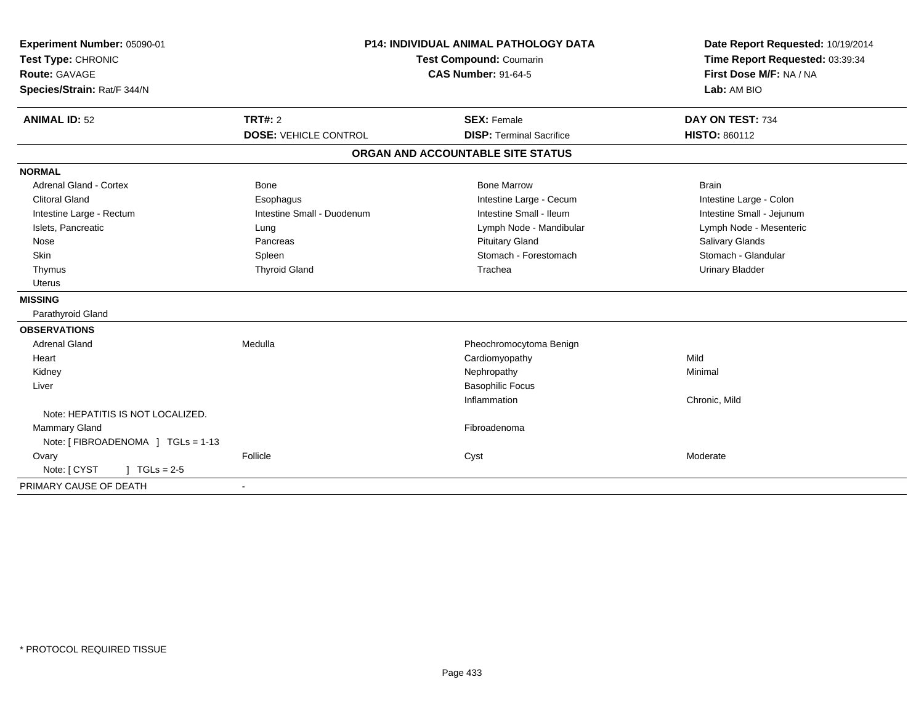| Experiment Number: 05090-01          | <b>P14: INDIVIDUAL ANIMAL PATHOLOGY DATA</b><br><b>Test Compound: Coumarin</b><br><b>CAS Number: 91-64-5</b> |                                   | Date Report Requested: 10/19/2014 |  |
|--------------------------------------|--------------------------------------------------------------------------------------------------------------|-----------------------------------|-----------------------------------|--|
| Test Type: CHRONIC                   |                                                                                                              |                                   | Time Report Requested: 03:39:34   |  |
| Route: GAVAGE                        |                                                                                                              |                                   | First Dose M/F: NA / NA           |  |
| Species/Strain: Rat/F 344/N          |                                                                                                              |                                   | Lab: AM BIO                       |  |
| <b>ANIMAL ID: 52</b>                 | <b>TRT#: 2</b>                                                                                               | <b>SEX: Female</b>                | DAY ON TEST: 734                  |  |
|                                      | <b>DOSE: VEHICLE CONTROL</b>                                                                                 | <b>DISP: Terminal Sacrifice</b>   | <b>HISTO: 860112</b>              |  |
|                                      |                                                                                                              | ORGAN AND ACCOUNTABLE SITE STATUS |                                   |  |
| <b>NORMAL</b>                        |                                                                                                              |                                   |                                   |  |
| <b>Adrenal Gland - Cortex</b>        | <b>Bone</b>                                                                                                  | <b>Bone Marrow</b>                | <b>Brain</b>                      |  |
| <b>Clitoral Gland</b>                | Esophagus                                                                                                    | Intestine Large - Cecum           | Intestine Large - Colon           |  |
| Intestine Large - Rectum             | Intestine Small - Duodenum                                                                                   | Intestine Small - Ileum           | Intestine Small - Jejunum         |  |
| Islets, Pancreatic                   | Lung                                                                                                         | Lymph Node - Mandibular           | Lymph Node - Mesenteric           |  |
| Nose                                 | Pancreas                                                                                                     | <b>Pituitary Gland</b>            | <b>Salivary Glands</b>            |  |
| Skin                                 | Spleen                                                                                                       | Stomach - Forestomach             | Stomach - Glandular               |  |
| Thymus                               | <b>Thyroid Gland</b>                                                                                         | Trachea                           | <b>Urinary Bladder</b>            |  |
| <b>Uterus</b>                        |                                                                                                              |                                   |                                   |  |
| <b>MISSING</b>                       |                                                                                                              |                                   |                                   |  |
| Parathyroid Gland                    |                                                                                                              |                                   |                                   |  |
| <b>OBSERVATIONS</b>                  |                                                                                                              |                                   |                                   |  |
| <b>Adrenal Gland</b>                 | Medulla                                                                                                      | Pheochromocytoma Benign           |                                   |  |
| Heart                                |                                                                                                              | Cardiomyopathy                    | Mild                              |  |
| Kidney                               |                                                                                                              | Nephropathy                       | Minimal                           |  |
| Liver                                |                                                                                                              | <b>Basophilic Focus</b>           |                                   |  |
|                                      |                                                                                                              | Inflammation                      | Chronic, Mild                     |  |
| Note: HEPATITIS IS NOT LOCALIZED.    |                                                                                                              |                                   |                                   |  |
| <b>Mammary Gland</b>                 |                                                                                                              | Fibroadenoma                      |                                   |  |
| Note: [ FIBROADENOMA ] TGLs = 1-13   |                                                                                                              |                                   |                                   |  |
| Ovary                                | Follicle                                                                                                     | Cyst                              | Moderate                          |  |
| Note: [ CYST<br>$J \cdot TGLs = 2-5$ |                                                                                                              |                                   |                                   |  |
| PRIMARY CAUSE OF DEATH               |                                                                                                              |                                   |                                   |  |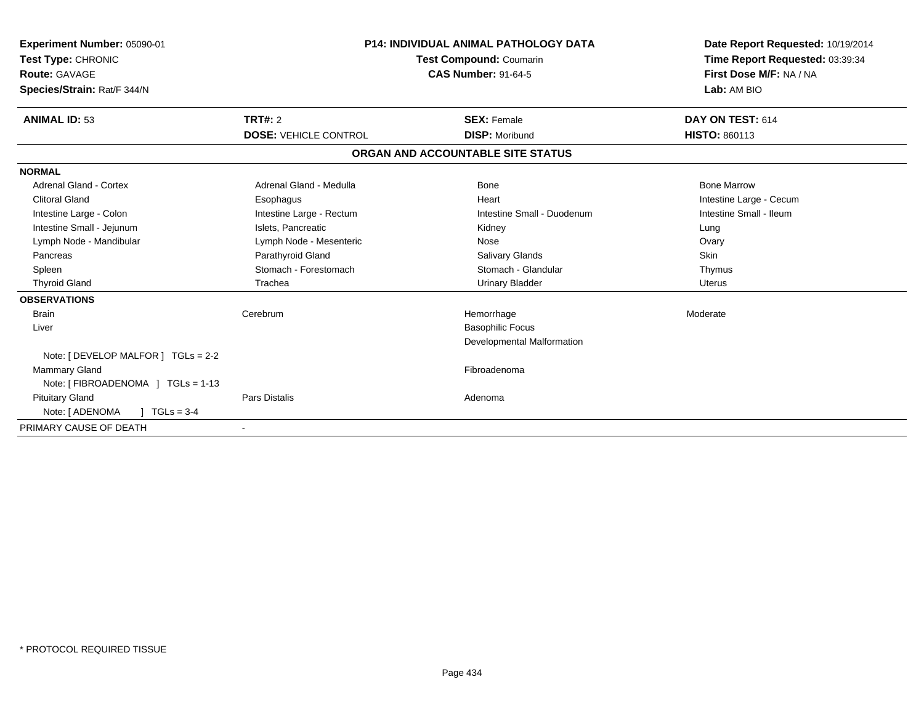| Experiment Number: 05090-01<br>Test Type: CHRONIC<br>Route: GAVAGE<br>Species/Strain: Rat/F 344/N |                              | <b>P14: INDIVIDUAL ANIMAL PATHOLOGY DATA</b><br><b>Test Compound: Coumarin</b><br><b>CAS Number: 91-64-5</b> | Date Report Requested: 10/19/2014<br>Time Report Requested: 03:39:34<br>First Dose M/F: NA / NA<br>Lab: AM BIO |  |
|---------------------------------------------------------------------------------------------------|------------------------------|--------------------------------------------------------------------------------------------------------------|----------------------------------------------------------------------------------------------------------------|--|
| <b>ANIMAL ID: 53</b>                                                                              | TRT#: 2                      | <b>SEX: Female</b>                                                                                           | DAY ON TEST: 614                                                                                               |  |
|                                                                                                   | <b>DOSE: VEHICLE CONTROL</b> | <b>DISP: Moribund</b>                                                                                        | <b>HISTO: 860113</b>                                                                                           |  |
|                                                                                                   |                              | ORGAN AND ACCOUNTABLE SITE STATUS                                                                            |                                                                                                                |  |
| <b>NORMAL</b>                                                                                     |                              |                                                                                                              |                                                                                                                |  |
| Adrenal Gland - Cortex                                                                            | Adrenal Gland - Medulla      | Bone                                                                                                         | <b>Bone Marrow</b>                                                                                             |  |
| <b>Clitoral Gland</b>                                                                             | Esophagus                    | Heart                                                                                                        | Intestine Large - Cecum                                                                                        |  |
| Intestine Large - Colon                                                                           | Intestine Large - Rectum     | Intestine Small - Duodenum                                                                                   | Intestine Small - Ileum                                                                                        |  |
| Intestine Small - Jejunum                                                                         | Islets, Pancreatic           | Kidney                                                                                                       | Lung                                                                                                           |  |
| Lymph Node - Mandibular                                                                           | Lymph Node - Mesenteric      | Nose                                                                                                         | Ovary                                                                                                          |  |
| Pancreas                                                                                          | Parathyroid Gland            | <b>Salivary Glands</b>                                                                                       | Skin                                                                                                           |  |
| Spleen                                                                                            | Stomach - Forestomach        | Stomach - Glandular                                                                                          | Thymus                                                                                                         |  |
| <b>Thyroid Gland</b>                                                                              | Trachea                      | <b>Urinary Bladder</b>                                                                                       | <b>Uterus</b>                                                                                                  |  |
| <b>OBSERVATIONS</b>                                                                               |                              |                                                                                                              |                                                                                                                |  |
| <b>Brain</b>                                                                                      | Cerebrum                     | Hemorrhage                                                                                                   | Moderate                                                                                                       |  |
| Liver                                                                                             |                              | <b>Basophilic Focus</b>                                                                                      |                                                                                                                |  |
|                                                                                                   |                              | <b>Developmental Malformation</b>                                                                            |                                                                                                                |  |
| Note: [ DEVELOP MALFOR ] TGLs = 2-2                                                               |                              |                                                                                                              |                                                                                                                |  |
| <b>Mammary Gland</b>                                                                              |                              | Fibroadenoma                                                                                                 |                                                                                                                |  |
| Note: [FIBROADENOMA ] TGLs = 1-13                                                                 |                              |                                                                                                              |                                                                                                                |  |
| <b>Pituitary Gland</b>                                                                            | <b>Pars Distalis</b>         | Adenoma                                                                                                      |                                                                                                                |  |
| $1 TGLs = 3-4$<br>Note: [ ADENOMA                                                                 |                              |                                                                                                              |                                                                                                                |  |
| PRIMARY CAUSE OF DEATH                                                                            | $\overline{\phantom{a}}$     |                                                                                                              |                                                                                                                |  |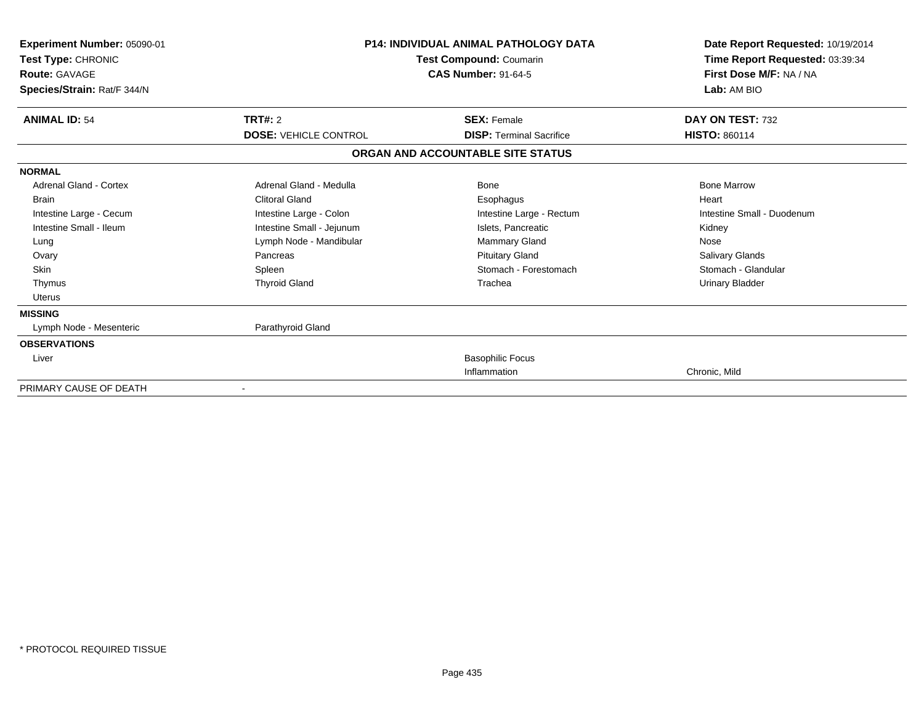| Experiment Number: 05090-01<br>Test Type: CHRONIC<br><b>Route: GAVAGE</b><br>Species/Strain: Rat/F 344/N |                              | <b>P14: INDIVIDUAL ANIMAL PATHOLOGY DATA</b><br>Test Compound: Coumarin<br><b>CAS Number: 91-64-5</b> | Date Report Requested: 10/19/2014<br>Time Report Requested: 03:39:34<br>First Dose M/F: NA / NA<br>Lab: AM BIO |  |
|----------------------------------------------------------------------------------------------------------|------------------------------|-------------------------------------------------------------------------------------------------------|----------------------------------------------------------------------------------------------------------------|--|
| <b>ANIMAL ID: 54</b>                                                                                     | TRT#: 2                      | <b>SEX: Female</b><br><b>DISP: Terminal Sacrifice</b>                                                 | DAY ON TEST: 732                                                                                               |  |
|                                                                                                          | <b>DOSE: VEHICLE CONTROL</b> |                                                                                                       | <b>HISTO: 860114</b>                                                                                           |  |
|                                                                                                          |                              | ORGAN AND ACCOUNTABLE SITE STATUS                                                                     |                                                                                                                |  |
| <b>NORMAL</b>                                                                                            |                              |                                                                                                       |                                                                                                                |  |
| Adrenal Gland - Cortex                                                                                   | Adrenal Gland - Medulla      | Bone                                                                                                  | <b>Bone Marrow</b>                                                                                             |  |
| <b>Brain</b>                                                                                             | <b>Clitoral Gland</b>        | Esophagus                                                                                             | Heart                                                                                                          |  |
| Intestine Large - Cecum                                                                                  | Intestine Large - Colon      | Intestine Large - Rectum                                                                              | Intestine Small - Duodenum                                                                                     |  |
| Intestine Small - Ileum                                                                                  | Intestine Small - Jejunum    | Islets. Pancreatic                                                                                    | Kidney                                                                                                         |  |
| Lung                                                                                                     | Lymph Node - Mandibular      | Mammary Gland                                                                                         | Nose                                                                                                           |  |
| Ovary                                                                                                    | Pancreas                     | <b>Pituitary Gland</b>                                                                                | <b>Salivary Glands</b>                                                                                         |  |
| <b>Skin</b>                                                                                              | Spleen                       | Stomach - Forestomach                                                                                 | Stomach - Glandular                                                                                            |  |
| Thymus                                                                                                   | <b>Thyroid Gland</b>         | Trachea                                                                                               | <b>Urinary Bladder</b>                                                                                         |  |
| <b>Uterus</b>                                                                                            |                              |                                                                                                       |                                                                                                                |  |
| <b>MISSING</b>                                                                                           |                              |                                                                                                       |                                                                                                                |  |
| Lymph Node - Mesenteric                                                                                  | Parathyroid Gland            |                                                                                                       |                                                                                                                |  |
| <b>OBSERVATIONS</b>                                                                                      |                              |                                                                                                       |                                                                                                                |  |
| Liver                                                                                                    |                              | <b>Basophilic Focus</b>                                                                               |                                                                                                                |  |
|                                                                                                          |                              | Inflammation                                                                                          | Chronic, Mild                                                                                                  |  |
| PRIMARY CAUSE OF DEATH                                                                                   |                              |                                                                                                       |                                                                                                                |  |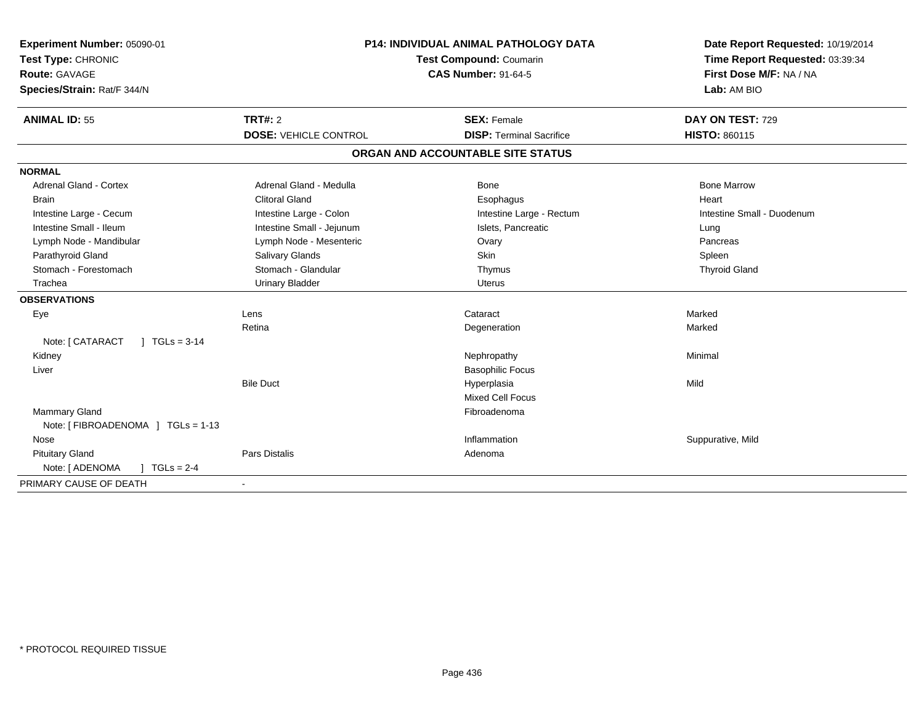| Experiment Number: 05090-01                 | <b>P14: INDIVIDUAL ANIMAL PATHOLOGY DATA</b> |                                   | Date Report Requested: 10/19/2014                          |  |
|---------------------------------------------|----------------------------------------------|-----------------------------------|------------------------------------------------------------|--|
| Test Type: CHRONIC                          |                                              | Test Compound: Coumarin           | Time Report Requested: 03:39:34<br>First Dose M/F: NA / NA |  |
| <b>Route: GAVAGE</b>                        |                                              | <b>CAS Number: 91-64-5</b>        |                                                            |  |
| Species/Strain: Rat/F 344/N                 |                                              |                                   | Lab: AM BIO                                                |  |
| <b>ANIMAL ID: 55</b>                        | TRT#: 2                                      | <b>SEX: Female</b>                | DAY ON TEST: 729                                           |  |
|                                             | <b>DOSE: VEHICLE CONTROL</b>                 | <b>DISP: Terminal Sacrifice</b>   | <b>HISTO: 860115</b>                                       |  |
|                                             |                                              | ORGAN AND ACCOUNTABLE SITE STATUS |                                                            |  |
| <b>NORMAL</b>                               |                                              |                                   |                                                            |  |
| <b>Adrenal Gland - Cortex</b>               | Adrenal Gland - Medulla                      | <b>Bone</b>                       | <b>Bone Marrow</b>                                         |  |
| <b>Brain</b>                                | <b>Clitoral Gland</b>                        | Esophagus                         | Heart                                                      |  |
| Intestine Large - Cecum                     | Intestine Large - Colon                      | Intestine Large - Rectum          | Intestine Small - Duodenum                                 |  |
| Intestine Small - Ileum                     | Intestine Small - Jejunum                    | Islets, Pancreatic                | Lung                                                       |  |
| Lymph Node - Mandibular                     | Lymph Node - Mesenteric                      | Ovary                             | Pancreas                                                   |  |
| Parathyroid Gland                           | Salivary Glands                              | Skin                              | Spleen                                                     |  |
| Stomach - Forestomach                       | Stomach - Glandular                          | Thymus                            | <b>Thyroid Gland</b>                                       |  |
| Trachea                                     | <b>Urinary Bladder</b>                       | <b>Uterus</b>                     |                                                            |  |
| <b>OBSERVATIONS</b>                         |                                              |                                   |                                                            |  |
| Eye                                         | Lens                                         | Cataract                          | Marked                                                     |  |
|                                             | Retina                                       | Degeneration                      | Marked                                                     |  |
| Note: [ CATARACT<br>$1 \text{ TGLs} = 3.14$ |                                              |                                   |                                                            |  |
| Kidney                                      |                                              | Nephropathy                       | Minimal                                                    |  |
| Liver                                       |                                              | <b>Basophilic Focus</b>           |                                                            |  |
|                                             | <b>Bile Duct</b>                             | Hyperplasia                       | Mild                                                       |  |
|                                             |                                              | Mixed Cell Focus                  |                                                            |  |
| <b>Mammary Gland</b>                        |                                              | Fibroadenoma                      |                                                            |  |
| Note: [FIBROADENOMA ] TGLs = 1-13           |                                              |                                   |                                                            |  |
| Nose                                        |                                              | Inflammation                      | Suppurative, Mild                                          |  |
| <b>Pituitary Gland</b>                      | Pars Distalis                                | Adenoma                           |                                                            |  |
| Note: [ ADENOMA<br>$1 TGLs = 2-4$           |                                              |                                   |                                                            |  |
| PRIMARY CAUSE OF DEATH                      |                                              |                                   |                                                            |  |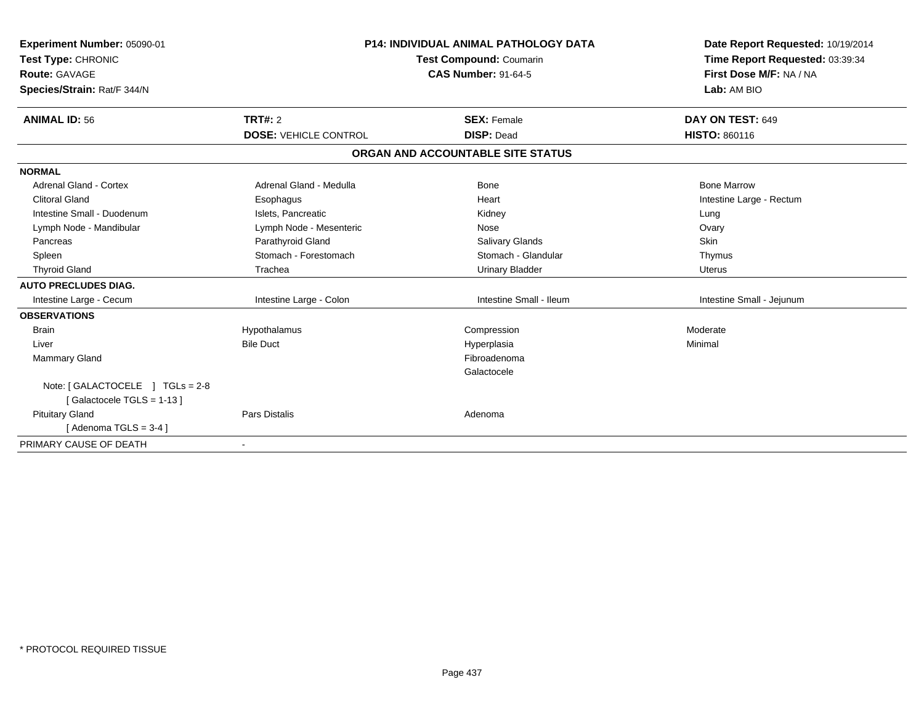| Experiment Number: 05090-01<br>Test Type: CHRONIC<br><b>Route: GAVAGE</b><br>Species/Strain: Rat/F 344/N |                              | <b>P14: INDIVIDUAL ANIMAL PATHOLOGY DATA</b><br>Test Compound: Coumarin<br><b>CAS Number: 91-64-5</b> | Date Report Requested: 10/19/2014<br>Time Report Requested: 03:39:34<br>First Dose M/F: NA / NA<br>Lab: AM BIO |  |
|----------------------------------------------------------------------------------------------------------|------------------------------|-------------------------------------------------------------------------------------------------------|----------------------------------------------------------------------------------------------------------------|--|
| <b>ANIMAL ID: 56</b>                                                                                     | <b>TRT#: 2</b>               | <b>SEX: Female</b>                                                                                    | DAY ON TEST: 649                                                                                               |  |
|                                                                                                          | <b>DOSE: VEHICLE CONTROL</b> | <b>DISP: Dead</b>                                                                                     | <b>HISTO: 860116</b>                                                                                           |  |
|                                                                                                          |                              | ORGAN AND ACCOUNTABLE SITE STATUS                                                                     |                                                                                                                |  |
| <b>NORMAL</b>                                                                                            |                              |                                                                                                       |                                                                                                                |  |
| <b>Adrenal Gland - Cortex</b>                                                                            | Adrenal Gland - Medulla      | Bone                                                                                                  | <b>Bone Marrow</b>                                                                                             |  |
| <b>Clitoral Gland</b>                                                                                    | Esophagus                    | Heart                                                                                                 | Intestine Large - Rectum                                                                                       |  |
| Intestine Small - Duodenum                                                                               | Islets. Pancreatic           | Kidney                                                                                                | Lung                                                                                                           |  |
| Lymph Node - Mandibular                                                                                  | Lymph Node - Mesenteric      | Nose                                                                                                  | Ovary                                                                                                          |  |
| Pancreas                                                                                                 | Parathyroid Gland            | <b>Salivary Glands</b>                                                                                | <b>Skin</b>                                                                                                    |  |
| Spleen                                                                                                   | Stomach - Forestomach        | Stomach - Glandular                                                                                   | Thymus                                                                                                         |  |
| <b>Thyroid Gland</b>                                                                                     | Trachea                      | <b>Urinary Bladder</b>                                                                                | <b>Uterus</b>                                                                                                  |  |
| <b>AUTO PRECLUDES DIAG.</b>                                                                              |                              |                                                                                                       |                                                                                                                |  |
| Intestine Large - Cecum                                                                                  | Intestine Large - Colon      | Intestine Small - Ileum                                                                               | Intestine Small - Jejunum                                                                                      |  |
| <b>OBSERVATIONS</b>                                                                                      |                              |                                                                                                       |                                                                                                                |  |
| <b>Brain</b>                                                                                             | Hypothalamus                 | Compression                                                                                           | Moderate                                                                                                       |  |
| Liver                                                                                                    | <b>Bile Duct</b>             | Hyperplasia                                                                                           | Minimal                                                                                                        |  |
| <b>Mammary Gland</b>                                                                                     |                              | Fibroadenoma                                                                                          |                                                                                                                |  |
|                                                                                                          |                              | Galactocele                                                                                           |                                                                                                                |  |
| Note: [ GALACTOCELE ] TGLs = 2-8                                                                         |                              |                                                                                                       |                                                                                                                |  |
| [Galactocele TGLS = 1-13]                                                                                |                              |                                                                                                       |                                                                                                                |  |
| <b>Pituitary Gland</b>                                                                                   | <b>Pars Distalis</b>         | Adenoma                                                                                               |                                                                                                                |  |
| $Adenoma TGLS = 3-41$                                                                                    |                              |                                                                                                       |                                                                                                                |  |
| PRIMARY CAUSE OF DEATH                                                                                   |                              |                                                                                                       |                                                                                                                |  |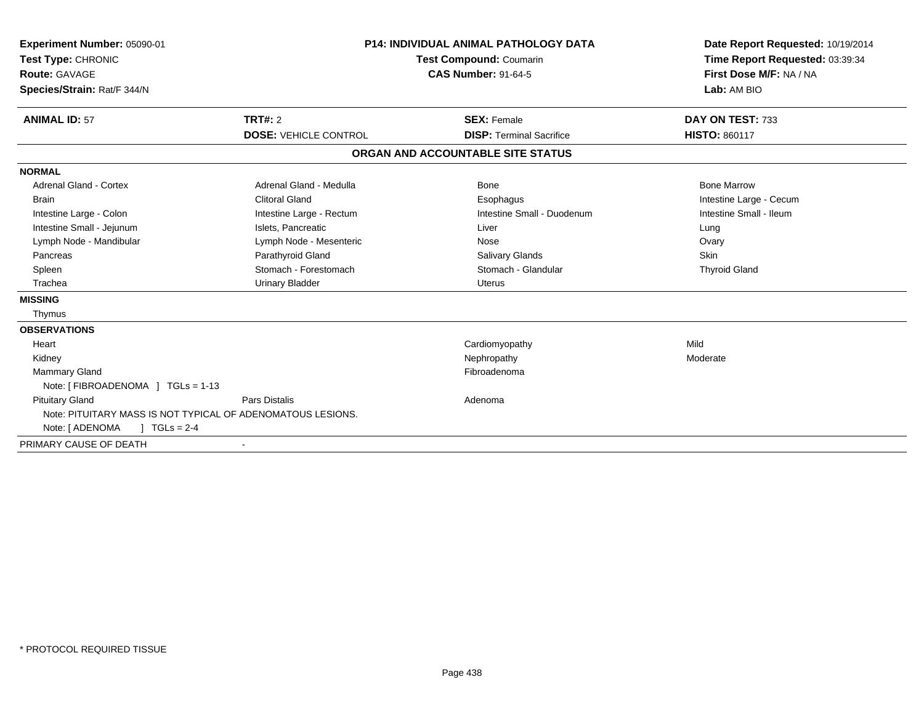| Experiment Number: 05090-01<br>Test Type: CHRONIC<br><b>Route: GAVAGE</b><br>Species/Strain: Rat/F 344/N |                              | <b>P14: INDIVIDUAL ANIMAL PATHOLOGY DATA</b><br><b>Test Compound: Coumarin</b><br><b>CAS Number: 91-64-5</b> | Date Report Requested: 10/19/2014<br>Time Report Requested: 03:39:34<br>First Dose M/F: NA / NA<br>Lab: AM BIO |  |
|----------------------------------------------------------------------------------------------------------|------------------------------|--------------------------------------------------------------------------------------------------------------|----------------------------------------------------------------------------------------------------------------|--|
| <b>ANIMAL ID: 57</b>                                                                                     | <b>TRT#: 2</b>               | <b>SEX: Female</b>                                                                                           | DAY ON TEST: 733                                                                                               |  |
|                                                                                                          | <b>DOSE: VEHICLE CONTROL</b> | <b>DISP: Terminal Sacrifice</b>                                                                              | <b>HISTO: 860117</b>                                                                                           |  |
|                                                                                                          |                              | ORGAN AND ACCOUNTABLE SITE STATUS                                                                            |                                                                                                                |  |
| <b>NORMAL</b>                                                                                            |                              |                                                                                                              |                                                                                                                |  |
| <b>Adrenal Gland - Cortex</b>                                                                            | Adrenal Gland - Medulla      | Bone                                                                                                         | <b>Bone Marrow</b>                                                                                             |  |
| <b>Brain</b>                                                                                             | <b>Clitoral Gland</b>        | Esophagus                                                                                                    | Intestine Large - Cecum                                                                                        |  |
| Intestine Large - Colon                                                                                  | Intestine Large - Rectum     | Intestine Small - Duodenum                                                                                   | Intestine Small - Ileum                                                                                        |  |
| Intestine Small - Jejunum                                                                                | Islets, Pancreatic           | Liver                                                                                                        | Lung                                                                                                           |  |
| Lymph Node - Mandibular                                                                                  | Lymph Node - Mesenteric      | Nose                                                                                                         | Ovary                                                                                                          |  |
| Pancreas                                                                                                 | Parathyroid Gland            | <b>Salivary Glands</b>                                                                                       | <b>Skin</b>                                                                                                    |  |
| Spleen                                                                                                   | Stomach - Forestomach        | Stomach - Glandular                                                                                          | <b>Thyroid Gland</b>                                                                                           |  |
| Trachea                                                                                                  | <b>Urinary Bladder</b>       | <b>Uterus</b>                                                                                                |                                                                                                                |  |
| <b>MISSING</b>                                                                                           |                              |                                                                                                              |                                                                                                                |  |
| Thymus                                                                                                   |                              |                                                                                                              |                                                                                                                |  |
| <b>OBSERVATIONS</b>                                                                                      |                              |                                                                                                              |                                                                                                                |  |
| Heart                                                                                                    |                              | Cardiomyopathy                                                                                               | Mild                                                                                                           |  |
| Kidney                                                                                                   |                              | Nephropathy                                                                                                  | Moderate                                                                                                       |  |
| <b>Mammary Gland</b>                                                                                     |                              | Fibroadenoma                                                                                                 |                                                                                                                |  |
| Note: [FIBROADENOMA ] TGLs = 1-13                                                                        |                              |                                                                                                              |                                                                                                                |  |
| <b>Pituitary Gland</b>                                                                                   | <b>Pars Distalis</b>         | Adenoma                                                                                                      |                                                                                                                |  |
| Note: PITUITARY MASS IS NOT TYPICAL OF ADENOMATOUS LESIONS.                                              |                              |                                                                                                              |                                                                                                                |  |
| Note: [ ADENOMA<br>$TGLs = 2-4$                                                                          |                              |                                                                                                              |                                                                                                                |  |
| PRIMARY CAUSE OF DEATH                                                                                   |                              |                                                                                                              |                                                                                                                |  |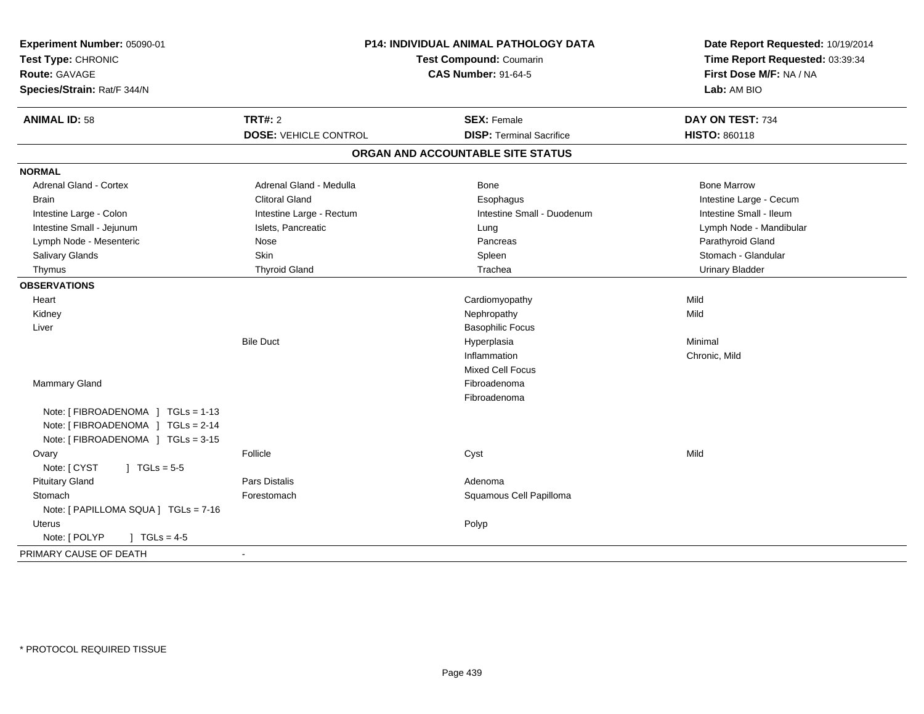| Experiment Number: 05090-01<br>Test Type: CHRONIC<br><b>Route: GAVAGE</b><br>Species/Strain: Rat/F 344/N      | P14: INDIVIDUAL ANIMAL PATHOLOGY DATA<br><b>Test Compound: Coumarin</b><br><b>CAS Number: 91-64-5</b> |                                   | Date Report Requested: 10/19/2014<br>Time Report Requested: 03:39:34<br>First Dose M/F: NA / NA<br>Lab: AM BIO |  |
|---------------------------------------------------------------------------------------------------------------|-------------------------------------------------------------------------------------------------------|-----------------------------------|----------------------------------------------------------------------------------------------------------------|--|
| <b>ANIMAL ID: 58</b>                                                                                          | <b>TRT#: 2</b>                                                                                        | <b>SEX: Female</b>                | DAY ON TEST: 734                                                                                               |  |
|                                                                                                               | <b>DOSE: VEHICLE CONTROL</b>                                                                          | <b>DISP: Terminal Sacrifice</b>   | <b>HISTO: 860118</b>                                                                                           |  |
|                                                                                                               |                                                                                                       | ORGAN AND ACCOUNTABLE SITE STATUS |                                                                                                                |  |
| <b>NORMAL</b>                                                                                                 |                                                                                                       |                                   |                                                                                                                |  |
| <b>Adrenal Gland - Cortex</b>                                                                                 | Adrenal Gland - Medulla                                                                               | Bone                              | <b>Bone Marrow</b>                                                                                             |  |
| <b>Brain</b>                                                                                                  | <b>Clitoral Gland</b>                                                                                 | Esophagus                         | Intestine Large - Cecum                                                                                        |  |
| Intestine Large - Colon                                                                                       | Intestine Large - Rectum                                                                              | Intestine Small - Duodenum        | Intestine Small - Ileum                                                                                        |  |
| Intestine Small - Jejunum                                                                                     | Islets, Pancreatic                                                                                    | Lung                              | Lymph Node - Mandibular                                                                                        |  |
| Lymph Node - Mesenteric                                                                                       | Nose                                                                                                  | Pancreas                          | Parathyroid Gland                                                                                              |  |
| <b>Salivary Glands</b>                                                                                        | <b>Skin</b>                                                                                           | Spleen                            | Stomach - Glandular                                                                                            |  |
| Thymus                                                                                                        | <b>Thyroid Gland</b>                                                                                  | Trachea                           | <b>Urinary Bladder</b>                                                                                         |  |
| <b>OBSERVATIONS</b>                                                                                           |                                                                                                       |                                   |                                                                                                                |  |
| Heart                                                                                                         |                                                                                                       | Cardiomyopathy                    | Mild                                                                                                           |  |
| Kidney                                                                                                        |                                                                                                       | Nephropathy                       | Mild                                                                                                           |  |
| Liver                                                                                                         |                                                                                                       | <b>Basophilic Focus</b>           |                                                                                                                |  |
|                                                                                                               | <b>Bile Duct</b>                                                                                      | Hyperplasia                       | Minimal                                                                                                        |  |
|                                                                                                               |                                                                                                       | Inflammation                      | Chronic, Mild                                                                                                  |  |
|                                                                                                               |                                                                                                       | <b>Mixed Cell Focus</b>           |                                                                                                                |  |
| Mammary Gland                                                                                                 |                                                                                                       | Fibroadenoma                      |                                                                                                                |  |
|                                                                                                               |                                                                                                       | Fibroadenoma                      |                                                                                                                |  |
| Note: [ FIBROADENOMA ] TGLs = 1-13<br>Note: [ FIBROADENOMA ] TGLs = 2-14<br>Note: [FIBROADENOMA ] TGLs = 3-15 |                                                                                                       |                                   |                                                                                                                |  |
| Ovary                                                                                                         | Follicle                                                                                              | Cyst                              | Mild                                                                                                           |  |
| Note: [ CYST<br>$1 TGLs = 5-5$                                                                                |                                                                                                       |                                   |                                                                                                                |  |
| <b>Pituitary Gland</b>                                                                                        | Pars Distalis                                                                                         | Adenoma                           |                                                                                                                |  |
| Stomach                                                                                                       | Forestomach                                                                                           | Squamous Cell Papilloma           |                                                                                                                |  |
| Note: [ PAPILLOMA SQUA ] TGLs = 7-16                                                                          |                                                                                                       |                                   |                                                                                                                |  |
| <b>Uterus</b>                                                                                                 |                                                                                                       | Polyp                             |                                                                                                                |  |
| Note: [ POLYP<br>] $TGLs = 4-5$                                                                               |                                                                                                       |                                   |                                                                                                                |  |
| PRIMARY CAUSE OF DEATH                                                                                        | $\sim$                                                                                                |                                   |                                                                                                                |  |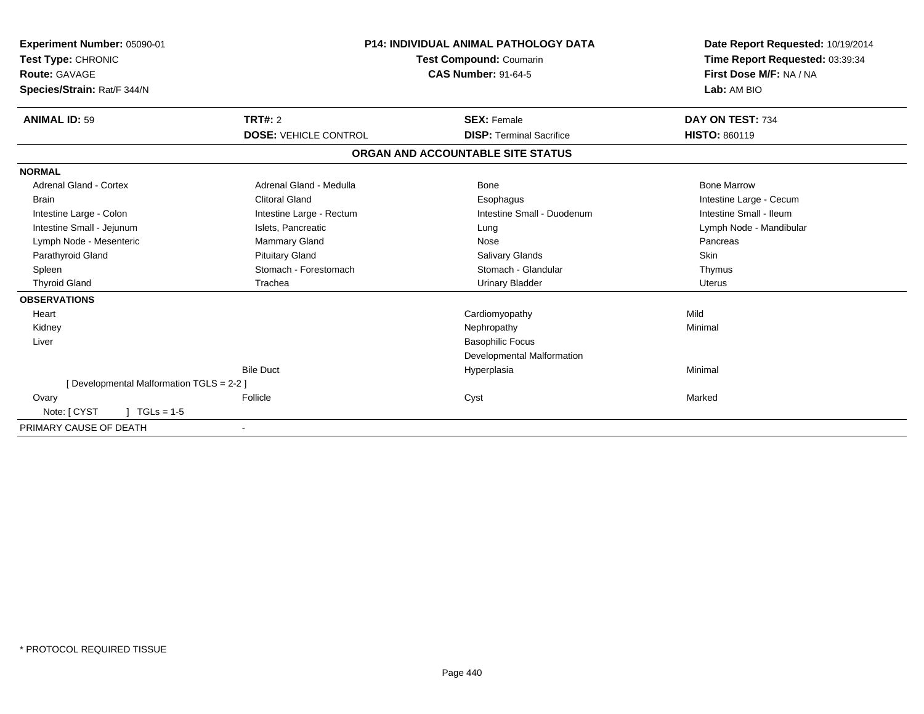| Experiment Number: 05090-01<br>Test Type: CHRONIC<br><b>Route: GAVAGE</b><br>Species/Strain: Rat/F 344/N |                              | <b>P14: INDIVIDUAL ANIMAL PATHOLOGY DATA</b><br>Test Compound: Coumarin<br><b>CAS Number: 91-64-5</b> | Date Report Requested: 10/19/2014<br>Time Report Requested: 03:39:34<br>First Dose M/F: NA / NA<br>Lab: AM BIO |
|----------------------------------------------------------------------------------------------------------|------------------------------|-------------------------------------------------------------------------------------------------------|----------------------------------------------------------------------------------------------------------------|
| <b>ANIMAL ID: 59</b>                                                                                     | <b>TRT#: 2</b>               | <b>SEX: Female</b>                                                                                    | DAY ON TEST: 734                                                                                               |
|                                                                                                          | <b>DOSE: VEHICLE CONTROL</b> | <b>DISP: Terminal Sacrifice</b>                                                                       | <b>HISTO: 860119</b>                                                                                           |
|                                                                                                          |                              | ORGAN AND ACCOUNTABLE SITE STATUS                                                                     |                                                                                                                |
| <b>NORMAL</b>                                                                                            |                              |                                                                                                       |                                                                                                                |
| Adrenal Gland - Cortex                                                                                   | Adrenal Gland - Medulla      | Bone                                                                                                  | <b>Bone Marrow</b>                                                                                             |
| <b>Brain</b>                                                                                             | <b>Clitoral Gland</b>        | Esophagus                                                                                             | Intestine Large - Cecum                                                                                        |
| Intestine Large - Colon                                                                                  | Intestine Large - Rectum     | Intestine Small - Duodenum                                                                            | Intestine Small - Ileum                                                                                        |
| Intestine Small - Jejunum                                                                                | Islets, Pancreatic           | Lung                                                                                                  | Lymph Node - Mandibular                                                                                        |
| Lymph Node - Mesenteric                                                                                  | <b>Mammary Gland</b>         | Nose                                                                                                  | Pancreas                                                                                                       |
| Parathyroid Gland                                                                                        | <b>Pituitary Gland</b>       | Salivary Glands                                                                                       | Skin                                                                                                           |
| Spleen                                                                                                   | Stomach - Forestomach        | Stomach - Glandular                                                                                   | Thymus                                                                                                         |
| <b>Thyroid Gland</b>                                                                                     | Trachea                      | <b>Urinary Bladder</b>                                                                                | <b>Uterus</b>                                                                                                  |
| <b>OBSERVATIONS</b>                                                                                      |                              |                                                                                                       |                                                                                                                |
| Heart                                                                                                    |                              | Cardiomyopathy                                                                                        | Mild                                                                                                           |
| Kidney                                                                                                   |                              | Nephropathy                                                                                           | Minimal                                                                                                        |
| Liver                                                                                                    |                              | <b>Basophilic Focus</b>                                                                               |                                                                                                                |
|                                                                                                          |                              | Developmental Malformation                                                                            |                                                                                                                |
|                                                                                                          | <b>Bile Duct</b>             | Hyperplasia                                                                                           | Minimal                                                                                                        |
| [Developmental Malformation TGLS = 2-2 ]                                                                 |                              |                                                                                                       |                                                                                                                |
| Ovary                                                                                                    | Follicle                     | Cyst                                                                                                  | Marked                                                                                                         |
| Note: [ CYST<br>$TGLs = 1-5$                                                                             |                              |                                                                                                       |                                                                                                                |
| PRIMARY CAUSE OF DEATH                                                                                   | $\overline{\phantom{a}}$     |                                                                                                       |                                                                                                                |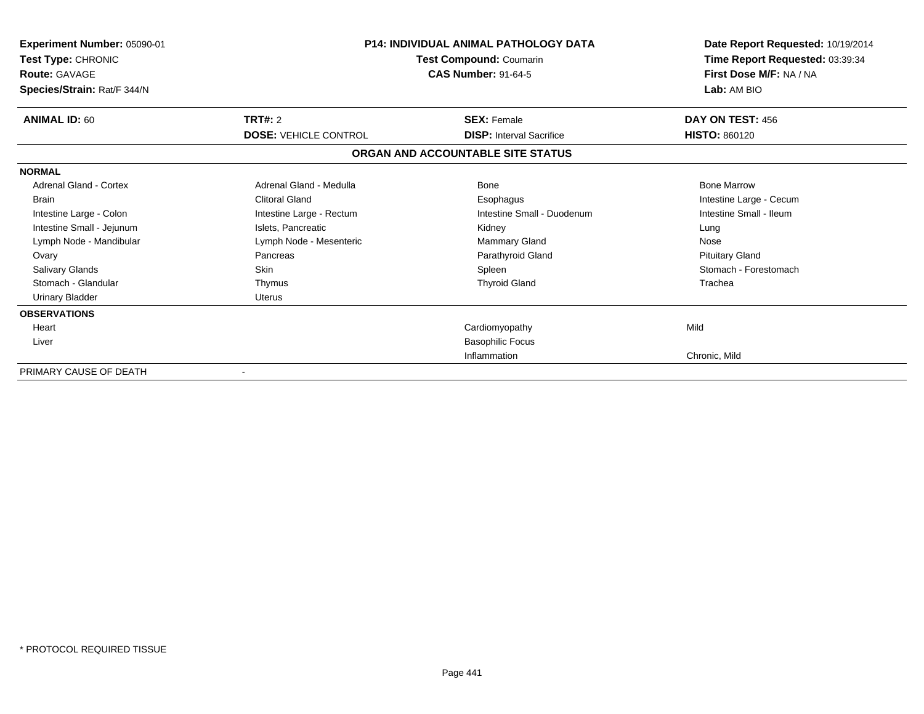| <b>Experiment Number: 05090-01</b><br>Test Type: CHRONIC<br><b>Route: GAVAGE</b><br>Species/Strain: Rat/F 344/N |                              | <b>P14: INDIVIDUAL ANIMAL PATHOLOGY DATA</b><br>Test Compound: Coumarin<br><b>CAS Number: 91-64-5</b> | Date Report Requested: 10/19/2014<br>Time Report Requested: 03:39:34<br>First Dose M/F: NA / NA<br>Lab: AM BIO |  |
|-----------------------------------------------------------------------------------------------------------------|------------------------------|-------------------------------------------------------------------------------------------------------|----------------------------------------------------------------------------------------------------------------|--|
| <b>ANIMAL ID: 60</b>                                                                                            | TRT#: 2                      | <b>SEX: Female</b>                                                                                    | DAY ON TEST: 456                                                                                               |  |
|                                                                                                                 | <b>DOSE: VEHICLE CONTROL</b> | <b>DISP: Interval Sacrifice</b>                                                                       | <b>HISTO: 860120</b>                                                                                           |  |
|                                                                                                                 |                              | ORGAN AND ACCOUNTABLE SITE STATUS                                                                     |                                                                                                                |  |
| <b>NORMAL</b>                                                                                                   |                              |                                                                                                       |                                                                                                                |  |
| <b>Adrenal Gland - Cortex</b>                                                                                   | Adrenal Gland - Medulla      | Bone                                                                                                  | <b>Bone Marrow</b>                                                                                             |  |
| <b>Brain</b>                                                                                                    | <b>Clitoral Gland</b>        | Esophagus                                                                                             | Intestine Large - Cecum                                                                                        |  |
| Intestine Large - Colon                                                                                         | Intestine Large - Rectum     | Intestine Small - Duodenum                                                                            | Intestine Small - Ileum                                                                                        |  |
| Intestine Small - Jejunum                                                                                       | Islets, Pancreatic           | Kidney                                                                                                | Lung                                                                                                           |  |
| Lymph Node - Mandibular                                                                                         | Lymph Node - Mesenteric      | Mammary Gland                                                                                         | Nose                                                                                                           |  |
| Ovary                                                                                                           | Pancreas                     | Parathyroid Gland                                                                                     | <b>Pituitary Gland</b>                                                                                         |  |
| <b>Salivary Glands</b>                                                                                          | <b>Skin</b>                  | Spleen                                                                                                | Stomach - Forestomach                                                                                          |  |
| Stomach - Glandular                                                                                             | Thymus                       | <b>Thyroid Gland</b>                                                                                  | Trachea                                                                                                        |  |
| <b>Urinary Bladder</b>                                                                                          | <b>Uterus</b>                |                                                                                                       |                                                                                                                |  |
| <b>OBSERVATIONS</b>                                                                                             |                              |                                                                                                       |                                                                                                                |  |
| Heart                                                                                                           |                              | Cardiomyopathy                                                                                        | Mild                                                                                                           |  |
| Liver                                                                                                           |                              | <b>Basophilic Focus</b>                                                                               |                                                                                                                |  |
|                                                                                                                 |                              | Inflammation                                                                                          | Chronic, Mild                                                                                                  |  |
| PRIMARY CAUSE OF DEATH                                                                                          |                              |                                                                                                       |                                                                                                                |  |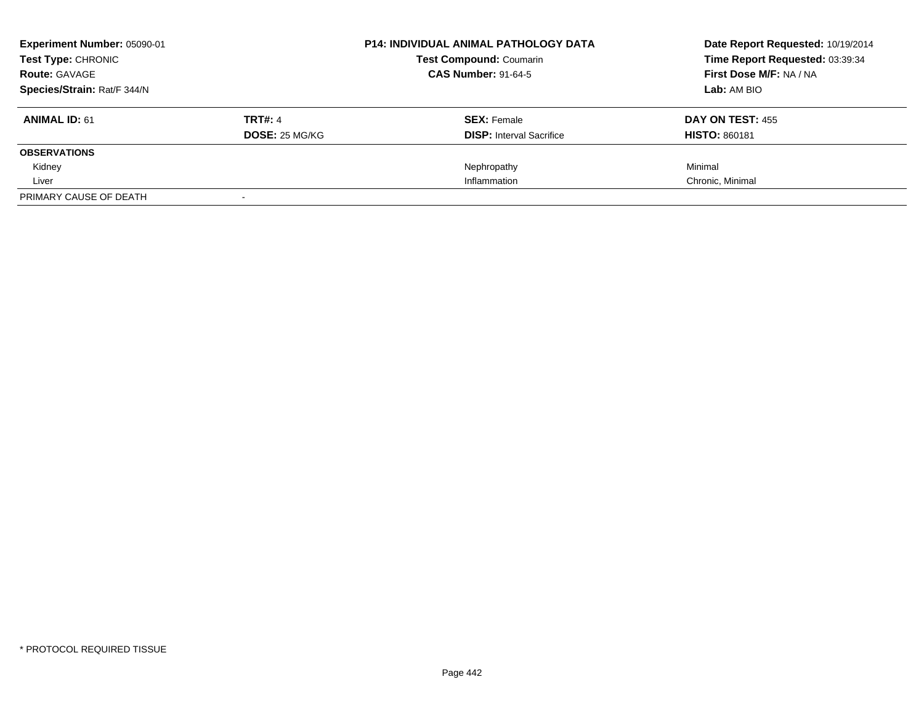| Experiment Number: 05090-01<br><b>Test Type: CHRONIC</b> |                       | <b>P14: INDIVIDUAL ANIMAL PATHOLOGY DATA</b> | Date Report Requested: 10/19/2014 |  |
|----------------------------------------------------------|-----------------------|----------------------------------------------|-----------------------------------|--|
|                                                          |                       | <b>Test Compound: Coumarin</b>               | Time Report Requested: 03:39:34   |  |
| <b>Route: GAVAGE</b>                                     |                       | <b>CAS Number: 91-64-5</b>                   | First Dose M/F: NA / NA           |  |
| Species/Strain: Rat/F 344/N                              |                       |                                              | Lab: AM BIO                       |  |
| <b>ANIMAL ID: 61</b>                                     | <b>TRT#: 4</b>        | <b>SEX: Female</b>                           | DAY ON TEST: 455                  |  |
|                                                          | <b>DOSE: 25 MG/KG</b> | <b>DISP:</b> Interval Sacrifice              | <b>HISTO: 860181</b>              |  |
| <b>OBSERVATIONS</b>                                      |                       |                                              |                                   |  |
| Kidney                                                   |                       | Nephropathy                                  | Minimal                           |  |
| Liver                                                    |                       | Inflammation                                 | Chronic, Minimal                  |  |
| PRIMARY CAUSE OF DEATH                                   |                       |                                              |                                   |  |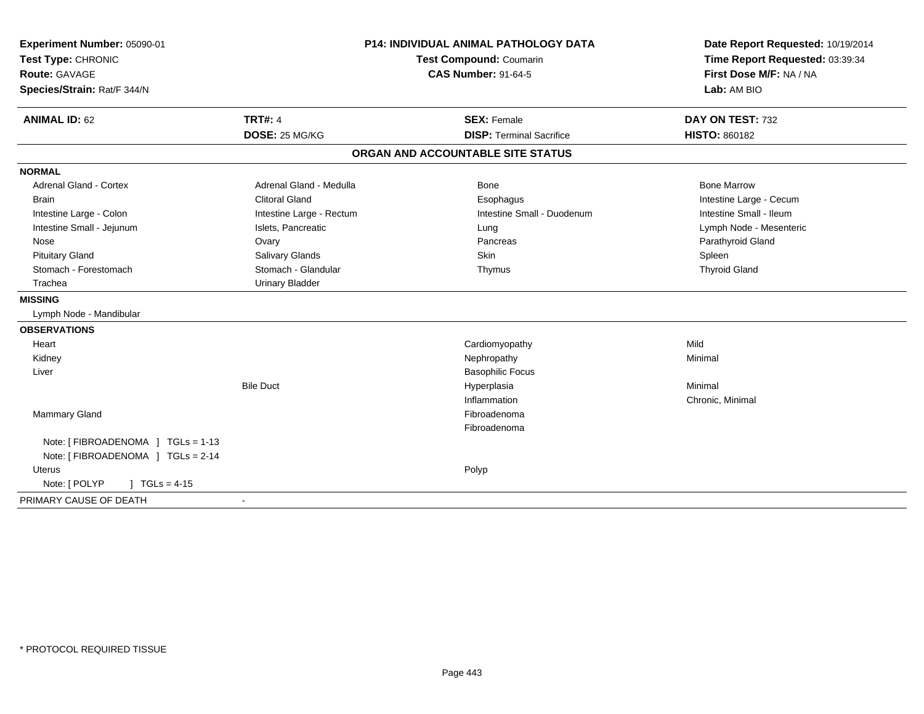| Experiment Number: 05090-01        | <b>P14: INDIVIDUAL ANIMAL PATHOLOGY DATA</b><br>Test Compound: Coumarin |                                   | Date Report Requested: 10/19/2014 |
|------------------------------------|-------------------------------------------------------------------------|-----------------------------------|-----------------------------------|
| Test Type: CHRONIC                 |                                                                         |                                   | Time Report Requested: 03:39:34   |
| Route: GAVAGE                      |                                                                         | <b>CAS Number: 91-64-5</b>        | First Dose M/F: NA / NA           |
| Species/Strain: Rat/F 344/N        |                                                                         |                                   | Lab: AM BIO                       |
| <b>ANIMAL ID: 62</b>               | <b>TRT#: 4</b>                                                          | <b>SEX: Female</b>                | DAY ON TEST: 732                  |
|                                    | DOSE: 25 MG/KG                                                          | <b>DISP: Terminal Sacrifice</b>   | <b>HISTO: 860182</b>              |
|                                    |                                                                         | ORGAN AND ACCOUNTABLE SITE STATUS |                                   |
| <b>NORMAL</b>                      |                                                                         |                                   |                                   |
| <b>Adrenal Gland - Cortex</b>      | Adrenal Gland - Medulla                                                 | <b>Bone</b>                       | <b>Bone Marrow</b>                |
| <b>Brain</b>                       | <b>Clitoral Gland</b>                                                   | Esophagus                         | Intestine Large - Cecum           |
| Intestine Large - Colon            | Intestine Large - Rectum                                                | Intestine Small - Duodenum        | Intestine Small - Ileum           |
| Intestine Small - Jejunum          | Islets, Pancreatic                                                      | Lung                              | Lymph Node - Mesenteric           |
| Nose                               | Ovary                                                                   | Pancreas                          | Parathyroid Gland                 |
| <b>Pituitary Gland</b>             | Salivary Glands                                                         | <b>Skin</b>                       | Spleen                            |
| Stomach - Forestomach              | Stomach - Glandular                                                     | Thymus                            | <b>Thyroid Gland</b>              |
| Trachea                            | <b>Urinary Bladder</b>                                                  |                                   |                                   |
| <b>MISSING</b>                     |                                                                         |                                   |                                   |
| Lymph Node - Mandibular            |                                                                         |                                   |                                   |
| <b>OBSERVATIONS</b>                |                                                                         |                                   |                                   |
| Heart                              |                                                                         | Cardiomyopathy                    | Mild                              |
| Kidney                             |                                                                         | Nephropathy                       | Minimal                           |
| Liver                              |                                                                         | <b>Basophilic Focus</b>           |                                   |
|                                    | <b>Bile Duct</b>                                                        | Hyperplasia                       | Minimal                           |
|                                    |                                                                         | Inflammation                      | Chronic, Minimal                  |
| Mammary Gland                      |                                                                         | Fibroadenoma                      |                                   |
|                                    |                                                                         | Fibroadenoma                      |                                   |
| Note: [FIBROADENOMA ] TGLs = 1-13  |                                                                         |                                   |                                   |
| Note: [ FIBROADENOMA ] TGLs = 2-14 |                                                                         |                                   |                                   |
| <b>Uterus</b>                      |                                                                         | Polyp                             |                                   |
| Note: [ POLYP<br>$1 TGLs = 4-15$   |                                                                         |                                   |                                   |
| PRIMARY CAUSE OF DEATH             | $\sim$                                                                  |                                   |                                   |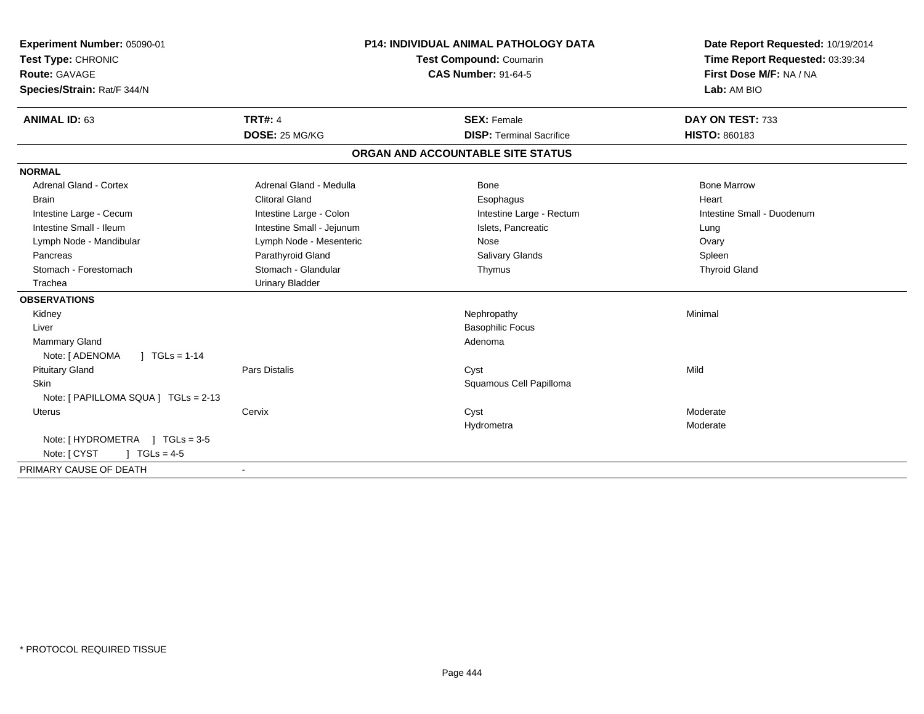| Experiment Number: 05090-01<br>Test Type: CHRONIC<br>Route: GAVAGE<br>Species/Strain: Rat/F 344/N<br><b>ANIMAL ID: 63</b> | <b>TRT#: 4</b>            | <b>P14: INDIVIDUAL ANIMAL PATHOLOGY DATA</b><br>Test Compound: Coumarin<br><b>CAS Number: 91-64-5</b><br><b>SEX: Female</b> |                                   | Date Report Requested: 10/19/2014<br>Time Report Requested: 03:39:34<br>First Dose M/F: NA / NA<br>Lab: AM BIO<br>DAY ON TEST: 733 |
|---------------------------------------------------------------------------------------------------------------------------|---------------------------|-----------------------------------------------------------------------------------------------------------------------------|-----------------------------------|------------------------------------------------------------------------------------------------------------------------------------|
|                                                                                                                           | DOSE: 25 MG/KG            |                                                                                                                             | <b>DISP: Terminal Sacrifice</b>   | <b>HISTO: 860183</b>                                                                                                               |
|                                                                                                                           |                           |                                                                                                                             | ORGAN AND ACCOUNTABLE SITE STATUS |                                                                                                                                    |
| <b>NORMAL</b>                                                                                                             |                           |                                                                                                                             |                                   |                                                                                                                                    |
| <b>Adrenal Gland - Cortex</b>                                                                                             | Adrenal Gland - Medulla   |                                                                                                                             | Bone                              | <b>Bone Marrow</b>                                                                                                                 |
| <b>Brain</b>                                                                                                              | <b>Clitoral Gland</b>     |                                                                                                                             | Esophagus                         | Heart                                                                                                                              |
| Intestine Large - Cecum                                                                                                   | Intestine Large - Colon   |                                                                                                                             | Intestine Large - Rectum          | Intestine Small - Duodenum                                                                                                         |
| Intestine Small - Ileum                                                                                                   | Intestine Small - Jejunum |                                                                                                                             | Islets, Pancreatic                | Lung                                                                                                                               |
| Lymph Node - Mandibular                                                                                                   | Lymph Node - Mesenteric   |                                                                                                                             | Nose                              | Ovary                                                                                                                              |
| Pancreas                                                                                                                  | Parathyroid Gland         |                                                                                                                             | <b>Salivary Glands</b>            | Spleen                                                                                                                             |
| Stomach - Forestomach                                                                                                     | Stomach - Glandular       |                                                                                                                             | Thymus                            | <b>Thyroid Gland</b>                                                                                                               |
| Trachea                                                                                                                   | <b>Urinary Bladder</b>    |                                                                                                                             |                                   |                                                                                                                                    |
| <b>OBSERVATIONS</b>                                                                                                       |                           |                                                                                                                             |                                   |                                                                                                                                    |
| Kidney                                                                                                                    |                           |                                                                                                                             | Nephropathy                       | Minimal                                                                                                                            |
| Liver                                                                                                                     |                           |                                                                                                                             | <b>Basophilic Focus</b>           |                                                                                                                                    |
| Mammary Gland                                                                                                             |                           |                                                                                                                             | Adenoma                           |                                                                                                                                    |
| Note: [ ADENOMA<br>$\sqrt{1}$ TGLs = 1-14                                                                                 |                           |                                                                                                                             |                                   |                                                                                                                                    |
| <b>Pituitary Gland</b>                                                                                                    | <b>Pars Distalis</b>      |                                                                                                                             | Cyst                              | Mild                                                                                                                               |
| <b>Skin</b>                                                                                                               |                           |                                                                                                                             | Squamous Cell Papilloma           |                                                                                                                                    |
| Note: [ PAPILLOMA SQUA ] TGLs = 2-13                                                                                      |                           |                                                                                                                             |                                   |                                                                                                                                    |
| <b>Uterus</b>                                                                                                             | Cervix                    |                                                                                                                             | Cyst                              | Moderate                                                                                                                           |
|                                                                                                                           |                           |                                                                                                                             | Hydrometra                        | Moderate                                                                                                                           |
| Note: [HYDROMETRA ] TGLs = 3-5                                                                                            |                           |                                                                                                                             |                                   |                                                                                                                                    |
| $TGLs = 4-5$<br>Note: [ CYST                                                                                              |                           |                                                                                                                             |                                   |                                                                                                                                    |
| PRIMARY CAUSE OF DEATH                                                                                                    |                           |                                                                                                                             |                                   |                                                                                                                                    |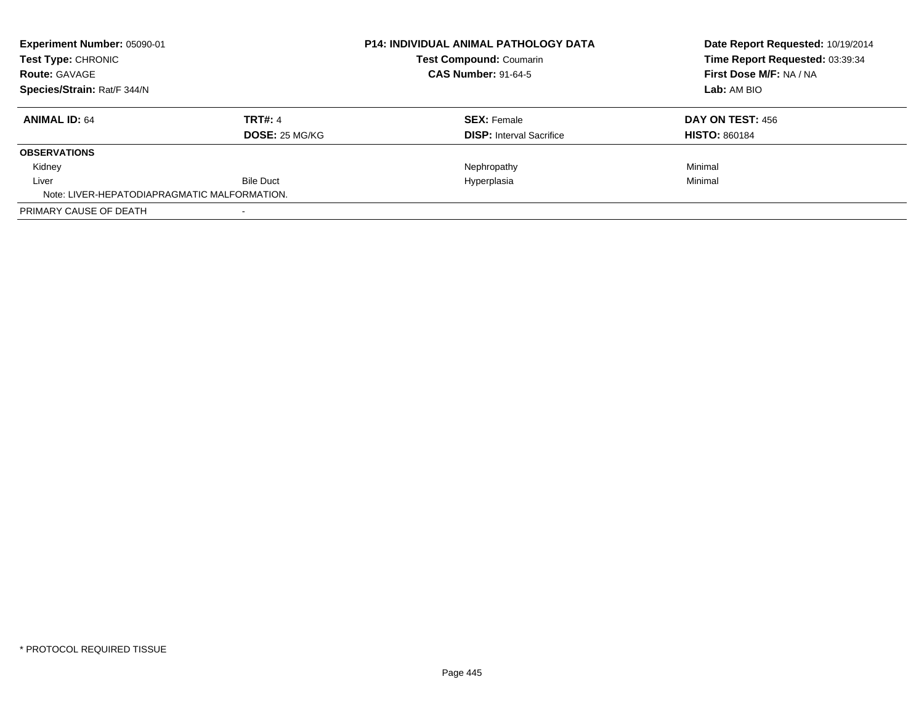| <b>Experiment Number: 05090-01</b><br>Test Type: CHRONIC<br><b>Route: GAVAGE</b><br>Species/Strain: Rat/F 344/N |                  | <b>P14: INDIVIDUAL ANIMAL PATHOLOGY DATA</b><br><b>Test Compound: Coumarin</b> | Date Report Requested: 10/19/2014<br>Time Report Requested: 03:39:34<br>First Dose M/F: NA / NA |
|-----------------------------------------------------------------------------------------------------------------|------------------|--------------------------------------------------------------------------------|-------------------------------------------------------------------------------------------------|
|                                                                                                                 |                  | <b>CAS Number: 91-64-5</b>                                                     |                                                                                                 |
|                                                                                                                 |                  |                                                                                | Lab: AM BIO                                                                                     |
| <b>ANIMAL ID: 64</b>                                                                                            | TRT#: 4          | <b>SEX: Female</b>                                                             | DAY ON TEST: 456                                                                                |
|                                                                                                                 | DOSE: 25 MG/KG   | <b>DISP:</b> Interval Sacrifice                                                | <b>HISTO: 860184</b>                                                                            |
| <b>OBSERVATIONS</b>                                                                                             |                  |                                                                                |                                                                                                 |
| Kidney                                                                                                          |                  | Nephropathy                                                                    | Minimal                                                                                         |
| Liver                                                                                                           | <b>Bile Duct</b> | Hyperplasia                                                                    | Minimal                                                                                         |
| Note: LIVER-HEPATODIAPRAGMATIC MALFORMATION.                                                                    |                  |                                                                                |                                                                                                 |
| PRIMARY CAUSE OF DEATH                                                                                          |                  |                                                                                |                                                                                                 |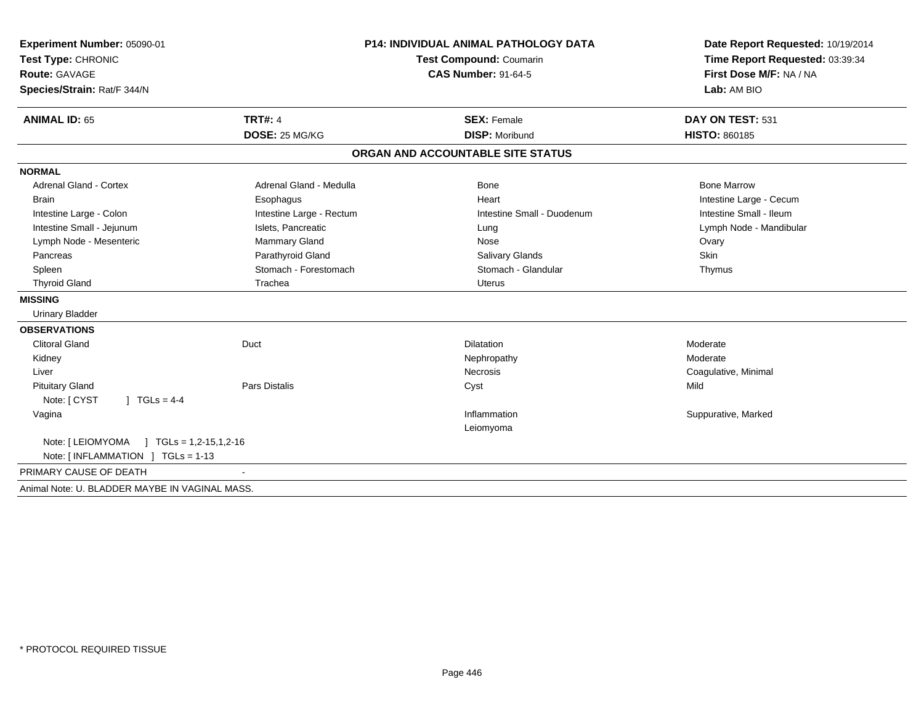| Experiment Number: 05090-01                    | <b>P14: INDIVIDUAL ANIMAL PATHOLOGY DATA</b><br><b>Test Compound: Coumarin</b> |                                   | Date Report Requested: 10/19/2014      |  |
|------------------------------------------------|--------------------------------------------------------------------------------|-----------------------------------|----------------------------------------|--|
| Test Type: CHRONIC                             |                                                                                |                                   | Time Report Requested: 03:39:34        |  |
| <b>Route: GAVAGE</b>                           |                                                                                | <b>CAS Number: 91-64-5</b>        | First Dose M/F: NA / NA<br>Lab: AM BIO |  |
| Species/Strain: Rat/F 344/N                    |                                                                                |                                   |                                        |  |
| <b>ANIMAL ID: 65</b>                           | <b>TRT#: 4</b>                                                                 | <b>SEX: Female</b>                | DAY ON TEST: 531                       |  |
|                                                | DOSE: 25 MG/KG                                                                 | <b>DISP: Moribund</b>             | <b>HISTO: 860185</b>                   |  |
|                                                |                                                                                | ORGAN AND ACCOUNTABLE SITE STATUS |                                        |  |
| <b>NORMAL</b>                                  |                                                                                |                                   |                                        |  |
| <b>Adrenal Gland - Cortex</b>                  | Adrenal Gland - Medulla                                                        | Bone                              | <b>Bone Marrow</b>                     |  |
| <b>Brain</b>                                   | Esophagus                                                                      | Heart                             | Intestine Large - Cecum                |  |
| Intestine Large - Colon                        | Intestine Large - Rectum                                                       | Intestine Small - Duodenum        | Intestine Small - Ileum                |  |
| Intestine Small - Jejunum                      | Islets, Pancreatic                                                             | Lung                              | Lymph Node - Mandibular                |  |
| Lymph Node - Mesenteric                        | Mammary Gland                                                                  | Nose                              | Ovary                                  |  |
| Pancreas                                       | Parathyroid Gland                                                              | <b>Salivary Glands</b>            | Skin                                   |  |
| Spleen                                         | Stomach - Forestomach                                                          | Stomach - Glandular               | Thymus                                 |  |
| <b>Thyroid Gland</b>                           | Trachea                                                                        | Uterus                            |                                        |  |
| <b>MISSING</b>                                 |                                                                                |                                   |                                        |  |
| <b>Urinary Bladder</b>                         |                                                                                |                                   |                                        |  |
| <b>OBSERVATIONS</b>                            |                                                                                |                                   |                                        |  |
| <b>Clitoral Gland</b>                          | Duct                                                                           | <b>Dilatation</b>                 | Moderate                               |  |
| Kidney                                         |                                                                                | Nephropathy                       | Moderate                               |  |
| Liver                                          |                                                                                | <b>Necrosis</b>                   | Coagulative, Minimal                   |  |
| <b>Pituitary Gland</b>                         | <b>Pars Distalis</b>                                                           | Cyst                              | Mild                                   |  |
| Note: [ CYST<br>$1 TGLs = 4-4$                 |                                                                                |                                   |                                        |  |
| Vagina                                         |                                                                                | Inflammation                      | Suppurative, Marked                    |  |
|                                                |                                                                                | Leiomyoma                         |                                        |  |
|                                                |                                                                                |                                   |                                        |  |
| Note: [INFLAMMATION ] TGLs = 1-13              |                                                                                |                                   |                                        |  |
| PRIMARY CAUSE OF DEATH                         |                                                                                |                                   |                                        |  |
| Animal Note: U. BLADDER MAYBE IN VAGINAL MASS. |                                                                                |                                   |                                        |  |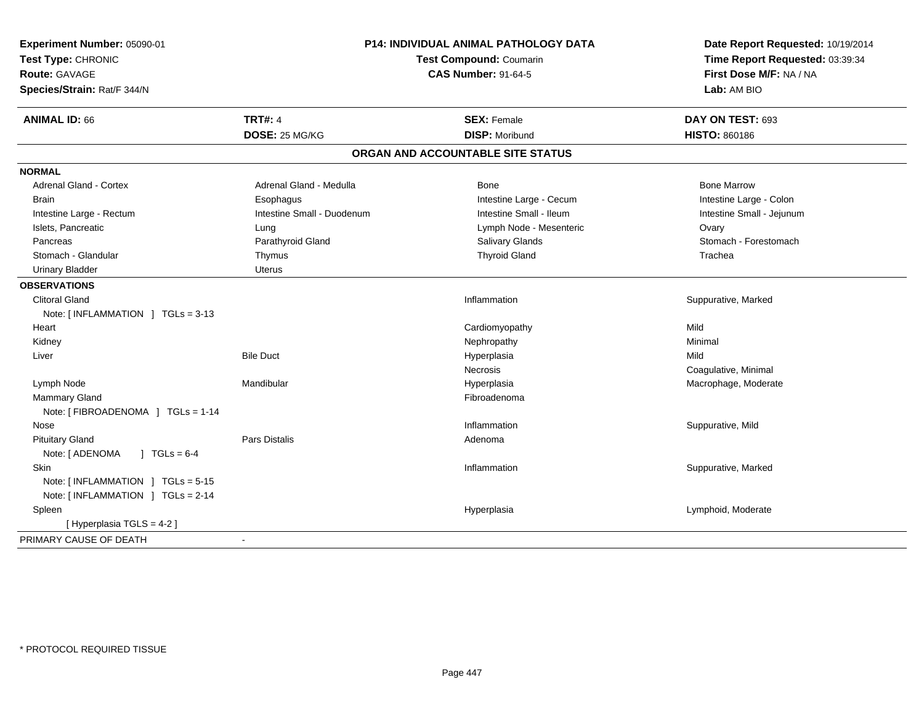| Experiment Number: 05090-01        |                            | P14: INDIVIDUAL ANIMAL PATHOLOGY DATA | Date Report Requested: 10/19/2014<br>Time Report Requested: 03:39:34<br>First Dose M/F: NA / NA<br>Lab: AM BIO |  |
|------------------------------------|----------------------------|---------------------------------------|----------------------------------------------------------------------------------------------------------------|--|
| Test Type: CHRONIC                 |                            | Test Compound: Coumarin               |                                                                                                                |  |
| <b>Route: GAVAGE</b>               |                            | <b>CAS Number: 91-64-5</b>            |                                                                                                                |  |
| Species/Strain: Rat/F 344/N        |                            |                                       |                                                                                                                |  |
| <b>ANIMAL ID: 66</b>               | <b>TRT#: 4</b>             | <b>SEX: Female</b>                    | DAY ON TEST: 693                                                                                               |  |
|                                    | DOSE: 25 MG/KG             | <b>DISP: Moribund</b>                 | <b>HISTO: 860186</b>                                                                                           |  |
|                                    |                            | ORGAN AND ACCOUNTABLE SITE STATUS     |                                                                                                                |  |
| <b>NORMAL</b>                      |                            |                                       |                                                                                                                |  |
| <b>Adrenal Gland - Cortex</b>      | Adrenal Gland - Medulla    | Bone                                  | <b>Bone Marrow</b>                                                                                             |  |
| <b>Brain</b>                       | Esophagus                  | Intestine Large - Cecum               | Intestine Large - Colon                                                                                        |  |
| Intestine Large - Rectum           | Intestine Small - Duodenum | Intestine Small - Ileum               | Intestine Small - Jejunum                                                                                      |  |
| Islets, Pancreatic                 | Lung                       | Lymph Node - Mesenteric               | Ovary                                                                                                          |  |
| Pancreas                           | Parathyroid Gland          | <b>Salivary Glands</b>                | Stomach - Forestomach                                                                                          |  |
| Stomach - Glandular                | Thymus                     | <b>Thyroid Gland</b>                  | Trachea                                                                                                        |  |
| <b>Urinary Bladder</b>             | <b>Uterus</b>              |                                       |                                                                                                                |  |
| <b>OBSERVATIONS</b>                |                            |                                       |                                                                                                                |  |
| <b>Clitoral Gland</b>              |                            | Inflammation                          | Suppurative, Marked                                                                                            |  |
| Note: $[INFLAMMATION] TGLs = 3-13$ |                            |                                       |                                                                                                                |  |
| Heart                              |                            | Cardiomyopathy                        | Mild                                                                                                           |  |
| Kidney                             |                            | Nephropathy                           | Minimal                                                                                                        |  |
| Liver                              | <b>Bile Duct</b>           | Hyperplasia                           | Mild                                                                                                           |  |
|                                    |                            | Necrosis                              | Coagulative, Minimal                                                                                           |  |
| Lymph Node                         | Mandibular                 | Hyperplasia                           | Macrophage, Moderate                                                                                           |  |
| <b>Mammary Gland</b>               |                            | Fibroadenoma                          |                                                                                                                |  |
| Note: [FIBROADENOMA ] TGLs = 1-14  |                            |                                       |                                                                                                                |  |
| Nose                               |                            | Inflammation                          | Suppurative, Mild                                                                                              |  |
| <b>Pituitary Gland</b>             | <b>Pars Distalis</b>       | Adenoma                               |                                                                                                                |  |
| $1 TGLs = 6-4$<br>Note: [ ADENOMA  |                            |                                       |                                                                                                                |  |
| Skin                               |                            | Inflammation                          | Suppurative, Marked                                                                                            |  |
| Note: [INFLAMMATION ] TGLs = 5-15  |                            |                                       |                                                                                                                |  |
| Note: [INFLAMMATION ] TGLs = 2-14  |                            |                                       |                                                                                                                |  |
| Spleen                             |                            | Hyperplasia                           | Lymphoid, Moderate                                                                                             |  |
| [ Hyperplasia TGLS = 4-2 ]         |                            |                                       |                                                                                                                |  |
| PRIMARY CAUSE OF DEATH             |                            |                                       |                                                                                                                |  |
|                                    |                            |                                       |                                                                                                                |  |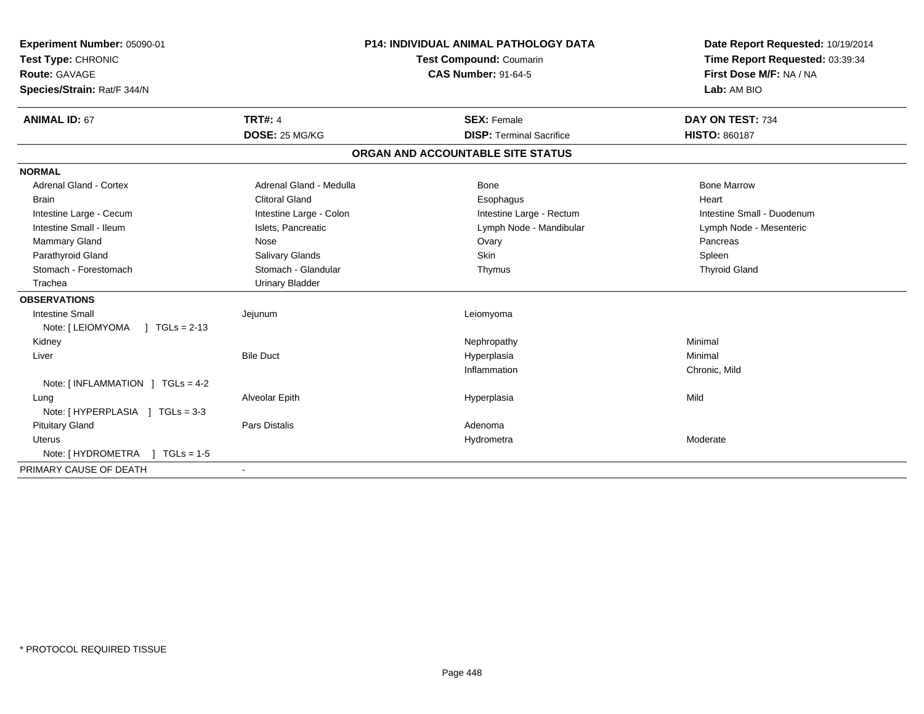| Experiment Number: 05090-01<br>Test Type: CHRONIC<br><b>Route: GAVAGE</b><br>Species/Strain: Rat/F 344/N<br><b>ANIMAL ID: 67</b> | <b>TRT#: 4</b>          | <b>P14: INDIVIDUAL ANIMAL PATHOLOGY DATA</b><br><b>Test Compound: Coumarin</b><br><b>CAS Number: 91-64-5</b><br><b>SEX: Female</b> | Date Report Requested: 10/19/2014<br>Time Report Requested: 03:39:34<br>First Dose M/F: NA / NA<br>Lab: AM BIO<br>DAY ON TEST: 734 |
|----------------------------------------------------------------------------------------------------------------------------------|-------------------------|------------------------------------------------------------------------------------------------------------------------------------|------------------------------------------------------------------------------------------------------------------------------------|
|                                                                                                                                  | DOSE: 25 MG/KG          | <b>DISP: Terminal Sacrifice</b>                                                                                                    | <b>HISTO: 860187</b>                                                                                                               |
|                                                                                                                                  |                         | ORGAN AND ACCOUNTABLE SITE STATUS                                                                                                  |                                                                                                                                    |
| <b>NORMAL</b>                                                                                                                    |                         |                                                                                                                                    |                                                                                                                                    |
| <b>Adrenal Gland - Cortex</b>                                                                                                    | Adrenal Gland - Medulla | Bone                                                                                                                               | <b>Bone Marrow</b>                                                                                                                 |
| Brain                                                                                                                            | <b>Clitoral Gland</b>   | Esophagus                                                                                                                          | Heart                                                                                                                              |
| Intestine Large - Cecum                                                                                                          | Intestine Large - Colon | Intestine Large - Rectum                                                                                                           | Intestine Small - Duodenum                                                                                                         |
| Intestine Small - Ileum                                                                                                          | Islets, Pancreatic      | Lymph Node - Mandibular                                                                                                            | Lymph Node - Mesenteric                                                                                                            |
| <b>Mammary Gland</b>                                                                                                             | Nose                    | Ovary                                                                                                                              | Pancreas                                                                                                                           |
| Parathyroid Gland                                                                                                                | Salivary Glands         | <b>Skin</b>                                                                                                                        | Spleen                                                                                                                             |
| Stomach - Forestomach                                                                                                            | Stomach - Glandular     | Thymus                                                                                                                             | <b>Thyroid Gland</b>                                                                                                               |
| Trachea                                                                                                                          | <b>Urinary Bladder</b>  |                                                                                                                                    |                                                                                                                                    |
| <b>OBSERVATIONS</b>                                                                                                              |                         |                                                                                                                                    |                                                                                                                                    |
| <b>Intestine Small</b>                                                                                                           | Jejunum                 | Leiomyoma                                                                                                                          |                                                                                                                                    |
| Note: [ LEIOMYOMA<br>$1 TGLs = 2-13$                                                                                             |                         |                                                                                                                                    |                                                                                                                                    |
| Kidney                                                                                                                           |                         | Nephropathy                                                                                                                        | Minimal                                                                                                                            |
| Liver                                                                                                                            | <b>Bile Duct</b>        | Hyperplasia                                                                                                                        | Minimal                                                                                                                            |
|                                                                                                                                  |                         | Inflammation                                                                                                                       | Chronic, Mild                                                                                                                      |
| Note: $\lceil$ INFLAMMATION $\lceil$ TGLs = 4-2                                                                                  |                         |                                                                                                                                    |                                                                                                                                    |
| Lung                                                                                                                             | Alveolar Epith          | Hyperplasia                                                                                                                        | Mild                                                                                                                               |
| Note: [HYPERPLASIA ] TGLs = 3-3                                                                                                  |                         |                                                                                                                                    |                                                                                                                                    |
| <b>Pituitary Gland</b>                                                                                                           | <b>Pars Distalis</b>    | Adenoma                                                                                                                            |                                                                                                                                    |
| Uterus                                                                                                                           |                         | Hydrometra                                                                                                                         | Moderate                                                                                                                           |
| Note: [ HYDROMETRA<br>$1 TGLs = 1-5$                                                                                             |                         |                                                                                                                                    |                                                                                                                                    |
| PRIMARY CAUSE OF DEATH                                                                                                           |                         |                                                                                                                                    |                                                                                                                                    |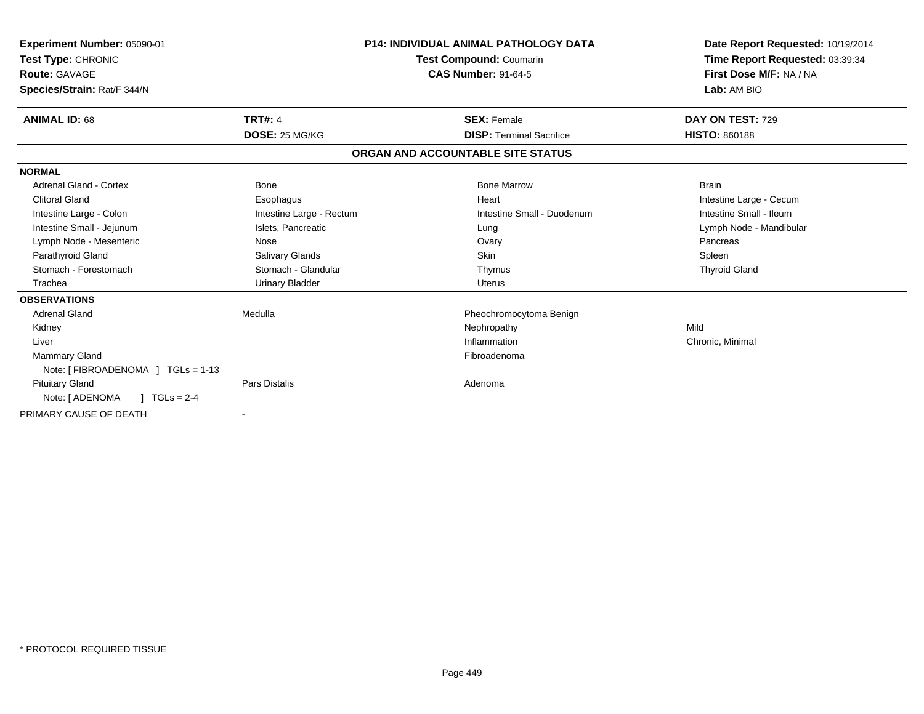| Experiment Number: 05090-01<br>Test Type: CHRONIC<br><b>Route: GAVAGE</b><br>Species/Strain: Rat/F 344/N |                          | <b>P14: INDIVIDUAL ANIMAL PATHOLOGY DATA</b><br>Test Compound: Coumarin<br><b>CAS Number: 91-64-5</b> | Date Report Requested: 10/19/2014<br>Time Report Requested: 03:39:34<br>First Dose M/F: NA / NA<br>Lab: AM BIO |
|----------------------------------------------------------------------------------------------------------|--------------------------|-------------------------------------------------------------------------------------------------------|----------------------------------------------------------------------------------------------------------------|
| <b>ANIMAL ID: 68</b>                                                                                     | <b>TRT#: 4</b>           | <b>SEX: Female</b>                                                                                    | DAY ON TEST: 729                                                                                               |
|                                                                                                          | DOSE: 25 MG/KG           | <b>DISP: Terminal Sacrifice</b>                                                                       | <b>HISTO: 860188</b>                                                                                           |
|                                                                                                          |                          | ORGAN AND ACCOUNTABLE SITE STATUS                                                                     |                                                                                                                |
| <b>NORMAL</b>                                                                                            |                          |                                                                                                       |                                                                                                                |
| Adrenal Gland - Cortex                                                                                   | Bone                     | <b>Bone Marrow</b>                                                                                    | <b>Brain</b>                                                                                                   |
| <b>Clitoral Gland</b>                                                                                    | Esophagus                | Heart                                                                                                 | Intestine Large - Cecum                                                                                        |
| Intestine Large - Colon                                                                                  | Intestine Large - Rectum | Intestine Small - Duodenum                                                                            | Intestine Small - Ileum                                                                                        |
| Intestine Small - Jejunum                                                                                | Islets, Pancreatic       | Lung                                                                                                  | Lymph Node - Mandibular                                                                                        |
| Lymph Node - Mesenteric                                                                                  | Nose                     | Ovary                                                                                                 | Pancreas                                                                                                       |
| Parathyroid Gland                                                                                        | Salivary Glands          | Skin                                                                                                  | Spleen                                                                                                         |
| Stomach - Forestomach                                                                                    | Stomach - Glandular      | Thymus                                                                                                | <b>Thyroid Gland</b>                                                                                           |
| Trachea                                                                                                  | <b>Urinary Bladder</b>   | Uterus                                                                                                |                                                                                                                |
| <b>OBSERVATIONS</b>                                                                                      |                          |                                                                                                       |                                                                                                                |
| <b>Adrenal Gland</b>                                                                                     | Medulla                  | Pheochromocytoma Benign                                                                               |                                                                                                                |
| Kidney                                                                                                   |                          | Nephropathy                                                                                           | Mild                                                                                                           |
| Liver                                                                                                    |                          | Inflammation                                                                                          | Chronic, Minimal                                                                                               |
| <b>Mammary Gland</b>                                                                                     |                          | Fibroadenoma                                                                                          |                                                                                                                |
| Note: [FIBROADENOMA ] TGLs = 1-13                                                                        |                          |                                                                                                       |                                                                                                                |
| <b>Pituitary Gland</b>                                                                                   | Pars Distalis            | Adenoma                                                                                               |                                                                                                                |
| Note: [ ADENOMA<br>$1 TGLs = 2-4$                                                                        |                          |                                                                                                       |                                                                                                                |
| PRIMARY CAUSE OF DEATH                                                                                   |                          |                                                                                                       |                                                                                                                |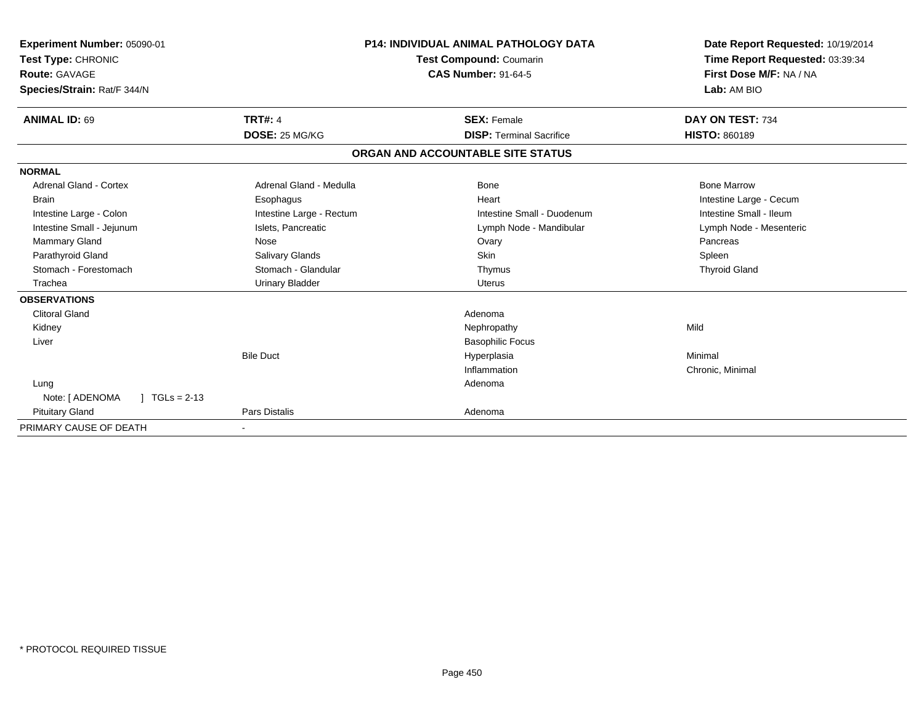| Experiment Number: 05090-01<br>Test Type: CHRONIC |                          | P14: INDIVIDUAL ANIMAL PATHOLOGY DATA<br>Test Compound: Coumarin | Date Report Requested: 10/19/2014<br>Time Report Requested: 03:39:34 |  |
|---------------------------------------------------|--------------------------|------------------------------------------------------------------|----------------------------------------------------------------------|--|
| <b>Route: GAVAGE</b>                              |                          | <b>CAS Number: 91-64-5</b>                                       | First Dose M/F: NA / NA                                              |  |
| Species/Strain: Rat/F 344/N                       |                          |                                                                  | Lab: AM BIO                                                          |  |
| <b>ANIMAL ID: 69</b>                              | <b>TRT#: 4</b>           | <b>SEX: Female</b>                                               | DAY ON TEST: 734                                                     |  |
|                                                   | DOSE: 25 MG/KG           | <b>DISP: Terminal Sacrifice</b>                                  | <b>HISTO: 860189</b>                                                 |  |
|                                                   |                          | ORGAN AND ACCOUNTABLE SITE STATUS                                |                                                                      |  |
| <b>NORMAL</b>                                     |                          |                                                                  |                                                                      |  |
| <b>Adrenal Gland - Cortex</b>                     | Adrenal Gland - Medulla  | <b>Bone</b>                                                      | <b>Bone Marrow</b>                                                   |  |
| <b>Brain</b>                                      | Esophagus                | Heart                                                            | Intestine Large - Cecum                                              |  |
| Intestine Large - Colon                           | Intestine Large - Rectum | Intestine Small - Duodenum                                       | Intestine Small - Ileum                                              |  |
| Intestine Small - Jejunum                         | Islets, Pancreatic       | Lymph Node - Mandibular                                          | Lymph Node - Mesenteric                                              |  |
| <b>Mammary Gland</b>                              | Nose                     | Ovary                                                            | Pancreas                                                             |  |
| Parathyroid Gland                                 | Salivary Glands          | <b>Skin</b>                                                      | Spleen                                                               |  |
| Stomach - Forestomach                             | Stomach - Glandular      | Thymus                                                           | <b>Thyroid Gland</b>                                                 |  |
| Trachea                                           | <b>Urinary Bladder</b>   | <b>Uterus</b>                                                    |                                                                      |  |
| <b>OBSERVATIONS</b>                               |                          |                                                                  |                                                                      |  |
| <b>Clitoral Gland</b>                             |                          | Adenoma                                                          |                                                                      |  |
| Kidney                                            |                          | Nephropathy                                                      | Mild                                                                 |  |
| Liver                                             |                          | <b>Basophilic Focus</b>                                          |                                                                      |  |
|                                                   | <b>Bile Duct</b>         | Hyperplasia                                                      | Minimal                                                              |  |
|                                                   |                          | Inflammation                                                     | Chronic, Minimal                                                     |  |
| Lung                                              |                          | Adenoma                                                          |                                                                      |  |
| Note: [ ADENOMA<br>$1 TGLs = 2-13$                |                          |                                                                  |                                                                      |  |
| <b>Pituitary Gland</b>                            | Pars Distalis            | Adenoma                                                          |                                                                      |  |
| PRIMARY CAUSE OF DEATH                            |                          |                                                                  |                                                                      |  |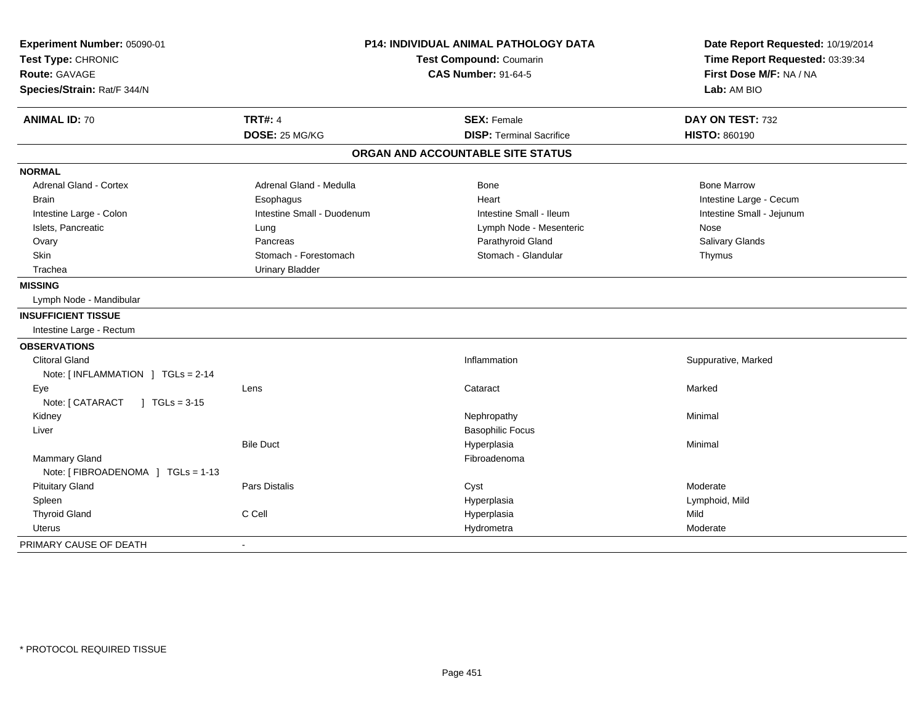| Experiment Number: 05090-01<br>Test Type: CHRONIC<br><b>Route: GAVAGE</b><br>Species/Strain: Rat/F 344/N | <b>P14: INDIVIDUAL ANIMAL PATHOLOGY DATA</b><br>Test Compound: Coumarin<br><b>CAS Number: 91-64-5</b> |                                   | Date Report Requested: 10/19/2014<br>Time Report Requested: 03:39:34<br>First Dose M/F: NA / NA<br>Lab: AM BIO |  |
|----------------------------------------------------------------------------------------------------------|-------------------------------------------------------------------------------------------------------|-----------------------------------|----------------------------------------------------------------------------------------------------------------|--|
| <b>ANIMAL ID: 70</b>                                                                                     | <b>TRT#: 4</b>                                                                                        | <b>SEX: Female</b>                | DAY ON TEST: 732                                                                                               |  |
|                                                                                                          | DOSE: 25 MG/KG                                                                                        | <b>DISP: Terminal Sacrifice</b>   | <b>HISTO: 860190</b>                                                                                           |  |
|                                                                                                          |                                                                                                       | ORGAN AND ACCOUNTABLE SITE STATUS |                                                                                                                |  |
| <b>NORMAL</b>                                                                                            |                                                                                                       |                                   |                                                                                                                |  |
| <b>Adrenal Gland - Cortex</b>                                                                            | Adrenal Gland - Medulla                                                                               | <b>Bone</b>                       | <b>Bone Marrow</b>                                                                                             |  |
| <b>Brain</b>                                                                                             | Esophagus                                                                                             | Heart                             | Intestine Large - Cecum                                                                                        |  |
| Intestine Large - Colon                                                                                  | Intestine Small - Duodenum                                                                            | Intestine Small - Ileum           | Intestine Small - Jejunum                                                                                      |  |
| Islets, Pancreatic                                                                                       | Lung                                                                                                  | Lymph Node - Mesenteric           | Nose                                                                                                           |  |
| Ovary                                                                                                    | Pancreas                                                                                              | Parathyroid Gland                 | Salivary Glands                                                                                                |  |
| Skin                                                                                                     | Stomach - Forestomach                                                                                 | Stomach - Glandular               | Thymus                                                                                                         |  |
| Trachea                                                                                                  | <b>Urinary Bladder</b>                                                                                |                                   |                                                                                                                |  |
| <b>MISSING</b>                                                                                           |                                                                                                       |                                   |                                                                                                                |  |
| Lymph Node - Mandibular                                                                                  |                                                                                                       |                                   |                                                                                                                |  |
| <b>INSUFFICIENT TISSUE</b>                                                                               |                                                                                                       |                                   |                                                                                                                |  |
| Intestine Large - Rectum                                                                                 |                                                                                                       |                                   |                                                                                                                |  |
| <b>OBSERVATIONS</b>                                                                                      |                                                                                                       |                                   |                                                                                                                |  |
| <b>Clitoral Gland</b>                                                                                    |                                                                                                       | Inflammation                      | Suppurative, Marked                                                                                            |  |
| Note: [INFLAMMATION ] TGLs = 2-14                                                                        |                                                                                                       |                                   |                                                                                                                |  |
| Eye                                                                                                      | Lens                                                                                                  | Cataract                          | Marked                                                                                                         |  |
| Note: [ CATARACT<br>$\sqrt{1 + 1}$ TGLs = 3-15                                                           |                                                                                                       |                                   |                                                                                                                |  |
| Kidney                                                                                                   |                                                                                                       | Nephropathy                       | Minimal                                                                                                        |  |
| Liver                                                                                                    |                                                                                                       | <b>Basophilic Focus</b>           |                                                                                                                |  |
|                                                                                                          | <b>Bile Duct</b>                                                                                      | Hyperplasia                       | Minimal                                                                                                        |  |
| <b>Mammary Gland</b>                                                                                     |                                                                                                       | Fibroadenoma                      |                                                                                                                |  |
| Note: [FIBROADENOMA ] TGLs = 1-13                                                                        |                                                                                                       |                                   |                                                                                                                |  |
| <b>Pituitary Gland</b>                                                                                   | <b>Pars Distalis</b>                                                                                  | Cyst                              | Moderate                                                                                                       |  |
| Spleen                                                                                                   |                                                                                                       | Hyperplasia                       | Lymphoid, Mild                                                                                                 |  |
| <b>Thyroid Gland</b>                                                                                     | C Cell                                                                                                | Hyperplasia                       | Mild                                                                                                           |  |
| Uterus                                                                                                   |                                                                                                       | Hydrometra                        | Moderate                                                                                                       |  |
| PRIMARY CAUSE OF DEATH                                                                                   |                                                                                                       |                                   |                                                                                                                |  |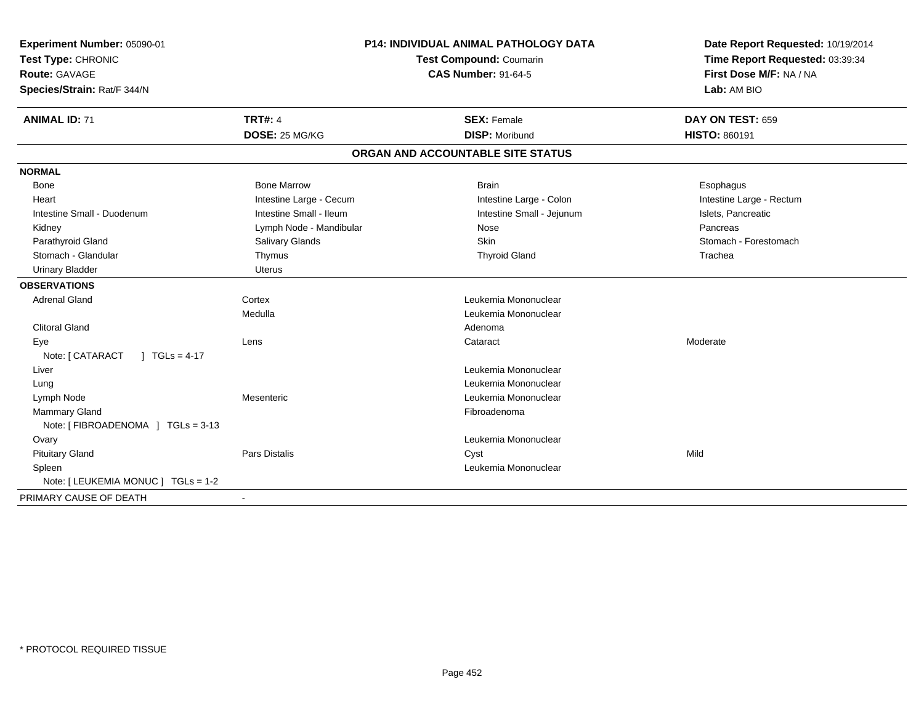| Experiment Number: 05090-01         | P14: INDIVIDUAL ANIMAL PATHOLOGY DATA | Date Report Requested: 10/19/2014 |                                                            |  |
|-------------------------------------|---------------------------------------|-----------------------------------|------------------------------------------------------------|--|
| Test Type: CHRONIC                  |                                       | <b>Test Compound: Coumarin</b>    | Time Report Requested: 03:39:34<br>First Dose M/F: NA / NA |  |
| Route: GAVAGE                       |                                       | <b>CAS Number: 91-64-5</b>        |                                                            |  |
| Species/Strain: Rat/F 344/N         |                                       |                                   | Lab: AM BIO                                                |  |
| <b>ANIMAL ID: 71</b>                | <b>TRT#: 4</b>                        | <b>SEX: Female</b>                | DAY ON TEST: 659                                           |  |
|                                     | DOSE: 25 MG/KG                        | <b>DISP: Moribund</b>             | <b>HISTO: 860191</b>                                       |  |
|                                     |                                       | ORGAN AND ACCOUNTABLE SITE STATUS |                                                            |  |
| <b>NORMAL</b>                       |                                       |                                   |                                                            |  |
| <b>Bone</b>                         | <b>Bone Marrow</b>                    | <b>Brain</b>                      | Esophagus                                                  |  |
| Heart                               | Intestine Large - Cecum               | Intestine Large - Colon           | Intestine Large - Rectum                                   |  |
| Intestine Small - Duodenum          | Intestine Small - Ileum               | Intestine Small - Jejunum         | Islets, Pancreatic                                         |  |
| Kidney                              | Lymph Node - Mandibular               | Nose                              | Pancreas                                                   |  |
| Parathyroid Gland                   | <b>Salivary Glands</b>                | <b>Skin</b>                       | Stomach - Forestomach                                      |  |
| Stomach - Glandular                 | Thymus                                | <b>Thyroid Gland</b>              | Trachea                                                    |  |
| <b>Urinary Bladder</b>              | Uterus                                |                                   |                                                            |  |
| <b>OBSERVATIONS</b>                 |                                       |                                   |                                                            |  |
| <b>Adrenal Gland</b>                | Cortex                                | Leukemia Mononuclear              |                                                            |  |
|                                     | Medulla                               | Leukemia Mononuclear              |                                                            |  |
| <b>Clitoral Gland</b>               |                                       | Adenoma                           |                                                            |  |
| Eye                                 | Lens                                  | Cataract                          | Moderate                                                   |  |
| $1 TGLs = 4-17$<br>Note: [ CATARACT |                                       |                                   |                                                            |  |
| Liver                               |                                       | Leukemia Mononuclear              |                                                            |  |
| Lung                                |                                       | Leukemia Mononuclear              |                                                            |  |
| Lymph Node                          | Mesenteric                            | Leukemia Mononuclear              |                                                            |  |
| <b>Mammary Gland</b>                |                                       | Fibroadenoma                      |                                                            |  |
| Note: [FIBROADENOMA ] TGLs = 3-13   |                                       |                                   |                                                            |  |
| Ovary                               |                                       | Leukemia Mononuclear              |                                                            |  |
| <b>Pituitary Gland</b>              | Pars Distalis                         | Cyst                              | Mild                                                       |  |
| Spleen                              |                                       | Leukemia Mononuclear              |                                                            |  |
| Note: [ LEUKEMIA MONUC ] TGLs = 1-2 |                                       |                                   |                                                            |  |
| PRIMARY CAUSE OF DEATH              | $\blacksquare$                        |                                   |                                                            |  |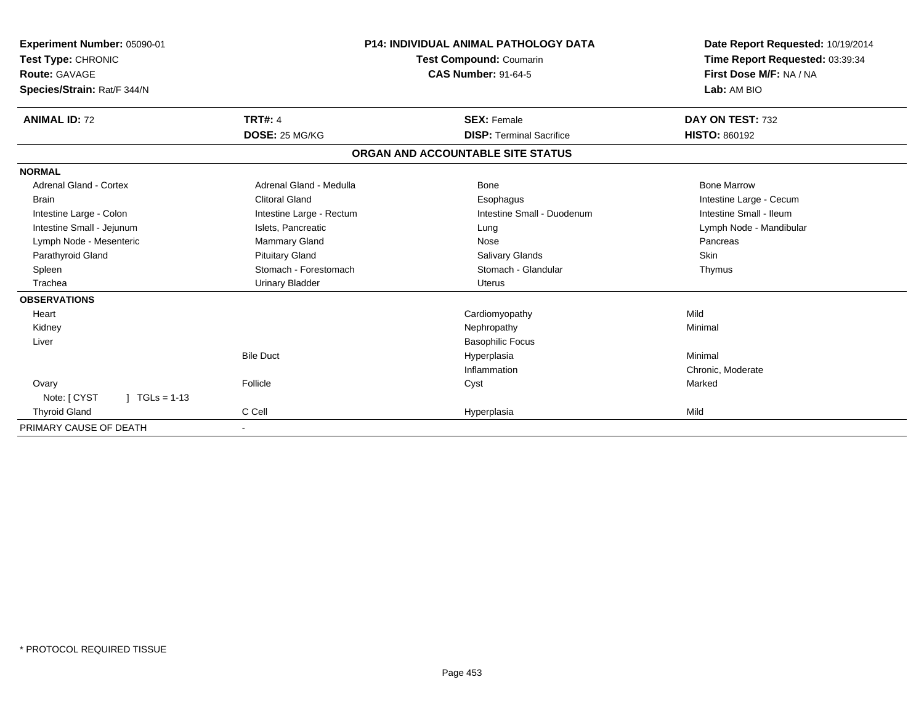| Experiment Number: 05090-01<br>Test Type: CHRONIC<br>Route: GAVAGE<br>Species/Strain: Rat/F 344/N |                          | <b>P14: INDIVIDUAL ANIMAL PATHOLOGY DATA</b><br><b>Test Compound: Coumarin</b><br><b>CAS Number: 91-64-5</b> | Date Report Requested: 10/19/2014<br>Time Report Requested: 03:39:34<br>First Dose M/F: NA / NA<br>Lab: AM BIO |
|---------------------------------------------------------------------------------------------------|--------------------------|--------------------------------------------------------------------------------------------------------------|----------------------------------------------------------------------------------------------------------------|
| <b>ANIMAL ID: 72</b>                                                                              | <b>TRT#: 4</b>           | <b>SEX: Female</b>                                                                                           | DAY ON TEST: 732                                                                                               |
|                                                                                                   | DOSE: 25 MG/KG           | <b>DISP: Terminal Sacrifice</b>                                                                              | <b>HISTO: 860192</b>                                                                                           |
|                                                                                                   |                          | ORGAN AND ACCOUNTABLE SITE STATUS                                                                            |                                                                                                                |
| <b>NORMAL</b>                                                                                     |                          |                                                                                                              |                                                                                                                |
| <b>Adrenal Gland - Cortex</b>                                                                     | Adrenal Gland - Medulla  | Bone                                                                                                         | <b>Bone Marrow</b>                                                                                             |
| <b>Brain</b>                                                                                      | <b>Clitoral Gland</b>    | Esophagus                                                                                                    | Intestine Large - Cecum                                                                                        |
| Intestine Large - Colon                                                                           | Intestine Large - Rectum | Intestine Small - Duodenum                                                                                   | Intestine Small - Ileum                                                                                        |
| Intestine Small - Jejunum                                                                         | Islets, Pancreatic       | Lung                                                                                                         | Lymph Node - Mandibular                                                                                        |
| Lymph Node - Mesenteric                                                                           | Mammary Gland            | Nose                                                                                                         | Pancreas                                                                                                       |
| Parathyroid Gland                                                                                 | <b>Pituitary Gland</b>   | Salivary Glands                                                                                              | Skin                                                                                                           |
| Spleen                                                                                            | Stomach - Forestomach    | Stomach - Glandular                                                                                          | Thymus                                                                                                         |
| Trachea                                                                                           | <b>Urinary Bladder</b>   | <b>Uterus</b>                                                                                                |                                                                                                                |
| <b>OBSERVATIONS</b>                                                                               |                          |                                                                                                              |                                                                                                                |
| Heart                                                                                             |                          | Cardiomyopathy                                                                                               | Mild                                                                                                           |
| Kidney                                                                                            |                          | Nephropathy                                                                                                  | Minimal                                                                                                        |
| Liver                                                                                             |                          | <b>Basophilic Focus</b>                                                                                      |                                                                                                                |
|                                                                                                   | <b>Bile Duct</b>         | Hyperplasia                                                                                                  | Minimal                                                                                                        |
|                                                                                                   |                          | Inflammation                                                                                                 | Chronic, Moderate                                                                                              |
| Ovary                                                                                             | Follicle                 | Cyst                                                                                                         | Marked                                                                                                         |
| Note: [ CYST<br>$\mid$ TGLs = 1-13                                                                |                          |                                                                                                              |                                                                                                                |
| <b>Thyroid Gland</b>                                                                              | C Cell                   | Hyperplasia                                                                                                  | Mild                                                                                                           |
| PRIMARY CAUSE OF DEATH                                                                            |                          |                                                                                                              |                                                                                                                |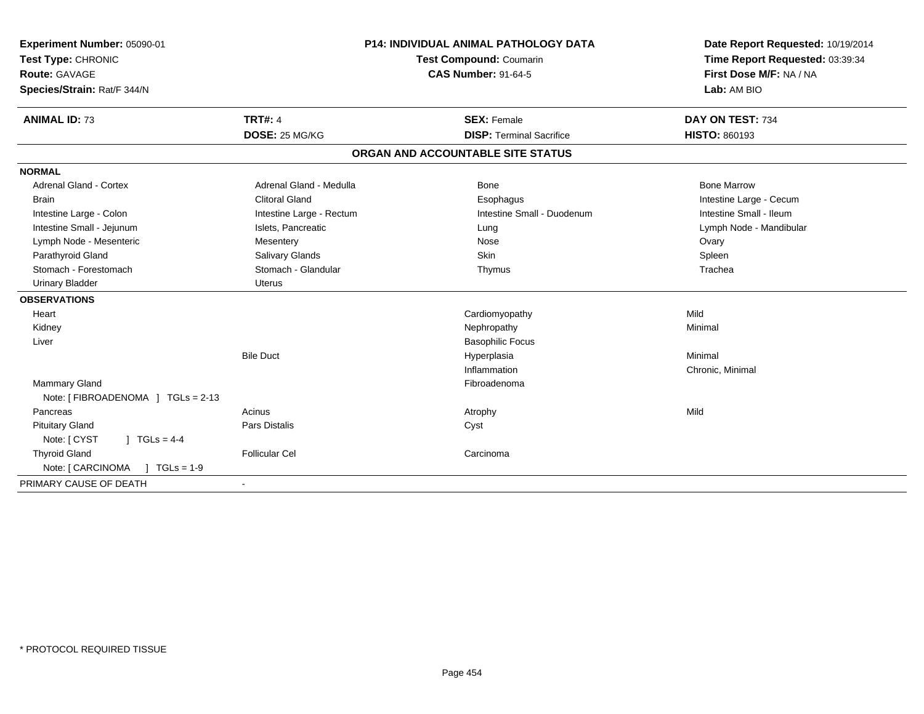| Experiment Number: 05090-01<br>Test Type: CHRONIC<br><b>Route: GAVAGE</b> |                          | <b>P14: INDIVIDUAL ANIMAL PATHOLOGY DATA</b> | Date Report Requested: 10/19/2014                                         |  |
|---------------------------------------------------------------------------|--------------------------|----------------------------------------------|---------------------------------------------------------------------------|--|
|                                                                           |                          | Test Compound: Coumarin                      | Time Report Requested: 03:39:34<br>First Dose M/F: NA / NA<br>Lab: AM BIO |  |
|                                                                           |                          | <b>CAS Number: 91-64-5</b>                   |                                                                           |  |
| Species/Strain: Rat/F 344/N                                               |                          |                                              |                                                                           |  |
| <b>ANIMAL ID: 73</b>                                                      | <b>TRT#: 4</b>           | <b>SEX: Female</b>                           | DAY ON TEST: 734                                                          |  |
|                                                                           | DOSE: 25 MG/KG           | <b>DISP: Terminal Sacrifice</b>              | <b>HISTO: 860193</b>                                                      |  |
|                                                                           |                          | ORGAN AND ACCOUNTABLE SITE STATUS            |                                                                           |  |
| <b>NORMAL</b>                                                             |                          |                                              |                                                                           |  |
| <b>Adrenal Gland - Cortex</b>                                             | Adrenal Gland - Medulla  | Bone                                         | <b>Bone Marrow</b>                                                        |  |
| <b>Brain</b>                                                              | <b>Clitoral Gland</b>    | Esophagus                                    | Intestine Large - Cecum                                                   |  |
| Intestine Large - Colon                                                   | Intestine Large - Rectum | Intestine Small - Duodenum                   | Intestine Small - Ileum                                                   |  |
| Intestine Small - Jejunum                                                 | Islets, Pancreatic       | Lung                                         | Lymph Node - Mandibular                                                   |  |
| Lymph Node - Mesenteric                                                   | Mesentery                | Nose                                         | Ovary                                                                     |  |
| Parathyroid Gland                                                         | Salivary Glands          | Skin                                         | Spleen                                                                    |  |
| Stomach - Forestomach                                                     | Stomach - Glandular      | Thymus                                       | Trachea                                                                   |  |
| <b>Urinary Bladder</b>                                                    | <b>Uterus</b>            |                                              |                                                                           |  |
| <b>OBSERVATIONS</b>                                                       |                          |                                              |                                                                           |  |
| Heart                                                                     |                          | Cardiomyopathy                               | Mild                                                                      |  |
| Kidney                                                                    |                          | Nephropathy                                  | Minimal                                                                   |  |
| Liver                                                                     |                          | <b>Basophilic Focus</b>                      |                                                                           |  |
|                                                                           | <b>Bile Duct</b>         | Hyperplasia                                  | Minimal                                                                   |  |
|                                                                           |                          | Inflammation                                 | Chronic, Minimal                                                          |  |
| <b>Mammary Gland</b>                                                      |                          | Fibroadenoma                                 |                                                                           |  |
| Note: [FIBROADENOMA ] TGLs = 2-13                                         |                          |                                              |                                                                           |  |
| Pancreas                                                                  | Acinus                   | Atrophy                                      | Mild                                                                      |  |
| <b>Pituitary Gland</b>                                                    | Pars Distalis            | Cyst                                         |                                                                           |  |
| Note: [ CYST<br>] $TGLs = 4-4$                                            |                          |                                              |                                                                           |  |
| <b>Thyroid Gland</b>                                                      | <b>Follicular Cel</b>    | Carcinoma                                    |                                                                           |  |
| Note: [ CARCINOMA<br>$J \cdot TGLS = 1-9$                                 |                          |                                              |                                                                           |  |
| PRIMARY CAUSE OF DEATH                                                    |                          |                                              |                                                                           |  |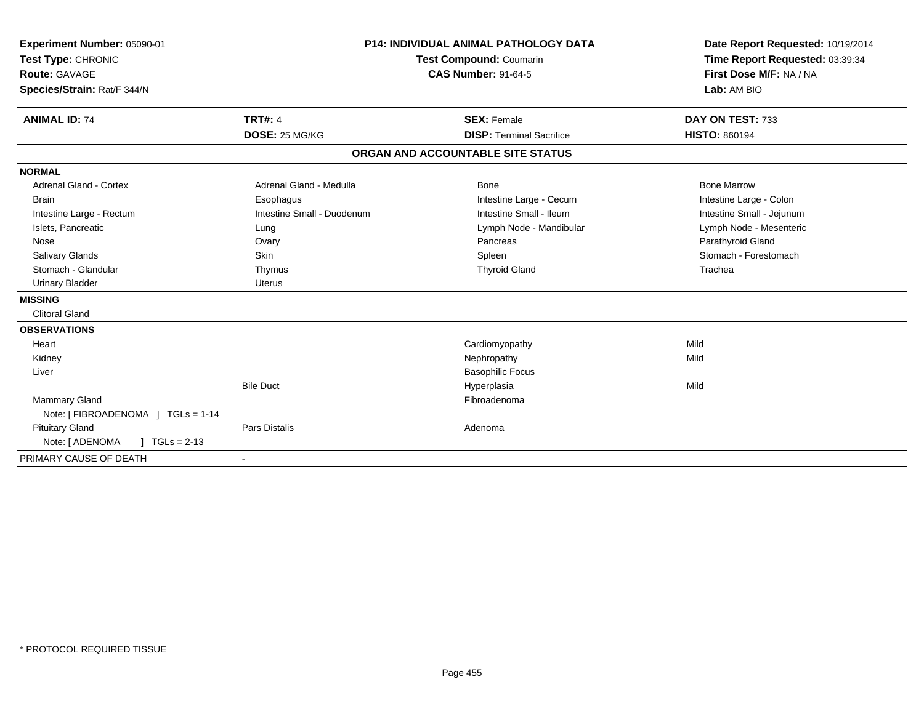| Experiment Number: 05090-01<br>Test Type: CHRONIC<br>Route: GAVAGE<br>Species/Strain: Rat/F 344/N |                            | <b>P14: INDIVIDUAL ANIMAL PATHOLOGY DATA</b><br><b>Test Compound: Coumarin</b><br><b>CAS Number: 91-64-5</b> |                                 | Date Report Requested: 10/19/2014<br>Time Report Requested: 03:39:34<br>First Dose M/F: NA / NA<br>Lab: AM BIO |
|---------------------------------------------------------------------------------------------------|----------------------------|--------------------------------------------------------------------------------------------------------------|---------------------------------|----------------------------------------------------------------------------------------------------------------|
|                                                                                                   |                            |                                                                                                              |                                 |                                                                                                                |
| <b>ANIMAL ID: 74</b>                                                                              | TRT#: 4                    |                                                                                                              | <b>SEX: Female</b>              | DAY ON TEST: 733                                                                                               |
|                                                                                                   | DOSE: 25 MG/KG             |                                                                                                              | <b>DISP: Terminal Sacrifice</b> | <b>HISTO: 860194</b>                                                                                           |
|                                                                                                   |                            | ORGAN AND ACCOUNTABLE SITE STATUS                                                                            |                                 |                                                                                                                |
| <b>NORMAL</b>                                                                                     |                            |                                                                                                              |                                 |                                                                                                                |
| <b>Adrenal Gland - Cortex</b>                                                                     | Adrenal Gland - Medulla    |                                                                                                              | <b>Bone</b>                     | <b>Bone Marrow</b>                                                                                             |
| <b>Brain</b>                                                                                      | Esophagus                  |                                                                                                              | Intestine Large - Cecum         | Intestine Large - Colon                                                                                        |
| Intestine Large - Rectum                                                                          | Intestine Small - Duodenum |                                                                                                              | Intestine Small - Ileum         | Intestine Small - Jejunum                                                                                      |
| Islets, Pancreatic                                                                                | Lung                       |                                                                                                              | Lymph Node - Mandibular         | Lymph Node - Mesenteric                                                                                        |
| Nose                                                                                              | Ovary                      |                                                                                                              | Pancreas                        | Parathyroid Gland                                                                                              |
| <b>Salivary Glands</b>                                                                            | Skin                       |                                                                                                              | Spleen                          | Stomach - Forestomach                                                                                          |
| Stomach - Glandular                                                                               | Thymus                     |                                                                                                              | <b>Thyroid Gland</b>            | Trachea                                                                                                        |
| <b>Urinary Bladder</b>                                                                            | Uterus                     |                                                                                                              |                                 |                                                                                                                |
| <b>MISSING</b>                                                                                    |                            |                                                                                                              |                                 |                                                                                                                |
| <b>Clitoral Gland</b>                                                                             |                            |                                                                                                              |                                 |                                                                                                                |
| <b>OBSERVATIONS</b>                                                                               |                            |                                                                                                              |                                 |                                                                                                                |
| Heart                                                                                             |                            |                                                                                                              | Cardiomyopathy                  | Mild                                                                                                           |
| Kidney                                                                                            |                            |                                                                                                              | Nephropathy                     | Mild                                                                                                           |
| Liver                                                                                             |                            |                                                                                                              | <b>Basophilic Focus</b>         |                                                                                                                |
|                                                                                                   | <b>Bile Duct</b>           |                                                                                                              | Hyperplasia                     | Mild                                                                                                           |
| Mammary Gland                                                                                     |                            |                                                                                                              | Fibroadenoma                    |                                                                                                                |
| Note: [ FIBROADENOMA ] TGLs = 1-14                                                                |                            |                                                                                                              |                                 |                                                                                                                |
| <b>Pituitary Gland</b>                                                                            | <b>Pars Distalis</b>       |                                                                                                              | Adenoma                         |                                                                                                                |
| Note: [ ADENOMA<br>$\sqrt{ }$ TGLs = 2-13                                                         |                            |                                                                                                              |                                 |                                                                                                                |
| PRIMARY CAUSE OF DEATH                                                                            |                            |                                                                                                              |                                 |                                                                                                                |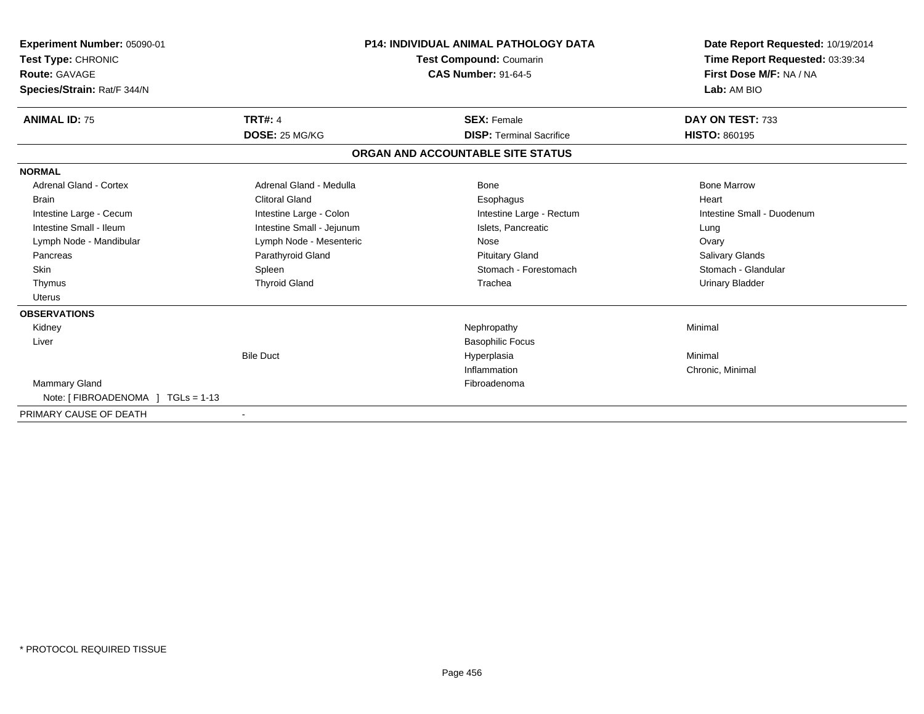| Experiment Number: 05090-01<br>Test Type: CHRONIC<br>Route: GAVAGE<br>Species/Strain: Rat/F 344/N | <b>P14: INDIVIDUAL ANIMAL PATHOLOGY DATA</b><br><b>Test Compound: Coumarin</b><br><b>CAS Number: 91-64-5</b> |                                   | Date Report Requested: 10/19/2014<br>Time Report Requested: 03:39:34<br>First Dose M/F: NA / NA<br>Lab: AM BIO |  |
|---------------------------------------------------------------------------------------------------|--------------------------------------------------------------------------------------------------------------|-----------------------------------|----------------------------------------------------------------------------------------------------------------|--|
| <b>ANIMAL ID: 75</b>                                                                              | <b>TRT#: 4</b>                                                                                               | <b>SEX: Female</b>                | DAY ON TEST: 733                                                                                               |  |
|                                                                                                   | DOSE: 25 MG/KG                                                                                               | <b>DISP: Terminal Sacrifice</b>   | <b>HISTO: 860195</b>                                                                                           |  |
|                                                                                                   |                                                                                                              | ORGAN AND ACCOUNTABLE SITE STATUS |                                                                                                                |  |
| <b>NORMAL</b>                                                                                     |                                                                                                              |                                   |                                                                                                                |  |
| <b>Adrenal Gland - Cortex</b>                                                                     | Adrenal Gland - Medulla                                                                                      | <b>Bone</b>                       | <b>Bone Marrow</b>                                                                                             |  |
| Brain                                                                                             | <b>Clitoral Gland</b>                                                                                        | Esophagus                         | Heart                                                                                                          |  |
| Intestine Large - Cecum                                                                           | Intestine Large - Colon                                                                                      | Intestine Large - Rectum          | Intestine Small - Duodenum                                                                                     |  |
| Intestine Small - Ileum                                                                           | Intestine Small - Jejunum                                                                                    | Islets, Pancreatic                | Lung                                                                                                           |  |
| Lymph Node - Mandibular                                                                           | Lymph Node - Mesenteric                                                                                      | Nose                              | Ovary                                                                                                          |  |
| Pancreas                                                                                          | Parathyroid Gland                                                                                            | <b>Pituitary Gland</b>            | Salivary Glands                                                                                                |  |
| Skin                                                                                              | Spleen                                                                                                       | Stomach - Forestomach             | Stomach - Glandular                                                                                            |  |
| Thymus                                                                                            | <b>Thyroid Gland</b>                                                                                         | Trachea                           | <b>Urinary Bladder</b>                                                                                         |  |
| Uterus                                                                                            |                                                                                                              |                                   |                                                                                                                |  |
| <b>OBSERVATIONS</b>                                                                               |                                                                                                              |                                   |                                                                                                                |  |
| Kidney                                                                                            |                                                                                                              | Nephropathy                       | Minimal                                                                                                        |  |
| Liver                                                                                             |                                                                                                              | <b>Basophilic Focus</b>           |                                                                                                                |  |
|                                                                                                   | <b>Bile Duct</b>                                                                                             | Hyperplasia                       | Minimal                                                                                                        |  |
|                                                                                                   |                                                                                                              | Inflammation                      | Chronic, Minimal                                                                                               |  |
| <b>Mammary Gland</b>                                                                              |                                                                                                              | Fibroadenoma                      |                                                                                                                |  |
| Note: [FIBROADENOMA ] TGLs = 1-13                                                                 |                                                                                                              |                                   |                                                                                                                |  |
| PRIMARY CAUSE OF DEATH                                                                            | $\overline{\phantom{a}}$                                                                                     |                                   |                                                                                                                |  |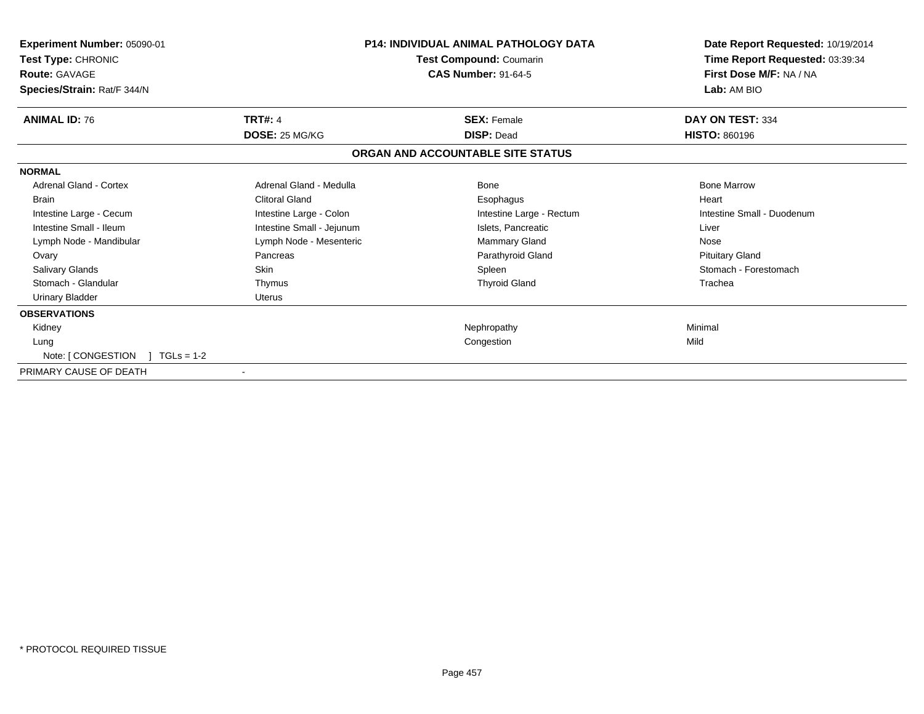| Experiment Number: 05090-01<br>Test Type: CHRONIC<br><b>Route: GAVAGE</b><br>Species/Strain: Rat/F 344/N |                           | <b>P14: INDIVIDUAL ANIMAL PATHOLOGY DATA</b><br>Test Compound: Coumarin<br><b>CAS Number: 91-64-5</b> | Date Report Requested: 10/19/2014<br>Time Report Requested: 03:39:34<br>First Dose M/F: NA / NA<br>Lab: AM BIO |
|----------------------------------------------------------------------------------------------------------|---------------------------|-------------------------------------------------------------------------------------------------------|----------------------------------------------------------------------------------------------------------------|
| <b>ANIMAL ID: 76</b>                                                                                     | <b>TRT#: 4</b>            | <b>SEX: Female</b>                                                                                    | DAY ON TEST: 334                                                                                               |
|                                                                                                          | DOSE: 25 MG/KG            | <b>DISP: Dead</b>                                                                                     | <b>HISTO: 860196</b>                                                                                           |
|                                                                                                          |                           | ORGAN AND ACCOUNTABLE SITE STATUS                                                                     |                                                                                                                |
| <b>NORMAL</b>                                                                                            |                           |                                                                                                       |                                                                                                                |
| Adrenal Gland - Cortex                                                                                   | Adrenal Gland - Medulla   | Bone                                                                                                  | <b>Bone Marrow</b>                                                                                             |
| <b>Brain</b>                                                                                             | Clitoral Gland            | Esophagus                                                                                             | Heart                                                                                                          |
| Intestine Large - Cecum                                                                                  | Intestine Large - Colon   | Intestine Large - Rectum                                                                              | Intestine Small - Duodenum                                                                                     |
| Intestine Small - Ileum                                                                                  | Intestine Small - Jejunum | Islets, Pancreatic                                                                                    | Liver                                                                                                          |
| Lymph Node - Mandibular                                                                                  | Lymph Node - Mesenteric   | <b>Mammary Gland</b>                                                                                  | Nose                                                                                                           |
| Ovary                                                                                                    | Pancreas                  | Parathyroid Gland                                                                                     | <b>Pituitary Gland</b>                                                                                         |
| Salivary Glands                                                                                          | Skin                      | Spleen                                                                                                | Stomach - Forestomach                                                                                          |
| Stomach - Glandular                                                                                      | Thymus                    | <b>Thyroid Gland</b>                                                                                  | Trachea                                                                                                        |
| <b>Urinary Bladder</b>                                                                                   | <b>Uterus</b>             |                                                                                                       |                                                                                                                |
| <b>OBSERVATIONS</b>                                                                                      |                           |                                                                                                       |                                                                                                                |
| Kidney                                                                                                   |                           | Nephropathy                                                                                           | Minimal                                                                                                        |
| Lung                                                                                                     |                           | Congestion                                                                                            | Mild                                                                                                           |
| Note: [ CONGESTION<br>$TGLs = 1-2$                                                                       |                           |                                                                                                       |                                                                                                                |
| PRIMARY CAUSE OF DEATH                                                                                   |                           |                                                                                                       |                                                                                                                |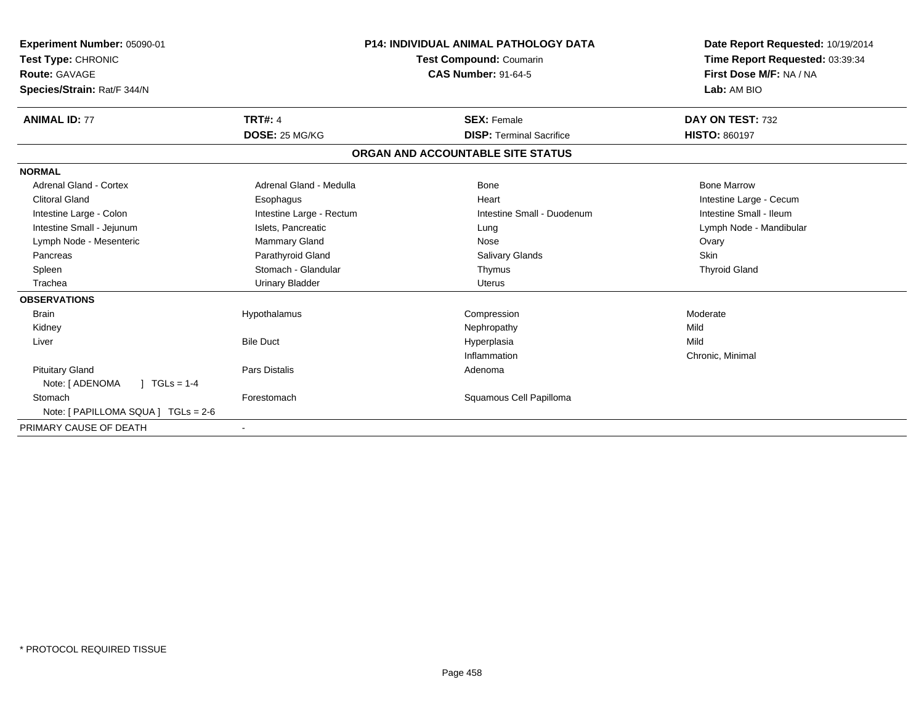| Experiment Number: 05090-01<br>Test Type: CHRONIC<br>Route: GAVAGE<br>Species/Strain: Rat/F 344/N |                          | <b>P14: INDIVIDUAL ANIMAL PATHOLOGY DATA</b><br><b>Test Compound: Coumarin</b><br><b>CAS Number: 91-64-5</b> | Date Report Requested: 10/19/2014<br>Time Report Requested: 03:39:34<br>First Dose M/F: NA / NA<br>Lab: AM BIO |
|---------------------------------------------------------------------------------------------------|--------------------------|--------------------------------------------------------------------------------------------------------------|----------------------------------------------------------------------------------------------------------------|
| <b>ANIMAL ID: 77</b>                                                                              | <b>TRT#: 4</b>           | <b>SEX: Female</b>                                                                                           | DAY ON TEST: 732                                                                                               |
|                                                                                                   | DOSE: 25 MG/KG           | <b>DISP: Terminal Sacrifice</b>                                                                              | <b>HISTO: 860197</b>                                                                                           |
|                                                                                                   |                          | ORGAN AND ACCOUNTABLE SITE STATUS                                                                            |                                                                                                                |
| <b>NORMAL</b>                                                                                     |                          |                                                                                                              |                                                                                                                |
| Adrenal Gland - Cortex                                                                            | Adrenal Gland - Medulla  | <b>Bone</b>                                                                                                  | <b>Bone Marrow</b>                                                                                             |
| <b>Clitoral Gland</b>                                                                             | Esophagus                | Heart                                                                                                        | Intestine Large - Cecum                                                                                        |
| Intestine Large - Colon                                                                           | Intestine Large - Rectum | Intestine Small - Duodenum                                                                                   | Intestine Small - Ileum                                                                                        |
| Intestine Small - Jejunum                                                                         | Islets, Pancreatic       | Lung                                                                                                         | Lymph Node - Mandibular                                                                                        |
| Lymph Node - Mesenteric                                                                           | Mammary Gland            | Nose                                                                                                         | Ovary                                                                                                          |
| Pancreas                                                                                          | Parathyroid Gland        | Salivary Glands                                                                                              | Skin                                                                                                           |
| Spleen                                                                                            | Stomach - Glandular      | Thymus                                                                                                       | <b>Thyroid Gland</b>                                                                                           |
| Trachea                                                                                           | <b>Urinary Bladder</b>   | <b>Uterus</b>                                                                                                |                                                                                                                |
| <b>OBSERVATIONS</b>                                                                               |                          |                                                                                                              |                                                                                                                |
| <b>Brain</b>                                                                                      | Hypothalamus             | Compression                                                                                                  | Moderate                                                                                                       |
| Kidney                                                                                            |                          | Nephropathy                                                                                                  | Mild                                                                                                           |
| Liver                                                                                             | <b>Bile Duct</b>         | Hyperplasia                                                                                                  | Mild                                                                                                           |
|                                                                                                   |                          | Inflammation                                                                                                 | Chronic, Minimal                                                                                               |
| <b>Pituitary Gland</b>                                                                            | <b>Pars Distalis</b>     | Adenoma                                                                                                      |                                                                                                                |
| $J \cdot TGLS = 1-4$<br>Note: [ ADENOMA                                                           |                          |                                                                                                              |                                                                                                                |
| Stomach                                                                                           | Forestomach              | Squamous Cell Papilloma                                                                                      |                                                                                                                |
| Note: [ PAPILLOMA SQUA ] TGLs = 2-6                                                               |                          |                                                                                                              |                                                                                                                |
| PRIMARY CAUSE OF DEATH                                                                            |                          |                                                                                                              |                                                                                                                |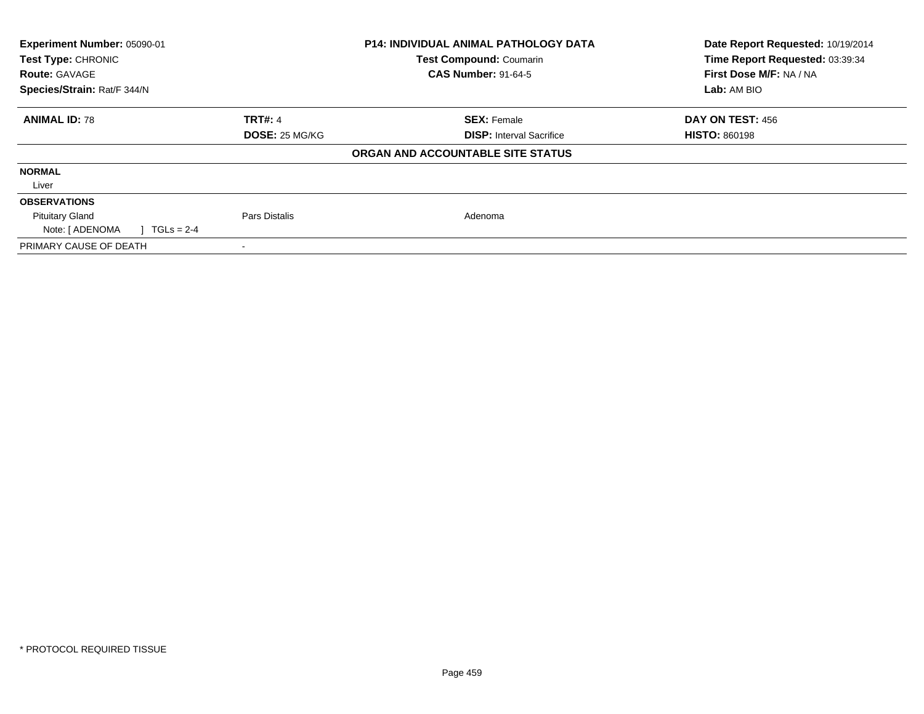| Experiment Number: 05090-01<br>Test Type: CHRONIC<br><b>Route: GAVAGE</b> |                       | <b>P14: INDIVIDUAL ANIMAL PATHOLOGY DATA</b><br>Test Compound: Coumarin<br><b>CAS Number: 91-64-5</b> | Date Report Requested: 10/19/2014<br>Time Report Requested: 03:39:34<br>First Dose M/F: NA / NA |
|---------------------------------------------------------------------------|-----------------------|-------------------------------------------------------------------------------------------------------|-------------------------------------------------------------------------------------------------|
| Species/Strain: Rat/F 344/N                                               |                       |                                                                                                       | Lab: AM BIO                                                                                     |
| <b>ANIMAL ID: 78</b>                                                      | <b>TRT#: 4</b>        | <b>SEX: Female</b>                                                                                    | <b>DAY ON TEST: 456</b>                                                                         |
|                                                                           | <b>DOSE: 25 MG/KG</b> | <b>DISP:</b> Interval Sacrifice                                                                       | <b>HISTO: 860198</b>                                                                            |
|                                                                           |                       | ORGAN AND ACCOUNTABLE SITE STATUS                                                                     |                                                                                                 |
| <b>NORMAL</b>                                                             |                       |                                                                                                       |                                                                                                 |
| Liver                                                                     |                       |                                                                                                       |                                                                                                 |
| <b>OBSERVATIONS</b>                                                       |                       |                                                                                                       |                                                                                                 |
| <b>Pituitary Gland</b>                                                    | Pars Distalis         | Adenoma                                                                                               |                                                                                                 |
| Note: [ ADENOMA<br>$1 TGLs = 2-4$                                         |                       |                                                                                                       |                                                                                                 |
| PRIMARY CAUSE OF DEATH                                                    |                       |                                                                                                       |                                                                                                 |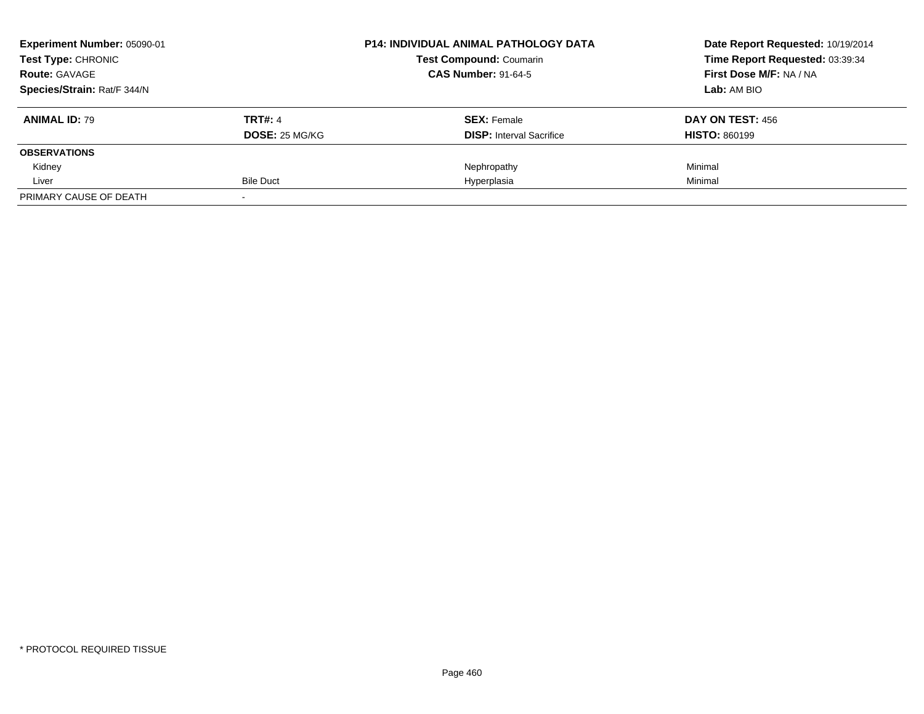| Experiment Number: 05090-01<br><b>Test Type: CHRONIC</b> |                       | <b>P14: INDIVIDUAL ANIMAL PATHOLOGY DATA</b> | Date Report Requested: 10/19/2014<br>Time Report Requested: 03:39:34 |
|----------------------------------------------------------|-----------------------|----------------------------------------------|----------------------------------------------------------------------|
|                                                          |                       | <b>Test Compound: Coumarin</b>               |                                                                      |
| <b>Route: GAVAGE</b>                                     |                       | <b>CAS Number: 91-64-5</b>                   | First Dose M/F: NA / NA                                              |
| Species/Strain: Rat/F 344/N                              |                       |                                              | Lab: AM BIO                                                          |
| <b>ANIMAL ID: 79</b>                                     | <b>TRT#: 4</b>        | <b>SEX: Female</b>                           | DAY ON TEST: 456                                                     |
|                                                          | <b>DOSE: 25 MG/KG</b> | <b>DISP:</b> Interval Sacrifice              | <b>HISTO: 860199</b>                                                 |
| <b>OBSERVATIONS</b>                                      |                       |                                              |                                                                      |
| Kidney                                                   |                       | Nephropathy                                  | Minimal                                                              |
| Liver                                                    | <b>Bile Duct</b>      | Hyperplasia                                  | Minimal                                                              |
| PRIMARY CAUSE OF DEATH                                   |                       |                                              |                                                                      |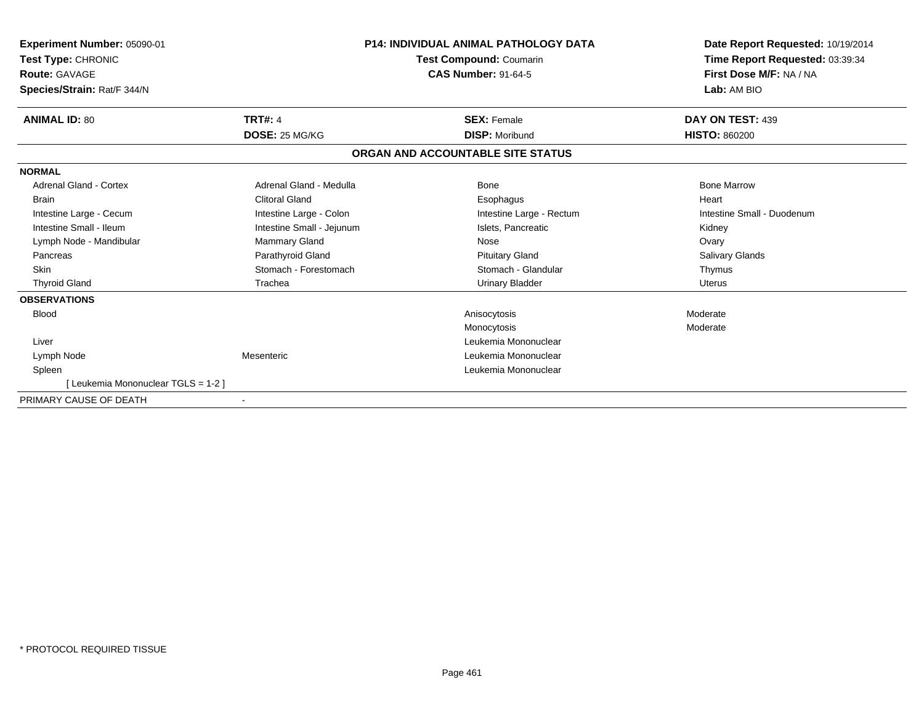| <b>Experiment Number: 05090-01</b><br>Test Type: CHRONIC<br><b>Route: GAVAGE</b><br>Species/Strain: Rat/F 344/N |                           | <b>P14: INDIVIDUAL ANIMAL PATHOLOGY DATA</b><br><b>Test Compound: Coumarin</b><br><b>CAS Number: 91-64-5</b> | Date Report Requested: 10/19/2014<br>Time Report Requested: 03:39:34<br>First Dose M/F: NA / NA<br>Lab: AM BIO |
|-----------------------------------------------------------------------------------------------------------------|---------------------------|--------------------------------------------------------------------------------------------------------------|----------------------------------------------------------------------------------------------------------------|
| <b>ANIMAL ID: 80</b>                                                                                            | <b>TRT#: 4</b>            | <b>SEX: Female</b>                                                                                           | DAY ON TEST: 439                                                                                               |
|                                                                                                                 | DOSE: 25 MG/KG            | <b>DISP: Moribund</b>                                                                                        | <b>HISTO: 860200</b>                                                                                           |
|                                                                                                                 |                           | ORGAN AND ACCOUNTABLE SITE STATUS                                                                            |                                                                                                                |
| <b>NORMAL</b>                                                                                                   |                           |                                                                                                              |                                                                                                                |
| <b>Adrenal Gland - Cortex</b>                                                                                   | Adrenal Gland - Medulla   | Bone                                                                                                         | <b>Bone Marrow</b>                                                                                             |
| <b>Brain</b>                                                                                                    | <b>Clitoral Gland</b>     | Esophagus                                                                                                    | Heart                                                                                                          |
| Intestine Large - Cecum                                                                                         | Intestine Large - Colon   | Intestine Large - Rectum                                                                                     | Intestine Small - Duodenum                                                                                     |
| Intestine Small - Ileum                                                                                         | Intestine Small - Jejunum | Islets, Pancreatic                                                                                           | Kidney                                                                                                         |
| Lymph Node - Mandibular                                                                                         | <b>Mammary Gland</b>      | Nose                                                                                                         | Ovary                                                                                                          |
| Pancreas                                                                                                        | Parathyroid Gland         | <b>Pituitary Gland</b>                                                                                       | <b>Salivary Glands</b>                                                                                         |
| <b>Skin</b>                                                                                                     | Stomach - Forestomach     | Stomach - Glandular                                                                                          | Thymus                                                                                                         |
| <b>Thyroid Gland</b>                                                                                            | Trachea                   | <b>Urinary Bladder</b>                                                                                       | Uterus                                                                                                         |
| <b>OBSERVATIONS</b>                                                                                             |                           |                                                                                                              |                                                                                                                |
| <b>Blood</b>                                                                                                    |                           | Anisocytosis                                                                                                 | Moderate                                                                                                       |
|                                                                                                                 |                           | Monocytosis                                                                                                  | Moderate                                                                                                       |
| Liver                                                                                                           |                           | Leukemia Mononuclear                                                                                         |                                                                                                                |
| Lymph Node                                                                                                      | Mesenteric                | Leukemia Mononuclear                                                                                         |                                                                                                                |
| Spleen                                                                                                          |                           | Leukemia Mononuclear                                                                                         |                                                                                                                |
| [Leukemia Mononuclear TGLS = 1-2]                                                                               |                           |                                                                                                              |                                                                                                                |
| PRIMARY CAUSE OF DEATH                                                                                          | $\blacksquare$            |                                                                                                              |                                                                                                                |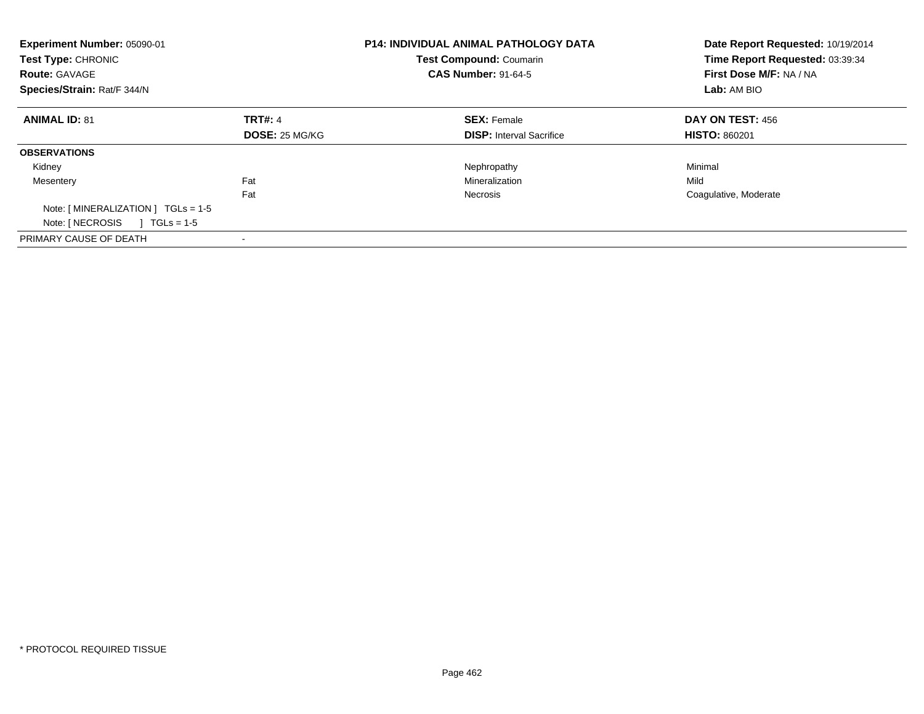| Experiment Number: 05090-01<br>Test Type: CHRONIC<br><b>Route: GAVAGE</b><br>Species/Strain: Rat/F 344/N |                       | <b>P14: INDIVIDUAL ANIMAL PATHOLOGY DATA</b><br><b>Test Compound: Coumarin</b><br><b>CAS Number: 91-64-5</b> | Date Report Requested: 10/19/2014<br>Time Report Requested: 03:39:34<br>First Dose M/F: NA / NA<br>Lab: AM BIO |
|----------------------------------------------------------------------------------------------------------|-----------------------|--------------------------------------------------------------------------------------------------------------|----------------------------------------------------------------------------------------------------------------|
| <b>ANIMAL ID: 81</b>                                                                                     | <b>TRT#: 4</b>        | <b>SEX: Female</b>                                                                                           | DAY ON TEST: 456                                                                                               |
|                                                                                                          | <b>DOSE: 25 MG/KG</b> | <b>DISP:</b> Interval Sacrifice                                                                              | <b>HISTO: 860201</b>                                                                                           |
| <b>OBSERVATIONS</b>                                                                                      |                       |                                                                                                              |                                                                                                                |
| Kidney                                                                                                   |                       | Nephropathy                                                                                                  | Minimal                                                                                                        |
| Mesentery                                                                                                | Fat                   | Mineralization                                                                                               | Mild                                                                                                           |
|                                                                                                          | Fat                   | Necrosis                                                                                                     | Coagulative, Moderate                                                                                          |
| Note: [ MINERALIZATION ] TGLs = 1-5                                                                      |                       |                                                                                                              |                                                                                                                |
| Note: [ NECROSIS<br>$1 \text{ TGLs} = 1.5$                                                               |                       |                                                                                                              |                                                                                                                |
| PRIMARY CAUSE OF DEATH                                                                                   |                       |                                                                                                              |                                                                                                                |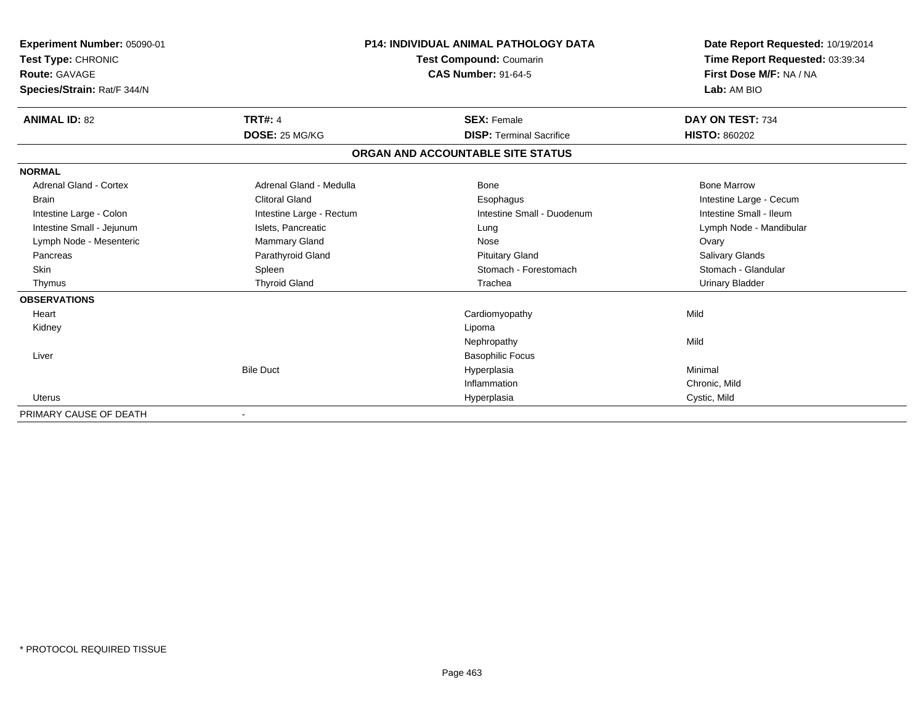| Experiment Number: 05090-01<br><b>Test Type: CHRONIC</b><br>Route: GAVAGE |                          | <b>P14: INDIVIDUAL ANIMAL PATHOLOGY DATA</b><br>Test Compound: Coumarin<br><b>CAS Number: 91-64-5</b> | Date Report Requested: 10/19/2014<br>Time Report Requested: 03:39:34<br>First Dose M/F: NA / NA |
|---------------------------------------------------------------------------|--------------------------|-------------------------------------------------------------------------------------------------------|-------------------------------------------------------------------------------------------------|
| Species/Strain: Rat/F 344/N                                               |                          |                                                                                                       | Lab: AM BIO                                                                                     |
| <b>ANIMAL ID: 82</b>                                                      | <b>TRT#: 4</b>           | <b>SEX: Female</b>                                                                                    | DAY ON TEST: 734                                                                                |
|                                                                           | DOSE: 25 MG/KG           | <b>DISP: Terminal Sacrifice</b>                                                                       | <b>HISTO: 860202</b>                                                                            |
|                                                                           |                          | ORGAN AND ACCOUNTABLE SITE STATUS                                                                     |                                                                                                 |
| <b>NORMAL</b>                                                             |                          |                                                                                                       |                                                                                                 |
| <b>Adrenal Gland - Cortex</b>                                             | Adrenal Gland - Medulla  | <b>Bone</b>                                                                                           | <b>Bone Marrow</b>                                                                              |
| <b>Brain</b>                                                              | <b>Clitoral Gland</b>    | Esophagus                                                                                             | Intestine Large - Cecum                                                                         |
| Intestine Large - Colon                                                   | Intestine Large - Rectum | Intestine Small - Duodenum                                                                            | Intestine Small - Ileum                                                                         |
| Intestine Small - Jejunum                                                 | Islets, Pancreatic       | Lung                                                                                                  | Lymph Node - Mandibular                                                                         |
| Lymph Node - Mesenteric                                                   | <b>Mammary Gland</b>     | Nose                                                                                                  | Ovary                                                                                           |
| Pancreas                                                                  | Parathyroid Gland        | <b>Pituitary Gland</b>                                                                                | <b>Salivary Glands</b>                                                                          |
| Skin                                                                      | Spleen                   | Stomach - Forestomach                                                                                 | Stomach - Glandular                                                                             |
| Thymus                                                                    | <b>Thyroid Gland</b>     | Trachea                                                                                               | <b>Urinary Bladder</b>                                                                          |
| <b>OBSERVATIONS</b>                                                       |                          |                                                                                                       |                                                                                                 |
| Heart                                                                     |                          | Cardiomyopathy                                                                                        | Mild                                                                                            |
| Kidney                                                                    |                          | Lipoma                                                                                                |                                                                                                 |
|                                                                           |                          | Nephropathy                                                                                           | Mild                                                                                            |
| Liver                                                                     |                          | <b>Basophilic Focus</b>                                                                               |                                                                                                 |
|                                                                           | <b>Bile Duct</b>         | Hyperplasia                                                                                           | Minimal                                                                                         |
|                                                                           |                          | Inflammation                                                                                          | Chronic, Mild                                                                                   |
| <b>Uterus</b>                                                             |                          | Hyperplasia                                                                                           | Cystic, Mild                                                                                    |
| PRIMARY CAUSE OF DEATH                                                    |                          |                                                                                                       |                                                                                                 |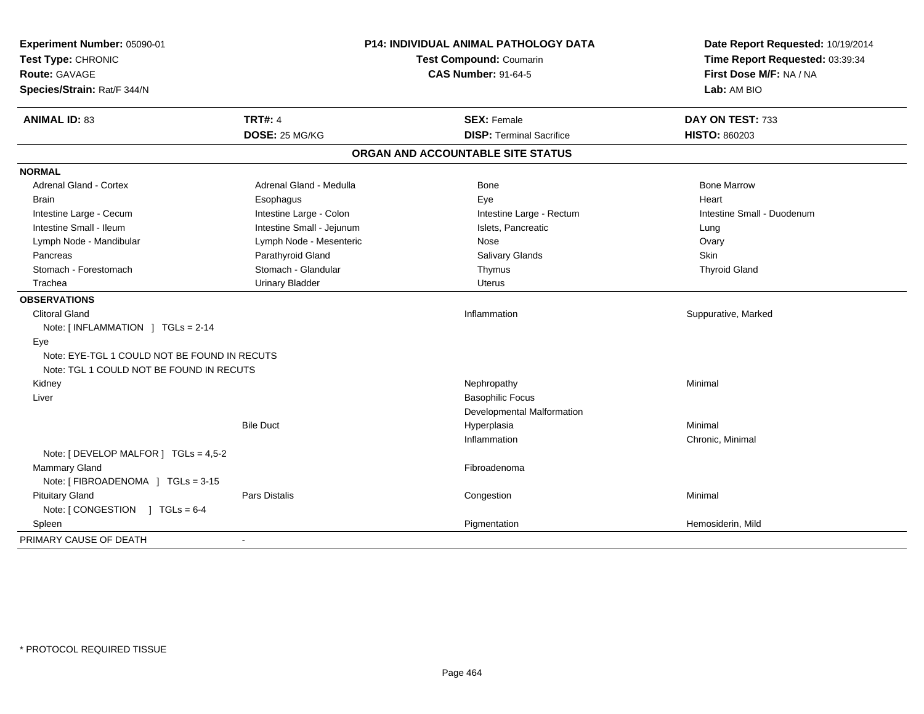| Experiment Number: 05090-01<br>Test Type: CHRONIC<br>Route: GAVAGE<br>Species/Strain: Rat/F 344/N | P14: INDIVIDUAL ANIMAL PATHOLOGY DATA<br><b>Test Compound: Coumarin</b><br><b>CAS Number: 91-64-5</b> |                                   | Date Report Requested: 10/19/2014<br>Time Report Requested: 03:39:34<br>First Dose M/F: NA / NA<br>Lab: AM BIO |
|---------------------------------------------------------------------------------------------------|-------------------------------------------------------------------------------------------------------|-----------------------------------|----------------------------------------------------------------------------------------------------------------|
| <b>ANIMAL ID: 83</b>                                                                              | <b>TRT#: 4</b>                                                                                        | <b>SEX: Female</b>                | DAY ON TEST: 733                                                                                               |
|                                                                                                   | DOSE: 25 MG/KG                                                                                        | <b>DISP: Terminal Sacrifice</b>   | <b>HISTO: 860203</b>                                                                                           |
|                                                                                                   |                                                                                                       | ORGAN AND ACCOUNTABLE SITE STATUS |                                                                                                                |
| <b>NORMAL</b>                                                                                     |                                                                                                       |                                   |                                                                                                                |
| <b>Adrenal Gland - Cortex</b>                                                                     | Adrenal Gland - Medulla                                                                               | <b>Bone</b>                       | <b>Bone Marrow</b>                                                                                             |
| <b>Brain</b>                                                                                      | Esophagus                                                                                             | Eye                               | Heart                                                                                                          |
| Intestine Large - Cecum                                                                           | Intestine Large - Colon                                                                               | Intestine Large - Rectum          | Intestine Small - Duodenum                                                                                     |
| Intestine Small - Ileum                                                                           | Intestine Small - Jejunum                                                                             | Islets, Pancreatic                | Lung                                                                                                           |
| Lymph Node - Mandibular                                                                           | Lymph Node - Mesenteric                                                                               | Nose                              | Ovary                                                                                                          |
| Pancreas                                                                                          | Parathyroid Gland                                                                                     | Salivary Glands                   | Skin                                                                                                           |
| Stomach - Forestomach                                                                             | Stomach - Glandular                                                                                   | Thymus                            | <b>Thyroid Gland</b>                                                                                           |
| Trachea                                                                                           | <b>Urinary Bladder</b>                                                                                | Uterus                            |                                                                                                                |
| <b>OBSERVATIONS</b>                                                                               |                                                                                                       |                                   |                                                                                                                |
| <b>Clitoral Gland</b>                                                                             |                                                                                                       | Inflammation                      | Suppurative, Marked                                                                                            |
| Note: [INFLAMMATION ] TGLs = 2-14                                                                 |                                                                                                       |                                   |                                                                                                                |
| Eye                                                                                               |                                                                                                       |                                   |                                                                                                                |
| Note: EYE-TGL 1 COULD NOT BE FOUND IN RECUTS                                                      |                                                                                                       |                                   |                                                                                                                |
| Note: TGL 1 COULD NOT BE FOUND IN RECUTS                                                          |                                                                                                       |                                   |                                                                                                                |
| Kidney                                                                                            |                                                                                                       | Nephropathy                       | Minimal                                                                                                        |
| Liver                                                                                             |                                                                                                       | <b>Basophilic Focus</b>           |                                                                                                                |
|                                                                                                   |                                                                                                       | Developmental Malformation        |                                                                                                                |
|                                                                                                   | <b>Bile Duct</b>                                                                                      | Hyperplasia                       | Minimal                                                                                                        |
|                                                                                                   |                                                                                                       | Inflammation                      | Chronic, Minimal                                                                                               |
| Note: [ DEVELOP MALFOR ] $TGLs = 4,5-2$                                                           |                                                                                                       |                                   |                                                                                                                |
| Mammary Gland                                                                                     |                                                                                                       | Fibroadenoma                      |                                                                                                                |
| Note: [FIBROADENOMA ] TGLs = 3-15                                                                 |                                                                                                       |                                   |                                                                                                                |
| <b>Pituitary Gland</b>                                                                            | Pars Distalis                                                                                         | Congestion                        | Minimal                                                                                                        |
| Note: [CONGESTION ] TGLs = 6-4                                                                    |                                                                                                       |                                   |                                                                                                                |
| Spleen                                                                                            |                                                                                                       | Pigmentation                      | Hemosiderin, Mild                                                                                              |
| PRIMARY CAUSE OF DEATH                                                                            | $\blacksquare$                                                                                        |                                   |                                                                                                                |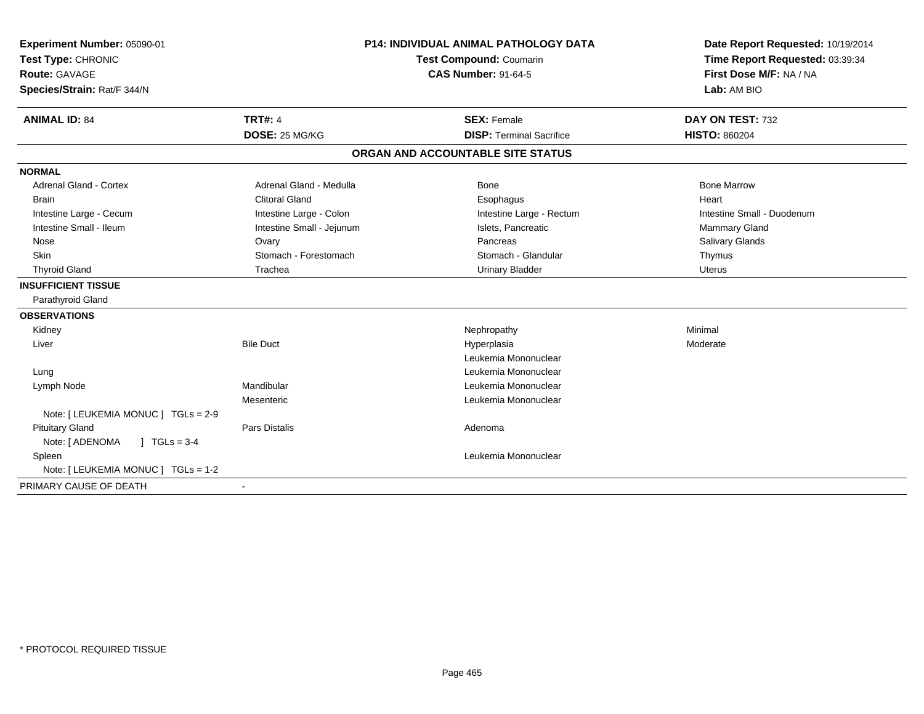| Experiment Number: 05090-01             | <b>P14: INDIVIDUAL ANIMAL PATHOLOGY DATA</b><br>Test Compound: Coumarin |                                   | Date Report Requested: 10/19/2014 |
|-----------------------------------------|-------------------------------------------------------------------------|-----------------------------------|-----------------------------------|
| Test Type: CHRONIC                      |                                                                         |                                   | Time Report Requested: 03:39:34   |
| <b>Route: GAVAGE</b>                    |                                                                         | <b>CAS Number: 91-64-5</b>        | First Dose M/F: NA / NA           |
| Species/Strain: Rat/F 344/N             |                                                                         |                                   | Lab: AM BIO                       |
| <b>ANIMAL ID: 84</b>                    | <b>TRT#: 4</b>                                                          | <b>SEX: Female</b>                | DAY ON TEST: 732                  |
|                                         | DOSE: 25 MG/KG                                                          | <b>DISP: Terminal Sacrifice</b>   | <b>HISTO: 860204</b>              |
|                                         |                                                                         | ORGAN AND ACCOUNTABLE SITE STATUS |                                   |
| <b>NORMAL</b>                           |                                                                         |                                   |                                   |
| Adrenal Gland - Cortex                  | Adrenal Gland - Medulla                                                 | Bone                              | <b>Bone Marrow</b>                |
| <b>Brain</b>                            | <b>Clitoral Gland</b>                                                   | Esophagus                         | Heart                             |
| Intestine Large - Cecum                 | Intestine Large - Colon                                                 | Intestine Large - Rectum          | Intestine Small - Duodenum        |
| Intestine Small - Ileum                 | Intestine Small - Jejunum                                               | Islets, Pancreatic                | <b>Mammary Gland</b>              |
| Nose                                    | Ovary                                                                   | Pancreas                          | Salivary Glands                   |
| <b>Skin</b>                             | Stomach - Forestomach                                                   | Stomach - Glandular               | Thymus                            |
| <b>Thyroid Gland</b>                    | Trachea                                                                 | <b>Urinary Bladder</b>            | Uterus                            |
| <b>INSUFFICIENT TISSUE</b>              |                                                                         |                                   |                                   |
| Parathyroid Gland                       |                                                                         |                                   |                                   |
| <b>OBSERVATIONS</b>                     |                                                                         |                                   |                                   |
| Kidney                                  |                                                                         | Nephropathy                       | Minimal                           |
| Liver                                   | <b>Bile Duct</b>                                                        | Hyperplasia                       | Moderate                          |
|                                         |                                                                         | Leukemia Mononuclear              |                                   |
| Lung                                    |                                                                         | Leukemia Mononuclear              |                                   |
| Lymph Node                              | Mandibular                                                              | Leukemia Mononuclear              |                                   |
|                                         | Mesenteric                                                              | Leukemia Mononuclear              |                                   |
| Note: [ LEUKEMIA MONUC ] TGLs = 2-9     |                                                                         |                                   |                                   |
| <b>Pituitary Gland</b>                  | <b>Pars Distalis</b>                                                    | Adenoma                           |                                   |
| $J \cdot TGLS = 3-4$<br>Note: [ ADENOMA |                                                                         |                                   |                                   |
| Spleen                                  |                                                                         | Leukemia Mononuclear              |                                   |
| Note: [ LEUKEMIA MONUC ] TGLs = 1-2     |                                                                         |                                   |                                   |
| PRIMARY CAUSE OF DEATH                  |                                                                         |                                   |                                   |
|                                         |                                                                         |                                   |                                   |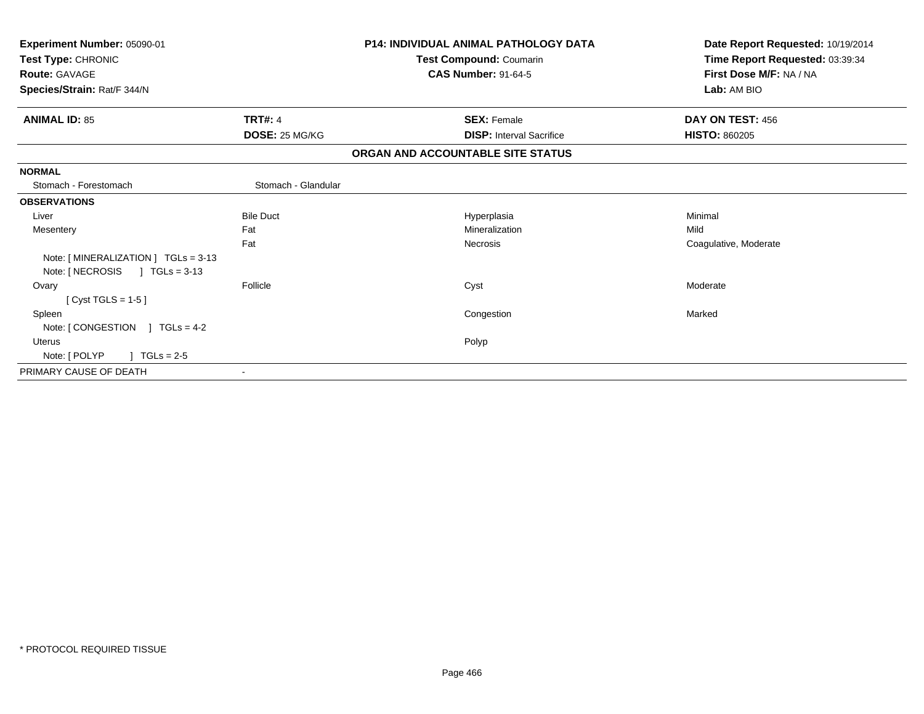| Experiment Number: 05090-01<br>Test Type: CHRONIC                                  |                     | P14: INDIVIDUAL ANIMAL PATHOLOGY DATA<br>Test Compound: Coumarin | Date Report Requested: 10/19/2014<br>Time Report Requested: 03:39:34 |
|------------------------------------------------------------------------------------|---------------------|------------------------------------------------------------------|----------------------------------------------------------------------|
| <b>Route: GAVAGE</b><br>Species/Strain: Rat/F 344/N                                |                     | <b>CAS Number: 91-64-5</b>                                       | First Dose M/F: NA / NA<br>Lab: AM BIO                               |
|                                                                                    |                     |                                                                  |                                                                      |
| <b>ANIMAL ID: 85</b>                                                               | <b>TRT#: 4</b>      | <b>SEX: Female</b>                                               | DAY ON TEST: 456                                                     |
|                                                                                    | DOSE: 25 MG/KG      | <b>DISP:</b> Interval Sacrifice                                  | <b>HISTO: 860205</b>                                                 |
|                                                                                    |                     | ORGAN AND ACCOUNTABLE SITE STATUS                                |                                                                      |
| <b>NORMAL</b>                                                                      |                     |                                                                  |                                                                      |
| Stomach - Forestomach                                                              | Stomach - Glandular |                                                                  |                                                                      |
| <b>OBSERVATIONS</b>                                                                |                     |                                                                  |                                                                      |
| Liver                                                                              | <b>Bile Duct</b>    | Hyperplasia                                                      | Minimal                                                              |
| Mesentery                                                                          | Fat                 | Mineralization                                                   | Mild                                                                 |
|                                                                                    | Fat                 | <b>Necrosis</b>                                                  | Coagulative, Moderate                                                |
| Note: [MINERALIZATION ] TGLs = 3-13<br>Note: [ NECROSIS<br>$1 \text{ TGLs} = 3-13$ |                     |                                                                  |                                                                      |
| Ovary                                                                              | Follicle            | Cyst                                                             | Moderate                                                             |
| [ $Cyst TGLS = 1-5$ ]                                                              |                     |                                                                  |                                                                      |
| Spleen                                                                             |                     | Congestion                                                       | Marked                                                               |
| Note: $[CONGESTION] TGLs = 4-2$                                                    |                     |                                                                  |                                                                      |
| <b>Uterus</b>                                                                      |                     | Polyp                                                            |                                                                      |
| Note: [ POLYP<br>$\sqrt{1 + 1}$ TGLs = 2-5                                         |                     |                                                                  |                                                                      |
| PRIMARY CAUSE OF DEATH                                                             |                     |                                                                  |                                                                      |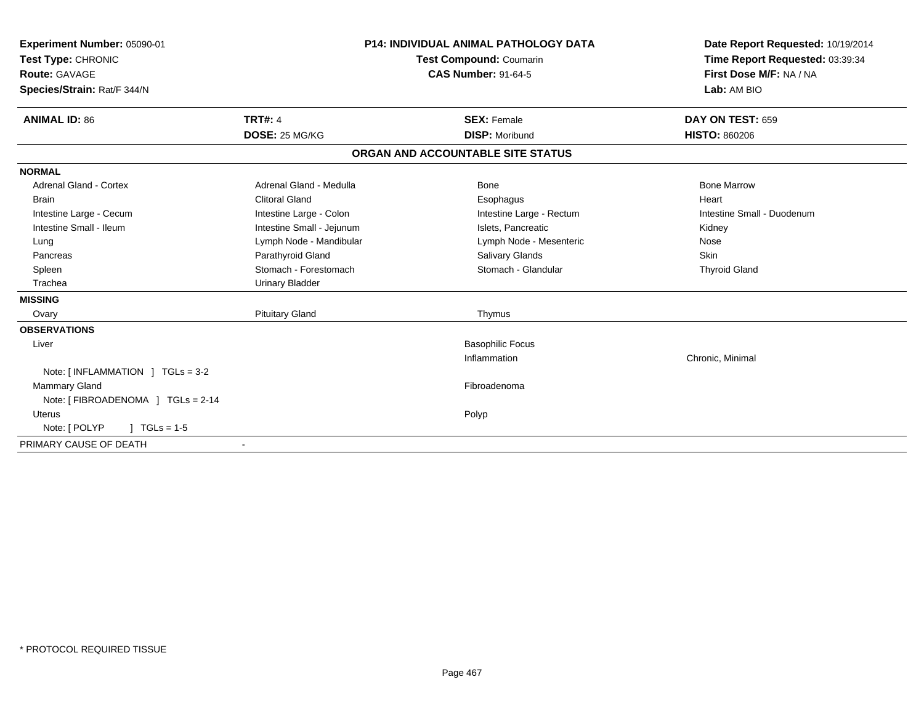| Experiment Number: 05090-01<br>Test Type: CHRONIC<br><b>Route: GAVAGE</b><br>Species/Strain: Rat/F 344/N |                                  | <b>P14: INDIVIDUAL ANIMAL PATHOLOGY DATA</b><br><b>Test Compound: Coumarin</b><br><b>CAS Number: 91-64-5</b> | Date Report Requested: 10/19/2014<br>Time Report Requested: 03:39:34<br>First Dose M/F: NA / NA<br>Lab: AM BIO |
|----------------------------------------------------------------------------------------------------------|----------------------------------|--------------------------------------------------------------------------------------------------------------|----------------------------------------------------------------------------------------------------------------|
| <b>ANIMAL ID: 86</b>                                                                                     | <b>TRT#: 4</b><br>DOSE: 25 MG/KG | <b>SEX: Female</b><br><b>DISP: Moribund</b>                                                                  | DAY ON TEST: 659<br><b>HISTO: 860206</b>                                                                       |
|                                                                                                          |                                  |                                                                                                              |                                                                                                                |
|                                                                                                          |                                  | ORGAN AND ACCOUNTABLE SITE STATUS                                                                            |                                                                                                                |
| <b>NORMAL</b>                                                                                            |                                  |                                                                                                              |                                                                                                                |
| <b>Adrenal Gland - Cortex</b>                                                                            | Adrenal Gland - Medulla          | <b>Bone</b>                                                                                                  | <b>Bone Marrow</b>                                                                                             |
| <b>Brain</b>                                                                                             | <b>Clitoral Gland</b>            | Esophagus                                                                                                    | Heart                                                                                                          |
| Intestine Large - Cecum                                                                                  | Intestine Large - Colon          | Intestine Large - Rectum                                                                                     | Intestine Small - Duodenum                                                                                     |
| Intestine Small - Ileum                                                                                  | Intestine Small - Jejunum        | Islets. Pancreatic                                                                                           | Kidney                                                                                                         |
| Lung                                                                                                     | Lymph Node - Mandibular          | Lymph Node - Mesenteric                                                                                      | Nose                                                                                                           |
| Pancreas                                                                                                 | Parathyroid Gland                | Salivary Glands                                                                                              | Skin                                                                                                           |
| Spleen                                                                                                   | Stomach - Forestomach            | Stomach - Glandular                                                                                          | <b>Thyroid Gland</b>                                                                                           |
| Trachea                                                                                                  | <b>Urinary Bladder</b>           |                                                                                                              |                                                                                                                |
| <b>MISSING</b>                                                                                           |                                  |                                                                                                              |                                                                                                                |
| Ovary                                                                                                    | <b>Pituitary Gland</b>           | Thymus                                                                                                       |                                                                                                                |
| <b>OBSERVATIONS</b>                                                                                      |                                  |                                                                                                              |                                                                                                                |
| Liver                                                                                                    |                                  | <b>Basophilic Focus</b>                                                                                      |                                                                                                                |
|                                                                                                          |                                  | Inflammation                                                                                                 | Chronic, Minimal                                                                                               |
| Note: $\lceil$ INFLAMMATION $\lceil$ TGLs = 3-2                                                          |                                  |                                                                                                              |                                                                                                                |
| Mammary Gland                                                                                            |                                  | Fibroadenoma                                                                                                 |                                                                                                                |
| Note: [FIBROADENOMA ] TGLs = 2-14                                                                        |                                  |                                                                                                              |                                                                                                                |
| <b>Uterus</b>                                                                                            |                                  | Polyp                                                                                                        |                                                                                                                |
| Note: [ POLYP<br>$TGLs = 1-5$                                                                            |                                  |                                                                                                              |                                                                                                                |
| PRIMARY CAUSE OF DEATH                                                                                   | $\blacksquare$                   |                                                                                                              |                                                                                                                |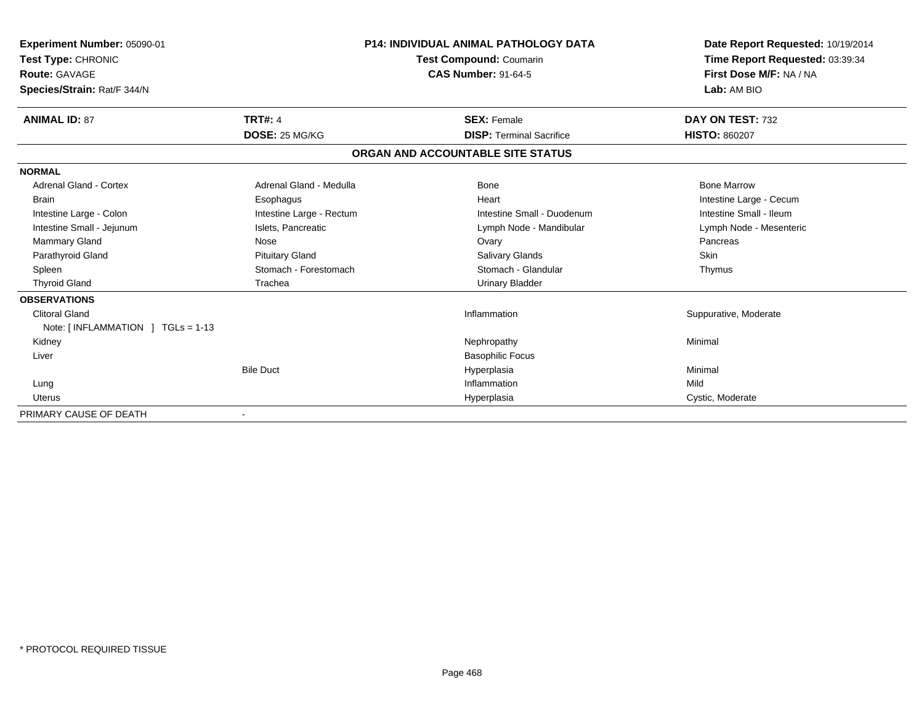| Experiment Number: 05090-01       |                          | <b>P14: INDIVIDUAL ANIMAL PATHOLOGY DATA</b> | Date Report Requested: 10/19/2014                          |
|-----------------------------------|--------------------------|----------------------------------------------|------------------------------------------------------------|
| Test Type: CHRONIC                |                          | <b>Test Compound: Coumarin</b>               | Time Report Requested: 03:39:34<br>First Dose M/F: NA / NA |
| Route: GAVAGE                     |                          | <b>CAS Number: 91-64-5</b>                   |                                                            |
| Species/Strain: Rat/F 344/N       |                          |                                              | Lab: AM BIO                                                |
| <b>ANIMAL ID: 87</b>              | <b>TRT#: 4</b>           | <b>SEX: Female</b>                           | DAY ON TEST: 732                                           |
|                                   | DOSE: 25 MG/KG           | <b>DISP: Terminal Sacrifice</b>              | <b>HISTO: 860207</b>                                       |
|                                   |                          | ORGAN AND ACCOUNTABLE SITE STATUS            |                                                            |
| <b>NORMAL</b>                     |                          |                                              |                                                            |
| <b>Adrenal Gland - Cortex</b>     | Adrenal Gland - Medulla  | <b>Bone</b>                                  | <b>Bone Marrow</b>                                         |
| <b>Brain</b>                      | Esophagus                | Heart                                        | Intestine Large - Cecum                                    |
| Intestine Large - Colon           | Intestine Large - Rectum | Intestine Small - Duodenum                   | Intestine Small - Ileum                                    |
| Intestine Small - Jejunum         | Islets, Pancreatic       | Lymph Node - Mandibular                      | Lymph Node - Mesenteric                                    |
| <b>Mammary Gland</b>              | Nose                     | Ovary                                        | Pancreas                                                   |
| Parathyroid Gland                 | <b>Pituitary Gland</b>   | Salivary Glands                              | Skin                                                       |
| Spleen                            | Stomach - Forestomach    | Stomach - Glandular                          | Thymus                                                     |
| <b>Thyroid Gland</b>              | Trachea                  | <b>Urinary Bladder</b>                       |                                                            |
| <b>OBSERVATIONS</b>               |                          |                                              |                                                            |
| <b>Clitoral Gland</b>             |                          | Inflammation                                 | Suppurative, Moderate                                      |
| Note: [INFLAMMATION ] TGLs = 1-13 |                          |                                              |                                                            |
| Kidney                            |                          | Nephropathy                                  | Minimal                                                    |
| Liver                             |                          | <b>Basophilic Focus</b>                      |                                                            |
|                                   | <b>Bile Duct</b>         | Hyperplasia                                  | Minimal                                                    |
| Lung                              |                          | Inflammation                                 | Mild                                                       |
| Uterus                            |                          | Hyperplasia                                  | Cystic, Moderate                                           |
| PRIMARY CAUSE OF DEATH            |                          |                                              |                                                            |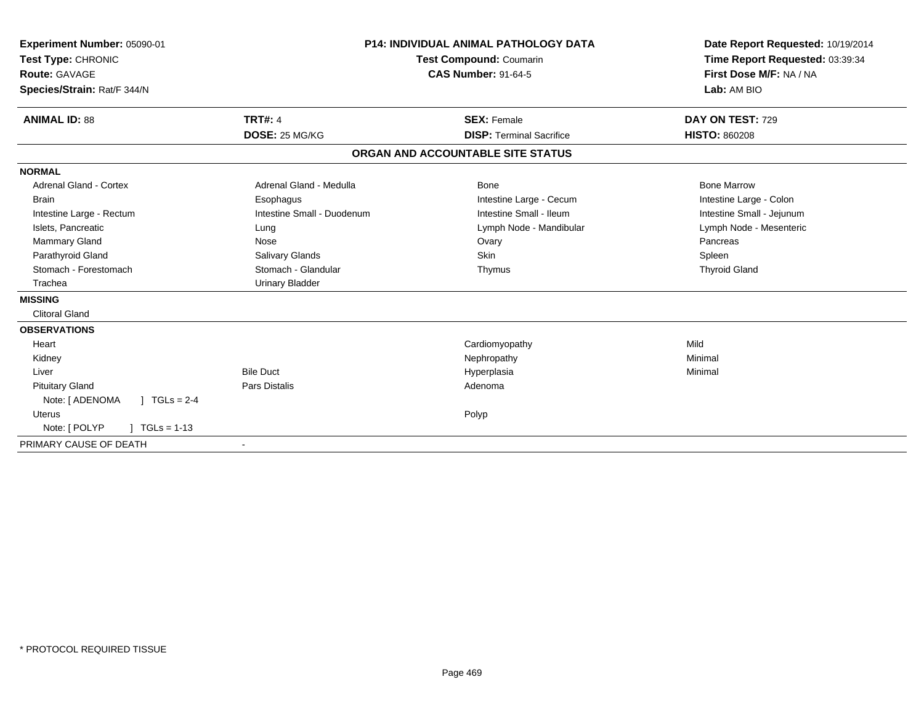| Experiment Number: 05090-01<br>Test Type: CHRONIC<br><b>Route: GAVAGE</b><br>Species/Strain: Rat/F 344/N |                            | <b>P14: INDIVIDUAL ANIMAL PATHOLOGY DATA</b><br><b>Test Compound: Coumarin</b><br><b>CAS Number: 91-64-5</b> | Date Report Requested: 10/19/2014<br>Time Report Requested: 03:39:34<br>First Dose M/F: NA / NA<br>Lab: AM BIO |
|----------------------------------------------------------------------------------------------------------|----------------------------|--------------------------------------------------------------------------------------------------------------|----------------------------------------------------------------------------------------------------------------|
| <b>ANIMAL ID: 88</b>                                                                                     | <b>TRT#: 4</b>             | <b>SEX: Female</b>                                                                                           | DAY ON TEST: 729                                                                                               |
|                                                                                                          | DOSE: 25 MG/KG             | <b>DISP: Terminal Sacrifice</b>                                                                              | <b>HISTO: 860208</b>                                                                                           |
|                                                                                                          |                            | ORGAN AND ACCOUNTABLE SITE STATUS                                                                            |                                                                                                                |
| <b>NORMAL</b>                                                                                            |                            |                                                                                                              |                                                                                                                |
| <b>Adrenal Gland - Cortex</b>                                                                            | Adrenal Gland - Medulla    | Bone                                                                                                         | <b>Bone Marrow</b>                                                                                             |
| <b>Brain</b>                                                                                             | Esophagus                  | Intestine Large - Cecum                                                                                      | Intestine Large - Colon                                                                                        |
| Intestine Large - Rectum                                                                                 | Intestine Small - Duodenum | Intestine Small - Ileum                                                                                      | Intestine Small - Jejunum                                                                                      |
| Islets, Pancreatic                                                                                       | Lung                       | Lymph Node - Mandibular                                                                                      | Lymph Node - Mesenteric                                                                                        |
| Mammary Gland                                                                                            | Nose                       | Ovary                                                                                                        | Pancreas                                                                                                       |
| Parathyroid Gland                                                                                        | Salivary Glands            | <b>Skin</b>                                                                                                  | Spleen                                                                                                         |
| Stomach - Forestomach                                                                                    | Stomach - Glandular        | Thymus                                                                                                       | <b>Thyroid Gland</b>                                                                                           |
| Trachea                                                                                                  | <b>Urinary Bladder</b>     |                                                                                                              |                                                                                                                |
| <b>MISSING</b>                                                                                           |                            |                                                                                                              |                                                                                                                |
| <b>Clitoral Gland</b>                                                                                    |                            |                                                                                                              |                                                                                                                |
| <b>OBSERVATIONS</b>                                                                                      |                            |                                                                                                              |                                                                                                                |
| Heart                                                                                                    |                            | Cardiomyopathy                                                                                               | Mild                                                                                                           |
| Kidney                                                                                                   |                            | Nephropathy                                                                                                  | Minimal                                                                                                        |
| Liver                                                                                                    | <b>Bile Duct</b>           | Hyperplasia                                                                                                  | Minimal                                                                                                        |
| <b>Pituitary Gland</b>                                                                                   | <b>Pars Distalis</b>       | Adenoma                                                                                                      |                                                                                                                |
| Note: [ ADENOMA<br>$J \cdot TGLs = 2-4$                                                                  |                            |                                                                                                              |                                                                                                                |
| <b>Uterus</b>                                                                                            |                            | Polyp                                                                                                        |                                                                                                                |
| Note: [ POLYP<br>$TGLs = 1-13$                                                                           |                            |                                                                                                              |                                                                                                                |
| PRIMARY CAUSE OF DEATH                                                                                   |                            |                                                                                                              |                                                                                                                |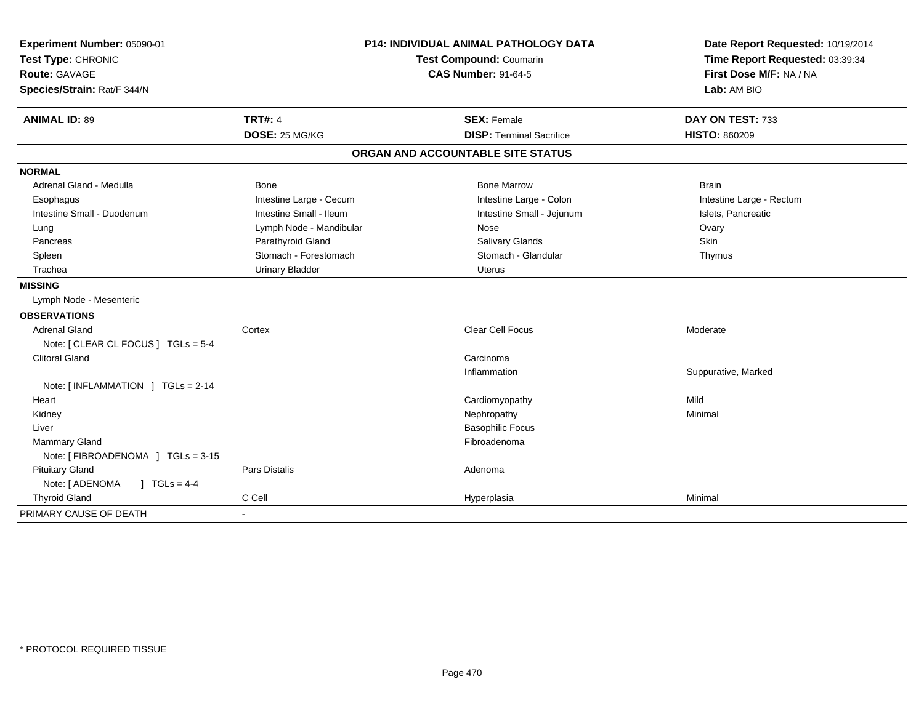| Experiment Number: 05090-01         | <b>P14: INDIVIDUAL ANIMAL PATHOLOGY DATA</b><br>Test Compound: Coumarin |                                   | Date Report Requested: 10/19/2014 |
|-------------------------------------|-------------------------------------------------------------------------|-----------------------------------|-----------------------------------|
| Test Type: CHRONIC                  |                                                                         |                                   | Time Report Requested: 03:39:34   |
| <b>Route: GAVAGE</b>                |                                                                         | <b>CAS Number: 91-64-5</b>        | First Dose M/F: NA / NA           |
| Species/Strain: Rat/F 344/N         |                                                                         |                                   | Lab: AM BIO                       |
| <b>ANIMAL ID: 89</b>                | <b>TRT#: 4</b>                                                          | <b>SEX: Female</b>                | DAY ON TEST: 733                  |
|                                     | DOSE: 25 MG/KG                                                          | <b>DISP: Terminal Sacrifice</b>   | <b>HISTO: 860209</b>              |
|                                     |                                                                         | ORGAN AND ACCOUNTABLE SITE STATUS |                                   |
| <b>NORMAL</b>                       |                                                                         |                                   |                                   |
| Adrenal Gland - Medulla             | Bone                                                                    | <b>Bone Marrow</b>                | <b>Brain</b>                      |
| Esophagus                           | Intestine Large - Cecum                                                 | Intestine Large - Colon           | Intestine Large - Rectum          |
| Intestine Small - Duodenum          | Intestine Small - Ileum                                                 | Intestine Small - Jejunum         | Islets, Pancreatic                |
| Lung                                | Lymph Node - Mandibular                                                 | Nose                              | Ovary                             |
| Pancreas                            | Parathyroid Gland                                                       | Salivary Glands                   | Skin                              |
| Spleen                              | Stomach - Forestomach                                                   | Stomach - Glandular               | Thymus                            |
| Trachea                             | <b>Urinary Bladder</b>                                                  | <b>Uterus</b>                     |                                   |
| <b>MISSING</b>                      |                                                                         |                                   |                                   |
| Lymph Node - Mesenteric             |                                                                         |                                   |                                   |
| <b>OBSERVATIONS</b>                 |                                                                         |                                   |                                   |
| <b>Adrenal Gland</b>                | Cortex                                                                  | Clear Cell Focus                  | Moderate                          |
| Note: [ CLEAR CL FOCUS ] TGLs = 5-4 |                                                                         |                                   |                                   |
| <b>Clitoral Gland</b>               |                                                                         | Carcinoma                         |                                   |
|                                     |                                                                         | Inflammation                      | Suppurative, Marked               |
| Note: [ INFLAMMATION ] TGLs = 2-14  |                                                                         |                                   |                                   |
| Heart                               |                                                                         | Cardiomyopathy                    | Mild                              |
| Kidney                              |                                                                         | Nephropathy                       | Minimal                           |
| Liver                               |                                                                         | <b>Basophilic Focus</b>           |                                   |
| <b>Mammary Gland</b>                |                                                                         | Fibroadenoma                      |                                   |
| Note: [FIBROADENOMA ] TGLs = 3-15   |                                                                         |                                   |                                   |
| <b>Pituitary Gland</b>              | <b>Pars Distalis</b>                                                    | Adenoma                           |                                   |
| $1 TGLs = 4-4$<br>Note: [ ADENOMA   |                                                                         |                                   |                                   |
| <b>Thyroid Gland</b>                | C Cell                                                                  | Hyperplasia                       | Minimal                           |
| PRIMARY CAUSE OF DEATH              |                                                                         |                                   |                                   |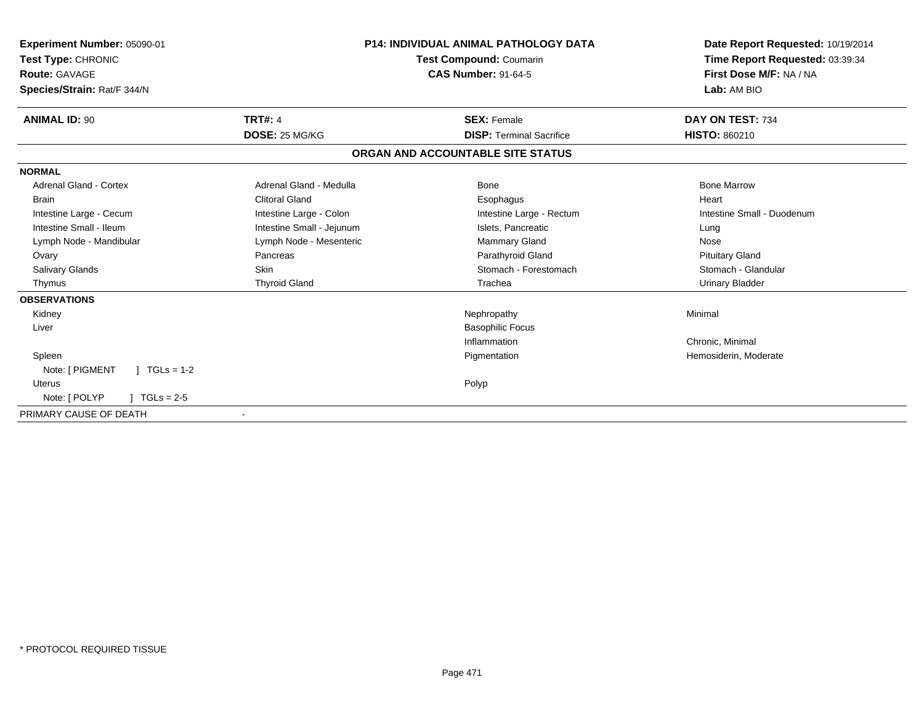| Experiment Number: 05090-01<br>Test Type: CHRONIC |                           | <b>P14: INDIVIDUAL ANIMAL PATHOLOGY DATA</b><br>Test Compound: Coumarin | Date Report Requested: 10/19/2014<br>Time Report Requested: 03:39:34 |
|---------------------------------------------------|---------------------------|-------------------------------------------------------------------------|----------------------------------------------------------------------|
| Route: GAVAGE                                     |                           | <b>CAS Number: 91-64-5</b>                                              | First Dose M/F: NA / NA                                              |
| Species/Strain: Rat/F 344/N                       |                           |                                                                         | Lab: AM BIO                                                          |
| <b>ANIMAL ID: 90</b>                              | <b>TRT#: 4</b>            | <b>SEX: Female</b>                                                      | DAY ON TEST: 734                                                     |
|                                                   | DOSE: 25 MG/KG            | <b>DISP: Terminal Sacrifice</b>                                         | <b>HISTO: 860210</b>                                                 |
|                                                   |                           | ORGAN AND ACCOUNTABLE SITE STATUS                                       |                                                                      |
| <b>NORMAL</b>                                     |                           |                                                                         |                                                                      |
| <b>Adrenal Gland - Cortex</b>                     | Adrenal Gland - Medulla   | <b>Bone</b>                                                             | <b>Bone Marrow</b>                                                   |
| <b>Brain</b>                                      | <b>Clitoral Gland</b>     | Esophagus                                                               | Heart                                                                |
| Intestine Large - Cecum                           | Intestine Large - Colon   | Intestine Large - Rectum                                                | Intestine Small - Duodenum                                           |
| Intestine Small - Ileum                           | Intestine Small - Jejunum | Islets, Pancreatic                                                      | Lung                                                                 |
| Lymph Node - Mandibular                           | Lymph Node - Mesenteric   | <b>Mammary Gland</b>                                                    | Nose                                                                 |
| Ovary                                             | Pancreas                  | Parathyroid Gland                                                       | <b>Pituitary Gland</b>                                               |
| Salivary Glands                                   | Skin                      | Stomach - Forestomach                                                   | Stomach - Glandular                                                  |
| Thymus                                            | <b>Thyroid Gland</b>      | Trachea                                                                 | <b>Urinary Bladder</b>                                               |
| <b>OBSERVATIONS</b>                               |                           |                                                                         |                                                                      |
| Kidney                                            |                           | Nephropathy                                                             | Minimal                                                              |
| Liver                                             |                           | <b>Basophilic Focus</b>                                                 |                                                                      |
|                                                   |                           | Inflammation                                                            | Chronic, Minimal                                                     |
| Spleen                                            |                           | Pigmentation                                                            | Hemosiderin, Moderate                                                |
| $1 TGLs = 1-2$<br>Note: [ PIGMENT                 |                           |                                                                         |                                                                      |
| <b>Uterus</b>                                     |                           | Polyp                                                                   |                                                                      |
| Note: [ POLYP<br>$TGLs = 2-5$                     |                           |                                                                         |                                                                      |
| PRIMARY CAUSE OF DEATH                            |                           |                                                                         |                                                                      |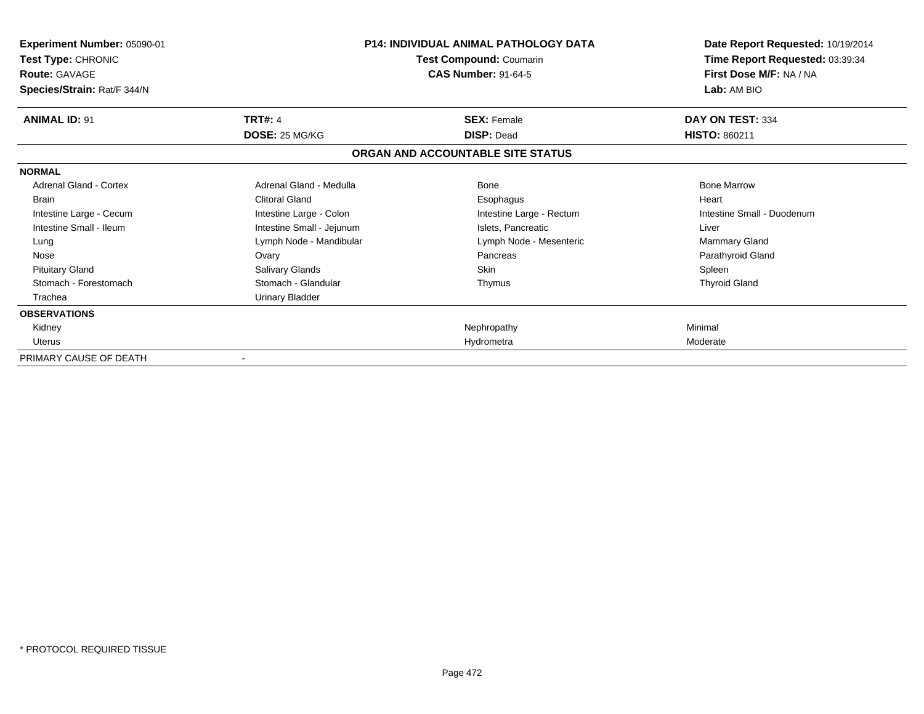| <b>Experiment Number: 05090-01</b><br>Test Type: CHRONIC<br><b>Route: GAVAGE</b><br>Species/Strain: Rat/F 344/N |                           | <b>P14: INDIVIDUAL ANIMAL PATHOLOGY DATA</b><br>Test Compound: Coumarin<br><b>CAS Number: 91-64-5</b> | Date Report Requested: 10/19/2014<br>Time Report Requested: 03:39:34<br>First Dose M/F: NA / NA<br>Lab: AM BIO |
|-----------------------------------------------------------------------------------------------------------------|---------------------------|-------------------------------------------------------------------------------------------------------|----------------------------------------------------------------------------------------------------------------|
| <b>ANIMAL ID: 91</b>                                                                                            | <b>TRT#: 4</b>            | <b>SEX: Female</b>                                                                                    | DAY ON TEST: 334                                                                                               |
|                                                                                                                 | DOSE: 25 MG/KG            | <b>DISP: Dead</b>                                                                                     | <b>HISTO: 860211</b>                                                                                           |
|                                                                                                                 |                           | ORGAN AND ACCOUNTABLE SITE STATUS                                                                     |                                                                                                                |
| <b>NORMAL</b>                                                                                                   |                           |                                                                                                       |                                                                                                                |
| <b>Adrenal Gland - Cortex</b>                                                                                   | Adrenal Gland - Medulla   | Bone                                                                                                  | <b>Bone Marrow</b>                                                                                             |
| <b>Brain</b>                                                                                                    | <b>Clitoral Gland</b>     | Esophagus                                                                                             | Heart                                                                                                          |
| Intestine Large - Cecum                                                                                         | Intestine Large - Colon   | Intestine Large - Rectum                                                                              | Intestine Small - Duodenum                                                                                     |
| Intestine Small - Ileum                                                                                         | Intestine Small - Jejunum | Islets, Pancreatic                                                                                    | Liver                                                                                                          |
| Lung                                                                                                            | Lymph Node - Mandibular   | Lymph Node - Mesenteric                                                                               | Mammary Gland                                                                                                  |
| Nose                                                                                                            | Ovary                     | Pancreas                                                                                              | Parathyroid Gland                                                                                              |
| <b>Pituitary Gland</b>                                                                                          | Salivary Glands           | <b>Skin</b>                                                                                           | Spleen                                                                                                         |
| Stomach - Forestomach                                                                                           | Stomach - Glandular       | Thymus                                                                                                | <b>Thyroid Gland</b>                                                                                           |
| Trachea                                                                                                         | <b>Urinary Bladder</b>    |                                                                                                       |                                                                                                                |
| <b>OBSERVATIONS</b>                                                                                             |                           |                                                                                                       |                                                                                                                |
| Kidney                                                                                                          |                           | Nephropathy                                                                                           | Minimal                                                                                                        |
| <b>Uterus</b>                                                                                                   |                           | Hydrometra                                                                                            | Moderate                                                                                                       |
| PRIMARY CAUSE OF DEATH                                                                                          |                           |                                                                                                       |                                                                                                                |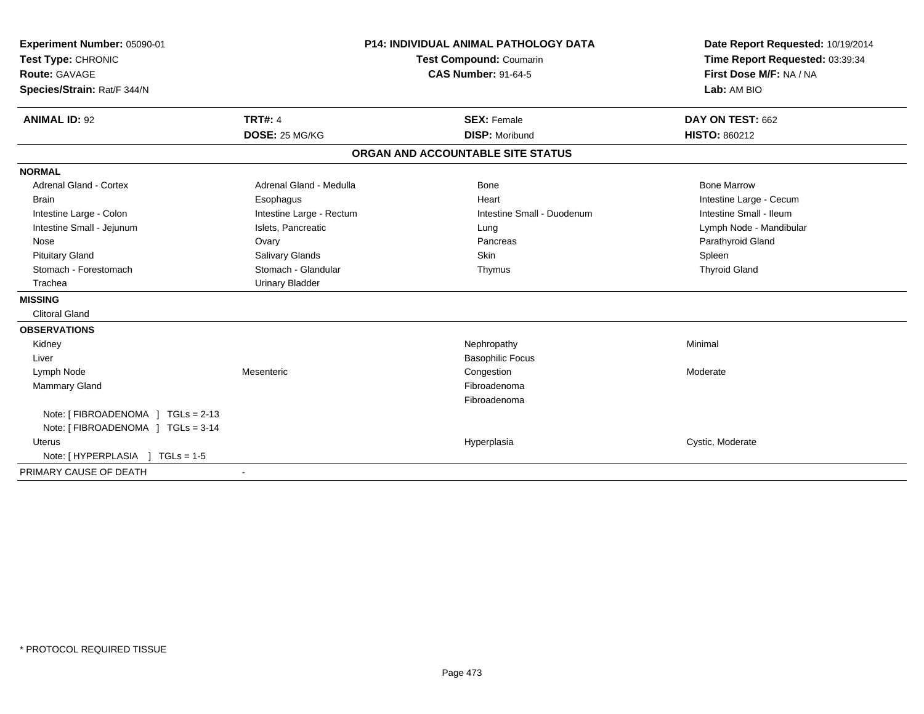| Experiment Number: 05090-01                                             | <b>P14: INDIVIDUAL ANIMAL PATHOLOGY DATA</b><br><b>Test Compound: Coumarin</b> |                                   | Date Report Requested: 10/19/2014 |  |
|-------------------------------------------------------------------------|--------------------------------------------------------------------------------|-----------------------------------|-----------------------------------|--|
| Test Type: CHRONIC                                                      |                                                                                |                                   | Time Report Requested: 03:39:34   |  |
| <b>Route: GAVAGE</b>                                                    |                                                                                | <b>CAS Number: 91-64-5</b>        | First Dose M/F: NA / NA           |  |
| Species/Strain: Rat/F 344/N                                             |                                                                                |                                   | Lab: AM BIO                       |  |
| <b>ANIMAL ID: 92</b>                                                    | <b>TRT#: 4</b>                                                                 | <b>SEX: Female</b>                | DAY ON TEST: 662                  |  |
|                                                                         | DOSE: 25 MG/KG                                                                 | <b>DISP: Moribund</b>             | <b>HISTO: 860212</b>              |  |
|                                                                         |                                                                                | ORGAN AND ACCOUNTABLE SITE STATUS |                                   |  |
| <b>NORMAL</b>                                                           |                                                                                |                                   |                                   |  |
| <b>Adrenal Gland - Cortex</b>                                           | Adrenal Gland - Medulla                                                        | <b>Bone</b>                       | <b>Bone Marrow</b>                |  |
| <b>Brain</b>                                                            | Esophagus                                                                      | Heart                             | Intestine Large - Cecum           |  |
| Intestine Large - Colon                                                 | Intestine Large - Rectum                                                       | Intestine Small - Duodenum        | Intestine Small - Ileum           |  |
| Intestine Small - Jejunum                                               | Islets, Pancreatic                                                             | Lung                              | Lymph Node - Mandibular           |  |
| Nose                                                                    | Ovary                                                                          | Pancreas                          | Parathyroid Gland                 |  |
| <b>Pituitary Gland</b>                                                  | Salivary Glands                                                                | Skin                              | Spleen                            |  |
| Stomach - Forestomach                                                   | Stomach - Glandular                                                            | Thymus                            | <b>Thyroid Gland</b>              |  |
| Trachea                                                                 | <b>Urinary Bladder</b>                                                         |                                   |                                   |  |
| <b>MISSING</b>                                                          |                                                                                |                                   |                                   |  |
| <b>Clitoral Gland</b>                                                   |                                                                                |                                   |                                   |  |
| <b>OBSERVATIONS</b>                                                     |                                                                                |                                   |                                   |  |
| Kidney                                                                  |                                                                                | Nephropathy                       | Minimal                           |  |
| Liver                                                                   |                                                                                | <b>Basophilic Focus</b>           |                                   |  |
| Lymph Node                                                              | Mesenteric                                                                     | Congestion                        | Moderate                          |  |
| <b>Mammary Gland</b>                                                    |                                                                                | Fibroadenoma                      |                                   |  |
|                                                                         |                                                                                | Fibroadenoma                      |                                   |  |
| Note: [ FIBROADENOMA ] TGLs = 2-13<br>Note: [FIBROADENOMA ] TGLs = 3-14 |                                                                                |                                   |                                   |  |
| Uterus                                                                  |                                                                                | Hyperplasia                       | Cystic, Moderate                  |  |
| Note: [ HYPERPLASIA ] TGLs = 1-5                                        |                                                                                |                                   |                                   |  |
| PRIMARY CAUSE OF DEATH                                                  |                                                                                |                                   |                                   |  |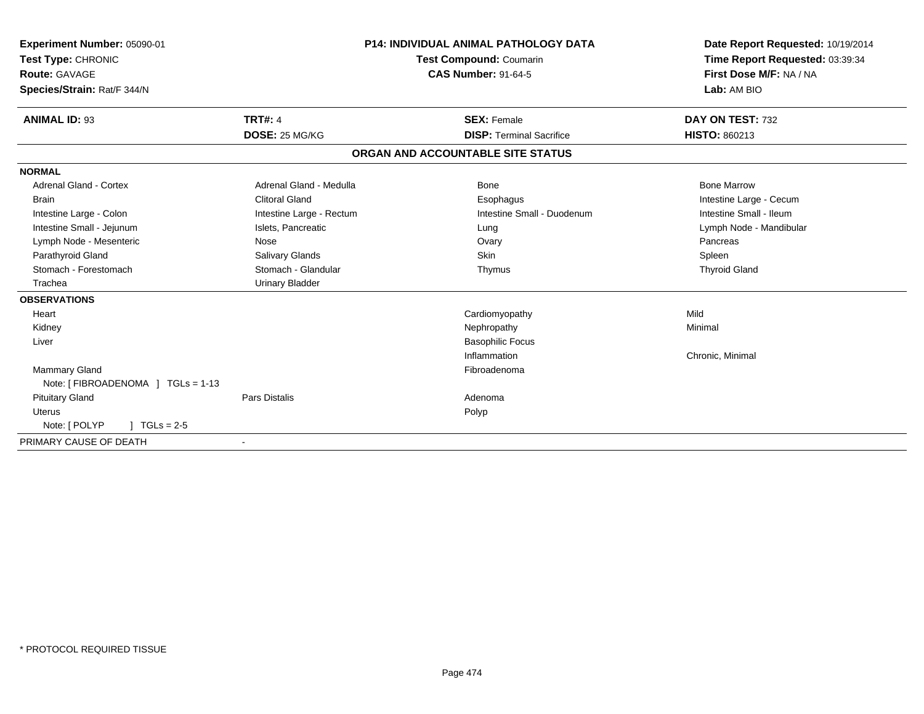| Experiment Number: 05090-01<br>Test Type: CHRONIC<br>Route: GAVAGE<br>Species/Strain: Rat/F 344/N |                          | <b>P14: INDIVIDUAL ANIMAL PATHOLOGY DATA</b><br><b>Test Compound: Coumarin</b><br><b>CAS Number: 91-64-5</b> | Date Report Requested: 10/19/2014<br>Time Report Requested: 03:39:34<br>First Dose M/F: NA / NA<br>Lab: AM BIO |
|---------------------------------------------------------------------------------------------------|--------------------------|--------------------------------------------------------------------------------------------------------------|----------------------------------------------------------------------------------------------------------------|
|                                                                                                   |                          |                                                                                                              |                                                                                                                |
| <b>ANIMAL ID: 93</b>                                                                              | <b>TRT#: 4</b>           | <b>SEX: Female</b>                                                                                           | DAY ON TEST: 732                                                                                               |
|                                                                                                   | DOSE: 25 MG/KG           | <b>DISP: Terminal Sacrifice</b>                                                                              | HISTO: 860213                                                                                                  |
|                                                                                                   |                          | ORGAN AND ACCOUNTABLE SITE STATUS                                                                            |                                                                                                                |
| <b>NORMAL</b>                                                                                     |                          |                                                                                                              |                                                                                                                |
| <b>Adrenal Gland - Cortex</b>                                                                     | Adrenal Gland - Medulla  | Bone                                                                                                         | <b>Bone Marrow</b>                                                                                             |
| <b>Brain</b>                                                                                      | <b>Clitoral Gland</b>    | Esophagus                                                                                                    | Intestine Large - Cecum                                                                                        |
| Intestine Large - Colon                                                                           | Intestine Large - Rectum | Intestine Small - Duodenum                                                                                   | Intestine Small - Ileum                                                                                        |
| Intestine Small - Jejunum                                                                         | Islets, Pancreatic       | Lung                                                                                                         | Lymph Node - Mandibular                                                                                        |
| Lymph Node - Mesenteric                                                                           | <b>Nose</b>              | Ovary                                                                                                        | Pancreas                                                                                                       |
| Parathyroid Gland                                                                                 | Salivary Glands          | <b>Skin</b>                                                                                                  | Spleen                                                                                                         |
| Stomach - Forestomach                                                                             | Stomach - Glandular      | Thymus                                                                                                       | <b>Thyroid Gland</b>                                                                                           |
| Trachea                                                                                           | <b>Urinary Bladder</b>   |                                                                                                              |                                                                                                                |
| <b>OBSERVATIONS</b>                                                                               |                          |                                                                                                              |                                                                                                                |
| Heart                                                                                             |                          | Cardiomyopathy                                                                                               | Mild                                                                                                           |
| Kidney                                                                                            |                          | Nephropathy                                                                                                  | Minimal                                                                                                        |
| Liver                                                                                             |                          | <b>Basophilic Focus</b>                                                                                      |                                                                                                                |
|                                                                                                   |                          | Inflammation                                                                                                 | Chronic, Minimal                                                                                               |
| Mammary Gland                                                                                     |                          | Fibroadenoma                                                                                                 |                                                                                                                |
| Note: [ FIBROADENOMA ] TGLs = 1-13                                                                |                          |                                                                                                              |                                                                                                                |
| <b>Pituitary Gland</b>                                                                            | Pars Distalis            | Adenoma                                                                                                      |                                                                                                                |
| <b>Uterus</b>                                                                                     |                          | Polyp                                                                                                        |                                                                                                                |
| Note: [ POLYP<br>$TGLs = 2-5$                                                                     |                          |                                                                                                              |                                                                                                                |
| PRIMARY CAUSE OF DEATH                                                                            |                          |                                                                                                              |                                                                                                                |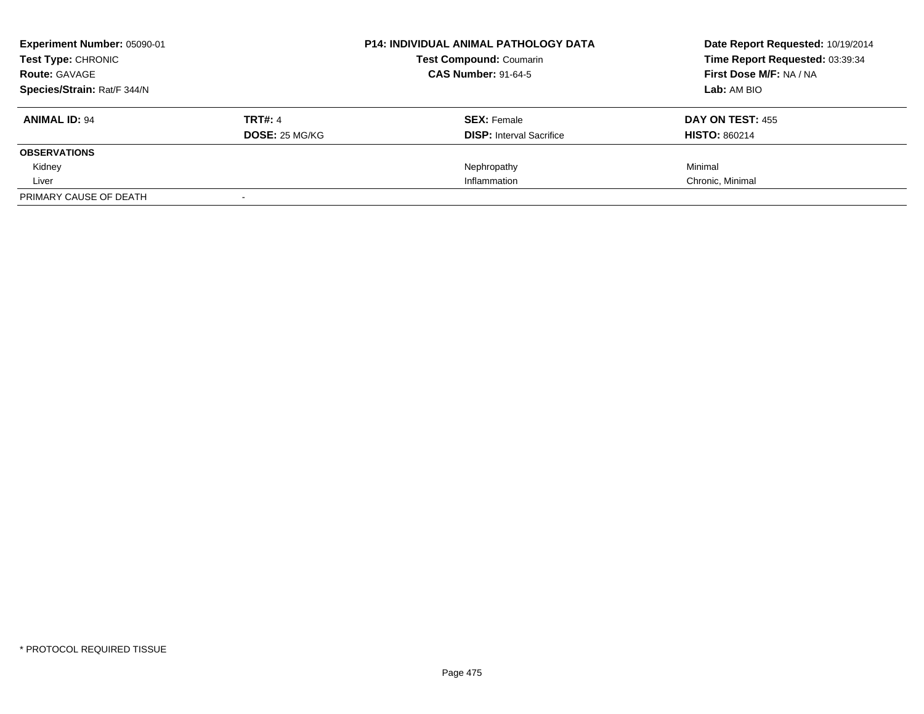| Experiment Number: 05090-01<br><b>Test Type: CHRONIC</b> |                       | <b>P14: INDIVIDUAL ANIMAL PATHOLOGY DATA</b> | Date Report Requested: 10/19/2014<br>Time Report Requested: 03:39:34 |
|----------------------------------------------------------|-----------------------|----------------------------------------------|----------------------------------------------------------------------|
|                                                          |                       | <b>Test Compound: Coumarin</b>               |                                                                      |
| <b>Route: GAVAGE</b>                                     |                       | <b>CAS Number: 91-64-5</b>                   | First Dose M/F: NA / NA                                              |
| Species/Strain: Rat/F 344/N                              |                       |                                              | Lab: AM BIO                                                          |
| <b>ANIMAL ID: 94</b>                                     | <b>TRT#: 4</b>        | <b>SEX: Female</b>                           | <b>DAY ON TEST: 455</b>                                              |
|                                                          | <b>DOSE: 25 MG/KG</b> | <b>DISP:</b> Interval Sacrifice              | <b>HISTO: 860214</b>                                                 |
| <b>OBSERVATIONS</b>                                      |                       |                                              |                                                                      |
| Kidney                                                   |                       | Nephropathy                                  | Minimal                                                              |
| Liver                                                    |                       | Inflammation                                 | Chronic, Minimal                                                     |
| PRIMARY CAUSE OF DEATH                                   |                       |                                              |                                                                      |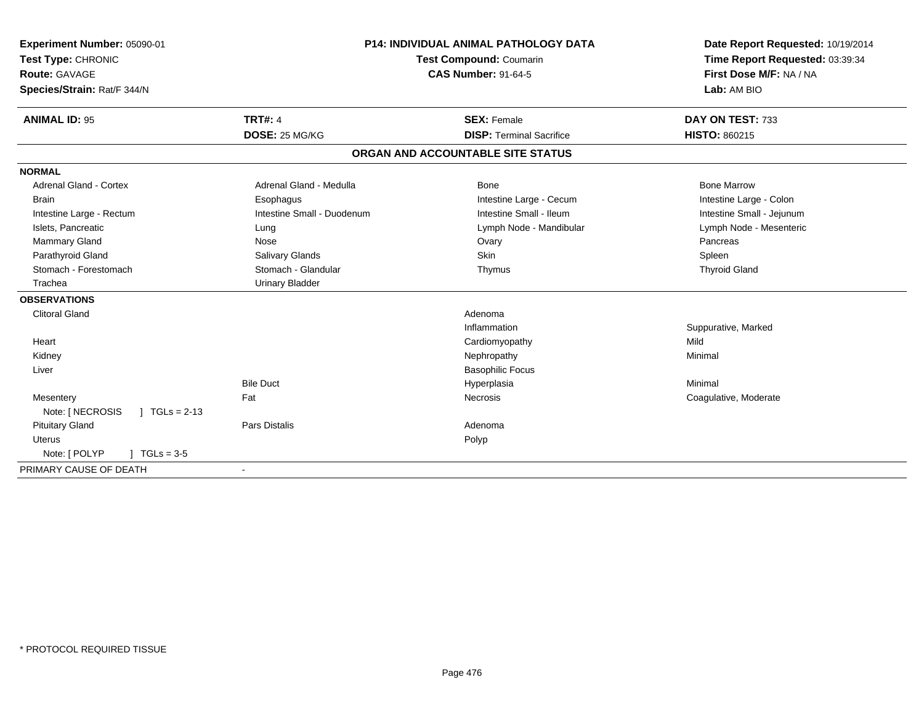| Experiment Number: 05090-01<br>Test Type: CHRONIC | <b>P14: INDIVIDUAL ANIMAL PATHOLOGY DATA</b><br>Test Compound: Coumarin |                                   | Date Report Requested: 10/19/2014<br>Time Report Requested: 03:39:34 |
|---------------------------------------------------|-------------------------------------------------------------------------|-----------------------------------|----------------------------------------------------------------------|
| Route: GAVAGE                                     |                                                                         | <b>CAS Number: 91-64-5</b>        | First Dose M/F: NA / NA                                              |
| Species/Strain: Rat/F 344/N                       |                                                                         |                                   | Lab: AM BIO                                                          |
| <b>ANIMAL ID: 95</b>                              | <b>TRT#: 4</b>                                                          | <b>SEX: Female</b>                | DAY ON TEST: 733                                                     |
|                                                   | DOSE: 25 MG/KG                                                          | <b>DISP: Terminal Sacrifice</b>   | <b>HISTO: 860215</b>                                                 |
|                                                   |                                                                         | ORGAN AND ACCOUNTABLE SITE STATUS |                                                                      |
| <b>NORMAL</b>                                     |                                                                         |                                   |                                                                      |
| <b>Adrenal Gland - Cortex</b>                     | Adrenal Gland - Medulla                                                 | <b>Bone</b>                       | <b>Bone Marrow</b>                                                   |
| <b>Brain</b>                                      | Esophagus                                                               | Intestine Large - Cecum           | Intestine Large - Colon                                              |
| Intestine Large - Rectum                          | Intestine Small - Duodenum                                              | Intestine Small - Ileum           | Intestine Small - Jejunum                                            |
| Islets, Pancreatic                                | Lung                                                                    | Lymph Node - Mandibular           | Lymph Node - Mesenteric                                              |
| Mammary Gland                                     | Nose                                                                    | Ovary                             | Pancreas                                                             |
| Parathyroid Gland                                 | Salivary Glands                                                         | <b>Skin</b>                       | Spleen                                                               |
| Stomach - Forestomach                             | Stomach - Glandular                                                     | Thymus                            | <b>Thyroid Gland</b>                                                 |
| Trachea                                           | <b>Urinary Bladder</b>                                                  |                                   |                                                                      |
| <b>OBSERVATIONS</b>                               |                                                                         |                                   |                                                                      |
| <b>Clitoral Gland</b>                             |                                                                         | Adenoma                           |                                                                      |
|                                                   |                                                                         | Inflammation                      | Suppurative, Marked                                                  |
| Heart                                             |                                                                         | Cardiomyopathy                    | Mild                                                                 |
| Kidney                                            |                                                                         | Nephropathy                       | Minimal                                                              |
| Liver                                             |                                                                         | <b>Basophilic Focus</b>           |                                                                      |
|                                                   | <b>Bile Duct</b>                                                        | Hyperplasia                       | Minimal                                                              |
| Mesentery                                         | Fat                                                                     | Necrosis                          | Coagulative, Moderate                                                |
| Note: [ NECROSIS<br>$\vert$ TGLs = 2-13           |                                                                         |                                   |                                                                      |
| <b>Pituitary Gland</b>                            | <b>Pars Distalis</b>                                                    | Adenoma                           |                                                                      |
| <b>Uterus</b>                                     |                                                                         | Polyp                             |                                                                      |
| Note: [ POLYP<br>$1 TGLs = 3.5$                   |                                                                         |                                   |                                                                      |
| PRIMARY CAUSE OF DEATH                            |                                                                         |                                   |                                                                      |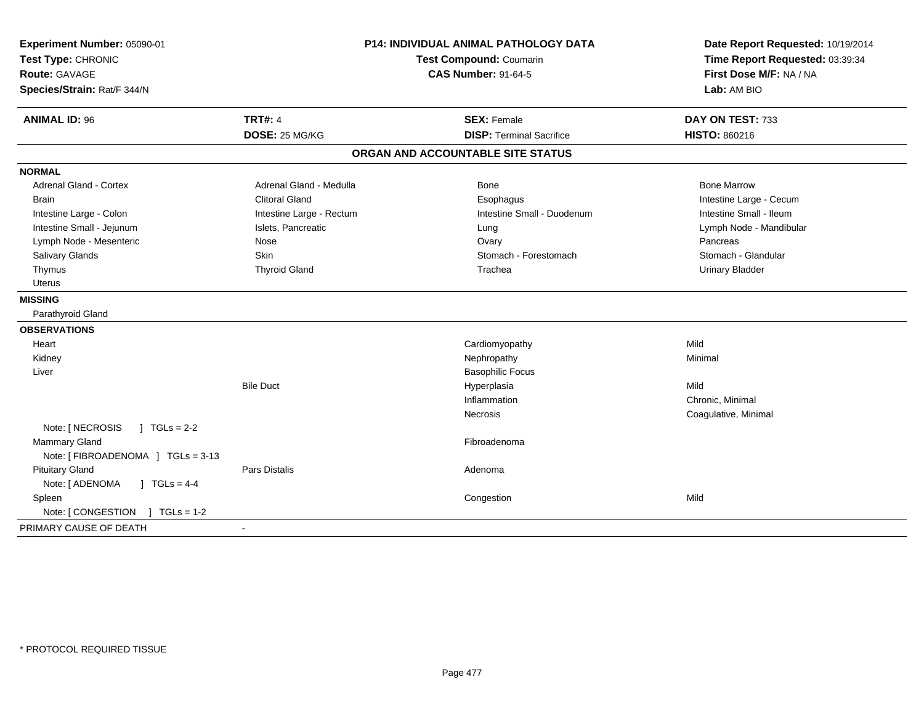| Experiment Number: 05090-01<br>Test Type: CHRONIC<br><b>Route: GAVAGE</b><br>Species/Strain: Rat/F 344/N | <b>P14: INDIVIDUAL ANIMAL PATHOLOGY DATA</b><br><b>Test Compound: Coumarin</b><br><b>CAS Number: 91-64-5</b> |                                   | Date Report Requested: 10/19/2014<br>Time Report Requested: 03:39:34<br>First Dose M/F: NA / NA<br>Lab: AM BIO |
|----------------------------------------------------------------------------------------------------------|--------------------------------------------------------------------------------------------------------------|-----------------------------------|----------------------------------------------------------------------------------------------------------------|
| <b>ANIMAL ID: 96</b>                                                                                     | <b>TRT#: 4</b>                                                                                               | <b>SEX: Female</b>                | DAY ON TEST: 733                                                                                               |
|                                                                                                          | DOSE: 25 MG/KG                                                                                               | <b>DISP: Terminal Sacrifice</b>   | HISTO: 860216                                                                                                  |
|                                                                                                          |                                                                                                              | ORGAN AND ACCOUNTABLE SITE STATUS |                                                                                                                |
| <b>NORMAL</b>                                                                                            |                                                                                                              |                                   |                                                                                                                |
| <b>Adrenal Gland - Cortex</b>                                                                            | Adrenal Gland - Medulla                                                                                      | Bone                              | <b>Bone Marrow</b>                                                                                             |
| <b>Brain</b>                                                                                             | <b>Clitoral Gland</b>                                                                                        | Esophagus                         | Intestine Large - Cecum                                                                                        |
| Intestine Large - Colon                                                                                  | Intestine Large - Rectum                                                                                     | Intestine Small - Duodenum        | Intestine Small - Ileum                                                                                        |
| Intestine Small - Jejunum                                                                                | Islets, Pancreatic                                                                                           | Lung                              | Lymph Node - Mandibular                                                                                        |
| Lymph Node - Mesenteric                                                                                  | Nose                                                                                                         | Ovary                             | Pancreas                                                                                                       |
| <b>Salivary Glands</b>                                                                                   | Skin                                                                                                         | Stomach - Forestomach             | Stomach - Glandular                                                                                            |
| Thymus                                                                                                   | <b>Thyroid Gland</b>                                                                                         | Trachea                           | <b>Urinary Bladder</b>                                                                                         |
| Uterus                                                                                                   |                                                                                                              |                                   |                                                                                                                |
| <b>MISSING</b>                                                                                           |                                                                                                              |                                   |                                                                                                                |
| Parathyroid Gland                                                                                        |                                                                                                              |                                   |                                                                                                                |
| <b>OBSERVATIONS</b>                                                                                      |                                                                                                              |                                   |                                                                                                                |
| Heart                                                                                                    |                                                                                                              | Cardiomyopathy                    | Mild                                                                                                           |
| Kidney                                                                                                   |                                                                                                              | Nephropathy                       | Minimal                                                                                                        |
| Liver                                                                                                    |                                                                                                              | <b>Basophilic Focus</b>           |                                                                                                                |
|                                                                                                          | <b>Bile Duct</b>                                                                                             | Hyperplasia                       | Mild                                                                                                           |
|                                                                                                          |                                                                                                              | Inflammation                      | Chronic, Minimal                                                                                               |
|                                                                                                          |                                                                                                              | <b>Necrosis</b>                   | Coagulative, Minimal                                                                                           |
| Note: [ NECROSIS<br>$J \cdot TGLS = 2-2$                                                                 |                                                                                                              |                                   |                                                                                                                |
| <b>Mammary Gland</b>                                                                                     |                                                                                                              | Fibroadenoma                      |                                                                                                                |
| Note: [FIBROADENOMA ] TGLs = 3-13                                                                        |                                                                                                              |                                   |                                                                                                                |
| <b>Pituitary Gland</b>                                                                                   | <b>Pars Distalis</b>                                                                                         | Adenoma                           |                                                                                                                |
| Note: [ ADENOMA<br>$J TGLs = 4-4$                                                                        |                                                                                                              |                                   |                                                                                                                |
| Spleen                                                                                                   |                                                                                                              | Congestion                        | Mild                                                                                                           |
| Note: [CONGESTION ] TGLs = 1-2                                                                           |                                                                                                              |                                   |                                                                                                                |
| PRIMARY CAUSE OF DEATH                                                                                   | $\sim$                                                                                                       |                                   |                                                                                                                |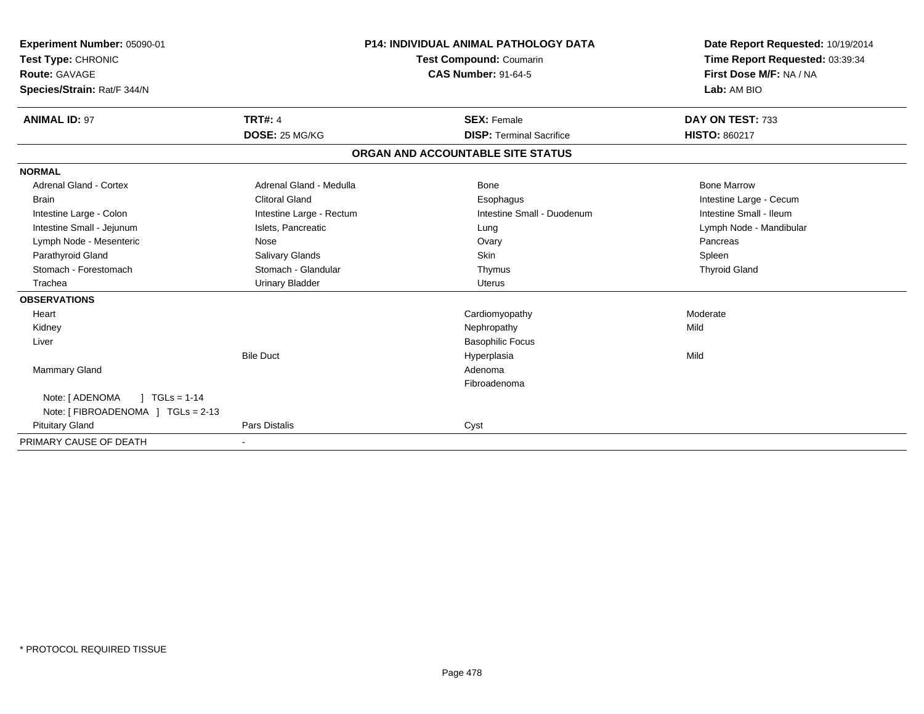| Experiment Number: 05090-01<br>Test Type: CHRONIC<br><b>Route: GAVAGE</b><br>Species/Strain: Rat/F 344/N |                                  | <b>P14: INDIVIDUAL ANIMAL PATHOLOGY DATA</b><br>Test Compound: Coumarin<br><b>CAS Number: 91-64-5</b> | Date Report Requested: 10/19/2014<br>Time Report Requested: 03:39:34<br>First Dose M/F: NA / NA<br>Lab: AM BIO |
|----------------------------------------------------------------------------------------------------------|----------------------------------|-------------------------------------------------------------------------------------------------------|----------------------------------------------------------------------------------------------------------------|
| <b>ANIMAL ID: 97</b>                                                                                     | <b>TRT#: 4</b><br>DOSE: 25 MG/KG | <b>SEX: Female</b><br><b>DISP: Terminal Sacrifice</b>                                                 | DAY ON TEST: 733<br><b>HISTO: 860217</b>                                                                       |
|                                                                                                          |                                  | ORGAN AND ACCOUNTABLE SITE STATUS                                                                     |                                                                                                                |
|                                                                                                          |                                  |                                                                                                       |                                                                                                                |
| <b>NORMAL</b><br><b>Adrenal Gland - Cortex</b>                                                           | Adrenal Gland - Medulla          | Bone                                                                                                  | <b>Bone Marrow</b>                                                                                             |
| <b>Brain</b>                                                                                             | <b>Clitoral Gland</b>            | Esophagus                                                                                             | Intestine Large - Cecum                                                                                        |
| Intestine Large - Colon                                                                                  | Intestine Large - Rectum         | Intestine Small - Duodenum                                                                            | Intestine Small - Ileum                                                                                        |
| Intestine Small - Jejunum                                                                                | Islets, Pancreatic               | Lung                                                                                                  | Lymph Node - Mandibular                                                                                        |
| Lymph Node - Mesenteric                                                                                  | Nose                             | Ovary                                                                                                 | Pancreas                                                                                                       |
| Parathyroid Gland                                                                                        | Salivary Glands                  | Skin                                                                                                  | Spleen                                                                                                         |
| Stomach - Forestomach                                                                                    | Stomach - Glandular              | Thymus                                                                                                | <b>Thyroid Gland</b>                                                                                           |
| Trachea                                                                                                  | <b>Urinary Bladder</b>           | <b>Uterus</b>                                                                                         |                                                                                                                |
| <b>OBSERVATIONS</b>                                                                                      |                                  |                                                                                                       |                                                                                                                |
| Heart                                                                                                    |                                  | Cardiomyopathy                                                                                        | Moderate                                                                                                       |
| Kidney                                                                                                   |                                  | Nephropathy                                                                                           | Mild                                                                                                           |
| Liver                                                                                                    |                                  | <b>Basophilic Focus</b>                                                                               |                                                                                                                |
|                                                                                                          | <b>Bile Duct</b>                 | Hyperplasia                                                                                           | Mild                                                                                                           |
| <b>Mammary Gland</b>                                                                                     |                                  | Adenoma                                                                                               |                                                                                                                |
|                                                                                                          |                                  | Fibroadenoma                                                                                          |                                                                                                                |
| Note: [ ADENOMA<br>$1 TGLs = 1-14$                                                                       |                                  |                                                                                                       |                                                                                                                |
| Note: [ FIBROADENOMA ] TGLs = 2-13                                                                       |                                  |                                                                                                       |                                                                                                                |
| <b>Pituitary Gland</b>                                                                                   | Pars Distalis                    | Cyst                                                                                                  |                                                                                                                |
| PRIMARY CAUSE OF DEATH                                                                                   |                                  |                                                                                                       |                                                                                                                |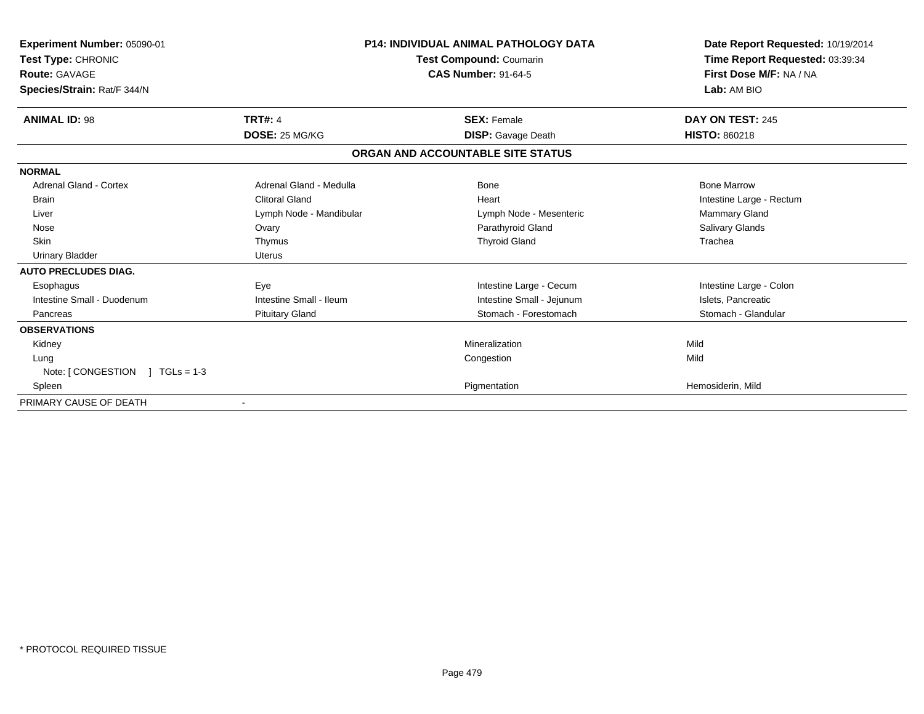| Experiment Number: 05090-01<br>Test Type: CHRONIC<br><b>Route: GAVAGE</b><br>Species/Strain: Rat/F 344/N |                         | <b>P14: INDIVIDUAL ANIMAL PATHOLOGY DATA</b><br>Test Compound: Coumarin<br><b>CAS Number: 91-64-5</b> | Date Report Requested: 10/19/2014<br>Time Report Requested: 03:39:34<br>First Dose M/F: NA / NA<br>Lab: AM BIO |
|----------------------------------------------------------------------------------------------------------|-------------------------|-------------------------------------------------------------------------------------------------------|----------------------------------------------------------------------------------------------------------------|
| <b>ANIMAL ID: 98</b>                                                                                     | <b>TRT#: 4</b>          | <b>SEX: Female</b>                                                                                    | DAY ON TEST: 245                                                                                               |
|                                                                                                          | DOSE: 25 MG/KG          | <b>DISP:</b> Gavage Death                                                                             | <b>HISTO: 860218</b>                                                                                           |
|                                                                                                          |                         | ORGAN AND ACCOUNTABLE SITE STATUS                                                                     |                                                                                                                |
| <b>NORMAL</b>                                                                                            |                         |                                                                                                       |                                                                                                                |
| Adrenal Gland - Cortex                                                                                   | Adrenal Gland - Medulla | Bone                                                                                                  | <b>Bone Marrow</b>                                                                                             |
| <b>Brain</b>                                                                                             | <b>Clitoral Gland</b>   | Heart                                                                                                 | Intestine Large - Rectum                                                                                       |
| Liver                                                                                                    | Lymph Node - Mandibular | Lymph Node - Mesenteric                                                                               | Mammary Gland                                                                                                  |
| Nose                                                                                                     | Ovary                   | Parathyroid Gland                                                                                     | <b>Salivary Glands</b>                                                                                         |
| Skin                                                                                                     | Thymus                  | <b>Thyroid Gland</b>                                                                                  | Trachea                                                                                                        |
| <b>Urinary Bladder</b>                                                                                   | <b>Uterus</b>           |                                                                                                       |                                                                                                                |
| <b>AUTO PRECLUDES DIAG.</b>                                                                              |                         |                                                                                                       |                                                                                                                |
| Esophagus                                                                                                | Eye                     | Intestine Large - Cecum                                                                               | Intestine Large - Colon                                                                                        |
| Intestine Small - Duodenum                                                                               | Intestine Small - Ileum | Intestine Small - Jejunum                                                                             | Islets, Pancreatic                                                                                             |
| Pancreas                                                                                                 | <b>Pituitary Gland</b>  | Stomach - Forestomach                                                                                 | Stomach - Glandular                                                                                            |
| <b>OBSERVATIONS</b>                                                                                      |                         |                                                                                                       |                                                                                                                |
| Kidney                                                                                                   |                         | Mineralization                                                                                        | Mild                                                                                                           |
| Lung                                                                                                     |                         | Congestion                                                                                            | Mild                                                                                                           |
| Note: $\sqrt{}/$ CONGESTION $\sqrt{}/$ TGLs = 1-3                                                        |                         |                                                                                                       |                                                                                                                |
| Spleen                                                                                                   |                         | Pigmentation                                                                                          | Hemosiderin, Mild                                                                                              |
| PRIMARY CAUSE OF DEATH                                                                                   |                         |                                                                                                       |                                                                                                                |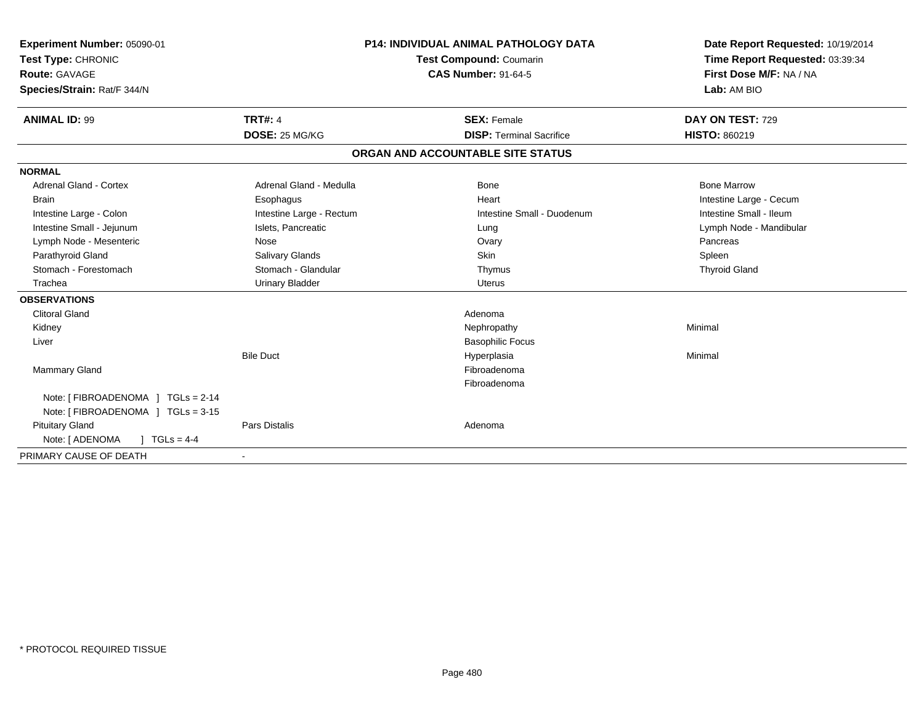| Experiment Number: 05090-01<br>Test Type: CHRONIC<br>Route: GAVAGE<br>Species/Strain: Rat/F 344/N<br><b>ANIMAL ID: 99</b> | <b>TRT#: 4</b>           | <b>P14: INDIVIDUAL ANIMAL PATHOLOGY DATA</b><br>Test Compound: Coumarin<br><b>CAS Number: 91-64-5</b><br><b>SEX: Female</b> | Date Report Requested: 10/19/2014<br>Time Report Requested: 03:39:34<br>First Dose M/F: NA / NA<br>Lab: AM BIO<br>DAY ON TEST: 729 |
|---------------------------------------------------------------------------------------------------------------------------|--------------------------|-----------------------------------------------------------------------------------------------------------------------------|------------------------------------------------------------------------------------------------------------------------------------|
|                                                                                                                           | DOSE: 25 MG/KG           | <b>DISP: Terminal Sacrifice</b>                                                                                             | <b>HISTO: 860219</b>                                                                                                               |
|                                                                                                                           |                          | ORGAN AND ACCOUNTABLE SITE STATUS                                                                                           |                                                                                                                                    |
| <b>NORMAL</b>                                                                                                             |                          |                                                                                                                             |                                                                                                                                    |
| <b>Adrenal Gland - Cortex</b>                                                                                             | Adrenal Gland - Medulla  | Bone                                                                                                                        | <b>Bone Marrow</b>                                                                                                                 |
| <b>Brain</b>                                                                                                              | Esophagus                | Heart                                                                                                                       | Intestine Large - Cecum                                                                                                            |
| Intestine Large - Colon                                                                                                   | Intestine Large - Rectum | Intestine Small - Duodenum                                                                                                  | Intestine Small - Ileum                                                                                                            |
| Intestine Small - Jejunum                                                                                                 | Islets, Pancreatic       | Lung                                                                                                                        | Lymph Node - Mandibular                                                                                                            |
| Lymph Node - Mesenteric                                                                                                   | Nose                     | Ovary                                                                                                                       | Pancreas                                                                                                                           |
| Parathyroid Gland                                                                                                         | Salivary Glands          | Skin                                                                                                                        | Spleen                                                                                                                             |
| Stomach - Forestomach                                                                                                     | Stomach - Glandular      | Thymus                                                                                                                      | <b>Thyroid Gland</b>                                                                                                               |
| Trachea                                                                                                                   | <b>Urinary Bladder</b>   | <b>Uterus</b>                                                                                                               |                                                                                                                                    |
| <b>OBSERVATIONS</b>                                                                                                       |                          |                                                                                                                             |                                                                                                                                    |
| <b>Clitoral Gland</b>                                                                                                     |                          | Adenoma                                                                                                                     |                                                                                                                                    |
| Kidney                                                                                                                    |                          | Nephropathy                                                                                                                 | Minimal                                                                                                                            |
| Liver                                                                                                                     |                          | <b>Basophilic Focus</b>                                                                                                     |                                                                                                                                    |
|                                                                                                                           | <b>Bile Duct</b>         | Hyperplasia                                                                                                                 | Minimal                                                                                                                            |
| <b>Mammary Gland</b>                                                                                                      |                          | Fibroadenoma                                                                                                                |                                                                                                                                    |
|                                                                                                                           |                          | Fibroadenoma                                                                                                                |                                                                                                                                    |
| Note: [ FIBROADENOMA ] TGLs = 2-14                                                                                        |                          |                                                                                                                             |                                                                                                                                    |
| Note: [ FIBROADENOMA ] TGLs = 3-15                                                                                        |                          |                                                                                                                             |                                                                                                                                    |
| <b>Pituitary Gland</b>                                                                                                    | Pars Distalis            | Adenoma                                                                                                                     |                                                                                                                                    |
| Note: [ ADENOMA<br>$1 \text{ TGLs} = 4-4$                                                                                 |                          |                                                                                                                             |                                                                                                                                    |
| PRIMARY CAUSE OF DEATH                                                                                                    |                          |                                                                                                                             |                                                                                                                                    |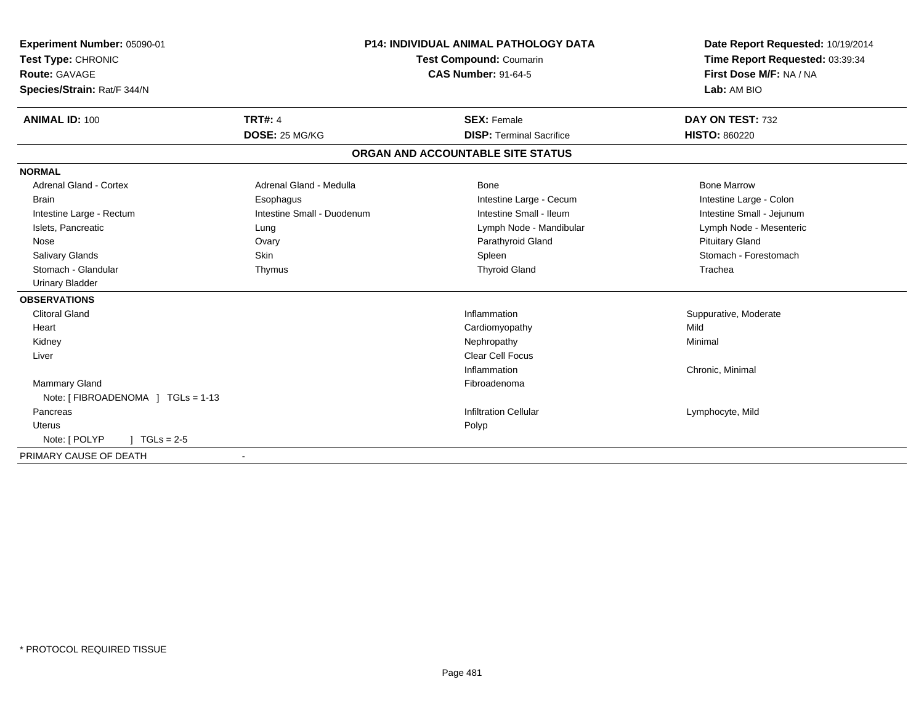| Experiment Number: 05090-01<br>Test Type: CHRONIC<br>Route: GAVAGE<br>Species/Strain: Rat/F 344/N |                            | <b>P14: INDIVIDUAL ANIMAL PATHOLOGY DATA</b><br>Test Compound: Coumarin<br><b>CAS Number: 91-64-5</b> | Date Report Requested: 10/19/2014<br>Time Report Requested: 03:39:34<br>First Dose M/F: NA / NA<br>Lab: AM BIO |
|---------------------------------------------------------------------------------------------------|----------------------------|-------------------------------------------------------------------------------------------------------|----------------------------------------------------------------------------------------------------------------|
| <b>ANIMAL ID: 100</b>                                                                             | <b>TRT#: 4</b>             | <b>SEX: Female</b>                                                                                    | DAY ON TEST: 732                                                                                               |
|                                                                                                   | DOSE: 25 MG/KG             | <b>DISP: Terminal Sacrifice</b>                                                                       | <b>HISTO: 860220</b>                                                                                           |
|                                                                                                   |                            | ORGAN AND ACCOUNTABLE SITE STATUS                                                                     |                                                                                                                |
| <b>NORMAL</b>                                                                                     |                            |                                                                                                       |                                                                                                                |
| <b>Adrenal Gland - Cortex</b>                                                                     | Adrenal Gland - Medulla    | Bone                                                                                                  | <b>Bone Marrow</b>                                                                                             |
| <b>Brain</b>                                                                                      | Esophagus                  | Intestine Large - Cecum                                                                               | Intestine Large - Colon                                                                                        |
| Intestine Large - Rectum                                                                          | Intestine Small - Duodenum | Intestine Small - Ileum                                                                               | Intestine Small - Jejunum                                                                                      |
| Islets, Pancreatic                                                                                | Lung                       | Lymph Node - Mandibular                                                                               | Lymph Node - Mesenteric                                                                                        |
| Nose                                                                                              | Ovary                      | Parathyroid Gland                                                                                     | <b>Pituitary Gland</b>                                                                                         |
| <b>Salivary Glands</b>                                                                            | Skin                       | Spleen                                                                                                | Stomach - Forestomach                                                                                          |
| Stomach - Glandular                                                                               | Thymus                     | <b>Thyroid Gland</b>                                                                                  | Trachea                                                                                                        |
| <b>Urinary Bladder</b>                                                                            |                            |                                                                                                       |                                                                                                                |
| <b>OBSERVATIONS</b>                                                                               |                            |                                                                                                       |                                                                                                                |
| <b>Clitoral Gland</b>                                                                             |                            | Inflammation                                                                                          | Suppurative, Moderate                                                                                          |
| Heart                                                                                             |                            | Cardiomyopathy                                                                                        | Mild                                                                                                           |
| Kidney                                                                                            |                            | Nephropathy                                                                                           | Minimal                                                                                                        |
| Liver                                                                                             |                            | Clear Cell Focus                                                                                      |                                                                                                                |
|                                                                                                   |                            | Inflammation                                                                                          | Chronic, Minimal                                                                                               |
| <b>Mammary Gland</b>                                                                              |                            | Fibroadenoma                                                                                          |                                                                                                                |
| Note: [FIBROADENOMA ] TGLs = 1-13                                                                 |                            |                                                                                                       |                                                                                                                |
| Pancreas                                                                                          |                            | <b>Infiltration Cellular</b>                                                                          | Lymphocyte, Mild                                                                                               |
| <b>Uterus</b>                                                                                     |                            | Polyp                                                                                                 |                                                                                                                |
| Note: [ POLYP<br>$1 TGLs = 2-5$                                                                   |                            |                                                                                                       |                                                                                                                |
| PRIMARY CAUSE OF DEATH                                                                            |                            |                                                                                                       |                                                                                                                |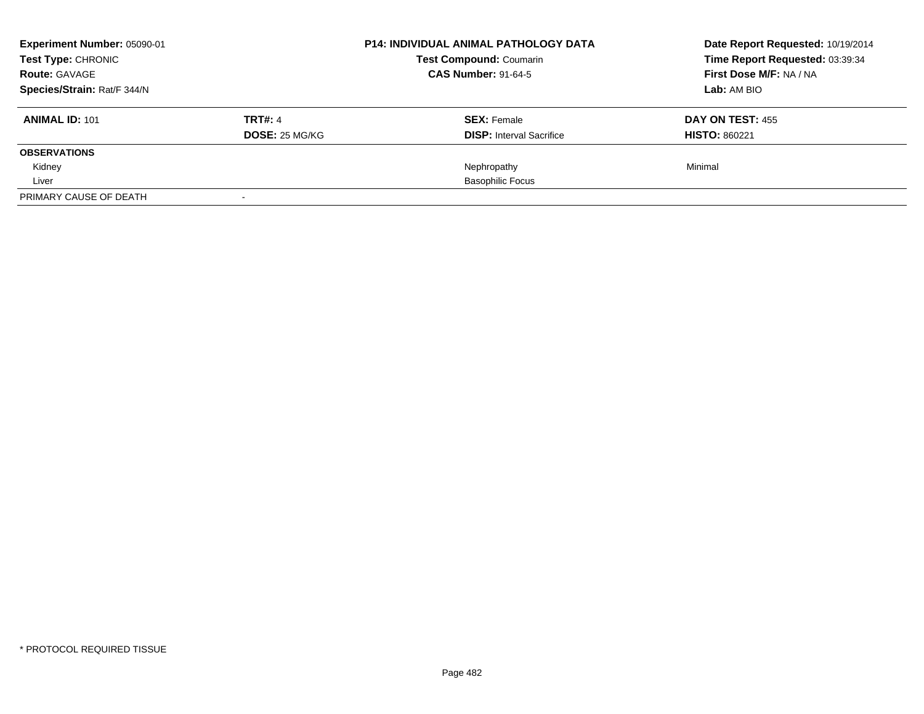| Experiment Number: 05090-01<br>Test Type: CHRONIC |                       | <b>P14: INDIVIDUAL ANIMAL PATHOLOGY DATA</b> | Date Report Requested: 10/19/2014 |
|---------------------------------------------------|-----------------------|----------------------------------------------|-----------------------------------|
|                                                   |                       | <b>Test Compound: Coumarin</b>               | Time Report Requested: 03:39:34   |
| <b>Route: GAVAGE</b>                              |                       | <b>CAS Number: 91-64-5</b>                   | First Dose M/F: NA / NA           |
| Species/Strain: Rat/F 344/N                       |                       |                                              | Lab: AM BIO                       |
| <b>ANIMAL ID: 101</b>                             | <b>TRT#: 4</b>        | <b>SEX: Female</b>                           | DAY ON TEST: 455                  |
|                                                   | <b>DOSE: 25 MG/KG</b> | <b>DISP:</b> Interval Sacrifice              | <b>HISTO: 860221</b>              |
| <b>OBSERVATIONS</b>                               |                       |                                              |                                   |
| Kidney                                            |                       | Nephropathy                                  | Minimal                           |
| Liver                                             |                       | <b>Basophilic Focus</b>                      |                                   |
| PRIMARY CAUSE OF DEATH                            |                       |                                              |                                   |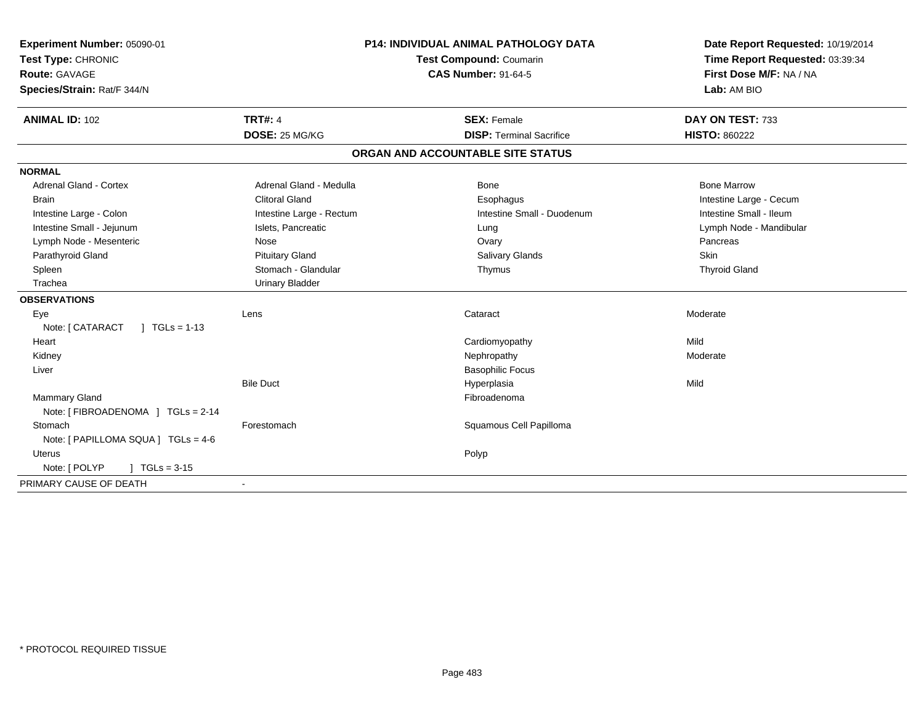| Experiment Number: 05090-01                 |                          | <b>P14: INDIVIDUAL ANIMAL PATHOLOGY DATA</b> | Date Report Requested: 10/19/2014 |  |
|---------------------------------------------|--------------------------|----------------------------------------------|-----------------------------------|--|
| Test Type: CHRONIC                          | Test Compound: Coumarin  |                                              | Time Report Requested: 03:39:34   |  |
| Route: GAVAGE                               |                          | <b>CAS Number: 91-64-5</b>                   | First Dose M/F: NA / NA           |  |
| Species/Strain: Rat/F 344/N                 |                          |                                              | Lab: AM BIO                       |  |
| <b>ANIMAL ID: 102</b>                       | <b>TRT#: 4</b>           | <b>SEX: Female</b>                           | DAY ON TEST: 733                  |  |
|                                             | DOSE: 25 MG/KG           | <b>DISP: Terminal Sacrifice</b>              | <b>HISTO: 860222</b>              |  |
|                                             |                          | ORGAN AND ACCOUNTABLE SITE STATUS            |                                   |  |
| <b>NORMAL</b>                               |                          |                                              |                                   |  |
| Adrenal Gland - Cortex                      | Adrenal Gland - Medulla  | <b>Bone</b>                                  | <b>Bone Marrow</b>                |  |
| Brain                                       | <b>Clitoral Gland</b>    | Esophagus                                    | Intestine Large - Cecum           |  |
| Intestine Large - Colon                     | Intestine Large - Rectum | Intestine Small - Duodenum                   | Intestine Small - Ileum           |  |
| Intestine Small - Jejunum                   | Islets, Pancreatic       | Lung                                         | Lymph Node - Mandibular           |  |
| Lymph Node - Mesenteric                     | Nose                     | Ovary                                        | Pancreas                          |  |
| Parathyroid Gland                           | <b>Pituitary Gland</b>   | <b>Salivary Glands</b>                       | Skin                              |  |
| Spleen                                      | Stomach - Glandular      | Thymus                                       | <b>Thyroid Gland</b>              |  |
| Trachea                                     | <b>Urinary Bladder</b>   |                                              |                                   |  |
| <b>OBSERVATIONS</b>                         |                          |                                              |                                   |  |
| Eye                                         | Lens                     | Cataract                                     | Moderate                          |  |
| Note: [ CATARACT<br>$1 \text{ TGLs} = 1-13$ |                          |                                              |                                   |  |
| Heart                                       |                          | Cardiomyopathy                               | Mild                              |  |
| Kidney                                      |                          | Nephropathy                                  | Moderate                          |  |
| Liver                                       |                          | <b>Basophilic Focus</b>                      |                                   |  |
|                                             | <b>Bile Duct</b>         | Hyperplasia                                  | Mild                              |  |
| Mammary Gland                               |                          | Fibroadenoma                                 |                                   |  |
| Note: [ FIBROADENOMA ] TGLs = 2-14          |                          |                                              |                                   |  |
| Stomach                                     | Forestomach              | Squamous Cell Papilloma                      |                                   |  |
| Note: [ PAPILLOMA SQUA ] TGLs = 4-6         |                          |                                              |                                   |  |
| Uterus                                      |                          | Polyp                                        |                                   |  |
| Note: [ POLYP<br>$1 TGLs = 3-15$            |                          |                                              |                                   |  |
| PRIMARY CAUSE OF DEATH                      |                          |                                              |                                   |  |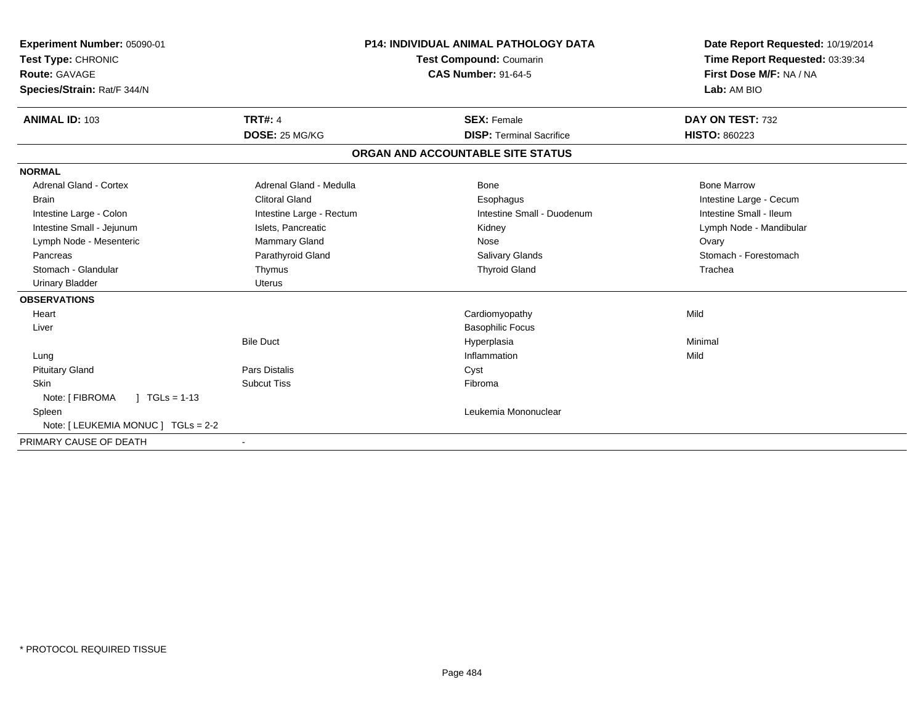| Experiment Number: 05090-01<br>Test Type: CHRONIC<br>Route: GAVAGE<br>Species/Strain: Rat/F 344/N |                          | <b>P14: INDIVIDUAL ANIMAL PATHOLOGY DATA</b><br><b>Test Compound: Coumarin</b><br><b>CAS Number: 91-64-5</b> |                                   | Date Report Requested: 10/19/2014<br>Time Report Requested: 03:39:34<br>First Dose M/F: NA / NA<br>Lab: AM BIO |
|---------------------------------------------------------------------------------------------------|--------------------------|--------------------------------------------------------------------------------------------------------------|-----------------------------------|----------------------------------------------------------------------------------------------------------------|
| <b>ANIMAL ID: 103</b>                                                                             | <b>TRT#: 4</b>           |                                                                                                              | <b>SEX: Female</b>                | DAY ON TEST: 732                                                                                               |
|                                                                                                   | DOSE: 25 MG/KG           |                                                                                                              | <b>DISP: Terminal Sacrifice</b>   | <b>HISTO: 860223</b>                                                                                           |
|                                                                                                   |                          |                                                                                                              | ORGAN AND ACCOUNTABLE SITE STATUS |                                                                                                                |
| <b>NORMAL</b>                                                                                     |                          |                                                                                                              |                                   |                                                                                                                |
| <b>Adrenal Gland - Cortex</b>                                                                     | Adrenal Gland - Medulla  |                                                                                                              | Bone                              | <b>Bone Marrow</b>                                                                                             |
| <b>Brain</b>                                                                                      | <b>Clitoral Gland</b>    |                                                                                                              | Esophagus                         | Intestine Large - Cecum                                                                                        |
| Intestine Large - Colon                                                                           | Intestine Large - Rectum |                                                                                                              | Intestine Small - Duodenum        | Intestine Small - Ileum                                                                                        |
| Intestine Small - Jejunum                                                                         | Islets, Pancreatic       |                                                                                                              | Kidney                            | Lymph Node - Mandibular                                                                                        |
| Lymph Node - Mesenteric                                                                           | <b>Mammary Gland</b>     |                                                                                                              | Nose                              | Ovary                                                                                                          |
| Pancreas                                                                                          | Parathyroid Gland        |                                                                                                              | <b>Salivary Glands</b>            | Stomach - Forestomach                                                                                          |
| Stomach - Glandular                                                                               | Thymus                   |                                                                                                              | <b>Thyroid Gland</b>              | Trachea                                                                                                        |
| <b>Urinary Bladder</b>                                                                            | <b>Uterus</b>            |                                                                                                              |                                   |                                                                                                                |
| <b>OBSERVATIONS</b>                                                                               |                          |                                                                                                              |                                   |                                                                                                                |
| Heart                                                                                             |                          |                                                                                                              | Cardiomyopathy                    | Mild                                                                                                           |
| Liver                                                                                             |                          |                                                                                                              | <b>Basophilic Focus</b>           |                                                                                                                |
|                                                                                                   | <b>Bile Duct</b>         |                                                                                                              | Hyperplasia                       | Minimal                                                                                                        |
| Lung                                                                                              |                          |                                                                                                              | Inflammation                      | Mild                                                                                                           |
| <b>Pituitary Gland</b>                                                                            | <b>Pars Distalis</b>     |                                                                                                              | Cyst                              |                                                                                                                |
| <b>Skin</b>                                                                                       | <b>Subcut Tiss</b>       |                                                                                                              | Fibroma                           |                                                                                                                |
| Note: [ FIBROMA<br>$1 TGLs = 1-13$                                                                |                          |                                                                                                              |                                   |                                                                                                                |
| Spleen                                                                                            |                          |                                                                                                              | Leukemia Mononuclear              |                                                                                                                |
| Note: [ LEUKEMIA MONUC ] TGLs = 2-2                                                               |                          |                                                                                                              |                                   |                                                                                                                |
| PRIMARY CAUSE OF DEATH                                                                            | $\blacksquare$           |                                                                                                              |                                   |                                                                                                                |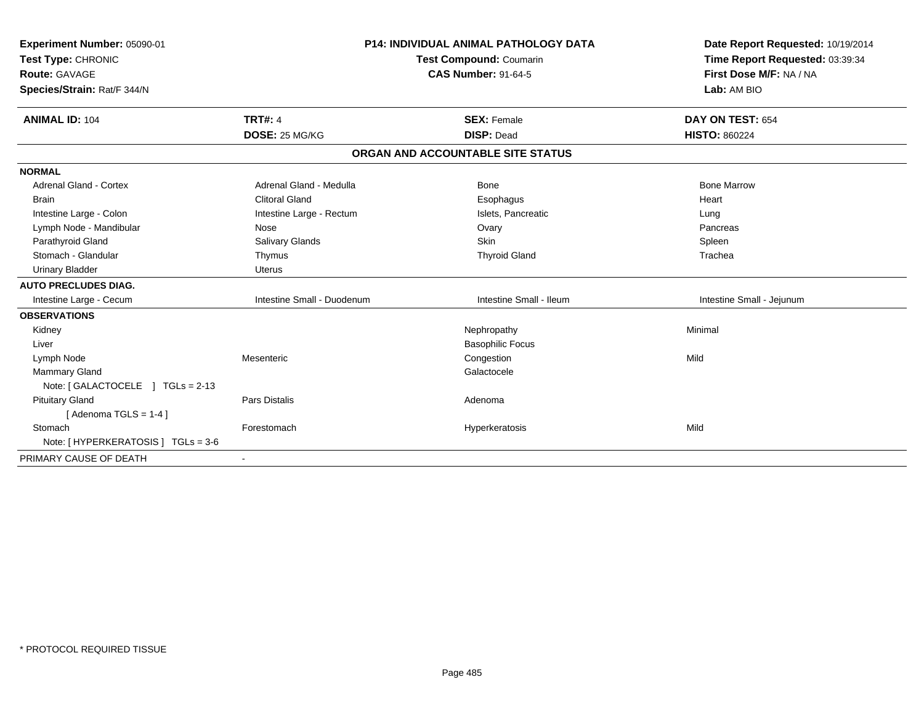| Experiment Number: 05090-01<br>Test Type: CHRONIC<br><b>Route: GAVAGE</b><br>Species/Strain: Rat/F 344/N |                                  | <b>P14: INDIVIDUAL ANIMAL PATHOLOGY DATA</b><br><b>Test Compound: Coumarin</b><br><b>CAS Number: 91-64-5</b> |  | Date Report Requested: 10/19/2014<br>Time Report Requested: 03:39:34<br>First Dose M/F: NA / NA<br>Lab: AM BIO |
|----------------------------------------------------------------------------------------------------------|----------------------------------|--------------------------------------------------------------------------------------------------------------|--|----------------------------------------------------------------------------------------------------------------|
| <b>ANIMAL ID: 104</b>                                                                                    | <b>TRT#: 4</b><br>DOSE: 25 MG/KG | <b>SEX: Female</b><br><b>DISP: Dead</b>                                                                      |  | DAY ON TEST: 654<br><b>HISTO: 860224</b>                                                                       |
|                                                                                                          |                                  |                                                                                                              |  |                                                                                                                |
|                                                                                                          |                                  | ORGAN AND ACCOUNTABLE SITE STATUS                                                                            |  |                                                                                                                |
| <b>NORMAL</b>                                                                                            |                                  |                                                                                                              |  |                                                                                                                |
| <b>Adrenal Gland - Cortex</b>                                                                            | Adrenal Gland - Medulla          | <b>Bone</b>                                                                                                  |  | <b>Bone Marrow</b>                                                                                             |
| <b>Brain</b>                                                                                             | <b>Clitoral Gland</b>            | Esophagus                                                                                                    |  | Heart                                                                                                          |
| Intestine Large - Colon                                                                                  | Intestine Large - Rectum         | Islets, Pancreatic                                                                                           |  | Lung                                                                                                           |
| Lymph Node - Mandibular                                                                                  | Nose                             | Ovary                                                                                                        |  | Pancreas                                                                                                       |
| Parathyroid Gland                                                                                        | Salivary Glands                  | <b>Skin</b>                                                                                                  |  | Spleen                                                                                                         |
| Stomach - Glandular                                                                                      | Thymus                           | <b>Thyroid Gland</b>                                                                                         |  | Trachea                                                                                                        |
| <b>Urinary Bladder</b>                                                                                   | <b>Uterus</b>                    |                                                                                                              |  |                                                                                                                |
| <b>AUTO PRECLUDES DIAG.</b>                                                                              |                                  |                                                                                                              |  |                                                                                                                |
| Intestine Large - Cecum                                                                                  | Intestine Small - Duodenum       | Intestine Small - Ileum                                                                                      |  | Intestine Small - Jejunum                                                                                      |
| <b>OBSERVATIONS</b>                                                                                      |                                  |                                                                                                              |  |                                                                                                                |
| Kidney                                                                                                   |                                  | Nephropathy                                                                                                  |  | Minimal                                                                                                        |
| Liver                                                                                                    |                                  | <b>Basophilic Focus</b>                                                                                      |  |                                                                                                                |
| Lymph Node                                                                                               | Mesenteric                       | Congestion                                                                                                   |  | Mild                                                                                                           |
| Mammary Gland                                                                                            |                                  | Galactocele                                                                                                  |  |                                                                                                                |
| Note: [GALACTOCELE ] TGLs = 2-13                                                                         |                                  |                                                                                                              |  |                                                                                                                |
| <b>Pituitary Gland</b>                                                                                   | Pars Distalis                    | Adenoma                                                                                                      |  |                                                                                                                |
| [Adenoma TGLS = $1-4$ ]                                                                                  |                                  |                                                                                                              |  |                                                                                                                |
| Stomach                                                                                                  | Forestomach                      | Hyperkeratosis                                                                                               |  | Mild                                                                                                           |
| Note: [ HYPERKERATOSIS ] TGLs = 3-6                                                                      |                                  |                                                                                                              |  |                                                                                                                |
| PRIMARY CAUSE OF DEATH                                                                                   |                                  |                                                                                                              |  |                                                                                                                |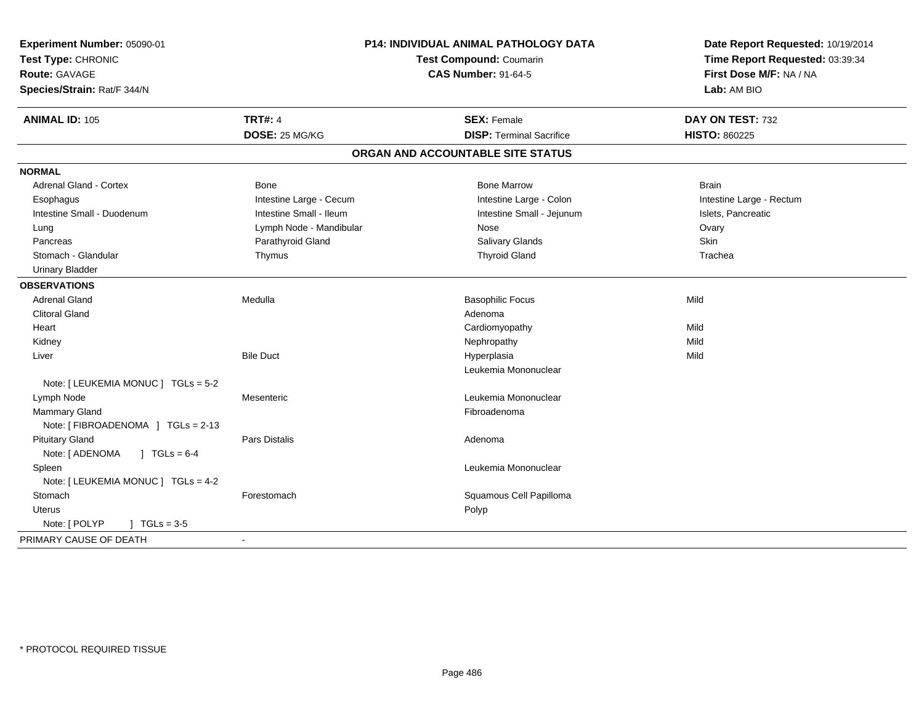| Experiment Number: 05090-01<br>Test Type: CHRONIC<br><b>Route: GAVAGE</b><br>Species/Strain: Rat/F 344/N |                         | P14: INDIVIDUAL ANIMAL PATHOLOGY DATA<br>Test Compound: Coumarin<br><b>CAS Number: 91-64-5</b> | Date Report Requested: 10/19/2014<br>Time Report Requested: 03:39:34<br>First Dose M/F: NA / NA<br>Lab: AM BIO |  |
|----------------------------------------------------------------------------------------------------------|-------------------------|------------------------------------------------------------------------------------------------|----------------------------------------------------------------------------------------------------------------|--|
| <b>ANIMAL ID: 105</b>                                                                                    | <b>TRT#: 4</b>          | <b>SEX: Female</b>                                                                             | DAY ON TEST: 732                                                                                               |  |
|                                                                                                          | DOSE: 25 MG/KG          | <b>DISP: Terminal Sacrifice</b>                                                                | <b>HISTO: 860225</b>                                                                                           |  |
|                                                                                                          |                         | ORGAN AND ACCOUNTABLE SITE STATUS                                                              |                                                                                                                |  |
| <b>NORMAL</b>                                                                                            |                         |                                                                                                |                                                                                                                |  |
| <b>Adrenal Gland - Cortex</b>                                                                            | <b>Bone</b>             | <b>Bone Marrow</b>                                                                             | <b>Brain</b>                                                                                                   |  |
| Esophagus                                                                                                | Intestine Large - Cecum | Intestine Large - Colon                                                                        | Intestine Large - Rectum                                                                                       |  |
| Intestine Small - Duodenum                                                                               | Intestine Small - Ileum | Intestine Small - Jejunum                                                                      | Islets, Pancreatic                                                                                             |  |
| Lung                                                                                                     | Lymph Node - Mandibular | Nose                                                                                           | Ovary                                                                                                          |  |
| Pancreas                                                                                                 | Parathyroid Gland       | Salivary Glands                                                                                | Skin                                                                                                           |  |
| Stomach - Glandular                                                                                      | Thymus                  | <b>Thyroid Gland</b>                                                                           | Trachea                                                                                                        |  |
| <b>Urinary Bladder</b>                                                                                   |                         |                                                                                                |                                                                                                                |  |
| <b>OBSERVATIONS</b>                                                                                      |                         |                                                                                                |                                                                                                                |  |
| <b>Adrenal Gland</b>                                                                                     | Medulla                 | <b>Basophilic Focus</b>                                                                        | Mild                                                                                                           |  |
| <b>Clitoral Gland</b>                                                                                    |                         | Adenoma                                                                                        |                                                                                                                |  |
| Heart                                                                                                    |                         | Cardiomyopathy                                                                                 | Mild                                                                                                           |  |
| Kidney                                                                                                   |                         | Nephropathy                                                                                    | Mild                                                                                                           |  |
| Liver                                                                                                    | <b>Bile Duct</b>        | Hyperplasia                                                                                    | Mild                                                                                                           |  |
|                                                                                                          |                         | Leukemia Mononuclear                                                                           |                                                                                                                |  |
| Note: [ LEUKEMIA MONUC ] TGLs = 5-2                                                                      |                         |                                                                                                |                                                                                                                |  |
| Lymph Node                                                                                               | Mesenteric              | Leukemia Mononuclear                                                                           |                                                                                                                |  |
| <b>Mammary Gland</b>                                                                                     |                         | Fibroadenoma                                                                                   |                                                                                                                |  |
| Note: [FIBROADENOMA ] TGLs = 2-13                                                                        |                         |                                                                                                |                                                                                                                |  |
| <b>Pituitary Gland</b>                                                                                   | <b>Pars Distalis</b>    | Adenoma                                                                                        |                                                                                                                |  |
| Note: [ ADENOMA<br>$J \text{ TGLs} = 6-4$                                                                |                         |                                                                                                |                                                                                                                |  |
| Spleen                                                                                                   |                         | Leukemia Mononuclear                                                                           |                                                                                                                |  |
| Note: [ LEUKEMIA MONUC ] TGLs = 4-2                                                                      |                         |                                                                                                |                                                                                                                |  |
| Stomach                                                                                                  | Forestomach             | Squamous Cell Papilloma                                                                        |                                                                                                                |  |
| Uterus                                                                                                   |                         | Polyp                                                                                          |                                                                                                                |  |
| Note: [ POLYP<br>$J \cdot TGLs = 3-5$                                                                    |                         |                                                                                                |                                                                                                                |  |
| PRIMARY CAUSE OF DEATH                                                                                   |                         |                                                                                                |                                                                                                                |  |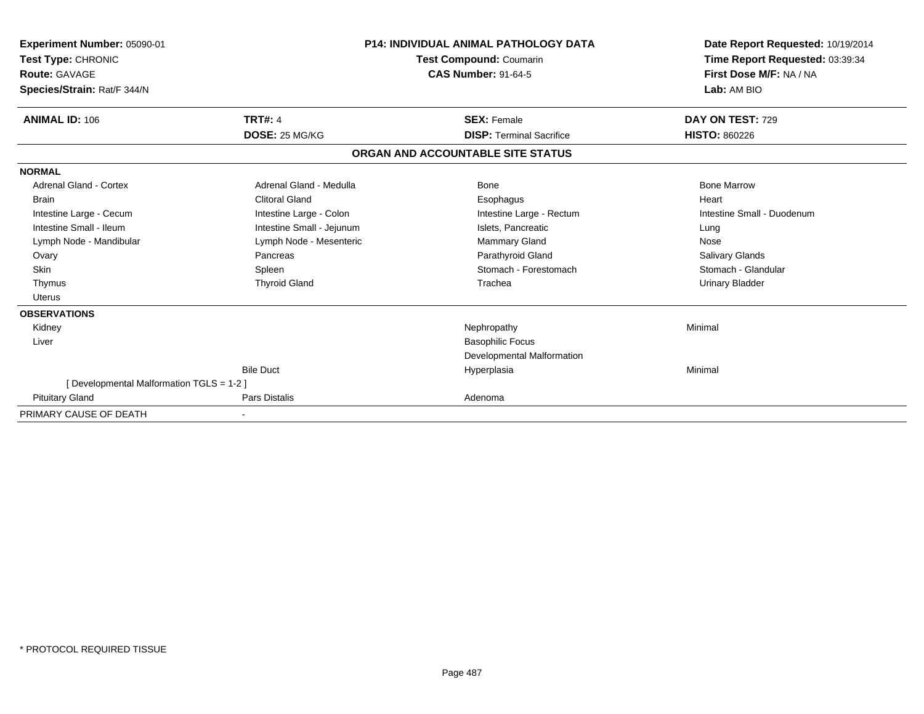| Experiment Number: 05090-01               |                           | <b>P14: INDIVIDUAL ANIMAL PATHOLOGY DATA</b>          | Date Report Requested: 10/19/2014                          |  |  |
|-------------------------------------------|---------------------------|-------------------------------------------------------|------------------------------------------------------------|--|--|
| Test Type: CHRONIC<br>Route: GAVAGE       |                           | Test Compound: Coumarin<br><b>CAS Number: 91-64-5</b> | Time Report Requested: 03:39:34<br>First Dose M/F: NA / NA |  |  |
|                                           |                           |                                                       | Lab: AM BIO                                                |  |  |
| Species/Strain: Rat/F 344/N               |                           |                                                       |                                                            |  |  |
| <b>ANIMAL ID: 106</b>                     | <b>TRT#: 4</b>            | <b>SEX: Female</b>                                    | DAY ON TEST: 729                                           |  |  |
|                                           | DOSE: 25 MG/KG            | <b>DISP: Terminal Sacrifice</b>                       | <b>HISTO: 860226</b>                                       |  |  |
|                                           |                           | ORGAN AND ACCOUNTABLE SITE STATUS                     |                                                            |  |  |
| <b>NORMAL</b>                             |                           |                                                       |                                                            |  |  |
| <b>Adrenal Gland - Cortex</b>             | Adrenal Gland - Medulla   | <b>Bone</b>                                           | <b>Bone Marrow</b>                                         |  |  |
| <b>Brain</b>                              | <b>Clitoral Gland</b>     | Esophagus                                             | Heart                                                      |  |  |
| Intestine Large - Cecum                   | Intestine Large - Colon   | Intestine Large - Rectum                              | Intestine Small - Duodenum                                 |  |  |
| Intestine Small - Ileum                   | Intestine Small - Jejunum | Islets, Pancreatic                                    | Lung                                                       |  |  |
| Lymph Node - Mandibular                   | Lymph Node - Mesenteric   | <b>Mammary Gland</b>                                  | Nose                                                       |  |  |
| Ovary                                     | Pancreas                  | Parathyroid Gland                                     | <b>Salivary Glands</b>                                     |  |  |
| Skin                                      | Spleen                    | Stomach - Forestomach                                 | Stomach - Glandular                                        |  |  |
| Thymus                                    | <b>Thyroid Gland</b>      | Trachea                                               | <b>Urinary Bladder</b>                                     |  |  |
| Uterus                                    |                           |                                                       |                                                            |  |  |
| <b>OBSERVATIONS</b>                       |                           |                                                       |                                                            |  |  |
| Kidney                                    |                           | Nephropathy                                           | Minimal                                                    |  |  |
| Liver                                     |                           | <b>Basophilic Focus</b>                               |                                                            |  |  |
|                                           |                           | Developmental Malformation                            |                                                            |  |  |
|                                           | <b>Bile Duct</b>          | Hyperplasia                                           | Minimal                                                    |  |  |
| [ Developmental Malformation TGLS = 1-2 ] |                           |                                                       |                                                            |  |  |
| <b>Pituitary Gland</b>                    | <b>Pars Distalis</b>      | Adenoma                                               |                                                            |  |  |
| PRIMARY CAUSE OF DEATH                    |                           |                                                       |                                                            |  |  |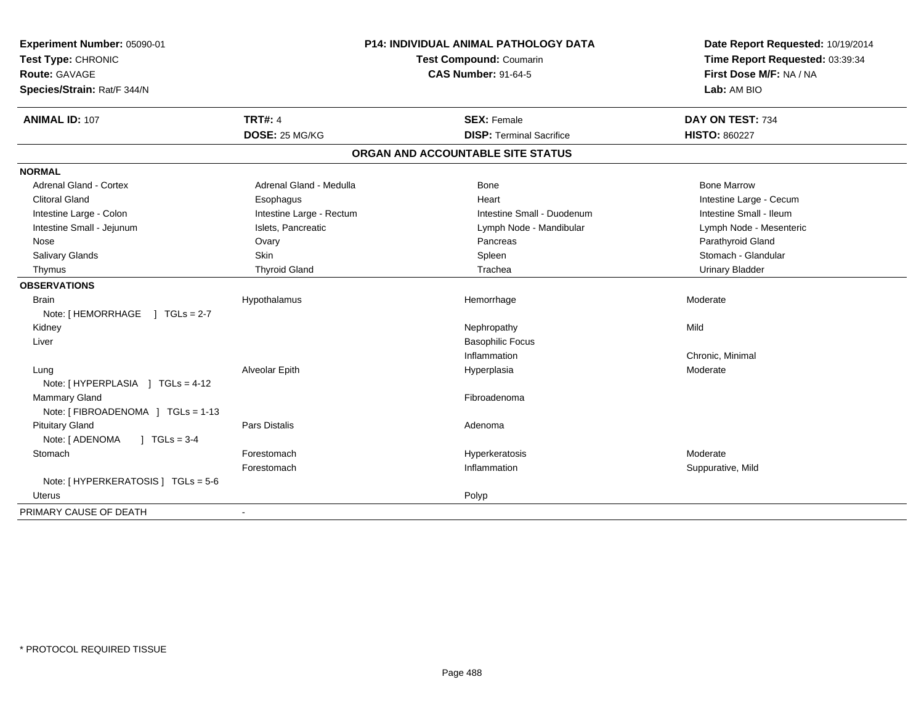| Experiment Number: 05090-01         |                          | <b>P14: INDIVIDUAL ANIMAL PATHOLOGY DATA</b> | Date Report Requested: 10/19/2014 |  |
|-------------------------------------|--------------------------|----------------------------------------------|-----------------------------------|--|
| Test Type: CHRONIC                  |                          | Test Compound: Coumarin                      | Time Report Requested: 03:39:34   |  |
| <b>Route: GAVAGE</b>                |                          | <b>CAS Number: 91-64-5</b>                   | First Dose M/F: NA / NA           |  |
| Species/Strain: Rat/F 344/N         |                          |                                              | Lab: AM BIO                       |  |
| <b>ANIMAL ID: 107</b>               | <b>TRT#: 4</b>           | <b>SEX: Female</b>                           | DAY ON TEST: 734                  |  |
|                                     | DOSE: 25 MG/KG           | <b>DISP: Terminal Sacrifice</b>              | <b>HISTO: 860227</b>              |  |
|                                     |                          | ORGAN AND ACCOUNTABLE SITE STATUS            |                                   |  |
| <b>NORMAL</b>                       |                          |                                              |                                   |  |
| Adrenal Gland - Cortex              | Adrenal Gland - Medulla  | Bone                                         | <b>Bone Marrow</b>                |  |
| <b>Clitoral Gland</b>               | Esophagus                | Heart                                        | Intestine Large - Cecum           |  |
| Intestine Large - Colon             | Intestine Large - Rectum | Intestine Small - Duodenum                   | Intestine Small - Ileum           |  |
| Intestine Small - Jejunum           | Islets, Pancreatic       | Lymph Node - Mandibular                      | Lymph Node - Mesenteric           |  |
| Nose                                | Ovary                    | Pancreas                                     | Parathyroid Gland                 |  |
| <b>Salivary Glands</b>              | Skin                     | Spleen                                       | Stomach - Glandular               |  |
| Thymus                              | <b>Thyroid Gland</b>     | Trachea                                      | <b>Urinary Bladder</b>            |  |
| <b>OBSERVATIONS</b>                 |                          |                                              |                                   |  |
| <b>Brain</b>                        | Hypothalamus             | Hemorrhage                                   | Moderate                          |  |
| Note: [HEMORRHAGE ] TGLs = 2-7      |                          |                                              |                                   |  |
| Kidney                              |                          | Nephropathy                                  | Mild                              |  |
| Liver                               |                          | <b>Basophilic Focus</b>                      |                                   |  |
|                                     |                          | Inflammation                                 | Chronic, Minimal                  |  |
| Lung                                | Alveolar Epith           | Hyperplasia                                  | Moderate                          |  |
| Note: [HYPERPLASIA ] TGLs = 4-12    |                          |                                              |                                   |  |
| <b>Mammary Gland</b>                |                          | Fibroadenoma                                 |                                   |  |
| Note: [FIBROADENOMA ] TGLs = 1-13   |                          |                                              |                                   |  |
| <b>Pituitary Gland</b>              | Pars Distalis            | Adenoma                                      |                                   |  |
| Note: [ ADENOMA<br>$1 TGLs = 3-4$   |                          |                                              |                                   |  |
| Stomach                             | Forestomach              | Hyperkeratosis                               | Moderate                          |  |
|                                     | Forestomach              | Inflammation                                 | Suppurative, Mild                 |  |
| Note: [ HYPERKERATOSIS ] TGLs = 5-6 |                          |                                              |                                   |  |
| Uterus                              |                          | Polyp                                        |                                   |  |
| PRIMARY CAUSE OF DEATH              |                          |                                              |                                   |  |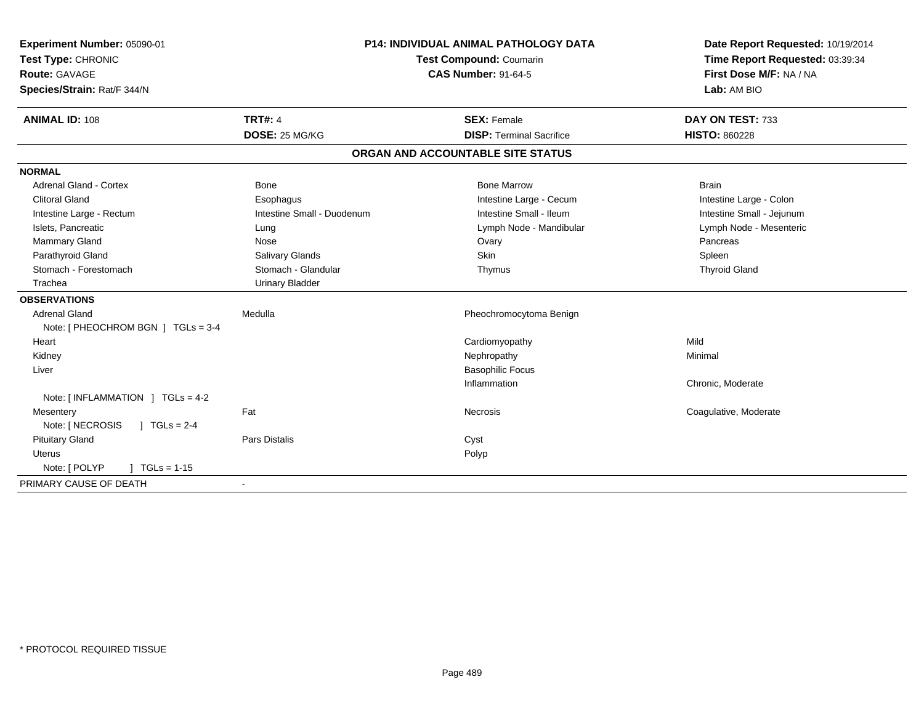| Experiment Number: 05090-01<br>Test Type: CHRONIC |                            | <b>P14: INDIVIDUAL ANIMAL PATHOLOGY DATA</b><br>Test Compound: Coumarin | Date Report Requested: 10/19/2014<br>Time Report Requested: 03:39:34 |
|---------------------------------------------------|----------------------------|-------------------------------------------------------------------------|----------------------------------------------------------------------|
| <b>Route: GAVAGE</b>                              |                            | <b>CAS Number: 91-64-5</b>                                              | First Dose M/F: NA / NA                                              |
| Species/Strain: Rat/F 344/N                       |                            |                                                                         | Lab: AM BIO                                                          |
|                                                   |                            |                                                                         |                                                                      |
| <b>ANIMAL ID: 108</b>                             | <b>TRT#: 4</b>             | <b>SEX: Female</b>                                                      | DAY ON TEST: 733                                                     |
|                                                   | DOSE: 25 MG/KG             | <b>DISP: Terminal Sacrifice</b>                                         | <b>HISTO: 860228</b>                                                 |
|                                                   |                            | ORGAN AND ACCOUNTABLE SITE STATUS                                       |                                                                      |
| <b>NORMAL</b>                                     |                            |                                                                         |                                                                      |
| <b>Adrenal Gland - Cortex</b>                     | Bone                       | <b>Bone Marrow</b>                                                      | <b>Brain</b>                                                         |
| <b>Clitoral Gland</b>                             | Esophagus                  | Intestine Large - Cecum                                                 | Intestine Large - Colon                                              |
| Intestine Large - Rectum                          | Intestine Small - Duodenum | Intestine Small - Ileum                                                 | Intestine Small - Jejunum                                            |
| Islets, Pancreatic                                | Lung                       | Lymph Node - Mandibular                                                 | Lymph Node - Mesenteric                                              |
| <b>Mammary Gland</b>                              | Nose                       | Ovary                                                                   | Pancreas                                                             |
| Parathyroid Gland                                 | Salivary Glands            | Skin                                                                    | Spleen                                                               |
| Stomach - Forestomach                             | Stomach - Glandular        | Thymus                                                                  | <b>Thyroid Gland</b>                                                 |
| Trachea                                           | <b>Urinary Bladder</b>     |                                                                         |                                                                      |
| <b>OBSERVATIONS</b>                               |                            |                                                                         |                                                                      |
| <b>Adrenal Gland</b>                              | Medulla                    | Pheochromocytoma Benign                                                 |                                                                      |
| Note: [ PHEOCHROM BGN ] TGLs = 3-4                |                            |                                                                         |                                                                      |
| Heart                                             |                            | Cardiomyopathy                                                          | Mild                                                                 |
| Kidney                                            |                            | Nephropathy                                                             | Minimal                                                              |
| Liver                                             |                            | <b>Basophilic Focus</b>                                                 |                                                                      |
|                                                   |                            | Inflammation                                                            | Chronic, Moderate                                                    |
| Note: [INFLAMMATION ] TGLs = 4-2                  |                            |                                                                         |                                                                      |
| Mesentery                                         | Fat                        | Necrosis                                                                | Coagulative, Moderate                                                |
| Note: [ NECROSIS<br>$1 TGLs = 2-4$                |                            |                                                                         |                                                                      |
| <b>Pituitary Gland</b>                            | <b>Pars Distalis</b>       | Cyst                                                                    |                                                                      |
| Uterus                                            |                            | Polyp                                                                   |                                                                      |
| Note: [ POLYP<br>$1 TGLs = 1-15$                  |                            |                                                                         |                                                                      |
| PRIMARY CAUSE OF DEATH                            |                            |                                                                         |                                                                      |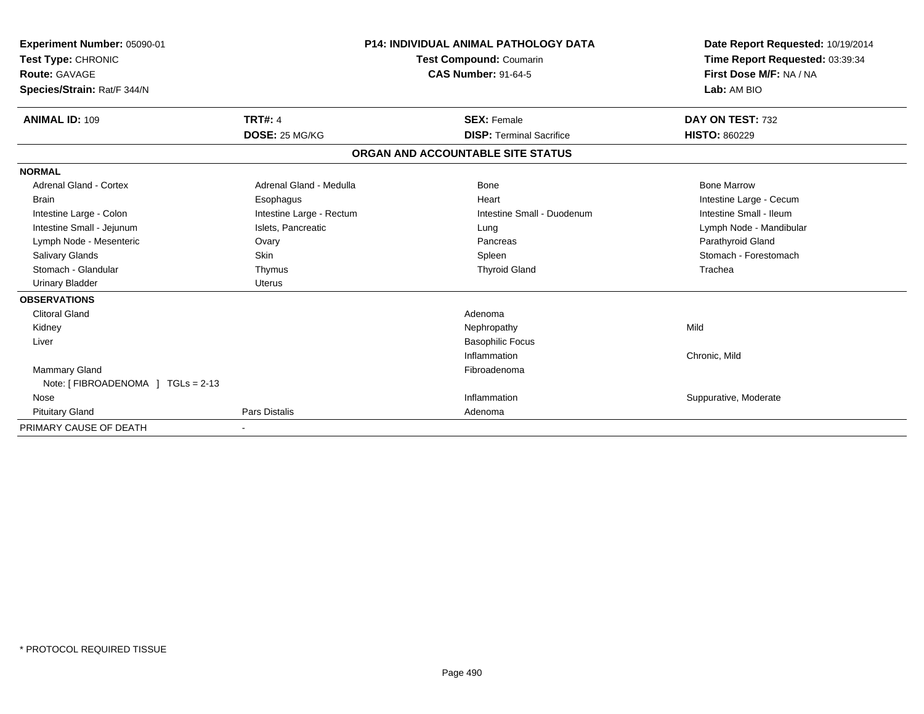| Experiment Number: 05090-01<br>Test Type: CHRONIC<br>Route: GAVAGE<br>Species/Strain: Rat/F 344/N | <b>P14: INDIVIDUAL ANIMAL PATHOLOGY DATA</b><br><b>Test Compound: Coumarin</b><br><b>CAS Number: 91-64-5</b> |                                   | Date Report Requested: 10/19/2014<br>Time Report Requested: 03:39:34<br>First Dose M/F: NA / NA<br>Lab: AM BIO |
|---------------------------------------------------------------------------------------------------|--------------------------------------------------------------------------------------------------------------|-----------------------------------|----------------------------------------------------------------------------------------------------------------|
| <b>ANIMAL ID: 109</b>                                                                             | <b>TRT#: 4</b>                                                                                               | <b>SEX: Female</b>                | DAY ON TEST: 732                                                                                               |
|                                                                                                   | DOSE: 25 MG/KG                                                                                               | <b>DISP:</b> Terminal Sacrifice   | <b>HISTO: 860229</b>                                                                                           |
|                                                                                                   |                                                                                                              | ORGAN AND ACCOUNTABLE SITE STATUS |                                                                                                                |
| <b>NORMAL</b>                                                                                     |                                                                                                              |                                   |                                                                                                                |
| Adrenal Gland - Cortex                                                                            | Adrenal Gland - Medulla                                                                                      | Bone                              | <b>Bone Marrow</b>                                                                                             |
| <b>Brain</b>                                                                                      | Esophagus                                                                                                    | Heart                             | Intestine Large - Cecum                                                                                        |
| Intestine Large - Colon                                                                           | Intestine Large - Rectum                                                                                     | Intestine Small - Duodenum        | Intestine Small - Ileum                                                                                        |
| Intestine Small - Jejunum                                                                         | Islets, Pancreatic                                                                                           | Lung                              | Lymph Node - Mandibular                                                                                        |
| Lymph Node - Mesenteric                                                                           | Ovary                                                                                                        | Pancreas                          | Parathyroid Gland                                                                                              |
| Salivary Glands                                                                                   | <b>Skin</b>                                                                                                  | Spleen                            | Stomach - Forestomach                                                                                          |
| Stomach - Glandular                                                                               | Thymus                                                                                                       | <b>Thyroid Gland</b>              | Trachea                                                                                                        |
| <b>Urinary Bladder</b>                                                                            | Uterus                                                                                                       |                                   |                                                                                                                |
| <b>OBSERVATIONS</b>                                                                               |                                                                                                              |                                   |                                                                                                                |
| <b>Clitoral Gland</b>                                                                             |                                                                                                              | Adenoma                           |                                                                                                                |
| Kidney                                                                                            |                                                                                                              | Nephropathy                       | Mild                                                                                                           |
| Liver                                                                                             |                                                                                                              | <b>Basophilic Focus</b>           |                                                                                                                |
|                                                                                                   |                                                                                                              | Inflammation                      | Chronic, Mild                                                                                                  |
| <b>Mammary Gland</b>                                                                              |                                                                                                              | Fibroadenoma                      |                                                                                                                |
| Note: [FIBROADENOMA ] TGLs = 2-13                                                                 |                                                                                                              |                                   |                                                                                                                |
| Nose                                                                                              |                                                                                                              | Inflammation                      | Suppurative, Moderate                                                                                          |
| <b>Pituitary Gland</b>                                                                            | Pars Distalis                                                                                                | Adenoma                           |                                                                                                                |
| PRIMARY CAUSE OF DEATH                                                                            |                                                                                                              |                                   |                                                                                                                |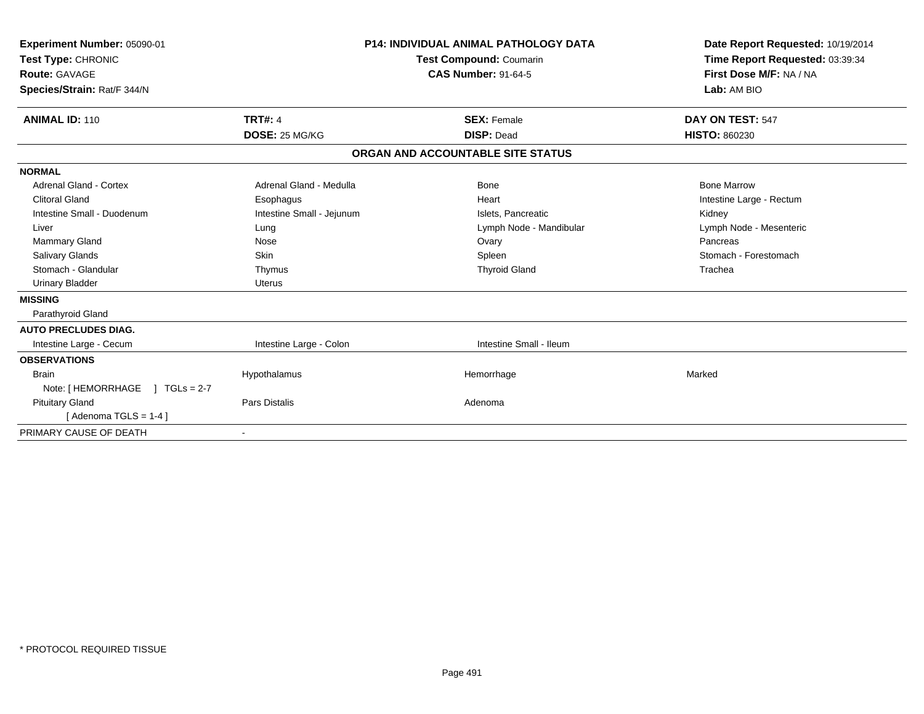| Experiment Number: 05090-01<br>Test Type: CHRONIC<br><b>Route: GAVAGE</b><br>Species/Strain: Rat/F 344/N | <b>P14: INDIVIDUAL ANIMAL PATHOLOGY DATA</b><br><b>Test Compound: Coumarin</b><br><b>CAS Number: 91-64-5</b> |  | Date Report Requested: 10/19/2014<br>Time Report Requested: 03:39:34<br>First Dose M/F: NA / NA<br>Lab: AM BIO |                          |
|----------------------------------------------------------------------------------------------------------|--------------------------------------------------------------------------------------------------------------|--|----------------------------------------------------------------------------------------------------------------|--------------------------|
| <b>ANIMAL ID: 110</b>                                                                                    | <b>TRT#: 4</b>                                                                                               |  | <b>SEX: Female</b>                                                                                             | DAY ON TEST: 547         |
|                                                                                                          | DOSE: 25 MG/KG                                                                                               |  | <b>DISP: Dead</b>                                                                                              | <b>HISTO: 860230</b>     |
|                                                                                                          |                                                                                                              |  | ORGAN AND ACCOUNTABLE SITE STATUS                                                                              |                          |
| <b>NORMAL</b>                                                                                            |                                                                                                              |  |                                                                                                                |                          |
| Adrenal Gland - Cortex                                                                                   | Adrenal Gland - Medulla                                                                                      |  | Bone                                                                                                           | <b>Bone Marrow</b>       |
| <b>Clitoral Gland</b>                                                                                    | Esophagus                                                                                                    |  | Heart                                                                                                          | Intestine Large - Rectum |
| Intestine Small - Duodenum                                                                               | Intestine Small - Jejunum                                                                                    |  | Islets, Pancreatic                                                                                             | Kidney                   |
| Liver                                                                                                    | Lung                                                                                                         |  | Lymph Node - Mandibular                                                                                        | Lymph Node - Mesenteric  |
| <b>Mammary Gland</b>                                                                                     | Nose                                                                                                         |  | Ovary                                                                                                          | Pancreas                 |
| <b>Salivary Glands</b>                                                                                   | <b>Skin</b>                                                                                                  |  | Spleen                                                                                                         | Stomach - Forestomach    |
| Stomach - Glandular                                                                                      | Thymus                                                                                                       |  | <b>Thyroid Gland</b>                                                                                           | Trachea                  |
| <b>Urinary Bladder</b>                                                                                   | <b>Uterus</b>                                                                                                |  |                                                                                                                |                          |
| <b>MISSING</b>                                                                                           |                                                                                                              |  |                                                                                                                |                          |
| Parathyroid Gland                                                                                        |                                                                                                              |  |                                                                                                                |                          |
| <b>AUTO PRECLUDES DIAG.</b>                                                                              |                                                                                                              |  |                                                                                                                |                          |
| Intestine Large - Cecum                                                                                  | Intestine Large - Colon                                                                                      |  | Intestine Small - Ileum                                                                                        |                          |
| <b>OBSERVATIONS</b>                                                                                      |                                                                                                              |  |                                                                                                                |                          |
| <b>Brain</b>                                                                                             | Hypothalamus                                                                                                 |  | Hemorrhage                                                                                                     | Marked                   |
| Note: [ HEMORRHAGE<br>$1 TGLs = 2-7$                                                                     |                                                                                                              |  |                                                                                                                |                          |
| <b>Pituitary Gland</b>                                                                                   | Pars Distalis                                                                                                |  | Adenoma                                                                                                        |                          |
| [Adenoma TGLS = 1-4]                                                                                     |                                                                                                              |  |                                                                                                                |                          |
| PRIMARY CAUSE OF DEATH                                                                                   |                                                                                                              |  |                                                                                                                |                          |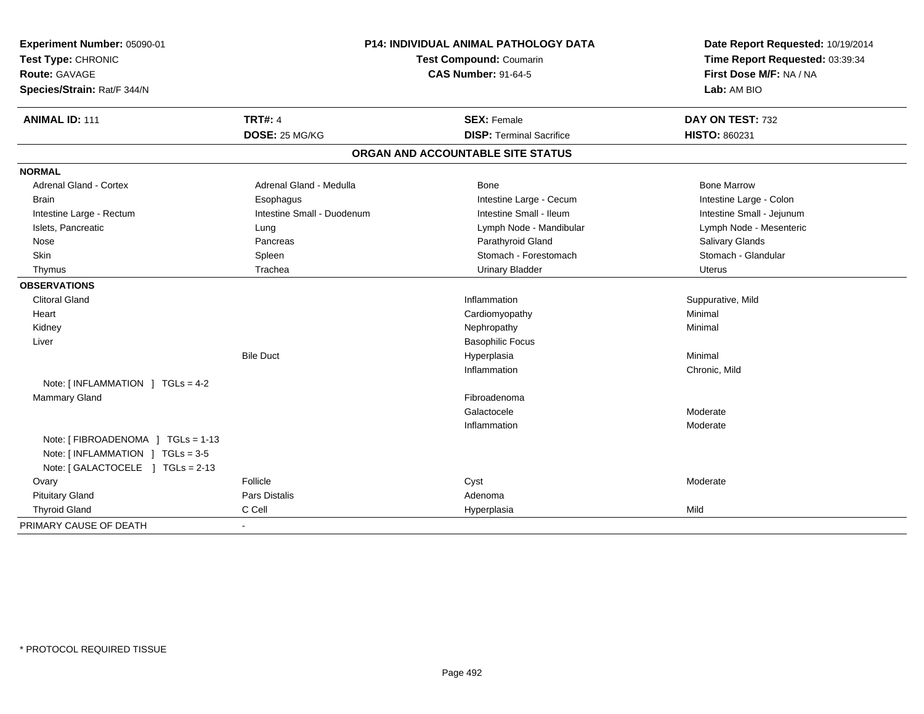| Experiment Number: 05090-01<br>Test Type: CHRONIC<br>Route: GAVAGE<br>Species/Strain: Rat/F 344/N | <b>P14: INDIVIDUAL ANIMAL PATHOLOGY DATA</b><br>Test Compound: Coumarin<br><b>CAS Number: 91-64-5</b> |                                   | Date Report Requested: 10/19/2014<br>Time Report Requested: 03:39:34<br>First Dose M/F: NA / NA<br>Lab: AM BIO |  |
|---------------------------------------------------------------------------------------------------|-------------------------------------------------------------------------------------------------------|-----------------------------------|----------------------------------------------------------------------------------------------------------------|--|
| <b>ANIMAL ID: 111</b>                                                                             | <b>TRT#: 4</b>                                                                                        | <b>SEX: Female</b>                | DAY ON TEST: 732                                                                                               |  |
|                                                                                                   | DOSE: 25 MG/KG                                                                                        | <b>DISP: Terminal Sacrifice</b>   | HISTO: 860231                                                                                                  |  |
|                                                                                                   |                                                                                                       | ORGAN AND ACCOUNTABLE SITE STATUS |                                                                                                                |  |
| <b>NORMAL</b>                                                                                     |                                                                                                       |                                   |                                                                                                                |  |
| <b>Adrenal Gland - Cortex</b>                                                                     | Adrenal Gland - Medulla                                                                               | Bone                              | <b>Bone Marrow</b>                                                                                             |  |
| <b>Brain</b>                                                                                      | Esophagus                                                                                             | Intestine Large - Cecum           | Intestine Large - Colon                                                                                        |  |
| Intestine Large - Rectum                                                                          | Intestine Small - Duodenum                                                                            | Intestine Small - Ileum           | Intestine Small - Jejunum                                                                                      |  |
| Islets, Pancreatic                                                                                | Lung                                                                                                  | Lymph Node - Mandibular           | Lymph Node - Mesenteric                                                                                        |  |
| Nose                                                                                              | Pancreas                                                                                              | Parathyroid Gland                 | Salivary Glands                                                                                                |  |
| Skin                                                                                              | Spleen                                                                                                | Stomach - Forestomach             | Stomach - Glandular                                                                                            |  |
| Thymus                                                                                            | Trachea                                                                                               | <b>Urinary Bladder</b>            | Uterus                                                                                                         |  |
| <b>OBSERVATIONS</b>                                                                               |                                                                                                       |                                   |                                                                                                                |  |
| <b>Clitoral Gland</b>                                                                             |                                                                                                       | Inflammation                      | Suppurative, Mild                                                                                              |  |
| Heart                                                                                             |                                                                                                       | Cardiomyopathy                    | Minimal                                                                                                        |  |
| Kidney                                                                                            |                                                                                                       | Nephropathy                       | Minimal                                                                                                        |  |
| Liver                                                                                             |                                                                                                       | <b>Basophilic Focus</b>           |                                                                                                                |  |
|                                                                                                   | <b>Bile Duct</b>                                                                                      | Hyperplasia                       | Minimal                                                                                                        |  |
|                                                                                                   |                                                                                                       | Inflammation                      | Chronic, Mild                                                                                                  |  |
| Note: $[INFLAMMATION] TGLs = 4-2$                                                                 |                                                                                                       |                                   |                                                                                                                |  |
| <b>Mammary Gland</b>                                                                              |                                                                                                       | Fibroadenoma                      |                                                                                                                |  |
|                                                                                                   |                                                                                                       | Galactocele                       | Moderate                                                                                                       |  |
|                                                                                                   |                                                                                                       | Inflammation                      | Moderate                                                                                                       |  |
| Note: [ FIBROADENOMA ] TGLs = 1-13<br>Note: [INFLAMMATION ] TGLs = 3-5                            |                                                                                                       |                                   |                                                                                                                |  |
| Note: [ GALACTOCELE ] TGLs = 2-13                                                                 |                                                                                                       |                                   |                                                                                                                |  |
| Ovary                                                                                             | Follicle                                                                                              | Cyst                              | Moderate                                                                                                       |  |
| <b>Pituitary Gland</b>                                                                            | Pars Distalis                                                                                         | Adenoma                           |                                                                                                                |  |
| <b>Thyroid Gland</b>                                                                              | C Cell                                                                                                | Hyperplasia                       | Mild                                                                                                           |  |
| PRIMARY CAUSE OF DEATH                                                                            | $\blacksquare$                                                                                        |                                   |                                                                                                                |  |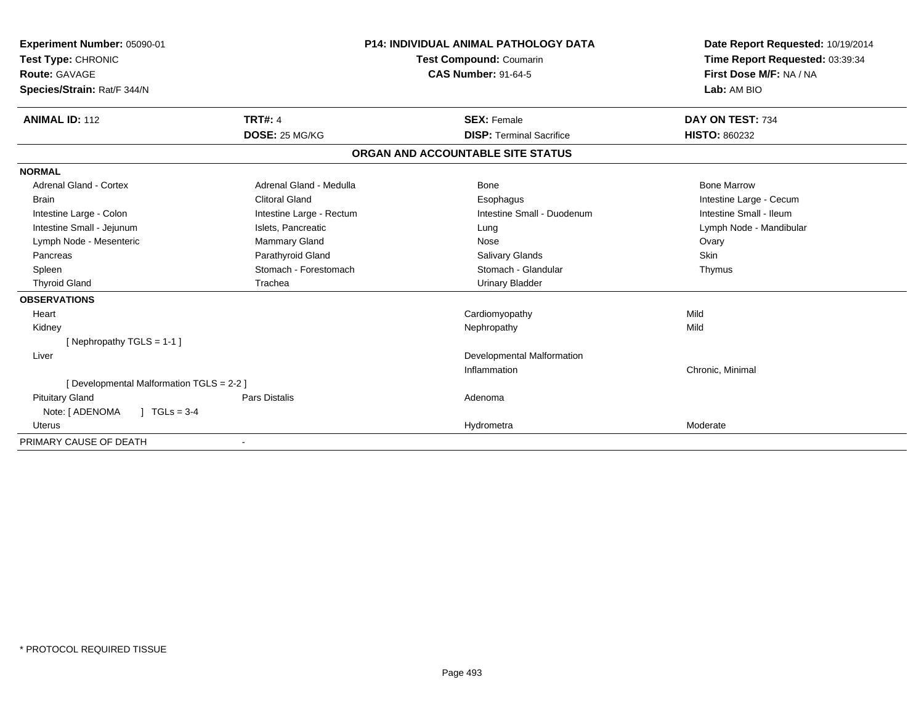| Experiment Number: 05090-01               |                          | <b>P14: INDIVIDUAL ANIMAL PATHOLOGY DATA</b> | Date Report Requested: 10/19/2014 |  |
|-------------------------------------------|--------------------------|----------------------------------------------|-----------------------------------|--|
| Test Type: CHRONIC                        |                          | <b>Test Compound: Coumarin</b>               | Time Report Requested: 03:39:34   |  |
| <b>Route: GAVAGE</b>                      |                          | <b>CAS Number: 91-64-5</b>                   | First Dose M/F: NA / NA           |  |
| Species/Strain: Rat/F 344/N               |                          |                                              | Lab: AM BIO                       |  |
| <b>ANIMAL ID: 112</b>                     | <b>TRT#: 4</b>           | <b>SEX: Female</b>                           | DAY ON TEST: 734                  |  |
|                                           | DOSE: 25 MG/KG           | <b>DISP: Terminal Sacrifice</b>              | <b>HISTO: 860232</b>              |  |
|                                           |                          | ORGAN AND ACCOUNTABLE SITE STATUS            |                                   |  |
| <b>NORMAL</b>                             |                          |                                              |                                   |  |
| <b>Adrenal Gland - Cortex</b>             | Adrenal Gland - Medulla  | <b>Bone</b>                                  | <b>Bone Marrow</b>                |  |
| <b>Brain</b>                              | <b>Clitoral Gland</b>    | Esophagus                                    | Intestine Large - Cecum           |  |
| Intestine Large - Colon                   | Intestine Large - Rectum | Intestine Small - Duodenum                   | Intestine Small - Ileum           |  |
| Intestine Small - Jejunum                 | Islets, Pancreatic       | Lung                                         | Lymph Node - Mandibular           |  |
| Lymph Node - Mesenteric                   | Mammary Gland            | Nose                                         | Ovary                             |  |
| Pancreas                                  | Parathyroid Gland        | Salivary Glands                              | Skin                              |  |
| Spleen                                    | Stomach - Forestomach    | Stomach - Glandular                          | Thymus                            |  |
| <b>Thyroid Gland</b>                      | Trachea                  | <b>Urinary Bladder</b>                       |                                   |  |
| <b>OBSERVATIONS</b>                       |                          |                                              |                                   |  |
| Heart                                     |                          | Cardiomyopathy                               | Mild                              |  |
| Kidney                                    |                          | Nephropathy                                  | Mild                              |  |
| [Nephropathy TGLS = 1-1]                  |                          |                                              |                                   |  |
| Liver                                     |                          | <b>Developmental Malformation</b>            |                                   |  |
|                                           |                          | Inflammation                                 | Chronic, Minimal                  |  |
| [ Developmental Malformation TGLS = 2-2 ] |                          |                                              |                                   |  |
| <b>Pituitary Gland</b>                    | Pars Distalis            | Adenoma                                      |                                   |  |
| Note: [ ADENOMA<br>$1 TGLs = 3-4$         |                          |                                              |                                   |  |
| <b>Uterus</b>                             |                          | Hydrometra                                   | Moderate                          |  |
| PRIMARY CAUSE OF DEATH                    |                          |                                              |                                   |  |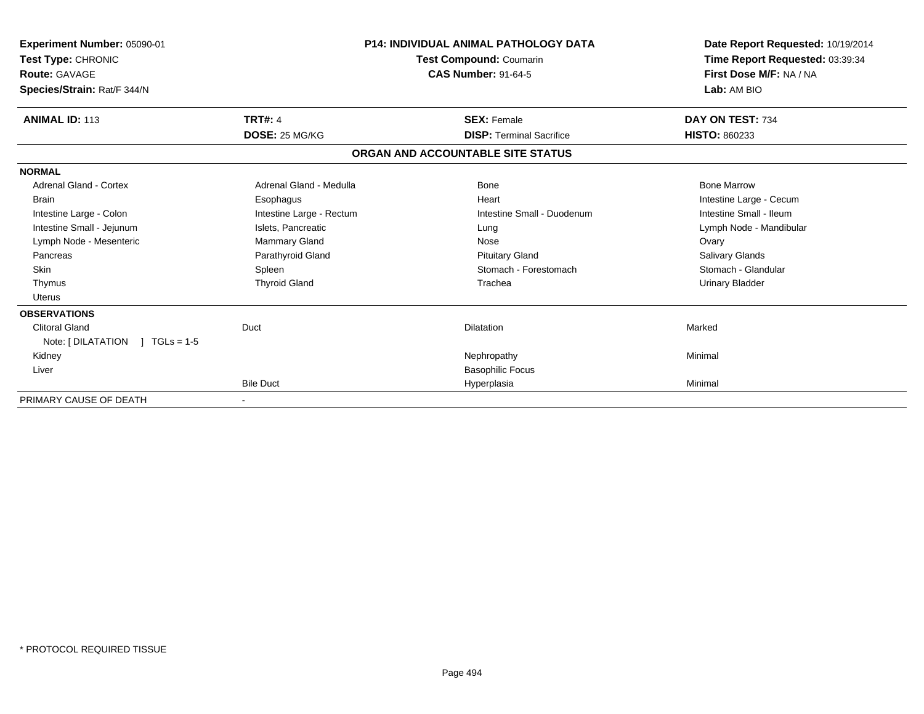| Experiment Number: 05090-01<br>Test Type: CHRONIC<br><b>Route: GAVAGE</b><br>Species/Strain: Rat/F 344/N | <b>P14: INDIVIDUAL ANIMAL PATHOLOGY DATA</b><br>Test Compound: Coumarin<br><b>CAS Number: 91-64-5</b> |                                   | Date Report Requested: 10/19/2014<br>Time Report Requested: 03:39:34<br>First Dose M/F: NA / NA<br>Lab: AM BIO |
|----------------------------------------------------------------------------------------------------------|-------------------------------------------------------------------------------------------------------|-----------------------------------|----------------------------------------------------------------------------------------------------------------|
| <b>ANIMAL ID: 113</b>                                                                                    | <b>TRT#: 4</b>                                                                                        | <b>SEX: Female</b>                | DAY ON TEST: 734                                                                                               |
|                                                                                                          | DOSE: 25 MG/KG                                                                                        | <b>DISP: Terminal Sacrifice</b>   | <b>HISTO: 860233</b>                                                                                           |
|                                                                                                          |                                                                                                       | ORGAN AND ACCOUNTABLE SITE STATUS |                                                                                                                |
| <b>NORMAL</b>                                                                                            |                                                                                                       |                                   |                                                                                                                |
| Adrenal Gland - Cortex                                                                                   | Adrenal Gland - Medulla                                                                               | Bone                              | <b>Bone Marrow</b>                                                                                             |
| <b>Brain</b>                                                                                             | Esophagus                                                                                             | Heart                             | Intestine Large - Cecum                                                                                        |
| Intestine Large - Colon                                                                                  | Intestine Large - Rectum                                                                              | Intestine Small - Duodenum        | Intestine Small - Ileum                                                                                        |
| Intestine Small - Jejunum                                                                                | Islets, Pancreatic                                                                                    | Lung                              | Lymph Node - Mandibular                                                                                        |
| Lymph Node - Mesenteric                                                                                  | Mammary Gland                                                                                         | Nose                              | Ovary                                                                                                          |
| Pancreas                                                                                                 | Parathyroid Gland                                                                                     | <b>Pituitary Gland</b>            | <b>Salivary Glands</b>                                                                                         |
| <b>Skin</b>                                                                                              | Spleen                                                                                                | Stomach - Forestomach             | Stomach - Glandular                                                                                            |
| Thymus                                                                                                   | <b>Thyroid Gland</b>                                                                                  | Trachea                           | <b>Urinary Bladder</b>                                                                                         |
| Uterus                                                                                                   |                                                                                                       |                                   |                                                                                                                |
| <b>OBSERVATIONS</b>                                                                                      |                                                                                                       |                                   |                                                                                                                |
| <b>Clitoral Gland</b>                                                                                    | Duct                                                                                                  | <b>Dilatation</b>                 | Marked                                                                                                         |
| Note: [ DILATATION<br>$1 TGLs = 1-5$                                                                     |                                                                                                       |                                   |                                                                                                                |
| Kidney                                                                                                   |                                                                                                       | Nephropathy                       | Minimal                                                                                                        |
| Liver                                                                                                    |                                                                                                       | <b>Basophilic Focus</b>           |                                                                                                                |
|                                                                                                          | <b>Bile Duct</b>                                                                                      | Hyperplasia                       | Minimal                                                                                                        |
| PRIMARY CAUSE OF DEATH                                                                                   |                                                                                                       |                                   |                                                                                                                |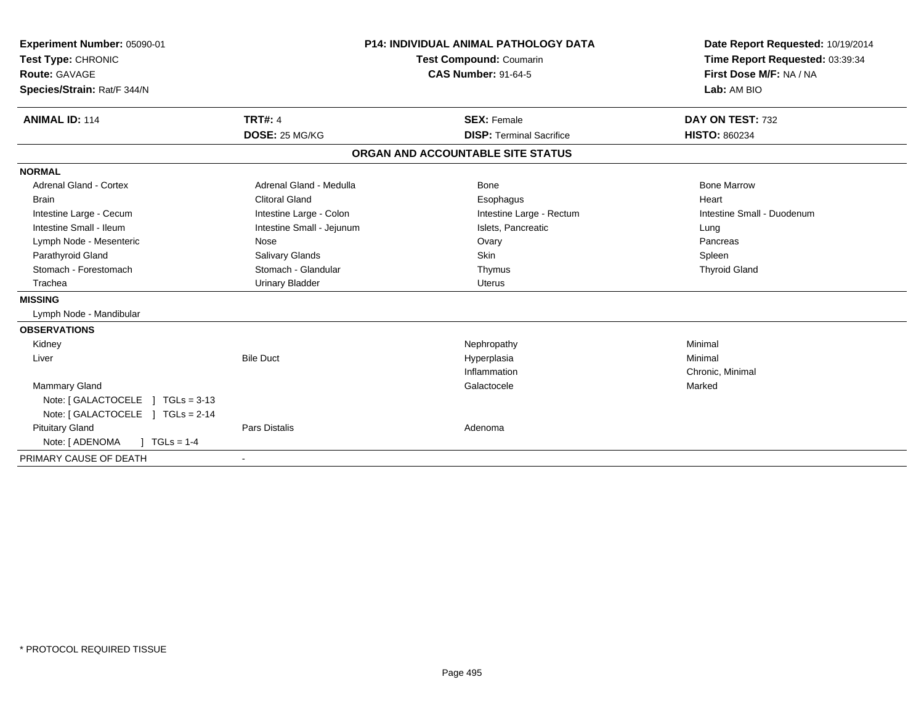| Experiment Number: 05090-01<br>Test Type: CHRONIC<br><b>Route: GAVAGE</b><br>Species/Strain: Rat/F 344/N<br><b>ANIMAL ID: 114</b> | <b>TRT#: 4</b>            | <b>P14: INDIVIDUAL ANIMAL PATHOLOGY DATA</b><br><b>Test Compound: Coumarin</b><br><b>CAS Number: 91-64-5</b><br><b>SEX: Female</b> | Date Report Requested: 10/19/2014<br>Time Report Requested: 03:39:34<br>First Dose M/F: NA / NA<br>Lab: AM BIO<br>DAY ON TEST: 732 |
|-----------------------------------------------------------------------------------------------------------------------------------|---------------------------|------------------------------------------------------------------------------------------------------------------------------------|------------------------------------------------------------------------------------------------------------------------------------|
|                                                                                                                                   | DOSE: 25 MG/KG            | <b>DISP: Terminal Sacrifice</b>                                                                                                    | <b>HISTO: 860234</b>                                                                                                               |
|                                                                                                                                   |                           | ORGAN AND ACCOUNTABLE SITE STATUS                                                                                                  |                                                                                                                                    |
| <b>NORMAL</b>                                                                                                                     |                           |                                                                                                                                    |                                                                                                                                    |
| <b>Adrenal Gland - Cortex</b>                                                                                                     | Adrenal Gland - Medulla   | Bone                                                                                                                               | <b>Bone Marrow</b>                                                                                                                 |
| <b>Brain</b>                                                                                                                      | <b>Clitoral Gland</b>     | Esophagus                                                                                                                          | Heart                                                                                                                              |
| Intestine Large - Cecum                                                                                                           | Intestine Large - Colon   | Intestine Large - Rectum                                                                                                           | Intestine Small - Duodenum                                                                                                         |
| Intestine Small - Ileum                                                                                                           | Intestine Small - Jejunum | Islets. Pancreatic                                                                                                                 | Lung                                                                                                                               |
| Lymph Node - Mesenteric                                                                                                           | Nose                      | Ovary                                                                                                                              | Pancreas                                                                                                                           |
| Parathyroid Gland                                                                                                                 | Salivary Glands           | <b>Skin</b>                                                                                                                        | Spleen                                                                                                                             |
| Stomach - Forestomach                                                                                                             | Stomach - Glandular       | Thymus                                                                                                                             | <b>Thyroid Gland</b>                                                                                                               |
| Trachea                                                                                                                           | <b>Urinary Bladder</b>    | <b>Uterus</b>                                                                                                                      |                                                                                                                                    |
| <b>MISSING</b>                                                                                                                    |                           |                                                                                                                                    |                                                                                                                                    |
| Lymph Node - Mandibular                                                                                                           |                           |                                                                                                                                    |                                                                                                                                    |
| <b>OBSERVATIONS</b>                                                                                                               |                           |                                                                                                                                    |                                                                                                                                    |
| Kidney                                                                                                                            |                           | Nephropathy                                                                                                                        | Minimal                                                                                                                            |
| Liver                                                                                                                             | <b>Bile Duct</b>          | Hyperplasia                                                                                                                        | Minimal                                                                                                                            |
|                                                                                                                                   |                           | Inflammation                                                                                                                       | Chronic, Minimal                                                                                                                   |
| Mammary Gland                                                                                                                     |                           | Galactocele                                                                                                                        | Marked                                                                                                                             |
| Note: [GALACTOCELE ] TGLs = 3-13                                                                                                  |                           |                                                                                                                                    |                                                                                                                                    |
| Note: [ GALACTOCELE ] TGLs = 2-14                                                                                                 |                           |                                                                                                                                    |                                                                                                                                    |
| <b>Pituitary Gland</b>                                                                                                            | <b>Pars Distalis</b>      | Adenoma                                                                                                                            |                                                                                                                                    |
| $1 TGLs = 1-4$<br>Note: [ ADENOMA                                                                                                 |                           |                                                                                                                                    |                                                                                                                                    |
| PRIMARY CAUSE OF DEATH                                                                                                            |                           |                                                                                                                                    |                                                                                                                                    |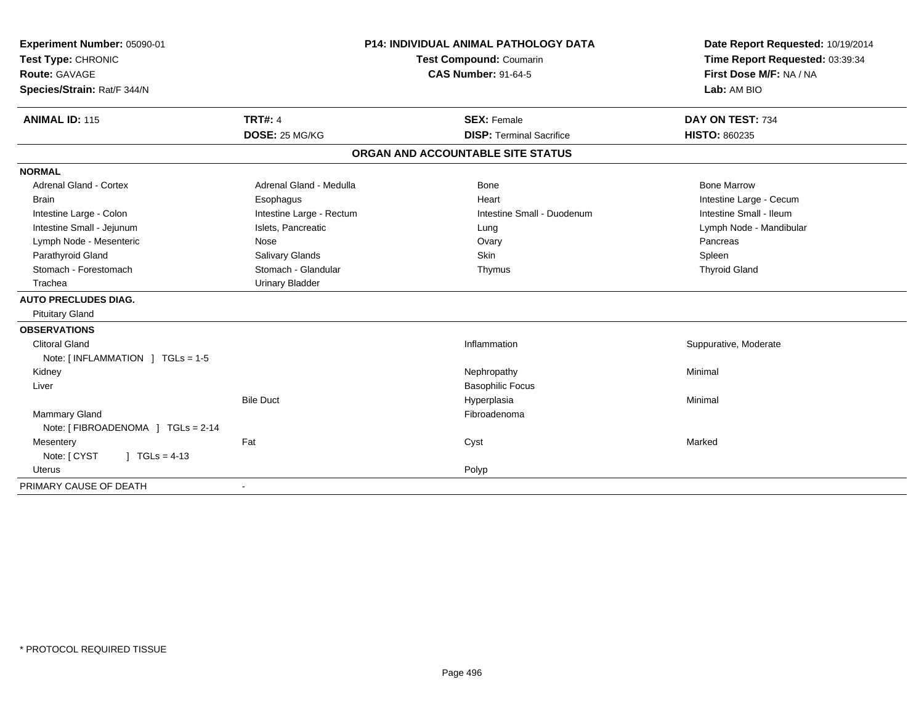| Experiment Number: 05090-01        | <b>P14: INDIVIDUAL ANIMAL PATHOLOGY DATA</b><br>Test Compound: Coumarin<br><b>CAS Number: 91-64-5</b> |                                   | Date Report Requested: 10/19/2014 |
|------------------------------------|-------------------------------------------------------------------------------------------------------|-----------------------------------|-----------------------------------|
| Test Type: CHRONIC                 |                                                                                                       |                                   | Time Report Requested: 03:39:34   |
| <b>Route: GAVAGE</b>               |                                                                                                       |                                   | First Dose M/F: NA / NA           |
| Species/Strain: Rat/F 344/N        |                                                                                                       |                                   | Lab: AM BIO                       |
| <b>ANIMAL ID: 115</b>              | <b>TRT#: 4</b>                                                                                        | <b>SEX: Female</b>                | DAY ON TEST: 734                  |
|                                    | DOSE: 25 MG/KG                                                                                        | <b>DISP: Terminal Sacrifice</b>   | <b>HISTO: 860235</b>              |
|                                    |                                                                                                       | ORGAN AND ACCOUNTABLE SITE STATUS |                                   |
| <b>NORMAL</b>                      |                                                                                                       |                                   |                                   |
| <b>Adrenal Gland - Cortex</b>      | Adrenal Gland - Medulla                                                                               | Bone                              | <b>Bone Marrow</b>                |
| <b>Brain</b>                       | Esophagus                                                                                             | Heart                             | Intestine Large - Cecum           |
| Intestine Large - Colon            | Intestine Large - Rectum                                                                              | Intestine Small - Duodenum        | Intestine Small - Ileum           |
| Intestine Small - Jejunum          | Islets, Pancreatic                                                                                    | Lung                              | Lymph Node - Mandibular           |
| Lymph Node - Mesenteric            | Nose                                                                                                  | Ovary                             | Pancreas                          |
| Parathyroid Gland                  | Salivary Glands                                                                                       | Skin                              | Spleen                            |
| Stomach - Forestomach              | Stomach - Glandular                                                                                   | Thymus                            | <b>Thyroid Gland</b>              |
| Trachea                            | <b>Urinary Bladder</b>                                                                                |                                   |                                   |
| <b>AUTO PRECLUDES DIAG.</b>        |                                                                                                       |                                   |                                   |
| <b>Pituitary Gland</b>             |                                                                                                       |                                   |                                   |
| <b>OBSERVATIONS</b>                |                                                                                                       |                                   |                                   |
| <b>Clitoral Gland</b>              |                                                                                                       | Inflammation                      | Suppurative, Moderate             |
| Note: [INFLAMMATION ] TGLs = 1-5   |                                                                                                       |                                   |                                   |
| Kidney                             |                                                                                                       | Nephropathy                       | Minimal                           |
| Liver                              |                                                                                                       | <b>Basophilic Focus</b>           |                                   |
|                                    | <b>Bile Duct</b>                                                                                      | Hyperplasia                       | Minimal                           |
| Mammary Gland                      |                                                                                                       | Fibroadenoma                      |                                   |
| Note: [ FIBROADENOMA ] TGLs = 2-14 |                                                                                                       |                                   |                                   |
| Mesentery                          | Fat                                                                                                   | Cyst                              | Marked                            |
| Note: [ CYST<br>$1 TGLs = 4-13$    |                                                                                                       |                                   |                                   |
| Uterus                             |                                                                                                       | Polyp                             |                                   |
| PRIMARY CAUSE OF DEATH             |                                                                                                       |                                   |                                   |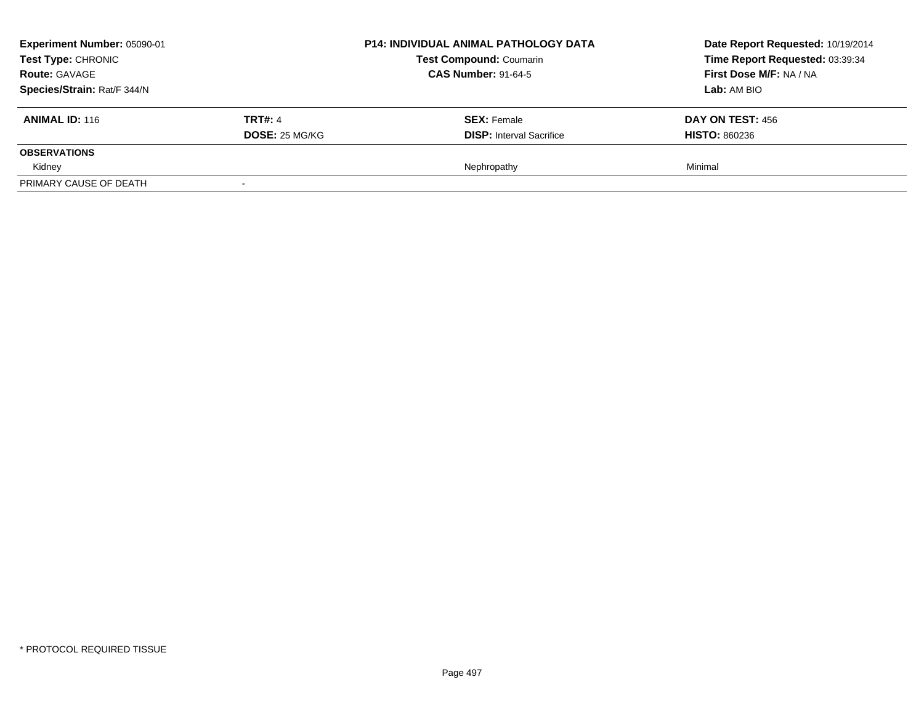| Experiment Number: 05090-01<br>Test Type: CHRONIC<br><b>Route: GAVAGE</b> |                | <b>P14: INDIVIDUAL ANIMAL PATHOLOGY DATA</b><br><b>Test Compound: Coumarin</b><br><b>CAS Number: 91-64-5</b> | Date Report Requested: 10/19/2014<br>Time Report Requested: 03:39:34<br>First Dose M/F: NA / NA |
|---------------------------------------------------------------------------|----------------|--------------------------------------------------------------------------------------------------------------|-------------------------------------------------------------------------------------------------|
| Species/Strain: Rat/F 344/N                                               |                |                                                                                                              | Lab: AM BIO                                                                                     |
| <b>ANIMAL ID: 116</b>                                                     | <b>TRT#: 4</b> | <b>SEX: Female</b>                                                                                           | DAY ON TEST: 456                                                                                |
|                                                                           | DOSE: 25 MG/KG | <b>DISP:</b> Interval Sacrifice                                                                              | <b>HISTO: 860236</b>                                                                            |
| <b>OBSERVATIONS</b>                                                       |                |                                                                                                              |                                                                                                 |
| Kidney                                                                    |                | Nephropathy                                                                                                  | Minimal                                                                                         |
| PRIMARY CAUSE OF DEATH                                                    |                |                                                                                                              |                                                                                                 |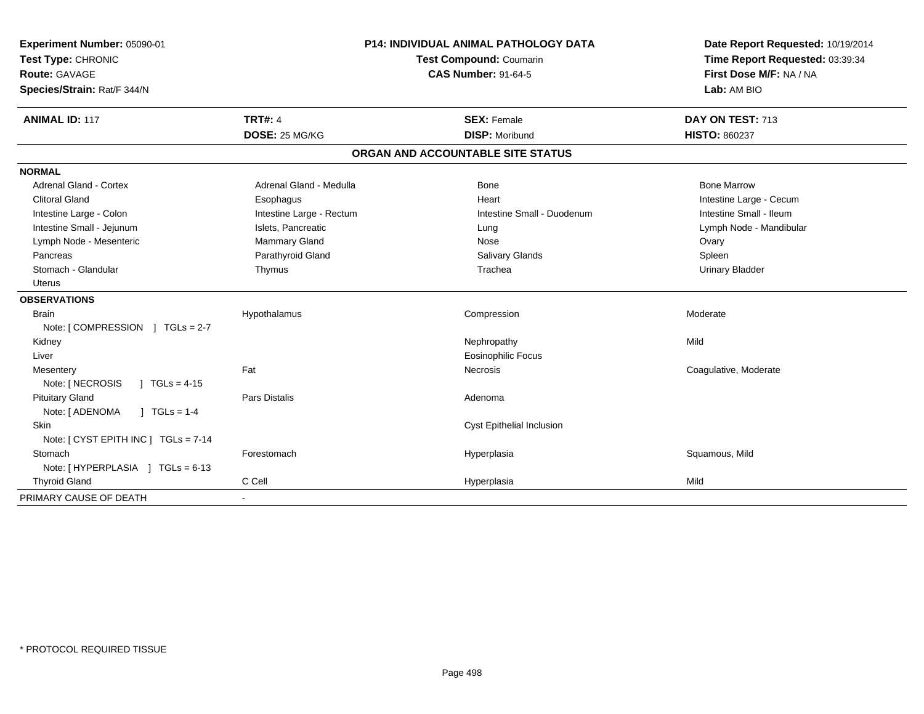| Experiment Number: 05090-01<br>Test Type: CHRONIC<br>Route: GAVAGE<br>Species/Strain: Rat/F 344/N | <b>P14: INDIVIDUAL ANIMAL PATHOLOGY DATA</b><br>Test Compound: Coumarin<br><b>CAS Number: 91-64-5</b> |                                   | Date Report Requested: 10/19/2014<br>Time Report Requested: 03:39:34<br>First Dose M/F: NA / NA<br>Lab: AM BIO |
|---------------------------------------------------------------------------------------------------|-------------------------------------------------------------------------------------------------------|-----------------------------------|----------------------------------------------------------------------------------------------------------------|
| <b>ANIMAL ID: 117</b>                                                                             | <b>TRT#: 4</b>                                                                                        | <b>SEX: Female</b>                | DAY ON TEST: 713                                                                                               |
|                                                                                                   | DOSE: 25 MG/KG                                                                                        | <b>DISP: Moribund</b>             | <b>HISTO: 860237</b>                                                                                           |
|                                                                                                   |                                                                                                       | ORGAN AND ACCOUNTABLE SITE STATUS |                                                                                                                |
| <b>NORMAL</b>                                                                                     |                                                                                                       |                                   |                                                                                                                |
| <b>Adrenal Gland - Cortex</b>                                                                     | Adrenal Gland - Medulla                                                                               | Bone                              | <b>Bone Marrow</b>                                                                                             |
| <b>Clitoral Gland</b>                                                                             | Esophagus                                                                                             | Heart                             | Intestine Large - Cecum                                                                                        |
| Intestine Large - Colon                                                                           | Intestine Large - Rectum                                                                              | Intestine Small - Duodenum        | Intestine Small - Ileum                                                                                        |
| Intestine Small - Jejunum                                                                         | Islets, Pancreatic                                                                                    | Lung                              | Lymph Node - Mandibular                                                                                        |
| Lymph Node - Mesenteric                                                                           | Mammary Gland                                                                                         | Nose                              | Ovary                                                                                                          |
| Pancreas                                                                                          | Parathyroid Gland                                                                                     | Salivary Glands                   | Spleen                                                                                                         |
| Stomach - Glandular                                                                               | Thymus                                                                                                | Trachea                           | <b>Urinary Bladder</b>                                                                                         |
| <b>Uterus</b>                                                                                     |                                                                                                       |                                   |                                                                                                                |
| <b>OBSERVATIONS</b>                                                                               |                                                                                                       |                                   |                                                                                                                |
| <b>Brain</b>                                                                                      | Hypothalamus                                                                                          | Compression                       | Moderate                                                                                                       |
| Note: [COMPRESSION ] TGLs = 2-7                                                                   |                                                                                                       |                                   |                                                                                                                |
| Kidney                                                                                            |                                                                                                       | Nephropathy                       | Mild                                                                                                           |
| Liver                                                                                             |                                                                                                       | <b>Eosinophilic Focus</b>         |                                                                                                                |
| Mesentery                                                                                         | Fat                                                                                                   | Necrosis                          | Coagulative, Moderate                                                                                          |
| Note: [ NECROSIS<br>$1 TGLs = 4-15$                                                               |                                                                                                       |                                   |                                                                                                                |
| <b>Pituitary Gland</b>                                                                            | <b>Pars Distalis</b>                                                                                  | Adenoma                           |                                                                                                                |
| Note: [ ADENOMA<br>$1 TGLs = 1-4$                                                                 |                                                                                                       |                                   |                                                                                                                |
| Skin                                                                                              |                                                                                                       | Cyst Epithelial Inclusion         |                                                                                                                |
| Note: [ CYST EPITH INC ] TGLs = 7-14                                                              |                                                                                                       |                                   |                                                                                                                |
| Stomach                                                                                           | Forestomach                                                                                           | Hyperplasia                       | Squamous, Mild                                                                                                 |
| Note: [HYPERPLASIA ] TGLs = 6-13                                                                  |                                                                                                       |                                   |                                                                                                                |
| <b>Thyroid Gland</b>                                                                              | C Cell                                                                                                | Hyperplasia                       | Mild                                                                                                           |
| PRIMARY CAUSE OF DEATH                                                                            | $\blacksquare$                                                                                        |                                   |                                                                                                                |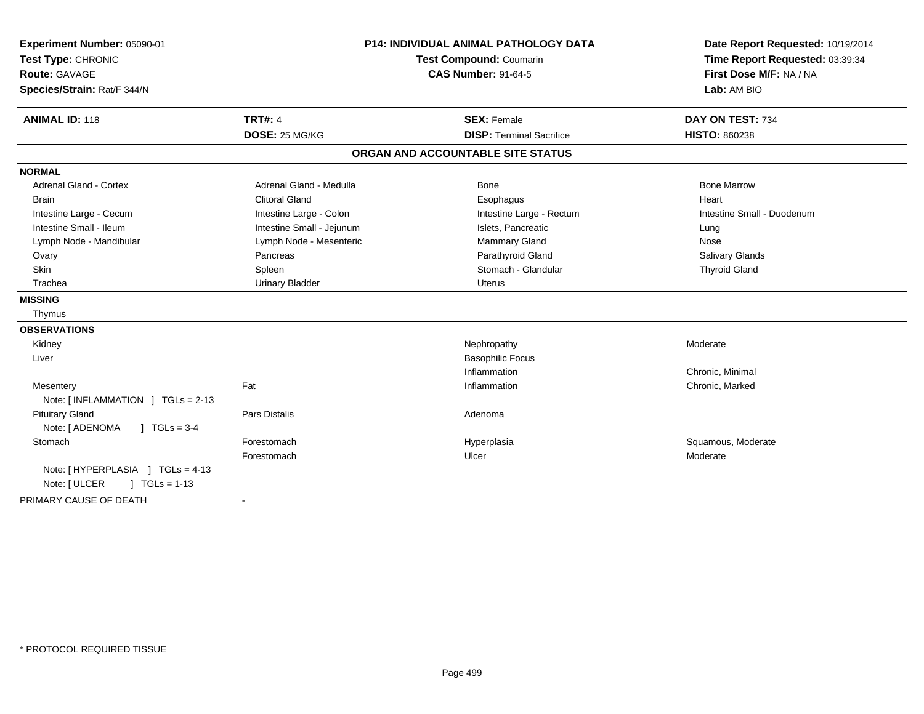| Experiment Number: 05090-01             | <b>P14: INDIVIDUAL ANIMAL PATHOLOGY DATA</b> |                                   | Date Report Requested: 10/19/2014 |
|-----------------------------------------|----------------------------------------------|-----------------------------------|-----------------------------------|
| Test Type: CHRONIC                      |                                              | Test Compound: Coumarin           | Time Report Requested: 03:39:34   |
| Route: GAVAGE                           |                                              | <b>CAS Number: 91-64-5</b>        | First Dose M/F: NA / NA           |
| Species/Strain: Rat/F 344/N             |                                              |                                   | Lab: AM BIO                       |
| <b>ANIMAL ID: 118</b>                   | <b>TRT#: 4</b>                               | <b>SEX: Female</b>                | DAY ON TEST: 734                  |
|                                         | DOSE: 25 MG/KG                               | <b>DISP: Terminal Sacrifice</b>   | <b>HISTO: 860238</b>              |
|                                         |                                              | ORGAN AND ACCOUNTABLE SITE STATUS |                                   |
| <b>NORMAL</b>                           |                                              |                                   |                                   |
| Adrenal Gland - Cortex                  | Adrenal Gland - Medulla                      | Bone                              | <b>Bone Marrow</b>                |
| <b>Brain</b>                            | <b>Clitoral Gland</b>                        | Esophagus                         | Heart                             |
| Intestine Large - Cecum                 | Intestine Large - Colon                      | Intestine Large - Rectum          | Intestine Small - Duodenum        |
| Intestine Small - Ileum                 | Intestine Small - Jejunum                    | Islets, Pancreatic                | Lung                              |
| Lymph Node - Mandibular                 | Lymph Node - Mesenteric                      | Mammary Gland                     | Nose                              |
| Ovary                                   | Pancreas                                     | Parathyroid Gland                 | <b>Salivary Glands</b>            |
| <b>Skin</b>                             | Spleen                                       | Stomach - Glandular               | <b>Thyroid Gland</b>              |
| Trachea                                 | <b>Urinary Bladder</b>                       | <b>Uterus</b>                     |                                   |
| <b>MISSING</b>                          |                                              |                                   |                                   |
| Thymus                                  |                                              |                                   |                                   |
| <b>OBSERVATIONS</b>                     |                                              |                                   |                                   |
| Kidney                                  |                                              | Nephropathy                       | Moderate                          |
| Liver                                   |                                              | <b>Basophilic Focus</b>           |                                   |
|                                         |                                              | Inflammation                      | Chronic, Minimal                  |
| Mesentery                               | Fat                                          | Inflammation                      | Chronic, Marked                   |
| Note: [INFLAMMATION ] TGLs = 2-13       |                                              |                                   |                                   |
| <b>Pituitary Gland</b>                  | <b>Pars Distalis</b>                         | Adenoma                           |                                   |
| $J \cdot TGLs = 3-4$<br>Note: [ ADENOMA |                                              |                                   |                                   |
| Stomach                                 | Forestomach                                  | Hyperplasia                       | Squamous, Moderate                |
|                                         | Forestomach                                  | Ulcer                             | Moderate                          |
| Note: [HYPERPLASIA ] TGLs = 4-13        |                                              |                                   |                                   |
| $\sqrt{1 + 13}$<br>Note: [ ULCER        |                                              |                                   |                                   |
| PRIMARY CAUSE OF DEATH                  | $\sim$                                       |                                   |                                   |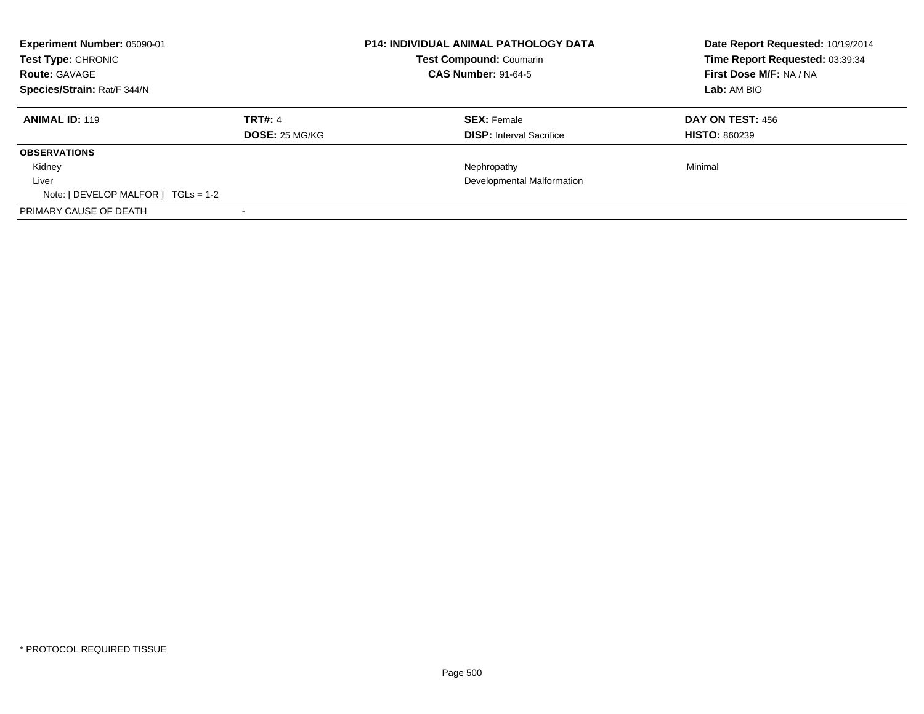| <b>Experiment Number: 05090-01</b><br>Test Type: CHRONIC<br><b>Route: GAVAGE</b><br>Species/Strain: Rat/F 344/N |                                  | <b>P14: INDIVIDUAL ANIMAL PATHOLOGY DATA</b><br><b>Test Compound: Coumarin</b><br><b>CAS Number: 91-64-5</b> |                                                       | Date Report Requested: 10/19/2014<br>Time Report Requested: 03:39:34<br>First Dose M/F: NA / NA<br>Lab: AM BIO |  |
|-----------------------------------------------------------------------------------------------------------------|----------------------------------|--------------------------------------------------------------------------------------------------------------|-------------------------------------------------------|----------------------------------------------------------------------------------------------------------------|--|
| <b>ANIMAL ID: 119</b>                                                                                           | <b>TRT#: 4</b><br>DOSE: 25 MG/KG |                                                                                                              | <b>SEX: Female</b><br><b>DISP:</b> Interval Sacrifice | <b>DAY ON TEST: 456</b><br><b>HISTO: 860239</b>                                                                |  |
| <b>OBSERVATIONS</b>                                                                                             |                                  |                                                                                                              |                                                       |                                                                                                                |  |
| Kidney                                                                                                          |                                  |                                                                                                              | Nephropathy                                           | Minimal                                                                                                        |  |
| Liver                                                                                                           |                                  |                                                                                                              | Developmental Malformation                            |                                                                                                                |  |
| Note: [ DEVELOP MALFOR ] $TGLs = 1-2$                                                                           |                                  |                                                                                                              |                                                       |                                                                                                                |  |
| PRIMARY CAUSE OF DEATH                                                                                          |                                  |                                                                                                              |                                                       |                                                                                                                |  |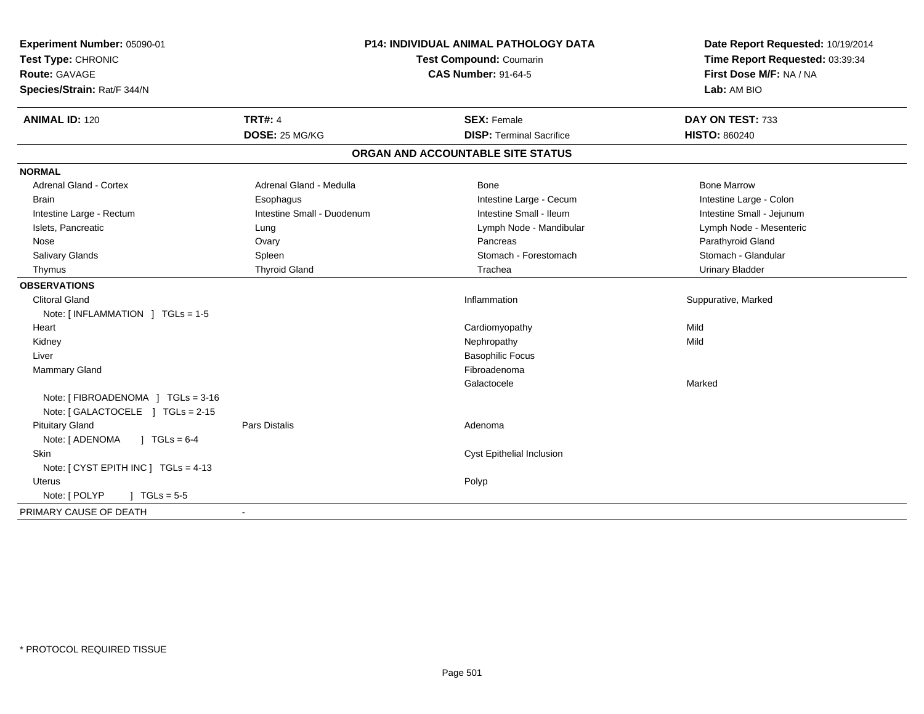| Experiment Number: 05090-01<br>Test Type: CHRONIC<br>Route: GAVAGE<br>Species/Strain: Rat/F 344/N | <b>P14: INDIVIDUAL ANIMAL PATHOLOGY DATA</b><br>Test Compound: Coumarin<br><b>CAS Number: 91-64-5</b> |                                                       | Date Report Requested: 10/19/2014<br>Time Report Requested: 03:39:34<br>First Dose M/F: NA / NA<br>Lab: AM BIO |  |
|---------------------------------------------------------------------------------------------------|-------------------------------------------------------------------------------------------------------|-------------------------------------------------------|----------------------------------------------------------------------------------------------------------------|--|
| <b>ANIMAL ID: 120</b>                                                                             | <b>TRT#: 4</b><br>DOSE: 25 MG/KG                                                                      | <b>SEX: Female</b><br><b>DISP: Terminal Sacrifice</b> | DAY ON TEST: 733<br><b>HISTO: 860240</b>                                                                       |  |
|                                                                                                   |                                                                                                       | ORGAN AND ACCOUNTABLE SITE STATUS                     |                                                                                                                |  |
| <b>NORMAL</b>                                                                                     |                                                                                                       |                                                       |                                                                                                                |  |
| Adrenal Gland - Cortex                                                                            | Adrenal Gland - Medulla                                                                               | Bone                                                  | <b>Bone Marrow</b>                                                                                             |  |
| <b>Brain</b>                                                                                      | Esophagus                                                                                             | Intestine Large - Cecum                               | Intestine Large - Colon                                                                                        |  |
| Intestine Large - Rectum                                                                          | Intestine Small - Duodenum                                                                            | Intestine Small - Ileum                               | Intestine Small - Jejunum                                                                                      |  |
| Islets, Pancreatic                                                                                | Lung                                                                                                  | Lymph Node - Mandibular                               | Lymph Node - Mesenteric                                                                                        |  |
| Nose                                                                                              | Ovary                                                                                                 | Pancreas                                              | Parathyroid Gland                                                                                              |  |
| <b>Salivary Glands</b>                                                                            | Spleen                                                                                                | Stomach - Forestomach                                 | Stomach - Glandular                                                                                            |  |
| Thymus                                                                                            | <b>Thyroid Gland</b>                                                                                  | Trachea                                               | <b>Urinary Bladder</b>                                                                                         |  |
| <b>OBSERVATIONS</b>                                                                               |                                                                                                       |                                                       |                                                                                                                |  |
| <b>Clitoral Gland</b>                                                                             |                                                                                                       | Inflammation                                          | Suppurative, Marked                                                                                            |  |
| Note: [INFLAMMATION ] TGLs = 1-5                                                                  |                                                                                                       |                                                       |                                                                                                                |  |
| Heart                                                                                             |                                                                                                       | Cardiomyopathy                                        | Mild                                                                                                           |  |
| Kidney                                                                                            |                                                                                                       | Nephropathy                                           | Mild                                                                                                           |  |
| Liver                                                                                             |                                                                                                       | <b>Basophilic Focus</b>                               |                                                                                                                |  |
| Mammary Gland                                                                                     |                                                                                                       | Fibroadenoma                                          |                                                                                                                |  |
|                                                                                                   |                                                                                                       | Galactocele                                           | Marked                                                                                                         |  |
| Note: [ FIBROADENOMA ] TGLs = 3-16                                                                |                                                                                                       |                                                       |                                                                                                                |  |
| Note: [GALACTOCELE ] TGLs = 2-15                                                                  |                                                                                                       |                                                       |                                                                                                                |  |
| <b>Pituitary Gland</b>                                                                            | <b>Pars Distalis</b>                                                                                  | Adenoma                                               |                                                                                                                |  |
| Note: [ ADENOMA<br>$J \text{ TGLs} = 6-4$                                                         |                                                                                                       |                                                       |                                                                                                                |  |
| <b>Skin</b>                                                                                       |                                                                                                       | <b>Cyst Epithelial Inclusion</b>                      |                                                                                                                |  |
| Note: $[CYST EPITH INC] TGLs = 4-13$                                                              |                                                                                                       |                                                       |                                                                                                                |  |
| <b>Uterus</b>                                                                                     |                                                                                                       | Polyp                                                 |                                                                                                                |  |
| Note: [ POLYP<br>$J \cdot TGLs = 5-5$                                                             |                                                                                                       |                                                       |                                                                                                                |  |
| PRIMARY CAUSE OF DEATH                                                                            | $\sim$                                                                                                |                                                       |                                                                                                                |  |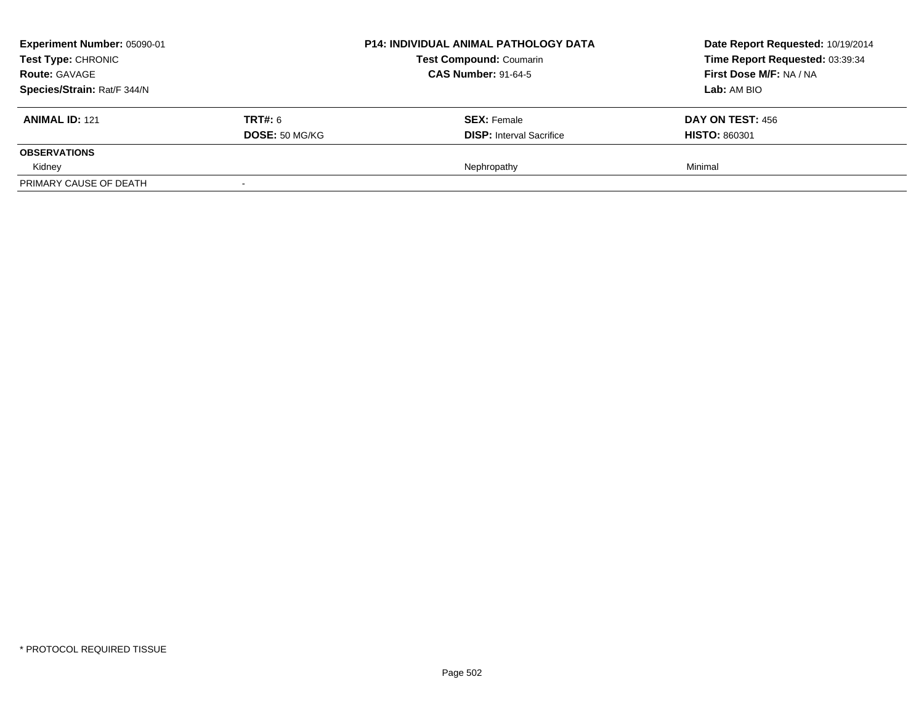| Experiment Number: 05090-01<br>Test Type: CHRONIC<br><b>Route: GAVAGE</b><br>Species/Strain: Rat/F 344/N |                                         | <b>P14: INDIVIDUAL ANIMAL PATHOLOGY DATA</b><br><b>Test Compound: Coumarin</b><br><b>CAS Number: 91-64-5</b> | Date Report Requested: 10/19/2014<br>Time Report Requested: 03:39:34<br>First Dose M/F: NA / NA<br><b>Lab:</b> AM BIO |
|----------------------------------------------------------------------------------------------------------|-----------------------------------------|--------------------------------------------------------------------------------------------------------------|-----------------------------------------------------------------------------------------------------------------------|
| <b>ANIMAL ID: 121</b>                                                                                    | <b>TRT#: 6</b><br><b>DOSE: 50 MG/KG</b> | <b>SEX: Female</b><br><b>DISP:</b> Interval Sacrifice                                                        | DAY ON TEST: 456<br><b>HISTO: 860301</b>                                                                              |
| <b>OBSERVATIONS</b>                                                                                      |                                         |                                                                                                              |                                                                                                                       |
| Kidney                                                                                                   |                                         | Nephropathy                                                                                                  | Minimal                                                                                                               |
| PRIMARY CAUSE OF DEATH                                                                                   |                                         |                                                                                                              |                                                                                                                       |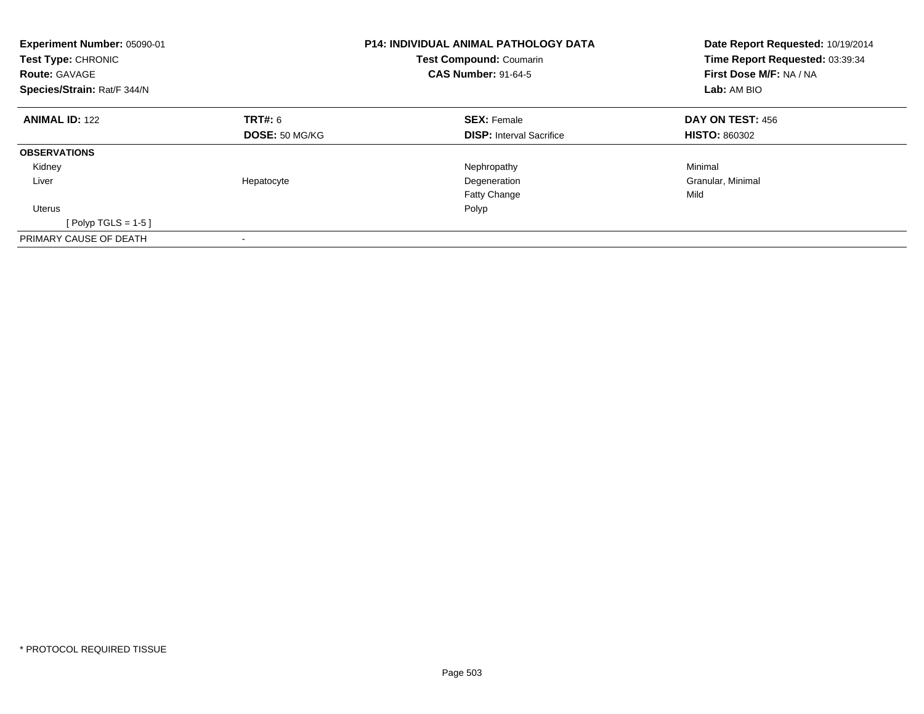| Experiment Number: 05090-01<br>Test Type: CHRONIC<br><b>Route: GAVAGE</b><br>Species/Strain: Rat/F 344/N |                       | <b>P14: INDIVIDUAL ANIMAL PATHOLOGY DATA</b><br><b>Test Compound: Coumarin</b><br><b>CAS Number: 91-64-5</b> | Date Report Requested: 10/19/2014<br>Time Report Requested: 03:39:34<br>First Dose M/F: NA / NA<br>Lab: AM BIO |  |
|----------------------------------------------------------------------------------------------------------|-----------------------|--------------------------------------------------------------------------------------------------------------|----------------------------------------------------------------------------------------------------------------|--|
| <b>ANIMAL ID: 122</b>                                                                                    | <b>TRT#: 6</b>        | <b>SEX: Female</b>                                                                                           | DAY ON TEST: 456                                                                                               |  |
|                                                                                                          | <b>DOSE: 50 MG/KG</b> | <b>DISP:</b> Interval Sacrifice                                                                              | <b>HISTO: 860302</b>                                                                                           |  |
| <b>OBSERVATIONS</b>                                                                                      |                       |                                                                                                              |                                                                                                                |  |
| Kidney                                                                                                   |                       | Nephropathy                                                                                                  | Minimal                                                                                                        |  |
| Liver                                                                                                    | Hepatocyte            | Degeneration                                                                                                 | Granular, Minimal                                                                                              |  |
|                                                                                                          |                       | <b>Fatty Change</b>                                                                                          | Mild                                                                                                           |  |
| Uterus                                                                                                   |                       | Polyp                                                                                                        |                                                                                                                |  |
| [Polyp TGLS = $1-5$ ]                                                                                    |                       |                                                                                                              |                                                                                                                |  |
| PRIMARY CAUSE OF DEATH                                                                                   |                       |                                                                                                              |                                                                                                                |  |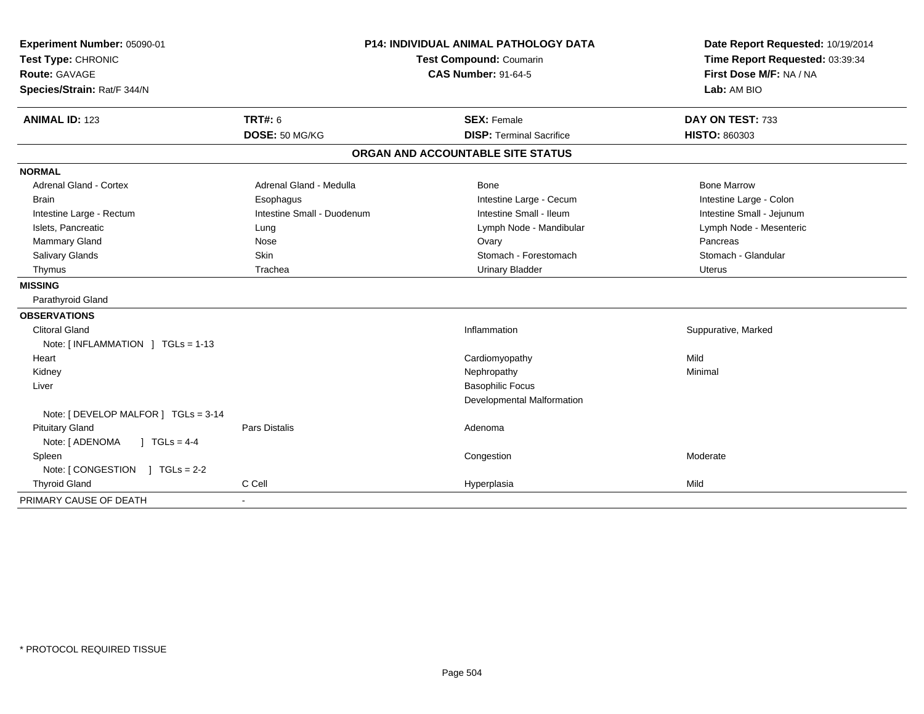| Experiment Number: 05090-01          | <b>P14: INDIVIDUAL ANIMAL PATHOLOGY DATA</b> |                                   | Date Report Requested: 10/19/2014 |  |
|--------------------------------------|----------------------------------------------|-----------------------------------|-----------------------------------|--|
| Test Type: CHRONIC                   |                                              | Test Compound: Coumarin           | Time Report Requested: 03:39:34   |  |
| <b>Route: GAVAGE</b>                 |                                              | <b>CAS Number: 91-64-5</b>        | First Dose M/F: NA / NA           |  |
| Species/Strain: Rat/F 344/N          |                                              |                                   | Lab: AM BIO                       |  |
| <b>ANIMAL ID: 123</b>                | <b>TRT#: 6</b>                               | <b>SEX: Female</b>                | DAY ON TEST: 733                  |  |
|                                      | DOSE: 50 MG/KG                               | <b>DISP: Terminal Sacrifice</b>   | HISTO: 860303                     |  |
|                                      |                                              | ORGAN AND ACCOUNTABLE SITE STATUS |                                   |  |
| <b>NORMAL</b>                        |                                              |                                   |                                   |  |
| <b>Adrenal Gland - Cortex</b>        | Adrenal Gland - Medulla                      | Bone                              | <b>Bone Marrow</b>                |  |
| <b>Brain</b>                         | Esophagus                                    | Intestine Large - Cecum           | Intestine Large - Colon           |  |
| Intestine Large - Rectum             | Intestine Small - Duodenum                   | Intestine Small - Ileum           | Intestine Small - Jejunum         |  |
| Islets, Pancreatic                   | Lung                                         | Lymph Node - Mandibular           | Lymph Node - Mesenteric           |  |
| <b>Mammary Gland</b>                 | Nose                                         | Ovary                             | Pancreas                          |  |
| Salivary Glands                      | Skin                                         | Stomach - Forestomach             | Stomach - Glandular               |  |
| Thymus                               | Trachea                                      | <b>Urinary Bladder</b>            | Uterus                            |  |
| <b>MISSING</b>                       |                                              |                                   |                                   |  |
| Parathyroid Gland                    |                                              |                                   |                                   |  |
| <b>OBSERVATIONS</b>                  |                                              |                                   |                                   |  |
| <b>Clitoral Gland</b>                |                                              | Inflammation                      | Suppurative, Marked               |  |
| Note: [INFLAMMATION ] TGLs = 1-13    |                                              |                                   |                                   |  |
| Heart                                |                                              | Cardiomyopathy                    | Mild                              |  |
| Kidney                               |                                              | Nephropathy                       | Minimal                           |  |
| Liver                                |                                              | <b>Basophilic Focus</b>           |                                   |  |
|                                      |                                              | Developmental Malformation        |                                   |  |
| Note: [ DEVELOP MALFOR ] TGLs = 3-14 |                                              |                                   |                                   |  |
| <b>Pituitary Gland</b>               | Pars Distalis                                | Adenoma                           |                                   |  |
| $1 TGLs = 4-4$<br>Note: [ ADENOMA    |                                              |                                   |                                   |  |
| Spleen                               |                                              | Congestion                        | Moderate                          |  |
| Note: [CONGESTION ] TGLs = 2-2       |                                              |                                   |                                   |  |
| <b>Thyroid Gland</b>                 | C Cell                                       | Hyperplasia                       | Mild                              |  |
| PRIMARY CAUSE OF DEATH               |                                              |                                   |                                   |  |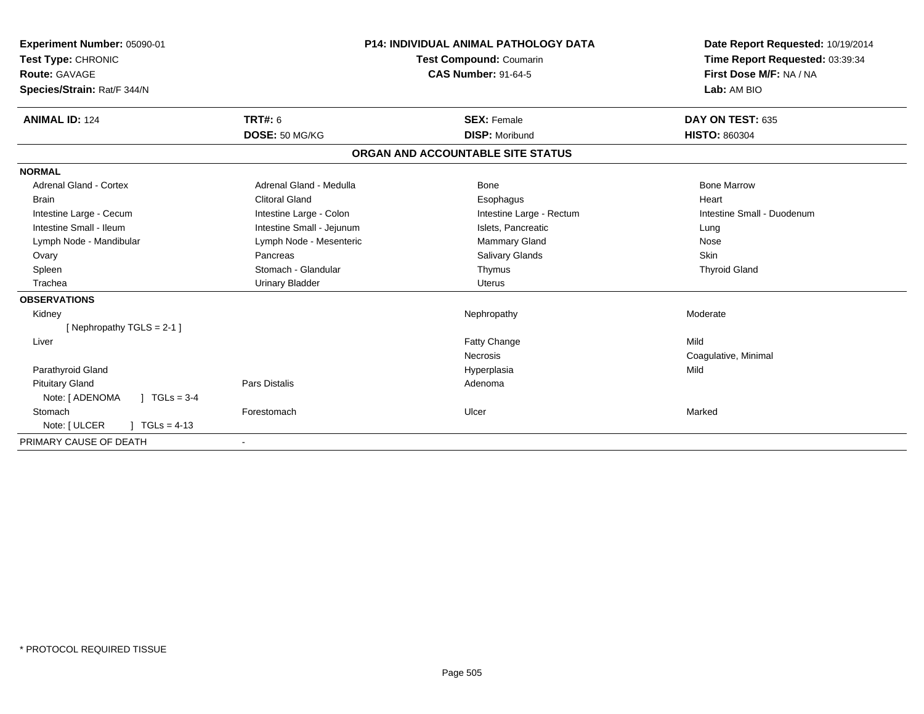| Experiment Number: 05090-01<br>Test Type: CHRONIC<br>Route: GAVAGE<br>Species/Strain: Rat/F 344/N |                           | <b>P14: INDIVIDUAL ANIMAL PATHOLOGY DATA</b><br>Test Compound: Coumarin<br><b>CAS Number: 91-64-5</b> | Date Report Requested: 10/19/2014<br>Time Report Requested: 03:39:34<br>First Dose M/F: NA / NA<br>Lab: AM BIO |
|---------------------------------------------------------------------------------------------------|---------------------------|-------------------------------------------------------------------------------------------------------|----------------------------------------------------------------------------------------------------------------|
| <b>ANIMAL ID: 124</b>                                                                             | <b>TRT#: 6</b>            | <b>SEX: Female</b>                                                                                    | DAY ON TEST: 635                                                                                               |
|                                                                                                   | DOSE: 50 MG/KG            | <b>DISP: Moribund</b>                                                                                 | <b>HISTO: 860304</b>                                                                                           |
|                                                                                                   |                           | ORGAN AND ACCOUNTABLE SITE STATUS                                                                     |                                                                                                                |
| <b>NORMAL</b>                                                                                     |                           |                                                                                                       |                                                                                                                |
| <b>Adrenal Gland - Cortex</b>                                                                     | Adrenal Gland - Medulla   | Bone                                                                                                  | <b>Bone Marrow</b>                                                                                             |
| <b>Brain</b>                                                                                      | <b>Clitoral Gland</b>     | Esophagus                                                                                             | Heart                                                                                                          |
| Intestine Large - Cecum                                                                           | Intestine Large - Colon   | Intestine Large - Rectum                                                                              | Intestine Small - Duodenum                                                                                     |
| Intestine Small - Ileum                                                                           | Intestine Small - Jejunum | Islets, Pancreatic                                                                                    | Lung                                                                                                           |
| Lymph Node - Mandibular                                                                           | Lymph Node - Mesenteric   | Mammary Gland                                                                                         | Nose                                                                                                           |
| Ovary                                                                                             | Pancreas                  | Salivary Glands                                                                                       | Skin                                                                                                           |
| Spleen                                                                                            | Stomach - Glandular       | Thymus                                                                                                | <b>Thyroid Gland</b>                                                                                           |
| Trachea                                                                                           | <b>Urinary Bladder</b>    | <b>Uterus</b>                                                                                         |                                                                                                                |
| <b>OBSERVATIONS</b>                                                                               |                           |                                                                                                       |                                                                                                                |
| Kidney                                                                                            |                           | Nephropathy                                                                                           | Moderate                                                                                                       |
| [Nephropathy TGLS = 2-1]                                                                          |                           |                                                                                                       |                                                                                                                |
| Liver                                                                                             |                           | Fatty Change                                                                                          | Mild                                                                                                           |
|                                                                                                   |                           | <b>Necrosis</b>                                                                                       | Coagulative, Minimal                                                                                           |
| Parathyroid Gland                                                                                 |                           | Hyperplasia                                                                                           | Mild                                                                                                           |
| <b>Pituitary Gland</b>                                                                            | <b>Pars Distalis</b>      | Adenoma                                                                                               |                                                                                                                |
| Note: [ ADENOMA<br>$\vert$ TGLs = 3-4                                                             |                           |                                                                                                       |                                                                                                                |
| Stomach                                                                                           | Forestomach               | Ulcer                                                                                                 | Marked                                                                                                         |
| Note: [ ULCER<br>$TGLs = 4-13$                                                                    |                           |                                                                                                       |                                                                                                                |
| PRIMARY CAUSE OF DEATH                                                                            |                           |                                                                                                       |                                                                                                                |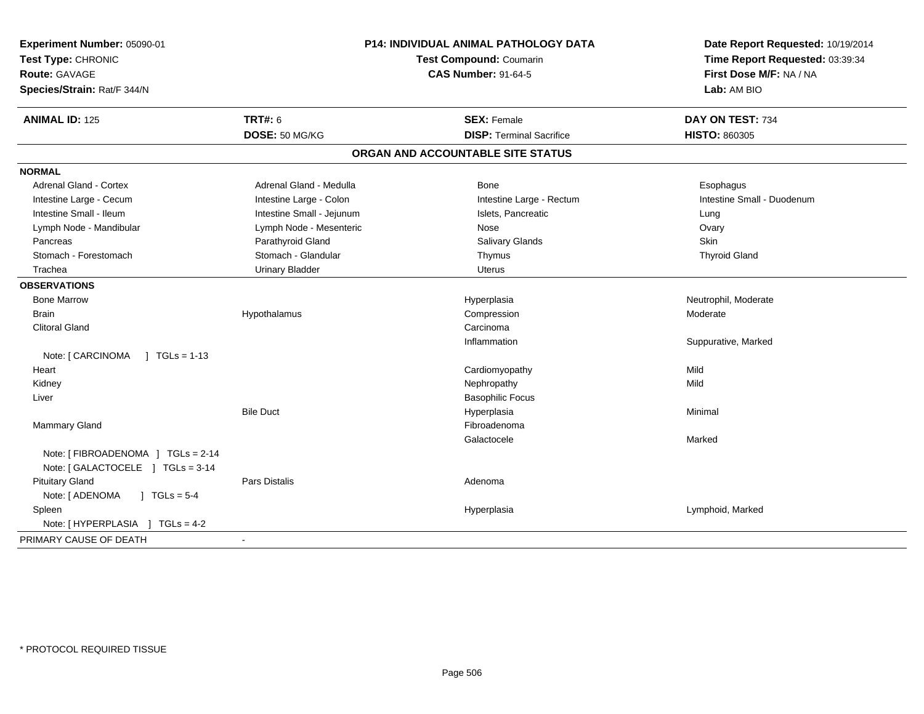| Species/Strain: Rat/F 344/N                                           |                           |                                                       | Date Report Requested: 10/19/2014<br>Time Report Requested: 03:39:34<br>First Dose M/F: NA / NA<br>Lab: AM BIO |
|-----------------------------------------------------------------------|---------------------------|-------------------------------------------------------|----------------------------------------------------------------------------------------------------------------|
| <b>ANIMAL ID: 125</b>                                                 | TRT#: 6                   | <b>SEX: Female</b><br><b>DISP: Terminal Sacrifice</b> | DAY ON TEST: 734                                                                                               |
|                                                                       | DOSE: 50 MG/KG            |                                                       | <b>HISTO: 860305</b>                                                                                           |
|                                                                       |                           | ORGAN AND ACCOUNTABLE SITE STATUS                     |                                                                                                                |
| <b>NORMAL</b>                                                         |                           |                                                       |                                                                                                                |
| <b>Adrenal Gland - Cortex</b>                                         | Adrenal Gland - Medulla   | Bone                                                  | Esophagus                                                                                                      |
| Intestine Large - Cecum                                               | Intestine Large - Colon   | Intestine Large - Rectum                              | Intestine Small - Duodenum                                                                                     |
| Intestine Small - Ileum                                               | Intestine Small - Jejunum | Islets, Pancreatic                                    | Lung                                                                                                           |
| Lymph Node - Mandibular                                               | Lymph Node - Mesenteric   | Nose                                                  | Ovary                                                                                                          |
| Pancreas                                                              | Parathyroid Gland         | Salivary Glands                                       | Skin                                                                                                           |
| Stomach - Forestomach                                                 | Stomach - Glandular       | Thymus                                                | <b>Thyroid Gland</b>                                                                                           |
| Trachea                                                               | <b>Urinary Bladder</b>    | <b>Uterus</b>                                         |                                                                                                                |
| <b>OBSERVATIONS</b>                                                   |                           |                                                       |                                                                                                                |
| <b>Bone Marrow</b>                                                    |                           | Hyperplasia                                           | Neutrophil, Moderate                                                                                           |
| <b>Brain</b>                                                          | Hypothalamus              | Compression                                           | Moderate                                                                                                       |
| <b>Clitoral Gland</b>                                                 |                           | Carcinoma                                             |                                                                                                                |
|                                                                       |                           | Inflammation                                          | Suppurative, Marked                                                                                            |
| Note: [ CARCINOMA<br>$1 TGLs = 1-13$                                  |                           |                                                       |                                                                                                                |
| Heart                                                                 |                           | Cardiomyopathy                                        | Mild                                                                                                           |
| Kidney                                                                |                           | Nephropathy                                           | Mild                                                                                                           |
| Liver                                                                 |                           | <b>Basophilic Focus</b>                               |                                                                                                                |
|                                                                       | <b>Bile Duct</b>          | Hyperplasia                                           | Minimal                                                                                                        |
| Mammary Gland                                                         |                           | Fibroadenoma                                          |                                                                                                                |
|                                                                       |                           | Galactocele                                           | Marked                                                                                                         |
| Note: [FIBROADENOMA ] TGLs = 2-14<br>Note: [GALACTOCELE ] TGLs = 3-14 |                           |                                                       |                                                                                                                |
| <b>Pituitary Gland</b>                                                | Pars Distalis             | Adenoma                                               |                                                                                                                |
| Note: [ ADENOMA<br>$J \cdot TGLs = 5-4$                               |                           |                                                       |                                                                                                                |
| Spleen                                                                |                           | Hyperplasia                                           | Lymphoid, Marked                                                                                               |
| Note: [HYPERPLASIA ] TGLs = 4-2                                       |                           |                                                       |                                                                                                                |
| PRIMARY CAUSE OF DEATH                                                | $\blacksquare$            |                                                       |                                                                                                                |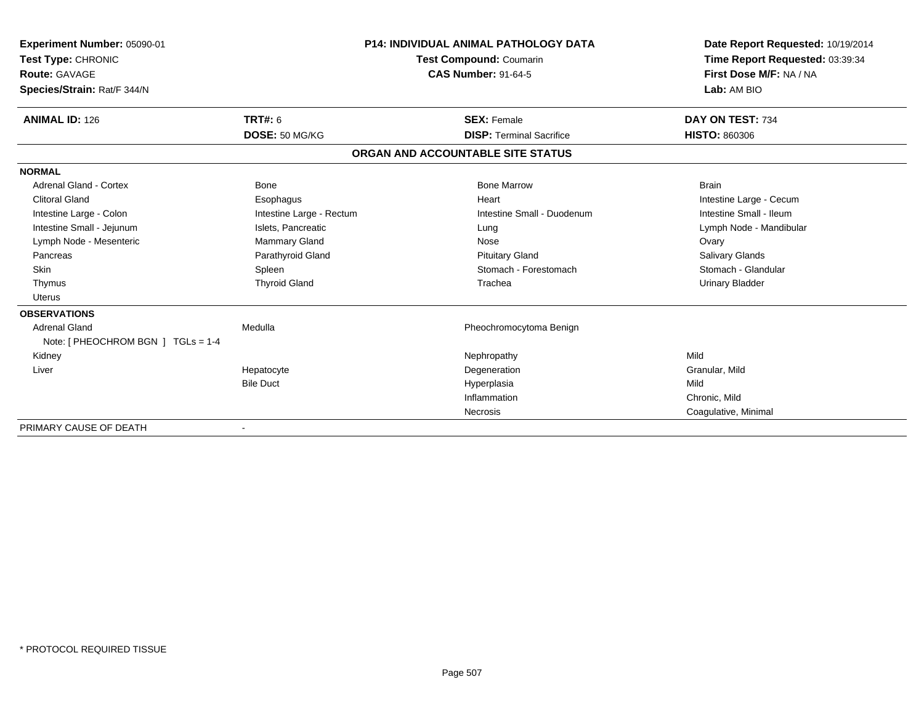| Experiment Number: 05090-01<br>Test Type: CHRONIC<br>Route: GAVAGE<br>Species/Strain: Rat/F 344/N | <b>P14: INDIVIDUAL ANIMAL PATHOLOGY DATA</b><br><b>Test Compound: Coumarin</b><br><b>CAS Number: 91-64-5</b> |                                   | Date Report Requested: 10/19/2014<br>Time Report Requested: 03:39:34<br>First Dose M/F: NA / NA<br>Lab: AM BIO |
|---------------------------------------------------------------------------------------------------|--------------------------------------------------------------------------------------------------------------|-----------------------------------|----------------------------------------------------------------------------------------------------------------|
| <b>ANIMAL ID: 126</b>                                                                             | <b>TRT#: 6</b>                                                                                               | <b>SEX: Female</b>                | DAY ON TEST: 734                                                                                               |
|                                                                                                   | DOSE: 50 MG/KG                                                                                               | <b>DISP: Terminal Sacrifice</b>   | <b>HISTO: 860306</b>                                                                                           |
|                                                                                                   |                                                                                                              | ORGAN AND ACCOUNTABLE SITE STATUS |                                                                                                                |
| <b>NORMAL</b>                                                                                     |                                                                                                              |                                   |                                                                                                                |
| Adrenal Gland - Cortex                                                                            | <b>Bone</b>                                                                                                  | <b>Bone Marrow</b>                | <b>Brain</b>                                                                                                   |
| <b>Clitoral Gland</b>                                                                             | Esophagus                                                                                                    | Heart                             | Intestine Large - Cecum                                                                                        |
| Intestine Large - Colon                                                                           | Intestine Large - Rectum                                                                                     | Intestine Small - Duodenum        | Intestine Small - Ileum                                                                                        |
| Intestine Small - Jejunum                                                                         | Islets, Pancreatic                                                                                           | Lung                              | Lymph Node - Mandibular                                                                                        |
| Lymph Node - Mesenteric                                                                           | <b>Mammary Gland</b>                                                                                         | Nose                              | Ovary                                                                                                          |
| Pancreas                                                                                          | Parathyroid Gland                                                                                            | <b>Pituitary Gland</b>            | Salivary Glands                                                                                                |
| Skin                                                                                              | Spleen                                                                                                       | Stomach - Forestomach             | Stomach - Glandular                                                                                            |
| Thymus                                                                                            | <b>Thyroid Gland</b>                                                                                         | Trachea                           | <b>Urinary Bladder</b>                                                                                         |
| Uterus                                                                                            |                                                                                                              |                                   |                                                                                                                |
| <b>OBSERVATIONS</b>                                                                               |                                                                                                              |                                   |                                                                                                                |
| <b>Adrenal Gland</b><br>Note: [ PHEOCHROM BGN ] TGLs = 1-4                                        | Medulla                                                                                                      | Pheochromocytoma Benign           |                                                                                                                |
| Kidney                                                                                            |                                                                                                              | Nephropathy                       | Mild                                                                                                           |
| Liver                                                                                             | Hepatocyte                                                                                                   | Degeneration                      | Granular, Mild                                                                                                 |
|                                                                                                   | <b>Bile Duct</b>                                                                                             | Hyperplasia                       | Mild                                                                                                           |
|                                                                                                   |                                                                                                              | Inflammation                      | Chronic, Mild                                                                                                  |
|                                                                                                   |                                                                                                              | Necrosis                          | Coagulative, Minimal                                                                                           |
| PRIMARY CAUSE OF DEATH                                                                            |                                                                                                              |                                   |                                                                                                                |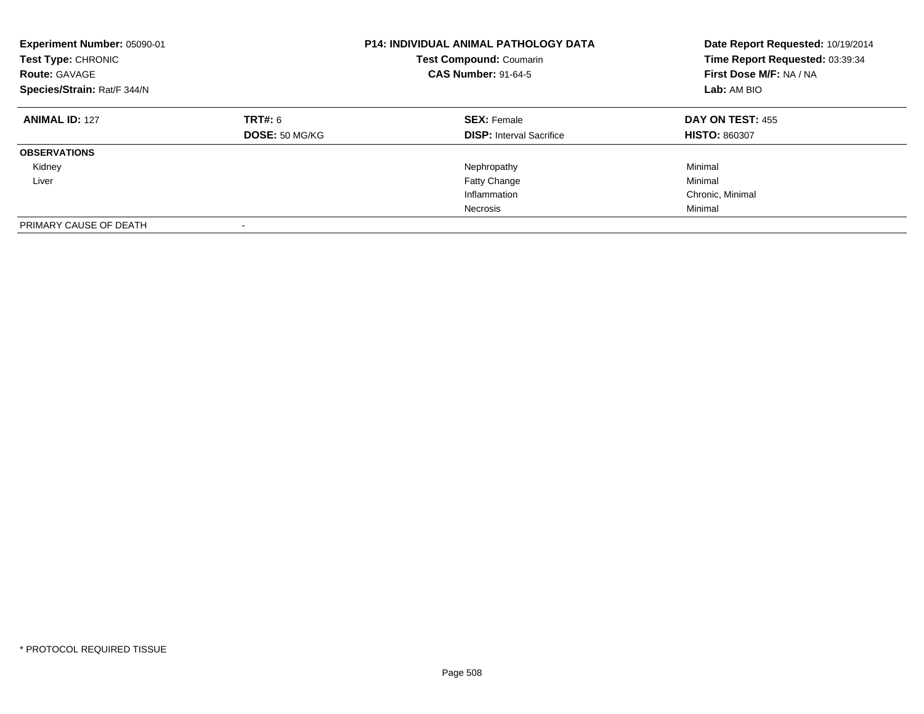| Experiment Number: 05090-01<br>Test Type: CHRONIC<br><b>Route: GAVAGE</b><br>Species/Strain: Rat/F 344/N |                                  | <b>P14: INDIVIDUAL ANIMAL PATHOLOGY DATA</b><br><b>Test Compound: Coumarin</b><br><b>CAS Number: 91-64-5</b> | Date Report Requested: 10/19/2014<br>Time Report Requested: 03:39:34<br>First Dose M/F: NA / NA<br>Lab: AM BIO |
|----------------------------------------------------------------------------------------------------------|----------------------------------|--------------------------------------------------------------------------------------------------------------|----------------------------------------------------------------------------------------------------------------|
| <b>ANIMAL ID: 127</b>                                                                                    | <b>TRT#: 6</b><br>DOSE: 50 MG/KG | <b>SEX: Female</b><br><b>DISP:</b> Interval Sacrifice                                                        | DAY ON TEST: 455<br><b>HISTO: 860307</b>                                                                       |
|                                                                                                          |                                  |                                                                                                              |                                                                                                                |
| <b>OBSERVATIONS</b>                                                                                      |                                  |                                                                                                              |                                                                                                                |
| Kidney                                                                                                   |                                  | Nephropathy                                                                                                  | Minimal                                                                                                        |
| Liver                                                                                                    |                                  | <b>Fatty Change</b>                                                                                          | Minimal                                                                                                        |
|                                                                                                          |                                  | Inflammation                                                                                                 | Chronic, Minimal                                                                                               |
|                                                                                                          |                                  | Necrosis                                                                                                     | Minimal                                                                                                        |
| PRIMARY CAUSE OF DEATH                                                                                   | $\overline{\phantom{a}}$         |                                                                                                              |                                                                                                                |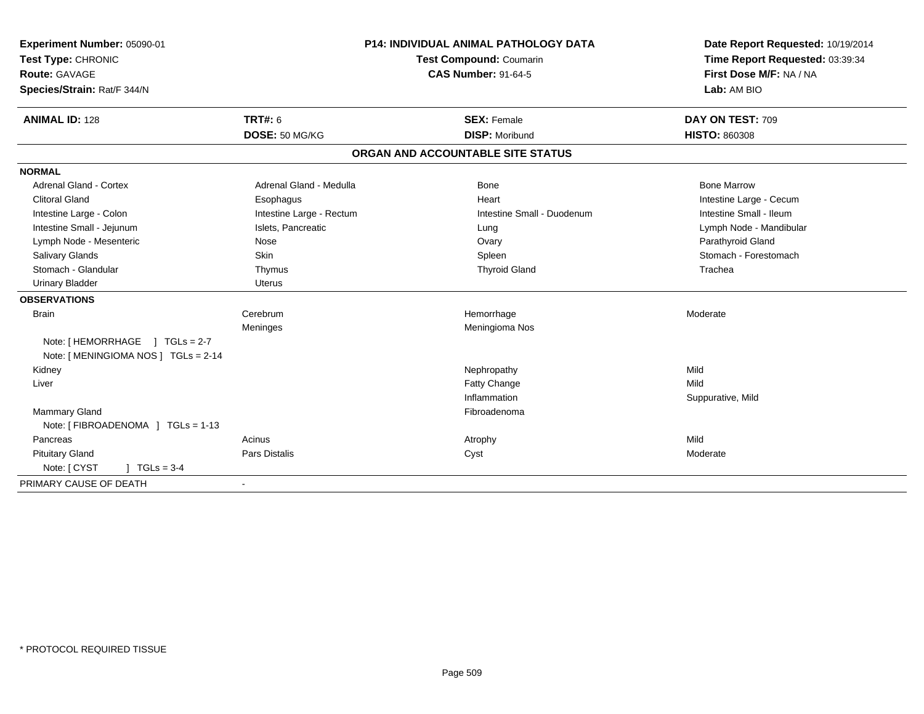| Experiment Number: 05090-01          | <b>P14: INDIVIDUAL ANIMAL PATHOLOGY DATA</b><br>Test Compound: Coumarin |                                   | Date Report Requested: 10/19/2014 |
|--------------------------------------|-------------------------------------------------------------------------|-----------------------------------|-----------------------------------|
| Test Type: CHRONIC                   |                                                                         |                                   | Time Report Requested: 03:39:34   |
| <b>Route: GAVAGE</b>                 |                                                                         | <b>CAS Number: 91-64-5</b>        | First Dose M/F: NA / NA           |
| Species/Strain: Rat/F 344/N          |                                                                         |                                   | Lab: AM BIO                       |
| <b>ANIMAL ID: 128</b>                | <b>TRT#: 6</b>                                                          | <b>SEX: Female</b>                | DAY ON TEST: 709                  |
|                                      | DOSE: 50 MG/KG                                                          | <b>DISP: Moribund</b>             | <b>HISTO: 860308</b>              |
|                                      |                                                                         | ORGAN AND ACCOUNTABLE SITE STATUS |                                   |
| <b>NORMAL</b>                        |                                                                         |                                   |                                   |
| <b>Adrenal Gland - Cortex</b>        | Adrenal Gland - Medulla                                                 | <b>Bone</b>                       | <b>Bone Marrow</b>                |
| <b>Clitoral Gland</b>                | Esophagus                                                               | Heart                             | Intestine Large - Cecum           |
| Intestine Large - Colon              | Intestine Large - Rectum                                                | Intestine Small - Duodenum        | Intestine Small - Ileum           |
| Intestine Small - Jejunum            | Islets, Pancreatic                                                      | Lung                              | Lymph Node - Mandibular           |
| Lymph Node - Mesenteric              | Nose                                                                    | Ovary                             | Parathyroid Gland                 |
| <b>Salivary Glands</b>               | <b>Skin</b>                                                             | Spleen                            | Stomach - Forestomach             |
| Stomach - Glandular                  | Thymus                                                                  | <b>Thyroid Gland</b>              | Trachea                           |
| <b>Urinary Bladder</b>               | Uterus                                                                  |                                   |                                   |
| <b>OBSERVATIONS</b>                  |                                                                         |                                   |                                   |
| <b>Brain</b>                         | Cerebrum                                                                | Hemorrhage                        | Moderate                          |
|                                      | Meninges                                                                | Meningioma Nos                    |                                   |
| Note: [HEMORRHAGE ] TGLs = 2-7       |                                                                         |                                   |                                   |
| Note: [ MENINGIOMA NOS ] TGLs = 2-14 |                                                                         |                                   |                                   |
| Kidney                               |                                                                         | Nephropathy                       | Mild                              |
| Liver                                |                                                                         | Fatty Change                      | Mild                              |
|                                      |                                                                         | Inflammation                      | Suppurative, Mild                 |
| Mammary Gland                        |                                                                         | Fibroadenoma                      |                                   |
| Note: [ FIBROADENOMA ] TGLs = 1-13   |                                                                         |                                   |                                   |
| Pancreas                             | Acinus                                                                  | Atrophy                           | Mild                              |
| <b>Pituitary Gland</b>               | Pars Distalis                                                           | Cyst                              | Moderate                          |
| Note: [ CYST<br>$TGLs = 3-4$         |                                                                         |                                   |                                   |
| PRIMARY CAUSE OF DEATH               | $\blacksquare$                                                          |                                   |                                   |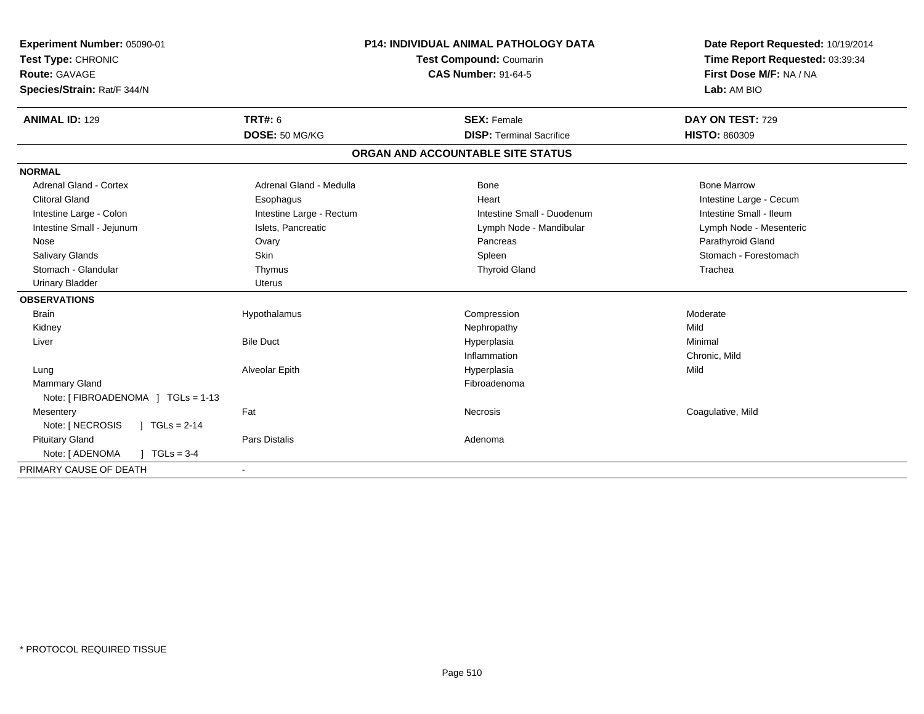| Experiment Number: 05090-01<br>Test Type: CHRONIC<br><b>Route: GAVAGE</b><br>Species/Strain: Rat/F 344/N<br><b>ANIMAL ID: 129</b> | <b>TRT#: 6</b><br>DOSE: 50 MG/KG | <b>P14: INDIVIDUAL ANIMAL PATHOLOGY DATA</b><br>Test Compound: Coumarin<br><b>CAS Number: 91-64-5</b><br><b>SEX: Female</b><br><b>DISP: Terminal Sacrifice</b> | Date Report Requested: 10/19/2014<br>Time Report Requested: 03:39:34<br>First Dose M/F: NA / NA<br>Lab: AM BIO<br>DAY ON TEST: 729<br><b>HISTO: 860309</b> |
|-----------------------------------------------------------------------------------------------------------------------------------|----------------------------------|----------------------------------------------------------------------------------------------------------------------------------------------------------------|------------------------------------------------------------------------------------------------------------------------------------------------------------|
|                                                                                                                                   |                                  | ORGAN AND ACCOUNTABLE SITE STATUS                                                                                                                              |                                                                                                                                                            |
| <b>NORMAL</b>                                                                                                                     |                                  |                                                                                                                                                                |                                                                                                                                                            |
| Adrenal Gland - Cortex                                                                                                            | Adrenal Gland - Medulla          | Bone                                                                                                                                                           | <b>Bone Marrow</b>                                                                                                                                         |
| <b>Clitoral Gland</b>                                                                                                             | Esophagus                        | Heart                                                                                                                                                          | Intestine Large - Cecum                                                                                                                                    |
| Intestine Large - Colon                                                                                                           | Intestine Large - Rectum         | Intestine Small - Duodenum                                                                                                                                     | Intestine Small - Ileum                                                                                                                                    |
| Intestine Small - Jejunum                                                                                                         | Islets, Pancreatic               | Lymph Node - Mandibular                                                                                                                                        | Lymph Node - Mesenteric                                                                                                                                    |
| Nose                                                                                                                              | Ovary                            | Pancreas                                                                                                                                                       | Parathyroid Gland                                                                                                                                          |
| <b>Salivary Glands</b>                                                                                                            | <b>Skin</b>                      | Spleen                                                                                                                                                         | Stomach - Forestomach                                                                                                                                      |
| Stomach - Glandular                                                                                                               | Thymus                           | <b>Thyroid Gland</b>                                                                                                                                           | Trachea                                                                                                                                                    |
| <b>Urinary Bladder</b>                                                                                                            | Uterus                           |                                                                                                                                                                |                                                                                                                                                            |
| <b>OBSERVATIONS</b>                                                                                                               |                                  |                                                                                                                                                                |                                                                                                                                                            |
| <b>Brain</b>                                                                                                                      | Hypothalamus                     | Compression                                                                                                                                                    | Moderate                                                                                                                                                   |
| Kidney                                                                                                                            |                                  | Nephropathy                                                                                                                                                    | Mild                                                                                                                                                       |
| Liver                                                                                                                             | <b>Bile Duct</b>                 | Hyperplasia                                                                                                                                                    | Minimal                                                                                                                                                    |
|                                                                                                                                   |                                  | Inflammation                                                                                                                                                   | Chronic, Mild                                                                                                                                              |
| Lung                                                                                                                              | Alveolar Epith                   | Hyperplasia                                                                                                                                                    | Mild                                                                                                                                                       |
| <b>Mammary Gland</b>                                                                                                              |                                  | Fibroadenoma                                                                                                                                                   |                                                                                                                                                            |
| Note: [FIBROADENOMA ] TGLs = 1-13                                                                                                 |                                  |                                                                                                                                                                |                                                                                                                                                            |
| Mesentery                                                                                                                         | Fat                              | Necrosis                                                                                                                                                       | Coagulative, Mild                                                                                                                                          |
| Note: [ NECROSIS<br>$1 TGLs = 2-14$                                                                                               |                                  |                                                                                                                                                                |                                                                                                                                                            |
| <b>Pituitary Gland</b>                                                                                                            | <b>Pars Distalis</b>             | Adenoma                                                                                                                                                        |                                                                                                                                                            |
| Note: [ ADENOMA<br>$\sqrt{1}$ TGLs = 3-4                                                                                          |                                  |                                                                                                                                                                |                                                                                                                                                            |
| PRIMARY CAUSE OF DEATH                                                                                                            | $\blacksquare$                   |                                                                                                                                                                |                                                                                                                                                            |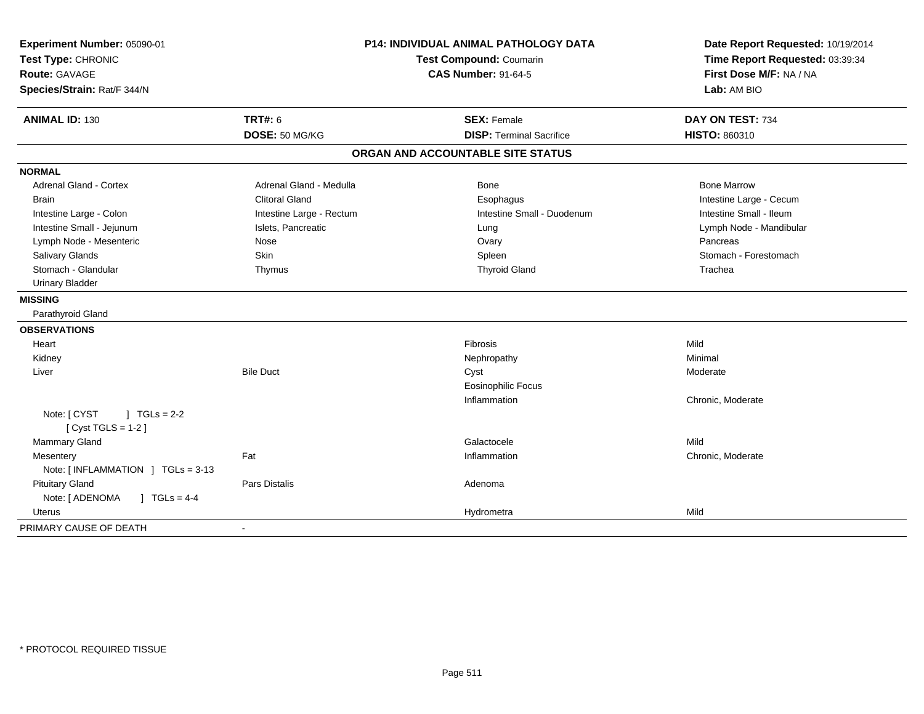| Experiment Number: 05090-01<br>Test Type: CHRONIC |                          | <b>P14: INDIVIDUAL ANIMAL PATHOLOGY DATA</b><br><b>Test Compound: Coumarin</b> | Date Report Requested: 10/19/2014<br>Time Report Requested: 03:39:34<br>First Dose M/F: NA / NA |
|---------------------------------------------------|--------------------------|--------------------------------------------------------------------------------|-------------------------------------------------------------------------------------------------|
| Route: GAVAGE                                     |                          | <b>CAS Number: 91-64-5</b>                                                     |                                                                                                 |
| Species/Strain: Rat/F 344/N                       |                          |                                                                                | Lab: AM BIO                                                                                     |
|                                                   |                          |                                                                                |                                                                                                 |
| <b>ANIMAL ID: 130</b>                             | <b>TRT#: 6</b>           | <b>SEX: Female</b>                                                             | DAY ON TEST: 734                                                                                |
|                                                   | DOSE: 50 MG/KG           | <b>DISP: Terminal Sacrifice</b>                                                | HISTO: 860310                                                                                   |
|                                                   |                          | ORGAN AND ACCOUNTABLE SITE STATUS                                              |                                                                                                 |
| <b>NORMAL</b>                                     |                          |                                                                                |                                                                                                 |
| <b>Adrenal Gland - Cortex</b>                     | Adrenal Gland - Medulla  | <b>Bone</b>                                                                    | <b>Bone Marrow</b>                                                                              |
| <b>Brain</b>                                      | <b>Clitoral Gland</b>    | Esophagus                                                                      | Intestine Large - Cecum                                                                         |
| Intestine Large - Colon                           | Intestine Large - Rectum | Intestine Small - Duodenum                                                     | Intestine Small - Ileum                                                                         |
| Intestine Small - Jejunum                         | Islets, Pancreatic       | Lung                                                                           | Lymph Node - Mandibular                                                                         |
| Lymph Node - Mesenteric                           | Nose                     | Ovary                                                                          | Pancreas                                                                                        |
| Salivary Glands                                   | Skin                     | Spleen                                                                         | Stomach - Forestomach                                                                           |
| Stomach - Glandular                               | Thymus                   | <b>Thyroid Gland</b>                                                           | Trachea                                                                                         |
| <b>Urinary Bladder</b>                            |                          |                                                                                |                                                                                                 |
| <b>MISSING</b>                                    |                          |                                                                                |                                                                                                 |
| Parathyroid Gland                                 |                          |                                                                                |                                                                                                 |
| <b>OBSERVATIONS</b>                               |                          |                                                                                |                                                                                                 |
| Heart                                             |                          | Fibrosis                                                                       | Mild                                                                                            |
| Kidney                                            |                          | Nephropathy                                                                    | Minimal                                                                                         |
| Liver                                             | <b>Bile Duct</b>         | Cyst                                                                           | Moderate                                                                                        |
|                                                   |                          | <b>Eosinophilic Focus</b>                                                      |                                                                                                 |
|                                                   |                          | Inflammation                                                                   | Chronic, Moderate                                                                               |
| Note: [ CYST<br>$1 TGLs = 2-2$                    |                          |                                                                                |                                                                                                 |
| [ $Cyst TGLS = 1-2$ ]                             |                          |                                                                                |                                                                                                 |
| Mammary Gland                                     |                          | Galactocele                                                                    | Mild                                                                                            |
| Mesentery                                         | Fat                      | Inflammation                                                                   | Chronic, Moderate                                                                               |
| Note: [INFLAMMATION ] TGLs = 3-13                 |                          |                                                                                |                                                                                                 |
| <b>Pituitary Gland</b>                            | <b>Pars Distalis</b>     | Adenoma                                                                        |                                                                                                 |
| Note: [ ADENOMA<br>$1 TGLs = 4-4$                 |                          |                                                                                |                                                                                                 |
| Uterus                                            |                          | Hydrometra                                                                     | Mild                                                                                            |
| PRIMARY CAUSE OF DEATH                            | $\sim$                   |                                                                                |                                                                                                 |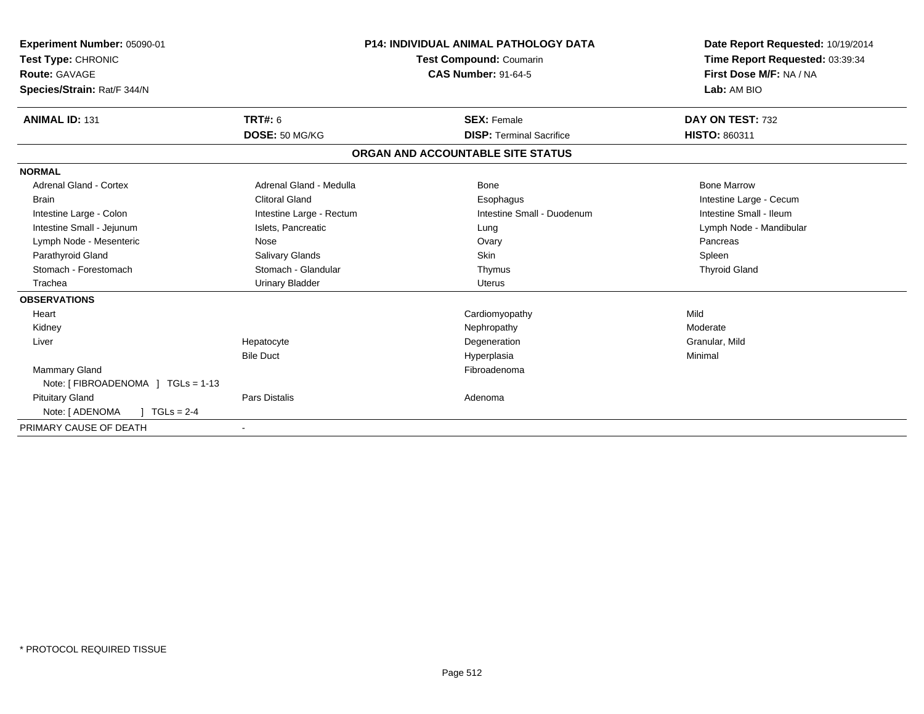| Experiment Number: 05090-01<br>Test Type: CHRONIC<br>Route: GAVAGE<br>Species/Strain: Rat/F 344/N |                          | <b>P14: INDIVIDUAL ANIMAL PATHOLOGY DATA</b><br>Test Compound: Coumarin<br><b>CAS Number: 91-64-5</b> | Date Report Requested: 10/19/2014<br>Time Report Requested: 03:39:34<br>First Dose M/F: NA / NA<br>Lab: AM BIO |
|---------------------------------------------------------------------------------------------------|--------------------------|-------------------------------------------------------------------------------------------------------|----------------------------------------------------------------------------------------------------------------|
| <b>ANIMAL ID: 131</b>                                                                             | <b>TRT#: 6</b>           | <b>SEX: Female</b>                                                                                    | DAY ON TEST: 732                                                                                               |
|                                                                                                   | DOSE: 50 MG/KG           | <b>DISP: Terminal Sacrifice</b>                                                                       | <b>HISTO: 860311</b>                                                                                           |
|                                                                                                   |                          | ORGAN AND ACCOUNTABLE SITE STATUS                                                                     |                                                                                                                |
| <b>NORMAL</b>                                                                                     |                          |                                                                                                       |                                                                                                                |
| <b>Adrenal Gland - Cortex</b>                                                                     | Adrenal Gland - Medulla  | Bone                                                                                                  | <b>Bone Marrow</b>                                                                                             |
| Brain                                                                                             | <b>Clitoral Gland</b>    | Esophagus                                                                                             | Intestine Large - Cecum                                                                                        |
| Intestine Large - Colon                                                                           | Intestine Large - Rectum | Intestine Small - Duodenum                                                                            | Intestine Small - Ileum                                                                                        |
| Intestine Small - Jejunum                                                                         | Islets, Pancreatic       | Lung                                                                                                  | Lymph Node - Mandibular                                                                                        |
| Lymph Node - Mesenteric                                                                           | Nose                     | Ovary                                                                                                 | Pancreas                                                                                                       |
| Parathyroid Gland                                                                                 | Salivary Glands          | Skin                                                                                                  | Spleen                                                                                                         |
| Stomach - Forestomach                                                                             | Stomach - Glandular      | Thymus                                                                                                | <b>Thyroid Gland</b>                                                                                           |
| Trachea                                                                                           | <b>Urinary Bladder</b>   | Uterus                                                                                                |                                                                                                                |
| <b>OBSERVATIONS</b>                                                                               |                          |                                                                                                       |                                                                                                                |
| Heart                                                                                             |                          | Cardiomyopathy                                                                                        | Mild                                                                                                           |
| Kidney                                                                                            |                          | Nephropathy                                                                                           | Moderate                                                                                                       |
| Liver                                                                                             | Hepatocyte               | Degeneration                                                                                          | Granular, Mild                                                                                                 |
|                                                                                                   | <b>Bile Duct</b>         | Hyperplasia                                                                                           | Minimal                                                                                                        |
| <b>Mammary Gland</b>                                                                              |                          | Fibroadenoma                                                                                          |                                                                                                                |
| Note: [FIBROADENOMA ] TGLs = 1-13                                                                 |                          |                                                                                                       |                                                                                                                |
| <b>Pituitary Gland</b>                                                                            | <b>Pars Distalis</b>     | Adenoma                                                                                               |                                                                                                                |
| Note: [ ADENOMA<br>$TGLs = 2-4$                                                                   |                          |                                                                                                       |                                                                                                                |
| PRIMARY CAUSE OF DEATH                                                                            |                          |                                                                                                       |                                                                                                                |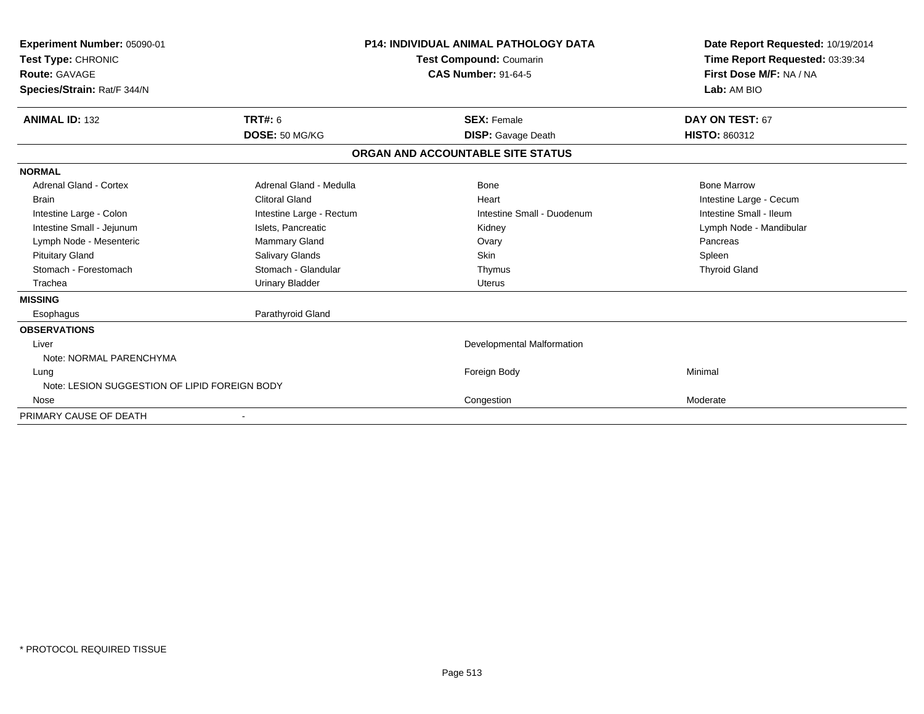| Experiment Number: 05090-01<br>Test Type: CHRONIC<br><b>Route: GAVAGE</b> |                          | <b>P14: INDIVIDUAL ANIMAL PATHOLOGY DATA</b><br><b>Test Compound: Coumarin</b><br><b>CAS Number: 91-64-5</b> | Date Report Requested: 10/19/2014<br>Time Report Requested: 03:39:34<br>First Dose M/F: NA / NA |
|---------------------------------------------------------------------------|--------------------------|--------------------------------------------------------------------------------------------------------------|-------------------------------------------------------------------------------------------------|
| Species/Strain: Rat/F 344/N                                               |                          |                                                                                                              | Lab: AM BIO                                                                                     |
| <b>ANIMAL ID: 132</b>                                                     | <b>TRT#: 6</b>           | <b>SEX: Female</b>                                                                                           | DAY ON TEST: 67                                                                                 |
|                                                                           | DOSE: 50 MG/KG           | <b>DISP:</b> Gavage Death                                                                                    | HISTO: 860312                                                                                   |
|                                                                           |                          | ORGAN AND ACCOUNTABLE SITE STATUS                                                                            |                                                                                                 |
| <b>NORMAL</b>                                                             |                          |                                                                                                              |                                                                                                 |
| <b>Adrenal Gland - Cortex</b>                                             | Adrenal Gland - Medulla  | Bone                                                                                                         | <b>Bone Marrow</b>                                                                              |
| <b>Brain</b>                                                              | <b>Clitoral Gland</b>    | Heart                                                                                                        | Intestine Large - Cecum                                                                         |
| Intestine Large - Colon                                                   | Intestine Large - Rectum | Intestine Small - Duodenum                                                                                   | Intestine Small - Ileum                                                                         |
| Intestine Small - Jejunum                                                 | Islets, Pancreatic       | Kidney                                                                                                       | Lymph Node - Mandibular                                                                         |
| Lymph Node - Mesenteric                                                   | <b>Mammary Gland</b>     | Ovary                                                                                                        | Pancreas                                                                                        |
| <b>Pituitary Gland</b>                                                    | Salivary Glands          | Skin                                                                                                         | Spleen                                                                                          |
| Stomach - Forestomach                                                     | Stomach - Glandular      | Thymus                                                                                                       | <b>Thyroid Gland</b>                                                                            |
| Trachea                                                                   | <b>Urinary Bladder</b>   | <b>Uterus</b>                                                                                                |                                                                                                 |
| <b>MISSING</b>                                                            |                          |                                                                                                              |                                                                                                 |
| Esophagus                                                                 | Parathyroid Gland        |                                                                                                              |                                                                                                 |
| <b>OBSERVATIONS</b>                                                       |                          |                                                                                                              |                                                                                                 |
| Liver                                                                     |                          | Developmental Malformation                                                                                   |                                                                                                 |
| Note: NORMAL PARENCHYMA                                                   |                          |                                                                                                              |                                                                                                 |
| Lung                                                                      |                          | Foreign Body                                                                                                 | Minimal                                                                                         |
| Note: LESION SUGGESTION OF LIPID FOREIGN BODY                             |                          |                                                                                                              |                                                                                                 |
| Nose                                                                      |                          | Congestion                                                                                                   | Moderate                                                                                        |
| PRIMARY CAUSE OF DEATH                                                    |                          |                                                                                                              |                                                                                                 |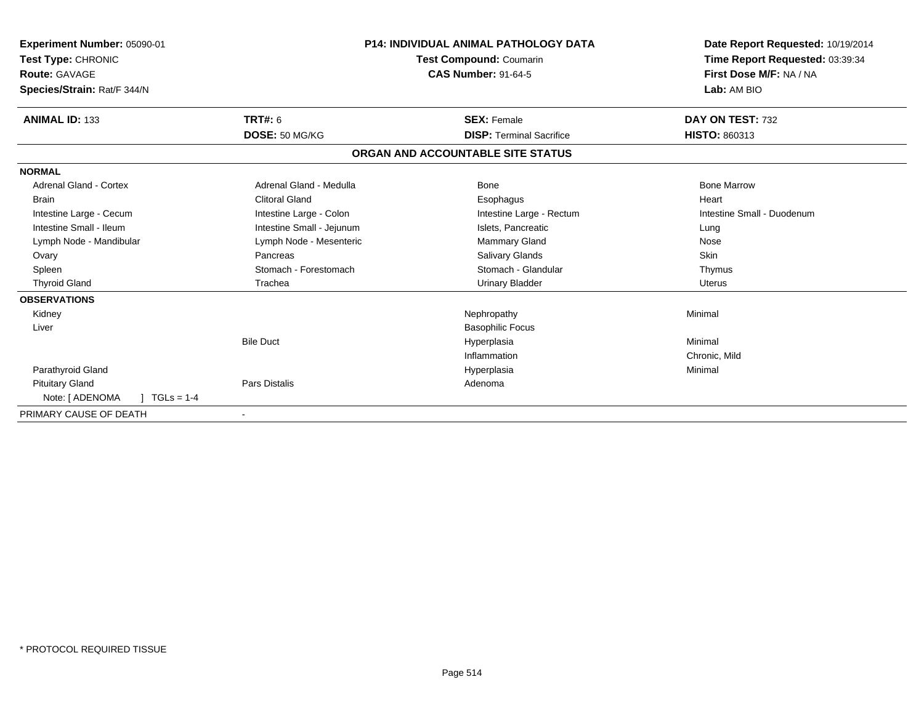| Experiment Number: 05090-01<br><b>Test Type: CHRONIC</b><br>Route: GAVAGE<br>Species/Strain: Rat/F 344/N |                           | <b>P14: INDIVIDUAL ANIMAL PATHOLOGY DATA</b><br>Test Compound: Coumarin<br><b>CAS Number: 91-64-5</b> | Date Report Requested: 10/19/2014<br>Time Report Requested: 03:39:34<br>First Dose M/F: NA / NA<br>Lab: AM BIO |
|----------------------------------------------------------------------------------------------------------|---------------------------|-------------------------------------------------------------------------------------------------------|----------------------------------------------------------------------------------------------------------------|
| <b>ANIMAL ID: 133</b>                                                                                    | <b>TRT#: 6</b>            | <b>SEX: Female</b>                                                                                    | DAY ON TEST: 732                                                                                               |
|                                                                                                          | DOSE: 50 MG/KG            | <b>DISP: Terminal Sacrifice</b>                                                                       | HISTO: 860313                                                                                                  |
|                                                                                                          |                           | ORGAN AND ACCOUNTABLE SITE STATUS                                                                     |                                                                                                                |
| <b>NORMAL</b>                                                                                            |                           |                                                                                                       |                                                                                                                |
| <b>Adrenal Gland - Cortex</b>                                                                            | Adrenal Gland - Medulla   | Bone                                                                                                  | <b>Bone Marrow</b>                                                                                             |
| Brain                                                                                                    | <b>Clitoral Gland</b>     | Esophagus                                                                                             | Heart                                                                                                          |
| Intestine Large - Cecum                                                                                  | Intestine Large - Colon   | Intestine Large - Rectum                                                                              | Intestine Small - Duodenum                                                                                     |
| Intestine Small - Ileum                                                                                  | Intestine Small - Jejunum | Islets, Pancreatic                                                                                    | Lung                                                                                                           |
| Lymph Node - Mandibular                                                                                  | Lymph Node - Mesenteric   | <b>Mammary Gland</b>                                                                                  | Nose                                                                                                           |
| Ovary                                                                                                    | Pancreas                  | <b>Salivary Glands</b>                                                                                | <b>Skin</b>                                                                                                    |
| Spleen                                                                                                   | Stomach - Forestomach     | Stomach - Glandular                                                                                   | Thymus                                                                                                         |
| <b>Thyroid Gland</b>                                                                                     | Trachea                   | <b>Urinary Bladder</b>                                                                                | <b>Uterus</b>                                                                                                  |
| <b>OBSERVATIONS</b>                                                                                      |                           |                                                                                                       |                                                                                                                |
| Kidney                                                                                                   |                           | Nephropathy                                                                                           | Minimal                                                                                                        |
| Liver                                                                                                    |                           | <b>Basophilic Focus</b>                                                                               |                                                                                                                |
|                                                                                                          | <b>Bile Duct</b>          | Hyperplasia                                                                                           | Minimal                                                                                                        |
|                                                                                                          |                           | Inflammation                                                                                          | Chronic, Mild                                                                                                  |
| Parathyroid Gland                                                                                        |                           | Hyperplasia                                                                                           | Minimal                                                                                                        |
| <b>Pituitary Gland</b>                                                                                   | Pars Distalis             | Adenoma                                                                                               |                                                                                                                |
| Note: [ ADENOMA<br>$TGLs = 1-4$                                                                          |                           |                                                                                                       |                                                                                                                |
| PRIMARY CAUSE OF DEATH                                                                                   |                           |                                                                                                       |                                                                                                                |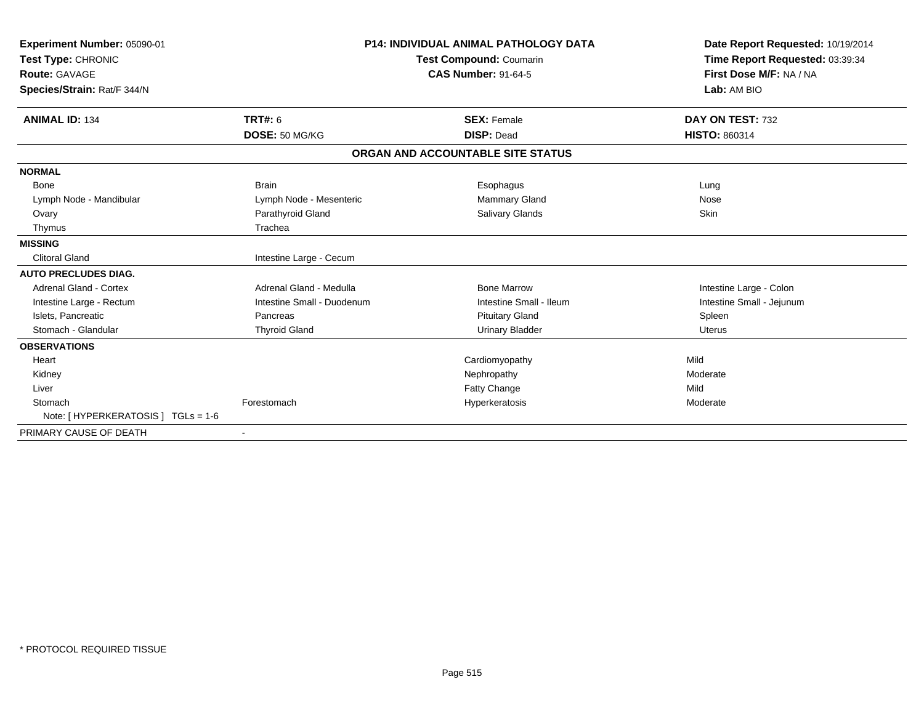| Experiment Number: 05090-01<br>Test Type: CHRONIC<br><b>Route: GAVAGE</b><br>Species/Strain: Rat/F 344/N |                            | <b>P14: INDIVIDUAL ANIMAL PATHOLOGY DATA</b><br><b>Test Compound: Coumarin</b><br><b>CAS Number: 91-64-5</b> | Date Report Requested: 10/19/2014<br>Time Report Requested: 03:39:34<br>First Dose M/F: NA / NA<br>Lab: AM BIO |
|----------------------------------------------------------------------------------------------------------|----------------------------|--------------------------------------------------------------------------------------------------------------|----------------------------------------------------------------------------------------------------------------|
| <b>ANIMAL ID: 134</b>                                                                                    | <b>TRT#: 6</b>             | <b>SEX: Female</b>                                                                                           | DAY ON TEST: 732                                                                                               |
|                                                                                                          | DOSE: 50 MG/KG             | <b>DISP: Dead</b>                                                                                            | HISTO: 860314                                                                                                  |
|                                                                                                          |                            | ORGAN AND ACCOUNTABLE SITE STATUS                                                                            |                                                                                                                |
| <b>NORMAL</b>                                                                                            |                            |                                                                                                              |                                                                                                                |
| <b>Bone</b>                                                                                              | <b>Brain</b>               | Esophagus                                                                                                    | Lung                                                                                                           |
| Lymph Node - Mandibular                                                                                  | Lymph Node - Mesenteric    | Mammary Gland                                                                                                | Nose                                                                                                           |
| Ovary                                                                                                    | Parathyroid Gland          | Salivary Glands                                                                                              | Skin                                                                                                           |
| Thymus                                                                                                   | Trachea                    |                                                                                                              |                                                                                                                |
| <b>MISSING</b>                                                                                           |                            |                                                                                                              |                                                                                                                |
| <b>Clitoral Gland</b>                                                                                    | Intestine Large - Cecum    |                                                                                                              |                                                                                                                |
| <b>AUTO PRECLUDES DIAG.</b>                                                                              |                            |                                                                                                              |                                                                                                                |
| <b>Adrenal Gland - Cortex</b>                                                                            | Adrenal Gland - Medulla    | <b>Bone Marrow</b>                                                                                           | Intestine Large - Colon                                                                                        |
| Intestine Large - Rectum                                                                                 | Intestine Small - Duodenum | Intestine Small - Ileum                                                                                      | Intestine Small - Jejunum                                                                                      |
| Islets, Pancreatic                                                                                       | Pancreas                   | <b>Pituitary Gland</b>                                                                                       | Spleen                                                                                                         |
| Stomach - Glandular                                                                                      | <b>Thyroid Gland</b>       | <b>Urinary Bladder</b>                                                                                       | <b>Uterus</b>                                                                                                  |
| <b>OBSERVATIONS</b>                                                                                      |                            |                                                                                                              |                                                                                                                |
| Heart                                                                                                    |                            | Cardiomyopathy                                                                                               | Mild                                                                                                           |
| Kidney                                                                                                   |                            | Nephropathy                                                                                                  | Moderate                                                                                                       |
| Liver                                                                                                    |                            | <b>Fatty Change</b>                                                                                          | Mild                                                                                                           |
| Stomach                                                                                                  | Forestomach                | Hyperkeratosis                                                                                               | Moderate                                                                                                       |
| Note: [ HYPERKERATOSIS ] TGLs = 1-6                                                                      |                            |                                                                                                              |                                                                                                                |
| PRIMARY CAUSE OF DEATH                                                                                   | $\blacksquare$             |                                                                                                              |                                                                                                                |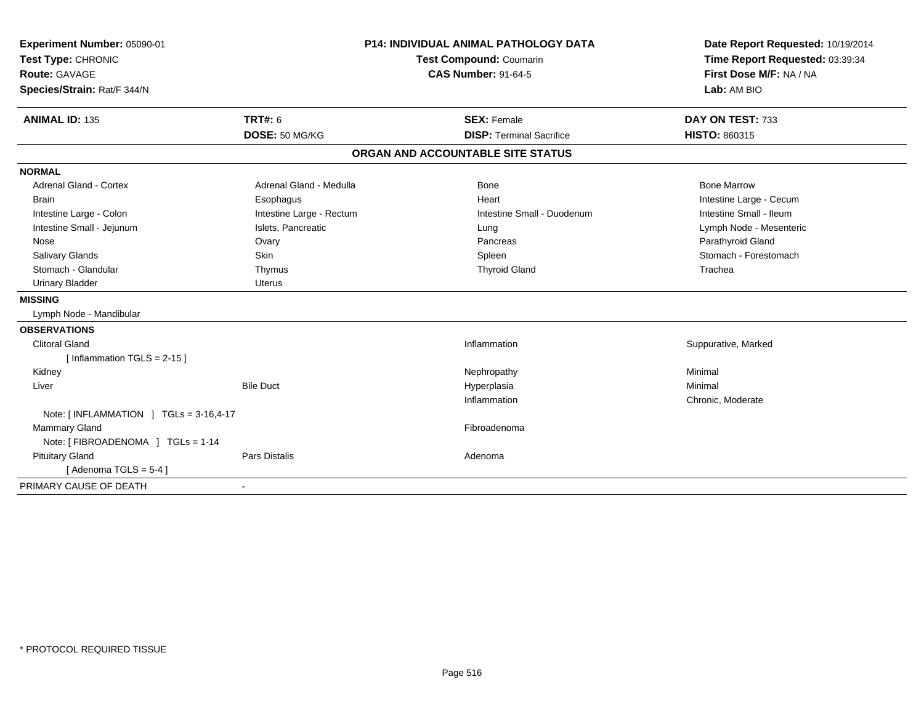| Experiment Number: 05090-01<br>Test Type: CHRONIC<br><b>Route: GAVAGE</b><br>Species/Strain: Rat/F 344/N |                          | <b>P14: INDIVIDUAL ANIMAL PATHOLOGY DATA</b><br><b>Test Compound: Coumarin</b><br><b>CAS Number: 91-64-5</b> | Date Report Requested: 10/19/2014<br>Time Report Requested: 03:39:34<br>First Dose M/F: NA / NA<br>Lab: AM BIO |
|----------------------------------------------------------------------------------------------------------|--------------------------|--------------------------------------------------------------------------------------------------------------|----------------------------------------------------------------------------------------------------------------|
| <b>ANIMAL ID: 135</b>                                                                                    | <b>TRT#: 6</b>           | <b>SEX: Female</b>                                                                                           | DAY ON TEST: 733                                                                                               |
|                                                                                                          | DOSE: 50 MG/KG           | <b>DISP: Terminal Sacrifice</b>                                                                              | <b>HISTO: 860315</b>                                                                                           |
|                                                                                                          |                          | ORGAN AND ACCOUNTABLE SITE STATUS                                                                            |                                                                                                                |
| <b>NORMAL</b>                                                                                            |                          |                                                                                                              |                                                                                                                |
| <b>Adrenal Gland - Cortex</b>                                                                            | Adrenal Gland - Medulla  | Bone                                                                                                         | <b>Bone Marrow</b>                                                                                             |
| <b>Brain</b>                                                                                             | Esophagus                | Heart                                                                                                        | Intestine Large - Cecum                                                                                        |
| Intestine Large - Colon                                                                                  | Intestine Large - Rectum | Intestine Small - Duodenum                                                                                   | Intestine Small - Ileum                                                                                        |
| Intestine Small - Jejunum                                                                                | Islets, Pancreatic       | Lung                                                                                                         | Lymph Node - Mesenteric                                                                                        |
| Nose                                                                                                     | Ovary                    | Pancreas                                                                                                     | Parathyroid Gland                                                                                              |
| <b>Salivary Glands</b>                                                                                   | Skin                     | Spleen                                                                                                       | Stomach - Forestomach                                                                                          |
| Stomach - Glandular                                                                                      | Thymus                   | <b>Thyroid Gland</b>                                                                                         | Trachea                                                                                                        |
| <b>Urinary Bladder</b>                                                                                   | <b>Uterus</b>            |                                                                                                              |                                                                                                                |
| <b>MISSING</b>                                                                                           |                          |                                                                                                              |                                                                                                                |
| Lymph Node - Mandibular                                                                                  |                          |                                                                                                              |                                                                                                                |
| <b>OBSERVATIONS</b>                                                                                      |                          |                                                                                                              |                                                                                                                |
| Clitoral Gland                                                                                           |                          | Inflammation                                                                                                 | Suppurative, Marked                                                                                            |
| [Inflammation TGLS = $2-15$ ]                                                                            |                          |                                                                                                              |                                                                                                                |
| Kidney                                                                                                   |                          | Nephropathy                                                                                                  | Minimal                                                                                                        |
| Liver                                                                                                    | <b>Bile Duct</b>         | Hyperplasia                                                                                                  | Minimal                                                                                                        |
|                                                                                                          |                          | Inflammation                                                                                                 | Chronic, Moderate                                                                                              |
| Note: $\lceil$ INFLAMMATION $\lceil$ TGLs = 3-16,4-17                                                    |                          |                                                                                                              |                                                                                                                |
| Mammary Gland                                                                                            |                          | Fibroadenoma                                                                                                 |                                                                                                                |
| Note: [ FIBROADENOMA ] TGLs = 1-14                                                                       |                          |                                                                                                              |                                                                                                                |
| <b>Pituitary Gland</b>                                                                                   | Pars Distalis            | Adenoma                                                                                                      |                                                                                                                |
| [Adenoma TGLS = $5-4$ ]                                                                                  |                          |                                                                                                              |                                                                                                                |
| PRIMARY CAUSE OF DEATH                                                                                   | $\blacksquare$           |                                                                                                              |                                                                                                                |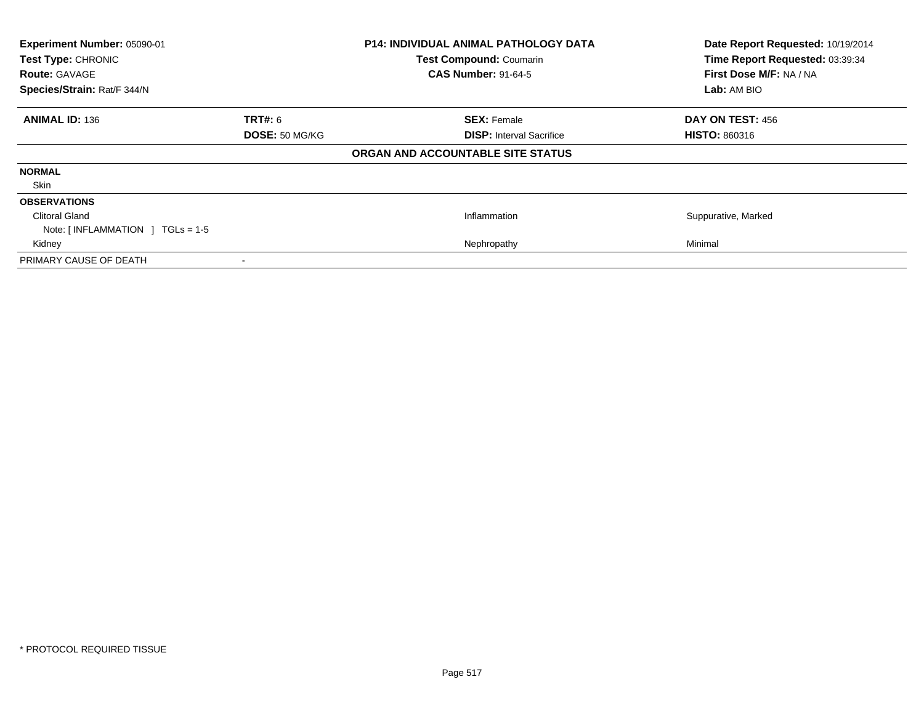| Experiment Number: 05090-01                     |                | <b>P14: INDIVIDUAL ANIMAL PATHOLOGY DATA</b> | Date Report Requested: 10/19/2014 |
|-------------------------------------------------|----------------|----------------------------------------------|-----------------------------------|
| Test Type: CHRONIC                              |                | <b>Test Compound: Coumarin</b>               | Time Report Requested: 03:39:34   |
| <b>Route: GAVAGE</b>                            |                | <b>CAS Number: 91-64-5</b>                   | First Dose M/F: NA / NA           |
| Species/Strain: Rat/F 344/N                     |                |                                              | Lab: AM BIO                       |
| <b>ANIMAL ID: 136</b>                           | TRT#: 6        | <b>SEX: Female</b>                           | DAY ON TEST: 456                  |
|                                                 | DOSE: 50 MG/KG | <b>DISP:</b> Interval Sacrifice              | <b>HISTO: 860316</b>              |
|                                                 |                | ORGAN AND ACCOUNTABLE SITE STATUS            |                                   |
| <b>NORMAL</b>                                   |                |                                              |                                   |
| Skin                                            |                |                                              |                                   |
| <b>OBSERVATIONS</b>                             |                |                                              |                                   |
| <b>Clitoral Gland</b>                           |                | Inflammation                                 | Suppurative, Marked               |
| Note: $\lceil$ INFLAMMATION $\lceil$ TGLs = 1-5 |                |                                              |                                   |
| Kidney                                          |                | Nephropathy                                  | Minimal                           |
| PRIMARY CAUSE OF DEATH                          |                |                                              |                                   |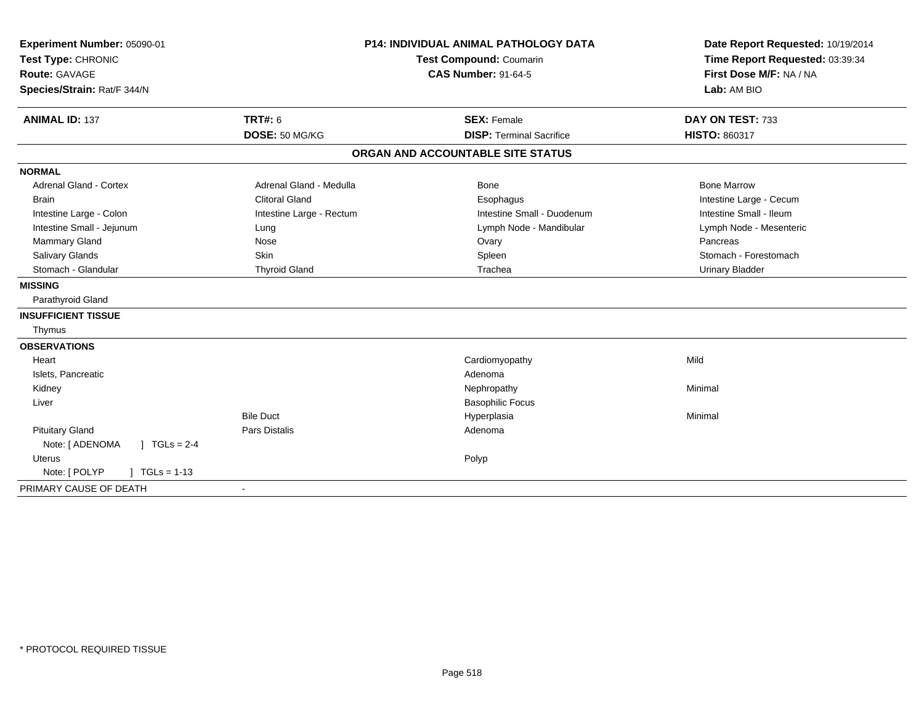| Experiment Number: 05090-01             |                          | <b>P14: INDIVIDUAL ANIMAL PATHOLOGY DATA</b> | Date Report Requested: 10/19/2014 |
|-----------------------------------------|--------------------------|----------------------------------------------|-----------------------------------|
| Test Type: CHRONIC                      | Test Compound: Coumarin  |                                              | Time Report Requested: 03:39:34   |
| <b>Route: GAVAGE</b>                    |                          | <b>CAS Number: 91-64-5</b>                   | First Dose M/F: NA / NA           |
| Species/Strain: Rat/F 344/N             |                          |                                              | Lab: AM BIO                       |
| <b>ANIMAL ID: 137</b>                   | <b>TRT#: 6</b>           | <b>SEX: Female</b>                           | DAY ON TEST: 733                  |
|                                         | DOSE: 50 MG/KG           | <b>DISP: Terminal Sacrifice</b>              | HISTO: 860317                     |
|                                         |                          | ORGAN AND ACCOUNTABLE SITE STATUS            |                                   |
| <b>NORMAL</b>                           |                          |                                              |                                   |
| <b>Adrenal Gland - Cortex</b>           | Adrenal Gland - Medulla  | Bone                                         | <b>Bone Marrow</b>                |
| <b>Brain</b>                            | <b>Clitoral Gland</b>    | Esophagus                                    | Intestine Large - Cecum           |
| Intestine Large - Colon                 | Intestine Large - Rectum | Intestine Small - Duodenum                   | Intestine Small - Ileum           |
| Intestine Small - Jejunum               | Lung                     | Lymph Node - Mandibular                      | Lymph Node - Mesenteric           |
| Mammary Gland                           | Nose                     | Ovary                                        | Pancreas                          |
| Salivary Glands                         | <b>Skin</b>              | Spleen                                       | Stomach - Forestomach             |
| Stomach - Glandular                     | <b>Thyroid Gland</b>     | Trachea                                      | <b>Urinary Bladder</b>            |
| <b>MISSING</b>                          |                          |                                              |                                   |
| Parathyroid Gland                       |                          |                                              |                                   |
| <b>INSUFFICIENT TISSUE</b>              |                          |                                              |                                   |
| Thymus                                  |                          |                                              |                                   |
| <b>OBSERVATIONS</b>                     |                          |                                              |                                   |
| Heart                                   |                          | Cardiomyopathy                               | Mild                              |
| Islets, Pancreatic                      |                          | Adenoma                                      |                                   |
| Kidney                                  |                          | Nephropathy                                  | Minimal                           |
| Liver                                   |                          | <b>Basophilic Focus</b>                      |                                   |
|                                         | <b>Bile Duct</b>         | Hyperplasia                                  | Minimal                           |
| <b>Pituitary Gland</b>                  | <b>Pars Distalis</b>     | Adenoma                                      |                                   |
| $J \cdot TGLS = 2-4$<br>Note: [ ADENOMA |                          |                                              |                                   |
| <b>Uterus</b>                           |                          | Polyp                                        |                                   |
| Note: [ POLYP<br>$TGLs = 1-13$          |                          |                                              |                                   |
| PRIMARY CAUSE OF DEATH                  | $\blacksquare$           |                                              |                                   |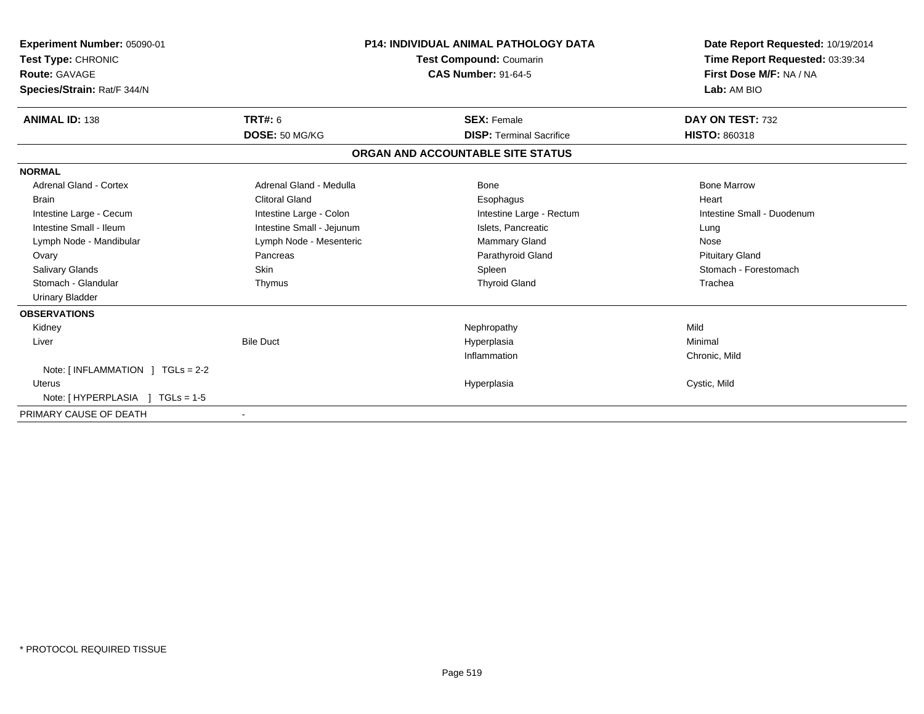| Experiment Number: 05090-01<br><b>Test Type: CHRONIC</b><br>Route: GAVAGE<br>Species/Strain: Rat/F 344/N | <b>P14: INDIVIDUAL ANIMAL PATHOLOGY DATA</b><br>Test Compound: Coumarin<br><b>CAS Number: 91-64-5</b> |                                   | Date Report Requested: 10/19/2014<br>Time Report Requested: 03:39:34<br>First Dose M/F: NA / NA<br>Lab: AM BIO |
|----------------------------------------------------------------------------------------------------------|-------------------------------------------------------------------------------------------------------|-----------------------------------|----------------------------------------------------------------------------------------------------------------|
| <b>ANIMAL ID: 138</b>                                                                                    | <b>TRT#: 6</b>                                                                                        | <b>SEX: Female</b>                | DAY ON TEST: 732                                                                                               |
|                                                                                                          | DOSE: 50 MG/KG                                                                                        | <b>DISP: Terminal Sacrifice</b>   | <b>HISTO: 860318</b>                                                                                           |
|                                                                                                          |                                                                                                       | ORGAN AND ACCOUNTABLE SITE STATUS |                                                                                                                |
| <b>NORMAL</b>                                                                                            |                                                                                                       |                                   |                                                                                                                |
| <b>Adrenal Gland - Cortex</b>                                                                            | Adrenal Gland - Medulla                                                                               | Bone                              | <b>Bone Marrow</b>                                                                                             |
| <b>Brain</b>                                                                                             | <b>Clitoral Gland</b>                                                                                 | Esophagus                         | Heart                                                                                                          |
| Intestine Large - Cecum                                                                                  | Intestine Large - Colon                                                                               | Intestine Large - Rectum          | Intestine Small - Duodenum                                                                                     |
| Intestine Small - Ileum                                                                                  | Intestine Small - Jejunum                                                                             | Islets, Pancreatic                | Lung                                                                                                           |
| Lymph Node - Mandibular                                                                                  | Lymph Node - Mesenteric                                                                               | <b>Mammary Gland</b>              | Nose                                                                                                           |
| Ovary                                                                                                    | Pancreas                                                                                              | Parathyroid Gland                 | <b>Pituitary Gland</b>                                                                                         |
| <b>Salivary Glands</b>                                                                                   | Skin                                                                                                  | Spleen                            | Stomach - Forestomach                                                                                          |
| Stomach - Glandular                                                                                      | Thymus                                                                                                | <b>Thyroid Gland</b>              | Trachea                                                                                                        |
| <b>Urinary Bladder</b>                                                                                   |                                                                                                       |                                   |                                                                                                                |
| <b>OBSERVATIONS</b>                                                                                      |                                                                                                       |                                   |                                                                                                                |
| Kidney                                                                                                   |                                                                                                       | Nephropathy                       | Mild                                                                                                           |
| Liver                                                                                                    | <b>Bile Duct</b>                                                                                      | Hyperplasia                       | Minimal                                                                                                        |
|                                                                                                          |                                                                                                       | Inflammation                      | Chronic, Mild                                                                                                  |
| Note: $\lceil$ INFLAMMATION $\lceil$ TGLs = 2-2                                                          |                                                                                                       |                                   |                                                                                                                |
| <b>Uterus</b>                                                                                            |                                                                                                       | Hyperplasia                       | Cystic, Mild                                                                                                   |
| Note: [ HYPERPLASIA ] TGLs = 1-5                                                                         |                                                                                                       |                                   |                                                                                                                |
| PRIMARY CAUSE OF DEATH                                                                                   |                                                                                                       |                                   |                                                                                                                |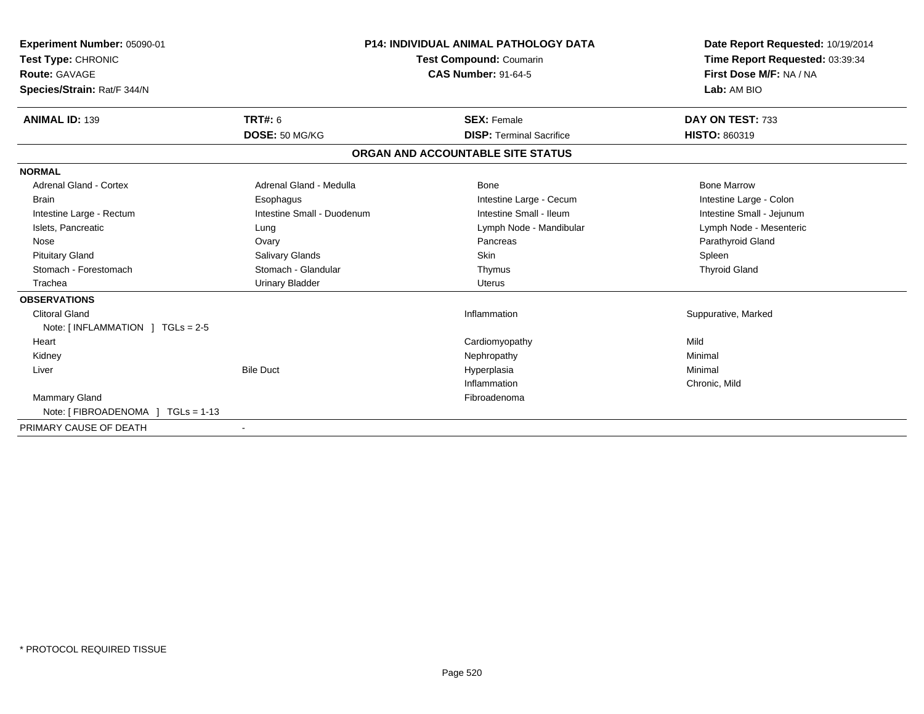| <b>Experiment Number: 05090-01</b><br>Test Type: CHRONIC<br><b>Route: GAVAGE</b><br>Species/Strain: Rat/F 344/N | <b>P14: INDIVIDUAL ANIMAL PATHOLOGY DATA</b><br><b>Test Compound: Coumarin</b><br><b>CAS Number: 91-64-5</b> |                                   | Date Report Requested: 10/19/2014<br>Time Report Requested: 03:39:34<br>First Dose M/F: NA / NA<br>Lab: AM BIO |
|-----------------------------------------------------------------------------------------------------------------|--------------------------------------------------------------------------------------------------------------|-----------------------------------|----------------------------------------------------------------------------------------------------------------|
| <b>ANIMAL ID: 139</b>                                                                                           | TRT#: 6                                                                                                      | <b>SEX: Female</b>                | DAY ON TEST: 733                                                                                               |
|                                                                                                                 | DOSE: 50 MG/KG                                                                                               | <b>DISP: Terminal Sacrifice</b>   | <b>HISTO: 860319</b>                                                                                           |
|                                                                                                                 |                                                                                                              | ORGAN AND ACCOUNTABLE SITE STATUS |                                                                                                                |
| <b>NORMAL</b>                                                                                                   |                                                                                                              |                                   |                                                                                                                |
| <b>Adrenal Gland - Cortex</b>                                                                                   | Adrenal Gland - Medulla                                                                                      | <b>Bone</b>                       | <b>Bone Marrow</b>                                                                                             |
| <b>Brain</b>                                                                                                    | Esophagus                                                                                                    | Intestine Large - Cecum           | Intestine Large - Colon                                                                                        |
| Intestine Large - Rectum                                                                                        | Intestine Small - Duodenum                                                                                   | Intestine Small - Ileum           | Intestine Small - Jejunum                                                                                      |
| Islets, Pancreatic                                                                                              | Lung                                                                                                         | Lymph Node - Mandibular           | Lymph Node - Mesenteric                                                                                        |
| Nose                                                                                                            | Ovary                                                                                                        | Pancreas                          | Parathyroid Gland                                                                                              |
| <b>Pituitary Gland</b>                                                                                          | Salivary Glands                                                                                              | Skin                              | Spleen                                                                                                         |
| Stomach - Forestomach                                                                                           | Stomach - Glandular                                                                                          | Thymus                            | <b>Thyroid Gland</b>                                                                                           |
| Trachea                                                                                                         | <b>Urinary Bladder</b>                                                                                       | Uterus                            |                                                                                                                |
| <b>OBSERVATIONS</b>                                                                                             |                                                                                                              |                                   |                                                                                                                |
| <b>Clitoral Gland</b>                                                                                           |                                                                                                              | Inflammation                      | Suppurative, Marked                                                                                            |
| Note: $\lceil$ INFLAMMATION $\lceil$ TGLs = 2-5                                                                 |                                                                                                              |                                   |                                                                                                                |
| Heart                                                                                                           |                                                                                                              | Cardiomyopathy                    | Mild                                                                                                           |
| Kidney                                                                                                          |                                                                                                              | Nephropathy                       | Minimal                                                                                                        |
| Liver                                                                                                           | <b>Bile Duct</b>                                                                                             | Hyperplasia                       | Minimal                                                                                                        |
|                                                                                                                 |                                                                                                              | Inflammation                      | Chronic, Mild                                                                                                  |
| <b>Mammary Gland</b>                                                                                            |                                                                                                              | Fibroadenoma                      |                                                                                                                |
| Note: $[FIBROADENOMA] TGLS = 1-13$                                                                              |                                                                                                              |                                   |                                                                                                                |
| PRIMARY CAUSE OF DEATH                                                                                          |                                                                                                              |                                   |                                                                                                                |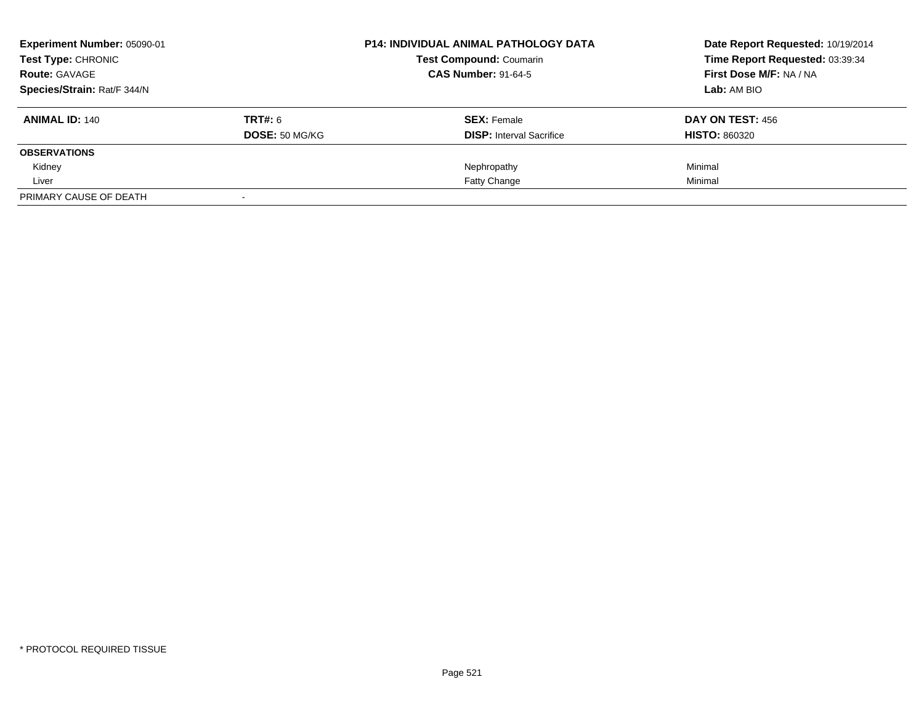| Experiment Number: 05090-01<br>Test Type: CHRONIC |                       | <b>P14: INDIVIDUAL ANIMAL PATHOLOGY DATA</b> | Date Report Requested: 10/19/2014<br>Time Report Requested: 03:39:34 |
|---------------------------------------------------|-----------------------|----------------------------------------------|----------------------------------------------------------------------|
|                                                   |                       | <b>Test Compound: Coumarin</b>               |                                                                      |
| <b>Route: GAVAGE</b>                              |                       | <b>CAS Number: 91-64-5</b>                   | First Dose M/F: NA / NA                                              |
| Species/Strain: Rat/F 344/N                       |                       |                                              | Lab: AM BIO                                                          |
| <b>ANIMAL ID: 140</b>                             | <b>TRT#: 6</b>        | <b>SEX: Female</b>                           | DAY ON TEST: 456                                                     |
|                                                   | <b>DOSE:</b> 50 MG/KG | <b>DISP:</b> Interval Sacrifice              | <b>HISTO: 860320</b>                                                 |
| <b>OBSERVATIONS</b>                               |                       |                                              |                                                                      |
| Kidney                                            |                       | Nephropathy                                  | Minimal                                                              |
| Liver                                             |                       | <b>Fatty Change</b>                          | Minimal                                                              |
| PRIMARY CAUSE OF DEATH                            |                       |                                              |                                                                      |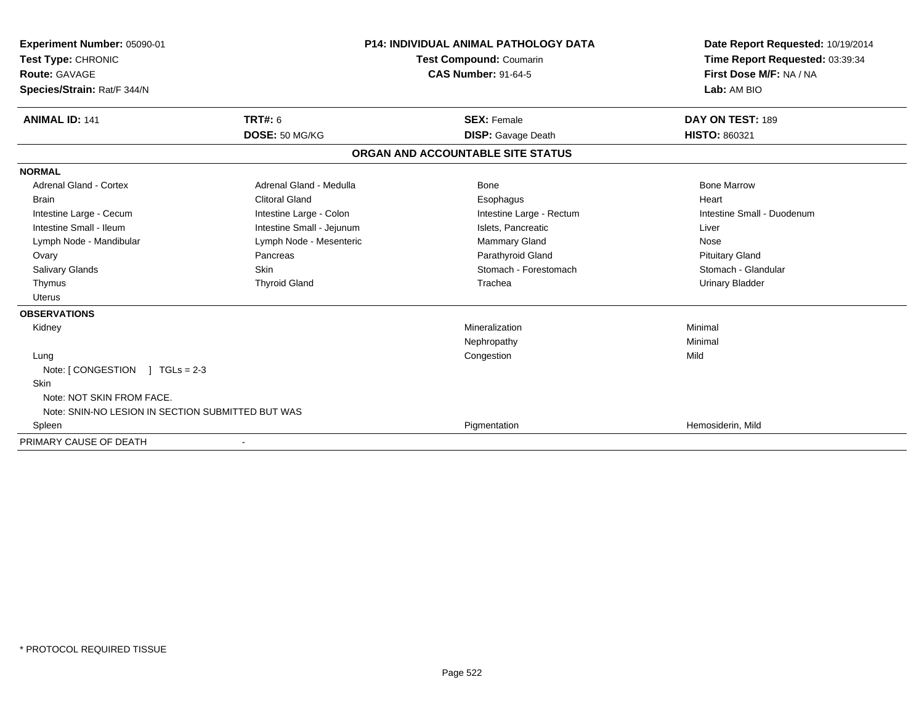| Experiment Number: 05090-01<br>Test Type: CHRONIC<br><b>Route: GAVAGE</b><br>Species/Strain: Rat/F 344/N                                                                                     | <b>P14: INDIVIDUAL ANIMAL PATHOLOGY DATA</b><br><b>Test Compound: Coumarin</b><br><b>CAS Number: 91-64-5</b>                                                                    |                                                                                                                                                      | Date Report Requested: 10/19/2014<br>Time Report Requested: 03:39:34<br>First Dose M/F: NA / NA<br>Lab: AM BIO                                        |
|----------------------------------------------------------------------------------------------------------------------------------------------------------------------------------------------|---------------------------------------------------------------------------------------------------------------------------------------------------------------------------------|------------------------------------------------------------------------------------------------------------------------------------------------------|-------------------------------------------------------------------------------------------------------------------------------------------------------|
| <b>ANIMAL ID: 141</b>                                                                                                                                                                        | <b>TRT#: 6</b><br>DOSE: 50 MG/KG                                                                                                                                                | <b>SEX: Female</b><br><b>DISP:</b> Gavage Death                                                                                                      | DAY ON TEST: 189<br><b>HISTO: 860321</b>                                                                                                              |
|                                                                                                                                                                                              |                                                                                                                                                                                 | ORGAN AND ACCOUNTABLE SITE STATUS                                                                                                                    |                                                                                                                                                       |
| <b>NORMAL</b>                                                                                                                                                                                |                                                                                                                                                                                 |                                                                                                                                                      |                                                                                                                                                       |
| <b>Adrenal Gland - Cortex</b><br><b>Brain</b><br>Intestine Large - Cecum<br>Intestine Small - Ileum<br>Lymph Node - Mandibular<br>Ovary<br><b>Salivary Glands</b><br>Thymus<br><b>Uterus</b> | Adrenal Gland - Medulla<br><b>Clitoral Gland</b><br>Intestine Large - Colon<br>Intestine Small - Jejunum<br>Lymph Node - Mesenteric<br>Pancreas<br>Skin<br><b>Thyroid Gland</b> | Bone<br>Esophagus<br>Intestine Large - Rectum<br>Islets, Pancreatic<br><b>Mammary Gland</b><br>Parathyroid Gland<br>Stomach - Forestomach<br>Trachea | <b>Bone Marrow</b><br>Heart<br>Intestine Small - Duodenum<br>Liver<br>Nose<br><b>Pituitary Gland</b><br>Stomach - Glandular<br><b>Urinary Bladder</b> |
| <b>OBSERVATIONS</b>                                                                                                                                                                          |                                                                                                                                                                                 |                                                                                                                                                      |                                                                                                                                                       |
| Kidney                                                                                                                                                                                       |                                                                                                                                                                                 | Mineralization<br>Nephropathy                                                                                                                        | Minimal<br>Minimal                                                                                                                                    |
| Lung<br>Note: [CONGESTION ] TGLs = 2-3<br>Skin<br>Note: NOT SKIN FROM FACE.<br>Note: SNIN-NO LESION IN SECTION SUBMITTED BUT WAS                                                             |                                                                                                                                                                                 | Congestion                                                                                                                                           | Mild                                                                                                                                                  |
| Spleen                                                                                                                                                                                       |                                                                                                                                                                                 | Pigmentation                                                                                                                                         | Hemosiderin, Mild                                                                                                                                     |
| PRIMARY CAUSE OF DEATH                                                                                                                                                                       |                                                                                                                                                                                 |                                                                                                                                                      |                                                                                                                                                       |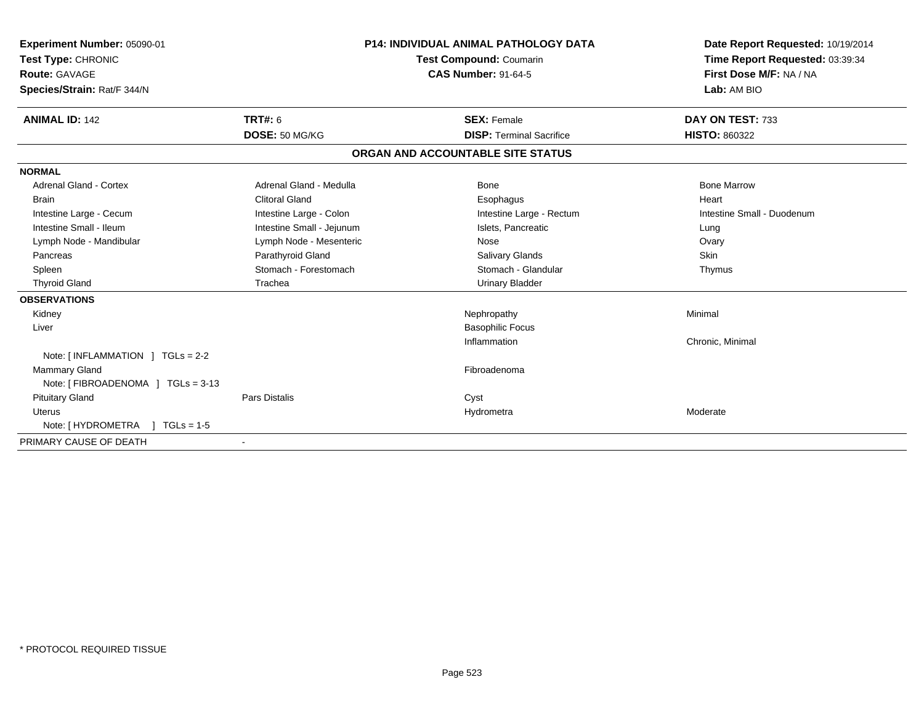| Experiment Number: 05090-01<br>Test Type: CHRONIC |                           | <b>P14: INDIVIDUAL ANIMAL PATHOLOGY DATA</b><br><b>Test Compound: Coumarin</b> |                                   | Date Report Requested: 10/19/2014<br>Time Report Requested: 03:39:34 |
|---------------------------------------------------|---------------------------|--------------------------------------------------------------------------------|-----------------------------------|----------------------------------------------------------------------|
| Route: GAVAGE                                     |                           |                                                                                | <b>CAS Number: 91-64-5</b>        | First Dose M/F: NA / NA                                              |
| Species/Strain: Rat/F 344/N                       |                           |                                                                                |                                   | Lab: AM BIO                                                          |
| <b>ANIMAL ID: 142</b>                             | <b>TRT#: 6</b>            |                                                                                | <b>SEX: Female</b>                | DAY ON TEST: 733                                                     |
|                                                   | DOSE: 50 MG/KG            |                                                                                | <b>DISP: Terminal Sacrifice</b>   | <b>HISTO: 860322</b>                                                 |
|                                                   |                           |                                                                                | ORGAN AND ACCOUNTABLE SITE STATUS |                                                                      |
| <b>NORMAL</b>                                     |                           |                                                                                |                                   |                                                                      |
| <b>Adrenal Gland - Cortex</b>                     | Adrenal Gland - Medulla   |                                                                                | Bone                              | <b>Bone Marrow</b>                                                   |
| Brain                                             | <b>Clitoral Gland</b>     |                                                                                | Esophagus                         | Heart                                                                |
| Intestine Large - Cecum                           | Intestine Large - Colon   |                                                                                | Intestine Large - Rectum          | Intestine Small - Duodenum                                           |
| Intestine Small - Ileum                           | Intestine Small - Jejunum |                                                                                | Islets, Pancreatic                | Lung                                                                 |
| Lymph Node - Mandibular                           | Lymph Node - Mesenteric   |                                                                                | Nose                              | Ovary                                                                |
| Pancreas                                          | Parathyroid Gland         |                                                                                | Salivary Glands                   | Skin                                                                 |
| Spleen                                            | Stomach - Forestomach     |                                                                                | Stomach - Glandular               | Thymus                                                               |
| <b>Thyroid Gland</b>                              | Trachea                   |                                                                                | <b>Urinary Bladder</b>            |                                                                      |
| <b>OBSERVATIONS</b>                               |                           |                                                                                |                                   |                                                                      |
| Kidney                                            |                           |                                                                                | Nephropathy                       | Minimal                                                              |
| Liver                                             |                           |                                                                                | <b>Basophilic Focus</b>           |                                                                      |
|                                                   |                           |                                                                                | Inflammation                      | Chronic, Minimal                                                     |
| Note: [INFLAMMATION ] TGLs = 2-2                  |                           |                                                                                |                                   |                                                                      |
| <b>Mammary Gland</b>                              |                           |                                                                                | Fibroadenoma                      |                                                                      |
| Note: [ FIBROADENOMA ] TGLs = 3-13                |                           |                                                                                |                                   |                                                                      |
| <b>Pituitary Gland</b>                            | Pars Distalis             |                                                                                | Cyst                              |                                                                      |
| <b>Uterus</b>                                     |                           |                                                                                | Hydrometra                        | Moderate                                                             |
| Note: $[HYDROMETRA] TGLs = 1-5$                   |                           |                                                                                |                                   |                                                                      |
| PRIMARY CAUSE OF DEATH                            |                           |                                                                                |                                   |                                                                      |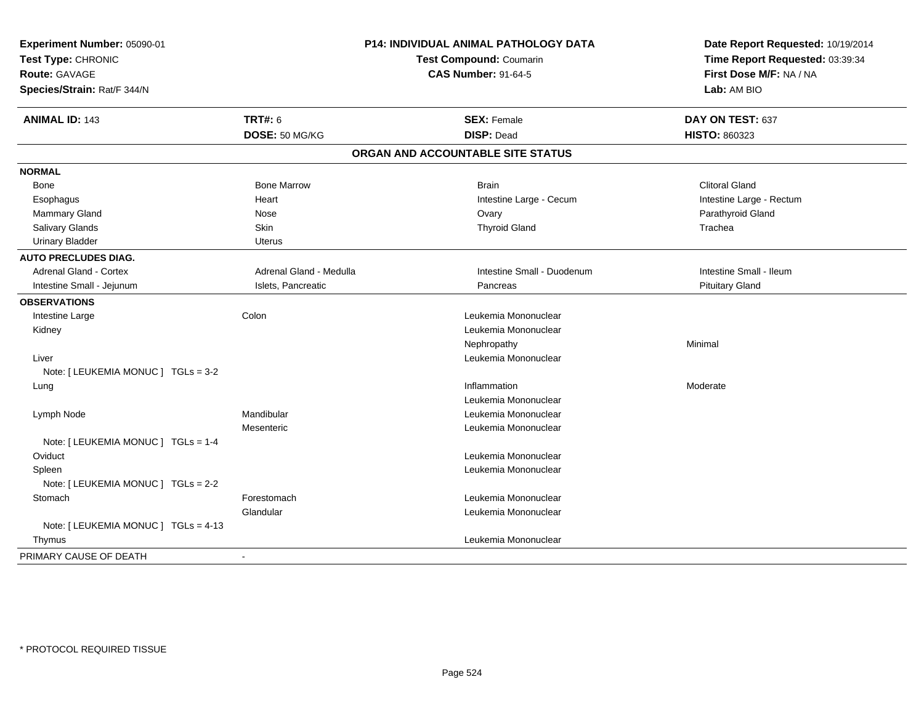| Experiment Number: 05090-01<br>Test Type: CHRONIC<br><b>Route: GAVAGE</b><br>Species/Strain: Rat/F 344/N | P14: INDIVIDUAL ANIMAL PATHOLOGY DATA<br><b>Test Compound: Coumarin</b><br><b>CAS Number: 91-64-5</b> |                                   | Date Report Requested: 10/19/2014<br>Time Report Requested: 03:39:34<br>First Dose M/F: NA / NA<br>Lab: AM BIO |
|----------------------------------------------------------------------------------------------------------|-------------------------------------------------------------------------------------------------------|-----------------------------------|----------------------------------------------------------------------------------------------------------------|
| <b>ANIMAL ID: 143</b>                                                                                    | <b>TRT#: 6</b>                                                                                        | <b>SEX: Female</b>                | DAY ON TEST: 637                                                                                               |
|                                                                                                          | DOSE: 50 MG/KG                                                                                        | <b>DISP: Dead</b>                 | <b>HISTO: 860323</b>                                                                                           |
|                                                                                                          |                                                                                                       | ORGAN AND ACCOUNTABLE SITE STATUS |                                                                                                                |
| <b>NORMAL</b>                                                                                            |                                                                                                       |                                   |                                                                                                                |
| Bone                                                                                                     | <b>Bone Marrow</b>                                                                                    | <b>Brain</b>                      | <b>Clitoral Gland</b>                                                                                          |
| Esophagus                                                                                                | Heart                                                                                                 | Intestine Large - Cecum           | Intestine Large - Rectum                                                                                       |
| Mammary Gland                                                                                            | Nose                                                                                                  | Ovary                             | Parathyroid Gland                                                                                              |
| Salivary Glands                                                                                          | Skin                                                                                                  | <b>Thyroid Gland</b>              | Trachea                                                                                                        |
| <b>Urinary Bladder</b>                                                                                   | Uterus                                                                                                |                                   |                                                                                                                |
| <b>AUTO PRECLUDES DIAG.</b>                                                                              |                                                                                                       |                                   |                                                                                                                |
| <b>Adrenal Gland - Cortex</b>                                                                            | Adrenal Gland - Medulla                                                                               | Intestine Small - Duodenum        | Intestine Small - Ileum                                                                                        |
| Intestine Small - Jejunum                                                                                | Islets, Pancreatic                                                                                    | Pancreas                          | <b>Pituitary Gland</b>                                                                                         |
| <b>OBSERVATIONS</b>                                                                                      |                                                                                                       |                                   |                                                                                                                |
| Intestine Large                                                                                          | Colon                                                                                                 | Leukemia Mononuclear              |                                                                                                                |
| Kidney                                                                                                   |                                                                                                       | Leukemia Mononuclear              |                                                                                                                |
|                                                                                                          |                                                                                                       | Nephropathy                       | Minimal                                                                                                        |
| Liver                                                                                                    |                                                                                                       | Leukemia Mononuclear              |                                                                                                                |
| Note: [ LEUKEMIA MONUC ] TGLs = 3-2                                                                      |                                                                                                       |                                   |                                                                                                                |
| Lung                                                                                                     |                                                                                                       | Inflammation                      | Moderate                                                                                                       |
|                                                                                                          |                                                                                                       | Leukemia Mononuclear              |                                                                                                                |
| Lymph Node                                                                                               | Mandibular                                                                                            | Leukemia Mononuclear              |                                                                                                                |
|                                                                                                          | Mesenteric                                                                                            | Leukemia Mononuclear              |                                                                                                                |
| Note: [ LEUKEMIA MONUC ] TGLs = 1-4                                                                      |                                                                                                       |                                   |                                                                                                                |
| Oviduct                                                                                                  |                                                                                                       | Leukemia Mononuclear              |                                                                                                                |
| Spleen                                                                                                   |                                                                                                       | Leukemia Mononuclear              |                                                                                                                |
| Note: [ LEUKEMIA MONUC ] TGLs = 2-2                                                                      |                                                                                                       |                                   |                                                                                                                |
| Stomach                                                                                                  | Forestomach                                                                                           | Leukemia Mononuclear              |                                                                                                                |
|                                                                                                          | Glandular                                                                                             | Leukemia Mononuclear              |                                                                                                                |
| Note: [ LEUKEMIA MONUC ] TGLs = 4-13                                                                     |                                                                                                       |                                   |                                                                                                                |
| Thymus                                                                                                   |                                                                                                       | Leukemia Mononuclear              |                                                                                                                |
| PRIMARY CAUSE OF DEATH                                                                                   |                                                                                                       |                                   |                                                                                                                |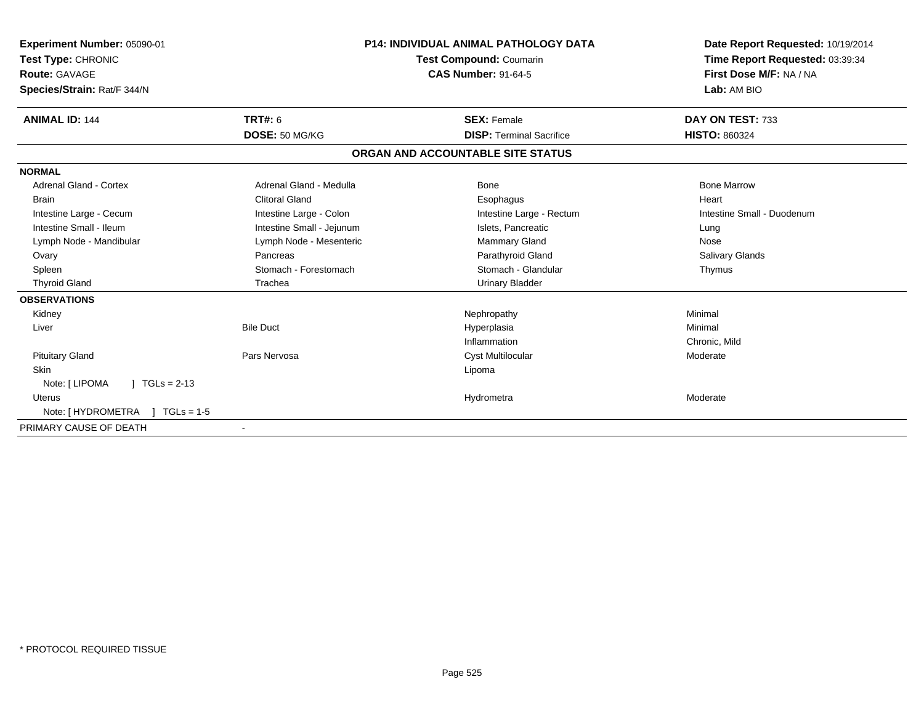| <b>Experiment Number: 05090-01</b><br>Test Type: CHRONIC<br><b>Route: GAVAGE</b><br>Species/Strain: Rat/F 344/N | <b>P14: INDIVIDUAL ANIMAL PATHOLOGY DATA</b><br><b>Test Compound: Coumarin</b><br><b>CAS Number: 91-64-5</b> |                                   | Date Report Requested: 10/19/2014<br>Time Report Requested: 03:39:34<br>First Dose M/F: NA / NA<br>Lab: AM BIO |
|-----------------------------------------------------------------------------------------------------------------|--------------------------------------------------------------------------------------------------------------|-----------------------------------|----------------------------------------------------------------------------------------------------------------|
| <b>ANIMAL ID: 144</b>                                                                                           | TRT#: 6                                                                                                      | <b>SEX: Female</b>                | DAY ON TEST: 733                                                                                               |
|                                                                                                                 | DOSE: 50 MG/KG                                                                                               | <b>DISP: Terminal Sacrifice</b>   | <b>HISTO: 860324</b>                                                                                           |
|                                                                                                                 |                                                                                                              | ORGAN AND ACCOUNTABLE SITE STATUS |                                                                                                                |
| <b>NORMAL</b>                                                                                                   |                                                                                                              |                                   |                                                                                                                |
| <b>Adrenal Gland - Cortex</b>                                                                                   | Adrenal Gland - Medulla                                                                                      | Bone                              | <b>Bone Marrow</b>                                                                                             |
| <b>Brain</b>                                                                                                    | <b>Clitoral Gland</b>                                                                                        | Esophagus                         | Heart                                                                                                          |
| Intestine Large - Cecum                                                                                         | Intestine Large - Colon                                                                                      | Intestine Large - Rectum          | Intestine Small - Duodenum                                                                                     |
| Intestine Small - Ileum                                                                                         | Intestine Small - Jejunum                                                                                    | Islets, Pancreatic                | Lung                                                                                                           |
| Lymph Node - Mandibular                                                                                         | Lymph Node - Mesenteric                                                                                      | <b>Mammary Gland</b>              | Nose                                                                                                           |
| Ovary                                                                                                           | Pancreas                                                                                                     | Parathyroid Gland                 | Salivary Glands                                                                                                |
| Spleen                                                                                                          | Stomach - Forestomach                                                                                        | Stomach - Glandular               | Thymus                                                                                                         |
| <b>Thyroid Gland</b>                                                                                            | Trachea                                                                                                      | <b>Urinary Bladder</b>            |                                                                                                                |
| <b>OBSERVATIONS</b>                                                                                             |                                                                                                              |                                   |                                                                                                                |
| Kidney                                                                                                          |                                                                                                              | Nephropathy                       | Minimal                                                                                                        |
| Liver                                                                                                           | <b>Bile Duct</b>                                                                                             | Hyperplasia                       | Minimal                                                                                                        |
|                                                                                                                 |                                                                                                              | Inflammation                      | Chronic, Mild                                                                                                  |
| <b>Pituitary Gland</b>                                                                                          | Pars Nervosa                                                                                                 | Cyst Multilocular                 | Moderate                                                                                                       |
| <b>Skin</b>                                                                                                     |                                                                                                              | Lipoma                            |                                                                                                                |
| $1 TGLs = 2-13$<br>Note: [ LIPOMA                                                                               |                                                                                                              |                                   |                                                                                                                |
| Uterus                                                                                                          |                                                                                                              | Hydrometra                        | Moderate                                                                                                       |
| Note: [ HYDROMETRA<br>$1 TGLs = 1.5$                                                                            |                                                                                                              |                                   |                                                                                                                |
| PRIMARY CAUSE OF DEATH                                                                                          |                                                                                                              |                                   |                                                                                                                |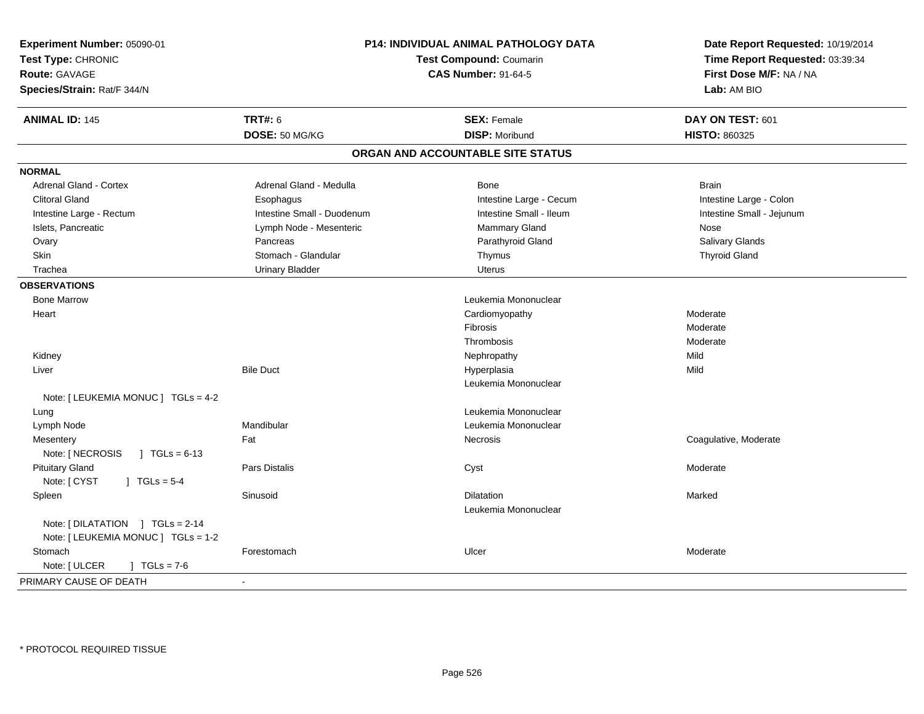| <b>ANIMAL ID: 145</b><br><b>TRT#: 6</b><br><b>SEX: Female</b><br>DAY ON TEST: 601<br>DOSE: 50 MG/KG<br><b>DISP: Moribund</b><br>HISTO: 860325<br>ORGAN AND ACCOUNTABLE SITE STATUS<br><b>NORMAL</b><br><b>Adrenal Gland - Cortex</b><br>Adrenal Gland - Medulla<br><b>Brain</b><br>Bone<br><b>Clitoral Gland</b><br>Intestine Large - Cecum<br>Intestine Large - Colon<br>Esophagus<br>Intestine Small - Ileum<br>Intestine Large - Rectum<br>Intestine Small - Duodenum<br>Intestine Small - Jejunum<br>Islets, Pancreatic<br>Lymph Node - Mesenteric<br>Mammary Gland<br>Nose<br>Salivary Glands<br>Parathyroid Gland<br>Ovary<br>Pancreas<br>Skin<br>Stomach - Glandular<br>Thymus<br><b>Thyroid Gland</b><br>Trachea<br><b>Urinary Bladder</b><br><b>Uterus</b><br><b>OBSERVATIONS</b><br>Leukemia Mononuclear<br><b>Bone Marrow</b><br>Heart<br>Cardiomyopathy<br>Moderate<br>Fibrosis<br>Moderate<br>Thrombosis<br>Moderate<br>Mild<br>Kidney<br>Nephropathy<br>Mild<br>Liver<br><b>Bile Duct</b><br>Hyperplasia<br>Leukemia Mononuclear<br>Note: [ LEUKEMIA MONUC ] TGLs = 4-2<br>Leukemia Mononuclear<br>Lung<br>Mandibular<br>Lymph Node<br>Leukemia Mononuclear<br>Coagulative, Moderate<br>Mesentery<br>Fat<br>Necrosis<br>Note: [ NECROSIS<br>$\vert$ TGLs = 6-13<br><b>Pituitary Gland</b><br>Pars Distalis<br>Cyst<br>Moderate<br>Note: [ CYST<br>$J TGLs = 5-4$<br>Spleen<br>Sinusoid<br>Dilatation<br>Marked<br>Leukemia Mononuclear<br>Note: [DILATATION ] TGLs = 2-14<br>Note: [ LEUKEMIA MONUC ] TGLs = 1-2<br>Ulcer<br>Stomach<br>Forestomach<br>Moderate<br>Note: [ ULCER<br>$\sqrt{1} \text{ TGLs} = 7.6$<br>PRIMARY CAUSE OF DEATH<br>$\overline{\phantom{a}}$ | Experiment Number: 05090-01<br>Test Type: CHRONIC<br>Route: GAVAGE<br>Species/Strain: Rat/F 344/N | <b>P14: INDIVIDUAL ANIMAL PATHOLOGY DATA</b><br><b>Test Compound: Coumarin</b><br><b>CAS Number: 91-64-5</b> | Date Report Requested: 10/19/2014<br>Time Report Requested: 03:39:34<br>First Dose M/F: NA / NA<br>Lab: AM BIO |
|---------------------------------------------------------------------------------------------------------------------------------------------------------------------------------------------------------------------------------------------------------------------------------------------------------------------------------------------------------------------------------------------------------------------------------------------------------------------------------------------------------------------------------------------------------------------------------------------------------------------------------------------------------------------------------------------------------------------------------------------------------------------------------------------------------------------------------------------------------------------------------------------------------------------------------------------------------------------------------------------------------------------------------------------------------------------------------------------------------------------------------------------------------------------------------------------------------------------------------------------------------------------------------------------------------------------------------------------------------------------------------------------------------------------------------------------------------------------------------------------------------------------------------------------------------------------------------------------------------------------------------------------------------------------------------------|---------------------------------------------------------------------------------------------------|--------------------------------------------------------------------------------------------------------------|----------------------------------------------------------------------------------------------------------------|
|                                                                                                                                                                                                                                                                                                                                                                                                                                                                                                                                                                                                                                                                                                                                                                                                                                                                                                                                                                                                                                                                                                                                                                                                                                                                                                                                                                                                                                                                                                                                                                                                                                                                                       |                                                                                                   |                                                                                                              |                                                                                                                |
|                                                                                                                                                                                                                                                                                                                                                                                                                                                                                                                                                                                                                                                                                                                                                                                                                                                                                                                                                                                                                                                                                                                                                                                                                                                                                                                                                                                                                                                                                                                                                                                                                                                                                       |                                                                                                   |                                                                                                              |                                                                                                                |
|                                                                                                                                                                                                                                                                                                                                                                                                                                                                                                                                                                                                                                                                                                                                                                                                                                                                                                                                                                                                                                                                                                                                                                                                                                                                                                                                                                                                                                                                                                                                                                                                                                                                                       |                                                                                                   |                                                                                                              |                                                                                                                |
|                                                                                                                                                                                                                                                                                                                                                                                                                                                                                                                                                                                                                                                                                                                                                                                                                                                                                                                                                                                                                                                                                                                                                                                                                                                                                                                                                                                                                                                                                                                                                                                                                                                                                       |                                                                                                   |                                                                                                              |                                                                                                                |
|                                                                                                                                                                                                                                                                                                                                                                                                                                                                                                                                                                                                                                                                                                                                                                                                                                                                                                                                                                                                                                                                                                                                                                                                                                                                                                                                                                                                                                                                                                                                                                                                                                                                                       |                                                                                                   |                                                                                                              |                                                                                                                |
|                                                                                                                                                                                                                                                                                                                                                                                                                                                                                                                                                                                                                                                                                                                                                                                                                                                                                                                                                                                                                                                                                                                                                                                                                                                                                                                                                                                                                                                                                                                                                                                                                                                                                       |                                                                                                   |                                                                                                              |                                                                                                                |
|                                                                                                                                                                                                                                                                                                                                                                                                                                                                                                                                                                                                                                                                                                                                                                                                                                                                                                                                                                                                                                                                                                                                                                                                                                                                                                                                                                                                                                                                                                                                                                                                                                                                                       |                                                                                                   |                                                                                                              |                                                                                                                |
|                                                                                                                                                                                                                                                                                                                                                                                                                                                                                                                                                                                                                                                                                                                                                                                                                                                                                                                                                                                                                                                                                                                                                                                                                                                                                                                                                                                                                                                                                                                                                                                                                                                                                       |                                                                                                   |                                                                                                              |                                                                                                                |
|                                                                                                                                                                                                                                                                                                                                                                                                                                                                                                                                                                                                                                                                                                                                                                                                                                                                                                                                                                                                                                                                                                                                                                                                                                                                                                                                                                                                                                                                                                                                                                                                                                                                                       |                                                                                                   |                                                                                                              |                                                                                                                |
|                                                                                                                                                                                                                                                                                                                                                                                                                                                                                                                                                                                                                                                                                                                                                                                                                                                                                                                                                                                                                                                                                                                                                                                                                                                                                                                                                                                                                                                                                                                                                                                                                                                                                       |                                                                                                   |                                                                                                              |                                                                                                                |
|                                                                                                                                                                                                                                                                                                                                                                                                                                                                                                                                                                                                                                                                                                                                                                                                                                                                                                                                                                                                                                                                                                                                                                                                                                                                                                                                                                                                                                                                                                                                                                                                                                                                                       |                                                                                                   |                                                                                                              |                                                                                                                |
|                                                                                                                                                                                                                                                                                                                                                                                                                                                                                                                                                                                                                                                                                                                                                                                                                                                                                                                                                                                                                                                                                                                                                                                                                                                                                                                                                                                                                                                                                                                                                                                                                                                                                       |                                                                                                   |                                                                                                              |                                                                                                                |
|                                                                                                                                                                                                                                                                                                                                                                                                                                                                                                                                                                                                                                                                                                                                                                                                                                                                                                                                                                                                                                                                                                                                                                                                                                                                                                                                                                                                                                                                                                                                                                                                                                                                                       |                                                                                                   |                                                                                                              |                                                                                                                |
|                                                                                                                                                                                                                                                                                                                                                                                                                                                                                                                                                                                                                                                                                                                                                                                                                                                                                                                                                                                                                                                                                                                                                                                                                                                                                                                                                                                                                                                                                                                                                                                                                                                                                       |                                                                                                   |                                                                                                              |                                                                                                                |
|                                                                                                                                                                                                                                                                                                                                                                                                                                                                                                                                                                                                                                                                                                                                                                                                                                                                                                                                                                                                                                                                                                                                                                                                                                                                                                                                                                                                                                                                                                                                                                                                                                                                                       |                                                                                                   |                                                                                                              |                                                                                                                |
|                                                                                                                                                                                                                                                                                                                                                                                                                                                                                                                                                                                                                                                                                                                                                                                                                                                                                                                                                                                                                                                                                                                                                                                                                                                                                                                                                                                                                                                                                                                                                                                                                                                                                       |                                                                                                   |                                                                                                              |                                                                                                                |
|                                                                                                                                                                                                                                                                                                                                                                                                                                                                                                                                                                                                                                                                                                                                                                                                                                                                                                                                                                                                                                                                                                                                                                                                                                                                                                                                                                                                                                                                                                                                                                                                                                                                                       |                                                                                                   |                                                                                                              |                                                                                                                |
|                                                                                                                                                                                                                                                                                                                                                                                                                                                                                                                                                                                                                                                                                                                                                                                                                                                                                                                                                                                                                                                                                                                                                                                                                                                                                                                                                                                                                                                                                                                                                                                                                                                                                       |                                                                                                   |                                                                                                              |                                                                                                                |
|                                                                                                                                                                                                                                                                                                                                                                                                                                                                                                                                                                                                                                                                                                                                                                                                                                                                                                                                                                                                                                                                                                                                                                                                                                                                                                                                                                                                                                                                                                                                                                                                                                                                                       |                                                                                                   |                                                                                                              |                                                                                                                |
|                                                                                                                                                                                                                                                                                                                                                                                                                                                                                                                                                                                                                                                                                                                                                                                                                                                                                                                                                                                                                                                                                                                                                                                                                                                                                                                                                                                                                                                                                                                                                                                                                                                                                       |                                                                                                   |                                                                                                              |                                                                                                                |
|                                                                                                                                                                                                                                                                                                                                                                                                                                                                                                                                                                                                                                                                                                                                                                                                                                                                                                                                                                                                                                                                                                                                                                                                                                                                                                                                                                                                                                                                                                                                                                                                                                                                                       |                                                                                                   |                                                                                                              |                                                                                                                |
|                                                                                                                                                                                                                                                                                                                                                                                                                                                                                                                                                                                                                                                                                                                                                                                                                                                                                                                                                                                                                                                                                                                                                                                                                                                                                                                                                                                                                                                                                                                                                                                                                                                                                       |                                                                                                   |                                                                                                              |                                                                                                                |
|                                                                                                                                                                                                                                                                                                                                                                                                                                                                                                                                                                                                                                                                                                                                                                                                                                                                                                                                                                                                                                                                                                                                                                                                                                                                                                                                                                                                                                                                                                                                                                                                                                                                                       |                                                                                                   |                                                                                                              |                                                                                                                |
|                                                                                                                                                                                                                                                                                                                                                                                                                                                                                                                                                                                                                                                                                                                                                                                                                                                                                                                                                                                                                                                                                                                                                                                                                                                                                                                                                                                                                                                                                                                                                                                                                                                                                       |                                                                                                   |                                                                                                              |                                                                                                                |
|                                                                                                                                                                                                                                                                                                                                                                                                                                                                                                                                                                                                                                                                                                                                                                                                                                                                                                                                                                                                                                                                                                                                                                                                                                                                                                                                                                                                                                                                                                                                                                                                                                                                                       |                                                                                                   |                                                                                                              |                                                                                                                |
|                                                                                                                                                                                                                                                                                                                                                                                                                                                                                                                                                                                                                                                                                                                                                                                                                                                                                                                                                                                                                                                                                                                                                                                                                                                                                                                                                                                                                                                                                                                                                                                                                                                                                       |                                                                                                   |                                                                                                              |                                                                                                                |
|                                                                                                                                                                                                                                                                                                                                                                                                                                                                                                                                                                                                                                                                                                                                                                                                                                                                                                                                                                                                                                                                                                                                                                                                                                                                                                                                                                                                                                                                                                                                                                                                                                                                                       |                                                                                                   |                                                                                                              |                                                                                                                |
|                                                                                                                                                                                                                                                                                                                                                                                                                                                                                                                                                                                                                                                                                                                                                                                                                                                                                                                                                                                                                                                                                                                                                                                                                                                                                                                                                                                                                                                                                                                                                                                                                                                                                       |                                                                                                   |                                                                                                              |                                                                                                                |
|                                                                                                                                                                                                                                                                                                                                                                                                                                                                                                                                                                                                                                                                                                                                                                                                                                                                                                                                                                                                                                                                                                                                                                                                                                                                                                                                                                                                                                                                                                                                                                                                                                                                                       |                                                                                                   |                                                                                                              |                                                                                                                |
|                                                                                                                                                                                                                                                                                                                                                                                                                                                                                                                                                                                                                                                                                                                                                                                                                                                                                                                                                                                                                                                                                                                                                                                                                                                                                                                                                                                                                                                                                                                                                                                                                                                                                       |                                                                                                   |                                                                                                              |                                                                                                                |
|                                                                                                                                                                                                                                                                                                                                                                                                                                                                                                                                                                                                                                                                                                                                                                                                                                                                                                                                                                                                                                                                                                                                                                                                                                                                                                                                                                                                                                                                                                                                                                                                                                                                                       |                                                                                                   |                                                                                                              |                                                                                                                |
|                                                                                                                                                                                                                                                                                                                                                                                                                                                                                                                                                                                                                                                                                                                                                                                                                                                                                                                                                                                                                                                                                                                                                                                                                                                                                                                                                                                                                                                                                                                                                                                                                                                                                       |                                                                                                   |                                                                                                              |                                                                                                                |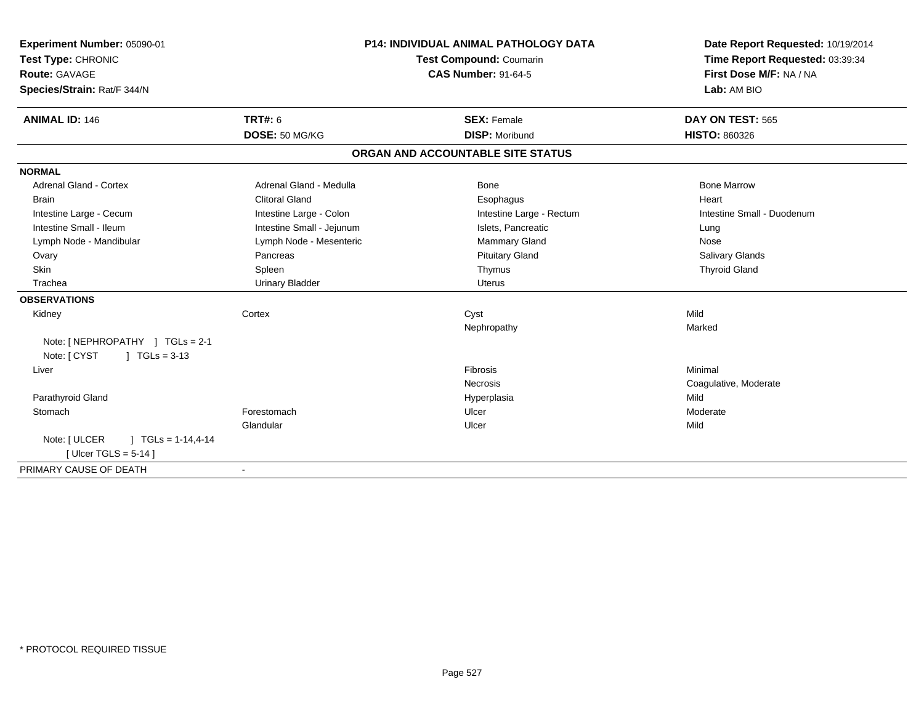| Experiment Number: 05090-01              | P14: INDIVIDUAL ANIMAL PATHOLOGY DATA |                                   | Date Report Requested: 10/19/2014 |
|------------------------------------------|---------------------------------------|-----------------------------------|-----------------------------------|
| Test Type: CHRONIC                       |                                       | <b>Test Compound: Coumarin</b>    | Time Report Requested: 03:39:34   |
| <b>Route: GAVAGE</b>                     |                                       | <b>CAS Number: 91-64-5</b>        | First Dose M/F: NA / NA           |
| Species/Strain: Rat/F 344/N              |                                       |                                   | Lab: AM BIO                       |
| <b>ANIMAL ID: 146</b>                    | <b>TRT#: 6</b>                        | <b>SEX: Female</b>                | DAY ON TEST: 565                  |
|                                          | DOSE: 50 MG/KG                        | <b>DISP: Moribund</b>             | <b>HISTO: 860326</b>              |
|                                          |                                       | ORGAN AND ACCOUNTABLE SITE STATUS |                                   |
| <b>NORMAL</b>                            |                                       |                                   |                                   |
| <b>Adrenal Gland - Cortex</b>            | Adrenal Gland - Medulla               | Bone                              | <b>Bone Marrow</b>                |
| Brain                                    | <b>Clitoral Gland</b>                 | Esophagus                         | Heart                             |
| Intestine Large - Cecum                  | Intestine Large - Colon               | Intestine Large - Rectum          | Intestine Small - Duodenum        |
| Intestine Small - Ileum                  | Intestine Small - Jejunum             | Islets, Pancreatic                | Lung                              |
| Lymph Node - Mandibular                  | Lymph Node - Mesenteric               | Mammary Gland                     | Nose                              |
| Ovary                                    | Pancreas                              | <b>Pituitary Gland</b>            | Salivary Glands                   |
| Skin                                     | Spleen                                | Thymus                            | <b>Thyroid Gland</b>              |
| Trachea                                  | <b>Urinary Bladder</b>                | <b>Uterus</b>                     |                                   |
| <b>OBSERVATIONS</b>                      |                                       |                                   |                                   |
| Kidney                                   | Cortex                                | Cyst                              | Mild                              |
|                                          |                                       | Nephropathy                       | Marked                            |
| Note: [NEPHROPATHY ] TGLs = 2-1          |                                       |                                   |                                   |
| $\int$ TGLs = 3-13<br>Note: [ CYST       |                                       |                                   |                                   |
| Liver                                    |                                       | Fibrosis                          | Minimal                           |
|                                          |                                       | Necrosis                          | Coagulative, Moderate             |
| Parathyroid Gland                        |                                       | Hyperplasia                       | Mild                              |
| Stomach                                  | Forestomach                           | Ulcer                             | Moderate                          |
|                                          | Glandular                             | Ulcer                             | Mild                              |
| Note: [ ULCER<br>$\mid$ TGLs = 1-14,4-14 |                                       |                                   |                                   |
| [Ulcer TGLS = $5-14$ ]                   |                                       |                                   |                                   |
| PRIMARY CAUSE OF DEATH                   |                                       |                                   |                                   |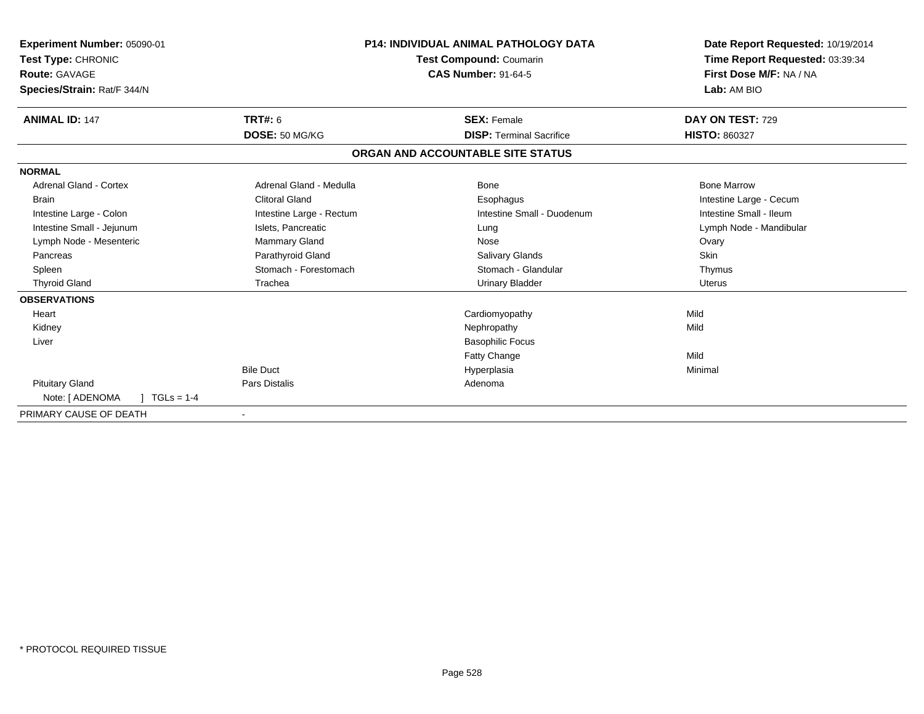| Experiment Number: 05090-01     |                          | <b>P14: INDIVIDUAL ANIMAL PATHOLOGY DATA</b> | Date Report Requested: 10/19/2014 |
|---------------------------------|--------------------------|----------------------------------------------|-----------------------------------|
| Test Type: CHRONIC              |                          | Test Compound: Coumarin                      | Time Report Requested: 03:39:34   |
| Route: GAVAGE                   |                          | <b>CAS Number: 91-64-5</b>                   | First Dose M/F: NA / NA           |
| Species/Strain: Rat/F 344/N     |                          |                                              | Lab: AM BIO                       |
| <b>ANIMAL ID: 147</b>           | TRT#: 6                  | <b>SEX: Female</b>                           | DAY ON TEST: 729                  |
|                                 | DOSE: 50 MG/KG           | <b>DISP: Terminal Sacrifice</b>              | <b>HISTO: 860327</b>              |
|                                 |                          | ORGAN AND ACCOUNTABLE SITE STATUS            |                                   |
| <b>NORMAL</b>                   |                          |                                              |                                   |
| <b>Adrenal Gland - Cortex</b>   | Adrenal Gland - Medulla  | <b>Bone</b>                                  | <b>Bone Marrow</b>                |
| Brain                           | <b>Clitoral Gland</b>    | Esophagus                                    | Intestine Large - Cecum           |
| Intestine Large - Colon         | Intestine Large - Rectum | Intestine Small - Duodenum                   | Intestine Small - Ileum           |
| Intestine Small - Jejunum       | Islets, Pancreatic       | Lung                                         | Lymph Node - Mandibular           |
| Lymph Node - Mesenteric         | Mammary Gland            | Nose                                         | Ovary                             |
| Pancreas                        | Parathyroid Gland        | Salivary Glands                              | Skin                              |
| Spleen                          | Stomach - Forestomach    | Stomach - Glandular                          | Thymus                            |
| <b>Thyroid Gland</b>            | Trachea                  | <b>Urinary Bladder</b>                       | <b>Uterus</b>                     |
| <b>OBSERVATIONS</b>             |                          |                                              |                                   |
| Heart                           |                          | Cardiomyopathy                               | Mild                              |
| Kidney                          |                          | Nephropathy                                  | Mild                              |
| Liver                           |                          | <b>Basophilic Focus</b>                      |                                   |
|                                 |                          | <b>Fatty Change</b>                          | Mild                              |
|                                 | <b>Bile Duct</b>         | Hyperplasia                                  | Minimal                           |
| <b>Pituitary Gland</b>          | Pars Distalis            | Adenoma                                      |                                   |
| Note: [ ADENOMA<br>$TGLs = 1-4$ |                          |                                              |                                   |
| PRIMARY CAUSE OF DEATH          |                          |                                              |                                   |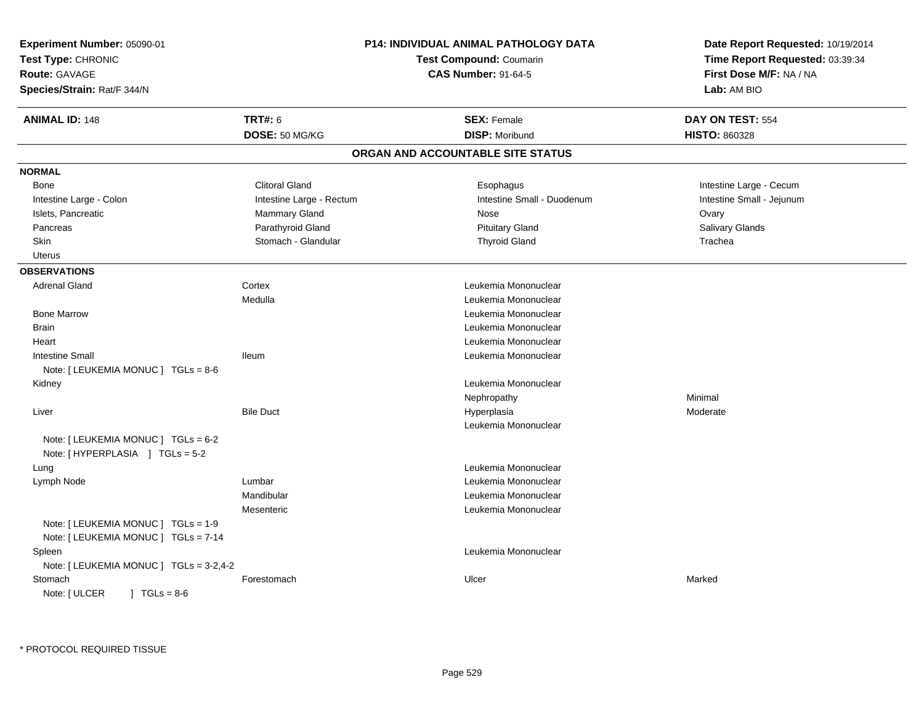| Experiment Number: 05090-01<br>Test Type: CHRONIC<br>Route: GAVAGE<br>Species/Strain: Rat/F 344/N |                          | P14: INDIVIDUAL ANIMAL PATHOLOGY DATA<br><b>Test Compound: Coumarin</b><br><b>CAS Number: 91-64-5</b> | Date Report Requested: 10/19/2014<br>Time Report Requested: 03:39:34<br>First Dose M/F: NA / NA<br>Lab: AM BIO |  |
|---------------------------------------------------------------------------------------------------|--------------------------|-------------------------------------------------------------------------------------------------------|----------------------------------------------------------------------------------------------------------------|--|
| <b>ANIMAL ID: 148</b>                                                                             | <b>TRT#: 6</b>           | <b>SEX: Female</b>                                                                                    | DAY ON TEST: 554                                                                                               |  |
|                                                                                                   | DOSE: 50 MG/KG           | <b>DISP: Moribund</b>                                                                                 | <b>HISTO: 860328</b>                                                                                           |  |
|                                                                                                   |                          | ORGAN AND ACCOUNTABLE SITE STATUS                                                                     |                                                                                                                |  |
| <b>NORMAL</b>                                                                                     |                          |                                                                                                       |                                                                                                                |  |
| Bone                                                                                              | <b>Clitoral Gland</b>    | Esophagus                                                                                             | Intestine Large - Cecum                                                                                        |  |
| Intestine Large - Colon                                                                           | Intestine Large - Rectum | Intestine Small - Duodenum                                                                            | Intestine Small - Jejunum                                                                                      |  |
| Islets, Pancreatic                                                                                | Mammary Gland            | Nose                                                                                                  | Ovary                                                                                                          |  |
| Pancreas                                                                                          | Parathyroid Gland        | <b>Pituitary Gland</b>                                                                                | Salivary Glands                                                                                                |  |
| <b>Skin</b>                                                                                       | Stomach - Glandular      | <b>Thyroid Gland</b>                                                                                  | Trachea                                                                                                        |  |
| Uterus                                                                                            |                          |                                                                                                       |                                                                                                                |  |
| <b>OBSERVATIONS</b>                                                                               |                          |                                                                                                       |                                                                                                                |  |
| Adrenal Gland                                                                                     | Cortex                   | Leukemia Mononuclear                                                                                  |                                                                                                                |  |
|                                                                                                   | Medulla                  | Leukemia Mononuclear                                                                                  |                                                                                                                |  |
| <b>Bone Marrow</b>                                                                                |                          | Leukemia Mononuclear                                                                                  |                                                                                                                |  |
| <b>Brain</b>                                                                                      |                          | Leukemia Mononuclear                                                                                  |                                                                                                                |  |
| Heart                                                                                             |                          | Leukemia Mononuclear                                                                                  |                                                                                                                |  |
| <b>Intestine Small</b>                                                                            | <b>Ileum</b>             | Leukemia Mononuclear                                                                                  |                                                                                                                |  |
| Note: $[LEUKEMIA MONUC] TGLS = 8-6$                                                               |                          |                                                                                                       |                                                                                                                |  |
| Kidney                                                                                            |                          | Leukemia Mononuclear                                                                                  |                                                                                                                |  |
|                                                                                                   |                          | Nephropathy                                                                                           | Minimal                                                                                                        |  |
| Liver                                                                                             | <b>Bile Duct</b>         | Hyperplasia                                                                                           | Moderate                                                                                                       |  |
|                                                                                                   |                          | Leukemia Mononuclear                                                                                  |                                                                                                                |  |
| Note: [ LEUKEMIA MONUC ] TGLs = 6-2<br>Note: [HYPERPLASIA ] TGLs = 5-2                            |                          |                                                                                                       |                                                                                                                |  |
| Lung                                                                                              |                          | Leukemia Mononuclear                                                                                  |                                                                                                                |  |
| Lymph Node                                                                                        | Lumbar                   | Leukemia Mononuclear                                                                                  |                                                                                                                |  |
|                                                                                                   | Mandibular               | Leukemia Mononuclear                                                                                  |                                                                                                                |  |
|                                                                                                   | Mesenteric               | Leukemia Mononuclear                                                                                  |                                                                                                                |  |
| Note: [ LEUKEMIA MONUC ] TGLs = 1-9<br>Note: $[LEUKEMIA MONUC] TGLS = 7-14$                       |                          |                                                                                                       |                                                                                                                |  |
| Spleen<br>Note: [ LEUKEMIA MONUC ] TGLs = 3-2,4-2                                                 |                          | Leukemia Mononuclear                                                                                  |                                                                                                                |  |
| Stomach<br>Note: [ ULCER<br>$1 TGLs = 8-6$                                                        | Forestomach              | Ulcer                                                                                                 | Marked                                                                                                         |  |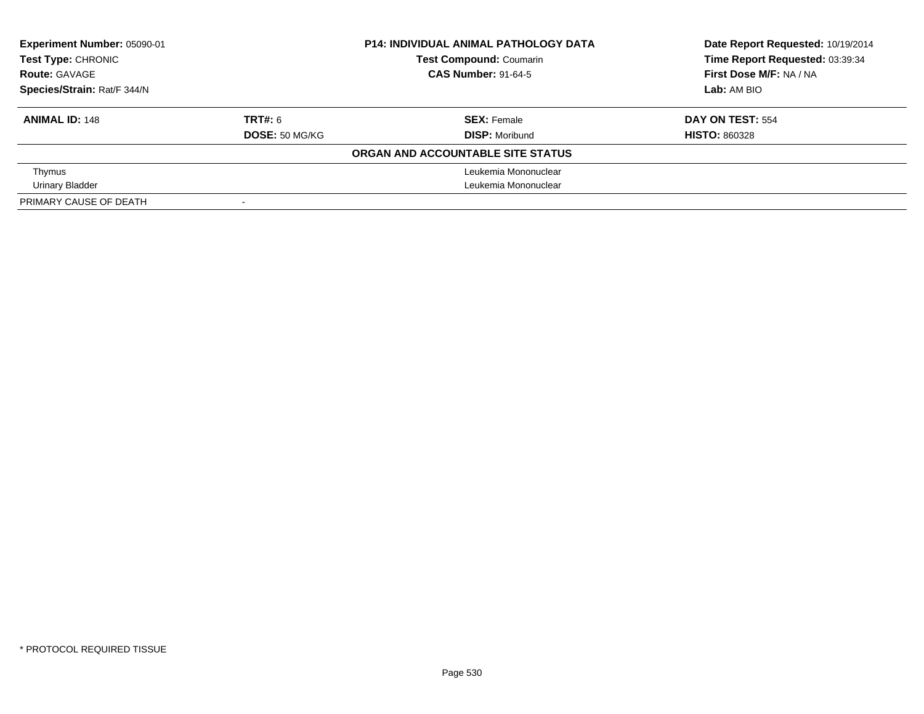| Experiment Number: 05090-01<br>Test Type: CHRONIC |                | <b>P14: INDIVIDUAL ANIMAL PATHOLOGY DATA</b> | Date Report Requested: 10/19/2014 |  |
|---------------------------------------------------|----------------|----------------------------------------------|-----------------------------------|--|
|                                                   |                | <b>Test Compound: Coumarin</b>               | Time Report Requested: 03:39:34   |  |
| <b>Route: GAVAGE</b>                              |                | <b>CAS Number: 91-64-5</b>                   | First Dose M/F: NA / NA           |  |
| Species/Strain: Rat/F 344/N                       |                |                                              | Lab: AM BIO                       |  |
| <b>ANIMAL ID: 148</b>                             | <b>TRT#: 6</b> | <b>SEX: Female</b>                           | DAY ON TEST: 554                  |  |
|                                                   | DOSE: 50 MG/KG | <b>DISP:</b> Moribund                        | <b>HISTO: 860328</b>              |  |
|                                                   |                | ORGAN AND ACCOUNTABLE SITE STATUS            |                                   |  |
| Thymus                                            |                | Leukemia Mononuclear                         |                                   |  |
| Urinary Bladder                                   |                | Leukemia Mononuclear                         |                                   |  |
| PRIMARY CAUSE OF DEATH                            |                |                                              |                                   |  |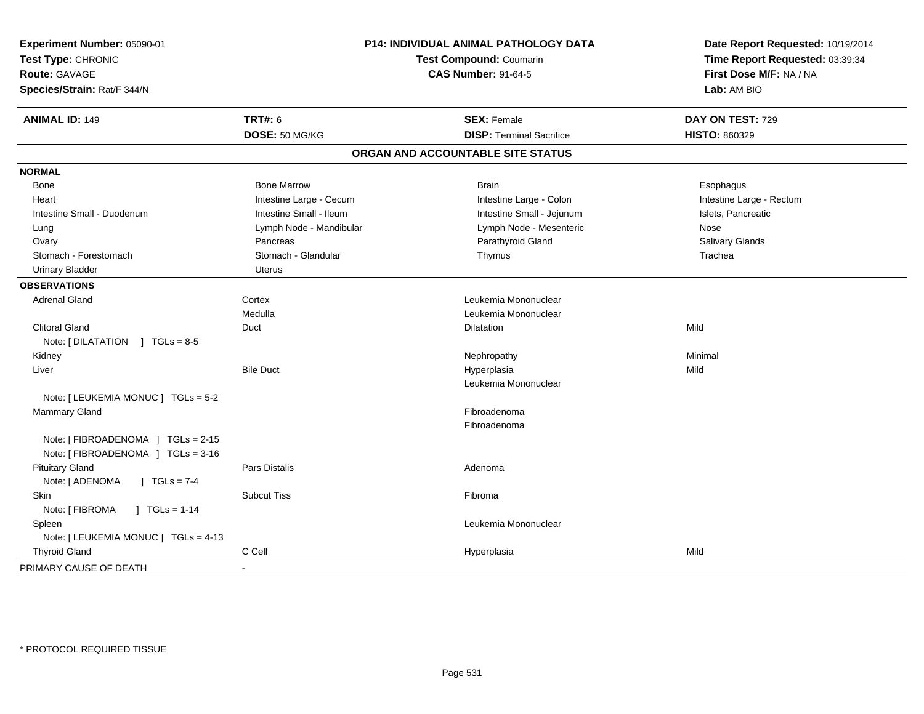| Experiment Number: 05090-01<br>Test Type: CHRONIC<br><b>Route: GAVAGE</b><br>Species/Strain: Rat/F 344/N | P14: INDIVIDUAL ANIMAL PATHOLOGY DATA<br>Test Compound: Coumarin<br><b>CAS Number: 91-64-5</b> |                                                       | Date Report Requested: 10/19/2014<br>Time Report Requested: 03:39:34<br>First Dose M/F: NA / NA<br>Lab: AM BIO |
|----------------------------------------------------------------------------------------------------------|------------------------------------------------------------------------------------------------|-------------------------------------------------------|----------------------------------------------------------------------------------------------------------------|
| <b>ANIMAL ID: 149</b>                                                                                    | <b>TRT#: 6</b><br>DOSE: 50 MG/KG                                                               | <b>SEX: Female</b><br><b>DISP: Terminal Sacrifice</b> | DAY ON TEST: 729<br><b>HISTO: 860329</b>                                                                       |
|                                                                                                          |                                                                                                | ORGAN AND ACCOUNTABLE SITE STATUS                     |                                                                                                                |
| <b>NORMAL</b>                                                                                            |                                                                                                |                                                       |                                                                                                                |
| Bone                                                                                                     | <b>Bone Marrow</b>                                                                             | <b>Brain</b>                                          | Esophagus                                                                                                      |
| Heart                                                                                                    | Intestine Large - Cecum                                                                        | Intestine Large - Colon                               | Intestine Large - Rectum                                                                                       |
| Intestine Small - Duodenum                                                                               | Intestine Small - Ileum                                                                        | Intestine Small - Jejunum                             | Islets, Pancreatic                                                                                             |
| Lung                                                                                                     | Lymph Node - Mandibular                                                                        | Lymph Node - Mesenteric                               | Nose                                                                                                           |
| Ovary                                                                                                    | Pancreas                                                                                       | Parathyroid Gland                                     | Salivary Glands                                                                                                |
| Stomach - Forestomach                                                                                    | Stomach - Glandular                                                                            | Thymus                                                | Trachea                                                                                                        |
| <b>Urinary Bladder</b>                                                                                   | <b>Uterus</b>                                                                                  |                                                       |                                                                                                                |
| <b>OBSERVATIONS</b>                                                                                      |                                                                                                |                                                       |                                                                                                                |
| <b>Adrenal Gland</b>                                                                                     | Cortex                                                                                         | Leukemia Mononuclear                                  |                                                                                                                |
|                                                                                                          | Medulla                                                                                        | Leukemia Mononuclear                                  |                                                                                                                |
| <b>Clitoral Gland</b>                                                                                    | Duct                                                                                           | <b>Dilatation</b>                                     | Mild                                                                                                           |
| Note: $[DILATATION] TGLs = 8-5$                                                                          |                                                                                                |                                                       |                                                                                                                |
| Kidney                                                                                                   |                                                                                                | Nephropathy                                           | Minimal                                                                                                        |
| Liver                                                                                                    | <b>Bile Duct</b>                                                                               | Hyperplasia                                           | Mild                                                                                                           |
|                                                                                                          |                                                                                                | Leukemia Mononuclear                                  |                                                                                                                |
| Note: [ LEUKEMIA MONUC ] TGLs = 5-2                                                                      |                                                                                                |                                                       |                                                                                                                |
| Mammary Gland                                                                                            |                                                                                                | Fibroadenoma                                          |                                                                                                                |
|                                                                                                          |                                                                                                | Fibroadenoma                                          |                                                                                                                |
| Note: [FIBROADENOMA ] TGLs = 2-15<br>Note: [FIBROADENOMA ] TGLs = 3-16                                   |                                                                                                |                                                       |                                                                                                                |
| <b>Pituitary Gland</b>                                                                                   | <b>Pars Distalis</b>                                                                           | Adenoma                                               |                                                                                                                |
| Note: [ ADENOMA<br>$J TGLs = 7-4$                                                                        |                                                                                                |                                                       |                                                                                                                |
| Skin                                                                                                     | <b>Subcut Tiss</b>                                                                             | Fibroma                                               |                                                                                                                |
| Note: [ FIBROMA<br>$1 \text{ TGLs} = 1-14$                                                               |                                                                                                |                                                       |                                                                                                                |
| Spleen                                                                                                   |                                                                                                | Leukemia Mononuclear                                  |                                                                                                                |
| Note: [ LEUKEMIA MONUC ] TGLs = 4-13                                                                     |                                                                                                |                                                       |                                                                                                                |
| <b>Thyroid Gland</b>                                                                                     | C Cell                                                                                         | Hyperplasia                                           | Mild                                                                                                           |
| PRIMARY CAUSE OF DEATH                                                                                   |                                                                                                |                                                       |                                                                                                                |
|                                                                                                          |                                                                                                |                                                       |                                                                                                                |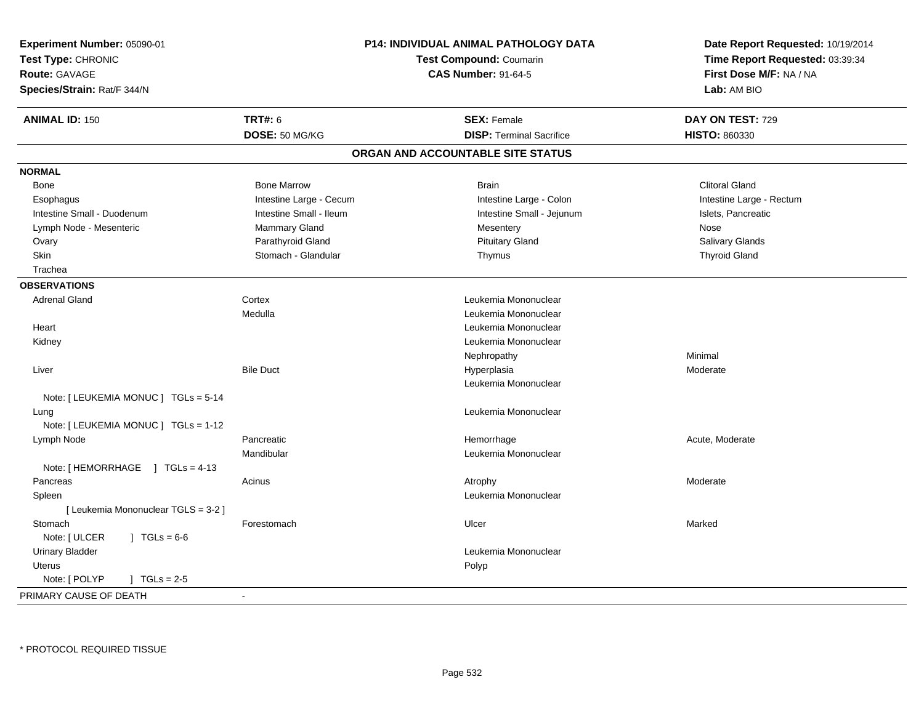| Experiment Number: 05090-01<br>Test Type: CHRONIC<br>Route: GAVAGE<br>Species/Strain: Rat/F 344/N | P14: INDIVIDUAL ANIMAL PATHOLOGY DATA<br><b>Test Compound: Coumarin</b><br><b>CAS Number: 91-64-5</b> |                                   | Date Report Requested: 10/19/2014<br>Time Report Requested: 03:39:34<br>First Dose M/F: NA / NA<br>Lab: AM BIO |  |
|---------------------------------------------------------------------------------------------------|-------------------------------------------------------------------------------------------------------|-----------------------------------|----------------------------------------------------------------------------------------------------------------|--|
| <b>ANIMAL ID: 150</b>                                                                             | <b>TRT#: 6</b>                                                                                        | <b>SEX: Female</b>                | DAY ON TEST: 729                                                                                               |  |
|                                                                                                   | DOSE: 50 MG/KG                                                                                        | <b>DISP: Terminal Sacrifice</b>   | HISTO: 860330                                                                                                  |  |
|                                                                                                   |                                                                                                       | ORGAN AND ACCOUNTABLE SITE STATUS |                                                                                                                |  |
| <b>NORMAL</b>                                                                                     |                                                                                                       |                                   |                                                                                                                |  |
| Bone                                                                                              | <b>Bone Marrow</b>                                                                                    | <b>Brain</b>                      | <b>Clitoral Gland</b>                                                                                          |  |
| Esophagus                                                                                         | Intestine Large - Cecum                                                                               | Intestine Large - Colon           | Intestine Large - Rectum                                                                                       |  |
| Intestine Small - Duodenum                                                                        | Intestine Small - Ileum                                                                               | Intestine Small - Jejunum         | Islets, Pancreatic                                                                                             |  |
| Lymph Node - Mesenteric                                                                           | Mammary Gland                                                                                         | Mesentery                         | Nose                                                                                                           |  |
| Ovary                                                                                             | Parathyroid Gland                                                                                     | <b>Pituitary Gland</b>            | Salivary Glands                                                                                                |  |
| Skin                                                                                              | Stomach - Glandular                                                                                   | Thymus                            | <b>Thyroid Gland</b>                                                                                           |  |
| Trachea                                                                                           |                                                                                                       |                                   |                                                                                                                |  |
| <b>OBSERVATIONS</b>                                                                               |                                                                                                       |                                   |                                                                                                                |  |
| <b>Adrenal Gland</b>                                                                              | Cortex                                                                                                | Leukemia Mononuclear              |                                                                                                                |  |
|                                                                                                   | Medulla                                                                                               | Leukemia Mononuclear              |                                                                                                                |  |
| Heart                                                                                             |                                                                                                       | Leukemia Mononuclear              |                                                                                                                |  |
| Kidney                                                                                            |                                                                                                       | Leukemia Mononuclear              |                                                                                                                |  |
|                                                                                                   |                                                                                                       | Nephropathy                       | Minimal                                                                                                        |  |
| Liver                                                                                             | <b>Bile Duct</b>                                                                                      | Hyperplasia                       | Moderate                                                                                                       |  |
|                                                                                                   |                                                                                                       | Leukemia Mononuclear              |                                                                                                                |  |
| Note: [ LEUKEMIA MONUC ] TGLs = 5-14                                                              |                                                                                                       |                                   |                                                                                                                |  |
| Lung                                                                                              |                                                                                                       | Leukemia Mononuclear              |                                                                                                                |  |
| Note: [ LEUKEMIA MONUC ] TGLs = 1-12                                                              |                                                                                                       |                                   |                                                                                                                |  |
| Lymph Node                                                                                        | Pancreatic                                                                                            | Hemorrhage                        | Acute, Moderate                                                                                                |  |
|                                                                                                   | Mandibular                                                                                            | Leukemia Mononuclear              |                                                                                                                |  |
| Note: [HEMORRHAGE ] TGLs = 4-13                                                                   |                                                                                                       |                                   |                                                                                                                |  |
| Pancreas                                                                                          | Acinus                                                                                                | Atrophy                           | Moderate                                                                                                       |  |
| Spleen                                                                                            |                                                                                                       | Leukemia Mononuclear              |                                                                                                                |  |
| [ Leukemia Mononuclear TGLS = 3-2 ]                                                               |                                                                                                       |                                   |                                                                                                                |  |
| Stomach                                                                                           | Forestomach                                                                                           | Ulcer                             | Marked                                                                                                         |  |
| Note: [ ULCER<br>$JTGLs = 6-6$                                                                    |                                                                                                       |                                   |                                                                                                                |  |
| <b>Urinary Bladder</b>                                                                            |                                                                                                       | Leukemia Mononuclear              |                                                                                                                |  |
| <b>Uterus</b>                                                                                     |                                                                                                       | Polyp                             |                                                                                                                |  |
| Note: [ POLYP<br>$\sqrt{1 + 1}$ TGLs = 2-5                                                        |                                                                                                       |                                   |                                                                                                                |  |
| PRIMARY CAUSE OF DEATH                                                                            |                                                                                                       |                                   |                                                                                                                |  |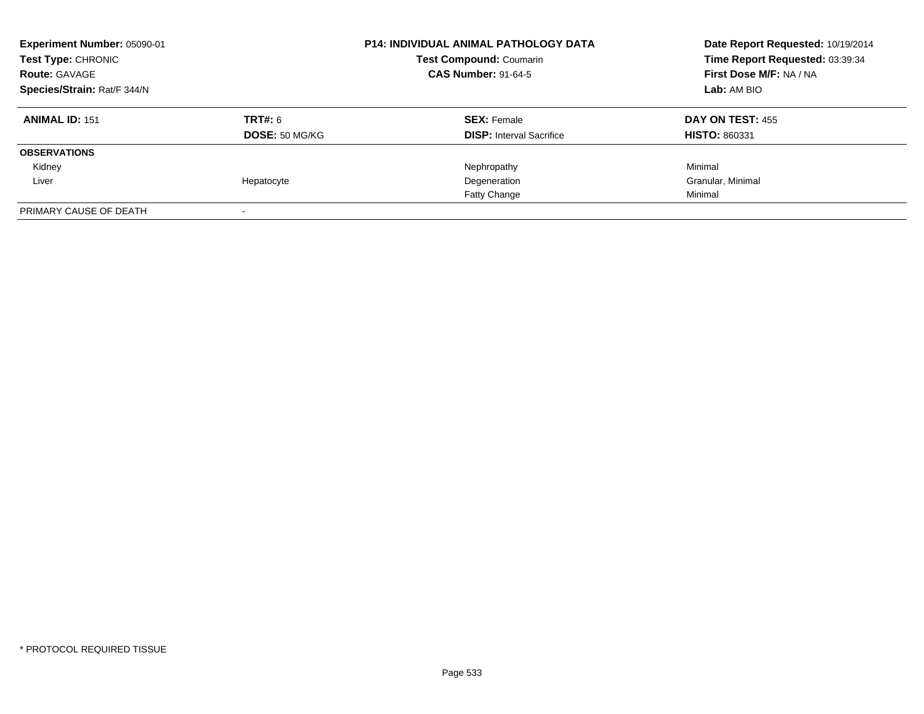| Experiment Number: 05090-01<br><b>Test Type: CHRONIC</b><br><b>Route: GAVAGE</b><br>Species/Strain: Rat/F 344/N |                                  | <b>P14: INDIVIDUAL ANIMAL PATHOLOGY DATA</b><br><b>Test Compound: Coumarin</b><br><b>CAS Number: 91-64-5</b> | Date Report Requested: 10/19/2014<br>Time Report Requested: 03:39:34<br>First Dose M/F: NA / NA<br>Lab: AM BIO |  |
|-----------------------------------------------------------------------------------------------------------------|----------------------------------|--------------------------------------------------------------------------------------------------------------|----------------------------------------------------------------------------------------------------------------|--|
| <b>ANIMAL ID: 151</b>                                                                                           | <b>TRT#: 6</b><br>DOSE: 50 MG/KG | <b>SEX: Female</b><br><b>DISP:</b> Interval Sacrifice                                                        | DAY ON TEST: 455<br><b>HISTO: 860331</b>                                                                       |  |
| <b>OBSERVATIONS</b>                                                                                             |                                  |                                                                                                              |                                                                                                                |  |
| Kidney                                                                                                          |                                  | Nephropathy                                                                                                  | Minimal                                                                                                        |  |
| Liver                                                                                                           | Hepatocyte                       | Degeneration                                                                                                 | Granular, Minimal                                                                                              |  |
|                                                                                                                 |                                  | Fatty Change                                                                                                 | Minimal                                                                                                        |  |
| PRIMARY CAUSE OF DEATH                                                                                          |                                  |                                                                                                              |                                                                                                                |  |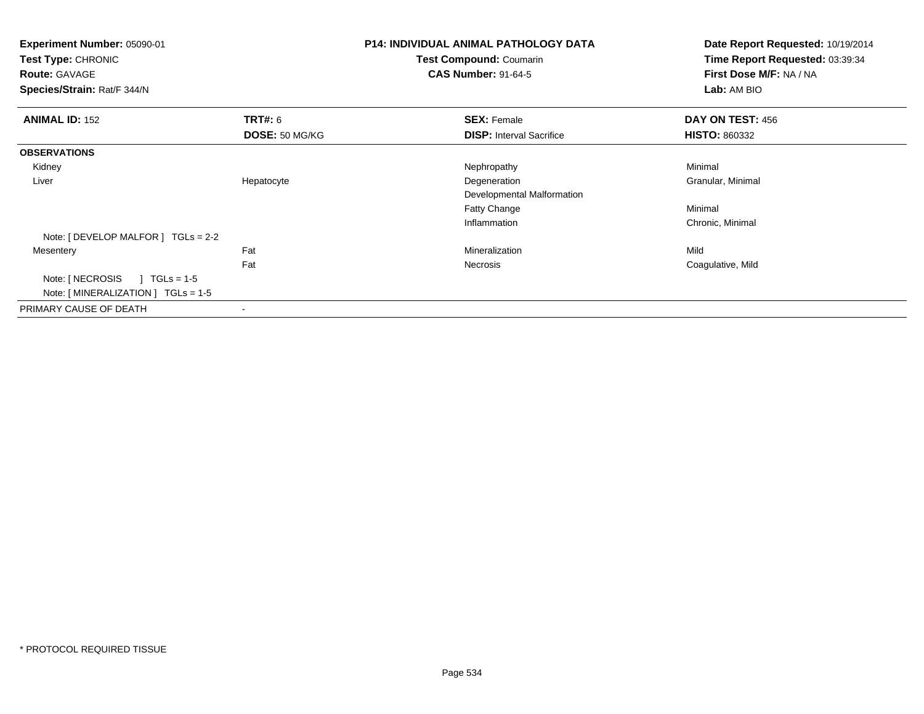| Experiment Number: 05090-01<br>Test Type: CHRONIC<br><b>Route: GAVAGE</b><br>Species/Strain: Rat/F 344/N |                                  | <b>P14: INDIVIDUAL ANIMAL PATHOLOGY DATA</b><br>Test Compound: Coumarin<br><b>CAS Number: 91-64-5</b> | Date Report Requested: 10/19/2014<br>Time Report Requested: 03:39:34<br>First Dose M/F: NA / NA<br>Lab: AM BIO |  |
|----------------------------------------------------------------------------------------------------------|----------------------------------|-------------------------------------------------------------------------------------------------------|----------------------------------------------------------------------------------------------------------------|--|
| <b>ANIMAL ID: 152</b>                                                                                    | <b>TRT#: 6</b><br>DOSE: 50 MG/KG | <b>SEX: Female</b><br><b>DISP:</b> Interval Sacrifice                                                 | DAY ON TEST: 456<br><b>HISTO: 860332</b>                                                                       |  |
|                                                                                                          |                                  |                                                                                                       |                                                                                                                |  |
| <b>OBSERVATIONS</b>                                                                                      |                                  |                                                                                                       |                                                                                                                |  |
| Kidney                                                                                                   |                                  | Nephropathy                                                                                           | Minimal                                                                                                        |  |
| Liver                                                                                                    | Hepatocyte                       | Degeneration                                                                                          | Granular, Minimal                                                                                              |  |
|                                                                                                          |                                  | Developmental Malformation                                                                            |                                                                                                                |  |
|                                                                                                          |                                  | Fatty Change                                                                                          | Minimal                                                                                                        |  |
|                                                                                                          |                                  | Inflammation                                                                                          | Chronic, Minimal                                                                                               |  |
| Note: $[$ DEVELOP MALFOR $]$ TGLs = 2-2                                                                  |                                  |                                                                                                       |                                                                                                                |  |
| Mesentery                                                                                                | Fat                              | Mineralization                                                                                        | Mild                                                                                                           |  |
|                                                                                                          | Fat                              | Necrosis                                                                                              | Coagulative, Mild                                                                                              |  |
| Note: [ NECROSIS<br>$TGLs = 1-5$<br>Note: $[MINERALIZATION] TGLs = 1-5$                                  |                                  |                                                                                                       |                                                                                                                |  |
| PRIMARY CAUSE OF DEATH                                                                                   |                                  |                                                                                                       |                                                                                                                |  |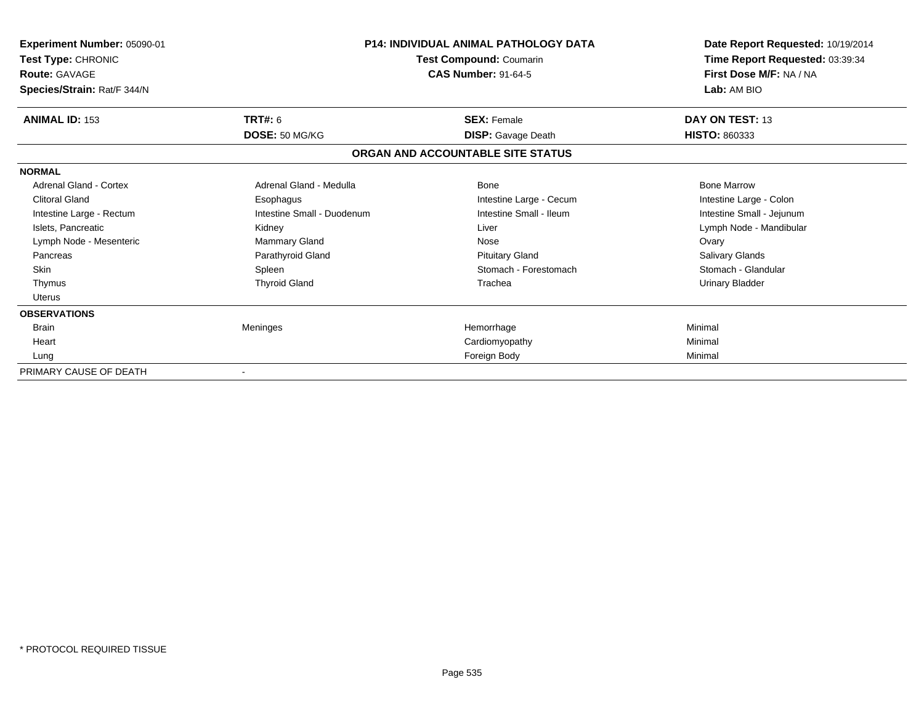| Experiment Number: 05090-01<br>Test Type: CHRONIC<br><b>Route: GAVAGE</b><br>Species/Strain: Rat/F 344/N |                            | <b>P14: INDIVIDUAL ANIMAL PATHOLOGY DATA</b><br>Test Compound: Coumarin<br><b>CAS Number: 91-64-5</b> | Date Report Requested: 10/19/2014<br>Time Report Requested: 03:39:34<br>First Dose M/F: NA / NA<br>Lab: AM BIO |  |
|----------------------------------------------------------------------------------------------------------|----------------------------|-------------------------------------------------------------------------------------------------------|----------------------------------------------------------------------------------------------------------------|--|
| <b>ANIMAL ID: 153</b>                                                                                    | TRT#: 6                    | <b>SEX: Female</b>                                                                                    | DAY ON TEST: 13                                                                                                |  |
|                                                                                                          | DOSE: 50 MG/KG             | <b>DISP:</b> Gavage Death                                                                             | <b>HISTO: 860333</b>                                                                                           |  |
|                                                                                                          |                            | ORGAN AND ACCOUNTABLE SITE STATUS                                                                     |                                                                                                                |  |
| <b>NORMAL</b>                                                                                            |                            |                                                                                                       |                                                                                                                |  |
| Adrenal Gland - Cortex                                                                                   | Adrenal Gland - Medulla    | Bone                                                                                                  | <b>Bone Marrow</b>                                                                                             |  |
| <b>Clitoral Gland</b>                                                                                    | Esophagus                  | Intestine Large - Cecum                                                                               | Intestine Large - Colon                                                                                        |  |
| Intestine Large - Rectum                                                                                 | Intestine Small - Duodenum | Intestine Small - Ileum                                                                               | Intestine Small - Jejunum                                                                                      |  |
| Islets, Pancreatic                                                                                       | Kidney                     | Liver                                                                                                 | Lymph Node - Mandibular                                                                                        |  |
| Lymph Node - Mesenteric                                                                                  | Mammary Gland              | Nose                                                                                                  | Ovary                                                                                                          |  |
| Pancreas                                                                                                 | Parathyroid Gland          | <b>Pituitary Gland</b>                                                                                | <b>Salivary Glands</b>                                                                                         |  |
| <b>Skin</b>                                                                                              | Spleen                     | Stomach - Forestomach                                                                                 | Stomach - Glandular                                                                                            |  |
| Thymus                                                                                                   | <b>Thyroid Gland</b>       | Trachea                                                                                               | Urinary Bladder                                                                                                |  |
| Uterus                                                                                                   |                            |                                                                                                       |                                                                                                                |  |
| <b>OBSERVATIONS</b>                                                                                      |                            |                                                                                                       |                                                                                                                |  |
| <b>Brain</b>                                                                                             | Meninges                   | Hemorrhage                                                                                            | Minimal                                                                                                        |  |
| Heart                                                                                                    |                            | Cardiomyopathy                                                                                        | Minimal                                                                                                        |  |
| Lung                                                                                                     |                            | Foreign Body                                                                                          | Minimal                                                                                                        |  |
| PRIMARY CAUSE OF DEATH                                                                                   |                            |                                                                                                       |                                                                                                                |  |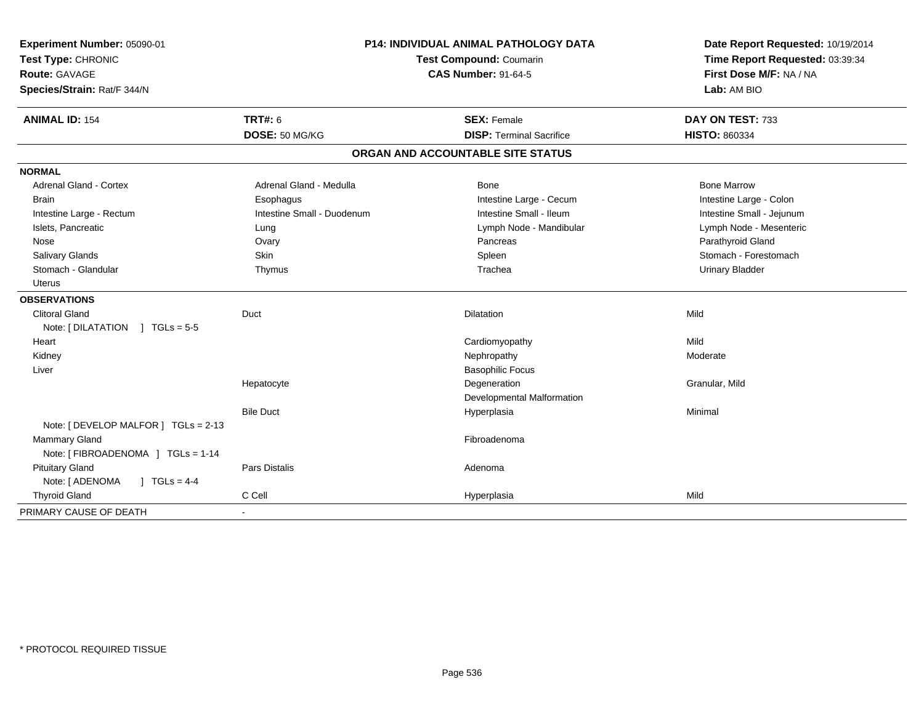| Experiment Number: 05090-01          |                            | <b>P14: INDIVIDUAL ANIMAL PATHOLOGY DATA</b> | Date Report Requested: 10/19/2014 |  |
|--------------------------------------|----------------------------|----------------------------------------------|-----------------------------------|--|
| Test Type: CHRONIC                   |                            | Test Compound: Coumarin                      | Time Report Requested: 03:39:34   |  |
| <b>Route: GAVAGE</b>                 |                            | <b>CAS Number: 91-64-5</b>                   | First Dose M/F: NA / NA           |  |
| Species/Strain: Rat/F 344/N          |                            |                                              | Lab: AM BIO                       |  |
| <b>ANIMAL ID: 154</b>                | <b>TRT#: 6</b>             | <b>SEX: Female</b>                           | DAY ON TEST: 733                  |  |
|                                      | DOSE: 50 MG/KG             | <b>DISP: Terminal Sacrifice</b>              | <b>HISTO: 860334</b>              |  |
|                                      |                            | ORGAN AND ACCOUNTABLE SITE STATUS            |                                   |  |
| <b>NORMAL</b>                        |                            |                                              |                                   |  |
| <b>Adrenal Gland - Cortex</b>        | Adrenal Gland - Medulla    | Bone                                         | <b>Bone Marrow</b>                |  |
| <b>Brain</b>                         | Esophagus                  | Intestine Large - Cecum                      | Intestine Large - Colon           |  |
| Intestine Large - Rectum             | Intestine Small - Duodenum | Intestine Small - Ileum                      | Intestine Small - Jejunum         |  |
| Islets, Pancreatic                   | Lung                       | Lymph Node - Mandibular                      | Lymph Node - Mesenteric           |  |
| Nose                                 | Ovary                      | Pancreas                                     | Parathyroid Gland                 |  |
| Salivary Glands                      | Skin                       | Spleen                                       | Stomach - Forestomach             |  |
| Stomach - Glandular                  | Thymus                     | Trachea                                      | <b>Urinary Bladder</b>            |  |
| Uterus                               |                            |                                              |                                   |  |
| <b>OBSERVATIONS</b>                  |                            |                                              |                                   |  |
| <b>Clitoral Gland</b>                | Duct                       | Dilatation                                   | Mild                              |  |
| Note: [DILATATION ] TGLs = 5-5       |                            |                                              |                                   |  |
| Heart                                |                            | Cardiomyopathy                               | Mild                              |  |
| Kidney                               |                            | Nephropathy                                  | Moderate                          |  |
| Liver                                |                            | <b>Basophilic Focus</b>                      |                                   |  |
|                                      | Hepatocyte                 | Degeneration                                 | Granular, Mild                    |  |
|                                      |                            | Developmental Malformation                   |                                   |  |
|                                      | <b>Bile Duct</b>           | Hyperplasia                                  | Minimal                           |  |
| Note: [ DEVELOP MALFOR ] TGLs = 2-13 |                            |                                              |                                   |  |
| <b>Mammary Gland</b>                 |                            | Fibroadenoma                                 |                                   |  |
| Note: [ FIBROADENOMA ] TGLs = 1-14   |                            |                                              |                                   |  |
| <b>Pituitary Gland</b>               | <b>Pars Distalis</b>       | Adenoma                                      |                                   |  |
| Note: [ ADENOMA<br>$1 TGLs = 4-4$    |                            |                                              |                                   |  |
| <b>Thyroid Gland</b>                 | C Cell                     | Hyperplasia                                  | Mild                              |  |
| PRIMARY CAUSE OF DEATH               | $\blacksquare$             |                                              |                                   |  |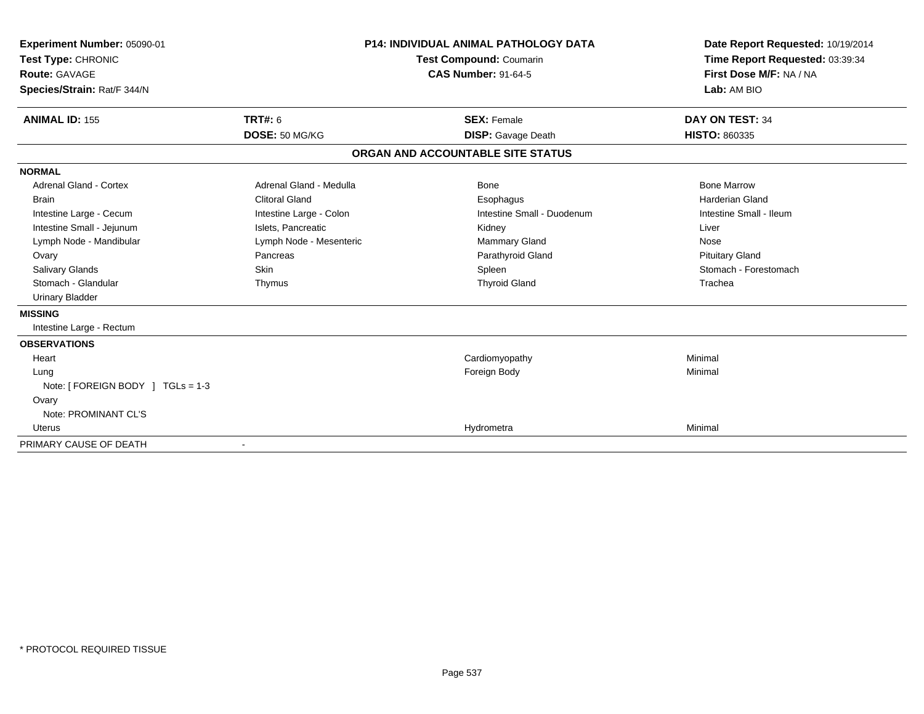| Experiment Number: 05090-01<br>Test Type: CHRONIC<br>Route: GAVAGE |                         | <b>P14: INDIVIDUAL ANIMAL PATHOLOGY DATA</b><br><b>Test Compound: Coumarin</b><br><b>CAS Number: 91-64-5</b> | Date Report Requested: 10/19/2014<br>Time Report Requested: 03:39:34<br>First Dose M/F: NA / NA |  |
|--------------------------------------------------------------------|-------------------------|--------------------------------------------------------------------------------------------------------------|-------------------------------------------------------------------------------------------------|--|
| Species/Strain: Rat/F 344/N                                        |                         |                                                                                                              | Lab: AM BIO                                                                                     |  |
| <b>ANIMAL ID: 155</b>                                              | <b>TRT#: 6</b>          | <b>SEX: Female</b>                                                                                           | DAY ON TEST: 34                                                                                 |  |
|                                                                    | DOSE: 50 MG/KG          | <b>DISP:</b> Gavage Death                                                                                    | HISTO: 860335                                                                                   |  |
|                                                                    |                         | ORGAN AND ACCOUNTABLE SITE STATUS                                                                            |                                                                                                 |  |
| <b>NORMAL</b>                                                      |                         |                                                                                                              |                                                                                                 |  |
| <b>Adrenal Gland - Cortex</b>                                      | Adrenal Gland - Medulla | Bone                                                                                                         | <b>Bone Marrow</b>                                                                              |  |
| <b>Brain</b>                                                       | <b>Clitoral Gland</b>   | Esophagus                                                                                                    | <b>Harderian Gland</b>                                                                          |  |
| Intestine Large - Cecum                                            | Intestine Large - Colon | Intestine Small - Duodenum                                                                                   | Intestine Small - Ileum                                                                         |  |
| Intestine Small - Jejunum                                          | Islets, Pancreatic      | Kidney                                                                                                       | Liver                                                                                           |  |
| Lymph Node - Mandibular                                            | Lymph Node - Mesenteric | Mammary Gland                                                                                                | Nose                                                                                            |  |
| Ovary                                                              | Pancreas                | Parathyroid Gland                                                                                            | <b>Pituitary Gland</b>                                                                          |  |
| <b>Salivary Glands</b>                                             | Skin                    | Spleen                                                                                                       | Stomach - Forestomach                                                                           |  |
| Stomach - Glandular                                                | Thymus                  | <b>Thyroid Gland</b>                                                                                         | Trachea                                                                                         |  |
| <b>Urinary Bladder</b>                                             |                         |                                                                                                              |                                                                                                 |  |
| <b>MISSING</b>                                                     |                         |                                                                                                              |                                                                                                 |  |
| Intestine Large - Rectum                                           |                         |                                                                                                              |                                                                                                 |  |
| <b>OBSERVATIONS</b>                                                |                         |                                                                                                              |                                                                                                 |  |
| Heart                                                              |                         | Cardiomyopathy                                                                                               | Minimal                                                                                         |  |
| Lung                                                               |                         | Foreign Body                                                                                                 | Minimal                                                                                         |  |
| Note: [ FOREIGN BODY ] TGLs = 1-3                                  |                         |                                                                                                              |                                                                                                 |  |
| Ovary                                                              |                         |                                                                                                              |                                                                                                 |  |
| Note: PROMINANT CL'S                                               |                         |                                                                                                              |                                                                                                 |  |
| Uterus                                                             |                         | Hydrometra                                                                                                   | Minimal                                                                                         |  |
| PRIMARY CAUSE OF DEATH                                             |                         |                                                                                                              |                                                                                                 |  |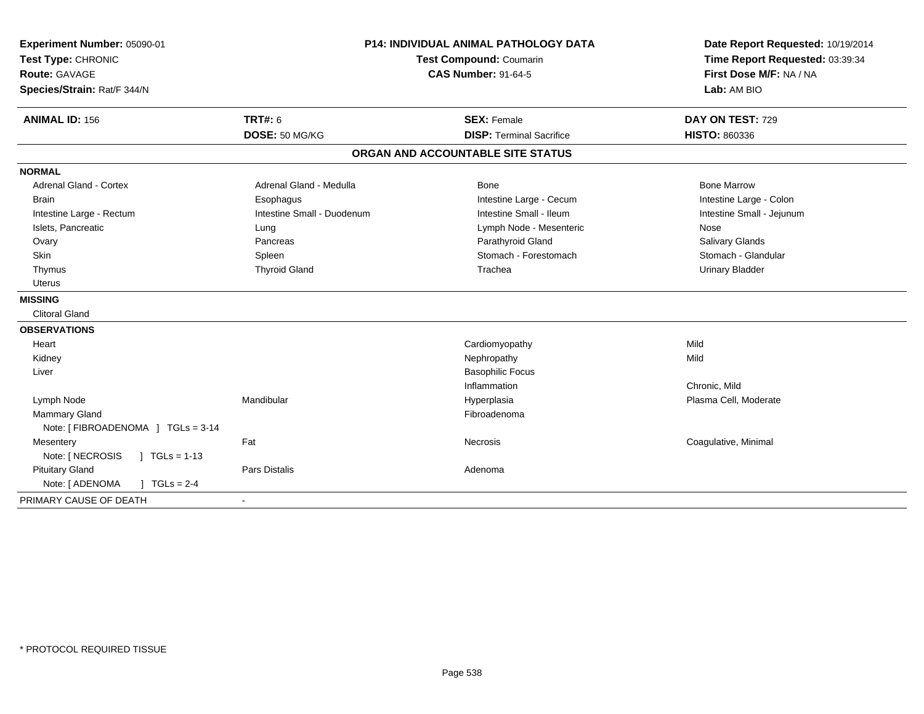| Experiment Number: 05090-01<br>Test Type: CHRONIC<br><b>Route: GAVAGE</b> |                            | <b>P14: INDIVIDUAL ANIMAL PATHOLOGY DATA</b><br><b>Test Compound: Coumarin</b><br><b>CAS Number: 91-64-5</b> | Date Report Requested: 10/19/2014<br>Time Report Requested: 03:39:34<br>First Dose M/F: NA / NA |  |
|---------------------------------------------------------------------------|----------------------------|--------------------------------------------------------------------------------------------------------------|-------------------------------------------------------------------------------------------------|--|
| Species/Strain: Rat/F 344/N                                               |                            |                                                                                                              | Lab: AM BIO                                                                                     |  |
| <b>ANIMAL ID: 156</b>                                                     | <b>TRT#: 6</b>             | <b>SEX: Female</b>                                                                                           | DAY ON TEST: 729                                                                                |  |
|                                                                           | DOSE: 50 MG/KG             | <b>DISP: Terminal Sacrifice</b>                                                                              | <b>HISTO: 860336</b>                                                                            |  |
|                                                                           |                            | ORGAN AND ACCOUNTABLE SITE STATUS                                                                            |                                                                                                 |  |
| <b>NORMAL</b>                                                             |                            |                                                                                                              |                                                                                                 |  |
| <b>Adrenal Gland - Cortex</b>                                             | Adrenal Gland - Medulla    | Bone                                                                                                         | <b>Bone Marrow</b>                                                                              |  |
| <b>Brain</b>                                                              | Esophagus                  | Intestine Large - Cecum                                                                                      | Intestine Large - Colon                                                                         |  |
| Intestine Large - Rectum                                                  | Intestine Small - Duodenum | Intestine Small - Ileum                                                                                      | Intestine Small - Jejunum                                                                       |  |
| Islets, Pancreatic                                                        | Lung                       | Lymph Node - Mesenteric                                                                                      | Nose                                                                                            |  |
| Ovary                                                                     | Pancreas                   | Parathyroid Gland                                                                                            | Salivary Glands                                                                                 |  |
| Skin                                                                      | Spleen                     | Stomach - Forestomach                                                                                        | Stomach - Glandular                                                                             |  |
| Thymus                                                                    | <b>Thyroid Gland</b>       | Trachea                                                                                                      | <b>Urinary Bladder</b>                                                                          |  |
| Uterus                                                                    |                            |                                                                                                              |                                                                                                 |  |
| <b>MISSING</b>                                                            |                            |                                                                                                              |                                                                                                 |  |
| <b>Clitoral Gland</b>                                                     |                            |                                                                                                              |                                                                                                 |  |
| <b>OBSERVATIONS</b>                                                       |                            |                                                                                                              |                                                                                                 |  |
| Heart                                                                     |                            | Cardiomyopathy                                                                                               | Mild                                                                                            |  |
| Kidney                                                                    |                            | Nephropathy                                                                                                  | Mild                                                                                            |  |
| Liver                                                                     |                            | <b>Basophilic Focus</b>                                                                                      |                                                                                                 |  |
|                                                                           |                            | Inflammation                                                                                                 | Chronic, Mild                                                                                   |  |
| Lymph Node                                                                | Mandibular                 | Hyperplasia                                                                                                  | Plasma Cell, Moderate                                                                           |  |
| Mammary Gland                                                             |                            | Fibroadenoma                                                                                                 |                                                                                                 |  |
| Note: [ FIBROADENOMA ] TGLs = 3-14                                        |                            |                                                                                                              |                                                                                                 |  |
| Mesentery                                                                 | Fat                        | <b>Necrosis</b>                                                                                              | Coagulative, Minimal                                                                            |  |
| Note: [ NECROSIS<br>$1 TGLs = 1-13$                                       |                            |                                                                                                              |                                                                                                 |  |
| <b>Pituitary Gland</b>                                                    | Pars Distalis              | Adenoma                                                                                                      |                                                                                                 |  |
| Note: [ ADENOMA<br>$J \cdot TGLS = 2-4$                                   |                            |                                                                                                              |                                                                                                 |  |
| PRIMARY CAUSE OF DEATH                                                    |                            |                                                                                                              |                                                                                                 |  |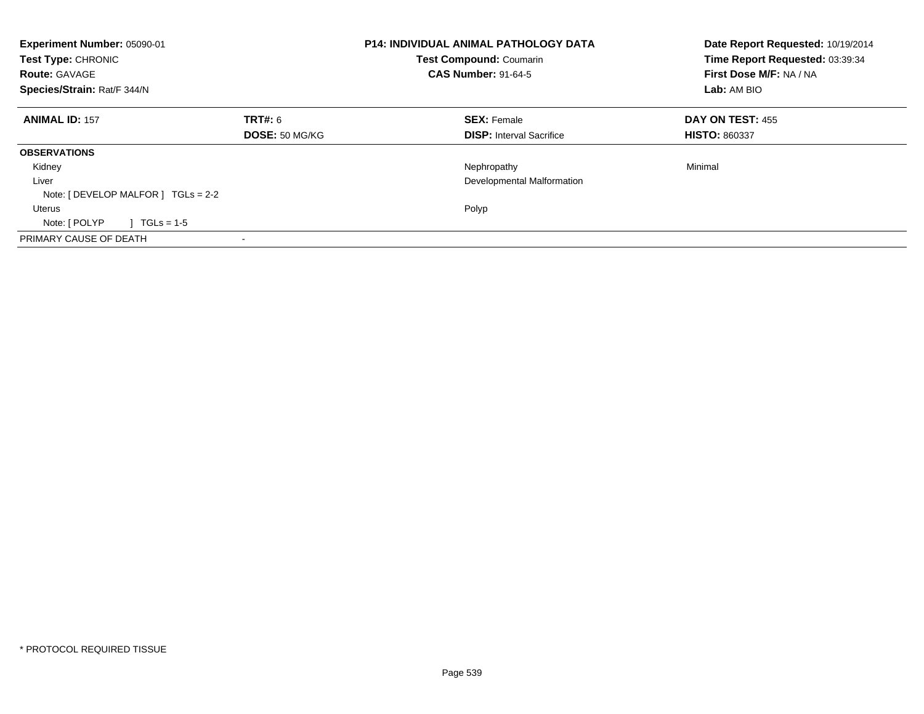| Experiment Number: 05090-01<br>Test Type: CHRONIC<br><b>Route: GAVAGE</b><br>Species/Strain: Rat/F 344/N |                       | <b>P14: INDIVIDUAL ANIMAL PATHOLOGY DATA</b><br><b>Test Compound: Coumarin</b><br><b>CAS Number: 91-64-5</b> | Date Report Requested: 10/19/2014<br>Time Report Requested: 03:39:34<br>First Dose M/F: NA / NA<br>Lab: AM BIO |  |
|----------------------------------------------------------------------------------------------------------|-----------------------|--------------------------------------------------------------------------------------------------------------|----------------------------------------------------------------------------------------------------------------|--|
| <b>ANIMAL ID: 157</b>                                                                                    | TRT#: 6               | <b>SEX: Female</b>                                                                                           | DAY ON TEST: 455                                                                                               |  |
|                                                                                                          | <b>DOSE: 50 MG/KG</b> | <b>DISP:</b> Interval Sacrifice                                                                              | <b>HISTO: 860337</b>                                                                                           |  |
| <b>OBSERVATIONS</b>                                                                                      |                       |                                                                                                              |                                                                                                                |  |
| Kidney                                                                                                   |                       | Nephropathy                                                                                                  | Minimal                                                                                                        |  |
| Liver                                                                                                    |                       | Developmental Malformation                                                                                   |                                                                                                                |  |
| Note: $[$ DEVELOP MALFOR $]$ TGLs = 2-2                                                                  |                       |                                                                                                              |                                                                                                                |  |
| Uterus                                                                                                   |                       | Polyp                                                                                                        |                                                                                                                |  |
| Note: [ POLYP<br>$TGLs = 1-5$                                                                            |                       |                                                                                                              |                                                                                                                |  |
| PRIMARY CAUSE OF DEATH                                                                                   |                       |                                                                                                              |                                                                                                                |  |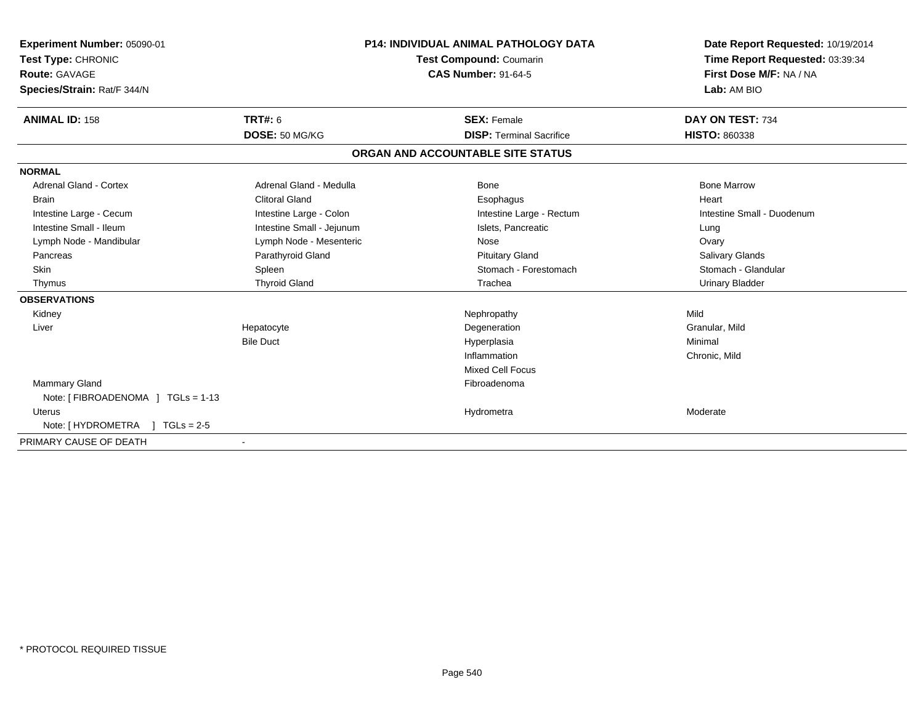| <b>Experiment Number: 05090-01</b><br>Test Type: CHRONIC<br><b>Route: GAVAGE</b><br>Species/Strain: Rat/F 344/N |                           | <b>P14: INDIVIDUAL ANIMAL PATHOLOGY DATA</b><br><b>Test Compound: Coumarin</b><br><b>CAS Number: 91-64-5</b> |                                   | Date Report Requested: 10/19/2014<br>Time Report Requested: 03:39:34<br>First Dose M/F: NA / NA<br>Lab: AM BIO |  |
|-----------------------------------------------------------------------------------------------------------------|---------------------------|--------------------------------------------------------------------------------------------------------------|-----------------------------------|----------------------------------------------------------------------------------------------------------------|--|
| <b>ANIMAL ID: 158</b>                                                                                           | TRT#: 6                   |                                                                                                              | <b>SEX: Female</b>                | DAY ON TEST: 734                                                                                               |  |
|                                                                                                                 | DOSE: 50 MG/KG            |                                                                                                              | <b>DISP: Terminal Sacrifice</b>   | <b>HISTO: 860338</b>                                                                                           |  |
|                                                                                                                 |                           |                                                                                                              | ORGAN AND ACCOUNTABLE SITE STATUS |                                                                                                                |  |
| <b>NORMAL</b>                                                                                                   |                           |                                                                                                              |                                   |                                                                                                                |  |
| <b>Adrenal Gland - Cortex</b>                                                                                   | Adrenal Gland - Medulla   |                                                                                                              | Bone                              | <b>Bone Marrow</b>                                                                                             |  |
| <b>Brain</b>                                                                                                    | <b>Clitoral Gland</b>     |                                                                                                              | Esophagus                         | Heart                                                                                                          |  |
| Intestine Large - Cecum                                                                                         | Intestine Large - Colon   |                                                                                                              | Intestine Large - Rectum          | Intestine Small - Duodenum                                                                                     |  |
| Intestine Small - Ileum                                                                                         | Intestine Small - Jejunum |                                                                                                              | Islets, Pancreatic                | Lung                                                                                                           |  |
| Lymph Node - Mandibular                                                                                         | Lymph Node - Mesenteric   |                                                                                                              | Nose                              | Ovary                                                                                                          |  |
| Pancreas                                                                                                        | Parathyroid Gland         |                                                                                                              | <b>Pituitary Gland</b>            | <b>Salivary Glands</b>                                                                                         |  |
| Skin                                                                                                            | Spleen                    |                                                                                                              | Stomach - Forestomach             | Stomach - Glandular                                                                                            |  |
| Thymus                                                                                                          | <b>Thyroid Gland</b>      |                                                                                                              | Trachea                           | <b>Urinary Bladder</b>                                                                                         |  |
| <b>OBSERVATIONS</b>                                                                                             |                           |                                                                                                              |                                   |                                                                                                                |  |
| Kidney                                                                                                          |                           |                                                                                                              | Nephropathy                       | Mild                                                                                                           |  |
| Liver                                                                                                           | Hepatocyte                |                                                                                                              | Degeneration                      | Granular, Mild                                                                                                 |  |
|                                                                                                                 | <b>Bile Duct</b>          |                                                                                                              | Hyperplasia                       | Minimal                                                                                                        |  |
|                                                                                                                 |                           |                                                                                                              | Inflammation                      | Chronic, Mild                                                                                                  |  |
|                                                                                                                 |                           |                                                                                                              | <b>Mixed Cell Focus</b>           |                                                                                                                |  |
| Mammary Gland                                                                                                   |                           |                                                                                                              | Fibroadenoma                      |                                                                                                                |  |
| Note: [FIBROADENOMA ] TGLs = 1-13                                                                               |                           |                                                                                                              |                                   |                                                                                                                |  |
| <b>Uterus</b>                                                                                                   |                           |                                                                                                              | Hydrometra                        | Moderate                                                                                                       |  |
| Note: $[HYDROMETRA]$ TGLs = 2-5                                                                                 |                           |                                                                                                              |                                   |                                                                                                                |  |
| PRIMARY CAUSE OF DEATH                                                                                          |                           |                                                                                                              |                                   |                                                                                                                |  |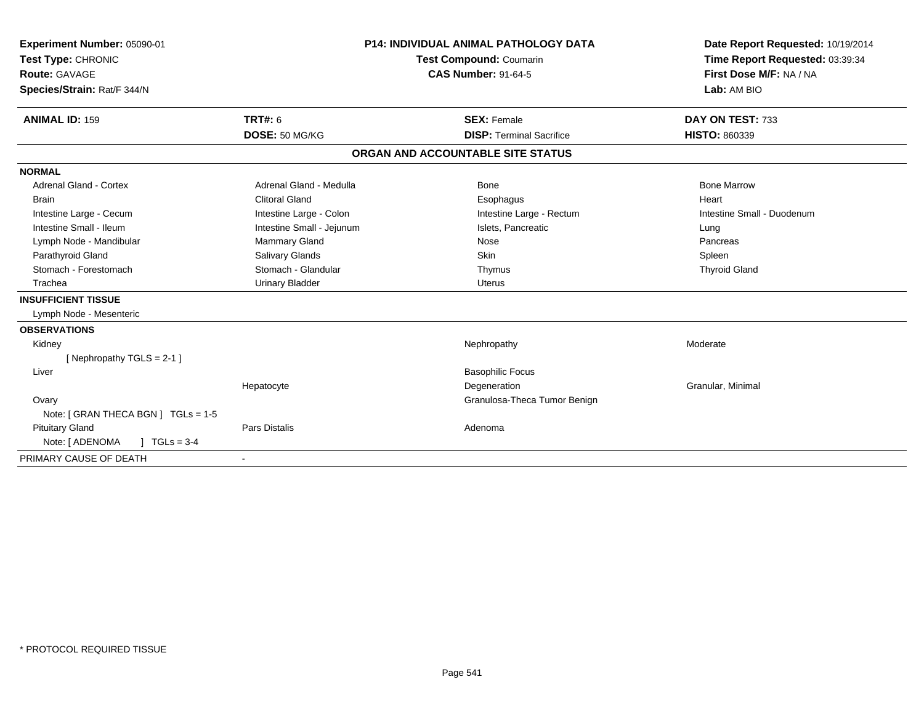| Experiment Number: 05090-01<br>Test Type: CHRONIC<br><b>Route: GAVAGE</b><br>Species/Strain: Rat/F 344/N<br><b>ANIMAL ID: 159</b> | <b>TRT#: 6</b>            | <b>P14: INDIVIDUAL ANIMAL PATHOLOGY DATA</b><br>Test Compound: Coumarin<br><b>CAS Number: 91-64-5</b><br><b>SEX: Female</b> | Date Report Requested: 10/19/2014<br>Time Report Requested: 03:39:34<br>First Dose M/F: NA / NA<br>Lab: AM BIO<br>DAY ON TEST: 733 |
|-----------------------------------------------------------------------------------------------------------------------------------|---------------------------|-----------------------------------------------------------------------------------------------------------------------------|------------------------------------------------------------------------------------------------------------------------------------|
|                                                                                                                                   | DOSE: 50 MG/KG            | <b>DISP: Terminal Sacrifice</b>                                                                                             | <b>HISTO: 860339</b>                                                                                                               |
|                                                                                                                                   |                           | ORGAN AND ACCOUNTABLE SITE STATUS                                                                                           |                                                                                                                                    |
| <b>NORMAL</b>                                                                                                                     |                           |                                                                                                                             |                                                                                                                                    |
| <b>Adrenal Gland - Cortex</b>                                                                                                     | Adrenal Gland - Medulla   | Bone                                                                                                                        | <b>Bone Marrow</b>                                                                                                                 |
| <b>Brain</b>                                                                                                                      | <b>Clitoral Gland</b>     | Esophagus                                                                                                                   | Heart                                                                                                                              |
| Intestine Large - Cecum                                                                                                           | Intestine Large - Colon   | Intestine Large - Rectum                                                                                                    | Intestine Small - Duodenum                                                                                                         |
| Intestine Small - Ileum                                                                                                           | Intestine Small - Jejunum | Islets, Pancreatic                                                                                                          | Lung                                                                                                                               |
| Lymph Node - Mandibular                                                                                                           | <b>Mammary Gland</b>      | Nose                                                                                                                        | Pancreas                                                                                                                           |
| Parathyroid Gland                                                                                                                 | Salivary Glands           | <b>Skin</b>                                                                                                                 | Spleen                                                                                                                             |
| Stomach - Forestomach                                                                                                             | Stomach - Glandular       | Thymus                                                                                                                      | <b>Thyroid Gland</b>                                                                                                               |
| Trachea                                                                                                                           | <b>Urinary Bladder</b>    | <b>Uterus</b>                                                                                                               |                                                                                                                                    |
| <b>INSUFFICIENT TISSUE</b>                                                                                                        |                           |                                                                                                                             |                                                                                                                                    |
| Lymph Node - Mesenteric                                                                                                           |                           |                                                                                                                             |                                                                                                                                    |
| <b>OBSERVATIONS</b>                                                                                                               |                           |                                                                                                                             |                                                                                                                                    |
| Kidney                                                                                                                            |                           | Nephropathy                                                                                                                 | Moderate                                                                                                                           |
| [Nephropathy TGLS = $2-1$ ]                                                                                                       |                           |                                                                                                                             |                                                                                                                                    |
| Liver                                                                                                                             |                           | <b>Basophilic Focus</b>                                                                                                     |                                                                                                                                    |
|                                                                                                                                   | Hepatocyte                | Degeneration                                                                                                                | Granular, Minimal                                                                                                                  |
| Ovary                                                                                                                             |                           | Granulosa-Theca Tumor Benign                                                                                                |                                                                                                                                    |
| Note: [ GRAN THECA BGN ] TGLs = 1-5                                                                                               |                           |                                                                                                                             |                                                                                                                                    |
| <b>Pituitary Gland</b>                                                                                                            | <b>Pars Distalis</b>      | Adenoma                                                                                                                     |                                                                                                                                    |
| $1 TGLs = 3-4$<br>Note: [ ADENOMA                                                                                                 |                           |                                                                                                                             |                                                                                                                                    |
| PRIMARY CAUSE OF DEATH                                                                                                            |                           |                                                                                                                             |                                                                                                                                    |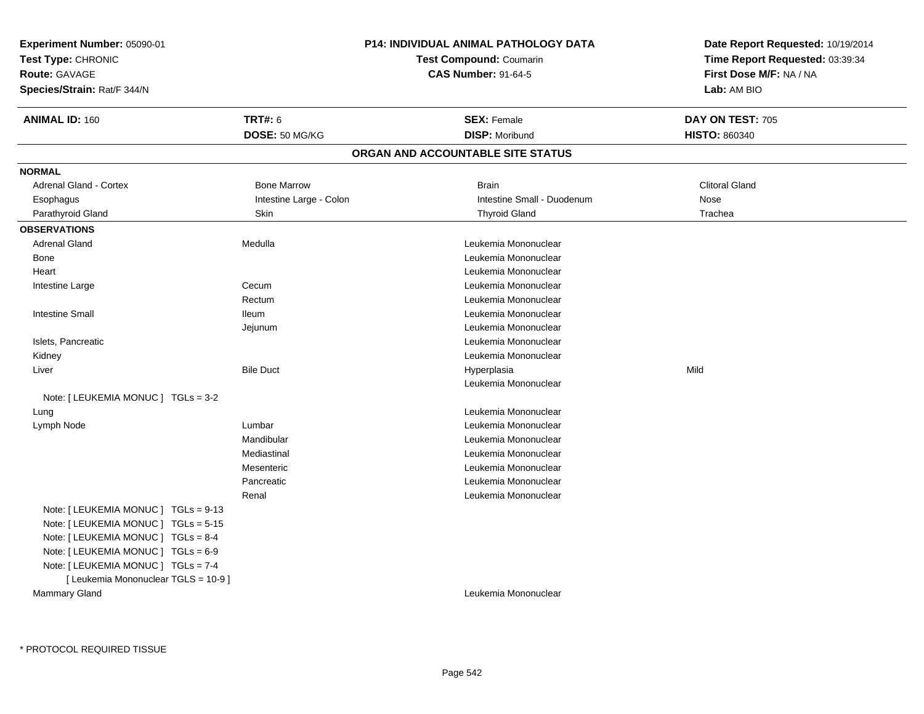| <b>P14: INDIVIDUAL ANIMAL PATHOLOGY DATA</b><br>Experiment Number: 05090-01<br>Test Type: CHRONIC<br>Test Compound: Coumarin<br><b>CAS Number: 91-64-5</b><br><b>Route: GAVAGE</b><br>Species/Strain: Rat/F 344/N                                          |                                  |                                              | Date Report Requested: 10/19/2014<br>Time Report Requested: 03:39:34<br>First Dose M/F: NA / NA<br>Lab: AM BIO |
|------------------------------------------------------------------------------------------------------------------------------------------------------------------------------------------------------------------------------------------------------------|----------------------------------|----------------------------------------------|----------------------------------------------------------------------------------------------------------------|
| <b>ANIMAL ID: 160</b>                                                                                                                                                                                                                                      | <b>TRT#: 6</b><br>DOSE: 50 MG/KG | <b>SEX: Female</b><br><b>DISP: Moribund</b>  | DAY ON TEST: 705<br><b>HISTO: 860340</b>                                                                       |
|                                                                                                                                                                                                                                                            |                                  | ORGAN AND ACCOUNTABLE SITE STATUS            |                                                                                                                |
|                                                                                                                                                                                                                                                            |                                  |                                              |                                                                                                                |
| <b>NORMAL</b>                                                                                                                                                                                                                                              |                                  |                                              |                                                                                                                |
| Adrenal Gland - Cortex                                                                                                                                                                                                                                     | <b>Bone Marrow</b>               | <b>Brain</b>                                 | <b>Clitoral Gland</b>                                                                                          |
| Esophagus                                                                                                                                                                                                                                                  | Intestine Large - Colon          | Intestine Small - Duodenum                   | Nose                                                                                                           |
| Parathyroid Gland                                                                                                                                                                                                                                          | <b>Skin</b>                      | <b>Thyroid Gland</b>                         | Trachea                                                                                                        |
| <b>OBSERVATIONS</b>                                                                                                                                                                                                                                        |                                  |                                              |                                                                                                                |
| <b>Adrenal Gland</b>                                                                                                                                                                                                                                       | Medulla                          | Leukemia Mononuclear                         |                                                                                                                |
| Bone                                                                                                                                                                                                                                                       |                                  | Leukemia Mononuclear                         |                                                                                                                |
| Heart                                                                                                                                                                                                                                                      |                                  | Leukemia Mononuclear                         |                                                                                                                |
| Intestine Large                                                                                                                                                                                                                                            | Cecum<br>Rectum                  | Leukemia Mononuclear<br>Leukemia Mononuclear |                                                                                                                |
| <b>Intestine Small</b>                                                                                                                                                                                                                                     | <b>Ileum</b>                     | Leukemia Mononuclear                         |                                                                                                                |
|                                                                                                                                                                                                                                                            |                                  | Leukemia Mononuclear                         |                                                                                                                |
| Islets, Pancreatic                                                                                                                                                                                                                                         | Jejunum                          | Leukemia Mononuclear                         |                                                                                                                |
| Kidney                                                                                                                                                                                                                                                     |                                  | Leukemia Mononuclear                         |                                                                                                                |
| Liver                                                                                                                                                                                                                                                      | <b>Bile Duct</b>                 | Hyperplasia                                  | Mild                                                                                                           |
|                                                                                                                                                                                                                                                            |                                  | Leukemia Mononuclear                         |                                                                                                                |
| Note: [ LEUKEMIA MONUC ] TGLs = 3-2                                                                                                                                                                                                                        |                                  |                                              |                                                                                                                |
| Lung                                                                                                                                                                                                                                                       |                                  | Leukemia Mononuclear                         |                                                                                                                |
| Lymph Node                                                                                                                                                                                                                                                 | Lumbar                           | Leukemia Mononuclear                         |                                                                                                                |
|                                                                                                                                                                                                                                                            | Mandibular                       | Leukemia Mononuclear                         |                                                                                                                |
|                                                                                                                                                                                                                                                            | Mediastinal                      | Leukemia Mononuclear                         |                                                                                                                |
|                                                                                                                                                                                                                                                            | Mesenteric                       | Leukemia Mononuclear                         |                                                                                                                |
|                                                                                                                                                                                                                                                            | Pancreatic                       | Leukemia Mononuclear                         |                                                                                                                |
|                                                                                                                                                                                                                                                            | Renal                            | Leukemia Mononuclear                         |                                                                                                                |
| Note: [ LEUKEMIA MONUC ] TGLs = 9-13<br>Note: [ LEUKEMIA MONUC ] TGLs = 5-15<br>Note: [ LEUKEMIA MONUC ] TGLs = 8-4<br>Note: [ LEUKEMIA MONUC ] TGLs = 6-9<br>Note: [ LEUKEMIA MONUC ] TGLs = 7-4<br>[ Leukemia Mononuclear TGLS = 10-9 ]<br>Mammary Gland |                                  | Leukemia Mononuclear                         |                                                                                                                |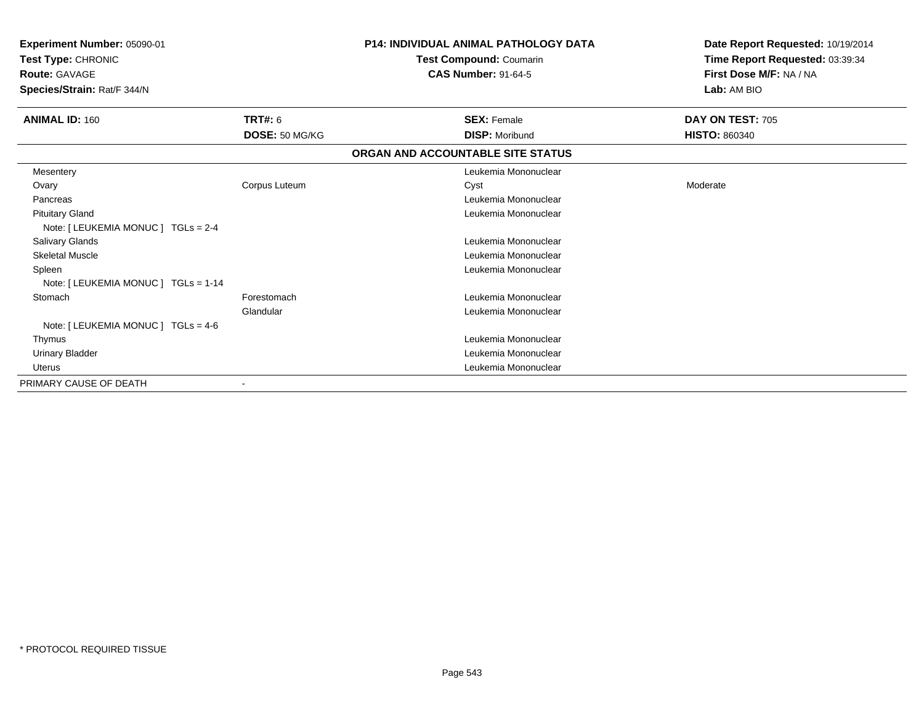| Experiment Number: 05090-01<br><b>Test Type: CHRONIC</b><br><b>Route: GAVAGE</b><br>Species/Strain: Rat/F 344/N |                | <b>P14: INDIVIDUAL ANIMAL PATHOLOGY DATA</b><br>Test Compound: Coumarin<br><b>CAS Number: 91-64-5</b> | Date Report Requested: 10/19/2014<br>Time Report Requested: 03:39:34<br>First Dose M/F: NA / NA<br>Lab: AM BIO |
|-----------------------------------------------------------------------------------------------------------------|----------------|-------------------------------------------------------------------------------------------------------|----------------------------------------------------------------------------------------------------------------|
| <b>ANIMAL ID: 160</b>                                                                                           | <b>TRT#: 6</b> | <b>SEX: Female</b>                                                                                    | DAY ON TEST: 705                                                                                               |
|                                                                                                                 | DOSE: 50 MG/KG | <b>DISP: Moribund</b>                                                                                 | <b>HISTO: 860340</b>                                                                                           |
|                                                                                                                 |                | ORGAN AND ACCOUNTABLE SITE STATUS                                                                     |                                                                                                                |
| Mesentery                                                                                                       |                | Leukemia Mononuclear                                                                                  |                                                                                                                |
| Ovary                                                                                                           | Corpus Luteum  | Cyst                                                                                                  | Moderate                                                                                                       |
| Pancreas                                                                                                        |                | Leukemia Mononuclear                                                                                  |                                                                                                                |
| <b>Pituitary Gland</b><br>Note: [ LEUKEMIA MONUC ] TGLs = 2-4                                                   |                | Leukemia Mononuclear                                                                                  |                                                                                                                |
| <b>Salivary Glands</b>                                                                                          |                | Leukemia Mononuclear                                                                                  |                                                                                                                |
| <b>Skeletal Muscle</b>                                                                                          |                | Leukemia Mononuclear                                                                                  |                                                                                                                |
| Spleen                                                                                                          |                | Leukemia Mononuclear                                                                                  |                                                                                                                |
| Note: [ LEUKEMIA MONUC ] TGLs = 1-14                                                                            |                |                                                                                                       |                                                                                                                |
| Stomach                                                                                                         | Forestomach    | Leukemia Mononuclear                                                                                  |                                                                                                                |
|                                                                                                                 | Glandular      | Leukemia Mononuclear                                                                                  |                                                                                                                |
| Note: [ LEUKEMIA MONUC ] TGLs = 4-6                                                                             |                |                                                                                                       |                                                                                                                |
| Thymus                                                                                                          |                | Leukemia Mononuclear                                                                                  |                                                                                                                |
| <b>Urinary Bladder</b>                                                                                          |                | Leukemia Mononuclear                                                                                  |                                                                                                                |
| <b>Uterus</b>                                                                                                   |                | Leukemia Mononuclear                                                                                  |                                                                                                                |
| PRIMARY CAUSE OF DEATH                                                                                          |                |                                                                                                       |                                                                                                                |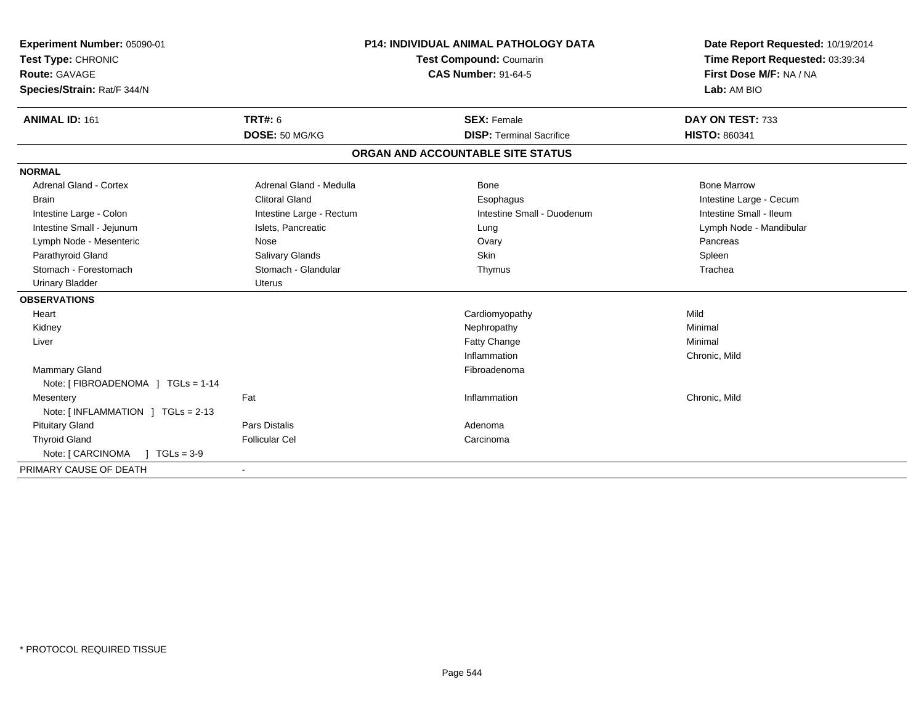| Experiment Number: 05090-01<br>Test Type: CHRONIC<br>Route: GAVAGE<br>Species/Strain: Rat/F 344/N |                          | <b>P14: INDIVIDUAL ANIMAL PATHOLOGY DATA</b><br>Test Compound: Coumarin<br><b>CAS Number: 91-64-5</b> |                                                       | Date Report Requested: 10/19/2014<br>Time Report Requested: 03:39:34<br>First Dose M/F: NA / NA<br>Lab: AM BIO |
|---------------------------------------------------------------------------------------------------|--------------------------|-------------------------------------------------------------------------------------------------------|-------------------------------------------------------|----------------------------------------------------------------------------------------------------------------|
| <b>ANIMAL ID: 161</b>                                                                             | <b>TRT#: 6</b>           |                                                                                                       | <b>SEX: Female</b><br><b>DISP: Terminal Sacrifice</b> | DAY ON TEST: 733<br><b>HISTO: 860341</b>                                                                       |
|                                                                                                   | DOSE: 50 MG/KG           |                                                                                                       |                                                       |                                                                                                                |
|                                                                                                   |                          |                                                                                                       | ORGAN AND ACCOUNTABLE SITE STATUS                     |                                                                                                                |
| <b>NORMAL</b>                                                                                     |                          |                                                                                                       |                                                       |                                                                                                                |
| <b>Adrenal Gland - Cortex</b>                                                                     | Adrenal Gland - Medulla  |                                                                                                       | Bone                                                  | <b>Bone Marrow</b>                                                                                             |
| <b>Brain</b>                                                                                      | <b>Clitoral Gland</b>    |                                                                                                       | Esophagus                                             | Intestine Large - Cecum                                                                                        |
| Intestine Large - Colon                                                                           | Intestine Large - Rectum |                                                                                                       | Intestine Small - Duodenum                            | Intestine Small - Ileum                                                                                        |
| Intestine Small - Jejunum                                                                         | Islets, Pancreatic       |                                                                                                       | Lung                                                  | Lymph Node - Mandibular                                                                                        |
| Lymph Node - Mesenteric                                                                           | Nose                     |                                                                                                       | Ovary                                                 | Pancreas                                                                                                       |
| Parathyroid Gland                                                                                 | Salivary Glands          |                                                                                                       | <b>Skin</b>                                           | Spleen                                                                                                         |
| Stomach - Forestomach                                                                             | Stomach - Glandular      |                                                                                                       | Thymus                                                | Trachea                                                                                                        |
| <b>Urinary Bladder</b>                                                                            | Uterus                   |                                                                                                       |                                                       |                                                                                                                |
| <b>OBSERVATIONS</b>                                                                               |                          |                                                                                                       |                                                       |                                                                                                                |
| Heart                                                                                             |                          |                                                                                                       | Cardiomyopathy                                        | Mild                                                                                                           |
| Kidney                                                                                            |                          |                                                                                                       | Nephropathy                                           | Minimal                                                                                                        |
| Liver                                                                                             |                          |                                                                                                       | Fatty Change                                          | Minimal                                                                                                        |
|                                                                                                   |                          |                                                                                                       | Inflammation                                          | Chronic, Mild                                                                                                  |
| <b>Mammary Gland</b>                                                                              |                          |                                                                                                       | Fibroadenoma                                          |                                                                                                                |
| Note: [ FIBROADENOMA ] TGLs = 1-14                                                                |                          |                                                                                                       |                                                       |                                                                                                                |
| Mesentery                                                                                         | Fat                      |                                                                                                       | Inflammation                                          | Chronic, Mild                                                                                                  |
| Note: [INFLAMMATION ] TGLs = 2-13                                                                 |                          |                                                                                                       |                                                       |                                                                                                                |
| <b>Pituitary Gland</b>                                                                            | Pars Distalis            |                                                                                                       | Adenoma                                               |                                                                                                                |
| <b>Thyroid Gland</b>                                                                              | <b>Follicular Cel</b>    |                                                                                                       | Carcinoma                                             |                                                                                                                |
| Note: [ CARCINOMA<br>$1 TGLs = 3-9$                                                               |                          |                                                                                                       |                                                       |                                                                                                                |
| PRIMARY CAUSE OF DEATH                                                                            |                          |                                                                                                       |                                                       |                                                                                                                |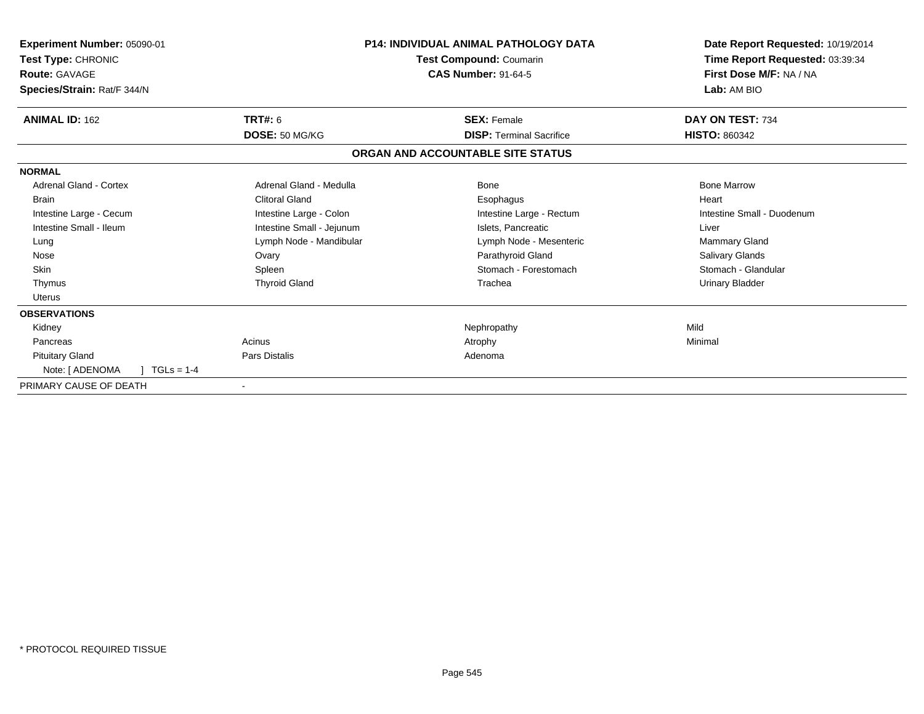| Experiment Number: 05090-01<br>Test Type: CHRONIC<br><b>Route: GAVAGE</b><br>Species/Strain: Rat/F 344/N |                           | <b>P14: INDIVIDUAL ANIMAL PATHOLOGY DATA</b><br>Test Compound: Coumarin<br><b>CAS Number: 91-64-5</b> | Date Report Requested: 10/19/2014<br>Time Report Requested: 03:39:34<br>First Dose M/F: NA / NA<br>Lab: AM BIO |
|----------------------------------------------------------------------------------------------------------|---------------------------|-------------------------------------------------------------------------------------------------------|----------------------------------------------------------------------------------------------------------------|
| <b>ANIMAL ID: 162</b>                                                                                    | TRT#: 6                   | <b>SEX: Female</b>                                                                                    | DAY ON TEST: 734                                                                                               |
|                                                                                                          | DOSE: 50 MG/KG            | <b>DISP: Terminal Sacrifice</b>                                                                       | <b>HISTO: 860342</b>                                                                                           |
|                                                                                                          |                           | ORGAN AND ACCOUNTABLE SITE STATUS                                                                     |                                                                                                                |
| <b>NORMAL</b>                                                                                            |                           |                                                                                                       |                                                                                                                |
| <b>Adrenal Gland - Cortex</b>                                                                            | Adrenal Gland - Medulla   | Bone                                                                                                  | <b>Bone Marrow</b>                                                                                             |
| <b>Brain</b>                                                                                             | <b>Clitoral Gland</b>     | Esophagus                                                                                             | Heart                                                                                                          |
| Intestine Large - Cecum                                                                                  | Intestine Large - Colon   | Intestine Large - Rectum                                                                              | Intestine Small - Duodenum                                                                                     |
| Intestine Small - Ileum                                                                                  | Intestine Small - Jejunum | Islets, Pancreatic                                                                                    | Liver                                                                                                          |
| Lung                                                                                                     | Lymph Node - Mandibular   | Lymph Node - Mesenteric                                                                               | Mammary Gland                                                                                                  |
| Nose                                                                                                     | Ovary                     | Parathyroid Gland                                                                                     | Salivary Glands                                                                                                |
| Skin                                                                                                     | Spleen                    | Stomach - Forestomach                                                                                 | Stomach - Glandular                                                                                            |
| Thymus                                                                                                   | <b>Thyroid Gland</b>      | Trachea                                                                                               | <b>Urinary Bladder</b>                                                                                         |
| <b>Uterus</b>                                                                                            |                           |                                                                                                       |                                                                                                                |
| <b>OBSERVATIONS</b>                                                                                      |                           |                                                                                                       |                                                                                                                |
| Kidney                                                                                                   |                           | Nephropathy                                                                                           | Mild                                                                                                           |
| Pancreas                                                                                                 | Acinus                    | Atrophy                                                                                               | Minimal                                                                                                        |
| <b>Pituitary Gland</b>                                                                                   | Pars Distalis             | Adenoma                                                                                               |                                                                                                                |
| $TGLs = 1-4$<br>Note: [ ADENOMA                                                                          |                           |                                                                                                       |                                                                                                                |
| PRIMARY CAUSE OF DEATH                                                                                   |                           |                                                                                                       |                                                                                                                |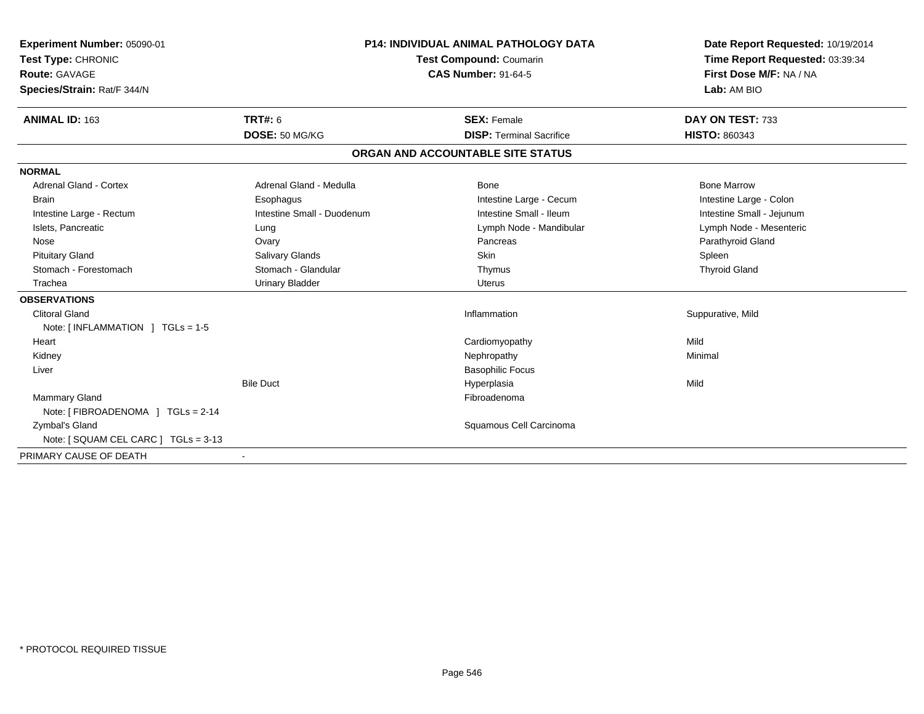| Experiment Number: 05090-01<br>Test Type: CHRONIC<br>Route: GAVAGE<br>Species/Strain: Rat/F 344/N<br><b>ANIMAL ID: 163</b> | TRT#: 6                    | <b>P14: INDIVIDUAL ANIMAL PATHOLOGY DATA</b><br>Test Compound: Coumarin<br><b>CAS Number: 91-64-5</b><br><b>SEX: Female</b> | Date Report Requested: 10/19/2014<br>Time Report Requested: 03:39:34<br>First Dose M/F: NA / NA<br>Lab: AM BIO<br>DAY ON TEST: 733 |
|----------------------------------------------------------------------------------------------------------------------------|----------------------------|-----------------------------------------------------------------------------------------------------------------------------|------------------------------------------------------------------------------------------------------------------------------------|
|                                                                                                                            | DOSE: 50 MG/KG             | <b>DISP: Terminal Sacrifice</b>                                                                                             | <b>HISTO: 860343</b>                                                                                                               |
|                                                                                                                            |                            | ORGAN AND ACCOUNTABLE SITE STATUS                                                                                           |                                                                                                                                    |
| <b>NORMAL</b>                                                                                                              |                            |                                                                                                                             |                                                                                                                                    |
| <b>Adrenal Gland - Cortex</b>                                                                                              | Adrenal Gland - Medulla    | <b>Bone</b>                                                                                                                 | <b>Bone Marrow</b>                                                                                                                 |
| <b>Brain</b>                                                                                                               | Esophagus                  | Intestine Large - Cecum                                                                                                     | Intestine Large - Colon                                                                                                            |
| Intestine Large - Rectum                                                                                                   | Intestine Small - Duodenum | Intestine Small - Ileum                                                                                                     | Intestine Small - Jejunum                                                                                                          |
| Islets, Pancreatic                                                                                                         | Lung                       | Lymph Node - Mandibular                                                                                                     | Lymph Node - Mesenteric                                                                                                            |
| Nose                                                                                                                       | Ovary                      | Pancreas                                                                                                                    | Parathyroid Gland                                                                                                                  |
| <b>Pituitary Gland</b>                                                                                                     | Salivary Glands            | <b>Skin</b>                                                                                                                 | Spleen                                                                                                                             |
| Stomach - Forestomach                                                                                                      | Stomach - Glandular        | Thymus                                                                                                                      | <b>Thyroid Gland</b>                                                                                                               |
| Trachea                                                                                                                    | <b>Urinary Bladder</b>     | <b>Uterus</b>                                                                                                               |                                                                                                                                    |
| <b>OBSERVATIONS</b>                                                                                                        |                            |                                                                                                                             |                                                                                                                                    |
| <b>Clitoral Gland</b>                                                                                                      |                            | Inflammation                                                                                                                | Suppurative, Mild                                                                                                                  |
| Note: $\lceil$ INFLAMMATION $\lceil$ TGLs = 1-5                                                                            |                            |                                                                                                                             |                                                                                                                                    |
| Heart                                                                                                                      |                            | Cardiomyopathy                                                                                                              | Mild                                                                                                                               |
| Kidney                                                                                                                     |                            | Nephropathy                                                                                                                 | Minimal                                                                                                                            |
| Liver                                                                                                                      |                            | <b>Basophilic Focus</b>                                                                                                     |                                                                                                                                    |
|                                                                                                                            | <b>Bile Duct</b>           | Hyperplasia                                                                                                                 | Mild                                                                                                                               |
| <b>Mammary Gland</b>                                                                                                       |                            | Fibroadenoma                                                                                                                |                                                                                                                                    |
| Note: [ FIBROADENOMA ] TGLs = 2-14                                                                                         |                            |                                                                                                                             |                                                                                                                                    |
| Zymbal's Gland                                                                                                             |                            | Squamous Cell Carcinoma                                                                                                     |                                                                                                                                    |
| Note: [ SQUAM CEL CARC ] TGLs = 3-13                                                                                       |                            |                                                                                                                             |                                                                                                                                    |
| PRIMARY CAUSE OF DEATH                                                                                                     |                            |                                                                                                                             |                                                                                                                                    |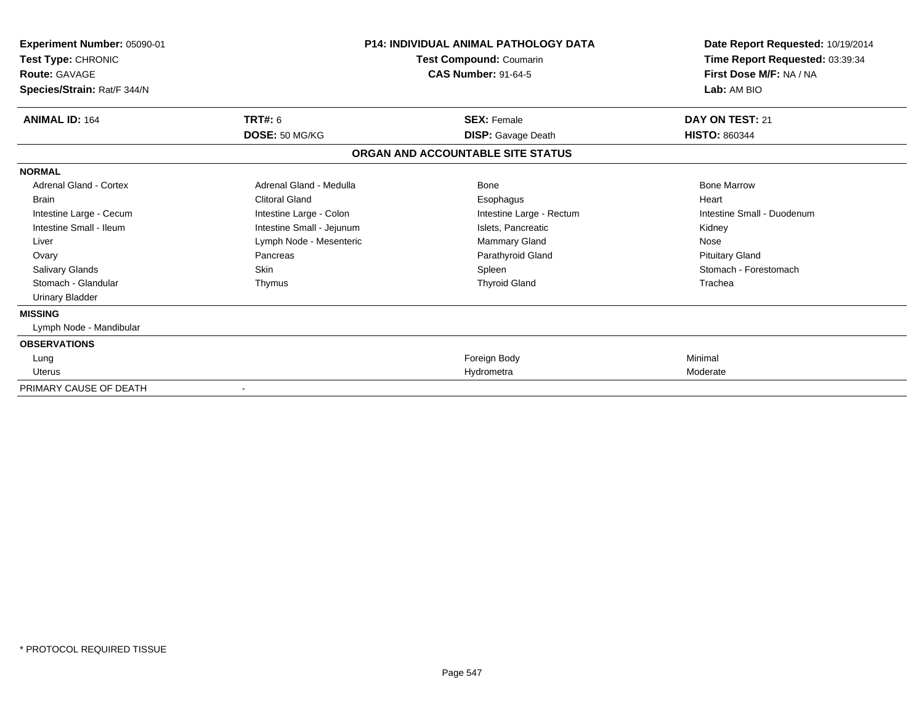| Experiment Number: 05090-01<br>Test Type: CHRONIC<br><b>Route: GAVAGE</b><br>Species/Strain: Rat/F 344/N |                           | <b>P14: INDIVIDUAL ANIMAL PATHOLOGY DATA</b><br>Test Compound: Coumarin<br><b>CAS Number: 91-64-5</b> | Date Report Requested: 10/19/2014<br>Time Report Requested: 03:39:34<br>First Dose M/F: NA / NA<br>Lab: AM BIO |
|----------------------------------------------------------------------------------------------------------|---------------------------|-------------------------------------------------------------------------------------------------------|----------------------------------------------------------------------------------------------------------------|
| <b>ANIMAL ID: 164</b>                                                                                    | TRT#: 6                   | <b>SEX: Female</b>                                                                                    |                                                                                                                |
|                                                                                                          | DOSE: 50 MG/KG            | <b>DISP:</b> Gavage Death                                                                             | <b>HISTO: 860344</b>                                                                                           |
|                                                                                                          |                           | ORGAN AND ACCOUNTABLE SITE STATUS                                                                     |                                                                                                                |
| <b>NORMAL</b>                                                                                            |                           |                                                                                                       |                                                                                                                |
| Adrenal Gland - Cortex                                                                                   | Adrenal Gland - Medulla   | Bone                                                                                                  | <b>Bone Marrow</b>                                                                                             |
| <b>Brain</b>                                                                                             | Clitoral Gland            | Esophagus                                                                                             | Heart                                                                                                          |
| Intestine Large - Cecum                                                                                  | Intestine Large - Colon   | Intestine Large - Rectum                                                                              | Intestine Small - Duodenum                                                                                     |
| Intestine Small - Ileum                                                                                  | Intestine Small - Jejunum | Islets, Pancreatic                                                                                    | Kidney                                                                                                         |
| Liver                                                                                                    | Lymph Node - Mesenteric   | Mammary Gland                                                                                         | Nose                                                                                                           |
| Ovary                                                                                                    | Pancreas                  | Parathyroid Gland                                                                                     | <b>Pituitary Gland</b>                                                                                         |
| <b>Salivary Glands</b>                                                                                   | Skin                      | Spleen                                                                                                | Stomach - Forestomach                                                                                          |
| Stomach - Glandular                                                                                      | Thymus                    | <b>Thyroid Gland</b>                                                                                  | Trachea                                                                                                        |
| <b>Urinary Bladder</b>                                                                                   |                           |                                                                                                       |                                                                                                                |
| <b>MISSING</b>                                                                                           |                           |                                                                                                       |                                                                                                                |
| Lymph Node - Mandibular                                                                                  |                           |                                                                                                       |                                                                                                                |
| <b>OBSERVATIONS</b>                                                                                      |                           |                                                                                                       |                                                                                                                |
| Lung                                                                                                     |                           | Foreign Body                                                                                          | Minimal                                                                                                        |
| Uterus                                                                                                   |                           | Hydrometra                                                                                            | Moderate                                                                                                       |
| PRIMARY CAUSE OF DEATH                                                                                   |                           |                                                                                                       |                                                                                                                |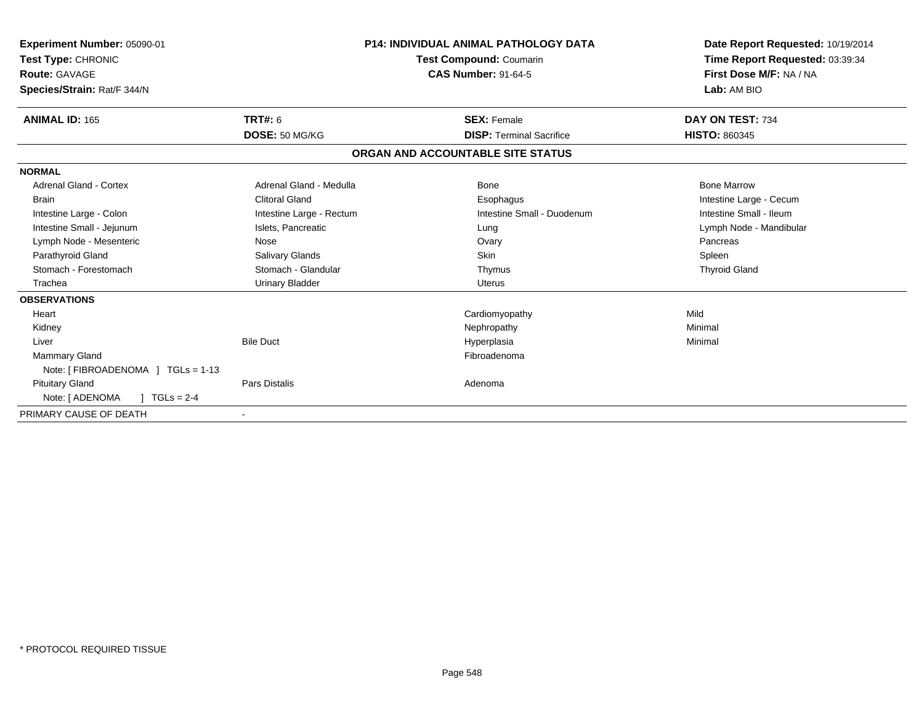| Experiment Number: 05090-01<br>Test Type: CHRONIC<br>Route: GAVAGE<br>Species/Strain: Rat/F 344/N |                          | <b>P14: INDIVIDUAL ANIMAL PATHOLOGY DATA</b><br>Test Compound: Coumarin<br><b>CAS Number: 91-64-5</b> | Date Report Requested: 10/19/2014<br>Time Report Requested: 03:39:34<br>First Dose M/F: NA / NA<br>Lab: AM BIO |
|---------------------------------------------------------------------------------------------------|--------------------------|-------------------------------------------------------------------------------------------------------|----------------------------------------------------------------------------------------------------------------|
| <b>ANIMAL ID: 165</b>                                                                             | TRT#: 6                  | <b>SEX: Female</b>                                                                                    | DAY ON TEST: 734                                                                                               |
|                                                                                                   | DOSE: 50 MG/KG           | <b>DISP: Terminal Sacrifice</b>                                                                       | <b>HISTO: 860345</b>                                                                                           |
|                                                                                                   |                          | ORGAN AND ACCOUNTABLE SITE STATUS                                                                     |                                                                                                                |
| <b>NORMAL</b>                                                                                     |                          |                                                                                                       |                                                                                                                |
| <b>Adrenal Gland - Cortex</b>                                                                     | Adrenal Gland - Medulla  | Bone                                                                                                  | <b>Bone Marrow</b>                                                                                             |
| <b>Brain</b>                                                                                      | <b>Clitoral Gland</b>    | Esophagus                                                                                             | Intestine Large - Cecum                                                                                        |
| Intestine Large - Colon                                                                           | Intestine Large - Rectum | Intestine Small - Duodenum                                                                            | Intestine Small - Ileum                                                                                        |
| Intestine Small - Jejunum                                                                         | Islets, Pancreatic       | Lung                                                                                                  | Lymph Node - Mandibular                                                                                        |
| Lymph Node - Mesenteric                                                                           | Nose                     | Ovary                                                                                                 | Pancreas                                                                                                       |
| Parathyroid Gland                                                                                 | Salivary Glands          | Skin                                                                                                  | Spleen                                                                                                         |
| Stomach - Forestomach                                                                             | Stomach - Glandular      | Thymus                                                                                                | <b>Thyroid Gland</b>                                                                                           |
| Trachea                                                                                           | <b>Urinary Bladder</b>   | <b>Uterus</b>                                                                                         |                                                                                                                |
| <b>OBSERVATIONS</b>                                                                               |                          |                                                                                                       |                                                                                                                |
| Heart                                                                                             |                          | Cardiomyopathy                                                                                        | Mild                                                                                                           |
| Kidney                                                                                            |                          | Nephropathy                                                                                           | Minimal                                                                                                        |
| Liver                                                                                             | <b>Bile Duct</b>         | Hyperplasia                                                                                           | Minimal                                                                                                        |
| <b>Mammary Gland</b>                                                                              |                          | Fibroadenoma                                                                                          |                                                                                                                |
| Note: [FIBROADENOMA ] TGLs = 1-13                                                                 |                          |                                                                                                       |                                                                                                                |
| <b>Pituitary Gland</b>                                                                            | <b>Pars Distalis</b>     | Adenoma                                                                                               |                                                                                                                |
| Note: [ ADENOMA<br>$TGLs = 2-4$                                                                   |                          |                                                                                                       |                                                                                                                |
| PRIMARY CAUSE OF DEATH                                                                            |                          |                                                                                                       |                                                                                                                |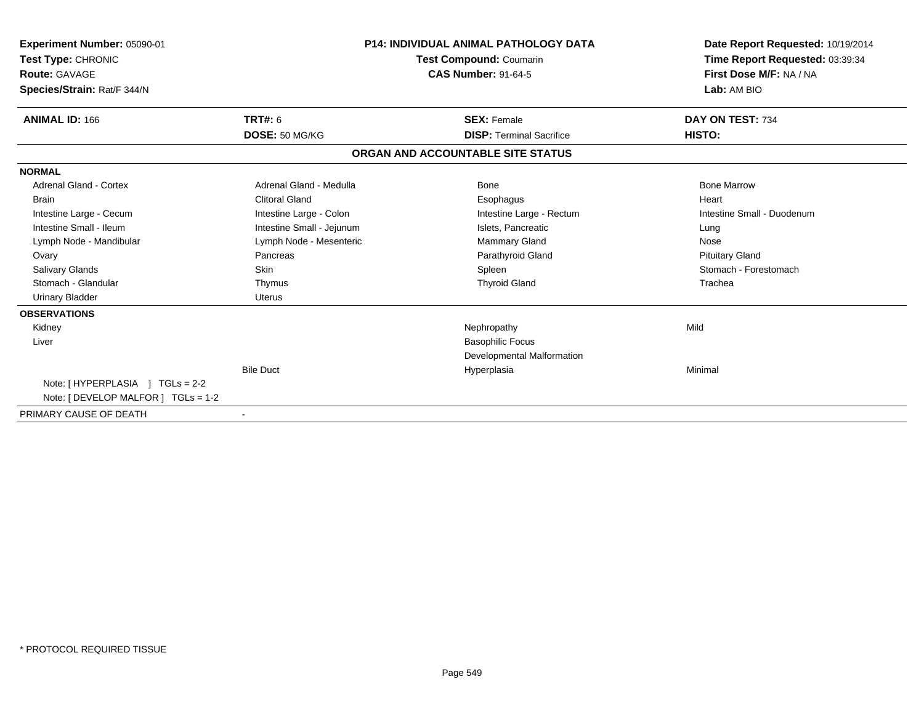| Experiment Number: 05090-01<br><b>Test Type: CHRONIC</b><br>Route: GAVAGE<br>Species/Strain: Rat/F 344/N |                           | <b>P14: INDIVIDUAL ANIMAL PATHOLOGY DATA</b><br><b>Test Compound: Coumarin</b><br><b>CAS Number: 91-64-5</b> | Date Report Requested: 10/19/2014<br>Time Report Requested: 03:39:34<br>First Dose M/F: NA / NA<br>Lab: AM BIO |
|----------------------------------------------------------------------------------------------------------|---------------------------|--------------------------------------------------------------------------------------------------------------|----------------------------------------------------------------------------------------------------------------|
| <b>ANIMAL ID: 166</b>                                                                                    | <b>TRT#: 6</b>            | <b>SEX: Female</b>                                                                                           | DAY ON TEST: 734                                                                                               |
|                                                                                                          | DOSE: 50 MG/KG            | <b>DISP: Terminal Sacrifice</b>                                                                              | HISTO:                                                                                                         |
|                                                                                                          |                           | ORGAN AND ACCOUNTABLE SITE STATUS                                                                            |                                                                                                                |
| <b>NORMAL</b>                                                                                            |                           |                                                                                                              |                                                                                                                |
| <b>Adrenal Gland - Cortex</b>                                                                            | Adrenal Gland - Medulla   | <b>Bone</b>                                                                                                  | <b>Bone Marrow</b>                                                                                             |
| <b>Brain</b>                                                                                             | <b>Clitoral Gland</b>     | Esophagus                                                                                                    | Heart                                                                                                          |
| Intestine Large - Cecum                                                                                  | Intestine Large - Colon   | Intestine Large - Rectum                                                                                     | Intestine Small - Duodenum                                                                                     |
| Intestine Small - Ileum                                                                                  | Intestine Small - Jejunum | Islets, Pancreatic                                                                                           | Lung                                                                                                           |
| Lymph Node - Mandibular                                                                                  | Lymph Node - Mesenteric   | <b>Mammary Gland</b>                                                                                         | Nose                                                                                                           |
| Ovary                                                                                                    | Pancreas                  | Parathyroid Gland                                                                                            | <b>Pituitary Gland</b>                                                                                         |
| <b>Salivary Glands</b>                                                                                   | <b>Skin</b>               | Spleen                                                                                                       | Stomach - Forestomach                                                                                          |
| Stomach - Glandular                                                                                      | Thymus                    | <b>Thyroid Gland</b>                                                                                         | Trachea                                                                                                        |
| <b>Urinary Bladder</b>                                                                                   | <b>Uterus</b>             |                                                                                                              |                                                                                                                |
| <b>OBSERVATIONS</b>                                                                                      |                           |                                                                                                              |                                                                                                                |
| Kidney                                                                                                   |                           | Nephropathy                                                                                                  | Mild                                                                                                           |
| Liver                                                                                                    |                           | <b>Basophilic Focus</b>                                                                                      |                                                                                                                |
|                                                                                                          |                           | Developmental Malformation                                                                                   |                                                                                                                |
|                                                                                                          | <b>Bile Duct</b>          | Hyperplasia                                                                                                  | Minimal                                                                                                        |
| Note: [HYPERPLASIA ] TGLs = 2-2                                                                          |                           |                                                                                                              |                                                                                                                |
| Note: [ DEVELOP MALFOR ] TGLs = 1-2                                                                      |                           |                                                                                                              |                                                                                                                |
| PRIMARY CAUSE OF DEATH                                                                                   |                           |                                                                                                              |                                                                                                                |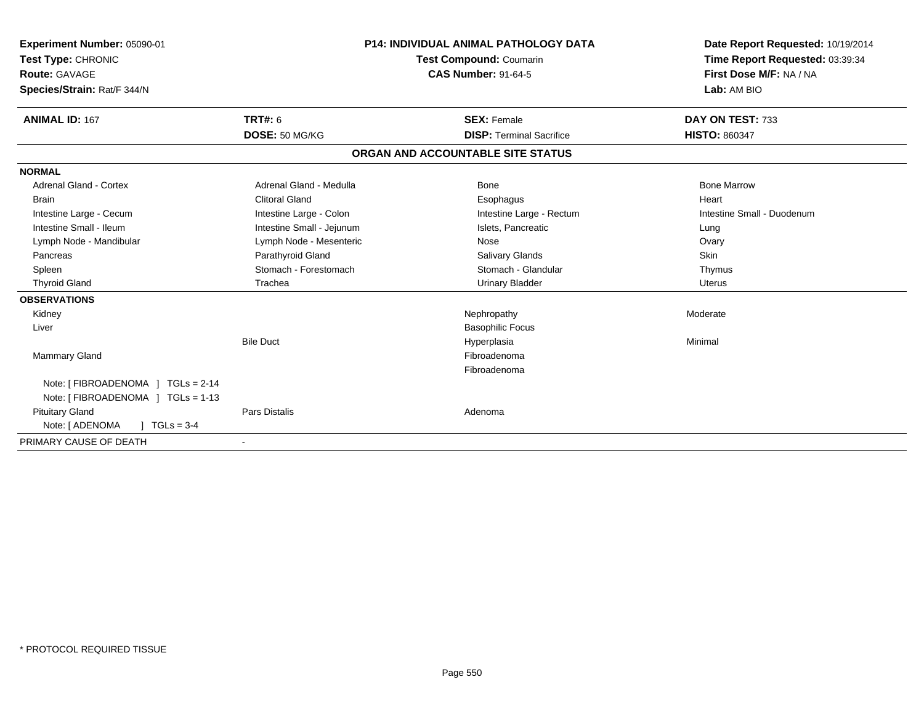| Experiment Number: 05090-01<br>Test Type: CHRONIC<br>Route: GAVAGE<br>Species/Strain: Rat/F 344/N |                                  | <b>P14: INDIVIDUAL ANIMAL PATHOLOGY DATA</b><br>Test Compound: Coumarin<br><b>CAS Number: 91-64-5</b> | Date Report Requested: 10/19/2014<br>Time Report Requested: 03:39:34<br>First Dose M/F: NA / NA<br>Lab: AM BIO |
|---------------------------------------------------------------------------------------------------|----------------------------------|-------------------------------------------------------------------------------------------------------|----------------------------------------------------------------------------------------------------------------|
| <b>ANIMAL ID: 167</b>                                                                             | <b>TRT#: 6</b><br>DOSE: 50 MG/KG | <b>SEX: Female</b><br><b>DISP: Terminal Sacrifice</b>                                                 | DAY ON TEST: 733<br><b>HISTO: 860347</b>                                                                       |
|                                                                                                   |                                  | ORGAN AND ACCOUNTABLE SITE STATUS                                                                     |                                                                                                                |
| <b>NORMAL</b>                                                                                     |                                  |                                                                                                       |                                                                                                                |
| <b>Adrenal Gland - Cortex</b>                                                                     | Adrenal Gland - Medulla          | Bone                                                                                                  | <b>Bone Marrow</b>                                                                                             |
| <b>Brain</b>                                                                                      | <b>Clitoral Gland</b>            | Esophagus                                                                                             | Heart                                                                                                          |
| Intestine Large - Cecum                                                                           | Intestine Large - Colon          | Intestine Large - Rectum                                                                              | Intestine Small - Duodenum                                                                                     |
| Intestine Small - Ileum                                                                           | Intestine Small - Jejunum        | Islets, Pancreatic                                                                                    | Lung                                                                                                           |
| Lymph Node - Mandibular                                                                           | Lymph Node - Mesenteric          | Nose                                                                                                  | Ovary                                                                                                          |
| Pancreas                                                                                          | Parathyroid Gland                | Salivary Glands                                                                                       | <b>Skin</b>                                                                                                    |
| Spleen                                                                                            | Stomach - Forestomach            | Stomach - Glandular                                                                                   | Thymus                                                                                                         |
| <b>Thyroid Gland</b>                                                                              | Trachea                          | <b>Urinary Bladder</b>                                                                                | <b>Uterus</b>                                                                                                  |
| <b>OBSERVATIONS</b>                                                                               |                                  |                                                                                                       |                                                                                                                |
| Kidney                                                                                            |                                  | Nephropathy                                                                                           | Moderate                                                                                                       |
| Liver                                                                                             |                                  | <b>Basophilic Focus</b>                                                                               |                                                                                                                |
|                                                                                                   | <b>Bile Duct</b>                 | Hyperplasia                                                                                           | Minimal                                                                                                        |
| Mammary Gland                                                                                     |                                  | Fibroadenoma                                                                                          |                                                                                                                |
|                                                                                                   |                                  | Fibroadenoma                                                                                          |                                                                                                                |
| Note: [ FIBROADENOMA ] TGLs = 2-14                                                                |                                  |                                                                                                       |                                                                                                                |
| Note: [ FIBROADENOMA ] TGLs = 1-13                                                                |                                  |                                                                                                       |                                                                                                                |
| <b>Pituitary Gland</b>                                                                            | Pars Distalis                    | Adenoma                                                                                               |                                                                                                                |
| Note: [ ADENOMA<br>$TGLs = 3-4$                                                                   |                                  |                                                                                                       |                                                                                                                |
| PRIMARY CAUSE OF DEATH                                                                            |                                  |                                                                                                       |                                                                                                                |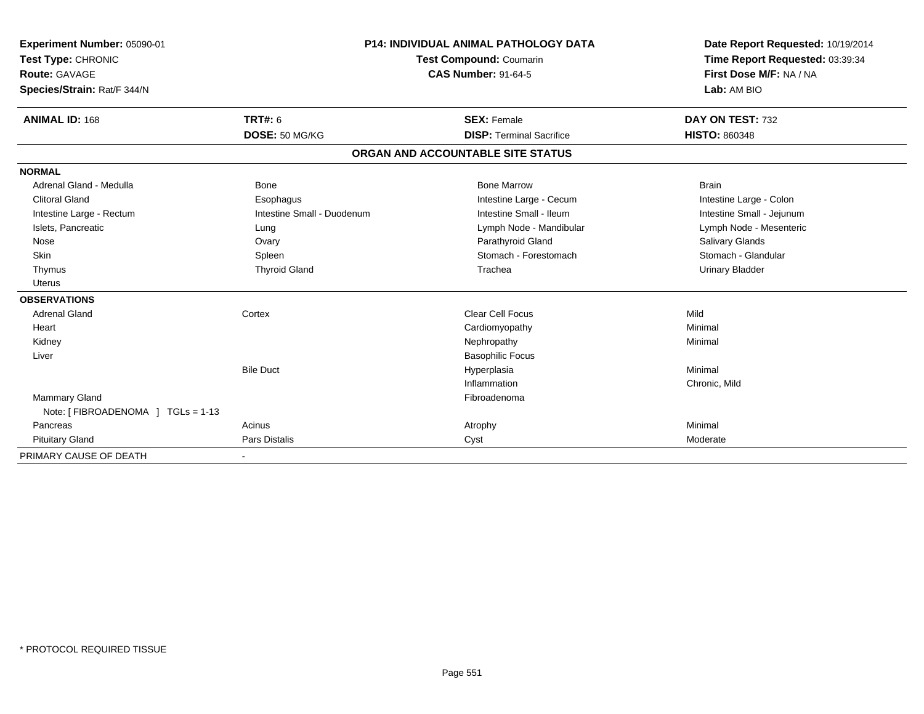| Experiment Number: 05090-01<br>Test Type: CHRONIC<br>Route: GAVAGE<br>Species/Strain: Rat/F 344/N<br><b>ANIMAL ID: 168</b> | <b>TRT#: 6</b><br>DOSE: 50 MG/KG | P14: INDIVIDUAL ANIMAL PATHOLOGY DATA<br>Test Compound: Coumarin<br><b>CAS Number: 91-64-5</b><br><b>SEX: Female</b><br><b>DISP: Terminal Sacrifice</b> |                                   | Date Report Requested: 10/19/2014<br>Time Report Requested: 03:39:34<br>First Dose M/F: NA / NA<br>Lab: AM BIO<br>DAY ON TEST: 732<br><b>HISTO: 860348</b> |
|----------------------------------------------------------------------------------------------------------------------------|----------------------------------|---------------------------------------------------------------------------------------------------------------------------------------------------------|-----------------------------------|------------------------------------------------------------------------------------------------------------------------------------------------------------|
|                                                                                                                            |                                  |                                                                                                                                                         | ORGAN AND ACCOUNTABLE SITE STATUS |                                                                                                                                                            |
| <b>NORMAL</b>                                                                                                              |                                  |                                                                                                                                                         |                                   |                                                                                                                                                            |
| Adrenal Gland - Medulla                                                                                                    | Bone                             |                                                                                                                                                         | <b>Bone Marrow</b>                | <b>Brain</b>                                                                                                                                               |
| <b>Clitoral Gland</b>                                                                                                      | Esophagus                        |                                                                                                                                                         | Intestine Large - Cecum           | Intestine Large - Colon                                                                                                                                    |
| Intestine Large - Rectum                                                                                                   | Intestine Small - Duodenum       |                                                                                                                                                         | Intestine Small - Ileum           | Intestine Small - Jejunum                                                                                                                                  |
| Islets, Pancreatic                                                                                                         | Lung                             |                                                                                                                                                         | Lymph Node - Mandibular           | Lymph Node - Mesenteric                                                                                                                                    |
| Nose                                                                                                                       | Ovary                            |                                                                                                                                                         | Parathyroid Gland                 | <b>Salivary Glands</b>                                                                                                                                     |
| Skin                                                                                                                       | Spleen                           |                                                                                                                                                         | Stomach - Forestomach             | Stomach - Glandular                                                                                                                                        |
| Thymus                                                                                                                     | <b>Thyroid Gland</b>             |                                                                                                                                                         | Trachea                           | <b>Urinary Bladder</b>                                                                                                                                     |
| <b>Uterus</b>                                                                                                              |                                  |                                                                                                                                                         |                                   |                                                                                                                                                            |
| <b>OBSERVATIONS</b>                                                                                                        |                                  |                                                                                                                                                         |                                   |                                                                                                                                                            |
| <b>Adrenal Gland</b>                                                                                                       | Cortex                           |                                                                                                                                                         | Clear Cell Focus                  | Mild                                                                                                                                                       |
| Heart                                                                                                                      |                                  |                                                                                                                                                         | Cardiomyopathy                    | Minimal                                                                                                                                                    |
| Kidney                                                                                                                     |                                  |                                                                                                                                                         | Nephropathy                       | Minimal                                                                                                                                                    |
| Liver                                                                                                                      |                                  |                                                                                                                                                         | <b>Basophilic Focus</b>           |                                                                                                                                                            |
|                                                                                                                            | <b>Bile Duct</b>                 |                                                                                                                                                         | Hyperplasia                       | Minimal                                                                                                                                                    |
|                                                                                                                            |                                  |                                                                                                                                                         | Inflammation                      | Chronic, Mild                                                                                                                                              |
| Mammary Gland                                                                                                              |                                  |                                                                                                                                                         | Fibroadenoma                      |                                                                                                                                                            |
| Note: [ FIBROADENOMA ] TGLs = 1-13                                                                                         |                                  |                                                                                                                                                         |                                   |                                                                                                                                                            |
| Pancreas                                                                                                                   | Acinus                           |                                                                                                                                                         | Atrophy                           | Minimal                                                                                                                                                    |
| <b>Pituitary Gland</b>                                                                                                     | Pars Distalis                    |                                                                                                                                                         | Cyst                              | Moderate                                                                                                                                                   |
| PRIMARY CAUSE OF DEATH                                                                                                     |                                  |                                                                                                                                                         |                                   |                                                                                                                                                            |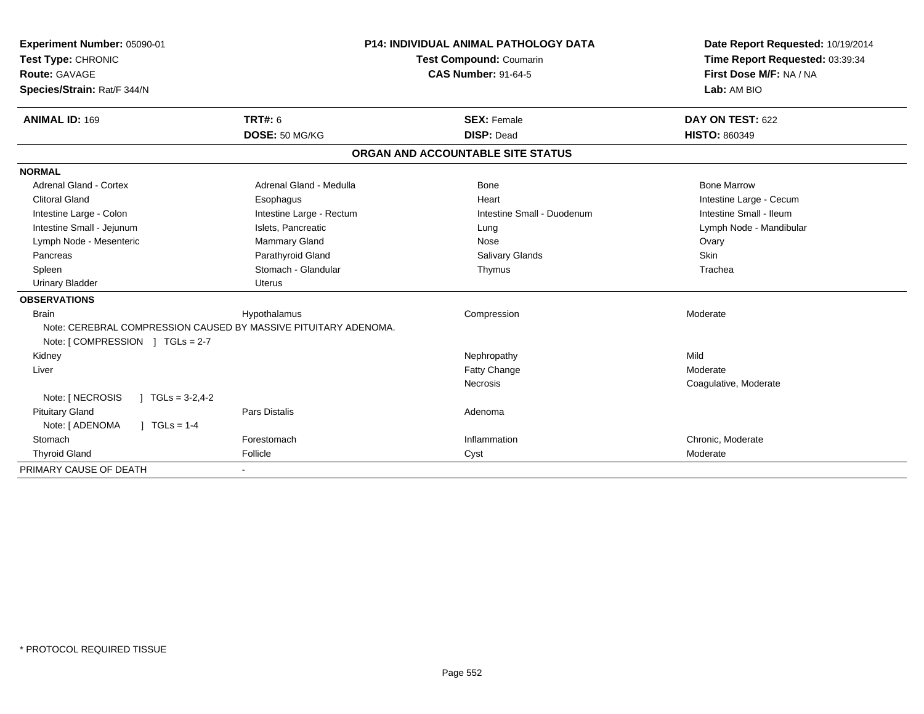| Experiment Number: 05090-01                                     |                          |                         | <b>P14: INDIVIDUAL ANIMAL PATHOLOGY DATA</b> | Date Report Requested: 10/19/2014 |
|-----------------------------------------------------------------|--------------------------|-------------------------|----------------------------------------------|-----------------------------------|
| Test Type: CHRONIC                                              |                          | Test Compound: Coumarin |                                              | Time Report Requested: 03:39:34   |
| Route: GAVAGE                                                   |                          |                         | <b>CAS Number: 91-64-5</b>                   | First Dose M/F: NA / NA           |
| Species/Strain: Rat/F 344/N                                     |                          |                         |                                              | Lab: AM BIO                       |
| <b>ANIMAL ID: 169</b>                                           | <b>TRT#: 6</b>           |                         | <b>SEX: Female</b>                           | DAY ON TEST: 622                  |
|                                                                 | DOSE: 50 MG/KG           |                         | <b>DISP: Dead</b>                            | <b>HISTO: 860349</b>              |
|                                                                 |                          |                         | ORGAN AND ACCOUNTABLE SITE STATUS            |                                   |
| <b>NORMAL</b>                                                   |                          |                         |                                              |                                   |
| Adrenal Gland - Cortex                                          | Adrenal Gland - Medulla  |                         | Bone                                         | <b>Bone Marrow</b>                |
| <b>Clitoral Gland</b>                                           | Esophagus                |                         | Heart                                        | Intestine Large - Cecum           |
| Intestine Large - Colon                                         | Intestine Large - Rectum |                         | Intestine Small - Duodenum                   | Intestine Small - Ileum           |
| Intestine Small - Jejunum                                       | Islets, Pancreatic       |                         | Lung                                         | Lymph Node - Mandibular           |
| Lymph Node - Mesenteric                                         | Mammary Gland            |                         | Nose                                         | Ovary                             |
| Pancreas                                                        | Parathyroid Gland        |                         | <b>Salivary Glands</b>                       | Skin                              |
| Spleen                                                          | Stomach - Glandular      |                         | Thymus                                       | Trachea                           |
| <b>Urinary Bladder</b>                                          | <b>Uterus</b>            |                         |                                              |                                   |
| <b>OBSERVATIONS</b>                                             |                          |                         |                                              |                                   |
| <b>Brain</b>                                                    | Hypothalamus             |                         | Compression                                  | Moderate                          |
| Note: CEREBRAL COMPRESSION CAUSED BY MASSIVE PITUITARY ADENOMA. |                          |                         |                                              |                                   |
| Note: [COMPRESSION ] TGLs = 2-7                                 |                          |                         |                                              |                                   |
| Kidney                                                          |                          |                         | Nephropathy                                  | Mild                              |
| Liver                                                           |                          |                         | Fatty Change                                 | Moderate                          |
|                                                                 |                          |                         | Necrosis                                     | Coagulative, Moderate             |
| Note: [ NECROSIS<br>$1 \text{ TGLs} = 3-2,4-2$                  |                          |                         |                                              |                                   |
| <b>Pituitary Gland</b>                                          | Pars Distalis            |                         | Adenoma                                      |                                   |
| Note: [ ADENOMA<br>$\sqrt{1 + 1}$ TGLs = 1-4                    |                          |                         |                                              |                                   |
| Stomach                                                         | Forestomach              |                         | Inflammation                                 | Chronic, Moderate                 |
| <b>Thyroid Gland</b>                                            | Follicle                 |                         | Cyst                                         | Moderate                          |
| PRIMARY CAUSE OF DEATH                                          |                          |                         |                                              |                                   |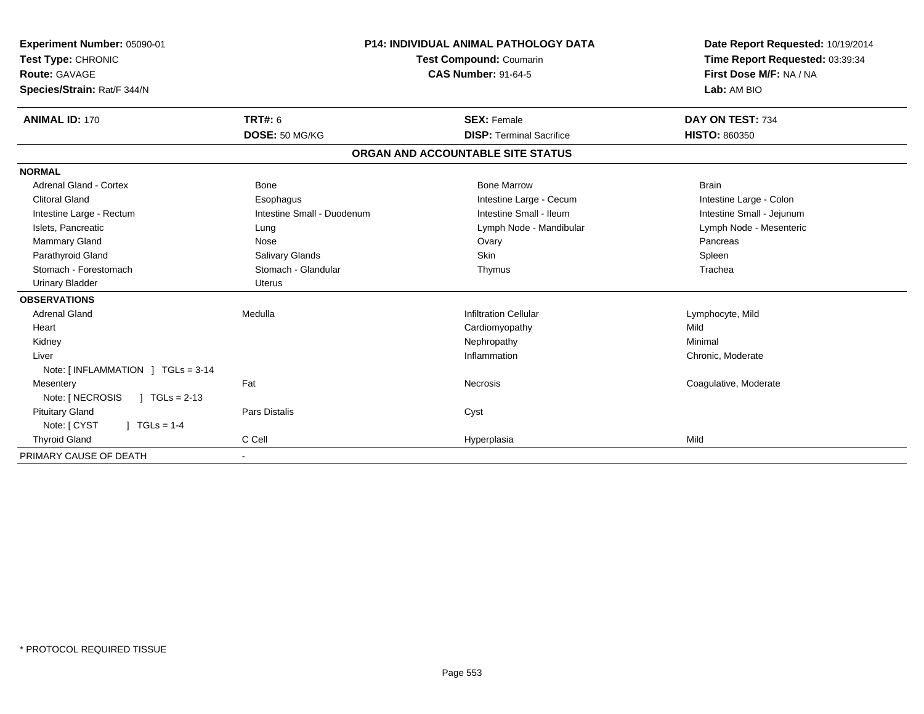| Experiment Number: 05090-01<br>Test Type: CHRONIC<br>Route: GAVAGE<br>Species/Strain: Rat/F 344/N |                            | <b>P14: INDIVIDUAL ANIMAL PATHOLOGY DATA</b><br><b>Test Compound: Coumarin</b><br><b>CAS Number: 91-64-5</b> | Date Report Requested: 10/19/2014<br>Time Report Requested: 03:39:34<br>First Dose M/F: NA / NA<br>Lab: AM BIO |
|---------------------------------------------------------------------------------------------------|----------------------------|--------------------------------------------------------------------------------------------------------------|----------------------------------------------------------------------------------------------------------------|
| <b>ANIMAL ID: 170</b>                                                                             | <b>TRT#: 6</b>             | <b>SEX: Female</b>                                                                                           | DAY ON TEST: 734                                                                                               |
|                                                                                                   | DOSE: 50 MG/KG             | <b>DISP: Terminal Sacrifice</b>                                                                              | <b>HISTO: 860350</b>                                                                                           |
|                                                                                                   |                            | ORGAN AND ACCOUNTABLE SITE STATUS                                                                            |                                                                                                                |
| <b>NORMAL</b>                                                                                     |                            |                                                                                                              |                                                                                                                |
| Adrenal Gland - Cortex                                                                            | Bone                       | <b>Bone Marrow</b>                                                                                           | <b>Brain</b>                                                                                                   |
| <b>Clitoral Gland</b>                                                                             | Esophagus                  | Intestine Large - Cecum                                                                                      | Intestine Large - Colon                                                                                        |
| Intestine Large - Rectum                                                                          | Intestine Small - Duodenum | Intestine Small - Ileum                                                                                      | Intestine Small - Jejunum                                                                                      |
| Islets, Pancreatic                                                                                | Lung                       | Lymph Node - Mandibular                                                                                      | Lymph Node - Mesenteric                                                                                        |
| Mammary Gland                                                                                     | Nose                       | Ovary                                                                                                        | Pancreas                                                                                                       |
| Parathyroid Gland                                                                                 | <b>Salivary Glands</b>     | Skin                                                                                                         | Spleen                                                                                                         |
| Stomach - Forestomach                                                                             | Stomach - Glandular        | Thymus                                                                                                       | Trachea                                                                                                        |
| <b>Urinary Bladder</b>                                                                            | <b>Uterus</b>              |                                                                                                              |                                                                                                                |
| <b>OBSERVATIONS</b>                                                                               |                            |                                                                                                              |                                                                                                                |
| <b>Adrenal Gland</b>                                                                              | Medulla                    | <b>Infiltration Cellular</b>                                                                                 | Lymphocyte, Mild                                                                                               |
| Heart                                                                                             |                            | Cardiomyopathy                                                                                               | Mild                                                                                                           |
| Kidney                                                                                            |                            | Nephropathy                                                                                                  | Minimal                                                                                                        |
| Liver                                                                                             |                            | Inflammation                                                                                                 | Chronic, Moderate                                                                                              |
| Note: [INFLAMMATION ] TGLs = 3-14                                                                 |                            |                                                                                                              |                                                                                                                |
| Mesentery                                                                                         | Fat                        | Necrosis                                                                                                     | Coagulative, Moderate                                                                                          |
| Note: [ NECROSIS<br>$\sqrt{1}$ TGLs = 2-13                                                        |                            |                                                                                                              |                                                                                                                |
| <b>Pituitary Gland</b>                                                                            | Pars Distalis              | Cyst                                                                                                         |                                                                                                                |
| Note: [ CYST<br>$J \cdot TGLS = 1-4$                                                              |                            |                                                                                                              |                                                                                                                |
| <b>Thyroid Gland</b>                                                                              | C Cell                     | Hyperplasia                                                                                                  | Mild                                                                                                           |
| PRIMARY CAUSE OF DEATH                                                                            | $\blacksquare$             |                                                                                                              |                                                                                                                |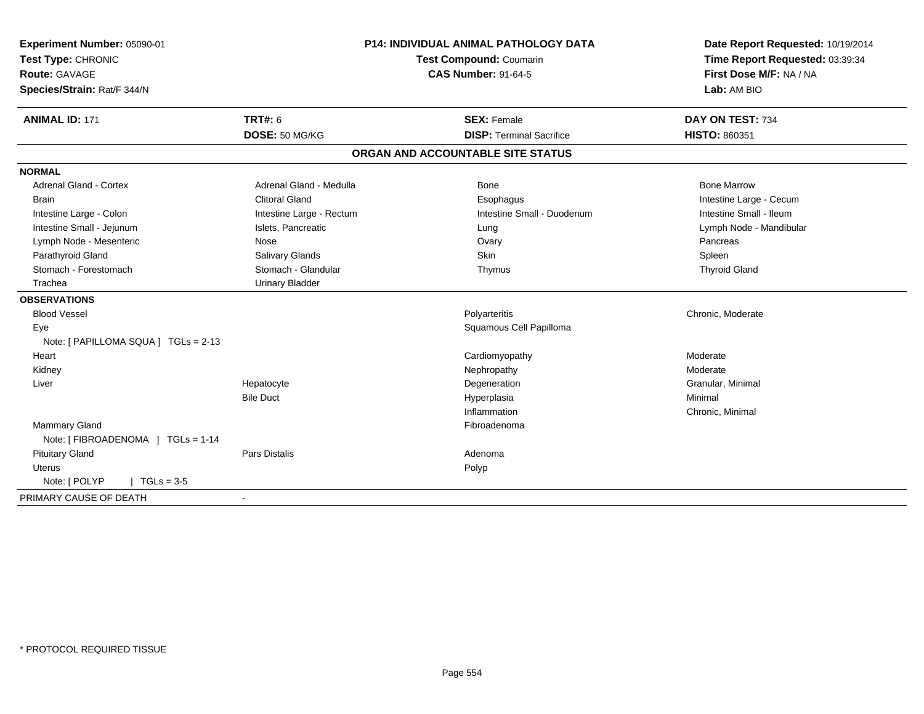| Experiment Number: 05090-01<br>Test Type: CHRONIC<br>Route: GAVAGE |                          | <b>P14: INDIVIDUAL ANIMAL PATHOLOGY DATA</b><br>Test Compound: Coumarin<br><b>CAS Number: 91-64-5</b> | Date Report Requested: 10/19/2014<br>Time Report Requested: 03:39:34<br>First Dose M/F: NA / NA<br>Lab: AM BIO |  |
|--------------------------------------------------------------------|--------------------------|-------------------------------------------------------------------------------------------------------|----------------------------------------------------------------------------------------------------------------|--|
| Species/Strain: Rat/F 344/N                                        |                          |                                                                                                       |                                                                                                                |  |
| <b>ANIMAL ID: 171</b>                                              | <b>TRT#: 6</b>           | <b>SEX: Female</b>                                                                                    | DAY ON TEST: 734                                                                                               |  |
|                                                                    | DOSE: 50 MG/KG           | <b>DISP: Terminal Sacrifice</b>                                                                       | HISTO: 860351                                                                                                  |  |
|                                                                    |                          | ORGAN AND ACCOUNTABLE SITE STATUS                                                                     |                                                                                                                |  |
| <b>NORMAL</b>                                                      |                          |                                                                                                       |                                                                                                                |  |
| <b>Adrenal Gland - Cortex</b>                                      | Adrenal Gland - Medulla  | Bone                                                                                                  | <b>Bone Marrow</b>                                                                                             |  |
| <b>Brain</b>                                                       | <b>Clitoral Gland</b>    | Esophagus                                                                                             | Intestine Large - Cecum                                                                                        |  |
| Intestine Large - Colon                                            | Intestine Large - Rectum | Intestine Small - Duodenum                                                                            | Intestine Small - Ileum                                                                                        |  |
| Intestine Small - Jejunum                                          | Islets, Pancreatic       | Lung                                                                                                  | Lymph Node - Mandibular                                                                                        |  |
| Lymph Node - Mesenteric                                            | Nose                     | Ovary                                                                                                 | Pancreas                                                                                                       |  |
| Parathyroid Gland                                                  | Salivary Glands          | <b>Skin</b>                                                                                           | Spleen                                                                                                         |  |
| Stomach - Forestomach                                              | Stomach - Glandular      | Thymus                                                                                                | <b>Thyroid Gland</b>                                                                                           |  |
| Trachea                                                            | <b>Urinary Bladder</b>   |                                                                                                       |                                                                                                                |  |
| <b>OBSERVATIONS</b>                                                |                          |                                                                                                       |                                                                                                                |  |
| <b>Blood Vessel</b>                                                |                          | Polyarteritis                                                                                         | Chronic, Moderate                                                                                              |  |
| Eye                                                                |                          | Squamous Cell Papilloma                                                                               |                                                                                                                |  |
| Note: [ PAPILLOMA SQUA ] TGLs = 2-13                               |                          |                                                                                                       |                                                                                                                |  |
| Heart                                                              |                          | Cardiomyopathy                                                                                        | Moderate                                                                                                       |  |
| Kidney                                                             |                          | Nephropathy                                                                                           | Moderate                                                                                                       |  |
| Liver                                                              | Hepatocyte               | Degeneration                                                                                          | Granular, Minimal                                                                                              |  |
|                                                                    | <b>Bile Duct</b>         | Hyperplasia                                                                                           | Minimal                                                                                                        |  |
|                                                                    |                          | Inflammation                                                                                          | Chronic, Minimal                                                                                               |  |
| Mammary Gland                                                      |                          | Fibroadenoma                                                                                          |                                                                                                                |  |
| Note: [ FIBROADENOMA ] TGLs = 1-14                                 |                          |                                                                                                       |                                                                                                                |  |
| <b>Pituitary Gland</b>                                             | <b>Pars Distalis</b>     | Adenoma                                                                                               |                                                                                                                |  |
| <b>Uterus</b>                                                      |                          | Polyp                                                                                                 |                                                                                                                |  |
| $J \cdot TGLs = 3-5$<br>Note: [ POLYP                              |                          |                                                                                                       |                                                                                                                |  |
| PRIMARY CAUSE OF DEATH                                             |                          |                                                                                                       |                                                                                                                |  |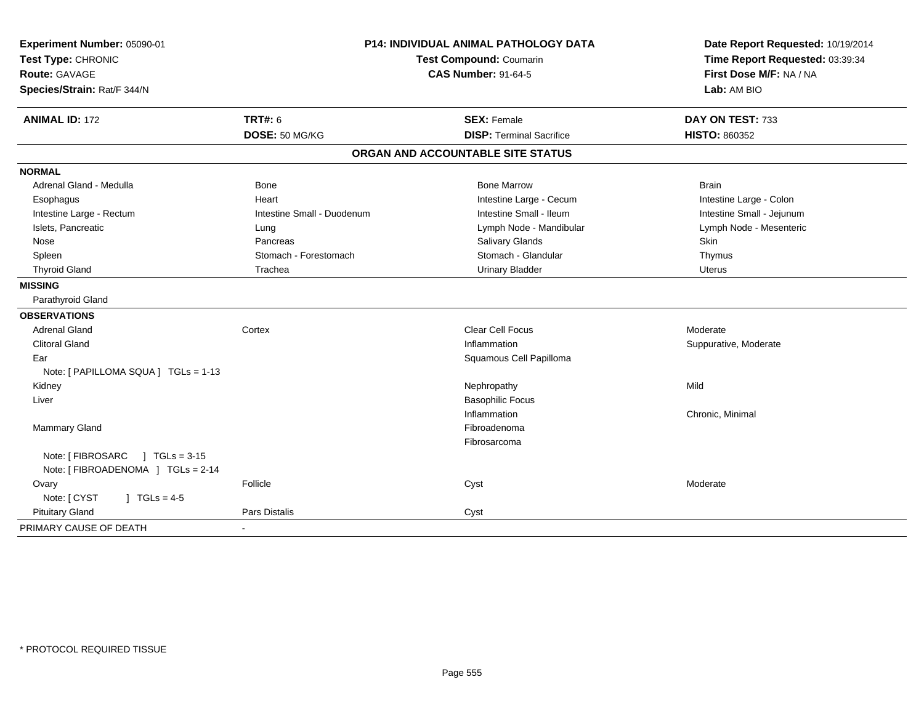| Experiment Number: 05090-01                  | <b>P14: INDIVIDUAL ANIMAL PATHOLOGY DATA</b><br>Test Compound: Coumarin<br><b>CAS Number: 91-64-5</b> |                                   | Date Report Requested: 10/19/2014                          |  |
|----------------------------------------------|-------------------------------------------------------------------------------------------------------|-----------------------------------|------------------------------------------------------------|--|
| Test Type: CHRONIC                           |                                                                                                       |                                   | Time Report Requested: 03:39:34<br>First Dose M/F: NA / NA |  |
| Route: GAVAGE                                |                                                                                                       |                                   |                                                            |  |
| Species/Strain: Rat/F 344/N                  |                                                                                                       |                                   | Lab: AM BIO                                                |  |
| <b>ANIMAL ID: 172</b>                        | <b>TRT#: 6</b>                                                                                        | <b>SEX: Female</b>                | DAY ON TEST: 733                                           |  |
|                                              | DOSE: 50 MG/KG                                                                                        | <b>DISP: Terminal Sacrifice</b>   | <b>HISTO: 860352</b>                                       |  |
|                                              |                                                                                                       | ORGAN AND ACCOUNTABLE SITE STATUS |                                                            |  |
| <b>NORMAL</b>                                |                                                                                                       |                                   |                                                            |  |
| Adrenal Gland - Medulla                      | <b>Bone</b>                                                                                           | <b>Bone Marrow</b>                | <b>Brain</b>                                               |  |
| Esophagus                                    | Heart                                                                                                 | Intestine Large - Cecum           | Intestine Large - Colon                                    |  |
| Intestine Large - Rectum                     | Intestine Small - Duodenum                                                                            | Intestine Small - Ileum           | Intestine Small - Jejunum                                  |  |
| Islets, Pancreatic                           | Lung                                                                                                  | Lymph Node - Mandibular           | Lymph Node - Mesenteric                                    |  |
| Nose                                         | Pancreas                                                                                              | Salivary Glands                   | Skin                                                       |  |
| Spleen                                       | Stomach - Forestomach                                                                                 | Stomach - Glandular               | Thymus                                                     |  |
| <b>Thyroid Gland</b>                         | Trachea                                                                                               | <b>Urinary Bladder</b>            | <b>Uterus</b>                                              |  |
| <b>MISSING</b>                               |                                                                                                       |                                   |                                                            |  |
| Parathyroid Gland                            |                                                                                                       |                                   |                                                            |  |
| <b>OBSERVATIONS</b>                          |                                                                                                       |                                   |                                                            |  |
| <b>Adrenal Gland</b>                         | Cortex                                                                                                | <b>Clear Cell Focus</b>           | Moderate                                                   |  |
| <b>Clitoral Gland</b>                        |                                                                                                       | Inflammation                      | Suppurative, Moderate                                      |  |
| Ear                                          |                                                                                                       | Squamous Cell Papilloma           |                                                            |  |
| Note: [ PAPILLOMA SQUA ] TGLs = 1-13         |                                                                                                       |                                   |                                                            |  |
| Kidney                                       |                                                                                                       | Nephropathy                       | Mild                                                       |  |
| Liver                                        |                                                                                                       | <b>Basophilic Focus</b>           |                                                            |  |
|                                              |                                                                                                       | Inflammation                      | Chronic, Minimal                                           |  |
| <b>Mammary Gland</b>                         |                                                                                                       | Fibroadenoma                      |                                                            |  |
|                                              |                                                                                                       | Fibrosarcoma                      |                                                            |  |
| Note: [ FIBROSARC<br>$1 \text{ TGLs} = 3-15$ |                                                                                                       |                                   |                                                            |  |
| Note: [ FIBROADENOMA ] TGLs = 2-14           |                                                                                                       |                                   |                                                            |  |
| Ovary                                        | Follicle                                                                                              | Cyst                              | Moderate                                                   |  |
| Note: [ CYST<br>$1 TGLs = 4-5$               |                                                                                                       |                                   |                                                            |  |
| <b>Pituitary Gland</b>                       | Pars Distalis                                                                                         | Cyst                              |                                                            |  |
| PRIMARY CAUSE OF DEATH                       |                                                                                                       |                                   |                                                            |  |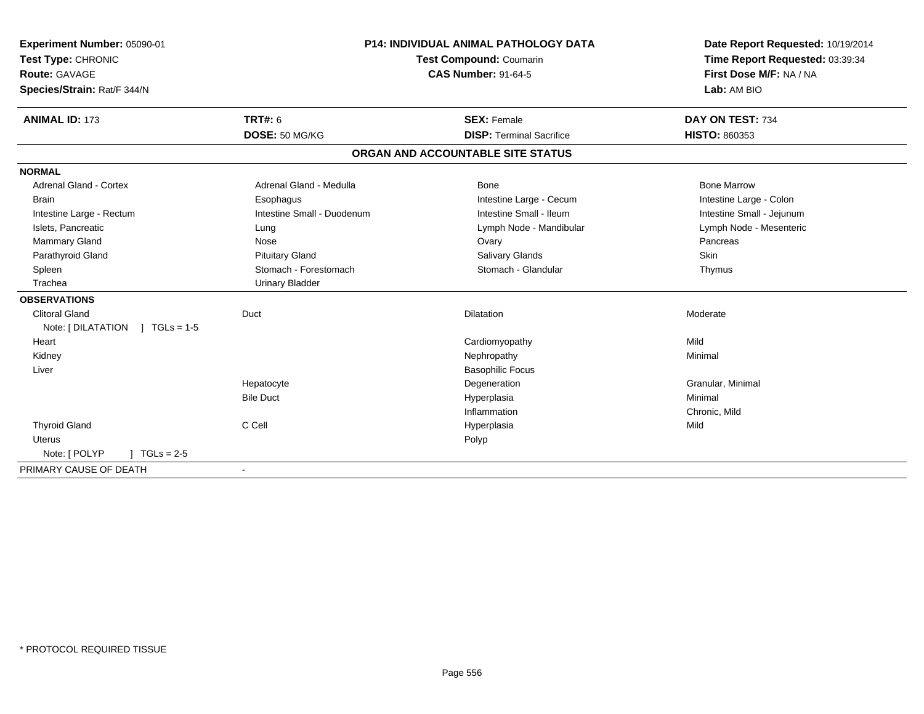| Experiment Number: 05090-01<br>Test Type: CHRONIC<br><b>Route: GAVAGE</b> |                            | <b>P14: INDIVIDUAL ANIMAL PATHOLOGY DATA</b><br>Test Compound: Coumarin<br><b>CAS Number: 91-64-5</b> | Date Report Requested: 10/19/2014<br>Time Report Requested: 03:39:34<br>First Dose M/F: NA / NA |  |
|---------------------------------------------------------------------------|----------------------------|-------------------------------------------------------------------------------------------------------|-------------------------------------------------------------------------------------------------|--|
| Species/Strain: Rat/F 344/N                                               |                            |                                                                                                       | Lab: AM BIO                                                                                     |  |
| <b>ANIMAL ID: 173</b>                                                     | <b>TRT#: 6</b>             | <b>SEX: Female</b>                                                                                    | DAY ON TEST: 734                                                                                |  |
|                                                                           | DOSE: 50 MG/KG             | <b>DISP: Terminal Sacrifice</b>                                                                       | <b>HISTO: 860353</b>                                                                            |  |
|                                                                           |                            | ORGAN AND ACCOUNTABLE SITE STATUS                                                                     |                                                                                                 |  |
| <b>NORMAL</b>                                                             |                            |                                                                                                       |                                                                                                 |  |
| <b>Adrenal Gland - Cortex</b>                                             | Adrenal Gland - Medulla    | <b>Bone</b>                                                                                           | <b>Bone Marrow</b>                                                                              |  |
| <b>Brain</b>                                                              | Esophagus                  | Intestine Large - Cecum                                                                               | Intestine Large - Colon                                                                         |  |
| Intestine Large - Rectum                                                  | Intestine Small - Duodenum | Intestine Small - Ileum                                                                               | Intestine Small - Jejunum                                                                       |  |
| Islets, Pancreatic                                                        | Lung                       | Lymph Node - Mandibular                                                                               | Lymph Node - Mesenteric                                                                         |  |
| Mammary Gland                                                             | Nose                       | Ovary                                                                                                 | Pancreas                                                                                        |  |
| Parathyroid Gland                                                         | <b>Pituitary Gland</b>     | <b>Salivary Glands</b>                                                                                | Skin                                                                                            |  |
| Spleen                                                                    | Stomach - Forestomach      | Stomach - Glandular                                                                                   | Thymus                                                                                          |  |
| Trachea                                                                   | <b>Urinary Bladder</b>     |                                                                                                       |                                                                                                 |  |
| <b>OBSERVATIONS</b>                                                       |                            |                                                                                                       |                                                                                                 |  |
| <b>Clitoral Gland</b>                                                     | Duct                       | Dilatation                                                                                            | Moderate                                                                                        |  |
| Note: [DILATATION ] TGLs = 1-5                                            |                            |                                                                                                       |                                                                                                 |  |
| Heart                                                                     |                            | Cardiomyopathy                                                                                        | Mild                                                                                            |  |
| Kidney                                                                    |                            | Nephropathy                                                                                           | Minimal                                                                                         |  |
| Liver                                                                     |                            | <b>Basophilic Focus</b>                                                                               |                                                                                                 |  |
|                                                                           | Hepatocyte                 | Degeneration                                                                                          | Granular, Minimal                                                                               |  |
|                                                                           | <b>Bile Duct</b>           | Hyperplasia                                                                                           | Minimal                                                                                         |  |
|                                                                           |                            | Inflammation                                                                                          | Chronic, Mild                                                                                   |  |
| <b>Thyroid Gland</b>                                                      | C Cell                     | Hyperplasia                                                                                           | Mild                                                                                            |  |
| <b>Uterus</b>                                                             |                            | Polyp                                                                                                 |                                                                                                 |  |
| Note: [ POLYP<br>$TGLs = 2-5$                                             |                            |                                                                                                       |                                                                                                 |  |
| PRIMARY CAUSE OF DEATH                                                    |                            |                                                                                                       |                                                                                                 |  |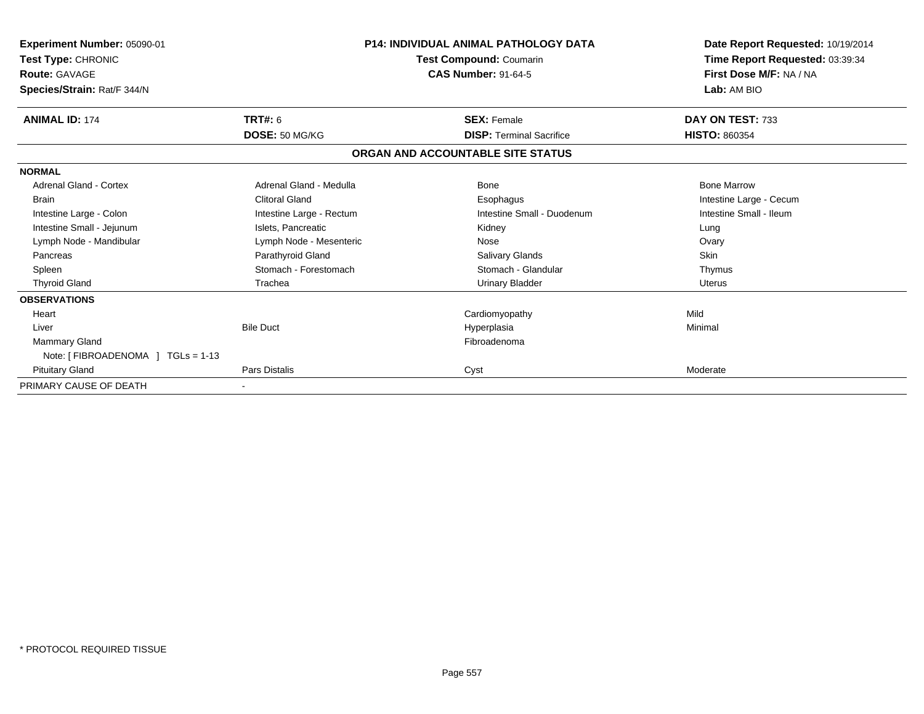| <b>Experiment Number: 05090-01</b><br>Test Type: CHRONIC<br><b>Route: GAVAGE</b><br>Species/Strain: Rat/F 344/N |                          | <b>P14: INDIVIDUAL ANIMAL PATHOLOGY DATA</b><br>Test Compound: Coumarin<br><b>CAS Number: 91-64-5</b> | Date Report Requested: 10/19/2014<br>Time Report Requested: 03:39:34<br>First Dose M/F: NA / NA<br>Lab: AM BIO |  |
|-----------------------------------------------------------------------------------------------------------------|--------------------------|-------------------------------------------------------------------------------------------------------|----------------------------------------------------------------------------------------------------------------|--|
| <b>ANIMAL ID: 174</b>                                                                                           | TRT#: 6                  | <b>SEX: Female</b>                                                                                    | DAY ON TEST: 733                                                                                               |  |
|                                                                                                                 | DOSE: 50 MG/KG           | <b>DISP: Terminal Sacrifice</b>                                                                       | <b>HISTO: 860354</b>                                                                                           |  |
|                                                                                                                 |                          | ORGAN AND ACCOUNTABLE SITE STATUS                                                                     |                                                                                                                |  |
| <b>NORMAL</b>                                                                                                   |                          |                                                                                                       |                                                                                                                |  |
| <b>Adrenal Gland - Cortex</b>                                                                                   | Adrenal Gland - Medulla  | Bone                                                                                                  | <b>Bone Marrow</b>                                                                                             |  |
| <b>Brain</b>                                                                                                    | <b>Clitoral Gland</b>    | Esophagus                                                                                             | Intestine Large - Cecum                                                                                        |  |
| Intestine Large - Colon                                                                                         | Intestine Large - Rectum | Intestine Small - Duodenum                                                                            | Intestine Small - Ileum                                                                                        |  |
| Intestine Small - Jejunum                                                                                       | Islets, Pancreatic       | Kidney                                                                                                | Lung                                                                                                           |  |
| Lymph Node - Mandibular                                                                                         | Lymph Node - Mesenteric  | Nose                                                                                                  | Ovary                                                                                                          |  |
| Pancreas                                                                                                        | Parathyroid Gland        | Salivary Glands                                                                                       | <b>Skin</b>                                                                                                    |  |
| Spleen                                                                                                          | Stomach - Forestomach    | Stomach - Glandular                                                                                   | Thymus                                                                                                         |  |
| <b>Thyroid Gland</b>                                                                                            | Trachea                  | <b>Urinary Bladder</b>                                                                                | Uterus                                                                                                         |  |
| <b>OBSERVATIONS</b>                                                                                             |                          |                                                                                                       |                                                                                                                |  |
| Heart                                                                                                           |                          | Cardiomyopathy                                                                                        | Mild                                                                                                           |  |
| Liver                                                                                                           | <b>Bile Duct</b>         | Hyperplasia                                                                                           | Minimal                                                                                                        |  |
| Mammary Gland                                                                                                   |                          | Fibroadenoma                                                                                          |                                                                                                                |  |
| Note: [ FIBROADENOMA ] TGLs = 1-13                                                                              |                          |                                                                                                       |                                                                                                                |  |
| <b>Pituitary Gland</b>                                                                                          | Pars Distalis            | Cyst                                                                                                  | Moderate                                                                                                       |  |
| PRIMARY CAUSE OF DEATH                                                                                          |                          |                                                                                                       |                                                                                                                |  |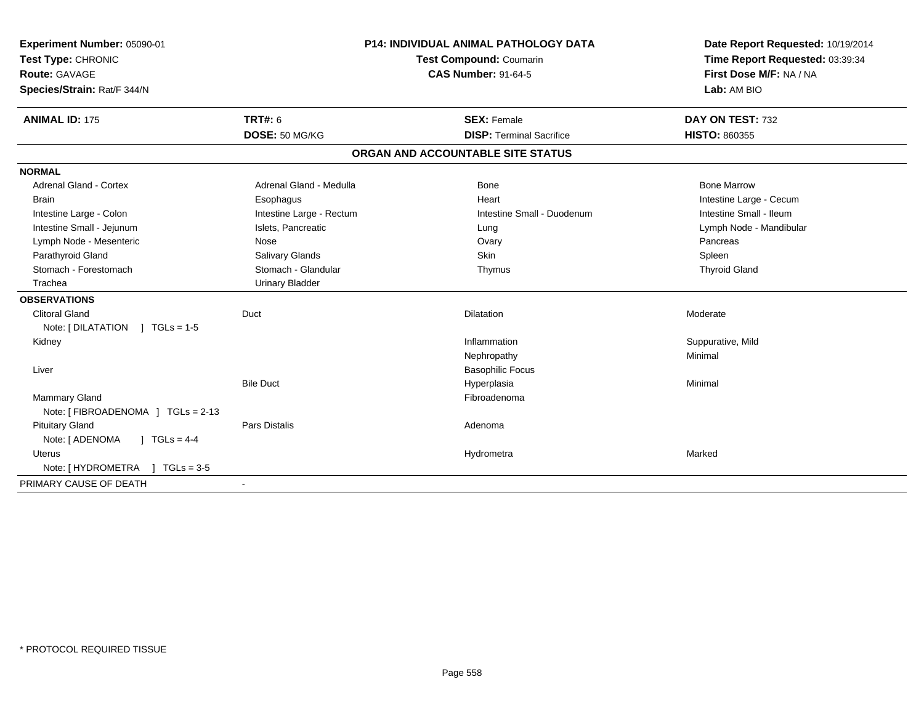| Experiment Number: 05090-01        | <b>P14: INDIVIDUAL ANIMAL PATHOLOGY DATA</b> |                                   | Date Report Requested: 10/19/2014 |
|------------------------------------|----------------------------------------------|-----------------------------------|-----------------------------------|
| Test Type: CHRONIC                 |                                              | Test Compound: Coumarin           | Time Report Requested: 03:39:34   |
| <b>Route: GAVAGE</b>               |                                              | <b>CAS Number: 91-64-5</b>        | First Dose M/F: NA / NA           |
| Species/Strain: Rat/F 344/N        |                                              |                                   | Lab: AM BIO                       |
| <b>ANIMAL ID: 175</b>              | TRT#: 6                                      | <b>SEX: Female</b>                | DAY ON TEST: 732                  |
|                                    | DOSE: 50 MG/KG                               | <b>DISP: Terminal Sacrifice</b>   | <b>HISTO: 860355</b>              |
|                                    |                                              | ORGAN AND ACCOUNTABLE SITE STATUS |                                   |
| <b>NORMAL</b>                      |                                              |                                   |                                   |
| Adrenal Gland - Cortex             | Adrenal Gland - Medulla                      | <b>Bone</b>                       | <b>Bone Marrow</b>                |
| <b>Brain</b>                       | Esophagus                                    | Heart                             | Intestine Large - Cecum           |
| Intestine Large - Colon            | Intestine Large - Rectum                     | Intestine Small - Duodenum        | Intestine Small - Ileum           |
| Intestine Small - Jejunum          | Islets, Pancreatic                           | Lung                              | Lymph Node - Mandibular           |
| Lymph Node - Mesenteric            | Nose                                         | Ovary                             | Pancreas                          |
| Parathyroid Gland                  | Salivary Glands                              | Skin                              | Spleen                            |
| Stomach - Forestomach              | Stomach - Glandular                          | Thymus                            | <b>Thyroid Gland</b>              |
| Trachea                            | <b>Urinary Bladder</b>                       |                                   |                                   |
| <b>OBSERVATIONS</b>                |                                              |                                   |                                   |
| <b>Clitoral Gland</b>              | Duct                                         | Dilatation                        | Moderate                          |
| Note: $[DILATATION] TGLs = 1-5$    |                                              |                                   |                                   |
| Kidney                             |                                              | Inflammation                      | Suppurative, Mild                 |
|                                    |                                              | Nephropathy                       | Minimal                           |
| Liver                              |                                              | <b>Basophilic Focus</b>           |                                   |
|                                    | <b>Bile Duct</b>                             | Hyperplasia                       | Minimal                           |
| Mammary Gland                      |                                              | Fibroadenoma                      |                                   |
| Note: [ FIBROADENOMA ] TGLs = 2-13 |                                              |                                   |                                   |
| <b>Pituitary Gland</b>             | <b>Pars Distalis</b>                         | Adenoma                           |                                   |
| ] $TGLS = 4-4$<br>Note: [ ADENOMA  |                                              |                                   |                                   |
| <b>Uterus</b>                      |                                              | Hydrometra                        | Marked                            |
| Note: [HYDROMETRA ] TGLs = 3-5     |                                              |                                   |                                   |
| PRIMARY CAUSE OF DEATH             |                                              |                                   |                                   |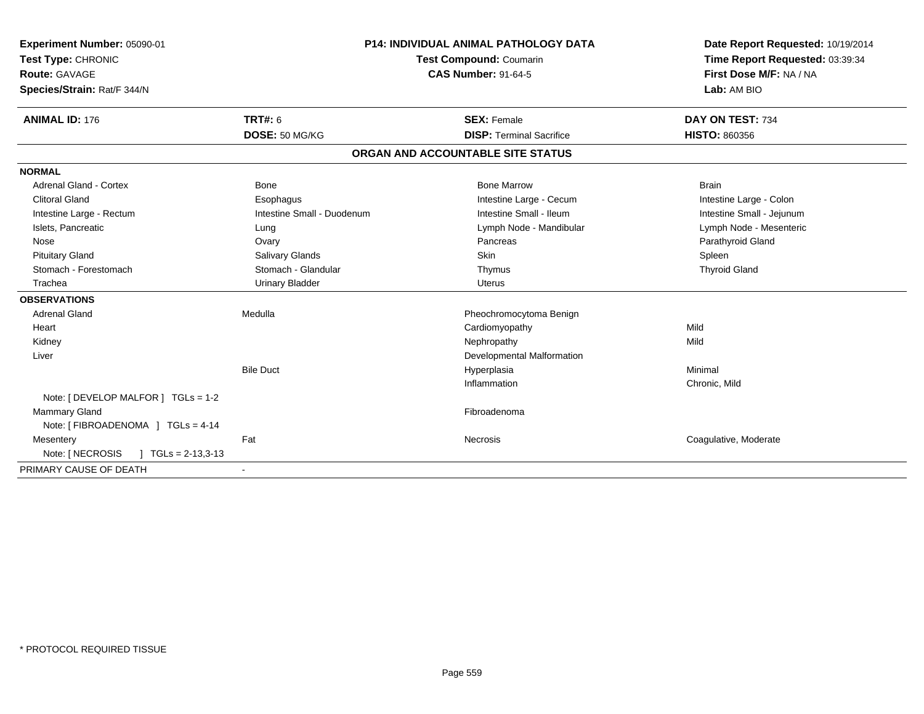| Experiment Number: 05090-01<br>Test Type: CHRONIC<br>Route: GAVAGE<br>Species/Strain: Rat/F 344/N<br><b>ANIMAL ID: 176</b> | <b>P14: INDIVIDUAL ANIMAL PATHOLOGY DATA</b><br>Test Compound: Coumarin<br><b>CAS Number: 91-64-5</b><br><b>TRT#: 6</b><br><b>SEX: Female</b> |                                   | Date Report Requested: 10/19/2014<br>Time Report Requested: 03:39:34<br>First Dose M/F: NA / NA<br>Lab: AM BIO<br>DAY ON TEST: 734 |
|----------------------------------------------------------------------------------------------------------------------------|-----------------------------------------------------------------------------------------------------------------------------------------------|-----------------------------------|------------------------------------------------------------------------------------------------------------------------------------|
|                                                                                                                            | DOSE: 50 MG/KG                                                                                                                                | <b>DISP: Terminal Sacrifice</b>   | <b>HISTO: 860356</b>                                                                                                               |
|                                                                                                                            |                                                                                                                                               | ORGAN AND ACCOUNTABLE SITE STATUS |                                                                                                                                    |
| <b>NORMAL</b>                                                                                                              |                                                                                                                                               |                                   |                                                                                                                                    |
| <b>Adrenal Gland - Cortex</b>                                                                                              | <b>Bone</b>                                                                                                                                   | <b>Bone Marrow</b>                | <b>Brain</b>                                                                                                                       |
| <b>Clitoral Gland</b>                                                                                                      | Esophagus                                                                                                                                     | Intestine Large - Cecum           | Intestine Large - Colon                                                                                                            |
| Intestine Large - Rectum                                                                                                   | Intestine Small - Duodenum                                                                                                                    | Intestine Small - Ileum           | Intestine Small - Jejunum                                                                                                          |
| Islets, Pancreatic                                                                                                         | Lung                                                                                                                                          | Lymph Node - Mandibular           | Lymph Node - Mesenteric                                                                                                            |
| Nose                                                                                                                       | Ovary                                                                                                                                         | Pancreas                          | Parathyroid Gland                                                                                                                  |
| <b>Pituitary Gland</b>                                                                                                     | Salivary Glands                                                                                                                               | <b>Skin</b>                       | Spleen                                                                                                                             |
| Stomach - Forestomach                                                                                                      | Stomach - Glandular                                                                                                                           | Thymus                            | <b>Thyroid Gland</b>                                                                                                               |
| Trachea                                                                                                                    | <b>Urinary Bladder</b>                                                                                                                        | <b>Uterus</b>                     |                                                                                                                                    |
| <b>OBSERVATIONS</b>                                                                                                        |                                                                                                                                               |                                   |                                                                                                                                    |
| <b>Adrenal Gland</b>                                                                                                       | Medulla                                                                                                                                       | Pheochromocytoma Benign           |                                                                                                                                    |
| Heart                                                                                                                      |                                                                                                                                               | Cardiomyopathy                    | Mild                                                                                                                               |
| Kidney                                                                                                                     |                                                                                                                                               | Nephropathy                       | Mild                                                                                                                               |
| Liver                                                                                                                      |                                                                                                                                               | Developmental Malformation        |                                                                                                                                    |
|                                                                                                                            | <b>Bile Duct</b>                                                                                                                              | Hyperplasia                       | Minimal                                                                                                                            |
|                                                                                                                            |                                                                                                                                               | Inflammation                      | Chronic, Mild                                                                                                                      |
| Note: [ DEVELOP MALFOR ] TGLs = 1-2                                                                                        |                                                                                                                                               |                                   |                                                                                                                                    |
| Mammary Gland<br>Note: [ FIBROADENOMA ] TGLs = 4-14                                                                        |                                                                                                                                               | Fibroadenoma                      |                                                                                                                                    |
| Mesentery                                                                                                                  | Fat                                                                                                                                           | Necrosis                          | Coagulative, Moderate                                                                                                              |
| Note: [ NECROSIS<br>$\mid$ TGLs = 2-13,3-13                                                                                |                                                                                                                                               |                                   |                                                                                                                                    |
| PRIMARY CAUSE OF DEATH                                                                                                     |                                                                                                                                               |                                   |                                                                                                                                    |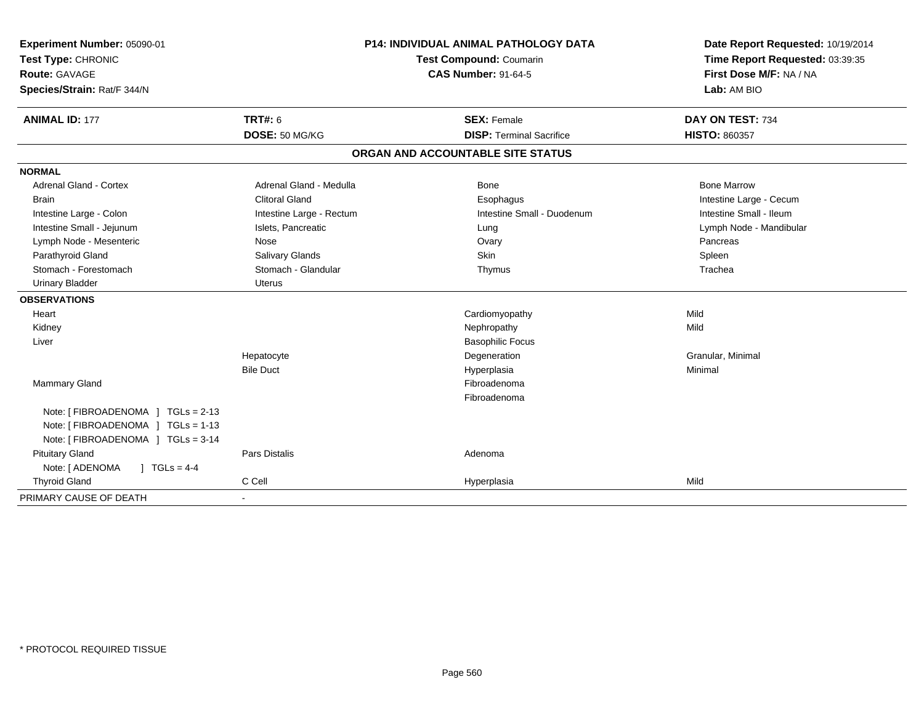| Experiment Number: 05090-01             | <b>P14: INDIVIDUAL ANIMAL PATHOLOGY DATA</b> |                                   | Date Report Requested: 10/19/2014 |  |
|-----------------------------------------|----------------------------------------------|-----------------------------------|-----------------------------------|--|
| Test Type: CHRONIC                      |                                              | Test Compound: Coumarin           | Time Report Requested: 03:39:35   |  |
| <b>Route: GAVAGE</b>                    | <b>CAS Number: 91-64-5</b>                   |                                   | First Dose M/F: NA / NA           |  |
| Species/Strain: Rat/F 344/N             |                                              |                                   | Lab: AM BIO                       |  |
| <b>ANIMAL ID: 177</b>                   | <b>TRT#: 6</b>                               | <b>SEX: Female</b>                | DAY ON TEST: 734                  |  |
|                                         | DOSE: 50 MG/KG                               | <b>DISP: Terminal Sacrifice</b>   | HISTO: 860357                     |  |
|                                         |                                              | ORGAN AND ACCOUNTABLE SITE STATUS |                                   |  |
| <b>NORMAL</b>                           |                                              |                                   |                                   |  |
| <b>Adrenal Gland - Cortex</b>           | Adrenal Gland - Medulla                      | Bone                              | <b>Bone Marrow</b>                |  |
| <b>Brain</b>                            | <b>Clitoral Gland</b>                        | Esophagus                         | Intestine Large - Cecum           |  |
| Intestine Large - Colon                 | Intestine Large - Rectum                     | Intestine Small - Duodenum        | Intestine Small - Ileum           |  |
| Intestine Small - Jejunum               | Islets, Pancreatic                           | Lung                              | Lymph Node - Mandibular           |  |
| Lymph Node - Mesenteric                 | Nose                                         | Ovary                             | Pancreas                          |  |
| Parathyroid Gland                       | Salivary Glands                              | Skin                              | Spleen                            |  |
| Stomach - Forestomach                   | Stomach - Glandular                          | Thymus                            | Trachea                           |  |
| <b>Urinary Bladder</b>                  | <b>Uterus</b>                                |                                   |                                   |  |
| <b>OBSERVATIONS</b>                     |                                              |                                   |                                   |  |
| Heart                                   |                                              | Cardiomyopathy                    | Mild                              |  |
| Kidney                                  |                                              | Nephropathy                       | Mild                              |  |
| Liver                                   |                                              | <b>Basophilic Focus</b>           |                                   |  |
|                                         | Hepatocyte                                   | Degeneration                      | Granular, Minimal                 |  |
|                                         | <b>Bile Duct</b>                             | Hyperplasia                       | Minimal                           |  |
| Mammary Gland                           |                                              | Fibroadenoma                      |                                   |  |
|                                         |                                              | Fibroadenoma                      |                                   |  |
| Note: [FIBROADENOMA ] TGLs = 2-13       |                                              |                                   |                                   |  |
| Note: [ FIBROADENOMA ] TGLs = 1-13      |                                              |                                   |                                   |  |
| Note: [ FIBROADENOMA ] TGLs = 3-14      |                                              |                                   |                                   |  |
| <b>Pituitary Gland</b>                  | <b>Pars Distalis</b>                         | Adenoma                           |                                   |  |
| Note: [ ADENOMA<br>$J \cdot TGLS = 4-4$ |                                              |                                   |                                   |  |
| <b>Thyroid Gland</b>                    | C Cell                                       | Hyperplasia                       | Mild                              |  |
| PRIMARY CAUSE OF DEATH                  |                                              |                                   |                                   |  |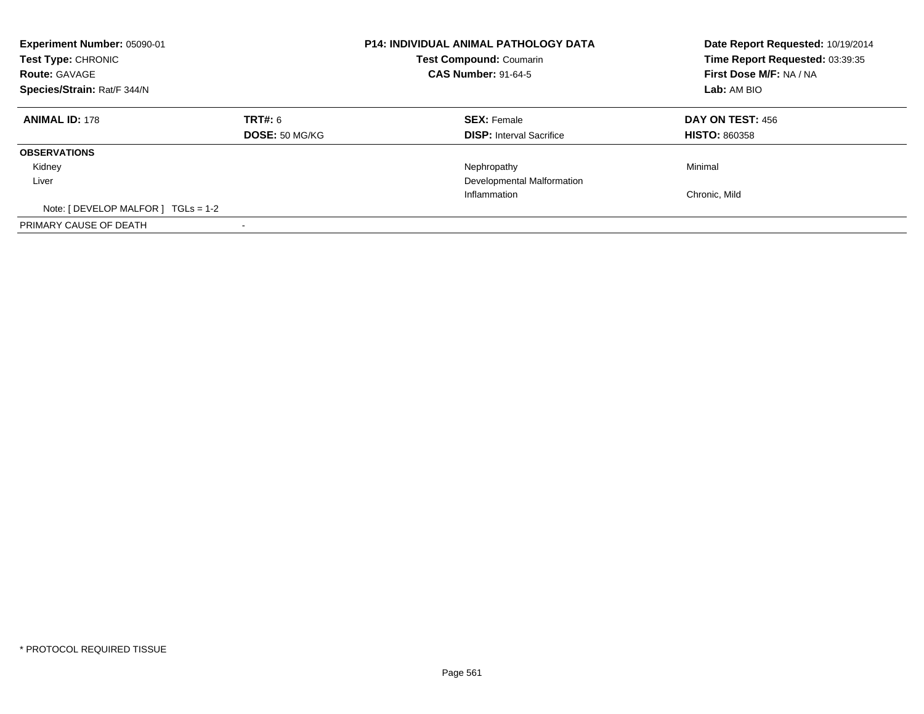| Experiment Number: 05090-01<br>Test Type: CHRONIC<br><b>Route: GAVAGE</b><br>Species/Strain: Rat/F 344/N |                                  | <b>P14: INDIVIDUAL ANIMAL PATHOLOGY DATA</b><br><b>Test Compound: Coumarin</b><br><b>CAS Number: 91-64-5</b> | Date Report Requested: 10/19/2014<br>Time Report Requested: 03:39:35<br>First Dose M/F: NA / NA<br>Lab: AM BIO |
|----------------------------------------------------------------------------------------------------------|----------------------------------|--------------------------------------------------------------------------------------------------------------|----------------------------------------------------------------------------------------------------------------|
| <b>ANIMAL ID: 178</b>                                                                                    | TRT#: 6<br><b>DOSE: 50 MG/KG</b> | <b>SEX: Female</b><br><b>DISP:</b> Interval Sacrifice                                                        | <b>DAY ON TEST: 456</b><br><b>HISTO: 860358</b>                                                                |
| <b>OBSERVATIONS</b>                                                                                      |                                  |                                                                                                              |                                                                                                                |
| Kidney                                                                                                   |                                  | Nephropathy                                                                                                  | Minimal                                                                                                        |
| Liver                                                                                                    |                                  | Developmental Malformation                                                                                   |                                                                                                                |
|                                                                                                          |                                  | Inflammation                                                                                                 | Chronic. Mild                                                                                                  |
| Note: $[$ DEVELOP MALFOR $]$ TGLs = 1-2                                                                  |                                  |                                                                                                              |                                                                                                                |
| PRIMARY CAUSE OF DEATH                                                                                   |                                  |                                                                                                              |                                                                                                                |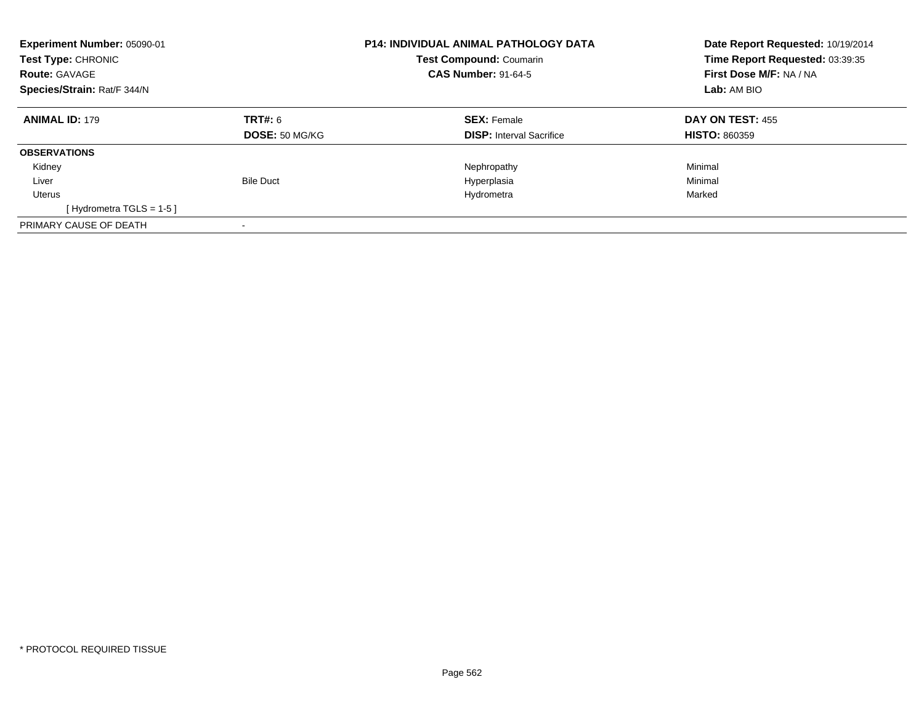| Experiment Number: 05090-01<br>Test Type: CHRONIC<br><b>Route: GAVAGE</b><br>Species/Strain: Rat/F 344/N |                                         | <b>P14: INDIVIDUAL ANIMAL PATHOLOGY DATA</b><br>Test Compound: Coumarin<br><b>CAS Number: 91-64-5</b> | Date Report Requested: 10/19/2014<br>Time Report Requested: 03:39:35<br>First Dose M/F: NA / NA<br><b>Lab:</b> AM BIO |  |
|----------------------------------------------------------------------------------------------------------|-----------------------------------------|-------------------------------------------------------------------------------------------------------|-----------------------------------------------------------------------------------------------------------------------|--|
| <b>ANIMAL ID: 179</b>                                                                                    | <b>TRT#: 6</b><br><b>DOSE: 50 MG/KG</b> | <b>SEX: Female</b><br><b>DISP:</b> Interval Sacrifice                                                 | DAY ON TEST: 455<br><b>HISTO: 860359</b>                                                                              |  |
| <b>OBSERVATIONS</b>                                                                                      |                                         |                                                                                                       |                                                                                                                       |  |
| Kidney                                                                                                   |                                         | Nephropathy                                                                                           | Minimal                                                                                                               |  |
| Liver                                                                                                    | <b>Bile Duct</b>                        | Hyperplasia                                                                                           | Minimal                                                                                                               |  |
| Uterus                                                                                                   |                                         | Hydrometra                                                                                            | Marked                                                                                                                |  |
| [Hydrometra TGLS = $1-5$ ]                                                                               |                                         |                                                                                                       |                                                                                                                       |  |
| PRIMARY CAUSE OF DEATH                                                                                   |                                         |                                                                                                       |                                                                                                                       |  |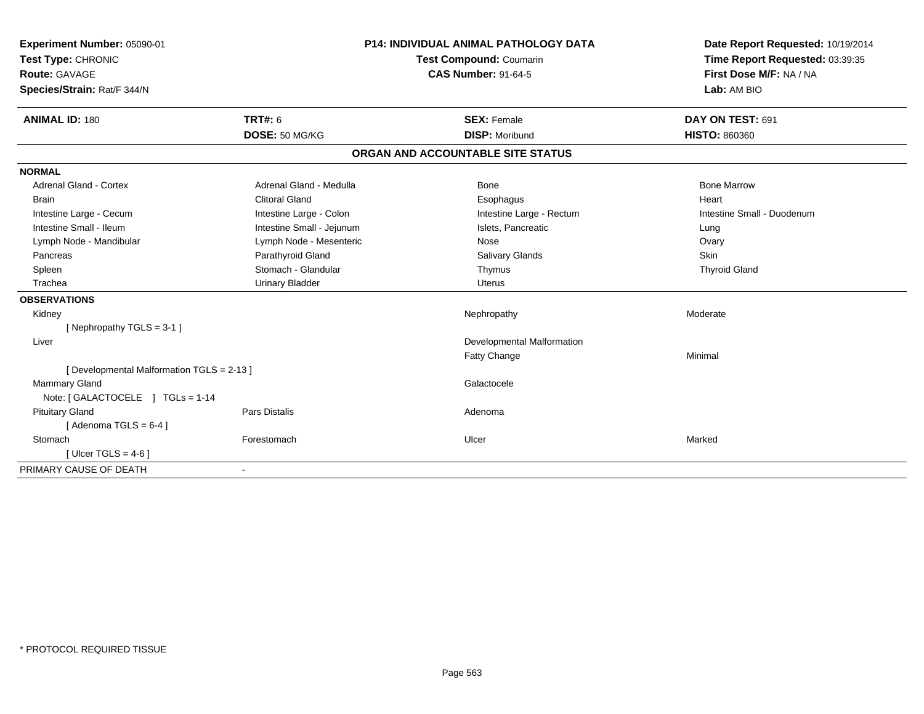| Experiment Number: 05090-01<br>Test Type: CHRONIC<br><b>Route: GAVAGE</b><br>Species/Strain: Rat/F 344/N<br><b>ANIMAL ID: 180</b> | <b>TRT#: 6</b>            | <b>P14: INDIVIDUAL ANIMAL PATHOLOGY DATA</b><br>Test Compound: Coumarin<br><b>CAS Number: 91-64-5</b><br><b>SEX: Female</b> |                                   | Date Report Requested: 10/19/2014<br>Time Report Requested: 03:39:35<br>First Dose M/F: NA / NA<br>Lab: AM BIO<br>DAY ON TEST: 691 |
|-----------------------------------------------------------------------------------------------------------------------------------|---------------------------|-----------------------------------------------------------------------------------------------------------------------------|-----------------------------------|------------------------------------------------------------------------------------------------------------------------------------|
|                                                                                                                                   | DOSE: 50 MG/KG            |                                                                                                                             | <b>DISP: Moribund</b>             | <b>HISTO: 860360</b>                                                                                                               |
|                                                                                                                                   |                           |                                                                                                                             | ORGAN AND ACCOUNTABLE SITE STATUS |                                                                                                                                    |
| <b>NORMAL</b>                                                                                                                     |                           |                                                                                                                             |                                   |                                                                                                                                    |
| <b>Adrenal Gland - Cortex</b>                                                                                                     | Adrenal Gland - Medulla   |                                                                                                                             | <b>Bone</b>                       | <b>Bone Marrow</b>                                                                                                                 |
| <b>Brain</b>                                                                                                                      | <b>Clitoral Gland</b>     |                                                                                                                             | Esophagus                         | Heart                                                                                                                              |
| Intestine Large - Cecum                                                                                                           | Intestine Large - Colon   |                                                                                                                             | Intestine Large - Rectum          | Intestine Small - Duodenum                                                                                                         |
| Intestine Small - Ileum                                                                                                           | Intestine Small - Jejunum |                                                                                                                             | Islets, Pancreatic                | Lung                                                                                                                               |
| Lymph Node - Mandibular                                                                                                           | Lymph Node - Mesenteric   |                                                                                                                             | Nose                              | Ovary                                                                                                                              |
| Pancreas                                                                                                                          | Parathyroid Gland         |                                                                                                                             | <b>Salivary Glands</b>            | Skin                                                                                                                               |
| Spleen                                                                                                                            | Stomach - Glandular       |                                                                                                                             | Thymus                            | <b>Thyroid Gland</b>                                                                                                               |
| Trachea                                                                                                                           | <b>Urinary Bladder</b>    |                                                                                                                             | <b>Uterus</b>                     |                                                                                                                                    |
| <b>OBSERVATIONS</b>                                                                                                               |                           |                                                                                                                             |                                   |                                                                                                                                    |
| Kidney                                                                                                                            |                           |                                                                                                                             | Nephropathy                       | Moderate                                                                                                                           |
| [Nephropathy TGLS = 3-1]                                                                                                          |                           |                                                                                                                             |                                   |                                                                                                                                    |
| Liver                                                                                                                             |                           |                                                                                                                             | Developmental Malformation        |                                                                                                                                    |
|                                                                                                                                   |                           |                                                                                                                             | Fatty Change                      | Minimal                                                                                                                            |
| [ Developmental Malformation TGLS = 2-13 ]                                                                                        |                           |                                                                                                                             |                                   |                                                                                                                                    |
| Mammary Gland                                                                                                                     |                           |                                                                                                                             | Galactocele                       |                                                                                                                                    |
| Note: [ GALACTOCELE ] TGLs = 1-14                                                                                                 |                           |                                                                                                                             |                                   |                                                                                                                                    |
| <b>Pituitary Gland</b>                                                                                                            | <b>Pars Distalis</b>      |                                                                                                                             | Adenoma                           |                                                                                                                                    |
| [Adenoma TGLS = $6-4$ ]                                                                                                           |                           |                                                                                                                             |                                   |                                                                                                                                    |
| Stomach                                                                                                                           | Forestomach               |                                                                                                                             | Ulcer                             | Marked                                                                                                                             |
| [Ulcer TGLS = $4-6$ ]                                                                                                             |                           |                                                                                                                             |                                   |                                                                                                                                    |
| PRIMARY CAUSE OF DEATH                                                                                                            |                           |                                                                                                                             |                                   |                                                                                                                                    |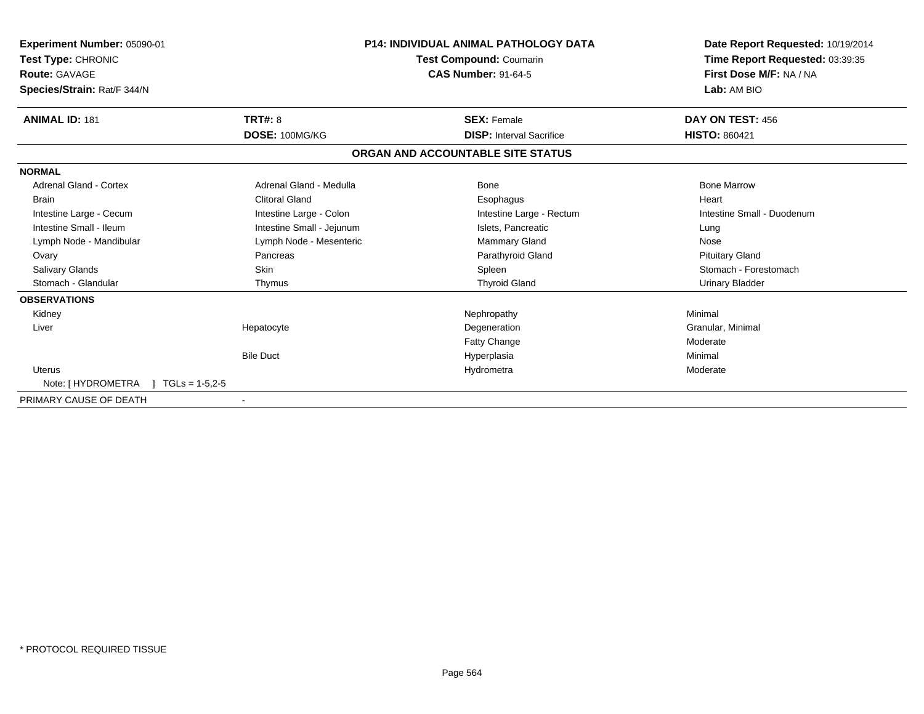| <b>Experiment Number: 05090-01</b><br>Test Type: CHRONIC<br><b>Route: GAVAGE</b><br>Species/Strain: Rat/F 344/N |                           | <b>P14: INDIVIDUAL ANIMAL PATHOLOGY DATA</b><br><b>Test Compound: Coumarin</b><br><b>CAS Number: 91-64-5</b> | Date Report Requested: 10/19/2014<br>Time Report Requested: 03:39:35<br>First Dose M/F: NA / NA<br>Lab: AM BIO |
|-----------------------------------------------------------------------------------------------------------------|---------------------------|--------------------------------------------------------------------------------------------------------------|----------------------------------------------------------------------------------------------------------------|
| <b>ANIMAL ID: 181</b>                                                                                           | <b>TRT#: 8</b>            | <b>SEX: Female</b>                                                                                           | DAY ON TEST: 456                                                                                               |
|                                                                                                                 | DOSE: 100MG/KG            | <b>DISP:</b> Interval Sacrifice                                                                              | <b>HISTO: 860421</b>                                                                                           |
|                                                                                                                 |                           | ORGAN AND ACCOUNTABLE SITE STATUS                                                                            |                                                                                                                |
| <b>NORMAL</b>                                                                                                   |                           |                                                                                                              |                                                                                                                |
| <b>Adrenal Gland - Cortex</b>                                                                                   | Adrenal Gland - Medulla   | Bone                                                                                                         | <b>Bone Marrow</b>                                                                                             |
| <b>Brain</b>                                                                                                    | <b>Clitoral Gland</b>     | Esophagus                                                                                                    | Heart                                                                                                          |
| Intestine Large - Cecum                                                                                         | Intestine Large - Colon   | Intestine Large - Rectum                                                                                     | Intestine Small - Duodenum                                                                                     |
| Intestine Small - Ileum                                                                                         | Intestine Small - Jejunum | Islets, Pancreatic                                                                                           | Lung                                                                                                           |
| Lymph Node - Mandibular                                                                                         | Lymph Node - Mesenteric   | <b>Mammary Gland</b>                                                                                         | Nose                                                                                                           |
| Ovary                                                                                                           | Pancreas                  | Parathyroid Gland                                                                                            | <b>Pituitary Gland</b>                                                                                         |
| <b>Salivary Glands</b>                                                                                          | <b>Skin</b>               | Spleen                                                                                                       | Stomach - Forestomach                                                                                          |
| Stomach - Glandular                                                                                             | Thymus                    | <b>Thyroid Gland</b>                                                                                         | <b>Urinary Bladder</b>                                                                                         |
| <b>OBSERVATIONS</b>                                                                                             |                           |                                                                                                              |                                                                                                                |
| Kidney                                                                                                          |                           | Nephropathy                                                                                                  | Minimal                                                                                                        |
| Liver                                                                                                           | Hepatocyte                | Degeneration                                                                                                 | Granular, Minimal                                                                                              |
|                                                                                                                 |                           | <b>Fatty Change</b>                                                                                          | Moderate                                                                                                       |
|                                                                                                                 | <b>Bile Duct</b>          | Hyperplasia                                                                                                  | Minimal                                                                                                        |
| <b>Uterus</b>                                                                                                   |                           | Hydrometra                                                                                                   | Moderate                                                                                                       |
| Note: [ HYDROMETRA<br>$TGLs = 1-5.2-5$                                                                          |                           |                                                                                                              |                                                                                                                |
| PRIMARY CAUSE OF DEATH                                                                                          | $\blacksquare$            |                                                                                                              |                                                                                                                |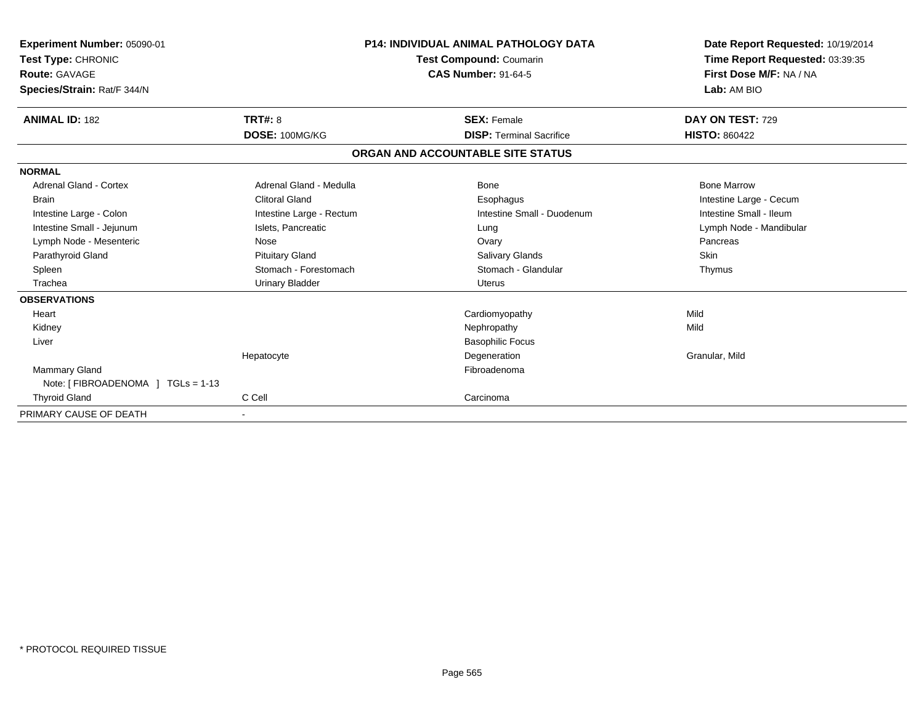| Experiment Number: 05090-01        |                          | <b>P14: INDIVIDUAL ANIMAL PATHOLOGY DATA</b> | Date Report Requested: 10/19/2014 |
|------------------------------------|--------------------------|----------------------------------------------|-----------------------------------|
| Test Type: CHRONIC                 |                          | Test Compound: Coumarin                      | Time Report Requested: 03:39:35   |
| Route: GAVAGE                      |                          | <b>CAS Number: 91-64-5</b>                   | First Dose M/F: NA / NA           |
| Species/Strain: Rat/F 344/N        |                          |                                              | Lab: AM BIO                       |
| <b>ANIMAL ID: 182</b>              | TRT#: 8                  | <b>SEX: Female</b>                           | DAY ON TEST: 729                  |
|                                    | DOSE: 100MG/KG           | <b>DISP: Terminal Sacrifice</b>              | <b>HISTO: 860422</b>              |
|                                    |                          | ORGAN AND ACCOUNTABLE SITE STATUS            |                                   |
| <b>NORMAL</b>                      |                          |                                              |                                   |
| Adrenal Gland - Cortex             | Adrenal Gland - Medulla  | Bone                                         | <b>Bone Marrow</b>                |
| <b>Brain</b>                       | <b>Clitoral Gland</b>    | Esophagus                                    | Intestine Large - Cecum           |
| Intestine Large - Colon            | Intestine Large - Rectum | Intestine Small - Duodenum                   | Intestine Small - Ileum           |
| Intestine Small - Jejunum          | Islets, Pancreatic       | Lung                                         | Lymph Node - Mandibular           |
| Lymph Node - Mesenteric            | Nose                     | Ovary                                        | Pancreas                          |
| Parathyroid Gland                  | <b>Pituitary Gland</b>   | Salivary Glands                              | Skin                              |
| Spleen                             | Stomach - Forestomach    | Stomach - Glandular                          | Thymus                            |
| Trachea                            | <b>Urinary Bladder</b>   | <b>Uterus</b>                                |                                   |
| <b>OBSERVATIONS</b>                |                          |                                              |                                   |
| Heart                              |                          | Cardiomyopathy                               | Mild                              |
| Kidney                             |                          | Nephropathy                                  | Mild                              |
| Liver                              |                          | <b>Basophilic Focus</b>                      |                                   |
|                                    | Hepatocyte               | Degeneration                                 | Granular, Mild                    |
| Mammary Gland                      |                          | Fibroadenoma                                 |                                   |
| Note: [ FIBROADENOMA ] TGLs = 1-13 |                          |                                              |                                   |
| <b>Thyroid Gland</b>               | C Cell                   | Carcinoma                                    |                                   |
| PRIMARY CAUSE OF DEATH             |                          |                                              |                                   |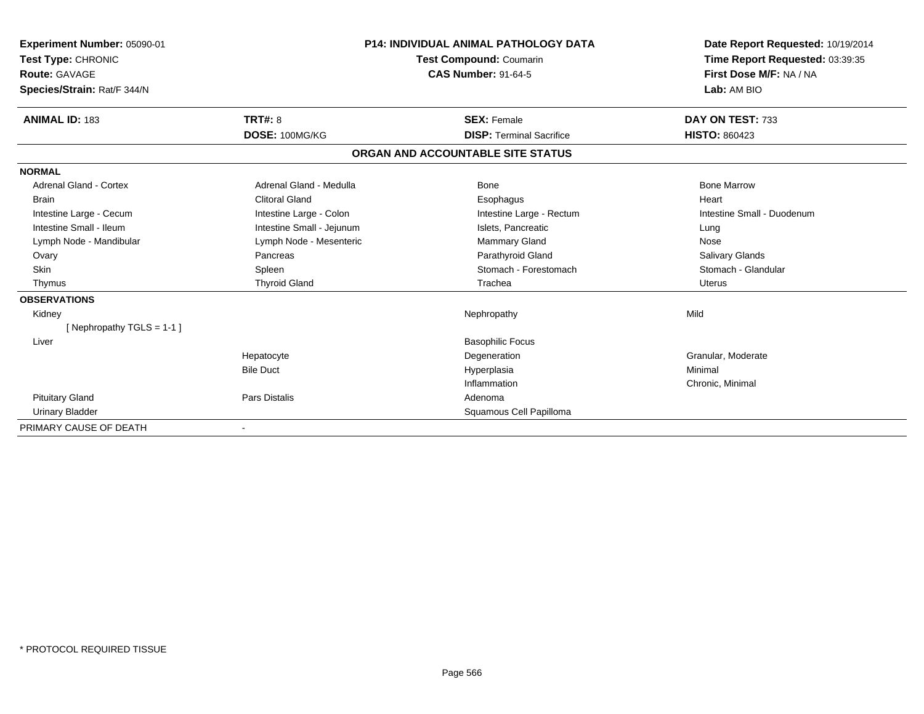| Experiment Number: 05090-01 |                                | <b>P14: INDIVIDUAL ANIMAL PATHOLOGY DATA</b> | Date Report Requested: 10/19/2014 |
|-----------------------------|--------------------------------|----------------------------------------------|-----------------------------------|
| Test Type: CHRONIC          | <b>Test Compound: Coumarin</b> |                                              | Time Report Requested: 03:39:35   |
| Route: GAVAGE               |                                | <b>CAS Number: 91-64-5</b>                   | First Dose M/F: NA / NA           |
| Species/Strain: Rat/F 344/N |                                |                                              | Lab: AM BIO                       |
| <b>ANIMAL ID: 183</b>       | TRT#: 8                        | <b>SEX: Female</b>                           | DAY ON TEST: 733                  |
|                             | DOSE: 100MG/KG                 | <b>DISP: Terminal Sacrifice</b>              | <b>HISTO: 860423</b>              |
|                             |                                | ORGAN AND ACCOUNTABLE SITE STATUS            |                                   |
| <b>NORMAL</b>               |                                |                                              |                                   |
| Adrenal Gland - Cortex      | Adrenal Gland - Medulla        | Bone                                         | <b>Bone Marrow</b>                |
| <b>Brain</b>                | <b>Clitoral Gland</b>          | Esophagus                                    | Heart                             |
| Intestine Large - Cecum     | Intestine Large - Colon        | Intestine Large - Rectum                     | Intestine Small - Duodenum        |
| Intestine Small - Ileum     | Intestine Small - Jejunum      | Islets, Pancreatic                           | Lung                              |
| Lymph Node - Mandibular     | Lymph Node - Mesenteric        | Mammary Gland                                | Nose                              |
| Ovary                       | Pancreas                       | Parathyroid Gland                            | Salivary Glands                   |
| <b>Skin</b>                 | Spleen                         | Stomach - Forestomach                        | Stomach - Glandular               |
| Thymus                      | <b>Thyroid Gland</b>           | Trachea                                      | Uterus                            |
| <b>OBSERVATIONS</b>         |                                |                                              |                                   |
| Kidney                      |                                | Nephropathy                                  | Mild                              |
| [Nephropathy TGLS = $1-1$ ] |                                |                                              |                                   |
| Liver                       |                                | <b>Basophilic Focus</b>                      |                                   |
|                             | Hepatocyte                     | Degeneration                                 | Granular, Moderate                |
|                             | <b>Bile Duct</b>               | Hyperplasia                                  | Minimal                           |
|                             |                                | Inflammation                                 | Chronic, Minimal                  |
| <b>Pituitary Gland</b>      | Pars Distalis                  | Adenoma                                      |                                   |
| <b>Urinary Bladder</b>      |                                | Squamous Cell Papilloma                      |                                   |
| PRIMARY CAUSE OF DEATH      |                                |                                              |                                   |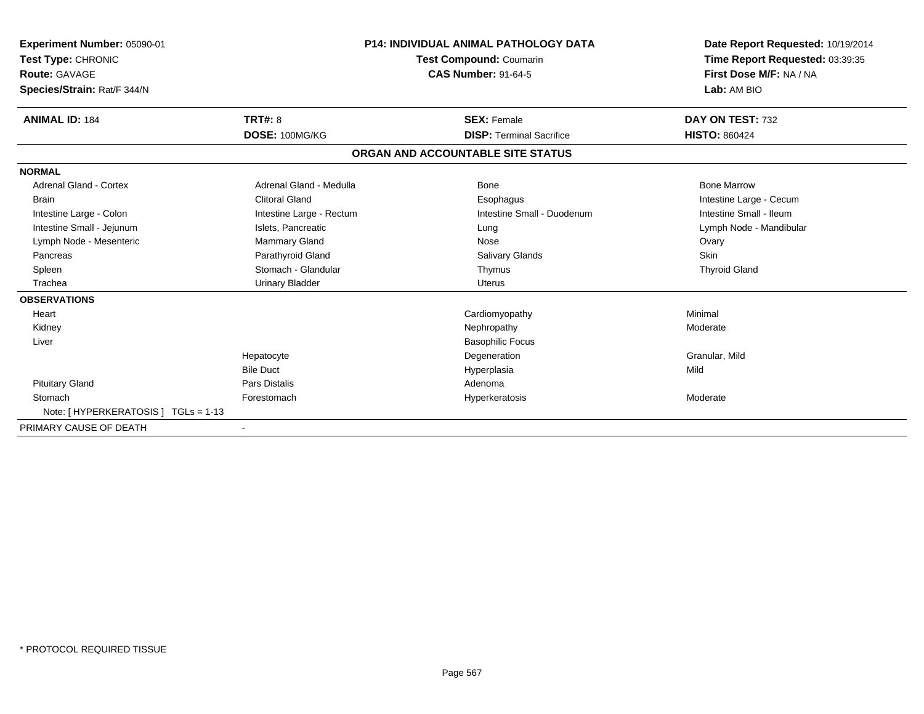| <b>Experiment Number: 05090-01</b><br>Test Type: CHRONIC<br><b>Route: GAVAGE</b><br>Species/Strain: Rat/F 344/N |                          | <b>P14: INDIVIDUAL ANIMAL PATHOLOGY DATA</b><br>Test Compound: Coumarin<br><b>CAS Number: 91-64-5</b> |                                   | Date Report Requested: 10/19/2014<br>Time Report Requested: 03:39:35<br>First Dose M/F: NA / NA<br>Lab: AM BIO |
|-----------------------------------------------------------------------------------------------------------------|--------------------------|-------------------------------------------------------------------------------------------------------|-----------------------------------|----------------------------------------------------------------------------------------------------------------|
| <b>ANIMAL ID: 184</b>                                                                                           | TRT#: 8                  |                                                                                                       | <b>SEX: Female</b>                | DAY ON TEST: 732                                                                                               |
|                                                                                                                 | DOSE: 100MG/KG           |                                                                                                       | <b>DISP: Terminal Sacrifice</b>   | <b>HISTO: 860424</b>                                                                                           |
|                                                                                                                 |                          |                                                                                                       | ORGAN AND ACCOUNTABLE SITE STATUS |                                                                                                                |
| <b>NORMAL</b>                                                                                                   |                          |                                                                                                       |                                   |                                                                                                                |
| <b>Adrenal Gland - Cortex</b>                                                                                   | Adrenal Gland - Medulla  |                                                                                                       | <b>Bone</b>                       | <b>Bone Marrow</b>                                                                                             |
| <b>Brain</b>                                                                                                    | <b>Clitoral Gland</b>    |                                                                                                       | Esophagus                         | Intestine Large - Cecum                                                                                        |
| Intestine Large - Colon                                                                                         | Intestine Large - Rectum |                                                                                                       | Intestine Small - Duodenum        | Intestine Small - Ileum                                                                                        |
| Intestine Small - Jejunum                                                                                       | Islets, Pancreatic       |                                                                                                       | Lung                              | Lymph Node - Mandibular                                                                                        |
| Lymph Node - Mesenteric                                                                                         | Mammary Gland            |                                                                                                       | Nose                              | Ovary                                                                                                          |
| Pancreas                                                                                                        | Parathyroid Gland        |                                                                                                       | Salivary Glands                   | Skin                                                                                                           |
| Spleen                                                                                                          | Stomach - Glandular      |                                                                                                       | Thymus                            | <b>Thyroid Gland</b>                                                                                           |
| Trachea                                                                                                         | <b>Urinary Bladder</b>   |                                                                                                       | <b>Uterus</b>                     |                                                                                                                |
| <b>OBSERVATIONS</b>                                                                                             |                          |                                                                                                       |                                   |                                                                                                                |
| Heart                                                                                                           |                          |                                                                                                       | Cardiomyopathy                    | Minimal                                                                                                        |
| Kidney                                                                                                          |                          |                                                                                                       | Nephropathy                       | Moderate                                                                                                       |
| Liver                                                                                                           |                          |                                                                                                       | <b>Basophilic Focus</b>           |                                                                                                                |
|                                                                                                                 | Hepatocyte               |                                                                                                       | Degeneration                      | Granular, Mild                                                                                                 |
|                                                                                                                 | <b>Bile Duct</b>         |                                                                                                       | Hyperplasia                       | Mild                                                                                                           |
| <b>Pituitary Gland</b>                                                                                          | Pars Distalis            |                                                                                                       | Adenoma                           |                                                                                                                |
| Stomach                                                                                                         | Forestomach              |                                                                                                       | Hyperkeratosis                    | Moderate                                                                                                       |
| Note: [ HYPERKERATOSIS ] TGLs = 1-13                                                                            |                          |                                                                                                       |                                   |                                                                                                                |
| PRIMARY CAUSE OF DEATH                                                                                          | $\blacksquare$           |                                                                                                       |                                   |                                                                                                                |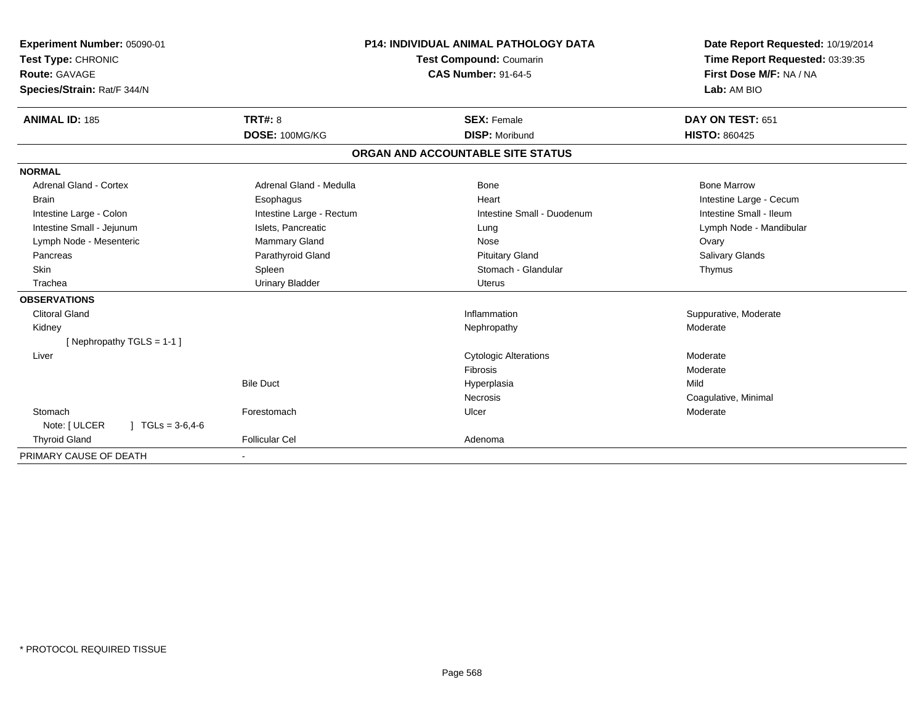| <b>Experiment Number: 05090-01</b><br>Test Type: CHRONIC<br>Route: GAVAGE<br>Species/Strain: Rat/F 344/N |                          | <b>P14: INDIVIDUAL ANIMAL PATHOLOGY DATA</b><br>Test Compound: Coumarin<br><b>CAS Number: 91-64-5</b> | Date Report Requested: 10/19/2014<br>Time Report Requested: 03:39:35<br>First Dose M/F: NA / NA<br>Lab: AM BIO |
|----------------------------------------------------------------------------------------------------------|--------------------------|-------------------------------------------------------------------------------------------------------|----------------------------------------------------------------------------------------------------------------|
| <b>ANIMAL ID: 185</b>                                                                                    | TRT#: 8                  | <b>SEX: Female</b>                                                                                    | DAY ON TEST: 651                                                                                               |
|                                                                                                          | DOSE: 100MG/KG           | <b>DISP: Moribund</b>                                                                                 | <b>HISTO: 860425</b>                                                                                           |
|                                                                                                          |                          | ORGAN AND ACCOUNTABLE SITE STATUS                                                                     |                                                                                                                |
| <b>NORMAL</b>                                                                                            |                          |                                                                                                       |                                                                                                                |
| <b>Adrenal Gland - Cortex</b>                                                                            | Adrenal Gland - Medulla  | <b>Bone</b>                                                                                           | <b>Bone Marrow</b>                                                                                             |
| <b>Brain</b>                                                                                             | Esophagus                | Heart                                                                                                 | Intestine Large - Cecum                                                                                        |
| Intestine Large - Colon                                                                                  | Intestine Large - Rectum | Intestine Small - Duodenum                                                                            | Intestine Small - Ileum                                                                                        |
| Intestine Small - Jejunum                                                                                | Islets. Pancreatic       | Lung                                                                                                  | Lymph Node - Mandibular                                                                                        |
| Lymph Node - Mesenteric                                                                                  | <b>Mammary Gland</b>     | Nose                                                                                                  | Ovary                                                                                                          |
| Pancreas                                                                                                 | Parathyroid Gland        | <b>Pituitary Gland</b>                                                                                | <b>Salivary Glands</b>                                                                                         |
| <b>Skin</b>                                                                                              | Spleen                   | Stomach - Glandular                                                                                   | Thymus                                                                                                         |
| Trachea                                                                                                  | <b>Urinary Bladder</b>   | <b>Uterus</b>                                                                                         |                                                                                                                |
| <b>OBSERVATIONS</b>                                                                                      |                          |                                                                                                       |                                                                                                                |
| <b>Clitoral Gland</b>                                                                                    |                          | Inflammation                                                                                          | Suppurative, Moderate                                                                                          |
| Kidney                                                                                                   |                          | Nephropathy                                                                                           | Moderate                                                                                                       |
| [Nephropathy TGLS = $1-1$ ]                                                                              |                          |                                                                                                       |                                                                                                                |
| Liver                                                                                                    |                          | <b>Cytologic Alterations</b>                                                                          | Moderate                                                                                                       |
|                                                                                                          |                          | Fibrosis                                                                                              | Moderate                                                                                                       |
|                                                                                                          | <b>Bile Duct</b>         | Hyperplasia                                                                                           | Mild                                                                                                           |
|                                                                                                          |                          | <b>Necrosis</b>                                                                                       | Coagulative, Minimal                                                                                           |
| Stomach                                                                                                  | Forestomach              | Ulcer                                                                                                 | Moderate                                                                                                       |
| Note: [ ULCER<br>$1 \text{ TGLs} = 3.6,4.6$                                                              |                          |                                                                                                       |                                                                                                                |
| <b>Thyroid Gland</b>                                                                                     | <b>Follicular Cel</b>    | Adenoma                                                                                               |                                                                                                                |
| PRIMARY CAUSE OF DEATH                                                                                   |                          |                                                                                                       |                                                                                                                |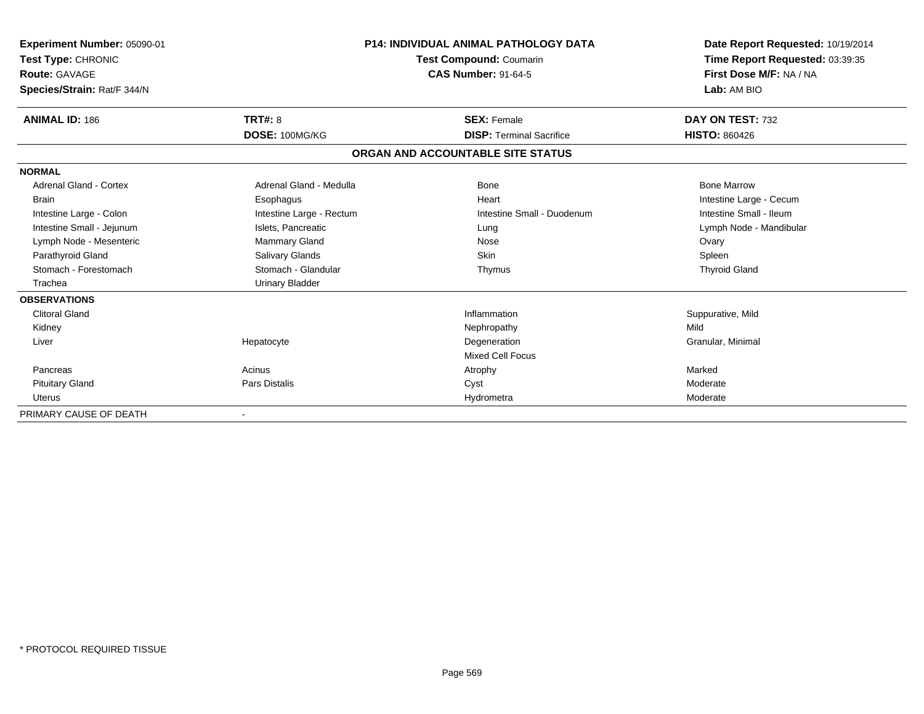| Experiment Number: 05090-01<br>Test Type: CHRONIC<br><b>Route: GAVAGE</b> |                          | <b>P14: INDIVIDUAL ANIMAL PATHOLOGY DATA</b><br><b>Test Compound: Coumarin</b><br><b>CAS Number: 91-64-5</b> | Date Report Requested: 10/19/2014<br>Time Report Requested: 03:39:35<br>First Dose M/F: NA / NA |  |
|---------------------------------------------------------------------------|--------------------------|--------------------------------------------------------------------------------------------------------------|-------------------------------------------------------------------------------------------------|--|
| Species/Strain: Rat/F 344/N                                               |                          |                                                                                                              | Lab: AM BIO                                                                                     |  |
| <b>ANIMAL ID: 186</b>                                                     | TRT#: 8                  | <b>SEX: Female</b>                                                                                           | DAY ON TEST: 732                                                                                |  |
|                                                                           | DOSE: 100MG/KG           | <b>DISP: Terminal Sacrifice</b>                                                                              | <b>HISTO: 860426</b>                                                                            |  |
|                                                                           |                          | ORGAN AND ACCOUNTABLE SITE STATUS                                                                            |                                                                                                 |  |
| <b>NORMAL</b>                                                             |                          |                                                                                                              |                                                                                                 |  |
| Adrenal Gland - Cortex                                                    | Adrenal Gland - Medulla  | <b>Bone</b>                                                                                                  | <b>Bone Marrow</b>                                                                              |  |
| <b>Brain</b>                                                              | Esophagus                | Heart                                                                                                        | Intestine Large - Cecum                                                                         |  |
| Intestine Large - Colon                                                   | Intestine Large - Rectum | Intestine Small - Duodenum                                                                                   | Intestine Small - Ileum                                                                         |  |
| Intestine Small - Jejunum                                                 | Islets, Pancreatic       | Lung                                                                                                         | Lymph Node - Mandibular                                                                         |  |
| Lymph Node - Mesenteric                                                   | Mammary Gland            | Nose                                                                                                         | Ovary                                                                                           |  |
| Parathyroid Gland                                                         | Salivary Glands          | <b>Skin</b>                                                                                                  | Spleen                                                                                          |  |
| Stomach - Forestomach                                                     | Stomach - Glandular      | Thymus                                                                                                       | <b>Thyroid Gland</b>                                                                            |  |
| Trachea                                                                   | <b>Urinary Bladder</b>   |                                                                                                              |                                                                                                 |  |
| <b>OBSERVATIONS</b>                                                       |                          |                                                                                                              |                                                                                                 |  |
| <b>Clitoral Gland</b>                                                     |                          | Inflammation                                                                                                 | Suppurative, Mild                                                                               |  |
| Kidney                                                                    |                          | Nephropathy                                                                                                  | Mild                                                                                            |  |
| Liver                                                                     | Hepatocyte               | Degeneration                                                                                                 | Granular, Minimal                                                                               |  |
|                                                                           |                          | <b>Mixed Cell Focus</b>                                                                                      |                                                                                                 |  |
| Pancreas                                                                  | Acinus                   | Atrophy                                                                                                      | Marked                                                                                          |  |
| <b>Pituitary Gland</b>                                                    | Pars Distalis            | Cyst                                                                                                         | Moderate                                                                                        |  |
| <b>Uterus</b>                                                             |                          | Hydrometra                                                                                                   | Moderate                                                                                        |  |
| PRIMARY CAUSE OF DEATH                                                    |                          |                                                                                                              |                                                                                                 |  |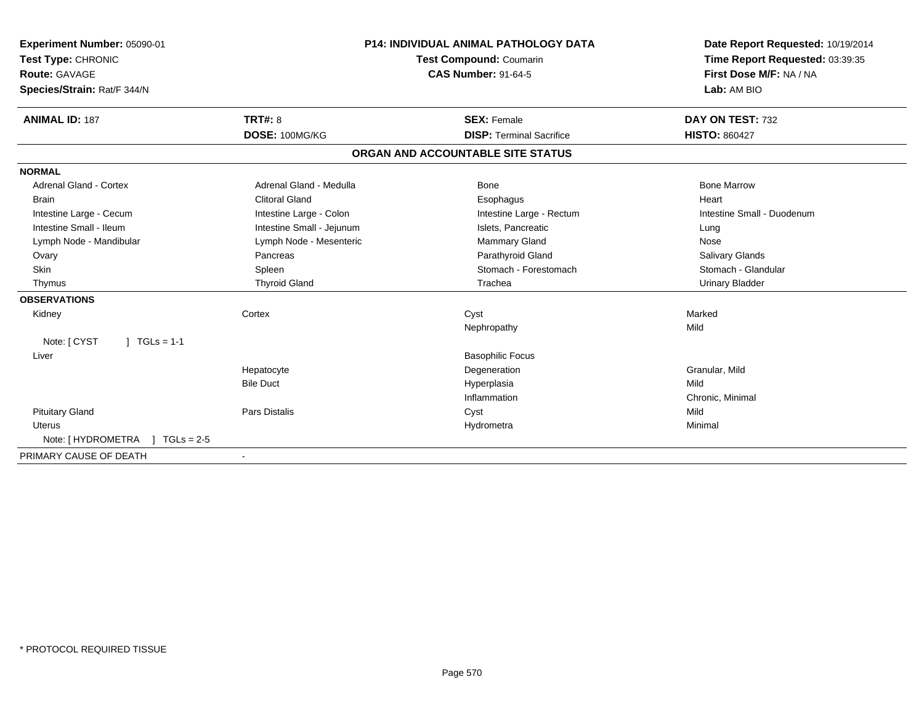| Experiment Number: 05090-01<br>Test Type: CHRONIC<br>Route: GAVAGE<br>Species/Strain: Rat/F 344/N<br><b>ANIMAL ID: 187</b> | TRT#: 8                   | <b>P14: INDIVIDUAL ANIMAL PATHOLOGY DATA</b><br><b>Test Compound: Coumarin</b><br><b>CAS Number: 91-64-5</b><br><b>SEX: Female</b> | Date Report Requested: 10/19/2014<br>Time Report Requested: 03:39:35<br>First Dose M/F: NA / NA<br>Lab: AM BIO<br>DAY ON TEST: 732 |
|----------------------------------------------------------------------------------------------------------------------------|---------------------------|------------------------------------------------------------------------------------------------------------------------------------|------------------------------------------------------------------------------------------------------------------------------------|
|                                                                                                                            | DOSE: 100MG/KG            | <b>DISP: Terminal Sacrifice</b>                                                                                                    | <b>HISTO: 860427</b>                                                                                                               |
|                                                                                                                            |                           | ORGAN AND ACCOUNTABLE SITE STATUS                                                                                                  |                                                                                                                                    |
| <b>NORMAL</b>                                                                                                              |                           |                                                                                                                                    |                                                                                                                                    |
| <b>Adrenal Gland - Cortex</b>                                                                                              | Adrenal Gland - Medulla   | Bone                                                                                                                               | <b>Bone Marrow</b>                                                                                                                 |
| <b>Brain</b>                                                                                                               | <b>Clitoral Gland</b>     | Esophagus                                                                                                                          | Heart                                                                                                                              |
| Intestine Large - Cecum                                                                                                    | Intestine Large - Colon   | Intestine Large - Rectum                                                                                                           | Intestine Small - Duodenum                                                                                                         |
| Intestine Small - Ileum                                                                                                    | Intestine Small - Jejunum | Islets. Pancreatic                                                                                                                 | Lung                                                                                                                               |
| Lymph Node - Mandibular                                                                                                    | Lymph Node - Mesenteric   | <b>Mammary Gland</b>                                                                                                               | Nose                                                                                                                               |
| Ovary                                                                                                                      | Pancreas                  | Parathyroid Gland                                                                                                                  | Salivary Glands                                                                                                                    |
| <b>Skin</b>                                                                                                                | Spleen                    | Stomach - Forestomach                                                                                                              | Stomach - Glandular                                                                                                                |
| Thymus                                                                                                                     | <b>Thyroid Gland</b>      | Trachea                                                                                                                            | Urinary Bladder                                                                                                                    |
| <b>OBSERVATIONS</b>                                                                                                        |                           |                                                                                                                                    |                                                                                                                                    |
| Kidney                                                                                                                     | Cortex                    | Cyst                                                                                                                               | Marked                                                                                                                             |
|                                                                                                                            |                           | Nephropathy                                                                                                                        | Mild                                                                                                                               |
| Note: [ CYST<br>$1 TGLs = 1-1$                                                                                             |                           |                                                                                                                                    |                                                                                                                                    |
| Liver                                                                                                                      |                           | <b>Basophilic Focus</b>                                                                                                            |                                                                                                                                    |
|                                                                                                                            | Hepatocyte                | Degeneration                                                                                                                       | Granular, Mild                                                                                                                     |
|                                                                                                                            | <b>Bile Duct</b>          | Hyperplasia                                                                                                                        | Mild                                                                                                                               |
|                                                                                                                            |                           | Inflammation                                                                                                                       | Chronic, Minimal                                                                                                                   |
| <b>Pituitary Gland</b>                                                                                                     | Pars Distalis             | Cyst                                                                                                                               | Mild                                                                                                                               |
| <b>Uterus</b>                                                                                                              |                           | Hydrometra                                                                                                                         | Minimal                                                                                                                            |
| Note: [ HYDROMETRA<br>$1 TGLs = 2-5$                                                                                       |                           |                                                                                                                                    |                                                                                                                                    |
| PRIMARY CAUSE OF DEATH                                                                                                     |                           |                                                                                                                                    |                                                                                                                                    |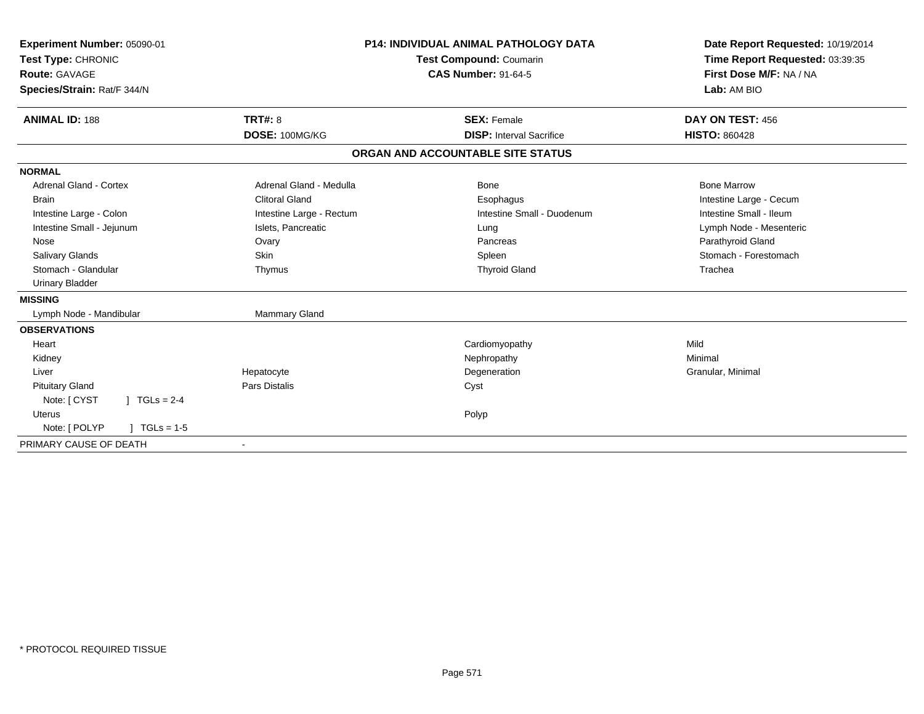| Experiment Number: 05090-01<br>Test Type: CHRONIC<br>Route: GAVAGE<br>Species/Strain: Rat/F 344/N |                          | P14: INDIVIDUAL ANIMAL PATHOLOGY DATA<br><b>Test Compound: Coumarin</b><br><b>CAS Number: 91-64-5</b> | Date Report Requested: 10/19/2014<br>Time Report Requested: 03:39:35<br>First Dose M/F: NA / NA<br>Lab: AM BIO |  |
|---------------------------------------------------------------------------------------------------|--------------------------|-------------------------------------------------------------------------------------------------------|----------------------------------------------------------------------------------------------------------------|--|
| <b>ANIMAL ID: 188</b>                                                                             | <b>TRT#: 8</b>           | <b>SEX: Female</b>                                                                                    | DAY ON TEST: 456                                                                                               |  |
|                                                                                                   | DOSE: 100MG/KG           | <b>DISP:</b> Interval Sacrifice                                                                       | <b>HISTO: 860428</b>                                                                                           |  |
|                                                                                                   |                          | ORGAN AND ACCOUNTABLE SITE STATUS                                                                     |                                                                                                                |  |
| <b>NORMAL</b>                                                                                     |                          |                                                                                                       |                                                                                                                |  |
| <b>Adrenal Gland - Cortex</b>                                                                     | Adrenal Gland - Medulla  | Bone                                                                                                  | <b>Bone Marrow</b>                                                                                             |  |
| <b>Brain</b>                                                                                      | <b>Clitoral Gland</b>    | Esophagus                                                                                             | Intestine Large - Cecum                                                                                        |  |
| Intestine Large - Colon                                                                           | Intestine Large - Rectum | Intestine Small - Duodenum                                                                            | Intestine Small - Ileum                                                                                        |  |
| Intestine Small - Jejunum                                                                         | Islets, Pancreatic       | Lung                                                                                                  | Lymph Node - Mesenteric                                                                                        |  |
| Nose                                                                                              | Ovary                    | Pancreas                                                                                              | Parathyroid Gland                                                                                              |  |
| Salivary Glands                                                                                   | <b>Skin</b>              | Spleen                                                                                                | Stomach - Forestomach                                                                                          |  |
| Stomach - Glandular                                                                               | Thymus                   | <b>Thyroid Gland</b>                                                                                  | Trachea                                                                                                        |  |
| <b>Urinary Bladder</b>                                                                            |                          |                                                                                                       |                                                                                                                |  |
| <b>MISSING</b>                                                                                    |                          |                                                                                                       |                                                                                                                |  |
| Lymph Node - Mandibular                                                                           | Mammary Gland            |                                                                                                       |                                                                                                                |  |
| <b>OBSERVATIONS</b>                                                                               |                          |                                                                                                       |                                                                                                                |  |
| Heart                                                                                             |                          | Cardiomyopathy                                                                                        | Mild                                                                                                           |  |
| Kidney                                                                                            |                          | Nephropathy                                                                                           | Minimal                                                                                                        |  |
| Liver                                                                                             | Hepatocyte               | Degeneration                                                                                          | Granular, Minimal                                                                                              |  |
| <b>Pituitary Gland</b>                                                                            | <b>Pars Distalis</b>     | Cyst                                                                                                  |                                                                                                                |  |
| Note: [ CYST<br>$1 TGLs = 2-4$                                                                    |                          |                                                                                                       |                                                                                                                |  |
| Uterus                                                                                            |                          | Polyp                                                                                                 |                                                                                                                |  |
| Note: [ POLYP<br>$TGLs = 1-5$                                                                     |                          |                                                                                                       |                                                                                                                |  |
| PRIMARY CAUSE OF DEATH                                                                            | $\blacksquare$           |                                                                                                       |                                                                                                                |  |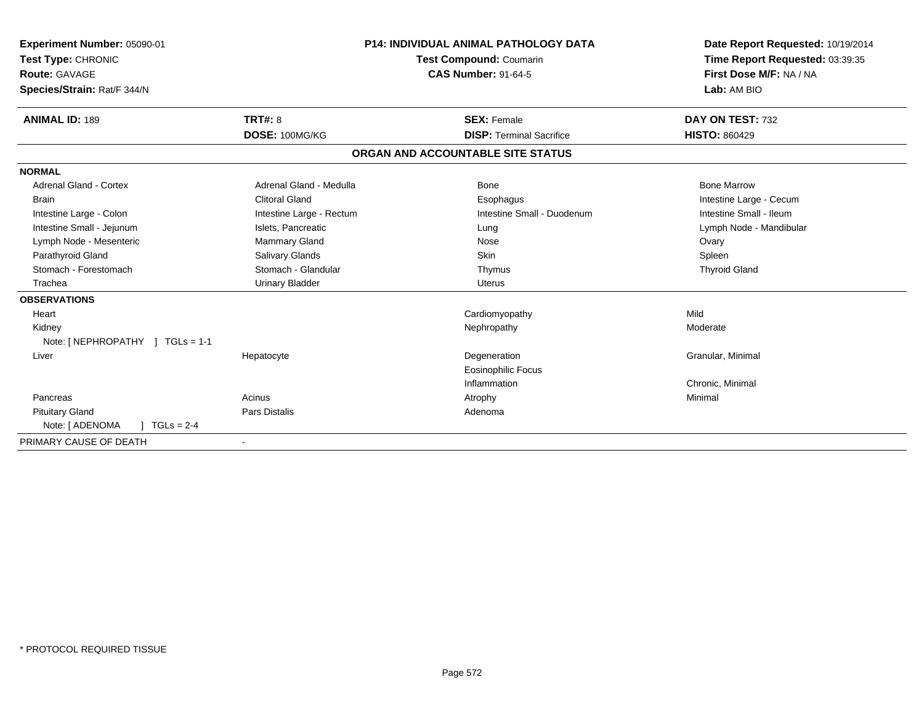| Experiment Number: 05090-01      |                          | <b>P14: INDIVIDUAL ANIMAL PATHOLOGY DATA</b> | Date Report Requested: 10/19/2014 |
|----------------------------------|--------------------------|----------------------------------------------|-----------------------------------|
| Test Type: CHRONIC               |                          | <b>Test Compound: Coumarin</b>               | Time Report Requested: 03:39:35   |
| Route: GAVAGE                    |                          | <b>CAS Number: 91-64-5</b>                   | First Dose M/F: NA / NA           |
| Species/Strain: Rat/F 344/N      |                          |                                              | Lab: AM BIO                       |
| <b>ANIMAL ID: 189</b>            | TRT#: 8                  | <b>SEX: Female</b>                           | DAY ON TEST: 732                  |
|                                  | DOSE: 100MG/KG           | <b>DISP: Terminal Sacrifice</b>              | <b>HISTO: 860429</b>              |
|                                  |                          | ORGAN AND ACCOUNTABLE SITE STATUS            |                                   |
| <b>NORMAL</b>                    |                          |                                              |                                   |
| <b>Adrenal Gland - Cortex</b>    | Adrenal Gland - Medulla  | <b>Bone</b>                                  | <b>Bone Marrow</b>                |
| <b>Brain</b>                     | <b>Clitoral Gland</b>    | Esophagus                                    | Intestine Large - Cecum           |
| Intestine Large - Colon          | Intestine Large - Rectum | Intestine Small - Duodenum                   | Intestine Small - Ileum           |
| Intestine Small - Jejunum        | Islets, Pancreatic       | Lung                                         | Lymph Node - Mandibular           |
| Lymph Node - Mesenteric          | Mammary Gland            | Nose                                         | Ovary                             |
| Parathyroid Gland                | Salivary Glands          | <b>Skin</b>                                  | Spleen                            |
| Stomach - Forestomach            | Stomach - Glandular      | Thymus                                       | <b>Thyroid Gland</b>              |
| Trachea                          | <b>Urinary Bladder</b>   | <b>Uterus</b>                                |                                   |
| <b>OBSERVATIONS</b>              |                          |                                              |                                   |
| Heart                            |                          | Cardiomyopathy                               | Mild                              |
| Kidney                           |                          | Nephropathy                                  | Moderate                          |
| Note: [ NEPHROPATHY ] TGLs = 1-1 |                          |                                              |                                   |
| Liver                            | Hepatocyte               | Degeneration                                 | Granular, Minimal                 |
|                                  |                          | <b>Eosinophilic Focus</b>                    |                                   |
|                                  |                          | Inflammation                                 | Chronic, Minimal                  |
| Pancreas                         | Acinus                   | Atrophy                                      | Minimal                           |
| <b>Pituitary Gland</b>           | <b>Pars Distalis</b>     | Adenoma                                      |                                   |
| Note: [ ADENOMA<br>$TGLs = 2-4$  |                          |                                              |                                   |
| PRIMARY CAUSE OF DEATH           |                          |                                              |                                   |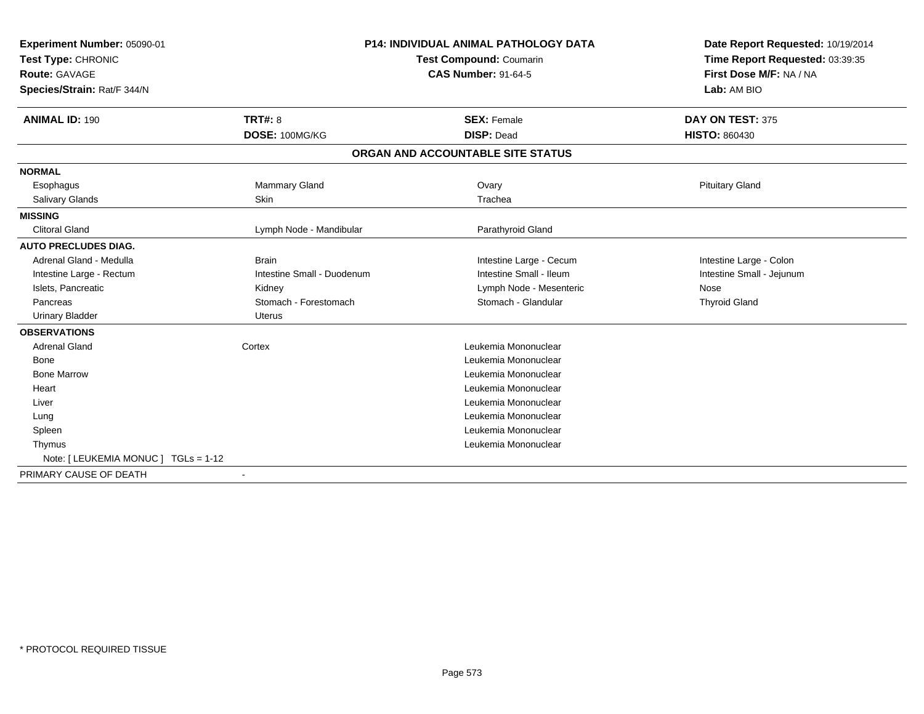| Experiment Number: 05090-01<br>Test Type: CHRONIC<br>Route: GAVAGE<br>Species/Strain: Rat/F 344/N<br><b>ANIMAL ID: 190</b> | <b>P14: INDIVIDUAL ANIMAL PATHOLOGY DATA</b><br><b>Test Compound: Coumarin</b><br><b>CAS Number: 91-64-5</b><br><b>TRT#: 8</b><br><b>SEX: Female</b><br>DOSE: 100MG/KG<br><b>DISP: Dead</b> |                                   | Date Report Requested: 10/19/2014<br>Time Report Requested: 03:39:35<br>First Dose M/F: NA / NA<br>Lab: AM BIO<br>DAY ON TEST: 375<br><b>HISTO: 860430</b> |
|----------------------------------------------------------------------------------------------------------------------------|---------------------------------------------------------------------------------------------------------------------------------------------------------------------------------------------|-----------------------------------|------------------------------------------------------------------------------------------------------------------------------------------------------------|
|                                                                                                                            |                                                                                                                                                                                             | ORGAN AND ACCOUNTABLE SITE STATUS |                                                                                                                                                            |
| <b>NORMAL</b><br>Esophagus                                                                                                 | Mammary Gland                                                                                                                                                                               | Ovary                             | <b>Pituitary Gland</b>                                                                                                                                     |
| Salivary Glands                                                                                                            | <b>Skin</b>                                                                                                                                                                                 | Trachea                           |                                                                                                                                                            |
| <b>MISSING</b>                                                                                                             |                                                                                                                                                                                             |                                   |                                                                                                                                                            |
| <b>Clitoral Gland</b>                                                                                                      | Lymph Node - Mandibular                                                                                                                                                                     | Parathyroid Gland                 |                                                                                                                                                            |
| <b>AUTO PRECLUDES DIAG.</b>                                                                                                |                                                                                                                                                                                             |                                   |                                                                                                                                                            |
| Adrenal Gland - Medulla                                                                                                    | <b>Brain</b>                                                                                                                                                                                | Intestine Large - Cecum           | Intestine Large - Colon                                                                                                                                    |
| Intestine Large - Rectum                                                                                                   | Intestine Small - Duodenum                                                                                                                                                                  | Intestine Small - Ileum           | Intestine Small - Jejunum                                                                                                                                  |
| Islets, Pancreatic                                                                                                         | Kidney                                                                                                                                                                                      | Lymph Node - Mesenteric           | Nose                                                                                                                                                       |
| Pancreas                                                                                                                   | Stomach - Forestomach                                                                                                                                                                       | Stomach - Glandular               | <b>Thyroid Gland</b>                                                                                                                                       |
| <b>Urinary Bladder</b>                                                                                                     | Uterus                                                                                                                                                                                      |                                   |                                                                                                                                                            |
| <b>OBSERVATIONS</b>                                                                                                        |                                                                                                                                                                                             |                                   |                                                                                                                                                            |
| <b>Adrenal Gland</b>                                                                                                       | Cortex                                                                                                                                                                                      | Leukemia Mononuclear              |                                                                                                                                                            |
| Bone                                                                                                                       |                                                                                                                                                                                             | Leukemia Mononuclear              |                                                                                                                                                            |
| <b>Bone Marrow</b>                                                                                                         |                                                                                                                                                                                             | Leukemia Mononuclear              |                                                                                                                                                            |
| Heart                                                                                                                      |                                                                                                                                                                                             | Leukemia Mononuclear              |                                                                                                                                                            |
| Liver                                                                                                                      |                                                                                                                                                                                             | Leukemia Mononuclear              |                                                                                                                                                            |
| Lung                                                                                                                       |                                                                                                                                                                                             | Leukemia Mononuclear              |                                                                                                                                                            |
| Spleen                                                                                                                     |                                                                                                                                                                                             | Leukemia Mononuclear              |                                                                                                                                                            |
| Thymus                                                                                                                     |                                                                                                                                                                                             | Leukemia Mononuclear              |                                                                                                                                                            |
| Note: [ LEUKEMIA MONUC ] TGLs = 1-12                                                                                       |                                                                                                                                                                                             |                                   |                                                                                                                                                            |
| PRIMARY CAUSE OF DEATH                                                                                                     | $\blacksquare$                                                                                                                                                                              |                                   |                                                                                                                                                            |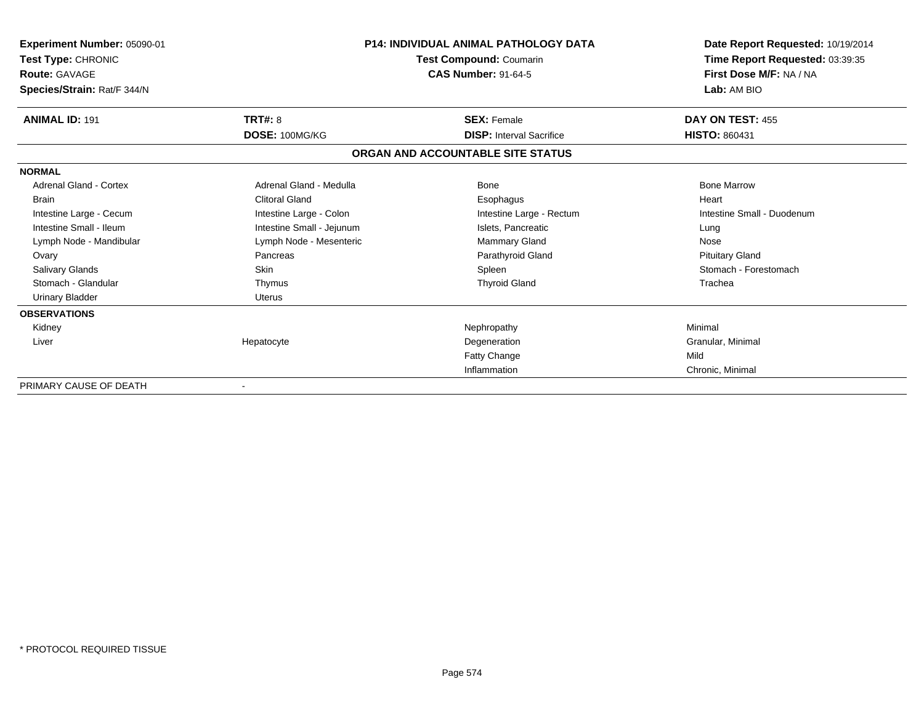| Experiment Number: 05090-01<br>Test Type: CHRONIC<br><b>Route: GAVAGE</b><br>Species/Strain: Rat/F 344/N | <b>P14: INDIVIDUAL ANIMAL PATHOLOGY DATA</b><br>Test Compound: Coumarin<br><b>CAS Number: 91-64-5</b> |                                   | Date Report Requested: 10/19/2014<br>Time Report Requested: 03:39:35<br>First Dose M/F: NA / NA<br>Lab: AM BIO |
|----------------------------------------------------------------------------------------------------------|-------------------------------------------------------------------------------------------------------|-----------------------------------|----------------------------------------------------------------------------------------------------------------|
| <b>ANIMAL ID: 191</b>                                                                                    | <b>TRT#: 8</b>                                                                                        | <b>SEX: Female</b>                | DAY ON TEST: 455                                                                                               |
|                                                                                                          | DOSE: 100MG/KG                                                                                        | <b>DISP:</b> Interval Sacrifice   | <b>HISTO: 860431</b>                                                                                           |
|                                                                                                          |                                                                                                       | ORGAN AND ACCOUNTABLE SITE STATUS |                                                                                                                |
| <b>NORMAL</b>                                                                                            |                                                                                                       |                                   |                                                                                                                |
| <b>Adrenal Gland - Cortex</b>                                                                            | Adrenal Gland - Medulla                                                                               | <b>Bone</b>                       | <b>Bone Marrow</b>                                                                                             |
| <b>Brain</b>                                                                                             | <b>Clitoral Gland</b>                                                                                 | Esophagus                         | Heart                                                                                                          |
| Intestine Large - Cecum                                                                                  | Intestine Large - Colon                                                                               | Intestine Large - Rectum          | Intestine Small - Duodenum                                                                                     |
| Intestine Small - Ileum                                                                                  | Intestine Small - Jejunum                                                                             | Islets. Pancreatic                | Lung                                                                                                           |
| Lymph Node - Mandibular                                                                                  | Lymph Node - Mesenteric                                                                               | <b>Mammary Gland</b>              | Nose                                                                                                           |
| Ovary                                                                                                    | Pancreas                                                                                              | Parathyroid Gland                 | <b>Pituitary Gland</b>                                                                                         |
| Salivary Glands                                                                                          | <b>Skin</b>                                                                                           | Spleen                            | Stomach - Forestomach                                                                                          |
| Stomach - Glandular                                                                                      | Thymus                                                                                                | <b>Thyroid Gland</b>              | Trachea                                                                                                        |
| <b>Urinary Bladder</b>                                                                                   | Uterus                                                                                                |                                   |                                                                                                                |
| <b>OBSERVATIONS</b>                                                                                      |                                                                                                       |                                   |                                                                                                                |
| Kidney                                                                                                   |                                                                                                       | Nephropathy                       | Minimal                                                                                                        |
| Liver                                                                                                    | Hepatocyte                                                                                            | Degeneration                      | Granular, Minimal                                                                                              |
|                                                                                                          |                                                                                                       | Fatty Change                      | Mild                                                                                                           |
|                                                                                                          |                                                                                                       | Inflammation                      | Chronic, Minimal                                                                                               |
| PRIMARY CAUSE OF DEATH                                                                                   |                                                                                                       |                                   |                                                                                                                |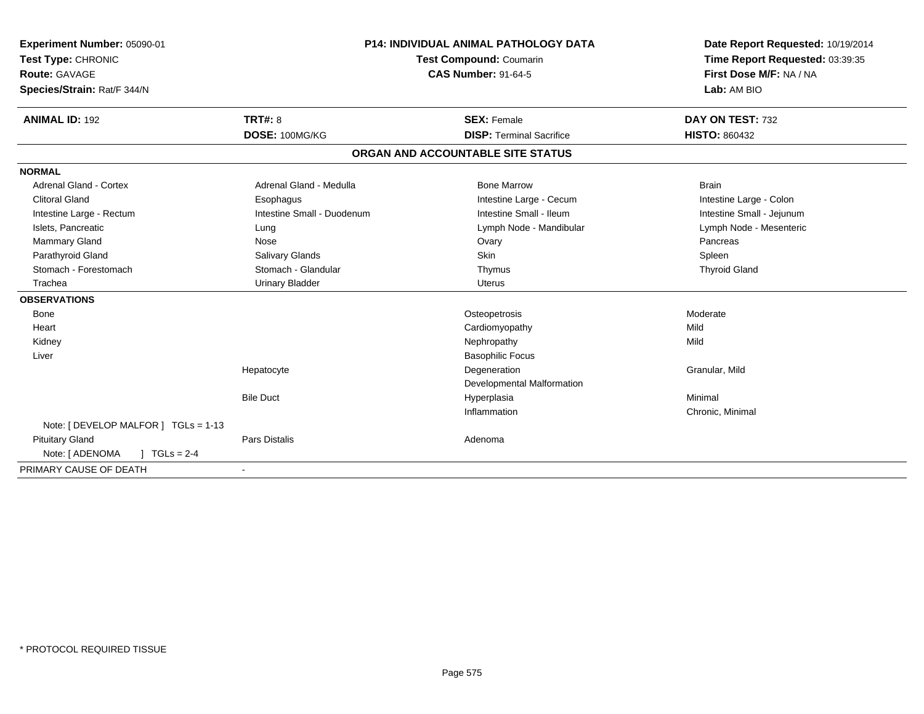| Experiment Number: 05090-01<br>Test Type: CHRONIC<br>Route: GAVAGE<br>Species/Strain: Rat/F 344/N |                            | <b>P14: INDIVIDUAL ANIMAL PATHOLOGY DATA</b><br>Test Compound: Coumarin<br><b>CAS Number: 91-64-5</b> | Date Report Requested: 10/19/2014<br>Time Report Requested: 03:39:35<br>First Dose M/F: NA / NA<br>Lab: AM BIO |
|---------------------------------------------------------------------------------------------------|----------------------------|-------------------------------------------------------------------------------------------------------|----------------------------------------------------------------------------------------------------------------|
| <b>ANIMAL ID: 192</b>                                                                             | <b>TRT#: 8</b>             | <b>SEX: Female</b>                                                                                    | DAY ON TEST: 732                                                                                               |
|                                                                                                   | DOSE: 100MG/KG             | <b>DISP: Terminal Sacrifice</b>                                                                       | <b>HISTO: 860432</b>                                                                                           |
|                                                                                                   |                            | ORGAN AND ACCOUNTABLE SITE STATUS                                                                     |                                                                                                                |
| <b>NORMAL</b>                                                                                     |                            |                                                                                                       |                                                                                                                |
| Adrenal Gland - Cortex                                                                            | Adrenal Gland - Medulla    | <b>Bone Marrow</b>                                                                                    | <b>Brain</b>                                                                                                   |
| <b>Clitoral Gland</b>                                                                             | Esophagus                  | Intestine Large - Cecum                                                                               | Intestine Large - Colon                                                                                        |
| Intestine Large - Rectum                                                                          | Intestine Small - Duodenum | Intestine Small - Ileum                                                                               | Intestine Small - Jejunum                                                                                      |
| Islets, Pancreatic                                                                                | Lung                       | Lymph Node - Mandibular                                                                               | Lymph Node - Mesenteric                                                                                        |
| Mammary Gland                                                                                     | Nose                       | Ovary                                                                                                 | Pancreas                                                                                                       |
| Parathyroid Gland                                                                                 | Salivary Glands            | Skin                                                                                                  | Spleen                                                                                                         |
| Stomach - Forestomach                                                                             | Stomach - Glandular        | Thymus                                                                                                | <b>Thyroid Gland</b>                                                                                           |
| Trachea                                                                                           | <b>Urinary Bladder</b>     | <b>Uterus</b>                                                                                         |                                                                                                                |
| <b>OBSERVATIONS</b>                                                                               |                            |                                                                                                       |                                                                                                                |
| Bone                                                                                              |                            | Osteopetrosis                                                                                         | Moderate                                                                                                       |
| Heart                                                                                             |                            | Cardiomyopathy                                                                                        | Mild                                                                                                           |
| Kidney                                                                                            |                            | Nephropathy                                                                                           | Mild                                                                                                           |
| Liver                                                                                             |                            | <b>Basophilic Focus</b>                                                                               |                                                                                                                |
|                                                                                                   | Hepatocyte                 | Degeneration                                                                                          | Granular, Mild                                                                                                 |
|                                                                                                   |                            | Developmental Malformation                                                                            |                                                                                                                |
|                                                                                                   | <b>Bile Duct</b>           | Hyperplasia                                                                                           | Minimal                                                                                                        |
|                                                                                                   |                            | Inflammation                                                                                          | Chronic, Minimal                                                                                               |
| Note: [ DEVELOP MALFOR ] TGLs = 1-13                                                              |                            |                                                                                                       |                                                                                                                |
| <b>Pituitary Gland</b>                                                                            | Pars Distalis              | Adenoma                                                                                               |                                                                                                                |
| Note: [ ADENOMA<br>$1 TGLs = 2-4$                                                                 |                            |                                                                                                       |                                                                                                                |
| PRIMARY CAUSE OF DEATH                                                                            |                            |                                                                                                       |                                                                                                                |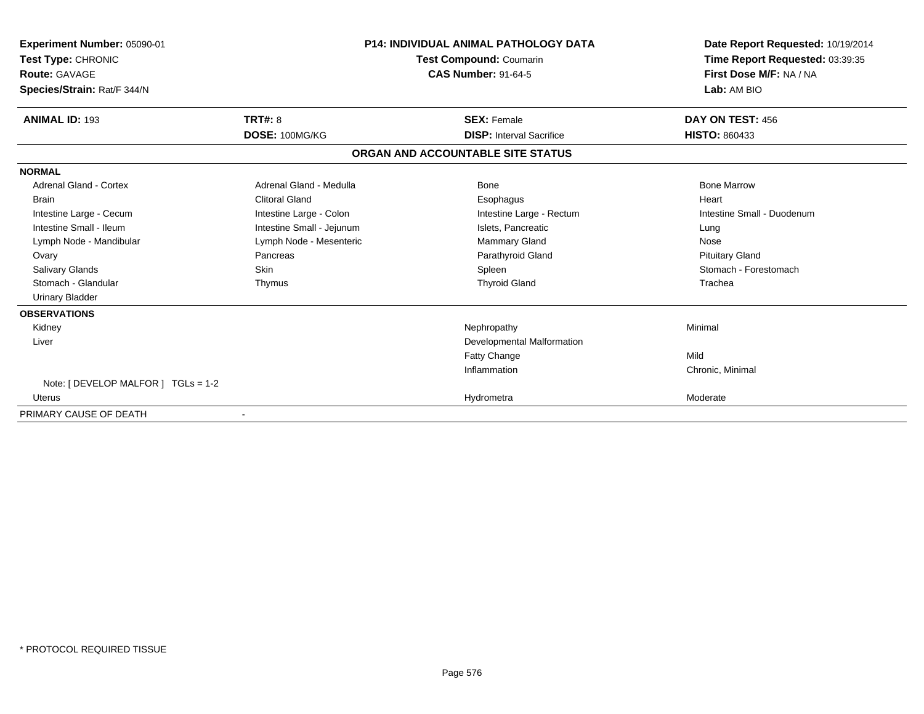| Experiment Number: 05090-01         |                           | <b>P14: INDIVIDUAL ANIMAL PATHOLOGY DATA</b> | Date Report Requested: 10/19/2014 |
|-------------------------------------|---------------------------|----------------------------------------------|-----------------------------------|
| <b>Test Type: CHRONIC</b>           | Test Compound: Coumarin   |                                              | Time Report Requested: 03:39:35   |
| Route: GAVAGE                       |                           | <b>CAS Number: 91-64-5</b>                   | First Dose M/F: NA / NA           |
| Species/Strain: Rat/F 344/N         |                           |                                              | Lab: AM BIO                       |
| <b>ANIMAL ID: 193</b>               | <b>TRT#: 8</b>            | <b>SEX: Female</b>                           | DAY ON TEST: 456                  |
|                                     | DOSE: 100MG/KG            | <b>DISP: Interval Sacrifice</b>              | <b>HISTO: 860433</b>              |
|                                     |                           | ORGAN AND ACCOUNTABLE SITE STATUS            |                                   |
| <b>NORMAL</b>                       |                           |                                              |                                   |
| <b>Adrenal Gland - Cortex</b>       | Adrenal Gland - Medulla   | <b>Bone</b>                                  | <b>Bone Marrow</b>                |
| <b>Brain</b>                        | <b>Clitoral Gland</b>     | Esophagus                                    | Heart                             |
| Intestine Large - Cecum             | Intestine Large - Colon   | Intestine Large - Rectum                     | Intestine Small - Duodenum        |
| Intestine Small - Ileum             | Intestine Small - Jejunum | Islets, Pancreatic                           | Lung                              |
| Lymph Node - Mandibular             | Lymph Node - Mesenteric   | Mammary Gland                                | Nose                              |
| Ovary                               | Pancreas                  | Parathyroid Gland                            | <b>Pituitary Gland</b>            |
| <b>Salivary Glands</b>              | Skin                      | Spleen                                       | Stomach - Forestomach             |
| Stomach - Glandular                 | Thymus                    | <b>Thyroid Gland</b>                         | Trachea                           |
| <b>Urinary Bladder</b>              |                           |                                              |                                   |
| <b>OBSERVATIONS</b>                 |                           |                                              |                                   |
| Kidney                              |                           | Nephropathy                                  | Minimal                           |
| Liver                               |                           | <b>Developmental Malformation</b>            |                                   |
|                                     |                           | <b>Fatty Change</b>                          | Mild                              |
|                                     |                           | Inflammation                                 | Chronic, Minimal                  |
| Note: [ DEVELOP MALFOR ] TGLs = 1-2 |                           |                                              |                                   |
| <b>Uterus</b>                       |                           | Hydrometra                                   | Moderate                          |
| PRIMARY CAUSE OF DEATH              |                           |                                              |                                   |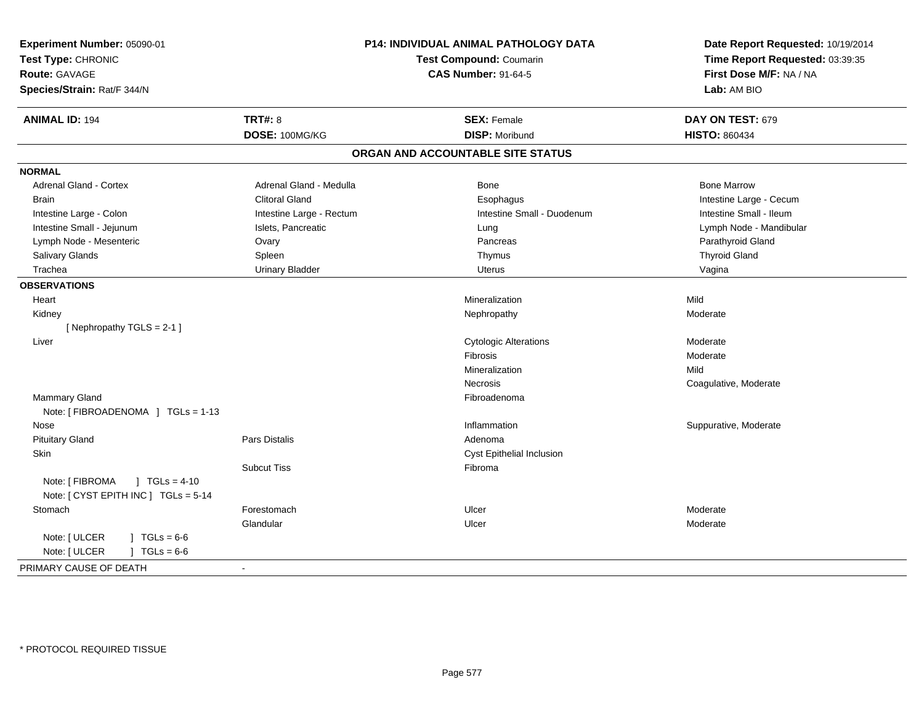| Experiment Number: 05090-01<br>Test Type: CHRONIC<br><b>Route: GAVAGE</b><br>Species/Strain: Rat/F 344/N | P14: INDIVIDUAL ANIMAL PATHOLOGY DATA<br>Test Compound: Coumarin<br><b>CAS Number: 91-64-5</b> |                                   | Date Report Requested: 10/19/2014<br>Time Report Requested: 03:39:35<br>First Dose M/F: NA / NA<br>Lab: AM BIO |
|----------------------------------------------------------------------------------------------------------|------------------------------------------------------------------------------------------------|-----------------------------------|----------------------------------------------------------------------------------------------------------------|
| <b>ANIMAL ID: 194</b>                                                                                    | <b>TRT#: 8</b>                                                                                 | <b>SEX: Female</b>                | DAY ON TEST: 679                                                                                               |
|                                                                                                          | DOSE: 100MG/KG                                                                                 | <b>DISP: Moribund</b>             | <b>HISTO: 860434</b>                                                                                           |
|                                                                                                          |                                                                                                | ORGAN AND ACCOUNTABLE SITE STATUS |                                                                                                                |
| <b>NORMAL</b>                                                                                            |                                                                                                |                                   |                                                                                                                |
| <b>Adrenal Gland - Cortex</b>                                                                            | Adrenal Gland - Medulla                                                                        | Bone                              | <b>Bone Marrow</b>                                                                                             |
| <b>Brain</b>                                                                                             | <b>Clitoral Gland</b>                                                                          | Esophagus                         | Intestine Large - Cecum                                                                                        |
| Intestine Large - Colon                                                                                  | Intestine Large - Rectum                                                                       | Intestine Small - Duodenum        | Intestine Small - Ileum                                                                                        |
| Intestine Small - Jejunum                                                                                | Islets, Pancreatic                                                                             | Lung                              | Lymph Node - Mandibular                                                                                        |
| Lymph Node - Mesenteric                                                                                  | Ovary                                                                                          | Pancreas                          | Parathyroid Gland                                                                                              |
| Salivary Glands                                                                                          | Spleen                                                                                         | Thymus                            | <b>Thyroid Gland</b>                                                                                           |
| Trachea                                                                                                  | <b>Urinary Bladder</b>                                                                         | <b>Uterus</b>                     | Vagina                                                                                                         |
| <b>OBSERVATIONS</b>                                                                                      |                                                                                                |                                   |                                                                                                                |
| Heart                                                                                                    |                                                                                                | Mineralization                    | Mild                                                                                                           |
| Kidney                                                                                                   |                                                                                                | Nephropathy                       | Moderate                                                                                                       |
| [Nephropathy TGLS = 2-1]                                                                                 |                                                                                                |                                   |                                                                                                                |
| Liver                                                                                                    |                                                                                                | <b>Cytologic Alterations</b>      | Moderate                                                                                                       |
|                                                                                                          |                                                                                                | Fibrosis                          | Moderate                                                                                                       |
|                                                                                                          |                                                                                                | Mineralization                    | Mild                                                                                                           |
|                                                                                                          |                                                                                                | Necrosis                          | Coagulative, Moderate                                                                                          |
| <b>Mammary Gland</b>                                                                                     |                                                                                                | Fibroadenoma                      |                                                                                                                |
| Note: [ FIBROADENOMA ] TGLs = 1-13                                                                       |                                                                                                |                                   |                                                                                                                |
| Nose                                                                                                     |                                                                                                | Inflammation                      | Suppurative, Moderate                                                                                          |
| <b>Pituitary Gland</b>                                                                                   | <b>Pars Distalis</b>                                                                           | Adenoma                           |                                                                                                                |
| Skin                                                                                                     |                                                                                                | Cyst Epithelial Inclusion         |                                                                                                                |
|                                                                                                          | <b>Subcut Tiss</b>                                                                             | Fibroma                           |                                                                                                                |
| Note: [ FIBROMA<br>$1 TGLs = 4-10$                                                                       |                                                                                                |                                   |                                                                                                                |
| Note: [ CYST EPITH INC ] TGLs = 5-14                                                                     |                                                                                                |                                   |                                                                                                                |
| Stomach                                                                                                  | Forestomach                                                                                    | Ulcer                             | Moderate                                                                                                       |
|                                                                                                          | Glandular                                                                                      | Ulcer                             | Moderate                                                                                                       |
| Note: [ ULCER<br>$J \cdot TGLs = 6-6$                                                                    |                                                                                                |                                   |                                                                                                                |
| Note: [ ULCER<br>$J \cdot TGLs = 6-6$                                                                    |                                                                                                |                                   |                                                                                                                |
| PRIMARY CAUSE OF DEATH                                                                                   | $\blacksquare$                                                                                 |                                   |                                                                                                                |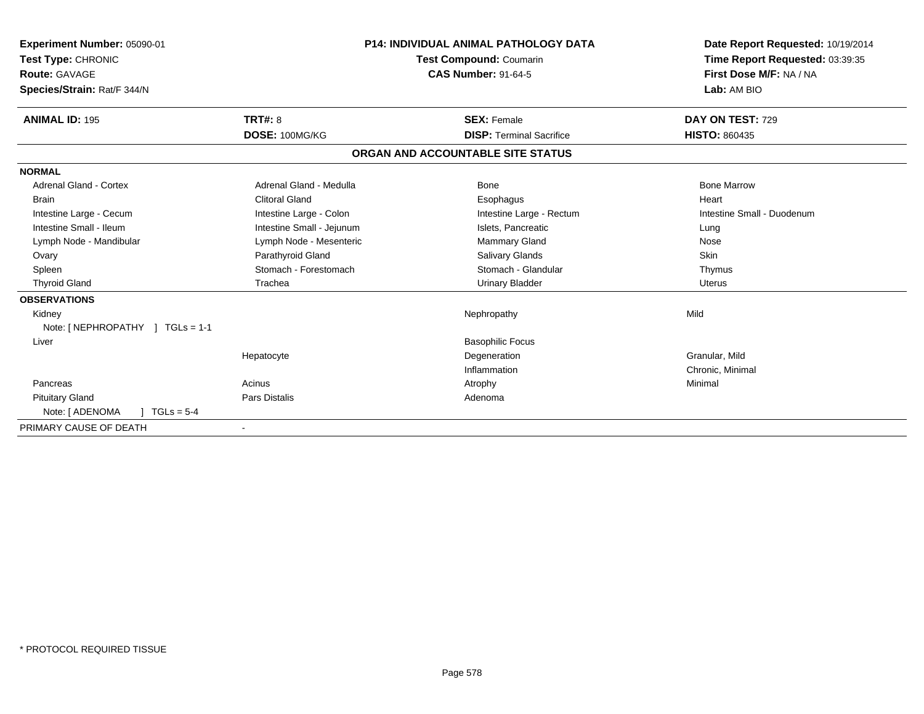| Experiment Number: 05090-01         |                           | <b>P14: INDIVIDUAL ANIMAL PATHOLOGY DATA</b><br>Test Compound: Coumarin | Date Report Requested: 10/19/2014                          |
|-------------------------------------|---------------------------|-------------------------------------------------------------------------|------------------------------------------------------------|
| Test Type: CHRONIC<br>Route: GAVAGE |                           | <b>CAS Number: 91-64-5</b>                                              | Time Report Requested: 03:39:35<br>First Dose M/F: NA / NA |
|                                     |                           |                                                                         | Lab: AM BIO                                                |
| Species/Strain: Rat/F 344/N         |                           |                                                                         |                                                            |
| <b>ANIMAL ID: 195</b>               | TRT#: 8                   | <b>SEX: Female</b>                                                      | DAY ON TEST: 729                                           |
|                                     | DOSE: 100MG/KG            | <b>DISP: Terminal Sacrifice</b>                                         | <b>HISTO: 860435</b>                                       |
|                                     |                           | ORGAN AND ACCOUNTABLE SITE STATUS                                       |                                                            |
| <b>NORMAL</b>                       |                           |                                                                         |                                                            |
| <b>Adrenal Gland - Cortex</b>       | Adrenal Gland - Medulla   | Bone                                                                    | <b>Bone Marrow</b>                                         |
| <b>Brain</b>                        | <b>Clitoral Gland</b>     | Esophagus                                                               | Heart                                                      |
| Intestine Large - Cecum             | Intestine Large - Colon   | Intestine Large - Rectum                                                | Intestine Small - Duodenum                                 |
| Intestine Small - Ileum             | Intestine Small - Jejunum | Islets, Pancreatic                                                      | Lung                                                       |
| Lymph Node - Mandibular             | Lymph Node - Mesenteric   | Mammary Gland                                                           | Nose                                                       |
| Ovary                               | Parathyroid Gland         | Salivary Glands                                                         | <b>Skin</b>                                                |
| Spleen                              | Stomach - Forestomach     | Stomach - Glandular                                                     | Thymus                                                     |
| <b>Thyroid Gland</b>                | Trachea                   | <b>Urinary Bladder</b>                                                  | <b>Uterus</b>                                              |
| <b>OBSERVATIONS</b>                 |                           |                                                                         |                                                            |
| Kidney                              |                           | Nephropathy                                                             | Mild                                                       |
| Note: [ NEPHROPATHY ] TGLs = 1-1    |                           |                                                                         |                                                            |
| Liver                               |                           | <b>Basophilic Focus</b>                                                 |                                                            |
|                                     | Hepatocyte                | Degeneration                                                            | Granular, Mild                                             |
|                                     |                           | Inflammation                                                            | Chronic, Minimal                                           |
| Pancreas                            | Acinus                    | Atrophy                                                                 | Minimal                                                    |
| <b>Pituitary Gland</b>              | Pars Distalis             | Adenoma                                                                 |                                                            |
| Note: [ ADENOMA<br>$TGLs = 5-4$     |                           |                                                                         |                                                            |
| PRIMARY CAUSE OF DEATH              |                           |                                                                         |                                                            |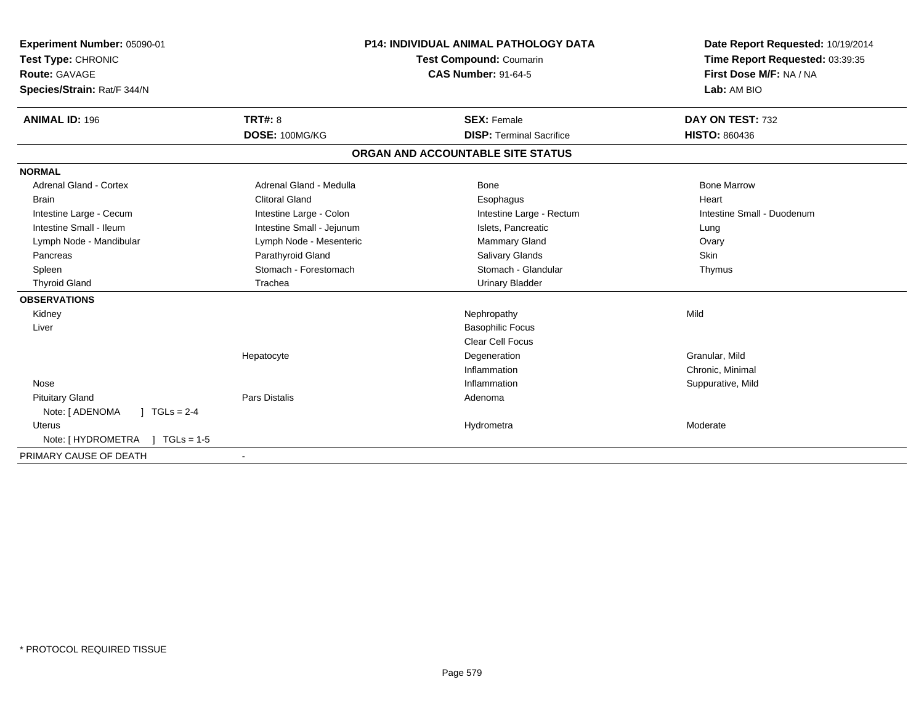| Experiment Number: 05090-01<br>Test Type: CHRONIC<br><b>Route: GAVAGE</b><br>Species/Strain: Rat/F 344/N<br><b>ANIMAL ID: 196</b> | TRT#: 8                   | P14: INDIVIDUAL ANIMAL PATHOLOGY DATA<br><b>Test Compound: Coumarin</b><br><b>CAS Number: 91-64-5</b><br><b>SEX: Female</b> | Date Report Requested: 10/19/2014<br>Time Report Requested: 03:39:35<br>First Dose M/F: NA / NA<br>Lab: AM BIO<br>DAY ON TEST: 732 |
|-----------------------------------------------------------------------------------------------------------------------------------|---------------------------|-----------------------------------------------------------------------------------------------------------------------------|------------------------------------------------------------------------------------------------------------------------------------|
|                                                                                                                                   | DOSE: 100MG/KG            | <b>DISP: Terminal Sacrifice</b>                                                                                             | <b>HISTO: 860436</b>                                                                                                               |
|                                                                                                                                   |                           | ORGAN AND ACCOUNTABLE SITE STATUS                                                                                           |                                                                                                                                    |
| <b>NORMAL</b>                                                                                                                     |                           |                                                                                                                             |                                                                                                                                    |
| <b>Adrenal Gland - Cortex</b>                                                                                                     | Adrenal Gland - Medulla   | Bone                                                                                                                        | <b>Bone Marrow</b>                                                                                                                 |
| <b>Brain</b>                                                                                                                      | <b>Clitoral Gland</b>     | Esophagus                                                                                                                   | Heart                                                                                                                              |
| Intestine Large - Cecum                                                                                                           | Intestine Large - Colon   | Intestine Large - Rectum                                                                                                    | Intestine Small - Duodenum                                                                                                         |
| Intestine Small - Ileum                                                                                                           | Intestine Small - Jejunum | Islets, Pancreatic                                                                                                          | Lung                                                                                                                               |
| Lymph Node - Mandibular                                                                                                           | Lymph Node - Mesenteric   | Mammary Gland                                                                                                               | Ovary                                                                                                                              |
| Pancreas                                                                                                                          | Parathyroid Gland         | <b>Salivary Glands</b>                                                                                                      | Skin                                                                                                                               |
| Spleen                                                                                                                            | Stomach - Forestomach     | Stomach - Glandular                                                                                                         | Thymus                                                                                                                             |
| <b>Thyroid Gland</b>                                                                                                              | Trachea                   | <b>Urinary Bladder</b>                                                                                                      |                                                                                                                                    |
| <b>OBSERVATIONS</b>                                                                                                               |                           |                                                                                                                             |                                                                                                                                    |
| Kidney                                                                                                                            |                           | Nephropathy                                                                                                                 | Mild                                                                                                                               |
| Liver                                                                                                                             |                           | <b>Basophilic Focus</b>                                                                                                     |                                                                                                                                    |
|                                                                                                                                   |                           | <b>Clear Cell Focus</b>                                                                                                     |                                                                                                                                    |
|                                                                                                                                   | Hepatocyte                | Degeneration                                                                                                                | Granular, Mild                                                                                                                     |
|                                                                                                                                   |                           | Inflammation                                                                                                                | Chronic, Minimal                                                                                                                   |
| Nose                                                                                                                              |                           | Inflammation                                                                                                                | Suppurative, Mild                                                                                                                  |
| <b>Pituitary Gland</b>                                                                                                            | <b>Pars Distalis</b>      | Adenoma                                                                                                                     |                                                                                                                                    |
| Note: [ ADENOMA<br>$1 TGLs = 2-4$                                                                                                 |                           |                                                                                                                             |                                                                                                                                    |
| Uterus                                                                                                                            |                           | Hydrometra                                                                                                                  | Moderate                                                                                                                           |
| Note: [ HYDROMETRA<br>$TGLS = 1-5$                                                                                                |                           |                                                                                                                             |                                                                                                                                    |
| PRIMARY CAUSE OF DEATH                                                                                                            |                           |                                                                                                                             |                                                                                                                                    |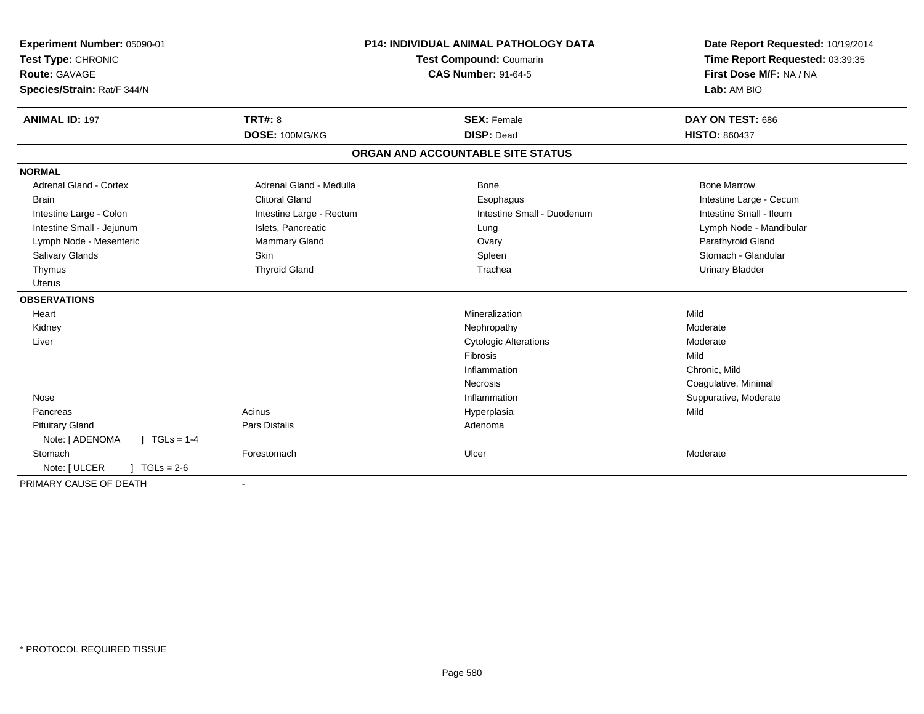| Experiment Number: 05090-01                  | <b>P14: INDIVIDUAL ANIMAL PATHOLOGY DATA</b><br><b>Test Compound: Coumarin</b> |                                   | Date Report Requested: 10/19/2014 |
|----------------------------------------------|--------------------------------------------------------------------------------|-----------------------------------|-----------------------------------|
| Test Type: CHRONIC                           |                                                                                |                                   | Time Report Requested: 03:39:35   |
| <b>Route: GAVAGE</b>                         |                                                                                | <b>CAS Number: 91-64-5</b>        | First Dose M/F: NA / NA           |
| Species/Strain: Rat/F 344/N                  |                                                                                |                                   | Lab: AM BIO                       |
| <b>ANIMAL ID: 197</b>                        | <b>TRT#: 8</b>                                                                 | <b>SEX: Female</b>                | DAY ON TEST: 686                  |
|                                              | DOSE: 100MG/KG                                                                 | <b>DISP: Dead</b>                 | <b>HISTO: 860437</b>              |
|                                              |                                                                                | ORGAN AND ACCOUNTABLE SITE STATUS |                                   |
| <b>NORMAL</b>                                |                                                                                |                                   |                                   |
| <b>Adrenal Gland - Cortex</b>                | Adrenal Gland - Medulla                                                        | Bone                              | <b>Bone Marrow</b>                |
| <b>Brain</b>                                 | <b>Clitoral Gland</b>                                                          | Esophagus                         | Intestine Large - Cecum           |
| Intestine Large - Colon                      | Intestine Large - Rectum                                                       | Intestine Small - Duodenum        | Intestine Small - Ileum           |
| Intestine Small - Jejunum                    | Islets, Pancreatic                                                             | Lung                              | Lymph Node - Mandibular           |
| Lymph Node - Mesenteric                      | Mammary Gland                                                                  | Ovary                             | Parathyroid Gland                 |
| Salivary Glands                              | <b>Skin</b>                                                                    | Spleen                            | Stomach - Glandular               |
| Thymus                                       | <b>Thyroid Gland</b>                                                           | Trachea                           | <b>Urinary Bladder</b>            |
| <b>Uterus</b>                                |                                                                                |                                   |                                   |
| <b>OBSERVATIONS</b>                          |                                                                                |                                   |                                   |
| Heart                                        |                                                                                | Mineralization                    | Mild                              |
| Kidney                                       |                                                                                | Nephropathy                       | Moderate                          |
| Liver                                        |                                                                                | <b>Cytologic Alterations</b>      | Moderate                          |
|                                              |                                                                                | Fibrosis                          | Mild                              |
|                                              |                                                                                | Inflammation                      | Chronic, Mild                     |
|                                              |                                                                                | Necrosis                          | Coagulative, Minimal              |
| Nose                                         |                                                                                | Inflammation                      | Suppurative, Moderate             |
| Pancreas                                     | Acinus                                                                         | Hyperplasia                       | Mild                              |
| <b>Pituitary Gland</b>                       | Pars Distalis                                                                  | Adenoma                           |                                   |
| Note: [ ADENOMA<br>$\sqrt{1 + 1}$ TGLs = 1-4 |                                                                                |                                   |                                   |
| Stomach                                      | Forestomach                                                                    | Ulcer                             | Moderate                          |
| Note: [ ULCER<br>$1 TGLs = 2-6$              |                                                                                |                                   |                                   |
| PRIMARY CAUSE OF DEATH                       | $\overline{\phantom{a}}$                                                       |                                   |                                   |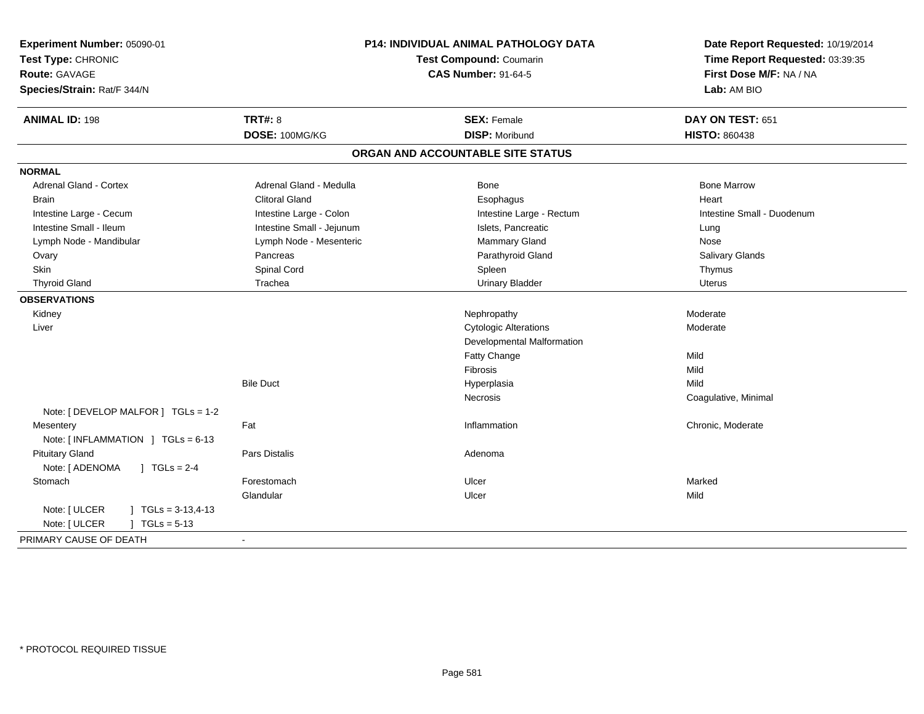| <b>ANIMAL ID: 198</b><br><b>TRT#: 8</b><br>DAY ON TEST: 651<br><b>SEX: Female</b><br>DOSE: 100MG/KG<br><b>DISP: Moribund</b><br><b>HISTO: 860438</b><br>ORGAN AND ACCOUNTABLE SITE STATUS<br><b>NORMAL</b><br><b>Adrenal Gland - Cortex</b><br>Adrenal Gland - Medulla<br><b>Bone Marrow</b><br>Bone<br><b>Clitoral Gland</b><br>Esophagus<br>Heart<br><b>Brain</b><br>Intestine Large - Cecum<br>Intestine Large - Colon<br>Intestine Large - Rectum<br>Intestine Small - Duodenum<br>Intestine Small - Ileum<br>Intestine Small - Jejunum<br>Islets, Pancreatic<br>Lung<br>Lymph Node - Mesenteric<br>Mammary Gland<br>Lymph Node - Mandibular<br>Nose<br>Parathyroid Gland<br>Pancreas<br>Salivary Glands<br>Ovary<br>Spinal Cord<br><b>Skin</b><br>Spleen<br>Thymus<br><b>Thyroid Gland</b><br>Trachea<br><b>Urinary Bladder</b><br><b>Uterus</b><br><b>OBSERVATIONS</b><br>Moderate<br>Kidney<br>Nephropathy<br><b>Cytologic Alterations</b><br>Moderate<br>Liver<br>Developmental Malformation<br>Fatty Change<br>Mild<br>Fibrosis<br>Mild<br><b>Bile Duct</b><br>Hyperplasia<br>Mild<br>Necrosis<br>Coagulative, Minimal<br>Note: [ DEVELOP MALFOR ] TGLs = 1-2<br>Fat<br>Chronic, Moderate<br>Mesentery<br>Inflammation<br>Note: [INFLAMMATION ] TGLs = 6-13<br><b>Pituitary Gland</b><br><b>Pars Distalis</b><br>Adenoma<br>Note: [ ADENOMA<br>$1 TGLs = 2-4$<br>Stomach<br>Ulcer<br>Marked<br>Forestomach<br>Glandular<br>Mild<br>Ulcer<br>Note: [ ULCER<br>$TGLS = 3-13,4-13$<br>Note: [ ULCER<br>$TGLs = 5-13$ | Experiment Number: 05090-01<br>Test Type: CHRONIC<br><b>Route: GAVAGE</b><br>Species/Strain: Rat/F 344/N | P14: INDIVIDUAL ANIMAL PATHOLOGY DATA<br>Test Compound: Coumarin<br><b>CAS Number: 91-64-5</b> |  | Date Report Requested: 10/19/2014<br>Time Report Requested: 03:39:35<br>First Dose M/F: NA / NA<br>Lab: AM BIO |
|----------------------------------------------------------------------------------------------------------------------------------------------------------------------------------------------------------------------------------------------------------------------------------------------------------------------------------------------------------------------------------------------------------------------------------------------------------------------------------------------------------------------------------------------------------------------------------------------------------------------------------------------------------------------------------------------------------------------------------------------------------------------------------------------------------------------------------------------------------------------------------------------------------------------------------------------------------------------------------------------------------------------------------------------------------------------------------------------------------------------------------------------------------------------------------------------------------------------------------------------------------------------------------------------------------------------------------------------------------------------------------------------------------------------------------------------------------------------------------------------------------------------------|----------------------------------------------------------------------------------------------------------|------------------------------------------------------------------------------------------------|--|----------------------------------------------------------------------------------------------------------------|
|                                                                                                                                                                                                                                                                                                                                                                                                                                                                                                                                                                                                                                                                                                                                                                                                                                                                                                                                                                                                                                                                                                                                                                                                                                                                                                                                                                                                                                                                                                                            |                                                                                                          |                                                                                                |  |                                                                                                                |
|                                                                                                                                                                                                                                                                                                                                                                                                                                                                                                                                                                                                                                                                                                                                                                                                                                                                                                                                                                                                                                                                                                                                                                                                                                                                                                                                                                                                                                                                                                                            |                                                                                                          |                                                                                                |  |                                                                                                                |
|                                                                                                                                                                                                                                                                                                                                                                                                                                                                                                                                                                                                                                                                                                                                                                                                                                                                                                                                                                                                                                                                                                                                                                                                                                                                                                                                                                                                                                                                                                                            |                                                                                                          |                                                                                                |  |                                                                                                                |
|                                                                                                                                                                                                                                                                                                                                                                                                                                                                                                                                                                                                                                                                                                                                                                                                                                                                                                                                                                                                                                                                                                                                                                                                                                                                                                                                                                                                                                                                                                                            |                                                                                                          |                                                                                                |  |                                                                                                                |
|                                                                                                                                                                                                                                                                                                                                                                                                                                                                                                                                                                                                                                                                                                                                                                                                                                                                                                                                                                                                                                                                                                                                                                                                                                                                                                                                                                                                                                                                                                                            |                                                                                                          |                                                                                                |  |                                                                                                                |
|                                                                                                                                                                                                                                                                                                                                                                                                                                                                                                                                                                                                                                                                                                                                                                                                                                                                                                                                                                                                                                                                                                                                                                                                                                                                                                                                                                                                                                                                                                                            |                                                                                                          |                                                                                                |  |                                                                                                                |
|                                                                                                                                                                                                                                                                                                                                                                                                                                                                                                                                                                                                                                                                                                                                                                                                                                                                                                                                                                                                                                                                                                                                                                                                                                                                                                                                                                                                                                                                                                                            |                                                                                                          |                                                                                                |  |                                                                                                                |
|                                                                                                                                                                                                                                                                                                                                                                                                                                                                                                                                                                                                                                                                                                                                                                                                                                                                                                                                                                                                                                                                                                                                                                                                                                                                                                                                                                                                                                                                                                                            |                                                                                                          |                                                                                                |  |                                                                                                                |
|                                                                                                                                                                                                                                                                                                                                                                                                                                                                                                                                                                                                                                                                                                                                                                                                                                                                                                                                                                                                                                                                                                                                                                                                                                                                                                                                                                                                                                                                                                                            |                                                                                                          |                                                                                                |  |                                                                                                                |
|                                                                                                                                                                                                                                                                                                                                                                                                                                                                                                                                                                                                                                                                                                                                                                                                                                                                                                                                                                                                                                                                                                                                                                                                                                                                                                                                                                                                                                                                                                                            |                                                                                                          |                                                                                                |  |                                                                                                                |
|                                                                                                                                                                                                                                                                                                                                                                                                                                                                                                                                                                                                                                                                                                                                                                                                                                                                                                                                                                                                                                                                                                                                                                                                                                                                                                                                                                                                                                                                                                                            |                                                                                                          |                                                                                                |  |                                                                                                                |
|                                                                                                                                                                                                                                                                                                                                                                                                                                                                                                                                                                                                                                                                                                                                                                                                                                                                                                                                                                                                                                                                                                                                                                                                                                                                                                                                                                                                                                                                                                                            |                                                                                                          |                                                                                                |  |                                                                                                                |
|                                                                                                                                                                                                                                                                                                                                                                                                                                                                                                                                                                                                                                                                                                                                                                                                                                                                                                                                                                                                                                                                                                                                                                                                                                                                                                                                                                                                                                                                                                                            |                                                                                                          |                                                                                                |  |                                                                                                                |
|                                                                                                                                                                                                                                                                                                                                                                                                                                                                                                                                                                                                                                                                                                                                                                                                                                                                                                                                                                                                                                                                                                                                                                                                                                                                                                                                                                                                                                                                                                                            |                                                                                                          |                                                                                                |  |                                                                                                                |
|                                                                                                                                                                                                                                                                                                                                                                                                                                                                                                                                                                                                                                                                                                                                                                                                                                                                                                                                                                                                                                                                                                                                                                                                                                                                                                                                                                                                                                                                                                                            |                                                                                                          |                                                                                                |  |                                                                                                                |
|                                                                                                                                                                                                                                                                                                                                                                                                                                                                                                                                                                                                                                                                                                                                                                                                                                                                                                                                                                                                                                                                                                                                                                                                                                                                                                                                                                                                                                                                                                                            |                                                                                                          |                                                                                                |  |                                                                                                                |
|                                                                                                                                                                                                                                                                                                                                                                                                                                                                                                                                                                                                                                                                                                                                                                                                                                                                                                                                                                                                                                                                                                                                                                                                                                                                                                                                                                                                                                                                                                                            |                                                                                                          |                                                                                                |  |                                                                                                                |
|                                                                                                                                                                                                                                                                                                                                                                                                                                                                                                                                                                                                                                                                                                                                                                                                                                                                                                                                                                                                                                                                                                                                                                                                                                                                                                                                                                                                                                                                                                                            |                                                                                                          |                                                                                                |  |                                                                                                                |
|                                                                                                                                                                                                                                                                                                                                                                                                                                                                                                                                                                                                                                                                                                                                                                                                                                                                                                                                                                                                                                                                                                                                                                                                                                                                                                                                                                                                                                                                                                                            |                                                                                                          |                                                                                                |  |                                                                                                                |
|                                                                                                                                                                                                                                                                                                                                                                                                                                                                                                                                                                                                                                                                                                                                                                                                                                                                                                                                                                                                                                                                                                                                                                                                                                                                                                                                                                                                                                                                                                                            |                                                                                                          |                                                                                                |  |                                                                                                                |
|                                                                                                                                                                                                                                                                                                                                                                                                                                                                                                                                                                                                                                                                                                                                                                                                                                                                                                                                                                                                                                                                                                                                                                                                                                                                                                                                                                                                                                                                                                                            |                                                                                                          |                                                                                                |  |                                                                                                                |
|                                                                                                                                                                                                                                                                                                                                                                                                                                                                                                                                                                                                                                                                                                                                                                                                                                                                                                                                                                                                                                                                                                                                                                                                                                                                                                                                                                                                                                                                                                                            |                                                                                                          |                                                                                                |  |                                                                                                                |
|                                                                                                                                                                                                                                                                                                                                                                                                                                                                                                                                                                                                                                                                                                                                                                                                                                                                                                                                                                                                                                                                                                                                                                                                                                                                                                                                                                                                                                                                                                                            |                                                                                                          |                                                                                                |  |                                                                                                                |
|                                                                                                                                                                                                                                                                                                                                                                                                                                                                                                                                                                                                                                                                                                                                                                                                                                                                                                                                                                                                                                                                                                                                                                                                                                                                                                                                                                                                                                                                                                                            |                                                                                                          |                                                                                                |  |                                                                                                                |
|                                                                                                                                                                                                                                                                                                                                                                                                                                                                                                                                                                                                                                                                                                                                                                                                                                                                                                                                                                                                                                                                                                                                                                                                                                                                                                                                                                                                                                                                                                                            |                                                                                                          |                                                                                                |  |                                                                                                                |
|                                                                                                                                                                                                                                                                                                                                                                                                                                                                                                                                                                                                                                                                                                                                                                                                                                                                                                                                                                                                                                                                                                                                                                                                                                                                                                                                                                                                                                                                                                                            |                                                                                                          |                                                                                                |  |                                                                                                                |
|                                                                                                                                                                                                                                                                                                                                                                                                                                                                                                                                                                                                                                                                                                                                                                                                                                                                                                                                                                                                                                                                                                                                                                                                                                                                                                                                                                                                                                                                                                                            |                                                                                                          |                                                                                                |  |                                                                                                                |
|                                                                                                                                                                                                                                                                                                                                                                                                                                                                                                                                                                                                                                                                                                                                                                                                                                                                                                                                                                                                                                                                                                                                                                                                                                                                                                                                                                                                                                                                                                                            |                                                                                                          |                                                                                                |  |                                                                                                                |
| PRIMARY CAUSE OF DEATH                                                                                                                                                                                                                                                                                                                                                                                                                                                                                                                                                                                                                                                                                                                                                                                                                                                                                                                                                                                                                                                                                                                                                                                                                                                                                                                                                                                                                                                                                                     |                                                                                                          |                                                                                                |  |                                                                                                                |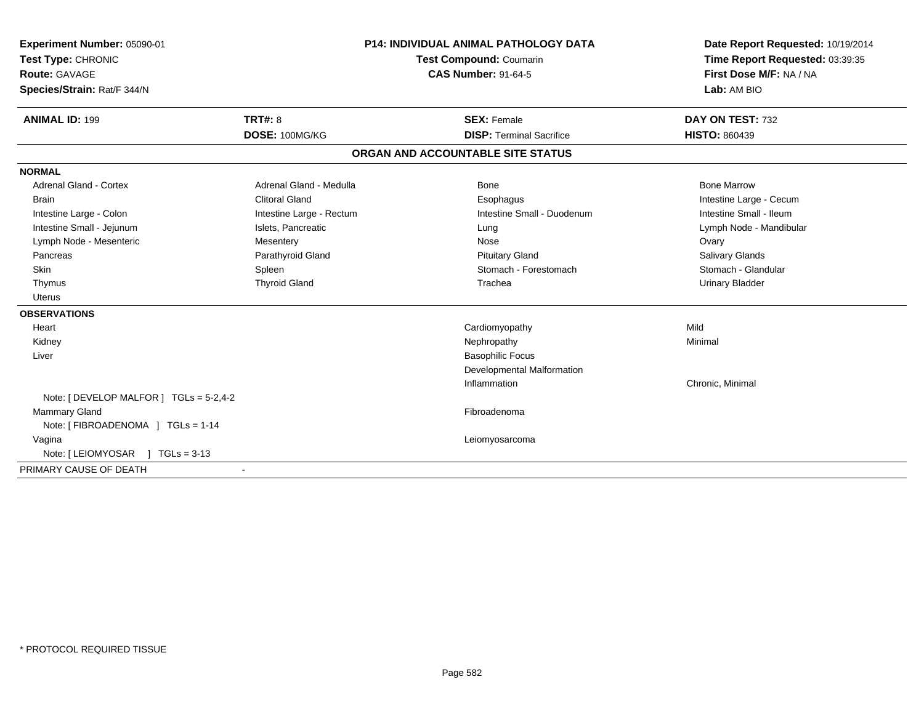| Experiment Number: 05090-01<br>Test Type: CHRONIC<br>Route: GAVAGE<br>Species/Strain: Rat/F 344/N |                          | <b>P14: INDIVIDUAL ANIMAL PATHOLOGY DATA</b><br><b>Test Compound: Coumarin</b><br><b>CAS Number: 91-64-5</b> | Date Report Requested: 10/19/2014<br>Time Report Requested: 03:39:35<br>First Dose M/F: NA / NA<br>Lab: AM BIO |
|---------------------------------------------------------------------------------------------------|--------------------------|--------------------------------------------------------------------------------------------------------------|----------------------------------------------------------------------------------------------------------------|
| <b>ANIMAL ID: 199</b>                                                                             | <b>TRT#: 8</b>           | <b>SEX: Female</b>                                                                                           | DAY ON TEST: 732                                                                                               |
|                                                                                                   | DOSE: 100MG/KG           | <b>DISP: Terminal Sacrifice</b>                                                                              | <b>HISTO: 860439</b>                                                                                           |
|                                                                                                   |                          | ORGAN AND ACCOUNTABLE SITE STATUS                                                                            |                                                                                                                |
| <b>NORMAL</b>                                                                                     |                          |                                                                                                              |                                                                                                                |
| <b>Adrenal Gland - Cortex</b>                                                                     | Adrenal Gland - Medulla  | <b>Bone</b>                                                                                                  | <b>Bone Marrow</b>                                                                                             |
| <b>Brain</b>                                                                                      | <b>Clitoral Gland</b>    | Esophagus                                                                                                    | Intestine Large - Cecum                                                                                        |
| Intestine Large - Colon                                                                           | Intestine Large - Rectum | Intestine Small - Duodenum                                                                                   | Intestine Small - Ileum                                                                                        |
| Intestine Small - Jejunum                                                                         | Islets, Pancreatic       | Lung                                                                                                         | Lymph Node - Mandibular                                                                                        |
| Lymph Node - Mesenteric                                                                           | Mesentery                | Nose                                                                                                         | Ovary                                                                                                          |
| Pancreas                                                                                          | Parathyroid Gland        | <b>Pituitary Gland</b>                                                                                       | <b>Salivary Glands</b>                                                                                         |
| Skin                                                                                              | Spleen                   | Stomach - Forestomach                                                                                        | Stomach - Glandular                                                                                            |
| Thymus                                                                                            | <b>Thyroid Gland</b>     | Trachea                                                                                                      | <b>Urinary Bladder</b>                                                                                         |
| <b>Uterus</b>                                                                                     |                          |                                                                                                              |                                                                                                                |
| <b>OBSERVATIONS</b>                                                                               |                          |                                                                                                              |                                                                                                                |
| Heart                                                                                             |                          | Cardiomyopathy                                                                                               | Mild                                                                                                           |
| Kidney                                                                                            |                          | Nephropathy                                                                                                  | Minimal                                                                                                        |
| Liver                                                                                             |                          | <b>Basophilic Focus</b>                                                                                      |                                                                                                                |
|                                                                                                   |                          | Developmental Malformation                                                                                   |                                                                                                                |
|                                                                                                   |                          | Inflammation                                                                                                 | Chronic, Minimal                                                                                               |
| Note: [ DEVELOP MALFOR ] TGLs = 5-2,4-2                                                           |                          |                                                                                                              |                                                                                                                |
| <b>Mammary Gland</b>                                                                              |                          | Fibroadenoma                                                                                                 |                                                                                                                |
| Note: [ FIBROADENOMA ] TGLs = 1-14                                                                |                          |                                                                                                              |                                                                                                                |
| Vagina                                                                                            |                          | Leiomyosarcoma                                                                                               |                                                                                                                |
| Note: [ LEIOMYOSAR<br>$TGLs = 3-13$                                                               |                          |                                                                                                              |                                                                                                                |
| PRIMARY CAUSE OF DEATH                                                                            | $\blacksquare$           |                                                                                                              |                                                                                                                |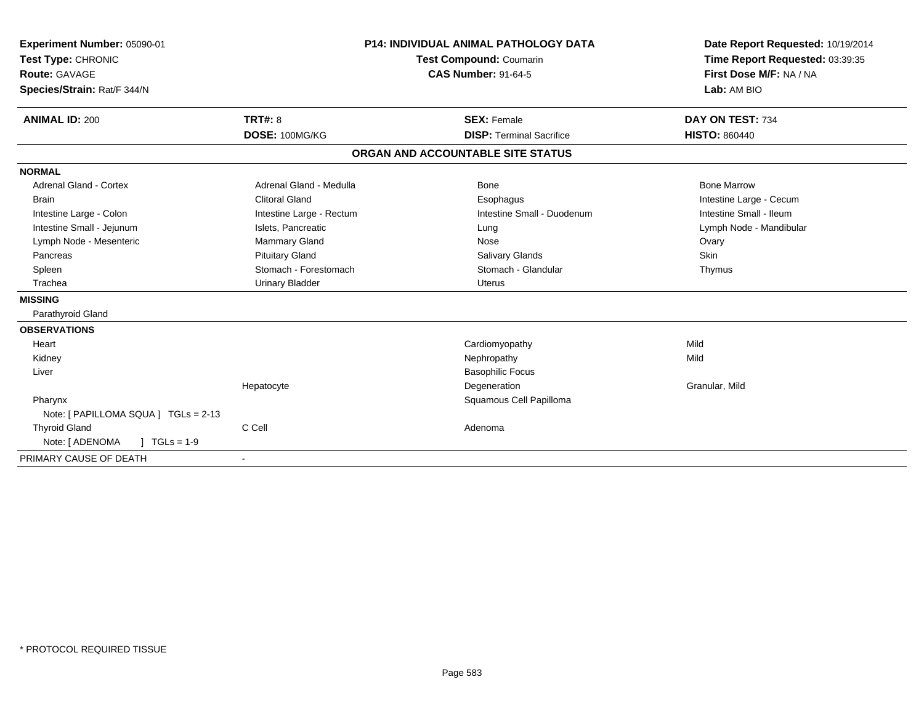| Experiment Number: 05090-01<br>Test Type: CHRONIC<br><b>Route: GAVAGE</b><br>Species/Strain: Rat/F 344/N |                          | <b>P14: INDIVIDUAL ANIMAL PATHOLOGY DATA</b><br>Test Compound: Coumarin<br><b>CAS Number: 91-64-5</b> | Date Report Requested: 10/19/2014<br>Time Report Requested: 03:39:35<br>First Dose M/F: NA / NA<br>Lab: AM BIO |
|----------------------------------------------------------------------------------------------------------|--------------------------|-------------------------------------------------------------------------------------------------------|----------------------------------------------------------------------------------------------------------------|
| <b>ANIMAL ID: 200</b>                                                                                    | TRT#: 8                  | <b>SEX: Female</b><br><b>DISP: Terminal Sacrifice</b>                                                 | DAY ON TEST: 734                                                                                               |
|                                                                                                          | DOSE: 100MG/KG           |                                                                                                       | <b>HISTO: 860440</b>                                                                                           |
|                                                                                                          |                          | ORGAN AND ACCOUNTABLE SITE STATUS                                                                     |                                                                                                                |
| <b>NORMAL</b>                                                                                            |                          |                                                                                                       |                                                                                                                |
| <b>Adrenal Gland - Cortex</b>                                                                            | Adrenal Gland - Medulla  | Bone                                                                                                  | <b>Bone Marrow</b>                                                                                             |
| <b>Brain</b>                                                                                             | <b>Clitoral Gland</b>    | Esophagus                                                                                             | Intestine Large - Cecum                                                                                        |
| Intestine Large - Colon                                                                                  | Intestine Large - Rectum | Intestine Small - Duodenum                                                                            | Intestine Small - Ileum                                                                                        |
| Intestine Small - Jejunum                                                                                | Islets, Pancreatic       | Lung                                                                                                  | Lymph Node - Mandibular                                                                                        |
| Lymph Node - Mesenteric                                                                                  | <b>Mammary Gland</b>     | Nose                                                                                                  | Ovary                                                                                                          |
| Pancreas                                                                                                 | <b>Pituitary Gland</b>   | <b>Salivary Glands</b>                                                                                | Skin                                                                                                           |
| Spleen                                                                                                   | Stomach - Forestomach    | Stomach - Glandular                                                                                   | Thymus                                                                                                         |
| Trachea                                                                                                  | <b>Urinary Bladder</b>   | <b>Uterus</b>                                                                                         |                                                                                                                |
| <b>MISSING</b>                                                                                           |                          |                                                                                                       |                                                                                                                |
| Parathyroid Gland                                                                                        |                          |                                                                                                       |                                                                                                                |
| <b>OBSERVATIONS</b>                                                                                      |                          |                                                                                                       |                                                                                                                |
| Heart                                                                                                    |                          | Cardiomyopathy                                                                                        | Mild                                                                                                           |
| Kidney                                                                                                   |                          | Nephropathy                                                                                           | Mild                                                                                                           |
| Liver                                                                                                    |                          | <b>Basophilic Focus</b>                                                                               |                                                                                                                |
|                                                                                                          | Hepatocyte               | Degeneration                                                                                          | Granular, Mild                                                                                                 |
| Pharynx                                                                                                  |                          | Squamous Cell Papilloma                                                                               |                                                                                                                |
| Note: [ PAPILLOMA SQUA ] TGLs = 2-13                                                                     |                          |                                                                                                       |                                                                                                                |
| <b>Thyroid Gland</b>                                                                                     | C Cell                   | Adenoma                                                                                               |                                                                                                                |
| Note: [ ADENOMA<br>$1 TGLs = 1-9$                                                                        |                          |                                                                                                       |                                                                                                                |
| PRIMARY CAUSE OF DEATH                                                                                   |                          |                                                                                                       |                                                                                                                |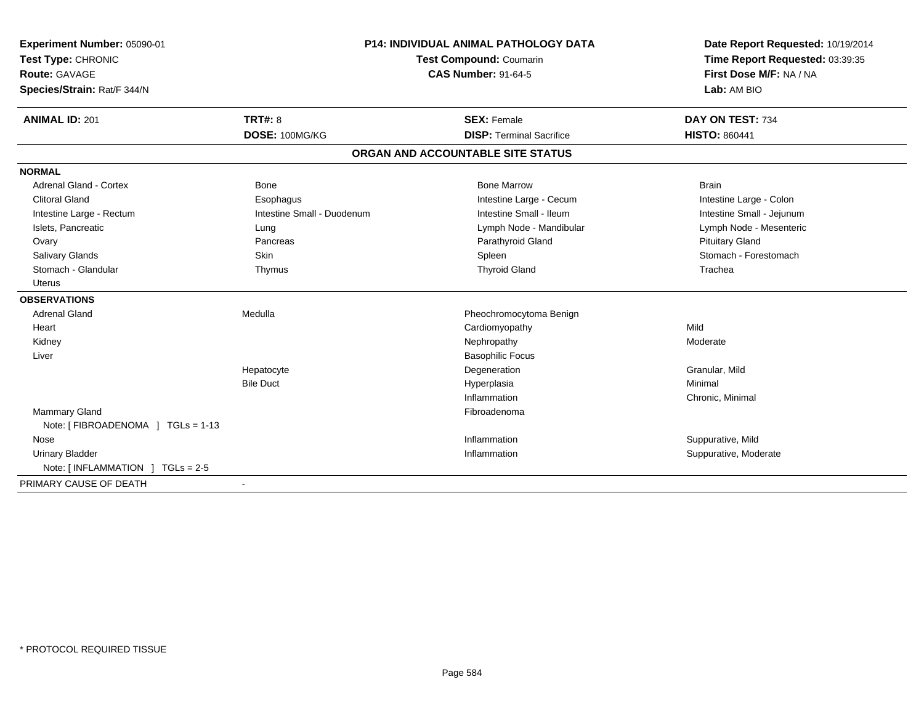| Experiment Number: 05090-01        | <b>P14: INDIVIDUAL ANIMAL PATHOLOGY DATA</b> |                                   | Date Report Requested: 10/19/2014 |
|------------------------------------|----------------------------------------------|-----------------------------------|-----------------------------------|
| Test Type: CHRONIC                 |                                              | Test Compound: Coumarin           | Time Report Requested: 03:39:35   |
| Route: GAVAGE                      |                                              | <b>CAS Number: 91-64-5</b>        | First Dose M/F: NA / NA           |
| Species/Strain: Rat/F 344/N        |                                              |                                   | Lab: AM BIO                       |
| <b>ANIMAL ID: 201</b>              | <b>TRT#: 8</b>                               | <b>SEX: Female</b>                | DAY ON TEST: 734                  |
|                                    | DOSE: 100MG/KG                               | <b>DISP: Terminal Sacrifice</b>   | <b>HISTO: 860441</b>              |
|                                    |                                              | ORGAN AND ACCOUNTABLE SITE STATUS |                                   |
| <b>NORMAL</b>                      |                                              |                                   |                                   |
| Adrenal Gland - Cortex             | <b>Bone</b>                                  | <b>Bone Marrow</b>                | <b>Brain</b>                      |
| <b>Clitoral Gland</b>              | Esophagus                                    | Intestine Large - Cecum           | Intestine Large - Colon           |
| Intestine Large - Rectum           | Intestine Small - Duodenum                   | Intestine Small - Ileum           | Intestine Small - Jejunum         |
| Islets, Pancreatic                 | Lung                                         | Lymph Node - Mandibular           | Lymph Node - Mesenteric           |
| Ovary                              | Pancreas                                     | Parathyroid Gland                 | <b>Pituitary Gland</b>            |
| <b>Salivary Glands</b>             | Skin                                         | Spleen                            | Stomach - Forestomach             |
| Stomach - Glandular                | Thymus                                       | <b>Thyroid Gland</b>              | Trachea                           |
| Uterus                             |                                              |                                   |                                   |
| <b>OBSERVATIONS</b>                |                                              |                                   |                                   |
| <b>Adrenal Gland</b>               | Medulla                                      | Pheochromocytoma Benign           |                                   |
| Heart                              |                                              | Cardiomyopathy                    | Mild                              |
| Kidney                             |                                              | Nephropathy                       | Moderate                          |
| Liver                              |                                              | <b>Basophilic Focus</b>           |                                   |
|                                    | Hepatocyte                                   | Degeneration                      | Granular, Mild                    |
|                                    | <b>Bile Duct</b>                             | Hyperplasia                       | Minimal                           |
|                                    |                                              | Inflammation                      | Chronic, Minimal                  |
| Mammary Gland                      |                                              | Fibroadenoma                      |                                   |
| Note: [ FIBROADENOMA ] TGLs = 1-13 |                                              |                                   |                                   |
| Nose                               |                                              | Inflammation                      | Suppurative, Mild                 |
| <b>Urinary Bladder</b>             |                                              | Inflammation                      | Suppurative, Moderate             |
| Note: $[INFLAMMATION] TGLs = 2-5$  |                                              |                                   |                                   |
| PRIMARY CAUSE OF DEATH             |                                              |                                   |                                   |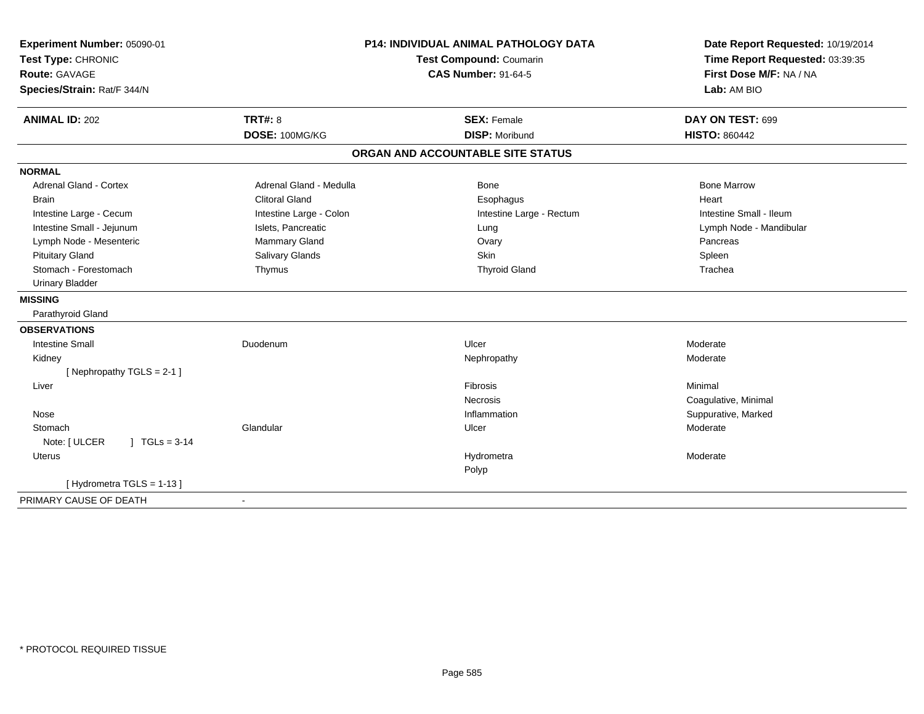| Experiment Number: 05090-01      | <b>P14: INDIVIDUAL ANIMAL PATHOLOGY DATA</b> |                                   | Date Report Requested: 10/19/2014 |
|----------------------------------|----------------------------------------------|-----------------------------------|-----------------------------------|
| Test Type: CHRONIC               |                                              | Test Compound: Coumarin           | Time Report Requested: 03:39:35   |
| <b>Route: GAVAGE</b>             |                                              | <b>CAS Number: 91-64-5</b>        | First Dose M/F: NA / NA           |
| Species/Strain: Rat/F 344/N      |                                              |                                   | Lab: AM BIO                       |
| <b>ANIMAL ID: 202</b>            | <b>TRT#: 8</b>                               | <b>SEX: Female</b>                | DAY ON TEST: 699                  |
|                                  | DOSE: 100MG/KG                               | <b>DISP: Moribund</b>             | <b>HISTO: 860442</b>              |
|                                  |                                              | ORGAN AND ACCOUNTABLE SITE STATUS |                                   |
| <b>NORMAL</b>                    |                                              |                                   |                                   |
| <b>Adrenal Gland - Cortex</b>    | Adrenal Gland - Medulla                      | <b>Bone</b>                       | <b>Bone Marrow</b>                |
| <b>Brain</b>                     | <b>Clitoral Gland</b>                        | Esophagus                         | Heart                             |
| Intestine Large - Cecum          | Intestine Large - Colon                      | Intestine Large - Rectum          | Intestine Small - Ileum           |
| Intestine Small - Jejunum        | Islets, Pancreatic                           | Lung                              | Lymph Node - Mandibular           |
| Lymph Node - Mesenteric          | Mammary Gland                                | Ovary                             | Pancreas                          |
| <b>Pituitary Gland</b>           | Salivary Glands                              | <b>Skin</b>                       | Spleen                            |
| Stomach - Forestomach            | Thymus                                       | <b>Thyroid Gland</b>              | Trachea                           |
| <b>Urinary Bladder</b>           |                                              |                                   |                                   |
| <b>MISSING</b>                   |                                              |                                   |                                   |
| Parathyroid Gland                |                                              |                                   |                                   |
| <b>OBSERVATIONS</b>              |                                              |                                   |                                   |
| <b>Intestine Small</b>           | Duodenum                                     | Ulcer                             | Moderate                          |
| Kidney                           |                                              | Nephropathy                       | Moderate                          |
| [Nephropathy TGLS = 2-1]         |                                              |                                   |                                   |
| Liver                            |                                              | Fibrosis                          | Minimal                           |
|                                  |                                              | Necrosis                          | Coagulative, Minimal              |
| Nose                             |                                              | Inflammation                      | Suppurative, Marked               |
| Stomach                          | Glandular                                    | Ulcer                             | Moderate                          |
| $1 TGLs = 3-14$<br>Note: [ ULCER |                                              |                                   |                                   |
| <b>Uterus</b>                    |                                              | Hydrometra                        | Moderate                          |
|                                  |                                              | Polyp                             |                                   |
| [Hydrometra TGLS = 1-13]         |                                              |                                   |                                   |
| PRIMARY CAUSE OF DEATH           | $\sim$                                       |                                   |                                   |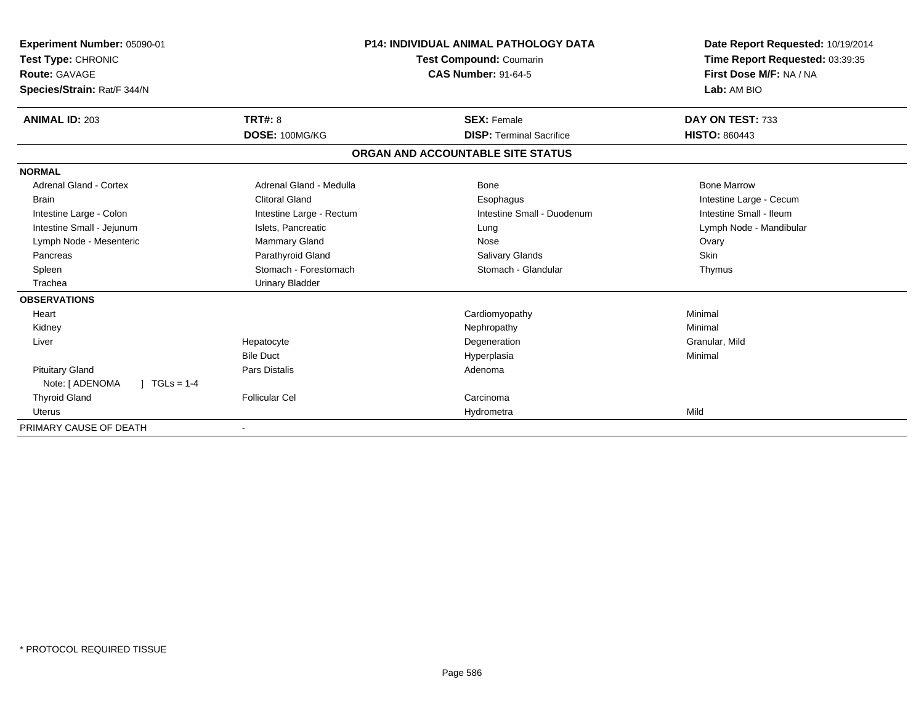| Experiment Number: 05090-01             |                          | <b>P14: INDIVIDUAL ANIMAL PATHOLOGY DATA</b><br>Test Compound: Coumarin | Date Report Requested: 10/19/2014<br>Time Report Requested: 03:39:35 |
|-----------------------------------------|--------------------------|-------------------------------------------------------------------------|----------------------------------------------------------------------|
| Test Type: CHRONIC<br>Route: GAVAGE     |                          | <b>CAS Number: 91-64-5</b>                                              | First Dose M/F: NA / NA                                              |
|                                         |                          |                                                                         | Lab: AM BIO                                                          |
| Species/Strain: Rat/F 344/N             |                          |                                                                         |                                                                      |
| <b>ANIMAL ID: 203</b>                   | TRT#: 8                  | <b>SEX: Female</b>                                                      | DAY ON TEST: 733                                                     |
|                                         | DOSE: 100MG/KG           | <b>DISP:</b> Terminal Sacrifice                                         | <b>HISTO: 860443</b>                                                 |
|                                         |                          | ORGAN AND ACCOUNTABLE SITE STATUS                                       |                                                                      |
| <b>NORMAL</b>                           |                          |                                                                         |                                                                      |
| Adrenal Gland - Cortex                  | Adrenal Gland - Medulla  | Bone                                                                    | <b>Bone Marrow</b>                                                   |
| <b>Brain</b>                            | <b>Clitoral Gland</b>    | Esophagus                                                               | Intestine Large - Cecum                                              |
| Intestine Large - Colon                 | Intestine Large - Rectum | Intestine Small - Duodenum                                              | Intestine Small - Ileum                                              |
| Intestine Small - Jejunum               | Islets, Pancreatic       | Lung                                                                    | Lymph Node - Mandibular                                              |
| Lymph Node - Mesenteric                 | Mammary Gland            | Nose                                                                    | Ovary                                                                |
| Pancreas                                | Parathyroid Gland        | Salivary Glands                                                         | Skin                                                                 |
| Spleen                                  | Stomach - Forestomach    | Stomach - Glandular                                                     | Thymus                                                               |
| Trachea                                 | <b>Urinary Bladder</b>   |                                                                         |                                                                      |
| <b>OBSERVATIONS</b>                     |                          |                                                                         |                                                                      |
| Heart                                   |                          | Cardiomyopathy                                                          | Minimal                                                              |
| Kidney                                  |                          | Nephropathy                                                             | Minimal                                                              |
| Liver                                   | Hepatocyte               | Degeneration                                                            | Granular, Mild                                                       |
|                                         | <b>Bile Duct</b>         | Hyperplasia                                                             | Minimal                                                              |
| <b>Pituitary Gland</b>                  | Pars Distalis            | Adenoma                                                                 |                                                                      |
| Note: [ ADENOMA<br>$J \cdot TGLS = 1-4$ |                          |                                                                         |                                                                      |
| <b>Thyroid Gland</b>                    | <b>Follicular Cel</b>    | Carcinoma                                                               |                                                                      |
| <b>Uterus</b>                           |                          | Hydrometra                                                              | Mild                                                                 |
| PRIMARY CAUSE OF DEATH                  |                          |                                                                         |                                                                      |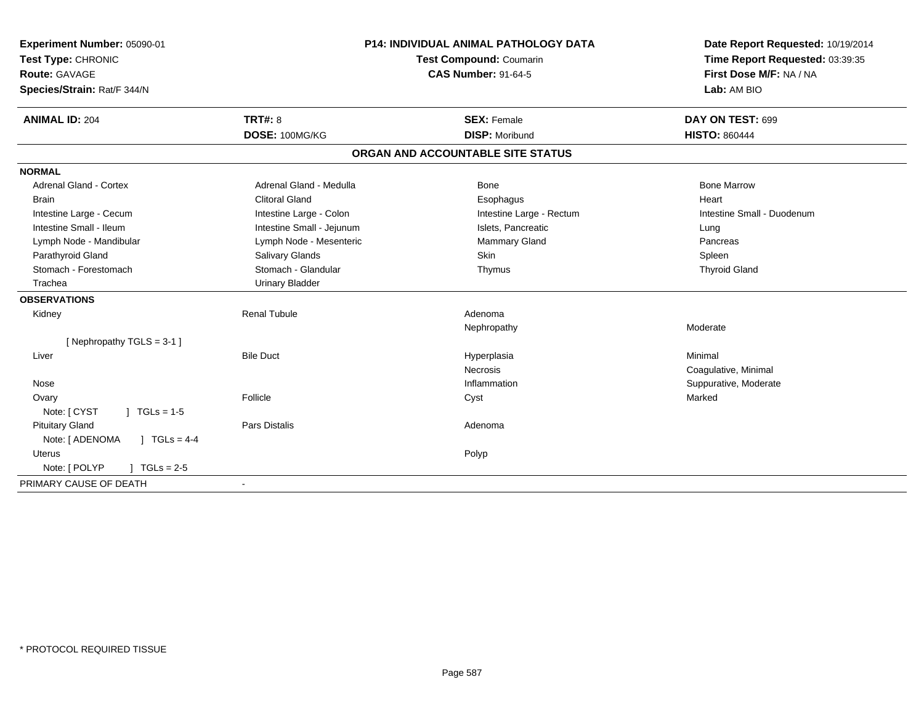| Experiment Number: 05090-01<br>Test Type: CHRONIC |                            | P14: INDIVIDUAL ANIMAL PATHOLOGY DATA<br>Test Compound: Coumarin | Date Report Requested: 10/19/2014<br>Time Report Requested: 03:39:35 |
|---------------------------------------------------|----------------------------|------------------------------------------------------------------|----------------------------------------------------------------------|
| Route: GAVAGE                                     | <b>CAS Number: 91-64-5</b> |                                                                  | First Dose M/F: NA / NA                                              |
| Species/Strain: Rat/F 344/N                       |                            |                                                                  | Lab: AM BIO                                                          |
| <b>ANIMAL ID: 204</b>                             | <b>TRT#: 8</b>             | <b>SEX: Female</b>                                               | DAY ON TEST: 699                                                     |
|                                                   | DOSE: 100MG/KG             | <b>DISP: Moribund</b>                                            | <b>HISTO: 860444</b>                                                 |
|                                                   |                            | ORGAN AND ACCOUNTABLE SITE STATUS                                |                                                                      |
| <b>NORMAL</b>                                     |                            |                                                                  |                                                                      |
| <b>Adrenal Gland - Cortex</b>                     | Adrenal Gland - Medulla    | <b>Bone</b>                                                      | <b>Bone Marrow</b>                                                   |
| <b>Brain</b>                                      | <b>Clitoral Gland</b>      | Esophagus                                                        | Heart                                                                |
| Intestine Large - Cecum                           | Intestine Large - Colon    | Intestine Large - Rectum                                         | Intestine Small - Duodenum                                           |
| Intestine Small - Ileum                           | Intestine Small - Jejunum  | Islets, Pancreatic                                               | Lung                                                                 |
| Lymph Node - Mandibular                           | Lymph Node - Mesenteric    | Mammary Gland                                                    | Pancreas                                                             |
| Parathyroid Gland                                 | <b>Salivary Glands</b>     | <b>Skin</b>                                                      | Spleen                                                               |
| Stomach - Forestomach                             | Stomach - Glandular        | Thymus                                                           | <b>Thyroid Gland</b>                                                 |
| Trachea                                           | <b>Urinary Bladder</b>     |                                                                  |                                                                      |
| <b>OBSERVATIONS</b>                               |                            |                                                                  |                                                                      |
| Kidney                                            | <b>Renal Tubule</b>        | Adenoma                                                          |                                                                      |
|                                                   |                            | Nephropathy                                                      | Moderate                                                             |
| [Nephropathy TGLS = $3-1$ ]                       |                            |                                                                  |                                                                      |
| Liver                                             | <b>Bile Duct</b>           | Hyperplasia                                                      | Minimal                                                              |
|                                                   |                            | <b>Necrosis</b>                                                  | Coagulative, Minimal                                                 |
| Nose                                              |                            | Inflammation                                                     | Suppurative, Moderate                                                |
| Ovary                                             | Follicle                   | Cyst                                                             | Marked                                                               |
| Note: [ CYST<br>$\sqrt{ }$ TGLs = 1-5             |                            |                                                                  |                                                                      |
| <b>Pituitary Gland</b>                            | <b>Pars Distalis</b>       | Adenoma                                                          |                                                                      |
| Note: [ ADENOMA<br>$1 TGLs = 4-4$                 |                            |                                                                  |                                                                      |
| <b>Uterus</b>                                     |                            | Polyp                                                            |                                                                      |
| Note: [ POLYP<br>$J \cdot TGLs = 2-5$             |                            |                                                                  |                                                                      |
| PRIMARY CAUSE OF DEATH                            | $\sim$                     |                                                                  |                                                                      |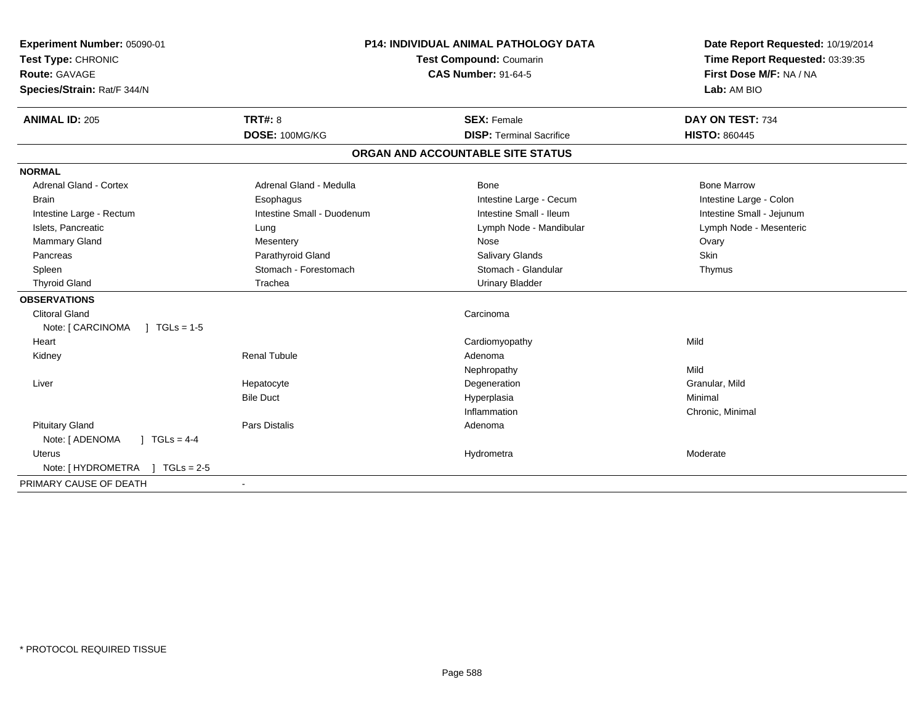| Experiment Number: 05090-01              | <b>P14: INDIVIDUAL ANIMAL PATHOLOGY DATA</b><br>Test Compound: Coumarin |                                   | Date Report Requested: 10/19/2014 |
|------------------------------------------|-------------------------------------------------------------------------|-----------------------------------|-----------------------------------|
| Test Type: CHRONIC                       |                                                                         |                                   | Time Report Requested: 03:39:35   |
| <b>Route: GAVAGE</b>                     |                                                                         | <b>CAS Number: 91-64-5</b>        | First Dose M/F: NA / NA           |
| Species/Strain: Rat/F 344/N              |                                                                         |                                   | Lab: AM BIO                       |
| <b>ANIMAL ID: 205</b>                    | TRT#: 8                                                                 | <b>SEX: Female</b>                | DAY ON TEST: 734                  |
|                                          | DOSE: 100MG/KG                                                          | <b>DISP: Terminal Sacrifice</b>   | <b>HISTO: 860445</b>              |
|                                          |                                                                         | ORGAN AND ACCOUNTABLE SITE STATUS |                                   |
| <b>NORMAL</b>                            |                                                                         |                                   |                                   |
| <b>Adrenal Gland - Cortex</b>            | Adrenal Gland - Medulla                                                 | <b>Bone</b>                       | <b>Bone Marrow</b>                |
| <b>Brain</b>                             | Esophagus                                                               | Intestine Large - Cecum           | Intestine Large - Colon           |
| Intestine Large - Rectum                 | Intestine Small - Duodenum                                              | Intestine Small - Ileum           | Intestine Small - Jejunum         |
| Islets, Pancreatic                       | Lung                                                                    | Lymph Node - Mandibular           | Lymph Node - Mesenteric           |
| Mammary Gland                            | Mesentery                                                               | Nose                              | Ovary                             |
| Pancreas                                 | Parathyroid Gland                                                       | <b>Salivary Glands</b>            | <b>Skin</b>                       |
| Spleen                                   | Stomach - Forestomach                                                   | Stomach - Glandular               | Thymus                            |
| <b>Thyroid Gland</b>                     | Trachea                                                                 | <b>Urinary Bladder</b>            |                                   |
| <b>OBSERVATIONS</b>                      |                                                                         |                                   |                                   |
| <b>Clitoral Gland</b>                    |                                                                         | Carcinoma                         |                                   |
| Note: [ CARCINOMA<br>$1 TGLs = 1-5$      |                                                                         |                                   |                                   |
| Heart                                    |                                                                         | Cardiomyopathy                    | Mild                              |
| Kidney                                   | <b>Renal Tubule</b>                                                     | Adenoma                           |                                   |
|                                          |                                                                         | Nephropathy                       | Mild                              |
| Liver                                    | Hepatocyte                                                              | Degeneration                      | Granular, Mild                    |
|                                          | <b>Bile Duct</b>                                                        | Hyperplasia                       | Minimal                           |
|                                          |                                                                         | Inflammation                      | Chronic, Minimal                  |
| <b>Pituitary Gland</b>                   | <b>Pars Distalis</b>                                                    | Adenoma                           |                                   |
| Note: [ ADENOMA<br>$\sqrt{1}$ TGLs = 4-4 |                                                                         |                                   |                                   |
| Uterus                                   |                                                                         | Hydrometra                        | Moderate                          |
| Note: [HYDROMETRA ] TGLs = 2-5           |                                                                         |                                   |                                   |
| PRIMARY CAUSE OF DEATH                   |                                                                         |                                   |                                   |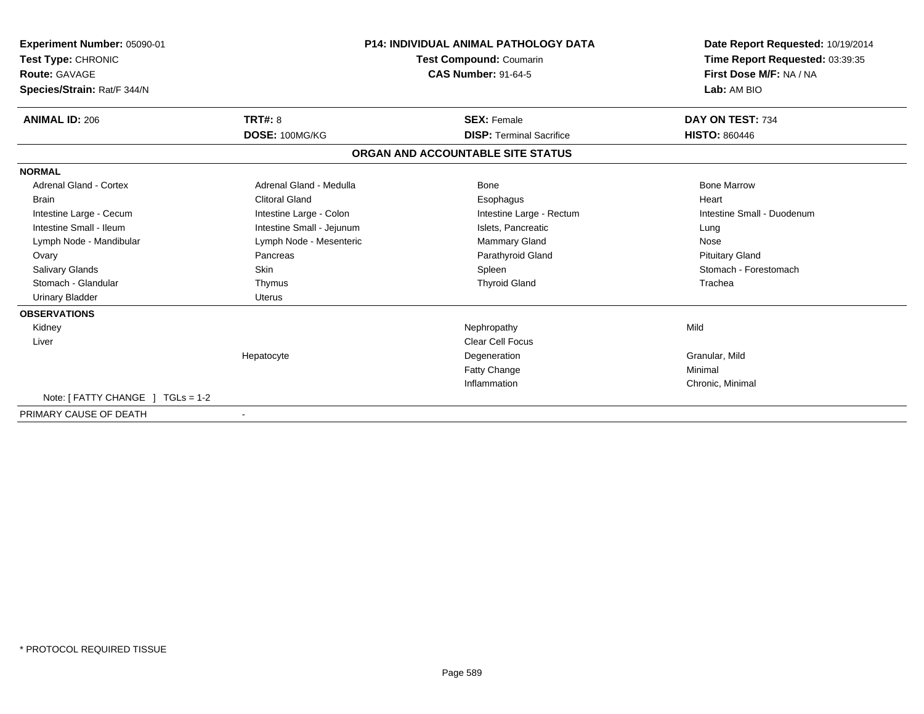| Experiment Number: 05090-01<br>Test Type: CHRONIC<br><b>Route: GAVAGE</b><br>Species/Strain: Rat/F 344/N | <b>P14: INDIVIDUAL ANIMAL PATHOLOGY DATA</b><br><b>Test Compound: Coumarin</b><br><b>CAS Number: 91-64-5</b> |                                   | Date Report Requested: 10/19/2014<br>Time Report Requested: 03:39:35<br>First Dose M/F: NA / NA<br>Lab: AM BIO |
|----------------------------------------------------------------------------------------------------------|--------------------------------------------------------------------------------------------------------------|-----------------------------------|----------------------------------------------------------------------------------------------------------------|
| <b>ANIMAL ID: 206</b>                                                                                    | <b>TRT#: 8</b>                                                                                               | <b>SEX: Female</b>                | DAY ON TEST: 734                                                                                               |
|                                                                                                          | DOSE: 100MG/KG                                                                                               | <b>DISP: Terminal Sacrifice</b>   | <b>HISTO: 860446</b>                                                                                           |
|                                                                                                          |                                                                                                              | ORGAN AND ACCOUNTABLE SITE STATUS |                                                                                                                |
| <b>NORMAL</b>                                                                                            |                                                                                                              |                                   |                                                                                                                |
| <b>Adrenal Gland - Cortex</b>                                                                            | Adrenal Gland - Medulla                                                                                      | Bone                              | <b>Bone Marrow</b>                                                                                             |
| <b>Brain</b>                                                                                             | <b>Clitoral Gland</b>                                                                                        | Esophagus                         | Heart                                                                                                          |
| Intestine Large - Cecum                                                                                  | Intestine Large - Colon                                                                                      | Intestine Large - Rectum          | Intestine Small - Duodenum                                                                                     |
| Intestine Small - Ileum                                                                                  | Intestine Small - Jejunum                                                                                    | Islets, Pancreatic                | Lung                                                                                                           |
| Lymph Node - Mandibular                                                                                  | Lymph Node - Mesenteric                                                                                      | Mammary Gland                     | Nose                                                                                                           |
| Ovary                                                                                                    | Pancreas                                                                                                     | Parathyroid Gland                 | <b>Pituitary Gland</b>                                                                                         |
| <b>Salivary Glands</b>                                                                                   | <b>Skin</b>                                                                                                  | Spleen                            | Stomach - Forestomach                                                                                          |
| Stomach - Glandular                                                                                      | Thymus                                                                                                       | <b>Thyroid Gland</b>              | Trachea                                                                                                        |
| <b>Urinary Bladder</b>                                                                                   | <b>Uterus</b>                                                                                                |                                   |                                                                                                                |
| <b>OBSERVATIONS</b>                                                                                      |                                                                                                              |                                   |                                                                                                                |
| Kidney                                                                                                   |                                                                                                              | Nephropathy                       | Mild                                                                                                           |
| Liver                                                                                                    |                                                                                                              | <b>Clear Cell Focus</b>           |                                                                                                                |
|                                                                                                          | Hepatocyte                                                                                                   | Degeneration                      | Granular, Mild                                                                                                 |
|                                                                                                          |                                                                                                              | Fatty Change                      | Minimal                                                                                                        |
|                                                                                                          |                                                                                                              | Inflammation                      | Chronic, Minimal                                                                                               |
| Note: $[$ FATTY CHANGE $]$ TGLs = 1-2                                                                    |                                                                                                              |                                   |                                                                                                                |
| PRIMARY CAUSE OF DEATH                                                                                   |                                                                                                              |                                   |                                                                                                                |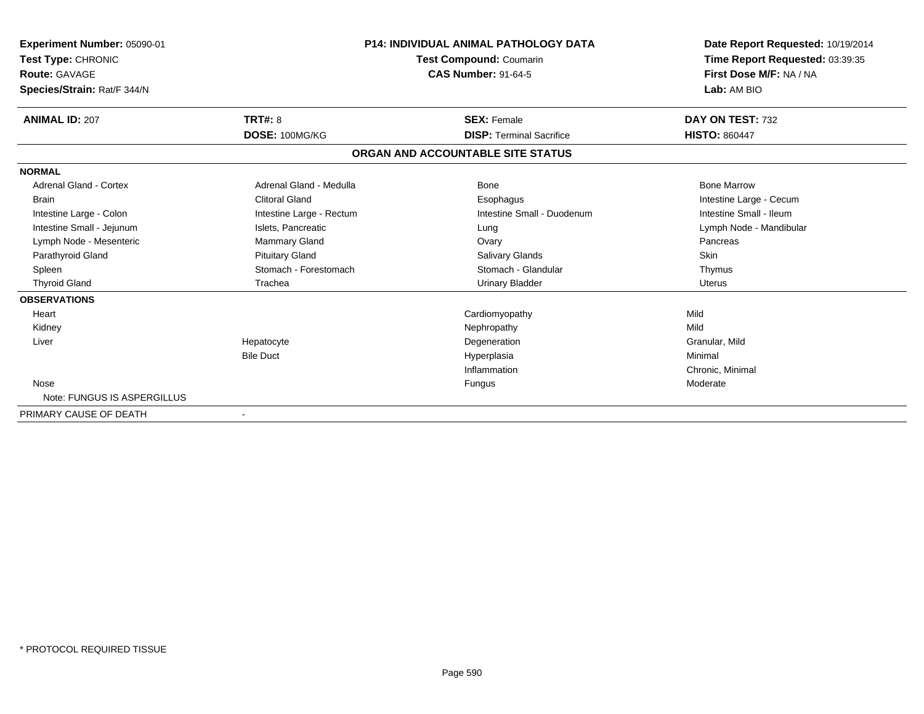| Experiment Number: 05090-01<br>Test Type: CHRONIC<br><b>Route: GAVAGE</b><br>Species/Strain: Rat/F 344/N |                          | <b>P14: INDIVIDUAL ANIMAL PATHOLOGY DATA</b><br><b>Test Compound: Coumarin</b><br><b>CAS Number: 91-64-5</b> | Date Report Requested: 10/19/2014<br>Time Report Requested: 03:39:35<br>First Dose M/F: NA / NA<br>Lab: AM BIO |
|----------------------------------------------------------------------------------------------------------|--------------------------|--------------------------------------------------------------------------------------------------------------|----------------------------------------------------------------------------------------------------------------|
| <b>ANIMAL ID: 207</b>                                                                                    | <b>TRT#: 8</b>           | <b>SEX: Female</b>                                                                                           | DAY ON TEST: 732                                                                                               |
|                                                                                                          | DOSE: 100MG/KG           | <b>DISP: Terminal Sacrifice</b>                                                                              | <b>HISTO: 860447</b>                                                                                           |
|                                                                                                          |                          | ORGAN AND ACCOUNTABLE SITE STATUS                                                                            |                                                                                                                |
| <b>NORMAL</b>                                                                                            |                          |                                                                                                              |                                                                                                                |
| Adrenal Gland - Cortex                                                                                   | Adrenal Gland - Medulla  | Bone                                                                                                         | <b>Bone Marrow</b>                                                                                             |
| Brain                                                                                                    | <b>Clitoral Gland</b>    | Esophagus                                                                                                    | Intestine Large - Cecum                                                                                        |
| Intestine Large - Colon                                                                                  | Intestine Large - Rectum | Intestine Small - Duodenum                                                                                   | Intestine Small - Ileum                                                                                        |
| Intestine Small - Jejunum                                                                                | Islets, Pancreatic       | Lung                                                                                                         | Lymph Node - Mandibular                                                                                        |
| Lymph Node - Mesenteric                                                                                  | Mammary Gland            | Ovary                                                                                                        | Pancreas                                                                                                       |
| Parathyroid Gland                                                                                        | <b>Pituitary Gland</b>   | Salivary Glands                                                                                              | Skin                                                                                                           |
| Spleen                                                                                                   | Stomach - Forestomach    | Stomach - Glandular                                                                                          | Thymus                                                                                                         |
| <b>Thyroid Gland</b>                                                                                     | Trachea                  | <b>Urinary Bladder</b>                                                                                       | <b>Uterus</b>                                                                                                  |
| <b>OBSERVATIONS</b>                                                                                      |                          |                                                                                                              |                                                                                                                |
| Heart                                                                                                    |                          | Cardiomyopathy                                                                                               | Mild                                                                                                           |
| Kidney                                                                                                   |                          | Nephropathy                                                                                                  | Mild                                                                                                           |
| Liver                                                                                                    | Hepatocyte               | Degeneration                                                                                                 | Granular, Mild                                                                                                 |
|                                                                                                          | <b>Bile Duct</b>         | Hyperplasia                                                                                                  | Minimal                                                                                                        |
|                                                                                                          |                          | Inflammation                                                                                                 | Chronic, Minimal                                                                                               |
| Nose                                                                                                     |                          | Fungus                                                                                                       | Moderate                                                                                                       |
| Note: FUNGUS IS ASPERGILLUS                                                                              |                          |                                                                                                              |                                                                                                                |
| PRIMARY CAUSE OF DEATH                                                                                   |                          |                                                                                                              |                                                                                                                |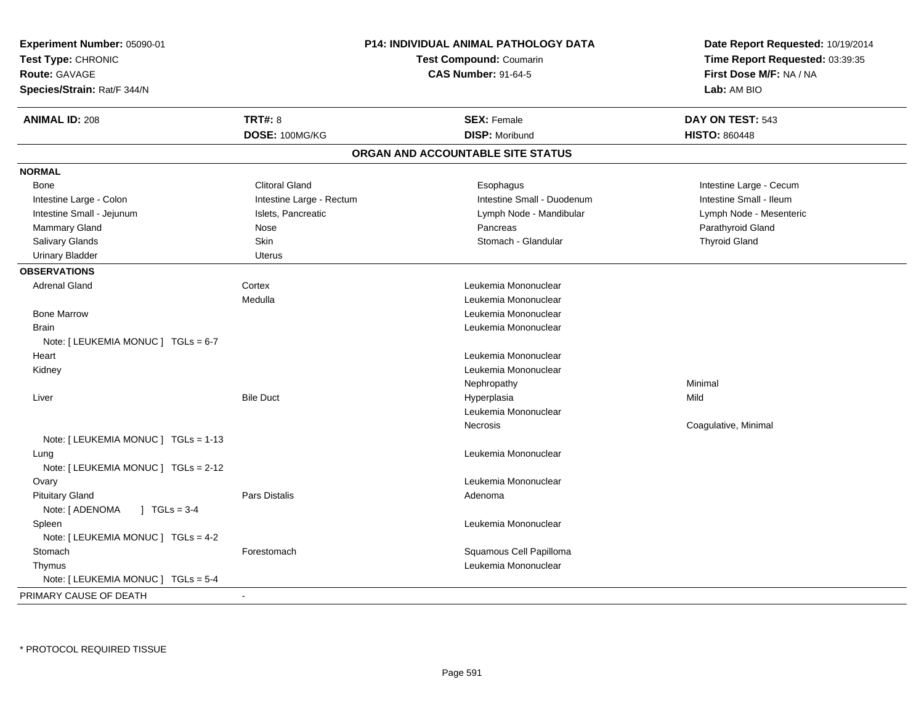| Experiment Number: 05090-01               |                            | P14: INDIVIDUAL ANIMAL PATHOLOGY DATA | Date Report Requested: 10/19/2014 |  |
|-------------------------------------------|----------------------------|---------------------------------------|-----------------------------------|--|
| Test Type: CHRONIC                        |                            | <b>Test Compound: Coumarin</b>        | Time Report Requested: 03:39:35   |  |
| Route: GAVAGE                             | <b>CAS Number: 91-64-5</b> |                                       | First Dose M/F: NA / NA           |  |
| Species/Strain: Rat/F 344/N               |                            |                                       | Lab: AM BIO                       |  |
| <b>ANIMAL ID: 208</b>                     | TRT#: 8                    | <b>SEX: Female</b>                    | DAY ON TEST: 543                  |  |
|                                           | DOSE: 100MG/KG             | <b>DISP: Moribund</b>                 | <b>HISTO: 860448</b>              |  |
|                                           |                            | ORGAN AND ACCOUNTABLE SITE STATUS     |                                   |  |
| <b>NORMAL</b>                             |                            |                                       |                                   |  |
| Bone                                      | <b>Clitoral Gland</b>      | Esophagus                             | Intestine Large - Cecum           |  |
| Intestine Large - Colon                   | Intestine Large - Rectum   | Intestine Small - Duodenum            | Intestine Small - Ileum           |  |
| Intestine Small - Jejunum                 | Islets, Pancreatic         | Lymph Node - Mandibular               | Lymph Node - Mesenteric           |  |
| Mammary Gland                             | Nose                       | Pancreas                              | Parathyroid Gland                 |  |
| Salivary Glands                           | Skin                       | Stomach - Glandular                   | <b>Thyroid Gland</b>              |  |
| <b>Urinary Bladder</b>                    | <b>Uterus</b>              |                                       |                                   |  |
| <b>OBSERVATIONS</b>                       |                            |                                       |                                   |  |
| <b>Adrenal Gland</b>                      | Cortex                     | Leukemia Mononuclear                  |                                   |  |
|                                           | Medulla                    | Leukemia Mononuclear                  |                                   |  |
| <b>Bone Marrow</b>                        |                            | Leukemia Mononuclear                  |                                   |  |
| <b>Brain</b>                              |                            | Leukemia Mononuclear                  |                                   |  |
| Note: [ LEUKEMIA MONUC ] TGLs = 6-7       |                            |                                       |                                   |  |
| Heart                                     |                            | Leukemia Mononuclear                  |                                   |  |
| Kidney                                    |                            | Leukemia Mononuclear                  |                                   |  |
|                                           |                            | Nephropathy                           | Minimal                           |  |
| Liver                                     | <b>Bile Duct</b>           | Hyperplasia                           | Mild                              |  |
|                                           |                            | Leukemia Mononuclear                  |                                   |  |
|                                           |                            | Necrosis                              | Coagulative, Minimal              |  |
| Note: [ LEUKEMIA MONUC ] TGLs = 1-13      |                            |                                       |                                   |  |
| Lung                                      |                            | Leukemia Mononuclear                  |                                   |  |
| Note: [ LEUKEMIA MONUC ] TGLs = 2-12      |                            |                                       |                                   |  |
| Ovary                                     |                            | Leukemia Mononuclear                  |                                   |  |
| <b>Pituitary Gland</b>                    | Pars Distalis              | Adenoma                               |                                   |  |
| Note: [ ADENOMA<br>$1 \text{ TGLs} = 3-4$ |                            |                                       |                                   |  |
| Spleen                                    |                            | Leukemia Mononuclear                  |                                   |  |
| Note: [ LEUKEMIA MONUC ] TGLs = 4-2       |                            |                                       |                                   |  |
| Stomach                                   | Forestomach                | Squamous Cell Papilloma               |                                   |  |
| Thymus                                    |                            | Leukemia Mononuclear                  |                                   |  |
| Note: [ LEUKEMIA MONUC ] TGLs = 5-4       |                            |                                       |                                   |  |
| PRIMARY CAUSE OF DEATH                    | $\blacksquare$             |                                       |                                   |  |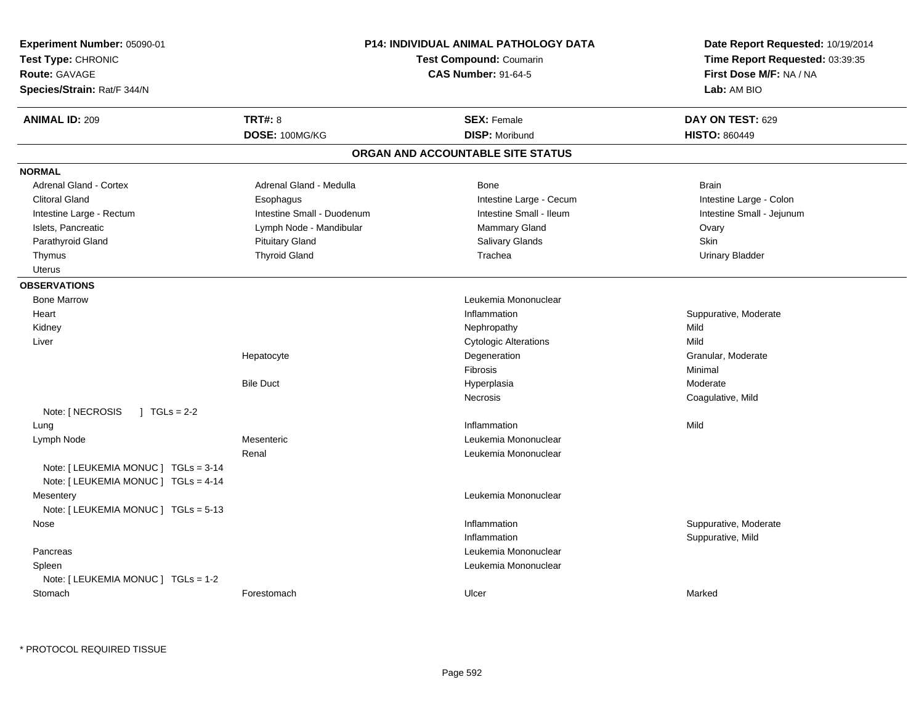| Test Type: CHRONIC<br><b>Route: GAVAGE</b><br>Species/Strain: Rat/F 344/N | P14: INDIVIDUAL ANIMAL PATHOLOGY DATA<br><b>Test Compound: Coumarin</b><br><b>CAS Number: 91-64-5</b> |                                   | Date Report Requested: 10/19/2014<br>Time Report Requested: 03:39:35<br>First Dose M/F: NA / NA<br>Lab: AM BIO |
|---------------------------------------------------------------------------|-------------------------------------------------------------------------------------------------------|-----------------------------------|----------------------------------------------------------------------------------------------------------------|
| <b>ANIMAL ID: 209</b>                                                     | <b>TRT#: 8</b>                                                                                        | <b>SEX: Female</b>                | DAY ON TEST: 629                                                                                               |
|                                                                           | DOSE: 100MG/KG                                                                                        | <b>DISP: Moribund</b>             | <b>HISTO: 860449</b>                                                                                           |
|                                                                           |                                                                                                       | ORGAN AND ACCOUNTABLE SITE STATUS |                                                                                                                |
| <b>NORMAL</b>                                                             |                                                                                                       |                                   |                                                                                                                |
| Adrenal Gland - Cortex                                                    | Adrenal Gland - Medulla                                                                               | Bone                              | <b>Brain</b>                                                                                                   |
| <b>Clitoral Gland</b>                                                     | Esophagus                                                                                             | Intestine Large - Cecum           | Intestine Large - Colon                                                                                        |
| Intestine Large - Rectum                                                  | Intestine Small - Duodenum                                                                            | Intestine Small - Ileum           | Intestine Small - Jejunum                                                                                      |
| Islets, Pancreatic                                                        | Lymph Node - Mandibular                                                                               | <b>Mammary Gland</b>              | Ovary                                                                                                          |
| Parathyroid Gland                                                         | <b>Pituitary Gland</b>                                                                                | Salivary Glands                   | Skin                                                                                                           |
| Thymus                                                                    | <b>Thyroid Gland</b>                                                                                  | Trachea                           | <b>Urinary Bladder</b>                                                                                         |
| Uterus                                                                    |                                                                                                       |                                   |                                                                                                                |
| <b>OBSERVATIONS</b>                                                       |                                                                                                       |                                   |                                                                                                                |
| <b>Bone Marrow</b>                                                        |                                                                                                       | Leukemia Mononuclear              |                                                                                                                |
| Heart                                                                     |                                                                                                       | Inflammation                      | Suppurative, Moderate                                                                                          |
| Kidney                                                                    |                                                                                                       | Nephropathy                       | Mild                                                                                                           |
| Liver                                                                     |                                                                                                       | <b>Cytologic Alterations</b>      | Mild                                                                                                           |
|                                                                           | Hepatocyte                                                                                            | Degeneration                      | Granular, Moderate                                                                                             |
|                                                                           |                                                                                                       | Fibrosis                          | Minimal                                                                                                        |
|                                                                           | <b>Bile Duct</b>                                                                                      | Hyperplasia                       | Moderate                                                                                                       |
|                                                                           |                                                                                                       | Necrosis                          | Coagulative, Mild                                                                                              |
| Note: [ NECROSIS<br>$1 TGLs = 2-2$                                        |                                                                                                       |                                   |                                                                                                                |
| Lung                                                                      |                                                                                                       | Inflammation                      | Mild                                                                                                           |
| Lymph Node                                                                | Mesenteric                                                                                            | Leukemia Mononuclear              |                                                                                                                |
|                                                                           | Renal                                                                                                 | Leukemia Mononuclear              |                                                                                                                |
| Note: [ LEUKEMIA MONUC ] TGLs = 3-14                                      |                                                                                                       |                                   |                                                                                                                |
| Note: [ LEUKEMIA MONUC ] TGLs = 4-14                                      |                                                                                                       |                                   |                                                                                                                |
| Mesentery                                                                 |                                                                                                       | Leukemia Mononuclear              |                                                                                                                |
| Note: [ LEUKEMIA MONUC ] TGLs = 5-13                                      |                                                                                                       |                                   |                                                                                                                |
| Nose                                                                      |                                                                                                       | Inflammation                      | Suppurative, Moderate                                                                                          |
|                                                                           |                                                                                                       | Inflammation                      | Suppurative, Mild                                                                                              |
| Pancreas                                                                  |                                                                                                       | Leukemia Mononuclear              |                                                                                                                |
| Spleen                                                                    |                                                                                                       | Leukemia Mononuclear              |                                                                                                                |
| Note: [ LEUKEMIA MONUC ] TGLs = 1-2                                       |                                                                                                       |                                   |                                                                                                                |
| Stomach                                                                   | Forestomach                                                                                           | Ulcer                             | Marked                                                                                                         |

\* PROTOCOL REQUIRED TISSUE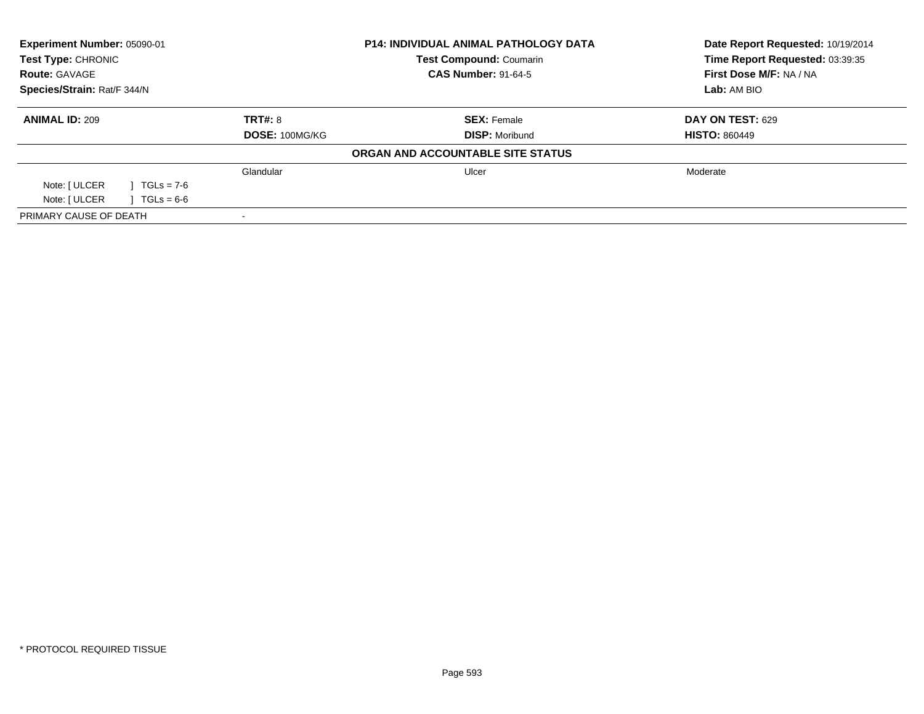| Experiment Number: 05090-01<br>Test Type: CHRONIC |              |                | <b>P14: INDIVIDUAL ANIMAL PATHOLOGY DATA</b> | Date Report Requested: 10/19/2014 |
|---------------------------------------------------|--------------|----------------|----------------------------------------------|-----------------------------------|
|                                                   |              |                | <b>Test Compound: Coumarin</b>               | Time Report Requested: 03:39:35   |
| <b>Route: GAVAGE</b>                              |              |                | <b>CAS Number: 91-64-5</b>                   | First Dose M/F: NA / NA           |
| Species/Strain: Rat/F 344/N                       |              |                |                                              | Lab: AM BIO                       |
| <b>ANIMAL ID: 209</b>                             |              | TRT#: 8        | <b>SEX: Female</b>                           | DAY ON TEST: 629                  |
|                                                   |              | DOSE: 100MG/KG | <b>DISP: Moribund</b>                        | <b>HISTO: 860449</b>              |
|                                                   |              |                | ORGAN AND ACCOUNTABLE SITE STATUS            |                                   |
|                                                   |              | Glandular      | Ulcer                                        | Moderate                          |
| Note: [ ULCER                                     | $TGLs = 7-6$ |                |                                              |                                   |
| Note: [ ULCER                                     | $TGLs = 6-6$ |                |                                              |                                   |
| PRIMARY CAUSE OF DEATH                            |              |                |                                              |                                   |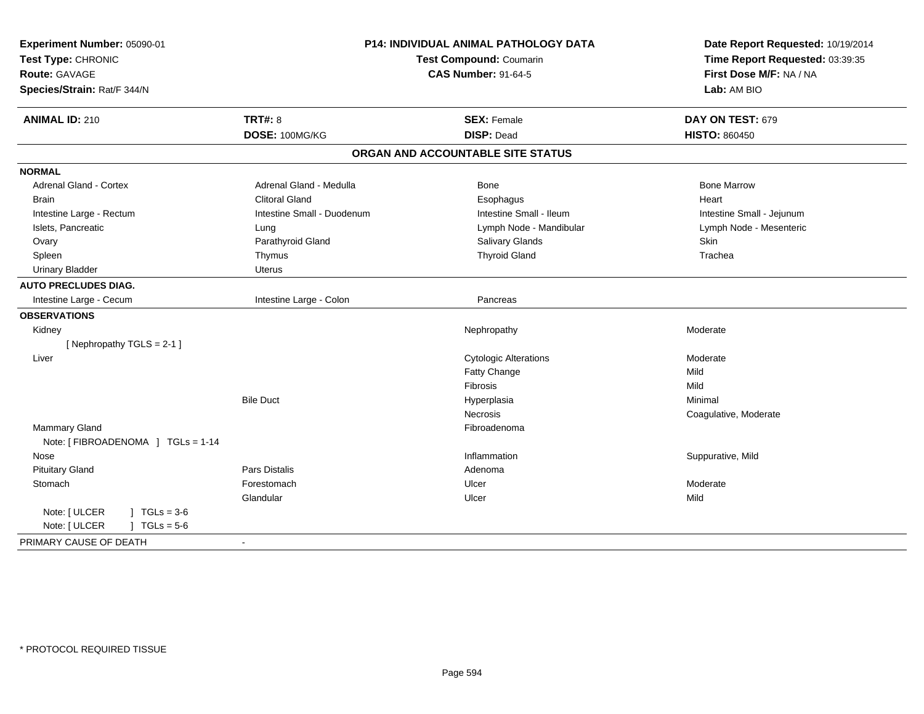| Experiment Number: 05090-01<br>Test Type: CHRONIC<br><b>Route: GAVAGE</b><br>Species/Strain: Rat/F 344/N | P14: INDIVIDUAL ANIMAL PATHOLOGY DATA<br>Test Compound: Coumarin<br><b>CAS Number: 91-64-5</b> |                                   | Date Report Requested: 10/19/2014<br>Time Report Requested: 03:39:35<br>First Dose M/F: NA / NA<br>Lab: AM BIO |
|----------------------------------------------------------------------------------------------------------|------------------------------------------------------------------------------------------------|-----------------------------------|----------------------------------------------------------------------------------------------------------------|
| <b>ANIMAL ID: 210</b>                                                                                    | <b>TRT#: 8</b>                                                                                 | <b>SEX: Female</b>                | DAY ON TEST: 679                                                                                               |
|                                                                                                          | DOSE: 100MG/KG                                                                                 | <b>DISP: Dead</b>                 | <b>HISTO: 860450</b>                                                                                           |
|                                                                                                          |                                                                                                | ORGAN AND ACCOUNTABLE SITE STATUS |                                                                                                                |
| <b>NORMAL</b>                                                                                            |                                                                                                |                                   |                                                                                                                |
| Adrenal Gland - Cortex                                                                                   | Adrenal Gland - Medulla                                                                        | <b>Bone</b>                       | <b>Bone Marrow</b>                                                                                             |
| <b>Brain</b>                                                                                             | <b>Clitoral Gland</b>                                                                          | Esophagus                         | Heart                                                                                                          |
| Intestine Large - Rectum                                                                                 | Intestine Small - Duodenum                                                                     | Intestine Small - Ileum           | Intestine Small - Jejunum                                                                                      |
| Islets, Pancreatic                                                                                       | Lung                                                                                           | Lymph Node - Mandibular           | Lymph Node - Mesenteric                                                                                        |
| Ovary                                                                                                    | Parathyroid Gland                                                                              | Salivary Glands                   | Skin                                                                                                           |
| Spleen                                                                                                   | Thymus                                                                                         | <b>Thyroid Gland</b>              | Trachea                                                                                                        |
| <b>Urinary Bladder</b>                                                                                   | Uterus                                                                                         |                                   |                                                                                                                |
| <b>AUTO PRECLUDES DIAG.</b>                                                                              |                                                                                                |                                   |                                                                                                                |
| Intestine Large - Cecum                                                                                  | Intestine Large - Colon                                                                        | Pancreas                          |                                                                                                                |
| <b>OBSERVATIONS</b>                                                                                      |                                                                                                |                                   |                                                                                                                |
| Kidney                                                                                                   |                                                                                                | Nephropathy                       | Moderate                                                                                                       |
| [Nephropathy TGLS = 2-1]                                                                                 |                                                                                                |                                   |                                                                                                                |
| Liver                                                                                                    |                                                                                                | <b>Cytologic Alterations</b>      | Moderate                                                                                                       |
|                                                                                                          |                                                                                                | Fatty Change                      | Mild                                                                                                           |
|                                                                                                          |                                                                                                | Fibrosis                          | Mild                                                                                                           |
|                                                                                                          | <b>Bile Duct</b>                                                                               | Hyperplasia                       | Minimal                                                                                                        |
|                                                                                                          |                                                                                                | Necrosis                          | Coagulative, Moderate                                                                                          |
| Mammary Gland                                                                                            |                                                                                                | Fibroadenoma                      |                                                                                                                |
| Note: [ FIBROADENOMA ] TGLs = 1-14                                                                       |                                                                                                |                                   |                                                                                                                |
| Nose                                                                                                     |                                                                                                | Inflammation                      | Suppurative, Mild                                                                                              |
| <b>Pituitary Gland</b>                                                                                   | <b>Pars Distalis</b>                                                                           | Adenoma                           |                                                                                                                |
| Stomach                                                                                                  | Forestomach                                                                                    | Ulcer                             | Moderate                                                                                                       |
|                                                                                                          | Glandular                                                                                      | Ulcer                             | Mild                                                                                                           |
| Note: [ ULCER<br>$1 TGLs = 3-6$                                                                          |                                                                                                |                                   |                                                                                                                |
| Note: [ ULCER<br>$J \cdot TGLs = 5-6$                                                                    |                                                                                                |                                   |                                                                                                                |
| PRIMARY CAUSE OF DEATH                                                                                   | $\sim$                                                                                         |                                   |                                                                                                                |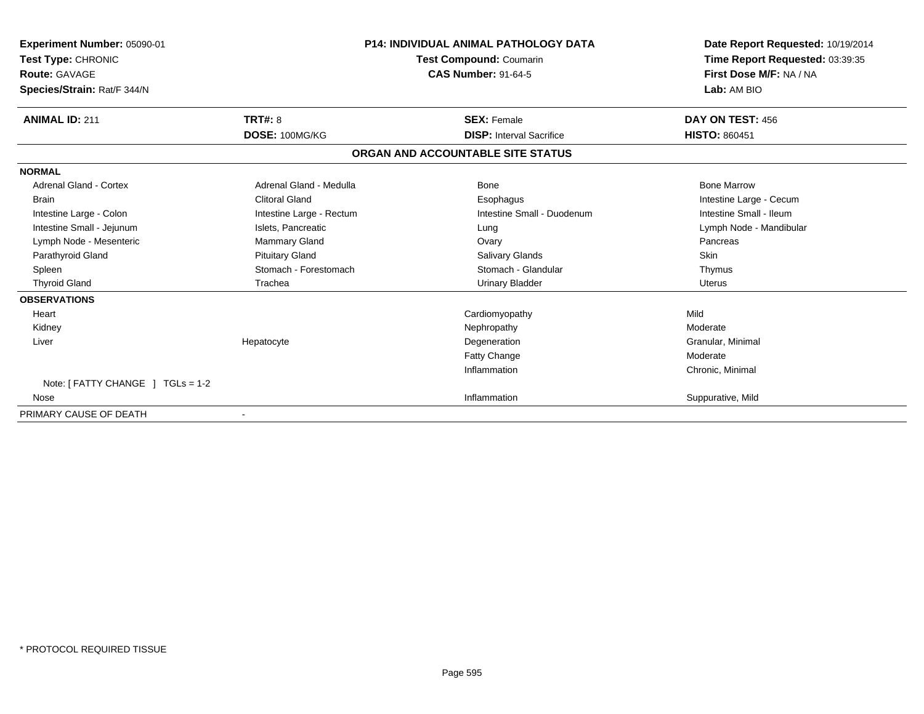| Experiment Number: 05090-01       |                            | <b>P14: INDIVIDUAL ANIMAL PATHOLOGY DATA</b> | Date Report Requested: 10/19/2014 |
|-----------------------------------|----------------------------|----------------------------------------------|-----------------------------------|
| Test Type: CHRONIC                |                            | <b>Test Compound: Coumarin</b>               | Time Report Requested: 03:39:35   |
| Route: GAVAGE                     | <b>CAS Number: 91-64-5</b> |                                              | First Dose M/F: NA / NA           |
| Species/Strain: Rat/F 344/N       |                            |                                              | Lab: AM BIO                       |
| <b>ANIMAL ID: 211</b>             | <b>TRT#: 8</b>             | <b>SEX: Female</b>                           | DAY ON TEST: 456                  |
|                                   | DOSE: 100MG/KG             | <b>DISP:</b> Interval Sacrifice              | <b>HISTO: 860451</b>              |
|                                   |                            | ORGAN AND ACCOUNTABLE SITE STATUS            |                                   |
| <b>NORMAL</b>                     |                            |                                              |                                   |
| <b>Adrenal Gland - Cortex</b>     | Adrenal Gland - Medulla    | <b>Bone</b>                                  | <b>Bone Marrow</b>                |
| <b>Brain</b>                      | <b>Clitoral Gland</b>      | Esophagus                                    | Intestine Large - Cecum           |
| Intestine Large - Colon           | Intestine Large - Rectum   | Intestine Small - Duodenum                   | Intestine Small - Ileum           |
| Intestine Small - Jejunum         | Islets, Pancreatic         | Lung                                         | Lymph Node - Mandibular           |
| Lymph Node - Mesenteric           | Mammary Gland              | Ovary                                        | Pancreas                          |
| Parathyroid Gland                 | <b>Pituitary Gland</b>     | Salivary Glands                              | <b>Skin</b>                       |
| Spleen                            | Stomach - Forestomach      | Stomach - Glandular                          | Thymus                            |
| <b>Thyroid Gland</b>              | Trachea                    | <b>Urinary Bladder</b>                       | Uterus                            |
| <b>OBSERVATIONS</b>               |                            |                                              |                                   |
| Heart                             |                            | Cardiomyopathy                               | Mild                              |
| Kidney                            |                            | Nephropathy                                  | Moderate                          |
| Liver                             | Hepatocyte                 | Degeneration                                 | Granular, Minimal                 |
|                                   |                            | <b>Fatty Change</b>                          | Moderate                          |
|                                   |                            | Inflammation                                 | Chronic, Minimal                  |
| Note: [ FATTY CHANGE ] TGLs = 1-2 |                            |                                              |                                   |
| Nose                              |                            | Inflammation                                 | Suppurative, Mild                 |
| PRIMARY CAUSE OF DEATH            |                            |                                              |                                   |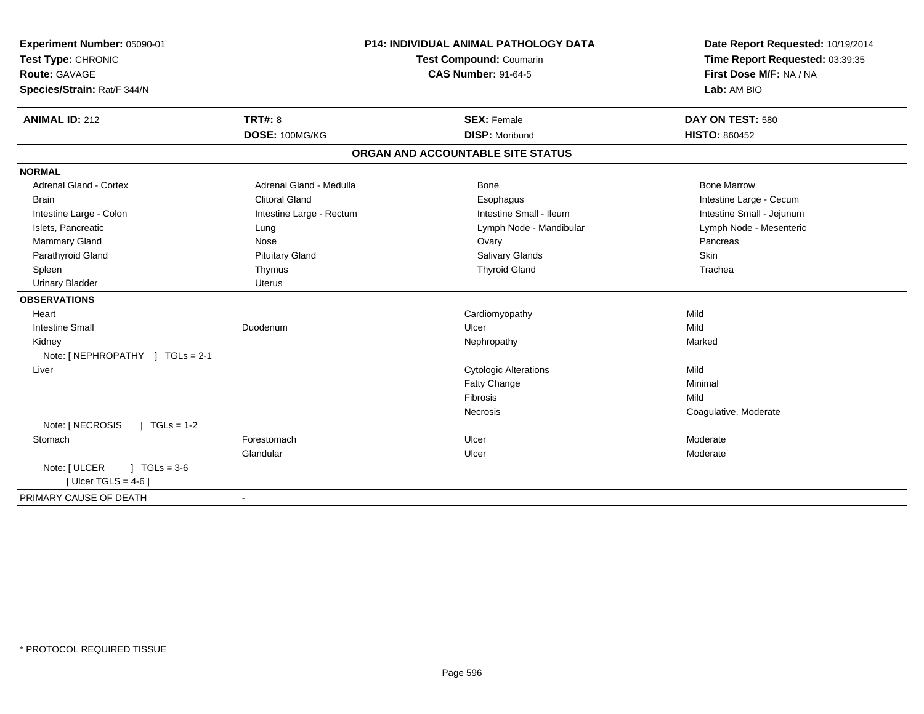| Experiment Number: 05090-01<br>Test Type: CHRONIC<br><b>Route: GAVAGE</b><br>Species/Strain: Rat/F 344/N |                          | <b>P14: INDIVIDUAL ANIMAL PATHOLOGY DATA</b><br>Test Compound: Coumarin<br><b>CAS Number: 91-64-5</b> | Date Report Requested: 10/19/2014<br>Time Report Requested: 03:39:35<br>First Dose M/F: NA / NA<br>Lab: AM BIO |
|----------------------------------------------------------------------------------------------------------|--------------------------|-------------------------------------------------------------------------------------------------------|----------------------------------------------------------------------------------------------------------------|
| <b>ANIMAL ID: 212</b>                                                                                    | <b>TRT#: 8</b>           | <b>SEX: Female</b>                                                                                    | DAY ON TEST: 580                                                                                               |
|                                                                                                          | DOSE: 100MG/KG           | <b>DISP: Moribund</b>                                                                                 | <b>HISTO: 860452</b>                                                                                           |
|                                                                                                          |                          | ORGAN AND ACCOUNTABLE SITE STATUS                                                                     |                                                                                                                |
| <b>NORMAL</b>                                                                                            |                          |                                                                                                       |                                                                                                                |
| <b>Adrenal Gland - Cortex</b>                                                                            | Adrenal Gland - Medulla  | Bone                                                                                                  | <b>Bone Marrow</b>                                                                                             |
| <b>Brain</b>                                                                                             | <b>Clitoral Gland</b>    | Esophagus                                                                                             | Intestine Large - Cecum                                                                                        |
| Intestine Large - Colon                                                                                  | Intestine Large - Rectum | Intestine Small - Ileum                                                                               | Intestine Small - Jejunum                                                                                      |
| Islets, Pancreatic                                                                                       | Lung                     | Lymph Node - Mandibular                                                                               | Lymph Node - Mesenteric                                                                                        |
| Mammary Gland                                                                                            | Nose                     | Ovary                                                                                                 | Pancreas                                                                                                       |
| Parathyroid Gland                                                                                        | <b>Pituitary Gland</b>   | Salivary Glands                                                                                       | Skin                                                                                                           |
| Spleen                                                                                                   | Thymus                   | <b>Thyroid Gland</b>                                                                                  | Trachea                                                                                                        |
| <b>Urinary Bladder</b>                                                                                   | <b>Uterus</b>            |                                                                                                       |                                                                                                                |
| <b>OBSERVATIONS</b>                                                                                      |                          |                                                                                                       |                                                                                                                |
| Heart                                                                                                    |                          | Cardiomyopathy                                                                                        | Mild                                                                                                           |
| <b>Intestine Small</b>                                                                                   | Duodenum                 | Ulcer                                                                                                 | Mild                                                                                                           |
| Kidney                                                                                                   |                          | Nephropathy                                                                                           | Marked                                                                                                         |
| Note: [NEPHROPATHY ] TGLs = 2-1                                                                          |                          |                                                                                                       |                                                                                                                |
| Liver                                                                                                    |                          | <b>Cytologic Alterations</b>                                                                          | Mild                                                                                                           |
|                                                                                                          |                          | Fatty Change                                                                                          | Minimal                                                                                                        |
|                                                                                                          |                          | Fibrosis                                                                                              | Mild                                                                                                           |
|                                                                                                          |                          | <b>Necrosis</b>                                                                                       | Coagulative, Moderate                                                                                          |
| Note: [ NECROSIS<br>$1 TGLs = 1-2$                                                                       |                          |                                                                                                       |                                                                                                                |
| Stomach                                                                                                  | Forestomach              | Ulcer                                                                                                 | Moderate                                                                                                       |
|                                                                                                          | Glandular                | Ulcer                                                                                                 | Moderate                                                                                                       |
| $\sqrt{1 + 1}$ TGLs = 3-6<br>Note: [ ULCER<br>[ Ulcer TGLS = $4-6$ ]                                     |                          |                                                                                                       |                                                                                                                |
| PRIMARY CAUSE OF DEATH                                                                                   |                          |                                                                                                       |                                                                                                                |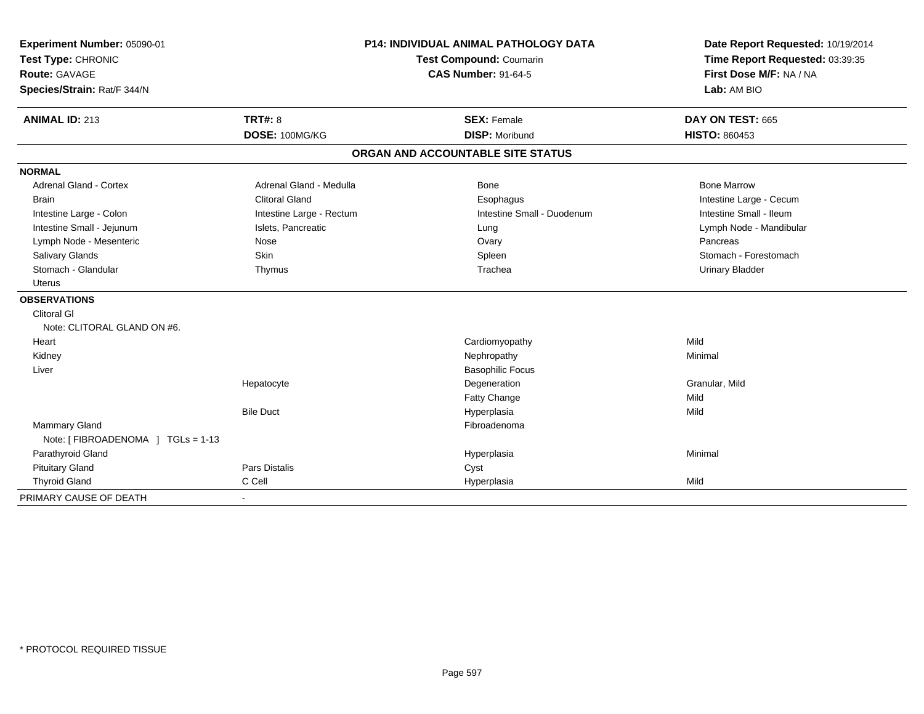| Experiment Number: 05090-01<br>Test Type: CHRONIC<br><b>Route: GAVAGE</b><br>Species/Strain: Rat/F 344/N | <b>P14: INDIVIDUAL ANIMAL PATHOLOGY DATA</b><br>Test Compound: Coumarin<br><b>CAS Number: 91-64-5</b> |                                   | Date Report Requested: 10/19/2014<br>Time Report Requested: 03:39:35<br>First Dose M/F: NA / NA<br>Lab: AM BIO |  |
|----------------------------------------------------------------------------------------------------------|-------------------------------------------------------------------------------------------------------|-----------------------------------|----------------------------------------------------------------------------------------------------------------|--|
|                                                                                                          |                                                                                                       |                                   |                                                                                                                |  |
| <b>ANIMAL ID: 213</b>                                                                                    | <b>TRT#: 8</b>                                                                                        | <b>SEX: Female</b>                | DAY ON TEST: 665                                                                                               |  |
|                                                                                                          | DOSE: 100MG/KG                                                                                        | <b>DISP: Moribund</b>             | <b>HISTO: 860453</b>                                                                                           |  |
|                                                                                                          |                                                                                                       | ORGAN AND ACCOUNTABLE SITE STATUS |                                                                                                                |  |
| <b>NORMAL</b>                                                                                            |                                                                                                       |                                   |                                                                                                                |  |
| <b>Adrenal Gland - Cortex</b>                                                                            | Adrenal Gland - Medulla                                                                               | Bone                              | <b>Bone Marrow</b>                                                                                             |  |
| <b>Brain</b>                                                                                             | <b>Clitoral Gland</b>                                                                                 | Esophagus                         | Intestine Large - Cecum                                                                                        |  |
| Intestine Large - Colon                                                                                  | Intestine Large - Rectum                                                                              | Intestine Small - Duodenum        | Intestine Small - Ileum                                                                                        |  |
| Intestine Small - Jejunum                                                                                | Islets, Pancreatic                                                                                    | Lung                              | Lymph Node - Mandibular                                                                                        |  |
| Lymph Node - Mesenteric                                                                                  | Nose                                                                                                  | Ovary                             | Pancreas                                                                                                       |  |
| Salivary Glands                                                                                          | Skin                                                                                                  | Spleen                            | Stomach - Forestomach                                                                                          |  |
| Stomach - Glandular                                                                                      | Thymus                                                                                                | Trachea                           | <b>Urinary Bladder</b>                                                                                         |  |
| <b>Uterus</b>                                                                                            |                                                                                                       |                                   |                                                                                                                |  |
| <b>OBSERVATIONS</b>                                                                                      |                                                                                                       |                                   |                                                                                                                |  |
| <b>Clitoral GI</b>                                                                                       |                                                                                                       |                                   |                                                                                                                |  |
| Note: CLITORAL GLAND ON #6.                                                                              |                                                                                                       |                                   |                                                                                                                |  |
| Heart                                                                                                    |                                                                                                       | Cardiomyopathy                    | Mild                                                                                                           |  |
| Kidney                                                                                                   |                                                                                                       | Nephropathy                       | Minimal                                                                                                        |  |
| Liver                                                                                                    |                                                                                                       | <b>Basophilic Focus</b>           |                                                                                                                |  |
|                                                                                                          | Hepatocyte                                                                                            | Degeneration                      | Granular, Mild                                                                                                 |  |
|                                                                                                          |                                                                                                       | Fatty Change                      | Mild                                                                                                           |  |
|                                                                                                          | <b>Bile Duct</b>                                                                                      | Hyperplasia                       | Mild                                                                                                           |  |
| <b>Mammary Gland</b>                                                                                     |                                                                                                       | Fibroadenoma                      |                                                                                                                |  |
| Note: [ FIBROADENOMA ] TGLs = 1-13                                                                       |                                                                                                       |                                   |                                                                                                                |  |
| Parathyroid Gland                                                                                        |                                                                                                       | Hyperplasia                       | Minimal                                                                                                        |  |
| <b>Pituitary Gland</b>                                                                                   | Pars Distalis                                                                                         | Cyst                              |                                                                                                                |  |
| <b>Thyroid Gland</b>                                                                                     | C Cell                                                                                                | Hyperplasia                       | Mild                                                                                                           |  |
| PRIMARY CAUSE OF DEATH                                                                                   | $\blacksquare$                                                                                        |                                   |                                                                                                                |  |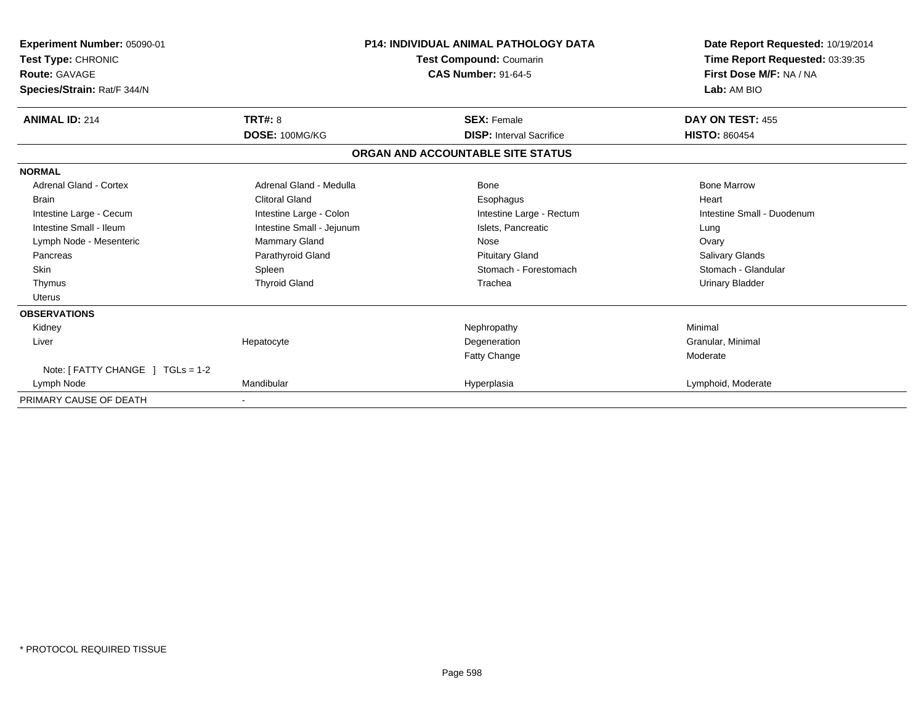| Experiment Number: 05090-01<br>Test Type: CHRONIC<br><b>Route: GAVAGE</b><br>Species/Strain: Rat/F 344/N | <b>P14: INDIVIDUAL ANIMAL PATHOLOGY DATA</b><br>Test Compound: Coumarin<br><b>CAS Number: 91-64-5</b> |                                   | Date Report Requested: 10/19/2014<br>Time Report Requested: 03:39:35<br>First Dose M/F: NA / NA<br>Lab: AM BIO |
|----------------------------------------------------------------------------------------------------------|-------------------------------------------------------------------------------------------------------|-----------------------------------|----------------------------------------------------------------------------------------------------------------|
| <b>ANIMAL ID: 214</b>                                                                                    | TRT#: 8                                                                                               | <b>SEX: Female</b>                | DAY ON TEST: 455                                                                                               |
|                                                                                                          | DOSE: 100MG/KG                                                                                        | <b>DISP:</b> Interval Sacrifice   | <b>HISTO: 860454</b>                                                                                           |
|                                                                                                          |                                                                                                       | ORGAN AND ACCOUNTABLE SITE STATUS |                                                                                                                |
| <b>NORMAL</b>                                                                                            |                                                                                                       |                                   |                                                                                                                |
| <b>Adrenal Gland - Cortex</b>                                                                            | Adrenal Gland - Medulla                                                                               | Bone                              | <b>Bone Marrow</b>                                                                                             |
| <b>Brain</b>                                                                                             | <b>Clitoral Gland</b>                                                                                 | Esophagus                         | Heart                                                                                                          |
| Intestine Large - Cecum                                                                                  | Intestine Large - Colon                                                                               | Intestine Large - Rectum          | Intestine Small - Duodenum                                                                                     |
| Intestine Small - Ileum                                                                                  | Intestine Small - Jejunum                                                                             | Islets, Pancreatic                | Lung                                                                                                           |
| Lymph Node - Mesenteric                                                                                  | Mammary Gland                                                                                         | Nose                              | Ovary                                                                                                          |
| Pancreas                                                                                                 | Parathyroid Gland                                                                                     | <b>Pituitary Gland</b>            | <b>Salivary Glands</b>                                                                                         |
| <b>Skin</b>                                                                                              | Spleen                                                                                                | Stomach - Forestomach             | Stomach - Glandular                                                                                            |
| Thymus                                                                                                   | <b>Thyroid Gland</b>                                                                                  | Trachea                           | <b>Urinary Bladder</b>                                                                                         |
| <b>Uterus</b>                                                                                            |                                                                                                       |                                   |                                                                                                                |
| <b>OBSERVATIONS</b>                                                                                      |                                                                                                       |                                   |                                                                                                                |
| Kidney                                                                                                   |                                                                                                       | Nephropathy                       | Minimal                                                                                                        |
| Liver                                                                                                    | Hepatocyte                                                                                            | Degeneration                      | Granular, Minimal                                                                                              |
|                                                                                                          |                                                                                                       | Fatty Change                      | Moderate                                                                                                       |
| Note: [ FATTY CHANGE ] TGLs = 1-2                                                                        |                                                                                                       |                                   |                                                                                                                |
| Lymph Node                                                                                               | Mandibular                                                                                            | Hyperplasia                       | Lymphoid, Moderate                                                                                             |
| PRIMARY CAUSE OF DEATH                                                                                   |                                                                                                       |                                   |                                                                                                                |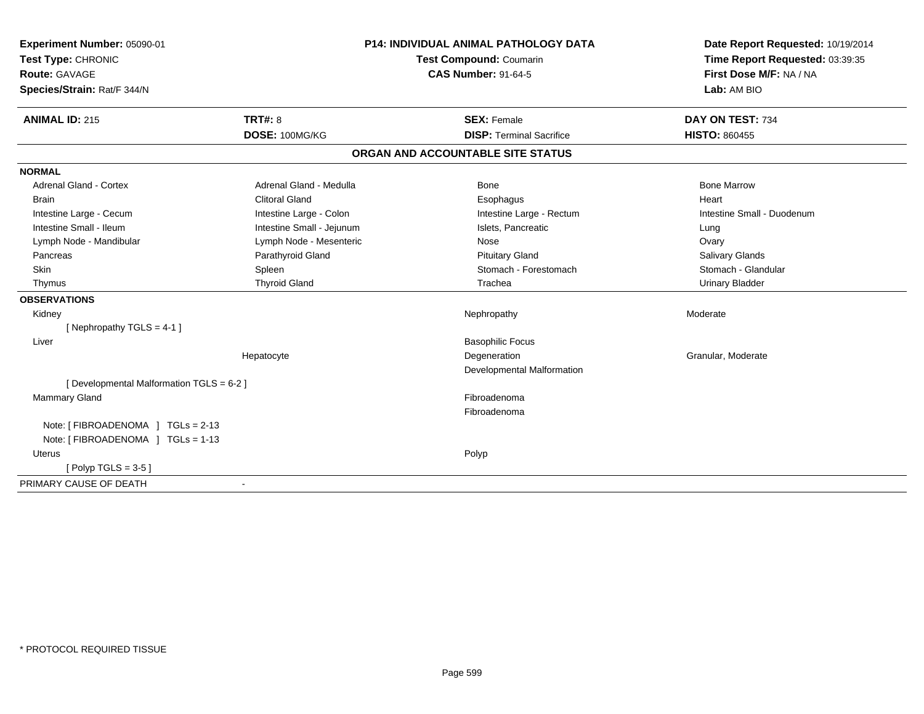| Experiment Number: 05090-01               | <b>P14: INDIVIDUAL ANIMAL PATHOLOGY DATA</b> |                                   | Date Report Requested: 10/19/2014 |
|-------------------------------------------|----------------------------------------------|-----------------------------------|-----------------------------------|
| Test Type: CHRONIC                        |                                              | <b>Test Compound: Coumarin</b>    | Time Report Requested: 03:39:35   |
| <b>Route: GAVAGE</b>                      |                                              | <b>CAS Number: 91-64-5</b>        | First Dose M/F: NA / NA           |
| Species/Strain: Rat/F 344/N               |                                              |                                   | Lab: AM BIO                       |
| <b>ANIMAL ID: 215</b>                     | TRT#: 8                                      | <b>SEX: Female</b>                | DAY ON TEST: 734                  |
|                                           | DOSE: 100MG/KG                               | <b>DISP: Terminal Sacrifice</b>   | <b>HISTO: 860455</b>              |
|                                           |                                              | ORGAN AND ACCOUNTABLE SITE STATUS |                                   |
| <b>NORMAL</b>                             |                                              |                                   |                                   |
| <b>Adrenal Gland - Cortex</b>             | Adrenal Gland - Medulla                      | Bone                              | <b>Bone Marrow</b>                |
| <b>Brain</b>                              | <b>Clitoral Gland</b>                        | Esophagus                         | Heart                             |
| Intestine Large - Cecum                   | Intestine Large - Colon                      | Intestine Large - Rectum          | Intestine Small - Duodenum        |
| Intestine Small - Ileum                   | Intestine Small - Jejunum                    | Islets, Pancreatic                | Lung                              |
| Lymph Node - Mandibular                   | Lymph Node - Mesenteric                      | Nose                              | Ovary                             |
| Pancreas                                  | Parathyroid Gland                            | <b>Pituitary Gland</b>            | Salivary Glands                   |
| Skin                                      | Spleen                                       | Stomach - Forestomach             | Stomach - Glandular               |
| Thymus                                    | <b>Thyroid Gland</b>                         | Trachea                           | <b>Urinary Bladder</b>            |
| <b>OBSERVATIONS</b>                       |                                              |                                   |                                   |
| Kidney                                    |                                              | Nephropathy                       | Moderate                          |
| [Nephropathy TGLS = 4-1]                  |                                              |                                   |                                   |
| Liver                                     |                                              | <b>Basophilic Focus</b>           |                                   |
|                                           | Hepatocyte                                   | Degeneration                      | Granular, Moderate                |
|                                           |                                              | Developmental Malformation        |                                   |
| [ Developmental Malformation TGLS = 6-2 ] |                                              |                                   |                                   |
| Mammary Gland                             |                                              | Fibroadenoma                      |                                   |
|                                           |                                              | Fibroadenoma                      |                                   |
| Note: [ FIBROADENOMA ] TGLs = 2-13        |                                              |                                   |                                   |
| Note: [FIBROADENOMA ] TGLs = 1-13         |                                              |                                   |                                   |
| Uterus                                    |                                              | Polyp                             |                                   |
| $[Polyp TGLS = 3-5]$                      |                                              |                                   |                                   |
| PRIMARY CAUSE OF DEATH                    |                                              |                                   |                                   |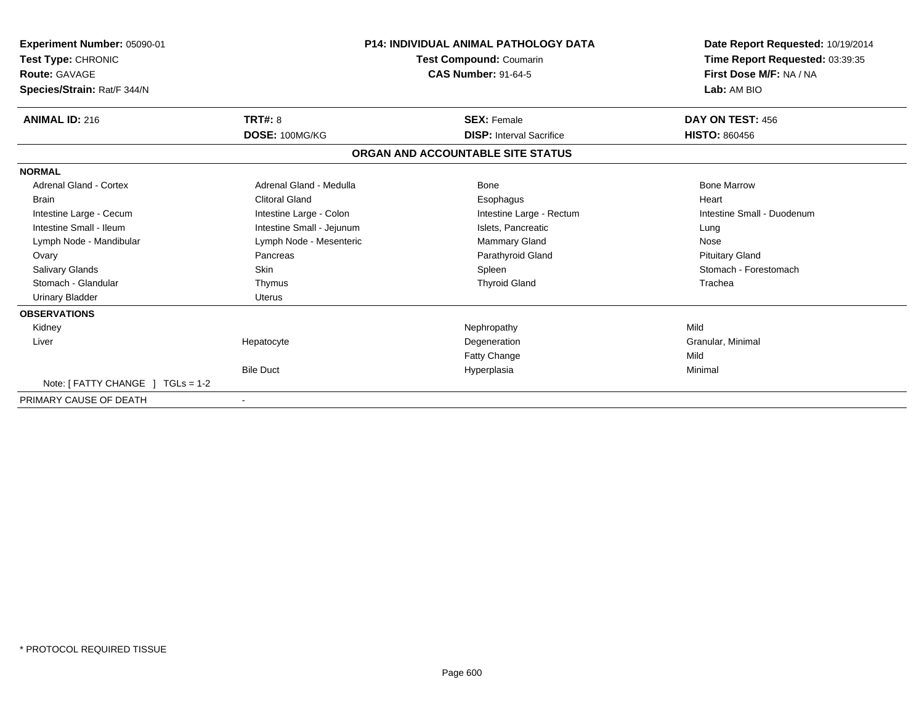| <b>Experiment Number: 05090-01</b><br>Test Type: CHRONIC<br><b>Route: GAVAGE</b><br>Species/Strain: Rat/F 344/N | <b>P14: INDIVIDUAL ANIMAL PATHOLOGY DATA</b><br><b>Test Compound: Coumarin</b><br><b>CAS Number: 91-64-5</b> |                                   | Date Report Requested: 10/19/2014<br>Time Report Requested: 03:39:35<br>First Dose M/F: NA / NA<br>Lab: AM BIO |
|-----------------------------------------------------------------------------------------------------------------|--------------------------------------------------------------------------------------------------------------|-----------------------------------|----------------------------------------------------------------------------------------------------------------|
| <b>ANIMAL ID: 216</b>                                                                                           | <b>TRT#: 8</b>                                                                                               | <b>SEX: Female</b>                | DAY ON TEST: 456                                                                                               |
|                                                                                                                 | DOSE: 100MG/KG                                                                                               | <b>DISP:</b> Interval Sacrifice   | <b>HISTO: 860456</b>                                                                                           |
|                                                                                                                 |                                                                                                              | ORGAN AND ACCOUNTABLE SITE STATUS |                                                                                                                |
| <b>NORMAL</b>                                                                                                   |                                                                                                              |                                   |                                                                                                                |
| <b>Adrenal Gland - Cortex</b>                                                                                   | Adrenal Gland - Medulla                                                                                      | Bone                              | <b>Bone Marrow</b>                                                                                             |
| <b>Brain</b>                                                                                                    | <b>Clitoral Gland</b>                                                                                        | Esophagus                         | Heart                                                                                                          |
| Intestine Large - Cecum                                                                                         | Intestine Large - Colon                                                                                      | Intestine Large - Rectum          | Intestine Small - Duodenum                                                                                     |
| Intestine Small - Ileum                                                                                         | Intestine Small - Jejunum                                                                                    | Islets, Pancreatic                | Lung                                                                                                           |
| Lymph Node - Mandibular                                                                                         | Lymph Node - Mesenteric                                                                                      | <b>Mammary Gland</b>              | Nose                                                                                                           |
| Ovary                                                                                                           | Pancreas                                                                                                     | Parathyroid Gland                 | <b>Pituitary Gland</b>                                                                                         |
| Salivary Glands                                                                                                 | <b>Skin</b>                                                                                                  | Spleen                            | Stomach - Forestomach                                                                                          |
| Stomach - Glandular                                                                                             | Thymus                                                                                                       | <b>Thyroid Gland</b>              | Trachea                                                                                                        |
| <b>Urinary Bladder</b>                                                                                          | <b>Uterus</b>                                                                                                |                                   |                                                                                                                |
| <b>OBSERVATIONS</b>                                                                                             |                                                                                                              |                                   |                                                                                                                |
| Kidney                                                                                                          |                                                                                                              | Nephropathy                       | Mild                                                                                                           |
| Liver                                                                                                           | Hepatocyte                                                                                                   | Degeneration                      | Granular, Minimal                                                                                              |
|                                                                                                                 |                                                                                                              | Fatty Change                      | Mild                                                                                                           |
|                                                                                                                 | <b>Bile Duct</b>                                                                                             | Hyperplasia                       | Minimal                                                                                                        |
| Note: [ FATTY CHANGE ] TGLs = 1-2                                                                               |                                                                                                              |                                   |                                                                                                                |
| PRIMARY CAUSE OF DEATH                                                                                          |                                                                                                              |                                   |                                                                                                                |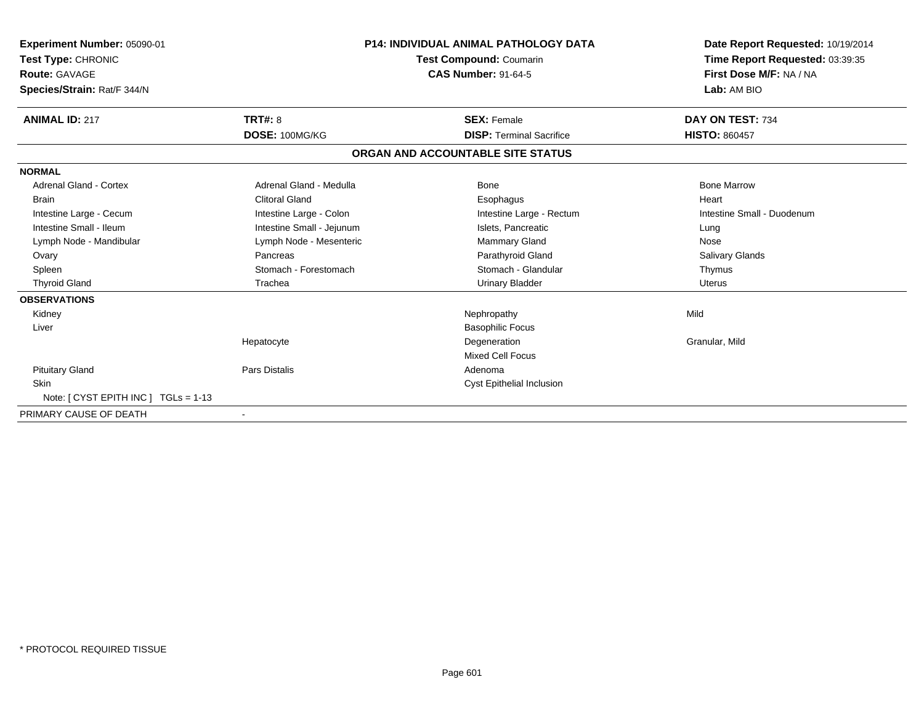| Experiment Number: 05090-01<br>Test Type: CHRONIC<br>Route: GAVAGE<br>Species/Strain: Rat/F 344/N |                           | <b>P14: INDIVIDUAL ANIMAL PATHOLOGY DATA</b><br><b>Test Compound: Coumarin</b><br><b>CAS Number: 91-64-5</b> | Date Report Requested: 10/19/2014<br>Time Report Requested: 03:39:35<br>First Dose M/F: NA / NA<br>Lab: AM BIO |
|---------------------------------------------------------------------------------------------------|---------------------------|--------------------------------------------------------------------------------------------------------------|----------------------------------------------------------------------------------------------------------------|
| <b>ANIMAL ID: 217</b>                                                                             | TRT#: 8                   | <b>SEX: Female</b>                                                                                           | DAY ON TEST: 734                                                                                               |
|                                                                                                   | DOSE: 100MG/KG            | <b>DISP: Terminal Sacrifice</b>                                                                              | <b>HISTO: 860457</b>                                                                                           |
|                                                                                                   |                           | ORGAN AND ACCOUNTABLE SITE STATUS                                                                            |                                                                                                                |
| <b>NORMAL</b>                                                                                     |                           |                                                                                                              |                                                                                                                |
| Adrenal Gland - Cortex                                                                            | Adrenal Gland - Medulla   | Bone                                                                                                         | <b>Bone Marrow</b>                                                                                             |
| <b>Brain</b>                                                                                      | <b>Clitoral Gland</b>     | Esophagus                                                                                                    | Heart                                                                                                          |
| Intestine Large - Cecum                                                                           | Intestine Large - Colon   | Intestine Large - Rectum                                                                                     | Intestine Small - Duodenum                                                                                     |
| Intestine Small - Ileum                                                                           | Intestine Small - Jejunum | Islets, Pancreatic                                                                                           | Lung                                                                                                           |
| Lymph Node - Mandibular                                                                           | Lymph Node - Mesenteric   | Mammary Gland                                                                                                | Nose                                                                                                           |
| Ovary                                                                                             | Pancreas                  | Parathyroid Gland                                                                                            | <b>Salivary Glands</b>                                                                                         |
| Spleen                                                                                            | Stomach - Forestomach     | Stomach - Glandular                                                                                          | Thymus                                                                                                         |
| <b>Thyroid Gland</b>                                                                              | Trachea                   | <b>Urinary Bladder</b>                                                                                       | Uterus                                                                                                         |
| <b>OBSERVATIONS</b>                                                                               |                           |                                                                                                              |                                                                                                                |
| Kidney                                                                                            |                           | Nephropathy                                                                                                  | Mild                                                                                                           |
| Liver                                                                                             |                           | <b>Basophilic Focus</b>                                                                                      |                                                                                                                |
|                                                                                                   | Hepatocyte                | Degeneration                                                                                                 | Granular, Mild                                                                                                 |
|                                                                                                   |                           | <b>Mixed Cell Focus</b>                                                                                      |                                                                                                                |
| <b>Pituitary Gland</b>                                                                            | <b>Pars Distalis</b>      | Adenoma                                                                                                      |                                                                                                                |
| <b>Skin</b>                                                                                       |                           | Cyst Epithelial Inclusion                                                                                    |                                                                                                                |
| Note: $[CYST EPITH INC] TGLs = 1-13$                                                              |                           |                                                                                                              |                                                                                                                |
| PRIMARY CAUSE OF DEATH                                                                            |                           |                                                                                                              |                                                                                                                |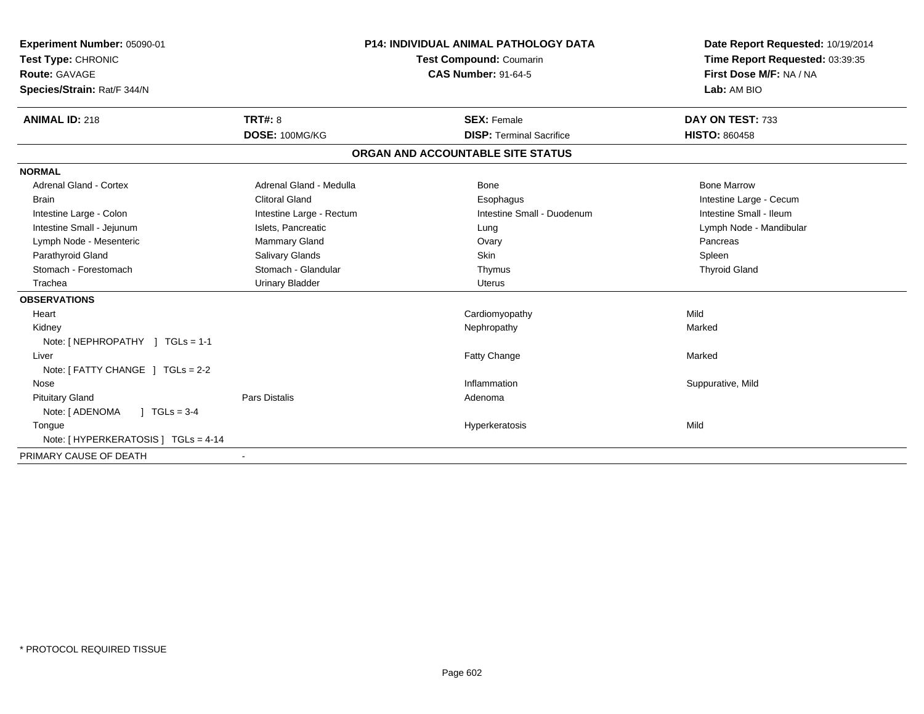| Experiment Number: 05090-01<br>Test Type: CHRONIC<br>Route: GAVAGE<br>Species/Strain: Rat/F 344/N<br><b>ANIMAL ID: 218</b>                                      | TRT#: 8                                                                                                                                | <b>P14: INDIVIDUAL ANIMAL PATHOLOGY DATA</b><br><b>Test Compound: Coumarin</b><br><b>CAS Number: 91-64-5</b><br><b>SEX: Female</b> | Date Report Requested: 10/19/2014<br>Time Report Requested: 03:39:35<br>First Dose M/F: NA / NA<br>Lab: AM BIO<br>DAY ON TEST: 733 |
|-----------------------------------------------------------------------------------------------------------------------------------------------------------------|----------------------------------------------------------------------------------------------------------------------------------------|------------------------------------------------------------------------------------------------------------------------------------|------------------------------------------------------------------------------------------------------------------------------------|
|                                                                                                                                                                 | DOSE: 100MG/KG                                                                                                                         | <b>DISP: Terminal Sacrifice</b>                                                                                                    | <b>HISTO: 860458</b>                                                                                                               |
|                                                                                                                                                                 |                                                                                                                                        | ORGAN AND ACCOUNTABLE SITE STATUS                                                                                                  |                                                                                                                                    |
| <b>NORMAL</b><br>Adrenal Gland - Cortex<br><b>Brain</b><br>Intestine Large - Colon<br>Intestine Small - Jejunum<br>Lymph Node - Mesenteric<br>Parathyroid Gland | Adrenal Gland - Medulla<br><b>Clitoral Gland</b><br>Intestine Large - Rectum<br>Islets, Pancreatic<br>Mammary Gland<br>Salivary Glands | <b>Bone</b><br>Esophagus<br>Intestine Small - Duodenum<br>Lung<br>Ovary<br>Skin                                                    | <b>Bone Marrow</b><br>Intestine Large - Cecum<br>Intestine Small - Ileum<br>Lymph Node - Mandibular<br>Pancreas<br>Spleen          |
| Stomach - Forestomach                                                                                                                                           | Stomach - Glandular                                                                                                                    | Thymus                                                                                                                             | <b>Thyroid Gland</b>                                                                                                               |
| Trachea                                                                                                                                                         | <b>Urinary Bladder</b>                                                                                                                 | <b>Uterus</b>                                                                                                                      |                                                                                                                                    |
| <b>OBSERVATIONS</b><br>Heart                                                                                                                                    |                                                                                                                                        | Cardiomyopathy                                                                                                                     | Mild                                                                                                                               |
| Kidney<br>Note: [ NEPHROPATHY ] TGLs = 1-1                                                                                                                      |                                                                                                                                        | Nephropathy                                                                                                                        | Marked                                                                                                                             |
| Liver<br>Note: [ FATTY CHANGE ] TGLs = 2-2                                                                                                                      |                                                                                                                                        | Fatty Change                                                                                                                       | Marked                                                                                                                             |
| Nose                                                                                                                                                            |                                                                                                                                        | Inflammation                                                                                                                       | Suppurative, Mild                                                                                                                  |
| <b>Pituitary Gland</b><br>$1 TGLs = 3-4$<br>Note: [ ADENOMA<br>Tongue                                                                                           | Pars Distalis                                                                                                                          | Adenoma<br>Hyperkeratosis                                                                                                          | Mild                                                                                                                               |
| Note: [ HYPERKERATOSIS ] TGLs = 4-14                                                                                                                            |                                                                                                                                        |                                                                                                                                    |                                                                                                                                    |
| PRIMARY CAUSE OF DEATH                                                                                                                                          |                                                                                                                                        |                                                                                                                                    |                                                                                                                                    |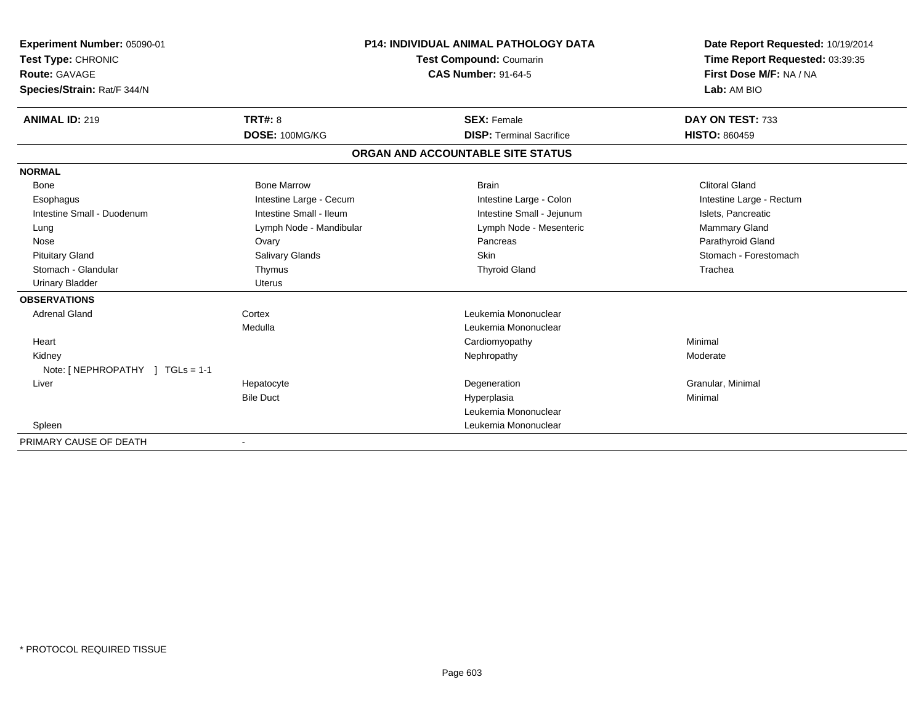| Experiment Number: 05090-01<br>Test Type: CHRONIC<br>Route: GAVAGE<br>Species/Strain: Rat/F 344/N<br><b>ANIMAL ID: 219</b> | TRT#: 8                 | <b>P14: INDIVIDUAL ANIMAL PATHOLOGY DATA</b><br><b>Test Compound: Coumarin</b><br><b>CAS Number: 91-64-5</b><br><b>SEX: Female</b> | Date Report Requested: 10/19/2014<br>Time Report Requested: 03:39:35<br>First Dose M/F: NA / NA<br>Lab: AM BIO<br>DAY ON TEST: 733 |
|----------------------------------------------------------------------------------------------------------------------------|-------------------------|------------------------------------------------------------------------------------------------------------------------------------|------------------------------------------------------------------------------------------------------------------------------------|
|                                                                                                                            | DOSE: 100MG/KG          | <b>DISP: Terminal Sacrifice</b>                                                                                                    | <b>HISTO: 860459</b>                                                                                                               |
|                                                                                                                            |                         | ORGAN AND ACCOUNTABLE SITE STATUS                                                                                                  |                                                                                                                                    |
| <b>NORMAL</b>                                                                                                              |                         |                                                                                                                                    |                                                                                                                                    |
| Bone                                                                                                                       | <b>Bone Marrow</b>      | <b>Brain</b>                                                                                                                       | <b>Clitoral Gland</b>                                                                                                              |
| Esophagus                                                                                                                  | Intestine Large - Cecum | Intestine Large - Colon                                                                                                            | Intestine Large - Rectum                                                                                                           |
| Intestine Small - Duodenum                                                                                                 | Intestine Small - Ileum | Intestine Small - Jejunum                                                                                                          | Islets, Pancreatic                                                                                                                 |
| Lung                                                                                                                       | Lymph Node - Mandibular | Lymph Node - Mesenteric                                                                                                            | <b>Mammary Gland</b>                                                                                                               |
| Nose                                                                                                                       | Ovary                   | Pancreas                                                                                                                           | Parathyroid Gland                                                                                                                  |
| <b>Pituitary Gland</b>                                                                                                     | Salivary Glands         | <b>Skin</b>                                                                                                                        | Stomach - Forestomach                                                                                                              |
| Stomach - Glandular                                                                                                        | Thymus                  | <b>Thyroid Gland</b>                                                                                                               | Trachea                                                                                                                            |
| <b>Urinary Bladder</b>                                                                                                     | <b>Uterus</b>           |                                                                                                                                    |                                                                                                                                    |
| <b>OBSERVATIONS</b>                                                                                                        |                         |                                                                                                                                    |                                                                                                                                    |
| <b>Adrenal Gland</b>                                                                                                       | Cortex                  | Leukemia Mononuclear                                                                                                               |                                                                                                                                    |
|                                                                                                                            | Medulla                 | Leukemia Mononuclear                                                                                                               |                                                                                                                                    |
| Heart                                                                                                                      |                         | Cardiomyopathy                                                                                                                     | Minimal                                                                                                                            |
| Kidney<br>Note: $[NEPHROPATHY]$ TGLs = 1-1                                                                                 |                         | Nephropathy                                                                                                                        | Moderate                                                                                                                           |
| Liver                                                                                                                      | Hepatocyte              | Degeneration                                                                                                                       | Granular, Minimal                                                                                                                  |
|                                                                                                                            | <b>Bile Duct</b>        | Hyperplasia                                                                                                                        | Minimal                                                                                                                            |
|                                                                                                                            |                         | Leukemia Mononuclear                                                                                                               |                                                                                                                                    |
| Spleen                                                                                                                     |                         | Leukemia Mononuclear                                                                                                               |                                                                                                                                    |
| PRIMARY CAUSE OF DEATH                                                                                                     |                         |                                                                                                                                    |                                                                                                                                    |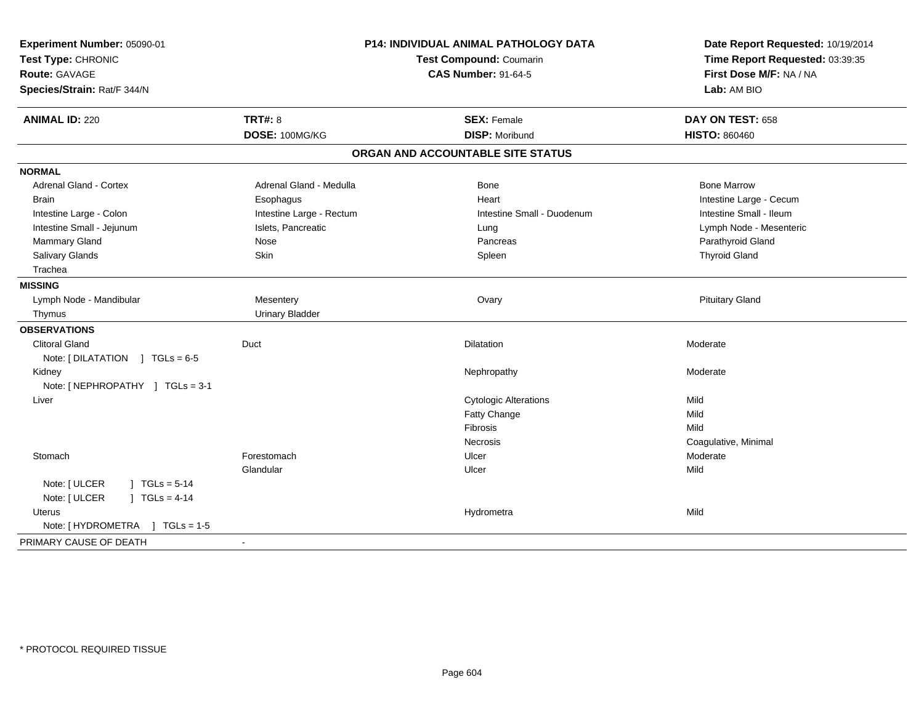| Experiment Number: 05090-01<br>Test Type: CHRONIC<br>Route: GAVAGE<br>Species/Strain: Rat/F 344/N |                          | P14: INDIVIDUAL ANIMAL PATHOLOGY DATA<br>Test Compound: Coumarin<br><b>CAS Number: 91-64-5</b> | Date Report Requested: 10/19/2014<br>Time Report Requested: 03:39:35<br>First Dose M/F: NA / NA<br>Lab: AM BIO |  |
|---------------------------------------------------------------------------------------------------|--------------------------|------------------------------------------------------------------------------------------------|----------------------------------------------------------------------------------------------------------------|--|
| <b>ANIMAL ID: 220</b>                                                                             | <b>TRT#: 8</b>           | <b>SEX: Female</b>                                                                             | DAY ON TEST: 658                                                                                               |  |
|                                                                                                   | DOSE: 100MG/KG           | <b>DISP: Moribund</b>                                                                          | <b>HISTO: 860460</b>                                                                                           |  |
|                                                                                                   |                          | ORGAN AND ACCOUNTABLE SITE STATUS                                                              |                                                                                                                |  |
| <b>NORMAL</b>                                                                                     |                          |                                                                                                |                                                                                                                |  |
| <b>Adrenal Gland - Cortex</b>                                                                     | Adrenal Gland - Medulla  | Bone                                                                                           | <b>Bone Marrow</b>                                                                                             |  |
| <b>Brain</b>                                                                                      | Esophagus                | Heart                                                                                          | Intestine Large - Cecum                                                                                        |  |
| Intestine Large - Colon                                                                           | Intestine Large - Rectum | Intestine Small - Duodenum                                                                     | Intestine Small - Ileum                                                                                        |  |
| Intestine Small - Jejunum                                                                         | Islets, Pancreatic       | Lung                                                                                           | Lymph Node - Mesenteric                                                                                        |  |
| Mammary Gland                                                                                     | Nose                     | Pancreas                                                                                       | Parathyroid Gland                                                                                              |  |
| Salivary Glands                                                                                   | Skin                     | Spleen                                                                                         | <b>Thyroid Gland</b>                                                                                           |  |
| Trachea                                                                                           |                          |                                                                                                |                                                                                                                |  |
| <b>MISSING</b>                                                                                    |                          |                                                                                                |                                                                                                                |  |
| Lymph Node - Mandibular                                                                           | Mesentery                | Ovary                                                                                          | <b>Pituitary Gland</b>                                                                                         |  |
| Thymus                                                                                            | <b>Urinary Bladder</b>   |                                                                                                |                                                                                                                |  |
| <b>OBSERVATIONS</b>                                                                               |                          |                                                                                                |                                                                                                                |  |
| <b>Clitoral Gland</b>                                                                             | Duct                     | Dilatation                                                                                     | Moderate                                                                                                       |  |
| Note: [DILATATION ] TGLs = 6-5                                                                    |                          |                                                                                                |                                                                                                                |  |
| Kidney                                                                                            |                          | Nephropathy                                                                                    | Moderate                                                                                                       |  |
| Note: [NEPHROPATHY ] TGLs = 3-1                                                                   |                          |                                                                                                |                                                                                                                |  |
| Liver                                                                                             |                          | <b>Cytologic Alterations</b>                                                                   | Mild                                                                                                           |  |
|                                                                                                   |                          | Fatty Change                                                                                   | Mild                                                                                                           |  |
|                                                                                                   |                          | Fibrosis                                                                                       | Mild                                                                                                           |  |
|                                                                                                   |                          | Necrosis                                                                                       | Coagulative, Minimal                                                                                           |  |
| Stomach                                                                                           | Forestomach              | Ulcer                                                                                          | Moderate                                                                                                       |  |
|                                                                                                   | Glandular                | Ulcer                                                                                          | Mild                                                                                                           |  |
| Note: [ ULCER<br>$1 TGLs = 5-14$                                                                  |                          |                                                                                                |                                                                                                                |  |
| Note: [ ULCER<br>] $TGLs = 4-14$                                                                  |                          |                                                                                                |                                                                                                                |  |
| Uterus                                                                                            |                          | Hydrometra                                                                                     | Mild                                                                                                           |  |
| Note: [HYDROMETRA ] TGLs = 1-5                                                                    |                          |                                                                                                |                                                                                                                |  |
| PRIMARY CAUSE OF DEATH                                                                            | $\blacksquare$           |                                                                                                |                                                                                                                |  |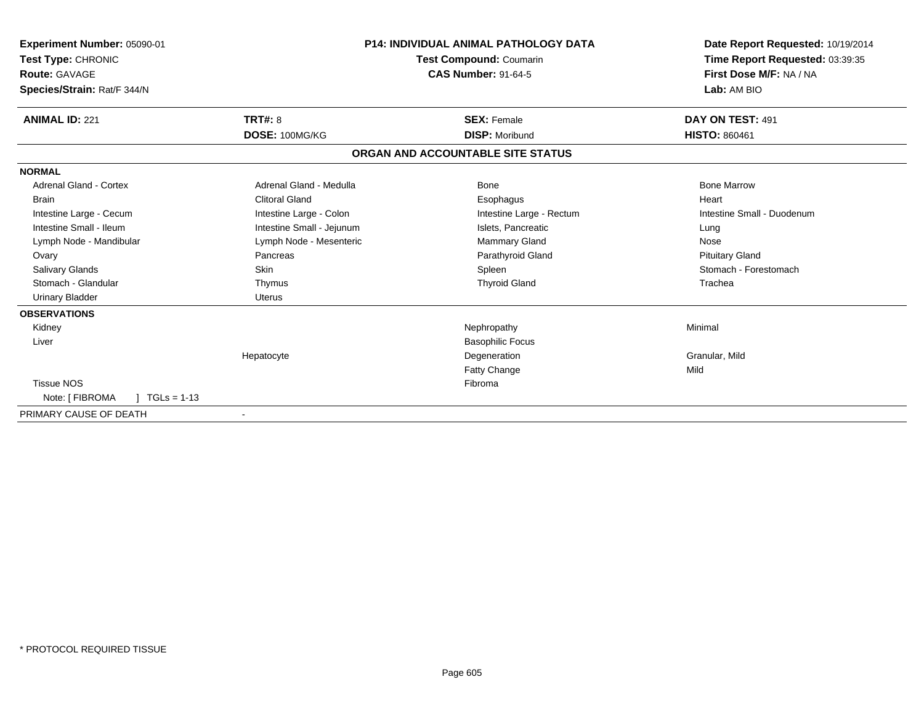| Experiment Number: 05090-01<br>Test Type: CHRONIC<br><b>Route: GAVAGE</b><br>Species/Strain: Rat/F 344/N |                           | <b>P14: INDIVIDUAL ANIMAL PATHOLOGY DATA</b><br><b>Test Compound: Coumarin</b><br><b>CAS Number: 91-64-5</b> | Date Report Requested: 10/19/2014<br>Time Report Requested: 03:39:35<br>First Dose M/F: NA / NA<br>Lab: AM BIO |
|----------------------------------------------------------------------------------------------------------|---------------------------|--------------------------------------------------------------------------------------------------------------|----------------------------------------------------------------------------------------------------------------|
| <b>ANIMAL ID: 221</b>                                                                                    | <b>TRT#: 8</b>            | <b>SEX: Female</b>                                                                                           | DAY ON TEST: 491                                                                                               |
|                                                                                                          | DOSE: 100MG/KG            | <b>DISP: Moribund</b>                                                                                        | <b>HISTO: 860461</b>                                                                                           |
|                                                                                                          |                           | ORGAN AND ACCOUNTABLE SITE STATUS                                                                            |                                                                                                                |
| <b>NORMAL</b>                                                                                            |                           |                                                                                                              |                                                                                                                |
| Adrenal Gland - Cortex                                                                                   | Adrenal Gland - Medulla   | Bone                                                                                                         | <b>Bone Marrow</b>                                                                                             |
| <b>Brain</b>                                                                                             | <b>Clitoral Gland</b>     | Esophagus                                                                                                    | Heart                                                                                                          |
| Intestine Large - Cecum                                                                                  | Intestine Large - Colon   | Intestine Large - Rectum                                                                                     | Intestine Small - Duodenum                                                                                     |
| Intestine Small - Ileum                                                                                  | Intestine Small - Jejunum | Islets, Pancreatic                                                                                           | Lung                                                                                                           |
| Lymph Node - Mandibular                                                                                  | Lymph Node - Mesenteric   | <b>Mammary Gland</b>                                                                                         | Nose                                                                                                           |
| Ovary                                                                                                    | Pancreas                  | Parathyroid Gland                                                                                            | <b>Pituitary Gland</b>                                                                                         |
| Salivary Glands                                                                                          | Skin                      | Spleen                                                                                                       | Stomach - Forestomach                                                                                          |
| Stomach - Glandular                                                                                      | Thymus                    | <b>Thyroid Gland</b>                                                                                         | Trachea                                                                                                        |
| <b>Urinary Bladder</b>                                                                                   | Uterus                    |                                                                                                              |                                                                                                                |
| <b>OBSERVATIONS</b>                                                                                      |                           |                                                                                                              |                                                                                                                |
| Kidney                                                                                                   |                           | Nephropathy                                                                                                  | Minimal                                                                                                        |
| Liver                                                                                                    |                           | <b>Basophilic Focus</b>                                                                                      |                                                                                                                |
|                                                                                                          | Hepatocyte                | Degeneration                                                                                                 | Granular, Mild                                                                                                 |
|                                                                                                          |                           | <b>Fatty Change</b>                                                                                          | Mild                                                                                                           |
| <b>Tissue NOS</b>                                                                                        |                           | Fibroma                                                                                                      |                                                                                                                |
| $TGLs = 1-13$<br>Note: [ FIBROMA                                                                         |                           |                                                                                                              |                                                                                                                |
| PRIMARY CAUSE OF DEATH                                                                                   | $\overline{\phantom{a}}$  |                                                                                                              |                                                                                                                |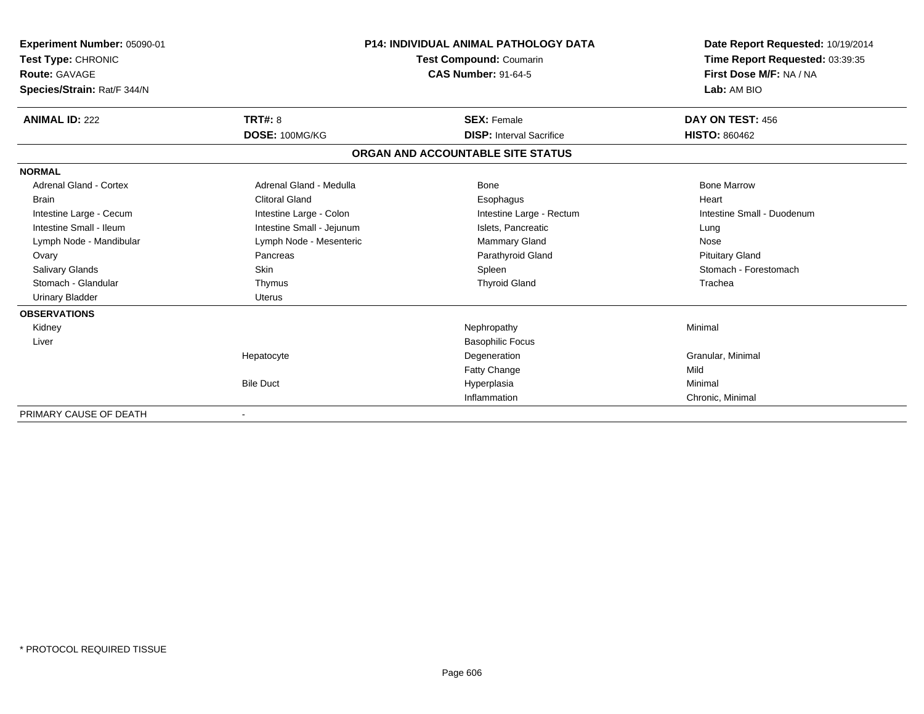| Experiment Number: 05090-01<br>Test Type: CHRONIC<br>Route: GAVAGE<br>Species/Strain: Rat/F 344/N |                           | <b>P14: INDIVIDUAL ANIMAL PATHOLOGY DATA</b><br><b>Test Compound: Coumarin</b><br><b>CAS Number: 91-64-5</b> | Date Report Requested: 10/19/2014<br>Time Report Requested: 03:39:35<br>First Dose M/F: NA / NA<br>Lab: AM BIO |
|---------------------------------------------------------------------------------------------------|---------------------------|--------------------------------------------------------------------------------------------------------------|----------------------------------------------------------------------------------------------------------------|
| <b>ANIMAL ID: 222</b>                                                                             | <b>TRT#: 8</b>            | <b>SEX: Female</b>                                                                                           | DAY ON TEST: 456                                                                                               |
|                                                                                                   | DOSE: 100MG/KG            | <b>DISP: Interval Sacrifice</b>                                                                              | <b>HISTO: 860462</b>                                                                                           |
|                                                                                                   |                           | ORGAN AND ACCOUNTABLE SITE STATUS                                                                            |                                                                                                                |
| <b>NORMAL</b>                                                                                     |                           |                                                                                                              |                                                                                                                |
| <b>Adrenal Gland - Cortex</b>                                                                     | Adrenal Gland - Medulla   | Bone                                                                                                         | <b>Bone Marrow</b>                                                                                             |
| Brain                                                                                             | <b>Clitoral Gland</b>     | Esophagus                                                                                                    | Heart                                                                                                          |
| Intestine Large - Cecum                                                                           | Intestine Large - Colon   | Intestine Large - Rectum                                                                                     | Intestine Small - Duodenum                                                                                     |
| Intestine Small - Ileum                                                                           | Intestine Small - Jejunum | Islets, Pancreatic                                                                                           | Lung                                                                                                           |
| Lymph Node - Mandibular                                                                           | Lymph Node - Mesenteric   | Mammary Gland                                                                                                | Nose                                                                                                           |
| Ovary                                                                                             | Pancreas                  | Parathyroid Gland                                                                                            | <b>Pituitary Gland</b>                                                                                         |
| <b>Salivary Glands</b>                                                                            | <b>Skin</b>               | Spleen                                                                                                       | Stomach - Forestomach                                                                                          |
| Stomach - Glandular                                                                               | Thymus                    | <b>Thyroid Gland</b>                                                                                         | Trachea                                                                                                        |
| <b>Urinary Bladder</b>                                                                            | <b>Uterus</b>             |                                                                                                              |                                                                                                                |
| <b>OBSERVATIONS</b>                                                                               |                           |                                                                                                              |                                                                                                                |
| Kidney                                                                                            |                           | Nephropathy                                                                                                  | Minimal                                                                                                        |
| Liver                                                                                             |                           | <b>Basophilic Focus</b>                                                                                      |                                                                                                                |
|                                                                                                   | Hepatocyte                | Degeneration                                                                                                 | Granular, Minimal                                                                                              |
|                                                                                                   |                           | Fatty Change                                                                                                 | Mild                                                                                                           |
|                                                                                                   | <b>Bile Duct</b>          | Hyperplasia                                                                                                  | Minimal                                                                                                        |
|                                                                                                   |                           | Inflammation                                                                                                 | Chronic, Minimal                                                                                               |
| PRIMARY CAUSE OF DEATH                                                                            |                           |                                                                                                              |                                                                                                                |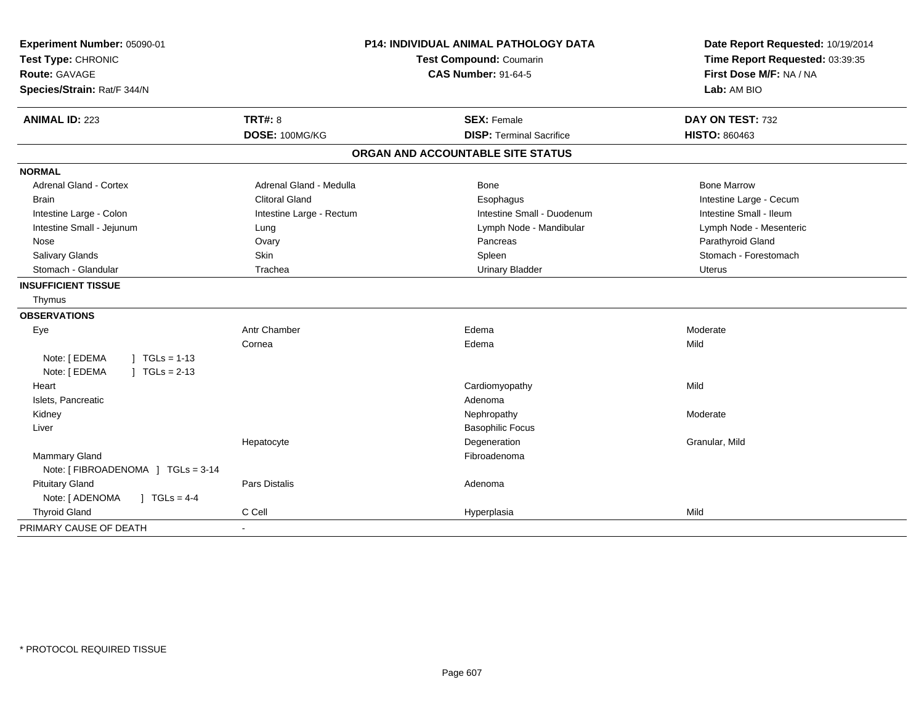| Experiment Number: 05090-01             |                          | <b>P14: INDIVIDUAL ANIMAL PATHOLOGY DATA</b> | Date Report Requested: 10/19/2014 |  |
|-----------------------------------------|--------------------------|----------------------------------------------|-----------------------------------|--|
| Test Type: CHRONIC                      |                          | Test Compound: Coumarin                      | Time Report Requested: 03:39:35   |  |
| Route: GAVAGE                           |                          | <b>CAS Number: 91-64-5</b>                   | First Dose M/F: NA / NA           |  |
| Species/Strain: Rat/F 344/N             |                          |                                              | Lab: AM BIO                       |  |
| <b>ANIMAL ID: 223</b>                   | <b>TRT#: 8</b>           | <b>SEX: Female</b>                           | DAY ON TEST: 732                  |  |
|                                         | DOSE: 100MG/KG           | <b>DISP: Terminal Sacrifice</b>              | <b>HISTO: 860463</b>              |  |
|                                         |                          | ORGAN AND ACCOUNTABLE SITE STATUS            |                                   |  |
| <b>NORMAL</b>                           |                          |                                              |                                   |  |
| <b>Adrenal Gland - Cortex</b>           | Adrenal Gland - Medulla  | <b>Bone</b>                                  | <b>Bone Marrow</b>                |  |
| <b>Brain</b>                            | <b>Clitoral Gland</b>    | Esophagus                                    | Intestine Large - Cecum           |  |
| Intestine Large - Colon                 | Intestine Large - Rectum | Intestine Small - Duodenum                   | Intestine Small - Ileum           |  |
| Intestine Small - Jejunum               | Lung                     | Lymph Node - Mandibular                      | Lymph Node - Mesenteric           |  |
| Nose                                    | Ovary                    | Pancreas                                     | Parathyroid Gland                 |  |
| Salivary Glands                         | Skin                     | Spleen                                       | Stomach - Forestomach             |  |
| Stomach - Glandular                     | Trachea                  | <b>Urinary Bladder</b>                       | <b>Uterus</b>                     |  |
| <b>INSUFFICIENT TISSUE</b>              |                          |                                              |                                   |  |
| Thymus                                  |                          |                                              |                                   |  |
| <b>OBSERVATIONS</b>                     |                          |                                              |                                   |  |
| Eye                                     | <b>Antr Chamber</b>      | Edema                                        | Moderate                          |  |
|                                         | Cornea                   | Edema                                        | Mild                              |  |
| Note: [ EDEMA<br>$1 TGLs = 1-13$        |                          |                                              |                                   |  |
| Note: [ EDEMA<br>$ $ TGLs = 2-13        |                          |                                              |                                   |  |
| Heart                                   |                          | Cardiomyopathy                               | Mild                              |  |
| Islets, Pancreatic                      |                          | Adenoma                                      |                                   |  |
| Kidney                                  |                          | Nephropathy                                  | Moderate                          |  |
| Liver                                   |                          | <b>Basophilic Focus</b>                      |                                   |  |
|                                         | Hepatocyte               | Degeneration                                 | Granular, Mild                    |  |
| <b>Mammary Gland</b>                    |                          | Fibroadenoma                                 |                                   |  |
| Note: [ FIBROADENOMA ] TGLs = 3-14      |                          |                                              |                                   |  |
| <b>Pituitary Gland</b>                  | <b>Pars Distalis</b>     | Adenoma                                      |                                   |  |
| Note: [ ADENOMA<br>$J \cdot TGLS = 4-4$ |                          |                                              |                                   |  |
| <b>Thyroid Gland</b>                    | C Cell                   | Hyperplasia                                  | Mild                              |  |
| PRIMARY CAUSE OF DEATH                  |                          |                                              |                                   |  |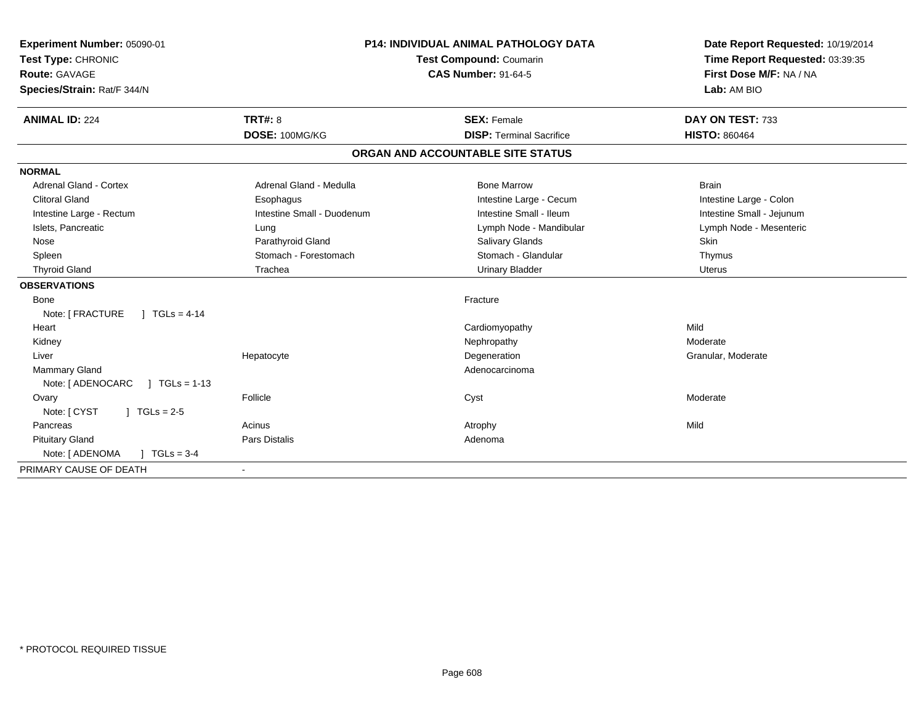| Experiment Number: 05090-01<br>Test Type: CHRONIC<br>Route: GAVAGE<br>Species/Strain: Rat/F 344/N |                                   | <b>P14: INDIVIDUAL ANIMAL PATHOLOGY DATA</b><br>Test Compound: Coumarin<br><b>CAS Number: 91-64-5</b> | Date Report Requested: 10/19/2014<br>Time Report Requested: 03:39:35<br>First Dose M/F: NA / NA<br>Lab: AM BIO |
|---------------------------------------------------------------------------------------------------|-----------------------------------|-------------------------------------------------------------------------------------------------------|----------------------------------------------------------------------------------------------------------------|
| <b>ANIMAL ID: 224</b>                                                                             | TRT#: 8                           | <b>SEX: Female</b>                                                                                    | DAY ON TEST: 733                                                                                               |
|                                                                                                   | DOSE: 100MG/KG                    | <b>DISP: Terminal Sacrifice</b>                                                                       | <b>HISTO: 860464</b>                                                                                           |
|                                                                                                   |                                   | ORGAN AND ACCOUNTABLE SITE STATUS                                                                     |                                                                                                                |
| <b>NORMAL</b>                                                                                     |                                   |                                                                                                       |                                                                                                                |
| Adrenal Gland - Cortex                                                                            | Adrenal Gland - Medulla           | <b>Bone Marrow</b>                                                                                    | <b>Brain</b>                                                                                                   |
| <b>Clitoral Gland</b>                                                                             | Esophagus                         | Intestine Large - Cecum                                                                               | Intestine Large - Colon                                                                                        |
| Intestine Large - Rectum                                                                          | Intestine Small - Duodenum        | Intestine Small - Ileum                                                                               | Intestine Small - Jejunum                                                                                      |
| Islets, Pancreatic                                                                                | Lung                              | Lymph Node - Mandibular                                                                               | Lymph Node - Mesenteric                                                                                        |
| Nose                                                                                              | Parathyroid Gland                 | <b>Salivary Glands</b>                                                                                | Skin                                                                                                           |
| Spleen                                                                                            | Stomach - Forestomach             | Stomach - Glandular                                                                                   | Thymus                                                                                                         |
| <b>Thyroid Gland</b>                                                                              | Trachea<br><b>Urinary Bladder</b> |                                                                                                       | <b>Uterus</b>                                                                                                  |
| <b>OBSERVATIONS</b>                                                                               |                                   |                                                                                                       |                                                                                                                |
| <b>Bone</b>                                                                                       |                                   | Fracture                                                                                              |                                                                                                                |
| Note: [ FRACTURE<br>$1 TGLs = 4-14$                                                               |                                   |                                                                                                       |                                                                                                                |
| Heart                                                                                             |                                   | Cardiomyopathy                                                                                        | Mild                                                                                                           |
| Kidney                                                                                            |                                   | Nephropathy                                                                                           | Moderate                                                                                                       |
| Liver                                                                                             | Hepatocyte                        | Degeneration                                                                                          | Granular, Moderate                                                                                             |
| Mammary Gland                                                                                     |                                   | Adenocarcinoma                                                                                        |                                                                                                                |
| Note: [ ADENOCARC<br>$1 TGLs = 1-13$                                                              |                                   |                                                                                                       |                                                                                                                |
| Ovary                                                                                             | Follicle                          | Cyst                                                                                                  | Moderate                                                                                                       |
| Note: [ CYST<br>$\mid$ TGLs = 2-5                                                                 |                                   |                                                                                                       |                                                                                                                |
| Pancreas                                                                                          | Acinus                            | Atrophy                                                                                               | Mild                                                                                                           |
| <b>Pituitary Gland</b>                                                                            | Pars Distalis                     | Adenoma                                                                                               |                                                                                                                |
| Note: [ ADENOMA<br>$TGLs = 3-4$                                                                   |                                   |                                                                                                       |                                                                                                                |
| PRIMARY CAUSE OF DEATH                                                                            |                                   |                                                                                                       |                                                                                                                |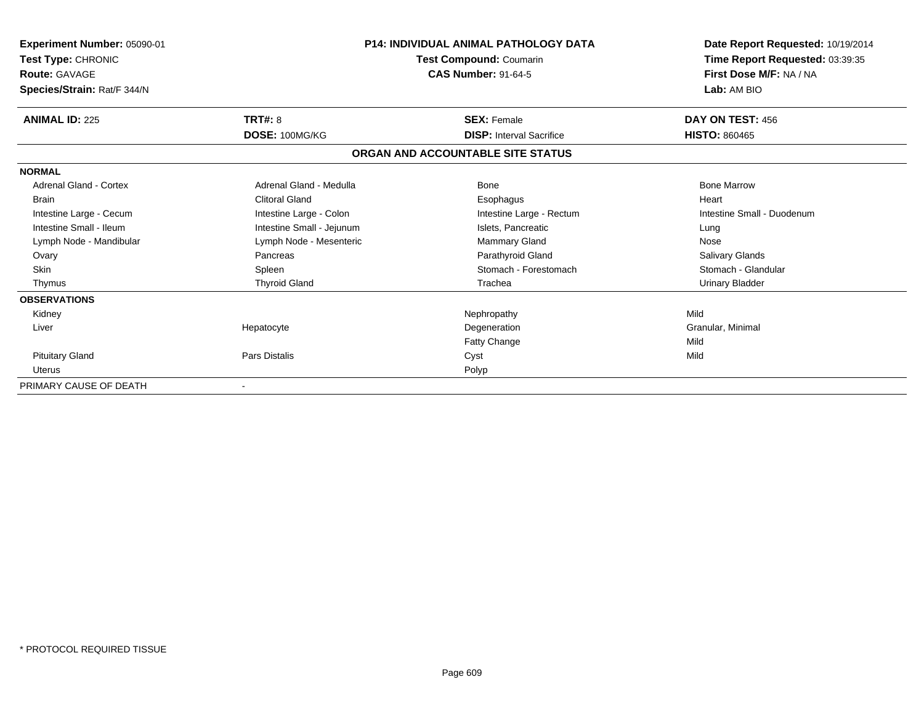| Experiment Number: 05090-01<br>Test Type: CHRONIC<br><b>Route: GAVAGE</b><br>Species/Strain: Rat/F 344/N | <b>P14: INDIVIDUAL ANIMAL PATHOLOGY DATA</b><br>Test Compound: Coumarin<br><b>CAS Number: 91-64-5</b> |                                   | Date Report Requested: 10/19/2014<br>Time Report Requested: 03:39:35<br>First Dose M/F: NA / NA<br>Lab: AM BIO |  |
|----------------------------------------------------------------------------------------------------------|-------------------------------------------------------------------------------------------------------|-----------------------------------|----------------------------------------------------------------------------------------------------------------|--|
| <b>ANIMAL ID: 225</b>                                                                                    | <b>TRT#: 8</b>                                                                                        | <b>SEX: Female</b>                | DAY ON TEST: 456                                                                                               |  |
|                                                                                                          | DOSE: 100MG/KG                                                                                        | <b>DISP:</b> Interval Sacrifice   | <b>HISTO: 860465</b>                                                                                           |  |
|                                                                                                          |                                                                                                       | ORGAN AND ACCOUNTABLE SITE STATUS |                                                                                                                |  |
| <b>NORMAL</b>                                                                                            |                                                                                                       |                                   |                                                                                                                |  |
| Adrenal Gland - Cortex                                                                                   | Adrenal Gland - Medulla                                                                               | Bone                              | <b>Bone Marrow</b>                                                                                             |  |
| <b>Brain</b>                                                                                             | <b>Clitoral Gland</b>                                                                                 | Esophagus                         | Heart                                                                                                          |  |
| Intestine Large - Cecum                                                                                  | Intestine Large - Colon                                                                               | Intestine Large - Rectum          | Intestine Small - Duodenum                                                                                     |  |
| Intestine Small - Ileum                                                                                  | Intestine Small - Jejunum                                                                             | Islets. Pancreatic                | Lung                                                                                                           |  |
| Lymph Node - Mandibular                                                                                  | Lymph Node - Mesenteric                                                                               | Mammary Gland                     | Nose                                                                                                           |  |
| Ovary                                                                                                    | Pancreas                                                                                              | Parathyroid Gland                 | Salivary Glands                                                                                                |  |
| <b>Skin</b>                                                                                              | Spleen                                                                                                | Stomach - Forestomach             | Stomach - Glandular                                                                                            |  |
| Thymus                                                                                                   | <b>Thyroid Gland</b>                                                                                  | Trachea                           | Urinary Bladder                                                                                                |  |
| <b>OBSERVATIONS</b>                                                                                      |                                                                                                       |                                   |                                                                                                                |  |
| Kidney                                                                                                   |                                                                                                       | Nephropathy                       | Mild                                                                                                           |  |
| Liver                                                                                                    | Hepatocyte                                                                                            | Degeneration                      | Granular, Minimal                                                                                              |  |
|                                                                                                          |                                                                                                       | Fatty Change                      | Mild                                                                                                           |  |
| <b>Pituitary Gland</b>                                                                                   | Pars Distalis                                                                                         | Cyst                              | Mild                                                                                                           |  |
| <b>Uterus</b>                                                                                            |                                                                                                       | Polyp                             |                                                                                                                |  |
| PRIMARY CAUSE OF DEATH                                                                                   |                                                                                                       |                                   |                                                                                                                |  |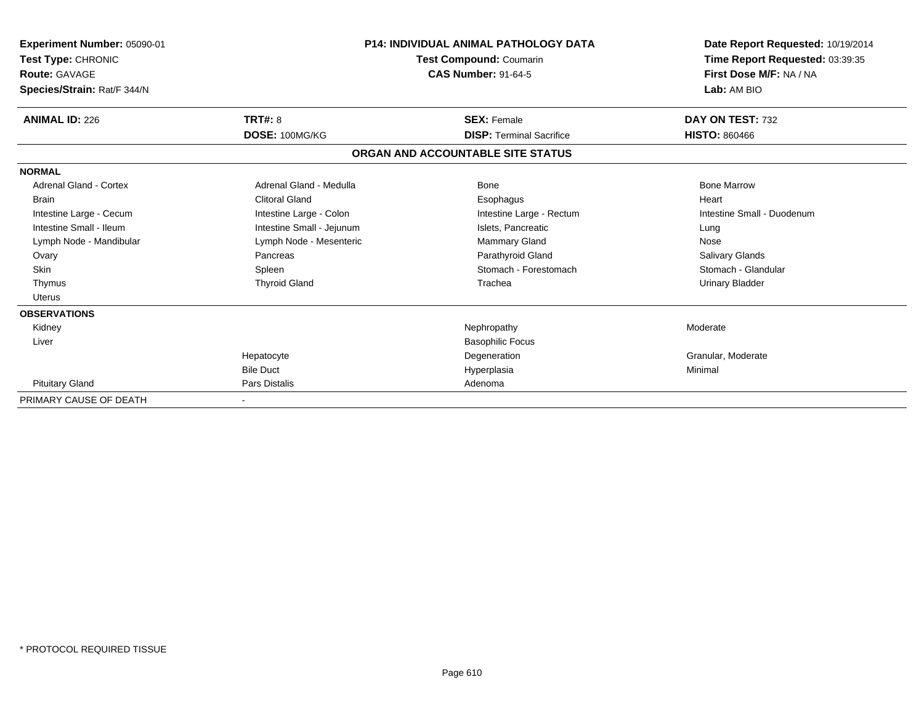| Experiment Number: 05090-01<br>Test Type: CHRONIC<br>Route: GAVAGE<br>Species/Strain: Rat/F 344/N |                           | <b>P14: INDIVIDUAL ANIMAL PATHOLOGY DATA</b><br>Test Compound: Coumarin<br><b>CAS Number: 91-64-5</b> | Date Report Requested: 10/19/2014<br>Time Report Requested: 03:39:35<br>First Dose M/F: NA / NA<br>Lab: AM BIO |
|---------------------------------------------------------------------------------------------------|---------------------------|-------------------------------------------------------------------------------------------------------|----------------------------------------------------------------------------------------------------------------|
| <b>ANIMAL ID: 226</b>                                                                             | <b>TRT#: 8</b>            | <b>SEX: Female</b>                                                                                    | DAY ON TEST: 732                                                                                               |
|                                                                                                   | DOSE: 100MG/KG            | <b>DISP: Terminal Sacrifice</b>                                                                       | <b>HISTO: 860466</b>                                                                                           |
|                                                                                                   |                           | ORGAN AND ACCOUNTABLE SITE STATUS                                                                     |                                                                                                                |
| <b>NORMAL</b>                                                                                     |                           |                                                                                                       |                                                                                                                |
| <b>Adrenal Gland - Cortex</b>                                                                     | Adrenal Gland - Medulla   | Bone                                                                                                  | <b>Bone Marrow</b>                                                                                             |
| <b>Brain</b>                                                                                      | <b>Clitoral Gland</b>     | Esophagus                                                                                             | Heart                                                                                                          |
| Intestine Large - Cecum                                                                           | Intestine Large - Colon   | Intestine Large - Rectum                                                                              | Intestine Small - Duodenum                                                                                     |
| Intestine Small - Ileum                                                                           | Intestine Small - Jejunum | Islets, Pancreatic                                                                                    | Lung                                                                                                           |
| Lymph Node - Mandibular                                                                           | Lymph Node - Mesenteric   | <b>Mammary Gland</b>                                                                                  | Nose                                                                                                           |
| Ovary                                                                                             | Pancreas                  | Parathyroid Gland                                                                                     | <b>Salivary Glands</b>                                                                                         |
| <b>Skin</b>                                                                                       | Spleen                    | Stomach - Forestomach                                                                                 | Stomach - Glandular                                                                                            |
| Thymus                                                                                            | <b>Thyroid Gland</b>      | Trachea                                                                                               | <b>Urinary Bladder</b>                                                                                         |
| <b>Uterus</b>                                                                                     |                           |                                                                                                       |                                                                                                                |
| <b>OBSERVATIONS</b>                                                                               |                           |                                                                                                       |                                                                                                                |
| Kidney                                                                                            |                           | Nephropathy                                                                                           | Moderate                                                                                                       |
| Liver                                                                                             |                           | <b>Basophilic Focus</b>                                                                               |                                                                                                                |
|                                                                                                   | Hepatocyte                | Degeneration                                                                                          | Granular, Moderate                                                                                             |
|                                                                                                   | <b>Bile Duct</b>          | Hyperplasia                                                                                           | Minimal                                                                                                        |
| <b>Pituitary Gland</b>                                                                            | Pars Distalis             | Adenoma                                                                                               |                                                                                                                |
| PRIMARY CAUSE OF DEATH                                                                            |                           |                                                                                                       |                                                                                                                |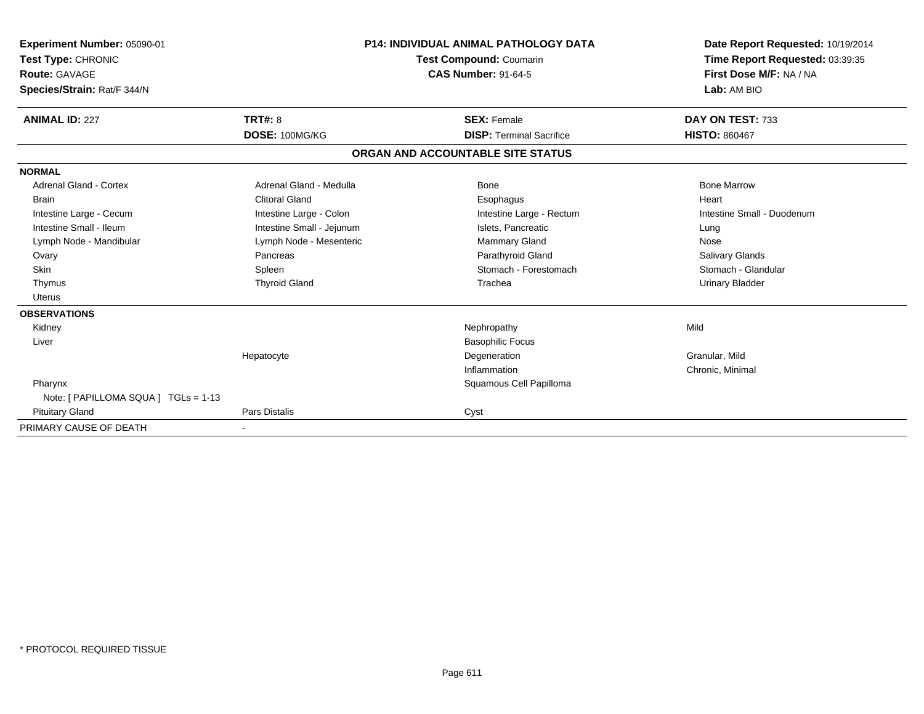| Experiment Number: 05090-01<br>Test Type: CHRONIC<br><b>Route: GAVAGE</b><br>Species/Strain: Rat/F 344/N |                           | <b>P14: INDIVIDUAL ANIMAL PATHOLOGY DATA</b><br><b>Test Compound: Coumarin</b><br><b>CAS Number: 91-64-5</b> |                                 | Lab: AM BIO            | Date Report Requested: 10/19/2014<br>Time Report Requested: 03:39:35<br>First Dose M/F: NA / NA |
|----------------------------------------------------------------------------------------------------------|---------------------------|--------------------------------------------------------------------------------------------------------------|---------------------------------|------------------------|-------------------------------------------------------------------------------------------------|
| <b>ANIMAL ID: 227</b>                                                                                    | <b>TRT#: 8</b>            |                                                                                                              | <b>SEX: Female</b>              | DAY ON TEST: 733       |                                                                                                 |
|                                                                                                          | DOSE: 100MG/KG            |                                                                                                              | <b>DISP: Terminal Sacrifice</b> | <b>HISTO: 860467</b>   |                                                                                                 |
|                                                                                                          |                           | ORGAN AND ACCOUNTABLE SITE STATUS                                                                            |                                 |                        |                                                                                                 |
| <b>NORMAL</b>                                                                                            |                           |                                                                                                              |                                 |                        |                                                                                                 |
| <b>Adrenal Gland - Cortex</b>                                                                            | Adrenal Gland - Medulla   |                                                                                                              | Bone                            | <b>Bone Marrow</b>     |                                                                                                 |
| <b>Brain</b>                                                                                             | <b>Clitoral Gland</b>     |                                                                                                              | Esophagus                       | Heart                  |                                                                                                 |
| Intestine Large - Cecum                                                                                  | Intestine Large - Colon   |                                                                                                              | Intestine Large - Rectum        |                        | Intestine Small - Duodenum                                                                      |
| Intestine Small - Ileum                                                                                  | Intestine Small - Jejunum |                                                                                                              | Islets, Pancreatic              | Lung                   |                                                                                                 |
| Lymph Node - Mandibular                                                                                  | Lymph Node - Mesenteric   |                                                                                                              | Mammary Gland                   | Nose                   |                                                                                                 |
| Ovary                                                                                                    | Pancreas                  |                                                                                                              | Parathyroid Gland               | Salivary Glands        |                                                                                                 |
| Skin                                                                                                     | Spleen                    |                                                                                                              | Stomach - Forestomach           | Stomach - Glandular    |                                                                                                 |
| Thymus                                                                                                   | <b>Thyroid Gland</b>      |                                                                                                              | Trachea                         | <b>Urinary Bladder</b> |                                                                                                 |
| <b>Uterus</b>                                                                                            |                           |                                                                                                              |                                 |                        |                                                                                                 |
| <b>OBSERVATIONS</b>                                                                                      |                           |                                                                                                              |                                 |                        |                                                                                                 |
| Kidney                                                                                                   |                           |                                                                                                              | Nephropathy                     | Mild                   |                                                                                                 |
| Liver                                                                                                    |                           |                                                                                                              | <b>Basophilic Focus</b>         |                        |                                                                                                 |
|                                                                                                          | Hepatocyte                |                                                                                                              | Degeneration                    | Granular, Mild         |                                                                                                 |
|                                                                                                          |                           |                                                                                                              | Inflammation                    | Chronic, Minimal       |                                                                                                 |
| Pharynx                                                                                                  |                           |                                                                                                              | Squamous Cell Papilloma         |                        |                                                                                                 |
| Note: [ PAPILLOMA SQUA ] TGLs = 1-13                                                                     |                           |                                                                                                              |                                 |                        |                                                                                                 |
| <b>Pituitary Gland</b>                                                                                   | Pars Distalis             | Cyst                                                                                                         |                                 |                        |                                                                                                 |
| PRIMARY CAUSE OF DEATH                                                                                   |                           |                                                                                                              |                                 |                        |                                                                                                 |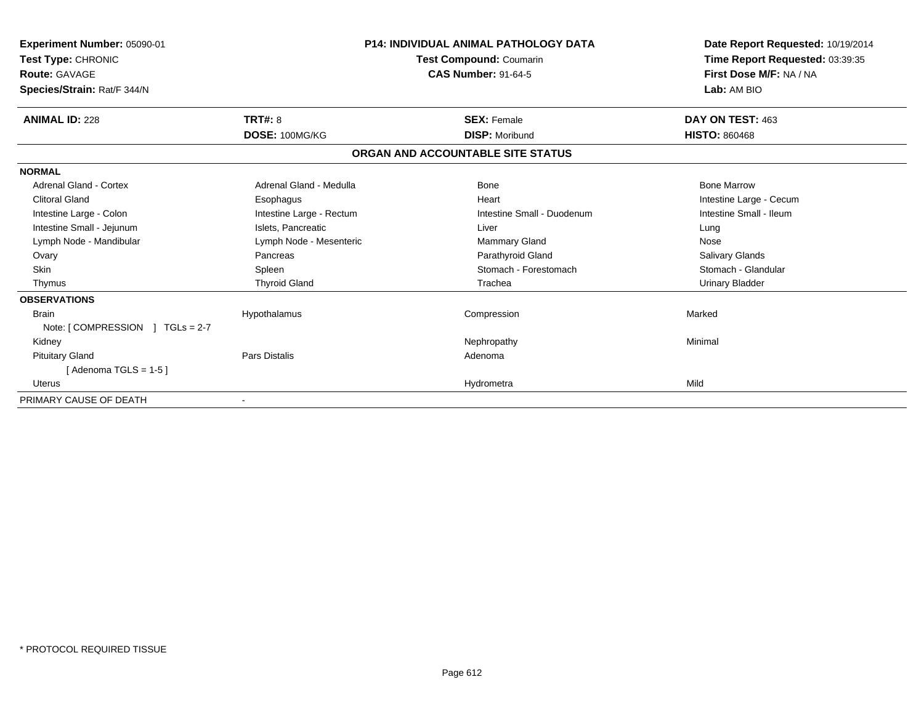| Experiment Number: 05090-01<br>Test Type: CHRONIC<br><b>Route: GAVAGE</b><br>Species/Strain: Rat/F 344/N |                          | <b>P14: INDIVIDUAL ANIMAL PATHOLOGY DATA</b><br><b>Test Compound: Coumarin</b><br><b>CAS Number: 91-64-5</b> | Date Report Requested: 10/19/2014<br>Time Report Requested: 03:39:35<br>First Dose M/F: NA / NA<br>Lab: AM BIO |
|----------------------------------------------------------------------------------------------------------|--------------------------|--------------------------------------------------------------------------------------------------------------|----------------------------------------------------------------------------------------------------------------|
| <b>ANIMAL ID: 228</b>                                                                                    | <b>TRT#: 8</b>           | <b>SEX: Female</b>                                                                                           | DAY ON TEST: 463                                                                                               |
|                                                                                                          | DOSE: 100MG/KG           | <b>DISP: Moribund</b>                                                                                        | <b>HISTO: 860468</b>                                                                                           |
|                                                                                                          |                          | ORGAN AND ACCOUNTABLE SITE STATUS                                                                            |                                                                                                                |
| <b>NORMAL</b>                                                                                            |                          |                                                                                                              |                                                                                                                |
| Adrenal Gland - Cortex                                                                                   | Adrenal Gland - Medulla  | Bone                                                                                                         | <b>Bone Marrow</b>                                                                                             |
| <b>Clitoral Gland</b>                                                                                    | Esophagus                | Heart                                                                                                        | Intestine Large - Cecum                                                                                        |
| Intestine Large - Colon                                                                                  | Intestine Large - Rectum | Intestine Small - Duodenum                                                                                   | Intestine Small - Ileum                                                                                        |
| Intestine Small - Jejunum                                                                                | Islets, Pancreatic       | Liver                                                                                                        | Lung                                                                                                           |
| Lymph Node - Mandibular                                                                                  | Lymph Node - Mesenteric  | <b>Mammary Gland</b>                                                                                         | Nose                                                                                                           |
| Ovary                                                                                                    | Pancreas                 | Parathyroid Gland                                                                                            | <b>Salivary Glands</b>                                                                                         |
| <b>Skin</b>                                                                                              | Spleen                   | Stomach - Forestomach                                                                                        | Stomach - Glandular                                                                                            |
| Thymus                                                                                                   | <b>Thyroid Gland</b>     | Trachea                                                                                                      | <b>Urinary Bladder</b>                                                                                         |
| <b>OBSERVATIONS</b>                                                                                      |                          |                                                                                                              |                                                                                                                |
| <b>Brain</b>                                                                                             | Hypothalamus             | Compression                                                                                                  | Marked                                                                                                         |
| Note: $\lceil$ COMPRESSION $\lceil$ TGLs = 2-7                                                           |                          |                                                                                                              |                                                                                                                |
| Kidney                                                                                                   |                          | Nephropathy                                                                                                  | Minimal                                                                                                        |
| <b>Pituitary Gland</b>                                                                                   | Pars Distalis            | Adenoma                                                                                                      |                                                                                                                |
| [Adenoma TGLS = $1-5$ ]                                                                                  |                          |                                                                                                              |                                                                                                                |
| Uterus                                                                                                   |                          | Hydrometra                                                                                                   | Mild                                                                                                           |
| PRIMARY CAUSE OF DEATH                                                                                   | $\blacksquare$           |                                                                                                              |                                                                                                                |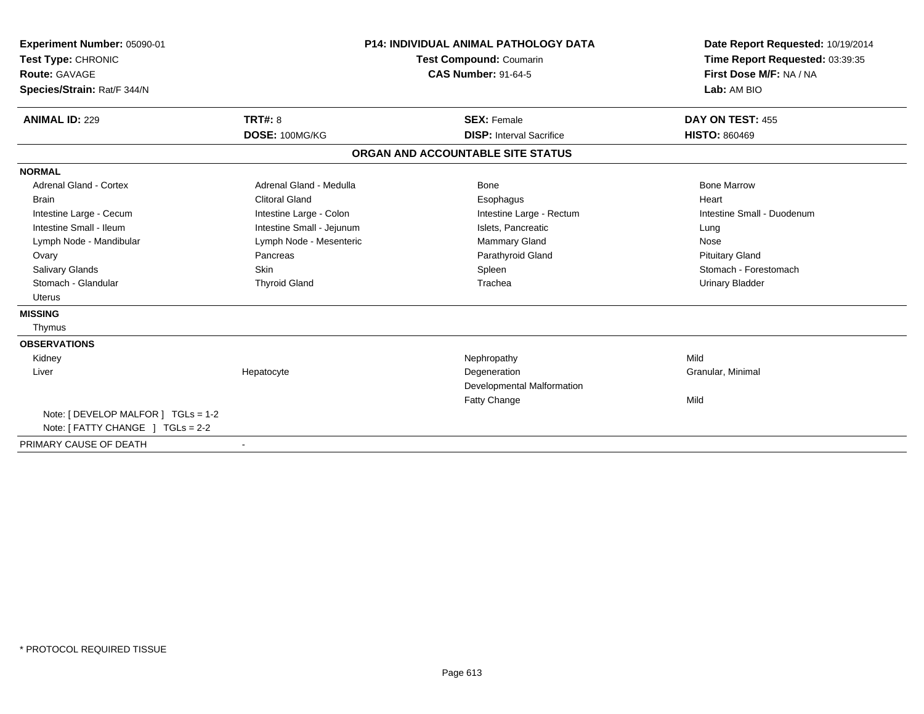| Experiment Number: 05090-01<br>Test Type: CHRONIC<br><b>Route: GAVAGE</b><br>Species/Strain: Rat/F 344/N |                           | <b>P14: INDIVIDUAL ANIMAL PATHOLOGY DATA</b><br><b>Test Compound: Coumarin</b><br><b>CAS Number: 91-64-5</b> | Date Report Requested: 10/19/2014<br>Time Report Requested: 03:39:35<br>First Dose M/F: NA / NA<br>Lab: AM BIO |
|----------------------------------------------------------------------------------------------------------|---------------------------|--------------------------------------------------------------------------------------------------------------|----------------------------------------------------------------------------------------------------------------|
| <b>ANIMAL ID: 229</b>                                                                                    | <b>TRT#: 8</b>            | <b>SEX: Female</b>                                                                                           | DAY ON TEST: 455                                                                                               |
|                                                                                                          | DOSE: 100MG/KG            | <b>DISP: Interval Sacrifice</b>                                                                              | <b>HISTO: 860469</b>                                                                                           |
|                                                                                                          |                           | ORGAN AND ACCOUNTABLE SITE STATUS                                                                            |                                                                                                                |
| <b>NORMAL</b>                                                                                            |                           |                                                                                                              |                                                                                                                |
| <b>Adrenal Gland - Cortex</b>                                                                            | Adrenal Gland - Medulla   | Bone                                                                                                         | <b>Bone Marrow</b>                                                                                             |
| <b>Brain</b>                                                                                             | <b>Clitoral Gland</b>     | Esophagus                                                                                                    | Heart                                                                                                          |
| Intestine Large - Cecum                                                                                  | Intestine Large - Colon   | Intestine Large - Rectum                                                                                     | Intestine Small - Duodenum                                                                                     |
| Intestine Small - Ileum                                                                                  | Intestine Small - Jejunum | Islets, Pancreatic                                                                                           | Lung                                                                                                           |
| Lymph Node - Mandibular                                                                                  | Lymph Node - Mesenteric   | Mammary Gland                                                                                                | Nose                                                                                                           |
| Ovary                                                                                                    | Pancreas                  | Parathyroid Gland                                                                                            | <b>Pituitary Gland</b>                                                                                         |
| <b>Salivary Glands</b>                                                                                   | <b>Skin</b>               | Spleen                                                                                                       | Stomach - Forestomach                                                                                          |
| Stomach - Glandular                                                                                      | <b>Thyroid Gland</b>      | Trachea                                                                                                      | <b>Urinary Bladder</b>                                                                                         |
| <b>Uterus</b>                                                                                            |                           |                                                                                                              |                                                                                                                |
| <b>MISSING</b>                                                                                           |                           |                                                                                                              |                                                                                                                |
| Thymus                                                                                                   |                           |                                                                                                              |                                                                                                                |
| <b>OBSERVATIONS</b>                                                                                      |                           |                                                                                                              |                                                                                                                |
| Kidney                                                                                                   |                           | Nephropathy                                                                                                  | Mild                                                                                                           |
| Liver                                                                                                    | Hepatocyte                | Degeneration                                                                                                 | Granular, Minimal                                                                                              |
|                                                                                                          |                           | Developmental Malformation                                                                                   |                                                                                                                |
|                                                                                                          |                           | <b>Fatty Change</b>                                                                                          | Mild                                                                                                           |
| Note: [ DEVELOP MALFOR ] TGLs = 1-2                                                                      |                           |                                                                                                              |                                                                                                                |
| Note: [ FATTY CHANGE ] TGLs = 2-2                                                                        |                           |                                                                                                              |                                                                                                                |
| PRIMARY CAUSE OF DEATH                                                                                   | $\overline{\phantom{a}}$  |                                                                                                              |                                                                                                                |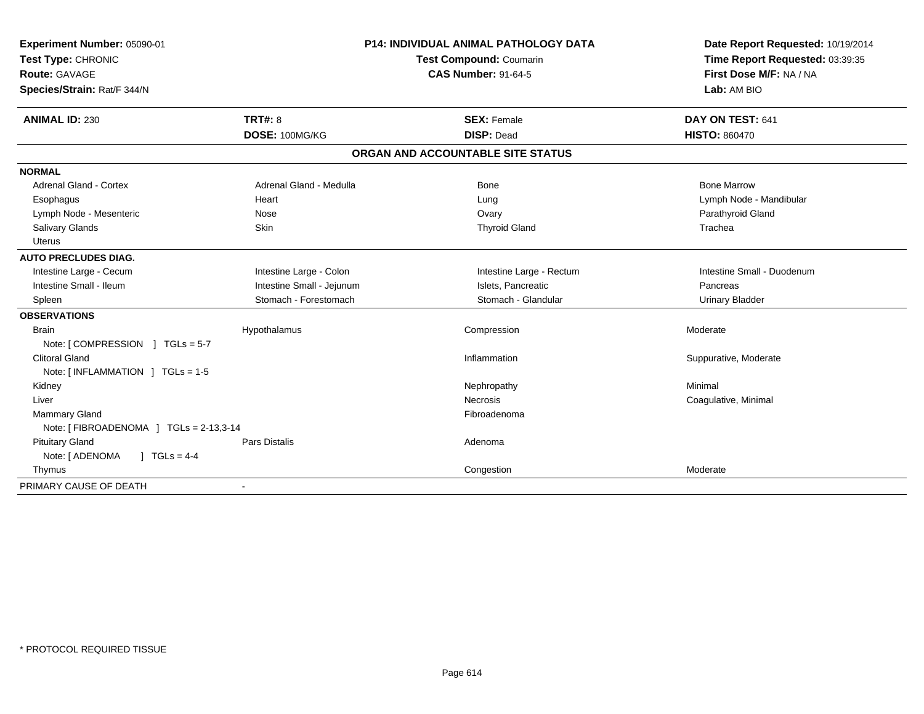| Experiment Number: 05090-01            |                           | <b>P14: INDIVIDUAL ANIMAL PATHOLOGY DATA</b> | Date Report Requested: 10/19/2014 |
|----------------------------------------|---------------------------|----------------------------------------------|-----------------------------------|
| Test Type: CHRONIC                     |                           | Test Compound: Coumarin                      | Time Report Requested: 03:39:35   |
| Route: GAVAGE                          |                           | <b>CAS Number: 91-64-5</b>                   | First Dose M/F: NA / NA           |
| Species/Strain: Rat/F 344/N            |                           |                                              | Lab: AM BIO                       |
| <b>ANIMAL ID: 230</b>                  | <b>TRT#: 8</b>            | <b>SEX: Female</b>                           | DAY ON TEST: 641                  |
|                                        | DOSE: 100MG/KG            | <b>DISP: Dead</b>                            | <b>HISTO: 860470</b>              |
|                                        |                           | ORGAN AND ACCOUNTABLE SITE STATUS            |                                   |
| <b>NORMAL</b>                          |                           |                                              |                                   |
| Adrenal Gland - Cortex                 | Adrenal Gland - Medulla   | <b>Bone</b>                                  | <b>Bone Marrow</b>                |
| Esophagus                              | Heart                     | Lung                                         | Lymph Node - Mandibular           |
| Lymph Node - Mesenteric                | Nose                      | Ovary                                        | Parathyroid Gland                 |
| Salivary Glands                        | Skin                      | <b>Thyroid Gland</b>                         | Trachea                           |
| <b>Uterus</b>                          |                           |                                              |                                   |
| <b>AUTO PRECLUDES DIAG.</b>            |                           |                                              |                                   |
| Intestine Large - Cecum                | Intestine Large - Colon   | Intestine Large - Rectum                     | Intestine Small - Duodenum        |
| Intestine Small - Ileum                | Intestine Small - Jejunum | Islets, Pancreatic                           | Pancreas                          |
| Spleen                                 | Stomach - Forestomach     | Stomach - Glandular                          | <b>Urinary Bladder</b>            |
| <b>OBSERVATIONS</b>                    |                           |                                              |                                   |
| <b>Brain</b>                           | Hypothalamus              | Compression                                  | Moderate                          |
| Note: [COMPRESSION ] TGLs = 5-7        |                           |                                              |                                   |
| <b>Clitoral Gland</b>                  |                           | Inflammation                                 | Suppurative, Moderate             |
| Note: [INFLAMMATION ] TGLs = 1-5       |                           |                                              |                                   |
| Kidney                                 |                           | Nephropathy                                  | Minimal                           |
| Liver                                  |                           | <b>Necrosis</b>                              | Coagulative, Minimal              |
| Mammary Gland                          |                           | Fibroadenoma                                 |                                   |
| Note: [FIBROADENOMA ] TGLs = 2-13,3-14 |                           |                                              |                                   |
| <b>Pituitary Gland</b>                 | <b>Pars Distalis</b>      | Adenoma                                      |                                   |
| Note: [ ADENOMA<br>$1 TGLs = 4-4$      |                           |                                              |                                   |
| Thymus                                 |                           | Congestion                                   | Moderate                          |
| PRIMARY CAUSE OF DEATH                 |                           |                                              |                                   |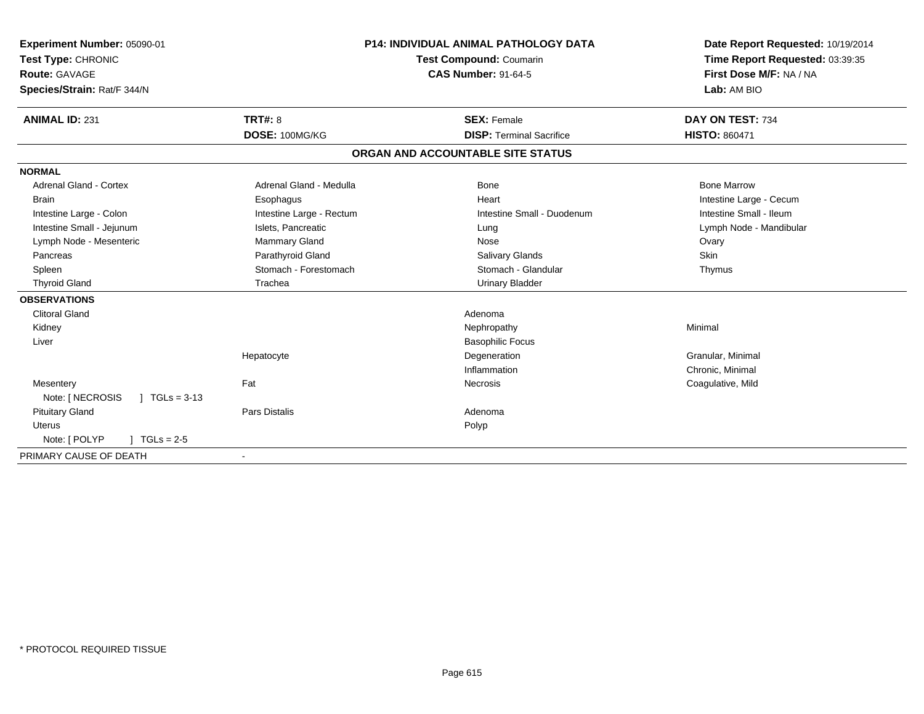| Experiment Number: 05090-01<br>Test Type: CHRONIC<br><b>Route: GAVAGE</b><br>Species/Strain: Rat/F 344/N<br><b>ANIMAL ID: 231</b>                                                                                                                 | <b>TRT#: 8</b><br>DOSE: 100MG/KG                                                                                                                                 | P14: INDIVIDUAL ANIMAL PATHOLOGY DATA<br>Test Compound: Coumarin<br><b>CAS Number: 91-64-5</b><br><b>SEX: Female</b><br><b>DISP: Terminal Sacrifice</b>                                     | Date Report Requested: 10/19/2014<br>Time Report Requested: 03:39:35<br>First Dose M/F: NA / NA<br>Lab: AM BIO<br>DAY ON TEST: 734<br><b>HISTO: 860471</b> |
|---------------------------------------------------------------------------------------------------------------------------------------------------------------------------------------------------------------------------------------------------|------------------------------------------------------------------------------------------------------------------------------------------------------------------|---------------------------------------------------------------------------------------------------------------------------------------------------------------------------------------------|------------------------------------------------------------------------------------------------------------------------------------------------------------|
|                                                                                                                                                                                                                                                   |                                                                                                                                                                  | ORGAN AND ACCOUNTABLE SITE STATUS                                                                                                                                                           |                                                                                                                                                            |
| <b>NORMAL</b>                                                                                                                                                                                                                                     |                                                                                                                                                                  |                                                                                                                                                                                             |                                                                                                                                                            |
| <b>Adrenal Gland - Cortex</b><br><b>Brain</b><br>Intestine Large - Colon<br>Intestine Small - Jejunum<br>Lymph Node - Mesenteric<br>Pancreas<br>Spleen<br><b>Thyroid Gland</b><br><b>OBSERVATIONS</b><br><b>Clitoral Gland</b><br>Kidney<br>Liver | Adrenal Gland - Medulla<br>Esophagus<br>Intestine Large - Rectum<br>Islets, Pancreatic<br>Mammary Gland<br>Parathyroid Gland<br>Stomach - Forestomach<br>Trachea | Bone<br>Heart<br>Intestine Small - Duodenum<br>Lung<br>Nose<br><b>Salivary Glands</b><br>Stomach - Glandular<br><b>Urinary Bladder</b><br>Adenoma<br>Nephropathy<br><b>Basophilic Focus</b> | <b>Bone Marrow</b><br>Intestine Large - Cecum<br>Intestine Small - Ileum<br>Lymph Node - Mandibular<br>Ovary<br><b>Skin</b><br>Thymus<br>Minimal           |
|                                                                                                                                                                                                                                                   | Hepatocyte                                                                                                                                                       | Degeneration<br>Inflammation                                                                                                                                                                | Granular, Minimal<br>Chronic, Minimal                                                                                                                      |
| Mesentery<br>Note: [ NECROSIS<br>$\sqrt{ }$ TGLs = 3-13                                                                                                                                                                                           | Fat                                                                                                                                                              | Necrosis                                                                                                                                                                                    | Coagulative, Mild                                                                                                                                          |
| <b>Pituitary Gland</b><br><b>Uterus</b><br>Note: [ POLYP<br>$TGLs = 2-5$                                                                                                                                                                          | <b>Pars Distalis</b>                                                                                                                                             | Adenoma<br>Polyp                                                                                                                                                                            |                                                                                                                                                            |
| PRIMARY CAUSE OF DEATH                                                                                                                                                                                                                            |                                                                                                                                                                  |                                                                                                                                                                                             |                                                                                                                                                            |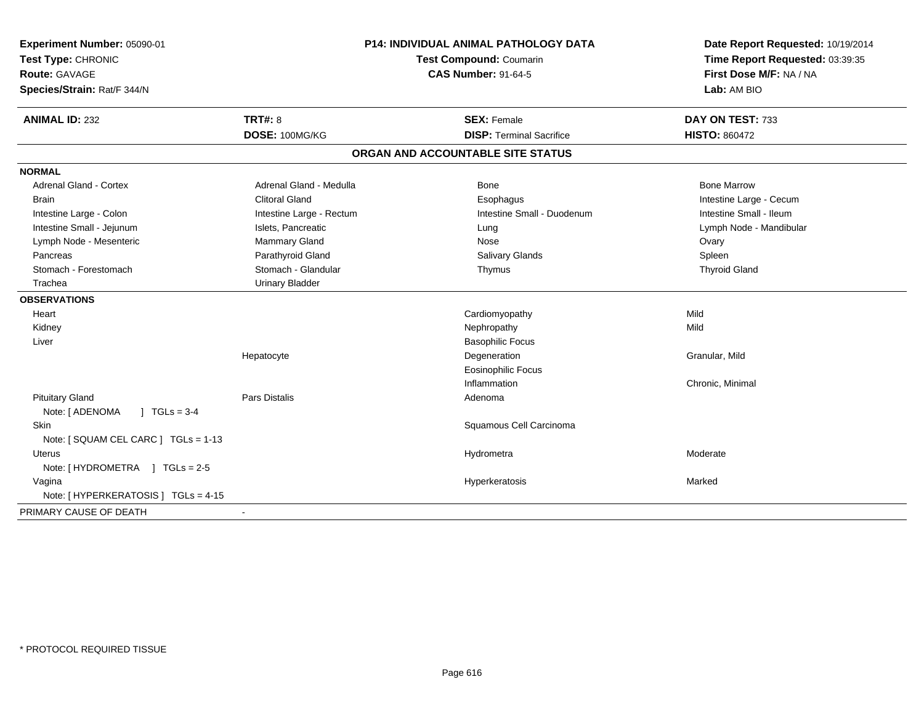| Experiment Number: 05090-01<br>Test Type: CHRONIC<br>Route: GAVAGE<br>Species/Strain: Rat/F 344/N |                          | <b>P14: INDIVIDUAL ANIMAL PATHOLOGY DATA</b><br>Test Compound: Coumarin<br><b>CAS Number: 91-64-5</b> | Date Report Requested: 10/19/2014<br>Time Report Requested: 03:39:35<br>First Dose M/F: NA / NA<br>Lab: AM BIO |
|---------------------------------------------------------------------------------------------------|--------------------------|-------------------------------------------------------------------------------------------------------|----------------------------------------------------------------------------------------------------------------|
| <b>ANIMAL ID: 232</b>                                                                             | <b>TRT#: 8</b>           | <b>SEX: Female</b>                                                                                    | DAY ON TEST: 733                                                                                               |
|                                                                                                   | DOSE: 100MG/KG           | <b>DISP: Terminal Sacrifice</b>                                                                       | <b>HISTO: 860472</b>                                                                                           |
|                                                                                                   |                          | ORGAN AND ACCOUNTABLE SITE STATUS                                                                     |                                                                                                                |
| <b>NORMAL</b>                                                                                     |                          |                                                                                                       |                                                                                                                |
| <b>Adrenal Gland - Cortex</b>                                                                     | Adrenal Gland - Medulla  | Bone                                                                                                  | <b>Bone Marrow</b>                                                                                             |
| <b>Brain</b>                                                                                      | <b>Clitoral Gland</b>    | Esophagus                                                                                             | Intestine Large - Cecum                                                                                        |
| Intestine Large - Colon                                                                           | Intestine Large - Rectum | Intestine Small - Duodenum                                                                            | Intestine Small - Ileum                                                                                        |
| Intestine Small - Jejunum                                                                         | Islets, Pancreatic       | Lung                                                                                                  | Lymph Node - Mandibular                                                                                        |
| Lymph Node - Mesenteric                                                                           | Mammary Gland            | Nose                                                                                                  | Ovary                                                                                                          |
| Pancreas                                                                                          | Parathyroid Gland        | Salivary Glands                                                                                       | Spleen                                                                                                         |
| Stomach - Forestomach                                                                             | Stomach - Glandular      | Thymus                                                                                                | <b>Thyroid Gland</b>                                                                                           |
| Trachea                                                                                           | <b>Urinary Bladder</b>   |                                                                                                       |                                                                                                                |
| <b>OBSERVATIONS</b>                                                                               |                          |                                                                                                       |                                                                                                                |
| Heart                                                                                             |                          | Cardiomyopathy                                                                                        | Mild                                                                                                           |
| Kidney                                                                                            |                          | Nephropathy                                                                                           | Mild                                                                                                           |
| Liver                                                                                             |                          | <b>Basophilic Focus</b>                                                                               |                                                                                                                |
|                                                                                                   | Hepatocyte               | Degeneration                                                                                          | Granular, Mild                                                                                                 |
|                                                                                                   |                          | Eosinophilic Focus                                                                                    |                                                                                                                |
|                                                                                                   |                          | Inflammation                                                                                          | Chronic, Minimal                                                                                               |
| <b>Pituitary Gland</b>                                                                            | Pars Distalis            | Adenoma                                                                                               |                                                                                                                |
| Note: [ ADENOMA<br>$1 TGLs = 3-4$                                                                 |                          |                                                                                                       |                                                                                                                |
| Skin                                                                                              |                          | Squamous Cell Carcinoma                                                                               |                                                                                                                |
| Note: [ SQUAM CEL CARC ] TGLs = 1-13                                                              |                          |                                                                                                       |                                                                                                                |
| Uterus                                                                                            |                          | Hydrometra                                                                                            | Moderate                                                                                                       |
| Note: [HYDROMETRA ] TGLs = 2-5                                                                    |                          |                                                                                                       |                                                                                                                |
| Vagina                                                                                            |                          | Hyperkeratosis                                                                                        | Marked                                                                                                         |
| Note: [ HYPERKERATOSIS ] TGLs = 4-15                                                              |                          |                                                                                                       |                                                                                                                |
| PRIMARY CAUSE OF DEATH                                                                            |                          |                                                                                                       |                                                                                                                |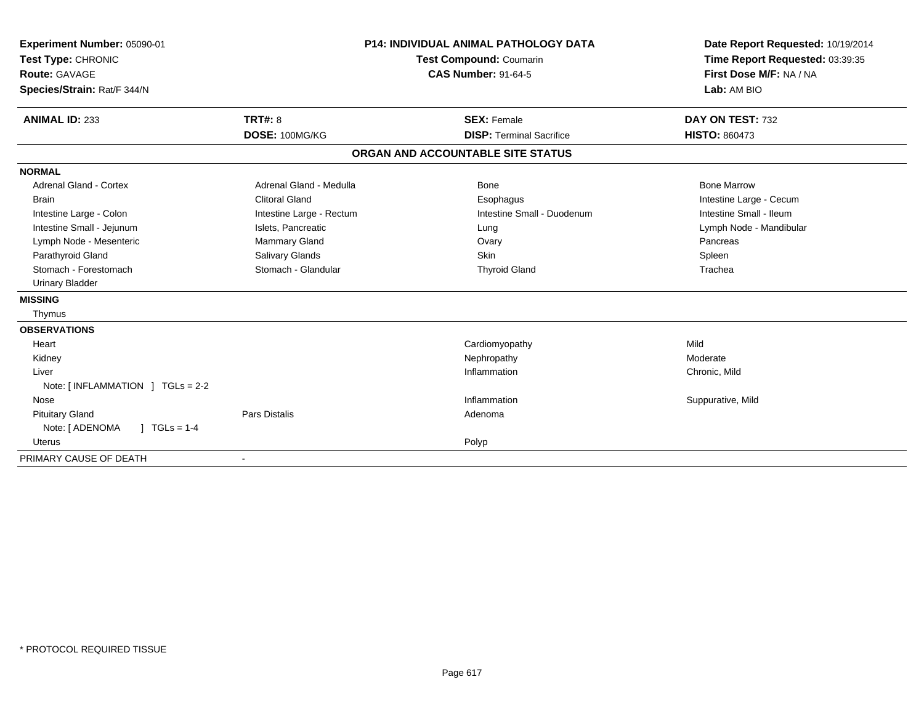| Experiment Number: 05090-01<br>Test Type: CHRONIC<br>Route: GAVAGE<br>Species/Strain: Rat/F 344/N |                          | <b>P14: INDIVIDUAL ANIMAL PATHOLOGY DATA</b><br><b>Test Compound: Coumarin</b><br><b>CAS Number: 91-64-5</b> | Date Report Requested: 10/19/2014<br>Time Report Requested: 03:39:35<br>First Dose M/F: NA / NA<br>Lab: AM BIO |
|---------------------------------------------------------------------------------------------------|--------------------------|--------------------------------------------------------------------------------------------------------------|----------------------------------------------------------------------------------------------------------------|
| <b>ANIMAL ID: 233</b>                                                                             | TRT#: 8                  | <b>SEX: Female</b>                                                                                           | DAY ON TEST: 732                                                                                               |
|                                                                                                   | DOSE: 100MG/KG           | <b>DISP: Terminal Sacrifice</b>                                                                              | <b>HISTO: 860473</b>                                                                                           |
|                                                                                                   |                          | ORGAN AND ACCOUNTABLE SITE STATUS                                                                            |                                                                                                                |
| <b>NORMAL</b>                                                                                     |                          |                                                                                                              |                                                                                                                |
| Adrenal Gland - Cortex                                                                            | Adrenal Gland - Medulla  | Bone                                                                                                         | <b>Bone Marrow</b>                                                                                             |
| <b>Brain</b>                                                                                      | <b>Clitoral Gland</b>    | Esophagus                                                                                                    | Intestine Large - Cecum                                                                                        |
| Intestine Large - Colon                                                                           | Intestine Large - Rectum | Intestine Small - Duodenum                                                                                   | Intestine Small - Ileum                                                                                        |
| Intestine Small - Jejunum                                                                         | Islets, Pancreatic       | Lung                                                                                                         | Lymph Node - Mandibular                                                                                        |
| Lymph Node - Mesenteric                                                                           | Mammary Gland            | Ovary                                                                                                        | Pancreas                                                                                                       |
| Parathyroid Gland                                                                                 | Salivary Glands          | <b>Skin</b>                                                                                                  | Spleen                                                                                                         |
| Stomach - Forestomach                                                                             | Stomach - Glandular      | <b>Thyroid Gland</b>                                                                                         | Trachea                                                                                                        |
| <b>Urinary Bladder</b>                                                                            |                          |                                                                                                              |                                                                                                                |
| <b>MISSING</b>                                                                                    |                          |                                                                                                              |                                                                                                                |
| Thymus                                                                                            |                          |                                                                                                              |                                                                                                                |
| <b>OBSERVATIONS</b>                                                                               |                          |                                                                                                              |                                                                                                                |
| Heart                                                                                             |                          | Cardiomyopathy                                                                                               | Mild                                                                                                           |
| Kidney                                                                                            |                          | Nephropathy                                                                                                  | Moderate                                                                                                       |
| Liver                                                                                             |                          | Inflammation                                                                                                 | Chronic, Mild                                                                                                  |
| Note: [INFLAMMATION ] TGLs = 2-2                                                                  |                          |                                                                                                              |                                                                                                                |
| Nose                                                                                              |                          | Inflammation                                                                                                 | Suppurative, Mild                                                                                              |
| <b>Pituitary Gland</b>                                                                            | Pars Distalis            | Adenoma                                                                                                      |                                                                                                                |
| Note: [ ADENOMA<br>$1 TGLs = 1-4$                                                                 |                          |                                                                                                              |                                                                                                                |
| <b>Uterus</b>                                                                                     |                          | Polyp                                                                                                        |                                                                                                                |
| PRIMARY CAUSE OF DEATH                                                                            |                          |                                                                                                              |                                                                                                                |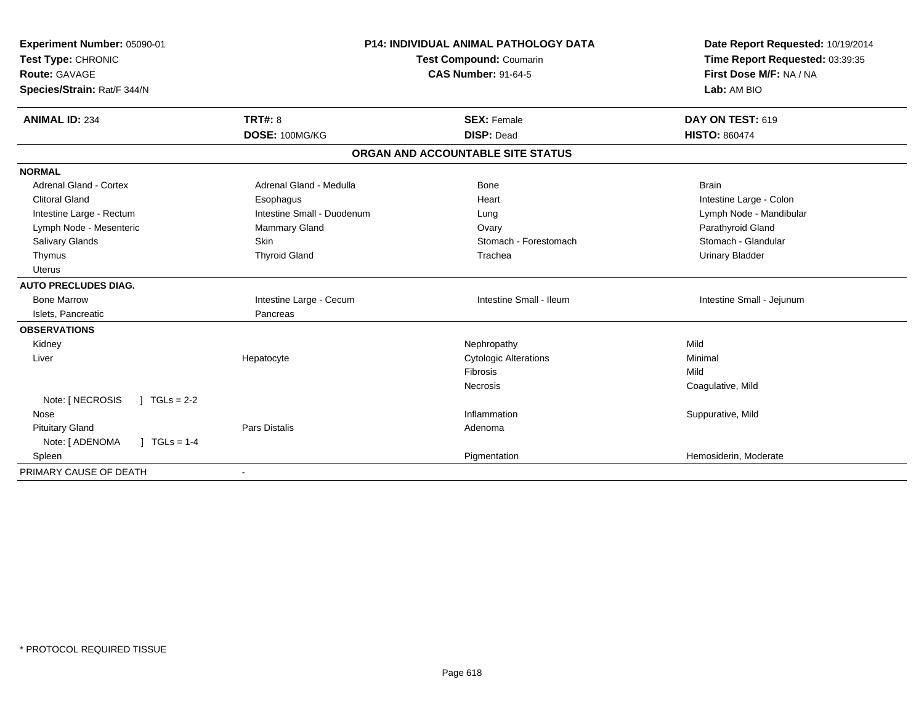| Experiment Number: 05090-01             |                            | <b>P14: INDIVIDUAL ANIMAL PATHOLOGY DATA</b> | Date Report Requested: 10/19/2014 |
|-----------------------------------------|----------------------------|----------------------------------------------|-----------------------------------|
| Test Type: CHRONIC                      | Test Compound: Coumarin    |                                              | Time Report Requested: 03:39:35   |
| <b>Route: GAVAGE</b>                    |                            | <b>CAS Number: 91-64-5</b>                   | First Dose M/F: NA / NA           |
| Species/Strain: Rat/F 344/N             |                            |                                              | Lab: AM BIO                       |
| <b>ANIMAL ID: 234</b>                   | <b>TRT#: 8</b>             | <b>SEX: Female</b>                           | DAY ON TEST: 619                  |
|                                         | DOSE: 100MG/KG             | <b>DISP: Dead</b>                            | <b>HISTO: 860474</b>              |
|                                         |                            | ORGAN AND ACCOUNTABLE SITE STATUS            |                                   |
| <b>NORMAL</b>                           |                            |                                              |                                   |
| Adrenal Gland - Cortex                  | Adrenal Gland - Medulla    | <b>Bone</b>                                  | <b>Brain</b>                      |
| <b>Clitoral Gland</b>                   | Esophagus                  | Heart                                        | Intestine Large - Colon           |
| Intestine Large - Rectum                | Intestine Small - Duodenum | Lung                                         | Lymph Node - Mandibular           |
| Lymph Node - Mesenteric                 | <b>Mammary Gland</b>       | Ovary                                        | Parathyroid Gland                 |
| Salivary Glands                         | Skin                       | Stomach - Forestomach                        | Stomach - Glandular               |
| Thymus                                  | <b>Thyroid Gland</b>       | Trachea                                      | <b>Urinary Bladder</b>            |
| <b>Uterus</b>                           |                            |                                              |                                   |
| <b>AUTO PRECLUDES DIAG.</b>             |                            |                                              |                                   |
| <b>Bone Marrow</b>                      | Intestine Large - Cecum    | Intestine Small - Ileum                      | Intestine Small - Jejunum         |
| Islets, Pancreatic                      | Pancreas                   |                                              |                                   |
| <b>OBSERVATIONS</b>                     |                            |                                              |                                   |
| Kidney                                  |                            | Nephropathy                                  | Mild                              |
| Liver                                   | Hepatocyte                 | <b>Cytologic Alterations</b>                 | Minimal                           |
|                                         |                            | Fibrosis                                     | Mild                              |
|                                         |                            | <b>Necrosis</b>                              | Coagulative, Mild                 |
| Note: [ NECROSIS<br>$TGLs = 2-2$        |                            |                                              |                                   |
| Nose                                    |                            | Inflammation                                 | Suppurative, Mild                 |
| <b>Pituitary Gland</b>                  | Pars Distalis              | Adenoma                                      |                                   |
| $J \cdot TGLS = 1-4$<br>Note: [ ADENOMA |                            |                                              |                                   |
| Spleen                                  |                            | Pigmentation                                 | Hemosiderin, Moderate             |
| PRIMARY CAUSE OF DEATH                  |                            |                                              |                                   |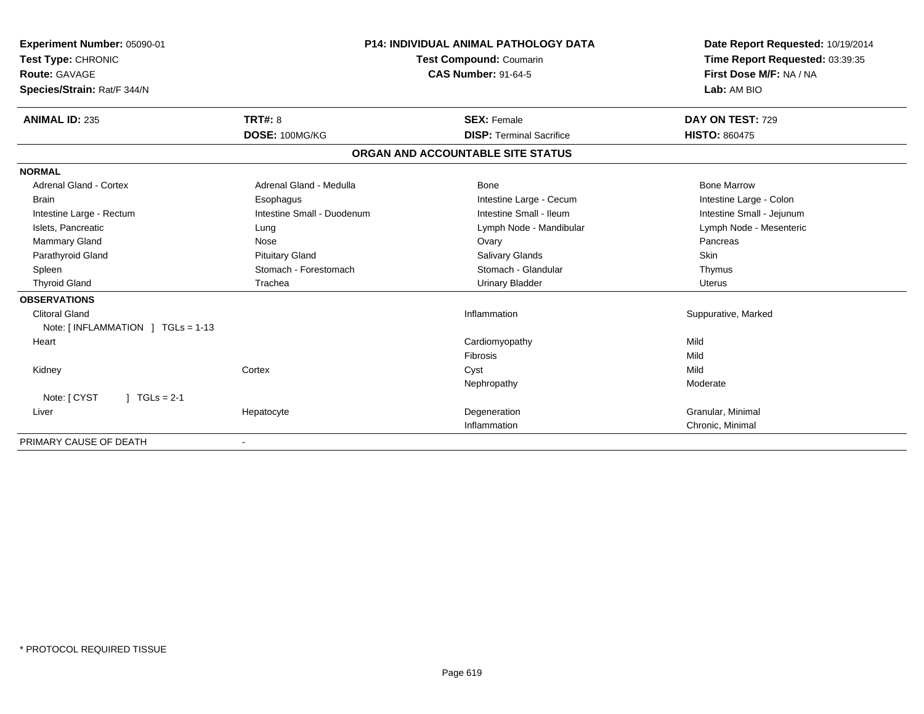| Experiment Number: 05090-01       |                                | <b>P14: INDIVIDUAL ANIMAL PATHOLOGY DATA</b> | Date Report Requested: 10/19/2014 |
|-----------------------------------|--------------------------------|----------------------------------------------|-----------------------------------|
| Test Type: CHRONIC                | <b>Test Compound: Coumarin</b> |                                              | Time Report Requested: 03:39:35   |
| Route: GAVAGE                     |                                | <b>CAS Number: 91-64-5</b>                   | First Dose M/F: NA / NA           |
| Species/Strain: Rat/F 344/N       |                                |                                              | Lab: AM BIO                       |
| <b>ANIMAL ID: 235</b>             | TRT#: 8                        | <b>SEX: Female</b>                           | DAY ON TEST: 729                  |
|                                   | DOSE: 100MG/KG                 | <b>DISP: Terminal Sacrifice</b>              | <b>HISTO: 860475</b>              |
|                                   |                                | ORGAN AND ACCOUNTABLE SITE STATUS            |                                   |
| <b>NORMAL</b>                     |                                |                                              |                                   |
| <b>Adrenal Gland - Cortex</b>     | Adrenal Gland - Medulla        | <b>Bone</b>                                  | <b>Bone Marrow</b>                |
| <b>Brain</b>                      | Esophagus                      | Intestine Large - Cecum                      | Intestine Large - Colon           |
| Intestine Large - Rectum          | Intestine Small - Duodenum     | Intestine Small - Ileum                      | Intestine Small - Jejunum         |
| Islets, Pancreatic                | Lung                           | Lymph Node - Mandibular                      | Lymph Node - Mesenteric           |
| <b>Mammary Gland</b>              | Nose                           | Ovary                                        | Pancreas                          |
| Parathyroid Gland                 | <b>Pituitary Gland</b>         | Salivary Glands                              | <b>Skin</b>                       |
| Spleen                            | Stomach - Forestomach          | Stomach - Glandular                          | Thymus                            |
| <b>Thyroid Gland</b>              | Trachea                        | <b>Urinary Bladder</b>                       | <b>Uterus</b>                     |
| <b>OBSERVATIONS</b>               |                                |                                              |                                   |
| <b>Clitoral Gland</b>             |                                | Inflammation                                 | Suppurative, Marked               |
| Note: [INFLAMMATION ] TGLs = 1-13 |                                |                                              |                                   |
| Heart                             |                                | Cardiomyopathy                               | Mild                              |
|                                   |                                | Fibrosis                                     | Mild                              |
| Kidney                            | Cortex                         | Cyst                                         | Mild                              |
|                                   |                                | Nephropathy                                  | Moderate                          |
| Note: [ CYST<br>$J TGLs = 2-1$    |                                |                                              |                                   |
| Liver                             | Hepatocyte                     | Degeneration                                 | Granular, Minimal                 |
|                                   |                                | Inflammation                                 | Chronic, Minimal                  |
| PRIMARY CAUSE OF DEATH            | $\overline{\phantom{a}}$       |                                              |                                   |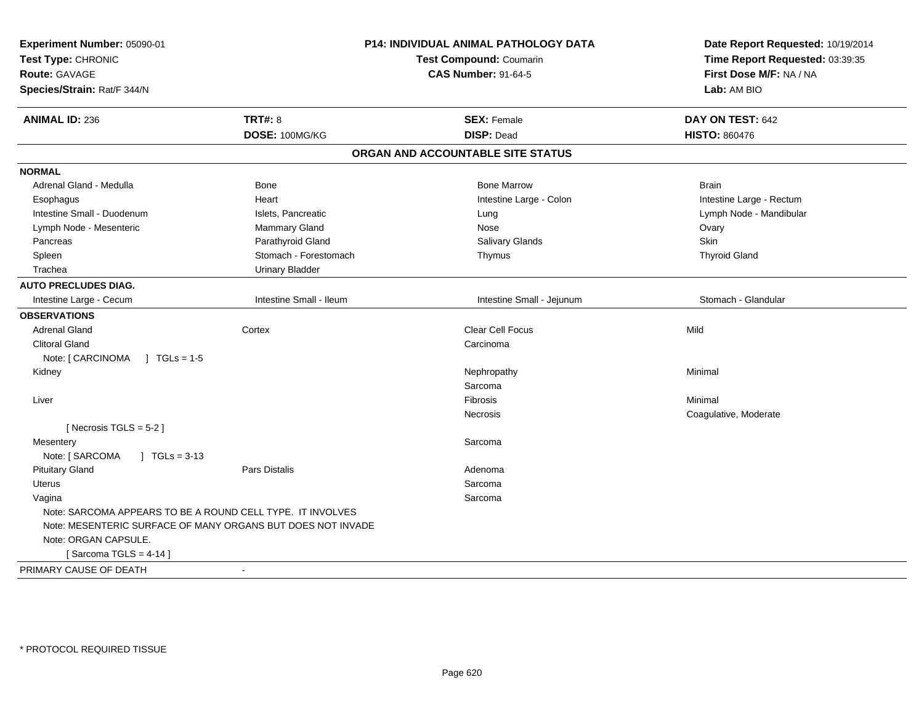| Experiment Number: 05090-01                                 |                         | P14: INDIVIDUAL ANIMAL PATHOLOGY DATA | Date Report Requested: 10/19/2014 |
|-------------------------------------------------------------|-------------------------|---------------------------------------|-----------------------------------|
| Test Type: CHRONIC                                          |                         | Test Compound: Coumarin               | Time Report Requested: 03:39:35   |
| <b>Route: GAVAGE</b>                                        |                         | <b>CAS Number: 91-64-5</b>            | First Dose M/F: NA / NA           |
| Species/Strain: Rat/F 344/N                                 |                         |                                       | Lab: AM BIO                       |
| <b>ANIMAL ID: 236</b>                                       | <b>TRT#: 8</b>          | <b>SEX: Female</b>                    | DAY ON TEST: 642                  |
|                                                             | DOSE: 100MG/KG          | <b>DISP: Dead</b>                     | <b>HISTO: 860476</b>              |
|                                                             |                         | ORGAN AND ACCOUNTABLE SITE STATUS     |                                   |
| <b>NORMAL</b>                                               |                         |                                       |                                   |
| Adrenal Gland - Medulla                                     | <b>Bone</b>             | <b>Bone Marrow</b>                    | <b>Brain</b>                      |
| Esophagus                                                   | Heart                   | Intestine Large - Colon               | Intestine Large - Rectum          |
| Intestine Small - Duodenum                                  | Islets, Pancreatic      | Lung                                  | Lymph Node - Mandibular           |
| Lymph Node - Mesenteric                                     | Mammary Gland           | Nose                                  | Ovary                             |
| Pancreas                                                    | Parathyroid Gland       | Salivary Glands                       | Skin                              |
| Spleen                                                      | Stomach - Forestomach   | Thymus                                | <b>Thyroid Gland</b>              |
| Trachea                                                     | <b>Urinary Bladder</b>  |                                       |                                   |
| <b>AUTO PRECLUDES DIAG.</b>                                 |                         |                                       |                                   |
| Intestine Large - Cecum                                     | Intestine Small - Ileum | Intestine Small - Jejunum             | Stomach - Glandular               |
| <b>OBSERVATIONS</b>                                         |                         |                                       |                                   |
| <b>Adrenal Gland</b>                                        | Cortex                  | Clear Cell Focus                      | Mild                              |
| <b>Clitoral Gland</b>                                       |                         | Carcinoma                             |                                   |
| Note: [ CARCINOMA<br>$\sqrt{ }$ TGLs = 1-5                  |                         |                                       |                                   |
| Kidney                                                      |                         | Nephropathy                           | Minimal                           |
|                                                             |                         | Sarcoma                               |                                   |
| Liver                                                       |                         | <b>Fibrosis</b>                       | Minimal                           |
|                                                             |                         | Necrosis                              | Coagulative, Moderate             |
| [Necrosis TGLS = $5-2$ ]                                    |                         |                                       |                                   |
| Mesentery                                                   |                         | Sarcoma                               |                                   |
| Note: [ SARCOMA<br>$\int$ TGLs = 3-13                       |                         |                                       |                                   |
| <b>Pituitary Gland</b>                                      | <b>Pars Distalis</b>    | Adenoma                               |                                   |
| <b>Uterus</b>                                               |                         | Sarcoma                               |                                   |
| Vagina                                                      |                         | Sarcoma                               |                                   |
| Note: SARCOMA APPEARS TO BE A ROUND CELL TYPE. IT INVOLVES  |                         |                                       |                                   |
| Note: MESENTERIC SURFACE OF MANY ORGANS BUT DOES NOT INVADE |                         |                                       |                                   |
| Note: ORGAN CAPSULE.                                        |                         |                                       |                                   |
| [Sarcoma TGLS = $4-14$ ]                                    |                         |                                       |                                   |
| PRIMARY CAUSE OF DEATH                                      | $\blacksquare$          |                                       |                                   |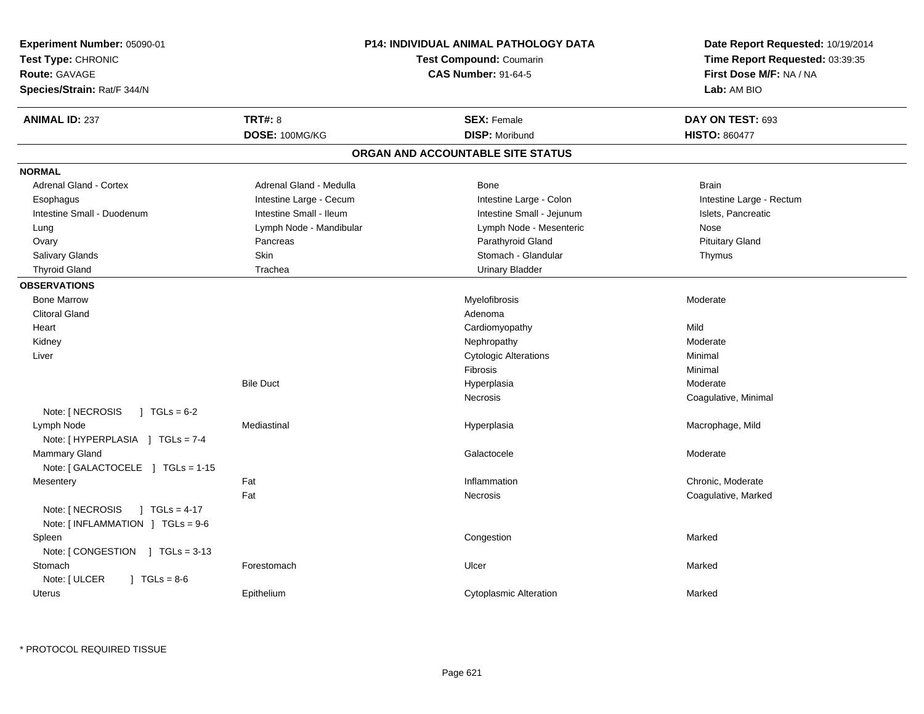| Experiment Number: 05090-01<br>Test Type: CHRONIC<br>Route: GAVAGE<br>Species/Strain: Rat/F 344/N |                         | <b>P14: INDIVIDUAL ANIMAL PATHOLOGY DATA</b><br><b>Test Compound: Coumarin</b><br><b>CAS Number: 91-64-5</b> | Date Report Requested: 10/19/2014<br>Time Report Requested: 03:39:35<br>First Dose M/F: NA / NA<br>Lab: AM BIO |
|---------------------------------------------------------------------------------------------------|-------------------------|--------------------------------------------------------------------------------------------------------------|----------------------------------------------------------------------------------------------------------------|
| <b>ANIMAL ID: 237</b>                                                                             | TRT#: 8                 | <b>SEX: Female</b>                                                                                           | DAY ON TEST: 693                                                                                               |
|                                                                                                   | DOSE: 100MG/KG          | <b>DISP: Moribund</b>                                                                                        | <b>HISTO: 860477</b>                                                                                           |
|                                                                                                   |                         | ORGAN AND ACCOUNTABLE SITE STATUS                                                                            |                                                                                                                |
| <b>NORMAL</b>                                                                                     |                         |                                                                                                              |                                                                                                                |
| <b>Adrenal Gland - Cortex</b>                                                                     | Adrenal Gland - Medulla | Bone                                                                                                         | <b>Brain</b>                                                                                                   |
| Esophagus                                                                                         | Intestine Large - Cecum | Intestine Large - Colon                                                                                      | Intestine Large - Rectum                                                                                       |
| Intestine Small - Duodenum                                                                        | Intestine Small - Ileum | Intestine Small - Jejunum                                                                                    | Islets, Pancreatic                                                                                             |
| Lung                                                                                              | Lymph Node - Mandibular | Lymph Node - Mesenteric                                                                                      | Nose                                                                                                           |
| Ovary                                                                                             | Pancreas                | Parathyroid Gland                                                                                            | <b>Pituitary Gland</b>                                                                                         |
| Salivary Glands                                                                                   | Skin                    | Stomach - Glandular                                                                                          | Thymus                                                                                                         |
| <b>Thyroid Gland</b>                                                                              | Trachea                 | <b>Urinary Bladder</b>                                                                                       |                                                                                                                |
| <b>OBSERVATIONS</b>                                                                               |                         |                                                                                                              |                                                                                                                |
| <b>Bone Marrow</b>                                                                                |                         | Myelofibrosis                                                                                                | Moderate                                                                                                       |
| <b>Clitoral Gland</b>                                                                             |                         | Adenoma                                                                                                      |                                                                                                                |
| Heart                                                                                             |                         | Cardiomyopathy                                                                                               | Mild                                                                                                           |
| Kidney                                                                                            |                         | Nephropathy                                                                                                  | Moderate                                                                                                       |
| Liver                                                                                             |                         | <b>Cytologic Alterations</b>                                                                                 | Minimal                                                                                                        |
|                                                                                                   |                         | <b>Fibrosis</b>                                                                                              | Minimal                                                                                                        |
|                                                                                                   | <b>Bile Duct</b>        | Hyperplasia                                                                                                  | Moderate                                                                                                       |
|                                                                                                   |                         | Necrosis                                                                                                     | Coagulative, Minimal                                                                                           |
| Note: [ NECROSIS<br>$1 \text{ TGLs} = 6-2$                                                        |                         |                                                                                                              |                                                                                                                |
| Lymph Node<br>Note: [HYPERPLASIA ] TGLs = 7-4                                                     | Mediastinal             | Hyperplasia                                                                                                  | Macrophage, Mild                                                                                               |
| Mammary Gland<br>Note: [GALACTOCELE ] TGLs = 1-15                                                 |                         | Galactocele                                                                                                  | Moderate                                                                                                       |
| Mesentery                                                                                         | Fat                     | Inflammation                                                                                                 | Chronic, Moderate                                                                                              |
|                                                                                                   | Fat                     | Necrosis                                                                                                     | Coagulative, Marked                                                                                            |
| Note: [ NECROSIS<br>$1 TGLs = 4-17$<br>Note: [INFLAMMATION ] TGLs = 9-6                           |                         |                                                                                                              |                                                                                                                |
| Spleen<br>Note: [CONGESTION ] TGLs = 3-13                                                         |                         | Congestion                                                                                                   | Marked                                                                                                         |
| Stomach<br>Note: [ ULCER<br>$\vert$ TGLs = 8-6                                                    | Forestomach             | Ulcer                                                                                                        | Marked                                                                                                         |
| Uterus                                                                                            | Epithelium              | <b>Cytoplasmic Alteration</b>                                                                                | Marked                                                                                                         |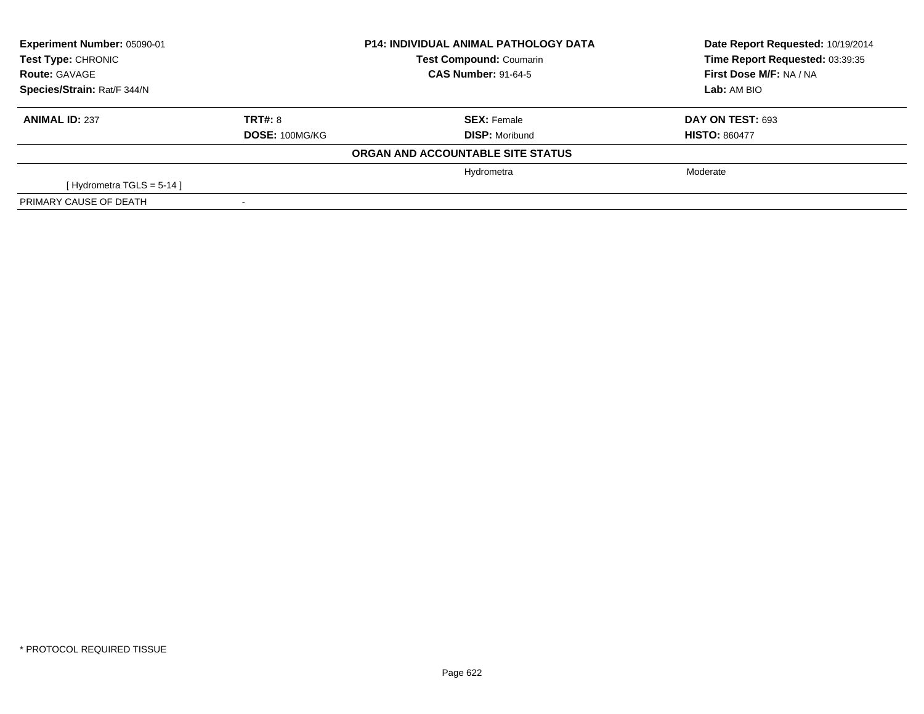| Experiment Number: 05090-01<br><b>Test Type: CHRONIC</b> |                | <b>P14: INDIVIDUAL ANIMAL PATHOLOGY DATA</b><br><b>Test Compound: Coumarin</b> | Date Report Requested: 10/19/2014<br>Time Report Requested: 03:39:35 |
|----------------------------------------------------------|----------------|--------------------------------------------------------------------------------|----------------------------------------------------------------------|
| <b>Route: GAVAGE</b>                                     |                | <b>CAS Number: 91-64-5</b>                                                     | First Dose M/F: NA / NA                                              |
| Species/Strain: Rat/F 344/N                              |                |                                                                                | Lab: AM BIO                                                          |
| <b>ANIMAL ID: 237</b>                                    | TRT#: 8        | <b>SEX: Female</b>                                                             | DAY ON TEST: 693                                                     |
|                                                          | DOSE: 100MG/KG | <b>DISP: Moribund</b>                                                          | <b>HISTO: 860477</b>                                                 |
|                                                          |                | ORGAN AND ACCOUNTABLE SITE STATUS                                              |                                                                      |
|                                                          |                | Hydrometra                                                                     | Moderate                                                             |
| [Hydrometra TGLS = $5-14$ ]                              |                |                                                                                |                                                                      |
| PRIMARY CAUSE OF DEATH                                   |                |                                                                                |                                                                      |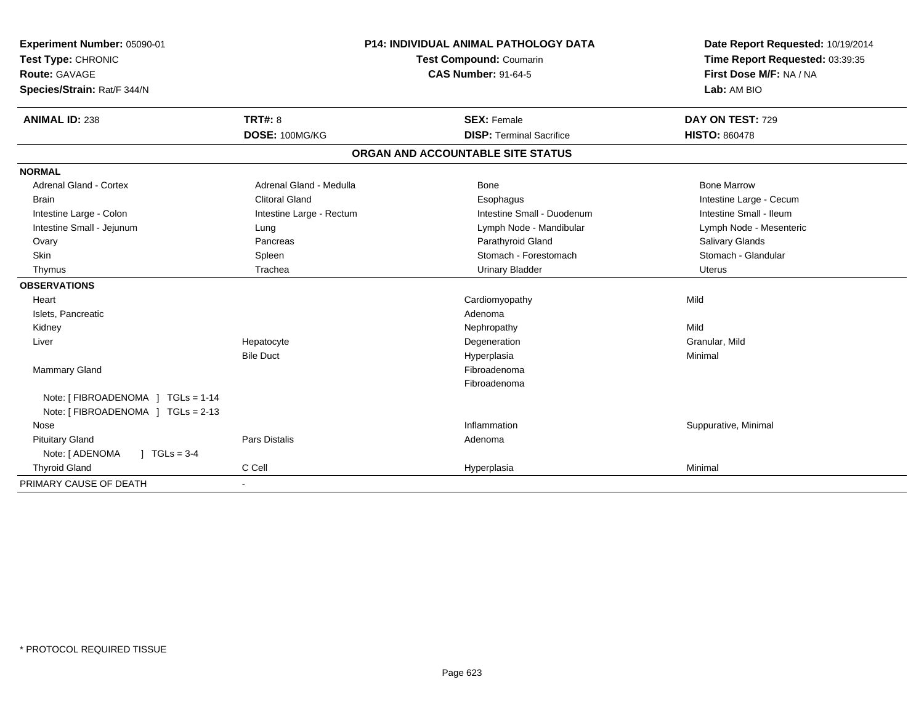| Experiment Number: 05090-01             |                          | <b>P14: INDIVIDUAL ANIMAL PATHOLOGY DATA</b> | Date Report Requested: 10/19/2014 |
|-----------------------------------------|--------------------------|----------------------------------------------|-----------------------------------|
| Test Type: CHRONIC                      | Test Compound: Coumarin  |                                              | Time Report Requested: 03:39:35   |
| <b>Route: GAVAGE</b>                    |                          | <b>CAS Number: 91-64-5</b>                   | First Dose M/F: NA / NA           |
| Species/Strain: Rat/F 344/N             |                          |                                              | Lab: AM BIO                       |
| <b>ANIMAL ID: 238</b>                   | TRT#: 8                  | <b>SEX: Female</b>                           | DAY ON TEST: 729                  |
|                                         | DOSE: 100MG/KG           | <b>DISP: Terminal Sacrifice</b>              | <b>HISTO: 860478</b>              |
|                                         |                          | ORGAN AND ACCOUNTABLE SITE STATUS            |                                   |
| <b>NORMAL</b>                           |                          |                                              |                                   |
| <b>Adrenal Gland - Cortex</b>           | Adrenal Gland - Medulla  | <b>Bone</b>                                  | <b>Bone Marrow</b>                |
| <b>Brain</b>                            | <b>Clitoral Gland</b>    | Esophagus                                    | Intestine Large - Cecum           |
| Intestine Large - Colon                 | Intestine Large - Rectum | Intestine Small - Duodenum                   | Intestine Small - Ileum           |
| Intestine Small - Jejunum               | Lung                     | Lymph Node - Mandibular                      | Lymph Node - Mesenteric           |
| Ovary                                   | Pancreas                 | Parathyroid Gland                            | Salivary Glands                   |
| Skin                                    | Spleen                   | Stomach - Forestomach                        | Stomach - Glandular               |
| Thymus                                  | Trachea                  | <b>Urinary Bladder</b>                       | Uterus                            |
| <b>OBSERVATIONS</b>                     |                          |                                              |                                   |
| Heart                                   |                          | Cardiomyopathy                               | Mild                              |
| Islets, Pancreatic                      |                          | Adenoma                                      |                                   |
| Kidney                                  |                          | Nephropathy                                  | Mild                              |
| Liver                                   | Hepatocyte               | Degeneration                                 | Granular, Mild                    |
|                                         | <b>Bile Duct</b>         | Hyperplasia                                  | Minimal                           |
| Mammary Gland                           |                          | Fibroadenoma                                 |                                   |
|                                         |                          | Fibroadenoma                                 |                                   |
| Note: [ FIBROADENOMA ] TGLs = 1-14      |                          |                                              |                                   |
| Note: [ FIBROADENOMA ] TGLs = 2-13      |                          |                                              |                                   |
| Nose                                    |                          | Inflammation                                 | Suppurative, Minimal              |
| <b>Pituitary Gland</b>                  | Pars Distalis            | Adenoma                                      |                                   |
| Note: [ ADENOMA<br>$J \cdot TGLs = 3-4$ |                          |                                              |                                   |
| <b>Thyroid Gland</b>                    | C Cell                   | Hyperplasia                                  | Minimal                           |
| PRIMARY CAUSE OF DEATH                  |                          |                                              |                                   |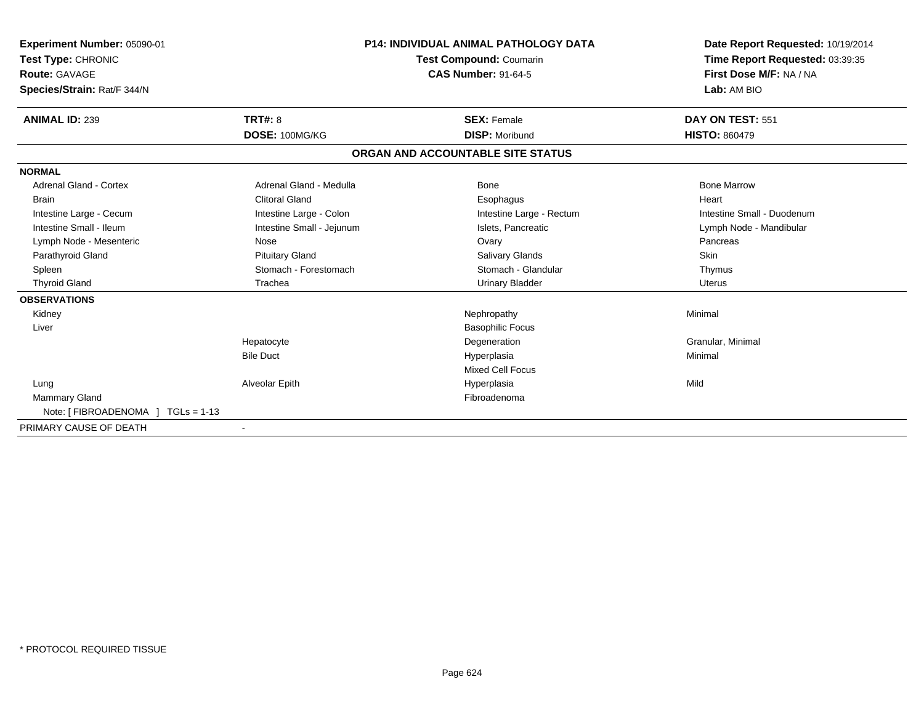| Experiment Number: 05090-01<br>Test Type: CHRONIC<br>Route: GAVAGE<br>Species/Strain: Rat/F 344/N |                           | <b>P14: INDIVIDUAL ANIMAL PATHOLOGY DATA</b><br>Test Compound: Coumarin<br><b>CAS Number: 91-64-5</b> | Date Report Requested: 10/19/2014<br>Time Report Requested: 03:39:35<br>First Dose M/F: NA / NA<br>Lab: AM BIO |
|---------------------------------------------------------------------------------------------------|---------------------------|-------------------------------------------------------------------------------------------------------|----------------------------------------------------------------------------------------------------------------|
| <b>ANIMAL ID: 239</b>                                                                             | TRT#: 8                   | <b>SEX: Female</b>                                                                                    | DAY ON TEST: 551                                                                                               |
|                                                                                                   | DOSE: 100MG/KG            | <b>DISP: Moribund</b>                                                                                 | <b>HISTO: 860479</b>                                                                                           |
|                                                                                                   |                           | ORGAN AND ACCOUNTABLE SITE STATUS                                                                     |                                                                                                                |
| <b>NORMAL</b>                                                                                     |                           |                                                                                                       |                                                                                                                |
| Adrenal Gland - Cortex                                                                            | Adrenal Gland - Medulla   | Bone                                                                                                  | <b>Bone Marrow</b>                                                                                             |
| Brain                                                                                             | <b>Clitoral Gland</b>     | Esophagus                                                                                             | Heart                                                                                                          |
| Intestine Large - Cecum                                                                           | Intestine Large - Colon   | Intestine Large - Rectum                                                                              | Intestine Small - Duodenum                                                                                     |
| Intestine Small - Ileum                                                                           | Intestine Small - Jejunum | Islets, Pancreatic                                                                                    | Lymph Node - Mandibular                                                                                        |
| Lymph Node - Mesenteric                                                                           | Nose                      | Ovary                                                                                                 | Pancreas                                                                                                       |
| Parathyroid Gland                                                                                 | <b>Pituitary Gland</b>    | <b>Salivary Glands</b>                                                                                | Skin                                                                                                           |
| Spleen                                                                                            | Stomach - Forestomach     | Stomach - Glandular                                                                                   | Thymus                                                                                                         |
| <b>Thyroid Gland</b>                                                                              | Trachea                   | <b>Urinary Bladder</b>                                                                                | Uterus                                                                                                         |
| <b>OBSERVATIONS</b>                                                                               |                           |                                                                                                       |                                                                                                                |
| Kidney                                                                                            |                           | Nephropathy                                                                                           | Minimal                                                                                                        |
| Liver                                                                                             |                           | <b>Basophilic Focus</b>                                                                               |                                                                                                                |
|                                                                                                   | Hepatocyte                | Degeneration                                                                                          | Granular, Minimal                                                                                              |
|                                                                                                   | <b>Bile Duct</b>          | Hyperplasia                                                                                           | Minimal                                                                                                        |
|                                                                                                   |                           | <b>Mixed Cell Focus</b>                                                                               |                                                                                                                |
| Lung                                                                                              | Alveolar Epith            | Hyperplasia                                                                                           | Mild                                                                                                           |
| <b>Mammary Gland</b>                                                                              |                           | Fibroadenoma                                                                                          |                                                                                                                |
| Note: [FIBROADENOMA ] TGLs = 1-13                                                                 |                           |                                                                                                       |                                                                                                                |
| PRIMARY CAUSE OF DEATH                                                                            |                           |                                                                                                       |                                                                                                                |